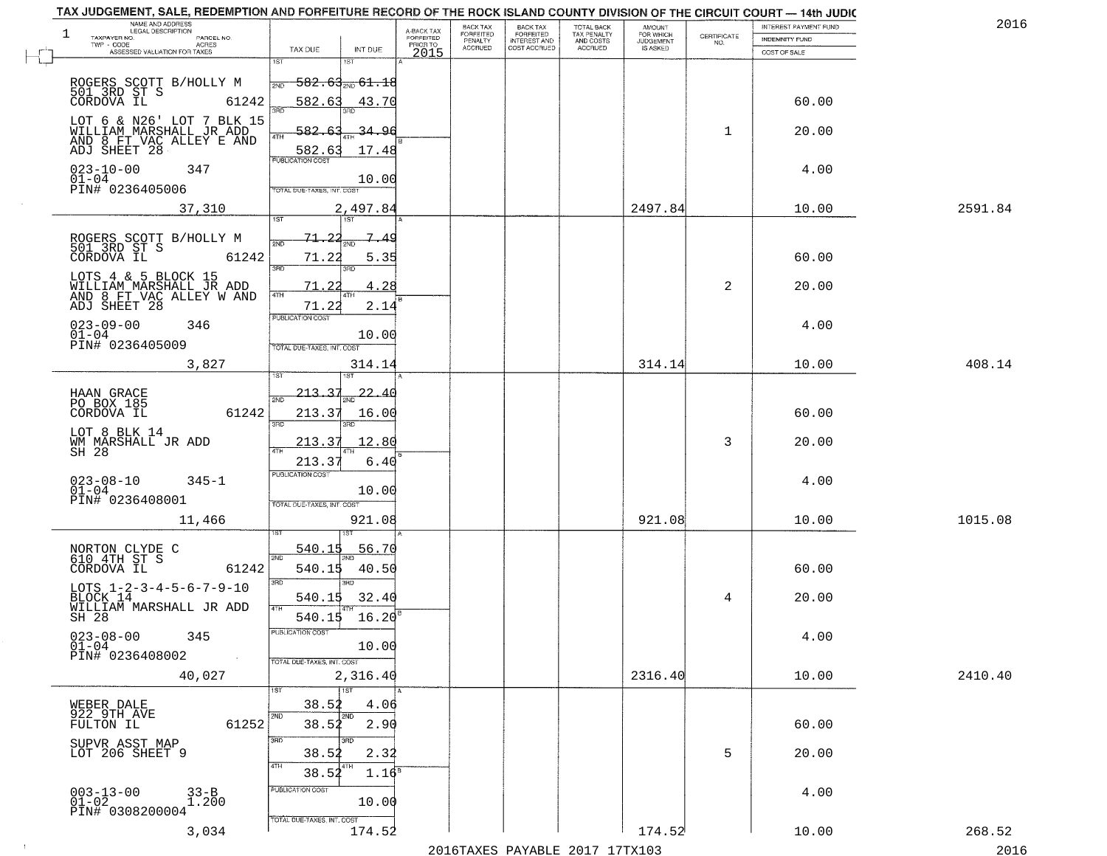|    | NAME AND ADDRESS<br>LEGAL DESCRIPTION<br>$\mathbf{1}$<br>TAXPAYER NO.<br>PARCEL NO.<br>ACRES<br>TWP - CODE |                                                                                                  | A-BACK TAX<br>FORFEITED<br>PRIOR TO | BACK TAX<br>FORFEITED<br>PENALTY<br><b>ACCRUED</b> | BACK TAX<br>FORFEITED<br>INTEREST AND<br>COST ACCRUED | TOTAL BACK<br>TAX PENALTY<br>AND COSTS<br>ACCRUED | AMOUNT<br>FOR WHICH<br><b>JUDGEMENT</b><br>IS ASKED | $\begin{array}{c} \text{CERTIFICATE} \\ \text{NO.} \end{array}$ | <b>INTEREST PAYMENT FUND</b><br>INDEMNITY FUND | 2016           |
|----|------------------------------------------------------------------------------------------------------------|--------------------------------------------------------------------------------------------------|-------------------------------------|----------------------------------------------------|-------------------------------------------------------|---------------------------------------------------|-----------------------------------------------------|-----------------------------------------------------------------|------------------------------------------------|----------------|
| J. | ASSESSED VALUATION FOR TAXES                                                                               | TAX DUE<br>INT DUE<br>1ST<br>18T                                                                 | 2015                                |                                                    |                                                       |                                                   |                                                     |                                                                 | COST OF SALE                                   |                |
|    | ROGERS SCOTT B/HOLLY M<br>501 3RD ST S<br>CORDOVA IL 612<br>61242                                          | <del>582.63<sub>თი</sub> 61.18</del><br>2ND<br>582.63<br>43.70<br>3AD                            |                                     |                                                    |                                                       |                                                   |                                                     |                                                                 | 60.00                                          |                |
|    | LOT 6 & N26' LOT 7 BLK 15<br>WILLIAM MARSHALL JR ADD<br>AND 8 FT VAC ALLEY E AND<br>ADJ SHEET 28           | 582.<br><u>34.96</u><br>4TH<br>17.48<br>582.63                                                   |                                     |                                                    |                                                       |                                                   |                                                     | $\mathbf{1}$                                                    | 20.00                                          |                |
|    | $023 - 10 - 00$<br>347<br>$01 - 04$<br>PIN# 0236405006                                                     | <b>PUBLICATION COST</b><br>10.00<br>TOTAL DUE-TAXES, INT. COST                                   |                                     |                                                    |                                                       |                                                   |                                                     |                                                                 | 4.00                                           |                |
|    | 37,310                                                                                                     | 2,497.84                                                                                         |                                     |                                                    |                                                       |                                                   | 2497.84                                             |                                                                 | 10.00                                          | 2591.84        |
|    | ROGERS SCOTT B/HOLLY M<br>501_3RD ST S<br>CORDOVA IL<br>61242                                              | 1ST<br>1ST<br>71.22<br>$\mathbb{Z}_{\bullet}$<br><u>49</u><br>2ND<br>71.22<br>5.35<br>3RD<br>3BD |                                     |                                                    |                                                       |                                                   |                                                     |                                                                 | 60.00                                          |                |
|    | LOTS 4 & 5 BLOCK 15<br>WILLIAM_MARSHALL_JR ADD<br>AND 8 FT VAC ALLEY WAND<br>ADJ SHEET 28                  | 4.28<br>71<br>4TH<br>2.14<br>71.22                                                               |                                     |                                                    |                                                       |                                                   |                                                     | 2                                                               | 20.00                                          |                |
|    | $023 - 09 - 00$<br>346<br>$01-04$<br>PIN# 0236405009                                                       | PUBLICATION COST<br>10.00<br>TOTAL DUE-TAXES, INT. COST                                          |                                     |                                                    |                                                       |                                                   |                                                     |                                                                 | 4.00                                           |                |
|    | 3,827                                                                                                      | 314.14                                                                                           |                                     |                                                    |                                                       |                                                   | 314.14                                              |                                                                 | 10.00                                          | 408.14         |
|    | HAAN GRACE<br>PO BOX 185<br>CORDOVA IL<br>61242                                                            | 213.37<br>22.40<br>2ND<br>213.37<br>16.00<br>3RD<br>3RD                                          |                                     |                                                    |                                                       |                                                   |                                                     |                                                                 | 60.00                                          |                |
|    | LOT 8 BLK 14<br>WM MARSHALL JR ADD<br>SH 28                                                                | 213.37<br>12.80<br>213.3'<br>6.40                                                                |                                     |                                                    |                                                       |                                                   |                                                     | 3                                                               | 20.00                                          |                |
|    | $023 - 08 - 10$<br>$345 - 1$<br>$01 - 04$<br>PIN# 0236408001                                               | <b>PUBLICATION COST</b><br>10.00<br>TOTAL OUE-TAXES, INT. COST                                   |                                     |                                                    |                                                       |                                                   |                                                     |                                                                 | 4.00                                           |                |
|    | 11,466                                                                                                     | 921.08                                                                                           |                                     |                                                    |                                                       |                                                   | 921.08                                              |                                                                 | 10.00                                          | 1015.08        |
|    | NORTON CLYDE C<br>610 4TH ST S<br>CORDOVA IL<br>61242                                                      | 540.15<br><u>56.70</u><br>2ND<br>540.1<br>40.50<br>3RD<br>3RD                                    |                                     |                                                    |                                                       |                                                   |                                                     |                                                                 | 60.00                                          |                |
|    | LOTS $1 - 2 - 3 - 4 - 5 - 6 - 7 - 9 - 10$<br>BLOCK 14<br>WILLIAM MARSHALL JR ADD<br>$SH-28$                | 32.40<br>540.15<br>16.20<br>540.15                                                               |                                     |                                                    |                                                       |                                                   |                                                     | 4                                                               | 20.00                                          |                |
|    | $023 - 08 - 00$<br>345<br>$01 - 04$<br>PIN# 0236408002                                                     | PUBLICATION COST<br>10.00<br>TOTAL DUE-TAXES, INT. COST                                          |                                     |                                                    |                                                       |                                                   |                                                     |                                                                 | 4.00                                           |                |
|    | 40,027                                                                                                     | 2,316.40<br>1ST                                                                                  |                                     |                                                    |                                                       |                                                   | 2316.40                                             |                                                                 | 10.00                                          | 2410.40        |
|    | WEBER DALE<br>922 9TH AVE<br>61252<br>FULTON IL                                                            | 38.52<br>4.06<br>2ND<br>2ND<br>38.52<br>2.90                                                     |                                     |                                                    |                                                       |                                                   |                                                     |                                                                 | 60.00                                          |                |
|    | SUPVR ASST MAP<br>LOT 206 SHEET 9                                                                          | 3RD<br>3RD<br>38.52<br>2.32<br>4TH<br>4TH<br>38.52<br>$1.16^5$                                   |                                     |                                                    |                                                       |                                                   |                                                     | 5                                                               | 20.00                                          |                |
|    | $003 - 13 - 00$<br>$01 - 02$<br>33-B<br>1.200<br>PIN# 0308200004                                           | PUBLICATION COST<br>10.00<br>TOTAL DUE-TAXES, INT. COST                                          |                                     |                                                    |                                                       |                                                   |                                                     |                                                                 | 4.00                                           |                |
|    | 3,034                                                                                                      | 174.52                                                                                           |                                     |                                                    |                                                       | $2016$ TAVEC DAVADIE 2017 17TV102                 | 174.52                                              |                                                                 | 10.00                                          | 268.52<br>2016 |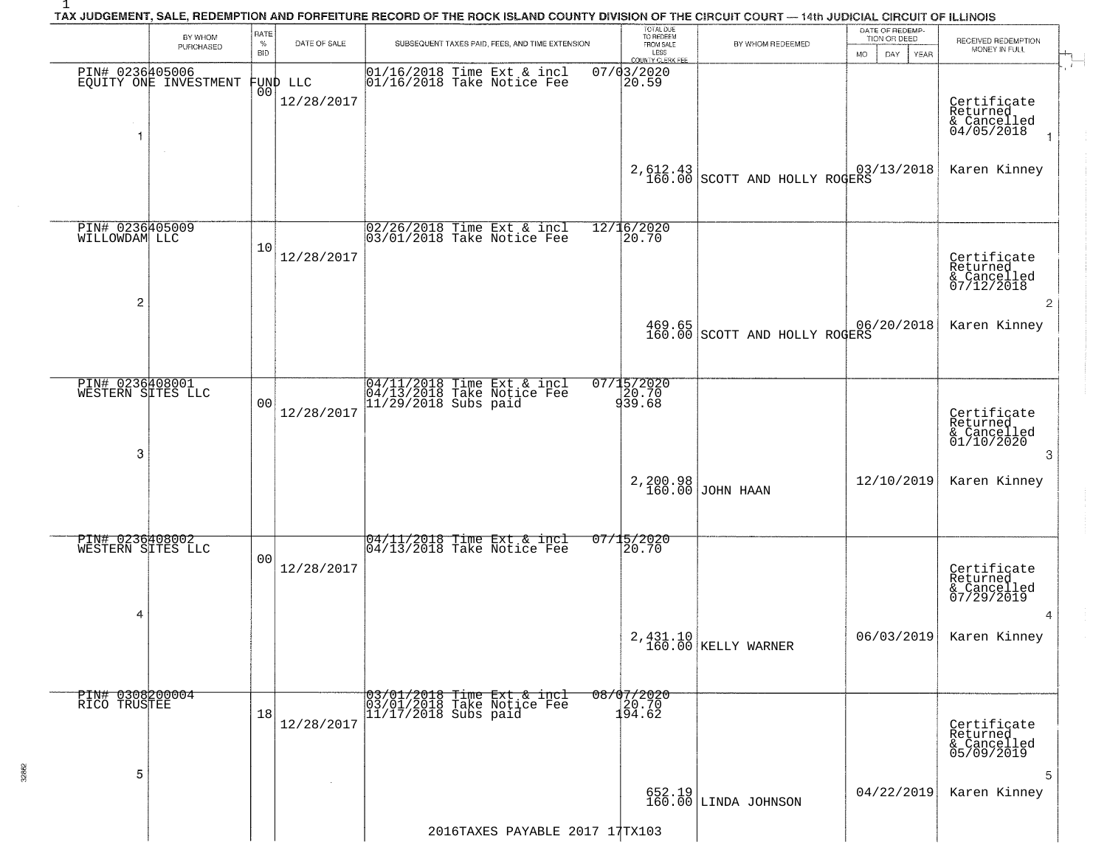|                                           | BY WHOM<br>PURCHASED  | RATE<br>$\%$<br>BID | DATE OF SALE           |                                                                                  | SUBSEQUENT TAXES PAID, FEES, AND TIME EXTENSION | TOTAL DUE<br>TO REDEEM<br>FROM SALE<br>LESS<br>COUNTY CLERK FEE | BY WHOM REDEEMED                | DATE OF REDEMP-<br>TION OR DEED<br>DAY.<br><b>YEAR</b><br>MO. | RECEIVED REDEMPTION<br>MONEY IN FULL                 |
|-------------------------------------------|-----------------------|---------------------|------------------------|----------------------------------------------------------------------------------|-------------------------------------------------|-----------------------------------------------------------------|---------------------------------|---------------------------------------------------------------|------------------------------------------------------|
| PIN# 0236405006<br>1                      | EQUITY ONE INVESTMENT | 00 <sup>1</sup>     | FUND LLC<br>12/28/2017 | $ 01/16/2018$ Time Ext & incl<br>$ 01/16/2018$ Take Notice Fee                   |                                                 | 07/03/2020<br>20.59                                             |                                 |                                                               | Certificate<br>Returned<br>& Cancelled<br>04/05/2018 |
|                                           |                       |                     |                        |                                                                                  |                                                 | 2,612.43                                                        | 160.00 SCOTT AND HOLLY ROGERS   | 03/13/2018                                                    | Karen Kinney                                         |
| PIN# 0236405009<br>WILLOWDAM LLC          |                       | 10                  | 12/28/2017             | 02/26/2018 Time Ext & incl<br>03/01/2018 Take Notice Fee                         |                                                 | 12/16/2020<br>20.70                                             |                                 |                                                               | Certificate<br>Returned<br>& Cancelled<br>07/12/2018 |
| 2                                         |                       |                     |                        |                                                                                  |                                                 | 469.65                                                          | 160.00 SCOTT AND HOLLY ROGERS   | 06/20/2018                                                    | Karen Kinney                                         |
| PIN# 0236408001<br>WESTERN SITES LLC<br>3 |                       | 0 <sub>0</sub>      | 12/28/2017             | 04/11/2018 Time Ext & incl<br>04/13/2018 Take Notice Fee<br>11/29/2018 Subs paid |                                                 | 07/15/2020<br>939.70                                            |                                 |                                                               | Certificate<br>Returned<br>& Cancelled<br>01/10/2020 |
|                                           |                       |                     |                        |                                                                                  |                                                 |                                                                 | 2,200.98<br>160.00 JOHN HAAN    | 12/10/2019                                                    | Karen Kinney                                         |
| PIN# 0236408002<br>WESTERN SITES LLC<br>4 |                       | 00                  | 12/28/2017             | $\frac{04}{11/2018}$ Time Ext & incl<br>$\frac{04}{13/2018}$ Take Notice Fee     |                                                 | 07/15/2020<br>20.70                                             |                                 |                                                               | Certificate<br>Returned<br>& Cancelled<br>07/29/2019 |
|                                           |                       |                     |                        |                                                                                  |                                                 |                                                                 | 2,431.10<br>160.00 KELLY WARNER | 06/03/2019                                                    | Karen Kinney                                         |
| PIN# 0308200004<br>RICO TRUSTEE           |                       | 18                  | 12/28/2017             | 03/01/2018 Time Ext & incl<br>03/01/2018 Take Notice Fee<br>11/17/2018 Subs paid |                                                 | $\frac{08/07/2020}{20.70}$<br>194.62                            |                                 |                                                               | Certificate<br>Returned<br>& Cancelled<br>05/09/2019 |
| 5                                         |                       |                     |                        |                                                                                  |                                                 |                                                                 | 652.19<br>160.00 LINDA JOHNSON  | 04/22/2019                                                    | Karen Kinney                                         |

32862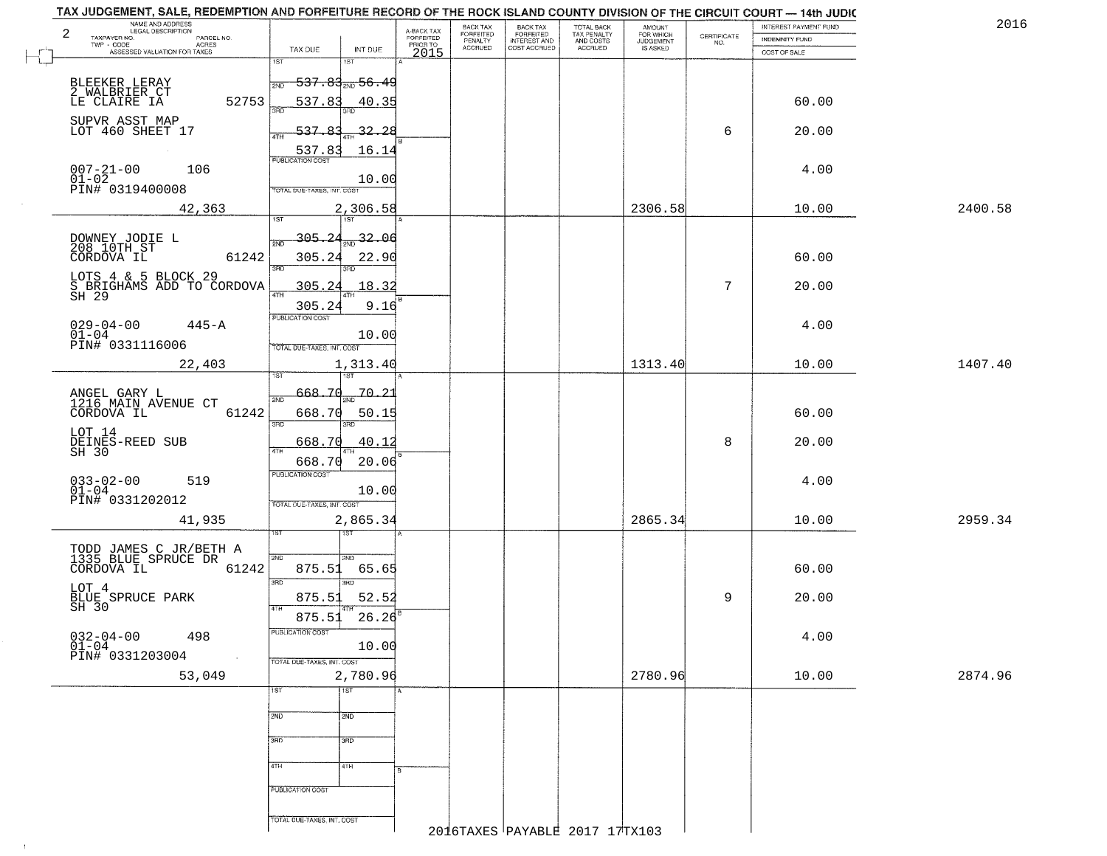| NAME AND ADDRESS<br>LEGAL DESCRIPTION<br>$\overline{a}$<br>TAXPAYER NO.<br>PARCEL NO.<br>TWP - CODE<br>ACRES<br>ASSESSED VALUATION FOR TAXES<br>$\overline{\mathbb{L}}$ | TAX DUE<br>INT DUE                                                                | A-BACK TAX<br>FORFEITED<br>PRIOR TO<br>2015 | <b>BACK TAX</b><br>FORFEITED<br>PENALTY<br><b>ACCRUED</b> | BACK TAX<br>FORFEITED<br>INTEREST AND<br>COST ACCRUED | TOTAL BACK<br>TAX PENALTY<br>AND COSTS<br>ACCRUED | AMOUNT<br>FOR WHICH<br><b>JUDGEMENT</b><br>IS ASKED | $\begin{array}{c} \text{CERTIFICATE} \\ \text{NO.} \end{array}$ | INTEREST PAYMENT FUND<br><b>INDEMNITY FUND</b><br>COST OF SALE | 2016    |
|-------------------------------------------------------------------------------------------------------------------------------------------------------------------------|-----------------------------------------------------------------------------------|---------------------------------------------|-----------------------------------------------------------|-------------------------------------------------------|---------------------------------------------------|-----------------------------------------------------|-----------------------------------------------------------------|----------------------------------------------------------------|---------|
| BLEEKER LERAY                                                                                                                                                           | 1ST<br>1ST<br><del>537.83, 56.4</del> 9                                           |                                             |                                                           |                                                       |                                                   |                                                     |                                                                 |                                                                |         |
| 2 WALBRIER CT<br>LE CLAIRE IA<br>52753                                                                                                                                  | 537.83<br>40.35                                                                   |                                             |                                                           |                                                       |                                                   |                                                     |                                                                 | 60.00                                                          |         |
| SUPVR ASST MAP<br>LOT 460 SHEET 17                                                                                                                                      | $-537.83$<br>$-32.28$                                                             |                                             |                                                           |                                                       |                                                   |                                                     | 6                                                               | 20.00                                                          |         |
| $007 - 21 - 00$<br>106<br>$01 - 02$                                                                                                                                     | 16.14<br>E8.71.83<br>10.00                                                        |                                             |                                                           |                                                       |                                                   |                                                     |                                                                 | 4.00                                                           |         |
| PIN# 0319400008<br>42,363                                                                                                                                               | TOTAL DUE-TAXES, INT. COST<br>2,306.58                                            |                                             |                                                           |                                                       |                                                   | 2306.58                                             |                                                                 | 10.00                                                          | 2400.58 |
| DOWNEY JODIE L<br>208 10TH ST<br>CORDOVA IL<br>61242                                                                                                                    | 1ST<br>1ST<br>32.06<br>305.24<br>305.24<br>22.90                                  |                                             |                                                           |                                                       |                                                   |                                                     |                                                                 | 60.00                                                          |         |
| LOTS 4 & 5 BLOCK 29<br>S BRIGHAMS ADD TO CORDOVA<br>SH 29                                                                                                               | 38D<br>305.<br>18.32<br>9.16<br>305.24                                            |                                             |                                                           |                                                       |                                                   |                                                     | 7                                                               | 20.00                                                          |         |
| $029 - 04 - 00$<br>$445 - A$<br>$01-04$<br>PIN# 0331116006                                                                                                              | PUBLICATION COST<br>10.00<br>TOTAL DUE-TAXES, INT. COST                           |                                             |                                                           |                                                       |                                                   |                                                     |                                                                 | 4.00                                                           |         |
| 22,403                                                                                                                                                                  | 1,313.40                                                                          |                                             |                                                           |                                                       |                                                   | 1313.40                                             |                                                                 | 10.00                                                          | 1407.40 |
| ANGEL GARY L<br>1216 MAIN AVENUE CT<br>CORDOVA IL<br>61242                                                                                                              | 668.7d<br><u> 70.21</u><br>2ND<br>668.70<br>50.15<br>3BD<br>3BD                   |                                             |                                                           |                                                       |                                                   |                                                     |                                                                 | 60.00                                                          |         |
| LOT 14<br>DEINES-REED SUB<br>SH 30                                                                                                                                      | 668.70<br>40.12<br>ATH                                                            |                                             |                                                           |                                                       |                                                   |                                                     | 8                                                               | 20.00                                                          |         |
| $033 - 02 - 00$<br>519<br>$01 - 04$<br>PIN# 0331202012                                                                                                                  | 668.70<br>20.06<br><b>PUBLICATION COST</b><br>10.00<br>TOTAL OUE-TAXES, INT. COST |                                             |                                                           |                                                       |                                                   |                                                     |                                                                 | 4.00                                                           |         |
| 41,935                                                                                                                                                                  | 2,865.34<br>उड़ा<br>1ST                                                           |                                             |                                                           |                                                       |                                                   | 2865.34                                             |                                                                 | 10.00                                                          | 2959.34 |
| TODD JAMES C JR/BETH A<br>1335 BLUE SPRUCE DR<br>CORDOVA IL<br>61242                                                                                                    | 2ND<br>2ND<br>875.51<br>65.65<br>3BD<br>3BD                                       |                                             |                                                           |                                                       |                                                   |                                                     |                                                                 | 60.00                                                          |         |
| LOT 4<br>BLUE SPRUCE PARK<br>SH 30                                                                                                                                      | 875.51<br>52.52<br>4TH                                                            |                                             |                                                           |                                                       |                                                   |                                                     | 9                                                               | 20.00                                                          |         |
| $032 - 04 - 00$<br>01-04<br>498<br>PIN# 0331203004                                                                                                                      | 26.26<br>875.51<br>PUBLICATION COST<br>10.00<br>TOTAL DUE-TAXES, INT. COST        |                                             |                                                           |                                                       |                                                   |                                                     |                                                                 | 4.00                                                           |         |
| 53,049                                                                                                                                                                  | 2,780.96                                                                          |                                             |                                                           |                                                       |                                                   | 2780.96                                             |                                                                 | 10.00                                                          | 2874.96 |
|                                                                                                                                                                         | 1ST<br>$\overline{1ST}$<br>2ND<br>2ND                                             |                                             |                                                           |                                                       |                                                   |                                                     |                                                                 |                                                                |         |
|                                                                                                                                                                         | 300<br>3BD                                                                        |                                             |                                                           |                                                       |                                                   |                                                     |                                                                 |                                                                |         |
|                                                                                                                                                                         | 4TH<br>4TH                                                                        |                                             |                                                           |                                                       |                                                   |                                                     |                                                                 |                                                                |         |
|                                                                                                                                                                         | PUBLICATION COST                                                                  |                                             |                                                           |                                                       |                                                   |                                                     |                                                                 |                                                                |         |
|                                                                                                                                                                         | TOTAL DUE-TAXES, INT. COST                                                        |                                             |                                                           |                                                       | 2016TAXES PAYABLE 2017 17TX103                    |                                                     |                                                                 |                                                                |         |

 $\vdash$ 

 $\uparrow$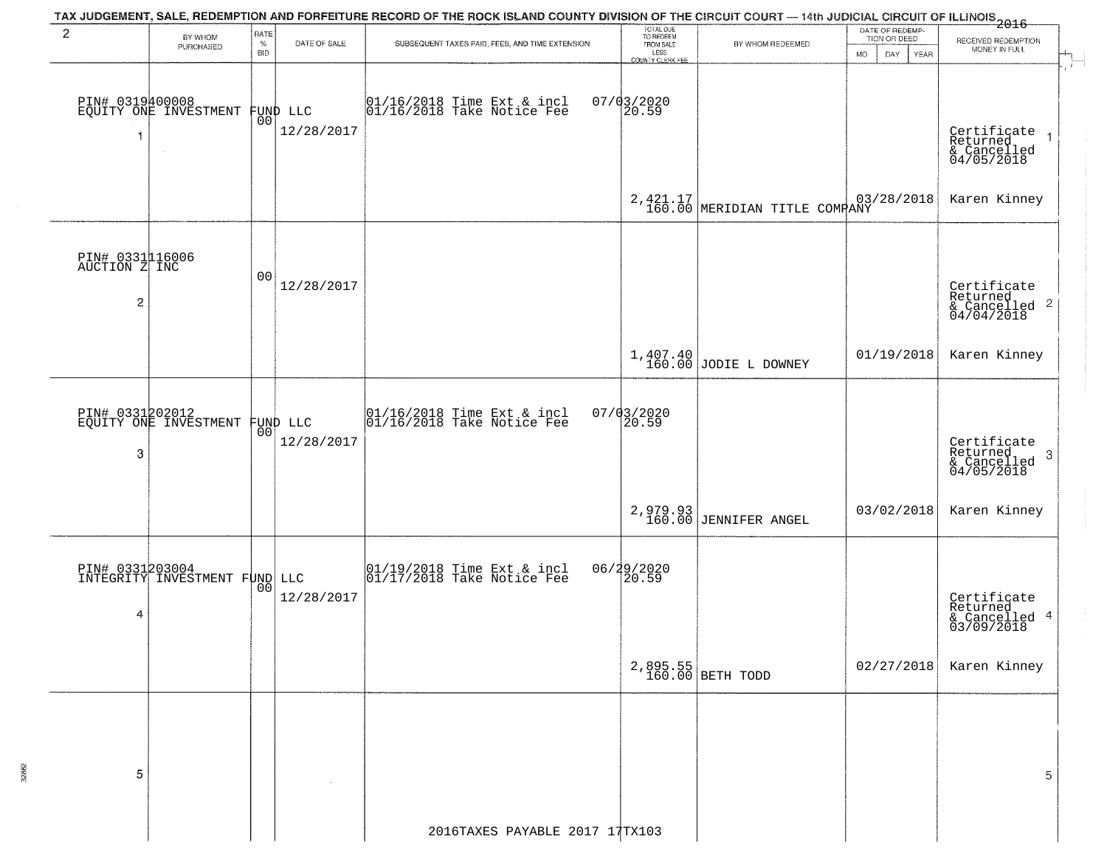|                                                    |                                                  |                            |                        | TAX JUDGEMENT, SALE, REDEMPTION AND FORFEITURE RECORD OF THE ROCK ISLAND COUNTY DIVISION OF THE CIRCUIT COURT — 14th JUDICIAL CIRCUIT OF ILLINOIS 2016 |                                                                        |                                     |                                                        |                                                                    |
|----------------------------------------------------|--------------------------------------------------|----------------------------|------------------------|--------------------------------------------------------------------------------------------------------------------------------------------------------|------------------------------------------------------------------------|-------------------------------------|--------------------------------------------------------|--------------------------------------------------------------------|
| 2                                                  | BY WHOM<br>PURCHASED                             | RATE<br>$\%$<br><b>BID</b> | DATE OF SALE           | SUBSEQUENT TAXES PAID, FEES, AND TIME EXTENSION                                                                                                        | TOTAL DUE<br>TO REDEEM<br>FROM SALE<br>LESS<br><b>COUNTY CLERK FEE</b> | BY WHOM REDEEMED                    | DATE OF REDEMP-<br>TION OR DEED<br>MO.<br>DAY.<br>YEAR | RECEIVED REDEMPTION<br>MONEY IN FULL                               |
|                                                    | PIN# 0319400008<br>EQUITY ONE INVESTMENT         | 00                         | FUND LLC<br>12/28/2017 | 01/16/2018 Time Ext & incl<br>01/16/2018 Take Notice Fee                                                                                               | $07/03/2020$<br>20.59                                                  |                                     |                                                        | $\ddot{r}$<br>Certificate<br>Returned<br>& Cancelled<br>04/05/2018 |
|                                                    |                                                  |                            |                        |                                                                                                                                                        |                                                                        | 2, 421.17 MERIDIAN TITLE COMPANY    | 03/28/2018                                             | Karen Kinney                                                       |
| PIN# 0331116006<br>AUCTION Z INC<br>$\overline{2}$ |                                                  | 00                         | 12/28/2017             |                                                                                                                                                        |                                                                        |                                     |                                                        | Certificate<br>Returned<br>& Cancelled 2<br>04/04/2018             |
|                                                    |                                                  |                            |                        |                                                                                                                                                        |                                                                        | $1,407.40$<br>160.00 JODIE L DOWNEY | 01/19/2018                                             | Karen Kinney                                                       |
| 3                                                  | PIN# 0331202012<br>EQUITY ONE INVESTMENT         | 00 <sup>o</sup>            | FUND LLC<br>12/28/2017 | 01/16/2018 Time Ext & incl<br>01/16/2018 Take Notice Fee                                                                                               | 07/03/2020<br>20.59                                                    |                                     |                                                        | Certificate<br>Returned<br>3<br>& Cancelled<br>04/05/2018          |
|                                                    |                                                  |                            |                        |                                                                                                                                                        |                                                                        | 2,979.93<br>160.00 JENNIFER ANGEL   | 03/02/2018                                             | Karen Kinney                                                       |
| 4                                                  | PIN# 0331203004<br>INTEGRITY INVESTMENT FUND LLC | 0 <sub>0</sub>             | 12/28/2017             | 01/19/2018 Time Ext & incl<br>01/17/2018 Take Notice Fee                                                                                               | 06/29/2020<br>20.59                                                    |                                     |                                                        | Certificate<br>Returned<br>& Cancelled 4<br>03/09/2018             |
|                                                    |                                                  |                            |                        |                                                                                                                                                        |                                                                        | 2,895.55<br>160.00 BETH TODD        | 02/27/2018                                             | Karen Kinney                                                       |
| 5                                                  |                                                  |                            |                        |                                                                                                                                                        |                                                                        |                                     |                                                        | 5                                                                  |
|                                                    |                                                  |                            |                        | 2016TAXES PAYABLE 2017 17TX103                                                                                                                         |                                                                        |                                     |                                                        |                                                                    |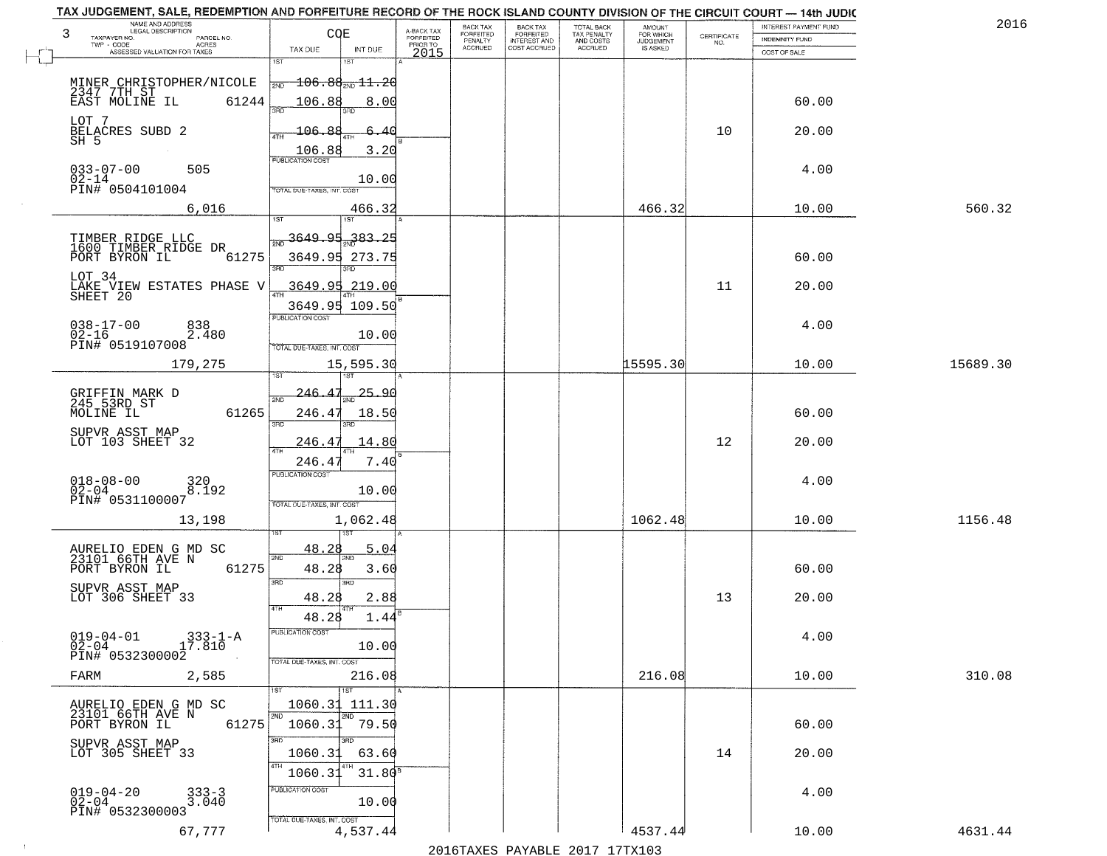| NAME AND ADDRESS<br>LEGAL DESCRIPTION<br>3     | COE                                    |                                     | <b>BACK TAX</b>      | BACK TAX<br>FORFEITED | TOTAL BACK<br>TAX PENALTY<br>AND COSTS | <b>AMOUNT</b><br>FOR WHICH |                                                                 | <b>INTEREST PAYMENT FUND</b> | 2016     |
|------------------------------------------------|----------------------------------------|-------------------------------------|----------------------|-----------------------|----------------------------------------|----------------------------|-----------------------------------------------------------------|------------------------------|----------|
| TAXPAYER NO.<br>PARCEL NO.<br><b>ACRES</b>     |                                        | A-BACK TAX<br>FORFEITED<br>PRIOR TO | FORFEITED<br>PENALTY | <b>INTEREST AND</b>   |                                        | <b>JUDGEMENT</b>           | $\begin{array}{c} \text{CEPTIFICATE} \\ \text{NO.} \end{array}$ | <b>INDEMNITY FUND</b>        |          |
| ASSESSED VALUATION FOR TAXES                   | TAX DUE<br>INT DUE<br>1ST              | 2015                                | <b>ACCRUED</b>       | COST ACCRUED          | <b>ACCRUED</b>                         | IS ASKED                   |                                                                 | COST OF SALE                 |          |
|                                                |                                        |                                     |                      |                       |                                        |                            |                                                                 |                              |          |
| MINER CHRISTOPHER/NICOLE                       | $-106.86_{200}$ $11.20$<br>2ND         |                                     |                      |                       |                                        |                            |                                                                 |                              |          |
| 2347 7TH ST<br>EAST MOLINE IL<br>61244         | 106.88<br>8.00                         |                                     |                      |                       |                                        |                            |                                                                 | 60.00                        |          |
| LOT 7                                          |                                        |                                     |                      |                       |                                        |                            |                                                                 |                              |          |
| BELACRES SUBD 2<br>SH 5                        | 106.88<br>6.40                         |                                     |                      |                       |                                        |                            | 10                                                              | 20.00                        |          |
|                                                | 3.20<br>$\frac{106.88}{FUBUCATONCGST}$ |                                     |                      |                       |                                        |                            |                                                                 |                              |          |
| $033 - 07 - 00$<br>505                         |                                        |                                     |                      |                       |                                        |                            |                                                                 | 4.00                         |          |
| $02 - 14$<br>PIN# 0504101004                   | 10.00<br>TOTAL DUE-TAXES, INT. COST    |                                     |                      |                       |                                        |                            |                                                                 |                              |          |
|                                                |                                        |                                     |                      |                       |                                        |                            |                                                                 |                              |          |
| 6,016                                          | 466.32                                 |                                     |                      |                       |                                        | 466.32                     |                                                                 | 10.00                        | 560.32   |
|                                                | <u>3649.95</u><br>383.25               |                                     |                      |                       |                                        |                            |                                                                 |                              |          |
| TIMBER RIDGE LLC<br>1600 TIMBER RIDGE DR       |                                        |                                     |                      |                       |                                        |                            |                                                                 |                              |          |
| 61275<br>PORT BYRON IL                         | 3649.95 273.75                         |                                     |                      |                       |                                        |                            |                                                                 | 60.00                        |          |
| LOT 34                                         | <u>3649.95 219.00</u>                  |                                     |                      |                       |                                        |                            | 11                                                              | 20.00                        |          |
| LAKE VIEW ESTATES PHASE V<br>SHEET 20          | ৰাম<br>3649.95 109.50                  |                                     |                      |                       |                                        |                            |                                                                 |                              |          |
|                                                | PUBLICATION COST                       |                                     |                      |                       |                                        |                            |                                                                 |                              |          |
| $038 - 17 - 00$<br>838<br>$02 - 16$<br>2.480   | 10.00                                  |                                     |                      |                       |                                        |                            |                                                                 | 4.00                         |          |
| PIN# 0519107008                                | TOTAL DUE-TAXES, INT. COST             |                                     |                      |                       |                                        |                            |                                                                 |                              |          |
| 179,275                                        | 15,595.30                              |                                     |                      |                       |                                        | 15595.30                   |                                                                 | 10.00                        | 15689.30 |
|                                                | 'S'T                                   |                                     |                      |                       |                                        |                            |                                                                 |                              |          |
| GRIFFIN MARK D<br>245 53RD ST                  | 25.90<br>-246-<br>2ND                  |                                     |                      |                       |                                        |                            |                                                                 |                              |          |
| MOLINE IL<br>61265                             | 246.47<br>18.50                        |                                     |                      |                       |                                        |                            |                                                                 | 60.00                        |          |
| SUPVR ASST MAP                                 | 3RD<br>3RD                             |                                     |                      |                       |                                        |                            |                                                                 |                              |          |
| LOT 103 SHEET 32                               | 14.80<br>246.4<br>4TH                  |                                     |                      |                       |                                        |                            | 12                                                              | 20.00                        |          |
|                                                | 246.4<br>7.40                          |                                     |                      |                       |                                        |                            |                                                                 |                              |          |
| $018 - 08 - 00$<br>02-04<br>320<br>8.192       | <b>PUBLICATION COST</b>                |                                     |                      |                       |                                        |                            |                                                                 | 4.00                         |          |
| PIN# 0531100007                                | 10.00<br>TOTAL OUE-TAXES, INT. COST    |                                     |                      |                       |                                        |                            |                                                                 |                              |          |
| 13,198                                         | 1,062.48                               |                                     |                      |                       |                                        | 1062.48                    |                                                                 | 10.00                        | 1156.48  |
|                                                |                                        |                                     |                      |                       |                                        |                            |                                                                 |                              |          |
| AURELIO EDEN G MD SC<br>23101 66TH AVE N       | 48.28<br>5.04                          |                                     |                      |                       |                                        |                            |                                                                 |                              |          |
| PORT BYRON IL<br>61275                         | 2ND<br>48.28<br>3.60                   |                                     |                      |                       |                                        |                            |                                                                 | 60.00                        |          |
|                                                | 3RD<br>3 <sub>BD</sub>                 |                                     |                      |                       |                                        |                            |                                                                 |                              |          |
| SUPVR ASST MAP<br>LOT 306 SHEET 33             | 48.28<br>2.88                          |                                     |                      |                       |                                        |                            | 13                                                              | 20.00                        |          |
|                                                | 4TH<br>48.28<br>1.44                   |                                     |                      |                       |                                        |                            |                                                                 |                              |          |
| $019 - 04 - 01$<br>$333 - 1 - A$               | PUBLICATION COST                       |                                     |                      |                       |                                        |                            |                                                                 | 4.00                         |          |
| $0\overline{2}-0\overline{4}$<br>17.810        | 10.00                                  |                                     |                      |                       |                                        |                            |                                                                 |                              |          |
| PIN# 0532300002                                | TOTAL DUE-TAXES, INT. COST             |                                     |                      |                       |                                        |                            |                                                                 |                              |          |
| 2,585<br>FARM                                  | 216.08                                 |                                     |                      |                       |                                        | 216.08                     |                                                                 | 10.00                        | 310.08   |
|                                                | 1ST                                    |                                     |                      |                       |                                        |                            |                                                                 |                              |          |
| AURELIO EDEN G MD SC<br>23101 66TH AVE N       | 1060.31<br>111.30<br>2ND               |                                     |                      |                       |                                        |                            |                                                                 |                              |          |
| 61275<br>PORT BYRON IL                         | 1060.31 79.50                          |                                     |                      |                       |                                        |                            |                                                                 | 60.00                        |          |
| SUPVR ASST MAP<br>LOT 305 SHEET 33             | 3BD<br>3RD                             |                                     |                      |                       |                                        |                            |                                                                 |                              |          |
|                                                | 1060.31<br>63.60<br>4TH                |                                     |                      |                       |                                        |                            | 14                                                              | 20.00                        |          |
|                                                | 1060.31<br>$31.80^8$                   |                                     |                      |                       |                                        |                            |                                                                 |                              |          |
| $019 - 04 - 20$<br>02-04<br>$333 - 3$<br>3.040 | PUBLICATION COST<br>10.00              |                                     |                      |                       |                                        |                            |                                                                 | 4.00                         |          |
| PIN# 0532300003                                | TOTAL DUE-TAXES, INT. COST             |                                     |                      |                       |                                        |                            |                                                                 |                              |          |
| 67,777                                         | 4,537.44                               |                                     |                      |                       |                                        | 4537.44                    |                                                                 | 10.00                        | 4631.44  |
|                                                |                                        |                                     |                      |                       |                                        |                            |                                                                 |                              |          |

 $\overline{a}$ 

 $\sim 100$ 

2016TAXES PAYABLE 2017 17TX103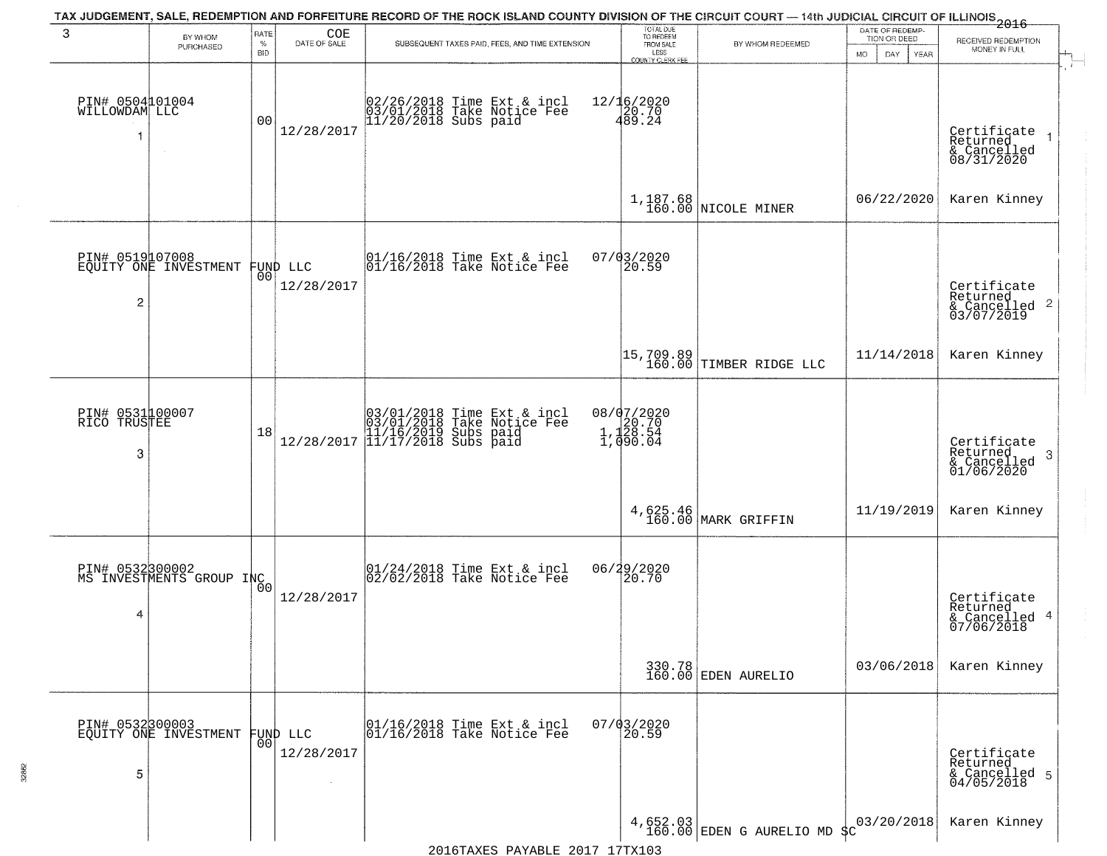| 3                                     | BY WHOM<br>PURCHASED                              | RATE<br>%<br><b>BID</b> | COE<br>DATE OF SALE    | SUBSEQUENT TAXES PAID, FEES, AND TIME EXTENSION                                                                                                       | TOTAL DUE<br>TO REDEEM<br>FROM SALE<br>LESS<br><b>COUNTY CLERK FEE</b> | BY WHOM REDEEMED                                                                     | DATE OF REDEMP-<br>TION OR DEED<br>MO.<br>DAY<br>YEAR | $-2016$<br>RECEIVED REDEMPTION<br>MONEY IN FULL<br>$+$                 |
|---------------------------------------|---------------------------------------------------|-------------------------|------------------------|-------------------------------------------------------------------------------------------------------------------------------------------------------|------------------------------------------------------------------------|--------------------------------------------------------------------------------------|-------------------------------------------------------|------------------------------------------------------------------------|
| PIN# 0504101004<br>WILLOWDAM LLC<br>1 |                                                   | 0 <sub>0</sub>          | 12/28/2017             | 02/26/2018 Time Ext & incl<br>03/01/2018 Take Notice Fee<br>11/20/2018 Subs paid                                                                      | 12/16/2020<br>20.70<br>489.24                                          |                                                                                      |                                                       | $\overline{1}$<br>Certificate<br>Returned<br>& Cancelled<br>08/31/2020 |
|                                       |                                                   |                         |                        |                                                                                                                                                       |                                                                        | 1,187.68<br>160.00 NICOLE MINER                                                      | 06/22/2020                                            | Karen Kinney                                                           |
| PIN# 0519107008<br>$\overline{2}$     | EQUITY ONE INVESTMENT                             | 00 <sub>1</sub>         | FUND LLC<br>12/28/2017 | 01/16/2018 Time Ext & incl<br>01/16/2018 Take Notice Fee                                                                                              | $07/03/2020$<br>20.59                                                  |                                                                                      |                                                       | Certificate<br>Returned<br>$\frac{1}{2}$ Cancelled 2<br>03/07/2019     |
|                                       |                                                   |                         |                        |                                                                                                                                                       |                                                                        | $\begin{bmatrix} 15,709.89 \\ 160.00 \end{bmatrix}$ TIMBER RIDGE LLC                 | 11/14/2018                                            | Karen Kinney                                                           |
| PIN# 0531100007<br>RICO TRUSTEE<br>3  |                                                   | 18                      |                        | $[03/01/2018 \t\t Time Ext & incl \\ [03/01/2018 \t\t Take Notice Free \\ [11/16/2019 \t\ Subs paid \\ [12/28/2017 \t\t  11/17/2018 \t\ Subs paid \\$ | 08/07/2020<br>1,120.70<br>1,128.54<br>1,050.04                         |                                                                                      |                                                       | Certificate<br>Returned<br>3<br>& Cancelled<br>01/06/2020              |
|                                       |                                                   |                         |                        |                                                                                                                                                       |                                                                        | 4,625.46<br>160.00 MARK GRIFFIN                                                      | 11/19/2019                                            | Karen Kinney                                                           |
| 4                                     | PIN# 0532300002<br>MS INVESTMENTS GROUP INC       | 0 <sub>0</sub>          | 12/28/2017             | 01/24/2018 Time Ext & incl<br>02/02/2018 Take Notice Fee                                                                                              | 06/29/2020<br>20.70                                                    |                                                                                      |                                                       | Certificate<br>Returned<br>& Cancelled 4<br>07/06/2018                 |
|                                       |                                                   |                         |                        |                                                                                                                                                       |                                                                        | 330.78<br>160.00 EDEN AURELIO                                                        | 03/06/2018                                            | Karen Kinney                                                           |
| 5                                     | PIN# 0532300003<br>EQUITY ONE INVESTMENT FUND LLC | 001                     | 12/28/2017             | 01/16/2018 Time Ext & incl<br>01/16/2018 Take Notice Fee                                                                                              | 07/03/2020<br>20.59                                                    |                                                                                      |                                                       | Certificate<br>Returned<br>& Cancelled 5<br>04/05/2018                 |
|                                       |                                                   |                         |                        | 2016 THE PLAY THE STREET ON THE STREET                                                                                                                |                                                                        | $\left.\begin{array}{c} 4,652.03 \\ 160.00 \end{array}\right $ EDEN G AURELIO MD \$C | 03/20/2018                                            | Karen Kinney                                                           |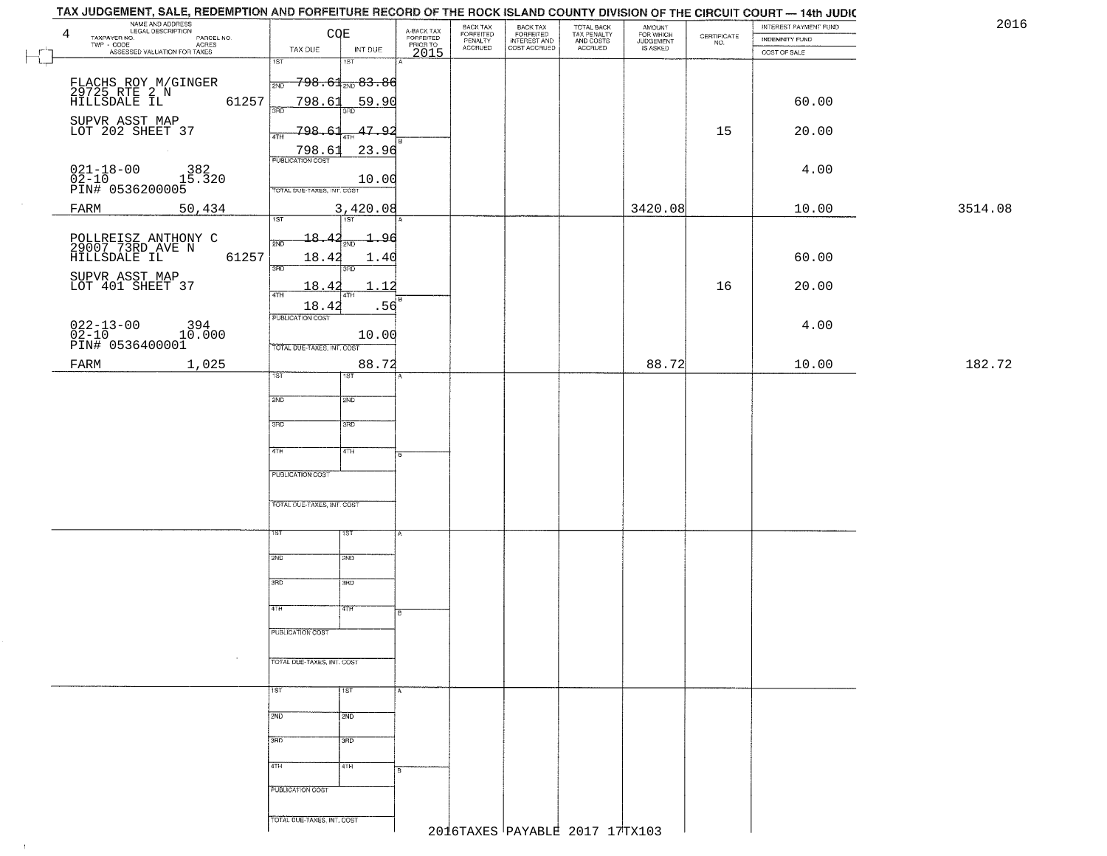| TAX JUDGEMENT, SALE, REDEMPTION AND FORFEITURE RECORD OF THE ROCK ISLAND COUNTY DIVISION OF THE CIRCUIT COURT - 14th JUDIC |                                                   |                                     |                                  |                                                       |                                        |                                  |                                                                 |                                |         |
|----------------------------------------------------------------------------------------------------------------------------|---------------------------------------------------|-------------------------------------|----------------------------------|-------------------------------------------------------|----------------------------------------|----------------------------------|-----------------------------------------------------------------|--------------------------------|---------|
| NAME AND ADDRESS<br>4                                                                                                      | CQE                                               | A-BACK TAX<br>FORFEITED<br>PRIOR TO | BACK TAX<br>FORFEITED<br>PENALTY | BACK TAX<br>FORFEITED<br>INTEREST AND<br>COST ACCRUED | TOTAL BACK<br>TAX PENALTY<br>AND COSTS | AMOUNT<br>FOR WHICH<br>JUDGEMENT | $\begin{array}{c} \text{CERTIFICATE} \\ \text{NO.} \end{array}$ | INTEREST PAYMENT FUND          | 2016    |
| TAXPAYER NO.<br>PARCEL NO.<br>ACRES<br>ASSESSED VALUATION FOR TAXES                                                        | INT DUE<br>TAX DUE                                | 2015                                | <b>ACCRUED</b>                   |                                                       | ACCRUED                                | IS ASKED                         |                                                                 | INDEMNITY FUND<br>COST OF SALE |         |
| L_                                                                                                                         | $\overline{1ST}$<br>18T                           |                                     |                                  |                                                       |                                        |                                  |                                                                 |                                |         |
|                                                                                                                            | $-798.61$ 2ND $83.86$<br>2ND                      |                                     |                                  |                                                       |                                        |                                  |                                                                 |                                |         |
| FLACHS ROY M/GINGER<br>29725 RTE 2 N<br>HILLSDALE IL<br>61257                                                              | 798.61<br><u>59.90</u>                            |                                     |                                  |                                                       |                                        |                                  |                                                                 | 60.00                          |         |
|                                                                                                                            | 350                                               |                                     |                                  |                                                       |                                        |                                  |                                                                 |                                |         |
| SUPVR ASST MAP<br>LOT 202 SHEET 37                                                                                         | 798.61<br>47.92<br>4TH                            |                                     |                                  |                                                       |                                        |                                  | 15                                                              | 20.00                          |         |
|                                                                                                                            | 798.61<br>23.96                                   |                                     |                                  |                                                       |                                        |                                  |                                                                 |                                |         |
|                                                                                                                            |                                                   |                                     |                                  |                                                       |                                        |                                  |                                                                 | 4.00                           |         |
| 021-18-00 382<br>02-10 15.320<br>PIN# 0536200005                                                                           | 10.00<br>TOTAL DUE-TAXES, INT. COST               |                                     |                                  |                                                       |                                        |                                  |                                                                 |                                |         |
| FARM<br>50,434                                                                                                             | 3,420.08                                          |                                     |                                  |                                                       |                                        | 3420.08                          |                                                                 | 10.00                          | 3514.08 |
|                                                                                                                            | 1ST<br>1ST                                        |                                     |                                  |                                                       |                                        |                                  |                                                                 |                                |         |
| POLLREISZ ANTHONY C<br>29007 73RD AVE N<br>HILLSDALE IL                                                                    | 18.42<br>1.96<br>2NF                              |                                     |                                  |                                                       |                                        |                                  |                                                                 |                                |         |
| 61257                                                                                                                      | 18.42<br>1.40<br>3RD<br>3BD                       |                                     |                                  |                                                       |                                        |                                  |                                                                 | 60.00                          |         |
| SUPVR ASST MAP<br>LOT 401 SHEET 37                                                                                         | 18.42<br>. 12                                     |                                     |                                  |                                                       |                                        |                                  | 16                                                              | 20.00                          |         |
|                                                                                                                            | 47H<br>18.42<br>.56                               |                                     |                                  |                                                       |                                        |                                  |                                                                 |                                |         |
|                                                                                                                            | PUBLICATION COST                                  |                                     |                                  |                                                       |                                        |                                  |                                                                 | 4.00                           |         |
| $\begin{array}{ll} 022\text{--}13\text{--}00 & 394 \\ 02\text{--}10 & 10.000 \\ \text{PIN#} & 0536400001 \end{array}$      | 10.00                                             |                                     |                                  |                                                       |                                        |                                  |                                                                 |                                |         |
|                                                                                                                            | TOTAL DUE-TAXES, INT. COST<br>88.72               |                                     |                                  |                                                       |                                        | 88.72                            |                                                                 | 10.00                          | 182.72  |
| 1,025<br>FARM                                                                                                              | 1ST <sup></sup><br>1ST                            |                                     |                                  |                                                       |                                        |                                  |                                                                 |                                |         |
|                                                                                                                            | 2ND<br>2ND                                        |                                     |                                  |                                                       |                                        |                                  |                                                                 |                                |         |
|                                                                                                                            |                                                   |                                     |                                  |                                                       |                                        |                                  |                                                                 |                                |         |
|                                                                                                                            | 3 <sub>BD</sub><br>3 <sub>3</sub>                 |                                     |                                  |                                                       |                                        |                                  |                                                                 |                                |         |
|                                                                                                                            | 4TH<br>4TH                                        | B                                   |                                  |                                                       |                                        |                                  |                                                                 |                                |         |
|                                                                                                                            | PUBLICATION COST                                  |                                     |                                  |                                                       |                                        |                                  |                                                                 |                                |         |
|                                                                                                                            |                                                   |                                     |                                  |                                                       |                                        |                                  |                                                                 |                                |         |
|                                                                                                                            | TOTAL OUE-TAXES, INT. COST                        |                                     |                                  |                                                       |                                        |                                  |                                                                 |                                |         |
|                                                                                                                            | ιsτ                                               |                                     |                                  |                                                       |                                        |                                  |                                                                 |                                |         |
|                                                                                                                            | 1ST                                               |                                     |                                  |                                                       |                                        |                                  |                                                                 |                                |         |
|                                                                                                                            | 2ND<br>2ND                                        |                                     |                                  |                                                       |                                        |                                  |                                                                 |                                |         |
|                                                                                                                            | 3RD<br>3BD                                        |                                     |                                  |                                                       |                                        |                                  |                                                                 |                                |         |
|                                                                                                                            |                                                   |                                     |                                  |                                                       |                                        |                                  |                                                                 |                                |         |
|                                                                                                                            | 4TH<br>47H                                        |                                     |                                  |                                                       |                                        |                                  |                                                                 |                                |         |
|                                                                                                                            | PUBLICATION COST                                  |                                     |                                  |                                                       |                                        |                                  |                                                                 |                                |         |
| $\sim$                                                                                                                     | TOTAL DUE-TAXES, INT. COST                        |                                     |                                  |                                                       |                                        |                                  |                                                                 |                                |         |
|                                                                                                                            |                                                   |                                     |                                  |                                                       |                                        |                                  |                                                                 |                                |         |
|                                                                                                                            | 1ST <sup>1</sup><br>$\overline{1}$ $\overline{5}$ | A                                   |                                  |                                                       |                                        |                                  |                                                                 |                                |         |
|                                                                                                                            | 2ND<br>2ND                                        |                                     |                                  |                                                       |                                        |                                  |                                                                 |                                |         |
|                                                                                                                            |                                                   |                                     |                                  |                                                       |                                        |                                  |                                                                 |                                |         |
|                                                                                                                            | 3RD<br>$\overline{3}$ RD                          |                                     |                                  |                                                       |                                        |                                  |                                                                 |                                |         |
|                                                                                                                            | 4TH<br>4TH                                        |                                     |                                  |                                                       |                                        |                                  |                                                                 |                                |         |
|                                                                                                                            | PUBLICATION COST                                  |                                     |                                  |                                                       |                                        |                                  |                                                                 |                                |         |
|                                                                                                                            |                                                   |                                     |                                  |                                                       |                                        |                                  |                                                                 |                                |         |
|                                                                                                                            | TOTAL DUE-TAXES, INT. COST                        |                                     |                                  |                                                       | 2016TAXES PAYABLE 2017 17TX103         |                                  |                                                                 |                                |         |
|                                                                                                                            |                                                   |                                     |                                  |                                                       |                                        |                                  |                                                                 |                                |         |

 $\mathbb{R}$ 

 $\uparrow$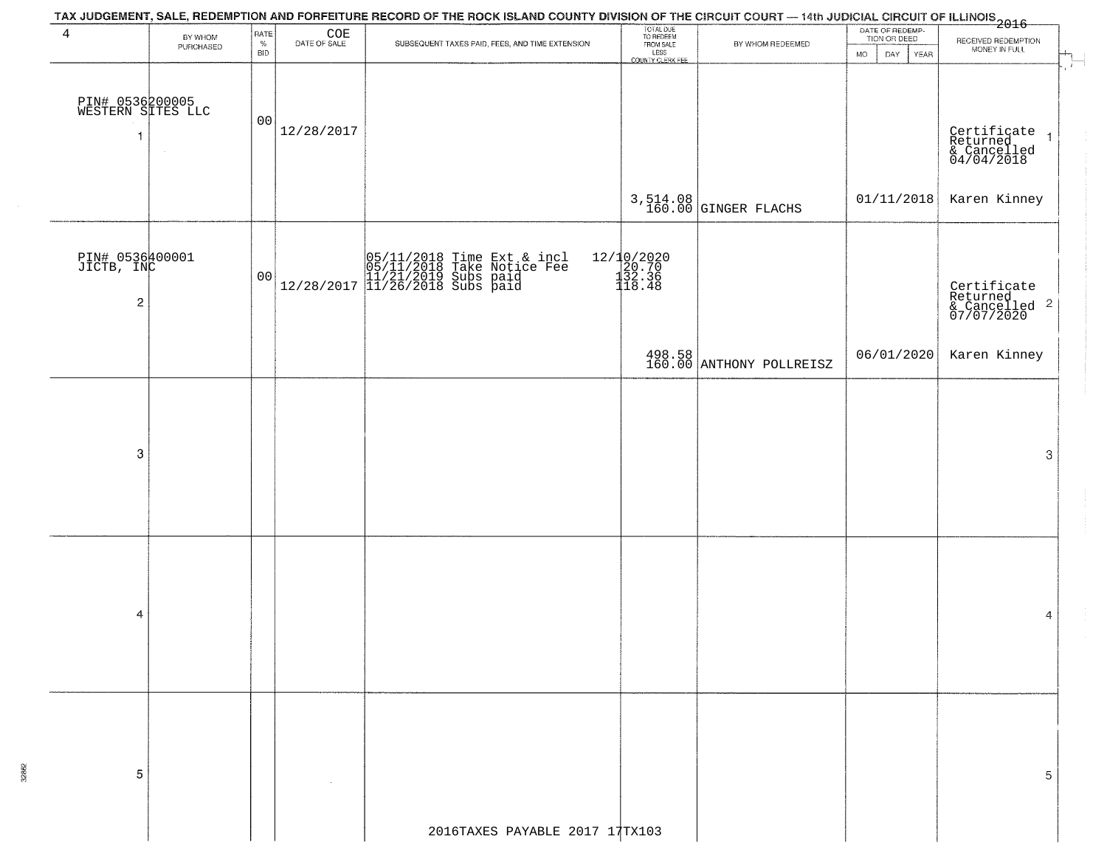| TAX JUDGEMENT, SALE, REDEMPTION AND FORFEITURE RECORD OF THE ROCK ISLAND COUNTY DIVISION OF THE CIRCUIT COURT — 14th JUDICIAL CIRCUIT OF ILLINOIS<br>2016 - 1992 - 1993 - 1994 - 1995 - 1996 - 1997 - 1998 - 1999 - 1999 - 1999 - |                      |                            |                                              |                                                                                                                                                                                                                                                                                                             |                                                                 |                                    |                                                             |                                                                               |  |  |  |
|-----------------------------------------------------------------------------------------------------------------------------------------------------------------------------------------------------------------------------------|----------------------|----------------------------|----------------------------------------------|-------------------------------------------------------------------------------------------------------------------------------------------------------------------------------------------------------------------------------------------------------------------------------------------------------------|-----------------------------------------------------------------|------------------------------------|-------------------------------------------------------------|-------------------------------------------------------------------------------|--|--|--|
| $\overline{4}$                                                                                                                                                                                                                    | BY WHOM<br>PURCHASED | RATE<br>$\%$<br><b>BID</b> | $\underset{\text{DATE OF SALE}}{\text{COE}}$ | SUBSEQUENT TAXES PAID, FEES, AND TIME EXTENSION                                                                                                                                                                                                                                                             | TOTAL DUE<br>TO REDEEM<br>FROM SALE<br>LESS<br>COUNTY CLERK FEE | BY WHOM REDEEMED                   | DATE OF REDEMP-<br>TION OR DEED<br><b>MO</b><br>DAY<br>YEAR | RECEIVED REDEMPTION<br>MONEY IN FULL                                          |  |  |  |
| PIN# 0536200005<br>WESTERN SITES LLC<br>-1                                                                                                                                                                                        | $\sim$               | 00                         | 12/28/2017                                   |                                                                                                                                                                                                                                                                                                             |                                                                 |                                    |                                                             | $\ddot{r}$<br>Certificate<br>Returned<br>& Cancelled<br>04/04/2018<br>$\vert$ |  |  |  |
|                                                                                                                                                                                                                                   |                      |                            |                                              |                                                                                                                                                                                                                                                                                                             |                                                                 | 3,514.08<br>160.00 GINGER FLACHS   | 01/11/2018                                                  | Karen Kinney                                                                  |  |  |  |
| PIN# 0536400001<br>JICTB, INC<br>$\overline{\mathbf{c}}$                                                                                                                                                                          |                      | 00                         |                                              | $\begin{tabular}{ c c c c c c c } \hline & $05/11/2018$ Time Ext & incl & 05/11/2018$ Take Notice Free & 11/21/2019 & Subs paid & 11/21/2019 & Subs paid & 0.0000 & 0.0000 & 0.0000 & 0.0000 & 0.0000 & 0.0000 & 0.0000 & 0.0000 & 0.0000 & 0.0000 & 0.0000 & 0.0000 & 0.0000 & 0.0000 & 0.0000 & 0.0000 &$ | 12/10/2020<br>20.70<br>132.36<br>118.48                         |                                    |                                                             | Certificate<br>Returned<br>& Cancelled <sup>2</sup><br>07/07/2020             |  |  |  |
|                                                                                                                                                                                                                                   |                      |                            |                                              |                                                                                                                                                                                                                                                                                                             |                                                                 | 498.58<br>160.00 ANTHONY POLLREISZ | 06/01/2020                                                  | Karen Kinney                                                                  |  |  |  |
|                                                                                                                                                                                                                                   |                      |                            |                                              |                                                                                                                                                                                                                                                                                                             |                                                                 |                                    |                                                             |                                                                               |  |  |  |
| 3                                                                                                                                                                                                                                 |                      |                            |                                              |                                                                                                                                                                                                                                                                                                             |                                                                 |                                    |                                                             | 3                                                                             |  |  |  |
| -4                                                                                                                                                                                                                                |                      |                            |                                              |                                                                                                                                                                                                                                                                                                             |                                                                 |                                    |                                                             | 4                                                                             |  |  |  |
|                                                                                                                                                                                                                                   |                      |                            |                                              |                                                                                                                                                                                                                                                                                                             |                                                                 |                                    |                                                             |                                                                               |  |  |  |
| 5                                                                                                                                                                                                                                 |                      |                            |                                              |                                                                                                                                                                                                                                                                                                             |                                                                 |                                    |                                                             | 5                                                                             |  |  |  |
|                                                                                                                                                                                                                                   |                      |                            |                                              | 2016TAXES PAYABLE 2017 17TX103                                                                                                                                                                                                                                                                              |                                                                 |                                    |                                                             |                                                                               |  |  |  |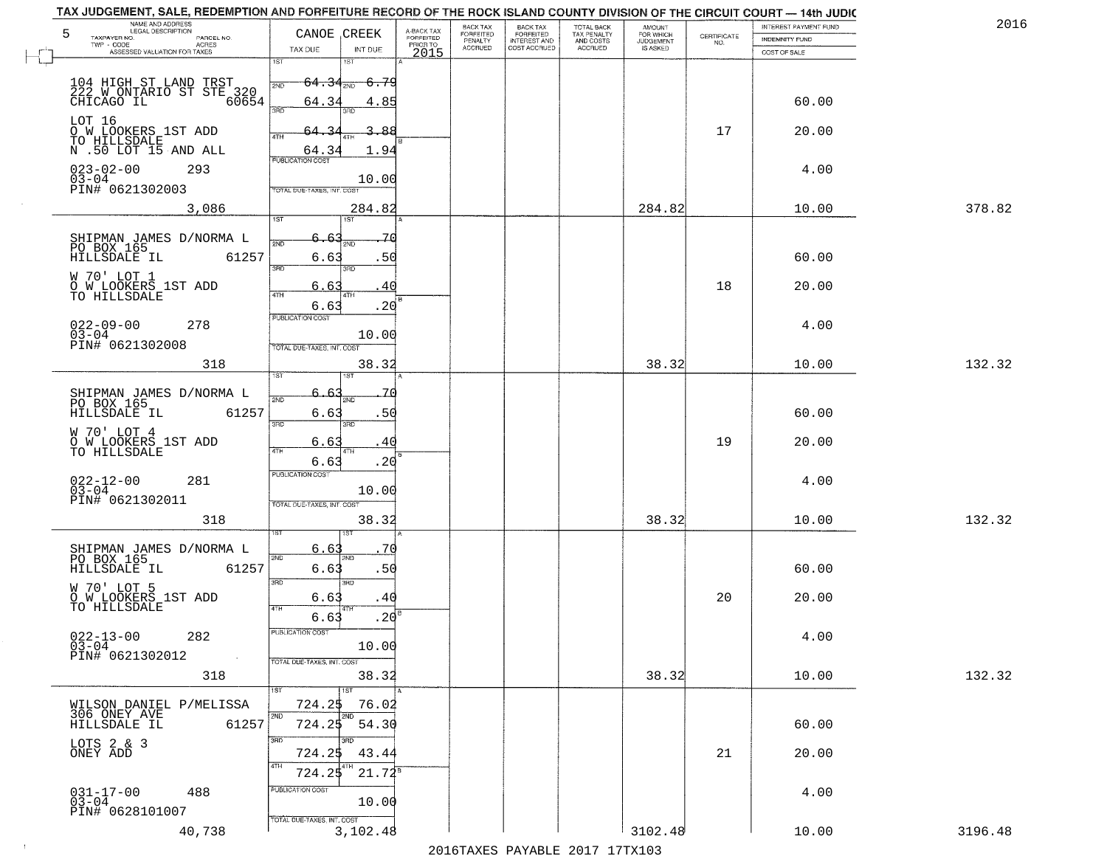| NAME AND ADDRESS<br>LEGAL DESCRIPTION<br>5<br>TAXPAYER NO.<br>PARCEL NO. | CANOE CREEK                                | A-BACK TAX<br>FORFEITED | BACK TAX<br>FORFEITED     | BACK TAX<br>FORFEITED<br>INTEREST AND | TOTAL BACK<br>TAX PENALTY<br>AND COSTS | AMOUNT<br>FOR WHICH          |                    | INTEREST PAYMENT FUND                 | 2016    |
|--------------------------------------------------------------------------|--------------------------------------------|-------------------------|---------------------------|---------------------------------------|----------------------------------------|------------------------------|--------------------|---------------------------------------|---------|
| TWP - CODE<br><b>ACRES</b><br>ASSESSED VALUATION FOR TAXES               | TAX DUE<br>INT DUE                         | PRIOR TO<br>2015        | PENALTY<br><b>ACCRUED</b> | COST ACCRUED                          | ACCRUED                                | <b>JUDGEMENT</b><br>IS ASKED | CERTIFICATE<br>NO. | <b>INDEMNITY FUND</b><br>COST OF SALE |         |
|                                                                          | 1ST<br>18T                                 |                         |                           |                                       |                                        |                              |                    |                                       |         |
| 104 HIGH ST LAND TRST<br>222 W ONTARIO ST STE 320<br>CHICAGO IL 60654    | -6.79<br>$64.34_{\text{\tiny 2ND}}$<br>2ND |                         |                           |                                       |                                        |                              |                    |                                       |         |
|                                                                          | 64.34<br>4.85<br>3RD                       |                         |                           |                                       |                                        |                              |                    | 60.00                                 |         |
| LOT 16                                                                   | -88                                        |                         |                           |                                       |                                        |                              | 17                 | 20.00                                 |         |
| <b>DOW LOOKERS 1ST ADD<br/>TO HILLSDALE<br/>N .50 LOT 15 AND ALL</b>     | 4TH<br>1.94<br>64.34                       |                         |                           |                                       |                                        |                              |                    |                                       |         |
| $023 - 02 - 00$<br>293                                                   | <b>PUBLICATION COST</b>                    |                         |                           |                                       |                                        |                              |                    | 4.00                                  |         |
| 03-04<br>PIN# 0621302003                                                 | 10.00<br><b>TOTAL DUE-TAXES, INT, COST</b> |                         |                           |                                       |                                        |                              |                    |                                       |         |
| 3,086                                                                    | 284.82                                     |                         |                           |                                       |                                        | 284.82                       |                    | 10.00                                 | 378.82  |
|                                                                          | 1ST<br>1ST                                 |                         |                           |                                       |                                        |                              |                    |                                       |         |
| SHIPMAN JAMES D/NORMA L<br>PO BOX 165                                    | 6.63<br>$\overline{2ND}$                   | 70                      |                           |                                       |                                        |                              |                    |                                       |         |
| HILLSDALE IL<br>61257                                                    | .50<br>6.63<br>$\overline{3BD}$<br>3RD     |                         |                           |                                       |                                        |                              |                    | 60.00                                 |         |
| W 70' LOT 1<br>O W LOOKERS 1ST ADD                                       | 6.63<br>40<br>47H<br>4T                    |                         |                           |                                       |                                        |                              | 18                 | 20.00                                 |         |
| TO HILLSDALE                                                             | .20<br>6.63                                |                         |                           |                                       |                                        |                              |                    |                                       |         |
| $022 - 09 - 00$<br>278<br>$03 - 04$                                      | PUBLICATION COST<br>10.00                  |                         |                           |                                       |                                        |                              |                    | 4.00                                  |         |
| PIN# 0621302008                                                          | TOTAL DUE-TAXES, INT. COST                 |                         |                           |                                       |                                        |                              |                    |                                       |         |
| 318                                                                      | 38.32<br>ΞŦ                                |                         |                           |                                       |                                        | 38.32                        |                    | 10.00                                 | 132.32  |
|                                                                          | 6. 6<br>71                                 |                         |                           |                                       |                                        |                              |                    |                                       |         |
| SHIPMAN JAMES D/NORMA L<br>PO BOX 165<br>HILLSDALE IL<br>61257           | 2ND<br>2ND<br>.50<br>6.63                  |                         |                           |                                       |                                        |                              |                    | 60.00                                 |         |
| W 70' LOT 4                                                              | 3BD<br>3RD                                 |                         |                           |                                       |                                        |                              |                    |                                       |         |
| O W LOOKERS 1ST ADD<br>TO HILLSDALE                                      | 6.6<br>40<br>4TH<br>4TH                    |                         |                           |                                       |                                        |                              | 19                 | 20.00                                 |         |
|                                                                          | 6.63<br>.20<br><b>PUBLICATION COST</b>     |                         |                           |                                       |                                        |                              |                    |                                       |         |
| $022 - 12 - 00$<br>03-04<br>281                                          | 10.00                                      |                         |                           |                                       |                                        |                              |                    | 4.00                                  |         |
| PIN# 0621302011                                                          | TOTAL OUE-TAXES, INT. COST                 |                         |                           |                                       |                                        |                              |                    |                                       |         |
| 318                                                                      | 38.32<br>sт                                |                         |                           |                                       |                                        | 38.32                        |                    | 10.00                                 | 132.32  |
| SHIPMAN JAMES D/NORMA L<br>PO BOX 165                                    | 6.63<br>70<br>2ND<br>2ND                   |                         |                           |                                       |                                        |                              |                    |                                       |         |
| HILLSDALE IL<br>61257                                                    | .50<br>6.63                                |                         |                           |                                       |                                        |                              |                    | 60.00                                 |         |
| W 70' LOT 5                                                              | 3BD<br>3RD<br>6.63<br>.40                  |                         |                           |                                       |                                        |                              | 20                 | 20.00                                 |         |
| O W LOOKERS 1ST ADD<br>TO HILLSDALE                                      | 4TH<br>.20<br>6.63                         |                         |                           |                                       |                                        |                              |                    |                                       |         |
| $022 - 13 - 00$<br>282                                                   | PUBLICATION COST                           |                         |                           |                                       |                                        |                              |                    | 4.00                                  |         |
| $03 - 04$<br>PIN# 0621302012                                             | 10.00<br>TOTAL DUE-TAXES, INT. COST        |                         |                           |                                       |                                        |                              |                    |                                       |         |
| 318                                                                      | 38.32                                      |                         |                           |                                       |                                        | 38.32                        |                    | 10.00                                 | 132.32  |
|                                                                          | 1ST<br>1ST                                 |                         |                           |                                       |                                        |                              |                    |                                       |         |
| WILSON DANIEL P/MELISSA<br>306 ONEY AVE                                  | 724.25<br>76.02<br>2ND<br>2ND              |                         |                           |                                       |                                        |                              |                    |                                       |         |
| 61257<br>HILLSDALE IL                                                    | 54.30<br>724.25<br>3RD<br>3RD              |                         |                           |                                       |                                        |                              |                    | 60.00                                 |         |
| LOTS 2 & 3<br>ONEY ADD                                                   | 724.25<br>43.44                            |                         |                           |                                       |                                        |                              | 21                 | 20.00                                 |         |
|                                                                          | 4TH<br>4TH<br>$21.72^8$<br>724.25          |                         |                           |                                       |                                        |                              |                    |                                       |         |
| $031 - 17 - 00$<br>03-04<br>488                                          | PUBLICATION COST<br>10.00                  |                         |                           |                                       |                                        |                              |                    | 4.00                                  |         |
| PIN# 0628101007                                                          | TOTAL DUE-TAXES, INT. COST                 |                         |                           |                                       |                                        |                              |                    |                                       |         |
| 40,738                                                                   | 3,102.48                                   |                         |                           |                                       |                                        | 3102.48                      |                    | 10.00                                 | 3196.48 |

 $\vdash$ 

 $\sim 10$ 

2016TAXES PAYABLE 2017 17TX103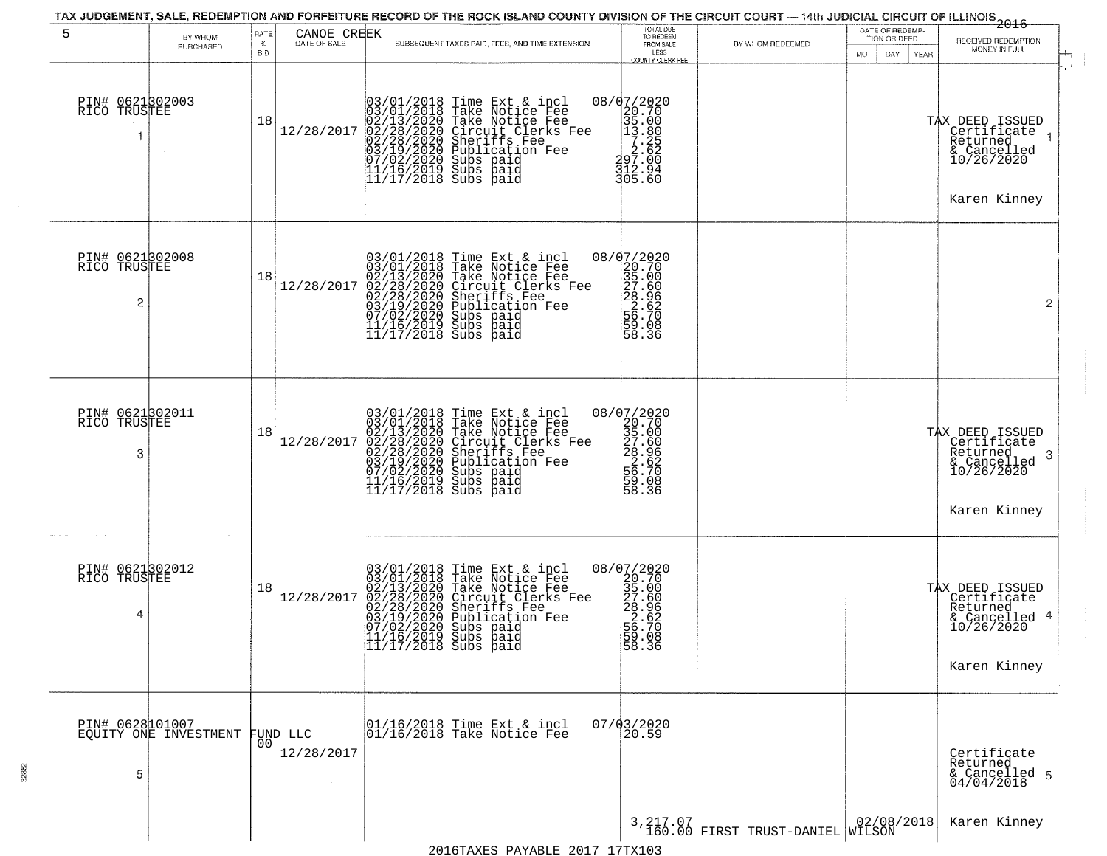| 5                                    | BY WHOM<br>PURCHASED                              | RATE<br>%<br><b>BID</b> | CANOE CREEK<br>DATE OF SALE | SUBSEQUENT TAXES PAID, FEES, AND TIME EXTENSION                                                                                                                                                                                                                                                                                                    | TOTAL DUE<br>TO REDEEM<br>FROM SALE<br>LESS                                                                                                     | BY WHOM REDEEMED                              | DATE OF REDEMP-<br>TION OR DEED<br>DAY.<br>YEAR<br>MO. | $-2016$<br>RECEIVED REDEMPTION<br>MONEY IN FULL                                              |  |
|--------------------------------------|---------------------------------------------------|-------------------------|-----------------------------|----------------------------------------------------------------------------------------------------------------------------------------------------------------------------------------------------------------------------------------------------------------------------------------------------------------------------------------------------|-------------------------------------------------------------------------------------------------------------------------------------------------|-----------------------------------------------|--------------------------------------------------------|----------------------------------------------------------------------------------------------|--|
| PIN# 0621302003<br>RICO TRUSTEE      |                                                   | 18                      | 12/28/2017                  | $03/01/2018$ Time Ext & incl<br>03/01/2018 Take Notice Fee<br>02/13/2020 Take Notice Fee<br>02/28/2020 Circuit Clerks Fee<br>02/28/2020 Sheriff Fee<br>03/19/2020 Publication Fee<br>07/02/2020 Subs paid<br>11/17/2018 Subs paid<br>II/I7/2018 Subs paid                                                                                          | <b>COUNTY CLERK FEE</b><br>$\begin{array}{r} 08/07/2020 \\ 20.70 \\ 35.00 \\ 13.80 \\ 7.25 \\ 297.00 \\ 312.94 \\ 316.96 \end{array}$<br>305.60 |                                               |                                                        | TAX DEED ISSUED<br>Certificate<br>Returned<br>& Cancelled<br>10/26/2020<br>Karen Kinney      |  |
| PIN# 0621302008<br>RICO TRUSTEE<br>2 |                                                   | 18                      | 12/28/2017                  | $03/01/2018$ Time Ext & incl<br>03/01/2018 Take Notice Fee<br>02/13/2020 Take Notice Fee<br>02/28/2020 Circuit Clerks Fee<br>02/28/2020 Sheriffs Fee<br>03/19/2020 Subs paid<br>07/02/2020 Subs paid<br>11/16/2019 Subs paid<br>11/17/2018 Subs paid<br>                                                                                           | $=\begin{bmatrix} 08/07/2020 \\ 20.70 \\ 35.00 \\ 27.60 \\ 28.96 \\ 2.62 \\ 56.70 \\ 56.70 \\ 59.98 \end{bmatrix}$<br>58.36                     |                                               |                                                        | $\overline{2}$                                                                               |  |
| PIN# 0621302011<br>RICO TRUSTEE<br>3 |                                                   | 18                      | 12/28/2017                  | 03/01/2018 Time Ext & incl<br>03/01/2018 Take Notice Fee<br>02/13/2020 Take Notice Fee<br>02/28/2020 Circuit Clerks Fee<br>02/28/2020 Sheriffs Fee<br>03/19/2020 Subication Fee<br>03/19/2020 Subs paid<br>11/16/2019 Subs paid<br>11/17/2018 Subs pai                                                                                             | 08/07/2020<br>20.70<br>35.00<br>35.60<br>28.966<br>56.70<br>56.70<br>58.36<br>58.36                                                             |                                               |                                                        | TAX DEED ISSUED<br>Certificate<br>Returned<br>3<br>& Cancelled<br>10/26/2020<br>Karen Kinney |  |
| PIN# 0621302012<br>RICO TRUSTEE<br>4 |                                                   | 18                      | 12/28/2017                  | 03/01/2018 Time Ext & incl<br>03/01/2018 Take Notice Fee<br>02/13/2020 Take Notice Fee<br>02/28/2020 Circuit Clerks F<br>02/28/2020 Sheriffs Fee<br>03/19/2020 Sheriffs Fee<br>03/19/2020 Subs paid<br>11/16/2019 Subs paid<br>11/16/2019 Subs paid<br>11<br>Take Notice Fee<br>Circuit Clerks Fee<br>Sheriffs Fee<br>Publication Fee<br>Subs paid | 08/07/2020<br>20.70<br>35.00<br>35.60<br>28.966<br>56.700<br>58.36<br>58.36                                                                     |                                               |                                                        | TAX DEED ISSUED<br>Certificate<br>Returned<br>& Cancelled 4<br>10/26/2020<br>Karen Kinney    |  |
| 5                                    | PIN# 0628101007<br>EQUITY ONE INVESTMENT FUND LLC | 00                      | 12/28/2017                  | 01/16/2018 Time Ext & incl<br>01/16/2018 Take Notice Fee                                                                                                                                                                                                                                                                                           | 07/03/2020<br>20.59                                                                                                                             |                                               |                                                        | Certificate<br>Returned<br>& Cancelled 5<br>04/04/2018                                       |  |
|                                      |                                                   |                         |                             |                                                                                                                                                                                                                                                                                                                                                    |                                                                                                                                                 | 3, 217.07<br>160.00 FIRST TRUST-DANIEL WILSON | 02/08/2018                                             | Karen Kinney                                                                                 |  |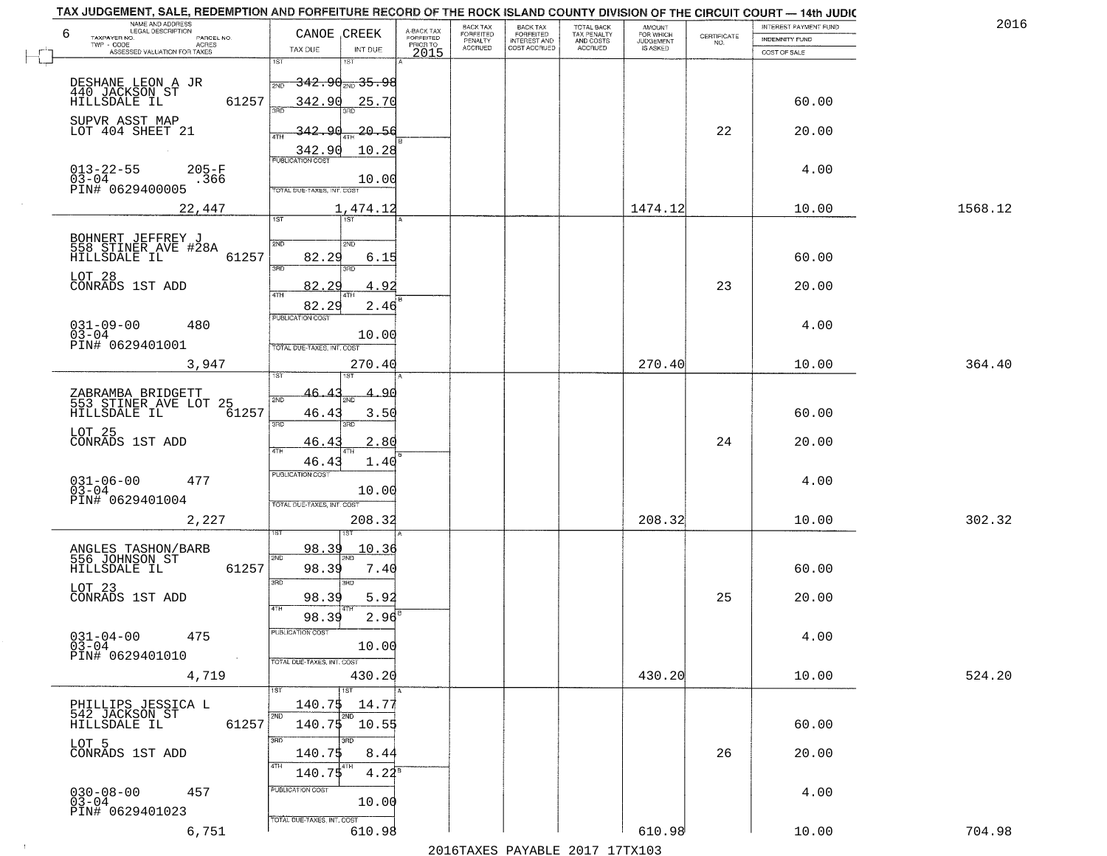| 2016    | INTEREST PAYMENT FUND |                                                                 | <b>AMOUNT</b><br>FOR WHICH |                                                   | <b>BACK TAX</b><br><b>FORFEITED</b> | BACK TAX<br><b>FORFEITED</b> | A-BACK TAX            | CANOE CREEK                                               |                            | NAME AND ADDRESS<br>LEGAL DESCRIPTION<br>6               |
|---------|-----------------------|-----------------------------------------------------------------|----------------------------|---------------------------------------------------|-------------------------------------|------------------------------|-----------------------|-----------------------------------------------------------|----------------------------|----------------------------------------------------------|
|         | INDEMNITY FUND        | $\begin{array}{c} \text{CERTIFICATE} \\ \text{NO.} \end{array}$ | JUDGEMENT                  | TOTAL BACK<br>TAX PENALTY<br>AND COSTS<br>ACCRUED | INTEREST AND<br>COST ACCRUED        | PENALTY<br>ACCRUED           | FORFEITED<br>PRIOR TO |                                                           | PARCEL NO.<br><b>ACRES</b> | TAXPAYER NO.<br>TWP - CODE                               |
|         | COST OF SALE          |                                                                 |                            |                                                   |                                     |                              | 2015                  | TAX DUE<br>INT DUE                                        |                            | ASSESSED VALUATION FOR TAXES                             |
|         |                       |                                                                 |                            |                                                   |                                     |                              |                       | 1ST<br>1ST<br><del>342․90 <sub>2№</sub>35․98</del><br>2ND |                            | DESHANE LEON A JR                                        |
|         | 60.00                 |                                                                 |                            |                                                   |                                     |                              |                       | 342.90<br>25.70                                           | 61257                      | 440 JACKSON ST<br>HILLSDALE IL                           |
|         | 20.00                 | 22                                                              |                            |                                                   |                                     |                              |                       | 342.<br>$\Omega$<br><u>20.56</u><br>4TH                   |                            | SUPVR ASST MAP<br>LOT 404 SHEET 21                       |
|         | 4.00                  |                                                                 |                            |                                                   |                                     |                              |                       | 10.28<br>342.90<br><b>PUBLICATION COST</b>                | $205 - F$                  | $013 - 22 - 55$                                          |
|         |                       |                                                                 |                            |                                                   |                                     |                              |                       | 10.00<br>TOTAL DUE-TAXES, INT. COST                       | .366                       | 03-04<br>PIN# 0629400005                                 |
| 1568.12 | 10.00                 |                                                                 | 1474.12                    |                                                   |                                     |                              |                       | 1,474.12<br>1ST<br>1ST                                    | 22,447                     |                                                          |
|         | 60.00                 |                                                                 |                            |                                                   |                                     |                              |                       | 2ND<br>2ND<br>82.29<br>6.15                               | 61257                      | BOHNERT JEFFREY J<br>558 STINER AVE #28A<br>HILLSDALE IL |
|         | 20.00                 | 23                                                              |                            |                                                   |                                     |                              |                       | 3RD<br>82.<br>2c<br>4.92                                  |                            | LOT 28<br>CONRADS 1ST ADD                                |
|         |                       |                                                                 |                            |                                                   |                                     |                              |                       | 47H<br>4TF<br>82.29<br>2.46                               |                            |                                                          |
|         | 4.00                  |                                                                 |                            |                                                   |                                     |                              |                       | PUBLICATION COST<br>10.00                                 | 480                        | $031 - 09 - 00$<br>$03 - 04$                             |
| 364.40  | 10.00                 |                                                                 | 270.40                     |                                                   |                                     |                              |                       | TOTAL DUE-TAXES, INT. COST<br>270.40                      | 3,947                      | PIN# 0629401001                                          |
|         |                       |                                                                 |                            |                                                   |                                     |                              |                       | <b>ST</b><br>46.<br>2ND                                   |                            | ZABRAMBA BRIDGETT<br>553 STINER AVE LOT 25               |
|         | 60.00                 |                                                                 |                            |                                                   |                                     |                              |                       | $46.4^{\circ}$<br>3.50<br>3BD<br>3RD                      | 61257                      | HILLSDALE IL                                             |
|         | 20.00                 | 24                                                              |                            |                                                   |                                     |                              |                       | 46.41<br>2.80                                             |                            | LOT 25<br>CONRADS 1ST ADD                                |
|         | 4.00                  |                                                                 |                            |                                                   |                                     |                              |                       | 46.43<br>1.40<br><b>PUBLICATION COST</b>                  | 477                        | $031 - 06 - 00$<br>03-04                                 |
|         |                       |                                                                 |                            |                                                   |                                     |                              |                       | 10.00<br>TOTAL OUE-TAXES, INT. COST                       |                            | PIN# 0629401004                                          |
| 302.32  | 10.00                 |                                                                 | 208.32                     |                                                   |                                     |                              |                       | 208.32                                                    | 2,227                      |                                                          |
|         | 60.00                 |                                                                 |                            |                                                   |                                     |                              |                       | <u>98.39</u><br>10.36<br>2ND<br>98.39<br>7.40             | 61257                      | ANGLES TASHON/BARB<br>556 JOHNSON ST<br>HILLSDALE IL     |
|         | 20.00                 | 25                                                              |                            |                                                   |                                     |                              |                       | 3RD<br>3BD<br>98.39<br>5.92                               |                            | LOT 23<br>CONRADS 1ST ADD                                |
|         |                       |                                                                 |                            |                                                   |                                     |                              |                       | $2.96^{B}$<br>98.39<br>PUBLICATION COST                   |                            |                                                          |
|         | 4.00                  |                                                                 |                            |                                                   |                                     |                              |                       | 10.00<br>TOTAL DUE-TAXES, INT. COST                       | 475                        | $031 - 04 - 00$<br>$03 - 04$<br>PIN# 0629401010          |
| 524.20  | 10.00                 |                                                                 | 430.20                     |                                                   |                                     |                              |                       | 430.20<br>$\overline{151}$<br>1ST                         | 4,719                      |                                                          |
|         |                       |                                                                 |                            |                                                   |                                     |                              |                       | 140.75 14.77<br>2ND<br>2ND                                |                            | PHILLIPS JESSICA L<br>542 JACKSON ST                     |
|         | 60.00                 |                                                                 |                            |                                                   |                                     |                              |                       | 140.75<br>10.55<br>3RD<br>अँ                              | 61257                      | HILLSDALE IL<br>LOT 5                                    |
|         | 20.00                 | 26                                                              |                            |                                                   |                                     |                              |                       | 140.7\$<br>8.44<br>4TH<br>4TH<br>140.75<br>$4.22^8$       |                            | CONRADS 1ST ADD                                          |
|         | 4.00                  |                                                                 |                            |                                                   |                                     |                              |                       | PUBLICATION COST<br>10.00                                 | 457                        | $030 - 08 - 00$<br>03-04                                 |
|         |                       |                                                                 |                            |                                                   |                                     |                              |                       | TOTAL DUE-TAXES, INT. COST                                |                            | PIN# 0629401023                                          |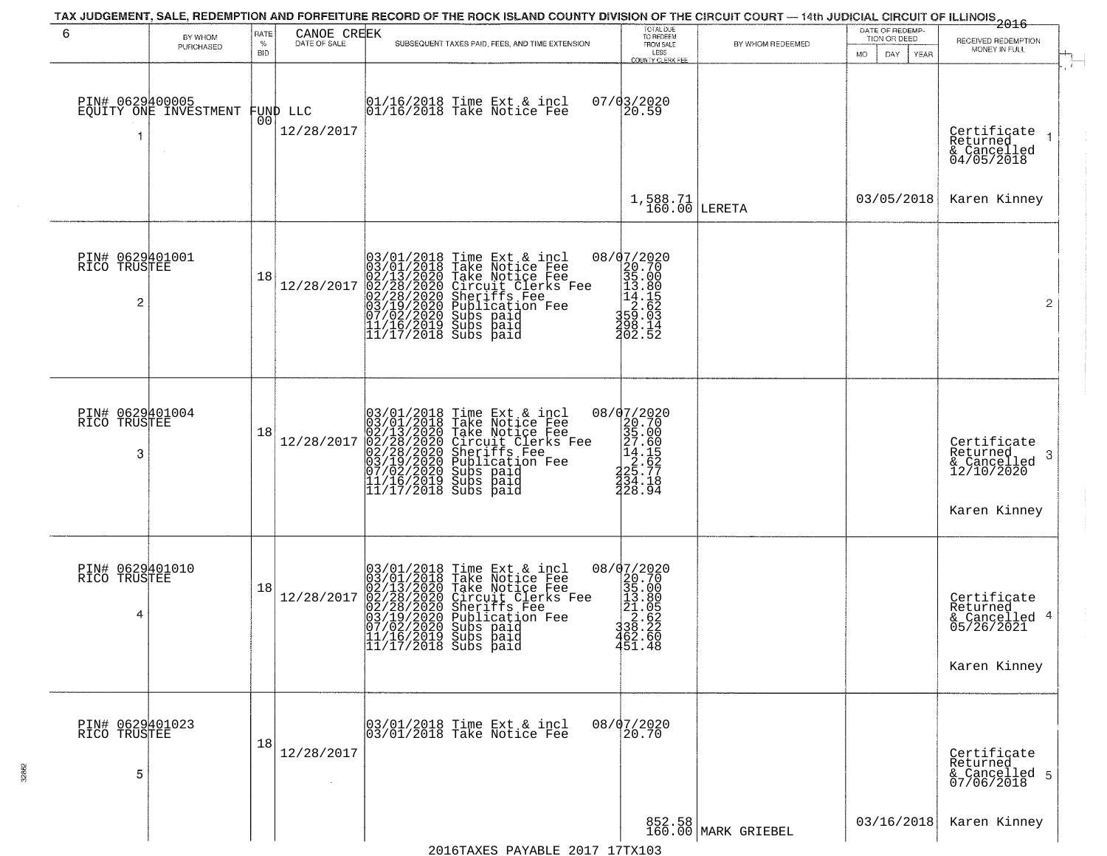| 6                                    | BY WHOM<br>PURCHASED                     | RATE<br>$\%$<br>BID | CANOE CREEK<br>DATE OF SALE | SUBSEQUENT TAXES PAID, FEES, AND TIME EXTENSION                                                                                                                                                                                                                                                                                             | TOTAL DUE<br>TO REDEEM<br>FROM SALE<br>LESS                                                                                  | BY WHOM REDEEMED              | DATE OF REDEMP-<br>TION OR DEED<br>DAY.<br>YEAR<br>MO. | $-2016$<br>RECEIVED REDEMPTION<br>MONEY IN FULL                           |
|--------------------------------------|------------------------------------------|---------------------|-----------------------------|---------------------------------------------------------------------------------------------------------------------------------------------------------------------------------------------------------------------------------------------------------------------------------------------------------------------------------------------|------------------------------------------------------------------------------------------------------------------------------|-------------------------------|--------------------------------------------------------|---------------------------------------------------------------------------|
|                                      | PIN# 0629400005<br>EQUITY ONE INVESTMENT | 001                 | FUND LLC<br>12/28/2017      | 01/16/2018 Time Ext & incl<br>01/16/2018 Take Notice Fee                                                                                                                                                                                                                                                                                    | COUNTY CLERK FEE<br>$07/03/2020$<br>20.59                                                                                    |                               |                                                        | Certificate<br>Returned<br>& Cancelled<br>04/05/2018                      |
|                                      |                                          |                     |                             |                                                                                                                                                                                                                                                                                                                                             | $1,588.71$<br>$160.00$                                                                                                       | LERETA                        | 03/05/2018                                             | Karen Kinney                                                              |
| PIN# 0629401001<br>RICO TRUSTEE<br>2 |                                          | 18                  | 12/28/2017                  | $03/01/2018$ Time Ext & incl<br>03/01/2018 Take Notice Fee<br>02/13/2020 Take Notice Fee<br>02/28/2020 Circuit Clerks Fee<br>02/28/2020 Sheriffs Fee<br>03/19/2020 Subs paid<br>07/02/2020 Subs paid<br>11/16/2019 Subs paid<br>11/17/2018 Subs paid<br>                                                                                    | $\begin{smallmatrix} 08/07/2020 \\ 20.70 \\ 35.00 \\ 13.80 \\ 14.85 \\ 2.62 \\ 359.03 \\ 498.15 \end{smallmatrix}$<br>202.52 |                               |                                                        | $\overline{2}$                                                            |
| PIN# 0629401004<br>RICO TRUSTEE<br>3 |                                          | 18                  | 12/28/2017                  | 03/01/2018 Time Ext & incl<br>03/01/2018 Take Notice Fee<br>02/13/2020 Take Notice Fee<br>02/28/2020 Circuit Clerks Fee<br>02/28/2020 Sheriffs Fee<br>03/19/2020 Subication Fee<br>03/19/2020 Subs paid<br>11/16/2019 Subs paid<br>11/17/2018 Subs pai                                                                                      | $20.702020\n20.70\n35.00\n27.60\n14.155\n2.62\n2.5.77\n3.4.184\n3.4.184$<br>228.94                                           |                               |                                                        | Certificate<br>Returned<br>3<br>& Cancelled<br>12/10/2020<br>Karen Kinney |
| PIN# 0629401010<br>RICO TRUSTEE<br>4 |                                          | 18                  | 12/28/2017                  | $03/01/2018$ Time Ext & incl<br>03/01/2018 Take Notice Fee<br>02/13/2020 Take Notice Fee<br>02/28/2020 Circuit Clerks F<br>02/28/2020 Sheriffs Fee<br>03/19/2020 Subs paid<br>07/02/2020 Subs paid<br>11/16/2019 Subs paid<br>11/17/2018 Subs paid<br>Take Notice Fee<br>Circuit Clerks Fee<br>Sheriffs Fee<br>Publication Fee<br>Subs paid | ${\footnotesize \begin{matrix} 08/07/2020 \\ 20.700 \\ 35.00 \\ 11.80 \\ 21.065 \\ 336.22 \\ 462.60 \\ 451.48 \end{matrix}}$ |                               |                                                        | Certificate<br>Returned<br>& Cancelled 4<br>05/26/2021<br>Karen Kinney    |
| PIN# 0629401023<br>RICO TRUSTEE<br>5 |                                          | 18                  | 12/28/2017                  | 03/01/2018 Time Ext & incl<br>03/01/2018 Take Notice Fee                                                                                                                                                                                                                                                                                    | 08/07/2020<br>20.70                                                                                                          |                               |                                                        | Certificate<br>Returned<br>& Cancelled 5<br>07/06/2018                    |
|                                      |                                          |                     |                             | DAVADID 0019 19811                                                                                                                                                                                                                                                                                                                          |                                                                                                                              | 852.58<br>160.00 MARK GRIEBEL | 03/16/2018                                             | Karen Kinney                                                              |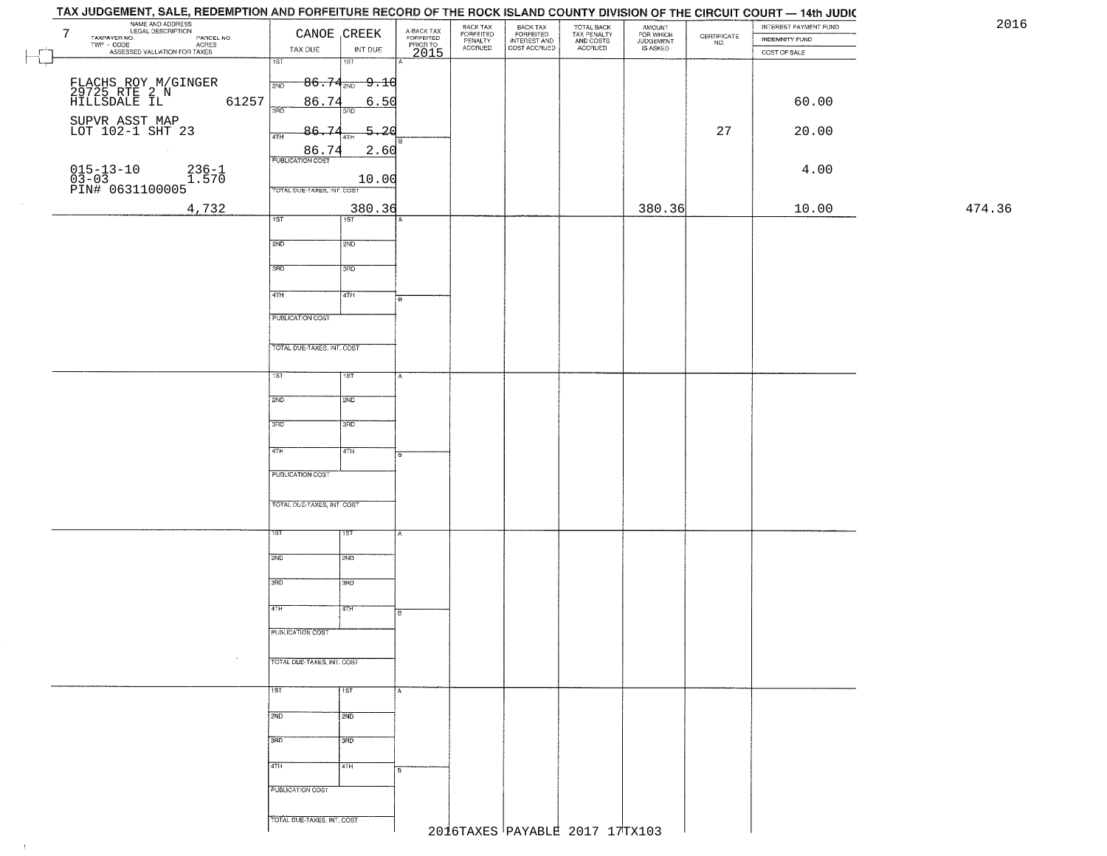| 7 | AME <sub>7</sub><br>NAME AND ADDRESS<br>NAME ALGOAL DESCRIPTION<br>TAXPAYER NO.<br>WP - CODE<br>ASSESSES |                                  | CANOE CREEK               | A-BACK TAX<br>FORFEITED<br>PRIOR TO | BACK TAX<br>FORFEITED<br>PENALTY | BACK TAX<br>FORFEITED<br>INTEREST AND | TOTAL BACK<br>TAX PENALTY<br>AND COSTS | AMOUNT<br>FOR WHICH<br>JUDGEMENT<br>IS ASKED | $\begin{array}{c} \text{CERTIFICATE} \\ \text{NO.} \end{array}$ | INTEREST PAYMENT FUND<br>INDEMNITY FUND | 20     |
|---|----------------------------------------------------------------------------------------------------------|----------------------------------|---------------------------|-------------------------------------|----------------------------------|---------------------------------------|----------------------------------------|----------------------------------------------|-----------------------------------------------------------------|-----------------------------------------|--------|
|   | PAYER NO.<br>- CODE ACRES<br>- CODE ACRES<br>- ASSESSED VALUATION FOR TAXES                              | TAX DUE                          | INT DUE                   | 2015                                | <b>ACCRUED</b>                   | COST ACCRUED                          | ACCRUED                                |                                              |                                                                 | COST OF SALE                            |        |
|   |                                                                                                          | 1ST                              | $\overline{181}$          |                                     |                                  |                                       |                                        |                                              |                                                                 |                                         |        |
|   |                                                                                                          | 2ND                              | $-86.74_{\tiny 2ND}$ 9.10 |                                     |                                  |                                       |                                        |                                              |                                                                 |                                         |        |
|   | FLACHS ROY M/GINGER<br>29725 RTE 2 N<br>HILLSDALE IL                                                     |                                  |                           |                                     |                                  |                                       |                                        |                                              |                                                                 |                                         |        |
|   | 61257                                                                                                    | 86.74<br>3RD                     | <u>6.50</u><br>3BD        |                                     |                                  |                                       |                                        |                                              |                                                                 | 60.00                                   |        |
|   | SUPVR ASST MAP<br>LOT 102-1 SHT 23                                                                       | 86.74                            | $-5 - 20$                 |                                     |                                  |                                       |                                        |                                              | 27                                                              | 20.00                                   |        |
|   |                                                                                                          | 4TH                              | 4T <sub>h</sub>           |                                     |                                  |                                       |                                        |                                              |                                                                 |                                         |        |
|   |                                                                                                          | 86.74<br><b>PUBLICATION COST</b> | 2.60                      |                                     |                                  |                                       |                                        |                                              |                                                                 |                                         |        |
|   | $236 - 1$<br>1.570                                                                                       |                                  | 10.00                     |                                     |                                  |                                       |                                        |                                              |                                                                 | 4.00                                    |        |
|   | 015-13-10<br>03-03<br>PIN# 0631100005                                                                    | TOTAL DUE-TAXES, INT. COST       |                           |                                     |                                  |                                       |                                        |                                              |                                                                 |                                         |        |
|   | 4,732                                                                                                    |                                  | 380.36                    |                                     |                                  |                                       |                                        | 380.36                                       |                                                                 | 10.00                                   | 474.36 |
|   |                                                                                                          | 1ST                              | 1ST                       |                                     |                                  |                                       |                                        |                                              |                                                                 |                                         |        |
|   |                                                                                                          | 2ND                              | 2ND                       |                                     |                                  |                                       |                                        |                                              |                                                                 |                                         |        |
|   |                                                                                                          |                                  |                           |                                     |                                  |                                       |                                        |                                              |                                                                 |                                         |        |
|   |                                                                                                          | 3BD                              | 3RD                       |                                     |                                  |                                       |                                        |                                              |                                                                 |                                         |        |
|   |                                                                                                          |                                  |                           |                                     |                                  |                                       |                                        |                                              |                                                                 |                                         |        |
|   |                                                                                                          | $\sqrt{47H}$                     | 4TH                       | B                                   |                                  |                                       |                                        |                                              |                                                                 |                                         |        |
|   |                                                                                                          | PUBLICATION COST                 |                           |                                     |                                  |                                       |                                        |                                              |                                                                 |                                         |        |
|   |                                                                                                          |                                  |                           |                                     |                                  |                                       |                                        |                                              |                                                                 |                                         |        |
|   |                                                                                                          | TOTAL DUE-TAXES, INT. COST       |                           |                                     |                                  |                                       |                                        |                                              |                                                                 |                                         |        |
|   |                                                                                                          | TST                              | 1ST                       |                                     |                                  |                                       |                                        |                                              |                                                                 |                                         |        |
|   |                                                                                                          |                                  |                           |                                     |                                  |                                       |                                        |                                              |                                                                 |                                         |        |
|   |                                                                                                          | 2ND                              | 2ND                       |                                     |                                  |                                       |                                        |                                              |                                                                 |                                         |        |
|   |                                                                                                          | 3RD                              | 3 <sub>3</sub>            |                                     |                                  |                                       |                                        |                                              |                                                                 |                                         |        |
|   |                                                                                                          |                                  |                           |                                     |                                  |                                       |                                        |                                              |                                                                 |                                         |        |
|   |                                                                                                          | 4TH                              | 4TH                       |                                     |                                  |                                       |                                        |                                              |                                                                 |                                         |        |
|   |                                                                                                          | PUBLICATION COST                 |                           |                                     |                                  |                                       |                                        |                                              |                                                                 |                                         |        |
|   |                                                                                                          |                                  |                           |                                     |                                  |                                       |                                        |                                              |                                                                 |                                         |        |
|   |                                                                                                          | TOTAL OUE-TAXES, INT. COST       |                           |                                     |                                  |                                       |                                        |                                              |                                                                 |                                         |        |
|   |                                                                                                          |                                  |                           |                                     |                                  |                                       |                                        |                                              |                                                                 |                                         |        |
|   |                                                                                                          | 1ST                              | ाडा                       |                                     |                                  |                                       |                                        |                                              |                                                                 |                                         |        |
|   |                                                                                                          | 2ND                              | <b>2ND</b>                |                                     |                                  |                                       |                                        |                                              |                                                                 |                                         |        |
|   |                                                                                                          |                                  |                           |                                     |                                  |                                       |                                        |                                              |                                                                 |                                         |        |
|   |                                                                                                          | 3RD                              | 3RD                       |                                     |                                  |                                       |                                        |                                              |                                                                 |                                         |        |
|   |                                                                                                          | 4TH                              | विज्ञाना                  |                                     |                                  |                                       |                                        |                                              |                                                                 |                                         |        |
|   |                                                                                                          |                                  |                           | 18                                  |                                  |                                       |                                        |                                              |                                                                 |                                         |        |
|   |                                                                                                          | PUBLICATION COST                 |                           |                                     |                                  |                                       |                                        |                                              |                                                                 |                                         |        |
|   |                                                                                                          |                                  |                           |                                     |                                  |                                       |                                        |                                              |                                                                 |                                         |        |
|   |                                                                                                          | TOTAL DUE-TAXES, INT. COST       |                           |                                     |                                  |                                       |                                        |                                              |                                                                 |                                         |        |
|   |                                                                                                          | 1ST <sup>1</sup>                 | $\overline{11ST}$         |                                     |                                  |                                       |                                        |                                              |                                                                 |                                         |        |
|   |                                                                                                          |                                  |                           |                                     |                                  |                                       |                                        |                                              |                                                                 |                                         |        |
|   |                                                                                                          | 2ND                              | 2ND                       |                                     |                                  |                                       |                                        |                                              |                                                                 |                                         |        |
|   |                                                                                                          | 3BD                              | ਤਿਸ਼ਨ                     |                                     |                                  |                                       |                                        |                                              |                                                                 |                                         |        |
|   |                                                                                                          |                                  |                           |                                     |                                  |                                       |                                        |                                              |                                                                 |                                         |        |
|   |                                                                                                          | 4TH                              | 4TH                       |                                     |                                  |                                       |                                        |                                              |                                                                 |                                         |        |
|   |                                                                                                          | PUBLICATION COST                 |                           |                                     |                                  |                                       |                                        |                                              |                                                                 |                                         |        |
|   |                                                                                                          |                                  |                           |                                     |                                  |                                       |                                        |                                              |                                                                 |                                         |        |
|   |                                                                                                          | TOTAL DUE-TAXES, INT. COST       |                           |                                     |                                  |                                       |                                        |                                              |                                                                 |                                         |        |
|   |                                                                                                          |                                  |                           |                                     |                                  |                                       | 2016TAXES PAYABLE 2017 17TX103         |                                              |                                                                 |                                         |        |

 $\sim 10^{-1}$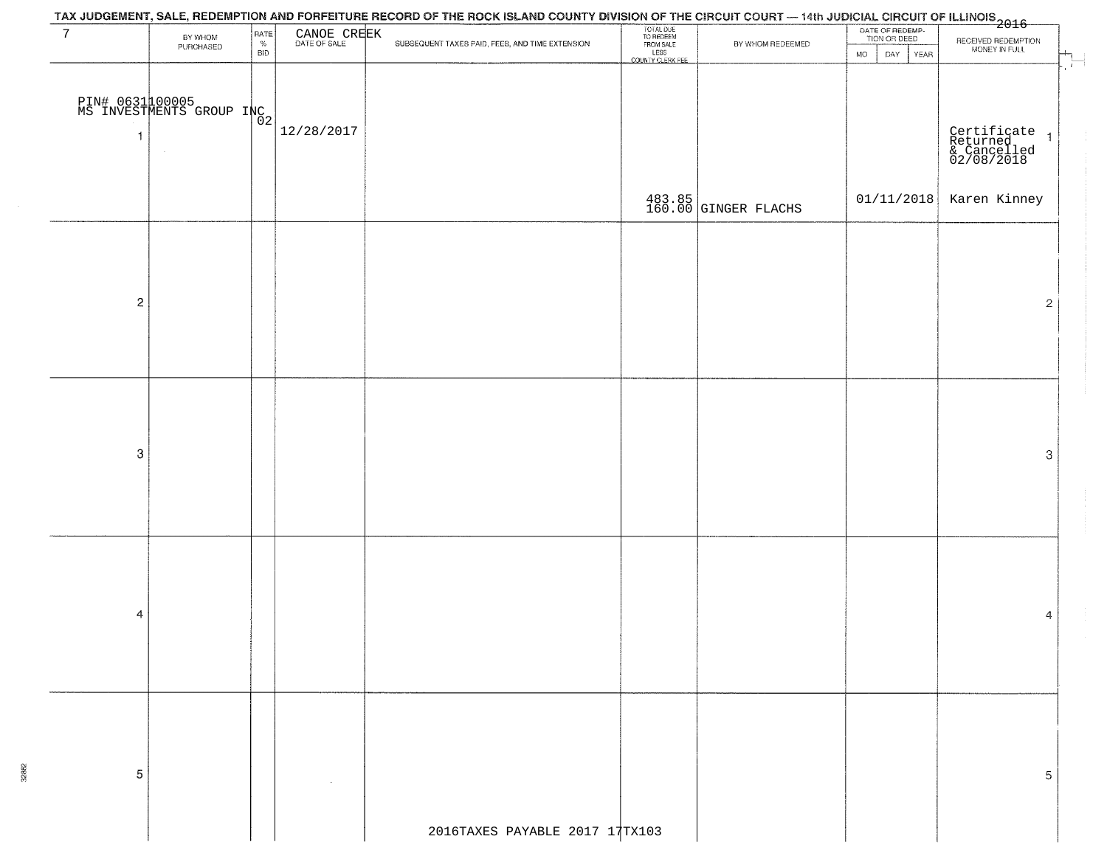|                  |                                              |                                                 |                             | TAX JUDGEMENT, SALE, REDEMPTION AND FORFEITURE RECORD OF THE ROCK ISLAND COUNTY DIVISION OF THE CIRCUIT COURT — 14th JUDICIAL CIRCUIT OF ILLINOIS<br>2016 - The Contract of California (1995) |                                                                 |                        |                                 |                                                          |
|------------------|----------------------------------------------|-------------------------------------------------|-----------------------------|-----------------------------------------------------------------------------------------------------------------------------------------------------------------------------------------------|-----------------------------------------------------------------|------------------------|---------------------------------|----------------------------------------------------------|
| $7\overline{ }$  | BY WHOM<br>PURCHASED                         | $\ensuremath{\mathsf{PATE}}\xspace_{\%}$<br>BID | CANOE CREEK<br>DATE OF SALE | SUBSEQUENT TAXES PAID, FEES, AND TIME EXTENSION                                                                                                                                               | TOTAL DUE<br>TO REDEEM<br>FROM SALE<br>LESS<br>COUNTY CLERK FEE | BY WHOM REDEEMED       | DATE OF REDEMP-<br>TION OR DEED | RECEIVED REDEMPTION<br>MONEY IN FULL                     |
|                  |                                              |                                                 |                             |                                                                                                                                                                                               |                                                                 |                        | <b>MO</b><br>DAY<br><b>YEAR</b> | $\pm$                                                    |
|                  |                                              |                                                 |                             |                                                                                                                                                                                               |                                                                 |                        |                                 |                                                          |
|                  | PIN# 0631 100005<br>MS INVESTMENTS GROUP INC |                                                 |                             |                                                                                                                                                                                               |                                                                 |                        |                                 |                                                          |
| $\overline{1}$   |                                              |                                                 | 12/28/2017                  |                                                                                                                                                                                               |                                                                 |                        |                                 |                                                          |
|                  |                                              |                                                 |                             |                                                                                                                                                                                               |                                                                 |                        |                                 | Certificate 1<br>Returned 1<br>& Cancelled<br>02/08/2018 |
|                  |                                              |                                                 |                             |                                                                                                                                                                                               |                                                                 |                        |                                 |                                                          |
|                  |                                              |                                                 |                             |                                                                                                                                                                                               |                                                                 | $483.85$ GINGER FLACHS | 01/11/2018                      | Karen Kinney                                             |
|                  |                                              |                                                 |                             |                                                                                                                                                                                               |                                                                 |                        |                                 |                                                          |
|                  |                                              |                                                 |                             |                                                                                                                                                                                               |                                                                 |                        |                                 |                                                          |
|                  |                                              |                                                 |                             |                                                                                                                                                                                               |                                                                 |                        |                                 |                                                          |
| $\overline{c}$   |                                              |                                                 |                             |                                                                                                                                                                                               |                                                                 |                        |                                 | $\mathbf{2}$                                             |
|                  |                                              |                                                 |                             |                                                                                                                                                                                               |                                                                 |                        |                                 |                                                          |
|                  |                                              |                                                 |                             |                                                                                                                                                                                               |                                                                 |                        |                                 |                                                          |
|                  |                                              |                                                 |                             |                                                                                                                                                                                               |                                                                 |                        |                                 |                                                          |
|                  |                                              |                                                 |                             |                                                                                                                                                                                               |                                                                 |                        |                                 |                                                          |
|                  |                                              |                                                 |                             |                                                                                                                                                                                               |                                                                 |                        |                                 |                                                          |
| $\boldsymbol{3}$ |                                              |                                                 |                             |                                                                                                                                                                                               |                                                                 |                        |                                 | 3                                                        |
|                  |                                              |                                                 |                             |                                                                                                                                                                                               |                                                                 |                        |                                 |                                                          |
|                  |                                              |                                                 |                             |                                                                                                                                                                                               |                                                                 |                        |                                 |                                                          |
|                  |                                              |                                                 |                             |                                                                                                                                                                                               |                                                                 |                        |                                 |                                                          |
|                  |                                              |                                                 |                             |                                                                                                                                                                                               |                                                                 |                        |                                 |                                                          |
|                  |                                              |                                                 |                             |                                                                                                                                                                                               |                                                                 |                        |                                 |                                                          |
| 4                |                                              |                                                 |                             |                                                                                                                                                                                               |                                                                 |                        |                                 | 4                                                        |
|                  |                                              |                                                 |                             |                                                                                                                                                                                               |                                                                 |                        |                                 |                                                          |
|                  |                                              |                                                 |                             |                                                                                                                                                                                               |                                                                 |                        |                                 |                                                          |
|                  |                                              |                                                 |                             |                                                                                                                                                                                               |                                                                 |                        |                                 |                                                          |
|                  |                                              |                                                 |                             |                                                                                                                                                                                               |                                                                 |                        |                                 |                                                          |
|                  |                                              |                                                 |                             |                                                                                                                                                                                               |                                                                 |                        |                                 |                                                          |
|                  |                                              |                                                 |                             |                                                                                                                                                                                               |                                                                 |                        |                                 |                                                          |
| $\mathbf 5$      |                                              |                                                 |                             |                                                                                                                                                                                               |                                                                 |                        |                                 | 5                                                        |
|                  |                                              |                                                 |                             |                                                                                                                                                                                               |                                                                 |                        |                                 |                                                          |
|                  |                                              |                                                 |                             | 2016TAXES PAYABLE 2017 17TX103                                                                                                                                                                |                                                                 |                        |                                 |                                                          |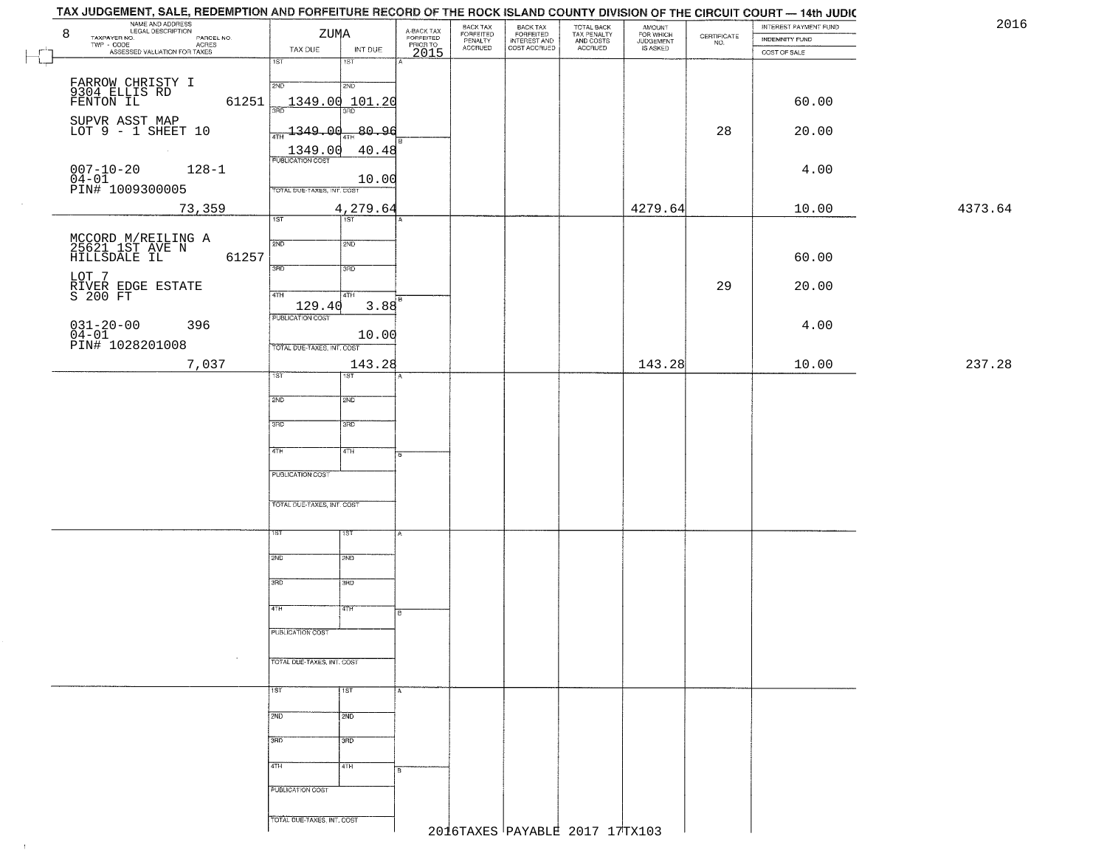|         | INTEREST PAYMENT FUND<br>INDEMNITY FUND | $\begin{array}{c} \text{CERTIFICATE} \\ \text{NO.} \end{array}$ | AMOUNT<br>FOR WHICH<br>JUDGEMENT<br>IS ASKED | TOTAL BACK<br>TAX PENALTY<br>AND COSTS<br>ACCRUED | BACK TAX<br>FORFEITED<br>INTEREST AND<br>COST ACCRUED | BACK TAX<br>FORFEITED<br>PENALTY<br>ACCRUED | A-BACK TAX<br>FORFEITED<br>PRIOR TO<br>2015 | INT DUE          | ZUMA<br>TAX DUE            | MAME AND ADDRESS<br>NAME AND ADDRESS<br>TAXPAYER NO.<br>TWP CODE<br>8<br>PARCEL NO.<br>- CODE<br>ASSESSED VALUATION FOR TAXES<br>$TWP - CODE$ |
|---------|-----------------------------------------|-----------------------------------------------------------------|----------------------------------------------|---------------------------------------------------|-------------------------------------------------------|---------------------------------------------|---------------------------------------------|------------------|----------------------------|-----------------------------------------------------------------------------------------------------------------------------------------------|
|         | COST OF SALE                            |                                                                 |                                              |                                                   |                                                       |                                             |                                             | $\overline{181}$ | 1ST                        |                                                                                                                                               |
|         |                                         |                                                                 |                                              |                                                   |                                                       |                                             |                                             | 2ND              | 2ND                        |                                                                                                                                               |
|         | 60.00                                   |                                                                 |                                              |                                                   |                                                       |                                             |                                             | 1349.00 101.20   |                            | FARROW CHRISTY I<br>9304 ELLIS RD<br>FENTON IL<br>61251                                                                                       |
|         | 20.00                                   | 28                                                              |                                              |                                                   |                                                       |                                             |                                             | -80.96           | $\frac{1}{4}$ 1349.00      | SUPVR ASST MAP<br>LOT 9 - 1 SHEET 10                                                                                                          |
|         |                                         |                                                                 |                                              |                                                   |                                                       |                                             |                                             | 40.48            | 1349.00                    | $\sim 10^{-11}$                                                                                                                               |
|         | 4.00                                    |                                                                 |                                              |                                                   |                                                       |                                             |                                             |                  | <b>PUBLICATION COST</b>    | $007 - 10 - 20$<br>$128 - 1$                                                                                                                  |
|         |                                         |                                                                 |                                              |                                                   |                                                       |                                             |                                             | 10.00            | TOTAL DUE-TAXES, INT. COST | $04-01$<br>PIN# 1009300005                                                                                                                    |
| 4373.64 | 10.00                                   |                                                                 | 4279.64                                      |                                                   |                                                       |                                             |                                             | 4,279.64         |                            | 73,359                                                                                                                                        |
|         |                                         |                                                                 |                                              |                                                   |                                                       |                                             |                                             | $\overline{1ST}$ | $\overline{1ST}$           |                                                                                                                                               |
|         |                                         |                                                                 |                                              |                                                   |                                                       |                                             |                                             | 2ND              | 2ND                        | MCCORD M/REILING A<br>25621 1ST AVE N<br>HILLSDALE IL                                                                                         |
|         | 60.00                                   |                                                                 |                                              |                                                   |                                                       |                                             |                                             | 3HD              | 3RD                        | 61257                                                                                                                                         |
|         | 20.00                                   | 29                                                              |                                              |                                                   |                                                       |                                             |                                             | 4TH              | 47H                        | LOT 7<br>RIVER EDGE ESTATE<br>S 200 FT                                                                                                        |
|         |                                         |                                                                 |                                              |                                                   |                                                       |                                             |                                             | 3.88             | 129.40                     |                                                                                                                                               |
|         | 4.00                                    |                                                                 |                                              |                                                   |                                                       |                                             |                                             | 10.00            | PUBLICATION COST           | $031 - 20 - 00$<br>$04 - 01$<br>396                                                                                                           |
|         |                                         |                                                                 |                                              |                                                   |                                                       |                                             |                                             |                  | TOTAL DUE-TAXES, INT. COST | PIN# 1028201008                                                                                                                               |
| 237.28  | 10.00                                   |                                                                 | 143.28                                       |                                                   |                                                       |                                             |                                             | 143.28<br>1ST    | ist"                       | 7,037                                                                                                                                         |
|         |                                         |                                                                 |                                              |                                                   |                                                       |                                             |                                             | 2ND              | 2ND                        |                                                                                                                                               |
|         |                                         |                                                                 |                                              |                                                   |                                                       |                                             |                                             |                  |                            |                                                                                                                                               |
|         |                                         |                                                                 |                                              |                                                   |                                                       |                                             |                                             | 3RD              | 3RD                        |                                                                                                                                               |
|         |                                         |                                                                 |                                              |                                                   |                                                       |                                             |                                             | 4TH              | 4TH                        |                                                                                                                                               |
|         |                                         |                                                                 |                                              |                                                   |                                                       |                                             |                                             |                  | <b>PUBLICATION COST</b>    |                                                                                                                                               |
|         |                                         |                                                                 |                                              |                                                   |                                                       |                                             |                                             |                  | TOTAL OUE-TAXES, INT. COST |                                                                                                                                               |
|         |                                         |                                                                 |                                              |                                                   |                                                       |                                             |                                             |                  |                            |                                                                                                                                               |
|         |                                         |                                                                 |                                              |                                                   |                                                       |                                             |                                             | १९४              | ιsτ                        |                                                                                                                                               |
|         |                                         |                                                                 |                                              |                                                   |                                                       |                                             |                                             | 2ND              | 2ND                        |                                                                                                                                               |
|         |                                         |                                                                 |                                              |                                                   |                                                       |                                             |                                             | 3BD              | 3RD                        |                                                                                                                                               |
|         |                                         |                                                                 |                                              |                                                   |                                                       |                                             |                                             | वाम              | 4TH                        |                                                                                                                                               |
|         |                                         |                                                                 |                                              |                                                   |                                                       |                                             | в                                           |                  |                            |                                                                                                                                               |
|         |                                         |                                                                 |                                              |                                                   |                                                       |                                             |                                             |                  | PUBLICATION COST           |                                                                                                                                               |
|         |                                         |                                                                 |                                              |                                                   |                                                       |                                             |                                             |                  | TOTAL DUE-TAXES, INT. COST |                                                                                                                                               |
|         |                                         |                                                                 |                                              |                                                   |                                                       |                                             |                                             | 1ST              | 1ST                        |                                                                                                                                               |
|         |                                         |                                                                 |                                              |                                                   |                                                       |                                             |                                             |                  |                            |                                                                                                                                               |
|         |                                         |                                                                 |                                              |                                                   |                                                       |                                             |                                             | 2ND              | 2ND                        |                                                                                                                                               |
|         |                                         |                                                                 |                                              |                                                   |                                                       |                                             |                                             | 3BD              | 3RD                        |                                                                                                                                               |
|         |                                         |                                                                 |                                              |                                                   |                                                       |                                             |                                             | 4TH              | 4TH                        |                                                                                                                                               |
|         |                                         |                                                                 |                                              |                                                   |                                                       |                                             |                                             |                  | PUBLICATION COST           |                                                                                                                                               |
|         |                                         |                                                                 |                                              |                                                   |                                                       |                                             |                                             |                  |                            |                                                                                                                                               |
|         |                                         |                                                                 |                                              | 2016TAXES PAYABLE 2017 17TX103                    |                                                       |                                             |                                             |                  | TOTAL DUE-TAXES, INT. COST |                                                                                                                                               |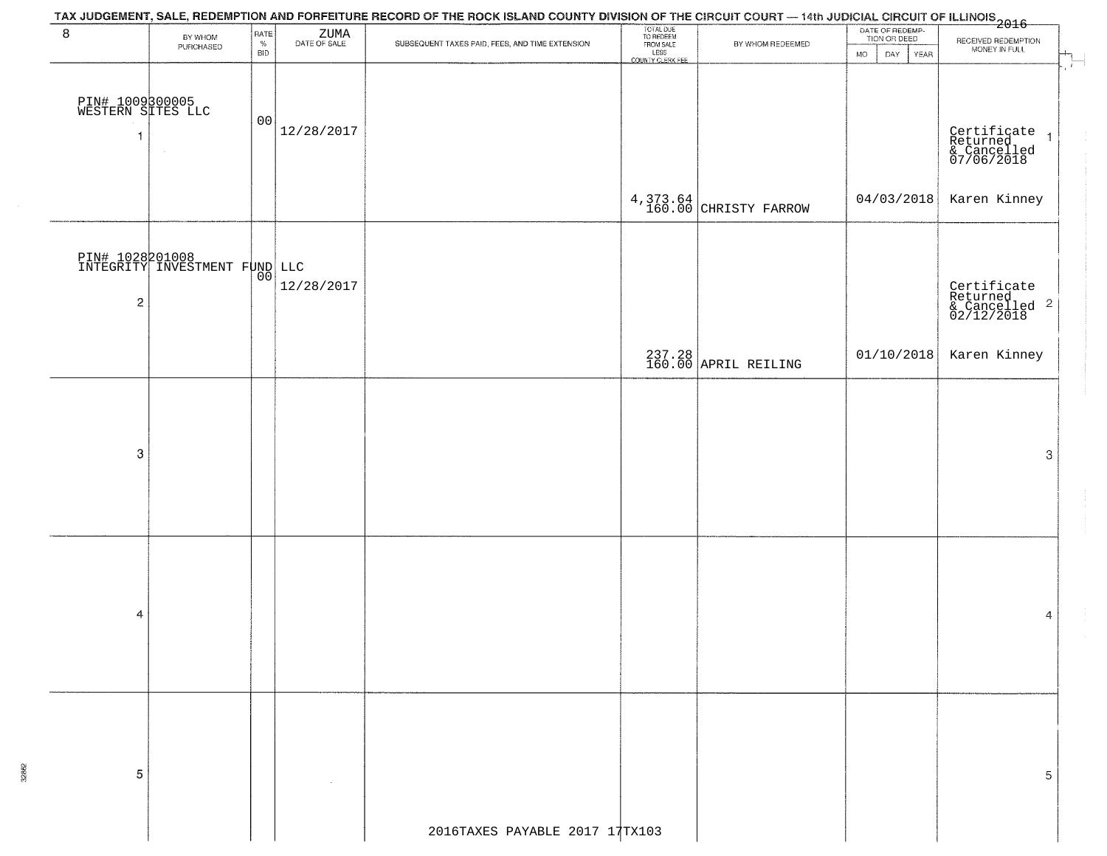|                                           |                                                  |                                   |                         | TAX JUDGEMENT, SALE, REDEMPTION AND FORFEITURE RECORD OF THE ROCK ISLAND COUNTY DIVISION OF THE CIRCUIT COURT — 14th JUDICIAL CIRCUIT OF ILLINOIS<br>2016 - 1992 - 1993 - 1994 - 1995 - 1996 - 1997 - 1998 - 1999 - 1999 - 1999 - |                                                                 |                                   |                                                              |                                                                                           |
|-------------------------------------------|--------------------------------------------------|-----------------------------------|-------------------------|-----------------------------------------------------------------------------------------------------------------------------------------------------------------------------------------------------------------------------------|-----------------------------------------------------------------|-----------------------------------|--------------------------------------------------------------|-------------------------------------------------------------------------------------------|
| 8                                         | BY WHOM<br>PURCHASED                             | <b>RATE</b><br>$\%$<br><b>BID</b> | $\rm ZUMA$ DATE OF SALE | SUBSEQUENT TAXES PAID, FEES, AND TIME EXTENSION                                                                                                                                                                                   | TOTAL DUE<br>TO REDEEM<br>FROM SALE<br>LESS<br>COUNTY CLERK FEE | BY WHOM REDEEMED                  | DATE OF REDEMP-<br>TION OR DEED<br><b>MO</b><br>DAY.<br>YEAR | RECEIVED REDEMPTION<br>MONEY IN FULL                                                      |
| PIN# 1009300005<br>WESTERN SITES LLC<br>1 | $\alpha$                                         | 00                                | 12/28/2017              |                                                                                                                                                                                                                                   |                                                                 |                                   |                                                              | $\pm$<br>Certificate<br>Returned<br>& Cancelled<br>07/06/2018<br>$\overline{\phantom{a}}$ |
|                                           |                                                  |                                   |                         |                                                                                                                                                                                                                                   |                                                                 | 4,373.64<br>160.00 CHRISTY FARROW | 04/03/2018                                                   | Karen Kinney                                                                              |
| $\overline{c}$                            | PIN# 1028201008<br>INTEGRITY INVESTMENT FUND LLC |                                   | 12/28/2017              |                                                                                                                                                                                                                                   |                                                                 |                                   |                                                              | Certificate<br>Returned<br>& Cancelled <sup>2</sup><br>02/12/2018                         |
|                                           |                                                  |                                   |                         |                                                                                                                                                                                                                                   |                                                                 | 237.28<br>160.00 APRIL REILING    | 01/10/2018                                                   | Karen Kinney                                                                              |
|                                           |                                                  |                                   |                         |                                                                                                                                                                                                                                   |                                                                 |                                   |                                                              |                                                                                           |
| 3                                         |                                                  |                                   |                         |                                                                                                                                                                                                                                   |                                                                 |                                   |                                                              | 3                                                                                         |
| 4                                         |                                                  |                                   |                         |                                                                                                                                                                                                                                   |                                                                 |                                   |                                                              |                                                                                           |
|                                           |                                                  |                                   |                         |                                                                                                                                                                                                                                   |                                                                 |                                   |                                                              | 4                                                                                         |
| 5                                         |                                                  |                                   |                         |                                                                                                                                                                                                                                   |                                                                 |                                   |                                                              | 5                                                                                         |
|                                           |                                                  |                                   |                         | 2016TAXES PAYABLE 2017 17TX103                                                                                                                                                                                                    |                                                                 |                                   |                                                              |                                                                                           |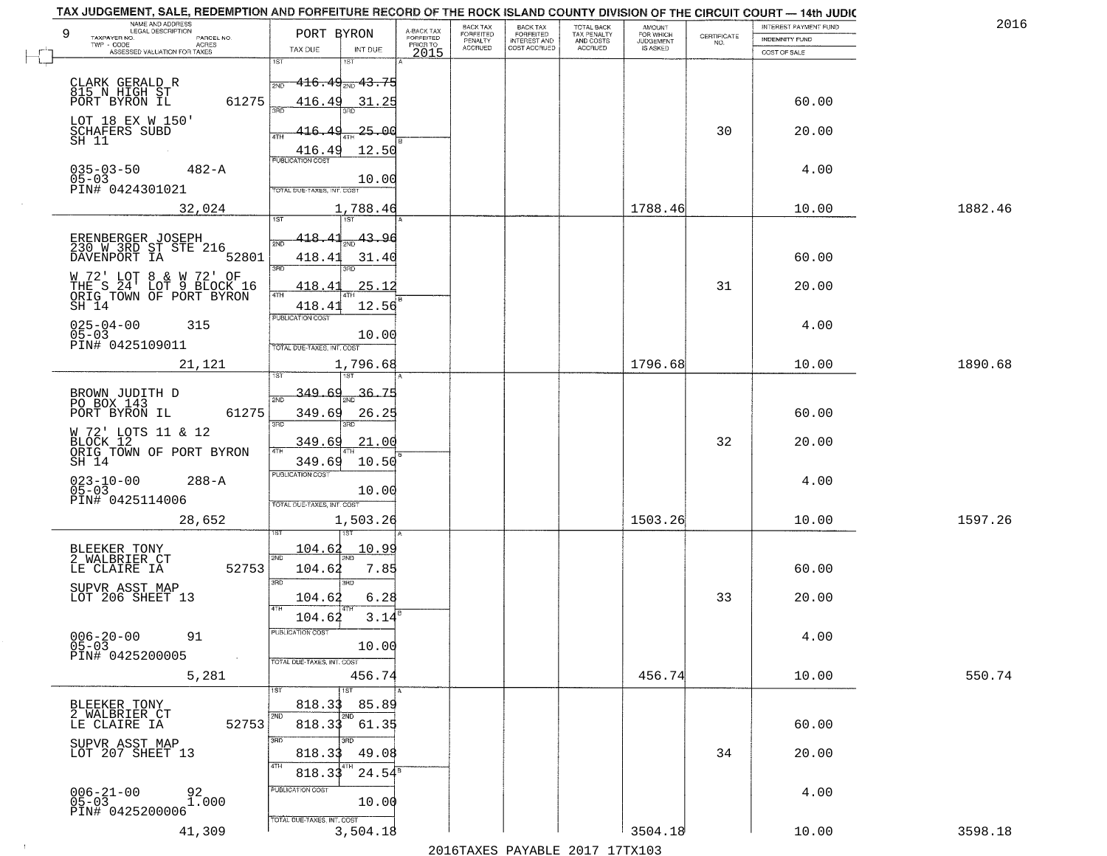| PORT BYRON                          | A-BACK TAX<br>FORFEITED                                                                                                                                                                                                                                                            | BACK TAX<br>FORFEITED                                                                                                                                                                                                                                                                                                 | <b>BACK TAX</b><br><b>FORFEITED</b> | TOTAL BACK<br>TAX PENALTY | <b>AMOUNT</b> |                                                                 | INTEREST PAYMENT FUND | 2016                                                                               |
|-------------------------------------|------------------------------------------------------------------------------------------------------------------------------------------------------------------------------------------------------------------------------------------------------------------------------------|-----------------------------------------------------------------------------------------------------------------------------------------------------------------------------------------------------------------------------------------------------------------------------------------------------------------------|-------------------------------------|---------------------------|---------------|-----------------------------------------------------------------|-----------------------|------------------------------------------------------------------------------------|
|                                     | PRIOR TO                                                                                                                                                                                                                                                                           |                                                                                                                                                                                                                                                                                                                       |                                     | AND COSTS                 |               | $\begin{array}{c} \text{CERTIFICATE} \\ \text{NO.} \end{array}$ | INDEMNITY FUND        |                                                                                    |
| 1ST                                 |                                                                                                                                                                                                                                                                                    |                                                                                                                                                                                                                                                                                                                       |                                     |                           |               |                                                                 |                       |                                                                                    |
|                                     |                                                                                                                                                                                                                                                                                    |                                                                                                                                                                                                                                                                                                                       |                                     |                           |               |                                                                 |                       |                                                                                    |
| 416.49                              |                                                                                                                                                                                                                                                                                    |                                                                                                                                                                                                                                                                                                                       |                                     |                           |               |                                                                 | 60.00                 |                                                                                    |
|                                     |                                                                                                                                                                                                                                                                                    |                                                                                                                                                                                                                                                                                                                       |                                     |                           |               |                                                                 |                       |                                                                                    |
| <b>ATH</b>                          |                                                                                                                                                                                                                                                                                    |                                                                                                                                                                                                                                                                                                                       |                                     |                           |               |                                                                 |                       |                                                                                    |
| <b>PUBLICATION COST</b>             |                                                                                                                                                                                                                                                                                    |                                                                                                                                                                                                                                                                                                                       |                                     |                           |               |                                                                 |                       |                                                                                    |
|                                     |                                                                                                                                                                                                                                                                                    |                                                                                                                                                                                                                                                                                                                       |                                     |                           |               |                                                                 |                       |                                                                                    |
|                                     |                                                                                                                                                                                                                                                                                    |                                                                                                                                                                                                                                                                                                                       |                                     |                           |               |                                                                 |                       | 1882.46                                                                            |
| <b>TST</b><br>1ST                   |                                                                                                                                                                                                                                                                                    |                                                                                                                                                                                                                                                                                                                       |                                     |                           |               |                                                                 |                       |                                                                                    |
| 418.4                               |                                                                                                                                                                                                                                                                                    |                                                                                                                                                                                                                                                                                                                       |                                     |                           |               |                                                                 |                       |                                                                                    |
| 418.41<br>3BD                       |                                                                                                                                                                                                                                                                                    |                                                                                                                                                                                                                                                                                                                       |                                     |                           |               |                                                                 | 60.00                 |                                                                                    |
| 418.<br>$\Delta$                    |                                                                                                                                                                                                                                                                                    |                                                                                                                                                                                                                                                                                                                       |                                     |                           |               | 31                                                              | 20.00                 |                                                                                    |
| 418.41                              |                                                                                                                                                                                                                                                                                    |                                                                                                                                                                                                                                                                                                                       |                                     |                           |               |                                                                 |                       |                                                                                    |
|                                     |                                                                                                                                                                                                                                                                                    |                                                                                                                                                                                                                                                                                                                       |                                     |                           |               |                                                                 | 4.00                  |                                                                                    |
| TOTAL DUE-TAXES, INT. COST          |                                                                                                                                                                                                                                                                                    |                                                                                                                                                                                                                                                                                                                       |                                     |                           |               |                                                                 |                       |                                                                                    |
|                                     |                                                                                                                                                                                                                                                                                    |                                                                                                                                                                                                                                                                                                                       |                                     |                           | 1796.68       |                                                                 | 10.00                 | 1890.68                                                                            |
| 349.<br>36.<br>-69                  |                                                                                                                                                                                                                                                                                    |                                                                                                                                                                                                                                                                                                                       |                                     |                           |               |                                                                 |                       |                                                                                    |
| 61275<br>349.69                     |                                                                                                                                                                                                                                                                                    |                                                                                                                                                                                                                                                                                                                       |                                     |                           |               |                                                                 | 60.00                 |                                                                                    |
| 3RD<br>3RD.                         |                                                                                                                                                                                                                                                                                    |                                                                                                                                                                                                                                                                                                                       |                                     |                           |               |                                                                 |                       |                                                                                    |
| 4TH                                 |                                                                                                                                                                                                                                                                                    |                                                                                                                                                                                                                                                                                                                       |                                     |                           |               |                                                                 |                       |                                                                                    |
| <b>PUBLICATION COST</b>             |                                                                                                                                                                                                                                                                                    |                                                                                                                                                                                                                                                                                                                       |                                     |                           |               |                                                                 |                       |                                                                                    |
|                                     |                                                                                                                                                                                                                                                                                    |                                                                                                                                                                                                                                                                                                                       |                                     |                           |               |                                                                 |                       |                                                                                    |
|                                     |                                                                                                                                                                                                                                                                                    |                                                                                                                                                                                                                                                                                                                       |                                     |                           |               |                                                                 |                       | 1597.26                                                                            |
|                                     |                                                                                                                                                                                                                                                                                    |                                                                                                                                                                                                                                                                                                                       |                                     |                           |               |                                                                 |                       |                                                                                    |
| 2ND                                 |                                                                                                                                                                                                                                                                                    |                                                                                                                                                                                                                                                                                                                       |                                     |                           |               |                                                                 |                       |                                                                                    |
| 3RD<br>3RD                          |                                                                                                                                                                                                                                                                                    |                                                                                                                                                                                                                                                                                                                       |                                     |                           |               |                                                                 |                       |                                                                                    |
| 104.62                              |                                                                                                                                                                                                                                                                                    |                                                                                                                                                                                                                                                                                                                       |                                     |                           |               | 33                                                              | 20.00                 |                                                                                    |
| 104.62                              |                                                                                                                                                                                                                                                                                    |                                                                                                                                                                                                                                                                                                                       |                                     |                           |               |                                                                 |                       |                                                                                    |
|                                     |                                                                                                                                                                                                                                                                                    |                                                                                                                                                                                                                                                                                                                       |                                     |                           |               |                                                                 | 4.00                  |                                                                                    |
| TOTAL DUE-TAXES, INT. COST          |                                                                                                                                                                                                                                                                                    |                                                                                                                                                                                                                                                                                                                       |                                     |                           |               |                                                                 |                       |                                                                                    |
|                                     |                                                                                                                                                                                                                                                                                    |                                                                                                                                                                                                                                                                                                                       |                                     |                           | 456.74        |                                                                 | 10.00                 | 550.74                                                                             |
| 818.33                              |                                                                                                                                                                                                                                                                                    |                                                                                                                                                                                                                                                                                                                       |                                     |                           |               |                                                                 |                       |                                                                                    |
| 818.33<br>52753                     |                                                                                                                                                                                                                                                                                    |                                                                                                                                                                                                                                                                                                                       |                                     |                           |               |                                                                 | 60.00                 |                                                                                    |
| 3RD<br>3RD.                         |                                                                                                                                                                                                                                                                                    |                                                                                                                                                                                                                                                                                                                       |                                     |                           |               |                                                                 |                       |                                                                                    |
| 4TH                                 |                                                                                                                                                                                                                                                                                    |                                                                                                                                                                                                                                                                                                                       |                                     |                           |               |                                                                 |                       |                                                                                    |
|                                     |                                                                                                                                                                                                                                                                                    |                                                                                                                                                                                                                                                                                                                       |                                     |                           |               |                                                                 |                       |                                                                                    |
| PUBLICATION COST                    |                                                                                                                                                                                                                                                                                    |                                                                                                                                                                                                                                                                                                                       |                                     |                           |               |                                                                 |                       |                                                                                    |
| 10.00<br>TOTAL DUE-TAXES, INT. COST |                                                                                                                                                                                                                                                                                    |                                                                                                                                                                                                                                                                                                                       |                                     |                           |               |                                                                 | 4.00                  |                                                                                    |
|                                     | TAX DUE<br>INT DUE<br>2ND<br>3AD<br>416.<br>416.49<br>TOTAL DUE-TAXES, INT. COST<br>$\sqrt{4}$<br>PUBLICATION COST<br>2ND<br>349.69<br>349.69<br>TOTAL OUE-TAXES, INT. COST<br><u> 104.62</u><br>104.62<br>4TH<br>PUBLICATION COST<br>1ST<br>1ST<br>2ND<br>2ND<br>818.33<br>818.33 | 2015<br><del>416․49<sub>Տ№</sub> 43․75</del><br>31.25<br>$-25 - 00$<br>12.50<br>10.00<br>1,788.46<br>43.96<br>31.40<br>25.12<br>12.56<br>10.00<br>1,796.68<br>-75<br>26.25<br>21.00<br>10.50<br>10.00<br>1,503.26<br><u> 10.99</u><br>7.85<br>6.28<br>3.14<br>10.00<br>456.74<br>85.89<br>61.35<br>49.08<br>$24.54^8$ | PENALTY<br>ACCRUED                  | INTEREST AND              | ACCRUED       | FOR WHICH<br>JUDGEMENT<br>IS ASKED<br>1788.46<br>1503.26        | 30<br>32<br>34        | COST OF SALE<br>20.00<br>4.00<br>10.00<br>20.00<br>4.00<br>10.00<br>60.00<br>20.00 |

 $\sim 10^{-1}$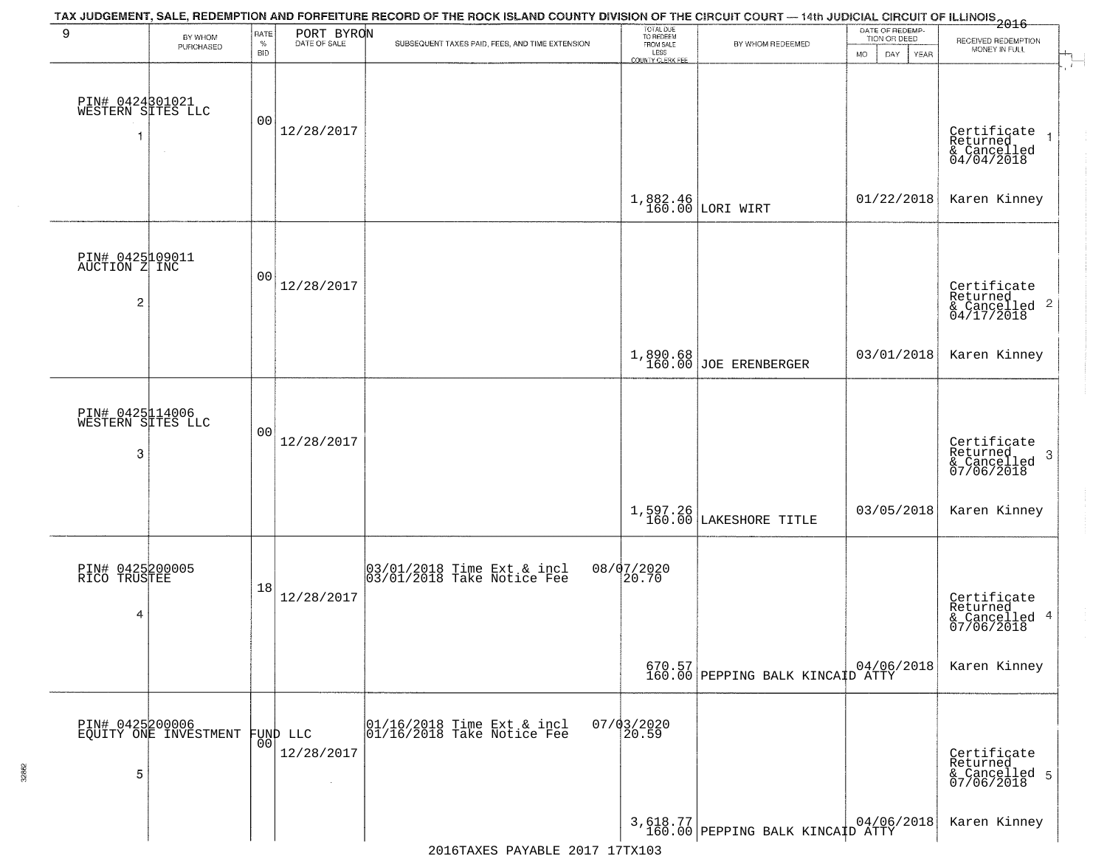| 9                                         | BY WHOM<br>PURCHASED                     | RATE<br>$\%$   | PORT BYRON | TAX JUDGEMENT, SALE, REDEMPTION AND FORFEITURE RECORD OF THE ROCK ISLAND COUNTY DIVISION OF THE CIRCUIT COURT — 14th JUDICIAL CIRCUIT OF ILLINOIS 2016<br>SUBSEQUENT TAXES PAID, FEES, AND TIME EXTENSION | TOTAL DUE<br>TO REDEEM<br>FROM SALE | BY WHOM REDEEMED                                                                                                             | DATE OF REDEMP-<br>TION OR DEED | RECEIVED REDEMPTION<br>MONEY IN FULL                   |
|-------------------------------------------|------------------------------------------|----------------|------------|-----------------------------------------------------------------------------------------------------------------------------------------------------------------------------------------------------------|-------------------------------------|------------------------------------------------------------------------------------------------------------------------------|---------------------------------|--------------------------------------------------------|
|                                           |                                          | <b>BID</b>     |            |                                                                                                                                                                                                           | LESS<br><b>COUNTY CLERK FEE</b>     |                                                                                                                              | <b>MO</b><br>DAY.<br>YEAR       |                                                        |
| PIN# 0424801021<br>WESTERN SITES LLC<br>1 | $\sim$                                   | 0 <sub>0</sub> | 12/28/2017 |                                                                                                                                                                                                           |                                     |                                                                                                                              |                                 | Certificate<br>Returned<br>& Cancelled<br>04/04/2018   |
|                                           |                                          |                |            |                                                                                                                                                                                                           |                                     | $1,882.46$ LORI WIRT                                                                                                         | 01/22/2018                      | Karen Kinney                                           |
| PIN# 0425109011<br>AUCTION Z INC<br>2     |                                          | 00             | 12/28/2017 |                                                                                                                                                                                                           |                                     |                                                                                                                              |                                 | Certificate<br>Returned<br>& Cancelled 2<br>04/17/2018 |
|                                           |                                          |                |            |                                                                                                                                                                                                           |                                     | 1,890.68<br>160.00 JOE ERENBERGER                                                                                            | 03/01/2018                      | Karen Kinney                                           |
| PIN# 0425114006<br>WESTERN SITES LLC<br>3 |                                          | 0 <sub>0</sub> | 12/28/2017 |                                                                                                                                                                                                           |                                     |                                                                                                                              |                                 | Certificate<br>Returned<br>3                           |
|                                           |                                          |                |            |                                                                                                                                                                                                           |                                     |                                                                                                                              |                                 | & Cancelled<br>07/06/2018                              |
|                                           |                                          |                |            |                                                                                                                                                                                                           | 1,597.26<br>160.00                  | LAKESHORE TITLE                                                                                                              | 03/05/2018                      | Karen Kinney                                           |
| PIN# 0425200005<br>RICO TRUSTEE           |                                          | 18             | 12/28/2017 | 03/01/2018 Time Ext & incl<br>03/01/2018 Take Notice Fee                                                                                                                                                  | 08/07/2020<br>20.70                 |                                                                                                                              |                                 | Certificate<br>Returned                                |
| 4                                         |                                          |                |            |                                                                                                                                                                                                           |                                     |                                                                                                                              |                                 | & Cancelled 4<br>07/06/2018                            |
|                                           |                                          |                |            |                                                                                                                                                                                                           |                                     | $\begin{array}{ c c c c c c } \hline 670.57 & 04/06, \\ \hline 160.00 & \text{PEPPING BALK KINCAID ATTY} \hline \end{array}$ | 04/06/2018                      | Karen Kinney                                           |
|                                           | PIN# 0425200006<br>EQUITY ONE INVESTMENT | 0 <sup>0</sup> | FUND LLC   | 01/16/2018 Time Ext & incl<br>01/16/2018 Take Notice Fee                                                                                                                                                  | $07/03/2020$<br>20.59               |                                                                                                                              |                                 |                                                        |
| 5                                         |                                          |                | 12/28/2017 |                                                                                                                                                                                                           |                                     |                                                                                                                              |                                 | Certificate<br>Returned<br>& Cancelled 5<br>07/06/2018 |
|                                           |                                          |                |            |                                                                                                                                                                                                           |                                     | 3,618.77 PEPPING BALK KINCAID ATTY                                                                                           |                                 | Karen Kinney                                           |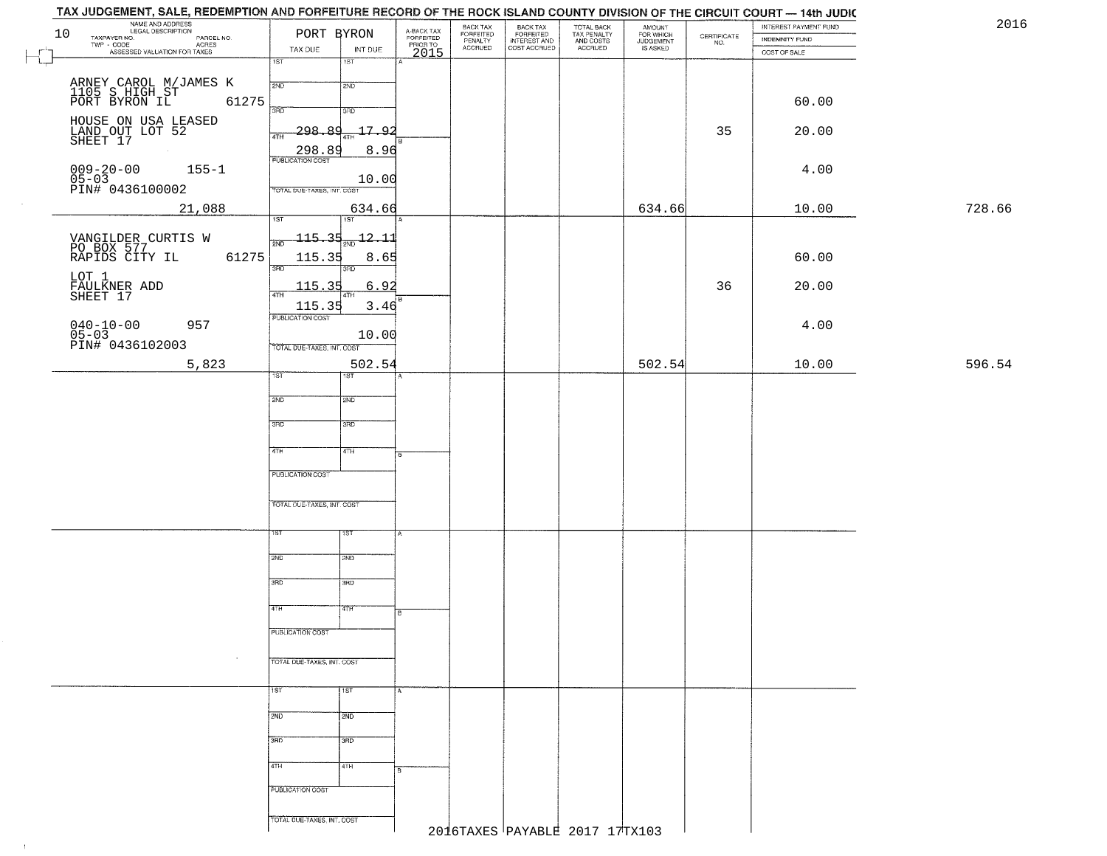| TAX JUDGEMENT, SALE, REDEMPTION AND FORFEITURE RECORD OF THE ROCK ISLAND COUNTY DIVISION OF THE CIRCUIT COURT — 14th JUDIC |                             |                             |                                     |                                             |                                                       |                                        |                                              |                                                                 |                       |        |
|----------------------------------------------------------------------------------------------------------------------------|-----------------------------|-----------------------------|-------------------------------------|---------------------------------------------|-------------------------------------------------------|----------------------------------------|----------------------------------------------|-----------------------------------------------------------------|-----------------------|--------|
| NAME AND ADDRESS<br>LEGAL DESCRIPTION<br>TAXPAYER NO.<br>10                                                                | PORT BYRON                  |                             |                                     | BACK TAX<br>FORFEITED<br>PENALTY<br>ACCRUED | BACK TAX<br>FORFEITED<br>INTEREST AND<br>COST ACCRUED | TOTAL BACK<br>TAX PENALTY<br>AND COSTS | AMOUNT<br>FOR WHICH<br>JUDGEMENT<br>IS ASKED |                                                                 | INTEREST PAYMENT FUND | 2016   |
| PARCEL NO.<br>TWP - CODE<br>ASSESSED VALUATION FOR TAXES                                                                   |                             |                             | A-BACK TAX<br>FORFEITED<br>PRIOR TO |                                             |                                                       | ACCRUED                                |                                              | $\begin{array}{c} \text{CERTIFICATE} \\ \text{NO.} \end{array}$ | INDEMNITY FUND        |        |
|                                                                                                                            | TAX DUE<br>$\overline{1ST}$ | INT DUE<br>$\overline{151}$ | 2015                                |                                             |                                                       |                                        |                                              |                                                                 | COST OF SALE          |        |
|                                                                                                                            |                             |                             |                                     |                                             |                                                       |                                        |                                              |                                                                 |                       |        |
|                                                                                                                            | 2ND                         | 2ND                         |                                     |                                             |                                                       |                                        |                                              |                                                                 |                       |        |
| ARNEY CAROL M/JAMES K<br>1105 S HIGH ST<br>PORT BYRON IL 61                                                                |                             |                             |                                     |                                             |                                                       |                                        |                                              |                                                                 |                       |        |
| 61275                                                                                                                      | 3RD                         | 3RD                         |                                     |                                             |                                                       |                                        |                                              |                                                                 | 60.00                 |        |
|                                                                                                                            |                             |                             |                                     |                                             |                                                       |                                        |                                              |                                                                 |                       |        |
| HOUSE ON USA LEASED<br>LAND OUT LOT 52<br>SHEET 17                                                                         | 298.<br>فع<br>4TH           | <u> 17.92</u>               |                                     |                                             |                                                       |                                        |                                              | 35                                                              | 20.00                 |        |
|                                                                                                                            | 298.89                      | 8.96                        |                                     |                                             |                                                       |                                        |                                              |                                                                 |                       |        |
|                                                                                                                            | <b>PUBLICATION COST</b>     |                             |                                     |                                             |                                                       |                                        |                                              |                                                                 |                       |        |
| $009 - 20 - 00$<br>$155 - 1$                                                                                               |                             | 10.00                       |                                     |                                             |                                                       |                                        |                                              |                                                                 | 4.00                  |        |
| $05-03$<br>PIN# 0436100002                                                                                                 | TOTAL DUE-TAXES, INT. COST  |                             |                                     |                                             |                                                       |                                        |                                              |                                                                 |                       |        |
| 21,088                                                                                                                     |                             | 634.66                      |                                     |                                             |                                                       |                                        | 634.66                                       |                                                                 | 10.00                 | 728.66 |
|                                                                                                                            | 1ST                         | 1ST                         |                                     |                                             |                                                       |                                        |                                              |                                                                 |                       |        |
|                                                                                                                            |                             |                             |                                     |                                             |                                                       |                                        |                                              |                                                                 |                       |        |
| VANGILDER CURTIS W<br>PO BOX 577<br>RAPIDS CITY IL                                                                         | <u> 115.35</u><br>2ND       | -12.11                      |                                     |                                             |                                                       |                                        |                                              |                                                                 |                       |        |
| 61275                                                                                                                      | 115.35                      | 8.65                        |                                     |                                             |                                                       |                                        |                                              |                                                                 | 60.00                 |        |
| LOT 1                                                                                                                      | उन्नठ                       | 3RD                         |                                     |                                             |                                                       |                                        |                                              |                                                                 |                       |        |
|                                                                                                                            | 115.35                      | 6.92                        |                                     |                                             |                                                       |                                        |                                              | 36                                                              | 20.00                 |        |
| FAULKNER ADD<br>SHEET 17                                                                                                   | 47H                         | 4TH                         |                                     |                                             |                                                       |                                        |                                              |                                                                 |                       |        |
|                                                                                                                            | 115.35<br>PUBLICATION COST  | 3.46                        |                                     |                                             |                                                       |                                        |                                              |                                                                 |                       |        |
| $040 - 10 - 00$<br>$05 - 03$<br>957                                                                                        |                             |                             |                                     |                                             |                                                       |                                        |                                              |                                                                 | 4.00                  |        |
| PIN# 0436102003                                                                                                            |                             | 10.00                       |                                     |                                             |                                                       |                                        |                                              |                                                                 |                       |        |
|                                                                                                                            | TOTAL DUE-TAXES, INT. COST  |                             |                                     |                                             |                                                       |                                        |                                              |                                                                 |                       |        |
| 5,823                                                                                                                      |                             | 502.54                      |                                     |                                             |                                                       |                                        | 502.54                                       |                                                                 | 10.00                 | 596.54 |
|                                                                                                                            | 1ST                         | 1ST                         |                                     |                                             |                                                       |                                        |                                              |                                                                 |                       |        |
|                                                                                                                            | 2ND                         | 2ND                         |                                     |                                             |                                                       |                                        |                                              |                                                                 |                       |        |
|                                                                                                                            |                             |                             |                                     |                                             |                                                       |                                        |                                              |                                                                 |                       |        |
|                                                                                                                            | 3 <sub>BD</sub>             | 3RD                         |                                     |                                             |                                                       |                                        |                                              |                                                                 |                       |        |
|                                                                                                                            |                             |                             |                                     |                                             |                                                       |                                        |                                              |                                                                 |                       |        |
|                                                                                                                            | 4TH                         | $\sqrt{4TH}$                |                                     |                                             |                                                       |                                        |                                              |                                                                 |                       |        |
|                                                                                                                            |                             |                             |                                     |                                             |                                                       |                                        |                                              |                                                                 |                       |        |
|                                                                                                                            | PUBLICATION COST            |                             |                                     |                                             |                                                       |                                        |                                              |                                                                 |                       |        |
|                                                                                                                            |                             |                             |                                     |                                             |                                                       |                                        |                                              |                                                                 |                       |        |
|                                                                                                                            | TOTAL OUE-TAXES, INT. COST  |                             |                                     |                                             |                                                       |                                        |                                              |                                                                 |                       |        |
|                                                                                                                            |                             |                             |                                     |                                             |                                                       |                                        |                                              |                                                                 |                       |        |
|                                                                                                                            | ιsτ                         | 15T                         | А                                   |                                             |                                                       |                                        |                                              |                                                                 |                       |        |
|                                                                                                                            |                             |                             |                                     |                                             |                                                       |                                        |                                              |                                                                 |                       |        |
|                                                                                                                            | 2ND                         | 2ND                         |                                     |                                             |                                                       |                                        |                                              |                                                                 |                       |        |
|                                                                                                                            |                             |                             |                                     |                                             |                                                       |                                        |                                              |                                                                 |                       |        |
|                                                                                                                            | 3RD                         | 3BD                         |                                     |                                             |                                                       |                                        |                                              |                                                                 |                       |        |
|                                                                                                                            |                             |                             |                                     |                                             |                                                       |                                        |                                              |                                                                 |                       |        |
|                                                                                                                            | 4TH                         | 77H                         | B.                                  |                                             |                                                       |                                        |                                              |                                                                 |                       |        |
|                                                                                                                            | PUBLICATION COST            |                             |                                     |                                             |                                                       |                                        |                                              |                                                                 |                       |        |
|                                                                                                                            |                             |                             |                                     |                                             |                                                       |                                        |                                              |                                                                 |                       |        |
|                                                                                                                            | TOTAL DUE-TAXES, INT. COST  |                             |                                     |                                             |                                                       |                                        |                                              |                                                                 |                       |        |
|                                                                                                                            |                             |                             |                                     |                                             |                                                       |                                        |                                              |                                                                 |                       |        |
|                                                                                                                            |                             |                             |                                     |                                             |                                                       |                                        |                                              |                                                                 |                       |        |
|                                                                                                                            | <b>TST</b>                  | 1ST                         |                                     |                                             |                                                       |                                        |                                              |                                                                 |                       |        |
|                                                                                                                            | 2ND                         | 2ND                         |                                     |                                             |                                                       |                                        |                                              |                                                                 |                       |        |
|                                                                                                                            |                             |                             |                                     |                                             |                                                       |                                        |                                              |                                                                 |                       |        |
|                                                                                                                            | 3RD                         | 3RD                         |                                     |                                             |                                                       |                                        |                                              |                                                                 |                       |        |
|                                                                                                                            |                             |                             |                                     |                                             |                                                       |                                        |                                              |                                                                 |                       |        |
|                                                                                                                            | 4TH                         | 4TH                         |                                     |                                             |                                                       |                                        |                                              |                                                                 |                       |        |
|                                                                                                                            |                             |                             |                                     |                                             |                                                       |                                        |                                              |                                                                 |                       |        |
|                                                                                                                            | PUBLICATION COST            |                             |                                     |                                             |                                                       |                                        |                                              |                                                                 |                       |        |
|                                                                                                                            |                             |                             |                                     |                                             |                                                       |                                        |                                              |                                                                 |                       |        |
|                                                                                                                            | TOTAL DUE-TAXES, INT. COST  |                             |                                     |                                             |                                                       |                                        |                                              |                                                                 |                       |        |
|                                                                                                                            |                             |                             |                                     |                                             |                                                       | 2016TAXES PAYABLE 2017 17TX103         |                                              |                                                                 |                       |        |

 $\sim 10$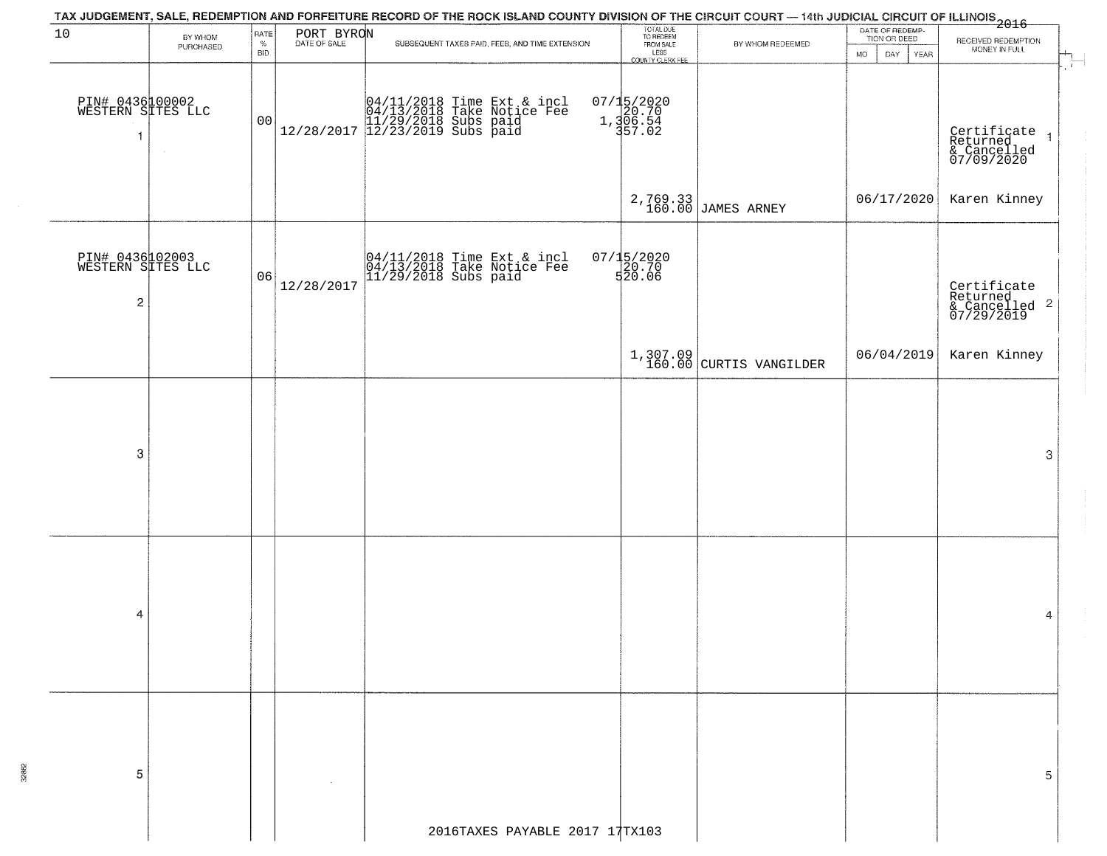|                                                                 |                      |                            |            | TAX JUDGEMENT, SALE, REDEMPTION AND FORFEITURE RECORD OF THE ROCK ISLAND COUNTY DIVISION OF THE CIRCUIT COURT — 14th JUDICIAL CIRCUIT OF ILLINOIS<br>2016 - 1992 - 1993 - 1994 - 1995 - 1996 - 1997 - 1998 - 1999 - 1999 - 1999 - |                                                                 |                                |                                                             |                                                                        |
|-----------------------------------------------------------------|----------------------|----------------------------|------------|-----------------------------------------------------------------------------------------------------------------------------------------------------------------------------------------------------------------------------------|-----------------------------------------------------------------|--------------------------------|-------------------------------------------------------------|------------------------------------------------------------------------|
| 10                                                              | BY WHOM<br>PURCHASED | RATE<br>$\%$<br><b>BID</b> | PORT BYRON | SUBSEQUENT TAXES PAID, FEES, AND TIME EXTENSION                                                                                                                                                                                   | TOTAL DUE<br>TO REDEEM<br>FROM SALE<br>LESS<br>COUNTY CLERK FEE | BY WHOM REDEEMED               | DATE OF REDEMP-<br>TION OR DEED<br>DAY<br>YEAR<br><b>MO</b> | RECEIVED REDEMPTION<br>MONEY IN FULL<br>÷                              |
| PIN# 0436100002<br>WESTERN SITES LLC<br>$\mathbf{1}$            |                      | 00                         |            | $[04/11/2018 \t\t Time Ext & incl \\ 04/13/2018 \t\t Take Notice Free \\ 11/29/2018 \tSubs paid \\ 12/28/2017 \t\t 12/23/2019 \tSubs paid$                                                                                        | 07/15/2020<br>1,306.54<br>1,306.54<br>57.02                     |                                |                                                             | Certificate<br>Returned<br>& Cancelled<br>07/09/2020<br>$\overline{1}$ |
|                                                                 |                      |                            |            |                                                                                                                                                                                                                                   |                                                                 | 2,769.33<br>160.00 JAMES ARNEY | 06/17/2020                                                  | Karen Kinney                                                           |
| PIN# 0436102003<br>WESTERN SITES LLC<br>$\overline{\mathbf{c}}$ |                      | 06                         | 12/28/2017 | 04/11/2018 Time Ext & incl<br>04/13/2018 Take Notice Fee<br>11/29/2018 Subs paid                                                                                                                                                  | 07/15/2020<br>20.70<br>520.06                                   |                                |                                                             | Certificate<br>Returned<br>& Cancelled 2<br>07/29/2019                 |
|                                                                 |                      |                            |            |                                                                                                                                                                                                                                   |                                                                 | $1,307.09$ CURTIS VANGILDER    | 06/04/2019                                                  | Karen Kinney                                                           |
|                                                                 |                      |                            |            |                                                                                                                                                                                                                                   |                                                                 |                                |                                                             |                                                                        |
| 3                                                               |                      |                            |            |                                                                                                                                                                                                                                   |                                                                 |                                |                                                             | 3                                                                      |
|                                                                 |                      |                            |            |                                                                                                                                                                                                                                   |                                                                 |                                |                                                             |                                                                        |
| 4                                                               |                      |                            |            |                                                                                                                                                                                                                                   |                                                                 |                                |                                                             | 4                                                                      |
|                                                                 |                      |                            |            |                                                                                                                                                                                                                                   |                                                                 |                                |                                                             |                                                                        |
| 5                                                               |                      |                            |            |                                                                                                                                                                                                                                   |                                                                 |                                |                                                             | 5                                                                      |
|                                                                 |                      |                            |            | 2016TAXES PAYABLE 2017 17TX103                                                                                                                                                                                                    |                                                                 |                                |                                                             |                                                                        |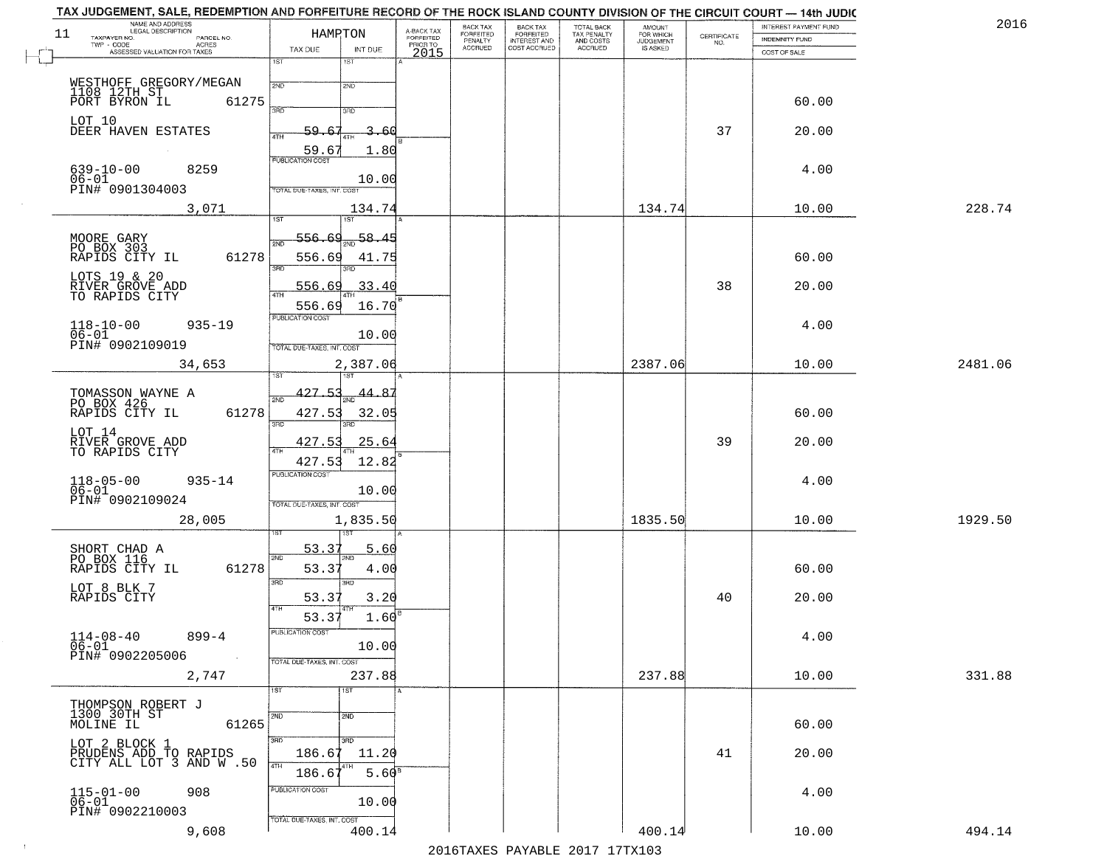| NAME AND ADDRESS<br>LEGAL DESCRIPTION<br>11           | HAMRTON                                     | A-BACK TAX                   | BACK TAX<br><b>FORFEITED</b> | BACK TAX<br>FORFEITED        | TOTAL BACK<br>TAX PENALTY | <b>AMOUNT</b>                      |                    | INTEREST PAYMENT FUND | 2016    |
|-------------------------------------------------------|---------------------------------------------|------------------------------|------------------------------|------------------------------|---------------------------|------------------------------------|--------------------|-----------------------|---------|
| TAXPAYER NO.<br>PARCEL NO.<br>$TWP - CODE$<br>ACRES   |                                             | <b>FORFEITED</b><br>PRIOR TO | PENALTY<br>ACCRUED           | INTEREST AND<br>COST ACCRUED | AND COSTS<br>ACCRUED      | FOR WHICH<br>JUDGEMENT<br>IS ASKED | CERTIFICATE<br>NO. | <b>INDEMNITY FUND</b> |         |
| ASSESSED VALUATION FOR TAXES                          | TAX DUE<br>INT DUE<br>1ST<br>1ST            | 2015                         |                              |                              |                           |                                    |                    | COST OF SALE          |         |
|                                                       |                                             |                              |                              |                              |                           |                                    |                    |                       |         |
| WESTHOFF GREGORY/MEGAN<br>1108 12TH ST                | 2ND<br>2ND                                  |                              |                              |                              |                           |                                    |                    |                       |         |
| PORT BYRON IL<br>61275                                | <b>SAD</b><br>3RD                           |                              |                              |                              |                           |                                    |                    | 60.00                 |         |
| LOT 10<br>DEER HAVEN ESTATES                          | 59.<br>3.<br>-61                            |                              |                              |                              |                           |                                    | 37                 | 20.00                 |         |
|                                                       | 4TH                                         |                              |                              |                              |                           |                                    |                    |                       |         |
|                                                       | 59.67<br>1.80<br><b>PUBLICATION COST</b>    |                              |                              |                              |                           |                                    |                    |                       |         |
| $639 - 10 - 00$<br>8259                               | 10.00                                       |                              |                              |                              |                           |                                    |                    | 4.00                  |         |
| $06-01$<br>PIN# 0901304003                            | TOTAL DUE-TAXES, INT. COST                  |                              |                              |                              |                           |                                    |                    |                       |         |
| 3,071                                                 | 134.74                                      |                              |                              |                              |                           | 134.74                             |                    | 10.00                 | 228.74  |
|                                                       | 1ST<br>1ST                                  |                              |                              |                              |                           |                                    |                    |                       |         |
| MOORE GARY<br>PO BOX 303<br>RAPIDS CITY IL            | <u>556.69</u><br>58.45<br>2ND               |                              |                              |                              |                           |                                    |                    |                       |         |
| 61278                                                 | 556.69<br>41.75                             |                              |                              |                              |                           |                                    |                    | 60.00                 |         |
| LOTS 19 & 20                                          | 3RD                                         |                              |                              |                              |                           |                                    |                    |                       |         |
| RIVER GROVE ADD<br>TO RAPIDS CITY                     | 33.40<br>556.69<br>47H                      |                              |                              |                              |                           |                                    | 38                 | 20.00                 |         |
|                                                       | 16.70<br>556.69                             |                              |                              |                              |                           |                                    |                    |                       |         |
| $118 - 10 - 00$<br>$935 - 19$                         | PUBLICATION COST                            |                              |                              |                              |                           |                                    |                    | 4.00                  |         |
| $06 - 01$<br>PIN# 0902109019                          | 10.00<br>TOTAL DUE-TAXES, INT. COST         |                              |                              |                              |                           |                                    |                    |                       |         |
| 34,653                                                | 2,387.06                                    |                              |                              |                              |                           | 2387.06                            |                    | 10.00                 | 2481.06 |
|                                                       |                                             |                              |                              |                              |                           |                                    |                    |                       |         |
| TOMASSON WAYNE A PO BOX 426                           | 427.53<br>44.87<br>2ND                      |                              |                              |                              |                           |                                    |                    |                       |         |
| 61278<br>RAPIDS CITY IL                               | 427.53<br>32.05                             |                              |                              |                              |                           |                                    |                    | 60.00                 |         |
|                                                       | 3RD                                         |                              |                              |                              |                           |                                    |                    |                       |         |
| LOT 14<br>RIVER GROVE ADD<br>TO RAPIDS CITY           | 427.53<br>25.64<br>4TH                      |                              |                              |                              |                           |                                    | 39                 | 20.00                 |         |
|                                                       | 12.82<br>427.53                             |                              |                              |                              |                           |                                    |                    |                       |         |
| $935 - 14$                                            | <b>PUBLICATION COST</b>                     |                              |                              |                              |                           |                                    |                    | 4.00                  |         |
| $118 - 05 - 00$<br>$06 - 01$<br>PIN# 0902109024       | 10.00                                       |                              |                              |                              |                           |                                    |                    |                       |         |
|                                                       | TOTAL OUE-TAXES, INT. COST                  |                              |                              |                              |                           |                                    |                    |                       |         |
| 28,005                                                | 1,835.50                                    |                              |                              |                              |                           | 1835.50                            |                    | 10.00                 | 1929.50 |
|                                                       | 53.37<br>5.60                               |                              |                              |                              |                           |                                    |                    |                       |         |
| SHORT CHAD A<br>PO BOX 116<br>61278<br>RAPIDS CITY IL | 2ND<br>53.37<br>4.00                        |                              |                              |                              |                           |                                    |                    | 60.00                 |         |
|                                                       | 3 <sub>BD</sub><br>3BD                      |                              |                              |                              |                           |                                    |                    |                       |         |
| LOT 8 BLK 7<br>RAPIDS CITY                            | 53.37<br>3.20                               |                              |                              |                              |                           |                                    | 40                 | 20.00                 |         |
|                                                       | 1.60<br>53.37                               |                              |                              |                              |                           |                                    |                    |                       |         |
| $114 - 08 - 40$<br>$899 - 4$                          | PUBLICATION COST                            |                              |                              |                              |                           |                                    |                    | 4.00                  |         |
| $06 - 01$                                             | 10.00                                       |                              |                              |                              |                           |                                    |                    |                       |         |
| PIN# 0902205006<br>$\sim$                             | TOTAL DUE-TAXES, INT. COST                  |                              |                              |                              |                           |                                    |                    |                       |         |
| 2,747                                                 | 237.88                                      |                              |                              |                              |                           | 237.88                             |                    | 10.00                 | 331.88  |
|                                                       | 1ST<br>1ST                                  |                              |                              |                              |                           |                                    |                    |                       |         |
| THOMPSON ROBERT J<br>1300 30TH ST                     | 2ND<br>2ND                                  |                              |                              |                              |                           |                                    |                    |                       |         |
| MOLINE IL<br>61265                                    |                                             |                              |                              |                              |                           |                                    |                    | 60.00                 |         |
| LOT 2 BLOCK 1                                         | 3BD<br>$\overline{3}$ RD<br>186.67<br>11.20 |                              |                              |                              |                           |                                    | 41                 | 20.00                 |         |
| PRUDENS ADD TO RAPIDS<br>CITY ALL LOT 3 AND W.50      | 4TH                                         |                              |                              |                              |                           |                                    |                    |                       |         |
|                                                       | 5.60 <sup>8</sup><br>186.6                  |                              |                              |                              |                           |                                    |                    |                       |         |
| 908<br>$115 - 01 - 00$<br>$06 - 01$                   | PUBLICATION COST<br>10.00                   |                              |                              |                              |                           |                                    |                    | 4.00                  |         |
| PIN# 0902210003                                       | TOTAL DUE-TAXES, INT. COST                  |                              |                              |                              |                           |                                    |                    |                       |         |
| 9,608                                                 | 400.14                                      |                              |                              |                              |                           | 400.14                             |                    | 10.00                 | 494.14  |

 $\sim 100$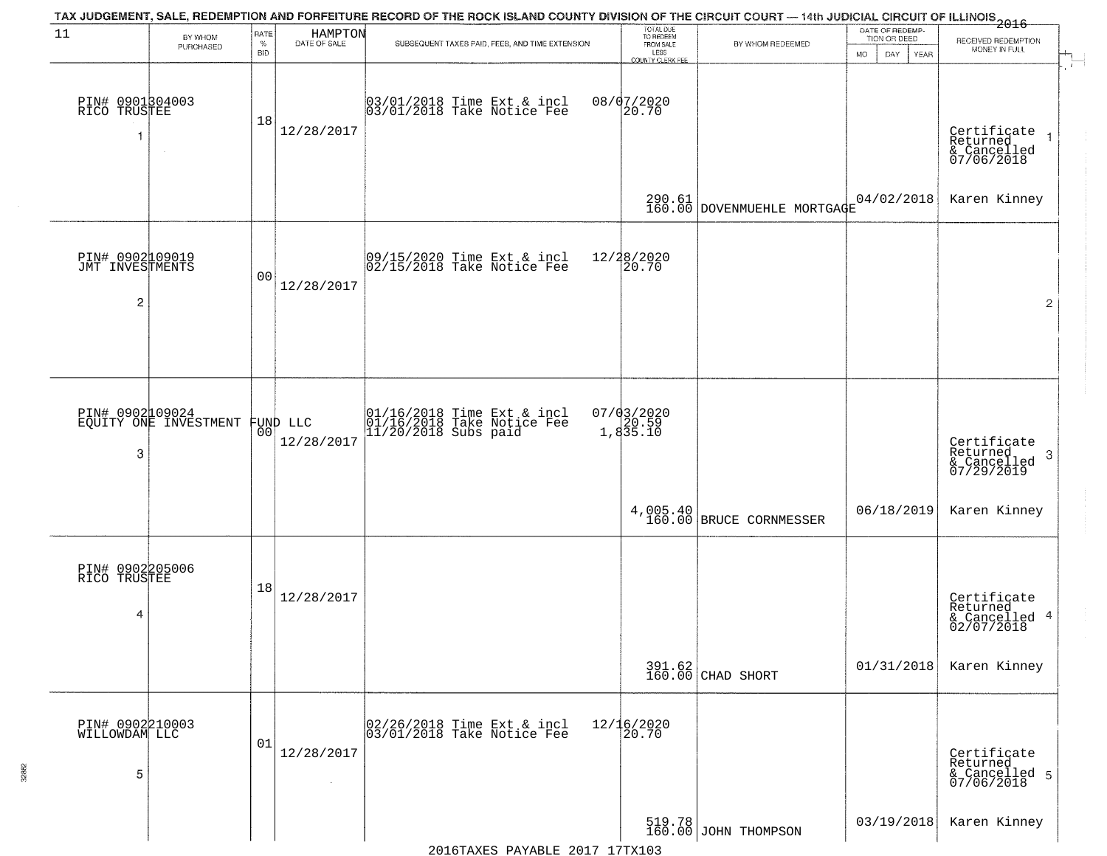| 11                                      | BY WHOM<br>PURCHASED  | RATE<br>$\%$<br><b>BID</b> | HAMPTON<br>DATE OF SALE | TAX JUDGEMENT, SALE, REDEMPTION AND FORFEITURE RECORD OF THE ROCK ISLAND COUNTY DIVISION OF THE CIRCUIT COURT — 14th JUDICIAL CIRCUIT OF ILLINOIS 2016<br>SUBSEQUENT TAXES PAID, FEES, AND TIME EXTENSION | TOTAL DUE<br>TO REDEEM<br>FROM SALE<br>LESS<br>COUNTY CLERK FEE | BY WHOM REDEEMED                    | DATE OF REDEMP-<br>TION OR DEED<br>MO.<br>DAY.<br><b>YEAR</b> | RECEIVED REDEMPTION<br>MONEY IN FULL                   |
|-----------------------------------------|-----------------------|----------------------------|-------------------------|-----------------------------------------------------------------------------------------------------------------------------------------------------------------------------------------------------------|-----------------------------------------------------------------|-------------------------------------|---------------------------------------------------------------|--------------------------------------------------------|
| PIN# 0901304003<br>RICÖ TRUSTEE<br>-1   | $\sim$                | 18                         | 12/28/2017              | 03/01/2018 Time Ext & incl<br>03/01/2018 Take Notice Fee                                                                                                                                                  | 08/07/2020<br>20.70                                             |                                     |                                                               | Certificate<br>Returned<br>& Cancelled<br>07/06/2018   |
|                                         |                       |                            |                         |                                                                                                                                                                                                           |                                                                 | 290.61 DOVENMUEHLE MORTGAGE         | 04/02/2018                                                    | Karen Kinney                                           |
| PIN# 0902109019<br>JMT INVESTMENTS<br>2 |                       | 0 <sub>0</sub>             | 12/28/2017              | 09/15/2020 Time Ext & incl<br>02/15/2018 Take Notice Fee                                                                                                                                                  | 12/28/2020<br>20.70                                             |                                     |                                                               | $\overline{2}$                                         |
| PIN# 0902109024                         | EQUITY ONE INVESTMENT | 00                         | FUND LLC<br>12/28/2017  | 01/16/2018 Time Ext & incl<br>01/16/2018 Take Notice Fee<br>11/20/2018 Subs paid                                                                                                                          | 07/03/2020<br>20.59<br>1,835.10                                 |                                     |                                                               | Certificate<br>Returned                                |
| 3                                       |                       |                            |                         |                                                                                                                                                                                                           |                                                                 | 4,005.40<br>160.00 BRUCE CORNMESSER | 06/18/2019                                                    | -3<br>& Cancelled<br>07/29/2019<br>Karen Kinney        |
| PIN# 0902205006<br>RICO TRUSTEE<br>4    |                       | 18                         | 12/28/2017              |                                                                                                                                                                                                           |                                                                 |                                     |                                                               | Certificate<br>Returned<br>& Cancelled 4<br>02/07/2018 |
|                                         |                       |                            |                         |                                                                                                                                                                                                           |                                                                 | 391.62<br>160.00 CHAD SHORT         | 01/31/2018                                                    | Karen Kinney                                           |
| PIN# 0902210003<br>WILLOWDAM LLC<br>5   |                       | 01                         | 12/28/2017              | 02/26/2018 Time Ext & incl<br>03/01/2018 Take Notice Fee                                                                                                                                                  | 12/16/2020<br>20.70                                             |                                     |                                                               | Certificate<br>Returned<br>& Cancelled 5<br>07/06/2018 |
|                                         |                       |                            |                         |                                                                                                                                                                                                           |                                                                 | 519.78<br>160.00 JOHN THOMPSON      | 03/19/2018                                                    | Karen Kinney                                           |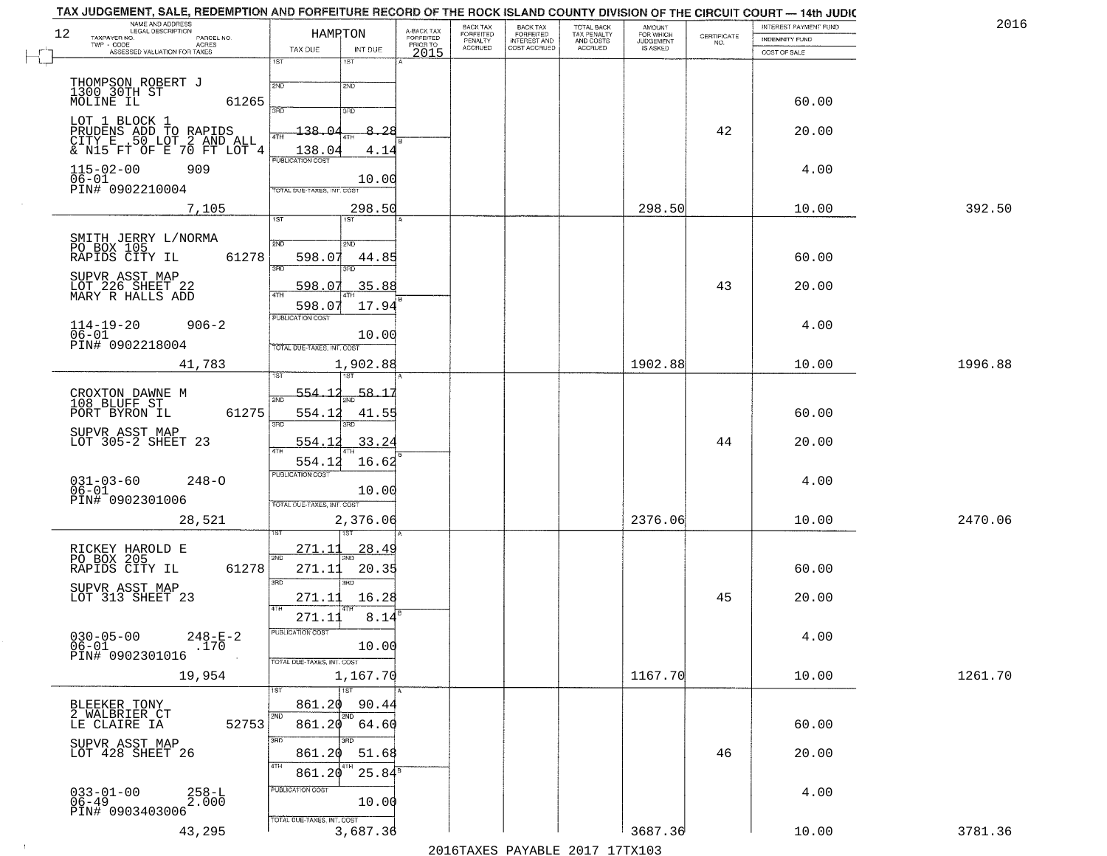| TAX JUDGEMENT, SALE, REDEMPTION AND FORFEITURE RECORD OF THE ROCK ISLAND COUNTY DIVISION OF THE CIRCUIT COURT - 14th JUDIC<br>NAME AND ADDRESS<br>LEGAL DESCRIPTION |                                                                           |                                     | BACK TAX             | <b>BACK TAX</b>           |                                        | AMOUNT<br>FOR WHICH |                                                                 | INTEREST PAYMENT FUND | 2016    |
|---------------------------------------------------------------------------------------------------------------------------------------------------------------------|---------------------------------------------------------------------------|-------------------------------------|----------------------|---------------------------|----------------------------------------|---------------------|-----------------------------------------------------------------|-----------------------|---------|
| 12<br>TAXPAYER NO.<br>PARCEL NO.                                                                                                                                    | HAMPTON                                                                   | A-BACK TAX<br>FORFEITED<br>PRIOR TO | FORFEITED<br>PENALTY | FORFEITED<br>INTEREST AND | TOTAL BACK<br>TAX PENALTY<br>AND COSTS | <b>JUDGEMENT</b>    | $\begin{array}{c} \text{CERTIFICATE} \\ \text{NO.} \end{array}$ | INDEMNITY FUND        |         |
| ACRES<br>ASSESSED VALUATION FOR TAXES                                                                                                                               | TAX DUE<br>INT DUE                                                        | 2015                                | <b>ACCRUED</b>       | COST ACCRUED              | <b>ACCRUED</b>                         | IS ASKED            |                                                                 | COST OF SALE          |         |
| THOMPSON ROBERT J<br>1300 30TH ST<br>MOLINE IL                                                                                                                      | 1ST<br>$1S$ T<br>2ND<br>2ND                                               |                                     |                      |                           |                                        |                     |                                                                 |                       |         |
| 61265<br>LOT 1 BLOCK 1                                                                                                                                              | 350<br>3RD<br>138.04<br>-8.28                                             |                                     |                      |                           |                                        |                     | 42                                                              | 60.00<br>20.00        |         |
| PRUDENS ADD TO RAPIDS<br>CITY E .50 LOT 2 AND ALL<br>& N15 FT OF E 70 FT LOT 4<br>909                                                                               | 138.04<br>4.14<br>PUBLICATION COST                                        |                                     |                      |                           |                                        |                     |                                                                 | 4.00                  |         |
| $115 - 02 - 00$<br>$06 - 01$<br>PIN# 0902210004                                                                                                                     | 10.00<br>TOTAL DUE-TAXES, INT. COST                                       |                                     |                      |                           |                                        |                     |                                                                 |                       | 392.50  |
| 7,105                                                                                                                                                               | 298.50<br>1ST                                                             |                                     |                      |                           |                                        | 298.50              |                                                                 | 10.00                 |         |
| SMITH JERRY L/NORMA<br>PO BOX 105<br>61278<br>RAPIDS CITY IL<br>SUPVR ASST MAP                                                                                      | 2ND<br>2ND<br>598.07<br>44.85<br>3RD<br>3RD                               |                                     |                      |                           |                                        |                     |                                                                 | 60.00                 |         |
| LOT 226 SHEET 22<br>MARY R HALLS ADD                                                                                                                                | 35.88<br>598.07<br>ৰাম<br>17.94<br>598.07<br>PUBLICATION COST             |                                     |                      |                           |                                        |                     | 43                                                              | 20.00                 |         |
| $114 - 19 - 20$<br>$906 - 2$<br>$06 - 01$<br>PIN# 0902218004                                                                                                        | 10.00<br>TOTAL DUE-TAXES, INT. COST                                       |                                     |                      |                           |                                        |                     |                                                                 | 4.00                  |         |
| 41,783                                                                                                                                                              | 1,902.88<br>isT<br>187                                                    |                                     |                      |                           |                                        | 1902.88             |                                                                 | 10.00                 | 1996.88 |
| CROXTON DAWNE M<br>108 BLUFF ST<br>61275<br>PORT BYRON IL                                                                                                           | 58.1<br><u>554.12</u><br>2ND<br>554.12<br>41.55<br>3RD                    |                                     |                      |                           |                                        |                     |                                                                 | 60.00                 |         |
| SUPVR ASST MAP<br>LOT 305-2 SHEET 23                                                                                                                                | 3RD<br>554.12<br>33.24<br>$\overline{AT}$<br>16.62<br>554.12              |                                     |                      |                           |                                        |                     | 44                                                              | 20.00                 |         |
| $031 - 03 - 60$<br>06-01<br>$248 - 0$<br>PIN# 0902301006                                                                                                            | <b>PUBLICATION COST</b><br>10.00<br>TOTAL OUE-TAXES, INT. COST            |                                     |                      |                           |                                        |                     |                                                                 | 4.00                  |         |
| 28,521                                                                                                                                                              | 2,376.06                                                                  |                                     |                      |                           |                                        | 2376.06             |                                                                 | 10.00                 | 2470.06 |
| RICKEY HAROLD E<br>PO BOX 205<br>RAPIDS CITY IL<br>61278                                                                                                            | 271.11<br><u>28.49</u><br>2ND<br>271.11<br>20.35                          |                                     |                      |                           |                                        |                     |                                                                 | 60.00                 |         |
| SUPVR ASST MAP<br>LOT 313 SHEET 23                                                                                                                                  | 3 <sub>BD</sub><br><b>IRD</b><br>271.11<br>16.28<br>4TH<br>8.14<br>271.11 |                                     |                      |                           |                                        |                     | 45                                                              | 20.00                 |         |
| $030 - 05 - 00$<br>$248 - E - 2$<br>$06 - 01$<br>.170<br>PIN# 0902301016                                                                                            | PUBLICATION CUS<br>10.00<br>TOTAL DUE-TAXES, INT. COST                    |                                     |                      |                           |                                        |                     |                                                                 | 4.00                  |         |
| 19,954                                                                                                                                                              | 1,167.70<br><b>TIST</b>                                                   |                                     |                      |                           |                                        | 1167.70             |                                                                 | 10.00                 | 1261.70 |
| BLEEKER TONY<br>2 WALBRIER CT<br>52753<br>LE CLAIRE IA                                                                                                              | 861.20<br>90.44<br>2ND<br>2ND<br>861.20<br>64.60                          |                                     |                      |                           |                                        |                     |                                                                 | 60.00                 |         |
| SUPVR ASST MAP<br>LOT 428 SHEET 26                                                                                                                                  | 3RD<br>חחי<br>861.20<br>51.68<br>4TH<br>861.20<br>$25.84^s$               |                                     |                      |                           |                                        |                     | 46                                                              | 20.00                 |         |
| $033 - 01 - 00$<br>06-49<br>$^{258-1}_{2.000}$<br>PIN# 0903403006                                                                                                   | PUBLICATION COST<br>10.00<br>TOTAL DUE-TAXES, INT. COST                   |                                     |                      |                           |                                        |                     |                                                                 | 4.00                  |         |
| 43,295                                                                                                                                                              | 3,687.36                                                                  |                                     |                      |                           |                                        | 3687.36             |                                                                 | 10.00                 | 3781.36 |

 $\sim 10^{-1}$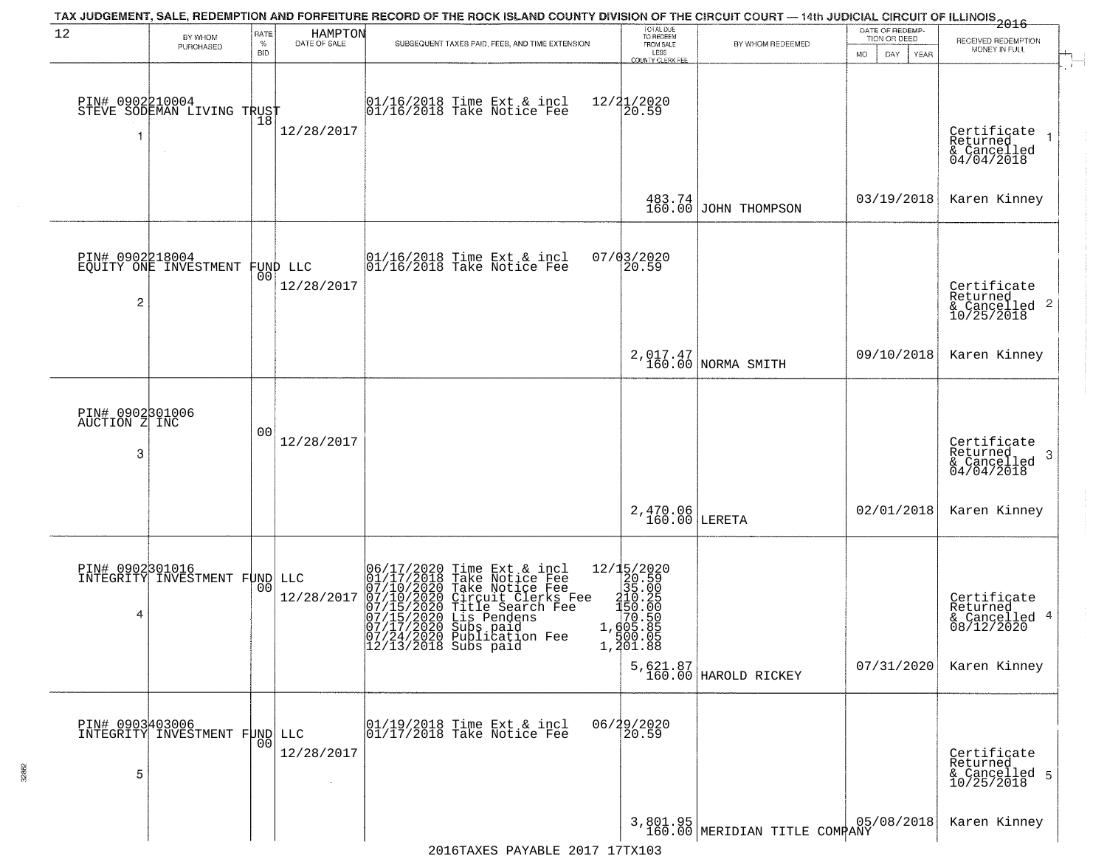| 12                                    | BY WHOM                                          | RATE<br>%       | HAMPTON<br>DATE OF SALE | TAX JUDGEMENT, SALE, REDEMPTION AND FORFEITURE RECORD OF THE ROCK ISLAND COUNTY DIVISION OF THE CIRCUIT COURT - 14th JUDICIAL CIRCUIT OF ILLINOIS 2016<br>SUBSEQUENT TAXES PAID, FEES, AND TIME EXTENSION                                                            | TOTAL DUE<br>TO REDEEM<br>FROM SALE                                                                                                                                                           | BY WHOM REDEEMED                          | DATE OF REDEMP-<br>TION OR DEED | RECEIVED REDEMPTION                                                    |
|---------------------------------------|--------------------------------------------------|-----------------|-------------------------|----------------------------------------------------------------------------------------------------------------------------------------------------------------------------------------------------------------------------------------------------------------------|-----------------------------------------------------------------------------------------------------------------------------------------------------------------------------------------------|-------------------------------------------|---------------------------------|------------------------------------------------------------------------|
|                                       | PURCHASED                                        | <b>BID</b>      |                         |                                                                                                                                                                                                                                                                      | LESS<br>COUNTY CLERK FEE                                                                                                                                                                      |                                           | MO.<br>DAY<br><b>YEAR</b>       | MONEY IN FULL                                                          |
|                                       | PIN# 0902210004<br>STEVE SODEMAN LIVING TRUST    | 18              | 12/28/2017              | $ 01/16/2018$ Time Ext & incl<br>$ 01/16/2018$ Take Notice Fee                                                                                                                                                                                                       | 12/21/2020<br>20.59                                                                                                                                                                           |                                           |                                 | Certificate<br>Returned<br>& Cancelled<br>04/04/2018                   |
|                                       |                                                  |                 |                         |                                                                                                                                                                                                                                                                      | 483.74<br>160.00                                                                                                                                                                              | JOHN THOMPSON                             | 03/19/2018                      | Karen Kinney                                                           |
| PIN# 0902218004<br>2                  | EQUITY ONE INVESTMENT                            | 00              | FUND LLC<br>12/28/2017  | 01/16/2018 Time Ext & incl<br>01/16/2018 Take Notice Fee                                                                                                                                                                                                             | 07/03/2020<br>20.59                                                                                                                                                                           |                                           |                                 | Certificate<br>Returned<br>& Cancelled 2<br>10/25/2018                 |
|                                       |                                                  |                 |                         |                                                                                                                                                                                                                                                                      |                                                                                                                                                                                               | 2,017.47<br>160.00 NORMA SMITH            | 09/10/2018                      | Karen Kinney                                                           |
| PIN# 0902301006<br>AUCTION Z INC<br>3 |                                                  | 0 <sub>0</sub>  | 12/28/2017              |                                                                                                                                                                                                                                                                      |                                                                                                                                                                                               |                                           |                                 | Certificate<br>Returned<br>-3<br>& Cancelled<br>04/04/2018             |
|                                       |                                                  |                 |                         |                                                                                                                                                                                                                                                                      | $2,470.06$<br>160.00 LERETA                                                                                                                                                                   |                                           | 02/01/2018                      | Karen Kinney                                                           |
| PIN# 0902301016<br>4                  | INTEGRITY INVESTMENT FUND LLC                    |                 | 12/28/2017              | 06/17/2020 Time Ext & incl<br>01/17/2018 Take Notice Fee<br>07/10/2020 Take Notice Fee<br>07/10/2020 Circuit Clerks Fee<br>07/15/2020 Title Search Fee<br>07/15/2020 Lis Pendens<br>07/17/2020 Subsigation Foe<br>07/24/2020 Publication Fee<br>12/13/2018 Subs paid | 12/15/2020<br>20.59<br>35.00<br>$\begin{array}{c} 2\bar{1}\bar{0}.25\\150.00\\70.50 \end{array}$<br>1,605.85<br>500.05<br>$1, \frac{3}{9}$ $\frac{3}{1}$ $\ldots$ $\frac{8}{9}$ $\frac{8}{9}$ | 5,621.87<br>160.00 HAROLD RICKEY          | 07/31/2020                      | Certificate<br>Returned<br>& Cancelled 4<br>08/12/2020<br>Karen Kinney |
| 5                                     | DIN# 0903403006<br>INTEGRITY INVESTMENT FUND LLC | 00 <sub>1</sub> | 12/28/2017              | 01/19/2018 Time Ext & incl<br>01/17/2018 Take Notice Fee                                                                                                                                                                                                             | 06/29/2020<br>20.59                                                                                                                                                                           |                                           |                                 | Certificate<br>Returned<br>& Cancelled 5<br>10/25/2018                 |
|                                       |                                                  |                 |                         |                                                                                                                                                                                                                                                                      |                                                                                                                                                                                               | 3,801.95<br>160.00 MERIDIAN TITLE COMPANY | 05/08/2018                      | Karen Kinney                                                           |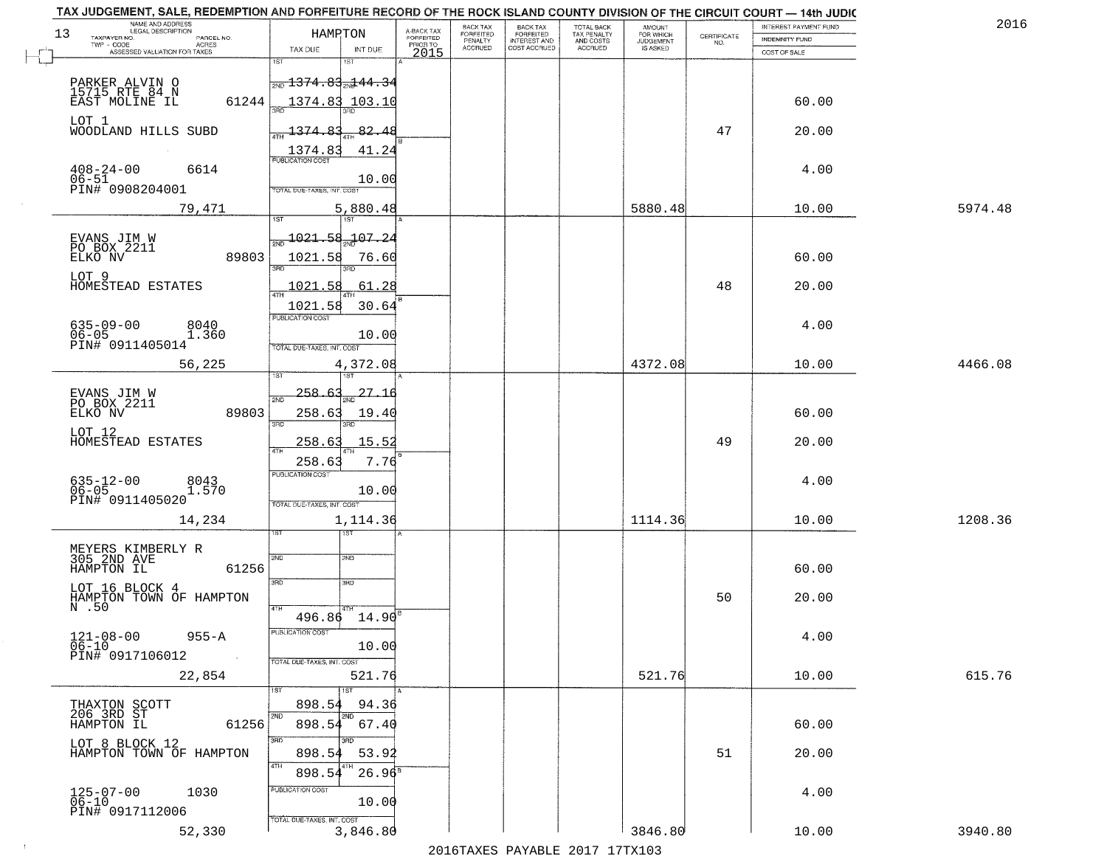| 2016    | INTEREST PAYMENT FUND |                                                                 | <b>AMOUNT</b><br>FOR WHICH | TOTAL BACK                          | <b>BACK TAX</b><br><b>FORFEITED</b> | BACK TAX<br><b>FORFEITED</b> | A-BACK TAX            | HAMPTON                                               |              | NAME AND ADDRESS<br>LEGAL DESCRIPTION                    |
|---------|-----------------------|-----------------------------------------------------------------|----------------------------|-------------------------------------|-------------------------------------|------------------------------|-----------------------|-------------------------------------------------------|--------------|----------------------------------------------------------|
|         | INDEMNITY FUND        | $\begin{array}{c} \text{CERTIFICATE} \\ \text{NO.} \end{array}$ | JUDGEMENT                  | TAX PENALTY<br>AND COSTS<br>ACCRUED | INTEREST AND<br>COST ACCRUED        | PENALTY<br>ACCRUED           | FORFEITED<br>PRIOR TO |                                                       |              | TAXPAYER NO.<br>PARCEL NO.<br>TWP - CODE<br><b>ACRES</b> |
|         | COST OF SALE          |                                                                 |                            |                                     |                                     |                              | 2015                  | TAX DUE<br>INT DUE<br>i ST                            | 1ST          | ASSESSED VALUATION FOR TAXES                             |
|         |                       |                                                                 |                            |                                     |                                     |                              |                       | <del> <sub>2ND</sub> 1374.83<sub>2N</sub>144.34</del> |              |                                                          |
|         |                       |                                                                 |                            |                                     |                                     |                              |                       |                                                       |              | PARKER ALVIN O<br>15715 RTE 84 N                         |
|         | 60.00                 |                                                                 |                            |                                     |                                     |                              |                       | 1374.83<br>103.10                                     | 61244        | EAST MOLINE IL                                           |
|         | 20.00                 | 47                                                              |                            |                                     |                                     |                              |                       | 1374.8<br>82.4                                        |              | LOT 1<br>WOODLAND HILLS SUBD                             |
|         |                       |                                                                 |                            |                                     |                                     |                              |                       | 1374.83<br>41.24                                      |              |                                                          |
|         | 4.00                  |                                                                 |                            |                                     |                                     |                              |                       | <b>PUBLICATION COST</b>                               |              | $408 - 24 - 00$<br>6614                                  |
|         |                       |                                                                 |                            |                                     |                                     |                              |                       | 10.00                                                 |              | 06-51<br>PIN# 0908204001                                 |
|         |                       |                                                                 |                            |                                     |                                     |                              |                       | TOTAL DUE-TAXES, INT. COST                            |              |                                                          |
| 5974.48 | 10.00                 |                                                                 | 5880.48                    |                                     |                                     |                              |                       | 5,880.48<br>1ST <sup>1</sup>                          | 1ST          | 79,471                                                   |
|         |                       |                                                                 |                            |                                     |                                     |                              |                       | <u> 1021.58</u><br><u>-107.2</u>                      |              |                                                          |
|         | 60.00                 |                                                                 |                            |                                     |                                     |                              |                       | 1021.58<br>76.60                                      | 89803        | EVANS JIM W<br>PO BOX 2211<br>ELKO NV                    |
|         |                       |                                                                 |                            |                                     |                                     |                              |                       |                                                       | 3BF          |                                                          |
|         | 20.00                 | 48                                                              |                            |                                     |                                     |                              |                       | 1021<br>61.28<br>- 5                                  |              | LOT 9<br>HOMESTEAD ESTATES                               |
|         |                       |                                                                 |                            |                                     |                                     |                              |                       | 1021.58<br>30.64                                      |              |                                                          |
|         | 4.00                  |                                                                 |                            |                                     |                                     |                              |                       | PUBLICATION COST                                      |              | $635 - 09 - 00$<br>8040                                  |
|         |                       |                                                                 |                            |                                     |                                     |                              |                       | 10.00                                                 |              | $06 - 05$<br>1.360<br>PIN# 0911405014                    |
|         |                       |                                                                 |                            |                                     |                                     |                              |                       | TOTAL DUE-TAXES, INT. COST                            |              |                                                          |
| 4466.08 | 10.00                 |                                                                 | 4372.08                    |                                     |                                     |                              |                       | 4,372.08                                              |              | 56,225                                                   |
|         |                       |                                                                 |                            |                                     |                                     |                              |                       | 258.6<br>27.16                                        |              |                                                          |
|         | 60.00                 |                                                                 |                            |                                     |                                     |                              |                       | 258.63<br>19.40                                       | 89803        | EVANS JIM W<br>PO BOX 2211<br>ELKO NV                    |
|         |                       |                                                                 |                            |                                     |                                     |                              |                       | 3RD                                                   | 3BD          | LOT 12                                                   |
|         | 20.00                 | 49                                                              |                            |                                     |                                     |                              |                       | 258.6<br>15.52                                        |              | HOMESTEAD ESTATES                                        |
|         |                       |                                                                 |                            |                                     |                                     |                              |                       | 7.76<br>258.6                                         |              |                                                          |
|         | 4.00                  |                                                                 |                            |                                     |                                     |                              |                       | <b>PUBLICATION COST</b>                               |              | 635-12-00<br>06-05<br>8043<br>1.570                      |
|         |                       |                                                                 |                            |                                     |                                     |                              |                       | 10.00<br>TOTAL OUE-TAXES, INT. COST                   |              | PIN# 0911405020                                          |
| 1208.36 | 10.00                 |                                                                 | 1114.36                    |                                     |                                     |                              |                       | 1,114.36                                              |              | 14,234                                                   |
|         |                       |                                                                 |                            |                                     |                                     |                              |                       | ख़ा                                                   |              |                                                          |
|         |                       |                                                                 |                            |                                     |                                     |                              |                       | SND                                                   | 2ND          | MEYERS KIMBERLY R<br>305 2ND AVE                         |
|         | 60.00                 |                                                                 |                            |                                     |                                     |                              |                       |                                                       | 61256        | HAMPTON IL                                               |
|         |                       |                                                                 |                            |                                     |                                     |                              |                       | 3RD                                                   | 3RD          | LOT 16 BLOCK 4                                           |
|         | 20.00                 | 50                                                              |                            |                                     |                                     |                              |                       |                                                       | 4TH          | HAMPTON TOWN OF HAMPTON N.50                             |
|         |                       |                                                                 |                            |                                     |                                     |                              |                       | $496.86$ $14.90$ <sup>B</sup>                         |              |                                                          |
|         | 4.00                  |                                                                 |                            |                                     |                                     |                              |                       | PUBLICATION COST                                      |              | $121 - 08 - 00$<br>06-10<br>$955 - A$                    |
|         |                       |                                                                 |                            |                                     |                                     |                              |                       | 10.00<br>TOTAL DUE-TAXES, INT. COST                   |              | PIN# 0917106012                                          |
| 615.76  | 10.00                 |                                                                 | 521.76                     |                                     |                                     |                              |                       | 521.76                                                |              | 22,854                                                   |
|         |                       |                                                                 |                            |                                     |                                     |                              |                       | 1ST                                                   | 1ST          |                                                          |
|         |                       |                                                                 |                            |                                     |                                     |                              |                       | 898.54<br>94.36                                       |              |                                                          |
|         | 60.00                 |                                                                 |                            |                                     |                                     |                              |                       | 2ND<br>898.54<br>67.40                                | 2ND<br>61256 | THAXTON SCOTT<br>206 3RD ST<br>HAMPTON IL                |
|         |                       |                                                                 |                            |                                     |                                     |                              |                       |                                                       | 3RD          | LOT 8 BLOCK 12                                           |
|         | 20.00                 | 51                                                              |                            |                                     |                                     |                              |                       | 898.54<br>53.92                                       | 4TH          | HAMPTON TOWN OF HAMPTON                                  |
|         |                       |                                                                 |                            |                                     |                                     |                              |                       | $26.96^8$<br>898.54                                   |              |                                                          |
|         |                       |                                                                 |                            |                                     |                                     |                              |                       |                                                       |              |                                                          |
|         | 4.00                  |                                                                 |                            |                                     |                                     |                              |                       | PUBLICATION COST                                      |              | 1030                                                     |
|         |                       |                                                                 |                            |                                     |                                     |                              |                       | 10.00<br>TOTAL DUE-TAXES, INT. COST                   |              | 125-07-00<br>06-10<br>PIN# 0917112006                    |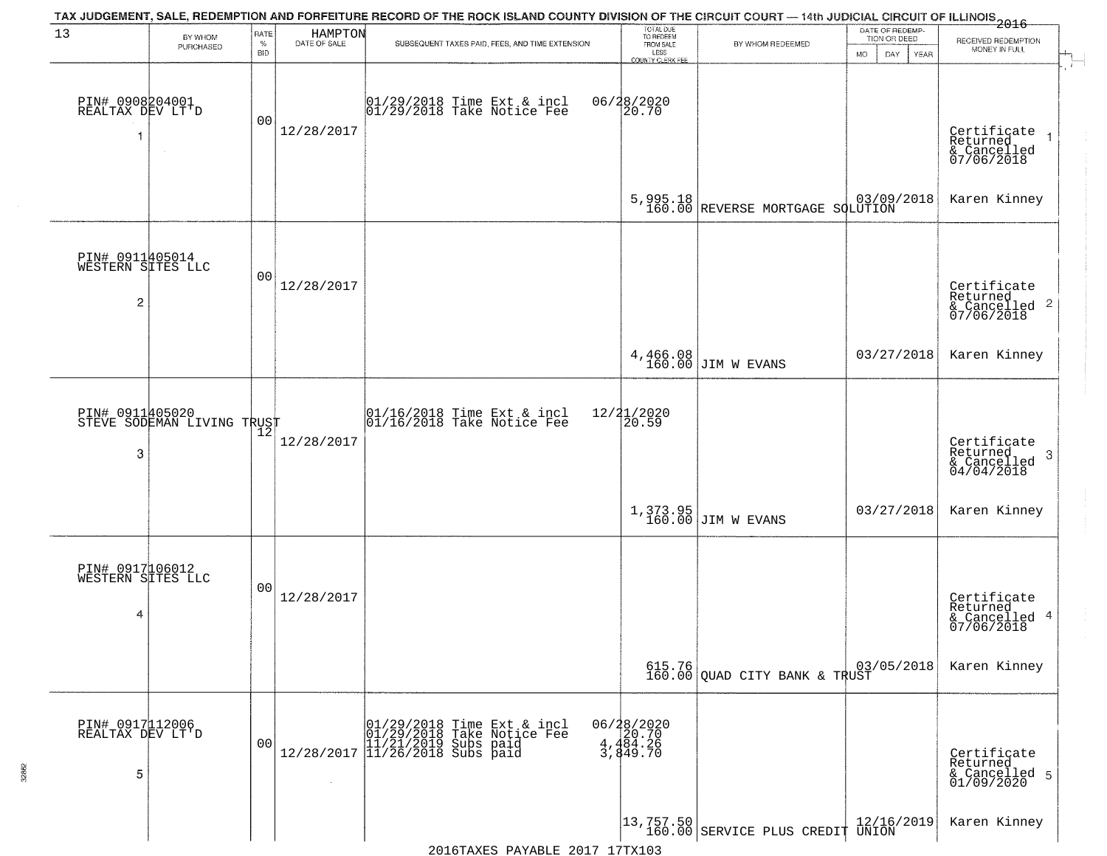| 13                                                     | BY WHOM<br>PURCHASED                          | RATE<br>$\%$<br><b>BID</b> | HAMPTON<br>DATE OF SALE | TAX JUDGEMENT, SALE, REDEMPTION AND FORFEITURE RECORD OF THE ROCK ISLAND COUNTY DIVISION OF THE CIRCUIT COURT — 14th JUDICIAL CIRCUIT OF ILLINOIS 2016<br>SUBSEQUENT TAXES PAID, FEES, AND TIME EXTENSION | TOTAL DUE<br>TO REDEEM<br>FROM SALE<br>LESS<br>COUNTY CLERK FEE | BY WHOM REDEEMED                                                              | DATE OF REDEMP-<br>TION OR DEED<br>MO.<br>DAY.<br>YEAR | RECEIVED REDEMPTION<br>MONEY IN FULL                                   |
|--------------------------------------------------------|-----------------------------------------------|----------------------------|-------------------------|-----------------------------------------------------------------------------------------------------------------------------------------------------------------------------------------------------------|-----------------------------------------------------------------|-------------------------------------------------------------------------------|--------------------------------------------------------|------------------------------------------------------------------------|
| PIN# 0908204001<br>REALTAX DEV LT'D<br>1               | $\sim$                                        | 00                         | 12/28/2017              | $ 01/29/2018$ Time Ext & incl<br>$ 01/29/2018$ Take Notice Fee                                                                                                                                            | 06/28/2020<br>20.70                                             |                                                                               |                                                        | Certificate<br>Returned<br>& Cancelled<br>07/06/2018                   |
|                                                        |                                               |                            |                         |                                                                                                                                                                                                           |                                                                 | 5,995.18 REVERSE MORTGAGE SQLUTION                                            | 03/09/2018                                             | Karen Kinney                                                           |
| PIN# 0911405014<br>WESTERN SITES LLC<br>$\overline{c}$ |                                               | 00                         | 12/28/2017              |                                                                                                                                                                                                           |                                                                 |                                                                               |                                                        | Certificate<br>Returned<br>$\overline{2}$<br>& Cancelled<br>07/06/2018 |
|                                                        |                                               |                            |                         |                                                                                                                                                                                                           |                                                                 | 4,466.08<br>160.00 JIM W EVANS                                                | 03/27/2018                                             | Karen Kinney                                                           |
| 3                                                      | PIN# 0911405020<br>STEVE SODEMAN LIVING TRUST | 12                         | 12/28/2017              | 01/16/2018 Time Ext & incl<br>01/16/2018 Take Notice Fee                                                                                                                                                  | 12/21/2020<br> 20.59                                            |                                                                               |                                                        | Certificate<br>Returned<br>3<br>$\frac{6}{04/04/2018}$                 |
|                                                        |                                               |                            |                         |                                                                                                                                                                                                           |                                                                 | $1,373.95$ JIM W EVANS                                                        | 03/27/2018                                             | Karen Kinney                                                           |
| PIN# 0917106012<br>WESTERN SITES LLC<br>4              |                                               | 00                         | 12/28/2017              |                                                                                                                                                                                                           |                                                                 |                                                                               |                                                        | Certificate<br>Returned<br>4<br>& Cancelled<br>07/06/2018              |
|                                                        |                                               |                            |                         |                                                                                                                                                                                                           |                                                                 | 615.76 03,<br>160.00 QUAD CITY BANK & TRUST                                   | 03/05/2018                                             | Karen Kinney                                                           |
| PIN# 0917112006<br>REALTAX DEV LT'D<br>5               |                                               | 0 <sub>0</sub>             | $\sim$                  |                                                                                                                                                                                                           | 06/28/2020<br>20.70<br>4,484.26<br>3,449.70                     |                                                                               |                                                        | Certifiçate<br>Returned<br>& Cancelled 5<br>01/09/2020                 |
|                                                        |                                               |                            |                         |                                                                                                                                                                                                           |                                                                 | $\begin{vmatrix} 13.757.50 \\ 160.00 \end{vmatrix}$ SERVICE PLUS CREDIT UNION | 12/16/2019                                             | Karen Kinney                                                           |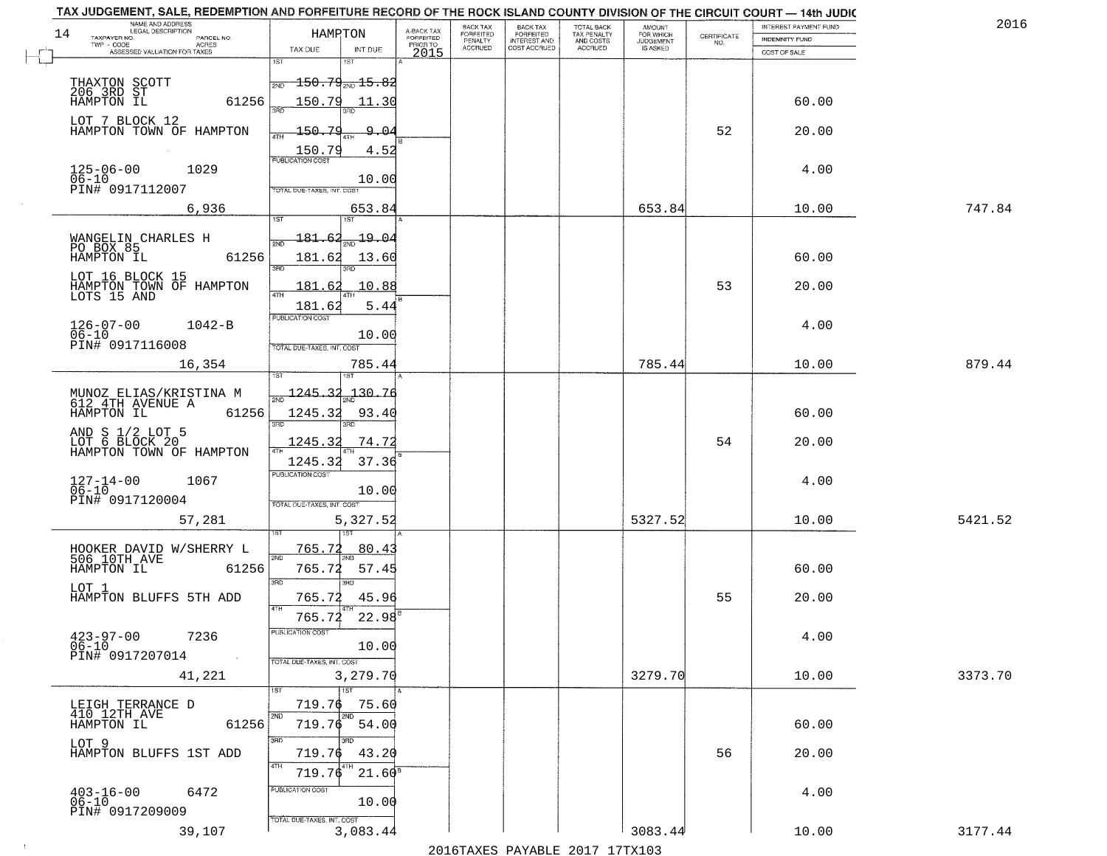| NAME AND ADDRESS<br>LEGAL DESCRIPTION                          |                                                                                         |                                     | BACK TAX             | <b>BACK TAX</b>           |                                        | AMOUNT<br>FOR WHICH |                                                                 | INTEREST PAYMENT FUND | 2016    |
|----------------------------------------------------------------|-----------------------------------------------------------------------------------------|-------------------------------------|----------------------|---------------------------|----------------------------------------|---------------------|-----------------------------------------------------------------|-----------------------|---------|
| 14<br>TAXPAYER NO.<br>PARCEL NO.<br>ACRES                      | HAMPTON                                                                                 | A-BACK TAX<br>FORFEITED<br>PRIOR TO | FORFEITED<br>PENALTY | FORFEITED<br>INTEREST AND | TOTAL BACK<br>TAX PENALTY<br>AND COSTS | <b>JUDGEMENT</b>    | $\begin{array}{c} \text{CERTIFICATE} \\ \text{NO.} \end{array}$ | INDEMNITY FUND        |         |
| ASSESSED VALUATION FOR TAXES                                   | TAX DUE<br>INT DUE                                                                      | 2015                                | <b>ACCRUED</b>       | COST ACCRUED              | <b>ACCRUED</b>                         | IS ASKED            |                                                                 | COST OF SALE          |         |
|                                                                | 1ST<br>$\textcolor{red}{\textbf{-150.79}}_{\textcolor{red}{\textbf{200.15.82}}}$<br>2ND |                                     |                      |                           |                                        |                     |                                                                 |                       |         |
| THAXTON SCOTT<br>206 3RD ST<br>HAMPTON IL<br>61256             | 150.79<br>11.30                                                                         |                                     |                      |                           |                                        |                     |                                                                 | 60.00                 |         |
| LOT 7 BLOCK 12<br>HAMPTON TOWN OF HAMPTON                      | 150.79<br>9.04                                                                          |                                     |                      |                           |                                        |                     | 52                                                              | 20.00                 |         |
|                                                                | $\frac{150.79}{PUBUCATONCGST}$<br>4.52                                                  |                                     |                      |                           |                                        |                     |                                                                 |                       |         |
| $125 - 06 - 00$<br>06-10<br>1029<br>PIN# 0917112007            | 10.00<br>TOTAL DUE-TAXES, INT. COST                                                     |                                     |                      |                           |                                        |                     |                                                                 | 4.00                  |         |
| 6,936                                                          | 653.84                                                                                  |                                     |                      |                           |                                        | 653.84              |                                                                 | 10.00                 | 747.84  |
|                                                                | <u> 181.62</u><br>$\frac{19.04}{200}$                                                   |                                     |                      |                           |                                        |                     |                                                                 |                       |         |
| WANGELIN CHARLES H<br>PO BOX 85<br>HAMPTON IL<br>61256         | 181.62<br>13.60<br>उन्नत                                                                |                                     |                      |                           |                                        |                     |                                                                 | 60.00                 |         |
| LOT 16 BLOCK 15<br>HAMPTON TOWN OF HAMPTON<br>LOTS 15 AND      | 3RD<br>10.88<br>181.62                                                                  |                                     |                      |                           |                                        |                     | 53                                                              | 20.00                 |         |
|                                                                | 5.44<br>181.62                                                                          |                                     |                      |                           |                                        |                     |                                                                 |                       |         |
| $126 - 07 - 00$<br>$1042 - B$<br>$06 - 10$                     | PUBLICATION COST<br>10.00                                                               |                                     |                      |                           |                                        |                     |                                                                 | 4.00                  |         |
| PIN# 0917116008                                                | TOTAL DUE-TAXES, INT. COST                                                              |                                     |                      |                           |                                        |                     |                                                                 |                       |         |
| 16,354                                                         | 785.44<br>is T                                                                          |                                     |                      |                           |                                        | 785.44              |                                                                 | 10.00                 | 879.44  |
| MUNOZ ELIAS/KRISTINA M<br>612 4TH AVENUE A                     | $\frac{1245.32}{210}$<br>130.76                                                         |                                     |                      |                           |                                        |                     |                                                                 |                       |         |
| HAMPTON IL<br>61256                                            | 1245.32<br>93.40<br>3RD<br>3RD                                                          |                                     |                      |                           |                                        |                     |                                                                 | 60.00                 |         |
| AND S 1/2 LOT 5<br>LOT 6 BLOCK 20<br>HAMPTON TOWN OF HAMPTON   | 1245.32<br>74.72                                                                        |                                     |                      |                           |                                        |                     | 54                                                              | 20.00                 |         |
|                                                                | 37.36<br>1245.32<br><b>PUBLICATION COST</b>                                             |                                     |                      |                           |                                        |                     |                                                                 |                       |         |
| $127 - 14 - 00$<br>06-10<br>1067                               | 10.00                                                                                   |                                     |                      |                           |                                        |                     |                                                                 | 4.00                  |         |
| PIN# 0917120004<br>57,281                                      | TOTAL OUE-TAXES, INT. COST<br>5,327.52                                                  |                                     |                      |                           |                                        | 5327.52             |                                                                 | 10.00                 | 5421.52 |
|                                                                |                                                                                         |                                     |                      |                           |                                        |                     |                                                                 |                       |         |
| HOOKER DAVID W/SHERRY L<br>506 10TH AVE<br>HAMPTON IL<br>61256 | 765.72<br>80.43<br>2ND<br>765.72<br>57.45                                               |                                     |                      |                           |                                        |                     |                                                                 | 60.00                 |         |
| LOT 1<br>HAMPTON BLUFFS 5TH ADD                                | 3RD<br>3RD<br>765.72<br>45.96                                                           |                                     |                      |                           |                                        |                     | 55                                                              | 20.00                 |         |
|                                                                | 4TH<br>765.72<br>22.98                                                                  |                                     |                      |                           |                                        |                     |                                                                 |                       |         |
| $423 - 97 - 00$<br>06-10<br>7236                               | PUBLICATION CUS<br>10.00                                                                |                                     |                      |                           |                                        |                     |                                                                 | 4.00                  |         |
| PIN# 0917207014<br>$\sim 100$ km $^{-1}$                       | TOTAL DUE-TAXES, INT. COST                                                              |                                     |                      |                           |                                        | 3279.70             |                                                                 |                       |         |
| 41,221                                                         | 3,279.70<br>$\overline{11}$ st                                                          |                                     |                      |                           |                                        |                     |                                                                 | 10.00                 | 3373.70 |
| LEIGH TERRANCE D<br>410 12TH AVE                               | 719.76<br>75.60<br>2ND<br>2ND                                                           |                                     |                      |                           |                                        |                     |                                                                 |                       |         |
| 61256<br>HAMPTON IL                                            | $719.76$ 54.00<br>3RD<br>חחי                                                            |                                     |                      |                           |                                        |                     |                                                                 | 60.00                 |         |
| LOT 9<br>HAMPTON BLUFFS 1ST ADD                                | 719.76<br>43.20<br>4TH                                                                  |                                     |                      |                           |                                        |                     | 56                                                              | 20.00                 |         |
|                                                                | 719.76<br>$21.60^8$<br>PUBLICATION COST                                                 |                                     |                      |                           |                                        |                     |                                                                 |                       |         |
| $403 - 16 - 00$<br>6472<br>$06 - 10$<br>PIN# 0917209009        | 10.00                                                                                   |                                     |                      |                           |                                        |                     |                                                                 | 4.00                  |         |
| 39,107                                                         | TOTAL DUE-TAXES, INT. COST<br>3,083.44                                                  |                                     |                      |                           |                                        | 3083.44             |                                                                 | 10.00                 | 3177.44 |

 $\sim 10^{-1}$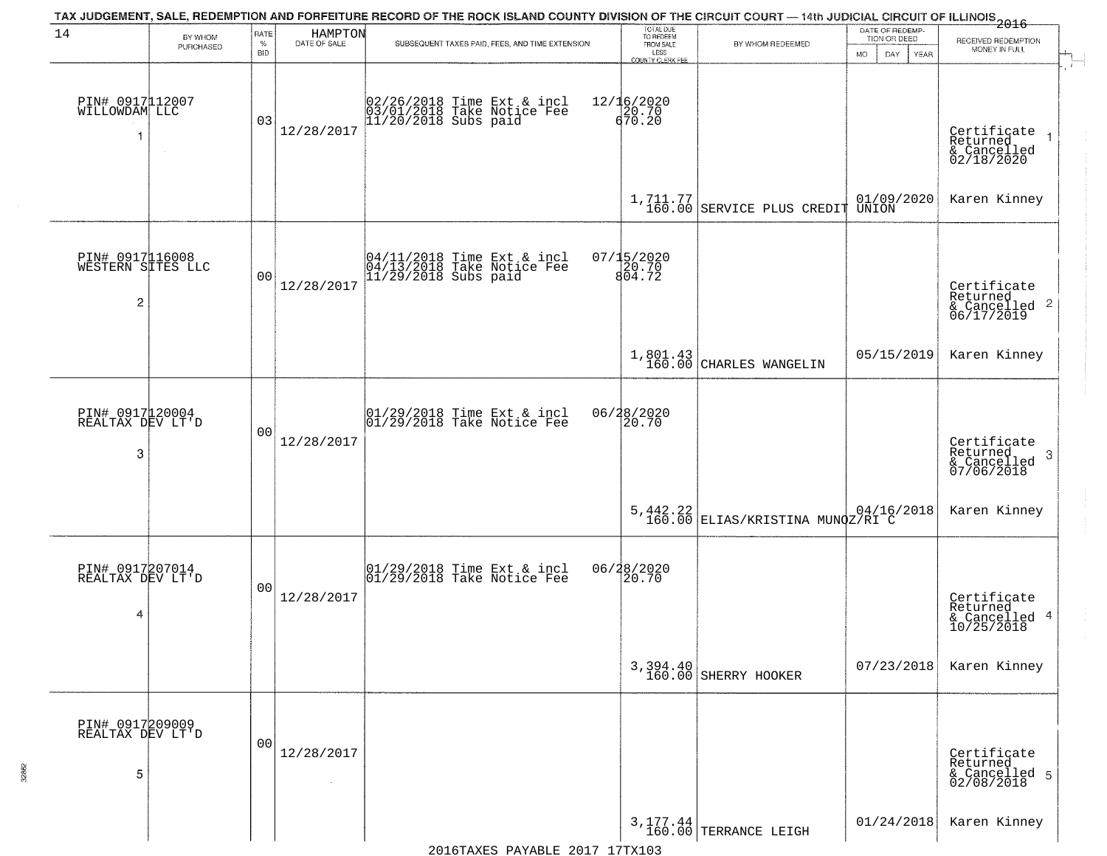|                                                        |                      |                            |                         | TAX JUDGEMENT, SALE, REDEMPTION AND FORFEITURE RECORD OF THE ROCK ISLAND COUNTY DIVISION OF THE CIRCUIT COURT — 14th JUDICIAL CIRCUIT OF ILLINOIS 2016 |                                                                        |                                                               |                                                             |                                                                               |
|--------------------------------------------------------|----------------------|----------------------------|-------------------------|--------------------------------------------------------------------------------------------------------------------------------------------------------|------------------------------------------------------------------------|---------------------------------------------------------------|-------------------------------------------------------------|-------------------------------------------------------------------------------|
| 14                                                     | BY WHOM<br>PURCHASED | RATE<br>$\%$<br><b>BID</b> | HAMPTON<br>DATE OF SALE | SUBSEQUENT TAXES PAID, FEES, AND TIME EXTENSION                                                                                                        | TOTAL DUE<br>TO REDEEM<br>FROM SALE<br>LESS<br><b>COUNTY CLERK FEE</b> | BY WHOM REDEEMED                                              | DATE OF REDEMP-<br>TION OR DEED<br><b>MO</b><br>DAY<br>YEAR | RECEIVED REDEMPTION<br>MONEY IN FULL                                          |
| PIN# 0917112007<br>WILLOWDAM LLC<br>$\mathbf{1}$       |                      | 03                         | 12/28/2017              | 02/26/2018 Time Ext & incl<br>03/01/2018 Take Notice Fee<br>11/20/2018 Subs paid                                                                       | 12/16/2020<br>20.70<br>670.20                                          |                                                               |                                                             | - 1<br>Certificate<br>Returned<br>$\overline{1}$<br>& Cancelled<br>02/18/2020 |
|                                                        |                      |                            |                         |                                                                                                                                                        |                                                                        | $1, 711.77$<br>160.00 SERVICE PLUS CREDIT                     | 01/09/2020<br>UNION                                         | Karen Kinney                                                                  |
| PIN# 0917116008<br>WESTERN SITES LLC<br>$\overline{c}$ |                      | 0 <sub>0</sub>             | 12/28/2017              | $04/11/2018$ Time Ext & incl<br>04/13/2018 Take Notice Fee<br>11/29/2018 Subs paid                                                                     | 07/15/2020<br>20.70<br>804.72                                          |                                                               |                                                             | Certificate<br>Returned<br>$\frac{1}{6}$ Cancelled 2<br>06/17/2019            |
|                                                        |                      |                            |                         |                                                                                                                                                        |                                                                        | $1,801.43$<br>160.00 CHARLES WANGELIN                         | 05/15/2019                                                  | Karen Kinney                                                                  |
| PIN# 0917120004<br>REALTAX DEV LT'D<br>3               |                      | 0 <sub>0</sub>             | 12/28/2017              | $\begin{array}{c} 01/29/2018 \\ 01/29/2018 \\ 01 \end{array}$ Take Notice Fee                                                                          | 06/28/2020<br>20.70                                                    |                                                               |                                                             | Certificate<br>Returned<br>3<br>& Cancelled<br>07/06/2018                     |
|                                                        |                      |                            |                         |                                                                                                                                                        |                                                                        | $5,442.22$   04/16/2018<br>160.00   ELIAS/KRISTINA MUNQZ/RI C |                                                             | Karen Kinney                                                                  |
| PIN# 0917207014<br>REALTAX DEV LT'D<br>4               |                      | 00                         | 12/28/2017              | $\begin{array}{c} 01/29/2018 \\ 01/29/2018 \\ \end{array}$ Take Notice Fee                                                                             | 06/28/2020<br>20.70                                                    |                                                               |                                                             | Certificate<br>Returned<br>& Cancelled 4<br>10/25/2018                        |
|                                                        |                      |                            |                         |                                                                                                                                                        | 3, 394.40<br>160.00                                                    | SHERRY HOOKER                                                 | 07/23/2018                                                  | Karen Kinney                                                                  |
| PIN# 0917209009<br>REALTAX DEV LT'D<br>5               |                      | 0 <sub>0</sub>             | 12/28/2017              |                                                                                                                                                        |                                                                        |                                                               |                                                             | Certificate<br>Returned<br>& Cancelled 5<br>02/08/2018                        |
|                                                        |                      |                            |                         |                                                                                                                                                        |                                                                        | 3, 177.44<br>160.00 TERRANCE LEIGH                            | 01/24/2018                                                  | Karen Kinney                                                                  |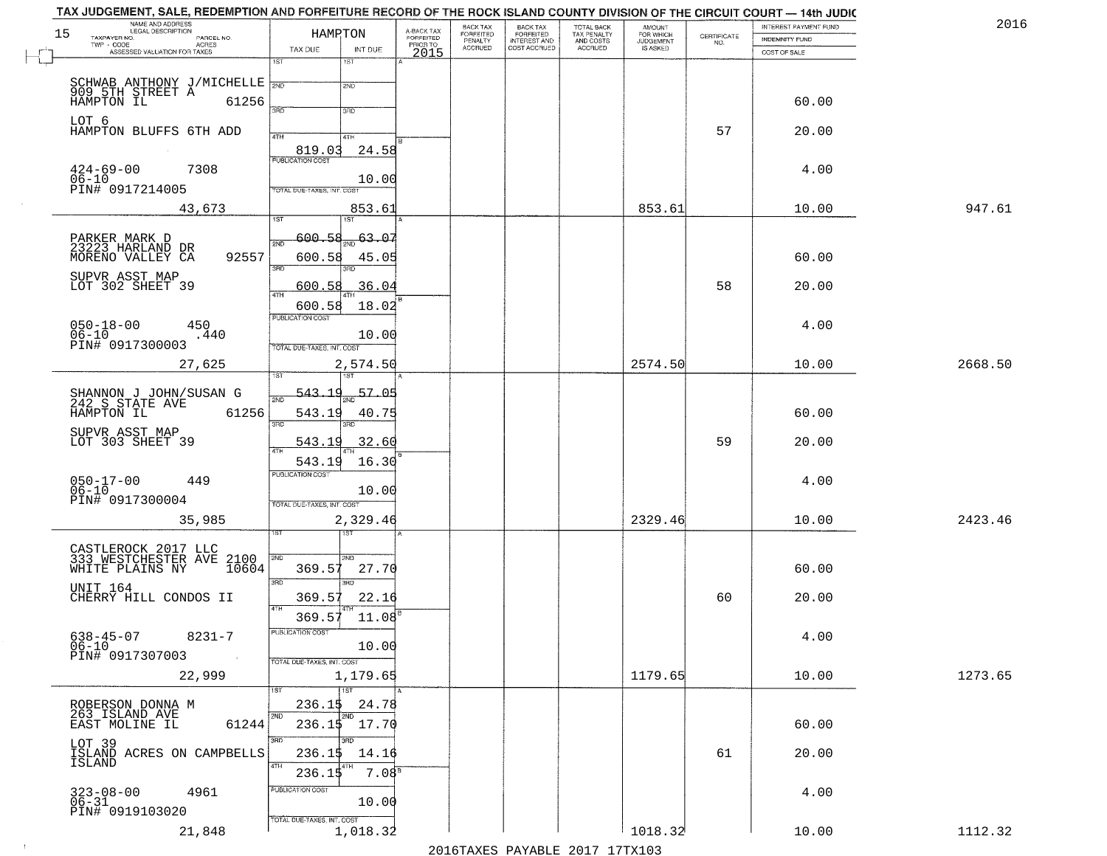| NAME AND ADDRESS<br>LEGAL DESCRIPTION                  | HAMPTON                                     |                                     | BACK TAX<br>FORFEITED | <b>BACK TAX</b>           | TOTAL BACK<br>TAX PENALTY<br>AND COSTS | AMOUNT<br>FOR WHICH |                                                                 | INTEREST PAYMENT FUND | 2016    |
|--------------------------------------------------------|---------------------------------------------|-------------------------------------|-----------------------|---------------------------|----------------------------------------|---------------------|-----------------------------------------------------------------|-----------------------|---------|
| TAXPAYER NO.<br>PARCEL NO.<br>ACRES                    |                                             | A-BACK TAX<br>FORFEITED<br>PRIOR TO | PENALTY               | FORFEITED<br>INTEREST AND |                                        | <b>JUDGEMENT</b>    | $\begin{array}{c} \text{CERTIFICATE} \\ \text{NO.} \end{array}$ | INDEMNITY FUND        |         |
| ASSESSED VALUATION FOR TAXES                           | TAX DUE<br>INT DUE<br>1ST<br>$1S$ T         | 2015                                | <b>ACCRUED</b>        | COST ACCRUED              | <b>ACCRUED</b>                         | IS ASKED            |                                                                 | COST OF SALE          |         |
|                                                        |                                             |                                     |                       |                           |                                        |                     |                                                                 |                       |         |
| SCHWAB ANTHONY J/MICHELLE NO<br>909 5TH STREET A 61256 | 2ND                                         |                                     |                       |                           |                                        |                     |                                                                 |                       |         |
|                                                        |                                             |                                     |                       |                           |                                        |                     |                                                                 | 60.00                 |         |
| LOT 6                                                  | 3RD<br>3RD                                  |                                     |                       |                           |                                        |                     |                                                                 |                       |         |
| HAMPTON BLUFFS 6TH ADD                                 | 4TH<br>4TH                                  |                                     |                       |                           |                                        |                     | 57                                                              | 20.00                 |         |
|                                                        | $\frac{819.03}{FUBUCATON COST}$<br>24.58    |                                     |                       |                           |                                        |                     |                                                                 |                       |         |
| 7308                                                   |                                             |                                     |                       |                           |                                        |                     |                                                                 | 4.00                  |         |
| $424 - 69 - 00$<br>$06 - 10$                           | 10.00                                       |                                     |                       |                           |                                        |                     |                                                                 |                       |         |
| PIN# 0917214005                                        | TOTAL DUE-TAXES, INT. COST                  |                                     |                       |                           |                                        |                     |                                                                 |                       |         |
| 43,673                                                 | 853.61                                      |                                     |                       |                           |                                        | 853.61              |                                                                 | 10.00                 | 947.61  |
|                                                        |                                             |                                     |                       |                           |                                        |                     |                                                                 |                       |         |
| PARKER MARK D<br>23223 HARLAND DR                      | $\frac{63.07}{200}$<br><u>600.58</u><br>2ND |                                     |                       |                           |                                        |                     |                                                                 |                       |         |
| 92557<br>MORENO VALLEY CA                              | 600.58<br>45.05<br>3RD<br>3RD               |                                     |                       |                           |                                        |                     |                                                                 | 60.00                 |         |
| SUPVR ASST MAP<br>LOT 302 SHEET 39                     |                                             |                                     |                       |                           |                                        |                     |                                                                 |                       |         |
|                                                        | 36.04<br>600.58<br>ৰাম                      |                                     |                       |                           |                                        |                     | 58                                                              | 20.00                 |         |
|                                                        | 600.58<br>18.02                             |                                     |                       |                           |                                        |                     |                                                                 |                       |         |
| $050 - 18 - 00$<br>450                                 | PUBLICATION COST                            |                                     |                       |                           |                                        |                     |                                                                 | 4.00                  |         |
| $06 - 10$<br>.440<br>PIN# 0917300003                   | 10.00<br>TOTAL DUE-TAXES, INT. COST         |                                     |                       |                           |                                        |                     |                                                                 |                       |         |
| 27,625                                                 | 2,574.50                                    |                                     |                       |                           |                                        | 2574.50             |                                                                 | 10.00                 | 2668.50 |
|                                                        | 1ST<br>isT                                  |                                     |                       |                           |                                        |                     |                                                                 |                       |         |
|                                                        | 57.05<br>543.19                             |                                     |                       |                           |                                        |                     |                                                                 |                       |         |
| SHANNON J JOHN/SUSAN G<br>242 S STATE AVE              | 2ND                                         |                                     |                       |                           |                                        |                     |                                                                 |                       |         |
| HAMPTON IL<br>61256                                    | 543.19<br>40.75<br>3RD<br>3RD               |                                     |                       |                           |                                        |                     |                                                                 | 60.00                 |         |
| SUPVR ASST MAP<br>LOT 303 SHEET 39                     | 543.19<br>32.60                             |                                     |                       |                           |                                        |                     | 59                                                              | 20.00                 |         |
|                                                        | <b>ATH</b>                                  |                                     |                       |                           |                                        |                     |                                                                 |                       |         |
|                                                        | 543.19<br>16.30<br><b>PUBLICATION COST</b>  |                                     |                       |                           |                                        |                     |                                                                 |                       |         |
| $050 - 17 - 00$<br>06-10<br>449                        | 10.00                                       |                                     |                       |                           |                                        |                     |                                                                 | 4.00                  |         |
| PIN# 0917300004                                        | TOTAL OUE-TAXES, INT. COST                  |                                     |                       |                           |                                        |                     |                                                                 |                       |         |
| 35,985                                                 | 2,329.46                                    |                                     |                       |                           |                                        | 2329.46             |                                                                 | 10.00                 | 2423.46 |
|                                                        |                                             |                                     |                       |                           |                                        |                     |                                                                 |                       |         |
| CASTLEROCK 2017 LLC<br>333 WESTCHESTER AVE 2100        |                                             |                                     |                       |                           |                                        |                     |                                                                 |                       |         |
|                                                        | 2ND<br>2ND.<br>369.57<br>27.70              |                                     |                       |                           |                                        |                     |                                                                 | 60.00                 |         |
| UNIT 164                                               | 3 <sub>BD</sub><br><b>IRD</b>               |                                     |                       |                           |                                        |                     |                                                                 |                       |         |
| CHERRY HILL CONDOS II                                  | 369.57<br>22.16                             |                                     |                       |                           |                                        |                     | 60                                                              | 20.00                 |         |
|                                                        | 4TH<br>369.57<br>11.08                      |                                     |                       |                           |                                        |                     |                                                                 |                       |         |
|                                                        | PUBLICATION CUS.                            |                                     |                       |                           |                                        |                     |                                                                 |                       |         |
| $638 - 45 - 07$<br>8231-7<br>$06 - 10$                 | 10.00                                       |                                     |                       |                           |                                        |                     |                                                                 | 4.00                  |         |
| PIN# 0917307003<br>$\sim 100$ km                       | TOTAL DUE-TAXES, INT. COST                  |                                     |                       |                           |                                        |                     |                                                                 |                       |         |
| 22,999                                                 | 1,179.65                                    |                                     |                       |                           |                                        | 1179.65             |                                                                 | 10.00                 | 1273.65 |
|                                                        | $\overline{11}$ st                          |                                     |                       |                           |                                        |                     |                                                                 |                       |         |
| ROBERSON DONNA M<br>263 ISLAND AVE                     | 236.15<br>24.78<br>2ND<br>2ND               |                                     |                       |                           |                                        |                     |                                                                 |                       |         |
| 61244<br>EAST MOLINE IL                                | $236.15$ 17.70                              |                                     |                       |                           |                                        |                     |                                                                 | 60.00                 |         |
|                                                        | 3BD<br>חחי                                  |                                     |                       |                           |                                        |                     |                                                                 |                       |         |
| LOT 39<br>ISLAND ACRES ON CAMPBELLS<br>ISLAND          | 236.15<br>14.16                             |                                     |                       |                           |                                        |                     | 61                                                              | 20.00                 |         |
|                                                        | 4TH<br>236.15<br>7.08 <sup>8</sup>          |                                     |                       |                           |                                        |                     |                                                                 |                       |         |
| $323 - 08 - 00$<br>06-31<br>4961                       | PUBLICATION COST                            |                                     |                       |                           |                                        |                     |                                                                 | 4.00                  |         |
| PIN# 0919103020                                        | 10.00                                       |                                     |                       |                           |                                        |                     |                                                                 |                       |         |
|                                                        | TOTAL DUE-TAXES, INT. COST                  |                                     |                       |                           |                                        |                     |                                                                 |                       |         |
| 21,848                                                 | 1,018.32                                    |                                     |                       |                           |                                        | 1018.32             |                                                                 | 10.00                 | 1112.32 |

 $\sim 10^{-1}$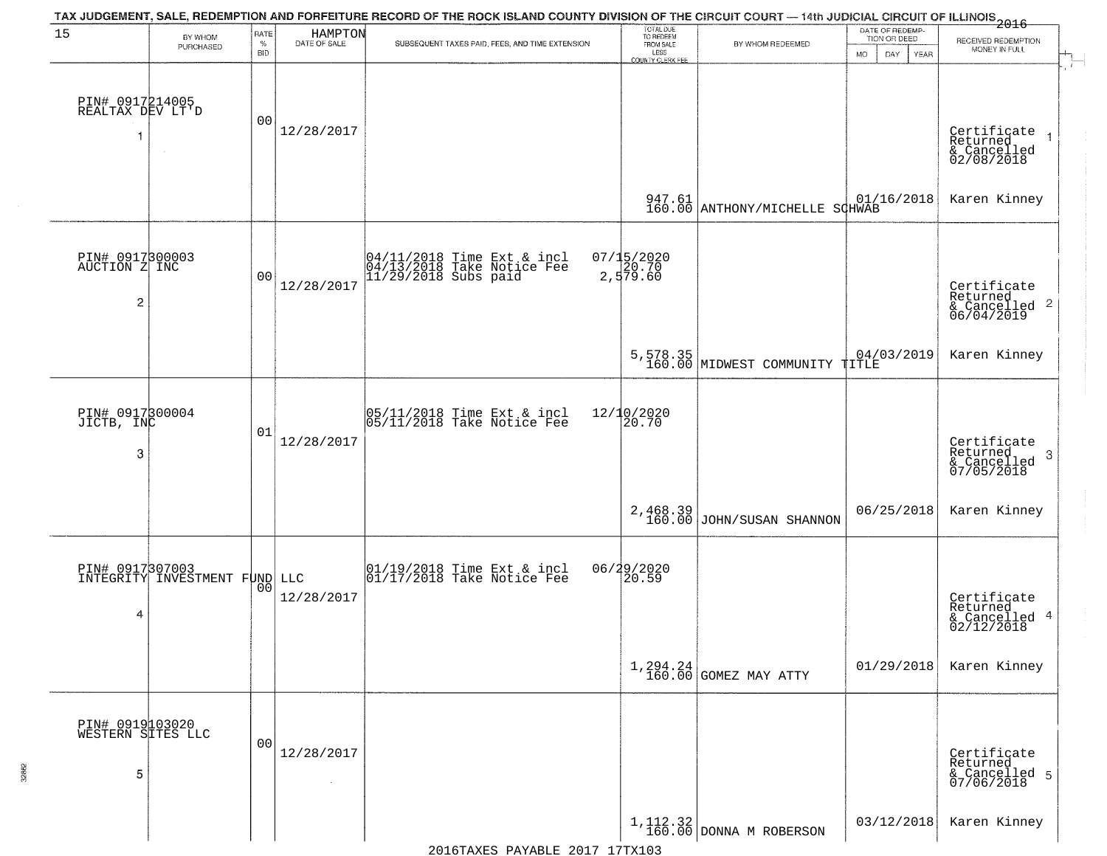|                                           |                                                  |                |                         | TAX JUDGEMENT, SALE, REDEMPTION AND FORFEITURE RECORD OF THE ROCK ISLAND COUNTY DIVISION OF THE CIRCUIT COURT — 14th JUDICIAL CIRCUIT OF ILLINOIS 2016 |                                     |                                            | DATE OF REDEMP-          |                                                                    |
|-------------------------------------------|--------------------------------------------------|----------------|-------------------------|--------------------------------------------------------------------------------------------------------------------------------------------------------|-------------------------------------|--------------------------------------------|--------------------------|--------------------------------------------------------------------|
| 15                                        | BY WHOM<br>PURCHASED                             | RATE<br>$\%$   | HAMPTON<br>DATE OF SALE | SUBSEQUENT TAXES PAID, FEES, AND TIME EXTENSION                                                                                                        | TOTAL DUE<br>TO REDEEM<br>FROM SALE | BY WHOM REDEEMED                           | TION OR DEED             | RECEIVED REDEMPTION                                                |
|                                           |                                                  | <b>BID</b>     |                         |                                                                                                                                                        | LESS<br>COUNTY CLERK FEE            |                                            | <b>MO</b><br>DAY<br>YEAR | MONEY IN FULL                                                      |
| PIN# 0917214005<br>REALTAX DEV LT'D<br>1  | $\sim$                                           | 0 <sub>0</sub> | 12/28/2017              |                                                                                                                                                        |                                     |                                            |                          | Certificate<br>Returned<br>& Cancelled<br>02/08/2018               |
|                                           |                                                  |                |                         |                                                                                                                                                        | 947.61<br>160.00                    | ANTHONY/MICHELLE SCHWAB                    | 01/16/2018               | Karen Kinney                                                       |
| PIN# 0917300003<br>AUCTION Z INC<br>2     |                                                  | 0 <sub>0</sub> | 12/28/2017              | 04/11/2018 Time Ext & incl<br>04/13/2018 Take Notice Fee<br>11/29/2018 Subs paid                                                                       | 07/15/2020<br>2,579.60              |                                            |                          | Certificate<br>Returned<br>$\frac{1}{6}$ Cancelled 2<br>06/04/2019 |
|                                           |                                                  |                |                         |                                                                                                                                                        |                                     | 5,578.35<br>160.00 MIDWEST COMMUNITY TITLE | 04/03/2019               | Karen Kinney                                                       |
| PIN# 0917300004<br>JICTB, INC<br>3        |                                                  | 01             | 12/28/2017              | $\begin{array}{c} 05/11/2018 \\ 05/11/2018 \\ \end{array}$ Take Notice Fee                                                                             | 12/10/2020<br>20.70                 |                                            |                          | Certificate<br>Returned<br>3<br>& Cancelled<br>07/05/2018          |
|                                           |                                                  |                |                         |                                                                                                                                                        | 2,468.39<br>160.00                  | JOHN/SUSAN SHANNON                         | 06/25/2018               | Karen Kinney                                                       |
| 4                                         | PIN# 0917307003<br>INTEGRITY INVESTMENT FUND LLC | 0 <sub>0</sub> | 12/28/2017              | 01/19/2018 Time Ext & incl<br>01/17/2018 Take Notice Fee                                                                                               | 06/29/2020<br>20.59                 |                                            |                          | Certificate<br>Returned<br>& Cancelled 4<br>02/12/2018             |
|                                           |                                                  |                |                         |                                                                                                                                                        |                                     | $1,294.24$<br>$160.00$ GOMEZ MAY ATTY      | 01/29/2018               | Karen Kinney                                                       |
| PIN# 0919103020<br>WESTERN SITES LLC<br>5 |                                                  | 0 <sub>0</sub> | 12/28/2017<br>$\sim$    |                                                                                                                                                        |                                     |                                            |                          | Certificate<br>Returned<br>& Cancelled 5<br>07/06/2018             |
|                                           |                                                  |                |                         |                                                                                                                                                        |                                     | $1, 112.32$ DONNA M ROBERSON               | 03/12/2018               | Karen Kinney                                                       |

32862

2016TAXES PAYABLE 2017 17TX103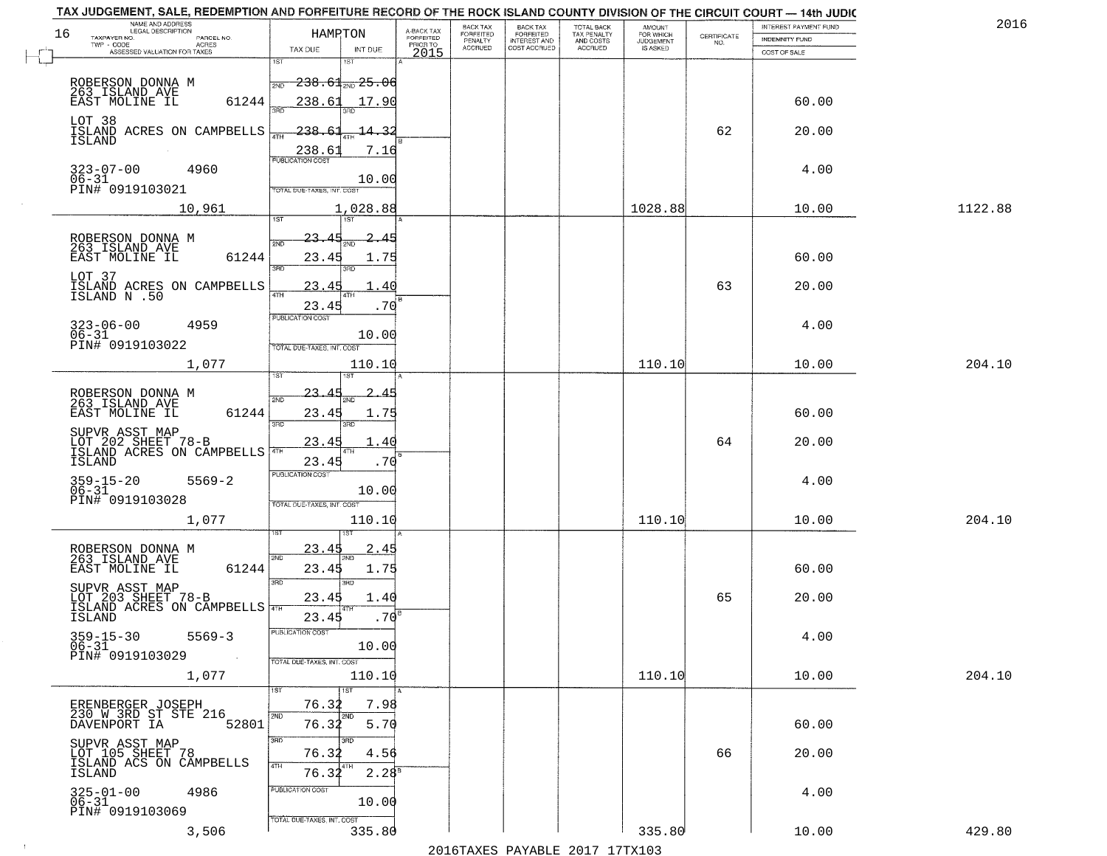| 2016    | INTEREST PAYMENT FUND |                                                                 | AMOUNT<br>FOR WHICH | <b>TOTAL BACK</b>        | <b>BACK TAX</b>           | BACK TAX             |                                     |                                                                                                         | TAX JUDGEMENT, SALE, REDEMPTION AND FORFEITURE RECORD OF THE ROCK ISLAND COUNTY DIVISION OF THE CIRCUIT COURT - 14th JUDIC<br>NAME AND ADDRESS<br>LEGAL DESCRIPTION |
|---------|-----------------------|-----------------------------------------------------------------|---------------------|--------------------------|---------------------------|----------------------|-------------------------------------|---------------------------------------------------------------------------------------------------------|---------------------------------------------------------------------------------------------------------------------------------------------------------------------|
|         | INDEMNITY FUND        | $\begin{array}{c} \text{CERTIFICATE} \\ \text{NO.} \end{array}$ | <b>JUDGEMENT</b>    | TAX PENALTY<br>AND COSTS | FORFEITED<br>INTEREST AND | FORFEITED<br>PENALTY | A-BACK TAX<br>FORFEITED<br>PRIOR TO | HAMPTON                                                                                                 | 16<br>TAXPAYER NO.<br>PARCEL NO.<br>ACRES                                                                                                                           |
|         | COST OF SALE          |                                                                 | IS ASKED            | <b>ACCRUED</b>           | COST ACCRUED              | <b>ACCRUED</b>       | 2015                                | TAX DUE<br>INT DUE                                                                                      | ASSESSED VALUATION FOR TAXES                                                                                                                                        |
|         | 60.00                 |                                                                 |                     |                          |                           |                      |                                     | 1ST<br>181<br>$-238.61$ and $25.06$<br>2ND<br>238.61<br>17.90                                           | ROBERSON DONNA M<br>263 ISLAND AVE<br>61244<br>EAST MOLINE IL                                                                                                       |
|         | 20.00                 | 62                                                              |                     |                          |                           |                      |                                     | $-238.61$<br>14.32<br>238.61<br>7.16                                                                    | LOT 38<br>ISLAND ACRES ON CAMPBELLS<br><b>ISLAND</b>                                                                                                                |
|         | 4.00                  |                                                                 |                     |                          |                           |                      |                                     | 10.00<br>TOTAL DUE-TAXES, INT. COST                                                                     | 323-07-00<br>06-31<br>4960<br>PIN# 0919103021                                                                                                                       |
| 1122.88 | 10.00                 |                                                                 | 1028.88             |                          |                           |                      |                                     | 1,028.88                                                                                                | 10,961                                                                                                                                                              |
|         | 60.00<br>20.00        | 63                                                              |                     |                          |                           |                      |                                     | $23-$<br>সমূ<br>23.45<br>1.75<br>उन्नत<br>3PD<br>23.45<br>40<br>ATH<br>23.45<br>.70<br>PUBLICATION COST | ROBERSON DONNA M<br>263_ISLAND_AVE<br>EAST MOLINE IL<br>61244<br>LOT 37<br>ISLAND ACRES ON CAMPBELLS<br>ISLAND N .50                                                |
|         | 4.00                  |                                                                 |                     |                          |                           |                      |                                     | 10.00<br>TOTAL DUE-TAXES, INT. COST                                                                     | $323 - 06 - 00$<br>4959<br>$06 - 31$<br>PIN# 0919103022                                                                                                             |
| 204.10  | 10.00                 |                                                                 | 110.10              |                          |                           |                      |                                     | 110.10<br>isT                                                                                           | 1,077                                                                                                                                                               |
|         | 60.00                 |                                                                 |                     |                          |                           |                      |                                     | 23.<br>2ND<br>23.45<br>1.75<br>3RD<br>3RD                                                               | ROBERSON DONNA M<br>263 ISLAND AVE<br>EAST MOLINE IL<br>61244                                                                                                       |
|         | 20.00                 | 64                                                              |                     |                          |                           |                      |                                     | 23.4!<br>40<br>23.45<br>.70                                                                             | SUPVR ASST MAP<br>LOT 202 SHEET 78-B<br>ISLAND ACRES ON CAMPBELLS<br>ISLAND                                                                                         |
| 204.10  | 4.00<br>10.00         |                                                                 | 110.10              |                          |                           |                      |                                     | <b>PUBLICATION COST</b><br>10.00<br>TOTAL OUE-TAXES, INT. COST<br>110.10                                | 359-15-20<br>06-31<br>$5569 - 2$<br>PIN# 0919103028<br>1,077                                                                                                        |
|         |                       |                                                                 |                     |                          |                           |                      |                                     |                                                                                                         |                                                                                                                                                                     |
|         | 60.00                 |                                                                 |                     |                          |                           |                      |                                     | 23.45<br>2.45<br>2ND<br>23.45<br>1.75<br>3RD<br>3RD                                                     | ROBERSON DONNA M<br>263 ISLAND AVE<br>EAST MOLINE IL<br>61244<br>SUPVR ASST MAP                                                                                     |
|         | 20.00                 | 65                                                              |                     |                          |                           |                      |                                     | 23.45<br>1.40<br>.70 <sup>5</sup><br>23.45                                                              | LOT 203 SHEET 78-B<br>ISLAND ACRES ON CAMPBELLS<br>ISLAND                                                                                                           |
|         | 4.00                  |                                                                 |                     |                          |                           |                      |                                     | PUBLICATION COS<br>10.00<br>TOTAL DUE-TAXES, INT. COST                                                  | $359 - 15 - 30$<br>$5569 - 3$<br>$06 - 31$<br>PIN# 0919103029<br>$\sim 100$                                                                                         |
| 204.10  | 10.00                 |                                                                 | 110.10              |                          |                           |                      |                                     | 110.10                                                                                                  | 1,077                                                                                                                                                               |
|         | 60.00                 |                                                                 |                     |                          |                           |                      |                                     | 1ST<br>76.32<br>7.98<br>2ND<br>2ND<br>76.32<br>5.70                                                     | ERENBERGER JOSEPH<br>230 W 3RD ST STE 216<br>DAVENPORT IA<br>52801                                                                                                  |
|         | 20.00                 | 66                                                              |                     |                          |                           |                      |                                     | 3RD<br>76.32<br>4.56<br>4TH<br>$2.28^{8}$<br>76.32                                                      | SUPVR ASST MAP<br>LOT 105 SHEET 78<br>ISLAND ACS ON CAMPBELLS<br>ISLAND                                                                                             |
|         | 4.00                  |                                                                 |                     |                          |                           |                      |                                     | PUBLICATION COST<br>10.00<br>TOTAL DUE-TAXES, INT. COST                                                 | $325 - 01 - 00$<br>$06 - 31$<br>4986<br>PIN# 0919103069                                                                                                             |
| 429.80  | 10.00                 |                                                                 | 335.80              |                          |                           |                      |                                     | 335.80                                                                                                  | 3,506                                                                                                                                                               |

 $\sim 10$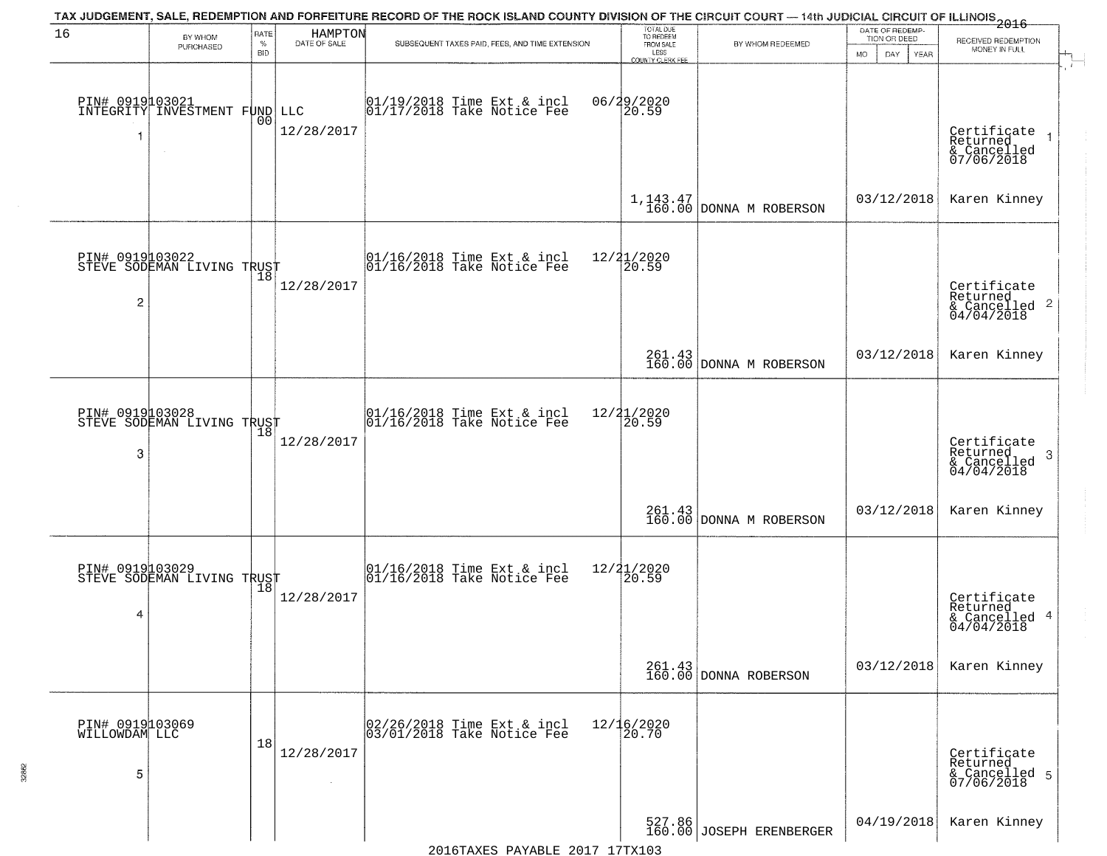|                                       |                                                    |                            |                         | TAX JUDGEMENT, SALE, REDEMPTION AND FORFEITURE RECORD OF THE ROCK ISLAND COUNTY DIVISION OF THE CIRCUIT COURT — 14th JUDICIAL CIRCUIT OF ILLINOIS 2016 |                                                                        |                                    |                                                        |                                                                                          |
|---------------------------------------|----------------------------------------------------|----------------------------|-------------------------|--------------------------------------------------------------------------------------------------------------------------------------------------------|------------------------------------------------------------------------|------------------------------------|--------------------------------------------------------|------------------------------------------------------------------------------------------|
| 16                                    | BY WHOM<br>PURCHASED                               | RATE<br>$\%$<br><b>BID</b> | HAMPTON<br>DATE OF SALE | SUBSEQUENT TAXES PAID, FEES, AND TIME EXTENSION                                                                                                        | TOTAL DUE<br>TO REDEEM<br>FROM SALE<br>LESS<br><b>COUNTY CLERK FEE</b> | BY WHOM REDEEMED                   | DATE OF REDEMP-<br>TION OR DEED<br>MO.<br>DAY.<br>YEAR | RECEIVED REDEMPTION<br>MONEY IN FULL                                                     |
| -1                                    | PIN# 0919103021  <br>INTEGRITY INVESTMENT FUND LLC | 00                         | 12/28/2017              | 01/19/2018 Time Ext & incl<br>01/17/2018 Take Notice Fee                                                                                               | 06/29/2020<br>20.59                                                    |                                    |                                                        | $\mathbf{r}$<br>Certificate<br>Returned<br>& Cancelled<br>07/06/2018                     |
|                                       |                                                    |                            |                         |                                                                                                                                                        |                                                                        | $1, 143.47$ DONNA M ROBERSON       | 03/12/2018                                             | Karen Kinney                                                                             |
| $\overline{c}$                        | PIN# 0919103022<br>STEVE SODEMAN LIVING TRUST      |                            | 12/28/2017              | $\begin{array}{cc}  01/16/2018 \text{ Time Ext} & \text{incl} \\  01/16/2018 \text{ Take Notice Fe} \end{array}$                                       | 12/21/2020<br>20.59                                                    |                                    |                                                        | Certificate<br>Returned<br>$\frac{1}{6}$ Cancelled 2<br>04/04/2018                       |
|                                       |                                                    |                            |                         |                                                                                                                                                        |                                                                        | 261.43<br>160.00 DONNA M ROBERSON  | 03/12/2018                                             | Karen Kinney                                                                             |
| 3                                     | PIN# 0919103028<br>STEVE SODEMAN LIVING TRUST      |                            | 12/28/2017              | $\begin{array}{c} 01/16/2018 \\ 01/16/2018 \\ \end{array}$ Take Notice Fee                                                                             | 12/21/2020<br>20.59                                                    |                                    |                                                        | Certificate<br>Returned<br>$\boldsymbol{\beta}$<br>$\frac{1}{2}$ Cancelled<br>04/04/2018 |
|                                       |                                                    |                            |                         |                                                                                                                                                        |                                                                        | 261.43<br>160.00 DONNA M ROBERSON  | 03/12/2018                                             | Karen Kinney                                                                             |
| 4                                     | PIN# 0919103029    <br>STEVE SODEMAN LIVING TRUST  | $\overline{18}$            | 12/28/2017              | $\begin{bmatrix} 01/16/2018 &$ Time Ext & incl<br>$01/16/2018 &$ Take Notice Fee                                                                       | $\frac{12}{2}$ $\frac{21}{20.59}$                                      |                                    |                                                        | Certificate<br>Returned<br>& Cancelled 4<br>04/04/2018                                   |
|                                       |                                                    |                            |                         |                                                                                                                                                        |                                                                        | 261.43<br>160.00 DONNA ROBERSON    | 03/12/2018                                             | Karen Kinney                                                                             |
| PIN# 0919103069<br>WILLOWDAM LLC<br>5 |                                                    | 18                         | 12/28/2017              | 02/26/2018 Time Ext & incl<br>03/01/2018 Take Notice Fee                                                                                               | $12/16/2020$<br>$20.70$                                                |                                    |                                                        | Certificate<br>Returned<br>& Cancelled 5<br>07/06/2018                                   |
|                                       |                                                    |                            |                         |                                                                                                                                                        |                                                                        | 527.86<br>160.00 JOSEPH ERENBERGER | 04/19/2018                                             | Karen Kinney                                                                             |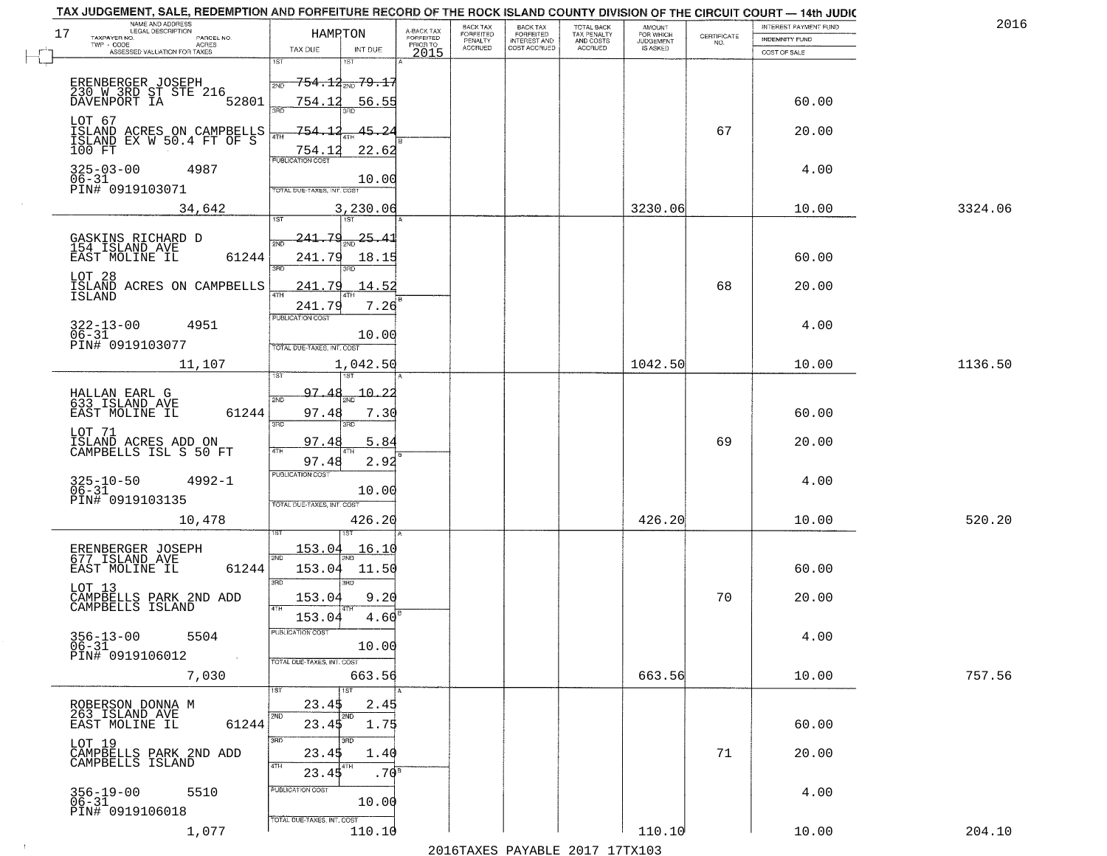|    | TAX JUDGEMENT, SALE, REDEMPTION AND FORFEITURE RECORD OF THE ROCK ISLAND COUNTY DIVISION OF THE CIRCUIT COURT — 14th JUDIC |                            |                                       |                         | BACK TAX           |                                                       |                                                   |                                                     |                    | INTEREST PAYMENT FUND | 2016    |
|----|----------------------------------------------------------------------------------------------------------------------------|----------------------------|---------------------------------------|-------------------------|--------------------|-------------------------------------------------------|---------------------------------------------------|-----------------------------------------------------|--------------------|-----------------------|---------|
| 17 | NAME AND ADDRESS<br>LEGAL DESCRIPTION<br>TAXPAYER NO.<br>PARCEL NO.                                                        | HAMRTON                    |                                       | A-BACK TAX<br>FORFEITED | FORFEITED          | BACK TAX<br>FORFEITED<br>INTEREST AND<br>COST ACCRUED | TOTAL BACK<br>TAX PENALTY<br>AND COSTS<br>ACCRUED | <b>AMOUNT</b><br>FOR WHICH<br>JUDGEMENT<br>IS ASKED | CERTIFICATE<br>NO. | INDEMNITY FUND        |         |
|    | $TWP - CODE$<br><b>ACRES</b><br>ASSESSED VALUATION FOR TAXES                                                               | TAX DUE                    | INT DUE                               | PRIOR TO<br>2015        | PENALTY<br>ACCRUED |                                                       |                                                   |                                                     |                    | COST OF SALE          |         |
|    |                                                                                                                            | 1ST                        | 1ST                                   |                         |                    |                                                       |                                                   |                                                     |                    |                       |         |
|    | ERENBERGER JOSEPH<br>230 W 3RD ST STE 216                                                                                  | 2ND                        | <del>754.12<sub>2ND</sub> 79.17</del> |                         |                    |                                                       |                                                   |                                                     |                    |                       |         |
|    | DAVENPORT IA<br>52801                                                                                                      | 754.12<br>san              | 56.55<br>3BD                          |                         |                    |                                                       |                                                   |                                                     |                    | 60.00                 |         |
|    | LOT 67                                                                                                                     |                            |                                       |                         |                    |                                                       |                                                   |                                                     |                    |                       |         |
|    | ISLAND ACRES ON CAMPBELLS<br>ISLAND EX W 50.4 FT OF S                                                                      | 754.<br>4TH                |                                       |                         |                    |                                                       |                                                   |                                                     | 67                 | 20.00                 |         |
|    | 100 FT                                                                                                                     | 754.1<br>PUBLICATION COST  | 22.62                                 |                         |                    |                                                       |                                                   |                                                     |                    |                       |         |
|    | $325 - 03 - 00$<br>4987                                                                                                    |                            | 10.00                                 |                         |                    |                                                       |                                                   |                                                     |                    | 4.00                  |         |
|    | 06-31<br>PIN# 0919103071                                                                                                   | TOTAL DUE-TAXES, INT. COST |                                       |                         |                    |                                                       |                                                   |                                                     |                    |                       |         |
|    | 34,642                                                                                                                     |                            | 3,230.06                              |                         |                    |                                                       |                                                   | 3230.06                                             |                    | 10.00                 | 3324.06 |
|    |                                                                                                                            | <b>IST</b>                 | 1ST <sup>1</sup>                      |                         |                    |                                                       |                                                   |                                                     |                    |                       |         |
|    | GASKINS RICHARD D<br>154 ISLAND AVE                                                                                        | <u> 241.79</u><br>2NF      | 25.41                                 |                         |                    |                                                       |                                                   |                                                     |                    |                       |         |
|    | 61244<br>EAST MOLINE IL                                                                                                    | 241.79<br>ब्रह्म           | 18.15                                 |                         |                    |                                                       |                                                   |                                                     |                    | 60.00                 |         |
|    | LOT 28<br>ISLAND ACRES ON CAMPBELLS                                                                                        | 241.79                     | 14.52                                 |                         |                    |                                                       |                                                   |                                                     | 68                 | 20.00                 |         |
|    | ISLAND                                                                                                                     | 47H<br>241.79              | 7.26                                  |                         |                    |                                                       |                                                   |                                                     |                    |                       |         |
|    | 4951                                                                                                                       | <b>PUBLICATION COST</b>    |                                       |                         |                    |                                                       |                                                   |                                                     |                    | 4.00                  |         |
|    | $322 - 13 - 00$<br>$06 - 31$                                                                                               |                            | 10.00                                 |                         |                    |                                                       |                                                   |                                                     |                    |                       |         |
|    | PIN# 0919103077                                                                                                            | TOTAL DUE-TAXES, INT. COST |                                       |                         |                    |                                                       |                                                   |                                                     |                    |                       |         |
|    | 11,107                                                                                                                     |                            | 1,042.50                              |                         |                    |                                                       |                                                   | 1042.50                                             |                    | 10.00                 | 1136.50 |
|    | HALLAN EARL G<br>633 ISLAND AVE                                                                                            | 97.48<br>2ND               | $-10 - 22$                            |                         |                    |                                                       |                                                   |                                                     |                    |                       |         |
|    | 61244<br>EAST MOLINE IL                                                                                                    | 97.48                      | 7.30                                  |                         |                    |                                                       |                                                   |                                                     |                    | 60.00                 |         |
|    | LOT 71                                                                                                                     | 3RD                        | 3RD                                   |                         |                    |                                                       |                                                   |                                                     |                    |                       |         |
|    | ISLAND ACRES ADD ON<br>CAMPBELLS ISL S 50 FT                                                                               | 97.48<br>4TH               | 5.84                                  |                         |                    |                                                       |                                                   |                                                     | 69                 | 20.00                 |         |
|    |                                                                                                                            | 97.48                      | 2.92                                  |                         |                    |                                                       |                                                   |                                                     |                    |                       |         |
|    | 325-10-50<br>06-31<br>$4992 - 1$                                                                                           | <b>PUBLICATION COST</b>    |                                       |                         |                    |                                                       |                                                   |                                                     |                    | 4.00                  |         |
|    | PIN# 0919103135                                                                                                            | TOTAL OUE-TAXES, INT. COST | 10.00                                 |                         |                    |                                                       |                                                   |                                                     |                    |                       |         |
|    | 10,478                                                                                                                     |                            | 426.20                                |                         |                    |                                                       |                                                   | 426.20                                              |                    | 10.00                 | 520.20  |
|    |                                                                                                                            |                            |                                       |                         |                    |                                                       |                                                   |                                                     |                    |                       |         |
|    | ERENBERGER JOSEPH<br>677 ISLAND AVE                                                                                        | 153.04<br>2ND              | <u> 16.10</u>                         |                         |                    |                                                       |                                                   |                                                     |                    |                       |         |
|    | 61244<br>EAST MOLINE IL                                                                                                    | 153.04<br>3RD              | 11.50                                 |                         |                    |                                                       |                                                   |                                                     |                    | 60.00                 |         |
|    | LOT 13                                                                                                                     | 153.04                     | 3RD<br>9.20                           |                         |                    |                                                       |                                                   |                                                     | 70                 | 20.00                 |         |
|    | CAMPBELLS PARK 2ND ADD<br>CAMPBELLS ISLAND                                                                                 | 4TH<br>153.04              | 4.60                                  |                         |                    |                                                       |                                                   |                                                     |                    |                       |         |
|    | $356 - 13 - 00$<br>5504                                                                                                    | PUBLICATION COST           |                                       |                         |                    |                                                       |                                                   |                                                     |                    | 4.00                  |         |
|    | 06-31                                                                                                                      |                            | 10.00                                 |                         |                    |                                                       |                                                   |                                                     |                    |                       |         |
|    | PIN# 0919106012                                                                                                            | TOTAL DUE-TAXES, INT. COST |                                       |                         |                    |                                                       |                                                   |                                                     |                    |                       |         |
|    | 7,030                                                                                                                      | 1ST                        | 663.56<br>1ST                         |                         |                    |                                                       |                                                   | 663.56                                              |                    | 10.00                 | 757.56  |
|    | ROBERSON DONNA M                                                                                                           | 23.45                      | 2.45                                  |                         |                    |                                                       |                                                   |                                                     |                    |                       |         |
|    | 263 ISLAND AVE<br>EAST MOLINE IL<br>61244                                                                                  | 2ND<br>23.45               | 2ND<br>1.75                           |                         |                    |                                                       |                                                   |                                                     |                    | 60.00                 |         |
|    | LOT 19                                                                                                                     | 3BD                        | 3RD                                   |                         |                    |                                                       |                                                   |                                                     |                    |                       |         |
|    | CAMPBELLS PARK 2ND ADD<br>CAMPBELLS ISLAND                                                                                 | 23.45                      | 1.40                                  |                         |                    |                                                       |                                                   |                                                     | 71                 | 20.00                 |         |
|    |                                                                                                                            | 4TH<br>23.45               | 4TH<br>.70 <sup>8</sup>               |                         |                    |                                                       |                                                   |                                                     |                    |                       |         |
|    | 356-19-00<br>06-31<br>5510                                                                                                 | PUBLICATION COST           |                                       |                         |                    |                                                       |                                                   |                                                     |                    | 4.00                  |         |
|    | PIN# 0919106018                                                                                                            | TOTAL DUE-TAXES, INT. COST | 10.00                                 |                         |                    |                                                       |                                                   |                                                     |                    |                       |         |
|    | 1,077                                                                                                                      |                            | 110.10                                |                         |                    |                                                       |                                                   | 110.10                                              |                    | 10.00                 | 204.10  |

 $\sim 10^{-1}$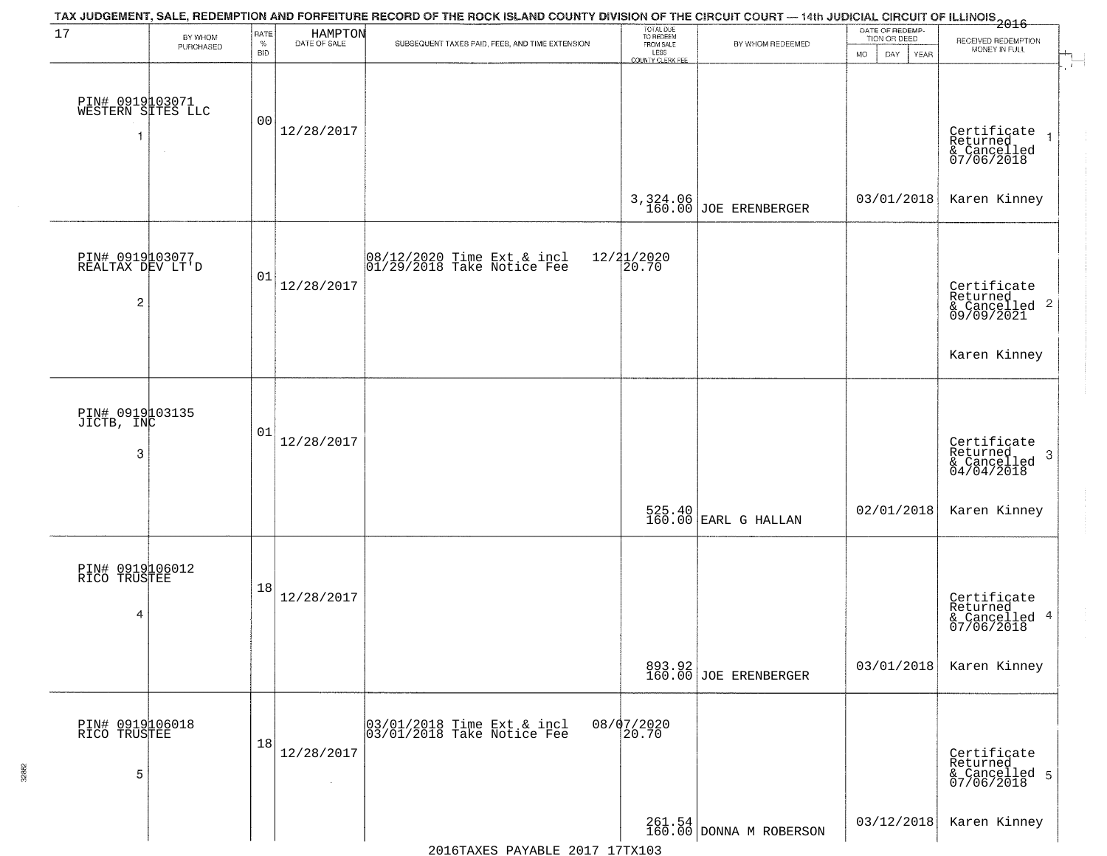| 17                                       | BY WHOM   | RATE<br>$\%$   | HAMPTON<br>DATE OF SALE | TAX JUDGEMENT, SALE, REDEMPTION AND FORFEITURE RECORD OF THE ROCK ISLAND COUNTY DIVISION OF THE CIRCUIT COURT — 14th JUDICIAL CIRCUIT OF ILLINOIS 2016<br>SUBSEQUENT TAXES PAID, FEES, AND TIME EXTENSION | TOTAL DUE<br>TO REDEEM<br>FROM SALE | BY WHOM REDEEMED                | DATE OF REDEMP-<br>TION OR DEED | RECEIVED REDEMPTION                                                           |
|------------------------------------------|-----------|----------------|-------------------------|-----------------------------------------------------------------------------------------------------------------------------------------------------------------------------------------------------------|-------------------------------------|---------------------------------|---------------------------------|-------------------------------------------------------------------------------|
|                                          | PURCHASED | BID            |                         |                                                                                                                                                                                                           | LESS<br>COUNTY CLERK FEE            |                                 | <b>MO</b><br>DAY<br><b>YEAR</b> | MONEY IN FULL                                                                 |
| PIN# 0919103071<br>WESTERN SITES LLC     | $\sim$    | 0 <sub>0</sub> | 12/28/2017              |                                                                                                                                                                                                           |                                     |                                 |                                 | Certificate<br>Returned<br>& Cancelled<br>07/06/2018                          |
|                                          |           |                |                         |                                                                                                                                                                                                           | 3, 324.06<br>160.00                 | JOE ERENBERGER                  | 03/01/2018                      | Karen Kinney                                                                  |
| PIN# 0919103077<br>REALTAX DEV LT'D<br>2 |           | 01             | 12/28/2017              | 08/12/2020 Time Ext & incl<br>01/29/2018 Take Notice Fee                                                                                                                                                  | $\frac{12}{2}$ $\frac{1}{20}$ . 70  |                                 |                                 | Certificate<br>Returned<br>& Cancelled 2<br>09/09/2021                        |
|                                          |           |                |                         |                                                                                                                                                                                                           |                                     |                                 |                                 | Karen Kinney                                                                  |
| PIN# 0919103135<br>JICTB, INC<br>3       |           | 01             | 12/28/2017              |                                                                                                                                                                                                           |                                     |                                 |                                 | Certificate<br>Returned<br>$\cdot$ 3<br>$\frac{1}{2}$ Cancelled<br>04/04/2018 |
|                                          |           |                |                         |                                                                                                                                                                                                           |                                     | $525.40$ EARL G HALLAN          | 02/01/2018                      | Karen Kinney                                                                  |
| PIN# 0919106012<br>RICO TRUSTEE<br>4     |           | 18             | 12/28/2017              |                                                                                                                                                                                                           |                                     |                                 |                                 | Certificate<br>Returned<br>& Cancelled 4<br>07/06/2018                        |
|                                          |           |                |                         |                                                                                                                                                                                                           |                                     | 893.92<br>160.00 JOE ERENBERGER | 03/01/2018                      | Karen Kinney                                                                  |
| PIN# 0919106018<br>RICO TRUSTEE<br>5     |           | 18             | 12/28/2017              | 03/01/2018 Time Ext & incl<br>03/01/2018 Take Notice Fee                                                                                                                                                  | 08/07/2020<br>20.70                 |                                 |                                 | Certificate<br>Returned<br>& Cancelled 5<br>07/06/2018                        |
|                                          |           |                |                         |                                                                                                                                                                                                           |                                     |                                 | 03/12/2018                      | Karen Kinney                                                                  |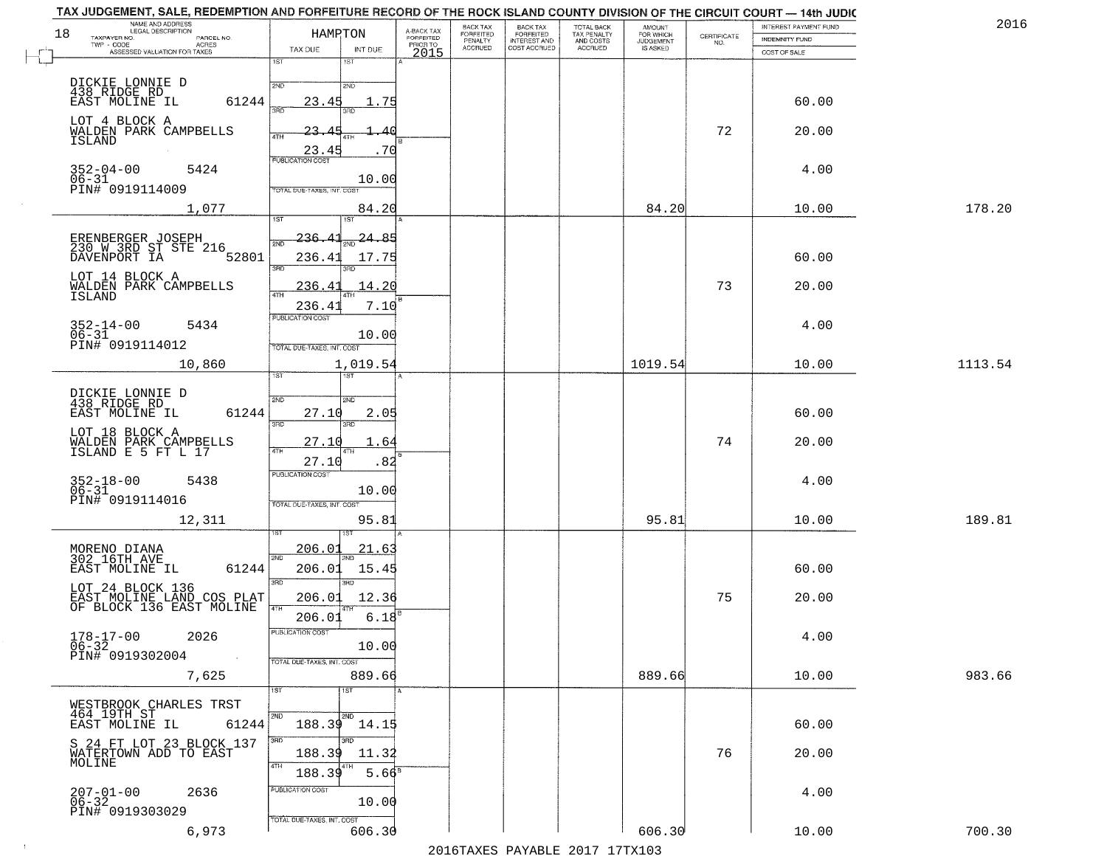| 18 | NAME AND ADDRESS<br>LEGAL DESCRIPTION<br>TAXPAYER NO.                     | HAMRTON                          |          | A-BACK TAX<br>FORFEITED | BACK TAX<br>FORFEITED | <b>BACK TAX</b><br><b>FORFEITED</b> | TOTAL BACK<br>TAX PENALTY | <b>AMOUNT</b>                      |                                                                 | INTEREST PAYMENT FUND | 2016    |
|----|---------------------------------------------------------------------------|----------------------------------|----------|-------------------------|-----------------------|-------------------------------------|---------------------------|------------------------------------|-----------------------------------------------------------------|-----------------------|---------|
|    | PARCEL NO.<br>TWP - CODE<br>ACRES<br>ASSESSED VALUATION FOR TAXES         | TAX DUE                          | INT DUE  | PRIOR TO                | PENALTY<br>ACCRUED    | INTEREST AND<br>COST ACCRUED        | AND COSTS<br>ACCRUED      | FOR WHICH<br>JUDGEMENT<br>IS ASKED | $\begin{array}{c} \text{CERTIFICATE} \\ \text{NO.} \end{array}$ | <b>INDEMNITY FUND</b> |         |
|    |                                                                           | 1ST<br>18T                       |          | 2015                    |                       |                                     |                           |                                    |                                                                 | COST OF SALE          |         |
|    | DICKIE LONNIE D<br>438 RIDGE RD                                           | 2ND<br>2ND                       |          |                         |                       |                                     |                           |                                    |                                                                 |                       |         |
|    | EAST MOLINE IL<br>61244                                                   | 23.45                            | . 75     |                         |                       |                                     |                           |                                    |                                                                 | 60.00                 |         |
|    | LOT 4 BLOCK A<br>WALDEN PARK CAMPBELLS                                    | 23.<br>4TH                       |          |                         |                       |                                     |                           |                                    | 72                                                              | 20.00                 |         |
|    | ISLAND                                                                    | 23.4<br><b>PUBLICATION COST</b>  | . 70     |                         |                       |                                     |                           |                                    |                                                                 |                       |         |
|    | $352 - 04 - 00$<br>5424<br>$06 - 31$                                      |                                  | 10.00    |                         |                       |                                     |                           |                                    |                                                                 | 4.00                  |         |
|    | PIN# 0919114009                                                           | TOTAL DUE-TAXES, INT. COST       |          |                         |                       |                                     |                           | 84.20                              |                                                                 |                       | 178.20  |
|    | 1,077                                                                     | 1ST<br>1ST                       | 84.20    |                         |                       |                                     |                           |                                    |                                                                 | 10.00                 |         |
|    |                                                                           | 236.                             | 24.85    |                         |                       |                                     |                           |                                    |                                                                 |                       |         |
|    | ERENBERGER JOSEPH<br>230 W 3RD ST STE 216<br>DAVENPORT IA<br>52801        | 236.41<br>3RD                    | 17.75    |                         |                       |                                     |                           |                                    |                                                                 | 60.00                 |         |
|    | LOT 14 BLOCK A<br>WALDEN PARK CAMPBELLS                                   | 236.<br>$\overline{4}$<br>47H    | 14.20    |                         |                       |                                     |                           |                                    | 73                                                              | 20.00                 |         |
|    | <b>ISLAND</b>                                                             | 236.4<br>PUBLICATION COST        | 7.10     |                         |                       |                                     |                           |                                    |                                                                 |                       |         |
|    | $352 - 14 - 00$<br>5434<br>$06 - 31$                                      |                                  | 10.00    |                         |                       |                                     |                           |                                    |                                                                 | 4.00                  |         |
|    | PIN# 0919114012                                                           | TOTAL DUE-TAXES, INT. COST       |          |                         |                       |                                     |                           |                                    |                                                                 |                       |         |
|    | 10,860                                                                    | 1ST                              | 1,019.54 |                         |                       |                                     |                           | 1019.54                            |                                                                 | 10.00                 | 1113.54 |
|    | DICKIE LONNIE D<br>438 RIDGE RD                                           | 2ND<br><b>SMD</b>                |          |                         |                       |                                     |                           |                                    |                                                                 |                       |         |
|    | 61244<br>EAST MOLINE IL                                                   | 27.10<br>3RD<br>3RD              | 2.05     |                         |                       |                                     |                           |                                    |                                                                 | 60.00                 |         |
|    | LOT 18 BLOCK A<br>WALDEN PARK CAMPBELLS<br>ISLAND E 5 FT L 17             | 27.10<br>4TH<br>4TH              | 1.64     |                         |                       |                                     |                           |                                    | 74                                                              | 20.00                 |         |
|    |                                                                           | 27.10<br><b>PUBLICATION COST</b> | .82      |                         |                       |                                     |                           |                                    |                                                                 |                       |         |
|    | $352 - 18 - 00$<br>06-31<br>5438                                          |                                  | 10.00    |                         |                       |                                     |                           |                                    |                                                                 | 4.00                  |         |
|    | PIN# 0919114016                                                           | TOTAL OUE-TAXES, INT. COST       |          |                         |                       |                                     |                           |                                    |                                                                 |                       |         |
|    | 12,311                                                                    |                                  | 95.81    |                         |                       |                                     |                           | 95.81                              |                                                                 | 10.00                 | 189.81  |
|    | MORENO DIANA<br>302 16TH AVE                                              | 206.01<br>2ND                    | 21.63    |                         |                       |                                     |                           |                                    |                                                                 |                       |         |
|    | 61244<br>EAST MOLINE IL                                                   | 206.01<br>3RD<br>3RD             | 15.45    |                         |                       |                                     |                           |                                    |                                                                 | 60.00                 |         |
|    | LOT 24 BLOCK 136<br>EAST MOLINE LAND COS PLAT<br>OF BLOCK 136 EAST MOLINE | 206.01                           | 12.36    |                         |                       |                                     |                           |                                    | 75                                                              | 20.00                 |         |
|    |                                                                           | 4TH<br>206.01                    | 6.18     |                         |                       |                                     |                           |                                    |                                                                 |                       |         |
|    | $178 - 17 - 00$<br>2026<br>$06 - 32$                                      | PUBLICATION COST                 | 10.00    |                         |                       |                                     |                           |                                    |                                                                 | 4.00                  |         |
|    | PIN# 0919302004<br>$\sim 100$<br>7,625                                    | TOTAL DUE-TAXES, INT. COST       | 889.66   |                         |                       |                                     |                           | 889.66                             |                                                                 | 10.00                 | 983.66  |
|    |                                                                           | 1ST<br>1ST                       |          |                         |                       |                                     |                           |                                    |                                                                 |                       |         |
|    | WESTBROOK CHARLES TRST<br>464 19TH ST                                     | 2ND<br>2ND                       |          |                         |                       |                                     |                           |                                    |                                                                 |                       |         |
|    | EAST MOLINE IL<br>61244                                                   | 188.39 14.15<br>3RD              |          |                         |                       |                                     |                           |                                    |                                                                 | 60.00                 |         |
|    | S 24 FT LOT 23 BLOCK 137<br>WATERTOWN ADD TO EAST<br>MOLINE               | 188.39                           | 11.32    |                         |                       |                                     |                           |                                    | 76                                                              | 20.00                 |         |
|    |                                                                           | 4TH<br>188.39                    | $5.66^8$ |                         |                       |                                     |                           |                                    |                                                                 |                       |         |
|    | 2636<br>$207 - 01 - 00$<br>06-32                                          | PUBLICATION COST                 | 10.00    |                         |                       |                                     |                           |                                    |                                                                 | 4.00                  |         |
|    | PIN# 0919303029<br>6,973                                                  | TOTAL DUE-TAXES, INT. COST       | 606.30   |                         |                       |                                     |                           | 606.30                             |                                                                 | 10.00                 | 700.30  |
|    |                                                                           |                                  |          |                         |                       |                                     |                           |                                    |                                                                 |                       |         |

 $\sim 100$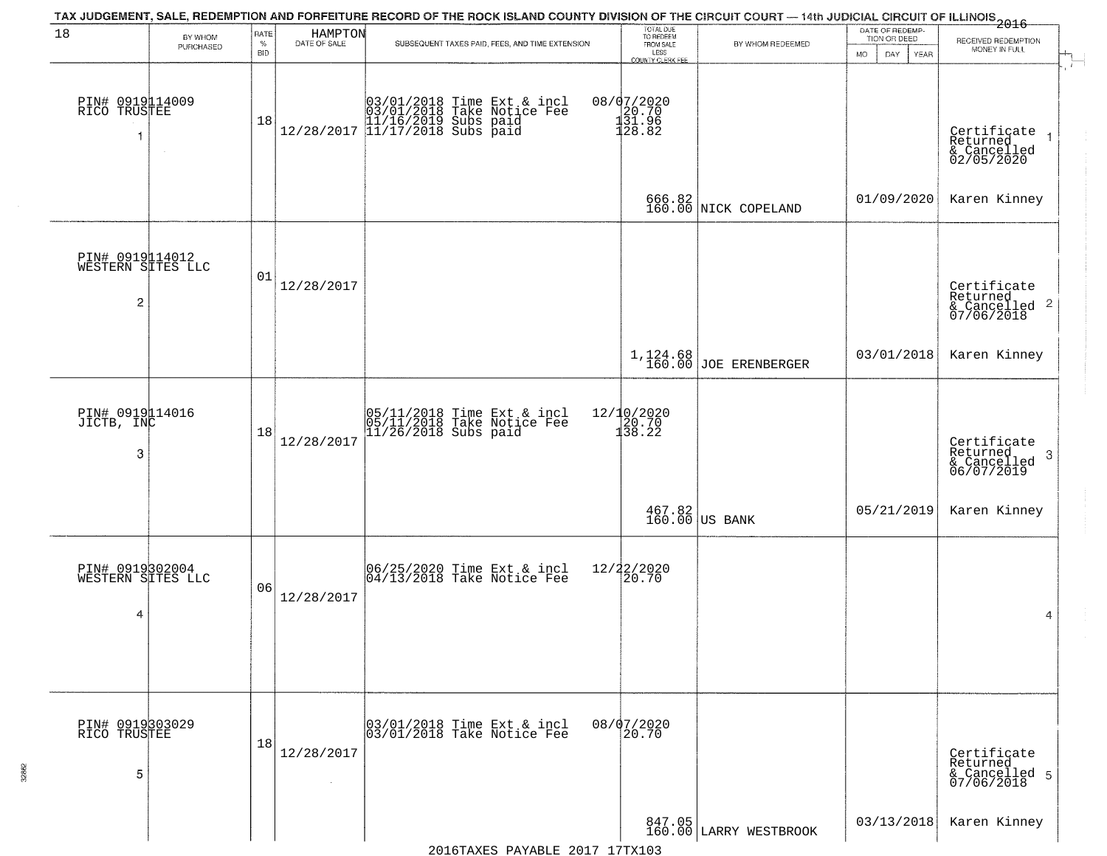| 18                                        | BY WHOM   | RATE<br>$\%$ | HAMPTON<br>DATE OF SALE | TAX JUDGEMENT, SALE, REDEMPTION AND FORFEITURE RECORD OF THE ROCK ISLAND COUNTY DIVISION OF THE CIRCUIT COURT - 14th JUDICIAL CIRCUIT OF ILLINOIS 2016<br>SUBSEQUENT TAXES PAID, FEES, AND TIME EXTENSION | TOTAL DUE<br>TO REDEEM<br>FROM SALE<br>BY WHOM REDEEMED |                                                           | DATE OF REDEMP-<br>TION OR DEED | RECEIVED REDEMPTION                                                |
|-------------------------------------------|-----------|--------------|-------------------------|-----------------------------------------------------------------------------------------------------------------------------------------------------------------------------------------------------------|---------------------------------------------------------|-----------------------------------------------------------|---------------------------------|--------------------------------------------------------------------|
|                                           | PURCHASED | <b>BID</b>   |                         |                                                                                                                                                                                                           | LESS<br>COUNTY CLERK FEE                                |                                                           | MO.<br>DAY<br>YEAR              | MONEY IN FULL                                                      |
| PIN# 0919114009<br>RICO TRUSTEE<br>-1     |           | 18           |                         | $[03/01/2018 \t\t Time \t\t Ext & incl \\ 03/01/2018 \t\t Take \t Notice \t\ Fee \\ 11/16/2019 \t\ Subs \t paid \\ 12/28/2017 \t\t 11/17/2018 \t\ Subs \t paid \\$                                        | 08/07/2020<br>120.70<br>131.96<br>128.82                |                                                           |                                 | Certificate<br>Returned<br>& Cancelled<br>02/05/2020               |
|                                           |           |              |                         |                                                                                                                                                                                                           |                                                         | 666.82<br>160.00 NICK COPELAND                            | 01/09/2020                      | Karen Kinney                                                       |
| PIN# 0919114012<br>WESTERN SITES LLC<br>2 |           | 01           | 12/28/2017              |                                                                                                                                                                                                           |                                                         |                                                           |                                 | Certificate<br>Returned<br>$\frac{1}{2}$ Cancelled 2<br>07/06/2018 |
|                                           |           |              |                         |                                                                                                                                                                                                           |                                                         | 1,124.68<br>160.00 JOE ERENBERGER                         | 03/01/2018                      | Karen Kinney                                                       |
| PIN# 0919114016<br>JICTB, INC<br>3        |           | 18           | 12/28/2017              | 05/11/2018 Time Ext & incl<br>05/11/2018 Take Notice Fee<br>11/26/2018 Subs paid                                                                                                                          | 12/10/2020<br>20.70<br>138.22                           |                                                           |                                 | Certificate<br>Returned<br>-3<br>& Cancelled<br>06/07/2019         |
|                                           |           |              |                         |                                                                                                                                                                                                           |                                                         | $\begin{array}{c c} 467.82 \\ 160.00 \end{array}$ US BANK | 05/21/2019                      | Karen Kinney                                                       |
| PIN# 0919302004<br>WESTERN SITES LLC<br>4 |           | 06           | 12/28/2017              | 06/25/2020 Time Ext & incl<br>04/13/2018 Take Notice Fee                                                                                                                                                  | 12/22/2020<br>20.70                                     |                                                           |                                 | 4                                                                  |
| PIN# 0919303029<br>RICO TRUSTEE<br>5      |           | 18           | 12/28/2017              | 03/01/2018 Time Ext & incl<br>03/01/2018 Take Notice Fee                                                                                                                                                  | 08/07/2020<br>20.70                                     |                                                           |                                 | Certificate<br>Returned<br>& Cancelled 5<br>07/06/2018             |
|                                           |           |              |                         |                                                                                                                                                                                                           |                                                         | 847.05<br>160.00 LARRY WESTBROOK                          | 03/13/2018                      | Karen Kinney                                                       |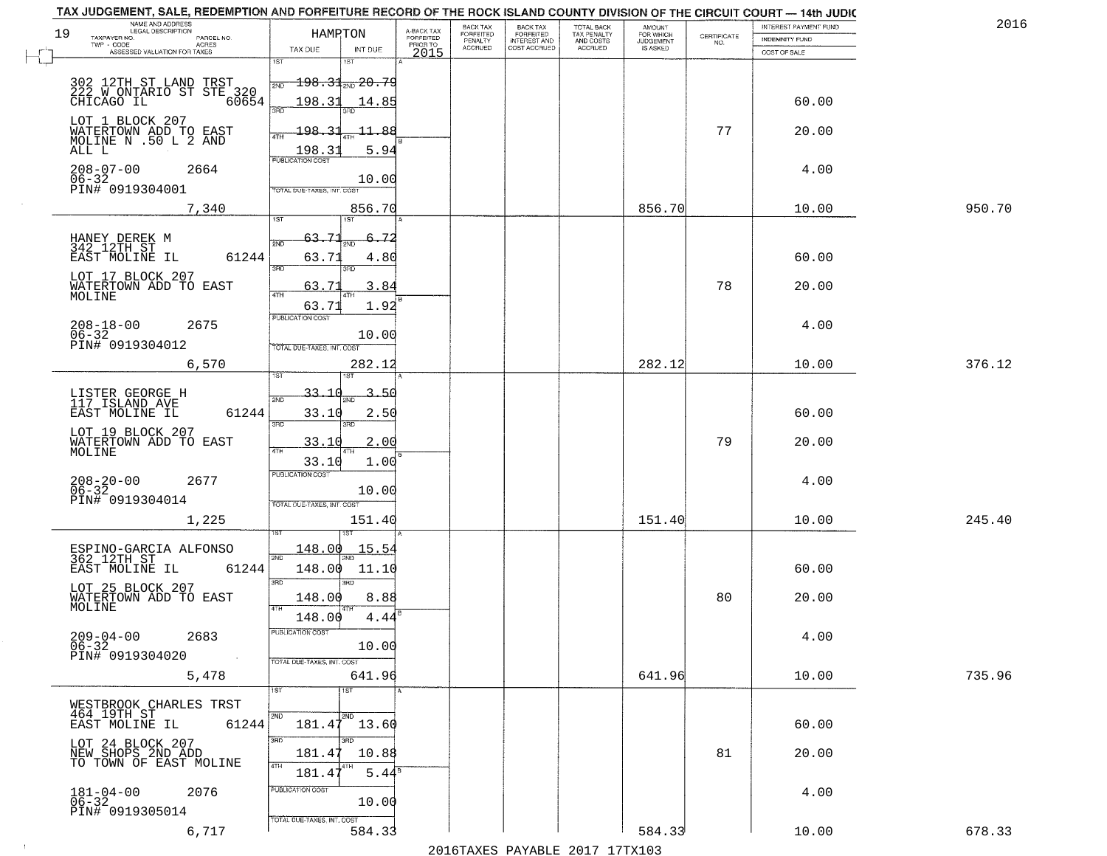|        | INTEREST PAYMENT FUND |                                                                 | AMOUNT<br>FOR WHICH | TOTAL BACK<br>TAX PENALTY<br>AND COSTS | BACK TAX<br>FORFEITED<br>INTEREST AND | BACK TAX<br>FORFEITED     |                                     |               | HAMPTON                           | NAME AND ADDRESS<br><b>LEGAL DESCRIPTION</b><br>19<br>TAXPAYER NO.    |
|--------|-----------------------|-----------------------------------------------------------------|---------------------|----------------------------------------|---------------------------------------|---------------------------|-------------------------------------|---------------|-----------------------------------|-----------------------------------------------------------------------|
|        | <b>INDEMNITY FUND</b> | $\begin{array}{c} \text{CERTIFICATE} \\ \text{NO.} \end{array}$ | <b>JUDGEMENT</b>    | ACCRUED                                | COST ACCRUED                          | PENALTY<br><b>ACCRUED</b> | A-BACK TAX<br>FORFEITED<br>PRIOR TO | INT DUE       | TAX DUE                           | PARCEL NO.<br>ACRES<br>TWP - CODE                                     |
|        | COST OF SALE          |                                                                 |                     |                                        |                                       |                           | 2015                                | 18T           | 1ST                               | ASSESSED VALUATION FOR TAXES                                          |
|        |                       |                                                                 |                     |                                        |                                       |                           |                                     |               |                                   |                                                                       |
|        |                       |                                                                 |                     |                                        |                                       |                           |                                     |               | $-198.31$ <sub>20.79</sub><br>2ND | 302 12TH ST LAND TRST<br>222 W ONTARIO ST STE 320<br>CHICAGO IL 60654 |
|        | 60.00                 |                                                                 |                     |                                        |                                       |                           |                                     | 14.85         | 198.31<br>3RD                     |                                                                       |
|        |                       |                                                                 |                     |                                        |                                       |                           |                                     |               |                                   | LOT 1 BLOCK 207                                                       |
|        | 20.00                 | 77                                                              |                     |                                        |                                       |                           |                                     | $-11.88$      | 198.31                            | WATERTOWN ADD TO EAST<br>MOLINE N .50 L 2 AND                         |
|        |                       |                                                                 |                     |                                        |                                       |                           |                                     | 5.94          | 198.31                            | ALL L                                                                 |
|        | 4.00                  |                                                                 |                     |                                        |                                       |                           |                                     |               | <b>PUBLICATION COST</b>           | $208 - 07 - 00$<br>2664                                               |
|        |                       |                                                                 |                     |                                        |                                       |                           |                                     | 10.00         |                                   | $06 - 32$                                                             |
|        |                       |                                                                 |                     |                                        |                                       |                           |                                     |               | TOTAL DUE-TAXES, INT. COST        | PIN# 0919304001                                                       |
| 950.70 | 10.00                 |                                                                 | 856.70              |                                        |                                       |                           |                                     | 856.70<br>1ST |                                   | 7,340                                                                 |
|        |                       |                                                                 |                     |                                        |                                       |                           |                                     |               | 1ST                               |                                                                       |
|        |                       |                                                                 |                     |                                        |                                       |                           |                                     | -72<br>CIMO   | 63.71<br>2ND                      | HANEY DEREK M<br>342 12TH ST                                          |
|        | 60.00                 |                                                                 |                     |                                        |                                       |                           |                                     | 4.80          | 63.71                             | 61244<br>EAST MOLINE IL                                               |
|        |                       |                                                                 |                     |                                        |                                       |                           |                                     | 3RD           | 3RD                               | LOT 17 BLOCK 207                                                      |
|        | 20.00                 | 78                                                              |                     |                                        |                                       |                           |                                     | 3.84          | 63.7<br>47H                       | WATERTOWN ADD TO EAST                                                 |
|        |                       |                                                                 |                     |                                        |                                       |                           |                                     | 1.92          | 63.71                             | MOLINE                                                                |
|        | 4.00                  |                                                                 |                     |                                        |                                       |                           |                                     |               | PUBLICATION COST                  | 2675                                                                  |
|        |                       |                                                                 |                     |                                        |                                       |                           |                                     | 10.00         |                                   | $208 - 18 - 00$<br>06-32                                              |
|        |                       |                                                                 |                     |                                        |                                       |                           |                                     |               | TOTAL DUE-TAXES, INT. COST        | PIN# 0919304012                                                       |
| 376.12 | 10.00                 |                                                                 | 282.12              |                                        |                                       |                           |                                     | 282.12        |                                   | 6,570                                                                 |
|        |                       |                                                                 |                     |                                        |                                       |                           |                                     | 1ST           |                                   |                                                                       |
|        |                       |                                                                 |                     |                                        |                                       |                           |                                     | 3.50          | 33.10<br>2ND                      | LISTER GEORGE H<br>117 ISLAND AVE                                     |
|        | 60.00                 |                                                                 |                     |                                        |                                       |                           |                                     | 2.50          | 33.10                             | EAST MOLINE IL<br>61244                                               |
|        |                       |                                                                 |                     |                                        |                                       |                           |                                     | 3RD           | 3RD                               | LOT 19 BLOCK 207                                                      |
|        | 20.00                 | 79                                                              |                     |                                        |                                       |                           |                                     | 2.00          | 33.10                             | WATERTOWN ADD TO EAST<br>MOLINE                                       |
|        |                       |                                                                 |                     |                                        |                                       |                           |                                     | 1.00          | 33.10                             |                                                                       |
|        |                       |                                                                 |                     |                                        |                                       |                           |                                     |               | <b>PUBLICATION COST</b>           |                                                                       |
|        | 4.00                  |                                                                 |                     |                                        |                                       |                           |                                     | 10.00         |                                   | $208 - 20 - 00$<br>06-32<br>2677                                      |
|        |                       |                                                                 |                     |                                        |                                       |                           |                                     |               | TOTAL OUE-TAXES, INT. COST        | PIN# 0919304014                                                       |
| 245.40 | 10.00                 |                                                                 | 151.40              |                                        |                                       |                           |                                     | 151.40        |                                   | 1,225                                                                 |
|        |                       |                                                                 |                     |                                        |                                       |                           |                                     | 1ST           |                                   |                                                                       |
|        |                       |                                                                 |                     |                                        |                                       |                           |                                     | <u> 15.54</u> | 148.00<br>2ND                     | ESPINO-GARCIA ALFONSO<br>362 12TH ST                                  |
|        | 60.00                 |                                                                 |                     |                                        |                                       |                           |                                     | 11.10         | 148.00                            | EAST MOLINE IL<br>61244                                               |
|        |                       |                                                                 |                     |                                        |                                       |                           |                                     | 3RD           | 3RD                               |                                                                       |
|        | 20.00                 | 80                                                              |                     |                                        |                                       |                           |                                     | 8.88          | 148.00                            | LOT 25 BLOCK 207<br>WATERTOWN ADD TO EAST<br>MOLINE                   |
|        |                       |                                                                 |                     |                                        |                                       |                           |                                     | 4.44          | 4TH<br>148.00                     |                                                                       |
|        |                       |                                                                 |                     |                                        |                                       |                           |                                     |               | PUBLICATION COST                  |                                                                       |
|        | 4.00                  |                                                                 |                     |                                        |                                       |                           |                                     | 10.00         |                                   | 2683<br>$209 - 04 - 00$<br>$06 - 32$                                  |
|        |                       |                                                                 |                     |                                        |                                       |                           |                                     |               | TOTAL DUE-TAXES, INT. COST        | PIN# 0919304020                                                       |
| 735.96 | 10.00                 |                                                                 | 641.96              |                                        |                                       |                           |                                     | 641.96        |                                   | 5,478                                                                 |
|        |                       |                                                                 |                     |                                        |                                       |                           |                                     | 1ST           | 1ST                               |                                                                       |
|        |                       |                                                                 |                     |                                        |                                       |                           |                                     |               |                                   | WESTBROOK CHARLES TRST                                                |
|        | 60.00                 |                                                                 |                     |                                        |                                       |                           |                                     | 2ND<br>13.60  | 2ND<br>181.47                     | 464 19TH ST<br>EAST MOLINE IL<br>61244                                |
|        |                       |                                                                 |                     |                                        |                                       |                           |                                     | 3RD           | 3RD                               |                                                                       |
|        | 20.00                 | 81                                                              |                     |                                        |                                       |                           |                                     | 10.88         | 181.47                            | LOT 24 BLOCK 207<br>NEW SHOPS 2ND ADD                                 |
|        |                       |                                                                 |                     |                                        |                                       |                           |                                     |               | 4TH                               | TO TOWN OF EAST MOLINE                                                |
|        |                       |                                                                 |                     |                                        |                                       |                           |                                     | $5.44^8$      | 181.4                             |                                                                       |
|        | 4.00                  |                                                                 |                     |                                        |                                       |                           |                                     | 10.00         | PUBLICATION COST                  | $181 - 04 - 00$<br>06-32<br>2076                                      |
|        |                       |                                                                 |                     |                                        |                                       |                           |                                     |               |                                   | PIN# 0919305014                                                       |
|        |                       |                                                                 |                     |                                        |                                       |                           |                                     |               | TOTAL DUE-TAXES, INT. COST        |                                                                       |
| 678.33 | 10.00                 |                                                                 | 584.33              |                                        |                                       |                           |                                     | 584.33        |                                   | 6,717                                                                 |

 $\sim 10^6$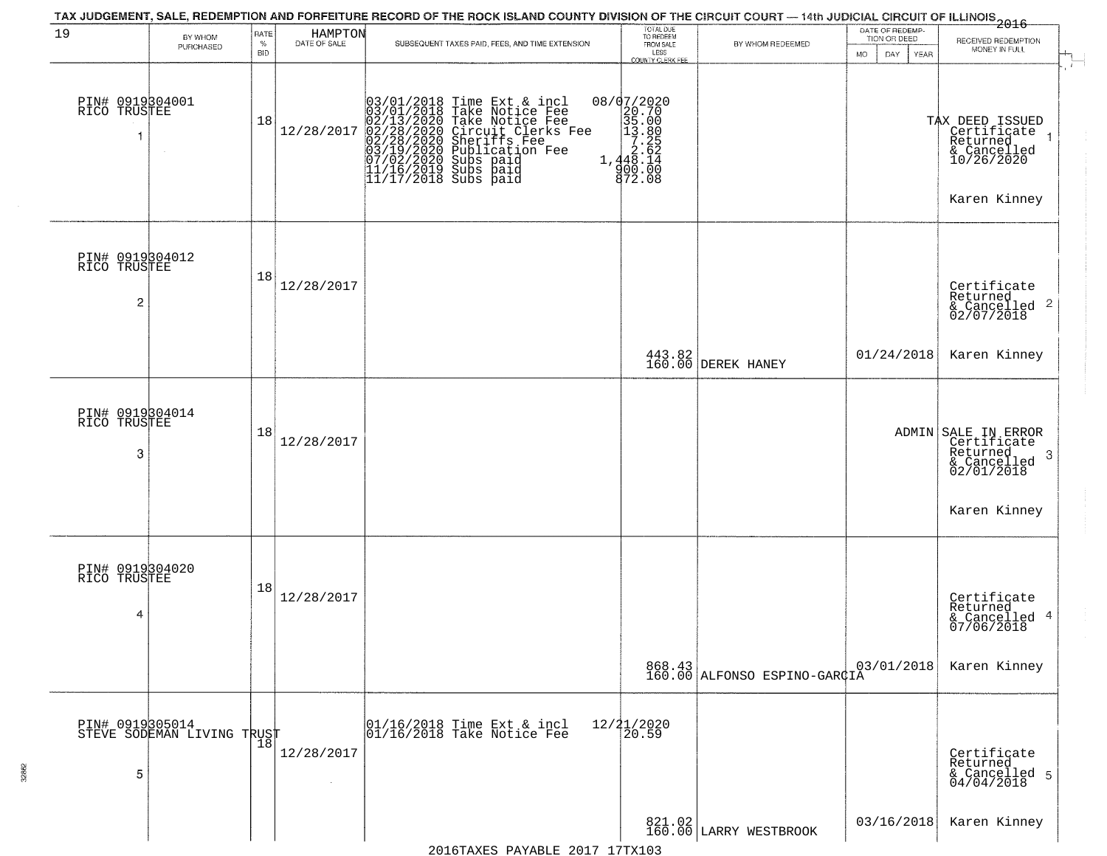|                                      |                                               |                         |                         | TAX JUDGEMENT, SALE, REDEMPTION AND FORFEITURE RECORD OF THE ROCK ISLAND COUNTY DIVISION OF THE CIRCUIT COURT — 14th JUDICIAL CIRCUIT OF ILLINOIS 2016                                                                                                                                                                                             |                                                                                                                                                                                                                                                                                                                                                                                                                                                                                                                          |                                        |                                 |                                                                                         |
|--------------------------------------|-----------------------------------------------|-------------------------|-------------------------|----------------------------------------------------------------------------------------------------------------------------------------------------------------------------------------------------------------------------------------------------------------------------------------------------------------------------------------------------|--------------------------------------------------------------------------------------------------------------------------------------------------------------------------------------------------------------------------------------------------------------------------------------------------------------------------------------------------------------------------------------------------------------------------------------------------------------------------------------------------------------------------|----------------------------------------|---------------------------------|-----------------------------------------------------------------------------------------|
| 19                                   | BY WHOM<br>PURCHASED                          | RATE<br>%<br><b>BID</b> | HAMPTON<br>DATE OF SALE | SUBSEQUENT TAXES PAID, FEES, AND TIME EXTENSION                                                                                                                                                                                                                                                                                                    | TOTAL DUE<br>TO REDEEM<br>FROM SALE                                                                                                                                                                                                                                                                                                                                                                                                                                                                                      | BY WHOM REDEEMED                       | DATE OF REDEMP-<br>TION OR DEED | RECEIVED REDEMPTION<br>MONEY IN FULL                                                    |
| PIN# 0919304001<br>RICO TRUSTEE<br>1 | $\sim$                                        | 18                      | 12/28/2017              | 03/01/2018 Time Ext & incl<br>03/01/2018 Take Notice Fee<br>02/13/2020 Take Notice Fee<br>02/28/2020 Circuit Clerks F<br>02/28/2020 Sheriffs Fee<br>03/19/2020 Sheriffs Fee<br>03/19/2020 Subs paid<br>11/16/2019 Subs paid<br>11/16/2019 Subs paid<br>11<br>Take Notice Fee<br>Circuit Clerks Fee<br>Sheriffs Fee<br>Publication Fee<br>Subs paid | LESS<br>COUNTY CLERK FEE<br>08/07/2020<br>$\begin{array}{r} \n 18 \overline{)1} \overline{)1} \overline{)1} \overline{)1} \overline{)1} \overline{)1} \overline{)1} \overline{)1} \overline{)1} \overline{)1} \overline{)1} \overline{)1} \overline{)1} \overline{)1} \overline{)1} \overline{)1} \overline{)1} \overline{)1} \overline{)1} \overline{)1} \overline{)1} \overline{)1} \overline{)1} \overline{)1} \overline{)1} \overline{)1} \overline{)1} \overline{)1} \overline{)1} \overline{)$<br>900.00<br>872.08 |                                        | <b>MO</b><br>DAY<br>YEAR        | TAX DEED ISSUED<br>Certificate<br>Returned<br>& Cancelled<br>10/26/2020<br>Karen Kinney |
| PIN# 0919304012<br>RICO TRUSTEE<br>2 |                                               | 18                      | 12/28/2017              |                                                                                                                                                                                                                                                                                                                                                    |                                                                                                                                                                                                                                                                                                                                                                                                                                                                                                                          |                                        |                                 | Certificate<br>Returned<br>$\frac{1}{2}$ Cancelled 2<br>02/07/2018                      |
|                                      |                                               |                         |                         |                                                                                                                                                                                                                                                                                                                                                    |                                                                                                                                                                                                                                                                                                                                                                                                                                                                                                                          | 443.82<br>160.00 DEREK HANEY           | 01/24/2018                      | Karen Kinney                                                                            |
| PIN# 0919304014<br>RICO TRUSTEE<br>3 |                                               | 18                      | 12/28/2017              |                                                                                                                                                                                                                                                                                                                                                    |                                                                                                                                                                                                                                                                                                                                                                                                                                                                                                                          |                                        |                                 | ADMIN SALE IN ERROR<br>Certificate<br>Returned<br>-3<br>& Cancelled<br>02/01/2018       |
|                                      |                                               |                         |                         |                                                                                                                                                                                                                                                                                                                                                    |                                                                                                                                                                                                                                                                                                                                                                                                                                                                                                                          |                                        |                                 | Karen Kinney                                                                            |
| PIN# 0919304020<br>RICO TRUSTEE<br>4 |                                               | 18                      | 12/28/2017              |                                                                                                                                                                                                                                                                                                                                                    |                                                                                                                                                                                                                                                                                                                                                                                                                                                                                                                          |                                        |                                 | Certificate<br>Returned<br>& Cancelled 4<br>07/06/2018                                  |
|                                      |                                               |                         |                         |                                                                                                                                                                                                                                                                                                                                                    |                                                                                                                                                                                                                                                                                                                                                                                                                                                                                                                          | 868.43<br>160.00 ALFONSO ESPINO-GARÇIA | 03/01/2018                      | Karen Kinney                                                                            |
| 5                                    | PIN# 0919305014<br>STEVE SODEMAN LIVING TRUST |                         | 12/28/2017              | 01/16/2018 Time Ext & incl<br>01/16/2018 Take Notice Fee                                                                                                                                                                                                                                                                                           | 12/21/2020<br>20.59                                                                                                                                                                                                                                                                                                                                                                                                                                                                                                      |                                        |                                 | Certificate<br>Returned<br>& Cancelled 5<br>04/04/2018                                  |
|                                      |                                               |                         |                         | 2016TAXES PAYABLE 2017 17TX103                                                                                                                                                                                                                                                                                                                     |                                                                                                                                                                                                                                                                                                                                                                                                                                                                                                                          | 821.02<br>160.00 LARRY WESTBROOK       | 03/16/2018                      | Karen Kinney                                                                            |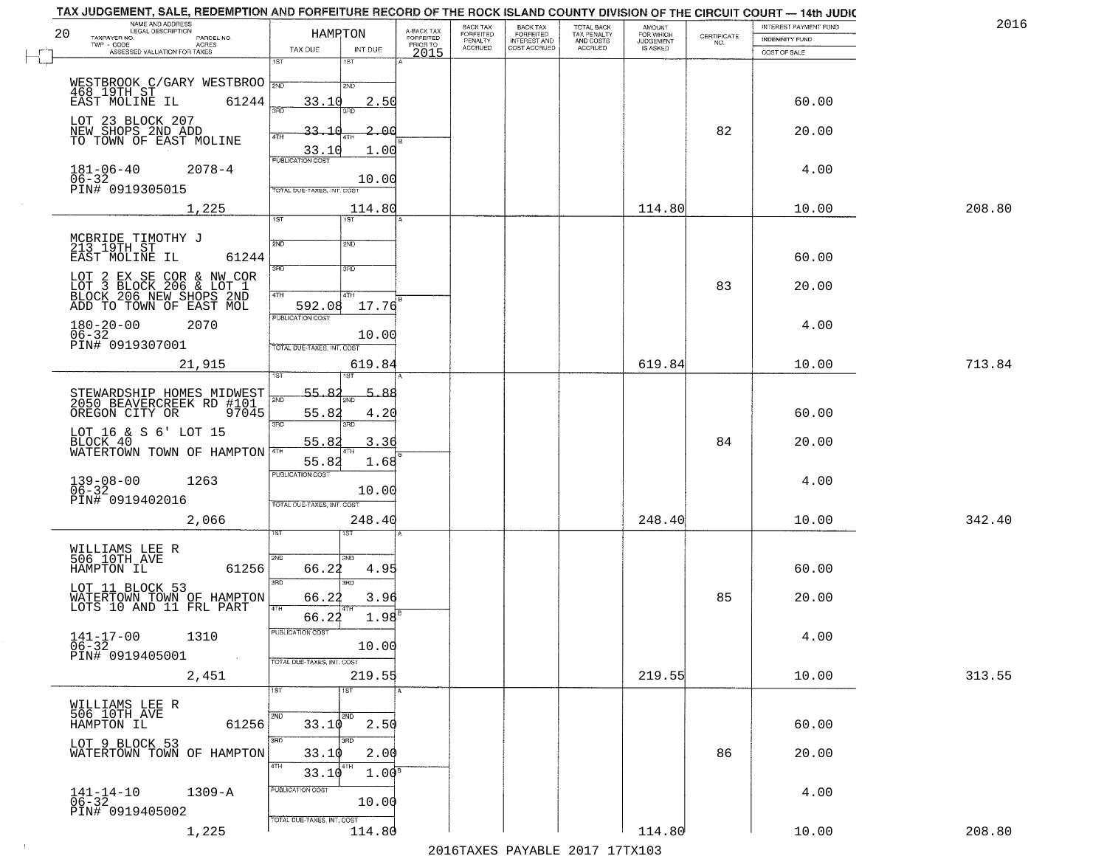| 20 | NAME AND ADDRESS<br>LEGAL DESCRIPTION<br>TAXPAYER NO.<br>PARCEL NO.<br>$TWP - CODE$<br><b>ACRES</b><br>ASSESSED VALUATION FOR TAXES | HAMRTON<br>TAX DUE<br>INT DUE                                                   | A-BACK TAX<br>FORFEITED<br>PRIOR TO<br>2015 | BACK TAX<br>FORFEITED<br>PENALTY<br><b>ACCRUED</b> | <b>BACK TAX</b><br><b>FORFEITED</b><br>INTEREST AND<br>COST ACCRUED | TOTAL BACK<br>TAX PENALTY<br>AND COSTS<br>ACCRUED | <b>AMOUNT</b><br>FOR WHICH<br><b>JUDGEMENT</b> | CERTIFICATE<br>NO. | INTEREST PAYMENT FUND<br><b>INDEMNITY FUND</b><br>COST OF SALE | 2016   |
|----|-------------------------------------------------------------------------------------------------------------------------------------|---------------------------------------------------------------------------------|---------------------------------------------|----------------------------------------------------|---------------------------------------------------------------------|---------------------------------------------------|------------------------------------------------|--------------------|----------------------------------------------------------------|--------|
|    |                                                                                                                                     | 1ST<br>1ST                                                                      |                                             |                                                    |                                                                     |                                                   |                                                |                    |                                                                |        |
|    | WESTBROOK C/GARY WESTBROO 3ND<br>EAST MOLINE IL<br>61244                                                                            | 2ND<br>2.50<br>33.10<br>3RD                                                     |                                             |                                                    |                                                                     |                                                   |                                                |                    | 60.00                                                          |        |
|    | LOT 23 BLOCK 207<br>NEW SHOPS 2ND ADD<br>TO TOWN OF EAST MOLINE                                                                     | 33.10<br>2.00<br>4TH                                                            |                                             |                                                    |                                                                     |                                                   |                                                | 82                 | 20.00                                                          |        |
|    | $181 - 06 - 40$<br>$2078 - 4$                                                                                                       | 33.10<br>1.00<br><b>PUBLICATION COST</b>                                        |                                             |                                                    |                                                                     |                                                   |                                                |                    | 4.00                                                           |        |
|    | $06 - 32$<br>PIN# 0919305015<br>1,225                                                                                               | 10.00<br>TOTAL DUE-TAXES, INT. COST<br>114.80                                   |                                             |                                                    |                                                                     |                                                   | 114.80                                         |                    | 10.00                                                          | 208.80 |
|    |                                                                                                                                     | 1ST<br>1ST                                                                      |                                             |                                                    |                                                                     |                                                   |                                                |                    |                                                                |        |
|    | MCBRIDE TIMOTHY J<br>213 19TH ST<br>EAST MOLINE IL<br>61244                                                                         | 2ND<br>2ND<br>3RD<br>3RD                                                        |                                             |                                                    |                                                                     |                                                   |                                                |                    | 60.00                                                          |        |
|    | LOT 2 EX SE COR & NW COR<br>LOT 3 BLOCK 206 & LOT 1<br>BLOCK 206 NEW SHOPS 2ND<br>ADD TO TOWN OF EAST MOL                           | 47H<br>4TH<br>592.08<br>17.76                                                   |                                             |                                                    |                                                                     |                                                   |                                                | 83                 | 20.00                                                          |        |
|    | $180 - 20 - 00$<br>2070<br>$06 - 32$<br>PIN# 0919307001                                                                             | PUBLICATION COST<br>10.00<br>TOTAL DUE-TAXES, INT. COST                         |                                             |                                                    |                                                                     |                                                   |                                                |                    | 4.00                                                           |        |
|    | 21,915                                                                                                                              | 619.84<br>1ST                                                                   |                                             |                                                    |                                                                     |                                                   | 619.84                                         |                    | 10.00                                                          | 713.84 |
|    | STEWARDSHIP HOMES MIDWEST<br>2050 BEAVERCREEK RD #101<br>OREGON CITY OR<br>97045                                                    | 55.8<br>5.<br>88.<br>2ND<br>55.82<br>4.20                                       |                                             |                                                    |                                                                     |                                                   |                                                |                    | 60.00                                                          |        |
|    | LOT 16 & S 6' LOT 15<br>BLOCK 40<br>WATERTOWN TOWN OF HAMPTON 4TH                                                                   | 3RD<br>3RD<br>3.36<br>55.82                                                     |                                             |                                                    |                                                                     |                                                   |                                                | 84                 | 20.00                                                          |        |
|    | $139 - 08 - 00$<br>06-32<br>1263<br>PIN# 0919402016                                                                                 | 55.82<br>1.68<br><b>PUBLICATION COST</b><br>10.00<br>TOTAL OUE-TAXES, INT. COST |                                             |                                                    |                                                                     |                                                   |                                                |                    | 4.00                                                           |        |
|    | 2,066                                                                                                                               | 248.40                                                                          |                                             |                                                    |                                                                     |                                                   | 248.40                                         |                    | 10.00                                                          | 342.40 |
|    | WILLIAMS LEE R<br>506 10TH AVE<br>61256<br>HAMPTON IL                                                                               | 2ND<br>2ND.<br>66.22<br>4.95                                                    |                                             |                                                    |                                                                     |                                                   |                                                |                    | 60.00                                                          |        |
|    | LOT 11 BLOCK 53<br>WATERTOWN TOWN OF HAMPTON<br>LOTS 10 AND 11 FRL PART                                                             | 3RD<br>3RD.<br>66.22<br>3.96<br>4TH                                             |                                             |                                                    |                                                                     |                                                   |                                                | 85                 | 20.00                                                          |        |
|    | $141 - 17 - 00$<br>$06 - 32$<br>1310<br>PIN# 0919405001<br>$\sim 100$                                                               | 1.98<br>66.22<br>PUBLICATION COST<br>10.00<br>TOTAL DUE-TAXES, INT. COST        |                                             |                                                    |                                                                     |                                                   |                                                |                    | 4.00                                                           |        |
|    | 2,451                                                                                                                               | 219.55                                                                          |                                             |                                                    |                                                                     |                                                   | 219.55                                         |                    | 10.00                                                          | 313.55 |
|    | WILLIAMS LEE R<br>506 10TH AVE<br>HAMPTON IL<br>61256                                                                               | 1ST<br>1ST<br>2ND<br>2ND<br>33.10<br>2.50                                       |                                             |                                                    |                                                                     |                                                   |                                                |                    | 60.00                                                          |        |
|    | LOT 9 BLOCK 53<br>WATERTOWN TOWN OF HAMPTON                                                                                         | 3RD<br>3RD<br>2.00<br>33.10                                                     |                                             |                                                    |                                                                     |                                                   |                                                | 86                 | 20.00                                                          |        |
|    | $141 - 14 - 10$<br>06-32<br>$1309 - A$                                                                                              | 4TH<br>14TH<br>$1.00^{\circ}$<br>33.10<br>PUBLICATION COST                      |                                             |                                                    |                                                                     |                                                   |                                                |                    | 4.00                                                           |        |
|    | PIN# 0919405002<br>1,225                                                                                                            | 10.00<br>TOTAL DUE-TAXES, INT. COST<br>114.80                                   |                                             |                                                    |                                                                     |                                                   | 114.80                                         |                    | 10.00                                                          | 208.80 |

## TAX JUDGEMENT, SALE, REDEMPTION AND FORFEITURE RECORD OF THE ROCK ISLAND COUNTY DIVISION OF THE CIRCUIT COURT - 14th JUDIC

2016TAXES PAYABLE 2017 17TX103

 $\pm 4$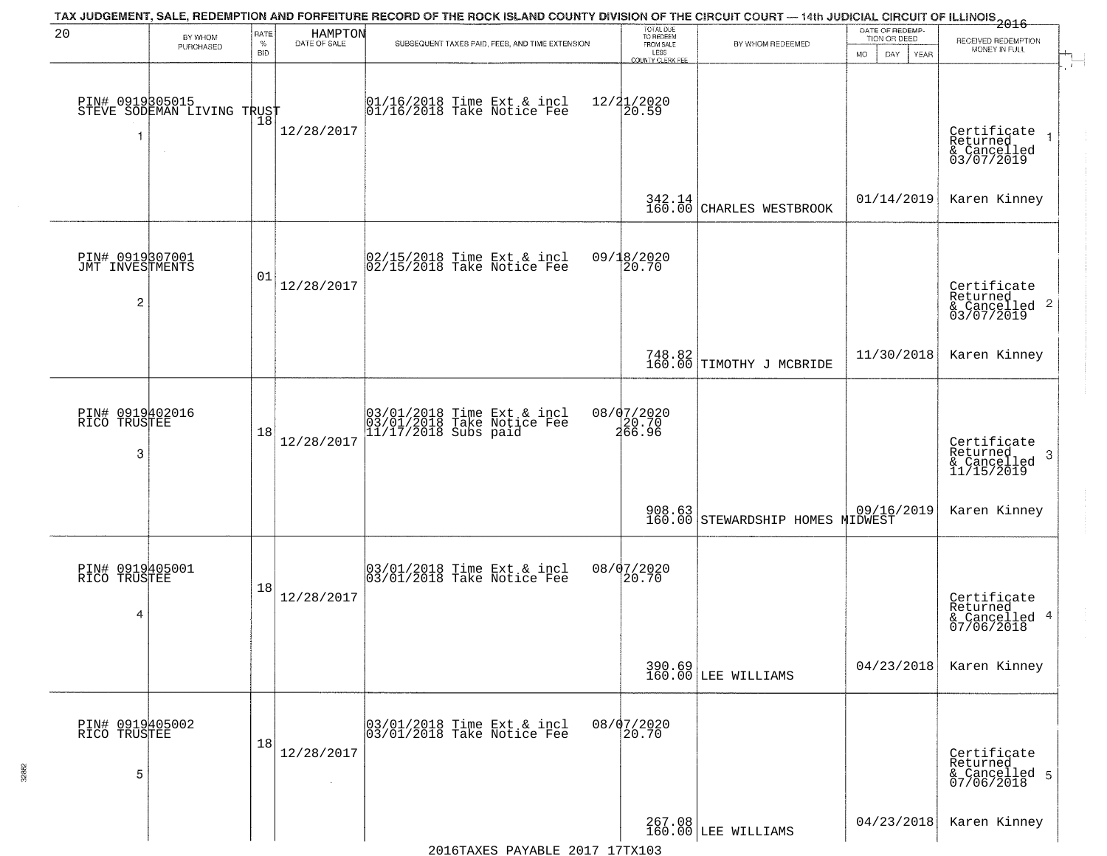| 20                                                   | BY WHOM                                                 | RATE               | HAMPTON      | TAX JUDGEMENT, SALE, REDEMPTION AND FORFEITURE RECORD OF THE ROCK ISLAND COUNTY DIVISION OF THE CIRCUIT COURT — 14th JUDICIAL CIRCUIT OF ILLINOIS 2016 | TOTAL DUE<br>TO REDEEM<br>FROM SALE |                                            | DATE OF REDEMP-<br>TION OR DEED | RECEIVED REDEMPTION                                                |
|------------------------------------------------------|---------------------------------------------------------|--------------------|--------------|--------------------------------------------------------------------------------------------------------------------------------------------------------|-------------------------------------|--------------------------------------------|---------------------------------|--------------------------------------------------------------------|
|                                                      | PURCHASED                                               | $\%$<br><b>BID</b> | DATE OF SALE | SUBSEQUENT TAXES PAID, FEES, AND TIME EXTENSION                                                                                                        | LESS<br>COUNTY CLERK FEE            | BY WHOM REDEEMED                           | MO.<br>DAY.<br>YEAR             | MONEY IN FULL                                                      |
| 1                                                    | PIN# 0919305015<br>STEVE SODEMAN LIVING TRUST<br>$\sim$ |                    | 12/28/2017   | $ 01/16/2018$ Time Ext & incl<br>$ 01/16/2018$ Take Notice Fee                                                                                         | 12/21/2020<br>20.59                 |                                            |                                 | Certificate<br>Returned<br>& Cancelled<br>03/07/2019               |
|                                                      |                                                         |                    |              |                                                                                                                                                        | 342.14                              | CHARLES WESTBROOK                          | 01/14/2019                      | Karen Kinney                                                       |
| PIN# 0919307001<br>JMT INVESTMENTS<br>$\overline{c}$ |                                                         | 01                 | 12/28/2017   | 02/15/2018 Time Ext & incl<br>02/15/2018 Take Notice Fee                                                                                               | 09/18/2020<br>20.70                 |                                            |                                 | Certificate<br>Returned<br>$\frac{1}{6}$ Cancelled 2<br>03/07/2019 |
|                                                      |                                                         |                    |              |                                                                                                                                                        |                                     | 748.82<br>160.00 TIMOTHY J MCBRIDE         | 11/30/2018                      | Karen Kinney                                                       |
| PIN# 0919402016<br>RICO TRUSTEE<br>3                 |                                                         | 18                 | 12/28/2017   | 03/01/2018 Time Ext & incl<br>03/01/2018 Take Notice Fee<br>11/17/2018 Subs paid                                                                       | 08/07/2020<br>20.70<br>266.96       |                                            |                                 | Certificate<br>Returned<br>3<br>& Cancelled<br>11/15/2019          |
|                                                      |                                                         |                    |              |                                                                                                                                                        |                                     | 908.63<br>160.00 STEWARDSHIP HOMES MIDWEST |                                 | Karen Kinney                                                       |
| PIN# 0919405001<br>RICO TRUSTEE<br>4                 |                                                         | 18                 | 12/28/2017   | 03/01/2018 Time Ext & incl<br>03/01/2018 Take Notice Fee                                                                                               | 08/07/2020<br>20.70                 |                                            |                                 | Certificate<br>Returned<br>& Cancelled 4<br>07/06/2018             |
|                                                      |                                                         |                    |              |                                                                                                                                                        |                                     | 390.69<br>160.00 LEE WILLIAMS              | 04/23/2018                      | Karen Kinney                                                       |
| PIN# 0919405002<br>RICO TRUSTEE<br>5                 |                                                         | 18                 | 12/28/2017   | 03/01/2018 Time Ext & incl<br>03/01/2018 Take Notice Fee                                                                                               | 08/07/2020<br>20.70                 |                                            |                                 | Certificate<br>Returned<br>& Cancelled 5<br>07/06/2018             |
|                                                      |                                                         |                    |              |                                                                                                                                                        |                                     | 267.08<br>160.00 LEE WILLIAMS              | 04/23/2018                      | Karen Kinney                                                       |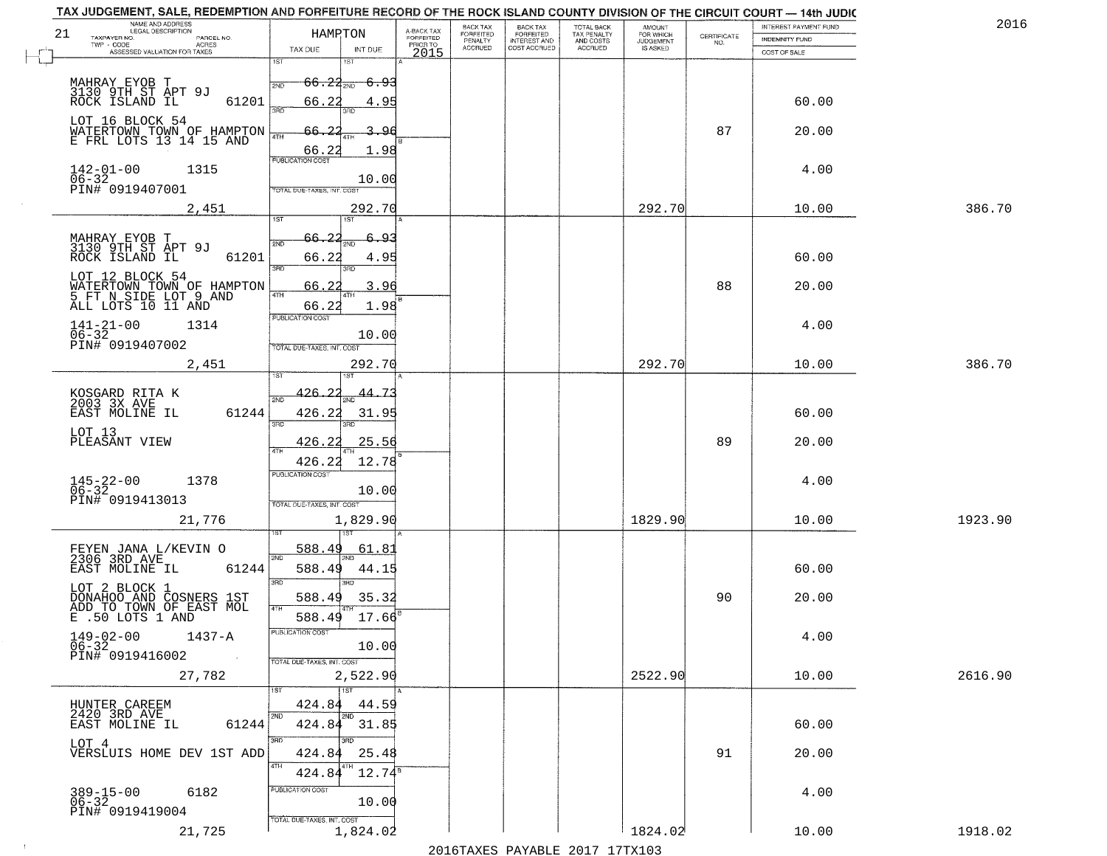|    | TAX JUDGEMENT, SALE, REDEMPTION AND FORFEITURE RECORD OF THE ROCK ISLAND COUNTY DIVISION OF THE CIRCUIT COURT - 14th JUDIC<br>NAME AND ADDRESS<br>LEGAL DESCRIPTION |                                                                    |                                     | BACK TAX<br>FORFEITED     | BACK TAX<br>FORFEITED<br>INTEREST AND | TOTAL BACK<br>TAX PENALTY<br>AND COSTS | AMOUNT<br>FOR WHICH          |                                                                 | INTEREST PAYMENT FUND | 2016    |
|----|---------------------------------------------------------------------------------------------------------------------------------------------------------------------|--------------------------------------------------------------------|-------------------------------------|---------------------------|---------------------------------------|----------------------------------------|------------------------------|-----------------------------------------------------------------|-----------------------|---------|
| 21 | TAXPAYER NO.<br>PARCEL NO.<br>$TWP - CODE$<br><b>ACRES</b>                                                                                                          | HAMRTON                                                            | A-BACK TAX<br>FORFEITED<br>PRIOR TO | PENALTY<br><b>ACCRUED</b> | COST ACCRUED                          | ACCRUED                                | <b>JUDGEMENT</b><br>IS ASKED | $\begin{array}{c} \text{CERTIFICATE} \\ \text{NO.} \end{array}$ | INDEMNITY FUND        |         |
|    | ASSESSED VALUATION FOR TAXES                                                                                                                                        | TAX DUE<br>INT DUE<br>1ST<br>1ST                                   | 2015                                |                           |                                       |                                        |                              |                                                                 | COST OF SALE          |         |
|    | MAHRAY EYOB T<br>3130 9TH ST APT 9J<br>ROCK ISLAND IL                                                                                                               | $66.23_{200}$<br><del>6.93</del><br>2ND                            |                                     |                           |                                       |                                        |                              |                                                                 |                       |         |
|    | 61201                                                                                                                                                               | 66.2<br>4.95<br>3HD<br>3BD                                         |                                     |                           |                                       |                                        |                              |                                                                 | 60.00                 |         |
|    | LOT 16 BLOCK 54<br>WATERTOWN TOWN OF HAMPTON<br>E FRL LOTS 13 14 15 AND                                                                                             | 66.<br>$\Omega$<br>З.<br>-96<br>4TH<br>1.98<br>66.22               |                                     |                           |                                       |                                        |                              | 87                                                              | 20.00                 |         |
|    | $142 - 01 - 00$<br>1315<br>06-32<br>PIN# 0919407001                                                                                                                 | <b>PUBLICATION COST</b><br>10.00<br>TOTAL DUE-TAXES, INT. COST     |                                     |                           |                                       |                                        |                              |                                                                 | 4.00                  |         |
|    | 2,451                                                                                                                                                               | 292.70<br>1ST<br>1ST                                               |                                     |                           |                                       |                                        | 292.70                       |                                                                 | 10.00                 | 386.70  |
|    |                                                                                                                                                                     |                                                                    |                                     |                           |                                       |                                        |                              |                                                                 |                       |         |
|    | MAHRAY EYOB T<br>3130 9TH ST APT 9J<br>ROCK ISLAND IL<br>61201                                                                                                      | 66.22<br>6.93<br>2ND<br>66.22<br>4.95<br>3RD<br>3RD                |                                     |                           |                                       |                                        |                              |                                                                 | 60.00                 |         |
|    | LOT 12 BLOCK 54<br>WATERTOWN TOWN OF HAMPTON<br>5 FT N SIDE LOT 9 AND<br>ALL LOTS 10 11 AND                                                                         | 66.2<br>3.96<br>47H<br>1.98<br>66.22                               |                                     |                           |                                       |                                        |                              | 88                                                              | 20.00                 |         |
|    | $141 - 21 - 00$<br>1314<br>$06 - 32$<br>PIN# 0919407002                                                                                                             | PUBLICATION COST<br>10.00                                          |                                     |                           |                                       |                                        |                              |                                                                 | 4.00                  |         |
|    | 2,451                                                                                                                                                               | TOTAL DUE-TAXES, INT. COST<br>292.70                               |                                     |                           |                                       |                                        | 292.70                       |                                                                 | 10.00                 | 386.70  |
|    |                                                                                                                                                                     |                                                                    |                                     |                           |                                       |                                        |                              |                                                                 |                       |         |
|    | KOSGARD RITA K<br>2003 3X AVE<br>EAST MOLINE IL<br>61244                                                                                                            | <u>426.22</u><br>-7.<br>44.<br>2ND<br>426.22<br>31.9<br>3BD<br>3RD |                                     |                           |                                       |                                        |                              |                                                                 | 60.00                 |         |
|    | LOT 13<br>PLEASANT VIEW                                                                                                                                             | 426.22<br>25.56<br>4TH                                             |                                     |                           |                                       |                                        |                              | 89                                                              | 20.00                 |         |
|    | $145 - 22 - 00$<br>06-32<br>1378                                                                                                                                    | 426.22<br>12.78<br><b>PUBLICATION COST</b><br>10.00                |                                     |                           |                                       |                                        |                              |                                                                 | 4.00                  |         |
|    | PIN# 0919413013                                                                                                                                                     | TOTAL OUE-TAXES, INT. COST                                         |                                     |                           |                                       |                                        |                              |                                                                 |                       |         |
|    | 21,776                                                                                                                                                              | 1,829.90                                                           |                                     |                           |                                       |                                        | 1829.90                      |                                                                 | 10.00                 | 1923.90 |
|    | FEYEN JANA L/KEVIN O<br>2306 3RD AVE                                                                                                                                | 588.49<br><u>61.8</u>                                              |                                     |                           |                                       |                                        |                              |                                                                 |                       |         |
|    | EAST MOLINE IL<br>61244                                                                                                                                             | 2ND<br>588.49<br>44.15                                             |                                     |                           |                                       |                                        |                              |                                                                 | 60.00                 |         |
|    | LOT 2 BLOCK 1<br>DONAHOO AND COSNERS 1ST<br>ADD TO TOWN OF EAST MOL<br>E .50 LOTS 1 AND                                                                             | 3RD<br>ਸ਼ਾ<br>588.49<br>35.32<br>4TH                               |                                     |                           |                                       |                                        |                              | 90                                                              | 20.00                 |         |
|    | $149-02-00$<br>$06-32$<br>1437-A<br>PIN# 0919416002                                                                                                                 | 17.66<br>588.49<br>PUBLICATION COST<br>10.00                       |                                     |                           |                                       |                                        |                              |                                                                 | 4.00                  |         |
|    | 27,782                                                                                                                                                              | TOTAL DUE-TAXES, INT. COST<br>2,522.90                             |                                     |                           |                                       |                                        | 2522.90                      |                                                                 | 10.00                 | 2616.90 |
|    |                                                                                                                                                                     | 1ST<br>1ST                                                         |                                     |                           |                                       |                                        |                              |                                                                 |                       |         |
|    | HUNTER CAREEM<br>2420 3RD AVE<br>61244<br>EAST MOLINE IL                                                                                                            | 424.84<br>44.59<br>2ND<br>2ND<br>424.84 31.85                      |                                     |                           |                                       |                                        |                              |                                                                 | 60.00                 |         |
|    | LOT 4<br>VERSLUIS HOME DEV 1ST ADD                                                                                                                                  | 3RD<br>aan<br>25.48<br>424.84<br>4TH<br>$12.74^5$                  |                                     |                           |                                       |                                        |                              | 91                                                              | 20.00                 |         |
|    | 389-15-00<br>06-32<br>6182<br>PIN# 0919419004                                                                                                                       | 424.84<br>PUBLICATION COST<br>10.00                                |                                     |                           |                                       |                                        |                              |                                                                 | 4.00                  |         |
|    | 21,725                                                                                                                                                              | TOTAL DUE-TAXES, INT. COST<br>1,824.02                             |                                     |                           |                                       |                                        | 1824.02                      |                                                                 | 10.00                 | 1918.02 |

 $\sim 10$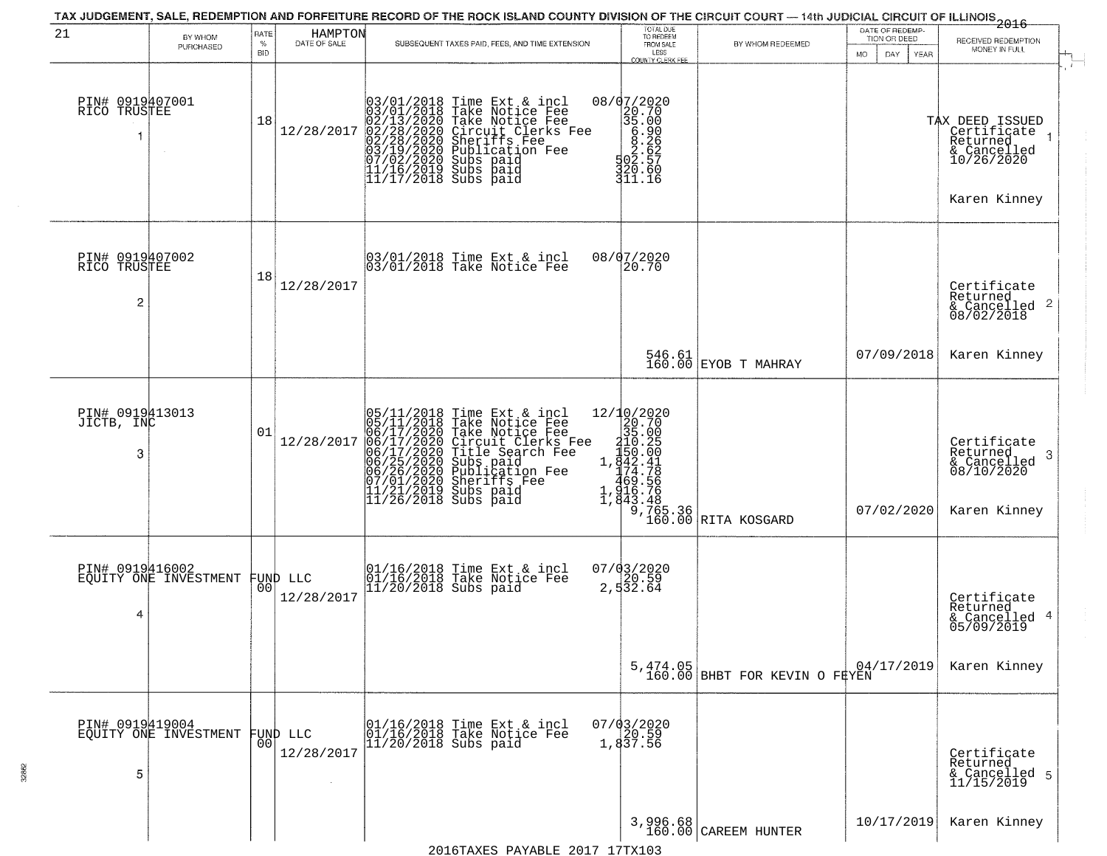| 21                                   | BY WHOM<br>PURCHASED                     | RATE<br>$\%$<br><b>BID</b> | HAMPTON<br>DATE OF SALE | SUBSEQUENT TAXES PAID, FEES, AND TIME EXTENSION                                                                                                                                                                                                                                                                                              | TOTAL DUE<br>TO REDEEM<br>FROM SALE<br>LESS<br><b>COUNTY CLERK FEE</b>                                                                                                                                                                                                                                                                                                      | BY WHOM REDEEMED                                                                                                                                                                                                                                                                             | DATE OF REDEMP-<br>TION OR DEED<br>MO.<br>DAY.<br>YEAR | $-2016$<br>RECEIVED REDEMPTION<br>MONEY IN FULL                                         |
|--------------------------------------|------------------------------------------|----------------------------|-------------------------|----------------------------------------------------------------------------------------------------------------------------------------------------------------------------------------------------------------------------------------------------------------------------------------------------------------------------------------------|-----------------------------------------------------------------------------------------------------------------------------------------------------------------------------------------------------------------------------------------------------------------------------------------------------------------------------------------------------------------------------|----------------------------------------------------------------------------------------------------------------------------------------------------------------------------------------------------------------------------------------------------------------------------------------------|--------------------------------------------------------|-----------------------------------------------------------------------------------------|
| PIN# 0919407001<br>RICO TRUSTEE      |                                          | 18                         | 12/28/2017              | 03/01/2018 Time Ext & incl<br>03/01/2018 Take Notice Fee<br>02/13/2020 Take Notice Fee<br>02/28/2020 Circuit Clerks F<br>02/28/2020 Sheriffs Fee<br>03/19/2020 Sheriffs Fee<br>03/19/2020 Subs paid<br>11/16/2019 Subs paid<br>11/16/2019 Subs paid<br>11<br>Take Notice Fee<br>Circuit Clerks Fee<br>Sheriffs Fee<br>Subs paid<br>Subs paid | $08/07/2020$<br>20.70<br>35.00<br>$\begin{matrix} 1 & 0 & 0 & 0 \\ 0 & 0 & 0 & 0 \\ 0 & 0 & 0 & 0 \\ 0 & 0 & 0 & 0 \\ 0 & 0 & 0 & 0 \\ 0 & 0 & 0 & 0 \\ 0 & 0 & 0 & 0 \\ 0 & 0 & 0 & 0 \\ 0 & 0 & 0 & 0 \\ 0 & 0 & 0 & 0 \\ 0 & 0 & 0 & 0 \\ 0 & 0 & 0 & 0 \\ 0 & 0 & 0 & 0 \\ 0 & 0 & 0 & 0 \\ 0 & 0 & 0 & 0 \\ 0 & 0 & 0 & 0 \\ 0 & 0 & 0 & 0 \\ 0 & 0 & 0 & 0$<br>311.16 |                                                                                                                                                                                                                                                                                              |                                                        | TAX DEED ISSUED<br>Certificate<br>Returned<br>& Cancelled<br>10/26/2020<br>Karen Kinney |
| PIN# 0919407002<br>RICO TRUSTEE<br>2 |                                          | 18                         | 12/28/2017              | 03/01/2018 Time Ext & incl<br>03/01/2018 Take Notice Fee                                                                                                                                                                                                                                                                                     | 08/07/2020<br>20.70                                                                                                                                                                                                                                                                                                                                                         |                                                                                                                                                                                                                                                                                              |                                                        | Certificate<br>Returned<br>$\frac{1}{6}$ Cancelled 2<br>08/02/2018                      |
|                                      |                                          |                            |                         |                                                                                                                                                                                                                                                                                                                                              |                                                                                                                                                                                                                                                                                                                                                                             | $\begin{array}{ c c c } 546.61 & \text{EYOB} & \text{T} \text{ MAHRAY} \end{array}$                                                                                                                                                                                                          | 07/09/2018                                             | Karen Kinney                                                                            |
| PIN# 0919413013<br>JICTB, INC<br>3   |                                          | 01                         | 12/28/2017              | 05/11/2018 Time Ext & incl<br>05/11/2018 Take Notice Fee<br>06/17/2020 Take Notice Fee<br>06/17/2020 Circuit Clerks Fee<br>06/17/2020 Title Search Fee<br>06/25/2020 Subs paid<br>06/25/2020 Publication Fee<br>06/26/2020 Publication Fee<br>11/21/2                                                                                        |                                                                                                                                                                                                                                                                                                                                                                             | re Fee<br>Fee<br>Ee<br>Ee<br>Ee<br>Ee<br>Ee<br>Ee<br>20.70<br>20.70<br>20.70<br>20.70<br>20.70<br>20.70<br>20.70<br>20.70<br>20.00<br>1,842.41<br>469.76<br>1,842.76<br>2,65.36<br>2,843.48<br>20.76<br>2,843.48<br>20.76<br>2,843.48<br>20.76<br>2,843.48<br>20.00<br>20.76<br>2,843.48<br> | 07/02/2020                                             | Certificate<br>Returned<br>3<br>& Cancelled<br>08/10/2020<br>Karen Kinney               |
| PIN# 0919416002<br>4                 | EQUITY ONE INVESTMENT                    | 00 <sub>1</sub>            | FUND LLC<br>12/28/2017  | 01/16/2018 Time Ext & incl<br>$\left  \begin{array}{c} 01/16/2018 \\ 11/20/2018 \end{array} \right.$ Take Notice Fee                                                                                                                                                                                                                         | $07/03/2020$<br>2, 532.64                                                                                                                                                                                                                                                                                                                                                   |                                                                                                                                                                                                                                                                                              |                                                        | Certificate<br>Returned<br>& Cancelled 4<br>05/09/2019                                  |
|                                      |                                          |                            |                         |                                                                                                                                                                                                                                                                                                                                              |                                                                                                                                                                                                                                                                                                                                                                             | 5,474.05<br>160.00 BHBT FOR KEVIN O FEYEN                                                                                                                                                                                                                                                    | 04/17/2019                                             | Karen Kinney                                                                            |
| 5                                    | PIN# 0919419004<br>EQUITY ONE INVESTMENT | 00                         | FUND LLC<br>12/28/2017  | 01/16/2018 Time Ext & incl<br>01/16/2018 Take Notice Fee<br>$11/20/2018$ Subs paid                                                                                                                                                                                                                                                           | 07/03/2020<br>20.59<br>1,837.56                                                                                                                                                                                                                                                                                                                                             |                                                                                                                                                                                                                                                                                              |                                                        | Certificate<br>Returned<br>& Cancelled 5<br>11/15/2019                                  |
|                                      |                                          |                            |                         | $201$ $\zeta$ may be $\zeta$ and $\zeta$ and $\zeta$ and $\zeta$ and $\zeta$ and $\zeta$ and $\zeta$ and $\zeta$ and $\zeta$ and $\zeta$ and $\zeta$ and $\zeta$ and $\zeta$ and $\zeta$ and $\zeta$ and $\zeta$ and $\zeta$ and $\zeta$ and $\zeta$ and $\zeta$ and $\$                                                                     | $3,996.68$<br>$160.00$                                                                                                                                                                                                                                                                                                                                                      | CAREEM HUNTER                                                                                                                                                                                                                                                                                | 10/17/2019                                             | Karen Kinney                                                                            |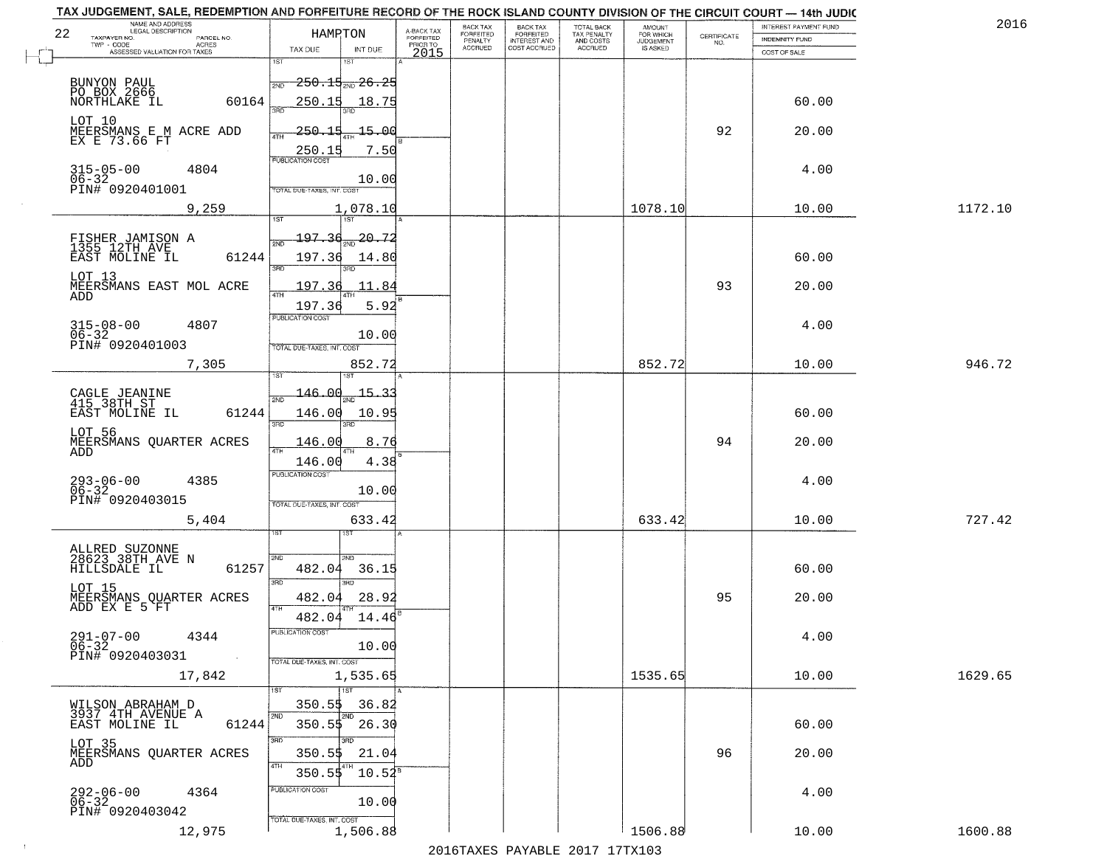| NAME AND ADDRESS<br>LEGAL DESCRIPTION<br>22<br>TAXPAYER NO.              |           | HAMPTON                           |                      | A-BACK TAX            | BACK TAX<br>FORFEITED | <b>BACK TAX</b><br><b>FORFEITED</b> | TOTAL BACK<br>TAX PENALTY | <b>AMOUNT</b>                      | CERTIFICATE | INTEREST PAYMENT FUND | 2016    |
|--------------------------------------------------------------------------|-----------|-----------------------------------|----------------------|-----------------------|-----------------------|-------------------------------------|---------------------------|------------------------------------|-------------|-----------------------|---------|
| PARCEL NO.<br>TWP - CODE<br>- CODE AGRES<br>ASSESSED VALUATION FOR TAXES |           | TAX DUE                           | INT DUE              | FORFEITED<br>PRIOR TO | PENALTY<br>ACCRUED    | INTEREST AND<br>COST ACCRUED        | AND COSTS<br>ACCRUED      | FOR WHICH<br>JUDGEMENT<br>IS ASKED | NO.         | <b>INDEMNITY FUND</b> |         |
|                                                                          |           | 1ST                               | 1ST                  | 2015                  |                       |                                     |                           |                                    |             | COST OF SALE          |         |
|                                                                          |           | 2ND                               | $250.15_{200} 26.25$ |                       |                       |                                     |                           |                                    |             |                       |         |
| BUNYON PAUL<br>PO BOX 2666<br>NORTHLAKE IL                               | 60164     | 250.15                            | 18.75                |                       |                       |                                     |                           |                                    |             | 60.00                 |         |
| LOT 10                                                                   |           | 29F)                              | aan                  |                       |                       |                                     |                           |                                    |             |                       |         |
| MEERSMANS E M ACRE ADD                                                   |           | $-250.15$<br>4TH                  | $-15 - 00$           |                       |                       |                                     |                           |                                    | 92          | 20.00                 |         |
| EX E 73.66 FT                                                            |           | 250.15                            | 7.50                 |                       |                       |                                     |                           |                                    |             |                       |         |
| $315 - 05 - 00$<br>4804                                                  |           | <b>PUBLICATION COST</b>           |                      |                       |                       |                                     |                           |                                    |             | 4.00                  |         |
| 06-32<br>PIN# 0920401001                                                 |           | TOTAL DUE-TAXES, INT. COS         | 10.00                |                       |                       |                                     |                           |                                    |             |                       |         |
| 9,259                                                                    |           |                                   | 1,078.10             |                       |                       |                                     |                           | 1078.10                            |             | 10.00                 | 1172.10 |
|                                                                          |           | 1ST                               | 7ST                  |                       |                       |                                     |                           |                                    |             |                       |         |
| FISHER JAMISON A<br>1355 12TH AVE                                        |           | 197.36<br>2ND                     | $20 - 7$             |                       |                       |                                     |                           |                                    |             |                       |         |
| EAST MOLINE IL                                                           | 61244     | 197.36<br>3RD                     | 14.80                |                       |                       |                                     |                           |                                    |             | 60.00                 |         |
| LOT 13<br>MEERSMANS EAST MOL ACRE                                        |           | 197.36                            | 11.84                |                       |                       |                                     |                           |                                    | 93          | 20.00                 |         |
| ADD                                                                      |           | ৰাম<br>197.36                     | 5.92                 |                       |                       |                                     |                           |                                    |             |                       |         |
| $315 - 08 - 00$<br>4807                                                  |           | PUBLICATION COST                  |                      |                       |                       |                                     |                           |                                    |             | 4.00                  |         |
| $06 - 32$                                                                |           |                                   | 10.00                |                       |                       |                                     |                           |                                    |             |                       |         |
| PIN# 0920401003                                                          |           | TOTAL DUE-TAXES, INT. COST        |                      |                       |                       |                                     |                           |                                    |             |                       |         |
| 7,305                                                                    |           |                                   | 852.72               |                       |                       |                                     |                           | 852.72                             |             | 10.00                 | 946.72  |
| CAGLE JEANINE<br>415 38TH ST                                             |           | 146.ad                            | 15<br>31             |                       |                       |                                     |                           |                                    |             |                       |         |
| EAST MOLINE IL                                                           | 61244     | 146.00                            | 10.9                 |                       |                       |                                     |                           |                                    |             | 60.00                 |         |
| LOT 56                                                                   |           | 3RD                               | 3RD                  |                       |                       |                                     |                           |                                    |             |                       |         |
| MEERSMANS QUARTER ACRES<br>ADD                                           |           | 146.00<br>4TH                     | 8.76                 |                       |                       |                                     |                           |                                    | 94          | 20.00                 |         |
|                                                                          |           | 146.00<br><b>PUBLICATION COST</b> | 4.38                 |                       |                       |                                     |                           |                                    |             |                       |         |
| $293 - 06 - 00$<br>06-32<br>4385                                         |           |                                   | 10.00                |                       |                       |                                     |                           |                                    |             | 4.00                  |         |
| PIN# 0920403015                                                          |           | TOTAL OUE-TAXES, INT. COST        |                      |                       |                       |                                     |                           |                                    |             |                       |         |
| 5,404                                                                    |           |                                   | 633.42               |                       |                       |                                     |                           | 633.42                             |             | 10.00                 | 727.42  |
|                                                                          |           |                                   |                      |                       |                       |                                     |                           |                                    |             |                       |         |
| ALLRED SUZONNE<br>28623 38TH AVE N<br>HILLSDALE IL                       | 61257     | SVD<br>482.04                     | SND<br>36.15         |                       |                       |                                     |                           |                                    |             | 60.00                 |         |
|                                                                          |           | 3RD                               | 3BD                  |                       |                       |                                     |                           |                                    |             |                       |         |
| LOT 15<br>MEERSMANS QUARTER ACRES<br>ADD EX E 5 FT                       |           | 482.04                            | 28.92                |                       |                       |                                     |                           |                                    | 95          | 20.00                 |         |
|                                                                          |           | 4TH<br>482.04                     | 14.46                |                       |                       |                                     |                           |                                    |             |                       |         |
| $291 - 07 - 00$<br>06-32<br>4344                                         |           | PUBLICATION COST                  |                      |                       |                       |                                     |                           |                                    |             | 4.00                  |         |
| PIN# 0920403031                                                          | $\sim 10$ | TOTAL DUE-TAXES, INT. COST        | 10.00                |                       |                       |                                     |                           |                                    |             |                       |         |
| 17,842                                                                   |           |                                   | 1,535.65             |                       |                       |                                     |                           | 1535.65                            |             | 10.00                 | 1629.65 |
|                                                                          |           | 1ST <sup>1</sup>                  | 1ST                  |                       |                       |                                     |                           |                                    |             |                       |         |
| WILSON ABRAHAM D<br>3937 4TH AVENUE A                                    |           | $350.5$ \$<br>2ND                 | 36.82<br>2ND         |                       |                       |                                     |                           |                                    |             |                       |         |
| EAST MOLINE IL                                                           | 61244     | 350.55                            | 26.30                |                       |                       |                                     |                           |                                    |             | 60.00                 |         |
| LOT 35<br>MEERSMANS QUARTER ACRES                                        |           | 3RD<br>350.5\$                    | अंग<br>21.04         |                       |                       |                                     |                           |                                    | 96          | 20.00                 |         |
| ADD                                                                      |           | 4TH<br>350.55                     | 4TH<br>$10.54^8$     |                       |                       |                                     |                           |                                    |             |                       |         |
| 4364                                                                     |           | PUBLICATION COST                  |                      |                       |                       |                                     |                           |                                    |             | 4.00                  |         |
| 292-06-00<br>06-32                                                       |           |                                   | 10.00                |                       |                       |                                     |                           |                                    |             |                       |         |
| PIN# 0920403042                                                          |           | TOTAL DUE-TAXES, INT. COST        |                      |                       |                       |                                     |                           |                                    |             |                       |         |
| 12,975                                                                   |           |                                   | 1,506.88             |                       |                       |                                     |                           | 1506.88                            |             | 10.00                 | 1600.88 |

 $\sim 10$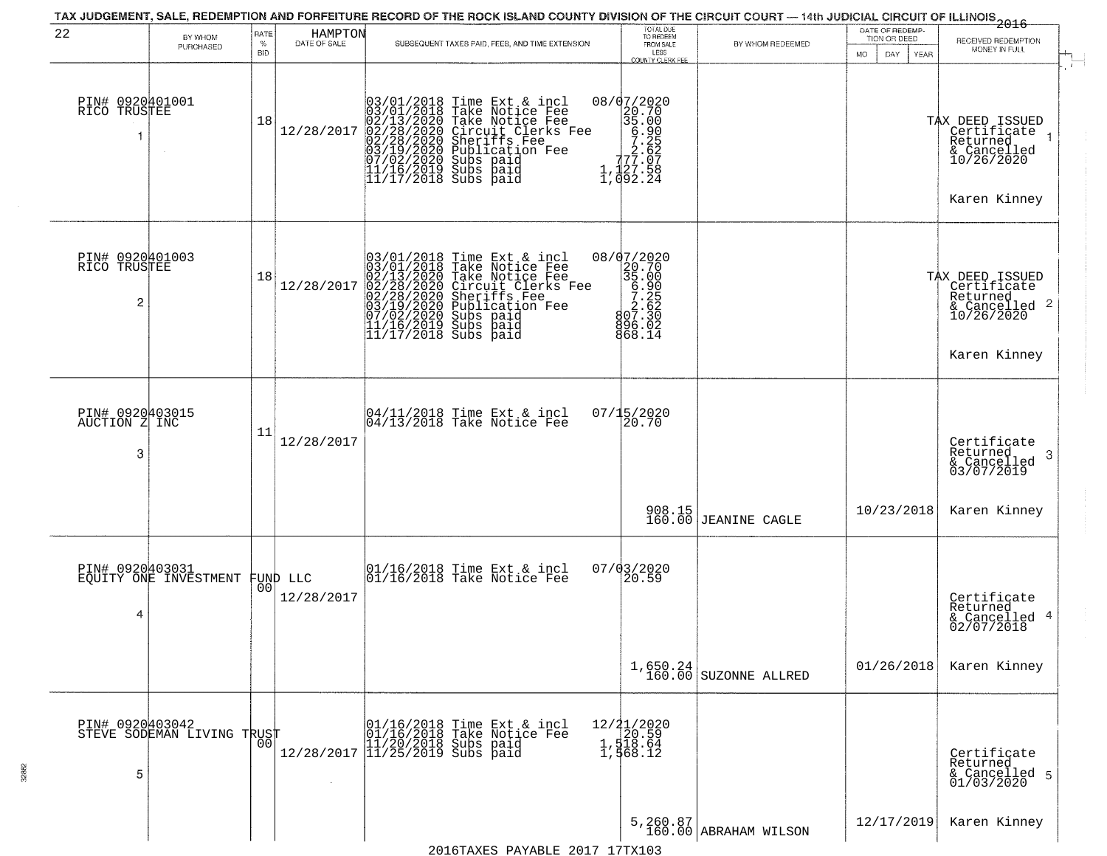| 22                                                | BY WHOM<br>PURCHASED                          | RATE<br>$\%$<br><b>BID</b> | HAMPTON<br>DATE OF SALE | SUBSEQUENT TAXES PAID, FEES, AND TIME EXTENSION                                                                                                                                                                                                                                                                                                                                  | TOTAL DUE<br>TO REDEEM<br>FROM SALE<br>LESS<br>COUNTY CLERK FEE                                                                      | BY WHOM REDEEMED                    | DATE OF REDEMP-<br>TION OR DEED<br>MO.<br>DAY.<br>YEAR | $-2016$<br>RECEIVED REDEMPTION<br>MONEY IN FULL                                                           |
|---------------------------------------------------|-----------------------------------------------|----------------------------|-------------------------|----------------------------------------------------------------------------------------------------------------------------------------------------------------------------------------------------------------------------------------------------------------------------------------------------------------------------------------------------------------------------------|--------------------------------------------------------------------------------------------------------------------------------------|-------------------------------------|--------------------------------------------------------|-----------------------------------------------------------------------------------------------------------|
| PIN# 0920401001<br>RICO TRUSTEE                   |                                               | 18                         | 12/28/2017              | 03/01/2018<br>02/13/2020<br>02/13/2020<br>02/28/2020<br>03/19/2020<br>07/02/2020<br>07/02/2020<br>11/16/2019<br>Time Ext & incl<br>Take Notice Fee<br>Take Notice Fee<br>Circuit Clerks Fee<br>Sheriffs Fee<br>Publication Fee<br>Subs paid<br>Subs Paid<br>$11/17/2018$ Subs paid                                                                                               | 08/07/2020<br>$\begin{smallmatrix} 202020 \\ 20.700 \\ 35.000 \\ 5.252 \\ 77.25 \\ 77.027 \\ 1,127.58 \\ 1,092.24 \end{smallmatrix}$ |                                     |                                                        | $\ddot{r}$<br>TAX DEED ISSUED<br>  Certificate<br>  Returned<br>& Cancelled<br>10/26/2020<br>Karen Kinney |
| PIN# 0920401003<br>RICO TRUSTEE<br>$\overline{2}$ |                                               | 18                         | 12/28/2017              | 03/01/2018 Time Ext &<br>03/01/2018 Take Notic<br>02/13/2020 Take Notic<br>02/28/2020 Circuit Cl<br>02/28/2020 Sheriffs F<br>03/19/2020 Subs paid<br>03/19/2020 Subs paid<br>11/16/2019 Subs paid<br>11/16/2019 Subs paid<br>11/17/2018 Subs paid<br>Time Ext & incl<br>Take Notice Fee<br>Take Notice Fee<br>Circuit Clerks Fee<br>Sheriffs Fee<br>Publication Fee<br>Subs paid | 08/07/2020<br>35.00<br>35.00<br>5.25<br>2.62<br>802.33<br>896.02<br>868.14                                                           |                                     |                                                        | TAX DEED ISSUED<br>Certificate<br>Returned<br>Karen Kinney                                                |
| PIN# 0920403015<br>AUCTION Z INC<br>3             |                                               | 11                         | 12/28/2017              | 04/11/2018 Time Ext & incl<br>04/13/2018 Take Notice Fee                                                                                                                                                                                                                                                                                                                         | 07/15/2020<br>20.70                                                                                                                  |                                     |                                                        | Certificate<br>Returned<br>3<br>& Cancelled<br>03/07/2019                                                 |
|                                                   |                                               |                            |                         |                                                                                                                                                                                                                                                                                                                                                                                  |                                                                                                                                      | 908.15<br>160.00 JEANINE CAGLE      | 10/23/2018                                             | Karen Kinney                                                                                              |
| PIN# 0920403031<br>4                              | EQUITY ONE INVESTMENT                         | 00                         | FUND LLC<br>12/28/2017  | 01/16/2018 Time Ext & incl<br>01/16/2018 Take Notice Fee                                                                                                                                                                                                                                                                                                                         | 07/03/2020<br>20.59                                                                                                                  |                                     |                                                        | Certificate<br>Returned<br>& Cancelled 4<br>02/07/2018                                                    |
|                                                   |                                               |                            |                         |                                                                                                                                                                                                                                                                                                                                                                                  |                                                                                                                                      | $1,650.24$<br>160.00 SUZONNE ALLRED | 01/26/2018                                             | Karen Kinney                                                                                              |
| 5                                                 | PIN# 0920403042<br>STEVE SODEMAN LIVING TRUST | 00                         |                         | 01/16/2018 Time Ext & incl<br>01/16/2018 Take Notice Fee<br>11/20/2018 Subs paid<br>12/28/2017 11/25/2019 Subs paid                                                                                                                                                                                                                                                              | 12/21/2020<br>1,518.64<br>1,518.64<br>1,568.12                                                                                       |                                     |                                                        | Certificate<br>Returned<br>& Cancelled 5<br>01/03/2020                                                    |
|                                                   |                                               |                            |                         | 2016TAXES PAYABLE 2017 17TX103                                                                                                                                                                                                                                                                                                                                                   |                                                                                                                                      | 5, 260.87<br>160.00 ABRAHAM WILSON  | 12/17/2019                                             | Karen Kinney                                                                                              |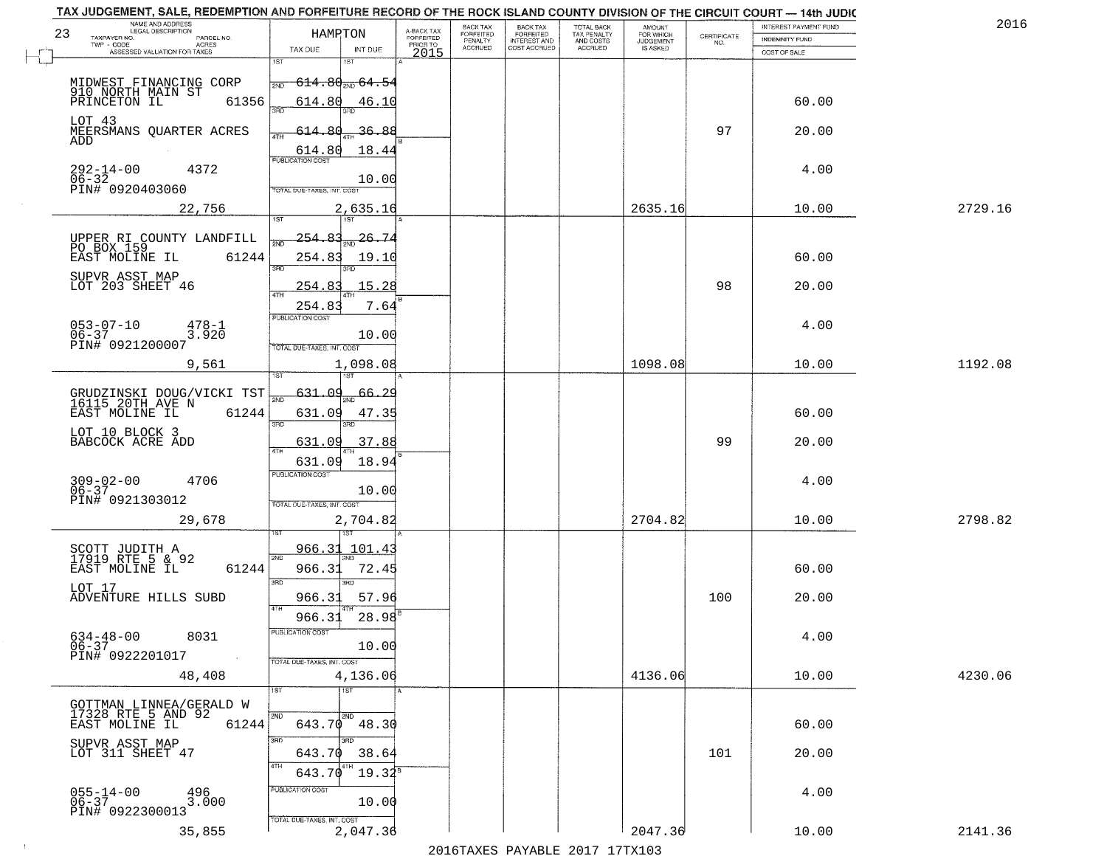| TAX JUDGEMENT, SALE, REDEMPTION AND FORFEITURE RECORD OF THE ROCK ISLAND COUNTY DIVISION OF THE CIRCUIT COURT - 14th JUDIC<br>NAME AND ADDRESS<br>LEGAL DESCRIPTION |            |                            |                                   |                                     | BACK TAX             | <b>BACK TAX</b>                  |                                        |                                         |                                                                 | INTEREST PAYMENT FUND | 201     |
|---------------------------------------------------------------------------------------------------------------------------------------------------------------------|------------|----------------------------|-----------------------------------|-------------------------------------|----------------------|----------------------------------|----------------------------------------|-----------------------------------------|-----------------------------------------------------------------|-----------------------|---------|
| 23<br>TAXPAYER NO.<br>PARCEL NO.<br>TWP - CODE<br>ACRES                                                                                                             |            | HAMPTON                    |                                   | A-BACK TAX<br>FORFEITED<br>PRIOR TO | FORFEITED<br>PENALTY | FORFEITED<br><b>INTEREST AND</b> | TOTAL BACK<br>TAX PENALTY<br>AND COSTS | AMOUNT<br>FOR WHICH<br><b>JUDGEMENT</b> | $\begin{array}{c} \text{CERTIFICATE} \\ \text{NO.} \end{array}$ | INDEMNITY FUND        |         |
| ASSESSED VALUATION FOR TAXES                                                                                                                                        |            | TAX DUE                    | INT DUE                           | 2015                                | <b>ACCRUED</b>       | COST ACCRUED                     | <b>ACCRUED</b>                         | IS ASKED                                |                                                                 | COST OF SALE          |         |
|                                                                                                                                                                     |            | 1ST                        |                                   |                                     |                      |                                  |                                        |                                         |                                                                 |                       |         |
| MIDWEST FINANCING CORP<br>910 NORTH MAIN ST                                                                                                                         |            | 2ND                        | $-614.80$ <sub>2M0</sub> $-64.54$ |                                     |                      |                                  |                                        |                                         |                                                                 |                       |         |
| PRINCETON IL                                                                                                                                                        | 61356      | 614.80<br>350              | 46.10                             |                                     |                      |                                  |                                        |                                         |                                                                 | 60.00                 |         |
| LOT 43                                                                                                                                                              |            |                            |                                   |                                     |                      |                                  |                                        |                                         |                                                                 |                       |         |
| MEERSMANS QUARTER ACRES<br>ADD                                                                                                                                      |            | <u>614.80</u>              | <u>36.88</u>                      |                                     |                      |                                  |                                        |                                         | 97                                                              | 20.00                 |         |
|                                                                                                                                                                     |            | FUBUCATONCCST              | 18.44                             |                                     |                      |                                  |                                        |                                         |                                                                 |                       |         |
| 292-14-00<br>4372<br>$06 - 32$                                                                                                                                      |            |                            |                                   |                                     |                      |                                  |                                        |                                         |                                                                 | 4.00                  |         |
| PIN# 0920403060                                                                                                                                                     |            | TOTAL DUE-TAXES, INT. COST | 10.00                             |                                     |                      |                                  |                                        |                                         |                                                                 |                       |         |
| 22,756                                                                                                                                                              |            |                            | 2,635.16                          |                                     |                      |                                  |                                        | 2635.16                                 |                                                                 | 10.00                 | 2729.16 |
|                                                                                                                                                                     |            | 1ST                        |                                   |                                     |                      |                                  |                                        |                                         |                                                                 |                       |         |
| UPPER RI COUNTY LANDFILL<br>PO BOX 159                                                                                                                              |            | <u>254.83</u>              | $\frac{26.74}{200}$               |                                     |                      |                                  |                                        |                                         |                                                                 |                       |         |
| EAST MOLINE IL                                                                                                                                                      | 61244      | 254.83                     | 19.10                             |                                     |                      |                                  |                                        |                                         |                                                                 | 60.00                 |         |
| SUPVR ASST MAP                                                                                                                                                      |            | उन्नठ                      | 3RD                               |                                     |                      |                                  |                                        |                                         |                                                                 |                       |         |
| LOT 203 SHEET 46                                                                                                                                                    |            | 254.83<br>ৰাম              | 15.28                             |                                     |                      |                                  |                                        |                                         | 98                                                              | 20.00                 |         |
|                                                                                                                                                                     |            | 254.83                     | 7.64                              |                                     |                      |                                  |                                        |                                         |                                                                 |                       |         |
| $053 - 07 - 10$<br>478-1                                                                                                                                            |            | PUBLICATION COST           |                                   |                                     |                      |                                  |                                        |                                         |                                                                 | 4.00                  |         |
| $06 - 37$<br>3.920<br>PIN# 0921200007                                                                                                                               |            | TOTAL DUE-TAXES, INT. COST | 10.00                             |                                     |                      |                                  |                                        |                                         |                                                                 |                       |         |
| 9,561                                                                                                                                                               |            |                            | 1,098.08                          |                                     |                      |                                  |                                        | 1098.08                                 |                                                                 | 10.00                 | 1192.08 |
|                                                                                                                                                                     |            | 131                        |                                   |                                     |                      |                                  |                                        |                                         |                                                                 |                       |         |
| GRUDZINSKI DOUG/VICKI TST<br>16115 20TH AVE N                                                                                                                       |            | 631.09<br>2ND              | <u>66.29</u>                      |                                     |                      |                                  |                                        |                                         |                                                                 |                       |         |
| EAST MOLINE IL                                                                                                                                                      | 61244      | 631.09                     | 47.35                             |                                     |                      |                                  |                                        |                                         |                                                                 | 60.00                 |         |
| LOT 10 BLOCK 3                                                                                                                                                      |            | 3RD                        | 3RD                               |                                     |                      |                                  |                                        |                                         |                                                                 |                       |         |
| BABCOCK ACRE ADD                                                                                                                                                    |            | 631.09<br>4TH              | 37.88                             |                                     |                      |                                  |                                        |                                         | 99                                                              | 20.00                 |         |
|                                                                                                                                                                     |            | 631.09                     | 18.94                             |                                     |                      |                                  |                                        |                                         |                                                                 |                       |         |
| $309 - 02 - 00$<br>06-37<br>4706                                                                                                                                    |            | <b>PUBLICATION COST</b>    |                                   |                                     |                      |                                  |                                        |                                         |                                                                 | 4.00                  |         |
| PIN# 0921303012                                                                                                                                                     |            | TOTAL OUE-TAXES, INT. COST | 10.00                             |                                     |                      |                                  |                                        |                                         |                                                                 |                       |         |
| 29,678                                                                                                                                                              |            |                            | 2,704.82                          |                                     |                      |                                  |                                        | 2704.82                                 |                                                                 | 10.00                 | 2798.82 |
|                                                                                                                                                                     |            |                            |                                   |                                     |                      |                                  |                                        |                                         |                                                                 |                       |         |
| SCOTT JUDITH A<br>17919 RTE 5 & 92                                                                                                                                  |            | 966.31<br>2ND              | 101.43                            |                                     |                      |                                  |                                        |                                         |                                                                 |                       |         |
| EAST MOLINE IL                                                                                                                                                      | 61244      | 966.31                     | 72.45                             |                                     |                      |                                  |                                        |                                         |                                                                 | 60.00                 |         |
| LOT 17                                                                                                                                                              |            | 3RD                        | 3RD.                              |                                     |                      |                                  |                                        |                                         |                                                                 |                       |         |
| ADVENTURE HILLS SUBD                                                                                                                                                |            | 966.31<br>4TH              | 57.96                             |                                     |                      |                                  |                                        |                                         | 100                                                             | 20.00                 |         |
|                                                                                                                                                                     |            | 966.31                     | 28.98                             |                                     |                      |                                  |                                        |                                         |                                                                 |                       |         |
| $634-48-00$<br>06-37<br>8031                                                                                                                                        |            | PUBLICATION COST           |                                   |                                     |                      |                                  |                                        |                                         |                                                                 | 4.00                  |         |
| PIN# 0922201017                                                                                                                                                     | $\sim 100$ | TOTAL DUE-TAXES, INT. COST | 10.00                             |                                     |                      |                                  |                                        |                                         |                                                                 |                       |         |
| 48,408                                                                                                                                                              |            |                            | 4,136.06                          |                                     |                      |                                  |                                        | 4136.06                                 |                                                                 | 10.00                 | 4230.06 |
|                                                                                                                                                                     |            | 1ST                        | $\overline{1}$ 1ST                |                                     |                      |                                  |                                        |                                         |                                                                 |                       |         |
| GOTTMAN LINNEA/GERALD W                                                                                                                                             |            |                            |                                   |                                     |                      |                                  |                                        |                                         |                                                                 |                       |         |
| 17328 RTE 5 AND 92<br>EAST MOLINE IL                                                                                                                                | 61244      | 2ND                        | 2ND<br>$643.70$ $48.30$           |                                     |                      |                                  |                                        |                                         |                                                                 | 60.00                 |         |
| SUPVR ASST MAP<br>LOT 311 SHEET 47                                                                                                                                  |            | 3RD                        | 3RD.                              |                                     |                      |                                  |                                        |                                         |                                                                 |                       |         |
|                                                                                                                                                                     |            | 643.70<br>4TH              | 38.64                             |                                     |                      |                                  |                                        |                                         | 101                                                             | 20.00                 |         |
|                                                                                                                                                                     |            | 643.70                     | $19.34^8$                         |                                     |                      |                                  |                                        |                                         |                                                                 |                       |         |
| $055 - 14 - 00$<br>06-37<br>496<br>3.000                                                                                                                            |            | PUBLICATION COST           | 10.00                             |                                     |                      |                                  |                                        |                                         |                                                                 | 4.00                  |         |
| PIN# 0922300013                                                                                                                                                     |            | TOTAL DUE-TAXES, INT. COST |                                   |                                     |                      |                                  |                                        |                                         |                                                                 |                       |         |
| 35,855                                                                                                                                                              |            |                            | 2,047.36                          |                                     |                      |                                  |                                        | 2047.36                                 |                                                                 | 10.00                 | 2141.36 |

 $\sim 10^{-1}$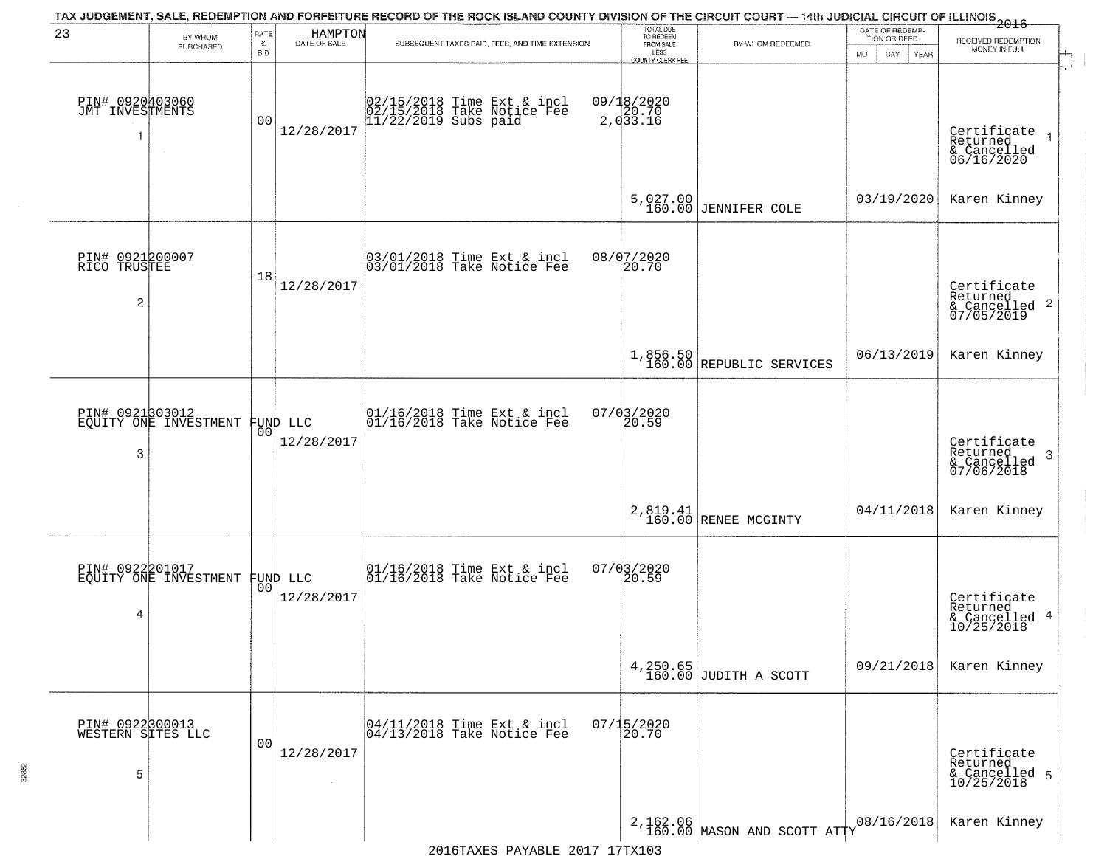| 23                                        | BY WHOM<br>PURCHASED  | RATE<br>%<br><b>BID</b> | HAMPTON<br>DATE OF SALE        | TAX JUDGEMENT, SALE, REDEMPTION AND FORFEITURE RECORD OF THE ROCK ISLAND COUNTY DIVISION OF THE CIRCUIT COURT — 14th JUDICIAL CIRCUIT OF ILLINOIS 2016<br>SUBSEQUENT TAXES PAID, FEES, AND TIME EXTENSION | TOTAL DUE<br>TO REDEEM<br>FROM SALE<br>LESS<br>COUNTY CLERK FEE | BY WHOM REDEEMED                        | DATE OF REDEMP-<br>TION OR DEED<br>MO.<br>DAY<br><b>YEAR</b> | RECEIVED REDEMPTION<br>MONEY IN FULL                               |
|-------------------------------------------|-----------------------|-------------------------|--------------------------------|-----------------------------------------------------------------------------------------------------------------------------------------------------------------------------------------------------------|-----------------------------------------------------------------|-----------------------------------------|--------------------------------------------------------------|--------------------------------------------------------------------|
| PIN# 0920403060<br>JMT INVESTMENTS<br>-1  |                       | 0 <sub>0</sub>          | 12/28/2017                     | 02/15/2018 Time Ext & incl<br>02/15/2018 Take Notice Fee<br>11/22/2019 Subs paid                                                                                                                          | 09/18/2020<br>2, 033.16                                         |                                         |                                                              | Certificate<br>Returned<br>& Cancelled<br>06/16/2020               |
|                                           |                       |                         |                                |                                                                                                                                                                                                           |                                                                 | 5,027.00<br>160.00 JENNIFER COLE        | 03/19/2020                                                   | Karen Kinney                                                       |
| PIN# 0921200007<br>RICO TRUSTEE<br>2      |                       | 18                      | 12/28/2017                     | 03/01/2018 Time Ext & incl<br>03/01/2018 Take Notice Fee                                                                                                                                                  | 08/07/2020<br>20.70                                             |                                         |                                                              | Certificate<br>Returned<br>$\frac{1}{6}$ Cancelled 2<br>07/05/2019 |
|                                           |                       |                         |                                |                                                                                                                                                                                                           |                                                                 | 1,856.50<br>160.00 REPUBLIC SERVICES    | 06/13/2019                                                   | Karen Kinney                                                       |
| PIN# 0921303012<br>3                      | EQUITY ONE INVESTMENT | 0 <sup>0</sup>          | FUND LLC<br>12/28/2017         | 01/16/2018 Time Ext & incl<br>01/16/2018 Take Notice Fee                                                                                                                                                  | 07/03/2020<br>20.59                                             |                                         |                                                              | Certificate<br>Returned<br>-3<br>& Cancelled<br>07/06/2018         |
|                                           |                       |                         |                                |                                                                                                                                                                                                           |                                                                 | 2,819.41<br>160.00 RENEE MCGINTY        | 04/11/2018                                                   | Karen Kinney                                                       |
| PIN# 0922201017<br>4                      | EQUITY ONE INVESTMENT |                         | FUND LLC<br> 00 <br>12/28/2017 | 01/16/2018 Time Ext & incl<br>01/16/2018 Take Notice Fee                                                                                                                                                  | $07/03/2020$<br>20.59                                           |                                         |                                                              | Certificate<br>Returned<br>& Cancelled 4<br>10/25/2018             |
|                                           |                       |                         |                                |                                                                                                                                                                                                           |                                                                 | $4,250.65$<br>160.00 JUDITH A SCOTT     | 09/21/2018                                                   | Karen Kinney                                                       |
| PIN# 0922300013<br>WESTERN SITES LLC<br>5 |                       | 0 <sub>0</sub>          | 12/28/2017                     | 04/11/2018 Time Ext & incl<br>04/13/2018 Take Notice Fee                                                                                                                                                  | $07/15/2020$<br>20.70                                           |                                         |                                                              | Certificate<br>Returned<br>& Cancelled 5<br>10/25/2018             |
|                                           |                       |                         |                                |                                                                                                                                                                                                           |                                                                 | 2,162.06<br>160.00 MASON AND SCOTT ATTY | 08/16/2018                                                   | Karen Kinney                                                       |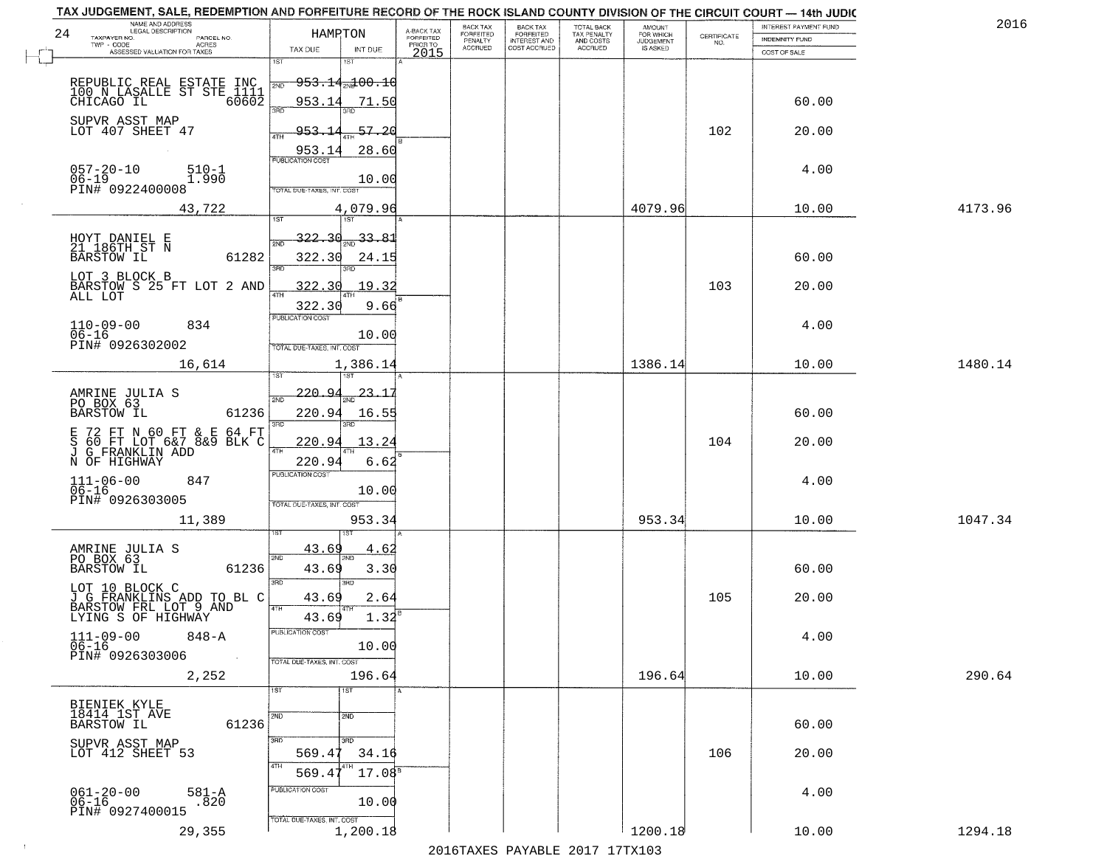| NAME AND ADDRESS<br>LEGAL DESCRIPTION<br>24                               | HAMPTON                                   | A-BACK TAX                   | BACK TAX<br><b>FORFEITED</b> | <b>BACK TAX</b><br><b>FORFEITED</b> | TOTAL BACK<br>TAX PENALTY | <b>AMOUNT</b>                      |                    | INTEREST PAYMENT FUND | 2016    |
|---------------------------------------------------------------------------|-------------------------------------------|------------------------------|------------------------------|-------------------------------------|---------------------------|------------------------------------|--------------------|-----------------------|---------|
| TAXPAYER NO.<br>PARCEL NO.<br>TWP - CODE<br>ACRES                         |                                           | <b>FORFEITED</b><br>PRIOR TO | PENALTY<br>ACCRUED           | INTEREST AND<br>COST ACCRUED        | AND COSTS<br>ACCRUED      | FOR WHICH<br>JUDGEMENT<br>IS ASKED | CERTIFICATE<br>NO. | <b>INDEMNITY FUND</b> |         |
| ASSESSED VALUATION FOR TAXES                                              | TAX DUE<br>INT DUE<br>1ST<br>181          | 2015                         |                              |                                     |                           |                                    |                    | COST OF SALE          |         |
|                                                                           |                                           |                              |                              |                                     |                           |                                    |                    |                       |         |
| REPUBLIC REAL ESTATE INC<br>100 N LASALLE ST STE 1111<br>CHICAGO IL 60602 | $-953.14$ and $00.10$<br>2ND              |                              |                              |                                     |                           |                                    |                    |                       |         |
|                                                                           | 953.14<br>71.50<br>3AD                    |                              |                              |                                     |                           |                                    |                    | 60.00                 |         |
| SUPVR ASST MAP<br>LOT 407 SHEET 47                                        | $-57, 20$<br>953.                         |                              |                              |                                     |                           |                                    | 102                | 20.00                 |         |
|                                                                           | 4TH<br>953.14<br>28.60                    |                              |                              |                                     |                           |                                    |                    |                       |         |
| $057 - 20 - 10$<br>$510 - 1$                                              | PUBLICATION COST                          |                              |                              |                                     |                           |                                    |                    | 4.00                  |         |
| $06 - 19$<br>1.990                                                        | 10.00                                     |                              |                              |                                     |                           |                                    |                    |                       |         |
| PIN# 0922400008                                                           | TOTAL DUE-TAXES, INT, COS                 |                              |                              |                                     |                           |                                    |                    |                       |         |
| 43,722                                                                    | 4,079.96<br>$\overline{1ST}$<br>1ST       |                              |                              |                                     |                           | 4079.96                            |                    | 10.00                 | 4173.96 |
|                                                                           | <u>322.30</u><br>33.8                     |                              |                              |                                     |                           |                                    |                    |                       |         |
| HOYT DANIEL E<br>21 186TH ST N<br>61282<br><b>BARSTOW IL</b>              | 2ND<br>322.30<br>24.15                    |                              |                              |                                     |                           |                                    |                    | 60.00                 |         |
| LOT 3 BLOCK B                                                             | 3RD                                       |                              |                              |                                     |                           |                                    |                    |                       |         |
| BARSTOW S 25 FT LOT 2 AND                                                 | 322.<br>19.32<br>$\mathcal{R}$<br>47H     |                              |                              |                                     |                           |                                    | 103                | 20.00                 |         |
| ALL LOT                                                                   | 322.30<br>9.66                            |                              |                              |                                     |                           |                                    |                    |                       |         |
| $110 - 09 - 00$<br>834                                                    | PUBLICATION COST                          |                              |                              |                                     |                           |                                    |                    | 4.00                  |         |
| $06 - 16$<br>PIN# 0926302002                                              | 10.00<br>TOTAL DUE-TAXES, INT. COST       |                              |                              |                                     |                           |                                    |                    |                       |         |
| 16,614                                                                    | 1,386.14                                  |                              |                              |                                     |                           | 1386.14                            |                    | 10.00                 | 1480.14 |
|                                                                           |                                           |                              |                              |                                     |                           |                                    |                    |                       |         |
| AMRINE JULIA S<br>PO BOX 63                                               | 220.94<br>23.15<br>2ND                    |                              |                              |                                     |                           |                                    |                    |                       |         |
| <b>BARSTOW IL</b><br>61236                                                | 220.94<br>16.55<br>3BD                    |                              |                              |                                     |                           |                                    |                    | 60.00                 |         |
| 72 FT N 60 FT & E 64 FT<br>60 FT LOT 6&7 8&9 BLK C<br>Е                   | 13.24<br>220.94                           |                              |                              |                                     |                           |                                    | 104                | 20.00                 |         |
| S 60 FT LOT 6&7 &<br>J G_FRANKLIN ADD                                     | 4TH                                       |                              |                              |                                     |                           |                                    |                    |                       |         |
| N OF HIGHWAY                                                              | 220.94<br>6.62<br><b>PUBLICATION COST</b> |                              |                              |                                     |                           |                                    |                    |                       |         |
| $111 - 06 - 00$<br>06-16<br>847                                           | 10.00                                     |                              |                              |                                     |                           |                                    |                    | 4.00                  |         |
| PIN# 0926303005                                                           | TOTAL OUE-TAXES, INT. COST                |                              |                              |                                     |                           |                                    |                    |                       |         |
| 11,389                                                                    | 953.34                                    |                              |                              |                                     |                           | 953.34                             |                    | 10.00                 | 1047.34 |
|                                                                           | 43.69<br><u>4.6</u>                       |                              |                              |                                     |                           |                                    |                    |                       |         |
| AMRINE JULIA S<br>PO BOX 63<br>61236<br>BARSTOW IL                        | 2ND<br>43.69<br>3.30                      |                              |                              |                                     |                           |                                    |                    | 60.00                 |         |
|                                                                           | 3RD<br>3BD                                |                              |                              |                                     |                           |                                    |                    |                       |         |
| LOT 10 BLOCK C<br>J G FRANKLINS ADD TO BL C<br>BARSTOW FRL LOT 9 AND      | 43.69<br>2.64                             |                              |                              |                                     |                           |                                    | 105                | 20.00                 |         |
| LYING S OF HIGHWAY                                                        | 4TH<br>1.32<br>43.69                      |                              |                              |                                     |                           |                                    |                    |                       |         |
| $111 - 09 - 00$<br>06-16<br>$848 - A$                                     | PUBLICATION COST                          |                              |                              |                                     |                           |                                    |                    | 4.00                  |         |
| PIN# 0926303006<br>$\sim$                                                 | 10.00                                     |                              |                              |                                     |                           |                                    |                    |                       |         |
| 2,252                                                                     | TOTAL DUE-TAXES, INT. COST<br>196.64      |                              |                              |                                     |                           | 196.64                             |                    | 10.00                 | 290.64  |
|                                                                           | 1ST<br>1ST                                |                              |                              |                                     |                           |                                    |                    |                       |         |
| BIENIEK KYLE<br>18414 1ST AVE                                             |                                           |                              |                              |                                     |                           |                                    |                    |                       |         |
| 61236<br>BARSTOW IL                                                       | 2ND<br>2ND                                |                              |                              |                                     |                           |                                    |                    | 60.00                 |         |
| SUPVR ASST MAP                                                            | 3BD<br>$\overline{3}$ RD                  |                              |                              |                                     |                           |                                    |                    |                       |         |
| LOT 412 SHEET 53                                                          | 569.47<br>34.16<br>4TH                    |                              |                              |                                     |                           |                                    | 106                | 20.00                 |         |
|                                                                           | 17.08 <sup>8</sup><br>569.4               |                              |                              |                                     |                           |                                    |                    |                       |         |
| $061 - 20 - 00$<br>06-16<br>$581 - A$<br>.820                             | PUBLICATION COST<br>10.00                 |                              |                              |                                     |                           |                                    |                    | 4.00                  |         |
| PIN# 0927400015                                                           | TOTAL DUE-TAXES, INT. COST                |                              |                              |                                     |                           |                                    |                    |                       |         |
| 29,355                                                                    | 1,200.18                                  |                              |                              |                                     |                           | 1200.18                            |                    | 10.00                 | 1294.18 |

 $\sim 100$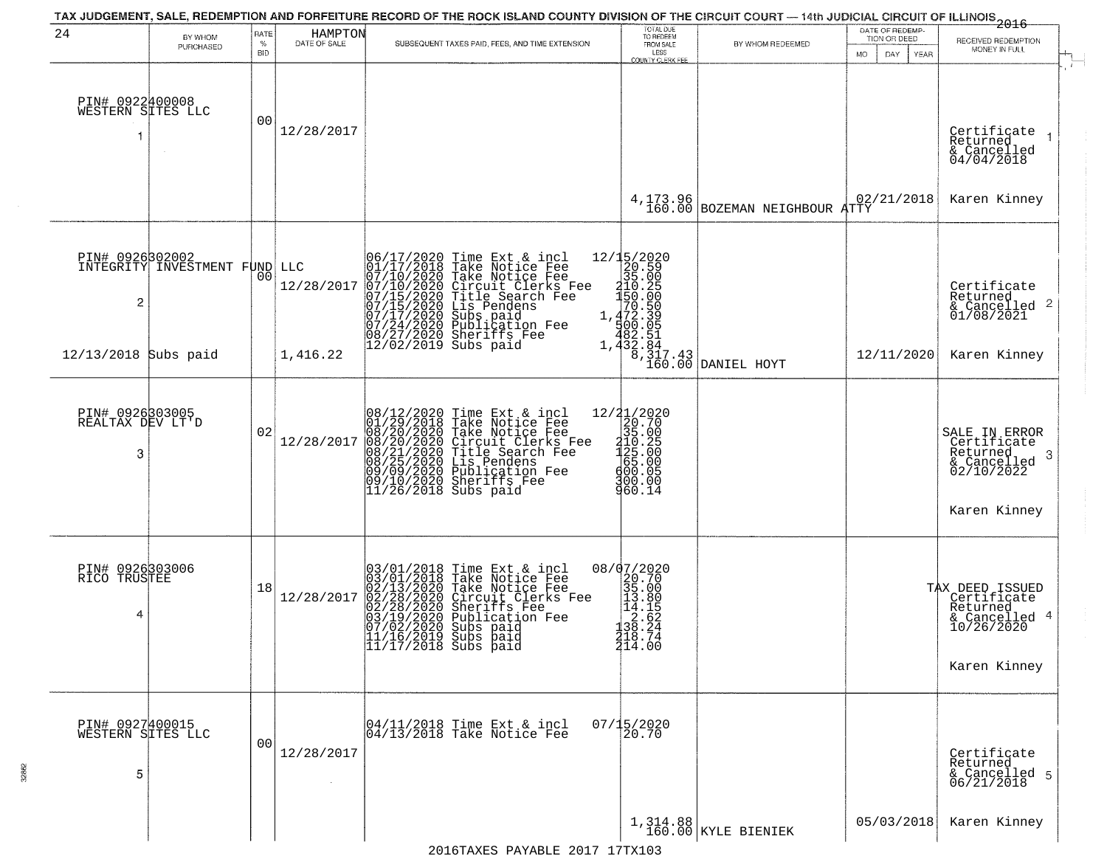|                                           |                                                  |                            |                         | TAX JUDGEMENT, SALE, REDEMPTION AND FORFEITURE RECORD OF THE ROCK ISLAND COUNTY DIVISION OF THE CIRCUIT COURT — 14th JUDICIAL CIRCUIT OF ILLINOIS 2016                                                                                                                                        | TOTAL DUE<br>TO REDEEM                                                                                                                                                                                                                                                                                                                             |                                                                 |                                 |                                                                                           |
|-------------------------------------------|--------------------------------------------------|----------------------------|-------------------------|-----------------------------------------------------------------------------------------------------------------------------------------------------------------------------------------------------------------------------------------------------------------------------------------------|----------------------------------------------------------------------------------------------------------------------------------------------------------------------------------------------------------------------------------------------------------------------------------------------------------------------------------------------------|-----------------------------------------------------------------|---------------------------------|-------------------------------------------------------------------------------------------|
| 24                                        | BY WHOM<br>PURCHASED                             | RATE<br>$\%$<br><b>BID</b> | HAMPTON<br>DATE OF SALE | SUBSEQUENT TAXES PAID, FEES, AND TIME EXTENSION                                                                                                                                                                                                                                               | FROM SALE<br>LESS                                                                                                                                                                                                                                                                                                                                  | BY WHOM REDEEMED                                                | DATE OF REDEMP-<br>TION OR DEED | RECEIVED REDEMPTION<br>MONEY IN FULL                                                      |
| PIN# 0922400008<br>WESTERN SITES LLC      |                                                  | 00                         | 12/28/2017              |                                                                                                                                                                                                                                                                                               | <b>COUNTY CLERK FEE</b>                                                                                                                                                                                                                                                                                                                            |                                                                 | DAY<br>YEAR<br>MO.              | Certifiçate<br>Returned<br>& Cancelled<br>04/04/2018                                      |
|                                           |                                                  |                            |                         |                                                                                                                                                                                                                                                                                               | 4,173.96<br>160.00                                                                                                                                                                                                                                                                                                                                 | BOZEMAN NEIGHBOUR ATTY                                          | 02/21/2018                      | Karen Kinney                                                                              |
| $\overline{\mathbf{c}}$                   | PIN# 0926302002<br>INTEGRITY INVESTMENT FUND LLC | 00                         | 12/28/2017              | 06/17/2020 Time Ext & incl<br>01/17/2018 Take Notice Fee<br>07/10/2020 Take Notice Fee<br>07/10/2020 Circuit Clerks Fee<br>07/15/2020 Circuit Clerks Fee<br>07/15/2020 Lis Pendens<br>07/17/2020 Sublication Fee<br>08/27/2020 Sublication Fee<br>08/                                         | ${\begin{array}{c} 12/15/2020 \\ 20.59 \\ 35.029 \\ -150.205 \\ 150.200 \\ 70.539 \\ 1.472.39 \\ -482.51 \\ 432.33 \\ \end{array}}$                                                                                                                                                                                                                |                                                                 |                                 | Certificate<br>Returned<br>$\frac{1}{6}$ Cancelled 2<br>01/08/2021                        |
| 12/13/2018 Subs paid                      |                                                  |                            | 1,416.22                |                                                                                                                                                                                                                                                                                               |                                                                                                                                                                                                                                                                                                                                                    | $\begin{bmatrix} 8, 317.43 \\ 160.00 \end{bmatrix}$ DANIEL HOYT | 12/11/2020                      | Karen Kinney                                                                              |
| PIN# 0926303005<br>REALTAX DEV LT'D<br>3  |                                                  | 02                         | 12/28/2017              | 08/12/2020 Time Ext & incl<br>01/29/2018 Take Notice Fee<br>08/20/2020 Take Notice Fee<br>08/20/2020 Circuit Clerks Fee<br>08/21/2020 Title Search Fee<br>08/25/2020 Lis Pendens<br>09/09/2020 Dublication Fee<br>09/10/2020 Sheriffs Fee<br>11/26/20                                         | $=\begin{smallmatrix} 12/2 & 1/2 & 0 & 2 & 0 \\ 2 & 0 & 0 & 7 & 0 \\ 3 & 0 & 0 & 0 & 0 \\ 2 & 1 & 1 & 0 & 0 \\ 1 & 1 & 0 & 0 & 0 \\ 4 & 0 & 0 & 0 & 0 \\ 6 & 0 & 0 & 0 & 0 \\ 9 & 0 & 0 & 0 & 0 \\ 9 & 0 & 0 & 0 & 0 \\ 9 & 0 & 0 & 0 & 0 \\ 9 & 0 & 0 & 0 & 0 \\ 9 & 0 & 0 & 0 & 0 \\ 1 & 0 & 0 & 0 & 0 \\ 1 & 0 & 0 & 0 & 0$<br>300.00<br>960.14 |                                                                 |                                 | SALE IN ERROR<br>Certificate<br>Returned<br>3<br>$\frac{1}{02/10/2022}$<br>Karen Kinney   |
| PIN# 0926303006<br>RICO TRUSTEE<br>4      |                                                  | 18                         | 12/28/2017              | $03/01/2018$ Time Ext & incl<br>$03/01/2018$ Take Notice Fee<br>$02/13/2020$ Take Notice Fee<br>$02/28/2020$ Circuit Clerks Fee<br>$02/28/2020$ Sheriffs Fee<br>$03/19/2020$ Publication Fee<br>$07/02/2020$ Subs paid<br>$11/16/2019$ Subs<br> 11/16/2019 Subs paid<br> 11/17/2018 Subs paid | $\begin{smallmatrix} 08/07/2020 \\ 20.70 \\ 35.00 \\ 14.18 \\ 12.15 \\ 13.80 \\ 28.27 \\ 218.74 \\ 214.0 \\ \end{smallmatrix}$                                                                                                                                                                                                                     |                                                                 |                                 | TAX DEED ISSUED<br>Certificate<br>Returned<br>& Cancelled 4<br>10/26/2020<br>Karen Kinney |
| PIN# 0927400015<br>WESTERN SITES LLC<br>5 |                                                  | 0 <sub>0</sub>             | 12/28/2017              | 04/11/2018 Time Ext & incl<br>04/13/2018 Take Notice Fee                                                                                                                                                                                                                                      | $07/15/2020$<br>20.70                                                                                                                                                                                                                                                                                                                              |                                                                 |                                 | Certificate<br>Returned<br>& Cancelled 5<br>06/21/2018                                    |
|                                           |                                                  |                            |                         |                                                                                                                                                                                                                                                                                               |                                                                                                                                                                                                                                                                                                                                                    | $1,314.88$ KYLE BIENIEK                                         | 05/03/2018                      | Karen Kinney                                                                              |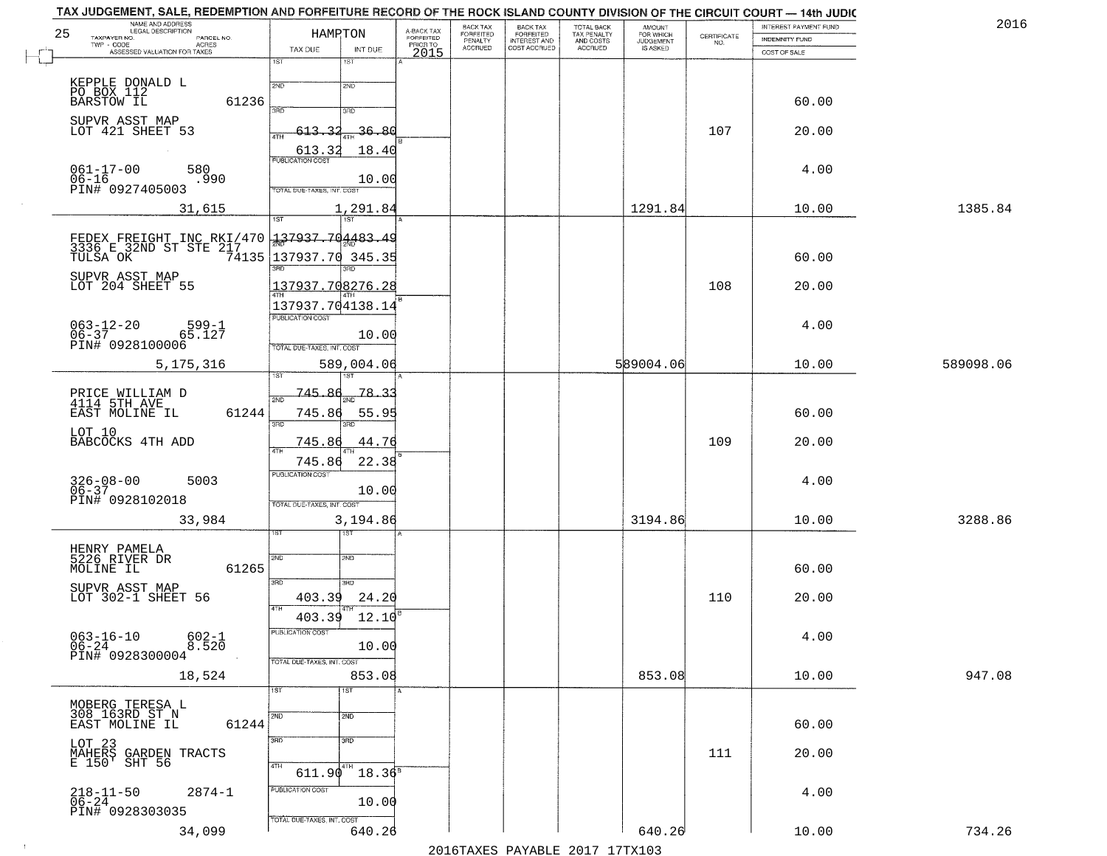|    | TAX JUDGEMENT, SALE, REDEMPTION AND FORFEITURE RECORD OF THE ROCK ISLAND COUNTY DIVISION OF THE CIRCUIT COURT - 14th JUDIC<br>NAME AND ADDRESS<br>LEGAL DESCRIPTION |                                      |                             | BACK TAX                    | BACK TAX<br>FORFEITED            |                                        | AMOUNT<br>FOR WHICH |                                                                 | INTEREST PAYMENT FUND | 2016      |
|----|---------------------------------------------------------------------------------------------------------------------------------------------------------------------|--------------------------------------|-----------------------------|-----------------------------|----------------------------------|----------------------------------------|---------------------|-----------------------------------------------------------------|-----------------------|-----------|
| 25 | TAXPAYER NO.<br>PARCEL NO.                                                                                                                                          | HAMRTON                              | A-BACK TAX<br>FORFEITED     | <b>FORFEITED</b><br>PENALTY | <b>INTEREST AND</b>              | TOTAL BACK<br>TAX PENALTY<br>AND COSTS | <b>JUDGEMENT</b>    | $\begin{array}{c} \text{CERTIFICATE} \\ \text{NO.} \end{array}$ | INDEMNITY FUND        |           |
|    | ACRES<br>ASSESSED VALUATION FOR TAXES                                                                                                                               | TAX DUE                              | PRIOR TO<br>INT DUE<br>2015 | <b>ACCRUED</b>              | COST ACCRUED                     | <b>ACCRUED</b>                         | IS ASKED            |                                                                 | COST OF SALE          |           |
|    |                                                                                                                                                                     | 1ST<br>1ST                           |                             |                             |                                  |                                        |                     |                                                                 |                       |           |
|    |                                                                                                                                                                     | 2ND<br>2ND                           |                             |                             |                                  |                                        |                     |                                                                 |                       |           |
|    | KEPPLE DONALD L<br>PO BOX 112<br>BARSTOW IL<br>61236                                                                                                                |                                      |                             |                             |                                  |                                        |                     |                                                                 | 60.00                 |           |
|    |                                                                                                                                                                     | 350<br>3RD                           |                             |                             |                                  |                                        |                     |                                                                 |                       |           |
|    | SUPVR ASST MAP<br>LOT 421 SHEET 53                                                                                                                                  | 613.32                               | $-36.80$                    |                             |                                  |                                        |                     | 107                                                             | 20.00                 |           |
|    |                                                                                                                                                                     |                                      |                             |                             |                                  |                                        |                     |                                                                 |                       |           |
|    |                                                                                                                                                                     | $\frac{613.32}{FUBUCATON COST}$      | 18.40                       |                             |                                  |                                        |                     |                                                                 |                       |           |
|    | $061 - 17 - 00$<br>$06 - 16$<br>580                                                                                                                                 |                                      |                             |                             |                                  |                                        |                     |                                                                 | 4.00                  |           |
|    | .990<br>PIN# 0927405003                                                                                                                                             | TOTAL DUE-TAXES, INT. COST           | 10.00                       |                             |                                  |                                        |                     |                                                                 |                       |           |
|    | 31,615                                                                                                                                                              |                                      | 1,291.84                    |                             |                                  |                                        | 1291.84             |                                                                 | 10.00                 | 1385.84   |
|    |                                                                                                                                                                     | 1ST                                  |                             |                             |                                  |                                        |                     |                                                                 |                       |           |
|    |                                                                                                                                                                     |                                      |                             |                             |                                  |                                        |                     |                                                                 |                       |           |
|    | FEDEX FREIGHT INC RKI/470 337937.704483.49                                                                                                                          |                                      |                             |                             |                                  |                                        |                     |                                                                 |                       |           |
|    | TULSA OK                                                                                                                                                            | 74135 137937.70<br>3RD               | 345.35                      |                             |                                  |                                        |                     |                                                                 | 60.00                 |           |
|    | SUPVR ASST MAP                                                                                                                                                      |                                      |                             |                             |                                  |                                        |                     |                                                                 |                       |           |
|    | LOT 204 SHEET 55                                                                                                                                                    | 137937.708276.28                     |                             |                             |                                  |                                        |                     | 108                                                             | 20.00                 |           |
|    |                                                                                                                                                                     | 137937.704138.14<br>PUBLICATION COST |                             |                             |                                  |                                        |                     |                                                                 |                       |           |
|    | $063 - 12 - 20$<br>06-37<br>$599 - 1$                                                                                                                               |                                      |                             |                             |                                  |                                        |                     |                                                                 | 4.00                  |           |
|    | 65.127<br>PIN# 0928100006                                                                                                                                           |                                      | 10.00                       |                             |                                  |                                        |                     |                                                                 |                       |           |
|    |                                                                                                                                                                     | TOTAL DUE-TAXES, INT. COST           |                             |                             |                                  |                                        |                     |                                                                 |                       |           |
|    | 5,175,316                                                                                                                                                           | 589,004.06<br>i ST                   |                             |                             |                                  |                                        | 589004.06           |                                                                 | 10.00                 | 589098.06 |
|    |                                                                                                                                                                     |                                      |                             |                             |                                  |                                        |                     |                                                                 |                       |           |
|    | PRICE WILLIAM D<br>4114 5TH AVE                                                                                                                                     | -745.<br>2ND                         | 78.3                        |                             |                                  |                                        |                     |                                                                 |                       |           |
|    | EAST MOLINE IL<br>61244                                                                                                                                             | 745.86                               | 55.95                       |                             |                                  |                                        |                     |                                                                 | 60.00                 |           |
|    | LOT 10                                                                                                                                                              | 3RD<br>3RD                           |                             |                             |                                  |                                        |                     |                                                                 |                       |           |
|    | BABCOCKS 4TH ADD                                                                                                                                                    | 745.86                               | 44.76                       |                             |                                  |                                        |                     | 109                                                             | 20.00                 |           |
|    |                                                                                                                                                                     | 745.86                               | 22.38                       |                             |                                  |                                        |                     |                                                                 |                       |           |
|    | 5003                                                                                                                                                                | <b>PUBLICATION COST</b>              |                             |                             |                                  |                                        |                     |                                                                 | 4.00                  |           |
|    | $326 - 08 - 00$<br>06-37                                                                                                                                            |                                      | 10.00                       |                             |                                  |                                        |                     |                                                                 |                       |           |
|    | PIN# 0928102018                                                                                                                                                     | TOTAL OUE-TAXES, INT. COST           |                             |                             |                                  |                                        |                     |                                                                 |                       |           |
|    | 33,984                                                                                                                                                              |                                      | 3,194.86                    |                             |                                  |                                        | 3194.86             |                                                                 | 10.00                 | 3288.86   |
|    |                                                                                                                                                                     | १९४                                  |                             |                             |                                  |                                        |                     |                                                                 |                       |           |
|    | HENRY PAMELA<br>5226 RIVER DR                                                                                                                                       | 2ND<br>2ND                           |                             |                             |                                  |                                        |                     |                                                                 |                       |           |
|    | 61265<br>MOLINE IL                                                                                                                                                  |                                      |                             |                             |                                  |                                        |                     |                                                                 | 60.00                 |           |
|    |                                                                                                                                                                     | 3RD<br>3HD                           |                             |                             |                                  |                                        |                     |                                                                 |                       |           |
|    | SUPVR ASST MAP<br>LOT 302-1 SHEET 56                                                                                                                                | 403.39                               | 24.20                       |                             |                                  |                                        |                     | 110                                                             | 20.00                 |           |
|    |                                                                                                                                                                     | 4TH<br>403.39                        | 12.10                       |                             |                                  |                                        |                     |                                                                 |                       |           |
|    | $602 - 1$                                                                                                                                                           | PUBLICATION COS.                     |                             |                             |                                  |                                        |                     |                                                                 | 4.00                  |           |
|    | $063-16-10$<br>$06-24$<br>8.520                                                                                                                                     |                                      | 10.00                       |                             |                                  |                                        |                     |                                                                 |                       |           |
|    | PIN# 0928300004                                                                                                                                                     | TOTAL DUE-TAXES, INT. COST           |                             |                             |                                  |                                        |                     |                                                                 |                       |           |
|    | 18,524                                                                                                                                                              |                                      | 853.08                      |                             |                                  |                                        | 853.08              |                                                                 | 10.00                 | 947.08    |
|    |                                                                                                                                                                     | 1ST<br>1ST                           |                             |                             |                                  |                                        |                     |                                                                 |                       |           |
|    | MOBERG TERESA L<br>308 163RD ST N                                                                                                                                   |                                      |                             |                             |                                  |                                        |                     |                                                                 |                       |           |
|    | 61244<br>EAST MOLINE IL                                                                                                                                             | 2ND<br>2ND                           |                             |                             |                                  |                                        |                     |                                                                 | 60.00                 |           |
|    |                                                                                                                                                                     | 3RD<br>3RD                           |                             |                             |                                  |                                        |                     |                                                                 |                       |           |
|    | LOT 23<br>MAHERS GARDEN TRACTS<br>E 150' SHT 56                                                                                                                     |                                      |                             |                             |                                  |                                        |                     | 111                                                             | 20.00                 |           |
|    |                                                                                                                                                                     | 4TH<br>611.90                        | $18.36^5$                   |                             |                                  |                                        |                     |                                                                 |                       |           |
|    |                                                                                                                                                                     | PUBLICATION COST                     |                             |                             |                                  |                                        |                     |                                                                 |                       |           |
|    | $218 - 11 - 50$<br>06-24<br>$2874 - 1$                                                                                                                              |                                      | 10.00                       |                             |                                  |                                        |                     |                                                                 | 4.00                  |           |
|    | PIN# 0928303035                                                                                                                                                     | TOTAL DUE-TAXES, INT. COST           |                             |                             |                                  |                                        |                     |                                                                 |                       |           |
|    | 34,099                                                                                                                                                              |                                      | 640.26                      |                             |                                  |                                        | 640.26              |                                                                 | 10.00                 | 734.26    |
|    |                                                                                                                                                                     |                                      |                             |                             | 2016 TAVEC DAVARLE 2017 17 TV102 |                                        |                     |                                                                 |                       |           |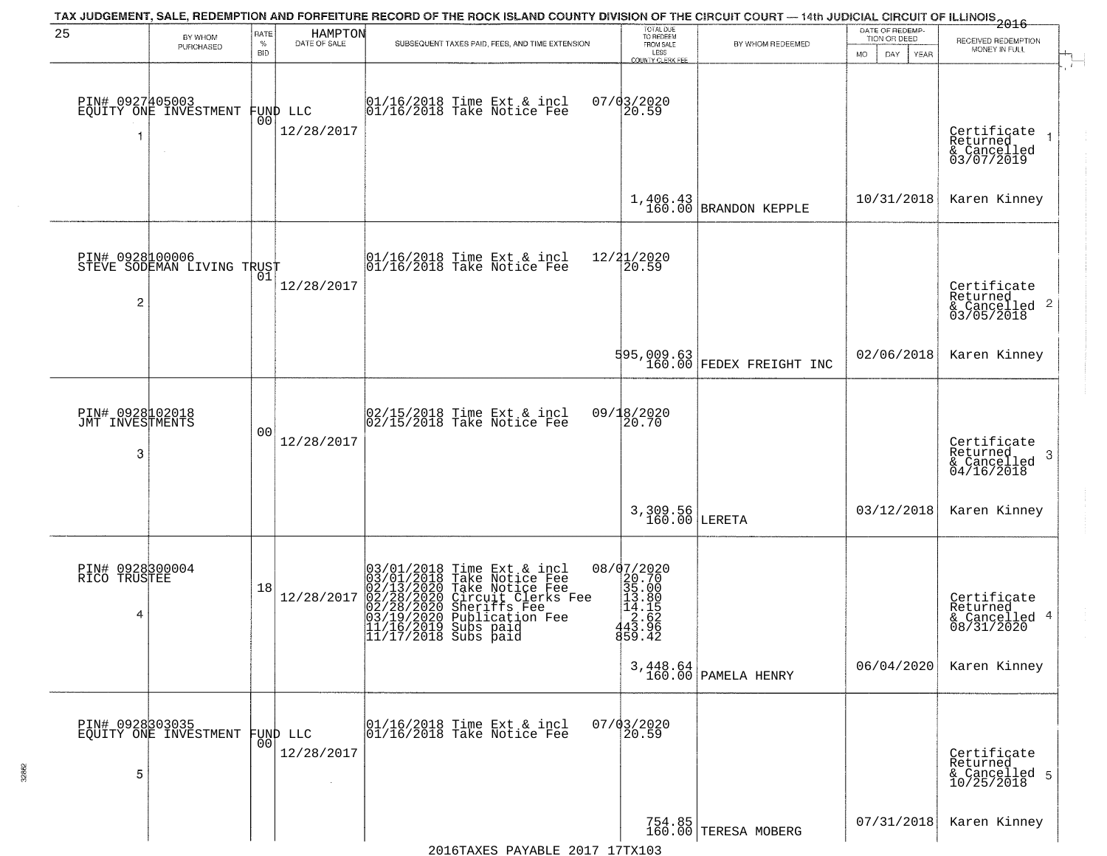| 25                                      | BY WHOM                                      | RATE               | <b>HAMPTON</b>         | TAX JUDGEMENT, SALE, REDEMPTION AND FORFEITURE RECORD OF THE ROCK ISLAND COUNTY DIVISION OF THE CIRCUIT COURT — 14th JUDICIAL CIRCUIT OF ILLINOIS 2016                                                                                                  | TOTAL DUE<br>TO REDEEM                                                                  |                                                                        | DATE OF REDEMP-<br>TION OR DEED |                                                                       |
|-----------------------------------------|----------------------------------------------|--------------------|------------------------|---------------------------------------------------------------------------------------------------------------------------------------------------------------------------------------------------------------------------------------------------------|-----------------------------------------------------------------------------------------|------------------------------------------------------------------------|---------------------------------|-----------------------------------------------------------------------|
|                                         | PURCHASED                                    | $\%$<br><b>BID</b> | DATE OF SALE           | SUBSEQUENT TAXES PAID, FEES, AND TIME EXTENSION                                                                                                                                                                                                         | FROM SALE<br>LESS                                                                       | BY WHOM REDEEMED                                                       | MO.<br>DAY.<br><b>YEAR</b>      | RECEIVED REDEMPTION<br>MONEY IN FULL                                  |
| 1                                       | PIN# 0927405003<br>EQUITY ONE INVESTMENT     | 00                 | FUND LLC<br>12/28/2017 | 01/16/2018 Time Ext & incl<br>01/16/2018 Take Notice Fee                                                                                                                                                                                                | <b>COUNTY CLERK FEE</b><br>$07/03/2020$<br>20.59                                        |                                                                        |                                 | Certificate<br>Returned<br>& Cancelled<br>03/07/2019                  |
|                                         |                                              |                    |                        |                                                                                                                                                                                                                                                         |                                                                                         | $1,406.43$ BRANDON KEPPLE                                              | 10/31/2018                      | Karen Kinney                                                          |
| $\overline{c}$                          | PIN# 092800006<br>STEVE SODEMAN LIVING TRUST |                    | 12/28/2017             | 01/16/2018 Time Ext & incl<br>01/16/2018 Take Notice Fee                                                                                                                                                                                                | 12/21/2020<br>20.59                                                                     |                                                                        |                                 | Certificate<br>Returned<br>$\frac{1}{6}$ Cancelled 2<br>03/05/2018    |
|                                         |                                              |                    |                        |                                                                                                                                                                                                                                                         |                                                                                         | $\begin{bmatrix} 595,009.63 \\ 160.00 \end{bmatrix}$ FEDEX FREIGHT INC | 02/06/2018                      | Karen Kinney                                                          |
| PIN# 0928102018<br>JMT INVESTMENTS<br>3 |                                              | 0 <sub>0</sub>     | 12/28/2017             | 02/15/2018 Time Ext & incl<br>02/15/2018 Take Notice Fee                                                                                                                                                                                                | 09/18/2020<br>20.70                                                                     |                                                                        |                                 | Certificate<br>Returned<br>3<br>$\frac{1}{2}$ Cancelled<br>04/16/2018 |
|                                         |                                              |                    |                        |                                                                                                                                                                                                                                                         | 3,309.56<br>160.00                                                                      | LERETA                                                                 | 03/12/2018                      | Karen Kinney                                                          |
| PIN# 0928300004<br>RICO TRUSTEE<br>4    |                                              | 18                 | 12/28/2017             | 03/01/2018<br>03/01/2018<br>02/13/2020<br>02/28/2020<br>03/19/2020<br>03/19/2020<br>11/16/2019<br>Time Ext & incl<br>Take Notice Fee<br>Take Notice Fee<br>Circuit Clerks Fee<br>Sheriffs Fee<br>Publication Fee<br>Subs paid<br>$11/17/2018$ Subs paid | 08/07/2020<br>$20.70$<br>$35.00$<br>$13.80$<br>$14.165$<br>$43.66$<br>$45.96$<br>859.42 |                                                                        |                                 | Certificate<br>Returned<br>& Cancelled 4<br>08/31/2020                |
|                                         |                                              |                    |                        |                                                                                                                                                                                                                                                         |                                                                                         | 3,448.64<br>160.00 PAMELA HENRY                                        | 06/04/2020                      | Karen Kinney                                                          |
| 5                                       | PIN# 0928303035<br>EQUITY ONE INVESTMENT     | 00                 | FUND LLC<br>12/28/2017 | 01/16/2018 Time Ext & incl<br>01/16/2018 Take Notice Fee                                                                                                                                                                                                | $07/03/2020$<br>20.59                                                                   |                                                                        |                                 | Certificate<br>Returned<br>& Cancelled 5<br>10/25/2018                |
|                                         |                                              |                    |                        |                                                                                                                                                                                                                                                         |                                                                                         | 754.85<br>160.00 TERESA MOBERG                                         | 07/31/2018                      | Karen Kinney                                                          |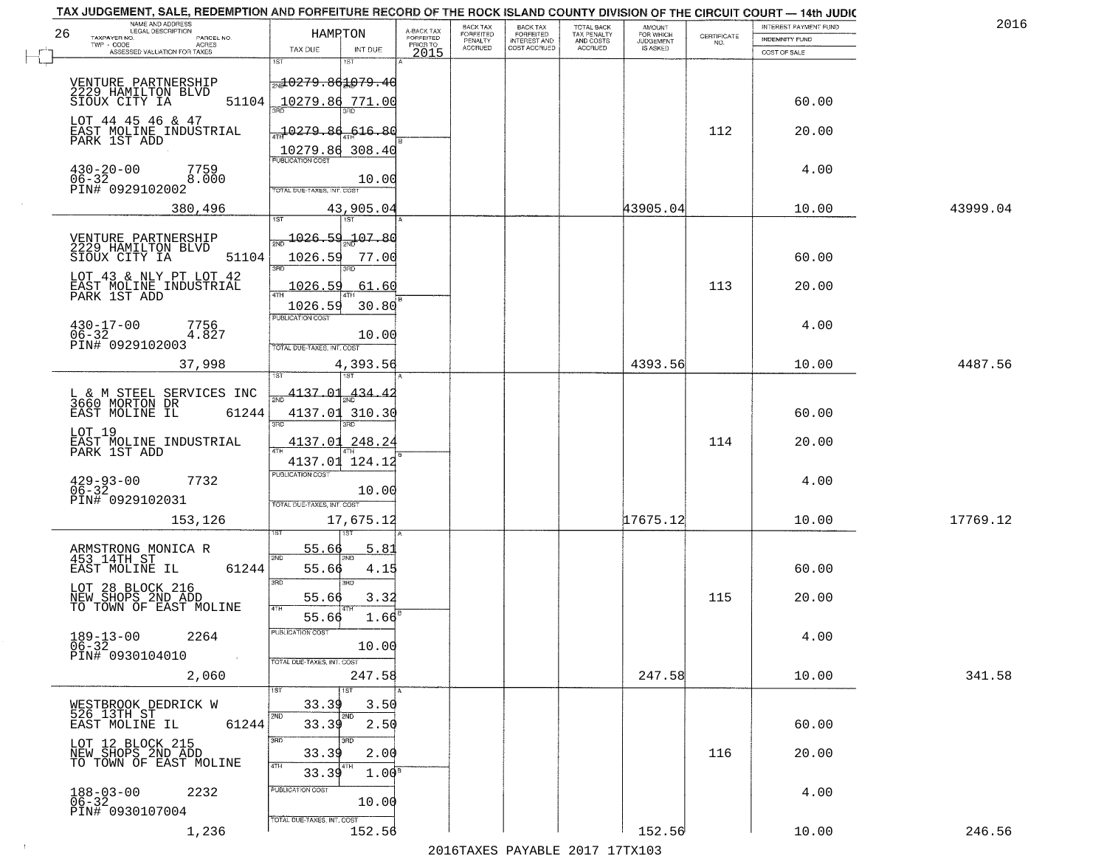| 2016     | INTEREST PAYMENT FUND          |                                                                 | <b>AMOUNT</b>                      | TOTAL BACK<br>TAX PENALTY | <b>BACK TAX</b><br><b>FORFEITED</b> | BACK TAX<br>FORFEITED | A-BACK TAX<br>FORFEITED |                   | HAMRTON                     | NAME AND ADDRESS<br>LEGAL DESCRIPTION<br>TAXPAYER NO.<br>PARCEL NO. |
|----------|--------------------------------|-----------------------------------------------------------------|------------------------------------|---------------------------|-------------------------------------|-----------------------|-------------------------|-------------------|-----------------------------|---------------------------------------------------------------------|
|          | INDEMNITY FUND<br>COST OF SALE | $\begin{array}{c} \text{CERTIFICATE} \\ \text{NO.} \end{array}$ | FOR WHICH<br>JUDGEMENT<br>IS ASKED | AND COSTS<br>ACCRUED      | INTEREST AND<br>COST ACCRUED        | PENALTY<br>ACCRUED    | PRIOR TO<br>2015        | INT DUE           | TAX DUE                     | TWP - CODE<br><b>ACRES</b><br>ASSESSED VALUATION FOR TAXES          |
|          |                                |                                                                 |                                    |                           |                                     |                       |                         |                   | 1ST                         |                                                                     |
|          |                                |                                                                 |                                    |                           |                                     |                       |                         |                   | <del>20279.861079.40</del>  | VENTURE PARTNERSHIP<br>2229 HAMILTON BLVD                           |
|          | 60.00                          |                                                                 |                                    |                           |                                     |                       |                         |                   | 10279.86 771.00             | 51104<br>SIOUX CITY IA                                              |
|          | 20.00                          | 112                                                             |                                    |                           |                                     |                       |                         | -616.80           | $-10279.86$                 | LOT 44 45 46 & 47<br>EAST MOLINE INDUSTRIAL                         |
|          |                                |                                                                 |                                    |                           |                                     |                       |                         |                   | 10279.86 308.40             | PARK 1ST ADD                                                        |
|          | 4.00                           |                                                                 |                                    |                           |                                     |                       |                         |                   | <b>PUBLICATION COST</b>     | $430 - 20 - 00$<br>7759                                             |
|          |                                |                                                                 |                                    |                           |                                     |                       |                         | 10.00             | TOTAL DUE-TAXES, INT. COST  | 8.000<br>$06 - 32$<br>PIN# 0929102002                               |
| 43999.04 | 10.00                          |                                                                 | 43905.04                           |                           |                                     |                       |                         | 43,905.04<br>1ST  | 1ST                         | 380,496                                                             |
|          |                                |                                                                 |                                    |                           |                                     |                       |                         |                   | 1026.59 107.80              |                                                                     |
|          | 60.00                          |                                                                 |                                    |                           |                                     |                       |                         | 77.00             | 1026.59                     | VENTURE PARTNERSHIP<br>2229 HAMILTON BLVD<br>51104<br>SIOUX CITY IA |
|          |                                |                                                                 |                                    |                           |                                     |                       |                         |                   | <b>3RD</b>                  | LOT 43 & NLY PT LOT 42                                              |
|          | 20.00                          | 113                                                             |                                    |                           |                                     |                       |                         | 61.60             | 1026.59<br>ৰিয়াম           | EAST MOLINE INDUSTRIAL<br>PARK 1ST ADD                              |
|          |                                |                                                                 |                                    |                           |                                     |                       |                         | 30.80             | 1026.59<br>PUBLICATION COST |                                                                     |
|          | 4.00                           |                                                                 |                                    |                           |                                     |                       |                         | 10.00             |                             | $430 - 17 - 00$<br>7756<br>$06 - 32$<br>4.827                       |
| 4487.56  | 10.00                          |                                                                 | 4393.56                            |                           |                                     |                       |                         | 4,393.56          | TOTAL DUE-TAXES, INT. COST  | PIN# 0929102003<br>37,998                                           |
|          |                                |                                                                 |                                    |                           |                                     |                       |                         |                   |                             |                                                                     |
|          |                                |                                                                 |                                    |                           |                                     |                       |                         | -434.42           | 4137.01                     | L & M STEEL SERVICES INC<br>3660 MORTON DR                          |
|          | 60.00                          |                                                                 |                                    |                           |                                     |                       |                         |                   | 4137.01 310.30<br>3RD       | EAST MOLINE IL<br>61244                                             |
|          | 20.00                          | 114                                                             |                                    |                           |                                     |                       |                         | 248.24            | 4137.01                     | LOT 19<br>EAST MOLINE INDUSTRIAL<br>PARK 1ST ADD                    |
|          |                                |                                                                 |                                    |                           |                                     |                       |                         |                   | 4137.01 124.12              |                                                                     |
|          | 4.00                           |                                                                 |                                    |                           |                                     |                       |                         | 10.00             | <b>PUBLICATION COST</b>     | $429 - 93 - 00$<br>06-32<br>7732                                    |
|          |                                |                                                                 |                                    |                           |                                     |                       |                         |                   | TOTAL OUE-TAXES, INT. COST  | PIN# 0929102031                                                     |
| 17769.12 | 10.00                          |                                                                 | 17675.12                           |                           |                                     |                       |                         | 17,675.12         |                             | 153,126                                                             |
|          |                                |                                                                 |                                    |                           |                                     |                       |                         | 5.8               | 55.66                       |                                                                     |
|          | 60.00                          |                                                                 |                                    |                           |                                     |                       |                         | 4.15              | 2ND<br>55.66                | ARMSTRONG MONICA R<br>453 14TH ST<br>61244<br>EAST MOLINE IL        |
|          |                                |                                                                 |                                    |                           |                                     |                       |                         | 3BD               | 3RD                         | LOT 28 BLOCK 216                                                    |
|          | 20.00                          | 115                                                             |                                    |                           |                                     |                       |                         | 3.32              | 55.66<br>4TH                | NEW SHOPS 2ND ADD<br>TO TOWN OF EAST MOLINE                         |
|          | 4.00                           |                                                                 |                                    |                           |                                     |                       |                         | $1.66^B$          | 55.66<br>PUBLICATION COST   | 2264                                                                |
|          |                                |                                                                 |                                    |                           |                                     |                       |                         | 10.00             |                             | $189 - 13 - 00$<br>06-32<br>PIN# 0930104010<br>$\sim 100$           |
| 341.58   | 10.00                          |                                                                 | 247.58                             |                           |                                     |                       |                         | 247.58            | TOTAL DUE-TAXES, INT. COST  | 2,060                                                               |
|          |                                |                                                                 |                                    |                           |                                     |                       |                         | 1ST               | 1ST                         |                                                                     |
|          |                                |                                                                 |                                    |                           |                                     |                       |                         | 3.50<br>2ND       | 33.39<br>2ND                | WESTBROOK DEDRICK W<br>526 13TH ST                                  |
|          | 60.00                          |                                                                 |                                    |                           |                                     |                       |                         | 2.50<br>3RD       | 33.39<br>3RD                | EAST MOLINE IL<br>61244                                             |
|          | 20.00                          | 116                                                             |                                    |                           |                                     |                       |                         | 2.00              | 33.39                       | LOT 12 BLOCK 215<br>NEW SHOPS 2ND ADD<br>TO TOWN OF EAST MOLINE     |
|          |                                |                                                                 |                                    |                           |                                     |                       |                         | 1.00 <sup>s</sup> | 4TH<br>33.39                |                                                                     |
|          | 4.00                           |                                                                 |                                    |                           |                                     |                       |                         | 10.00             | PUBLICATION COST            | $188 - 03 - 00$<br>$06 - 32$<br>2232                                |
|          |                                |                                                                 |                                    |                           |                                     |                       |                         |                   | TOTAL DUE-TAXES, INT. COST  | PIN# 0930107004                                                     |
| 246.56   | 10.00                          |                                                                 | 152.56                             |                           |                                     |                       |                         | 152.56            |                             | 1,236                                                               |

 $\sim 10^{-1}$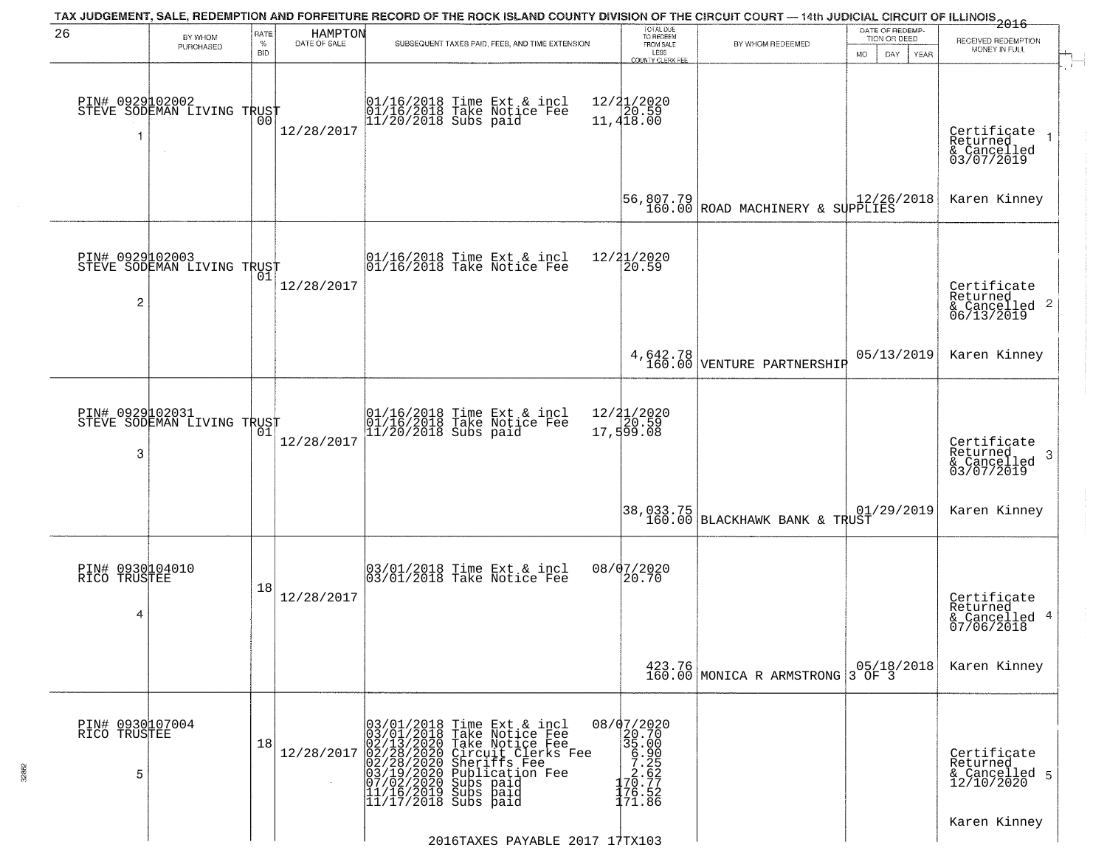| 26                                   | BY WHOM                                           | RATE               | HAMPTON      | TAX JUDGEMENT, SALE, REDEMPTION AND FORFEITURE RECORD OF THE ROCK ISLAND COUNTY DIVISION OF THE CIRCUIT COURT — 14th JUDICIAL CIRCUIT OF ILLINOIS 2016                                                                                               | TOTAL DUE<br>TO REDEEM                                                                                |                                               | DATE OF REDEMP-<br>TION OR DEED | RECEIVED REDEMPTION                                                    |
|--------------------------------------|---------------------------------------------------|--------------------|--------------|------------------------------------------------------------------------------------------------------------------------------------------------------------------------------------------------------------------------------------------------------|-------------------------------------------------------------------------------------------------------|-----------------------------------------------|---------------------------------|------------------------------------------------------------------------|
|                                      | PURCHASED                                         | $\%$<br><b>BID</b> | DATE OF SALE | SUBSEQUENT TAXES PAID, FEES, AND TIME EXTENSION                                                                                                                                                                                                      | FROM SALE<br>LESS<br>COUNTY CLERK FEE                                                                 | BY WHOM REDEEMED<br><b>MO</b>                 | DAY<br><b>YEAR</b>              | MONEY IN FULL<br>$\mathbf{r}$                                          |
| -1                                   | PIN# 0929102002    <br>STEVE SODEMAN LIVING TRUST | 00                 | 12/28/2017   | 01/16/2018 Time Ext & incl<br>01/16/2018 Take Notice Fee<br>11/20/2018 Subs paid                                                                                                                                                                     | 12/21/2020<br>120.59<br>11,418.00                                                                     |                                               |                                 | Certificate<br>Returned<br>$\rightarrow$<br>& Cancelled<br>03/07/2019  |
|                                      |                                                   |                    |              |                                                                                                                                                                                                                                                      |                                                                                                       |                                               |                                 | Karen Kinney                                                           |
| $\overline{c}$                       | PIN# 0929102003<br>STEVE SODEMAN LIVING TRUST     |                    | 12/28/2017   | 01/16/2018 Time Ext & incl<br>01/16/2018 Take Notice Fee                                                                                                                                                                                             | 12/21/2020<br>20.59                                                                                   |                                               |                                 | Certificate<br>Returned<br>$\overline{2}$<br>& Cancelled<br>06/13/2019 |
|                                      |                                                   |                    |              |                                                                                                                                                                                                                                                      |                                                                                                       | 4,642.78<br>160.00 VENTURE PARTNERSHIP        | 05/13/2019                      | Karen Kinney                                                           |
| PIN# 0929102031<br>3                 | STEVE SODEMAN LIVING TRUST                        | 01                 | 12/28/2017   | 01/16/2018 Time Ext & incl<br>01/16/2018 Take Notice Fee<br>11/20/2018 Subs paid                                                                                                                                                                     | 12/ <b>2</b> 1/2020<br>17,599.08                                                                      |                                               |                                 | Certificate<br>Returned<br>3<br>& Cancelled<br>03/07/2019              |
|                                      |                                                   |                    |              |                                                                                                                                                                                                                                                      |                                                                                                       | 38,033.75 <br>  160.00 BLACKHAWK BANK & TRUST | 01/29/2019                      | Karen Kinney                                                           |
| PIN# 0930104010<br>RICO TRUSTEE<br>4 |                                                   | 18                 | 12/28/2017   | 03/01/2018 Time Ext & incl<br>03/01/2018 Take Notice Fee                                                                                                                                                                                             | 08/07/2020<br>20.70                                                                                   |                                               |                                 | Certificate<br>Returned<br>4<br>& Cancelled<br>07/06/2018              |
|                                      |                                                   |                    |              |                                                                                                                                                                                                                                                      |                                                                                                       | 423.76<br>160.00 MONICA R ARMSTRONG 3 OF 3    | 05/18/2018                      | Karen Kinney                                                           |
| PIN# 0930107004<br>RICO TRUSTEE<br>5 |                                                   | 18                 | 12/28/2017   | $03/01/2018$ Time Ext & incl<br>03/01/2018 Take Notice Fee<br>02/13/2020 Take Notice Fee<br>02/28/2020 Circuit Clerks Fee<br>02/28/2020 Sheriffs Fee<br>03/19/2020 Subs paid<br>11/16/2019 Subs paid<br>11/17/2018 Subs paid<br>11/17/2018 Subs paid | $\begin{array}{r} 08/07/2020 \\ 20.700 \\ 35.000 \\ -7.252 \\ 170.77 \\ 176.52 \\ 171.86 \end{array}$ |                                               |                                 | Certificate<br>Returned<br>& Cancelled 5<br>12/10/2020                 |
|                                      |                                                   |                    |              | 2016TAXES PAYABLE 2017 17TX103                                                                                                                                                                                                                       |                                                                                                       |                                               |                                 | Karen Kinney                                                           |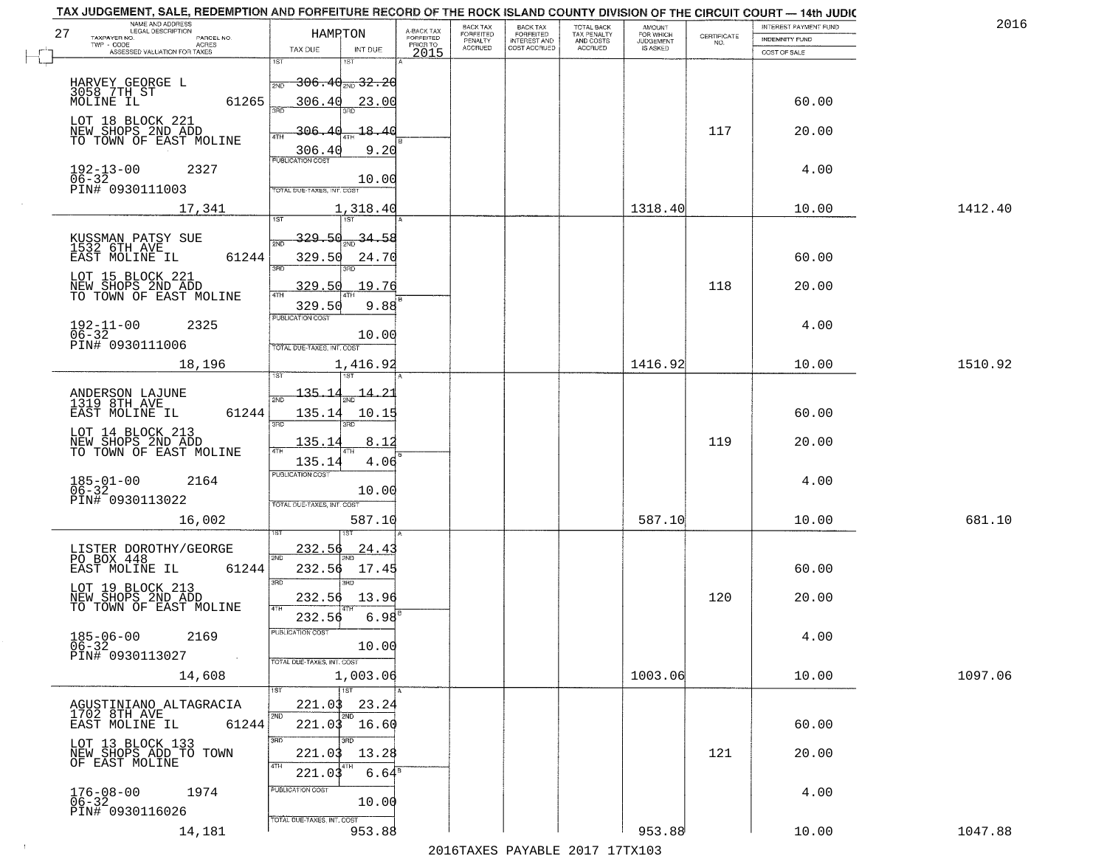| TAX JUDGEMENT, SALE, REDEMPTION AND FORFEITURE RECORD OF THE ROCK ISLAND COUNTY DIVISION OF THE CIRCUIT COURT - 14th JUDIC |                     |                                      |                                     |                              |                              |                                        |                     |                                                                 |                       |         |
|----------------------------------------------------------------------------------------------------------------------------|---------------------|--------------------------------------|-------------------------------------|------------------------------|------------------------------|----------------------------------------|---------------------|-----------------------------------------------------------------|-----------------------|---------|
| NAME AND ADDRESS<br>LEGAL DESCRIPTION                                                                                      |                     | HAMRTON                              |                                     | <b>BACK TAX</b><br>FORFEITED | <b>BACK TAX</b><br>FORFEITED | TOTAL BACK<br>TAX PENALTY<br>AND COSTS | AMOUNT<br>FOR WHICH |                                                                 | INTEREST PAYMENT FUND | 201     |
| 27<br>TAXPAYER NO.                                                                                                         | PARCEL NO.<br>ACRES |                                      | A-BACK TAX<br>FORFEITED<br>PRIOR TO | PENALTY                      | <b>INTEREST AND</b>          |                                        | <b>JUDGEMENT</b>    | $\begin{array}{c} \text{CERTIFICATE} \\ \text{NO.} \end{array}$ | INDEMNITY FUND        |         |
| ASSESSED VALUATION FOR TAXES                                                                                               |                     | TAX DUE<br>INT DUE                   | 2015                                | <b>ACCRUED</b>               | COST ACCRUED                 | <b>ACCRUED</b>                         | <b>IS ASKED</b>     |                                                                 | COST OF SALE          |         |
|                                                                                                                            |                     | 1ST                                  |                                     |                              |                              |                                        |                     |                                                                 |                       |         |
|                                                                                                                            |                     | $-306.40_{\text{200}}32.20$<br>2ND   |                                     |                              |                              |                                        |                     |                                                                 |                       |         |
| HARVEY GEORGE L<br>3058 7TH ST                                                                                             |                     |                                      |                                     |                              |                              |                                        |                     |                                                                 |                       |         |
| MOLINE IL                                                                                                                  | 61265               | 306.40<br>23.00<br>วลที              |                                     |                              |                              |                                        |                     |                                                                 | 60.00                 |         |
| LOT 18 BLOCK 221                                                                                                           |                     |                                      |                                     |                              |                              |                                        |                     |                                                                 |                       |         |
| NEW SHOPS 2ND ADD<br>TO TOWN OF EAST MOLINE                                                                                |                     | 306.40<br>18.40                      |                                     |                              |                              |                                        |                     | 117                                                             | 20.00                 |         |
|                                                                                                                            |                     | 306.40                               | 9.20                                |                              |                              |                                        |                     |                                                                 |                       |         |
|                                                                                                                            |                     | <b>PUBLICATION COST</b>              |                                     |                              |                              |                                        |                     |                                                                 |                       |         |
| $192 - 13 - 00$<br>$06 - 32$                                                                                               | 2327                |                                      |                                     |                              |                              |                                        |                     |                                                                 | 4.00                  |         |
| PIN# 0930111003                                                                                                            |                     | 10.00<br>TOTAL DUE-TAXES, INT. COST  |                                     |                              |                              |                                        |                     |                                                                 |                       |         |
|                                                                                                                            |                     |                                      |                                     |                              |                              |                                        |                     |                                                                 |                       |         |
|                                                                                                                            | 17,341              | 1,318.40                             |                                     |                              |                              |                                        | 1318.40             |                                                                 | 10.00                 | 1412.40 |
|                                                                                                                            |                     |                                      |                                     |                              |                              |                                        |                     |                                                                 |                       |         |
| KUSSMAN PATSY SUE<br>1532 6TH AVE                                                                                          |                     | 329.5d<br>34.58                      |                                     |                              |                              |                                        |                     |                                                                 |                       |         |
| EAST MOLINE IL                                                                                                             | 61244               | 329.50<br>24.70                      |                                     |                              |                              |                                        |                     |                                                                 | 60.00                 |         |
|                                                                                                                            |                     | 380<br>38D                           |                                     |                              |                              |                                        |                     |                                                                 |                       |         |
| LOT 15 BLOCK 221                                                                                                           |                     | 19.76<br>329.50                      |                                     |                              |                              |                                        |                     | 118                                                             | 20.00                 |         |
| NEW SHOPS AND ADD<br>TO TOWN OF EAST MOLINE                                                                                |                     |                                      |                                     |                              |                              |                                        |                     |                                                                 |                       |         |
|                                                                                                                            |                     | 329.50                               | 9.88                                |                              |                              |                                        |                     |                                                                 |                       |         |
| $192 - 11 - 00$                                                                                                            | 2325                | PUBLICATION COST                     |                                     |                              |                              |                                        |                     |                                                                 | 4.00                  |         |
| $06 - 32$                                                                                                                  |                     | 10.00                                |                                     |                              |                              |                                        |                     |                                                                 |                       |         |
| PIN# 0930111006                                                                                                            |                     | TOTAL DUE-TAXES, INT. COST           |                                     |                              |                              |                                        |                     |                                                                 |                       |         |
|                                                                                                                            | 18,196              | 1,416.92                             |                                     |                              |                              |                                        | 1416.92             |                                                                 | 10.00                 | 1510.92 |
|                                                                                                                            |                     | 1ST                                  |                                     |                              |                              |                                        |                     |                                                                 |                       |         |
|                                                                                                                            |                     | $-135 - 1$<br><u> 14.2.</u>          |                                     |                              |                              |                                        |                     |                                                                 |                       |         |
| ANDERSON LAJUNE<br>1319 8TH AVE                                                                                            |                     | 2ND                                  |                                     |                              |                              |                                        |                     |                                                                 |                       |         |
| EAST MOLINE IL                                                                                                             | 61244               | 135.14<br>10.15                      |                                     |                              |                              |                                        |                     |                                                                 | 60.00                 |         |
| LOT 14 BLOCK 213                                                                                                           |                     | 3BD<br>3RD                           |                                     |                              |                              |                                        |                     |                                                                 |                       |         |
| NEW SHOPS 2ND ADD<br>TO TOWN OF EAST MOLINE                                                                                |                     | 135.14<br>8.12                       |                                     |                              |                              |                                        |                     | 119                                                             | 20.00                 |         |
|                                                                                                                            |                     | 4TH<br>135.14                        | 4.06                                |                              |                              |                                        |                     |                                                                 |                       |         |
|                                                                                                                            |                     | <b>PUBLICATION COST</b>              |                                     |                              |                              |                                        |                     |                                                                 |                       |         |
| $185 - 01 - 00$<br>06-32                                                                                                   | 2164                | 10.00                                |                                     |                              |                              |                                        |                     |                                                                 | 4.00                  |         |
| PIN# 0930113022                                                                                                            |                     | TOTAL OUE-TAXES, INT. COST           |                                     |                              |                              |                                        |                     |                                                                 |                       |         |
|                                                                                                                            |                     |                                      |                                     |                              |                              |                                        |                     |                                                                 |                       |         |
|                                                                                                                            | 16,002              | 587.10                               |                                     |                              |                              |                                        | 587.10              |                                                                 | 10.00                 | 681.10  |
|                                                                                                                            |                     |                                      |                                     |                              |                              |                                        |                     |                                                                 |                       |         |
| LISTER DOROTHY/GEORGE<br>PO BOX 448                                                                                        |                     | 232.56<br>24.4<br>2ND                |                                     |                              |                              |                                        |                     |                                                                 |                       |         |
| EAST MOLINE IL                                                                                                             | 61244               | 17.45<br>232.56                      |                                     |                              |                              |                                        |                     |                                                                 | 60.00                 |         |
|                                                                                                                            |                     | 3RD<br>3BD                           |                                     |                              |                              |                                        |                     |                                                                 |                       |         |
| LOT 19 BLOCK 213                                                                                                           |                     | 13.96<br>232.56                      |                                     |                              |                              |                                        |                     | 120                                                             | 20.00                 |         |
| NEW SHOPS 2ND ADD<br>TO TOWN OF EAST MOLINE                                                                                |                     | 4TH                                  |                                     |                              |                              |                                        |                     |                                                                 |                       |         |
|                                                                                                                            |                     | 232.56                               | 6.98                                |                              |                              |                                        |                     |                                                                 |                       |         |
| $185 - 06 - 00$                                                                                                            | 2169                | PUBLICATION COS                      |                                     |                              |                              |                                        |                     |                                                                 | 4.00                  |         |
| $06 - 32$                                                                                                                  |                     | 10.00                                |                                     |                              |                              |                                        |                     |                                                                 |                       |         |
| PIN# 0930113027                                                                                                            | $\sim 100$          | TOTAL DUE-TAXES, INT. COST           |                                     |                              |                              |                                        |                     |                                                                 |                       |         |
|                                                                                                                            | 14,608              | 1,003.06                             |                                     |                              |                              |                                        | 1003.06             |                                                                 | 10.00                 | 1097.06 |
|                                                                                                                            |                     | $\overline{1ST}$<br>1ST              |                                     |                              |                              |                                        |                     |                                                                 |                       |         |
| AGUSTINIANO ALTAGRACIA                                                                                                     |                     | 221.03<br>23.24                      |                                     |                              |                              |                                        |                     |                                                                 |                       |         |
| 1702 8TH AVE                                                                                                               |                     | 2ND<br>2ND                           |                                     |                              |                              |                                        |                     |                                                                 |                       |         |
| EAST MOLINE IL                                                                                                             | 61244               | 221.03<br>16.60                      |                                     |                              |                              |                                        |                     |                                                                 | 60.00                 |         |
| LOT 13 BLOCK 133                                                                                                           |                     | 3RD<br>חחי                           |                                     |                              |                              |                                        |                     |                                                                 |                       |         |
| NEW SHOPS ADD TO TOWN                                                                                                      |                     | 13.28<br>221.03                      |                                     |                              |                              |                                        |                     | 121                                                             | 20.00                 |         |
| OF EAST MOLINE                                                                                                             |                     | 4TH<br>221.03                        | $6.64^{\circ}$                      |                              |                              |                                        |                     |                                                                 |                       |         |
|                                                                                                                            |                     | PUBLICATION COST                     |                                     |                              |                              |                                        |                     |                                                                 |                       |         |
| $176 - 08 - 00$<br>$06 - 32$                                                                                               | 1974                | 10.00                                |                                     |                              |                              |                                        |                     |                                                                 | 4.00                  |         |
| PIN# 0930116026                                                                                                            |                     |                                      |                                     |                              |                              |                                        |                     |                                                                 |                       |         |
|                                                                                                                            |                     | TOTAL DUE-TAXES, INT. COST<br>953.88 |                                     |                              |                              |                                        | 953.88              |                                                                 | 10.00                 | 1047.88 |
|                                                                                                                            | 14,181              |                                      |                                     |                              |                              |                                        |                     |                                                                 |                       |         |

 $\sim 10$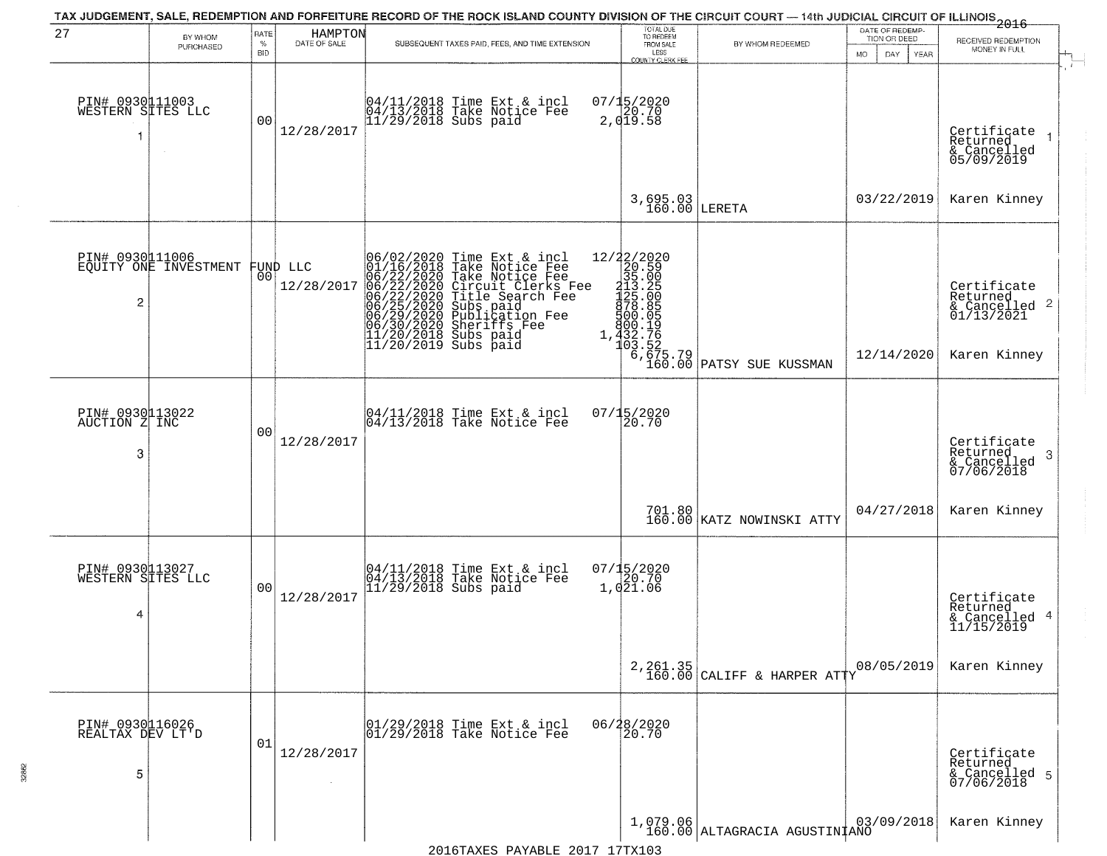|                                            |                       |                              |                                | TAX JUDGEMENT, SALE, REDEMPTION AND FORFEITURE RECORD OF THE ROCK ISLAND COUNTY DIVISION OF THE CIRCUIT COURT — 14th JUDICIAL CIRCUIT OF ILLINOIS 2016                                                                                                                                                                                                                                                                            |                                                                                                                           |                                                                       |                                 |                                                                                    |
|--------------------------------------------|-----------------------|------------------------------|--------------------------------|-----------------------------------------------------------------------------------------------------------------------------------------------------------------------------------------------------------------------------------------------------------------------------------------------------------------------------------------------------------------------------------------------------------------------------------|---------------------------------------------------------------------------------------------------------------------------|-----------------------------------------------------------------------|---------------------------------|------------------------------------------------------------------------------------|
| 27                                         | BY WHOM<br>PURCHASED  | RATE<br>$\%$                 | HAMPTON<br>DATE OF SALE        | SUBSEQUENT TAXES PAID, FEES, AND TIME EXTENSION                                                                                                                                                                                                                                                                                                                                                                                   | TOTAL DUE<br>TO REDEEM<br>FROM SALE                                                                                       | BY WHOM REDEEMED                                                      | DATE OF REDEMP-<br>TION OR DEED | RECEIVED REDEMPTION<br>MONEY IN FULL                                               |
| PIN# 0930111003<br>WESTERN SITES LLC<br>-1 |                       | <b>BID</b><br>0 <sub>0</sub> | 12/28/2017                     | 04/11/2018 Time Ext & incl<br>04/13/2018 Take Notice Fee<br>11/29/2018 Subs paid                                                                                                                                                                                                                                                                                                                                                  | LESS<br>COUNTY CLERK FEE<br>$07/15/2020$<br>20.70<br>2,019.58                                                             |                                                                       | DAY.<br>YEAR<br>MO.             | Certificate<br>Returned<br>& Cancelled<br>05/09/2019                               |
|                                            |                       |                              |                                |                                                                                                                                                                                                                                                                                                                                                                                                                                   | 3,695.03<br>160.00 LERETA                                                                                                 |                                                                       | 03/22/2019                      | Karen Kinney                                                                       |
| PIN# 0930111006<br>$\overline{c}$          | EQUITY ONE INVESTMENT |                              | FUND LLC<br> 00 <br>12/28/2017 | 06/02/2020 Time Ext & incl<br>01/16/2018 Take Notice Fee<br>06/22/2020 Take Notice Fee<br>06/22/2020 Circuit Clerks F<br>06/22/2020 Title Search Fee<br>06/25/2020 Subs paid<br>06/29/2020 Publication Fee<br>06/30/2020 Sheriffs Fee<br>11/30/2021 Su<br>Take Notice Fee<br>Circuit Clerks Fee<br>Circuit Clerks Fee<br>Subs paid<br>Publication Fee<br>Subsings Fee<br>Subsings<br>11/20/2018 Subs paid<br>11/20/2019 Subs paid | $[12/22/2020\n20.590\n315.005\n3125.005\n3125.0055\n3125.0055\n3125.0555\n3000.195\n3103.5275\n325.75\n332.76275\n336.75$ | $\begin{bmatrix} 6, 675.79 \\ 160.00 \end{bmatrix}$ PATSY SUE KUSSMAN | 12/14/2020                      | Certificate<br>Returned<br>$\frac{1}{6}$ Cancelled 2<br>01/13/2021<br>Karen Kinney |
| PIN# 0930113022<br>AUCTION Z INC<br>3      |                       | 00                           | 12/28/2017                     | $\begin{array}{c}  04/11/2018 \text{ Time} \text{ Ext} & \text{incl} \\  04/13/2018 \text{ Take Notice } \text{Fe} \end{array}$                                                                                                                                                                                                                                                                                                   | 07/15/2020<br>20.70                                                                                                       |                                                                       |                                 | Certificate<br>Returned<br>-3<br>& Cancelled<br>07/06/2018                         |
|                                            |                       |                              |                                |                                                                                                                                                                                                                                                                                                                                                                                                                                   |                                                                                                                           | 701.80<br>160.00 KATZ NOWINSKI ATTY                                   | 04/27/2018                      | Karen Kinney                                                                       |
| PIN# 0930113027<br>WESTERN SITES LLC<br>4  |                       | 0 <sub>0</sub>               | 12/28/2017                     | 04/11/2018 Time Ext & incl<br>04/13/2018 Take Notice Fee<br>11/29/2018 Subs paid                                                                                                                                                                                                                                                                                                                                                  | 07/15/2020<br>1,021.06                                                                                                    |                                                                       |                                 | Certificate<br>Returned<br>& Cancelled 4<br>11/15/2019                             |
|                                            |                       |                              |                                |                                                                                                                                                                                                                                                                                                                                                                                                                                   |                                                                                                                           | $2,261.35$<br>160.00 CALIFF & HARPER ATTY                             | 08/05/2019                      | Karen Kinney                                                                       |
| PIN# 0930116026<br>REALTAX DEV LT'D<br>5   |                       | 01                           | 12/28/2017                     | $\begin{array}{c}  01/29/2018 \text{ Time} \text{ Ext} & \text{incl} \\  01/29/2018 \text{ Take Notice } \text{Fe} \end{array}$                                                                                                                                                                                                                                                                                                   | 06/28/2020<br>20.70                                                                                                       |                                                                       |                                 | Certificate<br>Returned<br>& Cancelled 5<br>07/06/2018                             |
|                                            |                       |                              |                                |                                                                                                                                                                                                                                                                                                                                                                                                                                   |                                                                                                                           | 1,079.06<br>160.00 ALTAGRACIA AGUSTINIANO                             | 03/09/2018                      | Karen Kinney                                                                       |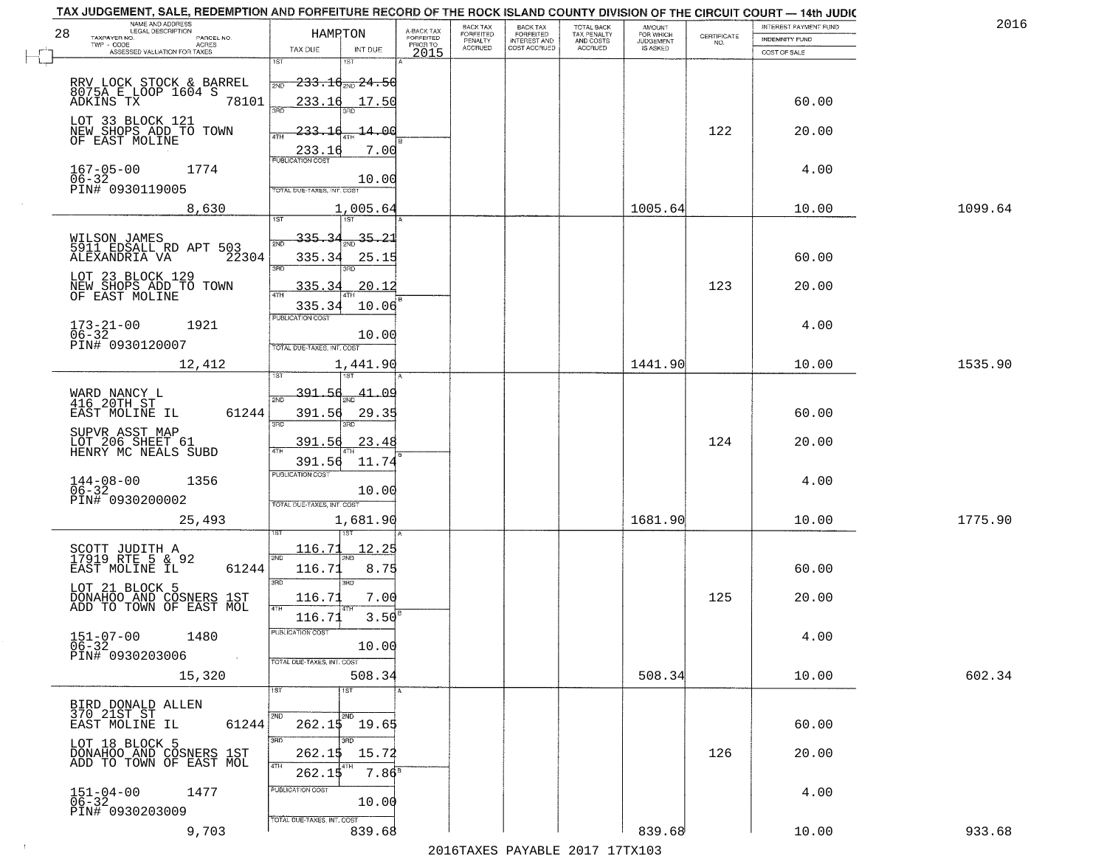|    | TAX JUDGEMENT, SALE, REDEMPTION AND FORFEITURE RECORD OF THE ROCK ISLAND COUNTY DIVISION OF THE CIRCUIT COURT - 14th JUDIC<br>NAME AND ADDRESS<br>LEGAL DESCRIPTION                                                       |                                                                                                            |                                                                    |                                     | <b>BACK TAX</b>      | <b>BACK TAX</b>           |                                        |                                         |                                                                 | INTEREST PAYMENT FUND  | 2016    |
|----|---------------------------------------------------------------------------------------------------------------------------------------------------------------------------------------------------------------------------|------------------------------------------------------------------------------------------------------------|--------------------------------------------------------------------|-------------------------------------|----------------------|---------------------------|----------------------------------------|-----------------------------------------|-----------------------------------------------------------------|------------------------|---------|
| 28 | TAXPAYER NO.<br>PARCEL NO.                                                                                                                                                                                                | HAMPTON                                                                                                    |                                                                    | A-BACK TAX<br>FORFEITED<br>PRIOR TO | FORFEITED<br>PENALTY | FORFEITED<br>INTEREST AND | TOTAL BACK<br>TAX PENALTY<br>AND COSTS | AMOUNT<br>FOR WHICH<br><b>JUDGEMENT</b> | $\begin{array}{c} \text{CERTIFICATE} \\ \text{NO.} \end{array}$ | <b>INDEMNITY FUND</b>  |         |
|    | ACRES<br>ASSESSED VALUATION FOR TAXES                                                                                                                                                                                     | TAX DUE                                                                                                    | INT DUE                                                            | 2015                                | <b>ACCRUED</b>       | COST ACCRUED              | ACCRUED                                | IS ASKED                                |                                                                 | COST OF SALE           |         |
|    | RRV LOCK STOCK & BARREL<br>8075A E LOOP 1604 S<br>ADKINS TX 7810<br>78101                                                                                                                                                 | 1ST<br>$-233.16$ and $24.56$<br>2ND<br>233.16<br>350                                                       | 17.50                                                              |                                     |                      |                           |                                        |                                         |                                                                 | 60.00                  |         |
|    | LOT 33 BLOCK 121<br>NEW SHOPS ADD TO TOWN<br>OF EAST MOLINE                                                                                                                                                               | 233.16<br>4TH<br>233.16                                                                                    | 14.00<br>7.00                                                      |                                     |                      |                           |                                        |                                         | 122                                                             | 20.00                  |         |
|    | $167 - 05 - 00$<br>$06 - 32$<br>1774<br>PIN# 0930119005                                                                                                                                                                   | TOTAL DUE-TAXES, INT. COST                                                                                 | 10.00                                                              |                                     |                      |                           |                                        |                                         |                                                                 | 4.00                   |         |
|    | 8,630                                                                                                                                                                                                                     |                                                                                                            | 1,005.64                                                           |                                     |                      |                           |                                        | 1005.64                                 |                                                                 | 10.00                  | 1099.64 |
|    | WILSON JAMES<br>5911 EDSALL RD APT 503<br>ALEXANDRIA VA<br>22304<br>LOT 23 BLOCK 129<br>NEW SHOPS ADD TO TOWN<br>OF EAST MOLINE                                                                                           | 335.34<br>2ND<br>335.34<br>3RD<br>335.34<br>335.34                                                         | $\frac{35.21}{200}$<br>25.15<br>3BD.<br>20.12<br>10.06             |                                     |                      |                           |                                        |                                         | 123                                                             | 60.00<br>20.00         |         |
|    | $173 - 21 - 00$<br>1921<br>$06 - 32$<br>PIN# 0930120007                                                                                                                                                                   | <b>PUBLICATION COST</b><br>TOTAL DUE-TAXES, INT. COST                                                      | 10.00                                                              |                                     |                      |                           |                                        |                                         |                                                                 | 4.00                   |         |
|    | 12,412                                                                                                                                                                                                                    | 1ST                                                                                                        | 1,441.90<br>1ST                                                    |                                     |                      |                           |                                        | 1441.90                                 |                                                                 | 10.00                  | 1535.90 |
|    | WARD NANCY L<br>416 20TH ST<br>EAST MOLINE IL<br>61244<br>SUPVR ASST MAP<br>LOT 206 SHEET 61<br>HENRY MC NEALS SUBD                                                                                                       | 391.56<br>2ND<br>391.56<br>3RD<br>391.56<br>4TH                                                            | <u>41.09</u><br>29.35<br>3RD.<br>23.48                             |                                     |                      |                           |                                        |                                         | 124                                                             | 60.00<br>20.00         |         |
|    | $144-08-00$<br>06-32<br>1356<br>PIN# 0930200002<br>25,493                                                                                                                                                                 | 391.56<br><b>PUBLICATION COST</b><br>TOTAL OUE-TAXES, INT. COST                                            | 11.74<br>10.00<br>1,681.90                                         |                                     |                      |                           |                                        | 1681.90                                 |                                                                 | 4.00<br>10.00          | 1775.90 |
|    | SCOTT JUDITH A<br>17919 RTE 5 & 92<br>EAST MOLINE IL<br>61244<br>LOT 21 BLOCK 5<br>DONAHOO AND COSNERS 1ST<br>ADD TO TOWN OF EAST MOL<br>$151 - 07 - 00$<br>1480<br>$06 - 32$<br>PIN# 0930203006<br>$\sim 100$ km $^{-1}$ | 116.71<br>2ND<br>116.71<br>3RD<br>116.71<br>4TH<br>116.71<br>PUBLICATION COS<br>TOTAL DUE-TAXES, INT. COST | <u> 12.25</u><br>8.75<br>3RD<br>7.00<br>3.50<br>10.00              |                                     |                      |                           |                                        |                                         | 125                                                             | 60.00<br>20.00<br>4.00 |         |
|    | 15,320                                                                                                                                                                                                                    |                                                                                                            | 508.34                                                             |                                     |                      |                           |                                        | 508.34                                  |                                                                 | 10.00                  | 602.34  |
|    | BIRD DONALD ALLEN<br>370 21ST ST<br>EAST MOLINE IL<br>61244<br>LOT 18 BLOCK 5<br>DONAHOO AND COSNERS 1ST<br>ADD TO TOWN OF EAST MOL                                                                                       | 1ST<br>2ND<br>3RD<br>262.1\$<br>4TH<br>262.15<br>PUBLICATION COST                                          | 1ST<br>2ND<br>$262.1\frac{1}{9}$ 19.65<br>3BD<br>15.72<br>$7.86^5$ |                                     |                      |                           |                                        |                                         | 126                                                             | 60.00<br>20.00         |         |
|    | 1477<br>$151 - 04 - 00$<br>06-32<br>PIN# 0930203009                                                                                                                                                                       |                                                                                                            | 10.00                                                              |                                     |                      |                           |                                        |                                         |                                                                 | 4.00                   |         |
|    | 9,703                                                                                                                                                                                                                     | TOTAL DUE-TAXES, INT. COST                                                                                 | 839.68                                                             |                                     |                      |                           |                                        | 839.68                                  |                                                                 | 10.00                  | 933.68  |

 $\sim 100$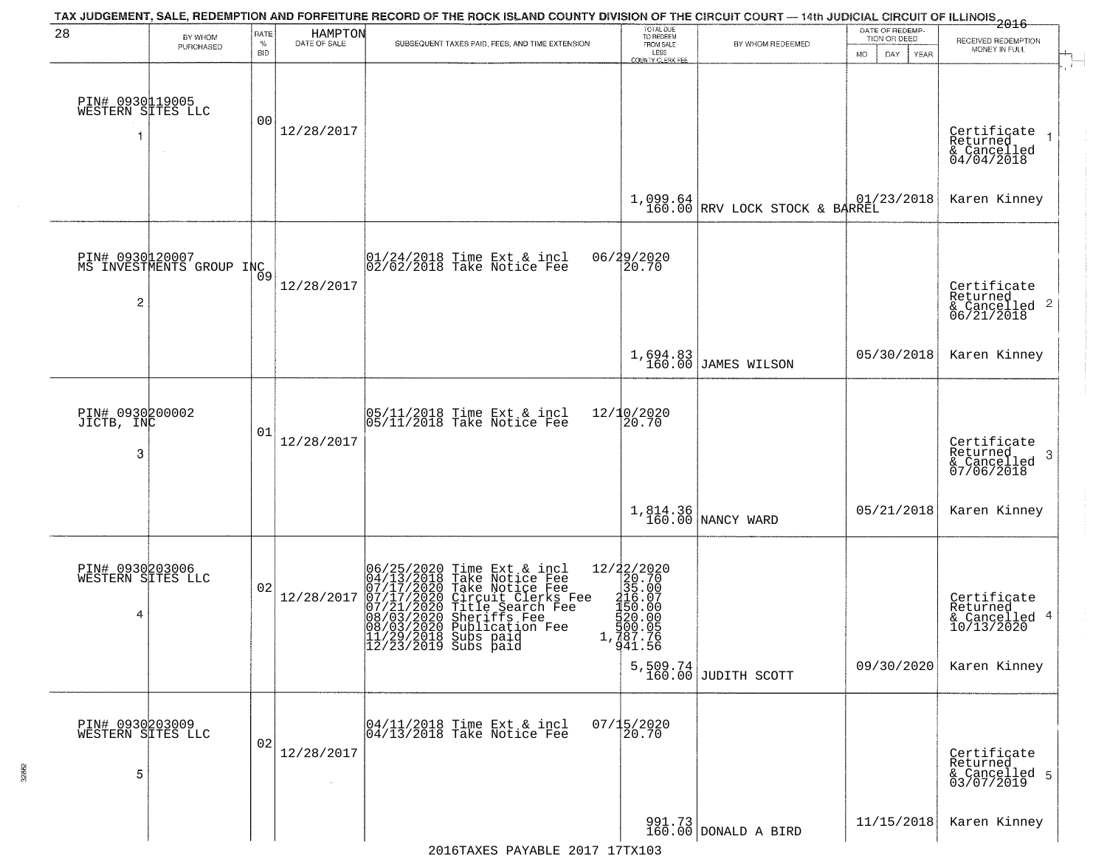| 28                                        | BY WHOM                                     | RATE               | <b>HAMPTON</b> | TAX JUDGEMENT, SALE, REDEMPTION AND FORFEITURE RECORD OF THE ROCK ISLAND COUNTY DIVISION OF THE CIRCUIT COURT — 14th JUDICIAL CIRCUIT OF ILLINOIS 2016                                                                                                                                          | TOTAL DUE<br>TO REDEEM                                                                                                                     |                                    | DATE OF REDEMP-<br>TION OR DEED |                                                                               |
|-------------------------------------------|---------------------------------------------|--------------------|----------------|-------------------------------------------------------------------------------------------------------------------------------------------------------------------------------------------------------------------------------------------------------------------------------------------------|--------------------------------------------------------------------------------------------------------------------------------------------|------------------------------------|---------------------------------|-------------------------------------------------------------------------------|
|                                           | PURCHASED                                   | $\%$<br><b>BID</b> | DATE OF SALE   | SUBSEQUENT TAXES PAID, FEES, AND TIME EXTENSION                                                                                                                                                                                                                                                 | FROM SALE<br>LESS<br><b>COUNTY CLERK FEE</b>                                                                                               | BY WHOM REDEEMED                   | MO.<br>DAY.<br><b>YEAR</b>      | RECEIVED REDEMPTION<br>MONEY IN FULL                                          |
| PIN# 0930119005<br>WESTERN SITES LLC<br>1 |                                             | 00                 | 12/28/2017     |                                                                                                                                                                                                                                                                                                 |                                                                                                                                            |                                    |                                 | Certificate<br>Returned<br>& Cancelled<br>04/04/2018                          |
|                                           |                                             |                    |                |                                                                                                                                                                                                                                                                                                 |                                                                                                                                            | $1,099.64$ RRV LOCK STOCK & BARREL | 01/23/2018                      | Karen Kinney                                                                  |
| $\overline{c}$                            | PIN# 0930120007<br>MS INVESTMENTS GROUP INC | $\overline{0}9$    | 12/28/2017     | 01/24/2018 Time Ext & incl<br>02/02/2018 Take Notice Fee                                                                                                                                                                                                                                        | 06/29/2020<br>20.70                                                                                                                        |                                    |                                 | Certificate<br>Returned<br>$\frac{1}{6}$ Cancelled <sup>2</sup><br>06/21/2018 |
|                                           |                                             |                    |                |                                                                                                                                                                                                                                                                                                 |                                                                                                                                            | 1,694.83<br>160.00 JAMES WILSON    | 05/30/2018                      | Karen Kinney                                                                  |
| PIN# 0930200002<br>JICTB, INC<br>3        |                                             | 01                 | 12/28/2017     | 05/11/2018 Time Ext & incl<br>05/11/2018 Take Notice Fee                                                                                                                                                                                                                                        | $12/10/2020$<br>$20.70$                                                                                                                    |                                    |                                 | Certificate<br>Returned<br>3<br>& Cancelled<br>07/06/2018                     |
|                                           |                                             |                    |                |                                                                                                                                                                                                                                                                                                 |                                                                                                                                            | 1,814.36<br>160.00 NANCY WARD      | 05/21/2018                      | Karen Kinney                                                                  |
| PIN# 0930203006<br>WESTERN SITES LLC<br>4 |                                             | 02                 | 12/28/2017     | 06/25/2020 Time Ext & incl<br>04/13/2018 Take Notice Fee<br>07/17/2020 Take Notice Fee<br>07/17/2020 Circuit Clerks Fee<br>07/21/2020 Title Search Fee<br>08/03/2020 Sheriffs Fee<br>08/03/2020 Publication Fee<br>04/03/2020 Publication Fee<br> 11/29/2018 Subs paid<br> 12/23/2019 Subs paid | 12/22/2020<br>20.70<br>35.00<br>416.07<br>$\begin{smallmatrix} 4150.00 \\ 150.00 \\ 520.00 \\ 500.05 \\ 787.76 \\ 41.56 \end{smallmatrix}$ | $5,509.74$ JUDITH SCOTT            | 09/30/2020                      | Certificate<br>Returned<br>& Cancelled 4<br>10/13/2020<br>Karen Kinney        |
| PIN# 0930203009<br>WESTERN SITES LLC<br>5 |                                             | 02                 | 12/28/2017     | 04/11/2018 Time Ext & incl<br>04/13/2018 Take Notice Fee                                                                                                                                                                                                                                        | $07/15/2020$<br>20.70                                                                                                                      |                                    |                                 | Certificate<br>Returned<br>& Cancelled 5<br>03/07/2019                        |
|                                           |                                             |                    |                |                                                                                                                                                                                                                                                                                                 |                                                                                                                                            | 991.73<br>160.00 DONALD A BIRD     | 11/15/2018                      | Karen Kinney                                                                  |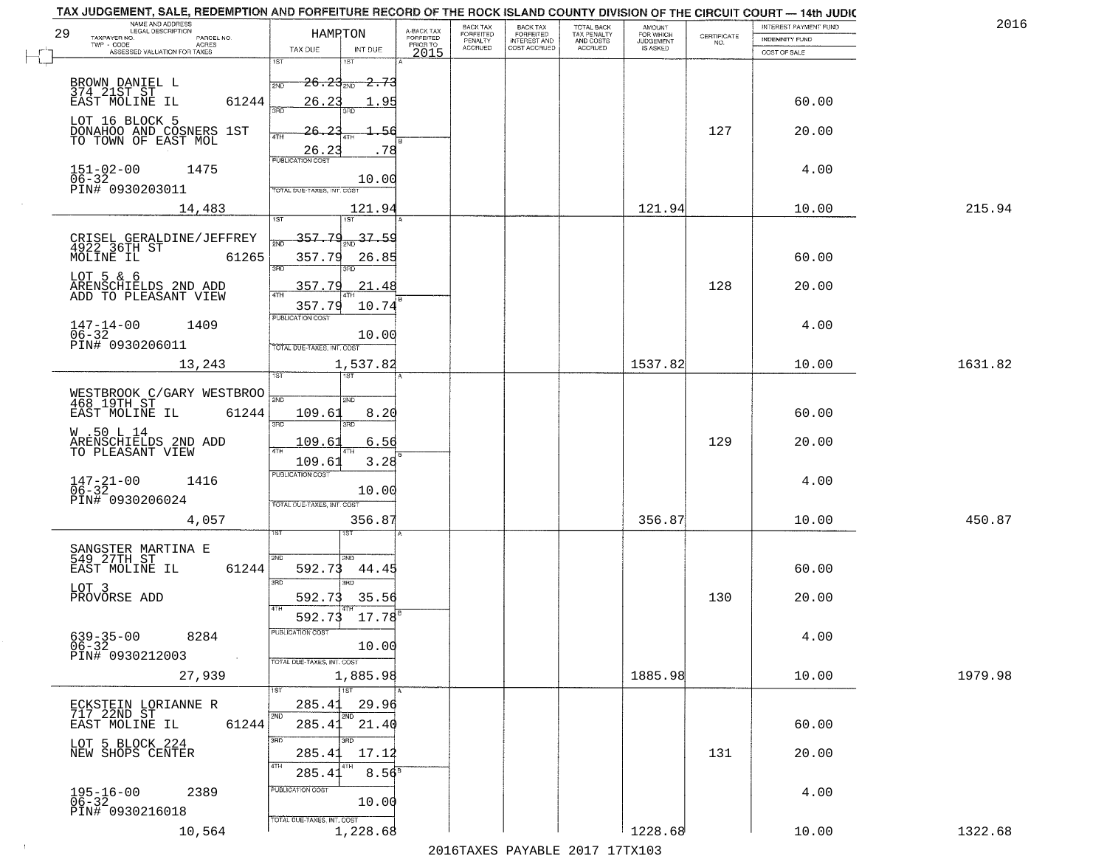| 29 | NAME AND ADDRESS<br>LEGAL DESCRIPTION                                | HAMRTON                                     |                            | A-BACK TAX<br>FORFEITED | BACK TAX<br>FORFEITED | <b>BACK TAX</b><br><b>FORFEITED</b> | TOTAL BACK<br>TAX PENALTY | <b>AMOUNT</b>                      |                                                                 | INTEREST PAYMENT FUND | 2016    |
|----|----------------------------------------------------------------------|---------------------------------------------|----------------------------|-------------------------|-----------------------|-------------------------------------|---------------------------|------------------------------------|-----------------------------------------------------------------|-----------------------|---------|
|    | TAXPAYER NO.<br>PARCEL NO.<br>TWP - CODE<br>ACRES                    | TAX DUE                                     | INT DUE                    | PRIOR TO                | PENALTY<br>ACCRUED    | INTEREST AND                        | AND COSTS<br>ACCRUED      | FOR WHICH<br>JUDGEMENT<br>IS ASKED | $\begin{array}{c} \text{CERTIFICATE} \\ \text{NO.} \end{array}$ | <b>INDEMNITY FUND</b> |         |
|    | ASSESSED VALUATION FOR TAXES                                         | 1ST                                         |                            | 2015                    |                       |                                     |                           |                                    |                                                                 | COST OF SALE          |         |
|    | BROWN DANIEL L<br>374 21ST ST                                        | $26.23_{\scriptscriptstyle \rm 200}$<br>2ND | - <del>2.73</del>          |                         |                       |                                     |                           |                                    |                                                                 |                       |         |
|    | EAST MOLINE IL<br>61244                                              | 26.23<br>ïПD                                | -95<br>3BD                 |                         |                       |                                     |                           |                                    |                                                                 | 60.00                 |         |
|    | LOT 16 BLOCK 5<br>DONAHOO AND COSNERS 1ST                            | 26.                                         |                            |                         |                       |                                     |                           |                                    | 127                                                             | 20.00                 |         |
|    | TO TOWN OF EAST MOL                                                  | 4TH<br>26.2                                 | 78                         |                         |                       |                                     |                           |                                    |                                                                 |                       |         |
|    | $151 - 02 - 00$<br>1475<br>$06 - 32$                                 | <b>PUBLICATION COST</b>                     |                            |                         |                       |                                     |                           |                                    |                                                                 | 4.00                  |         |
|    | PIN# 0930203011                                                      | TOTAL DUE-TAXES, INT. COST                  | 10.00                      |                         |                       |                                     |                           |                                    |                                                                 |                       |         |
|    | 14,483                                                               | 1ST                                         | 121.94<br>1ST <sup>-</sup> |                         |                       |                                     |                           | 121.94                             |                                                                 | 10.00                 | 215.94  |
|    |                                                                      | 357,79                                      | 37.59                      |                         |                       |                                     |                           |                                    |                                                                 |                       |         |
|    | CRISEL GERALDINE/JEFFREY<br>4922 36TH ST<br>MOLINE IL 6126!<br>61265 | 357.79<br>3RD                               | 26.85<br>3RD               |                         |                       |                                     |                           |                                    |                                                                 | 60.00                 |         |
|    | LOT 5 & 6<br>ARENSCHIELDS 2ND ADD<br>ADD TO PLEASANT VIEW            | 357.79                                      | 21.48                      |                         |                       |                                     |                           |                                    | 128                                                             | 20.00                 |         |
|    |                                                                      | <b>ATH</b><br>357.79                        | 10.74                      |                         |                       |                                     |                           |                                    |                                                                 |                       |         |
|    | $147 - 14 - 00$<br>$06 - 32$<br>1409                                 | PUBLICATION COST                            | 10.00                      |                         |                       |                                     |                           |                                    |                                                                 | 4.00                  |         |
|    | PIN# 0930206011                                                      | TOTAL DUE-TAXES, INT. COST                  |                            |                         |                       |                                     |                           |                                    |                                                                 |                       |         |
|    | 13,243                                                               | 1ST                                         | 1,537.82                   |                         |                       |                                     |                           | 1537.82                            |                                                                 | 10.00                 | 1631.82 |
|    | WESTBROOK C/GARY WESTBROO<br>468 19TH ST                             | سيدا                                        | 2ND                        |                         |                       |                                     |                           |                                    |                                                                 |                       |         |
|    | 61244<br>EAST MOLINE IL                                              | 109.61<br>3RD                               | 8.20<br>3RD                |                         |                       |                                     |                           |                                    |                                                                 | 60.00                 |         |
|    | W .50 L 14<br>ARENSCHIELDS 2ND ADD<br>TO PLEASANT VIEW               | 109.6<br>4TH                                | 6.56                       |                         |                       |                                     |                           |                                    | 129                                                             | 20.00                 |         |
|    |                                                                      | 109.61<br><b>PUBLICATION COST</b>           | 3.28                       |                         |                       |                                     |                           |                                    |                                                                 |                       |         |
|    | $147 - 21 - 00$<br>$06 - 32$<br>1416                                 |                                             | 10.00                      |                         |                       |                                     |                           |                                    |                                                                 | 4.00                  |         |
|    | PIN# 0930206024<br>4,057                                             | TOTAL OUE-TAXES, INT. COST                  | 356.87                     |                         |                       |                                     |                           | 356.87                             |                                                                 | 10.00                 | 450.87  |
|    |                                                                      |                                             | ख़ा                        |                         |                       |                                     |                           |                                    |                                                                 |                       |         |
|    | SANGSTER MARTINA E<br>549_27TH_ST____                                | 2ND                                         | 2ND.                       |                         |                       |                                     |                           |                                    |                                                                 |                       |         |
|    | 61244<br>EAST MOLINE IL<br>LOT 3                                     | 592.73<br>3RD                               | 44.45<br>3RD               |                         |                       |                                     |                           |                                    |                                                                 | 60.00                 |         |
|    | PROVORSE ADD                                                         | 592.73<br>4TH                               | 35.56                      |                         |                       |                                     |                           |                                    | 130                                                             | 20.00                 |         |
|    |                                                                      | 592.73<br>PUBLICATION COST                  | $17.78^{B}$                |                         |                       |                                     |                           |                                    |                                                                 |                       |         |
|    | $639 - 35 - 00$<br>06-32<br>8284<br>PIN# 0930212003<br>$\sim 100$    |                                             | 10.00                      |                         |                       |                                     |                           |                                    |                                                                 | 4.00                  |         |
|    | 27,939                                                               | TOTAL DUE-TAXES, INT. COST                  | 1,885.98                   |                         |                       |                                     |                           | 1885.98                            |                                                                 | 10.00                 | 1979.98 |
|    |                                                                      | 1ST<br>285.41                               | 1ST                        |                         |                       |                                     |                           |                                    |                                                                 |                       |         |
|    | ECKSTEIN LORIANNE R<br>717 22ND ST<br>EAST MOLINE IL<br>61244        | 2ND<br>285.41                               | 29.96<br>2ND<br>21.40      |                         |                       |                                     |                           |                                    |                                                                 | 60.00                 |         |
|    | LOT 5 BLOCK 224                                                      | 3RD                                         | उनक                        |                         |                       |                                     |                           |                                    |                                                                 |                       |         |
|    | NEW SHOPS CENTER                                                     | 285.41<br>4TH<br>285.41                     | 17.12<br>$8.56^{8}$        |                         |                       |                                     |                           |                                    | 131                                                             | 20.00                 |         |
|    | 2389                                                                 | PUBLICATION COST                            |                            |                         |                       |                                     |                           |                                    |                                                                 | 4.00                  |         |
|    | 195-16-00<br>06-32<br>PIN# 0930216018                                | TOTAL DUE-TAXES, INT. COST                  | 10.00                      |                         |                       |                                     |                           |                                    |                                                                 |                       |         |
|    | 10,564                                                               |                                             | 1,228.68                   |                         |                       |                                     |                           | 1228.68                            |                                                                 | 10.00                 | 1322.68 |
|    |                                                                      |                                             |                            |                         |                       |                                     |                           |                                    |                                                                 |                       |         |

 $\sim 10^{-1}$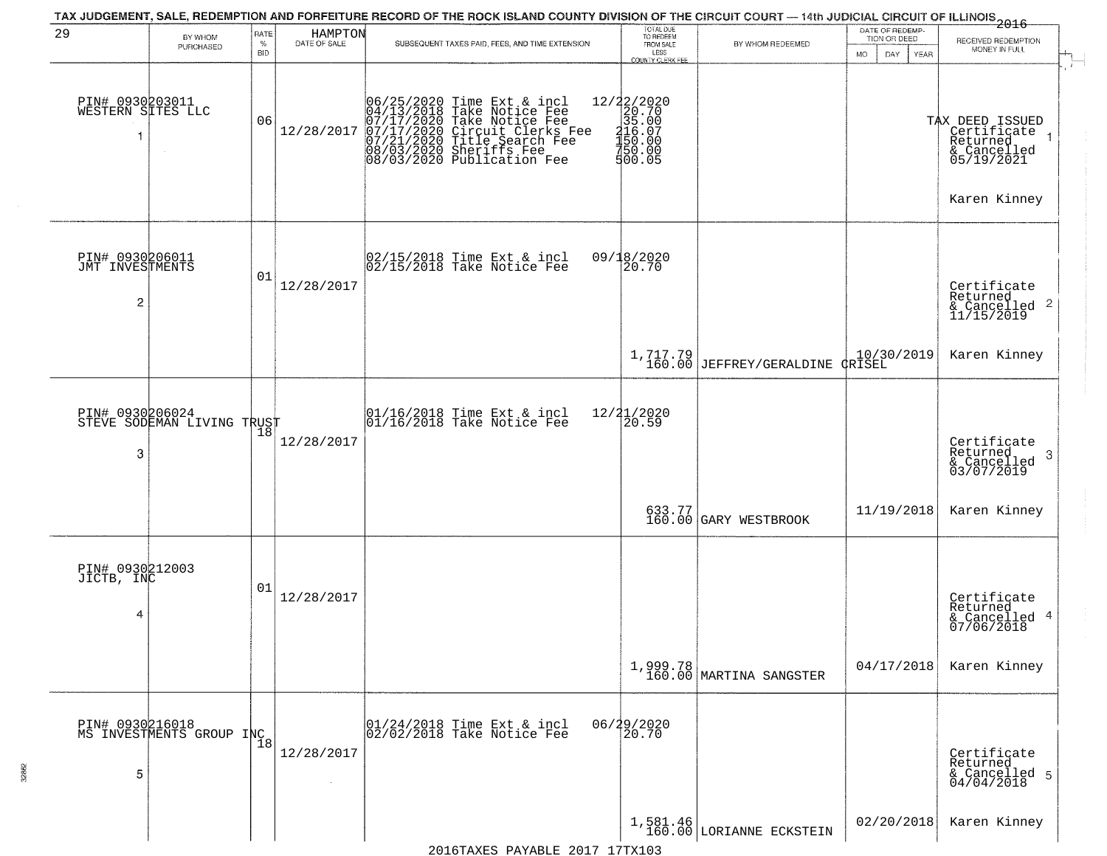|                                                      |                                             |                  |                         | TAX JUDGEMENT, SALE, REDEMPTION AND FORFEITURE RECORD OF THE ROCK ISLAND COUNTY DIVISION OF THE CIRCUIT COURT — 14th JUDICIAL CIRCUIT OF ILLINOIS 2016                                                          |                                                                                                                                                                                                                                                                                                                                                                                     |                                         | DATE OF REDEMP-     |                                                                                    |
|------------------------------------------------------|---------------------------------------------|------------------|-------------------------|-----------------------------------------------------------------------------------------------------------------------------------------------------------------------------------------------------------------|-------------------------------------------------------------------------------------------------------------------------------------------------------------------------------------------------------------------------------------------------------------------------------------------------------------------------------------------------------------------------------------|-----------------------------------------|---------------------|------------------------------------------------------------------------------------|
| 29                                                   | BY WHOM<br>PURCHASED                        | RATE<br>$\%$     | HAMPTON<br>DATE OF SALE | SUBSEQUENT TAXES PAID, FEES, AND TIME EXTENSION                                                                                                                                                                 | TOTAL DUE<br>TO REDEEM<br>FROM SALE                                                                                                                                                                                                                                                                                                                                                 | BY WHOM REDEEMED                        | TION OR DEED        | RECEIVED REDEMPTION<br>MONEY IN FULL                                               |
| PIN# 0930203011<br>WESTERN SITES LLC<br>1            | $\sim$                                      | <b>BID</b><br>06 | 12/28/2017              | 06/25/2020 Time Ext & incl<br>04/13/2018 Take Notice Fee<br>07/17/2020 Take Notice Fee<br>07/17/2020 Circuit Clerks Fee<br>07/21/2020 Title Search Fee<br>08/03/2020 Sheriffs Fee<br>08/03/2020 Publication Fee | LESS<br><b>COUNTY CLERK FEE</b><br>$e = \begin{bmatrix} 12/2 & 2/2 & 0 & 2 & 0 \\ 2 & 0 & 0 & 7 & 0 \\ 3 & 5 & 0 & 0 \\ 2 & 1 & 6 & 0 & 0 \\ 4 & 5 & 0 & 0 & 0 \\ 5 & 0 & 0 & 0 & 0 \\ 0 & 0 & 0 & 0 & 0 \\ 0 & 0 & 0 & 0 & 0 \\ 0 & 0 & 0 & 0 & 0 \\ 0 & 0 & 0 & 0 & 0 \\ 0 & 0 & 0 & 0 & 0 \\ 0 & 0 & 0 & 0 & 0 \\ 0 & 0 & 0 & 0 & 0 \\ 0 & 0 & 0 & 0 & 0 \\$<br>750.00<br>500.05 |                                         | MO.<br>DAY.<br>YEAR | TAX DEED ISSUED<br>Certificate<br>Returned<br>& Cancelled<br>05/19/2021            |
| PIN# 0930206011<br>JMT INVESTMENTS<br>$\overline{c}$ |                                             | 01               | 12/28/2017              | 02/15/2018 Time Ext & incl<br>02/15/2018 Take Notice Fee                                                                                                                                                        | 09/18/2020<br>20.70                                                                                                                                                                                                                                                                                                                                                                 |                                         |                     | Karen Kinney<br>Certificate<br>Returned<br>$\frac{1}{2}$ Cancelled 2<br>11/15/2019 |
|                                                      |                                             |                  |                         |                                                                                                                                                                                                                 |                                                                                                                                                                                                                                                                                                                                                                                     | $1, 717.79$<br>160.00 JEFFREY/GERALDINE | dRISEL              | Karen Kinney                                                                       |
| PIN# 0930206024<br>3                                 | STEVE SODEMAN LIVING TRUST                  | 18               | 12/28/2017              | 01/16/2018 Time Ext & incl<br>01/16/2018 Take Notice Fee                                                                                                                                                        | 12/21/2020<br>20.59                                                                                                                                                                                                                                                                                                                                                                 |                                         |                     | Certificate<br>Returned<br>3<br>& Cancelled<br>03/07/2019                          |
|                                                      |                                             |                  |                         |                                                                                                                                                                                                                 |                                                                                                                                                                                                                                                                                                                                                                                     | 633.77<br>160.00 GARY WESTBROOK         | 11/19/2018          | Karen Kinney                                                                       |
| PIN# 0930212003<br>JICTB, INC<br>4                   |                                             | 01               | 12/28/2017              |                                                                                                                                                                                                                 |                                                                                                                                                                                                                                                                                                                                                                                     |                                         |                     | Certificate<br>Returned<br>& Cancelled 4<br>07/06/2018                             |
|                                                      |                                             |                  |                         |                                                                                                                                                                                                                 |                                                                                                                                                                                                                                                                                                                                                                                     | $1,999.78$<br>160.00 MARTINA SANGSTER   | 04/17/2018          | Karen Kinney                                                                       |
| 5                                                    | PIN# 0930216018<br>MS INVESTMENTS GROUP INC |                  | 12/28/2017              | 01/24/2018 Time Ext & incl<br>02/02/2018 Take Notice Fee                                                                                                                                                        | 06/29/2020<br>20.70                                                                                                                                                                                                                                                                                                                                                                 |                                         |                     | Certificate<br>Returned<br>& Cancelled 5<br>04/04/2018                             |
|                                                      |                                             |                  |                         | $2016$ mayrc Davantr 2017 17my102                                                                                                                                                                               |                                                                                                                                                                                                                                                                                                                                                                                     | $1,581.46$<br>160.00 LORIANNE ECKSTEIN  | 02/20/2018          | Karen Kinney                                                                       |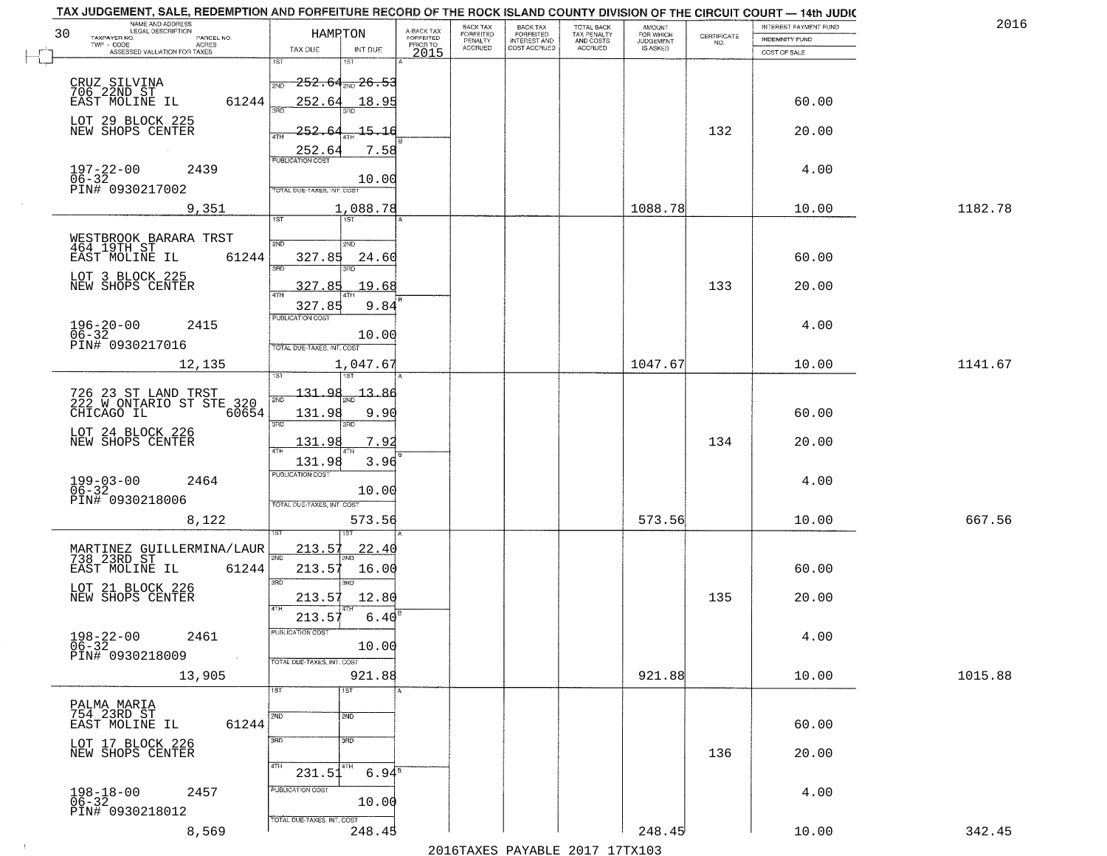| NAME AND ADDRESS<br>LEGAL DESCRIPTION<br>30                         |                                     |                                     | BACK TAX             |                                       |                                        | AMOUNT<br>FOR WHICH |                                                                 | INTEREST PAYMENT FUND | 2016    |
|---------------------------------------------------------------------|-------------------------------------|-------------------------------------|----------------------|---------------------------------------|----------------------------------------|---------------------|-----------------------------------------------------------------|-----------------------|---------|
| TAXPAYER NO.<br>PARCEL NO.                                          | HAMPTON                             | A-BACK TAX<br>FORFEITED<br>PRIOR TO | FORFEITED<br>PENALTY | BACK TAX<br>FORFEITED<br>INTEREST AND | TOTAL BACK<br>TAX PENALTY<br>AND COSTS | <b>JUDGEMENT</b>    | $\begin{array}{c} \text{CERTIFICATE} \\ \text{NO.} \end{array}$ | INDEMNITY FUND        |         |
| TWP - CODE<br>ACRES<br>ASSESSED VALUATION FOR TAXES                 | TAX DUE<br>INT DUE                  | 2015                                | <b>ACCRUED</b>       | COST ACCRUED                          | ACCRUED                                | IS ASKED            |                                                                 | COST OF SALE          |         |
|                                                                     | 1ST                                 |                                     |                      |                                       |                                        |                     |                                                                 |                       |         |
|                                                                     | $-252.64_{200}$ 26.53<br>2ND        |                                     |                      |                                       |                                        |                     |                                                                 |                       |         |
| CRUZ SILVINA<br>706 22ND ST<br>EAST MOLINE IL<br>61244              | 252.64<br>18.95                     |                                     |                      |                                       |                                        |                     |                                                                 | 60.00                 |         |
| LOT 29 BLOCK 225                                                    |                                     |                                     |                      |                                       |                                        |                     |                                                                 |                       |         |
| NEW SHOPS CENTER                                                    | 252.<br>$-15 - 16$                  |                                     |                      |                                       |                                        |                     | 132                                                             | 20.00                 |         |
|                                                                     | 7.58<br><u>252.64</u>               |                                     |                      |                                       |                                        |                     |                                                                 |                       |         |
| 2439                                                                | <b>PUBLICATION COST</b>             |                                     |                      |                                       |                                        |                     |                                                                 | 4.00                  |         |
| $197 - 22 - 00$<br>$06 - 32$<br>PIN# 0930217002                     | 10.00                               |                                     |                      |                                       |                                        |                     |                                                                 |                       |         |
|                                                                     | TOTAL DUE-TAXES, INT. COST          |                                     |                      |                                       |                                        |                     |                                                                 |                       |         |
| 9,351                                                               | 1,088.78                            |                                     |                      |                                       |                                        | 1088.78             |                                                                 | 10.00                 | 1182.78 |
|                                                                     |                                     |                                     |                      |                                       |                                        |                     |                                                                 |                       |         |
| WESTBROOK BARARA TRST<br>464 19TH ST                                | 2ND<br>5 <sub>MD</sub>              |                                     |                      |                                       |                                        |                     |                                                                 |                       |         |
| EAST MOLINE IL<br>61244                                             | 327.85<br>24.60<br>3RD              |                                     |                      |                                       |                                        |                     |                                                                 | 60.00                 |         |
| LOT 3 BLOCK 225<br>NEW SHOPS CENTER                                 | 327.85<br>19.68                     |                                     |                      |                                       |                                        |                     | 133                                                             | 20.00                 |         |
|                                                                     |                                     |                                     |                      |                                       |                                        |                     |                                                                 |                       |         |
|                                                                     | 327.85<br>9.84<br>PUBLICATION COST  |                                     |                      |                                       |                                        |                     |                                                                 |                       |         |
| $196 - 20 - 00$<br>06-32<br>2415                                    | 10.00                               |                                     |                      |                                       |                                        |                     |                                                                 | 4.00                  |         |
| PIN# 0930217016                                                     | TOTAL DUE-TAXES, INT. COST          |                                     |                      |                                       |                                        |                     |                                                                 |                       |         |
| 12,135                                                              | 1,047.67                            |                                     |                      |                                       |                                        | 1047.67             |                                                                 | 10.00                 | 1141.67 |
|                                                                     | 1ST                                 |                                     |                      |                                       |                                        |                     |                                                                 |                       |         |
| 726 23 ST LAND TRST<br>222 W ONTARIO ST STE 320                     | 131.<br>O۱<br>13.                   |                                     |                      |                                       |                                        |                     |                                                                 |                       |         |
| CHICAGO IL<br>60654                                                 | 131.98<br>9.90                      |                                     |                      |                                       |                                        |                     |                                                                 | 60.00                 |         |
| LOT 24 BLOCK 226                                                    | 3RD<br>3RD                          |                                     |                      |                                       |                                        |                     |                                                                 |                       |         |
| NEW SHOPS CENTER                                                    | 131.98<br>7.92                      |                                     |                      |                                       |                                        |                     | 134                                                             | 20.00                 |         |
|                                                                     | 131.98<br>3.96                      |                                     |                      |                                       |                                        |                     |                                                                 |                       |         |
| $199 - 03 - 00$<br>06-32<br>2464                                    | <b>PUBLICATION COST</b>             |                                     |                      |                                       |                                        |                     |                                                                 | 4.00                  |         |
| PIN# 0930218006                                                     | 10.00<br>TOTAL OUE-TAXES, INT. COST |                                     |                      |                                       |                                        |                     |                                                                 |                       |         |
| 8,122                                                               | 573.56                              |                                     |                      |                                       |                                        | 573.56              |                                                                 | 10.00                 | 667.56  |
|                                                                     |                                     |                                     |                      |                                       |                                        |                     |                                                                 |                       |         |
|                                                                     | 213.57<br><u> 22.40</u>             |                                     |                      |                                       |                                        |                     |                                                                 |                       |         |
| MARTINEZ GUILLERMINA/LAUR<br>738 23RD ST<br>EAST MOLINE IL<br>61244 | 2ND<br>213.57<br>16.00              |                                     |                      |                                       |                                        |                     |                                                                 | 60.00                 |         |
|                                                                     | 3RD<br>3BD                          |                                     |                      |                                       |                                        |                     |                                                                 |                       |         |
| LOT 21 BLOCK 226<br>NEW SHOPS CENTER                                | 12.80<br>213.57                     |                                     |                      |                                       |                                        |                     | 135                                                             | 20.00                 |         |
|                                                                     | 4TH<br>6.40<br>213.57               |                                     |                      |                                       |                                        |                     |                                                                 |                       |         |
| 2461                                                                | PUBLICATION COS-                    |                                     |                      |                                       |                                        |                     |                                                                 |                       |         |
| $198 - 22 - 00$<br>06-32                                            | 10.00                               |                                     |                      |                                       |                                        |                     |                                                                 | 4.00                  |         |
| PIN# 0930218009<br>$\sim 10^{-1}$                                   | TOTAL DUE-TAXES, INT. COST          |                                     |                      |                                       |                                        |                     |                                                                 |                       |         |
| 13,905                                                              | 921.88                              |                                     |                      |                                       |                                        | 921.88              |                                                                 | 10.00                 | 1015.88 |
|                                                                     | 1ST<br>1ST                          |                                     |                      |                                       |                                        |                     |                                                                 |                       |         |
| PALMA MARIA<br>754 23RD ST                                          | 2ND<br>2ND                          |                                     |                      |                                       |                                        |                     |                                                                 |                       |         |
| 61244<br>EAST MOLINE IL                                             |                                     |                                     |                      |                                       |                                        |                     |                                                                 | 60.00                 |         |
| LOT 17 BLOCK 226<br>NEW SHOPS CENTER                                | 3RD<br>3RD                          |                                     |                      |                                       |                                        |                     | 136                                                             | 20.00                 |         |
|                                                                     | 4TH<br>4TH                          |                                     |                      |                                       |                                        |                     |                                                                 |                       |         |
|                                                                     | $6.94^8$<br>231.51                  |                                     |                      |                                       |                                        |                     |                                                                 |                       |         |
| $198 - 18 - 00$<br>$06 - 32$<br>2457                                | PUBLICATION COST<br>10.00           |                                     |                      |                                       |                                        |                     |                                                                 | 4.00                  |         |
| PIN# 0930218012                                                     | TOTAL DUE-TAXES, INT. COST          |                                     |                      |                                       |                                        |                     |                                                                 |                       |         |
| 8,569                                                               | 248.45                              |                                     |                      |                                       |                                        | 248.45              |                                                                 | 10.00                 | 342.45  |
|                                                                     |                                     |                                     |                      |                                       | 2016 TAVEC DAVARIE 2017 17 TAV102      |                     |                                                                 |                       |         |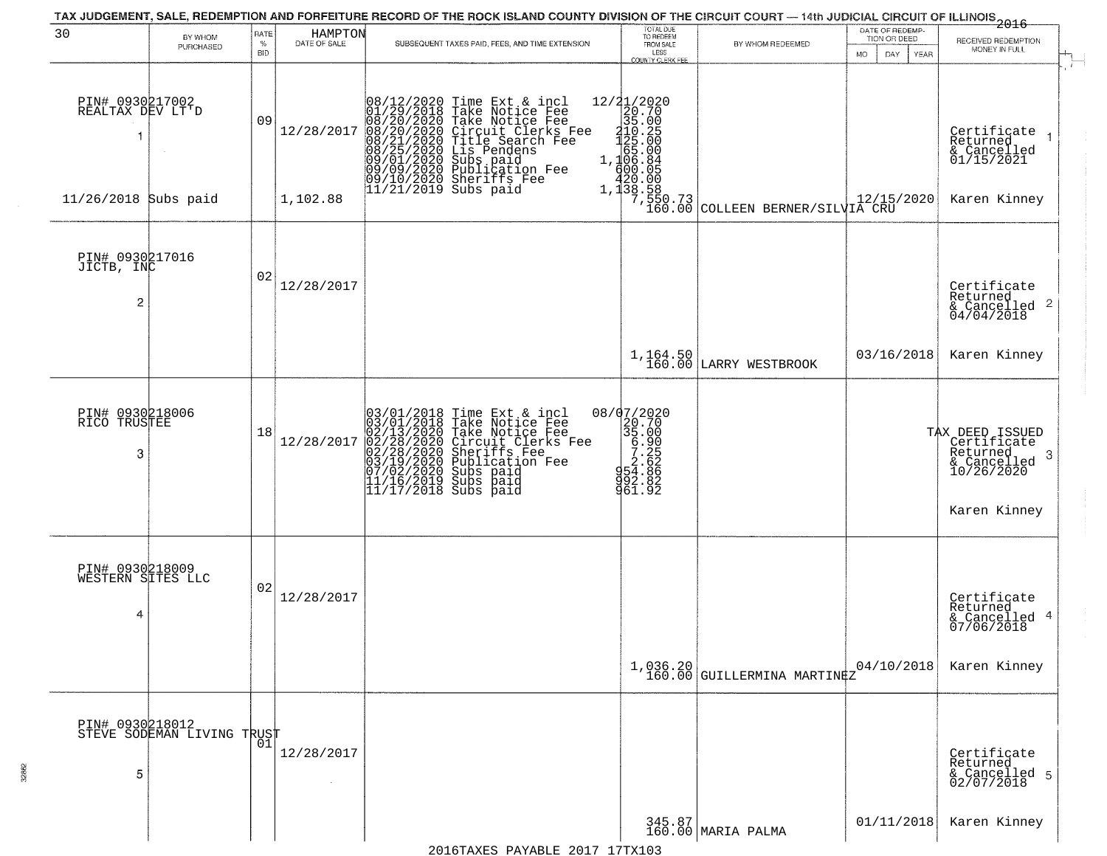|                                                 |                                                                 |                            |                         | TAX JUDGEMENT, SALE, REDEMPTION AND FORFEITURE RECORD OF THE ROCK ISLAND COUNTY DIVISION OF THE CIRCUIT COURT — 14th JUDICIAL CIRCUIT OF ILLINOIS 2016                                                                                                |                                                                                 |                                                                                                                                                                                                |                                                                    |                                                                                             |
|-------------------------------------------------|-----------------------------------------------------------------|----------------------------|-------------------------|-------------------------------------------------------------------------------------------------------------------------------------------------------------------------------------------------------------------------------------------------------|---------------------------------------------------------------------------------|------------------------------------------------------------------------------------------------------------------------------------------------------------------------------------------------|--------------------------------------------------------------------|---------------------------------------------------------------------------------------------|
| 30                                              | BY WHOM<br>PURCHASED                                            | RATE<br>$\%$<br><b>BID</b> | HAMPTON<br>DATE OF SALE | SUBSEQUENT TAXES PAID, FEES, AND TIME EXTENSION                                                                                                                                                                                                       | TOTAL DUE<br>TO REDEEM<br>FROM SALE<br>LESS                                     | BY WHOM REDEEMED                                                                                                                                                                               | DATE OF REDEMP-<br>TION OR DEED<br><b>MO</b><br>DAY<br><b>YEAR</b> | RECEIVED REDEMPTION<br>MONEY IN FULL                                                        |
| PIN# 0930217002<br>REALTAX DEV LT'D             |                                                                 | 09                         | 12/28/2017              | 08/12/2020 Time Ext & incl<br>01/29/2018 Take Notice Fee<br>08/20/2020 Take Notice Fee<br>08/20/2020 Circuit Clerks Fee<br>08/21/2020 Circuit Clerks Fee<br>08/25/2020 Lis Pendens<br>09/01/2020 Sublication Fee<br>09/01/2020 Sublication Fee<br>09/ | <b>COUNTY CLERK FEE</b>                                                         | $\begin{array}{c c} 12/21/2020 \\ 20.70 \\ 35.00 \\ 125.00 \\ 125.00 \\ 65.00 \\ 1,106.84 \\ 400.05 \\ 420.00 \\ 1,138.58 \\ 7,550.73 \\ 160.00 \text{ COLLEEN BERNER/SLIVIA CRU} \end{array}$ |                                                                    | $\mathbf{r}$<br>Certificate<br>Returned<br>$\rightarrow$<br>& Cancelled<br>01/15/2021       |
| 11/26/2018 Subs paid                            |                                                                 |                            | 1,102.88                |                                                                                                                                                                                                                                                       |                                                                                 |                                                                                                                                                                                                |                                                                    | Karen Kinney                                                                                |
| PIN# 0930217016<br>JICTB, INC<br>$\overline{c}$ |                                                                 | 02                         | 12/28/2017              |                                                                                                                                                                                                                                                       |                                                                                 |                                                                                                                                                                                                |                                                                    | Certificate<br>Returned<br>$\overline{2}$<br>& Cancelled<br>04/04/2018                      |
|                                                 |                                                                 |                            |                         |                                                                                                                                                                                                                                                       | $1,164.50$<br>$160.00$                                                          | LARRY WESTBROOK                                                                                                                                                                                | 03/16/2018                                                         | Karen Kinney                                                                                |
| PIN# 0930218006<br>RICO TRUSTEE<br>3            |                                                                 | 18                         | 12/28/2017              | $03/01/2018$ Time Ext & incl<br>$03/01/2018$ Take Notice Fee<br>$02/13/2020$ Take Notice Fee<br>$02/28/2020$ Circuit Clerks Fee<br>$02/28/2020$ Sheriffs Fee<br>$03/19/2020$ Publication Fee<br>$11/16/2019$ Subs paid<br>$11/17/2018$ Subs           | 08/07/2020<br>20.70<br>35.000<br>6.900<br>6.22.62<br>83.883<br>992.82<br>961.92 |                                                                                                                                                                                                |                                                                    | TAX DEED ISSUED<br>Certificate  <br>Returned<br>3<br>$\frac{6}{10/26/2020}$<br>Karen Kinney |
| PIN# 0930218009<br>WESTERN SITES LLC<br>4       |                                                                 | 02                         | 12/28/2017              |                                                                                                                                                                                                                                                       |                                                                                 |                                                                                                                                                                                                |                                                                    | Certificate<br>Returned<br>4<br>& Cancelled<br>07/06/2018                                   |
|                                                 |                                                                 |                            |                         |                                                                                                                                                                                                                                                       | 1,036.20<br>160.00                                                              | GUILLERMINA MARTINEZ                                                                                                                                                                           | 04/10/2018                                                         | Karen Kinney                                                                                |
| PIN# 0930218012<br>5                            | <b>STEVE SODEMAN LIVING TRUST</b><br>STEVE SODEMAN LIVING TRUST |                            | 12/28/2017              |                                                                                                                                                                                                                                                       |                                                                                 |                                                                                                                                                                                                |                                                                    | Certificate<br>Returned<br>& Cancelled 5<br>02/07/2018                                      |
|                                                 |                                                                 |                            |                         |                                                                                                                                                                                                                                                       |                                                                                 | 345.87<br>160.00 MARIA PALMA                                                                                                                                                                   | 01/11/2018                                                         | Karen Kinney                                                                                |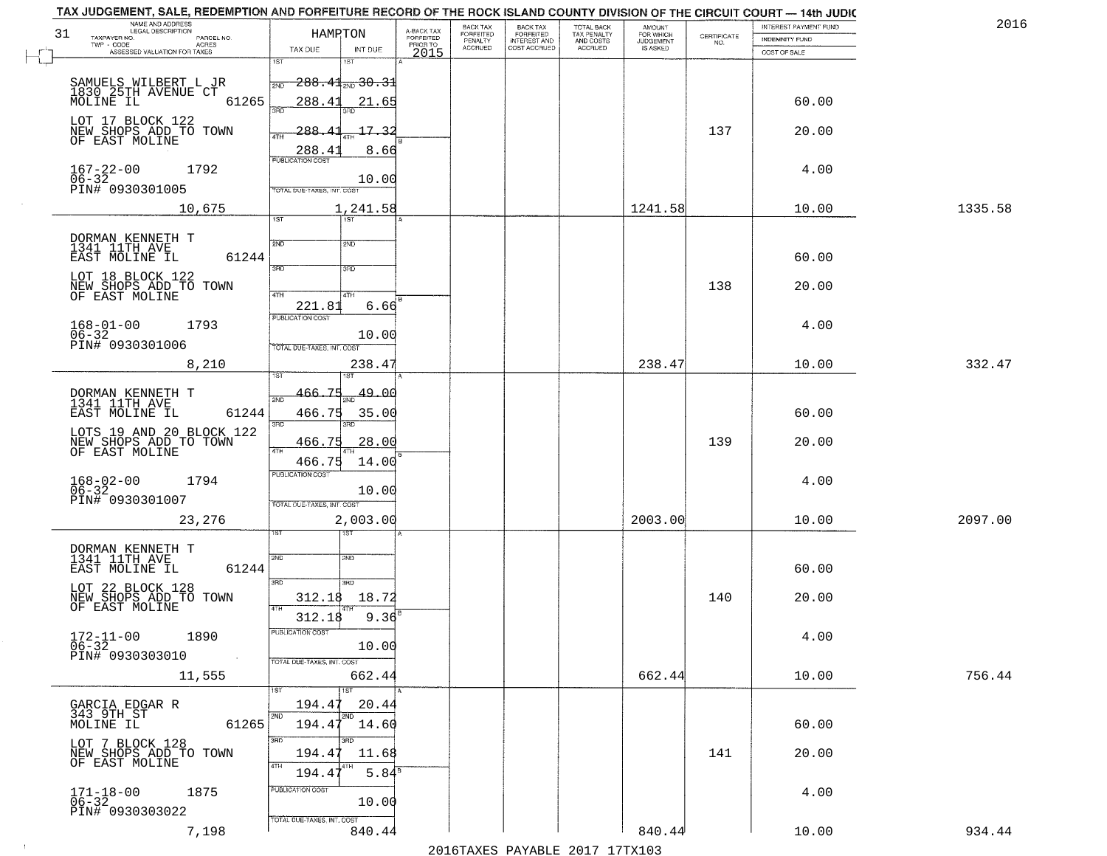| TAX JUDGEMENT, SALE, REDEMPTION AND FORFEITURE RECORD OF THE ROCK ISLAND COUNTY DIVISION OF THE CIRCUIT COURT - 14th JUDIC |                                                 |                                     |                           |                                              |                                               |                              |                    |                                                | 2016    |
|----------------------------------------------------------------------------------------------------------------------------|-------------------------------------------------|-------------------------------------|---------------------------|----------------------------------------------|-----------------------------------------------|------------------------------|--------------------|------------------------------------------------|---------|
| NAME AND ADDRESS<br>LEGAL DESCRIPTION<br>31<br>PARCEL NO.                                                                  | HAMPTON                                         | A-BACK TAX<br>FORFEITED<br>PRIOR TO | BACK TAX<br>FORFEITED     | <b>BACK TAX</b><br>FORFEITED<br>INTEREST AND | <b>TOTAL BACK</b><br>TAX PENALTY<br>AND COSTS | AMOUNT<br>FOR WHICH          | CERTIFICATE<br>NO. | INTEREST PAYMENT FUND<br><b>INDEMNITY FUND</b> |         |
| TAXPAYER NO.<br>ACRES<br>ASSESSED VALUATION FOR TAXES                                                                      | TAX DUE<br>INT DUE                              | 2015                                | PENALTY<br><b>ACCRUED</b> | COST ACCRUED                                 | <b>ACCRUED</b>                                | <b>JUDGEMENT</b><br>IS ASKED |                    | COST OF SALE                                   |         |
|                                                                                                                            | 1ST<br>1ST                                      |                                     |                           |                                              |                                               |                              |                    |                                                |         |
|                                                                                                                            | $288.41$ <sub>200</sub> 30.31<br>2ND            |                                     |                           |                                              |                                               |                              |                    |                                                |         |
| SAMUELS WILBERT L JR<br>1830–25TH AVENUE CT<br>61265<br>MOLINE IL                                                          | 288.41<br>21.65                                 |                                     |                           |                                              |                                               |                              |                    | 60.00                                          |         |
|                                                                                                                            | 3RD                                             |                                     |                           |                                              |                                               |                              |                    |                                                |         |
| LOT 17 BLOCK 122<br>NEW SHOPS ADD TO TOWN<br>OF EAST MOLINE                                                                | 288.41<br>17.32<br>4TH                          |                                     |                           |                                              |                                               |                              | 137                | 20.00                                          |         |
|                                                                                                                            | 8.66<br>288.4                                   |                                     |                           |                                              |                                               |                              |                    |                                                |         |
|                                                                                                                            | <b>PUBLICATION COST</b>                         |                                     |                           |                                              |                                               |                              |                    |                                                |         |
| $167 - 22 - 00$<br>$06 - 32$<br>1792                                                                                       | 10.00                                           |                                     |                           |                                              |                                               |                              |                    | 4.00                                           |         |
| PIN# 0930301005                                                                                                            | TOTAL DUE-TAXES, INT. COST                      |                                     |                           |                                              |                                               |                              |                    |                                                |         |
| 10,675                                                                                                                     | 1,241.58<br>1ST<br>1ST                          |                                     |                           |                                              |                                               | 1241.58                      |                    | 10.00                                          | 1335.58 |
|                                                                                                                            |                                                 |                                     |                           |                                              |                                               |                              |                    |                                                |         |
| DORMAN KENNETH T<br>1341 11TH AVE                                                                                          | 2ND<br>2ND                                      |                                     |                           |                                              |                                               |                              |                    |                                                |         |
| EAST MOLINE IL<br>61244                                                                                                    | 3RD<br>3HD                                      |                                     |                           |                                              |                                               |                              |                    | 60.00                                          |         |
| LOT 18 BLOCK 122<br>NEW SHOPS ADD TO TOWN                                                                                  |                                                 |                                     |                           |                                              |                                               |                              | 138                | 20.00                                          |         |
| OF EAST MOLINE                                                                                                             | 47H<br>4TH                                      |                                     |                           |                                              |                                               |                              |                    |                                                |         |
|                                                                                                                            | 221.81<br>6.66<br>PUBLICATION COST              |                                     |                           |                                              |                                               |                              |                    |                                                |         |
| $168 - 01 - 00$<br>1793<br>$06 - 32$                                                                                       | 10.00                                           |                                     |                           |                                              |                                               |                              |                    | 4.00                                           |         |
| PIN# 0930301006                                                                                                            | TOTAL DUE-TAXES, INT. COST                      |                                     |                           |                                              |                                               |                              |                    |                                                |         |
| 8,210                                                                                                                      | 238.4<br>i ST                                   |                                     |                           |                                              |                                               | 238.47                       |                    | 10.00                                          | 332.47  |
|                                                                                                                            | 466.75                                          |                                     |                           |                                              |                                               |                              |                    |                                                |         |
| DORMAN KENNETH T<br>1341 11TH AVE                                                                                          | 49.00<br>2ND                                    |                                     |                           |                                              |                                               |                              |                    |                                                |         |
| EAST MOLINE IL<br>61244                                                                                                    | 466.75<br>35.00<br>3BD<br>3RD                   |                                     |                           |                                              |                                               |                              |                    | 60.00                                          |         |
| LOTS 19 AND 20 BLOCK 122                                                                                                   | 466.75<br>28.00                                 |                                     |                           |                                              |                                               |                              | 139                | 20.00                                          |         |
| NEW SHOPS ADD TO TOWN<br>OF EAST MOLINE                                                                                    | 4TH<br>14.00                                    |                                     |                           |                                              |                                               |                              |                    |                                                |         |
|                                                                                                                            | 466.75<br><b>PUBLICATION COST</b>               |                                     |                           |                                              |                                               |                              |                    |                                                |         |
| $168 - 02 - 00$<br>06-32<br>1794                                                                                           | 10.00                                           |                                     |                           |                                              |                                               |                              |                    | 4.00                                           |         |
| PIN# 0930301007                                                                                                            | TOTAL OUE-TAXES, INT. COST                      |                                     |                           |                                              |                                               |                              |                    |                                                |         |
| 23,276                                                                                                                     | 2,003.00                                        |                                     |                           |                                              |                                               | 2003.00                      |                    | 10.00                                          | 2097.00 |
|                                                                                                                            | ৰৱা                                             |                                     |                           |                                              |                                               |                              |                    |                                                |         |
| DORMAN KENNETH T<br>1341 11TH AVE                                                                                          | 2ND<br>2ND                                      |                                     |                           |                                              |                                               |                              |                    |                                                |         |
| EAST MOLINE IL<br>61244                                                                                                    | 3BD                                             |                                     |                           |                                              |                                               |                              |                    | 60.00                                          |         |
| LOT 22 BLOCK 128                                                                                                           | 3 <sub>BD</sub><br>312.18<br>18.72              |                                     |                           |                                              |                                               |                              | 140                | 20.00                                          |         |
| NEW SHOPS ADD TO TOWN<br>OF EAST MOLINE                                                                                    | 4TH<br>9.36                                     |                                     |                           |                                              |                                               |                              |                    |                                                |         |
|                                                                                                                            | 312.18<br>"UBLICA HUN CUS                       |                                     |                           |                                              |                                               |                              |                    |                                                |         |
| $172 - 11 - 00$<br>1890<br>$06 - 32$                                                                                       | 10.00                                           |                                     |                           |                                              |                                               |                              |                    | 4.00                                           |         |
| PIN# 0930303010<br><b>Contract</b>                                                                                         | TOTAL DUE-TAXES, INT. COST                      |                                     |                           |                                              |                                               |                              |                    |                                                |         |
| 11,555                                                                                                                     | 662.44                                          |                                     |                           |                                              |                                               | 662.44                       |                    | 10.00                                          | 756.44  |
|                                                                                                                            | 1ST                                             |                                     |                           |                                              |                                               |                              |                    |                                                |         |
| GARCIA EDGAR R<br>343 9TH ST                                                                                               | 194.47<br>20.44<br>2ND<br>2ND                   |                                     |                           |                                              |                                               |                              |                    |                                                |         |
| 61265<br>MOLINE IL                                                                                                         | 194.47<br>14.60                                 |                                     |                           |                                              |                                               |                              |                    | 60.00                                          |         |
| LOT 7 BLOCK 128<br>NEW SHOPS ADD TO TOWN                                                                                   | 3RD<br>194.47<br>11.68                          |                                     |                           |                                              |                                               |                              | 141                | 20.00                                          |         |
| OF EAST MOLINE                                                                                                             | 4TH                                             |                                     |                           |                                              |                                               |                              |                    |                                                |         |
|                                                                                                                            | 5.84 <sup>B</sup><br>194.47<br>PUBLICATION COST |                                     |                           |                                              |                                               |                              |                    |                                                |         |
| 1875<br>$171 - 18 - 00$<br>$06 - 32$                                                                                       | 10.00                                           |                                     |                           |                                              |                                               |                              |                    | 4.00                                           |         |
| PIN# 0930303022                                                                                                            | TOTAL DUE-TAXES, INT. COST                      |                                     |                           |                                              |                                               |                              |                    |                                                |         |
| 7,198                                                                                                                      | 840.44                                          |                                     |                           |                                              |                                               | 840.44                       |                    | 10.00                                          | 934.44  |

 $\sim$  1  $^{\circ}$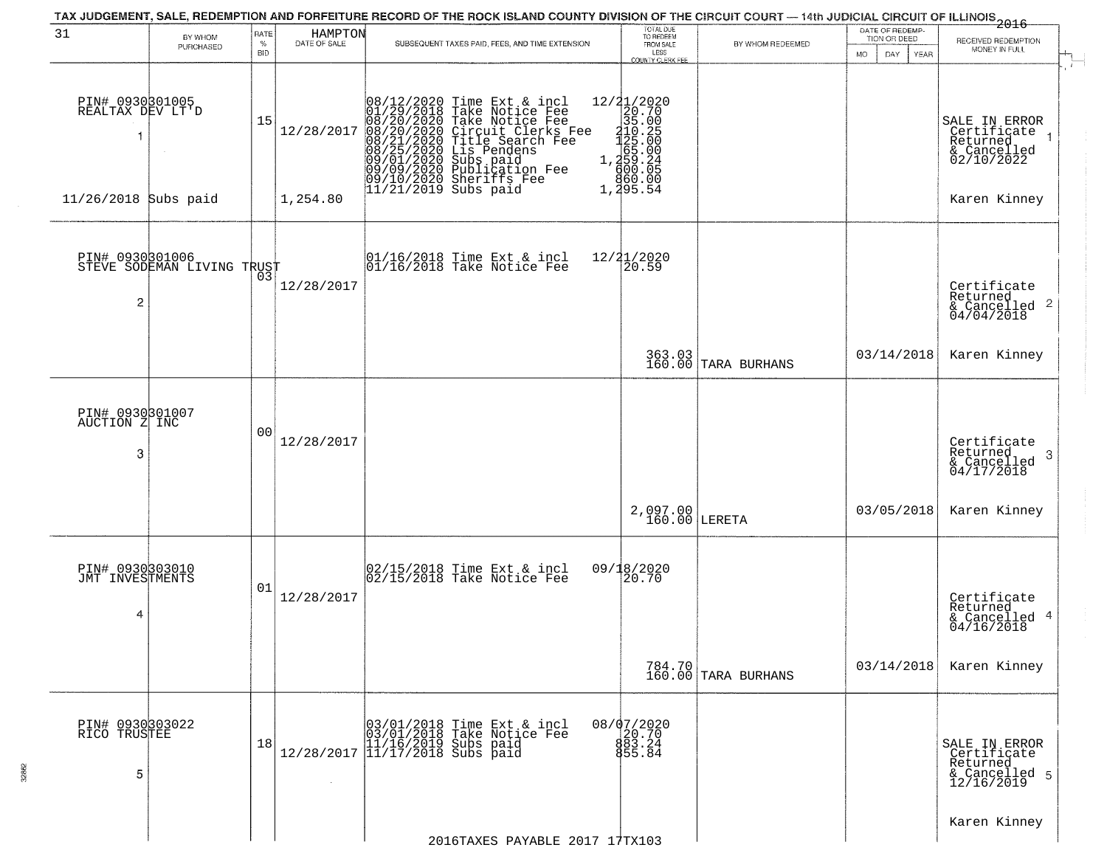|                                          |                                               |              |                         | TAX JUDGEMENT, SALE, REDEMPTION AND FORFEITURE RECORD OF THE ROCK ISLAND COUNTY DIVISION OF THE CIRCUIT COURT — 14th JUDICIAL CIRCUIT OF ILLINOIS 2016                                                                                                |                                                                                          |                               | DATE OF REDEMP-            |                                                                               |
|------------------------------------------|-----------------------------------------------|--------------|-------------------------|-------------------------------------------------------------------------------------------------------------------------------------------------------------------------------------------------------------------------------------------------------|------------------------------------------------------------------------------------------|-------------------------------|----------------------------|-------------------------------------------------------------------------------|
| 31                                       | BY WHOM<br>PURCHASED                          | RATE<br>$\%$ | HAMPTON<br>DATE OF SALE | SUBSEQUENT TAXES PAID, FEES, AND TIME EXTENSION                                                                                                                                                                                                       | TOTAL DUE<br>TO REDEEM<br>FROM SALE                                                      | BY WHOM REDEEMED              | TION OR DEED               | RECEIVED REDEMPTION                                                           |
|                                          |                                               | <b>BID</b>   |                         |                                                                                                                                                                                                                                                       | LESS<br><b>COUNTY CLERK FEE</b>                                                          |                               | MO.<br>DAY.<br><b>YEAR</b> | MONEY IN FULL<br>i film                                                       |
| PIN# 0930801005<br>REALTAX DEV LT'D<br>1 |                                               | 15           | 12/28/2017              | $08/12/2020$ Time Ext & incl<br>01/29/2018 Take Notice Fee<br>08/20/2020 Take Notice Fee<br>08/20/2020 Circuit Clerks Fee<br>08/21/2020 Title Search Fee<br>08/25/2020 Lis Pendens<br>09/01/2020 Sublication Fee<br>09/09/2020 Sublication Fee<br>09/ | $12/21/2020$ $20.70$ $35.00$ $120.25$ $1.359.24$ $1.459.24$ $1.459.24$ $60.00$<br>860.00 |                               |                            | SALE IN ERROR<br>Certificate<br>Returned<br>& Cancelled<br>02/10/2022         |
| 11/26/2018 Subs paid                     |                                               |              | 1,254.80                |                                                                                                                                                                                                                                                       | 1,295.54                                                                                 |                               |                            | Karen Kinney                                                                  |
| $\overline{c}$                           | PIN# 0930801006<br>STEVE SODEMAN LIVING TRUST |              | 12/28/2017              | 01/16/2018 Time Ext & incl<br>01/16/2018 Take Notice Fee                                                                                                                                                                                              | 12/21/2020<br>20.59                                                                      |                               |                            | Certificate<br>Returned<br>$\frac{1}{6}$ Cancelled <sup>2</sup><br>04/04/2018 |
|                                          |                                               |              |                         |                                                                                                                                                                                                                                                       |                                                                                          | 363.03<br>160.00 TARA BURHANS | 03/14/2018                 | Karen Kinney                                                                  |
| PIN# 0930301007<br>AUCTION Z INC<br>3    |                                               | 00           | 12/28/2017              |                                                                                                                                                                                                                                                       |                                                                                          |                               |                            | Certificate<br>Returned<br>3<br>$\frac{1}{2}$ Cancelled<br>04/17/2018         |
|                                          |                                               |              |                         |                                                                                                                                                                                                                                                       | $2,097.00$<br>160.00 LERETA                                                              |                               | 03/05/2018                 | Karen Kinney                                                                  |
| PIN# 0930303010<br>JMT INVESTMENTS<br>4  |                                               | 01           | 12/28/2017              | 02/15/2018 Time Ext & incl<br>02/15/2018 Take Notice Fee                                                                                                                                                                                              | 09/18/2020<br>20.70                                                                      |                               |                            | Certificate<br>Returned<br>& Cancelled 4<br>04/16/2018                        |
|                                          |                                               |              |                         |                                                                                                                                                                                                                                                       |                                                                                          | 784.70<br>160.00 TARA BURHANS | 03/14/2018                 | Karen Kinney                                                                  |
| PIN# 0930303022<br>RICO TRUSTEE<br>5     |                                               | 18           | $\sim 10^{-1}$          | $[03/01/2018 \t\t Time Ext & incl \\ [03/01/2018 \t\t Take Notice Free \\ [11/16/2019 \t\ Subs paid \\ [12/28/2017 \t\t] 11/17/2018 \t\ Subs paid$                                                                                                    | 08/07/2020<br>20.70<br>883.24<br>855.84                                                  |                               |                            | SALE IN ERROR<br>Certificate<br>Returned<br>& Cancelled 5<br>12/16/2019       |
|                                          |                                               |              |                         | 2016TAXES PAYABLE 2017 17TX103                                                                                                                                                                                                                        |                                                                                          |                               |                            | Karen Kinney                                                                  |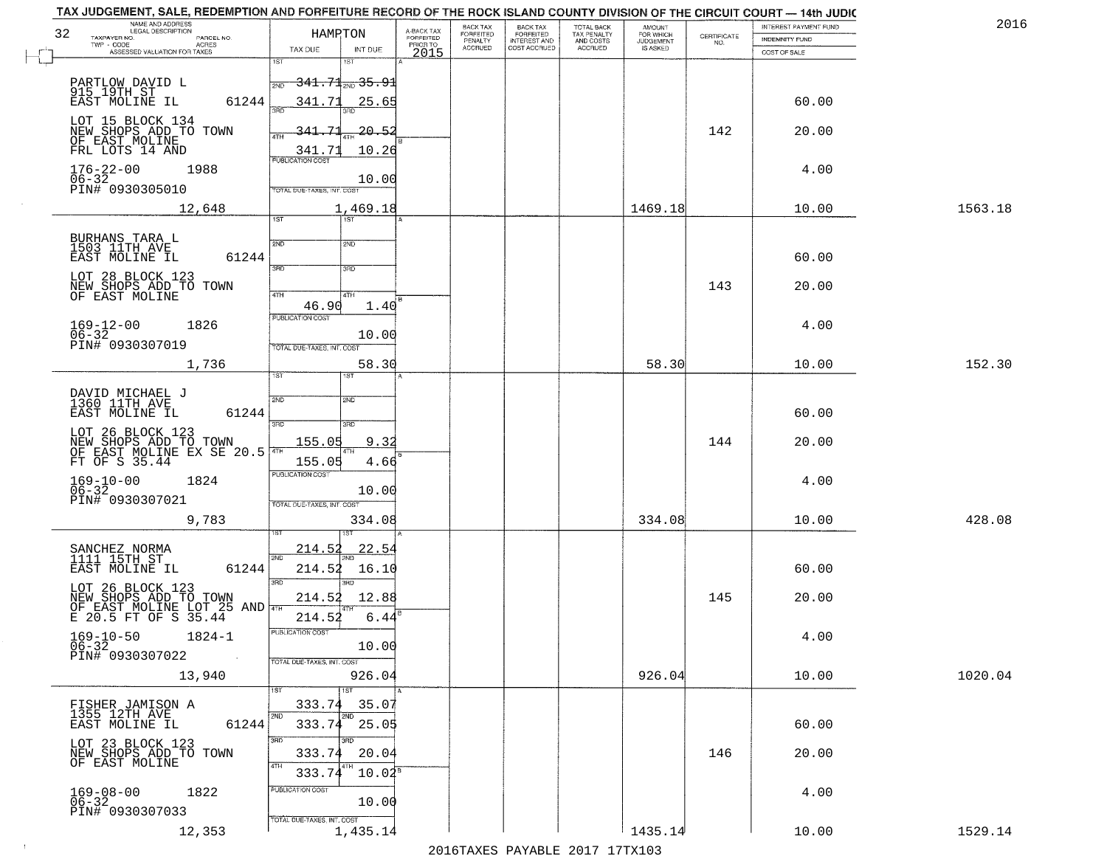| TAX JUDGEMENT, SALE, REDEMPTION AND FORFEITURE RECORD OF THE ROCK ISLAND COUNTY DIVISION OF THE CIRCUIT COURT - 14th JUDIC<br>NAME AND ADDRESS<br>LEGAL DESCRIPTION                                                                                          |                                                                                                                                                                |                                     | BACK TAX             | <b>BACK TAX</b>           | TOTAL BACK               | AMOUNT<br>FOR WHICH |                                                                 | INTEREST PAYMENT FUND                    | 2016    |
|--------------------------------------------------------------------------------------------------------------------------------------------------------------------------------------------------------------------------------------------------------------|----------------------------------------------------------------------------------------------------------------------------------------------------------------|-------------------------------------|----------------------|---------------------------|--------------------------|---------------------|-----------------------------------------------------------------|------------------------------------------|---------|
| 32<br>TAXPAYER NO.<br>PARCEL NO.<br>ACRES                                                                                                                                                                                                                    | HAMPTON                                                                                                                                                        | A-BACK TAX<br>FORFEITED<br>PRIOR TO | FORFEITED<br>PENALTY | FORFEITED<br>INTEREST AND | TAX PENALTY<br>AND COSTS | <b>JUDGEMENT</b>    | $\begin{array}{c} \text{CERTIFICATE} \\ \text{NO.} \end{array}$ | INDEMNITY FUND                           |         |
| ASSESSED VALUATION FOR TAXES                                                                                                                                                                                                                                 | TAX DUE<br>INT DUE                                                                                                                                             | 2015                                | <b>ACCRUED</b>       | COST ACCRUED              | ACCRUED                  | IS ASKED            |                                                                 | COST OF SALE                             |         |
| PARTLOW DAVID L<br>915 19TH ST<br>EAST MOLINE IL<br>61244                                                                                                                                                                                                    | 1ST<br><del>341.71<sub>2ND</sub>35.91</del><br>2ND<br>341.71<br><u>25.65</u>                                                                                   |                                     |                      |                           |                          |                     |                                                                 | 60.00                                    |         |
| LOT 15 BLOCK 134<br>NEW SHOPS ADD TO TOWN<br>OF EAST MOLINE<br>FRL LOTS 14 AND                                                                                                                                                                               | 341.71<br>20.52<br>10.26                                                                                                                                       |                                     |                      |                           |                          |                     | 142                                                             | 20.00                                    |         |
| $176 - 22 - 00$<br>06-32<br>1988<br>PIN# 0930305010                                                                                                                                                                                                          | $\frac{341.71}{PUBUCATONCGST}$<br>10.00<br>TOTAL DUE-TAXES, INT. COST                                                                                          |                                     |                      |                           |                          |                     |                                                                 | 4.00                                     |         |
| 12,648                                                                                                                                                                                                                                                       | 1,469.18                                                                                                                                                       |                                     |                      |                           |                          | 1469.18             |                                                                 | 10.00                                    | 1563.18 |
| BURHANS TARA L<br>1503 11TH AVE<br>61244<br>EAST MOLINE IL<br>LOT 28 BLOCK 123<br>NEW SHOPS ADD TO TOWN<br>OF EAST MOLINE<br>$169 - 12 - 00$<br>1826<br>$06 - 32$<br>PIN# 0930307019<br>1,736<br>DAVID MICHAEL J<br>1360 11TH AVE<br>EAST MOLINE IL<br>61244 | 1ST<br>2ND<br>2ND<br>3RD<br>3RD<br>47H<br>4TH<br>46.90<br>1.40<br>PUBLICATION COST<br>10.00<br>TOTAL DUE-TAXES, INT. COST<br>58.30<br>īst<br>1ST<br>2ND<br>2ND |                                     |                      |                           |                          | 58.30               | 143                                                             | 60.00<br>20.00<br>4.00<br>10.00<br>60.00 | 152.30  |
| LOT 26 BLOCK 123<br>NEW SHOPS ADD TO TOWN<br>OF EAST MOLINE EX SE 20.5<br>FT OF S 35.44<br>$169-10-00$<br>06-32<br>1824<br>PIN# 0930307021<br>9,783                                                                                                          | 3RD<br>3RD<br>155.05<br>9.3<br>155.05<br>4.66<br><b>PUBLICATION COST</b><br>10.00<br>TOTAL OUE-TAXES, INT. COST<br>334.08                                      |                                     |                      |                           |                          | 334.08              | 144                                                             | 20.00<br>4.00<br>10.00                   | 428.08  |
| SANCHEZ NORMA<br>1111 15TH ST<br>EAST MOLINE IL<br>61244<br>LOT 26 BLOCK 123<br>NEW SHOPS ADD TO TOWN<br>OF EAST MOLINE LOT 25 AND THE<br>$169 - 10 - 50$<br>$1824 - 1$<br>$06 - 32$<br>PIN# 0930307022<br>$\sim 100$                                        | 214.52<br>22.54<br>2ND<br>214.52<br>16.10<br>3RD<br>m<br>214.52<br>12.88<br>214.52<br>6.44<br>"UBLICA HUN CUS<br>10.00<br>TOTAL DUE-TAXES, INT. COST           |                                     |                      |                           |                          |                     | 145                                                             | 60.00<br>20.00<br>4.00                   |         |
| 13,940<br>FISHER JAMISON A<br>1355 12TH AVE<br>61244<br>EAST MOLINE IL<br>LOT 23 BLOCK 123<br>NEW SHOPS ADD TO TOWN<br>OF EAST MOLINE<br>$169 - 08 - 00$<br>1822                                                                                             | 926.04<br>1ST<br>333.74<br>35.07<br>2ND<br>2ND<br>$333.74$ $25.05$<br>3RD<br>חחו<br>20.04<br>333.74<br>4TH<br>333.74<br>$10.02^s$<br>PUBLICATION COST          |                                     |                      |                           |                          | 926.04              | 146                                                             | 10.00<br>60.00<br>20.00<br>4.00          | 1020.04 |
| $06 - 32$<br>PIN# 0930307033<br>12,353                                                                                                                                                                                                                       | 10.00<br>TOTAL DUE-TAXES, INT. COST<br>1,435.14                                                                                                                |                                     |                      |                           |                          | 1435.14             |                                                                 | 10.00                                    | 1529.14 |

 $\sim 10^{-1}$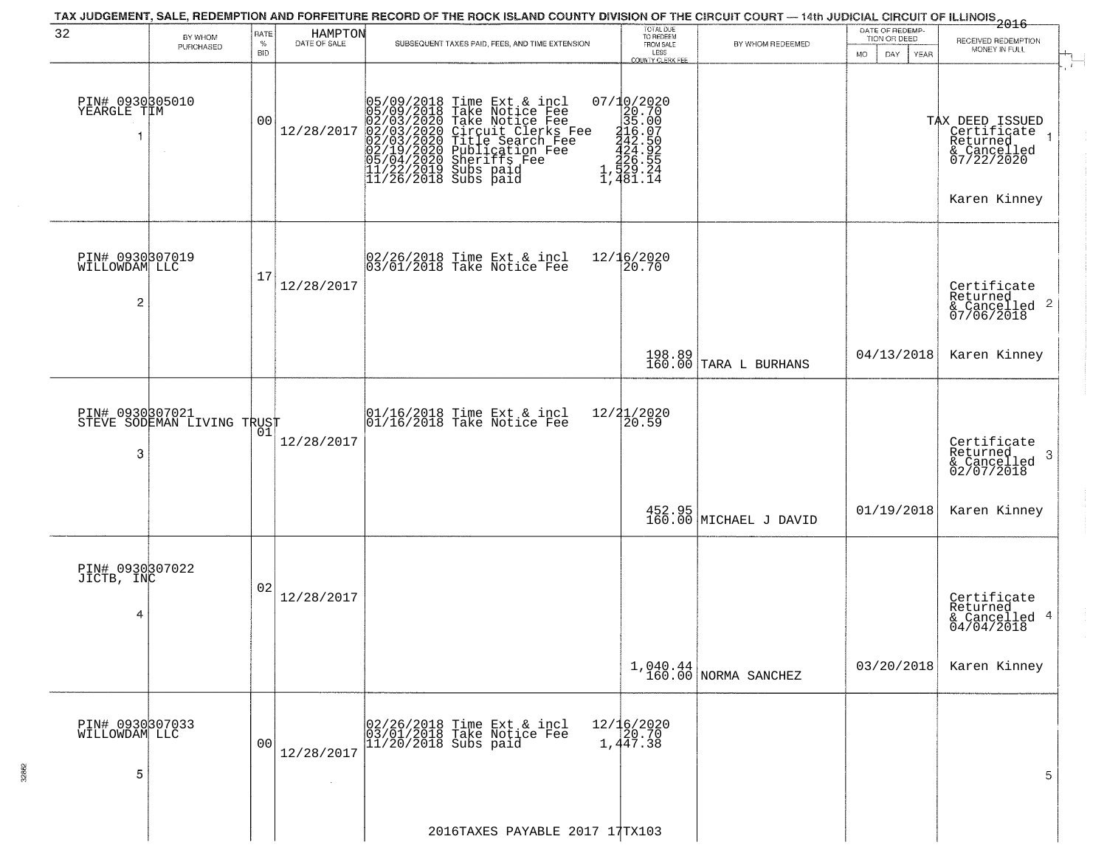|                                       |                                               |                |                         | TAX JUDGEMENT, SALE, REDEMPTION AND FORFEITURE RECORD OF THE ROCK ISLAND COUNTY DIVISION OF THE CIRCUIT COURT — 14th JUDICIAL CIRCUIT OF ILLINOIS 2016                                                                                                |                                                                                                                                      |                                                                                    | DATE OF REDEMP-                 |                                                                                         |
|---------------------------------------|-----------------------------------------------|----------------|-------------------------|-------------------------------------------------------------------------------------------------------------------------------------------------------------------------------------------------------------------------------------------------------|--------------------------------------------------------------------------------------------------------------------------------------|------------------------------------------------------------------------------------|---------------------------------|-----------------------------------------------------------------------------------------|
| 32                                    | BY WHOM<br>PURCHASED                          | RATE<br>$\%$   | HAMPTON<br>DATE OF SALE | SUBSEQUENT TAXES PAID, FEES, AND TIME EXTENSION                                                                                                                                                                                                       | TOTAL DUE<br>TO REDEEM<br>FROM SALE                                                                                                  | BY WHOM REDEEMED                                                                   | TION OR DEED                    | RECEIVED REDEMPTION<br>MONEY IN FULL                                                    |
|                                       |                                               | <b>BID</b>     |                         |                                                                                                                                                                                                                                                       | LESS<br><b>COUNTY CLERK FEE</b>                                                                                                      |                                                                                    | <b>MO</b><br>DAY<br><b>YEAR</b> |                                                                                         |
| PIN# 0930305010<br>YEARGLE TIM<br>1   | $\sim$                                        | 00             | 12/28/2017              | 05/09/2018 Time Ext & incl<br>05/09/2018 Take Notice Fee<br>02/03/2020 Take Notice Fee<br>02/03/2020 Circuit Clerks Fee<br>02/03/2020 Title Search Fee<br>02/19/2020 Publication Fee<br>05/04/2020 Sheriffs Fee<br>11/22/2019 Subs paid<br>11/26/2018 | $\begin{smallmatrix} 07/10/2020 \\ 20.70 \\ 35.00 \\ 442.50 \\ 442.50 \\ 424.55 \\ 256.55 \\ 1,424.52 \\ 1,481.14 \end{smallmatrix}$ |                                                                                    |                                 | TAX DEED ISSUED<br>Certificate<br>Returned<br>& Cancelled<br>07/22/2020<br>Karen Kinney |
| PIN# 0930307019<br>WILLOWDAM LLC<br>2 |                                               | 17             | 12/28/2017              | 02/26/2018 Time Ext & incl<br>03/01/2018 Take Notice Fee                                                                                                                                                                                              | 12/16/2020<br>20.70                                                                                                                  |                                                                                    |                                 | Certificate<br>Returned<br>$\frac{1}{2}$ Cancelled 2<br>07/06/2018                      |
|                                       |                                               |                |                         |                                                                                                                                                                                                                                                       |                                                                                                                                      | $\begin{array}{ c c c c c }\n 198.89 & \text{TARA} & \text{BURHANS}\n \end{array}$ | 04/13/2018                      | Karen Kinney                                                                            |
| 3                                     | PIN# 0930307021<br>STEVE SODEMAN LIVING TRUST | 01             | 12/28/2017              | 01/16/2018 Time Ext & incl<br>01/16/2018 Take Notice Fee                                                                                                                                                                                              | $\frac{12}{2}$ $\frac{21}{20.59}$                                                                                                    |                                                                                    |                                 | Certificate<br>Returned<br>3<br>$\frac{1}{02/07/2018}$                                  |
|                                       |                                               |                |                         |                                                                                                                                                                                                                                                       |                                                                                                                                      | 452.95<br>160.00 MICHAEL J DAVID                                                   | 01/19/2018                      | Karen Kinney                                                                            |
| PIN# 0930307022<br>JICTB, INC<br>4    |                                               | 02             | 12/28/2017              |                                                                                                                                                                                                                                                       |                                                                                                                                      |                                                                                    |                                 | Certificate<br>Returned<br>& Cancelled 4<br>04/04/2018                                  |
|                                       |                                               |                |                         |                                                                                                                                                                                                                                                       |                                                                                                                                      | $1,040.44$<br>160.00 NORMA SANCHEZ                                                 | 03/20/2018                      | Karen Kinney                                                                            |
| PIN# 0930307033<br>WILLOWDAM LLC<br>5 |                                               | 0 <sub>0</sub> | 12/28/2017              | 02/26/2018 Time Ext & incl<br>03/01/2018 Take Notice Fee<br>$11/20/2018$ Subs paid                                                                                                                                                                    | $12/16/2020$<br>$20.70$<br>1,447.38                                                                                                  |                                                                                    |                                 | 5                                                                                       |
|                                       |                                               |                |                         | 2016TAXES PAYABLE 2017 17TX103                                                                                                                                                                                                                        |                                                                                                                                      |                                                                                    |                                 |                                                                                         |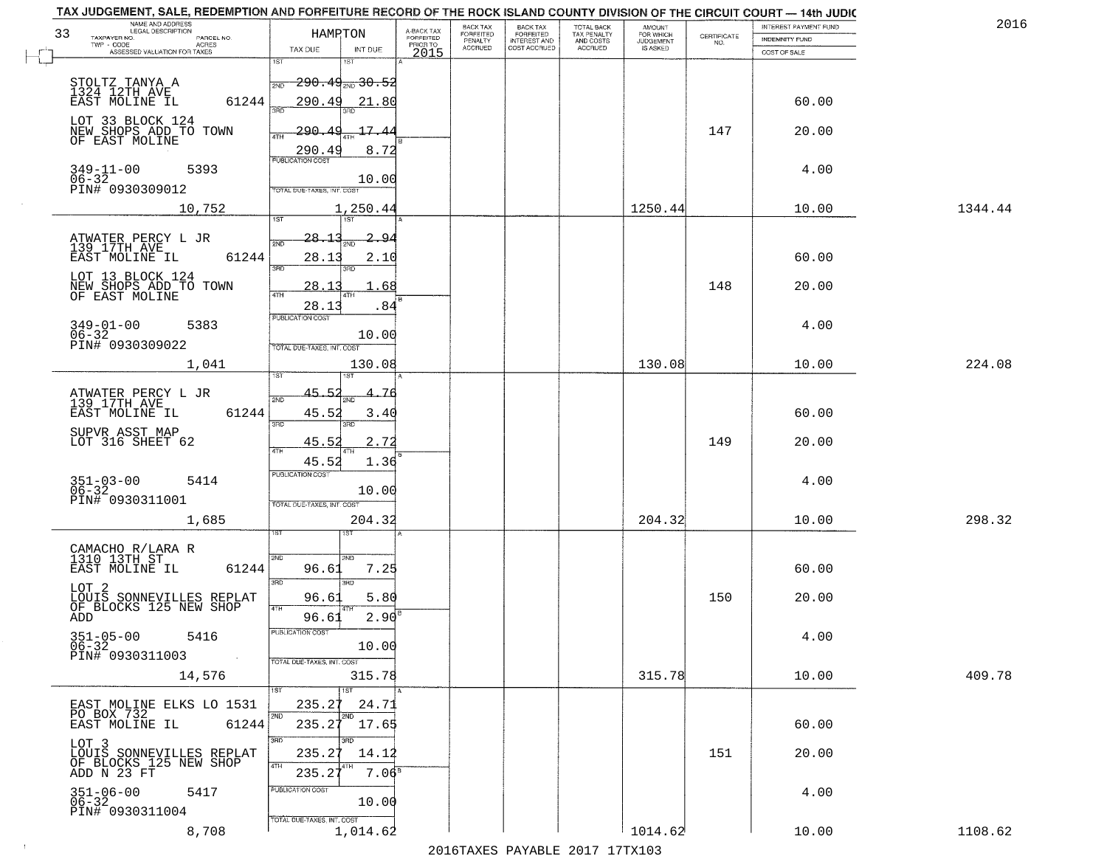| NAME AND ADDRESS<br>LEGAL DESCRIPTION<br>33                       | HAMPTON                                        | A-BACK TAX                   | BACK TAX<br><b>FORFEITED</b> | <b>BACK TAX</b><br><b>FORFEITED</b> | TOTAL BACK<br>TAX PENALTY | <b>AMOUNT</b>                      |                    | INTEREST PAYMENT FUND | 2016    |
|-------------------------------------------------------------------|------------------------------------------------|------------------------------|------------------------------|-------------------------------------|---------------------------|------------------------------------|--------------------|-----------------------|---------|
| TAXPAYER NO.<br>PARCEL NO.<br>TWP - CODE<br><b>ACRES</b>          |                                                | <b>FORFEITED</b><br>PRIOR TO | PENALTY<br>ACCRUED           | INTEREST AND<br>COST ACCRUED        | AND COSTS<br>ACCRUED      | FOR WHICH<br>JUDGEMENT<br>IS ASKED | CERTIFICATE<br>NO. | <b>INDEMNITY FUND</b> |         |
| ASSESSED VALUATION FOR TAXES                                      | TAX DUE<br>INT DUE<br>1ST<br>1ST               | 2015                         |                              |                                     |                           |                                    |                    | COST OF SALE          |         |
|                                                                   | $\frac{1}{200}$ 290.49 $_{\mathrm{2ND}}$ 30.52 |                              |                              |                                     |                           |                                    |                    |                       |         |
| STOLTZ TANYA A<br>1324 12TH AVE<br>61244                          | 290.49<br>21.80                                |                              |                              |                                     |                           |                                    |                    | 60.00                 |         |
| EAST MOLINE IL                                                    | 3AD                                            |                              |                              |                                     |                           |                                    |                    |                       |         |
| LOT 33 BLOCK 124<br>NEW SHOPS ADD TO TOWN                         | $-17.4$<br>290.4<br>4TH                        |                              |                              |                                     |                           |                                    | 147                | 20.00                 |         |
| OF EAST MOLINE                                                    | 290.49<br>8.72                                 |                              |                              |                                     |                           |                                    |                    |                       |         |
| $349 - 11 - 00$<br>5393                                           | <b>PUBLICATION COST</b>                        |                              |                              |                                     |                           |                                    |                    | 4.00                  |         |
| $06 - 32$<br>PIN# 0930309012                                      | 10.00<br>TOTAL DUE-TAXES, INT. COST            |                              |                              |                                     |                           |                                    |                    |                       |         |
| 10,752                                                            | 1,250.44                                       |                              |                              |                                     |                           | 1250.44                            |                    | 10.00                 | 1344.44 |
|                                                                   | 1ST<br>$\overline{15T}$                        |                              |                              |                                     |                           |                                    |                    |                       |         |
| ATWATER PERCY L JR<br>139 17TH AVE                                | 28.1<br><u>2.94</u><br>2ND                     |                              |                              |                                     |                           |                                    |                    |                       |         |
| EAST MOLINE IL<br>61244                                           | 28.13<br>2.10<br>3RD                           |                              |                              |                                     |                           |                                    |                    | 60.00                 |         |
| LOT 13 BLOCK 124                                                  | 3RD<br>28.1<br>68                              |                              |                              |                                     |                           |                                    | 148                | 20.00                 |         |
| NEW SHOPS ADD TO TOWN<br>OF EAST MOLINE                           | 47H                                            |                              |                              |                                     |                           |                                    |                    |                       |         |
|                                                                   | .84<br>28.13<br>PUBLICATION COST               |                              |                              |                                     |                           |                                    |                    |                       |         |
| $349 - 01 - 00$<br>5383<br>$06 - 32$                              | 10.00                                          |                              |                              |                                     |                           |                                    |                    | 4.00                  |         |
| PIN# 0930309022                                                   | TOTAL DUE-TAXES, INT. COST                     |                              |                              |                                     |                           |                                    |                    |                       |         |
| 1,041                                                             | 130.08                                         |                              |                              |                                     |                           | 130.08                             |                    | 10.00                 | 224.08  |
| ATWATER PERCY L JR<br>139 17TH AVE                                | 45.52<br>2ND                                   |                              |                              |                                     |                           |                                    |                    |                       |         |
| 61244<br>EAST MOLINE IL                                           | 45.52<br>3.40                                  |                              |                              |                                     |                           |                                    |                    | 60.00                 |         |
|                                                                   | 3RD<br>3RD                                     |                              |                              |                                     |                           |                                    |                    |                       |         |
| SUPVR ASST MAP<br>LOT 316 SHEET 62                                | 2.72<br>45.52<br>4TH                           |                              |                              |                                     |                           |                                    | 149                | 20.00                 |         |
|                                                                   | 45.52<br>1.36<br><b>PUBLICATION COST</b>       |                              |                              |                                     |                           |                                    |                    |                       |         |
| $351 - 03 - 00$<br>06-32<br>5414                                  | 10.00                                          |                              |                              |                                     |                           |                                    |                    | 4.00                  |         |
| PIN# 0930311001                                                   | TOTAL OUE-TAXES, INT. COST                     |                              |                              |                                     |                           |                                    |                    |                       |         |
| 1,685                                                             | 204.32                                         |                              |                              |                                     |                           | 204.32                             |                    | 10.00                 | 298.32  |
|                                                                   |                                                |                              |                              |                                     |                           |                                    |                    |                       |         |
| CAMACHO R/LARA R<br>1310 13TH ST<br>61244<br>EAST MOLINE IL       | 2ND<br>2ND<br>96.61<br>7.25                    |                              |                              |                                     |                           |                                    |                    | 60.00                 |         |
|                                                                   | 3RD<br>3BD                                     |                              |                              |                                     |                           |                                    |                    |                       |         |
| LOT 2<br>LOUIS SONNEVILLES REPLAT<br>OF BLOCKS 125 NEW SHOP       | 96.61<br>5.80                                  |                              |                              |                                     |                           |                                    | 150                | 20.00                 |         |
| ADD                                                               | 4TH<br>2.90<br>96.61                           |                              |                              |                                     |                           |                                    |                    |                       |         |
| $351 - 05 - 00$<br>06-32<br>5416                                  | PUBLICATION COST                               |                              |                              |                                     |                           |                                    |                    | 4.00                  |         |
| PIN# 0930311003<br>$\sim$ $\sim$                                  | 10.00<br>TOTAL DUE-TAXES, INT. COST            |                              |                              |                                     |                           |                                    |                    |                       |         |
| 14,576                                                            | 315.78                                         |                              |                              |                                     |                           | 315.78                             |                    | 10.00                 | 409.78  |
|                                                                   | 1ST                                            |                              |                              |                                     |                           |                                    |                    |                       |         |
| EAST MOLINE ELKS LO 1531<br>PO BOX 732                            | 235.27<br>24.71<br>2ND<br>2ND                  |                              |                              |                                     |                           |                                    |                    |                       |         |
| EAST MOLINE IL<br>61244                                           | 235.27<br>17.65                                |                              |                              |                                     |                           |                                    |                    | 60.00                 |         |
| LOT 3                                                             | 3BD<br>क़ा<br>235.27<br>14.12                  |                              |                              |                                     |                           |                                    | 151                | 20.00                 |         |
| LOUIS SONNEVILLES REPLAT<br>OF BLOCKS 125 NEW SHOP<br>ADD N 23 FT | 4TH<br>$7.06^{\circ}$<br>235.27                |                              |                              |                                     |                           |                                    |                    |                       |         |
| 5417                                                              | PUBLICATION COST                               |                              |                              |                                     |                           |                                    |                    | 4.00                  |         |
| $351 - 06 - 00$<br>06-32<br>PIN# 0930311004                       | 10.00                                          |                              |                              |                                     |                           |                                    |                    |                       |         |
| 8,708                                                             | TOTAL DUE-TAXES, INT. COST<br>1,014.62         |                              |                              |                                     |                           | 1014.62                            |                    | 10.00                 | 1108.62 |
|                                                                   |                                                |                              |                              |                                     |                           |                                    |                    |                       |         |

 $\sim 100$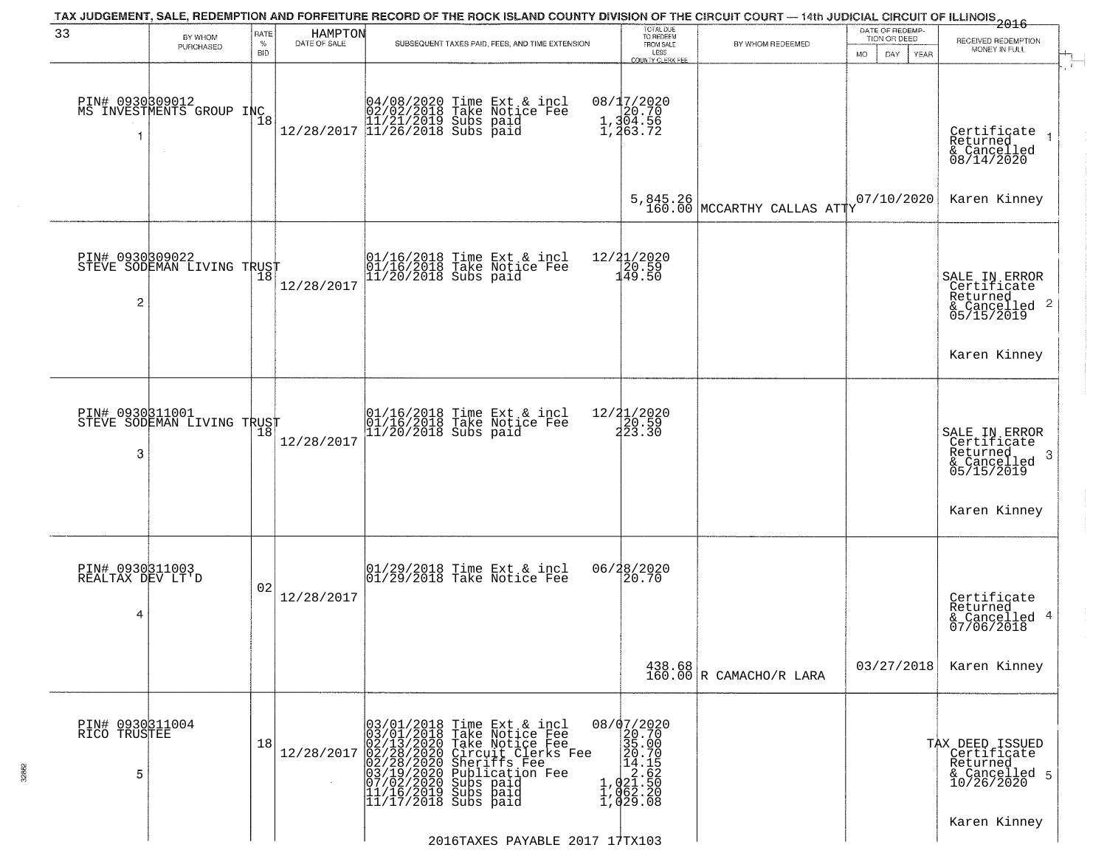| 33                                       | BY WHOM<br>PURCHASED               | RATE<br>%  | HAMPTON<br>DATE OF SALE | TAX JUDGEMENT, SALE, REDEMPTION AND FORFEITURE RECORD OF THE ROCK ISLAND COUNTY DIVISION OF THE CIRCUIT COURT — 14th JUDICIAL CIRCUIT OF ILLINOIS 2016<br>SUBSEQUENT TAXES PAID, FEES, AND TIME EXTENSION                                             | TOTAL DUE<br>TO REDEEM<br>FROM SALE                                                                                           | BY WHOM REDEEMED                                                   | DATE OF REDEMP-<br>TION OR DEED | RECEIVED REDEMPTION                                                                                                                    |
|------------------------------------------|------------------------------------|------------|-------------------------|-------------------------------------------------------------------------------------------------------------------------------------------------------------------------------------------------------------------------------------------------------|-------------------------------------------------------------------------------------------------------------------------------|--------------------------------------------------------------------|---------------------------------|----------------------------------------------------------------------------------------------------------------------------------------|
|                                          |                                    | <b>BID</b> |                         |                                                                                                                                                                                                                                                       | LESS<br>COUNTY CLERK FEE                                                                                                      |                                                                    | <b>MO</b><br>DAY<br>YEAR        | MONEY IN FULL                                                                                                                          |
| PIN# 0930309012<br>1                     | MS INVESTMENTS GROUP INC<br>$\sim$ | 18         |                         | $[04/08/2020 \t\t Time \t\t Ext & incl \\ 02/02/2018 \t\t Take Notice \t\ed{Fe} \\ 11/21/2019 \tSubs paid \\ 12/28/2017 \t\t 11/26/2018 \tSubs paid$                                                                                                  | 08/17/2020<br>1,304.56<br>1,304.56                                                                                            |                                                                    |                                 | Certificate<br>Returned<br>& Cancelled<br>08/14/2020                                                                                   |
|                                          |                                    |            |                         |                                                                                                                                                                                                                                                       | 5,845.26<br>160.00                                                                                                            | MCCARTHY CALLAS ATTY                                               | 07/10/2020                      | Karen Kinney                                                                                                                           |
| PIN# 0930309022<br>2                     | STEVE SODEMAN LIVING TRUST         |            | 12/28/2017              | 01/16/2018 Time Ext & incl<br>01/16/2018 Take Notice Fee<br>11/20/2018 Subs paid                                                                                                                                                                      | 12/21/2020<br>20.59<br>149.50                                                                                                 |                                                                    |                                 | SALE IN ERROR<br>Certificate<br>Returned<br>$\begin{array}{c}\text{scum} \\ \text{6} \text{Cancelled} \\ \text{05/15/2019}\end{array}$ |
|                                          |                                    |            |                         |                                                                                                                                                                                                                                                       |                                                                                                                               |                                                                    |                                 | Karen Kinney                                                                                                                           |
| PIN# 0930311001<br>3                     | STEVE SODEMAN LIVING TRUST         | 18         | 12/28/2017              | 01/16/2018 Time Ext & incl<br>01/16/2018 Take Notice Fee<br>11/20/2018 Subs paid                                                                                                                                                                      | 12/21/2020<br>20.59<br>223.30                                                                                                 |                                                                    |                                 | SALE IN ERROR<br>Certificate<br>Returned<br>-3<br>& Cancelled<br>05/15/2019                                                            |
|                                          |                                    |            |                         |                                                                                                                                                                                                                                                       |                                                                                                                               |                                                                    |                                 | Karen Kinney                                                                                                                           |
| PIN# 0930311003<br>REALTAX DEV LT'D<br>4 |                                    | 02         | 12/28/2017              | $\begin{array}{c} 01/29/2018 \\ 01/29/2018 \\ \end{array}$ Take Notice Fee                                                                                                                                                                            | 06/28/2020<br>20.70                                                                                                           |                                                                    |                                 | Certificate<br>Returned<br>& Cancelled 4<br>07/06/2018                                                                                 |
|                                          |                                    |            |                         |                                                                                                                                                                                                                                                       |                                                                                                                               | $\begin{array}{c c} 438.68 \\ 160.00 \end{array}$ R CAMACHO/R LARA | 03/27/2018                      | Karen Kinney                                                                                                                           |
| PIN# 0930311004<br>RICO TRUSTEE<br>5     |                                    | 18         | 12/28/2017              | 03/01/2018 Time Ext & incl<br>03/01/2018 Take Notice Fee<br>02/13/2020 Take Notice Fee<br>02/28/2020 Circuit Clerks Fee<br>02/28/2020 Sheriffs Fee<br>03/19/2020 Sublication Fee<br>07/02/2020 Subs paid<br>11/16/2019 Subs paid<br>11/17/2018 Subs p | $\begin{smallmatrix} 08/07/2020 \\ 20.70 \\ 35.00 \\ 14.15 \\ 1,021.50 \\ 1,062.20 \\ 1,062.20 \\ 1,029.08 \end{smallmatrix}$ |                                                                    |                                 | TAX DEED ISSUED<br>Certificate<br>Returned<br>& Cancelled 5<br>10/26/2020                                                              |
|                                          |                                    |            |                         | 2016TAXES PAYABLE 2017 17TX103                                                                                                                                                                                                                        |                                                                                                                               |                                                                    |                                 | Karen Kinney                                                                                                                           |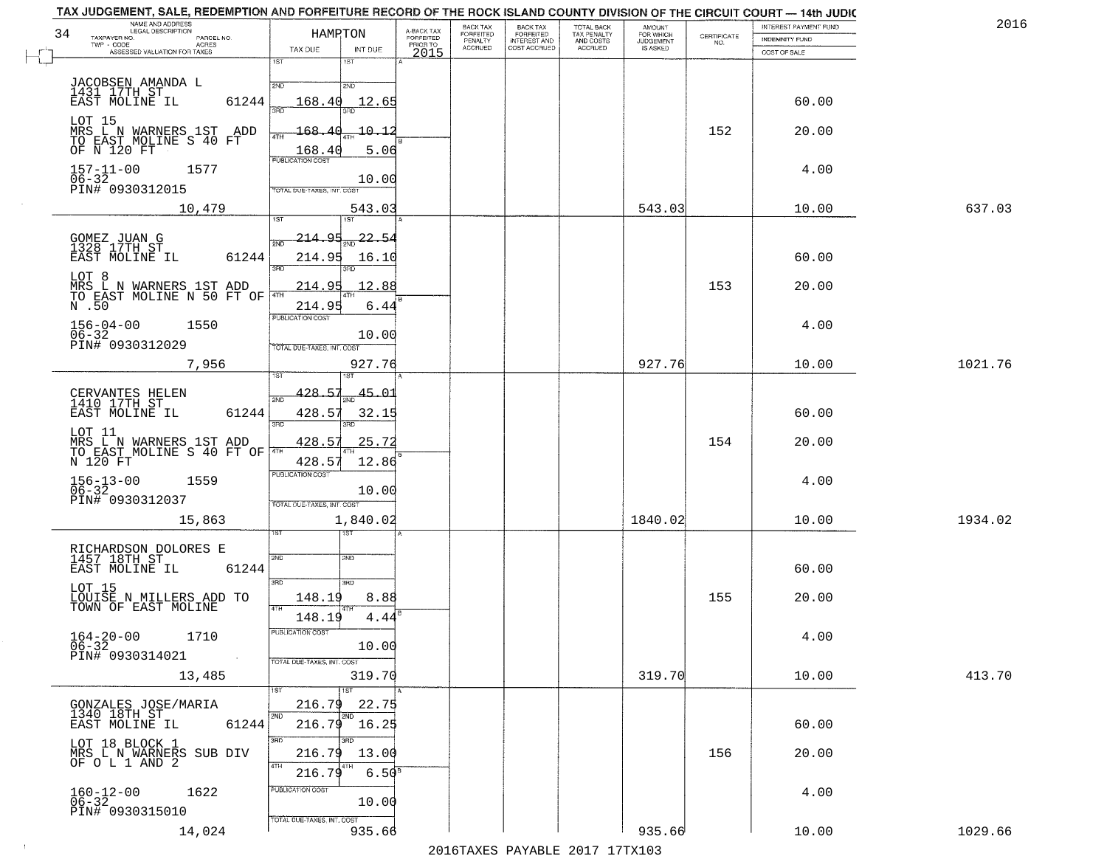| 34                                             | NAME AND ADDRESS<br>LEGAL DESCRIPTION                    | HAMPTON                              | A-BACK TAX                   | BACK TAX<br><b>FORFEITED</b> | <b>BACK TAX</b><br><b>FORFEITED</b> | TOTAL BACK<br>TAX PENALTY | <b>AMOUNT</b>                      |                    | INTEREST PAYMENT FUND | 2016    |
|------------------------------------------------|----------------------------------------------------------|--------------------------------------|------------------------------|------------------------------|-------------------------------------|---------------------------|------------------------------------|--------------------|-----------------------|---------|
| TAXPAYER NO.<br>TWP - CODE                     | PARCEL NO.<br><b>ACRES</b>                               |                                      | <b>FORFEITED</b><br>PRIOR TO | PENALTY<br>ACCRUED           | INTEREST AND<br>COST ACCRUED        | AND COSTS<br>ACCRUED      | FOR WHICH<br>JUDGEMENT<br>IS ASKED | CERTIFICATE<br>NO. | <b>INDEMNITY FUND</b> |         |
|                                                | ASSESSED VALUATION FOR TAXES                             | TAX DUE<br>INT DUE<br>1ST<br>1ST     | 2015                         |                              |                                     |                           |                                    |                    | COST OF SALE          |         |
|                                                |                                                          |                                      |                              |                              |                                     |                           |                                    |                    |                       |         |
| JACOBSEN AMANDA L<br>1431 17TH ST              |                                                          | 2ND<br>2ND                           |                              |                              |                                     |                           |                                    |                    |                       |         |
| EAST MOLINE IL                                 | 61244                                                    | 168.40<br>12.65<br>ਾਂ<br>3BD         |                              |                              |                                     |                           |                                    |                    | 60.00                 |         |
|                                                | LOT 15<br>MRS_L_N_WARNERS_1ST__ADD                       | $-10 - 12$<br>$-168.4$               |                              |                              |                                     |                           |                                    | 152                | 20.00                 |         |
|                                                | TO EAST MOLINE S 40 FT<br>OF N 120 FT                    | 4TH<br>168.40<br>5.06                |                              |                              |                                     |                           |                                    |                    |                       |         |
| $157 - 11 - 00$                                | 1577                                                     | PUBLICATION COST                     |                              |                              |                                     |                           |                                    |                    | 4.00                  |         |
| $06 - 32$                                      |                                                          | 10.00                                |                              |                              |                                     |                           |                                    |                    |                       |         |
| PIN# 0930312015                                |                                                          | TOTAL DUE-TAXES, INT. COST           |                              |                              |                                     |                           |                                    |                    |                       |         |
|                                                | 10,479                                                   | 543.03<br>1ST<br>1ST <sup>1</sup>    |                              |                              |                                     |                           | 543.03                             |                    | 10.00                 | 637.03  |
|                                                |                                                          | <u> 214.95</u><br>22.54              |                              |                              |                                     |                           |                                    |                    |                       |         |
| GOMEZ JUAN G<br>1328 17TH ST<br>EAST MOLINE IL | 61244                                                    | 2ND<br>214.95<br>16.10               |                              |                              |                                     |                           |                                    |                    | 60.00                 |         |
|                                                |                                                          | 3RD                                  |                              |                              |                                     |                           |                                    |                    |                       |         |
| LOT 8                                          | MRS L N WARNERS 1ST ADD                                  | 214.95<br>12.88                      |                              |                              |                                     |                           |                                    | 153                | 20.00                 |         |
| $\overline{N}$ . 50                            | TO EAST MOLINE N 50 FT OF THE                            | 214.95<br>6.44                       |                              |                              |                                     |                           |                                    |                    |                       |         |
| $156 - 04 - 00$                                | 1550                                                     | PUBLICATION COST                     |                              |                              |                                     |                           |                                    |                    | 4.00                  |         |
| $06 - 32$<br>PIN# 0930312029                   |                                                          | 10.00                                |                              |                              |                                     |                           |                                    |                    |                       |         |
|                                                | 7,956                                                    | TOTAL DUE-TAXES, INT. COST<br>927.76 |                              |                              |                                     |                           | 927.76                             |                    | 10.00                 | 1021.76 |
|                                                |                                                          |                                      |                              |                              |                                     |                           |                                    |                    |                       |         |
| CERVANTES HELEN<br>1410 17TH ST                |                                                          | 428.57<br>45.01<br>2ND               |                              |                              |                                     |                           |                                    |                    |                       |         |
| EAST MOLINE IL                                 | 61244                                                    | 428.57<br>32.15                      |                              |                              |                                     |                           |                                    |                    | 60.00                 |         |
| LOT 11                                         |                                                          | 3RD<br>3RD                           |                              |                              |                                     |                           |                                    |                    |                       |         |
|                                                | MRS L N WARNERS 1ST ADD<br>TO EAST MOLINE S 40 FT OF THE | 25.72<br>428.57                      |                              |                              |                                     |                           |                                    | 154                | 20.00                 |         |
| N 120 FT                                       |                                                          | 428.57<br>12.86                      |                              |                              |                                     |                           |                                    |                    |                       |         |
| $156 - 13 - 00$<br>06-32                       | 1559                                                     | <b>PUBLICATION COST</b>              |                              |                              |                                     |                           |                                    |                    | 4.00                  |         |
| PIN# 0930312037                                |                                                          | 10.00<br>TOTAL OUE-TAXES, INT. COST  |                              |                              |                                     |                           |                                    |                    |                       |         |
|                                                | 15,863                                                   | 1,840.02                             |                              |                              |                                     |                           | 1840.02                            |                    | 10.00                 | 1934.02 |
|                                                |                                                          |                                      |                              |                              |                                     |                           |                                    |                    |                       |         |
|                                                | RICHARDSON DOLORES E<br>1457 18TH ST                     | 2ND<br>2ND                           |                              |                              |                                     |                           |                                    |                    |                       |         |
| EAST MOLINE IL                                 | 61244                                                    |                                      |                              |                              |                                     |                           |                                    |                    | 60.00                 |         |
| LOT 15                                         |                                                          | 3RD<br>3RD                           |                              |                              |                                     |                           |                                    |                    |                       |         |
|                                                | LOUISE N MILLERS ADD TO<br>TOWN OF EAST MOLINE           | 148.19<br>8.88<br>4TH                |                              |                              |                                     |                           |                                    | 155                | 20.00                 |         |
|                                                |                                                          | 148.19<br>4.44                       |                              |                              |                                     |                           |                                    |                    |                       |         |
| $164 - 20 - 00$<br>06-32                       | 1710                                                     | PUBLICATION COST<br>10.00            |                              |                              |                                     |                           |                                    |                    | 4.00                  |         |
| PIN# 0930314021                                | $\sim 10^{-1}$                                           | TOTAL DUE-TAXES, INT. COST           |                              |                              |                                     |                           |                                    |                    |                       |         |
|                                                | 13,485                                                   | 319.70                               |                              |                              |                                     |                           | 319.70                             |                    | 10.00                 | 413.70  |
|                                                |                                                          | 1ST<br>1ST                           |                              |                              |                                     |                           |                                    |                    |                       |         |
| GONZALES JOSE/MARIA<br>1340 18TH ST            |                                                          | 216.79<br>22.75<br>12ND<br>2ND       |                              |                              |                                     |                           |                                    |                    |                       |         |
| EAST MOLINE IL                                 | 61244                                                    | $216.79$ 16.25                       |                              |                              |                                     |                           |                                    |                    | 60.00                 |         |
| LOT 18 BLOCK 1                                 |                                                          | 3BD<br>3RD                           |                              |                              |                                     |                           |                                    |                    |                       |         |
|                                                | MRS L N WARNERS SUB DIV<br>OF O L 1 AND 2                | 216.79<br>13.00<br>4TH               |                              |                              |                                     |                           |                                    | 156                | 20.00                 |         |
|                                                |                                                          | $6.50^{8}$<br>216.79                 |                              |                              |                                     |                           |                                    |                    |                       |         |
| $160 - 12 - 00$<br>$06 - 32$                   | 1622                                                     | PUBLICATION COST<br>10.00            |                              |                              |                                     |                           |                                    |                    | 4.00                  |         |
| PIN# 0930315010                                |                                                          | TOTAL DUE-TAXES, INT. COST           |                              |                              |                                     |                           |                                    |                    |                       |         |
|                                                | 14,024                                                   | 935.66                               |                              |                              |                                     |                           | 935.66                             |                    | 10.00                 | 1029.66 |

 $\sim 10^{-1}$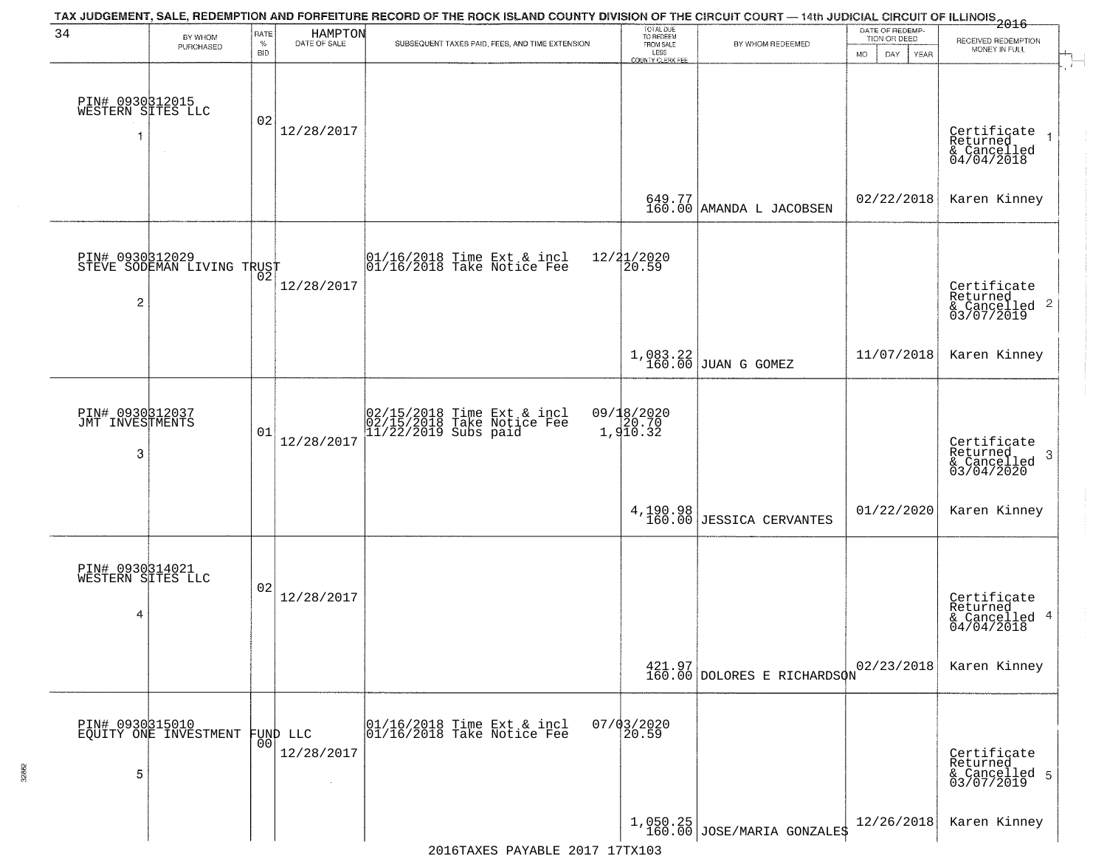| 34                                        | BY WHOM<br>PURCHASED                     | RATE<br>$\%$<br><b>BID</b> | HAMPTON<br>DATE OF SALE | TAX JUDGEMENT, SALE, REDEMPTION AND FORFEITURE RECORD OF THE ROCK ISLAND COUNTY DIVISION OF THE CIRCUIT COURT — 14th JUDICIAL CIRCUIT OF ILLINOIS 2016<br>SUBSEQUENT TAXES PAID, FEES, AND TIME EXTENSION | TOTAL DUE<br>TO REDEEM<br>FROM SALE<br>LESS | BY WHOM REDEEMED                      | DATE OF REDEMP-<br>TION OR DEED<br><b>MO</b><br>DAY<br>YEAR | RECEIVED REDEMPTION<br>MONEY IN FULL                                 |
|-------------------------------------------|------------------------------------------|----------------------------|-------------------------|-----------------------------------------------------------------------------------------------------------------------------------------------------------------------------------------------------------|---------------------------------------------|---------------------------------------|-------------------------------------------------------------|----------------------------------------------------------------------|
| PIN# 0930812015<br>WESTERN SITES LLC<br>1 | $\sim$                                   | 02                         | 12/28/2017              |                                                                                                                                                                                                           | <b>COUNTY CLERK FEE</b>                     |                                       |                                                             | Certificate<br>Returned<br>& Cancelled<br>04/04/2018                 |
|                                           |                                          |                            |                         |                                                                                                                                                                                                           |                                             | 649.77<br>160.00 AMANDA L JACOBSEN    | 02/22/2018                                                  | Karen Kinney                                                         |
| PIN# 0930312029<br>2                      | STEVE SODEMAN LIVING TRUST               |                            | 12/28/2017              | 01/16/2018 Time Ext & incl<br>01/16/2018 Take Notice Fee                                                                                                                                                  | $12/21/2020$<br>$20.59$                     |                                       |                                                             | Certificate<br>Returned<br>$\mathbf{2}$<br>& Cancelled<br>03/07/2019 |
|                                           |                                          |                            |                         |                                                                                                                                                                                                           |                                             | $1,083.22$ JUAN G GOMEZ               | 11/07/2018                                                  | Karen Kinney                                                         |
| PIN# 0930312037<br>JMT INVESTMENTS<br>3   |                                          | 01                         | 12/28/2017              | 02/15/2018 Time Ext & incl<br>02/15/2018 Take Notice Fee<br>11/22/2019 Subs paid                                                                                                                          | 09/18/2020<br>20.70<br>1,910.32             |                                       |                                                             | Certificate<br>Returned<br>3<br>& Cancelled<br>03/04/2020            |
|                                           |                                          |                            |                         |                                                                                                                                                                                                           |                                             | 4, 190.98<br>160.00 JESSICA CERVANTES | 01/22/2020                                                  | Karen Kinney                                                         |
| PIN# 0930314021<br>WESTERN SITES LLC<br>4 |                                          | 02                         | 12/28/2017              |                                                                                                                                                                                                           |                                             |                                       |                                                             | Certificate<br>Returned<br>4<br>& Cancelled<br>04/04/2018            |
|                                           |                                          |                            |                         |                                                                                                                                                                                                           |                                             | 421.97<br>160.00 DOLORES E RICHARDSON | 02/23/2018                                                  | Karen Kinney                                                         |
| 5                                         | PIN# 0930315010<br>EQUITY ONE INVESTMENT | 0 <sup>0</sup>             | FUND LLC<br>12/28/2017  | 01/16/2018 Time Ext & incl<br>01/16/2018 Take Notice Fee                                                                                                                                                  | $07/03/2020$<br>20.59                       |                                       |                                                             | Certificate<br>Returned<br>& Cancelled 5<br>03/07/2019               |
|                                           |                                          |                            |                         |                                                                                                                                                                                                           |                                             | $1,050.25$ JOSE/MARIA GONZALES        | 12/26/2018                                                  | Karen Kinney                                                         |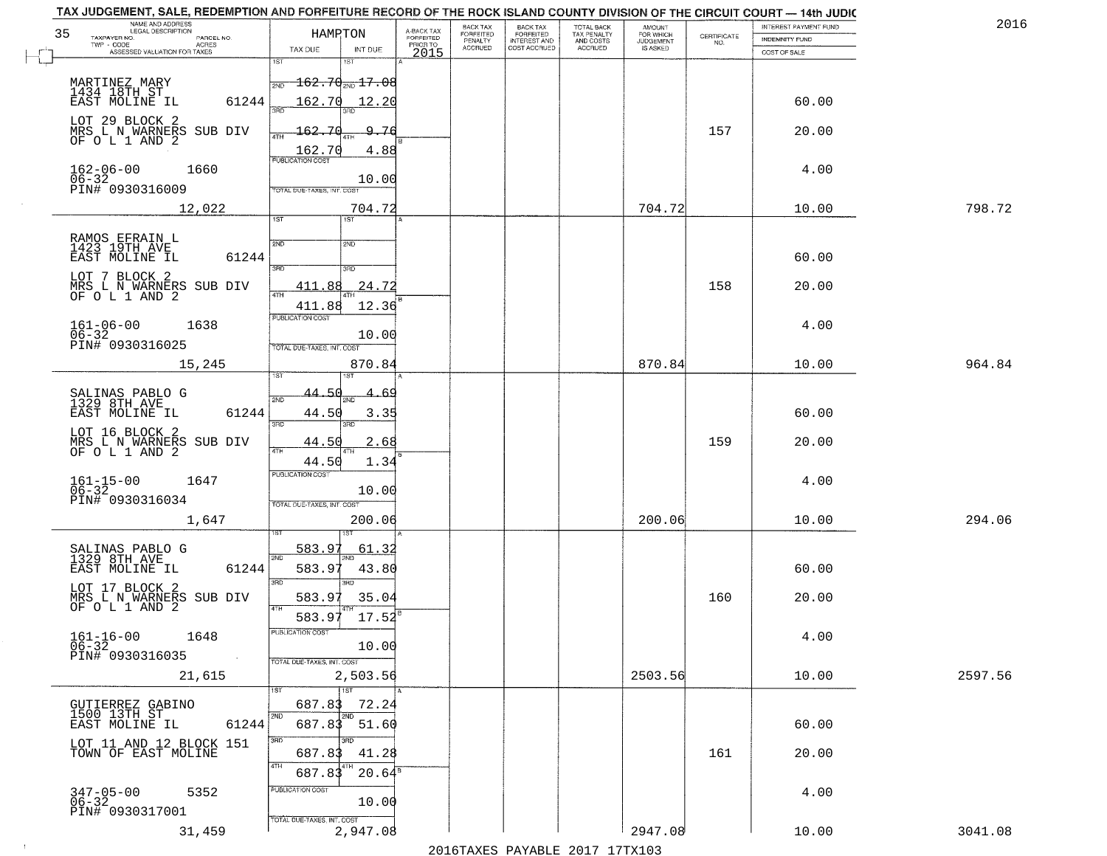|    | TAX JUDGEMENT, SALE, REDEMPTION AND FORFEITURE RECORD OF THE ROCK ISLAND COUNTY DIVISION OF THE CIRCUIT COURT - 14th JUDIC<br>NAME AND ADDRESS<br>LEGAL DESCRIPTION |                                                                                                   |                                     | BACK TAX             | <b>BACK TAX</b>           |                                        | AMOUNT<br>FOR WHICH |                                                                 | INTEREST PAYMENT FUND | 2016    |
|----|---------------------------------------------------------------------------------------------------------------------------------------------------------------------|---------------------------------------------------------------------------------------------------|-------------------------------------|----------------------|---------------------------|----------------------------------------|---------------------|-----------------------------------------------------------------|-----------------------|---------|
| 35 | TAXPAYER NO.<br>PARCEL NO.<br>TWP - CODE<br>ACRES                                                                                                                   | HAMPTON                                                                                           | A-BACK TAX<br>FORFEITED<br>PRIOR TO | FORFEITED<br>PENALTY | FORFEITED<br>INTEREST AND | TOTAL BACK<br>TAX PENALTY<br>AND COSTS | <b>JUDGEMENT</b>    | $\begin{array}{c} \text{CERTIFICATE} \\ \text{NO.} \end{array}$ | <b>INDEMNITY FUND</b> |         |
|    | ASSESSED VALUATION FOR TAXES                                                                                                                                        | TAX DUE<br>INT DUE                                                                                | 2015                                | <b>ACCRUED</b>       | COST ACCRUED              | ACCRUED                                | IS ASKED            |                                                                 | COST OF SALE          |         |
|    | MARTINEZ MARY<br>1434 18TH ST<br>EAST MOLINE IL<br>61244                                                                                                            | 1ST<br>$-162.70$ <sub>2ND</sub> 17.08<br>2ND<br>162.70<br>12.20                                   |                                     |                      |                           |                                        |                     |                                                                 | 60.00                 |         |
|    | LOT 29 BLOCK 2<br>MRS L N WARNERS SUB DIV<br>OF O L 1 AND 2                                                                                                         | 162.70<br>9.76<br>$\frac{162.70}{FUBUCATON COST}$<br>4.88                                         |                                     |                      |                           |                                        |                     | 157                                                             | 20.00                 |         |
|    | $162 - 06 - 00$<br>$06 - 32$<br>1660<br>PIN# 0930316009                                                                                                             | 10.00<br>TOTAL DUE-TAXES, INT. COST                                                               |                                     |                      |                           |                                        |                     |                                                                 | 4.00                  |         |
|    | 12,022                                                                                                                                                              | 704.72                                                                                            |                                     |                      |                           |                                        | 704.72              |                                                                 | 10.00                 | 798.72  |
|    | RAMOS EFRAIN L<br>1423 19TH AVE<br>61244<br>EAST MOLINE IL<br>LOT 7 BLOCK 2<br>MRS L N WARNERS SUB DIV<br>OF O L 1 AND 2                                            | 1ST<br>2ND<br>2ND<br>3RD<br>3RD<br>24.72<br>411.88<br>ৰিটা<br>411.88<br>12.36<br>PUBLICATION COST |                                     |                      |                           |                                        |                     | 158                                                             | 60.00<br>20.00        |         |
|    | $161 - 06 - 00$<br>1638<br>$06 - 32$                                                                                                                                | 10.00                                                                                             |                                     |                      |                           |                                        |                     |                                                                 | 4.00                  |         |
|    | PIN# 0930316025<br>15,245                                                                                                                                           | TOTAL DUE-TAXES, INT. COST<br>870.84<br>1ST<br>isτ                                                |                                     |                      |                           |                                        | 870.84              |                                                                 | 10.00                 | 964.84  |
|    | SALINAS PABLO G<br>1329 8TH AVE<br>EAST MOLINE IL<br>61244                                                                                                          | 44.50<br>2ND<br>44.50<br>3.35<br>3RD<br>3RD                                                       | -69                                 |                      |                           |                                        |                     |                                                                 | 60.00                 |         |
|    | LOT 16 BLOCK 2<br>MRS L N WARNERS SUB DIV<br>OF O L 1 AND 2                                                                                                         | 44.50<br>2.68<br>4TH<br>1.34<br>44.50                                                             |                                     |                      |                           |                                        |                     | 159                                                             | 20.00                 |         |
|    | $161 - 15 - 00$<br>06-32<br>1647<br>PIN# 0930316034                                                                                                                 | <b>PUBLICATION COST</b><br>10.00<br>TOTAL OUE-TAXES, INT. COST                                    |                                     |                      |                           |                                        |                     |                                                                 | 4.00                  |         |
|    | 1,647                                                                                                                                                               | 200.06                                                                                            |                                     |                      |                           |                                        | 200.06              |                                                                 | 10.00                 | 294.06  |
|    | SALINAS PABLO G<br>1329 8TH AVE<br>EAST MOLINE IL<br>61244                                                                                                          | 583.97<br>61.32<br>2ND<br>583.9<br>43.80<br>3RD<br>3RD                                            |                                     |                      |                           |                                        |                     |                                                                 | 60.00                 |         |
|    | LOT 17 BLOCK 2<br>MRS L N WARNERS SUB DIV<br>OF O L 1 AND 2                                                                                                         | 583.97<br>35.04<br>4TH<br>17.52<br>583.97                                                         |                                     |                      |                           |                                        |                     | 160                                                             | 20.00                 |         |
|    | $161 - 16 - 00$<br>1648<br>$06 - 32$<br>PIN# 0930316035<br><b>Contract</b>                                                                                          | "UBLICA HUN CUS<br>10.00<br>TOTAL DUE-TAXES, INT. COST                                            |                                     |                      |                           |                                        |                     |                                                                 | 4.00                  |         |
|    | 21,615                                                                                                                                                              | 2,503.56                                                                                          |                                     |                      |                           |                                        | 2503.56             |                                                                 | 10.00                 | 2597.56 |
|    | GUTIERREZ GABINO<br>1500 13TH ST<br>61244<br>EAST MOLINE IL                                                                                                         | 1ST<br>687.83<br>72.24<br>2ND<br>2ND<br>687.83 51.60                                              |                                     |                      |                           |                                        |                     |                                                                 | 60.00                 |         |
|    | LOT 11 AND 12 BLOCK 151<br>TOWN OF EAST MOLINE                                                                                                                      | 3HD<br>3RD<br>41.28<br>687.83<br>4TH<br>8 T H<br>687.83<br>$20.64^s$                              |                                     |                      |                           |                                        |                     | 161                                                             | 20.00                 |         |
|    | $347 - 05 - 00$<br>06-32<br>5352<br>PIN# 0930317001                                                                                                                 | PUBLICATION COST<br>10.00<br>TOTAL DUE-TAXES, INT. COST                                           |                                     |                      |                           |                                        |                     |                                                                 | 4.00                  |         |
|    | 31,459                                                                                                                                                              | 2,947.08                                                                                          |                                     |                      |                           |                                        | 2947.08             |                                                                 | 10.00                 | 3041.08 |

 $\sim 100$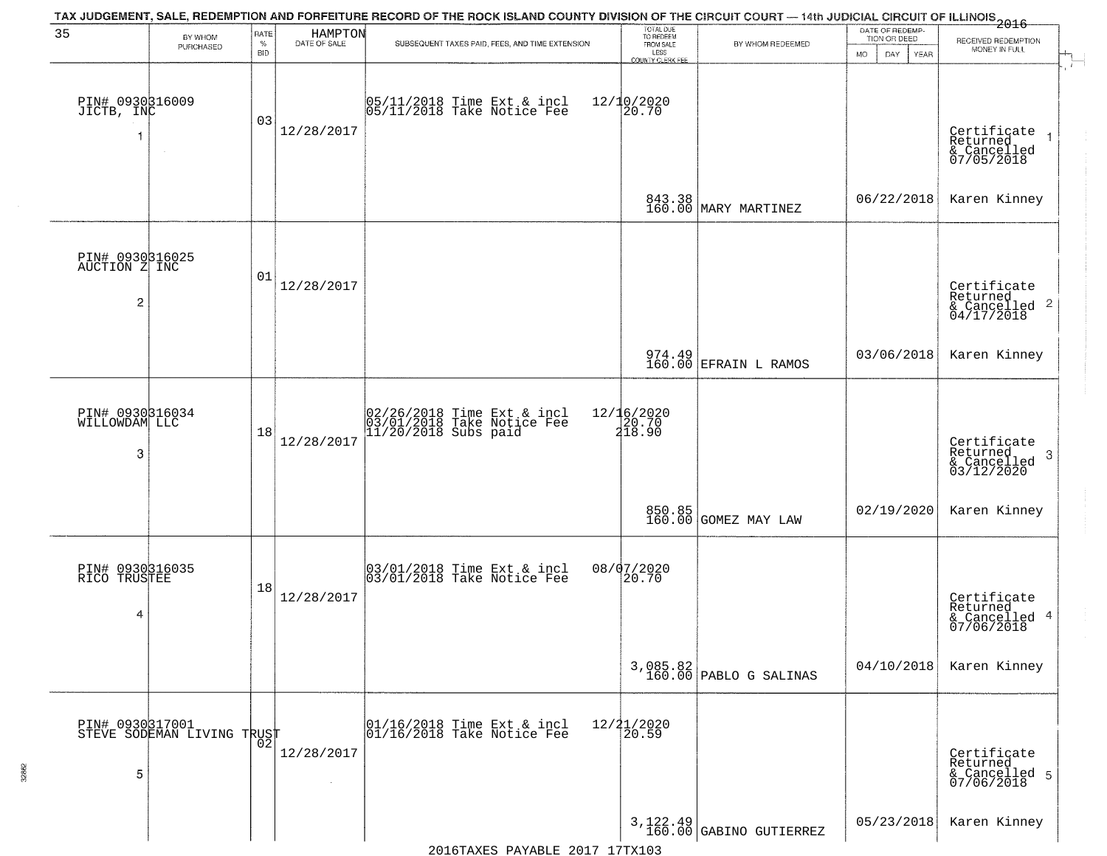| 35                                                          | BY WHOM<br>PURCHASED                          | RATE<br>$\%$<br><b>BID</b> | HAMPTON<br>DATE OF SALE | TAX JUDGEMENT, SALE, REDEMPTION AND FORFEITURE RECORD OF THE ROCK ISLAND COUNTY DIVISION OF THE CIRCUIT COURT - 14th JUDICIAL CIRCUIT OF ILLINOIS 2016<br>SUBSEQUENT TAXES PAID, FEES, AND TIME EXTENSION | TOTAL DUE<br>TO REDEEM<br>FROM SALE<br>LESS<br>COUNTY CLERK FEE | BY WHOM REDEEMED                      | DATE OF REDEMP-<br>TION OR DEED<br>MO.<br>DAY<br>YEAR | RECEIVED REDEMPTION<br>MONEY IN FULL                               |
|-------------------------------------------------------------|-----------------------------------------------|----------------------------|-------------------------|-----------------------------------------------------------------------------------------------------------------------------------------------------------------------------------------------------------|-----------------------------------------------------------------|---------------------------------------|-------------------------------------------------------|--------------------------------------------------------------------|
| PIN# 0930316009<br>JICTB, INC                               |                                               | 03                         | 12/28/2017              | 05/11/2018 Time Ext & incl<br>05/11/2018 Take Notice Fee                                                                                                                                                  | 12/10/2020<br>20.70                                             |                                       |                                                       | Certificate<br>Returned<br>& Cancelled<br>07/05/2018               |
|                                                             |                                               |                            |                         |                                                                                                                                                                                                           | 843.38<br>160.00                                                | MARY MARTINEZ                         | 06/22/2018                                            | Karen Kinney                                                       |
| PIN# 0930316025<br>AUCTION Z INC<br>$\overline{\mathbf{c}}$ |                                               | 01                         | 12/28/2017              |                                                                                                                                                                                                           |                                                                 |                                       |                                                       | Certificate<br>Returned<br>$\frac{1}{2}$ Cancelled 2<br>04/17/2018 |
|                                                             |                                               |                            |                         |                                                                                                                                                                                                           |                                                                 | 974.49<br>160.00 EFRAIN L RAMOS       | 03/06/2018                                            | Karen Kinney                                                       |
| PIN# 0930316034<br>WILLOWDAM LLC<br>-3                      |                                               | 18                         | 12/28/2017              | 02/26/2018 Time Ext & incl<br>03/01/2018 Take Notice Fee<br>11/20/2018 Subs paid                                                                                                                          | 12/16/2020<br>20.70<br>218.90                                   |                                       |                                                       | Certificate<br>Returned<br>-3<br>& Cancelled<br>03/12/2020         |
|                                                             |                                               |                            |                         |                                                                                                                                                                                                           |                                                                 | 850.85<br>160.00 GOMEZ MAY LAW        | 02/19/2020                                            | Karen Kinney                                                       |
| PIN# 0930316035<br>RICO TRUSTEE<br>4                        |                                               | 18                         | 12/28/2017              | 03/01/2018 Time Ext & incl<br>03/01/2018 Take Notice Fee                                                                                                                                                  | 08/07/2020<br>20.70                                             |                                       |                                                       | Certificate<br>Returned<br>& Cancelled 4<br>07/06/2018             |
|                                                             |                                               |                            |                         |                                                                                                                                                                                                           |                                                                 | $3,085.82$<br>160.00 PABLO G SALINAS  | 04/10/2018                                            | Karen Kinney                                                       |
| 5                                                           | PIN# 0930317001<br>STEVE SODEMAN LIVING TRUST |                            | 12/28/2017              | 01/16/2018 Time Ext & incl<br>01/16/2018 Take Notice Fee                                                                                                                                                  | 12/21/2020<br>20.59                                             |                                       |                                                       | Certificate<br>Returned<br>& Cancelled 5<br>07/06/2018             |
|                                                             |                                               |                            |                         |                                                                                                                                                                                                           |                                                                 | $3,122.49$<br>160.00 GABINO GUTIERREZ | 05/23/2018                                            | Karen Kinney                                                       |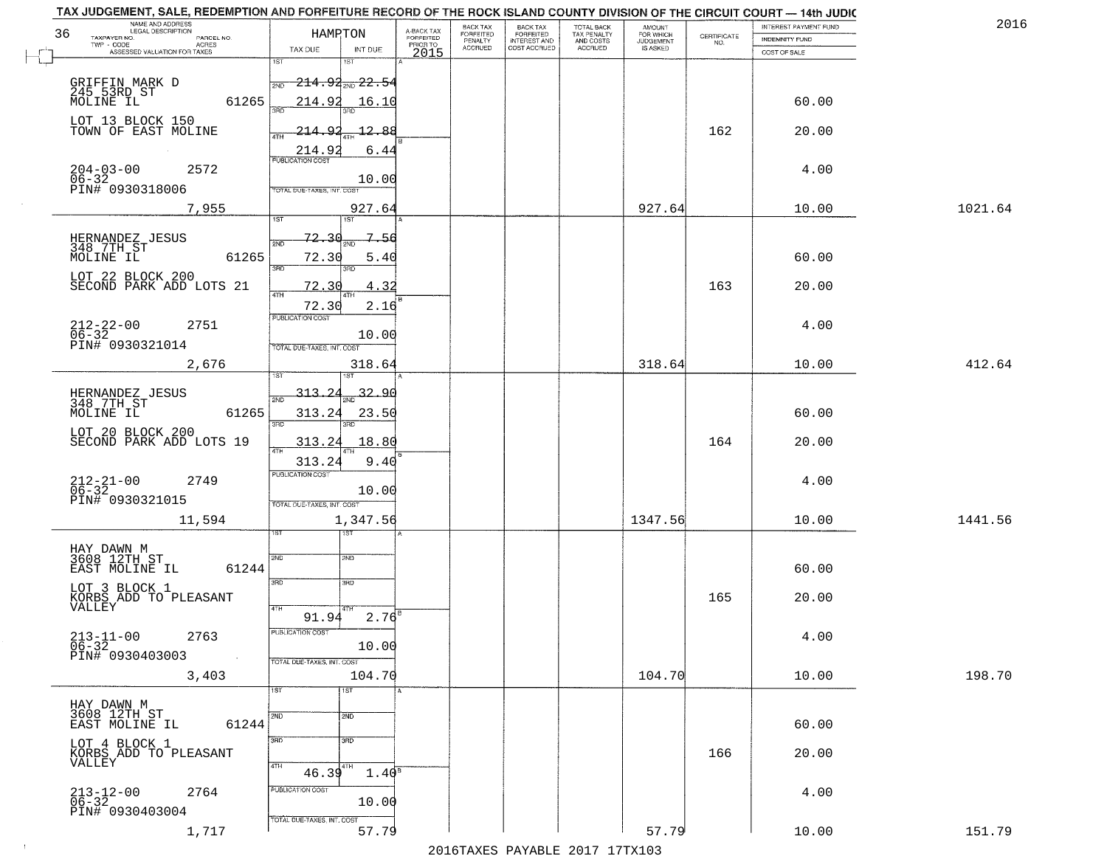|      | NAME AND ADDRESS<br>LEGAL DESCRIPTION<br>36<br>TAXPAYER NO.<br>PARCEL NO.<br>ACRES<br>TWP - CODE                                                                            | HAMPTON                                                                  | A-BACK TAX<br>FORFEITED<br>PRIOR TO | BACK TAX<br>FORFEITED<br>PENALTY | BACK TAX<br>FORFEITED<br>INTEREST AND | TOTAL BACK<br>TAX PENALTY<br>AND COSTS | AMOUNT<br>FOR WHICH<br><b>JUDGEMENT</b> | $\begin{array}{c} \text{CERTIFICATE} \\ \text{NO.} \end{array}$ | <b>INTEREST PAYMENT FUND</b><br><b>INDEMNITY FUND</b> | 2016    |
|------|-----------------------------------------------------------------------------------------------------------------------------------------------------------------------------|--------------------------------------------------------------------------|-------------------------------------|----------------------------------|---------------------------------------|----------------------------------------|-----------------------------------------|-----------------------------------------------------------------|-------------------------------------------------------|---------|
|      | ASSESSED VALUATION FOR TAXES                                                                                                                                                | TAX DUE<br>INT DUE                                                       | 2015                                | <b>ACCRUED</b>                   | COST ACCRUED                          | ACCRUED                                | IS ASKED                                |                                                                 | COST OF SALE                                          |         |
|      | GRIFFIN MARK D<br>245 53RD ST<br>MOLINE IL<br>61265                                                                                                                         | 1ST<br>1ST<br><del>214.92<sub>2ND</sub> 22.54</del><br>214.92<br>16.10   |                                     |                                  |                                       |                                        |                                         |                                                                 | 60.00                                                 |         |
|      | LOT 13 BLOCK 150<br>TOWN OF EAST MOLINE                                                                                                                                     | o.<br>12.88<br>-214<br>ATH                                               |                                     |                                  |                                       |                                        |                                         | 162                                                             | 20.00                                                 |         |
|      | $204 - 03 - 00$<br>2572<br>06-32<br>PIN# 0930318006                                                                                                                         | 214.9<br>6.44<br>PUBLICATION COST<br>10.00                               |                                     |                                  |                                       |                                        |                                         |                                                                 | 4.00                                                  |         |
|      | 7,955                                                                                                                                                                       | TOTAL DUE-TAXES, INT. COST<br>927.64<br>1ST<br>1ST                       |                                     |                                  |                                       |                                        | 927.64                                  |                                                                 | 10.00                                                 | 1021.64 |
|      | HERNANDEZ JESUS<br>348 7TH ST<br>MOLINE IL<br>61265                                                                                                                         | <u>72.30</u><br>7.56<br>2ND<br>72.30<br>5.40<br>बन्ना<br>۹RC             |                                     |                                  |                                       |                                        |                                         |                                                                 | 60.00                                                 |         |
|      | LOT 22 BLOCK 200<br>SECOND PARK ADD LOTS 21                                                                                                                                 | 72.30<br>4.32                                                            |                                     |                                  |                                       |                                        |                                         | 163                                                             | 20.00                                                 |         |
|      | $212 - 22 - 00$<br>06-32<br>2751<br>PIN# 0930321014                                                                                                                         | 72.30<br>2.16<br>PUBLICATION COST<br>10.00<br>TOTAL DUE-TAXES, INT. COST |                                     |                                  |                                       |                                        |                                         |                                                                 | 4.00                                                  |         |
|      | 2,676                                                                                                                                                                       | 318.64<br><b>IST</b><br>1ST                                              |                                     |                                  |                                       |                                        | 318.64                                  |                                                                 | 10.00                                                 | 412.64  |
|      | HERNANDEZ JESUS<br>348 7TH ST<br>61265<br>MOLINE IL                                                                                                                         | 313.24<br>32.90<br>2ND<br>313.24<br>23.50<br>3BD<br>3RD                  |                                     |                                  |                                       |                                        |                                         |                                                                 | 60.00                                                 |         |
|      | LOT 20 BLOCK 200<br>SECOND PARK ADD LOTS 19                                                                                                                                 | 313.24<br>18.80<br>313.24<br>9.40                                        |                                     |                                  |                                       |                                        |                                         | 164                                                             | 20.00                                                 |         |
|      | $212 - 21 - 00$<br>06-32<br>2749<br>PIN# 0930321015                                                                                                                         | <b>PUBLICATION COST</b><br>10.00<br>TOTAL OUE-TAXES, INT. COST           |                                     |                                  |                                       |                                        |                                         |                                                                 | 4.00                                                  |         |
|      | 11,594                                                                                                                                                                      | 1,347.56<br>ड़ा                                                          |                                     |                                  |                                       |                                        | 1347.56                                 |                                                                 | 10.00                                                 | 1441.56 |
|      | HAY DAWN M<br>3608 12TH ST<br>61244<br>EAST MOLINE IL                                                                                                                       | 2ND<br>2ND<br>3RD<br>3BD                                                 |                                     |                                  |                                       |                                        |                                         |                                                                 | 60.00                                                 |         |
|      | LOT 3 BLOCK 1<br>$\begin{array}{cc} \text{KORB}\ddot{\text{S}} & \ddot{\text{ADD}} \\ \text{VALL EY} \end{array} \begin{array}{c} \text{TO} \\ \text{TLEASANT} \end{array}$ | 4TH<br>$2.76$ <sup>B</sup><br>91.94                                      |                                     |                                  |                                       |                                        |                                         | 165                                                             | 20.00                                                 |         |
|      | $213 - 11 - 00$<br>06-32<br>2763<br>PIN# 0930403003<br>$\sim 100$                                                                                                           | PUBLICATION COST<br>10.00<br>TOTAL DUE-TAXES, INT. COST                  |                                     |                                  |                                       |                                        |                                         |                                                                 | 4.00                                                  |         |
|      | 3,403                                                                                                                                                                       | 104.70<br>1ST<br>1ST                                                     |                                     |                                  |                                       |                                        | 104.70                                  |                                                                 | 10.00                                                 | 198.70  |
|      | HAY DAWN M<br>3608 12TH ST<br>61244<br>EAST MOLINE IL                                                                                                                       | 2ND<br>2ND                                                               |                                     |                                  |                                       |                                        |                                         |                                                                 | 60.00                                                 |         |
|      | LOT 4 BLOCK 1<br>KORBS ADD TO PLEASANT<br>VALLEY                                                                                                                            | 3 <sub>RD</sub><br>3RD<br>4TH<br>4TH<br>46.39<br>$1.40^8$                |                                     |                                  |                                       |                                        |                                         | 166                                                             | 20.00                                                 |         |
|      | $213 - 12 - 00$<br>06-32<br>2764<br>PIN# 0930403004                                                                                                                         | PUBLICATION COST<br>10.00                                                |                                     |                                  |                                       |                                        |                                         |                                                                 | 4.00                                                  |         |
| $+1$ | 1,717                                                                                                                                                                       | TOTAL DUE-TAXES, INT. COST<br>57.79                                      |                                     |                                  |                                       |                                        | 57.79                                   |                                                                 | 10.00                                                 | 151.79  |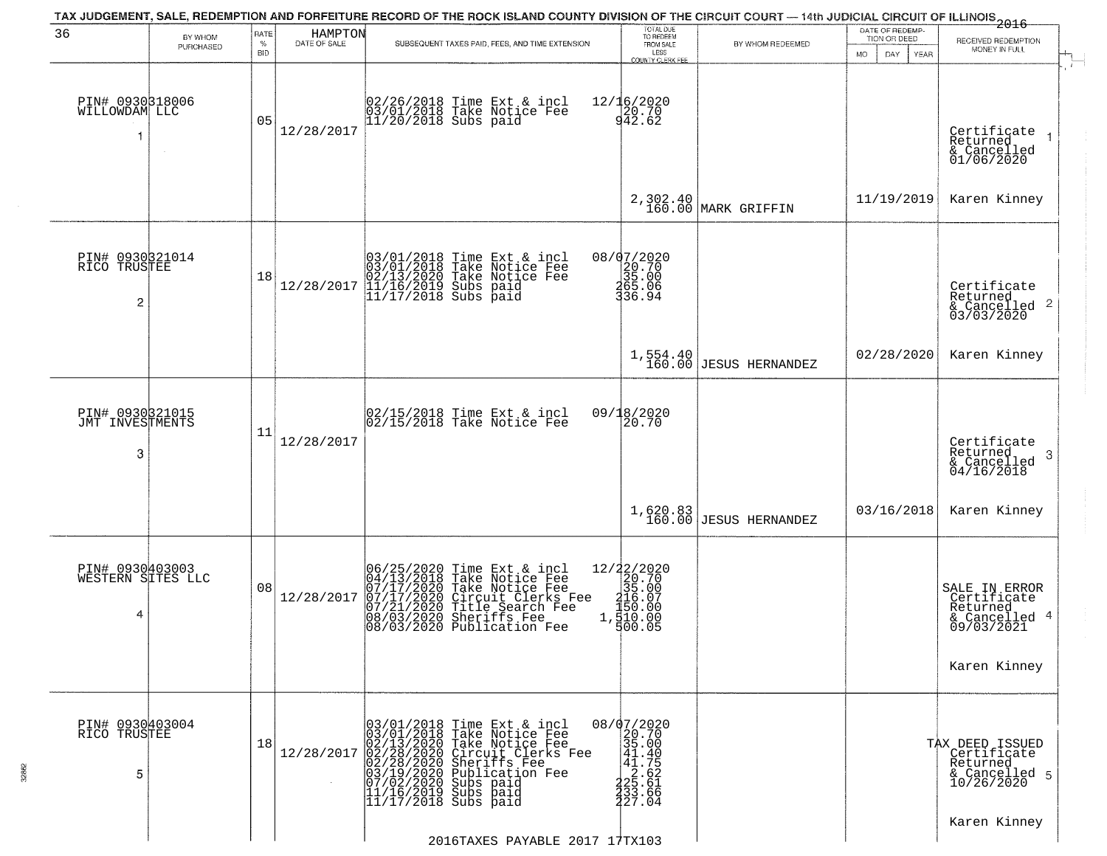| BY WHOM                              | RATE<br>$\%$ |            | SUBSEQUENT TAXES PAID, FEES, AND TIME EXTENSION                                                                                                                                                                                                                                                                                    | TOTAL DUE<br>TO REDEEM                                                                                                                                                                                                                                                                                                                                  | BY WHOM REDEEMED                                                                                                                                                                                                                                                                      | DATE OF REDEMP-<br>TION OR DEED                                                        | RECEIVED REDEMPTION                                                                                                                                    |
|--------------------------------------|--------------|------------|------------------------------------------------------------------------------------------------------------------------------------------------------------------------------------------------------------------------------------------------------------------------------------------------------------------------------------|---------------------------------------------------------------------------------------------------------------------------------------------------------------------------------------------------------------------------------------------------------------------------------------------------------------------------------------------------------|---------------------------------------------------------------------------------------------------------------------------------------------------------------------------------------------------------------------------------------------------------------------------------------|----------------------------------------------------------------------------------------|--------------------------------------------------------------------------------------------------------------------------------------------------------|
|                                      | <b>BID</b>   |            |                                                                                                                                                                                                                                                                                                                                    | LESS<br>COUNTY CLERK FEE                                                                                                                                                                                                                                                                                                                                |                                                                                                                                                                                                                                                                                       | MO.<br>DAY<br><b>YEAR</b>                                                              | MONEY IN FULL                                                                                                                                          |
| PIN# 0930318006<br>WILLOWDAM LLC     | 05           | 12/28/2017 |                                                                                                                                                                                                                                                                                                                                    |                                                                                                                                                                                                                                                                                                                                                         |                                                                                                                                                                                                                                                                                       |                                                                                        | Certificate<br>Returned<br>& Cancelled<br>01/06/2020                                                                                                   |
|                                      |              |            |                                                                                                                                                                                                                                                                                                                                    |                                                                                                                                                                                                                                                                                                                                                         |                                                                                                                                                                                                                                                                                       | 11/19/2019                                                                             | Karen Kinney                                                                                                                                           |
| PIN# 0930321014<br>RICO TRUSTEE      | 18           | 12/28/2017 |                                                                                                                                                                                                                                                                                                                                    |                                                                                                                                                                                                                                                                                                                                                         |                                                                                                                                                                                                                                                                                       |                                                                                        | Certificate<br>Returned<br>& Cancelled 2<br>03/03/2020                                                                                                 |
|                                      |              |            |                                                                                                                                                                                                                                                                                                                                    |                                                                                                                                                                                                                                                                                                                                                         |                                                                                                                                                                                                                                                                                       | 02/28/2020                                                                             | Karen Kinney                                                                                                                                           |
| PIN# 0930321015<br>JMT INVESTMENTS   | 11           | 12/28/2017 | 02/15/2018 Time Ext & incl<br>02/15/2018 Take Notice Fee                                                                                                                                                                                                                                                                           | 20.70                                                                                                                                                                                                                                                                                                                                                   |                                                                                                                                                                                                                                                                                       |                                                                                        | Certificate<br>Returned<br>-3<br>& Cancelled<br>04/16/2018                                                                                             |
|                                      |              |            |                                                                                                                                                                                                                                                                                                                                    |                                                                                                                                                                                                                                                                                                                                                         | <b>JESUS HERNANDEZ</b>                                                                                                                                                                                                                                                                | 03/16/2018                                                                             | Karen Kinney                                                                                                                                           |
| PIN# 0930403003<br>WESTERN SITES LLC | 08           | 12/28/2017 | Time Ext & incl<br>Take Notice Fee<br>Take Notice Fee<br>Circuit Clerks Fee<br>Circuit Search Fee<br>Sheriffs Fee<br>Publication Fee                                                                                                                                                                                               |                                                                                                                                                                                                                                                                                                                                                         |                                                                                                                                                                                                                                                                                       |                                                                                        | SALE IN ERROR<br>Certificate<br>Returned<br>& Cancelled 4<br>09/03/2021<br>Karen Kinney                                                                |
| PIN# 0930403004<br>RICO TRUSTEE      | 18           | 12/28/2017 | 03/01/2018 Time Ext & incl<br>03/01/2018 Take Notice Fee<br>02/13/2020 Take Notice Fee<br>02/28/2020 Circuit Clerks F<br>02/28/2020 Sheriffs Fee<br>03/19/2020 Publication Fee<br>03/19/2020 Subs paid<br>11/16/2019 Subs paid<br>11/17/2018 Subs paid<br>Take Notice Fee<br>Circuit Clerks Fee<br>Sheriffs Fee<br>Publication Fee | $\begin{smallmatrix} 7 & 2 & 0 & 0 \\ 20 & 7 & 0 & 0 \\ 3 & 5 & 0 & 0 \\ 4 & 1 & 7 & 5 \\ 4 & 2 & 5 & 6 & 6 \\ 2 & 2 & 5 & 6 & 6 \\ 3 & 3 & 3 & 6 & 6 \\ 4 & 2 & 5 & 6 & 6 \\ 4 & 2 & 5 & 6 & 6 \\ 2 & 3 & 7 & 0 & 4 \end{smallmatrix}$                                                                                                                 |                                                                                                                                                                                                                                                                                       |                                                                                        | TAX DEED ISSUED<br>Certificate<br>Returned<br>& Cancelled 5<br>10/26/2020                                                                              |
|                                      | PURCHASED    |            |                                                                                                                                                                                                                                                                                                                                    | HAMPTON<br>DATE OF SALE<br>02/26/2018 Time Ext & incl<br>03/01/2018 Take Notice Fee<br>11/20/2018 Subs paid<br>03/01/2018 Time Ext & incl<br>03/01/2018 Take Notice Fee<br>02/13/2020 Take Notice Fee<br>11/16/2019 Subs paid<br>11/17/2018 Subs paid<br>06/25/2020<br>04/13/2018<br>07/17/2020<br>07/17/2020<br>07/21/2020<br>08/03/2020<br>08/03/2020 | FROM SALE<br>12/16/2020<br>$\frac{20.70}{942.62}$<br>08/07/2020<br>$\begin{smallmatrix} 26.70 \\ 35.00 \\ 465.06 \\ 365.96 \end{smallmatrix}$<br>09/18/2020<br>$\begin{array}{r} 12/22/2020 \\ 20.70 \\ 35.00 \\ 1.50.07 \\ 1.50.00 \\ 1.50.00 \\ 1.900.05 \end{array}$<br>08/07/2020 | 2,302.40<br>160.00<br>MARK GRIFFIN<br>$1,554.40$ JESUS HERNANDEZ<br>1,620.83<br>160.00 | TAX JUDGEMENT, SALE, REDEMPTION AND FORFEITURE RECORD OF THE ROCK ISLAND COUNTY DIVISION OF THE CIRCUIT COURT — 14th JUDICIAL CIRCUIT OF ILLINOIS 2016 |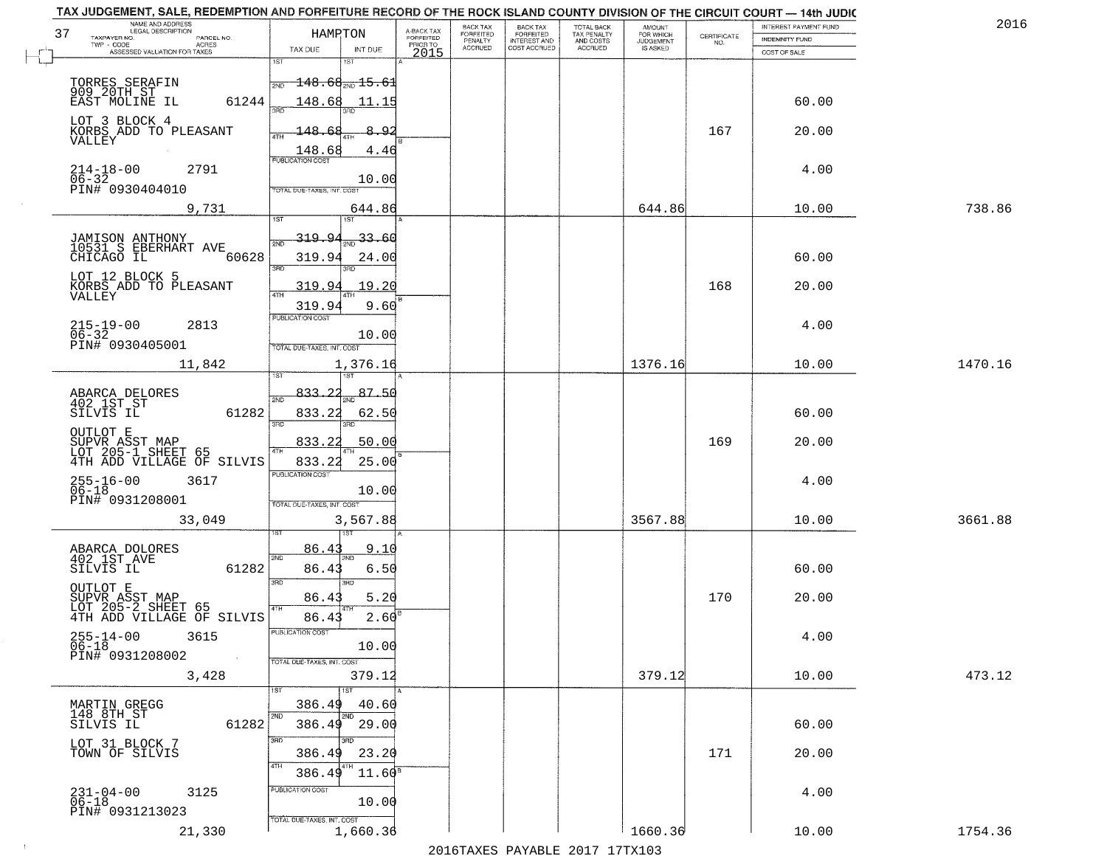| TAX JUDGEMENT, SALE, REDEMPTION AND FORFEITURE RECORD OF THE ROCK ISLAND COUNTY DIVISION OF THE CIRCUIT COURT - 14th JUDIC<br>NAME AND ADDRESS<br>LEGAL DESCRIPTION |                                                                       |                                     | BACK TAX             | <b>BACK TAX</b>           | TOTAL BACK               |                                         |                                                                 | INTEREST PAYMENT FUND | 2016    |
|---------------------------------------------------------------------------------------------------------------------------------------------------------------------|-----------------------------------------------------------------------|-------------------------------------|----------------------|---------------------------|--------------------------|-----------------------------------------|-----------------------------------------------------------------|-----------------------|---------|
| 37<br>TAXPAYER NO.<br>PARCEL NO.<br>ACRES                                                                                                                           | <b>HAMPTON</b>                                                        | A-BACK TAX<br>FORFEITED<br>PRIOR TO | FORFEITED<br>PENALTY | FORFEITED<br>INTEREST AND | TAX PENALTY<br>AND COSTS | AMOUNT<br>FOR WHICH<br><b>JUDGEMENT</b> | $\begin{array}{c} \text{CERTIFICATE} \\ \text{NO.} \end{array}$ | INDEMNITY FUND        |         |
| ASSESSED VALUATION FOR TAXES                                                                                                                                        | TAX DUE<br>INT DUE                                                    | 2015                                | <b>ACCRUED</b>       | COST ACCRUED              | <b>ACCRUED</b>           | IS ASKED                                |                                                                 | COST OF SALE          |         |
| 1ST<br>TORRES SERAFIN<br>2ND<br>909 20TH ST                                                                                                                         | $\textcolor{red}{\mathbf{+148.68}}\textcolor{black}{\textbf{+15.61}}$ |                                     |                      |                           |                          |                                         |                                                                 |                       |         |
| 61244<br>EAST MOLINE IL<br>LOT 3 BLOCK 4                                                                                                                            | 148.68<br>11.15                                                       |                                     |                      |                           |                          |                                         |                                                                 | 60.00                 |         |
| KORBS ADD TO PLEASANT<br>VALLEY                                                                                                                                     | 148.68<br>8.92<br>$\frac{148.68}{PUBUCATON COST}$<br>4.46             |                                     |                      |                           |                          |                                         | 167                                                             | 20.00                 |         |
| $214 - 18 - 00$<br>06-32<br>2791<br>PIN# 0930404010                                                                                                                 | 10.00<br>TOTAL DUE-TAXES, INT. COST                                   |                                     |                      |                           |                          |                                         |                                                                 | 4.00                  |         |
| 9,731                                                                                                                                                               | 644.86                                                                |                                     |                      |                           |                          | 644.86                                  |                                                                 | 10.00                 | 738.86  |
| JAMISON ANTHONY<br>10531 S EBERHART AVE<br>60628<br>CHICAGO IL<br>3RD                                                                                               | $-33.60$<br>319.94<br>319.94<br>24.00<br>3RD                          |                                     |                      |                           |                          |                                         |                                                                 | 60.00                 |         |
| LOT 12 BLOCK 5<br>KORBS ADD TO PLEASANT<br>VALLEY                                                                                                                   | 319.94<br>19.20<br>319.94<br>9.60                                     |                                     |                      |                           |                          |                                         | 168                                                             | 20.00                 |         |
| $215 - 19 - 00$<br>2813<br>$06 - 32$<br>PIN# 0930405001                                                                                                             | PUBLICATION COST<br>10.00<br>TOTAL DUE-TAXES, INT. COST               |                                     |                      |                           |                          |                                         |                                                                 | 4.00                  |         |
| 11,842<br>īsT                                                                                                                                                       | 1,376.16<br>187                                                       |                                     |                      |                           |                          | 1376.16                                 |                                                                 | 10.00                 | 1470.16 |
| ABARCA DELORES<br>2ND<br>402 1ST ST<br>SILVIS IL<br>61282<br>3RD                                                                                                    | 87.50<br>833.22<br>833.22<br>62.50<br>3RD                             |                                     |                      |                           |                          |                                         |                                                                 | 60.00                 |         |
| OUTLOT E<br>SUPVR ASST MAP<br>LOT 205-1 SHEET 65<br>4TH ADD VILLAGE OF SILVIS<br>4TH                                                                                | 833.2<br>50.00<br>25.00<br>833.22                                     |                                     |                      |                           |                          |                                         | 169                                                             | 20.00                 |         |
| $255 - 16 - 00$<br>06-18<br>3617<br>PIN# 0931208001                                                                                                                 | <b>PUBLICATION COST</b><br>10.00<br>TOTAL OUE-TAXES, INT. COST        |                                     |                      |                           |                          |                                         |                                                                 | 4.00                  |         |
| 33,049                                                                                                                                                              | 3,567.88                                                              |                                     |                      |                           |                          | 3567.88                                 |                                                                 | 10.00                 | 3661.88 |
| ABARCA DOLORES<br>402 1ST AVE<br>2ND<br>SILVIS IL<br>61282<br>3RD                                                                                                   | 86.4<br>9.10<br>86.43<br>6.50<br>3RD                                  |                                     |                      |                           |                          |                                         |                                                                 | 60.00                 |         |
| OUTLOT E<br>SUPVR ASST MAP<br>LOT 205-2 SHEET 65<br>4TH ADD VILLAGE OF SILVIS                                                                                       | 86.43<br>5.20<br>$2.60^{\circ}$<br>86.43                              |                                     |                      |                           |                          |                                         | 170                                                             | 20.00                 |         |
| $255 - 14 - 00$<br>06-18<br>3615<br>PIN# 0931208002<br>$\sim 100$                                                                                                   | -usuca i un cus-<br>10.00<br>TOTAL DUE-TAXES, INT. COST               |                                     |                      |                           |                          |                                         |                                                                 | 4.00                  |         |
| 3,428                                                                                                                                                               | 379.12<br>1ST                                                         |                                     |                      |                           |                          | 379.12                                  |                                                                 | 10.00                 | 473.12  |
| MARTIN GREGG<br>148 8TH ST<br>2ND<br>61282<br>SILVIS IL                                                                                                             | 386.49<br>40.60<br>2ND<br>386.49<br>29.00                             |                                     |                      |                           |                          |                                         |                                                                 | 60.00                 |         |
| 3RD<br>LOT 31 BLOCK 7<br>TOWN OF SILVIS<br>4TH                                                                                                                      | 23.20<br>386.49<br>$11.60^8$<br>386.49                                |                                     |                      |                           |                          |                                         | 171                                                             | 20.00                 |         |
| $231 - 04 - 00$<br>06-18<br>3125<br>PIN# 0931213023                                                                                                                 | PUBLICATION COST<br>10.00                                             |                                     |                      |                           |                          |                                         |                                                                 | 4.00                  |         |
| 21,330                                                                                                                                                              | TOTAL DUE-TAXES, INT. COST<br>1,660.36                                |                                     |                      |                           |                          | 1660.36                                 |                                                                 | 10.00                 | 1754.36 |

 $\sim 10^{-1}$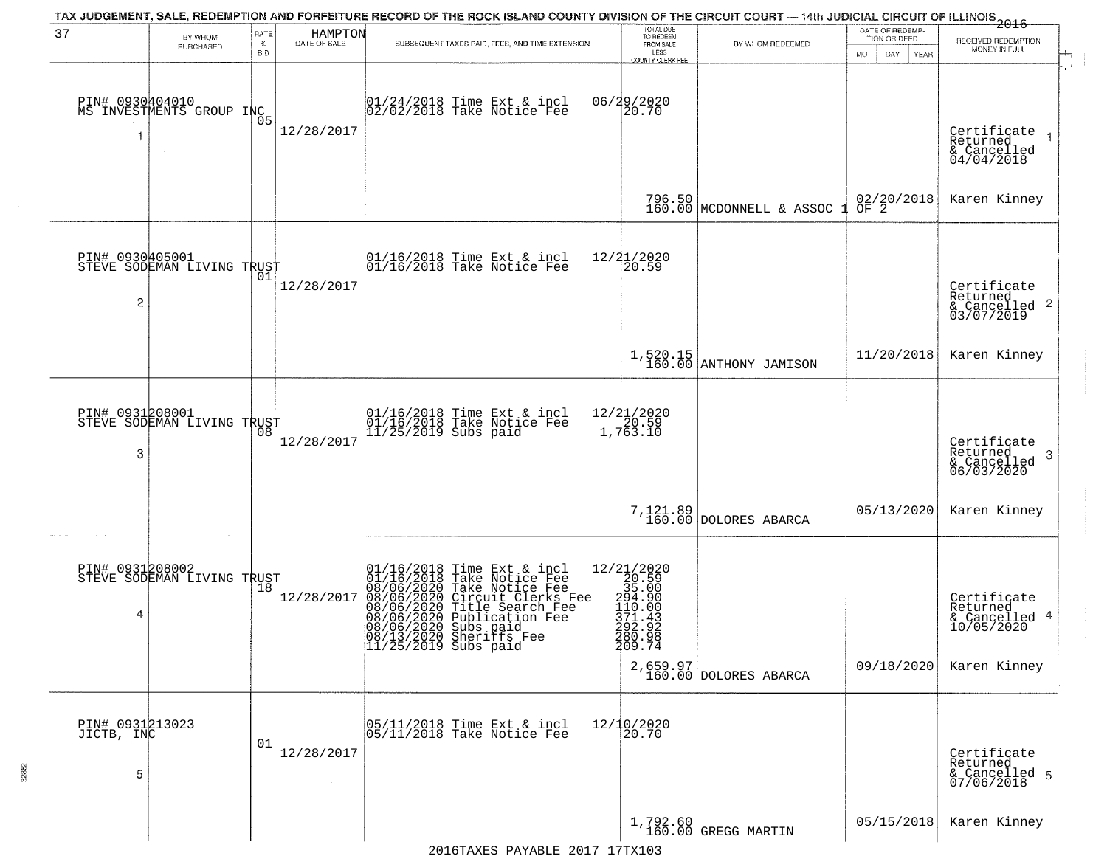| 37                                 | BY WHOM<br>PURCHASED                                  | RATE<br>$\%$<br><b>BID</b> | HAMPTON<br>DATE OF SALE | TAX JUDGEMENT, SALE, REDEMPTION AND FORFEITURE RECORD OF THE ROCK ISLAND COUNTY DIVISION OF THE CIRCUIT COURT — 14th JUDICIAL CIRCUIT OF ILLINOIS 2016<br>SUBSEQUENT TAXES PAID, FEES, AND TIME EXTENSION                                                       | TOTAL DUE<br>TO REDEEM<br>FROM SALE<br>LESS<br>COUNTY CLERK FEE                                                                                | BY WHOM REDEEMED                     | DATE OF REDEMP-<br>TION OR DEED<br><b>MO</b><br>DAY<br>YEAR | RECEIVED REDEMPTION<br>MONEY IN FULL                                   |
|------------------------------------|-------------------------------------------------------|----------------------------|-------------------------|-----------------------------------------------------------------------------------------------------------------------------------------------------------------------------------------------------------------------------------------------------------------|------------------------------------------------------------------------------------------------------------------------------------------------|--------------------------------------|-------------------------------------------------------------|------------------------------------------------------------------------|
|                                    | PIN# 0930404010<br>MS INVESTMENTS GROUP INC<br>$\sim$ | Ō5                         | 12/28/2017              | 01/24/2018 Time Ext & incl<br>02/02/2018 Take Notice Fee                                                                                                                                                                                                        | 06/29/2020<br>20.70                                                                                                                            |                                      |                                                             | Certificate<br>Returned<br>& Cancelled<br>04/04/2018                   |
|                                    |                                                       |                            |                         |                                                                                                                                                                                                                                                                 |                                                                                                                                                | 796.50<br>160.00 MCDONNELL & ASSOC   | 02/20/2018<br>OF 2                                          | Karen Kinney                                                           |
| PIN# 0930405001<br>2               | STEVE SODEMAN LIVING TRUST                            |                            | 12/28/2017              | 01/16/2018 Time Ext & incl<br>01/16/2018 Take Notice Fee                                                                                                                                                                                                        | 12/21/2020<br>20.59                                                                                                                            |                                      |                                                             | Certificate<br>Returned<br>& Cancelled 2<br>03/07/2019                 |
|                                    |                                                       |                            |                         |                                                                                                                                                                                                                                                                 |                                                                                                                                                | $1,520.15$<br>160.00 ANTHONY JAMISON | 11/20/2018                                                  | Karen Kinney                                                           |
| PIN# 0931208001<br>3               | STEVE SODEMAN LIVING TRUST                            | 08                         | 12/28/2017              | 01/16/2018 Time Ext & incl<br>01/16/2018 Take Notice Fee<br>11/25/2019 Subs paid                                                                                                                                                                                | 12/21/2020<br>1,763.10                                                                                                                         |                                      |                                                             | Certificate<br>Returned<br>-3<br>& Cancelled<br>06/03/2020             |
|                                    |                                                       |                            |                         |                                                                                                                                                                                                                                                                 | 7,121.89<br>160.00                                                                                                                             | DOLORES ABARCA                       | 05/13/2020                                                  | Karen Kinney                                                           |
| PIN# 0931208002<br>4               | STEVE SODEMAN LIVING TRUST                            |                            | 12/28/2017              | 01/16/2018 Time Ext & incl<br>01/16/2018 Take Notice Fee<br>08/06/2020 Take Notice Fee<br>08/06/2020 Circuit Clerks Fee<br>08/06/2020 Title Search Fee<br>08/06/2020 Publication Fee<br>08/06/2020 Subsipare<br>08/13/2020 Sheriffs Fee<br>11/25/2019 Subs paid | $=\begin{smallmatrix} 12/21/2020\\ 20.59\\ 35.00\\ 1494.90\\ 110.00\\ 111.00\\ 171.43\\ 292.9\\ 392.9\\ \end{smallmatrix}$<br>280.98<br>209.74 | 2,659.97<br>160.00 DOLORES ABARCA    | 09/18/2020                                                  | Certificate<br>Returned<br>& Cancelled 4<br>10/05/2020<br>Karen Kinney |
| PIN# 0931213023<br>JICTB, INC<br>5 |                                                       | 01                         | 12/28/2017              | 05/11/2018 Time Ext & incl<br>05/11/2018 Take Notice Fee                                                                                                                                                                                                        | 12/10/2020<br>20.70                                                                                                                            |                                      |                                                             | Certificate<br>Returned<br>& Cancelled 5<br>07/06/2018                 |
|                                    |                                                       |                            |                         |                                                                                                                                                                                                                                                                 |                                                                                                                                                | 1,792.60<br>160.00 GREGG MARTIN      | 05/15/2018                                                  | Karen Kinney                                                           |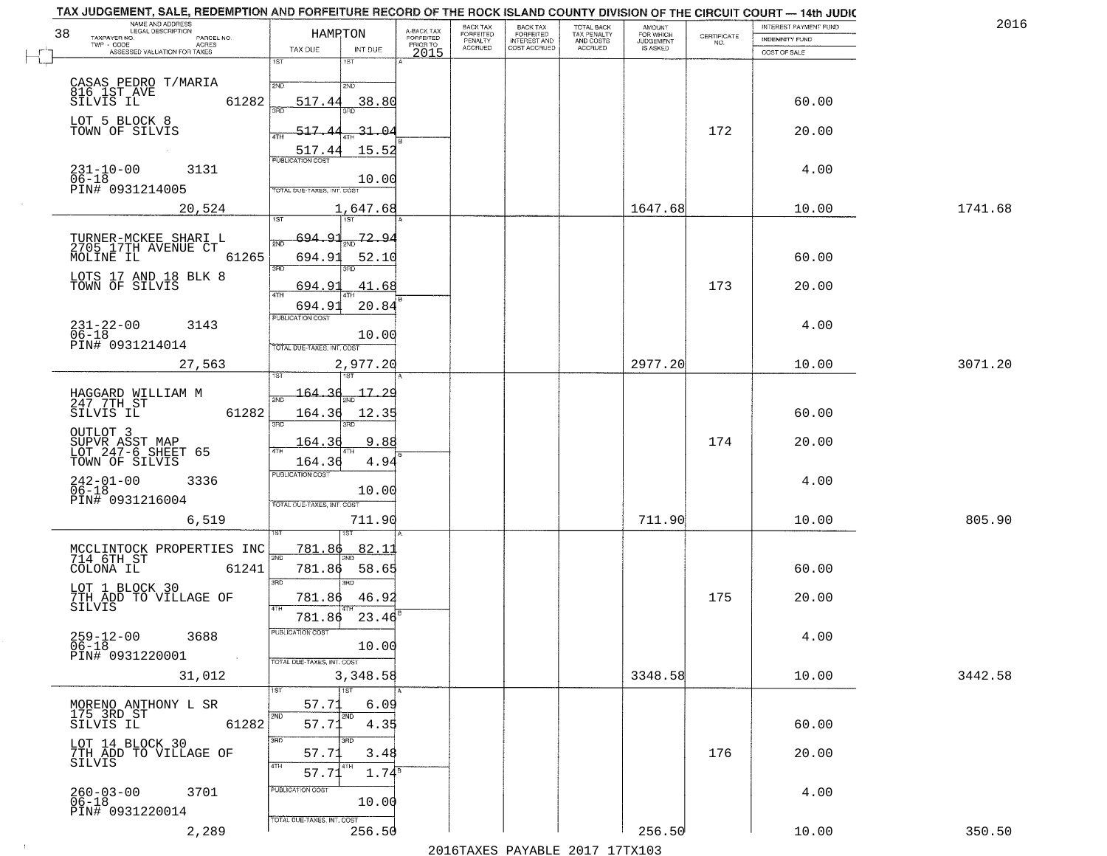|                                      | A-BACK TAX                                                                                                                                                                                                                                                                                                                                                                                                                                                                               | BACK TAX<br>FORFEITED               | <b>BACK TAX</b><br><b>FORFEITED</b> | TOTAL BACK<br>TAX PENALTY | <b>AMOUNT</b>        |                                              |                                         | 2016                                                                                                                                                                                                                                                                                  |
|--------------------------------------|------------------------------------------------------------------------------------------------------------------------------------------------------------------------------------------------------------------------------------------------------------------------------------------------------------------------------------------------------------------------------------------------------------------------------------------------------------------------------------------|-------------------------------------|-------------------------------------|---------------------------|----------------------|----------------------------------------------|-----------------------------------------|---------------------------------------------------------------------------------------------------------------------------------------------------------------------------------------------------------------------------------------------------------------------------------------|
|                                      | PRIOR TO                                                                                                                                                                                                                                                                                                                                                                                                                                                                                 | <b>ACCRUED</b>                      |                                     |                           | IS ASKED             | NO.                                          |                                         |                                                                                                                                                                                                                                                                                       |
| 1ST<br>18T                           |                                                                                                                                                                                                                                                                                                                                                                                                                                                                                          |                                     |                                     |                           |                      |                                              |                                         |                                                                                                                                                                                                                                                                                       |
| 2ND<br>2ND                           |                                                                                                                                                                                                                                                                                                                                                                                                                                                                                          |                                     |                                     |                           |                      |                                              |                                         |                                                                                                                                                                                                                                                                                       |
| 38.80<br>517.44                      |                                                                                                                                                                                                                                                                                                                                                                                                                                                                                          |                                     |                                     |                           |                      |                                              | 60.00                                   |                                                                                                                                                                                                                                                                                       |
|                                      |                                                                                                                                                                                                                                                                                                                                                                                                                                                                                          |                                     |                                     |                           |                      |                                              |                                         |                                                                                                                                                                                                                                                                                       |
|                                      |                                                                                                                                                                                                                                                                                                                                                                                                                                                                                          |                                     |                                     |                           |                      |                                              |                                         |                                                                                                                                                                                                                                                                                       |
| <b>PUBLICATION COST</b>              |                                                                                                                                                                                                                                                                                                                                                                                                                                                                                          |                                     |                                     |                           |                      |                                              |                                         |                                                                                                                                                                                                                                                                                       |
| 10.00                                |                                                                                                                                                                                                                                                                                                                                                                                                                                                                                          |                                     |                                     |                           |                      |                                              |                                         |                                                                                                                                                                                                                                                                                       |
|                                      |                                                                                                                                                                                                                                                                                                                                                                                                                                                                                          |                                     |                                     |                           |                      |                                              |                                         | 1741.68                                                                                                                                                                                                                                                                               |
| <b>TST</b><br>1ST                    |                                                                                                                                                                                                                                                                                                                                                                                                                                                                                          |                                     |                                     |                           |                      |                                              |                                         |                                                                                                                                                                                                                                                                                       |
| 72.94<br><u>694.93</u>               |                                                                                                                                                                                                                                                                                                                                                                                                                                                                                          |                                     |                                     |                           |                      |                                              |                                         |                                                                                                                                                                                                                                                                                       |
| 694.9<br>52.10                       |                                                                                                                                                                                                                                                                                                                                                                                                                                                                                          |                                     |                                     |                           |                      |                                              | 60.00                                   |                                                                                                                                                                                                                                                                                       |
|                                      |                                                                                                                                                                                                                                                                                                                                                                                                                                                                                          |                                     |                                     |                           |                      |                                              |                                         |                                                                                                                                                                                                                                                                                       |
| 47H<br>694.93                        |                                                                                                                                                                                                                                                                                                                                                                                                                                                                                          |                                     |                                     |                           |                      |                                              |                                         |                                                                                                                                                                                                                                                                                       |
| PUBLICATION COST                     |                                                                                                                                                                                                                                                                                                                                                                                                                                                                                          |                                     |                                     |                           |                      |                                              | 4.00                                    |                                                                                                                                                                                                                                                                                       |
| TOTAL DUE-TAXES, INT. COST           |                                                                                                                                                                                                                                                                                                                                                                                                                                                                                          |                                     |                                     |                           |                      |                                              |                                         |                                                                                                                                                                                                                                                                                       |
| 2,977.20                             |                                                                                                                                                                                                                                                                                                                                                                                                                                                                                          |                                     |                                     |                           | 2977.20              |                                              | 10.00                                   | 3071.20                                                                                                                                                                                                                                                                               |
|                                      |                                                                                                                                                                                                                                                                                                                                                                                                                                                                                          |                                     |                                     |                           |                      |                                              |                                         |                                                                                                                                                                                                                                                                                       |
|                                      |                                                                                                                                                                                                                                                                                                                                                                                                                                                                                          |                                     |                                     |                           |                      |                                              |                                         |                                                                                                                                                                                                                                                                                       |
| 3RD<br>3RD                           |                                                                                                                                                                                                                                                                                                                                                                                                                                                                                          |                                     |                                     |                           |                      |                                              |                                         |                                                                                                                                                                                                                                                                                       |
| 9.88<br>164.36                       |                                                                                                                                                                                                                                                                                                                                                                                                                                                                                          |                                     |                                     |                           |                      | 174                                          | 20.00                                   |                                                                                                                                                                                                                                                                                       |
| 4.94<br>164.36                       |                                                                                                                                                                                                                                                                                                                                                                                                                                                                                          |                                     |                                     |                           |                      |                                              |                                         |                                                                                                                                                                                                                                                                                       |
|                                      |                                                                                                                                                                                                                                                                                                                                                                                                                                                                                          |                                     |                                     |                           |                      |                                              | 4.00                                    |                                                                                                                                                                                                                                                                                       |
| TOTAL OUE-TAXES, INT. COST           |                                                                                                                                                                                                                                                                                                                                                                                                                                                                                          |                                     |                                     |                           |                      |                                              |                                         |                                                                                                                                                                                                                                                                                       |
| 711.90                               |                                                                                                                                                                                                                                                                                                                                                                                                                                                                                          |                                     |                                     |                           | 711.90               |                                              | 10.00                                   | 805.90                                                                                                                                                                                                                                                                                |
|                                      |                                                                                                                                                                                                                                                                                                                                                                                                                                                                                          |                                     |                                     |                           |                      |                                              |                                         |                                                                                                                                                                                                                                                                                       |
| 2ND                                  |                                                                                                                                                                                                                                                                                                                                                                                                                                                                                          |                                     |                                     |                           |                      |                                              |                                         |                                                                                                                                                                                                                                                                                       |
| 3RD<br>3RD                           |                                                                                                                                                                                                                                                                                                                                                                                                                                                                                          |                                     |                                     |                           |                      |                                              |                                         |                                                                                                                                                                                                                                                                                       |
| 4TH                                  |                                                                                                                                                                                                                                                                                                                                                                                                                                                                                          |                                     |                                     |                           |                      |                                              |                                         |                                                                                                                                                                                                                                                                                       |
|                                      |                                                                                                                                                                                                                                                                                                                                                                                                                                                                                          |                                     |                                     |                           |                      |                                              |                                         |                                                                                                                                                                                                                                                                                       |
| 10.00                                |                                                                                                                                                                                                                                                                                                                                                                                                                                                                                          |                                     |                                     |                           |                      |                                              |                                         |                                                                                                                                                                                                                                                                                       |
| TOTAL DUE-TAXES, INT. COST           |                                                                                                                                                                                                                                                                                                                                                                                                                                                                                          |                                     |                                     |                           |                      |                                              |                                         |                                                                                                                                                                                                                                                                                       |
| $\overline{1}$ ST<br>1ST             |                                                                                                                                                                                                                                                                                                                                                                                                                                                                                          |                                     |                                     |                           |                      |                                              |                                         | 3442.58                                                                                                                                                                                                                                                                               |
| 57.71<br>6.09                        |                                                                                                                                                                                                                                                                                                                                                                                                                                                                                          |                                     |                                     |                           |                      |                                              |                                         |                                                                                                                                                                                                                                                                                       |
| 57.71<br>4.35                        |                                                                                                                                                                                                                                                                                                                                                                                                                                                                                          |                                     |                                     |                           |                      |                                              | 60.00                                   |                                                                                                                                                                                                                                                                                       |
| 3RD<br>3HD                           |                                                                                                                                                                                                                                                                                                                                                                                                                                                                                          |                                     |                                     |                           |                      |                                              |                                         |                                                                                                                                                                                                                                                                                       |
| 4TH<br>4TH                           |                                                                                                                                                                                                                                                                                                                                                                                                                                                                                          |                                     |                                     |                           |                      |                                              |                                         |                                                                                                                                                                                                                                                                                       |
| PUBLICATION COST                     |                                                                                                                                                                                                                                                                                                                                                                                                                                                                                          |                                     |                                     |                           |                      |                                              |                                         |                                                                                                                                                                                                                                                                                       |
| 10.00                                |                                                                                                                                                                                                                                                                                                                                                                                                                                                                                          |                                     |                                     |                           |                      |                                              |                                         |                                                                                                                                                                                                                                                                                       |
| TOTAL DUE-TAXES, INT. COST<br>256.50 |                                                                                                                                                                                                                                                                                                                                                                                                                                                                                          |                                     |                                     |                           | 256.50               |                                              | 10.00                                   | 350.50                                                                                                                                                                                                                                                                                |
|                                      | HAMRTON<br>TAX DUE<br>INT DUE<br>61282<br>$-31 - 0$<br>517<br>517.4<br>15.52<br>TOTAL DUE-TAXES, INT. COST<br>1,647.68<br>61265<br>3RD<br>694.9<br>41.68<br>20.84<br>10.00<br>$17-$<br>164<br>61282<br>164.36<br>12.35<br>4TH<br><b>PUBLICATION COST</b><br>10.00<br>82.1<br><u>781.86</u><br>MCCLINTOCK PROPERTIES INC<br>714 6TH ST<br>61241<br>58.65<br>781.86<br>781.86<br>46.92<br>23.46<br>781.86<br>PUBLICATION COST<br>3,348.58<br>2ND<br>2ND<br>61282<br>3.48<br>57.71<br>57.71 | FORFEITED<br>2015<br>$1.74^{\circ}$ | PENALTY                             | INTEREST AND              | AND COSTS<br>ACCRUED | FOR WHICH<br>JUDGEMENT<br>1647.68<br>3348.58 | CERTIFICATE<br>172<br>173<br>175<br>176 | TAX JUDGEMENT, SALE, REDEMPTION AND FORFEITURE RECORD OF THE ROCK ISLAND COUNTY DIVISION OF THE CIRCUIT COURT - 14th JUDIC<br>INTEREST PAYMENT FUND<br>INDEMNITY FUND<br>COST OF SALE<br>20.00<br>4.00<br>10.00<br>20.00<br>60.00<br>60.00<br>20.00<br>4.00<br>10.00<br>20.00<br>4.00 |

 $\sim 100$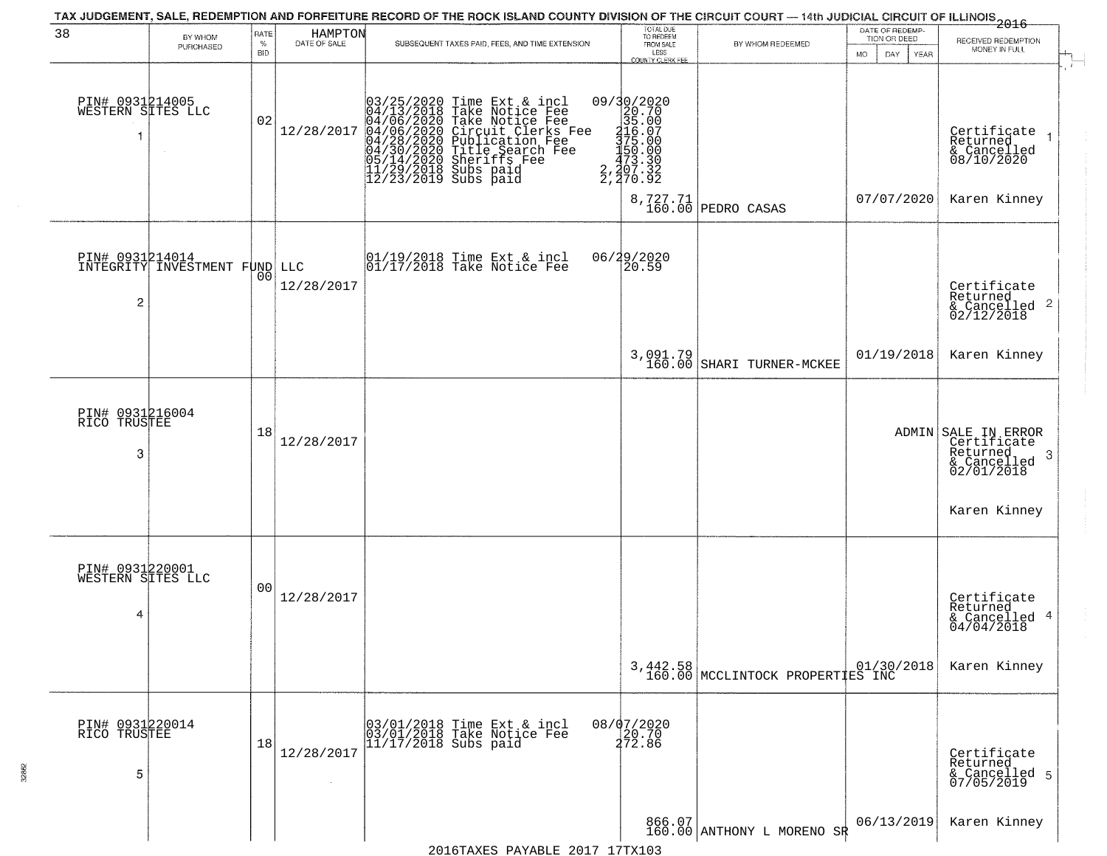| 38                                        | BY WHOM                       | RATE               | HAMPTON<br>DATE OF SALE | TAX JUDGEMENT, SALE, REDEMPTION AND FORFEITURE RECORD OF THE ROCK ISLAND COUNTY DIVISION OF THE CIRCUIT COURT — 14th JUDICIAL CIRCUIT OF ILLINOIS 2016                                                                                                |                                                                                                     | TOTAL DUE<br>TO REDEEM                       |                                              | DATE OF REDEMP-<br>TION OR DEED | RECEIVED REDEMPTION                                                              |
|-------------------------------------------|-------------------------------|--------------------|-------------------------|-------------------------------------------------------------------------------------------------------------------------------------------------------------------------------------------------------------------------------------------------------|-----------------------------------------------------------------------------------------------------|----------------------------------------------|----------------------------------------------|---------------------------------|----------------------------------------------------------------------------------|
|                                           | PURCHASED                     | $\%$<br><b>BID</b> |                         | SUBSEQUENT TAXES PAID, FEES, AND TIME EXTENSION                                                                                                                                                                                                       |                                                                                                     | FROM SALE<br>LESS<br><b>COUNTY CLERK FEE</b> | BY WHOM REDEEMED                             | MO.<br>DAY.<br><b>YEAR</b>      | MONEY IN FULL                                                                    |
| PIN# 0931214005<br>WESTERN SITES LLC<br>1 |                               | 02                 | 12/28/2017              | 03/25/2020 Time Ext & incl<br>04/13/2018 Take Notice Fee<br>04/06/2020 Take Notice Fee<br>04/06/2020 Take Notice Fee<br>04/28/2020 Circuit Clerks Fee<br>04/28/2020 Title Search Fee<br>05/14/2020 Sheriffs Fee<br>11/29/2018 Subs paid<br>12/23/2019 | 09/30/2020<br>20.70<br>35.00<br>116.07<br>375.00<br>$\frac{150.00}{473.30}$<br>2,207.32<br>2,270.92 |                                              |                                              |                                 | Certificate<br>Returned<br>& Cancelled<br>08/10/2020                             |
|                                           |                               |                    |                         |                                                                                                                                                                                                                                                       |                                                                                                     |                                              | 8,727.71<br>160.00 PEDRO CASAS               | 07/07/2020                      | Karen Kinney                                                                     |
| PIN# 0931214014<br>2                      | INTEGRITY INVESTMENT FUND LLC | 00                 | 12/28/2017              | $\begin{array}{ccc}  01/19/2018 \text{ Time} & \text{Ext} & \text{incl} \\  01/17/2018 \text{ Take Notice } \text{Fe} \end{array}$                                                                                                                    | 06/29/2020<br>20.59                                                                                 |                                              |                                              |                                 | Certificate<br>Returned<br>& Cancelled 2<br>02/12/2018                           |
|                                           |                               |                    |                         |                                                                                                                                                                                                                                                       |                                                                                                     |                                              | $3,091.79$<br>160.00 SHARI TURNER-MCKEE      | 01/19/2018                      | Karen Kinney                                                                     |
| PIN# 0931216004<br>RICO TRUSTEE<br>3      |                               | 18                 | 12/28/2017              |                                                                                                                                                                                                                                                       |                                                                                                     |                                              |                                              |                                 | ADMIN SALE IN ERROR<br>Certificate<br>Returned<br>3<br>& Cancelled<br>02/01/2018 |
|                                           |                               |                    |                         |                                                                                                                                                                                                                                                       |                                                                                                     |                                              |                                              |                                 | Karen Kinney                                                                     |
| PIN# 0931220001<br>WESTERN SITES LLC<br>4 |                               | 00                 | 12/28/2017              |                                                                                                                                                                                                                                                       |                                                                                                     |                                              |                                              |                                 | Certificate<br>Returned<br>& Cancelled 4<br>04/04/2018                           |
|                                           |                               |                    |                         |                                                                                                                                                                                                                                                       |                                                                                                     |                                              | 3,442.58<br>160.00 MCCLINTOCK PROPERTIES INC |                                 | Karen Kinney                                                                     |
| PIN# 0931220014<br>RICO TRUSTEE<br>5      |                               | 18                 | 12/28/2017              | 03/01/2018 Time Ext & incl<br>03/01/2018 Take Notice Fee<br>11/17/2018 Subs paid                                                                                                                                                                      | 08/07/2020<br>20.70<br>272.86                                                                       |                                              |                                              |                                 | Certificate<br>Returned<br>& Cancelled 5<br>07/05/2019                           |
|                                           |                               |                    |                         |                                                                                                                                                                                                                                                       |                                                                                                     |                                              | 866.07<br>160.00 ANTHONY L MORENO SR         | 06/13/2019                      | Karen Kinney                                                                     |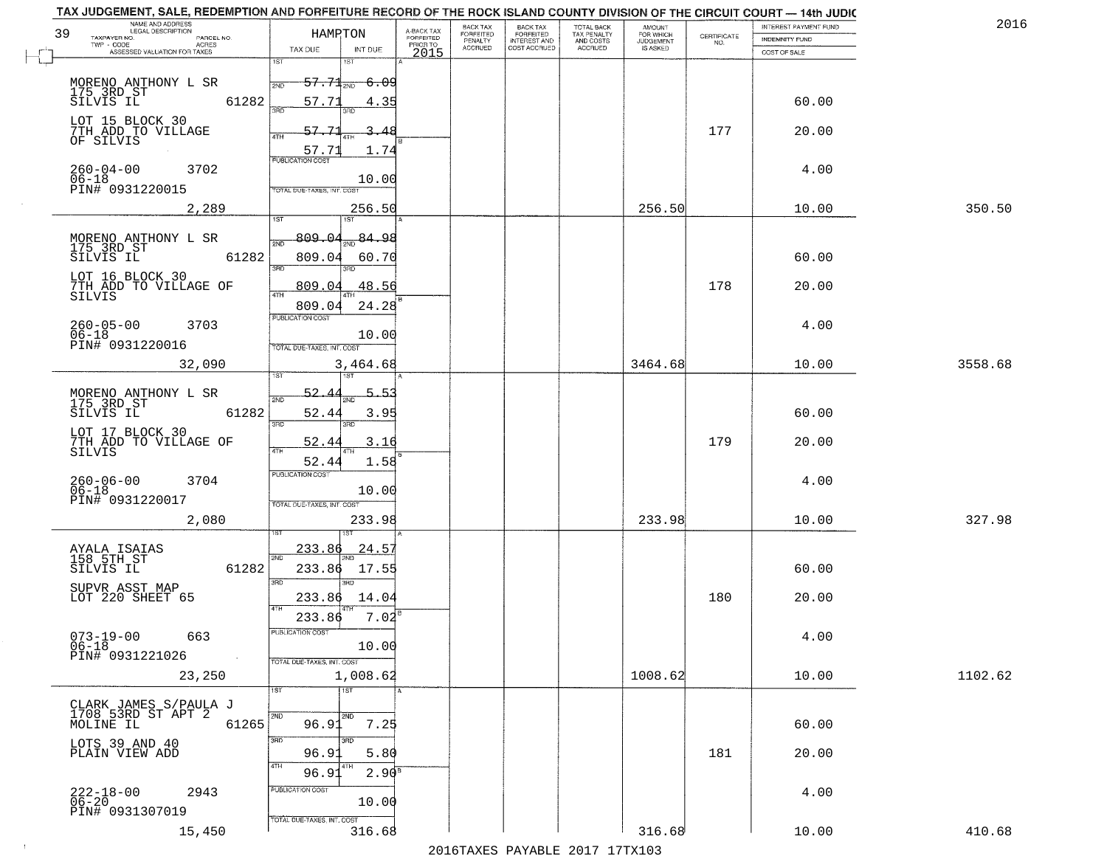| NAME AND ADDRESS<br>LEGAL DESCRIPTION<br>39       | HAMRTON                                  | A-BACK TAX                   | BACK TAX<br><b>FORFEITED</b> | <b>BACK TAX</b><br><b>FORFEITED</b> | TOTAL BACK<br>TAX PENALTY | <b>AMOUNT</b>                      |                    | INTEREST PAYMENT FUND | 2016    |
|---------------------------------------------------|------------------------------------------|------------------------------|------------------------------|-------------------------------------|---------------------------|------------------------------------|--------------------|-----------------------|---------|
| TAXPAYER NO.<br>PARCEL NO.<br>TWP - CODE<br>ACRES |                                          | <b>FORFEITED</b><br>PRIOR TO | PENALTY<br>ACCRUED           | INTEREST AND<br>COST ACCRUED        | AND COSTS<br>ACCRUED      | FOR WHICH<br>JUDGEMENT<br>IS ASKED | CERTIFICATE<br>NO. | <b>INDEMNITY FUND</b> |         |
| ASSESSED VALUATION FOR TAXES                      | TAX DUE<br>INT DUE<br>ist<br>1ST         | 2015                         |                              |                                     |                           |                                    |                    | COST OF SALE          |         |
|                                                   |                                          |                              |                              |                                     |                           |                                    |                    |                       |         |
| MORENO ANTHONY L SR<br>175 3RD ST<br>SILVIS IL    | $57.71$ <sub>2ND</sub><br>-6.09<br>2ND   |                              |                              |                                     |                           |                                    |                    |                       |         |
|                                                   | 61282<br>57.71<br>4.35<br>ïПD<br>3BD     |                              |                              |                                     |                           |                                    |                    | 60.00                 |         |
| LOT 15 BLOCK 30<br>7TH ADD TO VILLAGE             | 57.7                                     |                              |                              |                                     |                           |                                    | 177                | 20.00                 |         |
| OF SILVIS                                         | 4TH<br>57.73<br>1.74                     |                              |                              |                                     |                           |                                    |                    |                       |         |
|                                                   | <b>PUBLICATION COST</b>                  |                              |                              |                                     |                           |                                    |                    |                       |         |
| $260 - 04 - 00$<br>3702<br>$06 - 18$              | 10.00                                    |                              |                              |                                     |                           |                                    |                    | 4.00                  |         |
| PIN# 0931220015                                   | TOTAL DUE-TAXES, INT. COST               |                              |                              |                                     |                           |                                    |                    |                       |         |
| 2,289                                             | 256.50<br>1ST<br>1ST                     |                              |                              |                                     |                           | 256.50                             |                    | 10.00                 | 350.50  |
|                                                   | 809.04<br>84.98                          |                              |                              |                                     |                           |                                    |                    |                       |         |
| MORENO ANTHONY L SR<br>175 3RD ST<br>SILVIS IL    | 2ND                                      |                              |                              |                                     |                           |                                    |                    |                       |         |
|                                                   | 61282<br>809.04<br>60.70<br>3RD<br>3RD   |                              |                              |                                     |                           |                                    |                    | 60.00                 |         |
| LOT 16 BLOCK 30<br>7TH ADD TO VILLAGE OF          | 809.04<br>48.56                          |                              |                              |                                     |                           |                                    | 178                | 20.00                 |         |
| SILVIS                                            | 47H<br>24.28<br>809.04                   |                              |                              |                                     |                           |                                    |                    |                       |         |
| $260 - 05 - 00$<br>3703                           | PUBLICATION COST                         |                              |                              |                                     |                           |                                    |                    | 4.00                  |         |
| $06 - 18$                                         | 10.00                                    |                              |                              |                                     |                           |                                    |                    |                       |         |
| PIN# 0931220016                                   | TOTAL DUE-TAXES, INT. COST               |                              |                              |                                     |                           |                                    |                    |                       |         |
| 32,090                                            | 3,464.68                                 |                              |                              |                                     |                           | 3464.68                            |                    | 10.00                 | 3558.68 |
|                                                   | 52.4<br>5.5.                             |                              |                              |                                     |                           |                                    |                    |                       |         |
| MORENO ANTHONY L SR<br>175 3RD ST<br>SILVIS IL    | 2ND<br>61282<br>52.44<br>3.95            |                              |                              |                                     |                           |                                    |                    | 60.00                 |         |
|                                                   | 3RD<br>3RD                               |                              |                              |                                     |                           |                                    |                    |                       |         |
| LOT 17 BLOCK 30<br>7TH ADD TO VILLAGE OF          | 52.44<br>3.16                            |                              |                              |                                     |                           |                                    | 179                | 20.00                 |         |
| <b>SILVIS</b>                                     | 4TH<br>1.58<br>52.44                     |                              |                              |                                     |                           |                                    |                    |                       |         |
| 3704                                              | <b>PUBLICATION COST</b>                  |                              |                              |                                     |                           |                                    |                    | 4.00                  |         |
| 260-06-00<br>06-18<br>PIN# 0931220017             | 10.00                                    |                              |                              |                                     |                           |                                    |                    |                       |         |
| 2,080                                             | TOTAL OUE-TAXES, INT. COST<br>233.98     |                              |                              |                                     |                           | 233.98                             |                    | 10.00                 | 327.98  |
|                                                   |                                          |                              |                              |                                     |                           |                                    |                    |                       |         |
| AYALA ISAIAS<br>158 5TH ST                        | <u>233.86</u><br><u> 24.5</u>            |                              |                              |                                     |                           |                                    |                    |                       |         |
| SILVIS IL                                         | 2ND<br>61282<br>233.86<br>17.55          |                              |                              |                                     |                           |                                    |                    | 60.00                 |         |
| SUPVR ASST MAP                                    | 3 <sub>BD</sub><br>3RD                   |                              |                              |                                     |                           |                                    |                    |                       |         |
| LOT 220 SHEET 65                                  | 233.86<br>14.04                          |                              |                              |                                     |                           |                                    | 180                | 20.00                 |         |
|                                                   | 7.02<br>233.86                           |                              |                              |                                     |                           |                                    |                    |                       |         |
| $073 - 19 - 00$<br>06-18<br>663                   | PUBLICATION COST                         |                              |                              |                                     |                           |                                    |                    | 4.00                  |         |
| PIN# 0931221026<br>$\sim$                         | 10.00                                    |                              |                              |                                     |                           |                                    |                    |                       |         |
| 23,250                                            | TOTAL DUE-TAXES, INT. COST<br>1,008.62   |                              |                              |                                     |                           | 1008.62                            |                    | 10.00                 | 1102.62 |
|                                                   | 1ST<br>1ST                               |                              |                              |                                     |                           |                                    |                    |                       |         |
| CLARK JAMES S/PAULA J<br>1708 53RD ST APT 2       |                                          |                              |                              |                                     |                           |                                    |                    |                       |         |
| MOLINE IL                                         | 2ND<br>2ND<br>7.25<br>96.91<br>61265     |                              |                              |                                     |                           |                                    |                    | 60.00                 |         |
| LOTS 39 AND 40                                    | 3BD<br>उनक                               |                              |                              |                                     |                           |                                    |                    |                       |         |
| PLAIN VIEW ADD                                    | 96.91<br>5.80                            |                              |                              |                                     |                           |                                    | 181                | 20.00                 |         |
|                                                   | 4TH<br>4TH<br>96.91<br>2.90 <sup>s</sup> |                              |                              |                                     |                           |                                    |                    |                       |         |
| 2943<br>222-18-00<br>06-20                        | PUBLICATION COST                         |                              |                              |                                     |                           |                                    |                    | 4.00                  |         |
| PIN# 0931307019                                   | 10.00                                    |                              |                              |                                     |                           |                                    |                    |                       |         |
| 15,450                                            | TOTAL DUE-TAXES, INT. COST<br>316.68     |                              |                              |                                     |                           | 316.68                             |                    | 10.00                 | 410.68  |
|                                                   |                                          |                              |                              |                                     |                           |                                    |                    |                       |         |

 $\sim 100$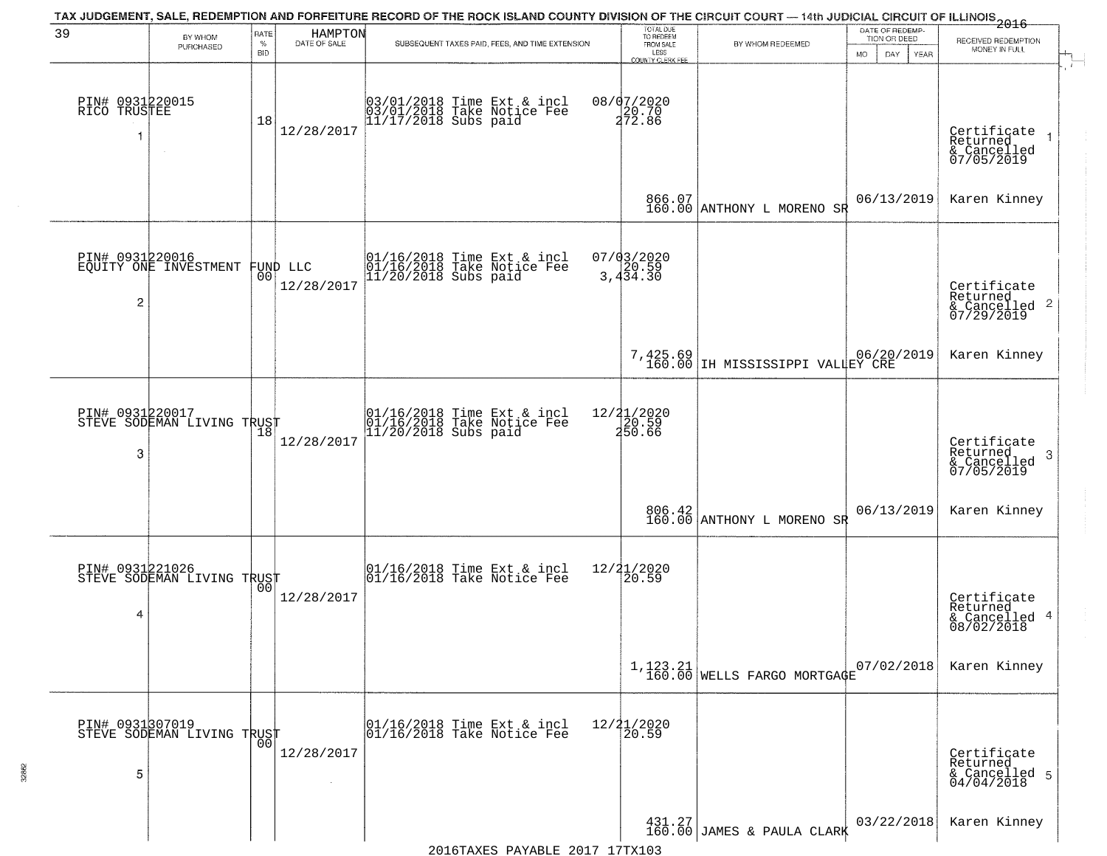|                                       |                                                      |                            |                               | TAX JUDGEMENT, SALE, REDEMPTION AND FORFEITURE RECORD OF THE ROCK ISLAND COUNTY DIVISION OF THE CIRCUIT COURT — 14th JUDICIAL CIRCUIT OF ILLINOIS 2016 |                                                                 |                                                                                  |                                                             |                                                                                        |
|---------------------------------------|------------------------------------------------------|----------------------------|-------------------------------|--------------------------------------------------------------------------------------------------------------------------------------------------------|-----------------------------------------------------------------|----------------------------------------------------------------------------------|-------------------------------------------------------------|----------------------------------------------------------------------------------------|
| 39                                    | BY WHOM<br>PURCHASED                                 | RATE<br>$\%$<br><b>BID</b> | HAMPTON<br>DATE OF SALE       | SUBSEQUENT TAXES PAID, FEES, AND TIME EXTENSION                                                                                                        | TOTAL DUE<br>TO REDEEM<br>FROM SALE<br>LESS<br>COUNTY CLERK FEE | BY WHOM REDEEMED                                                                 | DATE OF REDEMP-<br>TION OR DEED<br><b>MO</b><br>DAY<br>YEAR | RECEIVED REDEMPTION<br>MONEY IN FULL                                                   |
| PIN# 0931220015<br>RICO TRUSTEE<br>-1 |                                                      | 18                         | 12/28/2017                    | 03/01/2018 Time Ext & incl<br>03/01/2018 Take Notice Fee<br>11/17/2018 Subs paid                                                                       | 08/07/2020<br>20.70<br>272.86                                   |                                                                                  |                                                             | $\mathbf{r}$<br>Certificate<br>Returned<br>$\overline{1}$<br>& Cancelled<br>07/05/2019 |
|                                       |                                                      |                            |                               |                                                                                                                                                        |                                                                 | 866.07<br>160.00 ANTHONY L MORENO SR                                             | 06/13/2019                                                  | Karen Kinney                                                                           |
| $\overline{2}$                        | PIN# 0931220016<br>EQUITY ONE INVESTMENT             |                            | FUND LLC<br> 00<br>12/28/2017 | 01/16/2018 Time Ext & incl<br>01/16/2018 Take Notice Fee<br>11/20/2018 Subs paid                                                                       | $07/03/2020$<br>3,434.30                                        |                                                                                  |                                                             | Certificate<br>Returned<br>$\frac{1}{2}$ Cancelled 2<br>07/29/2019                     |
|                                       |                                                      |                            |                               |                                                                                                                                                        | $7,425.69$<br>$160.00$                                          | IH MISSISSIPPI VALLEY CRE                                                        |                                                             | Karen Kinney                                                                           |
| PIN# 0931220017<br>3                  | PIN# UY31KZUU1/<br>STEVE SODEMAN LIVING TRUST<br> 18 |                            | 12/28/2017                    | 01/16/2018 Time Ext & incl<br>01/16/2018 Take Notice Fee<br>11/20/2018 Subs paid                                                                       | 12/21/2020<br>$\frac{1}{250.60}$                                |                                                                                  |                                                             | Certificate<br>Returned<br>3<br>& Cancelled<br>07/05/2019                              |
|                                       |                                                      |                            |                               |                                                                                                                                                        |                                                                 | 806.42<br>160.00 ANTHONY L MORENO SR                                             | 06/13/2019                                                  | Karen Kinney                                                                           |
| 4                                     | PIN# 0931221026<br>STEVE SODEMAN LIVING TRUST        | 00                         | 12/28/2017                    | $\begin{array}{c} 01/16/2018 \\ 01/16/2018 \\ \end{array}$ Take Notice Fee                                                                             | 12/21/2020<br>$\overline{20.59}$                                |                                                                                  |                                                             | Certificate<br>Returned<br>& Cancelled 4<br>08/02/2018                                 |
|                                       |                                                      |                            |                               |                                                                                                                                                        |                                                                 | $1,123.21$<br>160.00 WELLS FARGO MORTGAGE                                        | 07/02/2018                                                  | Karen Kinney                                                                           |
| 5                                     | PIN# 0931307019    <br>STEVE SODEMAN LIVING TRUST    | 0 <sub>0</sub>             | 12/28/2017                    | 01/16/2018 Time Ext & incl<br>01/16/2018 Take Notice Fee                                                                                               | 12/21/2020<br>20.59                                             |                                                                                  |                                                             | Certificate<br>Returned<br>& Cancelled 5<br>04/04/2018                                 |
|                                       |                                                      |                            |                               |                                                                                                                                                        |                                                                 | $\left.\begin{array}{c} 431.27 \\ 160.00 \end{array}\right $ JAMES & PAULA CLARK | 03/22/2018                                                  | Karen Kinney                                                                           |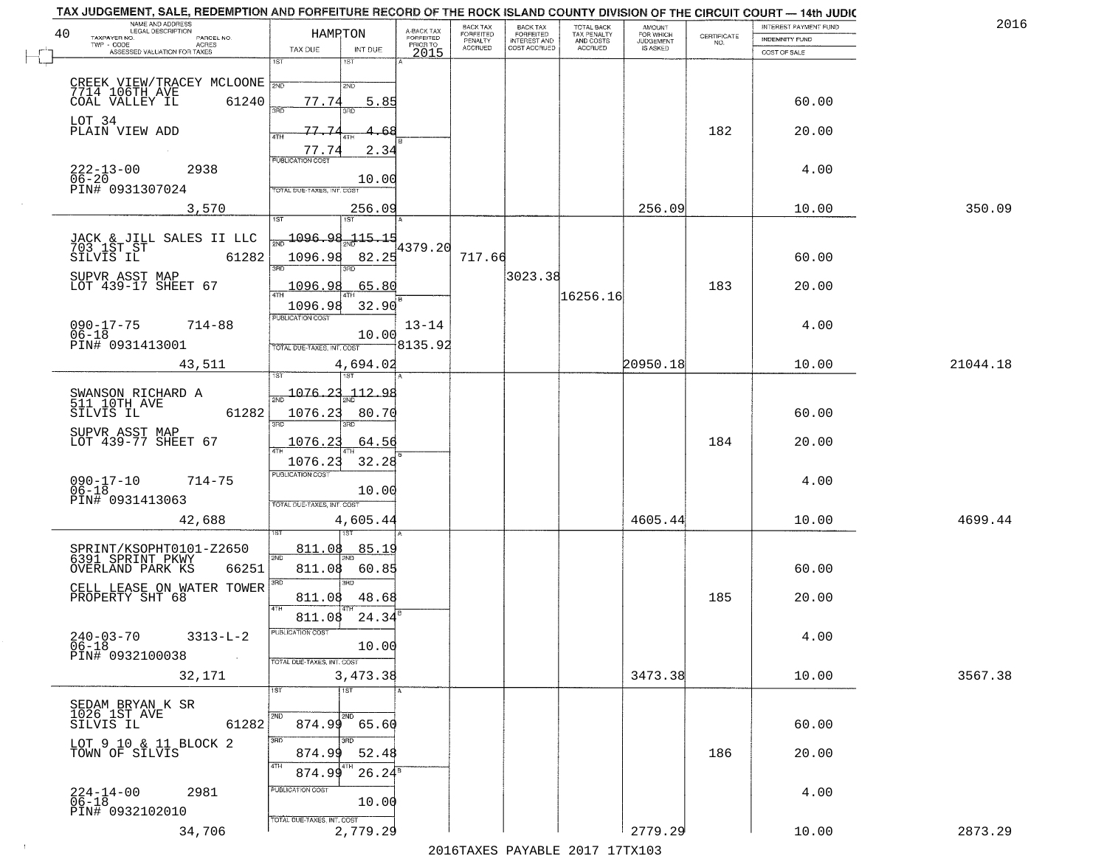| 40 | NAME AND ADDRESS<br>LEGAL DESCRIPTION<br>TAXPAYER NO.<br>PARCEL NO.<br>TWP - CODE<br><b>ACRES</b> | HAMRTON                          |                           | A-BACK TAX<br><b>FORFEITED</b><br>PRIOR TO | BACK TAX<br>FORFEITED<br>PENALTY<br><b>ACCRUED</b> | <b>BACK TAX</b><br><b>FORFEITED</b><br>INTEREST AND<br>COST ACCRUED | TOTAL BACK<br>TAX PENALTY<br>AND COSTS<br>ACCRUED | <b>AMOUNT</b><br>FOR WHICH<br>JUDGEMENT<br>IS ASKED | CERTIFICATE<br>NO. | INTEREST PAYMENT FUND<br><b>INDEMNITY FUND</b> | 201      |
|----|---------------------------------------------------------------------------------------------------|----------------------------------|---------------------------|--------------------------------------------|----------------------------------------------------|---------------------------------------------------------------------|---------------------------------------------------|-----------------------------------------------------|--------------------|------------------------------------------------|----------|
|    | ASSESSED VALUATION FOR TAXES                                                                      | TAX DUE<br>1ST                   | INT DUE<br>IST.           | 2015                                       |                                                    |                                                                     |                                                   |                                                     |                    | COST OF SALE                                   |          |
|    | CREEK VIEW/TRACEY MCLOONE 2ND                                                                     |                                  | 2ND                       |                                            |                                                    |                                                                     |                                                   |                                                     |                    |                                                |          |
|    | COAL VALLEY IL<br>61240                                                                           | 77.74<br>3BD                     | 5.85                      |                                            |                                                    |                                                                     |                                                   |                                                     |                    | 60.00                                          |          |
|    | LOT 34<br>PLAIN VIEW ADD                                                                          | 77.7<br>4TH                      |                           |                                            |                                                    |                                                                     |                                                   |                                                     | 182                | 20.00                                          |          |
|    |                                                                                                   | 77.74<br><b>PUBLICATION COST</b> | 2.34                      |                                            |                                                    |                                                                     |                                                   |                                                     |                    |                                                |          |
|    | $222 - 13 - 00$<br>2938<br>$\frac{06-20}{P1N#}$ 0931307024                                        |                                  | 10.00                     |                                            |                                                    |                                                                     |                                                   |                                                     |                    | 4.00                                           |          |
|    |                                                                                                   | TOTAL DUE-TAXES, INT. COST       |                           |                                            |                                                    |                                                                     |                                                   |                                                     |                    | 10.00                                          | 350.09   |
|    | 3,570                                                                                             | 1ST                              | 256.09<br>1ST <sup></sup> |                                            |                                                    |                                                                     |                                                   | 256.09                                              |                    |                                                |          |
|    | JACK & JILL SALES II LLC<br>703 1ST ST                                                            | <u> 1096.98</u>                  | $-115.15$                 | 4379.20                                    |                                                    |                                                                     |                                                   |                                                     |                    |                                                |          |
|    | SILVIS IL<br>61282                                                                                | 1096.98<br>उन्नठ                 | 82.25                     |                                            | 717.66                                             | 3023.38                                                             |                                                   |                                                     |                    | 60.00                                          |          |
|    | SUPVR ASST MAP<br>LOT 439-17 SHEET 67                                                             | 1096.98<br>ৰাম                   | 65.80                     |                                            |                                                    |                                                                     | 16256.16                                          |                                                     | 183                | 20.00                                          |          |
|    |                                                                                                   | 1096.98<br>PUBLICATION COST      | 32.90                     |                                            |                                                    |                                                                     |                                                   |                                                     |                    |                                                |          |
|    | $090 - 17 - 75$<br>$714 - 88$<br>$06 - 18$<br>PIN# 0931413001                                     | TOTAL DUE-TAXES, INT. COST       | 10.00                     | $13 - 14$<br>8135.92                       |                                                    |                                                                     |                                                   |                                                     |                    | 4.00                                           |          |
|    | 43,511                                                                                            |                                  | 4,694.02                  |                                            |                                                    |                                                                     |                                                   | 20950.18                                            |                    | 10.00                                          | 21044.18 |
|    |                                                                                                   | 1076.23                          | 112.98                    |                                            |                                                    |                                                                     |                                                   |                                                     |                    |                                                |          |
|    | SWANSON RICHARD A<br>511 10TH AVE<br>61282<br>SILVIS IL                                           | 1076.23                          | 80.70                     |                                            |                                                    |                                                                     |                                                   |                                                     |                    | 60.00                                          |          |
|    | SUPVR ASST MAP<br>LOT 439-77 SHEET 67                                                             | 3RD                              | 3RD                       |                                            |                                                    |                                                                     |                                                   |                                                     |                    |                                                |          |
|    |                                                                                                   | 1076.23<br>1076.23               | 64.56<br>32.28            |                                            |                                                    |                                                                     |                                                   |                                                     | 184                | 20.00                                          |          |
|    | $090 - 17 - 10$<br>06-18<br>$714 - 75$                                                            | <b>PUBLICATION COST</b>          |                           |                                            |                                                    |                                                                     |                                                   |                                                     |                    | 4.00                                           |          |
|    | PIN# 0931413063                                                                                   | TOTAL OUE-TAXES, INT. COST       | 10.00                     |                                            |                                                    |                                                                     |                                                   |                                                     |                    |                                                |          |
|    | 42,688                                                                                            |                                  | 4,605.44                  |                                            |                                                    |                                                                     |                                                   | 4605.44                                             |                    | 10.00                                          | 4699.44  |
|    | SPRINT/KSOPHT0101-Z2650<br>6391 SPRINT PKWY                                                       | 811.08<br>2ND                    | <u>85.19</u>              |                                            |                                                    |                                                                     |                                                   |                                                     |                    |                                                |          |
|    | 66251<br>OVERLAND PARK KS                                                                         | 811.08                           | 60.85<br>3RD              |                                            |                                                    |                                                                     |                                                   |                                                     |                    | 60.00                                          |          |
|    | CELL LEASE ON WATER TOWER<br>PROPERTY SHT 68                                                      | 3RD<br>811.08                    | 48.68                     |                                            |                                                    |                                                                     |                                                   |                                                     | 185                | 20.00                                          |          |
|    |                                                                                                   | 4TH<br>811.08                    | 24.34                     |                                            |                                                    |                                                                     |                                                   |                                                     |                    |                                                |          |
|    | $240 - 03 - 70$<br>$3313 - L - 2$<br>06-18                                                        | PUBLICATION COST                 | 10.00                     |                                            |                                                    |                                                                     |                                                   |                                                     |                    | 4.00                                           |          |
|    | PIN# 0932100038                                                                                   | TOTAL DUE-TAXES, INT. COST       |                           |                                            |                                                    |                                                                     |                                                   |                                                     |                    |                                                |          |
|    | 32,171                                                                                            | 1ST                              | 3,473.38<br>1ST           |                                            |                                                    |                                                                     |                                                   | 3473.38                                             |                    | 10.00                                          | 3567.38  |
|    | SEDAM BRYAN K SR<br>1026 1ST AVE                                                                  | 2ND                              | 2ND                       |                                            |                                                    |                                                                     |                                                   |                                                     |                    |                                                |          |
|    | SILVIS IL<br>61282<br>LOT 9 10 & 11 BLOCK 2                                                       | 3RD                              | 874.99 65.60              |                                            |                                                    |                                                                     |                                                   |                                                     |                    | 60.00                                          |          |
|    | TOWN OF SILVIS                                                                                    | 874.99<br>4TH                    | 52.48                     |                                            |                                                    |                                                                     |                                                   |                                                     | 186                | 20.00                                          |          |
|    |                                                                                                   | 874.99<br>PUBLICATION COST       | $26.24^5$                 |                                            |                                                    |                                                                     |                                                   |                                                     |                    |                                                |          |
|    | 2981<br>$224-14-00$<br>06-18<br>PIN# 0932102010                                                   |                                  | 10.00                     |                                            |                                                    |                                                                     |                                                   |                                                     |                    | 4.00                                           |          |
|    | 34,706                                                                                            | TOTAL DUE-TAXES, INT. COST       | 2,779.29                  |                                            |                                                    |                                                                     |                                                   | 2779.29                                             |                    | 10.00                                          | 2873.29  |

 $\sim 100$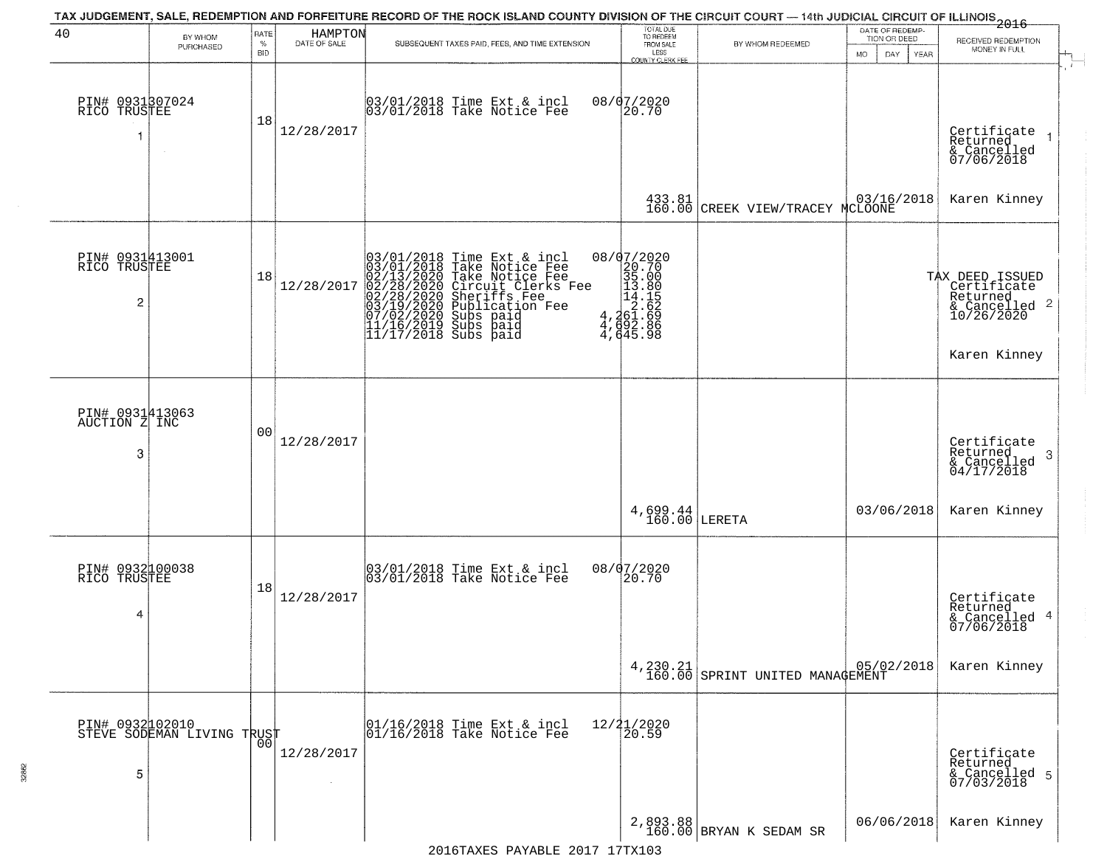| 40                                                | BY WHOM<br>PURCHASED                          | RATE<br>$\%$<br>BID | HAMPTON<br>DATE OF SALE | SUBSEQUENT TAXES PAID, FEES, AND TIME EXTENSION                                                                                                                                                                                                          | TOTAL DUE<br>TO REDEEM<br>FROM SALE<br>LESS<br>COUNTY CLERK FEE                                                            | BY WHOM REDEEMED                                                       | DATE OF REDEMP-<br>TION OR DEED<br><b>MO</b><br>DAY<br>YEAR | $-2016$<br>RECEIVED REDEMPTION<br>MONEY IN FULL<br>$\mathcal{X}$ .                        |
|---------------------------------------------------|-----------------------------------------------|---------------------|-------------------------|----------------------------------------------------------------------------------------------------------------------------------------------------------------------------------------------------------------------------------------------------------|----------------------------------------------------------------------------------------------------------------------------|------------------------------------------------------------------------|-------------------------------------------------------------|-------------------------------------------------------------------------------------------|
| PIN# 0931307024<br>RICO TRUSTEE<br>1              |                                               | 18                  | 12/28/2017              | 03/01/2018 Time Ext & incl<br>03/01/2018 Take Notice Fee                                                                                                                                                                                                 | 08/07/2020<br>20.70                                                                                                        |                                                                        |                                                             | Certificate<br>Returned<br>& Cancelled<br>07/06/2018                                      |
|                                                   |                                               |                     |                         |                                                                                                                                                                                                                                                          |                                                                                                                            | 433.81 03/16/2018<br>160.00 CREEK VIEW/TRACEY MCLOONE                  |                                                             | Karen Kinney                                                                              |
| PIN# 0931413001<br>RICO TRUSTEE<br>$\overline{c}$ |                                               | 18                  | 12/28/2017              | 03/01/2018 Time Ext & incl<br>03/01/2018 Take Notice Fee<br>02/13/2020 Take Notice Fee<br>02/28/2020 Circuit Clerks Fee<br>02/28/2020 Sheriffs Fee<br>03/19/2020 Subs paid<br>07/02/2020 Subs paid<br>11/16/2019 Subs paid<br>11/17/2018 Subs paid<br>11 | ${\footnotesize \begin{array}{r} 08/07/2020 \\ 20.70 \\ 35.00 \\ 14.18 \\ 4.261.62 \\ 4.692.86 \\ 4.645.9 \\ \end{array}}$ |                                                                        |                                                             | TAX DEED ISSUED<br>Certificate<br>Returned<br>& Cancelled 2<br>10/26/2020<br>Karen Kinney |
| PIN# 0931413063<br>AUCTION Z INC<br>3             |                                               | 00                  | 12/28/2017              |                                                                                                                                                                                                                                                          |                                                                                                                            |                                                                        |                                                             | Certificate<br>Returned<br>-3<br>& Cancelled<br>04/17/2018                                |
|                                                   |                                               |                     |                         |                                                                                                                                                                                                                                                          | $4,699.44$<br>160.00 LERETA                                                                                                |                                                                        | 03/06/2018                                                  | Karen Kinney                                                                              |
| PIN# 0932100038<br>RICO TRUSTEE<br>$\overline{4}$ |                                               | 18                  | 12/28/2017              | 03/01/2018 Time Ext & incl<br>03/01/2018 Take Notice Fee                                                                                                                                                                                                 | 08/07/2020<br>20.70                                                                                                        |                                                                        |                                                             | Certificate<br>Returned<br>& Cancelled 4<br>07/06/2018                                    |
|                                                   |                                               |                     |                         |                                                                                                                                                                                                                                                          | $4, 230.21$<br>$160.00$                                                                                                    | $\begin{array}{ c c c c c } \hline & 05/02/2018 \\ \hline \end{array}$ |                                                             | Karen Kinney                                                                              |
| 5                                                 | PIN# 0932102010<br>STEVE SODEMAN LIVING TRUST | 00                  | 12/28/2017              | 01/16/2018 Time Ext & incl<br>01/16/2018 Take Notice Fee                                                                                                                                                                                                 | 12/21/2020<br>20.59                                                                                                        |                                                                        |                                                             | Certificate<br>Returned<br>& Cancelled 5<br>07/03/2018                                    |
|                                                   |                                               |                     |                         | $2016$ TAYES DAVARLE $2017$ 17TY103                                                                                                                                                                                                                      |                                                                                                                            | $2,893.88$<br>160.00 BRYAN K SEDAM SR                                  | 06/06/2018                                                  | Karen Kinney                                                                              |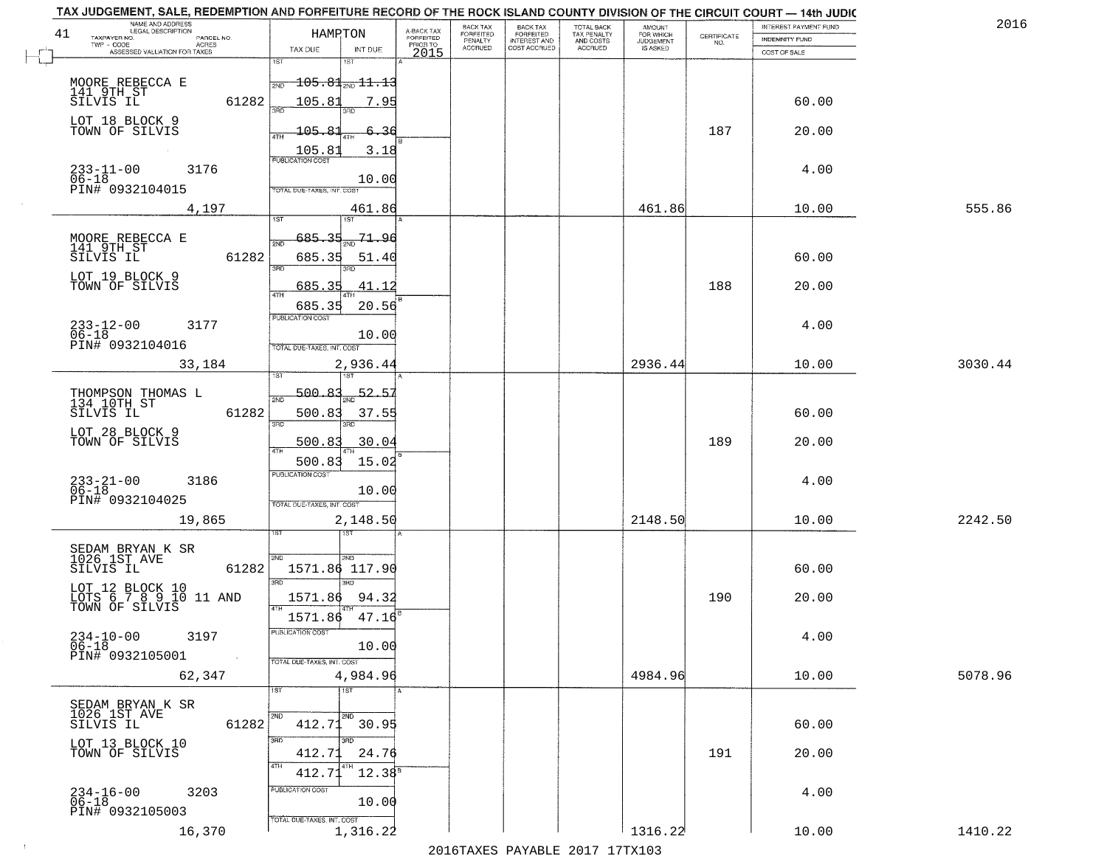| 201     | INTEREST PAYMENT FUND |                                                                 | AMOUNT<br>FOR WHICH | TOTAL BACK<br>TAX PENALTY<br>AND COSTS | <b>BACK TAX</b><br>FORFEITED | BACK TAX             |                                     |                                                       | HAMRTON                        |                     | NAME AND ADDRESS<br>LEGAL DESCRIPTION<br>41   |
|---------|-----------------------|-----------------------------------------------------------------|---------------------|----------------------------------------|------------------------------|----------------------|-------------------------------------|-------------------------------------------------------|--------------------------------|---------------------|-----------------------------------------------|
|         | INDEMNITY FUND        | $\begin{array}{c} \text{CERTIFICATE} \\ \text{NO.} \end{array}$ | <b>JUDGEMENT</b>    |                                        | <b>INTEREST AND</b>          | FORFEITED<br>PENALTY | A-BACK TAX<br>FORFEITED<br>PRIOR TO |                                                       |                                | PARCEL NO.<br>ACRES | TAXPAYER NO.                                  |
|         | COST OF SALE          |                                                                 | IS ASKED            | ACCRUED                                | COST ACCRUED                 | <b>ACCRUED</b>       | 2015                                | INT DUE                                               | TAX DUE                        |                     | ASSESSED VALUATION FOR TAXES                  |
|         |                       |                                                                 |                     |                                        |                              |                      |                                     |                                                       | 1ST                            |                     |                                               |
|         |                       |                                                                 |                     |                                        |                              |                      |                                     | $\overline{105.81}$ <sub>2ND</sub> $\overline{11.13}$ | 2ND                            |                     | MOORE REBECCA E                               |
|         | 60.00                 |                                                                 |                     |                                        |                              |                      |                                     | 7.95                                                  | 105.83                         | 61282               | 141 9TH ST<br>SILVIS IL                       |
|         |                       |                                                                 |                     |                                        |                              |                      |                                     |                                                       |                                |                     |                                               |
|         | 20.00                 | 187                                                             |                     |                                        |                              |                      |                                     | 6.36                                                  | 105.81                         |                     | LOT 18 BLOCK 9<br>TOWN OF SILVIS              |
|         |                       |                                                                 |                     |                                        |                              |                      |                                     | 3.18                                                  |                                |                     |                                               |
|         |                       |                                                                 |                     |                                        |                              |                      |                                     |                                                       | $\frac{105.81}{FUBUCATONCCST}$ |                     |                                               |
|         | 4.00                  |                                                                 |                     |                                        |                              |                      |                                     | 10.00                                                 |                                |                     | $233 - 11 - 00$<br>3176<br>$06 - 18$          |
|         |                       |                                                                 |                     |                                        |                              |                      |                                     |                                                       | TOTAL DUE-TAXES, INT. COST     |                     | PIN# 0932104015                               |
| 555.86  | 10.00                 |                                                                 | 461.86              |                                        |                              |                      |                                     | 461.86                                                |                                | 4,197               |                                               |
|         |                       |                                                                 |                     |                                        |                              |                      |                                     | ist                                                   |                                |                     |                                               |
|         |                       |                                                                 |                     |                                        |                              |                      |                                     | 71.96                                                 | $685 -$<br>-35                 |                     |                                               |
|         |                       |                                                                 |                     |                                        |                              |                      |                                     |                                                       | $\overline{2ND}$               |                     | MOORE REBECCA E<br>141 9TH ST<br>SILVIS IL    |
|         | 60.00                 |                                                                 |                     |                                        |                              |                      |                                     | 51.40<br>חוז                                          | 685.35<br>त्रहा                | 61282               |                                               |
|         |                       |                                                                 |                     |                                        |                              |                      |                                     |                                                       |                                |                     | LOT 19 BLOCK 9                                |
|         | 20.00                 | 188                                                             |                     |                                        |                              |                      |                                     | 41.12                                                 | 685.35<br>47H                  |                     | TOWN OF SILVIS                                |
|         |                       |                                                                 |                     |                                        |                              |                      |                                     | 20.56                                                 | 685.35                         |                     |                                               |
|         | 4.00                  |                                                                 |                     |                                        |                              |                      |                                     |                                                       | PUBLICATION COST               |                     | $233 - 12 - 00$<br>3177                       |
|         |                       |                                                                 |                     |                                        |                              |                      |                                     | 10.00                                                 |                                |                     | $06 - 18$<br>PIN# 0932104016                  |
|         |                       |                                                                 |                     |                                        |                              |                      |                                     |                                                       | TOTAL DUE-TAXES, INT. COST     |                     |                                               |
| 3030.44 | 10.00                 |                                                                 | 2936.44             |                                        |                              |                      |                                     | 2,936.44<br>1ST                                       | 1ST                            |                     | 33,184                                        |
|         |                       |                                                                 |                     |                                        |                              |                      |                                     |                                                       |                                |                     |                                               |
|         |                       |                                                                 |                     |                                        |                              |                      |                                     | 52.5                                                  | 500.83<br>2ND                  |                     | THOMPSON THOMAS L<br>134 10TH ST              |
|         | 60.00                 |                                                                 |                     |                                        |                              |                      |                                     | 37.55                                                 | 500.83                         | 61282               | SILVIS IL                                     |
|         |                       |                                                                 |                     |                                        |                              |                      |                                     | 3RD                                                   | 3RD                            |                     |                                               |
|         | 20.00                 | 189                                                             |                     |                                        |                              |                      |                                     | 30.04                                                 | <u>500.83</u>                  |                     | LOT 28 BLOCK 9<br>TOWN OF SILVIS              |
|         |                       |                                                                 |                     |                                        |                              |                      |                                     | 15.02                                                 | 500.83                         |                     |                                               |
|         |                       |                                                                 |                     |                                        |                              |                      |                                     |                                                       | <b>PUBLICATION COST</b>        |                     |                                               |
|         | 4.00                  |                                                                 |                     |                                        |                              |                      |                                     | 10.00                                                 |                                |                     | $233 - 21 - 00$<br>06-18<br>3186              |
|         |                       |                                                                 |                     |                                        |                              |                      |                                     |                                                       | TOTAL OUE-TAXES, INT. COST     |                     | PIN# 0932104025                               |
| 2242.50 | 10.00                 |                                                                 | 2148.50             |                                        |                              |                      |                                     | 2,148.50                                              |                                |                     | 19,865                                        |
|         |                       |                                                                 |                     |                                        |                              |                      |                                     | इड                                                    |                                |                     |                                               |
|         |                       |                                                                 |                     |                                        |                              |                      |                                     |                                                       |                                |                     | SEDAM BRYAN K SR<br>1026 1ST AVE              |
|         | 60.00                 |                                                                 |                     |                                        |                              |                      |                                     | 2ND<br>1571.86 117.90                                 | 2ND                            | 61282               | SILVIS IL                                     |
|         |                       |                                                                 |                     |                                        |                              |                      |                                     | $\overline{3BD}$                                      | 3RD                            |                     |                                               |
|         | 20.00                 | 190                                                             |                     |                                        |                              |                      |                                     | 94.32                                                 | 1571.86                        |                     | LOT 12 BLOCK 10<br>LOTS 6 7 8 9 10 11 AND     |
|         |                       |                                                                 |                     |                                        |                              |                      |                                     |                                                       | 4TH                            |                     | TOWN OF SILVIS                                |
|         |                       |                                                                 |                     |                                        |                              |                      |                                     | 47.16                                                 | 1571.86                        |                     |                                               |
|         | 4.00                  |                                                                 |                     |                                        |                              |                      |                                     |                                                       | PUBLICA HUN CUS                |                     | $234-10-00$<br>06-18<br>3197                  |
|         |                       |                                                                 |                     |                                        |                              |                      |                                     | 10.00                                                 |                                | $\sim 100$          | PIN# 0932105001                               |
|         |                       |                                                                 |                     |                                        |                              |                      |                                     | 4,984.96                                              | TOTAL DUE-TAXES, INT. COST     |                     |                                               |
| 5078.96 | 10.00                 |                                                                 | 4984.96             |                                        |                              |                      |                                     | 1ST                                                   |                                |                     | 62,347                                        |
|         |                       |                                                                 |                     |                                        |                              |                      |                                     |                                                       |                                |                     |                                               |
|         |                       |                                                                 |                     |                                        |                              |                      |                                     | 2ND                                                   |                                |                     | SEDAM BRYAN K SR<br>1026 1ST AVE<br>SILVIS IL |
|         | 60.00                 |                                                                 |                     |                                        |                              |                      |                                     | $412.71$ 30.95                                        |                                | 61282               |                                               |
|         |                       |                                                                 |                     |                                        |                              |                      |                                     |                                                       | 3RD                            |                     | LOT 13 BLOCK 10<br>TOWN OF SILVIS             |
|         | 20.00                 | 191                                                             |                     |                                        |                              |                      |                                     | 24.76                                                 | 412.7                          |                     |                                               |
|         |                       |                                                                 |                     |                                        |                              |                      |                                     | $12.38^{5}$                                           | 4TH<br>412.71                  |                     |                                               |
|         | 4.00                  |                                                                 |                     |                                        |                              |                      |                                     |                                                       | PUBLICATION COST               |                     | 3203                                          |
|         |                       |                                                                 |                     |                                        |                              |                      |                                     | 10.00                                                 |                                |                     | $234-16-00$<br>06-18                          |
|         |                       |                                                                 |                     |                                        |                              |                      |                                     |                                                       |                                |                     | PIN# 0932105003                               |
|         |                       |                                                                 |                     |                                        |                              |                      |                                     | 1,316.22                                              | TOTAL DUE-TAXES, INT. COST     |                     | 16,370                                        |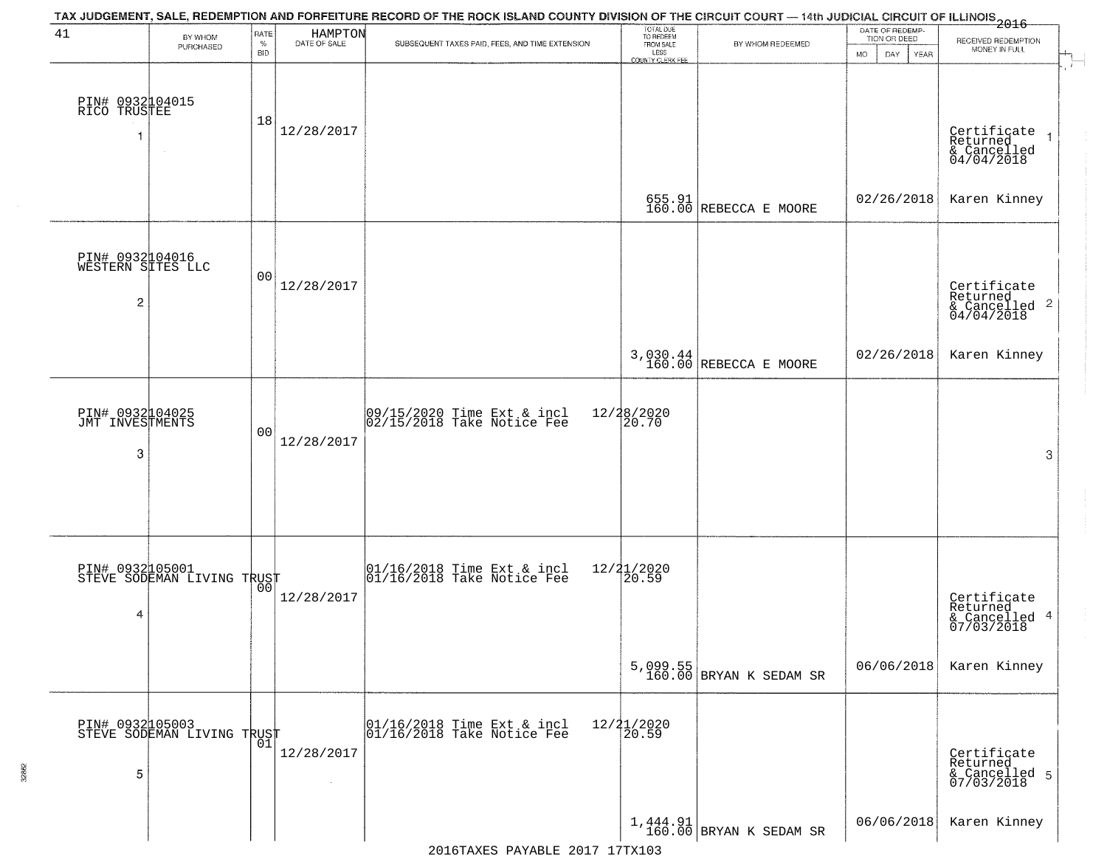| 41                                        | BY WHOM<br>PURCHASED                              | RATE<br>$\%$<br><b>BID</b> | HAMPTON<br>DATE OF SALE                   | TAX JUDGEMENT, SALE, REDEMPTION AND FORFEITURE RECORD OF THE ROCK ISLAND COUNTY DIVISION OF THE CIRCUIT COURT — 14th JUDICIAL CIRCUIT OF ILLINOIS 2016<br>SUBSEQUENT TAXES PAID, FEES, AND TIME EXTENSION | TOTAL DUE<br>TO REDEEM<br>FROM SALE<br>LESS | BY WHOM REDEEMED                    | DATE OF REDEMP-<br>TION OR DEED | RECEIVED REDEMPTION<br>MONEY IN FULL                         |
|-------------------------------------------|---------------------------------------------------|----------------------------|-------------------------------------------|-----------------------------------------------------------------------------------------------------------------------------------------------------------------------------------------------------------|---------------------------------------------|-------------------------------------|---------------------------------|--------------------------------------------------------------|
| PIN# 0932104015<br>RICO TRUSTEE<br>1      | $\sim$                                            | 18                         | 12/28/2017                                |                                                                                                                                                                                                           | <b>COUNTY CLERK FEE</b>                     |                                     | MO.<br>DAY.<br>YEAR             | Certificate<br>Returned<br>$& \text{Cancelled} \ 04/04/2018$ |
|                                           |                                                   |                            |                                           |                                                                                                                                                                                                           |                                             | 655.91<br>160.00 REBECCA E MOORE    | 02/26/2018                      | Karen Kinney                                                 |
| PIN# 0932104016<br>WESTERN SITES LLC<br>2 |                                                   | 0 <sub>0</sub>             | 12/28/2017                                |                                                                                                                                                                                                           |                                             |                                     |                                 | Certificate<br>Returned<br>& Cancelled 2<br>04/04/2018       |
|                                           |                                                   |                            |                                           |                                                                                                                                                                                                           |                                             | 3,030.44<br>160.00 REBECCA E MOORE  | 02/26/2018                      | Karen Kinney                                                 |
| PIN# 0932104025<br>JMT INVESTMENTS<br>3   |                                                   | 0 <sub>0</sub>             | 12/28/2017                                | 09/15/2020 Time Ext & incl<br>02/15/2018 Take Notice Fee                                                                                                                                                  | 12/28/2020<br>20.70                         |                                     |                                 | 3                                                            |
| 4                                         | PIN# 0932105001<br>STEVE SODEMAN LIVING TRUST     |                            | 12/28/2017                                | $[01/16/2018$ Time Ext & incl<br>$[01/16/2018$ Take Notice Fee                                                                                                                                            | 12/21/2020<br>⊺20.59                        |                                     |                                 | Certificate<br>Returned<br>& Cancelled 4<br>07/03/2018       |
|                                           |                                                   |                            |                                           |                                                                                                                                                                                                           |                                             | 5,099.55<br>160.00 BRYAN K SEDAM SR | 06/06/2018                      | Karen Kinney                                                 |
| 5                                         | PIN# 0932105003    <br>STEVE SODEMAN LIVING TRUST | 01                         | 12/28/2017<br>$\mathcal{L}_{\mathcal{A}}$ | 01/16/2018 Time Ext & incl<br>01/16/2018 Take Notice Fee                                                                                                                                                  | 12/21/2020<br>20.59                         |                                     |                                 | Certificate<br>Returned<br>& Cancelled 5<br>07/03/2018       |
|                                           |                                                   |                            |                                           |                                                                                                                                                                                                           |                                             | $1,444.91$ BRYAN K SEDAM SR         | 06/06/2018                      | Karen Kinney                                                 |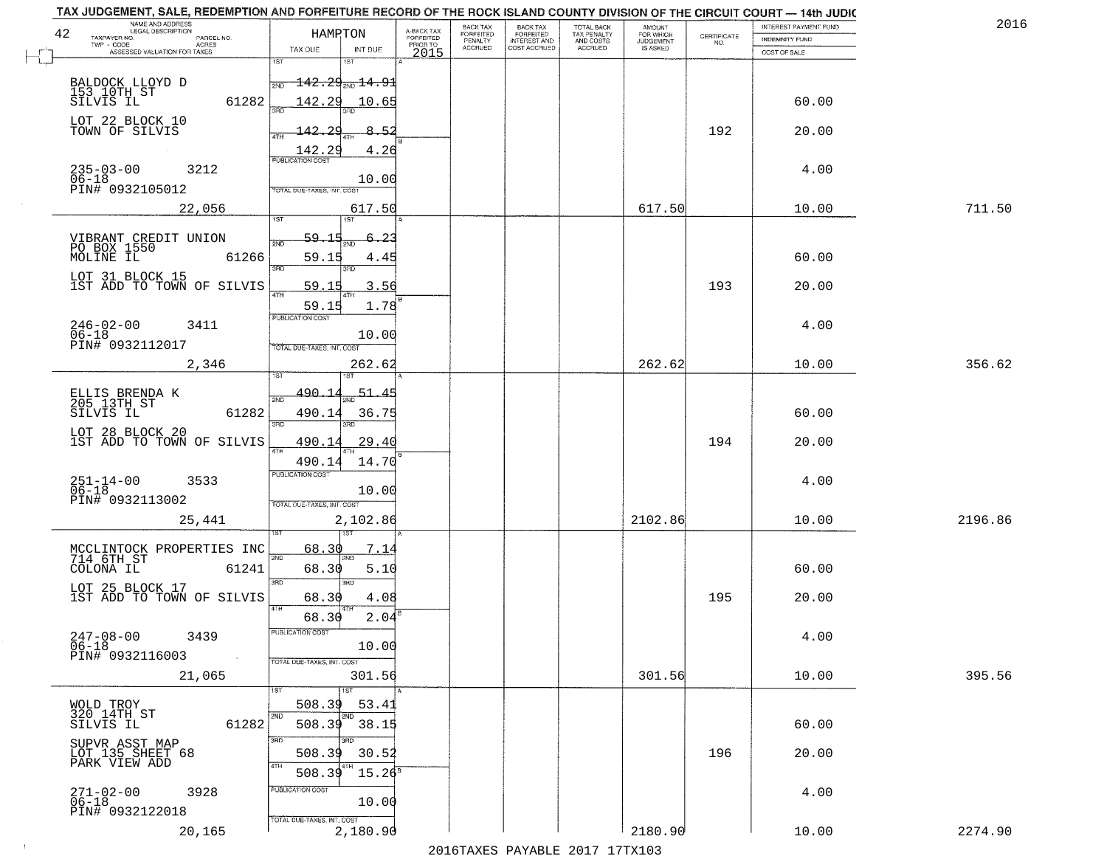| TAX JUDGEMENT, SALE, REDEMPTION AND FORFEITURE RECORD OF THE ROCK ISLAND COUNTY DIVISION OF THE CIRCUIT COURT - 14th JUDIC<br>NAME AND ADDRESS<br>LEGAL DESCRIPTION |                                          |                                     | BACK TAX             | BACK TAX<br>FORFEITED |                                        | AMOUNT<br>FOR WHICH |                                                                 | INTEREST PAYMENT FUND | 201     |
|---------------------------------------------------------------------------------------------------------------------------------------------------------------------|------------------------------------------|-------------------------------------|----------------------|-----------------------|----------------------------------------|---------------------|-----------------------------------------------------------------|-----------------------|---------|
| 42<br>TAXPAYER NO.<br>PARCEL NO.                                                                                                                                    | HAMPTON                                  | A-BACK TAX<br>FORFEITED<br>PRIOR TO | FORFEITED<br>PENALTY | <b>INTEREST AND</b>   | TOTAL BACK<br>TAX PENALTY<br>AND COSTS | <b>JUDGEMENT</b>    | $\begin{array}{c} \text{CERTIFICATE} \\ \text{NO.} \end{array}$ | INDEMNITY FUND        |         |
| TWP - CODE<br>ACRES<br>ASSESSED VALUATION FOR TAXES                                                                                                                 | TAX DUE<br>INT DUE                       | 2015                                | <b>ACCRUED</b>       | COST ACCRUED          | ACCRUED                                | <b>IS ASKED</b>     |                                                                 | COST OF SALE          |         |
|                                                                                                                                                                     | 1ST<br>18T                               |                                     |                      |                       |                                        |                     |                                                                 |                       |         |
| BALDOCK LLOYD D<br>153_10TH_ST                                                                                                                                      | $142.29_{\color{red}200}$ $14.91$<br>2ND |                                     |                      |                       |                                        |                     |                                                                 |                       |         |
| 61282<br>SILVIS IL                                                                                                                                                  | 142.29<br>10.65                          |                                     |                      |                       |                                        |                     |                                                                 | 60.00                 |         |
| LOT 22 BLOCK 10                                                                                                                                                     |                                          |                                     |                      |                       |                                        |                     |                                                                 |                       |         |
| TOWN OF SILVIS                                                                                                                                                      | 8.52<br>142.29                           |                                     |                      |                       |                                        |                     | 192                                                             | 20.00                 |         |
|                                                                                                                                                                     | 142.29<br>4.26                           |                                     |                      |                       |                                        |                     |                                                                 |                       |         |
| 3212                                                                                                                                                                | <b>PUBLICATION COST</b>                  |                                     |                      |                       |                                        |                     |                                                                 | 4.00                  |         |
| $235 - 03 - 00$<br>06-18                                                                                                                                            | 10.00                                    |                                     |                      |                       |                                        |                     |                                                                 |                       |         |
| PIN# 0932105012                                                                                                                                                     | TOTAL DUE-TAXES, INT. COST               |                                     |                      |                       |                                        |                     |                                                                 |                       |         |
| 22,056                                                                                                                                                              | 617.50<br>1ST                            |                                     |                      |                       |                                        | 617.50              |                                                                 | 10.00                 | 711.50  |
|                                                                                                                                                                     |                                          |                                     |                      |                       |                                        |                     |                                                                 |                       |         |
| VIBRANT CREDIT UNION<br>PO BOX 1550                                                                                                                                 | 59.15<br>-23<br>2ND                      |                                     |                      |                       |                                        |                     |                                                                 |                       |         |
| MOLINE IL<br>61266                                                                                                                                                  | 59.15<br>4.45<br>3RD<br>3RD              |                                     |                      |                       |                                        |                     |                                                                 | 60.00                 |         |
| LOT 31 BLOCK 15                                                                                                                                                     |                                          |                                     |                      |                       |                                        |                     |                                                                 |                       |         |
| 1ST ADD TO TOWN OF SILVIS                                                                                                                                           | 3.56<br>59.15<br><b>ATH</b>              |                                     |                      |                       |                                        |                     | 193                                                             | 20.00                 |         |
|                                                                                                                                                                     | 1.78<br>59.15<br>PUBLICATION COST        |                                     |                      |                       |                                        |                     |                                                                 |                       |         |
| $246 - 02 - 00$<br>3411                                                                                                                                             |                                          |                                     |                      |                       |                                        |                     |                                                                 | 4.00                  |         |
| $06 - 18$<br>PIN# 0932112017                                                                                                                                        | 10.00<br>TOTAL DUE-TAXES, INT. COST      |                                     |                      |                       |                                        |                     |                                                                 |                       |         |
| 2,346                                                                                                                                                               | 262.62                                   |                                     |                      |                       |                                        | 262.62              |                                                                 | 10.00                 | 356.62  |
|                                                                                                                                                                     | <b>ST</b>                                |                                     |                      |                       |                                        |                     |                                                                 |                       |         |
| ELLIS BRENDA K<br>205 13TH ST                                                                                                                                       | <u>490.14</u><br>51.<br>2ND              |                                     |                      |                       |                                        |                     |                                                                 |                       |         |
| SILVIS IL<br>61282                                                                                                                                                  | 490.14<br>36.75                          |                                     |                      |                       |                                        |                     |                                                                 | 60.00                 |         |
| LOT 28 BLOCK 20                                                                                                                                                     | 3BD<br>3RD                               |                                     |                      |                       |                                        |                     |                                                                 |                       |         |
| 1ST ADD TO TOWN OF SILVIS                                                                                                                                           | 490.14<br>29.40<br>ATH                   |                                     |                      |                       |                                        |                     | 194                                                             | 20.00                 |         |
|                                                                                                                                                                     | 14.70<br>490.14                          |                                     |                      |                       |                                        |                     |                                                                 |                       |         |
| $251 - 14 - 00$<br>06-18<br>3533                                                                                                                                    | <b>PUBLICATION COST</b>                  |                                     |                      |                       |                                        |                     |                                                                 | 4.00                  |         |
| PIN# 0932113002                                                                                                                                                     | 10.00                                    |                                     |                      |                       |                                        |                     |                                                                 |                       |         |
|                                                                                                                                                                     | TOTAL OUE-TAXES, INT. COST               |                                     |                      |                       |                                        |                     |                                                                 |                       |         |
| 25,441                                                                                                                                                              | 2,102.86                                 |                                     |                      |                       |                                        | 2102.86             |                                                                 | 10.00                 | 2196.86 |
|                                                                                                                                                                     | 68.30<br>7.14                            |                                     |                      |                       |                                        |                     |                                                                 |                       |         |
| MCCLINTOCK PROPERTIES INC<br>714 6TH_ST                                                                                                                             |                                          |                                     |                      |                       |                                        |                     |                                                                 |                       |         |
| COLONA IL<br>61241                                                                                                                                                  | 68.30<br>5.10<br>3RD<br>3BD              |                                     |                      |                       |                                        |                     |                                                                 | 60.00                 |         |
| LOT 25 BLOCK 17<br>1ST ADD TO TOWN OF SILVIS                                                                                                                        | 4.08<br>68.30                            |                                     |                      |                       |                                        |                     | 195                                                             | 20.00                 |         |
|                                                                                                                                                                     | 2.04<br>68.30                            |                                     |                      |                       |                                        |                     |                                                                 |                       |         |
|                                                                                                                                                                     | PUBLICA HUN COS                          |                                     |                      |                       |                                        |                     |                                                                 |                       |         |
| $247 - 08 - 00$<br>06-18<br>3439                                                                                                                                    | 10.00                                    |                                     |                      |                       |                                        |                     |                                                                 | 4.00                  |         |
| PIN# 0932116003<br>$\sim$                                                                                                                                           | TOTAL DUE-TAXES, INT. COST               |                                     |                      |                       |                                        |                     |                                                                 |                       |         |
| 21,065                                                                                                                                                              | 301.56                                   |                                     |                      |                       |                                        | 301.56              |                                                                 | 10.00                 | 395.56  |
|                                                                                                                                                                     | ١S٦                                      |                                     |                      |                       |                                        |                     |                                                                 |                       |         |
| WOLD TROY<br>320 14TH ST                                                                                                                                            | 508.39<br>53.41                          |                                     |                      |                       |                                        |                     |                                                                 |                       |         |
| 61282<br>SILVIS IL                                                                                                                                                  | 508.39<br>38.15                          |                                     |                      |                       |                                        |                     |                                                                 | 60.00                 |         |
| SUPVR ASST MAP<br>LOT 135 SHEET 68                                                                                                                                  | 3RD                                      |                                     |                      |                       |                                        |                     |                                                                 |                       |         |
| PARK VIEW ADD                                                                                                                                                       | 508.39<br>30.52                          |                                     |                      |                       |                                        |                     | 196                                                             | 20.00                 |         |
|                                                                                                                                                                     | 508.39<br>$15.26^8$                      |                                     |                      |                       |                                        |                     |                                                                 |                       |         |
| 271-02-00<br>06-18<br>3928                                                                                                                                          | PUBLICATION COST                         |                                     |                      |                       |                                        |                     |                                                                 | 4.00                  |         |
| PIN# 0932122018                                                                                                                                                     | 10.00                                    |                                     |                      |                       |                                        |                     |                                                                 |                       |         |
| 20,165                                                                                                                                                              | TOTAL DUE-TAXES, INT. COST<br>2,180.90   |                                     |                      |                       |                                        | 2180.90             |                                                                 | 10.00                 | 2274.90 |
|                                                                                                                                                                     |                                          |                                     |                      |                       |                                        |                     |                                                                 |                       |         |

 $\sim 10^{-1}$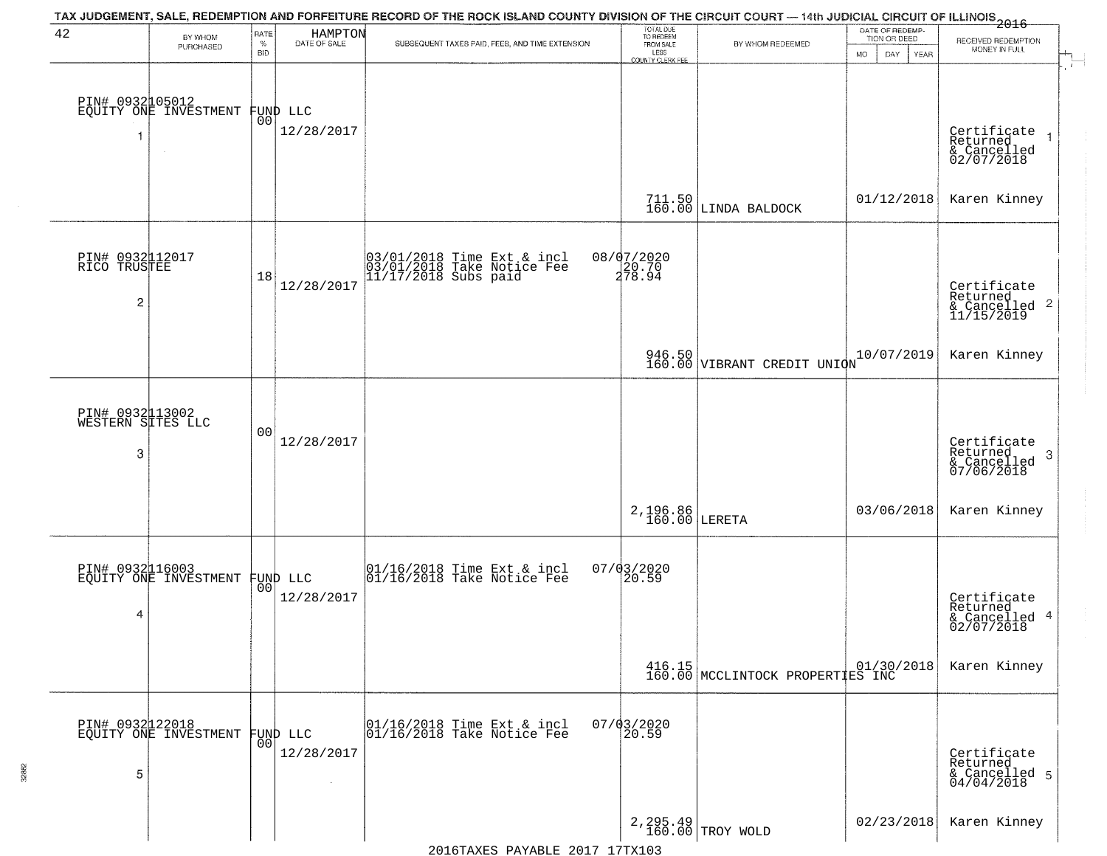| 42                                        | BY WHOM<br>PURCHASED                               | RATE<br>$\%$<br>BID | HAMPTON<br>DATE OF SALE        | TAX JUDGEMENT, SALE, REDEMPTION AND FORFEITURE RECORD OF THE ROCK ISLAND COUNTY DIVISION OF THE CIRCUIT COURT — 14th JUDICIAL CIRCUIT OF ILLINOIS 2016<br>SUBSEQUENT TAXES PAID, FEES, AND TIME EXTENSION | TOTAL DUE<br>TO REDEEM<br>FROM SALE<br>LESS<br>COUNTY CLERK FEE | BY WHOM REDEEMED                                                                         | DATE OF REDEMP-<br>TION OR DEED<br><b>MO</b><br>DAY<br>YEAR | RECEIVED REDEMPTION<br>MONEY IN FULL                       |
|-------------------------------------------|----------------------------------------------------|---------------------|--------------------------------|-----------------------------------------------------------------------------------------------------------------------------------------------------------------------------------------------------------|-----------------------------------------------------------------|------------------------------------------------------------------------------------------|-------------------------------------------------------------|------------------------------------------------------------|
|                                           | PIN# 0932105012<br>EQUITY ONE INVESTMENT<br>$\sim$ | 00                  | FUND LLC<br>12/28/2017         |                                                                                                                                                                                                           |                                                                 |                                                                                          |                                                             | Certificate<br>Returned<br>& Cancelled<br>02/07/2018       |
|                                           |                                                    |                     |                                |                                                                                                                                                                                                           | $711.50$<br>$160.00$                                            | LINDA BALDOCK                                                                            | 01/12/2018                                                  | Karen Kinney                                               |
| PIN# 0932112017<br>RICO TRUSTEE<br>2      |                                                    | 18                  | 12/28/2017                     | 03/01/2018 Time Ext & incl<br>03/01/2018 Take Notice Fee<br>11/17/2018 Subs paid                                                                                                                          | 08/07/2020<br>20.70<br>278.94                                   |                                                                                          |                                                             | Certificate<br>Returned<br>& Cancelled 2<br>11/15/2019     |
|                                           |                                                    |                     |                                |                                                                                                                                                                                                           |                                                                 | 946.50<br>160.00 VIBRANT CREDIT UNION                                                    | 10/07/2019                                                  | Karen Kinney                                               |
| PIN# 0932113002<br>WESTERN SITES LLC<br>3 |                                                    | 0 <sub>0</sub>      | 12/28/2017                     |                                                                                                                                                                                                           |                                                                 |                                                                                          |                                                             | Certificate<br>Returned<br>-3<br>& Cancelled<br>07/06/2018 |
|                                           |                                                    |                     |                                |                                                                                                                                                                                                           | 2,196.86<br>160.00                                              | LERETA                                                                                   | 03/06/2018                                                  | Karen Kinney                                               |
| PIN# 0932116003<br>4                      | EQUITY ONE INVESTMENT                              |                     | FUND LLC<br> 00 <br>12/28/2017 | $\begin{array}{c} 01/16/2018 \\ 01/16/2018 \\ \end{array}$ Take Notice Fee                                                                                                                                | $07/03/2020$<br>20.59                                           |                                                                                          |                                                             | Certificate<br>Returned<br>& Cancelled 4<br>02/07/2018     |
|                                           |                                                    |                     |                                |                                                                                                                                                                                                           |                                                                 | $\left  \begin{array}{c} 416.15 \\ 160.00 \end{array} \right $ MCCLINTOCK PROPERTIES INC |                                                             | Karen Kinney                                               |
| 5                                         | PIN# 0932122018<br>EQUITY ONE INVESTMENT           | 00                  | FUND LLC<br>12/28/2017         | 01/16/2018 Time Ext & incl<br>01/16/2018 Take Notice Fee                                                                                                                                                  | $07/03/2020$<br>20.59                                           |                                                                                          |                                                             | Certificate<br>Returned<br>& Cancelled 5<br>04/04/2018     |
|                                           |                                                    |                     |                                |                                                                                                                                                                                                           |                                                                 | $2,295.49$ TROY WOLD                                                                     | 02/23/2018                                                  | Karen Kinney                                               |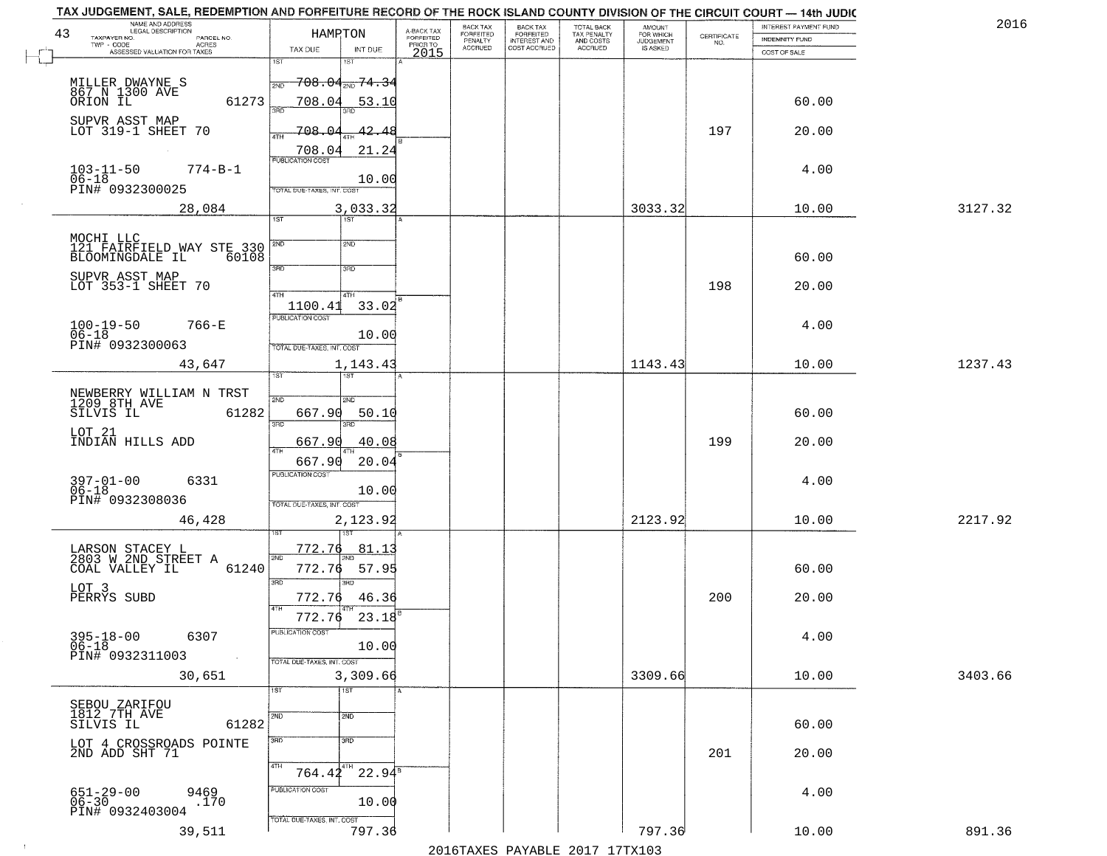| NAME AND ADDRESS<br>LEGAL DESCRIPTION<br>43            | HAMRTON                                          | A-BACK TAX<br>FORFEITED | BACK TAX<br>FORFEITED | BACK TAX<br>FORFEITED        | TOTAL BACK<br>TAX PENALTY | <b>AMOUNT</b>                      |                    | INTEREST PAYMENT FUND | 2016    |
|--------------------------------------------------------|--------------------------------------------------|-------------------------|-----------------------|------------------------------|---------------------------|------------------------------------|--------------------|-----------------------|---------|
| TAXPAYER NO.<br>PARCEL NO.<br>TWP - CODE<br>ACRES      |                                                  | PRIOR TO                | PENALTY<br>ACCRUED    | INTEREST AND<br>COST ACCRUED | AND COSTS<br>ACCRUED      | FOR WHICH<br>JUDGEMENT<br>IS ASKED | CERTIFICATE<br>NO. | <b>INDEMNITY FUND</b> |         |
| ASSESSED VALUATION FOR TAXES                           | TAX DUE<br>INT DUE<br>1ST<br>1ST                 | 2015                    |                       |                              |                           |                                    |                    | COST OF SALE          |         |
|                                                        | <del>708.04<sub>2ND</sub> 74.3</del> 4<br>2ND    |                         |                       |                              |                           |                                    |                    |                       |         |
| MILLER DWAYNE S<br>867 N 1300 AVE<br>ORION IL<br>61273 | 708.04<br>53.10                                  |                         |                       |                              |                           |                                    |                    | 60.00                 |         |
| SUPVR ASST MAP<br>LOT 319-1 SHEET 70                   | 3AD<br>708.04<br>42.48                           |                         |                       |                              |                           |                                    | 197                | 20.00                 |         |
|                                                        | 4TH<br>708.04<br>21.24                           |                         |                       |                              |                           |                                    |                    |                       |         |
| $103 - 11 - 50$<br>$774 - B - 1$                       | <b>PUBLICATION COST</b>                          |                         |                       |                              |                           |                                    |                    | 4.00                  |         |
| $06 - 18$<br>PIN# 0932300025                           | 10.00<br>TOTAL DUE-TAXES, INT. COST              |                         |                       |                              |                           |                                    |                    |                       |         |
| 28,084                                                 | 3,033.32<br>$\overline{1ST}$<br>$\overline{1ST}$ |                         |                       |                              |                           | 3033.32                            |                    | 10.00                 | 3127.32 |
| MOCHI LLC<br>121 FAIRFIELD WAY STE 330                 | 2ND<br>2ND                                       |                         |                       |                              |                           |                                    |                    |                       |         |
| BLOOMINGDALE IL<br>60108                               |                                                  |                         |                       |                              |                           |                                    |                    | 60.00                 |         |
| SUPVR ASST MAP<br>LOT 353-1 SHEET 70                   | 3RD<br>3RD                                       |                         |                       |                              |                           |                                    | 198                | 20.00                 |         |
|                                                        | $\sqrt{4}$ TH<br>4TH<br>1100.41<br>33.02         |                         |                       |                              |                           |                                    |                    |                       |         |
| $100-19-50$<br>$06-18$<br>766-E                        | PUBLICATION COST                                 |                         |                       |                              |                           |                                    |                    | 4.00                  |         |
| PIN# 0932300063                                        | 10.00<br>TOTAL DUE-TAXES, INT. COST              |                         |                       |                              |                           |                                    |                    |                       |         |
| 43,647                                                 | 1,143.43<br>1ST                                  |                         |                       |                              |                           | 1143.43                            |                    | 10.00                 | 1237.43 |
| NEWBERRY WILLIAM N TRST<br>1209 8TH AVE                | 2ND<br>2ND                                       |                         |                       |                              |                           |                                    |                    |                       |         |
| SILVIS IL<br>61282                                     | 667.90<br>50.10<br>3RD<br>3RD                    |                         |                       |                              |                           |                                    |                    | 60.00                 |         |
| LOT 21<br>INDIAN HILLS ADD                             | 40.08<br>667.90                                  |                         |                       |                              |                           |                                    | 199                | 20.00                 |         |
|                                                        | 4TH<br>667.90<br>20.04                           |                         |                       |                              |                           |                                    |                    |                       |         |
| 397-01-00<br>06-18<br>6331                             | <b>PUBLICATION COST</b><br>10.00                 |                         |                       |                              |                           |                                    |                    | 4.00                  |         |
| PIN# 0932308036                                        | TOTAL OUE-TAXES, INT. COST                       |                         |                       |                              |                           |                                    |                    |                       |         |
| 46,428                                                 | 2,123.92                                         |                         |                       |                              |                           | 2123.92                            |                    | 10.00                 | 2217.92 |
| LARSON STACEY L<br>2803 W 2ND STREET A                 | 772.76<br><u>81.13</u><br>2ND                    |                         |                       |                              |                           |                                    |                    |                       |         |
| COAL VALLEY IL<br>61240                                | 772.76<br>57.95                                  |                         |                       |                              |                           |                                    |                    | 60.00                 |         |
| LOT 3<br>PERRYS SUBD                                   | 3 <sub>BD</sub><br>3RD<br>772.76<br>46.36        |                         |                       |                              |                           |                                    | 200                | 20.00                 |         |
|                                                        | 23.18<br>772.76                                  |                         |                       |                              |                           |                                    |                    |                       |         |
| $395 - 18 - 00$<br>06-18<br>6307                       | PUBLICATION COST<br>10.00                        |                         |                       |                              |                           |                                    |                    | 4.00                  |         |
| PIN# 0932311003<br>$\sim 100$                          | TOTAL DUE-TAXES, INT. COST                       |                         |                       |                              |                           |                                    |                    |                       |         |
| 30,651                                                 | 3,309.66<br>1ST<br>1ST                           |                         |                       |                              |                           | 3309.66                            |                    | 10.00                 | 3403.66 |
| SEBOU ZARIFOU<br>1812 7TH AVE                          | 2ND<br>2ND                                       |                         |                       |                              |                           |                                    |                    |                       |         |
| 61282<br>SILVIS IL                                     |                                                  |                         |                       |                              |                           |                                    |                    | 60.00                 |         |
| LOT 4 CROSSROADS POINTE<br>2ND ADD SHT 71              | 3BD<br>3 <sub>RD</sub>                           |                         |                       |                              |                           |                                    | 201                | 20.00                 |         |
|                                                        | 4TH<br>[4TH<br>$22.94^8$<br>764.42               |                         |                       |                              |                           |                                    |                    |                       |         |
| 9469<br>651-29-00<br>06-30<br>.170                     | PUBLICATION COST<br>10.00                        |                         |                       |                              |                           |                                    |                    | 4.00                  |         |
| PIN# 0932403004                                        | TOTAL DUE-TAXES, INT. COST                       |                         |                       |                              |                           |                                    |                    |                       |         |
| 39,511                                                 | 797.36                                           |                         |                       |                              |                           | 797.36                             |                    | 10.00                 | 891.36  |

 $\sim 100$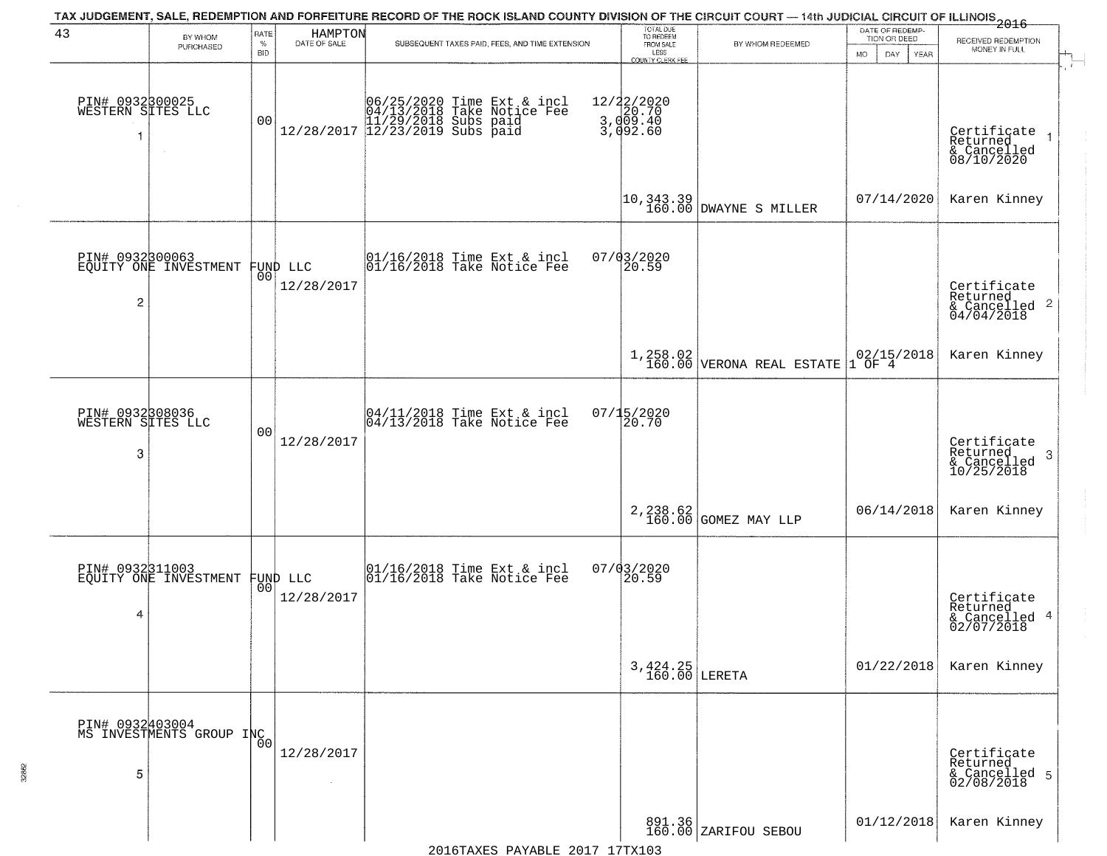| 43                                        | BY WHOM                                     | RATE               | HAMPTON                        | TAX JUDGEMENT, SALE, REDEMPTION AND FORFEITURE RECORD OF THE ROCK ISLAND COUNTY DIVISION OF THE CIRCUIT COURT — 14th JUDICIAL CIRCUIT OF ILLINOIS 2016 | TOTAL DUE<br>TO REDEEM                               |                                                                                  | DATE OF REDEMP-<br>TION OR DEED | RECEIVED REDEMPTION                                       |
|-------------------------------------------|---------------------------------------------|--------------------|--------------------------------|--------------------------------------------------------------------------------------------------------------------------------------------------------|------------------------------------------------------|----------------------------------------------------------------------------------|---------------------------------|-----------------------------------------------------------|
|                                           | PURCHASED                                   | $\%$<br><b>BID</b> | DATE OF SALE                   | SUBSEQUENT TAXES PAID, FEES, AND TIME EXTENSION                                                                                                        | FROM SALE<br>LESS<br><b>COUNTY CLERK FEE</b>         | BY WHOM REDEEMED                                                                 | MO.<br>DAY.<br>YEAR             | MONEY IN FULL                                             |
| PIN# 0932800025<br>WESTERN SITES LLC<br>1 | $\sim$                                      | 00                 |                                | $[06/25/2020 \t\t Time Ext & incl \\ 04/13/2018 \t\t Take Notice Free \\ 11/29/2018 \tSubs paid \\ 12/28/2017 \t\t 12/23/2019 \tSubs paid$             | 12/22/2020<br>3, do - 70<br>3, do - 40<br>3, do - 40 |                                                                                  |                                 | Certificate<br>Returned<br>& Cancelled<br>08/10/2020      |
|                                           |                                             |                    |                                |                                                                                                                                                        |                                                      | $\left  \begin{matrix} 10,343.39 \\ 160.00 \end{matrix} \right $ DWAYNE S MILLER | 07/14/2020                      | Karen Kinney                                              |
| $\overline{c}$                            | PIN# 0932300063<br>EQUITY ONE INVESTMENT    |                    | FUND LLC<br> 00 <br>12/28/2017 | 01/16/2018 Time Ext & incl<br>01/16/2018 Take Notice Fee                                                                                               | $07/03/2020$<br>20.59                                |                                                                                  |                                 | Certificate<br>Returned<br>& Cancelled 2<br>04/04/2018    |
|                                           |                                             |                    |                                |                                                                                                                                                        |                                                      | $1,258.02$<br>160.00 VERONA REAL ESTATE                                          | $02/15/2018$<br>1 OF 4          | Karen Kinney                                              |
| PIN# 0932308036<br>WESTERN SITES LLC<br>3 |                                             | 0 <sub>0</sub>     | 12/28/2017                     | 04/11/2018 Time Ext & incl<br>04/13/2018 Take Notice Fee                                                                                               | $07/15/2020$<br>20.70                                |                                                                                  |                                 | Certificate<br>Returned<br>3<br>& Cancelled<br>10/25/2018 |
|                                           |                                             |                    |                                |                                                                                                                                                        |                                                      | 2, 238.62<br>160.00 GOMEZ MAY LLP                                                | 06/14/2018                      | Karen Kinney                                              |
| 4                                         | PIN# 0932311003<br>EQUITY ONE INVESTMENT    | 00 <sup>1</sup>    | FUND LLC<br>12/28/2017         | 01/16/2018 Time Ext & incl<br>01/16/2018 Take Notice Fee                                                                                               | $07/03/2020$<br>20.59                                |                                                                                  |                                 | Certificate<br>Returned<br>& Cancelled 4<br>02/07/2018    |
|                                           |                                             |                    |                                |                                                                                                                                                        | $3,424.25$ LERETA                                    |                                                                                  | 01/22/2018                      | Karen Kinney                                              |
| 5                                         | PIN# 0932403004<br>MS INVESTMENTS GROUP INC |                    | 12/28/2017                     |                                                                                                                                                        |                                                      |                                                                                  |                                 | Certificate<br>Returned<br>& Cancelled 5<br>02/08/2018    |
|                                           |                                             |                    |                                |                                                                                                                                                        |                                                      | 891.36<br>160.00 ZARIFOU SEBOU                                                   | 01/12/2018                      | Karen Kinney                                              |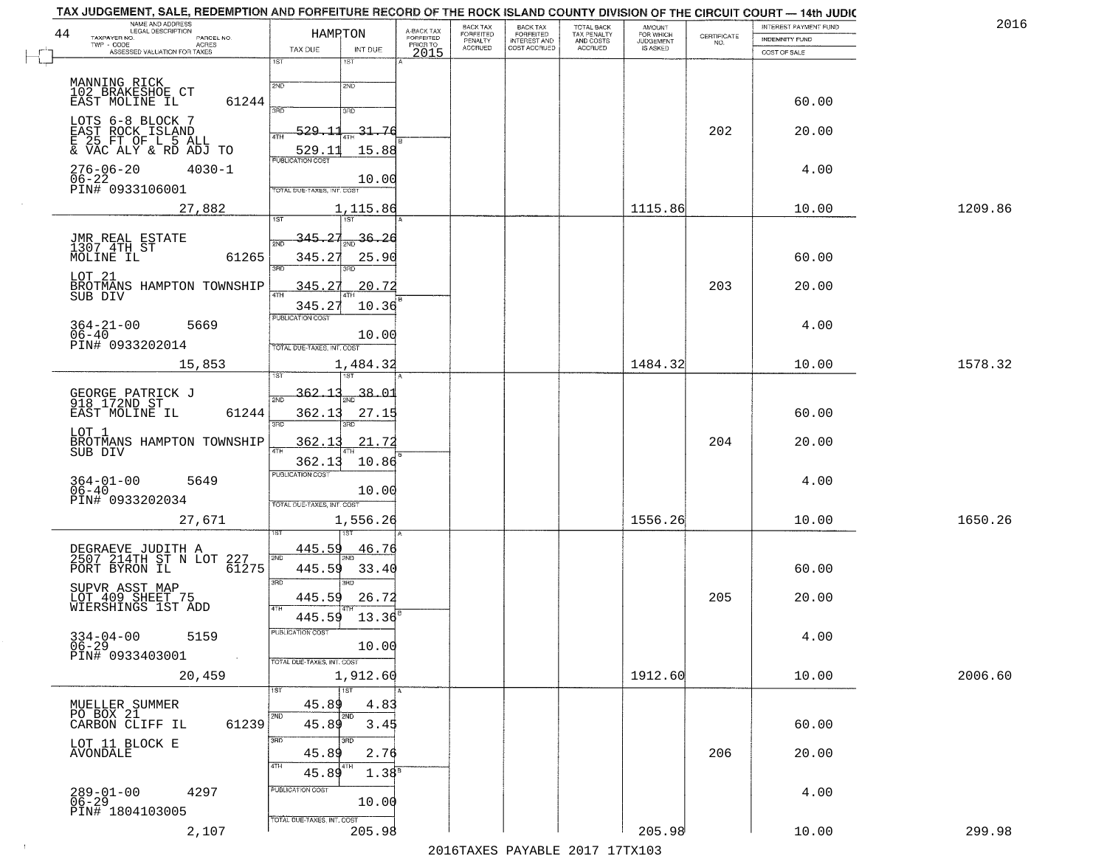|    | TAX JUDGEMENT, SALE, REDEMPTION AND FORFEITURE RECORD OF THE ROCK ISLAND COUNTY DIVISION OF THE CIRCUIT COURT — 14th JUDIC |                            |                       |                                     |                                 |                                                       |                                        |                        |                                                                 |                       |         |
|----|----------------------------------------------------------------------------------------------------------------------------|----------------------------|-----------------------|-------------------------------------|---------------------------------|-------------------------------------------------------|----------------------------------------|------------------------|-----------------------------------------------------------------|-----------------------|---------|
|    | NAME AND ADDRESS<br>LEGAL DESCRIPTION                                                                                      |                            |                       |                                     | BACK TAX                        |                                                       | TOTAL BACK<br>TAX PENALTY<br>AND COSTS | AMOUNT                 |                                                                 | INTEREST PAYMENT FUND | 2016    |
| 44 | TAXPAYER NO.<br>PARCEL NO.<br>$TWP - CODE$                                                                                 |                            | HAMRTON               | A-BACK TAX<br>FORFEITED<br>PRIOR TO | FORFEITED<br>PENALTY<br>ACCRUED | BACK TAX<br>FORFEITED<br>INTEREST AND<br>COST ACCRUED |                                        | FOR WHICH<br>JUDGEMENT | $\begin{array}{c} \text{CERTIFICATE} \\ \text{NO.} \end{array}$ | <b>INDEMNITY FUND</b> |         |
|    | - CODE ASSESSED VALUATION FOR TAXES                                                                                        | TAX DUE                    | INT DUE               | 2015                                |                                 |                                                       | ACCRUED                                | IS ASKED               |                                                                 | COST OF SALE          |         |
|    |                                                                                                                            | $\overline{1ST}$           | 1ST                   |                                     |                                 |                                                       |                                        |                        |                                                                 |                       |         |
|    | MANNING RICK                                                                                                               | 2ND                        | 2ND                   |                                     |                                 |                                                       |                                        |                        |                                                                 |                       |         |
|    | 102 BRAKESHOE CT                                                                                                           |                            |                       |                                     |                                 |                                                       |                                        |                        |                                                                 |                       |         |
|    | 61244<br>EAST MOLINE IL                                                                                                    | 3AD                        | 3RD                   |                                     |                                 |                                                       |                                        |                        |                                                                 | 60.00                 |         |
|    | LOTS 6-8 BLOCK 7                                                                                                           |                            |                       |                                     |                                 |                                                       |                                        |                        |                                                                 |                       |         |
|    | EAST ROCK ISLAND                                                                                                           | $-529$<br>4TH              | 31.76                 |                                     |                                 |                                                       |                                        |                        | 202                                                             | 20.00                 |         |
|    | E 25 FT OF L 5 ALL<br>& VAC ALY & RD ADJ TO                                                                                | 529.1                      | 15.88                 |                                     |                                 |                                                       |                                        |                        |                                                                 |                       |         |
|    |                                                                                                                            | <b>PUBLICATION COST</b>    |                       |                                     |                                 |                                                       |                                        |                        |                                                                 |                       |         |
|    | $276 - 06 - 20$<br>$4030 - 1$                                                                                              |                            |                       |                                     |                                 |                                                       |                                        |                        |                                                                 | 4.00                  |         |
|    | $06-22$ PIN# 0933106001                                                                                                    | TOTAL DUE-TAXES, INT. COST | 10.00                 |                                     |                                 |                                                       |                                        |                        |                                                                 |                       |         |
|    |                                                                                                                            |                            |                       |                                     |                                 |                                                       |                                        |                        |                                                                 |                       |         |
|    | 27,882                                                                                                                     |                            | 1,115.86              |                                     |                                 |                                                       |                                        | 1115.86                |                                                                 | 10.00                 | 1209.86 |
|    |                                                                                                                            | 1ST                        | 1ST <sup>1</sup>      |                                     |                                 |                                                       |                                        |                        |                                                                 |                       |         |
|    |                                                                                                                            | 345.27<br>2ND              | 36.26                 |                                     |                                 |                                                       |                                        |                        |                                                                 |                       |         |
|    | JMR REAL ESTATE<br>1307 4TH ST                                                                                             |                            |                       |                                     |                                 |                                                       |                                        |                        |                                                                 |                       |         |
|    | 61265<br>MOLINE IL                                                                                                         | 345.27<br>3RC              | 25.90                 |                                     |                                 |                                                       |                                        |                        |                                                                 | 60.00                 |         |
|    | LOT 21                                                                                                                     |                            |                       |                                     |                                 |                                                       |                                        |                        |                                                                 |                       |         |
|    | BROTMANS HAMPTON TOWNSHIP                                                                                                  | 345.27<br><b>4TH</b>       | 20.72                 |                                     |                                 |                                                       |                                        |                        | 203                                                             | 20.00                 |         |
|    | SUB DIV                                                                                                                    | 345.27                     | 10.36                 |                                     |                                 |                                                       |                                        |                        |                                                                 |                       |         |
|    |                                                                                                                            | <b>PUBLICATION COST</b>    |                       |                                     |                                 |                                                       |                                        |                        |                                                                 |                       |         |
|    | $364 - 21 - 00$<br>$06 - 40$<br>5669                                                                                       |                            |                       |                                     |                                 |                                                       |                                        |                        |                                                                 | 4.00                  |         |
|    | PIN# 0933202014                                                                                                            | TOTAL DUE-TAXES, INT. COST | 10.00                 |                                     |                                 |                                                       |                                        |                        |                                                                 |                       |         |
|    |                                                                                                                            |                            |                       |                                     |                                 |                                                       |                                        |                        |                                                                 |                       |         |
|    | 15,853                                                                                                                     |                            | 1,484.32              |                                     |                                 |                                                       |                                        | 1484.32                |                                                                 | 10.00                 | 1578.32 |
|    |                                                                                                                            |                            | 187                   |                                     |                                 |                                                       |                                        |                        |                                                                 |                       |         |
|    | GEORGE PATRICK J<br>918 172ND ST                                                                                           | <u>362.13</u><br>2ND       | $\frac{1}{2ND}$ 38.01 |                                     |                                 |                                                       |                                        |                        |                                                                 |                       |         |
|    | 61244<br>EAST MOLINE IL                                                                                                    | 362.13                     |                       |                                     |                                 |                                                       |                                        |                        |                                                                 | 60.00                 |         |
|    |                                                                                                                            | 3RD                        | 27.15<br>3RD          |                                     |                                 |                                                       |                                        |                        |                                                                 |                       |         |
|    | LOT 1                                                                                                                      |                            |                       |                                     |                                 |                                                       |                                        |                        |                                                                 |                       |         |
|    | BROTMANS HAMPTON TOWNSHIP<br>SUB DIV                                                                                       | 362.13                     | 21.72                 |                                     |                                 |                                                       |                                        |                        | 204                                                             | 20.00                 |         |
|    |                                                                                                                            | 362.13                     | 10.86                 |                                     |                                 |                                                       |                                        |                        |                                                                 |                       |         |
|    |                                                                                                                            | <b>PUBLICATION COST</b>    |                       |                                     |                                 |                                                       |                                        |                        |                                                                 |                       |         |
|    | $364 - 01 - 00$<br>5649<br>06-40                                                                                           |                            | 10.00                 |                                     |                                 |                                                       |                                        |                        |                                                                 | 4.00                  |         |
|    | PIN# 0933202034                                                                                                            | TOTAL OUE-TAXES, INT. COST |                       |                                     |                                 |                                                       |                                        |                        |                                                                 |                       |         |
|    |                                                                                                                            |                            |                       |                                     |                                 |                                                       |                                        |                        |                                                                 |                       |         |
|    | 27,671                                                                                                                     |                            | 1,556.26              |                                     |                                 |                                                       |                                        | 1556.26                |                                                                 | 10.00                 | 1650.26 |
|    |                                                                                                                            |                            |                       |                                     |                                 |                                                       |                                        |                        |                                                                 |                       |         |
|    | DEGRAEVE JUDITH A<br>2507 214TH ST N LOT                                                                                   | 445.59<br>2ND              | <u>46.76</u>          |                                     |                                 |                                                       |                                        |                        |                                                                 |                       |         |
|    | 227<br>PORT BYRON IL<br>61275                                                                                              | 445.59                     | 33.40                 |                                     |                                 |                                                       |                                        |                        |                                                                 | 60.00                 |         |
|    |                                                                                                                            | 3RD                        | $\overline{3BD}$      |                                     |                                 |                                                       |                                        |                        |                                                                 |                       |         |
|    | SUPVR ASST MAP                                                                                                             |                            |                       |                                     |                                 |                                                       |                                        |                        |                                                                 |                       |         |
|    | LOT 409 SHEET 75<br>WIERSHINGS 1ST ADD                                                                                     | 445.59<br>4TH              | 26.72                 |                                     |                                 |                                                       |                                        |                        | 205                                                             | 20.00                 |         |
|    |                                                                                                                            | 445.59                     | 13.36                 |                                     |                                 |                                                       |                                        |                        |                                                                 |                       |         |
|    |                                                                                                                            | PUBLICATION COST           |                       |                                     |                                 |                                                       |                                        |                        |                                                                 |                       |         |
|    | $334 - 04 - 00$<br>5159                                                                                                    |                            | 10.00                 |                                     |                                 |                                                       |                                        |                        |                                                                 | 4.00                  |         |
|    | $06-29$<br>PIN# 0933403001                                                                                                 | TOTAL DUE-TAXES, INT. COST |                       |                                     |                                 |                                                       |                                        |                        |                                                                 |                       |         |
|    | 20,459                                                                                                                     |                            | 1,912.60              |                                     |                                 |                                                       |                                        | 1912.60                |                                                                 | 10.00                 | 2006.60 |
|    |                                                                                                                            |                            |                       |                                     |                                 |                                                       |                                        |                        |                                                                 |                       |         |
|    |                                                                                                                            | 1ST                        | $\overline{1ST}$      |                                     |                                 |                                                       |                                        |                        |                                                                 |                       |         |
|    | MUELLER SUMMER<br>PO BOX 21                                                                                                | 45.89<br>2ND               | 4.83<br>2ND           |                                     |                                 |                                                       |                                        |                        |                                                                 |                       |         |
|    | CARBON CLIFF IL<br>61239                                                                                                   | 45.89                      | 3.45                  |                                     |                                 |                                                       |                                        |                        |                                                                 | 60.00                 |         |
|    |                                                                                                                            | 3RD                        | 3BD                   |                                     |                                 |                                                       |                                        |                        |                                                                 |                       |         |
|    | LOT 11 BLOCK E<br><b>AVONDALE</b>                                                                                          | 45.89                      | 2.76                  |                                     |                                 |                                                       |                                        |                        | 206                                                             | 20.00                 |         |
|    |                                                                                                                            | 4TH                        |                       |                                     |                                 |                                                       |                                        |                        |                                                                 |                       |         |
|    |                                                                                                                            | 45.89                      | 1.38 <sup>s</sup>     |                                     |                                 |                                                       |                                        |                        |                                                                 |                       |         |
|    | 4297                                                                                                                       | PUBLICATION COST           |                       |                                     |                                 |                                                       |                                        |                        |                                                                 | 4.00                  |         |
|    | $289 - 01 - 00$<br>06-29                                                                                                   |                            | 10.00                 |                                     |                                 |                                                       |                                        |                        |                                                                 |                       |         |
|    | PIN# 1804103005                                                                                                            | TOTAL DUE-TAXES, INT. COST |                       |                                     |                                 |                                                       |                                        |                        |                                                                 |                       |         |
|    | 2,107                                                                                                                      |                            | 205.98                |                                     |                                 |                                                       |                                        | 205.98                 |                                                                 | 10.00                 | 299.98  |

 $\sim 10^6$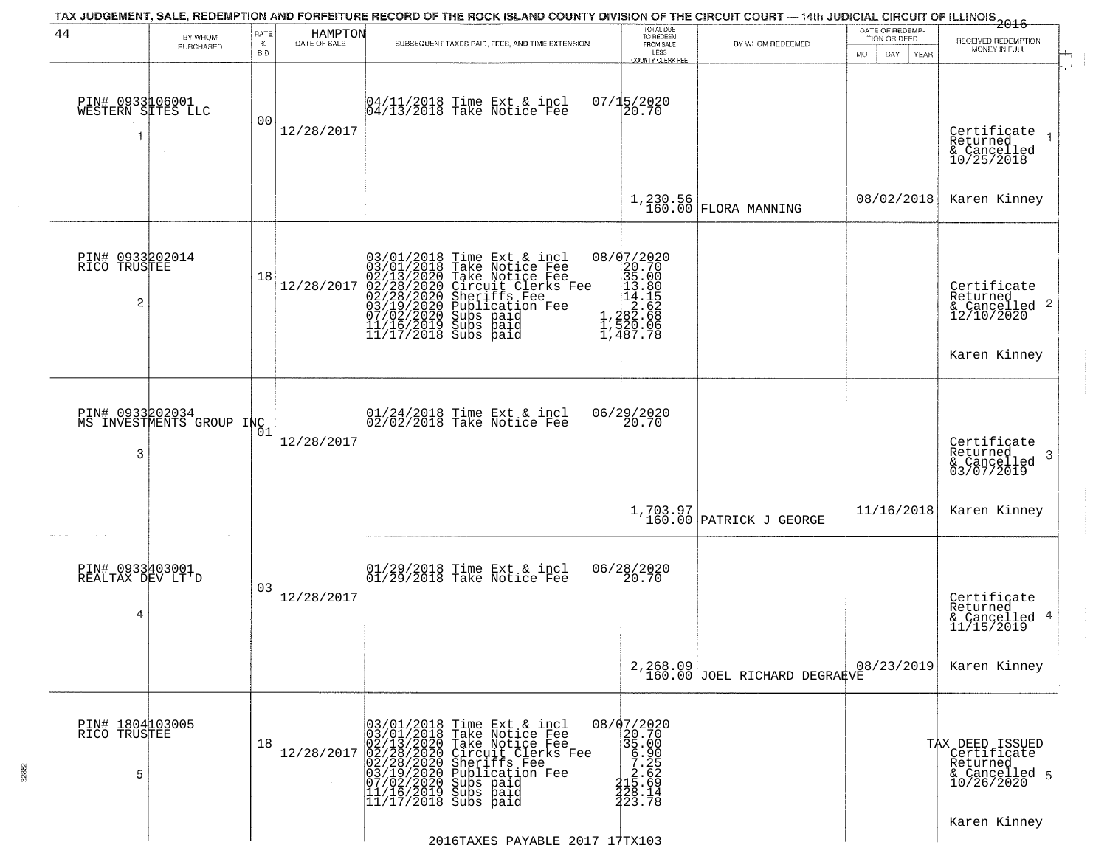| 44                                         | BY WHOM<br>PURCHASED                         | RATE<br>$\%$<br>BID | HAMPTON<br>DATE OF SALE | TAX JUDGEMENT, SALE, REDEMPTION AND FORFEITURE RECORD OF THE ROCK ISLAND COUNTY DIVISION OF THE CIRCUIT COURT — 14th JUDICIAL CIRCUIT OF ILLINOIS 2016<br>SUBSEQUENT TAXES PAID, FEES, AND TIME EXTENSION                                                                                                                                                | TOTAL DUE<br>TO REDEEM<br>FROM SALE<br>LESS<br>COUNTY CLERK FEE                                  | BY WHOM REDEEMED                                                                                                       | DATE OF REDEMP-<br>TION OR DEED<br><b>MO</b><br>DAY<br><b>YEAR</b> | RECEIVED REDEMPTION<br>MONEY IN FULL                                      |
|--------------------------------------------|----------------------------------------------|---------------------|-------------------------|----------------------------------------------------------------------------------------------------------------------------------------------------------------------------------------------------------------------------------------------------------------------------------------------------------------------------------------------------------|--------------------------------------------------------------------------------------------------|------------------------------------------------------------------------------------------------------------------------|--------------------------------------------------------------------|---------------------------------------------------------------------------|
| PIN# 0933106001<br>WESTERN SITES LLC<br>-1 | $\sim$                                       | 0 <sub>0</sub>      | 12/28/2017              | 04/11/2018 Time Ext & incl<br>04/13/2018 Take Notice Fee                                                                                                                                                                                                                                                                                                 | 07/15/2020<br>20.70                                                                              |                                                                                                                        |                                                                    | Certificate<br>Returned<br>& Cancelled<br>10/25/2018                      |
|                                            |                                              |                     |                         |                                                                                                                                                                                                                                                                                                                                                          | 1,230.56<br>160.00                                                                               | <b>FLORA MANNING</b>                                                                                                   | 08/02/2018                                                         | Karen Kinney                                                              |
| PIN# 0933202014<br>RICO TRUSTEE<br>2       |                                              | 18                  | 12/28/2017              | 03/01/2018 Time Ext &<br>03/01/2018 Take Notic<br>02/13/2020 Take Notic<br>02/28/2020 Circuit Cl<br>02/28/2020 Sheriffs F<br>03/19/2020 Subs paid<br>07/02/2020 Subs paid<br>11/16/2019 Subs paid<br>11/16/2019 Subs paid<br>Time Ext & incl<br>Take Notice Fee<br>Take Notice Fee<br>Circuit Clerks Fee<br>Sheriffs Fee<br>Publication Fee<br>Subs paid | 08/07/2020<br>18/02020<br>20.700<br>35.000<br>35.000<br>13.800<br>14.15<br>1,282.688<br>1,487.78 |                                                                                                                        |                                                                    | Certificate<br>Returned<br>& Cancelled 2<br>12/10/2020<br>Karen Kinney    |
| 3                                          | PIN# 0933202034<br>MS INVESTMENTS GROUP INC1 |                     | 12/28/2017              | 01/24/2018 Time Ext & incl<br>02/02/2018 Take Notice Fee                                                                                                                                                                                                                                                                                                 | 06/29/2020<br>20.70                                                                              |                                                                                                                        |                                                                    | Certificate<br>Returned<br>-3<br>& Cancelled<br>03/07/2019                |
|                                            |                                              |                     |                         |                                                                                                                                                                                                                                                                                                                                                          |                                                                                                  | $\begin{array}{c} \texttt{1,703.97} \\ \texttt{160.00} \end{array} \texttt{\small \texttt{PARTRICK J} \texttt{GEORGE}$ | 11/16/2018                                                         | Karen Kinney                                                              |
| PIN# 0933403001<br>REALTAX DEV LT'D<br>4   |                                              | 03                  | 12/28/2017              | $ 01/29/2018$ Time Ext & incl<br>$ 01/29/2018$ Take Notice Fee                                                                                                                                                                                                                                                                                           | 06/28/2020<br>20.70                                                                              |                                                                                                                        |                                                                    | Certificate<br>Returned<br>& Cancelled 4<br>11/15/2019                    |
|                                            |                                              |                     |                         |                                                                                                                                                                                                                                                                                                                                                          |                                                                                                  | 2,268.09<br>160.00 JOEL RICHARD DEGRAEVE                                                                               | 08/23/2019                                                         | Karen Kinney                                                              |
| PIN# 1804103005<br>RICO TRUSTEE<br>5       |                                              | 18                  | 12/28/2017              | 03/01/2018 Time Ext & incl<br>03/01/2018 Take Notice Fee<br>02/13/2020 Take Notice Fee<br>02/28/2020 Circuit Clerks F<br>02/28/2020 Sheriffs Fee<br>03/19/2020 Publication Fee<br>03/19/2020 Subs paid<br>11/16/2019 Subs paid<br>11/17/2018 Subs paid<br>Take Notice Fee<br>Circuit Clerks Fee<br>Sheriffs Fee<br>Publication Fee                       | 08/07/2020<br>$22.700$<br>$25.000$<br>$5.25$<br>$67.25$<br>$22.629$<br>$143$<br>$22.78$          |                                                                                                                        |                                                                    | TAX DEED ISSUED<br>Certificate<br>Returned<br>& Cancelled 5<br>10/26/2020 |
|                                            |                                              |                     |                         | 2016TAXES PAYABLE 2017 17TX103                                                                                                                                                                                                                                                                                                                           |                                                                                                  |                                                                                                                        |                                                                    | Karen Kinney                                                              |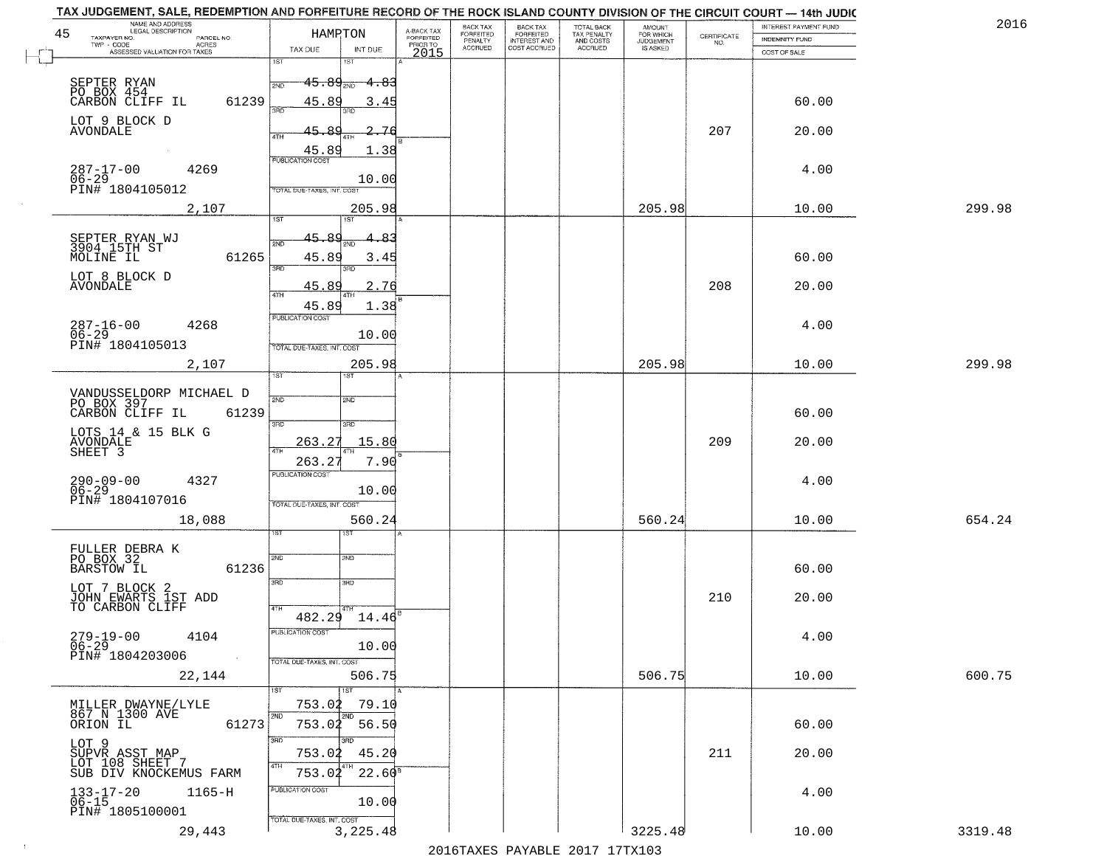| 45 | NAME AND ADDRESS<br>LEGAL DESCRIPTION<br>TAXPAYER NO.<br>PARCEL NO.<br>ACRES<br>TWP - CODE | HAMRTON                                                  | A-BACK TAX<br><b>FORFEITED</b><br>PRIOR TO | BACK TAX<br>FORFEITED<br>PENALTY<br><b>ACCRUED</b> | BACK TAX<br>FORFEITED<br>INTEREST AND<br>COST ACCRUED | TOTAL BACK<br>TAX PENALTY<br>AND COSTS<br>ACCRUED | AMOUNT<br>FOR WHICH<br><b>JUDGEMENT</b><br>IS ASKED | CERTIFICATE<br>NO. | INTEREST PAYMENT FUND<br><b>INDEMNITY FUND</b> | 201     |
|----|--------------------------------------------------------------------------------------------|----------------------------------------------------------|--------------------------------------------|----------------------------------------------------|-------------------------------------------------------|---------------------------------------------------|-----------------------------------------------------|--------------------|------------------------------------------------|---------|
|    | ASSESSED VALUATION FOR TAXES                                                               | TAX DUE<br>INT DUE<br>1ST<br>18T                         | 2015                                       |                                                    |                                                       |                                                   |                                                     |                    | COST OF SALE                                   |         |
|    |                                                                                            | $45.89_{200}$ $4.83$                                     |                                            |                                                    |                                                       |                                                   |                                                     |                    |                                                |         |
|    | SEPTER RYAN<br>PO BOX 454<br>CARBON CLIFF IL<br>61239                                      | 45.89<br>3.45<br>3AD<br>3BD                              |                                            |                                                    |                                                       |                                                   |                                                     |                    | 60.00                                          |         |
|    | LOT 9 BLOCK D<br>AVONDALE                                                                  | $\mathcal{R}^{\mathcal{O}}$<br>45.<br>2.76<br>4TH<br>4TH |                                            |                                                    |                                                       |                                                   |                                                     | 207                | 20.00                                          |         |
|    |                                                                                            | 45.89<br>1.38<br><b>PUBLICATION COST</b>                 |                                            |                                                    |                                                       |                                                   |                                                     |                    |                                                |         |
|    | $287 - 17 - 00$<br>4269<br>$06 - 29$<br>PIN# 1804105012                                    | 10.00<br>TOTAL DUE-TAXES, INT. COST                      |                                            |                                                    |                                                       |                                                   |                                                     |                    | 4.00                                           |         |
|    | 2,107                                                                                      | 205.98                                                   |                                            |                                                    |                                                       |                                                   | 205.98                                              |                    | 10.00                                          | 299.98  |
|    |                                                                                            | 1ST<br>iST                                               |                                            |                                                    |                                                       |                                                   |                                                     |                    |                                                |         |
|    | SEPTER RYAN WJ<br>3904 15TH ST<br>MOLINE IL<br>61265                                       | 45.89<br>4.83<br>2ND<br>45.89<br>3.45                    |                                            |                                                    |                                                       |                                                   |                                                     |                    | 60.00                                          |         |
|    | LOT 8 BLOCK D                                                                              | 3RD<br>3RD                                               |                                            |                                                    |                                                       |                                                   |                                                     |                    |                                                |         |
|    | <b>AVONDALE</b>                                                                            | 45.89<br>2.76<br>4TH                                     |                                            |                                                    |                                                       |                                                   |                                                     | 208                | 20.00                                          |         |
|    |                                                                                            | 45.89<br>1.38<br>PUBLICATION COST                        |                                            |                                                    |                                                       |                                                   |                                                     |                    |                                                |         |
|    | 287-16-00<br>06-29<br>PIN# 1804105013<br>4268                                              | 10.00                                                    |                                            |                                                    |                                                       |                                                   |                                                     |                    | 4.00                                           |         |
|    |                                                                                            | TOTAL DUE-TAXES, INT. COST<br>205.98                     |                                            |                                                    |                                                       |                                                   | 205.98                                              |                    | 10.00                                          | 299.98  |
|    | 2,107                                                                                      | īst<br><b>ST</b>                                         |                                            |                                                    |                                                       |                                                   |                                                     |                    |                                                |         |
|    | VANDUSSELDORP MICHAEL D<br>PO BOX 397                                                      | 2ND<br>2ND                                               |                                            |                                                    |                                                       |                                                   |                                                     |                    |                                                |         |
|    | CARBON CLIFF IL<br>61239                                                                   |                                                          |                                            |                                                    |                                                       |                                                   |                                                     |                    | 60.00                                          |         |
|    | LOTS 14 & 15 BLK G<br>AVONDALE<br>SHEET 3                                                  | 3RD<br>3RD<br>263.27<br>15.80                            |                                            |                                                    |                                                       |                                                   |                                                     | 209                | 20.00                                          |         |
|    |                                                                                            | 4TH<br>4TH<br>263.27<br>7.90                             |                                            |                                                    |                                                       |                                                   |                                                     |                    |                                                |         |
|    | $290 - 09 - 00$<br>4327                                                                    | <b>PUBLICATION COST</b>                                  |                                            |                                                    |                                                       |                                                   |                                                     |                    | 4.00                                           |         |
|    | $06 - 29$<br>PIN# 1804107016                                                               | 10.00                                                    |                                            |                                                    |                                                       |                                                   |                                                     |                    |                                                |         |
|    | 18,088                                                                                     | TOTAL OUE-TAXES, INT. COST<br>560.24                     |                                            |                                                    |                                                       |                                                   | 560.24                                              |                    | 10.00                                          | 654.24  |
|    |                                                                                            | ख़ा                                                      |                                            |                                                    |                                                       |                                                   |                                                     |                    |                                                |         |
|    | FULLER DEBRA K<br>PO BOX 32                                                                | 2ND<br>2ND                                               |                                            |                                                    |                                                       |                                                   |                                                     |                    |                                                |         |
|    | 61236<br><b>BARSTOW IL</b>                                                                 | 3RD<br>3RD                                               |                                            |                                                    |                                                       |                                                   |                                                     |                    | 60.00                                          |         |
|    | LOT 7 BLOCK 2<br>JOHN EWARTS 1ST ADD<br>TO CARBON CLIFF                                    | 4TH                                                      |                                            |                                                    |                                                       |                                                   |                                                     | 210                | 20.00                                          |         |
|    |                                                                                            | $482.29$ $14.46$ <sup>E</sup>                            |                                            |                                                    |                                                       |                                                   |                                                     |                    |                                                |         |
|    | $279-19-00$<br>06-29<br>4104                                                               | PUBLICATION COST<br>10.00                                |                                            |                                                    |                                                       |                                                   |                                                     |                    | 4.00                                           |         |
|    | PIN# 1804203006                                                                            | TOTAL DUE-TAXES, INT. COST                               |                                            |                                                    |                                                       |                                                   |                                                     |                    |                                                |         |
|    | 22,144                                                                                     | 506.75                                                   |                                            |                                                    |                                                       |                                                   | 506.75                                              |                    | 10.00                                          | 600.75  |
|    |                                                                                            | 1ST<br>1ST<br>753.02<br>79.10                            |                                            |                                                    |                                                       |                                                   |                                                     |                    |                                                |         |
|    | MILLER DWAYNE/LYLE<br>867 N 1300 AVE<br>61273<br>ORION IL                                  | 2ND<br>2ND<br>753.02<br>56.50                            |                                            |                                                    |                                                       |                                                   |                                                     |                    | 60.00                                          |         |
|    | LOT 9                                                                                      | 3RD<br>3RD                                               |                                            |                                                    |                                                       |                                                   |                                                     |                    |                                                |         |
|    | SUPVR ASST MAP<br>LOT 108 SHEET 7                                                          | 753.02<br>45.20<br>4TH                                   |                                            |                                                    |                                                       |                                                   |                                                     | 211                | 20.00                                          |         |
|    | SUB DIV KNOCKEMUS FARM                                                                     | $22.60^8$<br>753.02                                      |                                            |                                                    |                                                       |                                                   |                                                     |                    |                                                |         |
|    | $133 - 17 - 20$<br>06-15<br>$1165 - H$                                                     | <b>PUBLICATION COST</b><br>10.00                         |                                            |                                                    |                                                       |                                                   |                                                     |                    | 4.00                                           |         |
|    | PIN# 1805100001                                                                            | TOTAL DUE-TAXES, INT. COST                               |                                            |                                                    |                                                       |                                                   |                                                     |                    |                                                |         |
|    | 29,443                                                                                     | 3,225.48                                                 |                                            |                                                    |                                                       |                                                   | 3225.48                                             |                    | 10.00                                          | 3319.48 |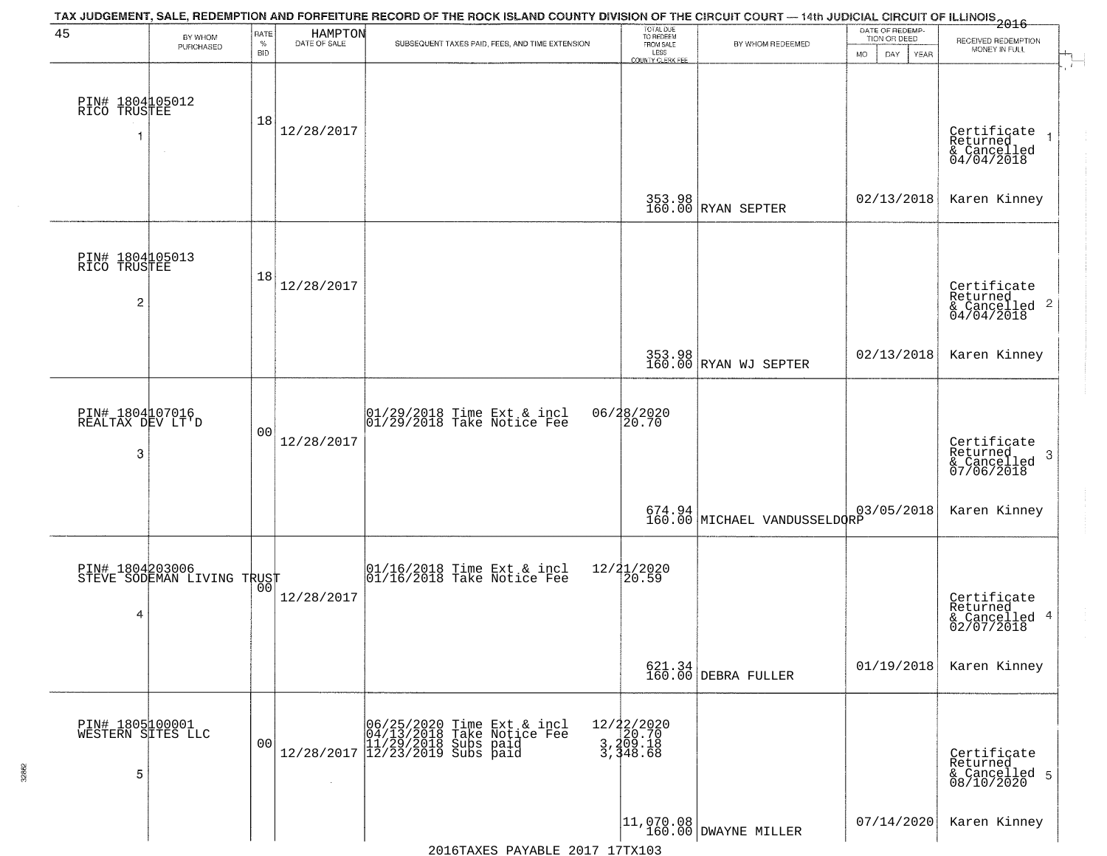| 45                                                | BY WHOM<br>PURCHASED                          | RATE<br>$\%$<br><b>BID</b> | HAMPTON<br>DATE OF SALE | TAX JUDGEMENT, SALE, REDEMPTION AND FORFEITURE RECORD OF THE ROCK ISLAND COUNTY DIVISION OF THE CIRCUIT COURT — 14th JUDICIAL CIRCUIT OF ILLINOIS 2016<br>SUBSEQUENT TAXES PAID, FEES, AND TIME EXTENSION | TOTAL DUE<br>TO REDEEM<br>FROM SALE<br>LESS | BY WHOM REDEEMED                       | DATE OF REDEMP-<br>TION OR DEED<br><b>MO</b><br>DAY<br>YEAR | RECEIVED REDEMPTION<br>MONEY IN FULL                                                |
|---------------------------------------------------|-----------------------------------------------|----------------------------|-------------------------|-----------------------------------------------------------------------------------------------------------------------------------------------------------------------------------------------------------|---------------------------------------------|----------------------------------------|-------------------------------------------------------------|-------------------------------------------------------------------------------------|
| PIN# 1804105012<br>RICO TRUSTEE<br>-1             |                                               | 18                         | 12/28/2017              |                                                                                                                                                                                                           | <b>COUNTY CLERK FEE</b>                     |                                        |                                                             | Certificate<br>Returned<br>$\rightarrow$                                            |
|                                                   | $\sim$                                        |                            |                         |                                                                                                                                                                                                           |                                             |                                        |                                                             | & Cancelled<br>04/04/2018                                                           |
|                                                   |                                               |                            |                         |                                                                                                                                                                                                           |                                             | 353.98<br>160.00 RYAN SEPTER           | 02/13/2018                                                  | Karen Kinney                                                                        |
| PIN# 1804105013<br>RICO TRUSTEE<br>$\overline{c}$ |                                               | 18                         | 12/28/2017              |                                                                                                                                                                                                           |                                             |                                        |                                                             | Certificate<br>Returned<br>$\mathbf{2}$<br>& Cancelled<br>& Cancelled<br>04/04/2018 |
|                                                   |                                               |                            |                         |                                                                                                                                                                                                           |                                             | 353.98<br>160.00 RYAN WJ SEPTER        | 02/13/2018                                                  | Karen Kinney                                                                        |
| PIN# 1804107016<br>REALTAX DEV LT'D               |                                               | 00                         |                         | $\begin{array}{c}  01/29/2018 \text{ Time} \text{ Ext} & \text{incl} \\  01/29/2018 \text{ Take Notice } \text{Fe} \end{array}$                                                                           | 06/28/2020<br>20.70                         |                                        |                                                             |                                                                                     |
| 3                                                 |                                               |                            | 12/28/2017              |                                                                                                                                                                                                           |                                             |                                        |                                                             | Certificate<br>Returned<br>3<br>& Cancelled<br>07/06/2018                           |
|                                                   |                                               |                            |                         |                                                                                                                                                                                                           |                                             | 674.94<br>160.00 MICHAEL VANDUSSELDORP | 03/05/2018                                                  | Karen Kinney                                                                        |
|                                                   | PIN# 1804203006<br>STEVE SODEMAN LIVING TRUST |                            |                         | 01/16/2018 Time Ext & incl<br>01/16/2018 Take Notice Fee                                                                                                                                                  | 12/21/2020<br>20.59                         |                                        |                                                             |                                                                                     |
| 4                                                 |                                               |                            | 12/28/2017              |                                                                                                                                                                                                           |                                             |                                        |                                                             | Certificate<br>Returned<br>4<br>& Cancelled<br>02/07/2018                           |
|                                                   |                                               |                            |                         |                                                                                                                                                                                                           |                                             | 621.34<br>160.00 DEBRA FULLER          | 01/19/2018                                                  | Karen Kinney                                                                        |
| PIN# 1805100001<br>WESTERN SITES LLC              |                                               | 0 <sub>0</sub>             |                         | $[06/25/2020 \t\t Time Ext & incl 04/13/2018 \t\t Take Notice Free 11/29/2018 Subs paid 12/28/2017 \t\t 12/23/2019 Subs paid$                                                                             | 12/22/2020<br>3,209.18<br>3,348.68          |                                        |                                                             |                                                                                     |
| 5                                                 |                                               |                            |                         |                                                                                                                                                                                                           |                                             |                                        |                                                             | Certificate<br>Returned<br>& Cancelled 5<br>08/10/2020                              |
|                                                   |                                               |                            |                         |                                                                                                                                                                                                           |                                             | 11,070.08<br>160.00 DWAYNE MILLER      | 07/14/2020                                                  | Karen Kinney                                                                        |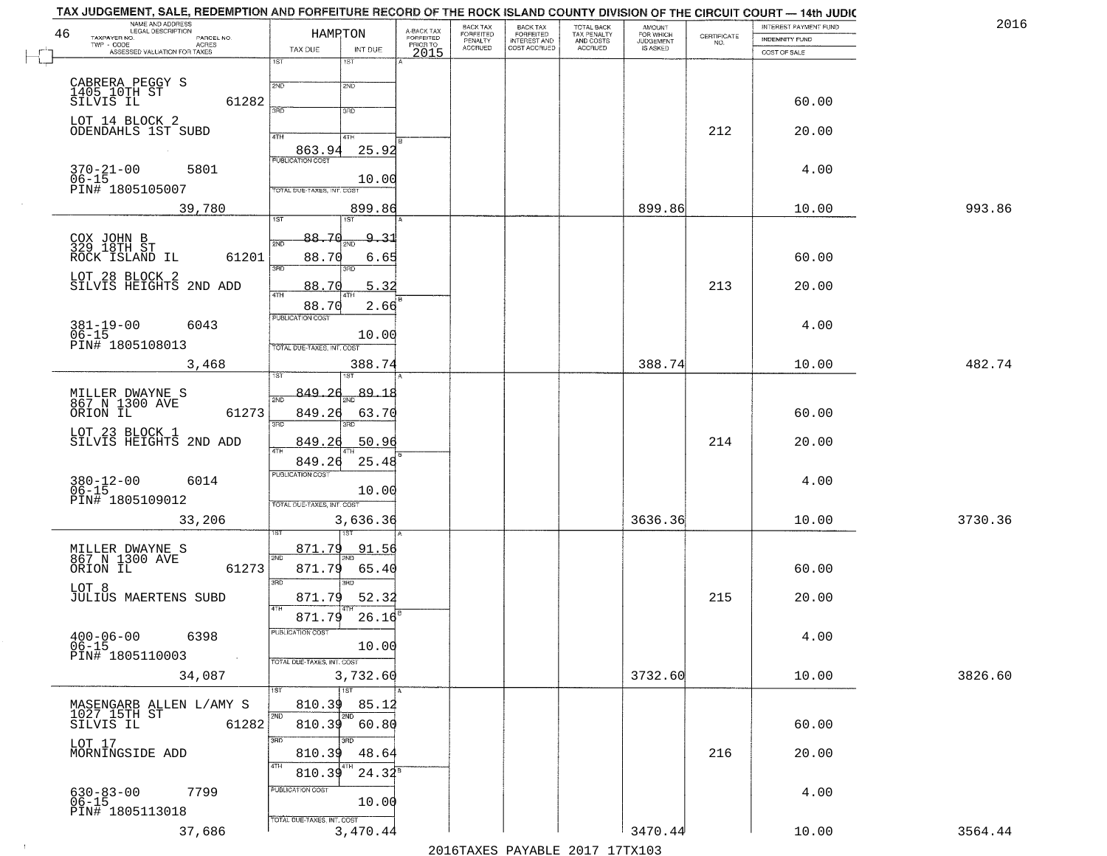| 46 | NAME AND ADDRESS<br>LEGAL DESCRIPTION                               | HAMPTON                                    | A-BACK TAX<br>FORFEITED | <b>BACK TAX</b><br>FORFEITED<br>PENALTY | BACK TAX<br>FORFEITED<br>INTEREST AND | TOTAL BACK<br>TAX PENALTY<br>AND COSTS | AMOUNT<br>FOR WHICH          |                                                                 | INTEREST PAYMENT FUND                 | 2016    |
|----|---------------------------------------------------------------------|--------------------------------------------|-------------------------|-----------------------------------------|---------------------------------------|----------------------------------------|------------------------------|-----------------------------------------------------------------|---------------------------------------|---------|
|    | TAXPAYER NO.<br>PARCEL NO.<br>ACRES<br>ASSESSED VALUATION FOR TAXES | TAX DUE<br>INT DUE                         | PRIOR TO                | <b>ACCRUED</b>                          | COST ACCRUED                          | ACCRUED                                | <b>JUDGEMENT</b><br>IS ASKED | $\begin{array}{c} \text{CERTIFICATE} \\ \text{NO.} \end{array}$ | <b>INDEMNITY FUND</b><br>COST OF SALE |         |
|    |                                                                     | 1ST<br>18T                                 | 2015                    |                                         |                                       |                                        |                              |                                                                 |                                       |         |
|    |                                                                     | 2ND<br>2ND                                 |                         |                                         |                                       |                                        |                              |                                                                 |                                       |         |
|    | CABRERA PEGGY S<br>1405 10TH ST<br>SILVIS IL<br>61282               | 350                                        |                         |                                         |                                       |                                        |                              |                                                                 | 60.00                                 |         |
|    | LOT 14 BLOCK 2<br>ODENDAHLS 1ST SUBD                                | 3RD                                        |                         |                                         |                                       |                                        |                              | 212                                                             | 20.00                                 |         |
|    |                                                                     | 4TH<br>4TH<br>25.92<br>863.94              |                         |                                         |                                       |                                        |                              |                                                                 |                                       |         |
|    | $370 - 21 - 00$<br>5801                                             | <b>PUBLICATION COST</b>                    |                         |                                         |                                       |                                        |                              |                                                                 | 4.00                                  |         |
|    | $06 - 15$<br>PIN# 1805105007                                        | 10.00<br><b>TOTAL DUE-TAXES, INT, COST</b> |                         |                                         |                                       |                                        |                              |                                                                 |                                       |         |
|    | 39,780                                                              | 899.86<br>1ST<br>1ST                       |                         |                                         |                                       |                                        | 899.86                       |                                                                 | 10.00                                 | 993.86  |
|    |                                                                     | 88.70<br>9.31                              |                         |                                         |                                       |                                        |                              |                                                                 |                                       |         |
|    | COX JOHN B<br>329 18TH ST<br>ROCK ISLAND IL<br>61201                | 2ND<br>88.70<br>6.65                       |                         |                                         |                                       |                                        |                              |                                                                 | 60.00                                 |         |
|    | LOT 28 BLOCK 2<br>SILVIS HEIGHTS 2ND ADD                            | 3RD<br>3BD                                 |                         |                                         |                                       |                                        |                              |                                                                 |                                       |         |
|    |                                                                     | 5.32<br>88.70<br>47H                       |                         |                                         |                                       |                                        |                              | 213                                                             | 20.00                                 |         |
|    | 6043                                                                | 88.70<br>2.66<br>PUBLICATION COST          |                         |                                         |                                       |                                        |                              |                                                                 | 4.00                                  |         |
|    | $381 - 19 - 00$<br>$06 - 15$<br>PIN# 1805108013                     | 10.00<br>TOTAL DUE-TAXES, INT. COST        |                         |                                         |                                       |                                        |                              |                                                                 |                                       |         |
|    | 3,468                                                               | 388.74                                     |                         |                                         |                                       |                                        | 388.74                       |                                                                 | 10.00                                 | 482.74  |
|    |                                                                     | <b>IST</b><br>1ST.                         |                         |                                         |                                       |                                        |                              |                                                                 |                                       |         |
|    | MILLER DWAYNE S<br>867 N 1300 AVE<br>ORION IL<br>61273              | 849.26<br>89.18<br>2ND<br>849.26<br>63.70  |                         |                                         |                                       |                                        |                              |                                                                 | 60.00                                 |         |
|    |                                                                     | 3RD<br>3RD                                 |                         |                                         |                                       |                                        |                              |                                                                 |                                       |         |
|    | LOT 23 BLOCK 1<br>SILVIS HEIGHTS 2ND ADD                            | 50.96<br>849.26                            |                         |                                         |                                       |                                        |                              | 214                                                             | 20.00                                 |         |
|    |                                                                     | 849.26<br>25.48<br><b>PUBLICATION COST</b> |                         |                                         |                                       |                                        |                              |                                                                 |                                       |         |
|    | 6014<br>380-12-00<br>06-15<br>PIN# 1805109012                       | 10.00                                      |                         |                                         |                                       |                                        |                              |                                                                 | 4.00                                  |         |
|    | 33,206                                                              | TOTAL OUE-TAXES, INT. COST<br>3,636.36     |                         |                                         |                                       |                                        | 3636.36                      |                                                                 | 10.00                                 | 3730.36 |
|    |                                                                     |                                            |                         |                                         |                                       |                                        |                              |                                                                 |                                       |         |
|    | MILLER DWAYNE S<br>867 N 1300 AVE<br>ORION IL                       | 871.79<br>91.56<br>2ND                     |                         |                                         |                                       |                                        |                              |                                                                 |                                       |         |
|    | 61273<br>LOT 8                                                      | 871.79<br>65.40<br>3RD                     |                         |                                         |                                       |                                        |                              |                                                                 | 60.00                                 |         |
|    | <b>JULIUS MAERTENS SUBD</b>                                         | 871.79<br>52.32<br>4TH                     |                         |                                         |                                       |                                        |                              | 215                                                             | 20.00                                 |         |
|    |                                                                     | 871.79<br>26.16<br>PUBLICATION COST        |                         |                                         |                                       |                                        |                              |                                                                 |                                       |         |
|    | $400 - 06 - 00$<br>$06 - 15$<br>6398                                | 10.00                                      |                         |                                         |                                       |                                        |                              |                                                                 | 4.00                                  |         |
|    | PIN# 1805110003                                                     | TOTAL DUE-TAXES, INT. COST                 |                         |                                         |                                       |                                        | 3732.60                      |                                                                 |                                       |         |
|    | 34,087                                                              | 3,732.60<br>1ST                            |                         |                                         |                                       |                                        |                              |                                                                 | 10.00                                 | 3826.60 |
|    | MASENGARB ALLEN L/AMY S<br>1027_15TH ST                             | 810.39<br>85.12<br>2ND<br>2ND              |                         |                                         |                                       |                                        |                              |                                                                 |                                       |         |
|    | 61282<br>SILVIS IL                                                  | 810.39 60.80<br>3RD<br>3RD.                |                         |                                         |                                       |                                        |                              |                                                                 | 60.00                                 |         |
|    | LOT 17<br>MORNINGSIDE ADD                                           | 48.64<br>810.39                            |                         |                                         |                                       |                                        |                              | 216                                                             | 20.00                                 |         |
|    |                                                                     | 4TH<br>$24.32^8$<br>810.39                 |                         |                                         |                                       |                                        |                              |                                                                 |                                       |         |
|    | 630-83-00<br>06-15<br>7799                                          | PUBLICATION COST<br>10.00                  |                         |                                         |                                       |                                        |                              |                                                                 | 4.00                                  |         |
|    | PIN# 1805113018                                                     | TOTAL DUE-TAXES, INT. COST                 |                         |                                         |                                       |                                        |                              |                                                                 |                                       |         |
|    | 37,686                                                              | 3,470.44                                   |                         |                                         |                                       |                                        | 3470.44                      |                                                                 | 10.00                                 | 3564.44 |
|    |                                                                     |                                            |                         |                                         | $2016$ mayrc Davartr 2017 17my102     |                                        |                              |                                                                 |                                       |         |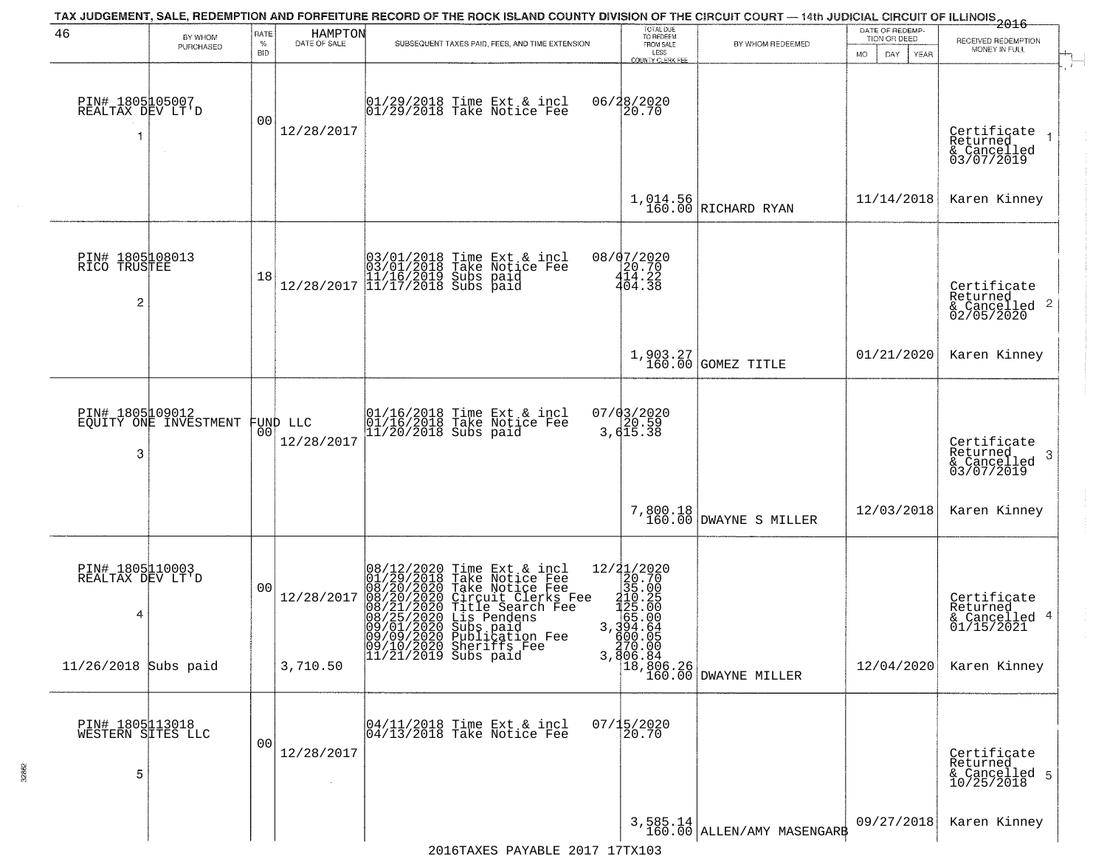| 46                                                | BY WHOM<br>PURCHASED                     | RATE<br>$\%$<br>BID | HAMPTON<br>DATE OF SALE        | SUBSEQUENT TAXES PAID, FEES, AND TIME EXTENSION                                                                                                                                                                                                                                                                                                                                | TOTAL DUE<br>TO REDEEM<br>FROM SALE<br>LESS<br><b>COUNTY CLERK FEE</b>                                           | BY WHOM REDEEMED                                                                      | DATE OF REDEMP-<br>TION OR DEED<br>MO.<br>DAY.<br>YEAR | $-2016$<br>RECEIVED REDEMPTION<br>MONEY IN FULL                    |
|---------------------------------------------------|------------------------------------------|---------------------|--------------------------------|--------------------------------------------------------------------------------------------------------------------------------------------------------------------------------------------------------------------------------------------------------------------------------------------------------------------------------------------------------------------------------|------------------------------------------------------------------------------------------------------------------|---------------------------------------------------------------------------------------|--------------------------------------------------------|--------------------------------------------------------------------|
| PIN# 1805105007<br>REALTAX DEV LT'D<br>1          |                                          | 0 <sub>0</sub>      | 12/28/2017                     | 01/29/2018 Time Ext & incl<br>01/29/2018 Take Notice Fee                                                                                                                                                                                                                                                                                                                       | 06/28/2020<br>20.70                                                                                              |                                                                                       |                                                        | $\ddot{r}$<br>Certificate<br>Returned<br>& Cancelled<br>03/07/2019 |
|                                                   |                                          |                     |                                |                                                                                                                                                                                                                                                                                                                                                                                |                                                                                                                  | $1,014.56$ RICHARD RYAN                                                               | 11/14/2018                                             | Karen Kinney                                                       |
| PIN# 1805108013<br>RICO TRUSTEE<br>$\overline{c}$ |                                          | 18                  |                                | $[03/01/2018 \t\t Time \t\t Ext & incl \\ 03/01/2018 \t\t Take \t Notice \t\ Fee \\ 11/16/2019 \tSubs \t paid \\ 12/28/2017 \t\t [11/17/2018 \t\ Subs \t paid \t$                                                                                                                                                                                                              | 08/07/2020<br>20.70<br>414.22<br>404.38                                                                          |                                                                                       |                                                        | Certificate<br>Returned<br>$\frac{1}{6}$ Cancelled 2<br>02/05/2020 |
|                                                   |                                          |                     |                                |                                                                                                                                                                                                                                                                                                                                                                                |                                                                                                                  | 1,903.27<br>160.00 GOMEZ TITLE                                                        | 01/21/2020                                             | Karen Kinney                                                       |
| 3                                                 | PIN# 1805109012<br>EQUITY ONE INVESTMENT |                     | FUND LLC<br> 00 <br>12/28/2017 | 01/16/2018 Time Ext & incl<br>01/16/2018 Take Notice Fee<br>11/20/2018 Subs paid                                                                                                                                                                                                                                                                                               | 07/03/2020<br>3,615.38                                                                                           |                                                                                       |                                                        | Certificate<br>Returned<br>3<br>& Cancelled<br>03/07/2019          |
|                                                   |                                          |                     |                                |                                                                                                                                                                                                                                                                                                                                                                                |                                                                                                                  | 7,800.18<br>160.00 DWAYNE S MILLER                                                    | 12/03/2018                                             | Karen Kinney                                                       |
| PIN# 1805 110003<br>REALTAX DEV LT'D<br>4         |                                          | 0 <sub>0</sub>      | 12/28/2017                     | 08/12/2020 Time Ext & incl<br>01/29/2018 Take Notice Fee<br>08/20/2020 Take Notice Fee<br>08/20/2020 Circuit Clerks F<br>08/21/2020 Title Search Fee<br>08/25/2020 Lis Pendens<br>09/01/2020 Subs paid<br>Take Notice Fee<br>Circuit Clerks Fee<br>Title Search Fee<br>08/25/2020 Lis Pendens<br>09/01/2020 Subs paid<br>09/09/2020 Publication Fee<br>09/10/2020 Sheriffs Fee | $=\begin{smallmatrix} 12/21/2020\\ 20.70\\ 35.00\\ 112.2\\ 125.00\\ 125.00\\ 55.00\\ 3,394.66 \end{smallmatrix}$ |                                                                                       |                                                        | Certificate<br>Returned<br>& Cancelled 4<br>01/15/2021             |
| $11/26/2018$ Subs paid                            |                                          |                     | 3,710.50                       | $11/21/2019$ Subs paid                                                                                                                                                                                                                                                                                                                                                         |                                                                                                                  | $354.64$<br>$300.05$<br>$370.00$<br>3,806.84<br>$18,806.26$<br>$160.00$ DWAYNE MILLER | 12/04/2020                                             | Karen Kinney                                                       |
| PIN# 1805113018<br>WESTERN SITES LLC<br>5         |                                          | 0 <sub>0</sub>      | 12/28/2017                     | $\begin{bmatrix} 04/11/2018 &$ Time Ext & incl<br>$04/13/2018 &$ Take Notice Fee                                                                                                                                                                                                                                                                                               | 07/15/2020<br>20.70                                                                                              |                                                                                       |                                                        | Certificate<br>Returned<br>& Cancelled 5<br>10/25/2018             |
|                                                   |                                          |                     |                                | $0.017$ 17 $m1$                                                                                                                                                                                                                                                                                                                                                                |                                                                                                                  | $3,585.14$<br>160.00 ALLEN/AMY MASENGARE                                              | 09/27/2018                                             | Karen Kinney                                                       |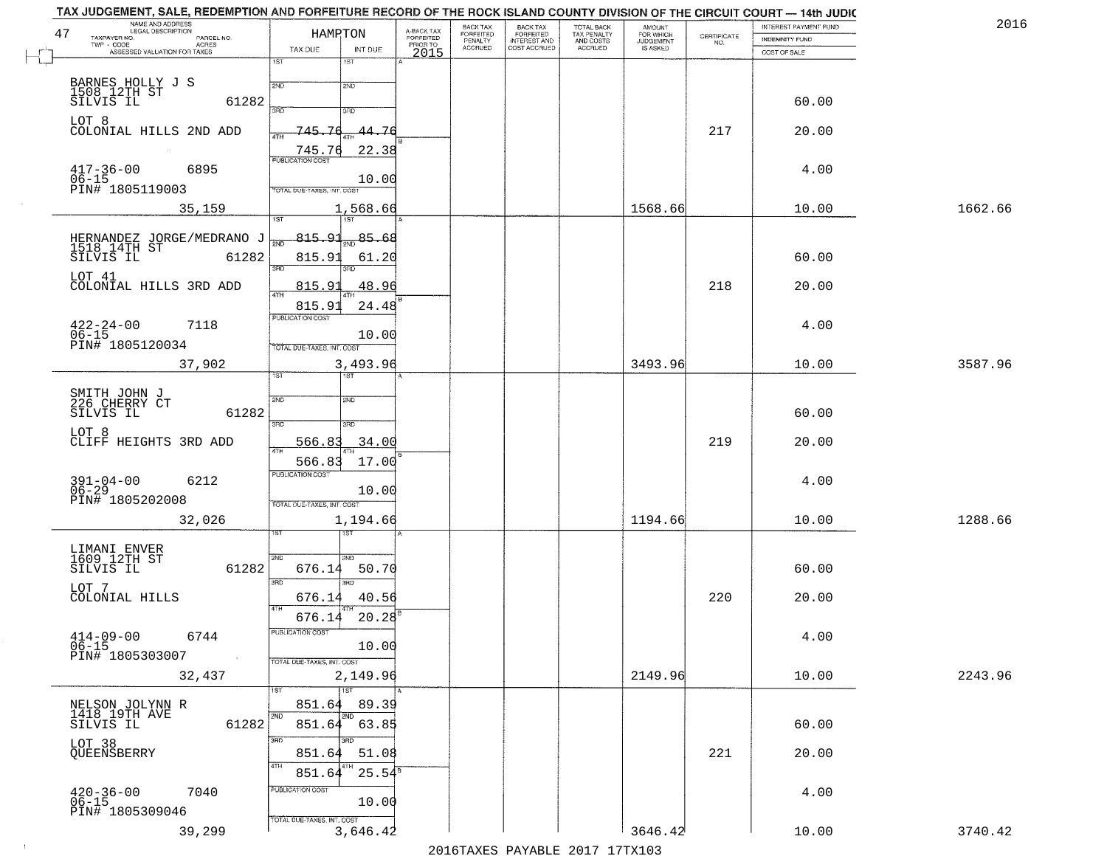| NAME AND ADDRESS<br>LEGAL DESCRIPTION                        |                                   |                                     | BACK TAX             |                                       |                                        | AMOUNT<br>FOR WHICH |                                                                 | INTEREST PAYMENT FUND | 2016    |
|--------------------------------------------------------------|-----------------------------------|-------------------------------------|----------------------|---------------------------------------|----------------------------------------|---------------------|-----------------------------------------------------------------|-----------------------|---------|
| 47<br>TAXPAYER NO.<br>PARCEL NO.<br>TWP - CODE               | HAMPTON                           | A-BACK TAX<br>FORFEITED<br>PRIOR TO | FORFEITED<br>PENALTY | BACK TAX<br>FORFEITED<br>INTEREST AND | TOTAL BACK<br>TAX PENALTY<br>AND COSTS | <b>JUDGEMENT</b>    | $\begin{array}{c} \text{CERTIFICATE} \\ \text{NO.} \end{array}$ | INDEMNITY FUND        |         |
| <b>ACRES</b><br>ASSESSED VALUATION FOR TAXES                 | TAX DUE<br>INT DUE                | 2015                                | <b>ACCRUED</b>       | COST ACCRUED                          | ACCRUED                                | IS ASKED            |                                                                 | COST OF SALE          |         |
|                                                              | 1ST<br>$1S$ T                     |                                     |                      |                                       |                                        |                     |                                                                 |                       |         |
|                                                              | 2ND<br>2ND                        |                                     |                      |                                       |                                        |                     |                                                                 |                       |         |
| BARNES HOLLY J S<br>1508 12TH ST<br>SILVIS IL<br>61282       |                                   |                                     |                      |                                       |                                        |                     |                                                                 | 60.00                 |         |
|                                                              | 3BD<br>3BD                        |                                     |                      |                                       |                                        |                     |                                                                 |                       |         |
| LOT 8<br>COLONIAL HILLS 2ND ADD                              | 745.76<br>44.76                   |                                     |                      |                                       |                                        |                     | 217                                                             | 20.00                 |         |
|                                                              | 22.38                             |                                     |                      |                                       |                                        |                     |                                                                 |                       |         |
|                                                              | 745.76                            |                                     |                      |                                       |                                        |                     |                                                                 |                       |         |
| $417 - 36 - 00$<br>$06 - 15$<br>6895                         | 10.00                             |                                     |                      |                                       |                                        |                     |                                                                 | 4.00                  |         |
| PIN# 1805119003                                              | <b>TOTAL DUE-TAXES, INT. COST</b> |                                     |                      |                                       |                                        |                     |                                                                 |                       |         |
| 35,159                                                       | 1,568.66                          |                                     |                      |                                       |                                        | 1568.66             |                                                                 | 10.00                 | 1662.66 |
|                                                              |                                   |                                     |                      |                                       |                                        |                     |                                                                 |                       |         |
|                                                              | $\frac{85.68}{200}$<br>-815.91    |                                     |                      |                                       |                                        |                     |                                                                 |                       |         |
| HERNANDEZ JORGE/MEDRANO J<br>1518 14TH ST<br>SILVIS IL 61282 | 815.91<br>61.20                   |                                     |                      |                                       |                                        |                     |                                                                 | 60.00                 |         |
|                                                              | 3RD<br>3BD.                       |                                     |                      |                                       |                                        |                     |                                                                 |                       |         |
| LOT 41<br>COLONIAL HILLS 3RD ADD                             | 48.96<br>815.91                   |                                     |                      |                                       |                                        |                     | 218                                                             | 20.00                 |         |
|                                                              | 815.91<br>24.48                   |                                     |                      |                                       |                                        |                     |                                                                 |                       |         |
|                                                              | PUBLICATION COST                  |                                     |                      |                                       |                                        |                     |                                                                 |                       |         |
| $422 - 24 - 00$<br>$06 - 15$<br>7118                         | 10.00                             |                                     |                      |                                       |                                        |                     |                                                                 | 4.00                  |         |
| PIN# 1805120034                                              | TOTAL DUE-TAXES, INT. COST        |                                     |                      |                                       |                                        |                     |                                                                 |                       |         |
| 37,902                                                       | 3,493.96                          |                                     |                      |                                       |                                        | 3493.96             |                                                                 | 10.00                 | 3587.96 |
|                                                              | <b>ST</b><br>IST                  |                                     |                      |                                       |                                        |                     |                                                                 |                       |         |
| SMITH JOHN J<br>226 CHERRY CT                                | SVD<br>2ND                        |                                     |                      |                                       |                                        |                     |                                                                 |                       |         |
| 61282<br>SILVIS IL                                           |                                   |                                     |                      |                                       |                                        |                     |                                                                 | 60.00                 |         |
|                                                              | 3RD<br>3RD                        |                                     |                      |                                       |                                        |                     |                                                                 |                       |         |
| LOT 8<br>CLIFF HEIGHTS 3RD ADD                               | 566.83<br>34.00                   |                                     |                      |                                       |                                        |                     | 219                                                             | 20.00                 |         |
|                                                              | 17.00<br>566.83                   |                                     |                      |                                       |                                        |                     |                                                                 |                       |         |
|                                                              | <b>PUBLICATION COST</b>           |                                     |                      |                                       |                                        |                     |                                                                 |                       |         |
| $391 - 04 - 00$<br>06-29<br>6212                             | 10.00                             |                                     |                      |                                       |                                        |                     |                                                                 | 4.00                  |         |
| PIN# 1805202008                                              | TOTAL OUE-TAXES, INT. COST        |                                     |                      |                                       |                                        |                     |                                                                 |                       |         |
| 32,026                                                       | 1,194.66                          |                                     |                      |                                       |                                        | 1194.66             |                                                                 | 10.00                 | 1288.66 |
|                                                              |                                   |                                     |                      |                                       |                                        |                     |                                                                 |                       |         |
| LIMANI ENVER<br>1609 12TH ST                                 | 2ND<br>2ND                        |                                     |                      |                                       |                                        |                     |                                                                 |                       |         |
| SILVIS IL<br>61282                                           | 676.14<br>50.70                   |                                     |                      |                                       |                                        |                     |                                                                 | 60.00                 |         |
| LOT 7                                                        | 3BD<br>3BD                        |                                     |                      |                                       |                                        |                     |                                                                 |                       |         |
| COLONIAL HILLS                                               | 40.56<br>676.14                   |                                     |                      |                                       |                                        |                     | 220                                                             | 20.00                 |         |
|                                                              | 4TH<br>676.14<br>20.28            |                                     |                      |                                       |                                        |                     |                                                                 |                       |         |
|                                                              | PUBLICATION COST                  |                                     |                      |                                       |                                        |                     |                                                                 |                       |         |
| $414-09-00$<br>$06-15$<br>6744                               | 10.00                             |                                     |                      |                                       |                                        |                     |                                                                 | 4.00                  |         |
| PIN# 1805303007<br>$\sim 10^{-1}$                            | TOTAL DUE-TAXES, INT. COST        |                                     |                      |                                       |                                        |                     |                                                                 |                       |         |
| 32,437                                                       | 2,149.96                          |                                     |                      |                                       |                                        | 2149.96             |                                                                 | 10.00                 | 2243.96 |
|                                                              | 1ST                               |                                     |                      |                                       |                                        |                     |                                                                 |                       |         |
|                                                              | 89.39<br>851.64<br>2ND            |                                     |                      |                                       |                                        |                     |                                                                 |                       |         |
| NELSON JOLYNN R<br>1418 19TH AVE<br>SILVIS IL<br>61282       | 851.64 63.85                      |                                     |                      |                                       |                                        |                     |                                                                 | 60.00                 |         |
|                                                              | 3RD<br>3RD                        |                                     |                      |                                       |                                        |                     |                                                                 |                       |         |
| LOT 38<br>QUEENSBERRY                                        | 851.64<br>51.08                   |                                     |                      |                                       |                                        |                     | 221                                                             | 20.00                 |         |
|                                                              | 4TH<br>$25.54^s$<br>851.64        |                                     |                      |                                       |                                        |                     |                                                                 |                       |         |
| 7040                                                         | PUBLICATION COST                  |                                     |                      |                                       |                                        |                     |                                                                 | 4.00                  |         |
| $420 - 36 - 00$<br>06-15                                     | 10.00                             |                                     |                      |                                       |                                        |                     |                                                                 |                       |         |
| PIN# 1805309046                                              | TOTAL DUE-TAXES, INT. COST        |                                     |                      |                                       |                                        |                     |                                                                 |                       |         |
| 39,299                                                       | 3,646.42                          |                                     |                      |                                       |                                        | 3646.42             |                                                                 |                       | 3740.42 |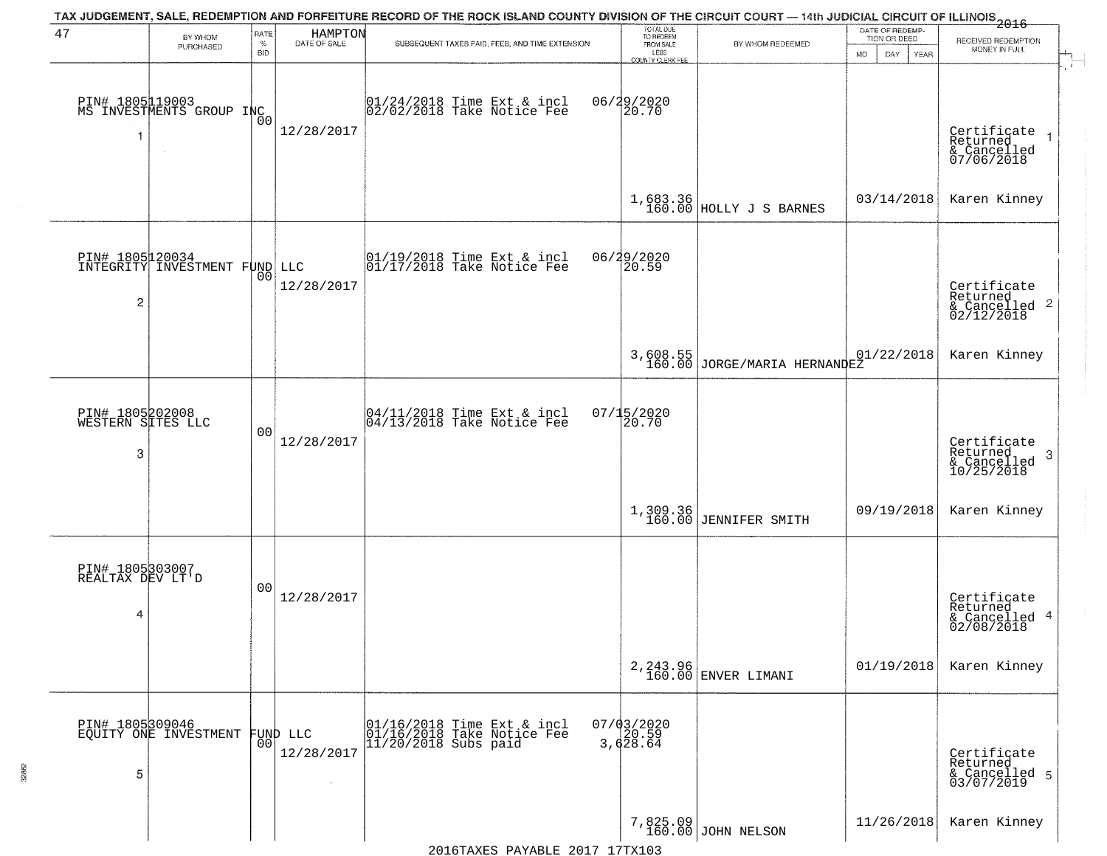|                                      |                                                  |                 |                         | TAX JUDGEMENT, SALE, REDEMPTION AND FORFEITURE RECORD OF THE ROCK ISLAND COUNTY DIVISION OF THE CIRCUIT COURT — 14th JUDICIAL CIRCUIT OF ILLINOIS 2016 |                                                        |                                          | DATE OF REDEMP-     |                                                                    |
|--------------------------------------|--------------------------------------------------|-----------------|-------------------------|--------------------------------------------------------------------------------------------------------------------------------------------------------|--------------------------------------------------------|------------------------------------------|---------------------|--------------------------------------------------------------------|
| 47                                   | BY WHOM<br>PURCHASED                             | RATE<br>$\%$    | HAMPTON<br>DATE OF SALE | SUBSEQUENT TAXES PAID, FEES, AND TIME EXTENSION                                                                                                        | TOTAL DUE<br>TO REDEEM<br>FROM SALE                    | BY WHOM REDEEMED                         | TION OR DEED        | RECEIVED REDEMPTION<br>MONEY IN FULL                               |
|                                      | PIN# 1805119003<br>MS INVESTMENTS GROUP INC      | <b>BID</b>      |                         | 01/24/2018 Time Ext & incl<br>02/02/2018 Take Notice Fee                                                                                               | LESS<br><b>COUNTY CLERK FEE</b><br>06/29/2020<br>20.70 |                                          | MO.<br>DAY.<br>YEAR |                                                                    |
| -1                                   |                                                  | 0 <sub>0</sub>  | 12/28/2017              |                                                                                                                                                        |                                                        |                                          |                     | Certificate<br>Returned<br>& Cancelled<br>07/06/2018               |
|                                      |                                                  |                 |                         |                                                                                                                                                        |                                                        | $1,683.36$<br>160.00 HOLLY J S BARNES    | 03/14/2018          | Karen Kinney                                                       |
|                                      | PIN# 1805120034<br>INTEGRITY INVESTMENT FUND LLC | 00              |                         | $\begin{array}{c}  01/19/2018 \text{ Time} \text{ Ext} & \text{incl} \\  01/17/2018 \text{ Take Notice } \text{Fe} \end{array}$                        | 06/29/2020<br>20.59                                    |                                          |                     |                                                                    |
| $\overline{c}$                       |                                                  |                 | 12/28/2017              |                                                                                                                                                        |                                                        |                                          |                     | Certificate<br>Returned<br>$\frac{1}{2}$ Cancelled 2<br>02/12/2018 |
|                                      |                                                  |                 |                         |                                                                                                                                                        |                                                        | 3,608.55<br>160.00 JORGE/MARIA HERNANDEZ | 01/22/2018          | Karen Kinney                                                       |
| PIN# 1805202008<br>WESTERN SITES LLC |                                                  | 0 <sup>0</sup>  |                         | $\begin{array}{c}  04/11/2018 \text{ Time Ext} & \text{incl} \\  04/13/2018 \text{ Take Notice Fe} \end{array}$                                        | 07/15/2020<br>20.70                                    |                                          |                     |                                                                    |
| 3                                    |                                                  |                 | 12/28/2017              |                                                                                                                                                        |                                                        |                                          |                     | Certificate<br>Returned<br>3<br>& Cancelled<br>10/25/2018          |
|                                      |                                                  |                 |                         |                                                                                                                                                        |                                                        | 1,309.36<br>160.00 JENNIFER SMITH        | 09/19/2018          | Karen Kinney                                                       |
| PIN# 1805303007<br>REALTAX DEV LT'D  |                                                  | 0 <sup>0</sup>  |                         |                                                                                                                                                        |                                                        |                                          |                     |                                                                    |
| 4                                    |                                                  |                 | 12/28/2017              |                                                                                                                                                        |                                                        |                                          |                     | Certificate<br>Returned<br>& Cancelled 4<br>02/08/2018             |
|                                      |                                                  |                 |                         |                                                                                                                                                        |                                                        | 2, 243.96<br>160.00 ENVER LIMANI         | 01/19/2018          | Karen Kinney                                                       |
| PIN# 1805309046                      | EQUÏTY ONE INVESTMENT                            | 00 <sub>1</sub> | FUND LLC                | 01/16/2018 Time Ext & incl<br>01/16/2018 Take Notice Fee<br>$11/20/2018$ Subs paid                                                                     | $07/03/2020$<br>20.59<br>3,628.64                      |                                          |                     |                                                                    |
| 5                                    |                                                  |                 | 12/28/2017              |                                                                                                                                                        |                                                        |                                          |                     | Certificate<br>Returned<br>& Cancelled 5<br>03/07/2019             |
|                                      |                                                  |                 |                         |                                                                                                                                                        |                                                        | 7,825.09<br>160.00 JOHN NELSON           | 11/26/2018          | Karen Kinney                                                       |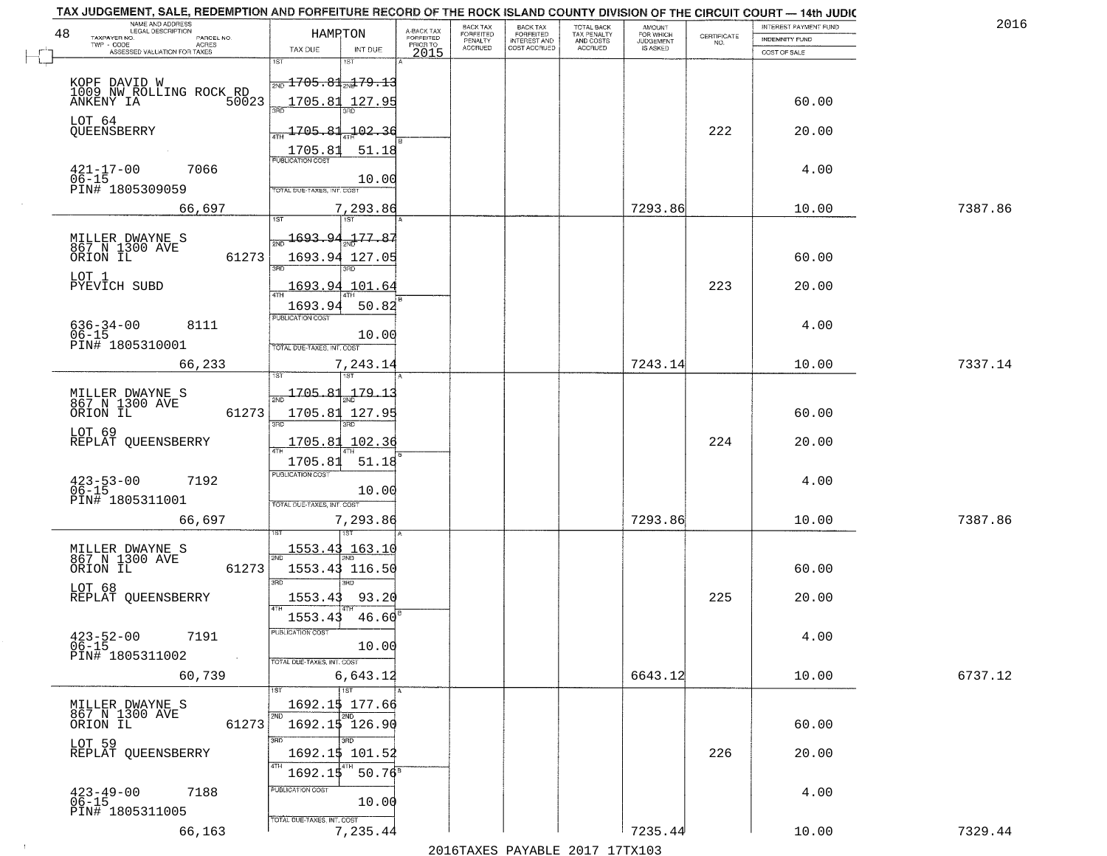| NAME AND ADDRESS<br>LEGAL DESCRIPTION<br>48                | HAMPTON                                       | BACK TAX<br>FORFEITED                                            | <b>BACK TAX</b>                           | TOTAL BACK<br>TAX PENALTY<br>AND COSTS | AMOUNT<br>FOR WHICH          |                                                                 | INTEREST PAYMENT FUND | 2016    |
|------------------------------------------------------------|-----------------------------------------------|------------------------------------------------------------------|-------------------------------------------|----------------------------------------|------------------------------|-----------------------------------------------------------------|-----------------------|---------|
| TAXPAYER NO.<br>PARCEL NO.<br>ACRES                        |                                               | A-BACK TAX<br>FORFEITED<br>PRIOR TO<br>PENALTY<br><b>ACCRUED</b> | FORFEITED<br>INTEREST AND<br>COST ACCRUED | ACCRUED                                | <b>JUDGEMENT</b><br>IS ASKED | $\begin{array}{c} \text{CERTIFICATE} \\ \text{NO.} \end{array}$ | <b>INDEMNITY FUND</b> |         |
| ASSESSED VALUATION FOR TAXES                               | TAX DUE<br>INT DUE<br>iST                     | 2015                                                             |                                           |                                        |                              |                                                                 | COST OF SALE          |         |
|                                                            | $\frac{1}{2ND}$ 1705.81 $\frac{1}{2ND}$ 79.13 |                                                                  |                                           |                                        |                              |                                                                 |                       |         |
| KOPF DAVID W<br>1009 NW ROLLING ROCK RD<br>ANKENY IA 50023 |                                               |                                                                  |                                           |                                        |                              |                                                                 |                       |         |
|                                                            | 1705.81<br>127.95                             |                                                                  |                                           |                                        |                              |                                                                 | 60.00                 |         |
| LOT 64<br>QUEENSBERRY                                      | 1705.81<br>102.36                             |                                                                  |                                           |                                        |                              | 222                                                             | 20.00                 |         |
|                                                            | 51.18                                         |                                                                  |                                           |                                        |                              |                                                                 |                       |         |
|                                                            |                                               |                                                                  |                                           |                                        |                              |                                                                 |                       |         |
| $421 - 17 - 00$<br>$06 - 15$<br>7066                       | 10.00                                         |                                                                  |                                           |                                        |                              |                                                                 | 4.00                  |         |
| PIN# 1805309059                                            | TOTAL DUE-TAXES, INT. COST                    |                                                                  |                                           |                                        |                              |                                                                 |                       |         |
| 66,697                                                     | 7,293.86                                      |                                                                  |                                           |                                        | 7293.86                      |                                                                 | 10.00                 | 7387.86 |
|                                                            | 1693.94.177.87                                |                                                                  |                                           |                                        |                              |                                                                 |                       |         |
| MILLER DWAYNE S<br>867 N 1300 AVE                          |                                               |                                                                  |                                           |                                        |                              |                                                                 |                       |         |
| 61273<br>ORION IL                                          | 1693.94 127.05                                |                                                                  |                                           |                                        |                              |                                                                 | 60.00                 |         |
| LOT 1<br>PYEVICH SUBD                                      | 1693.94 101.64                                |                                                                  |                                           |                                        |                              | 223                                                             | 20.00                 |         |
|                                                            | 50.82<br>1693.94                              |                                                                  |                                           |                                        |                              |                                                                 |                       |         |
| 8111                                                       | PUBLICATION COST                              |                                                                  |                                           |                                        |                              |                                                                 | 4.00                  |         |
| $636 - 34 - 00$<br>$06 - 15$                               | 10.00                                         |                                                                  |                                           |                                        |                              |                                                                 |                       |         |
| PIN# 1805310001                                            | TOTAL DUE-TAXES, INT. COST                    |                                                                  |                                           |                                        |                              |                                                                 |                       |         |
| 66,233                                                     | 7,243.14<br>1ST<br>1ST                        |                                                                  |                                           |                                        | 7243.14                      |                                                                 | 10.00                 | 7337.14 |
|                                                            | $\frac{1705.81}{200}$<br>179.1                |                                                                  |                                           |                                        |                              |                                                                 |                       |         |
| MILLER DWAYNE S<br>867 N 1300 AVE<br>ORION IL              |                                               |                                                                  |                                           |                                        |                              |                                                                 | 60.00                 |         |
| 61273                                                      | 1705.81 127.95<br>3RD<br>3RD.                 |                                                                  |                                           |                                        |                              |                                                                 |                       |         |
| LOT 69<br>REPLAT QUEENSBERRY                               | 102.36<br>1705.81                             |                                                                  |                                           |                                        |                              | 224                                                             | 20.00                 |         |
|                                                            | $\overline{AT}$<br>1705.81<br>51.18           |                                                                  |                                           |                                        |                              |                                                                 |                       |         |
| 7192                                                       | <b>PUBLICATION COST</b>                       |                                                                  |                                           |                                        |                              |                                                                 | 4.00                  |         |
| $423 - 53 - 00$<br>06-15                                   | 10.00                                         |                                                                  |                                           |                                        |                              |                                                                 |                       |         |
| PIN# 1805311001                                            | TOTAL OUE-TAXES, INT. COST                    |                                                                  |                                           |                                        |                              |                                                                 |                       |         |
| 66,697                                                     | 7,293.86                                      |                                                                  |                                           |                                        | 7293.86                      |                                                                 | 10.00                 | 7387.86 |
|                                                            | 1553.43 163.10                                |                                                                  |                                           |                                        |                              |                                                                 |                       |         |
| MILLER DWAYNE S<br>867 N 1300 AVE<br>ORION IL<br>61273     | 1553.43 116.50                                |                                                                  |                                           |                                        |                              |                                                                 | 60.00                 |         |
|                                                            | 3RD                                           |                                                                  |                                           |                                        |                              |                                                                 |                       |         |
| LOT 68<br>REPLAT OUEENSBERRY                               | 1553.43<br>93.20                              |                                                                  |                                           |                                        |                              | 225                                                             | 20.00                 |         |
|                                                            | 1553.43<br>46.60                              |                                                                  |                                           |                                        |                              |                                                                 |                       |         |
| $423 - 52 - 00$<br>7191                                    | PUBLICATION COS                               |                                                                  |                                           |                                        |                              |                                                                 | 4.00                  |         |
| $06 - 15$<br>PIN# 1805311002                               | 10.00                                         |                                                                  |                                           |                                        |                              |                                                                 |                       |         |
| $\sim 100$ km $^{-1}$                                      | TOTAL DUE-TAXES, INT. COST                    |                                                                  |                                           |                                        |                              |                                                                 |                       |         |
| 60,739                                                     | 6,643.12<br>1ST                               |                                                                  |                                           |                                        | 6643.12                      |                                                                 | 10.00                 | 6737.12 |
| MILLER DWAYNE S                                            | 1692.15 177.66                                |                                                                  |                                           |                                        |                              |                                                                 |                       |         |
| 867 N 1300 AVE<br>ORION IL<br>61273                        | 2ND<br>2ND<br>1692.1\$ 126.90                 |                                                                  |                                           |                                        |                              |                                                                 | 60.00                 |         |
|                                                            | 3RD<br>3RD                                    |                                                                  |                                           |                                        |                              |                                                                 |                       |         |
| LOT 59<br>REPLAT QUEENSBERRY                               | 1692.1\$ 101.52                               |                                                                  |                                           |                                        |                              | 226                                                             | 20.00                 |         |
|                                                            | 4TH<br>1692.15<br>$50.76^8$                   |                                                                  |                                           |                                        |                              |                                                                 |                       |         |
| $423 - 49 - 00$<br>7188                                    | PUBLICATION COST                              |                                                                  |                                           |                                        |                              |                                                                 | 4.00                  |         |
| 06-15<br>PIN# 1805311005                                   | 10.00                                         |                                                                  |                                           |                                        |                              |                                                                 |                       |         |
|                                                            | TOTAL DUE-TAXES, INT. COST<br>7,235.44        |                                                                  |                                           |                                        | 7235.44                      |                                                                 |                       |         |
| 66,163                                                     |                                               |                                                                  |                                           |                                        |                              |                                                                 | 10.00                 | 7329.44 |

 $\sim 100$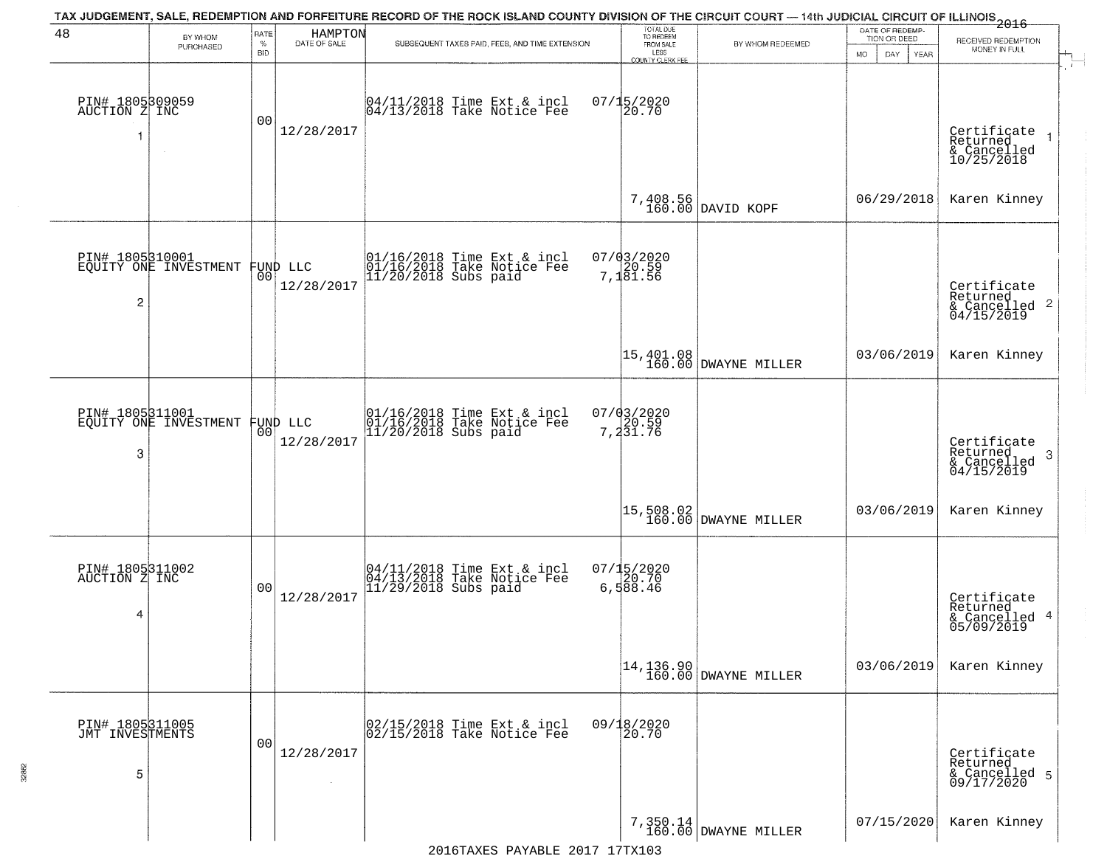| 48                                      | BY WHOM<br>PURCHASED                     | RATE<br>%<br><b>BID</b> | HAMPTON<br>DATE OF SALE | SUBSEQUENT TAXES PAID, FEES, AND TIME EXTENSION                                  | TOTAL DUE<br>TO REDEEM<br>FROM SALE<br>LESS<br>COUNTY CLERK FEE | BY WHOM REDEEMED                                                   | DATE OF REDEMP-<br>TION OR DEED<br>MO.<br>DAY<br>YEAR | $-2016$<br>RECEIVED REDEMPTION<br>MONEY IN FULL<br>$\overline{1}$                                                                   |
|-----------------------------------------|------------------------------------------|-------------------------|-------------------------|----------------------------------------------------------------------------------|-----------------------------------------------------------------|--------------------------------------------------------------------|-------------------------------------------------------|-------------------------------------------------------------------------------------------------------------------------------------|
| PIN# 1805309059<br>AUCTION Z INC<br>1   |                                          | 0 <sub>0</sub>          | 12/28/2017              | 04/11/2018 Time Ext & incl<br>04/13/2018 Take Notice Fee                         | $07/15/2020$<br>20.70                                           |                                                                    |                                                       | Certificate<br>Returned<br>& Cancelled<br>10/25/2018                                                                                |
|                                         |                                          |                         |                         |                                                                                  |                                                                 | 7,408.56<br>160.00 DAVID KOPF                                      | 06/29/2018                                            | Karen Kinney                                                                                                                        |
| PIN# 1805310001<br>$\overline{2}$       | EQUITY ONE INVESTMENT                    | 00 <sub>1</sub>         | FUND LLC<br>12/28/2017  | 01/16/2018 Time Ext & incl<br>01/16/2018 Take Notice Fee<br>11/20/2018 Subs paid | 07/03/2020<br>7,181.56                                          |                                                                    |                                                       | Certificate<br>Returned<br>$\begin{array}{c}\n 0.11160 \\  \text{for 1000} \\  0.1156 \\  \text{for 1000} \\  0.0119\n \end{array}$ |
|                                         |                                          |                         |                         |                                                                                  |                                                                 | 15,401.08<br>160.00 DWAYNE MILLER                                  | 03/06/2019                                            | Karen Kinney                                                                                                                        |
| 3                                       | PIN# 1805311001<br>EQUITY ONE INVESTMENT | 00                      | FUND LLC<br>12/28/2017  | 01/16/2018 Time Ext & incl<br>01/16/2018 Take Notice Fee<br>11/20/2018 Subs paid | 07/03/2020<br>7,20.59<br>7,231.76                               |                                                                    |                                                       | Certificate<br>Returned<br>3<br>& Cancelled<br>04/15/2019                                                                           |
|                                         |                                          |                         |                         |                                                                                  |                                                                 | 15,508.02<br>  160.00 DWAYNE MILLER                                | 03/06/2019                                            | Karen Kinney                                                                                                                        |
| PIN# 1805311002<br>AUCTION Z INC<br>4   |                                          | 0 <sub>0</sub>          | 12/28/2017              | 04/11/2018 Time Ext & incl<br>04/13/2018 Take Notice Fee<br>11/29/2018 Subs paid | 07/15/2020<br>6,588.46                                          |                                                                    |                                                       | Certificate<br>Returned<br>& Cancelled 4<br>05/09/2019                                                                              |
|                                         |                                          |                         |                         |                                                                                  |                                                                 | $\begin{bmatrix} 14, 136.90 \\ 160.00 \end{bmatrix}$ DWAYNE MILLER | 03/06/2019                                            | Karen Kinney                                                                                                                        |
| PIN# 1805311005<br>JMT INVESTMENTS<br>5 |                                          | 0 <sub>0</sub>          | 12/28/2017              | 02/15/2018 Time Ext & incl<br>02/15/2018 Take Notice Fee                         | 09/18/2020                                                      |                                                                    |                                                       | Certificate<br>Returned<br>& Cancelled 5<br>09/17/2020                                                                              |
|                                         |                                          |                         |                         | 2016 THE PLAY THE STREET ON THE CONTROL                                          |                                                                 | 7,350.14<br>160.00 DWAYNE MILLER                                   | 07/15/2020                                            | Karen Kinney                                                                                                                        |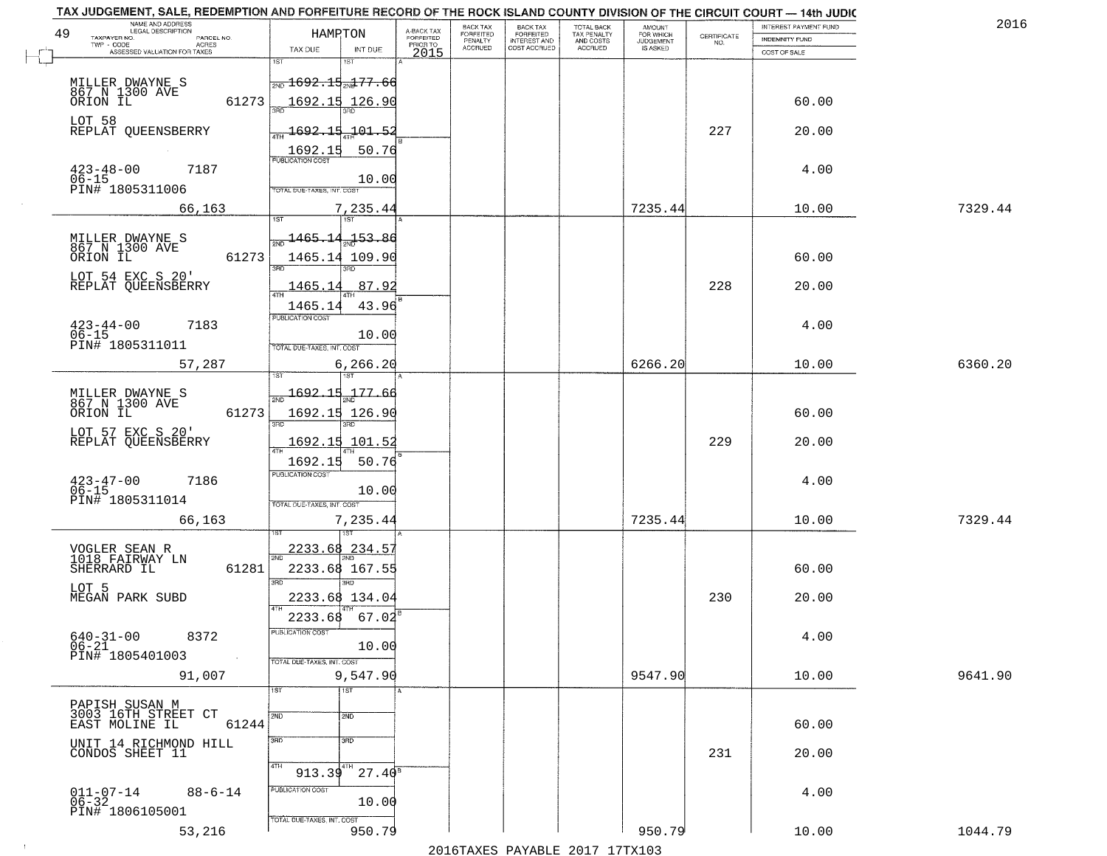|    | TAX JUDGEMENT, SALE, REDEMPTION AND FORFEITURE RECORD OF THE ROCK ISLAND COUNTY DIVISION OF THE CIRCUIT COURT - 14th JUDIC<br>NAME AND ADDRESS<br>LEGAL DESCRIPTION |                                               |                    |                                     | BACK TAX                    | BACK TAX<br>FORFEITED |                                        | AMOUNT<br>FOR WHICH |                                                                 | INTEREST PAYMENT FUND | 2016    |
|----|---------------------------------------------------------------------------------------------------------------------------------------------------------------------|-----------------------------------------------|--------------------|-------------------------------------|-----------------------------|-----------------------|----------------------------------------|---------------------|-----------------------------------------------------------------|-----------------------|---------|
| 49 | TAXPAYER NO.<br>PARCEL NO.                                                                                                                                          | HAMPTON                                       |                    | A-BACK TAX<br>FORFEITED<br>PRIOR TO | <b>FORFEITED</b><br>PENALTY | <b>INTEREST AND</b>   | TOTAL BACK<br>TAX PENALTY<br>AND COSTS | <b>JUDGEMENT</b>    | $\begin{array}{c} \text{CERTIFICATE} \\ \text{NO.} \end{array}$ | INDEMNITY FUND        |         |
|    | ACRES<br>ASSESSED VALUATION FOR TAXES                                                                                                                               | TAX DUE                                       | INT DUE            | 2015                                | <b>ACCRUED</b>              | COST ACCRUED          | <b>ACCRUED</b>                         | IS ASKED            |                                                                 | COST OF SALE          |         |
|    |                                                                                                                                                                     | 1ST                                           | <b>IST</b>         |                                     |                             |                       |                                        |                     |                                                                 |                       |         |
|    |                                                                                                                                                                     | $\frac{1}{200}$ 1692.15 $\frac{1}{201}$ 77.66 |                    |                                     |                             |                       |                                        |                     |                                                                 |                       |         |
|    | MILLER DWAYNE S<br>867 N 1300 AVE<br>ORION IL                                                                                                                       |                                               |                    |                                     |                             |                       |                                        |                     |                                                                 |                       |         |
|    | 61273                                                                                                                                                               | 1692.15 126.90                                |                    |                                     |                             |                       |                                        |                     |                                                                 | 60.00                 |         |
|    | LOT 58                                                                                                                                                              |                                               |                    |                                     |                             |                       |                                        |                     |                                                                 |                       |         |
|    | REPLAT QUEENSBERRY                                                                                                                                                  | <u>1692.15.101.52</u>                         |                    |                                     |                             |                       |                                        |                     | 227                                                             | 20.00                 |         |
|    |                                                                                                                                                                     | 1692.15                                       | 50.76              |                                     |                             |                       |                                        |                     |                                                                 |                       |         |
|    |                                                                                                                                                                     |                                               |                    |                                     |                             |                       |                                        |                     |                                                                 |                       |         |
|    | $423 - 48 - 00$<br>$06 - 15$<br>7187                                                                                                                                |                                               | 10.00              |                                     |                             |                       |                                        |                     |                                                                 | 4.00                  |         |
|    | PIN# 1805311006                                                                                                                                                     | TOTAL DUE-TAXES, INT. COST                    |                    |                                     |                             |                       |                                        |                     |                                                                 |                       |         |
|    | 66,163                                                                                                                                                              |                                               | 7,235.44           |                                     |                             |                       |                                        | 7235.44             |                                                                 | 10.00                 | 7329.44 |
|    |                                                                                                                                                                     |                                               |                    |                                     |                             |                       |                                        |                     |                                                                 |                       |         |
|    |                                                                                                                                                                     | 1465.14 <sub>aa</sub> 153.86                  |                    |                                     |                             |                       |                                        |                     |                                                                 |                       |         |
|    | MILLER DWAYNE S<br>867 N 1300 AVE<br>ORION IL                                                                                                                       |                                               |                    |                                     |                             |                       |                                        |                     |                                                                 |                       |         |
|    | 61273                                                                                                                                                               | 1465.14 109.90                                | 3RD                |                                     |                             |                       |                                        |                     |                                                                 | 60.00                 |         |
|    | LOT 54 EXC S 20'                                                                                                                                                    |                                               |                    |                                     |                             |                       |                                        |                     |                                                                 |                       |         |
|    | REPLAT QUEENSBERRY                                                                                                                                                  | 1465.14                                       | 87.92              |                                     |                             |                       |                                        |                     | 228                                                             | 20.00                 |         |
|    |                                                                                                                                                                     | 1465.14                                       | 43.96              |                                     |                             |                       |                                        |                     |                                                                 |                       |         |
|    |                                                                                                                                                                     | PUBLICATION COST                              |                    |                                     |                             |                       |                                        |                     |                                                                 |                       |         |
|    | $423 - 44 - 00$<br>7183<br>$06 - 15$                                                                                                                                |                                               | 10.00              |                                     |                             |                       |                                        |                     |                                                                 | 4.00                  |         |
|    | PIN# 1805311011                                                                                                                                                     | TOTAL DUE-TAXES, INT. COST                    |                    |                                     |                             |                       |                                        |                     |                                                                 |                       |         |
|    | 57,287                                                                                                                                                              |                                               | 6,266.20           |                                     |                             |                       |                                        | 6266.20             |                                                                 | 10.00                 | 6360.20 |
|    |                                                                                                                                                                     |                                               | 1ST                |                                     |                             |                       |                                        |                     |                                                                 |                       |         |
|    |                                                                                                                                                                     |                                               |                    |                                     |                             |                       |                                        |                     |                                                                 |                       |         |
|    | MILLER DWAYNE S<br>867 N 1300 AVE                                                                                                                                   | $\frac{1}{2ND}$ 1692.15                       | 177.6              |                                     |                             |                       |                                        |                     |                                                                 |                       |         |
|    | ORION IL<br>61273                                                                                                                                                   | 1692.15 126.90                                |                    |                                     |                             |                       |                                        |                     |                                                                 | 60.00                 |         |
|    | LOT 57 EXC S 20'                                                                                                                                                    | 3RD                                           | 3RD                |                                     |                             |                       |                                        |                     |                                                                 |                       |         |
|    | REPLAT QUEENSBERRY                                                                                                                                                  | 1692.15                                       | 101.52             |                                     |                             |                       |                                        |                     | 229                                                             | 20.00                 |         |
|    |                                                                                                                                                                     | 1692.15                                       | 50.76              |                                     |                             |                       |                                        |                     |                                                                 |                       |         |
|    |                                                                                                                                                                     | <b>PUBLICATION COST</b>                       |                    |                                     |                             |                       |                                        |                     |                                                                 |                       |         |
|    | $423 - 47 - 00$<br>06-15<br>7186                                                                                                                                    |                                               | 10.00              |                                     |                             |                       |                                        |                     |                                                                 | 4.00                  |         |
|    | PIN# 1805311014                                                                                                                                                     | TOTAL OUE-TAXES, INT. COST                    |                    |                                     |                             |                       |                                        |                     |                                                                 |                       |         |
|    |                                                                                                                                                                     |                                               |                    |                                     |                             |                       |                                        |                     |                                                                 |                       | 7329.44 |
|    | 66,163                                                                                                                                                              |                                               | 7,235.44           |                                     |                             |                       |                                        | 7235.44             |                                                                 | 10.00                 |         |
|    |                                                                                                                                                                     |                                               |                    |                                     |                             |                       |                                        |                     |                                                                 |                       |         |
|    | VOGLER SEAN R<br>1018 FAIRWAY LN                                                                                                                                    | 2233.68                                       | 234.57             |                                     |                             |                       |                                        |                     |                                                                 |                       |         |
|    | SHERRARD IL<br>61281                                                                                                                                                | 2233.68 167.55                                |                    |                                     |                             |                       |                                        |                     |                                                                 | 60.00                 |         |
|    | LOT 5                                                                                                                                                               |                                               | 3BD                |                                     |                             |                       |                                        |                     |                                                                 |                       |         |
|    | MEGAN PARK SUBD                                                                                                                                                     | 2233.68 134.04                                |                    |                                     |                             |                       |                                        |                     | 230                                                             | 20.00                 |         |
|    |                                                                                                                                                                     | 2233.68                                       | 67.02              |                                     |                             |                       |                                        |                     |                                                                 |                       |         |
|    |                                                                                                                                                                     |                                               |                    |                                     |                             |                       |                                        |                     |                                                                 |                       |         |
|    | $640 - 31 - 00$<br>8372                                                                                                                                             | PUBLICATION COS-                              |                    |                                     |                             |                       |                                        |                     |                                                                 | 4.00                  |         |
|    | $06 - 21$<br>PIN# 1805401003<br>$\sim 100$                                                                                                                          |                                               | 10.00              |                                     |                             |                       |                                        |                     |                                                                 |                       |         |
|    |                                                                                                                                                                     | TOTAL DUE-TAXES, INT. COST                    |                    |                                     |                             |                       |                                        |                     |                                                                 |                       |         |
|    | 91,007                                                                                                                                                              |                                               | 9,547.90           |                                     |                             |                       |                                        | 9547.90             |                                                                 | 10.00                 | 9641.90 |
|    |                                                                                                                                                                     | 1ST                                           | $\overline{1}$ 1ST |                                     |                             |                       |                                        |                     |                                                                 |                       |         |
|    | PAPISH SUSAN M                                                                                                                                                      | 2ND                                           | 2ND                |                                     |                             |                       |                                        |                     |                                                                 |                       |         |
|    | 3003 16TH STREET CT<br>EAST MOLINE IL<br>61244                                                                                                                      |                                               |                    |                                     |                             |                       |                                        |                     |                                                                 | 60.00                 |         |
|    |                                                                                                                                                                     | 3RD                                           | 3RD                |                                     |                             |                       |                                        |                     |                                                                 |                       |         |
|    | UNIT 14 RICHMOND HILL<br>CONDOS SHEET 11                                                                                                                            |                                               |                    |                                     |                             |                       |                                        |                     | 231                                                             | 20.00                 |         |
|    |                                                                                                                                                                     | 4TH                                           |                    |                                     |                             |                       |                                        |                     |                                                                 |                       |         |
|    |                                                                                                                                                                     | 913.39                                        | $27.40^8$          |                                     |                             |                       |                                        |                     |                                                                 |                       |         |
|    | $011 - 07 - 14$<br>06-32<br>$88 - 6 - 14$                                                                                                                           | PUBLICATION COST                              |                    |                                     |                             |                       |                                        |                     |                                                                 | 4.00                  |         |
|    | PIN# 1806105001                                                                                                                                                     |                                               | 10.00              |                                     |                             |                       |                                        |                     |                                                                 |                       |         |
|    |                                                                                                                                                                     | TOTAL DUE-TAXES, INT. COST                    |                    |                                     |                             |                       |                                        |                     |                                                                 |                       |         |
|    | 53,216                                                                                                                                                              |                                               | 950.79             |                                     |                             |                       |                                        | 950.79              |                                                                 | 10.00                 | 1044.79 |
|    |                                                                                                                                                                     |                                               |                    |                                     |                             |                       | 2016 TAVEC DAVARLE 2017 17 TV102       |                     |                                                                 |                       |         |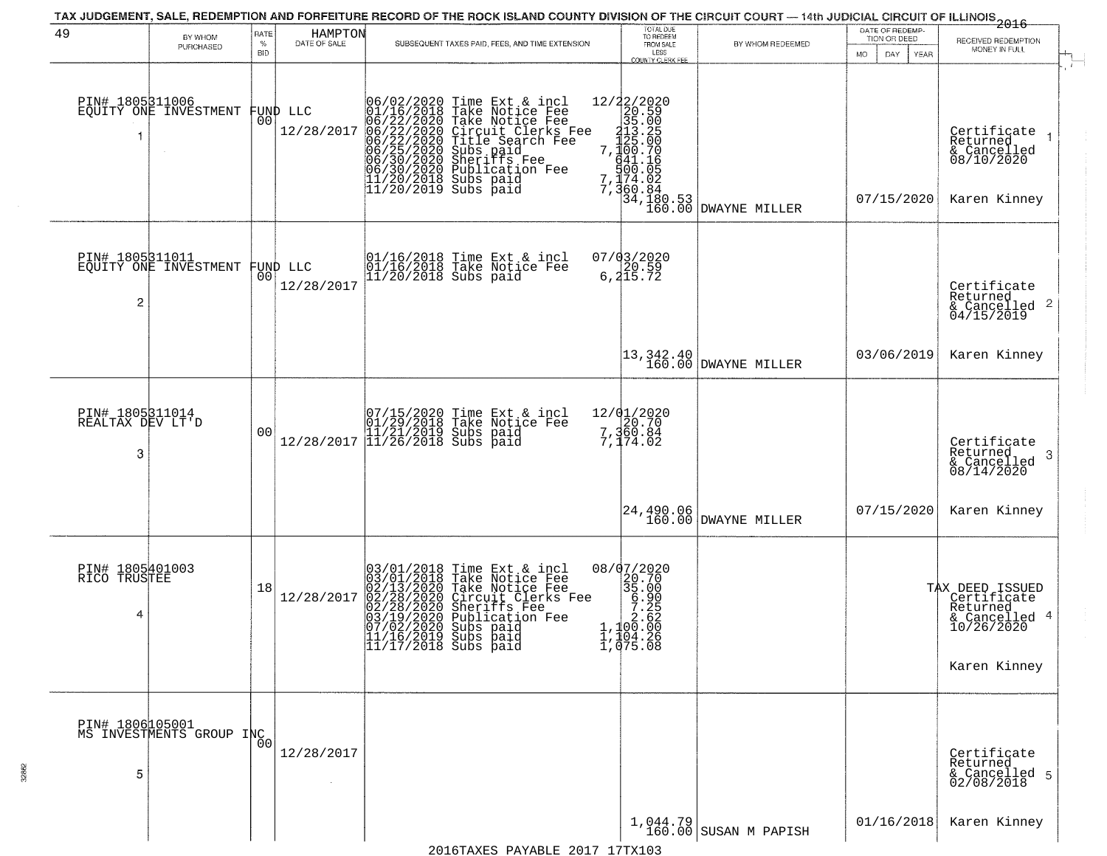| 49                                       | BY WHOM                                     | RATE               | HAMPTON<br>DATE OF SALE        |                                               | TAX JUDGEMENT, SALE, REDEMPTION AND FORFEITURE RECORD OF THE ROCK ISLAND COUNTY DIVISION OF THE CIRCUIT COURT — 14th JUDICIAL CIRCUIT OF ILLINOIS<br>2016 - 1992 - 1992 - 1993 - 1994                                                                | TOTAL DUE<br>TO REDEEM                                                                        |                                                                                                                                                          | DATE OF REDEMP-<br>TION OR DEED | RECEIVED REDEMPTION                                                                           |
|------------------------------------------|---------------------------------------------|--------------------|--------------------------------|-----------------------------------------------|------------------------------------------------------------------------------------------------------------------------------------------------------------------------------------------------------------------------------------------------------|-----------------------------------------------------------------------------------------------|----------------------------------------------------------------------------------------------------------------------------------------------------------|---------------------------------|-----------------------------------------------------------------------------------------------|
|                                          | PURCHASED                                   | $\%$<br><b>BID</b> |                                |                                               | SUBSEQUENT TAXES PAID, FEES, AND TIME EXTENSION                                                                                                                                                                                                      | FROM SALE<br>LESS<br><b>COUNTY CLERK FEE</b>                                                  | BY WHOM REDEEMED                                                                                                                                         | <b>MO</b><br>DAY<br><b>YEAR</b> | MONEY IN FULL                                                                                 |
|                                          | PIN# 1805311006<br>EQUITY ONE INVESTMENT    | 00                 | FUND LLC<br>12/28/2017         |                                               | 06/02/2020 Time Ext & incl<br>01/16/2018 Take Notice Fee<br>06/22/2020 Take Notice Fee<br>06/22/2020 Circuit Clerks Fee<br>06/22/2020 Circuit Clerks Fee<br>06/25/2020 Subs paid<br>06/30/2020 Subsication Fee<br>11/20/2018 Subs paid<br>11/20/2019 |                                                                                               | $\begin{tabular}{c c} 12/22/2020 \\ 20.59 \\ 35.00 \\ 413.25 \\ 7,120.70 \\ 641.16 \\ 500.70 \\ 7,360.84 \\ 34,180.53 \\ 160.00 \\ \hline \end{tabular}$ | 07/15/2020                      | Certificate<br>$\rightarrow$<br>Returned<br>& Cancelled<br>08/10/2020<br>Karen Kinney         |
| PIN# 1805311011<br>2                     | EQUITY ONE INVESTMENT                       |                    | FUND LLC<br> 00 <br>12/28/2017 |                                               | 01/16/2018 Time Ext & incl<br>01/16/2018 Take Notice Fee<br>11/20/2018 Subs paid                                                                                                                                                                     | 07/03/2020<br>6,20.59<br>6,215.72                                                             |                                                                                                                                                          |                                 | Certificate<br>Returned<br>$\overline{2}$<br>& Cancelled<br>04/15/2019                        |
|                                          |                                             |                    |                                |                                               |                                                                                                                                                                                                                                                      |                                                                                               | 13,342.40<br>160.00 DWAYNE MILLER                                                                                                                        | 03/06/2019                      | Karen Kinney                                                                                  |
| PIN# 1805311014<br>REALTAX DEV LT'D<br>3 |                                             | 0 <sub>0</sub>     |                                |                                               | $[07/15/2020 \t\t Time Ext & incl01/29/2018 \tTake Notice Free11/21/2019 Subs paid12/28/2017 \t[11/26/2018 Subs paid$                                                                                                                                | 12/01/2020<br>7,360.84<br>7,360.84                                                            |                                                                                                                                                          |                                 | Certificate<br>Returned<br>3<br>$\frac{6}{08/14/2020}$                                        |
|                                          |                                             |                    |                                |                                               |                                                                                                                                                                                                                                                      |                                                                                               | 24,490.06<br>160.00 DWAYNE MILLER                                                                                                                        | 07/15/2020                      | Karen Kinney                                                                                  |
| PIN# 1805401003<br>RICO TRUSTEE<br>4     |                                             | 18                 | 12/28/2017                     | 11/16/2019 Subs paid<br> 11/17/2018 Subs paid | $03/01/2018$ Time Ext & incl<br>03/01/2018 Take Notice Fee<br>02/13/2020 Take Notice Fee<br>02/28/2020 Circuit Clerks Fee<br>02/28/2020 Sheriffs Fee<br>03/19/2020 Subs paid<br>07/02/2020 Subs paid                                                 | 08/07/2020<br>8/02027<br>20.700<br>35.000<br>5.225<br>7.225<br>7.225<br>1,1004.26<br>1,075.08 |                                                                                                                                                          |                                 | TAX DEED ISSUED<br>Certificate<br>Returned<br>-4<br>& Cancelled<br>10/26/2020<br>Karen Kinney |
| 5                                        | PIN# 1806105001<br>MS INVESTMENTS GROUP INC | 0 <sup>0</sup>     | 12/28/2017                     |                                               |                                                                                                                                                                                                                                                      |                                                                                               |                                                                                                                                                          |                                 | Certificate<br>Returned<br>& Cancelled 5<br>02/08/2018                                        |
|                                          |                                             |                    |                                |                                               |                                                                                                                                                                                                                                                      |                                                                                               | $1,044.79$ SUSAN M PAPISH                                                                                                                                | 01/16/2018                      | Karen Kinney                                                                                  |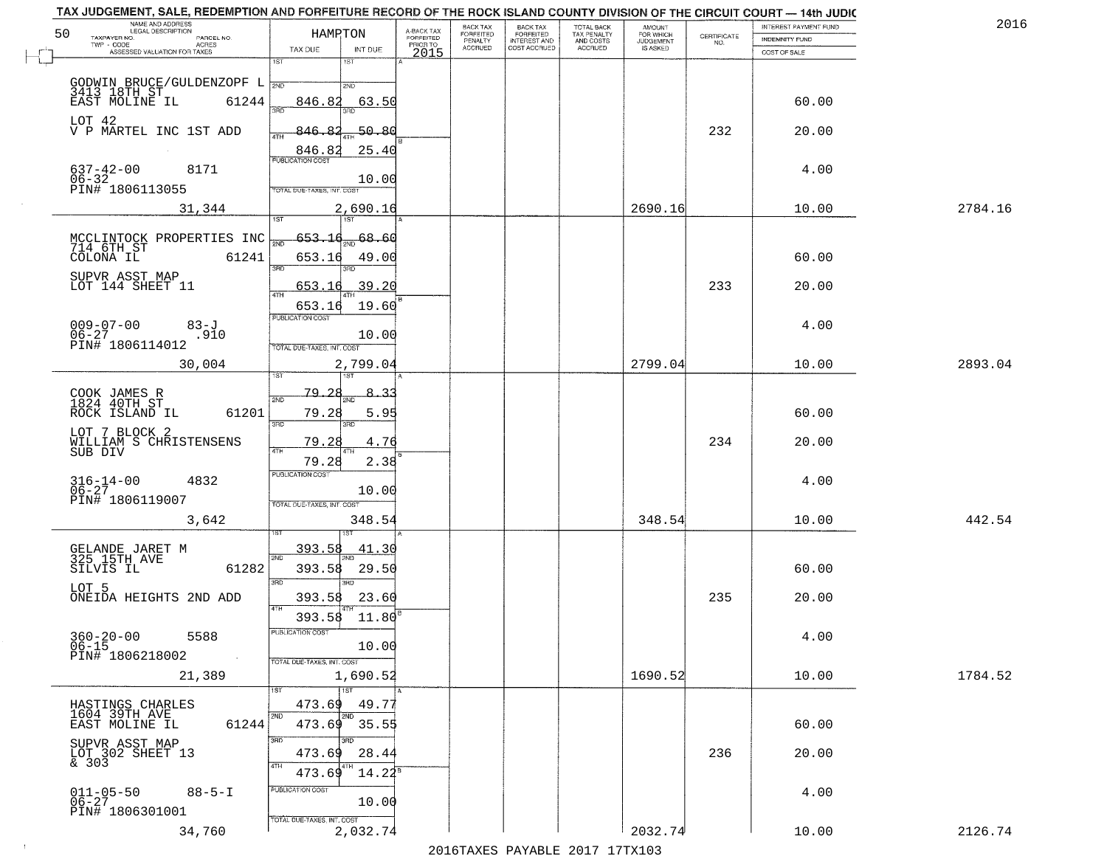| 50 | NAME AND ADDRESS<br>LEGAL DESCRIPTION                                | HAMRTON                           |                  | A-BACK TAX<br>FORFEITED | BACK TAX<br>FORFEITED | <b>BACK TAX</b><br><b>FORFEITED</b> | TOTAL BACK<br>TAX PENALTY | <b>AMOUNT</b>                      |                                                                 | INTEREST PAYMENT FUND | 2016    |
|----|----------------------------------------------------------------------|-----------------------------------|------------------|-------------------------|-----------------------|-------------------------------------|---------------------------|------------------------------------|-----------------------------------------------------------------|-----------------------|---------|
|    | TAXPAYER NO.<br>PARCEL NO.<br>TWP - CODE<br><b>ACRES</b>             | TAX DUE                           | INT DUE          | PRIOR TO                | PENALTY<br>ACCRUED    | INTEREST AND<br>COST ACCRUED        | AND COSTS<br>ACCRUED      | FOR WHICH<br>JUDGEMENT<br>IS ASKED | $\begin{array}{c} \text{CERTIFICATE} \\ \text{NO.} \end{array}$ | INDEMNITY FUND        |         |
|    | ASSESSED VALUATION FOR TAXES                                         | 1ST                               | 181              | 2015                    |                       |                                     |                           |                                    |                                                                 | COST OF SALE          |         |
|    |                                                                      | 2ND                               | 2ND              |                         |                       |                                     |                           |                                    |                                                                 |                       |         |
|    | GODWIN BRUCE/GULDENZOPF L<br>3413 18TH ST<br>EAST MOLINE IL<br>61244 | 846.82<br>ริคิทิ                  | 63.50            |                         |                       |                                     |                           |                                    |                                                                 | 60.00                 |         |
|    | LOT 42<br>V P MARTEL INC 1ST ADD                                     | 846.<br>Ջ<br>4TH                  | $-50.80$         |                         |                       |                                     |                           |                                    | 232                                                             | 20.00                 |         |
|    |                                                                      | 846.82<br><b>PUBLICATION COST</b> | 25.40            |                         |                       |                                     |                           |                                    |                                                                 |                       |         |
|    | $637 - 42 - 00$<br>8171<br>06-32<br>PIN# 1806113055                  | TOTAL DUE-TAXES, INT. COST        | 10.00            |                         |                       |                                     |                           |                                    |                                                                 | 4.00                  |         |
|    | 31,344                                                               |                                   | 2,690.16         |                         |                       |                                     |                           | 2690.16                            |                                                                 | 10.00                 | 2784.16 |
|    |                                                                      | 1ST                               | 1ST              |                         |                       |                                     |                           |                                    |                                                                 |                       |         |
|    | MCCLINTOCK PROPERTIES INC<br>714 6TH_ST<br>COLONA IL<br>61241        | 653.16<br>653.16                  | 68.60<br>49.00   |                         |                       |                                     |                           |                                    |                                                                 | 60.00                 |         |
|    | SUPVR ASST MAP                                                       | 3BD                               |                  |                         |                       |                                     |                           |                                    |                                                                 |                       |         |
|    | LOT 144 SHEET 11                                                     | 653.<br>-16<br>$\sqrt{4}$         | 39.20            |                         |                       |                                     |                           |                                    | 233                                                             | 20.00                 |         |
|    |                                                                      | 653.16<br><b>PUBLICATION COST</b> | 19.60            |                         |                       |                                     |                           |                                    |                                                                 |                       |         |
|    | $009 - 07 - 00$<br>83-J<br>$06 - 27$<br>.910<br>PIN# 1806114012      | TOTAL DUE-TAXES, INT. COST        | 10.00            |                         |                       |                                     |                           |                                    |                                                                 | 4.00                  |         |
|    | 30,004                                                               |                                   | 2,799.04         |                         |                       |                                     |                           | 2799.04                            |                                                                 | 10.00                 | 2893.04 |
|    |                                                                      | 79.                               |                  |                         |                       |                                     |                           |                                    |                                                                 |                       |         |
|    | COOK JAMES R<br>1824 40TH ST<br>61201<br>ROCK ISLAND IL              | 2ND<br>79.28                      | 5.95             |                         |                       |                                     |                           |                                    |                                                                 | 60.00                 |         |
|    | LOT 7 BLOCK 2<br>WILLIAM S CHRISTENSENS                              | 3RD<br>79.28                      | 3RD<br>4.76      |                         |                       |                                     |                           |                                    | 234                                                             | 20.00                 |         |
|    | SUB DIV                                                              | 79.28                             | 2.38             |                         |                       |                                     |                           |                                    |                                                                 |                       |         |
|    | $316 - 14 - 00$<br>06-27<br>4832                                     | <b>PUBLICATION COST</b>           | 10.00            |                         |                       |                                     |                           |                                    |                                                                 | 4.00                  |         |
|    | PIN# 1806119007                                                      | TOTAL OUE-TAXES, INT. COST        |                  |                         |                       |                                     |                           |                                    |                                                                 |                       |         |
|    | 3,642                                                                |                                   | 348.54           |                         |                       |                                     |                           | 348.54                             |                                                                 | 10.00                 | 442.54  |
|    | GELANDE JARET M<br>325 15TH AVE                                      | 393.58                            | 41.30            |                         |                       |                                     |                           |                                    |                                                                 |                       |         |
|    | 61282<br>SILVIS IL                                                   | 2ND<br>393.58                     | 29.50            |                         |                       |                                     |                           |                                    |                                                                 | 60.00                 |         |
|    | LOT 5<br>ONEIDA HEIGHTS 2ND ADD                                      | 3RD<br>393.58                     | 3RD<br>23.60     |                         |                       |                                     |                           |                                    | 235                                                             | 20.00                 |         |
|    |                                                                      | 4TH<br>393.58 11.80               |                  |                         |                       |                                     |                           |                                    |                                                                 |                       |         |
|    | $360 - 20 - 00$<br>5588<br>$06 - 15$                                 | PUBLICATION COST                  | 10.00            |                         |                       |                                     |                           |                                    |                                                                 | 4.00                  |         |
|    | PIN# 1806218002<br>$\sim 100$                                        | TOTAL DUE-TAXES, INT. COST        |                  |                         |                       |                                     |                           |                                    |                                                                 |                       |         |
|    | 21,389                                                               | 1ST<br>1ST                        | 1,690.52         |                         |                       |                                     |                           | 1690.52                            |                                                                 | 10.00                 | 1784.52 |
|    | HASTINGS CHARLES<br>1604 39TH AVE                                    | 473.69                            | 49.77            |                         |                       |                                     |                           |                                    |                                                                 |                       |         |
|    | EAST MOLINE IL<br>61244                                              | 2ND<br>473.69                     | 2ND<br>35.55     |                         |                       |                                     |                           |                                    |                                                                 | 60.00                 |         |
|    | SUPVR ASST MAP<br>LOT 302 SHEET 13<br>& 303                          | 3RD<br>473.69                     | 3RD.<br>28.44    |                         |                       |                                     |                           |                                    | 236                                                             | 20.00                 |         |
|    |                                                                      | 4TH<br>473.69                     | 4TH<br>$14.22^5$ |                         |                       |                                     |                           |                                    |                                                                 |                       |         |
|    | 011-05-50<br>06-27<br>$88 - 5 - I$                                   | PUBLICATION COST                  | 10.00            |                         |                       |                                     |                           |                                    |                                                                 | 4.00                  |         |
|    | PIN# 1806301001<br>34,760                                            | TOTAL DUE-TAXES, INT. COST        | 2,032.74         |                         |                       |                                     |                           | 2032.74                            |                                                                 | 10.00                 | 2126.74 |
|    |                                                                      |                                   |                  |                         |                       |                                     |                           |                                    |                                                                 |                       |         |

 $\sim 100$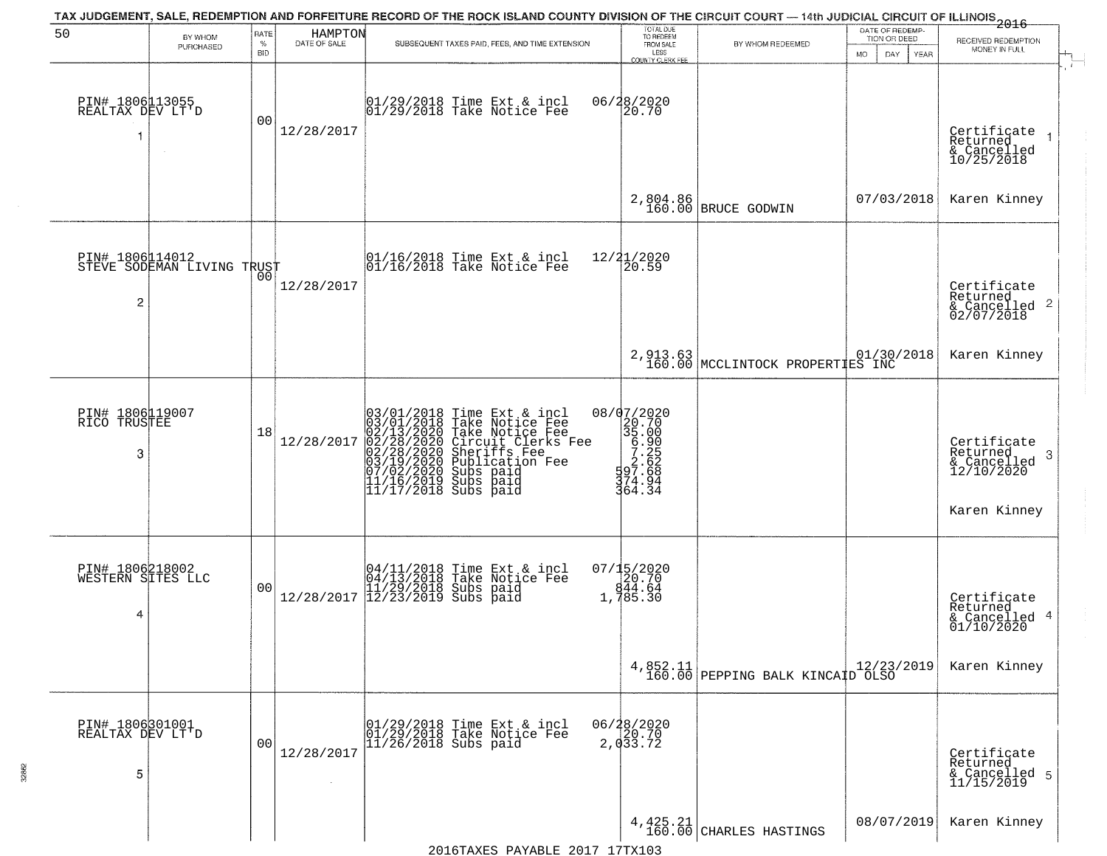| 50                                        | BY WHOM                    | RATE               | HAMPTON      | TAX JUDGEMENT, SALE, REDEMPTION AND FORFEITURE RECORD OF THE ROCK ISLAND COUNTY DIVISION OF THE CIRCUIT COURT - 14th JUDICIAL CIRCUIT OF ILLINOIS 2016                                                                                         | TOTAL DUE<br>TO REDEEM                                                                                            |                                              | DATE OF REDEMP-                     |                                                                                     |
|-------------------------------------------|----------------------------|--------------------|--------------|------------------------------------------------------------------------------------------------------------------------------------------------------------------------------------------------------------------------------------------------|-------------------------------------------------------------------------------------------------------------------|----------------------------------------------|-------------------------------------|-------------------------------------------------------------------------------------|
|                                           | PURCHASED                  | $\%$<br><b>BID</b> | DATE OF SALE | SUBSEQUENT TAXES PAID, FEES, AND TIME EXTENSION                                                                                                                                                                                                | FROM SALE<br>LESS<br>COUNTY CLERK FEE                                                                             | BY WHOM REDEEMED                             | TION OR DEED<br>DAY.<br>MO.<br>YEAR | RECEIVED REDEMPTION<br>MONEY IN FULL                                                |
| PIN# 1806113055<br>REALTAX DEV LT'D       |                            | 0 <sub>0</sub>     | 12/28/2017   | 01/29/2018 Time Ext & incl<br>01/29/2018 Take Notice Fee                                                                                                                                                                                       | 06/28/2020<br>20.70                                                                                               |                                              |                                     | Certificate<br>Returned<br>& Cancelled<br>10/25/2018                                |
|                                           |                            |                    |              |                                                                                                                                                                                                                                                | 2,804.86<br>160.00                                                                                                | BRUCE GODWIN                                 | 07/03/2018                          | Karen Kinney                                                                        |
| PIN# 1806114012<br>2                      | STEVE SODEMAN LIVING TRUST | 0 <sub>0</sub>     | 12/28/2017   | 01/16/2018 Time Ext & incl<br>01/16/2018 Take Notice Fee                                                                                                                                                                                       | 12/21/2020<br>20.59                                                                                               |                                              |                                     | Certificate<br>Returned<br>$\frac{1}{2}$ Cancelled 2<br>02/07/2018                  |
|                                           |                            |                    |              |                                                                                                                                                                                                                                                |                                                                                                                   | 2,913.63<br>160.00 MCCLINTOCK PROPERTIES INC |                                     | Karen Kinney                                                                        |
| PIN# 1806119007<br>RICO TRUSTEE<br>3      |                            | 18                 | 12/28/2017   | $03/01/2018$ Time Ext & incl<br>$03/01/2018$ Take Notice Fee<br>$02/13/2020$ Take Notice Fee<br>$02/28/2020$ Circuit Clerks Fee<br>$02/28/2020$ Sheriffs Fee<br>$03/19/2020$ Subs paid<br>$11/16/2019$ Subs paid<br>$11/17/2018$ Subs paid<br> | $\begin{smallmatrix} 08/07/20202\\ 20.700\\ 35.000\\ 6.900\\ 7.255\\ 97.668\\ 1274.94\\ 364.34 \end{smallmatrix}$ |                                              |                                     | Certificate<br>Returned<br>----urned<br>& Cancelled 3<br>12/10/2020<br>Karen Kinney |
| PIN# 1806218002<br>WESTERN SITES LLC<br>4 |                            | 0 <sub>0</sub>     |              | $[04/11/2018 \t\t Time Ext & incl 04/13/2018 \t\t Take Notice Free 11/29/2018 Subs paid 12/28/2017 12/23/2019 Subs paid 13/2019)$                                                                                                              | $07/15/2020$<br>20.70<br>$944.64$<br>1,785.30                                                                     |                                              |                                     | Certificate<br>Returned<br>& Cancelled 4<br>01/10/2020                              |
|                                           |                            |                    |              |                                                                                                                                                                                                                                                |                                                                                                                   | 4,852.11 160.00 PEPPING BALK KINCAID OLSO    |                                     | Karen Kinney                                                                        |
| PIN# 1806301001<br>REALTAX DEV LT'D<br>5  |                            | 00                 | 12/28/2017   | 01/29/2018 Time Ext & incl<br>01/29/2018 Take Notice Fee<br>11/26/2018 Subs paid                                                                                                                                                               | $06/28/2020$<br>20.70<br>2,033.72                                                                                 |                                              |                                     | Certificate<br>Returned<br>& Cancelled 5<br>11/15/2019                              |
|                                           |                            |                    |              |                                                                                                                                                                                                                                                |                                                                                                                   | $4,425.21$<br>160.00 CHARLES HASTINGS        | 08/07/2019                          | Karen Kinney                                                                        |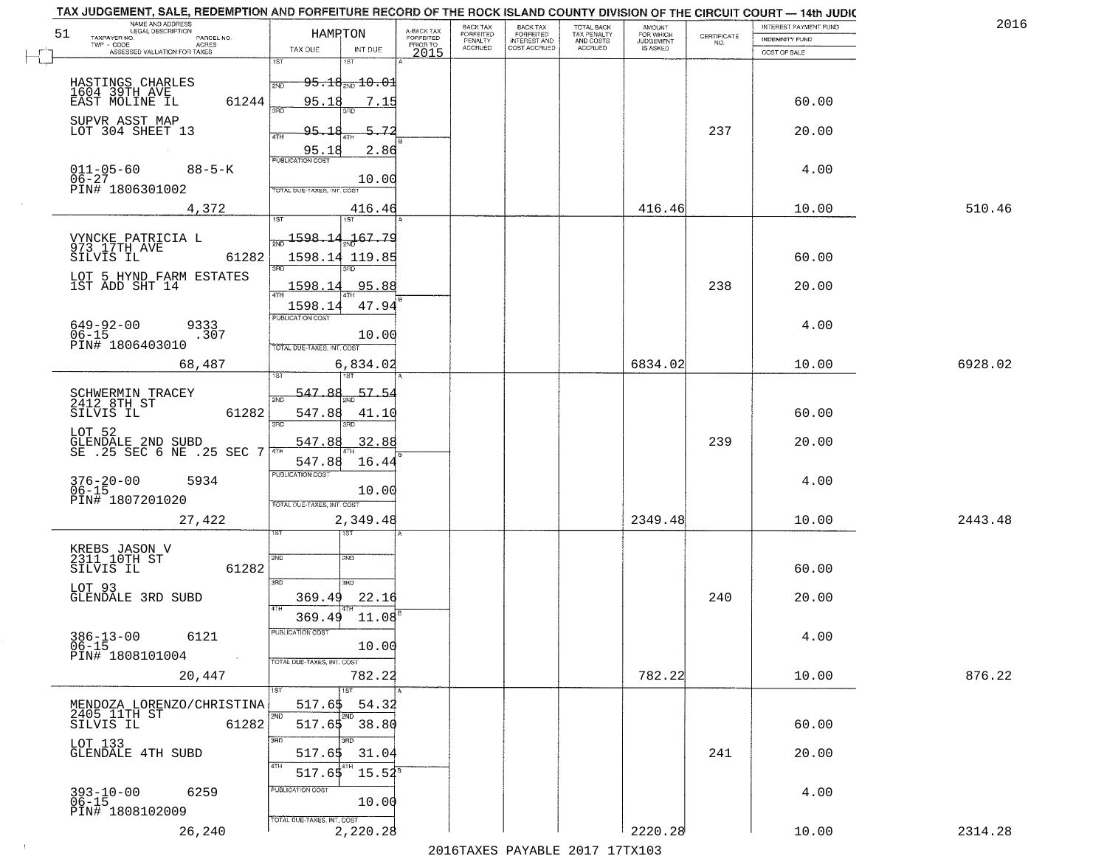| 2016    | INTEREST PAYMENT FUND  |                                                                 | AMOUNT<br>FOR WHICH |                                        | <b>BACK TAX</b>           | BACK TAX             |                                     |                                                       |                                                                                                 | TAX JUDGEMENT, SALE, REDEMPTION AND FORFEITURE RECORD OF THE ROCK ISLAND COUNTY DIVISION OF THE CIRCUIT COURT - 14th JUDIC<br>NAME AND ADDRESS<br>LEGAL DESCRIPTION     |
|---------|------------------------|-----------------------------------------------------------------|---------------------|----------------------------------------|---------------------------|----------------------|-------------------------------------|-------------------------------------------------------|-------------------------------------------------------------------------------------------------|-------------------------------------------------------------------------------------------------------------------------------------------------------------------------|
|         | <b>INDEMNITY FUND</b>  | $\begin{array}{c} \text{CERTIFICATE} \\ \text{NO.} \end{array}$ | <b>JUDGEMENT</b>    | TOTAL BACK<br>TAX PENALTY<br>AND COSTS | FORFEITED<br>INTEREST AND | FORFEITED<br>PENALTY | A-BACK TAX<br>FORFEITED<br>PRIOR TO |                                                       | HAMPTON                                                                                         | TAXPAYER NO.<br>PARCEL NO.<br>TWP - CODE<br>ACRES                                                                                                                       |
|         | COST OF SALE           |                                                                 | IS ASKED            | ACCRUED                                | COST ACCRUED              | <b>ACCRUED</b>       | 2015                                | INT DUE                                               | TAX DUE                                                                                         | ASSESSED VALUATION FOR TAXES                                                                                                                                            |
|         | 60.00<br>20.00         | 237                                                             |                     |                                        |                           |                      |                                     | $95.18_{200}10.01$<br>7.15<br>5.72                    | 1ST<br>2ND<br>95.18<br>95.18                                                                    | HASTINGS CHARLES<br>1604 39TH AVE<br>61244<br>EAST MOLINE IL<br>SUPVR ASST MAP<br>LOT 304 SHEET 13                                                                      |
| 510.46  | 4.00<br>10.00          |                                                                 | 416.46              |                                        |                           |                      |                                     | 2.86<br>10.00<br>416.46                               | 4TH<br>95.18<br><b>PUBLICATION COST</b><br>TOTAL DUE-TAXES, INT. COST                           | $011 - 05 - 60$<br>$06 - 27$<br>$88 - 5 - K$<br>PIN# 1806301002<br>4,372                                                                                                |
|         | 60.00<br>20.00<br>4.00 | 238                                                             |                     |                                        |                           |                      |                                     | 1ST<br>$-167.79$<br>95.88<br>47.94<br>10.00           | $\frac{1598.14}{x}$<br>1598.14 119.85<br>1598.14<br>$\sqrt{47H}$<br>1598.14<br>PUBLICATION COST | VYNCKE PATRICIA L<br>973 17TH AVE<br>61282<br>SILVIS IL<br>LOT 5 HYND FARM ESTATES<br>1ST ADD SHT 14<br>$649 - 92 - 00$<br>9333<br>$06 - 15$<br>.307<br>PIN# 1806403010 |
| 6928.02 | 10.00                  |                                                                 | 6834.02             |                                        |                           |                      |                                     | 6,834.02<br>1ST                                       | TOTAL DUE-TAXES, INT. COST<br>1ST                                                               | 68,487                                                                                                                                                                  |
|         | 60.00<br>20.00         | 239                                                             |                     |                                        |                           |                      |                                     | $-57.5$<br>41.10<br>3RD.<br>32.88                     | 547.88<br>2ND<br>547.88<br>3RD<br>547.88                                                        | SCHWERMIN TRACEY<br>2412 8TH ST<br>SILVIS IL<br>61282<br>LOT 52<br>GLENDALE 2ND SUBD<br>SE .25 SEC 6 NE .25 SEC 7                                                       |
|         | 4.00                   |                                                                 |                     |                                        |                           |                      |                                     | 16.44<br>10.00                                        | 547.88<br><b>PUBLICATION COST</b><br>TOTAL OUE-TAXES, INT. COST                                 | $376 - 20 - 00$<br>06-15<br>5934<br>PIN# 1807201020                                                                                                                     |
| 2443.48 | 10.00                  |                                                                 | 2349.48             |                                        |                           |                      |                                     | 2,349.48<br>उड़ा<br>2ND                               | 2ND                                                                                             | 27,422<br>KREBS JASON V<br>2311 10TH ST                                                                                                                                 |
|         | 60.00                  |                                                                 |                     |                                        |                           |                      |                                     | 3RD                                                   | 3RD                                                                                             | SILVIS IL<br>61282<br>LOT 93<br>GLENDALE 3RD SUBD                                                                                                                       |
|         | 20.00<br>4.00          | 240                                                             |                     |                                        |                           |                      |                                     | 22.16<br>11.08<br>10.00                               | 369.49<br>4TH<br>369.49<br>PUBLICATION COS                                                      | $386 - 13 - 00$<br>6121<br>$06 - 15$<br>PIN# 1808101004                                                                                                                 |
| 876.22  | 10.00                  |                                                                 | 782.22              |                                        |                           |                      |                                     | 782.22                                                | TOTAL DUE-TAXES, INT. COST                                                                      | $\sim 100$<br>20,447                                                                                                                                                    |
|         | 60.00<br>20.00         | 241                                                             |                     |                                        |                           |                      |                                     | 1ST<br>54.32<br>2ND<br>$517.65$ 38.80<br>3BD<br>31.04 | 517.65<br>2ND<br>3RD<br>517.65<br>4TH                                                           | MENDOZA LORENZO/CHRISTINA<br>2405 11TH ST<br>SILVIS IL<br>61282<br>LOT 133<br>GLENDALE 4TH SUBD                                                                         |
|         | 4.00                   |                                                                 |                     |                                        |                           |                      |                                     | $15.54^{\circ}$<br>10.00                              | 517.65<br>PUBLICATION COST<br>TOTAL DUE-TAXES, INT. COST                                        | 393-10-00<br>06-15<br>6259<br>PIN# 1808102009                                                                                                                           |
| 2314.28 | 10.00                  |                                                                 | 2220.28             |                                        |                           |                      |                                     | 2,220.28                                              |                                                                                                 | 26,240                                                                                                                                                                  |

 $\sim 100$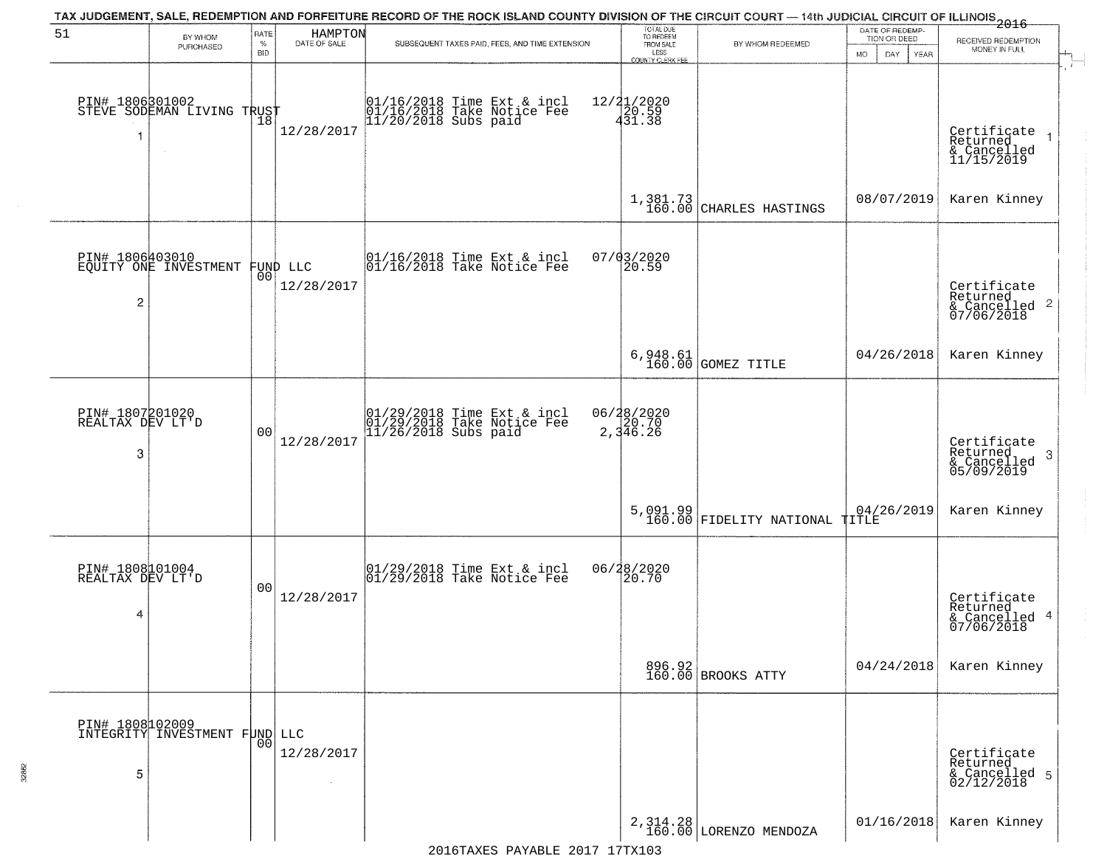|                                          |                                                   |                            |                         | TAX JUDGEMENT, SALE, REDEMPTION AND FORFEITURE RECORD OF THE ROCK ISLAND COUNTY DIVISION OF THE CIRCUIT COURT — 14th JUDICIAL CIRCUIT OF ILLINOIS 2016 |                                                                        |                                            |                                                        |                                                                              |
|------------------------------------------|---------------------------------------------------|----------------------------|-------------------------|--------------------------------------------------------------------------------------------------------------------------------------------------------|------------------------------------------------------------------------|--------------------------------------------|--------------------------------------------------------|------------------------------------------------------------------------------|
| 51                                       | BY WHOM<br>PURCHASED                              | RATE<br>$\%$<br><b>BID</b> | HAMPTON<br>DATE OF SALE | SUBSEQUENT TAXES PAID, FEES, AND TIME EXTENSION                                                                                                        | TOTAL DUE<br>TO REDEEM<br>FROM SALE<br>LESS<br><b>COUNTY CLERK FEE</b> | BY WHOM REDEEMED                           | DATE OF REDEMP-<br>TION OR DEED<br>MO.<br>DAY.<br>YEAR | RECEIVED REDEMPTION<br>MONEY IN FULL                                         |
| -1                                       | PIN# 1806801002<br>STEVE SODEMAN LIVING TRUST     |                            | 12/28/2017              | 01/16/2018 Time Ext & incl<br>01/16/2018 Take Notice Fee<br>11/20/2018 Subs paid                                                                       | 12/21/2020<br>20.59<br>431.38                                          |                                            |                                                        | $\mathbf{r}$<br>Certificate<br>Returned<br>& Cancelled<br>11/15/2019         |
|                                          |                                                   |                            |                         |                                                                                                                                                        |                                                                        | $1,381.73$<br>160.00 CHARLES HASTINGS      | 08/07/2019                                             | Karen Kinney                                                                 |
| $\overline{2}$                           | PIN# 1806403010<br>EQUITY ONE INVESTMENT FUND LLC |                            | 12/28/2017              | $\begin{array}{cc}  01/16/2018 \text{ Time Ext} & \text{incl} \\  01/16/2018 \text{ Take Notice Fe} \end{array}$                                       | 07/03/2020<br>20.59                                                    |                                            |                                                        | Certificate<br>Returned<br>& Cancelled 2<br>07/06/2018                       |
|                                          |                                                   |                            |                         |                                                                                                                                                        |                                                                        | 6,948.61<br>160.00 GOMEZ TITLE             | 04/26/2018                                             | Karen Kinney                                                                 |
| PIN# 1807201020<br>REALTAX DEV LT'D<br>3 |                                                   | 0 <sub>0</sub>             | 12/28/2017              | 01/29/2018 Time Ext & incl<br>01/29/2018 Take Notice Fee<br>11/26/2018 Subs paid                                                                       | 06/28/2020<br>$\frac{26}{2}$ , 346.26                                  |                                            |                                                        | Certificate<br>Returned<br>$\boldsymbol{\beta}$<br>& Cancelled<br>05/09/2019 |
|                                          |                                                   |                            |                         |                                                                                                                                                        |                                                                        | 5,091.99<br>160.00 FIDELITY NATIONAL TITLE | 04/26/2019                                             | Karen Kinney                                                                 |
| PIN# 1808101004<br>REALTAX DEV LT'D<br>4 |                                                   | 0 <sub>0</sub>             | 12/28/2017              | $\begin{array}{c} 01/29/2018 \\ 01/29/2018 \\ \end{array}$ Take Notice Fee                                                                             | 06/28/2020<br>20.70                                                    |                                            |                                                        | Certificate<br>Returned<br>& Cancelled 4<br>07/06/2018                       |
|                                          |                                                   |                            |                         |                                                                                                                                                        |                                                                        | 896.92<br>160.00 BROOKS ATTY               | 04/24/2018                                             | Karen Kinney                                                                 |
| 5                                        | PIN# 1808102009<br>INTEGRITY INVESTMENT FUND LLC  | 00                         | 12/28/2017              |                                                                                                                                                        |                                                                        |                                            |                                                        | Certificate<br>Returned<br>& Cancelled 5<br>02/12/2018                       |
|                                          |                                                   |                            |                         |                                                                                                                                                        |                                                                        | 2, 314.28<br>160.00 LORENZO MENDOZA        | 01/16/2018                                             | Karen Kinney                                                                 |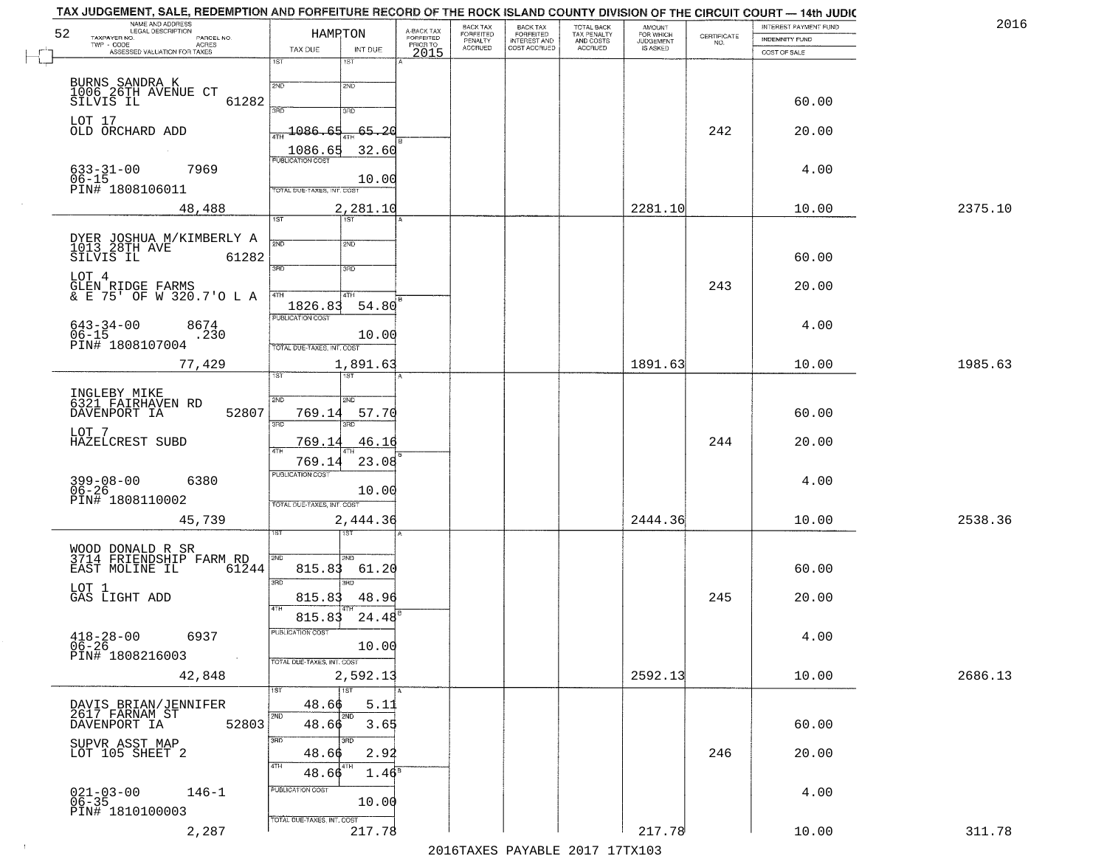| 52 | TAX JUDGEMENT, SALE, REDEMPTION AND FORFEITURE RECORD OF THE ROCK ISLAND COUNTY DIVISION OF THE CIRCUIT COURT — 14th JUDIC<br>NAME AND ADDRESS<br>LEGAL DESCRIPTION<br>TAXPAYER NO.<br>PARCEL NO. | HAMPTON                                   |                   | A-BACK TAX<br>FORFEITED | BACK TAX                        | BACK TAX<br>FORFEITED<br>INTEREST AND<br>COST ACCRUED | TOTAL BACK<br>TAX PENALTY<br>AND COSTS<br>ACCRUED | <b>AMOUNT</b>                      | CERTIFICATE | INTEREST PAYMENT FUND<br><b>INDEMNITY FUND</b> | 2016    |
|----|---------------------------------------------------------------------------------------------------------------------------------------------------------------------------------------------------|-------------------------------------------|-------------------|-------------------------|---------------------------------|-------------------------------------------------------|---------------------------------------------------|------------------------------------|-------------|------------------------------------------------|---------|
|    | TWP - CODE<br>- CODE ACRES<br>ASSESSED VALUATION FOR TAXES                                                                                                                                        | TAX DUE<br>1ST<br>1ST                     | INT DUE           | PRIORTO<br>2015         | FORFEITED<br>PENALTY<br>ACCRUED |                                                       |                                                   | FOR WHICH<br>JUDGEMENT<br>IS ASKED | NO.         | COST OF SALE                                   |         |
|    |                                                                                                                                                                                                   | 2ND<br>2ND                                |                   |                         |                                 |                                                       |                                                   |                                    |             |                                                |         |
|    | BURNS SANDRA K<br>1006 26TH AVENUE CT<br>SILVIS IL<br>61282                                                                                                                                       | 370<br>3RD                                |                   |                         |                                 |                                                       |                                                   |                                    |             | 60.00                                          |         |
|    | LOT 17<br>OLD ORCHARD ADD                                                                                                                                                                         | 1086<br>65                                | 65.20             |                         |                                 |                                                       |                                                   |                                    | 242         | 20.00                                          |         |
|    | $\sim 10^{-1}$                                                                                                                                                                                    | 1086.65<br><b>FUBLICATION COST</b>        | 32.60             |                         |                                 |                                                       |                                                   |                                    |             |                                                |         |
|    | 7969<br>$633 - 31 - 00$<br>$06 - 15$                                                                                                                                                              |                                           | 10.00             |                         |                                 |                                                       |                                                   |                                    |             | 4.00                                           |         |
|    | PIN# 1808106011<br>48,488                                                                                                                                                                         | TOTAL DUE-TAXES, INT. COST                | 2,281.10          |                         |                                 |                                                       |                                                   | 2281.10                            |             | 10.00                                          | 2375.10 |
|    |                                                                                                                                                                                                   | $\overline{1ST}$<br>1ST                   |                   |                         |                                 |                                                       |                                                   |                                    |             |                                                |         |
|    | DYER JOSHUA M/KIMBERLY A<br>1013 28TH AVE<br>SILVIS IL<br>61282                                                                                                                                   | $\overline{2ND}$<br>2ND                   |                   |                         |                                 |                                                       |                                                   |                                    |             | 60.00                                          |         |
|    | LOT 4                                                                                                                                                                                             | 3RD<br>3RD                                |                   |                         |                                 |                                                       |                                                   |                                    | 243         | 20.00                                          |         |
|    | GLEN RIDGE FARMS<br>& E 75' OF W 320.7'O L A                                                                                                                                                      | 4TH<br>4TH<br>1826.83                     | 54.80             |                         |                                 |                                                       |                                                   |                                    |             |                                                |         |
|    | $643 - 34 - 00$<br>$06 - 15$<br>8674<br>.230                                                                                                                                                      | PUBLICATION COST                          | 10.00             |                         |                                 |                                                       |                                                   |                                    |             | 4.00                                           |         |
|    | PIN# 1808107004                                                                                                                                                                                   | TOTAL DUE-TAXES, INT. COST                |                   |                         |                                 |                                                       |                                                   | 1891.63                            |             |                                                | 1985.63 |
|    | 77,429                                                                                                                                                                                            | ist                                       | 1,891.63          |                         |                                 |                                                       |                                                   |                                    |             | 10.00                                          |         |
|    | INGLEBY MIKE<br>6321 FAIRHAVEN RD<br>52807<br>DAVENPORT IA                                                                                                                                        | 2ND<br><b>SMD</b><br>769.14<br>3BD<br>3RD | 57.70             |                         |                                 |                                                       |                                                   |                                    |             | 60.00                                          |         |
|    | LOT 7<br>HAZELCREST SUBD                                                                                                                                                                          | 769.14                                    | 46.16             |                         |                                 |                                                       |                                                   |                                    | 244         | 20.00                                          |         |
|    |                                                                                                                                                                                                   | 769.14<br><b>PUBLICATION COST</b>         | 23.08             |                         |                                 |                                                       |                                                   |                                    |             |                                                |         |
|    | 399-08-00<br>06-26<br>6380<br>PIN# 1808110002                                                                                                                                                     |                                           | 10.00             |                         |                                 |                                                       |                                                   |                                    |             | 4.00                                           |         |
|    | 45,739                                                                                                                                                                                            | TOTAL OUE-TAXES, INT. COST                | 2,444.36          |                         |                                 |                                                       |                                                   | 2444.36                            |             | 10.00                                          | 2538.36 |
|    |                                                                                                                                                                                                   |                                           |                   |                         |                                 |                                                       |                                                   |                                    |             |                                                |         |
|    | WOOD DONALD R SR<br>3714 FRIENDSHIP FARM RD<br>EAST MOLINE IL<br>61244                                                                                                                            | 2ND<br>2ND<br>815.83                      | 61.20             |                         |                                 |                                                       |                                                   |                                    |             | 60.00                                          |         |
|    | LOT 1<br>GAS LIGHT ADD                                                                                                                                                                            | 3RD<br>3BD<br>815.83                      | 48.96             |                         |                                 |                                                       |                                                   |                                    | 245         | 20.00                                          |         |
|    |                                                                                                                                                                                                   | 815.83<br>PUBLICATION COST                | 24.48             |                         |                                 |                                                       |                                                   |                                    |             |                                                |         |
|    | $418 - 28 - 00$<br>6937<br>06-26<br>PIN# 1808216003                                                                                                                                               |                                           | 10.00             |                         |                                 |                                                       |                                                   |                                    |             | 4.00                                           |         |
|    | 42,848                                                                                                                                                                                            | TOTAL DUE-TAXES, INT. COST                | 2,592.13          |                         |                                 |                                                       |                                                   | 2592.13                            |             | 10.00                                          | 2686.13 |
|    |                                                                                                                                                                                                   | $\overline{1ST}$<br>1ST<br>48.66          | 5.11              |                         |                                 |                                                       |                                                   |                                    |             |                                                |         |
|    | DAVIS BRIAN/JENNIFER<br>2617 FARNAM ST<br>52803<br>DAVENPORT IA                                                                                                                                   | 2ND<br>2ND<br>48.66                       | 3.65              |                         |                                 |                                                       |                                                   |                                    |             | 60.00                                          |         |
|    | SUPVR ASST MAP<br>LOT 105 SHEET 2                                                                                                                                                                 | 3RD<br>3RD<br>48.66                       | 2.92              |                         |                                 |                                                       |                                                   |                                    | 246         | 20.00                                          |         |
|    |                                                                                                                                                                                                   | $48.66^{4TH}$                             | 1.46 <sup>s</sup> |                         |                                 |                                                       |                                                   |                                    |             |                                                |         |
|    | $021 - 03 - 00$<br>06-35<br>$146 - 1$                                                                                                                                                             | PUBLICATION COST                          | 10.00             |                         |                                 |                                                       |                                                   |                                    |             | 4.00                                           |         |
|    | PIN# 1810100003<br>2,287                                                                                                                                                                          | TOTAL DUE-TAXES, INT. COST                | 217.78            |                         |                                 |                                                       |                                                   | 217.78                             |             | 10.00                                          | 311.78  |
|    |                                                                                                                                                                                                   |                                           |                   |                         |                                 |                                                       | 2016 TAVES DAVARIE 2017 17 TV102                  |                                    |             |                                                |         |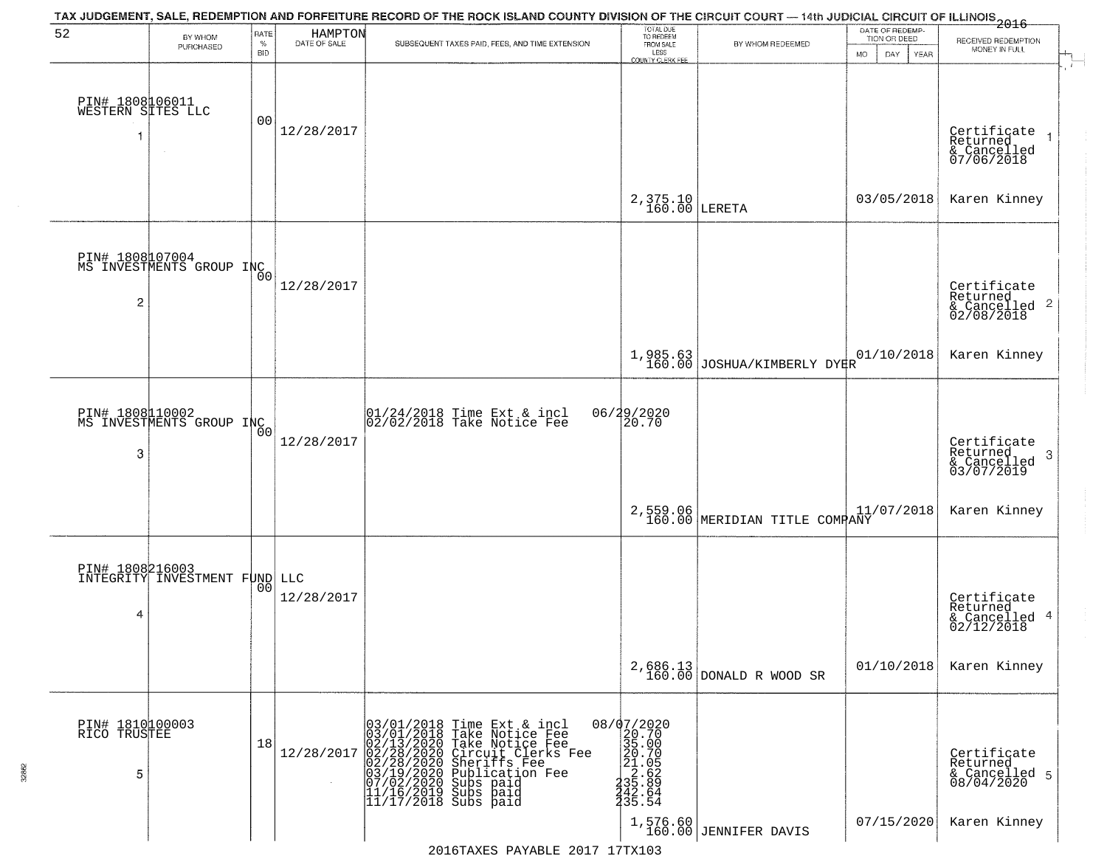| 52                                   | BY WHOM<br>PURCHASED                         | RATE<br>$\%$<br><b>BID</b> | HAMPTON<br>DATE OF SALE | TAX JUDGEMENT, SALE, REDEMPTION AND FORFEITURE RECORD OF THE ROCK ISLAND COUNTY DIVISION OF THE CIRCUIT COURT — 14th JUDICIAL CIRCUIT OF ILLINOIS 2016<br>SUBSEQUENT TAXES PAID, FEES, AND TIME EXTENSION                                                                                  | TOTAL DUE<br>TO REDEEM<br>FROM SALE<br>LESS                                                                                             | BY WHOM REDEEMED                        | DATE OF REDEMP-<br>TION OR DEED<br><b>MO</b><br>DAY<br>YEAR | RECEIVED REDEMPTION<br>MONEY IN FULL                       |
|--------------------------------------|----------------------------------------------|----------------------------|-------------------------|--------------------------------------------------------------------------------------------------------------------------------------------------------------------------------------------------------------------------------------------------------------------------------------------|-----------------------------------------------------------------------------------------------------------------------------------------|-----------------------------------------|-------------------------------------------------------------|------------------------------------------------------------|
| PIN# 1808106011<br>WESTERN SITES LLC |                                              | 00                         | 12/28/2017              |                                                                                                                                                                                                                                                                                            | <b>COUNTY CLERK FEE</b>                                                                                                                 |                                         |                                                             | Certificate<br>Returned<br>& Cancelled<br>07/06/2018       |
|                                      |                                              |                            |                         |                                                                                                                                                                                                                                                                                            | $2,375.10$ LERETA                                                                                                                       |                                         | 03/05/2018                                                  | Karen Kinney                                               |
| $\overline{c}$                       | PIN# 1808007004<br>MS INVESTMENTS GROUP INCO |                            | 12/28/2017              |                                                                                                                                                                                                                                                                                            |                                                                                                                                         |                                         |                                                             | Certificate<br>Returned<br>& Cancelled 2<br>02/08/2018     |
|                                      |                                              |                            |                         |                                                                                                                                                                                                                                                                                            |                                                                                                                                         | 1,985.63<br>160.00 JOSHUA/KIMBERLY DYKR | 01/10/2018                                                  | Karen Kinney                                               |
| 3                                    | PIN# 1808110002<br>MS INVESTMENTS GROUP INC  | Ō0                         | 12/28/2017              | 01/24/2018 Time Ext & incl<br>02/02/2018 Take Notice Fee                                                                                                                                                                                                                                   | 06/29/2020<br>20.70                                                                                                                     |                                         |                                                             | Certificate<br>Returned<br>-3<br>& Cancelled<br>03/07/2019 |
|                                      |                                              |                            |                         |                                                                                                                                                                                                                                                                                            |                                                                                                                                         | 2,559.06 MERIDIAN TITLE COMPANY         | 11/07/2018                                                  | Karen Kinney                                               |
| 4                                    | INTEGRITY INVESTMENT FUND LLC                | 0 <sup>0</sup>             | 12/28/2017              |                                                                                                                                                                                                                                                                                            |                                                                                                                                         |                                         |                                                             | Certificate<br>Returned<br>& Cancelled 4<br>02/12/2018     |
|                                      |                                              |                            |                         |                                                                                                                                                                                                                                                                                            |                                                                                                                                         | $2,686.13$ DONALD R WOOD SR             | 01/10/2018                                                  | Karen Kinney                                               |
| PIN# 1810100003<br>RICO TRUSTEE<br>5 |                                              | 18                         | 12/28/2017              | $03/01/2018$ Time Ext & incl<br>03/01/2018 Take Notice Fee<br>02/13/2020 Take Notice Fee<br>02/28/2020 Circuit Clerks F<br>02/28/2020 Sheriffs Fee<br>03/19/2020 Bublication Fee<br>07/02/2020 Bublication Fee<br>11/16/2019 Subs paid<br>11/17/2018<br>Circuit Clerks Fee<br>Sheriffs Fee | ${\footnotesize \begin{matrix} 08/07/2020 \\ 20.700 \\ 35.00 \\ 21.05 \\ 21.65 \\ 35.629 \\ 432.64 \\ 342.64 \\ 35.54 \\ \end{matrix}}$ |                                         |                                                             | Certificate<br>Returned<br>& Cancelled 5<br>08/04/2020     |
|                                      |                                              |                            |                         |                                                                                                                                                                                                                                                                                            |                                                                                                                                         | 1,576.60<br>160.00 JENNIFER DAVIS       | 07/15/2020                                                  | Karen Kinney                                               |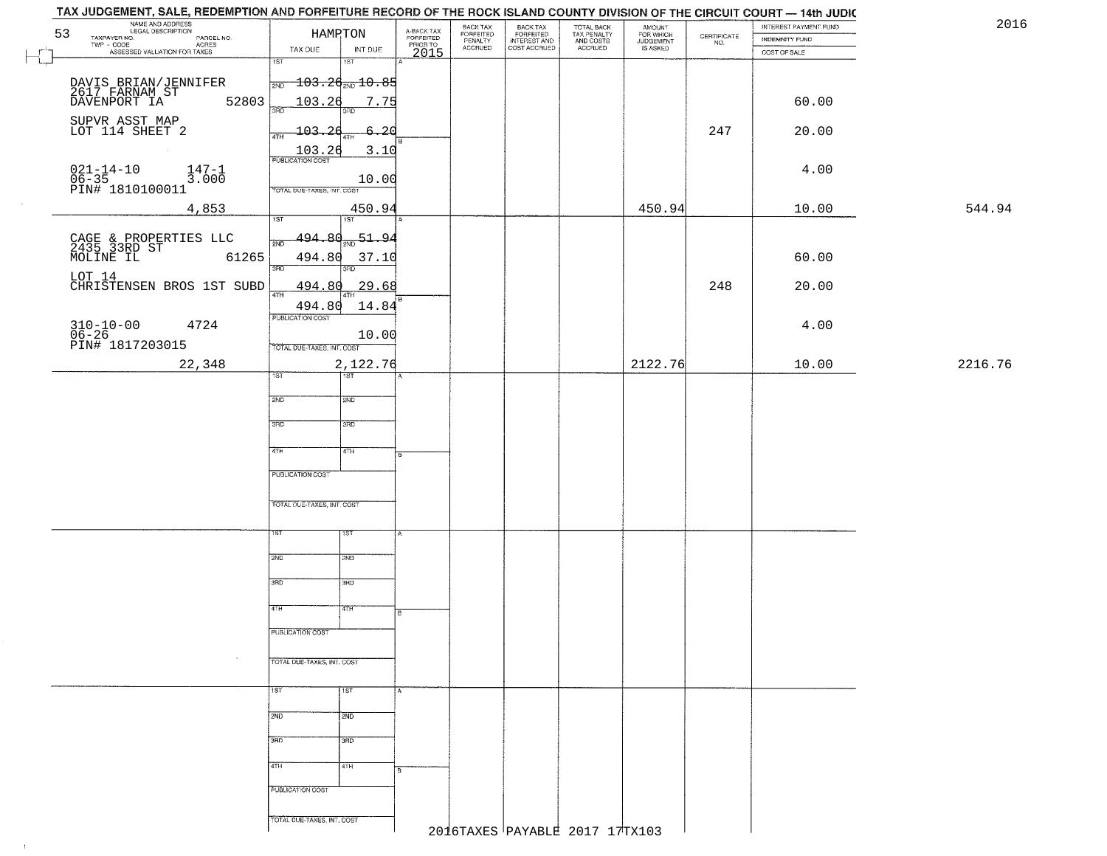| 2016    | INTEREST PAYMENT FUND<br>INDEMNITY FUND | $\begin{array}{c} \text{CERTIFICATE} \\ \text{NO.} \end{array}$ | AMOUNT<br>FOR WHICH<br>JUDGEMENT | TOTAL BACK<br>TAX PENALTY<br>AND COSTS | BACK TAX<br>FORFEITED<br>INTEREST AND | BACK TAX<br>FORFEITED<br>PENALTY | A-BACK TAX<br>FORFEITED<br>PRIOR TO | HAMPTON                                     | NAME AND ADDRESS<br>LEGAL DESCRIPTION<br>53<br>TAXPAYER NO.<br>PARCEL NO. |
|---------|-----------------------------------------|-----------------------------------------------------------------|----------------------------------|----------------------------------------|---------------------------------------|----------------------------------|-------------------------------------|---------------------------------------------|---------------------------------------------------------------------------|
|         | COST OF SALE                            |                                                                 | IS ASKED                         | ACCRUED                                | COST ACCRUED                          | <b>ACCRUED</b>                   | 2015                                | INT DUE<br>TAX DUE                          | ACRES<br>ASSESSED VALUATION FOR TAXES                                     |
|         |                                         |                                                                 |                                  |                                        |                                       |                                  |                                     | $\overline{1ST}$<br>1ST                     |                                                                           |
|         |                                         |                                                                 |                                  |                                        |                                       |                                  |                                     | $\frac{1}{2ND}$ 103.2 $\frac{d}{2ND}$ 10.85 | DAVIS BRIAN/JENNIFER<br>2617 FARNAM ST<br>DAVENPORT IA                    |
|         | 60.00                                   |                                                                 |                                  |                                        |                                       |                                  |                                     | 103.26<br>7.75<br>$3 - 5$                   | 52803                                                                     |
|         |                                         | 247                                                             |                                  |                                        |                                       |                                  |                                     |                                             | SUPVR ASST MAP<br>LOT 114 SHEET 2                                         |
|         | 20.00                                   |                                                                 |                                  |                                        |                                       |                                  |                                     | $-103.26$<br>6.20<br>4TH                    |                                                                           |
|         |                                         |                                                                 |                                  |                                        |                                       |                                  |                                     | $\frac{103.26}{PUBUCATONCGST}$<br>3.10      |                                                                           |
|         | 4.00                                    |                                                                 |                                  |                                        |                                       |                                  |                                     | 10.00                                       | 021-14-10<br>06-35<br>PIN# 1810100011<br>$\frac{147-1}{3.000}$            |
|         |                                         |                                                                 |                                  |                                        |                                       |                                  |                                     | TOTAL DUE-TAXES, INT. COST                  |                                                                           |
| 544.94  | 10.00                                   |                                                                 | 450.94                           |                                        |                                       |                                  |                                     | 450.94<br>1ST<br>1ST                        | 4,853                                                                     |
|         |                                         |                                                                 |                                  |                                        |                                       |                                  |                                     | 494.80<br>$-51 - 94$                        |                                                                           |
|         | 60.00                                   |                                                                 |                                  |                                        |                                       |                                  |                                     |                                             | CAGE & PROPERTIES LLC<br>2435 33RD ST<br>MOLINE IL 63<br>61265            |
|         |                                         |                                                                 |                                  |                                        |                                       |                                  |                                     | 494.80<br>37.10<br>3RD<br>3RD               |                                                                           |
|         | 20.00                                   | 248                                                             |                                  |                                        |                                       |                                  |                                     | 494.80<br><u>29.68</u>                      | LOT 14<br>CHRISTENSEN BROS 1ST SUBD                                       |
|         |                                         |                                                                 |                                  |                                        |                                       |                                  |                                     | ৰাম<br>494.80<br>14.84                      |                                                                           |
|         | 4.00                                    |                                                                 |                                  |                                        |                                       |                                  |                                     | PUBLICATION COST                            | 4724                                                                      |
|         |                                         |                                                                 |                                  |                                        |                                       |                                  |                                     | 10.00<br>TOTAL DUE-TAXES, INT. COST         | 310-10-00<br>06-26<br>PIN# 1817203015                                     |
| 2216.76 | 10.00                                   |                                                                 | 2122.76                          |                                        |                                       |                                  |                                     | 2,122.76                                    | 22,348                                                                    |
|         |                                         |                                                                 |                                  |                                        |                                       |                                  |                                     | 1ST                                         |                                                                           |
|         |                                         |                                                                 |                                  |                                        |                                       |                                  |                                     | 2ND<br>SMD                                  |                                                                           |
|         |                                         |                                                                 |                                  |                                        |                                       |                                  |                                     |                                             |                                                                           |
|         |                                         |                                                                 |                                  |                                        |                                       |                                  |                                     | 3RD<br>3 <sub>BD</sub>                      |                                                                           |
|         |                                         |                                                                 |                                  |                                        |                                       |                                  |                                     | 4TH<br>4TH                                  |                                                                           |
|         |                                         |                                                                 |                                  |                                        |                                       |                                  |                                     |                                             |                                                                           |
|         |                                         |                                                                 |                                  |                                        |                                       |                                  |                                     | PUBLICATION COST                            |                                                                           |
|         |                                         |                                                                 |                                  |                                        |                                       |                                  |                                     | TOTAL OUE-TAXES, INT. COST                  |                                                                           |
|         |                                         |                                                                 |                                  |                                        |                                       |                                  |                                     |                                             |                                                                           |
|         |                                         |                                                                 |                                  |                                        |                                       |                                  |                                     | 15T<br>IST                                  |                                                                           |
|         |                                         |                                                                 |                                  |                                        |                                       |                                  |                                     | 2ND<br>2ND                                  |                                                                           |
|         |                                         |                                                                 |                                  |                                        |                                       |                                  |                                     |                                             |                                                                           |
|         |                                         |                                                                 |                                  |                                        |                                       |                                  |                                     | 3RD<br>3RD                                  |                                                                           |
|         |                                         |                                                                 |                                  |                                        |                                       |                                  |                                     | 77H<br>4TH                                  |                                                                           |
|         |                                         |                                                                 |                                  |                                        |                                       |                                  |                                     | PUBLICATION COST                            |                                                                           |
|         |                                         |                                                                 |                                  |                                        |                                       |                                  |                                     |                                             |                                                                           |
|         |                                         |                                                                 |                                  |                                        |                                       |                                  |                                     | TOTAL DUE-TAXES, INT. COST                  | $\sim$                                                                    |
|         |                                         |                                                                 |                                  |                                        |                                       |                                  |                                     |                                             |                                                                           |
|         |                                         |                                                                 |                                  |                                        |                                       |                                  |                                     | TST<br>1ST                                  |                                                                           |
|         |                                         |                                                                 |                                  |                                        |                                       |                                  |                                     | 2ND<br>2ND                                  |                                                                           |
|         |                                         |                                                                 |                                  |                                        |                                       |                                  |                                     | 3RD<br>3RD                                  |                                                                           |
|         |                                         |                                                                 |                                  |                                        |                                       |                                  |                                     |                                             |                                                                           |
|         |                                         |                                                                 |                                  |                                        |                                       |                                  |                                     | 4TH<br>4TH                                  |                                                                           |
|         |                                         |                                                                 |                                  |                                        |                                       |                                  |                                     | PUBLICATION COST                            |                                                                           |
|         |                                         |                                                                 |                                  |                                        |                                       |                                  |                                     |                                             |                                                                           |
|         |                                         |                                                                 |                                  |                                        |                                       |                                  |                                     | TOTAL OUE-TAXES, INT. COST                  |                                                                           |

 $\vdash$ 

 $-1$  .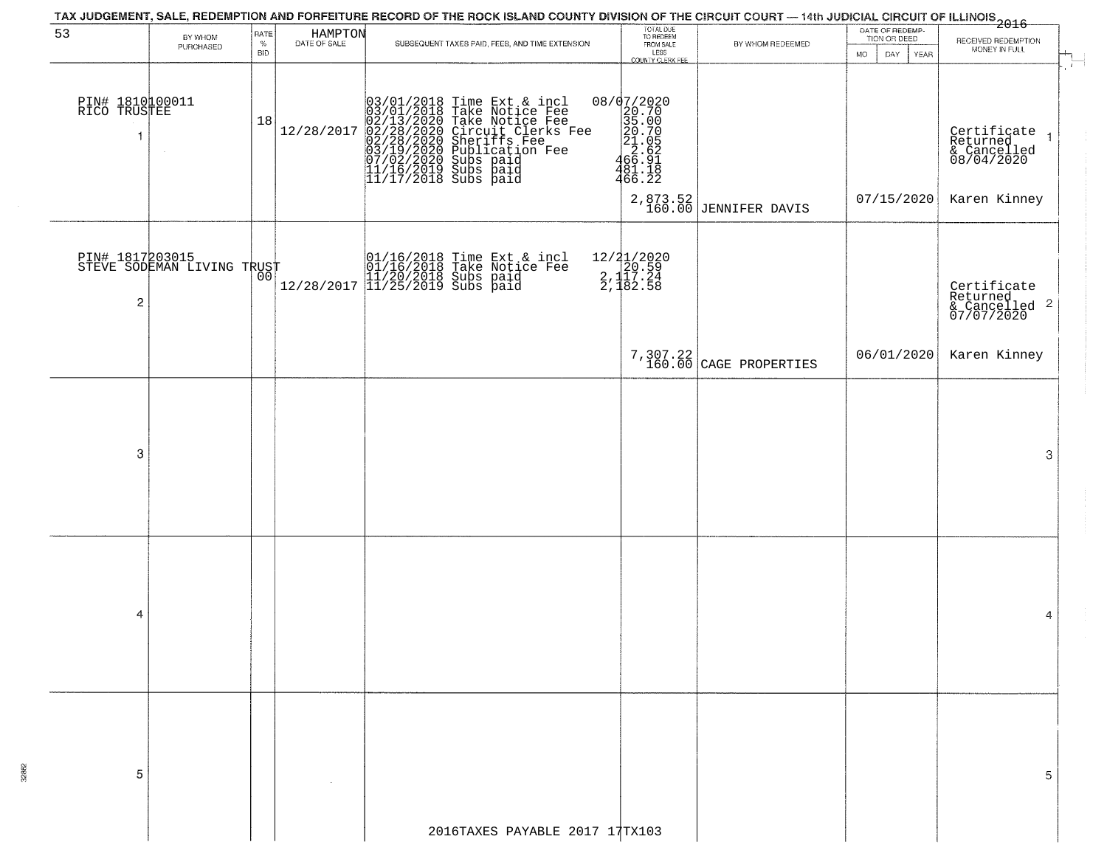|                                       |                                               |                                   |                         | TAX JUDGEMENT, SALE, REDEMPTION AND FORFEITURE RECORD OF THE ROCK ISLAND COUNTY DIVISION OF THE CIRCUIT COURT — 14th JUDICIAL CIRCUIT OF ILLINOIS<br>2016 - The Contract of December 1999                                                      |                                                                                         |                                    |                                                        |                                                                      |
|---------------------------------------|-----------------------------------------------|-----------------------------------|-------------------------|------------------------------------------------------------------------------------------------------------------------------------------------------------------------------------------------------------------------------------------------|-----------------------------------------------------------------------------------------|------------------------------------|--------------------------------------------------------|----------------------------------------------------------------------|
| 53                                    | BY WHOM<br>PURCHASED                          | <b>RATE</b><br>$\%$<br><b>BID</b> | HAMPTON<br>DATE OF SALE | SUBSEQUENT TAXES PAID, FEES, AND TIME EXTENSION                                                                                                                                                                                                | TOTAL DUE<br>TO REDEEM<br>FROM SALE<br>LESS<br>COUNTY CLERK FEE                         | BY WHOM REDEEMED                   | DATE OF REDEMP-<br>TION OR DEED<br>MO.<br>DAY.<br>YEAR | RECEIVED REDEMPTION<br>MONEY IN FULL                                 |
| PIN# 1810100011<br>RICO TRUSTEE<br>f. | $\sim$                                        | 18                                | 12/28/2017              | $03/01/2018$ Time Ext & incl<br>$03/01/2018$ Take Notice Fee<br>$02/13/2020$ Take Notice Fee<br>$02/28/2020$ Circuit Clerks Fee<br>$02/28/2020$ Sheriffs Fee<br>$03/19/2020$ Subs paid<br>$07/02/2020$ Subs paid<br>$11/16/2019$ Subs paid<br> | 08/07/2020<br>22020<br>235.000<br>35.000<br>21.05<br>21.05<br>22.62<br>466.22<br>466.22 |                                    |                                                        | $\mathbf{f}$<br>Certificate<br>Returned<br>& Cancelled<br>08/04/2020 |
|                                       |                                               |                                   |                         |                                                                                                                                                                                                                                                |                                                                                         | 2,873.52<br>160.00 JENNIFER DAVIS  | 07/15/2020                                             | Karen Kinney                                                         |
| 2                                     | PIN# 1817203015<br>STEVE SODEMAN LIVING TRUST |                                   |                         | 01/16/2018 Time Ext & incl<br>01/16/2018 Take Notice Fee<br>11/20/2018 Subs paid<br>12/28/2017 11/25/2019 Subs paid                                                                                                                            | 12/21/2020<br>2.120.59<br>2.117.24<br>2.182.58                                          |                                    |                                                        | Certificate<br>Returned<br>$\frac{1}{2}$ Cancelled 2<br>07/07/2020   |
|                                       |                                               |                                   |                         |                                                                                                                                                                                                                                                |                                                                                         | 7,307.22<br>160.00 CAGE PROPERTIES | 06/01/2020                                             | Karen Kinney                                                         |
|                                       |                                               |                                   |                         |                                                                                                                                                                                                                                                |                                                                                         |                                    |                                                        |                                                                      |
| 3                                     |                                               |                                   |                         |                                                                                                                                                                                                                                                |                                                                                         |                                    |                                                        | 3                                                                    |
|                                       |                                               |                                   |                         |                                                                                                                                                                                                                                                |                                                                                         |                                    |                                                        |                                                                      |
|                                       |                                               |                                   |                         |                                                                                                                                                                                                                                                |                                                                                         |                                    |                                                        |                                                                      |
| 4                                     |                                               |                                   |                         |                                                                                                                                                                                                                                                |                                                                                         |                                    |                                                        | 4                                                                    |
|                                       |                                               |                                   |                         |                                                                                                                                                                                                                                                |                                                                                         |                                    |                                                        |                                                                      |
|                                       |                                               |                                   |                         |                                                                                                                                                                                                                                                |                                                                                         |                                    |                                                        |                                                                      |
| 5                                     |                                               |                                   |                         |                                                                                                                                                                                                                                                |                                                                                         |                                    |                                                        | 5                                                                    |
|                                       |                                               |                                   |                         | 2016TAXES PAYABLE 2017 17TX103                                                                                                                                                                                                                 |                                                                                         |                                    |                                                        |                                                                      |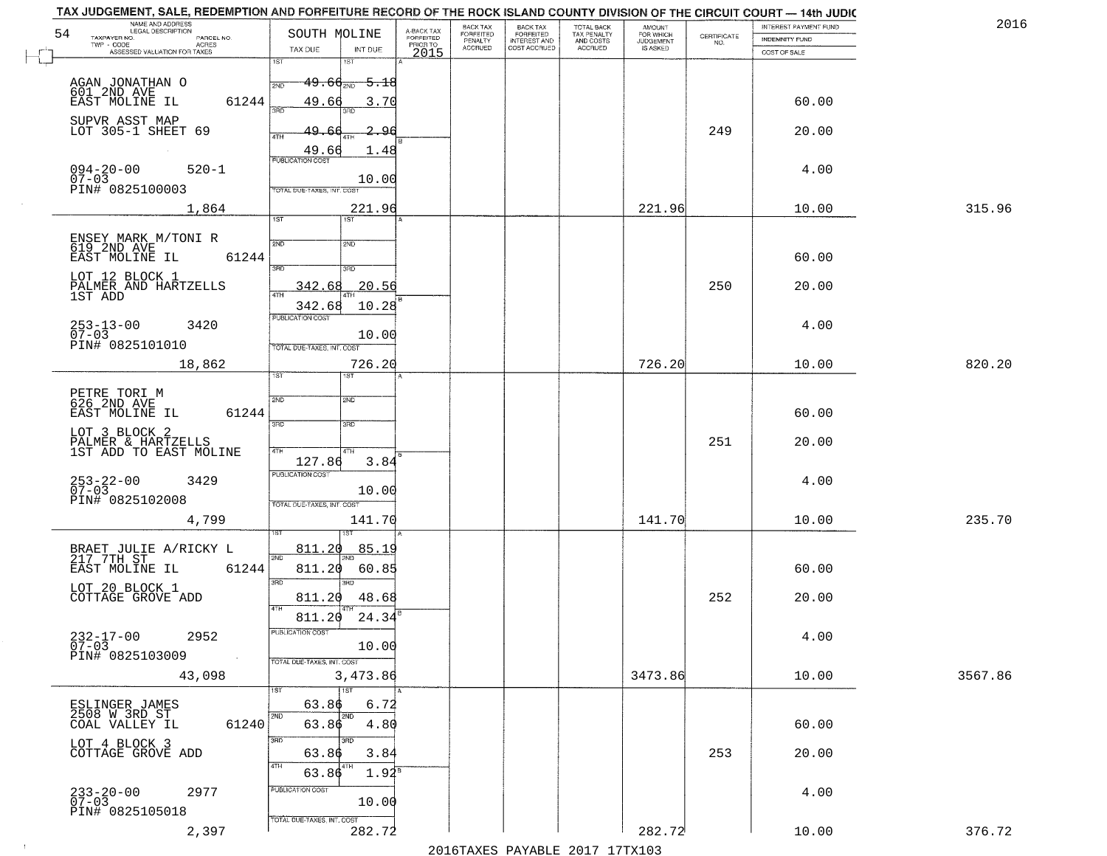| NAME AND ADDRESS<br>LEGAL DESCRIPTION                                                                                   |                                                                                                                       |                                     | BACK TAX             | <b>BACK TAX</b>           | TOTAL BACK<br>TAX PENALTY<br>AND COSTS | AMOUNT<br>FOR WHICH |                                                                 | INTEREST PAYMENT FUND | 2016    |
|-------------------------------------------------------------------------------------------------------------------------|-----------------------------------------------------------------------------------------------------------------------|-------------------------------------|----------------------|---------------------------|----------------------------------------|---------------------|-----------------------------------------------------------------|-----------------------|---------|
| 54<br>TAXPAYER NO.<br>PARCEL NO.<br>ACRES                                                                               | SOUTH MOLINE                                                                                                          | A-BACK TAX<br>FORFEITED<br>PRIOR TO | FORFEITED<br>PENALTY | FORFEITED<br>INTEREST AND |                                        | <b>JUDGEMENT</b>    | $\begin{array}{c} \text{CERTIFICATE} \\ \text{NO.} \end{array}$ | INDEMNITY FUND        |         |
| ASSESSED VALUATION FOR TAXES                                                                                            | TAX DUE<br>INT DUE<br>1ST<br>18T                                                                                      | 2015                                | <b>ACCRUED</b>       | COST ACCRUED              | ACCRUED                                | IS ASKED            |                                                                 | COST OF SALE          |         |
| AGAN JONATHAN O<br>601 2ND AVE<br>EAST MOLINE IL<br>61244                                                               | $49.66_{200}$<br>-5.18<br>2ND<br>49.66<br>3.70                                                                        |                                     |                      |                           |                                        |                     |                                                                 | 60.00                 |         |
| SUPVR ASST MAP<br>LOT 305-1 SHEET 69                                                                                    | 390<br>3BD<br>49.66<br>2.96<br>4TH<br>49.66<br>1.48                                                                   |                                     |                      |                           |                                        |                     | 249                                                             | 20.00                 |         |
| $094 - 20 - 00$<br>07-03<br>$520 - 1$<br>PIN# 0825100003                                                                | <b>PUBLICATION COST</b><br>10.00<br>TOTAL DUE-TAXES, INT. COST                                                        |                                     |                      |                           |                                        |                     |                                                                 | 4.00                  |         |
| 1,864                                                                                                                   | 221.96                                                                                                                |                                     |                      |                           |                                        | 221.96              |                                                                 | 10.00                 | 315.96  |
| ENSEY MARK M/TONI R<br>619 2ND AVE<br>61244<br>EAST MOLINE IL<br>LOT 12 BLOCK 1<br>PALMER AND HARTZELLS<br>1ST ADD      | 1ST<br>2ND<br>2ND<br>3RD<br>3RD<br>20.56<br>342.68<br>ৰাম<br>342.68<br>10.28                                          |                                     |                      |                           |                                        |                     | 250                                                             | 60.00<br>20.00        |         |
| $253 - 13 - 00$<br>3420<br>$07 - 03$<br>PIN# 0825101010                                                                 | PUBLICATION COST<br>10.00<br>TOTAL DUE-TAXES, INT. COST                                                               |                                     |                      |                           |                                        |                     |                                                                 | 4.00                  |         |
| 18,862                                                                                                                  | 726.20                                                                                                                |                                     |                      |                           |                                        | 726.20              |                                                                 | 10.00                 | 820.20  |
| PETRE TORI M<br>626 2ND AVE<br>EAST MOLINE IL<br>61244<br>LOT 3 BLOCK 2<br>PALMER & HARTZELLS<br>1ST ADD TO EAST MOLINE | īst<br>1ST<br>2ND<br>2ND<br>3RD<br>3RD<br>4TH<br>4TH                                                                  |                                     |                      |                           |                                        |                     | 251                                                             | 60.00<br>20.00        |         |
| $253 - 22 - 00$<br>07-03<br>3429<br>PIN# 0825102008<br>4,799                                                            | 127.86<br>3.84<br><b>PUBLICATION COST</b><br>10.00<br>TOTAL OUE-TAXES, INT. COST<br>141.70                            |                                     |                      |                           |                                        | 141.70              |                                                                 | 4.00<br>10.00         | 235.70  |
| BRAET JULIE A/RICKY L<br>$217 - 7$ TH $ST$<br>EAST MOLINE IL<br>61244<br>LOT 20 BLOCK 1<br>COTTAGE GROVE ADD            | 811.20<br><u>85.19</u><br>2ND<br>811.20<br>60.85<br>3 <sub>BD</sub><br>m<br>48.68<br>811.20<br>4TH<br>811.20<br>24.34 |                                     |                      |                           |                                        |                     | 252                                                             | 60.00<br>20.00        |         |
| $232 - 17 - 00$<br>07-03<br>2952<br>PIN# 0825103009<br><b>Contract</b><br>43,098                                        | PUBLICATION CUS.<br>10.00<br>TOTAL DUE-TAXES, INT. COST<br>3,473.86                                                   |                                     |                      |                           |                                        | 3473.86             |                                                                 | 4.00<br>10.00         | 3567.86 |
| ESLINGER JAMES<br>2508 W 3RD ST<br>61240<br>COAL VALLEY IL                                                              | 1ST<br>63.86<br>6.72<br>2ND<br>2ND<br>63.86<br>4.80                                                                   |                                     |                      |                           |                                        |                     |                                                                 | 60.00                 |         |
| LOT 4 BLOCK 3<br>COTTAGE GROVE ADD                                                                                      | 3RD<br>38D<br>63.86<br>3.84<br>4TH<br>63.86<br>$1.92^8$                                                               |                                     |                      |                           |                                        |                     | 253                                                             | 20.00                 |         |
| $233 - 20 - 00$<br>07-03<br>2977<br>PIN# 0825105018<br>2,397                                                            | PUBLICATION COST<br>10.00<br>TOTAL DUE-TAXES, INT. COST<br>282.72                                                     |                                     |                      |                           |                                        | 282.72              |                                                                 | 4.00<br>10.00         | 376.72  |
|                                                                                                                         |                                                                                                                       |                                     |                      |                           |                                        |                     |                                                                 |                       |         |

 $\sim 10^{-1}$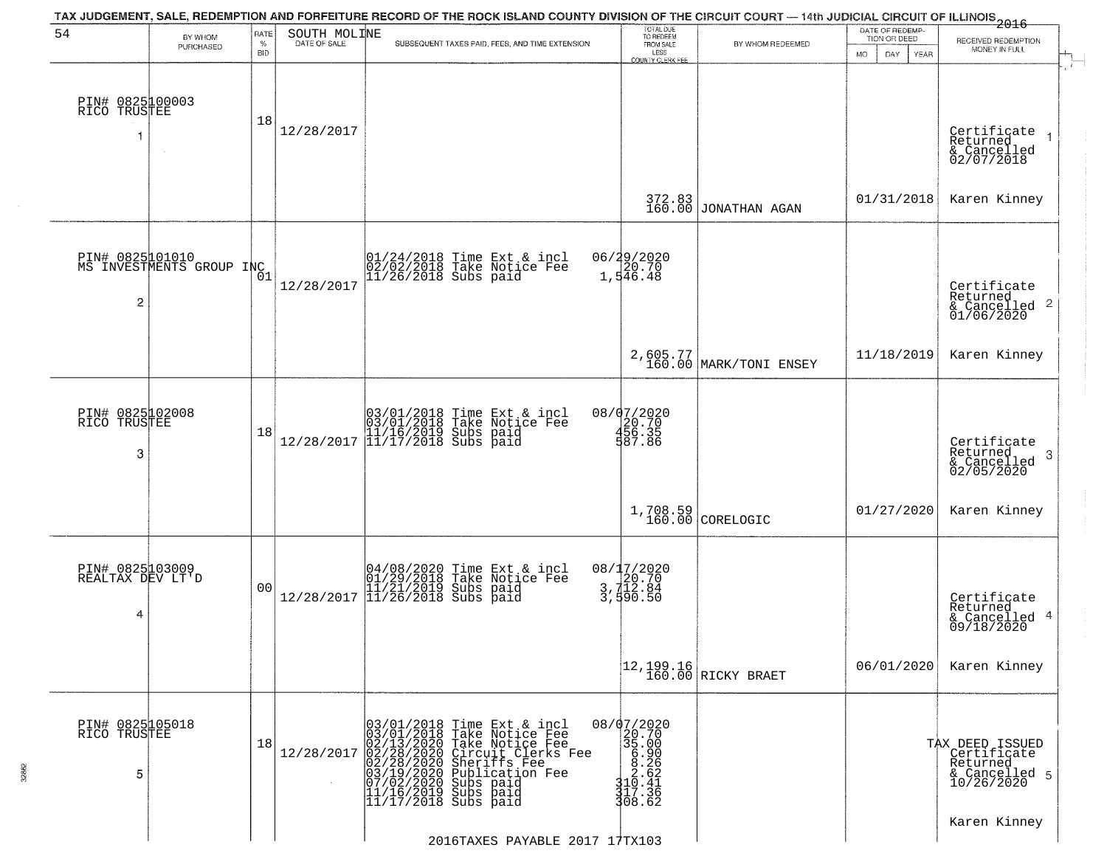| BY WHOM<br>PURCHASED | $\%$                                                                                                                                         | DATE OF SALE                                |                                                 | TOTAL DUE<br>TO REDEEM                                                                                                                                                                                                                                                                                                                                                                                                                                                                                                                                                                                                      |                                                                                                                                                                                                |                                                                                     |                                                                           |
|----------------------|----------------------------------------------------------------------------------------------------------------------------------------------|---------------------------------------------|-------------------------------------------------|-----------------------------------------------------------------------------------------------------------------------------------------------------------------------------------------------------------------------------------------------------------------------------------------------------------------------------------------------------------------------------------------------------------------------------------------------------------------------------------------------------------------------------------------------------------------------------------------------------------------------------|------------------------------------------------------------------------------------------------------------------------------------------------------------------------------------------------|-------------------------------------------------------------------------------------|---------------------------------------------------------------------------|
|                      | <b>BID</b>                                                                                                                                   |                                             | SUBSEQUENT TAXES PAID, FEES, AND TIME EXTENSION | FROM SALE<br>LESS<br><b>COUNTY CLERK FEE</b>                                                                                                                                                                                                                                                                                                                                                                                                                                                                                                                                                                                | BY WHOM REDEEMED                                                                                                                                                                               | TION OR DEED<br><b>MO</b><br>DAY<br>YEAR                                            | RECEIVED REDEMPTION<br>MONEY IN FULL                                      |
|                      | 18                                                                                                                                           | 12/28/2017                                  |                                                 |                                                                                                                                                                                                                                                                                                                                                                                                                                                                                                                                                                                                                             |                                                                                                                                                                                                |                                                                                     | Certificate<br>Returned<br>$\overline{1}$<br>& Cancelled<br>02/07/2018    |
|                      |                                                                                                                                              |                                             |                                                 | 372.83<br>160.00                                                                                                                                                                                                                                                                                                                                                                                                                                                                                                                                                                                                            |                                                                                                                                                                                                | 01/31/2018                                                                          | Karen Kinney                                                              |
|                      |                                                                                                                                              | 12/28/2017                                  |                                                 |                                                                                                                                                                                                                                                                                                                                                                                                                                                                                                                                                                                                                             |                                                                                                                                                                                                |                                                                                     | Certificate<br>Returned<br>$\overline{2}$<br>& Cancelled<br>01/06/2020    |
|                      |                                                                                                                                              |                                             |                                                 |                                                                                                                                                                                                                                                                                                                                                                                                                                                                                                                                                                                                                             |                                                                                                                                                                                                | 11/18/2019                                                                          | Karen Kinney                                                              |
|                      | 18                                                                                                                                           |                                             |                                                 |                                                                                                                                                                                                                                                                                                                                                                                                                                                                                                                                                                                                                             |                                                                                                                                                                                                |                                                                                     | Certificate<br>Returned<br>3<br>& Cancelled<br>02/05/2020                 |
|                      |                                                                                                                                              |                                             |                                                 |                                                                                                                                                                                                                                                                                                                                                                                                                                                                                                                                                                                                                             |                                                                                                                                                                                                | 01/27/2020                                                                          | Karen Kinney                                                              |
|                      | 0 <sub>0</sub>                                                                                                                               |                                             |                                                 |                                                                                                                                                                                                                                                                                                                                                                                                                                                                                                                                                                                                                             |                                                                                                                                                                                                |                                                                                     | Certificate<br>Returned<br>4<br>& Cancelled<br>09/18/2020                 |
|                      |                                                                                                                                              |                                             |                                                 |                                                                                                                                                                                                                                                                                                                                                                                                                                                                                                                                                                                                                             |                                                                                                                                                                                                | 06/01/2020                                                                          | Karen Kinney                                                              |
|                      | 18                                                                                                                                           | 12/28/2017                                  |                                                 | 35.00                                                                                                                                                                                                                                                                                                                                                                                                                                                                                                                                                                                                                       |                                                                                                                                                                                                |                                                                                     | TAX DEED ISSUED<br>Certificate<br>Returned<br>& Cancelled 5<br>10/26/2020 |
|                      | PIN# 0825100003<br>RICO TRUSTEE<br>PIN# 0825102008<br>RICO TRUSTEE<br>PIN# 0825103009<br>REALTAX DEV LT'D<br>PIN# 0825105018<br>RICO TRUSTEE | PIN# 0825001010<br>MS INVESTMENTS GROUP INC |                                                 | 01/24/2018 Time Ext & incl<br>02/02/2018 Take Notice Fee<br>11/26/2018 Subs paid<br>$[03/01/2018 \t\t Time Ext & incl \\ [03/01/2018 \t\t Take Notice Free \\ [11/16/2019 \t\ Subs paid \\ [12/28/2017 \t\t  11/17/2018 \t\ Subs paid]$<br>$[04/08/2020 \t\t Time Ext & incl01/29/2018 \tTake Notice Free11/21/2019 Subs paid12/28/2017 \t\t 11/26/2018 Subs paid$<br>03/01/2018 Time Ext & incl<br>03/01/2018 Take Notice Fee<br>02/13/2020 Take Notice Fee<br>02/28/2020 Circuit Clerks Fee<br>02/28/2020 Sheriffs Fee<br>03/19/2020 Subication Fee<br>03/19/2020 Subs paid<br>11/16/2019 Subs paid<br>11/17/2018 Subs pa | 06/29/2020<br>20.70<br>1,546.48<br>08/07/2020<br>20.70<br>456.35<br>587.86<br>08/17/2020<br>20.70<br>3,712.84<br>3,590.50<br>08/07/2020<br>20.70<br>$3108.262$<br>310.441<br>317.362<br>308.62 | JONATHAN AGAN<br>2,605.77<br>160.00 MARK/TONI ENSEY<br>1,708.59<br>160.00 CORELOGIC |                                                                           |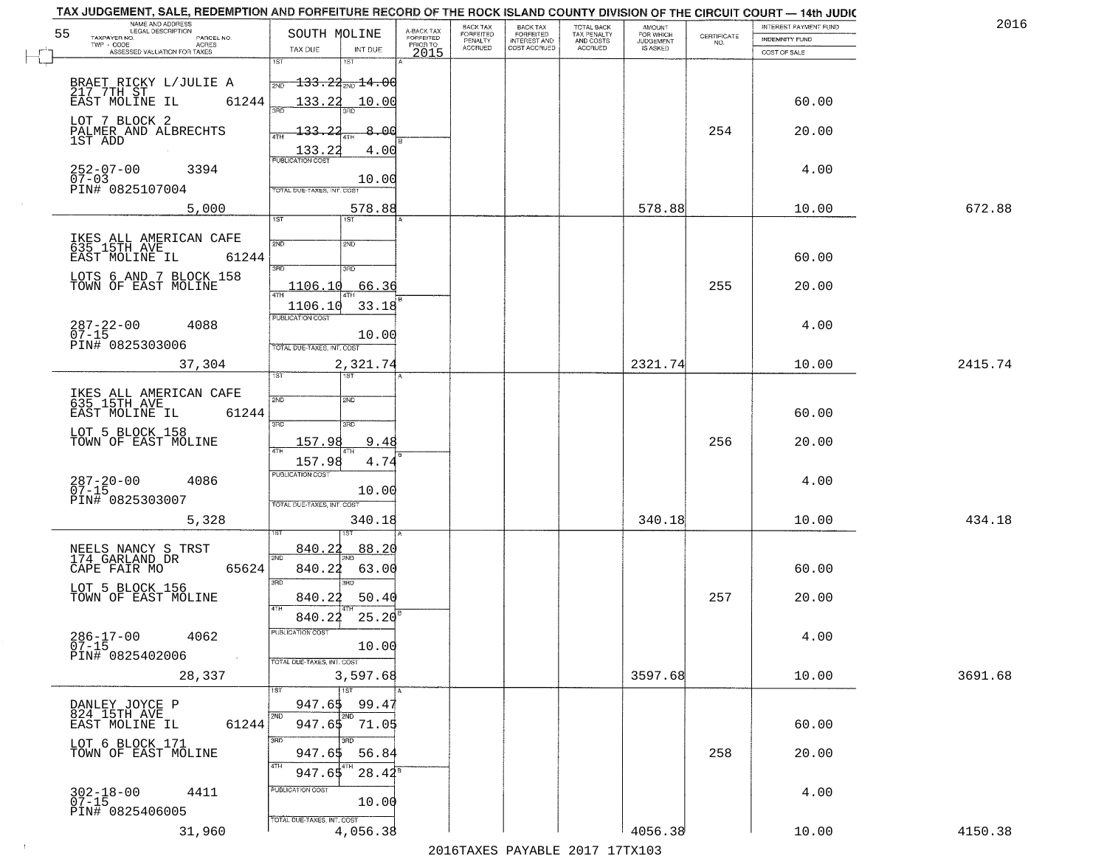| TAX JUDGEMENT, SALE, REDEMPTION AND FORFEITURE RECORD OF THE ROCK ISLAND COUNTY DIVISION OF THE CIRCUIT COURT - 14th JUDIC<br>NAME AND ADDRESS<br>LEGAL DESCRIPTION |                                             |                                     | BACK TAX             | <b>BACK TAX</b>           | <b>TOTAL BACK</b>        | AMOUNT<br>FOR WHICH |                                                                 | INTEREST PAYMENT FUND | 2016    |
|---------------------------------------------------------------------------------------------------------------------------------------------------------------------|---------------------------------------------|-------------------------------------|----------------------|---------------------------|--------------------------|---------------------|-----------------------------------------------------------------|-----------------------|---------|
| 55<br>TAXPAYER NO.<br>PARCEL NO.<br>ACRES                                                                                                                           | SOUTH MOLINE                                | A-BACK TAX<br>FORFEITED<br>PRIOR TO | FORFEITED<br>PENALTY | FORFEITED<br>INTEREST AND | TAX PENALTY<br>AND COSTS | <b>JUDGEMENT</b>    | $\begin{array}{c} \text{CERTIFICATE} \\ \text{NO.} \end{array}$ | INDEMNITY FUND        |         |
| ASSESSED VALUATION FOR TAXES                                                                                                                                        | TAX DUE<br>INT DUE                          | 2015                                | <b>ACCRUED</b>       | COST ACCRUED              | <b>ACCRUED</b>           | IS ASKED            |                                                                 | COST OF SALE          |         |
|                                                                                                                                                                     | 1ST<br>1ST                                  |                                     |                      |                           |                          |                     |                                                                 |                       |         |
| BRAET RICKY L/JULIE A<br>217 7TH ST<br>EAST MOLINE IL 61                                                                                                            | $\frac{1}{2ND}$ 133.22 <sub>2ND</sub> 14.00 |                                     |                      |                           |                          |                     |                                                                 |                       |         |
| 61244                                                                                                                                                               | 133.22<br>10.00                             |                                     |                      |                           |                          |                     |                                                                 | 60.00                 |         |
| LOT 7 BLOCK 2<br>PALMER AND ALBRECHTS<br>1ST ADD                                                                                                                    | -8.00<br>$-133 - 22$                        |                                     |                      |                           |                          |                     | 254                                                             | 20.00                 |         |
|                                                                                                                                                                     | 4.00<br>$\frac{133.22}{PUBUCATONCGST}$      |                                     |                      |                           |                          |                     |                                                                 |                       |         |
| 252-07-00<br>07-03<br>3394                                                                                                                                          |                                             |                                     |                      |                           |                          |                     |                                                                 | 4.00                  |         |
| PIN# 0825107004                                                                                                                                                     | 10.00<br>TOTAL DUE-TAXES, INT. COST         |                                     |                      |                           |                          |                     |                                                                 |                       |         |
| 5,000                                                                                                                                                               | 578.88                                      |                                     |                      |                           |                          | 578.88              |                                                                 | 10.00                 | 672.88  |
|                                                                                                                                                                     | 1ST                                         |                                     |                      |                           |                          |                     |                                                                 |                       |         |
| IKES ALL AMERICAN CAFE<br>635 15TH AVE                                                                                                                              | 2ND<br>2ND                                  |                                     |                      |                           |                          |                     |                                                                 |                       |         |
| 61244<br>EAST MOLINE IL                                                                                                                                             | 3RD<br>3RD                                  |                                     |                      |                           |                          |                     |                                                                 | 60.00                 |         |
| LOTS 6 AND 7 BLOCK 158<br>TOWN OF EAST MOLINE                                                                                                                       | 1106.10<br>66.36                            |                                     |                      |                           |                          |                     | 255                                                             | 20.00                 |         |
|                                                                                                                                                                     | 33.18<br>1106.10                            |                                     |                      |                           |                          |                     |                                                                 |                       |         |
| 287-22-00<br>07-15<br>4088                                                                                                                                          | PUBLICATION COST                            |                                     |                      |                           |                          |                     |                                                                 | 4.00                  |         |
| PIN# 0825303006                                                                                                                                                     | 10.00<br>TOTAL DUE-TAXES, INT. COST         |                                     |                      |                           |                          |                     |                                                                 |                       |         |
| 37,304                                                                                                                                                              | 2,321.74                                    |                                     |                      |                           |                          | 2321.74             |                                                                 | 10.00                 | 2415.74 |
|                                                                                                                                                                     | TST<br>1ST                                  |                                     |                      |                           |                          |                     |                                                                 |                       |         |
| IKES ALL AMERICAN CAFE<br>635_15TH_AVE__                                                                                                                            | 2ND<br>2ND                                  |                                     |                      |                           |                          |                     |                                                                 |                       |         |
| EAST MOLINE IL<br>61244                                                                                                                                             | 3RD<br>3RD                                  |                                     |                      |                           |                          |                     |                                                                 | 60.00                 |         |
| LOT 5 BLOCK 158<br>TOWN OF EAST MOLINE                                                                                                                              | 157.98<br>9.48<br>ATH                       |                                     |                      |                           |                          |                     | 256                                                             | 20.00                 |         |
|                                                                                                                                                                     | 157.98<br>4.74                              |                                     |                      |                           |                          |                     |                                                                 |                       |         |
| $287 - 20 - 00$<br>07-15<br>4086                                                                                                                                    | <b>PUBLICATION COST</b><br>10.00            |                                     |                      |                           |                          |                     |                                                                 | 4.00                  |         |
| PIN# 0825303007                                                                                                                                                     | TOTAL OUE-TAXES, INT. COST                  |                                     |                      |                           |                          |                     |                                                                 |                       |         |
| 5,328                                                                                                                                                               | 340.18                                      |                                     |                      |                           |                          | 340.18              |                                                                 | 10.00                 | 434.18  |
|                                                                                                                                                                     | 840.22<br>88.20                             |                                     |                      |                           |                          |                     |                                                                 |                       |         |
| NEELS NANCY S TRST<br>174 GARLAND DR<br>CAPE FAIR MO<br>65624                                                                                                       | 2ND<br>840.22<br>63.00                      |                                     |                      |                           |                          |                     |                                                                 | 60.00                 |         |
| LOT 5 BLOCK 156                                                                                                                                                     | 3BD<br>חחו                                  |                                     |                      |                           |                          |                     |                                                                 |                       |         |
| TOWN OF EAST MOLINE                                                                                                                                                 | 50.40<br>840.22<br>4TH                      |                                     |                      |                           |                          |                     | 257                                                             | 20.00                 |         |
|                                                                                                                                                                     | 840.22<br>25.20                             |                                     |                      |                           |                          |                     |                                                                 |                       |         |
| $286 - 17 - 00$<br>4062<br>$07 - 15$                                                                                                                                | PUBLICATION COS-<br>10.00                   |                                     |                      |                           |                          |                     |                                                                 | 4.00                  |         |
| PIN# 0825402006<br>$\sim 100$ km $^{-1}$                                                                                                                            | TOTAL DUE-TAXES, INT. COST                  |                                     |                      |                           |                          |                     |                                                                 |                       |         |
| 28,337                                                                                                                                                              | 3,597.68                                    |                                     |                      |                           |                          | 3597.68             |                                                                 | 10.00                 | 3691.68 |
| DANLEY JOYCE P                                                                                                                                                      | $\overline{11}$ st<br>947.65<br>99.47       |                                     |                      |                           |                          |                     |                                                                 |                       |         |
| 824 15TH AVE<br>61244<br>EAST MOLINE IL                                                                                                                             | 2ND<br>2ND<br>947.65 71.05                  |                                     |                      |                           |                          |                     |                                                                 | 60.00                 |         |
| LOT 6 BLOCK 171<br>TOWN OF EAST MOLINE                                                                                                                              | 3RD<br>חחי                                  |                                     |                      |                           |                          |                     |                                                                 |                       |         |
|                                                                                                                                                                     | 56.84<br>947.65<br>4TH                      |                                     |                      |                           |                          |                     | 258                                                             | 20.00                 |         |
|                                                                                                                                                                     | $28.42^8$<br>947.65                         |                                     |                      |                           |                          |                     |                                                                 |                       |         |
| $302 - 18 - 00$<br>07-15<br>4411                                                                                                                                    | PUBLICATION COST<br>10.00                   |                                     |                      |                           |                          |                     |                                                                 | 4.00                  |         |
| PIN# 0825406005                                                                                                                                                     | TOTAL DUE-TAXES, INT. COST                  |                                     |                      |                           |                          |                     |                                                                 |                       |         |
| 31,960                                                                                                                                                              | 4,056.38                                    |                                     |                      |                           |                          | 4056.38             |                                                                 | 10.00                 | 4150.38 |

 $\sim 10^{-1}$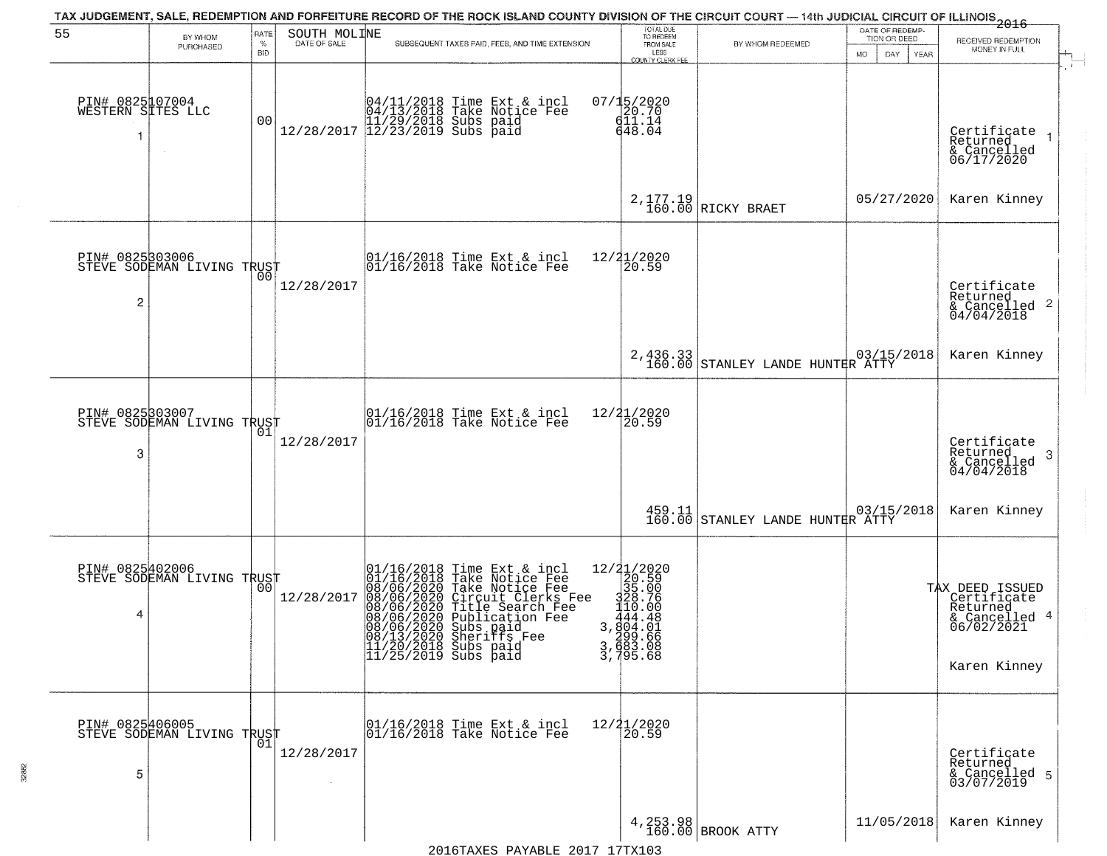| 55                                        |                                                   | RATE               | SOUTH MOLINE |                                                                       | TAX JUDGEMENT, SALE, REDEMPTION AND FORFEITURE RECORD OF THE ROCK ISLAND COUNTY DIVISION OF THE CIRCUIT COURT — 14th JUDICIAL CIRCUIT OF ILLINOIS 2016                                                                       | TOTAL DUE<br>TO REDEEM                                                                                                                              |                                                                                                       | DATE OF REDEMP-                            |                                                                                           |
|-------------------------------------------|---------------------------------------------------|--------------------|--------------|-----------------------------------------------------------------------|------------------------------------------------------------------------------------------------------------------------------------------------------------------------------------------------------------------------------|-----------------------------------------------------------------------------------------------------------------------------------------------------|-------------------------------------------------------------------------------------------------------|--------------------------------------------|-------------------------------------------------------------------------------------------|
|                                           | BY WHOM<br>PURCHASED                              | $\%$<br><b>BID</b> | DATE OF SALE |                                                                       | SUBSEQUENT TAXES PAID, FEES, AND TIME EXTENSION                                                                                                                                                                              | FROM SALE<br>LESS                                                                                                                                   | BY WHOM REDEEMED                                                                                      | TION OR DEED<br>MO.<br>DAY.<br><b>YEAR</b> | RECEIVED REDEMPTION<br>MONEY IN FULL                                                      |
| PIN# 0825107004<br>WESTERN SITES LLC<br>1 |                                                   | 0 <sub>0</sub>     |              |                                                                       | $[04/11/2018 \t\t Time Ext & incl \\ 04/13/2018 \t\t Take Notice Free \\ 11/29/2018 \tSubs paid \\ 12/28/2017 \t\t 12/23/2019 \tSubs paid$                                                                                   | <b>COUNTY CLERK FEE</b><br>$07/15/2020$<br>20.70<br>411.14<br>648.04                                                                                |                                                                                                       |                                            | Certificate<br>Returned<br>& Cancelled<br>06/17/2020                                      |
|                                           |                                                   |                    |              |                                                                       |                                                                                                                                                                                                                              |                                                                                                                                                     | 2, 177.19<br>160.00 RICKY BRAET                                                                       | 05/27/2020                                 | Karen Kinney                                                                              |
| PIN# 0825303006<br>2                      | STEVE SODEMAN LIVING TRUST                        |                    | 12/28/2017   |                                                                       | $\begin{array}{ccc}  01/16/2018 \text{ Time} & \text{Ext} & \text{incl} \\  01/16/2018 \text{ Take Notice } \text{Fe} \end{array}$                                                                                           | 12/21/2020<br>20.59                                                                                                                                 |                                                                                                       |                                            | Certificate<br>Returned<br>$\frac{12}{6}$ Cancelled 2<br>04/04/2018                       |
|                                           |                                                   |                    |              |                                                                       |                                                                                                                                                                                                                              |                                                                                                                                                     | 2,436.33<br>160.00 STANLEY LANDE HUNTER ATTY                                                          |                                            | Karen Kinney                                                                              |
| PIN# 0825303007<br>3                      | STEVE SODEMAN LIVING TRUST                        | 01                 | 12/28/2017   |                                                                       | $\begin{array}{c} 01/16/2018 \\ 01/16/2018 \\ \end{array}$ Take Notice Fee                                                                                                                                                   | 12/21/2020<br>20.59                                                                                                                                 |                                                                                                       |                                            | Certificate<br>Returned<br>3<br>$\frac{1}{2}$ Cancelled<br>04/04/2018                     |
|                                           |                                                   |                    |              |                                                                       |                                                                                                                                                                                                                              |                                                                                                                                                     | $\begin{array}{c c} 459.11 & 03/15 \\ 160.00 & \text{STANLEY} & \text{LANDE HUNTRR ATTY} \end{array}$ | 03/15/2018                                 | Karen Kinney                                                                              |
| 4                                         | PIN# 0825402006    <br>STEVE SODEMAN LIVING TRUST | 0 <sub>0</sub>     | 12/28/2017   | 08/13/2020 Sheriffs F<br>11/20/2018 Subs paid<br>11/25/2019 Subs paid | 01/16/2018 Time Ext & incl<br>01/16/2018 Take Notice Fee<br>08/06/2020 Take Notice Fee<br>08/06/2020 Circuit Clerks Fee<br>08/06/2020 Title Search Fee<br>08/06/2020 Sheriffs Fee<br>08/06/2020 Sheriffs Fee<br>Sheritts Fee | $[\begin{smallmatrix} 12/21/2020 \\ 20.59 \\ 325.00 \\ 120.59 \\ 140.00 \\ 444.481 \\ 3,604.08 \\ 299.66 \\ 3,683.08 \\ 3,795.68 \end{smallmatrix}$ |                                                                                                       |                                            | TAX DEED ISSUED<br>Certificate<br>Returned<br>& Cancelled 4<br>06/02/2021<br>Karen Kinney |
| PIN# 0825406005<br>5                      | STEVE SODEMAN LIVING TRUST                        | 01                 | 12/28/2017   |                                                                       | 01/16/2018 Time Ext & incl<br>01/16/2018 Take Notice Fee                                                                                                                                                                     | 12/21/2020<br>20.59                                                                                                                                 |                                                                                                       |                                            | Certificate<br>Returned<br>& Cancelled 5<br>03/07/2019                                    |
|                                           |                                                   |                    |              |                                                                       | 2016TAXES PAYABLE 2017 17TX103                                                                                                                                                                                               |                                                                                                                                                     | 4, 253.98<br>160.00 BROOK ATTY                                                                        | 11/05/2018                                 | Karen Kinney                                                                              |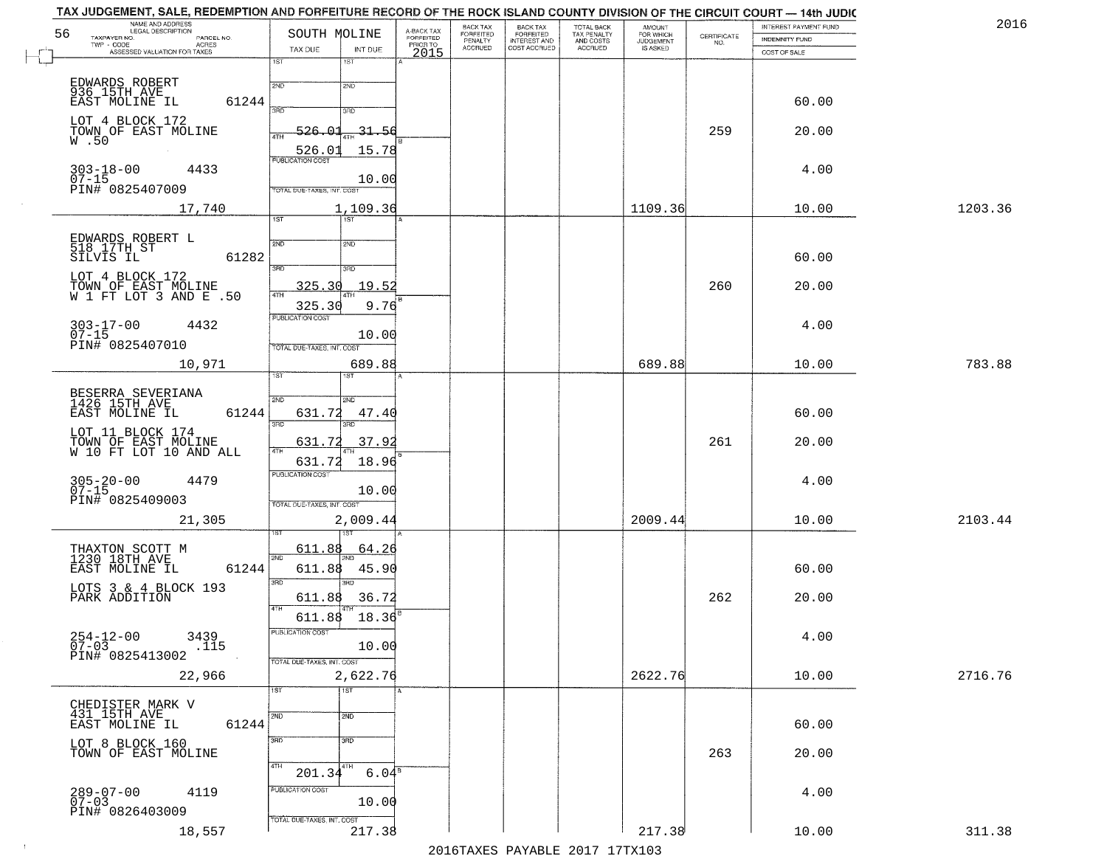| 2016    | INTEREST PAYMENT FUND |                                                                 | <b>AMOUNT</b><br>FOR WHICH | TOTAL BACK<br>TAX PENALTY<br>AND COSTS<br>ACCRUED | <b>BACK TAX</b><br><b>FORFEITED</b> | BACK TAX<br><b>FORFEITED</b> | A-BACK TAX                   | SOUTH MOLINE                                                   | NAME AND ADDRESS<br>LEGAL DESCRIPTION                             |
|---------|-----------------------|-----------------------------------------------------------------|----------------------------|---------------------------------------------------|-------------------------------------|------------------------------|------------------------------|----------------------------------------------------------------|-------------------------------------------------------------------|
|         | INDEMNITY FUND        | $\begin{array}{c} \text{CERTIFICATE} \\ \text{NO.} \end{array}$ | JUDGEMENT                  |                                                   | INTEREST AND<br>COST ACCRUED        | PENALTY<br>ACCRUED           | <b>FORFEITED</b><br>PRIOR TO |                                                                | TAXPAYER NO.<br>PARCEL NO.<br>TWP - CODE<br><b>ACRES</b>          |
|         | COST OF SALE          |                                                                 |                            |                                                   |                                     |                              | 2015                         | TAX DUE<br>INT DUE<br>1ST<br>1ST                               | ASSESSED VALUATION FOR TAXES                                      |
|         |                       |                                                                 |                            |                                                   |                                     |                              |                              | 2ND<br>2ND                                                     | EDWARDS ROBERT<br>936 15TH AVE                                    |
|         | 60.00                 |                                                                 |                            |                                                   |                                     |                              |                              | 390<br>3RD                                                     | EAST MOLINE IL<br>61244<br>LOT 4 BLOCK 172                        |
|         | 20.00                 | 259                                                             |                            |                                                   |                                     |                              |                              | $-31.56$<br>526.OI<br>4TH<br>526.01<br>15.78                   | TOWN OF EAST MOLINE<br>W.50                                       |
|         | 4.00                  |                                                                 |                            |                                                   |                                     |                              |                              | <b>PUBLICATION COST</b><br>10.00<br>TOTAL DUE-TAXES, INT. COST | $303 - 18 - 00$<br>4433<br>$07 - 15$<br>PIN# 0825407009           |
| 1203.36 | 10.00                 |                                                                 | 1109.36                    |                                                   |                                     |                              |                              | 1,109.36<br>$\overline{1ST}$<br>1ST                            | 17,740                                                            |
|         |                       |                                                                 |                            |                                                   |                                     |                              |                              |                                                                |                                                                   |
|         | 60.00                 |                                                                 |                            |                                                   |                                     |                              |                              | 2ND<br>2ND<br>3RD<br>3RD                                       | EDWARDS ROBERT L<br>518 17TH ST<br>61282<br>SILVIS IL             |
|         | 20.00                 | 260                                                             |                            |                                                   |                                     |                              |                              | 325.30<br><u> 19.52</u>                                        | LOT 4 BLOCK 172<br>TOWN OF EAST MOLINE<br>W 1 FT LOT 3 AND E .50  |
|         |                       |                                                                 |                            |                                                   |                                     |                              |                              | 325.30<br>9.76<br>PUBLICATION COST                             |                                                                   |
|         | 4.00                  |                                                                 |                            |                                                   |                                     |                              |                              | 10.00<br>TOTAL DUE-TAXES, INT. COST                            | $303 - 17 - 00$<br>$07 - 15$<br>4432<br>PIN# 0825407010           |
| 783.88  | 10.00                 |                                                                 | 689.88                     |                                                   |                                     |                              |                              | 689.88<br>ist.                                                 | 10,971                                                            |
|         |                       |                                                                 |                            |                                                   |                                     |                              |                              | 2ND<br><b>SMD</b>                                              | BESERRA SEVERIANA<br>1426 15TH AVE                                |
|         | 60.00                 |                                                                 |                            |                                                   |                                     |                              |                              | 631.72<br>47.40<br>3RD<br>3RD                                  | 61244<br>EAST MOLINE IL                                           |
|         | 20.00                 | 261                                                             |                            |                                                   |                                     |                              |                              | 37.92<br><u>631.72</u>                                         | LOT 11 BLOCK 174<br>TOWN OF EAST MOLINE<br>W 10 FT LOT 10 AND ALL |
|         | 4.00                  |                                                                 |                            |                                                   |                                     |                              |                              | 631.72<br>18.96<br><b>PUBLICATION COST</b>                     | $305 - 20 - 00$<br>07-15<br>4479                                  |
|         |                       |                                                                 |                            |                                                   |                                     |                              |                              | 10.00<br>TOTAL OUE-TAXES, INT. COST                            | PIN# 0825409003                                                   |
| 2103.44 | 10.00                 |                                                                 | 2009.44                    |                                                   |                                     |                              |                              | 2,009.44                                                       | 21,305                                                            |
|         |                       |                                                                 |                            |                                                   |                                     |                              |                              | 611.88<br><u>64.20</u>                                         | THAXTON SCOTT M<br>1230 18TH AVE                                  |
|         | 60.00                 |                                                                 |                            |                                                   |                                     |                              |                              | 2ND<br>611.88<br>45.90                                         | 61244<br>EAST MOLINE IL                                           |
|         | 20.00                 | 262                                                             |                            |                                                   |                                     |                              |                              | 3RD<br>3RD<br>611.88<br>36.72<br>4TH                           | LOTS 3 & 4 BLOCK 193<br>PARK ADDITION                             |
|         | 4.00                  |                                                                 |                            |                                                   |                                     |                              |                              | 18.36<br>611.88<br>PUBLICATION COST                            | $254-12-00$<br>07-03<br>3439                                      |
|         |                       |                                                                 |                            |                                                   |                                     |                              |                              | 10.00<br>TOTAL DUE-TAXES, INT. COST                            | .115<br>PIN# 0825413002                                           |
| 2716.76 | 10.00                 |                                                                 | 2622.76                    |                                                   |                                     |                              |                              | 2,622.76<br>$\overline{1ST}$<br>1ST <sup>1</sup>               | 22,966                                                            |
|         |                       |                                                                 |                            |                                                   |                                     |                              |                              |                                                                | CHEDISTER MARK V<br>431 15TH AVE                                  |
|         | 60.00                 |                                                                 |                            |                                                   |                                     |                              |                              | 2ND<br>2ND                                                     | EAST MOLINE IL<br>61244                                           |
|         | 20.00                 | 263                                                             |                            |                                                   |                                     |                              |                              | 3RD<br>3 <sub>BD</sub><br>4TH<br>4TH                           | LOT 8 BLOCK 160<br>TOWN OF EAST MOLINE                            |
|         | 4.00                  |                                                                 |                            |                                                   |                                     |                              |                              | 6.04 <sup>8</sup><br>201.34<br>PUBLICATION COST                | 4119                                                              |
|         |                       |                                                                 |                            |                                                   |                                     |                              |                              | 10.00                                                          | 289-07-00<br>07-03                                                |
|         |                       |                                                                 |                            |                                                   |                                     |                              |                              | TOTAL DUE-TAXES, INT. COST                                     | PIN# 0826403009                                                   |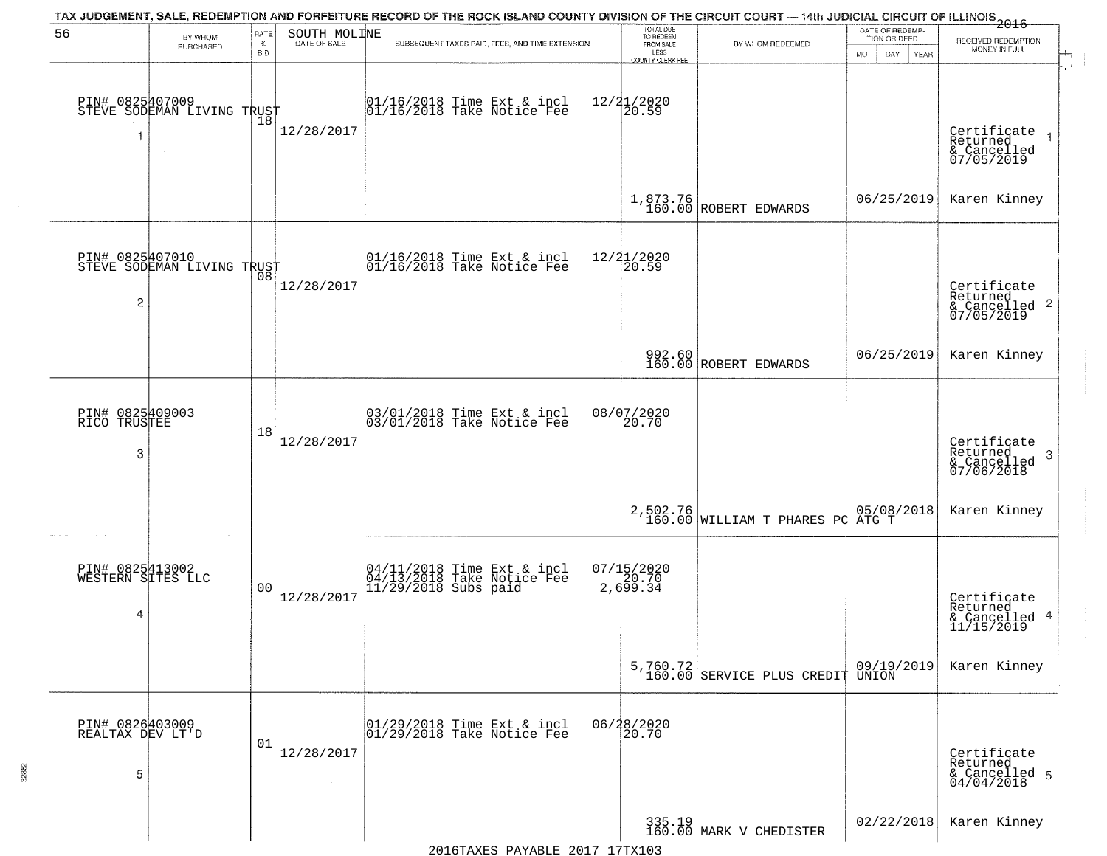| 56                                        | BY WHOM                                                 | <b>RATE</b>        | SOUTH MOLINE | TAX JUDGEMENT, SALE, REDEMPTION AND FORFEITURE RECORD OF THE ROCK ISLAND COUNTY DIVISION OF THE CIRCUIT COURT — 14th JUDICIAL CIRCUIT OF ILLINOIS 2016 | TOTAL DUE<br>TO REDEEM                       |                                              | DATE OF REDEMP-<br>TION OR DEED |                                                                    |
|-------------------------------------------|---------------------------------------------------------|--------------------|--------------|--------------------------------------------------------------------------------------------------------------------------------------------------------|----------------------------------------------|----------------------------------------------|---------------------------------|--------------------------------------------------------------------|
|                                           | PURCHASED                                               | $\%$<br><b>BID</b> | DATE OF SALE | SUBSEQUENT TAXES PAID, FEES, AND TIME EXTENSION                                                                                                        | FROM SALE<br>LESS<br><b>COUNTY CLERK FEE</b> | BY WHOM REDEEMED                             | MO.<br>DAY.<br>YEAR             | RECEIVED REDEMPTION<br>MONEY IN FULL                               |
| 1                                         | PIN# 0825407009<br>STEVE SODEMAN LIVING TRUST<br>$\sim$ | Ίõ                 | 12/28/2017   | $\begin{array}{c} 01/16/2018 \\ 01/16/2018 \\ \end{array}$ Take Notice Fee                                                                             | 12/21/2020<br>20.59                          |                                              |                                 | Certificate<br>Returned<br>& Cancelled<br>07/05/2019               |
|                                           |                                                         |                    |              |                                                                                                                                                        |                                              | 1,873.76<br>160.00 ROBERT EDWARDS            | 06/25/2019                      | Karen Kinney                                                       |
| $\overline{c}$                            | PIN# 0825407010<br>STEVE SODEMAN LIVING TRUST           |                    | 12/28/2017   | 01/16/2018 Time Ext & incl<br>01/16/2018 Take Notice Fee                                                                                               | 12/21/2020<br>20.59                          |                                              |                                 | Certificate<br>Returned<br>$\frac{1}{6}$ Cancelled 2<br>07/05/2019 |
|                                           |                                                         |                    |              |                                                                                                                                                        |                                              | 992.60<br>160.00 ROBERT EDWARDS              | 06/25/2019                      | Karen Kinney                                                       |
| PIN# 0825409003<br>RICO TRUSTEE<br>3      |                                                         | 18                 | 12/28/2017   | 03/01/2018 Time Ext & incl<br>03/01/2018 Take Notice Fee                                                                                               | 08/07/2020<br>20.70                          |                                              |                                 | Certificate<br>Returned<br>3<br>& Cancelled<br>07/06/2018          |
|                                           |                                                         |                    |              |                                                                                                                                                        |                                              | 2,502.76<br>160.00 WILLIAM T PHARES PC ATG T |                                 | Karen Kinney                                                       |
| PIN# 0825413002<br>WESTERN SITES LLC<br>4 |                                                         | 0 <sub>0</sub>     | 12/28/2017   | 04/11/2018 Time Ext & incl<br>04/13/2018 Take Notice Fee<br>11/29/2018 Subs paid                                                                       | 07/15/2020<br>20.70<br>2,699.34              |                                              |                                 | Certificate<br>Returned<br>& Cancelled 4<br>11/15/2019             |
|                                           |                                                         |                    |              |                                                                                                                                                        |                                              | 5,760.72<br>160.00 SERVICE PLUS CREDIT UNION |                                 | Karen Kinney                                                       |
| PIN# 0826403009<br>REALTAX DEV LT'D<br>5  |                                                         | 01                 | 12/28/2017   | 01/29/2018 Time Ext & incl<br>01/29/2018 Take Notice Fee                                                                                               | 06/28/2020<br>20.70                          |                                              |                                 | Certificate<br>Returned<br>& Cancelled 5<br>04/04/2018             |
|                                           |                                                         |                    |              |                                                                                                                                                        |                                              | 335.19<br>160.00 MARK V CHEDISTER            | 02/22/2018                      | Karen Kinney                                                       |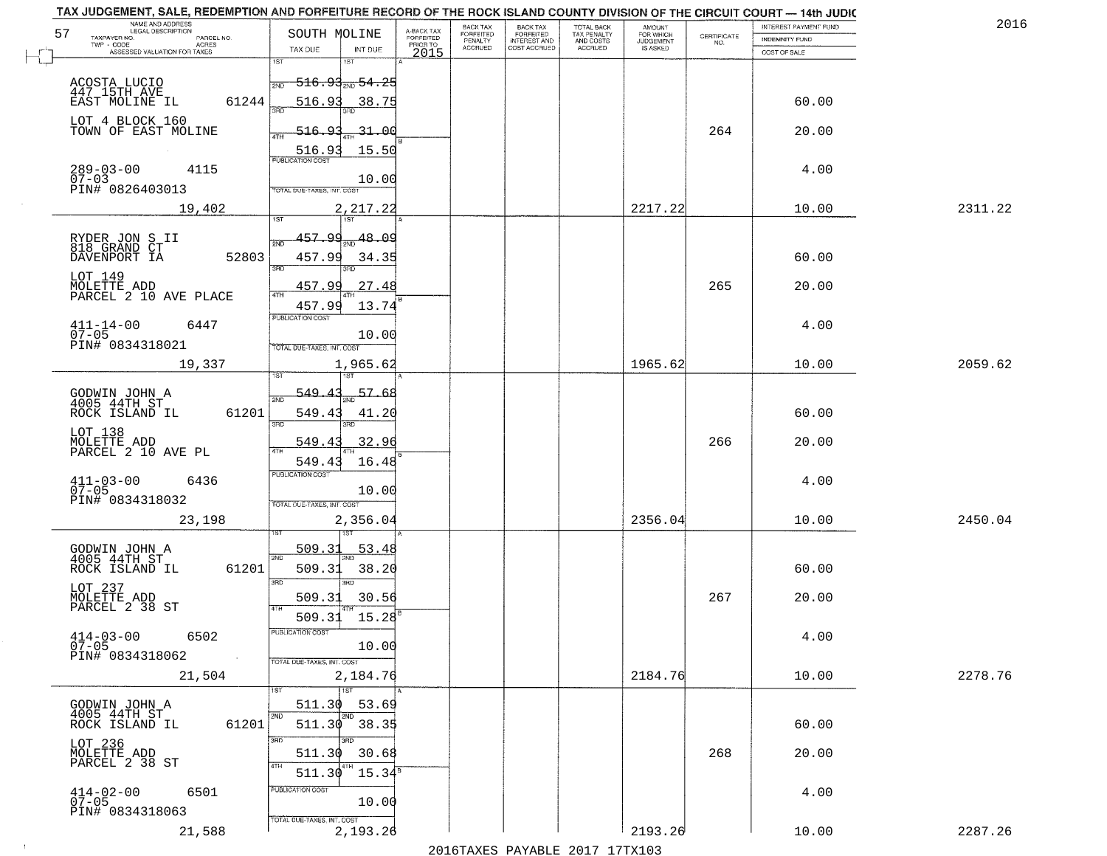| TAX JUDGEMENT, SALE, REDEMPTION AND FORFEITURE RECORD OF THE ROCK ISLAND COUNTY DIVISION OF THE CIRCUIT COURT - 14th JUDIC |                                                                               |                         |                                     |                                     |                                        |                              |                                                                 |                       |         |
|----------------------------------------------------------------------------------------------------------------------------|-------------------------------------------------------------------------------|-------------------------|-------------------------------------|-------------------------------------|----------------------------------------|------------------------------|-----------------------------------------------------------------|-----------------------|---------|
| NAME AND ADDRESS<br>LEGAL DESCRIPTION<br>57                                                                                | SOUTH MOLINE                                                                  | A-BACK TAX<br>FORFEITED | <b>BACK TAX</b><br><b>FORFEITED</b> | <b>BACK TAX</b><br>FORFEITED        | TOTAL BACK<br>TAX PENALTY<br>AND COSTS | AMOUNT<br>FOR WHICH          |                                                                 | INTEREST PAYMENT FUND | 2016    |
| TAXPAYER NO.<br>PARCEL NO.<br>TWP - CODE<br>ACRES                                                                          | TAX DUE<br>INT DUE                                                            | PRIOR TO                | PENALTY<br><b>ACCRUED</b>           | <b>INTEREST AND</b><br>COST ACCRUED | <b>ACCRUED</b>                         | <b>JUDGEMENT</b><br>IS ASKED | $\begin{array}{c} \text{CERTIFICATE} \\ \text{NO.} \end{array}$ | INDEMNITY FUND        |         |
| ASSESSED VALUATION FOR TAXES                                                                                               | 1ST                                                                           | 2015                    |                                     |                                     |                                        |                              |                                                                 | COST OF SALE          |         |
| ACOSTA LUCIO<br>447_15TH_AVE<br>61244<br>EAST MOLINE IL                                                                    | <del>516․93<sub>Տ№</sub> 54․25</del><br>2ND<br>516.93<br>38.75                |                         |                                     |                                     |                                        |                              |                                                                 | 60.00                 |         |
| LOT 4 BLOCK 160<br>TOWN OF EAST MOLINE                                                                                     | 516.93<br>31.00<br><b>ATH</b><br>15.50<br>516.93                              |                         |                                     |                                     |                                        |                              | 264                                                             | 20.00                 |         |
| $289 - 03 - 00$<br>07-03<br>4115<br>PIN# 0826403013                                                                        | <b>PUBLICATION COST</b><br>10.00<br>TOTAL DUE-TAXES, INT. COST                |                         |                                     |                                     |                                        |                              |                                                                 | 4.00                  |         |
| 19,402                                                                                                                     | 2,217.22                                                                      |                         |                                     |                                     |                                        | 2217.22                      |                                                                 | 10.00                 | 2311.22 |
| RYDER JON S II<br>818 GRAND CT<br>52803<br>DAVENPORT IA                                                                    | <b>IST</b><br>457.99<br>$\frac{48.09}{200}$<br>সাঁচ<br>457.99<br>34.35<br>3RD |                         |                                     |                                     |                                        |                              |                                                                 | 60.00                 |         |
| LOT 149<br>MOLETTE ADD<br>PARCEL 2 10 AVE PLACE                                                                            | <u>457.99</u><br>27.48<br>47H<br>457.99<br>13.74                              |                         |                                     |                                     |                                        |                              | 265                                                             | 20.00                 |         |
| $411 - 14 - 00$<br>6447<br>$07 - 05$<br>PIN# 0834318021                                                                    | <b>PUBLICATION COST</b><br>10.00<br>TOTAL DUE-TAXES, INT. COST                |                         |                                     |                                     |                                        |                              |                                                                 | 4.00                  |         |
| 19,337                                                                                                                     | 1,965.62                                                                      |                         |                                     |                                     |                                        | 1965.62                      |                                                                 | 10.00                 | 2059.62 |
| GODWIN JOHN A<br>4005 44TH ST<br>ROCK ISLAND IL<br>61201                                                                   | īst<br>$-549.4$<br>57.68<br>2ND<br>549.43<br>41.20<br>$\overline{3BD}$<br>3RD |                         |                                     |                                     |                                        |                              |                                                                 | 60.00                 |         |
| LOT 138<br>MOLETTE ADD<br>PARCEL 2 10 AVE PL                                                                               | 549.4<br>32.96<br>4TH<br>549.43<br>16.48                                      |                         |                                     |                                     |                                        |                              | 266                                                             | 20.00                 |         |
| $411 - 03 - 00$<br>07-05<br>6436<br>PIN# 0834318032                                                                        | <b>PUBLICATION COST</b><br>10.00<br>TOTAL OUE-TAXES, INT. COST                |                         |                                     |                                     |                                        |                              |                                                                 | 4.00                  |         |
| 23,198                                                                                                                     | 2,356.04                                                                      |                         |                                     |                                     |                                        | 2356.04                      |                                                                 | 10.00                 | 2450.04 |
| GODWIN JOHN A<br>4005 44TH ST<br>ROCK ISLAND IL<br>61201                                                                   | 509.31<br>53.48<br>2ND<br>509.31<br>38.20<br>3BD<br>3BD.                      |                         |                                     |                                     |                                        |                              |                                                                 | 60.00                 |         |
| LOT 237<br>MOLETTE ADD<br>PARCEL 2 38 ST                                                                                   | 509.31<br>30.56<br>4TH<br>15.28<br>509.31                                     |                         |                                     |                                     |                                        |                              | 267                                                             | 20.00                 |         |
| $414 - 03 - 00$<br>6502<br>$07 - 05$<br>PIN# 0834318062<br>$\sim 100$ km $^{-1}$                                           | PUBLICATION COST<br>10.00<br>TOTAL DUE-TAXES, INT. COST                       |                         |                                     |                                     |                                        |                              |                                                                 | 4.00                  |         |
| 21,504                                                                                                                     | 2,184.76                                                                      |                         |                                     |                                     |                                        | 2184.76                      |                                                                 | 10.00                 | 2278.76 |
| GODWIN JOHN A<br>4005 44TH ST<br>61201<br>ROCK ISLAND IL                                                                   | 1ST<br>511.30<br>53.69<br>2ND<br>2ND<br>511.30 38.35                          |                         |                                     |                                     |                                        |                              |                                                                 | 60.00                 |         |
| LOT 236<br>MOLETTE ADD<br>PARCEL 2 38 ST                                                                                   | 3RD<br>3BD<br>511.30<br>30.68<br>4TH<br>4TH<br>15.34 <sup>s</sup><br>511.30   |                         |                                     |                                     |                                        |                              | 268                                                             | 20.00                 |         |
| $414 - 02 - 00$<br>07-05<br>6501<br>PIN# 0834318063                                                                        | PUBLICATION COST<br>10.00<br>TOTAL DUE-TAXES, INT. COST                       |                         |                                     |                                     |                                        |                              |                                                                 | 4.00                  |         |
| 21,588                                                                                                                     | 2,193.26                                                                      |                         |                                     |                                     |                                        | 2193.26                      |                                                                 | 10.00                 | 2287.26 |

 $\sim 10^{-1}$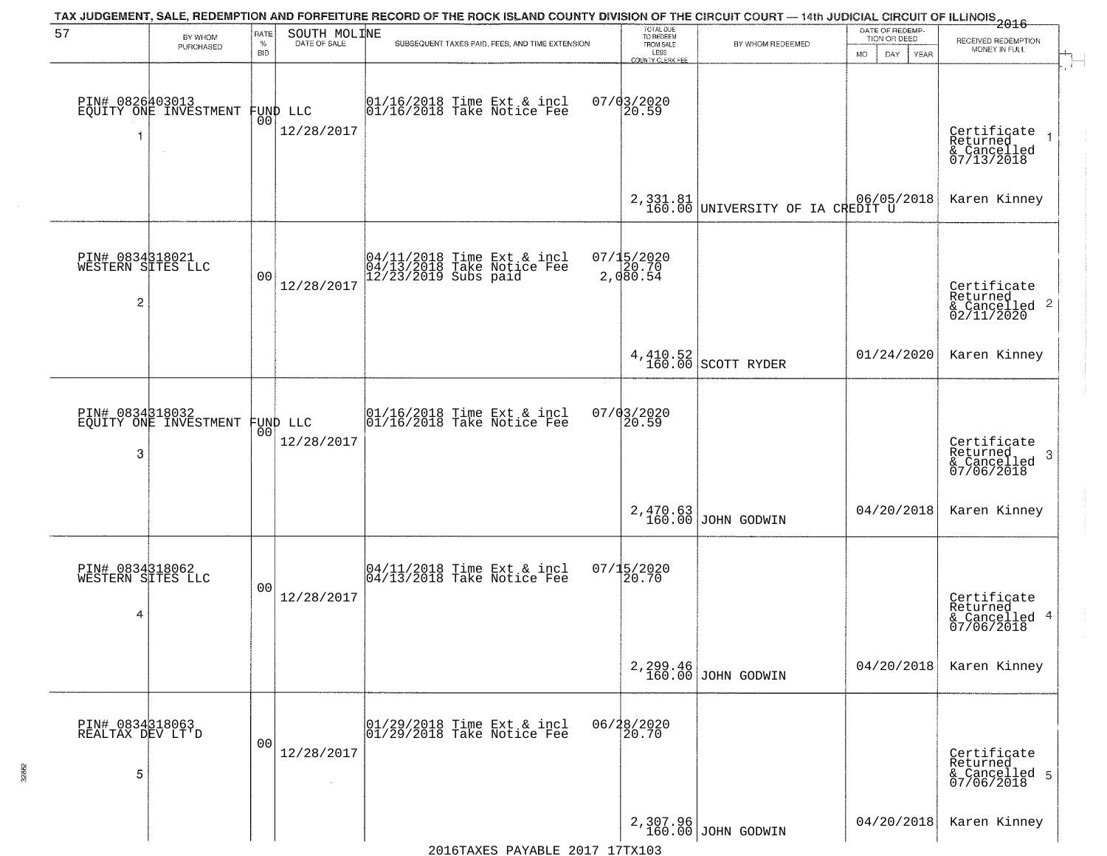| 57                                        | BY WHOM<br>PURCHASED                     | RATE<br>$\%$<br><b>BID</b> | SOUTH MOLINE           | TAX JUDGEMENT, SALE, REDEMPTION AND FORFEITURE RECORD OF THE ROCK ISLAND COUNTY DIVISION OF THE CIRCUIT COURT - 14th JUDICIAL CIRCUIT OF ILLINOIS 2016<br>SUBSEQUENT TAXES PAID, FEES, AND TIME EXTENSION | TOTAL DUE<br>TO REDEEM<br>FROM SALE<br>LESS<br>COUNTY CLERK FEE | BY WHOM REDEEMED                             | DATE OF REDEMP-<br>TION OR DEED<br>MO.<br>DAY<br>YEAR | RECEIVED REDEMPTION<br>MONEY IN FULL                               |
|-------------------------------------------|------------------------------------------|----------------------------|------------------------|-----------------------------------------------------------------------------------------------------------------------------------------------------------------------------------------------------------|-----------------------------------------------------------------|----------------------------------------------|-------------------------------------------------------|--------------------------------------------------------------------|
|                                           | PIN# 0826403013<br>EQUITY ONE INVESTMENT | 00                         | FUND LLC<br>12/28/2017 | $ 01/16/2018$ Time Ext & incl<br>$ 01/16/2018$ Take Notice Fee                                                                                                                                            | $07/03/2020$<br>20.59                                           |                                              |                                                       | Certificate<br>Returned<br>& Cancelled<br>07/13/2018               |
|                                           |                                          |                            |                        |                                                                                                                                                                                                           |                                                                 | 2,331.81<br>160.00 UNIVERSITY OF IA CREDIT U |                                                       | Karen Kinney                                                       |
| PIN# 0834318021<br>WESTERN SITES LLC<br>2 |                                          | 0 <sub>0</sub>             | 12/28/2017             | 04/11/2018 Time Ext & incl<br>04/13/2018 Take Notice Fee<br>12/23/2019 Subs paid                                                                                                                          | 07/15/2020<br>20.70<br>2,080.54                                 |                                              |                                                       | Certificate<br>Returned<br>$\frac{1}{6}$ Cancelled 2<br>02/11/2020 |
|                                           |                                          |                            |                        |                                                                                                                                                                                                           |                                                                 | $4,410.52$ SCOTT RYDER                       | 01/24/2020                                            | Karen Kinney                                                       |
| PIN# 0834318032<br>3                      | EQUITY ONE INVESTMENT                    | 0 <sup>0</sup>             | FUND LLC<br>12/28/2017 | 01/16/2018 Time Ext & incl<br>01/16/2018 Take Notice Fee                                                                                                                                                  | 07/03/2020<br>20.59                                             |                                              |                                                       | Certificate<br>Returned<br>-3<br>& Cancelled<br>07/06/2018         |
|                                           |                                          |                            |                        |                                                                                                                                                                                                           |                                                                 | 2,470.63<br>160.00 JOHN GODWIN               | 04/20/2018                                            | Karen Kinney                                                       |
| PIN# 0834318062<br>WESTERN SITES LLC<br>4 |                                          | 0 <sub>0</sub>             | 12/28/2017             | 04/11/2018 Time Ext & incl<br>04/13/2018 Take Notice Fee                                                                                                                                                  | $07/15/2020$<br>20.70                                           |                                              |                                                       | Certificate<br>Returned<br>& Cancelled 4<br>07/06/2018             |
|                                           |                                          |                            |                        |                                                                                                                                                                                                           |                                                                 | 2, 299.46<br>160.00 JOHN GODWIN              | 04/20/2018                                            | Karen Kinney                                                       |
| PIN# 0834318063<br>REALTAX DEV LT'D<br>5  |                                          | 0 <sub>0</sub>             | 12/28/2017             | 01/29/2018 Time Ext & incl<br>01/29/2018 Take Notice Fee                                                                                                                                                  | 06/28/2020<br>20.70                                             |                                              |                                                       | Certificate<br>Returned<br>& Cancelled 5<br>07/06/2018             |
|                                           |                                          |                            |                        |                                                                                                                                                                                                           |                                                                 | 2,307.96<br>160.00 JOHN GODWIN               | 04/20/2018                                            | Karen Kinney                                                       |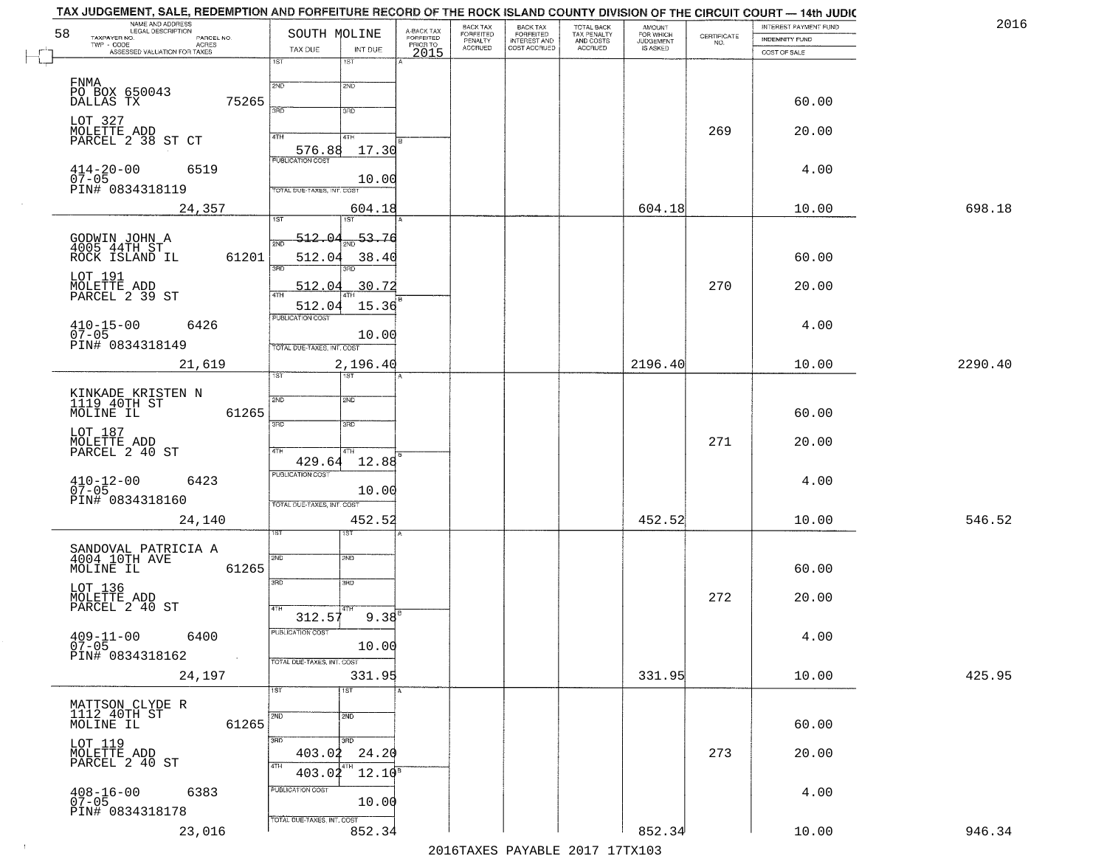|    | TAX JUDGEMENT, SALE, REDEMPTION AND FORFEITURE RECORD OF THE ROCK ISLAND COUNTY DIVISION OF THE CIRCUIT COURT - 14th JUDIC<br>NAME AND ADDRESS<br>LEGAL DESCRIPTION |                                     |                                     | BACK TAX             |                                       |                                        |                                  |                                                                 | INTEREST PAYMENT FUND | 2016    |
|----|---------------------------------------------------------------------------------------------------------------------------------------------------------------------|-------------------------------------|-------------------------------------|----------------------|---------------------------------------|----------------------------------------|----------------------------------|-----------------------------------------------------------------|-----------------------|---------|
| 58 | TAXPAYER NO.<br>PARCEL NO.<br>TWP - CODE                                                                                                                            | SOUTH MOLINE                        | A-BACK TAX<br>FORFEITED<br>PRIOR TO | FORFEITED<br>PENALTY | BACK TAX<br>FORFEITED<br>INTEREST AND | TOTAL BACK<br>TAX PENALTY<br>AND COSTS | AMOUNT<br>FOR WHICH<br>JUDGEMENT | $\begin{array}{c} \text{CERTIFICATE} \\ \text{NO.} \end{array}$ | <b>INDEMNITY FUND</b> |         |
|    | <b>ACRES</b><br>ASSESSED VALUATION FOR TAXES                                                                                                                        | TAX DUE<br>INT DUE                  | 2015                                | <b>ACCRUED</b>       | COST ACCRUED                          | ACCRUED                                | IS ASKED                         |                                                                 | COST OF SALE          |         |
|    |                                                                                                                                                                     | 18T<br>1ST                          |                                     |                      |                                       |                                        |                                  |                                                                 |                       |         |
|    | FNMA                                                                                                                                                                | 2ND<br>2ND                          |                                     |                      |                                       |                                        |                                  |                                                                 |                       |         |
|    | PO BOX 650043<br>DALLAS TX<br>75265                                                                                                                                 |                                     |                                     |                      |                                       |                                        |                                  |                                                                 | 60.00                 |         |
|    |                                                                                                                                                                     | 350<br>3RD                          |                                     |                      |                                       |                                        |                                  |                                                                 |                       |         |
|    | LOT 327<br>MOLETTE ADD                                                                                                                                              |                                     |                                     |                      |                                       |                                        |                                  | 269                                                             |                       |         |
|    | PARCEL 2 38 ST CT                                                                                                                                                   | 4TH<br>4TH                          |                                     |                      |                                       |                                        |                                  |                                                                 | 20.00                 |         |
|    |                                                                                                                                                                     | 576.88<br>17.30                     |                                     |                      |                                       |                                        |                                  |                                                                 |                       |         |
|    | 6519                                                                                                                                                                |                                     |                                     |                      |                                       |                                        |                                  |                                                                 | 4.00                  |         |
|    | $414 - 20 - 00$<br>07-05<br>PIN# 0834318119                                                                                                                         | 10.00                               |                                     |                      |                                       |                                        |                                  |                                                                 |                       |         |
|    |                                                                                                                                                                     | TOTAL DUE-TAXES, INT. COST          |                                     |                      |                                       |                                        |                                  |                                                                 |                       |         |
|    | 24,357                                                                                                                                                              | 604.18<br><b>IST</b>                |                                     |                      |                                       |                                        | 604.18                           |                                                                 | 10.00                 | 698.18  |
|    |                                                                                                                                                                     |                                     |                                     |                      |                                       |                                        |                                  |                                                                 |                       |         |
|    | GODWIN JOHN A<br>4005 44TH ST                                                                                                                                       | 512.04<br>53.76                     |                                     |                      |                                       |                                        |                                  |                                                                 |                       |         |
|    | 61201<br>ROCK ISLAND IL                                                                                                                                             | 512.04<br>38.40                     |                                     |                      |                                       |                                        |                                  |                                                                 | 60.00                 |         |
|    |                                                                                                                                                                     | 3RD                                 |                                     |                      |                                       |                                        |                                  |                                                                 |                       |         |
|    | LOT 191<br>MOLETTE ADD<br>PARCEL 2 39 ST                                                                                                                            | 30.72<br>512.04                     |                                     |                      |                                       |                                        |                                  | 270                                                             | 20.00                 |         |
|    |                                                                                                                                                                     | 512.04<br>15.36                     |                                     |                      |                                       |                                        |                                  |                                                                 |                       |         |
|    |                                                                                                                                                                     | PUBLICATION COST                    |                                     |                      |                                       |                                        |                                  |                                                                 |                       |         |
|    | $410 - 15 - 00$<br>6426<br>$07 - 05$                                                                                                                                | 10.00                               |                                     |                      |                                       |                                        |                                  |                                                                 | 4.00                  |         |
|    | PIN# 0834318149                                                                                                                                                     | TOTAL DUE-TAXES, INT. COST          |                                     |                      |                                       |                                        |                                  |                                                                 |                       |         |
|    | 21,619                                                                                                                                                              | 2,196.40                            |                                     |                      |                                       |                                        | 2196.40                          |                                                                 | 10.00                 | 2290.40 |
|    |                                                                                                                                                                     | 1ST<br>ist.                         |                                     |                      |                                       |                                        |                                  |                                                                 |                       |         |
|    |                                                                                                                                                                     |                                     |                                     |                      |                                       |                                        |                                  |                                                                 |                       |         |
|    | KINKADE KRISTEN N<br>1119 40TH ST<br>61265<br>MOLINE IL                                                                                                             | 2ND<br><b>SMD</b>                   |                                     |                      |                                       |                                        |                                  |                                                                 | 60.00                 |         |
|    |                                                                                                                                                                     | 3RD<br>3 <sub>BD</sub>              |                                     |                      |                                       |                                        |                                  |                                                                 |                       |         |
|    | LOT 187                                                                                                                                                             |                                     |                                     |                      |                                       |                                        |                                  | 271                                                             | 20.00                 |         |
|    | MOLETTÉ ADD<br>PARCEL 2 40 ST                                                                                                                                       | 4TH<br>4TH                          |                                     |                      |                                       |                                        |                                  |                                                                 |                       |         |
|    |                                                                                                                                                                     | 12.88<br>429.64                     |                                     |                      |                                       |                                        |                                  |                                                                 |                       |         |
|    | $410 - 12 - 00$<br>07-05<br>6423                                                                                                                                    | <b>PUBLICATION COST</b>             |                                     |                      |                                       |                                        |                                  |                                                                 | 4.00                  |         |
|    | PIN# 0834318160                                                                                                                                                     | 10.00<br>TOTAL OUE-TAXES, INT. COST |                                     |                      |                                       |                                        |                                  |                                                                 |                       |         |
|    |                                                                                                                                                                     |                                     |                                     |                      |                                       |                                        |                                  |                                                                 |                       |         |
|    | 24,140                                                                                                                                                              | 452.52<br>ist                       |                                     |                      |                                       |                                        | 452.52                           |                                                                 | 10.00                 | 546.52  |
|    |                                                                                                                                                                     |                                     |                                     |                      |                                       |                                        |                                  |                                                                 |                       |         |
|    | SANDOVAL PATRICIA A<br>4004 10TH AVE                                                                                                                                | 2ND<br>SND                          |                                     |                      |                                       |                                        |                                  |                                                                 |                       |         |
|    | MOLINE IL<br>61265                                                                                                                                                  |                                     |                                     |                      |                                       |                                        |                                  |                                                                 | 60.00                 |         |
|    |                                                                                                                                                                     | 3RD<br>3BD                          |                                     |                      |                                       |                                        |                                  |                                                                 |                       |         |
|    | LOT 136<br>MOLETTE ADD<br>PARCEL 2 40 ST                                                                                                                            | 4TH                                 |                                     |                      |                                       |                                        |                                  | 272                                                             | 20.00                 |         |
|    |                                                                                                                                                                     | $9.38^{B}$<br>312.57                |                                     |                      |                                       |                                        |                                  |                                                                 |                       |         |
|    | $409 - 11 - 00$<br>6400                                                                                                                                             | ruslica i IUN COS                   |                                     |                      |                                       |                                        |                                  |                                                                 | 4.00                  |         |
|    | $07 - 05$                                                                                                                                                           | 10.00                               |                                     |                      |                                       |                                        |                                  |                                                                 |                       |         |
|    | PIN# 0834318162                                                                                                                                                     | TOTAL DUE-TAXES, INT. COST          |                                     |                      |                                       |                                        |                                  |                                                                 |                       |         |
|    | 24,197                                                                                                                                                              | 331.95                              |                                     |                      |                                       |                                        | 331.95                           |                                                                 | 10.00                 | 425.95  |
|    |                                                                                                                                                                     | 1ST<br>1ST                          |                                     |                      |                                       |                                        |                                  |                                                                 |                       |         |
|    | MATTSON CLYDE R<br>1112 40TH ST                                                                                                                                     | $\overline{2ND}$<br>2ND             |                                     |                      |                                       |                                        |                                  |                                                                 |                       |         |
|    | 61265<br>MOLINE IL                                                                                                                                                  |                                     |                                     |                      |                                       |                                        |                                  |                                                                 | 60.00                 |         |
|    |                                                                                                                                                                     | 3RD<br>3RD                          |                                     |                      |                                       |                                        |                                  |                                                                 |                       |         |
|    | LOT 119<br>MOLETTE ADD<br>PARCEL 2 40 ST                                                                                                                            | 403.02<br>24.20                     |                                     |                      |                                       |                                        |                                  | 273                                                             | 20.00                 |         |
|    |                                                                                                                                                                     | 4TH<br>$12.10^8$<br>403.02          |                                     |                      |                                       |                                        |                                  |                                                                 |                       |         |
|    | $408 - 16 - 00$<br>6383                                                                                                                                             | PUBLICATION COST                    |                                     |                      |                                       |                                        |                                  |                                                                 | 4.00                  |         |
|    | $07 - 05$                                                                                                                                                           | 10.00                               |                                     |                      |                                       |                                        |                                  |                                                                 |                       |         |
|    | PIN# 0834318178                                                                                                                                                     | TOTAL DUE-TAXES, INT. COST          |                                     |                      |                                       |                                        |                                  |                                                                 |                       |         |
|    | 23,016                                                                                                                                                              | 852.34                              |                                     |                      |                                       |                                        | 852.34                           |                                                                 | 10.00                 | 946.34  |
|    |                                                                                                                                                                     |                                     |                                     |                      |                                       | 2016 TAVEC DAVADLE 2017 17TV102        |                                  |                                                                 |                       |         |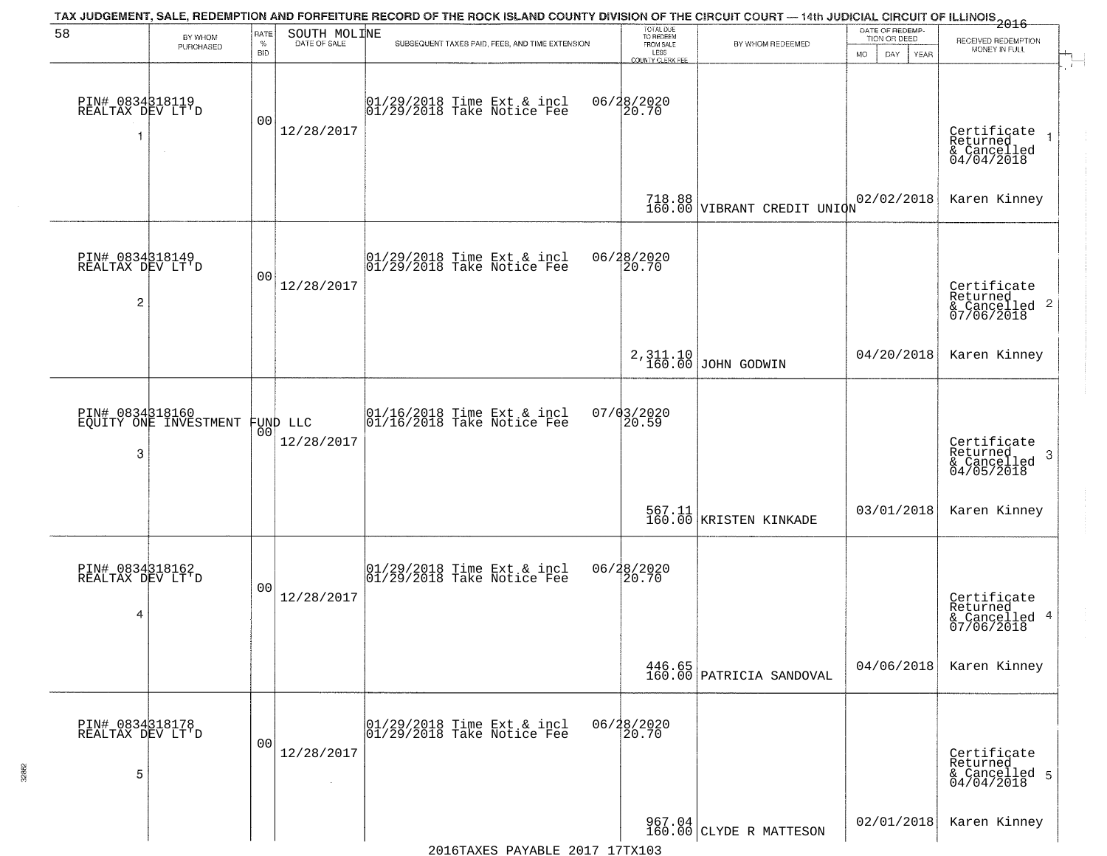| 58                                                    |                       | RATE            | SOUTH MOLINE           | TAX JUDGEMENT, SALE, REDEMPTION AND FORFEITURE RECORD OF THE ROCK ISLAND COUNTY DIVISION OF THE CIRCUIT COURT — 14th JUDICIAL CIRCUIT OF ILLINOIS 2016 | TOTAL DUE<br>TO REDEEM                         |                                                                                | DATE OF REDEMP-                     |                                                                                          |
|-------------------------------------------------------|-----------------------|-----------------|------------------------|--------------------------------------------------------------------------------------------------------------------------------------------------------|------------------------------------------------|--------------------------------------------------------------------------------|-------------------------------------|------------------------------------------------------------------------------------------|
|                                                       | BY WHOM<br>PURCHASED  | $\%$<br>BID     | DATE OF SALE           | SUBSEQUENT TAXES PAID, FEES, AND TIME EXTENSION                                                                                                        | FROM SALE<br>LESS                              | BY WHOM REDEEMED                                                               | TION OR DEED<br>MO.<br>DAY.<br>YEAR | RECEIVED REDEMPTION<br>MONEY IN FULL                                                     |
| PIN# 0834318119<br>REALTAX DEV LT'D                   |                       | 00              | 12/28/2017             | 01/29/2018 Time Ext & incl<br>01/29/2018 Take Notice Fee                                                                                               | <b>COUNTY CLERK FEE</b><br>06/28/2020<br>20.70 |                                                                                |                                     | Certificate<br>Returned<br>$& \text{Cancelled} \ 04/04/2018$                             |
|                                                       |                       |                 |                        |                                                                                                                                                        |                                                | 718.88 VIBRANT CREDIT UNION                                                    | 02/02/2018                          | Karen Kinney                                                                             |
| PIN# 0834318149<br>REALTAX DEV LT'D<br>$\overline{c}$ |                       | 00              | 12/28/2017             | $ 01/29/2018$ Time Ext & incl<br>$ 01/29/2018$ Take Notice Fee                                                                                         | 06/28/2020<br> 20.70                           |                                                                                |                                     | Certificate<br>Returned<br>& Cancelled 2<br>07/06/2018                                   |
|                                                       |                       |                 |                        |                                                                                                                                                        |                                                | 2,311.10<br>160.00 JOHN GODWIN                                                 | 04/20/2018                          | Karen Kinney                                                                             |
| PIN# 0834318160<br>3                                  | EQUITY ONE INVESTMENT | 00 <sup>o</sup> | FUND LLC<br>12/28/2017 | $\begin{array}{c} 01/16/2018 \\ 01/16/2018 \\ \end{array}$ Take Notice Fee                                                                             | 07/03/2020<br>20.59                            |                                                                                |                                     | Certificate<br>Returned<br>$\boldsymbol{\beta}$<br>$\frac{1}{2}$ Cancelled<br>04/05/2018 |
|                                                       |                       |                 |                        |                                                                                                                                                        |                                                | 567.11  <br>160.00   KRISTEN KINKADE                                           | 03/01/2018                          | Karen Kinney                                                                             |
| PIN# 0834318162<br>REALTAX DEV LT'D<br>4              |                       | 0 <sub>0</sub>  | 12/28/2017             | $[01/29/2018$ Time Ext & incl<br>$[01/29/2018$ Take Notice Fee                                                                                         | 06/28/2020<br>20.70                            |                                                                                |                                     | Certificate<br>Returned<br>& Cancelled 4<br>07/06/2018                                   |
|                                                       |                       |                 |                        |                                                                                                                                                        |                                                | $\begin{array}{ c c c c }\n 446.65 & \text{PARTRICIA SANDOVAL} \n \end{array}$ | 04/06/2018                          | Karen Kinney                                                                             |
| PIN# 0834318178<br>REALTAX DEV LT'D<br>5              |                       | 0 <sub>0</sub>  | 12/28/2017             | 01/29/2018 Time Ext & incl<br>01/29/2018 Take Notice Fee                                                                                               | 06/28/2020<br>20.70                            |                                                                                |                                     | Certificate<br>Returned<br>& Cancelled 5<br>04/04/2018                                   |
|                                                       |                       |                 |                        |                                                                                                                                                        |                                                | $\begin{array}{c c} 967.04 \\ 160.00 \end{array}$ CLYDE R MATTESON             | 02/01/2018                          | Karen Kinney                                                                             |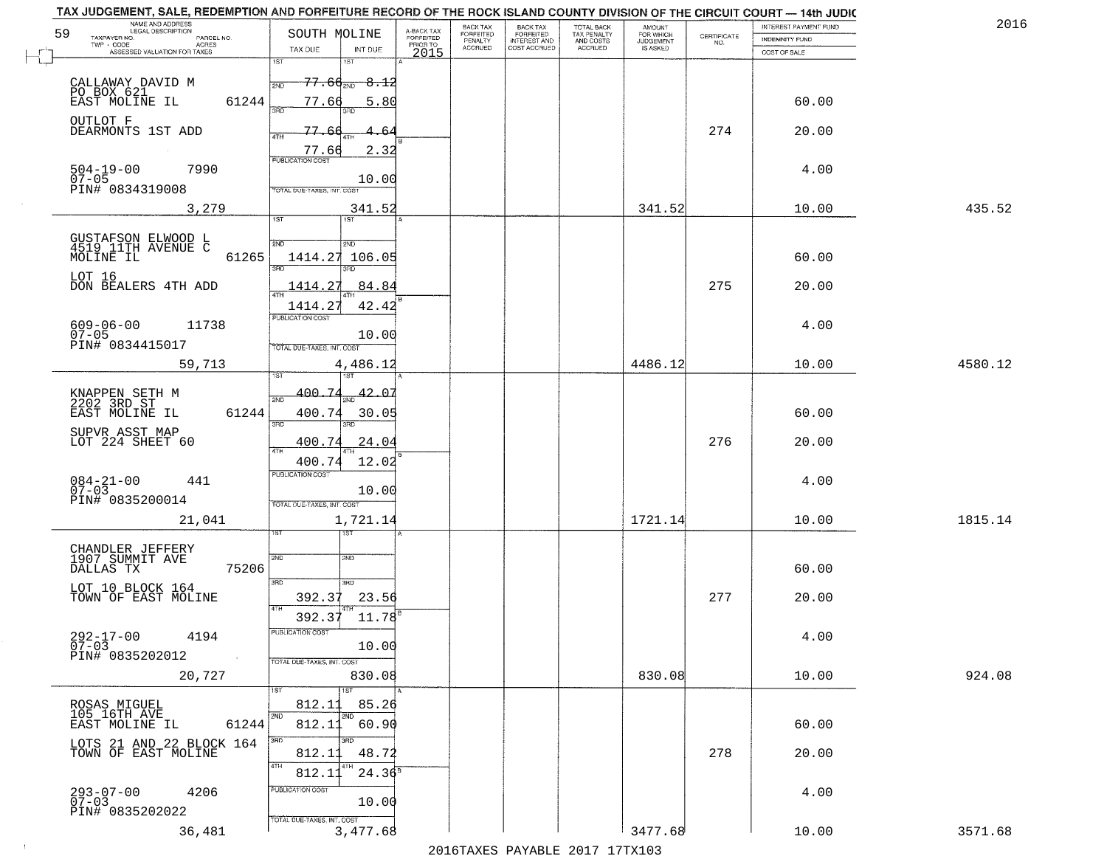|                                     | TAX JUDGEMENT, SALE, REDEMPTION AND FORFEITURE RECORD OF THE ROCK ISLAND COUNTY DIVISION OF THE CIRCUIT COURT - 14th JUDIC<br>NAME AND ADDRESS<br>LEGAL DESCRIPTION |                             |                    |                                     | BACK TAX                    |                                              |                                        |                                         |                                                                 | INTEREST PAYMENT FUND | 2016    |
|-------------------------------------|---------------------------------------------------------------------------------------------------------------------------------------------------------------------|-----------------------------|--------------------|-------------------------------------|-----------------------------|----------------------------------------------|----------------------------------------|-----------------------------------------|-----------------------------------------------------------------|-----------------------|---------|
| 59<br>TAXPAYER NO.                  | PARCEL NO.                                                                                                                                                          | SOUTH MOLINE                |                    | A-BACK TAX<br>FORFEITED<br>PRIOR TO | <b>FORFEITED</b><br>PENALTY | BACK TAX<br>FORFEITED<br><b>INTEREST AND</b> | TOTAL BACK<br>TAX PENALTY<br>AND COSTS | AMOUNT<br>FOR WHICH<br><b>JUDGEMENT</b> | $\begin{array}{c} \text{CERTIFICATE} \\ \text{NO.} \end{array}$ | INDEMNITY FUND        |         |
|                                     | ACRES<br>ASSESSED VALUATION FOR TAXES                                                                                                                               | TAX DUE                     | INT DUE            | 2015                                | <b>ACCRUED</b>              | COST ACCRUED                                 | <b>ACCRUED</b>                         | IS ASKED                                |                                                                 | COST OF SALE          |         |
|                                     |                                                                                                                                                                     | 1ST                         | 1ST                |                                     |                             |                                              |                                        |                                         |                                                                 |                       |         |
| CALLAWAY DAVID M                    |                                                                                                                                                                     | 2ND                         | $77.66_{200}$ 8.12 |                                     |                             |                                              |                                        |                                         |                                                                 |                       |         |
| PO BOX 621<br>EAST MOLINE IL        | 61244                                                                                                                                                               | 77.66                       | 5.80               |                                     |                             |                                              |                                        |                                         |                                                                 | 60.00                 |         |
|                                     |                                                                                                                                                                     |                             |                    |                                     |                             |                                              |                                        |                                         |                                                                 |                       |         |
| OUTLOT F<br>DEARMONTS 1ST ADD       |                                                                                                                                                                     | 77.6                        |                    |                                     |                             |                                              |                                        |                                         | 274                                                             | 20.00                 |         |
|                                     |                                                                                                                                                                     |                             |                    |                                     |                             |                                              |                                        |                                         |                                                                 |                       |         |
|                                     |                                                                                                                                                                     | 77.66                       | 2.32               |                                     |                             |                                              |                                        |                                         |                                                                 |                       |         |
| $504 - 19 - 00$<br>$07 - 05$        | 7990                                                                                                                                                                |                             | 10.00              |                                     |                             |                                              |                                        |                                         |                                                                 | 4.00                  |         |
| PIN# 0834319008                     |                                                                                                                                                                     | TOTAL DUE-TAXES, INT. COST  |                    |                                     |                             |                                              |                                        |                                         |                                                                 |                       |         |
|                                     | 3,279                                                                                                                                                               |                             | 341.52             |                                     |                             |                                              |                                        | 341.52                                  |                                                                 | 10.00                 | 435.52  |
|                                     |                                                                                                                                                                     | IST                         | <b>IST</b>         |                                     |                             |                                              |                                        |                                         |                                                                 |                       |         |
|                                     |                                                                                                                                                                     | 2ND                         |                    |                                     |                             |                                              |                                        |                                         |                                                                 |                       |         |
| MOLINE IL                           | GUSTAFSON ELWOOD L<br>4519 11TH AVENUE C<br>61265                                                                                                                   | 1414.27                     | 2ND<br>106.05      |                                     |                             |                                              |                                        |                                         |                                                                 | 60.00                 |         |
|                                     |                                                                                                                                                                     |                             | 3RD                |                                     |                             |                                              |                                        |                                         |                                                                 |                       |         |
| LOT 16                              | DON BEALERS 4TH ADD                                                                                                                                                 | 1414.27                     | 84.84              |                                     |                             |                                              |                                        |                                         | 275                                                             | 20.00                 |         |
|                                     |                                                                                                                                                                     |                             |                    |                                     |                             |                                              |                                        |                                         |                                                                 |                       |         |
|                                     |                                                                                                                                                                     | 1414.27<br>PUBLICATION COST | 42.42              |                                     |                             |                                              |                                        |                                         |                                                                 |                       |         |
| $609 - 06 - 00$<br>07-05            | 11738                                                                                                                                                               |                             | 10.00              |                                     |                             |                                              |                                        |                                         |                                                                 | 4.00                  |         |
| PIN# 0834415017                     |                                                                                                                                                                     | TOTAL DUE-TAXES, INT. COST  |                    |                                     |                             |                                              |                                        |                                         |                                                                 |                       |         |
|                                     | 59,713                                                                                                                                                              |                             | 4,486.12           |                                     |                             |                                              |                                        | 4486.12                                 |                                                                 | 10.00                 | 4580.12 |
|                                     |                                                                                                                                                                     |                             | 1ST                |                                     |                             |                                              |                                        |                                         |                                                                 |                       |         |
| KNAPPEN SETH M<br>2202 3RD ST       |                                                                                                                                                                     | 400.74<br>2ND               | 42.07              |                                     |                             |                                              |                                        |                                         |                                                                 |                       |         |
| EAST MOLINE IL                      | 61244                                                                                                                                                               | 400.74                      | 30.05              |                                     |                             |                                              |                                        |                                         |                                                                 | 60.00                 |         |
| SUPVR ASST MAP                      |                                                                                                                                                                     | 3RD                         | 3RD                |                                     |                             |                                              |                                        |                                         |                                                                 |                       |         |
| LOT 224 SHEET 60                    |                                                                                                                                                                     | 400.74                      | 24.04              |                                     |                             |                                              |                                        |                                         | 276                                                             | 20.00                 |         |
|                                     |                                                                                                                                                                     | <b>ATH</b><br>400.74        | 12.02              |                                     |                             |                                              |                                        |                                         |                                                                 |                       |         |
|                                     |                                                                                                                                                                     | <b>PUBLICATION COST</b>     |                    |                                     |                             |                                              |                                        |                                         |                                                                 |                       |         |
| $084 - 21 - 00$<br>07-03            | 441                                                                                                                                                                 |                             | 10.00              |                                     |                             |                                              |                                        |                                         |                                                                 | 4.00                  |         |
| PIN# 0835200014                     |                                                                                                                                                                     | TOTAL OUE-TAXES, INT. COST  |                    |                                     |                             |                                              |                                        |                                         |                                                                 |                       |         |
|                                     | 21,041                                                                                                                                                              |                             | 1,721.14           |                                     |                             |                                              |                                        | 1721.14                                 |                                                                 | 10.00                 | 1815.14 |
|                                     |                                                                                                                                                                     |                             | १९४                |                                     |                             |                                              |                                        |                                         |                                                                 |                       |         |
| CHANDLER JEFFERY<br>1907 SUMMIT AVE |                                                                                                                                                                     | 2ND                         | 2ND                |                                     |                             |                                              |                                        |                                         |                                                                 |                       |         |
| DALLAS TX                           | 75206                                                                                                                                                               |                             |                    |                                     |                             |                                              |                                        |                                         |                                                                 | 60.00                 |         |
|                                     | LOT 10 BLOCK 164<br>TOWN OF EAST MOLINE                                                                                                                             | 3RD                         | 3 <sub>BD</sub>    |                                     |                             |                                              |                                        |                                         |                                                                 |                       |         |
|                                     |                                                                                                                                                                     | 392.37<br>4TH               | 23.56              |                                     |                             |                                              |                                        |                                         | 277                                                             | 20.00                 |         |
|                                     |                                                                                                                                                                     | 392.37                      | 11.78              |                                     |                             |                                              |                                        |                                         |                                                                 |                       |         |
| $292 - 17 - 00$<br>07-03            | 4194                                                                                                                                                                | PUBLICATION COS-            |                    |                                     |                             |                                              |                                        |                                         |                                                                 | 4.00                  |         |
| PIN# 0835202012                     | $\sim 10$                                                                                                                                                           |                             | 10.00              |                                     |                             |                                              |                                        |                                         |                                                                 |                       |         |
|                                     |                                                                                                                                                                     | TOTAL DUE-TAXES, INT. COST  |                    |                                     |                             |                                              |                                        |                                         |                                                                 |                       |         |
|                                     | 20,727                                                                                                                                                              |                             | 830.08             |                                     |                             |                                              |                                        | 830.08                                  |                                                                 | 10.00                 | 924.08  |
|                                     |                                                                                                                                                                     | 812.11                      | 85.26              |                                     |                             |                                              |                                        |                                         |                                                                 |                       |         |
| ROSAS MIGUEL<br>105 16TH AVE        |                                                                                                                                                                     |                             |                    |                                     |                             |                                              |                                        |                                         |                                                                 |                       |         |
| EAST MOLINE IL                      | 61244                                                                                                                                                               | 812.11                      | 60.90              |                                     |                             |                                              |                                        |                                         |                                                                 | 60.00                 |         |
|                                     | LOTS 21 AND 22 BLOCK 164<br>TOWN OF EAST MOLINE                                                                                                                     | 812.1                       | 3RD<br>48.72       |                                     |                             |                                              |                                        |                                         | 278                                                             | 20.00                 |         |
|                                     |                                                                                                                                                                     | 4TH                         |                    |                                     |                             |                                              |                                        |                                         |                                                                 |                       |         |
|                                     |                                                                                                                                                                     | 812.1                       | $24.36^5$          |                                     |                             |                                              |                                        |                                         |                                                                 |                       |         |
| 293-07-00<br>07-03                  | 4206                                                                                                                                                                | PUBLICATION COST            | 10.00              |                                     |                             |                                              |                                        |                                         |                                                                 | 4.00                  |         |
| PIN# 0835202022                     |                                                                                                                                                                     |                             |                    |                                     |                             |                                              |                                        |                                         |                                                                 |                       |         |
|                                     | 36,481                                                                                                                                                              | TOTAL DUE-TAXES, INT. COST  | 3,477.68           |                                     |                             |                                              |                                        | 3477.68                                 |                                                                 | 10.00                 | 3571.68 |
|                                     |                                                                                                                                                                     |                             |                    |                                     |                             |                                              | 2016 TAVEC DAVARLE 2017 17 TV102       |                                         |                                                                 |                       |         |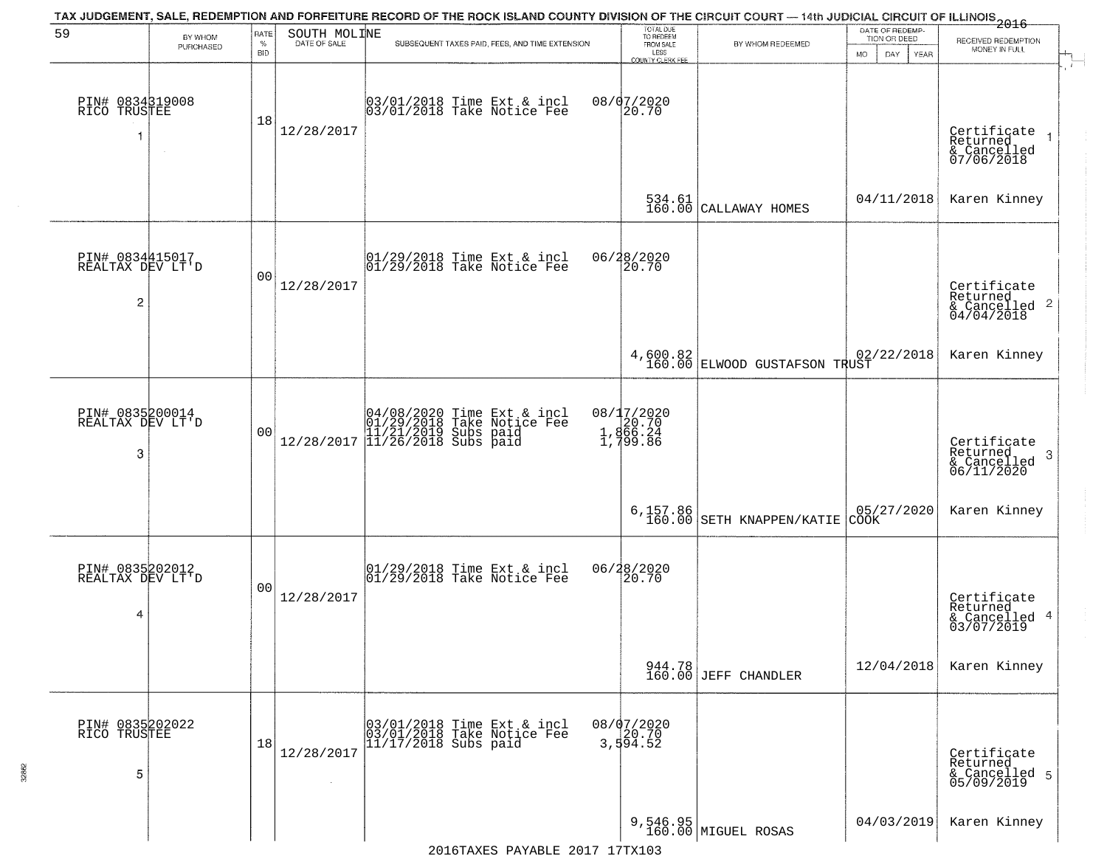| 59                                                    | BY WHOM   | RATE           | SOUTH MOLINE | TAX JUDGEMENT, SALE, REDEMPTION AND FORFEITURE RECORD OF THE ROCK ISLAND COUNTY DIVISION OF THE CIRCUIT COURT — 14th JUDICIAL CIRCUIT OF ILLINOIS 2016 | TOTAL DUE<br>TO REDEEM                       |                                                                                                                                                             | DATE OF REDEMP-<br>TION OR DEED |                                                                    |
|-------------------------------------------------------|-----------|----------------|--------------|--------------------------------------------------------------------------------------------------------------------------------------------------------|----------------------------------------------|-------------------------------------------------------------------------------------------------------------------------------------------------------------|---------------------------------|--------------------------------------------------------------------|
|                                                       | PURCHASED | $\%$<br>BID    | DATE OF SALE | SUBSEQUENT TAXES PAID, FEES, AND TIME EXTENSION                                                                                                        | FROM SALE<br>LESS<br><b>COUNTY CLERK FEE</b> | BY WHOM REDEEMED                                                                                                                                            | MO.<br>DAY.<br>YEAR             | RECEIVED REDEMPTION<br>MONEY IN FULL                               |
| PIN# 0834319008<br>RICO TRUSTEE                       |           | 18             | 12/28/2017   | 03/01/2018 Time Ext & incl<br>03/01/2018 Take Notice Fee                                                                                               | 08/07/2020<br>20.70                          |                                                                                                                                                             |                                 | Certificate<br>Returned<br>& Cancelled<br>07/06/2018               |
|                                                       |           |                |              |                                                                                                                                                        |                                              | 534.61 CALLAWAY HOMES                                                                                                                                       | 04/11/2018                      | Karen Kinney                                                       |
| PIN# 0834415017<br>REALTAX DEV LT'D<br>$\overline{c}$ |           | 00             | 12/28/2017   | $ 01/29/2018$ Time Ext & incl<br>$ 01/29/2018$ Take Notice Fee                                                                                         | 06/28/2020<br> 20.70                         |                                                                                                                                                             |                                 | Certificate<br>Returned<br>$\frac{1}{6}$ Cancelled 2<br>04/04/2018 |
|                                                       |           |                |              |                                                                                                                                                        |                                              | $\left\{\n \begin{array}{c}\n 4,600.82 \\  160.00\n \end{array}\n\right \n \begin{array}{c}\n 82 \\  \text{ELWOOD GUSTAFSON TRUST}\n \end{array}\n \right.$ | 02/22/2018                      | Karen Kinney                                                       |
| PIN# 0835200014<br>REALTAX DEV LT'D<br>3              |           | 0 <sub>0</sub> |              | $[04/08/2020 \t\t Time Ext & incl01/29/2018 \tTake Notice Free11/21/2019 Subs paid12/28/2017 \t[11/26/2018 Subs paid$                                  | 08/17/2020<br>20.70<br>1,866.24<br>1,799.86  |                                                                                                                                                             |                                 | Certificate<br>Returned<br>3<br>& Cancelled<br>06/11/2020          |
|                                                       |           |                |              |                                                                                                                                                        |                                              | $6,157.86$ $160.00$ SETH KNAPPEN/KATIE                                                                                                                      | 05/27/2020<br>CŎŎK              | Karen Kinney                                                       |
| PIN# 0835202012<br>REALTAX DEV LT'D<br>4              |           | 0 <sub>0</sub> | 12/28/2017   | $[01/29/2018$ Time Ext & incl<br>$[01/29/2018$ Take Notice Fee                                                                                         | 06/28/2020<br>20.70                          |                                                                                                                                                             |                                 | Certificate<br>Returned<br>& Cancelled 4<br>03/07/2019             |
|                                                       |           |                |              |                                                                                                                                                        |                                              | 944.78<br>160.00 JEFF CHANDLER                                                                                                                              | 12/04/2018                      | Karen Kinney                                                       |
| PIN# 0835202022<br>RICO TRUSTEE<br>5                  |           | 18             | 12/28/2017   | 03/01/2018 Time Ext & incl<br>03/01/2018 Take Notice Fee<br>$11/17/2018$ Subs paid                                                                     | 08/07/2020<br>20.70<br>3,594.52              |                                                                                                                                                             |                                 | Certificate<br>Returned<br>& Cancelled 5<br>05/09/2019             |
|                                                       |           |                |              | $2016$ TAYES DAVARLE $2017$ 17TY103                                                                                                                    |                                              | 9,546.95<br>160.00 MIGUEL ROSAS                                                                                                                             | 04/03/2019                      | Karen Kinney                                                       |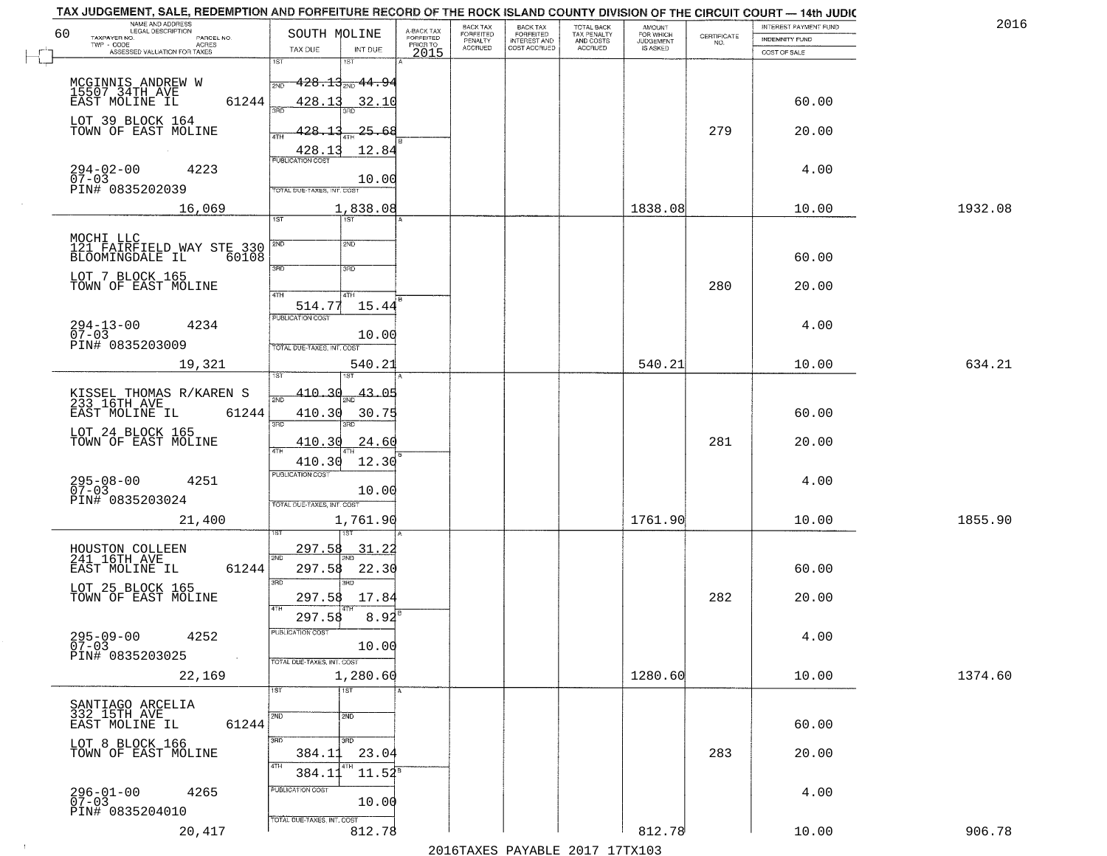| 2016    | INTEREST PAYMENT FUND |                                                                 | AMOUNT<br>FOR WHICH |                                        |                                       | BACK TAX             |                                     |                                                                                         | TAX JUDGEMENT, SALE, REDEMPTION AND FORFEITURE RECORD OF THE ROCK ISLAND COUNTY DIVISION OF THE CIRCUIT COURT - 14th JUDIC<br>NAME AND ADDRESS<br>LEGAL DESCRIPTION |
|---------|-----------------------|-----------------------------------------------------------------|---------------------|----------------------------------------|---------------------------------------|----------------------|-------------------------------------|-----------------------------------------------------------------------------------------|---------------------------------------------------------------------------------------------------------------------------------------------------------------------|
|         | INDEMNITY FUND        | $\begin{array}{c} \text{CERTIFICATE} \\ \text{NO.} \end{array}$ | <b>JUDGEMENT</b>    | TOTAL BACK<br>TAX PENALTY<br>AND COSTS | BACK TAX<br>FORFEITED<br>INTEREST AND | FORFEITED<br>PENALTY | A-BACK TAX<br>FORFEITED<br>PRIOR TO | SOUTH MOLINE                                                                            | 60<br>TAXPAYER NO.<br>PARCEL NO.                                                                                                                                    |
|         | COST OF SALE          |                                                                 | IS ASKED            | ACCRUED                                | COST ACCRUED                          | <b>ACCRUED</b>       | 2015                                | INT DUE<br>TAX DUE                                                                      | TWP - CODE<br>ACRES<br>ASSESSED VALUATION FOR TAXES                                                                                                                 |
|         |                       |                                                                 |                     |                                        |                                       |                      |                                     | 1ST<br>18T                                                                              |                                                                                                                                                                     |
|         |                       |                                                                 |                     |                                        |                                       |                      |                                     | $-428.13_{200}$ $44.94$<br>2ND                                                          |                                                                                                                                                                     |
|         |                       |                                                                 |                     |                                        |                                       |                      |                                     |                                                                                         | MCGINNIS ANDREW W<br>15507 34TH AVE<br>EAST MOLINE IL                                                                                                               |
|         | 60.00                 |                                                                 |                     |                                        |                                       |                      |                                     | 428.13<br>32.10<br>350                                                                  | 61244                                                                                                                                                               |
|         |                       |                                                                 |                     |                                        |                                       |                      |                                     |                                                                                         | LOT 39 BLOCK 164<br>TOWN OF EAST MOLINE                                                                                                                             |
|         | 20.00                 | 279                                                             |                     |                                        |                                       |                      |                                     | 128.13<br>25.68                                                                         |                                                                                                                                                                     |
|         |                       |                                                                 |                     |                                        |                                       |                      |                                     | 12.84<br>EUBLICATION COST                                                               |                                                                                                                                                                     |
|         | 4.00                  |                                                                 |                     |                                        |                                       |                      |                                     |                                                                                         | 4223                                                                                                                                                                |
|         |                       |                                                                 |                     |                                        |                                       |                      |                                     | 10.00                                                                                   | $294 - 02 - 00$<br>07-03                                                                                                                                            |
|         |                       |                                                                 |                     |                                        |                                       |                      |                                     | TOTAL DUE-TAXES, INT. COST                                                              | PIN# 0835202039                                                                                                                                                     |
| 1932.08 | 10.00                 |                                                                 | 1838.08             |                                        |                                       |                      |                                     | 1,838.08                                                                                | 16,069                                                                                                                                                              |
|         |                       |                                                                 |                     |                                        |                                       |                      |                                     | <b>IST</b>                                                                              |                                                                                                                                                                     |
|         |                       |                                                                 |                     |                                        |                                       |                      |                                     | 2ND<br>2ND                                                                              | MOCHI LLC<br>121 FAIRFIELD WAY STE 330                                                                                                                              |
|         | 60.00                 |                                                                 |                     |                                        |                                       |                      |                                     |                                                                                         | BLOOMINGDALE IL<br>60108                                                                                                                                            |
|         |                       |                                                                 |                     |                                        |                                       |                      |                                     | 3RD<br>3RD                                                                              |                                                                                                                                                                     |
|         | 20.00                 | 280                                                             |                     |                                        |                                       |                      |                                     |                                                                                         | LOT 7 BLOCK 165<br>TOWN OF EAST MOLINE                                                                                                                              |
|         |                       |                                                                 |                     |                                        |                                       |                      |                                     | 4TH<br>4TH                                                                              |                                                                                                                                                                     |
|         |                       |                                                                 |                     |                                        |                                       |                      |                                     | 15.44<br>514.77<br>PUBLICATION COST                                                     |                                                                                                                                                                     |
|         | 4.00                  |                                                                 |                     |                                        |                                       |                      |                                     |                                                                                         | $294 - 13 - 00$<br>4234                                                                                                                                             |
|         |                       |                                                                 |                     |                                        |                                       |                      |                                     | 10.00<br>TOTAL DUE-TAXES, INT. COST                                                     | $07 - 03$<br>PIN# 0835203009                                                                                                                                        |
|         |                       |                                                                 |                     |                                        |                                       |                      |                                     |                                                                                         |                                                                                                                                                                     |
| 634.21  | 10.00                 |                                                                 | 540.21              |                                        |                                       |                      |                                     | 540.21<br>IST.                                                                          | 19,321                                                                                                                                                              |
|         |                       |                                                                 |                     |                                        |                                       |                      |                                     |                                                                                         |                                                                                                                                                                     |
|         |                       |                                                                 |                     |                                        |                                       |                      |                                     | 410.30<br>43.05<br>2ND                                                                  | KISSEL THOMAS R/KAREN S<br>233 16TH AVE                                                                                                                             |
|         | 60.00                 |                                                                 |                     |                                        |                                       |                      |                                     | 410.30<br>30.75                                                                         | EAST MOLINE IL<br>61244                                                                                                                                             |
|         |                       |                                                                 |                     |                                        |                                       |                      |                                     | 3RD<br>3RD                                                                              | LOT 24 BLOCK 165                                                                                                                                                    |
|         | 20.00                 | 281                                                             |                     |                                        |                                       |                      |                                     | 24.60<br><u>410.30</u>                                                                  | TOWN OF EAST MOLINE                                                                                                                                                 |
|         |                       |                                                                 |                     |                                        |                                       |                      |                                     | 410.30<br>12.30                                                                         |                                                                                                                                                                     |
|         |                       |                                                                 |                     |                                        |                                       |                      |                                     | <b>PUBLICATION COST</b>                                                                 |                                                                                                                                                                     |
|         | 4.00                  |                                                                 |                     |                                        |                                       |                      |                                     | 10.00                                                                                   | $295 - 08 - 00$<br>07-03<br>4251                                                                                                                                    |
|         |                       |                                                                 |                     |                                        |                                       |                      |                                     | TOTAL OUE-TAXES, INT. COST                                                              | PIN# 0835203024                                                                                                                                                     |
| 1855.90 | 10.00                 |                                                                 | 1761.90             |                                        |                                       |                      |                                     | 1,761.90                                                                                | 21,400                                                                                                                                                              |
|         |                       |                                                                 |                     |                                        |                                       |                      |                                     |                                                                                         |                                                                                                                                                                     |
|         |                       |                                                                 |                     |                                        |                                       |                      |                                     | 297.58<br>31.22                                                                         | HOUSTON COLLEEN                                                                                                                                                     |
|         | 60.00                 |                                                                 |                     |                                        |                                       |                      |                                     | 2ND<br>22.30<br>297.58                                                                  | 241 16TH AVE<br>EAST MOLINE IL<br>61244                                                                                                                             |
|         |                       |                                                                 |                     |                                        |                                       |                      |                                     | 3RD<br>3RD                                                                              |                                                                                                                                                                     |
|         | 20.00                 | 282                                                             |                     |                                        |                                       |                      |                                     | 17.84                                                                                   | LOT 25 BLOCK 165<br>TOWN OF EAST MOLINE                                                                                                                             |
|         |                       |                                                                 |                     |                                        |                                       |                      |                                     | 297.58<br>4TH                                                                           |                                                                                                                                                                     |
|         |                       |                                                                 |                     |                                        |                                       |                      |                                     | 297.58<br>8.92                                                                          |                                                                                                                                                                     |
|         | 4.00                  |                                                                 |                     |                                        |                                       |                      |                                     | PUBLICATION COS-                                                                        | $295 - 09 - 00$<br>07-03<br>4252                                                                                                                                    |
|         |                       |                                                                 |                     |                                        |                                       |                      |                                     | 10.00                                                                                   | PIN# 0835203025                                                                                                                                                     |
|         |                       |                                                                 |                     |                                        |                                       |                      |                                     | TOTAL DUE-TAXES, INT. COST                                                              | $\sim 10^{-1}$                                                                                                                                                      |
| 1374.60 | 10.00                 |                                                                 | 1280.60             |                                        |                                       |                      |                                     | 1,280.60                                                                                | 22,169                                                                                                                                                              |
|         |                       |                                                                 |                     |                                        |                                       |                      |                                     | 1ST<br>1ST                                                                              |                                                                                                                                                                     |
|         |                       |                                                                 |                     |                                        |                                       |                      |                                     |                                                                                         | SANTIAGO ARCELIA<br>332 15TH AVE                                                                                                                                    |
|         | 60.00                 |                                                                 |                     |                                        |                                       |                      |                                     | 2ND<br>2ND                                                                              | 61244<br>EAST MOLINE IL                                                                                                                                             |
|         |                       |                                                                 |                     |                                        |                                       |                      |                                     | 3RD<br>3RD                                                                              |                                                                                                                                                                     |
|         | 20.00                 | 283                                                             |                     |                                        |                                       |                      |                                     | 23.04<br>384.1                                                                          | LOT 8 BLOCK 166<br>TOWN OF EAST MOLINE                                                                                                                              |
|         |                       |                                                                 |                     |                                        |                                       |                      |                                     | 4TH                                                                                     |                                                                                                                                                                     |
|         |                       |                                                                 |                     |                                        |                                       |                      |                                     |                                                                                         |                                                                                                                                                                     |
|         | 4.00                  |                                                                 |                     |                                        |                                       |                      |                                     |                                                                                         | 4265                                                                                                                                                                |
|         |                       |                                                                 |                     |                                        |                                       |                      |                                     |                                                                                         | PIN# 0835204010                                                                                                                                                     |
| 906.78  |                       |                                                                 |                     |                                        |                                       |                      |                                     |                                                                                         |                                                                                                                                                                     |
|         |                       |                                                                 |                     |                                        |                                       |                      |                                     |                                                                                         |                                                                                                                                                                     |
|         | 10.00                 |                                                                 | 812.78              | 2016 TAVEC DAVARIE 2017 17 TAV102      |                                       |                      |                                     | $11.54^s$<br>384.1<br>PUBLICATION COST<br>10.00<br>TOTAL DUE-TAXES, INT. COST<br>812.78 | 296-01-00<br>07-03<br>20,417                                                                                                                                        |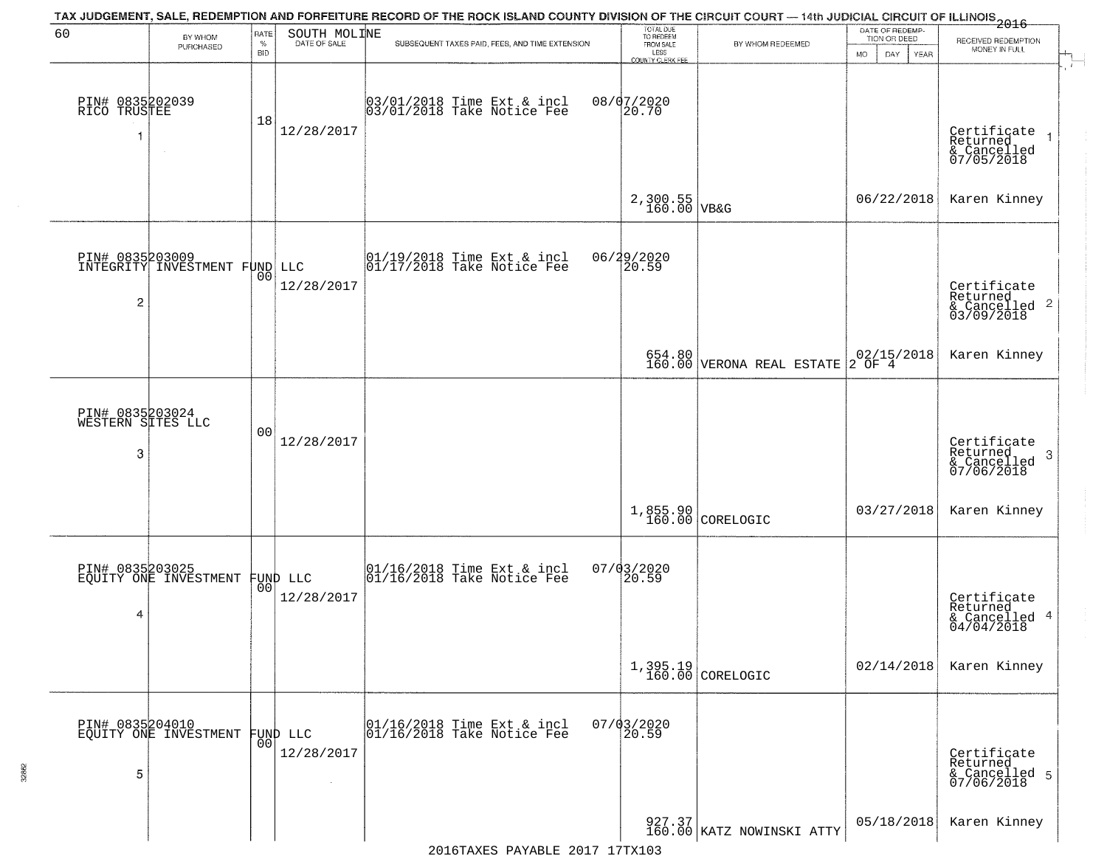| 60                                        | BY WHOM                                  | <b>RATE</b>        | SOUTH MOLINE           | TAX JUDGEMENT, SALE, REDEMPTION AND FORFEITURE RECORD OF THE ROCK ISLAND COUNTY DIVISION OF THE CIRCUIT COURT — 14th JUDICIAL CIRCUIT OF ILLINOIS 2016 | TOTAL DUE<br>TO REDEEM                       |                                                                     | DATE OF REDEMP-<br>TION OR DEED |                                                           |
|-------------------------------------------|------------------------------------------|--------------------|------------------------|--------------------------------------------------------------------------------------------------------------------------------------------------------|----------------------------------------------|---------------------------------------------------------------------|---------------------------------|-----------------------------------------------------------|
|                                           | PURCHASED                                | $\%$<br><b>BID</b> | DATE OF SALE           | SUBSEQUENT TAXES PAID, FEES, AND TIME EXTENSION                                                                                                        | FROM SALE<br>LESS<br><b>COUNTY CLERK FEE</b> | BY WHOM REDEEMED                                                    | MO.<br>DAY.<br>YEAR             | RECEIVED REDEMPTION<br>MONEY IN FULL                      |
| PIN# 0835202039<br>RICO TRUSTEE<br>1      | $\sim$                                   | 18                 | 12/28/2017             | 03/01/2018 Time Ext & incl<br>03/01/2018 Take Notice Fee                                                                                               | 08/07/2020<br>20.70                          |                                                                     |                                 | Certificate<br>Returned<br>& Cancelled<br>07/05/2018      |
|                                           |                                          |                    |                        |                                                                                                                                                        | $2,300.55$ VB&G                              |                                                                     | 06/22/2018                      | Karen Kinney                                              |
| $\overline{c}$                            | INTEGRITY INVESTMENT FUND LLC            | 00                 | 12/28/2017             | 01/19/2018 Time Ext & incl<br>01/17/2018 Take Notice Fee                                                                                               | 06/29/2020<br>20.59                          |                                                                     |                                 | Certificate<br>Returned<br>& Cancelled 2<br>03/09/2018    |
|                                           |                                          |                    |                        |                                                                                                                                                        |                                              | 654.80<br>160.00 VERONA REAL ESTATE                                 | $02/15/2018$<br>2 OF 4          | Karen Kinney                                              |
| PIN# 0835203024<br>WESTERN SITES LLC<br>3 |                                          | 0 <sub>0</sub>     | 12/28/2017             |                                                                                                                                                        |                                              |                                                                     |                                 | Certificate<br>Returned<br>3<br>& Cancelled<br>07/06/2018 |
|                                           |                                          |                    |                        |                                                                                                                                                        |                                              | 1,855.90<br>160.00 CORELOGIC                                        | 03/27/2018                      | Karen Kinney                                              |
| 4                                         | PIN# 0835203025<br>EQUITY ONE INVESTMENT | 00 <sup>1</sup>    | FUND LLC<br>12/28/2017 | 01/16/2018 Time Ext & incl<br>01/16/2018 Take Notice Fee                                                                                               | 07/03/2020<br>20.59                          |                                                                     |                                 | Certificate<br>Returned<br>& Cancelled 4<br>04/04/2018    |
|                                           |                                          |                    |                        |                                                                                                                                                        |                                              | $1,395.19$ CORELOGIC                                                | 02/14/2018                      | Karen Kinney                                              |
| 5                                         | PIN# 0835204010<br>EQUITY ONE INVESTMENT | 001                | FUND LLC<br>12/28/2017 | 01/16/2018 Time Ext & incl<br>01/16/2018 Take Notice Fee                                                                                               | $07/03/2020$<br>20.59                        |                                                                     |                                 | Certificate<br>Returned<br>& Cancelled 5<br>07/06/2018    |
|                                           |                                          |                    |                        |                                                                                                                                                        |                                              | $\begin{bmatrix} 927.37 \\ 160.00 \end{bmatrix}$ KATZ NOWINSKI ATTY | 05/18/2018                      | Karen Kinney                                              |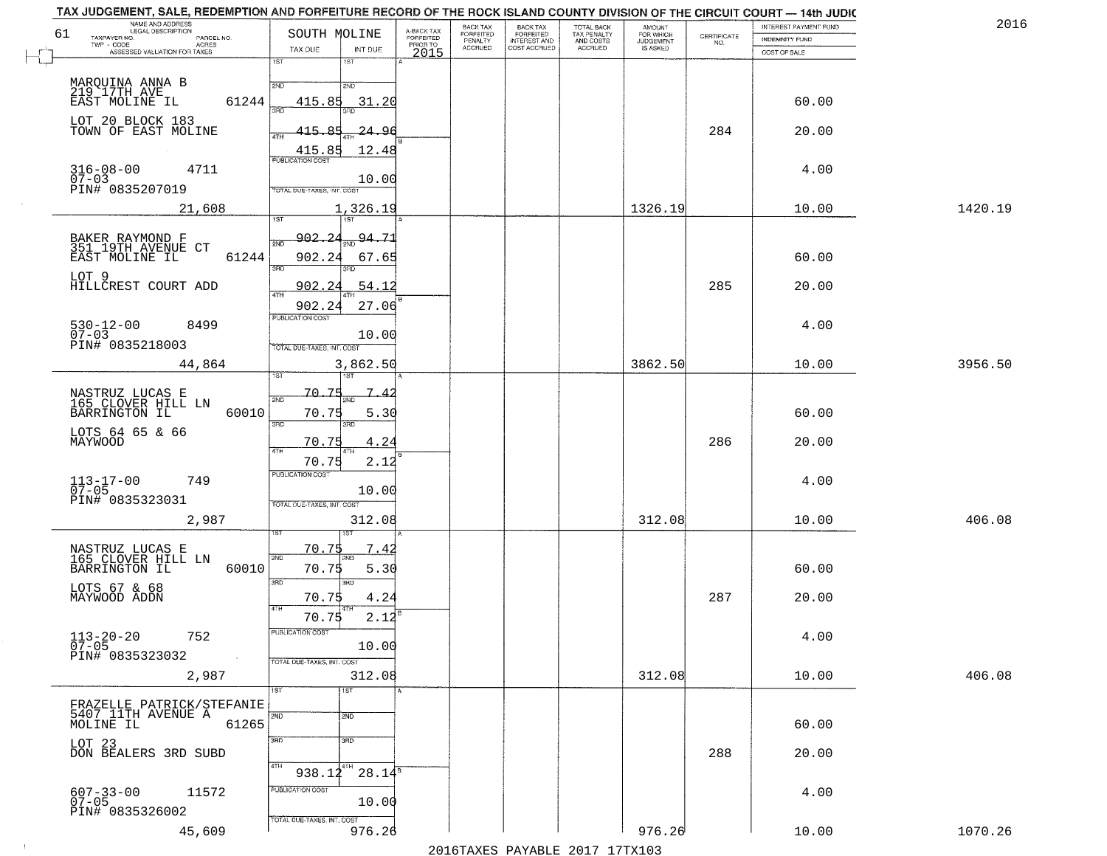| NAME AND ADDRESS<br>LEGAL DESCRIPTION                                |                                                                        |                                     | BACK TAX             | <b>BACK TAX</b>           |                                        |                                  |                                                                 | INTEREST PAYMENT FUND | 2016    |
|----------------------------------------------------------------------|------------------------------------------------------------------------|-------------------------------------|----------------------|---------------------------|----------------------------------------|----------------------------------|-----------------------------------------------------------------|-----------------------|---------|
| 61<br>TAXPAYER NO.<br>PARCEL NO.<br>ACRES                            | SOUTH MOLINE                                                           | A-BACK TAX<br>FORFEITED<br>PRIOR TO | FORFEITED<br>PENALTY | FORFEITED<br>INTEREST AND | TOTAL BACK<br>TAX PENALTY<br>AND COSTS | AMOUNT<br>FOR WHICH<br>JUDGEMENT | $\begin{array}{c} \text{CERTIFICATE} \\ \text{NO.} \end{array}$ | INDEMNITY FUND        |         |
| ASSESSED VALUATION FOR TAXES                                         | TAX DUE<br>INT DUE                                                     | 2015                                | <b>ACCRUED</b>       | COST ACCRUED              | ACCRUED                                | IS ASKED                         |                                                                 | COST OF SALE          |         |
| MARQUINA ANNA B<br>219 17TH AVE                                      | 1ST<br>$1S$ T<br>2ND<br>2ND                                            |                                     |                      |                           |                                        |                                  |                                                                 |                       |         |
| 61244<br>EAST MOLINE IL<br>LOT 20 BLOCK 183                          | 415.85<br>31.20                                                        |                                     |                      |                           |                                        |                                  |                                                                 | 60.00                 |         |
| TOWN OF EAST MOLINE                                                  | 415.85<br>-24.96<br>12.48<br>$\frac{415.85}{FUBLICATION COST}$         |                                     |                      |                           |                                        |                                  | 284                                                             | 20.00                 |         |
| $316 - 08 - 00$<br>07-03<br>4711<br>PIN# 0835207019                  | 10.00<br>TOTAL DUE-TAXES, INT. COST                                    |                                     |                      |                           |                                        |                                  |                                                                 | 4.00                  |         |
| 21,608                                                               | 1,326.19<br>197                                                        |                                     |                      |                           |                                        | 1326.19                          |                                                                 | 10.00                 | 1420.19 |
| BAKER RAYMOND F<br>351 19TH AVENUE CT<br>61244<br>EAST MOLINE IL     | 902, 24<br>$\frac{94.71}{200}$<br>2ND<br>902.24<br>67.65<br>3RD<br>3BD |                                     |                      |                           |                                        |                                  |                                                                 | 60.00                 |         |
| LOT 9<br>HILLCREST COURT ADD                                         | 902.24<br>54.12<br>ৰিটা<br>902.24<br>27.06                             |                                     |                      |                           |                                        |                                  | 285                                                             | 20.00                 |         |
| $530 - 12 - 00$<br>8499<br>$07 - 03$<br>PIN# 0835218003              | <b>PUBLICATION COST</b><br>10.00<br>TOTAL DUE-TAXES, INT. COST         |                                     |                      |                           |                                        |                                  |                                                                 | 4.00                  |         |
| 44,864                                                               | 3,862.50<br>1ST<br>181                                                 |                                     |                      |                           |                                        | 3862.50                          |                                                                 | 10.00                 | 3956.50 |
| NASTRUZ LUCAS E<br>165 CLOVER HILL LN<br>BARRINGTON IL<br>60010      | -70.75<br>$\overline{1}$<br>2ND<br>70.75<br>5.30<br>3RD<br>3RD         |                                     |                      |                           |                                        |                                  |                                                                 | 60.00                 |         |
| LOTS 64 65 & 66<br>MAYWOOD                                           | 70.75<br>4.24<br>4TH<br>70.75<br>2.12                                  |                                     |                      |                           |                                        |                                  | 286                                                             | 20.00                 |         |
| $113 - 17 - 00$<br>07-05<br>749<br>PIN# 0835323031                   | <b>PUBLICATION COST</b><br>10.00<br>TOTAL OUE-TAXES, INT. COST         |                                     |                      |                           |                                        |                                  |                                                                 | 4.00                  |         |
| 2,987                                                                | 312.08                                                                 |                                     |                      |                           |                                        | 312.08                           |                                                                 | 10.00                 | 406.08  |
| NASTRUZ LUCAS E<br>165 CLOVER HILL LN<br>BARRINGTON IL<br>60010      | 70.75<br>7.42<br>2ND<br>70.75<br>5.30<br>3RD                           |                                     |                      |                           |                                        |                                  |                                                                 | 60.00                 |         |
| LOTS 67 & 68<br>MAYWOOD ADDN                                         | 3RD<br>70.75<br>4.24<br>4TH<br>70.75<br>2.12                           |                                     |                      |                           |                                        |                                  | 287                                                             | 20.00                 |         |
| $113 - 20 - 20$<br>752<br>$07 - 05$<br>PIN# 0835323032<br>$\sim 100$ | "UBLICA HUN CUS<br>10.00<br>TOTAL DUE-TAXES, INT. COST                 |                                     |                      |                           |                                        |                                  |                                                                 | 4.00                  |         |
| 2,987                                                                | 312.08<br>1ST<br>1ST                                                   |                                     |                      |                           |                                        | 312.08                           |                                                                 | 10.00                 | 406.08  |
| FRAZELLE PATRICK/STEFANIE<br>5407 IITH AVENUE A<br>61265             | 2ND<br>2ND                                                             |                                     |                      |                           |                                        |                                  |                                                                 | 60.00                 |         |
| LOT 23<br>DON BEALERS 3RD SUBD                                       | 3RD<br>3RD<br>4TH<br>4TH<br>$28.14^{\circ}$<br>938.12                  |                                     |                      |                           |                                        |                                  | 288                                                             | 20.00                 |         |
| 607-33-00<br>07-05<br>11572<br>PIN# 0835326002                       | PUBLICATION COST<br>10.00<br>TOTAL DUE-TAXES, INT. COST                |                                     |                      |                           |                                        |                                  |                                                                 | 4.00                  |         |
| 45,609                                                               | 976.26                                                                 |                                     |                      |                           |                                        | 976.26                           |                                                                 | 10.00                 | 1070.26 |

 $\sim 100$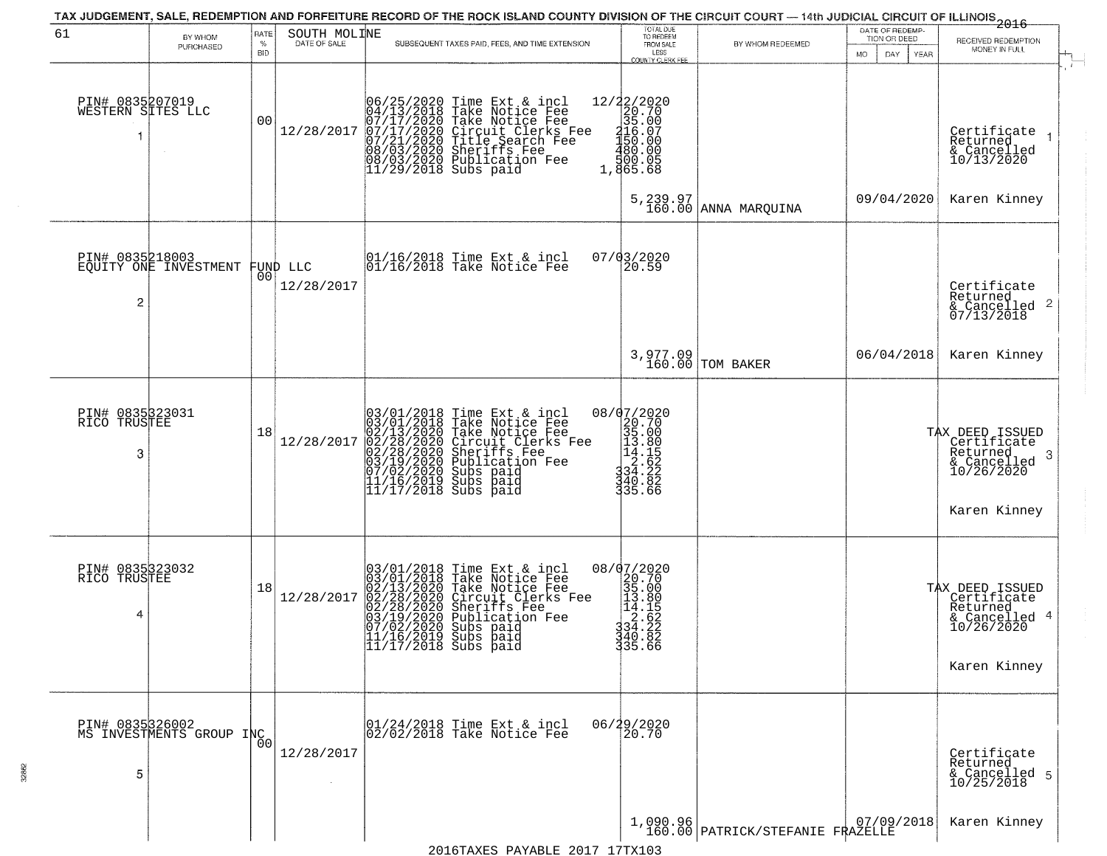|                                      |                                             |                            |                              | TAX JUDGEMENT, SALE, REDEMPTION AND FORFEITURE RECORD OF THE ROCK ISLAND COUNTY DIVISION OF THE CIRCUIT COURT - 14th JUDICIAL CIRCUIT OF ILLINOIS 2016                                                                                                   |                                                                                                                              |                                              | DATE OF REDEMP-                            |                                                                                                 |
|--------------------------------------|---------------------------------------------|----------------------------|------------------------------|----------------------------------------------------------------------------------------------------------------------------------------------------------------------------------------------------------------------------------------------------------|------------------------------------------------------------------------------------------------------------------------------|----------------------------------------------|--------------------------------------------|-------------------------------------------------------------------------------------------------|
| 61                                   | BY WHOM<br>PURCHASED                        | RATE<br>$\%$<br><b>BID</b> | SOUTH MOLINE<br>DATE OF SALE | SUBSEQUENT TAXES PAID, FEES, AND TIME EXTENSION                                                                                                                                                                                                          | TOTAL DUE<br>TO REDEEM<br>FROM SALE<br>LESS<br>COUNTY CLERK FEE                                                              | BY WHOM REDEEMED                             | TION OR DEED<br>MO.<br>DAY.<br><b>YEAR</b> | RECEIVED REDEMPTION<br>MONEY IN FULL                                                            |
| PIN# 0835207019<br>WESTERN SITES LLC |                                             | 00                         | 12/28/2017                   | $06/25/2020$ Time Ext & incl<br>04/13/2018 Take Notice Fee<br>07/17/2020 Take Notice Fee<br>07/17/2020 Circuit Clerks Fee<br>07/2020 Title Search Fee<br>08/03/2020 Sheriffs Fee<br>08/03/2020 Publication Fee<br>11/29/2018 Subs paid                   | 12/22/2020<br>20.70<br>35.00<br>$\frac{116.07}{150.00}$<br>$\frac{480.00}{150.05}$<br>1,865.68                               |                                              |                                            | Certificate<br>Returned<br>& Cancelled<br>10/13/2020                                            |
|                                      |                                             |                            |                              |                                                                                                                                                                                                                                                          |                                                                                                                              | $5,239.97$<br>160.00 ANNA MARQUINA           | 09/04/2020                                 | Karen Kinney                                                                                    |
| PIN# 0835218003<br>$\overline{c}$    | EQUITY ONE INVESTMENT                       | 00 <sub>1</sub>            | FUND LLC<br>12/28/2017       | $ 01/16/2018$ Time Ext & incl<br>$ 01/16/2018$ Take Notice Fee                                                                                                                                                                                           | 07/03/2020<br>20.59                                                                                                          |                                              |                                            | Certificate<br>Returned<br>$\frac{1}{6}$ Cancelled 2<br>07/13/2018                              |
|                                      |                                             |                            |                              |                                                                                                                                                                                                                                                          |                                                                                                                              | 3,977.09<br>160.00 TOM BAKER                 | 06/04/2018                                 | Karen Kinney                                                                                    |
| PIN# 0835323031<br>RICO TRUSTEE<br>3 |                                             | 18                         | 12/28/2017                   | $03/01/2018$ Time Ext & incl<br>$03/01/2018$ Take Notice Fee<br>$02/13/2020$ Take Notice Fee<br>$02/28/2020$ Circuit Clerks Fee<br>$02/28/2020$ Sheriffs Fee<br>$03/19/2020$ Subication Fee<br>$03/19/2020$ Subs paid<br>$11/16/2019$ Subs               | $\begin{array}{r} 08/07/2020 \\ 20.70 \\ 35.00 \\ 13.80 \\ 14.85 \\ 2.622 \\ 34.222 \\ 34.86 \\ 49.86 \end{array}$<br>335.66 |                                              |                                            | TAX DEED ISSUED<br>Certificate  <br>Returned<br>-3<br>& Cancelled<br>10/26/2020<br>Karen Kinney |
| PIN# 0835323032<br>RICO TRUSTEE<br>4 |                                             | 18                         | 12/28/2017                   | 03/01/2018 Time Ext & incl<br>03/01/2018 Take Notice Fee<br>02/13/2020 Take Notice Fee<br>02/28/2020 Circuit Clerks Fee<br>02/28/2020 Sheriffs Fee<br>03/19/2020 Publication Fee<br>07/02/2020 Subs paid<br>11/16/2019 Subs paid<br>11/17/2018 Subs paid | 08/07/2020<br>$\begin{array}{r} 20.70 \\ 20.70 \\ 35.00 \\ 13.80 \\ 14.1 \\ 24.62 \\ 34.23 \end{array}$<br>340.82<br>335.66  |                                              |                                            | TAX DEED ISSUED<br>  Certificate<br>Returned<br>& Cancelled 4<br>10/26/2020<br>Karen Kinney     |
| 5                                    | PIN# 0835326002<br>MS INVESTMENTS GROUP INC |                            | 12/28/2017                   | 01/24/2018 Time Ext & incl<br>02/02/2018 Take Notice Fee                                                                                                                                                                                                 | 06/29/2020<br>20.70                                                                                                          |                                              |                                            | Certificate<br>Returned<br>& Cancelled 5<br>10/25/2018                                          |
|                                      |                                             |                            |                              |                                                                                                                                                                                                                                                          |                                                                                                                              | 1,090.96<br>160.00 PATRICK/STEFANIE FRAZELLE |                                            | Karen Kinney                                                                                    |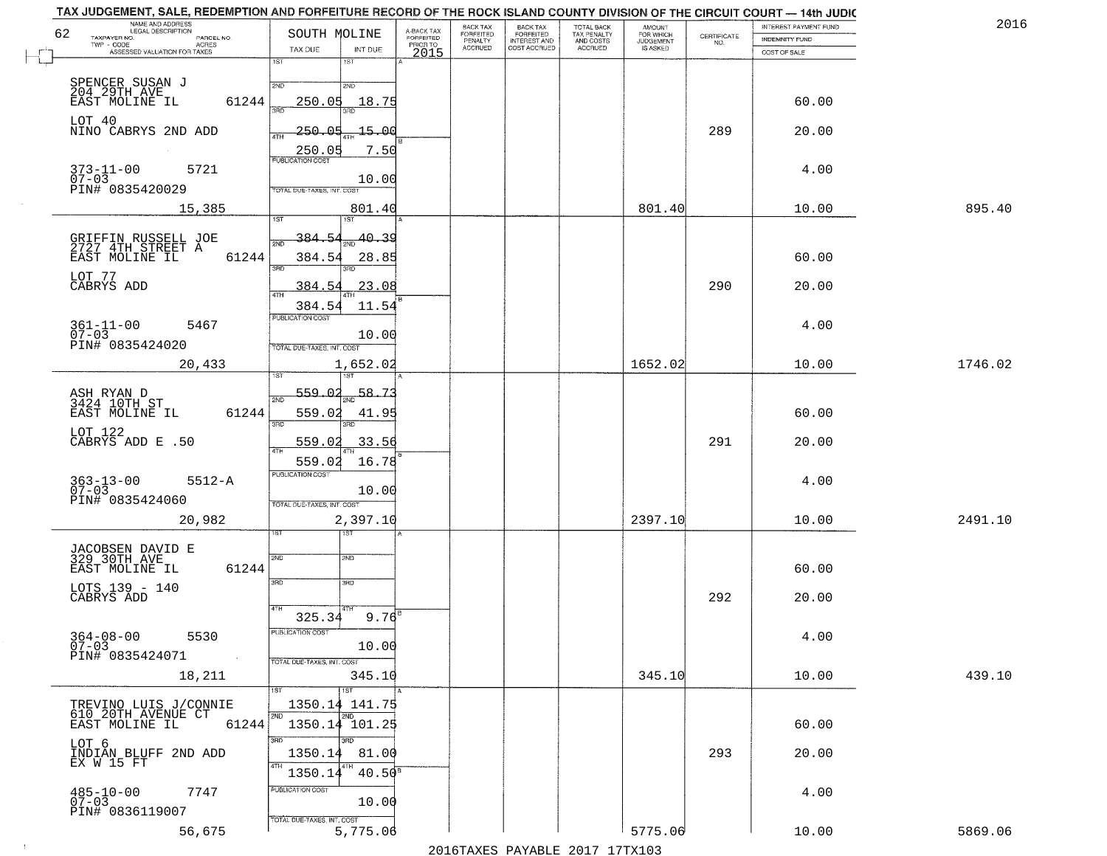| TAX JUDGEMENT, SALE, REDEMPTION AND FORFEITURE RECORD OF THE ROCK ISLAND COUNTY DIVISION OF THE CIRCUIT COURT - 14th JUDIC<br>NAME AND ADDRESS<br>LEGAL DESCRIPTION |                                            |                                     | BACK TAX                    |                                       |                                        | AMOUNT<br>FOR WHICH |                                                                 | INTEREST PAYMENT FUND | 2016    |
|---------------------------------------------------------------------------------------------------------------------------------------------------------------------|--------------------------------------------|-------------------------------------|-----------------------------|---------------------------------------|----------------------------------------|---------------------|-----------------------------------------------------------------|-----------------------|---------|
| 62<br>TAXPAYER NO.<br>PARCEL NO.<br>TWP - CODE                                                                                                                      | SOUTH MOLINE                               | A-BACK TAX<br>FORFEITED<br>PRIOR TO | <b>FORFEITED</b><br>PENALTY | BACK TAX<br>FORFEITED<br>INTEREST AND | TOTAL BACK<br>TAX PENALTY<br>AND COSTS | <b>JUDGEMENT</b>    | $\begin{array}{c} \text{CERTIFICATE} \\ \text{NO.} \end{array}$ | <b>INDEMNITY FUND</b> |         |
| <b>ACRES</b><br>ASSESSED VALUATION FOR TAXES                                                                                                                        | INT DUE<br>TAX DUE                         | 2015                                | <b>ACCRUED</b>              | COST ACCRUED                          | ACCRUED                                | IS ASKED            |                                                                 | COST OF SALE          |         |
|                                                                                                                                                                     | 1ST<br>18T                                 |                                     |                             |                                       |                                        |                     |                                                                 |                       |         |
| SPENCER SUSAN J<br>204_29TH_AVE__                                                                                                                                   | 2ND<br>2ND                                 |                                     |                             |                                       |                                        |                     |                                                                 |                       |         |
| 61244<br>EAST MOLINE IL                                                                                                                                             | 250.05<br>18.75                            |                                     |                             |                                       |                                        |                     |                                                                 | 60.00                 |         |
|                                                                                                                                                                     |                                            |                                     |                             |                                       |                                        |                     |                                                                 |                       |         |
| LOT 40<br>NINO CABRYS 2ND ADD                                                                                                                                       | 250.05<br>-15.00                           |                                     |                             |                                       |                                        |                     | 289                                                             | 20.00                 |         |
|                                                                                                                                                                     |                                            |                                     |                             |                                       |                                        |                     |                                                                 |                       |         |
|                                                                                                                                                                     | 250.05<br>7.50                             |                                     |                             |                                       |                                        |                     |                                                                 |                       |         |
| $373 - 11 - 00$<br>07-03<br>5721                                                                                                                                    | 10.00                                      |                                     |                             |                                       |                                        |                     |                                                                 | 4.00                  |         |
| PIN# 0835420029                                                                                                                                                     | TOTAL DUE-TAXES, INT, COST                 |                                     |                             |                                       |                                        |                     |                                                                 |                       |         |
| 15,385                                                                                                                                                              | 801.40                                     |                                     |                             |                                       |                                        | 801.40              |                                                                 | 10.00                 | 895.40  |
|                                                                                                                                                                     | <b>IST</b>                                 |                                     |                             |                                       |                                        |                     |                                                                 |                       |         |
|                                                                                                                                                                     | 40.39<br>384.54                            |                                     |                             |                                       |                                        |                     |                                                                 |                       |         |
| GRIFFIN RUSSELL JOE<br>2727 4TH STREET A<br>61244                                                                                                                   | 384.54                                     |                                     |                             |                                       |                                        |                     |                                                                 | 60.00                 |         |
| EAST MOLINE IL                                                                                                                                                      | 28.85<br>उन्नठ                             |                                     |                             |                                       |                                        |                     |                                                                 |                       |         |
| LOT 77<br>CABRYS ADD                                                                                                                                                | 23.08<br>384.54                            |                                     |                             |                                       |                                        |                     | 290                                                             | 20.00                 |         |
|                                                                                                                                                                     |                                            |                                     |                             |                                       |                                        |                     |                                                                 |                       |         |
|                                                                                                                                                                     | 384.54<br>11.54<br>PUBLICATION COST        |                                     |                             |                                       |                                        |                     |                                                                 |                       |         |
| $361 - 11 - 00$<br>5467                                                                                                                                             |                                            |                                     |                             |                                       |                                        |                     |                                                                 | 4.00                  |         |
| $07 - 03$<br>PIN# 0835424020                                                                                                                                        | 10.00<br>TOTAL DUE-TAXES, INT. COST        |                                     |                             |                                       |                                        |                     |                                                                 |                       |         |
| 20,433                                                                                                                                                              | 1,652.02                                   |                                     |                             |                                       |                                        | 1652.02             |                                                                 | 10.00                 | 1746.02 |
|                                                                                                                                                                     | 1ST                                        |                                     |                             |                                       |                                        |                     |                                                                 |                       |         |
|                                                                                                                                                                     | 559.02<br>58.7.                            |                                     |                             |                                       |                                        |                     |                                                                 |                       |         |
| ASH RYAN D<br>3424 10TH ST                                                                                                                                          | 2ND                                        |                                     |                             |                                       |                                        |                     |                                                                 |                       |         |
| EAST MOLINE IL<br>61244                                                                                                                                             | 559.02<br>41.95<br>3RD<br>3RD              |                                     |                             |                                       |                                        |                     |                                                                 | 60.00                 |         |
| LOT 122<br>CABRYS ADD E .50                                                                                                                                         | 559.02<br>33.56                            |                                     |                             |                                       |                                        |                     | 291                                                             | 20.00                 |         |
|                                                                                                                                                                     | ATH                                        |                                     |                             |                                       |                                        |                     |                                                                 |                       |         |
|                                                                                                                                                                     | 16.78<br>559.02<br><b>PUBLICATION COST</b> |                                     |                             |                                       |                                        |                     |                                                                 |                       |         |
| $363 - 13 - 00$<br>07-03<br>$5512 - A$                                                                                                                              |                                            |                                     |                             |                                       |                                        |                     |                                                                 | 4.00                  |         |
| PIN# 0835424060                                                                                                                                                     | 10.00<br>TOTAL OUE-TAXES, INT. COST        |                                     |                             |                                       |                                        |                     |                                                                 |                       |         |
| 20,982                                                                                                                                                              | 2,397.10                                   |                                     |                             |                                       |                                        | 2397.10             |                                                                 | 10.00                 | 2491.10 |
|                                                                                                                                                                     | १९४                                        |                                     |                             |                                       |                                        |                     |                                                                 |                       |         |
|                                                                                                                                                                     |                                            |                                     |                             |                                       |                                        |                     |                                                                 |                       |         |
| JACOBSEN DAVID E<br>329 30TH AVE                                                                                                                                    | 2ND<br>SND                                 |                                     |                             |                                       |                                        |                     |                                                                 |                       |         |
| EAST MOLINE IL<br>61244                                                                                                                                             | 3RD<br>3HD                                 |                                     |                             |                                       |                                        |                     |                                                                 | 60.00                 |         |
| LOTS 139 - 140<br>CABRYS ADD                                                                                                                                        |                                            |                                     |                             |                                       |                                        |                     | 292                                                             | 20.00                 |         |
|                                                                                                                                                                     | 4TH                                        |                                     |                             |                                       |                                        |                     |                                                                 |                       |         |
|                                                                                                                                                                     | $9.76$ <sup>E</sup><br>325.34              |                                     |                             |                                       |                                        |                     |                                                                 |                       |         |
| $364 - 08 - 00$<br>5530<br>$07 - 03$                                                                                                                                | ruslica i IUN COS<br>10.00                 |                                     |                             |                                       |                                        |                     |                                                                 | 4.00                  |         |
| PIN# 0835424071<br>$\sim 100$                                                                                                                                       | TOTAL DUE-TAXES, INT. COST                 |                                     |                             |                                       |                                        |                     |                                                                 |                       |         |
| 18,211                                                                                                                                                              | 345.10                                     |                                     |                             |                                       |                                        | 345.10              |                                                                 | 10.00                 | 439.10  |
|                                                                                                                                                                     | 1ST                                        |                                     |                             |                                       |                                        |                     |                                                                 |                       |         |
| TREVINO LUIS J/CONNIE                                                                                                                                               | 1350.14 141.75                             |                                     |                             |                                       |                                        |                     |                                                                 |                       |         |
| 610 20TH AVENUE CT<br>61244<br>EAST MOLINE IL                                                                                                                       | 2ND<br>2ND<br>1350.14 101.25               |                                     |                             |                                       |                                        |                     |                                                                 | 60.00                 |         |
|                                                                                                                                                                     | 3RD<br>3RD                                 |                                     |                             |                                       |                                        |                     |                                                                 |                       |         |
| LOT 6<br>INDIAN BLUFF 2ND ADD                                                                                                                                       | 1350.14<br>81.00                           |                                     |                             |                                       |                                        |                     | 293                                                             | 20.00                 |         |
| EX W 15 FT                                                                                                                                                          |                                            |                                     |                             |                                       |                                        |                     |                                                                 |                       |         |
|                                                                                                                                                                     | $40.50^8$<br>1350.14                       |                                     |                             |                                       |                                        |                     |                                                                 |                       |         |
| $485 - 10 - 00$<br>07-03<br>7747                                                                                                                                    | PUBLICATION COST<br>10.00                  |                                     |                             |                                       |                                        |                     |                                                                 | 4.00                  |         |
| PIN# 0836119007                                                                                                                                                     |                                            |                                     |                             |                                       |                                        |                     |                                                                 |                       |         |
| 56,675                                                                                                                                                              | TOTAL DUE-TAXES, INT. COST<br>5,775.06     |                                     |                             |                                       |                                        | 5775.06             |                                                                 | 10.00                 | 5869.06 |
|                                                                                                                                                                     |                                            |                                     |                             | 2016 TAVEC DAVARIE 2017 17 TV102      |                                        |                     |                                                                 |                       |         |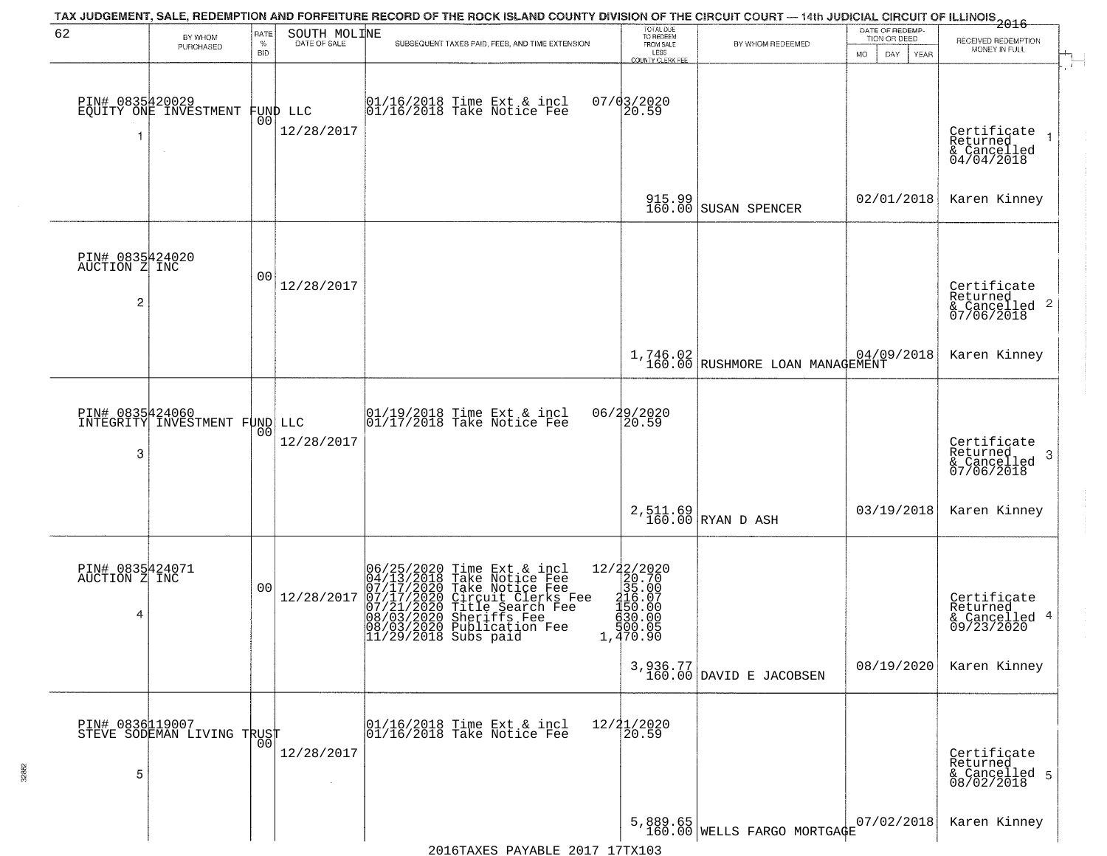| 62                                                 |                                                  | RATE        | SOUTH MOLINE           | TAX JUDGEMENT, SALE, REDEMPTION AND FORFEITURE RECORD OF THE ROCK ISLAND COUNTY DIVISION OF THE CIRCUIT COURT — 14th JUDICIAL CIRCUIT OF ILLINOIS 2016                                                                                                                | TOTAL DUE<br>TO REDEEM                                                                                         |                                             | DATE OF REDEMP-                     |                                                              |
|----------------------------------------------------|--------------------------------------------------|-------------|------------------------|-----------------------------------------------------------------------------------------------------------------------------------------------------------------------------------------------------------------------------------------------------------------------|----------------------------------------------------------------------------------------------------------------|---------------------------------------------|-------------------------------------|--------------------------------------------------------------|
|                                                    | BY WHOM<br>PURCHASED                             | $\%$<br>BID | DATE OF SALE           | SUBSEQUENT TAXES PAID, FEES, AND TIME EXTENSION                                                                                                                                                                                                                       | FROM SALE<br>LESS                                                                                              | BY WHOM REDEEMED                            | TION OR DEED<br>MO.<br>DAY.<br>YEAR | RECEIVED REDEMPTION<br>MONEY IN FULL                         |
|                                                    | PIN# 0835420029<br>EQUITY ONE INVESTMENT         | 00          | FUND LLC<br>12/28/2017 | 01/16/2018 Time Ext & incl<br>01/16/2018 Take Notice Fee                                                                                                                                                                                                              | COUNTY CLERK FEE<br>$07/03/2020$<br>20.59                                                                      |                                             |                                     | Certificate<br>Returned<br>$& \text{Cancelled} \ 04/04/2018$ |
|                                                    |                                                  |             |                        |                                                                                                                                                                                                                                                                       |                                                                                                                | 915.99 SUSAN SPENCER                        | 02/01/2018                          | Karen Kinney                                                 |
| PIN# 0835424020<br>AUCTION Z INC<br>$\overline{c}$ |                                                  | 00          | 12/28/2017             |                                                                                                                                                                                                                                                                       |                                                                                                                |                                             |                                     | Certificate<br>Returned<br>& Cancelled 2<br>07/06/2018       |
|                                                    |                                                  |             |                        |                                                                                                                                                                                                                                                                       |                                                                                                                | 1,746.02<br>160.00 RUSHMORE LOAN MANAGEMENT | 04/09/2018                          | Karen Kinney                                                 |
| 3                                                  | PIN# 0835424060<br>INTEGRITY INVESTMENT FUND LLC | 00          | 12/28/2017             | $\begin{array}{c}  01/19/2018 \text{ Time} \text{ Ext} & \text{incl} \\  01/17/2018 \text{ Take Notice } \text{Fe} \end{array}$                                                                                                                                       | 06/29/2020<br>20.59                                                                                            |                                             |                                     | Certificate<br>Returned<br>3<br>& Cancelled<br>07/06/2018    |
|                                                    |                                                  |             |                        |                                                                                                                                                                                                                                                                       |                                                                                                                | $2,511.69$ RYAN D ASH                       | 03/19/2018                          | Karen Kinney                                                 |
| PIN# 0835424071<br>AUCTION Z INC<br>4              |                                                  | 00          | 12/28/2017             | 06/25/2020 Time Ext & incl<br>04/13/2018 Take Notice Fee<br>07/17/2020 Take Notice Fee<br>07/17/2020 Circuit Clerks Fee<br>07/21/2020 Title Search Fee<br>08/03/2020 Sheriffs Fee<br>08/03/2020 Bublication Fee<br>09/03/2020 Bublication Fee<br>11/29/2018 Subs paid | 12/22/2020<br>20.70<br>35.00<br>20.97<br>15ŏ.ŏó<br>$\begin{array}{c} 630.00 \\ 500.05 \\ 1,470.90 \end{array}$ |                                             |                                     | Certificate<br>Returned<br>& Cancelled 4<br>09/23/2020       |
|                                                    |                                                  |             |                        |                                                                                                                                                                                                                                                                       |                                                                                                                | 3,936.77<br>160.00 DAVID E JACOBSEN         | 08/19/2020                          | Karen Kinney                                                 |
| PIN# 0836119007<br>5                               | STEVE SODEMAN LIVING TRUST                       | $00 \,$     | 12/28/2017             | 01/16/2018 Time Ext & incl<br>01/16/2018 Take Notice Fee                                                                                                                                                                                                              | 12/21/2020<br>20.59                                                                                            |                                             |                                     | Certificate<br>Returned<br>& Cancelled 5<br>08/02/2018       |
|                                                    |                                                  |             |                        |                                                                                                                                                                                                                                                                       |                                                                                                                | 5,889.65<br>160.00 WELLS FARGO MORTGAGE     | 07/02/2018                          | Karen Kinney                                                 |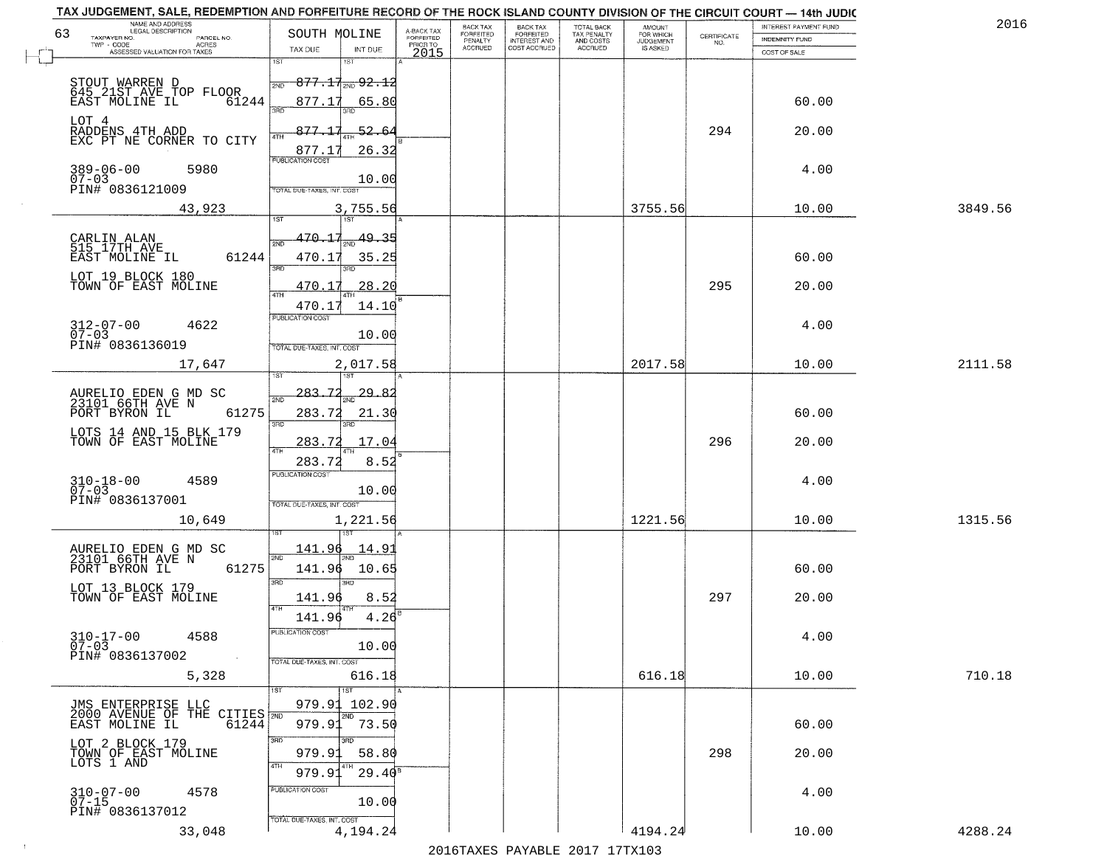|    | TAX JUDGEMENT, SALE, REDEMPTION AND FORFEITURE RECORD OF THE ROCK ISLAND COUNTY DIVISION OF THE CIRCUIT COURT - 14th JUDIC<br>NAME AND ADDRESS<br>LEGAL DESCRIPTION |                                                                 |                                          |                                     | <b>BACK TAX</b>      | <b>BACK TAX</b>           |                                        | AMOUNT<br>FOR WHICH |                                                                 | INTEREST PAYMENT FUND | 2016    |
|----|---------------------------------------------------------------------------------------------------------------------------------------------------------------------|-----------------------------------------------------------------|------------------------------------------|-------------------------------------|----------------------|---------------------------|----------------------------------------|---------------------|-----------------------------------------------------------------|-----------------------|---------|
| 63 | TAXPAYER NO.<br>PARCEL NO.<br>ACRES                                                                                                                                 | SOUTH MOLINE                                                    |                                          | A-BACK TAX<br>FORFEITED<br>PRIOR TO | FORFEITED<br>PENALTY | FORFEITED<br>INTEREST AND | TOTAL BACK<br>TAX PENALTY<br>AND COSTS | <b>JUDGEMENT</b>    | $\begin{array}{c} \text{CERTIFICATE} \\ \text{NO.} \end{array}$ | <b>INDEMNITY FUND</b> |         |
|    | ASSESSED VALUATION FOR TAXES                                                                                                                                        | TAX DUE                                                         | INT DUE                                  | 2015                                | <b>ACCRUED</b>       | COST ACCRUED              | ACCRUED                                | IS ASKED            |                                                                 | COST OF SALE          |         |
|    | STOUT WARREN D<br>645 21ST AVE TOP FLOOR<br>61244<br>EAST MOLINE IL                                                                                                 | 1ST<br>2ND<br>877.17<br>350                                     | $877.11_{20}92.12$<br>65.80              |                                     |                      |                           |                                        |                     |                                                                 | 60.00                 |         |
|    | LOT 4<br>RADDENS 4TH ADD<br>EXC PT NE CORNER TO CITY                                                                                                                | 877.17<br>877.17                                                | $-52.64$<br>26.32                        |                                     |                      |                           |                                        |                     | 294                                                             | 20.00                 |         |
|    | $389 - 06 - 00$<br>5980<br>$07 - 03$<br>PIN# 0836121009                                                                                                             | <b>PUBLICATION COST</b><br>TOTAL DUE-TAXES, INT. COST           | 10.00                                    |                                     |                      |                           |                                        |                     |                                                                 | 4.00                  |         |
|    | 43,923                                                                                                                                                              |                                                                 | 3,755.56                                 |                                     |                      |                           |                                        | 3755.56             |                                                                 | 10.00                 | 3849.56 |
|    | CARLIN ALAN<br>515 17TH AVE<br>61244<br>EAST MOLINE IL<br>LOT 19 BLOCK 180<br>TOWN OF EAST MOLINE                                                                   | 470.17<br>2ND<br>470.17<br>3RD<br>470.17<br>ৰিটা<br>470.17      | 49.35<br>35.25<br>3BD.<br>28.20<br>14.10 |                                     |                      |                           |                                        |                     | 295                                                             | 60.00<br>20.00        |         |
|    | $312 - 07 - 00$<br>4622<br>$07 - 03$<br>PIN# 0836136019                                                                                                             | PUBLICATION COST<br>TOTAL DUE-TAXES, INT. COST                  | 10.00                                    |                                     |                      |                           |                                        |                     |                                                                 | 4.00                  |         |
|    | 17,647                                                                                                                                                              | 1ST                                                             | 2,017.58<br>1ST                          |                                     |                      |                           |                                        | 2017.58             |                                                                 | 10.00                 | 2111.58 |
|    | AURELIO EDEN G MD SC<br>23101 66TH AVE N<br>PORT BYRON IL<br>61275<br>LOTS 14 AND 15 BLK 179<br>TOWN OF EAST MOLINE                                                 | 283.72<br>2ND<br>283.72<br>3RD<br>283.72<br>4TH                 | <u>29.8.</u><br>21.30<br>3RD.<br>17.04   |                                     |                      |                           |                                        |                     | 296                                                             | 60.00<br>20.00        |         |
|    | $310 - 18 - 00$<br>07-03<br>4589<br>PIN# 0836137001<br>10,649                                                                                                       | 283.72<br><b>PUBLICATION COST</b><br>TOTAL OUE-TAXES, INT. COST | 8.52<br>10.00<br>1,221.56                |                                     |                      |                           |                                        | 1221.56             |                                                                 | 4.00<br>10.00         | 1315.56 |
|    | AURELIO EDEN G MD SC<br>23101 66TH AVE N<br>61275<br>PORT BYRON IL<br>LOT 13 BLOCK 179<br>TOWN OF EAST MOLINE                                                       | 141.96<br>2ND<br>141.96<br>3RD<br>141.96<br>4TH<br>141.96       | 14.91<br>10.65<br>3BD<br>8.52<br>4.26    |                                     |                      |                           |                                        |                     | 297                                                             | 60.00<br>20.00        |         |
|    | $310 - 17 - 00$<br>4588<br>$07 - 03$<br>PIN# 0836137002<br>$\sim 100$ km $^{-1}$<br>5,328                                                                           | "UBLICA HUN CUS<br>TOTAL DUE-TAXES, INT. COST                   | 10.00<br>616.18                          |                                     |                      |                           |                                        | 616.18              |                                                                 | 4.00<br>10.00         | 710.18  |
|    | JMS ENTERPRISE LLC<br>2000 AVENUE OF THE CITIES TRE<br>EAST MOLINE IL 61244                                                                                         | 979.91                                                          | 1ST<br>102.90<br>2ND<br>979.91 73.50     |                                     |                      |                           |                                        |                     |                                                                 | 60.00                 |         |
|    | LOT 2 BLOCK 179<br>TOWN OF EAST MOLINE<br>LOTS 1 AND                                                                                                                | 3RD<br>979.91<br>4TH<br>979.91                                  | 3BD<br>58.80<br>8 T H<br>$29.40^8$       |                                     |                      |                           |                                        |                     | 298                                                             | 20.00                 |         |
|    | 310-07-00<br>07-15<br>4578<br>PIN# 0836137012<br>33,048                                                                                                             | PUBLICATION COST<br>TOTAL DUE-TAXES, INT. COST                  | 10.00<br>4,194.24                        |                                     |                      |                           |                                        | 4194.24             |                                                                 | 4.00<br>10.00         | 4288.24 |
|    |                                                                                                                                                                     |                                                                 |                                          |                                     |                      |                           |                                        |                     |                                                                 |                       |         |

 $\sim 100$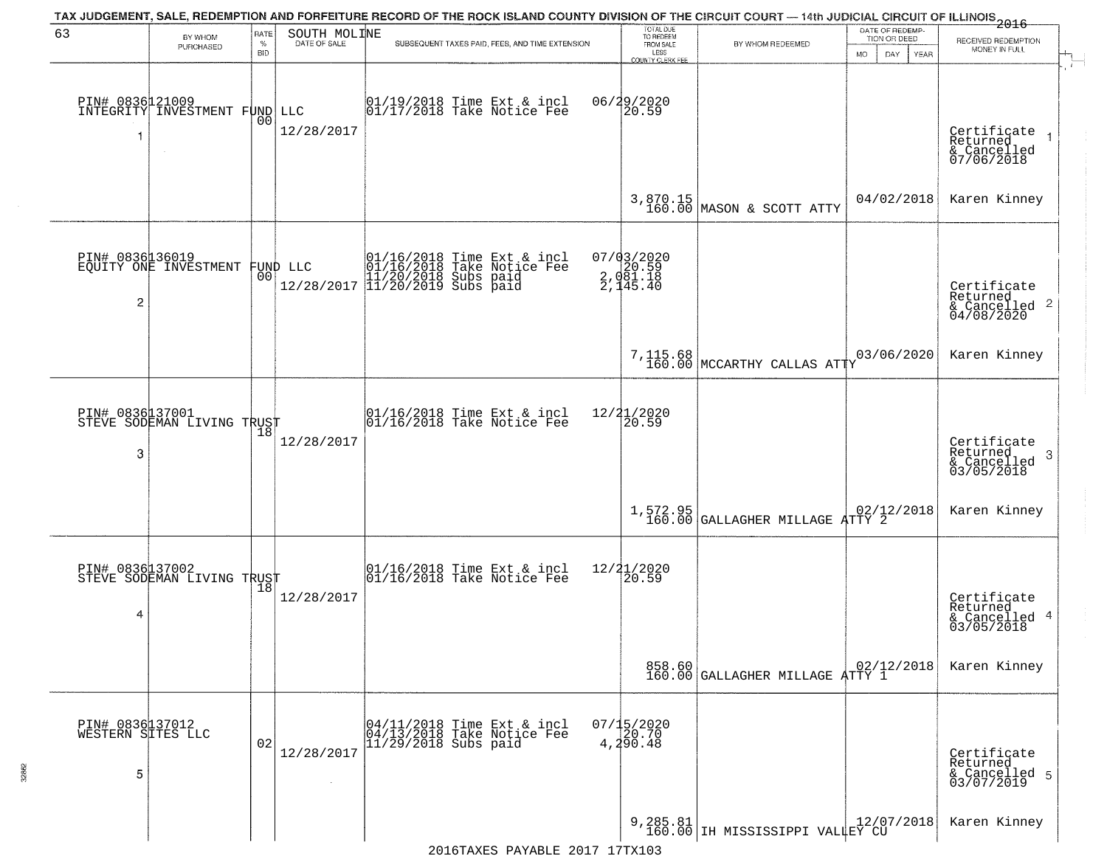| 63                                        | BY WHOM                                       | <b>RATE</b>        | SOUTH MOLINE           | TAX JUDGEMENT, SALE, REDEMPTION AND FORFEITURE RECORD OF THE ROCK ISLAND COUNTY DIVISION OF THE CIRCUIT COURT — 14th JUDICIAL CIRCUIT OF ILLINOIS 2016 | TOTAL DUE<br>TO REDEEM                              |                                                   | DATE OF REDEMP-<br>TION OR DEED | RECEIVED REDEMPTION                                                               |
|-------------------------------------------|-----------------------------------------------|--------------------|------------------------|--------------------------------------------------------------------------------------------------------------------------------------------------------|-----------------------------------------------------|---------------------------------------------------|---------------------------------|-----------------------------------------------------------------------------------|
|                                           | PURCHASED                                     | $\%$<br><b>BID</b> | DATE OF SALE           | SUBSEQUENT TAXES PAID, FEES, AND TIME EXTENSION                                                                                                        | FROM SALE<br>LESS<br><b>COUNTY CLERK FEE</b>        | BY WHOM REDEEMED                                  | DAY.<br>YEAR<br>MO.             | MONEY IN FULL                                                                     |
| PIN# 0836121009<br>1                      | INTEGRITY INVESTMENT FUND LLC<br>$\sim$       | 0 <sub>0</sub>     | 12/28/2017             | $\begin{array}{c} 01/19/2018 \\ 01/17/2018 \\ \end{array}$ Take Notice Fee                                                                             | 06/29/2020<br>20.59                                 |                                                   |                                 | Certificate<br>Returned<br>& Cancelled<br>07/06/2018                              |
|                                           |                                               |                    |                        |                                                                                                                                                        |                                                     | 3,870.15<br>160.00 MASON & SCOTT ATTY             | 04/02/2018                      | Karen Kinney                                                                      |
| $\overline{c}$                            | PIN# 0836136019<br>EQUITY ONE INVESTMENT      | 00                 | FUND LLC<br>12/28/2017 | 01/16/2018 Time Ext & incl<br>01/16/2018 Take Notice Fee<br>11/20/2018 Subs paid<br>11/20/2019 Subs paid                                               | $07/03/2020$<br>2, 020.59<br>2, 081.18<br>2, 145.40 |                                                   |                                 | Certificate<br>Returned<br>$\frac{1}{6}$ Cancelled 2<br>04/08/2020                |
|                                           |                                               |                    |                        |                                                                                                                                                        |                                                     | $7,115.68$ MCCARTHY CALLAS ATTY                   | 03/06/2020                      | Karen Kinney                                                                      |
| PIN# 0836137001<br>3                      | STEVE SODEMAN LIVING TRUST                    | 18                 | 12/28/2017             | 01/16/2018 Time Ext & incl<br>01/16/2018 Take Notice Fee                                                                                               | 12/21/2020<br>20.59                                 |                                                   |                                 | Certificate<br>Returned<br>$\ensuremath{\mathsf{3}}$<br>& Cancelled<br>03/05/2018 |
|                                           |                                               |                    |                        |                                                                                                                                                        |                                                     | 1,572.95<br>160.00 GALLAGHER MILLAGE ATTY 2       |                                 | Karen Kinney                                                                      |
| 4                                         | PIN# 0836137002<br>STEVE SODEMAN LIVING TRUST | 18                 | 12/28/2017             | 01/16/2018 Time Ext & incl<br>01/16/2018 Take Notice Fee                                                                                               | 12/21/2020<br>120.59                                |                                                   |                                 | Certificate<br>Returned<br>& Cancelled 4<br>03/05/2018                            |
|                                           |                                               |                    |                        |                                                                                                                                                        |                                                     | 858.60<br>160.00 GALLAGHER MILLAGE ATTY 1         |                                 | Karen Kinney                                                                      |
| PIN# 0836137012<br>WESTERN SITES LLC<br>5 |                                               | 02                 | 12/28/2017             | 04/11/2018 Time Ext & incl<br>04/13/2018 Take Notice Fee<br>$11/29/2018$ Subs paid                                                                     | $07/15/2020$<br>20.70<br>4,290.48                   |                                                   |                                 | Certificate<br>Returned<br>& Cancelled 5<br>03/07/2019                            |
|                                           |                                               |                    |                        |                                                                                                                                                        |                                                     | 9,285.81 12/07<br>160.00 IH MISSISSIPPI VALLEY CU | 12/07/2018                      | Karen Kinney                                                                      |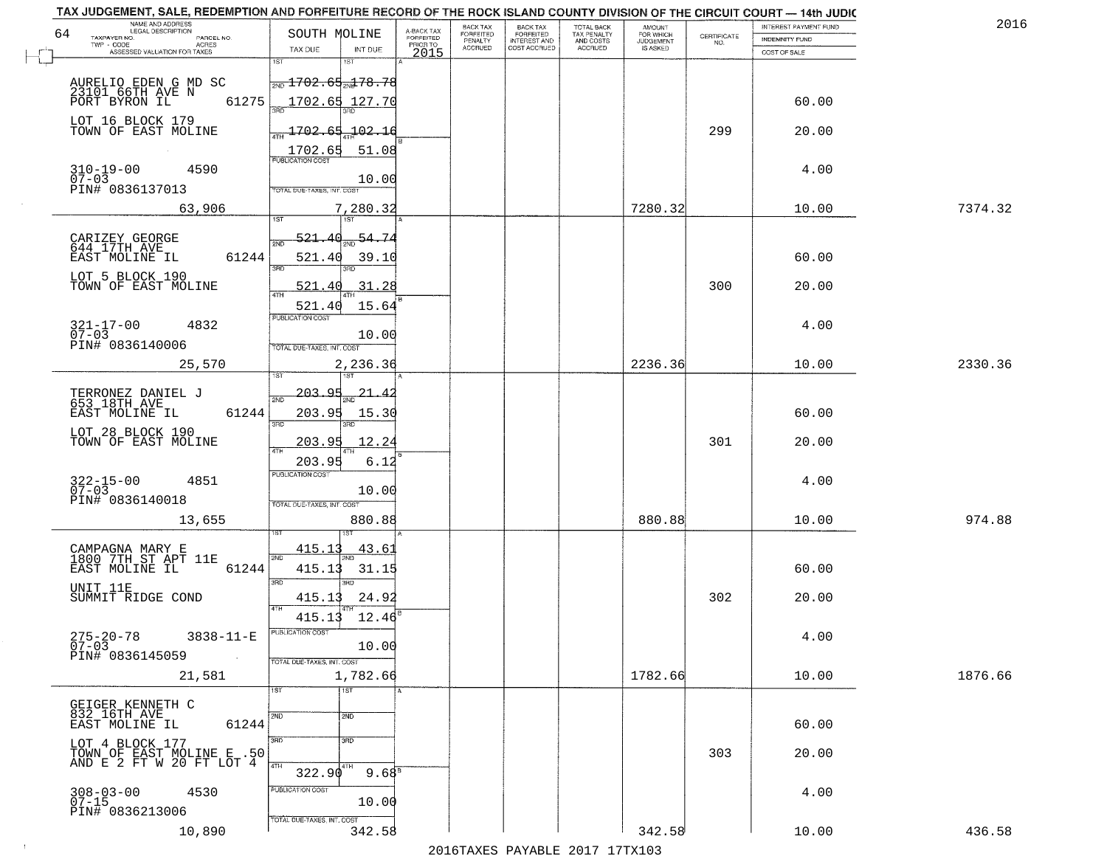| TAX JUDGEMENT, SALE, REDEMPTION AND FORFEITURE RECORD OF THE ROCK ISLAND COUNTY DIVISION OF THE CIRCUIT COURT - 14th JUDIC<br>NAME AND ADDRESS<br>LEGAL DESCRIPTION |                                                                                                                                        |                                     | BACK TAX             | <b>BACK TAX</b>           | TOTAL BACK<br>TAX PENALTY<br>AND COSTS | AMOUNT<br>FOR WHICH |                                                                 | INTEREST PAYMENT FUND | 2016    |
|---------------------------------------------------------------------------------------------------------------------------------------------------------------------|----------------------------------------------------------------------------------------------------------------------------------------|-------------------------------------|----------------------|---------------------------|----------------------------------------|---------------------|-----------------------------------------------------------------|-----------------------|---------|
| 64<br>TAXPAYER NO.<br>PARCEL NO.<br>ACRES                                                                                                                           | SOUTH MOLINE                                                                                                                           | A-BACK TAX<br>FORFEITED<br>PRIOR TO | FORFEITED<br>PENALTY | FORFEITED<br>INTEREST AND |                                        | <b>JUDGEMENT</b>    | $\begin{array}{c} \text{CERTIFICATE} \\ \text{NO.} \end{array}$ | INDEMNITY FUND        |         |
| ASSESSED VALUATION FOR TAXES                                                                                                                                        | TAX DUE<br>INT DUE                                                                                                                     | 2015                                | <b>ACCRUED</b>       | COST ACCRUED              | ACCRUED                                | IS ASKED            |                                                                 | COST OF SALE          |         |
| AURELIO EDEN G MD SC<br>23101 66TH AVE N<br>61275<br>PORT BYRON IL                                                                                                  | 1ST<br>1ST<br>$\frac{1702.65}{170}$ 1702.65 $178.78$<br>1702.65 127.70                                                                 |                                     |                      |                           |                                        |                     |                                                                 | 60.00                 |         |
| LOT 16 BLOCK 179<br>TOWN OF EAST MOLINE                                                                                                                             | <u>1702.65.102.16</u><br>1702.65<br>51.08                                                                                              |                                     |                      |                           |                                        |                     | 299                                                             | 20.00                 |         |
| 310-19-00<br>07-03<br>4590<br>PIN# 0836137013                                                                                                                       | 10.00<br>TOTAL DUE-TAXES, INT. COST                                                                                                    |                                     |                      |                           |                                        |                     |                                                                 | 4.00                  |         |
| 63,906                                                                                                                                                              | 7,280.32                                                                                                                               |                                     |                      |                           |                                        | 7280.32             |                                                                 | 10.00                 | 7374.32 |
| CARIZEY GEORGE<br>644 17TH AVE<br>EAST MOLINE IL<br>61244<br>LOT 5 BLOCK 190<br>TOWN OF EAST MOLINE                                                                 | <u>521.40</u><br>$\frac{54.74}{200}$<br>ইমট<br>521.40<br>39.10<br>3RD<br>3RD<br>31.28<br>521.40<br>15.64<br>521.40<br>PUBLICATION COST |                                     |                      |                           |                                        |                     | 300                                                             | 60.00<br>20.00        |         |
| $321 - 17 - 00$<br>4832<br>$07 - 03$<br>PIN# 0836140006                                                                                                             | 10.00<br>TOTAL DUE-TAXES, INT. COST                                                                                                    |                                     |                      |                           |                                        |                     |                                                                 | 4.00                  |         |
| 25,570                                                                                                                                                              | 2,236.36<br>īsT                                                                                                                        |                                     |                      |                           |                                        | 2236.36             |                                                                 | 10.00                 | 2330.36 |
| TERRONEZ DANIEL J<br>653 18TH AVE<br>EAST MOLINE IL<br>61244<br>LOT 28 BLOCK 190<br>TOWN OF EAST MOLINE                                                             | -203.95<br>21.<br>2ND<br>203.95<br>15.30<br>3RD<br>3RD<br>203.95<br>12.2<br>4TH                                                        |                                     |                      |                           |                                        |                     | 301                                                             | 60.00<br>20.00        |         |
| $322 - 15 - 00$<br>07-03<br>4851<br>PIN# 0836140018<br>13,655                                                                                                       | 203.95<br>6.12<br><b>PUBLICATION COST</b><br>10.00<br>TOTAL OUE-TAXES, INT. COST<br>880.88                                             |                                     |                      |                           |                                        | 880.88              |                                                                 | 4.00<br>10.00         | 974.88  |
| CAMPAGNA MARY E<br>1800 7TH ST APT 11E<br>EAST MOLINE IL<br>61244<br>UNIT 11E<br>SUMMIT RIDGE COND                                                                  | 43.6<br>415.11<br>2ND<br>415.13<br>31.15<br>3BD<br>3RD<br>415.13<br>24.92<br>4TH                                                       |                                     |                      |                           |                                        |                     | 302                                                             | 60.00<br>20.00        |         |
| $275 - 20 - 78$<br>3838-11-E<br>$07 - 03$<br>PIN# 0836145059<br><b>Contract</b><br>21,581                                                                           | 12.46<br>415.13<br>PUBLICATION CUS-<br>10.00<br>TOTAL DUE-TAXES, INT. COST<br>1,782.66                                                 |                                     |                      |                           |                                        | 1782.66             |                                                                 | 4.00<br>10.00         | 1876.66 |
| GEIGER KENNETH C<br>832 16TH AVE<br>61244<br>EAST MOLINE IL                                                                                                         | 1ST<br>1ST<br>2ND<br>2ND                                                                                                               |                                     |                      |                           |                                        |                     |                                                                 | 60.00                 |         |
| LOT 4 BLOCK 177<br>TOWN OF EAST MOLINE E .50<br>AND E 2 FT W 20 FT LOT 4                                                                                            | 3RD<br>3BD<br>4TH<br>4TH<br>$9.68^{B}$<br>322.90                                                                                       |                                     |                      |                           |                                        |                     | 303                                                             | 20.00                 |         |
| $308 - 03 - 00$<br>4530<br>$07 - 15$<br>PIN# 0836213006<br>10,890                                                                                                   | PUBLICATION COST<br>10.00<br>TOTAL DUE-TAXES, INT. COST<br>342.58                                                                      |                                     |                      |                           |                                        | 342.58              |                                                                 | 4.00<br>10.00         | 436.58  |
|                                                                                                                                                                     |                                                                                                                                        |                                     |                      |                           |                                        |                     |                                                                 |                       |         |

 $\sim 10^{-1}$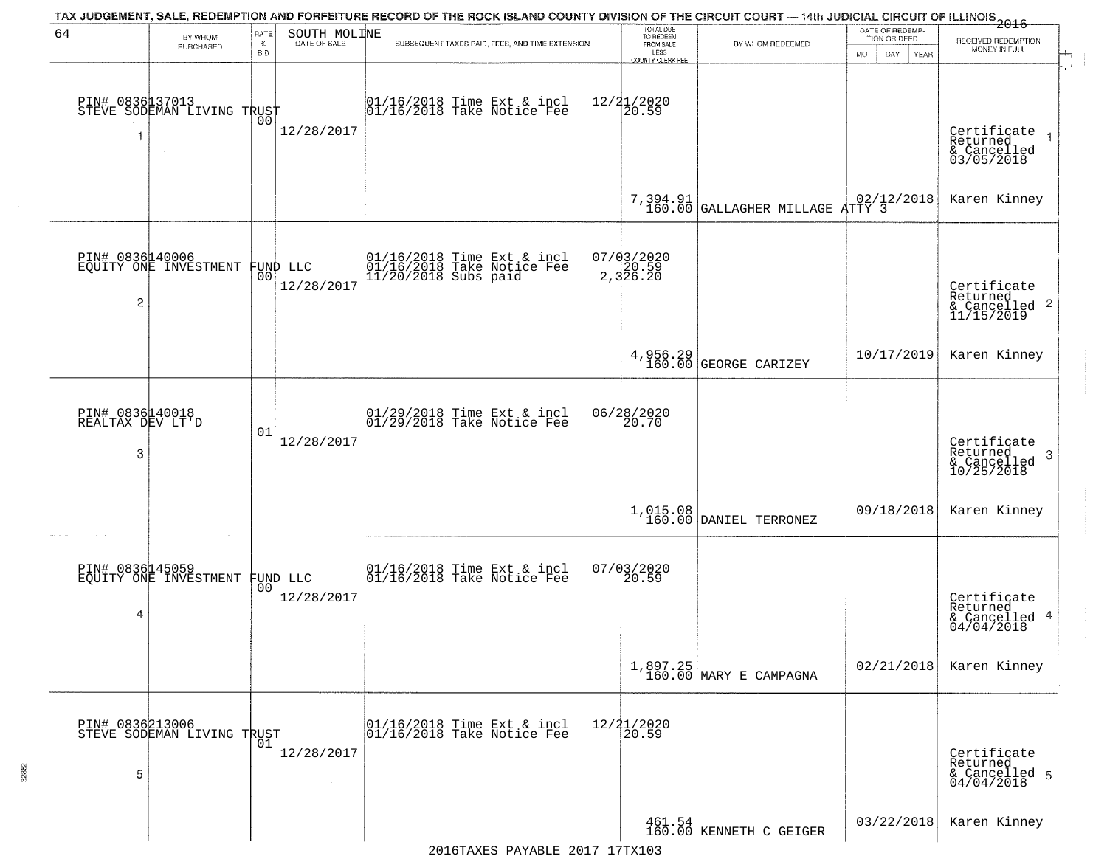| 64                                       |                                                   | RATE               | SOUTH MOLINE                   | TAX JUDGEMENT, SALE, REDEMPTION AND FORFEITURE RECORD OF THE ROCK ISLAND COUNTY DIVISION OF THE CIRCUIT COURT — 14th JUDICIAL CIRCUIT OF ILLINOIS 2016 | TOTAL DUE<br>TO REDEEM                  |                                             | DATE OF REDEMP-                            |                                                           |
|------------------------------------------|---------------------------------------------------|--------------------|--------------------------------|--------------------------------------------------------------------------------------------------------------------------------------------------------|-----------------------------------------|---------------------------------------------|--------------------------------------------|-----------------------------------------------------------|
|                                          | BY WHOM<br>PURCHASED                              | $\%$<br><b>BID</b> | DATE OF SALE                   | SUBSEQUENT TAXES PAID, FEES, AND TIME EXTENSION                                                                                                        | FROM SALE<br>LESS                       | BY WHOM REDEEMED                            | TION OR DEED<br>MO.<br>DAY.<br><b>YEAR</b> | RECEIVED REDEMPTION<br>MONEY IN FULL                      |
| 1                                        | PIN# 0836137013    <br>STEVE SODEMAN LIVING TRUST | 00                 | 12/28/2017                     | $\begin{array}{c} 01/16/2018 \\ 01/16/2018 \\ \end{array}$ Take Notice Fee                                                                             | COUNTY CLERK FEE<br>12/21/2020<br>20.59 |                                             |                                            | Certificate<br>Returned<br>& Cancelled<br>03/05/2018      |
|                                          |                                                   |                    |                                |                                                                                                                                                        |                                         | 7,394.91<br>160.00 GALLAGHER MILLAGE ATTY 3 |                                            | Karen Kinney                                              |
| $\overline{c}$                           | PIN# 0836140006<br>EQUITY ONE INVESTMENT          |                    | FUND LLC<br> 00 <br>12/28/2017 | 01/16/2018 Time Ext & incl<br>01/16/2018 Take Notice Fee<br>11/20/2018 Subs paid                                                                       | $07/03/2020$<br>2,320.59<br>2,326.20    |                                             |                                            | Certificate<br>Returned<br>& Cancelled 2<br>11/15/2019    |
|                                          |                                                   |                    |                                |                                                                                                                                                        |                                         | 4,956.29<br>160.00 GEORGE CARIZEY           | 10/17/2019                                 | Karen Kinney                                              |
| PIN# 0836140018<br>REALTAX DEV LT'D<br>3 |                                                   | 01                 | 12/28/2017                     | 01/29/2018 Time Ext & incl<br>01/29/2018 Take Notice Fee                                                                                               | 06/28/2020<br>20.70                     |                                             |                                            | Certificate<br>Returned<br>3<br>& Cancelled<br>10/25/2018 |
|                                          |                                                   |                    |                                |                                                                                                                                                        |                                         | $1,015.08$ DANIEL TERRONEZ                  | 09/18/2018                                 | Karen Kinney                                              |
| PIN# 0836145059<br>4                     | EQUITY ONE INVESTMENT                             |                    | FUND LLC<br> 00 <br>12/28/2017 | 01/16/2018 Time Ext & incl<br>01/16/2018 Take Notice Fee                                                                                               | 07/03/2020<br>$\vert 20.59 \vert$       |                                             |                                            | Certificate<br>Returned<br>& Cancelled 4<br>04/04/2018    |
|                                          |                                                   |                    |                                |                                                                                                                                                        |                                         | $1,897.25$<br>$160.00$ MARY E CAMPAGNA      | 02/21/2018                                 | Karen Kinney                                              |
| 5                                        | PIN# 0836213006    <br>STEVE SODEMAN LIVING TRUST | 01                 | 12/28/2017<br>$\sim$           | 01/16/2018 Time Ext & incl<br>01/16/2018 Take Notice Fee                                                                                               | 12/21/2020<br>20.59                     |                                             |                                            | Certificate<br>Returned<br>& Cancelled 5<br>04/04/2018    |
|                                          |                                                   |                    |                                |                                                                                                                                                        |                                         | 461.54<br>160.00 KENNETH C GEIGER           | 03/22/2018                                 | Karen Kinney                                              |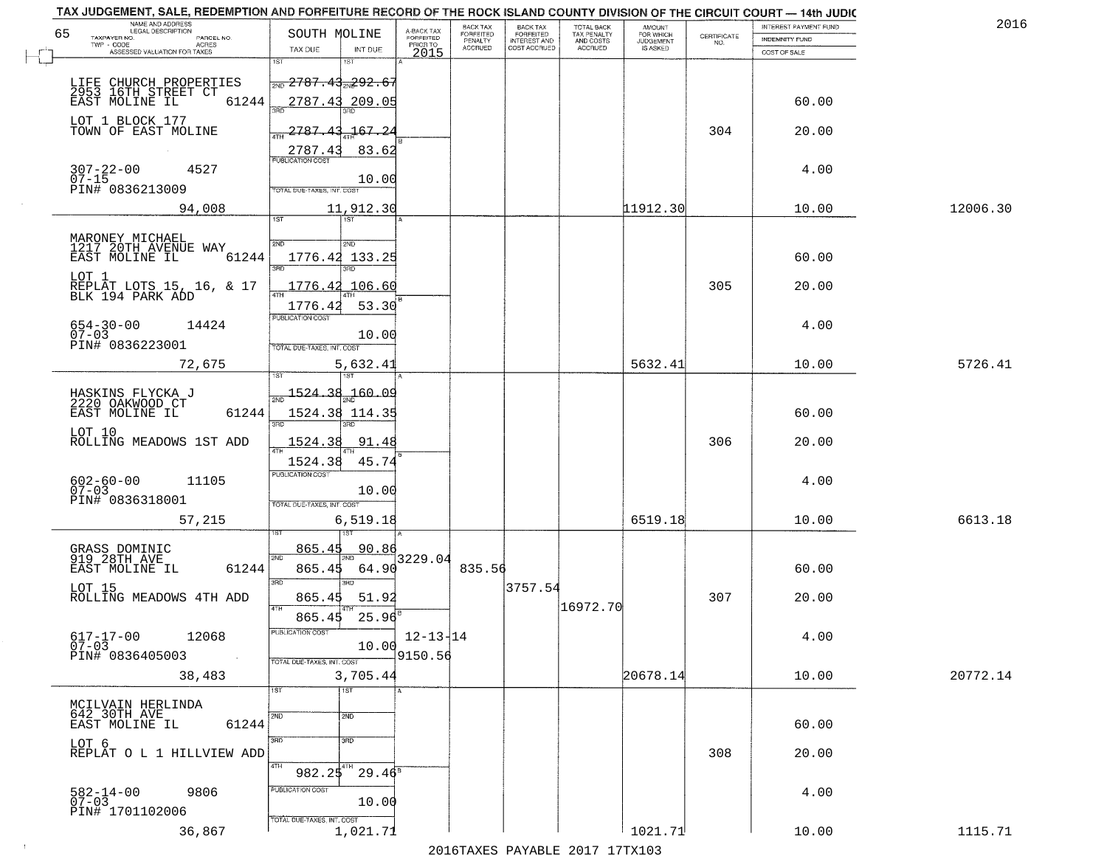| TAX JUDGEMENT, SALE, REDEMPTION AND FORFEITURE RECORD OF THE ROCK ISLAND COUNTY DIVISION OF THE CIRCUIT COURT - 14th JUDIC<br>NAME AND ADDRESS<br>LEGAL DESCRIPTION |                        |                                                                                     |                                           |                                     | <b>BACK TAX</b>      | <b>BACK TAX</b>           | TOTAL BACK<br>TAX PENALTY | AMOUNT<br>FOR WHICH |                                                                 | <b>INTEREST PAYMENT FUND</b> |          | 2016    |
|---------------------------------------------------------------------------------------------------------------------------------------------------------------------|------------------------|-------------------------------------------------------------------------------------|-------------------------------------------|-------------------------------------|----------------------|---------------------------|---------------------------|---------------------|-----------------------------------------------------------------|------------------------------|----------|---------|
| 65<br>TAXPAYER NO.                                                                                                                                                  | PARCEL NO.<br>ACRES    | SOUTH MOLINE                                                                        |                                           | A-BACK TAX<br>FORFEITED<br>PRIOR TO | FORFEITED<br>PENALTY | FORFEITED<br>INTEREST AND | AND COSTS                 | <b>JUDGEMENT</b>    | $\begin{array}{c} \text{CERTIFICATE} \\ \text{NO.} \end{array}$ | <b>INDEMNITY FUND</b>        |          |         |
| ASSESSED VALUATION FOR TAXES                                                                                                                                        |                        | TAX DUE                                                                             | INT DUE                                   | 2015                                | <b>ACCRUED</b>       | COST ACCRUED              | ACCRUED                   | IS ASKED            |                                                                 | COST OF SALE                 |          |         |
| LIFE CHURCH PROPERTIES<br>2953 16TH STREET CT<br>EAST MOLINE IL 612                                                                                                 | 61244                  | 1ST<br>$\frac{1}{2ND}$ 2787.43 <sub>2N</sub> 292.6                                  | 2787.43 209.05                            |                                     |                      |                           |                           |                     |                                                                 | 60.00                        |          |         |
| LOT 1 BLOCK 177<br>TOWN OF EAST MOLINE                                                                                                                              |                        | $\frac{1}{47H}$ 2787.43<br>2787.43                                                  | 167.2<br>83.62                            |                                     |                      |                           |                           |                     | 304                                                             | 20.00                        |          |         |
| $307 - 22 - 00$<br>07-15<br>4527<br>PIN# 0836213009                                                                                                                 |                        | <b>PUBLICATION COST</b><br>TOTAL DUE-TAXES, INT. COST                               | 10.00                                     |                                     |                      |                           |                           |                     |                                                                 | 4.00                         |          |         |
| 94,008                                                                                                                                                              |                        |                                                                                     | 11,912.30                                 |                                     |                      |                           |                           | 11912.30            |                                                                 | 10.00                        | 12006.30 |         |
| MARONEY MICHAEL<br>1217 20TH AVENUE WAY<br>EAST MOLINE IL<br>LOT 1<br>REPLAT LOTS 15, 16, & 17<br>BLK 194 PARK ADD<br>$654 - 30 - 00$<br>$07 - 03$                  | 61244<br>14424         | 1ST<br>2ND<br>1776.42 133.25<br>1776.42<br>PUBLICATION COST                         | 2ND<br>1776.42 106.60<br>53.30<br>10.00   |                                     |                      |                           |                           |                     | 305                                                             | 60.00<br>20.00<br>4.00       |          |         |
| PIN# 0836223001                                                                                                                                                     |                        | TOTAL DUE-TAXES, INT. COST                                                          |                                           |                                     |                      |                           |                           |                     |                                                                 |                              |          |         |
| 72,675                                                                                                                                                              |                        | 1ST                                                                                 | 5,632.41<br>18T                           |                                     |                      |                           |                           | 5632.41             |                                                                 | 10.00                        |          | 5726.41 |
| HASKINS FLYCKA J<br>2220 OAKWOOD CT<br>EAST MOLINE IL<br>LOT 10<br>ROLLING MEADOWS 1ST ADD                                                                          | 61244                  | $\frac{1524.38}{200}$<br>3RD<br>1524.38                                             | 160.09<br>1524.38 114.35<br>3RD.<br>91.48 |                                     |                      |                           |                           |                     | 306                                                             | 60.00<br>20.00               |          |         |
| $602 - 60 - 00$<br>$07 - 03$<br>PIN# 0836318001<br>57,215                                                                                                           | 11105                  | $\overline{AT}$<br>1524.38<br><b>PUBLICATION COST</b><br>TOTAL OUE-TAXES, INT. COST | 45.74<br>10.00<br>6,519.18                |                                     |                      |                           |                           | 6519.18             |                                                                 | 4.00<br>10.00                |          | 6613.18 |
|                                                                                                                                                                     |                        |                                                                                     |                                           |                                     |                      |                           |                           |                     |                                                                 |                              |          |         |
| GRASS DOMINIC<br>919 28TH AVE<br>EAST MOLINE IL<br>LOT 15<br>ROLLING MEADOWS 4TH ADD                                                                                | 61244                  | 865.45<br>2ND<br>865.45<br>3RD<br>865.45<br>4TH                                     | 90.86<br>64.90<br>3BD<br>51.92            | 3229.04                             | 835.56               | 3757.54                   | 16972.70                  |                     | 307                                                             | 60.00<br>20.00               |          |         |
| $617 - 17 - 00$<br>07-03<br>PIN# 0836405003                                                                                                                         | 12068<br>$\sim 100$ km | 865.45<br>"UBLICA HUN CUS<br>TOTAL DUE-TAXES, INT. COST                             | 25.96<br>10.00                            | $12 - 13 - 14$<br>9150.56           |                      |                           |                           |                     |                                                                 | 4.00                         |          |         |
| 38,483                                                                                                                                                              |                        |                                                                                     | 3,705.44                                  |                                     |                      |                           |                           | 20678.14            |                                                                 | 10.00                        | 20772.14 |         |
| MCILVAIN HERLINDA<br>642 30TH AVE<br>EAST MOLINE IL                                                                                                                 | 61244                  | 1ST<br>2ND<br>3RD                                                                   | 1ST<br>2ND<br>3RD                         |                                     |                      |                           |                           |                     |                                                                 | 60.00                        |          |         |
| LOT 6<br>REPLAT O L 1 HILLVIEW ADD                                                                                                                                  |                        | 4TH<br>982.25                                                                       | 4TH<br>$29.46^8$                          |                                     |                      |                           |                           |                     | 308                                                             | 20.00                        |          |         |
| 582-14-00<br>07-03<br>PIN# 1701102006                                                                                                                               | 9806                   | PUBLICATION COST<br>TOTAL DUE-TAXES, INT. COST                                      | 10.00                                     |                                     |                      |                           |                           |                     |                                                                 | 4.00                         |          |         |
| 36,867                                                                                                                                                              |                        |                                                                                     | 1,021.71                                  |                                     |                      |                           |                           | 1021.71             |                                                                 | 10.00                        |          | 1115.71 |

 $\sim 100$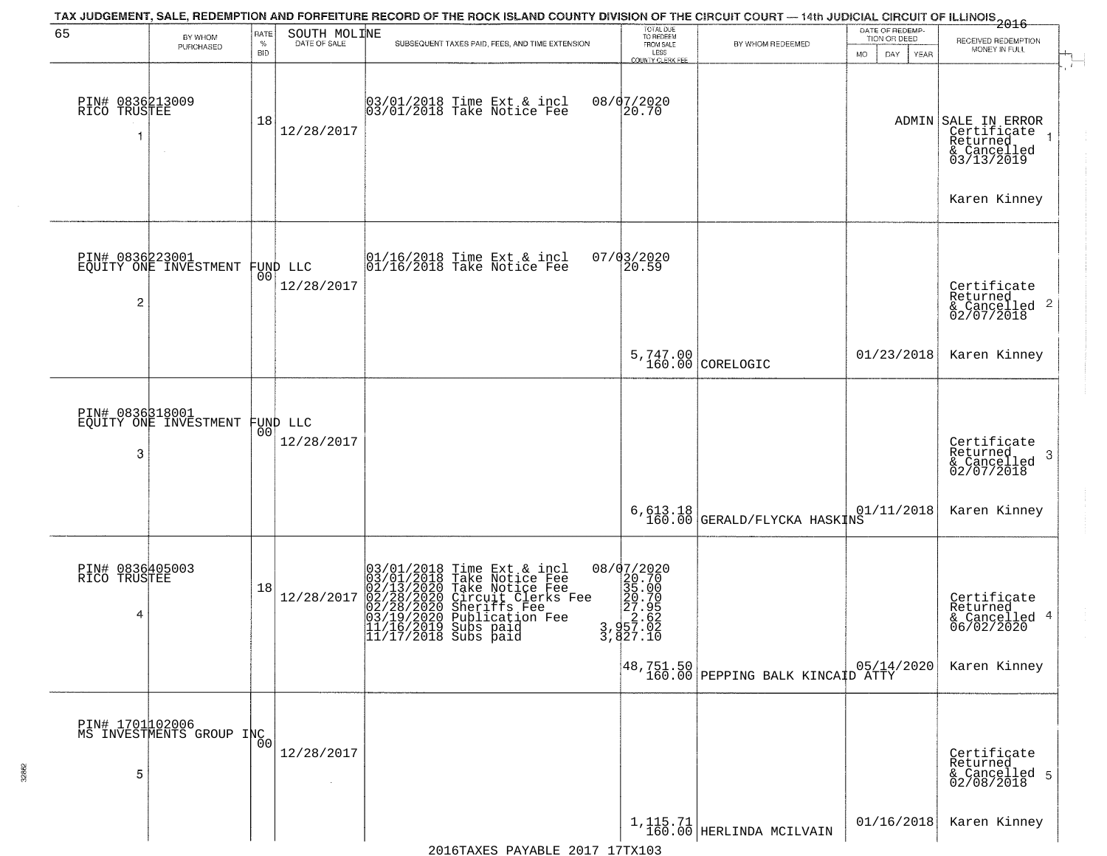| 65                                   |                                             | RATE            |                              | TAX JUDGEMENT, SALE, REDEMPTION AND FORFEITURE RECORD OF THE ROCK ISLAND COUNTY DIVISION OF THE CIRCUIT COURT — 14th JUDICIAL CIRCUIT OF ILLINOIS 2016                                                                           | TOTAL DUE<br>TO REDEEM                                                                                        |                                                   | DATE OF REDEMP-     |                                                                             |
|--------------------------------------|---------------------------------------------|-----------------|------------------------------|----------------------------------------------------------------------------------------------------------------------------------------------------------------------------------------------------------------------------------|---------------------------------------------------------------------------------------------------------------|---------------------------------------------------|---------------------|-----------------------------------------------------------------------------|
|                                      | BY WHOM<br>PURCHASED                        | $\%$            | SOUTH MOLINE<br>DATE OF SALE | SUBSEQUENT TAXES PAID, FEES, AND TIME EXTENSION                                                                                                                                                                                  | FROM SALE                                                                                                     | BY WHOM REDEEMED                                  | TION OR DEED        | RECEIVED REDEMPTION<br>MONEY IN FULL                                        |
|                                      |                                             | BID             |                              |                                                                                                                                                                                                                                  | LESS<br>COUNTY CLERK FEE                                                                                      |                                                   | DAY.<br>YEAR<br>MO. |                                                                             |
| PIN# 0836213009<br>RICO TRUSTEE      |                                             | 18              | 12/28/2017                   | 03/01/2018 Time Ext & incl<br>03/01/2018 Take Notice Fee                                                                                                                                                                         | 08/07/2020<br>20.70                                                                                           |                                                   |                     | ADMIN SALE IN ERROR<br>Certificate<br>Returned<br>& Cancelled<br>03/13/2019 |
|                                      |                                             |                 |                              |                                                                                                                                                                                                                                  |                                                                                                               |                                                   |                     | Karen Kinney                                                                |
| PIN# 0836223001<br>$\overline{2}$    | EQUITY ONE INVESTMENT                       | 001             | FUND LLC<br>12/28/2017       | 01/16/2018 Time Ext & incl<br>01/16/2018 Take Notice Fee                                                                                                                                                                         | 07/03/2020<br>20.59                                                                                           |                                                   |                     | Certificate<br>Returned<br>$\frac{1}{2}$ Cancelled 2<br>02/07/2018          |
|                                      |                                             |                 |                              |                                                                                                                                                                                                                                  |                                                                                                               | 5,747.00<br>160.00 CORELOGIC                      | 01/23/2018          | Karen Kinney                                                                |
| 3                                    | PIN# 0836318001<br>EQUITY ONE INVESTMENT    | 00 <sup>o</sup> | FUND LLC<br>12/28/2017       |                                                                                                                                                                                                                                  |                                                                                                               |                                                   |                     | Certificate<br>Returned<br>3<br>& Cancelled<br>02/07/2018                   |
|                                      |                                             |                 |                              |                                                                                                                                                                                                                                  |                                                                                                               | $6,613.18 \mid 0.00$ 160.00 GERALD/FLYCKA HASKINS | 01/11/2018          | Karen Kinney                                                                |
| PIN# 0836405003<br>RICO TRUSTEE<br>4 |                                             | 18              | 12/28/2017                   | 03/01/2018 Time Ext & incl<br>03/01/2018 Take Notice Fee<br>02/13/2020 Take Notice Fee<br>02/28/2020 Circuit Clerks Fee<br>02/28/2020 Sheriffs Fee<br>03/19/2020 Publication Fee<br>11/15/2019 Subs paid<br>11/17/2018 Subs paid | $\begin{array}{r} 08/07/2020 \\ 20.70 \\ 35.00 \\ 20.70 \\ 27.95 \\ 2.62 \\ 3,957.02 \\ 3,427.10 \end{array}$ |                                                   |                     | Certificate<br>Returned<br>& Cancelled 4<br>06/02/2020                      |
|                                      |                                             |                 |                              |                                                                                                                                                                                                                                  |                                                                                                               | 48,751.50 PEPPING BALK KINCAID ATTY 2020          |                     | Karen Kinney                                                                |
| 5                                    | PIN# 1701102006<br>MS INVESTMENTS GROUP INC | 0 <sup>0</sup>  | 12/28/2017                   |                                                                                                                                                                                                                                  |                                                                                                               |                                                   |                     | Certificate<br>Returned<br>& Cancelled 5<br>02/08/2018                      |
|                                      |                                             |                 |                              |                                                                                                                                                                                                                                  |                                                                                                               | $1, 115.71$ HERLINDA MCILVAIN                     | 01/16/2018          | Karen Kinney                                                                |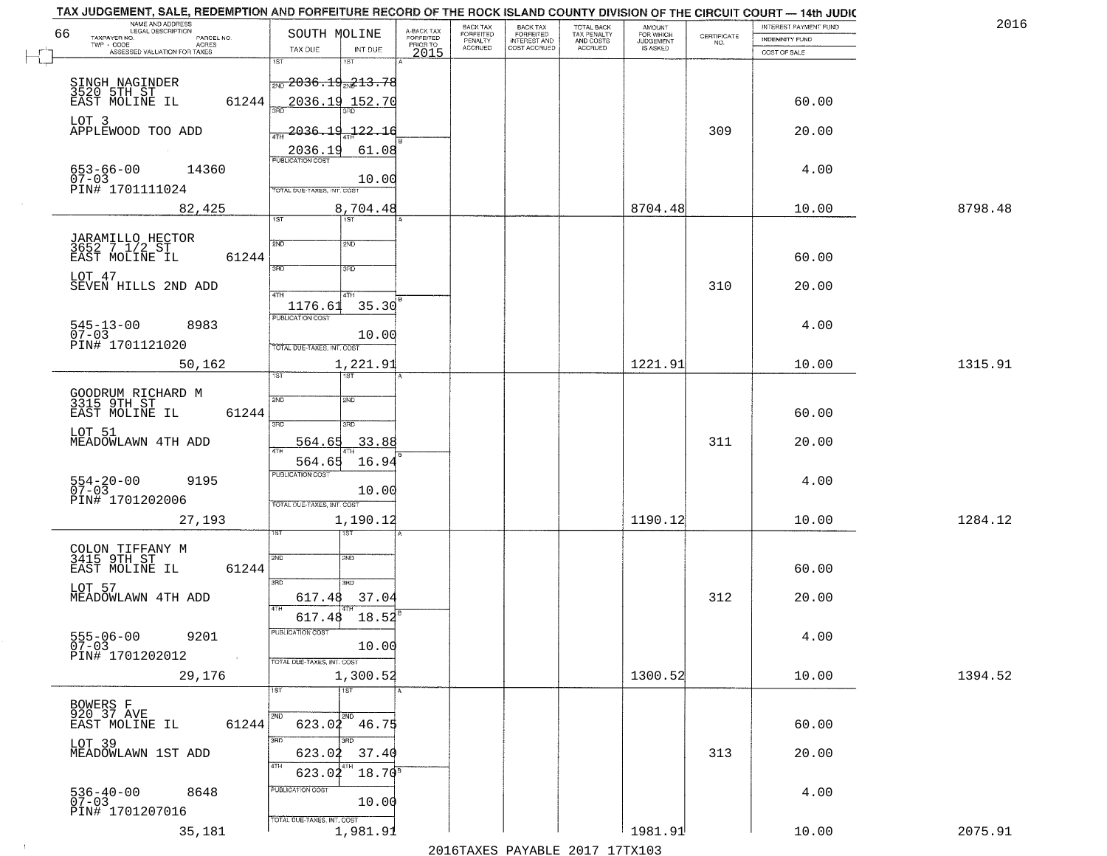| TAX JUDGEMENT, SALE, REDEMPTION AND FORFEITURE RECORD OF THE ROCK ISLAND COUNTY DIVISION OF THE CIRCUIT COURT - 14th JUDIC<br>NAME AND ADDRESS<br>LEGAL DESCRIPTION |                                               |                                     | BACK TAX                    | BACK TAX<br>FORFEITED |                                        | AMOUNT<br>FOR WHICH |                                                                 | INTEREST PAYMENT FUND | 2016    |
|---------------------------------------------------------------------------------------------------------------------------------------------------------------------|-----------------------------------------------|-------------------------------------|-----------------------------|-----------------------|----------------------------------------|---------------------|-----------------------------------------------------------------|-----------------------|---------|
| 66<br>TAXPAYER NO.<br>PARCEL NO.                                                                                                                                    | SOUTH MOLINE                                  | A-BACK TAX<br>FORFEITED<br>PRIOR TO | <b>FORFEITED</b><br>PENALTY | <b>INTEREST AND</b>   | TOTAL BACK<br>TAX PENALTY<br>AND COSTS | <b>JUDGEMENT</b>    | $\begin{array}{c} \text{CERTIFICATE} \\ \text{NO.} \end{array}$ | INDEMNITY FUND        |         |
| ACRES<br>ASSESSED VALUATION FOR TAXES                                                                                                                               | INT DUE<br>TAX DUE                            | 2015                                | <b>ACCRUED</b>              | COST ACCRUED          | ACCRUED                                | IS ASKED            |                                                                 | COST OF SALE          |         |
|                                                                                                                                                                     | 1ST<br>$1S$ T                                 |                                     |                             |                       |                                        |                     |                                                                 |                       |         |
|                                                                                                                                                                     | $\frac{1}{200}$ 2036.19 $\frac{1}{202}$ 13.78 |                                     |                             |                       |                                        |                     |                                                                 |                       |         |
| SINGH NAGINDER<br>3520 5TH ST<br>EAST MOLINE IL                                                                                                                     |                                               |                                     |                             |                       |                                        |                     |                                                                 |                       |         |
| 61244                                                                                                                                                               | 2036.19 152.70                                |                                     |                             |                       |                                        |                     |                                                                 | 60.00                 |         |
| LOT 3                                                                                                                                                               |                                               |                                     |                             |                       |                                        |                     |                                                                 |                       |         |
| APPLEWOOD TOO ADD                                                                                                                                                   | $2036.19 - 22.16$                             |                                     |                             |                       |                                        |                     | 309                                                             | 20.00                 |         |
|                                                                                                                                                                     | 61.08<br>2036.19                              |                                     |                             |                       |                                        |                     |                                                                 |                       |         |
| 14360                                                                                                                                                               |                                               |                                     |                             |                       |                                        |                     |                                                                 | 4.00                  |         |
| 653-66-00<br>07-03                                                                                                                                                  | 10.00                                         |                                     |                             |                       |                                        |                     |                                                                 |                       |         |
| PIN# 1701111024                                                                                                                                                     | TOTAL DUE-TAXES, INT. COST                    |                                     |                             |                       |                                        |                     |                                                                 |                       |         |
| 82,425                                                                                                                                                              | 8,704.48                                      |                                     |                             |                       |                                        | 8704.48             |                                                                 | 10.00                 | 8798.48 |
|                                                                                                                                                                     | 1ST<br>1ST                                    |                                     |                             |                       |                                        |                     |                                                                 |                       |         |
|                                                                                                                                                                     |                                               |                                     |                             |                       |                                        |                     |                                                                 |                       |         |
| JARAMILLO HECTOR<br>3652 7 1/2 ST                                                                                                                                   | 2ND<br>2ND                                    |                                     |                             |                       |                                        |                     |                                                                 |                       |         |
| 61244<br>EAST MOLINE IL                                                                                                                                             | 3RD<br>$\overline{\text{3BD}}$                |                                     |                             |                       |                                        |                     |                                                                 | 60.00                 |         |
| LOT 47                                                                                                                                                              |                                               |                                     |                             |                       |                                        |                     |                                                                 |                       |         |
| SEVEN HILLS 2ND ADD                                                                                                                                                 | 47H<br>4TH                                    |                                     |                             |                       |                                        |                     | 310                                                             | 20.00                 |         |
|                                                                                                                                                                     | 35.30<br>1176.61                              |                                     |                             |                       |                                        |                     |                                                                 |                       |         |
|                                                                                                                                                                     | PUBLICATION COST                              |                                     |                             |                       |                                        |                     |                                                                 |                       |         |
| $545 - 13 - 00$<br>8983<br>$07 - 03$                                                                                                                                | 10.00                                         |                                     |                             |                       |                                        |                     |                                                                 | 4.00                  |         |
| PIN# 1701121020                                                                                                                                                     | TOTAL DUE-TAXES, INT. COST                    |                                     |                             |                       |                                        |                     |                                                                 |                       |         |
| 50,162                                                                                                                                                              | 1,221.91                                      |                                     |                             |                       |                                        | 1221.91             |                                                                 | 10.00                 | 1315.91 |
|                                                                                                                                                                     | 1ST<br>ist                                    |                                     |                             |                       |                                        |                     |                                                                 |                       |         |
|                                                                                                                                                                     |                                               |                                     |                             |                       |                                        |                     |                                                                 |                       |         |
| GOODRUM RICHARD M<br>3315 9TH ST                                                                                                                                    | 2ND<br>2ND                                    |                                     |                             |                       |                                        |                     |                                                                 |                       |         |
| EAST MOLINE IL<br>61244                                                                                                                                             |                                               |                                     |                             |                       |                                        |                     |                                                                 | 60.00                 |         |
| LOT 51                                                                                                                                                              | 3RD<br>3RD                                    |                                     |                             |                       |                                        |                     |                                                                 |                       |         |
| MEADOWLAWN 4TH ADD                                                                                                                                                  | 564.65<br>33.88<br>4TH                        |                                     |                             |                       |                                        |                     | 311                                                             | 20.00                 |         |
|                                                                                                                                                                     | 16.94<br>564.65                               |                                     |                             |                       |                                        |                     |                                                                 |                       |         |
|                                                                                                                                                                     | <b>PUBLICATION COST</b>                       |                                     |                             |                       |                                        |                     |                                                                 |                       |         |
| $554 - 20 - 00$<br>07-03<br>9195                                                                                                                                    | 10.00                                         |                                     |                             |                       |                                        |                     |                                                                 | 4.00                  |         |
| PIN# 1701202006                                                                                                                                                     | TOTAL OUE-TAXES, INT. COST                    |                                     |                             |                       |                                        |                     |                                                                 |                       |         |
| 27,193                                                                                                                                                              | 1,190.12                                      |                                     |                             |                       |                                        | 1190.12             |                                                                 | 10.00                 | 1284.12 |
|                                                                                                                                                                     | १९४                                           |                                     |                             |                       |                                        |                     |                                                                 |                       |         |
|                                                                                                                                                                     |                                               |                                     |                             |                       |                                        |                     |                                                                 |                       |         |
| COLON TIFFANY M<br>3415 9TH ST                                                                                                                                      | 2ND<br>2ND                                    |                                     |                             |                       |                                        |                     |                                                                 |                       |         |
| EAST MOLINE IL<br>61244                                                                                                                                             |                                               |                                     |                             |                       |                                        |                     |                                                                 | 60.00                 |         |
| LOT 57                                                                                                                                                              | 3RD<br>3HD                                    |                                     |                             |                       |                                        |                     |                                                                 |                       |         |
| MEADOWLAWN 4TH ADD                                                                                                                                                  | 37.04<br>617.48                               |                                     |                             |                       |                                        |                     | 312                                                             | 20.00                 |         |
|                                                                                                                                                                     | 4TH<br>617.48<br>18.52                        |                                     |                             |                       |                                        |                     |                                                                 |                       |         |
|                                                                                                                                                                     | PUBLICATION COS.                              |                                     |                             |                       |                                        |                     |                                                                 |                       |         |
| $555 - 06 - 00$<br>9201<br>$07 - 03$                                                                                                                                | 10.00                                         |                                     |                             |                       |                                        |                     |                                                                 | 4.00                  |         |
| PIN# 1701202012<br>$\sim 10$                                                                                                                                        | TOTAL DUE-TAXES, INT. COST                    |                                     |                             |                       |                                        |                     |                                                                 |                       |         |
|                                                                                                                                                                     | 1,300.52                                      |                                     |                             |                       |                                        | 1300.52             |                                                                 |                       | 1394.52 |
| 29,176                                                                                                                                                              |                                               |                                     |                             |                       |                                        |                     |                                                                 | 10.00                 |         |
|                                                                                                                                                                     | 1ST<br>$\overline{1}$ 1ST                     |                                     |                             |                       |                                        |                     |                                                                 |                       |         |
| BOWERS F<br>920 37 AVE                                                                                                                                              | <b>2ND</b>                                    |                                     |                             |                       |                                        |                     |                                                                 |                       |         |
| 61244<br>EAST MOLINE IL                                                                                                                                             | $623.02$ $46.75$                              |                                     |                             |                       |                                        |                     |                                                                 | 60.00                 |         |
| LOT 39                                                                                                                                                              | 3RD                                           |                                     |                             |                       |                                        |                     |                                                                 |                       |         |
| MEADOWLAWN 1ST ADD                                                                                                                                                  | 623.02<br>37.40                               |                                     |                             |                       |                                        |                     | 313                                                             | 20.00                 |         |
|                                                                                                                                                                     |                                               |                                     |                             |                       |                                        |                     |                                                                 |                       |         |
|                                                                                                                                                                     | $18.70^8$<br>623.02                           |                                     |                             |                       |                                        |                     |                                                                 |                       |         |
| 536-40-00<br>07-03<br>8648                                                                                                                                          | PUBLICATION COST                              |                                     |                             |                       |                                        |                     |                                                                 | 4.00                  |         |
| PIN# 1701207016                                                                                                                                                     | 10.00                                         |                                     |                             |                       |                                        |                     |                                                                 |                       |         |
|                                                                                                                                                                     | TOTAL DUE-TAXES, INT. COST                    |                                     |                             |                       |                                        |                     |                                                                 |                       |         |
| 35,181                                                                                                                                                              | 1,981.91                                      |                                     |                             |                       |                                        | 1981.91             |                                                                 | 10.00                 | 2075.91 |
|                                                                                                                                                                     |                                               |                                     |                             |                       | 2016 TAVEC DAVARLE 2017 17 TV102       |                     |                                                                 |                       |         |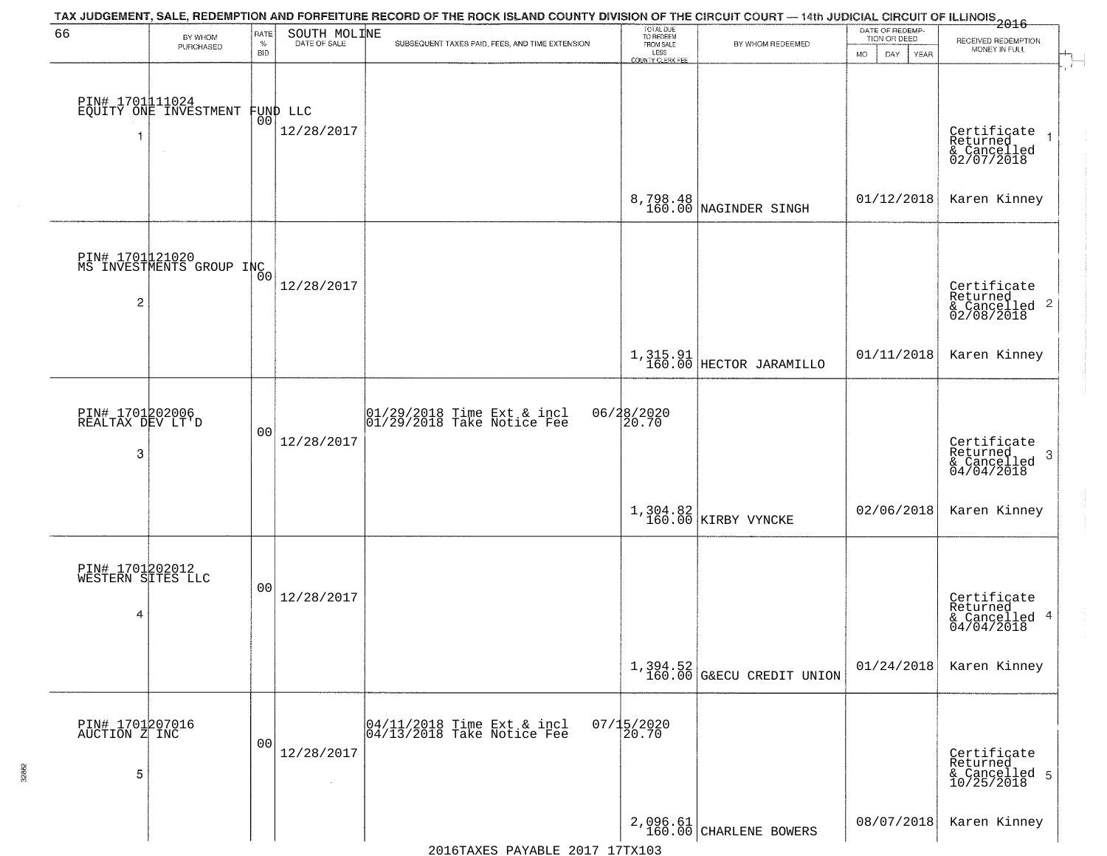| 66                                        | BY WHOM                                     | RATE               | SOUTH MOLINE                   | TAX JUDGEMENT, SALE, REDEMPTION AND FORFEITURE RECORD OF THE ROCK ISLAND COUNTY DIVISION OF THE CIRCUIT COURT — 14th JUDICIAL CIRCUIT OF ILLINOIS 2016 | TOTAL DUE<br>TO REDEEM<br>FROM SALE |                                         | DATE OF REDEMP-<br>TION OR DEED |                                                                        |
|-------------------------------------------|---------------------------------------------|--------------------|--------------------------------|--------------------------------------------------------------------------------------------------------------------------------------------------------|-------------------------------------|-----------------------------------------|---------------------------------|------------------------------------------------------------------------|
|                                           | PURCHASED                                   | $\%$<br><b>BID</b> | DATE OF SALE                   | SUBSEQUENT TAXES PAID, FEES, AND TIME EXTENSION                                                                                                        | LESS                                | BY WHOM REDEEMED                        | <b>MO</b><br>DAY<br>YEAR        | RECEIVED REDEMPTION<br>MONEY IN FULL                                   |
|                                           | PIN# 1701111024<br>EQUITY ONE INVESTMENT    |                    | FUND LLC<br> 00 <br>12/28/2017 |                                                                                                                                                        | <b>COUNTY CLERK FEE</b>             |                                         |                                 | Certificate<br>Returned<br>$\overline{1}$<br>& Cancelled<br>02/07/2018 |
|                                           |                                             |                    |                                |                                                                                                                                                        |                                     | 8,798.48<br>160.00 NAGINDER SINGH       | 01/12/2018                      | Karen Kinney                                                           |
| $\overline{c}$                            | PIN# 1701021020<br>MS INVESTMENTS GROUP INC |                    | 12/28/2017                     |                                                                                                                                                        |                                     |                                         |                                 | Certificate<br>Returned<br>$\frac{12241164}{62/08/2018}$ 2             |
|                                           |                                             |                    |                                |                                                                                                                                                        |                                     | $1,315.91$<br>$160.00$ HECTOR JARAMILLO | 01/11/2018                      | Karen Kinney                                                           |
| PIN# 1701202006<br>REALTAX DEV LT'D<br>3  |                                             | 0 <sub>0</sub>     | 12/28/2017                     | $ 01/29/2018$ Time Ext & incl<br>$ 01/29/2018$ Take Notice Fee                                                                                         | 06/28/2020<br>20.70                 |                                         |                                 | Certificate<br>Returned<br>3<br>& Cancelled<br>04/04/2018              |
|                                           |                                             |                    |                                |                                                                                                                                                        |                                     | 1,304.82<br>160.00 KIRBY VYNCKE         | 02/06/2018                      | Karen Kinney                                                           |
| PIN# 1701202012<br>WESTERN SITES LLC<br>4 |                                             | 0 <sub>0</sub>     | 12/28/2017                     |                                                                                                                                                        |                                     |                                         |                                 | Certificate<br>Returned<br>& Cancelled 4<br>04/04/2018                 |
|                                           |                                             |                    |                                |                                                                                                                                                        |                                     | $1,394.52$<br>160.00 G&ECU CREDIT UNION | 01/24/2018                      | Karen Kinney                                                           |
| PIN# 1701207016<br>AUCTION Z INC<br>5     |                                             | 0 <sub>0</sub>     | 12/28/2017                     | $\begin{array}{c}  04/11/2018 \text{ Time Ext} & \text{incl} \\  04/13/2018 \text{ Take Notice Fe} \end{array}$                                        | $07/15/2020$<br>20.70               |                                         |                                 | Certificate<br>Returned<br>& Cancelled 5<br>10/25/2018                 |
|                                           |                                             |                    |                                |                                                                                                                                                        |                                     | 2,096.61<br>160.00 CHARLENE BOWERS      | 08/07/2018                      | Karen Kinney                                                           |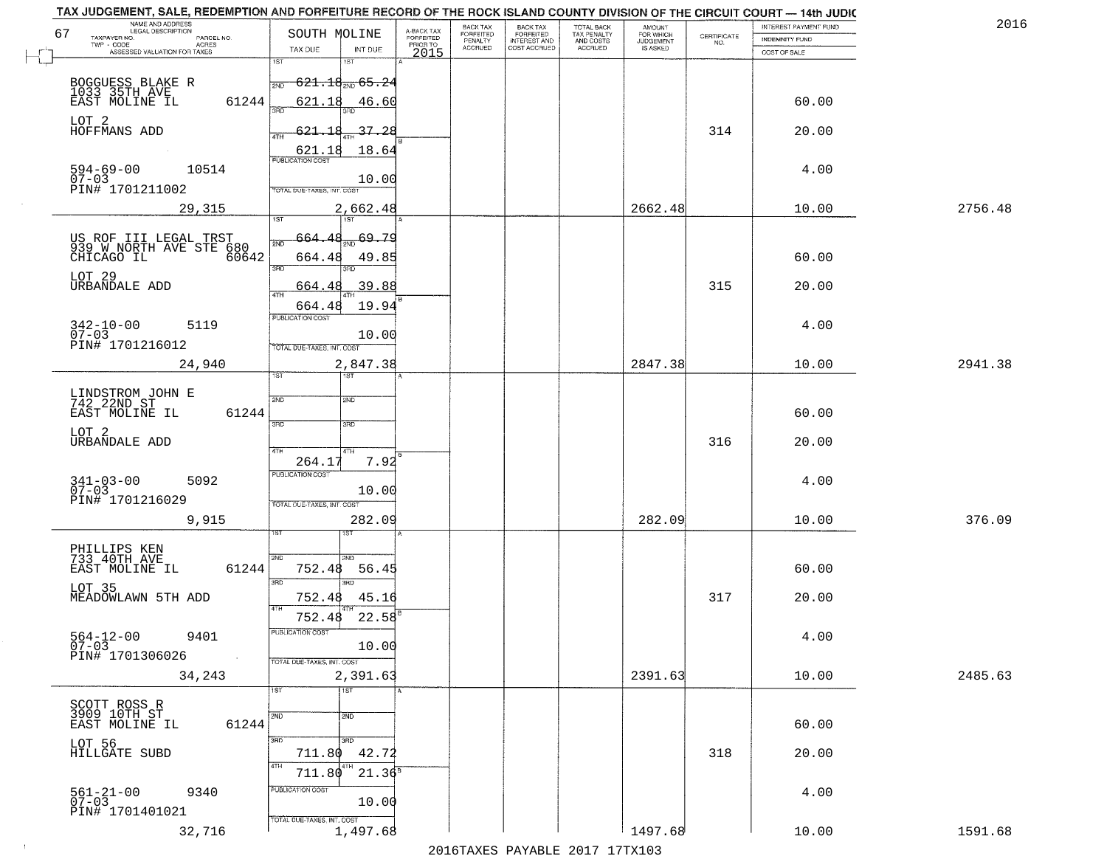| NAME AND ADDRESS<br>LEGAL DESCRIPTION                                   |                                                |                                     | BACK TAX             |                                       |                                        |                                  |                                                                 | TAX JUDGEMENT, SALE, REDEMPTION AND FORFEITURE RECORD OF THE ROCK ISLAND COUNTY DIVISION OF THE CIRCUIT COURT - 14th JUDIC<br>INTEREST PAYMENT FUND | 2016    |
|-------------------------------------------------------------------------|------------------------------------------------|-------------------------------------|----------------------|---------------------------------------|----------------------------------------|----------------------------------|-----------------------------------------------------------------|-----------------------------------------------------------------------------------------------------------------------------------------------------|---------|
| 67<br>TAXPAYER NO.<br>PARCEL NO.                                        | SOUTH MOLINE                                   | A-BACK TAX<br>FORFEITED<br>PRIOR TO | FORFEITED<br>PENALTY | BACK TAX<br>FORFEITED<br>INTEREST AND | TOTAL BACK<br>TAX PENALTY<br>AND COSTS | AMOUNT<br>FOR WHICH<br>JUDGEMENT | $\begin{array}{c} \text{CERTIFICATE} \\ \text{NO.} \end{array}$ | INDEMNITY FUND                                                                                                                                      |         |
| TWP - CODE<br><b>ACRES</b><br>ASSESSED VALUATION FOR TAXES              | INT DUE<br>TAX DUE                             | 2015                                | <b>ACCRUED</b>       | COST ACCRUED                          | ACCRUED                                | IS ASKED                         |                                                                 | COST OF SALE                                                                                                                                        |         |
|                                                                         | 1ST<br>18T                                     |                                     |                      |                                       |                                        |                                  |                                                                 |                                                                                                                                                     |         |
|                                                                         | -6 <del>21.18<sub>2№</sub> 65.2</del> 4<br>2ND |                                     |                      |                                       |                                        |                                  |                                                                 |                                                                                                                                                     |         |
| BOGGUESS BLAKE R<br>1033 35TH AVE<br>EAST MOLINE IL<br>61244            | 621.18<br>46.60                                |                                     |                      |                                       |                                        |                                  |                                                                 | 60.00                                                                                                                                               |         |
|                                                                         |                                                |                                     |                      |                                       |                                        |                                  |                                                                 |                                                                                                                                                     |         |
| LOT 2<br>HOFFMANS ADD                                                   | 621.18<br>37.28                                |                                     |                      |                                       |                                        |                                  | 314                                                             | 20.00                                                                                                                                               |         |
|                                                                         | 18.64<br>621.18                                |                                     |                      |                                       |                                        |                                  |                                                                 |                                                                                                                                                     |         |
| 10514                                                                   |                                                |                                     |                      |                                       |                                        |                                  |                                                                 | 4.00                                                                                                                                                |         |
| $594 - 69 - 00$<br>07-03<br>PIN# 1701211002                             | 10.00<br><b>TOTAL DUE-TAXES, INT. COST</b>     |                                     |                      |                                       |                                        |                                  |                                                                 |                                                                                                                                                     |         |
|                                                                         |                                                |                                     |                      |                                       |                                        |                                  |                                                                 |                                                                                                                                                     |         |
| 29,315                                                                  | 2,662.48                                       |                                     |                      |                                       |                                        | 2662.48                          |                                                                 | 10.00                                                                                                                                               | 2756.48 |
|                                                                         | -69.79                                         |                                     |                      |                                       |                                        |                                  |                                                                 |                                                                                                                                                     |         |
| US ROF III LEGAL TRST<br>939 W NORTH AVE STE 680<br>60642<br>CHICAGO IL | 664.48<br>49.85                                |                                     |                      |                                       |                                        |                                  |                                                                 | 60.00                                                                                                                                               |         |
|                                                                         | 3RD                                            |                                     |                      |                                       |                                        |                                  |                                                                 |                                                                                                                                                     |         |
| LOT 29<br>URBANDALE ADD                                                 | .39.88<br>664.48                               |                                     |                      |                                       |                                        |                                  | 315                                                             | 20.00                                                                                                                                               |         |
|                                                                         | 47H<br>19.94<br>664.48                         |                                     |                      |                                       |                                        |                                  |                                                                 |                                                                                                                                                     |         |
| $342 - 10 - 00$<br>5119                                                 | PUBLICATION COST                               |                                     |                      |                                       |                                        |                                  |                                                                 | 4.00                                                                                                                                                |         |
| $07 - 03$                                                               | 10.00                                          |                                     |                      |                                       |                                        |                                  |                                                                 |                                                                                                                                                     |         |
| PIN# 1701216012                                                         | TOTAL DUE-TAXES, INT. COST                     |                                     |                      |                                       |                                        |                                  |                                                                 |                                                                                                                                                     |         |
| 24,940                                                                  | 2,847.38<br><b>ST</b><br>IST                   |                                     |                      |                                       |                                        | 2847.38                          |                                                                 | 10.00                                                                                                                                               | 2941.38 |
|                                                                         |                                                |                                     |                      |                                       |                                        |                                  |                                                                 |                                                                                                                                                     |         |
| LINDSTROM JOHN E<br>742 22ND ST<br>EAST MOLINE IL<br>61244              | 2ND<br>SND                                     |                                     |                      |                                       |                                        |                                  |                                                                 | 60.00                                                                                                                                               |         |
|                                                                         | 3 <sub>BD</sub><br>3RD                         |                                     |                      |                                       |                                        |                                  |                                                                 |                                                                                                                                                     |         |
| LOT 2<br>URBANDALE ADD                                                  |                                                |                                     |                      |                                       |                                        |                                  | 316                                                             | 20.00                                                                                                                                               |         |
|                                                                         | 4TH<br>4TH<br>7.92<br>264.17                   |                                     |                      |                                       |                                        |                                  |                                                                 |                                                                                                                                                     |         |
| 5092                                                                    | <b>PUBLICATION COST</b>                        |                                     |                      |                                       |                                        |                                  |                                                                 | 4.00                                                                                                                                                |         |
| $341 - 03 - 00$<br>07-03                                                | 10.00                                          |                                     |                      |                                       |                                        |                                  |                                                                 |                                                                                                                                                     |         |
| PIN# 1701216029                                                         | TOTAL OUE-TAXES, INT. COST                     |                                     |                      |                                       |                                        |                                  |                                                                 |                                                                                                                                                     |         |
| 9,915                                                                   | 282.09                                         |                                     |                      |                                       |                                        | 282.09                           |                                                                 | 10.00                                                                                                                                               | 376.09  |
|                                                                         |                                                |                                     |                      |                                       |                                        |                                  |                                                                 |                                                                                                                                                     |         |
| PHILLIPS KEN<br>733 40TH AVE<br>EAST MOLINE IL<br>61244                 | 2ND<br>2ND<br>752.48<br>56.45                  |                                     |                      |                                       |                                        |                                  |                                                                 | 60.00                                                                                                                                               |         |
|                                                                         | 3BD<br>3BD                                     |                                     |                      |                                       |                                        |                                  |                                                                 |                                                                                                                                                     |         |
| LOT 35<br>MEADOWLAWN 5TH ADD                                            | 752.48<br>45.16                                |                                     |                      |                                       |                                        |                                  | 317                                                             | 20.00                                                                                                                                               |         |
|                                                                         | 4TH<br>752.48<br>22.58                         |                                     |                      |                                       |                                        |                                  |                                                                 |                                                                                                                                                     |         |
| 9401                                                                    | PUBLICATION COS-                               |                                     |                      |                                       |                                        |                                  |                                                                 | 4.00                                                                                                                                                |         |
| $564-12-00$<br>07-03<br>PIN# 1701306026                                 | 10.00                                          |                                     |                      |                                       |                                        |                                  |                                                                 |                                                                                                                                                     |         |
| $\sim 10^{-1}$                                                          | TOTAL DUE-TAXES, INT. COST                     |                                     |                      |                                       |                                        |                                  |                                                                 |                                                                                                                                                     |         |
| 34,243                                                                  | 2,391.63<br>1ST<br>1ST                         |                                     |                      |                                       |                                        | 2391.63                          |                                                                 | 10.00                                                                                                                                               | 2485.63 |
|                                                                         |                                                |                                     |                      |                                       |                                        |                                  |                                                                 |                                                                                                                                                     |         |
| SCOTT ROSS R<br>3909 10TH ST<br>61244<br>EAST MOLINE IL                 | 2ND<br>2ND                                     |                                     |                      |                                       |                                        |                                  |                                                                 | 60.00                                                                                                                                               |         |
|                                                                         | 3RD<br>3RD                                     |                                     |                      |                                       |                                        |                                  |                                                                 |                                                                                                                                                     |         |
| LOT 56<br>HILLGATE SUBD                                                 | 42.72<br>711.80                                |                                     |                      |                                       |                                        |                                  | 318                                                             | 20.00                                                                                                                                               |         |
|                                                                         | 4TH<br>4TH<br>$21.36^8$<br>711.80              |                                     |                      |                                       |                                        |                                  |                                                                 |                                                                                                                                                     |         |
| 9340                                                                    | PUBLICATION COST                               |                                     |                      |                                       |                                        |                                  |                                                                 | 4.00                                                                                                                                                |         |
| $561 - 21 - 00$<br>07-03<br>PIN# 1701401021                             | 10.00                                          |                                     |                      |                                       |                                        |                                  |                                                                 |                                                                                                                                                     |         |
|                                                                         | TOTAL DUE-TAXES, INT. COST                     |                                     |                      |                                       |                                        |                                  |                                                                 |                                                                                                                                                     |         |
| 32,716                                                                  | 1,497.68                                       |                                     |                      |                                       |                                        | 1497.68                          |                                                                 | 10.00                                                                                                                                               | 1591.68 |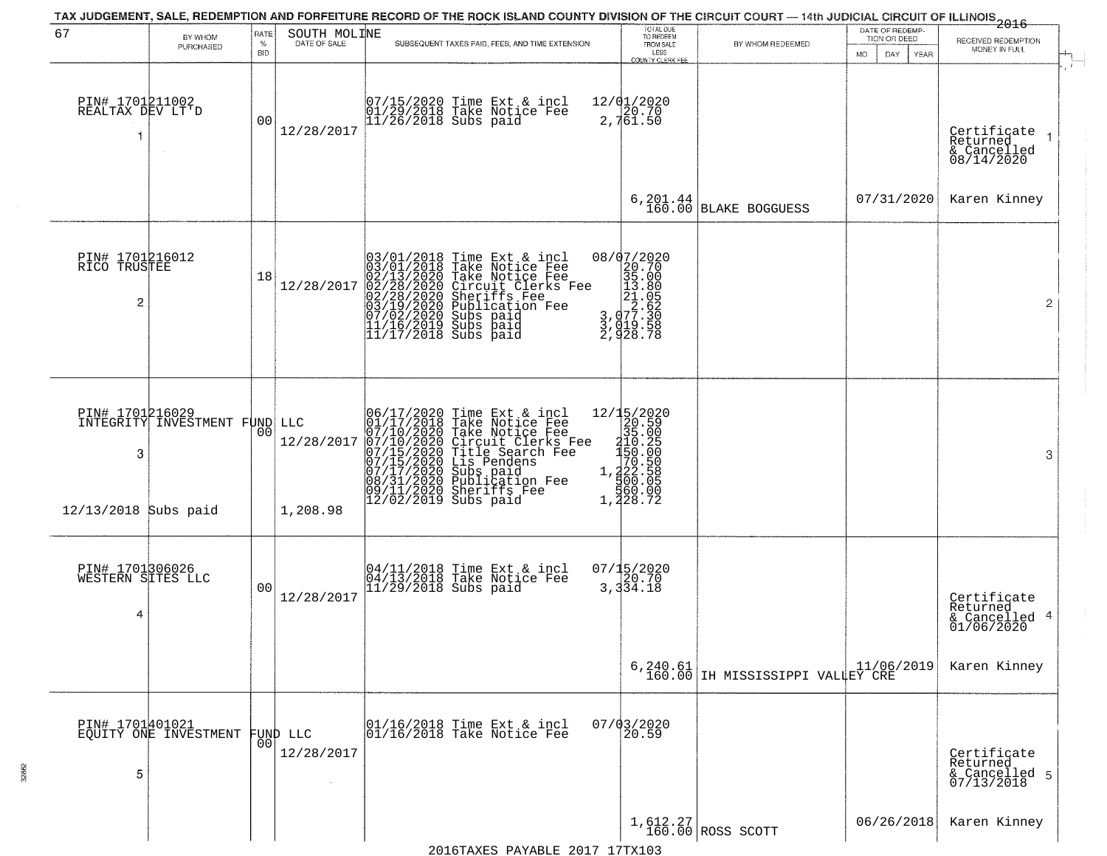| 67                                        | BY WHOM<br>PURCHASED                              | <b>RATE</b><br>%<br><b>BID</b> | SOUTH MOLINE<br>DATE OF SALE | SUBSEQUENT TAXES PAID, FEES, AND TIME EXTENSION                                                                                                                                                                                                                                                        | TOTAL DUE<br>TO REDEEM<br>FROM SALE<br>LESS<br><b>COUNTY CLERK FEE</b>                                                                                | BY WHOM REDEEMED                                         | DATE OF REDEMP-<br>TION OR DEED<br><b>MO</b><br>DAY.<br>YEAR | <del>2016</del><br>RECEIVED REDEMPTION<br>MONEY IN FULL               |
|-------------------------------------------|---------------------------------------------------|--------------------------------|------------------------------|--------------------------------------------------------------------------------------------------------------------------------------------------------------------------------------------------------------------------------------------------------------------------------------------------------|-------------------------------------------------------------------------------------------------------------------------------------------------------|----------------------------------------------------------|--------------------------------------------------------------|-----------------------------------------------------------------------|
| PIN# 1701211002<br>REALTAX DEV LT'D<br>1  |                                                   | 0 <sub>0</sub>                 | 12/28/2017                   | 07/15/2020 Time Ext & incl<br>01/29/2018 Take Notice Fee<br>11/26/2018 Subs paid                                                                                                                                                                                                                       | $\frac{12}{9}$ $\frac{12}{29}$ $\frac{20}{29}$<br>2,761.50                                                                                            |                                                          |                                                              | $\mathcal{A}$<br>Certificate<br>Returned<br>& Cancelled<br>08/14/2020 |
|                                           |                                                   |                                |                              |                                                                                                                                                                                                                                                                                                        | 6,201.44<br>160.00                                                                                                                                    | <b>BLAKE BOGGUESS</b>                                    | 07/31/2020                                                   | Karen Kinney                                                          |
| PIN# 1701216012<br>RICO TRUSTEE<br>2      |                                                   | 18                             | 12/28/2017                   | $03/01/2018$ Time Ext & incl<br>$03/01/2018$ Take Notice Fee<br>$02/13/2020$ Take Notice Fee<br>$02/28/2020$ Circuit Clerks Fee<br>$02/28/2020$ Sheriffs Fee<br>$03/19/22020$ Subs paid<br>$11/16/2019$ Subs paid<br>$11/17/2018$ Subs paid                                                            | 08/07/2020<br>$\begin{array}{r} 8/4/2028 \\ 20.70 \\ 35.00 \\ 13.80 \\ 21.05 \\ 2.62 \\ 3.077.30 \\ \end{array}$<br>$\frac{3}{2}, \frac{019}{928}.78$ |                                                          |                                                              | $\overline{2}$                                                        |
| PIN# 1701216029<br>INTEGRITY<br>3         | INVESTMENT FUND                                   | 0 <sub>0</sub>                 | LLC<br>12/28/2017            | 06/17/2020<br>01/17/2018<br>07/10/2020<br>07/15/2020<br>07/15/2020<br>07/17/2020<br>08/31/2020<br>08/11/2020<br>09/11/2020<br>Time Ext & incl<br>Take Notice Fee<br>Take Notice Fee<br>Take Notice Fee<br>Title Search Fee<br>Lis Pendens<br>Subs paid<br>Publication Fee<br>Sheriffs Fee<br>Subs paid | $[ \begin{smallmatrix} 12/15/2020\\ 20.59\\ 35.00\\ 110.20\\ -150.20\\ 150.00\\ 170.508\\ 160.00\\ 60.00\\ 500\\ 1,422\\ 72\\ \end{smallmatrix} ]$    |                                                          |                                                              | 3                                                                     |
| 12/13/2018 Subs paid                      |                                                   |                                | 1,208.98                     | 12/02/2019 Subs paid                                                                                                                                                                                                                                                                                   |                                                                                                                                                       |                                                          |                                                              |                                                                       |
| PIN# 1701306026<br>WESTERN SITES LLC<br>4 |                                                   | 00                             | 12/28/2017                   | 04/11/2018 Time Ext & incl<br>04/13/2018 Take Notice Fee<br>11/29/2018 Subs paid                                                                                                                                                                                                                       | $07/15/2020$<br>3, 334.18                                                                                                                             |                                                          |                                                              | Certificate<br>Returned<br>& Cancelled 4<br>01/06/2020                |
|                                           |                                                   |                                |                              |                                                                                                                                                                                                                                                                                                        |                                                                                                                                                       | 6, 240.61 11/06/2019<br>160.00 IH MISSISSIPPI VALLEY CRE |                                                              | Karen Kinney                                                          |
| 5                                         | PIN# 1701401021<br>EQUITY ONE INVESTMENT FUND LLC |                                | 12/28/2017                   | 01/16/2018 Time Ext & incl<br>01/16/2018 Take Notice Fee                                                                                                                                                                                                                                               | $07/03/2020$<br>20.59                                                                                                                                 |                                                          |                                                              | Certificate<br>Returned<br>& Cancelled 5<br>07/13/2018                |
|                                           |                                                   |                                |                              | $2016$ mayrc payartr 2017 17my102                                                                                                                                                                                                                                                                      |                                                                                                                                                       | $1,612.27$ ROSS SCOTT                                    | 06/26/2018                                                   | Karen Kinney                                                          |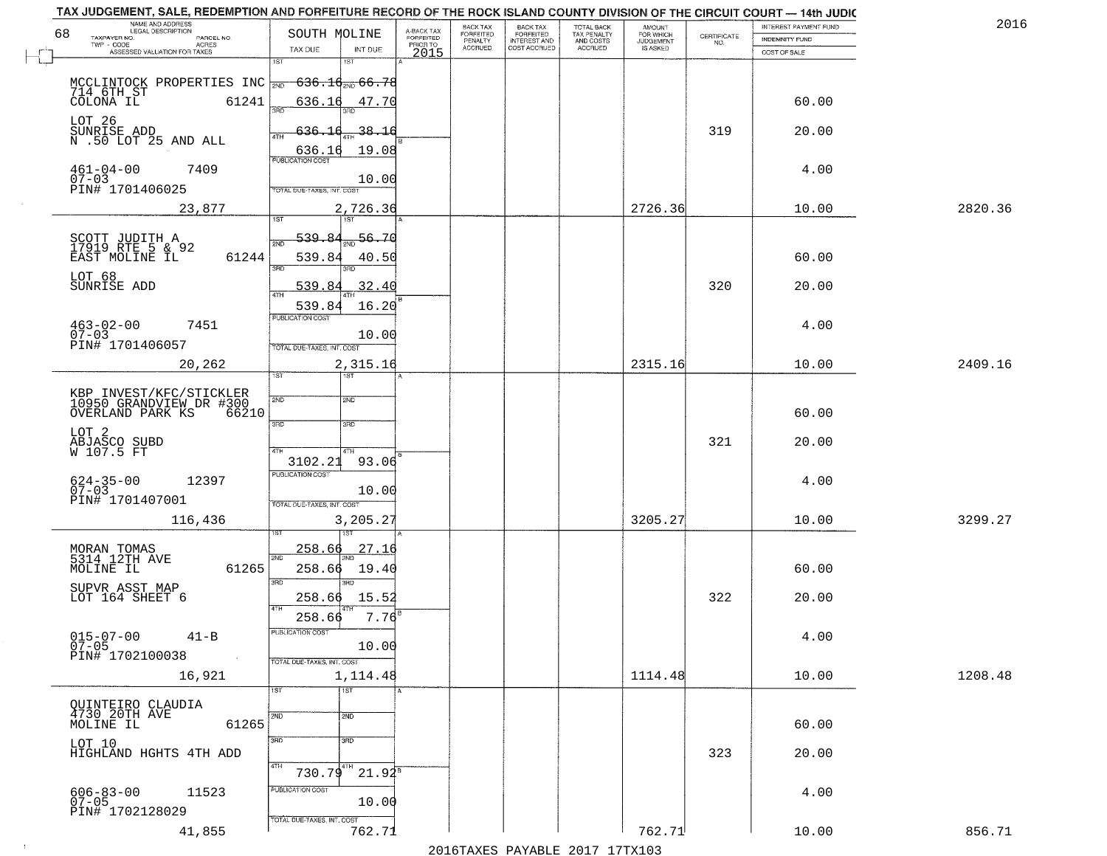|                              | NAME AND ADDRESS<br>LEGAL DESCRIPTION                                                                               |                                                                          |                                     | BACK TAX             | <b>BACK TAX</b>           | TOTAL BACK<br>TAX PENALTY<br>AND COSTS |                                  |                                                                 | INTEREST PAYMENT FUND | 2016    |
|------------------------------|---------------------------------------------------------------------------------------------------------------------|--------------------------------------------------------------------------|-------------------------------------|----------------------|---------------------------|----------------------------------------|----------------------------------|-----------------------------------------------------------------|-----------------------|---------|
| 68<br>TAXPAYER NO.           | PARCEL NO.<br>ACRES                                                                                                 | SOUTH MOLINE                                                             | A-BACK TAX<br>FORFEITED<br>PRIOR TO | FORFEITED<br>PENALTY | FORFEITED<br>INTEREST AND |                                        | AMOUNT<br>FOR WHICH<br>JUDGEMENT | $\begin{array}{c} \text{CERTIFICATE} \\ \text{NO.} \end{array}$ | INDEMNITY FUND        |         |
|                              | ASSESSED VALUATION FOR TAXES                                                                                        | TAX DUE<br>INT DUE<br>1ST<br>18T                                         | 2015                                | <b>ACCRUED</b>       | COST ACCRUED              | ACCRUED                                | IS ASKED                         |                                                                 | COST OF SALE          |         |
|                              | MCCLINTOCK PROPERTIES INC $\frac{1}{200}$ 636.1 $\frac{1}{200}$ 66.78<br>714 6TH ST<br>COLONA IL 61241 636.10 47.70 |                                                                          |                                     |                      |                           |                                        |                                  |                                                                 | 60.00                 |         |
| LOT <sub>26</sub>            | SUNRISE ADD<br>N .50 LOT 25 AND ALL                                                                                 | $-38.16$<br>636.16                                                       |                                     |                      |                           |                                        |                                  | 319                                                             | 20.00                 |         |
| $461 - 04 - 00$<br>$07 - 03$ | 7409<br>PIN# 1701406025                                                                                             | 19.08<br>10.00                                                           |                                     |                      |                           |                                        |                                  |                                                                 | 4.00                  |         |
|                              | 23,877                                                                                                              | TOTAL DUE-TAXES, INT. COST<br>2,726.36                                   |                                     |                      |                           |                                        | 2726.36                          |                                                                 | 10.00                 | 2820.36 |
| LOT 68                       | SCOTT JUDITH A<br>17919 RTE 5 & 92<br>EAST MOLINE IL<br>61244                                                       | 539.84<br>56.70<br>2ND<br>539.84<br>40.50<br>3BD<br>3BD.                 |                                     |                      |                           |                                        |                                  |                                                                 | 60.00                 |         |
| SUNRISE ADD                  |                                                                                                                     | 539.84<br>.32.40<br>$\overline{47H}$<br>539.84<br>16.20                  |                                     |                      |                           |                                        |                                  | 320                                                             | 20.00                 |         |
| $463 - 02 - 00$<br>$07 - 03$ | 7451<br>PIN# 1701406057                                                                                             | PUBLICATION COST<br>10.00<br>TOTAL DUE-TAXES, INT. COST                  |                                     |                      |                           |                                        |                                  |                                                                 | 4.00                  |         |
|                              | 20,262                                                                                                              | 2,315.16<br>1ST<br>1ST                                                   |                                     |                      |                           |                                        | 2315.16                          |                                                                 | 10.00                 | 2409.16 |
|                              | KBP INVEST/KFC/STICKLER<br>10950 GRANDVIEW DR #300<br>OVERLAND PARK KS<br>66210                                     | 2ND<br>2ND<br>3RD<br>3RD                                                 |                                     |                      |                           |                                        |                                  |                                                                 | 60.00                 |         |
| LOT 2                        | ABJASCO SUBD<br>W 107.5 FT                                                                                          | 4TH<br>4TH<br>93.06<br>3102.21                                           |                                     |                      |                           |                                        |                                  | 321                                                             | 20.00                 |         |
| $624 - 35 - 00$<br>07-03     | 12397<br>PIN# 1701407001                                                                                            | <b>PUBLICATION COST</b><br>10.00<br>TOTAL OUE-TAXES, INT. COST           |                                     |                      |                           |                                        |                                  |                                                                 | 4.00                  |         |
|                              | 116,436                                                                                                             | 3,205.27                                                                 |                                     |                      |                           |                                        | 3205.27                          |                                                                 | 10.00                 | 3299.27 |
| MOLINE IL                    | MORAN TOMAS<br>5314 12TH AVE<br>61265                                                                               | <u>258.66</u><br>27.16<br>2ND<br>258.66<br>19.40<br>3 <sub>BD</sub><br>m |                                     |                      |                           |                                        |                                  |                                                                 | 60.00                 |         |
|                              | SUPVR ASST MAP<br>LOT 164 SHEET 6                                                                                   | 258.66<br>15.52<br>4TH<br>$7.76^{8}$<br>258.66                           |                                     |                      |                           |                                        |                                  | 322                                                             | 20.00                 |         |
| $015 - 07 - 00$<br>$07 - 05$ | $41 - B$<br>PIN# 1702100038<br>$\sim 100$ km $^{-1}$                                                                | PUBLICATION COST<br>10.00<br>TOTAL DUE-TAXES, INT. COST                  |                                     |                      |                           |                                        |                                  |                                                                 | 4.00                  |         |
|                              | 16,921                                                                                                              | 1,114.48<br>1ST<br>1ST                                                   |                                     |                      |                           |                                        | 1114.48                          |                                                                 | 10.00                 | 1208.48 |
|                              | QUINTEIRO CLAUDIA<br>4730 20TH AVE<br>MOLINE IL<br>61265                                                            | 2ND<br>2ND<br>3BD                                                        |                                     |                      |                           |                                        |                                  |                                                                 | 60.00                 |         |
| LOT 10                       | HIGHLAND HGHTS 4TH ADD                                                                                              | 3 <sub>BD</sub><br>4TH<br>$730.79^{4TH}$<br>$21.94^5$                    |                                     |                      |                           |                                        |                                  | 323                                                             | 20.00                 |         |
| $606 - 83 - 00$<br>07-05     | 11523<br>PIN# 1702128029                                                                                            | PUBLICATION COST<br>10.00<br>TOTAL DUE-TAXES, INT. COST                  |                                     |                      |                           |                                        |                                  |                                                                 | 4.00                  |         |
|                              | 41,855                                                                                                              | 762.71                                                                   |                                     |                      |                           |                                        | 762.71                           |                                                                 | 10.00                 | 856.71  |

 $\sim 10^{-1}$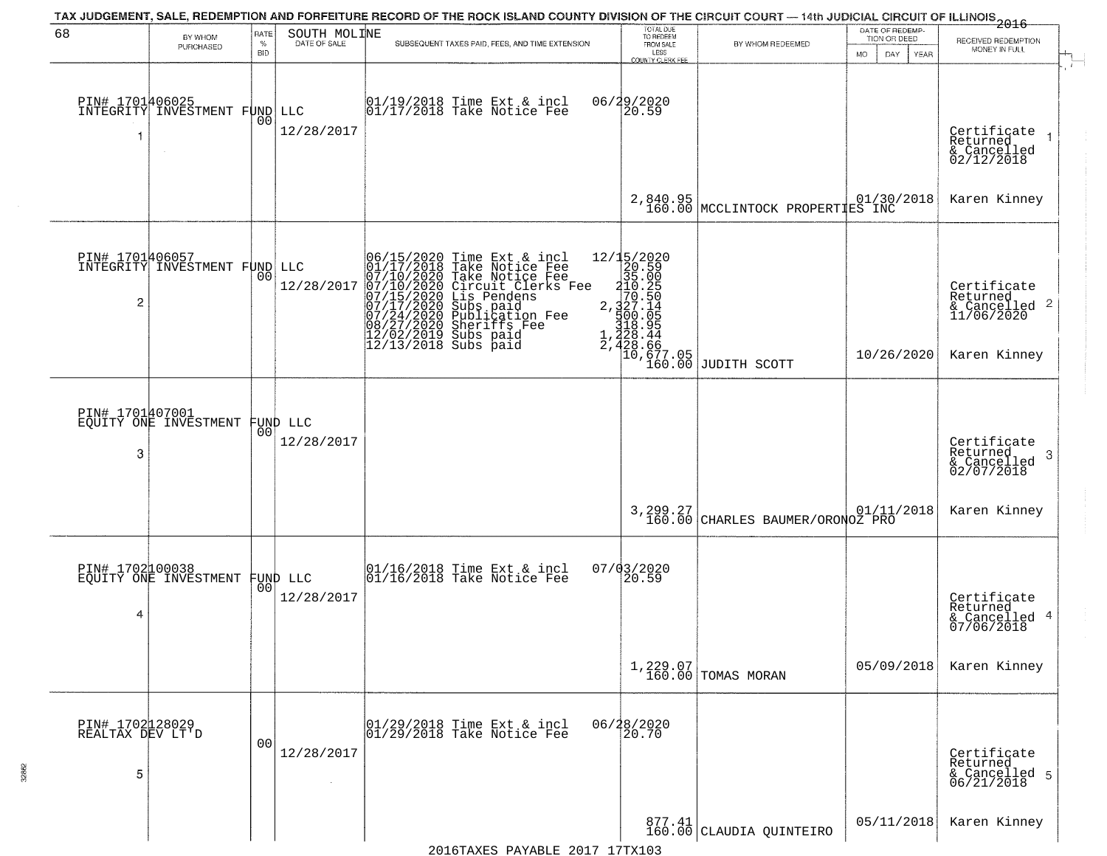| 68                                       | BY WHOM<br>PURCHASED                                    | RATE<br>$\%$<br>BID | SOUTH MOLINE                   | TAX JUDGEMENT, SALE, REDEMPTION AND FORFEITURE RECORD OF THE ROCK ISLAND COUNTY DIVISION OF THE CIRCUIT COURT — 14th JUDICIAL CIRCUIT OF ILLINOIS 2016<br>SUBSEQUENT TAXES PAID, FEES, AND TIME EXTENSION                                                                                                                                                                                                      | TOTAL DUE<br>TO REDEEM<br>FROM SALE<br>LESS<br>COUNTY CLERK FEE                   | BY WHOM REDEEMED                   | DATE OF REDEMP-<br>TION OR DEED<br><b>MO</b><br>DAY<br><b>YEAR</b> | RECEIVED REDEMPTION<br>MONEY IN FULL                                   |
|------------------------------------------|---------------------------------------------------------|---------------------|--------------------------------|----------------------------------------------------------------------------------------------------------------------------------------------------------------------------------------------------------------------------------------------------------------------------------------------------------------------------------------------------------------------------------------------------------------|-----------------------------------------------------------------------------------|------------------------------------|--------------------------------------------------------------------|------------------------------------------------------------------------|
| PIN# 1701406025<br>-1                    | INTEGRITY INVESTMENT FUND                               | 00                  | LLC<br>12/28/2017              | 01/19/2018 Time Ext & incl<br>01/17/2018 Take Notice Fee                                                                                                                                                                                                                                                                                                                                                       | 06/29/2020<br>20.59                                                               |                                    |                                                                    | Certificate<br>Returned<br>& Cancelled<br>02/12/2018                   |
|                                          |                                                         |                     |                                |                                                                                                                                                                                                                                                                                                                                                                                                                | 2,840.95<br>160.00                                                                | MCCLINTOCK PROPERTIES INC          |                                                                    | Karen Kinney                                                           |
| 2                                        | <b>PIN# 1701406057</b><br>INTEGRITY INVESTMENT FUND LLC | 0 <sub>0</sub>      | 12/28/2017                     | 06/15/2020 Time Ext &<br>01/17/2018 Take Notic<br>07/10/2020 Circuit Cl<br>07/10/2020 Circuit Cl<br>07/15/2020 Circuit Cl<br>07/17/2020 Subs paid<br>07/24/2020 Publicatic<br>08/27/2020 Sheriffs F<br>12/02/2019 Subs paid<br>12/13/2018 Subs paid<br>Time Ext & incl<br>Take Notice Fee<br>Circuit Clerks Fee<br>Lis Pendens<br>Lis Pendens<br>Subs paid<br>Publication Fee<br>Sheriffs Fee<br>$\frac{1}{2}$ | ${2715/2020\n 20.59\n 35.000\n 210.250\n 2.327.14\n 320.055\n 4.328.94$<br>428.44 | 10,677.05<br>160.00 JUDITH SCOTT   | 10/26/2020                                                         | Certificate<br>Returned<br>& Cancelled 2<br>11/06/2020<br>Karen Kinney |
| PIN# 1701407001<br>3                     | EQUITY ONE INVESTMENT                                   | 00                  | FUND LLC<br>12/28/2017         |                                                                                                                                                                                                                                                                                                                                                                                                                |                                                                                   |                                    |                                                                    | Certificate<br>Returned<br>-3<br>& Cancelled<br>02/07/2018             |
|                                          |                                                         |                     |                                |                                                                                                                                                                                                                                                                                                                                                                                                                | 3,299.27<br>160.00                                                                | CHARLES BAUMER/ORONOZ PRO          | 01/11/2018                                                         | Karen Kinney                                                           |
| PIN# 1702100038<br>4                     | EQUITY ONE INVESTMENT                                   |                     | FUND LLC<br> 00 <br>12/28/2017 | 01/16/2018 Time Ext & incl<br>01/16/2018 Take Notice Fee                                                                                                                                                                                                                                                                                                                                                       | $07/03/2020$<br>20.59                                                             |                                    |                                                                    | Certificate<br>Returned<br>& Cancelled 4<br>07/06/2018                 |
|                                          |                                                         |                     |                                |                                                                                                                                                                                                                                                                                                                                                                                                                |                                                                                   | 1,229.07<br>160.00 TOMAS MORAN     | 05/09/2018                                                         | Karen Kinney                                                           |
| PIN# 1702128029<br>REALTAX DEV LT'D<br>5 |                                                         | 0 <sub>0</sub>      | 12/28/2017                     | 01/29/2018 Time Ext & incl<br>01/29/2018 Take Notice Fee                                                                                                                                                                                                                                                                                                                                                       | 06/28/2020<br>20.70                                                               |                                    |                                                                    | Certificate<br>Returned<br>& Cancelled 5<br>06/21/2018                 |
|                                          |                                                         |                     |                                |                                                                                                                                                                                                                                                                                                                                                                                                                |                                                                                   | 877.41<br>160.00 CLAUDIA QUINTEIRO | 05/11/2018                                                         | Karen Kinney                                                           |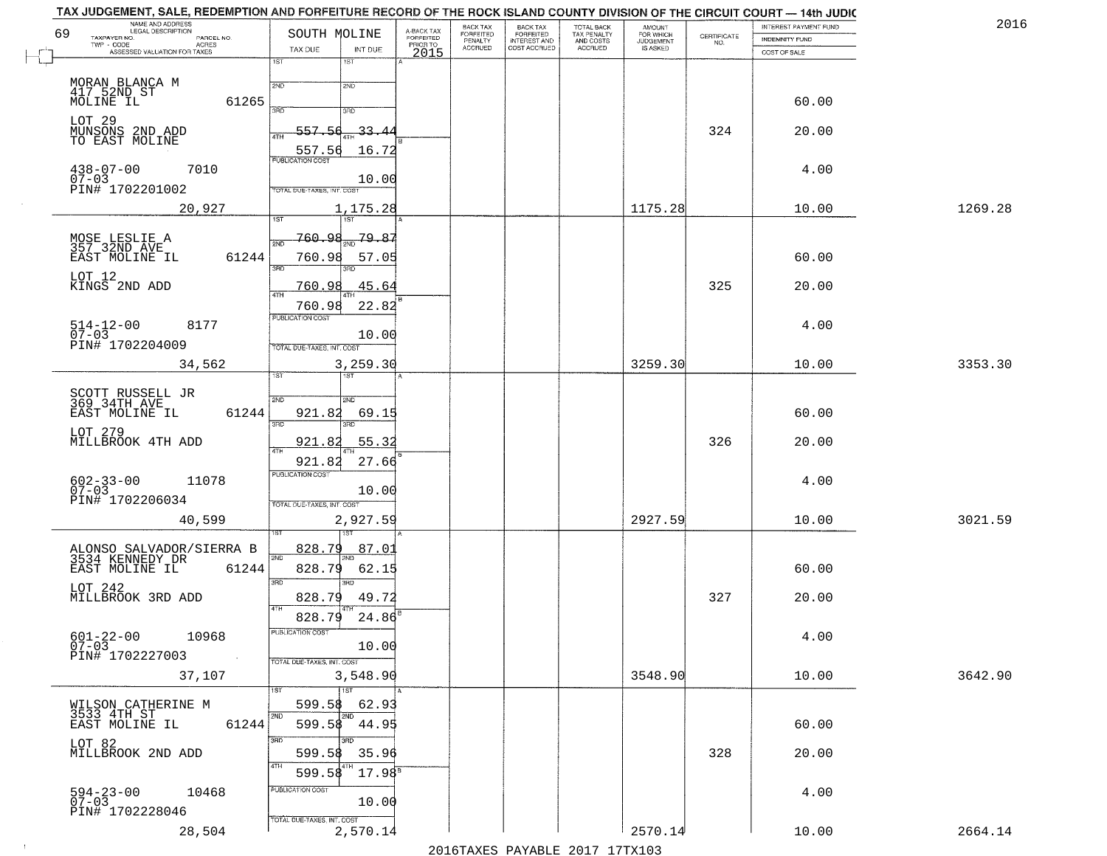| NAME AND ADDRESS<br>LEGAL DESCRIPTION<br>69                            | SOUTH MOLINE                               | A-BACK TAX<br>FORFEITED | BACK TAX<br><b>FORFEITED</b> | <b>BACK TAX</b><br><b>FORFEITED</b> | TOTAL BACK<br>TAX PENALTY | <b>AMOUNT</b>                      |                    | INTEREST PAYMENT FUND | 2016    |
|------------------------------------------------------------------------|--------------------------------------------|-------------------------|------------------------------|-------------------------------------|---------------------------|------------------------------------|--------------------|-----------------------|---------|
| TAXPAYER NO.<br>PARCEL NO.<br>TWP - CODE<br>ACRES                      | TAX DUE<br>INT DUE                         | PRIOR TO                | PENALTY<br>ACCRUED           | INTEREST AND<br>COST ACCRUED        | AND COSTS<br>ACCRUED      | FOR WHICH<br>JUDGEMENT<br>IS ASKED | CERTIFICATE<br>NO. | <b>INDEMNITY FUND</b> |         |
| ASSESSED VALUATION FOR TAXES                                           | 1ST<br>1ST                                 | 2015                    |                              |                                     |                           |                                    |                    | COST OF SALE          |         |
|                                                                        |                                            |                         |                              |                                     |                           |                                    |                    |                       |         |
| MORAN BLANCA M<br>417 52ND ST                                          | 2ND<br>2ND                                 |                         |                              |                                     |                           |                                    |                    |                       |         |
| MOLINE IL<br>61265                                                     | 3AD.<br>3RD                                |                         |                              |                                     |                           |                                    |                    | 60.00                 |         |
| LOT 29<br>MUNSONS 2ND ADD                                              | 557.56<br>-33.4                            |                         |                              |                                     |                           |                                    | 324                | 20.00                 |         |
| TO EAST MOLINE                                                         | 4TH<br>557.56<br>16.72                     |                         |                              |                                     |                           |                                    |                    |                       |         |
| $438 - 07 - 00$<br>7010                                                | PUBLICATION COST                           |                         |                              |                                     |                           |                                    |                    | 4.00                  |         |
| $07 - 03$                                                              | 10.00                                      |                         |                              |                                     |                           |                                    |                    |                       |         |
| PIN# 1702201002                                                        | TOTAL DUE-TAXES, INT. COST                 |                         |                              |                                     |                           |                                    |                    |                       |         |
| 20,927                                                                 | 1,175.28<br>1ST<br>$\overline{15T}$        |                         |                              |                                     |                           | 1175.28                            |                    | 10.00                 | 1269.28 |
|                                                                        | 760.98<br>79.87<br>2ND                     |                         |                              |                                     |                           |                                    |                    |                       |         |
| MOSE LESLIE A<br>357 32ND AVE<br>EAST MOLINE IL<br>61244               | 760.98<br>57.05                            |                         |                              |                                     |                           |                                    |                    | 60.00                 |         |
|                                                                        | 3RD                                        |                         |                              |                                     |                           |                                    |                    |                       |         |
| LOT 12<br>KINGS 2ND ADD                                                | 45.64<br>760.98<br>47H                     |                         |                              |                                     |                           |                                    | 325                | 20.00                 |         |
|                                                                        | 22.82<br>760.98                            |                         |                              |                                     |                           |                                    |                    |                       |         |
| $514 - 12 - 00$<br>$07 - 03$<br>8177                                   | PUBLICATION COST                           |                         |                              |                                     |                           |                                    |                    | 4.00                  |         |
| PIN# 1702204009                                                        | 10.00<br>TOTAL DUE-TAXES, INT. COST        |                         |                              |                                     |                           |                                    |                    |                       |         |
| 34,562                                                                 | 3,259.30                                   |                         |                              |                                     |                           | 3259.30                            |                    | 10.00                 | 3353.30 |
|                                                                        | 1ST                                        |                         |                              |                                     |                           |                                    |                    |                       |         |
| SCOTT RUSSELL JR<br>369 34TH AVE                                       | 2ND<br>2ND                                 |                         |                              |                                     |                           |                                    |                    |                       |         |
| 61244<br>EAST MOLINE IL                                                | 921.82<br>69.15<br>3RD                     |                         |                              |                                     |                           |                                    |                    | 60.00                 |         |
| LOT 279                                                                |                                            |                         |                              |                                     |                           |                                    |                    |                       |         |
| MILLBROOK 4TH ADD                                                      | 55.32<br>921.82<br>4TH                     |                         |                              |                                     |                           |                                    | 326                | 20.00                 |         |
|                                                                        | 27.66<br>921.82<br><b>PUBLICATION COST</b> |                         |                              |                                     |                           |                                    |                    |                       |         |
| 602-33-00<br>07-03<br>11078                                            | 10.00                                      |                         |                              |                                     |                           |                                    |                    | 4.00                  |         |
| PIN# 1702206034                                                        | TOTAL OUE-TAXES, INT. COST                 |                         |                              |                                     |                           |                                    |                    |                       |         |
| 40,599                                                                 | 2,927.59                                   |                         |                              |                                     |                           | 2927.59                            |                    | 10.00                 | 3021.59 |
|                                                                        | 828.79<br>87.0                             |                         |                              |                                     |                           |                                    |                    |                       |         |
| ALONSO SALVADOR/SIERRA B<br>3534 KENNEDY DR<br>61244<br>EAST MOLINE IL | 2ND<br>828.79<br>62.15                     |                         |                              |                                     |                           |                                    |                    | 60.00                 |         |
| LOT 242                                                                | 3 <sub>BD</sub><br>3RD                     |                         |                              |                                     |                           |                                    |                    |                       |         |
| MILLBROOK 3RD ADD                                                      | 49.72<br>828.79                            |                         |                              |                                     |                           |                                    | 327                | 20.00                 |         |
|                                                                        | 828.79<br>24.86                            |                         |                              |                                     |                           |                                    |                    |                       |         |
| $601 - 22 - 00$<br>07-03<br>10968                                      | PUBLICATION COST                           |                         |                              |                                     |                           |                                    |                    | 4.00                  |         |
| PIN# 1702227003<br><b>Contract</b>                                     | 10.00<br>TOTAL DUE-TAXES, INT. COST        |                         |                              |                                     |                           |                                    |                    |                       |         |
| 37,107                                                                 | 3,548.90                                   |                         |                              |                                     |                           | 3548.90                            |                    | 10.00                 | 3642.90 |
|                                                                        |                                            |                         |                              |                                     |                           |                                    |                    |                       |         |
| WILSON CATHERINE M<br>3533 4TH ST                                      | 599.58<br>62.93<br>2ND<br>2ND              |                         |                              |                                     |                           |                                    |                    |                       |         |
| EAST MOLINE IL<br>61244                                                | 599.58<br>44.95                            |                         |                              |                                     |                           |                                    |                    | 60.00                 |         |
| LOT 82<br>MILLBROOK 2ND ADD                                            | 3BD<br>599.58                              |                         |                              |                                     |                           |                                    | 328                | 20.00                 |         |
|                                                                        | 35.96<br>4TH                               |                         |                              |                                     |                           |                                    |                    |                       |         |
|                                                                        | $17.98^8$<br>599.58<br>PUBLICATION COST    |                         |                              |                                     |                           |                                    |                    |                       |         |
| $594 - 23 - 00$<br>07-03<br>10468                                      | 10.00                                      |                         |                              |                                     |                           |                                    |                    | 4.00                  |         |
| PIN# 1702228046                                                        | TOTAL DUE-TAXES, INT. COST                 |                         |                              |                                     |                           |                                    |                    |                       |         |
| 28,504                                                                 | 2,570.14                                   |                         |                              |                                     |                           | 2570.14                            |                    | 10.00                 | 2664.14 |

 $\sim 100$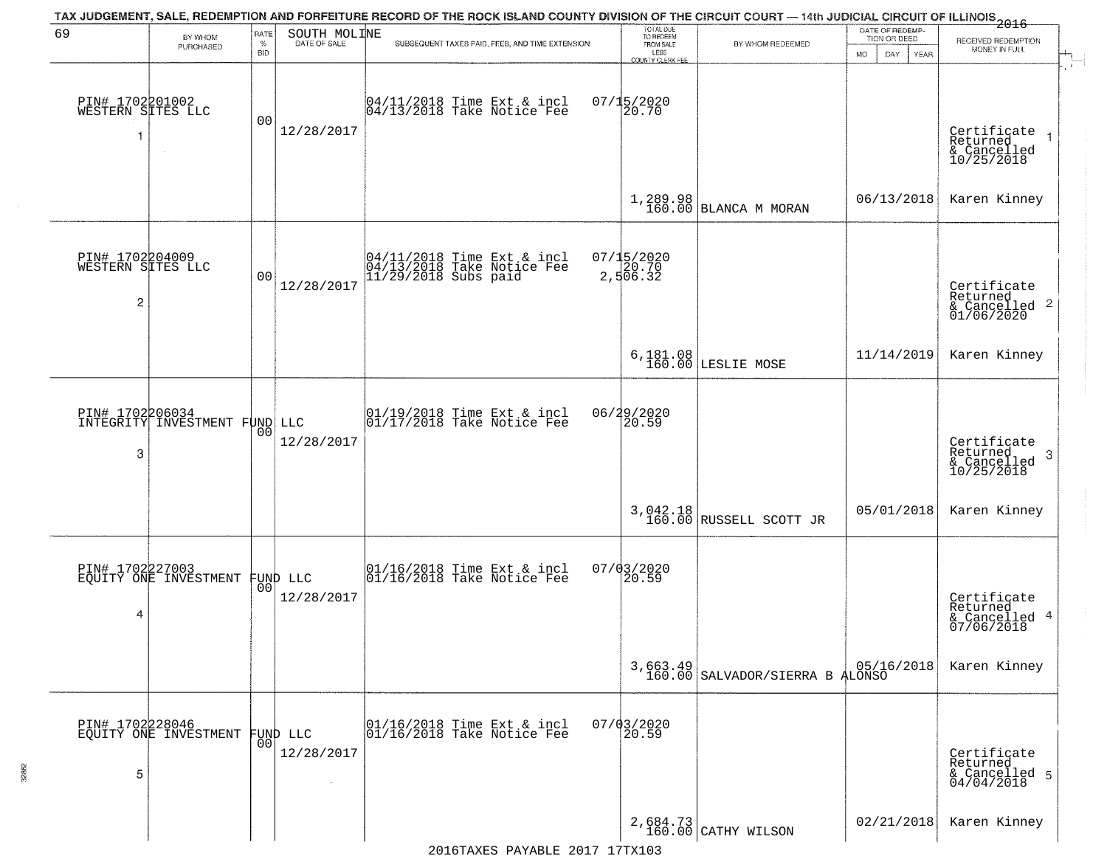| 69                                                     | BY WHOM                                          | <b>RATE</b>        | SOUTH MOLINE           | TAX JUDGEMENT, SALE, REDEMPTION AND FORFEITURE RECORD OF THE ROCK ISLAND COUNTY DIVISION OF THE CIRCUIT COURT — 14th JUDICIAL CIRCUIT OF ILLINOIS 2016 | TOTAL DUE<br>TO REDEEM                       |                                             | DATE OF REDEMP-<br>TION OR DEED |                                                                    |
|--------------------------------------------------------|--------------------------------------------------|--------------------|------------------------|--------------------------------------------------------------------------------------------------------------------------------------------------------|----------------------------------------------|---------------------------------------------|---------------------------------|--------------------------------------------------------------------|
|                                                        | PURCHASED                                        | $\%$<br><b>BID</b> | DATE OF SALE           | SUBSEQUENT TAXES PAID, FEES, AND TIME EXTENSION                                                                                                        | FROM SALE<br>LESS<br><b>COUNTY CLERK FEE</b> | BY WHOM REDEEMED                            | MO.<br>DAY.<br>YEAR             | RECEIVED REDEMPTION<br>MONEY IN FULL                               |
| PIN# 1702201002<br>WESTERN SITES LLC<br>1              | $\sim$                                           | 00                 | 12/28/2017             | 04/11/2018 Time Ext & incl<br>04/13/2018 Take Notice Fee                                                                                               | $07/15/2020$<br>20.70                        |                                             |                                 | Certificate<br>Returned<br>& Cancelled<br>10/25/2018               |
|                                                        |                                                  |                    |                        |                                                                                                                                                        |                                              | $1,289.98$ BLANCA M MORAN                   | 06/13/2018                      | Karen Kinney                                                       |
| PIN# 1702204009<br>WESTERN SITES LLC<br>$\overline{c}$ |                                                  | 0 <sub>0</sub>     | 12/28/2017             | 04/11/2018 Time Ext & incl<br>04/13/2018 Take Notice Fee<br>11/29/2018 Subs paid                                                                       | 07/15/2020<br>20.70<br>2,506.32              |                                             |                                 | Certificate<br>Returned<br>$\frac{1}{6}$ Cancelled 2<br>01/06/2020 |
|                                                        |                                                  |                    |                        |                                                                                                                                                        |                                              | 6,181.08<br>160.00 LESLIE MOSE              | 11/14/2019                      | Karen Kinney                                                       |
| 3                                                      | PIN# 1702206034<br>INTEGRITY INVESTMENT FUND LLC | 00                 | 12/28/2017             | 01/19/2018 Time Ext & incl<br>01/17/2018 Take Notice Fee                                                                                               | 06/29/2020<br>20.59                          |                                             |                                 | Certificate<br>Returned<br>3<br>& Cancelled<br>10/25/2018          |
|                                                        |                                                  |                    |                        |                                                                                                                                                        |                                              | $3,042.18$ RUSSELL SCOTT JR                 | 05/01/2018                      | Karen Kinney                                                       |
| PIN# 1702227003<br>4                                   | EQUITY ONE INVESTMENT                            | 00 <sup>1</sup>    | FUND LLC<br>12/28/2017 | 01/16/2018 Time Ext & incl<br>01/16/2018 Take Notice Fee                                                                                               | 07/03/2020<br>$\overline{20.59}$             |                                             |                                 | Certificate<br>Returned<br>& Cancelled 4<br>07/06/2018             |
|                                                        |                                                  |                    |                        |                                                                                                                                                        |                                              | 3,663.49<br>160.00 SALVADOR/SIERRA B ALONSO |                                 | Karen Kinney                                                       |
| 5                                                      | PIN# 1702228046<br>EQUITY ONE INVESTMENT         | 00 <sub>1</sub>    | FUND LLC<br>12/28/2017 | 01/16/2018 Time Ext & incl<br>01/16/2018 Take Notice Fee                                                                                               | $07/03/2020$<br>20.59                        |                                             |                                 | Certificate<br>Returned<br>& Cancelled 5<br>04/04/2018             |
|                                                        |                                                  |                    |                        |                                                                                                                                                        |                                              | 2,684.73<br>160.00 CATHY WILSON             | 02/21/2018                      | Karen Kinney                                                       |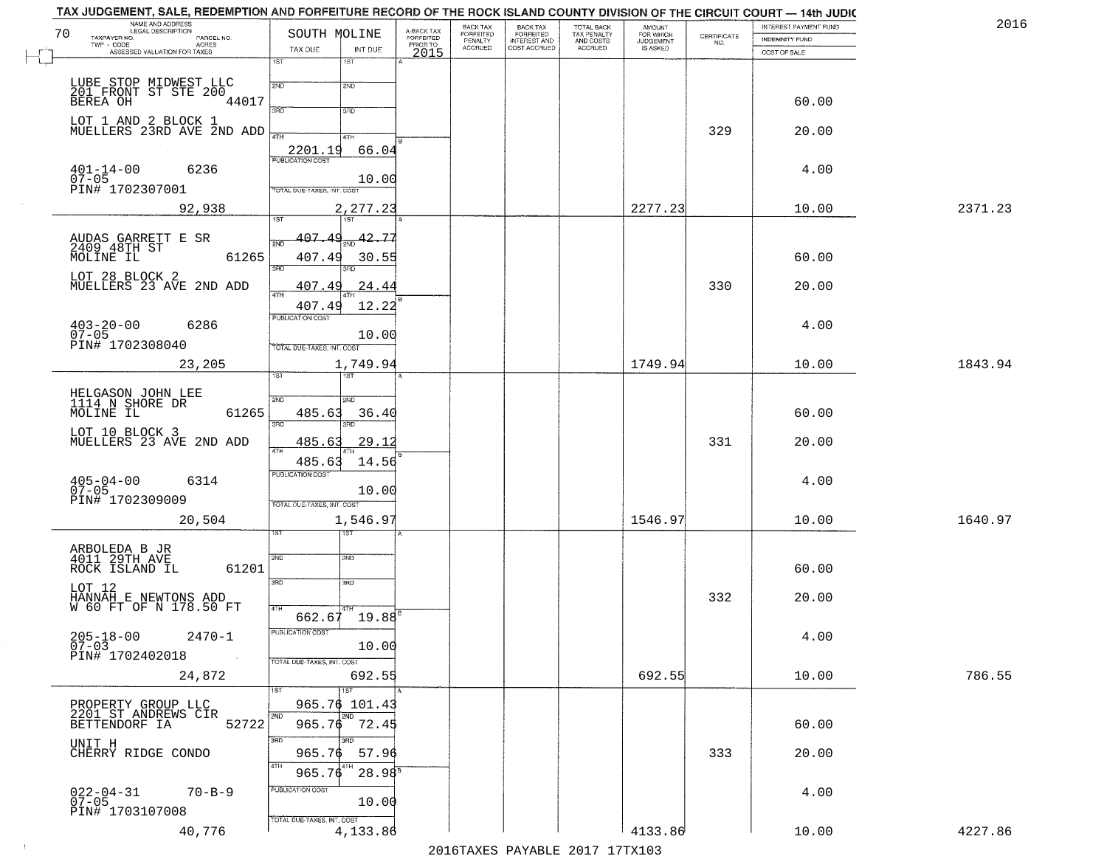| NAME AND ADDRESS<br>LEGAL DESCRIPTION<br>70              |                                            | A-BACK TAX<br>FORFEITED | BACK TAX<br>FORFEITED | <b>BACK TAX</b>           | TOTAL BACK<br>TAX PENALTY<br>AND COSTS | AMOUNT<br>FOR WHICH |                                                                 | INTEREST PAYMENT FUND | 2016    |
|----------------------------------------------------------|--------------------------------------------|-------------------------|-----------------------|---------------------------|----------------------------------------|---------------------|-----------------------------------------------------------------|-----------------------|---------|
| TAXPAYER NO.<br>PARCEL NO.<br>ACRES                      | SOUTH MOLINE                               | PRIOR TO                | PENALTY               | FORFEITED<br>INTEREST AND |                                        | <b>JUDGEMENT</b>    | $\begin{array}{c} \text{CERTIFICATE} \\ \text{NO.} \end{array}$ | INDEMNITY FUND        |         |
| ASSESSED VALUATION FOR TAXES                             | TAX DUE<br>INT DUE<br>1ST<br>1ST           | 2015                    | <b>ACCRUED</b>        | COST ACCRUED              | <b>ACCRUED</b>                         | IS ASKED            |                                                                 | COST OF SALE          |         |
|                                                          |                                            |                         |                       |                           |                                        |                     |                                                                 |                       |         |
| LUBE STOP MIDWEST LLC<br>201 FRONT ST STE 200            | 2ND<br>2ND                                 |                         |                       |                           |                                        |                     |                                                                 |                       |         |
| 44017<br>BEREA OH                                        | 3RD<br>3RD                                 |                         |                       |                           |                                        |                     |                                                                 | 60.00                 |         |
| LOT 1 AND 2 BLOCK 1<br>MUELLERS 23RD AVE 2ND ADD         |                                            |                         |                       |                           |                                        |                     |                                                                 |                       |         |
|                                                          | 4TH<br>4TH                                 |                         |                       |                           |                                        |                     | 329                                                             | 20.00                 |         |
|                                                          | 2201.19<br>66.04                           |                         |                       |                           |                                        |                     |                                                                 |                       |         |
| $401 - 14 - 00$<br>07-05<br>6236                         |                                            |                         |                       |                           |                                        |                     |                                                                 | 4.00                  |         |
| PIN# 1702307001                                          | 10.00<br>TOTAL DUE-TAXES, INT. COST        |                         |                       |                           |                                        |                     |                                                                 |                       |         |
| 92,938                                                   | 2,277.23                                   |                         |                       |                           |                                        | 2277.23             |                                                                 | 10.00                 | 2371.23 |
|                                                          |                                            |                         |                       |                           |                                        |                     |                                                                 |                       |         |
|                                                          | 407.49<br>$\frac{1}{2ND}$ 42.77<br>ইমট     |                         |                       |                           |                                        |                     |                                                                 |                       |         |
| AUDAS GARRETT E SR<br>2409 48TH ST<br>61265<br>MOLINE IL | 407.49<br>30.55                            |                         |                       |                           |                                        |                     |                                                                 | 60.00                 |         |
|                                                          | 3RD<br>3RD                                 |                         |                       |                           |                                        |                     |                                                                 |                       |         |
| LOT 28 BLOCK 2<br>MUELLERS 23 AVE 2ND ADD                | <u>407.49</u><br>24.44                     |                         |                       |                           |                                        |                     | 330                                                             | 20.00                 |         |
|                                                          | ৰাম<br>407.49<br>12.22                     |                         |                       |                           |                                        |                     |                                                                 |                       |         |
| $403 - 20 - 00$<br>6286                                  | PUBLICATION COST                           |                         |                       |                           |                                        |                     |                                                                 | 4.00                  |         |
| $07 - 05$                                                | 10.00                                      |                         |                       |                           |                                        |                     |                                                                 |                       |         |
| PIN# 1702308040                                          | TOTAL DUE-TAXES, INT. COST                 |                         |                       |                           |                                        |                     |                                                                 |                       |         |
| 23,205                                                   | 1,749.94<br>īst<br>1ST                     |                         |                       |                           |                                        | 1749.94             |                                                                 | 10.00                 | 1843.94 |
|                                                          |                                            |                         |                       |                           |                                        |                     |                                                                 |                       |         |
| HELGASON JOHN LEE<br>1114 N SHORE DR                     | 2ND<br>2ND                                 |                         |                       |                           |                                        |                     |                                                                 |                       |         |
| MOLINE IL<br>61265                                       | 485.63<br>36.40<br>3RD<br>3RD              |                         |                       |                           |                                        |                     |                                                                 | 60.00                 |         |
| LOT 10 BLOCK 3<br>MUELLERS 23 AVE 2ND ADD                |                                            |                         |                       |                           |                                        |                     |                                                                 |                       |         |
|                                                          | 485.63<br><u>29.12</u><br>4TH              |                         |                       |                           |                                        |                     | 331                                                             | 20.00                 |         |
|                                                          | 485.63<br>14.56<br><b>PUBLICATION COST</b> |                         |                       |                           |                                        |                     |                                                                 |                       |         |
| $405 - 04 - 00$<br>07-05<br>6314                         | 10.00                                      |                         |                       |                           |                                        |                     |                                                                 | 4.00                  |         |
| PIN# 1702309009                                          | TOTAL OUE-TAXES, INT. COST                 |                         |                       |                           |                                        |                     |                                                                 |                       |         |
| 20,504                                                   | 1,546.9                                    |                         |                       |                           |                                        | 1546.97             |                                                                 | 10.00                 | 1640.97 |
|                                                          | गड़ा                                       |                         |                       |                           |                                        |                     |                                                                 |                       |         |
| ARBOLEDA B JR<br>4011 29TH AVE                           | 2ND<br>2ND                                 |                         |                       |                           |                                        |                     |                                                                 |                       |         |
| ROCK ISLAND IL<br>61201                                  |                                            |                         |                       |                           |                                        |                     |                                                                 | 60.00                 |         |
| LOT 12                                                   | 3RD<br>3RD                                 |                         |                       |                           |                                        |                     |                                                                 |                       |         |
| HANNAH E NEWTONS ADD<br>W 60 FT OF N 178.50 FT           |                                            |                         |                       |                           |                                        |                     | 332                                                             | 20.00                 |         |
|                                                          | 4TH<br>$19.88^{E}$<br>662.67               |                         |                       |                           |                                        |                     |                                                                 |                       |         |
| $205 - 18 - 00$<br>$2470 - 1$                            | PUBLICATION COST                           |                         |                       |                           |                                        |                     |                                                                 | 4.00                  |         |
| $07 - 03$<br>PIN# 1702402018<br>$\sim 100$ km $^{-1}$    | 10.00                                      |                         |                       |                           |                                        |                     |                                                                 |                       |         |
|                                                          | TOTAL DUE-TAXES, INT. COST                 |                         |                       |                           |                                        |                     |                                                                 |                       |         |
| 24,872                                                   | 692.55<br>$\overline{11}$ st               |                         |                       |                           |                                        | 692.55              |                                                                 | 10.00                 | 786.55  |
| PROPERTY GROUP LLC                                       | 965.76 101.43                              |                         |                       |                           |                                        |                     |                                                                 |                       |         |
| 2201 ST ANDREWS CIR                                      | 2ND<br>2ND                                 |                         |                       |                           |                                        |                     |                                                                 |                       |         |
| 52722<br>BETTENDORF IA                                   | 965.76 72.45<br>חחו                        |                         |                       |                           |                                        |                     |                                                                 | 60.00                 |         |
| UNIT H<br>CHERRY RIDGE CONDO                             | 3RD<br>965.76<br>57.96                     |                         |                       |                           |                                        |                     | 333                                                             | 20.00                 |         |
|                                                          | 4TH<br>965.76<br>$28.98^8$                 |                         |                       |                           |                                        |                     |                                                                 |                       |         |
|                                                          | PUBLICATION COST                           |                         |                       |                           |                                        |                     |                                                                 |                       |         |
| $022 - 04 - 31$<br>$70 - B - 9$<br>$07 - 05$             | 10.00                                      |                         |                       |                           |                                        |                     |                                                                 | 4.00                  |         |
| PIN# 1703107008                                          | TOTAL DUE-TAXES, INT. COST                 |                         |                       |                           |                                        |                     |                                                                 |                       |         |
| 40,776                                                   | 4,133.86                                   |                         |                       |                           |                                        | 4133.86             |                                                                 | 10.00                 | 4227.86 |

 $\sim 10^{-1}$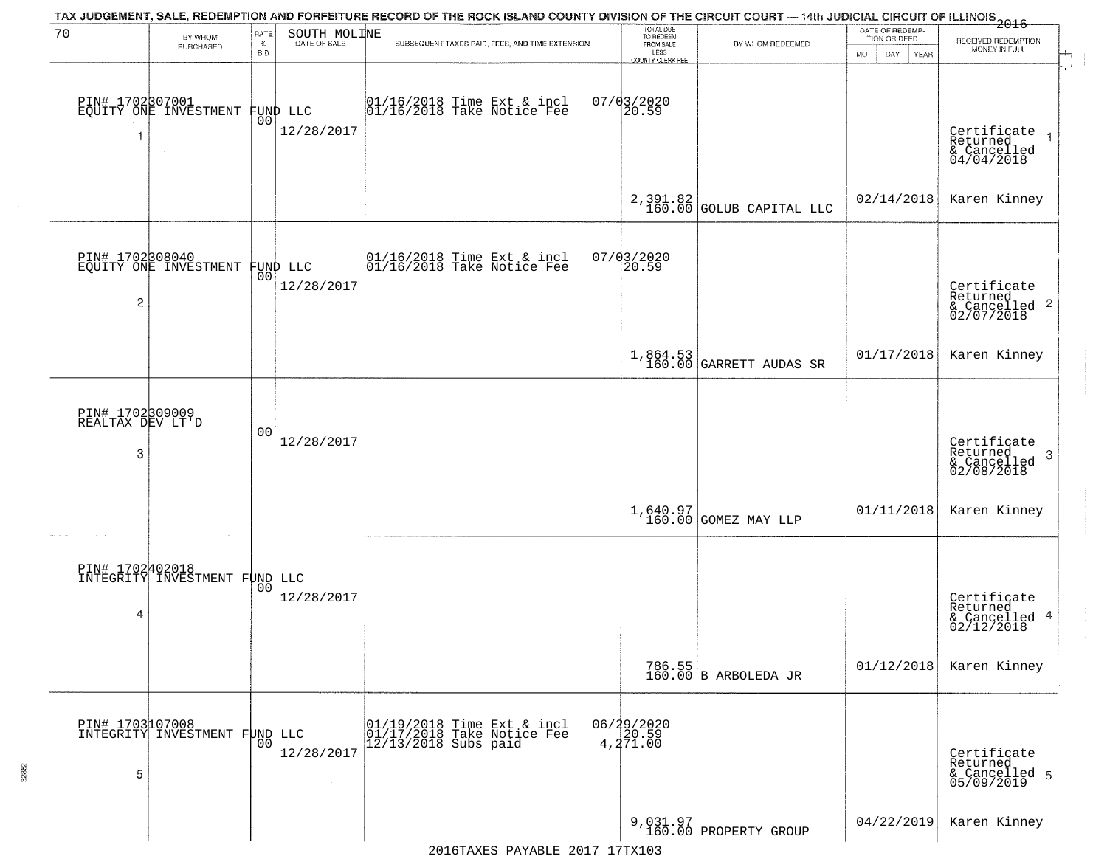| 70                                       | BY WHOM                                           | RATE               | SOUTH MOLINE           | TAX JUDGEMENT, SALE, REDEMPTION AND FORFEITURE RECORD OF THE ROCK ISLAND COUNTY DIVISION OF THE CIRCUIT COURT — 14th JUDICIAL CIRCUIT OF ILLINOIS 2016 | TOTAL DUE<br>TO REDEEM<br>FROM SALE               |                                        | DATE OF REDEMP-<br>TION OR DEED | RECEIVED REDEMPTION                                       |
|------------------------------------------|---------------------------------------------------|--------------------|------------------------|--------------------------------------------------------------------------------------------------------------------------------------------------------|---------------------------------------------------|----------------------------------------|---------------------------------|-----------------------------------------------------------|
|                                          | PURCHASED                                         | $\%$<br><b>BID</b> | DATE OF SALE           | SUBSEQUENT TAXES PAID, FEES, AND TIME EXTENSION                                                                                                        | LESS<br><b>COUNTY CLERK FEE</b>                   | BY WHOM REDEEMED                       | <b>MO</b><br>DAY<br>YEAR        | MONEY IN FULL                                             |
| 1                                        | PIN# 1702807001<br>EQUITY ONE INVESTMENT          | 0 <sub>0</sub>     | FUND LLC<br>12/28/2017 | 01/16/2018 Time Ext & incl<br>01/16/2018 Take Notice Fee                                                                                               | $07/03/2020$<br>20.59                             |                                        |                                 | Certificate<br>Returned<br>& Cancelled<br>04/04/2018      |
|                                          |                                                   |                    |                        |                                                                                                                                                        |                                                   | $2,391.82$<br>160.00 GOLUB CAPITAL LLC | 02/14/2018                      | Karen Kinney                                              |
| 2                                        | PIN# 1702308040<br>EQUITY ONE INVESTMENT FUND LLC |                    | 12/28/2017             | $\begin{array}{cccc}  01/16/2018 \text{ Time} & \text{Ext} & \text{in} \\  01/16/2018 \text{ Take Notice } \text{Fe} \end{array}$                      | 07/03/2020<br>20.59                               |                                        |                                 | Certificate<br>Returned<br>& Cancelled 2<br>02/07/2018    |
|                                          |                                                   |                    |                        |                                                                                                                                                        |                                                   | $1,864.53$<br>160.00 GARRETT AUDAS SR  | 01/17/2018                      | Karen Kinney                                              |
| PIN# 1702309009<br>REALTAX DEV LT'D<br>3 |                                                   | 0 <sub>0</sub>     | 12/28/2017             |                                                                                                                                                        |                                                   |                                        |                                 | Certificate<br>Returned<br>3<br>& Cancelled<br>02/08/2018 |
|                                          |                                                   |                    |                        |                                                                                                                                                        |                                                   | 1,640.97<br>160.00 GOMEZ MAY LLP       | 01/11/2018                      | Karen Kinney                                              |
| 4                                        | PIN# 1702402018<br>INTEGRITY INVESTMENT FUND LLC  | 0 <sub>0</sub>     | 12/28/2017             |                                                                                                                                                        |                                                   |                                        |                                 | Certificate<br>Returned<br>& Cancelled 4<br>02/12/2018    |
|                                          |                                                   |                    |                        |                                                                                                                                                        |                                                   | 786.55<br>160.00 B ARBOLEDA JR         | 01/12/2018                      | Karen Kinney                                              |
| PIN# 1703107008<br>5                     | INTEGRITY INVESTMENT FUND LLC                     | 0 <sub>0</sub>     | 12/28/2017<br>$\sim$   | 01/19/2018 Time Ext & incl<br>01/17/2018 Take Notice Fee<br>$12/13/2018$ Subs paid                                                                     | 06/29/2020<br>$4, 2\bar{7}\bar{1}.\bar{0}\bar{0}$ |                                        |                                 | Certificate<br>Returned<br>& Cancelled 5<br>05/09/2019    |
|                                          |                                                   |                    |                        |                                                                                                                                                        |                                                   | 9,031.97<br>160.00 PROPERTY GROUP      | 04/22/2019                      | Karen Kinney                                              |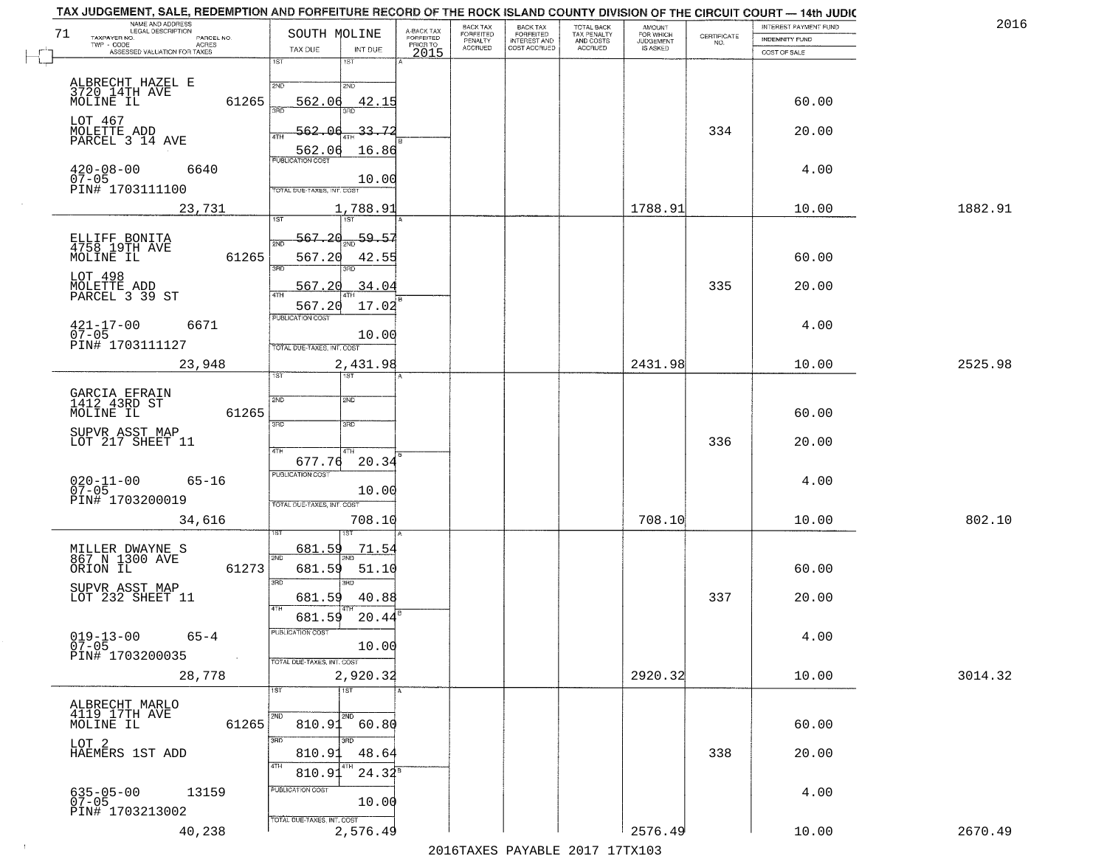| TAX JUDGEMENT, SALE, REDEMPTION AND FORFEITURE RECORD OF THE ROCK ISLAND COUNTY DIVISION OF THE CIRCUIT COURT - 14th JUDIC<br>NAME AND ADDRESS<br>LEGAL DESCRIPTION |                                 |                                     | BACK TAX                    |                                              |                                        |                                         |                                                                 | INTEREST PAYMENT FUND | 2016    |
|---------------------------------------------------------------------------------------------------------------------------------------------------------------------|---------------------------------|-------------------------------------|-----------------------------|----------------------------------------------|----------------------------------------|-----------------------------------------|-----------------------------------------------------------------|-----------------------|---------|
| 71<br>TAXPAYER NO.<br>PARCEL NO.                                                                                                                                    | SOUTH MOLINE                    | A-BACK TAX<br>FORFEITED<br>PRIOR TO | <b>FORFEITED</b><br>PENALTY | BACK TAX<br>FORFEITED<br><b>INTEREST AND</b> | TOTAL BACK<br>TAX PENALTY<br>AND COSTS | AMOUNT<br>FOR WHICH<br><b>JUDGEMENT</b> | $\begin{array}{c} \text{CERTIFICATE} \\ \text{NO.} \end{array}$ | INDEMNITY FUND        |         |
| <b>ACRES</b><br>ASSESSED VALUATION FOR TAXES                                                                                                                        | TAX DUE<br>INT DUE              | 2015                                | <b>ACCRUED</b>              | COST ACCRUED                                 | <b>ACCRUED</b>                         | IS ASKED                                |                                                                 | COST OF SALE          |         |
|                                                                                                                                                                     | 1ST<br>1ST                      |                                     |                             |                                              |                                        |                                         |                                                                 |                       |         |
|                                                                                                                                                                     | 2ND<br>2NP                      |                                     |                             |                                              |                                        |                                         |                                                                 |                       |         |
| ALBRECHT HAZEL E<br>3720 14TH AVE<br>MOLINE IL                                                                                                                      |                                 |                                     |                             |                                              |                                        |                                         |                                                                 |                       |         |
| 61265                                                                                                                                                               | 562.06<br>42.15                 |                                     |                             |                                              |                                        |                                         |                                                                 | 60.00                 |         |
| LOT 467                                                                                                                                                             |                                 |                                     |                             |                                              |                                        |                                         |                                                                 |                       |         |
| MOLETTE ADD<br>PARCEL 3 14 AVE                                                                                                                                      | 33.72<br>562.06                 |                                     |                             |                                              |                                        |                                         | 334                                                             | 20.00                 |         |
|                                                                                                                                                                     | 16.86<br>562.06                 |                                     |                             |                                              |                                        |                                         |                                                                 |                       |         |
| 6640                                                                                                                                                                |                                 |                                     |                             |                                              |                                        |                                         |                                                                 | 4.00                  |         |
| $420 - 08 - 00$<br>07-05                                                                                                                                            | 10.00                           |                                     |                             |                                              |                                        |                                         |                                                                 |                       |         |
| PIN# 1703111100                                                                                                                                                     | TOTAL DUE-TAXES, INT. COST      |                                     |                             |                                              |                                        |                                         |                                                                 |                       |         |
| 23,731                                                                                                                                                              | 1,788.91                        |                                     |                             |                                              |                                        | 1788.91                                 |                                                                 | 10.00                 | 1882.91 |
|                                                                                                                                                                     |                                 |                                     |                             |                                              |                                        |                                         |                                                                 |                       |         |
|                                                                                                                                                                     | 567.20<br>$-59.57$              |                                     |                             |                                              |                                        |                                         |                                                                 |                       |         |
| ELLIFF BONITA<br>4758 19TH AVE<br>MOLINE IL                                                                                                                         | সাঁচ                            |                                     |                             |                                              |                                        |                                         |                                                                 |                       |         |
| 61265                                                                                                                                                               | 567.20<br>42.55<br>3RD<br>त्रहा |                                     |                             |                                              |                                        |                                         |                                                                 | 60.00                 |         |
| LOT 498                                                                                                                                                             |                                 |                                     |                             |                                              |                                        |                                         |                                                                 |                       |         |
| MOLETTE ADD<br>PARCEL 3 39 ST                                                                                                                                       | 34.04<br>567.20                 |                                     |                             |                                              |                                        |                                         | 335                                                             | 20.00                 |         |
|                                                                                                                                                                     | 567.20<br>17.02                 |                                     |                             |                                              |                                        |                                         |                                                                 |                       |         |
| 6671                                                                                                                                                                | PUBLICATION COST                |                                     |                             |                                              |                                        |                                         |                                                                 | 4.00                  |         |
| $421 - 17 - 00$<br>07-05                                                                                                                                            | 10.00                           |                                     |                             |                                              |                                        |                                         |                                                                 |                       |         |
| PIN# 1703111127                                                                                                                                                     | TOTAL DUE-TAXES, INT. COST      |                                     |                             |                                              |                                        |                                         |                                                                 |                       |         |
| 23,948                                                                                                                                                              | 2,431.98                        |                                     |                             |                                              |                                        | 2431.98                                 |                                                                 | 10.00                 | 2525.98 |
|                                                                                                                                                                     | 1ST<br>is T                     |                                     |                             |                                              |                                        |                                         |                                                                 |                       |         |
|                                                                                                                                                                     |                                 |                                     |                             |                                              |                                        |                                         |                                                                 |                       |         |
| GARCIA EFRAIN<br>1412 43RD ST                                                                                                                                       | SVD<br>2ND                      |                                     |                             |                                              |                                        |                                         |                                                                 |                       |         |
| 61265<br>MOLINE IL                                                                                                                                                  | 3RD<br>3RD                      |                                     |                             |                                              |                                        |                                         |                                                                 | 60.00                 |         |
| SUPVR ASST MAP                                                                                                                                                      |                                 |                                     |                             |                                              |                                        |                                         |                                                                 |                       |         |
| LOT 217 SHEET 11                                                                                                                                                    | 4TH<br>4TH                      |                                     |                             |                                              |                                        |                                         | 336                                                             | 20.00                 |         |
|                                                                                                                                                                     | 20.34<br>677.76                 |                                     |                             |                                              |                                        |                                         |                                                                 |                       |         |
| $65 - 16$                                                                                                                                                           | <b>PUBLICATION COST</b>         |                                     |                             |                                              |                                        |                                         |                                                                 | 4.00                  |         |
| $020 - 11 - 00$<br>07-05                                                                                                                                            | 10.00                           |                                     |                             |                                              |                                        |                                         |                                                                 |                       |         |
| PIN# 1703200019                                                                                                                                                     | TOTAL OUE-TAXES, INT. COST      |                                     |                             |                                              |                                        |                                         |                                                                 |                       |         |
| 34,616                                                                                                                                                              | 708.10                          |                                     |                             |                                              |                                        | 708.10                                  |                                                                 | 10.00                 | 802.10  |
|                                                                                                                                                                     |                                 |                                     |                             |                                              |                                        |                                         |                                                                 |                       |         |
|                                                                                                                                                                     | 681.59<br>71.54                 |                                     |                             |                                              |                                        |                                         |                                                                 |                       |         |
| MILLER DWAYNE S<br>867 N 1300 AVE<br>ORION IL<br>61273                                                                                                              | 2ND<br>681.59<br>51.10          |                                     |                             |                                              |                                        |                                         |                                                                 | 60.00                 |         |
|                                                                                                                                                                     | 3RD<br>3BD                      |                                     |                             |                                              |                                        |                                         |                                                                 |                       |         |
| SUPVR ASST MAP<br>LOT 232 SHEET 11                                                                                                                                  | 681.59<br>40.88                 |                                     |                             |                                              |                                        |                                         | 337                                                             | 20.00                 |         |
|                                                                                                                                                                     | 4TH                             |                                     |                             |                                              |                                        |                                         |                                                                 |                       |         |
|                                                                                                                                                                     | 681.59<br>20.44                 |                                     |                             |                                              |                                        |                                         |                                                                 |                       |         |
| $019 - 13 - 00$<br>$65 - 4$                                                                                                                                         | PUBLICATION COST                |                                     |                             |                                              |                                        |                                         |                                                                 | 4.00                  |         |
| $07 - 05$<br>PIN# 1703200035                                                                                                                                        | 10.00                           |                                     |                             |                                              |                                        |                                         |                                                                 |                       |         |
| $\sim 100$                                                                                                                                                          | TOTAL DUE-TAXES, INT. COST      |                                     |                             |                                              |                                        |                                         |                                                                 |                       |         |
| 28,778                                                                                                                                                              | 2,920.32                        |                                     |                             |                                              |                                        | 2920.32                                 |                                                                 | 10.00                 | 3014.32 |
|                                                                                                                                                                     | 1ST<br>$\overline{1}$ 1ST       |                                     |                             |                                              |                                        |                                         |                                                                 |                       |         |
| ALBRECHT MARLO<br>4119 17TH AVE                                                                                                                                     |                                 |                                     |                             |                                              |                                        |                                         |                                                                 |                       |         |
| 61265<br>MOLINE IL                                                                                                                                                  | 810.91<br>60.80                 |                                     |                             |                                              |                                        |                                         |                                                                 | 60.00                 |         |
|                                                                                                                                                                     | 3RD<br>3BD                      |                                     |                             |                                              |                                        |                                         |                                                                 |                       |         |
| LOT 2<br>HAEMERS 1ST ADD                                                                                                                                            | 810.91<br>48.64                 |                                     |                             |                                              |                                        |                                         | 338                                                             | 20.00                 |         |
|                                                                                                                                                                     |                                 |                                     |                             |                                              |                                        |                                         |                                                                 |                       |         |
|                                                                                                                                                                     | $24.32^{8}$<br>810.9            |                                     |                             |                                              |                                        |                                         |                                                                 |                       |         |
| 635-05-00<br>07-05<br>13159                                                                                                                                         | PUBLICATION COST                |                                     |                             |                                              |                                        |                                         |                                                                 | 4.00                  |         |
| PIN# 1703213002                                                                                                                                                     | 10.00                           |                                     |                             |                                              |                                        |                                         |                                                                 |                       |         |
|                                                                                                                                                                     | TOTAL DUE-TAXES, INT. COST      |                                     |                             |                                              |                                        |                                         |                                                                 |                       |         |
| 40,238                                                                                                                                                              | 2,576.49                        |                                     |                             |                                              |                                        | 2576.49                                 |                                                                 | 10.00                 | 2670.49 |
|                                                                                                                                                                     |                                 |                                     |                             |                                              | 2016 TAVEC DAVARLE 2017 17 TV102       |                                         |                                                                 |                       |         |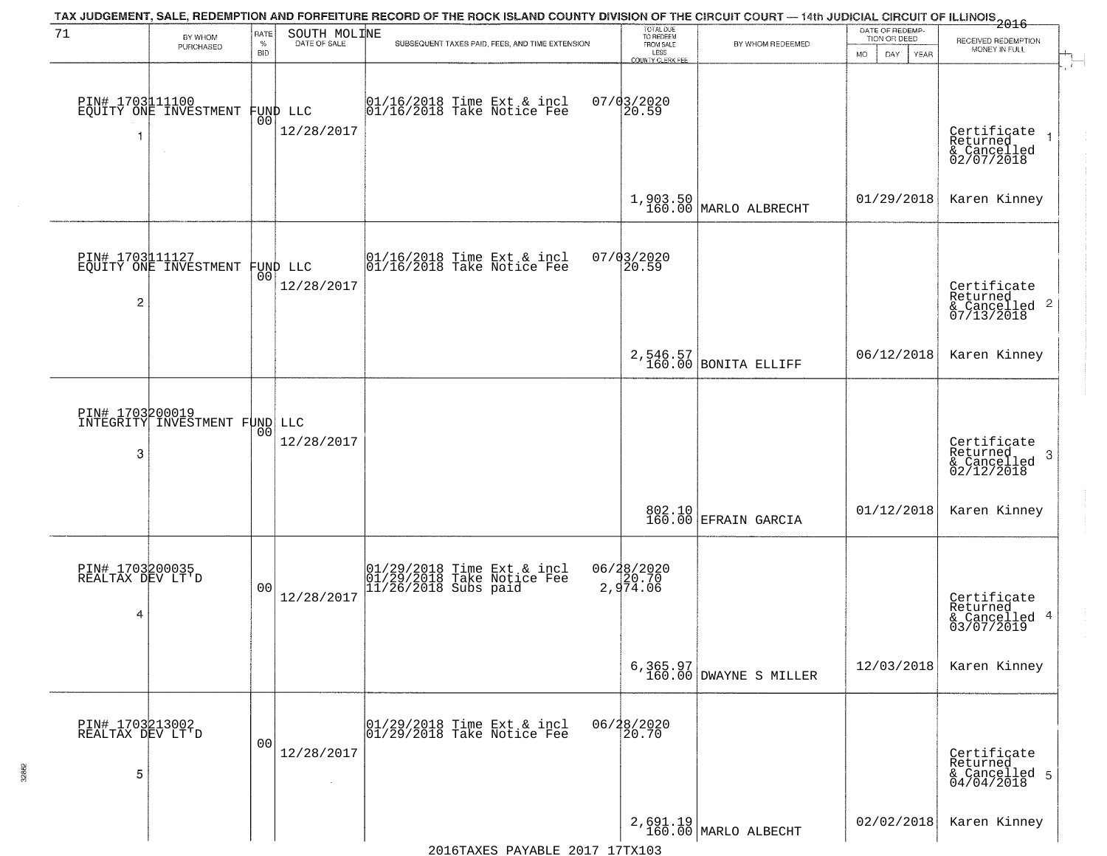| 71                                       | BY WHOM                                          | <b>RATE</b>        | SOUTH MOLINE           | TAX JUDGEMENT, SALE, REDEMPTION AND FORFEITURE RECORD OF THE ROCK ISLAND COUNTY DIVISION OF THE CIRCUIT COURT — 14th JUDICIAL CIRCUIT OF ILLINOIS 2016 | TOTAL DUE<br>TO REDEEM                |                                                                                                                  | DATE OF REDEMP-<br>TION OR DEED | RECEIVED REDEMPTION                                                |
|------------------------------------------|--------------------------------------------------|--------------------|------------------------|--------------------------------------------------------------------------------------------------------------------------------------------------------|---------------------------------------|------------------------------------------------------------------------------------------------------------------|---------------------------------|--------------------------------------------------------------------|
|                                          | PURCHASED                                        | $\%$<br><b>BID</b> | DATE OF SALE           | SUBSEQUENT TAXES PAID, FEES, AND TIME EXTENSION                                                                                                        | FROM SALE<br>LESS<br>COUNTY CLERK FEE | BY WHOM REDEEMED                                                                                                 | MO.<br>DAY.<br>YEAR             | MONEY IN FULL                                                      |
| 1                                        | PIN# 1703111100<br>EQUITY ONE INVESTMENT         | 00 <sup>o</sup>    | FUND LLC<br>12/28/2017 | $\begin{array}{c} 01/16/2018 \\ 01/16/2018 \\ \end{array}$ Take Notice Fee                                                                             | $07/03/2020$<br>20.59                 |                                                                                                                  |                                 | Certificate<br>Returned<br>& Cancelled<br>02/07/2018               |
|                                          |                                                  |                    |                        |                                                                                                                                                        |                                       | 1,903.50<br>160.00 MARLO ALBRECHT                                                                                | 01/29/2018                      | Karen Kinney                                                       |
| $\overline{c}$                           | PIN# 1703111127<br>EQUITY ONE INVESTMENT         | ŎÕ                 | FUND LLC<br>12/28/2017 | 01/16/2018 Time Ext & incl<br>01/16/2018 Take Notice Fee                                                                                               | $07/03/2020$<br>20.59                 |                                                                                                                  |                                 | Certificate<br>Returned<br>$\frac{1}{6}$ Cancelled 2<br>07/13/2018 |
|                                          |                                                  |                    |                        |                                                                                                                                                        |                                       | 2,546.57<br>160.00 BONITA ELLIFF                                                                                 | 06/12/2018                      | Karen Kinney                                                       |
| 3                                        | PIN# 1703200019<br>INTEGRITY INVESTMENT FUND LLC | 00                 | 12/28/2017             |                                                                                                                                                        |                                       |                                                                                                                  |                                 | Certificate<br>Returned<br>3<br>& Cancelled<br>02/12/2018          |
|                                          |                                                  |                    |                        |                                                                                                                                                        |                                       | $\begin{array}{c c} 802.10 \\ 160.00 \end{array} \begin{array}{c c} \texttt{EFRAIN} \texttt{GARCHA} \end{array}$ | 01/12/2018                      | Karen Kinney                                                       |
| PIN# 1703200035<br>REALTAX DEV LT'D<br>4 |                                                  | 0 <sub>0</sub>     | 12/28/2017             | 01/29/2018 Time Ext & incl<br>01/29/2018 Take Notice Fee<br>11/26/2018 Subs paid                                                                       | 06/28/2020<br>2,974.06                |                                                                                                                  |                                 | Certificate<br>Returned<br>& Cancelled 4<br>03/07/2019             |
|                                          |                                                  |                    |                        |                                                                                                                                                        |                                       | $6,365.97$<br>160.00 DWAYNE S MILLER                                                                             | 12/03/2018                      | Karen Kinney                                                       |
| PIN# 1703213002<br>REALTAX DEV LT'D<br>5 |                                                  | 0 <sub>0</sub>     | 12/28/2017             | 01/29/2018 Time Ext & incl<br>01/29/2018 Take Notice Fee                                                                                               | 06/28/2020<br>20.70                   |                                                                                                                  |                                 | Certificate<br>Returned<br>& Cancelled 5<br>04/04/2018             |
|                                          |                                                  |                    |                        |                                                                                                                                                        |                                       | 2,691.19<br>160.00 MARLO ALBECHT                                                                                 | 02/02/2018                      | Karen Kinney                                                       |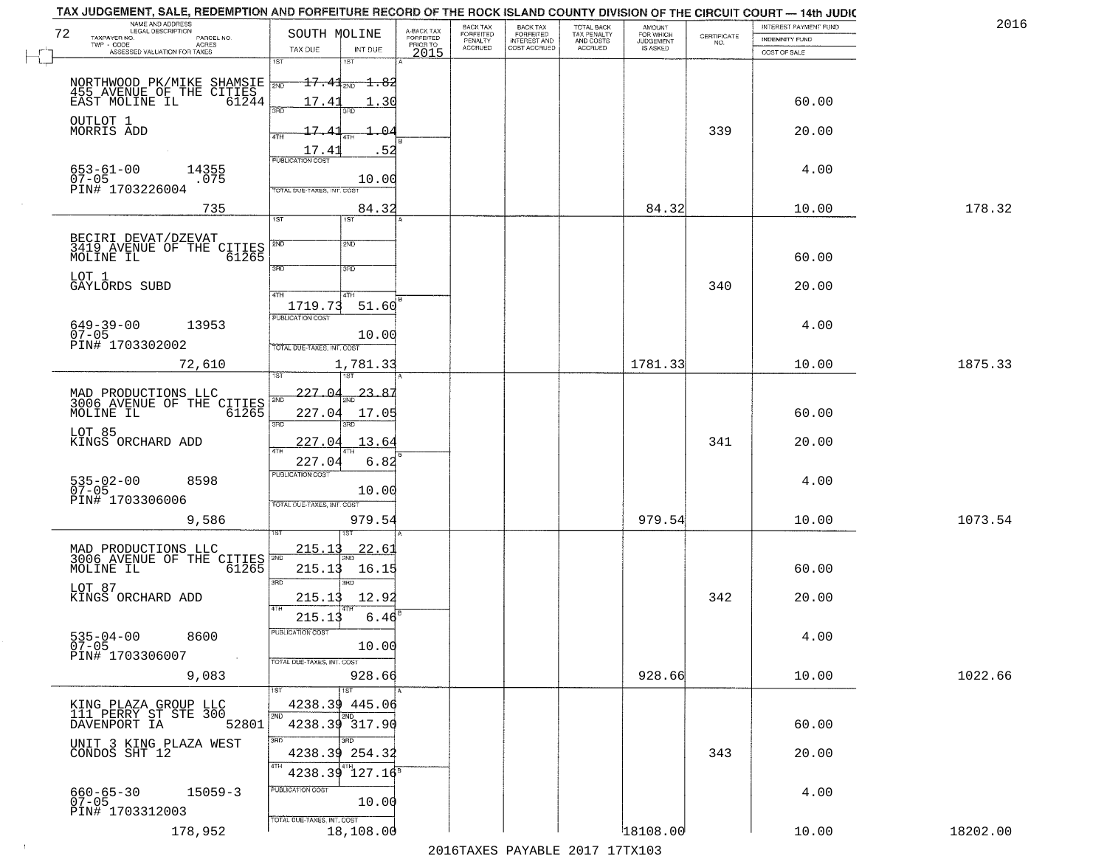| NAME AND ADDRESS<br>LEGAL DESCRIPTION<br>72                                       | SOUTH MOLINE                              |                                     | BACK TAX<br>FORFEITED     | <b>BACK TAX</b>                           | TOTAL BACK<br>TAX PENALTY<br>AND COSTS | AMOUNT<br>FOR WHICH          |                                                                 | INTEREST PAYMENT FUND | 2016     |
|-----------------------------------------------------------------------------------|-------------------------------------------|-------------------------------------|---------------------------|-------------------------------------------|----------------------------------------|------------------------------|-----------------------------------------------------------------|-----------------------|----------|
| TAXPAYER NO.<br>PARCEL NO.<br>ACRES                                               | TAX DUE                                   | A-BACK TAX<br>FORFEITED<br>PRIOR TO | PENALTY<br><b>ACCRUED</b> | FORFEITED<br>INTEREST AND<br>COST ACCRUED | <b>ACCRUED</b>                         | <b>JUDGEMENT</b><br>IS ASKED | $\begin{array}{c} \text{CERTIFICATE} \\ \text{NO.} \end{array}$ | INDEMNITY FUND        |          |
| ASSESSED VALUATION FOR TAXES                                                      | INT DUE<br>1ST<br>18T                     | 2015                                |                           |                                           |                                        |                              |                                                                 | COST OF SALE          |          |
|                                                                                   | $+7.41$ <sub>2ND</sub><br><del>1.82</del> |                                     |                           |                                           |                                        |                              |                                                                 |                       |          |
| NORTHWOOD PK/MIKE SHAMSIE 700<br>455 AVENUE OF THE CITIES<br>EAST MOLINE IL 61244 | 17.43<br>.30                              |                                     |                           |                                           |                                        |                              |                                                                 | 60.00                 |          |
|                                                                                   | 350<br>3BD                                |                                     |                           |                                           |                                        |                              |                                                                 |                       |          |
| OUTLOT 1<br>MORRIS ADD                                                            | 17.4<br><sup>n</sup>                      |                                     |                           |                                           |                                        |                              | 339                                                             | 20.00                 |          |
|                                                                                   | 17.41<br>. 52                             |                                     |                           |                                           |                                        |                              |                                                                 |                       |          |
| 653-61-00<br>14355                                                                | <b>PUBLICATION COST</b>                   |                                     |                           |                                           |                                        |                              |                                                                 | 4.00                  |          |
| $07 - 05$<br>.075<br>PIN# 1703226004                                              | 10.00<br>TOTAL DUE-TAXES, INT, COST       |                                     |                           |                                           |                                        |                              |                                                                 |                       |          |
| 735                                                                               | 84.32                                     |                                     |                           |                                           |                                        | 84.32                        |                                                                 | 10.00                 | 178.32   |
|                                                                                   | 1ST<br>1ST                                |                                     |                           |                                           |                                        |                              |                                                                 |                       |          |
| BECIRI DEVAT/DZEVAT<br>3419 AVENUE OF THE CITIES                                  | 2ND<br>2ND                                |                                     |                           |                                           |                                        |                              |                                                                 |                       |          |
| MOLINE IL<br>61265                                                                |                                           |                                     |                           |                                           |                                        |                              |                                                                 | 60.00                 |          |
| LOT 1                                                                             | 3RD<br>3RD                                |                                     |                           |                                           |                                        |                              |                                                                 |                       |          |
| GAYLORDS SUBD                                                                     | 47H<br>4TH                                |                                     |                           |                                           |                                        |                              | 340                                                             | 20.00                 |          |
|                                                                                   | 1719.73<br>51.60<br>PUBLICATION COST      |                                     |                           |                                           |                                        |                              |                                                                 |                       |          |
| $649 - 39 - 00$<br>13953<br>$07 - 05$                                             | 10.00                                     |                                     |                           |                                           |                                        |                              |                                                                 | 4.00                  |          |
| PIN# 1703302002                                                                   | TOTAL DUE-TAXES, INT. COST                |                                     |                           |                                           |                                        |                              |                                                                 |                       |          |
| 72,610                                                                            | 1,781.33<br>īsT<br>187                    |                                     |                           |                                           |                                        | 1781.33                      |                                                                 | 10.00                 | 1875.33  |
|                                                                                   |                                           |                                     |                           |                                           |                                        |                              |                                                                 |                       |          |
| MAD PRODUCTIONS LLC<br>3006 AVENUE OF THE O<br>CITIES                             | 227.04<br>23.8<br>2ND                     |                                     |                           |                                           |                                        |                              |                                                                 |                       |          |
| MOLINE IL<br>61265                                                                | 227.04<br>17.05<br>3RD<br>3RD             |                                     |                           |                                           |                                        |                              |                                                                 | 60.00                 |          |
| LOT 85<br>KINGS ORCHARD ADD                                                       | 227.04<br>13.64                           |                                     |                           |                                           |                                        |                              | 341                                                             | 20.00                 |          |
|                                                                                   | 4TH<br>227.04<br>6.82                     |                                     |                           |                                           |                                        |                              |                                                                 |                       |          |
| $535 - 02 - 00$<br>07-05<br>8598                                                  | <b>PUBLICATION COST</b>                   |                                     |                           |                                           |                                        |                              |                                                                 | 4.00                  |          |
| PIN# 1703306006                                                                   | 10.00<br>TOTAL OUE-TAXES, INT. COST       |                                     |                           |                                           |                                        |                              |                                                                 |                       |          |
| 9,586                                                                             | 979.54                                    |                                     |                           |                                           |                                        | 979.54                       |                                                                 | 10.00                 | 1073.54  |
|                                                                                   |                                           |                                     |                           |                                           |                                        |                              |                                                                 |                       |          |
| MAD PRODUCTIONS LLC<br>3006 AVENUE OF THE CITIES                                  | 215.1<br><u>22.6</u>                      |                                     |                           |                                           |                                        |                              |                                                                 |                       |          |
| 61265<br>MOLINE IL                                                                | 215.13<br>16.15                           |                                     |                           |                                           |                                        |                              |                                                                 | 60.00                 |          |
| LOT 87                                                                            | 3BD<br>3RD                                |                                     |                           |                                           |                                        |                              |                                                                 |                       |          |
| KINGS ORCHARD ADD                                                                 | 215.13<br>12.92<br>4TH                    |                                     |                           |                                           |                                        |                              | 342                                                             | 20.00                 |          |
|                                                                                   | 215.13<br>6.46                            |                                     |                           |                                           |                                        |                              |                                                                 |                       |          |
| $535 - 04 - 00$<br>8600<br>$07 - 05$                                              | -usuca i un cus-<br>10.00                 |                                     |                           |                                           |                                        |                              |                                                                 | 4.00                  |          |
| PIN# 1703306007<br>$\sim 10^{11}$ km $^{-1}$                                      | TOTAL DUE-TAXES, INT. COST                |                                     |                           |                                           |                                        |                              |                                                                 |                       |          |
| 9,083                                                                             | 928.66                                    |                                     |                           |                                           |                                        | 928.66                       |                                                                 | 10.00                 | 1022.66  |
|                                                                                   | 1ST                                       |                                     |                           |                                           |                                        |                              |                                                                 |                       |          |
| KING PLAZA GROUP LLC<br>111 PERRY ST STE 300<br>DAVENPORT IA                      | 4238.39 445.06<br>2ND<br>2ND              |                                     |                           |                                           |                                        |                              |                                                                 |                       |          |
| 52801                                                                             | 4238.39 317.90<br>3RD<br>3BD.             |                                     |                           |                                           |                                        |                              |                                                                 | 60.00                 |          |
| UNIT 3 KING PLAZA WEST<br>CONDOS SHT 12                                           | 4238.39 254.32                            |                                     |                           |                                           |                                        |                              | 343                                                             | 20.00                 |          |
|                                                                                   | 4TH<br>127.16 <sup>8</sup><br>4238.39     |                                     |                           |                                           |                                        |                              |                                                                 |                       |          |
| $660 - 65 - 30$<br>$15059 - 3$                                                    | PUBLICATION COST                          |                                     |                           |                                           |                                        |                              |                                                                 | 4.00                  |          |
| $07 - 05$<br>PIN# 1703312003                                                      | 10.00                                     |                                     |                           |                                           |                                        |                              |                                                                 |                       |          |
| 178,952                                                                           | TOTAL DUE-TAXES, INT. COST<br>18,108.00   |                                     |                           |                                           |                                        | 18108.00                     |                                                                 | 10.00                 | 18202.00 |
|                                                                                   |                                           |                                     |                           |                                           |                                        |                              |                                                                 |                       |          |

 $\sim 10^{-1}$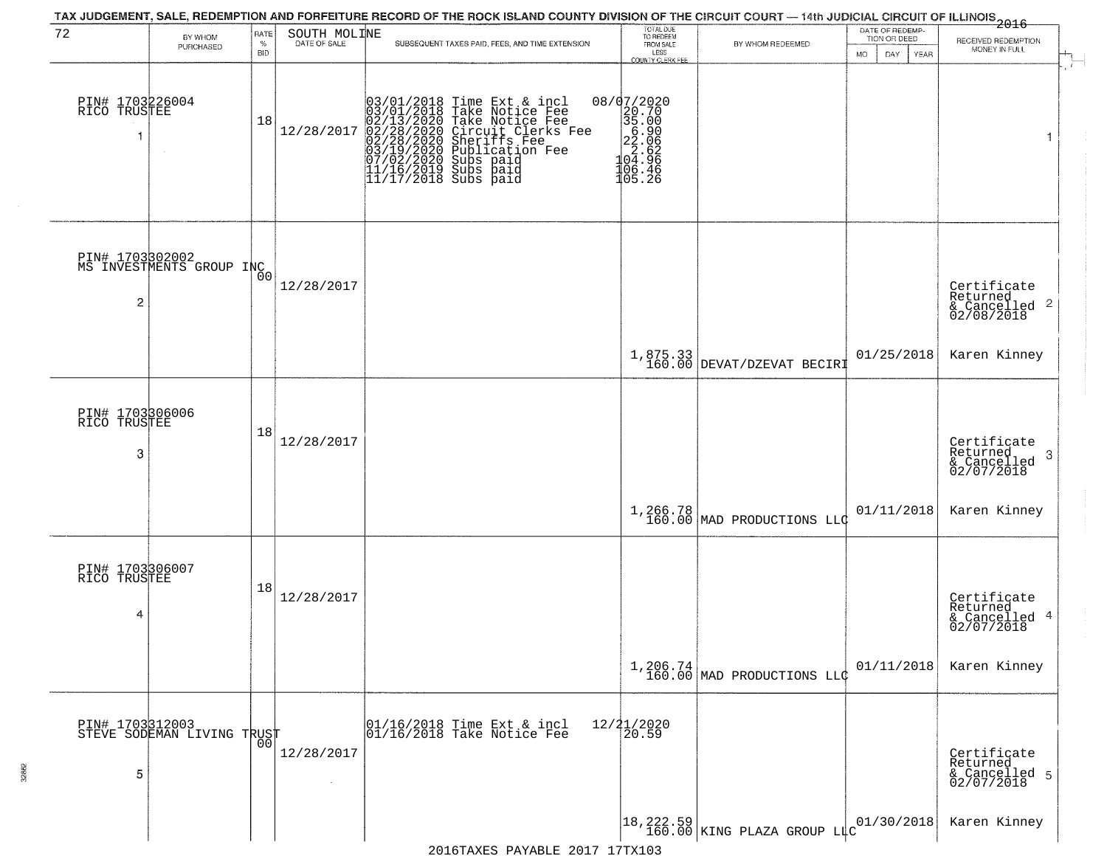| 72                                      | BY WHOM<br>PURCHASED                          | RATE<br>$\%$ | SOUTH MOLINE | TAX JUDGEMENT, SALE, REDEMPTION AND FORFEITURE RECORD OF THE ROCK ISLAND COUNTY DIVISION OF THE CIRCUIT COURT — 14th JUDICIAL CIRCUIT OF ILLINOIS 2016<br>SUBSEQUENT TAXES PAID, FEES, AND TIME EXTENSION                                                                                                                                         | TOTAL DUE<br>TO REDEEM<br>FROM SALE                                                          | BY WHOM REDEEMED                         | DATE OF REDEMP-<br>TION OR DEED | RECEIVED REDEMPTION                                        |
|-----------------------------------------|-----------------------------------------------|--------------|--------------|---------------------------------------------------------------------------------------------------------------------------------------------------------------------------------------------------------------------------------------------------------------------------------------------------------------------------------------------------|----------------------------------------------------------------------------------------------|------------------------------------------|---------------------------------|------------------------------------------------------------|
|                                         |                                               | <b>BID</b>   |              |                                                                                                                                                                                                                                                                                                                                                   | LESS<br>COUNTY CLERK FEE                                                                     |                                          | DAY<br>MO<br><b>YEAR</b>        | MONEY IN FULL                                              |
| PIN# 1703226004<br>RICO TRUSTEE<br>1    |                                               | 18           | 12/28/2017   | $03/01/2018$ Time Ext & incl<br>03/01/2018 Take Notice Fee<br>02/13/2020 Take Notice Fee<br>02/28/2020 Circuit Clerks F<br>02/28/2020 Sheriffs Fee<br>03/19/2020 Subs paid<br>07/02/2020 Subs paid<br>11/16/2019 Subs paid<br>11/16/2019 Subs paid<br>11<br>Take Notice Fee<br>Circuit Clerks Fee<br>Sheriffs Fee<br>Publication Fee<br>Subs paid | 08/07/2020<br>$20.700$<br>$35.000$<br>$35.000$<br>$22.62$<br>$24.62$<br>$104.96$<br>$105.26$ |                                          |                                 | 1                                                          |
| 2                                       | PIN# 1703302002<br>MS INVESTMENTS GROUP INC   |              | 12/28/2017   |                                                                                                                                                                                                                                                                                                                                                   |                                                                                              |                                          |                                 | Certificate<br>Returned<br>& Cancelled 2<br>02/08/2018     |
|                                         |                                               |              |              |                                                                                                                                                                                                                                                                                                                                                   |                                                                                              | $1,875.33$<br>160.00 DEVAT/DZEVAT BECIRI | 01/25/2018                      | Karen Kinney                                               |
| PIN# 1703306006<br>TRUSTEE<br>RICO<br>3 |                                               | 18           | 12/28/2017   |                                                                                                                                                                                                                                                                                                                                                   |                                                                                              |                                          |                                 | Certificate<br>Returned<br>-3<br>& Cancelled<br>02/07/2018 |
|                                         |                                               |              |              |                                                                                                                                                                                                                                                                                                                                                   |                                                                                              | $1,266.78$ MAD PRODUCTIONS LLC           | 01/11/2018                      | Karen Kinney                                               |
| PIN# 1703306007<br>RICO TRUSTEE<br>4    |                                               | 18           | 12/28/2017   |                                                                                                                                                                                                                                                                                                                                                   |                                                                                              |                                          |                                 | Certificate<br>Returned<br>& Cancelled 4<br>02/07/2018     |
|                                         |                                               |              |              |                                                                                                                                                                                                                                                                                                                                                   |                                                                                              | $1,206.74$<br>160.00 MAD PRODUCTIONS LLC | 01/11/2018                      | Karen Kinney                                               |
| 5                                       | PIN# 1703312003<br>STEVE SODEMAN LIVING TRUST |              | 12/28/2017   | 01/16/2018 Time Ext & incl<br>01/16/2018 Take Notice Fee                                                                                                                                                                                                                                                                                          | 12/21/2020<br>20.59                                                                          |                                          |                                 | Certificate<br>Returned<br>& Cancelled 5<br>02/07/2018     |
|                                         |                                               |              |              |                                                                                                                                                                                                                                                                                                                                                   |                                                                                              | 18,222.59 KING PLAZA GROUP LLC           | 01/30/2018                      | Karen Kinney                                               |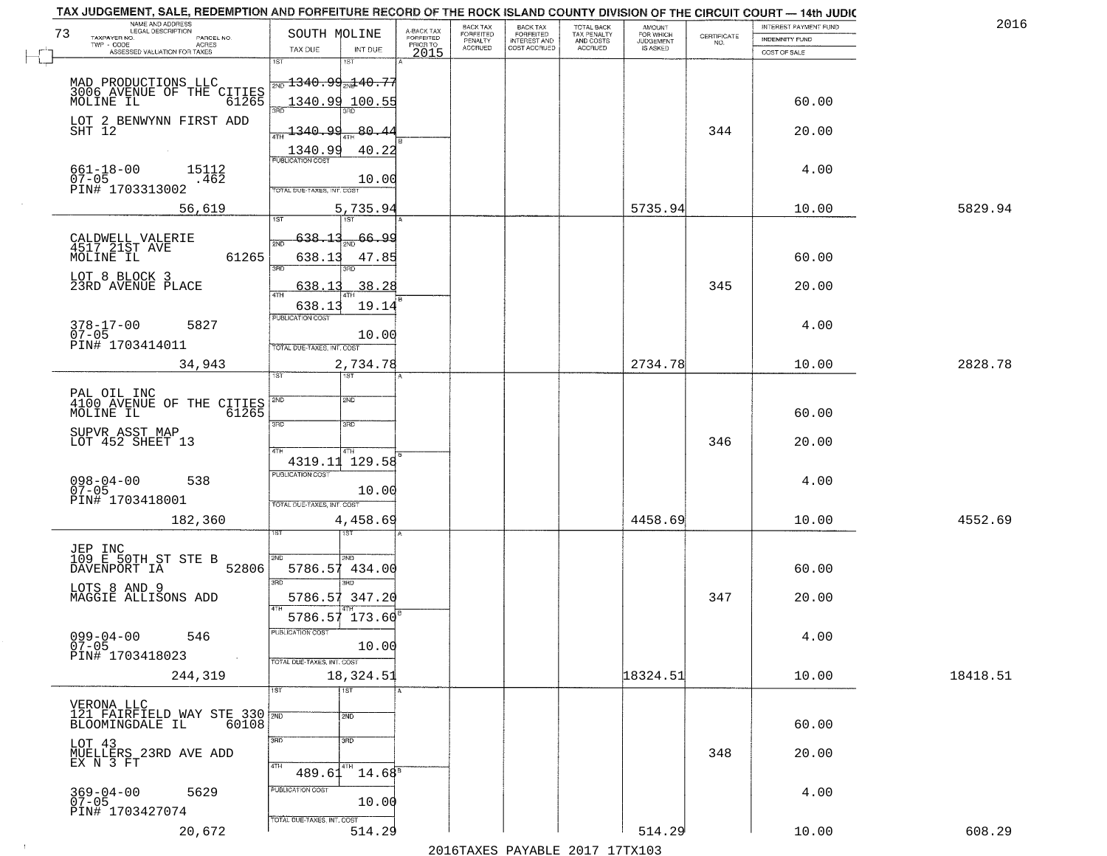| NAME AND ADDRESS<br>LEGAL DESCRIPTION                                     |                                                                         |                                     | BACK TAX             | <b>BACK TAX</b>           |                                        | AMOUNT<br>FOR WHICH |                                                                 | INTEREST PAYMENT FUND | 2016     |
|---------------------------------------------------------------------------|-------------------------------------------------------------------------|-------------------------------------|----------------------|---------------------------|----------------------------------------|---------------------|-----------------------------------------------------------------|-----------------------|----------|
| 73<br>TAXPAYER NO.<br>PARCEL NO.<br>ACRES                                 | SOUTH MOLINE                                                            | A-BACK TAX<br>FORFEITED<br>PRIOR TO | FORFEITED<br>PENALTY | FORFEITED<br>INTEREST AND | TOTAL BACK<br>TAX PENALTY<br>AND COSTS | <b>JUDGEMENT</b>    | $\begin{array}{c} \text{CERTIFICATE} \\ \text{NO.} \end{array}$ | <b>INDEMNITY FUND</b> |          |
| ASSESSED VALUATION FOR TAXES                                              | TAX DUE                                                                 | INT DUE<br>2015                     | <b>ACCRUED</b>       | COST ACCRUED              | ACCRUED                                | IS ASKED            |                                                                 | COST OF SALE          |          |
| MAD PRODUCTIONS LLC<br>3006 AVENUE OF THE CITIES<br>MOLINE IL 61265       | 1ST<br>$\frac{1340.99}{}$ $\frac{1340.77}{}$                            |                                     |                      |                           |                                        |                     |                                                                 |                       |          |
|                                                                           | 1340.99 100.55<br>390                                                   |                                     |                      |                           |                                        |                     |                                                                 | 60.00                 |          |
| LOT 2 BENWYNN FIRST ADD<br>SHT 12                                         | <u> 1340.99</u>                                                         | 80.44<br>40.22                      |                      |                           |                                        |                     | 344                                                             | 20.00                 |          |
| $661 - 18 - 00$<br>15112<br>$07 - 05$<br>.462<br>PIN# 1703313002          | 1340.99<br>TOTAL DUE-TAXES, INT. COST                                   | 10.00                               |                      |                           |                                        |                     |                                                                 | 4.00                  |          |
| 56,619                                                                    | 197                                                                     | 5,735.94                            |                      |                           |                                        | 5735.94             |                                                                 | 10.00                 | 5829.94  |
| CALDWELL VALERIE<br>4517 21ST AVE<br>61265<br>MOLINE IL                   | <u>638.13</u><br>2ND<br>638.13<br>3RD<br>3BD.                           | $\frac{66.99}{200}$<br>47.85        |                      |                           |                                        |                     |                                                                 | 60.00                 |          |
| LOT 8 BLOCK 3<br>23RD AVENUE PLACE                                        | 638.13<br>ৰিয়াম                                                        | 38.28                               |                      |                           |                                        |                     | 345                                                             | 20.00                 |          |
| $378 - 17 - 00$<br>5827<br>$07 - 05$<br>PIN# 1703414011                   | 638.13<br>PUBLICATION COST<br>TOTAL DUE-TAXES, INT. COST                | 19.14<br>10.00                      |                      |                           |                                        |                     |                                                                 | 4.00                  |          |
| 34,943                                                                    | 1ST<br>1ST                                                              | 2,734.78                            |                      |                           |                                        | 2734.78             |                                                                 | 10.00                 | 2828.78  |
| PAL OIL INC<br>4100 AVENUE OF THE CITIES<br>MOLINE IL<br>61265            | 2ND<br><b>2ND</b>                                                       |                                     |                      |                           |                                        |                     |                                                                 | 60.00                 |          |
| SUPVR ASST MAP<br>LOT 452 SHEET 13                                        | 3RD<br>3RD<br>4TH<br>4TH                                                |                                     |                      |                           |                                        |                     | 346                                                             | 20.00                 |          |
| $098 - 04 - 00$<br>07-05<br>538<br>PIN# 1703418001                        | 4319.11 129.58<br><b>PUBLICATION COST</b><br>TOTAL OUE-TAXES, INT. COST | 10.00                               |                      |                           |                                        |                     |                                                                 | 4.00                  |          |
| 182,360                                                                   | 1ST                                                                     | 4,458.69                            |                      |                           |                                        | 4458.69             |                                                                 | 10.00                 | 4552.69  |
| JEP INC<br>109 E 50TH_ST STE B<br>DAVENPORT IA<br>52806                   | 2ND<br>2ND.<br>5786.57<br>3RD<br>3RD.                                   | 434.00                              |                      |                           |                                        |                     |                                                                 | 60.00                 |          |
| LOTS 8 AND 9<br>MAGGIE ALLISONS ADD                                       | 5786.57 347.20                                                          |                                     |                      |                           |                                        |                     | 347                                                             | 20.00                 |          |
| $099 - 04 - 00$<br>546<br>$07 - 05$<br>PIN# 1703418023<br><b>Contract</b> | 5786.57 173.60<br>"UBLICA HUN CUS<br>TOTAL DUE-TAXES, INT. COST         | 10.00                               |                      |                           |                                        |                     |                                                                 | 4.00                  |          |
| 244,319                                                                   | 18,324.51<br>1ST<br>1ST                                                 |                                     |                      |                           |                                        | 18324.51            |                                                                 | 10.00                 | 18418.51 |
| VERONA LLC<br>121 FAIRFIELD WAY STE 330 200<br>60108<br>BLOOMINGDALE IL   | 2ND                                                                     |                                     |                      |                           |                                        |                     |                                                                 | 60.00                 |          |
| LOT 43<br>MUELLERS 23RD AVE ADD<br>EX N 3 FT                              | 3RD<br>3RD<br>4TH<br>4TH<br>489.61                                      | $14.68^{\circ}$                     |                      |                           |                                        |                     | 348                                                             | 20.00                 |          |
| $369 - 04 - 00$<br>5629<br>$07 - 05$<br>PIN# 1703427074                   | PUBLICATION COST<br>TOTAL DUE-TAXES, INT. COST                          | 10.00                               |                      |                           |                                        |                     |                                                                 | 4.00                  |          |
| 20,672                                                                    |                                                                         | 514.29                              |                      |                           |                                        | 514.29              |                                                                 | 10.00                 | 608.29   |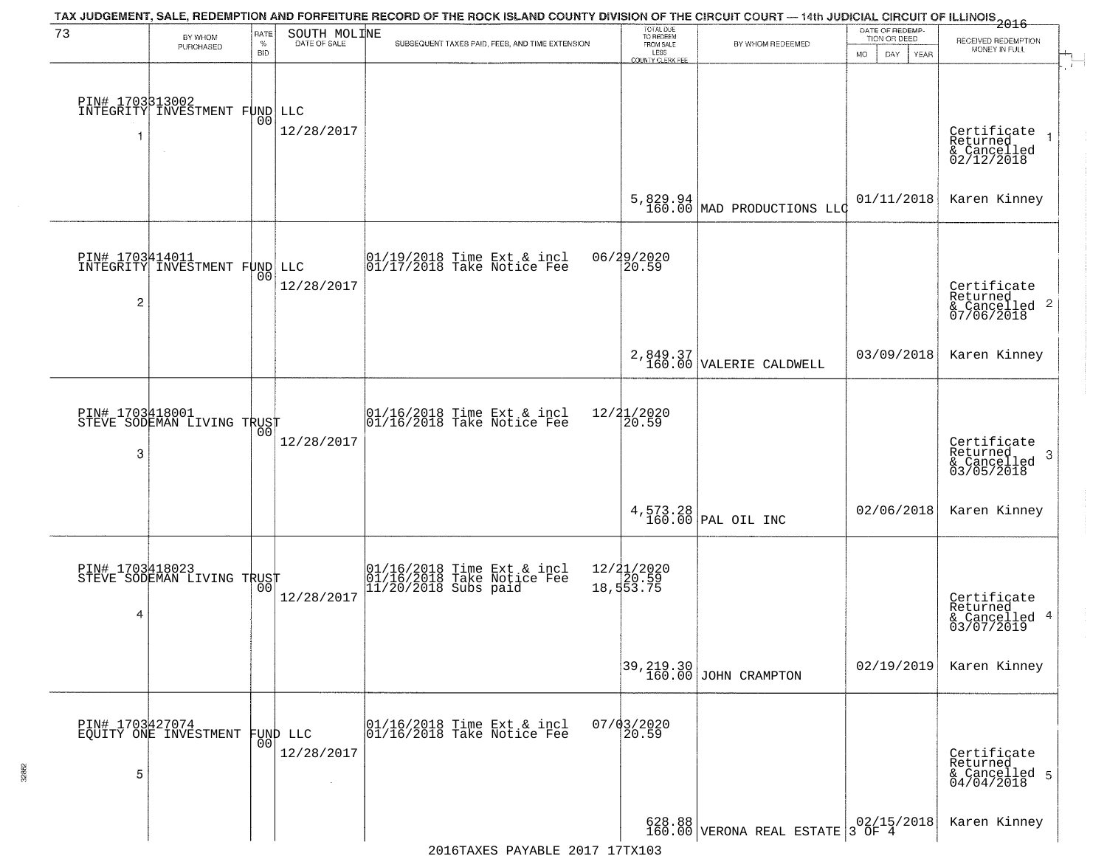| 73                   | BY WHOM<br>PURCHASED                             | RATE<br>$\%$<br><b>BID</b> | SOUTH MOLINE<br>DATE OF SALE            | TAX JUDGEMENT, SALE, REDEMPTION AND FORFEITURE RECORD OF THE ROCK ISLAND COUNTY DIVISION OF THE CIRCUIT COURT — 14th JUDICIAL CIRCUIT OF ILLINOIS 2016<br>SUBSEQUENT TAXES PAID, FEES, AND TIME EXTENSION | TOTAL DUE<br>TO REDEEM<br>FROM SALE<br>LESS<br><b>COUNTY CLERK FEE</b> | BY WHOM REDEEMED                                                                                                                  | DATE OF REDEMP-<br>TION OR DEED<br><b>MO</b><br>DAY<br>YEAR | RECEIVED REDEMPTION<br>MONEY IN FULL                                    |
|----------------------|--------------------------------------------------|----------------------------|-----------------------------------------|-----------------------------------------------------------------------------------------------------------------------------------------------------------------------------------------------------------|------------------------------------------------------------------------|-----------------------------------------------------------------------------------------------------------------------------------|-------------------------------------------------------------|-------------------------------------------------------------------------|
|                      | PIN# 1703313002<br>INTEGRITY INVESTMENT FUND LLC | 0 <sub>0</sub>             | 12/28/2017                              |                                                                                                                                                                                                           |                                                                        |                                                                                                                                   |                                                             | Certificate<br>Returned<br>& Cancelled<br>02/12/2018                    |
|                      |                                                  |                            |                                         |                                                                                                                                                                                                           | 5,829.94<br>160.00                                                     | MAD PRODUCTIONS LLC                                                                                                               | 01/11/2018                                                  | Karen Kinney                                                            |
| $\overline{c}$       | PIN# 1703414011<br>INTEGRITY INVESTMENT FUND LLC | 00                         | 12/28/2017                              | 01/19/2018 Time Ext & incl<br>01/17/2018 Take Notice Fee                                                                                                                                                  | 06/29/2020<br>20.59                                                    |                                                                                                                                   |                                                             | Certificate<br>Returned<br>& Cancelled 2<br>& Cancelled 2<br>07/06/2018 |
|                      |                                                  |                            |                                         |                                                                                                                                                                                                           |                                                                        | $\left. \begin{array}{c} 2\, , 849\, , 37\\160\, , 00 \end{array} \right  \text{VALERIE CALDWELL}$                                | 03/09/2018                                                  | Karen Kinney                                                            |
| 3                    | PIN# 1703418001<br>STEVE SODEMAN LIVING TRUST    | 00                         | 12/28/2017                              | 01/16/2018 Time Ext & incl<br>01/16/2018 Take Notice Fee                                                                                                                                                  | 12/21/2020<br>20.59                                                    |                                                                                                                                   |                                                             | Certificate<br>Returned<br>3<br>$\frac{1}{03/05/2018}$                  |
|                      |                                                  |                            |                                         |                                                                                                                                                                                                           |                                                                        | $4,573.28$ PAL OIL INC                                                                                                            | 02/06/2018                                                  | Karen Kinney                                                            |
| 4                    | PIN# 1703418023<br>STEVE SODEMAN LIVING TRUST    | 00                         | 12/28/2017                              | 01/16/2018 Time Ext & incl<br>01/16/2018 Take Notice Fee<br>11/20/2018 Subs paid                                                                                                                          | 12/ <b>2</b> 1/2020<br>18,553.75                                       |                                                                                                                                   |                                                             | Certificate<br>Returned<br>& Cancelled 4<br>03/07/2019                  |
|                      |                                                  |                            |                                         |                                                                                                                                                                                                           |                                                                        | 39,219.30<br>160.00 JOHN CRAMPTON                                                                                                 | 02/19/2019                                                  | Karen Kinney                                                            |
| PIN# 1703427074<br>5 | EQUITY ONE INVESTMENT                            | 0 <sub>0</sub>             | FUND LLC<br>12/28/2017<br>$\mathcal{L}$ | 01/16/2018 Time Ext & incl<br>01/16/2018 Take Notice Fee                                                                                                                                                  | $07/03/2020$<br>20.59                                                  |                                                                                                                                   |                                                             | Certificate<br>Returned<br>& Cancelled 5<br>04/04/2018                  |
|                      |                                                  |                            |                                         |                                                                                                                                                                                                           |                                                                        | $\begin{array}{ c c c c c c } \hline 628.88 & & 02/15/2018 \\ \hline 160.00 & VERONA REAL ESTATE & 3 OF & 4 \\\hline \end{array}$ |                                                             | Karen Kinney                                                            |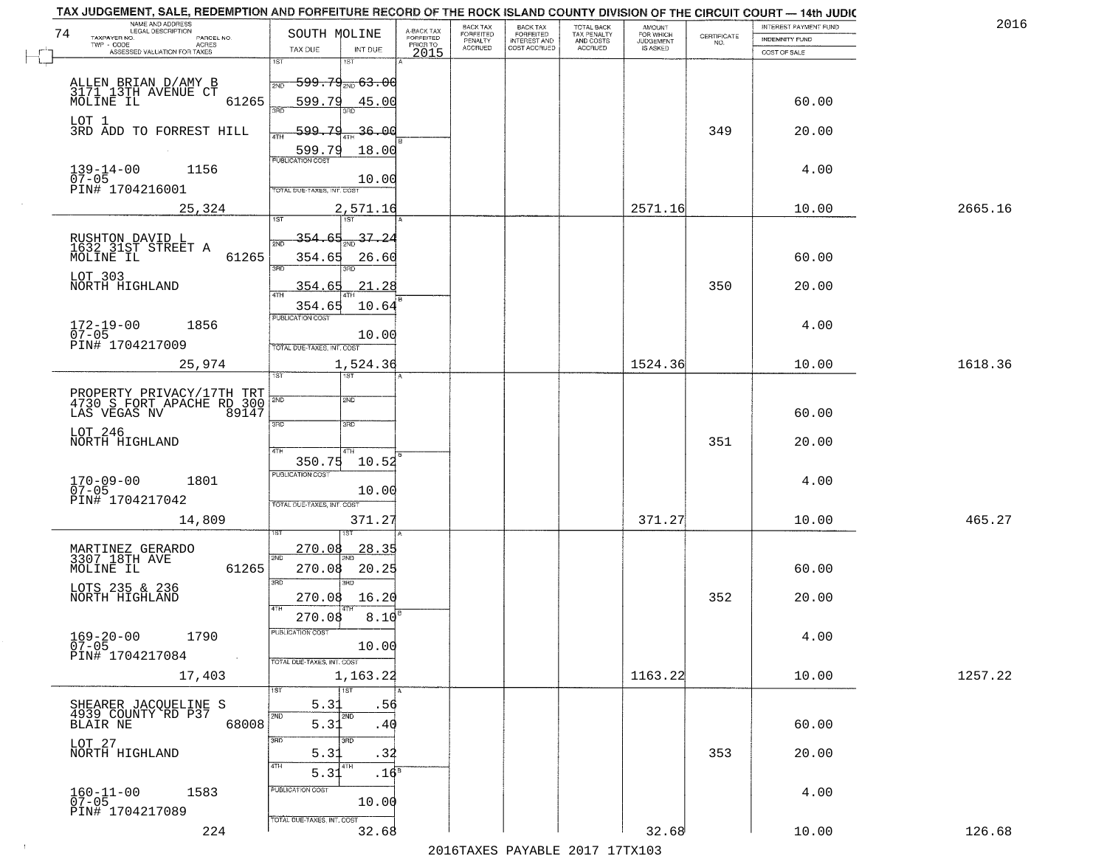|    | TAX JUDGEMENT, SALE, REDEMPTION AND FORFEITURE RECORD OF THE ROCK ISLAND COUNTY DIVISION OF THE CIRCUIT COURT - 14th JUDIC<br>NAME AND ADDRESS<br>LEGAL DESCRIPTION |                                              |                                     | BACK TAX                    | BACK TAX<br>FORFEITED |                                        | AMOUNT<br>FOR WHICH |                                                                 | INTEREST PAYMENT FUND | 2016    |
|----|---------------------------------------------------------------------------------------------------------------------------------------------------------------------|----------------------------------------------|-------------------------------------|-----------------------------|-----------------------|----------------------------------------|---------------------|-----------------------------------------------------------------|-----------------------|---------|
| 74 | TAXPAYER NO.<br>PARCEL NO.                                                                                                                                          | SOUTH MOLINE                                 | A-BACK TAX<br>FORFEITED<br>PRIOR TO | <b>FORFEITED</b><br>PENALTY | <b>INTEREST AND</b>   | TOTAL BACK<br>TAX PENALTY<br>AND COSTS | <b>JUDGEMENT</b>    | $\begin{array}{c} \text{CERTIFICATE} \\ \text{NO.} \end{array}$ | INDEMNITY FUND        |         |
|    | ACRES<br>ASSESSED VALUATION FOR TAXES                                                                                                                               | INT DUE<br>TAX DUE                           | 2015                                | <b>ACCRUED</b>              | COST ACCRUED          | <b>ACCRUED</b>                         | IS ASKED            |                                                                 | COST OF SALE          |         |
|    |                                                                                                                                                                     | 1ST<br>1ST                                   |                                     |                             |                       |                                        |                     |                                                                 |                       |         |
|    |                                                                                                                                                                     | <del>599.79<sub>210</sub> 63.00</del><br>2ND |                                     |                             |                       |                                        |                     |                                                                 |                       |         |
|    | ALLEN BRIAN D/AMY B<br>3171 13TH AVENUE CT<br>MOLINE IL<br>61265                                                                                                    | 599.79<br>45.00                              |                                     |                             |                       |                                        |                     |                                                                 | 60.00                 |         |
|    |                                                                                                                                                                     | 370                                          |                                     |                             |                       |                                        |                     |                                                                 |                       |         |
|    | LOT 1<br>3RD ADD TO FORREST HILL                                                                                                                                    | 599.79<br>36.00                              |                                     |                             |                       |                                        |                     | 349                                                             | 20.00                 |         |
|    |                                                                                                                                                                     |                                              |                                     |                             |                       |                                        |                     |                                                                 |                       |         |
|    |                                                                                                                                                                     | 18.00<br>599.79<br><b>PUBLICATION COST</b>   |                                     |                             |                       |                                        |                     |                                                                 |                       |         |
|    | $139 - 14 - 00$<br>07-05<br>1156                                                                                                                                    |                                              |                                     |                             |                       |                                        |                     |                                                                 | 4.00                  |         |
|    | PIN# 1704216001                                                                                                                                                     | 10.00<br>TOTAL DUE-TAXES, INT. COST          |                                     |                             |                       |                                        |                     |                                                                 |                       |         |
|    | 25,324                                                                                                                                                              | 2,571.16                                     |                                     |                             |                       |                                        | 2571.16             |                                                                 | 10.00                 | 2665.16 |
|    |                                                                                                                                                                     |                                              |                                     |                             |                       |                                        |                     |                                                                 |                       |         |
|    |                                                                                                                                                                     | $\frac{37.24}{200}$<br>354.65                |                                     |                             |                       |                                        |                     |                                                                 |                       |         |
|    | RUSHTON DAVID L<br>1632 31ST STREET A<br>MOLINE IL<br>61265                                                                                                         |                                              |                                     |                             |                       |                                        |                     |                                                                 |                       |         |
|    |                                                                                                                                                                     | 354.65<br>26.60<br>3RD<br>ਬਾ                 |                                     |                             |                       |                                        |                     |                                                                 | 60.00                 |         |
|    | LOT 303<br>NORTH HIGHLAND                                                                                                                                           | 21.28<br>354.65                              |                                     |                             |                       |                                        |                     | 350                                                             | 20.00                 |         |
|    |                                                                                                                                                                     |                                              |                                     |                             |                       |                                        |                     |                                                                 |                       |         |
|    |                                                                                                                                                                     | 354.65<br>10.64<br>PUBLICATION COST          |                                     |                             |                       |                                        |                     |                                                                 |                       |         |
|    | $172 - 19 - 00$<br>1856                                                                                                                                             |                                              |                                     |                             |                       |                                        |                     |                                                                 | 4.00                  |         |
|    | $07 - 05$<br>PIN# 1704217009                                                                                                                                        | 10.00<br>TOTAL DUE-TAXES, INT. COST          |                                     |                             |                       |                                        |                     |                                                                 |                       |         |
|    | 25,974                                                                                                                                                              | 1,524.36                                     |                                     |                             |                       |                                        | 1524.36             |                                                                 | 10.00                 | 1618.36 |
|    |                                                                                                                                                                     | <b>ST</b><br>1ST                             |                                     |                             |                       |                                        |                     |                                                                 |                       |         |
|    |                                                                                                                                                                     |                                              |                                     |                             |                       |                                        |                     |                                                                 |                       |         |
|    | PROPERTY PRIVACY/17TH TRT<br>4730 S FORT APACHE RD 300                                                                                                              | 2ND<br>2ND                                   |                                     |                             |                       |                                        |                     |                                                                 |                       |         |
|    | LAS VEGAS NV<br>89147                                                                                                                                               | 3RD<br>3RD                                   |                                     |                             |                       |                                        |                     |                                                                 | 60.00                 |         |
|    | LOT 246<br>NORTH HIGHLAND                                                                                                                                           |                                              |                                     |                             |                       |                                        |                     | 351                                                             | 20.00                 |         |
|    |                                                                                                                                                                     | 4TH<br>4TH                                   |                                     |                             |                       |                                        |                     |                                                                 |                       |         |
|    |                                                                                                                                                                     | 10.52<br>350.75<br><b>PUBLICATION COST</b>   |                                     |                             |                       |                                        |                     |                                                                 |                       |         |
|    | 170-09-00<br>07-05<br>1801                                                                                                                                          |                                              |                                     |                             |                       |                                        |                     |                                                                 | 4.00                  |         |
|    | PIN# 1704217042                                                                                                                                                     | 10.00<br>TOTAL OUE-TAXES, INT. COST          |                                     |                             |                       |                                        |                     |                                                                 |                       |         |
|    | 14,809                                                                                                                                                              | 371.27                                       |                                     |                             |                       |                                        | 371.27              |                                                                 | 10.00                 | 465.27  |
|    |                                                                                                                                                                     |                                              |                                     |                             |                       |                                        |                     |                                                                 |                       |         |
|    |                                                                                                                                                                     | 270.08<br><u>28.35</u>                       |                                     |                             |                       |                                        |                     |                                                                 |                       |         |
|    | MARTINEZ GERARDO<br>3307 18TH AVE                                                                                                                                   | 2ND<br>270.08                                |                                     |                             |                       |                                        |                     |                                                                 |                       |         |
|    | MOLINE IL<br>61265                                                                                                                                                  | 20.25<br>3BD<br>3RD                          |                                     |                             |                       |                                        |                     |                                                                 | 60.00                 |         |
|    | LOTS 235 & 236<br>NORTH HIGHLAND                                                                                                                                    | 16.20<br>270.08                              |                                     |                             |                       |                                        |                     | 352                                                             | 20.00                 |         |
|    |                                                                                                                                                                     | 4TH                                          |                                     |                             |                       |                                        |                     |                                                                 |                       |         |
|    |                                                                                                                                                                     | 270.08<br>8.10                               |                                     |                             |                       |                                        |                     |                                                                 |                       |         |
|    | $169 - 20 - 00$<br>1790<br>$07 - 05$                                                                                                                                | PUBLICATION COS-<br>10.00                    |                                     |                             |                       |                                        |                     |                                                                 | 4.00                  |         |
|    | PIN# 1704217084<br>$\sim 100$                                                                                                                                       | TOTAL DUE-TAXES, INT. COST                   |                                     |                             |                       |                                        |                     |                                                                 |                       |         |
|    | 17,403                                                                                                                                                              | 1,163.22                                     |                                     |                             |                       |                                        | 1163.22             |                                                                 | 10.00                 | 1257.22 |
|    |                                                                                                                                                                     | 1ST                                          |                                     |                             |                       |                                        |                     |                                                                 |                       |         |
|    |                                                                                                                                                                     | 5.3<br>.56                                   |                                     |                             |                       |                                        |                     |                                                                 |                       |         |
|    | SHEARER JACQUELINE S<br>4939 COUNTY RD P37<br>68008<br>BLAIR NE                                                                                                     | 2ND<br>2ND<br>5.31<br>.40                    |                                     |                             |                       |                                        |                     |                                                                 | 60.00                 |         |
|    |                                                                                                                                                                     |                                              |                                     |                             |                       |                                        |                     |                                                                 |                       |         |
|    | LOT 27<br>NORTH HIGHLAND                                                                                                                                            | 3RD<br>3RD<br>5.31<br>.34                    |                                     |                             |                       |                                        |                     | 353                                                             | 20.00                 |         |
|    |                                                                                                                                                                     | 4TH<br>4TH                                   |                                     |                             |                       |                                        |                     |                                                                 |                       |         |
|    |                                                                                                                                                                     | .16 <sup>8</sup><br>5.31                     |                                     |                             |                       |                                        |                     |                                                                 |                       |         |
|    | $160 - 11 - 00$<br>07-05<br>1583                                                                                                                                    | PUBLICATION COST<br>10.00                    |                                     |                             |                       |                                        |                     |                                                                 | 4.00                  |         |
|    | PIN# 1704217089                                                                                                                                                     |                                              |                                     |                             |                       |                                        |                     |                                                                 |                       |         |
|    | 224                                                                                                                                                                 | TOTAL DUE-TAXES, INT. COST<br>32.68          |                                     |                             |                       |                                        | 32.68               |                                                                 | 10.00                 | 126.68  |
|    |                                                                                                                                                                     |                                              |                                     |                             |                       | 2016 TAVES DAVARIE 2017 17 TV102       |                     |                                                                 |                       |         |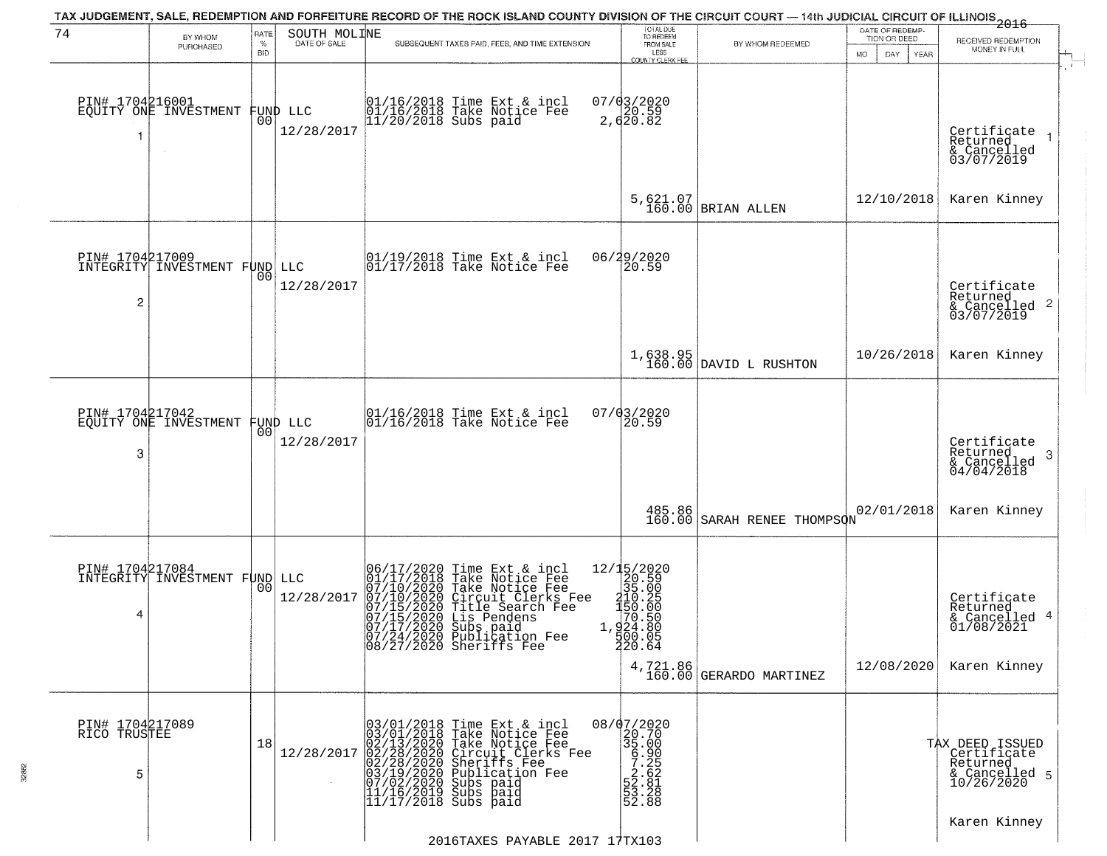| 74                                   | TAX JUDGEMENT, SALE, REDEMPTION AND FORFEITURE RECORD OF THE ROCK ISLAND COUNTY DIVISION OF THE CIRCUIT COURT — 14th JUDICIAL CIRCUIT OF ILLINOIS 2016<br>RATE<br>BY WHOM |                    | SOUTH MOLINE           |                                                                                                                                                                                                                                                                                                                                                        | TOTAL DUE<br>TO REDEEM                                                                                             |                                       | DATE OF REDEMP-<br>TION OR DEED |                                                                           |  |
|--------------------------------------|---------------------------------------------------------------------------------------------------------------------------------------------------------------------------|--------------------|------------------------|--------------------------------------------------------------------------------------------------------------------------------------------------------------------------------------------------------------------------------------------------------------------------------------------------------------------------------------------------------|--------------------------------------------------------------------------------------------------------------------|---------------------------------------|---------------------------------|---------------------------------------------------------------------------|--|
|                                      | PURCHASED                                                                                                                                                                 | $\%$<br><b>BID</b> | DATE OF SALE           | SUBSEQUENT TAXES PAID, FEES, AND TIME EXTENSION                                                                                                                                                                                                                                                                                                        | FROM SALE<br>LESS                                                                                                  | BY WHOM REDEEMED                      | DAY.<br>MO.<br>YEAR             | RECEIVED REDEMPTION<br>MONEY IN FULL                                      |  |
| PIN# 1704216001<br>1                 | EQUITY ONE INVESTMENT                                                                                                                                                     | 0O                 | FUND LLC<br>12/28/2017 | 01/16/2018 Time Ext & incl<br>01/16/2018 Take Notice Fee<br>11/20/2018 Subs paid                                                                                                                                                                                                                                                                       | <b>COUNTY CLERK FEE</b><br>$07/03/2020$<br>2, $620.59$<br>2, $620.82$                                              |                                       |                                 | Certificate<br>Returned<br>& Cancelled<br>03/07/2019                      |  |
|                                      |                                                                                                                                                                           |                    |                        |                                                                                                                                                                                                                                                                                                                                                        |                                                                                                                    | 5,621.07<br>160.00 BRIAN ALLEN        | 12/10/2018                      | Karen Kinney                                                              |  |
| $\overline{c}$                       | PIN# 1704217009<br>INTEGRITY INVESTMENT FUND LLC                                                                                                                          | 00                 | 12/28/2017             | 01/19/2018 Time Ext & incl<br>01/17/2018 Take Notice Fee                                                                                                                                                                                                                                                                                               | 06/29/2020<br>20.59                                                                                                |                                       |                                 | Certificate<br>Returned<br>$\frac{1}{6}$ Cancelled 2<br>03/07/2019        |  |
|                                      |                                                                                                                                                                           |                    |                        |                                                                                                                                                                                                                                                                                                                                                        |                                                                                                                    | $1,638.95$<br>160.00 DAVID L RUSHTON  | 10/26/2018                      | Karen Kinney                                                              |  |
| PIN# 1704217042<br>3                 | EQUITY ONE INVESTMENT                                                                                                                                                     | 00                 | FUND LLC<br>12/28/2017 | 01/16/2018 Time Ext & incl<br>01/16/2018 Take Notice Fee                                                                                                                                                                                                                                                                                               | 07/03/2020<br>20.59                                                                                                |                                       |                                 | Certificate<br>Returned<br>3<br>$\frac{1}{2}$ Cancelled<br>04/04/2018     |  |
|                                      |                                                                                                                                                                           |                    |                        |                                                                                                                                                                                                                                                                                                                                                        | 485.86<br>160.00                                                                                                   | SARAH RENEE THOMPSON                  | 02/01/2018                      | Karen Kinney                                                              |  |
| 4                                    | PIN# 1704217084<br>INTEGRITY INVESTMENT FUND LLC                                                                                                                          | 0 <sup>0</sup>     | 12/28/2017             | 06/17/2020 Time Ext & i<br>01/17/2018 Take Notice<br>07/10/2020 Take Notice<br>07/10/2020 Circuit Cler<br>07/15/2020 Circuit Cler<br>07/15/2020 Lis Pendens<br>07/17/2020 Subsication<br>Time Ext & incl<br>Take Notice Fee<br>Circuit Clerks Fee<br>Circuit Clerks Fee<br>Title Search Fee<br> 07/24/2020 Publication Fee<br> 08/27/2020 Sheriffs Fee | 12/15/2020<br>$2/13/26.59$<br>$310.25$<br>$310.25$<br>$150.00$<br>$70.50$<br>$1,924.80$<br>500.05<br><b>220.64</b> | $4,721.86$<br>160.00 GERARDO MARTINEZ | 12/08/2020                      | Certificate<br>Returned<br>& Cancelled 4<br>01/08/2021<br>Karen Kinney    |  |
| PIN# 1704217089<br>RICO TRUSTEE<br>5 |                                                                                                                                                                           | 18                 | 12/28/2017             | 03/01/2018 Time Ext & incl<br>03/01/2018 Take Notice Fee<br>02/13/2020 Take Notice Fee<br>02/28/2020 Circuit Clerks Fee<br>02/28/2020 Sheriffs Fee<br>03/19/2020 Subs paid<br>07/02/2020 Subs paid<br>11/16/2019 Subs paid<br>11/17/2018 Subs paid                                                                                                     | 08/07/2020<br>20.70<br>35.00<br>$\begin{array}{r} 3.300 \\ 7.25 \\ 2.621 \\ 52.81 \\ 53.288 \\ 52.88 \end{array}$  |                                       |                                 | TAX DEED ISSUED<br>Certificate<br>Returned<br>& Cancelled 5<br>10/26/2020 |  |
|                                      |                                                                                                                                                                           |                    |                        |                                                                                                                                                                                                                                                                                                                                                        |                                                                                                                    |                                       |                                 |                                                                           |  |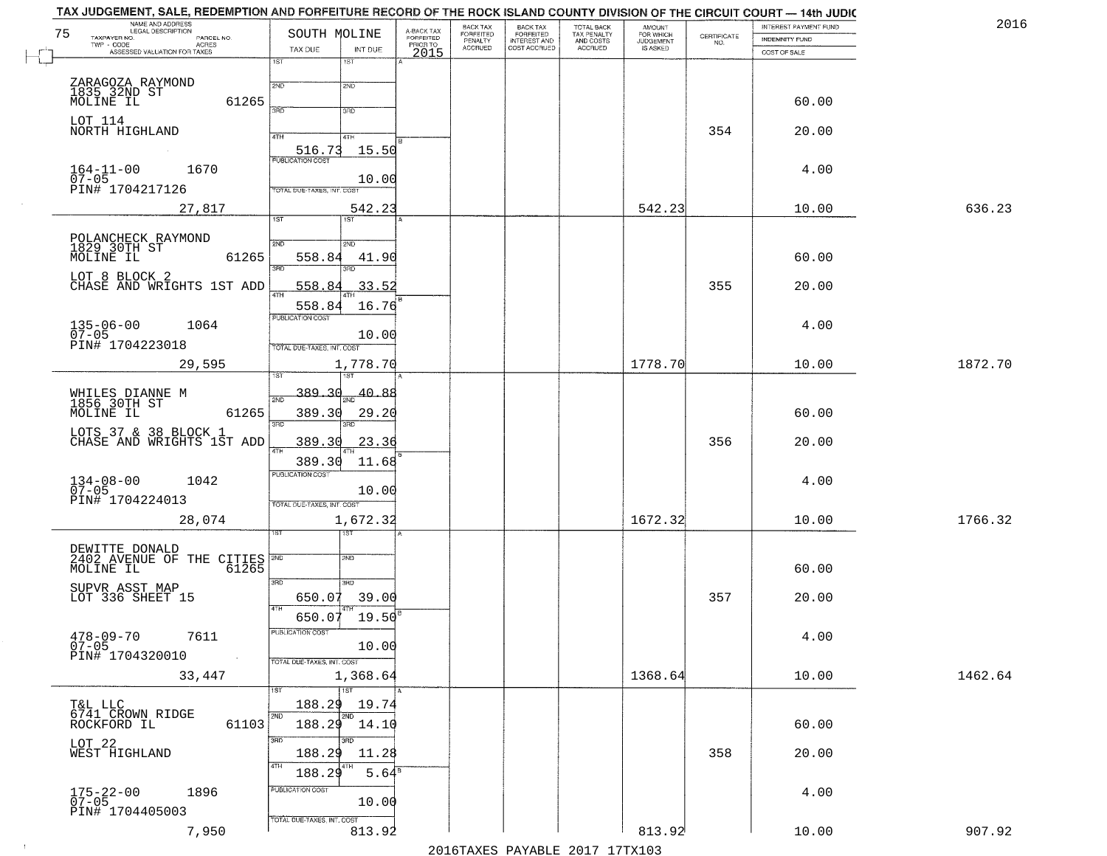| NAME AND ADDRESS<br>LEGAL DESCRIPTION<br>75<br>TAXPAYER NO.<br>PARCEL NO. | SOUTH MOLINE                                               | A-BACK TAX<br>FORFEITED | BACK TAX<br>FORFEITED | <b>BACK TAX</b><br><b>FORFEITED</b> | TOTAL BACK<br>TAX PENALTY<br>AND COSTS<br>ACCRUED | <b>AMOUNT</b>                      | $\begin{array}{c} \text{CERTIFICATE} \\ \text{NO.} \end{array}$ | INTEREST PAYMENT FUND<br><b>INDEMNITY FUND</b> | 2016    |
|---------------------------------------------------------------------------|------------------------------------------------------------|-------------------------|-----------------------|-------------------------------------|---------------------------------------------------|------------------------------------|-----------------------------------------------------------------|------------------------------------------------|---------|
| $TWP - CODE$<br>ACRES<br>ASSESSED VALUATION FOR TAXES                     | TAX DUE<br>INT DUE                                         | PRIOR TO<br>2015        | PENALTY<br>ACCRUED    | INTEREST AND                        |                                                   | FOR WHICH<br>JUDGEMENT<br>IS ASKED |                                                                 | COST OF SALE                                   |         |
|                                                                           | 1ST<br>1ST                                                 |                         |                       |                                     |                                                   |                                    |                                                                 |                                                |         |
| ZARAGOZA RAYMOND<br>1835_32ND ST                                          | 2ND<br>2ND                                                 |                         |                       |                                     |                                                   |                                    |                                                                 |                                                |         |
| MOLINE IL                                                                 | 61265<br>370<br>3BD                                        |                         |                       |                                     |                                                   |                                    |                                                                 | 60.00                                          |         |
| LOT 114<br>NORTH HIGHLAND                                                 | 4TH<br>4TH                                                 |                         |                       |                                     |                                                   |                                    | 354                                                             | 20.00                                          |         |
|                                                                           | 516.73<br>15.50<br><b>PUBLICATION COST</b>                 |                         |                       |                                     |                                                   |                                    |                                                                 |                                                |         |
| $164 - 11 - 00$<br>1670                                                   | 10.00                                                      |                         |                       |                                     |                                                   |                                    |                                                                 | 4.00                                           |         |
| 07-05<br>PIN# 1704217126                                                  | TOTAL DUE-TAXES, INT. COST                                 |                         |                       |                                     |                                                   |                                    |                                                                 |                                                |         |
| 27,817                                                                    | 542.23<br>1ST<br>1ST                                       |                         |                       |                                     |                                                   | 542.23                             |                                                                 | 10.00                                          | 636.23  |
|                                                                           | 2ND<br>2ND                                                 |                         |                       |                                     |                                                   |                                    |                                                                 |                                                |         |
| POLANCHECK RAYMOND<br>1829 30TH ST<br>MOLINE IL                           | 61265<br>558.84<br>41.90<br>3RD<br>3RD                     |                         |                       |                                     |                                                   |                                    |                                                                 | 60.00                                          |         |
| LOT 8 BLOCK 2<br>CHASE AND WRIGHTS 1ST ADD                                | 558.84<br>33.52                                            |                         |                       |                                     |                                                   |                                    | 355                                                             | 20.00                                          |         |
|                                                                           | <b>ATH</b><br>558.84<br>16.76                              |                         |                       |                                     |                                                   |                                    |                                                                 |                                                |         |
| $135 - 06 - 00$<br>07-05<br>1064                                          | PUBLICATION COST                                           |                         |                       |                                     |                                                   |                                    |                                                                 | 4.00                                           |         |
| PIN# 1704223018                                                           | 10.00<br>TOTAL DUE-TAXES, INT. COST                        |                         |                       |                                     |                                                   |                                    |                                                                 |                                                |         |
| 29,595                                                                    | 1,778.70                                                   |                         |                       |                                     |                                                   | 1778.70                            |                                                                 | 10.00                                          | 1872.70 |
| WHILES DIANNE M<br>1856 30TH ST                                           | 389.30<br>40.88<br>2ND                                     |                         |                       |                                     |                                                   |                                    |                                                                 |                                                |         |
| MOLINE IL                                                                 | 61265<br>389.30<br>29.20                                   |                         |                       |                                     |                                                   |                                    |                                                                 | 60.00                                          |         |
| LOTS 37 & 38 BLOCK 1<br>CHASE AND WRIGHTS 1ST ADD                         | 3RD<br>3RD<br>389.30<br>23.36                              |                         |                       |                                     |                                                   |                                    | 356                                                             | 20.00                                          |         |
|                                                                           | 4TH<br>389.30<br>11.68                                     |                         |                       |                                     |                                                   |                                    |                                                                 |                                                |         |
| $134 - 08 - 00$<br>07-05<br>1042                                          | <b>PUBLICATION COST</b>                                    |                         |                       |                                     |                                                   |                                    |                                                                 | 4.00                                           |         |
| PIN# 1704224013                                                           | 10.00<br>TOTAL OUE-TAXES, INT. COST                        |                         |                       |                                     |                                                   |                                    |                                                                 |                                                |         |
| 28,074                                                                    | 1,672.32                                                   |                         |                       |                                     |                                                   | 1672.32                            |                                                                 | 10.00                                          | 1766.32 |
|                                                                           | বরস                                                        |                         |                       |                                     |                                                   |                                    |                                                                 |                                                |         |
| DEWITTE DONALD<br>2402 AVENUE OF THE CITIES<br>MOLINE IL                  | 2ND<br>61265                                               |                         |                       |                                     |                                                   |                                    |                                                                 | 60.00                                          |         |
| SUPVR ASST MAP                                                            | 3RD<br>3RD                                                 |                         |                       |                                     |                                                   |                                    |                                                                 |                                                |         |
| LOT 336 SHEET 15                                                          | 650.07<br>39.00<br>4TH<br>$19.50^{B}$                      |                         |                       |                                     |                                                   |                                    | 357                                                             | 20.00                                          |         |
| $478 - 09 - 70$<br>7611                                                   | 650.07<br>PUBLICATION COST                                 |                         |                       |                                     |                                                   |                                    |                                                                 | 4.00                                           |         |
| $07 - 05$<br>PIN# 1704320010                                              | 10.00<br>$\sim 100$ km                                     |                         |                       |                                     |                                                   |                                    |                                                                 |                                                |         |
| 33,447                                                                    | TOTAL DUE-TAXES, INT. COST<br>1,368.64                     |                         |                       |                                     |                                                   | 1368.64                            |                                                                 | 10.00                                          | 1462.64 |
|                                                                           | $\overline{1ST}$<br>1ST                                    |                         |                       |                                     |                                                   |                                    |                                                                 |                                                |         |
| T&L LLC<br>6741 CROWN RIDGE<br>ROCKFORD IL                                | 188.29<br>19.74<br>2ND<br>2ND<br>$188.29$ $14.10$<br>61103 |                         |                       |                                     |                                                   |                                    |                                                                 | 60.00                                          |         |
| LOT <sub>22</sub>                                                         | 3RD<br>अंगर                                                |                         |                       |                                     |                                                   |                                    |                                                                 |                                                |         |
| WEST HIGHLAND                                                             | 188.29<br>11.28<br>4TH                                     |                         |                       |                                     |                                                   |                                    | 358                                                             | 20.00                                          |         |
|                                                                           | 188.29<br>PUBLICATION COST                                 | $5.64^8$                |                       |                                     |                                                   |                                    |                                                                 |                                                |         |
| 175-22-00<br>07-05<br>1896<br>PIN# 1704405003                             | 10.00                                                      |                         |                       |                                     |                                                   |                                    |                                                                 | 4.00                                           |         |
| 7,950                                                                     | TOTAL DUE-TAXES, INT. COST<br>813.92                       |                         |                       |                                     |                                                   | 813.92                             |                                                                 | 10.00                                          | 907.92  |
|                                                                           |                                                            |                         |                       |                                     |                                                   |                                    |                                                                 |                                                |         |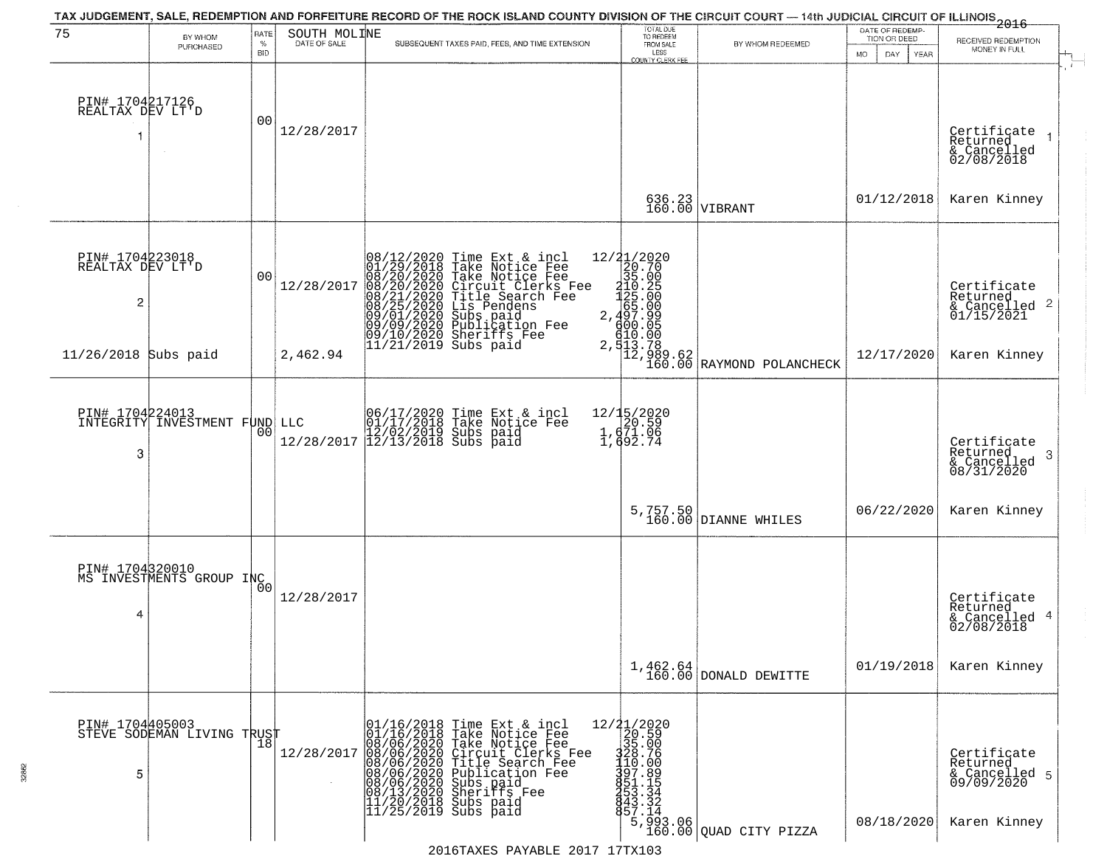| 75                                                    | BY WHOM                                     | RATE               | SOUTH MOLINE | TAX JUDGEMENT, SALE, REDEMPTION AND FORFEITURE RECORD OF THE ROCK ISLAND COUNTY DIVISION OF THE CIRCUIT COURT — 14th JUDICIAL CIRCUIT OF ILLINOIS 2016                                                                                                                                                                                                                                                                                                                      | TOTAL DUE<br>TO REDEEM<br>FROM SALE                                                                                                                                                                                       |                                                                                                                                                 | DATE OF REDEMP-<br>TION OR DEED | RECEIVED REDEMPTION                                                                              |
|-------------------------------------------------------|---------------------------------------------|--------------------|--------------|-----------------------------------------------------------------------------------------------------------------------------------------------------------------------------------------------------------------------------------------------------------------------------------------------------------------------------------------------------------------------------------------------------------------------------------------------------------------------------|---------------------------------------------------------------------------------------------------------------------------------------------------------------------------------------------------------------------------|-------------------------------------------------------------------------------------------------------------------------------------------------|---------------------------------|--------------------------------------------------------------------------------------------------|
|                                                       | PURCHASED                                   | $\%$<br><b>BID</b> | DATE OF SALE | SUBSEQUENT TAXES PAID, FEES, AND TIME EXTENSION                                                                                                                                                                                                                                                                                                                                                                                                                             | LESS<br><b>COUNTY CLERK FEE</b>                                                                                                                                                                                           | BY WHOM REDEEMED                                                                                                                                | <b>MO</b><br>DAY<br>YEAR        | MONEY IN FULL                                                                                    |
| PIN# 1704217126<br>REALTAX DEV LT'D                   |                                             | 00                 | 12/28/2017   |                                                                                                                                                                                                                                                                                                                                                                                                                                                                             |                                                                                                                                                                                                                           |                                                                                                                                                 |                                 | Certificate<br>Returned<br>& Cancelled<br>02/08/2018                                             |
|                                                       |                                             |                    |              |                                                                                                                                                                                                                                                                                                                                                                                                                                                                             |                                                                                                                                                                                                                           | 636.23<br>160.00 VIBRANT                                                                                                                        | 01/12/2018                      | Karen Kinney                                                                                     |
| PIN# 1704223018<br>REALTAX DEV LT'D<br>$\overline{c}$ |                                             | 00                 | 12/28/2017   | 08/12/2020 Time Ext &<br>01/29/2018 Take Notic<br>08/20/2020 Take Notic<br>08/20/2020 Circuit Cl<br>08/21/2020 Title Sear<br>08/25/2020 Lis Pender<br>09/09/2020 Sublicatic<br>09/09/2020 Sublicatic<br>09/10/2020 Sheriffs F<br>11/21/2019 Subs paid<br>Time Ext & incl<br>Take Notice Fee<br>Take Notice Fee<br>Circuit Clerks Fee<br>Title Search Fee<br>Lis Pendens<br>Subs paid<br>Publication Fee<br>Subs naid                                                        |                                                                                                                                                                                                                           | $12/21/2020$<br>$20.70$<br>$35.00$<br>$10.25$<br>$497.99$<br>$497.99$<br>$00.05$<br>$2,913.78$<br>$12.989.62$<br>$160.00$<br>RAYMOND POLANCHECK |                                 | Certificate<br>Returned<br>$\begin{array}{c}\n 6 \text{ Cancelled} \\  01/15/2021\n \end{array}$ |
| $11/26/2018$ Subs paid                                |                                             |                    | 2,462.94     |                                                                                                                                                                                                                                                                                                                                                                                                                                                                             |                                                                                                                                                                                                                           |                                                                                                                                                 | 12/17/2020                      | Karen Kinney                                                                                     |
| PIN# 1704224013<br>INTEGRITY<br>3                     | INVESTMENT FUND LLC                         | 00                 | 12/28/2017   | 06/17/2020 Time Ext & incl<br>01/17/2018 Take Notice Fee<br>12/02/2019 Subs paid<br>12/13/2018 Subs paid                                                                                                                                                                                                                                                                                                                                                                    | 12/15/2020<br>$\begin{bmatrix} 20.59 \\ 1,671.06 \\ 1,692.74 \end{bmatrix}$                                                                                                                                               |                                                                                                                                                 |                                 | Certificate<br>Returned<br>3<br>$\frac{1}{08/31/2020}$                                           |
|                                                       |                                             |                    |              |                                                                                                                                                                                                                                                                                                                                                                                                                                                                             |                                                                                                                                                                                                                           | 5,757.50<br>160.00 DIANNE WHILES                                                                                                                | 06/22/2020                      | Karen Kinney                                                                                     |
| 4                                                     | PIN# 1704320010<br>MS INVESTMENTS GROUP INC | 0 <sup>0</sup>     | 12/28/2017   |                                                                                                                                                                                                                                                                                                                                                                                                                                                                             |                                                                                                                                                                                                                           |                                                                                                                                                 |                                 | Certificate<br>Returned<br>& Cancelled 4<br>02/08/2018                                           |
|                                                       |                                             |                    |              |                                                                                                                                                                                                                                                                                                                                                                                                                                                                             |                                                                                                                                                                                                                           | $1,462.64$ DONALD DEWITTE                                                                                                                       | 01/19/2018                      | Karen Kinney                                                                                     |
| PIN# 1704405003<br>5                                  | STEVE SODEMAN LIVING TRUST<br> 18           |                    | 12/28/2017   | 01/16/2018 Time Ext & incl<br>01/16/2018 Take Notice Fee<br>08/06/2020 Take Notice Fee<br>08/06/2020 Circuit Clerks F<br>08/06/2020 Title Search Fee<br>08/06/2020 Publication Fee<br>08/06/2020 Subs paid<br>08/13/2020 Sheriffs Fee<br>11/25/2019 S<br>Circuit Clerks Fee<br>Title Search Fee<br>Publication Fee<br>Subs paid<br>Sheriffs Fee<br>$\left  \frac{11}{20}, \frac{20}{2018} \right $ Subs paid<br>$\left  \frac{11}{25}, \frac{2019}{2019} \right $ Subs paid | $\begin{smallmatrix} 12/21/2020 \\ 20.59 \\ 325.00 \\ 120.59 \\ 120.06 \\ 110.00 \\ 110.00 \\ 111.00 \\ 511.35 \\ 52.134 \\ 65 & .\ 142 \\ 7.14 \\ 8.132 \\ 9.134 \\ 1.342 \\ 1.344 \\ 5.7 \\ 1.343 \\ \end{smallmatrix}$ | $\left.\begin{array}{c} \text{15,}\,993.06 \\ 160.00 \, \text{QUAD CITY PIZZA} \end{array}\right.$                                              | 08/18/2020                      | Certificate<br>Returned<br>& Cancelled 5<br>09/09/2020<br>Karen Kinney                           |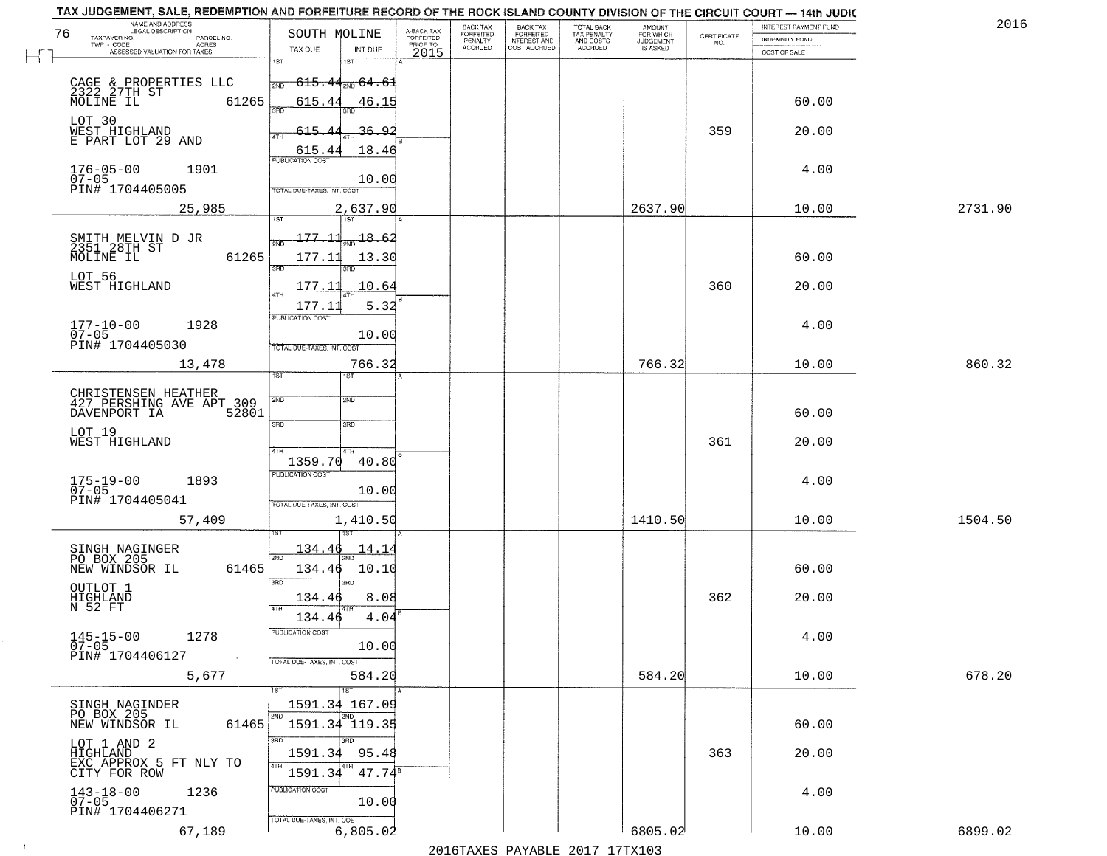| TAX JUDGEMENT, SALE, REDEMPTION AND FORFEITURE RECORD OF THE ROCK ISLAND COUNTY DIVISION OF THE CIRCUIT COURT - 14th JUDIC<br>NAME AND ADDRESS<br>LEGAL DESCRIPTION |                |                                              |                                     | BACK TAX             |                                       |                                        | AMOUNT<br>FOR WHICH |                                                                 | INTEREST PAYMENT FUND | 2016    |
|---------------------------------------------------------------------------------------------------------------------------------------------------------------------|----------------|----------------------------------------------|-------------------------------------|----------------------|---------------------------------------|----------------------------------------|---------------------|-----------------------------------------------------------------|-----------------------|---------|
| 76<br>TAXPAYER NO.                                                                                                                                                  | PARCEL NO.     | SOUTH MOLINE                                 | A-BACK TAX<br>FORFEITED<br>PRIOR TO | FORFEITED<br>PENALTY | BACK TAX<br>FORFEITED<br>INTEREST AND | TOTAL BACK<br>TAX PENALTY<br>AND COSTS | <b>JUDGEMENT</b>    | $\begin{array}{c} \text{CERTIFICATE} \\ \text{NO.} \end{array}$ | INDEMNITY FUND        |         |
| TWP - CODE<br>ASSESSED VALUATION FOR TAXES                                                                                                                          | ACRES          | INT DUE<br>TAX DUE                           | 2015                                | <b>ACCRUED</b>       | COST ACCRUED                          | ACCRUED                                | IS ASKED            |                                                                 | COST OF SALE          |         |
|                                                                                                                                                                     |                | 1ST<br>18T                                   |                                     |                      |                                       |                                        |                     |                                                                 |                       |         |
|                                                                                                                                                                     |                | <del>615.44<sub>2ND</sub> 64.61</del><br>2ND |                                     |                      |                                       |                                        |                     |                                                                 |                       |         |
| CAGE & PROPERTIES LLC<br>2322 27TH ST                                                                                                                               |                |                                              |                                     |                      |                                       |                                        |                     |                                                                 |                       |         |
| MOLINE IL                                                                                                                                                           | 61265          | 615.44<br>46.15<br>350                       |                                     |                      |                                       |                                        |                     |                                                                 | 60.00                 |         |
| LOT 30                                                                                                                                                              |                |                                              |                                     |                      |                                       |                                        |                     |                                                                 |                       |         |
| WEST HIGHLAND<br>E PART LOT 29 AND                                                                                                                                  |                | 615.44<br><u>36.92</u>                       |                                     |                      |                                       |                                        |                     | 359                                                             | 20.00                 |         |
|                                                                                                                                                                     |                | 18.46<br>615.44                              |                                     |                      |                                       |                                        |                     |                                                                 |                       |         |
|                                                                                                                                                                     |                | <b>PUBLICATION COST</b>                      |                                     |                      |                                       |                                        |                     |                                                                 |                       |         |
| $176 - 05 - 00$<br>07-05                                                                                                                                            | 1901           | 10.00                                        |                                     |                      |                                       |                                        |                     |                                                                 | 4.00                  |         |
| PIN# 1704405005                                                                                                                                                     |                | TOTAL DUE-TAXES, INT. COST                   |                                     |                      |                                       |                                        |                     |                                                                 |                       |         |
|                                                                                                                                                                     | 25,985         | 2,637.90                                     |                                     |                      |                                       |                                        | 2637.90             |                                                                 | 10.00                 | 2731.90 |
|                                                                                                                                                                     |                |                                              |                                     |                      |                                       |                                        |                     |                                                                 |                       |         |
|                                                                                                                                                                     |                | 177.11<br>18.62                              |                                     |                      |                                       |                                        |                     |                                                                 |                       |         |
| SMITH MELVIN D JR<br>2351 28TH ST                                                                                                                                   |                |                                              |                                     |                      |                                       |                                        |                     |                                                                 |                       |         |
| MOLINE IL                                                                                                                                                           | 61265          | 177.11<br>13.30<br>3RD                       |                                     |                      |                                       |                                        |                     |                                                                 | 60.00                 |         |
| LOT 56                                                                                                                                                              |                |                                              |                                     |                      |                                       |                                        |                     |                                                                 |                       |         |
| WEST HIGHLAND                                                                                                                                                       |                | 177.11<br>10.64                              |                                     |                      |                                       |                                        |                     | 360                                                             | 20.00                 |         |
|                                                                                                                                                                     |                | 5.32<br>177.11                               |                                     |                      |                                       |                                        |                     |                                                                 |                       |         |
|                                                                                                                                                                     |                | PUBLICATION COST                             |                                     |                      |                                       |                                        |                     |                                                                 |                       |         |
| $177 - 10 - 00$<br>$07 - 05$                                                                                                                                        | 1928           | 10.00                                        |                                     |                      |                                       |                                        |                     |                                                                 | 4.00                  |         |
| PIN# 1704405030                                                                                                                                                     |                | TOTAL DUE-TAXES, INT. COST                   |                                     |                      |                                       |                                        |                     |                                                                 |                       |         |
|                                                                                                                                                                     | 13,478         | 766.32                                       |                                     |                      |                                       |                                        | 766.32              |                                                                 | 10.00                 | 860.32  |
|                                                                                                                                                                     |                | ST<br>ïЗT                                    |                                     |                      |                                       |                                        |                     |                                                                 |                       |         |
|                                                                                                                                                                     |                |                                              |                                     |                      |                                       |                                        |                     |                                                                 |                       |         |
| CHRISTENSEN HEATHER<br>427 PERSHING AVE APT 309                                                                                                                     |                | SVD<br>SND                                   |                                     |                      |                                       |                                        |                     |                                                                 |                       |         |
| DAVENPORT IA                                                                                                                                                        | 52801          |                                              |                                     |                      |                                       |                                        |                     |                                                                 | 60.00                 |         |
| LOT 19                                                                                                                                                              |                | 3RD<br>3 <sub>BD</sub>                       |                                     |                      |                                       |                                        |                     |                                                                 |                       |         |
| WEST HIGHLAND                                                                                                                                                       |                | 4TH                                          |                                     |                      |                                       |                                        |                     | 361                                                             | 20.00                 |         |
|                                                                                                                                                                     |                | 40.80<br>1359.70                             |                                     |                      |                                       |                                        |                     |                                                                 |                       |         |
|                                                                                                                                                                     |                | <b>PUBLICATION COST</b>                      |                                     |                      |                                       |                                        |                     |                                                                 |                       |         |
| $175 - 19 - 00$<br>07-05                                                                                                                                            | 1893           | 10.00                                        |                                     |                      |                                       |                                        |                     |                                                                 | 4.00                  |         |
| PIN# 1704405041                                                                                                                                                     |                | TOTAL OUE-TAXES, INT. COST                   |                                     |                      |                                       |                                        |                     |                                                                 |                       |         |
|                                                                                                                                                                     | 57,409         | 1,410.50                                     |                                     |                      |                                       |                                        | 1410.50             |                                                                 | 10.00                 | 1504.50 |
|                                                                                                                                                                     |                |                                              |                                     |                      |                                       |                                        |                     |                                                                 |                       |         |
|                                                                                                                                                                     |                | <u> 134.46</u><br>14.14                      |                                     |                      |                                       |                                        |                     |                                                                 |                       |         |
| SINGH NAGINGER<br>PO BOX 205                                                                                                                                        |                | 2ND                                          |                                     |                      |                                       |                                        |                     |                                                                 |                       |         |
| NEW WINDSOR IL                                                                                                                                                      | 61465          | 134.46<br>10.10                              |                                     |                      |                                       |                                        |                     |                                                                 | 60.00                 |         |
|                                                                                                                                                                     |                | 3RD<br>3BD                                   |                                     |                      |                                       |                                        |                     |                                                                 |                       |         |
| OUTLOT 1<br>HIGHLAND<br>N 52 FT                                                                                                                                     |                | 8.08<br>134.46                               |                                     |                      |                                       |                                        |                     | 362                                                             | 20.00                 |         |
|                                                                                                                                                                     |                | 4TH<br>4.04<br>134.46                        |                                     |                      |                                       |                                        |                     |                                                                 |                       |         |
|                                                                                                                                                                     |                | PUBLICATION COST                             |                                     |                      |                                       |                                        |                     |                                                                 |                       |         |
| $145 - 15 - 00$<br>$07 - 05$                                                                                                                                        | 1278           | 10.00                                        |                                     |                      |                                       |                                        |                     |                                                                 | 4.00                  |         |
| PIN# 1704406127                                                                                                                                                     | $\sim 10^{-1}$ | TOTAL DUE-TAXES, INT. COST                   |                                     |                      |                                       |                                        |                     |                                                                 |                       |         |
|                                                                                                                                                                     | 5,677          | 584.20                                       |                                     |                      |                                       |                                        | 584.20              |                                                                 | 10.00                 | 678.20  |
|                                                                                                                                                                     |                | 1ST                                          |                                     |                      |                                       |                                        |                     |                                                                 |                       |         |
|                                                                                                                                                                     |                | 1591.34 167.09                               |                                     |                      |                                       |                                        |                     |                                                                 |                       |         |
| SINGH NAGINDER<br>PO BOX 205                                                                                                                                        |                | 2ND<br>2ND                                   |                                     |                      |                                       |                                        |                     |                                                                 |                       |         |
| NEW WINDSOR IL                                                                                                                                                      | 61465          | 1591.34 119.35                               |                                     |                      |                                       |                                        |                     |                                                                 | 60.00                 |         |
| LOT 1 AND 2                                                                                                                                                         |                | 3RD<br>3BD                                   |                                     |                      |                                       |                                        |                     |                                                                 |                       |         |
| <b>HIGHLAND</b>                                                                                                                                                     |                | 1591.34<br>95.48                             |                                     |                      |                                       |                                        |                     | 363                                                             | 20.00                 |         |
| EXC APPROX 5 FT NLY TO<br>CITY FOR ROW                                                                                                                              |                | 4TH<br>$47.74^s$<br>1591.34                  |                                     |                      |                                       |                                        |                     |                                                                 |                       |         |
|                                                                                                                                                                     |                |                                              |                                     |                      |                                       |                                        |                     |                                                                 |                       |         |
| $143 - 18 - 00$<br>07-05                                                                                                                                            | 1236           | <b>PUBLICATION COST</b>                      |                                     |                      |                                       |                                        |                     |                                                                 | 4.00                  |         |
| PIN# 1704406271                                                                                                                                                     |                | 10.00                                        |                                     |                      |                                       |                                        |                     |                                                                 |                       |         |
|                                                                                                                                                                     |                | TOTAL DUE-TAXES, INT. COST                   |                                     |                      |                                       |                                        |                     |                                                                 |                       |         |
|                                                                                                                                                                     | 67,189         | 6,805.02                                     |                                     |                      |                                       |                                        | 6805.02             |                                                                 | 10.00                 | 6899.02 |
|                                                                                                                                                                     |                |                                              |                                     |                      |                                       | 2016 TAVEC DAVARIE 2017 17 TAV102      |                     |                                                                 |                       |         |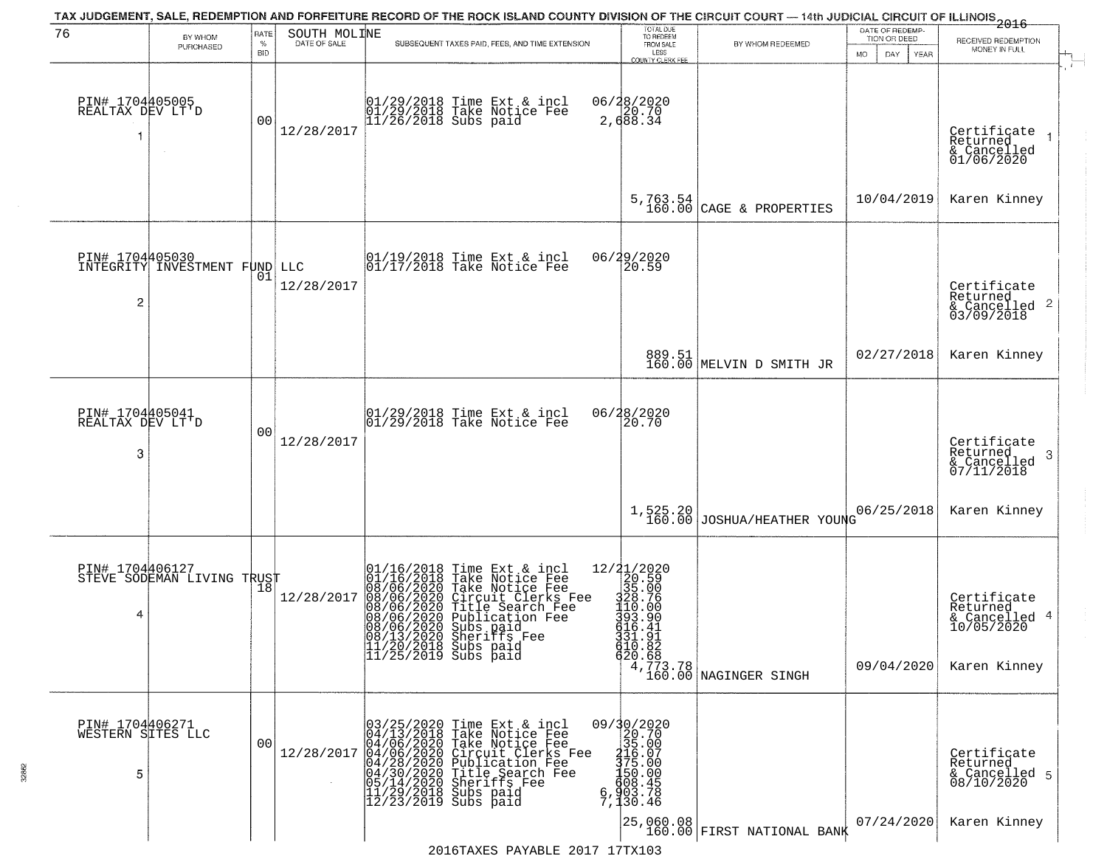| RATE<br>BY WHOM |                                                                                                                    |            |                                                                                                   | DATE OF REDEMP-                                                                                                                                                                                                                                                                                                                                                                                                                                                                                              |                                                                                                                                                                                                                                                                                                                                                                                                                                                      |                                                                                                                                                                                                                                                                                                                                                                                                                                                   |                                                                                                                              |
|-----------------|--------------------------------------------------------------------------------------------------------------------|------------|---------------------------------------------------------------------------------------------------|--------------------------------------------------------------------------------------------------------------------------------------------------------------------------------------------------------------------------------------------------------------------------------------------------------------------------------------------------------------------------------------------------------------------------------------------------------------------------------------------------------------|------------------------------------------------------------------------------------------------------------------------------------------------------------------------------------------------------------------------------------------------------------------------------------------------------------------------------------------------------------------------------------------------------------------------------------------------------|---------------------------------------------------------------------------------------------------------------------------------------------------------------------------------------------------------------------------------------------------------------------------------------------------------------------------------------------------------------------------------------------------------------------------------------------------|------------------------------------------------------------------------------------------------------------------------------|
| PURCHASED       | $\%$<br>BID                                                                                                        |            | SUBSEQUENT TAXES PAID, FEES, AND TIME EXTENSION                                                   | FROM SALE                                                                                                                                                                                                                                                                                                                                                                                                                                                                                                    | BY WHOM REDEEMED                                                                                                                                                                                                                                                                                                                                                                                                                                     | <b>MO</b><br>DAY<br>YEAR                                                                                                                                                                                                                                                                                                                                                                                                                          | RECEIVED REDEMPTION<br>MONEY IN FULL                                                                                         |
| $\sim$          | 0 <sub>0</sub>                                                                                                     | 12/28/2017 |                                                                                                   |                                                                                                                                                                                                                                                                                                                                                                                                                                                                                                              |                                                                                                                                                                                                                                                                                                                                                                                                                                                      |                                                                                                                                                                                                                                                                                                                                                                                                                                                   | Certificate<br>Returned<br>& Cancelled<br>01/06/2020                                                                         |
|                 |                                                                                                                    |            |                                                                                                   | 5,763.54<br>160.00                                                                                                                                                                                                                                                                                                                                                                                                                                                                                           | CAGE & PROPERTIES                                                                                                                                                                                                                                                                                                                                                                                                                                    | 10/04/2019                                                                                                                                                                                                                                                                                                                                                                                                                                        | Karen Kinney                                                                                                                 |
|                 | 01                                                                                                                 | 12/28/2017 |                                                                                                   |                                                                                                                                                                                                                                                                                                                                                                                                                                                                                                              |                                                                                                                                                                                                                                                                                                                                                                                                                                                      |                                                                                                                                                                                                                                                                                                                                                                                                                                                   | Certificate<br>Returned<br>$\begin{array}{c}\n 0.11161 \\  \text{for one} \ 0.3164 \\  \text{for one} \ 0.118\n \end{array}$ |
|                 |                                                                                                                    |            |                                                                                                   |                                                                                                                                                                                                                                                                                                                                                                                                                                                                                                              |                                                                                                                                                                                                                                                                                                                                                                                                                                                      | 02/27/2018                                                                                                                                                                                                                                                                                                                                                                                                                                        | Karen Kinney                                                                                                                 |
|                 | 0 <sub>0</sub>                                                                                                     | 12/28/2017 |                                                                                                   | 20.70                                                                                                                                                                                                                                                                                                                                                                                                                                                                                                        |                                                                                                                                                                                                                                                                                                                                                                                                                                                      |                                                                                                                                                                                                                                                                                                                                                                                                                                                   | Certificate<br>Returned<br>-3<br>& Cancelled<br>07/11/2018                                                                   |
|                 |                                                                                                                    |            |                                                                                                   | 1,525.20<br>160.00                                                                                                                                                                                                                                                                                                                                                                                                                                                                                           |                                                                                                                                                                                                                                                                                                                                                                                                                                                      | 06/25/2018                                                                                                                                                                                                                                                                                                                                                                                                                                        | Karen Kinney                                                                                                                 |
|                 |                                                                                                                    | 12/28/2017 |                                                                                                   |                                                                                                                                                                                                                                                                                                                                                                                                                                                                                                              |                                                                                                                                                                                                                                                                                                                                                                                                                                                      | 09/04/2020                                                                                                                                                                                                                                                                                                                                                                                                                                        | Certificate<br>Returned<br>& Cancelled 4<br>10/05/2020<br>Karen Kinney                                                       |
|                 | 0 <sub>0</sub>                                                                                                     | 12/28/2017 |                                                                                                   |                                                                                                                                                                                                                                                                                                                                                                                                                                                                                                              |                                                                                                                                                                                                                                                                                                                                                                                                                                                      |                                                                                                                                                                                                                                                                                                                                                                                                                                                   | Certificate<br>Returned<br>& Cancelled 5<br>08/10/2020                                                                       |
|                 | PIN# 1704405005<br>REALTAX DEV LT'D<br>PIN# 1704405041<br>REALTAX DEV LT'D<br>PIN# 1704406271<br>WESTERN SITES LLC |            | PIN# 1704405030<br>INTEGRITY INVESTMENT FUND LLC<br>PIN# 1704406127<br>STEVE SODEMAN LIVING TRUST | 01/29/2018 Time Ext & incl<br>01/29/2018 Take Notice Fee<br>11/26/2018 Subs paid<br>01/19/2018 Time Ext & incl<br>01/17/2018 Take Notice Fee<br>$ 01/29/2018$ Time Ext & incl<br>$ 01/29/2018$ Take Notice Fee<br>01/16/2018 Time Ext & incl<br>01/16/2018 Take Notice Fee<br>08/06/2020 Take Notice Fee<br>08/06/2020 Circuit Clerks Fee<br>08/06/2020 Title Search Fee<br>08/06/2020 Publication Fee<br>08/06/2020 Shariffs Fee<br>08/13/2020 Sheriffs Fee<br>11/20/2018 Subs paid<br>11/25/2019 Subs paid | SOUTH MOLINE<br>LESS<br>COUNTY CLERK FEE<br>06/28/2020<br>2,688.34<br>06/29/2020<br>20.59<br>06/28/2020<br>12/21/2020<br>20.59<br>35.00<br>$\frac{1}{200}$<br>$\frac{1}{20}$<br>$\frac{1}{20}$<br>$\frac{1}{20}$<br>$\frac{1}{20}$<br>$\frac{1}{20}$<br>$\frac{1}{20}$<br>$\frac{1}{20}$<br>$\frac{1}{20}$<br>$\frac{1}{20}$<br>331.91<br>010.82<br>$=\begin{smallmatrix} 09/30/2020\\ 20.70\\ 35.00\\ 316.07\\ 375.00\\ 450.00\\ \end{smallmatrix}$ | TOTAL DUE<br>TO REDEEM<br>889.51<br>160.00 MELVIN D SMITH JR<br>620.68<br>4,773.78<br>4,773.78<br>160.00 NAGINGER SINGH<br>03/25/2020 Time Ext & incl<br>04/13/2018 Take Notice Fee<br>04/06/2020 Take Notice Fee<br>04/06/2020 Take Notice Fee<br>04/28/2020 Circuit Clerks Fee<br>04/28/2020 Title Search Fee<br>05/14/2020 Sherifs Fee<br>11/29/2018 Subs paid<br>12/23/2019<br>$\begin{array}{c} 130.000 \\ 6,903.78 \\ 7,130.46 \end{array}$ | TION OR DEED<br>JOSHUA/HEATHER YOUNG                                                                                         |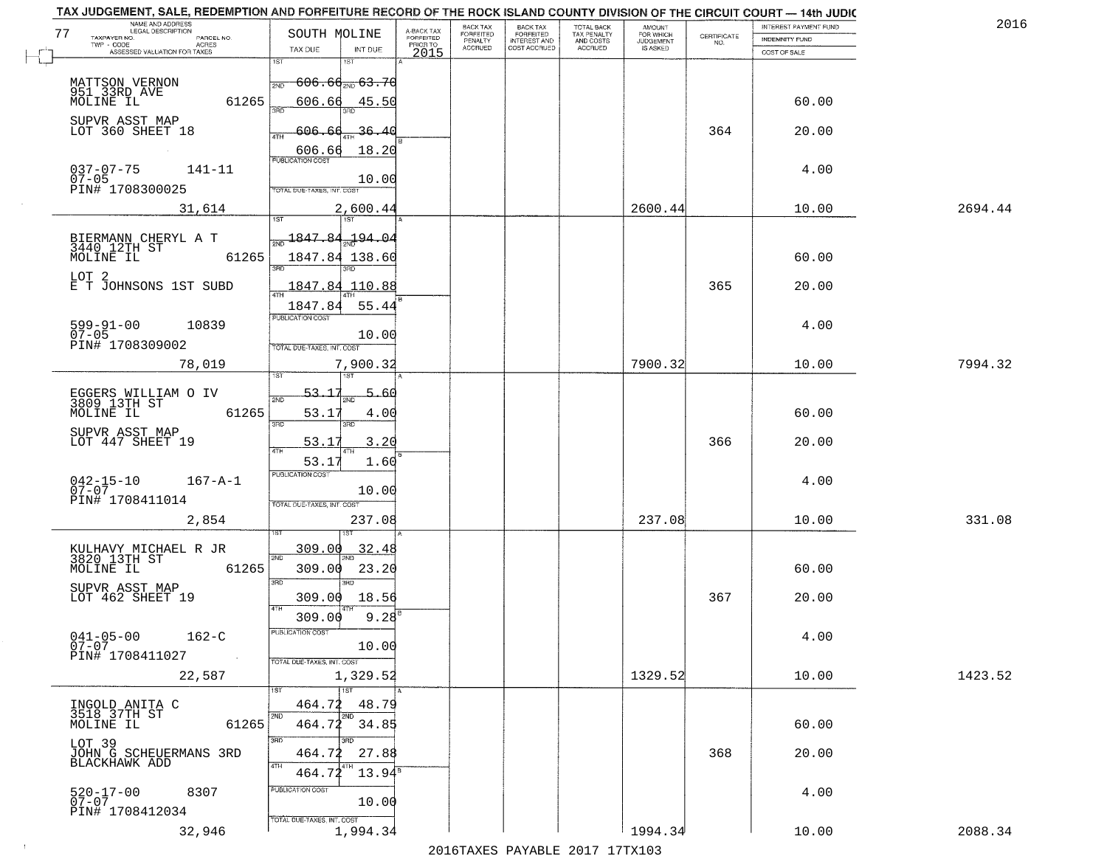| NAME AND ADDRESS<br>LEGAL DESCRIPTION                                                     |                                                                                 |                                     | BACK TAX             | <b>BACK TAX</b>           | TOTAL BACK<br>TAX PENALTY<br>AND COSTS | AMOUNT<br>FOR WHICH |                                                                 | INTEREST PAYMENT FUND | 2016    |
|-------------------------------------------------------------------------------------------|---------------------------------------------------------------------------------|-------------------------------------|----------------------|---------------------------|----------------------------------------|---------------------|-----------------------------------------------------------------|-----------------------|---------|
| 77<br>TAXPAYER NO.<br>PARCEL NO.<br>ACRES                                                 | SOUTH MOLINE                                                                    | A-BACK TAX<br>FORFEITED<br>PRIOR TO | FORFEITED<br>PENALTY | FORFEITED<br>INTEREST AND |                                        | <b>JUDGEMENT</b>    | $\begin{array}{c} \text{CERTIFICATE} \\ \text{NO.} \end{array}$ | <b>INDEMNITY FUND</b> |         |
| ASSESSED VALUATION FOR TAXES                                                              | TAX DUE<br>INT DUE                                                              | 2015                                | <b>ACCRUED</b>       | COST ACCRUED              | <b>ACCRUED</b>                         | IS ASKED            |                                                                 | COST OF SALE          |         |
| MATTSON VERNON<br>951 33RD AVE<br>MOLINE IL                                               | 1ST<br>18T<br><del>606.66<sub>210</sub> 63.70</del><br>2ND                      |                                     |                      |                           |                                        |                     |                                                                 |                       |         |
| 61265<br>SUPVR ASST MAP                                                                   | 606.66<br>45.50                                                                 |                                     |                      |                           |                                        |                     |                                                                 | 60.00                 |         |
| LOT 360 SHEET 18                                                                          | 606.60<br><u>36.40</u><br>18.20<br>$\frac{606.66}{FUBUCATONCCST}$               |                                     |                      |                           |                                        |                     | 364                                                             | 20.00                 |         |
| $037 - 07 - 75$<br>07-05<br>$141 - 11$<br>PIN# 1708300025                                 | 10.00<br>TOTAL DUE-TAXES, INT. COST                                             |                                     |                      |                           |                                        |                     |                                                                 | 4.00                  |         |
| 31,614                                                                                    | 2,600.44                                                                        |                                     |                      |                           |                                        | 2600.44             |                                                                 | 10.00                 | 2694.44 |
| BIERMANN CHERYL A T<br>3440 12TH ST<br>MOLINE IL<br>61265                                 | $\frac{1847.84}{500}$<br><u>194.04</u><br>1847.84 138.60                        |                                     |                      |                           |                                        |                     |                                                                 | 60.00                 |         |
| LOT 2<br>E T JOHNSONS 1ST SUBD                                                            | 1847.84 110.88<br>1847.84<br>55.44                                              |                                     |                      |                           |                                        |                     | 365                                                             | 20.00                 |         |
| $599 - 91 - 00$<br>10839<br>$07 - 05$<br>PIN# 1708309002                                  | PUBLICATION COST<br>10.00<br>TOTAL DUE-TAXES, INT. COST                         |                                     |                      |                           |                                        |                     |                                                                 | 4.00                  |         |
| 78,019                                                                                    | 7,900.32<br>īsT<br>1ST                                                          |                                     |                      |                           |                                        | 7900.32             |                                                                 | 10.00                 | 7994.32 |
| EGGERS WILLIAM O IV<br>3809 13TH ST<br>MOLINE IL<br>61265                                 | 53.17<br>5.<br>-60<br>2ND<br>53.17<br>4.00                                      |                                     |                      |                           |                                        |                     |                                                                 | 60.00                 |         |
| SUPVR ASST MAP<br>LOT 447 SHEET 19                                                        | 3RD<br>3RD<br>53.17<br>3.20<br>ATH                                              |                                     |                      |                           |                                        |                     | 366                                                             | 20.00                 |         |
| $042 - 15 - 10$<br>07-07<br>$167 - A - 1$<br>PIN# 1708411014                              | 53.17<br>1.60<br><b>PUBLICATION COST</b><br>10.00<br>TOTAL OUE-TAXES, INT. COST |                                     |                      |                           |                                        |                     |                                                                 | 4.00                  |         |
| 2,854                                                                                     | 237.08                                                                          |                                     |                      |                           |                                        | 237.08              |                                                                 | 10.00                 | 331.08  |
| KULHAVY MICHAEL R JR<br>3820_13TH ST<br>MOLINE IL<br>61265                                | 32.48<br>309.00<br>2ND<br>23.20<br>309.00<br>3 <sub>BD</sub><br><b>IRD</b>      |                                     |                      |                           |                                        |                     |                                                                 | 60.00                 |         |
| SUPVR ASST MAP<br>LOT 462 SHEET 19                                                        | 309.00<br>18.56<br>4TH<br>$9.28^{B}$<br>309.00                                  |                                     |                      |                           |                                        |                     | 367                                                             | 20.00                 |         |
| $041 - 05 - 00$<br>$162 - C$<br>$07 - 07$<br>PIN# 1708411027<br>$\sim 10^{11}$ km $^{-1}$ | PUBLICATION COS<br>10.00<br>TOTAL DUE-TAXES, INT. COST                          |                                     |                      |                           |                                        |                     |                                                                 | 4.00                  |         |
| 22,587                                                                                    | 1,329.52<br><b>TIST</b>                                                         |                                     |                      |                           |                                        | 1329.52             |                                                                 | 10.00                 | 1423.52 |
| INGOLD ANITA C<br>3518 37TH ST<br>MOLINE IL<br>61265                                      | 464.72<br>48.79<br>2ND<br>2ND<br>$464.72$ $34.85$                               |                                     |                      |                           |                                        |                     |                                                                 | 60.00                 |         |
| LOT 39<br>JOHN G SCHEUERMANS 3RD<br>BLACKHAWK ADD                                         | 3RD<br>27.88<br>464.72<br>4TH<br>464.72<br>$13.94^{\circ}$                      |                                     |                      |                           |                                        |                     | 368                                                             | 20.00                 |         |
| $520 - 17 - 00$<br>8307<br>$07 - 07$<br>PIN# 1708412034                                   | PUBLICATION COST<br>10.00<br>TOTAL DUE-TAXES, INT. COST                         |                                     |                      |                           |                                        |                     |                                                                 | 4.00                  |         |
| 32,946                                                                                    | 1,994.34                                                                        |                                     |                      |                           |                                        | 1994.34             |                                                                 | 10.00                 | 2088.34 |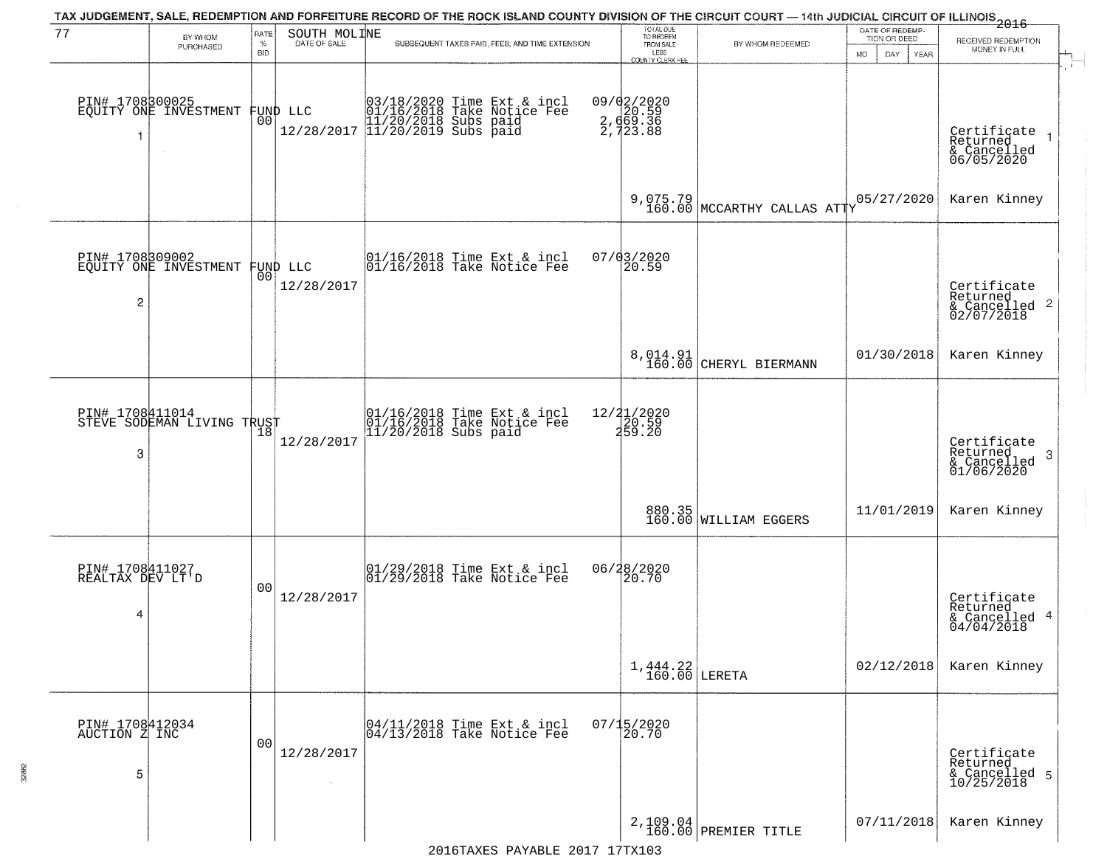|                                          |                                               |                |                              |                                                                                                                     |                                                                       | TAX JUDGEMENT, SALE, REDEMPTION AND FORFEITURE RECORD OF THE ROCK ISLAND COUNTY DIVISION OF THE CIRCUIT COURT — 14th JUDICIAL CIRCUIT OF ILLINOIS 2016 | DATE OF REDEMP-     |                                                                              |
|------------------------------------------|-----------------------------------------------|----------------|------------------------------|---------------------------------------------------------------------------------------------------------------------|-----------------------------------------------------------------------|--------------------------------------------------------------------------------------------------------------------------------------------------------|---------------------|------------------------------------------------------------------------------|
| 77                                       | BY WHOM<br>PURCHASED                          | RATE<br>$\%$   | SOUTH MOLINE<br>DATE OF SALE | SUBSEQUENT TAXES PAID, FEES, AND TIME EXTENSION                                                                     | TOTAL DUE<br>TO REDEEM<br>FROM SALE<br>LESS                           | BY WHOM REDEEMED                                                                                                                                       | TION OR DEED        | RECEIVED REDEMPTION<br>MONEY IN FULL                                         |
|                                          | PIN# 1708300025<br>EQUITY ONE INVESTMENT      | BID<br>00      | FUND LLC                     | 03/18/2020 Time Ext & incl<br>01/16/2018 Take Notice Fee<br>11/20/2018 Subs paid<br>12/28/2017 11/20/2019 Subs paid | COUNTY CLERK FEE<br>09/02/2020<br>2, d20.59<br>2, d69.36<br>2, d23.88 |                                                                                                                                                        | MO.<br>DAY.<br>YEAR | Certificate<br>Returned<br>& Cancelled<br>06/05/2020                         |
|                                          |                                               |                |                              |                                                                                                                     |                                                                       | 9,075.79 MCCARTHY CALLAS ATTY                                                                                                                          | 05/27/2020          | Karen Kinney                                                                 |
| $\overline{2}$                           | PIN# 1708309002<br>EQUITY ONE INVESTMENT      | 001            | FUND LLC<br>12/28/2017       | 01/16/2018 Time Ext & incl<br>01/16/2018 Take Notice Fee                                                            | 07/03/2020<br>20.59                                                   |                                                                                                                                                        |                     | Certificate<br>Returned<br>$\frac{1}{6}$ Cancelled 2<br>02/07/2018           |
|                                          |                                               |                |                              |                                                                                                                     |                                                                       | 8,014.91<br>160.00 CHERYL BIERMANN                                                                                                                     | 01/30/2018          | Karen Kinney                                                                 |
| 3                                        | PIN# 1708411014<br>STEVE SODEMAN LIVING TRUST |                | 12/28/2017                   | 01/16/2018 Time Ext & incl<br>01/16/2018 Take Notice Fee<br>11/20/2018 Subs paid                                    | 12/ <b>2</b> 1/2020<br>20.59<br>259.20                                |                                                                                                                                                        |                     | Certificate<br>Returned<br>$\boldsymbol{\beta}$<br>& Cancelled<br>01/06/2020 |
|                                          |                                               |                |                              |                                                                                                                     |                                                                       | 880.35<br>160.00 WILLIAM EGGERS                                                                                                                        | 11/01/2019          | Karen Kinney                                                                 |
| PIN# 1708411027<br>REALTAX DEV LT'D<br>4 |                                               | 0 <sub>0</sub> | 12/28/2017                   | $[01/29/2018$ Time Ext & incl<br>$[01/29/2018$ Take Notice Fee                                                      | 06/28/2020<br>20.70                                                   |                                                                                                                                                        |                     | Certificate<br>Returned<br>& Cancelled 4<br>04/04/2018                       |
|                                          |                                               |                |                              |                                                                                                                     | $1,444.22$ LERETA                                                     |                                                                                                                                                        | 02/12/2018          | Karen Kinney                                                                 |
| PIN# 1708412034<br>AUCTION Z INC<br>5    |                                               | 0 <sub>0</sub> | 12/28/2017                   | 04/11/2018 Time Ext & incl<br>04/13/2018 Take Notice Fee                                                            | $07/15/2020$<br>20.70                                                 |                                                                                                                                                        |                     | Certificate<br>Returned<br>& Cancelled 5<br>10/25/2018                       |
|                                          |                                               |                |                              |                                                                                                                     |                                                                       | 2,109.04<br>160.00 PREMIER TITLE                                                                                                                       | 07/11/2018          | Karen Kinney                                                                 |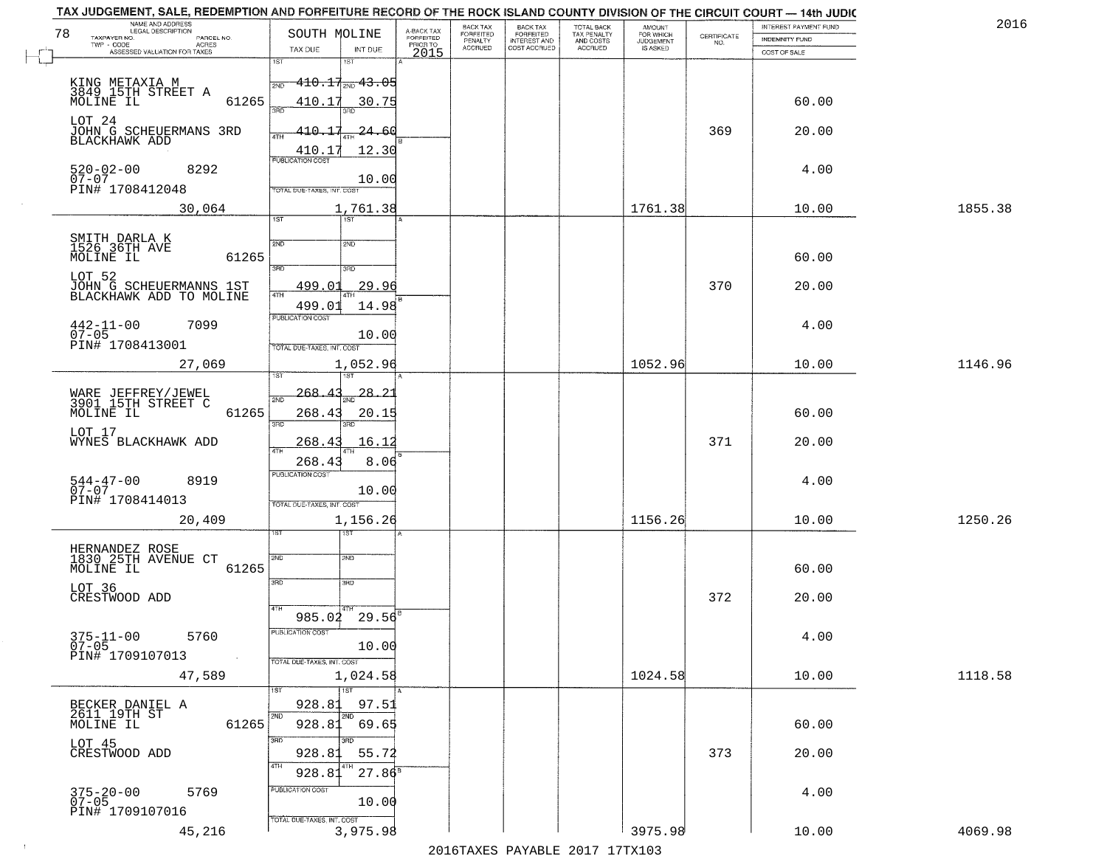| NAME AND ADDRESS<br>LEGAL DESCRIPTION<br>78                | SOUTH MOLINE                                         | A-BACK TAX<br>FORFEITED | BACK TAX<br><b>FORFEITED</b> | <b>BACK TAX</b><br><b>FORFEITED</b> | TOTAL BACK<br>TAX PENALTY | <b>AMOUNT</b>                      |                    | INTEREST PAYMENT FUND | 2016    |
|------------------------------------------------------------|------------------------------------------------------|-------------------------|------------------------------|-------------------------------------|---------------------------|------------------------------------|--------------------|-----------------------|---------|
| TAXPAYER NO.<br>PARCEL NO.<br>TWP - CODE<br>ACRES          |                                                      | PRIOR TO                | PENALTY<br>ACCRUED           | INTEREST AND<br>COST ACCRUED        | AND COSTS<br>ACCRUED      | FOR WHICH<br>JUDGEMENT<br>IS ASKED | CERTIFICATE<br>NO. | <b>INDEMNITY FUND</b> |         |
| ASSESSED VALUATION FOR TAXES                               | TAX DUE<br>INT DUE<br>1ST<br>1ST                     | 2015                    |                              |                                     |                           |                                    |                    | COST OF SALE          |         |
|                                                            | <del>110.17<sub>2ND</sub> 43.05</del><br>2ND         |                         |                              |                                     |                           |                                    |                    |                       |         |
| KING METAXIA M<br>3849_15TH STREET A<br>61265<br>MOLINE IL | 410.17<br>30.75                                      |                         |                              |                                     |                           |                                    |                    | 60.00                 |         |
| LOT 24                                                     | 3AD                                                  |                         |                              |                                     |                           |                                    |                    |                       |         |
| JOHN G SCHEUERMANS 3RD                                     | $-410.17$<br>$-24.60$<br>4TH                         |                         |                              |                                     |                           |                                    | 369                | 20.00                 |         |
| BLACKHAWK ADD                                              | 410.17<br>12.30<br><b>PUBLICATION COST</b>           |                         |                              |                                     |                           |                                    |                    |                       |         |
| $520 - 02 - 00$<br>8292                                    |                                                      |                         |                              |                                     |                           |                                    |                    | 4.00                  |         |
| $07 - 07$<br>PIN# 1708412048                               | 10.00<br>TOTAL DUE-TAXES, INT. COST                  |                         |                              |                                     |                           |                                    |                    |                       |         |
| 30,064                                                     | 1,761.38                                             |                         |                              |                                     |                           | 1761.38                            |                    | 10.00                 | 1855.38 |
|                                                            | 1ST<br>Tist"                                         |                         |                              |                                     |                           |                                    |                    |                       |         |
| SMITH DARLA K<br>1526 36TH AVE                             | 2ND<br>2ND                                           |                         |                              |                                     |                           |                                    |                    |                       |         |
| MOLINE IL<br>61265                                         | 3BD<br>3RD                                           |                         |                              |                                     |                           |                                    |                    | 60.00                 |         |
| LOT 52<br>JOHN G SCHEUERMANNS 1ST                          | <u>499.01</u><br>29.96                               |                         |                              |                                     |                           |                                    | 370                | 20.00                 |         |
| BLACKHAWK ADD TO MOLINE                                    | 47H<br>14.98<br>499.0                                |                         |                              |                                     |                           |                                    |                    |                       |         |
| $442 - 11 - 00$<br>7099                                    | PUBLICATION COST                                     |                         |                              |                                     |                           |                                    |                    | 4.00                  |         |
| $07 - 05$<br>PIN# 1708413001                               | 10.00<br>TOTAL DUE-TAXES, INT. COST                  |                         |                              |                                     |                           |                                    |                    |                       |         |
| 27,069                                                     | 1,052.96                                             |                         |                              |                                     |                           | 1052.96                            |                    | 10.00                 | 1146.96 |
|                                                            |                                                      |                         |                              |                                     |                           |                                    |                    |                       |         |
| WARE JEFFREY/JEWEL<br>3901 15TH STREET C                   | 268.4<br>28.21<br>2ND                                |                         |                              |                                     |                           |                                    |                    |                       |         |
| 61265<br>MOLINE IL                                         | 268.43<br>20.15<br>3RD                               |                         |                              |                                     |                           |                                    |                    | 60.00                 |         |
| LOT 17<br>WYNES BLACKHAWK ADD                              | 268.43<br>16.12                                      |                         |                              |                                     |                           |                                    | 371                | 20.00                 |         |
|                                                            | 4TH<br>8.06<br>268.43                                |                         |                              |                                     |                           |                                    |                    |                       |         |
| 8919                                                       | <b>PUBLICATION COST</b>                              |                         |                              |                                     |                           |                                    |                    | 4.00                  |         |
| 544-47-00<br>07-07<br>PIN# 1708414013                      | 10.00                                                |                         |                              |                                     |                           |                                    |                    |                       |         |
| 20,409                                                     | TOTAL OUE-TAXES, INT. COST<br>1,156.26               |                         |                              |                                     |                           | 1156.26                            |                    | 10.00                 | 1250.26 |
|                                                            |                                                      |                         |                              |                                     |                           |                                    |                    |                       |         |
| HERNANDEZ ROSE<br>1830 25TH AVENUE CT                      | 2ND<br>2ND                                           |                         |                              |                                     |                           |                                    |                    |                       |         |
| 61265<br>MOLINE IL                                         |                                                      |                         |                              |                                     |                           |                                    |                    | 60.00                 |         |
| LOT 36                                                     | 3 <sub>BD</sub><br>3RD                               |                         |                              |                                     |                           |                                    |                    |                       |         |
| CRESTWOOD ADD                                              | 4TH                                                  |                         |                              |                                     |                           |                                    | 372                | 20.00                 |         |
|                                                            | $985.02^{02}$ 29.56 <sup>8</sup><br>PUBLICATION COST |                         |                              |                                     |                           |                                    |                    |                       |         |
| $375 - 11 - 00$<br>07-05<br>5760                           | 10.00                                                |                         |                              |                                     |                           |                                    |                    | 4.00                  |         |
| PIN# 1709107013<br>$\sim 100$                              | TOTAL DUE-TAXES, INT. COST                           |                         |                              |                                     |                           |                                    |                    |                       |         |
| 47,589                                                     | 1,024.58<br>1ST                                      |                         |                              |                                     |                           | 1024.58                            |                    | 10.00                 | 1118.58 |
| BECKER DANIEL A<br>2611 19TH ST                            | 928.81<br>97.51                                      |                         |                              |                                     |                           |                                    |                    |                       |         |
| MOLINE IL<br>61265                                         | 12ND<br>2ND<br>928.81<br>69.65                       |                         |                              |                                     |                           |                                    |                    | 60.00                 |         |
| LOT 45                                                     | 3BD<br>अंग                                           |                         |                              |                                     |                           |                                    |                    |                       |         |
| CRESTWOOD ADD                                              | 928.81<br>55.72<br>4TH                               |                         |                              |                                     |                           |                                    | 373                | 20.00                 |         |
|                                                            | $27.86^8$<br>928.8                                   |                         |                              |                                     |                           |                                    |                    |                       |         |
| $375 - 20 - 00$<br>07-05<br>5769                           | PUBLICATION COST<br>10.00                            |                         |                              |                                     |                           |                                    |                    | 4.00                  |         |
| PIN# 1709107016                                            | TOTAL DUE-TAXES, INT. COST                           |                         |                              |                                     |                           |                                    |                    |                       |         |
| 45,216                                                     | 3,975.98                                             |                         |                              |                                     |                           | 3975.98                            |                    | 10.00                 | 4069.98 |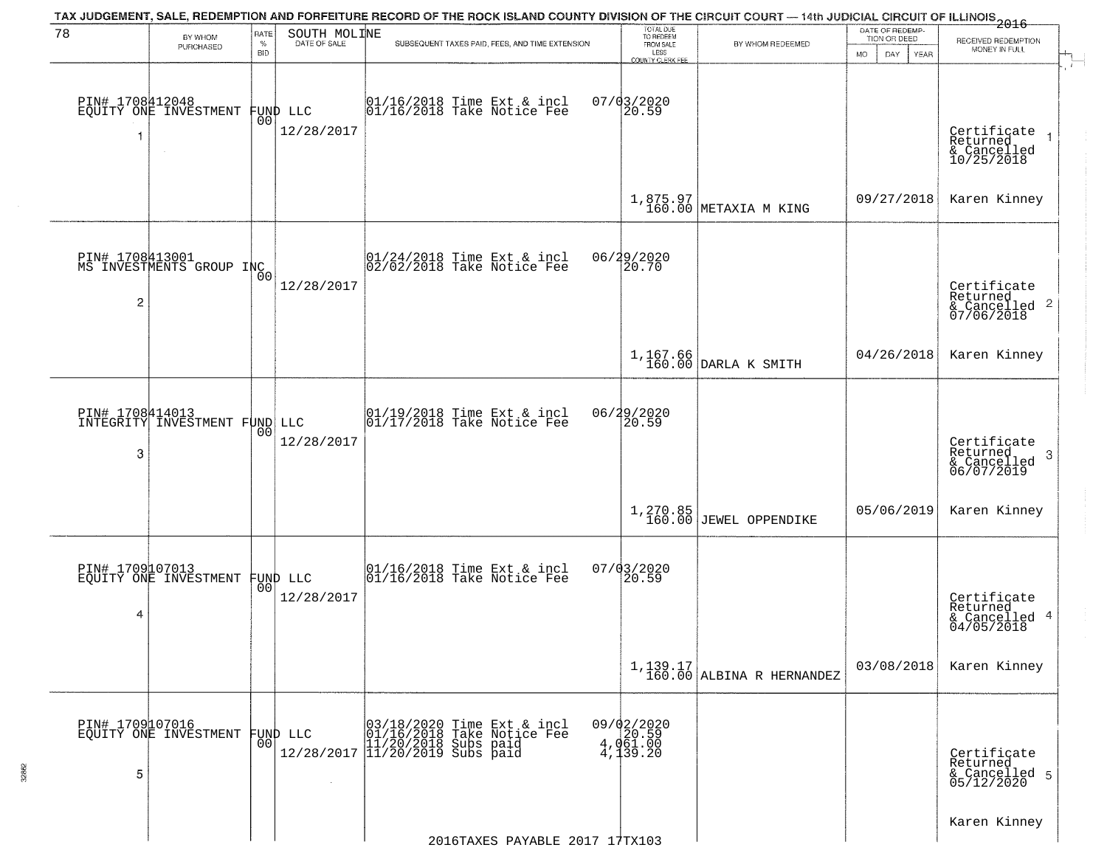| 78                   | TAX JUDGEMENT, SALE, REDEMPTION AND FORFEITURE RECORD OF THE ROCK ISLAND COUNTY DIVISION OF THE CIRCUIT COURT — 14th JUDICIAL CIRCUIT OF ILLINOIS 2016<br>SOUTH MOLINE<br><b>RATE</b> |                 |                        |                                                                                                                     | TOTAL DUE<br>TO REDEEM                           |                                         | DATE OF REDEMP-     |                                                            |  |
|----------------------|---------------------------------------------------------------------------------------------------------------------------------------------------------------------------------------|-----------------|------------------------|---------------------------------------------------------------------------------------------------------------------|--------------------------------------------------|-----------------------------------------|---------------------|------------------------------------------------------------|--|
|                      | BY WHOM<br>PURCHASED                                                                                                                                                                  | $\%$            | DATE OF SALE           | SUBSEQUENT TAXES PAID, FEES, AND TIME EXTENSION                                                                     | FROM SALE                                        | BY WHOM REDEEMED                        | TION OR DEED        | RECEIVED REDEMPTION<br>MONEY IN FULL                       |  |
|                      |                                                                                                                                                                                       | <b>BID</b>      |                        |                                                                                                                     | LESS<br><b>COUNTY CLERK FEE</b>                  |                                         | MO.<br>DAY.<br>YEAR |                                                            |  |
|                      | PIN# 1708412048<br>EQUITY ONE INVESTMENT                                                                                                                                              | 00              | FUND LLC<br>12/28/2017 | $\begin{array}{c} 01/16/2018 \\ 01/16/2018 \\ \end{array}$ Take Notice Fee                                          | $07/03/2020$<br>20.59                            |                                         |                     | Certificate<br>Returned<br>& Cancelled<br>10/25/2018       |  |
|                      |                                                                                                                                                                                       |                 |                        |                                                                                                                     |                                                  | $1,875.97$ METAXIA M KING               | 09/27/2018          | Karen Kinney                                               |  |
| $\overline{2}$       | PIN# 1708413001<br>MS INVESTMENTS GROUP INC                                                                                                                                           |                 | 12/28/2017             | $ 01/24/2018$ Time Ext & incl<br>$ 02/02/2018$ Take Notice Fee                                                      | 06/29/2020<br>20.70                              |                                         |                     | Certificate<br>Returned<br>$\frac{12241164}{67/06/2018}$ 2 |  |
|                      |                                                                                                                                                                                       |                 |                        |                                                                                                                     |                                                  | 1,167.66<br>160.00 DARLA K SMITH        | 04/26/2018          | Karen Kinney                                               |  |
| 3                    | PIN# 1708414013<br>INTEGRITY INVESTMENT FUND LLC                                                                                                                                      | 00              | 12/28/2017             | 01/19/2018 Time Ext & incl<br>01/17/2018 Take Notice Fee                                                            | 06/29/2020<br>20.59                              |                                         |                     | Certificate<br>Returned<br>3<br>& Cancelled<br>06/07/2019  |  |
|                      |                                                                                                                                                                                       |                 |                        |                                                                                                                     |                                                  | $1,270.85$<br>160.00 JEWEL OPPENDIKE    | 05/06/2019          | Karen Kinney                                               |  |
| 4                    | PIN# 1709107013<br>EQUITY ONE INVESTMENT                                                                                                                                              | 00 <sup>1</sup> | FUND LLC<br>12/28/2017 | 01/16/2018 Time Ext & incl<br>01/16/2018 Take Notice Fee                                                            | 07/03/2020<br>20.59                              |                                         |                     | Certificate<br>Returned<br>& Cancelled 4<br>04/05/2018     |  |
|                      |                                                                                                                                                                                       |                 |                        |                                                                                                                     |                                                  | $1,139.17$<br>160.00 ALBINA R HERNANDEZ | 03/08/2018          | Karen Kinney                                               |  |
| PIN# 1709107016<br>5 | EQUITY ONE INVESTMENT                                                                                                                                                                 | 00 <sup>1</sup> | FUND LLC               | 03/18/2020 Time Ext & incl<br>01/16/2018 Take Notice Fee<br>11/20/2018 Subs paid<br>12/28/2017 11/20/2019 Subs paid | $09/02/2020$<br>4,020.59<br>4,061.00<br>4,139.20 |                                         |                     | Certificate<br>Returned<br>& Cancelled 5<br>05/12/2020     |  |
|                      |                                                                                                                                                                                       |                 |                        | 2016TAXES PAYABLE 2017 17TX103                                                                                      |                                                  |                                         |                     | Karen Kinney                                               |  |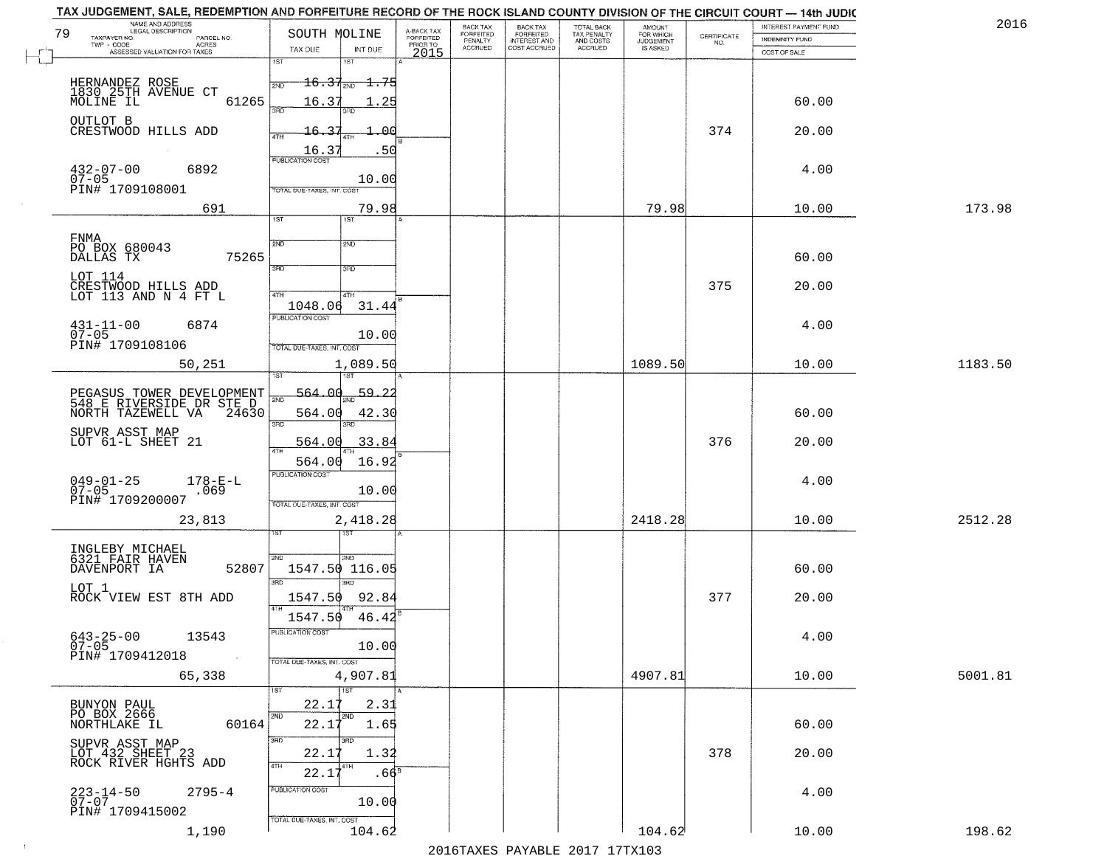|    | TAX JUDGEMENT, SALE, REDEMPTION AND FORFEITURE RECORD OF THE ROCK ISLAND COUNTY DIVISION OF THE CIRCUIT COURT - 14th JUDIC<br>NAME AND ADDRESS<br>LEGAL DESCRIPTION |                                                   |                                     | <b>BACK TAX</b>             |                                              |                                        |                                         |                                                                 | INTEREST PAYMENT FUND | 2016    |
|----|---------------------------------------------------------------------------------------------------------------------------------------------------------------------|---------------------------------------------------|-------------------------------------|-----------------------------|----------------------------------------------|----------------------------------------|-----------------------------------------|-----------------------------------------------------------------|-----------------------|---------|
| 79 | TAXPAYER NO.<br>PARCEL NO.                                                                                                                                          | SOUTH MOLINE                                      | A-BACK TAX<br>FORFEITED<br>PRIOR TO | <b>FORFEITED</b><br>PENALTY | BACK TAX<br>FORFEITED<br><b>INTEREST AND</b> | TOTAL BACK<br>TAX PENALTY<br>AND COSTS | AMOUNT<br>FOR WHICH<br><b>JUDGEMENT</b> | $\begin{array}{c} \text{CERTIFICATE} \\ \text{NO.} \end{array}$ | <b>INDEMNITY FUND</b> |         |
|    | ACRES<br>ASSESSED VALUATION FOR TAXES                                                                                                                               | TAX DUE<br>INT DUE                                | 2015                                | <b>ACCRUED</b>              | COST ACCRUED                                 | <b>ACCRUED</b>                         | IS ASKED                                |                                                                 | COST OF SALE          |         |
|    |                                                                                                                                                                     | 1ST<br>1ST                                        |                                     |                             |                                              |                                        |                                         |                                                                 |                       |         |
|    |                                                                                                                                                                     | $\pm 6.37_{\text{20D}}$<br><del>1.75</del><br>2ND |                                     |                             |                                              |                                        |                                         |                                                                 |                       |         |
|    | HERNANDEZ ROSE<br>1830 25TH AVENUE CT<br>MOLINE IL<br>61265                                                                                                         | 16.37                                             | . 25                                |                             |                                              |                                        |                                         |                                                                 | 60.00                 |         |
|    |                                                                                                                                                                     | 350                                               |                                     |                             |                                              |                                        |                                         |                                                                 |                       |         |
|    | OUTLOT B<br>CRESTWOOD HILLS ADD                                                                                                                                     | 16.37                                             | ഛ                                   |                             |                                              |                                        |                                         | 374                                                             | 20.00                 |         |
|    |                                                                                                                                                                     |                                                   |                                     |                             |                                              |                                        |                                         |                                                                 |                       |         |
|    |                                                                                                                                                                     | $\frac{16.37}{FUBUCATON COST}$                    | -50                                 |                             |                                              |                                        |                                         |                                                                 |                       |         |
|    | $432 - 07 - 00$<br>07-05<br>6892                                                                                                                                    | 10.00                                             |                                     |                             |                                              |                                        |                                         |                                                                 | 4.00                  |         |
|    | PIN# 1709108001                                                                                                                                                     | TOTAL DUE-TAXES, INT. COST                        |                                     |                             |                                              |                                        |                                         |                                                                 |                       |         |
|    | 691                                                                                                                                                                 | 79.98                                             |                                     |                             |                                              |                                        | 79.98                                   |                                                                 | 10.00                 | 173.98  |
|    |                                                                                                                                                                     | IST<br>1ST                                        |                                     |                             |                                              |                                        |                                         |                                                                 |                       |         |
|    | FNMA                                                                                                                                                                |                                                   |                                     |                             |                                              |                                        |                                         |                                                                 |                       |         |
|    | PO BOX 680043<br>75265<br>DALLAS TX                                                                                                                                 | 2ND<br>2ND                                        |                                     |                             |                                              |                                        |                                         |                                                                 | 60.00                 |         |
|    |                                                                                                                                                                     | 3RD<br>उन्नत                                      |                                     |                             |                                              |                                        |                                         |                                                                 |                       |         |
|    | LOT 114                                                                                                                                                             |                                                   |                                     |                             |                                              |                                        |                                         | 375                                                             | 20.00                 |         |
|    | CRESTWOOD HILLS ADD<br>LOT 113 AND N 4 FT L                                                                                                                         | 47H<br>4TH                                        |                                     |                             |                                              |                                        |                                         |                                                                 |                       |         |
|    |                                                                                                                                                                     | 31.44<br>1048.06<br>PUBLICATION COST              |                                     |                             |                                              |                                        |                                         |                                                                 |                       |         |
|    | $431 - 11 - 00$<br>6874<br>$07 - 05$                                                                                                                                | 10.00                                             |                                     |                             |                                              |                                        |                                         |                                                                 | 4.00                  |         |
|    | PIN# 1709108106                                                                                                                                                     | TOTAL DUE-TAXES, INT. COST                        |                                     |                             |                                              |                                        |                                         |                                                                 |                       |         |
|    | 50,251                                                                                                                                                              | 1,089.50                                          |                                     |                             |                                              |                                        | 1089.50                                 |                                                                 | 10.00                 | 1183.50 |
|    |                                                                                                                                                                     | 1ST                                               |                                     |                             |                                              |                                        |                                         |                                                                 |                       |         |
|    |                                                                                                                                                                     | 564.00<br>59.2<br>2ND                             |                                     |                             |                                              |                                        |                                         |                                                                 |                       |         |
|    | PEGASUS TOWER DEVELOPMENT<br>548 E RIVERSIDE DR STE D<br>NORTH TAZEWELL VA 24630                                                                                    | 42.30<br>564.00                                   |                                     |                             |                                              |                                        |                                         |                                                                 | 60.00                 |         |
|    |                                                                                                                                                                     | 3RD<br>3RD                                        |                                     |                             |                                              |                                        |                                         |                                                                 |                       |         |
|    | SUPVR ASST MAP<br>LOT 61-L SHEET 21                                                                                                                                 | 564.00<br>33.84                                   |                                     |                             |                                              |                                        |                                         | 376                                                             | 20.00                 |         |
|    |                                                                                                                                                                     | <b>ATH</b><br>16.92<br>564.00                     |                                     |                             |                                              |                                        |                                         |                                                                 |                       |         |
|    |                                                                                                                                                                     | <b>PUBLICATION COST</b>                           |                                     |                             |                                              |                                        |                                         |                                                                 |                       |         |
|    | $049 - 01 - 25$<br>07-05<br>$178 - E - L$<br>.069                                                                                                                   | 10.00                                             |                                     |                             |                                              |                                        |                                         |                                                                 | 4.00                  |         |
|    | PIN# 1709200007                                                                                                                                                     | TOTAL OUE-TAXES, INT. COST                        |                                     |                             |                                              |                                        |                                         |                                                                 |                       |         |
|    | 23,813                                                                                                                                                              | 2,418.28                                          |                                     |                             |                                              |                                        | 2418.28                                 |                                                                 | 10.00                 | 2512.28 |
|    |                                                                                                                                                                     | 1ST                                               |                                     |                             |                                              |                                        |                                         |                                                                 |                       |         |
|    | INGLEBY MICHAEL<br>6321 FAIR HAVEN                                                                                                                                  | 2ND<br>2ND                                        |                                     |                             |                                              |                                        |                                         |                                                                 |                       |         |
|    | DAVENPORT IA<br>52807                                                                                                                                               | 1547.50 116.05                                    |                                     |                             |                                              |                                        |                                         |                                                                 | 60.00                 |         |
|    | LOT 1                                                                                                                                                               | 3BD                                               |                                     |                             |                                              |                                        |                                         |                                                                 |                       |         |
|    | ROCK VIEW EST 8TH ADD                                                                                                                                               | 92.84<br>1547.50                                  |                                     |                             |                                              |                                        |                                         | 377                                                             | 20.00                 |         |
|    |                                                                                                                                                                     | 1547.50<br>46.42                                  |                                     |                             |                                              |                                        |                                         |                                                                 |                       |         |
|    | $643 - 25 - 00$<br>07-05<br>13543                                                                                                                                   | <b>PUBLICATION COS-</b>                           |                                     |                             |                                              |                                        |                                         |                                                                 | 4.00                  |         |
|    | PIN# 1709412018<br>$\sim$                                                                                                                                           | 10.00                                             |                                     |                             |                                              |                                        |                                         |                                                                 |                       |         |
|    |                                                                                                                                                                     | TOTAL DUE-TAXES, INT. COST                        |                                     |                             |                                              |                                        |                                         |                                                                 |                       |         |
|    | 65,338                                                                                                                                                              | 4,907.81                                          |                                     |                             |                                              |                                        | 4907.81                                 |                                                                 | 10.00                 | 5001.81 |
|    | BUNYON PAUL                                                                                                                                                         | 22.1<br>2.31                                      |                                     |                             |                                              |                                        |                                         |                                                                 |                       |         |
|    | PO BOX 2666                                                                                                                                                         | 2ND<br>2ND                                        |                                     |                             |                                              |                                        |                                         |                                                                 |                       |         |
|    | 60164<br>NORTHLAKE IL                                                                                                                                               | 22.17<br>1.65                                     |                                     |                             |                                              |                                        |                                         |                                                                 | 60.00                 |         |
|    |                                                                                                                                                                     | 3RD<br>3RD<br>22.1<br>1.32                        |                                     |                             |                                              |                                        |                                         | 378                                                             | 20.00                 |         |
|    | SUPVR ASST MAP<br>LOT 432 SHEET 23<br>ROCK RIVER HGHTS ADD                                                                                                          | 4TH<br>4TH                                        |                                     |                             |                                              |                                        |                                         |                                                                 |                       |         |
|    |                                                                                                                                                                     | 22.17                                             | .66 <sup>s</sup>                    |                             |                                              |                                        |                                         |                                                                 |                       |         |
|    | $223 - 14 - 50$<br>07-07<br>$2795 - 4$                                                                                                                              | PUBLICATION COST                                  |                                     |                             |                                              |                                        |                                         |                                                                 | 4.00                  |         |
|    | PIN# 1709415002                                                                                                                                                     | 10.00                                             |                                     |                             |                                              |                                        |                                         |                                                                 |                       |         |
|    | 1,190                                                                                                                                                               | TOTAL DUE-TAXES, INT. COST<br>104.62              |                                     |                             |                                              |                                        | 104.62                                  |                                                                 | 10.00                 | 198.62  |
|    |                                                                                                                                                                     |                                                   |                                     |                             |                                              | 2016 TAVEC DAVARLE 2017 17 TV102       |                                         |                                                                 |                       |         |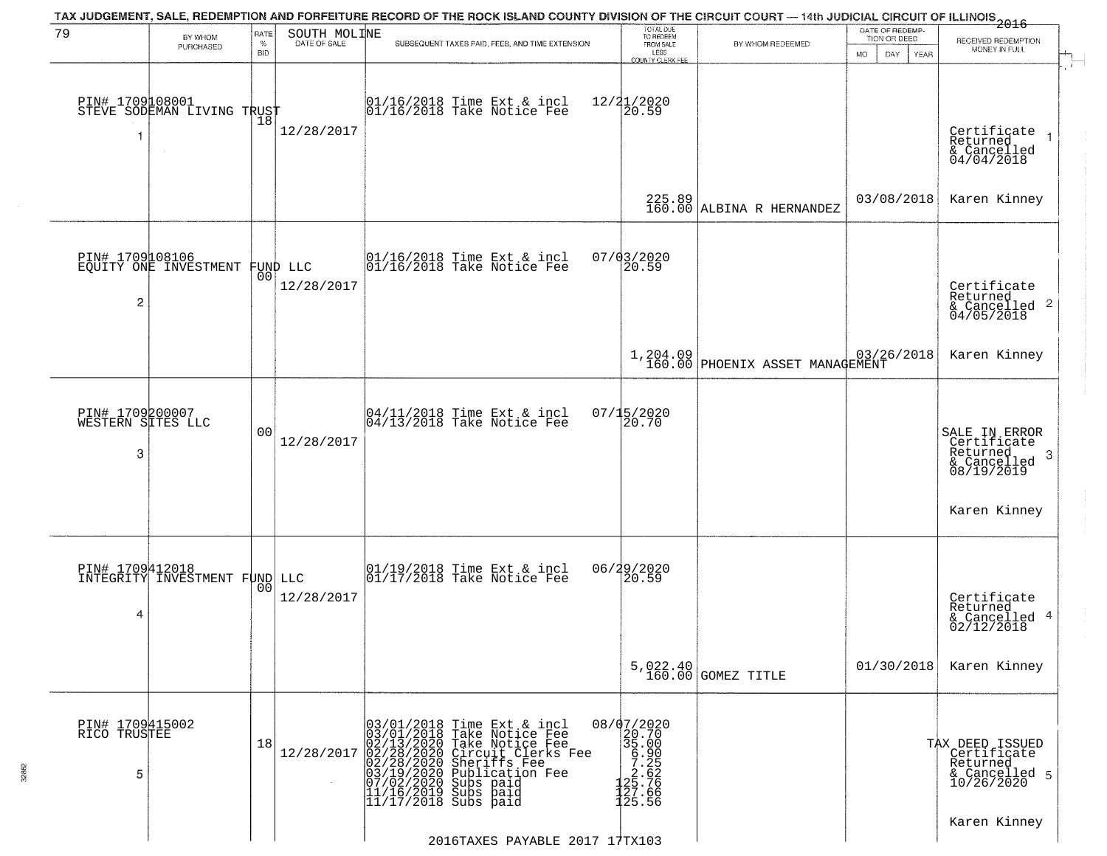| 79                                        | BY WHOM                                           | RATE               | SOUTH MOLINE | TAX JUDGEMENT, SALE, REDEMPTION AND FORFEITURE RECORD OF THE ROCK ISLAND COUNTY DIVISION OF THE CIRCUIT COURT — 14th JUDICIAL CIRCUIT OF ILLINOIS 2016                                                                                                                                 | TOTAL DUE<br>TO REDEEM<br>FROM SALE                                                                                    |                                               | DATE OF REDEMP-<br>TION OR DEED | RECEIVED REDEMPTION                                                         |
|-------------------------------------------|---------------------------------------------------|--------------------|--------------|----------------------------------------------------------------------------------------------------------------------------------------------------------------------------------------------------------------------------------------------------------------------------------------|------------------------------------------------------------------------------------------------------------------------|-----------------------------------------------|---------------------------------|-----------------------------------------------------------------------------|
|                                           | PURCHASED                                         | $\%$<br><b>BID</b> | DATE OF SALE | SUBSEQUENT TAXES PAID, FEES, AND TIME EXTENSION                                                                                                                                                                                                                                        | LESS<br>COUNTY CLERK FEE                                                                                               | BY WHOM REDEEMED                              | <b>MO</b><br>DAY<br><b>YEAR</b> | MONEY IN FULL                                                               |
| 1                                         | PIN# 1709108001    <br>STEVE SODEMAN LIVING TRUST | 18                 | 12/28/2017   | 01/16/2018 Time Ext & incl<br>01/16/2018 Take Notice Fee                                                                                                                                                                                                                               | $12/21/2020$<br>20.59                                                                                                  |                                               |                                 | Certificate<br>Returned<br>& Cancelled<br>04/04/2018                        |
|                                           |                                                   |                    |              |                                                                                                                                                                                                                                                                                        |                                                                                                                        | $225.89$ ALBINA R HERNANDEZ                   | 03/08/2018                      | Karen Kinney                                                                |
| 2                                         | PIN# 1709108106<br>EQUITY ONE INVESTMENT FUND LLC |                    | 12/28/2017   | 01/16/2018 Time Ext & incl<br>01/16/2018 Take Notice Fee                                                                                                                                                                                                                               | 07/03/2020<br>20.59                                                                                                    |                                               |                                 | Certificate<br>Returned<br>$\frac{1}{6}$ Cancelled 2<br>04/05/2018          |
|                                           |                                                   |                    |              |                                                                                                                                                                                                                                                                                        |                                                                                                                        | 1,204.09  <br>160.00 PHOENIX ASSET MANAGEMENT | 03/26/2018                      | Karen Kinney                                                                |
| PIN# 1709200007<br>WESTERN SITES LLC<br>3 |                                                   | 0 <sub>0</sub>     | 12/28/2017   | 04/11/2018 Time Ext & incl<br>04/13/2018 Take Notice Fee                                                                                                                                                                                                                               | $07/15/2020$<br>20.70                                                                                                  |                                               |                                 | SALE IN ERROR<br>Certificate<br>Returned<br>-3<br>& Cancelled<br>08/19/2019 |
|                                           |                                                   |                    |              |                                                                                                                                                                                                                                                                                        |                                                                                                                        |                                               |                                 | Karen Kinney                                                                |
| 4                                         | PIN# 1709412018<br>INTEGRITY INVESTMENT FUND LLC  | 0 <sub>0</sub>     | 12/28/2017   | 01/19/2018 Time Ext & incl<br>01/17/2018 Take Notice Fee                                                                                                                                                                                                                               | 06/29/2020                                                                                                             |                                               |                                 | Certificate<br>Returned<br>& Cancelled 4<br>02/12/2018                      |
|                                           |                                                   |                    |              |                                                                                                                                                                                                                                                                                        |                                                                                                                        | 5,022.40<br>160.00 GOMEZ TITLE                | 01/30/2018                      | Karen Kinney                                                                |
| PIN# 1709415002<br>RICO TRUSTEE<br>5      |                                                   | 18                 | 12/28/2017   | 03/01/2018 Time Ext & incl<br>03/01/2018 Take Notice Fee<br>02/13/2020 Take Notice Fee<br>02/28/2020 Circuit Clerks F<br>02/28/2020 Sheriffs Fee<br>03/19/2020 Subs paid<br>07/02/2020 Subs paid<br>11/16/2019 Subs paid<br>11/17/2018 Subs paid<br>Circuit Clerks Fee<br>Sheriffs Fee | $\begin{array}{r} 08/07/2020 \\ 20.70 \\ 35.00 \\ 6.90 \\ 7.25 \\ 125.766 \\ 127.66 \\ 127.66 \\ \end{array}$<br>25.56 |                                               |                                 | TAX DEED ISSUED<br>Certificate<br>Returned<br>& Cancelled 5<br>10/26/2020   |
|                                           |                                                   |                    |              | 2016TAXES PAYABLE 2017 17TX103                                                                                                                                                                                                                                                         |                                                                                                                        |                                               |                                 | Karen Kinney                                                                |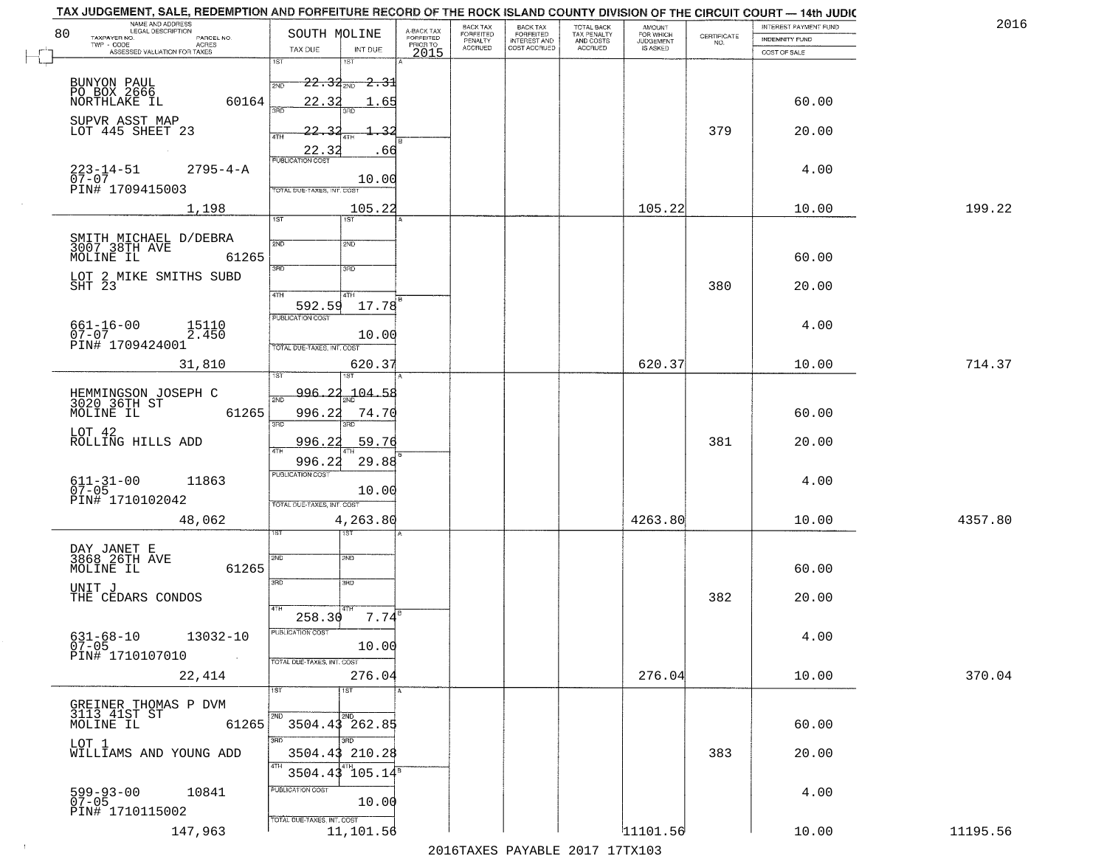| 80 | NAME AND ADDRESS<br>LEGAL DESCRIPTION                      | SOUTH MOLINE                             |                                     | BACK TAX             | <b>BACK TAX</b><br>FORFEITED | TOTAL BACK<br>TAX PENALTY<br>AND COSTS | AMOUNT<br>FOR WHICH |                                                                 | INTEREST PAYMENT FUND | 201      |
|----|------------------------------------------------------------|------------------------------------------|-------------------------------------|----------------------|------------------------------|----------------------------------------|---------------------|-----------------------------------------------------------------|-----------------------|----------|
|    | TAXPAYER NO.<br>PARCEL NO.<br>ACRES                        |                                          | A-BACK TAX<br>FORFEITED<br>PRIOR TO | FORFEITED<br>PENALTY | <b>INTEREST AND</b>          |                                        | <b>JUDGEMENT</b>    | $\begin{array}{c} \text{CERTIFICATE} \\ \text{NO.} \end{array}$ | <b>INDEMNITY FUND</b> |          |
|    | ASSESSED VALUATION FOR TAXES                               | INT DUE<br>TAX DUE<br>1ST<br>181         | 2015                                | <b>ACCRUED</b>       | COST ACCRUED                 | ACCRUED                                | IS ASKED            |                                                                 | COST OF SALE          |          |
|    |                                                            |                                          |                                     |                      |                              |                                        |                     |                                                                 |                       |          |
|    | BUNYON PAUL<br>PO BOX 2666<br>NORTHLAKE IL                 | $22.34_{200}$<br><del>2.3</del> 1<br>2ND |                                     |                      |                              |                                        |                     |                                                                 |                       |          |
|    | 60164                                                      | 22.32<br>.65                             |                                     |                      |                              |                                        |                     |                                                                 | 60.00                 |          |
|    |                                                            |                                          |                                     |                      |                              |                                        |                     |                                                                 |                       |          |
|    | SUPVR ASST MAP<br>LOT 445 SHEET 23                         | 22.32                                    |                                     |                      |                              |                                        |                     | 379                                                             | 20.00                 |          |
|    |                                                            |                                          |                                     |                      |                              |                                        |                     |                                                                 |                       |          |
|    |                                                            | $\frac{22.32}{PUBUCATON COST}$<br>.66    |                                     |                      |                              |                                        |                     |                                                                 |                       |          |
|    | $223 - 14 - 51$<br>07-07<br>$2795 - 4 - A$                 |                                          |                                     |                      |                              |                                        |                     |                                                                 | 4.00                  |          |
|    | PIN# 1709415003                                            | 10.00<br>TOTAL DUE-TAXES, INT. COST      |                                     |                      |                              |                                        |                     |                                                                 |                       |          |
|    | 1,198                                                      | 105.22                                   |                                     |                      |                              |                                        | 105.22              |                                                                 | 10.00                 | 199.22   |
|    |                                                            | 1ST<br>1ST                               |                                     |                      |                              |                                        |                     |                                                                 |                       |          |
|    |                                                            |                                          |                                     |                      |                              |                                        |                     |                                                                 |                       |          |
|    | SMITH MICHAEL D/DEBRA<br>3007 38TH AVE                     | 2ND<br>2ND                               |                                     |                      |                              |                                        |                     |                                                                 |                       |          |
|    | MOLINE IL<br>61265                                         | उन्नठ<br>3RD                             |                                     |                      |                              |                                        |                     |                                                                 | 60.00                 |          |
|    | LOT 2 MIKE SMITHS SUBD                                     |                                          |                                     |                      |                              |                                        |                     |                                                                 |                       |          |
|    | SHT 23                                                     | 47H<br>4TH                               |                                     |                      |                              |                                        |                     | 380                                                             | 20.00                 |          |
|    |                                                            | 592.59<br>17.78                          |                                     |                      |                              |                                        |                     |                                                                 |                       |          |
|    | 15110                                                      | PUBLICATION COST                         |                                     |                      |                              |                                        |                     |                                                                 | 4.00                  |          |
|    | $661 - 16 - 00$<br>07-07<br>2.450                          | 10.00                                    |                                     |                      |                              |                                        |                     |                                                                 |                       |          |
|    | PIN# 1709424001                                            | TOTAL DUE-TAXES, INT. COST               |                                     |                      |                              |                                        |                     |                                                                 |                       |          |
|    | 31,810                                                     | 620.37<br>١S٦                            |                                     |                      |                              |                                        | 620.37              |                                                                 | 10.00                 | 714.37   |
|    |                                                            | 1ST                                      |                                     |                      |                              |                                        |                     |                                                                 |                       |          |
|    | HEMMINGSON JOSEPH C<br>3020 36TH ST                        | 104.58<br>996.<br>2ND                    |                                     |                      |                              |                                        |                     |                                                                 |                       |          |
|    | MOLINE IL<br>61265                                         | 996.22<br>74.70                          |                                     |                      |                              |                                        |                     |                                                                 | 60.00                 |          |
|    |                                                            | 3RD<br>3RD                               |                                     |                      |                              |                                        |                     |                                                                 |                       |          |
|    | LOT 42<br>ROLLING HILLS ADD                                | 59.76<br>996.2                           |                                     |                      |                              |                                        |                     | 381                                                             | 20.00                 |          |
|    |                                                            | 29.88<br>996.2                           |                                     |                      |                              |                                        |                     |                                                                 |                       |          |
|    |                                                            | <b>PUBLICATION COST</b>                  |                                     |                      |                              |                                        |                     |                                                                 |                       |          |
|    | $611 - 31 - 00$<br>07-05<br>11863                          | 10.00                                    |                                     |                      |                              |                                        |                     |                                                                 | 4.00                  |          |
|    | PIN# 1710102042                                            | TOTAL OUE-TAXES, INT. COST               |                                     |                      |                              |                                        |                     |                                                                 |                       |          |
|    | 48,062                                                     | 4,263.80                                 |                                     |                      |                              |                                        | 4263.80             |                                                                 | 10.00                 | 4357.80  |
|    |                                                            | इङ                                       |                                     |                      |                              |                                        |                     |                                                                 |                       |          |
|    |                                                            | 2ND<br>2ND                               |                                     |                      |                              |                                        |                     |                                                                 |                       |          |
|    | DAY JANET E<br>3868 26TH AVE<br>MOLINE IL<br>61265         |                                          |                                     |                      |                              |                                        |                     |                                                                 | 60.00                 |          |
|    |                                                            | 3RD<br>3RD                               |                                     |                      |                              |                                        |                     |                                                                 |                       |          |
|    | UNIT J<br>THE CEDARS CONDOS                                |                                          |                                     |                      |                              |                                        |                     | 382                                                             | 20.00                 |          |
|    |                                                            | 4TH<br>258.30<br>7.74                    |                                     |                      |                              |                                        |                     |                                                                 |                       |          |
|    |                                                            | UBLICA HUN CUS                           |                                     |                      |                              |                                        |                     |                                                                 |                       |          |
|    | $631 - 68 - 10$<br>13032-10<br>$07 - 05$                   | 10.00                                    |                                     |                      |                              |                                        |                     |                                                                 | 4.00                  |          |
|    | PIN# 1710107010<br>$\sim 100$                              | TOTAL DUE-TAXES, INT. COST               |                                     |                      |                              |                                        |                     |                                                                 |                       |          |
|    | 22,414                                                     | 276.04                                   |                                     |                      |                              |                                        | 276.04              |                                                                 | 10.00                 | 370.04   |
|    |                                                            | 1ST                                      |                                     |                      |                              |                                        |                     |                                                                 |                       |          |
|    |                                                            |                                          |                                     |                      |                              |                                        |                     |                                                                 |                       |          |
|    | GREINER THOMAS P DVM<br>3113 41ST ST<br>MOLINE IL<br>61265 | 3504.43 262.85                           |                                     |                      |                              |                                        |                     |                                                                 | 60.00                 |          |
|    |                                                            | 3RD<br>חחו                               |                                     |                      |                              |                                        |                     |                                                                 |                       |          |
|    | LOT 1<br>WILLIAMS AND YOUNG ADD                            | 3504.43 210.28                           |                                     |                      |                              |                                        |                     | 383                                                             | 20.00                 |          |
|    |                                                            |                                          |                                     |                      |                              |                                        |                     |                                                                 |                       |          |
|    |                                                            | 105.14 <sup>s</sup><br>3504.43           |                                     |                      |                              |                                        |                     |                                                                 |                       |          |
|    | 599-93-00<br>07-05<br>10841                                | PUBLICATION COST                         |                                     |                      |                              |                                        |                     |                                                                 | 4.00                  |          |
|    | PIN# 1710115002                                            | 10.00                                    |                                     |                      |                              |                                        |                     |                                                                 |                       |          |
|    |                                                            | TOTAL DUE-TAXES, INT. COST               |                                     |                      |                              |                                        |                     |                                                                 |                       |          |
|    | 147,963                                                    | 11,101.56                                |                                     |                      |                              |                                        | 11101.56            |                                                                 | 10.00                 | 11195.56 |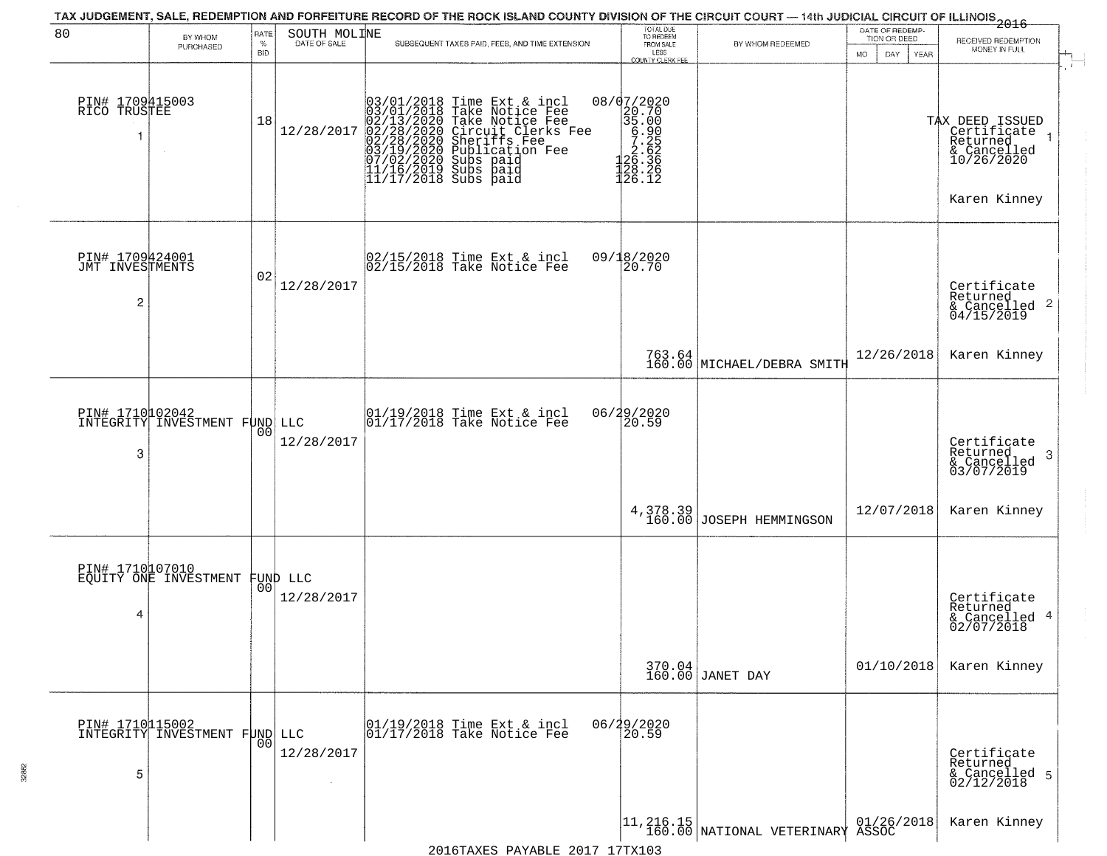| 80                                      | BY WHOM                                           | RATE               | SOUTH MOLINE         | TAX JUDGEMENT, SALE, REDEMPTION AND FORFEITURE RECORD OF THE ROCK ISLAND COUNTY DIVISION OF THE CIRCUIT COURT — 14th JUDICIAL CIRCUIT OF ILLINOIS 2016                                                                                      | TOTAL DUE<br>TO REDEEM                                                                 |                                                                                                  | DATE OF REDEMP-<br>TION OR DEED |                                                                                         |
|-----------------------------------------|---------------------------------------------------|--------------------|----------------------|---------------------------------------------------------------------------------------------------------------------------------------------------------------------------------------------------------------------------------------------|----------------------------------------------------------------------------------------|--------------------------------------------------------------------------------------------------|---------------------------------|-----------------------------------------------------------------------------------------|
|                                         | PURCHASED                                         | $\%$<br><b>BID</b> | DATE OF SALE         | SUBSEQUENT TAXES PAID, FEES, AND TIME EXTENSION                                                                                                                                                                                             | FROM SALE<br>LESS<br><b>COUNTY CLERK FEE</b>                                           | BY WHOM REDEEMED                                                                                 | MO.<br>DAY.<br><b>YEAR</b>      | RECEIVED REDEMPTION<br>MONEY IN FULL                                                    |
| PIN# 1709415003<br>RICO TRUSTEE<br>1    | $\sim$                                            | 18                 | 12/28/2017           | $03/01/2018$ Time Ext & incl<br>$03/01/2018$ Take Notice Fee<br>$02/13/2020$ Take Notice Fee<br>$02/28/2020$ Circuit Clerks Fee<br>$02/28/2020$ Sheriffs Fee<br>$03/19/2020$ Sublication Fee<br>$03/19/2020$ Subs paid<br>$11/16/2019$ Subs | 08/07/2020<br>20.70<br>35.00<br>6.900<br>7.25<br>7.262<br>7.36.336<br>128.26<br>126.12 |                                                                                                  |                                 | TAX DEED ISSUED<br>Certificate<br>Returned<br>& Cancelled<br>10/26/2020<br>Karen Kinney |
| PIN# 1709424001<br>JMT INVESTMENTS<br>2 |                                                   | 02                 | 12/28/2017           | $\begin{bmatrix} 02/15/2018 &$ Time Ext & incl<br>$02/15/2018 &$ Take Notice Fee                                                                                                                                                            | 09/18/2020<br>20.70                                                                    |                                                                                                  |                                 | Certificate<br>Returned<br>$\frac{12}{6}$ Cancelled 2<br>04/15/2019                     |
|                                         |                                                   |                    |                      |                                                                                                                                                                                                                                             |                                                                                        | 763.64<br>160.00 MICHAEL/DEBRA SMITH                                                             | 12/26/2018                      | Karen Kinney                                                                            |
| PIN# 1710102042<br>INTEGRITY INVES<br>3 | INVESTMENT FUND LLC                               | 00                 | 12/28/2017           | $\begin{array}{ccc}  01/19/2018 \text{ Time} & \text{Ext} & \text{incl} \\  01/17/2018 \text{ Take Notice } \text{Fe} \end{array}$                                                                                                          | 06/29/2020<br>20.59                                                                    |                                                                                                  |                                 | Certificate<br>Returned<br>3<br>& Cancelled<br>03/07/2019                               |
|                                         |                                                   |                    |                      |                                                                                                                                                                                                                                             |                                                                                        | 4,378.39<br>160.00 JOSEPH HEMMINGSON                                                             | 12/07/2018                      | Karen Kinney                                                                            |
| 4                                       | PIN# 1710107010<br>EQUITY ONE INVESTMENT FUND LLC |                    | 12/28/2017           |                                                                                                                                                                                                                                             |                                                                                        |                                                                                                  |                                 | Certificate<br>Returned<br>& Cancelled 4<br>02/07/2018                                  |
|                                         |                                                   |                    |                      |                                                                                                                                                                                                                                             |                                                                                        | 370.04<br>160.00 JANET DAY                                                                       | 01/10/2018                      | Karen Kinney                                                                            |
| PIN# 1710115002<br>5                    | INTEGRITY INVESTMENT FUND LLC                     | 0 <sub>0</sub>     | 12/28/2017<br>$\sim$ | 01/19/2018 Time Ext & incl<br>01/17/2018 Take Notice Fee                                                                                                                                                                                    | 06/29/2020<br>20.59                                                                    |                                                                                                  |                                 | Certificate<br>Returned<br>& Cancelled 5<br>02/12/2018                                  |
|                                         |                                                   |                    |                      | 2016TAXES PAYARLE 2017 17TX103                                                                                                                                                                                                              |                                                                                        | $\begin{array}{c c} 11,216.15 & 01/26, \\ 160.00 & \text{NATIONAL VETERINARY ASSOC} \end{array}$ | 01/26/2018                      | Karen Kinney                                                                            |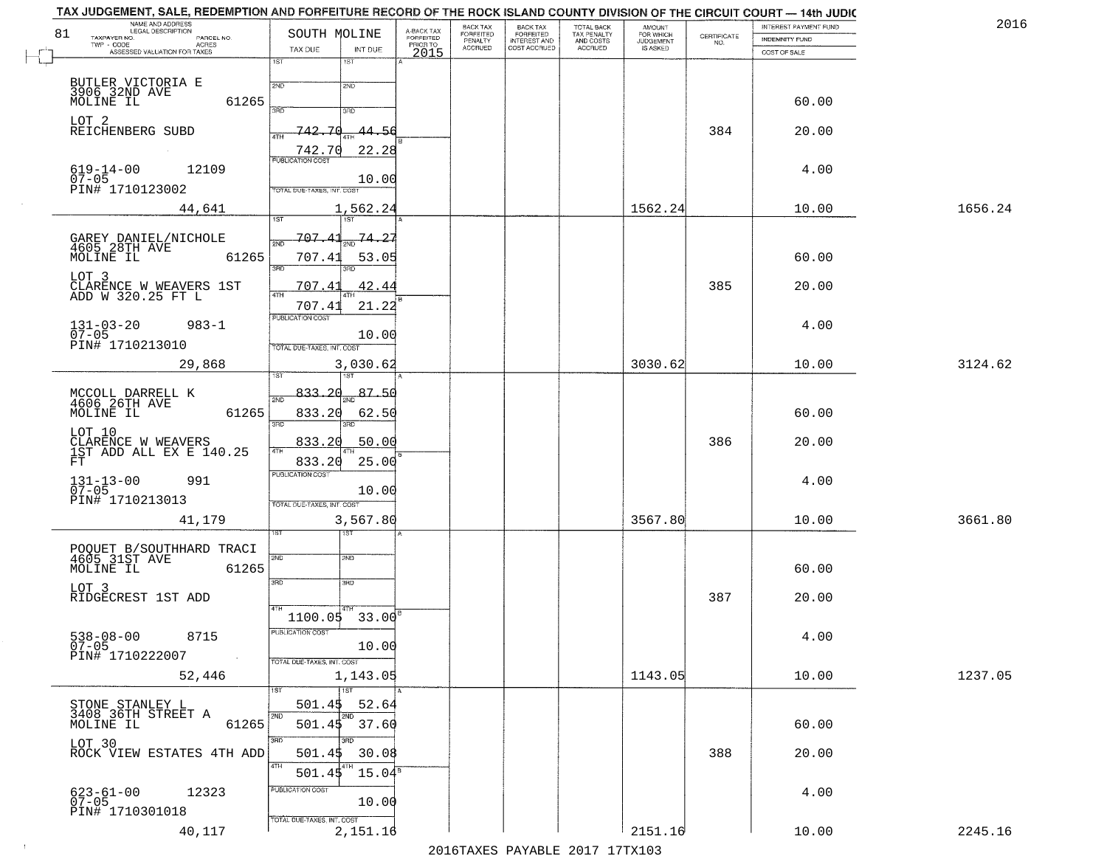| 81 | NAME AND ADDRESS<br>LEGAL DESCRIPTION<br>TAXPAYER NO.<br>PARCEL NO. | SOUTH MOLINE                                   | A-BACK TAX<br>FORFEITED | BACK TAX<br>FORFEITED<br>PENALTY | BACK TAX<br>FORFEITED<br>INTEREST AND | TOTAL BACK<br>TAX PENALTY<br>AND COSTS | AMOUNT<br>FOR WHICH<br><b>JUDGEMENT</b> | $\begin{array}{c} \text{CERTIFICATE} \\ \text{NO.} \end{array}$ | INTEREST PAYMENT FUND<br><b>INDEMNITY FUND</b> | 2016    |
|----|---------------------------------------------------------------------|------------------------------------------------|-------------------------|----------------------------------|---------------------------------------|----------------------------------------|-----------------------------------------|-----------------------------------------------------------------|------------------------------------------------|---------|
|    | $TWP - CODE$<br>ACRES<br>ASSESSED VALUATION FOR TAXES               | TAX DUE<br>INT DUE                             | PRIOR TO<br>2015        | <b>ACCRUED</b>                   | COST ACCRUED                          | <b>ACCRUED</b>                         | IS ASKED                                |                                                                 | COST OF SALE                                   |         |
|    |                                                                     | 1ST<br>1ST                                     |                         |                                  |                                       |                                        |                                         |                                                                 |                                                |         |
|    | BUTLER VICTORIA E<br>3906 32ND AVE<br>MOLINE IL<br>61265            | 2ND<br>2ND<br>3AD<br>3RD                       |                         |                                  |                                       |                                        |                                         |                                                                 | 60.00                                          |         |
|    | LOT 2<br>REICHENBERG SUBD                                           | 742.70<br>44.56                                |                         |                                  |                                       |                                        |                                         | 384                                                             | 20.00                                          |         |
|    |                                                                     | 22.28<br>742.70                                |                         |                                  |                                       |                                        |                                         |                                                                 |                                                |         |
|    | $619 - 14 - 00$<br>12109<br>$07 - 05$<br>PIN# 1710123002            | 10.00<br>TOTAL DUE-TAXES, INT. COST            |                         |                                  |                                       |                                        |                                         |                                                                 | 4.00                                           |         |
|    | 44,641                                                              | 1,562.24<br>1ST                                |                         |                                  |                                       |                                        | 1562.24                                 |                                                                 | 10.00                                          | 1656.24 |
|    |                                                                     | 707.41<br>74.27                                |                         |                                  |                                       |                                        |                                         |                                                                 |                                                |         |
|    | GAREY DANIEL/NICHOLE<br>4605 28TH AVE<br>MOLINE IL<br>61265         | সমূ<br>707.41<br>53.05                         |                         |                                  |                                       |                                        |                                         |                                                                 | 60.00                                          |         |
|    | LOT 3<br>CLARENCE W WEAVERS 1ST<br>ADD W 320.25 FT L                | 3RD<br>42.44<br>707.43<br><b>ATH</b>           |                         |                                  |                                       |                                        |                                         | 385                                                             | 20.00                                          |         |
|    |                                                                     | 707.41<br>21.22                                |                         |                                  |                                       |                                        |                                         |                                                                 |                                                |         |
|    | $131 - 03 - 20$<br>$983 - 1$<br>$07 - 05$                           | PUBLICATION COST<br>10.00                      |                         |                                  |                                       |                                        |                                         |                                                                 | 4.00                                           |         |
|    | PIN# 1710213010<br>29,868                                           | TOTAL DUE-TAXES, INT. COST<br>3,030.62         |                         |                                  |                                       |                                        | 3030.62                                 |                                                                 | 10.00                                          | 3124.62 |
|    |                                                                     | isT                                            |                         |                                  |                                       |                                        |                                         |                                                                 |                                                |         |
|    | MCCOLL DARRELL K<br>4606 26TH AVE                                   | 833.20<br>87.50<br>2ND                         |                         |                                  |                                       |                                        |                                         |                                                                 |                                                |         |
|    | 61265<br>MOLINE IL                                                  | 833.20<br>62.50<br>3RD<br>3RD                  |                         |                                  |                                       |                                        |                                         |                                                                 | 60.00                                          |         |
|    | LOT 10<br>CLARENCE W WEAVERS<br>1ST ADD ALL EX E 140.25             | 833.20<br>50.00                                |                         |                                  |                                       |                                        |                                         | 386                                                             | 20.00                                          |         |
|    | FT                                                                  | 4TH<br>833.20<br>25.00                         |                         |                                  |                                       |                                        |                                         |                                                                 |                                                |         |
|    | 991<br>$131 - 13 - 00$<br>07-05                                     | <b>PUBLICATION COST</b>                        |                         |                                  |                                       |                                        |                                         |                                                                 | 4.00                                           |         |
|    | PIN# 1710213013                                                     | 10.00<br>TOTAL OUE-TAXES, INT. COST            |                         |                                  |                                       |                                        |                                         |                                                                 |                                                |         |
|    | 41,179                                                              | 3,567.80                                       |                         |                                  |                                       |                                        | 3567.80                                 |                                                                 | 10.00                                          | 3661.80 |
|    |                                                                     | १९४                                            |                         |                                  |                                       |                                        |                                         |                                                                 |                                                |         |
|    | POQUET B/SOUTHHARD TRACI<br>4605 31ST AVE<br>MOLINE IL<br>61265     | 2ND<br>2ND                                     |                         |                                  |                                       |                                        |                                         |                                                                 | 60.00                                          |         |
|    | LOT 3                                                               | 3RD<br>3BD                                     |                         |                                  |                                       |                                        |                                         |                                                                 |                                                |         |
|    | RIDGECREST 1ST ADD                                                  | 4TH<br>$1100.05$ 33.00 <sup>8</sup>            |                         |                                  |                                       |                                        |                                         | 387                                                             | 20.00                                          |         |
|    | 8715                                                                | PUBLICATION COST                               |                         |                                  |                                       |                                        |                                         |                                                                 | 4.00                                           |         |
|    | $538 - 08 - 00$<br>07-05<br>PIN# 1710222007                         | 10.00                                          |                         |                                  |                                       |                                        |                                         |                                                                 |                                                |         |
|    | 52,446                                                              | TOTAL DUE-TAXES, INT. COST<br>1,143.05         |                         |                                  |                                       |                                        | 1143.05                                 |                                                                 | 10.00                                          | 1237.05 |
|    |                                                                     | 1ST<br>1ST                                     |                         |                                  |                                       |                                        |                                         |                                                                 |                                                |         |
|    | STONE STANLEY L<br>3408 36TH STREET A                               | 501.45<br>52.64<br>2ND<br>2ND                  |                         |                                  |                                       |                                        |                                         |                                                                 |                                                |         |
|    | 61265<br>MOLINE IL                                                  | $501.45$ $37.60$                               |                         |                                  |                                       |                                        |                                         |                                                                 | 60.00                                          |         |
|    | LOT 30<br>ROCK VIEW ESTATES 4TH ADD                                 | 3RD<br>ההו<br>30.08<br>501.45                  |                         |                                  |                                       |                                        |                                         | 388                                                             | 20.00                                          |         |
|    |                                                                     | 4TH<br>$15.04^{\overline{\text{s}}}$<br>501.45 |                         |                                  |                                       |                                        |                                         |                                                                 |                                                |         |
|    | 12323<br>623-61-00<br>07-05                                         | PUBLICATION COST                               |                         |                                  |                                       |                                        |                                         |                                                                 | 4.00                                           |         |
|    | PIN# 1710301018                                                     | 10.00<br>TOTAL DUE-TAXES, INT. COST            |                         |                                  |                                       |                                        |                                         |                                                                 |                                                |         |
|    | 40,117                                                              | 2,151.16                                       |                         |                                  |                                       |                                        | 2151.16                                 |                                                                 | 10.00                                          | 2245.16 |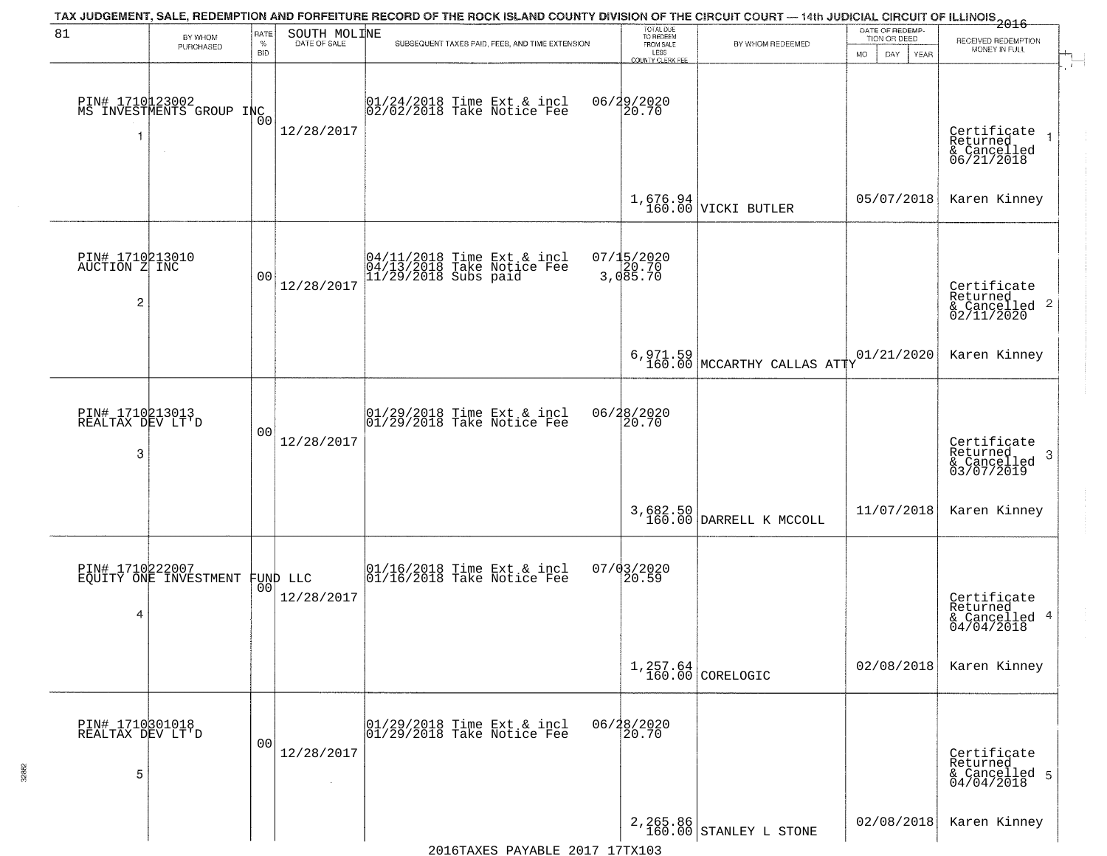|                                                    |                                             |                       |                              | TAX JUDGEMENT, SALE, REDEMPTION AND FORFEITURE RECORD OF THE ROCK ISLAND COUNTY DIVISION OF THE CIRCUIT COURT — 14th JUDICIAL CIRCUIT OF ILLINOIS 2016 |                                                |                                           | DATE OF REDEMP-     |                                                                              |
|----------------------------------------------------|---------------------------------------------|-----------------------|------------------------------|--------------------------------------------------------------------------------------------------------------------------------------------------------|------------------------------------------------|-------------------------------------------|---------------------|------------------------------------------------------------------------------|
| 81                                                 | BY WHOM<br>PURCHASED                        | RATE<br>$\%$          | SOUTH MOLINE<br>DATE OF SALE | SUBSEQUENT TAXES PAID, FEES, AND TIME EXTENSION                                                                                                        | TOTAL DUE<br>TO REDEEM<br>FROM SALE<br>LESS    | BY WHOM REDEEMED                          | TION OR DEED        | RECEIVED REDEMPTION<br>MONEY IN FULL                                         |
|                                                    | PIN# 1710123002<br>MS INVESTMENTS GROUP INC | BID<br>0 <sub>0</sub> | 12/28/2017                   | 01/24/2018 Time Ext & incl<br>02/02/2018 Take Notice Fee                                                                                               | <b>COUNTY CLERK FEE</b><br>06/29/2020<br>20.70 |                                           | MO.<br>DAY.<br>YEAR | Certificate<br>Returned<br>& Cancelled<br>06/21/2018                         |
|                                                    |                                             |                       |                              |                                                                                                                                                        |                                                | $1,676.94$ VICKI BUTLER                   | 05/07/2018          | Karen Kinney                                                                 |
| PIN# 1710213010<br>AUCTION Z INC<br>$\overline{c}$ |                                             | 00                    | 12/28/2017                   | 04/11/2018 Time Ext & incl<br>04/13/2018 Take Notice Fee<br>11/29/2018 Subs paid                                                                       | 07/15/2020<br>3,085.70<br>3,085.70             |                                           |                     | Certificate<br>Returned<br>$\frac{1}{6}$ Cancelled 2<br>02/11/2020           |
|                                                    |                                             |                       |                              |                                                                                                                                                        |                                                | $6,971.59$<br>160.00 MCCARTHY CALLAS ATTY | 01/21/2020          | Karen Kinney                                                                 |
| PIN# 1710213013<br>REALTAX DEV LT'D<br>3           |                                             | 0 <sub>0</sub>        | 12/28/2017                   | $ 01/29/2018$ Time Ext & incl<br>$ 01/29/2018$ Take Notice Fee                                                                                         | 06/28/2020<br>20.70                            |                                           |                     | Certificate<br>Returned<br>$\boldsymbol{\beta}$<br>& Cancelled<br>03/07/2019 |
|                                                    |                                             |                       |                              |                                                                                                                                                        |                                                | 3,682.50<br>160.00 DARRELL K MCCOLL       | 11/07/2018          | Karen Kinney                                                                 |
| 4                                                  | PIN# 1710222007<br>EQUITY ONE INVESTMENT    | 00 <sup>1</sup>       | FUND LLC<br>12/28/2017       | $\begin{bmatrix} 01/16/2018 &$ Time Ext & incl<br>$01/16/2018 &$ Take Notice Fee                                                                       | 07/03/2020<br>$\left[20.59\right]$             |                                           |                     | Certificate<br>Returned<br>& Cancelled 4<br>04/04/2018                       |
|                                                    |                                             |                       |                              |                                                                                                                                                        |                                                | $1,257.64$ CORELOGIC                      | 02/08/2018          | Karen Kinney                                                                 |
| PIN# 1710301018<br>REALTAX DEV LT'D<br>5           |                                             | 0 <sub>0</sub>        | 12/28/2017                   | $ 01/29/2018$ Time Ext & incl<br>$ 01/29/2018$ Take Notice Fee                                                                                         | 06/28/2020<br>20.70                            |                                           |                     | Certificate<br>Returned<br>& Cancelled 5<br>04/04/2018                       |
|                                                    |                                             |                       |                              |                                                                                                                                                        |                                                | 2, 265.86<br>160.00 STANLEY L STONE       | 02/08/2018          | Karen Kinney                                                                 |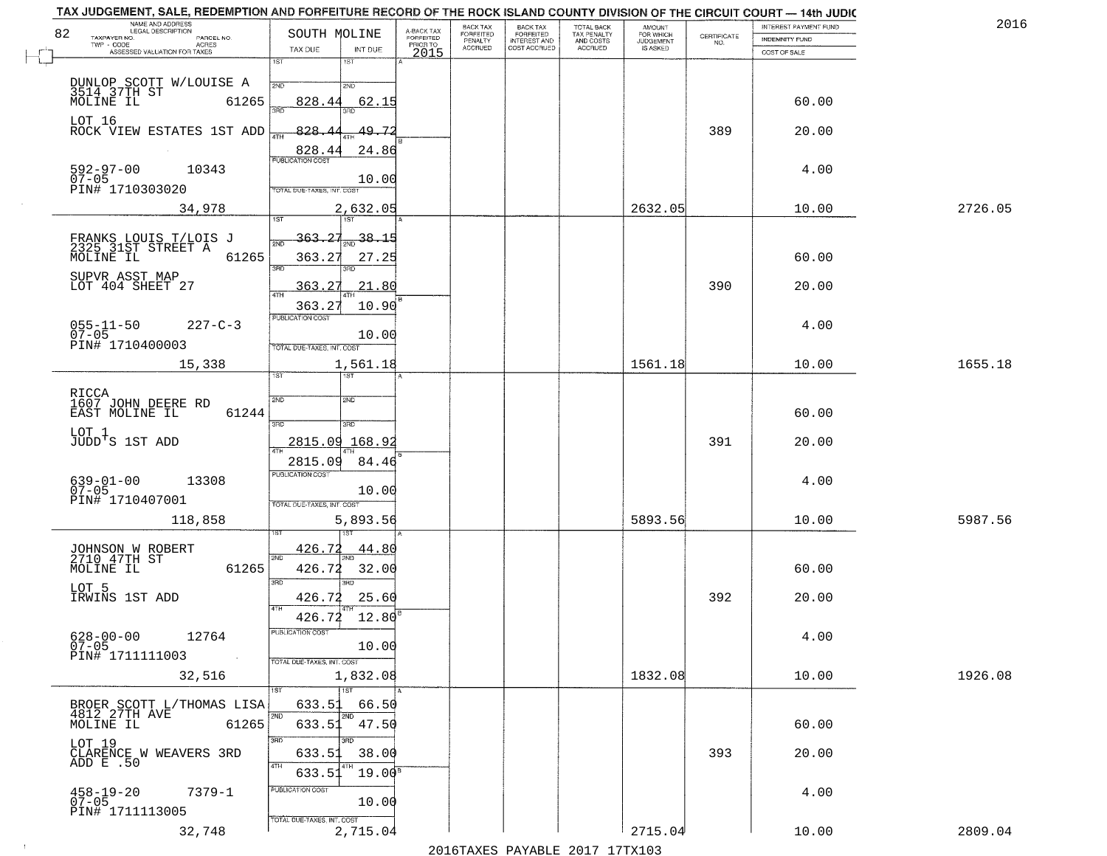| NAME AND ADDRESS<br>LEGAL DESCRIPTION                                |                                                      |                                     | BACK TAX             | <b>BACK TAX</b>           |                                        | AMOUNT<br>FOR WHICH |                                                                 | INTEREST PAYMENT FUND | 2016    |
|----------------------------------------------------------------------|------------------------------------------------------|-------------------------------------|----------------------|---------------------------|----------------------------------------|---------------------|-----------------------------------------------------------------|-----------------------|---------|
| 82<br>TAXPAYER NO.<br>PARCEL NO.<br>ACRES                            | SOUTH MOLINE                                         | A-BACK TAX<br>FORFEITED<br>PRIOR TO | FORFEITED<br>PENALTY | FORFEITED<br>INTEREST AND | TOTAL BACK<br>TAX PENALTY<br>AND COSTS | <b>JUDGEMENT</b>    | $\begin{array}{c} \text{CERTIFICATE} \\ \text{NO.} \end{array}$ | <b>INDEMNITY FUND</b> |         |
| ASSESSED VALUATION FOR TAXES                                         | TAX DUE<br>INT DUE                                   | 2015                                | <b>ACCRUED</b>       | COST ACCRUED              | <b>ACCRUED</b>                         | IS ASKED            |                                                                 | COST OF SALE          |         |
|                                                                      | 1ST<br>$1S$ T<br>2ND<br>2ND                          |                                     |                      |                           |                                        |                     |                                                                 |                       |         |
| DUNLOP SCOTT W/LOUISE A<br>3514 37TH ST<br>MOLINE IL 6126<br>61265   | 828.44<br>62.15                                      |                                     |                      |                           |                                        |                     |                                                                 | 60.00                 |         |
| LOT 16<br>ROCK VIEW ESTATES 1ST ADD                                  | 828.4<br>49.72                                       |                                     |                      |                           |                                        |                     | 389                                                             | 20.00                 |         |
| $592 - 97 - 00$<br>07-05<br>10343                                    | 828.44<br>24.86                                      |                                     |                      |                           |                                        |                     |                                                                 | 4.00                  |         |
| PIN# 1710303020                                                      | 10.00<br>TOTAL DUE-TAXES, INT. COST                  |                                     |                      |                           |                                        |                     |                                                                 |                       |         |
| 34,978                                                               | 2,632.05                                             |                                     |                      |                           |                                        | 2632.05             |                                                                 | 10.00                 | 2726.05 |
| FRANKS LOUIS T/LOIS J<br>2325 31ST STREET A<br>61265<br>MOLINE IL    | 363.27<br>$\frac{38.15}{200}$<br>363.27<br>27.25     |                                     |                      |                           |                                        |                     |                                                                 | 60.00                 |         |
| SUPVR ASST MAP<br>LOT 404 SHEET 27                                   | 3RD<br>3BD.<br>363.27<br>21.80<br>$\overline{47H}$   |                                     |                      |                           |                                        |                     | 390                                                             | 20.00                 |         |
| $055 - 11 - 50$<br>$227 - C - 3$<br>$07 - 05$                        | 363.27<br>10.90<br>PUBLICATION COST<br>10.00         |                                     |                      |                           |                                        |                     |                                                                 | 4.00                  |         |
| PIN# 1710400003<br>15,338                                            | TOTAL DUE-TAXES, INT. COST<br>1,561.18<br>īst<br>1ST |                                     |                      |                           |                                        | 1561.18             |                                                                 | 10.00                 | 1655.18 |
| RICCA<br>1607 JOHN DEERE RD                                          | 2ND<br>2ND                                           |                                     |                      |                           |                                        |                     |                                                                 |                       |         |
| EAST MOLINE IL<br>61244                                              | 3RD<br>3RD                                           |                                     |                      |                           |                                        |                     |                                                                 | 60.00                 |         |
| LOT 1<br>JUDD'S 1ST ADD                                              | 2815.09<br>168.9                                     |                                     |                      |                           |                                        |                     | 391                                                             | 20.00                 |         |
| $639-01-00$<br>07-05<br>13308                                        | 2815.09<br>84.46<br><b>PUBLICATION COST</b><br>10.00 |                                     |                      |                           |                                        |                     |                                                                 | 4.00                  |         |
| PIN# 1710407001<br>118,858                                           | TOTAL OUE-TAXES, INT. COST<br>5,893.56               |                                     |                      |                           |                                        | 5893.56             |                                                                 | 10.00                 | 5987.56 |
| JOHNSON W ROBERT<br>2710 47TH ST<br>MOLINE IL<br>61265               | 426.72<br><u>44.80</u><br>2ND<br>426.72<br>32.00     |                                     |                      |                           |                                        |                     |                                                                 | 60.00                 |         |
| LOT 5<br>IRWINS 1ST ADD                                              | 3 <sub>BD</sub><br>חחו<br>426.72<br>25.60            |                                     |                      |                           |                                        |                     | 392                                                             | 20.00                 |         |
| 12764                                                                | 4TH<br>426.72<br>12.80<br>PUBLICATION COST           |                                     |                      |                           |                                        |                     |                                                                 | 4.00                  |         |
| $628 - 00 - 00$<br>07-05<br>PIN# 1711111003<br>$\sim 100$ km $^{-1}$ | 10.00<br>TOTAL DUE-TAXES, INT. COST                  |                                     |                      |                           |                                        |                     |                                                                 |                       |         |
| 32,516                                                               | 1,832.08<br><b>TIST</b>                              |                                     |                      |                           |                                        | 1832.08             |                                                                 | 10.00                 | 1926.08 |
| BROER SCOTT L/THOMAS LISA<br>4812 27TH AVE<br>MOLINE IL<br>61265     | 633.51<br>66.50<br>2ND<br>2ND<br>633.51 47.50        |                                     |                      |                           |                                        |                     |                                                                 | 60.00                 |         |
| LOT 19<br>CLARENCE W WEAVERS 3RD<br>ADD E .50                        | 3RD<br>3RD<br>38.00<br>633.51                        |                                     |                      |                           |                                        |                     | 393                                                             | 20.00                 |         |
| 458-19-20<br>07-05<br>$7379 - 1$                                     | 4TH<br>$19.00^8$<br>633.51<br>PUBLICATION COST       |                                     |                      |                           |                                        |                     |                                                                 | 4.00                  |         |
| PIN# 1711113005                                                      | 10.00<br>TOTAL DUE-TAXES, INT. COST                  |                                     |                      |                           |                                        |                     |                                                                 |                       |         |
| 32,748                                                               | 2,715.04                                             |                                     |                      |                           |                                        | 2715.04             |                                                                 | 10.00                 | 2809.04 |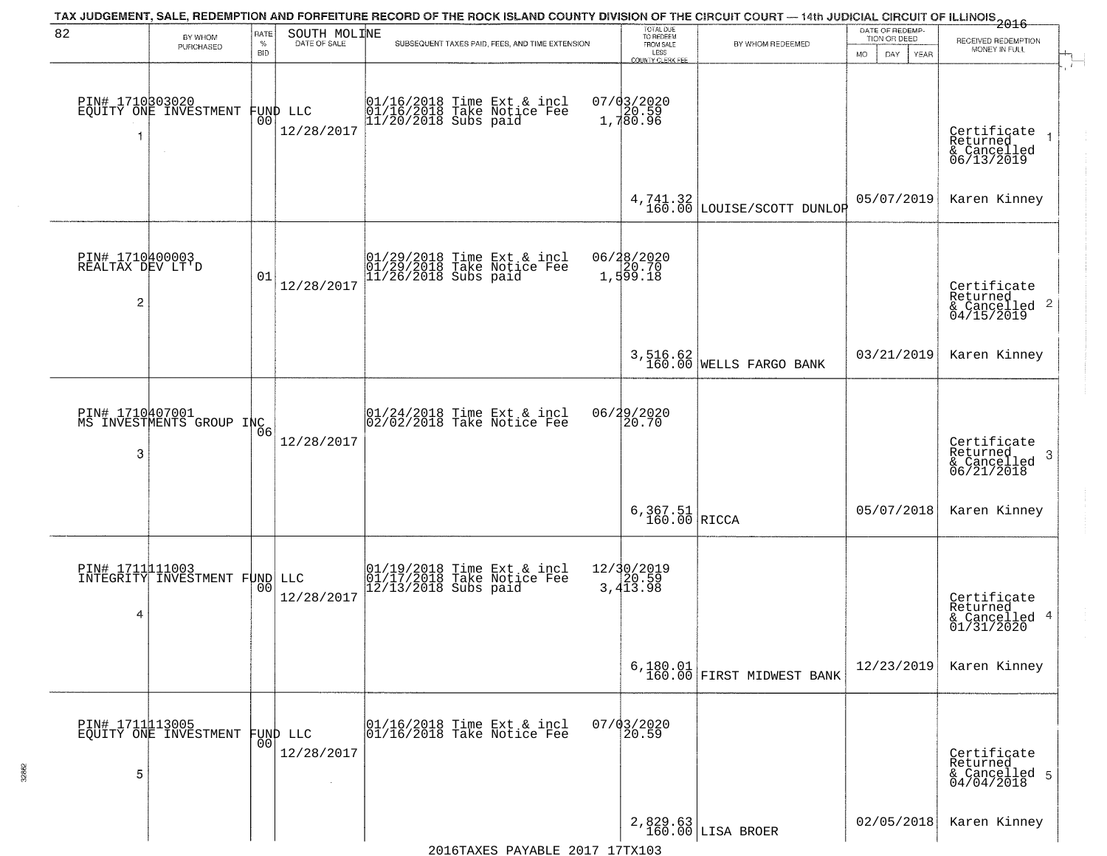| 82                                       | BY WHOM<br>PURCHASED                               | RATE<br>$\%$<br><b>BID</b> | SOUTH MOLINE                   | TAX JUDGEMENT, SALE, REDEMPTION AND FORFEITURE RECORD OF THE ROCK ISLAND COUNTY DIVISION OF THE CIRCUIT COURT — 14th JUDICIAL CIRCUIT OF ILLINOIS 2016<br>SUBSEQUENT TAXES PAID, FEES, AND TIME EXTENSION | TOTAL DUE<br>TO REDEEM<br>FROM SALE<br>LESS<br>COUNTY CLERK FEE | BY WHOM REDEEMED                                        | DATE OF REDEMP-<br>TION OR DEED<br><b>MO</b><br>DAY<br>YEAR | RECEIVED REDEMPTION<br>MONEY IN FULL                               |
|------------------------------------------|----------------------------------------------------|----------------------------|--------------------------------|-----------------------------------------------------------------------------------------------------------------------------------------------------------------------------------------------------------|-----------------------------------------------------------------|---------------------------------------------------------|-------------------------------------------------------------|--------------------------------------------------------------------|
| 1                                        | PIN# 1710303020<br>EQUITY ONE INVESTMENT<br>$\sim$ | 0 <sub>0</sub>             | FUND LLC<br>12/28/2017         | 01/16/2018 Time Ext & incl<br>01/16/2018 Take Notice Fee<br>11/20/2018 Subs paid                                                                                                                          | 07/03/2020<br>1,780.59<br>1,780.96                              |                                                         |                                                             | Certificate<br>Returned<br>& Cancelled<br>06/13/2019               |
|                                          |                                                    |                            |                                |                                                                                                                                                                                                           |                                                                 | 4,741.32<br>160.00 LOUISE/SCOTT DUNLOR                  | 05/07/2019                                                  | Karen Kinney                                                       |
| PIN# 1710400003<br>REALTAX DEV LT'D<br>2 |                                                    | 01                         | 12/28/2017                     | 01/29/2018 Time Ext & incl<br>01/29/2018 Take Notice Fee<br>11/26/2018 Subs paid                                                                                                                          | 06/28/2020<br>20.70<br>1,599.18                                 |                                                         |                                                             | Certificate<br>Returned<br>$\frac{1}{6}$ Cancelled 2<br>04/15/2019 |
|                                          |                                                    |                            |                                |                                                                                                                                                                                                           |                                                                 | 3,516.62<br>160.00 WELLS FARGO BANK                     | 03/21/2019                                                  | Karen Kinney                                                       |
| 3                                        | PIN# 1710407001<br>MS INVESTMENTS GROUP INC        |                            | 12/28/2017                     | 01/24/2018 Time Ext & incl<br>02/02/2018 Take Notice Fee                                                                                                                                                  | 06/29/2020<br>20.70                                             |                                                         |                                                             | Certificate<br>Returned<br>-3<br>& Cancelled<br>06/21/2018         |
|                                          |                                                    |                            |                                |                                                                                                                                                                                                           | $6,367.51$ RICCA                                                |                                                         | 05/07/2018                                                  | Karen Kinney                                                       |
| PIN# 1711111003<br>4                     | INTEGRITY INVESTMENT FUND LLC                      |                            | 12/28/2017                     | 01/19/2018 Time Ext & incl<br>01/17/2018 Take Notice Fee<br>12/13/2018 Subs paid                                                                                                                          | 12/30/2019<br>3,413.98                                          |                                                         |                                                             | Certificate<br>Returned<br>& Cancelled 4<br>01/31/2020             |
|                                          |                                                    |                            |                                |                                                                                                                                                                                                           |                                                                 | $6,180.01$<br>$\bigg \texttt{FIRST MIDWEST BANK}\bigg $ | 12/23/2019                                                  | Karen Kinney                                                       |
| 5                                        | PIN# 1711113005<br>EQUITY ONE INVESTMENT           |                            | FUND LLC<br> 00 <br>12/28/2017 | 01/16/2018 Time Ext & incl<br>01/16/2018 Take Notice Fee                                                                                                                                                  | $07/03/2020$<br>20.59                                           |                                                         |                                                             | Certificate<br>Returned<br>& Cancelled 5<br>04/04/2018             |
|                                          |                                                    |                            |                                |                                                                                                                                                                                                           |                                                                 | 2,829.63<br>160.00 LISA BROER                           | 02/05/2018                                                  | Karen Kinney                                                       |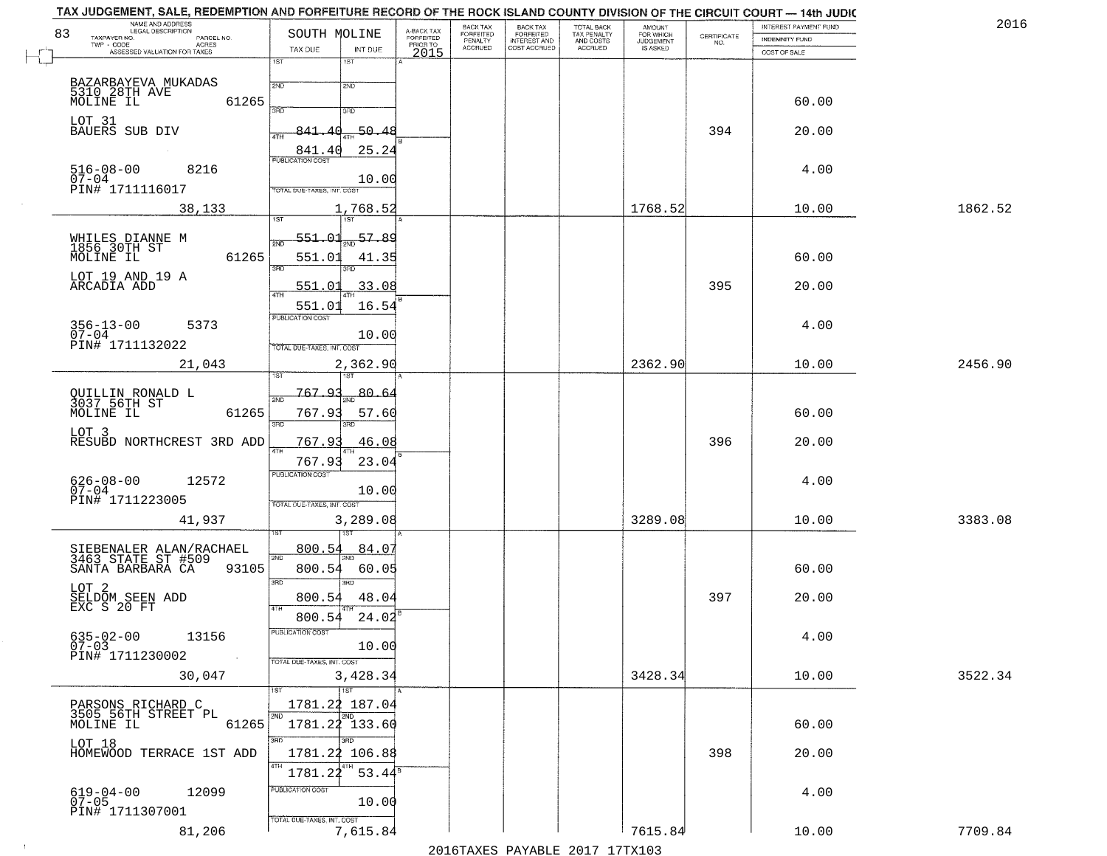| NAME AND ADDRESS<br>LEGAL DESCRIPTION<br>83                            | SOUTH MOLINE                           |                                     | BACK TAX<br>FORFEITED | <b>BACK TAX</b>           | TOTAL BACK<br>TAX PENALTY<br>AND COSTS | AMOUNT<br>FOR WHICH<br>JUDGEMENT |                                                                 | INTEREST PAYMENT FUND | 2016    |
|------------------------------------------------------------------------|----------------------------------------|-------------------------------------|-----------------------|---------------------------|----------------------------------------|----------------------------------|-----------------------------------------------------------------|-----------------------|---------|
| TAXPAYER NO.<br>PARCEL NO.<br>ACRES                                    |                                        | A-BACK TAX<br>FORFEITED<br>PRIOR TO | PENALTY               | FORFEITED<br>INTEREST AND |                                        |                                  | $\begin{array}{c} \text{CERTIFICATE} \\ \text{NO.} \end{array}$ | <b>INDEMNITY FUND</b> |         |
| ASSESSED VALUATION FOR TAXES                                           | TAX DUE<br>INT DUE<br>1ST<br>1ST       | 2015                                | <b>ACCRUED</b>        | COST ACCRUED              | <b>ACCRUED</b>                         | IS ASKED                         |                                                                 | COST OF SALE          |         |
|                                                                        |                                        |                                     |                       |                           |                                        |                                  |                                                                 |                       |         |
| BAZARBAYEVA MUKADAS<br>5310 28TH AVE<br>MOLINE IL                      | 2ND<br>2ND                             |                                     |                       |                           |                                        |                                  |                                                                 |                       |         |
| 61265                                                                  | 350<br>3RD                             |                                     |                       |                           |                                        |                                  |                                                                 | 60.00                 |         |
| LOT 31<br>BAUERS SUB DIV                                               |                                        |                                     |                       |                           |                                        |                                  |                                                                 |                       |         |
|                                                                        | $-50.48$<br>841.40                     |                                     |                       |                           |                                        |                                  | 394                                                             | 20.00                 |         |
|                                                                        | 25.24<br>841.40                        |                                     |                       |                           |                                        |                                  |                                                                 |                       |         |
| $516 - 08 - 00$<br>07-04<br>8216                                       |                                        |                                     |                       |                           |                                        |                                  |                                                                 | 4.00                  |         |
| PIN# 1711116017                                                        | 10.00<br>TOTAL DUE-TAXES, INT. COST    |                                     |                       |                           |                                        |                                  |                                                                 |                       |         |
| 38,133                                                                 | 1,768.52                               |                                     |                       |                           |                                        | 1768.52                          |                                                                 | 10.00                 | 1862.52 |
|                                                                        |                                        |                                     |                       |                           |                                        |                                  |                                                                 |                       |         |
| WHILES DIANNE M<br>1856 30TH ST                                        | 551.01<br>$\frac{57.89}{200}$<br>সাঁচ  |                                     |                       |                           |                                        |                                  |                                                                 |                       |         |
| 61265<br>MOLINE IL                                                     | 551.01<br>41.35                        |                                     |                       |                           |                                        |                                  |                                                                 | 60.00                 |         |
| LOT 19 AND 19 A                                                        | 3RD<br>3RD                             |                                     |                       |                           |                                        |                                  |                                                                 |                       |         |
| ARCADIA ADD                                                            | 33.08<br><u>551.01</u><br>ৰাম          |                                     |                       |                           |                                        |                                  | 395                                                             | 20.00                 |         |
|                                                                        | 551.01<br>16.54                        |                                     |                       |                           |                                        |                                  |                                                                 |                       |         |
| $356 - 13 - 00$<br>5373                                                | PUBLICATION COST                       |                                     |                       |                           |                                        |                                  |                                                                 | 4.00                  |         |
| $07 - 04$                                                              | 10.00                                  |                                     |                       |                           |                                        |                                  |                                                                 |                       |         |
| PIN# 1711132022                                                        | TOTAL DUE-TAXES, INT. COST             |                                     |                       |                           |                                        |                                  |                                                                 |                       |         |
| 21,043                                                                 | 2,362.90<br>is T                       |                                     |                       |                           |                                        | 2362.90                          |                                                                 | 10.00                 | 2456.90 |
|                                                                        | 767.93<br>$80 - 6$                     |                                     |                       |                           |                                        |                                  |                                                                 |                       |         |
| QUILLIN RONALD L<br>3037 56TH ST                                       | 2ND                                    |                                     |                       |                           |                                        |                                  |                                                                 |                       |         |
| MOLINE IL<br>61265                                                     | 767.93<br>57.60<br>3RD<br>3RD          |                                     |                       |                           |                                        |                                  |                                                                 | 60.00                 |         |
| LOT <sub>3</sub><br>RESUBD NORTHCREST 3RD ADD                          | 767.93<br>46.08                        |                                     |                       |                           |                                        |                                  | 396                                                             | 20.00                 |         |
|                                                                        | $\overline{AT}$<br>23.04<br>767.93     |                                     |                       |                           |                                        |                                  |                                                                 |                       |         |
|                                                                        | <b>PUBLICATION COST</b>                |                                     |                       |                           |                                        |                                  |                                                                 |                       |         |
| $626 - 08 - 00$<br>07-04<br>12572                                      | 10.00                                  |                                     |                       |                           |                                        |                                  |                                                                 | 4.00                  |         |
| PIN# 1711223005                                                        | TOTAL OUE-TAXES, INT. COST             |                                     |                       |                           |                                        |                                  |                                                                 |                       |         |
| 41,937                                                                 | 3,289.08                               |                                     |                       |                           |                                        | 3289.08                          |                                                                 | 10.00                 | 3383.08 |
|                                                                        |                                        |                                     |                       |                           |                                        |                                  |                                                                 |                       |         |
| SIEBENALER ALAN/RACHAEL<br>3463 STATE ST #509<br>SANTA BARBARA CA 9310 | 800.54<br>84.07<br>2ND                 |                                     |                       |                           |                                        |                                  |                                                                 |                       |         |
| 93105                                                                  | 800.54<br>60.05                        |                                     |                       |                           |                                        |                                  |                                                                 | 60.00                 |         |
|                                                                        | 3RD<br><b>IRD</b>                      |                                     |                       |                           |                                        |                                  |                                                                 |                       |         |
| LOT 2<br>SELDOM SEEN ADD<br>EXC S 20 FT                                | 800.54<br>48.04<br>4TH                 |                                     |                       |                           |                                        |                                  | 397                                                             | 20.00                 |         |
|                                                                        | 800.54<br>24.02                        |                                     |                       |                           |                                        |                                  |                                                                 |                       |         |
| $635 - 02 - 00$<br>13156<br>$07 - 03$                                  | PUBLICATION COST<br>10.00              |                                     |                       |                           |                                        |                                  |                                                                 | 4.00                  |         |
| PIN# 1711230002<br>$\sim 100$                                          | TOTAL DUE-TAXES, INT. COST             |                                     |                       |                           |                                        |                                  |                                                                 |                       |         |
| 30,047                                                                 | 3,428.34                               |                                     |                       |                           |                                        | 3428.34                          |                                                                 | 10.00                 | 3522.34 |
|                                                                        | 1ST                                    |                                     |                       |                           |                                        |                                  |                                                                 |                       |         |
| PARSONS RICHARD C                                                      | 1781.22 187.04                         |                                     |                       |                           |                                        |                                  |                                                                 |                       |         |
| 3505 56TH STREET PL<br>MOLINE IL<br>61265                              | 2ND<br>2ND<br>1781.22 133.60           |                                     |                       |                           |                                        |                                  |                                                                 | 60.00                 |         |
| LOT 18                                                                 | 3RD<br>3BD                             |                                     |                       |                           |                                        |                                  |                                                                 |                       |         |
| HOMEWOOD TERRACE 1ST ADD                                               | 1781.22 106.88                         |                                     |                       |                           |                                        |                                  | 398                                                             | 20.00                 |         |
|                                                                        | 4TH<br>1781.22<br>$53.44^s$            |                                     |                       |                           |                                        |                                  |                                                                 |                       |         |
| $619 - 04 - 00$<br>12099                                               | PUBLICATION COST                       |                                     |                       |                           |                                        |                                  |                                                                 | 4.00                  |         |
| $07 - 05$<br>PIN# 1711307001                                           | 10.00                                  |                                     |                       |                           |                                        |                                  |                                                                 |                       |         |
| 81,206                                                                 | TOTAL DUE-TAXES, INT. COST<br>7,615.84 |                                     |                       |                           |                                        | 7615.84                          |                                                                 |                       | 7709.84 |
|                                                                        |                                        |                                     |                       |                           |                                        |                                  |                                                                 | 10.00                 |         |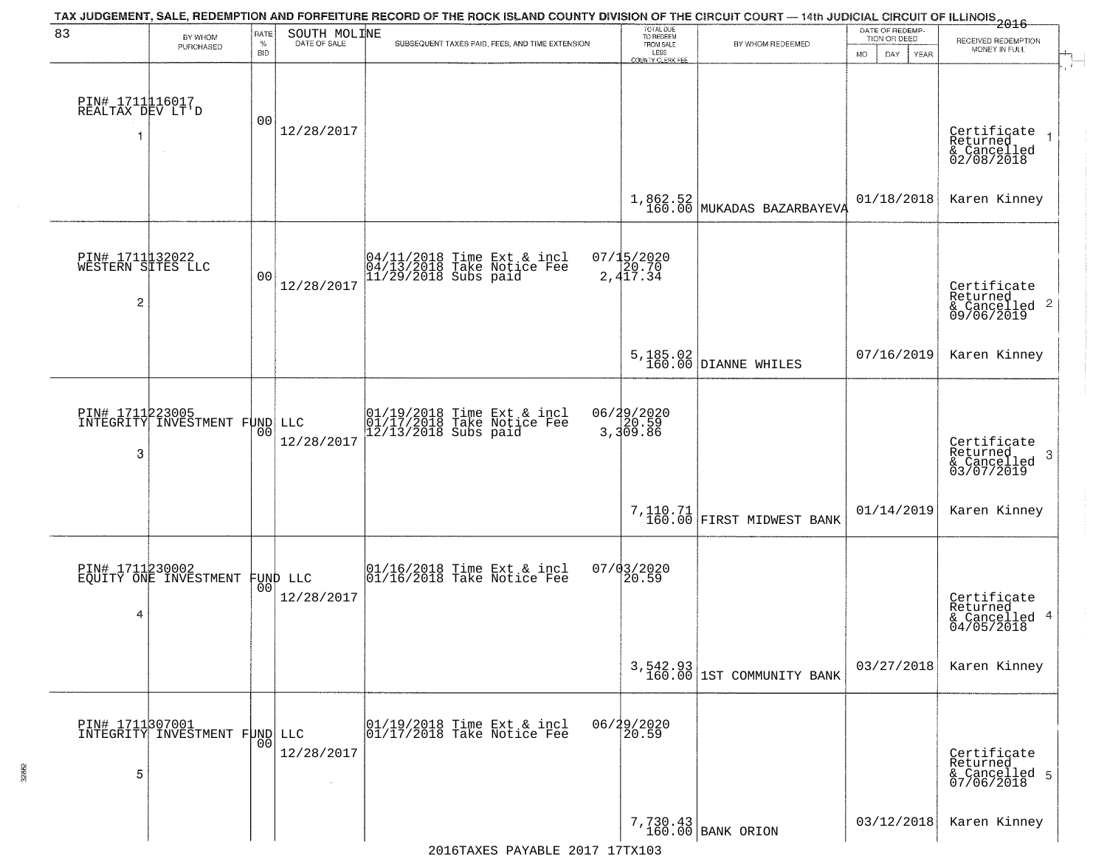| 83                                        | BY WHOM<br>PURCHASED                             | RATE<br>$\%$<br><b>BID</b> | SOUTH MOLINE<br>DATE OF SALE | TAX JUDGEMENT, SALE, REDEMPTION AND FORFEITURE RECORD OF THE ROCK ISLAND COUNTY DIVISION OF THE CIRCUIT COURT — 14th JUDICIAL CIRCUIT OF ILLINOIS 2016<br>SUBSEQUENT TAXES PAID, FEES, AND TIME EXTENSION | TOTAL DUE<br>TO REDEEM<br>FROM SALE<br>LESS | BY WHOM REDEEMED                        | DATE OF REDEMP<br>TION OR DEED | RECEIVED REDEMPTION<br>MONEY IN FULL                               |
|-------------------------------------------|--------------------------------------------------|----------------------------|------------------------------|-----------------------------------------------------------------------------------------------------------------------------------------------------------------------------------------------------------|---------------------------------------------|-----------------------------------------|--------------------------------|--------------------------------------------------------------------|
| PIN# 1711116017<br>REALTAX DEV LT'D<br>1  | $\sim$                                           | 00                         | 12/28/2017                   |                                                                                                                                                                                                           | <b>COUNTY CLERK FEE</b>                     |                                         | MO.<br>DAY.<br>YEAR            | Certificate<br>Returned<br>& Cancelled<br>02/08/2018               |
|                                           |                                                  |                            |                              |                                                                                                                                                                                                           | 1,862.52<br>160.00                          | MUKADAS BAZARBAYEVA                     | 01/18/2018                     | Karen Kinney                                                       |
| PIN# 1711132022<br>WESTERN SITES LLC<br>2 |                                                  | 0 <sub>0</sub>             | 12/28/2017                   | 04/11/2018 Time Ext & incl<br>04/13/2018 Take Notice Fee<br>11/29/2018 Subs paid                                                                                                                          | $07/15/2020$<br>2,417.34                    |                                         |                                | Certificate<br>Returned<br>$\frac{1}{6}$ Cancelled 2<br>09/06/2019 |
|                                           |                                                  |                            |                              |                                                                                                                                                                                                           |                                             | 5, 185.02<br>160.00 DIANNE WHILES       | 07/16/2019                     | Karen Kinney                                                       |
| 3                                         | PIN# 1711223005<br>INTEGRITY INVESTMENT FUND LLC | 00                         | 12/28/2017                   | 01/19/2018 Time Ext & incl<br>01/17/2018 Take Notice Fee<br>12/13/2018 Subs paid                                                                                                                          | 06/29/2020<br>3,309.86                      |                                         |                                | Certificate<br>Returned<br>3<br>& Cancelled<br>03/07/2019          |
|                                           |                                                  |                            |                              |                                                                                                                                                                                                           |                                             | 7,110.71<br>160.00 FIRST MIDWEST BANK   | 01/14/2019                     | Karen Kinney                                                       |
| PIN# 1711230002<br>4                      | EQUITY ONE INVESTMENT FUND LLC                   |                            | 12/28/2017                   | $\begin{bmatrix} 01/16/2018 &$ Time Ext & incl<br>$01/16/2018 &$ Take Notice Fee                                                                                                                          | 07/03/2020<br>20.59                         |                                         |                                | Certificate<br>Returned<br>& Cancelled 4<br>04/05/2018             |
|                                           |                                                  |                            |                              |                                                                                                                                                                                                           |                                             | $3,542.93$<br>160.00 1ST COMMUNITY BANK | 03/27/2018                     | Karen Kinney                                                       |
| 5                                         | PIN# 1711307001<br>INTEGRITY INVESTMENT FUND LLC | 0 <sub>0</sub>             | 12/28/2017                   | 01/19/2018 Time Ext & incl<br>01/17/2018 Take Notice Fee                                                                                                                                                  | 06/29/2020<br>20.59                         |                                         |                                | Certificate<br>Returned<br>& Cancelled 5<br>07/06/2018             |
|                                           |                                                  |                            |                              |                                                                                                                                                                                                           |                                             | 7,730.43<br>160.00 BANK ORION           | 03/12/2018                     | Karen Kinney                                                       |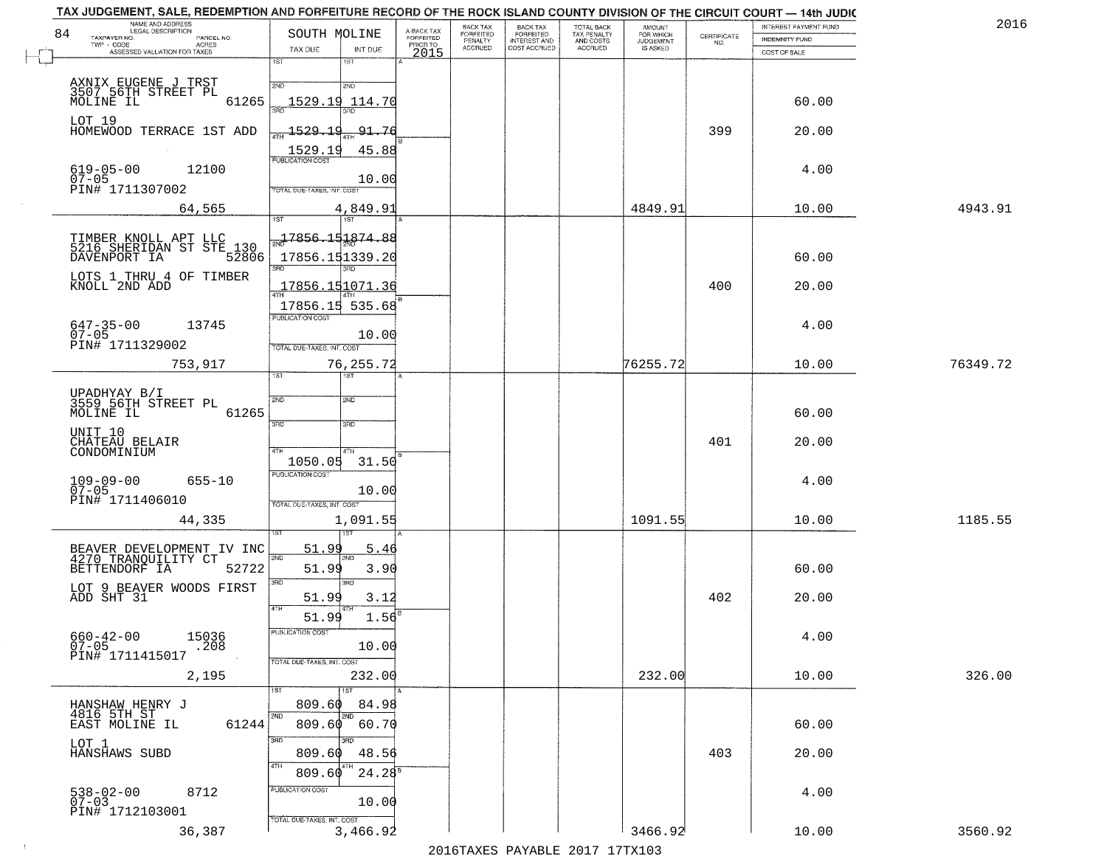| 2016     | INTEREST PAYMENT FUND |                                                                 | AMOUNT<br>FOR WHICH |                                        | <b>BACK TAX</b>           | BACK TAX             |                                     |                           |                                                       | TAX JUDGEMENT, SALE, REDEMPTION AND FORFEITURE RECORD OF THE ROCK ISLAND COUNTY DIVISION OF THE CIRCUIT COURT - 14th JUDIC<br>NAME AND ADDRESS<br>LEGAL DESCRIPTION |
|----------|-----------------------|-----------------------------------------------------------------|---------------------|----------------------------------------|---------------------------|----------------------|-------------------------------------|---------------------------|-------------------------------------------------------|---------------------------------------------------------------------------------------------------------------------------------------------------------------------|
|          | <b>INDEMNITY FUND</b> | $\begin{array}{c} \text{CERTIFICATE} \\ \text{NO.} \end{array}$ | <b>JUDGEMENT</b>    | TOTAL BACK<br>TAX PENALTY<br>AND COSTS | FORFEITED<br>INTEREST AND | FORFEITED<br>PENALTY | A-BACK TAX<br>FORFEITED<br>PRIOR TO |                           | SOUTH MOLINE                                          | TAXPAYER NO.<br>PARCEL NO.<br>TWP - CODE<br>ACRES                                                                                                                   |
|          | COST OF SALE          |                                                                 | IS ASKED            | ACCRUED                                | COST ACCRUED              | <b>ACCRUED</b>       | 2015                                | INT DUE                   | TAX DUE                                               | ASSESSED VALUATION FOR TAXES                                                                                                                                        |
|          |                       |                                                                 |                     |                                        |                           |                      |                                     | $1S$ T<br>2ND             | 1ST<br>2ND                                            | AXNIX EUGENE J TRST<br>3507_56TH STREET PL                                                                                                                          |
|          | 60.00<br>20.00        | 399                                                             |                     |                                        |                           |                      |                                     | 91.76                     | 1529.19 114.70<br>$\frac{1529.19}{1}$                 | 61265<br>MOLINE IL<br>LOT 19<br>HOMEWOOD TERRACE 1ST ADD                                                                                                            |
|          | 4.00                  |                                                                 |                     |                                        |                           |                      |                                     | 45.88<br>10.00            | 1529.19<br>TOTAL DUE-TAXES, INT. COST                 | $619-05-00$<br>07-05<br>12100<br>PIN# 1711307002                                                                                                                    |
| 4943.91  | 10.00                 |                                                                 | 4849.91             |                                        |                           |                      |                                     | 4,849.91                  |                                                       | 64,565                                                                                                                                                              |
|          | 60.00                 |                                                                 |                     |                                        |                           |                      |                                     | 3HD                       | <del>. 1</del> 7856.151874.88<br>17856.151339.20      | TIMBER KNOLL APT LLC<br>5216 SHERIDAN ST STE_130<br>DAVENPORT IA<br>52806<br>LOTS 1 THRU 4 OF TIMBER                                                                |
|          | 20.00                 | 400                                                             |                     |                                        |                           |                      |                                     |                           | 17856.151071.36<br>17856.15 535.68                    | KNOLL 2ND ADD                                                                                                                                                       |
|          | 4.00                  |                                                                 |                     |                                        |                           |                      |                                     | 10.00                     | PUBLICATION COST<br>TOTAL DUE-TAXES, INT. COST        | $647 - 35 - 00$<br>13745<br>$07 - 05$<br>PIN# 1711329002                                                                                                            |
| 76349.72 | 10.00                 |                                                                 | 76255.72            |                                        |                           |                      |                                     | 76, 255. 72<br>1ST        | 1ST                                                   | 753,917                                                                                                                                                             |
|          | 60.00                 |                                                                 |                     |                                        |                           |                      |                                     | 2ND<br>3RD                | 2ND<br>3 <sub>BD</sub>                                | UPADHYAY B/I<br>3559 56TH STREET PL<br>MOLINE IL<br>61265                                                                                                           |
|          | 20.00                 | 401                                                             |                     |                                        |                           |                      |                                     | 4TH<br>31.50              | 4TH<br>1050.05                                        | UNIT 10<br>CHATEAU BELAIR<br>CONDOMINIUM                                                                                                                            |
|          | 4.00                  |                                                                 |                     |                                        |                           |                      |                                     | 10.00                     | <b>PUBLICATION COST</b><br>TOTAL OUE-TAXES, INT. COST | $109 - 09 - 00$<br>07-05<br>$655 - 10$<br>PIN# 1711406010                                                                                                           |
| 1185.55  | 10.00                 |                                                                 | 1091.55             |                                        |                           |                      |                                     | 1,091.55                  |                                                       | 44,335                                                                                                                                                              |
|          | 60.00                 |                                                                 |                     |                                        |                           |                      |                                     | 5.46<br>3.90<br>3RD       | 51.99<br>2ND<br>51.99<br>3RD                          | BEAVER DEVELOPMENT IV INC<br>4270 TRANQUILITY CT<br>BETTENDORF IA<br>52722                                                                                          |
|          | 20.00                 | 402                                                             |                     |                                        |                           |                      |                                     | 3.12<br>1.56              | 51.99<br>4TH<br>51.99                                 | LOT 9 BEAVER WOODS FIRST<br>ADD SHT 31                                                                                                                              |
|          | 4.00                  |                                                                 |                     |                                        |                           |                      |                                     | 10.00                     | "UBLICA HUN CUS<br>TOTAL DUE-TAXES, INT. COST         | $660 - 42 - 00$<br>15036<br>.208<br>$07 - 05$<br>PIN# 1711415017                                                                                                    |
| 326.00   | 10.00                 |                                                                 | 232.00              |                                        |                           |                      |                                     | 232.00<br>1ST             |                                                       | 2,195                                                                                                                                                               |
|          | 60.00                 |                                                                 |                     |                                        |                           |                      |                                     | 84.98<br>2ND<br>60.70     | 809.60<br>2ND<br>809.60                               | HANSHAW HENRY J<br>4816 5TH ST<br>EAST MOLINE IL<br>61244                                                                                                           |
|          | 20.00                 | 403                                                             |                     |                                        |                           |                      |                                     | ann<br>48.56<br>$24.28^8$ | 3RD<br>809.60<br>4TH<br>809.60                        | LOT 1<br>HANSHAWS SUBD                                                                                                                                              |
|          | 4.00                  |                                                                 |                     |                                        |                           |                      |                                     | 10.00                     | PUBLICATION COST                                      | 538-02-00<br>07-03<br>8712<br>PIN# 1712103001                                                                                                                       |
| 3560.92  | 10.00                 |                                                                 | 3466.92             |                                        |                           |                      |                                     | 3,466.92                  | TOTAL DUE-TAXES, INT. COST                            | 36,387                                                                                                                                                              |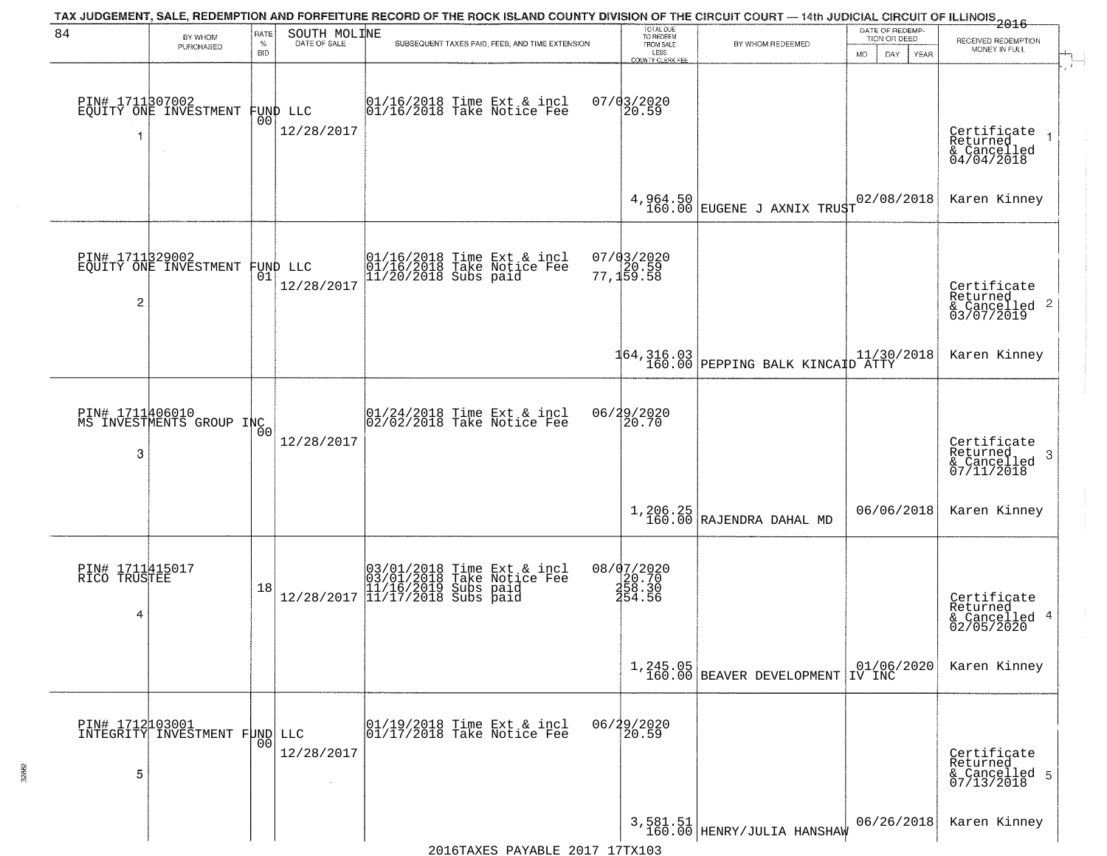|                                      |                                                   |                |                              | TAX JUDGEMENT, SALE, REDEMPTION AND FORFEITURE RECORD OF THE ROCK ISLAND COUNTY DIVISION OF THE CIRCUIT COURT — 14th JUDICIAL CIRCUIT OF ILLINOIS 2016 |                                                                 |                                                                                                               |                                 |                                                                          |
|--------------------------------------|---------------------------------------------------|----------------|------------------------------|--------------------------------------------------------------------------------------------------------------------------------------------------------|-----------------------------------------------------------------|---------------------------------------------------------------------------------------------------------------|---------------------------------|--------------------------------------------------------------------------|
| 84                                   | BY WHOM<br>PURCHASED                              | RATE<br>$\%$   | SOUTH MOLINE<br>DATE OF SALE | SUBSEQUENT TAXES PAID, FEES, AND TIME EXTENSION                                                                                                        | TOTAL DUE<br>TO REDEEM<br>FROM SALE                             | BY WHOM REDEEMED                                                                                              | DATE OF REDEMP-<br>TION OR DEED | RECEIVED REDEMPTION                                                      |
|                                      |                                                   | <b>BID</b>     |                              |                                                                                                                                                        | LESS<br><b>COUNTY CLERK FEE</b>                                 |                                                                                                               | DAY.<br><b>YEAR</b><br>MO.      | MONEY IN FULL<br>$\mathbf{r}$                                            |
| 1                                    | PIN# 1711307002<br>EQUITY ONE INVESTMENT          | 00             | FUND LLC<br>12/28/2017       | 01/16/2018 Time Ext & incl<br>01/16/2018 Take Notice Fee                                                                                               | $07/03/2020$<br>20.59                                           |                                                                                                               |                                 | Certificate<br>Returned<br>$\frac{6}{94/04/2018}$                        |
|                                      |                                                   |                |                              |                                                                                                                                                        |                                                                 | $\begin{array}{c cc} 4,964.50 & \text{EUGENE} & \text{J} & \text{ANIX} & \text{TRUST} \\ \end{array}$         | 02/08/2018                      | Karen Kinney                                                             |
| $\overline{c}$                       | PIN# 1711829002<br>EQUITY ONE INVESTMENT FUND LLC |                | 12/28/2017                   | 01/16/2018 Time Ext & incl<br>01/16/2018 Take Notice Fee<br>11/20/2018 Subs paid                                                                       | 07/03/2020<br>77,159.58                                         |                                                                                                               |                                 | Certificate<br>Returned<br>$\frac{1}{6}$ Cancelled 2<br>03/07/2019       |
|                                      |                                                   |                |                              |                                                                                                                                                        |                                                                 | 164,316.03<br>160.00 PEPPING BALK KINCAID ATTY                                                                |                                 | Karen Kinney                                                             |
| PIN# 1711406010<br>3                 | MS INVESTMENTS GROUP INC                          | 0 <sub>0</sub> | 12/28/2017                   | 01/24/2018 Time Ext & incl<br>02/02/2018 Take Notice Fee                                                                                               | 06/29/2020<br>20.70                                             |                                                                                                               |                                 | Certificate<br>Returned<br>$\boldsymbol{3}$<br>& Cancelled<br>07/11/2018 |
|                                      |                                                   |                |                              |                                                                                                                                                        |                                                                 | $\begin{array}{c c} 1,206.25 \\ 160.00 \end{array} \begin{array}{c c} \texttt{RAJENDRA DAHAL MD} \end{array}$ | 06/06/2018                      | Karen Kinney                                                             |
| PIN# 1711415017<br>RICO TRUSTEE<br>4 |                                                   | 18             | 12/28/2017                   | 03/01/2018 Time Ext & incl<br>03/01/2018 Take Notice Fee<br>11/16/2019 Subs paid<br>11/17/2018 Subs paid                                               | 08/07/2020<br>$\frac{26.70}{258.30}$<br>$\frac{258.30}{454.56}$ |                                                                                                               |                                 | Certificate<br>Returned<br>& Cancelled 4<br>02/05/2020                   |
|                                      |                                                   |                |                              |                                                                                                                                                        |                                                                 | $1,245.05$<br>160.00 BEAVER DEVELOPMENT IV INC                                                                |                                 | Karen Kinney                                                             |
| 5                                    | PIN# 1712103001<br>INTEGRITY INVESTMENT FUND LLC  | 00             | 12/28/2017                   | 01/19/2018 Time Ext & incl<br>01/17/2018 Take Notice Fee                                                                                               | 06/29/2020<br>20.59                                             |                                                                                                               |                                 | Certificate<br>Returned<br>& Cancelled 5<br>07/13/2018                   |
|                                      |                                                   |                |                              |                                                                                                                                                        |                                                                 | 3,581.51<br>160.00 HENRY/JULIA HANSHAW                                                                        | 06/26/2018                      | Karen Kinney                                                             |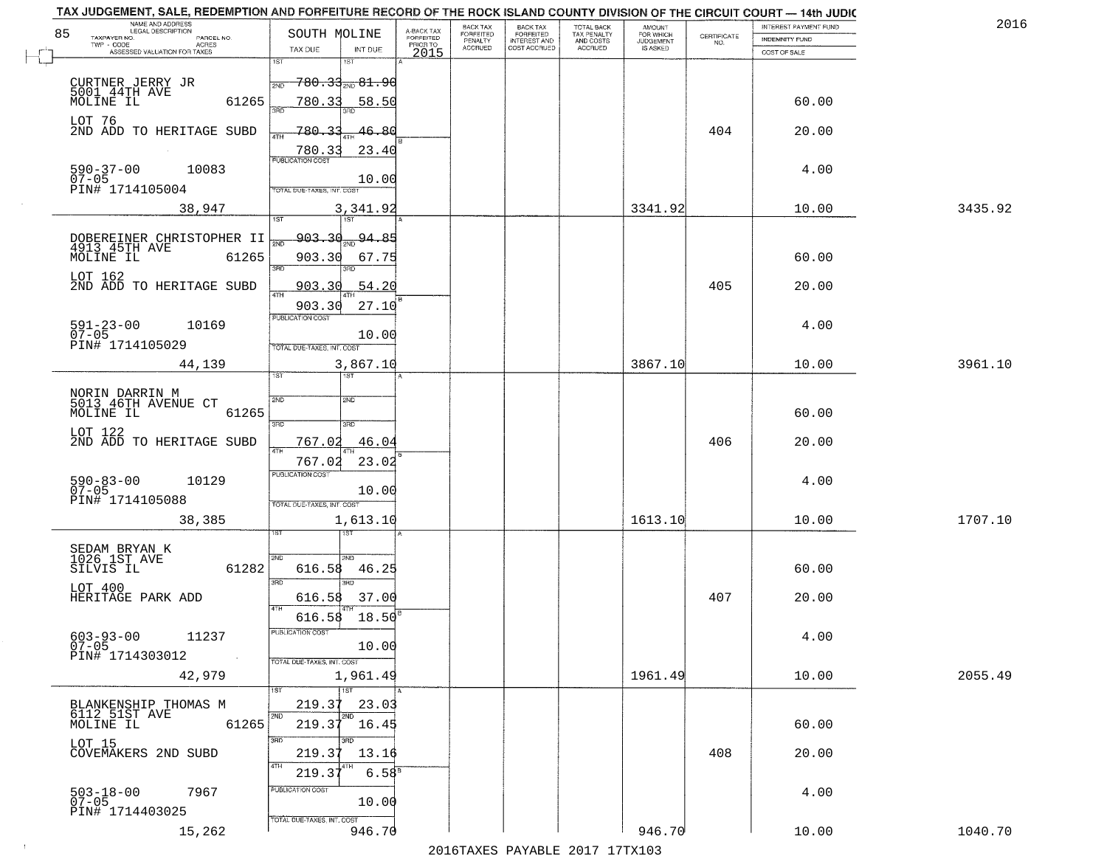| NAME AND ADDRESS<br>LEGAL DESCRIPTION                                  |                                                                                                                           |                                     | BACK TAX             | <b>BACK TAX</b>           |                                        | AMOUNT<br>FOR WHICH |                                                                 | INTEREST PAYMENT FUND | 2016    |
|------------------------------------------------------------------------|---------------------------------------------------------------------------------------------------------------------------|-------------------------------------|----------------------|---------------------------|----------------------------------------|---------------------|-----------------------------------------------------------------|-----------------------|---------|
| 85<br>TAXPAYER NO.<br>PARCEL NO.<br>ACRES                              | SOUTH MOLINE                                                                                                              | A-BACK TAX<br>FORFEITED<br>PRIOR TO | FORFEITED<br>PENALTY | FORFEITED<br>INTEREST AND | TOTAL BACK<br>TAX PENALTY<br>AND COSTS | <b>JUDGEMENT</b>    | $\begin{array}{c} \text{CERTIFICATE} \\ \text{NO.} \end{array}$ | <b>INDEMNITY FUND</b> |         |
| ASSESSED VALUATION FOR TAXES                                           | TAX DUE<br>INT DUE                                                                                                        | 2015                                | <b>ACCRUED</b>       | COST ACCRUED              | <b>ACCRUED</b>                         | IS ASKED            |                                                                 | COST OF SALE          |         |
| CURTNER JERRY JR<br>5001 44TH AVE<br>MOLINE IL                         | 1ST<br>18T<br><del>780.33<sub>2ND</sub> 81.90</del><br>2ND                                                                |                                     |                      |                           |                                        |                     |                                                                 |                       |         |
| 61265<br>LOT 76                                                        | 780.33<br><u>58.50</u>                                                                                                    |                                     |                      |                           |                                        |                     |                                                                 | 60.00                 |         |
| 2ND ADD TO HERITAGE SUBD                                               | 780.33<br>46.80<br>23.40<br>780.33                                                                                        |                                     |                      |                           |                                        |                     | 404                                                             | 20.00                 |         |
| $590 - 37 - 00$<br>07-05<br>10083<br>PIN# 1714105004                   | 10.00<br>TOTAL DUE-TAXES, INT. COST                                                                                       |                                     |                      |                           |                                        |                     |                                                                 | 4.00                  |         |
| 38,947                                                                 | 3,341.92                                                                                                                  |                                     |                      |                           |                                        | 3341.92             |                                                                 | 10.00                 | 3435.92 |
|                                                                        |                                                                                                                           |                                     |                      |                           |                                        |                     |                                                                 |                       |         |
| DOBEREINER CHRISTOPHER II<br>4913 45TH AVE<br>MOLINE IL<br>61265       | <del>903.30<sub>am</sub>94.85</del><br>$\overline{\phantom{a}}$ $\overline{\phantom{a}}$<br>903.30<br>67.75<br>3BD<br>3RD |                                     |                      |                           |                                        |                     |                                                                 | 60.00                 |         |
| LOT 162<br>2ND ADD TO HERITAGE SUBD                                    | 54.20<br><u>903.30</u><br>ৰাম                                                                                             |                                     |                      |                           |                                        |                     | 405                                                             | 20.00                 |         |
|                                                                        | 903.30<br>27.10<br>PUBLICATION COST                                                                                       |                                     |                      |                           |                                        |                     |                                                                 |                       |         |
| $591 - 23 - 00$<br>10169<br>$07 - 05$<br>PIN# 1714105029               | 10.00<br>TOTAL DUE-TAXES, INT. COST                                                                                       |                                     |                      |                           |                                        |                     |                                                                 | 4.00                  |         |
| 44,139                                                                 | 3,867.10<br>īst<br>1ST                                                                                                    |                                     |                      |                           |                                        | 3867.10             |                                                                 | 10.00                 | 3961.10 |
|                                                                        |                                                                                                                           |                                     |                      |                           |                                        |                     |                                                                 |                       |         |
| NORIN DARRIN M<br>5013 46TH AVENUE CT<br>MOLINE IL<br>61265            | 2ND<br>2ND                                                                                                                |                                     |                      |                           |                                        |                     |                                                                 | 60.00                 |         |
| LOT 122                                                                | 3RD<br>3RD                                                                                                                |                                     |                      |                           |                                        |                     |                                                                 |                       |         |
| 2ND ADD TO HERITAGE SUBD                                               | 767.02<br>46.04<br>4TH                                                                                                    |                                     |                      |                           |                                        |                     | 406                                                             | 20.00                 |         |
|                                                                        | 767.02<br>23.02<br><b>PUBLICATION COST</b>                                                                                |                                     |                      |                           |                                        |                     |                                                                 |                       |         |
| $590 - 83 - 00$<br>07-05<br>10129                                      | 10.00                                                                                                                     |                                     |                      |                           |                                        |                     |                                                                 | 4.00                  |         |
| PIN# 1714105088                                                        | TOTAL OUE-TAXES, INT. COST                                                                                                |                                     |                      |                           |                                        |                     |                                                                 |                       |         |
| 38,385                                                                 | 1,613.10                                                                                                                  |                                     |                      |                           |                                        | 1613.10             |                                                                 | 10.00                 | 1707.10 |
| SEDAM BRYAN K<br>1026 1ST AVE                                          |                                                                                                                           |                                     |                      |                           |                                        |                     |                                                                 |                       |         |
| SILVIS IL<br>61282                                                     | 2ND<br>'ND<br>616.58<br>46.25<br>3RD<br>m                                                                                 |                                     |                      |                           |                                        |                     |                                                                 | 60.00                 |         |
| LOT 400<br>HERITAGE PARK ADD                                           | 37.00<br>616.58<br>4TH                                                                                                    |                                     |                      |                           |                                        |                     | 407                                                             | 20.00                 |         |
|                                                                        | 616.58<br>18.50<br>PUBLICATION COST                                                                                       |                                     |                      |                           |                                        |                     |                                                                 |                       |         |
| $603 - 93 - 00$<br>11237<br>$07 - 05$<br>PIN# 1714303012<br>$\sim 100$ | 10.00<br>TOTAL DUE-TAXES, INT. COST                                                                                       |                                     |                      |                           |                                        |                     |                                                                 | 4.00                  |         |
| 42,979                                                                 | 1,961.49<br>1ST                                                                                                           |                                     |                      |                           |                                        | 1961.49             |                                                                 | 10.00                 | 2055.49 |
| BLANKENSHIP THOMAS M                                                   | 219.37<br>23.03                                                                                                           |                                     |                      |                           |                                        |                     |                                                                 |                       |         |
| 6112 51ST AVE<br>MOLINE IL<br>61265                                    | 2ND<br>2ND<br>219.37<br>16.45<br>3RD                                                                                      |                                     |                      |                           |                                        |                     |                                                                 | 60.00                 |         |
| LOT 15<br>COVEMAKERS 2ND SUBD                                          | 219.3<br>13.16<br>4TH                                                                                                     |                                     |                      |                           |                                        |                     | 408                                                             | 20.00                 |         |
| 7967                                                                   | $6.58^{8}$<br>219.3'<br>PUBLICATION COST                                                                                  |                                     |                      |                           |                                        |                     |                                                                 | 4.00                  |         |
| $503 - 18 - 00$<br>07-05<br>PIN# 1714403025                            | 10.00<br>TOTAL DUE-TAXES, INT. COST                                                                                       |                                     |                      |                           |                                        |                     |                                                                 |                       |         |
| 15,262                                                                 | 946.70                                                                                                                    |                                     |                      |                           |                                        | 946.70              |                                                                 | 10.00                 | 1040.70 |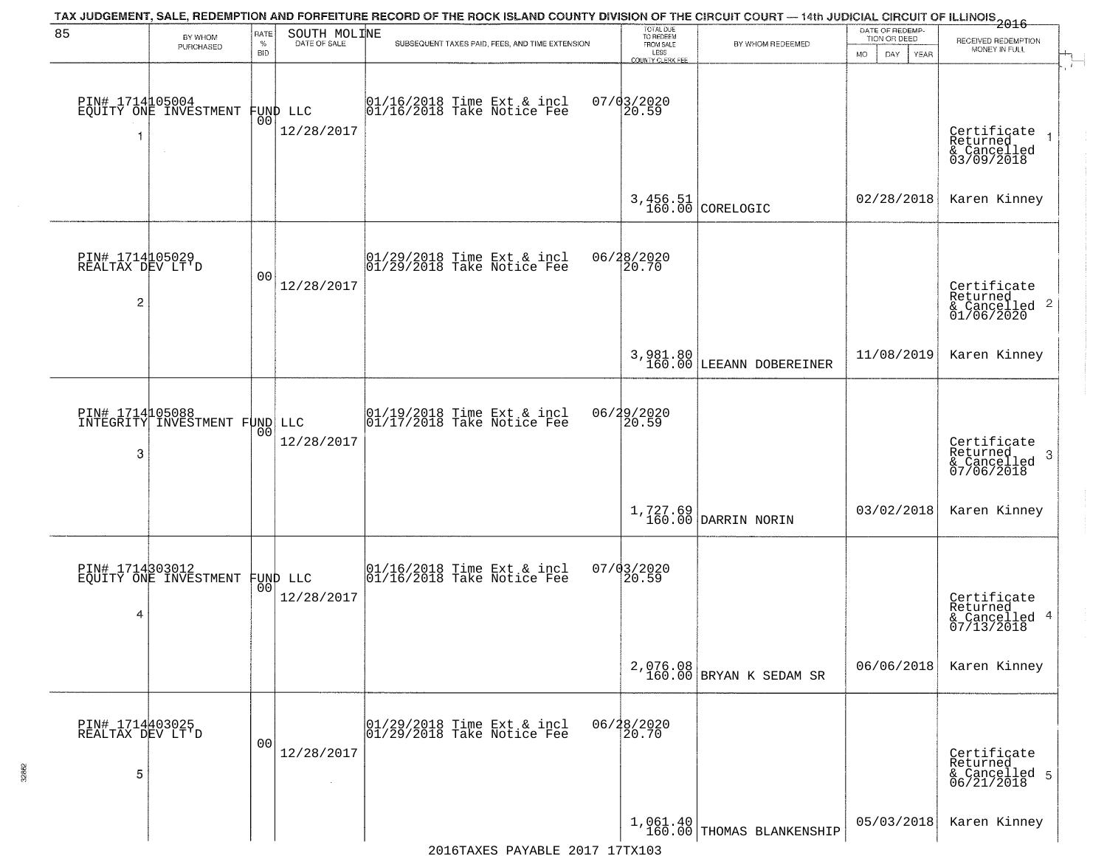| 85                                                    | BY WHOM<br>PURCHASED                             | <b>RATE</b><br>$\%$ | SOUTH MOLINE<br>DATE OF SALE | TAX JUDGEMENT, SALE, REDEMPTION AND FORFEITURE RECORD OF THE ROCK ISLAND COUNTY DIVISION OF THE CIRCUIT COURT — 14th JUDICIAL CIRCUIT OF ILLINOIS 2016<br>SUBSEQUENT TAXES PAID, FEES, AND TIME EXTENSION | TOTAL DUE<br>TO REDEEM<br>FROM SALE | BY WHOM REDEEMED                                                              | DATE OF REDEMP-<br>TION OR DEED | RECEIVED REDEMPTION                                                |
|-------------------------------------------------------|--------------------------------------------------|---------------------|------------------------------|-----------------------------------------------------------------------------------------------------------------------------------------------------------------------------------------------------------|-------------------------------------|-------------------------------------------------------------------------------|---------------------------------|--------------------------------------------------------------------|
|                                                       |                                                  | <b>BID</b>          |                              |                                                                                                                                                                                                           | LESS<br><b>COUNTY CLERK FEE</b>     |                                                                               | MO.<br>DAY.<br>YEAR             | MONEY IN FULL                                                      |
| 1                                                     | PIN# 1714105004<br>EQUITY ONE INVESTMENT         | 00 <sup>o</sup>     | FUND LLC<br>12/28/2017       | $01/16/2018$ Time Ext & incl<br>$01/16/2018$ Take Notice Fee                                                                                                                                              | $07/03/2020$<br>20.59               |                                                                               |                                 | Certificate<br>Returned<br>& Cancelled<br>03/09/2018               |
|                                                       |                                                  |                     |                              |                                                                                                                                                                                                           |                                     | $3,456.51$ CORELOGIC                                                          | 02/28/2018                      | Karen Kinney                                                       |
| PIN# 1714105029<br>REALTAX DEV LT'D<br>$\overline{c}$ |                                                  | 0 <sub>0</sub>      | 12/28/2017                   | 01/29/2018 Time Ext & incl<br>01/29/2018 Take Notice Fee                                                                                                                                                  | 06/28/2020<br>20.70                 |                                                                               |                                 | Certificate<br>Returned<br>$\frac{1}{6}$ Cancelled 2<br>01/06/2020 |
|                                                       |                                                  |                     |                              |                                                                                                                                                                                                           |                                     | 3,981.80<br>160.00 LEEANN DOBEREINER                                          | 11/08/2019                      | Karen Kinney                                                       |
| 3                                                     | PIN# 1714105088<br>INTEGRITY INVESTMENT FUND LLC | 00                  | 12/28/2017                   | 01/19/2018 Time Ext & incl<br>01/17/2018 Take Notice Fee                                                                                                                                                  | 06/29/2020<br>20.59                 |                                                                               |                                 | Certificate<br>Returned<br>3<br>& Cancelled<br>07/06/2018          |
|                                                       |                                                  |                     |                              |                                                                                                                                                                                                           |                                     | $\left[ \begin{array}{c} 1,727.69 \\ 160.00 \end{array} \right]$ DARRIN NORIN | 03/02/2018                      | Karen Kinney                                                       |
| 4                                                     | PIN# 1714303012<br>EQUITY ONE INVESTMENT         | 00 <sup>1</sup>     | FUND LLC<br>12/28/2017       | 01/16/2018 Time Ext & incl<br>01/16/2018 Take Notice Fee                                                                                                                                                  | 07/03/2020<br>20.59                 |                                                                               |                                 | Certificate<br>Returned<br>& Cancelled 4<br>07/13/2018             |
|                                                       |                                                  |                     |                              |                                                                                                                                                                                                           |                                     | 2,076.08<br>160.00 BRYAN K SEDAM SR                                           | 06/06/2018                      | Karen Kinney                                                       |
| PIN# 1714403025<br>REALTAX DEV LT'D<br>5              |                                                  | 0 <sub>0</sub>      | 12/28/2017                   | 01/29/2018 Time Ext & incl<br>01/29/2018 Take Notice Fee                                                                                                                                                  | 06/28/2020<br>20.70                 |                                                                               |                                 | Certificate<br>Returned<br>& Cancelled 5<br>06/21/2018             |
|                                                       |                                                  |                     |                              |                                                                                                                                                                                                           |                                     | $1,061.40$ THOMAS BLANKENSHIP                                                 | 05/03/2018                      | Karen Kinney                                                       |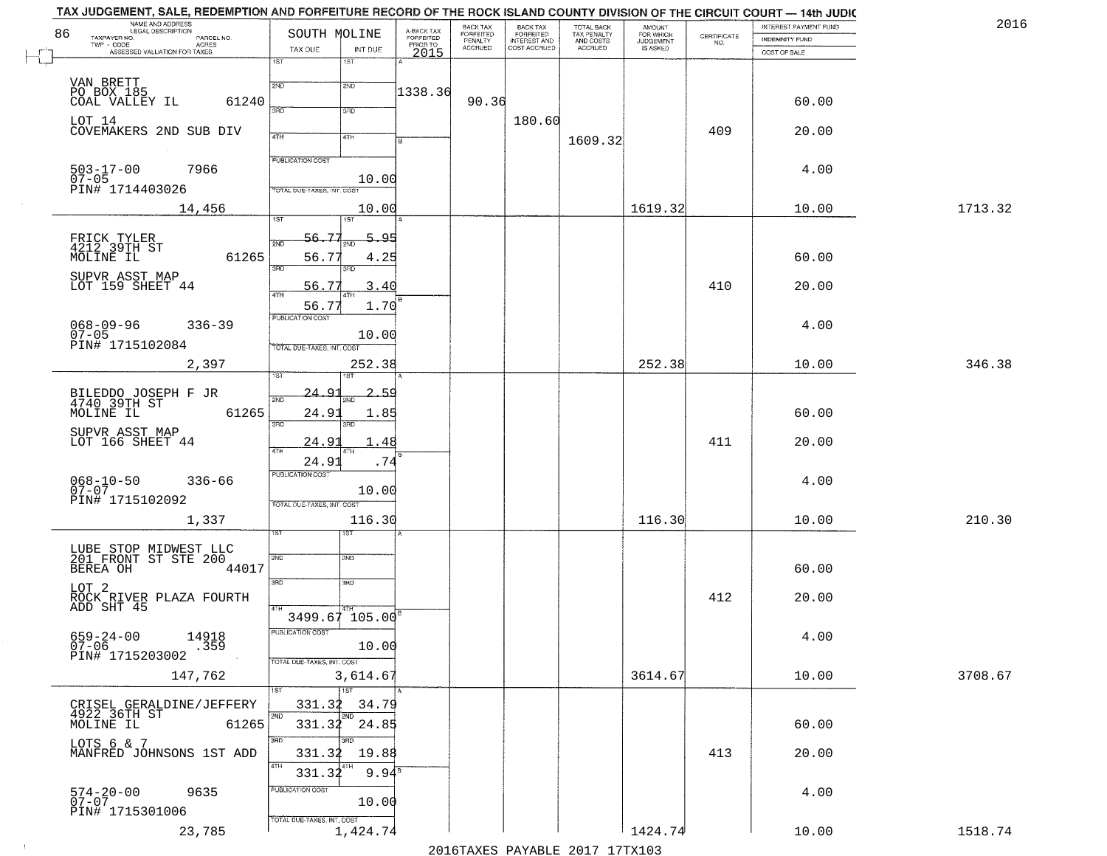|    | NAME AND ADDRESS<br>LEGAL DESCRIPTION         |                                        |                                     | BACK TAX             |                                       |                                        |                                  |                                                                 | INTEREST PAYMENT FUND | 2016    |
|----|-----------------------------------------------|----------------------------------------|-------------------------------------|----------------------|---------------------------------------|----------------------------------------|----------------------------------|-----------------------------------------------------------------|-----------------------|---------|
| 86 | TAXPAYER NO.<br>PARCEL NO.                    | SOUTH MOLINE                           | A-BACK TAX<br>FORFEITED<br>PRIOR TO | FORFEITED<br>PENALTY | BACK TAX<br>FORFEITED<br>INTEREST AND | TOTAL BACK<br>TAX PENALTY<br>AND COSTS | AMOUNT<br>FOR WHICH<br>JUDGEMENT | $\begin{array}{c} \text{CERTIFICATE} \\ \text{NO.} \end{array}$ | <b>INDEMNITY FUND</b> |         |
|    | ACRES<br>ASSESSED VALUATION FOR TAXES         | TAX DUE<br>INT DUE                     | 2015                                | <b>ACCRUED</b>       | COST ACCRUED                          | <b>ACCRUED</b>                         | IS ASKED                         |                                                                 | COST OF SALE          |         |
|    |                                               | $\overline{1ST}$<br>1ST                |                                     |                      |                                       |                                        |                                  |                                                                 |                       |         |
|    |                                               |                                        |                                     |                      |                                       |                                        |                                  |                                                                 |                       |         |
|    | VAN BRETT<br>PO BOX 185                       | 2ND<br>2ND                             | 1338.36                             |                      |                                       |                                        |                                  |                                                                 |                       |         |
|    | 61240<br>COAL VALLEY IL                       | 370<br>3RD                             |                                     | 90.36                |                                       |                                        |                                  |                                                                 | 60.00                 |         |
|    | LOT 14                                        |                                        |                                     |                      | 180.60                                |                                        |                                  |                                                                 |                       |         |
|    | COVEMAKERS 2ND SUB DIV                        | 4TH<br>4TH                             |                                     |                      |                                       | 1609.32                                |                                  | 409                                                             | 20.00                 |         |
|    |                                               |                                        |                                     |                      |                                       |                                        |                                  |                                                                 |                       |         |
|    |                                               | <b>PUBLICATION COST</b>                |                                     |                      |                                       |                                        |                                  |                                                                 |                       |         |
|    | $503 - 17 - 00$<br>07-05<br>7966              |                                        | 10.00                               |                      |                                       |                                        |                                  |                                                                 | 4.00                  |         |
|    | PIN# 1714403026                               | TOTAL DUE-TAXES, INT. COST             |                                     |                      |                                       |                                        |                                  |                                                                 |                       |         |
|    | 14,456                                        |                                        | 10.00                               |                      |                                       |                                        | 1619.32                          |                                                                 | 10.00                 | 1713.32 |
|    |                                               | <b>IST</b><br>1ST                      |                                     |                      |                                       |                                        |                                  |                                                                 |                       |         |
|    |                                               | 56.77                                  | 5.95                                |                      |                                       |                                        |                                  |                                                                 |                       |         |
|    | FRICK TYLER<br>4212 39TH ST<br>MOLINE IL      | <b>DND</b>                             |                                     |                      |                                       |                                        |                                  |                                                                 |                       |         |
|    | 61265                                         | 56.77<br>3RD                           | 4.25                                |                      |                                       |                                        |                                  |                                                                 | 60.00                 |         |
|    |                                               |                                        |                                     |                      |                                       |                                        |                                  |                                                                 |                       |         |
|    | SUPVR ASST MAP<br>LOT 159 SHEET 44            | 56.77                                  | 3.40                                |                      |                                       |                                        |                                  | 410                                                             | 20.00                 |         |
|    |                                               | 56.77                                  | 1.70                                |                      |                                       |                                        |                                  |                                                                 |                       |         |
|    |                                               | PUBLICATION COST                       |                                     |                      |                                       |                                        |                                  |                                                                 |                       |         |
|    | $068 - 09 - 96$<br>$336 - 39$<br>$07 - 05$    |                                        | 10.00                               |                      |                                       |                                        |                                  |                                                                 | 4.00                  |         |
|    | PIN# 1715102084                               | TOTAL DUE-TAXES, INT. COST             |                                     |                      |                                       |                                        |                                  |                                                                 |                       |         |
|    | 2,397                                         | 252.38                                 |                                     |                      |                                       |                                        | 252.38                           |                                                                 | 10.00                 | 346.38  |
|    |                                               | ST.<br>i ST                            |                                     |                      |                                       |                                        |                                  |                                                                 |                       |         |
|    |                                               | $-24 - 9$                              | <u>2.59</u>                         |                      |                                       |                                        |                                  |                                                                 |                       |         |
|    | BILEDDO JOSEPH F JR<br>4740 39TH ST           | 2ND<br>2ND                             |                                     |                      |                                       |                                        |                                  |                                                                 |                       |         |
|    | 61265<br>MOLINE IL                            | 24.91                                  | 1.85                                |                      |                                       |                                        |                                  |                                                                 | 60.00                 |         |
|    | SUPVR ASST MAP                                | 3BD<br>3RD                             |                                     |                      |                                       |                                        |                                  |                                                                 |                       |         |
|    | LOT 166 SHEET 44                              | 24.9<br><b>ATH</b><br>4TH              | 1.48                                |                      |                                       |                                        |                                  | 411                                                             | 20.00                 |         |
|    |                                               | 24.91                                  | .74                                 |                      |                                       |                                        |                                  |                                                                 |                       |         |
|    |                                               | <b>PUBLICATION COST</b>                |                                     |                      |                                       |                                        |                                  |                                                                 |                       |         |
|    | $068 - 10 - 50$<br>07-07<br>$336 - 66$        |                                        | 10.00                               |                      |                                       |                                        |                                  |                                                                 | 4.00                  |         |
|    | PIN# 1715102092                               | TOTAL OUE-TAXES, INT. COST             |                                     |                      |                                       |                                        |                                  |                                                                 |                       |         |
|    | 1,337                                         | 116.30                                 |                                     |                      |                                       |                                        | 116.30                           |                                                                 | 10.00                 | 210.30  |
|    |                                               | डिक                                    |                                     |                      |                                       |                                        |                                  |                                                                 |                       |         |
|    |                                               |                                        |                                     |                      |                                       |                                        |                                  |                                                                 |                       |         |
|    | LUBE STOP MIDWEST LLC<br>201 FRONT ST STE 200 | 2ND<br>2ND                             |                                     |                      |                                       |                                        |                                  |                                                                 |                       |         |
|    | BEREA OH<br>44017                             |                                        |                                     |                      |                                       |                                        |                                  |                                                                 | 60.00                 |         |
|    | LOT 2                                         | 3RD<br>3BD                             |                                     |                      |                                       |                                        |                                  |                                                                 |                       |         |
|    | ROCK RIVER PLAZA FOURTH<br>ADD SHT 45         |                                        |                                     |                      |                                       |                                        |                                  | 412                                                             | 20.00                 |         |
|    |                                               | 3499.67 105.00                         |                                     |                      |                                       |                                        |                                  |                                                                 |                       |         |
|    |                                               | <b>PUBLICATION COST</b>                |                                     |                      |                                       |                                        |                                  |                                                                 |                       |         |
|    | 659-24-00<br>07-06<br>14918<br>.359           | 10.00                                  |                                     |                      |                                       |                                        |                                  |                                                                 | 4.00                  |         |
|    | PIN# 1715203002                               | TOTAL DUE-TAXES, INT. COST             |                                     |                      |                                       |                                        |                                  |                                                                 |                       |         |
|    | 147,762                                       | 3,614.67                               |                                     |                      |                                       |                                        | 3614.67                          |                                                                 | 10.00                 | 3708.67 |
|    |                                               | $\overline{1}$ 1ST                     |                                     |                      |                                       |                                        |                                  |                                                                 |                       |         |
|    |                                               |                                        |                                     |                      |                                       |                                        |                                  |                                                                 |                       |         |
|    | CRISEL GERALDINE/JEFFERY<br>4922 36TH ST      | 331.32<br>2ND                          | 34.79                               |                      |                                       |                                        |                                  |                                                                 |                       |         |
|    | 61265<br>MOLINE IL                            | 331.32 24.85                           |                                     |                      |                                       |                                        |                                  |                                                                 | 60.00                 |         |
|    | LOTS 6 & 7                                    | 3RD                                    |                                     |                      |                                       |                                        |                                  |                                                                 |                       |         |
|    | MANFRED JOHNSONS 1ST ADD                      | 331.32                                 | 19.88                               |                      |                                       |                                        |                                  | 413                                                             | 20.00                 |         |
|    |                                               | 4TH<br>331.32                          | $9.94^8$                            |                      |                                       |                                        |                                  |                                                                 |                       |         |
|    |                                               |                                        |                                     |                      |                                       |                                        |                                  |                                                                 |                       |         |
|    | 9635                                          | PUBLICATION COST                       |                                     |                      |                                       |                                        |                                  |                                                                 | 4.00                  |         |
|    |                                               |                                        |                                     |                      |                                       |                                        |                                  |                                                                 |                       |         |
|    | $574 - 20 - 00$<br>07-07                      | 10.00                                  |                                     |                      |                                       |                                        |                                  |                                                                 |                       |         |
|    | PIN# 1715301006<br>23,785                     | TOTAL DUE-TAXES, INT. COST<br>1,424.74 |                                     |                      |                                       |                                        | 1424.74                          |                                                                 | 10.00                 | 1518.74 |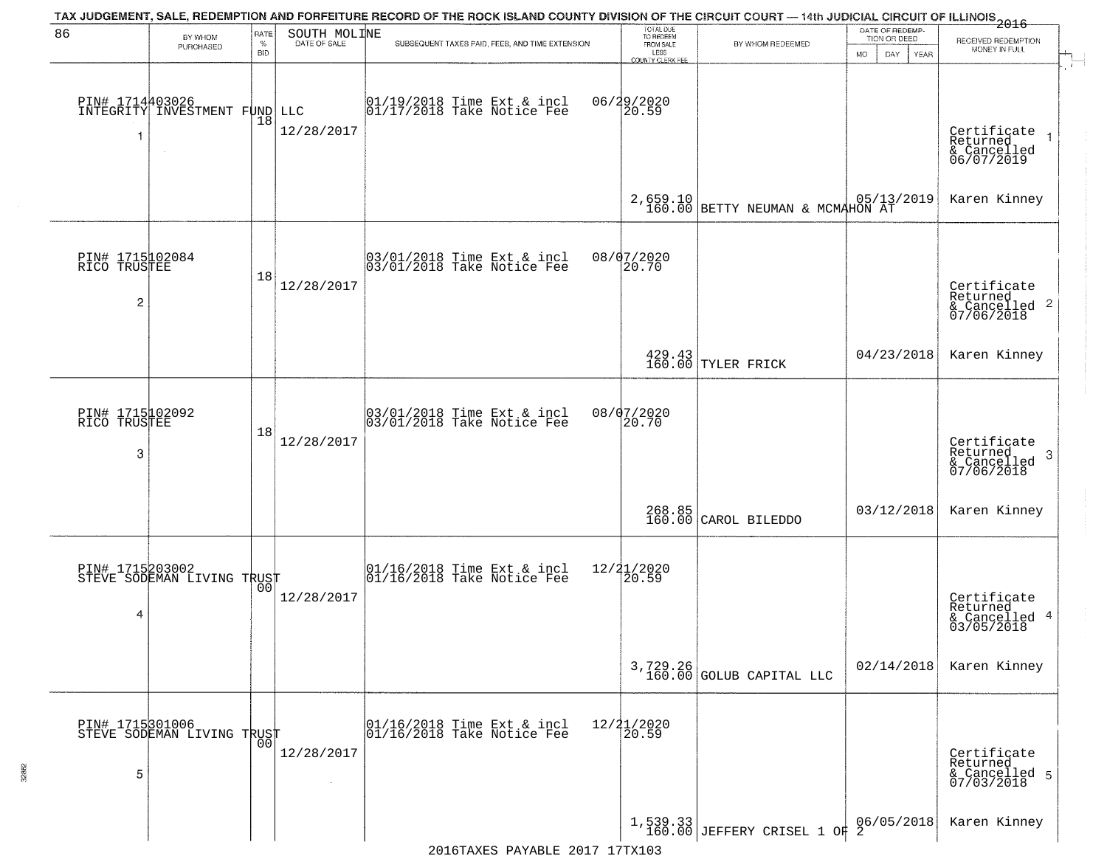| 86                                                | BY WHOM                                                    | RATE               | SOUTH MOLINE         | TAX JUDGEMENT, SALE, REDEMPTION AND FORFEITURE RECORD OF THE ROCK ISLAND COUNTY DIVISION OF THE CIRCUIT COURT — 14th JUDICIAL CIRCUIT OF ILLINOIS 2016 | TOTAL DUE<br>TO REDEEM                |                                                                     | DATE OF REDEMP-<br>TION OR DEED        | RECEIVED REDEMPTION                                                |
|---------------------------------------------------|------------------------------------------------------------|--------------------|----------------------|--------------------------------------------------------------------------------------------------------------------------------------------------------|---------------------------------------|---------------------------------------------------------------------|----------------------------------------|--------------------------------------------------------------------|
|                                                   | PURCHASED                                                  | $\%$<br><b>BID</b> | DATE OF SALE         | SUBSEQUENT TAXES PAID, FEES, AND TIME EXTENSION                                                                                                        | FROM SALE<br>LESS<br>COUNTY CLERK FEE | BY WHOM REDEEMED                                                    | MO.<br>DAY.<br>YEAR                    | MONEY IN FULL                                                      |
| -1                                                | PIN# 1714403026<br>INTEGRITY INVESTMENT FUND LLC<br>$\sim$ | 18                 | 12/28/2017           | 01/19/2018 Time Ext & incl<br>01/17/2018 Take Notice Fee                                                                                               | 06/29/2020<br>20.59                   |                                                                     |                                        | Certificate<br>Returned<br>& Cancelled<br>06/07/2019               |
|                                                   |                                                            |                    |                      |                                                                                                                                                        |                                       | 2,659.10 BETTY NEUMAN & MCMAHON AT 160.00 BETTY NEUMAN & MCMAHON AT |                                        | Karen Kinney                                                       |
| PIN# 1715102084<br>RICO TRUSTEE<br>$\overline{c}$ |                                                            | 18                 | 12/28/2017           | 03/01/2018 Time Ext & incl<br>03/01/2018 Take Notice Fee                                                                                               | 08/07/2020<br>20.70                   |                                                                     |                                        | Certificate<br>Returned<br>$\frac{1}{2}$ Cancelled 2<br>07/06/2018 |
|                                                   |                                                            |                    |                      |                                                                                                                                                        |                                       | 429.43<br>160.00 TYLER FRICK                                        | 04/23/2018                             | Karen Kinney                                                       |
| PIN# 1715102092<br>RICO TRUSTEE<br>3              |                                                            | 18                 | 12/28/2017           | 03/01/2018 Time Ext & incl<br>03/01/2018 Take Notice Fee                                                                                               | 08/07/2020<br>20.70                   |                                                                     |                                        | Certificate<br>Returned<br>3<br>& Cancelled<br>07/06/2018          |
|                                                   |                                                            |                    |                      |                                                                                                                                                        | 268.85<br>160.00                      | CAROL BILEDDO                                                       | 03/12/2018                             | Karen Kinney                                                       |
| 4                                                 | PIN# 1715203002<br>STEVE SODEMAN LIVING TRUST              | 00                 | 12/28/2017           | 01/16/2018 Time Ext & incl<br>01/16/2018 Take Notice Fee                                                                                               | 12/21/2020<br>⊺20.59                  |                                                                     |                                        | Certificate<br>Returned<br>& Cancelled 4<br>03/05/2018             |
|                                                   |                                                            |                    |                      |                                                                                                                                                        |                                       | $3,729.26$<br>160.00 GOLUB CAPITAL LLC                              | 02/14/2018                             | Karen Kinney                                                       |
| PIN# 1715301006<br>5                              | STEVE SODEMAN LIVING TRUST                                 | 0 <sub>0</sub>     | 12/28/2017<br>$\sim$ | 01/16/2018 Time Ext & incl<br>01/16/2018 Take Notice Fee                                                                                               | 12/21/2020<br>20.59                   |                                                                     |                                        | Certificate<br>Returned<br>& Cancelled 5<br>07/03/2018             |
|                                                   |                                                            |                    |                      | 2016TAXES PAYABLE 2017 17TX103                                                                                                                         |                                       | $1,539.33$<br>160.00 JEFFERY CRISEL 1 OF                            | $\left[ \frac{06}{9}\right]$ / 05/2018 | Karen Kinney                                                       |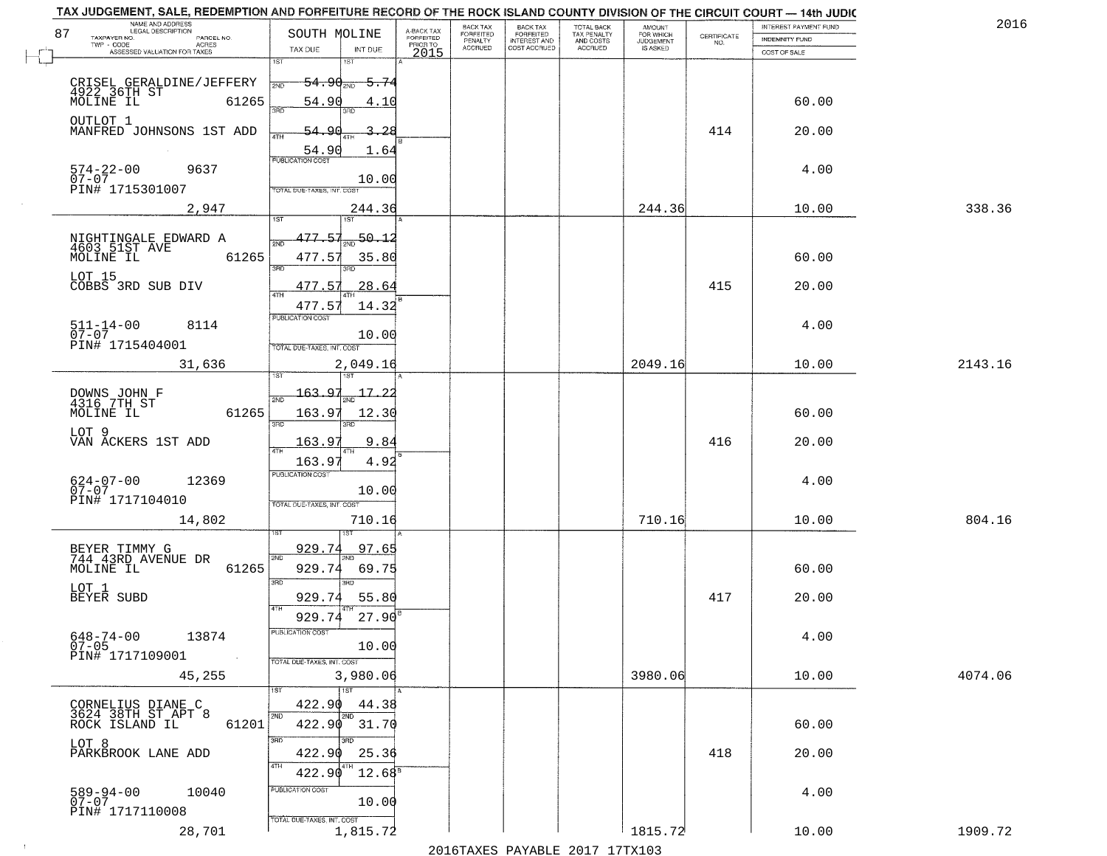| 2016    | INTEREST PAYMENT FUND |                                                                 | AMOUNT<br>FOR WHICH<br>JUDGEMENT | TOTAL BACK<br>TAX PENALTY<br>AND COSTS | <b>BACK TAX</b>           | BACK TAX             |                                     |                                                                                  | NAME AND ADDRESS<br>LEGAL DESCRIPTION                                       |
|---------|-----------------------|-----------------------------------------------------------------|----------------------------------|----------------------------------------|---------------------------|----------------------|-------------------------------------|----------------------------------------------------------------------------------|-----------------------------------------------------------------------------|
|         | <b>INDEMNITY FUND</b> | $\begin{array}{c} \text{CERTIFICATE} \\ \text{NO.} \end{array}$ |                                  |                                        | FORFEITED<br>INTEREST AND | FORFEITED<br>PENALTY | A-BACK TAX<br>FORFEITED<br>PRIOR TO | SOUTH MOLINE                                                                     | 87<br>TAXPAYER NO.<br>PARCEL NO.<br>ACRES                                   |
|         | COST OF SALE          |                                                                 | IS ASKED                         | <b>ACCRUED</b>                         | COST ACCRUED              | <b>ACCRUED</b>       | 2015                                | TAX DUE<br>INT DUE                                                               | ASSESSED VALUATION FOR TAXES                                                |
|         |                       |                                                                 |                                  |                                        |                           |                      |                                     | 1ST<br>18T<br><del>54․90աթ</del><br><del>5.74</del>                              | CRISEL GERALDINE/JEFFERY<br>4922 36TH ST<br>MOLINE IL 6126!                 |
|         | 60.00                 |                                                                 |                                  |                                        |                           |                      |                                     | 54.90<br>4.10<br>350<br>3BD                                                      | 61265<br>OUTLOT 1                                                           |
|         | 20.00                 | 414                                                             |                                  |                                        |                           |                      |                                     | 54.90<br>-28<br>54.90<br>1.64<br><b>PUBLICATION COST</b>                         | MANFRED JOHNSONS 1ST ADD                                                    |
|         | 4.00                  |                                                                 |                                  |                                        |                           |                      |                                     | 10.00<br>TOTAL DUE-TAXES, INT. COST                                              | 574-22-00<br>07-07<br>9637<br>PIN# 1715301007                               |
| 338.36  | 10.00                 |                                                                 | 244.36                           |                                        |                           |                      |                                     | 244.36                                                                           | 2,947                                                                       |
|         | 60.00                 |                                                                 |                                  |                                        |                           |                      |                                     | 477.57<br>$\frac{50.12}{200}$<br>477.57<br>35.80<br>3BD<br>3RD                   | 61265                                                                       |
|         | 20.00                 | 415                                                             |                                  |                                        |                           |                      |                                     | 477.57<br>28.64<br>$\overline{47H}$<br>477.57<br>14.32                           | LOT 15<br>COBBS 3RD SUB DIV                                                 |
|         | 4.00                  |                                                                 |                                  |                                        |                           |                      |                                     | PUBLICATION COST<br>10.00<br>TOTAL DUE-TAXES, INT. COST                          | $511 - 14 - 00$<br>8114<br>$07 - 07$<br>PIN# 1715404001                     |
| 2143.16 | 10.00                 |                                                                 | 2049.16                          |                                        |                           |                      |                                     | 2,049.16<br>isT<br>187                                                           | 31,636                                                                      |
|         | 60.00                 |                                                                 |                                  |                                        |                           |                      |                                     | 163.97<br>17.<br>2ND<br>163.97<br>12.30                                          | DOWNS JOHN F<br>4316 7TH ST<br>MOLINE IL<br>61265                           |
|         | 20.00                 | 416                                                             |                                  |                                        |                           |                      |                                     | 3BD<br>3RD<br>163.97<br>9.8<br>4TH                                               | LOT 9<br>VAN ACKERS 1ST ADD                                                 |
|         | 4.00                  |                                                                 |                                  |                                        |                           |                      |                                     | 163.9'<br>4.92<br><b>PUBLICATION COST</b><br>10.00<br>TOTAL OUE-TAXES, INT. COST | 624-07-00<br>07-07<br>12369<br>PIN# 1717104010                              |
| 804.16  | 10.00                 |                                                                 | 710.16                           |                                        |                           |                      |                                     | 710.16                                                                           | 14,802                                                                      |
|         | 60.00                 |                                                                 |                                  |                                        |                           |                      |                                     | 929.74<br>97.65<br>2ND<br>929.74<br>69.75<br>3 <sub>BD</sub><br><b>IRD</b>       | BEYER TIMMY G<br>744 43RD AVENUE DR<br>MOLINE IL<br>61265                   |
|         | 20.00                 | 417                                                             |                                  |                                        |                           |                      |                                     | 929.74<br>55.80<br>4TH<br>929.74<br>27.90                                        | LOT 1<br>BEYER SUBD                                                         |
|         | 4.00                  |                                                                 |                                  |                                        |                           |                      |                                     | -usuca i un cus-<br>10.00<br>TOTAL DUE-TAXES, INT. COST                          | $648 - 74 - 00$<br>13874<br>$07 - 05$<br>PIN# 1717109001<br><b>Contract</b> |
| 4074.06 | 10.00                 |                                                                 | 3980.06                          |                                        |                           |                      |                                     | 3,980.06<br>1ST                                                                  | 45,255                                                                      |
|         | 60.00                 |                                                                 |                                  |                                        |                           |                      |                                     | 422.90<br>44.38<br>2ND<br>2ND<br>422.90 31.70                                    | CORNELIUS DIANE C<br>3624 38TH ST APT 8<br>61201<br>ROCK ISLAND IL          |
|         | 20.00                 | 418                                                             |                                  |                                        |                           |                      |                                     | 3RD<br>3BD<br>422.90<br>25.36<br>4TH<br>422.90<br>$12.68^s$                      | LOT 8<br>PARKBROOK LANE ADD                                                 |
|         | 4.00                  |                                                                 |                                  |                                        |                           |                      |                                     | PUBLICATION COST<br>10.00                                                        | 589-94-00<br>07-07<br>10040<br>PIN# 1717110008                              |
| 1909.72 | 10.00                 |                                                                 | 1815.72                          |                                        |                           |                      |                                     | TOTAL DUE-TAXES, INT. COST<br>1,815.72                                           | 28,701                                                                      |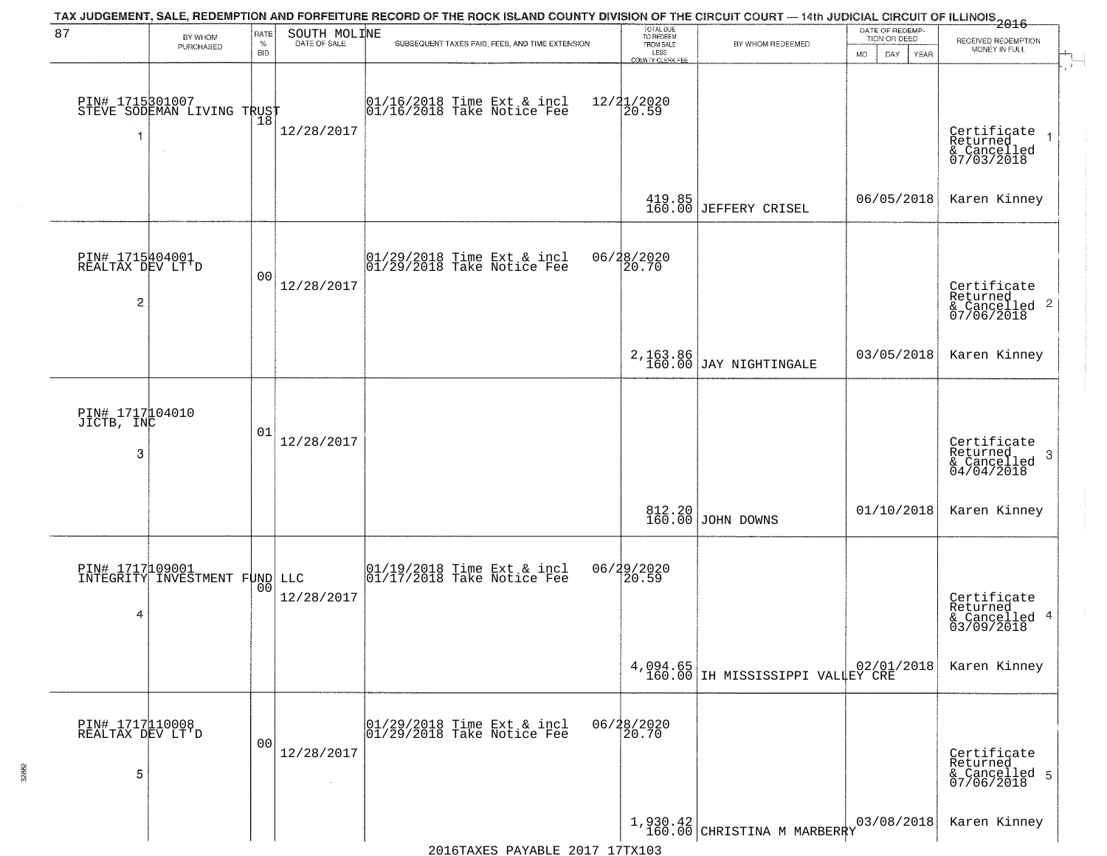| 87                                                    | BY WHOM                                                 | <b>RATE</b>        | SOUTH MOLINE | TAX JUDGEMENT, SALE, REDEMPTION AND FORFEITURE RECORD OF THE ROCK ISLAND COUNTY DIVISION OF THE CIRCUIT COURT — 14th JUDICIAL CIRCUIT OF ILLINOIS 2016 | TOTAL DUE<br>TO REDEEM                       |                                              | DATE OF REDEMP-<br>TION OR DEED | RECEIVED REDEMPTION                                                   |  |
|-------------------------------------------------------|---------------------------------------------------------|--------------------|--------------|--------------------------------------------------------------------------------------------------------------------------------------------------------|----------------------------------------------|----------------------------------------------|---------------------------------|-----------------------------------------------------------------------|--|
|                                                       | PURCHASED                                               | $\%$<br><b>BID</b> | DATE OF SALE | SUBSEQUENT TAXES PAID, FEES, AND TIME EXTENSION                                                                                                        | FROM SALE<br>LESS<br><b>COUNTY CLERK FEE</b> | BY WHOM REDEEMED                             | MO.<br>DAY.<br>YEAR             | MONEY IN FULL                                                         |  |
| 1                                                     | PIN# 1715301007<br>STEVE SODEMAN LIVING TRUST<br>$\sim$ |                    | 12/28/2017   | $ 01/16/2018$ Time Ext & incl<br>$ 01/16/2018$ Take Notice Fee                                                                                         | 12/21/2020<br>20.59                          |                                              |                                 | Certificate<br>Returned<br>& Cancelled<br>07/03/2018                  |  |
|                                                       |                                                         |                    |              |                                                                                                                                                        |                                              | 419.85<br>160.00 JEFFERY CRISEL              | 06/05/2018                      | Karen Kinney                                                          |  |
| PIN# 1715404001<br>REALTAX DEV LT'D<br>$\overline{c}$ |                                                         | 0 <sub>0</sub>     | 12/28/2017   | 01/29/2018 Time Ext & incl<br>01/29/2018 Take Notice Fee                                                                                               | 06/28/2020<br>20.70                          |                                              |                                 | Certificate<br>Returned<br>& Cancelled 2<br>07/06/2018                |  |
|                                                       |                                                         |                    |              |                                                                                                                                                        |                                              | 2, 163.86<br>160.00 JAY NIGHTINGALE          | 03/05/2018                      | Karen Kinney                                                          |  |
| PIN# 1717104010<br>JICTB, INC<br>3                    |                                                         | 01                 | 12/28/2017   |                                                                                                                                                        |                                              |                                              |                                 | Certificate<br>Returned<br>3<br>$\frac{1}{2}$ Cancelled<br>04/04/2018 |  |
|                                                       |                                                         |                    |              |                                                                                                                                                        |                                              | 812.20<br>160.00 JOHN DOWNS                  | 01/10/2018                      | Karen Kinney                                                          |  |
| 4                                                     | PIN# 1717109001<br>INTEGRITY INVESTMENT FUND LLC        | 0 <sub>0</sub>     | 12/28/2017   | 01/19/2018 Time Ext & incl<br>01/17/2018 Take Notice Fee                                                                                               | 06/29/2020<br>20.59                          |                                              |                                 | Certificate<br>Returned<br>& Cancelled 4<br>03/09/2018                |  |
|                                                       |                                                         |                    |              |                                                                                                                                                        |                                              | 4,094.65<br>160.00 IH MISSISSIPPI VALLEY CRE |                                 | Karen Kinney                                                          |  |
| PIN# 1717110008<br>REALTAX DEV LT'D<br>5              |                                                         | 0 <sub>0</sub>     | 12/28/2017   | 01/29/2018 Time Ext & incl<br>01/29/2018 Take Notice Fee                                                                                               | 06/28/2020<br>20.70                          |                                              |                                 | Certificate<br>Returned<br>& Cancelled 5<br>07/06/2018                |  |
|                                                       |                                                         |                    |              |                                                                                                                                                        |                                              | $1,930.42$ CHRISTINA M MARBERRY              | 03/08/2018                      | Karen Kinney                                                          |  |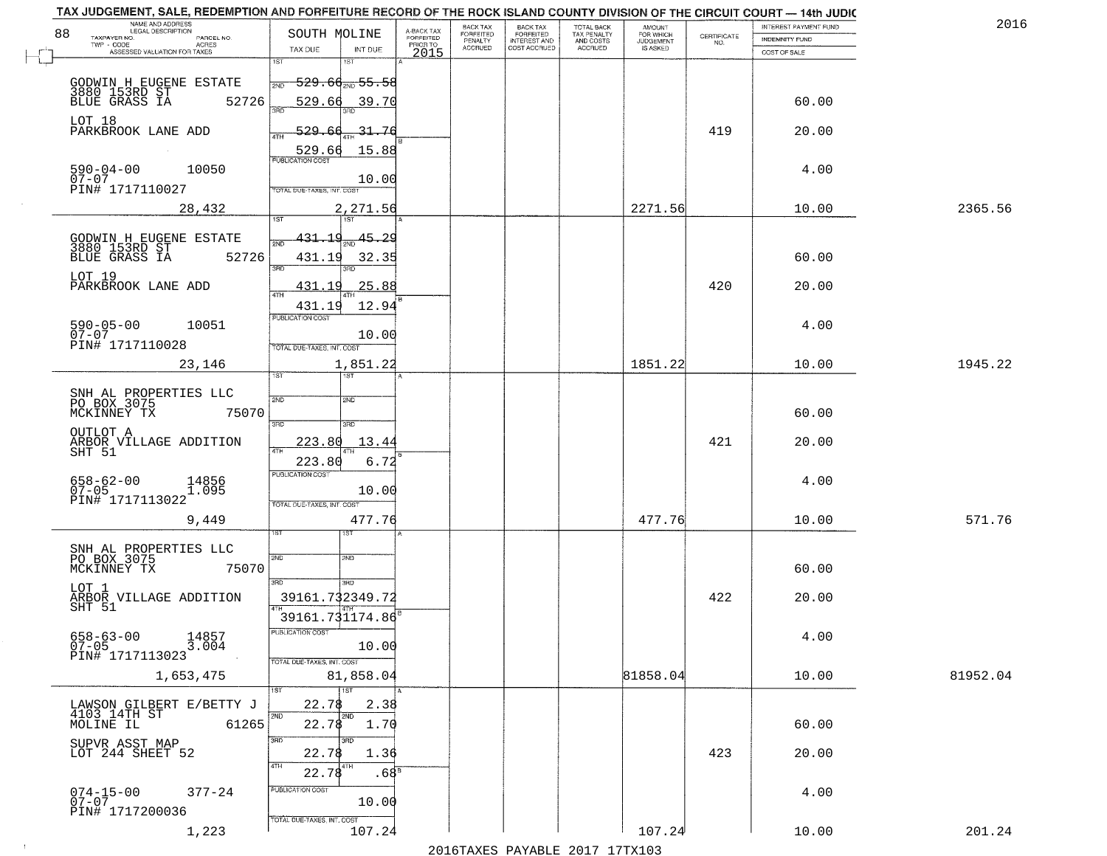|    | NAME AND ADDRESS<br>LEGAL DESCRIPTION                                |                                                                       |                                     | BACK TAX             | <b>BACK TAX</b>           | TOTAL BACK<br>TAX PENALTY<br>AND COSTS | AMOUNT<br>FOR WHICH |                                                                 | INTEREST PAYMENT FUND | 2016     |
|----|----------------------------------------------------------------------|-----------------------------------------------------------------------|-------------------------------------|----------------------|---------------------------|----------------------------------------|---------------------|-----------------------------------------------------------------|-----------------------|----------|
| 88 | TAXPAYER NO.<br>PARCEL NO.<br>ACRES                                  | SOUTH MOLINE                                                          | A-BACK TAX<br>FORFEITED<br>PRIOR TO | FORFEITED<br>PENALTY | FORFEITED<br>INTEREST AND |                                        | <b>JUDGEMENT</b>    | $\begin{array}{c} \text{CERTIFICATE} \\ \text{NO.} \end{array}$ | <b>INDEMNITY FUND</b> |          |
|    | ASSESSED VALUATION FOR TAXES                                         | TAX DUE<br>INT DUE                                                    | 2015                                | <b>ACCRUED</b>       | COST ACCRUED              | <b>ACCRUED</b>                         | IS ASKED            |                                                                 | COST OF SALE          |          |
|    | GODWIN H EUGENE ESTATE<br>3880 153RD ST<br>BLUE GRASS IA 52          | 1ST<br>18T<br>529.66 <sub>210</sub> 55.58<br>2ND                      |                                     |                      |                           |                                        |                     |                                                                 |                       |          |
|    | 52726<br>LOT 18<br>PARKBROOK LANE ADD                                | 529.66<br>39.70<br><u>529.66</u><br><u>31.76</u>                      |                                     |                      |                           |                                        |                     | 419                                                             | 60.00<br>20.00        |          |
|    |                                                                      | 15.88<br>529.66                                                       |                                     |                      |                           |                                        |                     |                                                                 |                       |          |
|    | $590 - 04 - 00$<br>10050<br>$07 - 07$<br>PIN# 1717110027             | 10.00<br>TOTAL DUE-TAXES, INT. COST                                   |                                     |                      |                           |                                        |                     |                                                                 | 4.00                  |          |
|    | 28,432                                                               | 2,271.56                                                              |                                     |                      |                           |                                        | 2271.56             |                                                                 | 10.00                 | 2365.56  |
|    | GODWIN H EUGENE ESTATE<br>3880 153RD ST<br>BLUE GRASS IA 52<br>52726 | $\frac{45.29}{200}$<br><u>431.19</u><br>431.19<br>32.35<br>3RD<br>3RD |                                     |                      |                           |                                        |                     |                                                                 | 60.00                 |          |
|    | LOT 19<br>PARKBROOK LANE ADD                                         | 25.88<br><u>431.19</u><br>$\overline{47H}$<br>12.94<br>431.19         |                                     |                      |                           |                                        |                     | 420                                                             | 20.00                 |          |
|    | $590 - 05 - 00$<br>10051<br>$07 - 07$<br>PIN# 1717110028             | PUBLICATION COST<br>10.00<br>TOTAL DUE-TAXES, INT. COST               |                                     |                      |                           |                                        |                     |                                                                 | 4.00                  |          |
|    | 23,146                                                               | 1,851.22<br>TST<br>1ST                                                |                                     |                      |                           |                                        | 1851.22             |                                                                 | 10.00                 | 1945.22  |
|    | SNH AL PROPERTIES LLC<br>PO BOX 3075<br>MCKINNEY TX<br>75070         | 2ND<br>2ND<br>3RD<br>3RD                                              |                                     |                      |                           |                                        |                     |                                                                 | 60.00                 |          |
|    | OUTLOT A<br>ARBOR VILLAGE ADDITION<br>SHT 51                         | 223.80<br>13.4<br>ATH<br>223.80<br>6.72                               |                                     |                      |                           |                                        |                     | 421                                                             | 20.00                 |          |
|    | 658-62-00<br>07-05<br>14856<br>1.095<br>PIN# 1717113022              | <b>PUBLICATION COST</b><br>10.00<br>TOTAL OUE-TAXES, INT. COST        |                                     |                      |                           |                                        |                     |                                                                 | 4.00                  |          |
|    | 9,449                                                                | 477.76                                                                |                                     |                      |                           |                                        | 477.76              |                                                                 | 10.00                 | 571.76   |
|    | SNH AL PROPERTIES LLC<br>PO BOX 3075<br>MCKINNEY TX<br>75070         | 2ND<br>2ND<br>3RD<br>3HD                                              |                                     |                      |                           |                                        |                     |                                                                 | 60.00                 |          |
|    | LOT 1<br>ARBOR VILLAGE ADDITION<br>SHT 51                            | 39161.732349.72<br>39161.731174.86                                    |                                     |                      |                           |                                        |                     | 422                                                             | 20.00                 |          |
|    | $658 - 63 - 00$<br>14857<br>$07 - 05$<br>3.004<br>PIN# 1717113023    | -usuca i un cus-<br>10.00<br>TOTAL DUE-TAXES, INT. COST               |                                     |                      |                           |                                        |                     |                                                                 | 4.00                  |          |
|    | 1,653,475                                                            | 81,858.04<br>1ST                                                      |                                     |                      |                           |                                        | 81858.04            |                                                                 | 10.00                 | 81952.04 |
|    | LAWSON GILBERT E/BETTY J<br>4103 14TH ST<br>MOLINE IL<br>61265       | 22.78<br>2.38<br>2ND<br>2ND<br>22.78<br>1.70                          |                                     |                      |                           |                                        |                     |                                                                 | 60.00                 |          |
|    | SUPVR ASST MAP<br>LOT 244 SHEET 52                                   | 3RD<br>3RD<br>22.78<br>1.36<br>4TH<br>22.78<br>.68 <sup>8</sup>       |                                     |                      |                           |                                        |                     | 423                                                             | 20.00                 |          |
|    | $074 - 15 - 00$<br>$377 - 24$<br>$07-07$<br>PIN# 1717200036          | PUBLICATION COST<br>10.00<br>TOTAL DUE-TAXES, INT. COST               |                                     |                      |                           |                                        |                     |                                                                 | 4.00                  |          |
|    | 1,223                                                                | 107.24                                                                |                                     |                      |                           |                                        | 107.24              |                                                                 | 10.00                 | 201.24   |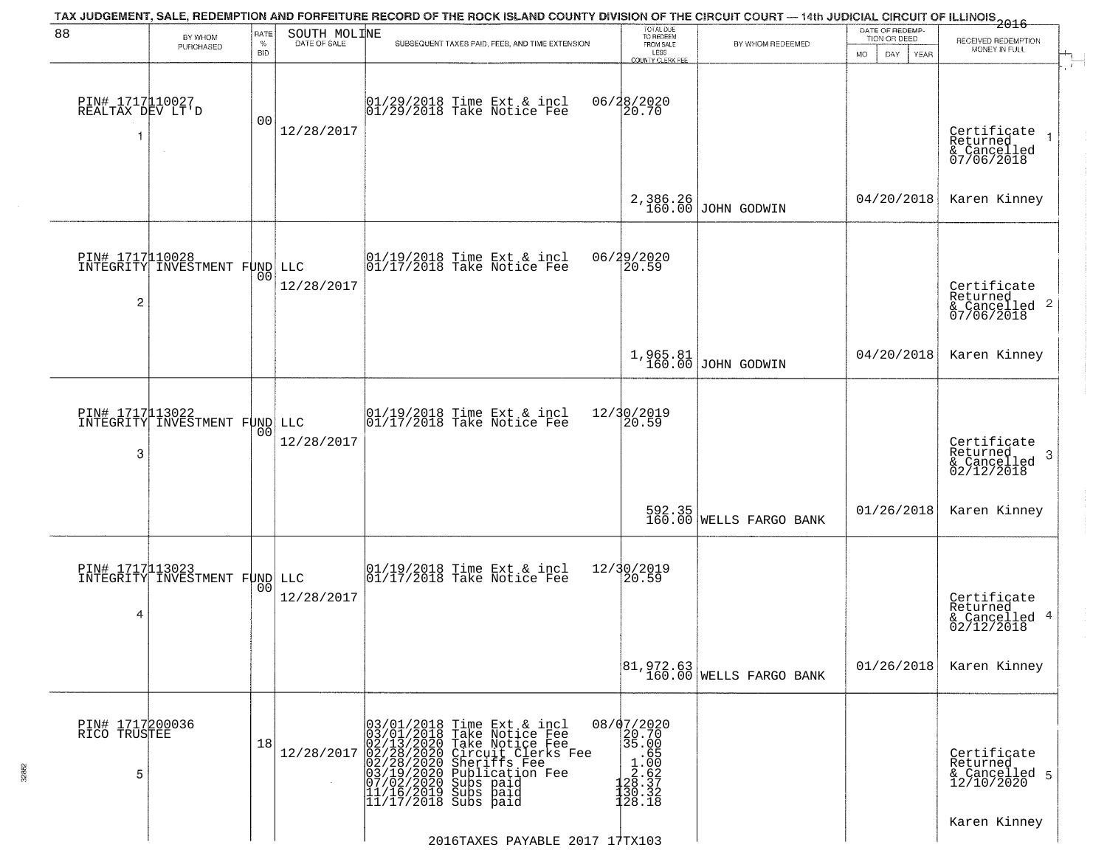| TAX JUDGEMENT, SALE, REDEMPTION AND FORFEITURE RECORD OF THE ROCK ISLAND COUNTY DIVISION OF THE CIRCUIT COURT — 14th JUDICIAL CIRCUIT OF ILLINOIS 2016<br>88<br>SOUTH MOLINE<br>RATE<br>BY WHOM |                                                  |                    |                   |                                                                                                                                                                                                                                                       | TOTAL DUE<br>TO REDEEM                       |                                      | DATE OF REDEMP-<br>TION OR DEED |                                                                        |
|-------------------------------------------------------------------------------------------------------------------------------------------------------------------------------------------------|--------------------------------------------------|--------------------|-------------------|-------------------------------------------------------------------------------------------------------------------------------------------------------------------------------------------------------------------------------------------------------|----------------------------------------------|--------------------------------------|---------------------------------|------------------------------------------------------------------------|
|                                                                                                                                                                                                 | PURCHASED                                        | $\%$<br><b>BID</b> | DATE OF SALE      | SUBSEQUENT TAXES PAID, FEES, AND TIME EXTENSION                                                                                                                                                                                                       | FROM SALE<br>LESS<br><b>COUNTY CLERK FEE</b> | BY WHOM REDEEMED                     | <b>MO</b><br>DAY<br><b>YEAR</b> | RECEIVED REDEMPTION<br>MONEY IN FULL                                   |
| PIN# 1717110027<br>REALTAX DEV LT'D<br>-1                                                                                                                                                       |                                                  | 00                 | 12/28/2017        | $ 01/29/2018$ Time Ext & incl<br>$ 01/29/2018$ Take Notice Fee                                                                                                                                                                                        | 06/28/2020<br>20.70                          |                                      |                                 | Certificate<br>Returned<br>$\overline{1}$<br>& Cancelled<br>07/06/2018 |
|                                                                                                                                                                                                 |                                                  |                    |                   |                                                                                                                                                                                                                                                       |                                              | 2,386.26<br>160.00 JOHN GODWIN       | 04/20/2018                      | Karen Kinney                                                           |
| $\overline{c}$                                                                                                                                                                                  | PIN# 1717110028<br>INTEGRITY INVESTMENT FUND     | 00                 | LLC<br>12/28/2017 | 01/19/2018 Time Ext & incl<br>01/17/2018 Take Notice Fee                                                                                                                                                                                              | 06/29/2020<br>20.59                          |                                      |                                 | Certificate<br>Returned<br>$\overline{2}$<br>& Cancelled<br>07/06/2018 |
|                                                                                                                                                                                                 |                                                  |                    |                   |                                                                                                                                                                                                                                                       | 1,965.81<br>160.00                           | JOHN GODWIN                          | 04/20/2018                      | Karen Kinney                                                           |
| 3                                                                                                                                                                                               | PIN# 1717113022<br>INTEGRITY INVESTMENT FUND LLC | 00                 | 12/28/2017        | 01/19/2018 Time Ext & incl<br>01/17/2018 Take Notice Fee                                                                                                                                                                                              | 12/30/2019<br>20.59                          |                                      |                                 | Certificate<br>Returned<br>3<br>$\frac{2}{2}$ Cancelled<br>02/12/2018  |
|                                                                                                                                                                                                 |                                                  |                    |                   |                                                                                                                                                                                                                                                       |                                              | 592.35<br>160.00 WELLS FARGO BANK    | 01/26/2018                      | Karen Kinney                                                           |
| 4                                                                                                                                                                                               | PIN# 1717113023<br>INTEGRITY INVESTMENT FUND LLC | 00                 | 12/28/2017        | 01/19/2018 Time Ext & incl<br>01/17/2018 Take Notice Fee                                                                                                                                                                                              | 12/30/2019<br>$\left[20.59\right]$           |                                      |                                 | Certificate<br>Returned<br>4<br>& Cancelled<br>02/12/2018              |
|                                                                                                                                                                                                 |                                                  |                    |                   |                                                                                                                                                                                                                                                       |                                              | 81,972.63<br>160.00 WELLS FARGO BANK | 01/26/2018                      | Karen Kinney                                                           |
| PIN# 1717200036<br>RICO TRUSTEE<br>5                                                                                                                                                            |                                                  | 18                 | 12/28/2017        | 03/01/2018 Time Ext & incl<br>03/01/2018 Take Notice Fee<br>02/13/2020 Take Notice Fee<br>02/28/2020 Circuit Clerks Fee<br>02/28/2020 Sheriffs Fee<br>03/19/2020 Subication Fee<br>03/19/2020 Subs paid<br>11/16/2019 Subs paid<br>11/17/2018 Subs pa | 08/07/2020<br>20.70<br>35.00                 |                                      |                                 | Certificate<br>Returned<br>& Cancelled 5<br>12/10/2020                 |
|                                                                                                                                                                                                 |                                                  |                    |                   | 2016TAXES PAYABLE 2017 17TX103                                                                                                                                                                                                                        |                                              |                                      |                                 | Karen Kinney                                                           |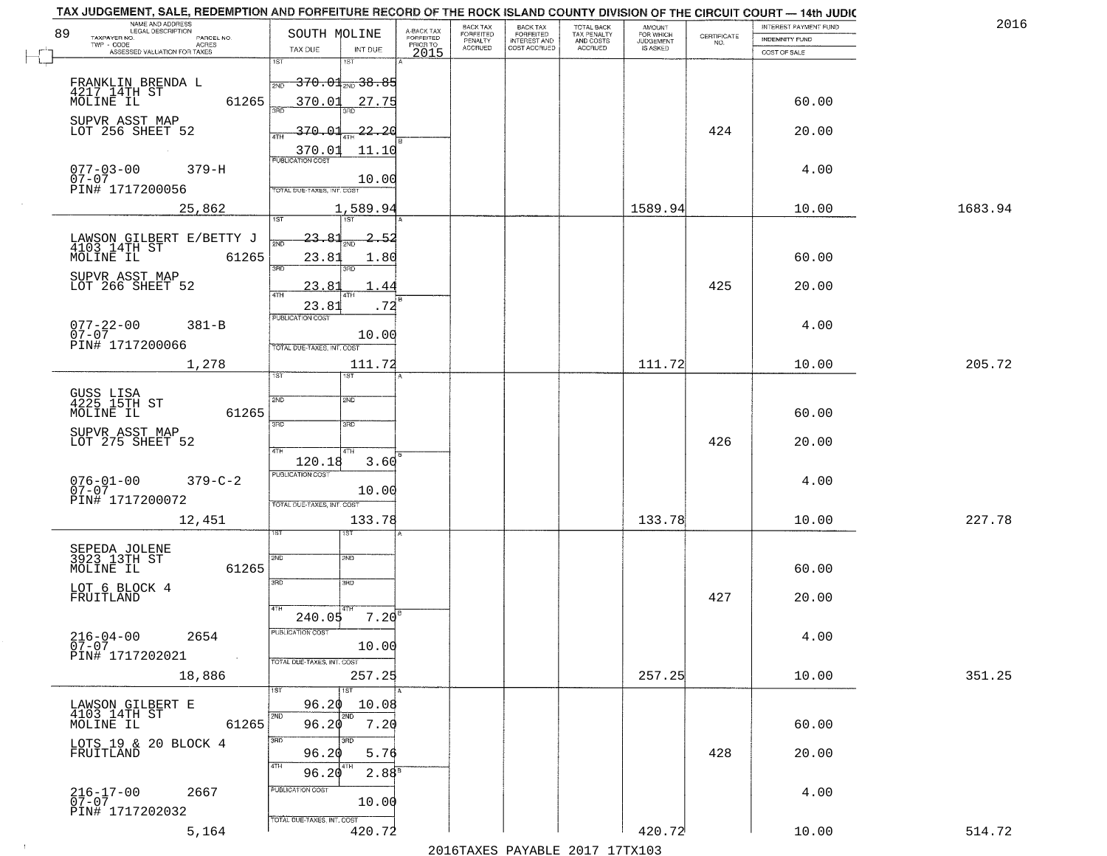| TAX JUDGEMENT, SALE, REDEMPTION AND FORFEITURE RECORD OF THE ROCK ISLAND COUNTY DIVISION OF THE CIRCUIT COURT - 14th JUDIC<br>NAME AND ADDRESS<br>LEGAL DESCRIPTION |                                           |                                     | BACK TAX             | BACK TAX<br>FORFEITED |                                        |                                  |                                                                 | INTEREST PAYMENT FUND | 2016    |
|---------------------------------------------------------------------------------------------------------------------------------------------------------------------|-------------------------------------------|-------------------------------------|----------------------|-----------------------|----------------------------------------|----------------------------------|-----------------------------------------------------------------|-----------------------|---------|
| 89<br>TAXPAYER NO.<br>PARCEL NO.                                                                                                                                    | SOUTH MOLINE                              | A-BACK TAX<br>FORFEITED<br>PRIOR TO | FORFEITED<br>PENALTY | <b>INTEREST AND</b>   | TOTAL BACK<br>TAX PENALTY<br>AND COSTS | AMOUNT<br>FOR WHICH<br>JUDGEMENT | $\begin{array}{c} \text{CERTIFICATE} \\ \text{NO.} \end{array}$ | <b>INDEMNITY FUND</b> |         |
| ACRES<br>ASSESSED VALUATION FOR TAXES                                                                                                                               | TAX DUE<br>INT DUE                        | 2015                                | <b>ACCRUED</b>       | COST ACCRUED          | <b>ACCRUED</b>                         | IS ASKED                         |                                                                 | COST OF SALE          |         |
|                                                                                                                                                                     | 1ST<br>1ST                                |                                     |                      |                       |                                        |                                  |                                                                 |                       |         |
|                                                                                                                                                                     | $\frac{1}{2ND} - 370.01_{2ND} - 38.85$    |                                     |                      |                       |                                        |                                  |                                                                 |                       |         |
| FRANKLIN BRENDA L<br>4217 14TH ST<br>MOLINE IL                                                                                                                      |                                           |                                     |                      |                       |                                        |                                  |                                                                 |                       |         |
| 61265                                                                                                                                                               | 370.01<br>27.75                           |                                     |                      |                       |                                        |                                  |                                                                 | 60.00                 |         |
| SUPVR ASST MAP                                                                                                                                                      |                                           |                                     |                      |                       |                                        |                                  |                                                                 |                       |         |
| LOT 256 SHEET 52                                                                                                                                                    | 370.01<br>$-22 - 20$                      |                                     |                      |                       |                                        |                                  | 424                                                             | 20.00                 |         |
|                                                                                                                                                                     | 11.10<br>$\frac{370.01}{FUBUCATON COST}$  |                                     |                      |                       |                                        |                                  |                                                                 |                       |         |
|                                                                                                                                                                     |                                           |                                     |                      |                       |                                        |                                  |                                                                 |                       |         |
| $077 - 03 - 00$<br>07-07<br>$379 - H$                                                                                                                               | 10.00                                     |                                     |                      |                       |                                        |                                  |                                                                 | 4.00                  |         |
| PIN# 1717200056                                                                                                                                                     | TOTAL DUE-TAXES, INT. COST                |                                     |                      |                       |                                        |                                  |                                                                 |                       |         |
| 25,862                                                                                                                                                              | 1,589.94                                  |                                     |                      |                       |                                        | 1589.94                          |                                                                 | 10.00                 | 1683.94 |
|                                                                                                                                                                     | 1ST                                       |                                     |                      |                       |                                        |                                  |                                                                 |                       |         |
|                                                                                                                                                                     | 23.81<br>2.52                             |                                     |                      |                       |                                        |                                  |                                                                 |                       |         |
| LAWSON GILBERT E/BETTY J<br>4103 14TH ST                                                                                                                            |                                           |                                     |                      |                       |                                        |                                  |                                                                 |                       |         |
| MOLINE IL<br>61265                                                                                                                                                  | 23.81<br>1.80<br>3RD                      |                                     |                      |                       |                                        |                                  |                                                                 | 60.00                 |         |
|                                                                                                                                                                     |                                           |                                     |                      |                       |                                        |                                  |                                                                 |                       |         |
| SUPVR ASST MAP<br>LOT 266 SHEET 52                                                                                                                                  | 23.81<br>-44                              |                                     |                      |                       |                                        |                                  | 425                                                             | 20.00                 |         |
|                                                                                                                                                                     | 23.81<br>.72                              |                                     |                      |                       |                                        |                                  |                                                                 |                       |         |
|                                                                                                                                                                     | PUBLICATION COST                          |                                     |                      |                       |                                        |                                  |                                                                 |                       |         |
| $077 - 22 - 00$<br>07-07<br>$381 - B$                                                                                                                               | 10.00                                     |                                     |                      |                       |                                        |                                  |                                                                 | 4.00                  |         |
| PIN# 1717200066                                                                                                                                                     | TOTAL DUE-TAXES, INT. COST                |                                     |                      |                       |                                        |                                  |                                                                 |                       |         |
|                                                                                                                                                                     |                                           |                                     |                      |                       |                                        |                                  |                                                                 |                       |         |
| 1,278                                                                                                                                                               | 111.72<br><b>IST</b><br>ist               |                                     |                      |                       |                                        | 111.72                           |                                                                 | 10.00                 | 205.72  |
|                                                                                                                                                                     |                                           |                                     |                      |                       |                                        |                                  |                                                                 |                       |         |
| GUSS LISA<br>4225 15TH ST                                                                                                                                           | 2ND<br>SND                                |                                     |                      |                       |                                        |                                  |                                                                 |                       |         |
| 61265<br>MOLINE IL                                                                                                                                                  |                                           |                                     |                      |                       |                                        |                                  |                                                                 | 60.00                 |         |
|                                                                                                                                                                     | 3BD<br>3RD                                |                                     |                      |                       |                                        |                                  |                                                                 |                       |         |
| SUPVR ASST MAP<br>LOT 275 SHEET 52                                                                                                                                  |                                           |                                     |                      |                       |                                        |                                  | 426                                                             | 20.00                 |         |
|                                                                                                                                                                     | 4TH<br>4TH                                |                                     |                      |                       |                                        |                                  |                                                                 |                       |         |
|                                                                                                                                                                     | 120.18<br>3.60<br><b>PUBLICATION COST</b> |                                     |                      |                       |                                        |                                  |                                                                 |                       |         |
| $076 - 01 - 00$<br>07-07<br>$379 - C - 2$                                                                                                                           |                                           |                                     |                      |                       |                                        |                                  |                                                                 | 4.00                  |         |
| PIN# 1717200072                                                                                                                                                     | 10.00                                     |                                     |                      |                       |                                        |                                  |                                                                 |                       |         |
|                                                                                                                                                                     | TOTAL OUE-TAXES, INT. COST                |                                     |                      |                       |                                        |                                  |                                                                 |                       |         |
| 12,451                                                                                                                                                              | 133.78                                    |                                     |                      |                       |                                        | 133.78                           |                                                                 | 10.00                 | 227.78  |
|                                                                                                                                                                     | डिक                                       |                                     |                      |                       |                                        |                                  |                                                                 |                       |         |
| SEPEDA JOLENE<br>3923 13TH ST                                                                                                                                       | 2ND<br>2ND                                |                                     |                      |                       |                                        |                                  |                                                                 |                       |         |
| MOLINE IL<br>61265                                                                                                                                                  |                                           |                                     |                      |                       |                                        |                                  |                                                                 | 60.00                 |         |
|                                                                                                                                                                     | 3RD<br>3HD                                |                                     |                      |                       |                                        |                                  |                                                                 |                       |         |
| LOT 6 BLOCK 4<br>FRUITLAND                                                                                                                                          |                                           |                                     |                      |                       |                                        |                                  | 427                                                             | 20.00                 |         |
|                                                                                                                                                                     | 4TH                                       |                                     |                      |                       |                                        |                                  |                                                                 |                       |         |
|                                                                                                                                                                     | 7.20<br>240.05                            |                                     |                      |                       |                                        |                                  |                                                                 |                       |         |
| $216 - 04 - 00$<br>2654                                                                                                                                             | PUBLICATION COS.                          |                                     |                      |                       |                                        |                                  |                                                                 | 4.00                  |         |
| $\overline{0}\overline{7}-0\overline{7}$                                                                                                                            | 10.00                                     |                                     |                      |                       |                                        |                                  |                                                                 |                       |         |
| PIN# 1717202021<br>$\sim 40$                                                                                                                                        | TOTAL DUE-TAXES, INT. COST                |                                     |                      |                       |                                        |                                  |                                                                 |                       |         |
| 18,886                                                                                                                                                              | 257.25                                    |                                     |                      |                       |                                        | 257.25                           |                                                                 | 10.00                 | 351.25  |
|                                                                                                                                                                     |                                           |                                     |                      |                       |                                        |                                  |                                                                 |                       |         |
| LAWSON GILBERT E                                                                                                                                                    | 10.08<br>96.20                            |                                     |                      |                       |                                        |                                  |                                                                 |                       |         |
| 4103 14TH ST                                                                                                                                                        | 2ND                                       |                                     |                      |                       |                                        |                                  |                                                                 |                       |         |
| 61265<br>MOLINE IL                                                                                                                                                  | 96.20<br>7.20                             |                                     |                      |                       |                                        |                                  |                                                                 | 60.00                 |         |
| LOTS 19 & 20 BLOCK 4<br>FRUITLAND                                                                                                                                   | 3RD<br>3BD                                |                                     |                      |                       |                                        |                                  |                                                                 |                       |         |
|                                                                                                                                                                     | 96.20<br>5.76                             |                                     |                      |                       |                                        |                                  | 428                                                             | 20.00                 |         |
|                                                                                                                                                                     | 4TH<br>2.88 <sup>B</sup><br>96.20         |                                     |                      |                       |                                        |                                  |                                                                 |                       |         |
| 2667                                                                                                                                                                | PUBLICATION COST                          |                                     |                      |                       |                                        |                                  |                                                                 | 4.00                  |         |
| 216-17-00<br>07-07                                                                                                                                                  | 10.00                                     |                                     |                      |                       |                                        |                                  |                                                                 |                       |         |
| PIN# 1717202032                                                                                                                                                     |                                           |                                     |                      |                       |                                        |                                  |                                                                 |                       |         |
|                                                                                                                                                                     |                                           |                                     |                      |                       |                                        |                                  |                                                                 |                       |         |
| 5,164                                                                                                                                                               | TOTAL DUE-TAXES, INT. COST<br>420.72      |                                     |                      |                       |                                        | 420.72                           |                                                                 | 10.00                 | 514.72  |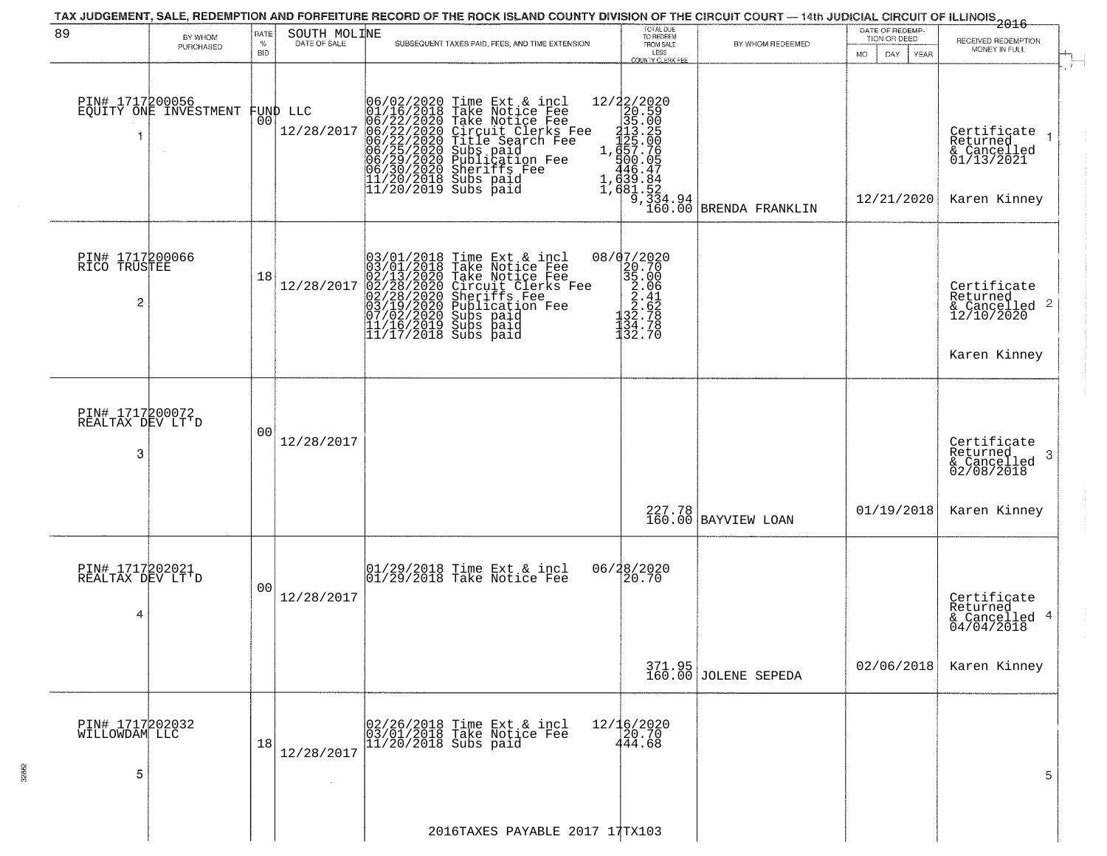| 89                                       |                                          | <b>RATE</b>        | SOUTH MOLINE           | TAX JUDGEMENT, SALE, REDEMPTION AND FORFEITURE RECORD OF THE ROCK ISLAND COUNTY DIVISION OF THE CIRCUIT COURT — 14th JUDICIAL CIRCUIT OF ILLINOIS 2016                                                                                                   | TOTAL DUE<br>TO REDEEM                                                                                                                                                               |                                | DATE OF REDEMP-                     |                                                                           |  |
|------------------------------------------|------------------------------------------|--------------------|------------------------|----------------------------------------------------------------------------------------------------------------------------------------------------------------------------------------------------------------------------------------------------------|--------------------------------------------------------------------------------------------------------------------------------------------------------------------------------------|--------------------------------|-------------------------------------|---------------------------------------------------------------------------|--|
|                                          | BY WHOM<br>PURCHASED                     | $\%$<br><b>BID</b> | DATE OF SALE           | SUBSEQUENT TAXES PAID, FEES, AND TIME EXTENSION                                                                                                                                                                                                          | FROM SALE<br>LESS                                                                                                                                                                    | BY WHOM REDEEMED               | TION OR DEED<br>MO.<br>DAY.<br>YEAR | RECEIVED REDEMPTION<br>MONEY IN FULL                                      |  |
| 1                                        | PIN# 1717200056<br>EQUITY ONE INVESTMENT | 00                 | FUND LLC<br>12/28/2017 | 06/02/2020 Time Ext & incl<br>01/16/2018 Take Notice Fee<br>06/22/2020 Take Notice Fee<br>06/22/2020 Circuit Clerks Fee<br>06/22/2020 Title Search Fee<br>06/25/2020 Subs paid<br>06/29/2020 Publication Fee<br>06/30/2020 Sheriffs Fee<br>11/20/2018    | <b>COUNTY CLERK FEE</b><br>$\begin{smallmatrix} 12/2/2020 \\ 20.59 \\ 35.00 \\ 113.25 \\ 1423.25 \\ 1657.76 \\ 446.47 \\ 439.84 \\ 1,631.52 \\ 9.334.94 \\ \hline \end{smallmatrix}$ | BRENDA FRANKLIN                | 12/21/2020                          | Certificate<br>Returned<br>& Cancelled<br>01/13/2021<br>Karen Kinney      |  |
| PIN# 1717200066<br>RICO TRUSTEE<br>2     |                                          | 18                 | 12/28/2017             | $03/01/2018$ Time Ext & incl<br>03/01/2018 Take Notice Fee<br>02/13/2020 Take Notice Fee<br>02/28/2020 Circuit Clerks Fee<br>02/28/2020 Sheriffs Fee<br>03/19/2020 Subs paid<br>07/02/2020 Subs paid<br>11/16/2019 Subs paid<br>11/17/2018 Subs paid<br> | 08/07/2020<br>20.70<br>35.00<br>$\begin{array}{r} 3.06 \\ 2.06 \\ 2.62 \\ 3.62 \\ 132.78 \\ 134.78 \end{array}$<br>132.70                                                            |                                |                                     | Certificate<br>Returned<br>& Cancelled 2<br>12/10/2020<br>Karen Kinney    |  |
| PIN# 1717200072<br>REALTAX DEV LT'D<br>3 |                                          | 0 <sub>0</sub>     | 12/28/2017             |                                                                                                                                                                                                                                                          |                                                                                                                                                                                      | 227.78<br>160.00 BAYVIEW LOAN  | 01/19/2018                          | Certificate<br>Returned<br>3<br>& Cancelled<br>02/08/2018<br>Karen Kinney |  |
| PIN# 1717202021<br>REALTAX DEV LT'D<br>4 |                                          | 0 <sub>0</sub>     | 12/28/2017             | 01/29/2018 Time Ext & incl<br>01/29/2018 Take Notice Fee                                                                                                                                                                                                 | 06/28/2020<br>20.70                                                                                                                                                                  | 371.95<br>160.00 JOLENE SEPEDA | 02/06/2018                          | Certificate<br>Returned<br>& Cancelled 4<br>04/04/2018<br>Karen Kinney    |  |
| PIN# 1717202032<br>WILLOWDAM LLC<br>5    |                                          | 18                 | 12/28/2017             | 02/26/2018 Time Ext & incl<br>03/01/2018 Take Notice Fee<br>$11/20/2018$ Subs paid                                                                                                                                                                       | 12/16/2020<br>20.70<br>444.68                                                                                                                                                        |                                |                                     | 5                                                                         |  |
|                                          |                                          |                    |                        | 2016TAXES PAYABLE 2017 17TX103                                                                                                                                                                                                                           |                                                                                                                                                                                      |                                |                                     |                                                                           |  |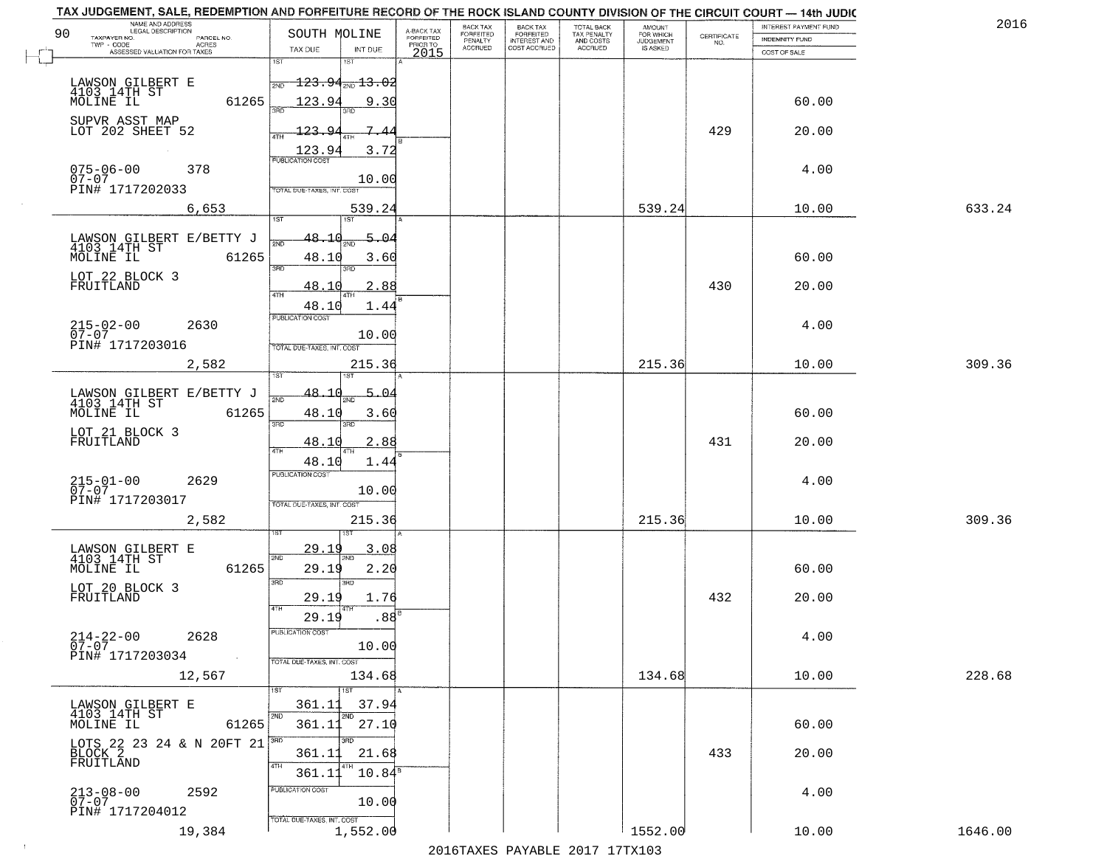| NAME AND ADDRESS<br>LEGAL DESCRIPTION                                            |                                                                                                       |                                     | BACK TAX             | <b>BACK TAX</b>           | TOTAL BACK<br>TAX PENALTY<br>AND COSTS |                                  |                                                                 | INTEREST PAYMENT FUND | 2016    |
|----------------------------------------------------------------------------------|-------------------------------------------------------------------------------------------------------|-------------------------------------|----------------------|---------------------------|----------------------------------------|----------------------------------|-----------------------------------------------------------------|-----------------------|---------|
| 90<br>TAXPAYER NO.<br>PARCEL NO.<br>ACRES                                        | SOUTH MOLINE                                                                                          | A-BACK TAX<br>FORFEITED<br>PRIOR TO | FORFEITED<br>PENALTY | FORFEITED<br>INTEREST AND |                                        | AMOUNT<br>FOR WHICH<br>JUDGEMENT | $\begin{array}{c} \text{CERTIFICATE} \\ \text{NO.} \end{array}$ | <b>INDEMNITY FUND</b> |         |
| ASSESSED VALUATION FOR TAXES                                                     | TAX DUE<br>INT DUE                                                                                    | 2015                                | <b>ACCRUED</b>       | COST ACCRUED              | <b>ACCRUED</b>                         | IS ASKED                         |                                                                 | COST OF SALE          |         |
| LAWSON GILBERT E<br>4103 14TH ST<br>MOLINE IL                                    | 1ST<br>18T<br>$\textcolor{red}{\textbf{-123.94}} \textcolor{red}{\textbf{_{700}\text{13.02}}}$<br>2ND |                                     |                      |                           |                                        |                                  |                                                                 |                       |         |
| 61265<br>SUPVR ASST MAP                                                          | 123.94<br>9.30                                                                                        |                                     |                      |                           |                                        |                                  |                                                                 | 60.00                 |         |
| LOT 202 SHEET 52                                                                 | 123.94<br>$\frac{123.94}{PUBLICATION COST}$<br>3.72                                                   |                                     |                      |                           |                                        |                                  | 429                                                             | 20.00                 |         |
| 075-06-00<br>07-07<br>378<br>PIN# 1717202033                                     | 10.00<br>TOTAL DUE-TAXES, INT. COST                                                                   |                                     |                      |                           |                                        |                                  |                                                                 | 4.00                  |         |
| 6,653                                                                            | 539.24<br>197                                                                                         |                                     |                      |                           |                                        | 539.24                           |                                                                 | 10.00                 | 633.24  |
| LAWSON GILBERT E/BETTY J<br>4103 14TH ST<br>MOLINE IL<br>61265                   | 48.10<br>5.04<br>48.10<br>3.60<br>3RD<br>3RD                                                          |                                     |                      |                           |                                        |                                  |                                                                 | 60.00                 |         |
| LOT 22 BLOCK 3<br>FRUITLAND                                                      | 2.88<br><u>48.10</u><br>47H<br>48.10<br>1.44                                                          |                                     |                      |                           |                                        |                                  | 430                                                             | 20.00                 |         |
| $215 - 02 - 00$<br>2630<br>$07 - 07$<br>PIN# 1717203016                          | PUBLICATION COST<br>10.00<br>TOTAL DUE-TAXES, INT. COST                                               |                                     |                      |                           |                                        |                                  |                                                                 | 4.00                  |         |
| 2,582                                                                            | 215.36<br>īsT<br>IST                                                                                  |                                     |                      |                           |                                        | 215.36                           |                                                                 | 10.00                 | 309.36  |
| LAWSON GILBERT E/BETTY J<br>4103 14TH ST<br>MOLINE IL<br>61265                   | 48.1<br>$5 - 04$<br>2ND<br>48.10<br>3.60<br>3BD<br>3RD                                                |                                     |                      |                           |                                        |                                  |                                                                 | 60.00                 |         |
| LOT 21 BLOCK 3<br>FRUITLAND                                                      | 48.10<br>2.88<br>4TH<br>48.10<br>1.44                                                                 |                                     |                      |                           |                                        |                                  | 431                                                             | 20.00                 |         |
| $215 - 01 - 00$<br>07-07<br>2629<br>PIN# 1717203017                              | <b>PUBLICATION COST</b><br>10.00<br>TOTAL OUE-TAXES, INT. COST                                        |                                     |                      |                           |                                        |                                  |                                                                 | 4.00                  |         |
| 2,582                                                                            | 215.36                                                                                                |                                     |                      |                           |                                        | 215.36                           |                                                                 | 10.00                 | 309.36  |
| LAWSON GILBERT E<br>4103 14TH ST<br>MOLINE IL<br>61265                           | 29.1<br>3.08<br>2ND<br>29.19<br>2.20<br>3 <sub>BD</sub><br>3RD                                        |                                     |                      |                           |                                        |                                  |                                                                 | 60.00                 |         |
| LOT 20 BLOCK 3<br>FRUITLAND                                                      | 1.76<br>29.19<br>4TH<br>.88 <sup>B</sup><br>29.19                                                     |                                     |                      |                           |                                        |                                  | 432                                                             | 20.00                 |         |
| $214 - 22 - 00$<br>2628<br>$\overline{0}7 - 07$<br>PIN# 1717203034<br>$\sim 100$ | PUBLICATION CUS<br>10.00<br>TOTAL DUE-TAXES, INT. COST                                                |                                     |                      |                           |                                        |                                  |                                                                 | 4.00                  |         |
| 12,567                                                                           | 134.68<br>1ST                                                                                         |                                     |                      |                           |                                        | 134.68                           |                                                                 | 10.00                 | 228.68  |
| LAWSON GILBERT E<br>4103 14TH ST<br>MOLINE IL<br>61265                           | 37.94<br>361.11<br>2ND<br>2ND<br>361.11<br>27.10                                                      |                                     |                      |                           |                                        |                                  |                                                                 | 60.00                 |         |
| LOTS 22 23 24 & N 20FT 21<br>BLOCK 2<br>FRUITLAND                                | 21.68<br>361.11<br>4TH<br>$10.84^{\circ}$<br>361.11                                                   |                                     |                      |                           |                                        |                                  | 433                                                             | 20.00                 |         |
| $213 - 08 - 00$<br>2592<br>$07 - 07$<br>PIN# 1717204012                          | PUBLICATION COST<br>10.00                                                                             |                                     |                      |                           |                                        |                                  |                                                                 | 4.00                  |         |
| 19,384                                                                           | TOTAL DUE-TAXES, INT. COST<br>1,552.00                                                                |                                     |                      |                           |                                        | 1552.00                          |                                                                 | 10.00                 | 1646.00 |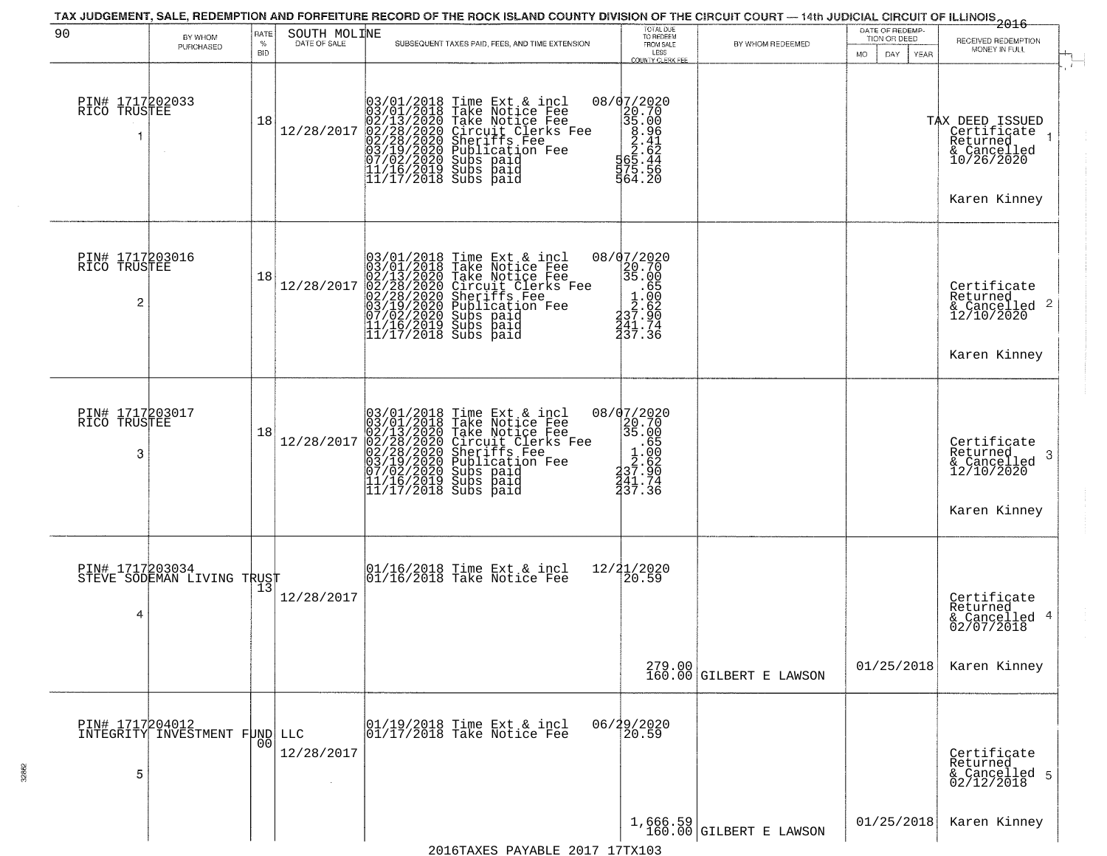| 90                                   | BY WHOM<br>PURCHASED                             | RATE<br>$\%$<br><b>BID</b> | SOUTH MOLINE<br>DATE OF SALE | SUBSEQUENT TAXES PAID, FEES, AND TIME EXTENSION                                                                                                                                                                                                                                                                                                                                  | TOTAL DUE<br>TO REDEEM<br>FROM SALE<br>LESS<br>COUNTY CLERK FEE                                                            | BY WHOM REDEEMED                      | DATE OF REDEMP-<br>TION OR DEED<br>MO.<br>DAY.<br>YEAR | <del>2016</del><br>RECEIVED REDEMPTION<br>MONEY IN FULL                                     |  |
|--------------------------------------|--------------------------------------------------|----------------------------|------------------------------|----------------------------------------------------------------------------------------------------------------------------------------------------------------------------------------------------------------------------------------------------------------------------------------------------------------------------------------------------------------------------------|----------------------------------------------------------------------------------------------------------------------------|---------------------------------------|--------------------------------------------------------|---------------------------------------------------------------------------------------------|--|
| PIN# 1717202033<br>RICO TRUSTEE<br>1 | $\sim$                                           | 18                         | 12/28/2017                   | 03/01/2018 Time Ext &<br>03/01/2018 Take Notic<br>02/13/2020 Take Notic<br>02/28/2020 Circuit Cl<br>02/28/2020 Sheriffs F<br>03/19/2020 Subs paid<br>07/02/2020 Subs paid<br>11/16/2019 Subs paid<br>11/16/2019 Subs paid<br>11/17/2018 Subs paid<br>Time Ext & incl<br>Take Notice Fee<br>Take Notice Fee<br>Circuit Clerks Fee<br>Sheriffs Fee<br>Publication Fee<br>Subs paid | $\begin{array}{r} 08/07/2020 \\ 20.70 \\ 35.00 \\ 8.96 \\ 2.41 \\ 2.41 \\ 5.65.44 \\ 75.56 \\ 75.56 \\ 964.20 \end{array}$ |                                       |                                                        | TAX DEED ISSUED<br>  Certificate 1<br>Returned<br>& Cancelled<br>10/26/2020<br>Karen Kinney |  |
| PIN# 1717203016<br>RICO TRUSTEE<br>2 |                                                  | 18                         | 12/28/2017                   | 03/01/2018 Time Ext &<br>03/01/2018 Take Notic<br>02/13/2020 Take Notic<br>02/28/2020 Circuit Cl<br>02/28/2020 Sheriffs F<br>03/19/2020 Subs paid<br>07/02/2020 Subs paid<br>11/16/2019 Subs paid<br>11/17/2018 Subs paid<br>Time Ext & incl<br>Take Notice Fee<br>Take Notice Fee<br>Circuit Clerks Fee<br>Sheriffs Fee<br>Publication Fee<br>Subs paid                         | 08/07/2020<br>$\begin{array}{r} 20.70 \\ 20.70 \\ 35.00 \\ 1.65 \\ 2.62 \\ 37.90 \\ 41.74 \end{array}$<br>237.36           |                                       |                                                        | Certificate<br>Returned<br>& Cancelled 2<br>12/10/2020<br>Karen Kinney                      |  |
| PIN# 1717203017<br>RICO TRUSTEE<br>3 |                                                  | 18                         | 12/28/2017                   | $03/01/2018$ Time Ext & incl<br>$03/01/2018$ Take Notice Fee<br>$02/13/2020$ Take Notice Fee<br>$02/28/2020$ Circuit Clerks Fee<br>$02/28/2020$ Sheriffs Fee<br>$03/19/2020$ Publication Fee<br>$11/16/2019$ Subs paid<br>$11/17/2018$ Subs                                                                                                                                      | 08/07/2020<br>20.70<br>35.00<br>237.36                                                                                     |                                       |                                                        | Certificate<br>Returned<br>-3<br>& Cancelled<br>12/10/2020<br>Karen Kinney                  |  |
| PIN# 1717203034<br>4                 | STEVE SODEMAN LIVING TRUST                       | 13                         | 12/28/2017                   | 01/16/2018 Time Ext & incl<br>01/16/2018 Take Notice Fee                                                                                                                                                                                                                                                                                                                         | 12/21/2020<br>20.59                                                                                                        |                                       |                                                        | Certificate<br>Returned<br>& Cancelled 4<br>02/07/2018                                      |  |
|                                      |                                                  |                            |                              |                                                                                                                                                                                                                                                                                                                                                                                  |                                                                                                                            | $279.00$ GILBERT E LAWSON             | 01/25/2018                                             | Karen Kinney                                                                                |  |
| 5                                    | PIN# 1717204012<br>INTEGRITY INVESTMENT FUND LLC | 00                         | 12/28/2017                   | 01/19/2018 Time Ext & incl<br>01/17/2018 Take Notice Fee                                                                                                                                                                                                                                                                                                                         | 06/29/2020<br>20.59                                                                                                        |                                       |                                                        | Certificate<br>Returned<br>& Cancelled 5<br>02/12/2018                                      |  |
|                                      |                                                  |                            |                              |                                                                                                                                                                                                                                                                                                                                                                                  |                                                                                                                            | $1,666.59$<br>160.00 GILBERT E LAWSON | 01/25/2018                                             | Karen Kinney                                                                                |  |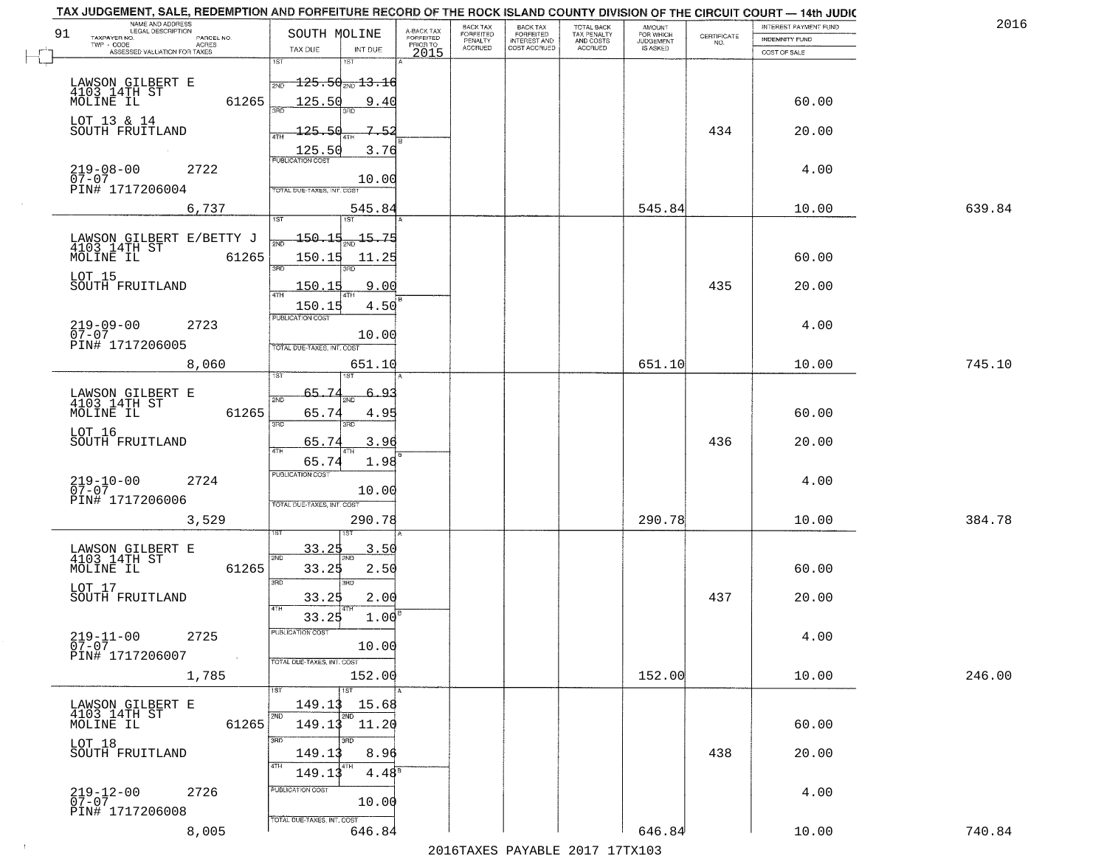|    | TAX JUDGEMENT, SALE, REDEMPTION AND FORFEITURE RECORD OF THE ROCK ISLAND COUNTY DIVISION OF THE CIRCUIT COURT - 14th JUDIC<br>NAME AND ADDRESS<br>LEGAL DESCRIPTION |                                             |                                     | BACK TAX                    | BACK TAX<br>FORFEITED |                                        | AMOUNT<br>FOR WHICH |                                                                 | INTEREST PAYMENT FUND | 2016   |
|----|---------------------------------------------------------------------------------------------------------------------------------------------------------------------|---------------------------------------------|-------------------------------------|-----------------------------|-----------------------|----------------------------------------|---------------------|-----------------------------------------------------------------|-----------------------|--------|
| 91 | TAXPAYER NO.<br>PARCEL NO.                                                                                                                                          | SOUTH MOLINE                                | A-BACK TAX<br>FORFEITED<br>PRIOR TO | <b>FORFEITED</b><br>PENALTY | <b>INTEREST AND</b>   | TOTAL BACK<br>TAX PENALTY<br>AND COSTS | <b>JUDGEMENT</b>    | $\begin{array}{c} \text{CERTIFICATE} \\ \text{NO.} \end{array}$ | INDEMNITY FUND        |        |
|    | ACRES<br>ASSESSED VALUATION FOR TAXES                                                                                                                               | INT DUE<br>TAX DUE                          | 2015                                | <b>ACCRUED</b>              | COST ACCRUED          | <b>ACCRUED</b>                         | IS ASKED            |                                                                 | COST OF SALE          |        |
|    |                                                                                                                                                                     | 1ST<br>1ST                                  |                                     |                             |                       |                                        |                     |                                                                 |                       |        |
|    |                                                                                                                                                                     | $\frac{1}{2ND}$ 125.50 <sub>2ND</sub> 13.16 |                                     |                             |                       |                                        |                     |                                                                 |                       |        |
|    | LAWSON GILBERT E<br>4103 14TH ST<br>MOLINE IL                                                                                                                       |                                             |                                     |                             |                       |                                        |                     |                                                                 |                       |        |
|    | 61265                                                                                                                                                               | 125.50<br>9.40                              |                                     |                             |                       |                                        |                     |                                                                 | 60.00                 |        |
|    | LOT 13 & 14                                                                                                                                                         |                                             |                                     |                             |                       |                                        |                     |                                                                 |                       |        |
|    | SOUTH FRUITLAND                                                                                                                                                     | 125.50<br>$7 - 52$                          |                                     |                             |                       |                                        |                     | 434                                                             | 20.00                 |        |
|    |                                                                                                                                                                     | 3.76                                        |                                     |                             |                       |                                        |                     |                                                                 |                       |        |
|    |                                                                                                                                                                     | $\frac{125.50}{FUBUCATON COST}$             |                                     |                             |                       |                                        |                     |                                                                 |                       |        |
|    | $219-08-00$<br>07-07<br>2722                                                                                                                                        | 10.00                                       |                                     |                             |                       |                                        |                     |                                                                 | 4.00                  |        |
|    | PIN# 1717206004                                                                                                                                                     | TOTAL DUE-TAXES, INT. COST                  |                                     |                             |                       |                                        |                     |                                                                 |                       |        |
|    | 6,737                                                                                                                                                               | 545.84                                      |                                     |                             |                       |                                        | 545.84              |                                                                 | 10.00                 | 639.84 |
|    |                                                                                                                                                                     |                                             |                                     |                             |                       |                                        |                     |                                                                 |                       |        |
|    |                                                                                                                                                                     | <u> 150.15</u><br>$\frac{15.75}{200}$       |                                     |                             |                       |                                        |                     |                                                                 |                       |        |
|    | LAWSON GILBERT E/BETTY J<br>4103 14TH ST                                                                                                                            |                                             |                                     |                             |                       |                                        |                     |                                                                 |                       |        |
|    | MOLINE IL<br>61265                                                                                                                                                  | 150.15<br>11.25                             |                                     |                             |                       |                                        |                     |                                                                 | 60.00                 |        |
|    | LOT 15                                                                                                                                                              | 3RD                                         |                                     |                             |                       |                                        |                     |                                                                 |                       |        |
|    | SOUTH FRUITLAND                                                                                                                                                     | 150.15<br>9.00                              |                                     |                             |                       |                                        |                     | 435                                                             | 20.00                 |        |
|    |                                                                                                                                                                     | 4.50<br>150.15                              |                                     |                             |                       |                                        |                     |                                                                 |                       |        |
|    |                                                                                                                                                                     | PUBLICATION COST                            |                                     |                             |                       |                                        |                     |                                                                 |                       |        |
|    | $219 - 09 - 00$<br>07-07<br>2723                                                                                                                                    | 10.00                                       |                                     |                             |                       |                                        |                     |                                                                 | 4.00                  |        |
|    | PIN# 1717206005                                                                                                                                                     | TOTAL DUE-TAXES, INT. COST                  |                                     |                             |                       |                                        |                     |                                                                 |                       |        |
|    | 8,060                                                                                                                                                               | 651.10                                      |                                     |                             |                       |                                        | 651.10              |                                                                 | 10.00                 | 745.10 |
|    |                                                                                                                                                                     | IST<br>ιSΤ                                  |                                     |                             |                       |                                        |                     |                                                                 |                       |        |
|    |                                                                                                                                                                     |                                             |                                     |                             |                       |                                        |                     |                                                                 |                       |        |
|    | LAWSON GILBERT E<br>4103 14TH ST                                                                                                                                    | 65.7<br>يو_<br>2ND                          |                                     |                             |                       |                                        |                     |                                                                 |                       |        |
|    | MOLINE IL<br>61265                                                                                                                                                  | 65.74<br>4.95                               |                                     |                             |                       |                                        |                     |                                                                 | 60.00                 |        |
|    | LOT 16                                                                                                                                                              | 3RD<br>3RD                                  |                                     |                             |                       |                                        |                     |                                                                 |                       |        |
|    | SOUTH FRUITLAND                                                                                                                                                     | 65.74<br>3.96                               |                                     |                             |                       |                                        |                     | 436                                                             | 20.00                 |        |
|    |                                                                                                                                                                     | 4TH<br>1.98<br>65.74                        |                                     |                             |                       |                                        |                     |                                                                 |                       |        |
|    |                                                                                                                                                                     | <b>PUBLICATION COST</b>                     |                                     |                             |                       |                                        |                     |                                                                 |                       |        |
|    | $219-10-00$<br>07-07<br>2724                                                                                                                                        | 10.00                                       |                                     |                             |                       |                                        |                     |                                                                 | 4.00                  |        |
|    | PIN# 1717206006                                                                                                                                                     | TOTAL OUE-TAXES, INT. COST                  |                                     |                             |                       |                                        |                     |                                                                 |                       |        |
|    |                                                                                                                                                                     |                                             |                                     |                             |                       |                                        | 290.78              |                                                                 |                       | 384.78 |
|    | 3,529                                                                                                                                                               | 290.78                                      |                                     |                             |                       |                                        |                     |                                                                 | 10.00                 |        |
|    |                                                                                                                                                                     |                                             |                                     |                             |                       |                                        |                     |                                                                 |                       |        |
|    | LAWSON GILBERT E<br>4103 14TH ST                                                                                                                                    | <u>33.25</u><br>3.50<br>2ND                 |                                     |                             |                       |                                        |                     |                                                                 |                       |        |
|    | MOLINE IL<br>61265                                                                                                                                                  | 33.25<br>2.50                               |                                     |                             |                       |                                        |                     |                                                                 | 60.00                 |        |
|    |                                                                                                                                                                     | 3BD<br>3RD                                  |                                     |                             |                       |                                        |                     |                                                                 |                       |        |
|    | LOT 17<br>SOUTH FRUITLAND                                                                                                                                           | 33.25<br>2.00                               |                                     |                             |                       |                                        |                     | 437                                                             | 20.00                 |        |
|    |                                                                                                                                                                     | 33.25<br>1.00                               |                                     |                             |                       |                                        |                     |                                                                 |                       |        |
|    |                                                                                                                                                                     | PUBLICATION COS-                            |                                     |                             |                       |                                        |                     |                                                                 |                       |        |
|    | $219 - 11 - 00$<br>07-07<br>2725                                                                                                                                    | 10.00                                       |                                     |                             |                       |                                        |                     |                                                                 | 4.00                  |        |
|    | PIN# 1717206007<br>$\sim 40$                                                                                                                                        | TOTAL DUE-TAXES, INT. COST                  |                                     |                             |                       |                                        |                     |                                                                 |                       |        |
|    |                                                                                                                                                                     |                                             |                                     |                             |                       |                                        | 152.00              |                                                                 |                       | 246.00 |
|    | 1,785                                                                                                                                                               | 152.00                                      |                                     |                             |                       |                                        |                     |                                                                 | 10.00                 |        |
|    |                                                                                                                                                                     |                                             |                                     |                             |                       |                                        |                     |                                                                 |                       |        |
|    | LAWSON GILBERT E<br>4103 14TH ST                                                                                                                                    | 149.13<br>15.68<br>2ND                      |                                     |                             |                       |                                        |                     |                                                                 |                       |        |
|    | 61265<br>MOLINE IL                                                                                                                                                  | 149.13 11.20                                |                                     |                             |                       |                                        |                     |                                                                 | 60.00                 |        |
|    |                                                                                                                                                                     | 3RD<br>חוז                                  |                                     |                             |                       |                                        |                     |                                                                 |                       |        |
|    | LOT 18<br>SOUTH FRUITLAND                                                                                                                                           | 149.13<br>8.96                              |                                     |                             |                       |                                        |                     | 438                                                             | 20.00                 |        |
|    |                                                                                                                                                                     | $4.48^8$<br>149.13                          |                                     |                             |                       |                                        |                     |                                                                 |                       |        |
|    |                                                                                                                                                                     |                                             |                                     |                             |                       |                                        |                     |                                                                 |                       |        |
|    | $219 - 12 - 00$<br>07-07<br>2726                                                                                                                                    | PUBLICATION COST                            |                                     |                             |                       |                                        |                     |                                                                 | 4.00                  |        |
|    | PIN# 1717206008                                                                                                                                                     | 10.00                                       |                                     |                             |                       |                                        |                     |                                                                 |                       |        |
|    |                                                                                                                                                                     | TOTAL DUE-TAXES, INT. COST                  |                                     |                             |                       |                                        |                     |                                                                 |                       |        |
|    | 8,005                                                                                                                                                               | 646.84                                      |                                     |                             |                       |                                        | 646.84              |                                                                 | 10.00                 | 740.84 |
|    |                                                                                                                                                                     |                                             |                                     |                             |                       | 2016 TAVEC DAVARLE 2017 17 TV102       |                     |                                                                 |                       |        |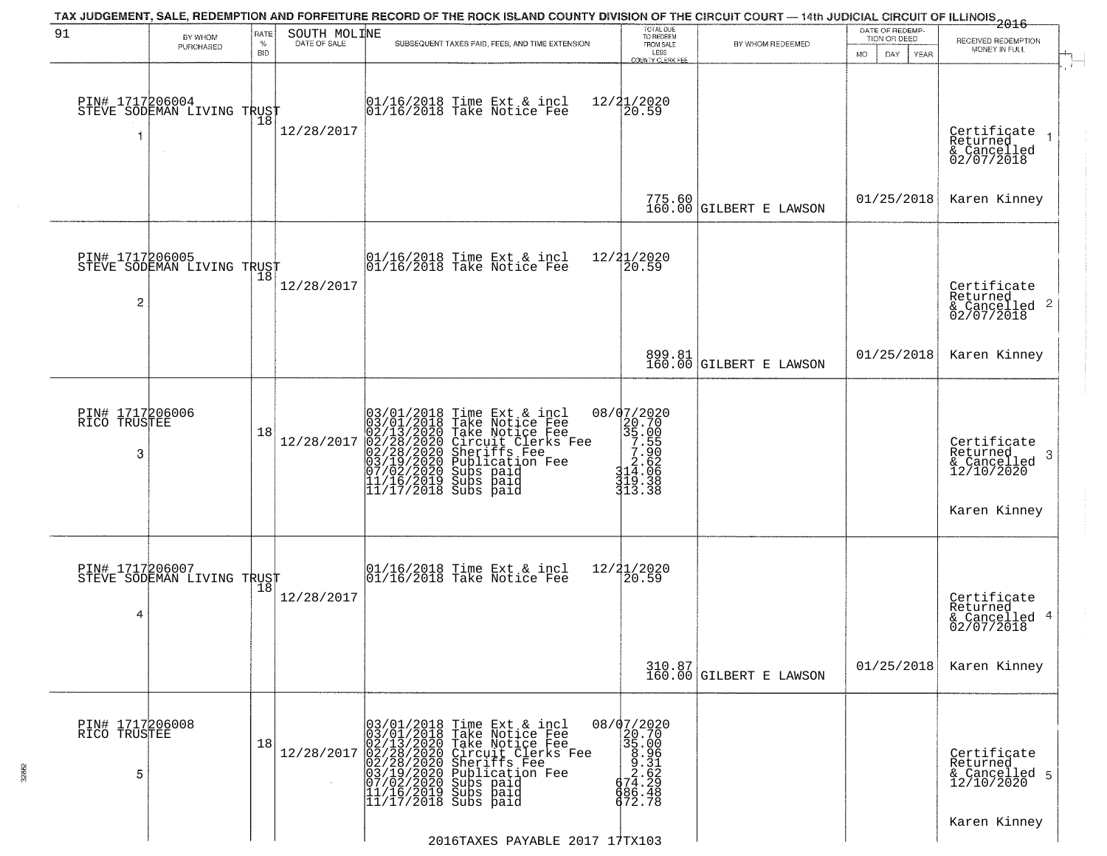|                                      |                                                   |              |                              | TAX JUDGEMENT, SALE, REDEMPTION AND FORFEITURE RECORD OF THE ROCK ISLAND COUNTY DIVISION OF THE CIRCUIT COURT — 14th JUDICIAL CIRCUIT OF ILLINOIS 2016                                                                                                |                                                                                                                                  |                                   | DATE OF REDEMP-            |                                                                               |
|--------------------------------------|---------------------------------------------------|--------------|------------------------------|-------------------------------------------------------------------------------------------------------------------------------------------------------------------------------------------------------------------------------------------------------|----------------------------------------------------------------------------------------------------------------------------------|-----------------------------------|----------------------------|-------------------------------------------------------------------------------|
| 91                                   | BY WHOM<br>PURCHASED                              | RATE<br>$\%$ | SOUTH MOLINE<br>DATE OF SALE | SUBSEQUENT TAXES PAID, FEES, AND TIME EXTENSION                                                                                                                                                                                                       | TOTAL DUE<br>TO REDEEM<br>FROM SALE                                                                                              | BY WHOM REDEEMED                  | TION OR DEED               | RECEIVED REDEMPTION<br>MONEY IN FULL                                          |
|                                      |                                                   | <b>BID</b>   |                              |                                                                                                                                                                                                                                                       | LESS<br><b>COUNTY CLERK FEE</b>                                                                                                  |                                   | MO.<br>DAY.<br><b>YEAR</b> |                                                                               |
| f.                                   | PIN# 1717206004    <br>STEVE SODEMAN LIVING TRUST | 18           | 12/28/2017                   | 01/16/2018 Time Ext & incl<br>01/16/2018 Take Notice Fee                                                                                                                                                                                              | 12/21/2020<br>20.59                                                                                                              |                                   |                            | Certificate<br>Returned<br>& Cancelled<br>02/07/2018                          |
|                                      |                                                   |              |                              |                                                                                                                                                                                                                                                       |                                                                                                                                  | 775.60 GILBERT E LAWSON           | 01/25/2018                 | Karen Kinney                                                                  |
| 2                                    | PIN# 1717206005<br>STEVE SODEMAN LIVING TRUST     |              | 12/28/2017                   | 01/16/2018 Time Ext & incl<br>01/16/2018 Take Notice Fee                                                                                                                                                                                              | 12/21/2020<br>20.59                                                                                                              |                                   |                            | Certificate<br>Returned<br>$\frac{1}{6}$ Cancelled <sup>2</sup><br>02/07/2018 |
|                                      |                                                   |              |                              |                                                                                                                                                                                                                                                       |                                                                                                                                  | 899.81<br>160.00 GILBERT E LAWSON | 01/25/2018                 | Karen Kinney                                                                  |
| PIN# 1717206006<br>RICO TRUSTEE<br>3 |                                                   | 18           | 12/28/2017                   | 03/01/2018 Time Ext & incl<br>03/01/2018 Take Notice Fee<br>02/13/2020 Take Notice Fee<br>02/28/2020 Circuit Clerks Fee<br>02/28/2020 Sheriffs Fee<br>03/19/2020 Subication Fee<br>03/19/2020 Subs paid<br>11/16/2019 Subs paid<br>11/17/2018 Subs pa | 08/07/2020<br>20.70<br>35.00<br>7.50<br>7.50<br>2.62<br>31.4.99<br>319.38<br>313.38                                              |                                   |                            | Certificate<br>Returned<br>3<br>& Cancelled<br>12/10/2020<br>Karen Kinney     |
| 4                                    | PIN# 1717206007<br>STEVE SODEMAN LIVING TRUST     | Ίõ           | 12/28/2017                   | 01/16/2018 Time Ext & incl<br>01/16/2018 Take Notice Fee                                                                                                                                                                                              | 12/21/2020<br>20.59                                                                                                              |                                   | 01/25/2018                 | Certificate<br>Returned<br>& Cancelled 4<br>02/07/2018<br>Karen Kinney        |
|                                      |                                                   |              |                              |                                                                                                                                                                                                                                                       |                                                                                                                                  | 310.87<br>160.00 GILBERT E LAWSON |                            |                                                                               |
| PIN# 1717206008<br>RICO TRUSTEE<br>5 |                                                   | 18           | 12/28/2017                   | 03/01/2018 Time Ext & incl<br>03/01/2018 Take Notice Fee<br>02/13/2020 Take Notice Fee<br>02/28/2020 Circuit Clerks Fee<br>02/28/2020 Sheriffs Fee<br>03/19/2020 Subs paid<br>07/02/2020 Subs paid<br>11/16/2019 Subs paid<br>11/17/2018 Subs paid    | 08/07/2020<br>20.70<br>35.00<br>$\begin{array}{r} 3.366 \\ -3.362 \\ -2.529 \\ -74.29 \\ -6.486 \\ -4.298 \\ -6.488 \end{array}$ |                                   |                            | Certificate<br>Returned<br>& Cancelled 5<br>12/10/2020                        |
|                                      |                                                   |              |                              |                                                                                                                                                                                                                                                       |                                                                                                                                  |                                   |                            | Karen Kinney                                                                  |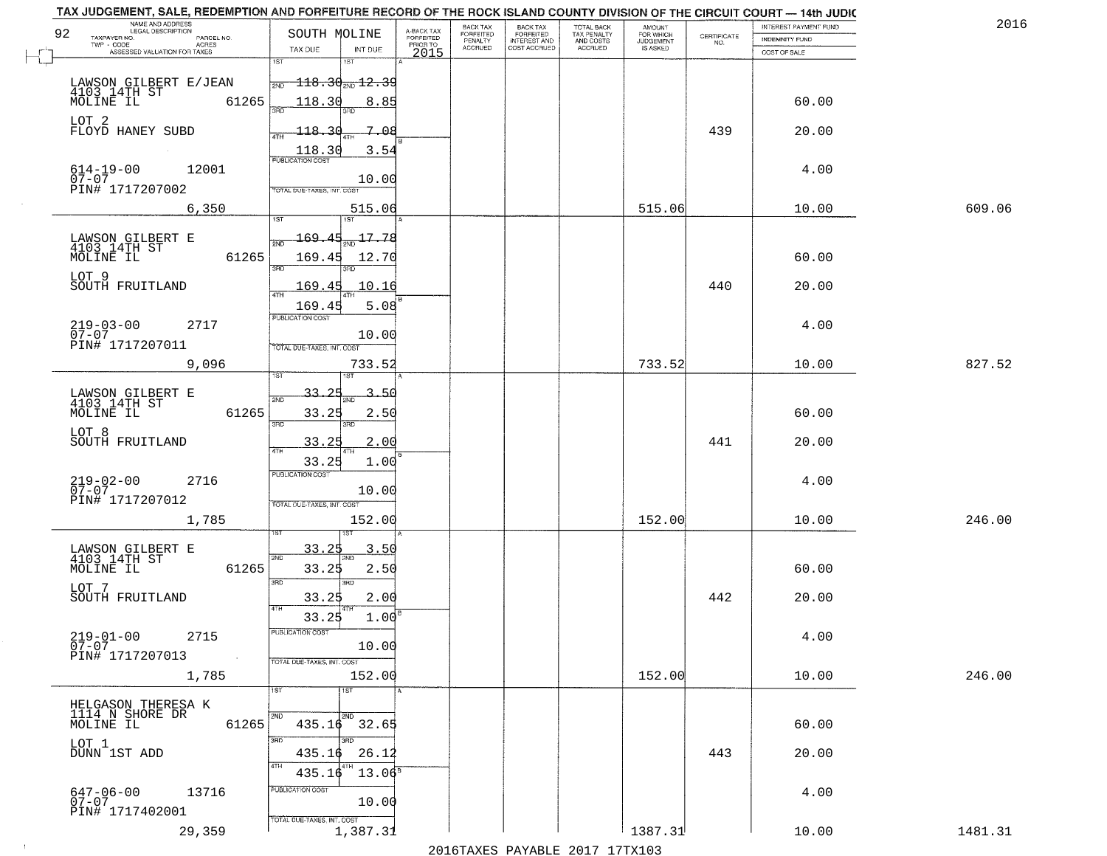| TAX JUDGEMENT, SALE, REDEMPTION AND FORFEITURE RECORD OF THE ROCK ISLAND COUNTY DIVISION OF THE CIRCUIT COURT - 14th JUDIC |                                                                                         |                 |                                     |                                        |                                     |                                        |                                  |                    |                       |         |
|----------------------------------------------------------------------------------------------------------------------------|-----------------------------------------------------------------------------------------|-----------------|-------------------------------------|----------------------------------------|-------------------------------------|----------------------------------------|----------------------------------|--------------------|-----------------------|---------|
| NAME AND ADDRESS<br>LEGAL DESCRIPTION<br>92                                                                                | SOUTH MOLINE                                                                            |                 |                                     | BACK TAX                               | BACK TAX<br>FORFEITED               | TOTAL BACK<br>TAX PENALTY<br>AND COSTS | AMOUNT<br>FOR WHICH<br>JUDGEMENT |                    | INTEREST PAYMENT FUND | 201     |
| TAXPAYER NO.<br>PARCEL NO.<br>ACRES<br>TWP - CODE                                                                          | TAX DUE                                                                                 | INT DUE         | A-BACK TAX<br>FORFEITED<br>PRIOR TO | FORFEITED<br>PENALTY<br><b>ACCRUED</b> | <b>INTEREST AND</b><br>COST ACCRUED | <b>ACCRUED</b>                         | <b>IS ASKED</b>                  | CERTIFICATE<br>NO. | INDEMNITY FUND        |         |
| ASSESSED VALUATION FOR TAXES                                                                                               | 1ST<br>18T                                                                              |                 | 2015                                |                                        |                                     |                                        |                                  |                    | COST OF SALE          |         |
|                                                                                                                            |                                                                                         |                 |                                     |                                        |                                     |                                        |                                  |                    |                       |         |
| LAWSON GILBERT E/JEAN<br>4103 14TH ST<br>MOLINE IL 61                                                                      | $\frac{}{\scriptstyle{{\text{2ND}}}}$ $-118.30$ $_{\scriptstyle{{\text{2ND}}}}$ $12.39$ |                 |                                     |                                        |                                     |                                        |                                  |                    |                       |         |
| 61265                                                                                                                      | 118.30                                                                                  | 8.85            |                                     |                                        |                                     |                                        |                                  |                    | 60.00                 |         |
| LOT 2                                                                                                                      |                                                                                         |                 |                                     |                                        |                                     |                                        |                                  |                    |                       |         |
| FLOYD HANEY SUBD                                                                                                           | $-118.36$                                                                               | 7.08            |                                     |                                        |                                     |                                        |                                  | 439                | 20.00                 |         |
|                                                                                                                            |                                                                                         | 3.54            |                                     |                                        |                                     |                                        |                                  |                    |                       |         |
|                                                                                                                            | $\frac{118.30}{FUBUCATONCGST}$                                                          |                 |                                     |                                        |                                     |                                        |                                  |                    |                       |         |
| $614-19-00$<br>07-07<br>12001                                                                                              |                                                                                         | 10.00           |                                     |                                        |                                     |                                        |                                  |                    | 4.00                  |         |
| PIN# 1717207002                                                                                                            | TOTAL DUE-TAXES, INT. COST                                                              |                 |                                     |                                        |                                     |                                        |                                  |                    |                       |         |
| 6,350                                                                                                                      |                                                                                         | 515.06          |                                     |                                        |                                     |                                        | 515.06                           |                    | 10.00                 | 609.06  |
|                                                                                                                            |                                                                                         |                 |                                     |                                        |                                     |                                        |                                  |                    |                       |         |
|                                                                                                                            | 169.45                                                                                  | $-17.78$        |                                     |                                        |                                     |                                        |                                  |                    |                       |         |
| LAWSON GILBERT E<br>4103_14TH ST<br>MOLINE IL<br>61265                                                                     | 169.45                                                                                  | 12.70           |                                     |                                        |                                     |                                        |                                  |                    | 60.00                 |         |
|                                                                                                                            | 3RD                                                                                     |                 |                                     |                                        |                                     |                                        |                                  |                    |                       |         |
| LOT 9<br>SOUTH FRUITLAND                                                                                                   | 169.45                                                                                  | 10.16           |                                     |                                        |                                     |                                        |                                  | 440                | 20.00                 |         |
|                                                                                                                            |                                                                                         |                 |                                     |                                        |                                     |                                        |                                  |                    |                       |         |
|                                                                                                                            | 169.45<br>PUBLICATION COST                                                              | 5.08            |                                     |                                        |                                     |                                        |                                  |                    |                       |         |
| $219 - 03 - 00$<br>07-07<br>2717                                                                                           |                                                                                         |                 |                                     |                                        |                                     |                                        |                                  |                    | 4.00                  |         |
| PIN# 1717207011                                                                                                            | TOTAL DUE-TAXES, INT. COST                                                              | 10.00           |                                     |                                        |                                     |                                        |                                  |                    |                       |         |
| 9,096                                                                                                                      |                                                                                         | 733.52          |                                     |                                        |                                     |                                        | 733.52                           |                    | 10.00                 | 827.52  |
|                                                                                                                            | <b>ST</b>                                                                               |                 |                                     |                                        |                                     |                                        |                                  |                    |                       |         |
|                                                                                                                            | <u>33.25</u>                                                                            | 3.51            |                                     |                                        |                                     |                                        |                                  |                    |                       |         |
| LAWSON GILBERT E<br>4103 14TH ST                                                                                           | 2ND                                                                                     |                 |                                     |                                        |                                     |                                        |                                  |                    |                       |         |
| MOLINE IL<br>61265                                                                                                         | 33.25<br>3BD<br>3RD                                                                     | 2.50            |                                     |                                        |                                     |                                        |                                  |                    | 60.00                 |         |
| LOT 8<br>SOUTH FRUITLAND                                                                                                   |                                                                                         |                 |                                     |                                        |                                     |                                        |                                  |                    |                       |         |
|                                                                                                                            | 33.25<br>ATH                                                                            | 2.00            |                                     |                                        |                                     |                                        |                                  | 441                | 20.00                 |         |
|                                                                                                                            | 33.25                                                                                   | 1.00            |                                     |                                        |                                     |                                        |                                  |                    |                       |         |
| $219 - 02 - 00$<br>07-07<br>2716                                                                                           | <b>PUBLICATION COST</b>                                                                 |                 |                                     |                                        |                                     |                                        |                                  |                    | 4.00                  |         |
| PIN# 1717207012                                                                                                            |                                                                                         | 10.00           |                                     |                                        |                                     |                                        |                                  |                    |                       |         |
|                                                                                                                            | TOTAL OUE-TAXES, INT. COST                                                              |                 |                                     |                                        |                                     |                                        |                                  |                    |                       |         |
| 1,785                                                                                                                      |                                                                                         | 152.00          |                                     |                                        |                                     |                                        | 152.00                           |                    | 10.00                 | 246.00  |
|                                                                                                                            | 33.25                                                                                   | 3.50            |                                     |                                        |                                     |                                        |                                  |                    |                       |         |
| LAWSON GILBERT E<br>4103 14TH ST                                                                                           | 2ND                                                                                     |                 |                                     |                                        |                                     |                                        |                                  |                    |                       |         |
| MOLINE IL<br>61265                                                                                                         | 33.25                                                                                   | 2.50            |                                     |                                        |                                     |                                        |                                  |                    | 60.00                 |         |
| LOT 7                                                                                                                      | 3BD<br>3 <sub>BD</sub>                                                                  |                 |                                     |                                        |                                     |                                        |                                  |                    |                       |         |
| SOUTH FRUITLAND                                                                                                            | 33.25<br>4TH                                                                            | 2.00            |                                     |                                        |                                     |                                        |                                  | 442                | 20.00                 |         |
|                                                                                                                            | 33.25                                                                                   | 1.00            |                                     |                                        |                                     |                                        |                                  |                    |                       |         |
| $219 - 01 - 00$<br>2715                                                                                                    | PUBLICATION COST                                                                        |                 |                                     |                                        |                                     |                                        |                                  |                    | 4.00                  |         |
| $07 - 07$<br>PIN# 1717207013<br>$\sim$                                                                                     |                                                                                         | 10.00           |                                     |                                        |                                     |                                        |                                  |                    |                       |         |
|                                                                                                                            | TOTAL DUE-TAXES, INT. COST                                                              |                 |                                     |                                        |                                     |                                        |                                  |                    |                       |         |
| 1,785                                                                                                                      |                                                                                         | 152.00          |                                     |                                        |                                     |                                        | 152.00                           |                    | 10.00                 | 246.00  |
|                                                                                                                            | 1ST<br>1ST                                                                              |                 |                                     |                                        |                                     |                                        |                                  |                    |                       |         |
| HELGASON THERESA K                                                                                                         | 2ND<br>2ND                                                                              |                 |                                     |                                        |                                     |                                        |                                  |                    |                       |         |
| III4 N SHORE DR<br>MOLINE IL<br>61265                                                                                      | $435.16$ $32.65$                                                                        |                 |                                     |                                        |                                     |                                        |                                  |                    | 60.00                 |         |
| LOT 1                                                                                                                      | 3RD                                                                                     |                 |                                     |                                        |                                     |                                        |                                  |                    |                       |         |
| DUNN 1ST ADD                                                                                                               | 435.16                                                                                  | 26.12           |                                     |                                        |                                     |                                        |                                  | 443                | 20.00                 |         |
|                                                                                                                            | 4TH<br>435.16                                                                           | $13.06^{\circ}$ |                                     |                                        |                                     |                                        |                                  |                    |                       |         |
| 13716<br>$647 - 06 - 00$                                                                                                   | PUBLICATION COST                                                                        |                 |                                     |                                        |                                     |                                        |                                  |                    | 4.00                  |         |
| 07-07                                                                                                                      |                                                                                         | 10.00           |                                     |                                        |                                     |                                        |                                  |                    |                       |         |
| PIN# 1717402001                                                                                                            | TOTAL DUE-TAXES, INT. COST                                                              |                 |                                     |                                        |                                     |                                        |                                  |                    |                       |         |
| 29,359                                                                                                                     |                                                                                         | 1,387.31        |                                     |                                        |                                     |                                        | 1387.31                          |                    | 10.00                 | 1481.31 |

 $\sim 10^{-1}$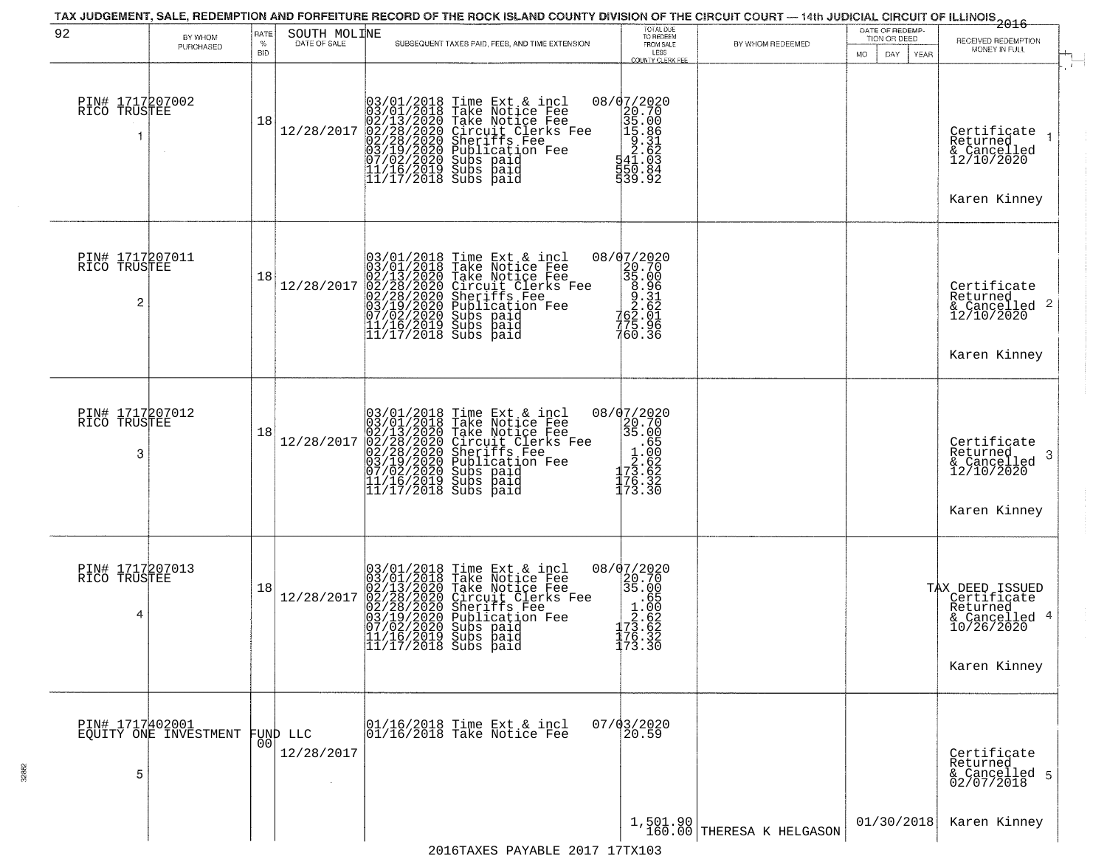| 92                                   | BY WHOM<br>PURCHASED                              | RATE<br>%<br><b>BID</b> | SOUTH MOLINE<br>DATE OF SALE | SUBSEQUENT TAXES PAID, FEES, AND TIME EXTENSION                                                                                                                                                                                                                                                                                                          | TOTAL DUE<br>TO REDEEM<br>FROM SALE<br>LESS                                                                                                 | BY WHOM REDEEMED              | DATE OF REDEMP-<br>TION OR DEED<br>MO.<br>DAY.<br>YEAR | $-2016$<br>RECEIVED REDEMPTION<br>MONEY IN FULL                                           |
|--------------------------------------|---------------------------------------------------|-------------------------|------------------------------|----------------------------------------------------------------------------------------------------------------------------------------------------------------------------------------------------------------------------------------------------------------------------------------------------------------------------------------------------------|---------------------------------------------------------------------------------------------------------------------------------------------|-------------------------------|--------------------------------------------------------|-------------------------------------------------------------------------------------------|
| PIN# 1717207002<br>RICO TRUSTEE      |                                                   | 18                      | 12/28/2017                   | $03/01/2018$ Time Ext & incl<br>03/01/2018 Take Notice Fee<br>02/13/2020 Take Notice Fee<br>02/28/2020 Circuit Clerks F<br>02/28/2020 Sheriffs Fee<br>03/19/2020 Subs paid<br>07/02/2020 Subs paid<br>11/16/2019 Subs paid<br>11/17/2018 Subs paid<br>Take Notice Fee<br>Circuit Clerks Fee<br>Sheriffs Fee<br>Publication Fee<br>Subs paid<br>Subs Paid | COUNTY CLERK FEE<br>08/07/2020<br>$\begin{array}{r} 2020 \\ 20.70 \\ 35.00 \\ 15.86 \\ 2.31 \\ 2.62 \\ 1.63 \\ 50.84 \end{array}$<br>539.92 |                               |                                                        | $\mathbf{r}$<br>Certificate<br>Returned<br>& Cancelled<br>12/10/2020<br>Karen Kinney      |
| PIN# 1717207011<br>RICO TRUSTEE<br>2 |                                                   | 18                      | 12/28/2017                   | $03/01/2018$ Time Ext & incl<br>03/01/2018 Take Notice Fee<br>02/13/2020 Take Notice Fee<br>02/28/2020 Circuit Clerks Fee<br>02/28/2020 Sheriffs Fee<br>03/19/2020 Subs paid<br>07/02/2020 Subs paid<br>11/16/2019 Subs paid<br>11/17/2018 Subs paid                                                                                                     | $\begin{array}{r} 08/07/2020 \\ 20.70 \\ 35.00 \\ 8.91 \\ 2.62 \\ 762.01 \\ 75.92 \\ \end{array}$<br>760.36                                 |                               |                                                        | Certificate<br>Returned<br>$\frac{1}{2}$ Cancelled 2<br>12/10/2020<br>Karen Kinney        |
| PIN# 1717207012<br>RICO TRUSTEE<br>3 |                                                   | 18                      | 12/28/2017                   | $03/01/2018$ Time Ext & incl<br>$03/01/2018$ Take Notice Fee<br>$02/13/2020$ Take Notice Fee<br>$02/28/2020$ Circuit Clerks Fee<br>$02/28/2020$ Sheriffs Fee<br>$03/19/2020$ Subs paid<br>$11/16/2019$ Subs paid<br>$11/17/2018$ Subs paid<br>                                                                                                           | 08/07/2020<br>20.70<br>35.00<br>$3.85$<br>$1.60$<br>$2.62$<br>$73.32$<br>$75.32$                                                            |                               |                                                        | Certificate<br>Returned<br>3<br>& Cancelled<br>12/10/2020<br>Karen Kinney                 |
| PIN# 1717207013<br>RICO TRUSTEE<br>4 |                                                   | 18                      | 12/28/2017                   | $03/01/2018$ Time Ext & incl<br>03/01/2018 Take Notice Fee<br>02/13/2020 Take Notice Fee<br>02/28/2020 Circuit Clerks Fee<br>02/28/2020 Sheriffs Fee<br>03/19/2020 Subs paid<br>07/02/2020 Subs paid<br>11/16/2019 Subs paid<br>11/17/2018 Subs paid                                                                                                     | 08/07/2020<br>20.70<br>35.00<br>$\begin{array}{r} 33.855 \\ -1.650 \\ -2.622 \\ 73.622 \\ 176.32 \\ 173.30 \end{array}$                     |                               |                                                        | TAX DEED ISSUED<br>Certificate<br>Returned<br>& Cancelled 4<br>10/26/2020<br>Karen Kinney |
| 5                                    | PIN# 1717402001<br>EQUITY ONE INVESTMENT FUND LLC | 00 <sup>1</sup>         | 12/28/2017                   | 01/16/2018 Time Ext & incl<br>01/16/2018 Take Notice Fee                                                                                                                                                                                                                                                                                                 | 07/03/2020                                                                                                                                  |                               |                                                        | Certificate<br>Returned<br>& Cancelled 5<br>02/07/2018                                    |
|                                      |                                                   |                         |                              |                                                                                                                                                                                                                                                                                                                                                          |                                                                                                                                             | $1,501.90$ THERESA K HELGASON | 01/30/2018                                             | Karen Kinney                                                                              |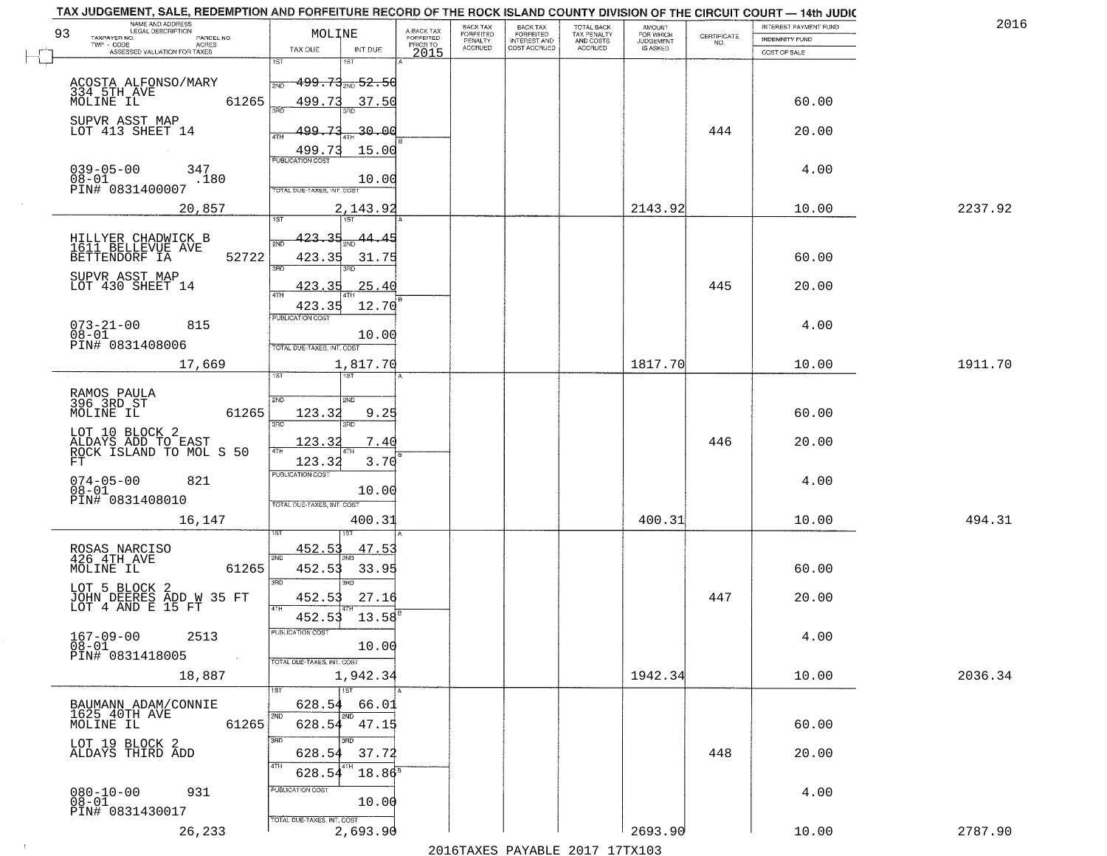|                            |                                                                                                                                                                                                                                                                                                                                                                                                                                                                           | BACK TAX                                                                                                                                 | <b>BACK TAX</b>             | TOTAL BACK                                |                                            |                                            | INTEREST PAYMENT FUND                                 | 2016                                                                                                                                                                                                                              |
|----------------------------|---------------------------------------------------------------------------------------------------------------------------------------------------------------------------------------------------------------------------------------------------------------------------------------------------------------------------------------------------------------------------------------------------------------------------------------------------------------------------|------------------------------------------------------------------------------------------------------------------------------------------|-----------------------------|-------------------------------------------|--------------------------------------------|--------------------------------------------|-------------------------------------------------------|-----------------------------------------------------------------------------------------------------------------------------------------------------------------------------------------------------------------------------------|
|                            |                                                                                                                                                                                                                                                                                                                                                                                                                                                                           | PENALTY                                                                                                                                  |                             |                                           | <b>JUDGEMENT</b>                           |                                            | <b>INDEMNITY FUND</b>                                 |                                                                                                                                                                                                                                   |
| 1ST<br>181                 |                                                                                                                                                                                                                                                                                                                                                                                                                                                                           |                                                                                                                                          |                             |                                           |                                            |                                            |                                                       |                                                                                                                                                                                                                                   |
|                            |                                                                                                                                                                                                                                                                                                                                                                                                                                                                           |                                                                                                                                          |                             |                                           |                                            |                                            |                                                       |                                                                                                                                                                                                                                   |
|                            |                                                                                                                                                                                                                                                                                                                                                                                                                                                                           |                                                                                                                                          |                             |                                           |                                            |                                            |                                                       |                                                                                                                                                                                                                                   |
| 350                        |                                                                                                                                                                                                                                                                                                                                                                                                                                                                           |                                                                                                                                          |                             |                                           |                                            |                                            |                                                       |                                                                                                                                                                                                                                   |
|                            |                                                                                                                                                                                                                                                                                                                                                                                                                                                                           |                                                                                                                                          |                             |                                           |                                            |                                            |                                                       |                                                                                                                                                                                                                                   |
|                            |                                                                                                                                                                                                                                                                                                                                                                                                                                                                           |                                                                                                                                          |                             |                                           |                                            |                                            |                                                       |                                                                                                                                                                                                                                   |
| <b>PUBLICATION COST</b>    |                                                                                                                                                                                                                                                                                                                                                                                                                                                                           |                                                                                                                                          |                             |                                           |                                            |                                            |                                                       |                                                                                                                                                                                                                                   |
|                            |                                                                                                                                                                                                                                                                                                                                                                                                                                                                           |                                                                                                                                          |                             |                                           |                                            |                                            |                                                       |                                                                                                                                                                                                                                   |
| TOTAL DUE-TAXES, INT. COST |                                                                                                                                                                                                                                                                                                                                                                                                                                                                           |                                                                                                                                          |                             |                                           |                                            |                                            |                                                       |                                                                                                                                                                                                                                   |
| 2,143.92                   |                                                                                                                                                                                                                                                                                                                                                                                                                                                                           |                                                                                                                                          |                             |                                           |                                            |                                            | 10.00                                                 | 2237.92                                                                                                                                                                                                                           |
|                            |                                                                                                                                                                                                                                                                                                                                                                                                                                                                           |                                                                                                                                          |                             |                                           |                                            |                                            |                                                       |                                                                                                                                                                                                                                   |
| 2ND                        |                                                                                                                                                                                                                                                                                                                                                                                                                                                                           |                                                                                                                                          |                             |                                           |                                            |                                            |                                                       |                                                                                                                                                                                                                                   |
|                            |                                                                                                                                                                                                                                                                                                                                                                                                                                                                           |                                                                                                                                          |                             |                                           |                                            |                                            |                                                       |                                                                                                                                                                                                                                   |
|                            |                                                                                                                                                                                                                                                                                                                                                                                                                                                                           |                                                                                                                                          |                             |                                           |                                            |                                            |                                                       |                                                                                                                                                                                                                                   |
| 47H                        |                                                                                                                                                                                                                                                                                                                                                                                                                                                                           |                                                                                                                                          |                             |                                           |                                            |                                            |                                                       |                                                                                                                                                                                                                                   |
| PUBLICATION COST           |                                                                                                                                                                                                                                                                                                                                                                                                                                                                           |                                                                                                                                          |                             |                                           |                                            |                                            |                                                       |                                                                                                                                                                                                                                   |
|                            |                                                                                                                                                                                                                                                                                                                                                                                                                                                                           |                                                                                                                                          |                             |                                           |                                            |                                            |                                                       |                                                                                                                                                                                                                                   |
| TOTAL DUE-TAXES, INT. COST |                                                                                                                                                                                                                                                                                                                                                                                                                                                                           |                                                                                                                                          |                             |                                           |                                            |                                            |                                                       |                                                                                                                                                                                                                                   |
| 1,817.70                   |                                                                                                                                                                                                                                                                                                                                                                                                                                                                           |                                                                                                                                          |                             |                                           | 1817.70                                    |                                            | 10.00                                                 | 1911.70                                                                                                                                                                                                                           |
|                            |                                                                                                                                                                                                                                                                                                                                                                                                                                                                           |                                                                                                                                          |                             |                                           |                                            |                                            |                                                       |                                                                                                                                                                                                                                   |
| 2ND<br>2ND                 |                                                                                                                                                                                                                                                                                                                                                                                                                                                                           |                                                                                                                                          |                             |                                           |                                            |                                            |                                                       |                                                                                                                                                                                                                                   |
| 9.25<br>123.32             |                                                                                                                                                                                                                                                                                                                                                                                                                                                                           |                                                                                                                                          |                             |                                           |                                            |                                            | 60.00                                                 |                                                                                                                                                                                                                                   |
|                            |                                                                                                                                                                                                                                                                                                                                                                                                                                                                           |                                                                                                                                          |                             |                                           |                                            |                                            |                                                       |                                                                                                                                                                                                                                   |
| 4TH                        |                                                                                                                                                                                                                                                                                                                                                                                                                                                                           |                                                                                                                                          |                             |                                           |                                            |                                            |                                                       |                                                                                                                                                                                                                                   |
|                            |                                                                                                                                                                                                                                                                                                                                                                                                                                                                           |                                                                                                                                          |                             |                                           |                                            |                                            |                                                       |                                                                                                                                                                                                                                   |
|                            |                                                                                                                                                                                                                                                                                                                                                                                                                                                                           |                                                                                                                                          |                             |                                           |                                            |                                            |                                                       |                                                                                                                                                                                                                                   |
| TOTAL OUE-TAXES, INT. COST |                                                                                                                                                                                                                                                                                                                                                                                                                                                                           |                                                                                                                                          |                             |                                           |                                            |                                            |                                                       |                                                                                                                                                                                                                                   |
| 400.31                     |                                                                                                                                                                                                                                                                                                                                                                                                                                                                           |                                                                                                                                          |                             |                                           | 400.31                                     |                                            | 10.00                                                 | 494.31                                                                                                                                                                                                                            |
|                            |                                                                                                                                                                                                                                                                                                                                                                                                                                                                           |                                                                                                                                          |                             |                                           |                                            |                                            |                                                       |                                                                                                                                                                                                                                   |
| 2ND                        |                                                                                                                                                                                                                                                                                                                                                                                                                                                                           |                                                                                                                                          |                             |                                           |                                            |                                            |                                                       |                                                                                                                                                                                                                                   |
| 452.53<br>33.95            |                                                                                                                                                                                                                                                                                                                                                                                                                                                                           |                                                                                                                                          |                             |                                           |                                            |                                            | 60.00                                                 |                                                                                                                                                                                                                                   |
| 3BD                        |                                                                                                                                                                                                                                                                                                                                                                                                                                                                           |                                                                                                                                          |                             |                                           |                                            |                                            |                                                       |                                                                                                                                                                                                                                   |
| 4TH                        |                                                                                                                                                                                                                                                                                                                                                                                                                                                                           |                                                                                                                                          |                             |                                           |                                            |                                            |                                                       |                                                                                                                                                                                                                                   |
|                            |                                                                                                                                                                                                                                                                                                                                                                                                                                                                           |                                                                                                                                          |                             |                                           |                                            |                                            |                                                       |                                                                                                                                                                                                                                   |
| PUBLICATION COS            |                                                                                                                                                                                                                                                                                                                                                                                                                                                                           |                                                                                                                                          |                             |                                           |                                            |                                            | 4.00                                                  |                                                                                                                                                                                                                                   |
|                            |                                                                                                                                                                                                                                                                                                                                                                                                                                                                           |                                                                                                                                          |                             |                                           |                                            |                                            |                                                       |                                                                                                                                                                                                                                   |
|                            |                                                                                                                                                                                                                                                                                                                                                                                                                                                                           |                                                                                                                                          |                             |                                           | 1942.34                                    |                                            | 10.00                                                 | 2036.34                                                                                                                                                                                                                           |
| 1ST                        |                                                                                                                                                                                                                                                                                                                                                                                                                                                                           |                                                                                                                                          |                             |                                           |                                            |                                            |                                                       |                                                                                                                                                                                                                                   |
| 628.54<br>66.01            |                                                                                                                                                                                                                                                                                                                                                                                                                                                                           |                                                                                                                                          |                             |                                           |                                            |                                            |                                                       |                                                                                                                                                                                                                                   |
|                            |                                                                                                                                                                                                                                                                                                                                                                                                                                                                           |                                                                                                                                          |                             |                                           |                                            |                                            | 60.00                                                 |                                                                                                                                                                                                                                   |
| 3RD<br>חחו                 |                                                                                                                                                                                                                                                                                                                                                                                                                                                                           |                                                                                                                                          |                             |                                           |                                            |                                            |                                                       |                                                                                                                                                                                                                                   |
| 628.54                     |                                                                                                                                                                                                                                                                                                                                                                                                                                                                           |                                                                                                                                          |                             |                                           |                                            |                                            |                                                       |                                                                                                                                                                                                                                   |
| 628.54                     |                                                                                                                                                                                                                                                                                                                                                                                                                                                                           |                                                                                                                                          |                             |                                           |                                            |                                            |                                                       |                                                                                                                                                                                                                                   |
| PUBLICATION COST           |                                                                                                                                                                                                                                                                                                                                                                                                                                                                           |                                                                                                                                          |                             |                                           |                                            |                                            | 4.00                                                  |                                                                                                                                                                                                                                   |
|                            |                                                                                                                                                                                                                                                                                                                                                                                                                                                                           |                                                                                                                                          |                             |                                           |                                            |                                            |                                                       |                                                                                                                                                                                                                                   |
| 2,693.90                   |                                                                                                                                                                                                                                                                                                                                                                                                                                                                           |                                                                                                                                          |                             |                                           | 2693.90                                    |                                            | 10.00                                                 | 2787.90                                                                                                                                                                                                                           |
|                            | MOLINE<br>TAX DUE<br>INT DUE<br><del>199.73 20 52.50</del><br>2ND<br>499.73<br>37.50<br>499.73<br>4TH<br>499.73<br><u>423.35</u><br>44.45<br>423.35<br>3RD<br>423.35<br>.25.40<br>423.35<br>10.00<br>1ST<br>ist<br>3RD<br>3RD<br>123.32<br>7.40<br>3.70<br>123.32<br><b>PUBLICATION COST</b><br>10.00<br>47.53<br>452.53<br>3 <sub>BD</sub><br>452.53<br>27.16<br>452.53<br>10.00<br>TOTAL DUE-TAXES, INT. COST<br>1,942.34<br>2ND<br>37.72<br>TOTAL DUE-TAXES, INT. COST | A-BACK TAX<br>FORFEITED<br>PRIOR TO<br>2015<br>-30.00<br>15.00<br>10.00<br>31.75<br>12.70<br>13.58<br>628.54 47.15<br>$18.86^8$<br>10.00 | FORFEITED<br><b>ACCRUED</b> | FORFEITED<br>INTEREST AND<br>COST ACCRUED | TAX PENALTY<br>AND COSTS<br><b>ACCRUED</b> | AMOUNT<br>FOR WHICH<br>IS ASKED<br>2143.92 | CERTIFICATE<br>NO.<br>444<br>445<br>446<br>447<br>448 | TAX JUDGEMENT, SALE, REDEMPTION AND FORFEITURE RECORD OF THE ROCK ISLAND COUNTY DIVISION OF THE CIRCUIT COURT - 14th JUDIC<br>COST OF SALE<br>60.00<br>20.00<br>4.00<br>60.00<br>20.00<br>4.00<br>20.00<br>4.00<br>20.00<br>20.00 |

 $\sim 10$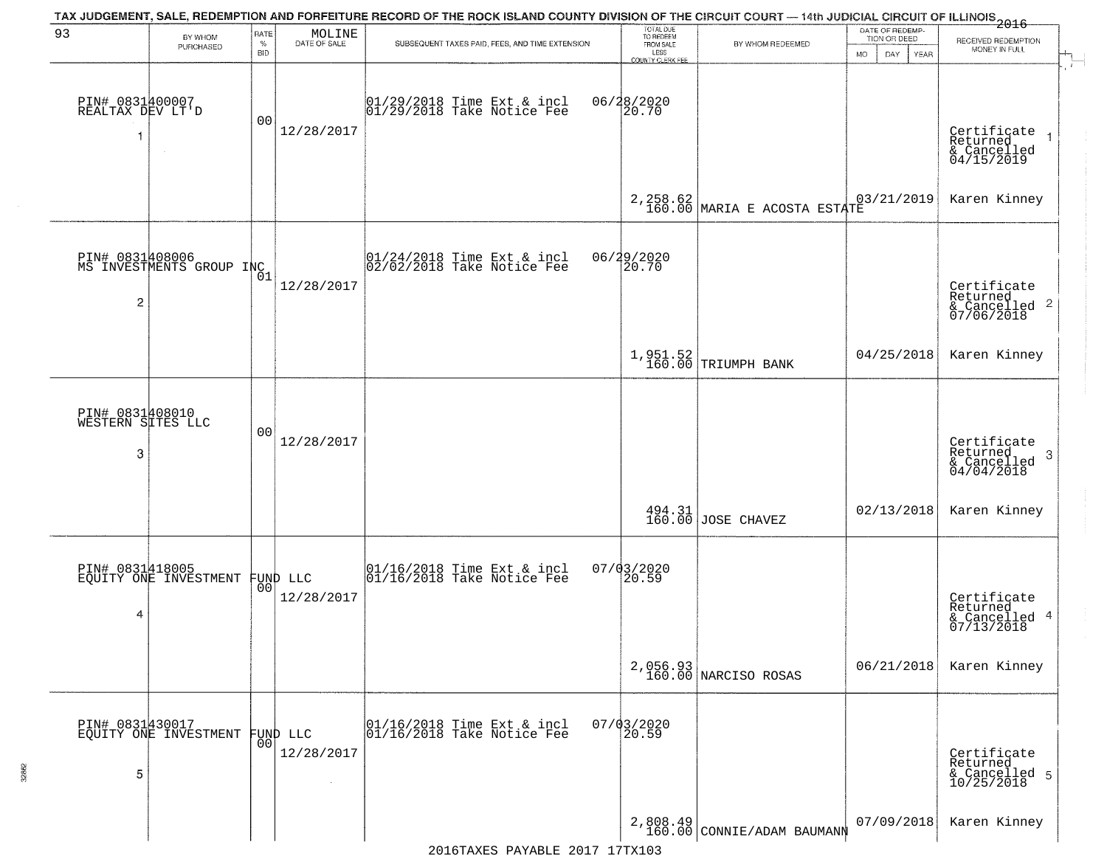| 93                                        | BY WHOM<br>PURCHASED                        | RATE<br>$\%$<br>BID | $\begin{array}{c} \text{MOLINE} \\ \text{DATE of SALE} \end{array}$ | TAX JUDGEMENT, SALE, REDEMPTION AND FORFEITURE RECORD OF THE ROCK ISLAND COUNTY DIVISION OF THE CIRCUIT COURT — 14th JUDICIAL CIRCUIT OF ILLINOIS 2016<br>SUBSEQUENT TAXES PAID, FEES, AND TIME EXTENSION | TOTAL DUE<br>TO REDEEM<br>FROM SALE<br>LESS<br>COUNTY CLERK FEE | BY WHOM REDEEMED                                              | DATE OF REDEMP-<br>TION OR DEED<br><b>MO</b><br>DAY<br>YEAR | RECEIVED REDEMPTION<br>MONEY IN FULL                       |
|-------------------------------------------|---------------------------------------------|---------------------|---------------------------------------------------------------------|-----------------------------------------------------------------------------------------------------------------------------------------------------------------------------------------------------------|-----------------------------------------------------------------|---------------------------------------------------------------|-------------------------------------------------------------|------------------------------------------------------------|
| PIN# 0831400007<br>REALTAX DEV LT'D<br>-1 | $\sim$                                      | 0 <sub>0</sub>      | 12/28/2017                                                          | 01/29/2018 Time Ext & incl<br>01/29/2018 Take Notice Fee                                                                                                                                                  | 06/28/2020<br>20.70                                             |                                                               |                                                             | Certificate<br>Returned<br>& Cancelled<br>04/15/2019       |
|                                           |                                             |                     |                                                                     |                                                                                                                                                                                                           |                                                                 | 2, 258.62<br>160.00 MARIA E ACOSTA ESTATE                     | 03/21/2019                                                  | Karen Kinney                                               |
| $\overline{\mathbf{c}}$                   | PIN# 0831408006<br>MS INVESTMENTS GROUP INC | 01                  | 12/28/2017                                                          | $ 01/24/2018$ Time Ext & incl<br>$ 02/02/2018$ Take Notice Fee                                                                                                                                            | 06/29/2020<br>20.70                                             |                                                               |                                                             | Certificate<br>Returned<br>& Cancelled 2<br>07/06/2018     |
|                                           |                                             |                     |                                                                     |                                                                                                                                                                                                           |                                                                 | 1,951.52<br>160.00 TRIUMPH BANK                               | 04/25/2018                                                  | Karen Kinney                                               |
| PIN# 0831408010<br>WESTERN SITES LLC<br>3 |                                             | 0 <sub>0</sub>      | 12/28/2017                                                          |                                                                                                                                                                                                           |                                                                 |                                                               |                                                             | Certificate<br>Returned<br>-3<br>& Cancelled<br>04/04/2018 |
|                                           |                                             |                     |                                                                     |                                                                                                                                                                                                           |                                                                 | $\begin{array}{c c} 494.31 \\ 160.00 \end{array}$ JOSE CHAVEZ | 02/13/2018                                                  | Karen Kinney                                               |
| 4                                         | PIN# 0831418005<br>EQUITY ONE INVESTMENT    |                     | FUND LLC<br> 00 <br>12/28/2017                                      | 01/16/2018 Time Ext & incl<br>01/16/2018 Take Notice Fee                                                                                                                                                  | $07/03/2020$<br>20.59                                           |                                                               |                                                             | Certificate<br>Returned<br>& Cancelled 4<br>07/13/2018     |
|                                           |                                             |                     |                                                                     |                                                                                                                                                                                                           |                                                                 | 2,056.93<br>160.00 NARCISO ROSAS                              | 06/21/2018                                                  | Karen Kinney                                               |
| 5                                         | PIN# 0831430017<br>EQUITY ONE INVESTMENT    | 0 <sub>0</sub>      | <b>FUND LLC</b><br>12/28/2017                                       | 01/16/2018 Time Ext & incl<br>01/16/2018 Take Notice Fee                                                                                                                                                  | $07/03/2020$<br>20.59                                           |                                                               |                                                             | Certificate<br>Returned<br>& Cancelled 5<br>10/25/2018     |
|                                           |                                             |                     |                                                                     |                                                                                                                                                                                                           |                                                                 | $2,808.49$ CONNIE/ADAM BAUMANN                                | 07/09/2018                                                  | Karen Kinney                                               |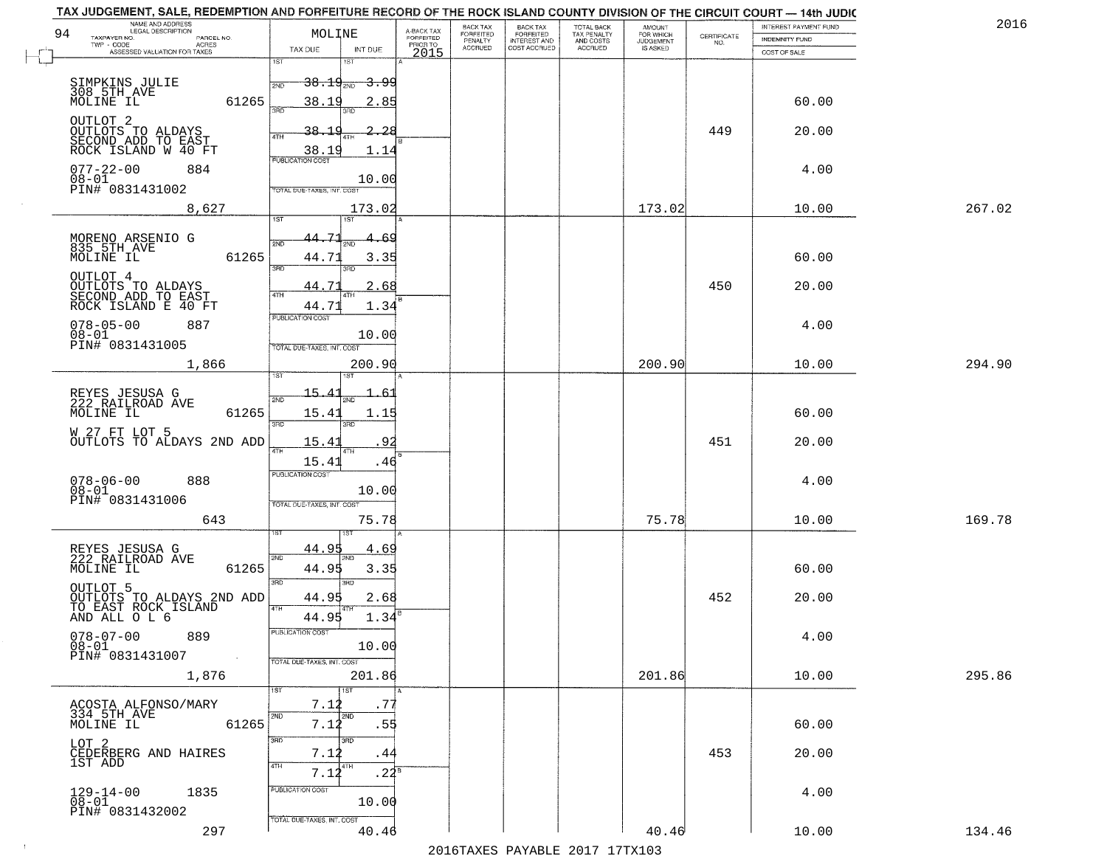|                     |                                                                                                                                                                                                                                                                                                                                                                                                                                                                                                                                                                                                                                                                                                                                                                                                                                                                                                                                           | A-BACK TAX                                                                                                                                                                                                                                                                                                                                                                                                                                                                                                                                                                 | BACK TAX                                                                                                                                                                                                            |                                 |                                                       | <b>AMOUNT</b>                        |                                                                           | INTEREST PAYMENT FUND | 2016                                                                                                                                                                                                                                |
|---------------------|-------------------------------------------------------------------------------------------------------------------------------------------------------------------------------------------------------------------------------------------------------------------------------------------------------------------------------------------------------------------------------------------------------------------------------------------------------------------------------------------------------------------------------------------------------------------------------------------------------------------------------------------------------------------------------------------------------------------------------------------------------------------------------------------------------------------------------------------------------------------------------------------------------------------------------------------|----------------------------------------------------------------------------------------------------------------------------------------------------------------------------------------------------------------------------------------------------------------------------------------------------------------------------------------------------------------------------------------------------------------------------------------------------------------------------------------------------------------------------------------------------------------------------|---------------------------------------------------------------------------------------------------------------------------------------------------------------------------------------------------------------------|---------------------------------|-------------------------------------------------------|--------------------------------------|---------------------------------------------------------------------------|-----------------------|-------------------------------------------------------------------------------------------------------------------------------------------------------------------------------------------------------------------------------------|
| TWP - CODE<br>ACRES |                                                                                                                                                                                                                                                                                                                                                                                                                                                                                                                                                                                                                                                                                                                                                                                                                                                                                                                                           | PRIOR TO                                                                                                                                                                                                                                                                                                                                                                                                                                                                                                                                                                   |                                                                                                                                                                                                                     |                                 | AND COSTS                                             |                                      | NO.                                                                       | <b>INDEMNITY FUND</b> |                                                                                                                                                                                                                                     |
|                     | ist<br>1ST                                                                                                                                                                                                                                                                                                                                                                                                                                                                                                                                                                                                                                                                                                                                                                                                                                                                                                                                | 2015                                                                                                                                                                                                                                                                                                                                                                                                                                                                                                                                                                       |                                                                                                                                                                                                                     |                                 |                                                       |                                      |                                                                           | COST OF SALE          |                                                                                                                                                                                                                                     |
|                     |                                                                                                                                                                                                                                                                                                                                                                                                                                                                                                                                                                                                                                                                                                                                                                                                                                                                                                                                           |                                                                                                                                                                                                                                                                                                                                                                                                                                                                                                                                                                            |                                                                                                                                                                                                                     |                                 |                                                       |                                      |                                                                           |                       |                                                                                                                                                                                                                                     |
|                     | 2ND                                                                                                                                                                                                                                                                                                                                                                                                                                                                                                                                                                                                                                                                                                                                                                                                                                                                                                                                       |                                                                                                                                                                                                                                                                                                                                                                                                                                                                                                                                                                            |                                                                                                                                                                                                                     |                                 |                                                       |                                      |                                                                           |                       |                                                                                                                                                                                                                                     |
|                     | ïЯñ<br>3BD                                                                                                                                                                                                                                                                                                                                                                                                                                                                                                                                                                                                                                                                                                                                                                                                                                                                                                                                |                                                                                                                                                                                                                                                                                                                                                                                                                                                                                                                                                                            |                                                                                                                                                                                                                     |                                 |                                                       |                                      |                                                                           |                       |                                                                                                                                                                                                                                     |
|                     |                                                                                                                                                                                                                                                                                                                                                                                                                                                                                                                                                                                                                                                                                                                                                                                                                                                                                                                                           |                                                                                                                                                                                                                                                                                                                                                                                                                                                                                                                                                                            |                                                                                                                                                                                                                     |                                 |                                                       |                                      |                                                                           |                       |                                                                                                                                                                                                                                     |
|                     |                                                                                                                                                                                                                                                                                                                                                                                                                                                                                                                                                                                                                                                                                                                                                                                                                                                                                                                                           |                                                                                                                                                                                                                                                                                                                                                                                                                                                                                                                                                                            |                                                                                                                                                                                                                     |                                 |                                                       |                                      |                                                                           |                       |                                                                                                                                                                                                                                     |
|                     | PUBLICATION COST                                                                                                                                                                                                                                                                                                                                                                                                                                                                                                                                                                                                                                                                                                                                                                                                                                                                                                                          |                                                                                                                                                                                                                                                                                                                                                                                                                                                                                                                                                                            |                                                                                                                                                                                                                     |                                 |                                                       |                                      |                                                                           |                       |                                                                                                                                                                                                                                     |
|                     |                                                                                                                                                                                                                                                                                                                                                                                                                                                                                                                                                                                                                                                                                                                                                                                                                                                                                                                                           |                                                                                                                                                                                                                                                                                                                                                                                                                                                                                                                                                                            |                                                                                                                                                                                                                     |                                 |                                                       |                                      |                                                                           |                       |                                                                                                                                                                                                                                     |
|                     |                                                                                                                                                                                                                                                                                                                                                                                                                                                                                                                                                                                                                                                                                                                                                                                                                                                                                                                                           |                                                                                                                                                                                                                                                                                                                                                                                                                                                                                                                                                                            |                                                                                                                                                                                                                     |                                 |                                                       |                                      |                                                                           |                       |                                                                                                                                                                                                                                     |
|                     |                                                                                                                                                                                                                                                                                                                                                                                                                                                                                                                                                                                                                                                                                                                                                                                                                                                                                                                                           |                                                                                                                                                                                                                                                                                                                                                                                                                                                                                                                                                                            |                                                                                                                                                                                                                     |                                 |                                                       |                                      |                                                                           |                       | 267.02                                                                                                                                                                                                                              |
|                     |                                                                                                                                                                                                                                                                                                                                                                                                                                                                                                                                                                                                                                                                                                                                                                                                                                                                                                                                           |                                                                                                                                                                                                                                                                                                                                                                                                                                                                                                                                                                            |                                                                                                                                                                                                                     |                                 |                                                       |                                      |                                                                           |                       |                                                                                                                                                                                                                                     |
|                     | 2ND                                                                                                                                                                                                                                                                                                                                                                                                                                                                                                                                                                                                                                                                                                                                                                                                                                                                                                                                       |                                                                                                                                                                                                                                                                                                                                                                                                                                                                                                                                                                            |                                                                                                                                                                                                                     |                                 |                                                       |                                      |                                                                           |                       |                                                                                                                                                                                                                                     |
|                     | 3RD<br>3RD                                                                                                                                                                                                                                                                                                                                                                                                                                                                                                                                                                                                                                                                                                                                                                                                                                                                                                                                |                                                                                                                                                                                                                                                                                                                                                                                                                                                                                                                                                                            |                                                                                                                                                                                                                     |                                 |                                                       |                                      |                                                                           |                       |                                                                                                                                                                                                                                     |
|                     |                                                                                                                                                                                                                                                                                                                                                                                                                                                                                                                                                                                                                                                                                                                                                                                                                                                                                                                                           |                                                                                                                                                                                                                                                                                                                                                                                                                                                                                                                                                                            |                                                                                                                                                                                                                     |                                 |                                                       |                                      | 450                                                                       |                       |                                                                                                                                                                                                                                     |
|                     |                                                                                                                                                                                                                                                                                                                                                                                                                                                                                                                                                                                                                                                                                                                                                                                                                                                                                                                                           |                                                                                                                                                                                                                                                                                                                                                                                                                                                                                                                                                                            |                                                                                                                                                                                                                     |                                 |                                                       |                                      |                                                                           |                       |                                                                                                                                                                                                                                     |
|                     | PUBLICATION COST                                                                                                                                                                                                                                                                                                                                                                                                                                                                                                                                                                                                                                                                                                                                                                                                                                                                                                                          |                                                                                                                                                                                                                                                                                                                                                                                                                                                                                                                                                                            |                                                                                                                                                                                                                     |                                 |                                                       |                                      |                                                                           |                       |                                                                                                                                                                                                                                     |
|                     |                                                                                                                                                                                                                                                                                                                                                                                                                                                                                                                                                                                                                                                                                                                                                                                                                                                                                                                                           |                                                                                                                                                                                                                                                                                                                                                                                                                                                                                                                                                                            |                                                                                                                                                                                                                     |                                 |                                                       |                                      |                                                                           |                       |                                                                                                                                                                                                                                     |
|                     |                                                                                                                                                                                                                                                                                                                                                                                                                                                                                                                                                                                                                                                                                                                                                                                                                                                                                                                                           |                                                                                                                                                                                                                                                                                                                                                                                                                                                                                                                                                                            |                                                                                                                                                                                                                     |                                 |                                                       |                                      |                                                                           |                       |                                                                                                                                                                                                                                     |
|                     |                                                                                                                                                                                                                                                                                                                                                                                                                                                                                                                                                                                                                                                                                                                                                                                                                                                                                                                                           |                                                                                                                                                                                                                                                                                                                                                                                                                                                                                                                                                                            |                                                                                                                                                                                                                     |                                 |                                                       |                                      |                                                                           |                       | 294.90                                                                                                                                                                                                                              |
|                     |                                                                                                                                                                                                                                                                                                                                                                                                                                                                                                                                                                                                                                                                                                                                                                                                                                                                                                                                           |                                                                                                                                                                                                                                                                                                                                                                                                                                                                                                                                                                            |                                                                                                                                                                                                                     |                                 |                                                       |                                      |                                                                           |                       |                                                                                                                                                                                                                                     |
|                     |                                                                                                                                                                                                                                                                                                                                                                                                                                                                                                                                                                                                                                                                                                                                                                                                                                                                                                                                           |                                                                                                                                                                                                                                                                                                                                                                                                                                                                                                                                                                            |                                                                                                                                                                                                                     |                                 |                                                       |                                      |                                                                           |                       |                                                                                                                                                                                                                                     |
|                     | 3RD<br>3RD                                                                                                                                                                                                                                                                                                                                                                                                                                                                                                                                                                                                                                                                                                                                                                                                                                                                                                                                |                                                                                                                                                                                                                                                                                                                                                                                                                                                                                                                                                                            |                                                                                                                                                                                                                     |                                 |                                                       |                                      |                                                                           |                       |                                                                                                                                                                                                                                     |
|                     | 92<br>15.41                                                                                                                                                                                                                                                                                                                                                                                                                                                                                                                                                                                                                                                                                                                                                                                                                                                                                                                               |                                                                                                                                                                                                                                                                                                                                                                                                                                                                                                                                                                            |                                                                                                                                                                                                                     |                                 |                                                       |                                      | 451                                                                       | 20.00                 |                                                                                                                                                                                                                                     |
|                     | 15.41                                                                                                                                                                                                                                                                                                                                                                                                                                                                                                                                                                                                                                                                                                                                                                                                                                                                                                                                     |                                                                                                                                                                                                                                                                                                                                                                                                                                                                                                                                                                            |                                                                                                                                                                                                                     |                                 |                                                       |                                      |                                                                           |                       |                                                                                                                                                                                                                                     |
|                     | <b>PUBLICATION COST</b>                                                                                                                                                                                                                                                                                                                                                                                                                                                                                                                                                                                                                                                                                                                                                                                                                                                                                                                   |                                                                                                                                                                                                                                                                                                                                                                                                                                                                                                                                                                            |                                                                                                                                                                                                                     |                                 |                                                       |                                      |                                                                           |                       |                                                                                                                                                                                                                                     |
|                     |                                                                                                                                                                                                                                                                                                                                                                                                                                                                                                                                                                                                                                                                                                                                                                                                                                                                                                                                           |                                                                                                                                                                                                                                                                                                                                                                                                                                                                                                                                                                            |                                                                                                                                                                                                                     |                                 |                                                       |                                      |                                                                           |                       |                                                                                                                                                                                                                                     |
|                     |                                                                                                                                                                                                                                                                                                                                                                                                                                                                                                                                                                                                                                                                                                                                                                                                                                                                                                                                           |                                                                                                                                                                                                                                                                                                                                                                                                                                                                                                                                                                            |                                                                                                                                                                                                                     |                                 |                                                       |                                      |                                                                           |                       | 169.78                                                                                                                                                                                                                              |
|                     |                                                                                                                                                                                                                                                                                                                                                                                                                                                                                                                                                                                                                                                                                                                                                                                                                                                                                                                                           |                                                                                                                                                                                                                                                                                                                                                                                                                                                                                                                                                                            |                                                                                                                                                                                                                     |                                 |                                                       |                                      |                                                                           |                       |                                                                                                                                                                                                                                     |
|                     | 44.95<br>4.69                                                                                                                                                                                                                                                                                                                                                                                                                                                                                                                                                                                                                                                                                                                                                                                                                                                                                                                             |                                                                                                                                                                                                                                                                                                                                                                                                                                                                                                                                                                            |                                                                                                                                                                                                                     |                                 |                                                       |                                      |                                                                           |                       |                                                                                                                                                                                                                                     |
|                     | 44.95                                                                                                                                                                                                                                                                                                                                                                                                                                                                                                                                                                                                                                                                                                                                                                                                                                                                                                                                     |                                                                                                                                                                                                                                                                                                                                                                                                                                                                                                                                                                            |                                                                                                                                                                                                                     |                                 |                                                       |                                      |                                                                           | 60.00                 |                                                                                                                                                                                                                                     |
|                     | 3RD<br>3BD                                                                                                                                                                                                                                                                                                                                                                                                                                                                                                                                                                                                                                                                                                                                                                                                                                                                                                                                |                                                                                                                                                                                                                                                                                                                                                                                                                                                                                                                                                                            |                                                                                                                                                                                                                     |                                 |                                                       |                                      |                                                                           |                       |                                                                                                                                                                                                                                     |
|                     | 44.95                                                                                                                                                                                                                                                                                                                                                                                                                                                                                                                                                                                                                                                                                                                                                                                                                                                                                                                                     |                                                                                                                                                                                                                                                                                                                                                                                                                                                                                                                                                                            |                                                                                                                                                                                                                     |                                 |                                                       |                                      | 452                                                                       | 20.00                 |                                                                                                                                                                                                                                     |
|                     | 44.95                                                                                                                                                                                                                                                                                                                                                                                                                                                                                                                                                                                                                                                                                                                                                                                                                                                                                                                                     |                                                                                                                                                                                                                                                                                                                                                                                                                                                                                                                                                                            |                                                                                                                                                                                                                     |                                 |                                                       |                                      |                                                                           |                       |                                                                                                                                                                                                                                     |
| 889                 | PUBLICATION COST                                                                                                                                                                                                                                                                                                                                                                                                                                                                                                                                                                                                                                                                                                                                                                                                                                                                                                                          |                                                                                                                                                                                                                                                                                                                                                                                                                                                                                                                                                                            |                                                                                                                                                                                                                     |                                 |                                                       |                                      |                                                                           | 4.00                  |                                                                                                                                                                                                                                     |
| $\sim$              |                                                                                                                                                                                                                                                                                                                                                                                                                                                                                                                                                                                                                                                                                                                                                                                                                                                                                                                                           |                                                                                                                                                                                                                                                                                                                                                                                                                                                                                                                                                                            |                                                                                                                                                                                                                     |                                 |                                                       |                                      |                                                                           |                       |                                                                                                                                                                                                                                     |
|                     |                                                                                                                                                                                                                                                                                                                                                                                                                                                                                                                                                                                                                                                                                                                                                                                                                                                                                                                                           |                                                                                                                                                                                                                                                                                                                                                                                                                                                                                                                                                                            |                                                                                                                                                                                                                     |                                 |                                                       |                                      |                                                                           |                       | 295.86                                                                                                                                                                                                                              |
|                     | 1ST<br>1ST                                                                                                                                                                                                                                                                                                                                                                                                                                                                                                                                                                                                                                                                                                                                                                                                                                                                                                                                |                                                                                                                                                                                                                                                                                                                                                                                                                                                                                                                                                                            |                                                                                                                                                                                                                     |                                 |                                                       |                                      |                                                                           |                       |                                                                                                                                                                                                                                     |
|                     | 7.12                                                                                                                                                                                                                                                                                                                                                                                                                                                                                                                                                                                                                                                                                                                                                                                                                                                                                                                                      |                                                                                                                                                                                                                                                                                                                                                                                                                                                                                                                                                                            |                                                                                                                                                                                                                     |                                 |                                                       |                                      |                                                                           |                       |                                                                                                                                                                                                                                     |
|                     | 7.12                                                                                                                                                                                                                                                                                                                                                                                                                                                                                                                                                                                                                                                                                                                                                                                                                                                                                                                                      |                                                                                                                                                                                                                                                                                                                                                                                                                                                                                                                                                                            |                                                                                                                                                                                                                     |                                 |                                                       |                                      |                                                                           | 60.00                 |                                                                                                                                                                                                                                     |
|                     | 3BD<br>3 <sub>RD</sub>                                                                                                                                                                                                                                                                                                                                                                                                                                                                                                                                                                                                                                                                                                                                                                                                                                                                                                                    |                                                                                                                                                                                                                                                                                                                                                                                                                                                                                                                                                                            |                                                                                                                                                                                                                     |                                 |                                                       |                                      |                                                                           |                       |                                                                                                                                                                                                                                     |
|                     | 7.12                                                                                                                                                                                                                                                                                                                                                                                                                                                                                                                                                                                                                                                                                                                                                                                                                                                                                                                                      |                                                                                                                                                                                                                                                                                                                                                                                                                                                                                                                                                                            |                                                                                                                                                                                                                     |                                 |                                                       |                                      | 453                                                                       | 20.00                 |                                                                                                                                                                                                                                     |
|                     | 7.14                                                                                                                                                                                                                                                                                                                                                                                                                                                                                                                                                                                                                                                                                                                                                                                                                                                                                                                                      |                                                                                                                                                                                                                                                                                                                                                                                                                                                                                                                                                                            |                                                                                                                                                                                                                     |                                 |                                                       |                                      |                                                                           |                       |                                                                                                                                                                                                                                     |
| 1835                | PUBLICATION COST                                                                                                                                                                                                                                                                                                                                                                                                                                                                                                                                                                                                                                                                                                                                                                                                                                                                                                                          |                                                                                                                                                                                                                                                                                                                                                                                                                                                                                                                                                                            |                                                                                                                                                                                                                     |                                 |                                                       |                                      |                                                                           | 4.00                  |                                                                                                                                                                                                                                     |
|                     |                                                                                                                                                                                                                                                                                                                                                                                                                                                                                                                                                                                                                                                                                                                                                                                                                                                                                                                                           |                                                                                                                                                                                                                                                                                                                                                                                                                                                                                                                                                                            |                                                                                                                                                                                                                     |                                 |                                                       |                                      |                                                                           |                       |                                                                                                                                                                                                                                     |
| 297                 | 40.46                                                                                                                                                                                                                                                                                                                                                                                                                                                                                                                                                                                                                                                                                                                                                                                                                                                                                                                                     |                                                                                                                                                                                                                                                                                                                                                                                                                                                                                                                                                                            |                                                                                                                                                                                                                     |                                 |                                                       | 40.46                                |                                                                           | 10.00                 | 134.46                                                                                                                                                                                                                              |
|                     | NAME AND ADDRESS<br>LEGAL DESCRIPTION<br>TAXPAYER NO.<br>PARCEL NO.<br>ASSESSED VALUATION FOR TAXES<br>SIMPKINS JULIE<br>308 5TH AVE<br>MOLINE IL<br>OUTLOT <sub>2</sub><br>OUTLOTS TO ALDAYS<br>SECOND ADD TO EAST<br>ROCK ISLAND W 40 FT<br>$077 - 22 - 00$<br>884<br>08-01<br>PIN# 0831431002<br>8,627<br>MORENO ARSENIO G<br>835 5TH AVE<br>MOLINE IL<br>OUTLOT 4<br>OUTLOTS TO ALDAYS<br>SECOND ADD TO EAST<br>ROCK ISLAND E 40 FT<br>$078 - 05 - 00$<br>887<br>$08 - 01$<br>PIN# 0831431005<br>1,866<br>REYES JESUSA G<br>222 RAILROAD AVE<br>MOLINE IL<br>W 27 FT LOT 5<br>$078 - 06 - 00$<br>$08 - 01$<br>888<br>PIN# 0831431006<br>643<br>REYES JESUSA G<br>222 RAILROAD AVE<br>MOLINE IL<br>OUTLOT 5<br>AND ALL O L 6<br>$078 - 07 - 00$<br>08-01<br>PIN# 0831431007<br>1,876<br>ACOSTA ALFONSO/MARY<br>334 5TH AVE<br>MOLINE IL<br>LOT 2<br>CEDERBERG AND HAIRES<br>1ST ADD<br>$129 - 14 - 00$<br>$08 - 01$<br>PIN# 0831432002 | MOLINE<br>TAX DUE<br>INT DUE<br>$38.19_{200}$<br>61265<br>38.19<br>38.<br>-28<br>4TH<br>38.1<br>1.1<br>$\overline{\phantom{a}}$<br>TOTAL DUE-TAXES, INT. COST<br>1ST<br>1ST<br>-71<br>44.<br>61265<br>44.71<br>44.7<br>4TH<br>44.7<br>TOTAL DUE-TAXES, INT. COST<br>200.90<br>15.4<br>-6.<br>61265<br>15.4<br>1.15<br>OUTLOTS TO ALDAYS 2ND ADD<br>4TH<br>10.00<br>TOTAL OUE-TAXES, INT. COST<br>2ND<br>61265<br>OUTLOTS TO ALDAYS 2ND ADD<br>TO EAST ROCK ISLAND<br>4TH<br>TOTAL DUE-TAXES, INT. COST<br>2ND<br>2ND<br>61265<br>4TH<br> 4ТH<br>TOTAL DUE-TAXES, INT. COST | <b>FORFEITED</b><br><del>3.9</del> 9<br>2.85<br>10.00<br>173.02<br>-69<br>3.35<br>.68<br>1.34<br>10.00<br>.46<br>75.78<br>3.35<br>2.68<br>1.34<br>10.00<br>201.86<br>.77<br>.55<br>.44<br>.24 <sup>B</sup><br>10.00 | FORFEITED<br>PENALTY<br>ACCRUED | BACK TAX<br>FORFEITED<br>INTEREST AND<br>COST ACCRUED | TOTAL BACK<br>TAX PENALTY<br>ACCRUED | FOR WHICH<br>JUDGEMENT<br>IS ASKED<br>173.02<br>200.90<br>75.78<br>201.86 | CERTIFICATE<br>449    | TAX JUDGEMENT, SALE, REDEMPTION AND FORFEITURE RECORD OF THE ROCK ISLAND COUNTY DIVISION OF THE CIRCUIT COURT - 14th JUDIC<br>60.00<br>20.00<br>4.00<br>10.00<br>60.00<br>20.00<br>4.00<br>10.00<br>60.00<br>4.00<br>10.00<br>10.00 |

 $\sim 100$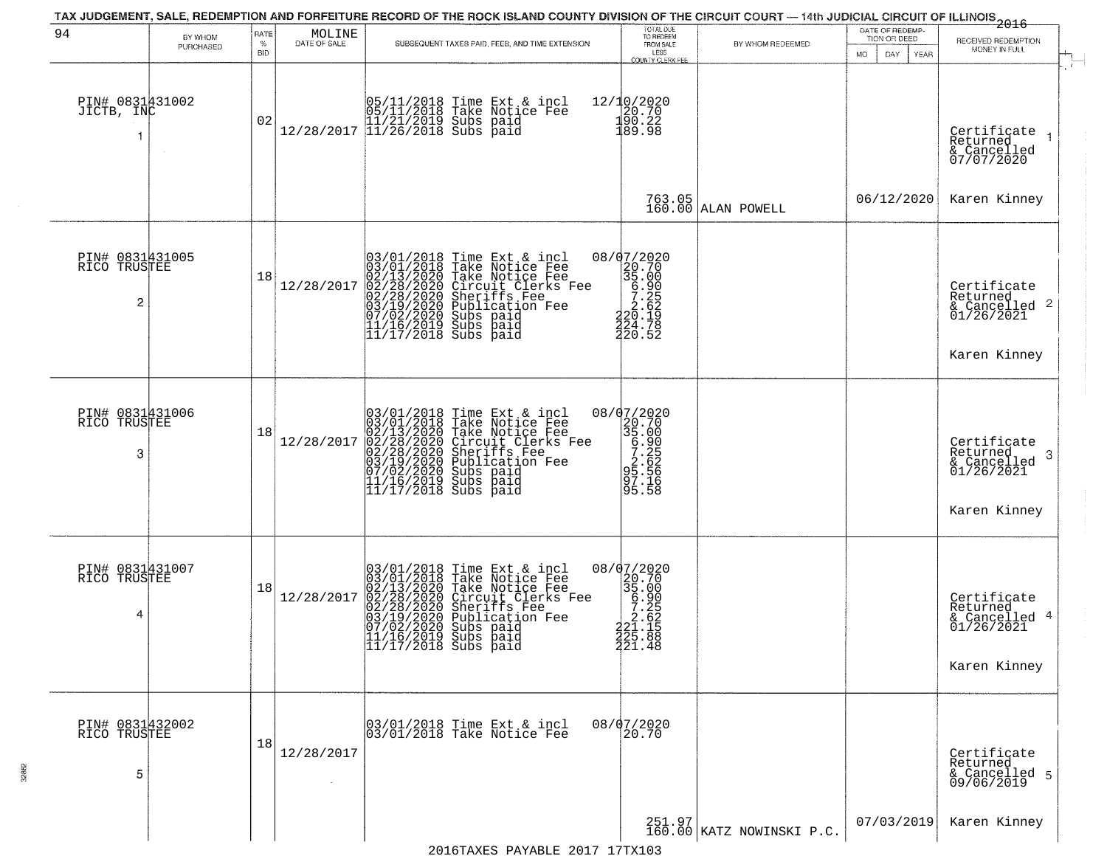|                                                   |                      |                                   |                        |                                                                                                                                                                                                                                                                               | TOTAL DUE                                                                                                                                                                                                                                                                                                                        |                                     | DATE OF REDEMP-                     | -------------<br>2016                                                     |
|---------------------------------------------------|----------------------|-----------------------------------|------------------------|-------------------------------------------------------------------------------------------------------------------------------------------------------------------------------------------------------------------------------------------------------------------------------|----------------------------------------------------------------------------------------------------------------------------------------------------------------------------------------------------------------------------------------------------------------------------------------------------------------------------------|-------------------------------------|-------------------------------------|---------------------------------------------------------------------------|
| 94                                                | BY WHOM<br>PURCHASED | <b>RATE</b><br>$\%$<br><b>BID</b> | MOLINE<br>DATE OF SALE | SUBSEQUENT TAXES PAID, FEES, AND TIME EXTENSION                                                                                                                                                                                                                               | TO REDEEM<br>FROM SALE<br>LESS<br><b>COUNTY CLERK FEE</b>                                                                                                                                                                                                                                                                        | BY WHOM REDEEMED                    | TION OR DEED<br>MO.<br>DAY.<br>YEAR | RECEIVED REDEMPTION<br>MONEY IN FULL                                      |
| PIN# 0831431002<br>JICTB, INC                     |                      | 02                                |                        | $[05/11/2018 \t\t Time Ext & incl \\ 05/11/2018 \t\t Take Notice Free \\ 11/21/2019 \tSubs paid \\ 12/28/2017 \t\t 11/26/2018 \tSubs paid$                                                                                                                                    | 12/10/2020<br>20.70<br>190.22<br>189.98                                                                                                                                                                                                                                                                                          |                                     |                                     | Certifiçate 1<br>Returned<br>& Cancelled<br>07/07/2020                    |
|                                                   |                      |                                   |                        |                                                                                                                                                                                                                                                                               |                                                                                                                                                                                                                                                                                                                                  | 763.05<br>160.00 ALAN POWELL        | 06/12/2020                          | Karen Kinney                                                              |
| PIN# 0831431005<br>RICO TRUSTEE<br>$\overline{2}$ |                      | 18                                | 12/28/2017             | $03/01/2018$ Time Ext & incl<br>03/01/2018 Take Notice Fee<br>02/13/2020 Take Notice Fee<br>02/28/2020 Circuit Clerks Fee<br>02/28/2020 Sheriffs Fee<br>03/19/2020 Subs paid<br>07/02/2020 Subs paid<br>11/16/2019 Subs paid<br>11/17/2018 Subs paid<br>                      | $20.702020\n35.00\n35.00\n7.252\n220.198\n324.75$<br>220.52                                                                                                                                                                                                                                                                      |                                     |                                     | Certificate<br>Returned<br>$\frac{1}{2}$ Cancelled 2<br>01/26/2021        |
|                                                   |                      |                                   |                        |                                                                                                                                                                                                                                                                               |                                                                                                                                                                                                                                                                                                                                  |                                     |                                     | Karen Kinney                                                              |
| PIN# 0831431006<br>RICO TRUSTEE<br>3              |                      | 18                                | 12/28/2017             | $03/01/2018$ Time Ext & incl<br>03/01/2018 Take Notice Fee<br>02/13/2020 Take Notice Fee<br>02/28/2020 Circuit Clerks Fee<br>02/28/2020 Sheriffs Fee<br>03/19/2020 Subication Fee<br>03/19/2020 Subs paid<br>11/16/2019 Subs paid<br>11/17/2018 Subs                          | 08/07/2020<br>$\begin{array}{r} 20.702 \\ 20.700 \\ 35.000 \\ 6.252 \\ 2.626 \\ 95.56 \\ 97.16 \\ 2.71 \\ 2.626 \\ 2.626 \\ 2.71 \\ 2.72 \\ 2.73 \\ 2.74 \\ 2.75 \\ 2.75 \\ 2.75 \\ 2.77 \\ 2.75 \\ 2.77 \\ 2.75 \\ 2.77 \\ 2.75 \\ 2.77 \\ 2.75 \\ 2.77 \\ 2.77 \\ 2.77 \\ 2.77 \\ 2.77 \\ 2.77 \\ 2.77 \\ 2.77 \\ 2.$<br>95.58 |                                     |                                     | Certificate<br>Returned<br>3<br>& Cancelled<br>01/26/2021<br>Karen Kinney |
| PIN# 0831431007<br>RICO TRUSTEE<br>4              |                      | 18                                | 12/28/2017             | 03/01/2018<br>03/01/2018<br>02/13/2020<br>02/28/2020<br>03/19/2020<br>03/19/2020<br>07/02/2020<br>Time Ext & incl<br>Take Notice Fee<br>Take Notice Fee<br>Circuit Clerks Fee<br>Sheriffs Fee<br>Publication Fee<br>Subs paid<br>11/16/2019 Subs paid<br>11/17/2018 Subs paid | $\begin{array}{r} 08/07/2020 \\ 20.70 \\ 35.00 \\ 6.90 \\ 7.25 \\ 2.62 \\ 32.1.1 \\ 42.1.1 \\ 0 \end{array}$<br>325.88<br>321.48                                                                                                                                                                                                 |                                     |                                     | Certificate<br>Returned<br>& Cancelled 4<br>01/26/2021<br>Karen Kinney    |
| PIN# 0831432002<br>RICO TRUSTEE<br>5              |                      | 18                                | 12/28/2017             | 03/01/2018 Time Ext & incl<br>03/01/2018 Take Notice Fee                                                                                                                                                                                                                      | 08/07/2020<br>20.70                                                                                                                                                                                                                                                                                                              |                                     |                                     | Certificate<br>Returned<br>& Cancelled 5<br>09/06/2019                    |
|                                                   |                      |                                   |                        |                                                                                                                                                                                                                                                                               |                                                                                                                                                                                                                                                                                                                                  | 251.97<br>160.00 KATZ NOWINSKI P.C. | 07/03/2019                          | Karen Kinney                                                              |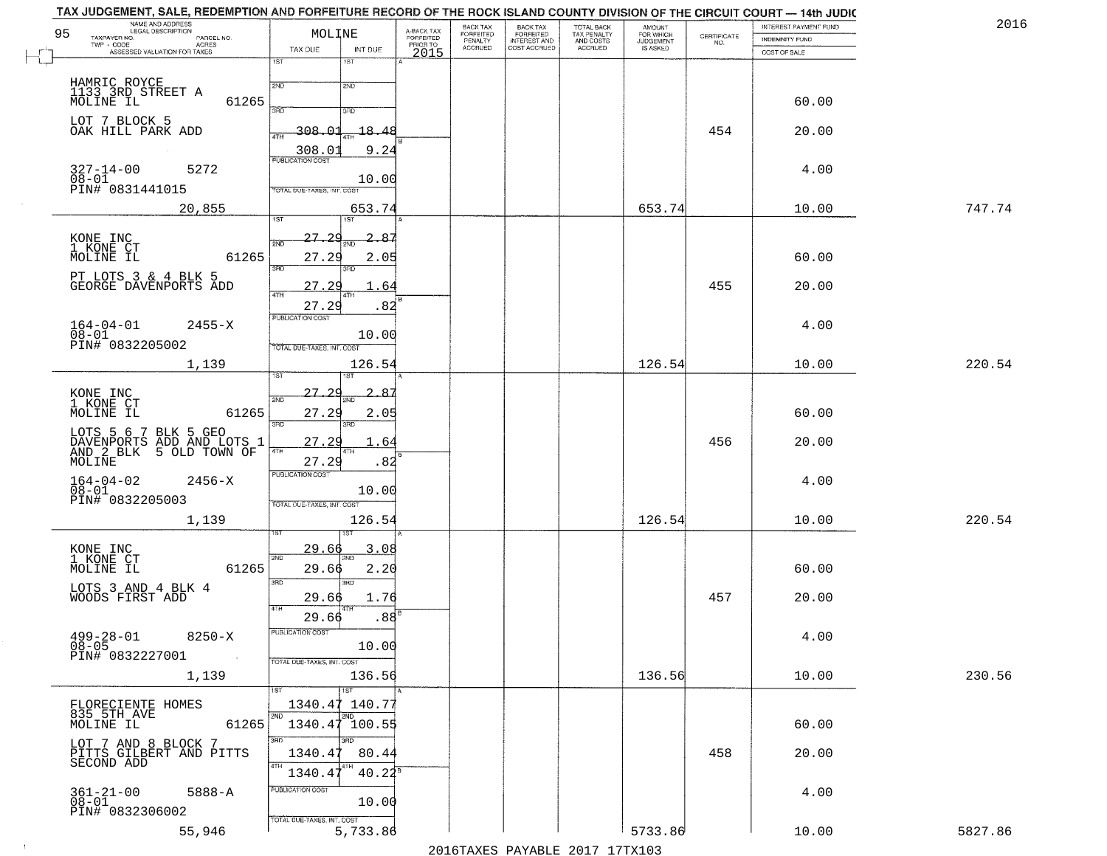| 2016   | INTEREST PAYMENT FUND |                                                                 | <b>AMOUNT</b>                      |                                                   | BACK TAX<br>FORFEITED        | BACK TAX<br><b>FORFEITED</b> | A-BACK TAX                   | MOLINE                                        | NAME AND ADDRESS<br>LEGAL DESCRIPTION                                              |
|--------|-----------------------|-----------------------------------------------------------------|------------------------------------|---------------------------------------------------|------------------------------|------------------------------|------------------------------|-----------------------------------------------|------------------------------------------------------------------------------------|
|        | INDEMNITY FUND        | $\begin{array}{c} \text{CERTIFICATE} \\ \text{NO.} \end{array}$ | FOR WHICH<br>JUDGEMENT<br>IS ASKED | TOTAL BACK<br>TAX PENALTY<br>AND COSTS<br>ACCRUED | INTEREST AND<br>COST ACCRUED | PENALTY<br>ACCRUED           | <b>FORFEITED</b><br>PRIOR TO |                                               | TAXPAYER NO.<br>PARCEL NO.<br>TWP - CODE<br><b>ACRES</b>                           |
|        | COST OF SALE          |                                                                 |                                    |                                                   |                              |                              | 2015                         | TAX DUE<br>INT DUE<br>1ST<br>1ST              | ASSESSED VALUATION FOR TAXES                                                       |
|        |                       |                                                                 |                                    |                                                   |                              |                              |                              |                                               |                                                                                    |
|        | 60.00                 |                                                                 |                                    |                                                   |                              |                              |                              | 2ND<br>2ND                                    | HAMRIC ROYCE<br>1133 3RD STREET A<br>MOLINE IL<br>61265                            |
|        |                       |                                                                 |                                    |                                                   |                              |                              |                              | 390<br>3RD                                    |                                                                                    |
|        | 20.00                 | 454                                                             |                                    |                                                   |                              |                              |                              | $-18.4$<br>308.01<br>4TH                      | LOT 7 BLOCK 5<br>OAK HILL PARK ADD                                                 |
|        |                       |                                                                 |                                    |                                                   |                              |                              |                              | 308.03<br>9.24<br><b>PUBLICATION COST</b>     |                                                                                    |
|        | 4.00                  |                                                                 |                                    |                                                   |                              |                              |                              | 10.00                                         | $327 - 14 - 00$<br>5272<br>08-01<br>PIN# 0831441015                                |
| 747.74 | 10.00                 |                                                                 |                                    |                                                   |                              |                              |                              | TOTAL DUE-TAXES, INT. COST                    | 20,855                                                                             |
|        |                       |                                                                 | 653.74                             |                                                   |                              |                              |                              | 653.74<br>1ST<br>1ST.                         |                                                                                    |
|        |                       |                                                                 |                                    |                                                   |                              |                              |                              | 27.<br>2c<br>285<br>2ND                       | KONE INC<br>1 KONE CT                                                              |
|        | 60.00                 |                                                                 |                                    |                                                   |                              |                              |                              | 27.29<br>2.05<br>3RD                          | MOLINE IL<br>61265                                                                 |
|        | 20.00                 | 455                                                             |                                    |                                                   |                              |                              |                              | 27<br>64                                      | PT LOTS 3 & 4 BLK 5<br>GEORGE DAVENPORTS ADD                                       |
|        |                       |                                                                 |                                    |                                                   |                              |                              |                              | 47H<br>4TF<br>27.29<br>.82                    |                                                                                    |
|        | 4.00                  |                                                                 |                                    |                                                   |                              |                              |                              | PUBLICATION COST                              | $164 - 04 - 01$<br>2455-X                                                          |
|        |                       |                                                                 |                                    |                                                   |                              |                              |                              | 10.00<br>TOTAL DUE-TAXES, INT. COST           | $08 - 01$<br>PIN# 0832205002                                                       |
| 220.54 | 10.00                 |                                                                 | 126.54                             |                                                   |                              |                              |                              | 126.54                                        | 1,139                                                                              |
|        |                       |                                                                 |                                    |                                                   |                              |                              |                              | ïЗT                                           |                                                                                    |
|        |                       |                                                                 |                                    |                                                   |                              |                              |                              | <u> 27.29</u><br>-85<br>2ND                   | KONE INC<br>1 KONE CT                                                              |
|        | 60.00                 |                                                                 |                                    |                                                   |                              |                              |                              | 27.29<br>2.05<br>3BD<br>3RD                   | MOLINE IL<br>61265                                                                 |
|        | 20.00                 | 456                                                             |                                    |                                                   |                              |                              |                              | 27.29<br>. 64                                 | LOTS 5 6 7 BLK 5 GEO<br>DAVENPORTS<br>AND 2 BLK<br>ADD AND LOTS 1<br>5 OLD TOWN OF |
|        |                       |                                                                 |                                    |                                                   |                              |                              |                              | 4TH<br>4TH<br>27.29<br>.82                    | MOLINE                                                                             |
|        | 4.00                  |                                                                 |                                    |                                                   |                              |                              |                              | <b>PUBLICATION COST</b><br>10.00              | $164 - 04 - 02$<br>$08 - 01$<br>$2456 - X$                                         |
|        |                       |                                                                 |                                    |                                                   |                              |                              |                              | TOTAL OUE-TAXES, INT. COST                    | PIN# 0832205003                                                                    |
| 220.54 | 10.00                 |                                                                 | 126.54                             |                                                   |                              |                              |                              | 126.54                                        | 1,139                                                                              |
|        |                       |                                                                 |                                    |                                                   |                              |                              |                              | 3.08<br><u>29.66</u>                          |                                                                                    |
|        | 60.00                 |                                                                 |                                    |                                                   |                              |                              |                              | 2ND<br>29.66<br>2.20                          | KONE INC<br>1 KONE CT<br>61265<br>MOLINE IL                                        |
|        |                       |                                                                 |                                    |                                                   |                              |                              |                              | 3RD<br>3RD                                    | LOTS 3 AND 4 BLK 4                                                                 |
|        | 20.00                 | 457                                                             |                                    |                                                   |                              |                              |                              | 29.66<br>1.76                                 | WOODS FIRST ADD                                                                    |
|        |                       |                                                                 |                                    |                                                   |                              |                              |                              | .88 <sup>E</sup><br>29.66<br>PUBLICATION COST |                                                                                    |
|        | 4.00                  |                                                                 |                                    |                                                   |                              |                              |                              | 10.00                                         | $499 - 28 - 01$<br>$8250 - X$<br>$08 - 05$                                         |
|        |                       |                                                                 |                                    |                                                   |                              |                              |                              | TOTAL DUE-TAXES, INT. COST                    | PIN# 0832227001                                                                    |
| 230.56 | 10.00                 |                                                                 | 136.56                             |                                                   |                              |                              |                              | 136.56<br>1ST<br>1ST                          | 1,139                                                                              |
|        |                       |                                                                 |                                    |                                                   |                              |                              |                              | 1340.47 140.77                                | FLORECIENTE HOMES<br>835 5TH AVE                                                   |
|        | 60.00                 |                                                                 |                                    |                                                   |                              |                              |                              | 2ND<br>2ND<br>1340.47 100.55                  | MOLINE IL<br>61265                                                                 |
|        | 20.00                 | 458                                                             |                                    |                                                   |                              |                              |                              | 3RD<br>3RD<br>1340.47<br>80.44                | LOT 7 AND 8 BLOCK 7<br>PITTS GILBERT AND PITTS                                     |
|        |                       |                                                                 |                                    |                                                   |                              |                              |                              | 4TH<br>1340.47<br>$40.22^s$                   | SECOND ADD                                                                         |
|        | 4.00                  |                                                                 |                                    |                                                   |                              |                              |                              | PUBLICATION COST                              | 5888-A                                                                             |
|        |                       |                                                                 |                                    |                                                   |                              |                              |                              | 10.00                                         | $361 - 21 - 00$<br>$08 - 01$                                                       |
|        |                       |                                                                 |                                    |                                                   |                              |                              |                              | TOTAL DUE-TAXES, INT. COST                    | PIN# 0832306002                                                                    |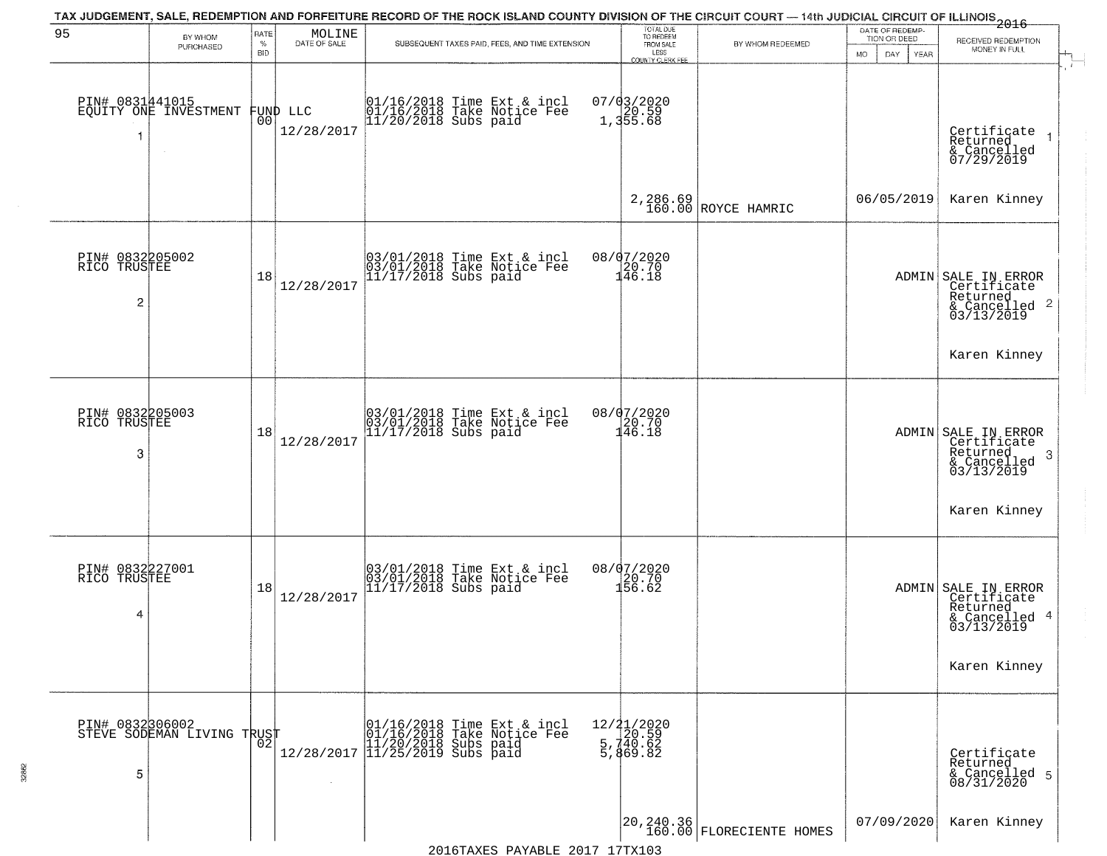|                                                   |                                          |                            |                        | TAX JUDGEMENT, SALE, REDEMPTION AND FORFEITURE RECORD OF THE ROCK ISLAND COUNTY DIVISION OF THE CIRCUIT COURT — 14th JUDICIAL CIRCUIT OF ILLINOIS 2016 |                                                                            |                                         |                                                                    |                                                                                               |
|---------------------------------------------------|------------------------------------------|----------------------------|------------------------|--------------------------------------------------------------------------------------------------------------------------------------------------------|----------------------------------------------------------------------------|-----------------------------------------|--------------------------------------------------------------------|-----------------------------------------------------------------------------------------------|
| 95                                                | BY WHOM<br>PURCHASED                     | RATE<br>$\%$<br><b>BID</b> | MOLINE<br>DATE OF SALE | SUBSEQUENT TAXES PAID, FEES, AND TIME EXTENSION                                                                                                        | TOTAL DUE<br>TO REDEEM<br>FROM SALE<br>LESS<br><b>COUNTY CLERK FEE</b>     | BY WHOM REDEEMED                        | DATE OF REDEMP-<br>TION OR DEED<br><b>YEAR</b><br><b>MO</b><br>DAY | RECEIVED REDEMPTION<br>MONEY IN FULL                                                          |
| -1                                                | PIN# 0831441015<br>EQUITY ONE INVESTMENT | 0 <sub>0</sub>             | FUND LLC<br>12/28/2017 | 01/16/2018 Time Ext & incl<br>01/16/2018 Take Notice Fee<br>11/20/2018 Subs paid                                                                       | 07/03/2020<br>1,355.68                                                     |                                         |                                                                    | $\mathbf{r}$<br>Certificate<br>Returned<br>$\overline{1}$<br>& Cancelled<br>07/29/2019        |
|                                                   |                                          |                            |                        |                                                                                                                                                        |                                                                            | 2,286.69<br>160.00 ROYCE HAMRIC         | 06/05/2019                                                         | Karen Kinney                                                                                  |
| PIN# 0832205002<br>RICO TRUSTEE<br>$\overline{c}$ |                                          | 18                         | 12/28/2017             | 03/01/2018 Time Ext & incl<br>03/01/2018 Take Notice Fee<br>11/17/2018 Subs paid                                                                       | 08/07/2020<br>20.70<br>146.18                                              |                                         |                                                                    | ADMIN SALE IN ERROR<br>Certificate<br>Returned<br>$\overline{c}$<br>& Cancelled<br>03/13/2019 |
|                                                   |                                          |                            |                        |                                                                                                                                                        |                                                                            |                                         |                                                                    | Karen Kinney                                                                                  |
| PIN# 0832205003<br>RICO TRUSTEE<br>3              |                                          | 18                         | 12/28/2017             | 03/01/2018 Time Ext & incl<br>03/01/2018 Take Notice Fee<br>11/17/2018 Subs paid                                                                       | 08/07/2020<br>$\frac{120}{146}. \frac{70}{18}$                             |                                         |                                                                    | ADMIN SALE IN ERROR<br>Certificate<br>Returned<br>3<br>$\frac{2}{03/13/2019}$                 |
|                                                   |                                          |                            |                        |                                                                                                                                                        |                                                                            |                                         |                                                                    | Karen Kinney                                                                                  |
| PIN# 0832227001<br>RICO TRUSTEE<br>4              |                                          | 18                         | 12/28/2017             | 03/01/2018 Time Ext & incl<br>03/01/2018 Take Notice Fee<br>11/17/2018 Subs paid                                                                       | 08/07/2020<br>20.70<br>156.62                                              |                                         |                                                                    | ADMIN SALE IN ERROR<br>Certificate<br>Returned<br>-4<br>& Cancelled<br>03/13/2019             |
|                                                   |                                          |                            |                        |                                                                                                                                                        |                                                                            |                                         |                                                                    | Karen Kinney                                                                                  |
| PIN# 0832306002<br>5                              | STEVE SODEMAN LIVING TRUST               | 02                         | 12/28/2017             | 01/16/2018 Time Ext & incl<br>01/16/2018 Take Notice Fee<br>11/20/2018 Subs paid<br>11/25/2019 Subs paid                                               | $\begin{array}{r} 12/21/2020 \\ 20.59 \\ 5,740.62 \end{array}$<br>5,869.82 |                                         |                                                                    | Certificate<br>Returned<br>& Cancelled 5<br>08/31/2020                                        |
|                                                   |                                          |                            |                        |                                                                                                                                                        |                                                                            | 20,240.36<br>  160.00 FLORECIENTE HOMES | 07/09/2020                                                         | Karen Kinney                                                                                  |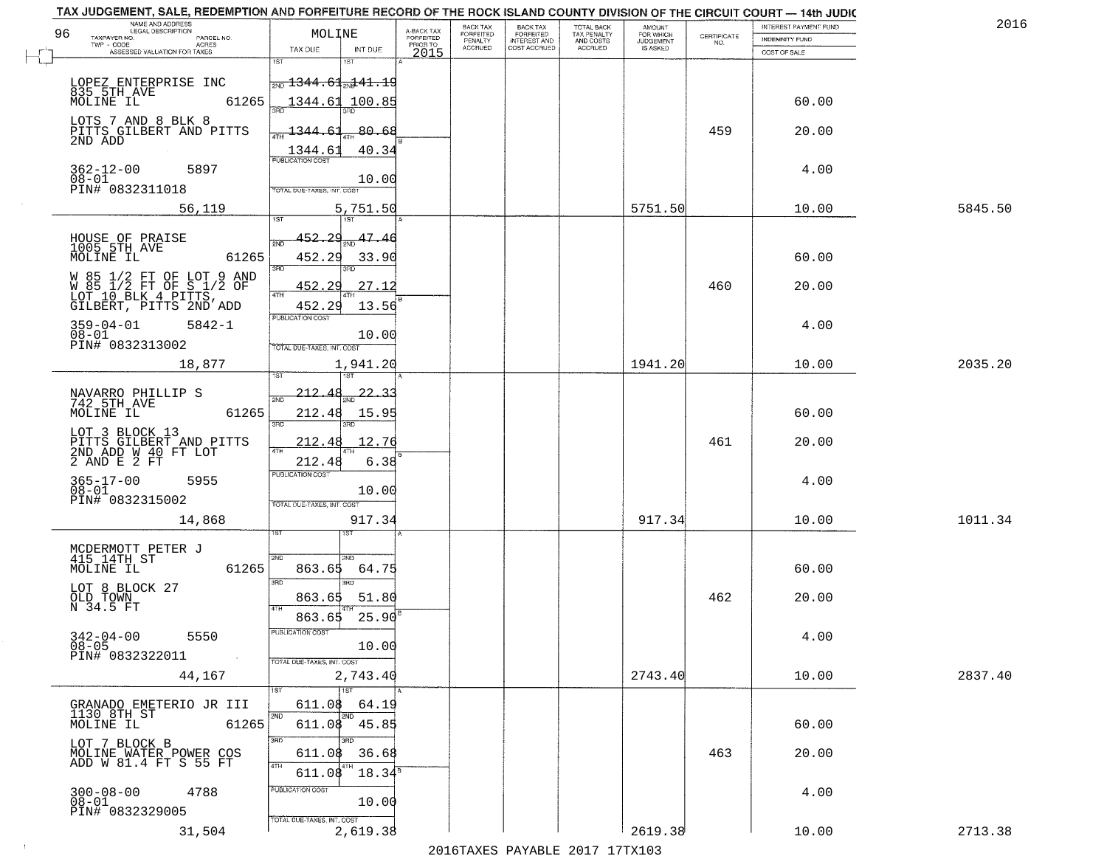| TAX JUDGEMENT, SALE, REDEMPTION AND FORFEITURE RECORD OF THE ROCK ISLAND COUNTY DIVISION OF THE CIRCUIT COURT - 14th JUDIC<br>NAME AND ADDRESS<br>LEGAL DESCRIPTION |                                                                                            |                         | BACK TAX             | <b>BACK TAX</b>           |                                        |                                         |                                                                 | INTEREST PAYMENT FUND | 2016    |
|---------------------------------------------------------------------------------------------------------------------------------------------------------------------|--------------------------------------------------------------------------------------------|-------------------------|----------------------|---------------------------|----------------------------------------|-----------------------------------------|-----------------------------------------------------------------|-----------------------|---------|
| 96<br>TAXPAYER NO.<br>PARCEL NO.                                                                                                                                    | MOLINE                                                                                     | A-BACK TAX<br>FORFEITED | FORFEITED<br>PENALTY | FORFEITED<br>INTEREST AND | TOTAL BACK<br>TAX PENALTY<br>AND COSTS | AMOUNT<br>FOR WHICH<br><b>JUDGEMENT</b> | $\begin{array}{c} \text{CERTIFICATE} \\ \text{NO.} \end{array}$ | INDEMNITY FUND        |         |
| ACRES<br>ASSESSED VALUATION FOR TAXES                                                                                                                               | TAX DUE<br>INT DUE                                                                         | PRIOR TO<br>2015        | <b>ACCRUED</b>       | COST ACCRUED              | <b>ACCRUED</b>                         | IS ASKED                                |                                                                 | COST OF SALE          |         |
| LOPEZ ENTERPRISE INC                                                                                                                                                | 18T<br>$\frac{1}{200}$ $\frac{1344}{100}$ $\frac{61}{201}$ $\frac{41}{10}$ $\frac{19}{20}$ |                         |                      |                           |                                        |                                         |                                                                 |                       |         |
| 835 5TH AVE<br>MOLINE IL<br>61265<br>LOTS 7 AND 8 BLK 8                                                                                                             | 1344.61<br>100.85                                                                          |                         |                      |                           |                                        |                                         |                                                                 | 60.00                 |         |
| PITTS GILBERT AND PITTS<br>2ND ADD                                                                                                                                  | 80.68<br><u> 1344.61</u><br>40.34                                                          |                         |                      |                           |                                        |                                         | 459                                                             | 20.00                 |         |
| $362 - 12 - 00$<br>5897<br>$08 - 01$<br>PIN# 0832311018                                                                                                             | $\frac{1344.61}{FUBUCATON COST}$<br>10.00<br>TOTAL DUE-TAXES, INT. COST                    |                         |                      |                           |                                        |                                         |                                                                 | 4.00                  |         |
| 56,119                                                                                                                                                              | 5,751.50                                                                                   |                         |                      |                           |                                        | 5751.50                                 |                                                                 | 10.00                 | 5845.50 |
| HOUSE OF PRAISE<br>1005 5TH_AVE<br>MOLINE IL<br>61265                                                                                                               | 452.29<br>47.46<br>সমূ<br>452.29<br>33.90<br>3RD<br>3BD.                                   |                         |                      |                           |                                        |                                         |                                                                 | 60.00                 |         |
| W 85 1/2 FT OF LOT 9 AND<br>W 85 1/2 FT OF S 1/2 OF<br>LOT 10 BLK 4 PITTS,<br>GILBERT, PITTS 2ND ADD                                                                | 27.12<br>452.<br>29<br>$\sqrt{4}$ TH<br>13.56<br>452.29                                    |                         |                      |                           |                                        |                                         | 460                                                             | 20.00                 |         |
| $359 - 04 - 01$<br>$5842 - 1$<br>$08 - 01$<br>PIN# 0832313002                                                                                                       | PUBLICATION COST<br>10.00<br>TOTAL DUE-TAXES, INT. COST                                    |                         |                      |                           |                                        |                                         |                                                                 | 4.00                  |         |
| 18,877                                                                                                                                                              | 1,941.20<br>1ST<br>isT                                                                     |                         |                      |                           |                                        | 1941.20                                 |                                                                 | 10.00                 | 2035.20 |
| NAVARRO PHILLIP S<br>742 5TH AVE<br>MOLINE IL<br>61265                                                                                                              | $-212.48$<br>$22 - 3$<br>2ND<br>212.48<br>15.95<br>3RD<br>3RD                              |                         |                      |                           |                                        |                                         |                                                                 | 60.00                 |         |
| LOT 3 BLOCK 13<br>PITTS GILBERT AND PITTS<br>2ND ADD W 40 FT LOT<br>2 AND E 2 FT                                                                                    | 212.48<br>12.76<br>4TH<br>212.48<br>6.38                                                   |                         |                      |                           |                                        |                                         | 461                                                             | 20.00                 |         |
| $365 - 17 - 00$<br>5955<br>$08 - 01$<br>PIN# 0832315002                                                                                                             | <b>PUBLICATION COST</b><br>10.00<br>TOTAL OUE-TAXES, INT. COST                             |                         |                      |                           |                                        |                                         |                                                                 | 4.00                  |         |
| 14,868                                                                                                                                                              | 917.34                                                                                     |                         |                      |                           |                                        | 917.34                                  |                                                                 | 10.00                 | 1011.34 |
| MCDERMOTT PETER J<br>415 14TH ST<br>MOLINE IL<br>61265                                                                                                              | 2ND<br>'ND<br>863.65<br>64.75<br>3RD                                                       |                         |                      |                           |                                        |                                         |                                                                 | 60.00                 |         |
| LOT 8 BLOCK 27<br>OLD TOWN<br>N 34.5 FT                                                                                                                             | <b>IRD</b><br>863.65<br>51.80<br>4TH<br>25.90<br>863.65                                    |                         |                      |                           |                                        |                                         | 462                                                             | 20.00                 |         |
| $342 - 04 - 00$<br>5550<br>$08 - 05$<br>PIN# 0832322011<br>$\sim 100$ km $^{-1}$                                                                                    | PUBLICATION CUS<br>10.00<br>TOTAL DUE-TAXES, INT. COST                                     |                         |                      |                           |                                        |                                         |                                                                 | 4.00                  |         |
| 44,167                                                                                                                                                              | 2,743.40<br>$\overline{1ST}$                                                               |                         |                      |                           |                                        | 2743.40                                 |                                                                 | 10.00                 | 2837.40 |
| GRANADO EMETERIO JR III<br>1130 8TH ST<br>61265<br>MOLINE IL                                                                                                        | 611.08<br>64.19<br>2ND<br>2ND<br>611.08 45.85                                              |                         |                      |                           |                                        |                                         |                                                                 | 60.00                 |         |
| LOT 7 BLOCK B<br>MOLINE WATER POWER COS<br>ADD W 81.4 FT S 55 FT                                                                                                    | 3RD<br>3BD<br>36.68<br>611.08<br>4TH<br>4TH<br>$18.34^s$<br>611.08                         |                         |                      |                           |                                        |                                         | 463                                                             | 20.00                 |         |
| $300 - 08 - 00$<br>4788<br>08-01<br>PIN# 0832329005                                                                                                                 | PUBLICATION COST<br>10.00<br>TOTAL DUE-TAXES, INT. COST                                    |                         |                      |                           |                                        |                                         |                                                                 | 4.00                  |         |
| 31,504                                                                                                                                                              | 2,619.38                                                                                   |                         |                      |                           |                                        | 2619.38                                 |                                                                 | 10.00                 | 2713.38 |

 $\sim 10^{-1}$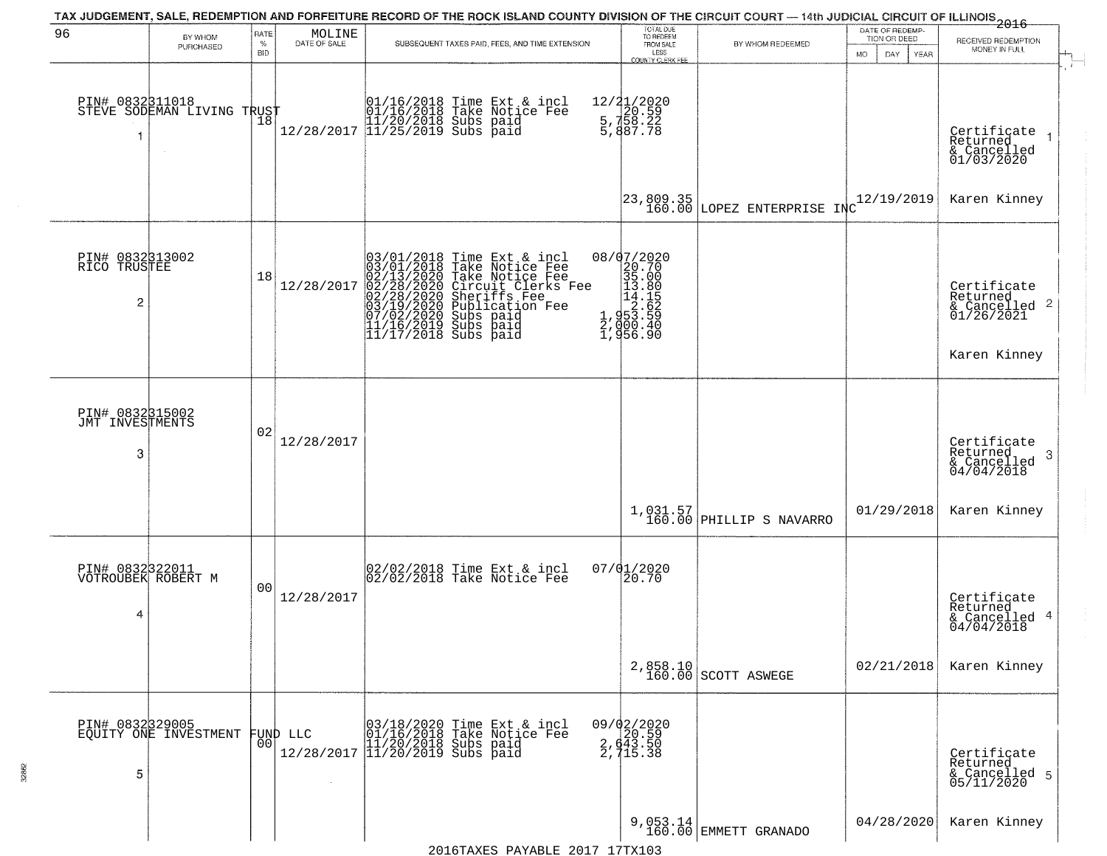| 96                                                | BY WHOM<br>PURCHASED                     | RATE<br>%<br><b>BID</b> | MOLINE<br>DATE OF SALE | SUBSEQUENT TAXES PAID, FEES, AND TIME EXTENSION                                                                                                                                                                                                                                                                    | TOTAL DUE<br>TO REDEEM<br>FROM SALE<br>LESS<br><b>COUNTY CLERK FEE</b>                                                                | BY WHOM REDEEMED                         | DATE OF REDEMP-<br>TION OR DEED<br>MO.<br>DAY.<br>YEAR | 2016<br>RECEIVED REDEMPTION<br>MONEY IN FULL<br>$\mathbf{r}$       |
|---------------------------------------------------|------------------------------------------|-------------------------|------------------------|--------------------------------------------------------------------------------------------------------------------------------------------------------------------------------------------------------------------------------------------------------------------------------------------------------------------|---------------------------------------------------------------------------------------------------------------------------------------|------------------------------------------|--------------------------------------------------------|--------------------------------------------------------------------|
| PIN# 0832311018                                   | STEVE SODEMAN LIVING TRUST               |                         |                        | $\begin{array}{ccc} 01/16/2018 &$ Time Ext & incl<br>01/16/2018 Take Notice Fee<br>$12/28/2017$ $11/25/2018$ subs paid<br>12/28/2017 11/25/2019 Subs paid                                                                                                                                                          | 12/21/2020<br>5, 720.59<br>5, 758.22<br>5, 887.78                                                                                     |                                          |                                                        | Certifiçate<br>Returned<br>& Cancelled<br>01/03/2020               |
|                                                   |                                          |                         |                        |                                                                                                                                                                                                                                                                                                                    |                                                                                                                                       | 23,809.35<br>160.00 LOPEZ ENTERPRISE INC | 12/19/2019                                             | Karen Kinney                                                       |
| PIN# 0832313002<br>RICO TRUSTEE<br>$\overline{2}$ |                                          | 18                      | 12/28/2017             | 03/01/2018 Time Ext & incl<br>03/01/2018 Take Notice Fee<br>02/13/2020 Take Notice Fee<br>02/28/2020 Circuit Clerks F<br>02/28/2020 Sheriffs Fee<br>03/19/2020 Sheriffs Fee<br>03/19/2020 Subs paid<br>11/16/2019 Subs paid<br>11/16/2019 Subs paid<br>11<br>Circuit Clerks Fee<br>Sheriffs Fee<br>Publicațion Fee | $\begin{smallmatrix} 08/07/2020 \\ 20.70 \\ 35.00 \\ 13.80 \\ 14.85 \\ 2.62 \\ 2.953.59 \\ 4.902.40 \\ \end{smallmatrix}$<br>1,956.90 |                                          |                                                        | Certificate<br>Returned<br>$\frac{1}{2}$ Cancelled 2<br>01/26/2021 |
|                                                   |                                          |                         |                        |                                                                                                                                                                                                                                                                                                                    |                                                                                                                                       |                                          |                                                        | Karen Kinney                                                       |
| PIN# 0832315002<br>JMT INVESTMENTS<br>3           |                                          | 02                      | 12/28/2017             |                                                                                                                                                                                                                                                                                                                    |                                                                                                                                       |                                          |                                                        | Certificate<br>Returned<br>3<br>& Cancelled<br>04/04/2018          |
|                                                   |                                          |                         |                        |                                                                                                                                                                                                                                                                                                                    |                                                                                                                                       | 1,031.57<br>160.00 PHILLIP S NAVARRO     | 01/29/2018                                             | Karen Kinney                                                       |
| PIN# 0832322011<br>VOTROUBEK ROBERT M<br>4        |                                          | 0 <sub>0</sub>          | 12/28/2017             | 02/02/2018 Time Ext & incl<br>02/02/2018 Take Notice Fee                                                                                                                                                                                                                                                           | 07/01/2020<br>20.70                                                                                                                   |                                          |                                                        | Certificate<br>Returned<br>& Cancelled 4<br>04/04/2018             |
|                                                   |                                          |                         |                        |                                                                                                                                                                                                                                                                                                                    |                                                                                                                                       | 2,858.10<br>160.00 SCOTT ASWEGE          | 02/21/2018                                             | Karen Kinney                                                       |
| 5                                                 | PIN# 0832329005<br>EQUITY ONE INVESTMENT | 001                     | FUND LLC               | 03/18/2020<br>01/16/2018<br>Time Ext & incl<br>Take Notice Fee<br>$12/28/2017$ $\begin{bmatrix} 11/20/2018 & 5018 \\ 11/20/2019 & 5018 \\ \end{bmatrix}$ paid                                                                                                                                                      | $09/02/2020$<br>20.59<br>$\frac{2}{2}, \frac{43}{15}$<br>2, 715.38                                                                    |                                          |                                                        | Certificate<br>Returned<br>& Cancelled 5<br>05/11/2020             |
|                                                   |                                          |                         |                        | $2016$ TAYEC DAVARLE $2017$ 17TY103                                                                                                                                                                                                                                                                                |                                                                                                                                       | 9,053.14<br>160.00 EMMETT GRANADO        | 04/28/2020                                             | Karen Kinney                                                       |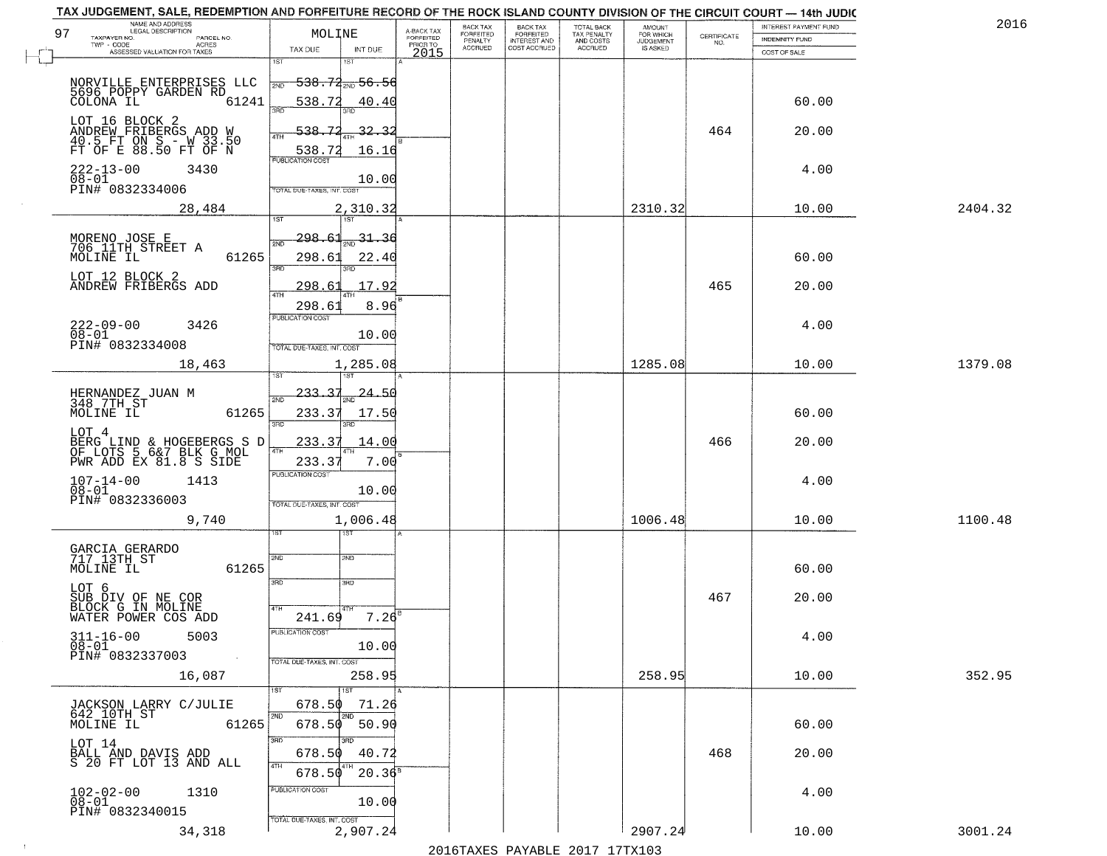| TAX JUDGEMENT, SALE, REDEMPTION AND FORFEITURE RECORD OF THE ROCK ISLAND COUNTY DIVISION OF THE CIRCUIT COURT - 14th JUDIC<br>NAME AND ADDRESS<br>LEGAL DESCRIPTION<br>97 |                                                                                 |                                     | BACK TAX<br>FORFEITED     | BACK TAX<br>FORFEITED<br>INTEREST AND | TOTAL BACK<br>TAX PENALTY<br>AND COSTS | AMOUNT<br>FOR WHICH          |                                                                 | INTEREST PAYMENT FUND | 2016    |
|---------------------------------------------------------------------------------------------------------------------------------------------------------------------------|---------------------------------------------------------------------------------|-------------------------------------|---------------------------|---------------------------------------|----------------------------------------|------------------------------|-----------------------------------------------------------------|-----------------------|---------|
| TAXPAYER NO.<br>PARCEL NO.<br>$TWP - CODE$<br>ACRES                                                                                                                       | MOLINE                                                                          | A-BACK TAX<br>FORFEITED<br>PRIOR TO | PENALTY<br><b>ACCRUED</b> | COST ACCRUED                          | <b>ACCRUED</b>                         | <b>JUDGEMENT</b><br>IS ASKED | $\begin{array}{c} \text{CERTIFICATE} \\ \text{NO.} \end{array}$ | <b>INDEMNITY FUND</b> |         |
| ASSESSED VALUATION FOR TAXES                                                                                                                                              | TAX DUE<br>INT DUE<br>1ST<br>1ST                                                | 2015                                |                           |                                       |                                        |                              |                                                                 | COST OF SALE          |         |
| NORVILLE ENTERPRISES LLC                                                                                                                                                  | <del>538.72 <sub>2ND</sub> 56.56</del><br>2ND                                   |                                     |                           |                                       |                                        |                              |                                                                 |                       |         |
| 5696 POPPY GARDEN RD<br>COLONA IL<br>61241                                                                                                                                | 538.72<br>40.40<br>3RD<br>3BD                                                   |                                     |                           |                                       |                                        |                              |                                                                 | 60.00                 |         |
| LOT 16 BLOCK 2<br>ANDREW FRIBERGS ADD W<br>40.5 FT ON S - W 33.50<br>FT OF E 88.50 FT OF N                                                                                | 71<br>$-32.32$<br>538-<br>4TH<br>538.72<br>16.16                                |                                     |                           |                                       |                                        |                              | 464                                                             | 20.00                 |         |
| $222 - 13 - 00$<br>3430<br>$08 - 01$<br>PIN# 0832334006                                                                                                                   | <b>PUBLICATION COST</b><br>10.00<br>TOTAL DUE-TAXES, INT. COST                  |                                     |                           |                                       |                                        |                              |                                                                 | 4.00                  |         |
| 28,484                                                                                                                                                                    | 2,310.32<br>1ST<br>1ST                                                          |                                     |                           |                                       |                                        | 2310.32                      |                                                                 | 10.00                 | 2404.32 |
| MORENO JOSE E<br>706 11TH STREET A<br>MOLINE IL<br>61265                                                                                                                  | 298.61<br>31.36<br>2ND<br>298.61<br>22.40<br>3RD                                |                                     |                           |                                       |                                        |                              |                                                                 | 60.00                 |         |
| LOT 12 BLOCK 2<br>ANDREW FRIBERGS ADD                                                                                                                                     | 17.92<br>298.61                                                                 |                                     |                           |                                       |                                        |                              | 465                                                             | 20.00                 |         |
| $222 - 09 - 00$<br>3426<br>$08 - 01$<br>PIN# 0832334008                                                                                                                   | 8.96<br>298.61<br>PUBLICATION COST<br>10.00<br>TOTAL DUE-TAXES, INT. COST       |                                     |                           |                                       |                                        |                              |                                                                 | 4.00                  |         |
| 18,463                                                                                                                                                                    | 1,285.08<br>isT                                                                 |                                     |                           |                                       |                                        | 1285.08                      |                                                                 | 10.00                 | 1379.08 |
| HERNANDEZ JUAN M<br>348 7TH ST<br>MOLINE IL<br>61265                                                                                                                      | $233 - 3$<br><u> 24.50</u><br>2ND<br>233.37<br>17.50<br>3RD<br>3BD              |                                     |                           |                                       |                                        |                              |                                                                 | 60.00                 |         |
| LOT <sub>4</sub><br>BERG LIND & HOGEBERGS S D<br>OF LOTS 5 6&7 BLK G MOL<br>PWR ADD EX 81.8 S SIDE                                                                        | 233.37<br><u>14.00</u><br>4TH<br>233.37<br>7.00                                 |                                     |                           |                                       |                                        |                              | 466                                                             | 20.00                 |         |
| $107 - 14 - 00$<br>$08 - 01$<br>1413<br>PIN# 0832336003                                                                                                                   | <b>PUBLICATION COST</b><br>10.00<br>TOTAL OUE-TAXES, INT. COST                  |                                     |                           |                                       |                                        |                              |                                                                 | 4.00                  |         |
| 9,740                                                                                                                                                                     | 1,006.48<br>१९४                                                                 |                                     |                           |                                       |                                        | 1006.48                      |                                                                 | 10.00                 | 1100.48 |
| GARCIA GERARDO<br>717 13TH ST<br>MOLINE IL<br>61265                                                                                                                       | 2ND<br>2ND<br>3RD<br>3RD                                                        |                                     |                           |                                       |                                        |                              |                                                                 | 60.00                 |         |
| LOT 6<br>SUB DIV OF NE COR<br>BLOCK G IN MOLINE                                                                                                                           | 4TH                                                                             |                                     |                           |                                       |                                        |                              | 467                                                             | 20.00                 |         |
| WATER POWER COS ADD<br>$311 - 16 - 00$<br>5003<br>$08-01$<br>PIN# 0832337003<br><b>Contract</b>                                                                           | $7.26^{B}$<br>241.69<br>PUBLICATION COST<br>10.00<br>TOTAL DUE-TAXES, INT. COST |                                     |                           |                                       |                                        |                              |                                                                 | 4.00                  |         |
| 16,087                                                                                                                                                                    | 258.95<br>1ST<br>1ST                                                            |                                     |                           |                                       |                                        | 258.95                       |                                                                 | 10.00                 | 352.95  |
| JACKSON LARRY C/JULIE<br>642 10TH ST<br>MOLINE IL<br>61265                                                                                                                | 678.50<br>71.26<br>2ND<br>2ND<br>678.50<br>50.90                                |                                     |                           |                                       |                                        |                              |                                                                 | 60.00                 |         |
| LOT 14<br>BALL AND DAVIS ADD<br>S 20 FT LOT 13 AND ALL                                                                                                                    | 3RD<br>3RD.<br>40.72<br>678.50<br>4TH<br>$20.36^8$<br>678.50                    |                                     |                           |                                       |                                        |                              | 468                                                             | 20.00                 |         |
| $102 - 02 - 00$<br>$08 - 01$<br>1310<br>PIN# 0832340015                                                                                                                   | PUBLICATION COST<br>10.00<br>TOTAL DUE-TAXES, INT. COST                         |                                     |                           |                                       |                                        |                              |                                                                 | 4.00                  |         |
| 34,318                                                                                                                                                                    | 2,907.24                                                                        |                                     |                           |                                       |                                        | 2907.24                      |                                                                 | 10.00                 | 3001.24 |

 $\sim 10^{-1}$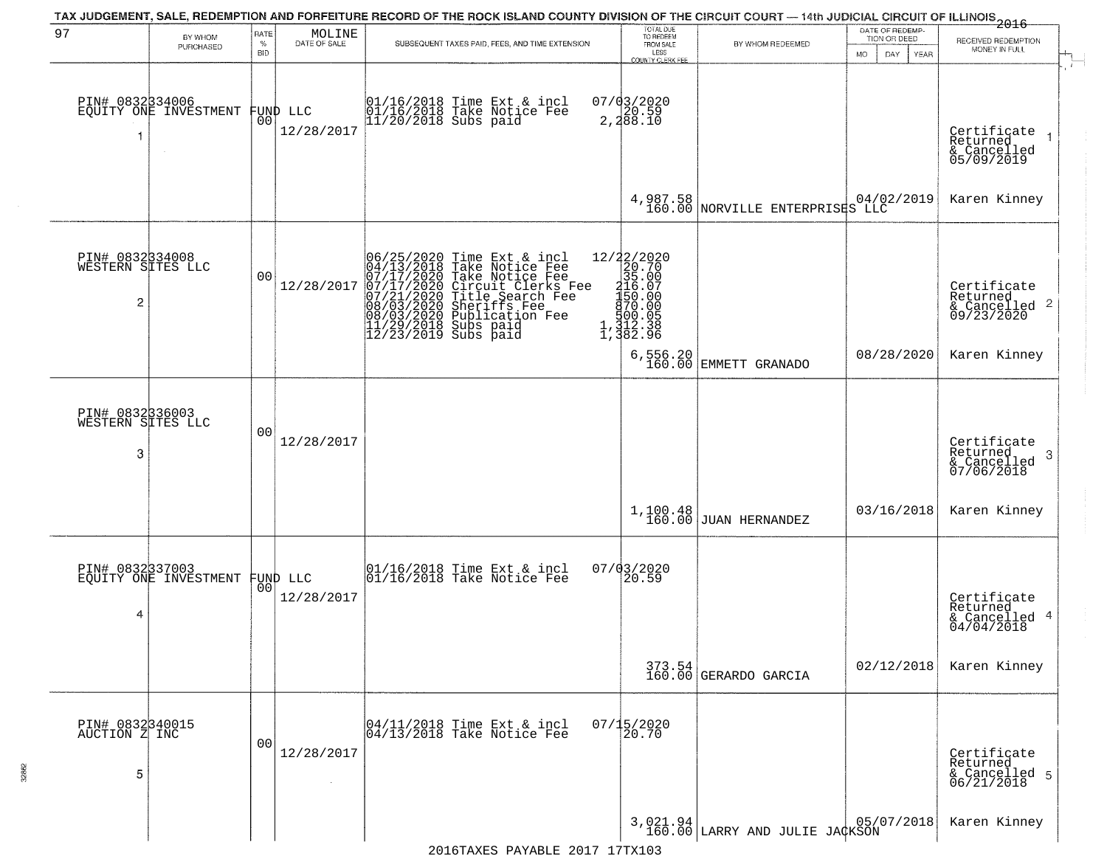| 97                                        | BY WHOM<br>PURCHASED                     | RATE<br>%<br><b>BID</b> | $\begin{array}{c} \text{MOLINE} \\ \text{DATE of SALE} \end{array}$ | SUBSEQUENT TAXES PAID, FEES, AND TIME EXTENSION                                                                                                                                                                                      | TOTAL DUE<br>TO REDEEM<br>FROM SALE<br>LESS<br><b>COUNTY CLERK FEE</b>                                                                                                                            | BY WHOM REDEEMED                                                                      | DATE OF REDEMP-<br>TION OR DEED<br>MO.<br>DAY<br>YEAR | <del>2016</del><br>RECEIVED REDEMPTION<br>MONEY IN FULL               |
|-------------------------------------------|------------------------------------------|-------------------------|---------------------------------------------------------------------|--------------------------------------------------------------------------------------------------------------------------------------------------------------------------------------------------------------------------------------|---------------------------------------------------------------------------------------------------------------------------------------------------------------------------------------------------|---------------------------------------------------------------------------------------|-------------------------------------------------------|-----------------------------------------------------------------------|
|                                           | PIN# 0832334006<br>EQUITY ONE INVESTMENT |                         | FUND LLC<br> 00 <br>12/28/2017                                      | 01/16/2018 Time Ext & incl<br>01/16/2018 Take Notice Fee<br>11/20/2018 Subs paid                                                                                                                                                     | $07/03/2020$<br>2,20.59<br>2,288.10                                                                                                                                                               |                                                                                       |                                                       | $\mathcal{X}$<br>Certificate<br>Returned<br>& Cancelled<br>05/09/2019 |
|                                           |                                          |                         |                                                                     |                                                                                                                                                                                                                                      |                                                                                                                                                                                                   | 4,987.58<br>160.00 NORVILLE ENTERPRISES LLC                                           | 04/02/2019                                            | Karen Kinney                                                          |
| PIN# 0832334008<br>WESTERN SITES LLC<br>2 |                                          | 0 <sub>0</sub>          | 12/28/2017                                                          | 06/25/2020 Time Ext & incl<br>04/13/2018 Take Notice Fee<br>07/17/2020 Take Notice Fee<br>07/17/2020 Circuit Clerks Fee<br>07/21/2020 Title Search Fee<br>08/03/2020 Sublication Fee<br>11/29/2018 Subs paid<br>12/23/2019 Subs paid | $\begin{smallmatrix} 12/2 & 2/2 & 20 & 20\\ 2 & 20 & 70 & 0\\ 3 & 5 & 0 & 0\\ 1 & 16 & 0 & 0\\ 1 & 5 & 0 & 0 & 0\\ 8 & 0 & 0 & 0 & 0\\ 1 & 1 & 1 & 2 & 3\\ 1 & 3 & 8 & 2 & 9\\ \end{smallmatrix}$ |                                                                                       |                                                       | Certificate<br>Returned<br>$\frac{1}{6}$ Cancelled 2<br>09/23/2020    |
|                                           |                                          |                         |                                                                     |                                                                                                                                                                                                                                      |                                                                                                                                                                                                   | 6,556.20<br>160.00 EMMETT GRANADO                                                     | 08/28/2020                                            | Karen Kinney                                                          |
| PIN# 0832336003<br>WESTERN SITES LLC<br>3 |                                          | 0 <sub>0</sub>          | 12/28/2017                                                          |                                                                                                                                                                                                                                      |                                                                                                                                                                                                   |                                                                                       |                                                       | Certificate<br>Returned<br>3<br>& Cancelled<br>07/06/2018             |
|                                           |                                          |                         |                                                                     |                                                                                                                                                                                                                                      |                                                                                                                                                                                                   | $1,100.48$ JUAN HERNANDEZ                                                             | 03/16/2018                                            | Karen Kinney                                                          |
| 4                                         | PIN# 0832337003<br>EQUITY ONE INVESTMENT | 00                      | FUND LLC<br>12/28/2017                                              | 01/16/2018 Time Ext & incl<br>01/16/2018 Take Notice Fee                                                                                                                                                                             | 07/03/2020<br>20.59                                                                                                                                                                               |                                                                                       |                                                       | Certificate<br>Returned<br>& Cancelled 4<br>04/04/2018                |
|                                           |                                          |                         |                                                                     |                                                                                                                                                                                                                                      |                                                                                                                                                                                                   | $\begin{array}{ c c c c } \hline 373.54 & \text{GERARDO GARCHA} \\\hline \end{array}$ | 02/12/2018                                            | Karen Kinney                                                          |
| PIN# 0832340015<br>AUCTION Z INC<br>5     |                                          | 0 <sub>0</sub>          | 12/28/2017                                                          | 04/11/2018 Time Ext & incl<br>04/13/2018 Take Notice Fee                                                                                                                                                                             | $07/15/2020$<br>20.70                                                                                                                                                                             |                                                                                       |                                                       | Certificate<br>Returned<br>& Cancelled 5<br>06/21/2018                |
|                                           |                                          |                         |                                                                     | 2016TAXES DAVARLE 2017 17TY103                                                                                                                                                                                                       |                                                                                                                                                                                                   | 3,021.94 LARRY AND JULIE JACKSON                                                      |                                                       | Karen Kinney                                                          |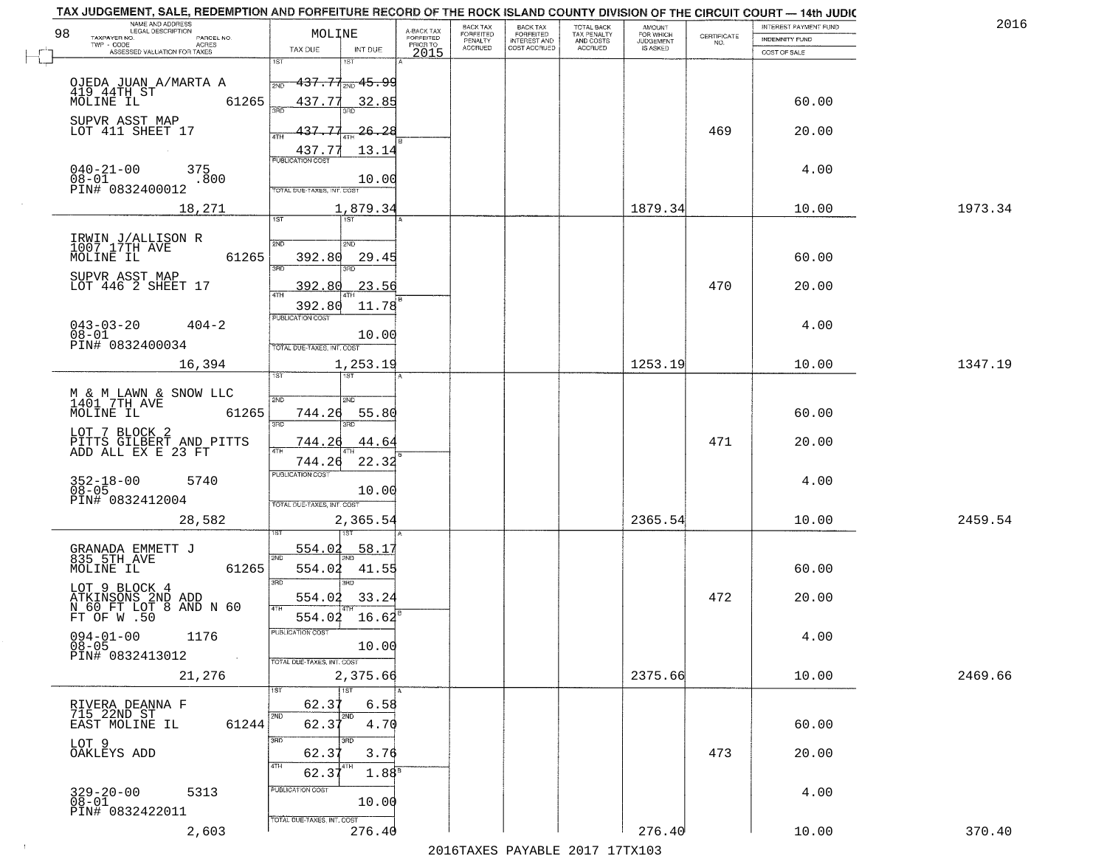| TAX JUDGEMENT, SALE, REDEMPTION AND FORFEITURE RECORD OF THE ROCK ISLAND COUNTY DIVISION OF THE CIRCUIT COURT - 14th JUDIC<br>NAME AND ADDRESS<br>LEGAL DESCRIPTION |                                     |                                     | BACK TAX             |                                       |                                        | AMOUNT<br>FOR WHICH |                                                                 | INTEREST PAYMENT FUND | 2016    |
|---------------------------------------------------------------------------------------------------------------------------------------------------------------------|-------------------------------------|-------------------------------------|----------------------|---------------------------------------|----------------------------------------|---------------------|-----------------------------------------------------------------|-----------------------|---------|
| 98<br>TAXPAYER NO.<br>PARCEL NO.<br>TWP - CODE<br>ACRES                                                                                                             | MOLINE                              | A-BACK TAX<br>FORFEITED<br>PRIOR TO | FORFEITED<br>PENALTY | BACK TAX<br>FORFEITED<br>INTEREST AND | TOTAL BACK<br>TAX PENALTY<br>AND COSTS | <b>JUDGEMENT</b>    | $\begin{array}{c} \text{CERTIFICATE} \\ \text{NO.} \end{array}$ | INDEMNITY FUND        |         |
| ASSESSED VALUATION FOR TAXES                                                                                                                                        | INT DUE<br>TAX DUE                  | 2015                                | <b>ACCRUED</b>       | COST ACCRUED                          | <b>ACCRUED</b>                         | IS ASKED            |                                                                 | COST OF SALE          |         |
|                                                                                                                                                                     | 1ST<br>IST                          |                                     |                      |                                       |                                        |                     |                                                                 |                       |         |
| OJEDA JUAN A/MARTA A                                                                                                                                                | <del>137.77, 15.9</del> 9<br>2ND    |                                     |                      |                                       |                                        |                     |                                                                 |                       |         |
| 419 44TH ST<br>61265<br>MOLINE IL                                                                                                                                   | 437.77<br>32.85                     |                                     |                      |                                       |                                        |                     |                                                                 | 60.00                 |         |
| SUPVR ASST MAP                                                                                                                                                      | 350                                 |                                     |                      |                                       |                                        |                     |                                                                 |                       |         |
| LOT 411 SHEET 17                                                                                                                                                    | 137.77<br>26.28                     |                                     |                      |                                       |                                        |                     | 469                                                             | 20.00                 |         |
|                                                                                                                                                                     | 437.77<br>13.14                     |                                     |                      |                                       |                                        |                     |                                                                 |                       |         |
| 375                                                                                                                                                                 | <b>PUBLICATION COST</b>             |                                     |                      |                                       |                                        |                     |                                                                 | 4.00                  |         |
| $040 - 21 - 00$<br>$08 - 01$<br>.800                                                                                                                                | 10.00                               |                                     |                      |                                       |                                        |                     |                                                                 |                       |         |
| PIN# 0832400012                                                                                                                                                     | <b>TOTAL DUE-TAXES, INT. COST</b>   |                                     |                      |                                       |                                        |                     |                                                                 |                       |         |
| 18,271                                                                                                                                                              | 1,879.34                            |                                     |                      |                                       |                                        | 1879.34             |                                                                 | 10.00                 | 1973.34 |
|                                                                                                                                                                     |                                     |                                     |                      |                                       |                                        |                     |                                                                 |                       |         |
| IRWIN J/ALLISON R<br>1007 17TH AVE                                                                                                                                  | 2ND<br>5 <sub>MD</sub>              |                                     |                      |                                       |                                        |                     |                                                                 |                       |         |
| MOLINE IL<br>61265                                                                                                                                                  | 392.80<br>29.45<br>बन्ना<br>3RD     |                                     |                      |                                       |                                        |                     |                                                                 | 60.00                 |         |
| SUPVR ASST MAP                                                                                                                                                      |                                     |                                     |                      |                                       |                                        |                     |                                                                 |                       |         |
| LOT 446 2 SHEET 17                                                                                                                                                  | 392.80<br>23.56                     |                                     |                      |                                       |                                        |                     | 470                                                             | 20.00                 |         |
|                                                                                                                                                                     | 392.80<br>11.78                     |                                     |                      |                                       |                                        |                     |                                                                 |                       |         |
| $043 - 03 - 20$<br>$404 - 2$                                                                                                                                        | PUBLICATION COST                    |                                     |                      |                                       |                                        |                     |                                                                 | 4.00                  |         |
| $08 - 01$<br>PIN# 0832400034                                                                                                                                        | 10.00<br>TOTAL DUE-TAXES, INT. COST |                                     |                      |                                       |                                        |                     |                                                                 |                       |         |
| 16,394                                                                                                                                                              | 1,253.19                            |                                     |                      |                                       |                                        | 1253.19             |                                                                 | 10.00                 | 1347.19 |
|                                                                                                                                                                     | <b>ST</b><br>IST                    |                                     |                      |                                       |                                        |                     |                                                                 |                       |         |
|                                                                                                                                                                     |                                     |                                     |                      |                                       |                                        |                     |                                                                 |                       |         |
| M & M LAWN & SNOW LLC<br>1401 7TH AVE<br>MOLINE IL<br>61265                                                                                                         | 2ND<br>2ND<br>744.26<br>55.80       |                                     |                      |                                       |                                        |                     |                                                                 | 60.00                 |         |
|                                                                                                                                                                     | 3RD<br>3RD                          |                                     |                      |                                       |                                        |                     |                                                                 |                       |         |
| LOT 7 BLOCK 2                                                                                                                                                       | 744.26<br>44.64                     |                                     |                      |                                       |                                        |                     | 471                                                             | 20.00                 |         |
| PITTS GILBERT AND PITTS<br>ADD ALL EX E 23 FT                                                                                                                       | <b>ATH</b><br>744.26<br>22.32       |                                     |                      |                                       |                                        |                     |                                                                 |                       |         |
|                                                                                                                                                                     | <b>PUBLICATION COST</b>             |                                     |                      |                                       |                                        |                     |                                                                 |                       |         |
| $352 - 18 - 00$<br>$08 - 05$<br>5740                                                                                                                                | 10.00                               |                                     |                      |                                       |                                        |                     |                                                                 | 4.00                  |         |
| PIN# 0832412004                                                                                                                                                     | TOTAL OUE-TAXES, INT. COST          |                                     |                      |                                       |                                        |                     |                                                                 |                       |         |
| 28,582                                                                                                                                                              | 2,365.54                            |                                     |                      |                                       |                                        | 2365.54             |                                                                 | 10.00                 | 2459.54 |
|                                                                                                                                                                     |                                     |                                     |                      |                                       |                                        |                     |                                                                 |                       |         |
| GRANADA EMMETT J<br>835 5TH AVE                                                                                                                                     | 554.02<br>58.17<br>2ND              |                                     |                      |                                       |                                        |                     |                                                                 |                       |         |
| MOLINE IL<br>61265                                                                                                                                                  | 554.02<br>41.55                     |                                     |                      |                                       |                                        |                     |                                                                 | 60.00                 |         |
|                                                                                                                                                                     | 3RD<br>3BD                          |                                     |                      |                                       |                                        |                     |                                                                 |                       |         |
| LOT 9 BLOCK 4<br>ATKINSONS 2ND ADD<br>N 60 FT LOT 8 AND N 60<br>FT OF W .50                                                                                         | 33.24<br>554.02<br>4TH              |                                     |                      |                                       |                                        |                     | 472                                                             | 20.00                 |         |
|                                                                                                                                                                     | 554.02<br>16.62                     |                                     |                      |                                       |                                        |                     |                                                                 |                       |         |
| $094 - 01 - 00$<br>1176                                                                                                                                             | PUBLICA HUN COS-                    |                                     |                      |                                       |                                        |                     |                                                                 | 4.00                  |         |
| $08 - 05$<br>PIN# 0832413012<br>$\sim 10^{-1}$                                                                                                                      | 10.00                               |                                     |                      |                                       |                                        |                     |                                                                 |                       |         |
|                                                                                                                                                                     | TOTAL DUE-TAXES, INT. COST          |                                     |                      |                                       |                                        |                     |                                                                 |                       | 2469.66 |
| 21,276                                                                                                                                                              | 2,375.66                            |                                     |                      |                                       |                                        | 2375.66             |                                                                 | 10.00                 |         |
| RIVERA DEANNA F                                                                                                                                                     | 62.37<br>6.58                       |                                     |                      |                                       |                                        |                     |                                                                 |                       |         |
| 715 22ND ST                                                                                                                                                         | 2ND<br>2ND                          |                                     |                      |                                       |                                        |                     |                                                                 |                       |         |
| 61244<br>EAST MOLINE IL                                                                                                                                             | 62.37<br>4.70                       |                                     |                      |                                       |                                        |                     |                                                                 | 60.00                 |         |
| LOT 9<br>OAKLEYS ADD                                                                                                                                                | 3RD<br>62.37<br>3.76                |                                     |                      |                                       |                                        |                     | 473                                                             | 20.00                 |         |
|                                                                                                                                                                     | 4TH                                 |                                     |                      |                                       |                                        |                     |                                                                 |                       |         |
|                                                                                                                                                                     | $1.88^{8}$<br>62.3'                 |                                     |                      |                                       |                                        |                     |                                                                 |                       |         |
| $329 - 20 - 00$<br>5313<br>$08-01$                                                                                                                                  | PUBLICATION COST<br>10.00           |                                     |                      |                                       |                                        |                     |                                                                 | 4.00                  |         |
| PIN# 0832422011                                                                                                                                                     | TOTAL DUE-TAXES, INT. COST          |                                     |                      |                                       |                                        |                     |                                                                 |                       |         |
| 2,603                                                                                                                                                               | 276.40                              |                                     |                      |                                       |                                        | 276.40              |                                                                 | 10.00                 | 370.40  |
|                                                                                                                                                                     |                                     |                                     |                      | 2016 TAVEC DAVARIE 2017 17 TAV102     |                                        |                     |                                                                 |                       |         |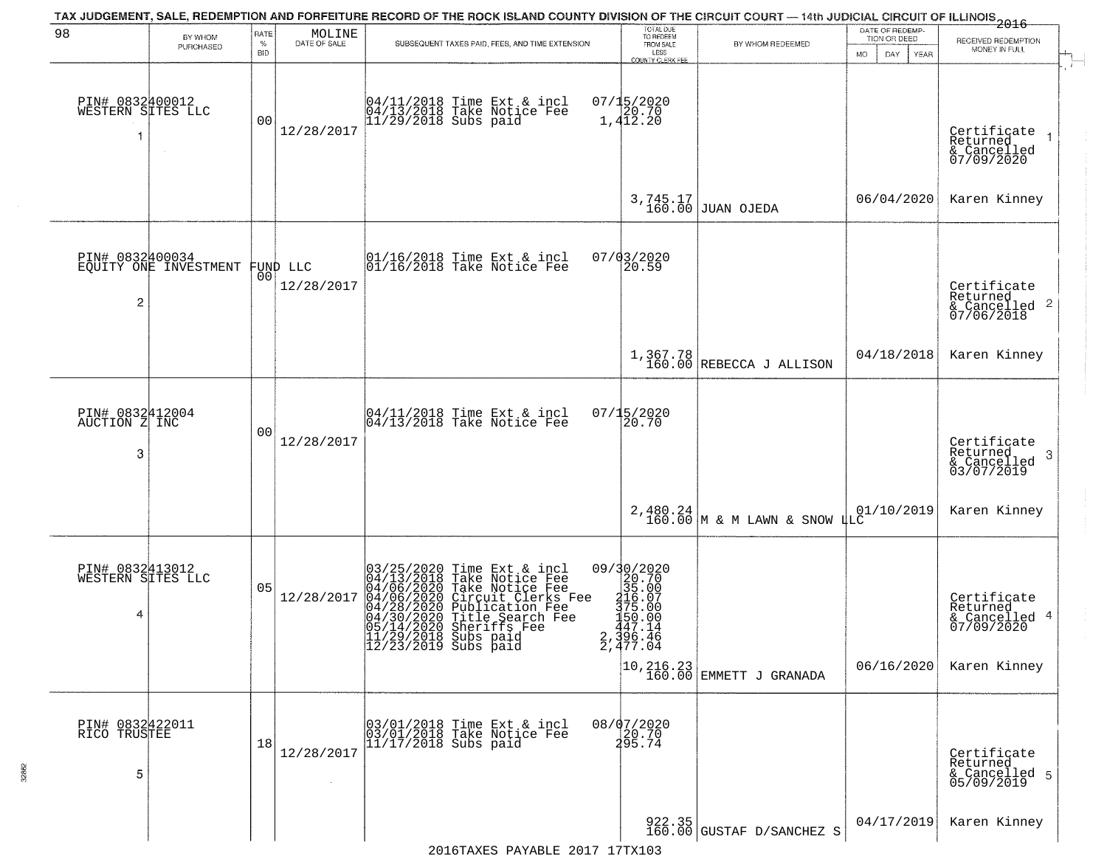| 98                                        | BY WHOM<br>PURCHASED  | RATE<br>$\%$<br><b>BID</b> | $\begin{array}{c} \text{MOLINE} \\ \text{DATE of SALE} \end{array}$ | TAX JUDGEMENT, SALE, REDEMPTION AND FORFEITURE RECORD OF THE ROCK ISLAND COUNTY DIVISION OF THE CIRCUIT COURT — 14th JUDICIAL CIRCUIT OF ILLINOIS 2016<br>SUBSEQUENT TAXES PAID, FEES, AND TIME EXTENSION                                                                                                                                               | TOTAL DUE<br>TO REDEEM<br>FROM SALE<br>LESS<br>COUNTY CLERK FEE                                                                                                                        | BY WHOM REDEEMED                                                      | DATE OF REDEMP-<br>TION OR DEED<br>MO.<br>DAY<br><b>YEAR</b> | RECEIVED REDEMPTION<br>MONEY IN FULL                                   |
|-------------------------------------------|-----------------------|----------------------------|---------------------------------------------------------------------|---------------------------------------------------------------------------------------------------------------------------------------------------------------------------------------------------------------------------------------------------------------------------------------------------------------------------------------------------------|----------------------------------------------------------------------------------------------------------------------------------------------------------------------------------------|-----------------------------------------------------------------------|--------------------------------------------------------------|------------------------------------------------------------------------|
| PIN# 0832400012<br>WESTERN SITES LLC      |                       | 00                         | 12/28/2017                                                          | 04/11/2018 Time Ext & incl<br>04/13/2018 Take Notice Fee<br>11/29/2018 Subs paid                                                                                                                                                                                                                                                                        | $07/15/202020.701,412.20$                                                                                                                                                              |                                                                       |                                                              | Certificate<br>Returned<br>& Cancelled<br>07/09/2020                   |
|                                           |                       |                            |                                                                     |                                                                                                                                                                                                                                                                                                                                                         | 3,745.17<br>160.00                                                                                                                                                                     | JUAN OJEDA                                                            | 06/04/2020                                                   | Karen Kinney                                                           |
| PIN# 0832400034<br>2                      | EQUITY ONE INVESTMENT |                            | FUND LLC<br> 00 <br>12/28/2017                                      | $\begin{array}{ccc}  01/16/2018 \text{ Time} & \text{Ext} & \text{incl} \\  01/16/2018 \text{ Take Notice } \text{Fe} \end{array}$                                                                                                                                                                                                                      | 07/03/2020<br>20.59                                                                                                                                                                    |                                                                       |                                                              | Certificate<br>Returned<br>& Cancelled 2<br>07/06/2018                 |
|                                           |                       |                            |                                                                     |                                                                                                                                                                                                                                                                                                                                                         |                                                                                                                                                                                        | $1,367.78$<br>160.00 REBECCA J ALLISON                                | 04/18/2018                                                   | Karen Kinney                                                           |
| PIN# 0832412004<br>AUCTION Z INC<br>3     |                       | 00                         | 12/28/2017                                                          | $\begin{array}{c}  04/11/2018 \text{ Time} \text{ Ext} & \text{incl} \\  04/13/2018 \text{ Take Notice } \text{Fe} \end{array}$                                                                                                                                                                                                                         | 07/15/2020<br>20.70                                                                                                                                                                    |                                                                       |                                                              | Certificate<br>Returned<br>-3<br>& Cancelled<br>03/07/2019             |
|                                           |                       |                            |                                                                     |                                                                                                                                                                                                                                                                                                                                                         |                                                                                                                                                                                        | $2,480.24$ $\mid$ 0.00 $\mid$ M & M LAWN & SNOW $\uparrow$ HLC        | 01/10/2019                                                   | Karen Kinney                                                           |
| PIN# 0832413012<br>WESTERN SITES LLC<br>4 |                       | 05                         | 12/28/2017                                                          | $\begin{smallmatrix} 03/25/2020 \\ 04/13/2018 \\ 04/06/2020 \\ 04/06/2020 \\ 04/28/2020 \\ 04/30/2020 \\ 04/30/2020 \\ 11/20/201 \end{smallmatrix}$<br>Time Ext & incl<br>Take Notice Fee<br>Take Notice Fee<br>Circuit Clerks Fee<br>Cublication Fee<br>Title Search Fee<br>Sherifs Fee<br>Sherifs Fee<br>11/29/2018 Subs paid<br>12/23/2019 Subs paid | $\begin{array}{r} 09 \mid 30 \mid 2020 \\ 20.70 \\ 35.00 \\ \underline{316.07} \\ 145.00 \\ \underline{420.00} \\ 150.00 \\ 150.00 \\ \end{array}$<br>447.14<br>2, 396.46<br>2, 477.04 | $\begin{bmatrix} 10, 216.23 \\ 160.00 \end{bmatrix}$ EMMETT J GRANADA | 06/16/2020                                                   | Certificate<br>Returned<br>& Cancelled 4<br>07/09/2020<br>Karen Kinney |
| PIN# 0832422011<br>RICO TRUSTEE<br>5      |                       | 18                         | 12/28/2017                                                          | 03/01/2018 Time Ext & incl<br>03/01/2018 Take Notice Fee<br>11/17/2018 Subs paid                                                                                                                                                                                                                                                                        | 08/07/2020<br>20.70<br>295.74                                                                                                                                                          |                                                                       |                                                              | Certificate<br>Returned<br>& Cancelled 5<br>05/09/2019                 |
|                                           |                       |                            |                                                                     |                                                                                                                                                                                                                                                                                                                                                         |                                                                                                                                                                                        | $\begin{bmatrix} 922.35 \\ 160.00 \end{bmatrix}$ GUSTAF D/SANCHEZ S   | 04/17/2019                                                   | Karen Kinney                                                           |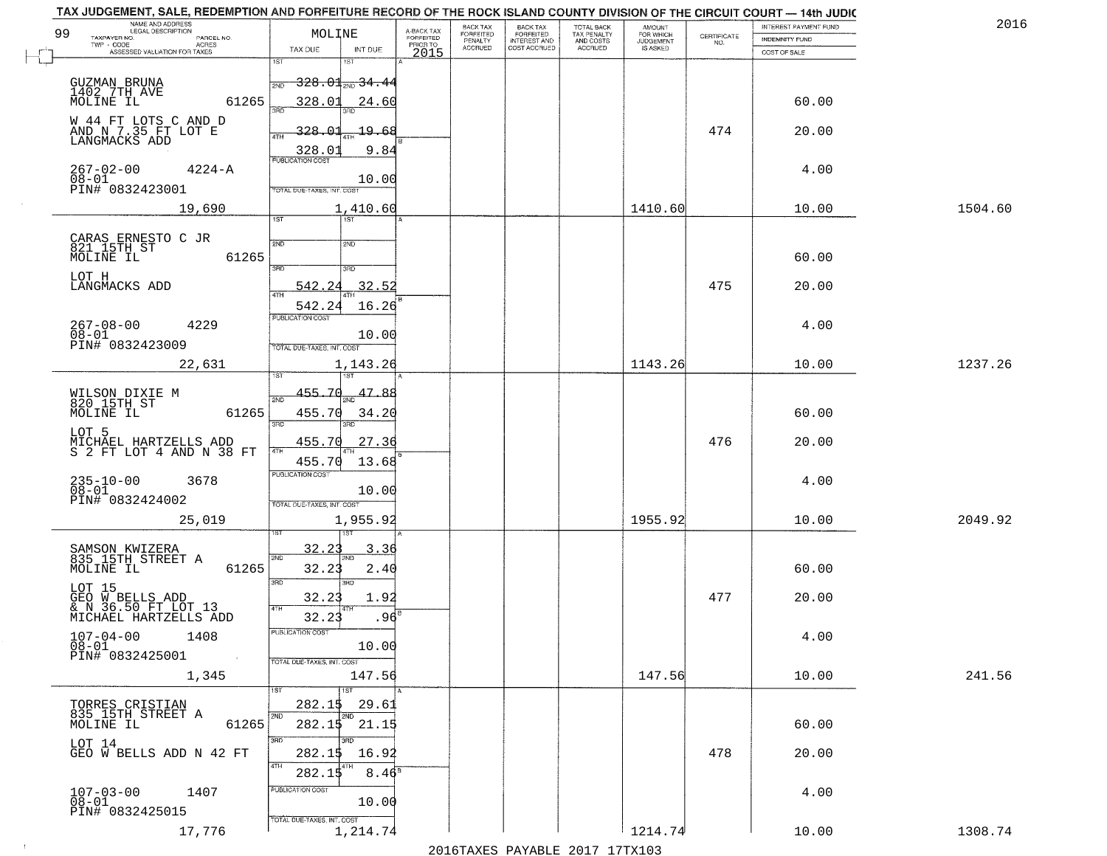| 99 | NAME AND ADDRESS<br>LEGAL DESCRIPTION                    | MOLINE                                       | A-BACK TAX                   | BACK TAX<br><b>FORFEITED</b> | <b>BACK TAX</b><br><b>FORFEITED</b> | TOTAL BACK                          | <b>AMOUNT</b><br>FOR WHICH |                                                                 | INTEREST PAYMENT FUND | 2016    |
|----|----------------------------------------------------------|----------------------------------------------|------------------------------|------------------------------|-------------------------------------|-------------------------------------|----------------------------|-----------------------------------------------------------------|-----------------------|---------|
|    | TAXPAYER NO.<br>PARCEL NO.<br>TWP - CODE<br><b>ACRES</b> |                                              | <b>FORFEITED</b><br>PRIOR TO | PENALTY<br>ACCRUED           | INTEREST AND<br>COST ACCRUED        | TAX PENALTY<br>AND COSTS<br>ACCRUED | JUDGEMENT                  | $\begin{array}{c} \text{CERTIFICATE} \\ \text{NO.} \end{array}$ | INDEMNITY FUND        |         |
|    | ASSESSED VALUATION FOR TAXES                             | TAX DUE<br>INT DUE<br>1ST<br>នោ              | 2015                         |                              |                                     |                                     |                            |                                                                 | COST OF SALE          |         |
|    |                                                          |                                              |                              |                              |                                     |                                     |                            |                                                                 |                       |         |
|    | GUZMAN BRUNA<br>1402.7TH_AVE                             | <del>328.01<sub>210</sub>34.4</del> 4<br>2ND |                              |                              |                                     |                                     |                            |                                                                 |                       |         |
|    | MOLINE IL<br>61265                                       | 328.01<br>24.60<br>sañ                       |                              |                              |                                     |                                     |                            |                                                                 | 60.00                 |         |
|    | W 44 FT LOTS C AND D<br>AND N 7.35 FT LOT E              | 328.<br>19.68                                |                              |                              |                                     |                                     |                            | 474                                                             | 20.00                 |         |
|    | LANGMACKS ADD                                            | 4TH                                          |                              |                              |                                     |                                     |                            |                                                                 |                       |         |
|    |                                                          | 328.0<br>9.84<br><b>PUBLICATION COST</b>     |                              |                              |                                     |                                     |                            |                                                                 |                       |         |
|    | $267 - 02 - 00$<br>$4224 - A$                            | 10.00                                        |                              |                              |                                     |                                     |                            |                                                                 | 4.00                  |         |
|    | 08-01<br>PIN# 0832423001                                 | TOTAL DUE-TAXES, INT. COST                   |                              |                              |                                     |                                     |                            |                                                                 |                       |         |
|    | 19,690                                                   | 1,410.60                                     |                              |                              |                                     |                                     | 1410.60                    |                                                                 | 10.00                 | 1504.60 |
|    |                                                          | $\overline{1ST}$<br>1ST                      |                              |                              |                                     |                                     |                            |                                                                 |                       |         |
|    | CARAS ERNESTO C JR<br>821 15TH ST                        | 2ND<br>2ND                                   |                              |                              |                                     |                                     |                            |                                                                 |                       |         |
|    | 61265<br>MOLINE IL                                       | 3RD<br>3RD                                   |                              |                              |                                     |                                     |                            |                                                                 | 60.00                 |         |
|    | LOT H                                                    | 542                                          |                              |                              |                                     |                                     |                            | 475                                                             |                       |         |
|    | LANGMACKS ADD                                            | 32.52<br><b>ATH</b>                          |                              |                              |                                     |                                     |                            |                                                                 | 20.00                 |         |
|    |                                                          | 16.26<br>542.24<br>PUBLICATION COST          |                              |                              |                                     |                                     |                            |                                                                 |                       |         |
|    | $267 - 08 - 00$<br>4229<br>$08 - 01$                     | 10.00                                        |                              |                              |                                     |                                     |                            |                                                                 | 4.00                  |         |
|    | PIN# 0832423009                                          | TOTAL DUE-TAXES, INT. COST                   |                              |                              |                                     |                                     |                            |                                                                 |                       |         |
|    | 22,631                                                   | 1,143.26                                     |                              |                              |                                     |                                     | 1143.26                    |                                                                 | 10.00                 | 1237.26 |
|    |                                                          |                                              |                              |                              |                                     |                                     |                            |                                                                 |                       |         |
|    | WILSON DIXIE M<br>820 15TH ST                            | 455.70<br>47.88                              |                              |                              |                                     |                                     |                            |                                                                 |                       |         |
|    | 61265<br>MOLINE IL                                       | 455.70<br>34.20                              |                              |                              |                                     |                                     |                            |                                                                 | 60.00                 |         |
|    | LOT 5                                                    | 3RD<br>3RD                                   |                              |                              |                                     |                                     |                            |                                                                 |                       |         |
|    | MICHAEL HARTZELLS ADD<br>S 2 FT LOT 4 AND N 38 FT        | 455.70<br>27.36                              |                              |                              |                                     |                                     |                            | 476                                                             | 20.00                 |         |
|    |                                                          | 455.70<br>13.68<br><b>PUBLICATION COST</b>   |                              |                              |                                     |                                     |                            |                                                                 |                       |         |
|    | 235-10-00<br>08-01<br>3678                               | 10.00                                        |                              |                              |                                     |                                     |                            |                                                                 | 4.00                  |         |
|    | PIN# 0832424002                                          | TOTAL OUE-TAXES, INT. COST                   |                              |                              |                                     |                                     |                            |                                                                 |                       |         |
|    | 25,019                                                   | 1,955.92                                     |                              |                              |                                     |                                     | 1955.92                    |                                                                 | 10.00                 | 2049.92 |
|    |                                                          |                                              |                              |                              |                                     |                                     |                            |                                                                 |                       |         |
|    | SAMSON KWIZERA<br>835 15TH STREET A                      | 32.21<br>3.36<br>2ND                         |                              |                              |                                     |                                     |                            |                                                                 |                       |         |
|    | 61265<br>MOLINE IL                                       | 32.23<br>2.40                                |                              |                              |                                     |                                     |                            |                                                                 | 60.00                 |         |
|    | LOT 15                                                   | 3RD<br>3RD                                   |                              |                              |                                     |                                     |                            |                                                                 |                       |         |
|    | GEO W BELLS ADD<br>& N 36.50 FT LOT 13                   | 32.23<br>1.92<br>4TH                         |                              |                              |                                     |                                     |                            | 477                                                             | 20.00                 |         |
|    | MICHAEL HARTZELLS ADD                                    | 32.23<br>.96                                 |                              |                              |                                     |                                     |                            |                                                                 |                       |         |
|    | $107 - 04 - 00$<br>1408                                  | PUBLICATION COST                             |                              |                              |                                     |                                     |                            |                                                                 | 4.00                  |         |
|    | $08 - 01$<br>PIN# 0832425001                             | 10.00                                        |                              |                              |                                     |                                     |                            |                                                                 |                       |         |
|    | 1,345                                                    | TOTAL DUE-TAXES, INT. COST<br>147.56         |                              |                              |                                     |                                     | 147.56                     |                                                                 | 10.00                 | 241.56  |
|    |                                                          | $\overline{1ST}$<br>1ST                      |                              |                              |                                     |                                     |                            |                                                                 |                       |         |
|    | TORRES CRISTIAN<br>835 15TH STREET A                     | 282.15<br>29.61                              |                              |                              |                                     |                                     |                            |                                                                 |                       |         |
|    | MOLINE IL<br>61265                                       | 2ND<br>2ND<br>21.15<br>282.15                |                              |                              |                                     |                                     |                            |                                                                 | 60.00                 |         |
|    | LOT 14                                                   | 3RD                                          |                              |                              |                                     |                                     |                            |                                                                 |                       |         |
|    | GEO W BELLS ADD N 42 FT                                  | 282.15<br>16.92                              |                              |                              |                                     |                                     |                            | 478                                                             | 20.00                 |         |
|    |                                                          | 4TH<br>4TH<br>$8.46^{\circ}$<br>282.15       |                              |                              |                                     |                                     |                            |                                                                 |                       |         |
|    | 1407                                                     | PUBLICATION COST                             |                              |                              |                                     |                                     |                            |                                                                 | 4.00                  |         |
|    | $107 - 03 - 00$<br>$08 - 01$                             | 10.00                                        |                              |                              |                                     |                                     |                            |                                                                 |                       |         |
|    | PIN# 0832425015                                          | TOTAL DUE-TAXES, INT. COST                   |                              |                              |                                     |                                     |                            |                                                                 |                       |         |
|    | 17,776                                                   | 1,214.74                                     |                              |                              |                                     |                                     | 1214.74                    |                                                                 | 10.00                 | 1308.74 |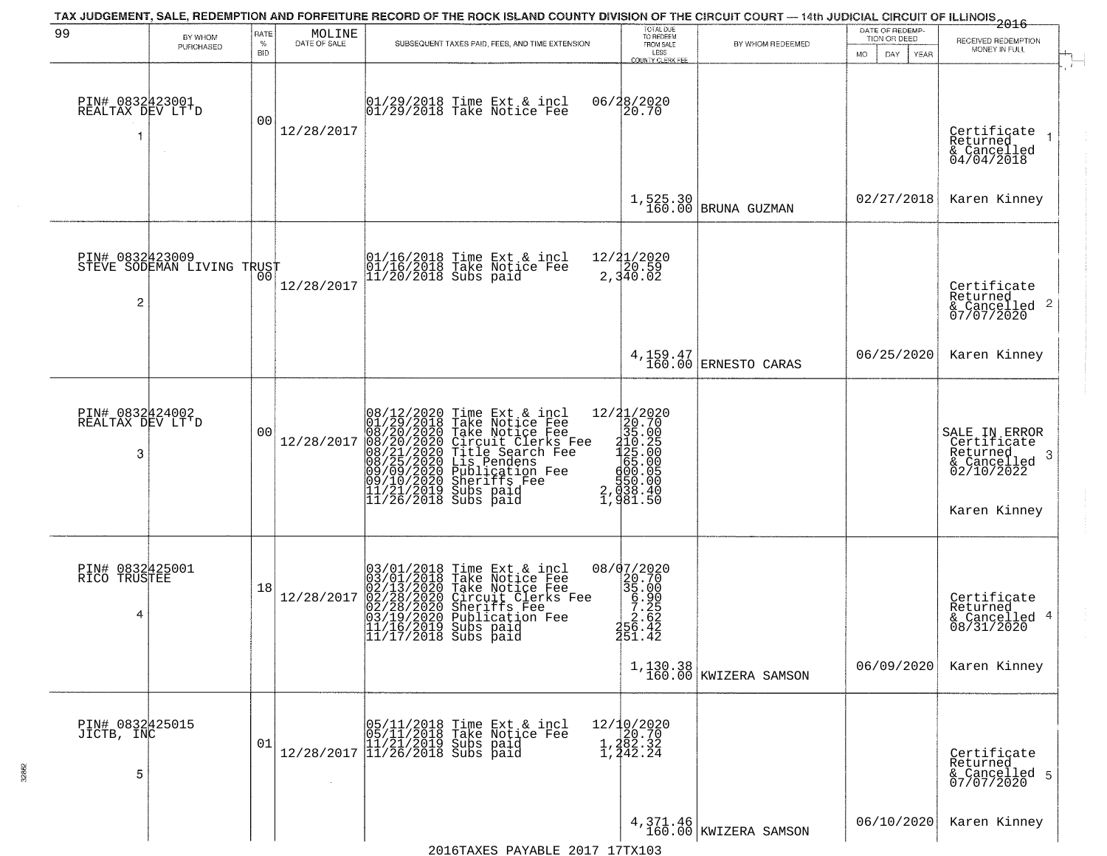| 99                                       | BY WHOM<br>PURCHASED       | RATE<br>%<br><b>BID</b> | MOLINE<br>DATE OF SALE | SUBSEQUENT TAXES PAID, FEES, AND TIME EXTENSION                                                                                                                                                                                                                                         | TOTAL DUE<br>TO REDEEM<br>FROM SALE<br>LESS<br><b>COUNTY CLERK FEE</b>                                                                                                                                                                                                                                                                                              | BY WHOM REDEEMED                    | DATE OF REDEMP-<br>TION OR DEED<br>MO.<br>DAY.<br>YEAR | 2016<br>RECEIVED REDEMPTION<br>MONEY IN FULL                                                           |
|------------------------------------------|----------------------------|-------------------------|------------------------|-----------------------------------------------------------------------------------------------------------------------------------------------------------------------------------------------------------------------------------------------------------------------------------------|---------------------------------------------------------------------------------------------------------------------------------------------------------------------------------------------------------------------------------------------------------------------------------------------------------------------------------------------------------------------|-------------------------------------|--------------------------------------------------------|--------------------------------------------------------------------------------------------------------|
| PIN# 0832423001<br>REALTAX DEV LT'D<br>1 |                            | 0 <sub>0</sub>          | 12/28/2017             | $ 01/29/2018$ Time Ext & incl<br>$ 01/29/2018$ Take Notice Fee                                                                                                                                                                                                                          | 06/28/2020<br>20.70                                                                                                                                                                                                                                                                                                                                                 |                                     |                                                        | Certificate 1<br>Returned<br>& Cancelled<br>04/04/2018                                                 |
|                                          |                            |                         |                        |                                                                                                                                                                                                                                                                                         | 1,525.30<br>160.00                                                                                                                                                                                                                                                                                                                                                  | BRUNA GUZMAN                        | 02/27/2018                                             | Karen Kinney                                                                                           |
| PIN# 0832423009<br>$\overline{c}$        | STEVE SODEMAN LIVING TRUST | 00                      | 12/28/2017             | 01/16/2018 Time Ext & incl<br>01/16/2018 Take Notice Fee<br>11/20/2018 Subs paid                                                                                                                                                                                                        | 12/21/2020<br>2,340.02                                                                                                                                                                                                                                                                                                                                              |                                     |                                                        | Certificate<br>Returned<br>$\frac{1}{6}$ Cancelled 2<br>07/07/2020                                     |
|                                          |                            |                         |                        |                                                                                                                                                                                                                                                                                         |                                                                                                                                                                                                                                                                                                                                                                     | 4, 159.47<br>160.00 ERNESTO CARAS   | 06/25/2020                                             | Karen Kinney                                                                                           |
| PIN# 0832424002<br>REALTAX DEV LT'D<br>3 |                            | 0 <sub>0</sub>          | 12/28/2017             | 08/12/2020 Time Ext & incl<br>01/29/2018 Take Notice Fee<br>08/20/2020 Take Notice Fee<br>08/20/2020 Circuit Clerks Fee<br>08/21/2020 Title Search Fee<br>08/25/2020 Dis Pendens<br>09/09/2020 Publication Fee<br>09/09/2020 Sheriffs Fee<br>11/21/20                                   | $=\begin{smallmatrix} 12/2 & 1/2 & 0 & 2 & 0 \\ 2 & 0 & 0 & 7 & 0 \\ 3 & 0 & 5 & 0 & 0 \\ 2 & 1 & 1 & 0 & 0 \\ 1 & 0 & 5 & 0 & 0 \\ 6 & 6 & 5 & 0 & 0 \\ 6 & 0 & 0 & 0 & 0 \\ 6 & 0 & 0 & 0 & 0 \\ 6 & 0 & 0 & 0 & 0 \\ 7 & 0 & 0 & 0 & 0 \\ 8 & 0 & 0 & 0 & 0 \\ 9 & 0 & 0 & 0 & 0 \\ 1 & 0 & 0 & 0 & 0 \\ 1 & 0 & 0 & 0 & 0$<br>$\frac{150.00}{938.40}$<br>981.50 |                                     |                                                        | SALE IN ERROR<br>Certificate<br>Returned<br>3<br>$\frac{1}{2}$ Cancelled<br>02/10/2022<br>Karen Kinney |
| PIN# 0832425001<br>RICO TRUSTEE<br>4     |                            | 18                      | 12/28/2017             | 03/01/2018 Time Ext & incl<br>03/01/2018 Take Notice Fee<br>02/13/2020 Take Notice Fee<br>02/28/2020 Circuit Clerks F<br>02/28/2020 Sheriffs Fee<br>03/19/2020 Publication Fee<br>11/17/2019 Subs paid<br>Take Notice Fee<br>Circuit Clerks Fee<br>Sheriffs Fee<br>11/17/2018 Subs paid | 08/07/2020<br>$\begin{array}{r} 20.700 \\ 29.700 \\ 35.090 \\ 7.262 \\ 2.642 \\ 45.43 \end{array}$<br>251.42                                                                                                                                                                                                                                                        | $1,130.38$<br>160.00 KWIZERA SAMSON | 06/09/2020                                             | Certificate<br>Returned<br>& Cancelled 4<br>08/31/2020<br>Karen Kinney                                 |
| PIN# 0832425015<br>JICTB, INC<br>5       |                            | 01                      |                        | $[05/11/2018 \t\t Time \t\t Ext & incl \\ 05/11/2018 \t\t Take \tNotice \t\ا \\ 11/21/2019 \t\Subs \t paid \\ 12/28/2017 \t\t \t\t 11/26/2018 \t\Subs \t paid \\$                                                                                                                       | 12/10/2020<br>1,282.32<br>1,282.32<br>1,242.24                                                                                                                                                                                                                                                                                                                      |                                     |                                                        | Certifiçate<br>Returned<br>& Cancelled 5<br>07/07/2020                                                 |
|                                          |                            |                         |                        |                                                                                                                                                                                                                                                                                         |                                                                                                                                                                                                                                                                                                                                                                     | 4, 371.46<br>160.00 KWIZERA SAMSON  | 06/10/2020                                             | Karen Kinney                                                                                           |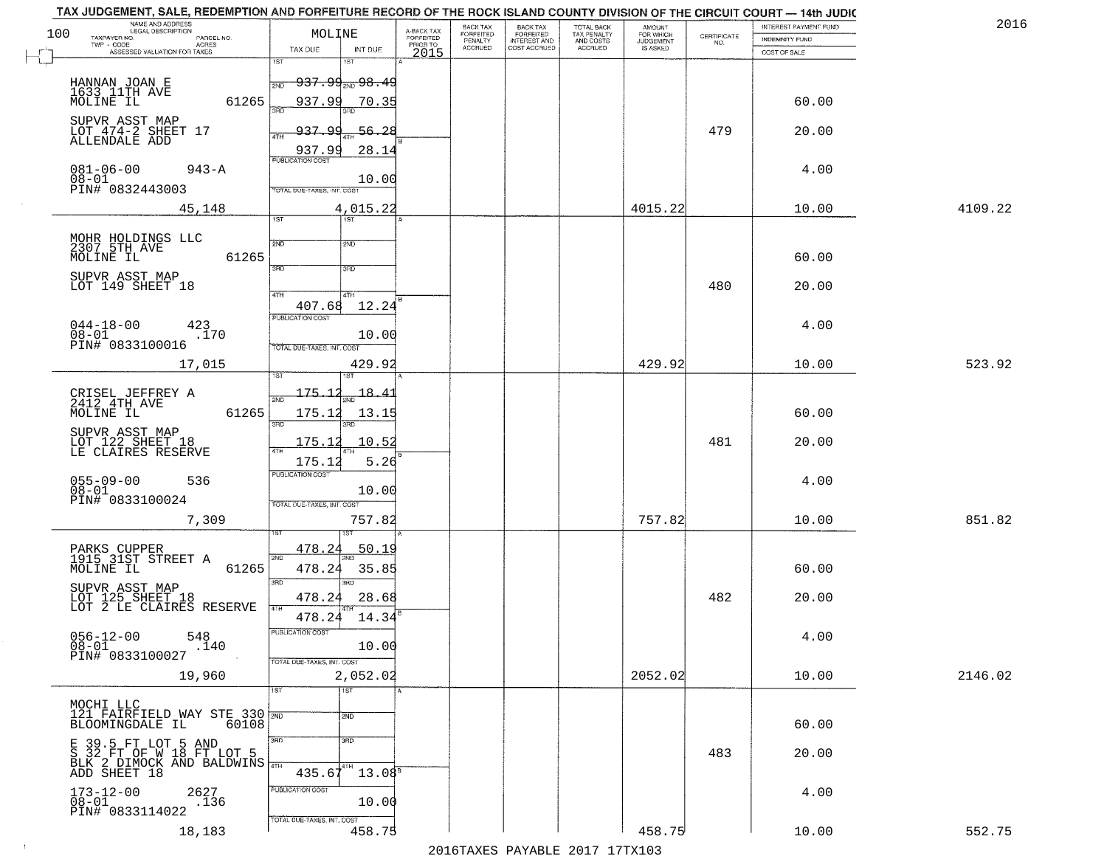| 2016    | INTEREST PAYMENT FUND |                                                                 | <b>AMOUNT</b><br>FOR WHICH | TOTAL BACK<br>TAX PENALTY<br>AND COSTS<br>ACCRUED | <b>BACK TAX</b><br><b>FORFEITED</b> | BACK TAX<br><b>FORFEITED</b> | A-BACK TAX                   | MOLINE                                                               | NAME AND ADDRESS<br>LEGAL DESCRIPTION                                                        |
|---------|-----------------------|-----------------------------------------------------------------|----------------------------|---------------------------------------------------|-------------------------------------|------------------------------|------------------------------|----------------------------------------------------------------------|----------------------------------------------------------------------------------------------|
|         | INDEMNITY FUND        | $\begin{array}{c} \text{CERTIFICATE} \\ \text{NO.} \end{array}$ | JUDGEMENT                  |                                                   | INTEREST AND<br>COST ACCRUED        | PENALTY<br>ACCRUED           | <b>FORFEITED</b><br>PRIOR TO |                                                                      | TAXPAYER NO.<br>PARCEL NO.<br>TWP - CODE<br><b>ACRES</b>                                     |
|         | COST OF SALE          |                                                                 |                            |                                                   |                                     |                              | 2015                         | TAX DUE<br>INT DUE<br>នោ                                             | ASSESSED VALUATION FOR TAXES                                                                 |
|         |                       |                                                                 |                            |                                                   |                                     |                              |                              | 1ST<br><del>937.99<sub>2ND</sub>98.4</del> 9<br><b>PND</b>           | HANNAN JOAN E<br>1633 11TH AVE                                                               |
|         | 60.00                 |                                                                 |                            |                                                   |                                     |                              |                              | 937.99<br>70.35                                                      | MOLINE IL<br>61265<br>SUPVR ASST MAP<br>LOT 474-2 SHEET 17                                   |
|         | 20.00                 | 479                                                             |                            |                                                   |                                     |                              |                              | 937.99<br>56.28<br>4TH<br>937.99<br>28.14<br><b>PUBLICATION COST</b> | ALLENDALE ADD                                                                                |
|         | 4.00                  |                                                                 |                            |                                                   |                                     |                              |                              | 10.00<br>TOTAL DUE-TAXES, INT. COST                                  | $081 - 06 - 00$<br>$943 - A$<br>08-01<br>PIN# 0832443003                                     |
| 4109.22 | 10.00                 |                                                                 | 4015.22                    |                                                   |                                     |                              |                              | 4,015.22<br>$\overline{15T}$<br>1ST                                  | 45,148                                                                                       |
|         | 60.00                 |                                                                 |                            |                                                   |                                     |                              |                              | 2ND<br>2ND                                                           | MOHR HOLDINGS LLC<br>2307 5TH AVE<br>61265<br>MOLINE IL                                      |
|         | 20.00                 | 480                                                             |                            |                                                   |                                     |                              |                              | 3RD<br>3RD                                                           | SUPVR ASST MAP<br>LOT 149 SHEET 18                                                           |
|         |                       |                                                                 |                            |                                                   |                                     |                              |                              | 47H<br>4TH<br>12.24<br>407.68<br>PUBLICATION COST                    |                                                                                              |
|         | 4.00                  |                                                                 |                            |                                                   |                                     |                              |                              | 10.00<br>TOTAL DUE-TAXES, INT. COST                                  | $044 - 18 - 00$<br>423<br>$08 - 01$<br>.170<br>PIN# 0833100016                               |
| 523.92  | 10.00                 |                                                                 | 429.92                     |                                                   |                                     |                              |                              | 429.92                                                               | 17,015                                                                                       |
|         | 60.00                 |                                                                 |                            |                                                   |                                     |                              |                              | 175.1<br>18.41<br>175.12<br>13.15<br>3BD<br>3RD                      | CRISEL JEFFREY A<br>2412 4TH AVE<br>61265<br>MOLINE IL                                       |
|         | 20.00                 | 481                                                             |                            |                                                   |                                     |                              |                              | 175.12<br>10.52<br>5.26<br>175.12                                    | SUPVR ASST MAP<br>LOT 122 SHEET 18<br>LE CLAIRES RESERVE                                     |
|         | 4.00                  |                                                                 |                            |                                                   |                                     |                              |                              | <b>PUBLICATION COST</b><br>10.00<br>TOTAL OUE-TAXES, INT. COST       | 055-09-00<br>08-01<br>536<br>PIN# 0833100024                                                 |
| 851.82  | 10.00                 |                                                                 | 757.82                     |                                                   |                                     |                              |                              | 757.82                                                               | 7,309                                                                                        |
|         | 60.00                 |                                                                 |                            |                                                   |                                     |                              |                              | 478.24<br><u>50.19</u><br>2ND<br>478.24<br>35.85                     | PARKS CUPPER<br>1915 31ST STREET A<br>MOLINE IL<br>61265                                     |
|         | 20.00                 | 482                                                             |                            |                                                   |                                     |                              |                              | 3RD<br>3BD<br>478.24<br>28.68<br>4TH<br>14.34                        | SUPVR ASST MAP<br>LOT 125 SHEET 18<br>LOT 2 LE CLAIRES RESERVE                               |
|         | 4.00                  |                                                                 |                            |                                                   |                                     |                              |                              | 478.24<br>PUBLICATION COST<br>10.00                                  | $056 - 12 - 00$<br>548<br>$08 - 01$<br>.140<br>PIN# 0833100027                               |
| 2146.02 | 10.00                 |                                                                 | 2052.02                    |                                                   |                                     |                              |                              | TOTAL DUE-TAXES, INT. COST<br>2,052.02                               | 19,960                                                                                       |
|         | 60.00                 |                                                                 |                            |                                                   |                                     |                              |                              | $\overline{1ST}$<br>1ST <sup>1</sup><br>2ND                          | MOCHI LLC<br>121 FAIRFIELD WAY STE 330 70<br>BLOOMINGDALE IL<br>60108                        |
|         | 20.00                 | 483                                                             |                            |                                                   |                                     |                              |                              | 3RD<br>3 <sub>BD</sub><br>$435.67^{47H}$<br>$13.08^{\circ}$          | E 39.5 FT LOT 5 AND<br>S 32 FT OF W 18 FT LOT 5<br>BLK 2 DIMOCK AND BALDWINS<br>ADD SHEET 18 |
|         | 4.00                  |                                                                 |                            |                                                   |                                     |                              |                              | PUBLICATION COST<br>10.00                                            | $173 - 12 - 00$<br>2627<br>$08 - 01$<br>.136                                                 |
|         |                       |                                                                 |                            |                                                   |                                     |                              |                              | TOTAL DUE-TAXES, INT. COST                                           | PIN# 0833114022                                                                              |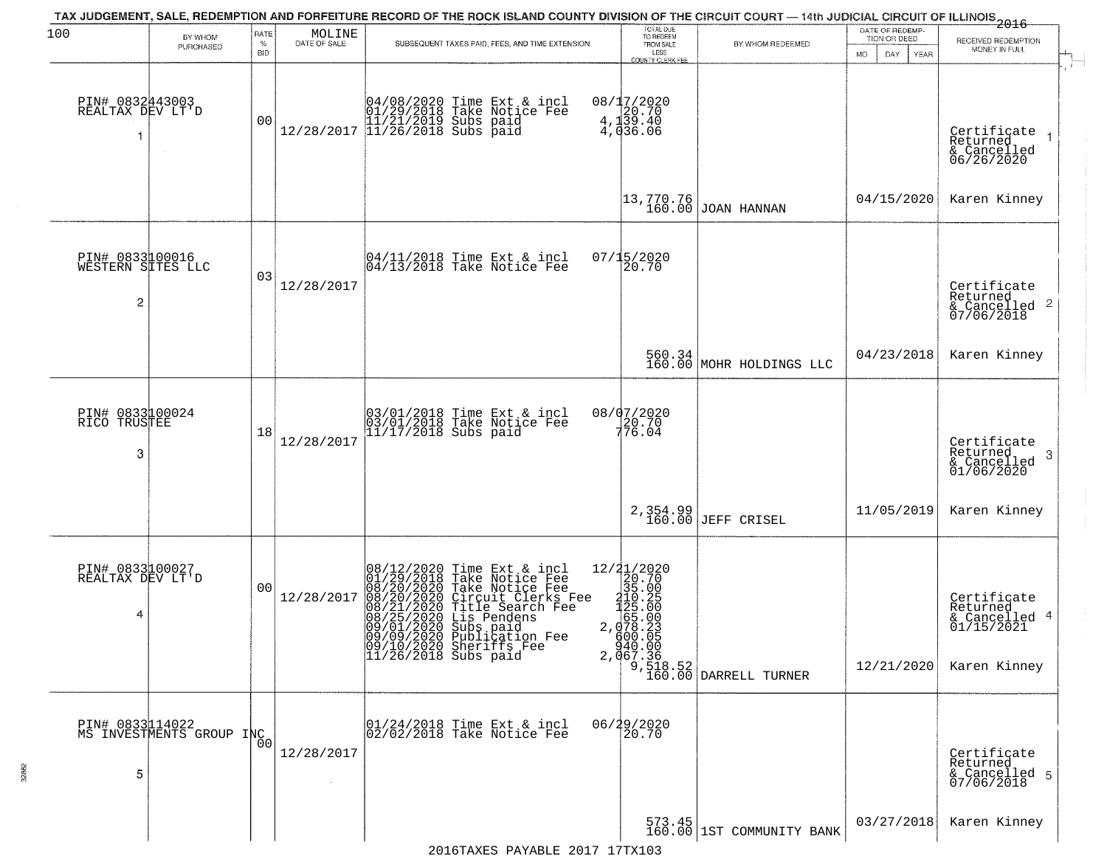| 100                                       | BY WHOM                                    | RATE            | $\begin{array}{c} \text{MOLINE} \\ \text{DATE of SALE} \end{array}$ | TAX JUDGEMENT, SALE, REDEMPTION AND FORFEITURE RECORD OF THE ROCK ISLAND COUNTY DIVISION OF THE CIRCUIT COURT — 14th JUDICIAL CIRCUIT OF ILLINOIS 2016                                                                                                                                    | TOTAL DUE<br>TO REDEEM                         |                                                            | DATE OF REDEMP-<br>TION OR DEED |                                                                        |
|-------------------------------------------|--------------------------------------------|-----------------|---------------------------------------------------------------------|-------------------------------------------------------------------------------------------------------------------------------------------------------------------------------------------------------------------------------------------------------------------------------------------|------------------------------------------------|------------------------------------------------------------|---------------------------------|------------------------------------------------------------------------|
|                                           | PURCHASED                                  | %<br><b>BID</b> |                                                                     | SUBSEQUENT TAXES PAID, FEES, AND TIME EXTENSION                                                                                                                                                                                                                                           | FROM SALE<br>LESS<br>COUNTY CLERK FEE          | BY WHOM REDEEMED                                           | <b>MO</b><br>DAY<br>YEAR        | RECEIVED REDEMPTION<br>MONEY IN FULL                                   |
| PIN# 0832443003<br>REALTAX DEV LT'D<br>1  | $\sim$                                     | 0 <sub>0</sub>  | 12/28/2017                                                          | 04/08/2020 Time Ext & incl<br>01/29/2018 Take Notice Fee<br>11/21/2019 Subs paid<br>11/26/2018 Subs paid                                                                                                                                                                                  | 08/17/2020<br>4.120.70<br>4.139.40<br>4.036.06 |                                                            |                                 | Certificate<br>Returned<br>& Cancelled<br>06/26/2020                   |
|                                           |                                            |                 |                                                                     |                                                                                                                                                                                                                                                                                           | 13,770.76<br>160.00                            | JOAN HANNAN                                                | 04/15/2020                      | Karen Kinney                                                           |
| PIN# 0833100016<br>WESTERN SITES LLC<br>2 |                                            | 03              | 12/28/2017                                                          | 04/11/2018 Time Ext & incl<br>04/13/2018 Take Notice Fee                                                                                                                                                                                                                                  | $07/15/2020$<br>20.70                          |                                                            |                                 | Certificate<br>Returned<br>& Cancelled 2<br>07/06/2018                 |
|                                           |                                            |                 |                                                                     |                                                                                                                                                                                                                                                                                           |                                                | $560.34$ MOHR HOLDINGS LLC                                 | 04/23/2018                      | Karen Kinney                                                           |
| PIN# 0833100024<br>RICO<br>TRUSTEE<br>3   |                                            | 18              | 12/28/2017                                                          | 03/01/2018 Time Ext & incl<br>03/01/2018 Take Notice Fee<br>11/17/2018 Subs paid                                                                                                                                                                                                          | 08/07/2020<br>$7^{20.70}_{76.04}$              |                                                            |                                 | Certificate<br>Returned<br>-3<br>& Cancelled<br>01/06/2020             |
|                                           |                                            |                 |                                                                     |                                                                                                                                                                                                                                                                                           | 2,354.99<br>160.00                             | <b>JEFF CRISEL</b>                                         | 11/05/2019                      | Karen Kinney                                                           |
| PIN# 0833100027<br>REALTAX DEV LT'D<br>4  |                                            | 0 <sub>0</sub>  | 12/28/2017                                                          | 08/12/2020 Time Ext & incl<br>01/29/2018 Take Notice Fee<br>08/20/2020 Take Notice Fee<br>08/20/2020 Circuit Clerks Fee<br>08/21/2020 Title Search Fee<br>08/25/2020 Lis Pendens<br>09/01/2020 Subs paid<br>09/09/2020 Publication Fee<br>09/10/2020 Sheriffs Fee<br>11/26/2018 Subs paid | g00.05<br>940.00                               | $2,067.\overline{36}$<br>9,518.52<br>160.00 DARRELL TURNER | 12/21/2020                      | Certificate<br>Returned<br>& Cancelled 4<br>01/15/2021<br>Karen Kinney |
| PIN# 0833114022<br>5                      | PIN# UOSSPITTS<br>MS INVESTMENTS GROUP INC |                 | 12/28/2017                                                          | 01/24/2018 Time Ext & incl<br>02/02/2018 Take Notice Fee                                                                                                                                                                                                                                  | 06/29/2020<br>20.70                            |                                                            |                                 | Certificate<br>Returned<br>& Cancelled 5<br>07/06/2018                 |
|                                           |                                            |                 |                                                                     | 2016TAXES PAYABLE 2017 17TX103                                                                                                                                                                                                                                                            |                                                | 573.45<br>160.00 1ST COMMUNITY BANK                        | 03/27/2018                      | Karen Kinney                                                           |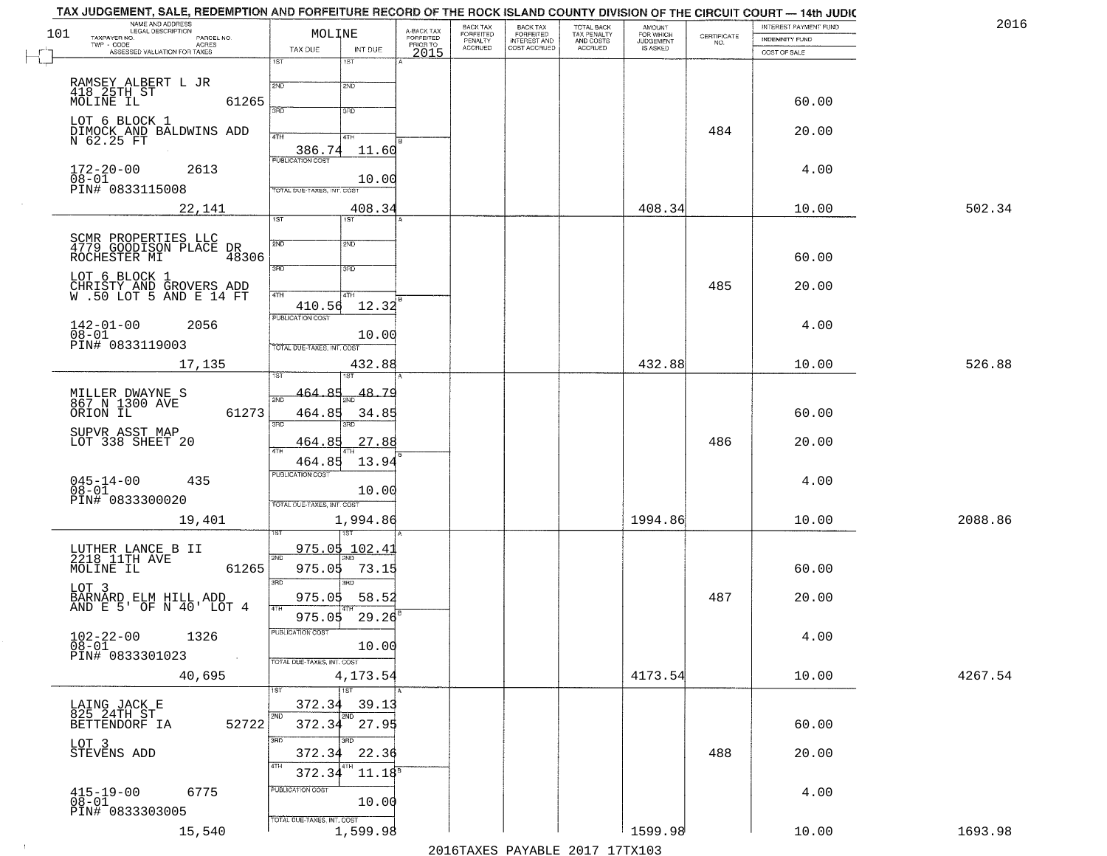|     | TAX JUDGEMENT, SALE, REDEMPTION AND FORFEITURE RECORD OF THE ROCK ISLAND COUNTY DIVISION OF THE CIRCUIT COURT — 14th JUDIC |                                   |              |                         |                       |                                                       |                                                   |                                    |                                                                 |                       |         |
|-----|----------------------------------------------------------------------------------------------------------------------------|-----------------------------------|--------------|-------------------------|-----------------------|-------------------------------------------------------|---------------------------------------------------|------------------------------------|-----------------------------------------------------------------|-----------------------|---------|
| 101 | NAME AND ADDRESS<br>ILEGAL DESCRIPTION<br>TAXPAYER NO.<br>PARCEL NO.                                                       | MOLINE                            |              | A-BACK TAX<br>FORFEITED | BACK TAX<br>FORFEITED |                                                       |                                                   | <b>AMOUNT</b>                      |                                                                 | INTEREST PAYMENT FUND | 2016    |
|     | $TWP - CODE$<br>- CODE AGRES<br>ASSESSED VALUATION FOR TAXES                                                               | TAX DUE                           | INT DUE      | PRIOR TO                | PENALTY<br>ACCRUED    | BACK TAX<br>FORFEITED<br>INTEREST AND<br>COST ACCRUED | TOTAL BACK<br>TAX PENALTY<br>AND COSTS<br>ACCRUED | FOR WHICH<br>JUDGEMENT<br>IS ASKED | $\begin{array}{c} \text{CEPTIFICATE} \\ \text{NO.} \end{array}$ | <b>INDEMNITY FUND</b> |         |
|     |                                                                                                                            | 1ST                               | 1ST          | 2015                    |                       |                                                       |                                                   |                                    |                                                                 | COST OF SALE          |         |
|     |                                                                                                                            |                                   |              |                         |                       |                                                       |                                                   |                                    |                                                                 |                       |         |
|     | RAMSEY ALBERT L JR<br>418_25TH_ST                                                                                          | 2ND                               | 2ND          |                         |                       |                                                       |                                                   |                                    |                                                                 |                       |         |
|     | MOLINE IL<br>61265                                                                                                         | 370                               | 3BD          |                         |                       |                                                       |                                                   |                                    |                                                                 | 60.00                 |         |
|     | LOT 6 BLOCK 1                                                                                                              |                                   |              |                         |                       |                                                       |                                                   |                                    |                                                                 |                       |         |
|     | DIMOCK AND BALDWINS ADD<br>N 62.25 FT                                                                                      | 4TH                               | 4TH          |                         |                       |                                                       |                                                   |                                    | 484                                                             | 20.00                 |         |
|     |                                                                                                                            | 386.74                            | 11.60        |                         |                       |                                                       |                                                   |                                    |                                                                 |                       |         |
|     | $172 - 20 - 00$<br>2613                                                                                                    | <b>PUBLICATION COST</b>           |              |                         |                       |                                                       |                                                   |                                    |                                                                 | 4.00                  |         |
|     | 08-01<br>PIN# 0833115008                                                                                                   |                                   | 10.00        |                         |                       |                                                       |                                                   |                                    |                                                                 |                       |         |
|     |                                                                                                                            | TOTAL DUE-TAXES, INT. COST        |              |                         |                       |                                                       |                                                   |                                    |                                                                 |                       |         |
|     | 22,141                                                                                                                     |                                   | 408.34       |                         |                       |                                                       |                                                   | 408.34                             |                                                                 | 10.00                 | 502.34  |
|     |                                                                                                                            | 1ST                               | 1ST          |                         |                       |                                                       |                                                   |                                    |                                                                 |                       |         |
|     | SCMR PROPERTIES LLC<br>4779 GOODISON PLACE DR                                                                              | 2ND                               | 2ND          |                         |                       |                                                       |                                                   |                                    |                                                                 |                       |         |
|     | ROCHESTER MI<br>48306                                                                                                      |                                   |              |                         |                       |                                                       |                                                   |                                    |                                                                 | 60.00                 |         |
|     | LOT 6 BLOCK 1                                                                                                              | 3RD                               | 3RD          |                         |                       |                                                       |                                                   |                                    |                                                                 |                       |         |
|     | CHRISTY AND GROVERS ADD<br>W.50 LOT 5 AND E 14 FT                                                                          |                                   |              |                         |                       |                                                       |                                                   |                                    | 485                                                             | 20.00                 |         |
|     |                                                                                                                            | $\sqrt{4}$<br>410.56              | 4TH<br>12.32 |                         |                       |                                                       |                                                   |                                    |                                                                 |                       |         |
|     |                                                                                                                            | <b>PUBLICATION COST</b>           |              |                         |                       |                                                       |                                                   |                                    |                                                                 |                       |         |
|     | $142 - 01 - 00$<br>2056<br>$08 - 01$                                                                                       |                                   | 10.00        |                         |                       |                                                       |                                                   |                                    |                                                                 | 4.00                  |         |
|     | PIN# 0833119003                                                                                                            | TOTAL DUE-TAXES, INT. COST        |              |                         |                       |                                                       |                                                   |                                    |                                                                 |                       |         |
|     | 17,135                                                                                                                     |                                   | 432.88       |                         |                       |                                                       |                                                   | 432.88                             |                                                                 | 10.00                 | 526.88  |
|     |                                                                                                                            | īST                               | <b>IST</b>   |                         |                       |                                                       |                                                   |                                    |                                                                 |                       |         |
|     | MILLER DWAYNE S<br>867 N 1300 AVE                                                                                          | 464.85<br>2ND                     | $-48.79$     |                         |                       |                                                       |                                                   |                                    |                                                                 |                       |         |
|     | 61273<br>ORION IL                                                                                                          | 464.85                            | 34.85        |                         |                       |                                                       |                                                   |                                    |                                                                 | 60.00                 |         |
|     |                                                                                                                            | 3RD                               |              |                         |                       |                                                       |                                                   |                                    |                                                                 |                       |         |
|     | SUPVR ASST MAP<br>LOT 338 SHEET 20                                                                                         | <u>464</u> .85                    | 27.88        |                         |                       |                                                       |                                                   |                                    | 486                                                             | 20.00                 |         |
|     |                                                                                                                            | 4TH                               |              |                         |                       |                                                       |                                                   |                                    |                                                                 |                       |         |
|     |                                                                                                                            | 464.85<br><b>PUBLICATION COST</b> | 13.94        |                         |                       |                                                       |                                                   |                                    |                                                                 |                       |         |
|     | $045 - 14 - 00$<br>$08 - 01$<br>435                                                                                        |                                   | 10.00        |                         |                       |                                                       |                                                   |                                    |                                                                 | 4.00                  |         |
|     | PIN# 0833300020                                                                                                            | TOTAL OUE-TAXES, INT. COST        |              |                         |                       |                                                       |                                                   |                                    |                                                                 |                       |         |
|     | 19,401                                                                                                                     |                                   | 1,994.86     |                         |                       |                                                       |                                                   | 1994.86                            |                                                                 | 10.00                 | 2088.86 |
|     |                                                                                                                            |                                   | उड़क         |                         |                       |                                                       |                                                   |                                    |                                                                 |                       |         |
|     |                                                                                                                            | 975.05                            | 102.4        |                         |                       |                                                       |                                                   |                                    |                                                                 |                       |         |
|     | LUTHER LANCE B II<br>2218 11TH AVE<br>MOLINE IL<br>61265                                                                   | 2ND<br>975.05                     | 73.15        |                         |                       |                                                       |                                                   |                                    |                                                                 | 60.00                 |         |
|     |                                                                                                                            | 3RD                               | 3RD          |                         |                       |                                                       |                                                   |                                    |                                                                 |                       |         |
|     | LOT 3                                                                                                                      | 975.05                            | 58.52        |                         |                       |                                                       |                                                   |                                    | 487                                                             | 20.00                 |         |
|     | BARNARD ELM HILL ADD<br>AND E 5' OF N 40' LOT 4                                                                            | 4TH                               |              |                         |                       |                                                       |                                                   |                                    |                                                                 |                       |         |
|     |                                                                                                                            | 975.05                            | 29.26        |                         |                       |                                                       |                                                   |                                    |                                                                 |                       |         |
|     | 102-22-00 1326                                                                                                             | PUBLICATION COST                  | 10.00        |                         |                       |                                                       |                                                   |                                    |                                                                 | 4.00                  |         |
|     | 08-01<br>PIN# 0833301023                                                                                                   | TOTAL DUE-TAXES, INT. COST        |              |                         |                       |                                                       |                                                   |                                    |                                                                 |                       |         |
|     | 40,695                                                                                                                     |                                   | 4,173.54     |                         |                       |                                                       |                                                   | 4173.54                            |                                                                 | 10.00                 | 4267.54 |
|     |                                                                                                                            | 1ST                               | 1ST          |                         |                       |                                                       |                                                   |                                    |                                                                 |                       |         |
|     |                                                                                                                            | 372.34                            | 39.13        |                         |                       |                                                       |                                                   |                                    |                                                                 |                       |         |
|     | LAING JACK E<br>825 24TH ST                                                                                                | 2ND                               | 2ND          |                         |                       |                                                       |                                                   |                                    |                                                                 |                       |         |
|     | 52722<br>BETTENDORF IA                                                                                                     | 372.34                            | 27.95        |                         |                       |                                                       |                                                   |                                    |                                                                 | 60.00                 |         |
|     | LOT 3                                                                                                                      | 3RD                               | 3RD          |                         |                       |                                                       |                                                   |                                    | 488                                                             |                       |         |
|     | STEVENS ADD                                                                                                                | 372.34<br>4TH                     | 22.36        |                         |                       |                                                       |                                                   |                                    |                                                                 | 20.00                 |         |
|     |                                                                                                                            | 372.34                            | $11.18^8$    |                         |                       |                                                       |                                                   |                                    |                                                                 |                       |         |
|     | 6775<br>$415 - 19 - 00$                                                                                                    | PUBLICATION COST                  |              |                         |                       |                                                       |                                                   |                                    |                                                                 | 4.00                  |         |
|     | $08 - 01$<br>PIN# 0833303005                                                                                               |                                   | 10.00        |                         |                       |                                                       |                                                   |                                    |                                                                 |                       |         |
|     |                                                                                                                            | TOTAL OUE-TAXES, INT. COST        |              |                         |                       |                                                       |                                                   |                                    |                                                                 |                       |         |
|     | 15,540                                                                                                                     |                                   | 1,599.98     |                         |                       |                                                       |                                                   | 1599.98                            |                                                                 | 10.00                 | 1693.98 |

 $\sim 10^{-1}$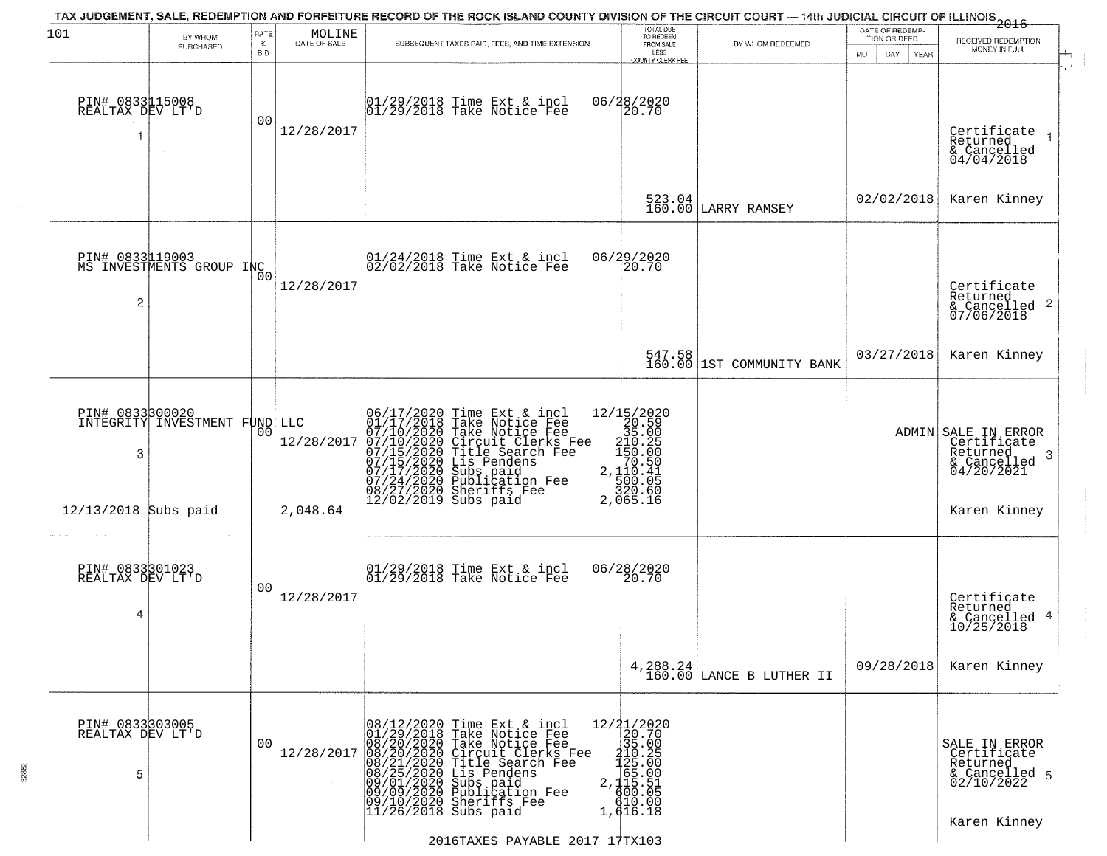| PURCHASED<br>PIN# 0833115008<br>REALTAX DEV LT'D<br>PIN# 0833119003<br>MS INVESTMENTS GROUP INC | <b>BID</b><br>00<br>0 <sub>0</sub> | 12/28/2017 | $01/29/2018$ Time Ext & incl<br>$01/29/2018$ Take Notice Fee | FROM SALE<br>LESS<br>COUNTY CLERK FEE<br>06/28/2020<br>20.70<br>523.04<br>160.00                                                                                                                                                                                                                                                                                                                                                                                                                                                                                                                                                | LARRY RAMSEY                                                                                                                                                                                                                                                    | MO.<br>DAY<br><b>YEAR</b><br>02/02/2018 | MONEY IN FULL<br>Certificate<br>Returned<br>& Cancelled<br>04/04/2018<br>Karen Kinney |
|-------------------------------------------------------------------------------------------------|------------------------------------|------------|--------------------------------------------------------------|---------------------------------------------------------------------------------------------------------------------------------------------------------------------------------------------------------------------------------------------------------------------------------------------------------------------------------------------------------------------------------------------------------------------------------------------------------------------------------------------------------------------------------------------------------------------------------------------------------------------------------|-----------------------------------------------------------------------------------------------------------------------------------------------------------------------------------------------------------------------------------------------------------------|-----------------------------------------|---------------------------------------------------------------------------------------|
|                                                                                                 |                                    |            |                                                              |                                                                                                                                                                                                                                                                                                                                                                                                                                                                                                                                                                                                                                 |                                                                                                                                                                                                                                                                 |                                         |                                                                                       |
|                                                                                                 |                                    |            |                                                              |                                                                                                                                                                                                                                                                                                                                                                                                                                                                                                                                                                                                                                 |                                                                                                                                                                                                                                                                 |                                         |                                                                                       |
|                                                                                                 |                                    |            |                                                              |                                                                                                                                                                                                                                                                                                                                                                                                                                                                                                                                                                                                                                 |                                                                                                                                                                                                                                                                 |                                         |                                                                                       |
|                                                                                                 |                                    | 12/28/2017 | 01/24/2018 Time Ext & incl<br>02/02/2018 Take Notice Fee     | 06/29/2020<br>20.70                                                                                                                                                                                                                                                                                                                                                                                                                                                                                                                                                                                                             |                                                                                                                                                                                                                                                                 |                                         | Certificate<br>Returned<br>& Cancelled 2<br>07/06/2018                                |
|                                                                                                 |                                    |            |                                                              |                                                                                                                                                                                                                                                                                                                                                                                                                                                                                                                                                                                                                                 | 547.58<br>160.00 1ST COMMUNITY BANK                                                                                                                                                                                                                             | 03/27/2018                              | Karen Kinney                                                                          |
| PIN# 0833300020                                                                                 | 00                                 | 12/28/2017 |                                                              |                                                                                                                                                                                                                                                                                                                                                                                                                                                                                                                                                                                                                                 |                                                                                                                                                                                                                                                                 |                                         | ADMIN SALE IN ERROR<br>Certificate<br>Returned<br>- 3<br>$6 \n04/20/2021$             |
| 12/13/2018 Subs paid                                                                            |                                    | 2,048.64   |                                                              |                                                                                                                                                                                                                                                                                                                                                                                                                                                                                                                                                                                                                                 |                                                                                                                                                                                                                                                                 |                                         | Karen Kinney                                                                          |
| PIN# 0833301023<br>REALTAX DEV LT'D                                                             | 0 <sub>0</sub>                     | 12/28/2017 |                                                              |                                                                                                                                                                                                                                                                                                                                                                                                                                                                                                                                                                                                                                 |                                                                                                                                                                                                                                                                 |                                         | Certificate<br>Returned<br>& Cancelled 4<br>10/25/2018                                |
|                                                                                                 |                                    |            |                                                              |                                                                                                                                                                                                                                                                                                                                                                                                                                                                                                                                                                                                                                 |                                                                                                                                                                                                                                                                 | 09/28/2018                              | Karen Kinney                                                                          |
| PIN# 0833303005<br>REALTAX DEV LT'D                                                             | 00                                 | 12/28/2017 |                                                              |                                                                                                                                                                                                                                                                                                                                                                                                                                                                                                                                                                                                                                 |                                                                                                                                                                                                                                                                 |                                         | SALE IN ERROR<br>Certificate<br>Returned<br>& Cancelled 5<br>02/10/2022               |
|                                                                                                 |                                    |            | INTEGRITY INVESTMENT FUND LLC                                | 06/17/2020 Time Ext & incl<br>01/17/2018 Take Notice Fee<br>07/10/2020 Take Notice Fee<br>07/10/2020 Circuit Clerks Fee<br>07/15/2020 Title Search Fee<br>07/15/2020 Lis Pendens<br>07/21/2020 Subs paid<br>07/24/2020 Subs paid<br>08/27/2020 Subs p<br>$ 12/02/2019$ Subs paid<br>01/29/2018 Time Ext & incl<br>01/29/2018 Take Notice Fee<br>08/12/2020 Time Ext & incl<br>01/29/2018 Take Notice Fee<br>08/20/2020 Take Notice Fee<br>08/20/2020 Circuit Clerks Fee<br>08/21/2020 Title Search Fee<br>08/25/2020 Lis Pendens<br>09/01/2020 Subs paid<br>09/09/2020 Subs paid<br>09/09/2020 Subs p<br>$11/26/2018$ Subs paid | $2212/15/2020$ $35.0000$ $20.5000$ $310.2050$ $310.2050$ $27.110.41$ $32.1500.060$ $32.1500.060$ $32.1500.060$<br>2,065.16<br>06/28/2020<br>20.70<br>12/21/2020<br>20.70<br>35.00<br>$2,100.25$<br>$2,100.25$<br>$2,115.51$<br>$600.05$<br>$610.00$<br>1,616.18 | 4, 288. 24 LANCE B LUTHER II            |                                                                                       |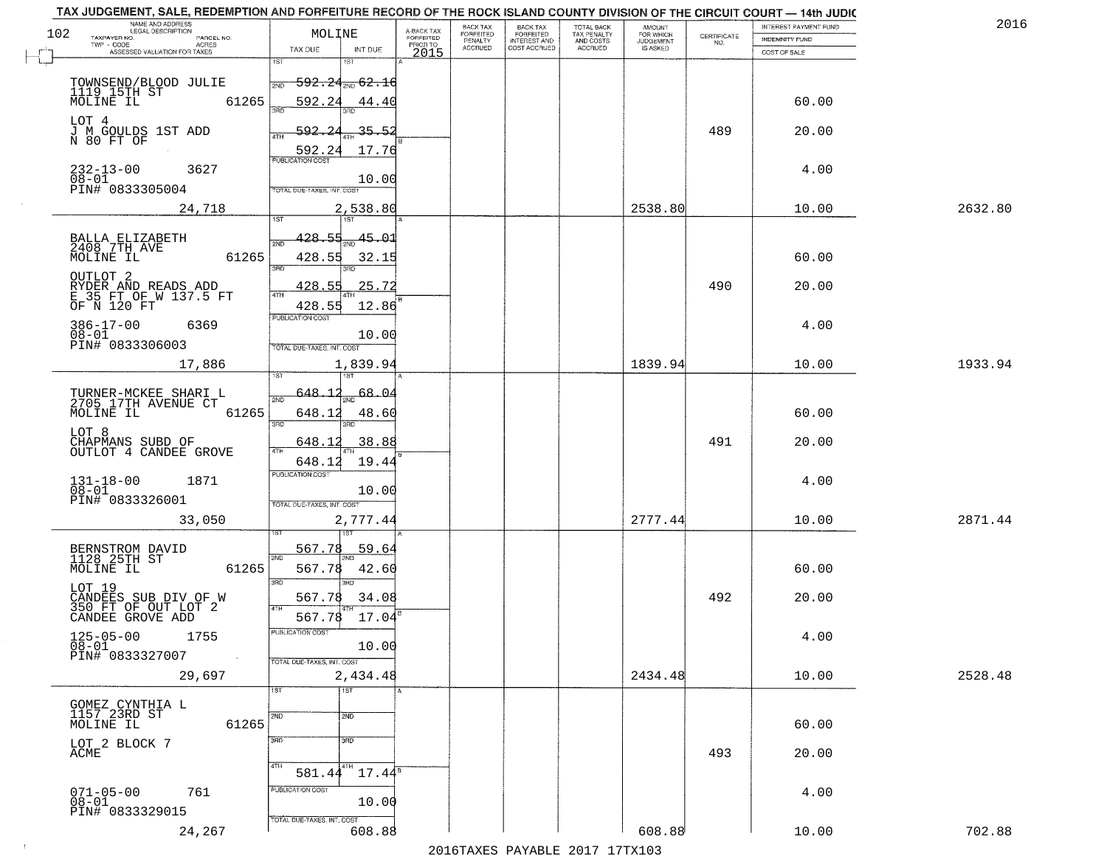| TAX JUDGEMENT, SALE, REDEMPTION AND FORFEITURE RECORD OF THE ROCK ISLAND COUNTY DIVISION OF THE CIRCUIT COURT - 14th JUDIC<br>NAME AND ADDRESS<br>LEGAL DESCRIPTION |                                                                   |                                     | BACK TAX             | <b>BACK TAX</b>           |                                        |                                         |                                                                 | INTEREST PAYMENT FUND | 2016    |
|---------------------------------------------------------------------------------------------------------------------------------------------------------------------|-------------------------------------------------------------------|-------------------------------------|----------------------|---------------------------|----------------------------------------|-----------------------------------------|-----------------------------------------------------------------|-----------------------|---------|
| 102<br>TAXPAYER NO.<br>PARCEL NO.                                                                                                                                   | MOLINE                                                            | A-BACK TAX<br>FORFEITED<br>PRIOR TO | FORFEITED<br>PENALTY | FORFEITED<br>INTEREST AND | TOTAL BACK<br>TAX PENALTY<br>AND COSTS | AMOUNT<br>FOR WHICH<br><b>JUDGEMENT</b> | $\begin{array}{c} \text{CERTIFICATE} \\ \text{NO.} \end{array}$ | INDEMNITY FUND        |         |
| ACRES<br>ASSESSED VALUATION FOR TAXES                                                                                                                               | TAX DUE<br>INT DUE                                                | 2015                                | <b>ACCRUED</b>       | COST ACCRUED              | <b>ACCRUED</b>                         | IS ASKED                                |                                                                 | COST OF SALE          |         |
| TOWNSEND/BLOOD JULIE<br>1119 15TH ST                                                                                                                                | 1ST<br>181<br>$-592.24_{\rm 200}$ 62.16<br>2ND                    |                                     |                      |                           |                                        |                                         |                                                                 |                       |         |
| 61265<br>MOLINE IL<br>LOT 4                                                                                                                                         | 592.24<br>44.40                                                   |                                     |                      |                           |                                        |                                         |                                                                 | 60.00                 |         |
| J M GOULDS 1ST ADD<br>N 80 FT OF                                                                                                                                    | $-35.52$<br>592.24<br>ATH<br>17.76<br>592.24                      |                                     |                      |                           |                                        |                                         | 489                                                             | 20.00                 |         |
| $232 - 13 - 00$<br>3627<br>$08 - 01$<br>PIN# 0833305004                                                                                                             | 10.00<br>TOTAL DUE-TAXES, INT. COST                               |                                     |                      |                           |                                        |                                         |                                                                 | 4.00                  |         |
| 24,718                                                                                                                                                              | 2,538.80                                                          |                                     |                      |                           |                                        | 2538.80                                 |                                                                 | 10.00                 | 2632.80 |
| BALLA ELIZABETH<br>2408 7TH AVE<br>61265<br>MOLINE IL                                                                                                               | 45.01<br>428.55<br>ইমট<br>428.55<br>32.15<br>3RD                  |                                     |                      |                           |                                        |                                         |                                                                 | 60.00                 |         |
| OUTLOT <sub>2</sub><br>RYDER AND READS ADD<br>E 35 FT OF W 137.5 FT<br>OF N 120 FT                                                                                  | 25.72<br>428.55<br>47H<br>428.55<br>12.86                         |                                     |                      |                           |                                        |                                         | 490                                                             | 20.00                 |         |
| $386 - 17 - 00$<br>6369<br>$08 - 01$<br>PIN# 0833306003                                                                                                             | PUBLICATION COST<br>10.00<br>TOTAL DUE-TAXES, INT. COST           |                                     |                      |                           |                                        |                                         |                                                                 | 4.00                  |         |
| 17,886                                                                                                                                                              | 1,839.94<br>īsT                                                   |                                     |                      |                           |                                        | 1839.94                                 |                                                                 | 10.00                 | 1933.94 |
| TURNER-MCKEE SHARI L<br>2705 17TH AVENUE CT<br>MOLINE IL<br>61265                                                                                                   | 648.12<br>68.04<br>2ND<br>648.12<br>48.60<br>3RD<br>3RD           |                                     |                      |                           |                                        |                                         |                                                                 | 60.00                 |         |
| LOT 8<br>CHAPMANS SUBD OF<br>OUTLOT 4 CANDEE GROVE                                                                                                                  | 648.12<br>38.88<br>4TH<br>648.12<br>19.44                         |                                     |                      |                           |                                        |                                         | 491                                                             | 20.00                 |         |
| $131 - 18 - 00$<br>$08 - 01$<br>1871<br>PIN# 0833326001                                                                                                             | <b>PUBLICATION COST</b><br>10.00<br>TOTAL OUE-TAXES, INT. COST    |                                     |                      |                           |                                        |                                         |                                                                 | 4.00                  |         |
| 33,050                                                                                                                                                              | 2,777.44                                                          |                                     |                      |                           |                                        | 2777.44                                 |                                                                 | 10.00                 | 2871.44 |
| BERNSTROM DAVID<br>1128 25TH ST<br>MOLINE IL<br>61265                                                                                                               | 567.78<br>59.64<br>2ND<br>567.78<br>42.60<br>3RD<br><b>IRD</b>    |                                     |                      |                           |                                        |                                         |                                                                 | 60.00                 |         |
| LOT 19<br>CANDEES SUB DIV OF W<br>350 FT OF OUT LOT 2<br>CANDEE GROVE ADD                                                                                           | 567.78<br>34.08<br>4TH<br>567.78<br>17.04                         |                                     |                      |                           |                                        |                                         | 492                                                             | 20.00                 |         |
| $125 - 05 - 00$<br>1755<br>$\overline{08} - 01$<br>PIN# 0833327007<br><b>Contract</b>                                                                               | PUBLICATION COST<br>10.00<br>TOTAL DUE-TAXES, INT. COST           |                                     |                      |                           |                                        |                                         |                                                                 | 4.00                  |         |
| 29,697                                                                                                                                                              | 2,434.48<br>1ST<br>1ST                                            |                                     |                      |                           |                                        | 2434.48                                 |                                                                 | 10.00                 | 2528.48 |
| GOMEZ CYNTHIA L<br>1157 23RD ST<br>MOLINE IL<br>61265                                                                                                               | 2ND<br>2ND                                                        |                                     |                      |                           |                                        |                                         |                                                                 | 60.00                 |         |
| LOT 2 BLOCK 7<br>ACME                                                                                                                                               | 3RD<br>3 <sub>BD</sub><br>4TH<br>4TH<br>$17.44^{\circ}$<br>581.44 |                                     |                      |                           |                                        |                                         | 493                                                             | 20.00                 |         |
| $071 - 05 - 00$<br>761<br>$08 - 01$<br>PIN# 0833329015                                                                                                              | PUBLICATION COST<br>10.00<br>TOTAL DUE-TAXES, INT. COST           |                                     |                      |                           |                                        |                                         |                                                                 | 4.00                  |         |
| 24,267                                                                                                                                                              | 608.88                                                            |                                     |                      |                           |                                        | 608.88                                  |                                                                 | 10.00                 | 702.88  |

 $\sim 100$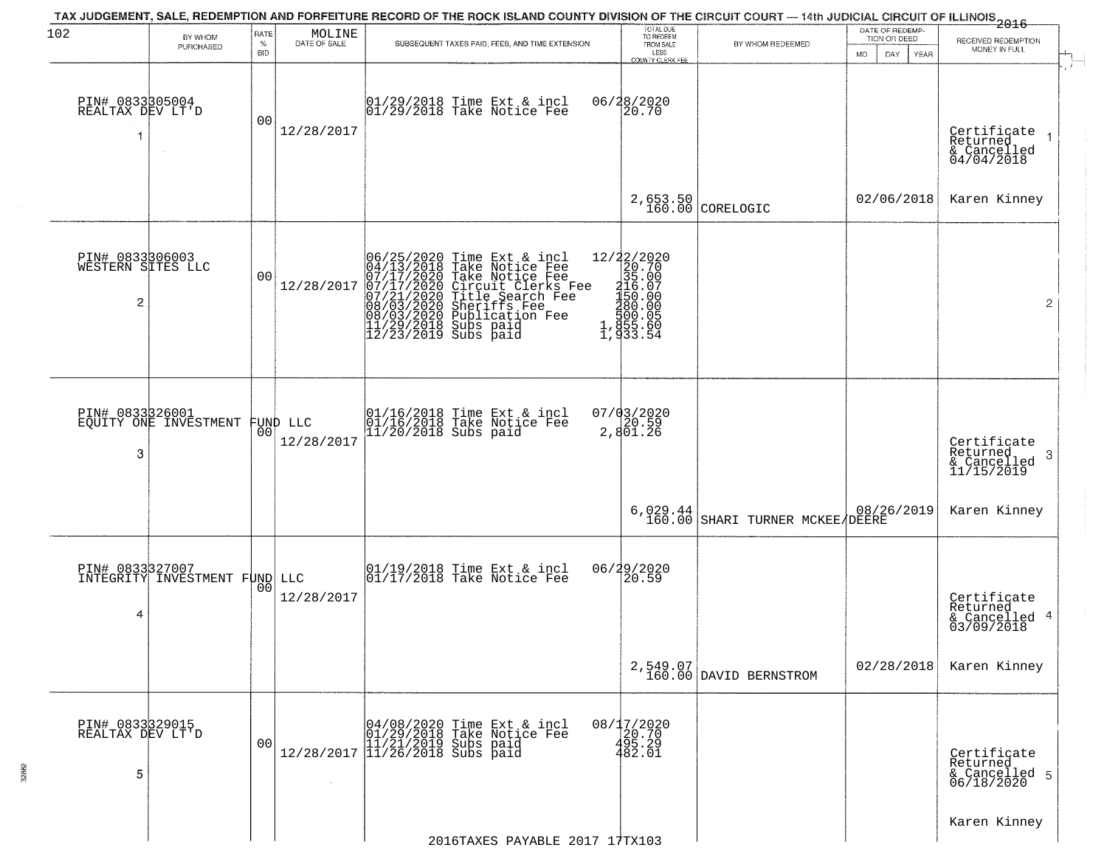| 102                                       | BY WHOM<br>PURCHASED                             | RATE<br>$\%$<br><b>BID</b> | $\begin{array}{c} \text{MOLINE} \\ \text{DATE of SALE} \end{array}$ | TAX JUDGEMENT, SALE, REDEMPTION AND FORFEITURE RECORD OF THE ROCK ISLAND COUNTY DIVISION OF THE CIRCUIT COURT — 14th JUDICIAL CIRCUIT OF ILLINOIS 2016<br>SUBSEQUENT TAXES PAID, FEES, AND TIME EXTENSION                            | TOTAL DUE<br>TO REDEEM<br>FROM SALE<br>LESS<br>COUNTY CLERK FEE                                                         | BY WHOM REDEEMED                   | DATE OF REDEMP-<br>TION OR DEED<br><b>MO</b><br>DAY<br>YEAR | RECEIVED REDEMPTION<br>MONEY IN FULL                                 |
|-------------------------------------------|--------------------------------------------------|----------------------------|---------------------------------------------------------------------|--------------------------------------------------------------------------------------------------------------------------------------------------------------------------------------------------------------------------------------|-------------------------------------------------------------------------------------------------------------------------|------------------------------------|-------------------------------------------------------------|----------------------------------------------------------------------|
| PIN# 0833805004<br>REALTAX DEV LT'D       | $\sim$                                           | 00                         | 12/28/2017                                                          | 01/29/2018 Time Ext & incl<br>01/29/2018 Take Notice Fee                                                                                                                                                                             | 06/28/2020<br>20.70                                                                                                     |                                    |                                                             | Certificate<br>Returned<br>& Cancelled<br>04/04/2018                 |
|                                           |                                                  |                            |                                                                     |                                                                                                                                                                                                                                      | 2,653.50<br>160.00                                                                                                      | CORELOGIC                          | 02/06/2018                                                  | Karen Kinney                                                         |
| PIN# 0833306003<br>WESTERN SITES LLC<br>2 |                                                  | 00                         | 12/28/2017                                                          | 06/25/2020 Time Ext & incl<br>04/13/2018 Take Notice Fee<br>07/17/2020 Take Notice Fee<br>07/17/2020 Circuit Clerks Fee<br>07/21/2020 Title Search Fee<br>08/03/2020 Sublication Fee<br>11/29/2018 Subs paid<br>12/23/2019 Subs paid | $\begin{smallmatrix} 12/22/2020\\ 20.70\\ 35.00\\ 156.00\\ 156.00\\ 156.00\\ 156.00\\ 100\\ 1,933.54 \end{smallmatrix}$ |                                    |                                                             | $\overline{2}$                                                       |
| PIN# 0833326001<br>3                      | EQUITY ONE INVESTMENT                            | 00                         | FUND LLC<br>12/28/2017                                              | 01/16/2018 Time Ext & incl<br>01/16/2018 Take Notice Fee<br>11/20/2018 Subs paid                                                                                                                                                     | 07/03/2020<br>20.59<br>2,801.26                                                                                         |                                    |                                                             | Certificate<br>Returned<br>$\mathbf{3}$<br>& Cancelled<br>11/15/2019 |
|                                           |                                                  |                            |                                                                     |                                                                                                                                                                                                                                      | $6,029.44$<br>$160.00$                                                                                                  | SHARI TURNER MCKEE/DEERE           | 08/26/2019                                                  | Karen Kinney                                                         |
| 4                                         | PIN# 0833327007<br>INTEGRITY INVESTMENT FUND LLC | 00                         | 12/28/2017                                                          | 01/19/2018 Time Ext & incl<br>01/17/2018 Take Notice Fee                                                                                                                                                                             | 06/29/2020<br>20.59                                                                                                     |                                    |                                                             | Certificate<br>Returned<br>& Cancelled 4<br>03/09/2018               |
|                                           |                                                  |                            |                                                                     |                                                                                                                                                                                                                                      |                                                                                                                         | 2,549.07<br>160.00 DAVID BERNSTROM | 02/28/2018                                                  | Karen Kinney                                                         |
| PIN# 0833329015<br>REALTAX DEV LT'D<br>5  |                                                  | 00                         |                                                                     | $[04/08/2020 \t\t Time Ext & incl01/29/2018 \tTake Notice Free11/21/2019 Subs paid12/28/2017 \t\t 11/26/2018 Subs paid$                                                                                                              | 08/17/2020<br>20.70<br>495.29<br>482.01                                                                                 |                                    |                                                             | Certificate<br>Returned<br>& Cancelled 5<br>06/18/2020               |
|                                           |                                                  |                            |                                                                     | 2016TAXES PAYABLE 2017 17TX103                                                                                                                                                                                                       |                                                                                                                         |                                    |                                                             | Karen Kinney                                                         |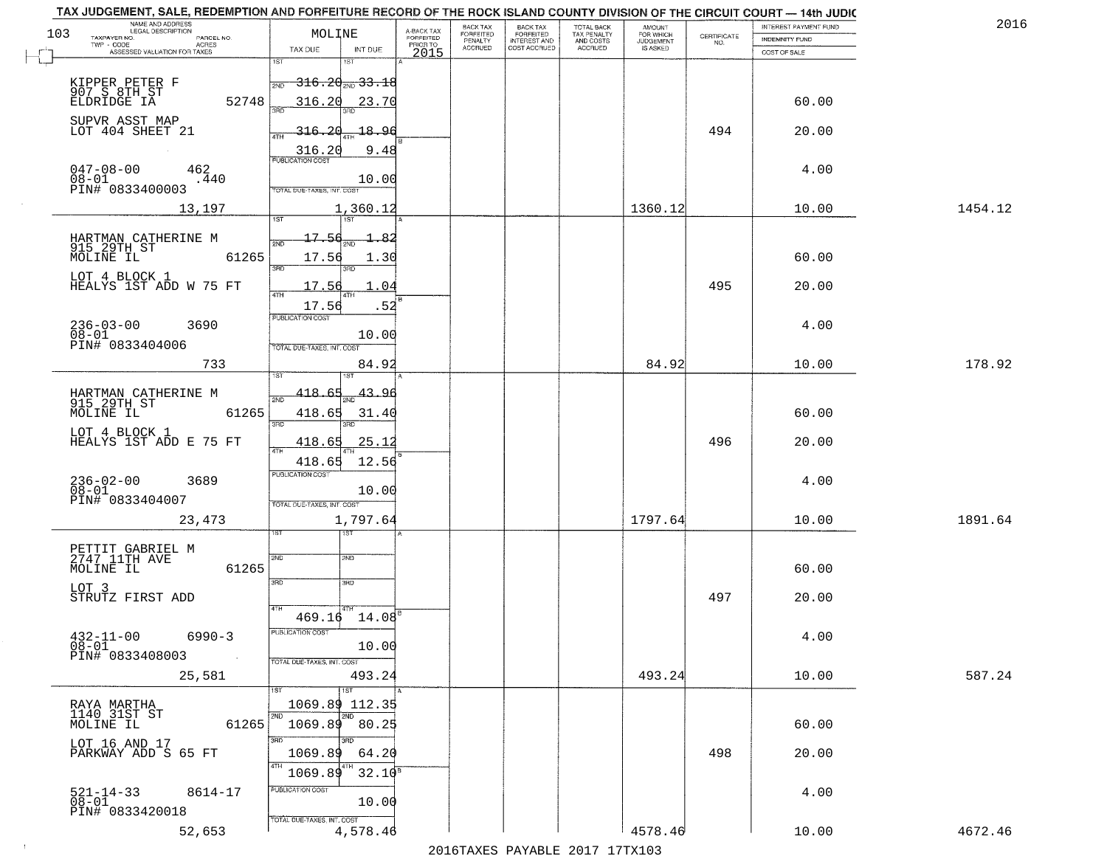| TAX JUDGEMENT, SALE, REDEMPTION AND FORFEITURE RECORD OF THE ROCK ISLAND COUNTY DIVISION OF THE CIRCUIT COURT - 14th JUDIC<br>NAME AND ADDRESS<br>LEGAL DESCRIPTION |            |                                             |                                     | BACK TAX             |                                       |                                        | AMOUNT<br>FOR WHICH |                                                                 | INTEREST PAYMENT FUND | 2016    |
|---------------------------------------------------------------------------------------------------------------------------------------------------------------------|------------|---------------------------------------------|-------------------------------------|----------------------|---------------------------------------|----------------------------------------|---------------------|-----------------------------------------------------------------|-----------------------|---------|
| 103<br>TAXPAYER NO.                                                                                                                                                 | PARCEL NO. | MOLINE                                      | A-BACK TAX<br>FORFEITED<br>PRIOR TO | FORFEITED<br>PENALTY | BACK TAX<br>FORFEITED<br>INTEREST AND | TOTAL BACK<br>TAX PENALTY<br>AND COSTS | <b>JUDGEMENT</b>    | $\begin{array}{c} \text{CERTIFICATE} \\ \text{NO.} \end{array}$ | INDEMNITY FUND        |         |
| TWP - CODE<br>ASSESSED VALUATION FOR TAXES                                                                                                                          | ACRES      | TAX DUE<br>INT DUE                          | 2015                                | <b>ACCRUED</b>       | COST ACCRUED                          | ACCRUED                                | IS ASKED            |                                                                 | COST OF SALE          |         |
|                                                                                                                                                                     |            | 1ST<br>IST                                  |                                     |                      |                                       |                                        |                     |                                                                 |                       |         |
|                                                                                                                                                                     |            | <del>316.20<sub>2ND</sub>33.18</del><br>2ND |                                     |                      |                                       |                                        |                     |                                                                 |                       |         |
| KIPPER PETER F<br>907 S 8TH ST<br>ELDRIDGE IA                                                                                                                       | 52748      | 316.20<br>23.70                             |                                     |                      |                                       |                                        |                     |                                                                 | 60.00                 |         |
|                                                                                                                                                                     |            |                                             |                                     |                      |                                       |                                        |                     |                                                                 |                       |         |
| SUPVR ASST MAP<br>LOT 404 SHEET 21                                                                                                                                  |            | <u>316.20</u><br>18.96                      |                                     |                      |                                       |                                        |                     | 494                                                             | 20.00                 |         |
|                                                                                                                                                                     |            |                                             |                                     |                      |                                       |                                        |                     |                                                                 |                       |         |
|                                                                                                                                                                     |            | 9.48<br>316.20                              |                                     |                      |                                       |                                        |                     |                                                                 |                       |         |
| $047 - 08 - 00$<br>$08 - 01$                                                                                                                                        | 462        |                                             |                                     |                      |                                       |                                        |                     |                                                                 | 4.00                  |         |
| PIN# <sup>-</sup> 0833400003                                                                                                                                        | .440       | 10.00<br><b>TOTAL DUE-TAXES, INT, COST</b>  |                                     |                      |                                       |                                        |                     |                                                                 |                       |         |
|                                                                                                                                                                     |            |                                             |                                     |                      |                                       |                                        | 1360.12             |                                                                 | 10.00                 | 1454.12 |
|                                                                                                                                                                     | 13,197     | 1,360.12                                    |                                     |                      |                                       |                                        |                     |                                                                 |                       |         |
| HARTMAN CATHERINE M                                                                                                                                                 |            | 17.56                                       |                                     |                      |                                       |                                        |                     |                                                                 |                       |         |
| 915 29TH ST                                                                                                                                                         |            |                                             |                                     |                      |                                       |                                        |                     |                                                                 |                       |         |
| MOLINE IL                                                                                                                                                           | 61265      | 17.56<br>1.30<br>380                        |                                     |                      |                                       |                                        |                     |                                                                 | 60.00                 |         |
| LOT 4 BLOCK 1                                                                                                                                                       |            |                                             |                                     |                      |                                       |                                        |                     |                                                                 |                       |         |
| HEALYS 1ST ADD W 75 FT                                                                                                                                              |            | 17.56<br>04                                 |                                     |                      |                                       |                                        |                     | 495                                                             | 20.00                 |         |
|                                                                                                                                                                     |            | 17.56<br>.52                                |                                     |                      |                                       |                                        |                     |                                                                 |                       |         |
| $236 - 03 - 00$                                                                                                                                                     | 3690       | PUBLICATION COST                            |                                     |                      |                                       |                                        |                     |                                                                 | 4.00                  |         |
| $08 - 01$<br>PIN# 0833404006                                                                                                                                        |            | 10.00                                       |                                     |                      |                                       |                                        |                     |                                                                 |                       |         |
|                                                                                                                                                                     |            | TOTAL DUE-TAXES, INT. COST                  |                                     |                      |                                       |                                        |                     |                                                                 |                       |         |
|                                                                                                                                                                     | 733        | 84.92<br>1ST                                |                                     |                      |                                       |                                        | 84.92               |                                                                 | 10.00                 | 178.92  |
|                                                                                                                                                                     |            |                                             |                                     |                      |                                       |                                        |                     |                                                                 |                       |         |
| HARTMAN CATHERINE M<br>915 29TH ST                                                                                                                                  |            | 418.<br>43.96<br>2ND                        |                                     |                      |                                       |                                        |                     |                                                                 |                       |         |
| MOLINE IL                                                                                                                                                           | 61265      | 418.65<br>31.40                             |                                     |                      |                                       |                                        |                     |                                                                 | 60.00                 |         |
| LOT 4 BLOCK 1                                                                                                                                                       |            | 3BD<br>3RD                                  |                                     |                      |                                       |                                        |                     |                                                                 |                       |         |
| HEALYS 1ST ADD E 75 FT                                                                                                                                              |            | 418.65<br>25.12                             |                                     |                      |                                       |                                        |                     | 496                                                             | 20.00                 |         |
|                                                                                                                                                                     |            | 418.65<br>12.56                             |                                     |                      |                                       |                                        |                     |                                                                 |                       |         |
| $236 - 02 - 00$<br>$08 - 01$                                                                                                                                        | 3689       | <b>PUBLICATION COST</b>                     |                                     |                      |                                       |                                        |                     |                                                                 | 4.00                  |         |
| PIN# 0833404007                                                                                                                                                     |            | 10.00                                       |                                     |                      |                                       |                                        |                     |                                                                 |                       |         |
|                                                                                                                                                                     |            | TOTAL OUE-TAXES, INT. COST                  |                                     |                      |                                       |                                        |                     |                                                                 |                       |         |
|                                                                                                                                                                     | 23, 473    | 1,797.64                                    |                                     |                      |                                       |                                        | 1797.64             |                                                                 | 10.00                 | 1891.64 |
|                                                                                                                                                                     |            | 187                                         |                                     |                      |                                       |                                        |                     |                                                                 |                       |         |
| PETTIT GABRIEL M<br>2747 11TH AVE                                                                                                                                   |            | 2ND<br>2ND                                  |                                     |                      |                                       |                                        |                     |                                                                 |                       |         |
| MOLINE IL                                                                                                                                                           | 61265      |                                             |                                     |                      |                                       |                                        |                     |                                                                 | 60.00                 |         |
| LOT 3                                                                                                                                                               |            | 3RD<br>3BD                                  |                                     |                      |                                       |                                        |                     |                                                                 |                       |         |
| STRUTZ FIRST ADD                                                                                                                                                    |            | 4TH                                         |                                     |                      |                                       |                                        |                     | 497                                                             | 20.00                 |         |
|                                                                                                                                                                     |            | 469.16<br>14.08                             |                                     |                      |                                       |                                        |                     |                                                                 |                       |         |
| $432 - 11 - 00$                                                                                                                                                     | $6990 - 3$ | PUBLICATION COST                            |                                     |                      |                                       |                                        |                     |                                                                 | 4.00                  |         |
| $08 - 01$                                                                                                                                                           |            | 10.00                                       |                                     |                      |                                       |                                        |                     |                                                                 |                       |         |
| PIN# 0833408003                                                                                                                                                     | $\sim 10$  | TOTAL DUE-TAXES, INT. COST                  |                                     |                      |                                       |                                        |                     |                                                                 |                       |         |
|                                                                                                                                                                     | 25,581     | 493.24                                      |                                     |                      |                                       |                                        | 493.24              |                                                                 | 10.00                 | 587.24  |
|                                                                                                                                                                     |            | 1ST                                         |                                     |                      |                                       |                                        |                     |                                                                 |                       |         |
| RAYA MARTHA<br>1140 31ST ST                                                                                                                                         |            | 1069.89 112.35<br>2ND                       |                                     |                      |                                       |                                        |                     |                                                                 |                       |         |
| MOLINE IL                                                                                                                                                           | 61265      | $1069.89$ 80.25                             |                                     |                      |                                       |                                        |                     |                                                                 | 60.00                 |         |
| LOT 16 AND 17                                                                                                                                                       |            | 3RD                                         |                                     |                      |                                       |                                        |                     |                                                                 |                       |         |
| PARKWAY ADD S 65 FT                                                                                                                                                 |            | 1069.89<br>64.20                            |                                     |                      |                                       |                                        |                     | 498                                                             | 20.00                 |         |
|                                                                                                                                                                     |            | 4TH<br>$32.10^8$<br>1069.89                 |                                     |                      |                                       |                                        |                     |                                                                 |                       |         |
|                                                                                                                                                                     |            | PUBLICATION COST                            |                                     |                      |                                       |                                        |                     |                                                                 |                       |         |
| $521 - 14 - 33$<br>$08 - 01$                                                                                                                                        | 8614-17    | 10.00                                       |                                     |                      |                                       |                                        |                     |                                                                 | 4.00                  |         |
| PIN# 0833420018                                                                                                                                                     |            | TOTAL DUE-TAXES, INT. COST                  |                                     |                      |                                       |                                        |                     |                                                                 |                       |         |
|                                                                                                                                                                     | 52,653     | 4,578.46                                    |                                     |                      |                                       |                                        | 4578.46             |                                                                 | 10.00                 | 4672.46 |
|                                                                                                                                                                     |            |                                             |                                     |                      |                                       | 2016 TANES DAVARIE 2017 17TY102        |                     |                                                                 |                       |         |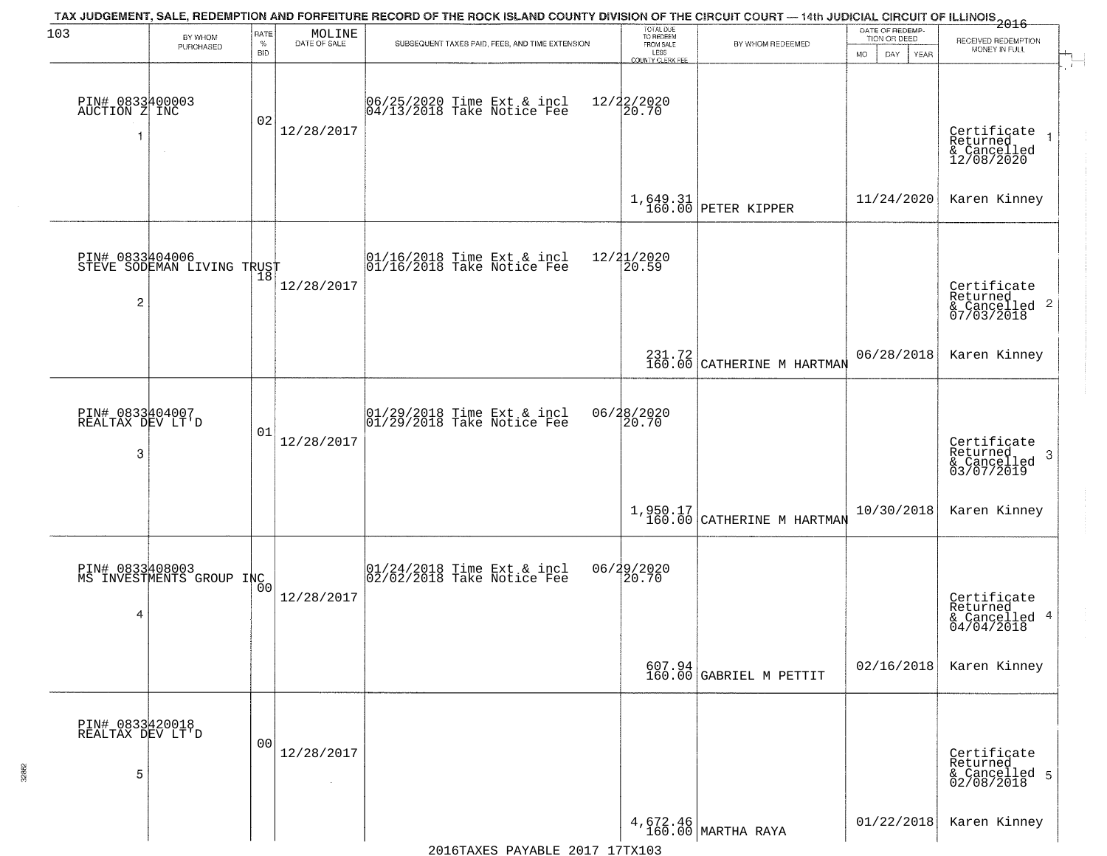| 103                                      | BY WHOM                                       | RATE               | MOLINE                       | TAX JUDGEMENT, SALE, REDEMPTION AND FORFEITURE RECORD OF THE ROCK ISLAND COUNTY DIVISION OF THE CIRCUIT COURT — 14th JUDICIAL CIRCUIT OF ILLINOIS 2016 | TOTAL DUE<br>TO REDEEM                       |                                                                            | DATE OF REDEMP-<br>TION OR DEED | RECEIVED REDEMPTION                                                |
|------------------------------------------|-----------------------------------------------|--------------------|------------------------------|--------------------------------------------------------------------------------------------------------------------------------------------------------|----------------------------------------------|----------------------------------------------------------------------------|---------------------------------|--------------------------------------------------------------------|
|                                          | PURCHASED                                     | $\%$<br><b>BID</b> | DATE OF SALE                 | SUBSEQUENT TAXES PAID, FEES, AND TIME EXTENSION                                                                                                        | FROM SALE<br>LESS<br><b>COUNTY CLERK FEE</b> | BY WHOM REDEEMED                                                           | MO.<br>DAY.<br><b>YEAR</b>      | MONEY IN FULL                                                      |
| PIN# 0833400003<br>AUCTION Z INC         | $\sim$                                        | 02                 | 12/28/2017                   | 06/25/2020 Time Ext & incl<br>04/13/2018 Take Notice Fee                                                                                               | 12/22/2020<br>20.70                          |                                                                            |                                 | Certificate<br>Returned<br>& Cancelled<br>12/08/2020               |
|                                          |                                               |                    |                              |                                                                                                                                                        |                                              | $1,649.31$ PETER KIPPER                                                    | 11/24/2020                      | Karen Kinney                                                       |
| $\overline{c}$                           | PIN# 0833404006<br>STEVE SODEMAN LIVING TRUST |                    | 12/28/2017                   | $\begin{array}{cc}  01/16/2018 \text{ Time Ext} & \text{incl} \\  01/16/2018 \text{ Take Notice Fe} \end{array}$                                       | 12/21/2020<br>20.59                          |                                                                            |                                 | Certificate<br>Returned<br>$\frac{1}{6}$ Cancelled 2<br>07/03/2018 |
|                                          |                                               |                    |                              |                                                                                                                                                        |                                              | 231.72<br>160.00 CATHERINE M HARTMAN                                       | 06/28/2018                      | Karen Kinney                                                       |
| PIN# 0833404007<br>REALTAX DEV LT'D<br>3 |                                               | 01                 | 12/28/2017                   | $\begin{array}{c}  01/29/2018 \text{ Time Ext} & \text{incl} \\  01/29/2018 \text{ Take Notice Fe} \end{array}$                                        | 06/28/2020<br>20.70                          |                                                                            |                                 | Certificate<br>Returned<br>3<br>& Cancelled<br>03/07/2019          |
|                                          |                                               |                    |                              |                                                                                                                                                        |                                              | $1,950.17$<br>160.00 CATHERINE M HARTMAN                                   | 10/30/2018                      | Karen Kinney                                                       |
| 4                                        | PIN# 0833408003<br>MS INVESTMENTS GROUP INC   | Ō0                 | 12/28/2017                   | $\begin{bmatrix} 01/24/2018 \\ 02/02/2018 \end{bmatrix}$ Take Notice Fee                                                                               | 06/29/2020<br>120.70                         |                                                                            |                                 | Certificate<br>Returned<br>& Cancelled 4<br>04/04/2018             |
|                                          |                                               |                    |                              |                                                                                                                                                        |                                              | $\begin{array}{c c} 607.94 \\ 160.00 \end{array}$ GABRIEL M PETTIT         | 02/16/2018                      | Karen Kinney                                                       |
| PIN# 0833420018<br>REALTAX DEV LT'D<br>5 |                                               | 0 <sub>0</sub>     | 12/28/2017<br>$\sim 10^{-1}$ |                                                                                                                                                        |                                              |                                                                            |                                 | Certificate<br>Returned<br>& Cancelled 5<br>02/08/2018             |
|                                          |                                               |                    |                              |                                                                                                                                                        |                                              | $\left.\begin{array}{c} 4,672.46 \\ 160.00 \end{array}\right $ MARTHA RAYA | 01/22/2018                      | Karen Kinney                                                       |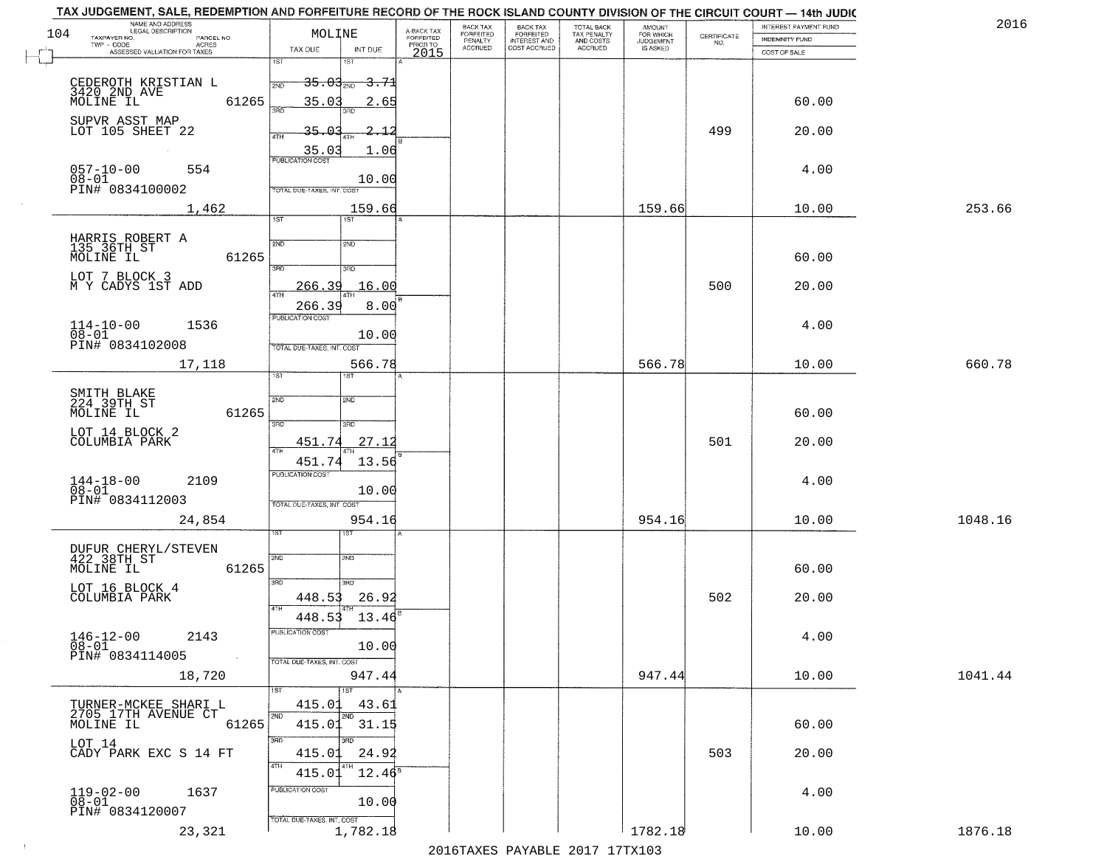|     | TAX JUDGEMENT, SALE, REDEMPTION AND FORFEITURE RECORD OF THE ROCK ISLAND COUNTY DIVISION OF THE CIRCUIT COURT - 14th JUDIC<br>NAME AND ADDRESS<br>LEGAL DESCRIPTION |                                         |                                     | BACK TAX                    |                                       |                                        |                                  |                                                                 | INTEREST PAYMENT FUND | 2016    |
|-----|---------------------------------------------------------------------------------------------------------------------------------------------------------------------|-----------------------------------------|-------------------------------------|-----------------------------|---------------------------------------|----------------------------------------|----------------------------------|-----------------------------------------------------------------|-----------------------|---------|
| 104 | TAXPAYER NO.<br>PARCEL NO.                                                                                                                                          | MOLINE                                  | A-BACK TAX<br>FORFEITED<br>PRIOR TO | <b>FORFEITED</b><br>PENALTY | BACK TAX<br>FORFEITED<br>INTEREST AND | TOTAL BACK<br>TAX PENALTY<br>AND COSTS | AMOUNT<br>FOR WHICH<br>JUDGEMENT | $\begin{array}{c} \text{CERTIFICATE} \\ \text{NO.} \end{array}$ | <b>INDEMNITY FUND</b> |         |
|     | ACRES<br>ASSESSED VALUATION FOR TAXES                                                                                                                               | INT DUE<br>TAX DUE                      | 2015                                | <b>ACCRUED</b>              | COST ACCRUED                          | <b>ACCRUED</b>                         | IS ASKED                         |                                                                 | COST OF SALE          |         |
|     |                                                                                                                                                                     | 1ST<br>IST                              |                                     |                             |                                       |                                        |                                  |                                                                 |                       |         |
|     |                                                                                                                                                                     | <del>35.03 aug 3.71</del><br>2ND        |                                     |                             |                                       |                                        |                                  |                                                                 |                       |         |
|     | CEDEROTH KRISTIAN L<br>3420 2ND AVE<br>MOLINE IL<br>61265                                                                                                           | 35.03<br>2.65                           |                                     |                             |                                       |                                        |                                  |                                                                 | 60.00                 |         |
|     |                                                                                                                                                                     | 350                                     |                                     |                             |                                       |                                        |                                  |                                                                 |                       |         |
|     | SUPVR ASST MAP<br>LOT 105 SHEET 22                                                                                                                                  | 35.03                                   |                                     |                             |                                       |                                        |                                  | 499                                                             | 20.00                 |         |
|     |                                                                                                                                                                     |                                         |                                     |                             |                                       |                                        |                                  |                                                                 |                       |         |
|     |                                                                                                                                                                     | $\frac{35.03}{FUBUCATON COST}$<br>1.06  |                                     |                             |                                       |                                        |                                  |                                                                 |                       |         |
|     | $057 - 10 - 00$<br>$08 - 01$<br>554                                                                                                                                 | 10.00                                   |                                     |                             |                                       |                                        |                                  |                                                                 | 4.00                  |         |
|     | PIN# 0834100002                                                                                                                                                     | TOTAL DUE-TAXES, INT. COST              |                                     |                             |                                       |                                        |                                  |                                                                 |                       |         |
|     | 1,462                                                                                                                                                               | 159.66                                  |                                     |                             |                                       |                                        | 159.66                           |                                                                 | 10.00                 | 253.66  |
|     |                                                                                                                                                                     | 1ST<br><b>IST</b>                       |                                     |                             |                                       |                                        |                                  |                                                                 |                       |         |
|     |                                                                                                                                                                     | 2ND                                     |                                     |                             |                                       |                                        |                                  |                                                                 |                       |         |
|     | HARRIS ROBERT A<br>135_36TH_ST<br>61265<br>MOLINE IL                                                                                                                | 2ND                                     |                                     |                             |                                       |                                        |                                  |                                                                 | 60.00                 |         |
|     |                                                                                                                                                                     | 3RD<br>ਬਾ                               |                                     |                             |                                       |                                        |                                  |                                                                 |                       |         |
|     | LOT 7 BLOCK 3<br>M Y CADYS 1ST ADD                                                                                                                                  | 16.00<br>266.39                         |                                     |                             |                                       |                                        |                                  | 500                                                             | 20.00                 |         |
|     |                                                                                                                                                                     |                                         |                                     |                             |                                       |                                        |                                  |                                                                 |                       |         |
|     |                                                                                                                                                                     | 266.39<br>8.00<br>PUBLICATION COST      |                                     |                             |                                       |                                        |                                  |                                                                 |                       |         |
|     | $114 - 10 - 00$<br>1536<br>$08 - 01$                                                                                                                                | 10.00                                   |                                     |                             |                                       |                                        |                                  |                                                                 | 4.00                  |         |
|     | PIN# 0834102008                                                                                                                                                     | TOTAL DUE-TAXES, INT. COST              |                                     |                             |                                       |                                        |                                  |                                                                 |                       |         |
|     | 17,118                                                                                                                                                              | 566.78                                  |                                     |                             |                                       |                                        | 566.78                           |                                                                 | 10.00                 | 660.78  |
|     |                                                                                                                                                                     | <b>IST</b><br>i ST                      |                                     |                             |                                       |                                        |                                  |                                                                 |                       |         |
|     | SMITH BLAKE<br>224 39TH ST                                                                                                                                          | SVD<br>2ND                              |                                     |                             |                                       |                                        |                                  |                                                                 |                       |         |
|     | 61265<br>MOLINE IL                                                                                                                                                  |                                         |                                     |                             |                                       |                                        |                                  |                                                                 | 60.00                 |         |
|     |                                                                                                                                                                     | 3BD<br>3RD                              |                                     |                             |                                       |                                        |                                  |                                                                 |                       |         |
|     | LOT 14 BLOCK 2<br>COLUMBIA PARK                                                                                                                                     | 27.12<br>451.74                         |                                     |                             |                                       |                                        |                                  | 501                                                             | 20.00                 |         |
|     |                                                                                                                                                                     | <b>ATH</b><br>13.56<br>451.74           |                                     |                             |                                       |                                        |                                  |                                                                 |                       |         |
|     |                                                                                                                                                                     | <b>PUBLICATION COST</b>                 |                                     |                             |                                       |                                        |                                  |                                                                 |                       |         |
|     | $144 - 18 - 00$<br>$08 - 01$<br>2109                                                                                                                                | 10.00                                   |                                     |                             |                                       |                                        |                                  |                                                                 | 4.00                  |         |
|     | PIN# 0834112003                                                                                                                                                     | TOTAL OUE-TAXES, INT. COST              |                                     |                             |                                       |                                        |                                  |                                                                 |                       |         |
|     | 24,854                                                                                                                                                              | 954.16                                  |                                     |                             |                                       |                                        | 954.16                           |                                                                 | 10.00                 | 1048.16 |
|     |                                                                                                                                                                     | ςT                                      |                                     |                             |                                       |                                        |                                  |                                                                 |                       |         |
|     | DUFUR CHERYL/STEVEN<br>422 38TH ST                                                                                                                                  | 2ND<br>2ND                              |                                     |                             |                                       |                                        |                                  |                                                                 |                       |         |
|     | MOLINE IL<br>61265                                                                                                                                                  |                                         |                                     |                             |                                       |                                        |                                  |                                                                 | 60.00                 |         |
|     | LOT 16 BLOCK 4                                                                                                                                                      | 3RD<br>3 <sub>BD</sub>                  |                                     |                             |                                       |                                        |                                  |                                                                 |                       |         |
|     | COLUMBIA PARK                                                                                                                                                       | 448.53<br>26.92                         |                                     |                             |                                       |                                        |                                  | 502                                                             | 20.00                 |         |
|     |                                                                                                                                                                     | <b>ATH</b><br>448.53<br>13.46           |                                     |                             |                                       |                                        |                                  |                                                                 |                       |         |
|     | $146 - 12 - 00$<br>2143                                                                                                                                             | PUBLICATION COST                        |                                     |                             |                                       |                                        |                                  |                                                                 | 4.00                  |         |
|     | $08 - 01$                                                                                                                                                           | 10.00                                   |                                     |                             |                                       |                                        |                                  |                                                                 |                       |         |
|     | PIN# 0834114005<br>$\sim 100$                                                                                                                                       | TOTAL DUE-TAXES, INT. COST              |                                     |                             |                                       |                                        |                                  |                                                                 |                       |         |
|     | 18,720                                                                                                                                                              | 947.44                                  |                                     |                             |                                       |                                        | 947.44                           |                                                                 | 10.00                 | 1041.44 |
|     |                                                                                                                                                                     |                                         |                                     |                             |                                       |                                        |                                  |                                                                 |                       |         |
|     | TURNER-MCKEE SHARI L                                                                                                                                                | 415.01<br>43.61<br>2ND                  |                                     |                             |                                       |                                        |                                  |                                                                 |                       |         |
|     | 2705 17TH AVENUE CT<br>MOLINE IL<br>61265                                                                                                                           | 415.01<br>31.15                         |                                     |                             |                                       |                                        |                                  |                                                                 | 60.00                 |         |
|     | LOT 14                                                                                                                                                              | 3RD<br>3RD                              |                                     |                             |                                       |                                        |                                  |                                                                 |                       |         |
|     | CADY PARK EXC S 14 FT                                                                                                                                               | 415.01<br>24.92                         |                                     |                             |                                       |                                        |                                  | 503                                                             | 20.00                 |         |
|     |                                                                                                                                                                     | 4TH<br>$12.46^{\overline{5}}$<br>415.01 |                                     |                             |                                       |                                        |                                  |                                                                 |                       |         |
|     | $119 - 02 - 00$<br>1637                                                                                                                                             | PUBLICATION COST                        |                                     |                             |                                       |                                        |                                  |                                                                 | 4.00                  |         |
|     | $08 - 01$                                                                                                                                                           | 10.00                                   |                                     |                             |                                       |                                        |                                  |                                                                 |                       |         |
|     | PIN# 0834120007                                                                                                                                                     | TOTAL DUE-TAXES, INT. COST              |                                     |                             |                                       |                                        |                                  |                                                                 |                       |         |
|     | 23,321                                                                                                                                                              | 1,782.18                                |                                     |                             |                                       |                                        | 1782.18                          |                                                                 | 10.00                 | 1876.18 |
|     |                                                                                                                                                                     |                                         |                                     |                             |                                       | 2016 TAVEC DAVARLE 2017 17 TV102       |                                  |                                                                 |                       |         |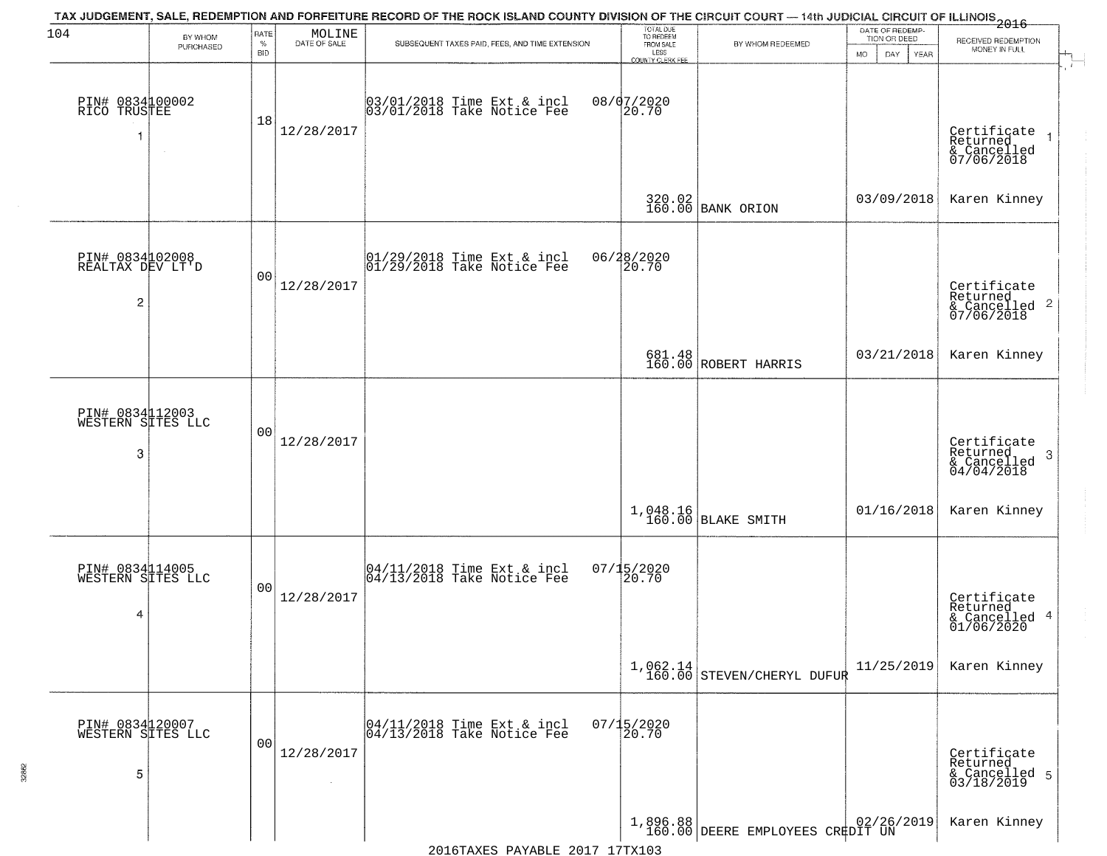| 104                                       | BY WHOM<br>PURCHASED | RATE<br>$\%$<br><b>BID</b> | $\begin{array}{c} \text{MOLINE} \\ \text{DATE of sale} \end{array}$ | TAX JUDGEMENT, SALE, REDEMPTION AND FORFEITURE RECORD OF THE ROCK ISLAND COUNTY DIVISION OF THE CIRCUIT COURT — 14th JUDICIAL CIRCUIT OF ILLINOIS 2016<br>SUBSEQUENT TAXES PAID, FEES, AND TIME EXTENSION | TOTAL DUE<br>TO REDEEM<br>FROM SALE<br>LESS<br>COUNTY CLERK FEE | BY WHOM REDEEMED                             | DATE OF REDEMP-<br>TION OR DEED<br><b>MO</b><br>DAY<br><b>YEAR</b> | RECEIVED REDEMPTION<br>MONEY IN FULL                                           |
|-------------------------------------------|----------------------|----------------------------|---------------------------------------------------------------------|-----------------------------------------------------------------------------------------------------------------------------------------------------------------------------------------------------------|-----------------------------------------------------------------|----------------------------------------------|--------------------------------------------------------------------|--------------------------------------------------------------------------------|
| PIN# 0834100002<br>RICO TRUSTEE<br>1      | $\sim 10^{-1}$       | 18                         | 12/28/2017                                                          | 03/01/2018 Time Ext & incl<br>03/01/2018 Take Notice Fee                                                                                                                                                  | $08/07/2020$<br>20.70                                           |                                              |                                                                    | Certificate<br>Returned<br>& Cancelled<br>07/06/2018                           |
|                                           |                      |                            |                                                                     |                                                                                                                                                                                                           | 320.02<br>160.00                                                | BANK ORION                                   | 03/09/2018                                                         | Karen Kinney                                                                   |
| PIN# 0834102008<br>REALTAX DEV LT'D<br>2  |                      | 00                         | 12/28/2017                                                          | $ 01/29/2018$ Time Ext & incl<br>$ 01/29/2018$ Take Notice Fee                                                                                                                                            | 06/28/2020<br>20.70                                             |                                              |                                                                    | Certificate<br>Returned<br>& Cancelled 2<br>07/06/2018                         |
|                                           |                      |                            |                                                                     |                                                                                                                                                                                                           |                                                                 | 681.48<br>160.00 ROBERT HARRIS               | 03/21/2018                                                         | Karen Kinney                                                                   |
| PIN# 0834112003<br>WESTERN SITES LLC<br>3 |                      | 0 <sub>0</sub>             | 12/28/2017                                                          |                                                                                                                                                                                                           |                                                                 |                                              |                                                                    | Certificate<br>Returned<br>$\cdot$ 3<br>$\frac{12}{6}$ Cancelled<br>04/04/2018 |
|                                           |                      |                            |                                                                     |                                                                                                                                                                                                           | 1,048.16<br>160.00                                              | BLAKE SMITH                                  | 01/16/2018                                                         | Karen Kinney                                                                   |
| PIN# 0834114005<br>WESTERN SITES LLC<br>4 |                      | 00                         | 12/28/2017                                                          | 04/11/2018 Time Ext & incl<br>04/13/2018 Take Notice Fee                                                                                                                                                  | $07/15/2020$<br>20.70                                           |                                              |                                                                    | Certificate<br>Returned<br>& Cancelled 4<br>01/06/2020                         |
|                                           |                      |                            |                                                                     |                                                                                                                                                                                                           |                                                                 | $1,062.14$<br>160.00 STEVEN/CHERYL DUFUR     | 11/25/2019                                                         | Karen Kinney                                                                   |
| PIN# 0834120007<br>WESTERN SITES LLC<br>5 |                      | 00                         | 12/28/2017                                                          | 04/11/2018 Time Ext & incl<br>04/13/2018 Take Notice Fee                                                                                                                                                  | $07/15/2020$<br>20.70                                           |                                              |                                                                    | Certificate<br>Returned<br>& Cancelled 5<br>03/18/2019                         |
|                                           |                      |                            |                                                                     |                                                                                                                                                                                                           |                                                                 | 1,896.88<br>160.00 DEERE EMPLOYEES CREDIT UN |                                                                    | Karen Kinney                                                                   |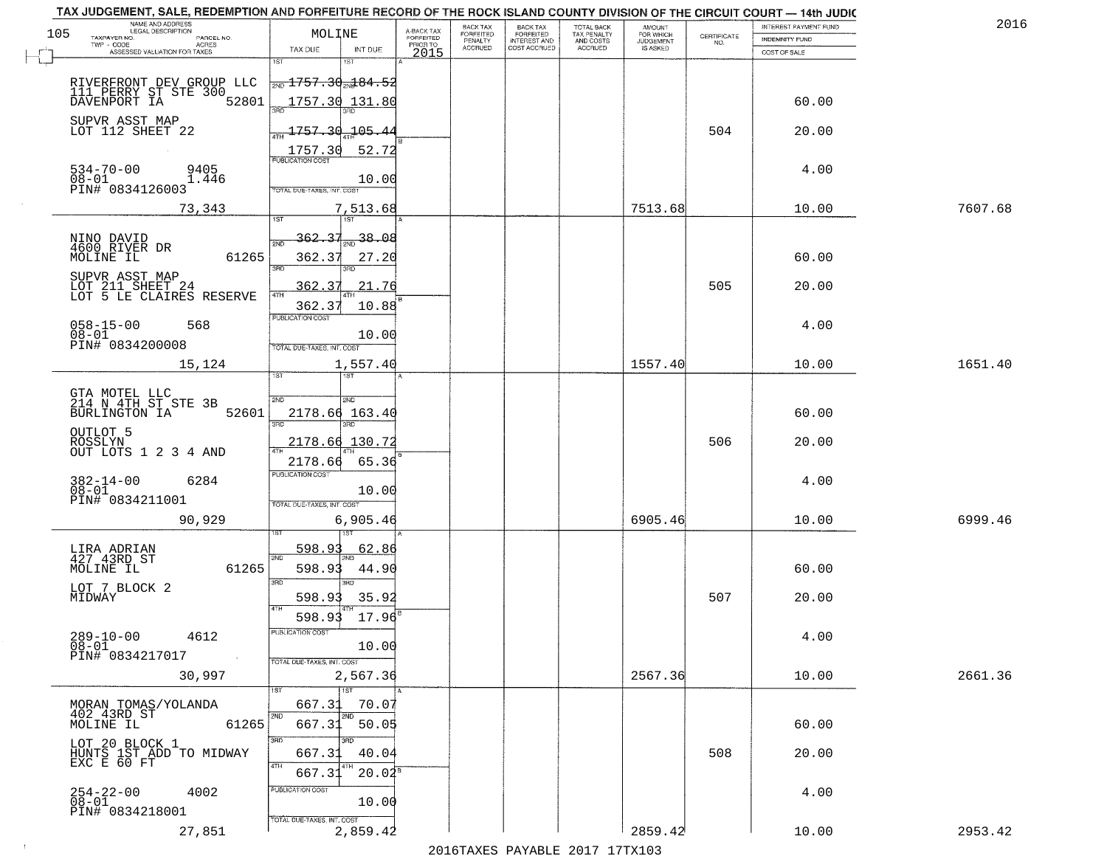|     | TAX JUDGEMENT, SALE, REDEMPTION AND FORFEITURE RECORD OF THE ROCK ISLAND COUNTY DIVISION OF THE CIRCUIT COURT - 14th JUDIC<br>NAME AND ADDRESS<br>LEGAL DESCRIPTION |                                                                  |                                |                                     | BACK TAX             | <b>BACK TAX</b>                  | TOTAL BACK               | AMOUNT<br>FOR WHICH |                    | INTEREST PAYMENT FUND | 2016    |
|-----|---------------------------------------------------------------------------------------------------------------------------------------------------------------------|------------------------------------------------------------------|--------------------------------|-------------------------------------|----------------------|----------------------------------|--------------------------|---------------------|--------------------|-----------------------|---------|
| 105 | TAXPAYER NO.<br>PARCEL NO.<br>TWP - CODE<br>ACRES                                                                                                                   | MOLINE                                                           |                                | A-BACK TAX<br>FORFEITED<br>PRIOR TO | FORFEITED<br>PENALTY | FORFEITED<br><b>INTEREST AND</b> | TAX PENALTY<br>AND COSTS | <b>JUDGEMENT</b>    | CERTIFICATE<br>NO. | <b>INDEMNITY FUND</b> |         |
|     | ASSESSED VALUATION FOR TAXES                                                                                                                                        | TAX DUE                                                          | INT DUE                        | 2015                                | <b>ACCRUED</b>       | COST ACCRUED                     | <b>ACCRUED</b>           | IS ASKED            |                    | COST OF SALE          |         |
|     | RIVERFRONT DEV GROUP LLC<br>111 PERRY ST STE 300<br>DAVENPORT IA 5280                                                                                               | 1ST<br>$\frac{1}{200}$ 1757.30 $\frac{1}{201}$ 84.52             | 18T                            |                                     |                      |                                  |                          |                     |                    |                       |         |
|     | 52801<br>SUPVR ASST MAP                                                                                                                                             | 1757.30 131.80                                                   |                                |                                     |                      |                                  |                          |                     |                    | 60.00                 |         |
|     | LOT 112 SHEET 22                                                                                                                                                    | 1757.30 105.44<br>1757.30                                        | 52.72                          |                                     |                      |                                  |                          |                     | 504                | 20.00                 |         |
|     | $534 - 70 - 00$<br>9405<br>$08 - 01$<br>1.446<br>PIN# 0834126003                                                                                                    | <b>PUBLICATION COST</b><br>TOTAL DUE-TAXES, INT, COST            | 10.00                          |                                     |                      |                                  |                          |                     |                    | 4.00                  |         |
|     | 73,343                                                                                                                                                              |                                                                  | 7,513.68                       |                                     |                      |                                  |                          | 7513.68             |                    | 10.00                 | 7607.68 |
|     | NINO DAVID<br>4600 RIVER DR<br>61265<br>MOLINE IL                                                                                                                   | 362.37<br>2ND<br>362.37<br>$\overline{3BD}$                      | $\frac{1}{2ND}$ 38.08<br>27.20 |                                     |                      |                                  |                          |                     |                    | 60.00                 |         |
|     | SUPVR ASST MAP<br>LOT 211 SHEET 24<br>LOT 5 LE CLAIRES RESERVE                                                                                                      | 362.37<br>47H<br>362.37                                          | 21.76<br>10.88                 |                                     |                      |                                  |                          |                     | 505                | 20.00                 |         |
|     | $058 - 15 - 00$<br>568<br>$08 - 01$<br>PIN# 0834200008                                                                                                              | PUBLICATION COST<br>TOTAL DUE-TAXES, INT. COST                   | 10.00                          |                                     |                      |                                  |                          |                     |                    | 4.00                  |         |
|     | 15,124                                                                                                                                                              | ist                                                              | 1,557.40<br><b>IST</b>         |                                     |                      |                                  |                          | 1557.40             |                    | 10.00                 | 1651.40 |
|     | GTA MOTEL LLC<br>214 N 4TH ST STE 3B<br>BURLINGTON IA<br>52601                                                                                                      | 2ND<br>2178.66 163.40<br>3RD                                     | 2ND<br>3RD                     |                                     |                      |                                  |                          |                     |                    | 60.00                 |         |
|     | OUTLOT 5<br>ROSSLYN<br>OUT LOTS 1 2 3 4 AND                                                                                                                         | 2178.66 130.72                                                   |                                |                                     |                      |                                  |                          |                     | 506                | 20.00                 |         |
|     | $382 - 14 - 00$<br>6284<br>$08 - 01$<br>PIN# 0834211001                                                                                                             | 2178.66<br><b>PUBLICATION COST</b><br>TOTAL OUE-TAXES, INT. COST | 65.36<br>10.00                 |                                     |                      |                                  |                          |                     |                    | 4.00                  |         |
|     | 90,929                                                                                                                                                              |                                                                  | 6,905.46                       |                                     |                      |                                  |                          | 6905.46             |                    | 10.00                 | 6999.46 |
|     | LIRA ADRIAN<br>427 43RD ST<br>MOLINE IL<br>61265                                                                                                                    | 598.93<br>2ND<br>598.93<br>3BD                                   | 62.86<br>44.90<br>3BD          |                                     |                      |                                  |                          |                     |                    | 60.00                 |         |
|     | LOT 7 BLOCK 2<br>MIDWAY                                                                                                                                             | 598.93<br>4TH                                                    | 35.92                          |                                     |                      |                                  |                          |                     | 507                | 20.00                 |         |
|     | 289-10-00<br>4612<br>08-01<br>PIN# 0834217017<br>$\sim 10^{11}$ km $^{-1}$                                                                                          | 598.93<br>-usuca i un cus-<br>TOTAL DUE-TAXES, INT. COST         | 17.96<br>10.00                 |                                     |                      |                                  |                          |                     |                    | 4.00                  |         |
|     | 30,997                                                                                                                                                              |                                                                  | 2,567.36<br>1ST                |                                     |                      |                                  |                          | 2567.36             |                    | 10.00                 | 2661.36 |
|     | MORAN TOMAS/YOLANDA<br>402 43RD ST<br>61265<br>MOLINE IL                                                                                                            | 667.31<br>2ND<br>667.31                                          | 70.07<br>2ND<br>50.05          |                                     |                      |                                  |                          |                     |                    | 60.00                 |         |
|     | LOT 20 BLOCK 1<br>HUNTS 1ST ADD TO MIDWAY<br>EXC E 60 FT                                                                                                            | 3RD<br>667.31<br>4TH                                             | 40.04<br>4TH                   |                                     |                      |                                  |                          |                     | 508                | 20.00                 |         |
|     | $254 - 22 - 00$<br>4002<br>08-01<br>PIN# 0834218001                                                                                                                 | 667.31<br>PUBLICATION COST<br>TOTAL DUE-TAXES, INT. COST         | $20.02^8$<br>10.00             |                                     |                      |                                  |                          |                     |                    | 4.00                  |         |
|     | 27,851                                                                                                                                                              |                                                                  | 2,859.42                       |                                     |                      |                                  |                          | 2859.42             |                    | 10.00                 | 2953.42 |

 $\sim 10^{-1}$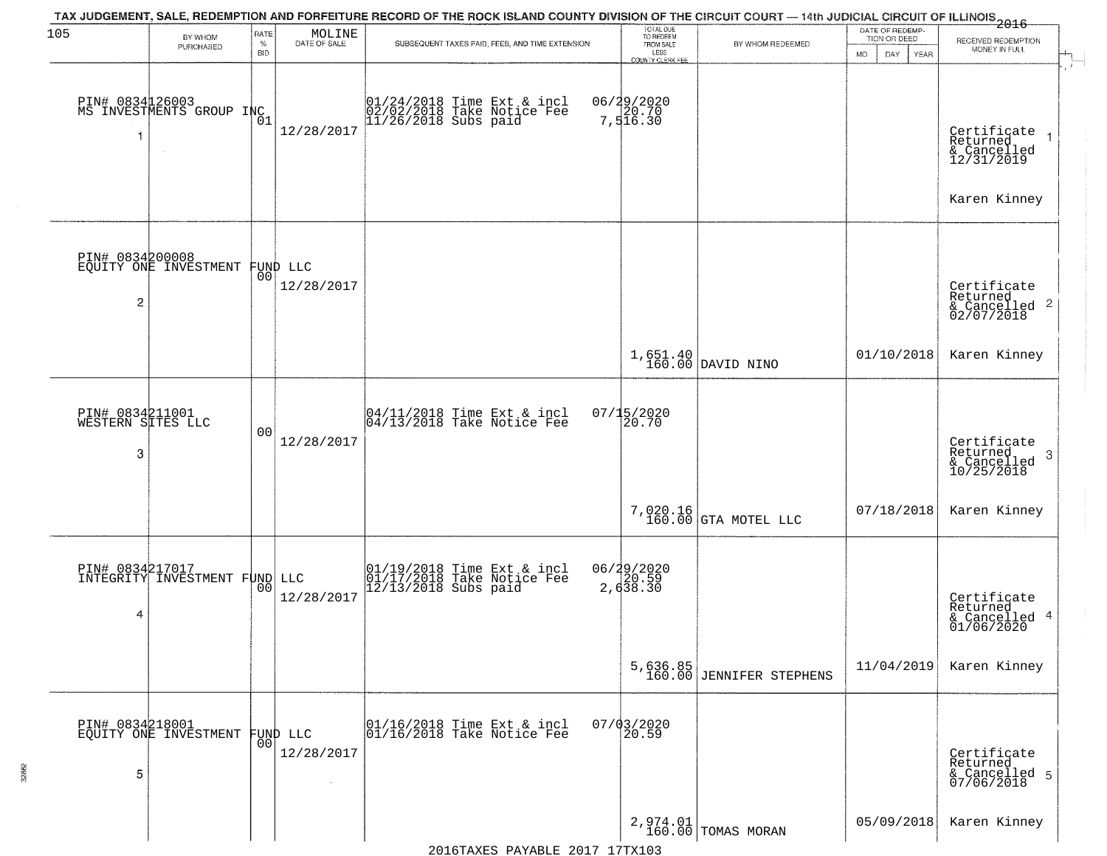| 105                                       | BY WHOM<br>PURCHASED                        | RATE<br>$\%$<br><b>BID</b> | $\begin{array}{c} \text{MOLINE} \\ \text{DATE of SALE} \end{array}$ | TAX JUDGEMENT, SALE, REDEMPTION AND FORFEITURE RECORD OF THE ROCK ISLAND COUNTY DIVISION OF THE CIRCUIT COURT — 14th JUDICIAL CIRCUIT OF ILLINOIS 2016<br>SUBSEQUENT TAXES PAID, FEES, AND TIME EXTENSION | TOTAL DUE<br>TO REDEEM<br>FROM SALE<br>LESS<br>COUNTY CLERK FEE | BY WHOM REDEEMED                     | DATE OF REDEMP-<br>TION OR DEED<br><b>MO</b><br>DAY<br><b>YEAR</b> | RECEIVED REDEMPTION<br>MONEY IN FULL                                    |
|-------------------------------------------|---------------------------------------------|----------------------------|---------------------------------------------------------------------|-----------------------------------------------------------------------------------------------------------------------------------------------------------------------------------------------------------|-----------------------------------------------------------------|--------------------------------------|--------------------------------------------------------------------|-------------------------------------------------------------------------|
| 1                                         | PIN# 0834 26003<br>MS INVESTMENTS GROUP INC |                            | 12/28/2017                                                          | 01/24/2018 Time Ext & incl<br>02/02/2018 Take Notice Fee<br>11/26/2018 Subs paid                                                                                                                          | 06/29/2020<br>7,516.30                                          |                                      |                                                                    | Certificate<br>Returned<br>& Cancelled<br>12/31/2019<br>Karen Kinney    |
| PIN# 0834200008<br>2                      | EQUITY ONE INVESTMENT                       | 00                         | FUND LLC<br>12/28/2017                                              |                                                                                                                                                                                                           |                                                                 |                                      |                                                                    | Certificate<br>Returned<br>$\frac{1}{2}$ Cancelled 2<br>02/07/2018      |
|                                           |                                             |                            |                                                                     |                                                                                                                                                                                                           |                                                                 | $1,651.40$ DAVID NINO                | 01/10/2018                                                         | Karen Kinney                                                            |
| PIN# 0834211001<br>WESTERN SITES LLC<br>3 |                                             | 00                         | 12/28/2017                                                          | 04/11/2018 Time Ext & incl<br>04/13/2018 Take Notice Fee                                                                                                                                                  | 07/15/2020<br>20.70                                             |                                      |                                                                    | Certificate<br>Returned<br>-3<br>$\frac{12}{2}$ Cancelled<br>10/25/2018 |
|                                           |                                             |                            |                                                                     |                                                                                                                                                                                                           |                                                                 | 7,020.16<br>160.00 GTA MOTEL LLC     | 07/18/2018                                                         | Karen Kinney                                                            |
| PIN# 0834217017<br>4                      | INTEGRITY INVESTMENT FUND LLC               | 00                         | 12/28/2017                                                          | 01/19/2018 Time Ext & incl<br>01/17/2018 Take Notice Fee<br>12/13/2018 Subs paid                                                                                                                          | 06/29/2020<br>2, 638.30                                         |                                      |                                                                    | Certificate<br>Returned<br>& Cancelled 4<br>01/06/2020                  |
|                                           |                                             |                            |                                                                     |                                                                                                                                                                                                           |                                                                 | 5,636.85<br>160.00 JENNIFER STEPHENS | 11/04/2019                                                         | Karen Kinney                                                            |
| 5                                         | PIN# 0834218001<br>EQUITY ONE INVESTMENT    | 00                         | FUND LLC<br>12/28/2017                                              | 01/16/2018 Time Ext & incl<br>01/16/2018 Take Notice Fee                                                                                                                                                  | $07/03/2020$<br>20.59                                           |                                      |                                                                    | Certificate<br>Returned<br>& Cancelled 5<br>07/06/2018                  |
|                                           |                                             |                            |                                                                     |                                                                                                                                                                                                           |                                                                 | 2,974.01<br>160.00 TOMAS MORAN       | 05/09/2018                                                         | Karen Kinney                                                            |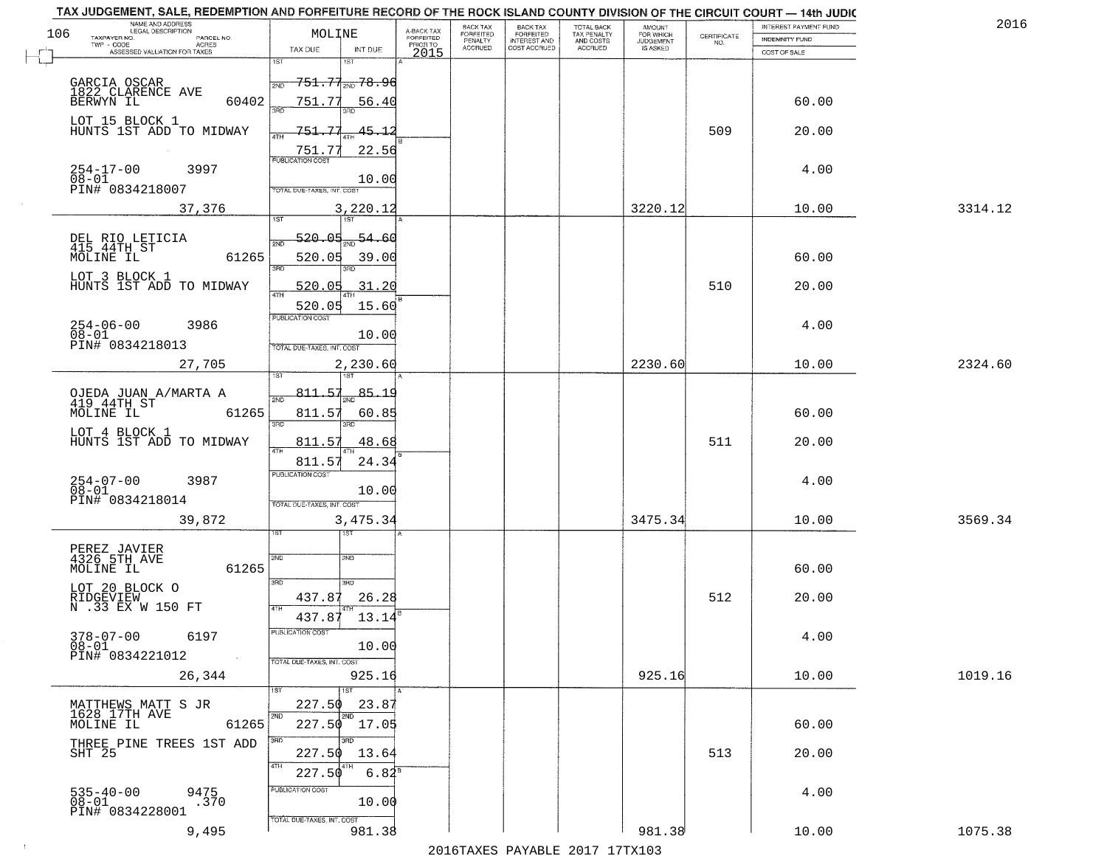| NAME AND ADDRESS<br>LEGAL DESCRIPTION<br>106<br>TAXPAYER NO.<br>PARCEL NO. | MOLINE                                                    | A-BACK TAX<br>FORFEITED | BACK TAX<br>FORFEITED     | <b>BACK TAX</b><br><b>FORFEITED</b> | TOTAL BACK<br>TAX PENALTY | <b>AMOUNT</b><br>FOR WHICH<br>JUDGEMENT | CERTIFICATE | INTEREST PAYMENT FUND<br><b>INDEMNITY FUND</b> | 2016    |
|----------------------------------------------------------------------------|-----------------------------------------------------------|-------------------------|---------------------------|-------------------------------------|---------------------------|-----------------------------------------|-------------|------------------------------------------------|---------|
| $TWP - CODE$<br><b>ACRES</b><br>ASSESSED VALUATION FOR TAXES               | TAX DUE<br>INT DUE                                        | PRIOR TO<br>2015        | PENALTY<br><b>ACCRUED</b> | INTEREST AND                        | AND COSTS<br>ACCRUED      | IS ASKED                                | NO.         | COST OF SALE                                   |         |
|                                                                            | 1ST                                                       |                         |                           |                                     |                           |                                         |             |                                                |         |
| GARCIA OSCAR<br>1822 CLARENCE AVE                                          | <del>751.77<sub>2ND</sub> 78.96</del><br>2ND              |                         |                           |                                     |                           |                                         |             |                                                |         |
| BERWYN IL<br>60402                                                         | 751.77<br>56.40<br>बन्नल<br>aan                           |                         |                           |                                     |                           |                                         |             | 60.00                                          |         |
| LOT 15 BLOCK 1<br>HUNTS 1ST ADD TO MIDWAY                                  | 751.77<br>45.12<br>4TH                                    |                         |                           |                                     |                           |                                         | 509         | 20.00                                          |         |
|                                                                            | 751.77<br>22.56<br><b>PUBLICATION COST</b>                |                         |                           |                                     |                           |                                         |             |                                                |         |
| $254 - 17 - 00$<br>3997<br>$08 - 01$                                       | 10.00                                                     |                         |                           |                                     |                           |                                         |             | 4.00                                           |         |
| PIN# 0834218007                                                            | TOTAL DUE-TAXES, INT. COST                                |                         |                           |                                     |                           |                                         |             |                                                |         |
| 37,376                                                                     | 3,220.12<br><b>TST</b><br>1ST                             |                         |                           |                                     |                           | 3220.12                                 |             | 10.00                                          | 3314.12 |
| DEL RIO LETICIA<br>415 44TH ST                                             | 520.05<br>54.60<br>2ND                                    |                         |                           |                                     |                           |                                         |             |                                                |         |
| MOLINE IL<br>61265                                                         | 520.05<br>39.00<br>3BD<br>3RD                             |                         |                           |                                     |                           |                                         |             | 60.00                                          |         |
| LOT 3 BLOCK 1<br>HUNTS 1ST ADD TO MIDWAY                                   | 520.05<br>31.20                                           |                         |                           |                                     |                           |                                         | 510         | 20.00                                          |         |
|                                                                            | 47H<br>520.05<br>15.60                                    |                         |                           |                                     |                           |                                         |             |                                                |         |
| $254 - 06 - 00$<br>$08 - 01$<br>3986                                       | PUBLICATION COST                                          |                         |                           |                                     |                           |                                         |             | 4.00                                           |         |
| PIN# 0834218013                                                            | 10.00<br>TOTAL DUE-TAXES, INT. COST                       |                         |                           |                                     |                           |                                         |             |                                                |         |
| 27,705                                                                     | 2,230.60                                                  |                         |                           |                                     |                           | 2230.60                                 |             | 10.00                                          | 2324.60 |
| OJEDA JUAN A/MARTA A<br>419 44TH ST                                        | 811.57<br>85.19<br>$\overline{2ND}$                       |                         |                           |                                     |                           |                                         |             |                                                |         |
| 61265<br>MOLINE IL                                                         | 811.57<br>60.85                                           |                         |                           |                                     |                           |                                         |             | 60.00                                          |         |
| LOT 4 BLOCK 1<br>HUNTS 1ST ADD TO MIDWAY                                   | 3RD<br>3BD<br>811.57<br>48.68                             |                         |                           |                                     |                           |                                         | 511         | 20.00                                          |         |
|                                                                            | 4TH<br>811.57<br>24.34                                    |                         |                           |                                     |                           |                                         |             |                                                |         |
| 254-07-00<br>08-01<br>3987                                                 | <b>PUBLICATION COST</b>                                   |                         |                           |                                     |                           |                                         |             | 4.00                                           |         |
| PIN# 0834218014                                                            | 10.00<br>TOTAL OUE-TAXES, INT. COST                       |                         |                           |                                     |                           |                                         |             |                                                |         |
| 39,872                                                                     | 3,475.34                                                  |                         |                           |                                     |                           | 3475.34                                 |             | 10.00                                          | 3569.34 |
|                                                                            | ड़ा                                                       |                         |                           |                                     |                           |                                         |             |                                                |         |
| PEREZ JAVIER<br>4326 5TH AVE<br>61265<br>MOLINE IL                         | 2ND<br>2ND                                                |                         |                           |                                     |                           |                                         |             | 60.00                                          |         |
| LOT 20 BLOCK O                                                             | 3RD<br>3RD                                                |                         |                           |                                     |                           |                                         |             |                                                |         |
| RIDGEVIEW<br>N .33 EX W 150 FT                                             | 26.28<br>437.87<br>4TH<br>437.87<br>13.14                 |                         |                           |                                     |                           |                                         | 512         | 20.00                                          |         |
| $378 - 07 - 00$<br>$08 - 01$<br>6197                                       | PUBLICATION COST                                          |                         |                           |                                     |                           |                                         |             | 4.00                                           |         |
| PIN# 0834221012<br><b>Contractor</b>                                       | 10.00<br>TOTAL DUE-TAXES, INT. COST                       |                         |                           |                                     |                           |                                         |             |                                                |         |
| 26,344                                                                     | 925.16                                                    |                         |                           |                                     |                           | 925.16                                  |             | 10.00                                          | 1019.16 |
|                                                                            | 1ST<br>227.50<br>23.87                                    |                         |                           |                                     |                           |                                         |             |                                                |         |
| MATTHEWS MATT S JR<br>1628 17TH AVE<br>MOLINE IL<br>61265                  | 2ND<br><b>ZND</b><br>$227.50$ 17.05                       |                         |                           |                                     |                           |                                         |             | 60.00                                          |         |
| THREE PINE TREES 1ST ADD                                                   | 3RD<br>3RD                                                |                         |                           |                                     |                           |                                         |             |                                                |         |
| SHT 25                                                                     | 227.50<br>13.64<br>4TH<br>$6.84^{\overline{8}}$<br>227.50 |                         |                           |                                     |                           |                                         | 513         | 20.00                                          |         |
|                                                                            | PUBLICATION COST                                          |                         |                           |                                     |                           |                                         |             | 4.00                                           |         |
| 9475.370<br>535-40-00<br>08-01<br>PIN# 0834228001                          | 10.00                                                     |                         |                           |                                     |                           |                                         |             |                                                |         |
| 9,495                                                                      | TOTAL DUE-TAXES, INT. COST<br>981.38                      |                         |                           |                                     |                           | 981.38                                  |             | 10.00                                          | 1075.38 |

 $\sim 100$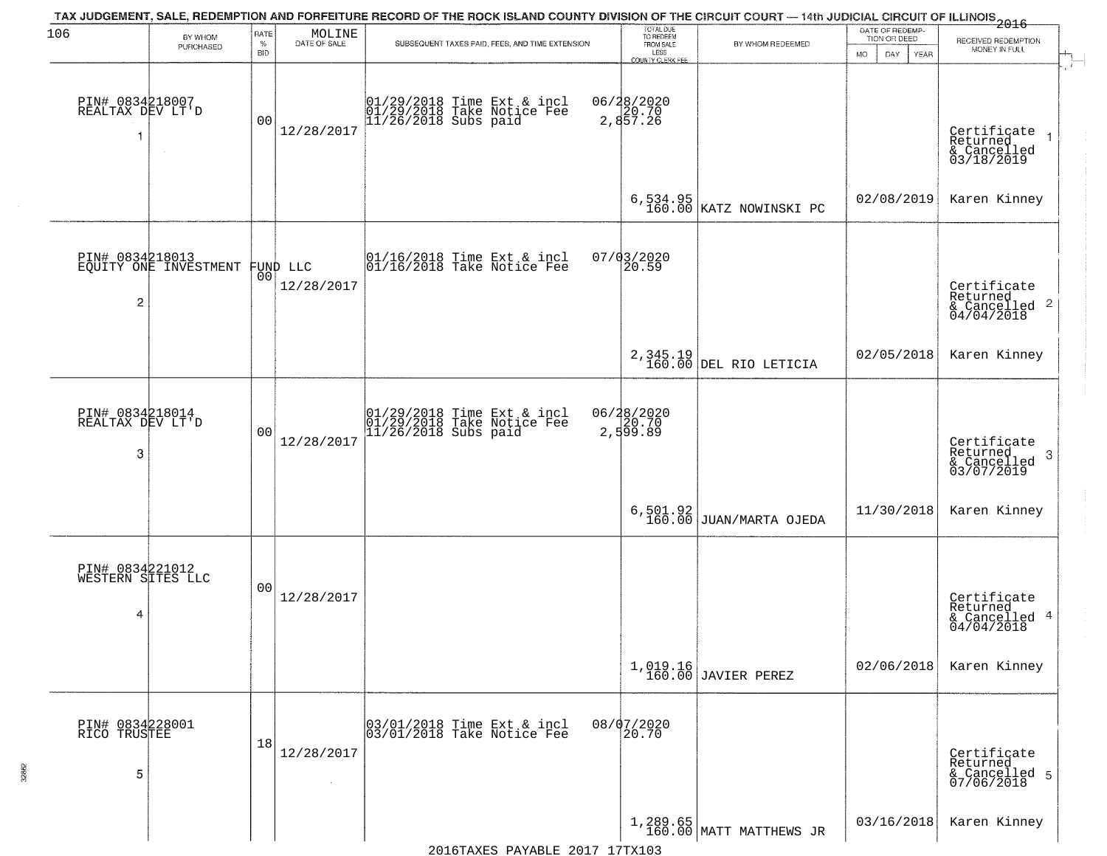| 106                                       | BY WHOM                        | RATE               | MOLINE               | TAX JUDGEMENT, SALE, REDEMPTION AND FORFEITURE RECORD OF THE ROCK ISLAND COUNTY DIVISION OF THE CIRCUIT COURT — 14th JUDICIAL CIRCUIT OF ILLINOIS 2016 | TOTAL DUE<br>TO REDEEM                       |                                     | DATE OF REDEMP-<br>TION OR DEED | RECEIVED REDEMPTION                                                |
|-------------------------------------------|--------------------------------|--------------------|----------------------|--------------------------------------------------------------------------------------------------------------------------------------------------------|----------------------------------------------|-------------------------------------|---------------------------------|--------------------------------------------------------------------|
|                                           | PURCHASED                      | $\%$<br><b>BID</b> | DATE OF SALE         | SUBSEQUENT TAXES PAID, FEES, AND TIME EXTENSION                                                                                                        | FROM SALE<br>LESS<br><b>COUNTY CLERK FEE</b> | BY WHOM REDEEMED                    | MO.<br>DAY.<br><b>YEAR</b>      | MONEY IN FULL                                                      |
| PIN# 0834218007<br>REALTAX DEV LT'D<br>1  | $\sim$                         | 00                 | 12/28/2017           | 01/29/2018 Time Ext & incl<br>01/29/2018 Take Notice Fee<br>11/26/2018 Subs paid                                                                       | 06/28/2020<br>2,857.26<br>2,857.26           |                                     |                                 | Certificate<br>Returned<br>& Cancelled<br>03/18/2019               |
|                                           |                                |                    |                      |                                                                                                                                                        |                                              | 6,534.95<br>160.00 KATZ NOWINSKI PC | 02/08/2019                      | Karen Kinney                                                       |
| PIN# 0834218013<br>2                      | EQUITY ONE INVESTMENT FUND LLC |                    | 12/28/2017           | $ 01/16/2018$ Time Ext & incl<br>$ 01/16/2018$ Take Notice Fee                                                                                         | $07/03/2020$<br>20.59                        |                                     |                                 | Certificate<br>Returned<br>$\frac{1}{6}$ Cancelled 2<br>04/04/2018 |
|                                           |                                |                    |                      |                                                                                                                                                        |                                              | 2,345.19<br>160.00 DEL RIO LETICIA  | 02/05/2018                      | Karen Kinney                                                       |
| PIN# 0834218014<br>REALTAX DEV LT'D<br>3  |                                | 0 <sub>0</sub>     | 12/28/2017           | 01/29/2018 Time Ext & incl<br>01/29/2018 Take Notice Fee<br>11/26/2018 Subs paid                                                                       | 06/28/2020<br>2,599.89                       |                                     |                                 | Certificate<br>Returned<br>3<br>& Cancelled<br>03/07/2019          |
|                                           |                                |                    |                      |                                                                                                                                                        |                                              | $6, 501.92$ JUAN/MARTA OJEDA        | 11/30/2018                      | Karen Kinney                                                       |
| PIN# 0834221012<br>WESTERN SITES LLC<br>4 |                                | 0 <sub>0</sub>     | 12/28/2017           |                                                                                                                                                        |                                              |                                     |                                 | Certificate<br>Returned<br>& Cancelled 4<br>04/04/2018             |
|                                           |                                |                    |                      |                                                                                                                                                        |                                              | 1,019.16<br>160.00 JAVIER PEREZ     | 02/06/2018                      | Karen Kinney                                                       |
| PIN# 0834228001<br>RICO TRUSTEE<br>5      |                                | 18                 | 12/28/2017<br>$\sim$ | 03/01/2018 Time Ext & incl<br>03/01/2018 Take Notice Fee                                                                                               | 08/07/2020<br>20.70                          |                                     |                                 | Certificate<br>Returned<br>& Cancelled 5<br>07/06/2018             |
|                                           |                                |                    |                      |                                                                                                                                                        |                                              | $1,289.65$ MATT MATTHEWS JR         | 03/16/2018                      | Karen Kinney                                                       |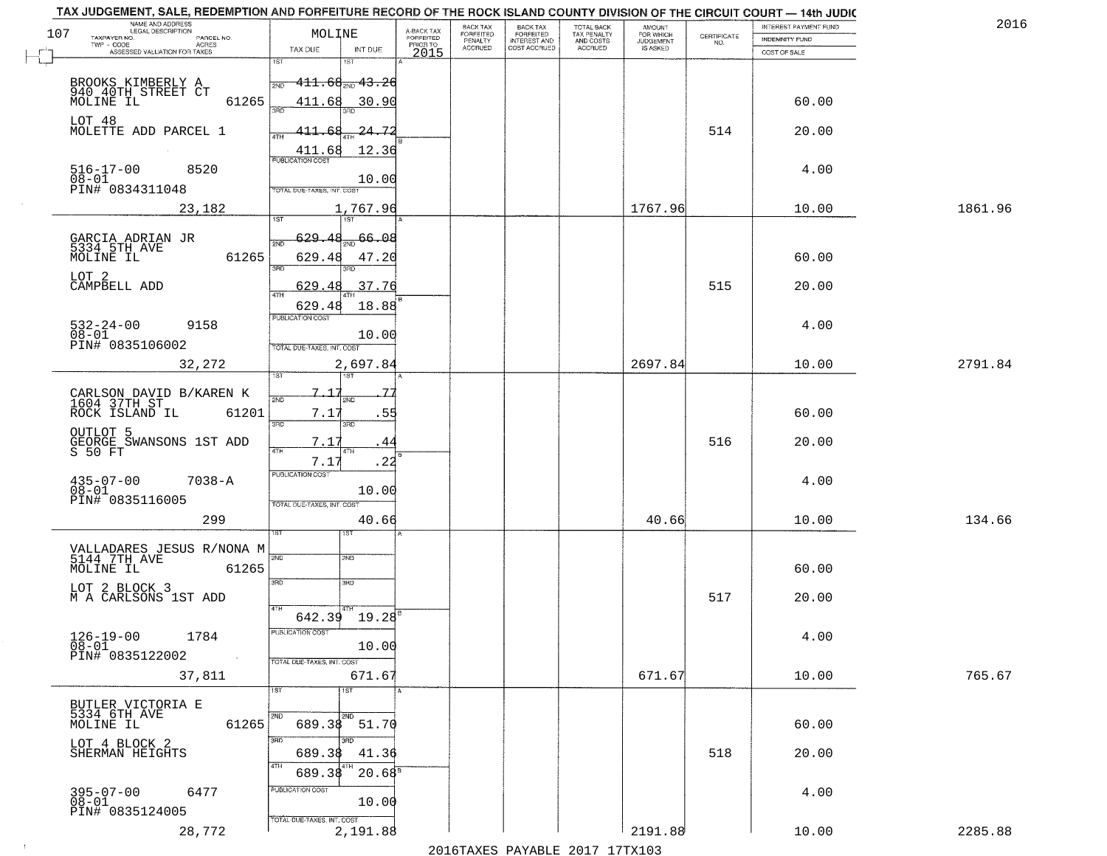| 2016    |
|---------|
|         |
|         |
|         |
|         |
|         |
|         |
|         |
| 1861.96 |
|         |
|         |
|         |
|         |
|         |
|         |
| 2791.84 |
|         |
|         |
|         |
|         |
|         |
| 134.66  |
|         |
|         |
|         |
|         |
|         |
|         |
| 765.67  |
|         |
|         |
|         |
|         |
|         |
|         |
|         |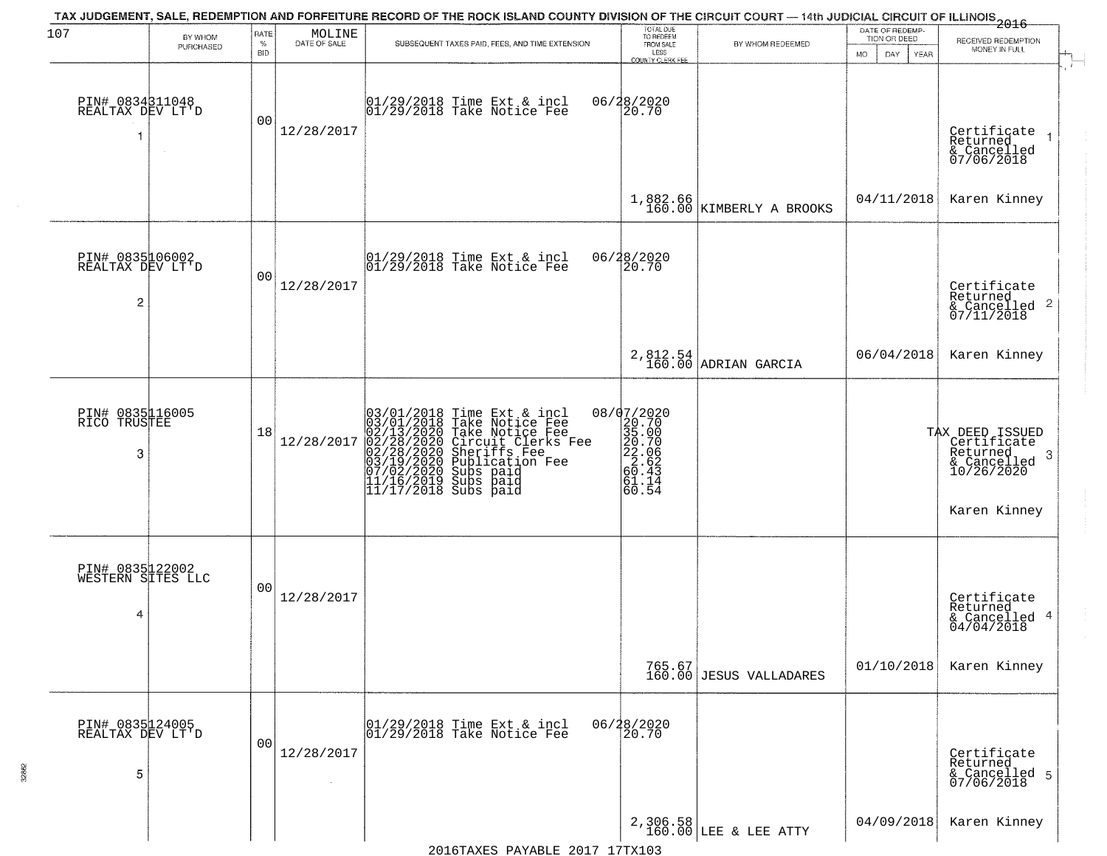| 107                                       | BY WHOM<br>PURCHASED | RATE<br>$\%$<br><b>BID</b> | $\begin{array}{c} \text{MOLINE} \\ \text{DATE of sale} \end{array}$ | TAX JUDGEMENT, SALE, REDEMPTION AND FORFEITURE RECORD OF THE ROCK ISLAND COUNTY DIVISION OF THE CIRCUIT COURT — 14th JUDICIAL CIRCUIT OF ILLINOIS 2016<br>SUBSEQUENT TAXES PAID, FEES, AND TIME EXTENSION                                      | TOTAL DUE<br>TO REDEEM<br>FROM SALE<br>LESS<br>COUNTY CLERK FEE                                             | BY WHOM REDEEMED                  | DATE OF REDEMP-<br>TION OR DEED<br>DAY.<br>YEAR<br>MO. | RECEIVED REDEMPTION<br>MONEY IN FULL                                                          |
|-------------------------------------------|----------------------|----------------------------|---------------------------------------------------------------------|------------------------------------------------------------------------------------------------------------------------------------------------------------------------------------------------------------------------------------------------|-------------------------------------------------------------------------------------------------------------|-----------------------------------|--------------------------------------------------------|-----------------------------------------------------------------------------------------------|
| PIN# 0834311048<br>REALTAX DEV LT'D       | $\sim 10^{-1}$       | 00                         | 12/28/2017                                                          | 01/29/2018 Time Ext & incl<br>01/29/2018 Take Notice Fee                                                                                                                                                                                       | 06/28/2020<br>20.70                                                                                         |                                   |                                                        | Certificate<br>Returned<br>& Cancelled<br>07/06/2018                                          |
|                                           |                      |                            |                                                                     |                                                                                                                                                                                                                                                | 1,882.66<br>160.00                                                                                          | KIMBERLY A BROOKS                 | 04/11/2018                                             | Karen Kinney                                                                                  |
| PIN# 0835106002<br>REALTAX DEV LT'D<br>2  |                      | 00                         | 12/28/2017                                                          | 01/29/2018 Time Ext & incl<br>01/29/2018 Take Notice Fee                                                                                                                                                                                       | 06/28/2020<br>20.70                                                                                         |                                   |                                                        | Certificate<br>Returned<br>& Cancelled 2<br>07/11/2018                                        |
|                                           |                      |                            |                                                                     |                                                                                                                                                                                                                                                |                                                                                                             | 2,812.54<br>160.00 ADRIAN GARCIA  | 06/04/2018                                             | Karen Kinney                                                                                  |
| PIN# 0835116005<br>RICO TRUSTEE<br>3      |                      | 18                         | 12/28/2017                                                          | $03/01/2018$ Time Ext & incl<br>$03/01/2018$ Take Notice Fee<br>$02/13/2020$ Take Notice Fee<br>$02/28/2020$ Circuit Clerks Fee<br>$02/28/2020$ Sheriffs Fee<br>$03/19/2020$ Subs paid<br>$07/02/2020$ Subs paid<br>$11/16/2019$ Subs paid<br> | 08/07/2020<br>$\begin{smallmatrix} 20.70\ 35.00\ 20.70\ 22.06\ 2.62\ 60.43\ 61.14\ 60.54 \end{smallmatrix}$ |                                   |                                                        | TAX DEED ISSUED<br>Certificate<br>Returned<br>-3<br>& Cancelled<br>10/26/2020<br>Karen Kinney |
| PIN# 0835122002<br>WESTERN SITES LLC<br>4 |                      | 00                         | 12/28/2017                                                          |                                                                                                                                                                                                                                                |                                                                                                             |                                   |                                                        | Certificate<br>Returned<br>& Cancelled 4<br>04/04/2018                                        |
|                                           |                      |                            |                                                                     |                                                                                                                                                                                                                                                |                                                                                                             | 765.67<br>160.00 JESUS VALLADARES | 01/10/2018                                             | Karen Kinney                                                                                  |
| PIN# 0835124005<br>REALTAX DEV LT'D<br>5  |                      | 0 <sub>0</sub>             | 12/28/2017                                                          | 01/29/2018 Time Ext & incl<br>01/29/2018 Take Notice Fee                                                                                                                                                                                       | 06/28/2020<br>20.70                                                                                         |                                   |                                                        | Certificate<br>Returned<br>& Cancelled 5<br>07/06/2018                                        |
|                                           |                      |                            |                                                                     |                                                                                                                                                                                                                                                |                                                                                                             | 2,306.58<br>160.00 LEE & LEE ATTY | 04/09/2018                                             | Karen Kinney                                                                                  |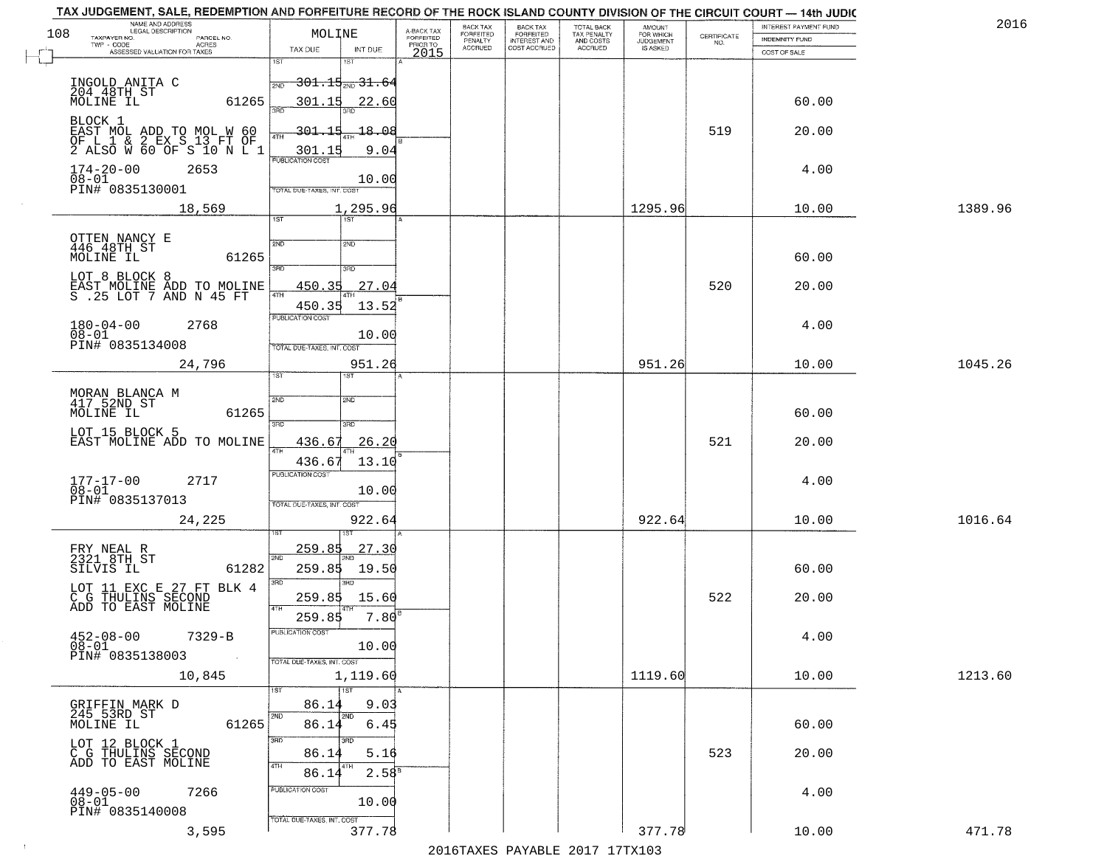| 2016    | INTEREST PAYMENT FUND |                                                                 | <b>AMOUNT</b><br>FOR WHICH | TOTAL BACK<br>TAX PENALTY<br>AND COSTS<br>ACCRUED | <b>BACK TAX</b><br><b>FORFEITED</b> | BACK TAX<br><b>FORFEITED</b> | A-BACK TAX            | MOLINE                                                                | NAME AND ADDRESS<br>LEGAL DESCRIPTION                                                        |
|---------|-----------------------|-----------------------------------------------------------------|----------------------------|---------------------------------------------------|-------------------------------------|------------------------------|-----------------------|-----------------------------------------------------------------------|----------------------------------------------------------------------------------------------|
|         | INDEMNITY FUND        | $\begin{array}{c} \text{CERTIFICATE} \\ \text{NO.} \end{array}$ | JUDGEMENT                  |                                                   | INTEREST AND<br>COST ACCRUED        | PENALTY<br>ACCRUED           | FORFEITED<br>PRIOR TO |                                                                       | TAXPAYER NO.<br>PARCEL NO.<br>TWP - CODE<br><b>ACRES</b>                                     |
|         | COST OF SALE          |                                                                 |                            |                                                   |                                     |                              | 2015                  | TAX DUE<br>INT DUE<br>1ST<br>នោ                                       | ASSESSED VALUATION FOR TAXES                                                                 |
|         |                       |                                                                 |                            |                                                   |                                     |                              |                       | <del>301.15<sub>2ND</sub> 31.6</del> 4<br><b>DND</b>                  | INGOLD ANITA C<br>204 48TH ST                                                                |
|         | 60.00                 |                                                                 |                            |                                                   |                                     |                              |                       | 301.15<br>22.60                                                       | MOLINE IL<br>61265                                                                           |
|         | 20.00                 | 519                                                             |                            |                                                   |                                     |                              |                       | 301.<br>1 <sup>5</sup><br>18.08<br>9.04<br>301.15<br>PUBLICATION COST | BLOCK 1<br>EAST MOL ADD TO MOL W 60<br>OF L 1 & 2 EX S 13 FT OF<br>2 ALSO W 60 OF S 10 N L 1 |
|         | 4.00                  |                                                                 |                            |                                                   |                                     |                              |                       | 10.00<br>TOTAL DUE-TAXES, INT. COST                                   | $174 - 20 - 00$<br>2653<br>08-01<br>PIN# 0835130001                                          |
| 1389.96 | 10.00                 |                                                                 | 1295.96                    |                                                   |                                     |                              |                       | 1,295.96<br>$\overline{1ST}$<br>1ST                                   | 18,569                                                                                       |
|         |                       |                                                                 |                            |                                                   |                                     |                              |                       |                                                                       |                                                                                              |
|         | 60.00                 |                                                                 |                            |                                                   |                                     |                              |                       | 2ND<br>2ND<br>3RD<br>3RD                                              | OTTEN NANCY E<br>446 48TH ST<br>MOLINE IL<br>61265                                           |
|         | 20.00                 | 520                                                             |                            |                                                   |                                     |                              |                       | 450.35<br>27.04<br><b>ATH</b>                                         | LOT 8 BLOCK 8<br>EAST MOLINE ADD TO MOLINE<br>S .25 LOT 7 AND N 45 FT                        |
|         |                       |                                                                 |                            |                                                   |                                     |                              |                       | 450.35<br>13.52<br>PUBLICATION COST                                   |                                                                                              |
|         | 4.00                  |                                                                 |                            |                                                   |                                     |                              |                       | 10.00<br>TOTAL DUE-TAXES, INT. COST                                   | $180 - 04 - 00$<br>2768<br>$08 - 01$<br>PIN# 0835134008                                      |
| 1045.26 | 10.00                 |                                                                 | 951.26                     |                                                   |                                     |                              |                       | 951.26<br>ist.<br>IST                                                 | 24,796                                                                                       |
|         |                       |                                                                 |                            |                                                   |                                     |                              |                       | 2ND<br>2ND                                                            | MORAN BLANCA M<br>417 52ND ST                                                                |
|         | 60.00                 |                                                                 |                            |                                                   |                                     |                              |                       | 3RD<br>3BD                                                            | 61265<br>MOLINE IL                                                                           |
|         | 20.00                 | 521                                                             |                            |                                                   |                                     |                              |                       | 26.20<br>436.67<br>4TH                                                | LOT 15 BLOCK 5<br>EAST MOLINE ADD TO MOLINE                                                  |
|         | 4.00                  |                                                                 |                            |                                                   |                                     |                              |                       | 436.67<br>13.10<br><b>PUBLICATION COST</b>                            | $177 - 17 - 00$<br>$08 - 01$<br>2717                                                         |
|         |                       |                                                                 |                            |                                                   |                                     |                              |                       | 10.00<br>TOTAL OUE-TAXES, INT. COST                                   | PIN# 0835137013                                                                              |
| 1016.64 | 10.00                 |                                                                 | 922.64                     |                                                   |                                     |                              |                       | 922.64                                                                | 24,225                                                                                       |
|         |                       |                                                                 |                            |                                                   |                                     |                              |                       | <u>259.85</u><br>27.30                                                | FRY NEAL R<br>2321 8TH ST                                                                    |
|         | 60.00                 |                                                                 |                            |                                                   |                                     |                              |                       | 2ND<br>259.85<br>19.50<br>3 <sub>BD</sub><br>3RD                      | 61282<br>SILVIS IL                                                                           |
|         | 20.00                 | 522                                                             |                            |                                                   |                                     |                              |                       | 259.85<br>15.60<br>4TH                                                | LOT 11 EXC E 27 FT BLK 4<br>C G THULINS SECOND<br>ADD TO EAST MOLINE                         |
|         | 4.00                  |                                                                 |                            |                                                   |                                     |                              |                       | 259.85<br>7.80<br>PUBLICATION COST                                    | $452 - 08 - 00$<br>$7329 - B$                                                                |
|         |                       |                                                                 |                            |                                                   |                                     |                              |                       | 10.00<br>TOTAL DUE-TAXES, INT. COST                                   | $08 - 01$<br>PIN# 0835138003                                                                 |
| 1213.60 | 10.00                 |                                                                 | 1119.60                    |                                                   |                                     |                              |                       | 1,119.60<br>$\overline{1ST}$<br>1ST                                   | 10,845                                                                                       |
|         |                       |                                                                 |                            |                                                   |                                     |                              |                       | 86.14<br>9.03                                                         | GRIFFIN MARK D                                                                               |
|         | 60.00                 |                                                                 |                            |                                                   |                                     |                              |                       | 2ND<br>2ND<br>86.14<br>6.45                                           | 245 53RD ST<br>MOLINE IL<br>61265                                                            |
|         | 20.00                 | 523                                                             |                            |                                                   |                                     |                              |                       | 3RD<br>अंग<br>86.14<br>5.16<br>4TH<br>4TH                             | LOT 12 BLOCK 1<br>C G THULINS SECOND<br>ADD TO EAST MOLINE                                   |
|         | 4.00                  |                                                                 |                            |                                                   |                                     |                              |                       | 2.58 <sup>B</sup><br>86.14<br>PUBLICATION COST                        | $449 - 05 - 00$<br>7266                                                                      |
|         |                       |                                                                 |                            |                                                   |                                     |                              |                       | 10.00<br>TOTAL DUE-TAXES, INT. COST                                   | $08 - 01$<br>PIN# 0835140008                                                                 |
|         |                       |                                                                 |                            |                                                   |                                     |                              |                       |                                                                       |                                                                                              |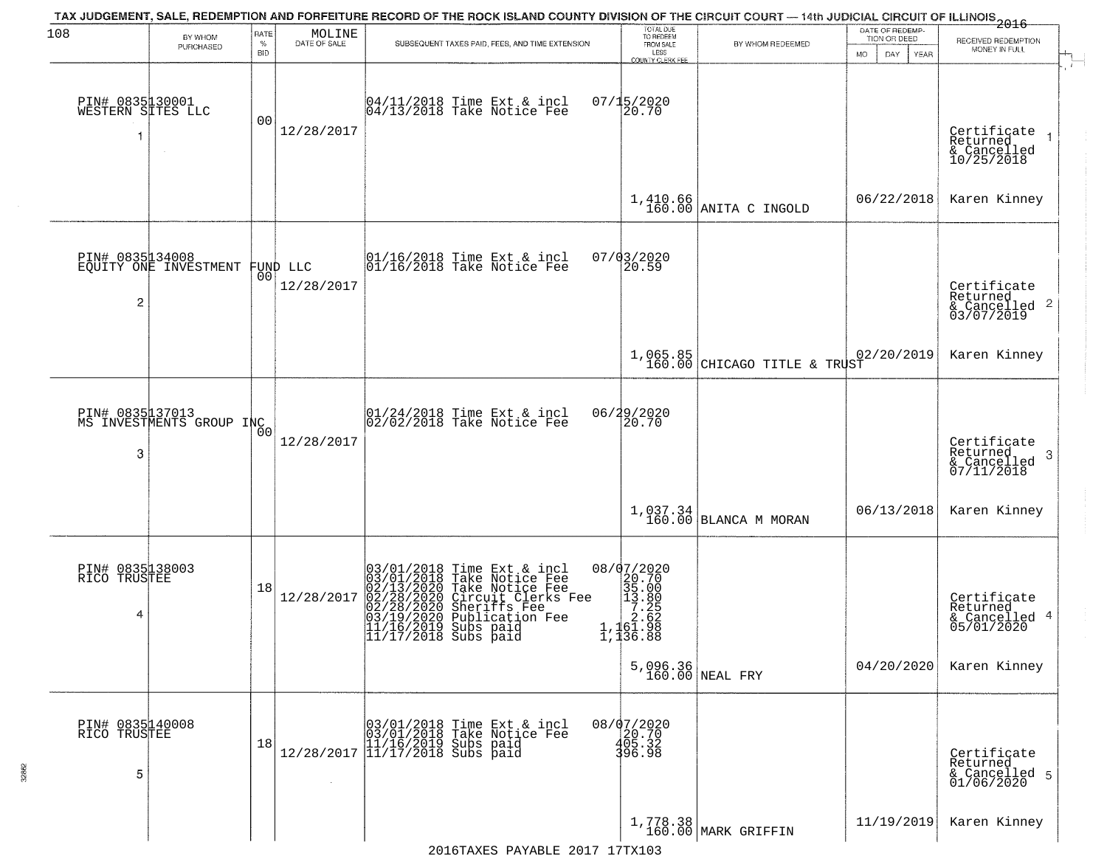| 108                                  | BY WHOM<br>PURCHASED                        | RATE<br>$\%$<br><b>BID</b> | $\begin{array}{c} \text{MOLINE} \\ \text{DATE of sale} \end{array}$ | TAX JUDGEMENT, SALE, REDEMPTION AND FORFEITURE RECORD OF THE ROCK ISLAND COUNTY DIVISION OF THE CIRCUIT COURT — 14th JUDICIAL CIRCUIT OF ILLINOIS 2016<br>SUBSEQUENT TAXES PAID, FEES, AND TIME EXTENSION                        | TOTAL DUE<br>TO REDEEM<br>FROM SALE<br>LESS<br>COUNTY CLERK FEE                                                                           | BY WHOM REDEEMED                           | DATE OF REDEMP-<br>TION OR DEED<br>DAY<br><b>MO</b><br>YEAR | RECEIVED REDEMPTION<br>MONEY IN FULL                                   |
|--------------------------------------|---------------------------------------------|----------------------------|---------------------------------------------------------------------|----------------------------------------------------------------------------------------------------------------------------------------------------------------------------------------------------------------------------------|-------------------------------------------------------------------------------------------------------------------------------------------|--------------------------------------------|-------------------------------------------------------------|------------------------------------------------------------------------|
| PIN# 0835130001<br>WESTERN SITES LLC |                                             | 00                         | 12/28/2017                                                          | 04/11/2018 Time Ext & incl<br>04/13/2018 Take Notice Fee                                                                                                                                                                         | 07/15/2020<br>20.70                                                                                                                       |                                            |                                                             | Certificate<br>Returned<br>& Cancelled<br>10/25/2018                   |
|                                      |                                             |                            |                                                                     |                                                                                                                                                                                                                                  | 1,410.66<br>160.00                                                                                                                        | ANITA C INGOLD                             | 06/22/2018                                                  | Karen Kinney                                                           |
| PIN# 0835134008<br>2                 | EQUITY ONE INVESTMENT                       | 00                         | FUND LLC<br>12/28/2017                                              | 01/16/2018 Time Ext & incl<br>01/16/2018 Take Notice Fee                                                                                                                                                                         | 07/03/2020<br>20.59                                                                                                                       |                                            |                                                             | Certificate<br>Returned<br>& Cancelled 2<br>03/07/2019                 |
|                                      |                                             |                            |                                                                     |                                                                                                                                                                                                                                  |                                                                                                                                           | $1,065.85$<br>160.00 CHICAGO TITLE & TRUST | 02/20/2019                                                  | Karen Kinney                                                           |
| 3                                    | PIN# 0835 17013<br>MS INVESTMENTS GROUP INC |                            | 12/28/2017                                                          | 01/24/2018 Time Ext & incl<br>02/02/2018 Take Notice Fee                                                                                                                                                                         | 06/29/2020<br>20.70                                                                                                                       |                                            |                                                             | Certificate<br>Returned<br>-3<br>$\frac{2}{6}$ Cancelled<br>07/11/2018 |
|                                      |                                             |                            |                                                                     |                                                                                                                                                                                                                                  | 1,037.34<br>160.00                                                                                                                        | BLANCA M MORAN                             | 06/13/2018                                                  | Karen Kinney                                                           |
| PIN# 0835138003<br>RICO TRUSTEE<br>4 |                                             | 18                         | 12/28/2017                                                          | 03/01/2018 Time Ext & incl<br>03/01/2018 Take Notice Fee<br>02/13/2020 Take Notice Fee<br>02/28/2020 Circuit Clerks Fee<br>02/28/2020 Sheriffs Fee<br>03/19/2020 Publication Fee<br>11/17/2019 Subs paid<br>11/17/2018 Subs paid | 08/07/2020<br>$\begin{array}{r} \n 20.70 \\  20.70 \\  35.00 \\  13.80 \\  7.25 \\  7.25 \\  2.62 \\  1,152.98\n \end{array}$<br>1,136.88 |                                            |                                                             | Certificate<br>Returned<br>& Cancelled 4<br>05/01/2020                 |
|                                      |                                             |                            |                                                                     |                                                                                                                                                                                                                                  |                                                                                                                                           | $5,096.36$ NEAL FRY                        | 04/20/2020                                                  | Karen Kinney                                                           |
| PIN# 0835140008<br>RICO TRUSTEE<br>5 |                                             | 18                         |                                                                     | $[03/01/2018 \t\t Time Ext & incl \\ [03/01/2018 \t\t Take Notice Free \\ [11/16/2019 \t\ Subs paid \\ [12/28/2017 \t\t] 11/17/2018 \t\ Subs paid$                                                                               | 08/07/2020<br>20.70<br>405.32<br>396.98                                                                                                   |                                            |                                                             | Certificate<br>Returned<br>& Cancelled 5<br>01/06/2020                 |
|                                      |                                             |                            |                                                                     |                                                                                                                                                                                                                                  |                                                                                                                                           | 1,778.38<br>160.00 MARK GRIFFIN            | 11/19/2019                                                  | Karen Kinney                                                           |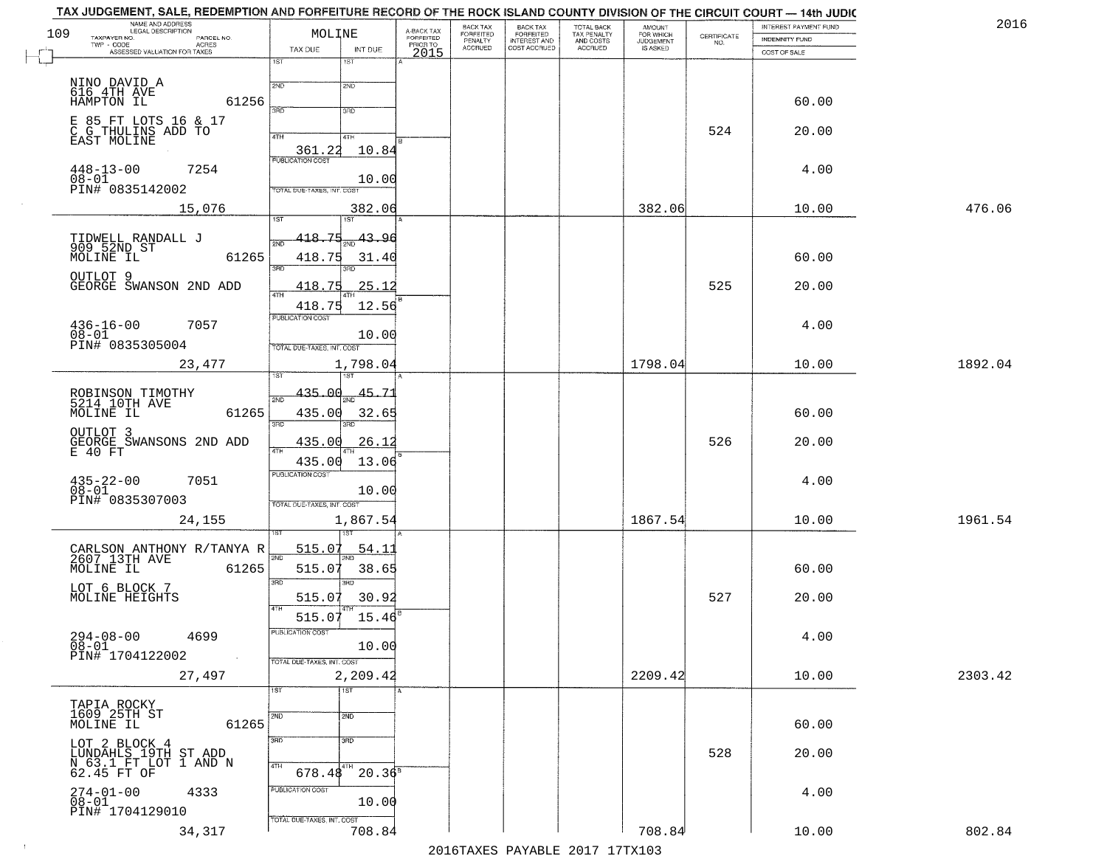| 2016    | INTEREST PAYMENT FUND |                                                                 | <b>AMOUNT</b><br>FOR WHICH | TOTAL BACK                          | <b>BACK TAX</b><br><b>FORFEITED</b> | BACK TAX<br><b>FORFEITED</b> | A-BACK TAX            | MOLINE                                          | NAME AND ADDRESS<br>LEGAL DESCRIPTION                            |
|---------|-----------------------|-----------------------------------------------------------------|----------------------------|-------------------------------------|-------------------------------------|------------------------------|-----------------------|-------------------------------------------------|------------------------------------------------------------------|
|         | INDEMNITY FUND        | $\begin{array}{c} \text{CERTIFICATE} \\ \text{NO.} \end{array}$ | JUDGEMENT                  | TAX PENALTY<br>AND COSTS<br>ACCRUED | INTEREST AND<br>COST ACCRUED        | PENALTY<br>ACCRUED           | FORFEITED<br>PRIOR TO |                                                 | TAXPAYER NO.<br>PARCEL NO.<br>TWP - CODE<br><b>ACRES</b>         |
|         | COST OF SALE          |                                                                 |                            |                                     |                                     |                              | 2015                  | TAX DUE<br>INT DUE                              | ASSESSED VALUATION FOR TAXES                                     |
|         |                       |                                                                 |                            |                                     |                                     |                              |                       | 1ST<br>1ST                                      |                                                                  |
|         | 60.00                 |                                                                 |                            |                                     |                                     |                              |                       | 2ND<br>2ND<br>390<br>3RD                        | NINO DAVID A<br>616 4TH AVE<br>HAMPTON IL<br>61256               |
|         | 20.00                 | 524                                                             |                            |                                     |                                     |                              |                       | 4TH<br>41H                                      | E 85 FT LOTS 16 & 17<br>C G THULINS ADD TO<br>EAST MOLINE        |
|         | 4.00                  |                                                                 |                            |                                     |                                     |                              |                       | 361.22<br>10.84<br><b>PUBLICATION COST</b>      | 7254<br>$448 - 13 - 00$                                          |
|         |                       |                                                                 |                            |                                     |                                     |                              |                       | 10.00<br><b>FOTAL DUE-TAXES, INT. COST</b>      | 08-01<br>PIN# 0835142002                                         |
| 476.06  | 10.00                 |                                                                 | 382.06                     |                                     |                                     |                              |                       | 382.06<br>1ST <sup></sup><br>1ST                | 15,076                                                           |
|         | 60.00                 |                                                                 |                            |                                     |                                     |                              |                       | 418.75<br>43.96<br>418.75<br>31.40              | TIDWELL RANDALL J<br>909 52ND ST<br>MOLINE IL<br>61265           |
|         | 20.00                 | 525                                                             |                            |                                     |                                     |                              |                       | 3RD<br>25.12<br>418.<br>-7                      | OUTLOT 9<br>GEORGE SWANSON 2ND ADD                               |
|         | 4.00                  |                                                                 |                            |                                     |                                     |                              |                       | 418.75<br>12.56<br>PUBLICATION COST             | $436 - 16 - 00$<br>7057                                          |
|         |                       |                                                                 |                            |                                     |                                     |                              |                       | 10.00<br>TOTAL DUE-TAXES, INT. COST             | $08 - 01$<br>PIN# 0835305004                                     |
| 1892.04 | 10.00                 |                                                                 | 1798.04                    |                                     |                                     |                              |                       | 1,798.04                                        | 23,477                                                           |
|         | 60.00                 |                                                                 |                            |                                     |                                     |                              |                       | 435.00<br>45.71<br>435.00<br>32.65              | ROBINSON TIMOTHY<br>5214 10TH AVE<br>61265<br>MOLINE IL          |
|         | 20.00                 | 526                                                             |                            |                                     |                                     |                              |                       | 3RD<br>3RD<br>435.00<br><u>26.12</u>            | OUTLOT 3<br>GEORGE SWANSONS 2ND ADD<br>E 40 FT                   |
|         | 4.00                  |                                                                 |                            |                                     |                                     |                              |                       | 435.00<br>13.06<br><b>PUBLICATION COST</b>      | 7051                                                             |
|         |                       |                                                                 |                            |                                     |                                     |                              |                       | 10.00<br>TOTAL OUE-TAXES, INT. COST             | $435 - 22 - 00$<br>$08 - 01$<br>PIN# 0835307003                  |
| 1961.54 | 10.00                 |                                                                 | 1867.54                    |                                     |                                     |                              |                       | 1,867.54                                        | 24,155                                                           |
|         | 60.00                 |                                                                 |                            |                                     |                                     |                              |                       | <u>515.07</u><br>54.1<br>2ND<br>515.07<br>38.65 | CARLSON ANTHONY R/TANYA R<br>2607 13TH AVE<br>MOLINE IL<br>61265 |
|         | 20.00                 | 527                                                             |                            |                                     |                                     |                              |                       | 3RD<br>3BD<br>515.07<br>30.92                   | LOT 6 BLOCK 7<br>MOLINE HEIGHTS                                  |
|         |                       |                                                                 |                            |                                     |                                     |                              |                       | 15.46<br>515.07<br>PUBLICATION COST             | $294 - 08 - 00$                                                  |
|         | 4.00                  |                                                                 |                            |                                     |                                     |                              |                       | 10.00<br>TOTAL DUE-TAXES, INT. COST             | 4699<br>$08 - 01$<br>PIN# 1704122002                             |
| 2303.42 | 10.00                 |                                                                 | 2209.42                    |                                     |                                     |                              |                       | 2,209.42<br>$\overline{1ST}$<br>1ST             | 27,497                                                           |
|         | 60.00                 |                                                                 |                            |                                     |                                     |                              |                       | 2ND<br>2ND                                      | TAPIA ROCKY<br>1609 25TH ST<br>MOLINE IL<br>61265                |
|         | 20.00                 | 528                                                             |                            |                                     |                                     |                              |                       | 3RD<br>3 <sub>BD</sub>                          | LOT 2 BLOCK 4                                                    |
|         |                       |                                                                 |                            |                                     |                                     |                              |                       | 4TH<br>$\sqrt{4}$ тн<br>$20.36^{8}$<br>678.48   | LUNDAHLS 19TH ST ADD<br>N 63.1 FT LOT 1 AND N<br>62.45 FT OF     |
|         | 4.00                  |                                                                 |                            |                                     |                                     |                              |                       | PUBLICATION COST<br>10.00                       | $274 - 01 - 00$<br>4333<br>$08 - 01$                             |
|         |                       |                                                                 |                            |                                     |                                     |                              |                       | TOTAL DUE-TAXES, INT. COST                      | PIN# 1704129010                                                  |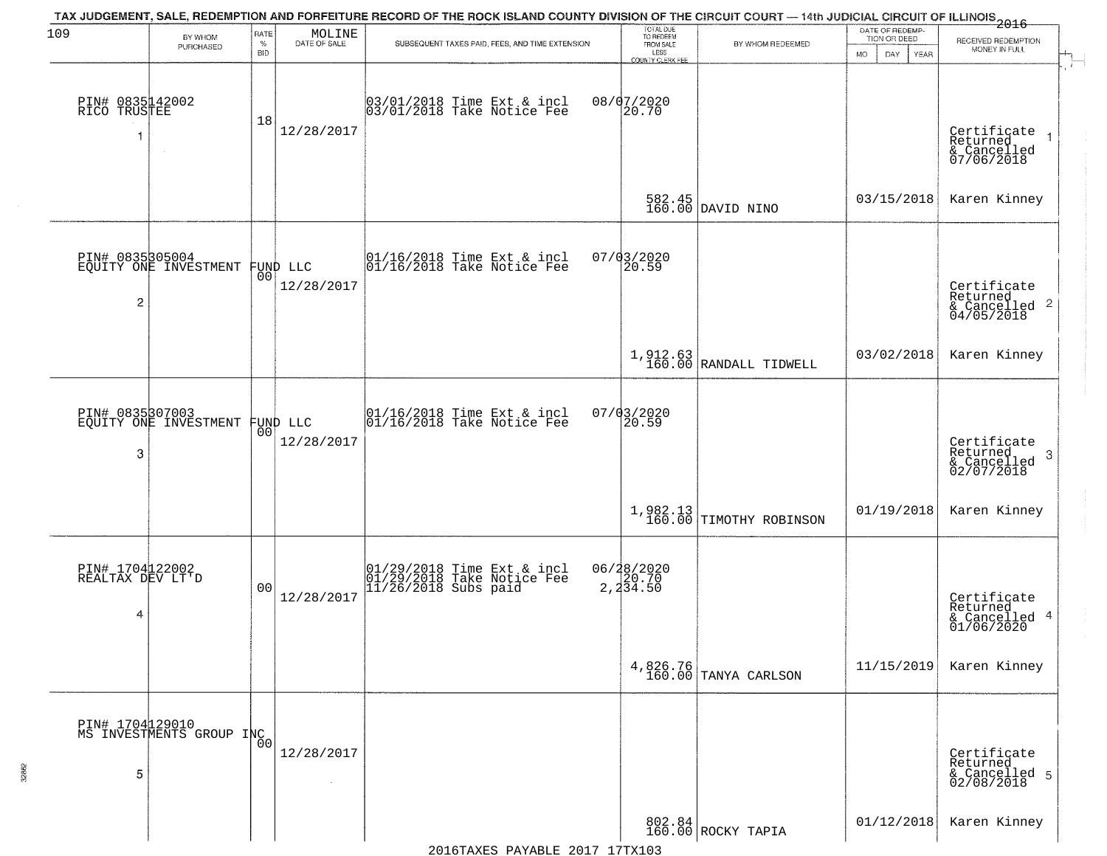| 109                                      | BY WHOM                                           | RATE               | MOLINE                 |                                                                                  | TOTAL DUE<br>TO REDEEM                |                                                                                                             | DATE OF REDEMP-<br>TION OR DEED  | RECEIVED REDEMPTION                                                    |
|------------------------------------------|---------------------------------------------------|--------------------|------------------------|----------------------------------------------------------------------------------|---------------------------------------|-------------------------------------------------------------------------------------------------------------|----------------------------------|------------------------------------------------------------------------|
|                                          | PURCHASED                                         | $\%$<br><b>BID</b> | DATE OF SALE           | SUBSEQUENT TAXES PAID, FEES, AND TIME EXTENSION                                  | FROM SALE<br>LESS<br>COUNTY CLERK FEE | BY WHOM REDEEMED                                                                                            | <b>MO</b><br>DAY.<br><b>YEAR</b> | MONEY IN FULL                                                          |
| PIN# 0835142002<br>RICO TRUSTEE<br>1     | $\sim$                                            | 18                 | 12/28/2017             | 03/01/2018 Time Ext & incl<br>03/01/2018 Take Notice Fee                         | 08/07/2020<br>20.70                   |                                                                                                             |                                  | Certificate<br>Returned<br>& Cancelled<br>07/06/2018                   |
|                                          |                                                   |                    |                        |                                                                                  |                                       | $\begin{array}{ c c c c }\n 582.45 & \text{DAVID NINO}\n \hline\n 160.00 & \text{DAVID NINO}\n \end{array}$ | 03/15/2018                       | Karen Kinney                                                           |
| 2                                        | PIN# 0835305004<br>EQUITY ONE INVESTMENT FUND LLC |                    | 12/28/2017             | 01/16/2018 Time Ext & incl<br>01/16/2018 Take Notice Fee                         | 07/03/2020<br>20.59                   |                                                                                                             |                                  | Certificate<br>Returned<br>$\overline{2}$<br>& Cancelled<br>04/05/2018 |
|                                          |                                                   |                    |                        |                                                                                  |                                       | $1,912.63$ RANDALL TIDWELL                                                                                  | 03/02/2018                       | Karen Kinney                                                           |
| 3                                        | PIN# 0835307003<br>EQUITY ONE INVESTMENT          | 00                 | FUND LLC<br>12/28/2017 | 01/16/2018 Time Ext & incl<br>01/16/2018 Take Notice Fee                         | 07/03/2020<br>20.59                   |                                                                                                             |                                  | Certificate<br>Returned<br>3<br>$\frac{2}{02/07/2018}$                 |
|                                          |                                                   |                    |                        |                                                                                  |                                       | $\left  \begin{array}{c} 1,982.13 \\ 160.00 \end{array} \right $ TIMOTHY ROBINSON                           | 01/19/2018                       | Karen Kinney                                                           |
| PIN# 1704122002<br>REALTAX DEV LT'D<br>4 |                                                   | 0 <sub>0</sub>     | 12/28/2017             | 01/29/2018 Time Ext & incl<br>01/29/2018 Take Notice Fee<br>11/26/2018 Subs paid | 06/28/2020<br>2,20.70<br>2,234.50     |                                                                                                             |                                  | Certificate<br>Returned<br>& Cancelled 4<br>01/06/2020                 |
|                                          |                                                   |                    |                        |                                                                                  | 4,826.76<br>160.00                    | TANYA CARLSON                                                                                               | 11/15/2019                       | Karen Kinney                                                           |
| 5                                        | PIN# 1704 129010<br>MS INVESTMENTS GROUP INC      |                    | 12/28/2017             |                                                                                  |                                       |                                                                                                             |                                  | Certificate<br>Returned<br>& Cancelled 5<br>02/08/2018                 |
|                                          |                                                   |                    |                        |                                                                                  |                                       | 802.84<br>160.00 ROCKY TAPIA                                                                                | 01/12/2018                       | Karen Kinney                                                           |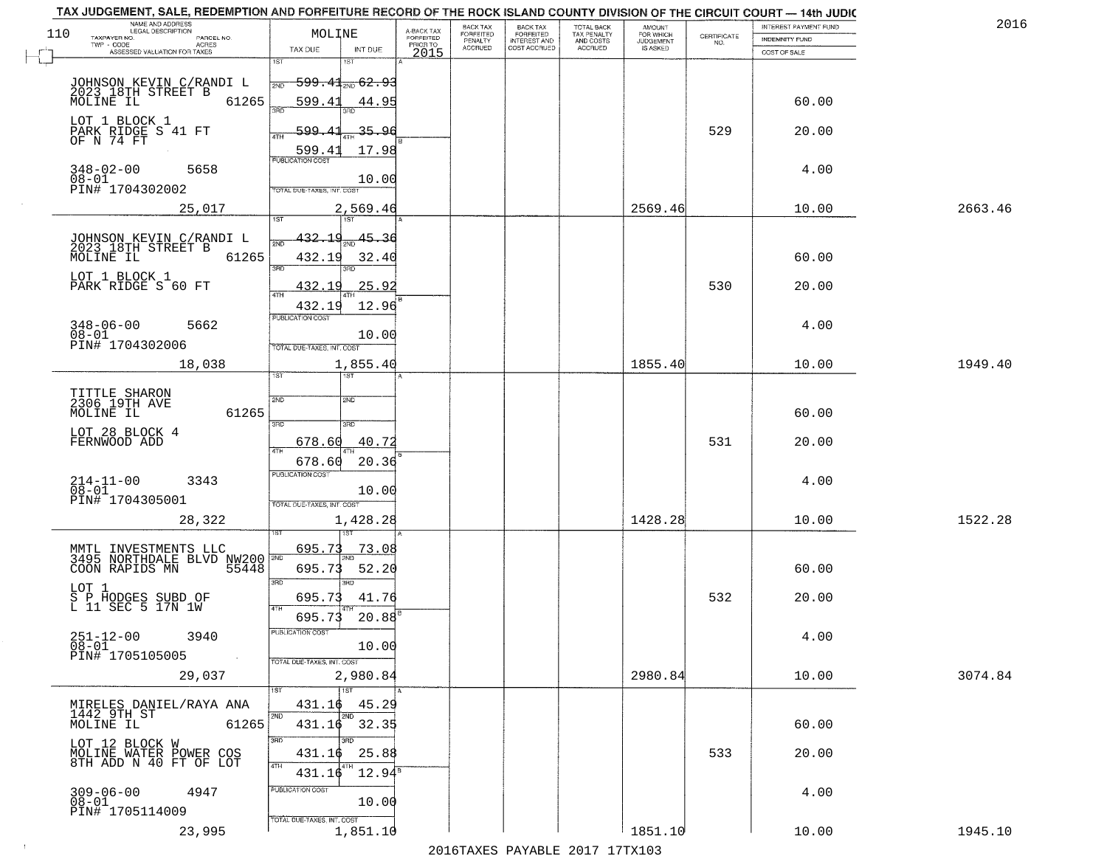| NAME AND ADDRESS<br>LEGAL DESCRIPTION<br>110               | MOLINE                            |                        |                                     | BACK TAX<br><b>FORFEITED</b> | <b>BACK TAX</b>                           | TOTAL BACK<br>TAX PENALTY<br>AND COSTS | AMOUNT<br>FOR WHICH                 |                    | INTEREST PAYMENT FUND | 2016    |
|------------------------------------------------------------|-----------------------------------|------------------------|-------------------------------------|------------------------------|-------------------------------------------|----------------------------------------|-------------------------------------|--------------------|-----------------------|---------|
| TAXPAYER NO.<br>PARCEL NO.<br>TWP - CODE<br>ACRES          |                                   |                        | A-BACK TAX<br>FORFEITED<br>PRIOR TO | PENALTY<br><b>ACCRUED</b>    | FORFEITED<br>INTEREST AND<br>COST ACCRUED | ACCRUED                                | <b>JUDGEMENT</b><br><b>IS ASKED</b> | CERTIFICATE<br>NO. | INDEMNITY FUND        |         |
| ASSESSED VALUATION FOR TAXES                               | TAX DUE                           | INT DUE<br>1ST         | 2015                                |                              |                                           |                                        |                                     |                    | COST OF SALE          |         |
|                                                            |                                   |                        |                                     |                              |                                           |                                        |                                     |                    |                       |         |
| JOHNSON KEVIN C/RANDI L<br>2023 18TH STREET B<br>MOLINE IL | 2ND                               | $599.41_{200}$ 62.93   |                                     |                              |                                           |                                        |                                     |                    |                       |         |
| 61265                                                      | 599.41                            | 44.95                  |                                     |                              |                                           |                                        |                                     |                    | 60.00                 |         |
| LOT 1 BLOCK 1                                              |                                   | 35.96                  |                                     |                              |                                           |                                        |                                     | 529                |                       |         |
| PARK RIDGE S 41 FT<br>OF N 74 FT                           | 599.41                            |                        |                                     |                              |                                           |                                        |                                     |                    | 20.00                 |         |
|                                                            | 599.41<br><b>PUBLICATION COST</b> | 17.98                  |                                     |                              |                                           |                                        |                                     |                    |                       |         |
| $348 - 02 - 00$<br>5658                                    |                                   |                        |                                     |                              |                                           |                                        |                                     |                    | 4.00                  |         |
| $08 - 01$<br>PIN# 1704302002                               | OTAL DUE-TAXES, INT. COST         | 10.00                  |                                     |                              |                                           |                                        |                                     |                    |                       |         |
| 25,017                                                     |                                   | 2,569.46               |                                     |                              |                                           |                                        | 2569.46                             |                    | 10.00                 | 2663.46 |
|                                                            |                                   |                        |                                     |                              |                                           |                                        |                                     |                    |                       |         |
| JOHNSON KEVIN C/RANDI L                                    | <u>432.19</u>                     | 45.36                  |                                     |                              |                                           |                                        |                                     |                    |                       |         |
| 2023 18TH STREET B<br>MOLINE IL<br>61265                   | 432.19                            | 32.40                  |                                     |                              |                                           |                                        |                                     |                    | 60.00                 |         |
| LOT 1 BLOCK 1                                              | $\overline{3\overline{BD}}$       | 3BD                    |                                     |                              |                                           |                                        |                                     |                    |                       |         |
| PARK RIDGE S 60 FT                                         | <u>432.19</u>                     | 25.92                  |                                     |                              |                                           |                                        |                                     | 530                | 20.00                 |         |
|                                                            | 432.19                            | 12.96                  |                                     |                              |                                           |                                        |                                     |                    |                       |         |
| $348 - 06 - 00$<br>5662                                    | PUBLICATION COST                  |                        |                                     |                              |                                           |                                        |                                     |                    | 4.00                  |         |
| $08 - 01$<br>PIN# 1704302006                               |                                   | 10.00                  |                                     |                              |                                           |                                        |                                     |                    |                       |         |
|                                                            | TOTAL DUE-TAXES, INT. COST        |                        |                                     |                              |                                           |                                        |                                     |                    |                       |         |
| 18,038                                                     | 1ST                               | 1,855.40<br><b>ST</b>  |                                     |                              |                                           |                                        | 1855.40                             |                    | 10.00                 | 1949.40 |
|                                                            |                                   |                        |                                     |                              |                                           |                                        |                                     |                    |                       |         |
| TITTLE SHARON<br>2306 19TH AVE                             | 2ND                               | 2ND                    |                                     |                              |                                           |                                        |                                     |                    |                       |         |
| MOLINE IL<br>61265                                         | 3RD                               | 3 <sub>3</sub>         |                                     |                              |                                           |                                        |                                     |                    | 60.00                 |         |
| LOT 28 BLOCK 4<br>FERNWOOD ADD                             | 678.60                            | 40.72                  |                                     |                              |                                           |                                        |                                     | 531                | 20.00                 |         |
|                                                            | 4TH                               |                        |                                     |                              |                                           |                                        |                                     |                    |                       |         |
|                                                            | 678.60<br><b>PUBLICATION COST</b> | 20.36                  |                                     |                              |                                           |                                        |                                     |                    |                       |         |
| $214-11-00$<br>$08-01$<br>3343                             |                                   | 10.00                  |                                     |                              |                                           |                                        |                                     |                    | 4.00                  |         |
| PIN# 1704305001                                            | TOTAL OUE-TAXES, INT. COST        |                        |                                     |                              |                                           |                                        |                                     |                    |                       |         |
| 28,322                                                     |                                   | 1,428.28               |                                     |                              |                                           |                                        | 1428.28                             |                    | 10.00                 | 1522.28 |
|                                                            |                                   |                        |                                     |                              |                                           |                                        |                                     |                    |                       |         |
| MMTL INVESTMENTS LLC<br>3495 NORTHDALE BLVD NW200          | 695.73                            | 73.08                  |                                     |                              |                                           |                                        |                                     |                    |                       |         |
| COON RAPIDS MN<br>55448                                    | 695.73                            | 52.20                  |                                     |                              |                                           |                                        |                                     |                    | 60.00                 |         |
| LOT 1                                                      | 3RD                               | 3RD                    |                                     |                              |                                           |                                        |                                     |                    |                       |         |
| S P HODGES SUBD OF<br>L 11 SEC 5 17N 1W                    | 695.73<br>4TH                     | 41.76                  |                                     |                              |                                           |                                        |                                     | 532                | 20.00                 |         |
|                                                            | 695.73                            | 20.88                  |                                     |                              |                                           |                                        |                                     |                    |                       |         |
| $251 - 12 - 00$<br>$08 - 01$<br>3940                       | PUBLICATION COST                  |                        |                                     |                              |                                           |                                        |                                     |                    | 4.00                  |         |
| PIN# 1705105005<br>$\sim 100$                              |                                   | 10.00                  |                                     |                              |                                           |                                        |                                     |                    |                       |         |
|                                                            | TOTAL DUE-TAXES, INT. COST        |                        |                                     |                              |                                           |                                        |                                     |                    |                       |         |
| 29,037                                                     | 1ST                               | 2,980.84<br>1ST        |                                     |                              |                                           |                                        | 2980.84                             |                    | 10.00                 | 3074.84 |
| MIRELES DANIEL/RAYA ANA                                    | 431.16                            | 45.29                  |                                     |                              |                                           |                                        |                                     |                    |                       |         |
| 1442 9TH ST<br>MOLINE IL                                   | 2ND                               | 2ND                    |                                     |                              |                                           |                                        |                                     |                    |                       |         |
| 61265                                                      | 3RD                               | 431.16 32.35<br>3RD    |                                     |                              |                                           |                                        |                                     |                    | 60.00                 |         |
| LOT 12 BLOCK W<br>MOLINE WATER POWER COS                   | 431.16                            | 25.88                  |                                     |                              |                                           |                                        |                                     | 533                | 20.00                 |         |
| 8TH ADD N 40 FT OF LOT                                     | 4TH                               | 4TH<br>$12.94^{\circ}$ |                                     |                              |                                           |                                        |                                     |                    |                       |         |
|                                                            | 431.16<br>PUBLICATION COST        |                        |                                     |                              |                                           |                                        |                                     |                    |                       |         |
| $309 - 06 - 00$<br>4947<br>$08 - 01$                       |                                   | 10.00                  |                                     |                              |                                           |                                        |                                     |                    | 4.00                  |         |
| PIN# 1705114009                                            | TOTAL DUE-TAXES, INT. COST        |                        |                                     |                              |                                           |                                        |                                     |                    |                       |         |
| 23,995                                                     |                                   | 1,851.10               |                                     |                              |                                           |                                        | 1851.10                             |                    | 10.00                 | 1945.10 |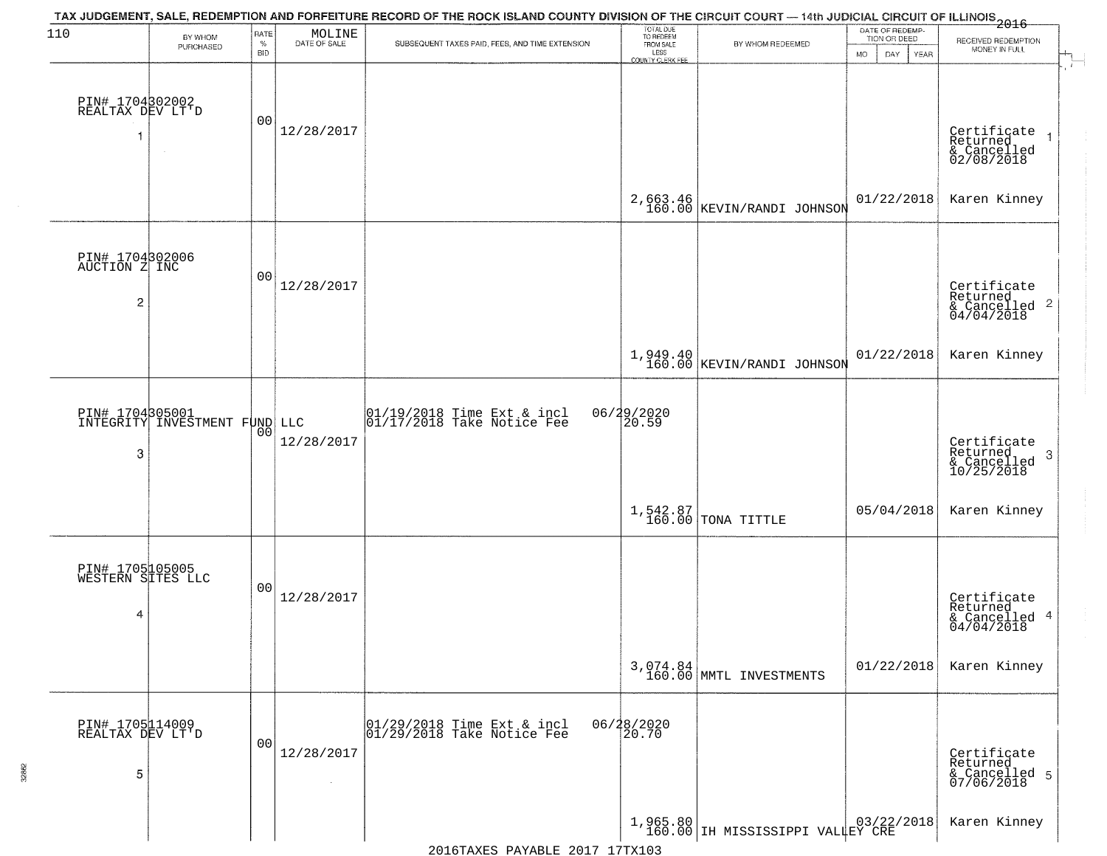| 110                                                | BY WHOM<br>PURCHASED          | RATE<br>$\%$<br><b>BID</b> | MOLINE<br>DATE OF SALE | TAX JUDGEMENT, SALE, REDEMPTION AND FORFEITURE RECORD OF THE ROCK ISLAND COUNTY DIVISION OF THE CIRCUIT COURT — 14th JUDICIAL CIRCUIT OF ILLINOIS 2016<br>SUBSEQUENT TAXES PAID, FEES, AND TIME EXTENSION | TOTAL DUE<br>TO REDEEM<br>FROM SALE<br>LESS<br><b>COUNTY CLERK FEE</b> | BY WHOM REDEEMED                       | DATE OF REDEMP-<br>TION OR DEED<br>MO.<br>DAY.<br>YEAR | RECEIVED REDEMPTION<br>MONEY IN FULL                      |
|----------------------------------------------------|-------------------------------|----------------------------|------------------------|-----------------------------------------------------------------------------------------------------------------------------------------------------------------------------------------------------------|------------------------------------------------------------------------|----------------------------------------|--------------------------------------------------------|-----------------------------------------------------------|
| PIN# 1704302002<br>REALTAX DEV LT'D                |                               | 00                         | 12/28/2017             |                                                                                                                                                                                                           |                                                                        |                                        |                                                        | Certificate<br>Returned<br>& Cancelled<br>02/08/2018      |
|                                                    |                               |                            |                        |                                                                                                                                                                                                           |                                                                        | 2,663.46<br>160.00 KEVIN/RANDI JOHNSON | 01/22/2018                                             | Karen Kinney                                              |
| PIN# 1704302006<br>AUCTION Z INC<br>$\overline{c}$ |                               | 00                         | 12/28/2017             |                                                                                                                                                                                                           |                                                                        |                                        |                                                        | Certificate<br>Returned<br>& Cancelled 2<br>04/04/2018    |
|                                                    |                               |                            |                        |                                                                                                                                                                                                           |                                                                        | 1,949.40<br>160.00 KEVIN/RANDI JOHNSON | 01/22/2018                                             | Karen Kinney                                              |
| PIN# 1704305001<br>3                               | INTEGRITY INVESTMENT FUND LLC | 00                         | 12/28/2017             | $\begin{array}{c}  01/19/2018 \text{ Time Ext} & \text{incl} \\  01/17/2018 \text{ Take Notice Fe} \end{array}$                                                                                           | 06/29/2020<br> 20.59                                                   |                                        |                                                        | Certificate<br>Returned<br>3<br>& Cancelled<br>10/25/2018 |
|                                                    |                               |                            |                        |                                                                                                                                                                                                           |                                                                        | $1,542.87$ TONA TITTLE                 | 05/04/2018                                             | Karen Kinney                                              |
| PIN# 1705105005<br>WESTERN SITES LLC<br>4          |                               | 00                         | 12/28/2017             |                                                                                                                                                                                                           |                                                                        |                                        |                                                        | Certificate<br>Returned<br>& Cancelled 4<br>04/04/2018    |
|                                                    |                               |                            |                        |                                                                                                                                                                                                           |                                                                        | 3,074.84<br>160.00 MMTL INVESTMENTS    | 01/22/2018                                             | Karen Kinney                                              |
| PIN# 1705114009<br>REALTAX DEV LT'D<br>5           |                               | 0 <sub>0</sub>             | 12/28/2017<br>$\sim$   | 01/29/2018 Time Ext & incl<br>01/29/2018 Take Notice Fee                                                                                                                                                  | 06/28/2020<br>20.70                                                    |                                        |                                                        | Certificate<br>Returned<br>& Cancelled 5<br>07/06/2018    |
|                                                    |                               |                            |                        |                                                                                                                                                                                                           |                                                                        | 1,965.80 IH MISSISSIPPI VALLEY CRE     |                                                        | Karen Kinney                                              |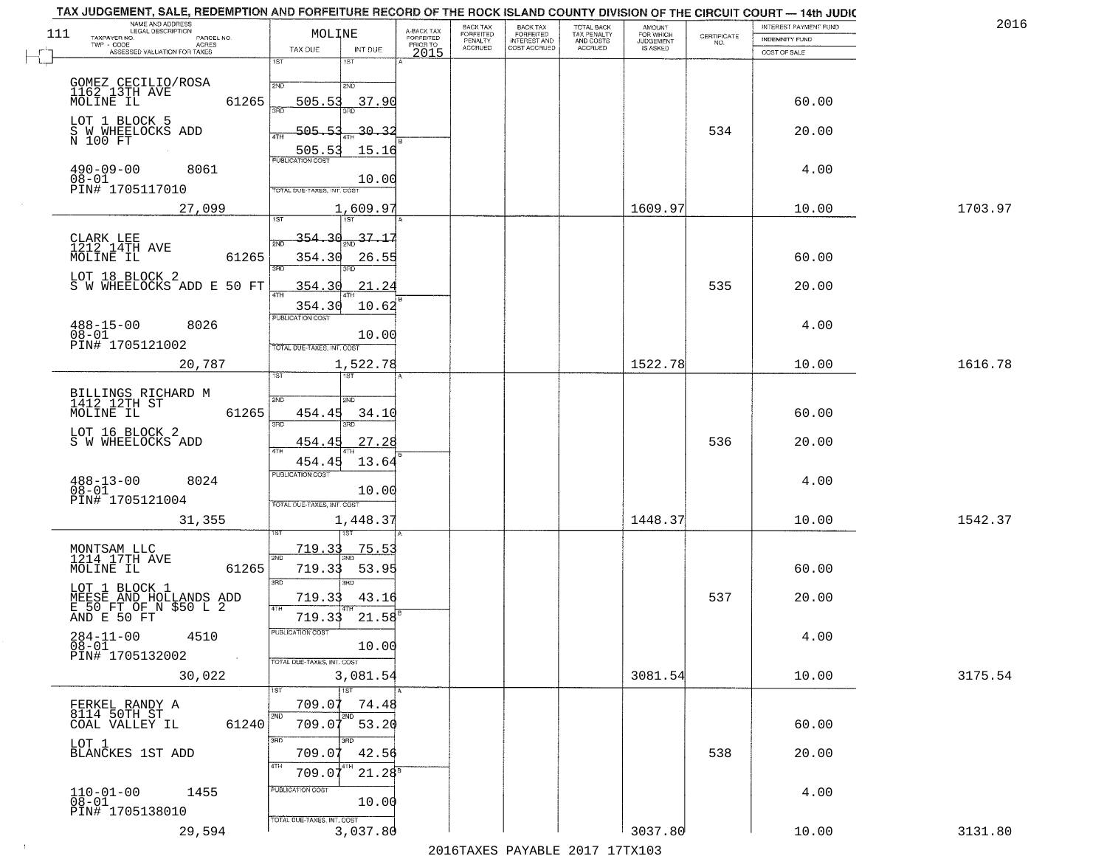|     | TAX JUDGEMENT, SALE, REDEMPTION AND FORFEITURE RECORD OF THE ROCK ISLAND COUNTY DIVISION OF THE CIRCUIT COURT - 14th JUDIC<br>NAME AND ADDRESS<br>LEGAL DESCRIPTION |                                     |                                     | BACK TAX                    |                                              |                                        |                                         |                                                                 | INTEREST PAYMENT FUND | 2016    |
|-----|---------------------------------------------------------------------------------------------------------------------------------------------------------------------|-------------------------------------|-------------------------------------|-----------------------------|----------------------------------------------|----------------------------------------|-----------------------------------------|-----------------------------------------------------------------|-----------------------|---------|
| 111 | TAXPAYER NO.<br>PARCEL NO.                                                                                                                                          | MOLINE                              | A-BACK TAX<br>FORFEITED<br>PRIOR TO | <b>FORFEITED</b><br>PENALTY | BACK TAX<br>FORFEITED<br><b>INTEREST AND</b> | TOTAL BACK<br>TAX PENALTY<br>AND COSTS | AMOUNT<br>FOR WHICH<br><b>JUDGEMENT</b> | $\begin{array}{c} \text{CERTIFICATE} \\ \text{NO.} \end{array}$ | INDEMNITY FUND        |         |
|     | ACRES<br>ASSESSED VALUATION FOR TAXES                                                                                                                               | INT DUE<br>TAX DUE                  | 2015                                | <b>ACCRUED</b>              | COST ACCRUED                                 | <b>ACCRUED</b>                         | IS ASKED                                |                                                                 | COST OF SALE          |         |
|     |                                                                                                                                                                     | 1ST<br>1ST                          |                                     |                             |                                              |                                        |                                         |                                                                 |                       |         |
|     |                                                                                                                                                                     | 2ND<br>2NP                          |                                     |                             |                                              |                                        |                                         |                                                                 |                       |         |
|     | GOMEZ CECILIO/ROSA<br>1162 13TH AVE<br>MOLINE IL                                                                                                                    |                                     |                                     |                             |                                              |                                        |                                         |                                                                 |                       |         |
|     | 61265                                                                                                                                                               | 505.53<br>37.90                     |                                     |                             |                                              |                                        |                                         |                                                                 | 60.00                 |         |
|     | LOT 1 BLOCK 5                                                                                                                                                       |                                     |                                     |                             |                                              |                                        |                                         |                                                                 |                       |         |
|     | S W WHEELOCKS ADD<br>N 100 FT                                                                                                                                       | 505.53<br><u>30.32</u>              |                                     |                             |                                              |                                        |                                         | 534                                                             | 20.00                 |         |
|     |                                                                                                                                                                     | 505.53<br>15.16                     |                                     |                             |                                              |                                        |                                         |                                                                 |                       |         |
|     | 8061                                                                                                                                                                |                                     |                                     |                             |                                              |                                        |                                         |                                                                 | 4.00                  |         |
|     | $490 - 09 - 00$<br>$08 - 01$                                                                                                                                        | 10.00                               |                                     |                             |                                              |                                        |                                         |                                                                 |                       |         |
|     | PIN# 1705117010                                                                                                                                                     | TOTAL DUE-TAXES, INT. COST          |                                     |                             |                                              |                                        |                                         |                                                                 |                       |         |
|     | 27,099                                                                                                                                                              | 1,609.97                            |                                     |                             |                                              |                                        | 1609.97                                 |                                                                 | 10.00                 | 1703.97 |
|     |                                                                                                                                                                     |                                     |                                     |                             |                                              |                                        |                                         |                                                                 |                       |         |
|     | CLARK LEE<br>1212_14TH AVE                                                                                                                                          | $\frac{37.17}{280}$<br>354.30       |                                     |                             |                                              |                                        |                                         |                                                                 |                       |         |
|     | 61265<br>MOLINE IL                                                                                                                                                  | 354.30<br>26.55                     |                                     |                             |                                              |                                        |                                         |                                                                 | 60.00                 |         |
|     |                                                                                                                                                                     | 3RD                                 |                                     |                             |                                              |                                        |                                         |                                                                 |                       |         |
|     | LOT 18 BLOCK 2<br>S W WHEELOCKS ADD E 50 FT                                                                                                                         | 21.24<br>354.30                     |                                     |                             |                                              |                                        |                                         | 535                                                             | 20.00                 |         |
|     |                                                                                                                                                                     | ৰাম                                 |                                     |                             |                                              |                                        |                                         |                                                                 |                       |         |
|     |                                                                                                                                                                     | 354.30<br>10.62<br>PUBLICATION COST |                                     |                             |                                              |                                        |                                         |                                                                 |                       |         |
|     | $488 - 15 - 00$<br>8026                                                                                                                                             |                                     |                                     |                             |                                              |                                        |                                         |                                                                 | 4.00                  |         |
|     | $08 - 01$<br>PIN# 1705121002                                                                                                                                        | 10.00                               |                                     |                             |                                              |                                        |                                         |                                                                 |                       |         |
|     |                                                                                                                                                                     | TOTAL DUE-TAXES, INT. COST          |                                     |                             |                                              |                                        |                                         |                                                                 |                       |         |
|     | 20,787                                                                                                                                                              | 1,522.78<br>i ST                    |                                     |                             |                                              |                                        | 1522.78                                 |                                                                 | 10.00                 | 1616.78 |
|     |                                                                                                                                                                     | <b>IST</b>                          |                                     |                             |                                              |                                        |                                         |                                                                 |                       |         |
|     | BILLINGS RICHARD M<br>1412 12TH ST                                                                                                                                  | SVD<br>SMD                          |                                     |                             |                                              |                                        |                                         |                                                                 |                       |         |
|     | MOLINE IL<br>61265                                                                                                                                                  | 454.45<br>34.10                     |                                     |                             |                                              |                                        |                                         |                                                                 | 60.00                 |         |
|     | LOT 16 BLOCK 2                                                                                                                                                      | 3RD<br>3RD                          |                                     |                             |                                              |                                        |                                         |                                                                 |                       |         |
|     | S W WHEELOCKS ADD                                                                                                                                                   | 454.45<br>27.28                     |                                     |                             |                                              |                                        |                                         | 536                                                             | 20.00                 |         |
|     |                                                                                                                                                                     | <b>ATH</b><br>454.45<br>13.64       |                                     |                             |                                              |                                        |                                         |                                                                 |                       |         |
|     |                                                                                                                                                                     | <b>PUBLICATION COST</b>             |                                     |                             |                                              |                                        |                                         |                                                                 |                       |         |
|     | $488 - 13 - 00$<br>$08 - 01$<br>8024                                                                                                                                | 10.00                               |                                     |                             |                                              |                                        |                                         |                                                                 | 4.00                  |         |
|     | PIN# 1705121004                                                                                                                                                     | TOTAL OUE-TAXES, INT. COST          |                                     |                             |                                              |                                        |                                         |                                                                 |                       |         |
|     | 31,355                                                                                                                                                              | 1,448.37                            |                                     |                             |                                              |                                        | 1448.37                                 |                                                                 | 10.00                 | 1542.37 |
|     |                                                                                                                                                                     |                                     |                                     |                             |                                              |                                        |                                         |                                                                 |                       |         |
|     |                                                                                                                                                                     | 719.33<br><u>75.53</u>              |                                     |                             |                                              |                                        |                                         |                                                                 |                       |         |
|     | MONTSAM LLC<br>1214 17TH AVE                                                                                                                                        | 2ND                                 |                                     |                             |                                              |                                        |                                         |                                                                 |                       |         |
|     | MOLINE IL<br>61265                                                                                                                                                  | 719.33<br>53.95                     |                                     |                             |                                              |                                        |                                         |                                                                 | 60.00                 |         |
|     |                                                                                                                                                                     | 3RD<br>3BD                          |                                     |                             |                                              |                                        |                                         |                                                                 |                       |         |
|     |                                                                                                                                                                     | 719.33<br>43.16<br>4TH              |                                     |                             |                                              |                                        |                                         | 537                                                             | 20.00                 |         |
|     | LOT 1 BLOCK 1<br>MEESE AND HOLLANDS ADD<br>E 50 FT OF N \$50 L 2<br>AND E 50 FT                                                                                     | 21.58<br>719.33                     |                                     |                             |                                              |                                        |                                         |                                                                 |                       |         |
|     | $284 - 11 - 00$<br>4510                                                                                                                                             | PUBLICATION COS-                    |                                     |                             |                                              |                                        |                                         |                                                                 | 4.00                  |         |
|     | $08 - 01$                                                                                                                                                           | 10.00                               |                                     |                             |                                              |                                        |                                         |                                                                 |                       |         |
|     | PIN# 1705132002<br>$\sim$                                                                                                                                           | TOTAL DUE-TAXES, INT. COST          |                                     |                             |                                              |                                        |                                         |                                                                 |                       |         |
|     | 30,022                                                                                                                                                              | 3,081.54                            |                                     |                             |                                              |                                        | 3081.54                                 |                                                                 | 10.00                 | 3175.54 |
|     |                                                                                                                                                                     | 1ST                                 |                                     |                             |                                              |                                        |                                         |                                                                 |                       |         |
|     | FERKEL RANDY A                                                                                                                                                      | 709.07<br>74.48                     |                                     |                             |                                              |                                        |                                         |                                                                 |                       |         |
|     | 8114 50TH ST<br>61240<br>COAL VALLEY IL                                                                                                                             | 2ND<br>709.07<br>53.20              |                                     |                             |                                              |                                        |                                         |                                                                 | 60.00                 |         |
|     |                                                                                                                                                                     | 3RD                                 |                                     |                             |                                              |                                        |                                         |                                                                 |                       |         |
|     | LOT 1<br>BLANCKES 1ST ADD                                                                                                                                           | 709.0<br>42.56                      |                                     |                             |                                              |                                        |                                         | 538                                                             | 20.00                 |         |
|     |                                                                                                                                                                     |                                     |                                     |                             |                                              |                                        |                                         |                                                                 |                       |         |
|     |                                                                                                                                                                     | $21.28^{8}$<br>709.0                |                                     |                             |                                              |                                        |                                         |                                                                 |                       |         |
|     | $110 - 01 - 00$<br>1455                                                                                                                                             | PUBLICATION COST                    |                                     |                             |                                              |                                        |                                         |                                                                 | 4.00                  |         |
|     | $08 - 01$<br>PIN# 1705138010                                                                                                                                        | 10.00                               |                                     |                             |                                              |                                        |                                         |                                                                 |                       |         |
|     |                                                                                                                                                                     | TOTAL DUE-TAXES, INT. COST          |                                     |                             |                                              |                                        |                                         |                                                                 |                       |         |
|     | 29,594                                                                                                                                                              | 3,037.80                            |                                     |                             |                                              |                                        | 3037.80                                 |                                                                 | 10.00                 | 3131.80 |
|     |                                                                                                                                                                     |                                     |                                     |                             |                                              | 2016 TAVEC DAVARLE 2017 17 TV102       |                                         |                                                                 |                       |         |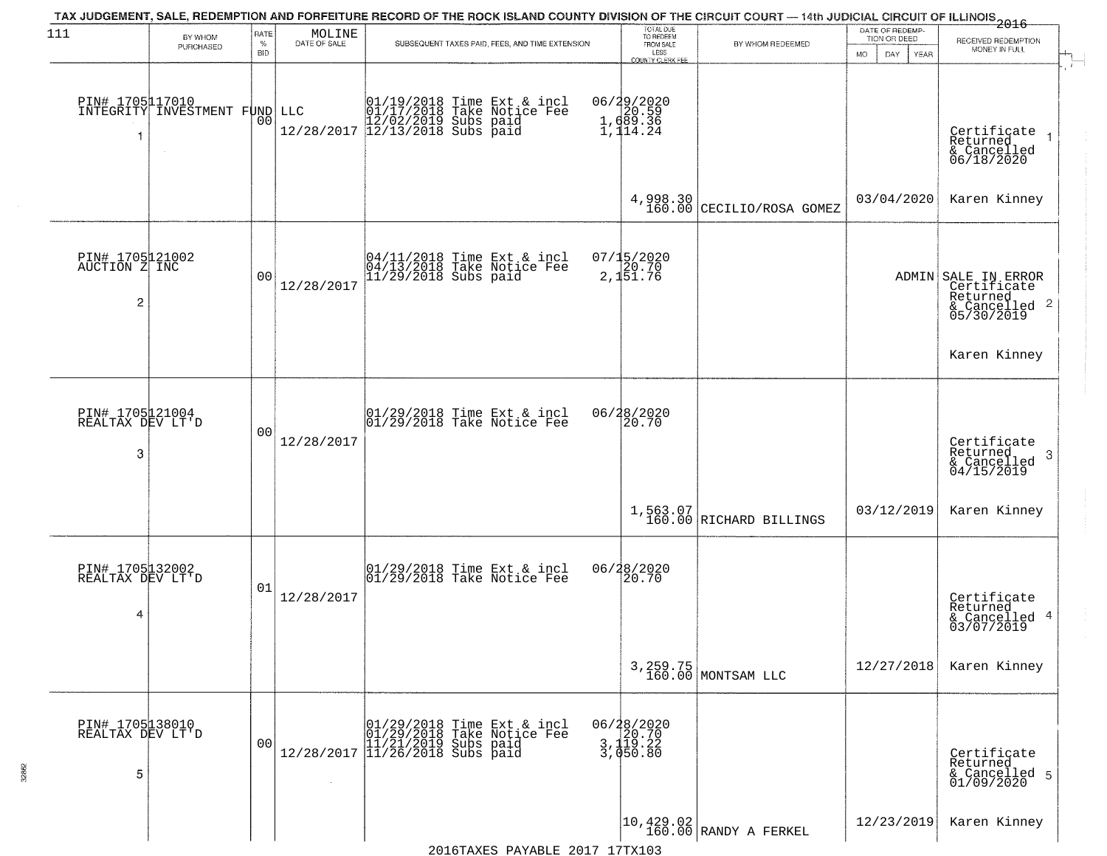| 111                                                | BY WHOM<br>PURCHASED                                   | RATE<br>$\%$ | $\begin{array}{c} \text{MOLINE} \\ \text{DATE of SALE} \end{array}$ | TAX JUDGEMENT, SALE, REDEMPTION AND FORFEITURE RECORD OF THE ROCK ISLAND COUNTY DIVISION OF THE CIRCUIT COURT - 14th JUDICIAL CIRCUIT OF ILLINOIS 2016<br>SUBSEQUENT TAXES PAID, FEES, AND TIME EXTENSION     | TOTAL DUE<br>TO REDEEM<br>FROM SALE               | BY WHOM REDEEMED                                                    | DATE OF REDEMP-<br>TION OR DEED | RECEIVED REDEMPTION                                                                       |
|----------------------------------------------------|--------------------------------------------------------|--------------|---------------------------------------------------------------------|---------------------------------------------------------------------------------------------------------------------------------------------------------------------------------------------------------------|---------------------------------------------------|---------------------------------------------------------------------|---------------------------------|-------------------------------------------------------------------------------------------|
|                                                    |                                                        | BID          |                                                                     |                                                                                                                                                                                                               | LESS<br>COUNTY CLERK FEE                          |                                                                     | <b>MO</b><br>DAY<br>YEAR        | MONEY IN FULL                                                                             |
| -1                                                 | PIN# 1705117010<br>INTEGRITY INVESTMENT FUND<br>$\sim$ | 00           |                                                                     | $\begin{array}{ll} &01/19/2018 \text{ Time Ext & incl}\\ \text{LLC} & 01/17/2018 \text{ Take Notice Fee} \\ & 12/02/2019 \text{ Subs paid} \\ & 12/28/2017 \text{ } 12/13/2018 \text{ Subs paid} \end{array}$ | 06/29/2020<br>1, d20.59<br>1, d89.36<br>1, 114.24 |                                                                     |                                 | Certificate<br>Returned<br>& Cancelled<br>06/18/2020                                      |
|                                                    |                                                        |              |                                                                     |                                                                                                                                                                                                               | 4,998.30<br>160.00                                | CECILIO/ROSA GOMEZ                                                  | 03/04/2020                      | Karen Kinney                                                                              |
| PIN# 1705121002<br>AUCTION Z INC<br>$\overline{c}$ |                                                        | 00           | 12/28/2017                                                          | 04/11/2018 Time Ext & incl<br>04/13/2018 Take Notice Fee<br>11/29/2018 Subs paid                                                                                                                              | 07/15/2020<br>20.70<br>2,151.76                   |                                                                     |                                 | ADMIN SALE IN ERROR<br>Certificate<br>Returned<br>$\frac{1}{6}$ Cancelled 2<br>05/30/2019 |
|                                                    |                                                        |              |                                                                     |                                                                                                                                                                                                               |                                                   |                                                                     |                                 | Karen Kinney                                                                              |
| PIN# 1705121004<br>REALTAX DEV LT'D<br>3           |                                                        | 00           | 12/28/2017                                                          | 01/29/2018 Time Ext & incl<br>01/29/2018 Take Notice Fee                                                                                                                                                      | 06/28/2020<br>20.70                               |                                                                     |                                 | Certificate<br>Returned<br>-3<br>& Cancelled<br>04/15/2019                                |
|                                                    |                                                        |              |                                                                     |                                                                                                                                                                                                               |                                                   | $1,563.07$<br>160.00 RICHARD BILLINGS                               | 03/12/2019                      | Karen Kinney                                                                              |
| PIN# 1705132002<br>REALTAX DEV LT'D<br>4           |                                                        | 01           | 12/28/2017                                                          | $\begin{array}{c} 01/29/2018 \\ 01/29/2018 \\ \end{array}$ Take Notice Fee                                                                                                                                    | 06/28/2020<br>20.70                               |                                                                     |                                 | Certificate<br>Returned<br>& Cancelled 4<br>03/07/2019                                    |
|                                                    |                                                        |              |                                                                     |                                                                                                                                                                                                               |                                                   | 3, 259.75<br>160.00 MONTSAM LLC                                     | 12/27/2018                      | Karen Kinney                                                                              |
| PIN# 1705138010<br>REALTAX DEV LT'D<br>5           |                                                        | 00           | 12/28/2017                                                          | 01/29/2018 Time Ext & incl<br>01/29/2018 Take Notice Fee<br>11/21/2019 Subs paid<br>11/26/2018 Subs paid                                                                                                      | 06/28/2020<br>3, 120.70<br>3, 119.22<br>3, 050.80 |                                                                     |                                 | Certificate<br>Returned<br>& Cancelled 5<br>01/09/2020                                    |
|                                                    |                                                        |              |                                                                     |                                                                                                                                                                                                               |                                                   | $\begin{vmatrix} 10, 429.02 \\ 160.00 \end{vmatrix}$ RANDY A FERKEL | 12/23/2019                      | Karen Kinney                                                                              |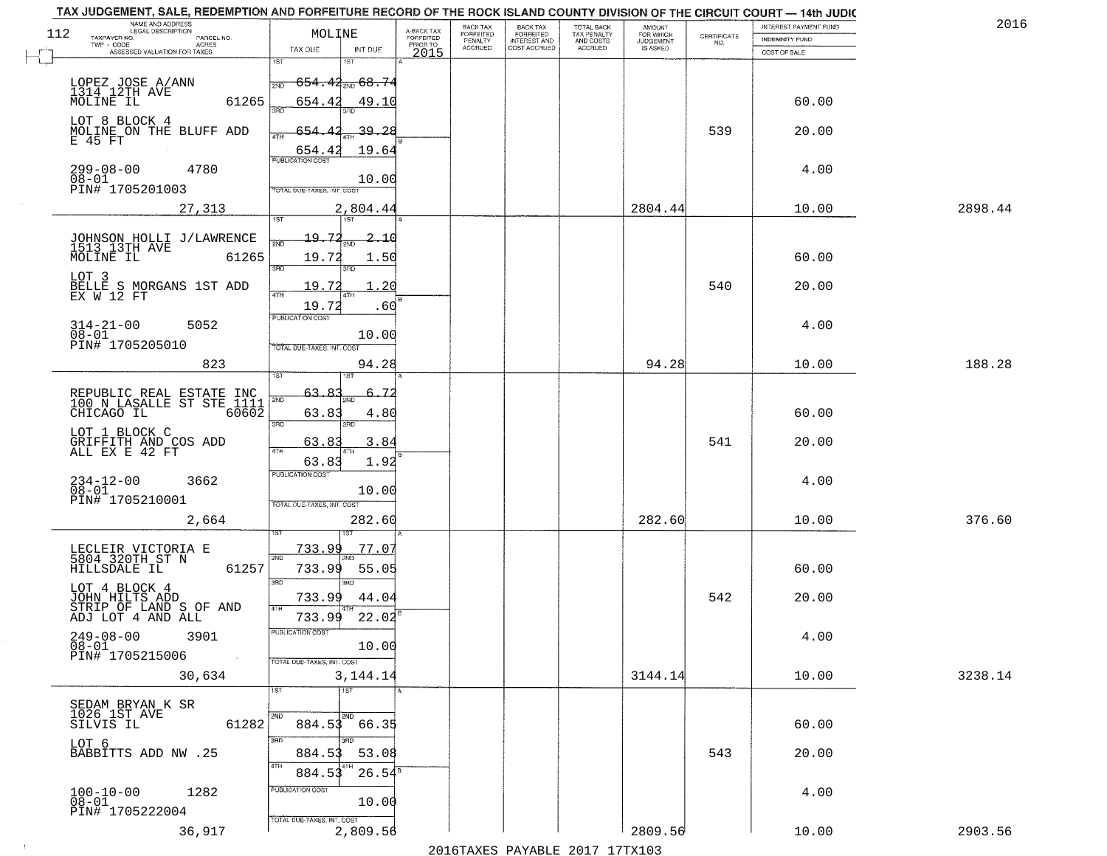| 112 | NAME AND ADDRESS<br>LEGAL DESCRIPTION<br>TAXPAYER NO.<br>PARCEL NO.            | MOLINE                                                 | A-BACK TAX<br>FORFEITED | BACK TAX<br>FORFEITED     | <b>BACK TAX</b><br><b>FORFEITED</b> | TOTAL BACK<br>TAX PENALTY | <b>AMOUNT</b>                      | CERTIFICATE | INTEREST PAYMENT FUND<br>INDEMNITY FUND | 2016    |
|-----|--------------------------------------------------------------------------------|--------------------------------------------------------|-------------------------|---------------------------|-------------------------------------|---------------------------|------------------------------------|-------------|-----------------------------------------|---------|
|     | TWP - CODE<br><b>ACRES</b><br>ASSESSED VALUATION FOR TAXES                     | TAX DUE<br>INT DUE                                     | PRIOR TO<br>2015        | PENALTY<br><b>ACCRUED</b> | INTEREST AND                        | AND COSTS<br>ACCRUED      | FOR WHICH<br>JUDGEMENT<br>IS ASKED | NO.         | COST OF SALE                            |         |
|     |                                                                                | 1ST                                                    |                         |                           |                                     |                           |                                    |             |                                         |         |
|     | LOPEZ JOSE A/ANN<br>1314.12TH AVE<br>MOLINE IL<br>61265                        | <del>654.42<sub>2ND</sub> 68.74</del><br>2ND<br>654.42 |                         |                           |                                     |                           |                                    |             | 60.00                                   |         |
|     | LOT 8 BLOCK 4                                                                  | 49.10<br>बन्नल                                         |                         |                           |                                     |                           |                                    |             |                                         |         |
|     | MOLINE ON THE BLUFF ADD<br>E 45 FT                                             | <u>39.28</u><br>654<br>4TH                             |                         |                           |                                     |                           |                                    | 539         | 20.00                                   |         |
|     |                                                                                | 654.4<br>19.64<br><b>PUBLICATION COST</b>              |                         |                           |                                     |                           |                                    |             |                                         |         |
|     | $299 - 08 - 00$<br>4780<br>$08 - 01$<br>PIN# 1705201003                        | 10.00<br>TOTAL DUE-TAXES, INT, COST                    |                         |                           |                                     |                           |                                    |             | 4.00                                    |         |
|     | 27,313                                                                         | 2,804.44                                               |                         |                           |                                     |                           | 2804.44                            |             | 10.00                                   | 2898.44 |
|     |                                                                                | $\overline{151}$<br>1ST                                |                         |                           |                                     |                           |                                    |             |                                         |         |
|     | JOHNSON HOLLI J/LAWRENCE<br>1513 13TH AVE<br>MOLINE IL<br>61265                | 19.72<br>2.10<br>19.72<br>1.50                         |                         |                           |                                     |                           |                                    |             | 60.00                                   |         |
|     | LOT 3                                                                          | 3BD<br>3RD                                             |                         |                           |                                     |                           |                                    |             |                                         |         |
|     | BELLE S MORGANS 1ST ADD<br>EX W 12 FT                                          | 19.7<br>20<br>47H                                      |                         |                           |                                     |                           |                                    | 540         | 20.00                                   |         |
|     | $314 - 21 - 00$<br>5052                                                        | 19.72<br>.60<br>PUBLICATION COST                       |                         |                           |                                     |                           |                                    |             | 4.00                                    |         |
|     | $08 - 01$<br>PIN# 1705205010                                                   | 10.00<br>TOTAL DUE-TAXES, INT. COST                    |                         |                           |                                     |                           |                                    |             |                                         |         |
|     | 823                                                                            | 94.28                                                  |                         |                           |                                     |                           | 94.28                              |             | 10.00                                   | 188.28  |
|     |                                                                                | īst<br>63.                                             |                         |                           |                                     |                           |                                    |             |                                         |         |
|     | REPUBLIC REAL ESTATE INC<br>100 N LASALLE ST STE 1111<br>$60602$<br>CHICAGO IL | 2ND<br>63.83<br>4.80                                   |                         |                           |                                     |                           |                                    |             | 60.00                                   |         |
|     | LOT 1 BLOCK C                                                                  | 3RD<br>3RD                                             |                         |                           |                                     |                           |                                    |             |                                         |         |
|     | GRIFFITH AND COS ADD<br>ALL EX E 42 FT                                         | 3.84<br>63.83<br>4TH<br>63.83<br>1.92                  |                         |                           |                                     |                           |                                    | 541         | 20.00                                   |         |
|     | 3662                                                                           | <b>PUBLICATION COST</b>                                |                         |                           |                                     |                           |                                    |             | 4.00                                    |         |
|     | 234-12-00<br>08-01<br>PIN# 1705210001                                          | 10.00<br>TOTAL OUE-TAXES, INT. COST                    |                         |                           |                                     |                           |                                    |             |                                         |         |
|     | 2,664                                                                          | 282.60                                                 |                         |                           |                                     |                           | 282.60                             |             | 10.00                                   | 376.60  |
|     |                                                                                | 733.99<br><u>77.07</u>                                 |                         |                           |                                     |                           |                                    |             |                                         |         |
|     | LECLEIR VICTORIA E<br>5804 320TH ST N<br>61257<br>HILLSDALE IL                 | 2ND<br>733.99<br>55.05                                 |                         |                           |                                     |                           |                                    |             | 60.00                                   |         |
|     | LOT 4 BLOCK 4                                                                  | 3RD<br>3RD                                             |                         |                           |                                     |                           |                                    | 542         | 20.00                                   |         |
|     | JOHN HILTS ADD<br>STRIP OF LAND S OF AND<br>ADJ LOT 4 AND ALL                  | 733.99<br>44.04<br>4TH<br>22.02<br>733.99              |                         |                           |                                     |                           |                                    |             |                                         |         |
|     | $249-08-00$<br>$08-01$<br>3901                                                 | PUBLICATION COST                                       |                         |                           |                                     |                           |                                    |             | 4.00                                    |         |
|     | PIN# 1705215006<br>$\sim 100$                                                  | 10.00<br>TOTAL DUE-TAXES, INT. COST                    |                         |                           |                                     |                           |                                    |             |                                         |         |
|     | 30,634                                                                         | 3,144.14<br>$\overline{1}$ st<br>1ST                   |                         |                           |                                     |                           | 3144.14                            |             | 10.00                                   | 3238.14 |
|     | SEDAM BRYAN K SR<br>1026 1ST AVE                                               |                                                        |                         |                           |                                     |                           |                                    |             |                                         |         |
|     | SILVIS IL<br>61282                                                             | 2ND<br>2ND<br>$884.53$ $66.35$                         |                         |                           |                                     |                           |                                    |             | 60.00                                   |         |
|     | LOT 6<br>BABBITTS ADD NW .25                                                   | 3RD<br>अंक<br>884.53<br>53.08                          |                         |                           |                                     |                           |                                    | 543         | 20.00                                   |         |
|     |                                                                                | 4TH<br>$26.54^{\overline{8}}$<br>884.53                |                         |                           |                                     |                           |                                    |             |                                         |         |
|     | $100 - 10 - 00$<br>1282<br>$08 - 01$                                           | PUBLICATION COST<br>10.00                              |                         |                           |                                     |                           |                                    |             | 4.00                                    |         |
|     | PIN# 1705222004                                                                | TOTAL DUE-TAXES, INT. COST                             |                         |                           |                                     |                           |                                    |             |                                         |         |
|     | 36,917                                                                         | 2,809.56                                               |                         |                           |                                     |                           | 2809.56                            |             | 10.00                                   | 2903.56 |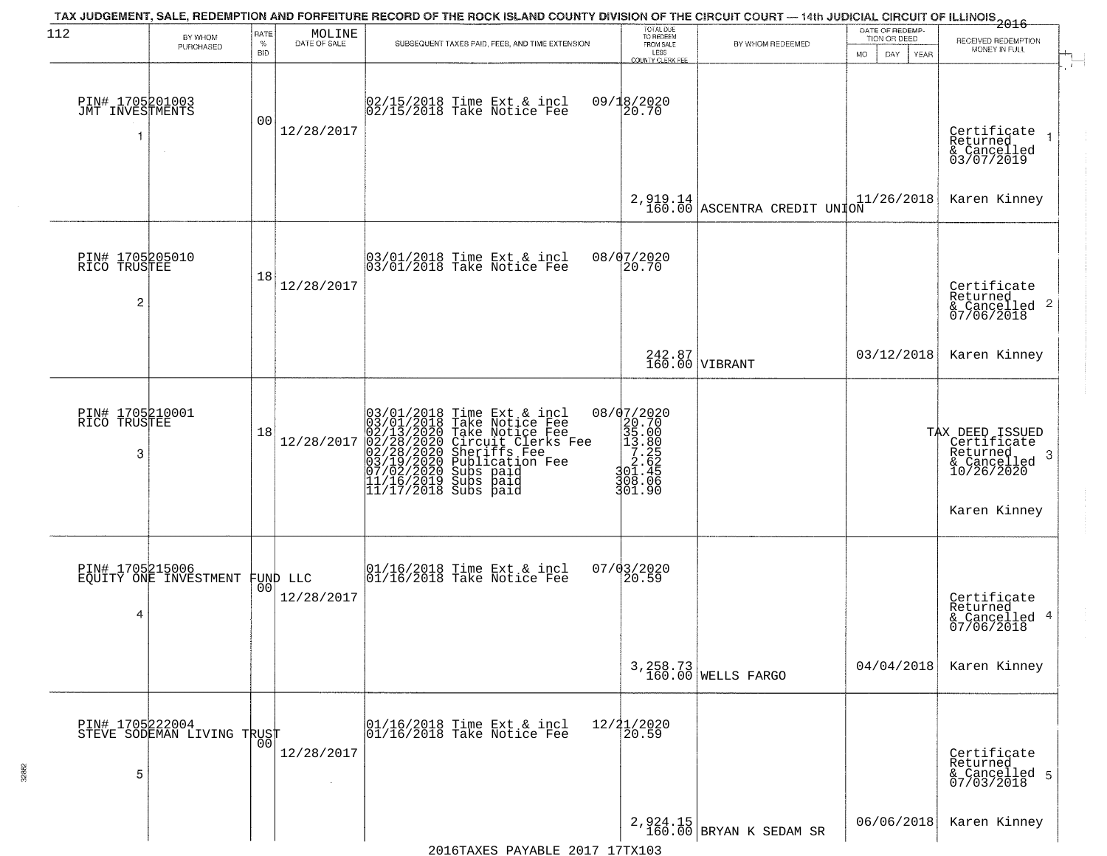|                                         |                                          |                |                        | TAX JUDGEMENT, SALE, REDEMPTION AND FORFEITURE RECORD OF THE ROCK ISLAND COUNTY DIVISION OF THE CIRCUIT COURT — 14th JUDICIAL CIRCUIT OF ILLINOIS 2016                                                                                                | TOTAL DUE<br>TO REDEEM                                                                                                    |                                            | DATE OF REDEMP-            |                                                                              |
|-----------------------------------------|------------------------------------------|----------------|------------------------|-------------------------------------------------------------------------------------------------------------------------------------------------------------------------------------------------------------------------------------------------------|---------------------------------------------------------------------------------------------------------------------------|--------------------------------------------|----------------------------|------------------------------------------------------------------------------|
| 112                                     | BY WHOM<br>PURCHASED                     | RATE<br>$\%$   | MOLINE<br>DATE OF SALE | SUBSEQUENT TAXES PAID, FEES, AND TIME EXTENSION                                                                                                                                                                                                       | FROM SALE                                                                                                                 | BY WHOM REDEEMED                           | TION OR DEED               | RECEIVED REDEMPTION<br>MONEY IN FULL                                         |
|                                         |                                          | <b>BID</b>     |                        |                                                                                                                                                                                                                                                       | LESS<br><b>COUNTY CLERK FEE</b>                                                                                           |                                            | MO.<br>DAY.<br><b>YEAR</b> |                                                                              |
| PIN# 1705201003<br>JMT INVESTMENTS<br>1 | $\sim$                                   | 00             | 12/28/2017             | 02/15/2018 Time Ext & incl<br>02/15/2018 Take Notice Fee                                                                                                                                                                                              | 09/18/2020<br>20.70                                                                                                       |                                            |                            | Certificate<br>Returned                                                      |
|                                         |                                          |                |                        |                                                                                                                                                                                                                                                       |                                                                                                                           |                                            |                            | & Cancelled<br>03/07/2019                                                    |
|                                         |                                          |                |                        |                                                                                                                                                                                                                                                       |                                                                                                                           | $2,919.14$<br>160.00 ASCENTRA CREDIT UNION | 11/26/2018                 | Karen Kinney                                                                 |
| PIN# 1705205010<br>RICO TRUSTEE         |                                          |                |                        | 03/01/2018 Time Ext & incl<br>03/01/2018 Take Notice Fee                                                                                                                                                                                              | 08/07/2020<br>20.70                                                                                                       |                                            |                            |                                                                              |
| 2                                       |                                          | 18             | 12/28/2017             |                                                                                                                                                                                                                                                       |                                                                                                                           |                                            |                            | Certificate<br>Returned<br>& Cancelled 2<br>07/06/2018                       |
|                                         |                                          |                |                        |                                                                                                                                                                                                                                                       |                                                                                                                           | 242.87<br>160.00 VIBRANT                   | 03/12/2018                 | Karen Kinney                                                                 |
| PIN# 1705210001<br>RICO TRUSTEE         |                                          | 18             |                        |                                                                                                                                                                                                                                                       |                                                                                                                           |                                            |                            |                                                                              |
| 3                                       |                                          |                | 12/28/2017             | 03/01/2018 Time Ext & incl<br>03/01/2018 Take Notice Fee<br>02/13/2020 Take Notice Fee<br>02/28/2020 Circuit Clerks Fee<br>02/28/2020 Sheriffs Fee<br>03/19/2020 Subication Fee<br>03/19/2020 Subs paid<br>11/16/2019 Subs paid<br>11/17/2018 Subs pa | $\begin{array}{r} 08/07/2020 \\ 20.70 \\ 35.00 \\ 13.80 \\ 2.62 \\ 3.262 \\ 3.00 \\ 4.45 \end{array}$<br>308.06<br>301.90 |                                            |                            | TAX DEED ISSUED<br>Certificate<br>Returned<br>3<br>& Cancelled<br>10/26/2020 |
|                                         |                                          |                |                        |                                                                                                                                                                                                                                                       |                                                                                                                           |                                            |                            | Karen Kinney                                                                 |
|                                         | PIN# 1705215006<br>EQUITY ONE INVESTMENT |                | FUND LLC<br> 00        | 01/16/2018 Time Ext & incl<br>01/16/2018 Take Notice Fee                                                                                                                                                                                              | 07/03/2020<br>$\vert 20.59 \vert$                                                                                         |                                            |                            |                                                                              |
| 4                                       |                                          |                | 12/28/2017             |                                                                                                                                                                                                                                                       |                                                                                                                           |                                            |                            | Certificate<br>Returned<br>& Cancelled 4<br>07/06/2018                       |
|                                         |                                          |                |                        |                                                                                                                                                                                                                                                       |                                                                                                                           | 3, 258.73<br>160.00 WELLS FARGO            | 04/04/2018                 | Karen Kinney                                                                 |
| PIN# 1705222004                         | STEVE SODEMAN LIVING TRUST               |                |                        | 01/16/2018 Time Ext & incl<br>01/16/2018 Take Notice Fee                                                                                                                                                                                              | 12/21/2020<br>20.59                                                                                                       |                                            |                            |                                                                              |
| 5                                       |                                          | 0 <sup>0</sup> | 12/28/2017             |                                                                                                                                                                                                                                                       |                                                                                                                           |                                            |                            | Certificate<br>Returned<br>& Cancelled 5<br>07/03/2018                       |
|                                         |                                          |                |                        |                                                                                                                                                                                                                                                       |                                                                                                                           | $2,924.15$ BRYAN K SEDAM SR                | 06/06/2018                 | Karen Kinney                                                                 |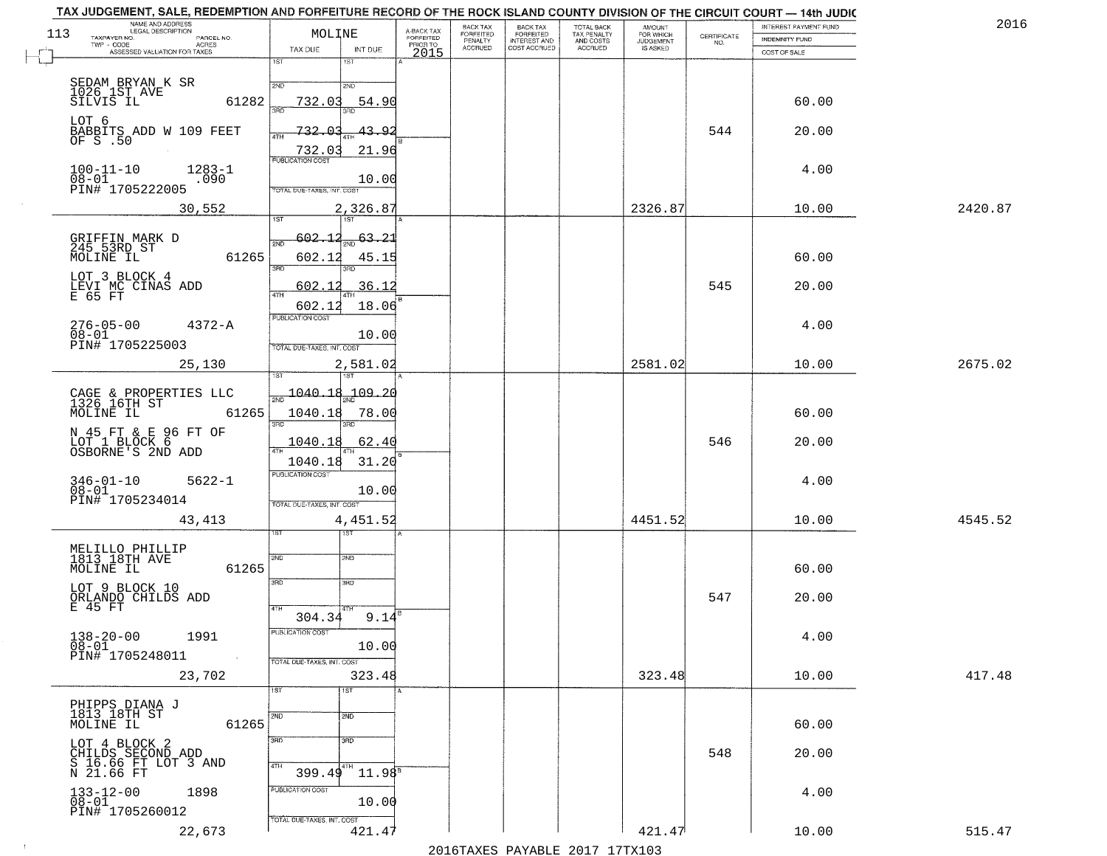| NAME AND ADDRESS<br>LEGAL DESCRIPTION<br>113<br>TAXPAYER NO. | PARCEL NO.   | MOLINE                                                | A-BACK TAX<br>FORFEITED | BACK TAX<br>FORFEITED | <b>BACK TAX</b><br><b>FORFEITED</b> | TOTAL BACK<br>TAX PENALTY | <b>AMOUNT</b>                      | CERTIFICATE | INTEREST PAYMENT FUND          | 2016    |
|--------------------------------------------------------------|--------------|-------------------------------------------------------|-------------------------|-----------------------|-------------------------------------|---------------------------|------------------------------------|-------------|--------------------------------|---------|
| TWP - CODE<br>ASSESSED VALUATION FOR TAXES                   | <b>ACRES</b> | TAX DUE<br>INT DUE                                    | PRIOR TO<br>2015        | PENALTY<br>ACCRUED    | INTEREST AND                        | AND COSTS<br>ACCRUED      | FOR WHICH<br>JUDGEMENT<br>IS ASKED | NO.         | INDEMNITY FUND<br>COST OF SALE |         |
|                                                              |              | 1ST<br>18T                                            |                         |                       |                                     |                           |                                    |             |                                |         |
| SEDAM BRYAN K SR<br>1026 1ST AVE                             |              | 2ND<br>2ND                                            |                         |                       |                                     |                           |                                    |             |                                |         |
| SILVIS IL                                                    | 61282        | 732.03<br>54.90<br>วรที                               |                         |                       |                                     |                           |                                    |             | 60.00                          |         |
| LOT 6                                                        |              | 732.<br><u>ഹ</u><br>43.9<br><b>ATH</b>                |                         |                       |                                     |                           |                                    | 544         | 20.00                          |         |
| BABBITS ADD W 109 FEET<br>OF S .50                           |              | 732.03<br>21.96                                       |                         |                       |                                     |                           |                                    |             |                                |         |
| $100 - 11 - 10$                                              | $1283 - 1$   | <b>PUBLICATION COST</b>                               |                         |                       |                                     |                           |                                    |             | 4.00                           |         |
| 08-01<br>PIN# 1705222005                                     | .090         | 10.00<br>TOTAL DUE-TAXES, INT. COST                   |                         |                       |                                     |                           |                                    |             |                                |         |
| 30,552                                                       |              | 2,326.87<br>$\overline{15T}$<br>1ST                   |                         |                       |                                     |                           | 2326.87                            |             | 10.00                          | 2420.87 |
|                                                              |              | $-602.12$<br>63.21<br>2ND                             |                         |                       |                                     |                           |                                    |             |                                |         |
| GRIFFIN MARK D<br>245 53RD ST<br>MOLINE IL                   | 61265        | 602.12<br>45.15                                       |                         |                       |                                     |                           |                                    |             | 60.00                          |         |
| LOT 3 BLOCK 4                                                |              | 3BD                                                   |                         |                       |                                     |                           |                                    |             |                                |         |
| LEVI MC CINAS ADD<br>E 65 FT                                 |              | 602.1<br>36.12<br>$\overline{ATH}$<br>602.12<br>18.06 |                         |                       |                                     |                           |                                    | 545         | 20.00                          |         |
| $276 - 05 - 00$                                              | $4372 - A$   | PUBLICATION COST                                      |                         |                       |                                     |                           |                                    |             | 4.00                           |         |
| $08 - 01$<br>PIN# 1705225003                                 |              | 10.00<br>TOTAL DUE-TAXES, INT. COST                   |                         |                       |                                     |                           |                                    |             |                                |         |
| 25,130                                                       |              | 2,581.02                                              |                         |                       |                                     |                           | 2581.02                            |             | 10.00                          | 2675.02 |
|                                                              |              |                                                       |                         |                       |                                     |                           |                                    |             |                                |         |
| CAGE & PROPERTIES LLC<br>1326 16TH ST<br>MOLINE IL           | 61265        | $\frac{1040.18}{200}$<br>-109.20<br>1040.18<br>78.00  |                         |                       |                                     |                           |                                    |             | 60.00                          |         |
|                                                              |              | 3RD<br>3RD                                            |                         |                       |                                     |                           |                                    |             |                                |         |
| N 45 FT & E 96 FT OF<br>LOT 1 BLOCK 6<br>OSBORNE'S 2ND ADD   |              | 62.40<br>1040.18                                      |                         |                       |                                     |                           |                                    | 546         | 20.00                          |         |
|                                                              |              | 31.20<br>1040.18<br><b>PUBLICATION COST</b>           |                         |                       |                                     |                           |                                    |             |                                |         |
| 346-01-10<br>08-01                                           | $5622 - 1$   | 10.00                                                 |                         |                       |                                     |                           |                                    |             | 4.00                           |         |
| PIN# 1705234014<br>43,413                                    |              | TOTAL OUE-TAXES, INT. COST                            |                         |                       |                                     |                           | 4451.52                            |             | 10.00                          | 4545.52 |
|                                                              |              | 4,451.52<br>इङ                                        |                         |                       |                                     |                           |                                    |             |                                |         |
| MELILLO PHILLIP<br>1813 18TH AVE                             |              | 2ND<br>2ND                                            |                         |                       |                                     |                           |                                    |             |                                |         |
| MOLINE IL                                                    | 61265        | 3RD<br>3RD                                            |                         |                       |                                     |                           |                                    |             | 60.00                          |         |
| LOT 9 BLOCK 10<br>ORLANDO ČHILDŠ ADD<br>E 45 FT              |              |                                                       |                         |                       |                                     |                           |                                    | 547         | 20.00                          |         |
|                                                              |              | 4TH<br>304.34<br>9.14                                 |                         |                       |                                     |                           |                                    |             |                                |         |
| $138 - 20 - 00$<br>$08 - 01$<br>1991                         |              | PUBLICATION COST<br>10.00                             |                         |                       |                                     |                           |                                    |             | 4.00                           |         |
| PIN# 1705248011                                              | $\sim 100$   | TOTAL DUE-TAXES, INT. COST                            |                         |                       |                                     |                           |                                    |             |                                |         |
| 23,702                                                       |              | 323.48<br>1ST<br>1ST                                  |                         |                       |                                     |                           | 323.48                             |             | 10.00                          | 417.48  |
| PHIPPS DIANA J<br>1813 18TH ST                               |              |                                                       |                         |                       |                                     |                           |                                    |             |                                |         |
| MOLINE IL                                                    | 61265        | 2ND<br>2ND                                            |                         |                       |                                     |                           |                                    |             | 60.00                          |         |
| LOT 4 BLOCK 2                                                |              | 3RD<br>3 <sub>BD</sub>                                |                         |                       |                                     |                           |                                    | 548         | 20.00                          |         |
| CHILDS SECOND ADD<br>S 16.66 FT LOT 3 AND<br>N 21.66 FT      |              | 4TH<br>l 4TH<br>$11.98^{8}$<br>399.49                 |                         |                       |                                     |                           |                                    |             |                                |         |
| $133 - 12 - 00$<br>$08 - 01$<br>1898                         |              | PUBLICATION COST                                      |                         |                       |                                     |                           |                                    |             | 4.00                           |         |
| PIN# 1705260012                                              |              | 10.00                                                 |                         |                       |                                     |                           |                                    |             |                                |         |
| 22,673                                                       |              | TOTAL DUE-TAXES, INT. COST<br>421.4                   |                         |                       |                                     |                           | 421.47                             |             | 10.00                          | 515.47  |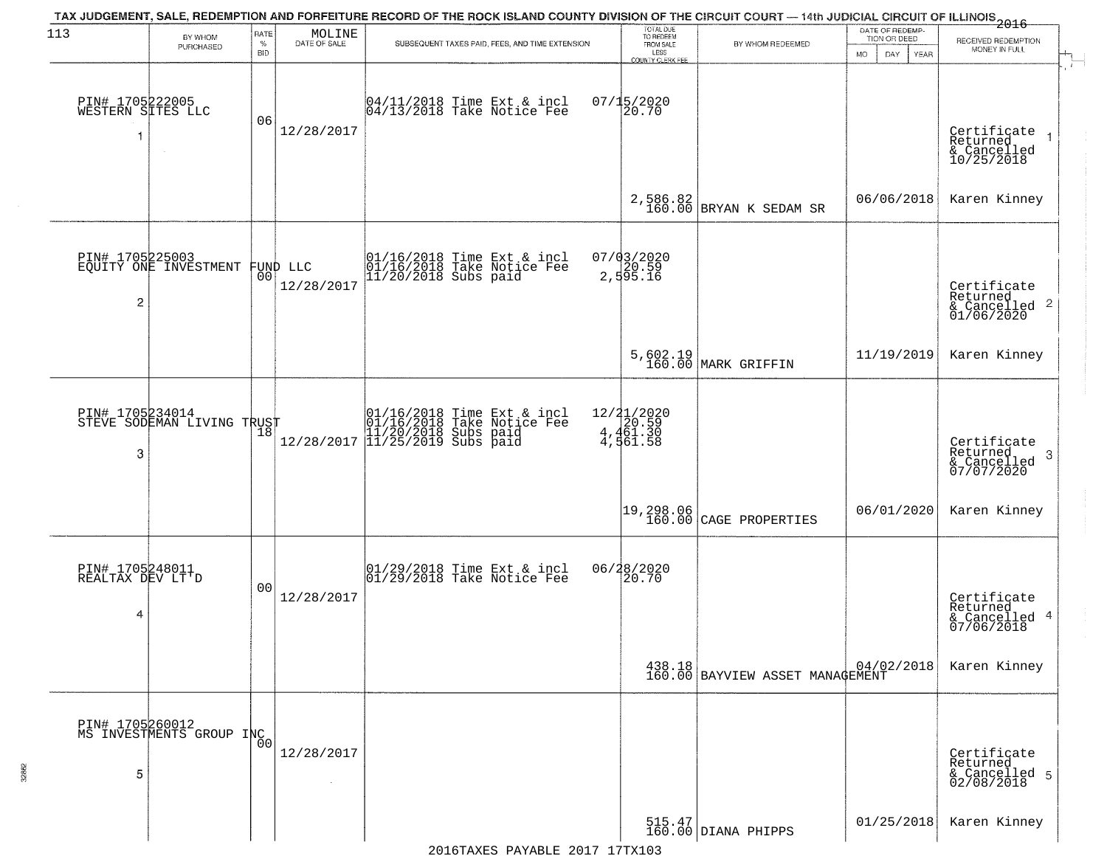| 113                                       | BY WHOM                                     | RATE               | MOLINE                         | TAX JUDGEMENT, SALE, REDEMPTION AND FORFEITURE RECORD OF THE ROCK ISLAND COUNTY DIVISION OF THE CIRCUIT COURT — 14th JUDICIAL CIRCUIT OF ILLINOIS 2016 | TOTAL DUE<br>TO REDEEM                         |                                                              | DATE OF REDEMP-<br>TION OR DEED |                                                                    |
|-------------------------------------------|---------------------------------------------|--------------------|--------------------------------|--------------------------------------------------------------------------------------------------------------------------------------------------------|------------------------------------------------|--------------------------------------------------------------|---------------------------------|--------------------------------------------------------------------|
|                                           | PURCHASED                                   | $\%$<br><b>BID</b> | DATE OF SALE                   | SUBSEQUENT TAXES PAID, FEES, AND TIME EXTENSION                                                                                                        | FROM SALE<br>LESS<br><b>COUNTY CLERK FEE</b>   | BY WHOM REDEEMED                                             | MO.<br>DAY.<br>YEAR             | RECEIVED REDEMPTION<br>MONEY IN FULL                               |
| PIN# 1705222005<br>WESTERN SITES LLC<br>1 |                                             | 06                 | 12/28/2017                     | 04/11/2018 Time Ext & incl<br>04/13/2018 Take Notice Fee                                                                                               | $07/15/2020$<br>20.70                          |                                                              |                                 | Certificate<br>Returned<br>& Cancelled<br>10/25/2018               |
|                                           |                                             |                    |                                |                                                                                                                                                        |                                                | 2,586.82<br>160.00 BRYAN K SEDAM SR                          | 06/06/2018                      | Karen Kinney                                                       |
| $\overline{c}$                            | PIN# 1705225003<br>EQUITY ONE INVESTMENT    |                    | FUND LLC<br> 00 <br>12/28/2017 | 01/16/2018 Time Ext & incl<br>01/16/2018 Take Notice Fee<br>11/20/2018 Subs paid                                                                       | 07/03/2020<br>20.59<br>2,595.16                |                                                              |                                 | Certificate<br>Returned<br>$\frac{1}{6}$ Cancelled 2<br>01/06/2020 |
|                                           |                                             |                    |                                |                                                                                                                                                        |                                                | 5,602.19<br>160.00 MARK GRIFFIN                              | 11/19/2019                      | Karen Kinney                                                       |
| PIN# 1705234014<br>3                      | STEVE SODEMAN LIVING TRUST                  | 18                 | 12/28/2017                     | 01/16/2018 Time Ext & incl<br>01/16/2018 Take Notice Fee<br>11/20/2018 Subs paid<br>11/25/2019 Subs paid                                               | 12/21/2020<br>4,461.30<br>4,461.30<br>4,561.58 |                                                              |                                 | Certificate<br>Returned<br>3<br>& Cancelled<br>07/07/2020          |
|                                           |                                             |                    |                                |                                                                                                                                                        | 19,298.06<br>160.00                            | CAGE PROPERTIES                                              | 06/01/2020                      | Karen Kinney                                                       |
| PIN# 1705248011<br>REALTAX DEV LT'D<br>4  |                                             | 00                 | 12/28/2017                     | 01/29/2018 Time Ext & incl<br>01/29/2018 Take Notice Fee                                                                                               | 06/28/2020<br>120.70                           |                                                              |                                 | Certificate<br>Returned<br>& Cancelled 4<br>07/06/2018             |
|                                           |                                             |                    |                                |                                                                                                                                                        |                                                | 438.18<br>160.00 BAYVIEW ASSET MANAGEMENT                    |                                 | Karen Kinney                                                       |
| 5                                         | PIN# 1705260012<br>MS INVESTMENTS GROUP INC |                    | 12/28/2017                     |                                                                                                                                                        |                                                |                                                              |                                 | Certificate<br>Returned<br>& Cancelled 5<br>02/08/2018             |
|                                           |                                             |                    |                                |                                                                                                                                                        |                                                | $\begin{array}{c} 515.47 \\ 160.00 \end{array}$ DIANA PHIPPS | 01/25/2018                      | Karen Kinney                                                       |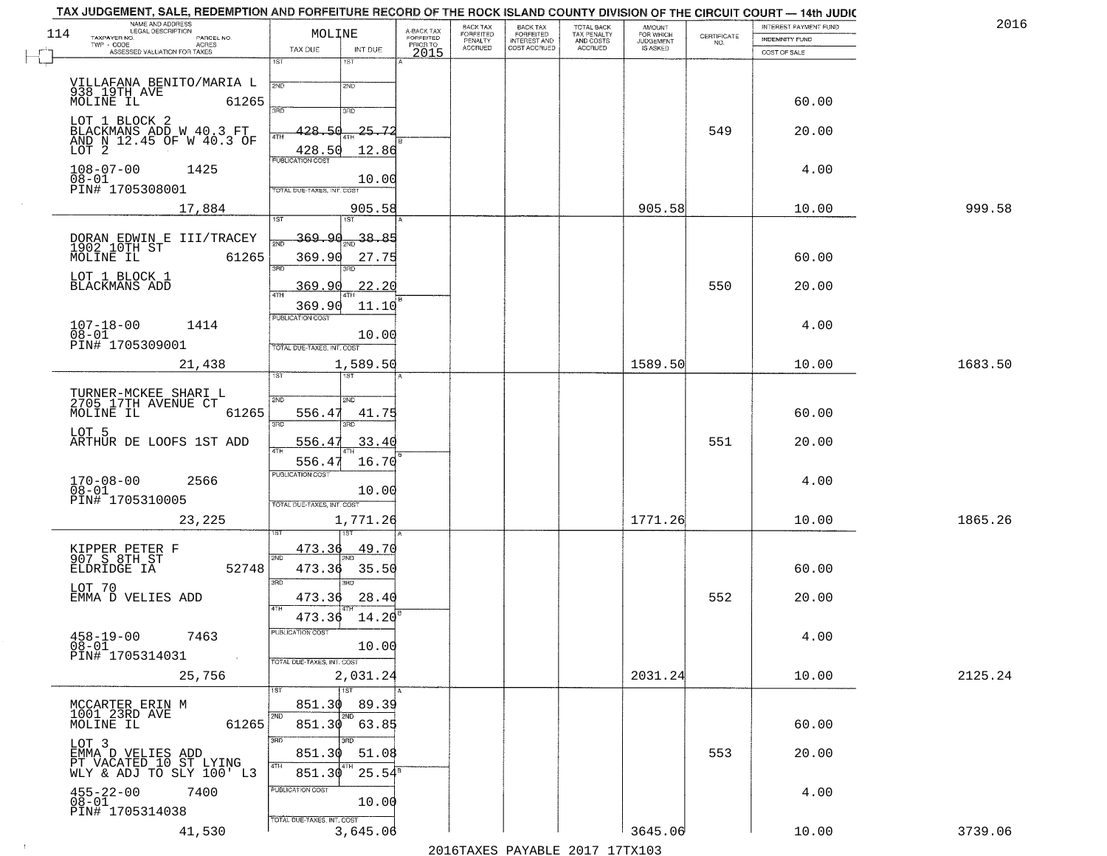|     | TAX JUDGEMENT, SALE, REDEMPTION AND FORFEITURE RECORD OF THE ROCK ISLAND COUNTY DIVISION OF THE CIRCUIT COURT - 14th JUDIC<br>NAME AND ADDRESS<br>LEGAL DESCRIPTION |                                                |                                     | BACK TAX                               | BACK TAX<br>FORFEITED<br>INTEREST AND | TOTAL BACK<br>TAX PENALTY<br>AND COSTS | AMOUNT<br>FOR WHICH          |                                                                 | INTEREST PAYMENT FUND | 2016    |
|-----|---------------------------------------------------------------------------------------------------------------------------------------------------------------------|------------------------------------------------|-------------------------------------|----------------------------------------|---------------------------------------|----------------------------------------|------------------------------|-----------------------------------------------------------------|-----------------------|---------|
| 114 | TAXPAYER NO.<br>PARCEL NO.<br>$TWP - CODE$<br>ACRES                                                                                                                 | MOLINE                                         | A-BACK TAX<br>FORFEITED<br>PRIOR TO | FORFEITED<br>PENALTY<br><b>ACCRUED</b> | COST ACCRUED                          | <b>ACCRUED</b>                         | <b>JUDGEMENT</b><br>IS ASKED | $\begin{array}{c} \text{CERTIFICATE} \\ \text{NO.} \end{array}$ | <b>INDEMNITY FUND</b> |         |
|     | ASSESSED VALUATION FOR TAXES                                                                                                                                        | INT DUE<br>TAX DUE<br>1ST<br>1ST               | 2015                                |                                        |                                       |                                        |                              |                                                                 | COST OF SALE          |         |
|     |                                                                                                                                                                     |                                                |                                     |                                        |                                       |                                        |                              |                                                                 |                       |         |
|     | VILLAFANA BENITO/MARIA L<br>938 19TH AVE<br>MOLINE IL                                                                                                               | 2ND<br>2ND                                     |                                     |                                        |                                       |                                        |                              |                                                                 |                       |         |
|     | 61265                                                                                                                                                               | 3RD<br>3RD                                     |                                     |                                        |                                       |                                        |                              |                                                                 | 60.00                 |         |
|     | LOT 1 BLOCK 2                                                                                                                                                       | 428.50<br>$25 - 7$                             |                                     |                                        |                                       |                                        |                              | 549                                                             | 20.00                 |         |
|     | BLACKMANS ADD W 40.3 FT<br>AND N 12.45 OF W 40.3 OF<br>LOT 2                                                                                                        | 4TH<br>428.50<br>12.86                         |                                     |                                        |                                       |                                        |                              |                                                                 |                       |         |
|     |                                                                                                                                                                     | <b>PUBLICATION COST</b>                        |                                     |                                        |                                       |                                        |                              |                                                                 |                       |         |
|     | $108 - 07 - 00$<br>1425<br>$08 - 01$                                                                                                                                | 10.00                                          |                                     |                                        |                                       |                                        |                              |                                                                 | 4.00                  |         |
|     | PIN# 1705308001                                                                                                                                                     | TOTAL DUE-TAXES, INT. COST                     |                                     |                                        |                                       |                                        |                              |                                                                 |                       |         |
|     | 17,884                                                                                                                                                              | 905.58<br>1ST<br>1ST                           |                                     |                                        |                                       |                                        | 905.58                       |                                                                 | 10.00                 | 999.58  |
|     |                                                                                                                                                                     | 369.90<br>38.85                                |                                     |                                        |                                       |                                        |                              |                                                                 |                       |         |
|     | DORAN EDWIN E III/TRACEY<br>1902 10TH ST<br>MOLINE IL 6126!<br>61265                                                                                                | 369.90<br>27.75                                |                                     |                                        |                                       |                                        |                              |                                                                 | 60.00                 |         |
|     |                                                                                                                                                                     | 3BD                                            |                                     |                                        |                                       |                                        |                              |                                                                 |                       |         |
|     | LOT 1 BLOCK 1<br>BLACKMANS ADD                                                                                                                                      | 369.90<br>. 20<br>22.<br>47H                   |                                     |                                        |                                       |                                        |                              | 550                                                             | 20.00                 |         |
|     |                                                                                                                                                                     | 369.90<br>11.10                                |                                     |                                        |                                       |                                        |                              |                                                                 |                       |         |
|     | $107 - 18 - 00$<br>1414                                                                                                                                             | PUBLICATION COST                               |                                     |                                        |                                       |                                        |                              |                                                                 | 4.00                  |         |
|     | $08 - 01$<br>PIN# <sup>-1705309001</sup>                                                                                                                            | 10.00<br>TOTAL DUE-TAXES, INT. COST            |                                     |                                        |                                       |                                        |                              |                                                                 |                       |         |
|     | 21,438                                                                                                                                                              | 1,589.50                                       |                                     |                                        |                                       |                                        | 1589.50                      |                                                                 | 10.00                 | 1683.50 |
|     |                                                                                                                                                                     | ist.                                           |                                     |                                        |                                       |                                        |                              |                                                                 |                       |         |
|     | TURNER-MCKEE SHARI L<br>2705 17TH AVENUE CT                                                                                                                         | S/ID<br>SMD                                    |                                     |                                        |                                       |                                        |                              |                                                                 |                       |         |
|     | MOLINE IL<br>61265                                                                                                                                                  | 556.47<br>41.75                                |                                     |                                        |                                       |                                        |                              |                                                                 | 60.00                 |         |
|     | LOT 5                                                                                                                                                               | 3BD<br>3BD                                     |                                     |                                        |                                       |                                        |                              |                                                                 |                       |         |
|     | ARTHUR DE LOOFS 1ST ADD                                                                                                                                             | 556.47<br>33.40                                |                                     |                                        |                                       |                                        |                              | 551                                                             | 20.00                 |         |
|     |                                                                                                                                                                     | 556.47<br>16.70<br><b>PUBLICATION COST</b>     |                                     |                                        |                                       |                                        |                              |                                                                 |                       |         |
|     | $170 - 08 - 00$<br>2566<br>$08 - 01$                                                                                                                                | 10.00                                          |                                     |                                        |                                       |                                        |                              |                                                                 | 4.00                  |         |
|     | PIN# 1705310005                                                                                                                                                     | TOTAL OUE-TAXES, INT. COST                     |                                     |                                        |                                       |                                        |                              |                                                                 |                       |         |
|     | 23,225                                                                                                                                                              | 1,771.26                                       |                                     |                                        |                                       |                                        | 1771.26                      |                                                                 | 10.00                 | 1865.26 |
|     |                                                                                                                                                                     | <u>49.70</u><br>473.36                         |                                     |                                        |                                       |                                        |                              |                                                                 |                       |         |
|     | KIPPER PETER F<br>907 S 8TH ST<br>ELDRIDGE IA<br>52748                                                                                                              | 2ND<br>473.36<br>35.50                         |                                     |                                        |                                       |                                        |                              |                                                                 | 60.00                 |         |
|     | LOT 70                                                                                                                                                              | 3BD<br>$\overline{3BD}$                        |                                     |                                        |                                       |                                        |                              |                                                                 |                       |         |
|     | EMMA D VELIES ADD                                                                                                                                                   | 28.40<br>473.36<br>4TH                         |                                     |                                        |                                       |                                        |                              | 552                                                             | 20.00                 |         |
|     |                                                                                                                                                                     | 14.20<br>473.36                                |                                     |                                        |                                       |                                        |                              |                                                                 |                       |         |
|     | $458 - 19 - 00$<br>7463                                                                                                                                             | PUBLICATION COST                               |                                     |                                        |                                       |                                        |                              |                                                                 | 4.00                  |         |
|     | $08 - 01$<br>PIN# 1705314031<br>$\sim 100$                                                                                                                          | 10.00<br>TOTAL DUE-TAXES, INT. COST            |                                     |                                        |                                       |                                        |                              |                                                                 |                       |         |
|     | 25,756                                                                                                                                                              | 2,031.24                                       |                                     |                                        |                                       |                                        | 2031.24                      |                                                                 | 10.00                 | 2125.24 |
|     |                                                                                                                                                                     | 1ST<br>1ST                                     |                                     |                                        |                                       |                                        |                              |                                                                 |                       |         |
|     | MCCARTER ERIN M<br>1001 23RD AVE                                                                                                                                    | 851.30<br>89.39<br>2ND<br>2ND                  |                                     |                                        |                                       |                                        |                              |                                                                 |                       |         |
|     | 61265<br>MOLINE IL                                                                                                                                                  | 851.30<br>63.85                                |                                     |                                        |                                       |                                        |                              |                                                                 | 60.00                 |         |
|     | LOT 3                                                                                                                                                               | 3RD<br>3RD.<br>51.08<br>851.30                 |                                     |                                        |                                       |                                        |                              | 553                                                             | 20.00                 |         |
|     | EMMA D VELIES ADD<br>PT VACATED 10 ST LYING<br>WLY & ADJ TO SLY 100' L3                                                                                             | 4TH<br>4TH<br>$25.54^{\overline{8}}$<br>851.30 |                                     |                                        |                                       |                                        |                              |                                                                 |                       |         |
|     | 7400                                                                                                                                                                | PUBLICATION COST                               |                                     |                                        |                                       |                                        |                              |                                                                 |                       |         |
|     | $455 - 22 - 00$<br>$08 - 01$                                                                                                                                        | 10.00                                          |                                     |                                        |                                       |                                        |                              |                                                                 | 4.00                  |         |
|     | PIN# 1705314038                                                                                                                                                     | TOTAL DUE-TAXES, INT. COST                     |                                     |                                        |                                       |                                        |                              |                                                                 |                       |         |
|     | 41,530                                                                                                                                                              | 3,645.06                                       |                                     |                                        |                                       |                                        | 3645.06                      |                                                                 | 10.00                 | 3739.06 |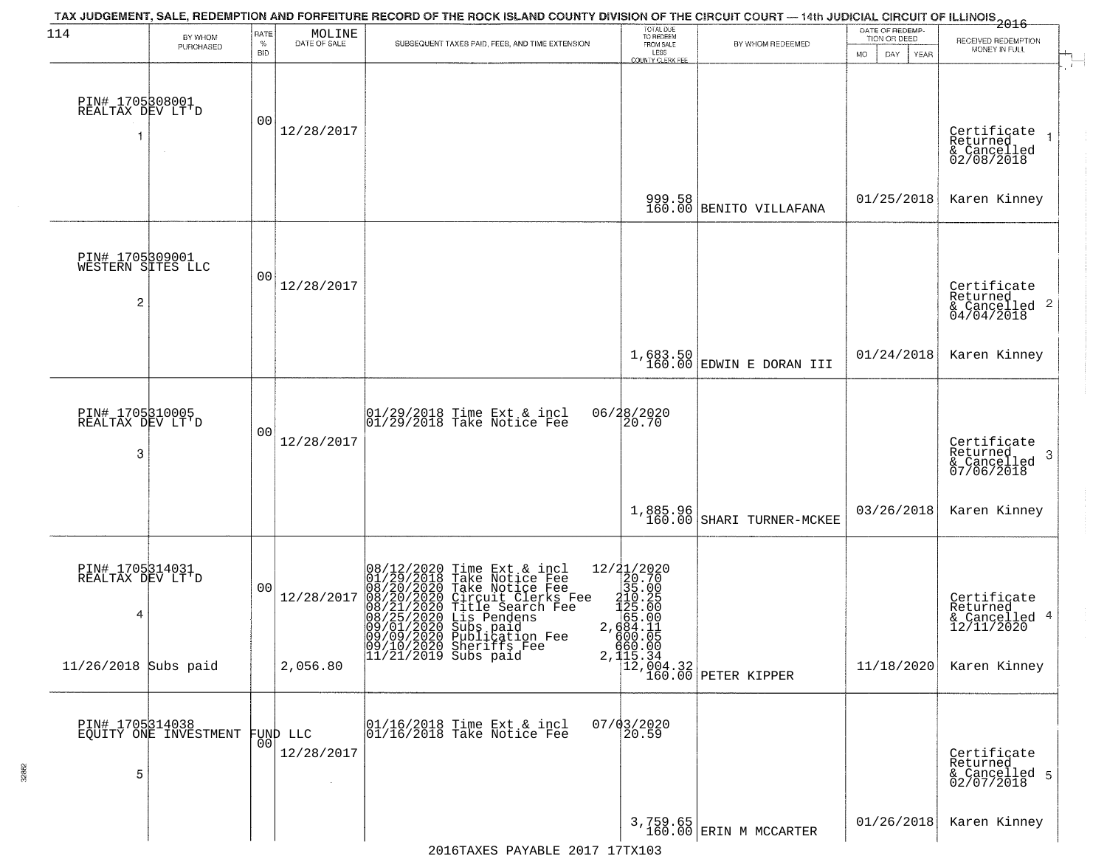| 114                                                    | BY WHOM<br>PURCHASED  | RATE<br>$\%$<br><b>BID</b> | MOLINE<br>DATE OF SALE           | TAX JUDGEMENT, SALE, REDEMPTION AND FORFEITURE RECORD OF THE ROCK ISLAND COUNTY DIVISION OF THE CIRCUIT COURT — 14th JUDICIAL CIRCUIT OF ILLINOIS 2016<br>SUBSEQUENT TAXES PAID, FEES, AND TIME EXTENSION      | TOTAL DUE<br>TO REDEEM<br>FROM SALE<br>LESS<br>COUNTY CLERK FEE            | BY WHOM REDEEMED                                       | DATE OF REDEMP<br>TION OR DEED<br>MO.<br>DAY.<br>YEAR | RECEIVED REDEMPTION<br>MONEY IN FULL                                   |
|--------------------------------------------------------|-----------------------|----------------------------|----------------------------------|----------------------------------------------------------------------------------------------------------------------------------------------------------------------------------------------------------------|----------------------------------------------------------------------------|--------------------------------------------------------|-------------------------------------------------------|------------------------------------------------------------------------|
| PIN# 1705308001<br>REALTAX DEV LT'D                    |                       | 00                         | 12/28/2017                       |                                                                                                                                                                                                                |                                                                            |                                                        |                                                       | Certificate<br>Returned<br>& Cancelled<br>02/08/2018                   |
|                                                        |                       |                            |                                  |                                                                                                                                                                                                                |                                                                            | 999.58<br>160.00 BENITO VILLAFANA                      | 01/25/2018                                            | Karen Kinney                                                           |
| PIN# 1705309001<br>WESTERN SITES LLC<br>$\overline{c}$ |                       | 00                         | 12/28/2017                       |                                                                                                                                                                                                                |                                                                            |                                                        |                                                       | Certificate<br>Returned<br>$\overline{2}$<br>& Cancelled<br>04/04/2018 |
|                                                        |                       |                            |                                  |                                                                                                                                                                                                                |                                                                            | $1,683.50$ EDWIN E DORAN III                           | 01/24/2018                                            | Karen Kinney                                                           |
| PIN# 1705310005<br>REALTAX DEV LT'D<br>3               |                       | 00                         | 12/28/2017                       | 01/29/2018 Time Ext & incl<br>01/29/2018 Take Notice Fee                                                                                                                                                       | 06/28/2020<br>20.70                                                        |                                                        |                                                       | Certificate<br>Returned<br>3<br>& Cancelled<br>07/06/2018              |
|                                                        |                       |                            |                                  |                                                                                                                                                                                                                | 1,885.96<br>160.00                                                         | SHARI TURNER-MCKEE                                     | 03/26/2018                                            | Karen Kinney                                                           |
| PIN# 1705314031<br>REALTAX DEV LT'D<br>4               |                       | 00                         | 12/28/2017                       | 08/12/2020 Time Ext & incl<br>01/29/2018 Take Notice Fee<br>08/20/2020 Take Notice Fee<br>08/20/2020 Circuit Clerks Fee<br>08/21/2020 Title Search Fee<br>08/25/2020 Lis Pendens<br>09/01/2020 Subsigation Fee | ${2721/2020\n20.70\n35.00\n210.25\n125.20\n425.00\n684.11\n684.11\n680.00$ |                                                        |                                                       | Certificate<br>Returned<br>& Cancelled 4<br>12/11/2020                 |
| 11/26/2018 Subs paid                                   |                       |                            | 2,056.80                         | 09/09/2020 Publication Fee<br>09/10/2020 Sheriffs Fee<br>11/21/2019 Subs paid                                                                                                                                  |                                                                            | 860.00<br>2,115.34<br>12,004.32<br>160.00 PETER KIPPER | 11/18/2020                                            | Karen Kinney                                                           |
| PIN# 1705314038<br>5                                   | EQUITY ONE INVESTMENT | 00                         | FUND LLC<br>12/28/2017<br>$\sim$ | 01/16/2018 Time Ext & incl<br>01/16/2018 Take Notice Fee                                                                                                                                                       | 07/03/2020<br>20.59                                                        |                                                        |                                                       | Certificate<br>Returned<br>& Cancelled 5<br>02/07/2018                 |
|                                                        |                       |                            |                                  |                                                                                                                                                                                                                |                                                                            | 3,759.65<br>160.00 ERIN M MCCARTER                     | 01/26/2018                                            | Karen Kinney                                                           |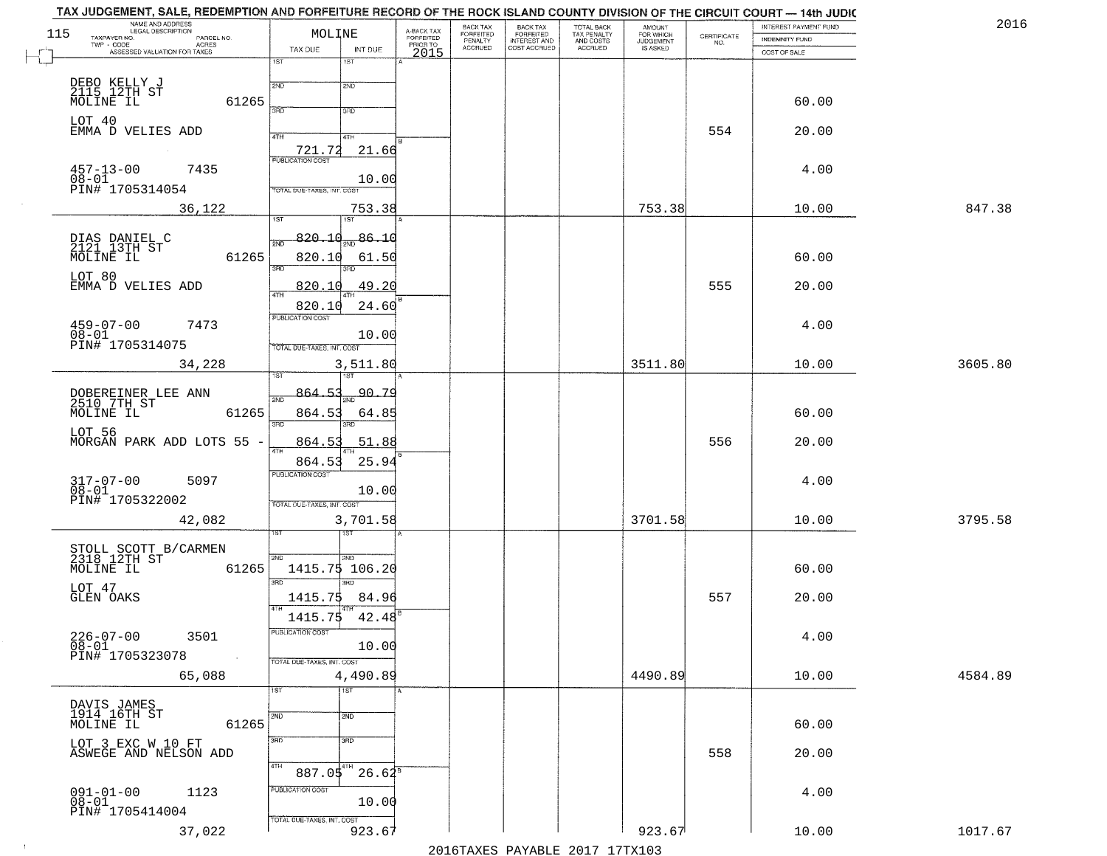| 115 | NAME AND ADDRESS<br>LEGAL DESCRIPTION<br>TAXPAYER NO.<br>PARCEL NO.<br>ACRES | MOLINE                                               | A-BACK TAX<br>FORFEITED | <b>BACK TAX</b><br>FORFEITED<br>PENALTY | BACK TAX<br>FORFEITED<br>INTEREST AND | TOTAL BACK<br>TAX PENALTY<br>AND COSTS | AMOUNT<br>FOR WHICH<br><b>JUDGEMENT</b> | $\begin{array}{c} \text{CERTIFICATE} \\ \text{NO.} \end{array}$ | <b>INTEREST PAYMENT FUND</b><br><b>INDEMNITY FUND</b> | 2016    |
|-----|------------------------------------------------------------------------------|------------------------------------------------------|-------------------------|-----------------------------------------|---------------------------------------|----------------------------------------|-----------------------------------------|-----------------------------------------------------------------|-------------------------------------------------------|---------|
|     | TWP - CODE<br>ASSESSED VALUATION FOR TAXES                                   | TAX DUE<br>INT DUE                                   | PRIOR TO<br>2015        | <b>ACCRUED</b>                          | COST ACCRUED                          | ACCRUED                                | IS ASKED                                |                                                                 | COST OF SALE                                          |         |
|     |                                                                              | 1ST<br>1ST                                           |                         |                                         |                                       |                                        |                                         |                                                                 |                                                       |         |
|     | DEBO KELLY J<br>2115 12TH ST<br>MOLINE IL<br>61265                           | 2ND<br>2ND<br>3BD<br>3RD                             |                         |                                         |                                       |                                        |                                         |                                                                 | 60.00                                                 |         |
|     | LOT 40<br>EMMA D VELIES ADD                                                  | 4TH<br>4TH                                           |                         |                                         |                                       |                                        |                                         | 554                                                             | 20.00                                                 |         |
|     | $457 - 13 - 00$<br>7435<br>08-01<br>PIN# 1705314054                          | 21.66<br>721.72<br>10.00                             |                         |                                         |                                       |                                        |                                         |                                                                 | 4.00                                                  |         |
|     | 36,122                                                                       | TOTAL DUE-TAXES, INT. COST<br>753.38                 |                         |                                         |                                       |                                        | 753.38                                  |                                                                 | 10.00                                                 | 847.38  |
|     |                                                                              | IST<br>1ST                                           |                         |                                         |                                       |                                        |                                         |                                                                 |                                                       |         |
|     | DIAS DANIEL C<br>2121 13TH ST<br>MOLINE IL<br>61265                          | 820.10<br>86.10<br>៊ីម៉ា<br>820.10<br>61.50          |                         |                                         |                                       |                                        |                                         |                                                                 | 60.00                                                 |         |
|     | LOT 80<br>EMMA D VELIES ADD                                                  | बन्ना<br>49.20<br>820.10                             |                         |                                         |                                       |                                        |                                         | 555                                                             | 20.00                                                 |         |
|     |                                                                              | 24.60<br>820.10                                      |                         |                                         |                                       |                                        |                                         |                                                                 |                                                       |         |
|     | $459 - 07 - 00$<br>7473<br>08-01<br>PIN# 1705314075                          | PUBLICATION COST<br>10.00                            |                         |                                         |                                       |                                        |                                         |                                                                 | 4.00                                                  |         |
|     | 34,228                                                                       | TOTAL DUE-TAXES, INT. COST<br>3,511.80               |                         |                                         |                                       |                                        | 3511.80                                 |                                                                 | 10.00                                                 | 3605.80 |
|     |                                                                              | 1ST                                                  |                         |                                         |                                       |                                        |                                         |                                                                 |                                                       |         |
|     | DOBEREINER LEE ANN<br>2510 7TH ST<br>MOLINE IL<br>61265                      | <del>90.79</del><br>864.53<br>2ND<br>864.53<br>64.85 |                         |                                         |                                       |                                        |                                         |                                                                 | 60.00                                                 |         |
|     | LOT 56<br>MORGAN PARK ADD LOTS 55 -                                          | 3BD<br>3RD<br>864.5<br>51.88                         |                         |                                         |                                       |                                        |                                         | 556                                                             | 20.00                                                 |         |
|     |                                                                              | 25.94<br>864.53                                      |                         |                                         |                                       |                                        |                                         |                                                                 |                                                       |         |
|     | $317 - 07 - 00$<br>5097<br>$08 - 01$                                         | <b>PUBLICATION COST</b><br>10.00                     |                         |                                         |                                       |                                        |                                         |                                                                 | 4.00                                                  |         |
|     | PIN# 1705322002<br>42,082                                                    | TOTAL OUE-TAXES, INT. COST<br>3,701.58               |                         |                                         |                                       |                                        | 3701.58                                 |                                                                 | 10.00                                                 | 3795.58 |
|     |                                                                              |                                                      |                         |                                         |                                       |                                        |                                         |                                                                 |                                                       |         |
|     | STOLL SCOTT B/CARMEN<br>2318 12TH ST<br>MOLINE IL<br>61265                   | 2ND<br>2ND<br>1415.75 106.20                         |                         |                                         |                                       |                                        |                                         |                                                                 | 60.00                                                 |         |
|     | LOT 47<br>GLEN OAKS                                                          | 3RD<br>3BD<br>1415.75<br>84.96                       |                         |                                         |                                       |                                        |                                         | 557                                                             | 20.00                                                 |         |
|     |                                                                              | 1415.75 42.48                                        |                         |                                         |                                       |                                        |                                         |                                                                 |                                                       |         |
|     | $226 - 07 - 00$<br>3501<br>$\overline{08} - 01$                              | PUBLICATION COST<br>10.00                            |                         |                                         |                                       |                                        |                                         |                                                                 | 4.00                                                  |         |
|     | PIN# 1705323078<br>$\sim 10$                                                 | TOTAL DUE-TAXES, INT. COST                           |                         |                                         |                                       |                                        | 4490.89                                 |                                                                 | 10.00                                                 | 4584.89 |
|     | 65,088                                                                       | 4,490.89<br>1ST<br>1ST                               |                         |                                         |                                       |                                        |                                         |                                                                 |                                                       |         |
|     | DAVIS JAMES<br>1914 16TH ST<br>61265<br>MOLINE IL                            | 2ND<br>2ND                                           |                         |                                         |                                       |                                        |                                         |                                                                 | 60.00                                                 |         |
|     | LOT 3 EXC W 10 FT<br>ASWEGE AND NELSON ADD                                   | 3RD<br>3BD                                           |                         |                                         |                                       |                                        |                                         | 558                                                             | 20.00                                                 |         |
|     |                                                                              | 4TH<br>$887.05^{4}$ 26.62 <sup>8</sup>               |                         |                                         |                                       |                                        |                                         |                                                                 |                                                       |         |
|     | $091 - 01 - 00$<br>$08 - 01$<br>1123<br>PIN# 1705414004                      | PUBLICATION COST<br>10.00                            |                         |                                         |                                       |                                        |                                         |                                                                 | 4.00                                                  |         |
|     | 37,022                                                                       | TOTAL DUE-TAXES, INT. COST<br>923.67                 |                         |                                         |                                       |                                        | 923.67                                  |                                                                 | 10.00                                                 | 1017.67 |
|     |                                                                              |                                                      |                         |                                         | 2016 TAVEC DAVADLE 2017 17TV102       |                                        |                                         |                                                                 |                                                       |         |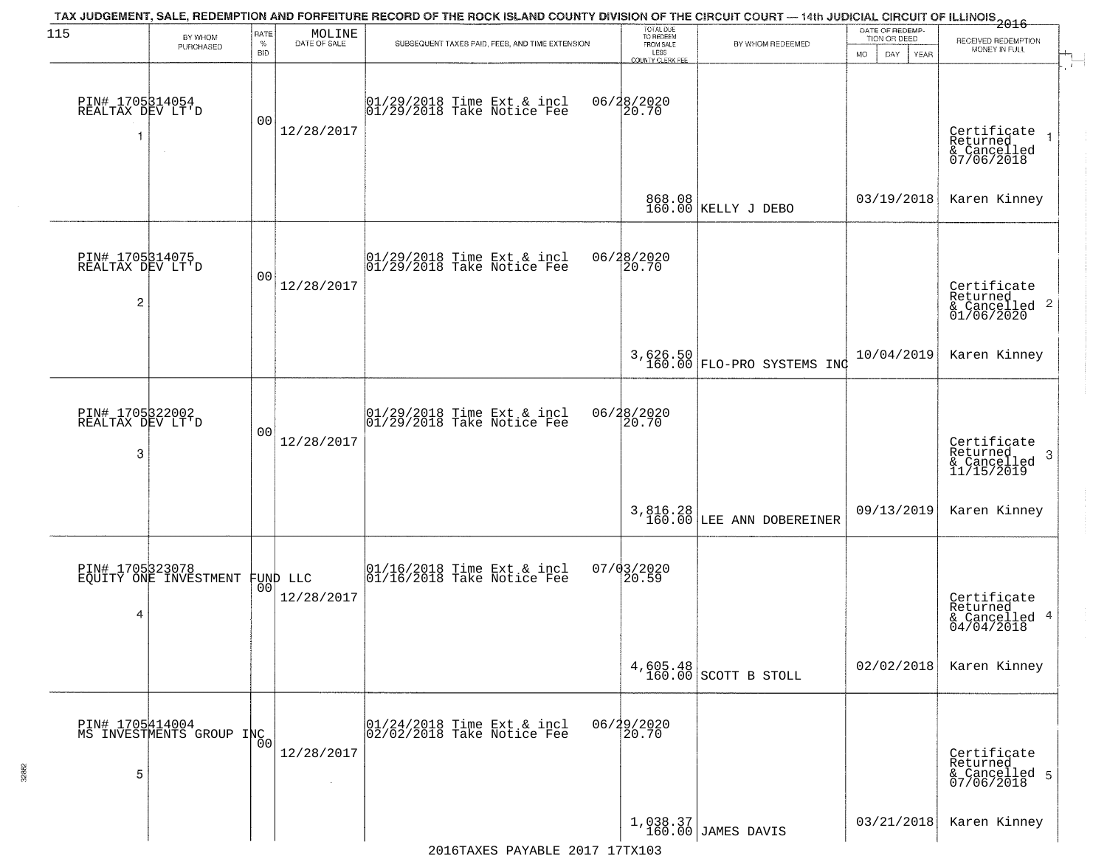| 115                                      | BY WHOM                                     | RATE               | MOLINE               | TAX JUDGEMENT, SALE, REDEMPTION AND FORFEITURE RECORD OF THE ROCK ISLAND COUNTY DIVISION OF THE CIRCUIT COURT — 14th JUDICIAL CIRCUIT OF ILLINOIS 2016 | TOTAL DUE<br>TO REDEEM                         |                                                                 | DATE OF REDEMP-                            |                                                                    |
|------------------------------------------|---------------------------------------------|--------------------|----------------------|--------------------------------------------------------------------------------------------------------------------------------------------------------|------------------------------------------------|-----------------------------------------------------------------|--------------------------------------------|--------------------------------------------------------------------|
|                                          | PURCHASED                                   | $\%$<br><b>BID</b> | DATE OF SALE         | SUBSEQUENT TAXES PAID, FEES, AND TIME EXTENSION                                                                                                        | FROM SALE<br>LESS                              | BY WHOM REDEEMED                                                | TION OR DEED<br>MO.<br>DAY.<br><b>YEAR</b> | RECEIVED REDEMPTION<br>MONEY IN FULL                               |
| PIN# 1705314054<br>REALTAX DEV LT'D<br>1 | $\sim$                                      | 0 <sub>0</sub>     | 12/28/2017           | 01/29/2018 Time Ext & incl<br>01/29/2018 Take Notice Fee                                                                                               | <b>COUNTY CLERK FEE</b><br>06/28/2020<br>20.70 |                                                                 |                                            | Certificate<br>Returned<br>& Cancelled<br>07/06/2018               |
|                                          |                                             |                    |                      |                                                                                                                                                        |                                                | 868.08<br>160.00 KELLY J DEBO                                   | 03/19/2018                                 | Karen Kinney                                                       |
| PIN# 1705314075<br>REALTAX DEV LT'D<br>2 |                                             | 0 <sub>0</sub>     | 12/28/2017           | $ 01/29/2018$ Time Ext & incl<br>$ 01/29/2018$ Take Notice Fee                                                                                         | 06/28/2020<br>20.70                            |                                                                 |                                            | Certificate<br>Returned<br>$\frac{1}{6}$ Cancelled 2<br>01/06/2020 |
|                                          |                                             |                    |                      |                                                                                                                                                        |                                                | 3,626.50<br>160.00 FLO-PRO SYSTEMS INC                          | 10/04/2019                                 | Karen Kinney                                                       |
| PIN# 1705322002<br>REALTAX DEV LT'D<br>3 |                                             | 0 <sub>0</sub>     | 12/28/2017           | $\begin{array}{c}  01/29/2018 \text{ Time Ext} & \text{incl} \\  01/29/2018 \text{ Take Notice Fe} \end{array}$                                        | 06/28/2020<br>20.70                            |                                                                 |                                            | Certificate<br>Returned<br>3<br>& Cancelled<br>11/15/2019          |
|                                          |                                             |                    |                      |                                                                                                                                                        |                                                | 3,816.28<br>160.00 LEE ANN DOBEREINER                           | 09/13/2019                                 | Karen Kinney                                                       |
| PIN# 1705323078<br>4                     | EQUITY ONE INVESTMENT FUND LLC              |                    | 12/28/2017           | $\begin{bmatrix} 01/16/2018 &$ Time Ext & incl<br>$01/16/2018 &$ Take Notice Fee                                                                       | 07/03/2020<br>20.59                            |                                                                 |                                            | Certificate<br>Returned<br>& Cancelled 4<br>04/04/2018             |
|                                          |                                             |                    |                      |                                                                                                                                                        |                                                | $4,605.48$ SCOTT B STOLL                                        | 02/02/2018                                 | Karen Kinney                                                       |
| 5                                        | PIN# 1705414004<br>MS INVESTMENTS GROUP INC | 0 <sub>0</sub>     | 12/28/2017<br>$\sim$ | 01/24/2018 Time Ext & incl<br>02/02/2018 Take Notice Fee                                                                                               | 06/29/2020<br>20.70                            |                                                                 |                                            | Certificate<br>Returned<br>& Cancelled 5<br>07/06/2018             |
|                                          |                                             |                    |                      |                                                                                                                                                        |                                                | $\begin{array}{c c} 1,038.37 \\ 160.00 \end{array}$ JAMES DAVIS | 03/21/2018                                 | Karen Kinney                                                       |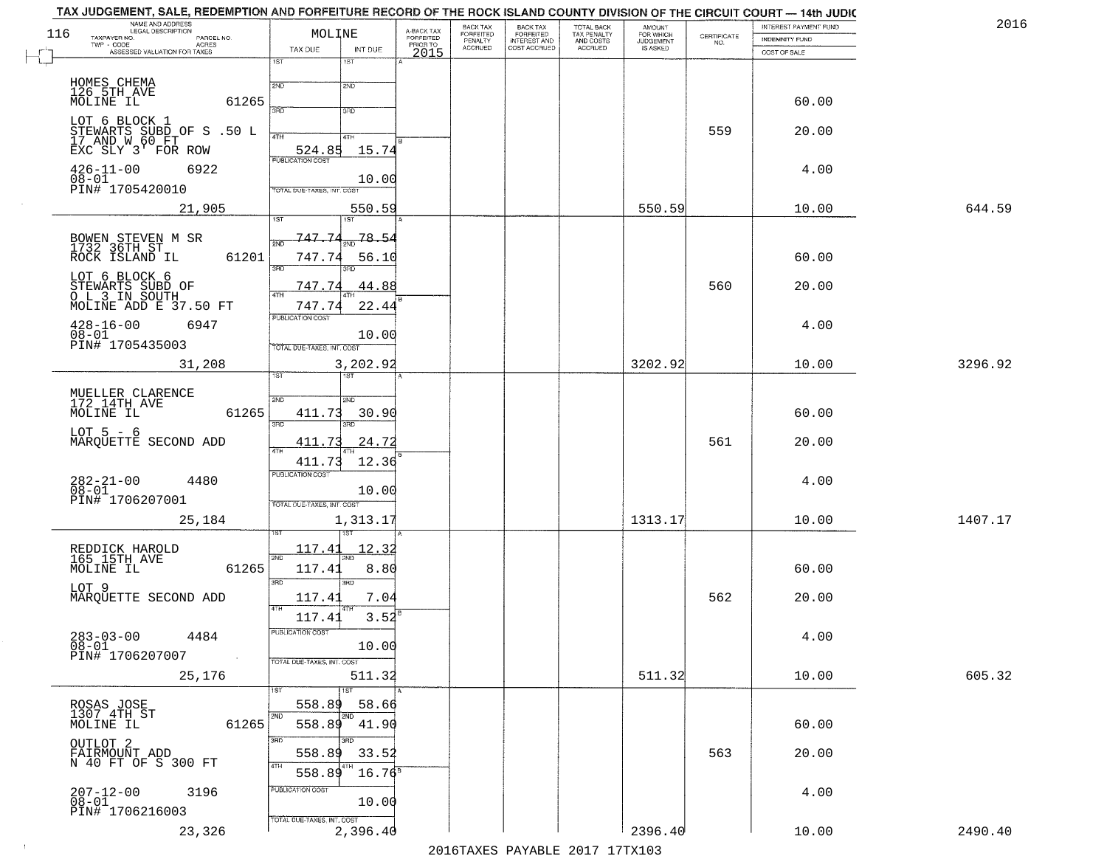| NAME AND ADDRESS<br>LEGAL DESCRIPTION<br>116<br>TAXPAYER NO.      | MOLINE                                 | A-BACK TAX<br>FORFEITED | BACK TAX<br>FORFEITED | <b>BACK TAX</b><br><b>FORFEITED</b> | TOTAL BACK<br>TAX PENALTY | <b>AMOUNT</b>                      |                                                                 | INTEREST PAYMENT FUND                 | 2016    |
|-------------------------------------------------------------------|----------------------------------------|-------------------------|-----------------------|-------------------------------------|---------------------------|------------------------------------|-----------------------------------------------------------------|---------------------------------------|---------|
| PARCEL NO.<br>TWP - CODE<br>ACRES<br>ASSESSED VALUATION FOR TAXES | TAX DUE<br>INT DUE                     | PRIOR TO                | PENALTY<br>ACCRUED    | INTEREST AND<br>COST ACCRUED        | AND COSTS<br>ACCRUED      | FOR WHICH<br>JUDGEMENT<br>IS ASKED | $\begin{array}{c} \text{CERTIFICATE} \\ \text{NO.} \end{array}$ | <b>INDEMNITY FUND</b><br>COST OF SALE |         |
|                                                                   | 1ST<br>$1S$ T                          | 2015                    |                       |                                     |                           |                                    |                                                                 |                                       |         |
| HOMES CHEMA<br>126 5TH AVE                                        | 2ND<br>2ND                             |                         |                       |                                     |                           |                                    |                                                                 |                                       |         |
| MOLINE IL<br>61265                                                | 3AD<br>3BD                             |                         |                       |                                     |                           |                                    |                                                                 | 60.00                                 |         |
| LOT 6 BLOCK 1                                                     |                                        |                         |                       |                                     |                           |                                    | 559                                                             | 20.00                                 |         |
| STEWARTS SUBD OF S .50 L<br>17 AND W 60 FT<br>EXC SLY 3' FOR ROW  | 4TH<br>4TH<br>524.85<br>15.74          |                         |                       |                                     |                           |                                    |                                                                 |                                       |         |
| $426 - 11 - 00$<br>6922                                           | <b>PUBLICATION COST</b>                |                         |                       |                                     |                           |                                    |                                                                 | 4.00                                  |         |
| $08 - 01$<br>PIN# 1705420010                                      | 10.00<br>TOTAL DUE-TAXES, INT. COST    |                         |                       |                                     |                           |                                    |                                                                 |                                       |         |
| 21,905                                                            | 550.59<br>1ST<br>1ST                   |                         |                       |                                     |                           | 550.59                             |                                                                 | 10.00                                 | 644.59  |
|                                                                   | 747.74<br>78.54                        |                         |                       |                                     |                           |                                    |                                                                 |                                       |         |
| BOWEN STEVEN M SR<br>1732 36TH ST<br>ROCK ISLAND IL<br>61201      | 747.74<br>56.10                        |                         |                       |                                     |                           |                                    |                                                                 | 60.00                                 |         |
| LOT 6 BLOCK 6                                                     | 3BD                                    |                         |                       |                                     |                           |                                    |                                                                 |                                       |         |
| STEWARTS SUBD OF<br>O L 3 IN SOUTH<br>MOLINE ADD E 37.50 FT       | 747.74<br>44.88<br>47H                 |                         |                       |                                     |                           |                                    | 560                                                             | 20.00                                 |         |
|                                                                   | 22.44<br>747.74<br>PUBLICATION COST    |                         |                       |                                     |                           |                                    |                                                                 |                                       |         |
| $428 - 16 - 00$<br>6947<br>$08 - 01$<br>PIN# 1705435003           | 10.00                                  |                         |                       |                                     |                           |                                    |                                                                 | 4.00                                  |         |
| 31,208                                                            | TOTAL DUE-TAXES, INT. COST<br>3,202.92 |                         |                       |                                     |                           | 3202.92                            |                                                                 | 10.00                                 | 3296.92 |
|                                                                   | 1ST                                    |                         |                       |                                     |                           |                                    |                                                                 |                                       |         |
| MUELLER CLARENCE<br>172 14TH AVE                                  | 2ND<br>2ND                             |                         |                       |                                     |                           |                                    |                                                                 |                                       |         |
| MOLINE IL<br>61265                                                | 411.73<br>30.90<br>3RD<br>3RD          |                         |                       |                                     |                           |                                    |                                                                 | 60.00                                 |         |
| $LOT 5 - 6$<br>MARQUETTE SECOND ADD                               | 24.72<br>411.73<br>4TH                 |                         |                       |                                     |                           |                                    | 561                                                             | 20.00                                 |         |
|                                                                   | 12.36<br>411.73                        |                         |                       |                                     |                           |                                    |                                                                 |                                       |         |
| $282 - 21 - 00$<br>$08 - 01$<br>4480                              | PUBLICATION COST<br>10.00              |                         |                       |                                     |                           |                                    |                                                                 | 4.00                                  |         |
| PIN# 1706207001                                                   | TOTAL OUE-TAXES, INT. COST             |                         |                       |                                     |                           |                                    |                                                                 |                                       |         |
| 25,184                                                            | 1,313.17                               |                         |                       |                                     |                           | 1313.17                            |                                                                 | 10.00                                 | 1407.17 |
| REDDICK HAROLD<br>165_15TH_AVE                                    | 117.41<br>12.3<br>2ND                  |                         |                       |                                     |                           |                                    |                                                                 |                                       |         |
| 61265<br>MOLINE IL                                                | 117.41<br>8.80                         |                         |                       |                                     |                           |                                    |                                                                 | 60.00                                 |         |
| LOT 9<br>MARQUETTE SECOND ADD                                     | 3RD<br>3BD<br>117.41<br>7.04           |                         |                       |                                     |                           |                                    | 562                                                             | 20.00                                 |         |
|                                                                   | 4TH<br>$3.52^{B}$<br>117.41            |                         |                       |                                     |                           |                                    |                                                                 |                                       |         |
| $283 - 03 - 00$<br>4484                                           | PUBLICATION COST                       |                         |                       |                                     |                           |                                    |                                                                 | 4.00                                  |         |
| 08-01<br>PIN# 1706207007<br>$\sim 10^{11}$ km $^{-1}$             | 10.00<br>TOTAL DUE-TAXES, INT. COST    |                         |                       |                                     |                           |                                    |                                                                 |                                       |         |
| 25,176                                                            | 511.32                                 |                         |                       |                                     |                           | 511.32                             |                                                                 | 10.00                                 | 605.32  |
|                                                                   | 1ST<br>1ST<br>558.89<br>58.66          |                         |                       |                                     |                           |                                    |                                                                 |                                       |         |
| ROSAS JOSE<br>1307 4TH ST<br>MOLINE IL<br>61265                   | 2ND<br>2ND<br>558.89<br>41.90          |                         |                       |                                     |                           |                                    |                                                                 | 60.00                                 |         |
| OUTLOT 2                                                          | 3RD<br>3RD.                            |                         |                       |                                     |                           |                                    |                                                                 |                                       |         |
| FAIRMOUNT ADD<br>N 40 FT OF S 300 FT                              | 558.89<br>33.52<br>4TH<br>$16.76^8$    |                         |                       |                                     |                           |                                    | 563                                                             | 20.00                                 |         |
| 3196                                                              | 558.89<br>PUBLICATION COST             |                         |                       |                                     |                           |                                    |                                                                 | 4.00                                  |         |
| 207-12-00<br>08-01<br>PIN# 1706216003                             | 10.00                                  |                         |                       |                                     |                           |                                    |                                                                 |                                       |         |
| 23,326                                                            | TOTAL DUE-TAXES, INT. COST<br>2,396.40 |                         |                       |                                     |                           | 2396.40                            |                                                                 | 10.00                                 | 2490.40 |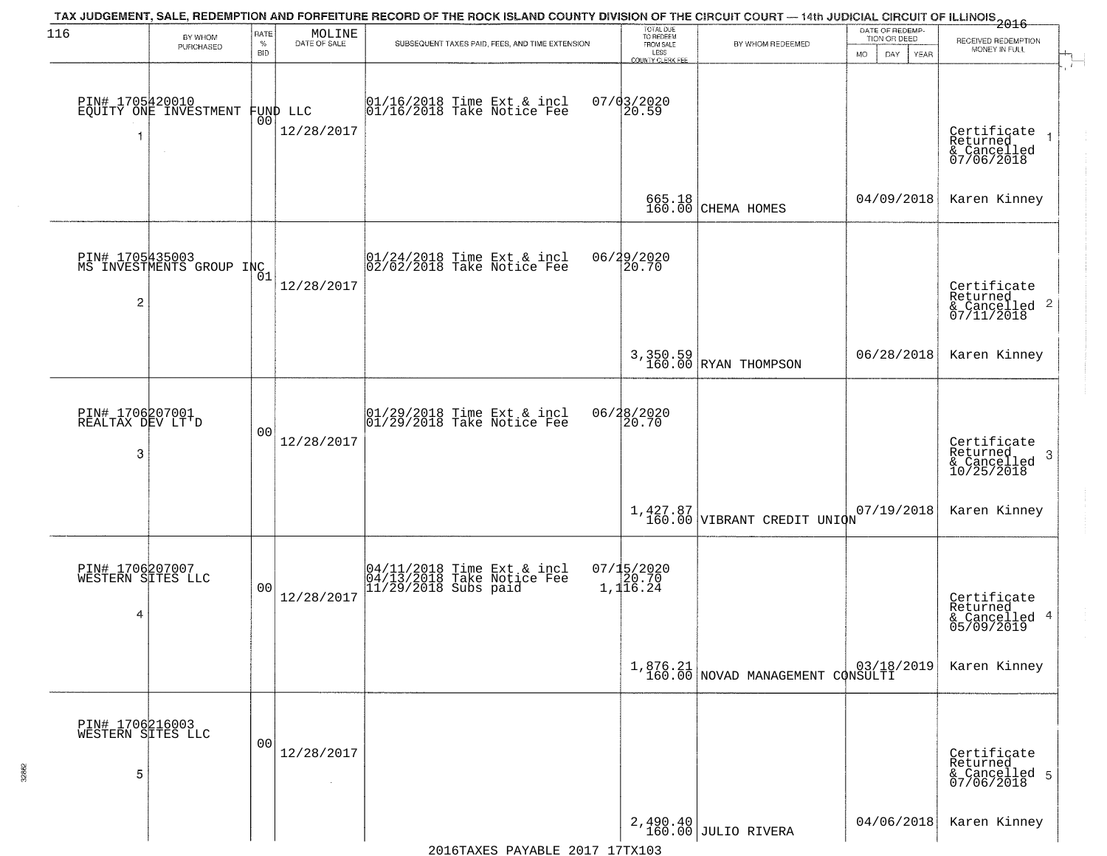| 116                                       | BY WHOM                                     | RATE               | MOLINE                 | TAX JUDGEMENT, SALE, REDEMPTION AND FORFEITURE RECORD OF THE ROCK ISLAND COUNTY DIVISION OF THE CIRCUIT COURT — 14th JUDICIAL CIRCUIT OF ILLINOIS 2016 | TOTAL DUE<br>TO REDEEM                       |                                              | DATE OF REDEMP-<br>TION OR DEED | RECEIVED REDEMPTION                                                |
|-------------------------------------------|---------------------------------------------|--------------------|------------------------|--------------------------------------------------------------------------------------------------------------------------------------------------------|----------------------------------------------|----------------------------------------------|---------------------------------|--------------------------------------------------------------------|
|                                           | PURCHASED                                   | $\%$<br><b>BID</b> | DATE OF SALE           | SUBSEQUENT TAXES PAID, FEES, AND TIME EXTENSION                                                                                                        | FROM SALE<br>LESS<br><b>COUNTY CLERK FEE</b> | BY WHOM REDEEMED                             | MO.<br>DAY.<br><b>YEAR</b>      | MONEY IN FULL                                                      |
| 1                                         | PIN# 1705420010<br>EQUITY ONE INVESTMENT    | 0 <sub>0</sub>     | FUND LLC<br>12/28/2017 | 01/16/2018 Time Ext & incl<br>01/16/2018 Take Notice Fee                                                                                               | $07/03/2020$<br>20.59                        |                                              |                                 | Certificate<br>Returned<br>& Cancelled<br>07/06/2018               |
|                                           |                                             |                    |                        |                                                                                                                                                        | 665.18<br>160.00                             | CHEMA HOMES                                  | 04/09/2018                      | Karen Kinney                                                       |
| 2                                         | PIN# 1705435003<br>MS INVESTMENTS GROUP INC |                    | 12/28/2017             | $ 01/24/2018$ Time Ext & incl<br>$ 02/02/2018$ Take Notice Fee                                                                                         | 06/29/2020<br>20.70                          |                                              |                                 | Certificate<br>Returned<br>$\frac{1}{6}$ Cancelled 2<br>07/11/2018 |
|                                           |                                             |                    |                        |                                                                                                                                                        |                                              | 3,350.59<br>160.00 RYAN THOMPSON             | 06/28/2018                      | Karen Kinney                                                       |
| PIN# 1706207001<br>REALTAX DEV LT'D<br>3  |                                             | 0 <sub>0</sub>     | 12/28/2017             | $\begin{array}{c}  01/29/2018 \text{ Time Ext} & \text{incl} \\  01/29/2018 \text{ Take Notice Fe} \end{array}$                                        | 06/28/2020<br>20.70                          |                                              |                                 | Certificate<br>Returned<br>3<br>& Cancelled<br>10/25/2018          |
|                                           |                                             |                    |                        |                                                                                                                                                        |                                              | $1,427.87$<br>160.00 VIBRANT CREDIT UNION    | 07/19/2018                      | Karen Kinney                                                       |
| PIN# 1706207007<br>WESTERN SITES LLC<br>4 |                                             | 0 <sub>0</sub>     | 12/28/2017             | 04/11/2018 Time Ext & incl<br>04/13/2018 Take Notice Fee<br>11/29/2018 Subs paid                                                                       | $07/15/2020$<br>$1,116.24$                   |                                              |                                 | Certificate<br>Returned<br>& Cancelled 4<br>05/09/2019             |
|                                           |                                             |                    |                        |                                                                                                                                                        |                                              | 1,876.21<br>160.00 NOVAD MANAGEMENT CONSULTI |                                 | Karen Kinney                                                       |
| PIN# 1706216003<br>WESTERN SITES LLC<br>5 |                                             | 0 <sub>0</sub>     | 12/28/2017             |                                                                                                                                                        |                                              |                                              |                                 | Certificate<br>Returned<br>& Cancelled 5<br>07/06/2018             |
|                                           |                                             |                    |                        |                                                                                                                                                        |                                              | 2,490.40<br>160.00 JULIO RIVERA              | 04/06/2018                      | Karen Kinney                                                       |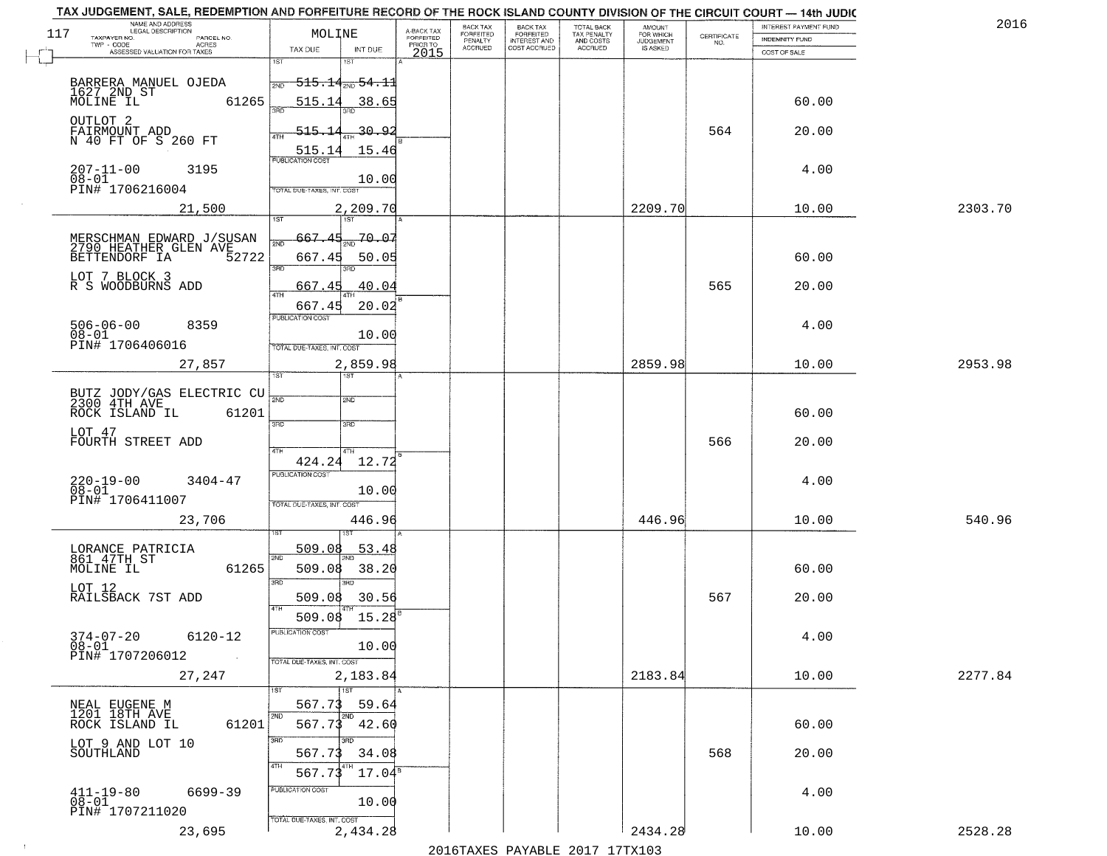| TOTAL BACK<br>TAX PENALTY<br>AND COSTS<br>A-BACK TAX<br>FORFEITED<br>PRIOR TO<br>117<br>MOLINE<br><b>FORFEITED</b><br>$\begin{array}{c} \text{CERTIFICATE} \\ \text{NO.} \end{array}$<br>TAXPAYER NO.<br>PARCEL NO.<br>INDEMNITY FUND<br>PENALTY<br><b>INTEREST AND</b><br><b>JUDGEMENT</b><br>ACRES<br><b>ACCRUED</b><br>COST ACCRUED<br><b>ACCRUED</b><br>IS ASKED<br>INT DUE<br>TAX DUE<br>ASSESSED VALUATION FOR TAXES<br>2015<br>COST OF SALE<br>1ST<br>۱ST<br>BARRERA MANUEL OJEDA<br><del>515.14<sub>2ND</sub>54.1</del> 1<br>2ND<br>1627 2ND ST<br>61265<br>515.14<br>60.00<br>38.65<br>MOLINE IL<br>OUTLOT <sub>2</sub><br>515.14<br>564<br><u>30.92</u><br>FAIRMOUNT ADD<br>20.00<br>N 40 FT OF S 260 FT<br>15.46<br>515.14<br>$207 - 11 - 00$<br>$08 - 01$<br>3195<br>4.00<br>10.00<br>PIN# 1706216004<br>TOTAL DUE-TAXES, INT. COST<br>2209.70<br>2303.70<br>21,500<br>2,209.70<br>10.00<br>20.07<br>667.45<br>MERSCHMAN EDWARD J/SUSAN<br>2790 HEATHER GLEN AVE<br>BETTENDORF IA 52722<br>52722<br>667.45<br>60.00<br>50.05<br>3RD<br>380<br>LOT 7 BLOCK 3<br>565<br>40.04<br>20.00<br>R S WOODBURNS ADD<br>667.45<br>20.02<br>667.45<br>PUBLICATION COST<br>4.00<br>$506 - 06 - 00$<br>8359<br>$08 - 01$<br>10.00<br>PIN# 1706406016<br>TOTAL DUE-TAXES, INT. COST<br>2859.98<br>27,857<br>2,859.98<br>10.00<br>2953.98<br>1ST<br><b>ST</b><br>BUTZ JODY/GAS ELECTRIC CU<br>2300 4TH AVE<br>2ND<br>2ND<br>60.00<br>ROCK ISLAND IL<br>61201<br>3RD<br>3RD<br>LOT 47<br>FOURTH STREET ADD<br>566<br>20.00<br>4TH<br>4TH<br>424.24<br>12.72<br><b>PUBLICATION COST</b><br>$220 - 19 - 00$<br>$08 - 01$<br>4.00<br>$3404 - 47$<br>10.00<br>PIN# 1706411007<br>TOTAL OUE-TAXES, INT. COST<br>446.96<br>23,706<br>446.96<br>10.00<br>540.96<br>509.08<br>53.48<br>LORANCE PATRICIA<br>861 47TH ST<br>2ND<br>MOLINE IL<br>38.20<br>61265<br>509.08<br>60.00<br>3BD<br>3BD<br>LOT 12<br>567<br>RAILSBACK 7ST ADD<br>509.08<br>30.56<br>20.00<br>4TH<br>15.28<br>509.08<br>$374 - 07 - 20$<br>PUBLICATION COST<br>6120-12<br>4.00<br>$08 - 01$<br>10.00<br>PIN# 1707206012<br>$\sim$ 100 $\pm$<br>TOTAL DUE-TAXES, INT. COST<br>2183.84<br>2277.84<br>27,247<br>2,183.84<br>10.00<br>$\overline{1}$ 1ST<br>59.64<br>567.73<br>NEAL EUGENE M<br>1201 18TH AVE<br>567.73<br>61201<br>42.60<br>60.00<br>ROCK ISLAND IL<br>3RD<br>LOT 9 AND LOT 10<br>SOUTHLAND<br>568<br>20.00<br>567.73<br>34.08<br>$17.04^{\rm s}$<br>567.7<br>PUBLICATION COST<br>$411 - 19 - 80$<br>$08 - 01$<br>6699-39<br>4.00<br>10.00<br>PIN# 1707211020<br>TOTAL DUE-TAXES, INT. COST<br>2,434.28<br>2434.28<br>23,695<br>2528.28<br>10.00<br>2016 TAVEC DAVARLE 2017 17 TV102 | TAX JUDGEMENT, SALE, REDEMPTION AND FORFEITURE RECORD OF THE ROCK ISLAND COUNTY DIVISION OF THE CIRCUIT COURT - 14th JUDIC<br>NAME AND ADDRESS<br>LEGAL DESCRIPTION |  | <b>BACK TAX</b> |                       |                     | INTEREST PAYMENT FUND | 2016 |
|-----------------------------------------------------------------------------------------------------------------------------------------------------------------------------------------------------------------------------------------------------------------------------------------------------------------------------------------------------------------------------------------------------------------------------------------------------------------------------------------------------------------------------------------------------------------------------------------------------------------------------------------------------------------------------------------------------------------------------------------------------------------------------------------------------------------------------------------------------------------------------------------------------------------------------------------------------------------------------------------------------------------------------------------------------------------------------------------------------------------------------------------------------------------------------------------------------------------------------------------------------------------------------------------------------------------------------------------------------------------------------------------------------------------------------------------------------------------------------------------------------------------------------------------------------------------------------------------------------------------------------------------------------------------------------------------------------------------------------------------------------------------------------------------------------------------------------------------------------------------------------------------------------------------------------------------------------------------------------------------------------------------------------------------------------------------------------------------------------------------------------------------------------------------------------------------------------------------------------------------------------------------------------------------------------------------------------------------------------------------------------------------------------------------------------------------------------------------------------------------------------------------------------------------------------------------------------------------------------------------------------------------------------------|---------------------------------------------------------------------------------------------------------------------------------------------------------------------|--|-----------------|-----------------------|---------------------|-----------------------|------|
|                                                                                                                                                                                                                                                                                                                                                                                                                                                                                                                                                                                                                                                                                                                                                                                                                                                                                                                                                                                                                                                                                                                                                                                                                                                                                                                                                                                                                                                                                                                                                                                                                                                                                                                                                                                                                                                                                                                                                                                                                                                                                                                                                                                                                                                                                                                                                                                                                                                                                                                                                                                                                                                           |                                                                                                                                                                     |  |                 | BACK TAX<br>FORFEITED | AMOUNT<br>FOR WHICH |                       |      |
|                                                                                                                                                                                                                                                                                                                                                                                                                                                                                                                                                                                                                                                                                                                                                                                                                                                                                                                                                                                                                                                                                                                                                                                                                                                                                                                                                                                                                                                                                                                                                                                                                                                                                                                                                                                                                                                                                                                                                                                                                                                                                                                                                                                                                                                                                                                                                                                                                                                                                                                                                                                                                                                           |                                                                                                                                                                     |  |                 |                       |                     |                       |      |
|                                                                                                                                                                                                                                                                                                                                                                                                                                                                                                                                                                                                                                                                                                                                                                                                                                                                                                                                                                                                                                                                                                                                                                                                                                                                                                                                                                                                                                                                                                                                                                                                                                                                                                                                                                                                                                                                                                                                                                                                                                                                                                                                                                                                                                                                                                                                                                                                                                                                                                                                                                                                                                                           |                                                                                                                                                                     |  |                 |                       |                     |                       |      |
|                                                                                                                                                                                                                                                                                                                                                                                                                                                                                                                                                                                                                                                                                                                                                                                                                                                                                                                                                                                                                                                                                                                                                                                                                                                                                                                                                                                                                                                                                                                                                                                                                                                                                                                                                                                                                                                                                                                                                                                                                                                                                                                                                                                                                                                                                                                                                                                                                                                                                                                                                                                                                                                           |                                                                                                                                                                     |  |                 |                       |                     |                       |      |
|                                                                                                                                                                                                                                                                                                                                                                                                                                                                                                                                                                                                                                                                                                                                                                                                                                                                                                                                                                                                                                                                                                                                                                                                                                                                                                                                                                                                                                                                                                                                                                                                                                                                                                                                                                                                                                                                                                                                                                                                                                                                                                                                                                                                                                                                                                                                                                                                                                                                                                                                                                                                                                                           |                                                                                                                                                                     |  |                 |                       |                     |                       |      |
|                                                                                                                                                                                                                                                                                                                                                                                                                                                                                                                                                                                                                                                                                                                                                                                                                                                                                                                                                                                                                                                                                                                                                                                                                                                                                                                                                                                                                                                                                                                                                                                                                                                                                                                                                                                                                                                                                                                                                                                                                                                                                                                                                                                                                                                                                                                                                                                                                                                                                                                                                                                                                                                           |                                                                                                                                                                     |  |                 |                       |                     |                       |      |
|                                                                                                                                                                                                                                                                                                                                                                                                                                                                                                                                                                                                                                                                                                                                                                                                                                                                                                                                                                                                                                                                                                                                                                                                                                                                                                                                                                                                                                                                                                                                                                                                                                                                                                                                                                                                                                                                                                                                                                                                                                                                                                                                                                                                                                                                                                                                                                                                                                                                                                                                                                                                                                                           |                                                                                                                                                                     |  |                 |                       |                     |                       |      |
|                                                                                                                                                                                                                                                                                                                                                                                                                                                                                                                                                                                                                                                                                                                                                                                                                                                                                                                                                                                                                                                                                                                                                                                                                                                                                                                                                                                                                                                                                                                                                                                                                                                                                                                                                                                                                                                                                                                                                                                                                                                                                                                                                                                                                                                                                                                                                                                                                                                                                                                                                                                                                                                           |                                                                                                                                                                     |  |                 |                       |                     |                       |      |
|                                                                                                                                                                                                                                                                                                                                                                                                                                                                                                                                                                                                                                                                                                                                                                                                                                                                                                                                                                                                                                                                                                                                                                                                                                                                                                                                                                                                                                                                                                                                                                                                                                                                                                                                                                                                                                                                                                                                                                                                                                                                                                                                                                                                                                                                                                                                                                                                                                                                                                                                                                                                                                                           |                                                                                                                                                                     |  |                 |                       |                     |                       |      |
|                                                                                                                                                                                                                                                                                                                                                                                                                                                                                                                                                                                                                                                                                                                                                                                                                                                                                                                                                                                                                                                                                                                                                                                                                                                                                                                                                                                                                                                                                                                                                                                                                                                                                                                                                                                                                                                                                                                                                                                                                                                                                                                                                                                                                                                                                                                                                                                                                                                                                                                                                                                                                                                           |                                                                                                                                                                     |  |                 |                       |                     |                       |      |
|                                                                                                                                                                                                                                                                                                                                                                                                                                                                                                                                                                                                                                                                                                                                                                                                                                                                                                                                                                                                                                                                                                                                                                                                                                                                                                                                                                                                                                                                                                                                                                                                                                                                                                                                                                                                                                                                                                                                                                                                                                                                                                                                                                                                                                                                                                                                                                                                                                                                                                                                                                                                                                                           |                                                                                                                                                                     |  |                 |                       |                     |                       |      |
|                                                                                                                                                                                                                                                                                                                                                                                                                                                                                                                                                                                                                                                                                                                                                                                                                                                                                                                                                                                                                                                                                                                                                                                                                                                                                                                                                                                                                                                                                                                                                                                                                                                                                                                                                                                                                                                                                                                                                                                                                                                                                                                                                                                                                                                                                                                                                                                                                                                                                                                                                                                                                                                           |                                                                                                                                                                     |  |                 |                       |                     |                       |      |
|                                                                                                                                                                                                                                                                                                                                                                                                                                                                                                                                                                                                                                                                                                                                                                                                                                                                                                                                                                                                                                                                                                                                                                                                                                                                                                                                                                                                                                                                                                                                                                                                                                                                                                                                                                                                                                                                                                                                                                                                                                                                                                                                                                                                                                                                                                                                                                                                                                                                                                                                                                                                                                                           |                                                                                                                                                                     |  |                 |                       |                     |                       |      |
|                                                                                                                                                                                                                                                                                                                                                                                                                                                                                                                                                                                                                                                                                                                                                                                                                                                                                                                                                                                                                                                                                                                                                                                                                                                                                                                                                                                                                                                                                                                                                                                                                                                                                                                                                                                                                                                                                                                                                                                                                                                                                                                                                                                                                                                                                                                                                                                                                                                                                                                                                                                                                                                           |                                                                                                                                                                     |  |                 |                       |                     |                       |      |
|                                                                                                                                                                                                                                                                                                                                                                                                                                                                                                                                                                                                                                                                                                                                                                                                                                                                                                                                                                                                                                                                                                                                                                                                                                                                                                                                                                                                                                                                                                                                                                                                                                                                                                                                                                                                                                                                                                                                                                                                                                                                                                                                                                                                                                                                                                                                                                                                                                                                                                                                                                                                                                                           |                                                                                                                                                                     |  |                 |                       |                     |                       |      |
|                                                                                                                                                                                                                                                                                                                                                                                                                                                                                                                                                                                                                                                                                                                                                                                                                                                                                                                                                                                                                                                                                                                                                                                                                                                                                                                                                                                                                                                                                                                                                                                                                                                                                                                                                                                                                                                                                                                                                                                                                                                                                                                                                                                                                                                                                                                                                                                                                                                                                                                                                                                                                                                           |                                                                                                                                                                     |  |                 |                       |                     |                       |      |
|                                                                                                                                                                                                                                                                                                                                                                                                                                                                                                                                                                                                                                                                                                                                                                                                                                                                                                                                                                                                                                                                                                                                                                                                                                                                                                                                                                                                                                                                                                                                                                                                                                                                                                                                                                                                                                                                                                                                                                                                                                                                                                                                                                                                                                                                                                                                                                                                                                                                                                                                                                                                                                                           |                                                                                                                                                                     |  |                 |                       |                     |                       |      |
|                                                                                                                                                                                                                                                                                                                                                                                                                                                                                                                                                                                                                                                                                                                                                                                                                                                                                                                                                                                                                                                                                                                                                                                                                                                                                                                                                                                                                                                                                                                                                                                                                                                                                                                                                                                                                                                                                                                                                                                                                                                                                                                                                                                                                                                                                                                                                                                                                                                                                                                                                                                                                                                           |                                                                                                                                                                     |  |                 |                       |                     |                       |      |
|                                                                                                                                                                                                                                                                                                                                                                                                                                                                                                                                                                                                                                                                                                                                                                                                                                                                                                                                                                                                                                                                                                                                                                                                                                                                                                                                                                                                                                                                                                                                                                                                                                                                                                                                                                                                                                                                                                                                                                                                                                                                                                                                                                                                                                                                                                                                                                                                                                                                                                                                                                                                                                                           |                                                                                                                                                                     |  |                 |                       |                     |                       |      |
|                                                                                                                                                                                                                                                                                                                                                                                                                                                                                                                                                                                                                                                                                                                                                                                                                                                                                                                                                                                                                                                                                                                                                                                                                                                                                                                                                                                                                                                                                                                                                                                                                                                                                                                                                                                                                                                                                                                                                                                                                                                                                                                                                                                                                                                                                                                                                                                                                                                                                                                                                                                                                                                           |                                                                                                                                                                     |  |                 |                       |                     |                       |      |
|                                                                                                                                                                                                                                                                                                                                                                                                                                                                                                                                                                                                                                                                                                                                                                                                                                                                                                                                                                                                                                                                                                                                                                                                                                                                                                                                                                                                                                                                                                                                                                                                                                                                                                                                                                                                                                                                                                                                                                                                                                                                                                                                                                                                                                                                                                                                                                                                                                                                                                                                                                                                                                                           |                                                                                                                                                                     |  |                 |                       |                     |                       |      |
|                                                                                                                                                                                                                                                                                                                                                                                                                                                                                                                                                                                                                                                                                                                                                                                                                                                                                                                                                                                                                                                                                                                                                                                                                                                                                                                                                                                                                                                                                                                                                                                                                                                                                                                                                                                                                                                                                                                                                                                                                                                                                                                                                                                                                                                                                                                                                                                                                                                                                                                                                                                                                                                           |                                                                                                                                                                     |  |                 |                       |                     |                       |      |
|                                                                                                                                                                                                                                                                                                                                                                                                                                                                                                                                                                                                                                                                                                                                                                                                                                                                                                                                                                                                                                                                                                                                                                                                                                                                                                                                                                                                                                                                                                                                                                                                                                                                                                                                                                                                                                                                                                                                                                                                                                                                                                                                                                                                                                                                                                                                                                                                                                                                                                                                                                                                                                                           |                                                                                                                                                                     |  |                 |                       |                     |                       |      |
|                                                                                                                                                                                                                                                                                                                                                                                                                                                                                                                                                                                                                                                                                                                                                                                                                                                                                                                                                                                                                                                                                                                                                                                                                                                                                                                                                                                                                                                                                                                                                                                                                                                                                                                                                                                                                                                                                                                                                                                                                                                                                                                                                                                                                                                                                                                                                                                                                                                                                                                                                                                                                                                           |                                                                                                                                                                     |  |                 |                       |                     |                       |      |
|                                                                                                                                                                                                                                                                                                                                                                                                                                                                                                                                                                                                                                                                                                                                                                                                                                                                                                                                                                                                                                                                                                                                                                                                                                                                                                                                                                                                                                                                                                                                                                                                                                                                                                                                                                                                                                                                                                                                                                                                                                                                                                                                                                                                                                                                                                                                                                                                                                                                                                                                                                                                                                                           |                                                                                                                                                                     |  |                 |                       |                     |                       |      |
|                                                                                                                                                                                                                                                                                                                                                                                                                                                                                                                                                                                                                                                                                                                                                                                                                                                                                                                                                                                                                                                                                                                                                                                                                                                                                                                                                                                                                                                                                                                                                                                                                                                                                                                                                                                                                                                                                                                                                                                                                                                                                                                                                                                                                                                                                                                                                                                                                                                                                                                                                                                                                                                           |                                                                                                                                                                     |  |                 |                       |                     |                       |      |
|                                                                                                                                                                                                                                                                                                                                                                                                                                                                                                                                                                                                                                                                                                                                                                                                                                                                                                                                                                                                                                                                                                                                                                                                                                                                                                                                                                                                                                                                                                                                                                                                                                                                                                                                                                                                                                                                                                                                                                                                                                                                                                                                                                                                                                                                                                                                                                                                                                                                                                                                                                                                                                                           |                                                                                                                                                                     |  |                 |                       |                     |                       |      |
|                                                                                                                                                                                                                                                                                                                                                                                                                                                                                                                                                                                                                                                                                                                                                                                                                                                                                                                                                                                                                                                                                                                                                                                                                                                                                                                                                                                                                                                                                                                                                                                                                                                                                                                                                                                                                                                                                                                                                                                                                                                                                                                                                                                                                                                                                                                                                                                                                                                                                                                                                                                                                                                           |                                                                                                                                                                     |  |                 |                       |                     |                       |      |
|                                                                                                                                                                                                                                                                                                                                                                                                                                                                                                                                                                                                                                                                                                                                                                                                                                                                                                                                                                                                                                                                                                                                                                                                                                                                                                                                                                                                                                                                                                                                                                                                                                                                                                                                                                                                                                                                                                                                                                                                                                                                                                                                                                                                                                                                                                                                                                                                                                                                                                                                                                                                                                                           |                                                                                                                                                                     |  |                 |                       |                     |                       |      |
|                                                                                                                                                                                                                                                                                                                                                                                                                                                                                                                                                                                                                                                                                                                                                                                                                                                                                                                                                                                                                                                                                                                                                                                                                                                                                                                                                                                                                                                                                                                                                                                                                                                                                                                                                                                                                                                                                                                                                                                                                                                                                                                                                                                                                                                                                                                                                                                                                                                                                                                                                                                                                                                           |                                                                                                                                                                     |  |                 |                       |                     |                       |      |
|                                                                                                                                                                                                                                                                                                                                                                                                                                                                                                                                                                                                                                                                                                                                                                                                                                                                                                                                                                                                                                                                                                                                                                                                                                                                                                                                                                                                                                                                                                                                                                                                                                                                                                                                                                                                                                                                                                                                                                                                                                                                                                                                                                                                                                                                                                                                                                                                                                                                                                                                                                                                                                                           |                                                                                                                                                                     |  |                 |                       |                     |                       |      |
|                                                                                                                                                                                                                                                                                                                                                                                                                                                                                                                                                                                                                                                                                                                                                                                                                                                                                                                                                                                                                                                                                                                                                                                                                                                                                                                                                                                                                                                                                                                                                                                                                                                                                                                                                                                                                                                                                                                                                                                                                                                                                                                                                                                                                                                                                                                                                                                                                                                                                                                                                                                                                                                           |                                                                                                                                                                     |  |                 |                       |                     |                       |      |
|                                                                                                                                                                                                                                                                                                                                                                                                                                                                                                                                                                                                                                                                                                                                                                                                                                                                                                                                                                                                                                                                                                                                                                                                                                                                                                                                                                                                                                                                                                                                                                                                                                                                                                                                                                                                                                                                                                                                                                                                                                                                                                                                                                                                                                                                                                                                                                                                                                                                                                                                                                                                                                                           |                                                                                                                                                                     |  |                 |                       |                     |                       |      |
|                                                                                                                                                                                                                                                                                                                                                                                                                                                                                                                                                                                                                                                                                                                                                                                                                                                                                                                                                                                                                                                                                                                                                                                                                                                                                                                                                                                                                                                                                                                                                                                                                                                                                                                                                                                                                                                                                                                                                                                                                                                                                                                                                                                                                                                                                                                                                                                                                                                                                                                                                                                                                                                           |                                                                                                                                                                     |  |                 |                       |                     |                       |      |
|                                                                                                                                                                                                                                                                                                                                                                                                                                                                                                                                                                                                                                                                                                                                                                                                                                                                                                                                                                                                                                                                                                                                                                                                                                                                                                                                                                                                                                                                                                                                                                                                                                                                                                                                                                                                                                                                                                                                                                                                                                                                                                                                                                                                                                                                                                                                                                                                                                                                                                                                                                                                                                                           |                                                                                                                                                                     |  |                 |                       |                     |                       |      |
|                                                                                                                                                                                                                                                                                                                                                                                                                                                                                                                                                                                                                                                                                                                                                                                                                                                                                                                                                                                                                                                                                                                                                                                                                                                                                                                                                                                                                                                                                                                                                                                                                                                                                                                                                                                                                                                                                                                                                                                                                                                                                                                                                                                                                                                                                                                                                                                                                                                                                                                                                                                                                                                           |                                                                                                                                                                     |  |                 |                       |                     |                       |      |
|                                                                                                                                                                                                                                                                                                                                                                                                                                                                                                                                                                                                                                                                                                                                                                                                                                                                                                                                                                                                                                                                                                                                                                                                                                                                                                                                                                                                                                                                                                                                                                                                                                                                                                                                                                                                                                                                                                                                                                                                                                                                                                                                                                                                                                                                                                                                                                                                                                                                                                                                                                                                                                                           |                                                                                                                                                                     |  |                 |                       |                     |                       |      |
|                                                                                                                                                                                                                                                                                                                                                                                                                                                                                                                                                                                                                                                                                                                                                                                                                                                                                                                                                                                                                                                                                                                                                                                                                                                                                                                                                                                                                                                                                                                                                                                                                                                                                                                                                                                                                                                                                                                                                                                                                                                                                                                                                                                                                                                                                                                                                                                                                                                                                                                                                                                                                                                           |                                                                                                                                                                     |  |                 |                       |                     |                       |      |
|                                                                                                                                                                                                                                                                                                                                                                                                                                                                                                                                                                                                                                                                                                                                                                                                                                                                                                                                                                                                                                                                                                                                                                                                                                                                                                                                                                                                                                                                                                                                                                                                                                                                                                                                                                                                                                                                                                                                                                                                                                                                                                                                                                                                                                                                                                                                                                                                                                                                                                                                                                                                                                                           |                                                                                                                                                                     |  |                 |                       |                     |                       |      |
|                                                                                                                                                                                                                                                                                                                                                                                                                                                                                                                                                                                                                                                                                                                                                                                                                                                                                                                                                                                                                                                                                                                                                                                                                                                                                                                                                                                                                                                                                                                                                                                                                                                                                                                                                                                                                                                                                                                                                                                                                                                                                                                                                                                                                                                                                                                                                                                                                                                                                                                                                                                                                                                           |                                                                                                                                                                     |  |                 |                       |                     |                       |      |
|                                                                                                                                                                                                                                                                                                                                                                                                                                                                                                                                                                                                                                                                                                                                                                                                                                                                                                                                                                                                                                                                                                                                                                                                                                                                                                                                                                                                                                                                                                                                                                                                                                                                                                                                                                                                                                                                                                                                                                                                                                                                                                                                                                                                                                                                                                                                                                                                                                                                                                                                                                                                                                                           |                                                                                                                                                                     |  |                 |                       |                     |                       |      |
|                                                                                                                                                                                                                                                                                                                                                                                                                                                                                                                                                                                                                                                                                                                                                                                                                                                                                                                                                                                                                                                                                                                                                                                                                                                                                                                                                                                                                                                                                                                                                                                                                                                                                                                                                                                                                                                                                                                                                                                                                                                                                                                                                                                                                                                                                                                                                                                                                                                                                                                                                                                                                                                           |                                                                                                                                                                     |  |                 |                       |                     |                       |      |
|                                                                                                                                                                                                                                                                                                                                                                                                                                                                                                                                                                                                                                                                                                                                                                                                                                                                                                                                                                                                                                                                                                                                                                                                                                                                                                                                                                                                                                                                                                                                                                                                                                                                                                                                                                                                                                                                                                                                                                                                                                                                                                                                                                                                                                                                                                                                                                                                                                                                                                                                                                                                                                                           |                                                                                                                                                                     |  |                 |                       |                     |                       |      |
|                                                                                                                                                                                                                                                                                                                                                                                                                                                                                                                                                                                                                                                                                                                                                                                                                                                                                                                                                                                                                                                                                                                                                                                                                                                                                                                                                                                                                                                                                                                                                                                                                                                                                                                                                                                                                                                                                                                                                                                                                                                                                                                                                                                                                                                                                                                                                                                                                                                                                                                                                                                                                                                           |                                                                                                                                                                     |  |                 |                       |                     |                       |      |
|                                                                                                                                                                                                                                                                                                                                                                                                                                                                                                                                                                                                                                                                                                                                                                                                                                                                                                                                                                                                                                                                                                                                                                                                                                                                                                                                                                                                                                                                                                                                                                                                                                                                                                                                                                                                                                                                                                                                                                                                                                                                                                                                                                                                                                                                                                                                                                                                                                                                                                                                                                                                                                                           |                                                                                                                                                                     |  |                 |                       |                     |                       |      |
|                                                                                                                                                                                                                                                                                                                                                                                                                                                                                                                                                                                                                                                                                                                                                                                                                                                                                                                                                                                                                                                                                                                                                                                                                                                                                                                                                                                                                                                                                                                                                                                                                                                                                                                                                                                                                                                                                                                                                                                                                                                                                                                                                                                                                                                                                                                                                                                                                                                                                                                                                                                                                                                           |                                                                                                                                                                     |  |                 |                       |                     |                       |      |
|                                                                                                                                                                                                                                                                                                                                                                                                                                                                                                                                                                                                                                                                                                                                                                                                                                                                                                                                                                                                                                                                                                                                                                                                                                                                                                                                                                                                                                                                                                                                                                                                                                                                                                                                                                                                                                                                                                                                                                                                                                                                                                                                                                                                                                                                                                                                                                                                                                                                                                                                                                                                                                                           |                                                                                                                                                                     |  |                 |                       |                     |                       |      |
|                                                                                                                                                                                                                                                                                                                                                                                                                                                                                                                                                                                                                                                                                                                                                                                                                                                                                                                                                                                                                                                                                                                                                                                                                                                                                                                                                                                                                                                                                                                                                                                                                                                                                                                                                                                                                                                                                                                                                                                                                                                                                                                                                                                                                                                                                                                                                                                                                                                                                                                                                                                                                                                           |                                                                                                                                                                     |  |                 |                       |                     |                       |      |
|                                                                                                                                                                                                                                                                                                                                                                                                                                                                                                                                                                                                                                                                                                                                                                                                                                                                                                                                                                                                                                                                                                                                                                                                                                                                                                                                                                                                                                                                                                                                                                                                                                                                                                                                                                                                                                                                                                                                                                                                                                                                                                                                                                                                                                                                                                                                                                                                                                                                                                                                                                                                                                                           |                                                                                                                                                                     |  |                 |                       |                     |                       |      |
|                                                                                                                                                                                                                                                                                                                                                                                                                                                                                                                                                                                                                                                                                                                                                                                                                                                                                                                                                                                                                                                                                                                                                                                                                                                                                                                                                                                                                                                                                                                                                                                                                                                                                                                                                                                                                                                                                                                                                                                                                                                                                                                                                                                                                                                                                                                                                                                                                                                                                                                                                                                                                                                           |                                                                                                                                                                     |  |                 |                       |                     |                       |      |
|                                                                                                                                                                                                                                                                                                                                                                                                                                                                                                                                                                                                                                                                                                                                                                                                                                                                                                                                                                                                                                                                                                                                                                                                                                                                                                                                                                                                                                                                                                                                                                                                                                                                                                                                                                                                                                                                                                                                                                                                                                                                                                                                                                                                                                                                                                                                                                                                                                                                                                                                                                                                                                                           |                                                                                                                                                                     |  |                 |                       |                     |                       |      |
|                                                                                                                                                                                                                                                                                                                                                                                                                                                                                                                                                                                                                                                                                                                                                                                                                                                                                                                                                                                                                                                                                                                                                                                                                                                                                                                                                                                                                                                                                                                                                                                                                                                                                                                                                                                                                                                                                                                                                                                                                                                                                                                                                                                                                                                                                                                                                                                                                                                                                                                                                                                                                                                           |                                                                                                                                                                     |  |                 |                       |                     |                       |      |
|                                                                                                                                                                                                                                                                                                                                                                                                                                                                                                                                                                                                                                                                                                                                                                                                                                                                                                                                                                                                                                                                                                                                                                                                                                                                                                                                                                                                                                                                                                                                                                                                                                                                                                                                                                                                                                                                                                                                                                                                                                                                                                                                                                                                                                                                                                                                                                                                                                                                                                                                                                                                                                                           |                                                                                                                                                                     |  |                 |                       |                     |                       |      |
|                                                                                                                                                                                                                                                                                                                                                                                                                                                                                                                                                                                                                                                                                                                                                                                                                                                                                                                                                                                                                                                                                                                                                                                                                                                                                                                                                                                                                                                                                                                                                                                                                                                                                                                                                                                                                                                                                                                                                                                                                                                                                                                                                                                                                                                                                                                                                                                                                                                                                                                                                                                                                                                           |                                                                                                                                                                     |  |                 |                       |                     |                       |      |
|                                                                                                                                                                                                                                                                                                                                                                                                                                                                                                                                                                                                                                                                                                                                                                                                                                                                                                                                                                                                                                                                                                                                                                                                                                                                                                                                                                                                                                                                                                                                                                                                                                                                                                                                                                                                                                                                                                                                                                                                                                                                                                                                                                                                                                                                                                                                                                                                                                                                                                                                                                                                                                                           |                                                                                                                                                                     |  |                 |                       |                     |                       |      |
|                                                                                                                                                                                                                                                                                                                                                                                                                                                                                                                                                                                                                                                                                                                                                                                                                                                                                                                                                                                                                                                                                                                                                                                                                                                                                                                                                                                                                                                                                                                                                                                                                                                                                                                                                                                                                                                                                                                                                                                                                                                                                                                                                                                                                                                                                                                                                                                                                                                                                                                                                                                                                                                           |                                                                                                                                                                     |  |                 |                       |                     |                       |      |
|                                                                                                                                                                                                                                                                                                                                                                                                                                                                                                                                                                                                                                                                                                                                                                                                                                                                                                                                                                                                                                                                                                                                                                                                                                                                                                                                                                                                                                                                                                                                                                                                                                                                                                                                                                                                                                                                                                                                                                                                                                                                                                                                                                                                                                                                                                                                                                                                                                                                                                                                                                                                                                                           |                                                                                                                                                                     |  |                 |                       |                     |                       |      |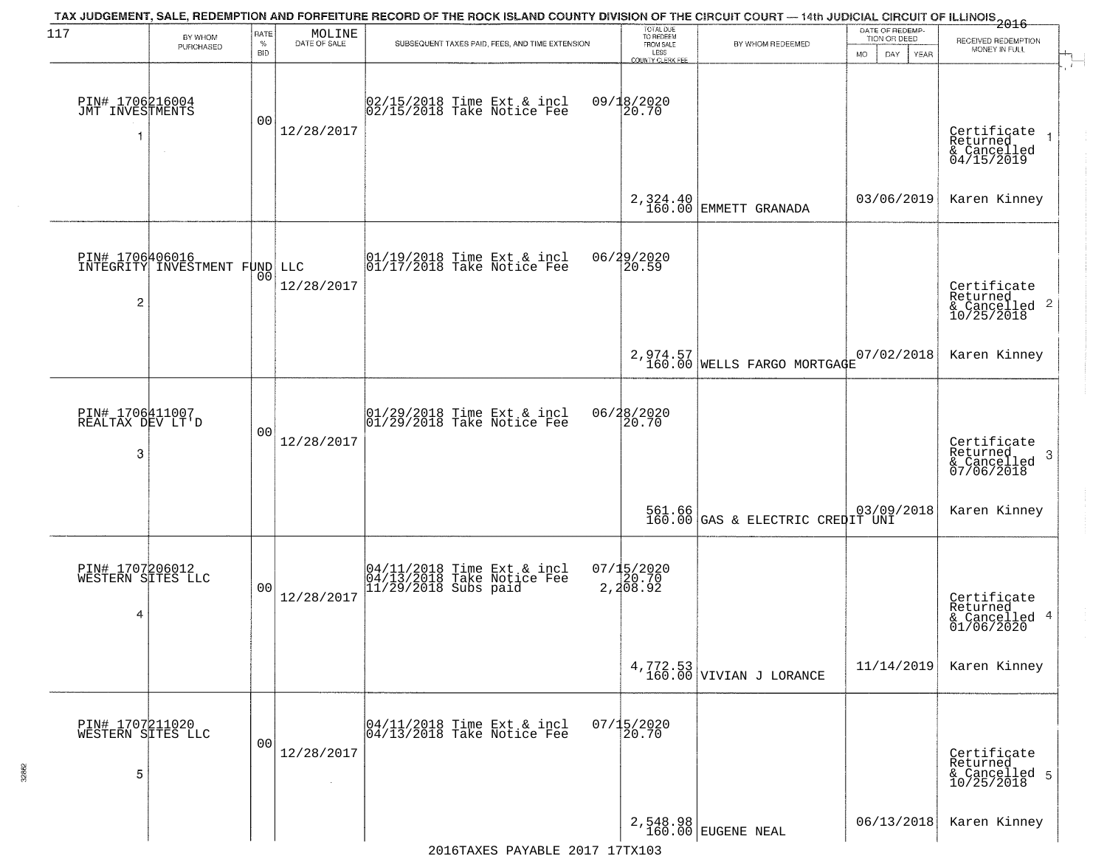| 117                                       | BY WHOM<br>PURCHASED                                    | RATE<br>$\%$<br><b>BID</b> | $\begin{array}{c} \text{MOLINE} \\ \text{DATE of sale} \end{array}$ | TAX JUDGEMENT, SALE, REDEMPTION AND FORFEITURE RECORD OF THE ROCK ISLAND COUNTY DIVISION OF THE CIRCUIT COURT — 14th JUDICIAL CIRCUIT OF ILLINOIS 2016<br>SUBSEQUENT TAXES PAID, FEES, AND TIME EXTENSION | TOTAL DUE<br>TO REDEEM<br>FROM SALE<br>LESS<br>COUNTY CLERK FEE | BY WHOM REDEEMED                                 | DATE OF REDEMP-<br>TION OR DEED<br><b>MO</b><br>DAY<br>YEAR | RECEIVED REDEMPTION<br>MONEY IN FULL                        |
|-------------------------------------------|---------------------------------------------------------|----------------------------|---------------------------------------------------------------------|-----------------------------------------------------------------------------------------------------------------------------------------------------------------------------------------------------------|-----------------------------------------------------------------|--------------------------------------------------|-------------------------------------------------------------|-------------------------------------------------------------|
| PIN# 1706216004<br>JMT INVESTMENTS<br>1   | $\sim 10^{-1}$                                          | 00                         | 12/28/2017                                                          | 02/15/2018 Time Ext & incl<br>02/15/2018 Take Notice Fee                                                                                                                                                  | 09/18/2020<br>20.70                                             |                                                  |                                                             | Certificate<br>Returned<br>& Cancelled<br>04/15/2019        |
|                                           |                                                         |                            |                                                                     |                                                                                                                                                                                                           |                                                                 | 2, 324.40<br>160.00 EMMETT GRANADA               | 03/06/2019                                                  | Karen Kinney                                                |
| 2                                         | <b>PIN# 1706406016</b><br>INTEGRITY INVESTMENT FUND LLC | 00                         | 12/28/2017                                                          | $\begin{array}{ccc}  01/19/2018 \text{ Time} & \text{Ext} & \text{incl} \\  01/17/2018 \text{ Take Notice } \text{Fe} \end{array}$                                                                        | 06/29/2020<br>20.59                                             |                                                  |                                                             | Certificate<br>Returned                                     |
|                                           |                                                         |                            |                                                                     |                                                                                                                                                                                                           |                                                                 | 2,974.57<br>160.00 WELLS FARGO MORTGAGE          | 07/02/2018                                                  | Karen Kinney                                                |
| PIN# 1706411007<br>REALTAX DEV LT'D<br>3  |                                                         | 00                         | 12/28/2017                                                          | 01/29/2018 Time Ext & incl<br>01/29/2018 Take Notice Fee                                                                                                                                                  | 06/28/2020<br>20.70                                             |                                                  |                                                             | Certificate<br>Returned<br>- 3<br>& Cancelled<br>07/06/2018 |
|                                           |                                                         |                            |                                                                     |                                                                                                                                                                                                           |                                                                 | 561.66 03/09<br>160.00 GAS & ELECTRIC CREDIT UNI | 03/09/2018                                                  | Karen Kinney                                                |
| PIN# 1707206012<br>WESTERN SITES LLC<br>4 |                                                         | 0 <sub>0</sub>             | 12/28/2017                                                          | 04/11/2018 Time Ext & incl<br>04/13/2018 Take Notice Fee<br>11/29/2018 Subs paid                                                                                                                          | 07/15/2020<br>2,20.70<br>2,208.92                               |                                                  |                                                             | Certificate<br>Returned<br>& Cancelled 4<br>01/06/2020      |
|                                           |                                                         |                            |                                                                     |                                                                                                                                                                                                           |                                                                 | $4,772.53$<br>160.00 VIVIAN J LORANCE            | 11/14/2019                                                  | Karen Kinney                                                |
| PIN# 1707211020<br>WESTERN SITES LLC<br>5 |                                                         | 0 <sub>0</sub>             | 12/28/2017                                                          | 04/11/2018 Time Ext & incl<br>04/13/2018 Take Notice Fee                                                                                                                                                  | $07/15/2020$<br>20.70                                           |                                                  |                                                             | Certificate<br>Returned<br>& Cancelled 5<br>10/25/2018      |
|                                           |                                                         |                            |                                                                     |                                                                                                                                                                                                           |                                                                 | 2,548.98<br>160.00 EUGENE NEAL                   | 06/13/2018                                                  | Karen Kinney                                                |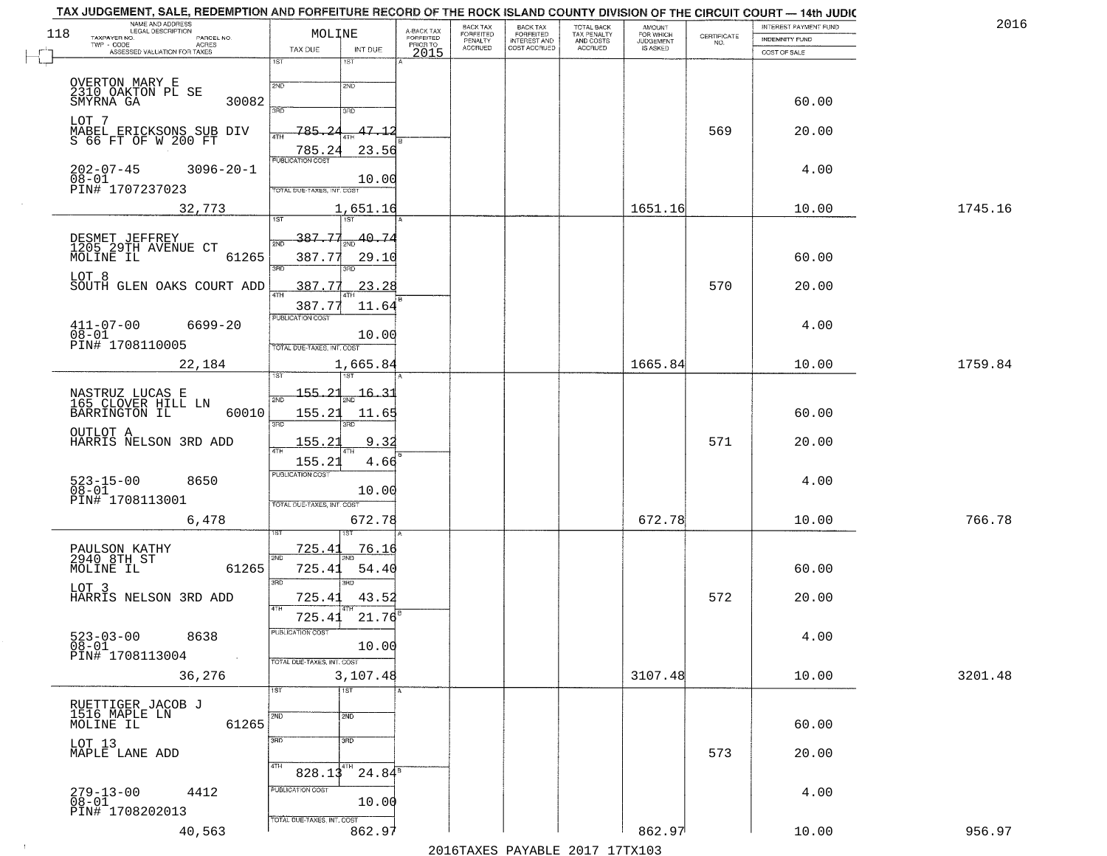|     | TAX JUDGEMENT, SALE, REDEMPTION AND FORFEITURE RECORD OF THE ROCK ISLAND COUNTY DIVISION OF THE CIRCUIT COURT — 14th JUDIC<br>NAME AND ADDRESS<br>LEGAL DESCRIPTION |                            |                              |                                            | BACK TAX                        | BACK TAX<br>FORFEITED        |                                                   | <b>AMOUNT</b>                      |                    | INTEREST PAYMENT FUND                 | 2016    |
|-----|---------------------------------------------------------------------------------------------------------------------------------------------------------------------|----------------------------|------------------------------|--------------------------------------------|---------------------------------|------------------------------|---------------------------------------------------|------------------------------------|--------------------|---------------------------------------|---------|
| 118 | TAXPAYER NO.<br>PARCEL NO.<br>TWP - CODE<br>ACRES<br>ASSESSED VALUATION FOR TAXES                                                                                   | MOLINE<br>TAX DUE          | INT DUE                      | A-BACK TAX<br>FORFEITED<br>PRIORTO<br>2015 | FORFEITED<br>PENALTY<br>ACCRUED | INTEREST AND<br>COST ACCRUED | TOTAL BACK<br>TAX PENALTY<br>AND COSTS<br>ACCRUED | FOR WHICH<br>JUDGEMENT<br>IS ASKED | CERTIFICATE<br>NO. | <b>INDEMNITY FUND</b><br>COST OF SALE |         |
|     |                                                                                                                                                                     | 1ST                        | 18T                          |                                            |                                 |                              |                                                   |                                    |                    |                                       |         |
|     | OVERTON MARY E<br>2310 OAKTON PL SE                                                                                                                                 | 2ND                        | 2ND                          |                                            |                                 |                              |                                                   |                                    |                    |                                       |         |
|     | SMYRNA GA<br>30082                                                                                                                                                  | 3RD                        | 3RD                          |                                            |                                 |                              |                                                   |                                    |                    | 60.00                                 |         |
|     | LOT 7                                                                                                                                                               | 785                        | $47 - 1$                     |                                            |                                 |                              |                                                   |                                    | 569                | 20.00                                 |         |
|     | MABEL ERICKSONS SUB DIV<br>S 66 FT OF W 200 FT                                                                                                                      | 4TH<br>785.24              | 23.56                        |                                            |                                 |                              |                                                   |                                    |                    |                                       |         |
|     | $202 - 07 - 45$<br>$3096 - 20 - 1$                                                                                                                                  | PUBLICATION COST           |                              |                                            |                                 |                              |                                                   |                                    |                    | 4.00                                  |         |
|     | $08 - 01$<br>PIN# 1707237023                                                                                                                                        | TOTAL DUE-TAXES, INT. COST | 10.00                        |                                            |                                 |                              |                                                   |                                    |                    |                                       |         |
|     | 32,773                                                                                                                                                              |                            | 1,651.16                     |                                            |                                 |                              |                                                   | 1651.16                            |                    | 10.00                                 | 1745.16 |
|     |                                                                                                                                                                     | 1ST                        | 1ST                          |                                            |                                 |                              |                                                   |                                    |                    |                                       |         |
|     | DESMET JEFFREY<br>1205 29TH AVENUE CT<br>MOLINE IL<br>61265                                                                                                         | 387.77<br>2ND<br>387.77    | -40 - 74<br>29.10            |                                            |                                 |                              |                                                   |                                    |                    | 60.00                                 |         |
|     | LOT 8                                                                                                                                                               | <b>3RD</b>                 | 3RD                          |                                            |                                 |                              |                                                   |                                    |                    |                                       |         |
|     | SOUTH GLEN OAKS COURT ADD                                                                                                                                           | 387.77                     | 23.28                        |                                            |                                 |                              |                                                   |                                    | 570                | 20.00                                 |         |
|     |                                                                                                                                                                     | 387.77<br>PUBLICATION COST | 11.64                        |                                            |                                 |                              |                                                   |                                    |                    |                                       |         |
|     | $411 - 07 - 00$<br>6699-20<br>$08 - 01$                                                                                                                             |                            | 10.00                        |                                            |                                 |                              |                                                   |                                    |                    | 4.00                                  |         |
|     | PIN# 1708110005                                                                                                                                                     | TOTAL DUE-TAXES, INT. COST |                              |                                            |                                 |                              |                                                   |                                    |                    |                                       |         |
|     | 22,184                                                                                                                                                              |                            | 1,665.84                     |                                            |                                 |                              |                                                   | 1665.84                            |                    | 10.00                                 | 1759.84 |
|     |                                                                                                                                                                     | 21<br>155.                 | $16 - 31$                    |                                            |                                 |                              |                                                   |                                    |                    |                                       |         |
|     | NASTRUZ LUCAS E<br>165 CLOVER HILL LN<br>BARRINGTON IL<br>60010                                                                                                     | 155.21                     | 11.65                        |                                            |                                 |                              |                                                   |                                    |                    | 60.00                                 |         |
|     | OUTLOT A<br>HARRIS NELSON 3RD ADD                                                                                                                                   | 3RD<br>155.23              | 3RD<br>9.32                  |                                            |                                 |                              |                                                   |                                    | 571                | 20.00                                 |         |
|     |                                                                                                                                                                     | 155.21                     | 4.66                         |                                            |                                 |                              |                                                   |                                    |                    |                                       |         |
|     | 8650                                                                                                                                                                | <b>PUBLICATION COST</b>    |                              |                                            |                                 |                              |                                                   |                                    |                    | 4.00                                  |         |
|     | 523-15-00<br>08-01<br>PIN# 1708113001                                                                                                                               | TOTAL OUE-TAXES, INT. COST | 10.00                        |                                            |                                 |                              |                                                   |                                    |                    |                                       |         |
|     | 6,478                                                                                                                                                               |                            | 672.78                       |                                            |                                 |                              |                                                   | 672.78                             |                    | 10.00                                 | 766.78  |
|     |                                                                                                                                                                     | 725.4                      | <u>76.16</u>                 |                                            |                                 |                              |                                                   |                                    |                    |                                       |         |
|     | PAULSON KATHY<br>2940 8TH ST<br>61265<br>MOLINE IL                                                                                                                  | 2ND<br>725.41              | 54.40                        |                                            |                                 |                              |                                                   |                                    |                    | 60.00                                 |         |
|     | LOT 3                                                                                                                                                               | 3RD                        | 3BD                          |                                            |                                 |                              |                                                   |                                    |                    |                                       |         |
|     | HARRIS NELSON 3RD ADD                                                                                                                                               | 725.41<br>4TH              | 43.52                        |                                            |                                 |                              |                                                   |                                    | 572                | 20.00                                 |         |
|     |                                                                                                                                                                     | 725.4<br>PUBLICATION COST  | 21.76                        |                                            |                                 |                              |                                                   |                                    |                    |                                       |         |
|     | $523 - 03 - 00$<br>8638<br>$08 - 01$                                                                                                                                |                            | 10.00                        |                                            |                                 |                              |                                                   |                                    |                    | 4.00                                  |         |
|     | PIN# 1708113004                                                                                                                                                     | TOTAL DUE-TAXES, INT. COST |                              |                                            |                                 |                              |                                                   |                                    |                    |                                       |         |
|     | 36,276                                                                                                                                                              | 1ST                        | 3,107.48<br>$\overline{1ST}$ |                                            |                                 |                              |                                                   | 3107.48                            |                    | 10.00                                 | 3201.48 |
|     | RUETTIGER JACOB J<br>1516 MAPLE LN                                                                                                                                  | 2ND                        | 2ND                          |                                            |                                 |                              |                                                   |                                    |                    |                                       |         |
|     | 61265<br>MOLINE IL                                                                                                                                                  |                            |                              |                                            |                                 |                              |                                                   |                                    |                    | 60.00                                 |         |
|     | LOT 13<br>MAPLE LANE ADD                                                                                                                                            | 3RD                        | 3 <sub>RD</sub>              |                                            |                                 |                              |                                                   |                                    | 573                | 20.00                                 |         |
|     |                                                                                                                                                                     | 4TH<br>$828.13^{4TH}$      | $24.84^8$                    |                                            |                                 |                              |                                                   |                                    |                    |                                       |         |
|     | $279 - 13 - 00$<br>4412                                                                                                                                             | PUBLICATION COST           |                              |                                            |                                 |                              |                                                   |                                    |                    | 4.00                                  |         |
|     | $08 - 01$<br>PIN# 1708202013                                                                                                                                        | TOTAL DUE-TAXES, INT. COST | 10.00                        |                                            |                                 |                              |                                                   |                                    |                    |                                       |         |
|     | 40,563                                                                                                                                                              |                            | 862.97                       |                                            |                                 |                              |                                                   | 862.97                             |                    | 10.00                                 | 956.97  |
|     |                                                                                                                                                                     |                            |                              |                                            |                                 |                              | 2016 TAVES DAVARIE 2017 17 TAV102                 |                                    |                    |                                       |         |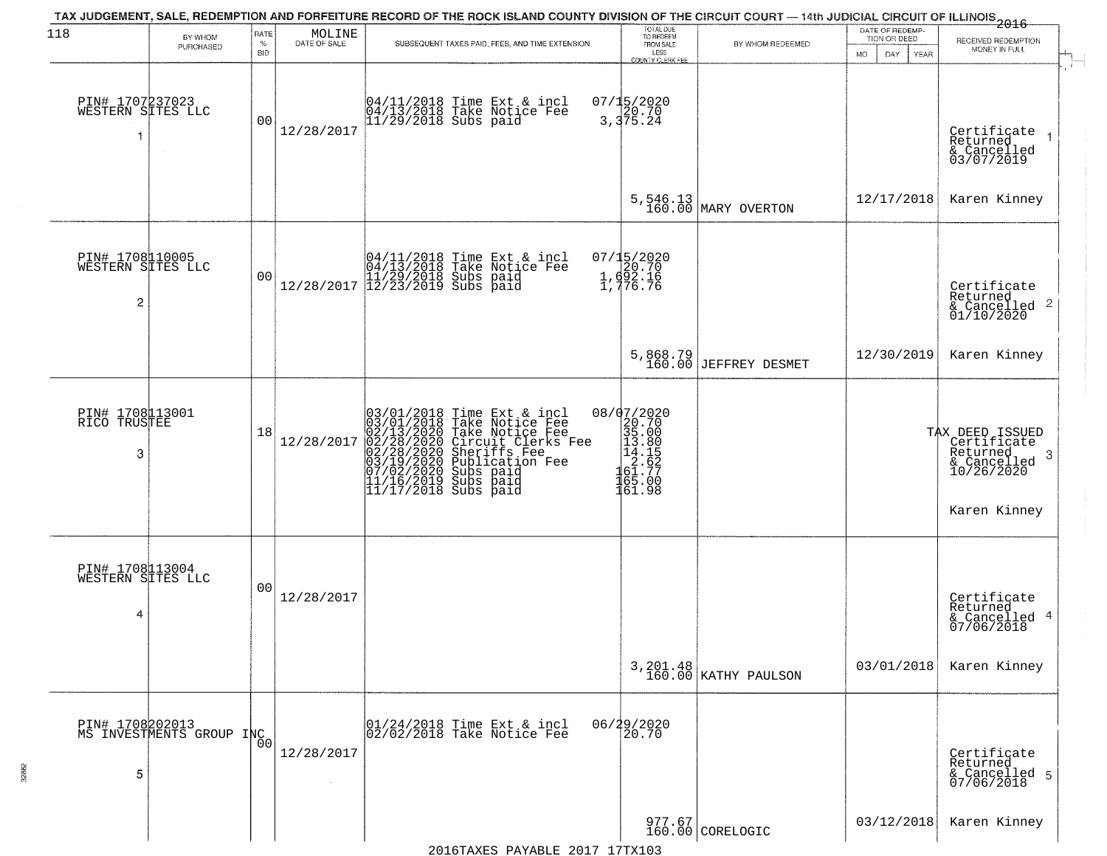| 118                                       | BY WHOM                                     | RATE               | $\begin{array}{c} \text{MOLINE} \\ \text{DATE of SALE} \end{array}$ | TAX JUDGEMENT, SALE, REDEMPTION AND FORFEITURE RECORD OF THE ROCK ISLAND COUNTY DIVISION OF THE CIRCUIT COURT — 14th JUDICIAL CIRCUIT OF ILLINOIS 2016                                                                                             | TOTAL DUE<br>TO REDEEM                                                                                                                                                                          |                                         | DATE OF REDEMP-<br>TION OR DEED | RECEIVED REDEMPTION                                                                            |  |
|-------------------------------------------|---------------------------------------------|--------------------|---------------------------------------------------------------------|----------------------------------------------------------------------------------------------------------------------------------------------------------------------------------------------------------------------------------------------------|-------------------------------------------------------------------------------------------------------------------------------------------------------------------------------------------------|-----------------------------------------|---------------------------------|------------------------------------------------------------------------------------------------|--|
|                                           | PURCHASED                                   | $\%$<br><b>BID</b> |                                                                     | SUBSEQUENT TAXES PAID, FEES, AND TIME EXTENSION                                                                                                                                                                                                    | FROM SALE<br>LESS<br>COUNTY CLERK FEE                                                                                                                                                           | BY WHOM REDEEMED                        | DAY<br>YEAR<br>MO.              | MONEY IN FULL                                                                                  |  |
| PIN# 1707237023<br>WESTERN SITES LLC<br>1 | $\sim$                                      | 0 <sub>0</sub>     | 12/28/2017                                                          | 04/11/2018 Time Ext & incl<br>04/13/2018 Take Notice Fee<br>11/29/2018 Subs paid                                                                                                                                                                   | 07/15/2020<br>3,375.24                                                                                                                                                                          |                                         |                                 | Certificate<br>Returned<br>& Cancelled<br>03/07/2019                                           |  |
|                                           |                                             |                    |                                                                     |                                                                                                                                                                                                                                                    |                                                                                                                                                                                                 | 5,546.13<br>160.00 MARY OVERTON         | 12/17/2018                      | Karen Kinney                                                                                   |  |
| PIN# 1708110005<br>WESTERN SITES LLC<br>2 |                                             | 0 <sub>0</sub>     |                                                                     | $[04/11/2018 \tTime Ext & incl \\ 04/13/2018 \tTake Notice Free \\ 11/29/2018 Subs paid \\ 12/28/2017 \t] 12/23/2019 Subs paid$                                                                                                                    | 07/15/2020<br>20.70<br>1, d92.16<br>1, 776.76                                                                                                                                                   |                                         |                                 | Certificate<br>Returned<br>$\begin{array}{c}\n 2.11116 \\  \hline\n 6.011012020\n \end{array}$ |  |
|                                           |                                             |                    |                                                                     |                                                                                                                                                                                                                                                    |                                                                                                                                                                                                 | 5,868.79<br>160.00 JEFFREY DESMET       | 12/30/2019                      | Karen Kinney                                                                                   |  |
| PIN# 1708113001<br>RICO TRUSTEE<br>3      |                                             | 18                 | 12/28/2017                                                          | 03/01/2018 Time Ext & incl<br>03/01/2018 Take Notice Fee<br>02/13/2020 Take Notice Fee<br>02/28/2020 Circuit Clerks Fee<br>02/28/2020 Sheriffs Fee<br>03/19/2020 Subs paid<br>07/02/2020 Subs paid<br>11/16/2019 Subs paid<br>11/17/2018 Subs paid | 08/07/2020<br>$\begin{smallmatrix} 2 & 2 & 7 & 0 \\ 2 & 0 & 7 & 0 \\ 3 & 5 & 0 & 0 \\ 1 & 3 & 0 & 8 \\ 1 & 4 & 1 & 5 \\ 6 & 1 & 7 & 7 \\ 16 & 5 & 0 & 0 \\ 16 & 1 & 9 & 8 \\ \end{smallmatrix}$ |                                         |                                 | TAX DEED ISSUED<br>Certificate<br>Returned<br>-3<br>& Cancelled<br>10/26/2020<br>Karen Kinney  |  |
| PIN# 1708113004<br>WESTERN SITES LLC<br>4 |                                             | 0 <sub>0</sub>     | 12/28/2017                                                          |                                                                                                                                                                                                                                                    |                                                                                                                                                                                                 |                                         |                                 | Certificate<br>Returned<br>& Cancelled 4<br>07/06/2018                                         |  |
|                                           |                                             |                    |                                                                     |                                                                                                                                                                                                                                                    |                                                                                                                                                                                                 | $3,201.48 \n  160.00 \n  KATHY PAULSON$ | 03/01/2018                      | Karen Kinney                                                                                   |  |
| 5                                         | PIN# 1708202013<br>MS INVESTMENTS GROUP INC | 0 <sub>0</sub>     | 12/28/2017                                                          | 01/24/2018 Time Ext & incl<br>02/02/2018 Take Notice Fee                                                                                                                                                                                           | 06/29/2020<br>20.70                                                                                                                                                                             |                                         |                                 | Certificate<br>Returned<br>& Cancelled 5<br>07/06/2018                                         |  |
|                                           |                                             |                    |                                                                     |                                                                                                                                                                                                                                                    |                                                                                                                                                                                                 | 977.67<br>160.00 CORELOGIC              | 03/12/2018                      | Karen Kinney                                                                                   |  |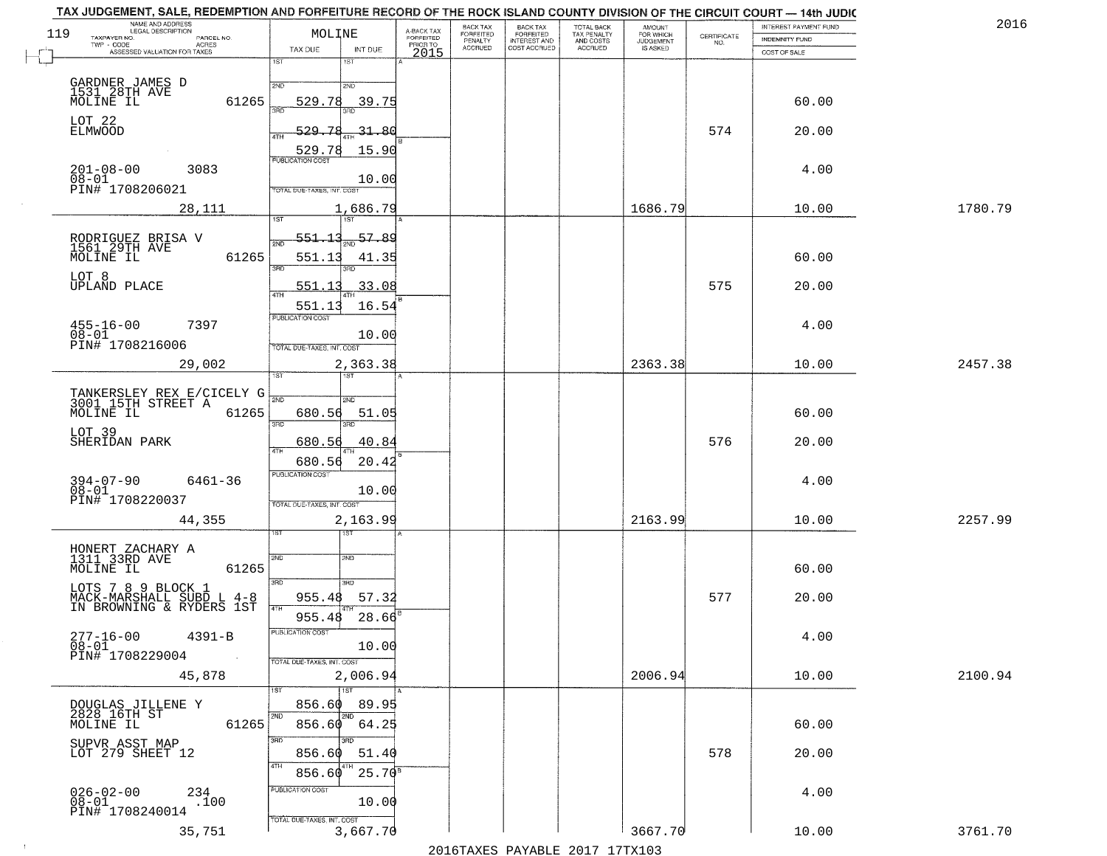| 119                          | NAME AND ADDRESS<br>LEGAL DESCRIPTION<br>TAXPAYER NO.<br>PARCEL NO.<br>TWP - CODE<br><b>ACRES</b> | MOLINE                                     | A-BACK TAX<br>FORFEITED<br>PRIOR TO | FORFEITED      | BACK TAX<br>FORFEITED<br>INTEREST AND |                                        | AMOUNT<br>FOR WHICH |                                                                 |                |         |
|------------------------------|---------------------------------------------------------------------------------------------------|--------------------------------------------|-------------------------------------|----------------|---------------------------------------|----------------------------------------|---------------------|-----------------------------------------------------------------|----------------|---------|
|                              |                                                                                                   |                                            |                                     | PENALTY        |                                       | TOTAL BACK<br>TAX PENALTY<br>AND COSTS | <b>JUDGEMENT</b>    | $\begin{array}{c} \text{CERTIFICATE} \\ \text{NO.} \end{array}$ | INDEMNITY FUND |         |
|                              | ASSESSED VALUATION FOR TAXES                                                                      | TAX DUE<br>INT DUE                         | 2015                                | <b>ACCRUED</b> | COST ACCRUED                          | ACCRUED                                | IS ASKED            |                                                                 | COST OF SALE   |         |
|                              |                                                                                                   | 1ST<br>1ST                                 |                                     |                |                                       |                                        |                     |                                                                 |                |         |
|                              |                                                                                                   |                                            |                                     |                |                                       |                                        |                     |                                                                 |                |         |
|                              | GARDNER JAMES D<br>1531 28TH AVE<br>MOLINE IL                                                     | 2ND<br>2ND                                 |                                     |                |                                       |                                        |                     |                                                                 |                |         |
|                              | 61265                                                                                             | 529.78<br>39.75                            |                                     |                |                                       |                                        |                     |                                                                 | 60.00          |         |
| LOT 22                       |                                                                                                   |                                            |                                     |                |                                       |                                        |                     |                                                                 |                |         |
| ELMWOOD                      |                                                                                                   | 529.78<br>31.80                            |                                     |                |                                       |                                        |                     | 574                                                             | 20.00          |         |
|                              |                                                                                                   | 15.90<br>529.78                            |                                     |                |                                       |                                        |                     |                                                                 |                |         |
|                              | 3083                                                                                              | <b>PUBLICATION COST</b>                    |                                     |                |                                       |                                        |                     |                                                                 | 4.00           |         |
|                              | $201 - 08 - 00$<br>$08 - 01$                                                                      | 10.00                                      |                                     |                |                                       |                                        |                     |                                                                 |                |         |
|                              | PIN# 1708206021                                                                                   | <b>TOTAL DUE-TAXES, INT. COST</b>          |                                     |                |                                       |                                        |                     |                                                                 |                |         |
|                              | 28,111                                                                                            | 1,686.79                                   |                                     |                |                                       |                                        | 1686.79             |                                                                 | 10.00          | 1780.79 |
|                              |                                                                                                   |                                            |                                     |                |                                       |                                        |                     |                                                                 |                |         |
|                              |                                                                                                   | 57.89<br><u>551.13</u>                     |                                     |                |                                       |                                        |                     |                                                                 |                |         |
|                              | RODRIGUEZ BRISA V<br>1561 29TH AVE                                                                |                                            |                                     |                |                                       |                                        |                     |                                                                 |                |         |
|                              | 61265<br>MOLINE IL                                                                                | 551.13<br>41.35<br>3BD                     |                                     |                |                                       |                                        |                     |                                                                 | 60.00          |         |
| LOT 8                        |                                                                                                   |                                            |                                     |                |                                       |                                        |                     | 575                                                             |                |         |
|                              | <b>UPLAND PLACE</b>                                                                               | .33.08<br>551.13                           |                                     |                |                                       |                                        |                     |                                                                 | 20.00          |         |
|                              |                                                                                                   | 16.54<br>551.13                            |                                     |                |                                       |                                        |                     |                                                                 |                |         |
|                              | $455 - 16 - 00$<br>7397                                                                           | PUBLICATION COST                           |                                     |                |                                       |                                        |                     |                                                                 | 4.00           |         |
| $08 - 01$                    | PIN# 1708216006                                                                                   | 10.00                                      |                                     |                |                                       |                                        |                     |                                                                 |                |         |
|                              |                                                                                                   | TOTAL DUE-TAXES, INT. COST                 |                                     |                |                                       |                                        |                     |                                                                 |                |         |
|                              | 29,002                                                                                            | 2,363.38                                   |                                     |                |                                       |                                        | 2363.38             |                                                                 | 10.00          | 2457.38 |
|                              |                                                                                                   | IST.<br>'ST                                |                                     |                |                                       |                                        |                     |                                                                 |                |         |
|                              | TANKERSLEY REX E/CICELY G<br>3001_15TH STREET A                                                   | 2ND<br>2ND                                 |                                     |                |                                       |                                        |                     |                                                                 |                |         |
|                              | MOLINE IL<br>61265                                                                                | 680.56<br>51.05                            |                                     |                |                                       |                                        |                     |                                                                 | 60.00          |         |
|                              |                                                                                                   | 3RD<br>3RD                                 |                                     |                |                                       |                                        |                     |                                                                 |                |         |
| LOT 39                       | SHERIDAN PARK                                                                                     | 680.56<br>40.84                            |                                     |                |                                       |                                        |                     | 576                                                             | 20.00          |         |
|                              |                                                                                                   | 4TH                                        |                                     |                |                                       |                                        |                     |                                                                 |                |         |
|                              |                                                                                                   | 20.42<br>680.56<br><b>PUBLICATION COST</b> |                                     |                |                                       |                                        |                     |                                                                 |                |         |
|                              | $394 - 07 - 90$<br>6461-36                                                                        |                                            |                                     |                |                                       |                                        |                     |                                                                 | 4.00           |         |
| $08 - 01$                    | PIN# 1708220037                                                                                   | 10.00<br>TOTAL OUE-TAXES, INT. COST        |                                     |                |                                       |                                        |                     |                                                                 |                |         |
|                              |                                                                                                   |                                            |                                     |                |                                       |                                        | 2163.99             |                                                                 |                | 2257.99 |
|                              | 44,355                                                                                            | 2,163.99<br>187                            |                                     |                |                                       |                                        |                     |                                                                 | 10.00          |         |
|                              |                                                                                                   |                                            |                                     |                |                                       |                                        |                     |                                                                 |                |         |
|                              | HONERT ZACHARY A<br>1311 33RD AVE                                                                 | 2ND<br>2ND                                 |                                     |                |                                       |                                        |                     |                                                                 |                |         |
|                              | MOLINE IL<br>61265                                                                                |                                            |                                     |                |                                       |                                        |                     |                                                                 | 60.00          |         |
|                              |                                                                                                   | 3RD<br>3RD                                 |                                     |                |                                       |                                        |                     |                                                                 |                |         |
|                              | LOTS 7 8 9 BLOCK 1<br>MACK-MARSHALL SUBD L 4-8<br>IN BROWNING & RYDERS 1ST                        | 57.32<br>955.48                            |                                     |                |                                       |                                        |                     | 577                                                             | 20.00          |         |
|                              |                                                                                                   | 4TH<br>28.66<br>955.48                     |                                     |                |                                       |                                        |                     |                                                                 |                |         |
|                              |                                                                                                   | PUBLICATION COS-                           |                                     |                |                                       |                                        |                     |                                                                 |                |         |
| $08 - 01$                    | $277 - 16 - 00$<br>$4391 - B$                                                                     | 10.00                                      |                                     |                |                                       |                                        |                     |                                                                 | 4.00           |         |
|                              | PIN# 1708229004<br>$\sim 100$                                                                     | TOTAL DUE-TAXES, INT. COST                 |                                     |                |                                       |                                        |                     |                                                                 |                |         |
|                              | 45,878                                                                                            | 2,006.94                                   |                                     |                |                                       |                                        | 2006.94             |                                                                 | 10.00          | 2100.94 |
|                              |                                                                                                   | 1ST                                        |                                     |                |                                       |                                        |                     |                                                                 |                |         |
|                              | DOUGLAS JILLENE Y                                                                                 | 89.95<br>856.60                            |                                     |                |                                       |                                        |                     |                                                                 |                |         |
|                              | 2828 16TH ST                                                                                      | 2ND                                        |                                     |                |                                       |                                        |                     |                                                                 |                |         |
|                              | 61265<br>MOLINE IL                                                                                | 856.60<br>64.25                            |                                     |                |                                       |                                        |                     |                                                                 | 60.00          |         |
|                              | SUPVR_ASST MAP                                                                                    | 3RD<br>3RD                                 |                                     |                |                                       |                                        |                     |                                                                 |                |         |
|                              | LOT 279 SHEET 12                                                                                  | 856.60<br>51.40                            |                                     |                |                                       |                                        |                     | 578                                                             | 20.00          |         |
|                              |                                                                                                   | 4TH<br>$25.70^8$<br>856.60                 |                                     |                |                                       |                                        |                     |                                                                 |                |         |
|                              | 234                                                                                               | PUBLICATION COST                           |                                     |                |                                       |                                        |                     |                                                                 | 4.00           |         |
|                              |                                                                                                   |                                            |                                     |                |                                       |                                        |                     |                                                                 |                |         |
| $026 - 02 - 00$<br>$08 - 01$ | .100                                                                                              | 10.00                                      |                                     |                |                                       |                                        |                     |                                                                 |                |         |
|                              | PIN# 1708240014                                                                                   | TOTAL DUE-TAXES, INT. COST                 |                                     |                |                                       |                                        |                     |                                                                 |                |         |
|                              | 35,751                                                                                            | 3,667.70                                   |                                     |                |                                       |                                        | 3667.70             |                                                                 | 10.00          | 3761.70 |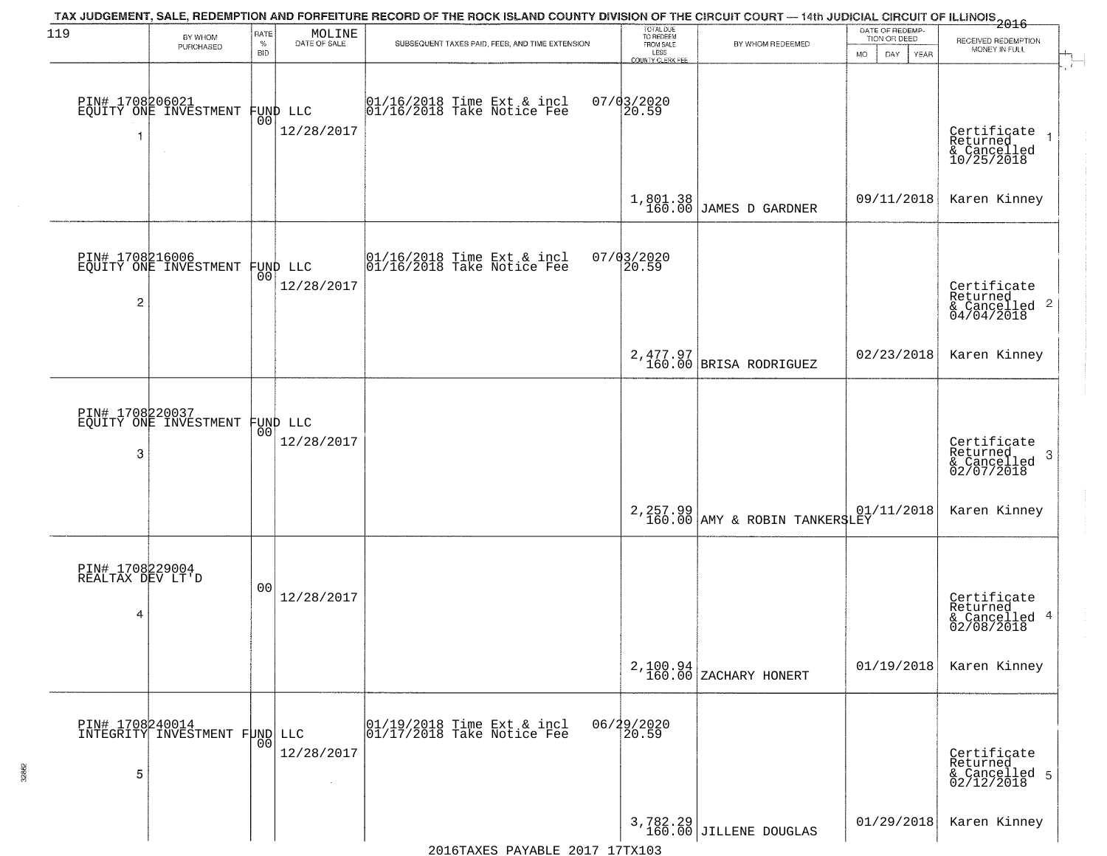| 119                                      | BY WHOM<br>PURCHASED                              | RATE<br>$\%$<br><b>BID</b> | MOLINE<br>DATE OF SALE | TAX JUDGEMENT, SALE, REDEMPTION AND FORFEITURE RECORD OF THE ROCK ISLAND COUNTY DIVISION OF THE CIRCUIT COURT — 14th JUDICIAL CIRCUIT OF ILLINOIS 2016<br>SUBSEQUENT TAXES PAID, FEES, AND TIME EXTENSION | TOTAL DUE<br>TO REDEEM<br>FROM SALE<br>LESS | BY WHOM REDEEMED                               | DATE OF REDEMP-<br>TION OR DEED<br>MO.<br>DAY.<br>YEAR | RECEIVED REDEMPTION<br>MONEY IN FULL                        |
|------------------------------------------|---------------------------------------------------|----------------------------|------------------------|-----------------------------------------------------------------------------------------------------------------------------------------------------------------------------------------------------------|---------------------------------------------|------------------------------------------------|--------------------------------------------------------|-------------------------------------------------------------|
|                                          | PIN# 1708206021<br>EQUITY ONE INVESTMENT          | 00                         | FUND LLC<br>12/28/2017 | $01/16/2018$ Time Ext & incl<br>$01/16/2018$ Take Notice Fee                                                                                                                                              | COUNTY CLERK FEE<br>$07/03/2020$<br>20.59   |                                                |                                                        | Certificate<br>Returned<br>& Cancelled<br>10/25/2018        |
|                                          |                                                   |                            |                        |                                                                                                                                                                                                           |                                             | $1,801.38$ JAMES D GARDNER                     | 09/11/2018                                             | Karen Kinney                                                |
| $\overline{c}$                           | PIN# 1708216006<br>EQUITY ONE INVESTMENT FUND LLC |                            | 12/28/2017             | $\begin{array}{cc}  01/16/2018 \text{ Time} \text{ Ext} & \text{incl} \\  01/16/2018 \text{ Take Notice } \text{Fe} \end{array}$                                                                          | 07/03/2020<br>20.59                         |                                                |                                                        | Certificate<br>Returned<br>$\frac{12241160}{604/04/2018}$ 2 |
|                                          |                                                   |                            |                        |                                                                                                                                                                                                           |                                             | 2,477.97<br>160.00 BRISA RODRIGUEZ             | 02/23/2018                                             | Karen Kinney                                                |
| PIN# 1708220037<br>3                     | EQUITY ONE INVESTMENT                             | 00                         | FUND LLC<br>12/28/2017 |                                                                                                                                                                                                           |                                             |                                                |                                                        | Certificate<br>Returned<br>3<br>& Cancelled<br>02/07/2018   |
|                                          |                                                   |                            |                        |                                                                                                                                                                                                           |                                             | 2, 257.99 01,<br>160.00 AMY & ROBIN TANKERSLEY | 01/11/2018                                             | Karen Kinney                                                |
| PIN# 1708229004<br>REALTAX DEV LT'D<br>4 |                                                   | 00                         | 12/28/2017             |                                                                                                                                                                                                           |                                             |                                                |                                                        | Certificate<br>Returned<br>& Cancelled 4<br>02/08/2018      |
|                                          |                                                   |                            |                        |                                                                                                                                                                                                           |                                             | 2,100.94<br>160.00 ZACHARY HONERT              | 01/19/2018                                             | Karen Kinney                                                |
| 5                                        | PIN# 1708240014<br>INTEGRITY INVESTMENT FUND LLC  | 0 <sub>0</sub>             | 12/28/2017<br>$\sim$   | $\begin{array}{c}  01/19/2018 \overline{\hspace{0.2cm}1}$ rime Ext & incl<br>$ 01/17/2018 \overline{\hspace{0.2cm}1}$ Take Notice Fee                                                                     | 06/29/2020<br>20.59                         |                                                |                                                        | Certificate<br>Returned<br>& Cancelled 5<br>02/12/2018      |
|                                          |                                                   |                            |                        |                                                                                                                                                                                                           |                                             | 3,782.29<br>160.00 JILLENE DOUGLAS             | 01/29/2018                                             | Karen Kinney                                                |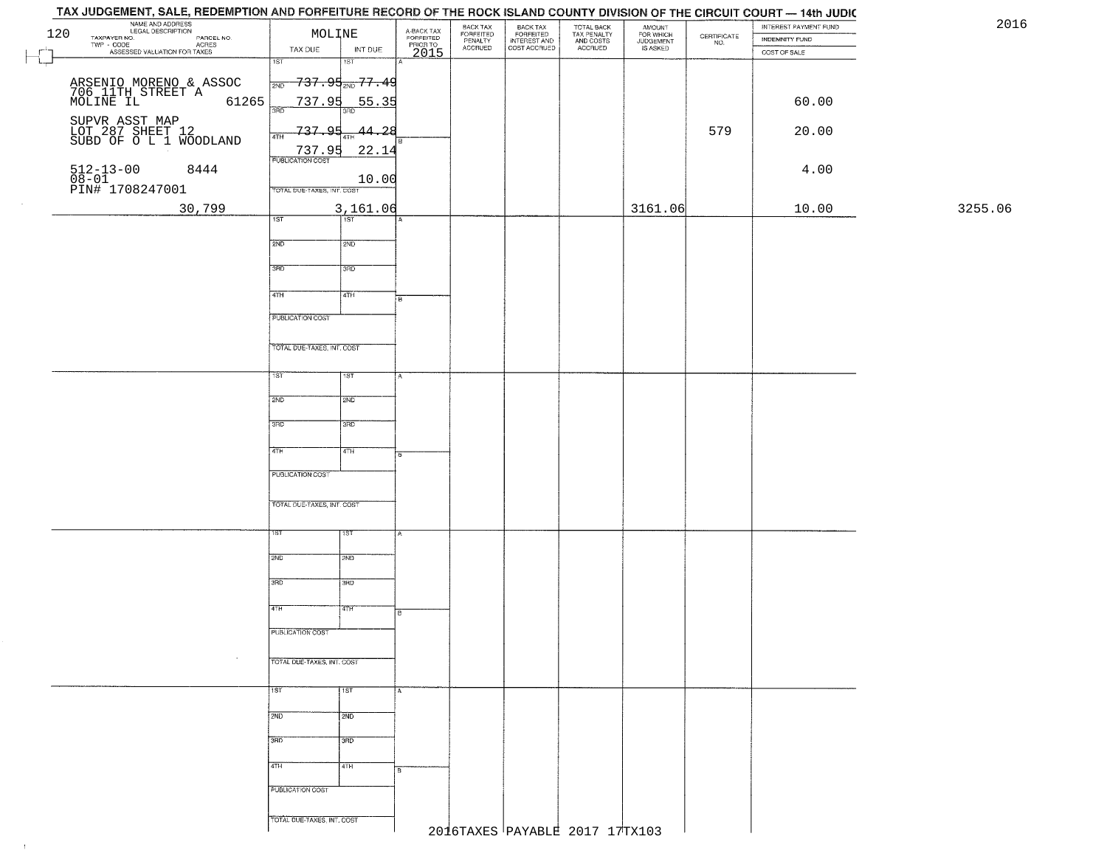|     | NAME AND ADDRESS<br>LEGAL DESCRIPTION                        | MOLINE                                        | A-BACK TAX<br>FORFEITED | BACK TAX<br>FORFEITED | BACK TAX<br>FORFEITED |                                                   | <b>AMOUNT</b>                      |                                                                 | INTEREST PAYMENT FUND | 2016    |
|-----|--------------------------------------------------------------|-----------------------------------------------|-------------------------|-----------------------|-----------------------|---------------------------------------------------|------------------------------------|-----------------------------------------------------------------|-----------------------|---------|
| 120 | TAXPAYER NO.<br>PARCEL NO.<br>TWP - CODE                     |                                               |                         | PENALTY<br>ACCRUED    | INTEREST AND          | TOTAL BACK<br>TAX PENALTY<br>AND COSTS<br>ACCRUED | FOR WHICH<br>JUDGEMENT<br>IS ASKED | $\begin{array}{c} \text{CEPTIFICATE} \\ \text{NO.} \end{array}$ | INDEMNITY FUND        |         |
|     | - CODE ACRES<br>ASSESSED VALUATION FOR TAXES                 | TAX DUE<br>INT DUE<br>$\overline{1ST}$<br>1ST | PRIOR TO<br>2015        |                       |                       |                                                   |                                    |                                                                 | COST OF SALE          |         |
|     |                                                              |                                               |                         |                       |                       |                                                   |                                    |                                                                 |                       |         |
|     | ARSENIO MORENO & ASSOC<br>706 11TH STREET A<br>MOLINE IL 612 | <del>737.95<sub>200</sub>77.4</del> 9<br>2ND  |                         |                       |                       |                                                   |                                    |                                                                 |                       |         |
|     | 61265                                                        | 737.95<br><u>55.35</u>                        |                         |                       |                       |                                                   |                                    |                                                                 | 60.00                 |         |
|     |                                                              | 3RD<br>3BD                                    |                         |                       |                       |                                                   |                                    |                                                                 |                       |         |
|     | SUPVR ASST MAP<br>LOT 287 SHEET 12<br>SUBD OF O L 1 WOODLAND | 737.95<br><u>44.28</u><br>4TH                 |                         |                       |                       |                                                   |                                    | 579                                                             | 20.00                 |         |
|     |                                                              | 737.95<br>22.14                               |                         |                       |                       |                                                   |                                    |                                                                 |                       |         |
|     | 8444                                                         | <b>PUBLICATION COST</b>                       |                         |                       |                       |                                                   |                                    |                                                                 | 4.00                  |         |
|     | 512-13-00 {<br>08-01<br>PIN# 1708247001                      | 10.00                                         |                         |                       |                       |                                                   |                                    |                                                                 |                       |         |
|     |                                                              | TOTAL DUE-TAXES, INT. COST                    |                         |                       |                       |                                                   |                                    |                                                                 |                       |         |
|     | 30,799                                                       | 3,161.06                                      |                         |                       |                       |                                                   | 3161.06                            |                                                                 | 10.00                 | 3255.06 |
|     |                                                              | $\overline{1ST}$<br>1ST                       |                         |                       |                       |                                                   |                                    |                                                                 |                       |         |
|     |                                                              | 2ND<br>2ND                                    |                         |                       |                       |                                                   |                                    |                                                                 |                       |         |
|     |                                                              |                                               |                         |                       |                       |                                                   |                                    |                                                                 |                       |         |
|     |                                                              | 3RD<br>3RD                                    |                         |                       |                       |                                                   |                                    |                                                                 |                       |         |
|     |                                                              |                                               |                         |                       |                       |                                                   |                                    |                                                                 |                       |         |
|     |                                                              | 47H<br>4TH                                    |                         |                       |                       |                                                   |                                    |                                                                 |                       |         |
|     |                                                              | PUBLICATION COST                              |                         |                       |                       |                                                   |                                    |                                                                 |                       |         |
|     |                                                              |                                               |                         |                       |                       |                                                   |                                    |                                                                 |                       |         |
|     |                                                              | TOTAL DUE-TAXES, INT. COST                    |                         |                       |                       |                                                   |                                    |                                                                 |                       |         |
|     |                                                              |                                               |                         |                       |                       |                                                   |                                    |                                                                 |                       |         |
|     |                                                              | ist<br>1ST                                    |                         |                       |                       |                                                   |                                    |                                                                 |                       |         |
|     |                                                              | 2ND<br>2ND                                    |                         |                       |                       |                                                   |                                    |                                                                 |                       |         |
|     |                                                              |                                               |                         |                       |                       |                                                   |                                    |                                                                 |                       |         |
|     |                                                              | 3 <sub>BD</sub><br>3 <sub>BD</sub>            |                         |                       |                       |                                                   |                                    |                                                                 |                       |         |
|     |                                                              |                                               |                         |                       |                       |                                                   |                                    |                                                                 |                       |         |
|     |                                                              | 4TH<br>4TH                                    | 8                       |                       |                       |                                                   |                                    |                                                                 |                       |         |
|     |                                                              | PUBLICATION COST                              |                         |                       |                       |                                                   |                                    |                                                                 |                       |         |
|     |                                                              |                                               |                         |                       |                       |                                                   |                                    |                                                                 |                       |         |
|     |                                                              | TOTAL OUE-TAXES, INT. COST                    |                         |                       |                       |                                                   |                                    |                                                                 |                       |         |
|     |                                                              |                                               |                         |                       |                       |                                                   |                                    |                                                                 |                       |         |
|     |                                                              | १९४<br>ΙSΤ                                    |                         |                       |                       |                                                   |                                    |                                                                 |                       |         |
|     |                                                              | 2ND<br>2ND                                    |                         |                       |                       |                                                   |                                    |                                                                 |                       |         |
|     |                                                              |                                               |                         |                       |                       |                                                   |                                    |                                                                 |                       |         |
|     |                                                              | 3RD<br>3BD                                    |                         |                       |                       |                                                   |                                    |                                                                 |                       |         |
|     |                                                              |                                               |                         |                       |                       |                                                   |                                    |                                                                 |                       |         |
|     |                                                              | 4TH<br>बिहास                                  |                         |                       |                       |                                                   |                                    |                                                                 |                       |         |
|     |                                                              | PUBLICATION COST                              |                         |                       |                       |                                                   |                                    |                                                                 |                       |         |
|     |                                                              |                                               |                         |                       |                       |                                                   |                                    |                                                                 |                       |         |
|     | $\sim$                                                       | TOTAL DUE-TAXES, INT. COST                    |                         |                       |                       |                                                   |                                    |                                                                 |                       |         |
|     |                                                              |                                               |                         |                       |                       |                                                   |                                    |                                                                 |                       |         |
|     |                                                              | 1ST<br> 15T                                   | A                       |                       |                       |                                                   |                                    |                                                                 |                       |         |
|     |                                                              |                                               |                         |                       |                       |                                                   |                                    |                                                                 |                       |         |
|     |                                                              | 2ND<br>2ND                                    |                         |                       |                       |                                                   |                                    |                                                                 |                       |         |
|     |                                                              | 3BD<br>उत्तर                                  |                         |                       |                       |                                                   |                                    |                                                                 |                       |         |
|     |                                                              |                                               |                         |                       |                       |                                                   |                                    |                                                                 |                       |         |
|     |                                                              | 4TH<br>4TH                                    | lв                      |                       |                       |                                                   |                                    |                                                                 |                       |         |
|     |                                                              | PUBLICATION COST                              |                         |                       |                       |                                                   |                                    |                                                                 |                       |         |
|     |                                                              |                                               |                         |                       |                       |                                                   |                                    |                                                                 |                       |         |
|     |                                                              |                                               |                         |                       |                       |                                                   |                                    |                                                                 |                       |         |
|     |                                                              | TOTAL DUE-TAXES, INT. COST                    |                         |                       |                       |                                                   |                                    |                                                                 |                       |         |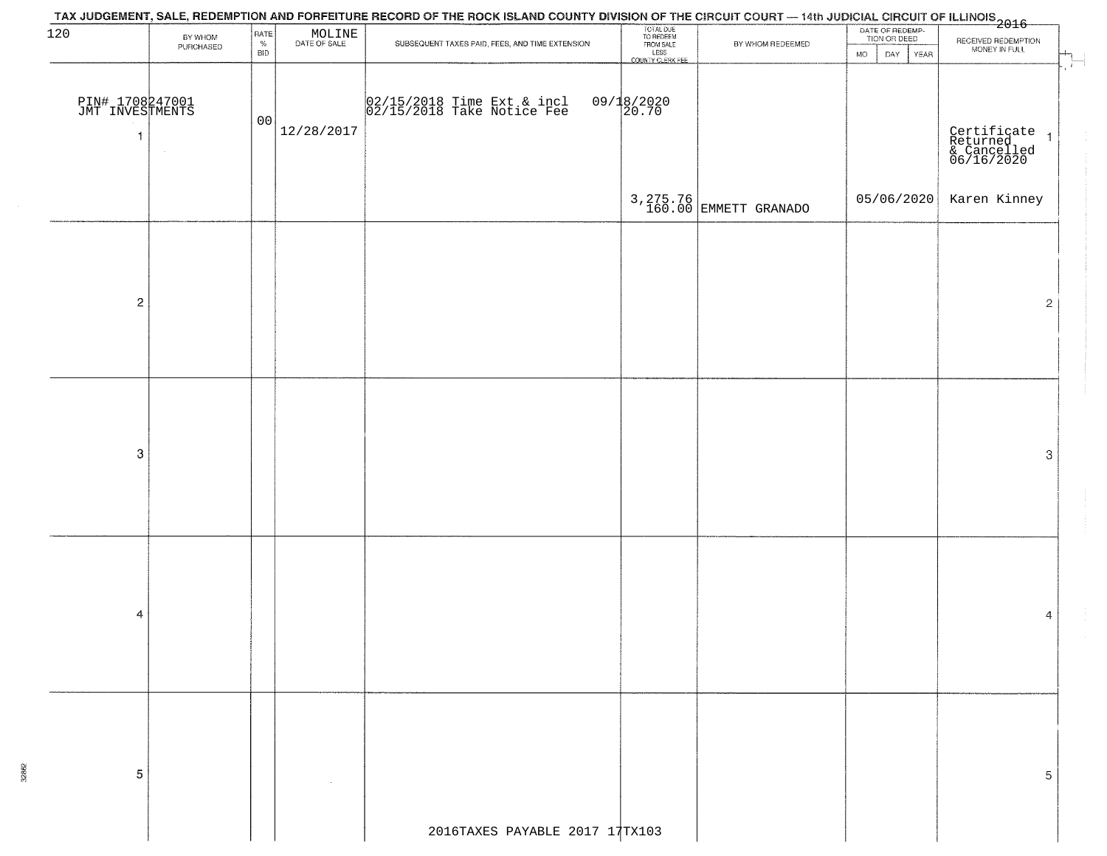| 120                                                  | BY WHOM<br>PURCHASED | RATE<br>$\%$<br><b>BID</b> | $\begin{array}{c} \text{MOLINE} \\ \text{DATE of sale} \end{array}$ | TAX JUDGEMENT, SALE, REDEMPTION AND FORFEITURE RECORD OF THE ROCK ISLAND COUNTY DIVISION OF THE CIRCUIT COURT — 14th JUDICIAL CIRCUIT OF ILLINOIS<br>2016 - And Lease Lease Lease Lease Lease Lease Lease Lease Lease Lease Lease<br>SUBSEQUENT TAXES PAID, FEES, AND TIME EXTENSION | TOTAL DUE<br>TO REDEEM<br>FROM SALE<br>LESS<br>COUNTY CLERK FEE | BY WHOM REDEEMED                   | DATE OF REDEMP-<br>TION OR DEED<br><b>MO</b><br>DAY YEAR | RECEIVED REDEMPTION<br>MONEY IN FULL                   |
|------------------------------------------------------|----------------------|----------------------------|---------------------------------------------------------------------|--------------------------------------------------------------------------------------------------------------------------------------------------------------------------------------------------------------------------------------------------------------------------------------|-----------------------------------------------------------------|------------------------------------|----------------------------------------------------------|--------------------------------------------------------|
| PIN# 1708247001<br>JMT INVESTMENTS<br>$\overline{1}$ |                      | 00                         | 12/28/2017                                                          | 02/15/2018 Time Ext & incl<br>02/15/2018 Take Notice Fee                                                                                                                                                                                                                             | $09/18/2020$<br>20.70                                           |                                    |                                                          | Certificate<br>Returned 1<br>& Cancelled<br>06/16/2020 |
|                                                      |                      |                            |                                                                     |                                                                                                                                                                                                                                                                                      |                                                                 | 3, 275.76<br>160.00 EMMETT GRANADO | 05/06/2020                                               | Karen Kinney                                           |
|                                                      |                      |                            |                                                                     |                                                                                                                                                                                                                                                                                      |                                                                 |                                    |                                                          |                                                        |
| $\overline{c}$                                       |                      |                            |                                                                     |                                                                                                                                                                                                                                                                                      |                                                                 |                                    |                                                          | $\mathbf{2}$                                           |
|                                                      |                      |                            |                                                                     |                                                                                                                                                                                                                                                                                      |                                                                 |                                    |                                                          |                                                        |
|                                                      |                      |                            |                                                                     |                                                                                                                                                                                                                                                                                      |                                                                 |                                    |                                                          |                                                        |
| $\boldsymbol{3}$                                     |                      |                            |                                                                     |                                                                                                                                                                                                                                                                                      |                                                                 |                                    |                                                          | $\ensuremath{\mathbf{3}}$                              |
|                                                      |                      |                            |                                                                     |                                                                                                                                                                                                                                                                                      |                                                                 |                                    |                                                          |                                                        |
|                                                      |                      |                            |                                                                     |                                                                                                                                                                                                                                                                                      |                                                                 |                                    |                                                          |                                                        |
| 4                                                    |                      |                            |                                                                     |                                                                                                                                                                                                                                                                                      |                                                                 |                                    |                                                          | 4                                                      |
|                                                      |                      |                            |                                                                     |                                                                                                                                                                                                                                                                                      |                                                                 |                                    |                                                          |                                                        |
|                                                      |                      |                            |                                                                     |                                                                                                                                                                                                                                                                                      |                                                                 |                                    |                                                          |                                                        |
| 5                                                    |                      |                            |                                                                     |                                                                                                                                                                                                                                                                                      |                                                                 |                                    |                                                          | 5                                                      |
|                                                      |                      |                            |                                                                     | 2016TAXES PAYABLE 2017 17TX103                                                                                                                                                                                                                                                       |                                                                 |                                    |                                                          |                                                        |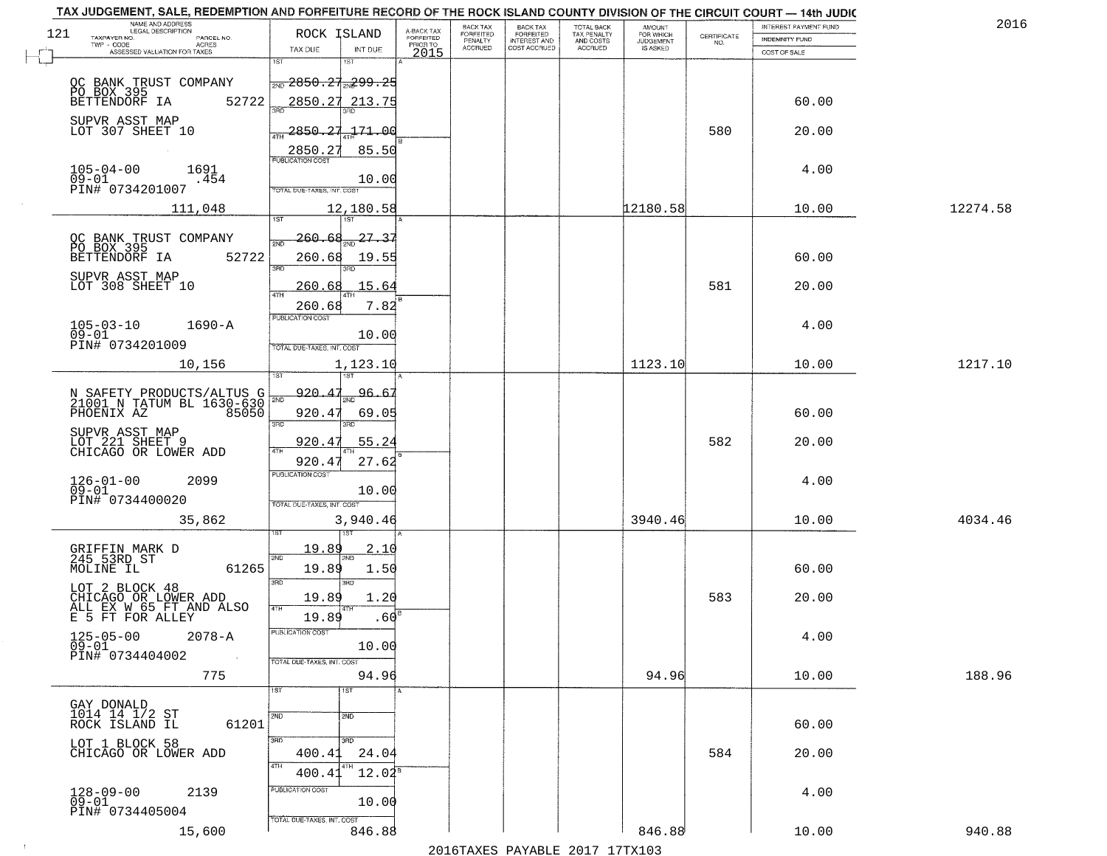|     | TAX JUDGEMENT, SALE, REDEMPTION AND FORFEITURE RECORD OF THE ROCK ISLAND COUNTY DIVISION OF THE CIRCUIT COURT - 14th JUDIC<br>NAME AND ADDRESS<br>LEGAL DESCRIPTION |                                                         |                                     | BACK TAX             | <b>BACK TAX</b>                  |                                        |                                  |                                                                 | INTEREST PAYMENT FUND | 2016     |
|-----|---------------------------------------------------------------------------------------------------------------------------------------------------------------------|---------------------------------------------------------|-------------------------------------|----------------------|----------------------------------|----------------------------------------|----------------------------------|-----------------------------------------------------------------|-----------------------|----------|
| 121 | TAXPAYER NO.<br>PARCEL NO.<br>ACRES                                                                                                                                 | ROCK ISLAND                                             | A-BACK TAX<br>FORFEITED<br>PRIOR TO | FORFEITED<br>PENALTY | FORFEITED<br><b>INTEREST AND</b> | TOTAL BACK<br>TAX PENALTY<br>AND COSTS | AMOUNT<br>FOR WHICH<br>JUDGEMENT | $\begin{array}{c} \text{CERTIFICATE} \\ \text{NO.} \end{array}$ | <b>INDEMNITY FUND</b> |          |
|     | ASSESSED VALUATION FOR TAXES                                                                                                                                        | TAX DUE<br>INT DUE                                      | 2015                                | <b>ACCRUED</b>       | COST ACCRUED                     | ACCRUED                                | IS ASKED                         |                                                                 | COST OF SALE          |          |
|     |                                                                                                                                                                     | 1ST<br>$1S$ T                                           |                                     |                      |                                  |                                        |                                  |                                                                 |                       |          |
|     |                                                                                                                                                                     | <del> <sub>2ND</sub> 2850.27</del> <sub>2W</sub> 299.25 |                                     |                      |                                  |                                        |                                  |                                                                 |                       |          |
|     | OC BANK TRUST COMPANY<br>PO BOX 395<br>BETTENDORF IA 5:<br>52722                                                                                                    | 2850.27 213.75                                          |                                     |                      |                                  |                                        |                                  |                                                                 | 60.00                 |          |
|     |                                                                                                                                                                     |                                                         |                                     |                      |                                  |                                        |                                  |                                                                 |                       |          |
|     | SUPVR ASST MAP<br>LOT 307 SHEET 10                                                                                                                                  | 2850.27<br>171.00                                       |                                     |                      |                                  |                                        |                                  | 580                                                             | 20.00                 |          |
|     |                                                                                                                                                                     |                                                         |                                     |                      |                                  |                                        |                                  |                                                                 |                       |          |
|     |                                                                                                                                                                     | 2850.27<br>85.50<br><b>PUBLICATION COST</b>             |                                     |                      |                                  |                                        |                                  |                                                                 |                       |          |
|     | $105 - 04 - 00$<br>1691<br>09-01<br>.454                                                                                                                            | 10.00                                                   |                                     |                      |                                  |                                        |                                  |                                                                 | 4.00                  |          |
|     | PIN# 0734201007                                                                                                                                                     | <b>TOTAL DUE-TAXES, INT. COST</b>                       |                                     |                      |                                  |                                        |                                  |                                                                 |                       |          |
|     | 111,048                                                                                                                                                             | 12,180.58                                               |                                     |                      |                                  |                                        | 12180.58                         |                                                                 | 10.00                 | 12274.58 |
|     |                                                                                                                                                                     | 1ST                                                     |                                     |                      |                                  |                                        |                                  |                                                                 |                       |          |
|     | OC BANK TRUST COMPANY<br>PO BOX 395                                                                                                                                 | 27.37<br>260.68<br>সাঁচ                                 |                                     |                      |                                  |                                        |                                  |                                                                 |                       |          |
|     | 52722<br>BETTENDORF IA                                                                                                                                              | 260.68<br>19.55                                         |                                     |                      |                                  |                                        |                                  |                                                                 | 60.00                 |          |
|     | SUPVR ASST MAP                                                                                                                                                      | 3RD                                                     |                                     |                      |                                  |                                        |                                  |                                                                 |                       |          |
|     | LOT 308 SHEET 10                                                                                                                                                    | 260.68<br>15.64                                         |                                     |                      |                                  |                                        |                                  | 581                                                             | 20.00                 |          |
|     |                                                                                                                                                                     | ৰাম<br>260.68<br>7.82                                   |                                     |                      |                                  |                                        |                                  |                                                                 |                       |          |
|     | $105 - 03 - 10$<br>$1690 - A$                                                                                                                                       | PUBLICATION COST                                        |                                     |                      |                                  |                                        |                                  |                                                                 | 4.00                  |          |
|     | $09 - 01$                                                                                                                                                           | 10.00                                                   |                                     |                      |                                  |                                        |                                  |                                                                 |                       |          |
|     | PIN# 0734201009                                                                                                                                                     | TOTAL DUE-TAXES, INT. COST                              |                                     |                      |                                  |                                        |                                  |                                                                 |                       |          |
|     | 10,156                                                                                                                                                              | 1,123.10                                                |                                     |                      |                                  |                                        | 1123.10                          |                                                                 | 10.00                 | 1217.10  |
|     |                                                                                                                                                                     | ist                                                     |                                     |                      |                                  |                                        |                                  |                                                                 |                       |          |
|     | N SAFETY PRODUCTS/ALTUS G<br>21001 N TATUM BL 1630-630                                                                                                              | 920.4<br>96.<br>2ND                                     |                                     |                      |                                  |                                        |                                  |                                                                 |                       |          |
|     | 85050<br>PHOENIX AZ                                                                                                                                                 | 920.47<br>69.05                                         |                                     |                      |                                  |                                        |                                  |                                                                 | 60.00                 |          |
|     | SUPVR ASST MAP                                                                                                                                                      | 3RD<br>3RD                                              |                                     |                      |                                  |                                        |                                  |                                                                 |                       |          |
|     | LOT 221 SHEET 9<br>CHICAGO OR LOWER ADD                                                                                                                             | 920.47<br>55.24<br>4TH                                  |                                     |                      |                                  |                                        |                                  | 582                                                             | 20.00                 |          |
|     |                                                                                                                                                                     | 920.4<br>27.62                                          |                                     |                      |                                  |                                        |                                  |                                                                 |                       |          |
|     | 2099                                                                                                                                                                | <b>PUBLICATION COST</b>                                 |                                     |                      |                                  |                                        |                                  |                                                                 | 4.00                  |          |
|     | $126 - 01 - 00$<br>09-01<br>PIN# 0734400020                                                                                                                         | 10.00                                                   |                                     |                      |                                  |                                        |                                  |                                                                 |                       |          |
|     |                                                                                                                                                                     | TOTAL OUE-TAXES, INT. COST                              |                                     |                      |                                  |                                        |                                  |                                                                 |                       |          |
|     | 35,862                                                                                                                                                              | 3,940.46<br>1ST                                         |                                     |                      |                                  |                                        | 3940.46                          |                                                                 | 10.00                 | 4034.46  |
|     |                                                                                                                                                                     |                                                         |                                     |                      |                                  |                                        |                                  |                                                                 |                       |          |
|     | GRIFFIN MARK D<br>245 53RD ST                                                                                                                                       | <u> 19.89</u><br>2.10<br>2ND<br>2ND.                    |                                     |                      |                                  |                                        |                                  |                                                                 |                       |          |
|     | MOLINE IL<br>61265                                                                                                                                                  | 19.89<br>1.50                                           |                                     |                      |                                  |                                        |                                  |                                                                 | 60.00                 |          |
|     | LOT 2 BLOCK 48                                                                                                                                                      | 3RD<br>3BD                                              |                                     |                      |                                  |                                        |                                  |                                                                 |                       |          |
|     | CHICAGO OR LOWER ADD<br>ALL EX W 65 FT AND ALSO                                                                                                                     | 19.89<br>1.20<br>4TH                                    |                                     |                      |                                  |                                        |                                  | 583                                                             | 20.00                 |          |
|     | E 5 FT FOR ALLEY                                                                                                                                                    | .60 <sup>E</sup><br>19.89                               |                                     |                      |                                  |                                        |                                  |                                                                 |                       |          |
|     | $125 - 05 - 00$<br>09-01<br>$2078 - A$                                                                                                                              | PUBLICATION COS                                         |                                     |                      |                                  |                                        |                                  |                                                                 | 4.00                  |          |
|     | PIN# 0734404002<br>$\sim 100$ km $^{-1}$                                                                                                                            | 10.00                                                   |                                     |                      |                                  |                                        |                                  |                                                                 |                       |          |
|     | 775                                                                                                                                                                 | TOTAL DUE-TAXES, INT. COST<br>94.96                     |                                     |                      |                                  |                                        | 94.96                            |                                                                 | 10.00                 | 188.96   |
|     |                                                                                                                                                                     | 1ST<br>1ST                                              |                                     |                      |                                  |                                        |                                  |                                                                 |                       |          |
|     |                                                                                                                                                                     |                                                         |                                     |                      |                                  |                                        |                                  |                                                                 |                       |          |
|     | GAY DONALD<br>1014 14 1/2 ST                                                                                                                                        | 2ND<br>2ND                                              |                                     |                      |                                  |                                        |                                  |                                                                 |                       |          |
|     | 61201<br>ROCK ISLAND IL                                                                                                                                             | 300<br>$\overline{3}$ RD                                |                                     |                      |                                  |                                        |                                  |                                                                 | 60.00                 |          |
|     | LOT 1 BLOCK 58<br>CHICAGO OR LOWER ADD                                                                                                                              | 400.41<br>24.04                                         |                                     |                      |                                  |                                        |                                  | 584                                                             | 20.00                 |          |
|     |                                                                                                                                                                     | 4TH<br>$12.04^{\circ}$                                  |                                     |                      |                                  |                                        |                                  |                                                                 |                       |          |
|     |                                                                                                                                                                     | 400.41                                                  |                                     |                      |                                  |                                        |                                  |                                                                 |                       |          |
|     | $128 - 09 - 00$<br>2139<br>09-01                                                                                                                                    | PUBLICATION COST<br>10.00                               |                                     |                      |                                  |                                        |                                  |                                                                 | 4.00                  |          |
|     | PIN# 0734405004                                                                                                                                                     | TOTAL DUE-TAXES, INT. COST                              |                                     |                      |                                  |                                        |                                  |                                                                 |                       |          |
|     | 15,600                                                                                                                                                              | 846.88                                                  |                                     |                      |                                  |                                        | 846.88                           |                                                                 | 10.00                 | 940.88   |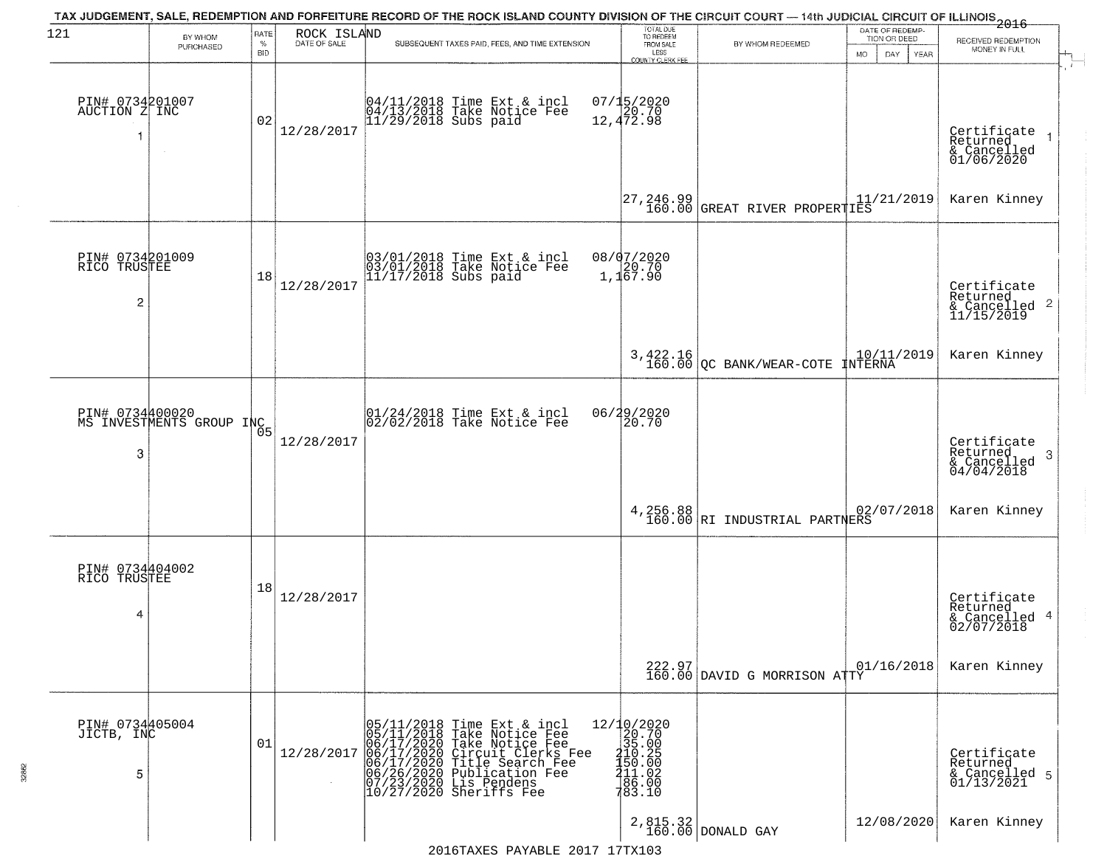| 121                                               | BY WHOM                                     | RATE               | ROCK ISLAND  | TAX JUDGEMENT, SALE, REDEMPTION AND FORFEITURE RECORD OF THE ROCK ISLAND COUNTY DIVISION OF THE CIRCUIT COURT — 14th JUDICIAL CIRCUIT OF ILLINOIS 2016                                                                                                | TOTAL DUE<br>TO REDEEM                                                                                                                              |                                                                                                                                                         | DATE OF REDEMP-<br>TION OR DEED |                                                                       |
|---------------------------------------------------|---------------------------------------------|--------------------|--------------|-------------------------------------------------------------------------------------------------------------------------------------------------------------------------------------------------------------------------------------------------------|-----------------------------------------------------------------------------------------------------------------------------------------------------|---------------------------------------------------------------------------------------------------------------------------------------------------------|---------------------------------|-----------------------------------------------------------------------|
|                                                   | PURCHASED                                   | $\%$<br><b>BID</b> | DATE OF SALE | SUBSEQUENT TAXES PAID, FEES, AND TIME EXTENSION                                                                                                                                                                                                       | FROM SALE<br>LESS<br><b>COUNTY CLERK FEE</b>                                                                                                        | BY WHOM REDEEMED                                                                                                                                        | MO.<br>DAY.<br>YEAR             | RECEIVED REDEMPTION<br>MONEY IN FULL                                  |
| PIN# 0734201007<br>AUCTION Z INC                  |                                             | 02                 | 12/28/2017   | 04/11/2018 Time Ext & incl<br>04/13/2018 Take Notice Fee<br>11/29/2018 Subs paid                                                                                                                                                                      | 07/15/2020<br>12,472.98                                                                                                                             |                                                                                                                                                         |                                 | Certificate<br>Returned<br>& Cancelled<br>01/06/2020                  |
|                                                   |                                             |                    |              |                                                                                                                                                                                                                                                       | $\begin{bmatrix} 27, 246, 99 \\ 160, 00 \end{bmatrix}$                                                                                              | $\begin{array}{ l l } \hline \texttt{GREAT RIVER PROPERTIES} & 11/21/2019 \\ \hline \texttt{-----} & \texttt{---} & \texttt{---} \\ \hline \end{array}$ |                                 | Karen Kinney                                                          |
| PIN# 0734201009<br>RICO TRUSTEE<br>$\overline{c}$ |                                             | 18                 | 12/28/2017   | 03/01/2018 Time Ext & incl<br>03/01/2018 Take Notice Fee<br>11/17/2018 Subs paid                                                                                                                                                                      | 08/07/2020<br>1,1 <sup>20.70</sup><br>1,167.90                                                                                                      |                                                                                                                                                         |                                 | Certificate<br>Returned<br>$\frac{12241164}{11/15/2019}$ 2            |
|                                                   |                                             |                    |              |                                                                                                                                                                                                                                                       |                                                                                                                                                     | $3,422.16$<br>160.00 QC BANK/WEAR-COTE INTERNA                                                                                                          |                                 | Karen Kinney                                                          |
| 3                                                 | PIN# 0734400020<br>MS INVESTMENTS GROUP INC | 05                 | 12/28/2017   | $01/24/2018$ Time Ext & incl<br>$02/02/2018$ Take Notice Fee                                                                                                                                                                                          | 06/29/2020<br>20.70                                                                                                                                 |                                                                                                                                                         |                                 | Certificate<br>Returned<br>3<br>$\frac{1}{2}$ Cancelled<br>04/04/2018 |
|                                                   |                                             |                    |              |                                                                                                                                                                                                                                                       |                                                                                                                                                     | $4,256.88$ $\Big $ RI INDUSTRIAL PARTNERS                                                                                                               | 02/07/2018                      | Karen Kinney                                                          |
| PIN# 0734404002<br>RICO TRUSTEE<br>4              |                                             | 18                 | 12/28/2017   |                                                                                                                                                                                                                                                       |                                                                                                                                                     |                                                                                                                                                         |                                 | Certificate<br>Returned<br>& Cancelled 4<br>02/07/2018                |
|                                                   |                                             |                    |              |                                                                                                                                                                                                                                                       |                                                                                                                                                     | $222.97$ 0<br>160.00 DAVID G MORRISON ATTY                                                                                                              | 01/16/2018                      | Karen Kinney                                                          |
| PIN# 0734405004<br>JICTB, INC<br>5                |                                             | 01                 | 12/28/2017   | 05/11/2018<br>05/11/2018<br>Time Ext & incl<br>Take Notice Fee<br>$106/11/2010$ Take Notice Fee<br>06/17/2020 Take Notice Fee<br>06/17/2020 Circuit Clerks Fee<br>06/26/2020 Publication Fee<br>07/23/2020 Publication Fee<br>10/27/2020 Sheriffs Fee | $\begin{array}{r} 12/10/2020 \\ 20.70 \\ 35.00 \end{array}$<br>$\begin{smallmatrix} 110.25 \\ 150.00 \\ 11.02 \\ 86.00 \\ 783.10 \end{smallmatrix}$ |                                                                                                                                                         |                                 | Certificate<br>Returned<br>& Cancelled 5<br>01/13/2021                |
|                                                   |                                             |                    |              |                                                                                                                                                                                                                                                       |                                                                                                                                                     | $2,815.32$ DONALD GAY                                                                                                                                   | 12/08/2020                      | Karen Kinney                                                          |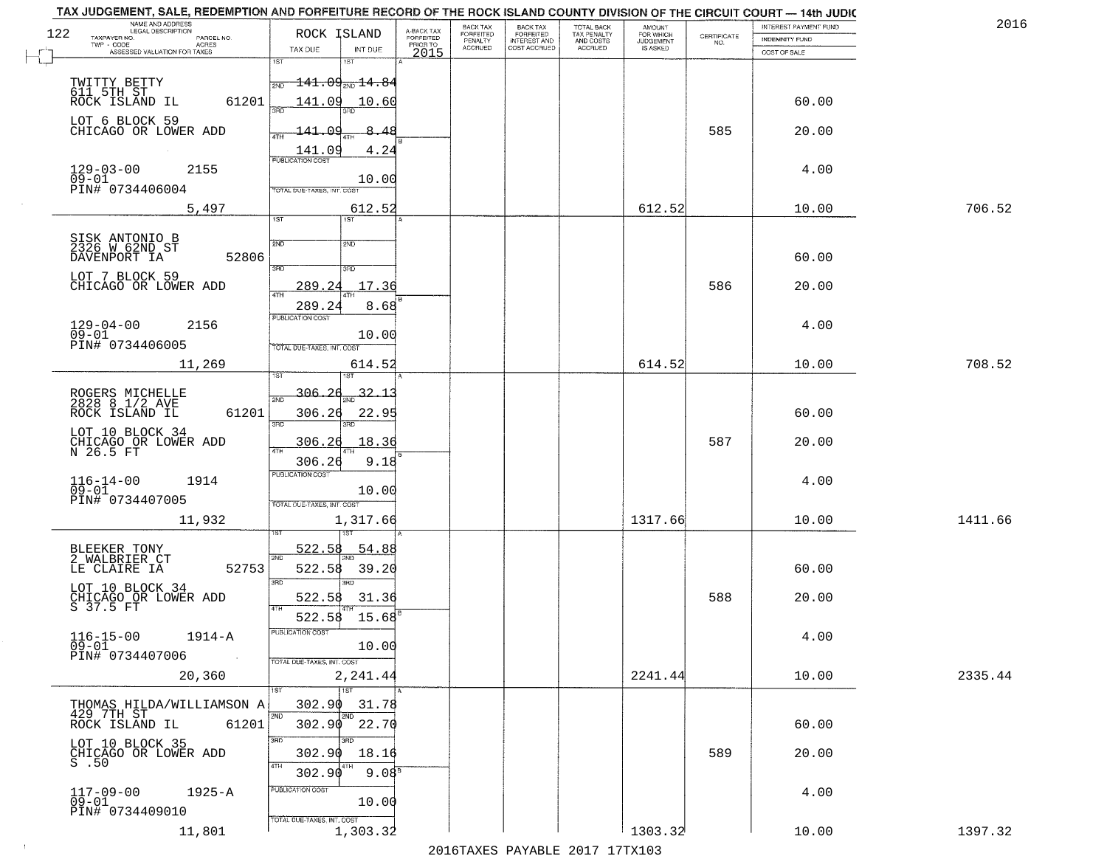| TAX JUDGEMENT, SALE, REDEMPTION AND FORFEITURE RECORD OF THE ROCK ISLAND COUNTY DIVISION OF THE CIRCUIT COURT - 14th JUDIC<br>NAME AND ADDRESS<br>LEGAL DESCRIPTION |                                                                     |                                     | BACK TAX             | <b>BACK TAX</b>           |                                        |                                  |                                                                 | INTEREST PAYMENT FUND | 2016    |
|---------------------------------------------------------------------------------------------------------------------------------------------------------------------|---------------------------------------------------------------------|-------------------------------------|----------------------|---------------------------|----------------------------------------|----------------------------------|-----------------------------------------------------------------|-----------------------|---------|
| 122<br>TAXPAYER NO.<br>PARCEL NO.<br>ACRES                                                                                                                          | ROCK ISLAND                                                         | A-BACK TAX<br>FORFEITED<br>PRIOR TO | FORFEITED<br>PENALTY | FORFEITED<br>INTEREST AND | TOTAL BACK<br>TAX PENALTY<br>AND COSTS | AMOUNT<br>FOR WHICH<br>JUDGEMENT | $\begin{array}{c} \text{CERTIFICATE} \\ \text{NO.} \end{array}$ | INDEMNITY FUND        |         |
| ASSESSED VALUATION FOR TAXES                                                                                                                                        | TAX DUE<br>INT DUE                                                  | 2015                                | <b>ACCRUED</b>       | COST ACCRUED              | <b>ACCRUED</b>                         | IS ASKED                         |                                                                 | COST OF SALE          |         |
| TWITTY BETTY<br>611 5TH ST<br>ROCK ISLAND IL                                                                                                                        | 1ST<br>18T<br>$\frac{1}{2ND}$ 141.09 <sub>2ND</sub> 14.84           |                                     |                      |                           |                                        |                                  |                                                                 |                       |         |
| 61201<br>LOT 6 BLOCK 59                                                                                                                                             | 141.09<br><u> 10.60</u>                                             |                                     |                      |                           |                                        |                                  |                                                                 | 60.00                 |         |
| CHICAGO OR LOWER ADD                                                                                                                                                | 141.09<br>-8.48<br>$\frac{141.09}{PUBUCATON COST}$<br>4.24          |                                     |                      |                           |                                        |                                  | 585                                                             | 20.00                 |         |
| $129 - 03 - 00$<br>2155<br>$09 - 01$<br>PIN# 0734406004                                                                                                             | 10.00<br>TOTAL DUE-TAXES, INT. COST                                 |                                     |                      |                           |                                        |                                  |                                                                 | 4.00                  |         |
| 5,497                                                                                                                                                               | 612.52<br>1ST                                                       |                                     |                      |                           |                                        | 612.52                           |                                                                 | 10.00                 | 706.52  |
| SISK ANTONIO B<br>2326 W 62ND ST<br>DAVENPORT IA<br>52806                                                                                                           | 2ND<br>2ND<br>3BD<br>3RD                                            |                                     |                      |                           |                                        |                                  |                                                                 | 60.00                 |         |
| LOT 7 BLOCK 59<br>CHICAGO OR LOWER ADD                                                                                                                              | 17.36<br>289.24<br>ৰাম<br>289.24<br>8.68                            |                                     |                      |                           |                                        |                                  | 586                                                             | 20.00                 |         |
| $129 - 04 - 00$<br>2156<br>$09 - 01$<br>PIN# 0734406005                                                                                                             | PUBLICATION COST<br>10.00<br>TOTAL DUE-TAXES, INT. COST             |                                     |                      |                           |                                        |                                  |                                                                 | 4.00                  |         |
| 11,269                                                                                                                                                              | 614.52<br>is T                                                      |                                     |                      |                           |                                        | 614.52                           |                                                                 | 10.00                 | 708.52  |
| ROGERS MICHELLE<br>2828 8 1/2 AVE<br>ROCK ISLAND IL<br>61201                                                                                                        | $-306.26$<br>32.1<br>2ND<br>306.26<br>22.95<br>3RD<br>3RD           |                                     |                      |                           |                                        |                                  |                                                                 | 60.00                 |         |
| LOT 10 BLOCK 34<br>CHICAGO OR LOWER ADD<br>N 26.5 FT                                                                                                                | 306.26<br>18.36<br>ATH<br>9.18<br>306.26                            |                                     |                      |                           |                                        |                                  | 587                                                             | 20.00                 |         |
| $116 - 14 - 00$<br>1914<br>$09 - 01$<br>PIN# 0734407005                                                                                                             | <b>PUBLICATION COST</b><br>10.00<br>TOTAL OUE-TAXES, INT. COST      |                                     |                      |                           |                                        |                                  |                                                                 | 4.00                  |         |
| 11,932                                                                                                                                                              | 1,317.66                                                            |                                     |                      |                           |                                        | 1317.66                          |                                                                 | 10.00                 | 1411.66 |
| BLEEKER TONY<br>2 WALBRIER CT<br>52753<br>LE CLAIRE IA                                                                                                              | 522.58<br>54.88<br>2ND<br>522.58<br>39.20<br>3 <sub>BD</sub><br>m   |                                     |                      |                           |                                        |                                  |                                                                 | 60.00                 |         |
| LOT 10 BLOCK 34<br>CHICAGO OR LOWER ADD<br>S 37.5 FT                                                                                                                | 522.58<br>31.36<br>4TH<br>522.58<br>15.68                           |                                     |                      |                           |                                        |                                  | 588                                                             | 20.00                 |         |
| $116 - 15 - 00$<br>1914-A<br>$09 - 01$<br>PIN# 0734407006<br>$\sim 100$                                                                                             | PUBLICATION COST<br>10.00<br>TOTAL DUE-TAXES, INT. COST             |                                     |                      |                           |                                        |                                  |                                                                 | 4.00                  |         |
| 20,360                                                                                                                                                              | 2,241.44<br>$\overline{1}$ st                                       |                                     |                      |                           |                                        | 2241.44                          |                                                                 | 10.00                 | 2335.44 |
| THOMAS HILDA/WILLIAMSON A<br>429 7TH ST<br>ROCK ISLAND IL<br>61201                                                                                                  | 302.90<br>31.78<br>2ND<br>2ND<br>302.90<br>22.70                    |                                     |                      |                           |                                        |                                  |                                                                 | 60.00                 |         |
| LOT 10 BLOCK 35<br>CHICAGO OR LOWER ADD<br>S.50                                                                                                                     | 3RD<br>3RD<br>302.90<br>18.16<br>4TH<br>302.90<br>9.08 <sup>8</sup> |                                     |                      |                           |                                        |                                  | 589                                                             | 20.00                 |         |
| $117 - 09 - 00$<br>$1925 - A$<br>$09 - 01$<br>PIN# 0734409010                                                                                                       | PUBLICATION COST<br>10.00<br>TOTAL DUE-TAXES, INT. COST             |                                     |                      |                           |                                        |                                  |                                                                 | 4.00                  |         |
| 11,801                                                                                                                                                              | 1,303.32                                                            |                                     |                      |                           |                                        | 1303.32                          |                                                                 | 10.00                 | 1397.32 |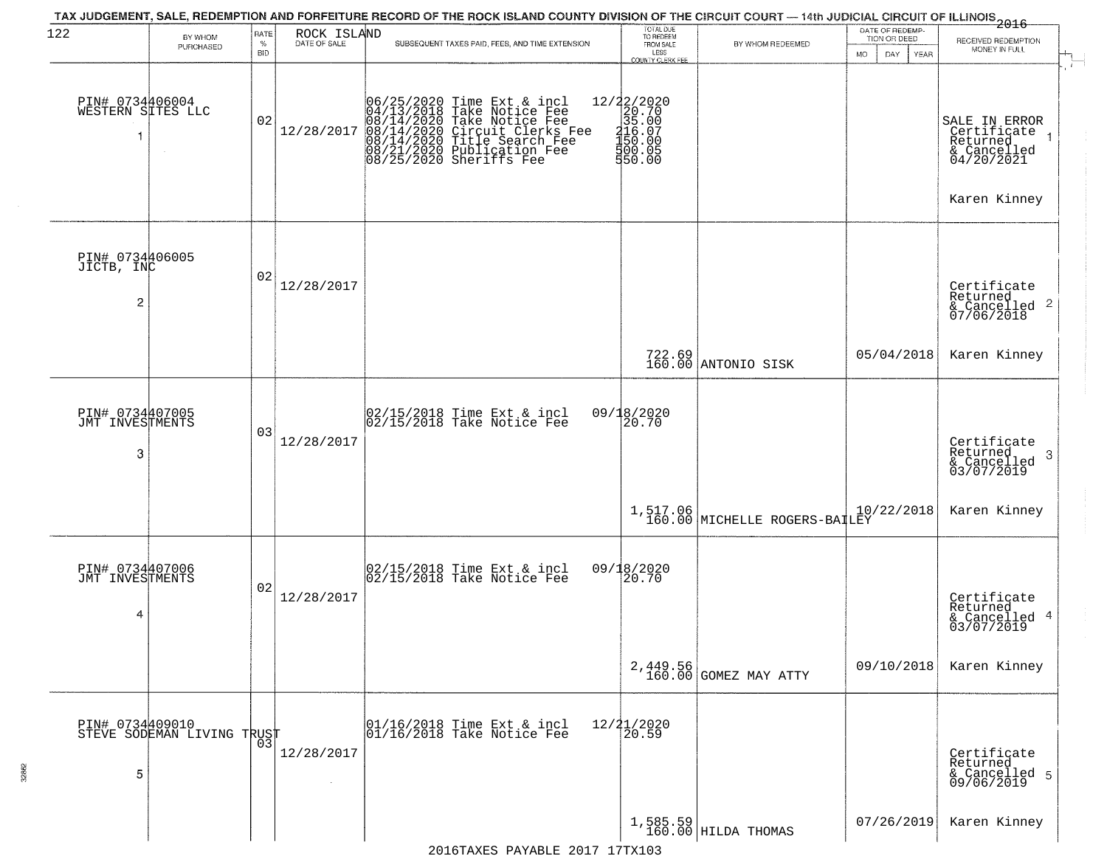| 122                                             | BY WHOM                                           | RATE               | ROCK ISLAND  | TAX JUDGEMENT, SALE, REDEMPTION AND FORFEITURE RECORD OF THE ROCK ISLAND COUNTY DIVISION OF THE CIRCUIT COURT — 14th JUDICIAL CIRCUIT OF ILLINOIS 2016                                                          | TOTAL DUE<br>TO REDEEM                                                                                                            |                                                                                                                      | DATE OF REDEMP-                            |                                                                                                    |
|-------------------------------------------------|---------------------------------------------------|--------------------|--------------|-----------------------------------------------------------------------------------------------------------------------------------------------------------------------------------------------------------------|-----------------------------------------------------------------------------------------------------------------------------------|----------------------------------------------------------------------------------------------------------------------|--------------------------------------------|----------------------------------------------------------------------------------------------------|
|                                                 | PURCHASED                                         | $\%$<br><b>BID</b> | DATE OF SALE | SUBSEQUENT TAXES PAID, FEES, AND TIME EXTENSION                                                                                                                                                                 | FROM SALE<br>LESS                                                                                                                 | BY WHOM REDEEMED                                                                                                     | TION OR DEED<br>MO.<br>DAY.<br><b>YEAR</b> | RECEIVED REDEMPTION<br>MONEY IN FULL                                                               |
| PIN# 0734406004<br>WESTERN SITES LLC            |                                                   | 02                 | 12/28/2017   | 06/25/2020 Time Ext & incl<br>04/13/2018 Take Notice Fee<br>08/14/2020 Take Notice Fee<br>08/14/2020 Circuit Clerks Fee<br>08/14/2020 Title Search Fee<br>08/21/2020 Publication Fee<br>08/25/2020 Sheriffs Fee | <b>COUNTY CLERK FEE</b><br>$\begin{array}{r} 12/22/2020 \\ 20.70 \\ 35.00 \\ 416.07 \\ 150.00 \\ \end{array}$<br>300.05<br>550.00 |                                                                                                                      |                                            | SALE IN ERROR<br>Certifiçate <sub>1</sub><br>Returned<br>& Cancelled<br>04/20/2021<br>Karen Kinney |
| PIN# 0734406005<br>JICTB, INC<br>$\overline{c}$ |                                                   | 02                 | 12/28/2017   |                                                                                                                                                                                                                 |                                                                                                                                   |                                                                                                                      |                                            | Certificate<br>Returned<br>& Cancelled 2<br>07/06/2018                                             |
|                                                 |                                                   |                    |              |                                                                                                                                                                                                                 |                                                                                                                                   | 722.69<br>160.00 ANTONIO SISK                                                                                        | 05/04/2018                                 | Karen Kinney                                                                                       |
| PIN# 0734407005<br>JMT INVESTMENTS<br>3         |                                                   | 03                 | 12/28/2017   | 02/15/2018 Time Ext & incl<br>02/15/2018 Take Notice Fee                                                                                                                                                        | 09/18/2020<br>20.70                                                                                                               |                                                                                                                      |                                            | Certificate<br>Returned<br>3<br>$\frac{1}{2}$ Cancelled<br>03/07/2019                              |
|                                                 |                                                   |                    |              |                                                                                                                                                                                                                 |                                                                                                                                   | $\begin{array}{c} 1,517.06\\ 160.00 \end{array} \begin{array}{ l } \hline \text{MICHELLE ROGERS-BAILEY} \end{array}$ | 10/22/2018                                 | Karen Kinney                                                                                       |
| PIN# 0734407006<br>JMT INVESTMENTS<br>4         |                                                   | 02                 | 12/28/2017   | 02/15/2018 Time Ext & incl<br>02/15/2018 Take Notice Fee                                                                                                                                                        | 09/18/2020<br>20.70                                                                                                               |                                                                                                                      |                                            | Certificate<br>Returned<br>& Cancelled 4<br>03/07/2019                                             |
|                                                 |                                                   |                    |              |                                                                                                                                                                                                                 |                                                                                                                                   | 2,449.56<br>160.00 GOMEZ MAY ATTY                                                                                    | 09/10/2018                                 | Karen Kinney                                                                                       |
| 5                                               | PIN# 0734409010    <br>STEVE SODEMAN LIVING TRUST | 03                 | 12/28/2017   | 01/16/2018 Time Ext & incl<br>01/16/2018 Take Notice Fee                                                                                                                                                        | 12/21/2020<br>20.59                                                                                                               |                                                                                                                      |                                            | Certificate<br>Returned<br>& Cancelled 5<br>09/06/2019                                             |
|                                                 |                                                   |                    |              | 2016TAXES PAYABLE 2017 17TX103                                                                                                                                                                                  |                                                                                                                                   | $1,585.59$ HILDA THOMAS                                                                                              | 07/26/2019                                 | Karen Kinney                                                                                       |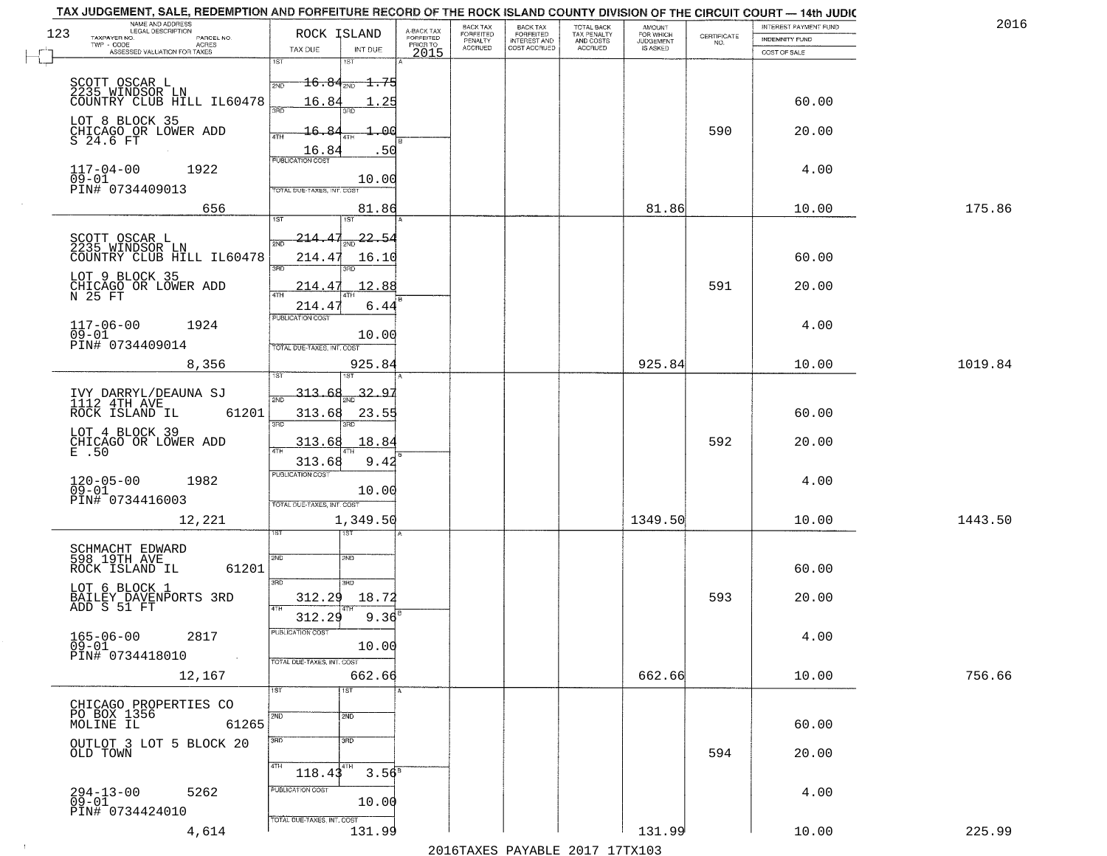| TAX JUDGEMENT, SALE, REDEMPTION AND FORFEITURE RECORD OF THE ROCK ISLAND COUNTY DIVISION OF THE CIRCUIT COURT - 14th JUDIC<br>NAME AND ADDRESS<br>LEGAL DESCRIPTION |                                                                                 |                         | BACK TAX             | <b>BACK TAX</b>           |                                        |                                         |                                                                 | INTEREST PAYMENT FUND | 2016    |
|---------------------------------------------------------------------------------------------------------------------------------------------------------------------|---------------------------------------------------------------------------------|-------------------------|----------------------|---------------------------|----------------------------------------|-----------------------------------------|-----------------------------------------------------------------|-----------------------|---------|
| 123<br>TAXPAYER NO.<br>PARCEL NO.                                                                                                                                   | ROCK ISLAND                                                                     | A-BACK TAX<br>FORFEITED | FORFEITED<br>PENALTY | FORFEITED<br>INTEREST AND | TOTAL BACK<br>TAX PENALTY<br>AND COSTS | AMOUNT<br>FOR WHICH<br><b>JUDGEMENT</b> | $\begin{array}{c} \text{CERTIFICATE} \\ \text{NO.} \end{array}$ | INDEMNITY FUND        |         |
| ACRES<br>ASSESSED VALUATION FOR TAXES                                                                                                                               | TAX DUE<br>INT DUE                                                              | PRIOR TO<br>2015        | <b>ACCRUED</b>       | COST ACCRUED              | ACCRUED                                | IS ASKED                                |                                                                 | COST OF SALE          |         |
| SCOTT OSCAR L<br>2235 WINDSOR LN<br>COUNTRY CLUB HILL IL60478                                                                                                       | 1ST<br>18T<br>$16.84_{200}$ 1.75<br>2ND                                         |                         |                      |                           |                                        |                                         |                                                                 |                       |         |
| LOT 8 BLOCK 35                                                                                                                                                      | 16.84<br>. 25                                                                   |                         |                      |                           |                                        |                                         |                                                                 | 60.00                 |         |
| CHICAGO OR LOWER ADD<br>S 24.6 FT                                                                                                                                   | 16.84<br>۵q<br>16.84<br>.50<br><b>PUBLICATION COST</b>                          |                         |                      |                           |                                        |                                         | 590                                                             | 20.00                 |         |
| $117 - 04 - 00$<br>1922<br>$09 - 01$<br>PIN# 0734409013                                                                                                             | 10.00<br>TOTAL DUE-TAXES, INT. COST                                             |                         |                      |                           |                                        |                                         |                                                                 | 4.00                  |         |
| 656                                                                                                                                                                 | 81.86<br>iS.                                                                    |                         |                      |                           |                                        | 81.86                                   |                                                                 | 10.00                 | 175.86  |
| SCOTT OSCAR L<br>2235 WINDSOR LN<br>COUNTRY CLUB HILL IL60478                                                                                                       | $\frac{22.54}{200}$<br>214.47<br>সমূ<br>214.4<br>16.10<br>3RD<br>3RD            |                         |                      |                           |                                        |                                         |                                                                 | 60.00                 |         |
| LOT 9 BLOCK 35<br>CHICAGO OR LOWER ADD<br>N 25 FT                                                                                                                   | 12.88<br>214.47<br>214.47<br>6.44                                               |                         |                      |                           |                                        |                                         | 591                                                             | 20.00                 |         |
| $117 - 06 - 00$<br>1924<br>$09 - 01$<br>PIN# 0734409014                                                                                                             | PUBLICATION COST<br>10.00<br>TOTAL DUE-TAXES, INT. COST                         |                         |                      |                           |                                        |                                         |                                                                 | 4.00                  |         |
| 8,356                                                                                                                                                               | 925.84<br>isT                                                                   |                         |                      |                           |                                        | 925.84                                  |                                                                 | 10.00                 | 1019.84 |
| IVY DARRYL/DEAUNA SJ<br>1112 4TH AVE<br>ROCK ISLAND IL<br>61201                                                                                                     | 313.68<br>32.9<br>2ND<br>313.68<br>23.55<br>3RD<br>3RD                          |                         |                      |                           |                                        |                                         |                                                                 | 60.00                 |         |
| LOT 4 BLOCK 39<br>CHICAGO OR LOWER ADD                                                                                                                              | 313.68<br>18.84<br>$\overline{AT}$<br>313.68<br>9.42                            |                         |                      |                           |                                        |                                         | 592                                                             | 20.00                 |         |
| $120 - 05 - 00$<br>09-01<br>1982<br>PIN# 0734416003                                                                                                                 | <b>PUBLICATION COST</b><br>10.00<br>TOTAL OUE-TAXES, INT. COST                  |                         |                      |                           |                                        |                                         |                                                                 | 4.00                  |         |
| 12,221                                                                                                                                                              | 1,349.50<br>इङ                                                                  |                         |                      |                           |                                        | 1349.50                                 |                                                                 | 10.00                 | 1443.50 |
| SCHMACHT EDWARD<br>598 19TH AVE<br>ROCK ISLAND IL<br>61201                                                                                                          | 2ND<br>2ND<br>3RD                                                               |                         |                      |                           |                                        |                                         |                                                                 | 60.00                 |         |
| LOT 6 BLOCK 1<br>BAILEY DAVENPORTS 3RD<br>ADD S 51 FT                                                                                                               | 3RD<br>312.29<br>18.72<br>4TH<br>$9.36^{B}$<br>312.29                           |                         |                      |                           |                                        |                                         | 593                                                             | 20.00                 |         |
| $165 - 06 - 00$<br>2817<br>$09 - 01$<br>PIN# 0734418010<br>$\sim 10^{11}$ km $^{-1}$                                                                                | PUBLICATION COS-<br>10.00<br>TOTAL DUE-TAXES, INT. COST                         |                         |                      |                           |                                        |                                         |                                                                 | 4.00                  |         |
| 12,167                                                                                                                                                              | 662.66<br>1ST<br>1ST                                                            |                         |                      |                           |                                        | 662.66                                  |                                                                 | 10.00                 | 756.66  |
| CHICAGO PROPERTIES CO<br>PO BOX 1356<br>MOLINE IL<br>61265                                                                                                          | 2ND<br>2ND                                                                      |                         |                      |                           |                                        |                                         |                                                                 | 60.00                 |         |
| OUTLOT 3 LOT 5 BLOCK 20<br>OLD TOWN                                                                                                                                 | 3BD<br>3BD<br>4TH<br>4TH                                                        |                         |                      |                           |                                        |                                         | 594                                                             | 20.00                 |         |
| $294 - 13 - 00$<br>09-01<br>5262<br>PIN# 0734424010                                                                                                                 | $3.56^{8}$<br>118.43<br>PUBLICATION COST<br>10.00<br>TOTAL DUE-TAXES, INT. COST |                         |                      |                           |                                        |                                         |                                                                 | 4.00                  |         |
| 4,614                                                                                                                                                               | 131.99                                                                          |                         |                      |                           |                                        | 131.99                                  |                                                                 | 10.00                 | 225.99  |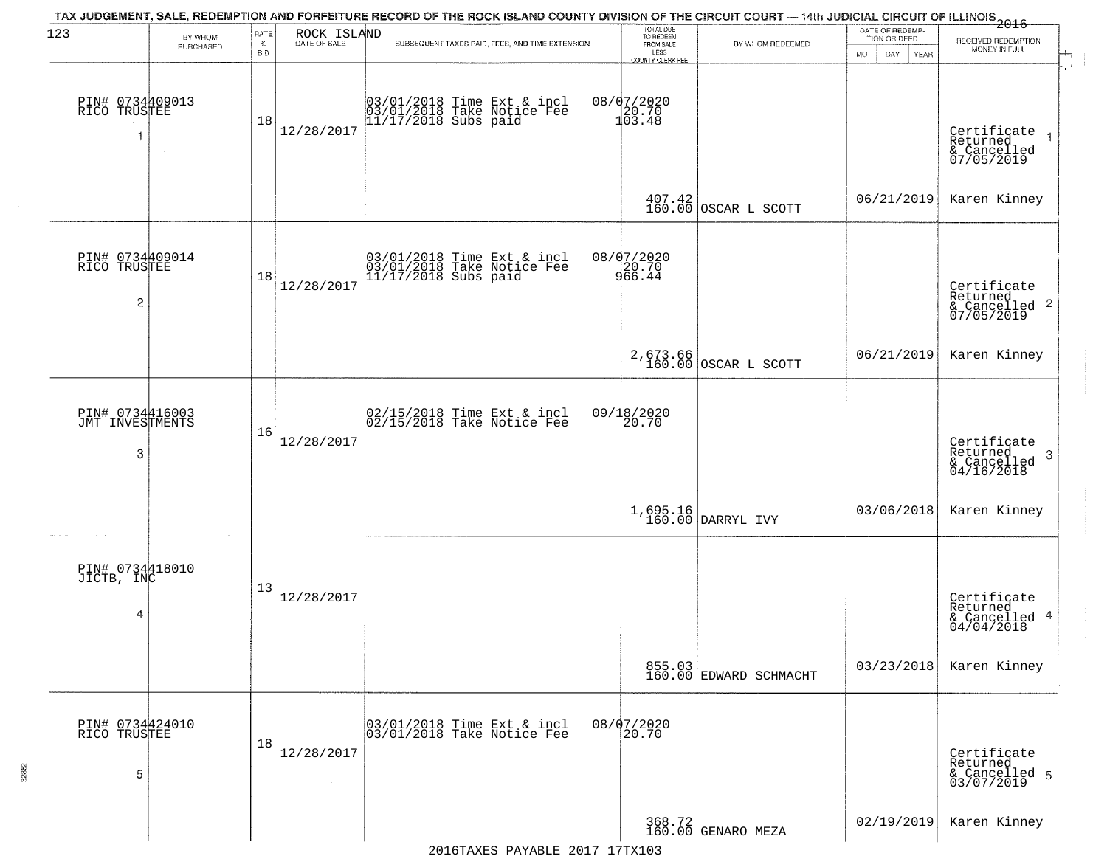| 123                                     | BY WHOM   | RATE               | ROCK ISLAND  | TAX JUDGEMENT, SALE, REDEMPTION AND FORFEITURE RECORD OF THE ROCK ISLAND COUNTY DIVISION OF THE CIRCUIT COURT — 14th JUDICIAL CIRCUIT OF ILLINOIS 2016 | TOTAL DUE<br>TO REDEEM                       |                                                                 | DATE OF REDEMP-<br>TION OR DEED |                                                                       |
|-----------------------------------------|-----------|--------------------|--------------|--------------------------------------------------------------------------------------------------------------------------------------------------------|----------------------------------------------|-----------------------------------------------------------------|---------------------------------|-----------------------------------------------------------------------|
|                                         | PURCHASED | $\%$<br><b>BID</b> | DATE OF SALE | SUBSEQUENT TAXES PAID, FEES, AND TIME EXTENSION                                                                                                        | FROM SALE<br>LESS<br><b>COUNTY CLERK FEE</b> | BY WHOM REDEEMED                                                | MO.<br>DAY.<br><b>YEAR</b>      | RECEIVED REDEMPTION<br>MONEY IN FULL                                  |
| PIN# 0734409013<br>RICO TRUSTEE<br>1    | $\sim$    | 18                 | 12/28/2017   | 03/01/2018 Time Ext & incl<br>03/01/2018 Take Notice Fee<br>11/17/2018 Subs paid                                                                       | 08/07/2020<br>20.70<br>103.48                |                                                                 |                                 | Certificate<br>Returned<br>& Cancelled<br>07/05/2019                  |
|                                         |           |                    |              |                                                                                                                                                        |                                              | $\begin{array}{c c} 407.42 \\ 160.00 \end{array}$ OSCAR L SCOTT | 06/21/2019                      | Karen Kinney                                                          |
| PIN# 0734409014<br>RICO TRUSTEE<br>2    |           | 18                 | 12/28/2017   | 03/01/2018 Time Ext & incl<br>03/01/2018 Take Notice Fee<br>11/17/2018 Subs paid                                                                       | 08/07/2020<br>20.70<br>966.44                |                                                                 |                                 | Certificate<br>Returned<br>$\frac{1}{6}$ Cancelled 2<br>07/05/2019    |
|                                         |           |                    |              |                                                                                                                                                        |                                              | 2,673.66<br>160.00 OSCAR L SCOTT                                | 06/21/2019                      | Karen Kinney                                                          |
| PIN# 0734416003<br>JMT INVESTMENTS<br>3 |           | 16                 | 12/28/2017   | $\begin{bmatrix} 02/15/2018 \\ 02/15/2018 \\ 04 \end{bmatrix}$ Take Notice Fee                                                                         | 09/18/2020<br>20.70                          |                                                                 |                                 | Certificate<br>Returned<br>3<br>$\frac{1}{2}$ Cancelled<br>04/16/2018 |
|                                         |           |                    |              |                                                                                                                                                        |                                              | 1,695.16<br>160.00 DARRYL IVY                                   | 03/06/2018                      | Karen Kinney                                                          |
| PIN# 0734418010<br>JICTB, INC<br>4      |           | 13                 | 12/28/2017   |                                                                                                                                                        |                                              |                                                                 |                                 | Certificate<br>Returned<br>& Cancelled 4<br>04/04/2018                |
|                                         |           |                    |              |                                                                                                                                                        |                                              | 855.03<br>160.00 EDWARD SCHMACHT                                | 03/23/2018                      | Karen Kinney                                                          |
| PIN# 0734424010<br>RICO TRUSTEE<br>5    |           | 18                 | 12/28/2017   | 03/01/2018 Time Ext & incl<br>03/01/2018 Take Notice Fee                                                                                               | 08/07/2020<br>20.70                          |                                                                 |                                 | Certificate<br>Returned<br>& Cancelled 5<br>03/07/2019                |
|                                         |           |                    |              |                                                                                                                                                        |                                              | 368.72 GENARO MEZA                                              | 02/19/2019                      | Karen Kinney                                                          |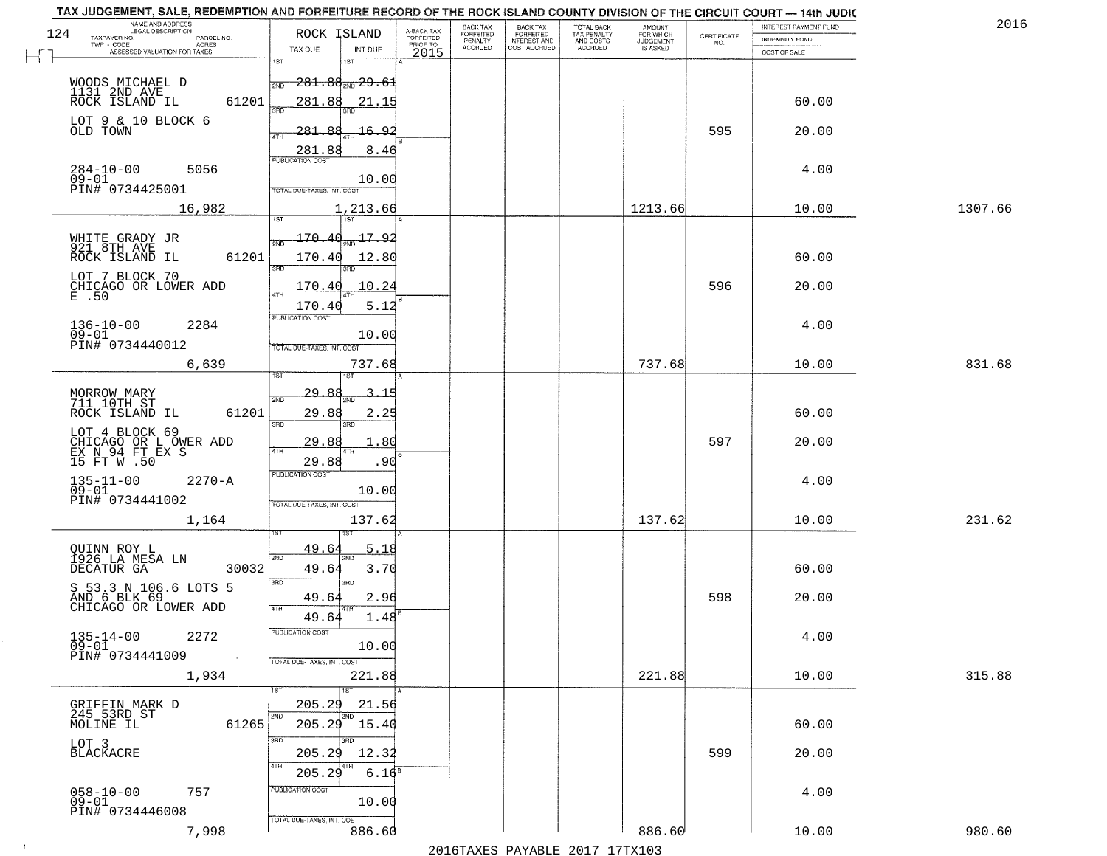| 1307.66 |
|---------|
|         |
|         |
|         |
|         |
|         |
|         |
|         |
|         |
|         |
|         |
|         |
|         |
|         |
|         |
|         |
|         |
|         |
|         |
|         |
|         |
|         |
| 831.68  |
|         |
|         |
|         |
|         |
|         |
|         |
|         |
|         |
|         |
| 231.62  |
|         |
|         |
|         |
|         |
|         |
|         |
|         |
|         |
|         |
| 315.88  |
|         |
|         |
|         |
|         |
|         |
|         |
|         |
|         |
|         |
| 980.60  |
|         |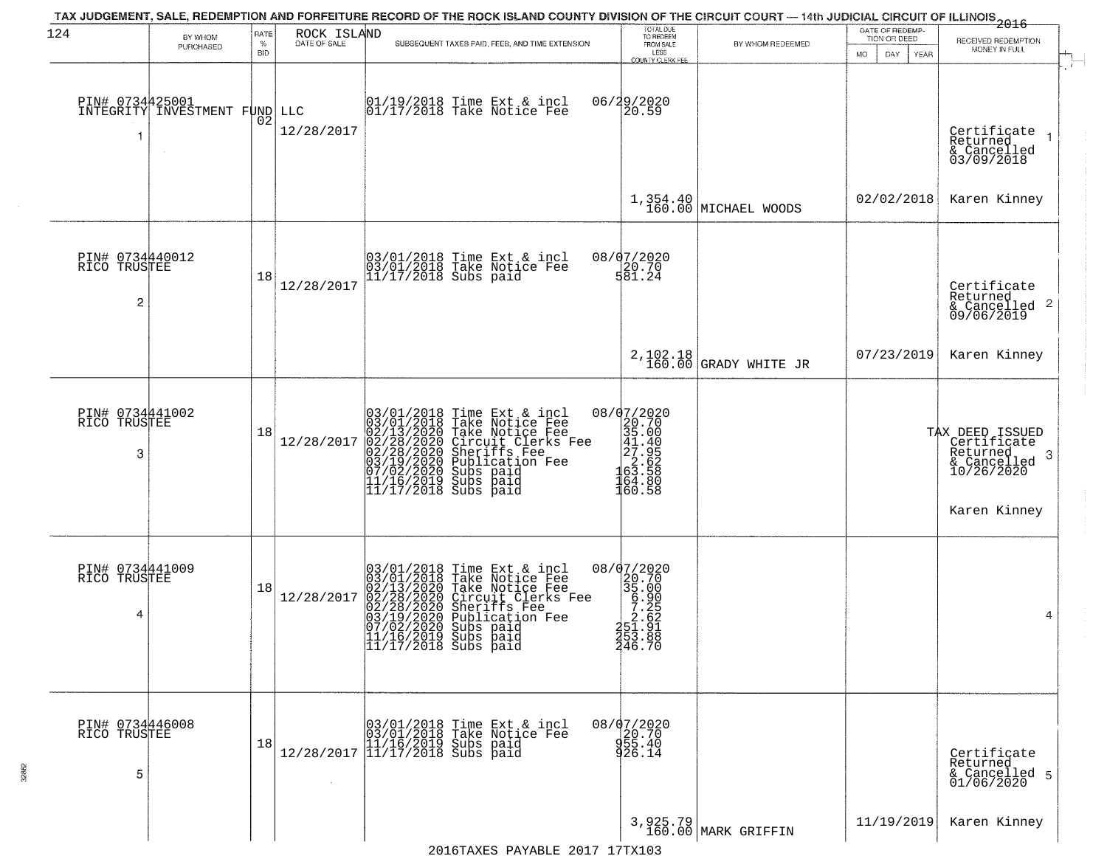| 124                                  | BY WHOM                                 | RATE            | ROCK ISLAND<br>DATE OF SALE | TAX JUDGEMENT, SALE, REDEMPTION AND FORFEITURE RECORD OF THE ROCK ISLAND COUNTY DIVISION OF THE CIRCUIT COURT — 14th JUDICIAL CIRCUIT OF ILLINOIS 2016                                                                                             | TOTAL DUE<br>TO REDEEM                                                                                                 |                                  | DATE OF REDEMP-<br>TION OR DEED | RECEIVED REDEMPTION                                                                           |
|--------------------------------------|-----------------------------------------|-----------------|-----------------------------|----------------------------------------------------------------------------------------------------------------------------------------------------------------------------------------------------------------------------------------------------|------------------------------------------------------------------------------------------------------------------------|----------------------------------|---------------------------------|-----------------------------------------------------------------------------------------------|
|                                      | PURCHASED                               | %<br><b>BID</b> |                             | SUBSEQUENT TAXES PAID, FEES, AND TIME EXTENSION                                                                                                                                                                                                    | FROM SALE<br>LESS<br>COUNTY CLERK FEE                                                                                  | BY WHOM REDEEMED                 | <b>MO</b><br>DAY<br>YEAR        | MONEY IN FULL                                                                                 |
| PIN# 0734425001<br>1                 | INTEGRITY INVESTMENT FUND LLC<br>$\sim$ | 02              | 12/28/2017                  | 01/19/2018 Time Ext & incl<br>01/17/2018 Take Notice Fee                                                                                                                                                                                           | 06/29/2020<br>20.59                                                                                                    |                                  |                                 | Certificate<br>Returned<br>& Cancelled<br>03/09/2018                                          |
|                                      |                                         |                 |                             |                                                                                                                                                                                                                                                    |                                                                                                                        | 1,354.40<br>160.00 MICHAEL WOODS | 02/02/2018                      | Karen Kinney                                                                                  |
| PIN# 0734440012<br>RICO TRUSTEE<br>2 |                                         | 18              | 12/28/2017                  | 03/01/2018 Time Ext & incl<br>03/01/2018 Take Notice Fee<br>11/17/2018 Subs paid                                                                                                                                                                   | 08/07/2020<br>20.70<br>581.24                                                                                          |                                  |                                 | Certificate<br>Returned<br>$\frac{1}{6}$ Cancelled 2<br>09/06/2019                            |
|                                      |                                         |                 |                             |                                                                                                                                                                                                                                                    | 2,102.18<br>160.00                                                                                                     | GRADY WHITE JR                   | 07/23/2019                      | Karen Kinney                                                                                  |
| PIN# 0734441002<br>RICO TRUSTEE<br>3 |                                         | 18              | 12/28/2017                  | $03/01/2018$ Time Ext & incl<br>$03/01/2018$ Take Notice Fee<br>$02/13/2020$ Take Notice Fee<br>$02/28/2020$ Circuit Clerks Fee<br>$02/28/2020$ Sheriffs Fee<br>$03/19/2020$ Sublication Fee<br>$07/02/2020$ Subs paid<br>$11/16/2019$ Subs        | 08/07/2020<br>$\begin{array}{c} 20.70 \\ 35.00 \\ 41.40 \\ 27.95 \end{array}$<br>$\frac{2}{63}.52$<br>164.80<br>160.58 |                                  |                                 | TAX DEED ISSUED<br>Certificate<br>Returned<br>-3<br>& Cancelled<br>10/26/2020<br>Karen Kinney |
| PIN# 0734441009<br>RICO TRUSTEE<br>4 |                                         | 18              | 12/28/2017                  | 03/01/2018 Time Ext & incl<br>03/01/2018 Take Notice Fee<br>02/13/2020 Take Notice Fee<br>02/28/2020 Circuit Clerks Fee<br>02/28/2020 Sheriffs Fee<br>03/19/2020 Subs paid<br>07/02/2020 Subs paid<br>11/16/2019 Subs paid<br>11/17/2018 Subs paid | 08/07/2020<br>$20.700$<br>$35.000$<br>$5.205$<br>$2.621$<br>$351.91$<br>253.88<br>246.70                               |                                  |                                 | 4                                                                                             |
| PIN# 0734446008<br>RICO TRUSTEE<br>5 |                                         | 18              |                             | $[03/01/2018 \t\t Time Ext & incl \\ [03/01/2018 \t\t Take Notice Free \\ [11/16/2019 \t\ Subs paid \\ [12/28/2017 \t\t] 11/17/2018 \t\ Subs paid$                                                                                                 | 08/07/2020<br>20.70<br>955.40<br>26.14                                                                                 |                                  |                                 | Certificate<br>Returned<br>& Cancelled 5<br>01/06/2020                                        |
|                                      |                                         |                 |                             |                                                                                                                                                                                                                                                    |                                                                                                                        | 3,925.79<br>160.00 MARK GRIFFIN  | 11/19/2019                      | Karen Kinney                                                                                  |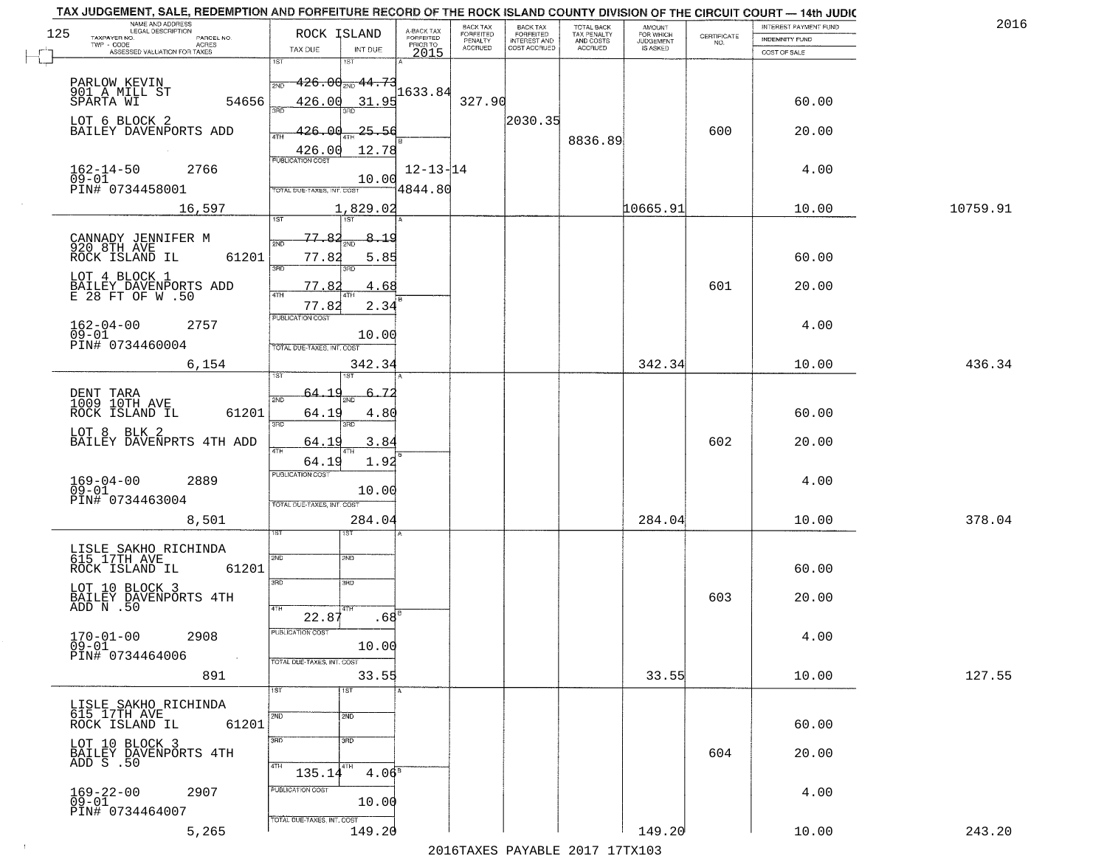|     | TAX JUDGEMENT, SALE, REDEMPTION AND FORFEITURE RECORD OF THE ROCK ISLAND COUNTY DIVISION OF THE CIRCUIT COURT - 14th JUDIC<br>NAME AND ADDRESS<br>LEGAL DESCRIPTION |                                      |                                     | BACK TAX                    |                                       |                                        | AMOUNT<br>FOR WHICH |                                                                 | INTEREST PAYMENT FUND | 2016     |
|-----|---------------------------------------------------------------------------------------------------------------------------------------------------------------------|--------------------------------------|-------------------------------------|-----------------------------|---------------------------------------|----------------------------------------|---------------------|-----------------------------------------------------------------|-----------------------|----------|
| 125 | TAXPAYER NO.<br>PARCEL NO.                                                                                                                                          | ROCK ISLAND                          | A-BACK TAX<br>FORFEITED<br>PRIOR TO | <b>FORFEITED</b><br>PENALTY | BACK TAX<br>FORFEITED<br>INTEREST AND | TOTAL BACK<br>TAX PENALTY<br>AND COSTS | <b>JUDGEMENT</b>    | $\begin{array}{c} \text{CERTIFICATE} \\ \text{NO.} \end{array}$ | <b>INDEMNITY FUND</b> |          |
|     | ACRES<br>ASSESSED VALUATION FOR TAXES                                                                                                                               | INT DUE<br>TAX DUE                   | 2015                                | <b>ACCRUED</b>              | COST ACCRUED                          | ACCRUED                                | IS ASKED            |                                                                 | COST OF SALE          |          |
|     |                                                                                                                                                                     | 1ST<br>1ST                           |                                     |                             |                                       |                                        |                     |                                                                 |                       |          |
|     | PARLOW KEVIN                                                                                                                                                        | <del>. 426.00 سو26.</del><br>2ND     |                                     |                             |                                       |                                        |                     |                                                                 |                       |          |
|     | 901 A MILL ST                                                                                                                                                       |                                      | 1633.84                             |                             |                                       |                                        |                     |                                                                 |                       |          |
|     | 54656<br>SPARTA WI                                                                                                                                                  | 426.00<br>31.95                      |                                     | 327.90                      |                                       |                                        |                     |                                                                 | 60.00                 |          |
|     | LOT 6 BLOCK 2                                                                                                                                                       |                                      |                                     |                             | 2030.35                               |                                        |                     |                                                                 |                       |          |
|     | BAILEY DAVENPORTS ADD                                                                                                                                               | 426.00<br>$-25 - 56$                 |                                     |                             |                                       | 8836.89                                |                     | 600                                                             | 20.00                 |          |
|     |                                                                                                                                                                     | 12.78<br>426.00                      |                                     |                             |                                       |                                        |                     |                                                                 |                       |          |
|     | 2766                                                                                                                                                                |                                      | $12 - 13 - 14$                      |                             |                                       |                                        |                     |                                                                 |                       |          |
|     | $162 - 14 - 50$<br>$\overline{0}\overline{9}$ - $\overline{0}\overline{1}$                                                                                          | 10.00                                |                                     |                             |                                       |                                        |                     |                                                                 | 4.00                  |          |
|     | PIN# 0734458001                                                                                                                                                     | TOTAL DUE-TAXES, INT. COST           | 4844.80                             |                             |                                       |                                        |                     |                                                                 |                       |          |
|     | 16,597                                                                                                                                                              | 1,829.02                             |                                     |                             |                                       |                                        | 10665.91            |                                                                 | 10.00                 | 10759.91 |
|     |                                                                                                                                                                     | <b>IST</b>                           |                                     |                             |                                       |                                        |                     |                                                                 |                       |          |
|     |                                                                                                                                                                     | 77.82<br>8.19                        |                                     |                             |                                       |                                        |                     |                                                                 |                       |          |
|     | CANNADY JENNIFER M<br>920 8TH AVE                                                                                                                                   | মাচ<br>ਨਸਾ                           |                                     |                             |                                       |                                        |                     |                                                                 |                       |          |
|     | 61201<br>ROCK ISLAND IL                                                                                                                                             | 77.82<br>5.85<br><b>उस</b> र्<br>3RD |                                     |                             |                                       |                                        |                     |                                                                 | 60.00                 |          |
|     | LOT 4 BLOCK 1                                                                                                                                                       |                                      |                                     |                             |                                       |                                        |                     |                                                                 |                       |          |
|     | BAILEY DAVENPORTS ADD<br>E 28 FT OF W .50                                                                                                                           | 77.82<br>4.68                        |                                     |                             |                                       |                                        |                     | 601                                                             | 20.00                 |          |
|     |                                                                                                                                                                     | 77.82<br>2.34                        |                                     |                             |                                       |                                        |                     |                                                                 |                       |          |
|     | $162 - 04 - 00$<br>2757                                                                                                                                             | PUBLICATION COST                     |                                     |                             |                                       |                                        |                     |                                                                 | 4.00                  |          |
|     | $09 - 01$                                                                                                                                                           | 10.00                                |                                     |                             |                                       |                                        |                     |                                                                 |                       |          |
|     | PIN# 0734460004                                                                                                                                                     | TOTAL DUE-TAXES, INT. COST           |                                     |                             |                                       |                                        |                     |                                                                 |                       |          |
|     | 6,154                                                                                                                                                               | 342.34                               |                                     |                             |                                       |                                        | 342.34              |                                                                 | 10.00                 | 436.34   |
|     |                                                                                                                                                                     | <b>ST</b><br>isτ                     |                                     |                             |                                       |                                        |                     |                                                                 |                       |          |
|     |                                                                                                                                                                     | -64.                                 |                                     |                             |                                       |                                        |                     |                                                                 |                       |          |
|     | DENT TARA<br>1009 10TH AVE                                                                                                                                          | 2ND<br>ЖĒ                            |                                     |                             |                                       |                                        |                     |                                                                 |                       |          |
|     | ROCK ISLAND IL<br>61201                                                                                                                                             | 64.19<br>4.80<br>3BD<br>3RD          |                                     |                             |                                       |                                        |                     |                                                                 | 60.00                 |          |
|     | LOT 8 BLK 2                                                                                                                                                         |                                      |                                     |                             |                                       |                                        |                     |                                                                 |                       |          |
|     | BAILEY DAVENPRTS 4TH ADD                                                                                                                                            | 64.19<br>3.84<br>4TH                 |                                     |                             |                                       |                                        |                     | 602                                                             | 20.00                 |          |
|     |                                                                                                                                                                     | 1.92<br>64.19                        |                                     |                             |                                       |                                        |                     |                                                                 |                       |          |
|     | 2889                                                                                                                                                                | <b>PUBLICATION COST</b>              |                                     |                             |                                       |                                        |                     |                                                                 | 4.00                  |          |
|     | $169 - 04 - 00$<br>09-01                                                                                                                                            | 10.00                                |                                     |                             |                                       |                                        |                     |                                                                 |                       |          |
|     | PIN# 0734463004                                                                                                                                                     | TOTAL OUE-TAXES, INT. COST           |                                     |                             |                                       |                                        |                     |                                                                 |                       |          |
|     | 8,501                                                                                                                                                               | 284.04                               |                                     |                             |                                       |                                        | 284.04              |                                                                 | 10.00                 | 378.04   |
|     |                                                                                                                                                                     | sτ                                   |                                     |                             |                                       |                                        |                     |                                                                 |                       |          |
|     | LISLE SAKHO RICHINDA<br>615 17TH AVE                                                                                                                                |                                      |                                     |                             |                                       |                                        |                     |                                                                 |                       |          |
|     | ROCK ISLAND IL<br>61201                                                                                                                                             | 2ND<br>2ND                           |                                     |                             |                                       |                                        |                     |                                                                 | 60.00                 |          |
|     |                                                                                                                                                                     | 3BD<br>3 <sub>BD</sub>               |                                     |                             |                                       |                                        |                     |                                                                 |                       |          |
|     | LOT 10 BLOCK 3<br>BAILEY DAVENPORTS 4TH<br>ADD N .50                                                                                                                |                                      |                                     |                             |                                       |                                        |                     | 603                                                             |                       |          |
|     |                                                                                                                                                                     | 4TH<br>4TH                           |                                     |                             |                                       |                                        |                     |                                                                 | 20.00                 |          |
|     |                                                                                                                                                                     | .68 <sup>B</sup><br>22.87            |                                     |                             |                                       |                                        |                     |                                                                 |                       |          |
|     | $170 - 01 - 00$<br>2908                                                                                                                                             | <b>PUBLICATION COS-</b>              |                                     |                             |                                       |                                        |                     |                                                                 | 4.00                  |          |
|     | $09 - 01$                                                                                                                                                           | 10.00                                |                                     |                             |                                       |                                        |                     |                                                                 |                       |          |
|     | PIN# 0734464006<br>$\sim 100$                                                                                                                                       | TOTAL DUE-TAXES, INT. COST           |                                     |                             |                                       |                                        |                     |                                                                 |                       |          |
|     | 891                                                                                                                                                                 | 33.55                                |                                     |                             |                                       |                                        | 33.55               |                                                                 | 10.00                 | 127.55   |
|     |                                                                                                                                                                     | 1ST<br>1ST                           |                                     |                             |                                       |                                        |                     |                                                                 |                       |          |
|     | LISLE SAKHO RICHINDA                                                                                                                                                |                                      |                                     |                             |                                       |                                        |                     |                                                                 |                       |          |
|     | 615 17TH AVE<br>61201<br>ROCK ISLAND IL                                                                                                                             | 2ND<br>2ND                           |                                     |                             |                                       |                                        |                     |                                                                 | 60.00                 |          |
|     |                                                                                                                                                                     | 3RD<br>3RD                           |                                     |                             |                                       |                                        |                     |                                                                 |                       |          |
|     | LOT 10 BLOCK 3<br>BAILEY DAVENPORTS 4TH                                                                                                                             |                                      |                                     |                             |                                       |                                        |                     | 604                                                             | 20.00                 |          |
|     | $ADD-S$ . 50                                                                                                                                                        | 4TH<br>4TH                           |                                     |                             |                                       |                                        |                     |                                                                 |                       |          |
|     |                                                                                                                                                                     | 4.06 <sup>8</sup><br>135.14          |                                     |                             |                                       |                                        |                     |                                                                 |                       |          |
|     | 2907<br>$169 - 22 - 00$                                                                                                                                             | PUBLICATION COST                     |                                     |                             |                                       |                                        |                     |                                                                 | 4.00                  |          |
|     | $09 - 01$                                                                                                                                                           | 10.00                                |                                     |                             |                                       |                                        |                     |                                                                 |                       |          |
|     | PIN# 0734464007                                                                                                                                                     | TOTAL DUE-TAXES, INT. COST           |                                     |                             |                                       |                                        |                     |                                                                 |                       |          |
|     | 5,265                                                                                                                                                               | 149.20                               |                                     |                             |                                       |                                        | 149.20              |                                                                 | 10.00                 | 243.20   |
|     |                                                                                                                                                                     |                                      |                                     |                             | 2016 TAVEC DAVARLE 2017 17 TV102      |                                        |                     |                                                                 |                       |          |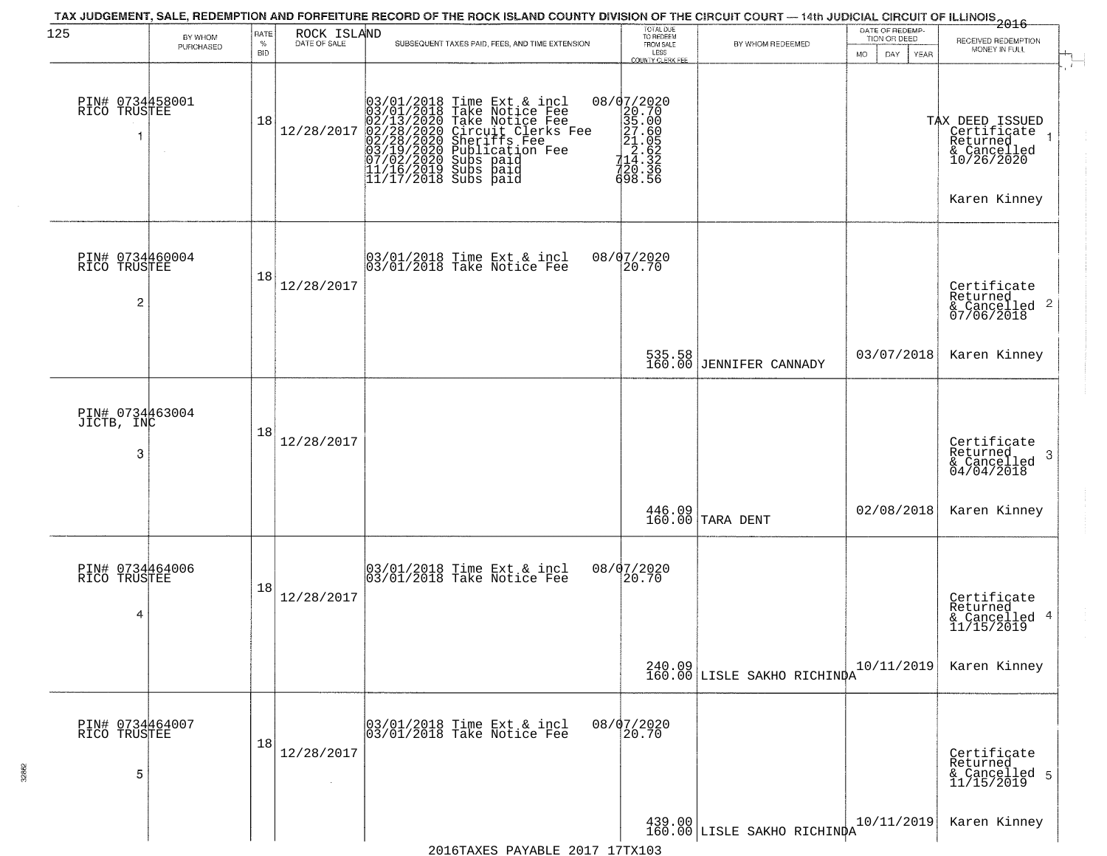| 125                                  | BY WHOM<br>PURCHASED | RATE<br>$\%$     | ROCK ISLAND<br>DATE OF SALE | TAX JUDGEMENT, SALE, REDEMPTION AND FORFEITURE RECORD OF THE ROCK ISLAND COUNTY DIVISION OF THE CIRCUIT COURT — 14th JUDICIAL CIRCUIT OF ILLINOIS 2016<br>SUBSEQUENT TAXES PAID, FEES, AND TIME EXTENSION                                   | TOTAL DUE<br>TO REDEEM<br>FROM SALE                                                                                                                   | BY WHOM REDEEMED                      | DATE OF REDEMP-<br>TION OR DEED | RECEIVED REDEMPTION<br>MONEY IN FULL                                                    |
|--------------------------------------|----------------------|------------------|-----------------------------|---------------------------------------------------------------------------------------------------------------------------------------------------------------------------------------------------------------------------------------------|-------------------------------------------------------------------------------------------------------------------------------------------------------|---------------------------------------|---------------------------------|-----------------------------------------------------------------------------------------|
| PIN# 0734458001<br>RICO TRUSTEE      |                      | <b>BID</b><br>18 | 12/28/2017                  | $03/01/2018$ Time Ext & incl<br>$03/01/2018$ Take Notice Fee<br>$02/13/2020$ Take Notice Fee<br>$02/28/2020$ Circuit Clerks Fee<br>$02/28/2020$ Sheriffs Fee<br>$03/19/2020$ Publication Fee<br>$03/102/2020$ Subs paid<br>$11/16/2019$ Sub | LESS<br>COUNTY CLERK FEE<br>$=\begin{bmatrix} 08/07/2020 \\ 20.70 \\ 35.00 \\ 27.60 \\ 21.65 \\ 14.320 \\ 714.326 \\ 720.366 \end{bmatrix}$<br>698.56 |                                       | DAY<br>YEAR<br>MO.              | TAX DEED ISSUED<br>Certificate<br>Returned<br>& Cancelled<br>10/26/2020<br>Karen Kinney |
| PIN# 0734460004<br>RICO TRUSTEE<br>2 |                      | 18               | 12/28/2017                  | 03/01/2018 Time Ext & incl<br>03/01/2018 Take Notice Fee                                                                                                                                                                                    | 08/07/2020<br>20.70                                                                                                                                   |                                       |                                 | Certificate<br>Returned<br>& Cancelled 2<br>07/06/2018                                  |
|                                      |                      |                  |                             |                                                                                                                                                                                                                                             |                                                                                                                                                       | 535.58<br>160.00 JENNIFER CANNADY     | 03/07/2018                      | Karen Kinney                                                                            |
| PIN# 0734463004<br>JICTB, INC<br>3   |                      | 18               | 12/28/2017                  |                                                                                                                                                                                                                                             |                                                                                                                                                       |                                       |                                 | Certificate<br>Returned<br>-3<br>& Cancelled<br>04/04/2018                              |
|                                      |                      |                  |                             |                                                                                                                                                                                                                                             | 446.09<br>160.00                                                                                                                                      | TARA DENT                             | 02/08/2018                      | Karen Kinney                                                                            |
| PIN# 0734464006<br>RICO TRUSTEE<br>4 |                      | 18               | 12/28/2017                  | 03/01/2018 Time Ext & incl<br>03/01/2018 Take Notice Fee                                                                                                                                                                                    | 08/07/2020<br>20.70                                                                                                                                   |                                       |                                 | Certificate<br>Returned<br>& Cancelled 4<br>11/15/2019                                  |
|                                      |                      |                  |                             |                                                                                                                                                                                                                                             |                                                                                                                                                       | 240.09<br>160.00 LISLE SAKHO RICHINDA | 10/11/2019                      | Karen Kinney                                                                            |
| PIN# 0734464007<br>RICO TRUSTEE<br>5 |                      | 18               | 12/28/2017                  | 03/01/2018 Time Ext & incl<br>03/01/2018 Take Notice Fee                                                                                                                                                                                    | 08/07/2020<br>20.70                                                                                                                                   |                                       |                                 | Certificate<br>Returned<br>& Cancelled 5<br>11/15/2019                                  |
|                                      |                      |                  |                             |                                                                                                                                                                                                                                             |                                                                                                                                                       | 439.00<br>160.00 LISLE SAKHO RICHINDA | 10/11/2019                      | Karen Kinney                                                                            |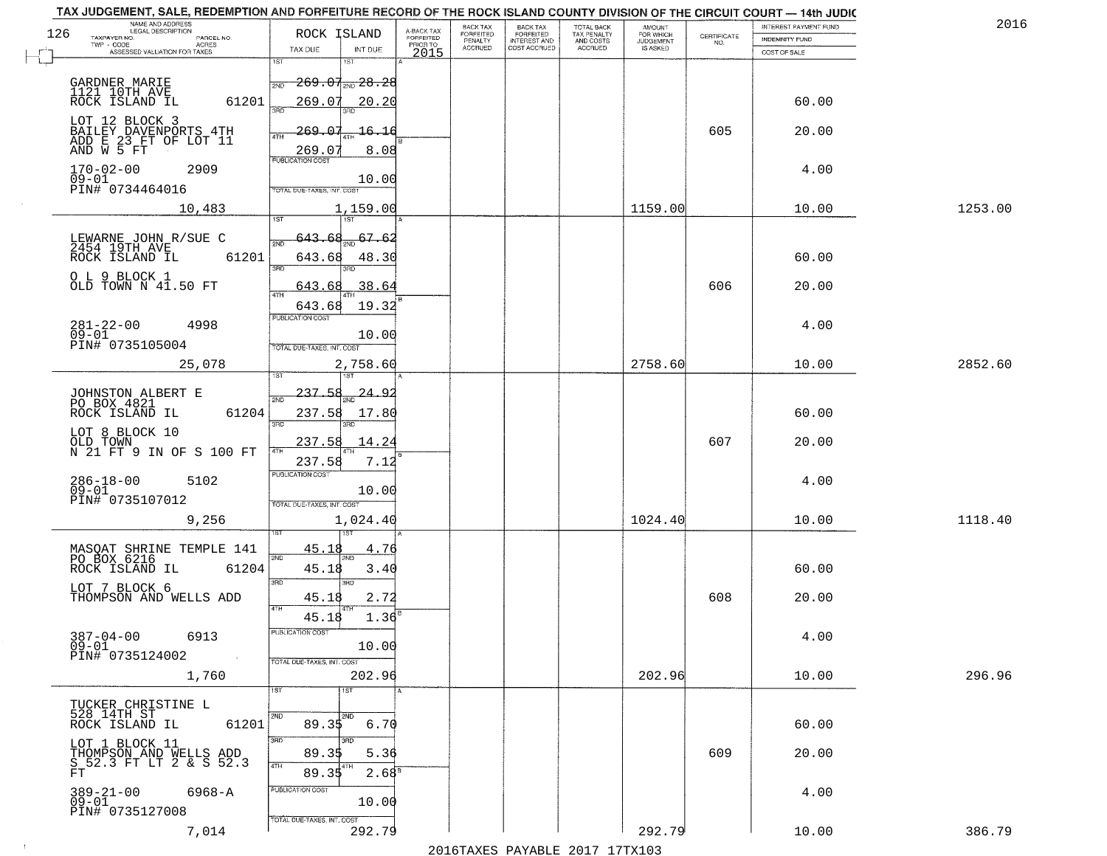|     | TAX JUDGEMENT, SALE, REDEMPTION AND FORFEITURE RECORD OF THE ROCK ISLAND COUNTY DIVISION OF THE CIRCUIT COURT - 14th JUDIC<br>NAME AND ADDRESS<br>LEGAL DESCRIPTION |                                          |                                     | <b>BACK TAX</b>             |                                              |                                        |                                         |                                                                 | INTEREST PAYMENT FUND | 2016    |
|-----|---------------------------------------------------------------------------------------------------------------------------------------------------------------------|------------------------------------------|-------------------------------------|-----------------------------|----------------------------------------------|----------------------------------------|-----------------------------------------|-----------------------------------------------------------------|-----------------------|---------|
| 126 | TAXPAYER NO.<br>PARCEL NO.                                                                                                                                          | ROCK ISLAND                              | A-BACK TAX<br>FORFEITED<br>PRIOR TO | <b>FORFEITED</b><br>PENALTY | BACK TAX<br>FORFEITED<br><b>INTEREST AND</b> | TOTAL BACK<br>TAX PENALTY<br>AND COSTS | AMOUNT<br>FOR WHICH<br><b>JUDGEMENT</b> | $\begin{array}{c} \text{CERTIFICATE} \\ \text{NO.} \end{array}$ | INDEMNITY FUND        |         |
|     | ACRES<br>ASSESSED VALUATION FOR TAXES                                                                                                                               | TAX DUE<br>INT DUE                       | 2015                                | <b>ACCRUED</b>              | COST ACCRUED                                 | <b>ACCRUED</b>                         | IS ASKED                                |                                                                 | COST OF SALE          |         |
|     |                                                                                                                                                                     | 1ST<br>1ST                               |                                     |                             |                                              |                                        |                                         |                                                                 |                       |         |
|     | GARDNER MARIE                                                                                                                                                       | $-269.07$ <sub>200</sub> $-28.28$<br>2ND |                                     |                             |                                              |                                        |                                         |                                                                 |                       |         |
|     | 1121 10TH AVE                                                                                                                                                       |                                          |                                     |                             |                                              |                                        |                                         |                                                                 |                       |         |
|     | 61201<br>ROCK ISLAND IL                                                                                                                                             | 269.07<br>20.20<br>350                   |                                     |                             |                                              |                                        |                                         |                                                                 | 60.00                 |         |
|     | LOT 12 BLOCK 3                                                                                                                                                      |                                          |                                     |                             |                                              |                                        |                                         |                                                                 |                       |         |
|     | BAILEY DAVENPORTS 4TH<br>ADD E 23 FT OF LOT 11<br>AND W 5 FT                                                                                                        | 269.07<br><u> 16.16</u>                  |                                     |                             |                                              |                                        |                                         | 605                                                             | 20.00                 |         |
|     |                                                                                                                                                                     | 269.07<br>8.08                           |                                     |                             |                                              |                                        |                                         |                                                                 |                       |         |
|     | $170 - 02 - 00$<br>2909                                                                                                                                             | <b>PUBLICATION COST</b>                  |                                     |                             |                                              |                                        |                                         |                                                                 | 4.00                  |         |
|     | $09 - 01$                                                                                                                                                           | 10.00                                    |                                     |                             |                                              |                                        |                                         |                                                                 |                       |         |
|     | PIN# 0734464016                                                                                                                                                     | TOTAL DUE-TAXES, INT. COST               |                                     |                             |                                              |                                        |                                         |                                                                 |                       |         |
|     | 10,483                                                                                                                                                              | 1,159.00                                 |                                     |                             |                                              |                                        | 1159.00                                 |                                                                 | 10.00                 | 1253.00 |
|     |                                                                                                                                                                     |                                          |                                     |                             |                                              |                                        |                                         |                                                                 |                       |         |
|     | LEWARNE JOHN R/SUE C<br>2454 19TH AVE                                                                                                                               | 67.6.                                    |                                     |                             |                                              |                                        |                                         |                                                                 |                       |         |
|     | 61201<br>ROCK ISLAND IL                                                                                                                                             | 643.68<br>48.30                          |                                     |                             |                                              |                                        |                                         |                                                                 | 60.00                 |         |
|     |                                                                                                                                                                     | बन्ना<br>3RD                             |                                     |                             |                                              |                                        |                                         |                                                                 |                       |         |
|     | O L 9 BLOCK 1<br>OLD TOWN N 41.50 FT                                                                                                                                | 643.68<br>.38.64                         |                                     |                             |                                              |                                        |                                         | 606                                                             | 20.00                 |         |
|     |                                                                                                                                                                     | 19.32                                    |                                     |                             |                                              |                                        |                                         |                                                                 |                       |         |
|     |                                                                                                                                                                     | 643.68<br>PUBLICATION COST               |                                     |                             |                                              |                                        |                                         |                                                                 |                       |         |
|     | $281 - 22 - 00$<br>4998<br>$09 - 01$                                                                                                                                | 10.00                                    |                                     |                             |                                              |                                        |                                         |                                                                 | 4.00                  |         |
|     | PIN# 0735105004                                                                                                                                                     | TOTAL DUE-TAXES, INT. COST               |                                     |                             |                                              |                                        |                                         |                                                                 |                       |         |
|     | 25,078                                                                                                                                                              | 2,758.60                                 |                                     |                             |                                              |                                        | 2758.60                                 |                                                                 | 10.00                 | 2852.60 |
|     |                                                                                                                                                                     | 1ST                                      |                                     |                             |                                              |                                        |                                         |                                                                 |                       |         |
|     |                                                                                                                                                                     | $-237 - 58$<br><u>24.9</u>               |                                     |                             |                                              |                                        |                                         |                                                                 |                       |         |
|     | JOHNSTON ALBERT E<br>PO BOX 4821                                                                                                                                    | 2ND                                      |                                     |                             |                                              |                                        |                                         |                                                                 |                       |         |
|     | ROCK ISLAND IL<br>61204                                                                                                                                             | 237.58<br>17.80<br>3RD<br>3RD            |                                     |                             |                                              |                                        |                                         |                                                                 | 60.00                 |         |
|     | LOT 8 BLOCK 10                                                                                                                                                      |                                          |                                     |                             |                                              |                                        |                                         |                                                                 |                       |         |
|     | OLD TOWN<br>N 21 FT 9 IN OF S 100 FT                                                                                                                                | 237.58<br>14.24                          |                                     |                             |                                              |                                        |                                         | 607                                                             | 20.00                 |         |
|     |                                                                                                                                                                     | 237.58<br>7.12                           |                                     |                             |                                              |                                        |                                         |                                                                 |                       |         |
|     | 5102                                                                                                                                                                | <b>PUBLICATION COST</b>                  |                                     |                             |                                              |                                        |                                         |                                                                 | 4.00                  |         |
|     | 286-18-00<br>09-01                                                                                                                                                  | 10.00                                    |                                     |                             |                                              |                                        |                                         |                                                                 |                       |         |
|     | PIN# 0735107012                                                                                                                                                     | TOTAL OUE-TAXES, INT. COST               |                                     |                             |                                              |                                        |                                         |                                                                 |                       |         |
|     | 9,256                                                                                                                                                               | 1,024.40                                 |                                     |                             |                                              |                                        | 1024.40                                 |                                                                 | 10.00                 | 1118.40 |
|     |                                                                                                                                                                     |                                          |                                     |                             |                                              |                                        |                                         |                                                                 |                       |         |
|     | MASOAT SHRINE TEMPLE 141<br>PO BOX 6216                                                                                                                             | 45.18<br>4.76<br>2ND                     |                                     |                             |                                              |                                        |                                         |                                                                 |                       |         |
|     | ROCK ISLAND IL<br>61204                                                                                                                                             | 45.18<br>3.40                            |                                     |                             |                                              |                                        |                                         |                                                                 | 60.00                 |         |
|     | LOT 7 BLOCK 6                                                                                                                                                       | 3BD<br>3 <sub>BD</sub>                   |                                     |                             |                                              |                                        |                                         |                                                                 |                       |         |
|     | THOMPSON AND WELLS ADD                                                                                                                                              | 45.18<br>2.72                            |                                     |                             |                                              |                                        |                                         | 608                                                             | 20.00                 |         |
|     |                                                                                                                                                                     | 4TH<br>1.36<br>45.18                     |                                     |                             |                                              |                                        |                                         |                                                                 |                       |         |
|     | $387 - 04 - 00$<br>6913                                                                                                                                             | PUBLICATION COST                         |                                     |                             |                                              |                                        |                                         |                                                                 | 4.00                  |         |
|     | $09 - 01$                                                                                                                                                           | 10.00                                    |                                     |                             |                                              |                                        |                                         |                                                                 |                       |         |
|     | PIN# 0735124002<br>$\sim 100$                                                                                                                                       | TOTAL DUE-TAXES, INT. COST               |                                     |                             |                                              |                                        |                                         |                                                                 |                       |         |
|     | 1,760                                                                                                                                                               | 202.96                                   |                                     |                             |                                              |                                        | 202.96                                  |                                                                 | 10.00                 | 296.96  |
|     |                                                                                                                                                                     | 1ST<br>1ST                               |                                     |                             |                                              |                                        |                                         |                                                                 |                       |         |
|     | TUCKER CHRISTINE L                                                                                                                                                  |                                          |                                     |                             |                                              |                                        |                                         |                                                                 |                       |         |
|     | 528 14TH ST<br>61201<br>ROCK ISLAND IL                                                                                                                              | <b>2ND</b><br>89.35<br>6.70              |                                     |                             |                                              |                                        |                                         |                                                                 | 60.00                 |         |
|     |                                                                                                                                                                     | 3RD                                      |                                     |                             |                                              |                                        |                                         |                                                                 |                       |         |
|     | LOT 1 BLOCK 11                                                                                                                                                      | 89.35<br>5.36                            |                                     |                             |                                              |                                        |                                         | 609                                                             | 20.00                 |         |
|     | THOMPSON AND WELLS ADD<br>S 52.3 FT LT 2 & S 52.3<br>FT                                                                                                             | 4TH<br>$2.68^8$<br>89.35                 |                                     |                             |                                              |                                        |                                         |                                                                 |                       |         |
|     |                                                                                                                                                                     |                                          |                                     |                             |                                              |                                        |                                         |                                                                 |                       |         |
|     | 389-21-00<br>09-01<br>6968-A                                                                                                                                        | PUBLICATION COST<br>10.00                |                                     |                             |                                              |                                        |                                         |                                                                 | 4.00                  |         |
|     | PIN# 0735127008                                                                                                                                                     |                                          |                                     |                             |                                              |                                        |                                         |                                                                 |                       |         |
|     | 7,014                                                                                                                                                               | TOTAL DUE-TAXES, INT. COST<br>292.79     |                                     |                             |                                              |                                        | 292.79                                  |                                                                 | 10.00                 | 386.79  |
|     |                                                                                                                                                                     |                                          |                                     |                             |                                              | 2016 TAVEC DAVARLE 2017 17 TV102       |                                         |                                                                 |                       |         |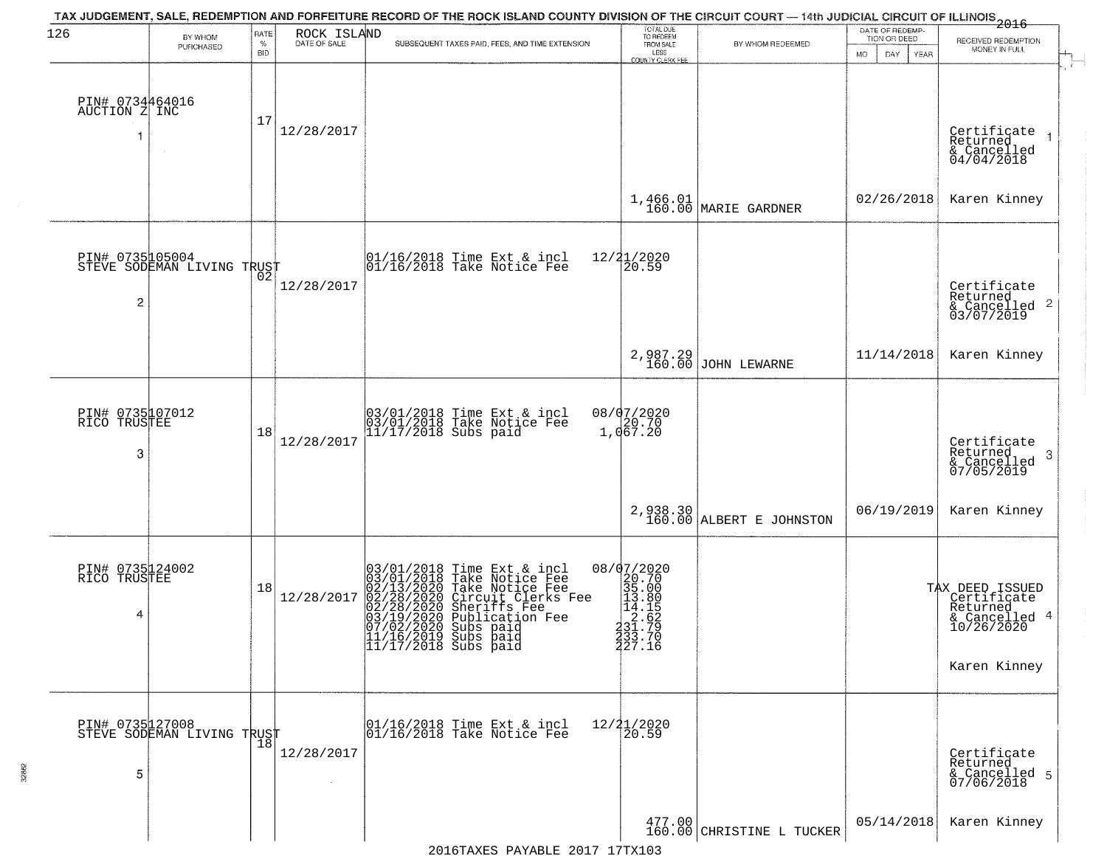| 126                                  | BY WHOM                                           | RATE               | ROCK ISLAND          | TAX JUDGEMENT, SALE, REDEMPTION AND FORFEITURE RECORD OF THE ROCK ISLAND COUNTY DIVISION OF THE CIRCUIT COURT — 14th JUDICIAL CIRCUIT OF ILLINOIS 2016                                                                                                                       | TOTAL DUE<br>TO REDEEM<br>FROM SALE                                                            |                                                                                                 | DATE OF REDEMP-<br>TION OR DEED |                                                                                                  |
|--------------------------------------|---------------------------------------------------|--------------------|----------------------|------------------------------------------------------------------------------------------------------------------------------------------------------------------------------------------------------------------------------------------------------------------------------|------------------------------------------------------------------------------------------------|-------------------------------------------------------------------------------------------------|---------------------------------|--------------------------------------------------------------------------------------------------|
|                                      | PURCHASED                                         | $\%$<br><b>BID</b> | DATE OF SALE         | SUBSEQUENT TAXES PAID, FEES, AND TIME EXTENSION                                                                                                                                                                                                                              | LESS<br>COUNTY CLERK FEE                                                                       | BY WHOM REDEEMED                                                                                | MO.<br>DAY.<br>YEAR             | RECEIVED REDEMPTION<br>MONEY IN FULL                                                             |
| PIN# 0734464016<br>AUCTION Z INC     |                                                   | 17                 | 12/28/2017           |                                                                                                                                                                                                                                                                              |                                                                                                |                                                                                                 |                                 | Certificate<br>Returned<br>& Cancelled<br>04/04/2018                                             |
|                                      |                                                   |                    |                      |                                                                                                                                                                                                                                                                              |                                                                                                | $1,466.01$ MARIE GARDNER                                                                        | 02/26/2018                      | Karen Kinney                                                                                     |
| $\overline{c}$                       | PIN# 0735105004<br>STEVE SODEMAN LIVING TRUST     |                    | 12/28/2017           | 01/16/2018 Time Ext & incl<br>01/16/2018 Take Notice Fee                                                                                                                                                                                                                     | 12/21/2020<br>20.59                                                                            |                                                                                                 |                                 | Certificate<br>Returned<br>& Cancelled 2<br>03/07/2019                                           |
|                                      |                                                   |                    |                      |                                                                                                                                                                                                                                                                              | 2,987.29<br>160.00                                                                             | JOHN LEWARNE                                                                                    | 11/14/2018                      | Karen Kinney                                                                                     |
| PIN# 0735107012<br>RICO TRUSTEE<br>3 |                                                   | 18                 | 12/28/2017           | 03/01/2018 Time Ext & incl<br>03/01/2018 Take Notice Fee<br>11/17/2018 Subs paid                                                                                                                                                                                             | 08/07/2020<br>1,067.20                                                                         |                                                                                                 |                                 | Certificate<br>Returned<br>3<br>& Cancelled<br>07/05/2019                                        |
|                                      |                                                   |                    |                      |                                                                                                                                                                                                                                                                              |                                                                                                | $\begin{array}{c} \texttt{2,938.30} \\ \texttt{160.00} \texttt{[ALEERT E JOHNSTON} \end{array}$ | 06/19/2019                      | Karen Kinney                                                                                     |
| PIN# 0735124002<br>RICO TRUSTEE<br>4 |                                                   | 18                 | 12/28/2017           | 03/01/2018 Time Ext & incl<br>03/01/2018 Take Notice Fee<br>02/13/2020 Take Notice Fee<br>02/28/2020 Circuit Clerks Fee<br>02/28/2020 Sheriffs Fee<br>03/19/2020 Subs paid<br>07/02/2020 Subs paid<br>07/02/2020 Subs paid<br> 11/16/2019 Subs paid<br> 11/17/2018 Subs paid | 08/07/2020<br>$22.700$<br>$35.000$<br>$13.105$<br>$14.15$<br>$2.709$<br>$231.706$<br>$233.706$ |                                                                                                 |                                 | TAX DEED ISSUED<br>  Certificate<br>  Returned<br>4<br>& Cancelled<br>10/26/2020<br>Karen Kinney |
| 5                                    | PIN# 0735127008    <br>STEVE SODEMAN LIVING TRUST | 18                 | 12/28/2017<br>$\sim$ | 01/16/2018 Time Ext & incl<br>01/16/2018 Take Notice Fee                                                                                                                                                                                                                     | 12/21/2020<br>20.59                                                                            |                                                                                                 |                                 | Certificate<br>Returned<br>& Cancelled 5<br>07/06/2018                                           |
|                                      |                                                   |                    |                      |                                                                                                                                                                                                                                                                              |                                                                                                | $\begin{array}{c c} 477.00 \\ 160.00 \end{array}$ CHRISTINE L TUCKER                            | 05/14/2018                      | Karen Kinney                                                                                     |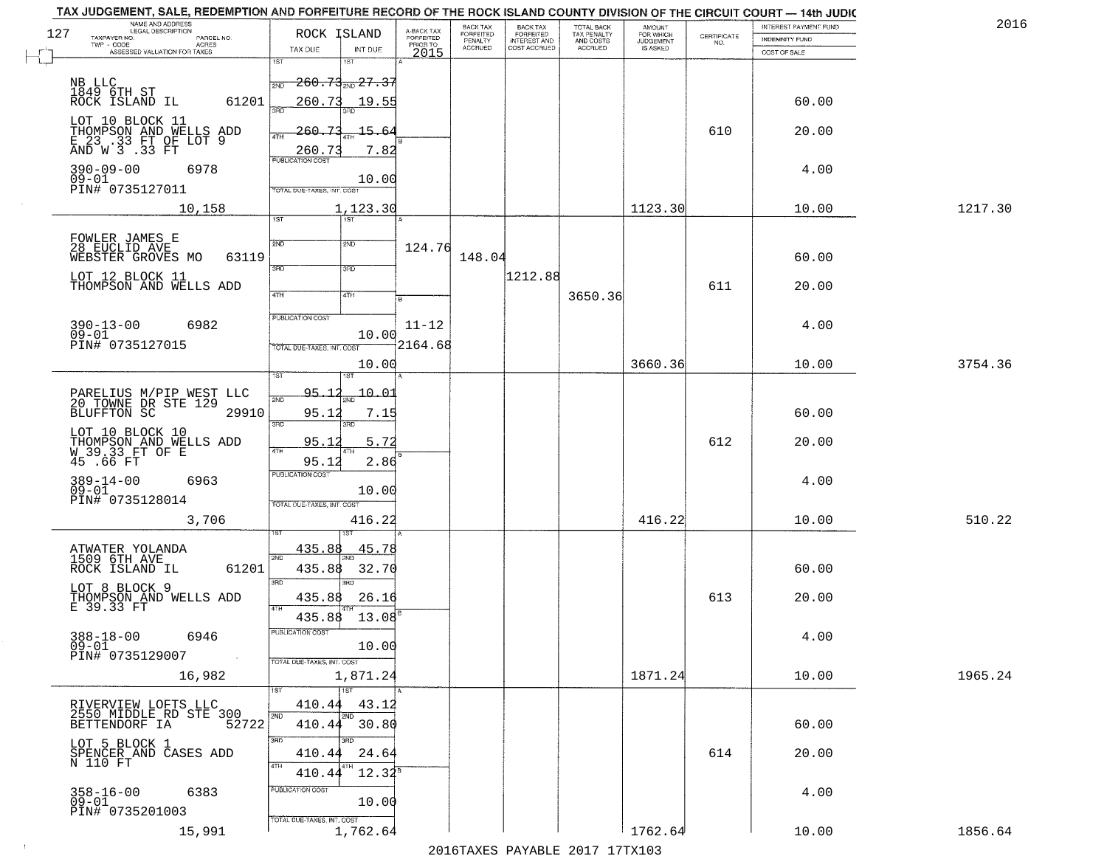|     | TAX JUDGEMENT, SALE, REDEMPTION AND FORFEITURE RECORD OF THE ROCK ISLAND COUNTY DIVISION OF THE CIRCUIT COURT - 14th JUDIC<br>NAME AND ADDRESS<br>LEGAL DESCRIPTION |                                          |                         | <b>BACK TAX</b>             | <b>BACK TAX</b>                         |                                        |                                         |                                                                 | INTEREST PAYMENT FUND | 2016    |
|-----|---------------------------------------------------------------------------------------------------------------------------------------------------------------------|------------------------------------------|-------------------------|-----------------------------|-----------------------------------------|----------------------------------------|-----------------------------------------|-----------------------------------------------------------------|-----------------------|---------|
| 127 | TAXPAYER NO.<br>PARCEL NO.                                                                                                                                          | ROCK ISLAND                              | A-BACK TAX<br>FORFEITED | <b>FORFEITED</b><br>PENALTY | <b>FORFEITED</b><br><b>INTEREST AND</b> | TOTAL BACK<br>TAX PENALTY<br>AND COSTS | AMOUNT<br>FOR WHICH<br><b>JUDGEMENT</b> | $\begin{array}{c} \text{CERTIFICATE} \\ \text{NO.} \end{array}$ | INDEMNITY FUND        |         |
|     | ACRES<br>ASSESSED VALUATION FOR TAXES                                                                                                                               | TAX DUE<br>INT DUE                       | PRIOR TO<br>2015        | <b>ACCRUED</b>              | COST ACCRUED                            | <b>ACCRUED</b>                         | IS ASKED                                |                                                                 | COST OF SALE          |         |
|     |                                                                                                                                                                     | 1ST<br>1ST                               |                         |                             |                                         |                                        |                                         |                                                                 |                       |         |
|     |                                                                                                                                                                     | <del>260.73 27.37 - 27</del><br>2ND      |                         |                             |                                         |                                        |                                         |                                                                 |                       |         |
|     | NB LLC<br>1849 6TH ST<br>ROCK ISLAND IL<br>61201                                                                                                                    | 260.73<br>19.55                          |                         |                             |                                         |                                        |                                         |                                                                 | 60.00                 |         |
|     |                                                                                                                                                                     | 350                                      |                         |                             |                                         |                                        |                                         |                                                                 |                       |         |
|     | LOT 10 BLOCK 11                                                                                                                                                     | 260.73<br>15.64<br>ATH                   |                         |                             |                                         |                                        |                                         | 610                                                             | 20.00                 |         |
|     | THOMPSON AND WELLS ADD<br>E 23 .33 FT OF LOT 9<br>AND W 3 .33 FT                                                                                                    | 7.82<br>260.73                           |                         |                             |                                         |                                        |                                         |                                                                 |                       |         |
|     |                                                                                                                                                                     | <b>PUBLICATION COST</b>                  |                         |                             |                                         |                                        |                                         |                                                                 |                       |         |
|     | $390 - 09 - 00$<br>6978<br>$09 - 01$                                                                                                                                | 10.00                                    |                         |                             |                                         |                                        |                                         |                                                                 | 4.00                  |         |
|     | PIN# 0735127011                                                                                                                                                     | TOTAL DUE-TAXES, INT. COST               |                         |                             |                                         |                                        |                                         |                                                                 |                       |         |
|     | 10,158                                                                                                                                                              | 1,123.30                                 |                         |                             |                                         |                                        | 1123.30                                 |                                                                 | 10.00                 | 1217.30 |
|     |                                                                                                                                                                     | 1ST<br>1ST                               |                         |                             |                                         |                                        |                                         |                                                                 |                       |         |
|     | FOWLER JAMES E<br>28 EUCLID AVE                                                                                                                                     | 2ND<br>2ND                               | 124.76                  |                             |                                         |                                        |                                         |                                                                 |                       |         |
|     | 63119<br>WEBSTER GROVES MO                                                                                                                                          |                                          |                         | 148.04                      |                                         |                                        |                                         |                                                                 | 60.00                 |         |
|     | LOT 12 BLOCK 11                                                                                                                                                     | उन्नत<br>3RD                             |                         |                             | 1212.88                                 |                                        |                                         |                                                                 |                       |         |
|     | THOMPSON AND WELLS ADD                                                                                                                                              | 47H<br>4TH                               |                         |                             |                                         | 3650.36                                |                                         | 611                                                             | 20.00                 |         |
|     |                                                                                                                                                                     |                                          | łв                      |                             |                                         |                                        |                                         |                                                                 |                       |         |
|     | $390 - 13 - 00$<br>6982                                                                                                                                             | PUBLICATION COST                         | $11 - 12$               |                             |                                         |                                        |                                         |                                                                 | 4.00                  |         |
|     | $09 - 01$                                                                                                                                                           | 10.00                                    |                         |                             |                                         |                                        |                                         |                                                                 |                       |         |
|     | PIN# 0735127015                                                                                                                                                     | TOTAL DUE-TAXES, INT. COST               | 2164.68                 |                             |                                         |                                        |                                         |                                                                 |                       |         |
|     |                                                                                                                                                                     | 10.00<br>is T<br>1ST                     |                         |                             |                                         |                                        | 3660.36                                 |                                                                 | 10.00                 | 3754.36 |
|     |                                                                                                                                                                     |                                          |                         |                             |                                         |                                        |                                         |                                                                 |                       |         |
|     | PARELIUS M/PIP WEST LLC<br>20 TOWNE DR STE 129                                                                                                                      | $-10 - 01$<br><u>95. 1</u><br>2ND        |                         |                             |                                         |                                        |                                         |                                                                 |                       |         |
|     | <b>BLUFFTON SC</b><br>29910                                                                                                                                         | 95.12<br>7.15<br>3BD<br>3RD              |                         |                             |                                         |                                        |                                         |                                                                 | 60.00                 |         |
|     | LOT 10 BLOCK 10                                                                                                                                                     |                                          |                         |                             |                                         |                                        |                                         | 612                                                             |                       |         |
|     | THOMPSON AND WELLS ADD<br>W 39.33 FT OF E                                                                                                                           | 95.1<br>5.72<br><b>ATH</b>               |                         |                             |                                         |                                        |                                         |                                                                 | 20.00                 |         |
|     | $45.66$ $FT$                                                                                                                                                        | 95.12<br>2.86<br><b>PUBLICATION COST</b> |                         |                             |                                         |                                        |                                         |                                                                 |                       |         |
|     | $389 - 14 - 00$<br>6963<br>$09 - 01$                                                                                                                                |                                          |                         |                             |                                         |                                        |                                         |                                                                 | 4.00                  |         |
|     | PIN# 0735128014                                                                                                                                                     | 10.00<br>TOTAL OUE-TAXES, INT. COST      |                         |                             |                                         |                                        |                                         |                                                                 |                       |         |
|     | 3,706                                                                                                                                                               | 416.22                                   |                         |                             |                                         |                                        | 416.22                                  |                                                                 | 10.00                 | 510.22  |
|     |                                                                                                                                                                     |                                          |                         |                             |                                         |                                        |                                         |                                                                 |                       |         |
|     | ATWATER YOLANDA                                                                                                                                                     | 435.88<br><u>45.78</u>                   |                         |                             |                                         |                                        |                                         |                                                                 |                       |         |
|     | 1509 6TH AVE<br>ROCK ISLAND IL<br>61201                                                                                                                             | 2ND<br>32.70<br>435.88                   |                         |                             |                                         |                                        |                                         |                                                                 | 60.00                 |         |
|     |                                                                                                                                                                     | 3BD<br>3BD                               |                         |                             |                                         |                                        |                                         |                                                                 |                       |         |
|     | LOT 8 BLOCK 9<br>THOMPSON AND WELLS ADD<br>E 39.33 FT                                                                                                               | 435.88<br>26.16                          |                         |                             |                                         |                                        |                                         | 613                                                             | 20.00                 |         |
|     |                                                                                                                                                                     | <b>ATH</b><br>435.88<br>13.08            |                         |                             |                                         |                                        |                                         |                                                                 |                       |         |
|     | $388 - 18 - 00$                                                                                                                                                     | <b>PUBLICATION COS-</b>                  |                         |                             |                                         |                                        |                                         |                                                                 |                       |         |
|     | 6946<br>$09 - 01$                                                                                                                                                   | 10.00                                    |                         |                             |                                         |                                        |                                         |                                                                 | 4.00                  |         |
|     | PIN# 0735129007<br>$\sim 10$                                                                                                                                        | TOTAL DUE-TAXES, INT. COST               |                         |                             |                                         |                                        |                                         |                                                                 |                       |         |
|     | 16,982                                                                                                                                                              | 1,871.24                                 |                         |                             |                                         |                                        | 1871.24                                 |                                                                 | 10.00                 | 1965.24 |
|     |                                                                                                                                                                     | 11ST                                     |                         |                             |                                         |                                        |                                         |                                                                 |                       |         |
|     | RIVERVIEW LOFTS LLC<br>2550 MIDDLE RD STE 300                                                                                                                       | 410.44<br>43.12<br>2ND<br>2ND            |                         |                             |                                         |                                        |                                         |                                                                 |                       |         |
|     | 52722<br>BETTENDORF IA                                                                                                                                              | 410.44 30.80                             |                         |                             |                                         |                                        |                                         |                                                                 | 60.00                 |         |
|     |                                                                                                                                                                     | 3RD<br>3BD                               |                         |                             |                                         |                                        |                                         |                                                                 |                       |         |
|     | LOT 5 BLOCK 1<br>SPENCER AND CASES ADD<br>N 110 FT                                                                                                                  | 410.44<br>24.64                          |                         |                             |                                         |                                        |                                         | 614                                                             | 20.00                 |         |
|     |                                                                                                                                                                     | 4TH<br>$12.32^8$<br>410.44               |                         |                             |                                         |                                        |                                         |                                                                 |                       |         |
|     | 6383                                                                                                                                                                | PUBLICATION COST                         |                         |                             |                                         |                                        |                                         |                                                                 | 4.00                  |         |
|     | 358-16-00<br>09-01<br>PIN# 0735201003                                                                                                                               | 10.00                                    |                         |                             |                                         |                                        |                                         |                                                                 |                       |         |
|     |                                                                                                                                                                     | TOTAL DUE-TAXES, INT. COST               |                         |                             |                                         |                                        |                                         |                                                                 |                       |         |
|     | 15,991                                                                                                                                                              | 1,762.64                                 |                         |                             |                                         | 2016 TAVEC DAVARLE 2017 17 TV102       | 1762.64                                 |                                                                 | 10.00                 | 1856.64 |
|     |                                                                                                                                                                     |                                          |                         |                             |                                         |                                        |                                         |                                                                 |                       |         |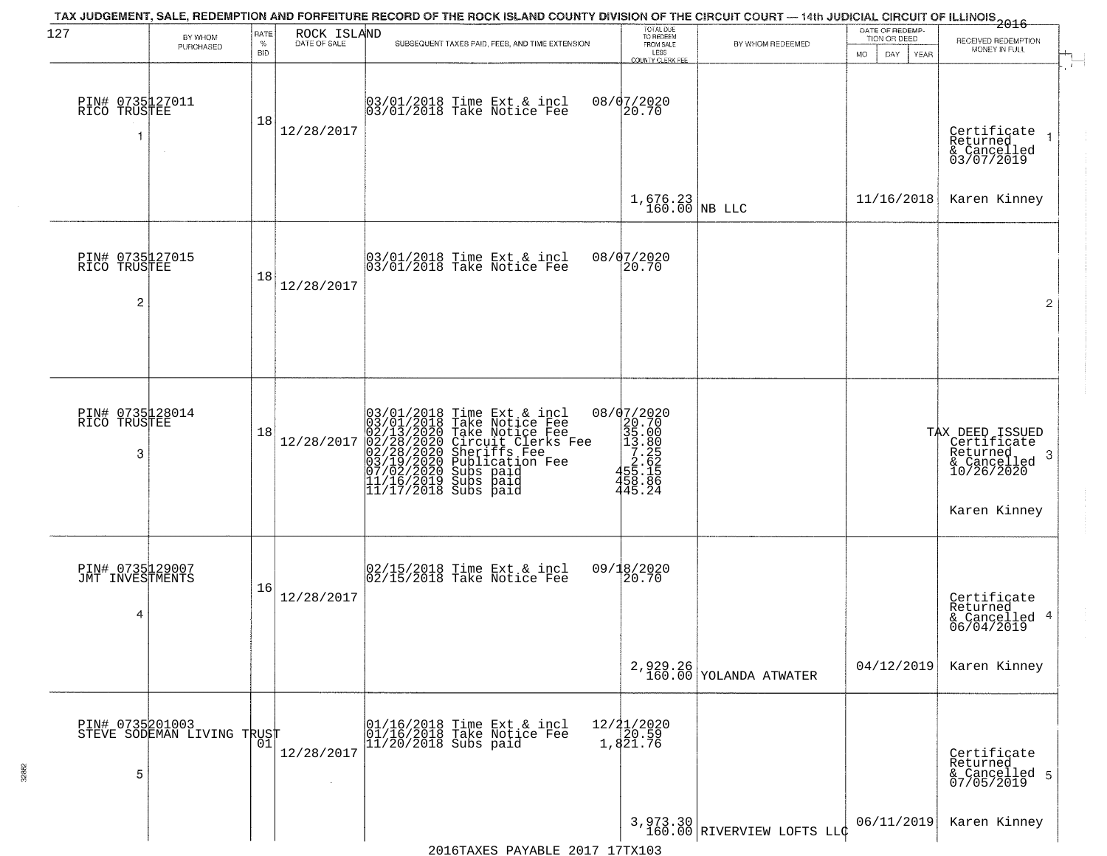|                                         |                            |                            |                             | TAX JUDGEMENT, SALE, REDEMPTION AND FORFEITURE RECORD OF THE ROCK ISLAND COUNTY DIVISION OF THE CIRCUIT COURT — 14th JUDICIAL CIRCUIT OF ILLINOIS 2016                                                                                                |                                                                                          |                                      | DATE OF REDEMP-                     |                                                                                               |
|-----------------------------------------|----------------------------|----------------------------|-----------------------------|-------------------------------------------------------------------------------------------------------------------------------------------------------------------------------------------------------------------------------------------------------|------------------------------------------------------------------------------------------|--------------------------------------|-------------------------------------|-----------------------------------------------------------------------------------------------|
| 127                                     | BY WHOM<br>PURCHASED       | RATE<br>$\%$<br><b>BID</b> | ROCK ISLAND<br>DATE OF SALE | SUBSEQUENT TAXES PAID, FEES, AND TIME EXTENSION                                                                                                                                                                                                       | TOTAL DUE<br>TO REDEEM<br>FROM SALE<br>LESS                                              | BY WHOM REDEEMED                     | TION OR DEED<br>MO.<br>DAY.<br>YEAR | RECEIVED REDEMPTION<br>MONEY IN FULL                                                          |
| PIN# 0735127011<br>RICO TRUSTEE<br>1    |                            | 18                         | 12/28/2017                  | 03/01/2018 Time Ext & incl<br>03/01/2018 Take Notice Fee                                                                                                                                                                                              | COUNTY CLERK FEE<br>08/07/2020<br>20.70                                                  |                                      |                                     | Certificate<br>Returned<br>& Cancelled<br>03/07/2019                                          |
|                                         |                            |                            |                             |                                                                                                                                                                                                                                                       | $1,676.23$ NB LLC                                                                        |                                      | 11/16/2018                          | Karen Kinney                                                                                  |
| PIN# 0735127015<br>RICO TRUSTEE<br>2    |                            | 18                         | 12/28/2017                  | 03/01/2018 Time Ext & incl<br>03/01/2018 Take Notice Fee                                                                                                                                                                                              | 08/07/2020<br>20.70                                                                      |                                      |                                     | $\overline{2}$                                                                                |
| PIN# 0735128014<br>RICO TRUSTEE         |                            | 18                         |                             |                                                                                                                                                                                                                                                       |                                                                                          |                                      |                                     |                                                                                               |
| 3                                       |                            |                            | 12/28/2017                  | 03/01/2018 Time Ext & incl<br>03/01/2018 Take Notice Fee<br>02/13/2020 Take Notice Fee<br>02/28/2020 Circuit Clerks Fee<br>02/28/2020 Sheriffs Fee<br>03/19/2020 Subication Fee<br>03/19/2020 Subs paid<br>11/16/2019 Subs paid<br>11/17/2018 Subs pa | 08/07/2020<br>20.70<br>35.00<br>13.885<br>2.62<br>458.182<br>458.182<br>458.86<br>445.24 |                                      |                                     | TAX DEED ISSUED<br>Certificate<br>Returned<br>-3<br>& Cancelled<br>10/26/2020<br>Karen Kinney |
| PIN# 0735129007<br>JMT INVESTMENTS<br>4 |                            | 16                         | 12/28/2017                  | 02/15/2018 Time Ext & incl<br>02/15/2018 Take Notice Fee                                                                                                                                                                                              | 09/18/2020<br>20.70                                                                      |                                      |                                     | Certificate<br>Returned<br>& Cancelled 4<br>06/04/2019                                        |
|                                         |                            |                            |                             |                                                                                                                                                                                                                                                       |                                                                                          | $2,929.26$<br>160.00 YOLANDA ATWATER | 04/12/2019                          | Karen Kinney                                                                                  |
| PIN# 0735201003<br>5                    | STEVE SODEMAN LIVING TRUST | 01                         | 12/28/2017                  | 01/16/2018 Time Ext & incl<br>01/16/2018 Take Notice Fee<br>$11/20/2018$ Subs paid                                                                                                                                                                    | 12/21/2020<br>20.59<br>1,821.76                                                          |                                      |                                     | Certificate<br>Returned<br>& Cancelled 5<br>07/05/2019                                        |
|                                         |                            |                            |                             | 2016TAYES DAVARLE 2017 17TY103                                                                                                                                                                                                                        |                                                                                          | 3,973.30 RIVERVIEW LOFTS LLC         | 06/11/2019                          | Karen Kinney                                                                                  |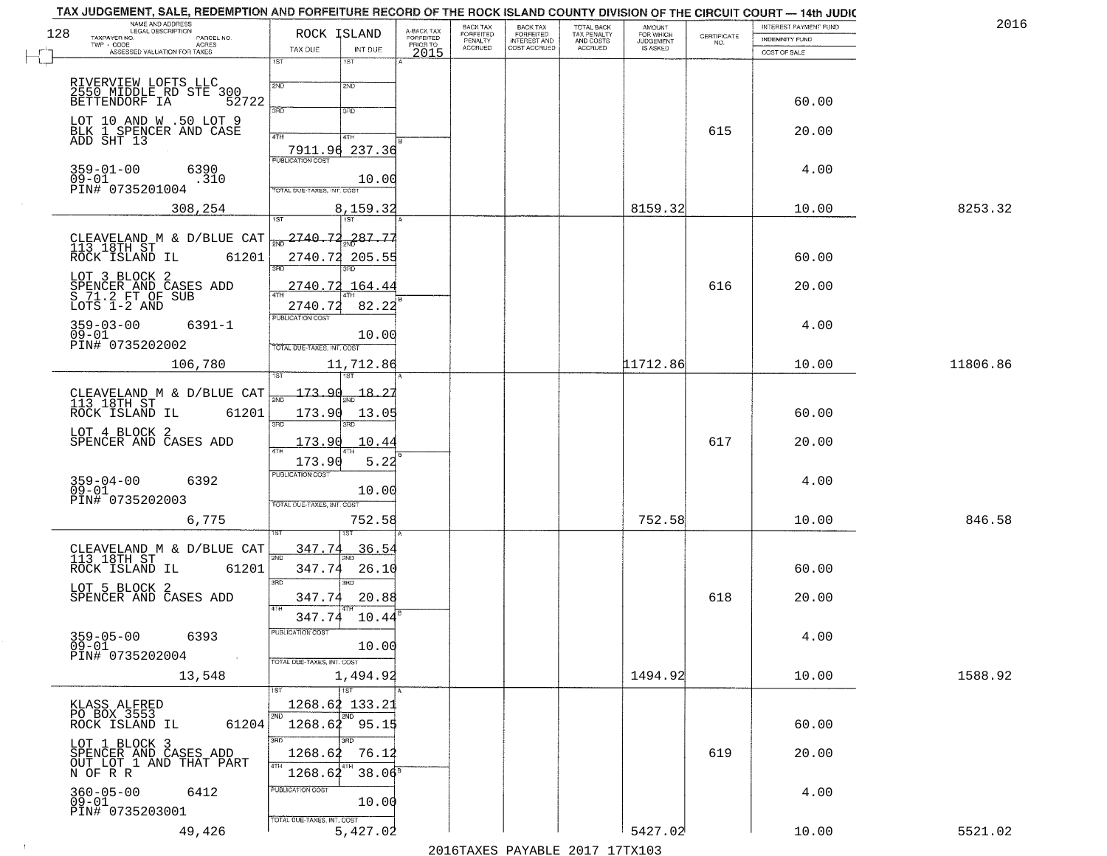|     | TAX JUDGEMENT, SALE, REDEMPTION AND FORFEITURE RECORD OF THE ROCK ISLAND COUNTY DIVISION OF THE CIRCUIT COURT - 14th JUDIC<br>NAME AND ADDRESS<br>LEGAL DESCRIPTION |                                                                            |                                     | BACK TAX             |                                                       |                                        | AMOUNT<br>FOR WHICH |                    | INTEREST PAYMENT FUND | 2016     |
|-----|---------------------------------------------------------------------------------------------------------------------------------------------------------------------|----------------------------------------------------------------------------|-------------------------------------|----------------------|-------------------------------------------------------|----------------------------------------|---------------------|--------------------|-----------------------|----------|
| 128 | TAXPAYER NO.<br>PARCEL NO.<br>TWP - CODE<br><b>ACRES</b>                                                                                                            | ROCK ISLAND                                                                | A-BACK TAX<br>FORFEITED<br>PRIOR TO | FORFEITED<br>PENALTY | BACK TAX<br>FORFEITED<br>INTEREST AND<br>COST ACCRUED | TOTAL BACK<br>TAX PENALTY<br>AND COSTS | <b>JUDGEMENT</b>    | CERTIFICATE<br>NO. | INDEMNITY FUND        |          |
|     | ASSESSED VALUATION FOR TAXES                                                                                                                                        | TAX DUE<br>INT DUE<br>1ST<br>1ST                                           | 2015                                | <b>ACCRUED</b>       |                                                       | <b>ACCRUED</b>                         | IS ASKED            |                    | COST OF SALE          |          |
|     | RIVERVIEW LOFTS LLC<br>2550 MIDDLE RD STE 300<br>BETTENDORF IA 52722                                                                                                | 2ND<br>2ND                                                                 |                                     |                      |                                                       |                                        |                     |                    |                       |          |
|     |                                                                                                                                                                     | 3RD<br>3RD                                                                 |                                     |                      |                                                       |                                        |                     |                    | 60.00                 |          |
|     | LOT 10 AND W .50 LOT 9<br>BLK 1 SPENCER AND CASE<br>ADD SHT 13                                                                                                      | 4TH<br>4TH<br>7911.96 237.36                                               |                                     |                      |                                                       |                                        |                     | 615                | 20.00                 |          |
|     | $359 - 01 - 00$<br>6390<br>$09 - 01$<br>.310<br>PIN# 0735201004                                                                                                     | <b>PUBLICATION COST</b><br>10.00<br>TOTAL DUE-TAXES, INT. COST             |                                     |                      |                                                       |                                        |                     |                    | 4.00                  |          |
|     | 308,254                                                                                                                                                             | 8,159.32                                                                   |                                     |                      |                                                       |                                        | 8159.32             |                    | 10.00                 | 8253.32  |
|     |                                                                                                                                                                     |                                                                            |                                     |                      |                                                       |                                        |                     |                    |                       |          |
|     | CLEAVELAND M & D/BLUE CAT<br>113 18TH ST<br>ROCK ISLAND IL 61201                                                                                                    | 2740.72<br><u> 287.77</u><br>2740.72<br>205.55                             |                                     |                      |                                                       |                                        |                     |                    | 60.00                 |          |
|     | LOT 3 BLOCK 2<br>SPENCER AND CASES ADD<br>S 71.2 FT OF SUB<br>LOTS 1-2 AND                                                                                          | 2740.72<br>164.44<br>82.22<br>2740.72                                      |                                     |                      |                                                       |                                        |                     | 616                | 20.00                 |          |
|     | $359 - 03 - 00$<br>$6391 - 1$<br>$09 - 01$                                                                                                                          | PUBLICATION COST<br>10.00                                                  |                                     |                      |                                                       |                                        |                     |                    | 4.00                  |          |
|     | PIN# 0735202002<br>106,780                                                                                                                                          | TOTAL DUE-TAXES, INT. COST<br>11,712.86                                    |                                     |                      |                                                       |                                        | 11712.86            |                    | 10.00                 | 11806.86 |
|     | CLEAVELAND M & D/BLUE CAT<br>113_18TH_ST<br>ROCK ISLAND IL<br>61201                                                                                                 | 173.90<br>$\frac{18.2}{200}$<br>$\overline{200}$<br>173.90<br>13.05        |                                     |                      |                                                       |                                        |                     |                    | 60.00                 |          |
|     | LOT 4 BLOCK 2<br>SPENCER AND CASES ADD                                                                                                                              | 3RD<br>3RD<br>173.90<br>10.44                                              |                                     |                      |                                                       |                                        |                     | 617                | 20.00                 |          |
|     |                                                                                                                                                                     | 173.90<br>5.22                                                             |                                     |                      |                                                       |                                        |                     |                    |                       |          |
|     | 6392<br>359-04-00<br>09-01<br>PIN# 0735202003                                                                                                                       | <b>PUBLICATION COST</b><br>10.00<br>TOTAL OUE-TAXES, INT. COST             |                                     |                      |                                                       |                                        |                     |                    | 4.00                  |          |
|     | 6,775                                                                                                                                                               | 752.58                                                                     |                                     |                      |                                                       |                                        | 752.58              |                    | 10.00                 | 846.58   |
|     | CLEAVELAND M & D/BLUE CAT<br>113 18TH ST<br>61201<br>ROCK ISLAND IL                                                                                                 | 347.74<br>36.5<br>2ND<br>347.74<br>26.10                                   |                                     |                      |                                                       |                                        |                     |                    | 60.00                 |          |
|     | LOT 5 BLOCK 2<br>SPENCER AND CASES ADD                                                                                                                              | 3RD<br>3BD<br>347.74<br>20.88<br>4TH                                       |                                     |                      |                                                       |                                        |                     | 618                | 20.00                 |          |
|     | $359 - 05 - 00$<br>6393<br>$09 - 01$<br>PIN# 0735202004<br>$\sim 100$                                                                                               | 347.74<br>10.44<br>PUBLICATION COST<br>10.00<br>TOTAL DUE-TAXES, INT. COST |                                     |                      |                                                       |                                        |                     |                    | 4.00                  |          |
|     | 13,548                                                                                                                                                              | 1,494.92<br>$\overline{1}$ st<br>1ST                                       |                                     |                      |                                                       |                                        | 1494.92             |                    | 10.00                 | 1588.92  |
|     | KLASS ALFRED<br>PO BOX 3553<br>61204<br>ROCK ISLAND IL                                                                                                              | 1268.62 133.21<br>2ND<br>2ND<br>1268.62 95.15                              |                                     |                      |                                                       |                                        |                     |                    | 60.00                 |          |
|     | LOT 1 BLOCK 3<br>SPENCER AND CASES ADD<br>OUT_LOT_1 AND THAT PART<br>N OF R R                                                                                       | 3RD<br>חחי<br>76.12<br>1268.62<br>4TH<br>$38.06^8$<br>1268.62              |                                     |                      |                                                       |                                        |                     | 619                | 20.00                 |          |
|     | 360-05-00<br>09-01<br>6412<br>PIN# 0735203001                                                                                                                       | PUBLICATION COST<br>10.00                                                  |                                     |                      |                                                       |                                        |                     |                    | 4.00                  |          |
|     | 49,426                                                                                                                                                              | TOTAL DUE-TAXES, INT. COST<br>5,427.02                                     |                                     |                      |                                                       |                                        | 5427.02             |                    | 10.00                 | 5521.02  |

 $\sim 10^{-1}$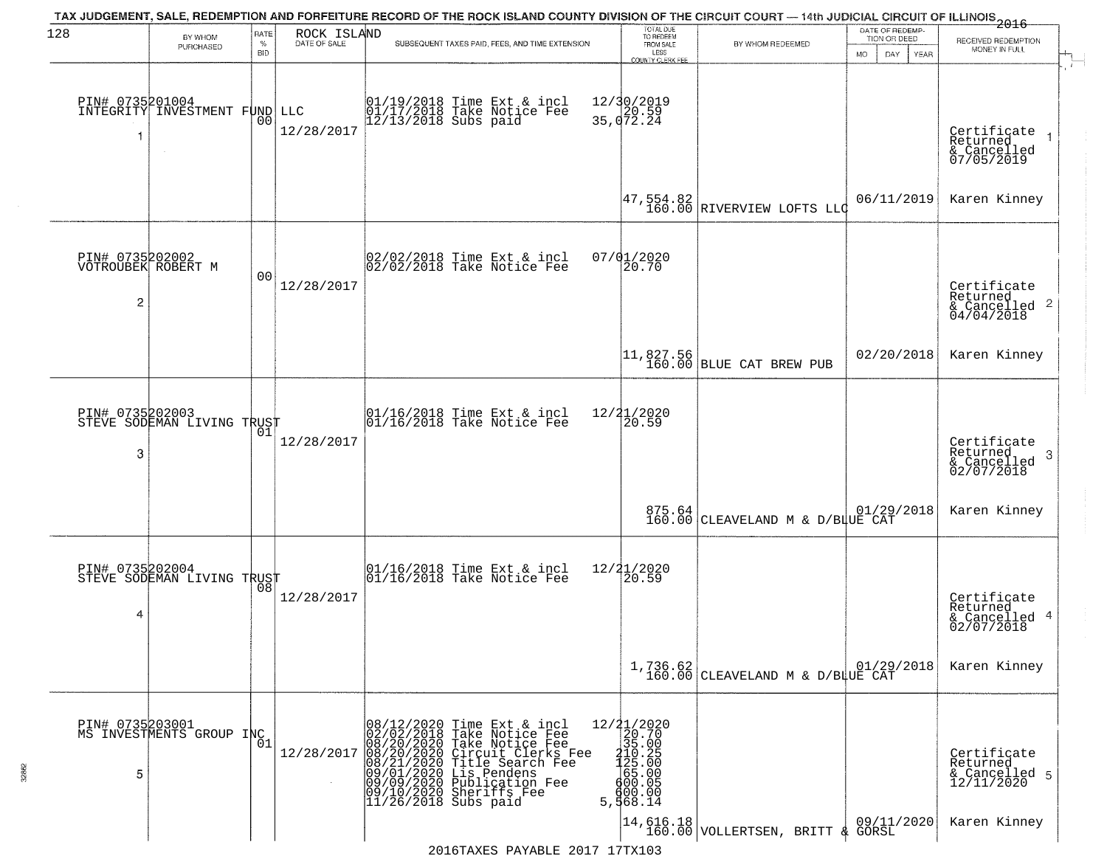|                         |                                                  |                            |                             | TAX JUDGEMENT, SALE, REDEMPTION AND FORFEITURE RECORD OF THE ROCK ISLAND COUNTY DIVISION OF THE CIRCUIT COURT — 14th JUDICIAL CIRCUIT OF ILLINOIS 2016                                                                                                                                                                                                                            |                                                                                         |                                                                 |                                                                                           |                                                               |                                                                               |
|-------------------------|--------------------------------------------------|----------------------------|-----------------------------|-----------------------------------------------------------------------------------------------------------------------------------------------------------------------------------------------------------------------------------------------------------------------------------------------------------------------------------------------------------------------------------|-----------------------------------------------------------------------------------------|-----------------------------------------------------------------|-------------------------------------------------------------------------------------------|---------------------------------------------------------------|-------------------------------------------------------------------------------|
| 128                     | BY WHOM<br>PURCHASED                             | RATE<br>$\%$<br><b>BID</b> | ROCK ISLAND<br>DATE OF SALE | SUBSEQUENT TAXES PAID, FEES, AND TIME EXTENSION                                                                                                                                                                                                                                                                                                                                   |                                                                                         | TOTAL DUE<br>TO REDEEM<br>FROM SALE<br>LESS<br>COUNTY CLERK FEE | BY WHOM REDEEMED                                                                          | DATE OF REDEMP-<br>TION OR DEED<br>MO.<br>DAY.<br><b>YEAR</b> | RECEIVED REDEMPTION<br>MONEY IN FULL                                          |
| $\overline{\mathbf{1}}$ | PIN# 0735201004<br>INTEGRITY INVESTMENT FUND LLC | 0 <sub>0</sub>             | 12/28/2017                  | 01/19/2018 Time Ext & incl<br>01/17/2018 Take Notice Fee<br>12/13/2018 Subs paid                                                                                                                                                                                                                                                                                                  | 12/30/2019<br>35, 072.24                                                                |                                                                 |                                                                                           |                                                               | Certificate<br>Returned<br>& Cancelled<br>07/05/2019                          |
|                         |                                                  |                            |                             |                                                                                                                                                                                                                                                                                                                                                                                   |                                                                                         |                                                                 | $\left  \frac{47}{160.00} \right $ RIVERVIEW LOFTS LLC                                    | 06/11/2019                                                    | Karen Kinney                                                                  |
| $\overline{c}$          | PIN# 0735202002<br>VOTROUBEK ROBERT M            | 0 <sub>0</sub>             | 12/28/2017                  | 02/02/2018 Time Ext & incl<br>02/02/2018 Take Notice Fee                                                                                                                                                                                                                                                                                                                          | 07/01/2020                                                                              | 20.70                                                           |                                                                                           |                                                               | Certificate<br>Returned<br>$\frac{1}{6}$ Cancelled <sup>2</sup><br>04/04/2018 |
|                         |                                                  |                            |                             |                                                                                                                                                                                                                                                                                                                                                                                   |                                                                                         |                                                                 | 11,827.56<br>160.00 BLUE CAT BREW PUB                                                     | 02/20/2018                                                    | Karen Kinney                                                                  |
| PIN# 0735202003<br>3    | STEVE SODEMAN LIVING TRUST                       | 01                         | 12/28/2017                  | 01/16/2018 Time Ext & incl<br>01/16/2018 Take Notice Fee                                                                                                                                                                                                                                                                                                                          | 12/21/2020                                                                              | 20.59                                                           |                                                                                           |                                                               | Certificate<br>Returned<br>3<br>& Cancelled<br>02/07/2018                     |
|                         |                                                  |                            |                             |                                                                                                                                                                                                                                                                                                                                                                                   |                                                                                         |                                                                 | 875.64 CLEAVELAND M & D/BLUE CAT                                                          | 01/29/2018                                                    | Karen Kinney                                                                  |
| PIN# 0735202004<br>4    | STEVE SODEMAN LIVING TRUST                       | 08                         | 12/28/2017                  | 01/16/2018 Time Ext & incl<br>01/16/2018 Take Notice Fee                                                                                                                                                                                                                                                                                                                          | 12/21/2020                                                                              | 20.59                                                           |                                                                                           |                                                               | Certificate<br>Returned<br>& Cancelled 4<br>02/07/2018                        |
|                         |                                                  |                            |                             |                                                                                                                                                                                                                                                                                                                                                                                   |                                                                                         |                                                                 | $1,736.62$ 01/29, 160.00 CLEAVELAND M & D/BLUE CAT                                        | 01/29/2018                                                    | Karen Kinney                                                                  |
| PIN# 0735203001<br>5    | MS INVESTMENTS GROUP INC                         | 01                         | 12/28/2017                  | 08/12/2020 Time Ext &<br>02/02/2018 Take Notic<br>08/20/2020 Take Notic<br>08/20/2020 Tircuit Cl<br>08/21/2020 Title Sear<br>09/01/2020 Lis Pendem<br>09/09/2020 Bublicatic<br>09/10/2020 Sheriffs F<br>11/26/2018 Subs paid<br>Time Ext & incl<br>Take Notice Fee<br>Take Notice Fee<br>Circuit Clerks Fee<br>Title Search Fee<br>Lis Pendens<br>Publication Fee<br>Sheriffs Fee | $\begin{array}{r} 12/21/2020 \\ 20.70 \\ 35.00 \end{array}$<br>$5, \frac{1}{3}$ $68.14$ | $\frac{210}{25}$ .00<br>$65.00$<br>$\frac{600}{25}$<br>900.00   |                                                                                           |                                                               | Certificate<br>Returned<br>& Cancelled 5<br>12/11/2020                        |
|                         |                                                  |                            |                             | 2016TAXES PAYABLE 2017 17TX103                                                                                                                                                                                                                                                                                                                                                    |                                                                                         |                                                                 | $\begin{vmatrix} 14,616.18 \\ 160.00 \end{vmatrix}$ VOLLERTSEN, BRITT $\frac{1}{4}$ GORSL | 09/11/2020                                                    | Karen Kinney                                                                  |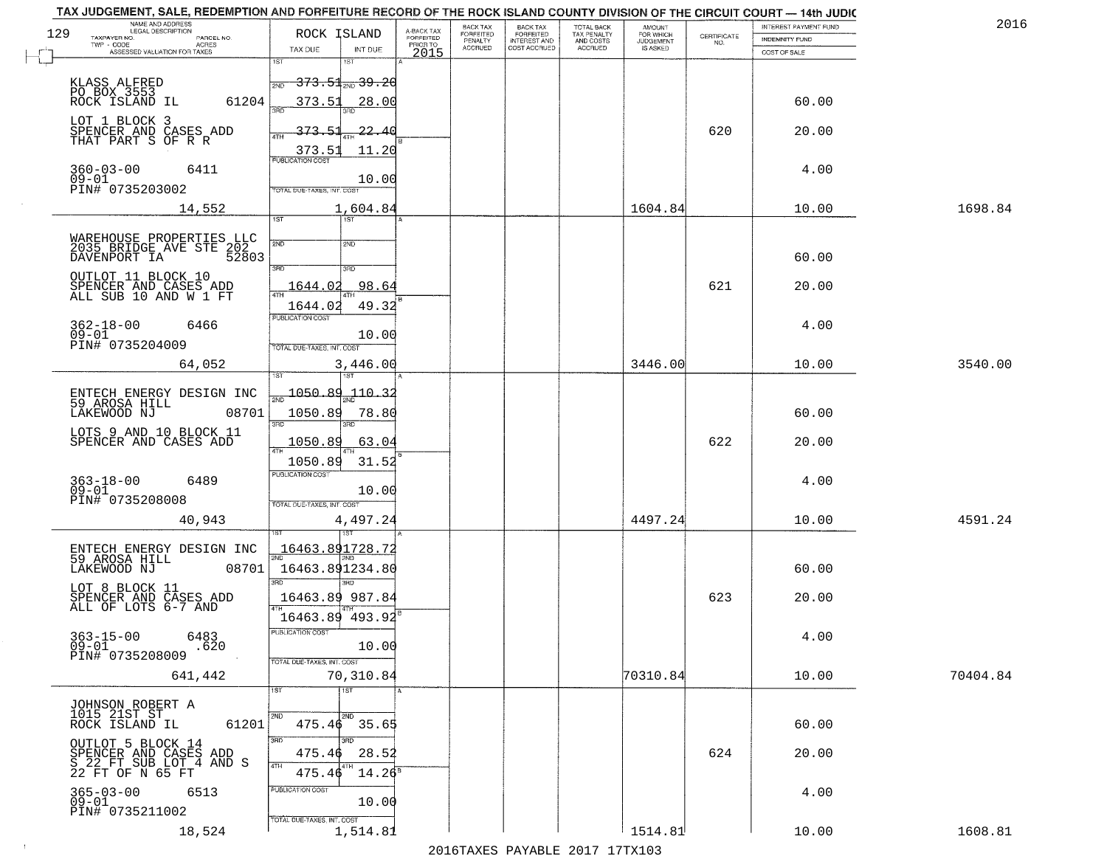|     | TAX JUDGEMENT, SALE, REDEMPTION AND FORFEITURE RECORD OF THE ROCK ISLAND COUNTY DIVISION OF THE CIRCUIT COURT - 14th JUDIC<br>NAME AND ADDRESS |                                            |                         |                              |                                              |                                        |                              |                                                                 |                       | 2016     |
|-----|------------------------------------------------------------------------------------------------------------------------------------------------|--------------------------------------------|-------------------------|------------------------------|----------------------------------------------|----------------------------------------|------------------------------|-----------------------------------------------------------------|-----------------------|----------|
| 129 | <b>LEGAL DESCRIPTION</b><br>TAXPAYER NO.<br>PARCEL NO.                                                                                         | ROCK ISLAND                                | A-BACK TAX<br>FORFEITED | BACK TAX<br><b>FORFEITED</b> | <b>BACK TAX</b><br>FORFEITED<br>INTEREST AND | TOTAL BACK<br>TAX PENALTY<br>AND COSTS | AMOUNT<br>FOR WHICH          |                                                                 | INTEREST PAYMENT FUND |          |
|     | TWP - CODE<br><b>ACRES</b>                                                                                                                     | TAX DUE<br>INT DUE                         | PRIOR TO                | PENALTY<br><b>ACCRUED</b>    | COST ACCRUED                                 | ACCRUED                                | <b>JUDGEMENT</b><br>IS ASKED | $\begin{array}{c} \text{CERTIFICATE} \\ \text{NO.} \end{array}$ | <b>INDEMNITY FUND</b> |          |
|     | ASSESSED VALUATION FOR TAXES                                                                                                                   | 1ST<br>1ST                                 | 2015                    |                              |                                              |                                        |                              |                                                                 | COST OF SALE          |          |
|     |                                                                                                                                                |                                            |                         |                              |                                              |                                        |                              |                                                                 |                       |          |
|     | KLASS ALFRED<br>PO BOX 3553                                                                                                                    | <del>373.51,,,,39.20</del><br>2ND          |                         |                              |                                              |                                        |                              |                                                                 |                       |          |
|     | 61204<br>ROCK ISLAND IL                                                                                                                        | 373.51<br><u>28.00</u>                     |                         |                              |                                              |                                        |                              |                                                                 | 60.00                 |          |
|     | LOT 1 BLOCK 3                                                                                                                                  |                                            |                         |                              |                                              |                                        |                              |                                                                 |                       |          |
|     | SPENCER AND CASES ADD<br>THAT PART S OF R R                                                                                                    | 373.51<br>22.40                            |                         |                              |                                              |                                        |                              | 620                                                             | 20.00                 |          |
|     |                                                                                                                                                | 11.20<br>373.51<br><b>PUBLICATION COST</b> |                         |                              |                                              |                                        |                              |                                                                 |                       |          |
|     | $360 - 03 - 00$<br>6411                                                                                                                        |                                            |                         |                              |                                              |                                        |                              |                                                                 | 4.00                  |          |
|     | $09 - 01$<br>PIN# 0735203002                                                                                                                   | 10.00<br><b>TOTAL DUE-TAXES, INT. COST</b> |                         |                              |                                              |                                        |                              |                                                                 |                       |          |
|     |                                                                                                                                                |                                            |                         |                              |                                              |                                        |                              |                                                                 |                       |          |
|     | 14,552                                                                                                                                         | 1,604.84<br>1ST<br>1ST                     |                         |                              |                                              |                                        | 1604.84                      |                                                                 | 10.00                 | 1698.84  |
|     |                                                                                                                                                |                                            |                         |                              |                                              |                                        |                              |                                                                 |                       |          |
|     | WAREHOUSE PROPERTIES LLC<br>2035 BRIDGE AVE STE 202                                                                                            | 2ND<br>2ND                                 |                         |                              |                                              |                                        |                              |                                                                 |                       |          |
|     | DAVENPORT IA<br>52803                                                                                                                          | 3RD<br>3RD                                 |                         |                              |                                              |                                        |                              |                                                                 | 60.00                 |          |
|     | OUTLOT 11 BLOCK 10                                                                                                                             | 98.64                                      |                         |                              |                                              |                                        |                              | 621                                                             | 20.00                 |          |
|     | SPENCER AND CASES ADD<br>ALL SUB 10 AND W 1 FT                                                                                                 | 1644.02                                    |                         |                              |                                              |                                        |                              |                                                                 |                       |          |
|     |                                                                                                                                                | 49.32<br>1644.02<br>PUBLICATION COST       |                         |                              |                                              |                                        |                              |                                                                 |                       |          |
|     | $362 - 18 - 00$<br>6466                                                                                                                        |                                            |                         |                              |                                              |                                        |                              |                                                                 | 4.00                  |          |
|     | $09 - 01$<br>PIN# 0735204009                                                                                                                   | 10.00<br>TOTAL DUE-TAXES, INT. COST        |                         |                              |                                              |                                        |                              |                                                                 |                       |          |
|     | 64,052                                                                                                                                         | 3,446.00                                   |                         |                              |                                              |                                        | 3446.00                      |                                                                 | 10.00                 | 3540.00  |
|     |                                                                                                                                                | 1ST                                        |                         |                              |                                              |                                        |                              |                                                                 |                       |          |
|     | ENTECH ENERGY DESIGN INC<br>59 AROSA HILL                                                                                                      | 1050.89<br>110.3                           |                         |                              |                                              |                                        |                              |                                                                 |                       |          |
|     | 08701<br>LAKEWOOD NJ                                                                                                                           | 1050.89<br>78.80                           |                         |                              |                                              |                                        |                              |                                                                 | 60.00                 |          |
|     |                                                                                                                                                | 3RD<br>3RD                                 |                         |                              |                                              |                                        |                              |                                                                 |                       |          |
|     | LOTS 9 AND 10 BLOCK 11<br>SPENCER AND CASES ADD                                                                                                | <u> 1050.89</u><br>63.04                   |                         |                              |                                              |                                        |                              | 622                                                             | 20.00                 |          |
|     |                                                                                                                                                | 1050.89<br>31.52                           |                         |                              |                                              |                                        |                              |                                                                 |                       |          |
|     |                                                                                                                                                | <b>PUBLICATION COST</b>                    |                         |                              |                                              |                                        |                              |                                                                 |                       |          |
|     | $363 - 18 - 00$<br>6489<br>$09 - 01$                                                                                                           | 10.00                                      |                         |                              |                                              |                                        |                              |                                                                 | 4.00                  |          |
|     | PIN# 0735208008                                                                                                                                | TOTAL OUE-TAXES, INT. COST                 |                         |                              |                                              |                                        |                              |                                                                 |                       |          |
|     | 40,943                                                                                                                                         | 4,497.24                                   |                         |                              |                                              |                                        | 4497.24                      |                                                                 | 10.00                 | 4591.24  |
|     |                                                                                                                                                |                                            |                         |                              |                                              |                                        |                              |                                                                 |                       |          |
|     | ENTECH ENERGY DESIGN INC<br>59 AROSA HILL                                                                                                      | 16463.891728.72                            |                         |                              |                                              |                                        |                              |                                                                 |                       |          |
|     | LAKEWOOD NJ<br>08701                                                                                                                           | 16463.891234.80                            |                         |                              |                                              |                                        |                              |                                                                 | 60.00                 |          |
|     | LOT 8 BLOCK 11                                                                                                                                 | 3BD<br>3BD                                 |                         |                              |                                              |                                        |                              |                                                                 |                       |          |
|     | SPENCER AND CASES ADD<br>ALL OF LOTS 6-7 AND                                                                                                   | 16463.89 987.84<br>4TH                     |                         |                              |                                              |                                        |                              | 623                                                             | 20.00                 |          |
|     |                                                                                                                                                | 16463.89 493.92                            |                         |                              |                                              |                                        |                              |                                                                 |                       |          |
|     | $363 - 15 - 00$<br>6483                                                                                                                        | ruslica i IUN COS                          |                         |                              |                                              |                                        |                              |                                                                 | 4.00                  |          |
|     | $09 - 01$<br>.620<br>PIN# 0735208009                                                                                                           | 10.00                                      |                         |                              |                                              |                                        |                              |                                                                 |                       |          |
|     | 641,442                                                                                                                                        | TOTAL DUE-TAXES, INT. COST<br>70,310.84    |                         |                              |                                              |                                        | 70310.84                     |                                                                 | 10.00                 | 70404.84 |
|     |                                                                                                                                                | 1ST<br>1ST                                 |                         |                              |                                              |                                        |                              |                                                                 |                       |          |
|     | JOHNSON ROBERT A                                                                                                                               |                                            |                         |                              |                                              |                                        |                              |                                                                 |                       |          |
|     | 1015 21ST ST<br>61201<br>ROCK ISLAND IL                                                                                                        | 2ND<br>2ND<br>$475.46$ 35.65               |                         |                              |                                              |                                        |                              |                                                                 | 60.00                 |          |
|     |                                                                                                                                                | 3RD                                        |                         |                              |                                              |                                        |                              |                                                                 |                       |          |
|     | OUTLOT 5 BLOCK 14                                                                                                                              | 475.46<br>28.52                            |                         |                              |                                              |                                        |                              | 624                                                             | 20.00                 |          |
|     | SPENCER AND CASES ADD<br>S 22 FT SUB LOT 4 AND S<br>22 FT OF N 65 FT                                                                           | 4TH<br>475.46<br>$14.26^8$                 |                         |                              |                                              |                                        |                              |                                                                 |                       |          |
|     |                                                                                                                                                | PUBLICATION COST                           |                         |                              |                                              |                                        |                              |                                                                 |                       |          |
|     | $365 - 03 - 00$<br>6513<br>$09 - 01$                                                                                                           | 10.00                                      |                         |                              |                                              |                                        |                              |                                                                 | 4.00                  |          |
|     | PIN# 0735211002                                                                                                                                | TOTAL DUE-TAXES, INT. COST                 |                         |                              |                                              |                                        |                              |                                                                 |                       |          |
|     | 18,524                                                                                                                                         | 1,514.81                                   |                         |                              |                                              |                                        | 1514.81                      |                                                                 | 10.00                 | 1608.81  |
|     |                                                                                                                                                |                                            |                         |                              |                                              | 2016 TAVEC DAVARIE 2017 17 TAV102      |                              |                                                                 |                       |          |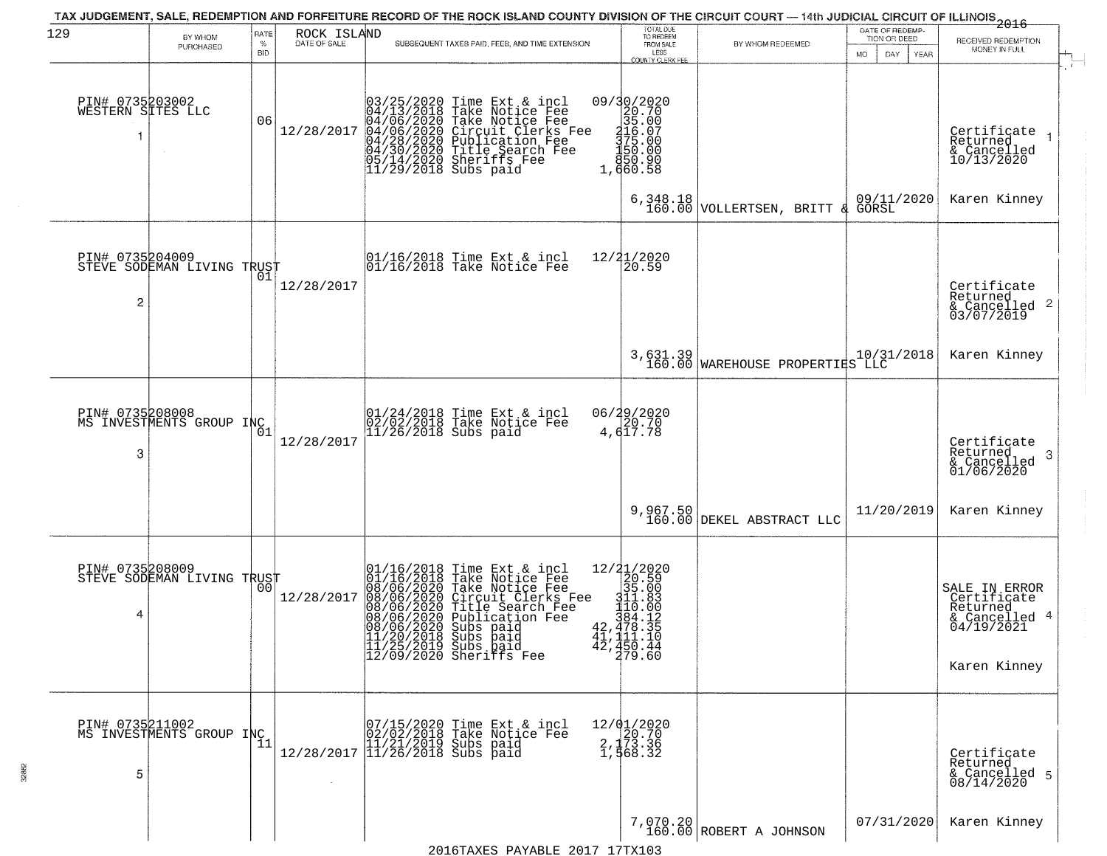| 129                                  | BY WHOM<br>PURCHASED                        | RATE<br>$\%$<br><b>BID</b> | ROCK ISLAND<br>DATE OF SALE | TAX JUDGEMENT, SALE, REDEMPTION AND FORFEITURE RECORD OF THE ROCK ISLAND COUNTY DIVISION OF THE CIRCUIT COURT — 14th JUDICIAL CIRCUIT OF ILLINOIS 2016<br>SUBSEQUENT TAXES PAID, FEES, AND TIME EXTENSION                                                                                                             | TOTAL DUE<br>TO REDEEM<br>FROM SALE<br>LESS<br>COUNTY CLERK FEE                                                                                                                                                                                        | BY WHOM REDEEMED                            | DATE OF REDEMP-<br>TION OR DEED<br>DAY.<br>MO.<br>YEAR | RECEIVED REDEMPTION<br>MONEY IN FULL                                                    |
|--------------------------------------|---------------------------------------------|----------------------------|-----------------------------|-----------------------------------------------------------------------------------------------------------------------------------------------------------------------------------------------------------------------------------------------------------------------------------------------------------------------|--------------------------------------------------------------------------------------------------------------------------------------------------------------------------------------------------------------------------------------------------------|---------------------------------------------|--------------------------------------------------------|-----------------------------------------------------------------------------------------|
| PIN# 0735203002<br>WESTERN SITES LLC |                                             | 06                         | 12/28/2017                  | $03/25/2020$ Time Ext & incl<br>04/13/2018 Take Notice Fee<br>04/06/2020 Take Notice Fee<br>04/06/2020 Circuit Clerks Fee<br>04/30/2020 Publication Fee<br>04/30/2020 Title Search Fee<br>05/14/2020 Sheriffs Fee<br>11/29/2018 Subs paid                                                                             | 09/30/2020<br>$\begin{array}{r} 20.70 \\ 35.00 \\ 416.07 \\ 375.00 \\ 150.00 \end{array}$<br>850.90<br>1,660.58                                                                                                                                        |                                             |                                                        | Certificate<br>Returned<br>& Cancelled<br>10/13/2020                                    |
|                                      |                                             |                            |                             |                                                                                                                                                                                                                                                                                                                       | 6,348.18<br>160.00                                                                                                                                                                                                                                     | VOLLERTSEN, BRITT<br>୍ୟୁ                    | 09/11/2020                                             | Karen Kinney                                                                            |
| PIN# 0735204009<br>2                 | STEVE SODEMAN LIVING TRUST                  |                            | 12/28/2017                  | $\begin{array}{ccc}  01/16/2018 \text{ Time} & \text{Ext} & \text{incl} \\  01/16/2018 \text{ Take Notice } \text{Fe} \end{array}$                                                                                                                                                                                    | 12/21/2020<br>20.59                                                                                                                                                                                                                                    |                                             |                                                        | Certificate<br>Returned<br>$\frac{1}{6}$ Cancelled 2<br>03/07/2019                      |
|                                      |                                             |                            |                             |                                                                                                                                                                                                                                                                                                                       |                                                                                                                                                                                                                                                        | 3,631.39<br>160.00 WAREHOUSE PROPERTIES LLC | 10/31/2018                                             | Karen Kinney                                                                            |
| PIN# 0735208008<br>3                 | MS INVESTMENTS GROUP INC                    | $\overline{0}1$            | 12/28/2017                  | 01/24/2018 Time Ext & incl<br>02/02/2018 Take Notice Fee<br>11/26/2018 Subs paid                                                                                                                                                                                                                                      | 06/29/2020<br>20.70<br>4,617.78                                                                                                                                                                                                                        |                                             |                                                        | Certificate<br>Returned<br>-3<br>$\frac{2}{6}$ Cancelled<br>01/06/2020                  |
|                                      |                                             |                            |                             |                                                                                                                                                                                                                                                                                                                       | 9,967.50<br>160.00                                                                                                                                                                                                                                     | DEKEL ABSTRACT LLC                          | 11/20/2019                                             | Karen Kinney                                                                            |
| PIN# 0735208009<br>4                 | STEVE SODEMAN LIVING TRUST                  | 00                         | 12/28/2017                  | 01/16/2018 Time Ext & incl<br>01/16/2018 Take Notice Fee<br>08/06/2020 Take Notice Fee<br>08/06/2020 Circuit Clerks Fee<br>08/06/2020 Title Search Fee<br>08/06/2020 Publication Fee<br>08/06/2020 Publication Fee<br>09/06/2020 Subs paid<br>11/20/2018 Subs paid<br>11/25/2019 Subs paid<br>12/09/2020 Sheriffs Fee | $\begin{smallmatrix} 12/31/2020 \\ 20.59 \\ 311.08 \\ \frac{311}{20.59} \\ \frac{111}{20.00} \\ \frac{110}{20.00} \\ 42,47,13.35 \end{smallmatrix}$<br>$\frac{\bar{41}}{42}, \frac{\text{111}}{450}. \frac{13}{44}$<br>$\frac{79}{479}. \frac{44}{60}$ |                                             |                                                        | SALE IN ERROR<br>Certificate<br>Returned<br>& Cancelled 4<br>04/19/2021<br>Karen Kinney |
| 5                                    | PIN# 0735211002<br>MS INVESTMENTS GROUP INC | -11                        |                             | $[07/15/2020 \t\t Time Ext & incl 02/02/2018 \t\t Take Notice Free 11/21/2019 Subs paid 12/28/2017 \t\t 11/26/2018 Subs paid$                                                                                                                                                                                         | 12/01/2020<br>2, 173.36<br>1, 568.32                                                                                                                                                                                                                   |                                             |                                                        | Certificate<br>Returned<br>& Cancelled 5<br>08/14/2020                                  |
|                                      |                                             |                            |                             |                                                                                                                                                                                                                                                                                                                       |                                                                                                                                                                                                                                                        | $7,070.20$<br>160.00 ROBERT A JOHNSON       | 07/31/2020                                             | Karen Kinney                                                                            |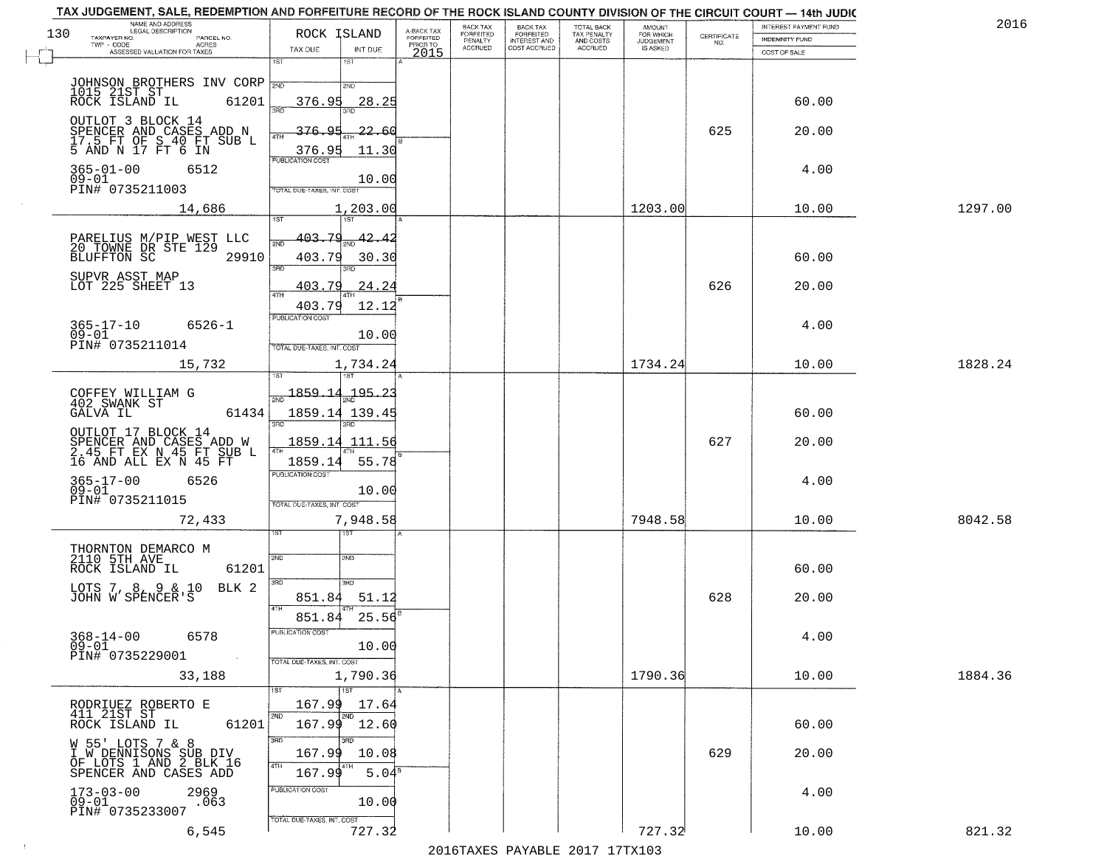| A-BACK TAX<br>FORFEITED<br>PRIOR TO<br>130<br>ROCK ISLAND<br>FORFEITED<br>TAX PENALTY<br>AND COSTS<br>FORFEITED<br>$\begin{array}{c} \text{CEPTIFICATE} \\ \text{NO.} \end{array}$<br>TAXPAYER NO.<br>PARCEL NO.<br><b>INDEMNITY FUND</b><br>PENALTY<br><b>INTEREST AND</b><br><b>JUDGEMENT</b><br>TWP - CODE<br>ACRES<br><b>ACCRUED</b><br>COST ACCRUED<br><b>ACCRUED</b><br>IS ASKED<br>TAX DUE<br>INT DUE<br>ASSESSED VALUATION FOR TAXES<br>2015<br>COST OF SALE<br>1ST<br>1ST<br>JOHNSON BROTHERS INV CORP<br>2ND<br>1015 21ST ST<br>61201<br>60.00<br>ROCK ISLAND IL<br>376.95<br>28.25<br>OUTLOT 3 BLOCK 14<br>625<br>376.95<br>SPENCER AND CASES ADD N<br><u>22.60</u><br>20.00<br>17.5 FT OF S 40 FT SUB L<br>5 AND N 17 FT 6 IN<br>11.30<br>376.95<br><b>PUBLICATION COST</b><br>$365 - 01 - 00$<br>6512<br>4.00<br>$09 - 01$<br>10.00<br>PIN# 0735211003<br>TOTAL DUE-TAXES, INT. COST<br>1203.00<br>10.00<br>1297.00<br>14,686<br>1,203.00<br>403.79<br>42.<br>PARELIUS M/PIP WEST<br>20 TOWNE DR STE 129<br>LLC<br>2ND<br><b>BLUFFTON SC</b><br>29910<br>403.79<br>30.30<br>60.00<br>3RD<br>38D<br>SUPVR ASST MAP<br>LOT 225 SHEET 13<br>626<br>403.79<br>24.24<br>20.00<br>$\overline{ATH}$<br>403.79<br>12.12<br>PUBLICATION COST<br>$365 - 17 - 10$<br>$6526 - 1$<br>4.00<br>$09 - 01$<br>10.00<br>PIN# 0735211014<br>TOTAL DUE-TAXES, INT. COST<br>1734.24<br>15,732<br>1828.24<br>1,734.24<br>10.00<br>isT<br>$\frac{1859.14}{ }$<br>.195.23<br>COFFEY WILLIAM G<br>402 SWANK ST<br>GALVA IL<br>61434<br>1859.14 139.45<br>60.00<br>3RD<br>3RD.<br>OUTLOT 17 BLOCK 14<br>627<br>SPENCER AND CASES ADD W<br>2.45 FT EX N 45 FT SUB L<br>16 AND ALL EX N 45 FT<br>1859.14<br>20.00<br>111.56<br>4TH<br>1859.14<br>55.78<br><b>PUBLICATION COST</b><br>365-17-00<br>09-01<br>4.00<br>6526<br>10.00<br>PIN# 0735211015<br>TOTAL OUE-TAXES, INT. COST<br>7,948.58<br>7948.58<br>10.00<br>8042.58<br>72,433<br>ৰৱা<br>THORNTON DEMARCO M<br>2110 5TH AVE<br>2ND<br>2ND<br>ROCK ISLAND IL<br>61201<br>60.00<br>3RD<br>3 <sub>BD</sub><br>BLK 2<br>LOTS 7, 8, 9 & 10<br>JOHN W SPENCER'S<br>628<br>851.84<br>51.12<br>20.00<br>4TH<br>25.56<br>851.84<br>PUBLICATION COS<br>$368 - 14 - 00$<br>4.00<br>6578<br>10.00<br>09-01<br>PIN# 0735229001<br>$\sim 100$ km s $^{-1}$<br>TOTAL DUE-TAXES, INT. COST<br>1790.36<br>33,188<br>1,790.36<br>10.00<br>1884.36<br>1ST<br>167.99<br>17.64<br>RODRIUEZ ROBERTO E<br>411 21ST ST<br>2ND<br>2ND<br>167.99 12.60<br>61201<br>60.00<br>ROCK ISLAND IL<br>3RD<br>W 55' LOTS 7 & 8<br>I W DENNISONS SUB DIV<br>OF LOTS 1 AND 2 BLK 16<br>629<br>20.00<br>167.99<br>10.08<br>4TH<br>5.04 <sup>s</sup><br>167.99<br>SPENCER AND CASES ADD<br>PUBLICATION COST<br>$173 - 03 - 00$<br>2969<br>4.00<br>$09 - 01$<br>10.00<br>.063<br>PIN# 0735233007<br>TOTAL DUE-TAXES, INT. COST<br>727.32<br>727.32<br>821.32<br>6,545<br>10.00 | TAX JUDGEMENT, SALE, REDEMPTION AND FORFEITURE RECORD OF THE ROCK ISLAND COUNTY DIVISION OF THE CIRCUIT COURT - 14th JUDIC<br>NAME AND ADDRESS<br>LEGAL DESCRIPTION |  | BACK TAX | <b>BACK TAX</b> | <b>TOTAL BACK</b> |                     | INTEREST PAYMENT FUND | 2016 |
|---------------------------------------------------------------------------------------------------------------------------------------------------------------------------------------------------------------------------------------------------------------------------------------------------------------------------------------------------------------------------------------------------------------------------------------------------------------------------------------------------------------------------------------------------------------------------------------------------------------------------------------------------------------------------------------------------------------------------------------------------------------------------------------------------------------------------------------------------------------------------------------------------------------------------------------------------------------------------------------------------------------------------------------------------------------------------------------------------------------------------------------------------------------------------------------------------------------------------------------------------------------------------------------------------------------------------------------------------------------------------------------------------------------------------------------------------------------------------------------------------------------------------------------------------------------------------------------------------------------------------------------------------------------------------------------------------------------------------------------------------------------------------------------------------------------------------------------------------------------------------------------------------------------------------------------------------------------------------------------------------------------------------------------------------------------------------------------------------------------------------------------------------------------------------------------------------------------------------------------------------------------------------------------------------------------------------------------------------------------------------------------------------------------------------------------------------------------------------------------------------------------------------------------------------------------------------------------------------------------------------------------------------------------------------------------------------------------------------------------------------------------------------------------------------------------------------------------------------------------------------------|---------------------------------------------------------------------------------------------------------------------------------------------------------------------|--|----------|-----------------|-------------------|---------------------|-----------------------|------|
|                                                                                                                                                                                                                                                                                                                                                                                                                                                                                                                                                                                                                                                                                                                                                                                                                                                                                                                                                                                                                                                                                                                                                                                                                                                                                                                                                                                                                                                                                                                                                                                                                                                                                                                                                                                                                                                                                                                                                                                                                                                                                                                                                                                                                                                                                                                                                                                                                                                                                                                                                                                                                                                                                                                                                                                                                                                                                 |                                                                                                                                                                     |  |          |                 |                   | AMOUNT<br>FOR WHICH |                       |      |
|                                                                                                                                                                                                                                                                                                                                                                                                                                                                                                                                                                                                                                                                                                                                                                                                                                                                                                                                                                                                                                                                                                                                                                                                                                                                                                                                                                                                                                                                                                                                                                                                                                                                                                                                                                                                                                                                                                                                                                                                                                                                                                                                                                                                                                                                                                                                                                                                                                                                                                                                                                                                                                                                                                                                                                                                                                                                                 |                                                                                                                                                                     |  |          |                 |                   |                     |                       |      |
|                                                                                                                                                                                                                                                                                                                                                                                                                                                                                                                                                                                                                                                                                                                                                                                                                                                                                                                                                                                                                                                                                                                                                                                                                                                                                                                                                                                                                                                                                                                                                                                                                                                                                                                                                                                                                                                                                                                                                                                                                                                                                                                                                                                                                                                                                                                                                                                                                                                                                                                                                                                                                                                                                                                                                                                                                                                                                 |                                                                                                                                                                     |  |          |                 |                   |                     |                       |      |
|                                                                                                                                                                                                                                                                                                                                                                                                                                                                                                                                                                                                                                                                                                                                                                                                                                                                                                                                                                                                                                                                                                                                                                                                                                                                                                                                                                                                                                                                                                                                                                                                                                                                                                                                                                                                                                                                                                                                                                                                                                                                                                                                                                                                                                                                                                                                                                                                                                                                                                                                                                                                                                                                                                                                                                                                                                                                                 |                                                                                                                                                                     |  |          |                 |                   |                     |                       |      |
|                                                                                                                                                                                                                                                                                                                                                                                                                                                                                                                                                                                                                                                                                                                                                                                                                                                                                                                                                                                                                                                                                                                                                                                                                                                                                                                                                                                                                                                                                                                                                                                                                                                                                                                                                                                                                                                                                                                                                                                                                                                                                                                                                                                                                                                                                                                                                                                                                                                                                                                                                                                                                                                                                                                                                                                                                                                                                 |                                                                                                                                                                     |  |          |                 |                   |                     |                       |      |
|                                                                                                                                                                                                                                                                                                                                                                                                                                                                                                                                                                                                                                                                                                                                                                                                                                                                                                                                                                                                                                                                                                                                                                                                                                                                                                                                                                                                                                                                                                                                                                                                                                                                                                                                                                                                                                                                                                                                                                                                                                                                                                                                                                                                                                                                                                                                                                                                                                                                                                                                                                                                                                                                                                                                                                                                                                                                                 |                                                                                                                                                                     |  |          |                 |                   |                     |                       |      |
|                                                                                                                                                                                                                                                                                                                                                                                                                                                                                                                                                                                                                                                                                                                                                                                                                                                                                                                                                                                                                                                                                                                                                                                                                                                                                                                                                                                                                                                                                                                                                                                                                                                                                                                                                                                                                                                                                                                                                                                                                                                                                                                                                                                                                                                                                                                                                                                                                                                                                                                                                                                                                                                                                                                                                                                                                                                                                 |                                                                                                                                                                     |  |          |                 |                   |                     |                       |      |
|                                                                                                                                                                                                                                                                                                                                                                                                                                                                                                                                                                                                                                                                                                                                                                                                                                                                                                                                                                                                                                                                                                                                                                                                                                                                                                                                                                                                                                                                                                                                                                                                                                                                                                                                                                                                                                                                                                                                                                                                                                                                                                                                                                                                                                                                                                                                                                                                                                                                                                                                                                                                                                                                                                                                                                                                                                                                                 |                                                                                                                                                                     |  |          |                 |                   |                     |                       |      |
|                                                                                                                                                                                                                                                                                                                                                                                                                                                                                                                                                                                                                                                                                                                                                                                                                                                                                                                                                                                                                                                                                                                                                                                                                                                                                                                                                                                                                                                                                                                                                                                                                                                                                                                                                                                                                                                                                                                                                                                                                                                                                                                                                                                                                                                                                                                                                                                                                                                                                                                                                                                                                                                                                                                                                                                                                                                                                 |                                                                                                                                                                     |  |          |                 |                   |                     |                       |      |
|                                                                                                                                                                                                                                                                                                                                                                                                                                                                                                                                                                                                                                                                                                                                                                                                                                                                                                                                                                                                                                                                                                                                                                                                                                                                                                                                                                                                                                                                                                                                                                                                                                                                                                                                                                                                                                                                                                                                                                                                                                                                                                                                                                                                                                                                                                                                                                                                                                                                                                                                                                                                                                                                                                                                                                                                                                                                                 |                                                                                                                                                                     |  |          |                 |                   |                     |                       |      |
|                                                                                                                                                                                                                                                                                                                                                                                                                                                                                                                                                                                                                                                                                                                                                                                                                                                                                                                                                                                                                                                                                                                                                                                                                                                                                                                                                                                                                                                                                                                                                                                                                                                                                                                                                                                                                                                                                                                                                                                                                                                                                                                                                                                                                                                                                                                                                                                                                                                                                                                                                                                                                                                                                                                                                                                                                                                                                 |                                                                                                                                                                     |  |          |                 |                   |                     |                       |      |
|                                                                                                                                                                                                                                                                                                                                                                                                                                                                                                                                                                                                                                                                                                                                                                                                                                                                                                                                                                                                                                                                                                                                                                                                                                                                                                                                                                                                                                                                                                                                                                                                                                                                                                                                                                                                                                                                                                                                                                                                                                                                                                                                                                                                                                                                                                                                                                                                                                                                                                                                                                                                                                                                                                                                                                                                                                                                                 |                                                                                                                                                                     |  |          |                 |                   |                     |                       |      |
|                                                                                                                                                                                                                                                                                                                                                                                                                                                                                                                                                                                                                                                                                                                                                                                                                                                                                                                                                                                                                                                                                                                                                                                                                                                                                                                                                                                                                                                                                                                                                                                                                                                                                                                                                                                                                                                                                                                                                                                                                                                                                                                                                                                                                                                                                                                                                                                                                                                                                                                                                                                                                                                                                                                                                                                                                                                                                 |                                                                                                                                                                     |  |          |                 |                   |                     |                       |      |
|                                                                                                                                                                                                                                                                                                                                                                                                                                                                                                                                                                                                                                                                                                                                                                                                                                                                                                                                                                                                                                                                                                                                                                                                                                                                                                                                                                                                                                                                                                                                                                                                                                                                                                                                                                                                                                                                                                                                                                                                                                                                                                                                                                                                                                                                                                                                                                                                                                                                                                                                                                                                                                                                                                                                                                                                                                                                                 |                                                                                                                                                                     |  |          |                 |                   |                     |                       |      |
|                                                                                                                                                                                                                                                                                                                                                                                                                                                                                                                                                                                                                                                                                                                                                                                                                                                                                                                                                                                                                                                                                                                                                                                                                                                                                                                                                                                                                                                                                                                                                                                                                                                                                                                                                                                                                                                                                                                                                                                                                                                                                                                                                                                                                                                                                                                                                                                                                                                                                                                                                                                                                                                                                                                                                                                                                                                                                 |                                                                                                                                                                     |  |          |                 |                   |                     |                       |      |
|                                                                                                                                                                                                                                                                                                                                                                                                                                                                                                                                                                                                                                                                                                                                                                                                                                                                                                                                                                                                                                                                                                                                                                                                                                                                                                                                                                                                                                                                                                                                                                                                                                                                                                                                                                                                                                                                                                                                                                                                                                                                                                                                                                                                                                                                                                                                                                                                                                                                                                                                                                                                                                                                                                                                                                                                                                                                                 |                                                                                                                                                                     |  |          |                 |                   |                     |                       |      |
|                                                                                                                                                                                                                                                                                                                                                                                                                                                                                                                                                                                                                                                                                                                                                                                                                                                                                                                                                                                                                                                                                                                                                                                                                                                                                                                                                                                                                                                                                                                                                                                                                                                                                                                                                                                                                                                                                                                                                                                                                                                                                                                                                                                                                                                                                                                                                                                                                                                                                                                                                                                                                                                                                                                                                                                                                                                                                 |                                                                                                                                                                     |  |          |                 |                   |                     |                       |      |
|                                                                                                                                                                                                                                                                                                                                                                                                                                                                                                                                                                                                                                                                                                                                                                                                                                                                                                                                                                                                                                                                                                                                                                                                                                                                                                                                                                                                                                                                                                                                                                                                                                                                                                                                                                                                                                                                                                                                                                                                                                                                                                                                                                                                                                                                                                                                                                                                                                                                                                                                                                                                                                                                                                                                                                                                                                                                                 |                                                                                                                                                                     |  |          |                 |                   |                     |                       |      |
|                                                                                                                                                                                                                                                                                                                                                                                                                                                                                                                                                                                                                                                                                                                                                                                                                                                                                                                                                                                                                                                                                                                                                                                                                                                                                                                                                                                                                                                                                                                                                                                                                                                                                                                                                                                                                                                                                                                                                                                                                                                                                                                                                                                                                                                                                                                                                                                                                                                                                                                                                                                                                                                                                                                                                                                                                                                                                 |                                                                                                                                                                     |  |          |                 |                   |                     |                       |      |
|                                                                                                                                                                                                                                                                                                                                                                                                                                                                                                                                                                                                                                                                                                                                                                                                                                                                                                                                                                                                                                                                                                                                                                                                                                                                                                                                                                                                                                                                                                                                                                                                                                                                                                                                                                                                                                                                                                                                                                                                                                                                                                                                                                                                                                                                                                                                                                                                                                                                                                                                                                                                                                                                                                                                                                                                                                                                                 |                                                                                                                                                                     |  |          |                 |                   |                     |                       |      |
|                                                                                                                                                                                                                                                                                                                                                                                                                                                                                                                                                                                                                                                                                                                                                                                                                                                                                                                                                                                                                                                                                                                                                                                                                                                                                                                                                                                                                                                                                                                                                                                                                                                                                                                                                                                                                                                                                                                                                                                                                                                                                                                                                                                                                                                                                                                                                                                                                                                                                                                                                                                                                                                                                                                                                                                                                                                                                 |                                                                                                                                                                     |  |          |                 |                   |                     |                       |      |
|                                                                                                                                                                                                                                                                                                                                                                                                                                                                                                                                                                                                                                                                                                                                                                                                                                                                                                                                                                                                                                                                                                                                                                                                                                                                                                                                                                                                                                                                                                                                                                                                                                                                                                                                                                                                                                                                                                                                                                                                                                                                                                                                                                                                                                                                                                                                                                                                                                                                                                                                                                                                                                                                                                                                                                                                                                                                                 |                                                                                                                                                                     |  |          |                 |                   |                     |                       |      |
|                                                                                                                                                                                                                                                                                                                                                                                                                                                                                                                                                                                                                                                                                                                                                                                                                                                                                                                                                                                                                                                                                                                                                                                                                                                                                                                                                                                                                                                                                                                                                                                                                                                                                                                                                                                                                                                                                                                                                                                                                                                                                                                                                                                                                                                                                                                                                                                                                                                                                                                                                                                                                                                                                                                                                                                                                                                                                 |                                                                                                                                                                     |  |          |                 |                   |                     |                       |      |
|                                                                                                                                                                                                                                                                                                                                                                                                                                                                                                                                                                                                                                                                                                                                                                                                                                                                                                                                                                                                                                                                                                                                                                                                                                                                                                                                                                                                                                                                                                                                                                                                                                                                                                                                                                                                                                                                                                                                                                                                                                                                                                                                                                                                                                                                                                                                                                                                                                                                                                                                                                                                                                                                                                                                                                                                                                                                                 |                                                                                                                                                                     |  |          |                 |                   |                     |                       |      |
|                                                                                                                                                                                                                                                                                                                                                                                                                                                                                                                                                                                                                                                                                                                                                                                                                                                                                                                                                                                                                                                                                                                                                                                                                                                                                                                                                                                                                                                                                                                                                                                                                                                                                                                                                                                                                                                                                                                                                                                                                                                                                                                                                                                                                                                                                                                                                                                                                                                                                                                                                                                                                                                                                                                                                                                                                                                                                 |                                                                                                                                                                     |  |          |                 |                   |                     |                       |      |
|                                                                                                                                                                                                                                                                                                                                                                                                                                                                                                                                                                                                                                                                                                                                                                                                                                                                                                                                                                                                                                                                                                                                                                                                                                                                                                                                                                                                                                                                                                                                                                                                                                                                                                                                                                                                                                                                                                                                                                                                                                                                                                                                                                                                                                                                                                                                                                                                                                                                                                                                                                                                                                                                                                                                                                                                                                                                                 |                                                                                                                                                                     |  |          |                 |                   |                     |                       |      |
|                                                                                                                                                                                                                                                                                                                                                                                                                                                                                                                                                                                                                                                                                                                                                                                                                                                                                                                                                                                                                                                                                                                                                                                                                                                                                                                                                                                                                                                                                                                                                                                                                                                                                                                                                                                                                                                                                                                                                                                                                                                                                                                                                                                                                                                                                                                                                                                                                                                                                                                                                                                                                                                                                                                                                                                                                                                                                 |                                                                                                                                                                     |  |          |                 |                   |                     |                       |      |
|                                                                                                                                                                                                                                                                                                                                                                                                                                                                                                                                                                                                                                                                                                                                                                                                                                                                                                                                                                                                                                                                                                                                                                                                                                                                                                                                                                                                                                                                                                                                                                                                                                                                                                                                                                                                                                                                                                                                                                                                                                                                                                                                                                                                                                                                                                                                                                                                                                                                                                                                                                                                                                                                                                                                                                                                                                                                                 |                                                                                                                                                                     |  |          |                 |                   |                     |                       |      |
|                                                                                                                                                                                                                                                                                                                                                                                                                                                                                                                                                                                                                                                                                                                                                                                                                                                                                                                                                                                                                                                                                                                                                                                                                                                                                                                                                                                                                                                                                                                                                                                                                                                                                                                                                                                                                                                                                                                                                                                                                                                                                                                                                                                                                                                                                                                                                                                                                                                                                                                                                                                                                                                                                                                                                                                                                                                                                 |                                                                                                                                                                     |  |          |                 |                   |                     |                       |      |
|                                                                                                                                                                                                                                                                                                                                                                                                                                                                                                                                                                                                                                                                                                                                                                                                                                                                                                                                                                                                                                                                                                                                                                                                                                                                                                                                                                                                                                                                                                                                                                                                                                                                                                                                                                                                                                                                                                                                                                                                                                                                                                                                                                                                                                                                                                                                                                                                                                                                                                                                                                                                                                                                                                                                                                                                                                                                                 |                                                                                                                                                                     |  |          |                 |                   |                     |                       |      |
|                                                                                                                                                                                                                                                                                                                                                                                                                                                                                                                                                                                                                                                                                                                                                                                                                                                                                                                                                                                                                                                                                                                                                                                                                                                                                                                                                                                                                                                                                                                                                                                                                                                                                                                                                                                                                                                                                                                                                                                                                                                                                                                                                                                                                                                                                                                                                                                                                                                                                                                                                                                                                                                                                                                                                                                                                                                                                 |                                                                                                                                                                     |  |          |                 |                   |                     |                       |      |
|                                                                                                                                                                                                                                                                                                                                                                                                                                                                                                                                                                                                                                                                                                                                                                                                                                                                                                                                                                                                                                                                                                                                                                                                                                                                                                                                                                                                                                                                                                                                                                                                                                                                                                                                                                                                                                                                                                                                                                                                                                                                                                                                                                                                                                                                                                                                                                                                                                                                                                                                                                                                                                                                                                                                                                                                                                                                                 |                                                                                                                                                                     |  |          |                 |                   |                     |                       |      |
|                                                                                                                                                                                                                                                                                                                                                                                                                                                                                                                                                                                                                                                                                                                                                                                                                                                                                                                                                                                                                                                                                                                                                                                                                                                                                                                                                                                                                                                                                                                                                                                                                                                                                                                                                                                                                                                                                                                                                                                                                                                                                                                                                                                                                                                                                                                                                                                                                                                                                                                                                                                                                                                                                                                                                                                                                                                                                 |                                                                                                                                                                     |  |          |                 |                   |                     |                       |      |
|                                                                                                                                                                                                                                                                                                                                                                                                                                                                                                                                                                                                                                                                                                                                                                                                                                                                                                                                                                                                                                                                                                                                                                                                                                                                                                                                                                                                                                                                                                                                                                                                                                                                                                                                                                                                                                                                                                                                                                                                                                                                                                                                                                                                                                                                                                                                                                                                                                                                                                                                                                                                                                                                                                                                                                                                                                                                                 |                                                                                                                                                                     |  |          |                 |                   |                     |                       |      |
|                                                                                                                                                                                                                                                                                                                                                                                                                                                                                                                                                                                                                                                                                                                                                                                                                                                                                                                                                                                                                                                                                                                                                                                                                                                                                                                                                                                                                                                                                                                                                                                                                                                                                                                                                                                                                                                                                                                                                                                                                                                                                                                                                                                                                                                                                                                                                                                                                                                                                                                                                                                                                                                                                                                                                                                                                                                                                 |                                                                                                                                                                     |  |          |                 |                   |                     |                       |      |
|                                                                                                                                                                                                                                                                                                                                                                                                                                                                                                                                                                                                                                                                                                                                                                                                                                                                                                                                                                                                                                                                                                                                                                                                                                                                                                                                                                                                                                                                                                                                                                                                                                                                                                                                                                                                                                                                                                                                                                                                                                                                                                                                                                                                                                                                                                                                                                                                                                                                                                                                                                                                                                                                                                                                                                                                                                                                                 |                                                                                                                                                                     |  |          |                 |                   |                     |                       |      |
|                                                                                                                                                                                                                                                                                                                                                                                                                                                                                                                                                                                                                                                                                                                                                                                                                                                                                                                                                                                                                                                                                                                                                                                                                                                                                                                                                                                                                                                                                                                                                                                                                                                                                                                                                                                                                                                                                                                                                                                                                                                                                                                                                                                                                                                                                                                                                                                                                                                                                                                                                                                                                                                                                                                                                                                                                                                                                 |                                                                                                                                                                     |  |          |                 |                   |                     |                       |      |
|                                                                                                                                                                                                                                                                                                                                                                                                                                                                                                                                                                                                                                                                                                                                                                                                                                                                                                                                                                                                                                                                                                                                                                                                                                                                                                                                                                                                                                                                                                                                                                                                                                                                                                                                                                                                                                                                                                                                                                                                                                                                                                                                                                                                                                                                                                                                                                                                                                                                                                                                                                                                                                                                                                                                                                                                                                                                                 |                                                                                                                                                                     |  |          |                 |                   |                     |                       |      |
|                                                                                                                                                                                                                                                                                                                                                                                                                                                                                                                                                                                                                                                                                                                                                                                                                                                                                                                                                                                                                                                                                                                                                                                                                                                                                                                                                                                                                                                                                                                                                                                                                                                                                                                                                                                                                                                                                                                                                                                                                                                                                                                                                                                                                                                                                                                                                                                                                                                                                                                                                                                                                                                                                                                                                                                                                                                                                 |                                                                                                                                                                     |  |          |                 |                   |                     |                       |      |
|                                                                                                                                                                                                                                                                                                                                                                                                                                                                                                                                                                                                                                                                                                                                                                                                                                                                                                                                                                                                                                                                                                                                                                                                                                                                                                                                                                                                                                                                                                                                                                                                                                                                                                                                                                                                                                                                                                                                                                                                                                                                                                                                                                                                                                                                                                                                                                                                                                                                                                                                                                                                                                                                                                                                                                                                                                                                                 |                                                                                                                                                                     |  |          |                 |                   |                     |                       |      |
|                                                                                                                                                                                                                                                                                                                                                                                                                                                                                                                                                                                                                                                                                                                                                                                                                                                                                                                                                                                                                                                                                                                                                                                                                                                                                                                                                                                                                                                                                                                                                                                                                                                                                                                                                                                                                                                                                                                                                                                                                                                                                                                                                                                                                                                                                                                                                                                                                                                                                                                                                                                                                                                                                                                                                                                                                                                                                 |                                                                                                                                                                     |  |          |                 |                   |                     |                       |      |
|                                                                                                                                                                                                                                                                                                                                                                                                                                                                                                                                                                                                                                                                                                                                                                                                                                                                                                                                                                                                                                                                                                                                                                                                                                                                                                                                                                                                                                                                                                                                                                                                                                                                                                                                                                                                                                                                                                                                                                                                                                                                                                                                                                                                                                                                                                                                                                                                                                                                                                                                                                                                                                                                                                                                                                                                                                                                                 |                                                                                                                                                                     |  |          |                 |                   |                     |                       |      |
|                                                                                                                                                                                                                                                                                                                                                                                                                                                                                                                                                                                                                                                                                                                                                                                                                                                                                                                                                                                                                                                                                                                                                                                                                                                                                                                                                                                                                                                                                                                                                                                                                                                                                                                                                                                                                                                                                                                                                                                                                                                                                                                                                                                                                                                                                                                                                                                                                                                                                                                                                                                                                                                                                                                                                                                                                                                                                 |                                                                                                                                                                     |  |          |                 |                   |                     |                       |      |
|                                                                                                                                                                                                                                                                                                                                                                                                                                                                                                                                                                                                                                                                                                                                                                                                                                                                                                                                                                                                                                                                                                                                                                                                                                                                                                                                                                                                                                                                                                                                                                                                                                                                                                                                                                                                                                                                                                                                                                                                                                                                                                                                                                                                                                                                                                                                                                                                                                                                                                                                                                                                                                                                                                                                                                                                                                                                                 |                                                                                                                                                                     |  |          |                 |                   |                     |                       |      |
|                                                                                                                                                                                                                                                                                                                                                                                                                                                                                                                                                                                                                                                                                                                                                                                                                                                                                                                                                                                                                                                                                                                                                                                                                                                                                                                                                                                                                                                                                                                                                                                                                                                                                                                                                                                                                                                                                                                                                                                                                                                                                                                                                                                                                                                                                                                                                                                                                                                                                                                                                                                                                                                                                                                                                                                                                                                                                 |                                                                                                                                                                     |  |          |                 |                   |                     |                       |      |
|                                                                                                                                                                                                                                                                                                                                                                                                                                                                                                                                                                                                                                                                                                                                                                                                                                                                                                                                                                                                                                                                                                                                                                                                                                                                                                                                                                                                                                                                                                                                                                                                                                                                                                                                                                                                                                                                                                                                                                                                                                                                                                                                                                                                                                                                                                                                                                                                                                                                                                                                                                                                                                                                                                                                                                                                                                                                                 |                                                                                                                                                                     |  |          |                 |                   |                     |                       |      |
|                                                                                                                                                                                                                                                                                                                                                                                                                                                                                                                                                                                                                                                                                                                                                                                                                                                                                                                                                                                                                                                                                                                                                                                                                                                                                                                                                                                                                                                                                                                                                                                                                                                                                                                                                                                                                                                                                                                                                                                                                                                                                                                                                                                                                                                                                                                                                                                                                                                                                                                                                                                                                                                                                                                                                                                                                                                                                 |                                                                                                                                                                     |  |          |                 |                   |                     |                       |      |
|                                                                                                                                                                                                                                                                                                                                                                                                                                                                                                                                                                                                                                                                                                                                                                                                                                                                                                                                                                                                                                                                                                                                                                                                                                                                                                                                                                                                                                                                                                                                                                                                                                                                                                                                                                                                                                                                                                                                                                                                                                                                                                                                                                                                                                                                                                                                                                                                                                                                                                                                                                                                                                                                                                                                                                                                                                                                                 |                                                                                                                                                                     |  |          |                 |                   |                     |                       |      |

 $\sim 4$  .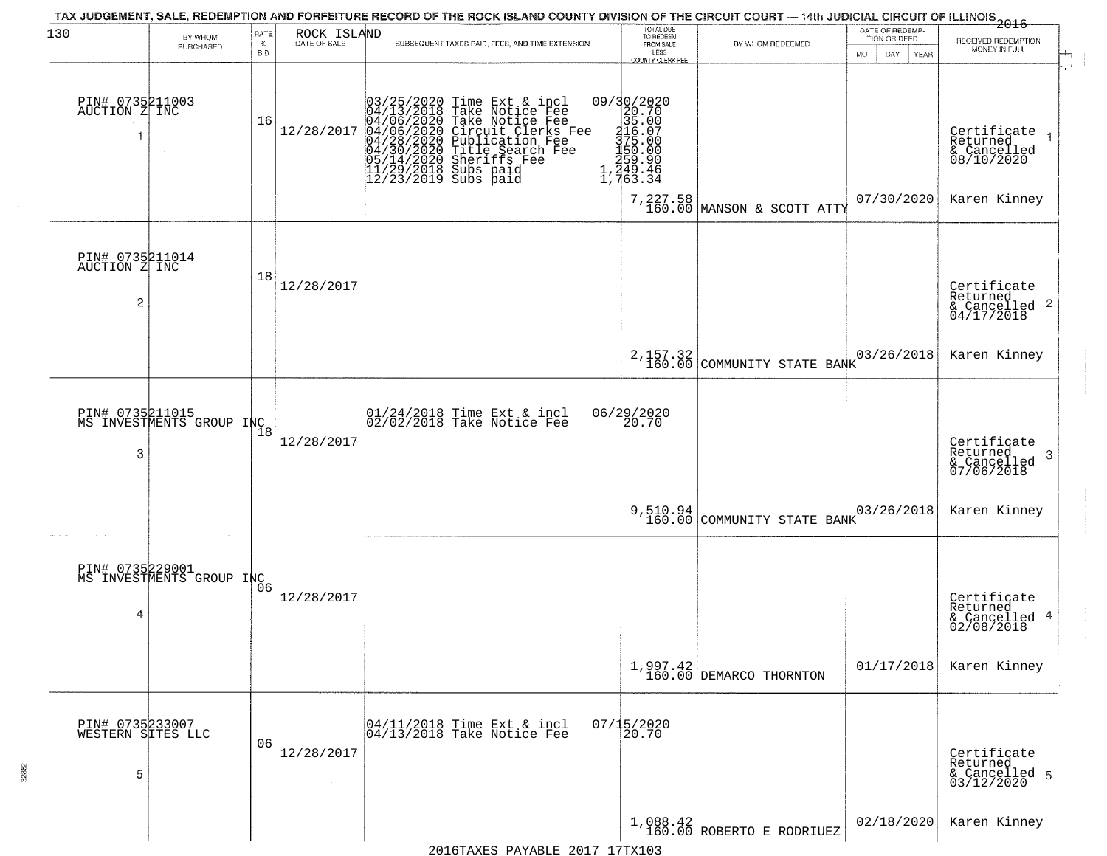| 130                                       | BY WHOM                                     | RATE               | ROCK ISLAND  | TAX JUDGEMENT, SALE, REDEMPTION AND FORFEITURE RECORD OF THE ROCK ISLAND COUNTY DIVISION OF THE CIRCUIT COURT — 14th JUDICIAL CIRCUIT OF ILLINOIS 2016                                                                                                | TOTAL DUE<br>TO REDEEM                                                                                                                                       |                                                                                      | DATE OF REDEMP<br>TION OR DEED |                                                                              |
|-------------------------------------------|---------------------------------------------|--------------------|--------------|-------------------------------------------------------------------------------------------------------------------------------------------------------------------------------------------------------------------------------------------------------|--------------------------------------------------------------------------------------------------------------------------------------------------------------|--------------------------------------------------------------------------------------|--------------------------------|------------------------------------------------------------------------------|
|                                           | PURCHASED                                   | $\%$<br><b>BID</b> | DATE OF SALE | SUBSEQUENT TAXES PAID, FEES, AND TIME EXTENSION                                                                                                                                                                                                       | FROM SALE<br>LESS<br><b>COUNTY CLERK FEE</b>                                                                                                                 | BY WHOM REDEEMED                                                                     | MO.<br>DAY.<br>YEAR            | RECEIVED REDEMPTION<br>MONEY IN FULL                                         |
| PIN# 0735211003<br>AUCTION Z INC<br>1     | $\sim$                                      | 16                 | 12/28/2017   | $03/25/2020$ Time Ext & incl<br>04/13/2018 Take Notice Fee<br>04/06/2020 Take Notice Fee<br>04/06/2020 Circuit Clerks Fee<br>04/28/2020 Publication Fee<br>04/28/2020 Title Search Fee<br>05/14/2020 Sheriffs Fee<br>11/29/2018 Subs paid<br>12/23/20 | 09/30/2020<br>20.70<br>35.00<br>116.07<br>375.00<br>$\begin{array}{c} 150.000 \\ 150.00 \\ 259.90 \\ 1,249.46 \\ 1,763.34 \end{array}$<br>7,227.58<br>160.00 | MANSON & SCOTT ATTY                                                                  | 07/30/2020                     | Certificate<br>Returned<br>$& \text{Cancelled} \ 08/10/2020$<br>Karen Kinney |
| PIN# 0735211014<br>AUCTION Z INC<br>2     |                                             | 18                 | 12/28/2017   |                                                                                                                                                                                                                                                       |                                                                                                                                                              |                                                                                      |                                | Certificate<br>Returned<br>& Cancelled 2<br>04/17/2018                       |
|                                           |                                             |                    |              |                                                                                                                                                                                                                                                       |                                                                                                                                                              | 2,157.32<br>160.00 COMMUNITY STATE BANK                                              | 03/26/2018                     | Karen Kinney                                                                 |
| 3                                         | PIN# 0735211015<br>MS INVESTMENTS GROUP INC | 18                 | 12/28/2017   | 01/24/2018 Time Ext & incl<br>02/02/2018 Take Notice Fee                                                                                                                                                                                              | 06/29/2020<br>20.70                                                                                                                                          |                                                                                      |                                | Certificate<br>Returned<br>3<br>& Cancelled<br>07/06/2018                    |
|                                           |                                             |                    |              |                                                                                                                                                                                                                                                       |                                                                                                                                                              | 9,510.94<br>160.00 COMMUNITY STATE BANK                                              | 03/26/2018                     | Karen Kinney                                                                 |
| PIN# 0735229001<br>4                      | MS INVESTMENTS GROUP INC                    |                    | 12/28/2017   |                                                                                                                                                                                                                                                       |                                                                                                                                                              |                                                                                      |                                | Certificate<br>Returned<br>& Cancelled 4<br>02/08/2018                       |
|                                           |                                             |                    |              |                                                                                                                                                                                                                                                       |                                                                                                                                                              | $1,997.42$<br>$160.00$ DEMARCO THORNTON                                              | 01/17/2018                     | Karen Kinney                                                                 |
| PIN# 0735233007<br>WESTERN SITES LLC<br>5 |                                             | 06                 | 12/28/2017   | 04/11/2018 Time Ext & incl<br>04/13/2018 Take Notice Fee                                                                                                                                                                                              | $07/15/2020$<br>20.70                                                                                                                                        |                                                                                      |                                | Certificate<br>Returned<br>& Cancelled 5<br>03/12/2020                       |
|                                           |                                             |                    |              |                                                                                                                                                                                                                                                       |                                                                                                                                                              | $\left  \begin{array}{cc} 1,088.42 \\ 160.00 \end{array} \right $ ROBERTO E RODRIUEZ | 02/18/2020                     | Karen Kinney                                                                 |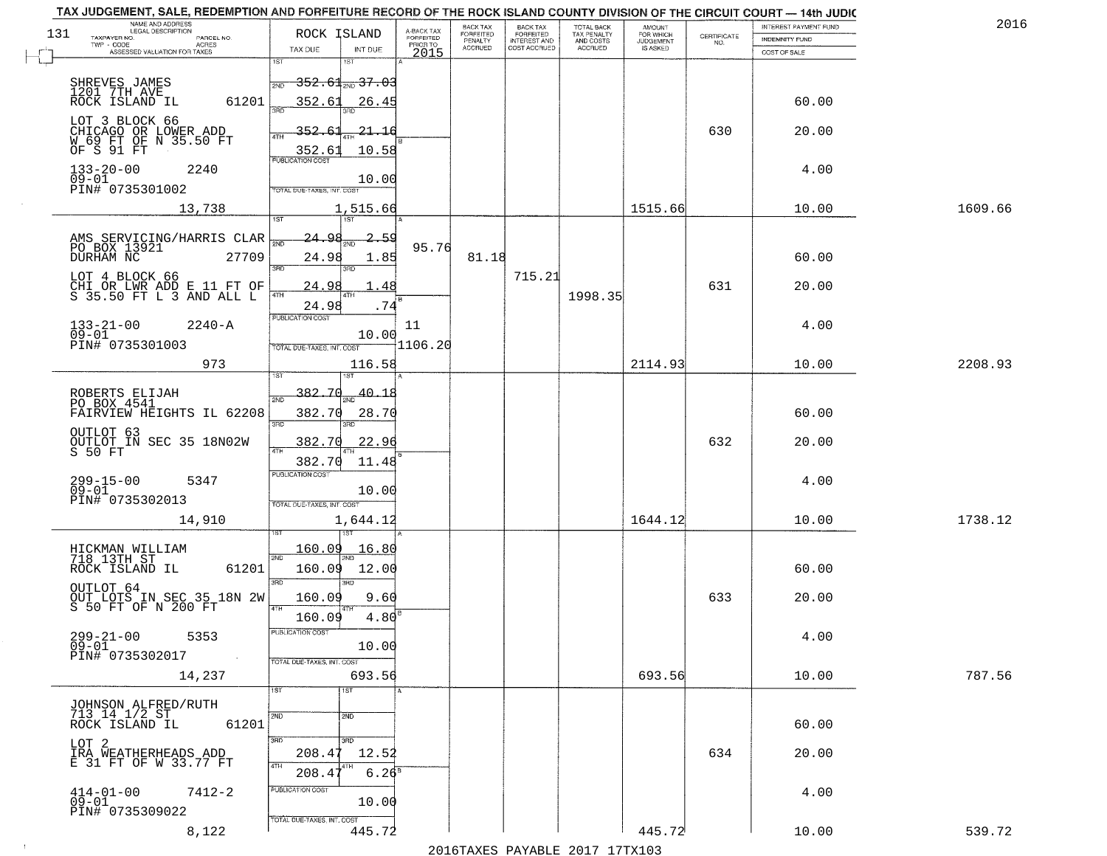|     | TAX JUDGEMENT, SALE, REDEMPTION AND FORFEITURE RECORD OF THE ROCK ISLAND COUNTY DIVISION OF THE CIRCUIT COURT - 14th JUDIC<br>NAME AND ADDRESS<br>LEGAL DESCRIPTION |                                                                                 |                                     | <b>BACK TAX</b>      | <b>BACK TAX</b>           |                                        |                                         |                                                                 | INTEREST PAYMENT FUND | 2016    |
|-----|---------------------------------------------------------------------------------------------------------------------------------------------------------------------|---------------------------------------------------------------------------------|-------------------------------------|----------------------|---------------------------|----------------------------------------|-----------------------------------------|-----------------------------------------------------------------|-----------------------|---------|
| 131 | TAXPAYER NO.<br>PARCEL NO.                                                                                                                                          | ROCK ISLAND                                                                     | A-BACK TAX<br>FORFEITED<br>PRIOR TO | FORFEITED<br>PENALTY | FORFEITED<br>INTEREST AND | TOTAL BACK<br>TAX PENALTY<br>AND COSTS | AMOUNT<br>FOR WHICH<br><b>JUDGEMENT</b> | $\begin{array}{c} \text{CERTIFICATE} \\ \text{NO.} \end{array}$ | INDEMNITY FUND        |         |
|     | TWP - CODE<br>ACRES<br>ASSESSED VALUATION FOR TAXES                                                                                                                 | TAX DUE<br>INT DUE                                                              | 2015                                | <b>ACCRUED</b>       | COST ACCRUED              | ACCRUED                                | IS ASKED                                |                                                                 | COST OF SALE          |         |
|     | SHREVES JAMES<br>1201 7TH AVE                                                                                                                                       | 1ST<br><del>352.61 200 37.03</del><br>2ND                                       |                                     |                      |                           |                                        |                                         |                                                                 |                       |         |
|     | 61201<br>ROCK ISLAND IL<br>LOT 3 BLOCK 66<br>CHICAGO OR LOWER ADD<br>W 69 FT OF N 35.50 FT<br>OF S 91 FT                                                            | 352.61<br>26.45<br>352.61<br>-21.16                                             |                                     |                      |                           |                                        |                                         | 630                                                             | 60.00<br>20.00        |         |
|     | $133 - 20 - 00$<br>2240<br>$09 - 01$<br>PIN# 0735301002                                                                                                             | 10.58<br>$\frac{352.61}{FUBUCATON COST}$<br>10.00<br>TOTAL DUE-TAXES, INT. COST |                                     |                      |                           |                                        |                                         |                                                                 | 4.00                  |         |
|     | 13,738                                                                                                                                                              | 1,515.66<br>197                                                                 |                                     |                      |                           |                                        | 1515.66                                 |                                                                 | 10.00                 | 1609.66 |
|     | AMS SERVICING/HARRIS CLAR<br>PO BOX 13921<br>27709<br>DURHAM NC<br>LOT 4 BLOCK 66                                                                                   | <u>24.98</u><br>2.59<br>24.98<br>1.85<br>380<br>3BD                             | 95.76                               | 81.18                | 715.21                    |                                        |                                         |                                                                 | 60.00                 |         |
|     | CHI OR LWR ADD E 11 FT OF<br>S 35.50 FT L 3 AND ALL L                                                                                                               | 24.98<br>  47H<br>24.98<br>PUBLICATION COST                                     | . 48<br>.74                         |                      |                           | 1998.35                                |                                         | 631                                                             | 20.00                 |         |
|     | $133 - 21 - 00$<br>$2240 - A$<br>$09 - 01$<br>PIN# 0735301003                                                                                                       | 10.00<br>TOTAL DUE-TAXES, INT. COST                                             | 11<br>11106.20                      |                      |                           |                                        |                                         |                                                                 | 4.00                  |         |
|     | 973                                                                                                                                                                 | 116.58<br>1ST<br>isτ                                                            |                                     |                      |                           |                                        | 2114.93                                 |                                                                 | 10.00                 | 2208.93 |
|     | ROBERTS ELIJAH<br>PO BOX 4541<br>FAIRVIEW HEIGHTS IL 62208                                                                                                          | 382.70<br>$-40 - 18$<br>2ND<br>382.70<br>28.70<br>3RD<br>3RD.                   |                                     |                      |                           |                                        |                                         |                                                                 | 60.00                 |         |
|     | OUTLOT 63<br>OUTLOT IN SEC 35 18N02W<br>S 50 FT                                                                                                                     | 382.70<br>22.96<br>4TH<br>382.70<br>11.48                                       |                                     |                      |                           |                                        |                                         | 632                                                             | 20.00                 |         |
|     | 299-15-00<br>09-01<br>5347<br>PIN# 0735302013                                                                                                                       | <b>PUBLICATION COST</b><br>10.00<br>TOTAL OUE-TAXES, INT. COST                  |                                     |                      |                           |                                        |                                         |                                                                 | 4.00                  |         |
|     | 14,910                                                                                                                                                              | 1,644.12                                                                        |                                     |                      |                           |                                        | 1644.12                                 |                                                                 | 10.00                 | 1738.12 |
|     | HICKMAN WILLIAM<br>718 13TH ST<br>ROCK ISLAND IL<br>61201                                                                                                           | 160.09<br>16.80<br>2ND<br>12.00<br>160.09<br>3RD<br>3RD                         |                                     |                      |                           |                                        |                                         |                                                                 | 60.00                 |         |
|     | OUTLOT 64<br>OUT LOTS IN SEC 35 18N 2W<br>S 50 FT OF N 200 FT                                                                                                       | 9.60<br>160.09<br>4TH<br>4.80<br>160.09                                         |                                     |                      |                           |                                        |                                         | 633                                                             | 20.00                 |         |
|     | $299 - 21 - 00$<br>5353<br>$09 - 01$<br>PIN# 0735302017<br>$\sim 100$ km $^{-1}$                                                                                    | "UBLICA HUN CUS<br>10.00<br>TOTAL DUE-TAXES, INT. COST                          |                                     |                      |                           |                                        |                                         |                                                                 | 4.00                  |         |
|     | 14,237                                                                                                                                                              | 693.56<br>1ST<br>1ST                                                            |                                     |                      |                           |                                        | 693.56                                  |                                                                 | 10.00                 | 787.56  |
|     | <b>JOHNSON ALFRED/RUTH</b><br>713 14 1/2 ST<br>61201<br>ROCK ISLAND IL                                                                                              | 2ND<br>2ND                                                                      |                                     |                      |                           |                                        |                                         |                                                                 | 60.00                 |         |
|     | LOT 2<br>IRA WEATHERHEADS ADD<br>E 31 FT OF W 33.77 FT                                                                                                              | 3BD<br>3RD<br>208.47<br>12.52<br>4TH<br>208.4<br>6.26 <sup>s</sup>              |                                     |                      |                           |                                        |                                         | 634                                                             | 20.00                 |         |
|     | $414 - 01 - 00$<br>$7412 - 2$<br>$09 - 01$<br>PIN# 0735309022                                                                                                       | PUBLICATION COST<br>10.00<br>TOTAL DUE-TAXES, INT. COST                         |                                     |                      |                           |                                        |                                         |                                                                 | 4.00                  |         |
|     | 8,122                                                                                                                                                               | 445.72                                                                          |                                     |                      |                           |                                        | 445.72                                  |                                                                 | 10.00                 | 539.72  |

 $\sim 100$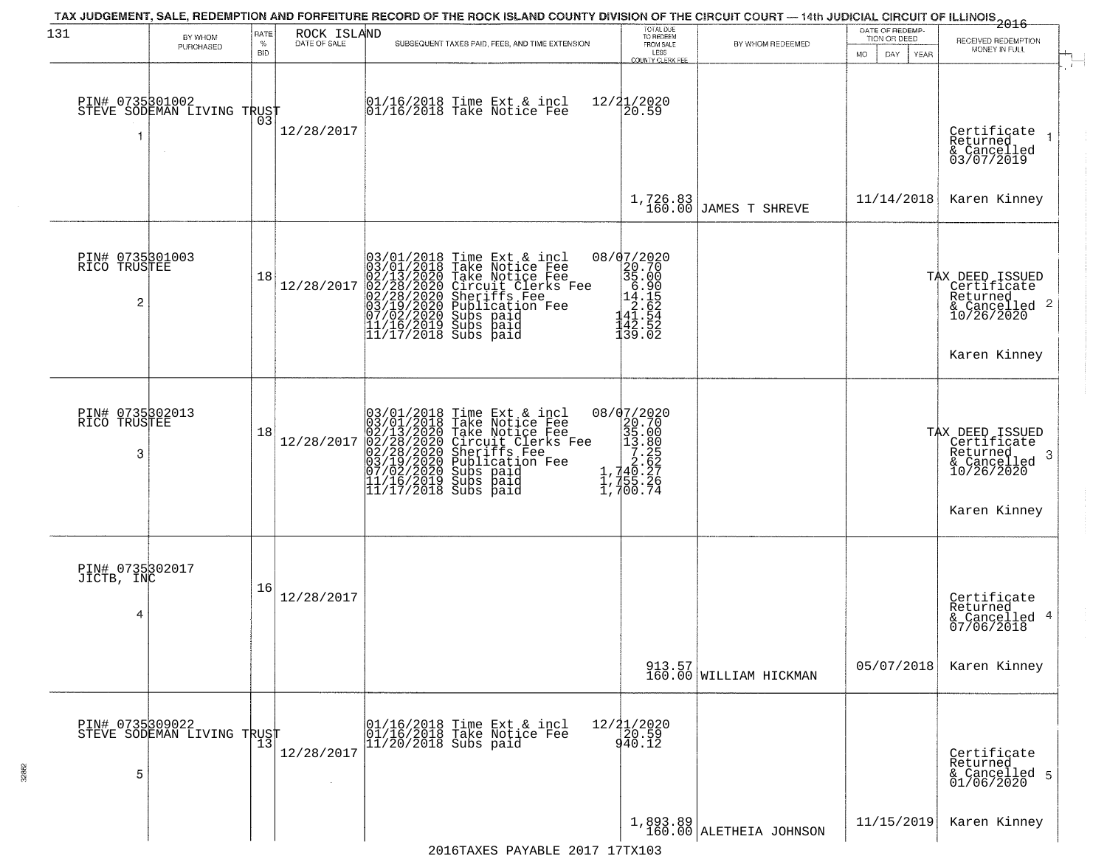| 131                                  | BY WHOM<br>PURCHASED                          | RATE<br>%        | ROCK ISLAND<br>DATE OF SALE | TAX JUDGEMENT, SALE, REDEMPTION AND FORFEITURE RECORD OF THE ROCK ISLAND COUNTY DIVISION OF THE CIRCUIT COURT — 14th JUDICIAL CIRCUIT OF ILLINOIS 2016<br>SUBSEQUENT TAXES PAID, FEES, AND TIME EXTENSION                                                | TOTAL DUE<br>TO REDEEM<br>FROM SALE                                                                                                        | BY WHOM REDEEMED                      | DATE OF REDEMP-<br>TION OR DEED | RECEIVED REDEMPTION<br>MONEY IN FULL                                                                      |
|--------------------------------------|-----------------------------------------------|------------------|-----------------------------|----------------------------------------------------------------------------------------------------------------------------------------------------------------------------------------------------------------------------------------------------------|--------------------------------------------------------------------------------------------------------------------------------------------|---------------------------------------|---------------------------------|-----------------------------------------------------------------------------------------------------------|
| PIN# 0735301002                      | STEVE SODEMAN LIVING TRUST                    | <b>BID</b><br>03 | 12/28/2017                  | 01/16/2018 Time Ext & incl<br>01/16/2018 Take Notice Fee                                                                                                                                                                                                 | LESS<br>COUNTY CLERK FEE<br>12/21/2020<br>20.59                                                                                            |                                       | <b>MO</b><br>DAY<br>YEAR        | Certificate<br>Returned<br>& Cancelled<br>03/07/2019                                                      |
|                                      |                                               |                  |                             |                                                                                                                                                                                                                                                          | 1,726.83<br>160.00                                                                                                                         | <b>JAMES T SHREVE</b>                 | 11/14/2018                      | Karen Kinney                                                                                              |
| PIN# 0735301003<br>RICO TRUSTEE<br>2 |                                               | 18               | 12/28/2017                  | 03/01/2018 Time Ext & incl<br>03/01/2018 Take Notice Fee<br>02/13/2020 Take Notice Fee<br>02/28/2020 Circuit Clerks Fee<br>02/28/2020 Sheriffs Fee<br>03/19/2020 Subs paid<br>07/02/2020 Subs paid<br>11/16/2019 Subs paid<br>11/17/2018 Subs paid<br>11 | 08/07/2020                                                                                                                                 |                                       |                                 | TAX DEED ISSUED<br>Certificate<br>Returned<br>& Cancelled 2<br>10/26/2020<br>Karen Kinney                 |
| PIN# 0735302013<br>RICO TRUSTEE<br>3 |                                               | 18               | 12/28/2017                  | $03/01/2018$ Time Ext & incl<br>$03/01/2018$ Take Notice Fee<br>$02/13/2020$ Take Notice Fee<br>$02/28/2020$ Circuit Clerks Fee<br>$02/28/2020$ Sheriffs Fee<br>$03/19/2020$ Bublication Fee<br>$03/19/2020$ Bubs paid<br>$11/16/2019$ Subs              | 08/07/2020<br>$\begin{smallmatrix} 20.76 \\ 20.76 \\ 35.00 \\ 13.80 \\ 7.25 \\ 7.25 \\ 1,740.27 \\ 1,755.26 \\ 1,700.74 \end{smallmatrix}$ |                                       |                                 | TAX DEED ISSUED<br>Certificate<br>Returned<br>-3<br>$\frac{2}{2}$ Cancelled<br>10/26/2020<br>Karen Kinney |
| PIN# 0735302017<br>JICTB, INC<br>4   |                                               | 16               | 12/28/2017                  |                                                                                                                                                                                                                                                          |                                                                                                                                            |                                       |                                 | Certificate<br>Returned<br>& Cancelled 4<br>07/06/2018                                                    |
|                                      |                                               |                  |                             |                                                                                                                                                                                                                                                          |                                                                                                                                            | 913.57<br>160.00 WILLIAM HICKMAN      | 05/07/2018                      | Karen Kinney                                                                                              |
| 5                                    | PIN# 0735309022<br>STEVE SODEMAN LIVING TRUST |                  | 12/28/2017                  | 01/16/2018 Time Ext & incl<br>01/16/2018 Take Notice Fee<br>$ 11/20/2018$ Subs paid                                                                                                                                                                      | $12/21/2020$<br>$20.59$<br>940.12                                                                                                          |                                       |                                 | Certificate<br>Returned<br>& Cancelled 5<br>01/06/2020                                                    |
|                                      |                                               |                  |                             | 2016TAXES PAYABLE 2017 17TX103                                                                                                                                                                                                                           |                                                                                                                                            | $1,893.89$<br>160.00 ALETHEIA JOHNSON | 11/15/2019                      | Karen Kinney                                                                                              |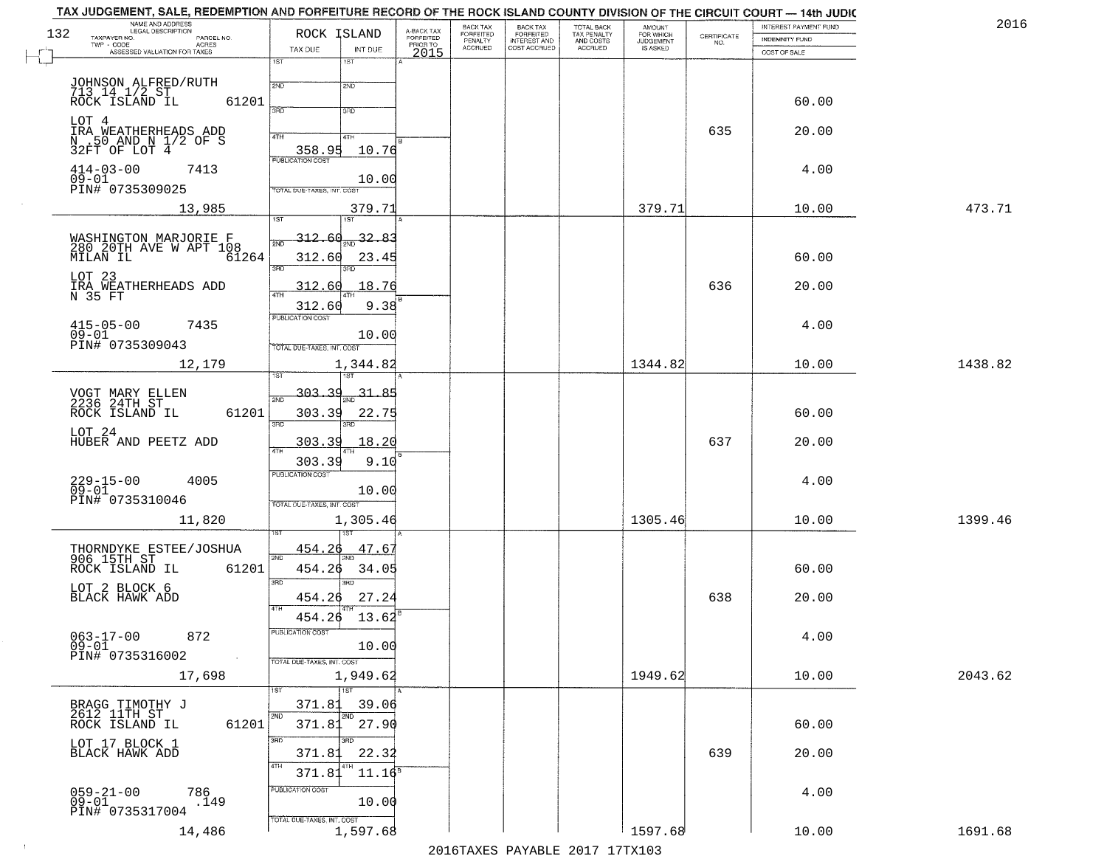| TAX JUDGEMENT, SALE, REDEMPTION AND FORFEITURE RECORD OF THE ROCK ISLAND COUNTY DIVISION OF THE CIRCUIT COURT - 14th JUDIC<br>NAME AND ADDRESS<br>LEGAL DESCRIPTION |                                           |                                     | BACK TAX             | <b>BACK TAX</b>           |                                        |                                  |                                                                 | INTEREST PAYMENT FUND | 2016    |
|---------------------------------------------------------------------------------------------------------------------------------------------------------------------|-------------------------------------------|-------------------------------------|----------------------|---------------------------|----------------------------------------|----------------------------------|-----------------------------------------------------------------|-----------------------|---------|
| 132<br>TAXPAYER NO.<br>PARCEL NO.<br>ACRES                                                                                                                          | ROCK ISLAND                               | A-BACK TAX<br>FORFEITED<br>PRIOR TO | FORFEITED<br>PENALTY | FORFEITED<br>INTEREST AND | TOTAL BACK<br>TAX PENALTY<br>AND COSTS | AMOUNT<br>FOR WHICH<br>JUDGEMENT | $\begin{array}{c} \text{CERTIFICATE} \\ \text{NO.} \end{array}$ | INDEMNITY FUND        |         |
| ASSESSED VALUATION FOR TAXES                                                                                                                                        | TAX DUE<br>INT DUE                        | 2015                                | <b>ACCRUED</b>       | COST ACCRUED              | ACCRUED                                | IS ASKED                         |                                                                 | COST OF SALE          |         |
|                                                                                                                                                                     | 1ST<br>1ST                                |                                     |                      |                           |                                        |                                  |                                                                 |                       |         |
| JOHNSON ALFRED/RUTH<br>713 14 1/2 ST<br>ROCK ISLAND IL<br>61201                                                                                                     | 2ND<br>2ND                                |                                     |                      |                           |                                        |                                  |                                                                 | 60.00                 |         |
| LOT 4<br>IRA WEATHERHEADS ADD                                                                                                                                       | 3RD<br>3RD                                |                                     |                      |                           |                                        |                                  | 635                                                             | 20.00                 |         |
| N .50 AND N 1/2 OF S<br>32FT OF LOT 4                                                                                                                               | 4TH<br>4TH<br>358.95<br>10.76             |                                     |                      |                           |                                        |                                  |                                                                 |                       |         |
| $414 - 03 - 00$<br>7413<br>$09-01$                                                                                                                                  | <b>PUBLICATION COST</b><br>10.00          |                                     |                      |                           |                                        |                                  |                                                                 | 4.00                  |         |
| PIN# 0735309025                                                                                                                                                     | TOTAL DUE-TAXES, INT. COST                |                                     |                      |                           |                                        |                                  |                                                                 |                       |         |
| 13,985                                                                                                                                                              | 379.71                                    |                                     |                      |                           |                                        | 379.71                           |                                                                 | 10.00                 | 473.71  |
|                                                                                                                                                                     | <u>312.60</u><br>$\frac{32.83}{200}$      |                                     |                      |                           |                                        |                                  |                                                                 |                       |         |
| WASHINGTON MARJORIE F<br>280 20TH AVE W APT 108<br>MILAN IL<br>61264                                                                                                | 312.60<br>23.45                           |                                     |                      |                           |                                        |                                  |                                                                 | 60.00                 |         |
| LOT 23<br>ICI AU<br>IRA WEATHERHEADS ADD<br>N 35 FT                                                                                                                 | 3RD<br>3RD<br>18.76<br>312.60             |                                     |                      |                           |                                        |                                  | 636                                                             | 20.00                 |         |
|                                                                                                                                                                     | 9.38<br>312.60                            |                                     |                      |                           |                                        |                                  |                                                                 |                       |         |
| $415 - 05 - 00$<br>7435<br>$09 - 01$                                                                                                                                | PUBLICATION COST<br>10.00                 |                                     |                      |                           |                                        |                                  |                                                                 | 4.00                  |         |
| PIN# 0735309043<br>12,179                                                                                                                                           | TOTAL DUE-TAXES, INT. COST<br>1,344.82    |                                     |                      |                           |                                        | 1344.82                          |                                                                 | 10.00                 | 1438.82 |
|                                                                                                                                                                     | 1ST<br>īsT                                |                                     |                      |                           |                                        |                                  |                                                                 |                       |         |
| VOGT MARY ELLEN<br>2236 24TH ST                                                                                                                                     | $-303 - 39$<br>31.85<br>2ND               |                                     |                      |                           |                                        |                                  |                                                                 |                       |         |
| ROCK ISLAND IL<br>61201                                                                                                                                             | 303.39<br>22.75<br>3RD<br>3RD             |                                     |                      |                           |                                        |                                  |                                                                 | 60.00                 |         |
| LOT 24<br>HUBER AND PEETZ ADD                                                                                                                                       | 303.39<br>18.20<br>ATH                    |                                     |                      |                           |                                        |                                  | 637                                                             | 20.00                 |         |
|                                                                                                                                                                     | 303.39<br>9.10                            |                                     |                      |                           |                                        |                                  |                                                                 |                       |         |
| $229 - 15 - 00$<br>09-01<br>4005                                                                                                                                    | <b>PUBLICATION COST</b><br>10.00          |                                     |                      |                           |                                        |                                  |                                                                 | 4.00                  |         |
| PIN# 0735310046                                                                                                                                                     | TOTAL OUE-TAXES, INT. COST                |                                     |                      |                           |                                        |                                  |                                                                 |                       |         |
| 11,820                                                                                                                                                              | 1,305.46                                  |                                     |                      |                           |                                        | 1305.46                          |                                                                 | 10.00                 | 1399.46 |
| THORNDYKE ESTEE/JOSHUA<br>906 15TH ST                                                                                                                               | 454.26<br>47.67<br>2ND                    |                                     |                      |                           |                                        |                                  |                                                                 |                       |         |
| ROCK ISLAND IL<br>61201                                                                                                                                             | 454.26<br>34.05<br>3 <sub>BD</sub><br>חחו |                                     |                      |                           |                                        |                                  |                                                                 | 60.00                 |         |
| LOT 2 BLOCK 6<br>BLACK HAWK ADD                                                                                                                                     | 454.26<br>27.24<br>4TH                    |                                     |                      |                           |                                        |                                  | 638                                                             | 20.00                 |         |
|                                                                                                                                                                     | 13.62<br>454.26                           |                                     |                      |                           |                                        |                                  |                                                                 |                       |         |
| $063 - 17 - 00$<br>872<br>$09 - 01$                                                                                                                                 | PUBLICATION COST<br>10.00                 |                                     |                      |                           |                                        |                                  |                                                                 | 4.00                  |         |
| PIN# 0735316002<br>$\sim 100$ km $^{-1}$                                                                                                                            | TOTAL DUE-TAXES, INT. COST                |                                     |                      |                           |                                        |                                  |                                                                 |                       |         |
| 17,698                                                                                                                                                              | 1,949.62<br>1ST                           |                                     |                      |                           |                                        | 1949.62                          |                                                                 | 10.00                 | 2043.62 |
| BRAGG TIMOTHY J<br>2612 11TH ST                                                                                                                                     | 371.81<br>39.06                           |                                     |                      |                           |                                        |                                  |                                                                 |                       |         |
| 61201<br>ROCK ISLAND IL                                                                                                                                             | 2ND<br>2ND<br>371.81<br>27.90             |                                     |                      |                           |                                        |                                  |                                                                 | 60.00                 |         |
| LOT 17 BLOCK 1<br>BLACK HAWK ADD                                                                                                                                    | 3RD<br>חחו<br>22.32<br>371.81             |                                     |                      |                           |                                        |                                  | 639                                                             | 20.00                 |         |
|                                                                                                                                                                     | 4TH<br>4TH<br>371.81<br>$11.16^8$         |                                     |                      |                           |                                        |                                  |                                                                 |                       |         |
| 059-21-00<br>09-01<br>786<br>.149<br>PIN# 0735317004                                                                                                                | PUBLICATION COST<br>10.00                 |                                     |                      |                           |                                        |                                  |                                                                 | 4.00                  |         |
| 14,486                                                                                                                                                              | TOTAL DUE-TAXES, INT. COST<br>1,597.68    |                                     |                      |                           |                                        | 1597.68                          |                                                                 | 10.00                 | 1691.68 |

 $\sim 10^{-1}$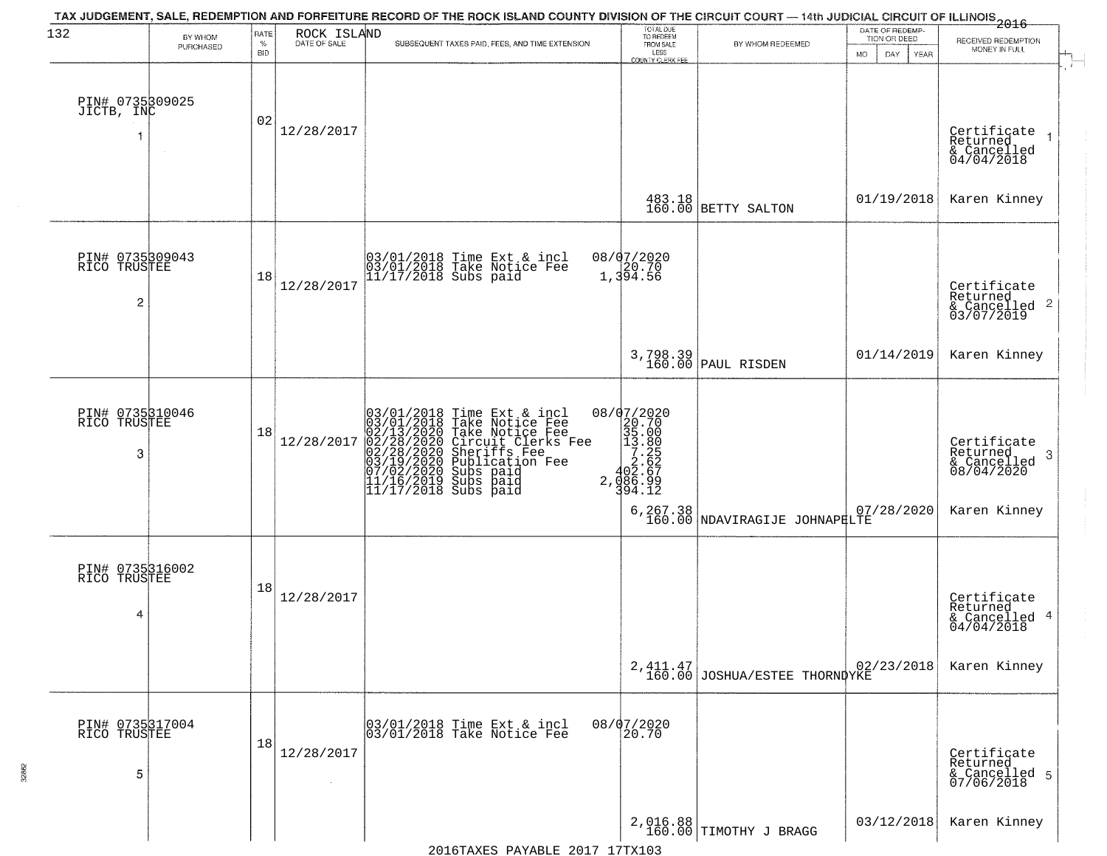| 132                                               | BY WHOM<br>PURCHASED | RATE<br>$\%$<br><b>BID</b> | ROCK ISLAND<br>DATE OF SALE | TAX JUDGEMENT, SALE, REDEMPTION AND FORFEITURE RECORD OF THE ROCK ISLAND COUNTY DIVISION OF THE CIRCUIT COURT — 14th JUDICIAL CIRCUIT OF ILLINOIS 2016<br>SUBSEQUENT TAXES PAID, FEES, AND TIME EXTENSION                                   | TOTAL DUE<br>TO REDEEM<br>FROM SALE<br>LESS<br>LESS<br>COUNTY CLERK FEE | BY WHOM REDEEMED                                             | DATE OF REDEMP-<br>TION OR DEED<br><b>MO</b><br>DAY<br>YEAR | RECEIVED REDEMPTION<br>MONEY IN FULL                                              |
|---------------------------------------------------|----------------------|----------------------------|-----------------------------|---------------------------------------------------------------------------------------------------------------------------------------------------------------------------------------------------------------------------------------------|-------------------------------------------------------------------------|--------------------------------------------------------------|-------------------------------------------------------------|-----------------------------------------------------------------------------------|
| PIN# 0735309025<br>JICTB, INC                     | $\sim$               | 02                         | 12/28/2017                  |                                                                                                                                                                                                                                             |                                                                         |                                                              |                                                             | Certificate<br>Returned<br>& Cancelled<br>04/04/2018                              |
|                                                   |                      |                            |                             |                                                                                                                                                                                                                                             |                                                                         | $\begin{array}{c} 483.18 \\ 160.00 \end{array}$ BETTY SALTON | 01/19/2018                                                  | Karen Kinney                                                                      |
| PIN# 0735309043<br>RICO TRUSTEE<br>$\overline{c}$ |                      | 18                         | 12/28/2017                  | 03/01/2018 Time Ext & incl<br>03/01/2018 Take Notice Fee<br>11/17/2018 Subs paid                                                                                                                                                            | 08/07/2020<br>1,394.56                                                  |                                                              |                                                             | Certificate<br>Returned<br>& Cancelled 2<br>03/07/2019                            |
|                                                   |                      |                            |                             |                                                                                                                                                                                                                                             |                                                                         | 3,798.39<br>160.00 PAUL RISDEN                               | 01/14/2019                                                  | Karen Kinney                                                                      |
| PIN# 0735310046<br>RICO TRUSTEE<br>3              |                      | 18                         | 12/28/2017                  | $03/01/2018$ Time Ext & incl<br>$03/01/2018$ Take Notice Fee<br>$02/13/2020$ Take Notice Fee<br>$02/28/2020$ Circuit Clerks Fee<br>$02/28/2020$ Sheriffs Fee<br>$03/19/22020$ Subication Fee<br>$03/19/22020$ Subs paid<br>$11/16/2019$ Sub |                                                                         | 6, 267.38 NDAVIRAGIJE JOHNAPHLTE                             | 07/28/2020                                                  | Certificate<br>Returned<br>-3<br>$\frac{1}{08}/\frac{1}{04}/2020$<br>Karen Kinney |
| PIN# 0735316002<br>RICO TRUSTEE<br>4              |                      | 18                         | 12/28/2017                  |                                                                                                                                                                                                                                             |                                                                         |                                                              |                                                             | Certificate<br>Returned<br>& Cancelled 4<br>04/04/2018                            |
|                                                   |                      |                            |                             |                                                                                                                                                                                                                                             |                                                                         | 2, 411.47<br>160.00 JOSHUA/ESTEE THORNDYKE                   | 02/23/2018                                                  | Karen Kinney                                                                      |
| PIN# 0735317004<br>RICO TRUSTEE<br>5              |                      | 18                         | 12/28/2017                  | 03/01/2018 Time Ext & incl<br>03/01/2018 Take Notice Fee                                                                                                                                                                                    | 08/07/2020<br>20.70                                                     |                                                              |                                                             | Certificate<br>Returned<br>& Cancelled 5<br>07/06/2018                            |
|                                                   |                      |                            |                             |                                                                                                                                                                                                                                             |                                                                         | 2,016.88<br>160.00 TIMOTHY J BRAGG                           | 03/12/2018                                                  | Karen Kinney                                                                      |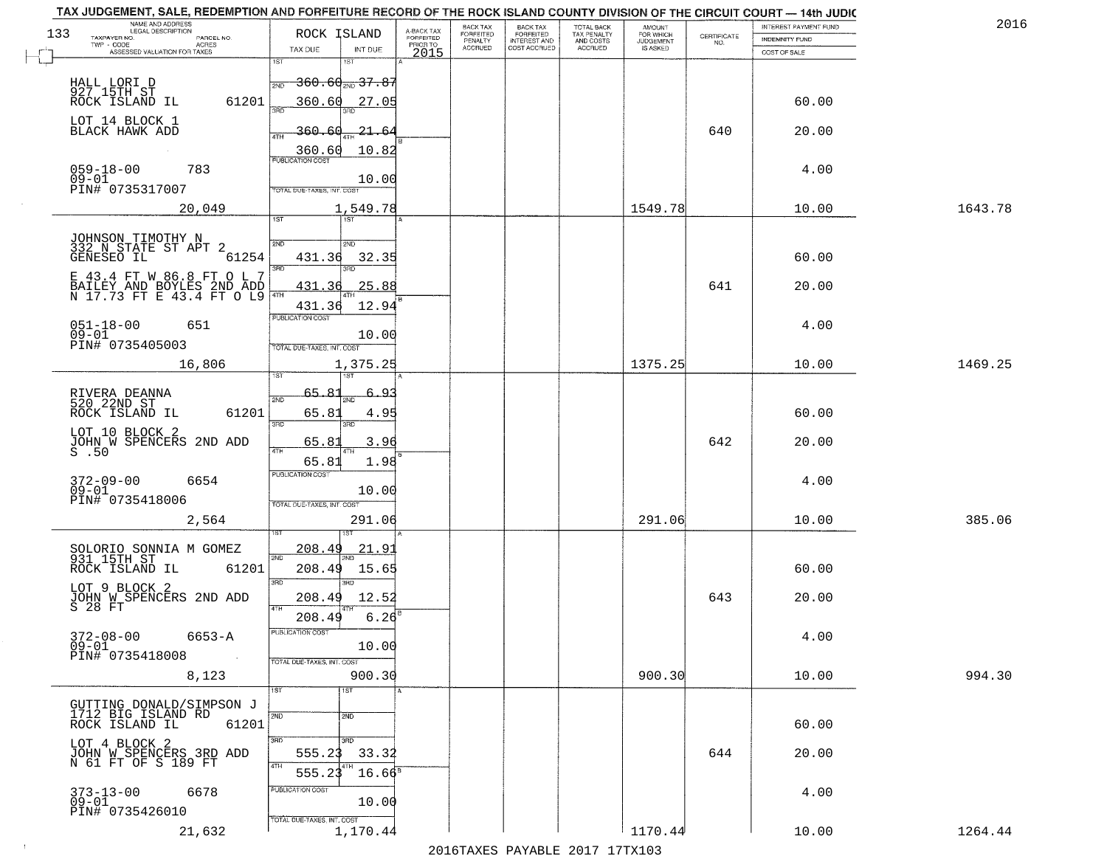|     | TAX JUDGEMENT, SALE, REDEMPTION AND FORFEITURE RECORD OF THE ROCK ISLAND COUNTY DIVISION OF THE CIRCUIT COURT - 14th JUDIC<br>NAME AND ADDRESS<br>LEGAL DESCRIPTION |                                        |                         | BACK TAX                    |                                              |                                        |                                         |                                                                 | INTEREST PAYMENT FUND | 2016    |
|-----|---------------------------------------------------------------------------------------------------------------------------------------------------------------------|----------------------------------------|-------------------------|-----------------------------|----------------------------------------------|----------------------------------------|-----------------------------------------|-----------------------------------------------------------------|-----------------------|---------|
| 133 | TAXPAYER NO.<br>PARCEL NO.                                                                                                                                          | ROCK ISLAND                            | A-BACK TAX<br>FORFEITED | <b>FORFEITED</b><br>PENALTY | BACK TAX<br>FORFEITED<br><b>INTEREST AND</b> | TOTAL BACK<br>TAX PENALTY<br>AND COSTS | AMOUNT<br>FOR WHICH<br><b>JUDGEMENT</b> | $\begin{array}{c} \text{CERTIFICATE} \\ \text{NO.} \end{array}$ | INDEMNITY FUND        |         |
|     | ACRES<br>ASSESSED VALUATION FOR TAXES                                                                                                                               | TAX DUE<br>INT DUE                     | PRIOR TO<br>2015        | <b>ACCRUED</b>              | COST ACCRUED                                 | ACCRUED                                | IS ASKED                                |                                                                 | COST OF SALE          |         |
|     |                                                                                                                                                                     | 1ST<br>1ST                             |                         |                             |                                              |                                        |                                         |                                                                 |                       |         |
|     |                                                                                                                                                                     | $\frac{1}{2ND}$ 360.60 $_{2ND}$ 37.87  |                         |                             |                                              |                                        |                                         |                                                                 |                       |         |
|     | HALL LORI D<br>927 15TH ST<br>61201<br>ROCK ISLAND IL                                                                                                               | 360.60<br>27.05                        |                         |                             |                                              |                                        |                                         |                                                                 | 60.00                 |         |
|     |                                                                                                                                                                     |                                        |                         |                             |                                              |                                        |                                         |                                                                 |                       |         |
|     | LOT 14 BLOCK 1<br>BLACK HAWK ADD                                                                                                                                    | 360.60<br>21.64                        |                         |                             |                                              |                                        |                                         | 640                                                             | 20.00                 |         |
|     |                                                                                                                                                                     |                                        |                         |                             |                                              |                                        |                                         |                                                                 |                       |         |
|     |                                                                                                                                                                     | 10.82<br>360.60                        |                         |                             |                                              |                                        |                                         |                                                                 |                       |         |
|     | 059-18-00<br>09-01<br>783                                                                                                                                           | 10.00                                  |                         |                             |                                              |                                        |                                         |                                                                 | 4.00                  |         |
|     | PIN# 0735317007                                                                                                                                                     | TOTAL DUE-TAXES, INT. COST             |                         |                             |                                              |                                        |                                         |                                                                 |                       |         |
|     | 20,049                                                                                                                                                              | 1,549.78                               |                         |                             |                                              |                                        | 1549.78                                 |                                                                 | 10.00                 | 1643.78 |
|     |                                                                                                                                                                     | <b>IST</b>                             |                         |                             |                                              |                                        |                                         |                                                                 |                       |         |
|     | JOHNSON TIMOTHY N<br>332 N STATE ST APT 2                                                                                                                           | 2ND<br>2ND                             |                         |                             |                                              |                                        |                                         |                                                                 |                       |         |
|     | 61254<br>GENESEO IL                                                                                                                                                 | 32.35<br>431.36                        |                         |                             |                                              |                                        |                                         |                                                                 | 60.00                 |         |
|     |                                                                                                                                                                     | 3RD                                    |                         |                             |                                              |                                        |                                         |                                                                 |                       |         |
|     | E 43.4 FT W 86.8 FT O L 7                                                                                                                                           | 25.88<br>431.36                        |                         |                             |                                              |                                        |                                         | 641                                                             | 20.00                 |         |
|     | BAILEY AND BOYLES 2ND ADD<br>N 17.73 FT E 43.4 FT O L9                                                                                                              | 47H<br>431.36<br>12.94                 |                         |                             |                                              |                                        |                                         |                                                                 |                       |         |
|     |                                                                                                                                                                     | PUBLICATION COST                       |                         |                             |                                              |                                        |                                         |                                                                 |                       |         |
|     | $051 - 18 - 00$<br>651<br>$09 - 01$                                                                                                                                 | 10.00                                  |                         |                             |                                              |                                        |                                         |                                                                 | 4.00                  |         |
|     | PIN# 0735405003                                                                                                                                                     | TOTAL DUE-TAXES, INT. COST             |                         |                             |                                              |                                        |                                         |                                                                 |                       |         |
|     | 16,806                                                                                                                                                              | 1,375.25                               |                         |                             |                                              |                                        | 1375.25                                 |                                                                 | 10.00                 | 1469.25 |
|     |                                                                                                                                                                     | 1ST                                    |                         |                             |                                              |                                        |                                         |                                                                 |                       |         |
|     | RIVERA DEANNA<br>520 22ND ST                                                                                                                                        | 65.8<br><u>: 4 م</u><br>2ND<br>2ND     |                         |                             |                                              |                                        |                                         |                                                                 |                       |         |
|     | ROCK ISLAND IL<br>61201                                                                                                                                             | 65.81<br>4.95                          |                         |                             |                                              |                                        |                                         |                                                                 | 60.00                 |         |
|     | LOT 10 BLOCK 2                                                                                                                                                      | 3BD<br>3RD                             |                         |                             |                                              |                                        |                                         |                                                                 |                       |         |
|     | JOHN $\breve{\mathtt{W}}$ SPENCERS 2ND ADD S .50                                                                                                                    | 65.81<br>3.96<br>4TH                   |                         |                             |                                              |                                        |                                         | 642                                                             | 20.00                 |         |
|     |                                                                                                                                                                     | 1.98<br>65.81                          |                         |                             |                                              |                                        |                                         |                                                                 |                       |         |
|     | $372 - 09 - 00$<br>6654                                                                                                                                             | <b>PUBLICATION COST</b>                |                         |                             |                                              |                                        |                                         |                                                                 | 4.00                  |         |
|     | $09 - 01$                                                                                                                                                           | 10.00                                  |                         |                             |                                              |                                        |                                         |                                                                 |                       |         |
|     | PIN# 0735418006                                                                                                                                                     | TOTAL OUE-TAXES, INT. COST             |                         |                             |                                              |                                        |                                         |                                                                 |                       |         |
|     | 2,564                                                                                                                                                               | 291.06                                 |                         |                             |                                              |                                        | 291.06                                  |                                                                 | 10.00                 | 385.06  |
|     |                                                                                                                                                                     |                                        |                         |                             |                                              |                                        |                                         |                                                                 |                       |         |
|     | SOLORIO SONNIA M GOMEZ<br>931 15TH ST                                                                                                                               | <u>208.49</u><br>21.9                  |                         |                             |                                              |                                        |                                         |                                                                 |                       |         |
|     | ROCK ISLAND IL<br>61201                                                                                                                                             | 208.49<br>15.65                        |                         |                             |                                              |                                        |                                         |                                                                 | 60.00                 |         |
|     | LOT 9 BLOCK 2                                                                                                                                                       | 3RD<br>3RD.                            |                         |                             |                                              |                                        |                                         |                                                                 |                       |         |
|     | JOHN W SPENCERS 2ND ADD                                                                                                                                             | 12.52<br>208.49<br>4TH                 |                         |                             |                                              |                                        |                                         | 643                                                             | 20.00                 |         |
|     |                                                                                                                                                                     | 208.49<br>6.26                         |                         |                             |                                              |                                        |                                         |                                                                 |                       |         |
|     | $372 - 08 - 00$<br>6653-A                                                                                                                                           | <b>PUBLICATION COS-</b>                |                         |                             |                                              |                                        |                                         |                                                                 | 4.00                  |         |
|     | $09 - 01$<br>PIN# 0735418008<br>$\sim 100$                                                                                                                          | 10.00                                  |                         |                             |                                              |                                        |                                         |                                                                 |                       |         |
|     |                                                                                                                                                                     | TOTAL DUE-TAXES, INT. COST             |                         |                             |                                              |                                        |                                         |                                                                 |                       |         |
|     | 8,123                                                                                                                                                               | 900.30<br>1ST<br>1ST                   |                         |                             |                                              |                                        | 900.30                                  |                                                                 | 10.00                 | 994.30  |
|     | GUTTING DONALD/SIMPSON J                                                                                                                                            |                                        |                         |                             |                                              |                                        |                                         |                                                                 |                       |         |
|     | 1712 BIG ISLAND RD                                                                                                                                                  | 2ND<br>2ND                             |                         |                             |                                              |                                        |                                         |                                                                 |                       |         |
|     | ROCK ISLAND IL<br>61201                                                                                                                                             |                                        |                         |                             |                                              |                                        |                                         |                                                                 | 60.00                 |         |
|     | LOT 4 BLOCK 2<br>JOHN W SPENCERS 3RD ADD                                                                                                                            | 3RD<br>3RD<br>555.23<br>33.32          |                         |                             |                                              |                                        |                                         | 644                                                             | 20.00                 |         |
|     | N 61 FT OF S 189 FT                                                                                                                                                 | 4TH                                    |                         |                             |                                              |                                        |                                         |                                                                 |                       |         |
|     |                                                                                                                                                                     | $16.66^8$<br>555.2                     |                         |                             |                                              |                                        |                                         |                                                                 |                       |         |
|     | $373 - 13 - 00$<br>6678<br>$09 - 01$                                                                                                                                | PUBLICATION COST<br>10.00              |                         |                             |                                              |                                        |                                         |                                                                 | 4.00                  |         |
|     | PIN# 0735426010                                                                                                                                                     |                                        |                         |                             |                                              |                                        |                                         |                                                                 |                       |         |
|     | 21,632                                                                                                                                                              | TOTAL DUE-TAXES, INT. COST<br>1,170.44 |                         |                             |                                              |                                        | 1170.44                                 |                                                                 | 10.00                 | 1264.44 |
|     |                                                                                                                                                                     |                                        |                         |                             |                                              | 2016 THE PLAY THE 2017 17TH 102        |                                         |                                                                 |                       |         |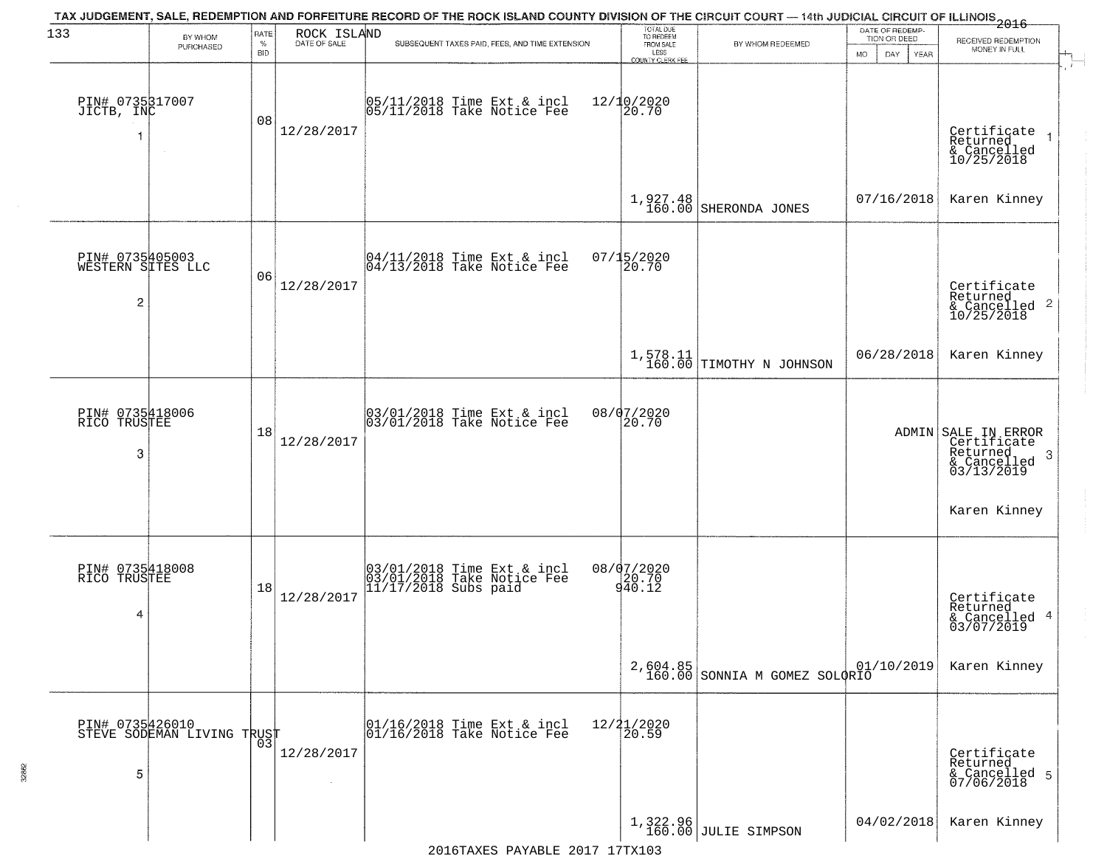| 133                                                    |                            | RATE               | ROCK ISLAND  | TAX JUDGEMENT, SALE, REDEMPTION AND FORFEITURE RECORD OF THE ROCK ISLAND COUNTY DIVISION OF THE CIRCUIT COURT — 14th JUDICIAL CIRCUIT OF ILLINOIS 2016 | TOTAL DUE<br>TO REDEEM<br>FROM SALE |                                           | DATE OF REDEMP-                     |                                                                                  |
|--------------------------------------------------------|----------------------------|--------------------|--------------|--------------------------------------------------------------------------------------------------------------------------------------------------------|-------------------------------------|-------------------------------------------|-------------------------------------|----------------------------------------------------------------------------------|
|                                                        | BY WHOM<br>PURCHASED       | $\%$<br><b>BID</b> | DATE OF SALE | SUBSEQUENT TAXES PAID, FEES, AND TIME EXTENSION                                                                                                        | LESS<br><b>COUNTY CLERK FEE</b>     | BY WHOM REDEEMED                          | TION OR DEED<br>MO.<br>DAY.<br>YEAR | RECEIVED REDEMPTION<br>MONEY IN FULL                                             |
| PIN# 0735317007<br>JICTB, INC                          | $\sim$                     | 08                 | 12/28/2017   | 05/11/2018 Time Ext & incl<br>05/11/2018 Take Notice Fee                                                                                               | 12/10/2020<br>20.70                 |                                           |                                     | Certificate<br>Returned<br>& Cancelled<br>10/25/2018                             |
|                                                        |                            |                    |              |                                                                                                                                                        |                                     | $1,927.48$ SHERONDA JONES                 | 07/16/2018                          | Karen Kinney                                                                     |
| PIN# 0735405003<br>WESTERN SITES LLC<br>$\overline{c}$ |                            | 06                 | 12/28/2017   | $\begin{array}{c}  04/11/2018 \text{ Time} \text{ Ext} & \text{incl} \\  04/13/2018 \text{ Take Notice } \text{Fe} \end{array}$                        | 07/15/2020<br>20.70                 |                                           |                                     | Certificate<br>Returned                                                          |
|                                                        |                            |                    |              |                                                                                                                                                        |                                     | $1,578.11$ TIMOTHY N JOHNSON              | 06/28/2018                          | Karen Kinney                                                                     |
| PIN# 0735418006<br>RICO TRUSTEE<br>3                   |                            | 18                 | 12/28/2017   | 03/01/2018 Time Ext & incl<br>03/01/2018 Take Notice Fee                                                                                               | 08/07/2020<br>20.70                 |                                           |                                     | ADMIN SALE IN ERROR<br>Certificate<br>Returned<br>3<br>& Cancelled<br>03/13/2019 |
|                                                        |                            |                    |              |                                                                                                                                                        |                                     |                                           |                                     | Karen Kinney                                                                     |
| PIN# 0735418008<br>RICO TRUSTEE<br>4                   |                            | 18                 | 12/28/2017   | 03/01/2018 Time Ext & incl<br>03/01/2018 Take Notice Fee<br>11/17/2018 Subs paid                                                                       | 08/07/2020<br>20.70<br>940.12       |                                           |                                     | Certificate<br>Returned<br>& Cancelled 4<br>03/07/2019                           |
|                                                        |                            |                    |              |                                                                                                                                                        |                                     | 2,604.85<br>160.00 SONNIA M GOMEZ SOLORIO | 01/10/2019                          | Karen Kinney                                                                     |
| PIN# 0735426010<br>5                                   | STEVE SODEMAN LIVING TRUST | 03                 | 12/28/2017   | 01/16/2018 Time Ext & incl<br>01/16/2018 Take Notice Fee                                                                                               | 12/21/2020<br>20.59                 |                                           |                                     | Certificate<br>Returned<br>& Cancelled 5<br>07/06/2018                           |
|                                                        |                            |                    |              |                                                                                                                                                        |                                     | 1,322.96<br>160.00 JULIE SIMPSON          | 04/02/2018                          | Karen Kinney                                                                     |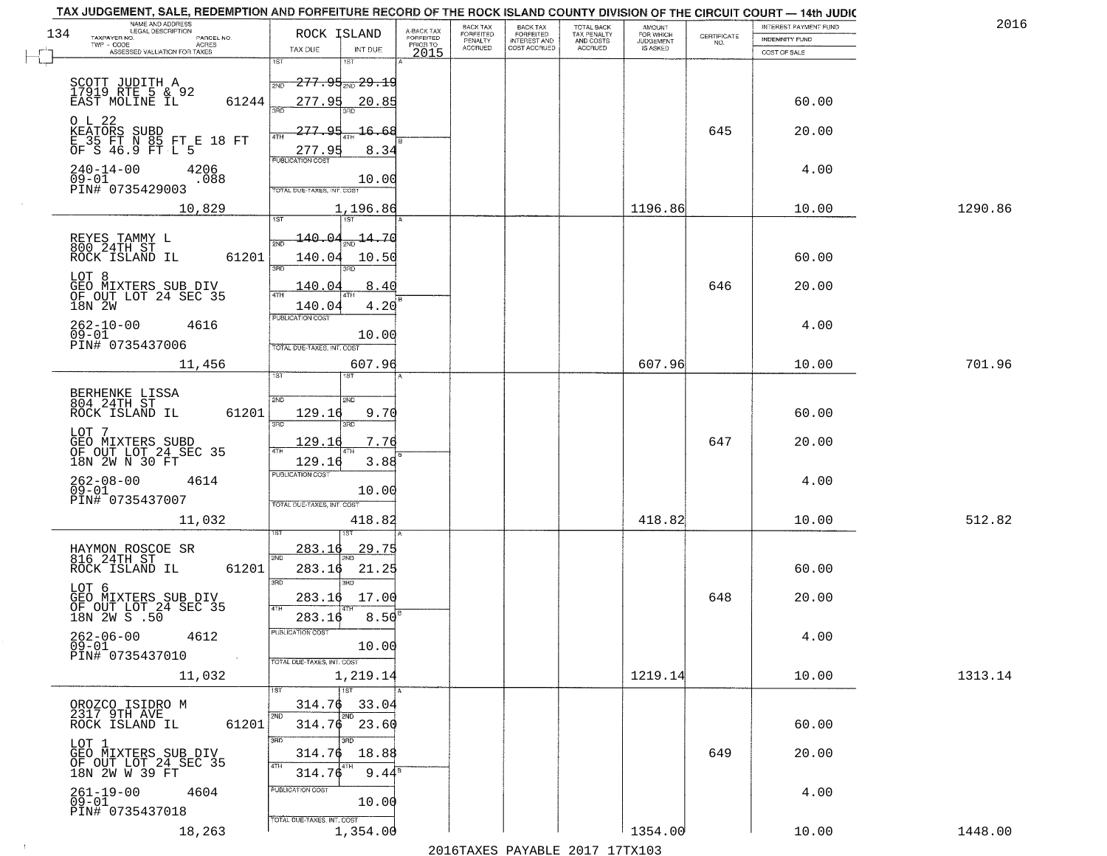| TAX JUDGEMENT, SALE, REDEMPTION AND FORFEITURE RECORD OF THE ROCK ISLAND COUNTY DIVISION OF THE CIRCUIT COURT - 14th JUDIC |                                           |                                     |                           |                                           |                                            |                                  |                    |                       |         |
|----------------------------------------------------------------------------------------------------------------------------|-------------------------------------------|-------------------------------------|---------------------------|-------------------------------------------|--------------------------------------------|----------------------------------|--------------------|-----------------------|---------|
| NAME AND ADDRESS<br>LEGAL DESCRIPTION<br>134                                                                               | ROCK ISLAND                               |                                     | BACK TAX<br>FORFEITED     | <b>BACK TAX</b>                           | TOTAL BACK                                 | AMOUNT<br>FOR WHICH<br>JUDGEMENT |                    | INTEREST PAYMENT FUND | 2016    |
| TAXPAYER NO.<br>PARCEL NO.<br>TWP - CODE<br>ACRES                                                                          | TAX DUE<br>INT DUE                        | A-BACK TAX<br>FORFEITED<br>PRIOR TO | PENALTY<br><b>ACCRUED</b> | FORFEITED<br>INTEREST AND<br>COST ACCRUED | TAX PENALTY<br>AND COSTS<br><b>ACCRUED</b> | IS ASKED                         | CERTIFICATE<br>NO. | <b>INDEMNITY FUND</b> |         |
| ASSESSED VALUATION FOR TAXES                                                                                               | 1ST<br>1ST                                | 2015                                |                           |                                           |                                            |                                  |                    | COST OF SALE          |         |
|                                                                                                                            |                                           |                                     |                           |                                           |                                            |                                  |                    |                       |         |
| SCOTT JUDITH A<br>17919 RTE 5 & 92<br>EAST MOLINE IL                                                                       | 277.95 29.19<br>2ND                       |                                     |                           |                                           |                                            |                                  |                    |                       |         |
| 61244                                                                                                                      | 277.95<br>20.85<br>355                    |                                     |                           |                                           |                                            |                                  |                    | 60.00                 |         |
| O L 22                                                                                                                     |                                           |                                     |                           |                                           |                                            |                                  |                    |                       |         |
| KEATORS SUBD<br>E 35 FT N 85 FT E 18 FT<br>OF S 46.9 FT L 5                                                                | 277.95<br><del>16.6</del> 8<br>ATH        |                                     |                           |                                           |                                            |                                  | 645                | 20.00                 |         |
|                                                                                                                            | 8.34<br>277.95<br><b>PUBLICATION COST</b> |                                     |                           |                                           |                                            |                                  |                    |                       |         |
| $240 - 14 - 00$<br>4206<br>$09 - 01$                                                                                       |                                           |                                     |                           |                                           |                                            |                                  |                    | 4.00                  |         |
| .088<br>PIN# 0735429003                                                                                                    | 10.00<br>TOTAL DUE-TAXES, INT, COST       |                                     |                           |                                           |                                            |                                  |                    |                       |         |
| 10,829                                                                                                                     | 1,196.86                                  |                                     |                           |                                           |                                            | 1196.86                          |                    | 10.00                 | 1290.86 |
|                                                                                                                            |                                           |                                     |                           |                                           |                                            |                                  |                    |                       |         |
| REYES TAMMY L<br>800 24TH ST                                                                                               | 140.04<br>$\frac{14.70}{200}$             |                                     |                           |                                           |                                            |                                  |                    |                       |         |
| 61201<br>ROCK ISLAND IL                                                                                                    | 140.04<br>10.50                           |                                     |                           |                                           |                                            |                                  |                    | 60.00                 |         |
| LOT 8                                                                                                                      | 3RD<br>3RD                                |                                     |                           |                                           |                                            |                                  |                    |                       |         |
| GEO MIXTERS SUB DIV<br>OF OUT LOT 24 SEC 35                                                                                | 8.40<br>140.04                            |                                     |                           |                                           |                                            |                                  | 646                | 20.00                 |         |
| 18N 2W                                                                                                                     | 4.20<br>140.04                            |                                     |                           |                                           |                                            |                                  |                    |                       |         |
| $262 - 10 - 00$<br>4616                                                                                                    | PUBLICATION COST                          |                                     |                           |                                           |                                            |                                  |                    | 4.00                  |         |
| $09 - 01$<br>PIN# 0735437006                                                                                               | 10.00                                     |                                     |                           |                                           |                                            |                                  |                    |                       |         |
|                                                                                                                            | TOTAL DUE-TAXES, INT. COST                |                                     |                           |                                           |                                            |                                  |                    |                       |         |
| 11,456                                                                                                                     | 607.96<br>ist<br><b>IST</b>               |                                     |                           |                                           |                                            | 607.96                           |                    | 10.00                 | 701.96  |
|                                                                                                                            |                                           |                                     |                           |                                           |                                            |                                  |                    |                       |         |
| BERHENKE LISSA<br>804 24TH ST                                                                                              | 2ND<br>SND                                |                                     |                           |                                           |                                            |                                  |                    |                       |         |
| ROCK ISLAND IL<br>61201                                                                                                    | 129.16<br>9.70<br>3 <sub>BD</sub><br>3RD  |                                     |                           |                                           |                                            |                                  |                    | 60.00                 |         |
| LOT 7                                                                                                                      | 129.16<br>7.76                            |                                     |                           |                                           |                                            |                                  | 647                | 20.00                 |         |
| GEO MIXTERS SUBD<br>OF OUT LOT 24 SEC 35<br>18N 2W N 30 FT                                                                 | 4TH<br>3.88<br>129.16                     |                                     |                           |                                           |                                            |                                  |                    |                       |         |
|                                                                                                                            | <b>PUBLICATION COST</b>                   |                                     |                           |                                           |                                            |                                  |                    |                       |         |
| $262 - 08 - 00$<br>09-01<br>4614                                                                                           | 10.00                                     |                                     |                           |                                           |                                            |                                  |                    | 4.00                  |         |
| PIN# 0735437007                                                                                                            | TOTAL OUE-TAXES, INT. COST                |                                     |                           |                                           |                                            |                                  |                    |                       |         |
| 11,032                                                                                                                     | 418.82                                    |                                     |                           |                                           |                                            | 418.82                           |                    | 10.00                 | 512.82  |
|                                                                                                                            |                                           |                                     |                           |                                           |                                            |                                  |                    |                       |         |
| HAYMON ROSCOE SR<br>816 24TH ST                                                                                            | 283.16<br>29.75<br>2ND                    |                                     |                           |                                           |                                            |                                  |                    |                       |         |
| ROCK ISLAND IL<br>61201                                                                                                    | 283.16<br>21.25<br>3RD                    |                                     |                           |                                           |                                            |                                  |                    | 60.00                 |         |
| LOT 6                                                                                                                      | $\overline{3BD}$<br>17.00<br>283.16       |                                     |                           |                                           |                                            |                                  | 648                | 20.00                 |         |
| GEO MIXTERS SUB DIV<br>OF OUT LOT 24 SEC 35<br>18N 2W S .50                                                                | 4TH                                       |                                     |                           |                                           |                                            |                                  |                    |                       |         |
|                                                                                                                            | 8.50<br>283.16<br>PUBLICATION COS         |                                     |                           |                                           |                                            |                                  |                    |                       |         |
| $262 - 06 - 00$<br>4612<br>$09 - 01$                                                                                       | 10.00                                     |                                     |                           |                                           |                                            |                                  |                    | 4.00                  |         |
| PIN# 0735437010<br>$\sim 100$                                                                                              | TOTAL DUE-TAXES, INT. COST                |                                     |                           |                                           |                                            |                                  |                    |                       |         |
| 11,032                                                                                                                     | 1,219.14                                  |                                     |                           |                                           |                                            | 1219.14                          |                    | 10.00                 | 1313.14 |
|                                                                                                                            | 1ST                                       |                                     |                           |                                           |                                            |                                  |                    |                       |         |
| OROZCO ISIDRO M<br>2317 9TH AVE                                                                                            | 314.76<br>33.04<br>2ND<br>2ND             |                                     |                           |                                           |                                            |                                  |                    |                       |         |
| 61201<br>ROCK ISLAND IL                                                                                                    | 314.76 23.60                              |                                     |                           |                                           |                                            |                                  |                    | 60.00                 |         |
|                                                                                                                            | 3RD                                       |                                     |                           |                                           |                                            |                                  |                    |                       |         |
| LOT 1<br>GEO MIXTERS SUB DIV<br>OF OUT LOT 24 SEC 35                                                                       | 314.76<br>18.88<br>4TH                    |                                     |                           |                                           |                                            |                                  | 649                | 20.00                 |         |
| 18N 2W W 39 FT                                                                                                             | 314.76<br>$9.44^{\circ}$                  |                                     |                           |                                           |                                            |                                  |                    |                       |         |
| $261 - 19 - 00$<br>4604<br>$09 - 01$                                                                                       | PUBLICATION COST<br>10.00                 |                                     |                           |                                           |                                            |                                  |                    | 4.00                  |         |
| PIN# 0735437018                                                                                                            | TOTAL DUE-TAXES, INT. COST                |                                     |                           |                                           |                                            |                                  |                    |                       |         |
| 18,263                                                                                                                     | 1,354.00                                  |                                     |                           |                                           |                                            | 1354.00                          |                    | 10.00                 | 1448.00 |
|                                                                                                                            |                                           |                                     |                           |                                           |                                            |                                  |                    |                       |         |

 $\sim 10$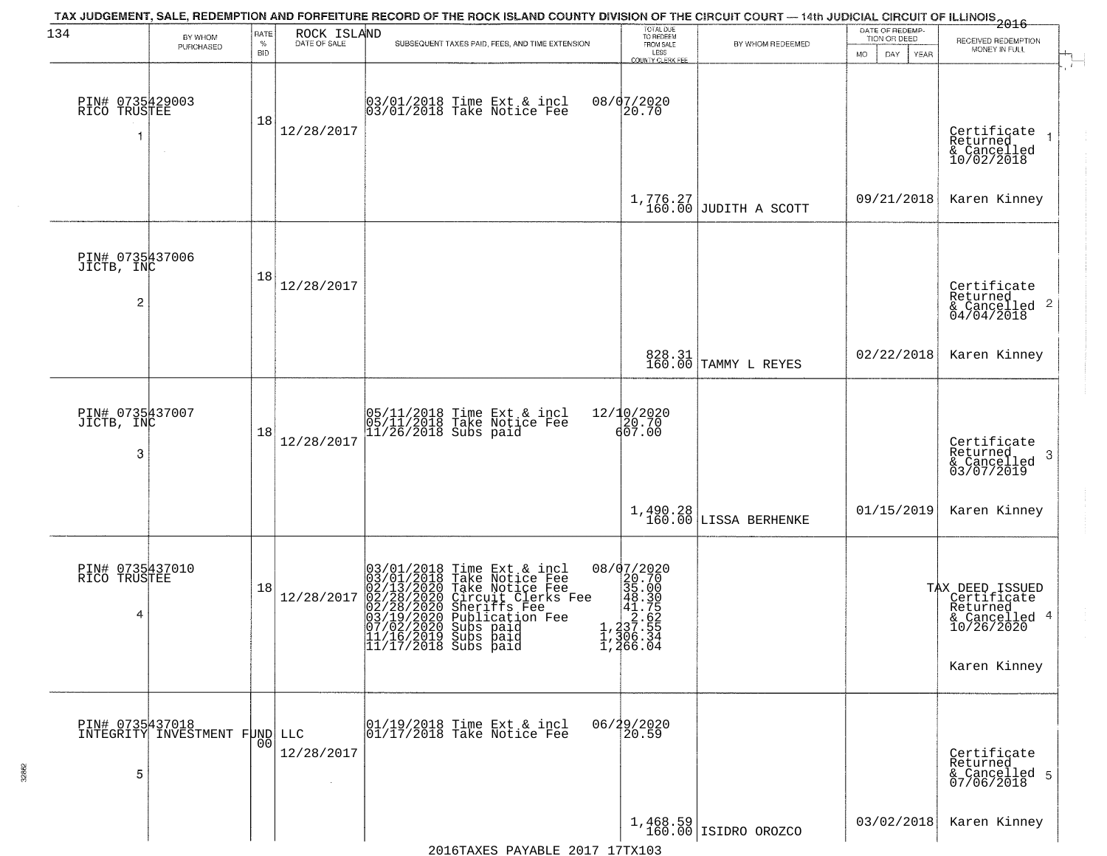| 134                                  | BY WHOM                                          | RATE<br>$\%$   | ROCK ISLAND<br>DATE OF SALE | TAX JUDGEMENT, SALE, REDEMPTION AND FORFEITURE RECORD OF THE ROCK ISLAND COUNTY DIVISION OF THE CIRCUIT COURT — 14th JUDICIAL CIRCUIT OF ILLINOIS 2016<br>SUBSEQUENT TAXES PAID, FEES, AND TIME EXTENSION                                            | TOTAL DUE<br>TO REDEEM<br>FROM SALE | BY WHOM REDEEMED                                                               | DATE OF REDEMP<br>TION OR DEED | RECEIVED REDEMPTION                                                                       |
|--------------------------------------|--------------------------------------------------|----------------|-----------------------------|------------------------------------------------------------------------------------------------------------------------------------------------------------------------------------------------------------------------------------------------------|-------------------------------------|--------------------------------------------------------------------------------|--------------------------------|-------------------------------------------------------------------------------------------|
|                                      | PURCHASED                                        | <b>BID</b>     |                             |                                                                                                                                                                                                                                                      | LESS<br><b>COUNTY CLERK FEE</b>     |                                                                                | MO.<br>DAY.<br>YEAR            | MONEY IN FULL                                                                             |
| PIN# 0735429003<br>RICO TRUSTEE<br>1 | $\sim$                                           | 18             | 12/28/2017                  | 03/01/2018 Time Ext & incl<br>03/01/2018 Take Notice Fee                                                                                                                                                                                             | 08/07/2020<br>20.70                 |                                                                                |                                | Certificate<br>Returned<br>& Cancelled<br>10/02/2018                                      |
|                                      |                                                  |                |                             |                                                                                                                                                                                                                                                      |                                     | $1,776.27$<br>160.00 JUDITH A SCOTT                                            | 09/21/2018                     | Karen Kinney                                                                              |
| PIN# 0735437006<br>JICTB, INC<br>2   |                                                  | 18             | 12/28/2017                  |                                                                                                                                                                                                                                                      |                                     |                                                                                |                                | Certificate<br>Returned<br>$\frac{12}{6}$ Cancelled 2<br>04/04/2018                       |
|                                      |                                                  |                |                             |                                                                                                                                                                                                                                                      |                                     | 828.31<br>160.00 TAMMY L REYES                                                 | 02/22/2018                     | Karen Kinney                                                                              |
| PIN# 0735437007<br>JICTB, INC<br>3   |                                                  | 18             | 12/28/2017                  | 05/11/2018 Time Ext & incl<br>05/11/2018 Take Notice Fee<br>11/26/2018 Subs paid                                                                                                                                                                     | 12/10/2020<br>20.70<br>607.00       |                                                                                |                                | Certificate<br>Returned<br>3<br>& Cancelled<br>03/07/2019                                 |
|                                      |                                                  |                |                             |                                                                                                                                                                                                                                                      | 1,490.28<br>160.00                  | LISSA BERHENKE                                                                 | 01/15/2019                     | Karen Kinney                                                                              |
| PIN# 0735437010<br>RICO TRUSTEE<br>4 |                                                  | 18             | 12/28/2017                  | 03/01/2018 Time Ext & incl<br>03/01/2018 Take Notice Fee<br>02/13/2020 Take Notice Fee<br>02/28/2020 Circuit Clerks Fee<br>02/28/2020 Sheriffs Fee<br>03/19/2020 Subs paid<br>11/16/2019 Subs paid<br> 11/16/2019 Subs paid<br> 11/17/2018 Subs paid | 08/07/2020                          |                                                                                |                                | TAX DEED ISSUED<br>Certificate<br>Returned<br>& Cancelled 4<br>10/26/2020<br>Karen Kinney |
| 5                                    | PIN# 0735437018<br>INTEGRITY INVESTMENT FUND LLC | 0 <sub>0</sub> | 12/28/2017                  | 01/19/2018 Time Ext & incl<br>01/17/2018 Take Notice Fee                                                                                                                                                                                             | 06/29/2020<br>20.59                 |                                                                                |                                | Certificate<br>Returned<br>& Cancelled 5<br>07/06/2018                                    |
|                                      |                                                  |                |                             |                                                                                                                                                                                                                                                      |                                     | $\left  \begin{array}{c} 1,468.59 \\ 160.00 \end{array} \right $ ISIDRO OROZCO | 03/02/2018                     | Karen Kinney                                                                              |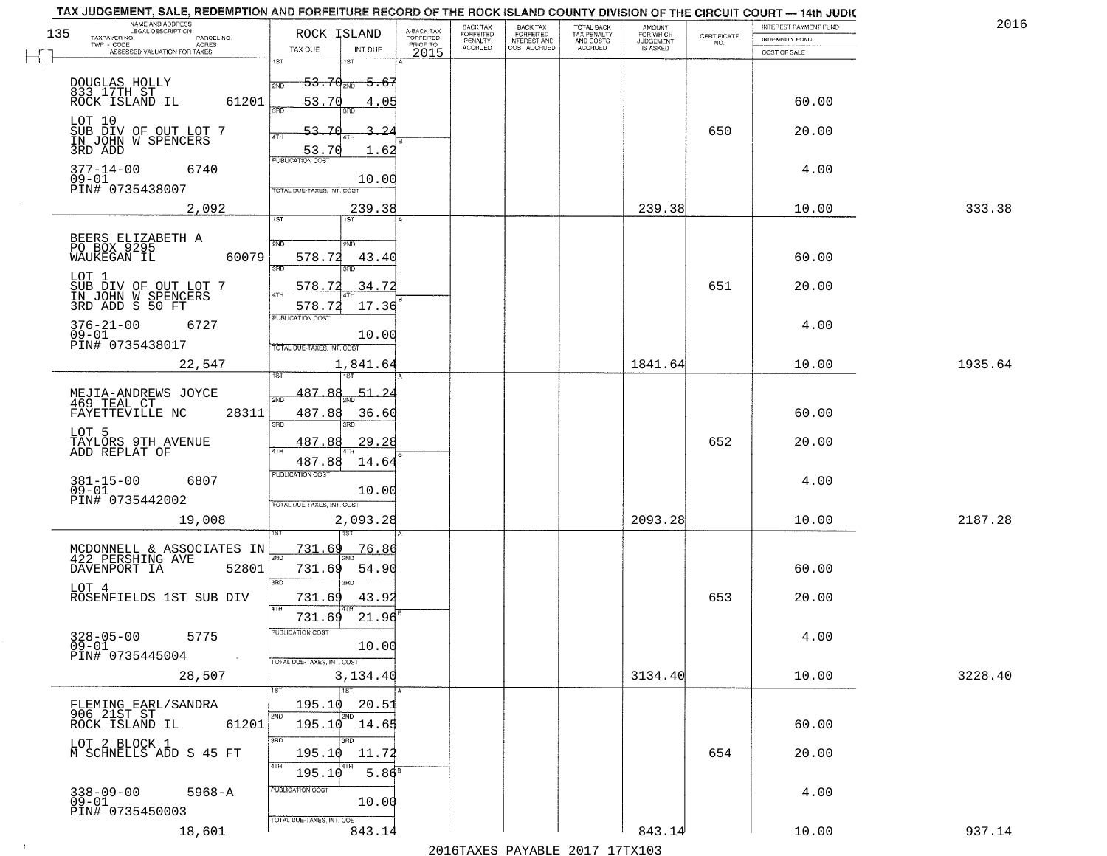| NAME AND ADDRESS<br>LEGAL DESCRIPTION                                                                                              |                                                                                                             |                                     | BACK TAX             | <b>BACK TAX</b>           | <b>TOTAL BACK</b>        | AMOUNT<br>FOR WHICH |                                                                 | INTEREST PAYMENT FUND | 2016    |
|------------------------------------------------------------------------------------------------------------------------------------|-------------------------------------------------------------------------------------------------------------|-------------------------------------|----------------------|---------------------------|--------------------------|---------------------|-----------------------------------------------------------------|-----------------------|---------|
| 135<br>TAXPAYER NO.<br>PARCEL NO.<br>ACRES                                                                                         | ROCK ISLAND                                                                                                 | A-BACK TAX<br>FORFEITED<br>PRIOR TO | FORFEITED<br>PENALTY | FORFEITED<br>INTEREST AND | TAX PENALTY<br>AND COSTS | <b>JUDGEMENT</b>    | $\begin{array}{c} \text{CERTIFICATE} \\ \text{NO.} \end{array}$ | INDEMNITY FUND        |         |
| ASSESSED VALUATION FOR TAXES                                                                                                       | TAX DUE<br>INT DUE                                                                                          | 2015                                | <b>ACCRUED</b>       | COST ACCRUED              | ACCRUED                  | IS ASKED            |                                                                 | COST OF SALE          |         |
| DOUGLAS HOLLY<br>833 17TH ST<br>ROCK ISLAND IL<br>61201                                                                            | 1ST<br>18T<br><del>53.70 aug 5.67</del><br>53.70<br>4.05                                                    |                                     |                      |                           |                          |                     |                                                                 | 60.00                 |         |
| LOT 10<br>SUB DIV OF OUT LOT 7<br>IN JOHN W SPENCERS<br>3RD ADD                                                                    | 3BD<br>53.70<br>-24<br>4TH<br>53.70<br>1.62                                                                 |                                     |                      |                           |                          |                     | 650                                                             | 20.00                 |         |
| $377 - 14 - 00$<br>6740<br>$09 - 01$<br>PIN# 0735438007                                                                            | <b>PUBLICATION COST</b><br>10.00<br>TOTAL DUE-TAXES, INT, COST                                              |                                     |                      |                           |                          |                     |                                                                 | 4.00                  |         |
| 2,092                                                                                                                              | 239.38                                                                                                      |                                     |                      |                           |                          | 239.38              |                                                                 | 10.00                 | 333.38  |
| BEERS ELIZABETH A<br>PO BOX 9295<br>60079<br>WAUKEGAN IL<br>LOT 1<br>SUB DIV OF OUT LOT 7<br>IN JOHN W SPENCERS<br>3RD ADD S 50 FT | 1ST<br>2ND<br>2ND<br>578.72<br>43.40<br>3BD<br>3RD<br>34.72<br>578.72<br>47H                                |                                     |                      |                           |                          |                     | 651                                                             | 60.00<br>20.00        |         |
| $376 - 21 - 00$<br>6727<br>$09 - 01$<br>PIN# 0735438017                                                                            | 578.72<br>17.36<br>PUBLICATION COST<br>10.00<br>TOTAL DUE-TAXES, INT. COST                                  |                                     |                      |                           |                          |                     |                                                                 | 4.00                  |         |
| 22,547                                                                                                                             | 1,841.64<br>īsT                                                                                             |                                     |                      |                           |                          | 1841.64             |                                                                 | 10.00                 | 1935.64 |
| MEJIA-ANDREWS JOYCE<br>469 TEAL CT<br>FAYETTEVILLE NC<br>28311<br>LOT 5                                                            | 487.88<br>51.2<br>2ND<br>487.88<br>36.60<br>3RD<br>3RD<br>487.88<br>29.28                                   |                                     |                      |                           |                          |                     | 652                                                             | 60.00<br>20.00        |         |
| TAYLORS 9TH AVENUE<br>ADD REPLAT OF<br>$381 - 15 - 00$<br>6807<br>$09 - 01$<br>PIN# 0735442002<br>19,008                           | 4TH<br>487.88<br>14.64<br><b>PUBLICATION COST</b><br>10.00<br>TOTAL OUE-TAXES, INT. COST<br>2,093.28        |                                     |                      |                           |                          | 2093.28             |                                                                 | 4.00<br>10.00         | 2187.28 |
| MCDONNELL & ASSOCIATES IN 422 PERSHING AVE<br>DAVENPORT IA<br>52801<br>LOT 4<br>ROSENFIELDS 1ST SUB DIV                            | 731.69<br>76.86<br>2ND<br>731.69<br>54.90<br>3RD<br><b>IRD</b><br>731.69<br>43.92<br>4TH<br>21.96<br>731.69 |                                     |                      |                           |                          |                     | 653                                                             | 60.00<br>20.00        |         |
| $328 - 05 - 00$<br>5775<br>$09 - 01$<br>PIN# 0735445004<br><b>Contract</b><br>28,507                                               | "UBLICA HUN CUS<br>10.00<br>TOTAL DUE-TAXES, INT. COST<br>3,134.40                                          |                                     |                      |                           |                          | 3134.40             |                                                                 | 4.00<br>10.00         | 3228.40 |
| FLEMING EARL/SANDRA<br>906 21ST ST<br>61201<br>ROCK ISLAND IL                                                                      | <b>TIST</b><br>195.10<br>20.51<br>2ND<br>2ND<br>$195.10$ $14.65$                                            |                                     |                      |                           |                          |                     |                                                                 | 60.00                 |         |
| LOT 2 BLOCK 1<br>M SCHNELLS ADD S 45 FT                                                                                            | 3RD<br>3RD<br>195.10<br>11.72<br>4TH<br>5.86 <sup>8</sup><br>195.10                                         |                                     |                      |                           |                          |                     | 654                                                             | 20.00                 |         |
| 338-09-00<br>09-01<br>$5968 - A$<br>PIN# 0735450003<br>18,601                                                                      | PUBLICATION COST<br>10.00<br>TOTAL DUE-TAXES, INT. COST<br>843.14                                           |                                     |                      |                           |                          | 843.14              |                                                                 | 4.00<br>10.00         | 937.14  |
|                                                                                                                                    |                                                                                                             |                                     |                      |                           |                          |                     |                                                                 |                       |         |

 $\sim 10^{-1}$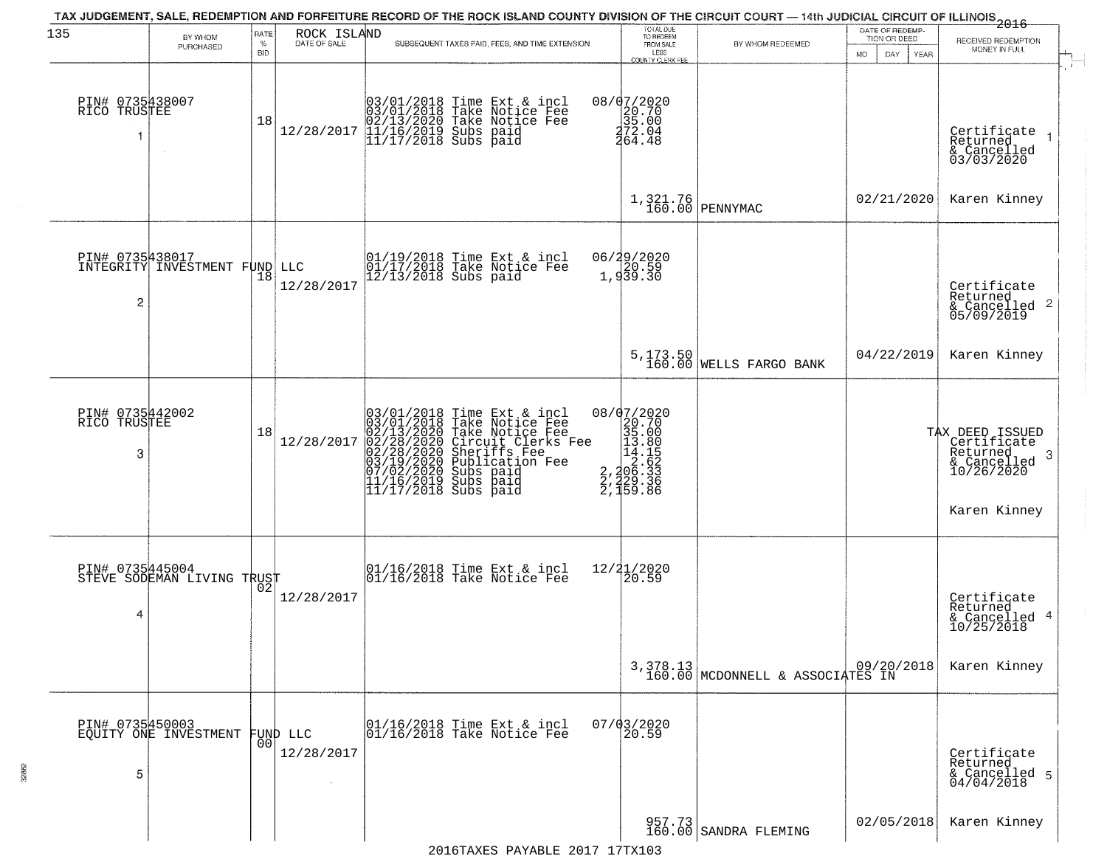| 135                                  | BY WHOM                                  | RATE            |                             | TAX JUDGEMENT, SALE, REDEMPTION AND FORFEITURE RECORD OF THE ROCK ISLAND COUNTY DIVISION OF THE CIRCUIT COURT — 14th JUDICIAL CIRCUIT OF ILLINOIS 2016                                                                                                                                                                                                                        | TOTAL DUE<br>TO REDEEM                                                                                      |                                              | DATE OF REDEMP-                           |                                                                                               |
|--------------------------------------|------------------------------------------|-----------------|-----------------------------|-------------------------------------------------------------------------------------------------------------------------------------------------------------------------------------------------------------------------------------------------------------------------------------------------------------------------------------------------------------------------------|-------------------------------------------------------------------------------------------------------------|----------------------------------------------|-------------------------------------------|-----------------------------------------------------------------------------------------------|
|                                      | PURCHASED                                | %<br><b>BID</b> | ROCK ISLAND<br>DATE OF SALE | SUBSEQUENT TAXES PAID, FEES, AND TIME EXTENSION                                                                                                                                                                                                                                                                                                                               | FROM SALE<br>LESS<br>COUNTY CLERK FEE                                                                       | BY WHOM REDEEMED                             | TION OR DEED<br>DAY<br>MO.<br><b>YEAR</b> | RECEIVED REDEMPTION<br>MONEY IN FULL                                                          |
| PIN# 0735438007<br>RICO TRUSTEE      |                                          | 18              | 12/28/2017                  | 03/01/2018 Time Ext & incl<br>03/01/2018 Take Notice Fee<br>02/13/2020 Take Notice Fee<br>11/16/2019 Subs paid<br>11/17/2018 Subs paid                                                                                                                                                                                                                                        | 08/d7/2020<br>20.70<br>35.00<br>272.04<br>464.48                                                            |                                              |                                           | Certificate<br>Returned<br>& Cancelled<br>03/03/2020                                          |
|                                      |                                          |                 |                             |                                                                                                                                                                                                                                                                                                                                                                               | 1,321.76<br>160.00                                                                                          | PENNYMAC                                     | 02/21/2020                                | Karen Kinney                                                                                  |
| PIN# 0735438017<br>2                 | INTEGRITY INVESTMENT FUND LLC            | 18              | 12/28/2017                  | 01/19/2018 Time Ext & incl<br>01/17/2018 Take Notice Fee<br>12/13/2018 Subs paid                                                                                                                                                                                                                                                                                              | 06/29/2020<br>20.59<br>1,939.30                                                                             |                                              |                                           | Certificate<br>Returned<br>& Cancelled 2<br>05/09/2019                                        |
|                                      |                                          |                 |                             |                                                                                                                                                                                                                                                                                                                                                                               |                                                                                                             | 5,173.50<br>160.00 WELLS FARGO BANK          | 04/22/2019                                | Karen Kinney                                                                                  |
| PIN# 0735442002<br>RICO TRUSTEE<br>3 |                                          | 18              | 12/28/2017                  | $\begin{array}{l} 03/01/2018 \text{ Time Ext} \text{ &} \text{incll} \\ 03/01/2018 \text{ Take Notice Free} \\ 02/13/2020 \text{ Take Notice Free} \\ 02/28/2020 \text{ Circuit Clerks Free} \\ 02/28/2020 \text{ Scheriffs Free} \\ 03/19/2020 \text{ Subs paid} \\ 7/02/2020 \text{ Subs paid} \\ 11/16/2019 \text{ Subs paid} \\ 11/17/2018 \text{ Subs paid} \end{array}$ | 08/07/2020<br>$\begin{smallmatrix}20.702\\20.70\\35.00\\135.00\\14.15\\2\\2,129\\2,159.86\end{smallmatrix}$ |                                              |                                           | TAX DEED ISSUED<br>Certificate<br>Returned<br>-3<br>& Cancelled<br>10/26/2020<br>Karen Kinney |
| PIN# 0735445004<br>4                 | STEVE SODEMAN LIVING TRUST               |                 | 12/28/2017                  | 01/16/2018 Time Ext & incl<br>01/16/2018 Take Notice Fee                                                                                                                                                                                                                                                                                                                      | 12/21/2020<br>20.59                                                                                         |                                              |                                           | Certificate<br>Returned<br>& Cancelled 4<br>10/25/2018                                        |
|                                      |                                          |                 |                             |                                                                                                                                                                                                                                                                                                                                                                               |                                                                                                             | 3,378.13<br>160.00 MCDONNELL & ASSOCIATES IN |                                           | Karen Kinney                                                                                  |
| 5                                    | PIN# 0735450003<br>EQUITY ONE INVESTMENT | 00              | FUND LLC<br>12/28/2017      | 01/16/2018 Time Ext & incl<br>01/16/2018 Take Notice Fee                                                                                                                                                                                                                                                                                                                      | $07/03/2020$<br>20.59                                                                                       |                                              |                                           | Certificate<br>Returned<br>& Cancelled 5<br>04/04/2018                                        |
|                                      |                                          |                 |                             |                                                                                                                                                                                                                                                                                                                                                                               |                                                                                                             | 957.73<br>160.00 SANDRA FLEMING              | 02/05/2018                                | Karen Kinney                                                                                  |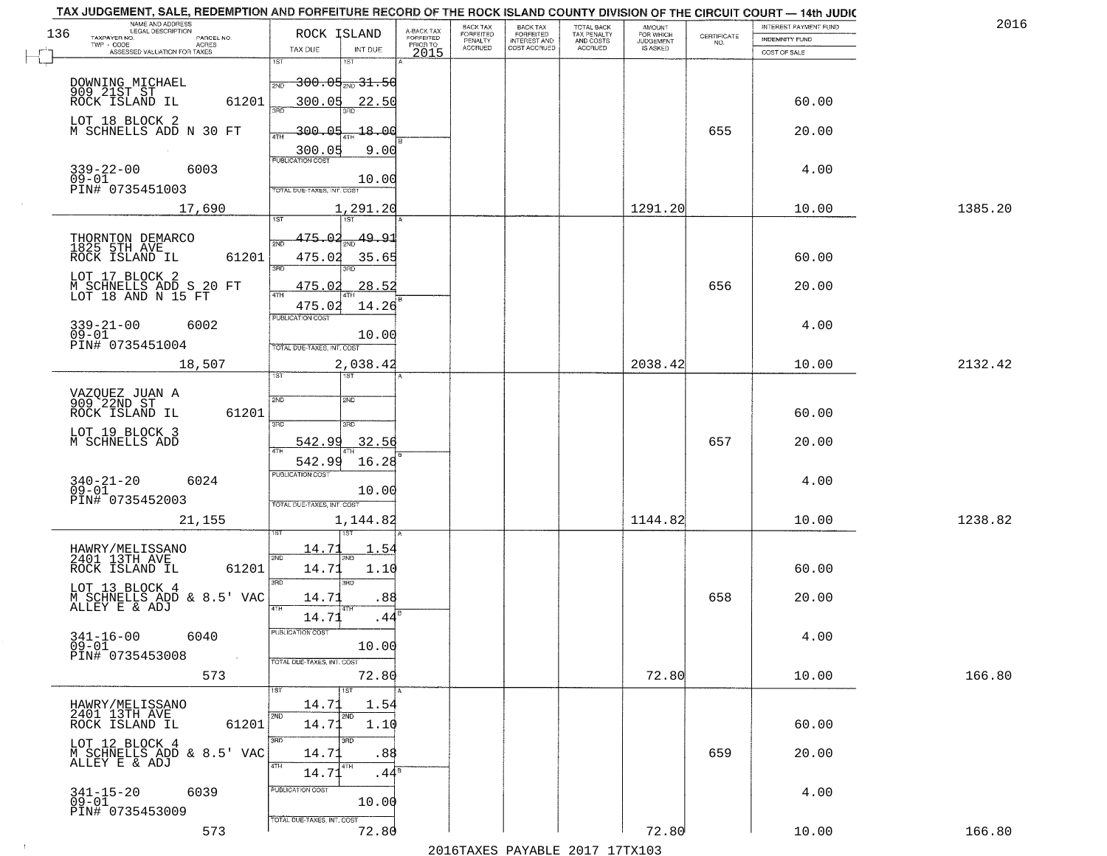|     | TAX JUDGEMENT, SALE, REDEMPTION AND FORFEITURE RECORD OF THE ROCK ISLAND COUNTY DIVISION OF THE CIRCUIT COURT - 14th JUDIC |                                                                            |                         |                              |                                       |                                        |                              |                                                                 |                       | 2016    |
|-----|----------------------------------------------------------------------------------------------------------------------------|----------------------------------------------------------------------------|-------------------------|------------------------------|---------------------------------------|----------------------------------------|------------------------------|-----------------------------------------------------------------|-----------------------|---------|
| 136 | NAME AND ADDRESS<br>LEGAL DESCRIPTION                                                                                      | ROCK ISLAND                                                                | A-BACK TAX<br>FORFEITED | BACK TAX<br><b>FORFEITED</b> | BACK TAX<br>FORFEITED<br>INTEREST AND | TOTAL BACK<br>TAX PENALTY<br>AND COSTS | AMOUNT<br>FOR WHICH          |                                                                 | INTEREST PAYMENT FUND |         |
|     | TAXPAYER NO.<br>PARCEL NO.<br>TWP - CODE<br>ACRES                                                                          |                                                                            | PRIOR TO                | PENALTY<br><b>ACCRUED</b>    | COST ACCRUED                          | ACCRUED                                | <b>JUDGEMENT</b><br>IS ASKED | $\begin{array}{c} \text{CERTIFICATE} \\ \text{NO.} \end{array}$ | <b>INDEMNITY FUND</b> |         |
|     | ASSESSED VALUATION FOR TAXES                                                                                               | INT DUE<br>TAX DUE                                                         | 2015                    |                              |                                       |                                        |                              |                                                                 | COST OF SALE          |         |
|     |                                                                                                                            | 1ST<br>1ST<br><del>300.05<sub>210</sub>31.50</del><br>2ND                  |                         |                              |                                       |                                        |                              |                                                                 |                       |         |
|     | DOWNING MICHAEL<br>909 21ST ST<br>61201<br>ROCK ISLAND IL                                                                  | 300.05<br>22.50                                                            |                         |                              |                                       |                                        |                              |                                                                 | 60.00                 |         |
|     | LOT 18 BLOCK 2<br>M SCHNELLS ADD N 30 FT                                                                                   | <u>300.05</u><br>-18.00                                                    |                         |                              |                                       |                                        |                              | 655                                                             | 20.00                 |         |
|     | 339-22-00<br>09-01<br>6003                                                                                                 | 300.05<br>9.00                                                             |                         |                              |                                       |                                        |                              |                                                                 | 4.00                  |         |
|     | PIN# 0735451003<br>17,690                                                                                                  | 10.00<br><b>TOTAL DUE-TAXES, INT. COST</b><br>1,291.20                     |                         |                              |                                       |                                        | 1291.20                      |                                                                 | 10.00                 | 1385.20 |
|     |                                                                                                                            |                                                                            |                         |                              |                                       |                                        |                              |                                                                 |                       |         |
|     | THORNTON DEMARCO<br>1825 5TH AVE<br>61201<br>ROCK ISLAND IL                                                                | 49.91<br>475.02<br>475.02<br>35.65<br><b>3RD</b>                           |                         |                              |                                       |                                        |                              |                                                                 | 60.00                 |         |
|     | LOT 17 BLOCK 2<br>M SCHNELLS ADD S 20 FT<br>LOT 18 AND N 15 FT                                                             | 28.52<br>475.02                                                            |                         |                              |                                       |                                        |                              | 656                                                             | 20.00                 |         |
|     | $339 - 21 - 00$<br>6002<br>$09 - 01$<br>PIN# 0735451004                                                                    | 475.02<br>14.26<br>PUBLICATION COST<br>10.00<br>TOTAL DUE-TAXES, INT. COST |                         |                              |                                       |                                        |                              |                                                                 | 4.00                  |         |
|     | 18,507                                                                                                                     | 2,038.42<br>1ST                                                            |                         |                              |                                       |                                        | 2038.42                      |                                                                 | 10.00                 | 2132.42 |
|     | VAZQUEZ JUAN A<br>909^22ND ST<br>ROCK ISLAND IL<br>61201                                                                   | ist<br>2ND<br><b>SMD</b>                                                   |                         |                              |                                       |                                        |                              |                                                                 | 60.00                 |         |
|     | LOT 19 BLOCK 3<br>M SCHNELLS ADD                                                                                           | 3RD<br>3RD<br>542.99<br>32.56<br>4TH                                       |                         |                              |                                       |                                        |                              | 657                                                             | 20.00                 |         |
|     | $340 - 21 - 20$<br>09-01<br>6024<br>PIN# 0735452003                                                                        | 542.99<br>16.28<br>PUBLICATION COST<br>10.00                               |                         |                              |                                       |                                        |                              |                                                                 | 4.00                  |         |
|     | 21,155                                                                                                                     | TOTAL OUE-TAXES, INT. COST<br>1,144.82                                     |                         |                              |                                       |                                        | 1144.82                      |                                                                 | 10.00                 | 1238.82 |
|     | HAWRY/MELISSANO<br>2401 13TH AVE<br>ROCK ISLAND IL<br>61201                                                                | 14.71<br>. 54<br>2ND<br>2ND<br>14.71<br>1.10                               |                         |                              |                                       |                                        |                              |                                                                 | 60.00                 |         |
|     | LOT 13 BLOCK 4<br>M SCHNELLS ADD & 8.5' VAC<br>ALLEY E & ADJ                                                               | 3BD<br>3RD<br>14.71<br>.88<br>4TH                                          |                         |                              |                                       |                                        |                              | 658                                                             | 20.00                 |         |
|     | $341 - 16 - 00$<br>6040<br>$09 - 01$<br>PIN# 0735453008                                                                    | 14.71<br>.44<br>ruslica i IUN COS<br>10.00                                 |                         |                              |                                       |                                        |                              |                                                                 | 4.00                  |         |
|     | 573                                                                                                                        | TOTAL DUE-TAXES, INT. COST<br>72.80<br>1ST                                 |                         |                              |                                       |                                        | 72.80                        |                                                                 | 10.00                 | 166.80  |
|     | HAWRY/MELISSANO<br>2401 13TH AVE<br>61201<br>ROCK ISLAND IL                                                                | 14.71<br>1.54<br>2ND<br>2ND<br>14.71<br>1.10                               |                         |                              |                                       |                                        |                              |                                                                 | 60.00                 |         |
|     | LOT 12 BLOCK 4<br>M SCHNELLS ADD & 8.5' VAC<br>ALLEY E & ADJ                                                               | 3BD<br>3RD<br>14.71<br>.88<br>4TH<br>4TH<br>14.71<br>.44ª                  |                         |                              |                                       |                                        |                              | 659                                                             | 20.00                 |         |
|     | $341 - 15 - 20$<br>6039<br>$09 - 01$<br>PIN# 0735453009                                                                    | PUBLICATION COST<br>10.00                                                  |                         |                              |                                       |                                        |                              |                                                                 | 4.00                  |         |
|     | 573                                                                                                                        | TOTAL DUE-TAXES, INT. COST<br>72.80                                        |                         |                              | 2016 TAVEC DAVADLE 2017 17TV102       |                                        | 72.80                        |                                                                 | 10.00                 | 166.80  |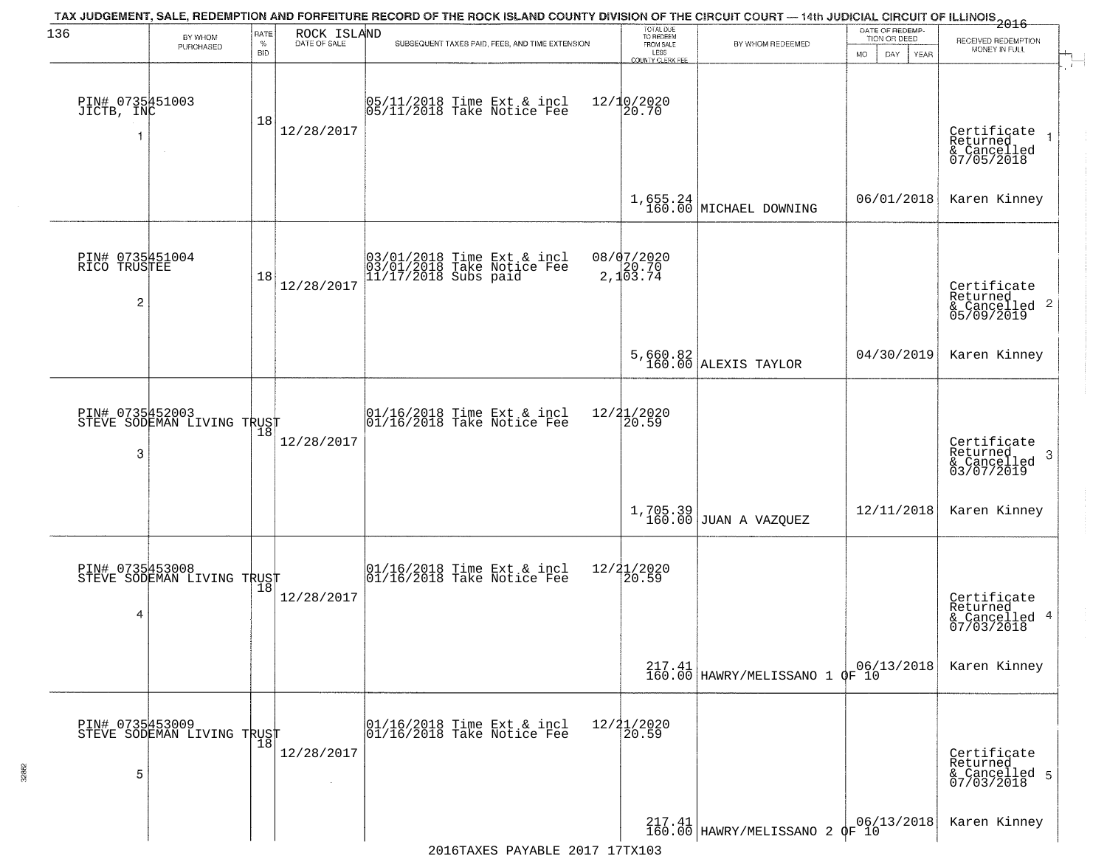| 136                                               | BY WHOM                                       | RATE               | ROCK ISLAND  | TAX JUDGEMENT, SALE, REDEMPTION AND FORFEITURE RECORD OF THE ROCK ISLAND COUNTY DIVISION OF THE CIRCUIT COURT — 14th JUDICIAL CIRCUIT OF ILLINOIS 2016 | TOTAL DUE<br>TO REDEEM<br>FROM SALE |                                                                                 | DATE OF REDEMP-                     |                                                           |
|---------------------------------------------------|-----------------------------------------------|--------------------|--------------|--------------------------------------------------------------------------------------------------------------------------------------------------------|-------------------------------------|---------------------------------------------------------------------------------|-------------------------------------|-----------------------------------------------------------|
|                                                   | PURCHASED                                     | $\%$<br><b>BID</b> | DATE OF SALE | SUBSEQUENT TAXES PAID, FEES, AND TIME EXTENSION                                                                                                        | LESS<br><b>COUNTY CLERK FEE</b>     | BY WHOM REDEEMED                                                                | TION OR DEED<br>MO.<br>DAY.<br>YEAR | RECEIVED REDEMPTION<br>MONEY IN FULL                      |
| PIN# 0735451003<br>JICTB, INC                     | $\sim$                                        | 18                 | 12/28/2017   | 05/11/2018 Time Ext & incl<br>05/11/2018 Take Notice Fee                                                                                               | $12/10/2020$<br>20.70               |                                                                                 |                                     | Certificate<br>Returned<br>& Cancelled<br>07/05/2018      |
|                                                   |                                               |                    |              |                                                                                                                                                        |                                     | $1,655.24$ MICHAEL DOWNING                                                      | 06/01/2018                          | Karen Kinney                                              |
| PIN# 0735451004<br>RICO TRUSTEE<br>$\overline{c}$ |                                               | 18                 | 12/28/2017   | 03/01/2018 Time Ext & incl<br>03/01/2018 Take Notice Fee<br>11/17/2018 Subs paid                                                                       | $08/07/2020$<br>2,103.74            |                                                                                 |                                     | Certificate<br>Returned<br>& Cancelled 2<br>05/09/2019    |
|                                                   |                                               |                    |              |                                                                                                                                                        |                                     | 5,660.82<br>160.00 ALEXIS TAYLOR                                                | 04/30/2019                          | Karen Kinney                                              |
| PIN# 0735452003<br>3                              | STEVE SODEMAN LIVING TRUST                    | 18                 | 12/28/2017   | $\begin{array}{c}  01/16/2018 \text{ Time Ext} & \text{incl} \\  01/16/2018 \text{ Take Notice Fe} \end{array}$                                        | 12/21/2020<br>20.59                 |                                                                                 |                                     | Certificate<br>Returned<br>3<br>& Cancelled<br>03/07/2019 |
|                                                   |                                               |                    |              |                                                                                                                                                        |                                     | $1,705.39$ JUAN A VAZQUEZ                                                       | 12/11/2018                          | Karen Kinney                                              |
| 4                                                 | PIN# 0735453008<br>STEVE SODEMAN LIVING TRUST |                    | 12/28/2017   | $\begin{array}{c} 01/16/2018 \\ 01/16/2018 \\ \end{array}$ Take Notice Fee                                                                             | 12/21/2020<br>20.59                 |                                                                                 |                                     | Certificate<br>Returned<br>& Cancelled 4<br>07/03/2018    |
|                                                   |                                               |                    |              |                                                                                                                                                        |                                     | $217.41$ 06/1000 HAWRY/MELISSANO 1 QF 10                                        | 06/13/2018                          | Karen Kinney                                              |
| 5                                                 | PIN# 0735453009<br>STEVE SODEMAN LIVING TRUST |                    | 12/28/2017   | 01/16/2018 Time Ext & incl<br>01/16/2018 Take Notice Fee                                                                                               | 12/21/2020<br>20.59                 |                                                                                 |                                     | Certificate<br>Returned<br>& Cancelled 5<br>07/03/2018    |
|                                                   |                                               |                    |              | 2016TAXES PAYABLE 2017 17TX103                                                                                                                         |                                     | $\left.\frac{217.41}{160.00}\right $ HAWRY/MELISSANO 2 $\phi$ F <sup>00/1</sup> | 06/13/2018                          | Karen Kinney                                              |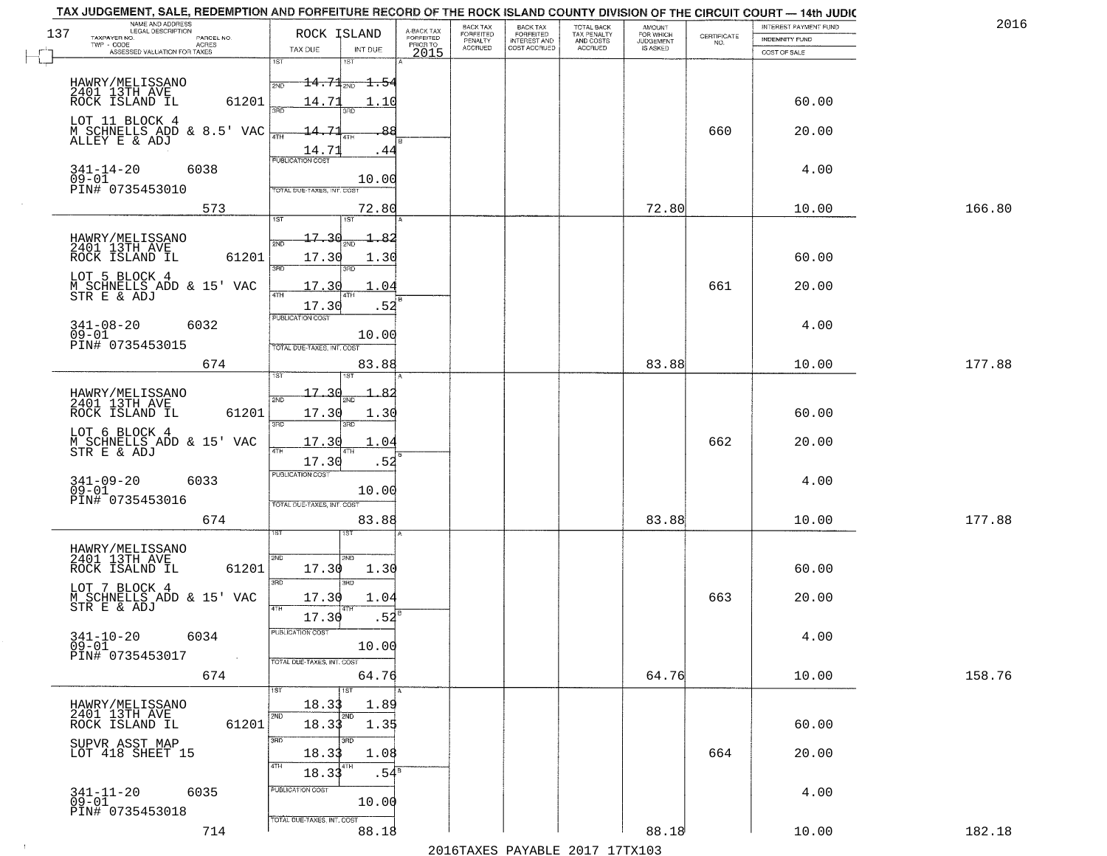|     | TAX JUDGEMENT, SALE, REDEMPTION AND FORFEITURE RECORD OF THE ROCK ISLAND COUNTY DIVISION OF THE CIRCUIT COURT - 14th JUDIC<br>NAME AND ADDRESS<br>LEGAL DESCRIPTION |                                         |                                     | BACK TAX                    |                                              |                                        |                                         |                                                                 | INTEREST PAYMENT FUND | 2016   |
|-----|---------------------------------------------------------------------------------------------------------------------------------------------------------------------|-----------------------------------------|-------------------------------------|-----------------------------|----------------------------------------------|----------------------------------------|-----------------------------------------|-----------------------------------------------------------------|-----------------------|--------|
| 137 | TAXPAYER NO.<br>PARCEL NO.                                                                                                                                          | ROCK ISLAND                             | A-BACK TAX<br>FORFEITED<br>PRIOR TO | <b>FORFEITED</b><br>PENALTY | BACK TAX<br>FORFEITED<br><b>INTEREST AND</b> | TOTAL BACK<br>TAX PENALTY<br>AND COSTS | AMOUNT<br>FOR WHICH<br><b>JUDGEMENT</b> | $\begin{array}{c} \text{CERTIFICATE} \\ \text{NO.} \end{array}$ | <b>INDEMNITY FUND</b> |        |
|     | ACRES<br>ASSESSED VALUATION FOR TAXES                                                                                                                               | TAX DUE<br>INT DUE                      | 2015                                | <b>ACCRUED</b>              | COST ACCRUED                                 | <b>ACCRUED</b>                         | IS ASKED                                |                                                                 | COST OF SALE          |        |
|     |                                                                                                                                                                     | 1ST<br>1ST                              |                                     |                             |                                              |                                        |                                         |                                                                 |                       |        |
|     | HAWRY/MELISSANO                                                                                                                                                     | $14.71_{20}$ 1.54<br>2ND                |                                     |                             |                                              |                                        |                                         |                                                                 |                       |        |
|     | 2401 13TH AVE<br>ROCK ISLAND IL                                                                                                                                     |                                         |                                     |                             |                                              |                                        |                                         |                                                                 |                       |        |
|     | 61201                                                                                                                                                               | 14.71<br>1.10                           |                                     |                             |                                              |                                        |                                         |                                                                 | 60.00                 |        |
|     | LOT 11 BLOCK 4                                                                                                                                                      |                                         |                                     |                             |                                              |                                        |                                         |                                                                 |                       |        |
|     | M SCHNELLS ADD & 8.5' VAC<br>ALLEY E & ADJ                                                                                                                          | $-14 - 71$                              |                                     |                             |                                              |                                        |                                         | 660                                                             | 20.00                 |        |
|     |                                                                                                                                                                     | $\frac{14.71}{FUBUCATON COST}$<br>. 44  |                                     |                             |                                              |                                        |                                         |                                                                 |                       |        |
|     | 6038                                                                                                                                                                |                                         |                                     |                             |                                              |                                        |                                         |                                                                 | 4.00                  |        |
|     | $341 - 14 - 20$<br>09-01                                                                                                                                            | 10.00                                   |                                     |                             |                                              |                                        |                                         |                                                                 |                       |        |
|     | PIN# 0735453010                                                                                                                                                     | TOTAL DUE-TAXES, INT. COST              |                                     |                             |                                              |                                        |                                         |                                                                 |                       |        |
|     | 573                                                                                                                                                                 | 72.80                                   |                                     |                             |                                              |                                        | 72.80                                   |                                                                 | 10.00                 | 166.80 |
|     |                                                                                                                                                                     | 1ST                                     |                                     |                             |                                              |                                        |                                         |                                                                 |                       |        |
|     | HAWRY/MELISSANO<br>2401 13TH AVE                                                                                                                                    | 17.30                                   |                                     |                             |                                              |                                        |                                         |                                                                 |                       |        |
|     | 61201<br>ROCK ISLAND IL                                                                                                                                             | 17.30<br>1.30                           |                                     |                             |                                              |                                        |                                         |                                                                 | 60.00                 |        |
|     | LOT 5 BLOCK 4                                                                                                                                                       | 3RD                                     |                                     |                             |                                              |                                        |                                         |                                                                 |                       |        |
|     | M SCHNELLS ADD & 15' VAC<br>STR E & ADJ                                                                                                                             | 17.30<br>.04                            |                                     |                             |                                              |                                        |                                         | 661                                                             | 20.00                 |        |
|     |                                                                                                                                                                     | 17.30<br>.52                            |                                     |                             |                                              |                                        |                                         |                                                                 |                       |        |
|     |                                                                                                                                                                     | PUBLICATION COST                        |                                     |                             |                                              |                                        |                                         |                                                                 |                       |        |
|     | $341 - 08 - 20$<br>6032<br>$09 - 01$                                                                                                                                | 10.00                                   |                                     |                             |                                              |                                        |                                         |                                                                 | 4.00                  |        |
|     | PIN# 0735453015                                                                                                                                                     | TOTAL DUE-TAXES, INT. COST              |                                     |                             |                                              |                                        |                                         |                                                                 |                       |        |
|     | 674                                                                                                                                                                 | 83.88                                   |                                     |                             |                                              |                                        | 83.88                                   |                                                                 | 10.00                 | 177.88 |
|     |                                                                                                                                                                     | 181                                     |                                     |                             |                                              |                                        |                                         |                                                                 |                       |        |
|     | HAWRY/MELISSANO<br>2401 13TH AVE                                                                                                                                    | 17.<br>2ND                              |                                     |                             |                                              |                                        |                                         |                                                                 |                       |        |
|     | ROCK ISLAND IL<br>61201                                                                                                                                             | 17.30<br>1.30                           |                                     |                             |                                              |                                        |                                         |                                                                 | 60.00                 |        |
|     |                                                                                                                                                                     | 3BD<br>3RD                              |                                     |                             |                                              |                                        |                                         |                                                                 |                       |        |
|     | LOT 6 BLOCK 4                                                                                                                                                       | 17.30<br>1.04                           |                                     |                             |                                              |                                        |                                         | 662                                                             | 20.00                 |        |
|     | M SCHNELLS ADD & 15' VAC<br>STR E & ADJ                                                                                                                             | 4TH                                     |                                     |                             |                                              |                                        |                                         |                                                                 |                       |        |
|     |                                                                                                                                                                     | 17.30<br>.52<br><b>PUBLICATION COST</b> |                                     |                             |                                              |                                        |                                         |                                                                 |                       |        |
|     | $341 - 09 - 20$<br>6033<br>$09 - 01$                                                                                                                                | 10.00                                   |                                     |                             |                                              |                                        |                                         |                                                                 | 4.00                  |        |
|     | PIN# 0735453016                                                                                                                                                     | TOTAL OUE-TAXES, INT. COST              |                                     |                             |                                              |                                        |                                         |                                                                 |                       |        |
|     | 674                                                                                                                                                                 | 83.88                                   |                                     |                             |                                              |                                        | 83.88                                   |                                                                 | 10.00                 | 177.88 |
|     |                                                                                                                                                                     |                                         |                                     |                             |                                              |                                        |                                         |                                                                 |                       |        |
|     |                                                                                                                                                                     |                                         |                                     |                             |                                              |                                        |                                         |                                                                 |                       |        |
|     | HAWRY/MELISSANO<br>2401 13TH AVE                                                                                                                                    | 2ND<br>2ND                              |                                     |                             |                                              |                                        |                                         |                                                                 |                       |        |
|     | ROCK ISALND IL<br>61201                                                                                                                                             | 17.30<br>1.30<br>3 <sub>BD</sub>        |                                     |                             |                                              |                                        |                                         |                                                                 | 60.00                 |        |
|     | LOT 7 BLOCK 4                                                                                                                                                       |                                         |                                     |                             |                                              |                                        |                                         | 663                                                             | 20.00                 |        |
|     | M SCHNELLS ADD & 15' VAC<br>STR E & ADJ                                                                                                                             | 17.30<br>1.04<br>4TH                    |                                     |                             |                                              |                                        |                                         |                                                                 |                       |        |
|     |                                                                                                                                                                     | .52<br>17.30                            |                                     |                             |                                              |                                        |                                         |                                                                 |                       |        |
|     | $341 - 10 - 20$<br>6034                                                                                                                                             | PUBLICATION COS-                        |                                     |                             |                                              |                                        |                                         |                                                                 | 4.00                  |        |
|     | $09 - 01$<br>PIN# 0735453017<br>$\sim 100$                                                                                                                          | 10.00                                   |                                     |                             |                                              |                                        |                                         |                                                                 |                       |        |
|     |                                                                                                                                                                     | TOTAL DUE-TAXES, INT. COST              |                                     |                             |                                              |                                        |                                         |                                                                 |                       |        |
|     | 674                                                                                                                                                                 | 64.76                                   |                                     |                             |                                              |                                        | 64.76                                   |                                                                 | 10.00                 | 158.76 |
|     |                                                                                                                                                                     | 18.33<br>1.89                           |                                     |                             |                                              |                                        |                                         |                                                                 |                       |        |
|     | HAWRY/MELISSANO<br>2401 13TH AVE                                                                                                                                    | 2ND<br>2ND                              |                                     |                             |                                              |                                        |                                         |                                                                 |                       |        |
|     | 61201<br>ROCK ISLAND IL                                                                                                                                             | 18.33<br>1.35                           |                                     |                             |                                              |                                        |                                         |                                                                 | 60.00                 |        |
|     | SUPVR ASST MAP<br>LOT 418 SHEET 15                                                                                                                                  | 3RD<br>3RD                              |                                     |                             |                                              |                                        |                                         |                                                                 |                       |        |
|     |                                                                                                                                                                     | 1.08<br>18.33                           |                                     |                             |                                              |                                        |                                         | 664                                                             | 20.00                 |        |
|     |                                                                                                                                                                     | 4TH<br>.54 <sup>8</sup><br>18.33        |                                     |                             |                                              |                                        |                                         |                                                                 |                       |        |
|     | $341 - 11 - 20$<br>6035                                                                                                                                             | PUBLICATION COST                        |                                     |                             |                                              |                                        |                                         |                                                                 | 4.00                  |        |
|     | $09 - 01$                                                                                                                                                           | 10.00                                   |                                     |                             |                                              |                                        |                                         |                                                                 |                       |        |
|     | PIN# 0735453018                                                                                                                                                     | TOTAL DUE-TAXES, INT. COST              |                                     |                             |                                              |                                        |                                         |                                                                 |                       |        |
|     | 714                                                                                                                                                                 | 88.18                                   |                                     |                             |                                              |                                        | 88.18                                   |                                                                 | 10.00                 | 182.18 |
|     |                                                                                                                                                                     |                                         |                                     |                             |                                              | 2016 TAVES DAVARIE 2017 17 TV102       |                                         |                                                                 |                       |        |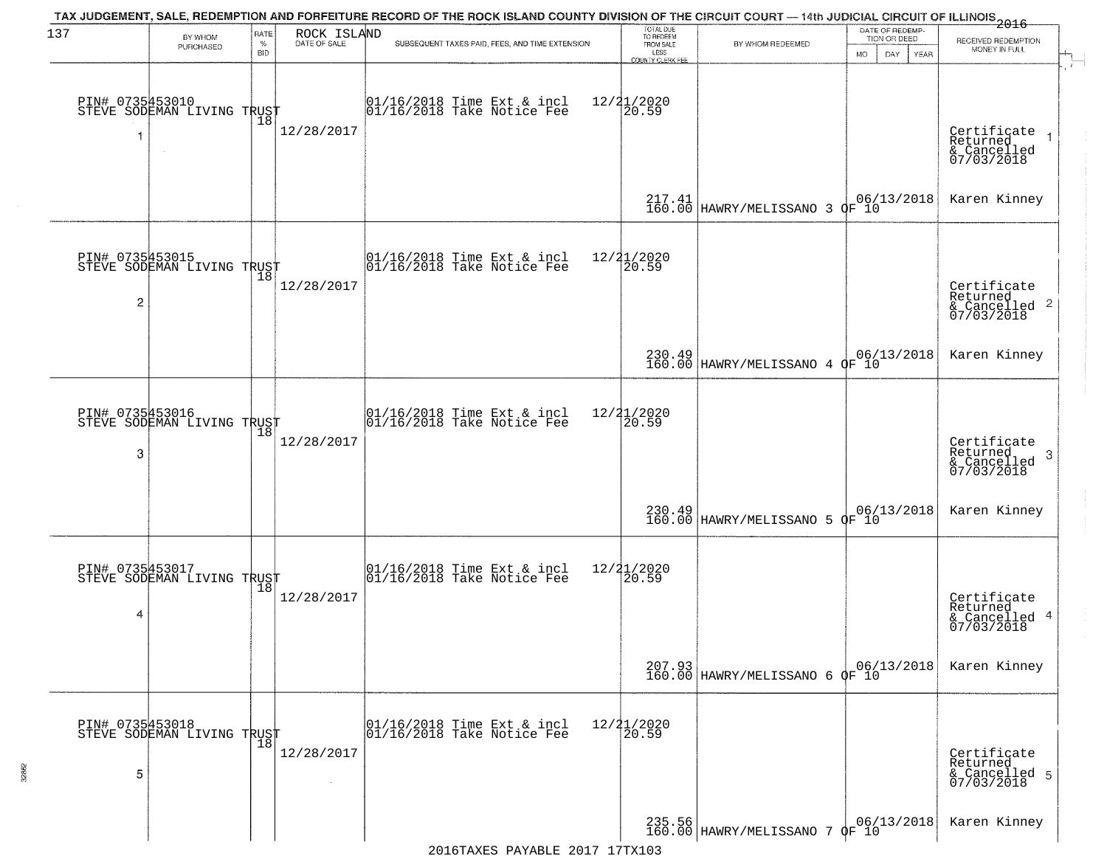| 137            | BY WHOM                                           | RATE               | ROCK ISLAND<br>DATE OF SALE | TAX JUDGEMENT, SALE, REDEMPTION AND FORFEITURE RECORD OF THE ROCK ISLAND COUNTY DIVISION OF THE CIRCUIT COURT — 14th JUDICIAL CIRCUIT OF ILLINOIS 2016 | TOTAL DUE<br>TO REDEEM                       |                                              | DATE OF REDEMP-<br>TION OR DEED |                                                           |
|----------------|---------------------------------------------------|--------------------|-----------------------------|--------------------------------------------------------------------------------------------------------------------------------------------------------|----------------------------------------------|----------------------------------------------|---------------------------------|-----------------------------------------------------------|
|                | PURCHASED                                         | $\%$<br><b>BID</b> |                             | SUBSEQUENT TAXES PAID, FEES, AND TIME EXTENSION                                                                                                        | FROM SALE<br>LESS<br><b>COUNTY CLERK FEE</b> | BY WHOM REDEEMED                             | MO.<br>DAY.<br>YEAR             | RECEIVED REDEMPTION<br>MONEY IN FULL                      |
|                | PIN# 0735453010<br>STEVE SODEMAN LIVING TRUST     | 18                 | 12/28/2017                  | $01/16/2018$ Time Ext & incl<br>$01/16/2018$ Take Notice Fee                                                                                           | 12/21/2020<br>20.59                          |                                              |                                 | Certificate<br>Returned<br>& Cancelled<br>07/03/2018      |
|                |                                                   |                    |                             |                                                                                                                                                        |                                              | 217.41 B6.00 HAWRY/MELISSANO 3 OF 10         |                                 | Karen Kinney                                              |
| $\overline{c}$ | PIN# 0735453015<br>STEVE SODEMAN LIVING TRUST     |                    | 12/28/2017                  | $ 01/16/2018$ Time Ext & incl<br>$ 01/16/2018$ Take Notice Fee                                                                                         | 12/21/2020<br>20.59                          |                                              |                                 | Certificate<br>Returned<br>& Cancelled 2<br>07/03/2018    |
|                |                                                   |                    |                             |                                                                                                                                                        |                                              | 230.49<br>160.00 HAWRY/MELISSANO 4 OF 10     |                                 | Karen Kinney                                              |
| 3              | PIN# 0735453016<br>STEVE SODEMAN LIVING TRUST     | 18                 | 12/28/2017                  | $\begin{array}{cc}  01/16/2018 \text{ Time} \text{ Ext} & \text{incl} \\  01/16/2018 \text{ Take Notice } \text{Fe} \end{array}$                       | 12/21/2020<br>20.59                          |                                              |                                 | Certificate<br>Returned<br>3<br>& Cancelled<br>07/03/2018 |
|                |                                                   |                    |                             |                                                                                                                                                        |                                              | 230.49  <br>160.00   HAWRY/MELISSANO 5 OF 10 |                                 | Karen Kinney                                              |
| 4              | PIN# 0735453017    <br>STEVE SODEMAN LIVING TRUST | 18                 | 12/28/2017                  | $\begin{array}{c} 01/16/2018 \\ 01/16/2018 \\ \end{array}$ Take Notice Fee                                                                             | 12/21/2020<br>⊺20.59                         |                                              |                                 | Certificate<br>Returned<br>& Cancelled 4<br>07/03/2018    |
|                |                                                   |                    |                             |                                                                                                                                                        |                                              | 207.93<br>160.00 HAWRY/MELISSANO 6 OF 10     |                                 | Karen Kinney                                              |
| 5              | PIN# 0735453018    <br>STEVE SODEMAN LIVING TRUST | $\overline{18}$    | 12/28/2017                  | 01/16/2018 Time Ext & incl<br>01/16/2018 Take Notice Fee                                                                                               | 12/21/2020<br>20.59                          |                                              |                                 | Certificate<br>Returned<br>& Cancelled 5<br>07/03/2018    |
|                |                                                   |                    |                             |                                                                                                                                                        |                                              | 235.56 HAWRY/MELISSANO 7 OF 10               | 06/13/2018                      | Karen Kinney                                              |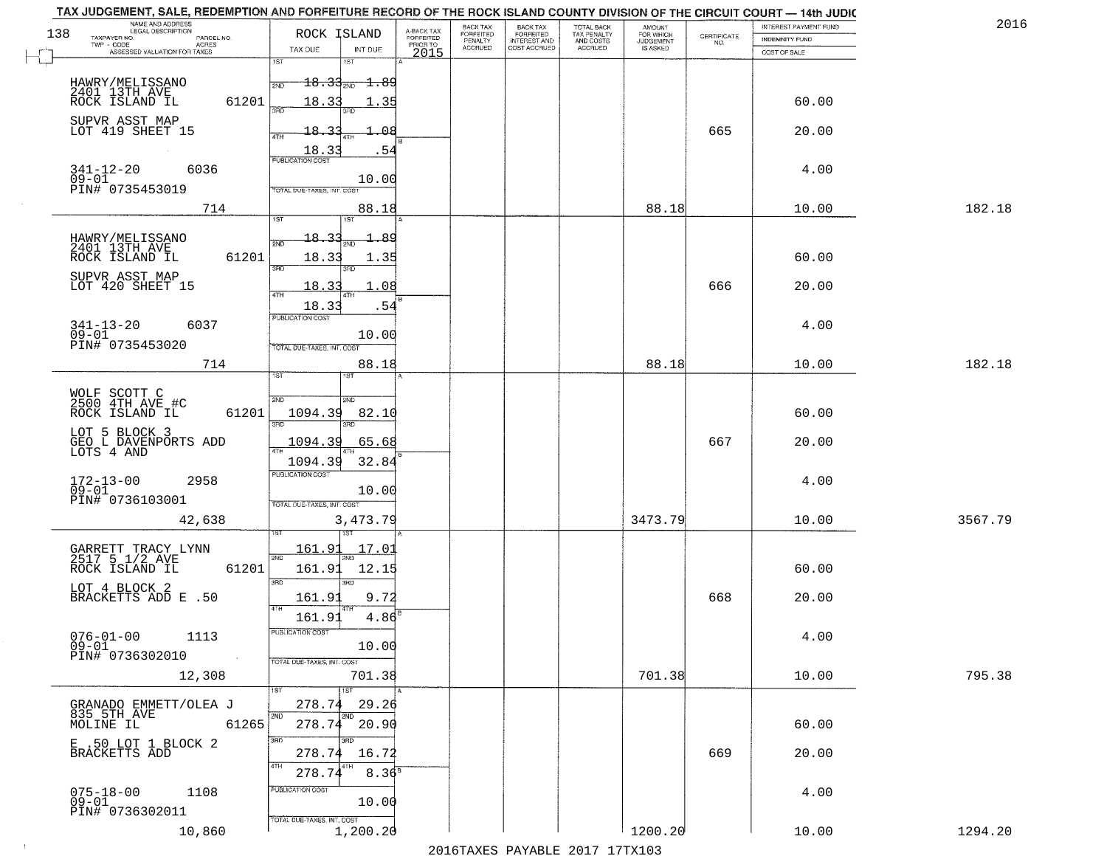|     | TAX JUDGEMENT, SALE, REDEMPTION AND FORFEITURE RECORD OF THE ROCK ISLAND COUNTY DIVISION OF THE CIRCUIT COURT - 14th JUDIC<br>NAME AND ADDRESS<br>LEGAL DESCRIPTION |                                             |                                     | BACK TAX                    | BACK TAX<br>FORFEITED |                                        | AMOUNT<br>FOR WHICH |                                                                 | INTEREST PAYMENT FUND | 2016    |
|-----|---------------------------------------------------------------------------------------------------------------------------------------------------------------------|---------------------------------------------|-------------------------------------|-----------------------------|-----------------------|----------------------------------------|---------------------|-----------------------------------------------------------------|-----------------------|---------|
| 138 | TAXPAYER NO.<br>PARCEL NO.                                                                                                                                          | ROCK ISLAND                                 | A-BACK TAX<br>FORFEITED<br>PRIOR TO | <b>FORFEITED</b><br>PENALTY | <b>INTEREST AND</b>   | TOTAL BACK<br>TAX PENALTY<br>AND COSTS | <b>JUDGEMENT</b>    | $\begin{array}{c} \text{CERTIFICATE} \\ \text{NO.} \end{array}$ | INDEMNITY FUND        |         |
|     | ACRES<br>ASSESSED VALUATION FOR TAXES                                                                                                                               | TAX DUE<br>INT DUE                          | 2015                                | <b>ACCRUED</b>              | COST ACCRUED          | <b>ACCRUED</b>                         | IS ASKED            |                                                                 | COST OF SALE          |         |
|     |                                                                                                                                                                     | 1ST<br>1ST                                  |                                     |                             |                       |                                        |                     |                                                                 |                       |         |
|     | HAWRY/MELISSANO                                                                                                                                                     | $18.33_{200}$<br><del>1.89 -</del><br>2ND   |                                     |                             |                       |                                        |                     |                                                                 |                       |         |
|     | 2401 13TH AVE<br>ROCK ISLAND IL<br>61201                                                                                                                            | 18.33<br>-35                                |                                     |                             |                       |                                        |                     |                                                                 | 60.00                 |         |
|     |                                                                                                                                                                     | 350                                         |                                     |                             |                       |                                        |                     |                                                                 |                       |         |
|     | SUPVR ASST MAP<br>LOT 419 SHEET 15                                                                                                                                  | 18.33<br>൧                                  |                                     |                             |                       |                                        |                     | 665                                                             | 20.00                 |         |
|     |                                                                                                                                                                     |                                             |                                     |                             |                       |                                        |                     |                                                                 |                       |         |
|     |                                                                                                                                                                     | $\frac{18.33}{FUBUCATON COST}$<br>-54       |                                     |                             |                       |                                        |                     |                                                                 |                       |         |
|     | $341 - 12 - 20$<br>6036<br>$09 - 01$                                                                                                                                | 10.00                                       |                                     |                             |                       |                                        |                     |                                                                 | 4.00                  |         |
|     | PIN# 0735453019                                                                                                                                                     | TOTAL DUE-TAXES, INT. COST                  |                                     |                             |                       |                                        |                     |                                                                 |                       |         |
|     | 714                                                                                                                                                                 | 88.18                                       |                                     |                             |                       |                                        | 88.18               |                                                                 | 10.00                 | 182.18  |
|     |                                                                                                                                                                     | 1ST                                         |                                     |                             |                       |                                        |                     |                                                                 |                       |         |
|     |                                                                                                                                                                     | 18.33<br>- 89                               |                                     |                             |                       |                                        |                     |                                                                 |                       |         |
|     | HAWRY/MELISSANO<br>2401 13TH AVE<br>61201<br>ROCK ISLAND IL                                                                                                         | 18.33<br>1.35                               |                                     |                             |                       |                                        |                     |                                                                 | 60.00                 |         |
|     |                                                                                                                                                                     | ਬਾ<br>3RD                                   |                                     |                             |                       |                                        |                     |                                                                 |                       |         |
|     | SUPVR ASST MAP<br>LOT 420 SHEET 15                                                                                                                                  | 18.33<br>.08                                |                                     |                             |                       |                                        |                     | 666                                                             | 20.00                 |         |
|     |                                                                                                                                                                     |                                             |                                     |                             |                       |                                        |                     |                                                                 |                       |         |
|     |                                                                                                                                                                     | 18.33<br>.54<br>PUBLICATION COST            |                                     |                             |                       |                                        |                     |                                                                 |                       |         |
|     | $341 - 13 - 20$<br>6037                                                                                                                                             |                                             |                                     |                             |                       |                                        |                     |                                                                 | 4.00                  |         |
|     | $09 - 01$<br>PIN# 0735453020                                                                                                                                        | 10.00<br>TOTAL DUE-TAXES, INT. COST         |                                     |                             |                       |                                        |                     |                                                                 |                       |         |
|     | 714                                                                                                                                                                 | 88.18                                       |                                     |                             |                       |                                        | 88.18               |                                                                 | 10.00                 | 182.18  |
|     |                                                                                                                                                                     | i ST<br><b>IST</b>                          |                                     |                             |                       |                                        |                     |                                                                 |                       |         |
|     |                                                                                                                                                                     |                                             |                                     |                             |                       |                                        |                     |                                                                 |                       |         |
|     | WOLF SCOTT C<br>2500 4TH AVE #C                                                                                                                                     | SVD<br>SMD                                  |                                     |                             |                       |                                        |                     |                                                                 |                       |         |
|     | ROCK ISLAND IL<br>61201                                                                                                                                             | 1094.39<br>82.10<br>3RD<br>3RD              |                                     |                             |                       |                                        |                     |                                                                 | 60.00                 |         |
|     | LOT 5 BLOCK 3                                                                                                                                                       | 1094.39<br>65.68                            |                                     |                             |                       |                                        |                     | 667                                                             | 20.00                 |         |
|     | GEO L DAVENPORTS ADD<br>LOTS 4 AND                                                                                                                                  |                                             |                                     |                             |                       |                                        |                     |                                                                 |                       |         |
|     |                                                                                                                                                                     | 1094.39<br>32.84<br><b>PUBLICATION COST</b> |                                     |                             |                       |                                        |                     |                                                                 |                       |         |
|     | 172-13-00<br>09-01<br>2958                                                                                                                                          |                                             |                                     |                             |                       |                                        |                     |                                                                 | 4.00                  |         |
|     | PIN# 0736103001                                                                                                                                                     | 10.00<br>TOTAL OUE-TAXES, INT. COST         |                                     |                             |                       |                                        |                     |                                                                 |                       |         |
|     | 42,638                                                                                                                                                              | 3, 473. 79                                  |                                     |                             |                       |                                        | 3473.79             |                                                                 | 10.00                 | 3567.79 |
|     |                                                                                                                                                                     | 1ST                                         |                                     |                             |                       |                                        |                     |                                                                 |                       |         |
|     |                                                                                                                                                                     | 161.91<br>17.01                             |                                     |                             |                       |                                        |                     |                                                                 |                       |         |
|     | GARRETT TRACY LYNN<br>2517 5 1/2 AVE                                                                                                                                | 2ND<br>161.91                               |                                     |                             |                       |                                        |                     |                                                                 |                       |         |
|     | ROCK ISLAND IL<br>61201                                                                                                                                             | 12.15<br>3BD<br>3RD                         |                                     |                             |                       |                                        |                     |                                                                 | 60.00                 |         |
|     | LOT 4 BLOCK 2<br>BRACKETTS ADD E .50                                                                                                                                | 161.91<br>9.72                              |                                     |                             |                       |                                        |                     | 668                                                             | 20.00                 |         |
|     |                                                                                                                                                                     |                                             |                                     |                             |                       |                                        |                     |                                                                 |                       |         |
|     |                                                                                                                                                                     | 161.91<br>4.86                              |                                     |                             |                       |                                        |                     |                                                                 |                       |         |
|     | $076 - 01 - 00$<br>1113                                                                                                                                             | PUBLICATION COS-                            |                                     |                             |                       |                                        |                     |                                                                 | 4.00                  |         |
|     | $09 - 01$<br>PIN# 0736302010<br>$\sim 10$                                                                                                                           | 10.00<br>TOTAL DUE-TAXES, INT. COST         |                                     |                             |                       |                                        |                     |                                                                 |                       |         |
|     | 12,308                                                                                                                                                              | 701.38                                      |                                     |                             |                       |                                        | 701.38              |                                                                 | 10.00                 | 795.38  |
|     |                                                                                                                                                                     |                                             |                                     |                             |                       |                                        |                     |                                                                 |                       |         |
|     | GRANADO EMMETT/OLEA J                                                                                                                                               | 29.26<br>278.74                             |                                     |                             |                       |                                        |                     |                                                                 |                       |         |
|     | 835 5TH AVE                                                                                                                                                         |                                             |                                     |                             |                       |                                        |                     |                                                                 |                       |         |
|     | 61265<br>MOLINE IL                                                                                                                                                  | 278.74 20.90                                |                                     |                             |                       |                                        |                     |                                                                 | 60.00                 |         |
|     | E .50 LOT 1 BLOCK 2<br>BRACKETTS ADD                                                                                                                                | 3RD<br>3BD<br>278.74                        |                                     |                             |                       |                                        |                     | 669                                                             | 20.00                 |         |
|     |                                                                                                                                                                     | 16.72<br>4TH                                |                                     |                             |                       |                                        |                     |                                                                 |                       |         |
|     |                                                                                                                                                                     | 8.36 <sup>8</sup><br>278.74                 |                                     |                             |                       |                                        |                     |                                                                 |                       |         |
|     | $075 - 18 - 00$<br>1108                                                                                                                                             | PUBLICATION COST                            |                                     |                             |                       |                                        |                     |                                                                 | 4.00                  |         |
|     | $09 - 01$<br>PIN# 0736302011                                                                                                                                        | 10.00                                       |                                     |                             |                       |                                        |                     |                                                                 |                       |         |
|     | 10,860                                                                                                                                                              | TOTAL DUE-TAXES, INT. COST<br>1,200.20      |                                     |                             |                       |                                        | 1200.20             |                                                                 | 10.00                 | 1294.20 |
|     |                                                                                                                                                                     |                                             |                                     |                             |                       | 2016 TAVEC DAVARLE 2017 17 TV102       |                     |                                                                 |                       |         |
|     |                                                                                                                                                                     |                                             |                                     |                             |                       |                                        |                     |                                                                 |                       |         |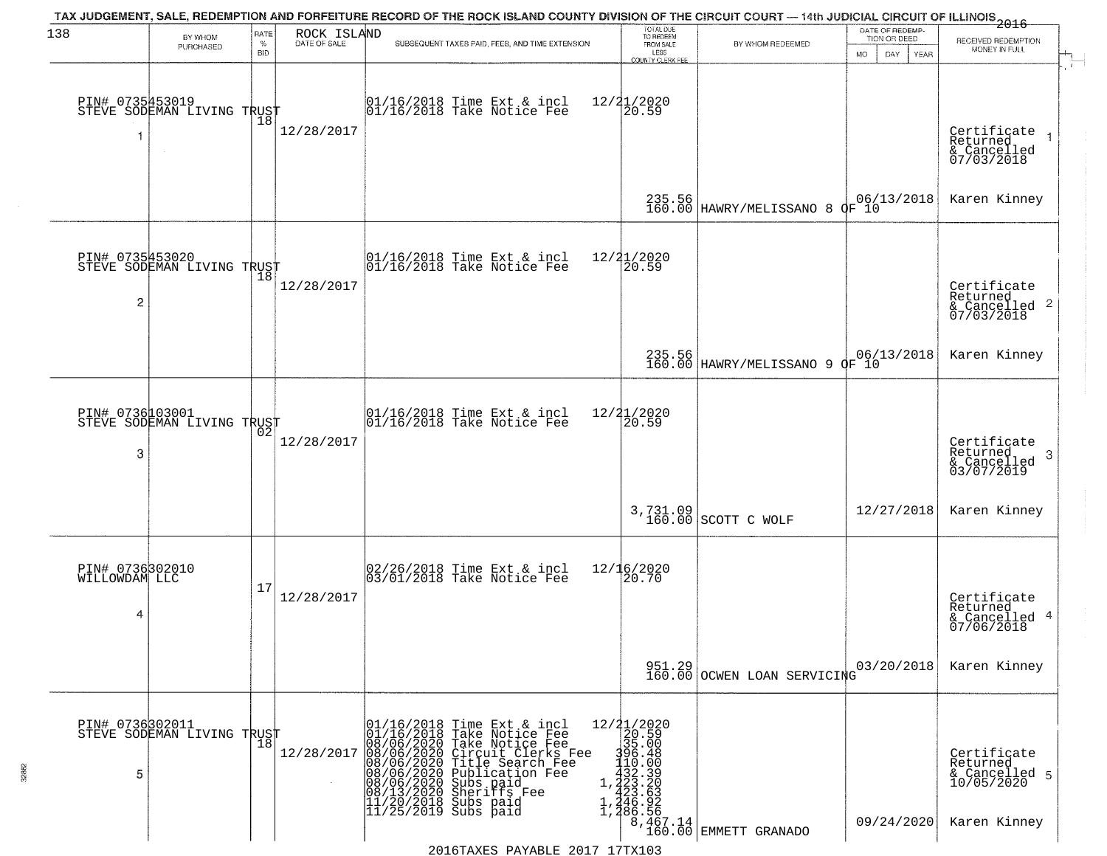| 138                                   | BY WHOM                                           | RATE               | ROCK ISLAND  | TAX JUDGEMENT, SALE, REDEMPTION AND FORFEITURE RECORD OF THE ROCK ISLAND COUNTY DIVISION OF THE CIRCUIT COURT — 14th JUDICIAL CIRCUIT OF ILLINOIS 2016                                                                                                                                                                                                                                                                                                                                                                                                                     | TOTAL DUE<br>TO REDEEM                                                                                        |                                                                               | DATE OF REDEMP-<br>TION OR DEED |                                                                        |
|---------------------------------------|---------------------------------------------------|--------------------|--------------|----------------------------------------------------------------------------------------------------------------------------------------------------------------------------------------------------------------------------------------------------------------------------------------------------------------------------------------------------------------------------------------------------------------------------------------------------------------------------------------------------------------------------------------------------------------------------|---------------------------------------------------------------------------------------------------------------|-------------------------------------------------------------------------------|---------------------------------|------------------------------------------------------------------------|
|                                       | PURCHASED                                         | $\%$<br><b>BID</b> | DATE OF SALE | SUBSEQUENT TAXES PAID, FEES, AND TIME EXTENSION                                                                                                                                                                                                                                                                                                                                                                                                                                                                                                                            | FROM SALE<br>LESS<br><b>COUNTY CLERK FEE</b>                                                                  | BY WHOM REDEEMED                                                              | MO.<br>DAY.<br>YEAR             | RECEIVED REDEMPTION<br>MONEY IN FULL                                   |
|                                       | PIN# 0735453019<br>STEVE SODEMAN LIVING TRUST     | 18                 | 12/28/2017   | 01/16/2018 Time Ext & incl<br>01/16/2018 Take Notice Fee                                                                                                                                                                                                                                                                                                                                                                                                                                                                                                                   | 12/21/2020<br>20.59                                                                                           |                                                                               |                                 | Certificate<br>Returned<br>& Cancelled<br>07/03/2018                   |
|                                       |                                                   |                    |              |                                                                                                                                                                                                                                                                                                                                                                                                                                                                                                                                                                            |                                                                                                               | 235.56<br>160.00 HAWRY/MELISSANO 8 OF 10                                      |                                 | Karen Kinney                                                           |
| $\overline{c}$                        | PIN# 0735453020<br>STEVE SODEMAN LIVING TRUST     |                    | 12/28/2017   | $ 01/16/2018$ Time Ext & incl<br>$ 01/16/2018$ Take Notice Fee                                                                                                                                                                                                                                                                                                                                                                                                                                                                                                             | 12/21/2020<br>20.59                                                                                           |                                                                               |                                 | Certificate<br>Returned<br>$\frac{1}{6}$ Cancelled 2<br>07/03/2018     |
|                                       |                                                   |                    |              |                                                                                                                                                                                                                                                                                                                                                                                                                                                                                                                                                                            |                                                                                                               | 235.56<br>160.00 HAWRY/MELISSANO 9 OF 10                                      |                                 | Karen Kinney                                                           |
| PIN# 0736103001<br>3                  | STEVE SODEMAN LIVING TRUST                        | 02                 | 12/28/2017   | $\begin{array}{cc}  01/16/2018 \text{ Time} \text{ Ext} & \text{incl} \\  01/16/2018 \text{ Take Notice } \text{Fe} \end{array}$                                                                                                                                                                                                                                                                                                                                                                                                                                           | 12/21/2020<br>20.59                                                                                           |                                                                               |                                 | Certificate<br>Returned<br>3<br>$\frac{1}{03}/\frac{1}{07}/2019$       |
|                                       |                                                   |                    |              |                                                                                                                                                                                                                                                                                                                                                                                                                                                                                                                                                                            |                                                                                                               | 3,731.09<br>160.00 SCOTT C WOLF                                               | 12/27/2018                      | Karen Kinney                                                           |
| PIN# 0736302010<br>WILLOWDAM LLC<br>4 |                                                   | 17                 | 12/28/2017   | 02/26/2018 Time Ext & incl<br>03/01/2018 Take Notice Fee                                                                                                                                                                                                                                                                                                                                                                                                                                                                                                                   | 12/16/2020<br>20.70                                                                                           |                                                                               |                                 | Certificate<br>Returned<br>& Cancelled 4<br>07/06/2018                 |
|                                       |                                                   |                    |              |                                                                                                                                                                                                                                                                                                                                                                                                                                                                                                                                                                            |                                                                                                               | 951.29<br>160.00 OCWEN LOAN SERVICING                                         | 03/20/2018                      | Karen Kinney                                                           |
| 5                                     | PIN# 0736302011    <br>STEVE SODEMAN LIVING TRUST | $\overline{18}$    | 12/28/2017   | 01/16/2018<br>01/16/2018<br>Time Ext & incl<br>Take Notice Fee<br>$\begin{smallmatrix} 0&8/7&20180\\ 0&8/7&06/2020\\ 0&8/7&06/2020\\ 0&8/7&06/2020\\ 0&8/7&06/2020\\ 0&8/13/2020\\ 0&8/13/2020\\ 11/2&0&0&0\\ 11/2&0&0&0\\ 11/2&0&0&0\\ 11/2&0&0&0\\ 11/2&0&0&0&0\\ 11/2&0&0&0&0\\ 11/2&0&0&0&0\\ 11/2&0&0&0&0\\ 11/2&0&0&0$<br>Take Notice Fee<br>08/06/2020 Circuit Clerks Fee<br>08/06/2020 Title Search Fee<br>08/06/2020 Title Search Fee<br>08/06/2020 Subs paid<br>08/06/2020 Sherifs Fee<br>08/13/2020 Sherifs Fee<br>11/20/2018 Subs paid<br>11/25/2019 Subs paid | $12/21/2020$<br>$20.59$<br>$395.000$<br>$110.000$<br>$1.223.300$<br>$1.246.525$<br>$1.246.526$<br>$1.266.767$ | $\left[\begin{array}{c} 8,467.14 \\ 160.00 \end{array}\right]$ EMMETT GRANADO | 09/24/2020                      | Certificate<br>Returned<br>& Cancelled 5<br>10/05/2020<br>Karen Kinney |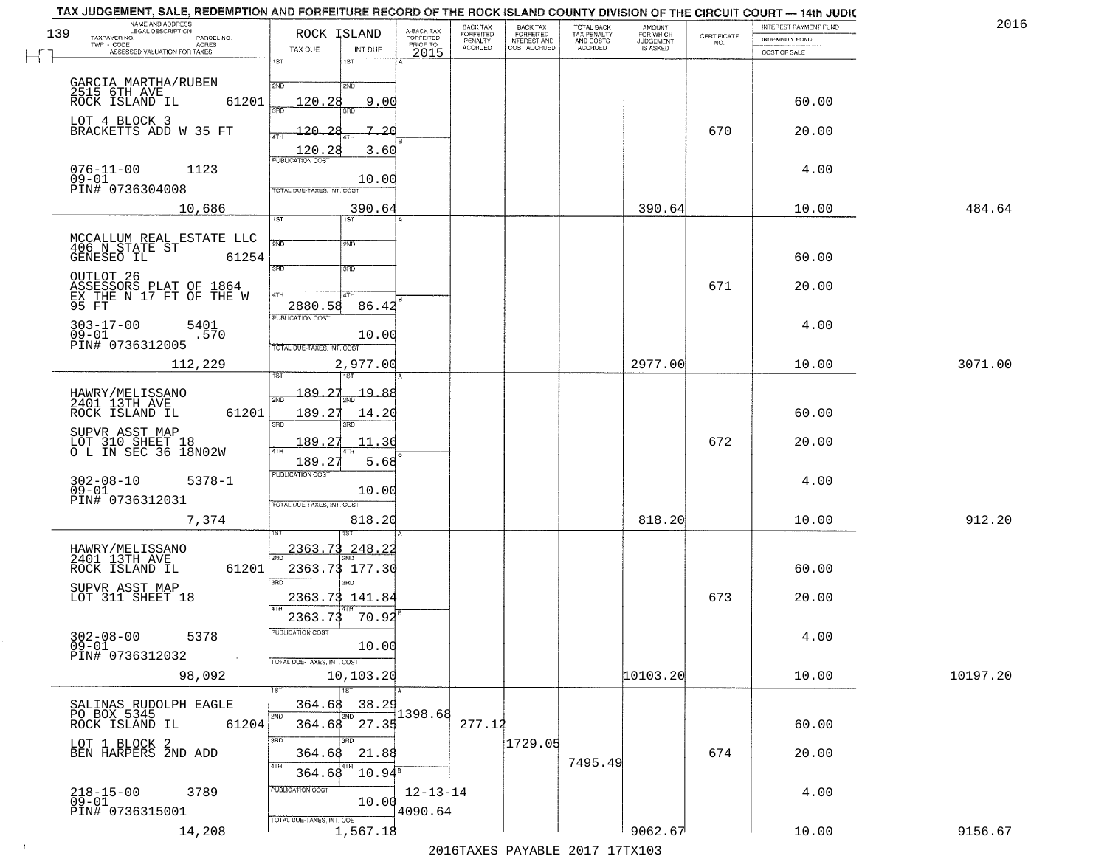| TAX JUDGEMENT, SALE, REDEMPTION AND FORFEITURE RECORD OF THE ROCK ISLAND COUNTY DIVISION OF THE CIRCUIT COURT - 14th JUDIC<br>NAME AND ADDRESS<br>LEGAL DESCRIPTION |                                                                           |                                     | BACK TAX             | <b>BACK TAX</b>           | TOTAL BACK               | AMOUNT<br>FOR WHICH |                                                                 | INTEREST PAYMENT FUND | 2016     |
|---------------------------------------------------------------------------------------------------------------------------------------------------------------------|---------------------------------------------------------------------------|-------------------------------------|----------------------|---------------------------|--------------------------|---------------------|-----------------------------------------------------------------|-----------------------|----------|
| 139<br>TAXPAYER NO.<br>PARCEL NO.<br>ACRES                                                                                                                          | ROCK ISLAND                                                               | A-BACK TAX<br>FORFEITED<br>PRIOR TO | FORFEITED<br>PENALTY | FORFEITED<br>INTEREST AND | TAX PENALTY<br>AND COSTS | <b>JUDGEMENT</b>    | $\begin{array}{c} \text{CERTIFICATE} \\ \text{NO.} \end{array}$ | INDEMNITY FUND        |          |
| ASSESSED VALUATION FOR TAXES                                                                                                                                        | TAX DUE<br>INT DUE                                                        | 2015                                | <b>ACCRUED</b>       | COST ACCRUED              | <b>ACCRUED</b>           | IS ASKED            |                                                                 | COST OF SALE          |          |
| GARCIA MARTHA/RUBEN<br>2515 6TH AVE                                                                                                                                 | 1ST<br>$1S$ T<br>2ND<br>2ND                                               |                                     |                      |                           |                          |                     |                                                                 |                       |          |
| 61201<br>ROCK ISLAND IL<br>LOT 4 BLOCK 3                                                                                                                            | 9.00<br>120.28                                                            |                                     |                      |                           |                          |                     |                                                                 | 60.00                 |          |
| BRACKETTS ADD W 35 FT                                                                                                                                               | 7.20<br>120.28<br>$\frac{120.28}{PUBUCATONCGST}$<br>3.60                  |                                     |                      |                           |                          |                     | 670                                                             | 20.00                 |          |
| $076 - 11 - 00$<br>1123<br>$09 - 01$<br>PIN# 0736304008                                                                                                             | 10.00<br>TOTAL DUE-TAXES, INT. COST                                       |                                     |                      |                           |                          |                     |                                                                 | 4.00                  |          |
| 10,686                                                                                                                                                              | 390.64<br>1ST<br>1ST                                                      |                                     |                      |                           |                          | 390.64              |                                                                 | 10.00                 | 484.64   |
|                                                                                                                                                                     |                                                                           |                                     |                      |                           |                          |                     |                                                                 |                       |          |
| MCCALLUM REAL ESTATE LLC<br>406 N STATE ST<br>GENESEO IL 6125<br>61254                                                                                              | 2ND<br>2ND<br>3RD<br>3PD                                                  |                                     |                      |                           |                          |                     |                                                                 | 60.00                 |          |
| OUTLOT 26<br>ASSESSORS PLAT OF 1864<br>EX THE N 17 FT OF THE W<br>95 FT                                                                                             | 47H<br>4TH<br>2880.58<br>86.42                                            |                                     |                      |                           |                          |                     | 671                                                             | 20.00                 |          |
| $303 - 17 - 00$<br>5401<br>$09 - 01$<br>.570<br>PIN# 0736312005                                                                                                     | PUBLICATION COST<br>10.00                                                 |                                     |                      |                           |                          |                     |                                                                 | 4.00                  |          |
| 112,229                                                                                                                                                             | TOTAL DUE-TAXES, INT. COST<br>2,977.00<br>1ST<br>īsT                      |                                     |                      |                           |                          | 2977.00             |                                                                 | 10.00                 | 3071.00  |
|                                                                                                                                                                     | 189.27<br><u> 19.88</u>                                                   |                                     |                      |                           |                          |                     |                                                                 |                       |          |
| HAWRY/MELISSANO<br>2401 13TH AVE<br>ROCK ISLAND IL<br>61201                                                                                                         | 2ND<br>189.27<br>14.20<br>3RD<br>3RD                                      |                                     |                      |                           |                          |                     |                                                                 | 60.00                 |          |
| SUPVR ASST MAP<br>LOT 310 SHEET 18<br>O L IN SEC 36 18N02W                                                                                                          | 189.27<br>11.36<br>ATH<br>189.2<br>5.68                                   |                                     |                      |                           |                          |                     | 672                                                             | 20.00                 |          |
| $302 - 08 - 10$<br>$5378 - 1$<br>$09 - 01$                                                                                                                          | <b>PUBLICATION COST</b><br>10.00                                          |                                     |                      |                           |                          |                     |                                                                 | 4.00                  |          |
| PIN# 0736312031<br>7,374                                                                                                                                            | TOTAL OUE-TAXES, INT. COST<br>818.20                                      |                                     |                      |                           |                          | 818.20              |                                                                 | 10.00                 | 912.20   |
|                                                                                                                                                                     |                                                                           |                                     |                      |                           |                          |                     |                                                                 |                       |          |
| HAWRY/MELISSANO<br>2401 13TH AVE<br>ROCK ISLAND IL<br>61201                                                                                                         | 2363.73<br>248.22<br>2363.73 177.30<br>3RD<br><b>TRD</b>                  |                                     |                      |                           |                          |                     |                                                                 | 60.00                 |          |
| SUPVR ASST MAP<br>LOT 311 SHEET 18                                                                                                                                  | 2363.73 141.84                                                            |                                     |                      |                           |                          |                     | 673                                                             | 20.00                 |          |
| $302 - 08 - 00$<br>5378<br>$09 - 01$<br>PIN# 0736312032<br>$\sim 100$                                                                                               | 2363.73<br>70.92<br>'usuca hun cus<br>10.00<br>TOTAL DUE-TAXES, INT. COST |                                     |                      |                           |                          |                     |                                                                 | 4.00                  |          |
| 98,092                                                                                                                                                              | 10, 103.20<br>1ST                                                         |                                     |                      |                           |                          | 10103.20            |                                                                 | 10.00                 | 10197.20 |
| SALINAS RUDOLPH EAGLE                                                                                                                                               | 38.29<br>364.68                                                           |                                     |                      |                           |                          |                     |                                                                 |                       |          |
| PO BOX 5345<br>ROCK ISLAND IL<br>61204                                                                                                                              | 2ND<br>2ND<br>$364.68$ $27.35$<br>3RD<br>3BD                              | 1398.68                             | 277.12               |                           |                          |                     |                                                                 | 60.00                 |          |
| LOT 1 BLOCK 2<br>BEN HARPERS 2ND ADD                                                                                                                                | 21.88<br>364.68<br>4TH<br>$10.94^{\rm s}$                                 |                                     |                      | 1729.05                   | 7495.49                  |                     | 674                                                             | 20.00                 |          |
| $218 - 15 - 00$<br>3789<br>$05 - 01$<br>PIN# 0736315001                                                                                                             | 364.68<br>PUBLICATION COST<br>10.00                                       | $12 - 13 + 14$<br>4090.64           |                      |                           |                          |                     |                                                                 | 4.00                  |          |
| 14,208                                                                                                                                                              | TOTAL DUE-TAXES, INT. COST<br>1,567.18                                    |                                     |                      |                           |                          | 9062.67             |                                                                 | 10.00                 | 9156.67  |

 $\sim 10^{-1}$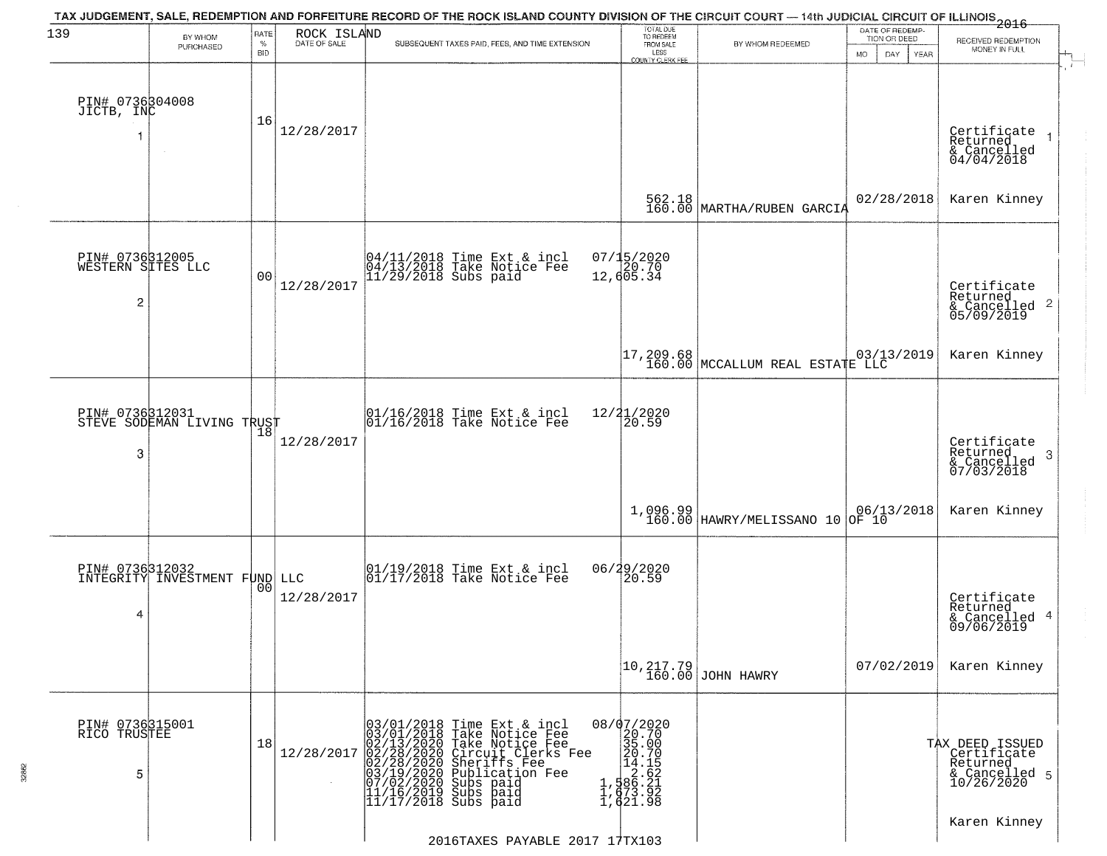| 139                                  | BY WHOM                                          | RATE               | ROCK ISLAND  | TAX JUDGEMENT, SALE, REDEMPTION AND FORFEITURE RECORD OF THE ROCK ISLAND COUNTY DIVISION OF THE CIRCUIT COURT — 14th JUDICIAL CIRCUIT OF ILLINOIS 2016                                                                                         | TOTAL DUE<br>TO REDEEM<br>FROM SALE                                                                                                 |                                                                 | DATE OF REDEMP-<br>TION OR DEED                                        |                                                                           |
|--------------------------------------|--------------------------------------------------|--------------------|--------------|------------------------------------------------------------------------------------------------------------------------------------------------------------------------------------------------------------------------------------------------|-------------------------------------------------------------------------------------------------------------------------------------|-----------------------------------------------------------------|------------------------------------------------------------------------|---------------------------------------------------------------------------|
|                                      | PURCHASED                                        | $\%$<br><b>BID</b> | DATE OF SALE | SUBSEQUENT TAXES PAID, FEES, AND TIME EXTENSION                                                                                                                                                                                                | LESS<br><b>COUNTY CLERK FEE</b>                                                                                                     | BY WHOM REDEEMED                                                | DAY<br>MO.<br>YEAR                                                     | RECEIVED REDEMPTION<br>MONEY IN FULL                                      |
| PIN# 0736304008<br>JICTB, INC<br>1   |                                                  | 16                 | 12/28/2017   |                                                                                                                                                                                                                                                |                                                                                                                                     |                                                                 |                                                                        | Certificate<br>Returned<br>& Cancelled<br>04/04/2018                      |
|                                      |                                                  |                    |              |                                                                                                                                                                                                                                                | 562.18<br>160.00                                                                                                                    | MARTHA/RUBEN GARCIA                                             | 02/28/2018                                                             | Karen Kinney                                                              |
| $\overline{c}$                       | PIN# 0736312005<br>WESTERN SITES LLC             | 0 <sub>0</sub>     | 12/28/2017   | 04/11/2018 Time Ext & incl<br>04/13/2018 Take Notice Fee<br>11/29/2018 Subs paid                                                                                                                                                               | 07/15/2020<br>20.70<br>12,605.34                                                                                                    |                                                                 |                                                                        | Certificate<br>Returned<br>& Cancelled 2<br>05/09/2019                    |
|                                      |                                                  |                    |              |                                                                                                                                                                                                                                                |                                                                                                                                     | 17,209.68<br>160.00 MCCALLUM REAL ESTATE LLC                    |                                                                        | Karen Kinney                                                              |
| PIN# 0736312031<br>3                 | STEVE SODEMAN LIVING TRUST                       |                    | 12/28/2017   | 01/16/2018 Time Ext & incl<br>01/16/2018 Take Notice Fee                                                                                                                                                                                       | 12/21/2020<br>20.59                                                                                                                 |                                                                 |                                                                        | Certificate<br>Returned<br>3<br>& Cancelled<br>07/03/2018                 |
|                                      |                                                  |                    |              |                                                                                                                                                                                                                                                | 1,096.99<br>160.00                                                                                                                  | HAWRY/MELISSANO 10                                              | $\begin{array}{ c c c c }\n06/13/2018 \\ \hline\n0F & 10\n\end{array}$ | Karen Kinney                                                              |
| 4                                    | PIN# 0736312032<br>INTEGRITY INVESTMENT FUND LLC | 0 <sub>0</sub>     | 12/28/2017   | 01/19/2018 Time Ext & incl<br>01/17/2018 Take Notice Fee                                                                                                                                                                                       | 06/29/2020                                                                                                                          |                                                                 |                                                                        | Certificate<br>Returned<br>& Cancelled 4<br>09/06/2019                    |
|                                      |                                                  |                    |              |                                                                                                                                                                                                                                                |                                                                                                                                     | $\begin{bmatrix} 10, 217.79 \\ 160.00 \end{bmatrix}$ JOHN HAWRY | 07/02/2019                                                             | Karen Kinney                                                              |
| PIN# 0736315001<br>RICO TRUSTEE<br>5 |                                                  | 18                 | 12/28/2017   | $03/01/2018$ Time Ext & incl<br>$03/01/2018$ Take Notice Fee<br>$02/13/2020$ Take Notice Fee<br>$02/28/2020$ Circuit Clerks Fee<br>$02/28/2020$ Sheriffs Fee<br>$03/19/2020$ Subs paid<br>$07/02/2020$ Subs paid<br>$11/16/2019$ Subs paid<br> | $\begin{smallmatrix} 08/07/2020 \\ 20.70 \\ 35.00 \\ 14.15 \\ 1, 586.21 \\ 1, 673.92 \\ 1, 673.92 \\ 1, 621.9 \\ \end{smallmatrix}$ |                                                                 |                                                                        | TAX DEED ISSUED<br>Certificate<br>Returned<br>& Cancelled 5<br>10/26/2020 |
|                                      |                                                  |                    |              | 2016TAXES PAYABLE 2017 17TX103                                                                                                                                                                                                                 |                                                                                                                                     |                                                                 |                                                                        | Karen Kinney                                                              |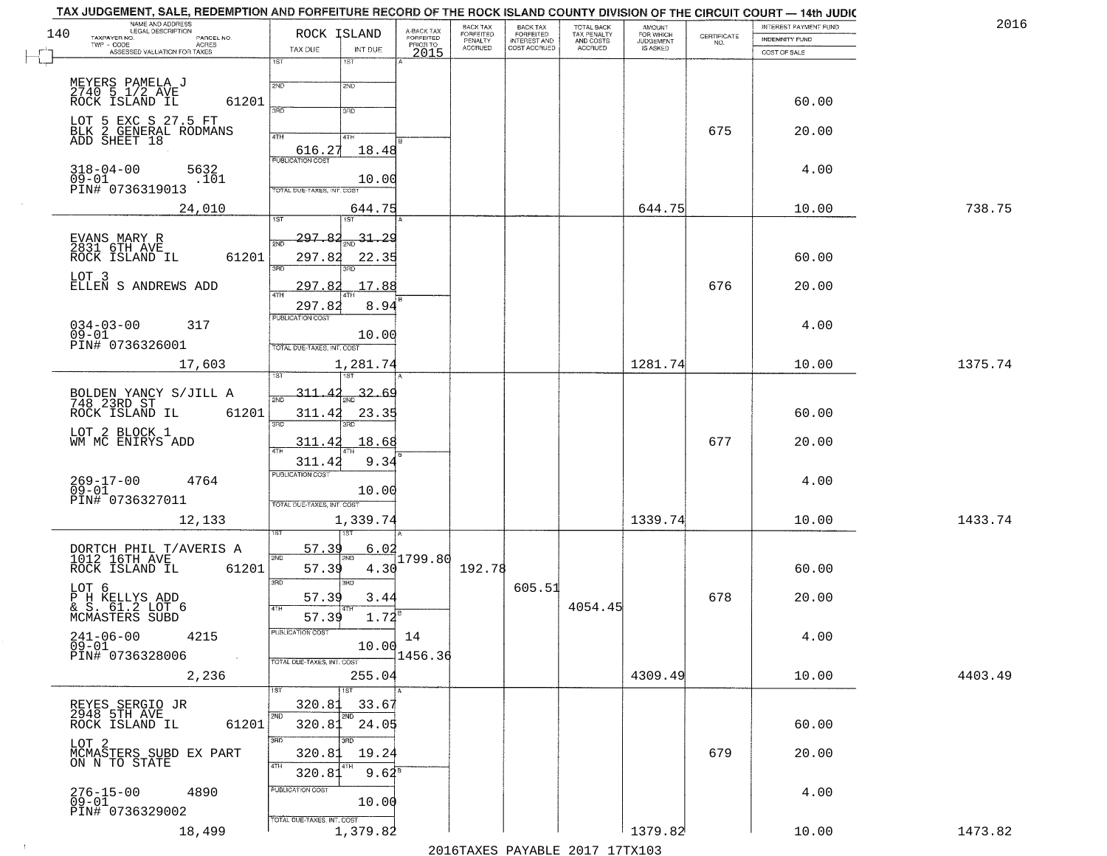|     | NAME AND ADDRESS<br>LEGAL DESCRIPTION                        | ROCK ISLAND                                     | A-BACK TAX<br>FORFEITED | BACK TAX<br><b>FORFEITED</b> | <b>BACK TAX</b><br><b>FORFEITED</b> | TOTAL BACK<br>TAX PENALTY<br>AND COSTS<br>ACCRUED | <b>AMOUNT</b><br>FOR WHICH |                                                                 | INTEREST PAYMENT FUND | 2016    |
|-----|--------------------------------------------------------------|-------------------------------------------------|-------------------------|------------------------------|-------------------------------------|---------------------------------------------------|----------------------------|-----------------------------------------------------------------|-----------------------|---------|
| 140 | TAXPAYER NO.<br>PARCEL NO.<br>TWP - CODE<br><b>ACRES</b>     |                                                 | PRIOR TO                | PENALTY<br>ACCRUED           | INTEREST AND<br>COST ACCRUED        |                                                   | JUDGEMENT                  | $\begin{array}{c} \text{CERTIFICATE} \\ \text{NO.} \end{array}$ | INDEMNITY FUND        |         |
|     | ASSESSED VALUATION FOR TAXES                                 | TAX DUE<br>INT DUE                              | 2015                    |                              |                                     |                                                   |                            |                                                                 | COST OF SALE          |         |
|     |                                                              | 1ST<br>1ST<br>2ND<br>2ND                        |                         |                              |                                     |                                                   |                            |                                                                 |                       |         |
|     | MEYERS PAMELA J<br>2740 5 1/2 AVE<br>61201<br>ROCK ISLAND IL | 370<br>3RD                                      |                         |                              |                                     |                                                   |                            |                                                                 | 60.00                 |         |
|     | LOT 5 EXC S 27.5 FT<br>BLK 2 GENERAL RODMANS<br>ADD SHEET 18 | 4TH<br>41H                                      |                         |                              |                                     |                                                   |                            | 675                                                             | 20.00                 |         |
|     | $318 - 04 - 00$<br>5632                                      | 616.27<br>18.48<br><b>PUBLICATION COST</b>      |                         |                              |                                     |                                                   |                            |                                                                 | 4.00                  |         |
|     | $09 - 01$<br>.101<br>PIN# 0736319013                         | 10.00<br>TOTAL DUE-TAXES, INT. COST             |                         |                              |                                     |                                                   |                            |                                                                 |                       |         |
|     | 24,010                                                       | 644.75<br>1ST.<br>1ST                           |                         |                              |                                     |                                                   | 644.75                     |                                                                 | 10.00                 | 738.75  |
|     | EVANS MARY R<br>2831 6TH AVE<br>ROCK ISLAND IL<br>61201      | 297.<br>$31 - 29$<br>2ND<br>297.82<br>22.35     |                         |                              |                                     |                                                   |                            |                                                                 | 60.00                 |         |
|     | LOT 3<br>ELLEN S ANDREWS ADD                                 | 3RD<br>297<br>17.88<br><b>q</b>                 |                         |                              |                                     |                                                   |                            | 676                                                             | 20.00                 |         |
|     |                                                              | 297.82<br>8.94<br>PUBLICATION COST              |                         |                              |                                     |                                                   |                            |                                                                 |                       |         |
|     | $034 - 03 - 00$<br>317<br>$09 - 01$<br>PIN# 0736326001       | 10.00<br>TOTAL DUE-TAXES, INT. COST             |                         |                              |                                     |                                                   |                            |                                                                 | 4.00                  |         |
|     | 17,603                                                       | 1,281.74                                        |                         |                              |                                     |                                                   | 1281.74                    |                                                                 | 10.00                 | 1375.74 |
|     | BOLDEN YANCY S/JILL A<br>748 23RD ST                         | 311.42<br>32.69                                 |                         |                              |                                     |                                                   |                            |                                                                 |                       |         |
|     | 61201<br>ROCK ISLAND IL<br>LOT 2 BLOCK 1                     | 311.42<br>23.35<br>3BD<br>3RD                   |                         |                              |                                     |                                                   |                            | 677                                                             | 60.00<br>20.00        |         |
|     | WM MC ENIRYS ADD                                             | 18.68<br>311.42<br>9.34<br>311.42               |                         |                              |                                     |                                                   |                            |                                                                 |                       |         |
|     | 269-17-00<br>09-01<br>4764<br>PIN# 0736327011                | <b>PUBLICATION COST</b><br>10.00                |                         |                              |                                     |                                                   |                            |                                                                 | 4.00                  |         |
|     | 12,133                                                       | TOTAL OUE-TAXES, INT. COST<br>1,339.74          |                         |                              |                                     |                                                   | 1339.74                    |                                                                 | 10.00                 | 1433.74 |
|     | DORTCH PHIL T/AVERIS A<br>1012 16TH AVE                      | <u>57.39</u><br>6.02<br>2ND<br>2ND              | 1799.80                 |                              |                                     |                                                   |                            |                                                                 |                       |         |
|     | ROCK ISLAND IL<br>61201                                      | 57.39<br>4.30<br>3RD<br>3RD                     |                         | 192.78                       | 605.51                              |                                                   |                            |                                                                 | 60.00                 |         |
|     | LOT 6<br>P H KELLYS ADD<br>& S. 61.2 LOT 6<br>MCMASTERS SUBD | 57.39<br>3.44<br>$1.72^{B}$<br>57.39            |                         |                              |                                     | 4054.45                                           |                            | 678                                                             | 20.00                 |         |
|     | $241 - 06 - 00$<br>4215<br>09-01                             | PUBLICATION COST<br>10.00                       | 14                      |                              |                                     |                                                   |                            |                                                                 | 4.00                  |         |
|     | PIN# 0736328006<br>2,236                                     | TOTAL DUE-TAXES, INT. COST<br>255.04            | 1456.36                 |                              |                                     |                                                   | 4309.49                    |                                                                 | 10.00                 | 4403.49 |
|     |                                                              | $\overline{1ST}$<br>1ST<br>320.81<br>33.67      |                         |                              |                                     |                                                   |                            |                                                                 |                       |         |
|     | REYES SERGIO JR<br>2948 5TH AVE<br>ROCK ISLAND IL<br>61201   | 2ND<br>2ND<br>24.05<br>320.81                   |                         |                              |                                     |                                                   |                            |                                                                 | 60.00                 |         |
|     | LOT <sub>2</sub><br>MCMASTERS SUBD EX PART ON N TO STATE     | 3RD<br>3RD<br>320.81<br>19.24<br>4TH            |                         |                              |                                     |                                                   |                            | 679                                                             | 20.00                 |         |
|     | 276-15-00<br>09-01<br>4890                                   | $9.64^8$<br>320.81<br>PUBLICATION COST<br>10.00 |                         |                              |                                     |                                                   |                            |                                                                 | 4.00                  |         |
|     |                                                              |                                                 |                         |                              |                                     |                                                   |                            |                                                                 |                       |         |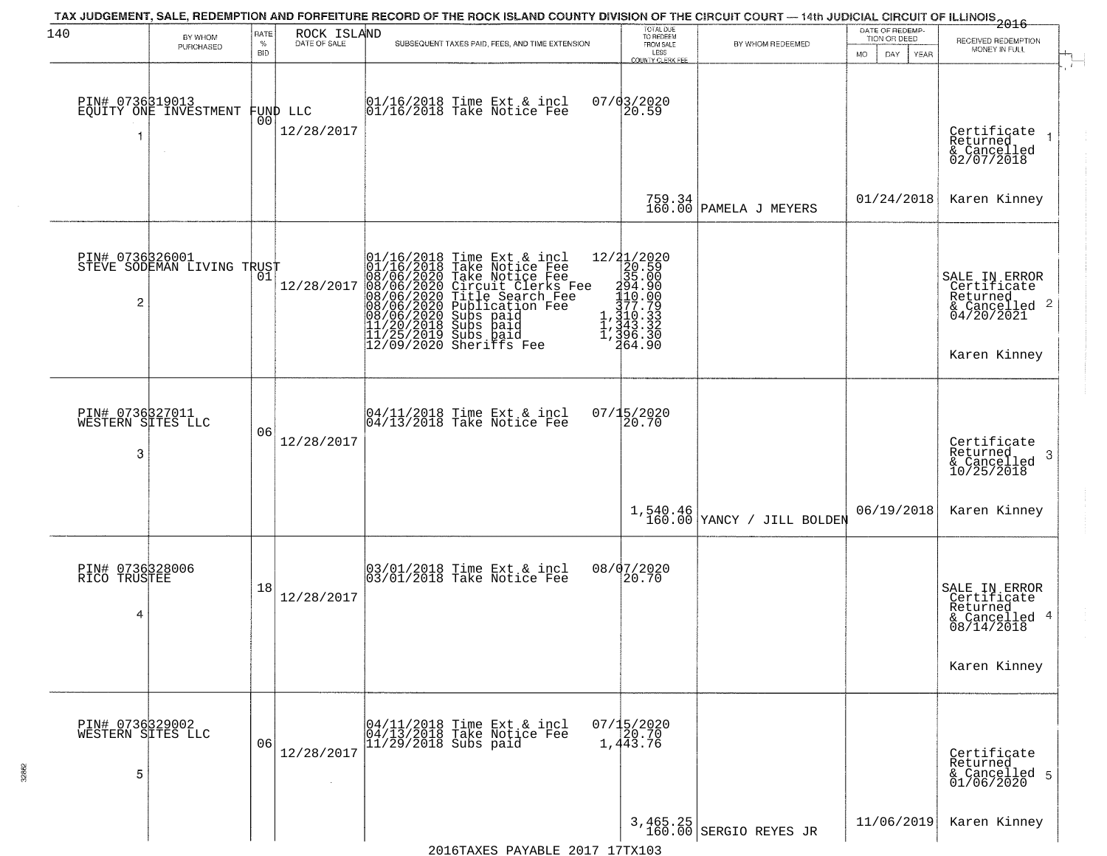| 140                                       | BY WHOM<br>PURCHASED                          | RATE<br>$\%$<br><b>BID</b> | ROCK ISLAND<br>DATE OF SALE | TAX JUDGEMENT, SALE, REDEMPTION AND FORFEITURE RECORD OF THE ROCK ISLAND COUNTY DIVISION OF THE CIRCUIT COURT — 14th JUDICIAL CIRCUIT OF ILLINOIS 2016<br>SUBSEQUENT TAXES PAID, FEES, AND TIME EXTENSION                                             | TOTAL DUE<br>TO REDEEM<br>FROM SALE<br>LESS<br>COUNTY CLERK FEE                                                                                               | BY WHOM REDEEMED                   | DATE OF REDEMP-<br>TION OR DEED<br><b>MO</b><br>DAY<br>YEAR | RECEIVED REDEMPTION<br>MONEY IN FULL                                                                |
|-------------------------------------------|-----------------------------------------------|----------------------------|-----------------------------|-------------------------------------------------------------------------------------------------------------------------------------------------------------------------------------------------------------------------------------------------------|---------------------------------------------------------------------------------------------------------------------------------------------------------------|------------------------------------|-------------------------------------------------------------|-----------------------------------------------------------------------------------------------------|
| PIN# 0736319013                           | EQUITY ONE INVESTMENT                         | 00                         | FUND LLC<br>12/28/2017      | 01/16/2018 Time Ext & incl<br>01/16/2018 Take Notice Fee                                                                                                                                                                                              | 07/03/2020<br>20.59                                                                                                                                           |                                    |                                                             | Certificate<br>Returned<br>& Cancelled<br>02/07/2018                                                |
|                                           |                                               |                            |                             |                                                                                                                                                                                                                                                       | 759.34<br>160.00                                                                                                                                              | PAMELA J MEYERS                    | 01/24/2018                                                  | Karen Kinney                                                                                        |
| 2                                         | PIN# 0736326001<br>STEVE SODEMAN LIVING TRUST |                            | 12/28/2017                  | 01/16/2018 Time Ext & incl<br>01/16/2018 Take Notice Fee<br>08/06/2020 Take Notice Fee<br>08/06/2020 Circuit Clerks Fee<br>08/06/2020 Title Search Fee<br>08/06/2020 Subs paid<br>08/06/2020 Subs paid<br>11/20/2018 Subs paid<br>11/25/2019 Subs pai | $\begin{smallmatrix} 12/21/2020 \\ 20.59 \\ 35.00 \\ 140.90 \\ 110.30 \\ 177.79 \\ 1,110.33 \\ 1,210.33 \\ 1,343.32 \\ \end{smallmatrix}$<br>396.30<br>264.90 |                                    |                                                             | SALE IN ERROR<br>Certificate<br>Returned<br>$\frac{1}{6}$ Cancelled 2<br>04/20/2021<br>Karen Kinney |
| PIN# 0736327011<br>WESTERN SITES LLC<br>3 |                                               | 06                         | 12/28/2017                  | 04/11/2018 Time Ext & incl<br>04/13/2018 Take Notice Fee                                                                                                                                                                                              | 07/15/2020<br>20.70                                                                                                                                           |                                    |                                                             | Certificate<br>Returned<br>- 3<br>& Cancelled<br>10/25/2018                                         |
|                                           |                                               |                            |                             |                                                                                                                                                                                                                                                       | 1,540.46<br>160.00                                                                                                                                            | YANCY / JILL BOLDEN                | 06/19/2018                                                  | Karen Kinney                                                                                        |
| PIN# 0736328006<br>RICO TRUSTEE<br>4      |                                               | 18                         | 12/28/2017                  | 03/01/2018 Time Ext & incl<br>03/01/2018 Take Notice Fee                                                                                                                                                                                              | 08/07/2020<br>20.70                                                                                                                                           |                                    |                                                             | SALE IN ERROR<br>Certificate<br>Returned<br>& Cancelled 4<br>08/14/2018<br>Karen Kinney             |
| PIN# 0736329002<br>WESTERN SITES LLC<br>5 |                                               | 06                         | 12/28/2017                  | 04/11/2018 Time Ext & incl<br>04/13/2018 Take Notice Fee<br>$ 11/29/2018$ Subs paid                                                                                                                                                                   | $07/15/2020$<br>$120.70$<br>1,443.76                                                                                                                          |                                    |                                                             | Certificate<br>Returned<br>& Cancelled 5<br>01/06/2020                                              |
|                                           |                                               |                            |                             |                                                                                                                                                                                                                                                       |                                                                                                                                                               | 3,465.25<br>160.00 SERGIO REYES JR | 11/06/2019                                                  | Karen Kinney                                                                                        |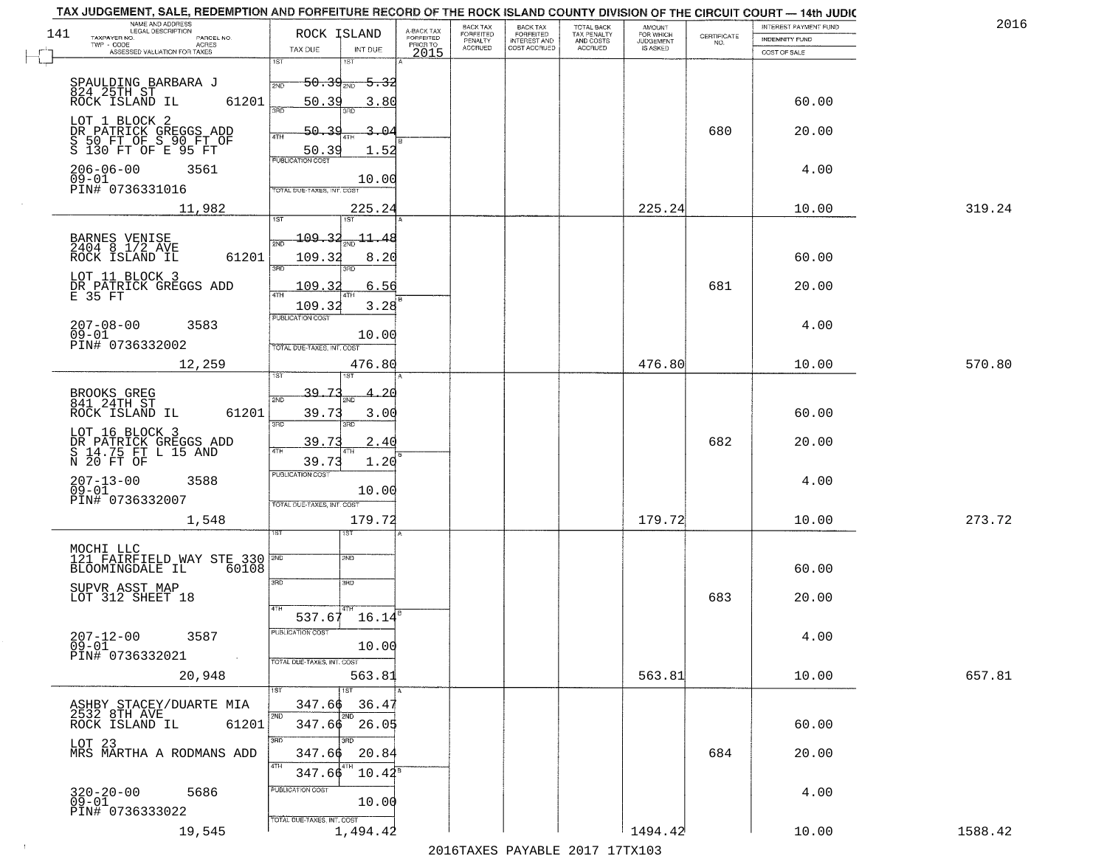| TAX JUDGEMENT, SALE, REDEMPTION AND FORFEITURE RECORD OF THE ROCK ISLAND COUNTY DIVISION OF THE CIRCUIT COURT - 14th JUDIC<br>NAME AND ADDRESS<br>LEGAL DESCRIPTION |                                                                                       |                                                    |                                     | <b>BACK TAX</b>      | <b>BACK TAX</b>           |                                        |                                         |                                                                 | INTEREST PAYMENT FUND  | 2016    |
|---------------------------------------------------------------------------------------------------------------------------------------------------------------------|---------------------------------------------------------------------------------------|----------------------------------------------------|-------------------------------------|----------------------|---------------------------|----------------------------------------|-----------------------------------------|-----------------------------------------------------------------|------------------------|---------|
| 141<br>TAXPAYER NO.<br>PARCEL NO.                                                                                                                                   | ROCK ISLAND                                                                           |                                                    | A-BACK TAX<br>FORFEITED<br>PRIOR TO | FORFEITED<br>PENALTY | FORFEITED<br>INTEREST AND | TOTAL BACK<br>TAX PENALTY<br>AND COSTS | AMOUNT<br>FOR WHICH<br><b>JUDGEMENT</b> | $\begin{array}{c} \text{CERTIFICATE} \\ \text{NO.} \end{array}$ | INDEMNITY FUND         |         |
| ACRES<br>ASSESSED VALUATION FOR TAXES                                                                                                                               | TAX DUE                                                                               | INT DUE                                            | 2015                                | <b>ACCRUED</b>       | COST ACCRUED              | ACCRUED                                | IS ASKED                                |                                                                 | COST OF SALE           |         |
| SPAULDING BARBARA J<br>824 25TH ST<br>ROCK ISLAND IL<br>61201                                                                                                       | 1ST<br>$50.39_{200}$<br>2ND<br>50.39<br>390                                           | <del>5.32</del><br>3.80                            |                                     |                      |                           |                                        |                                         |                                                                 | 60.00                  |         |
| LOT 1 BLOCK 2<br>DR PATRICK GREGGS ADD<br>S 50 FT OF S 90 FT OF<br>S 130 FT OF E 95 FT                                                                              | 50.39<br>4TH<br>50.39<br>PUBLICATION COST                                             | -04<br>1.52                                        |                                     |                      |                           |                                        |                                         | 680                                                             | 20.00                  |         |
| $206 - 06 - 00$<br>3561<br>$09 - 01$<br>PIN# 0736331016                                                                                                             | TOTAL DUE-TAXES, INT. COST                                                            | 10.00                                              |                                     |                      |                           |                                        |                                         |                                                                 | 4.00                   |         |
| 11,982                                                                                                                                                              |                                                                                       | 225.24                                             |                                     |                      |                           |                                        | 225.24                                  |                                                                 | 10.00                  | 319.24  |
| BARNES VENISE<br>2404 8 1/2 AVE<br>61201<br>ROCK ISLAND IL<br>LOT 11 BLOCK 3<br>DR PATRICK GREGGS ADD<br>E 35 FT<br>$207 - 08 - 00$<br>3583                         | 197<br>109.32<br>2ND<br>109.32<br>3RD<br>109.32<br>ৰিটা<br>109.32<br>PUBLICATION COST | $\frac{11.48}{200}$<br>8.20<br>3BD<br>6.56<br>3.28 |                                     |                      |                           |                                        |                                         | 681                                                             | 60.00<br>20.00<br>4.00 |         |
| $09 - 01$<br>PIN# 0736332002                                                                                                                                        |                                                                                       | 10.00                                              |                                     |                      |                           |                                        |                                         |                                                                 |                        |         |
| 12,259                                                                                                                                                              | TOTAL DUE-TAXES, INT. COST<br>1ST                                                     | 476.80<br>1ST                                      |                                     |                      |                           |                                        | 476.80                                  |                                                                 | 10.00                  | 570.80  |
| BROOKS GREG<br>841 24TH ST<br>ROCK ISLAND IL<br>61201                                                                                                               | 39.7<br>2ND<br>39.73<br>3RD                                                           | 3.00<br>3RD                                        |                                     |                      |                           |                                        |                                         |                                                                 | 60.00                  |         |
| LOT 16 BLOCK 3<br>DR PATRICK GREGGS ADD<br>S 14.75 FT L 15 AND<br>N 20 FT OF                                                                                        | 39.73<br>4TH<br>39.73                                                                 | 2.40<br>1.20                                       |                                     |                      |                           |                                        |                                         | 682                                                             | 20.00                  |         |
| $207 - 13 - 00$<br>3588<br>$09 - 01$<br>PIN# 0736332007                                                                                                             | <b>PUBLICATION COST</b><br>TOTAL OUE-TAXES, INT. COST                                 | 10.00                                              |                                     |                      |                           |                                        |                                         |                                                                 | 4.00                   |         |
| 1,548                                                                                                                                                               |                                                                                       | 179.72                                             |                                     |                      |                           |                                        | 179.72                                  |                                                                 | 10.00                  | 273.72  |
| MOCHI LLC<br>121 FAIRFIELD WAY STE 330 PMD<br>BLOOMINGDALE IL<br>60108<br>SUPVR ASST MAP<br>LOT 312 SHEET 18                                                        | 3RD<br>4TH<br>537.67<br>PUBLICATION COS                                               | 1ST<br>2ND<br>3RD<br>16.14                         |                                     |                      |                           |                                        |                                         | 683                                                             | 60.00<br>20.00         |         |
| $207 - 12 - 00$<br>3587<br>$09 - 01$<br>PIN# 0736332021<br>$\sim 100$<br>20,948                                                                                     | TOTAL DUE-TAXES, INT. COST                                                            | 10.00<br>563.81                                    |                                     |                      |                           |                                        | 563.81                                  |                                                                 | 4.00<br>10.00          | 657.81  |
| ASHBY STACEY/DUARTE MIA<br>2532 8TH AVE<br>ROCK ISLAND IL<br>61201                                                                                                  | 347.66<br>2ND                                                                         | 1ST<br>36.47<br>2ND<br>$347.66$ 26.05              |                                     |                      |                           |                                        |                                         |                                                                 | 60.00                  |         |
| LOT 23<br>MRS MARTHA A RODMANS ADD                                                                                                                                  | 3RD<br>347.66<br>4TH<br>347.66                                                        | 3BD<br>20.84<br>$10.42^8$                          |                                     |                      |                           |                                        |                                         | 684                                                             | 20.00                  |         |
| $320 - 20 - 00$<br>5686<br>$05-01$<br>PIN# 0736333022                                                                                                               | PUBLICATION COST<br>TOTAL DUE-TAXES, INT. COST                                        | 10.00                                              |                                     |                      |                           |                                        |                                         |                                                                 | 4.00                   |         |
| 19,545                                                                                                                                                              |                                                                                       | 1,494.42                                           |                                     |                      |                           |                                        | 1494.42                                 |                                                                 | 10.00                  | 1588.42 |

 $\sim 100$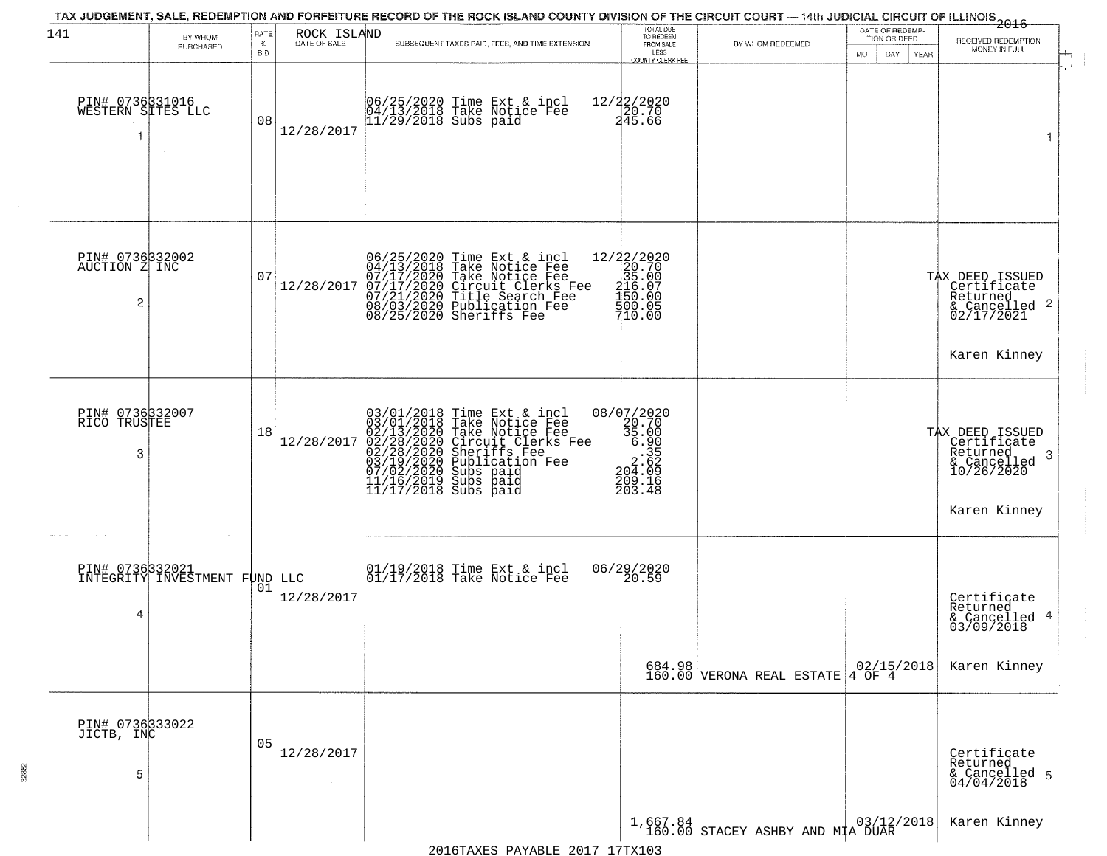| 141                                       | BY WHOM                                          | RATE               | ROCK ISLAND  |                                                                                                                                                                                                                                             | TOTAL DUE<br>TO REDEEM                                                              |                                                                                     | DATE OF REDEMP-<br>TION OR DEED | RECEIVED REDEMPTION                                                       |
|-------------------------------------------|--------------------------------------------------|--------------------|--------------|---------------------------------------------------------------------------------------------------------------------------------------------------------------------------------------------------------------------------------------------|-------------------------------------------------------------------------------------|-------------------------------------------------------------------------------------|---------------------------------|---------------------------------------------------------------------------|
|                                           | PURCHASED                                        | $\%$<br><b>BID</b> | DATE OF SALE | SUBSEQUENT TAXES PAID, FEES, AND TIME EXTENSION                                                                                                                                                                                             | FROM SALE<br>LESS<br>COUNTY CLERK FFF                                               | BY WHOM REDEEMED                                                                    | MO.<br>DAY.<br><b>YEAR</b>      | MONEY IN FULL                                                             |
| PIN# 0736331016<br>WESTERN SITES LLC<br>1 |                                                  | 08                 | 12/28/2017   | 06/25/2020 Time Ext & incl<br>04/13/2018 Take Notice Fee<br>11/29/2018 Subs paid                                                                                                                                                            | 12/22/2020<br>20.70<br>245.66                                                       |                                                                                     |                                 | 1                                                                         |
| PIN# 0736332002<br>AUCTION Z INC<br>2     |                                                  | 07                 | 12/28/2017   | 06/25/2020 Time Ext & incl<br>04/13/2018 Take Notice Fee<br>07/17/2020 Take Notice Fee<br>07/17/2020 Circuit Clerks Fee<br>07/21/2020 Title Search Fee<br>08/03/2020 Publication Fee<br>08/25/2020 Sheriffs Fee                             | 12/22/2020<br>20.70<br>35.00<br>$216.07$<br>$150.00$<br>500.05<br>710.00            |                                                                                     |                                 | TAX DEED ISSUED<br>Certificate<br>Returned<br>& Cancelled 2<br>02/17/2021 |
| PIN# 0736332007<br>RICO TRUSTEE           |                                                  | 18                 | 12/28/2017   | $03/01/2018$ Time Ext & incl<br>$03/01/2018$ Take Notice Fee<br>$02/13/2020$ Take Notice Fee<br>$02/28/2020$ Circuit Clerks Fee<br>$02/28/2020$ Sheriffs Fee<br>$03/19/2020$ Publication Fee<br>$11/16/2019$ Subs paid<br>$11/17/2018$ Subs | 08/07/2020<br>$20.70$<br>$35.00$<br>$6.905$<br>$2.60$<br>$2.60$<br>$2.60$<br>$2.60$ |                                                                                     |                                 | Karen Kinney<br>TAX DEED ISSUED<br>Certificate<br>Returned                |
| 3                                         |                                                  |                    |              |                                                                                                                                                                                                                                             | 709.16<br>203.48                                                                    |                                                                                     |                                 | -3<br>& Cancelled<br>10/26/2020<br>Karen Kinney                           |
| 4                                         | PIN# 0736332021<br>INTEGRITY INVESTMENT FUND LLC | 01                 | 12/28/2017   | 01/19/2018 Time Ext & incl<br>01/17/2018 Take Notice Fee                                                                                                                                                                                    | 06/29/2020<br>120.59                                                                |                                                                                     |                                 | Certificate<br>Returned<br>4<br>& Cancelled<br>03/09/2018                 |
|                                           |                                                  |                    |              |                                                                                                                                                                                                                                             | 684.98<br>160.00                                                                    | VERONA REAL ESTATE $\begin{array}{ c c c c }\hline 02/15/2018 \ \hline \end{array}$ |                                 | Karen Kinney                                                              |
| PIN# 0736333022<br>JICTB, INC             |                                                  |                    |              |                                                                                                                                                                                                                                             |                                                                                     |                                                                                     |                                 |                                                                           |
| 5                                         |                                                  | 05                 | 12/28/2017   |                                                                                                                                                                                                                                             |                                                                                     |                                                                                     |                                 | Certificate<br>Returned<br>& Cancelled 5<br>04/04/2018                    |
|                                           |                                                  |                    |              |                                                                                                                                                                                                                                             |                                                                                     | $1,667.84$ STACEY ASHBY AND MIA DUAR 160.00 STACEY ASHBY AND MIA DUAR               |                                 | Karen Kinney                                                              |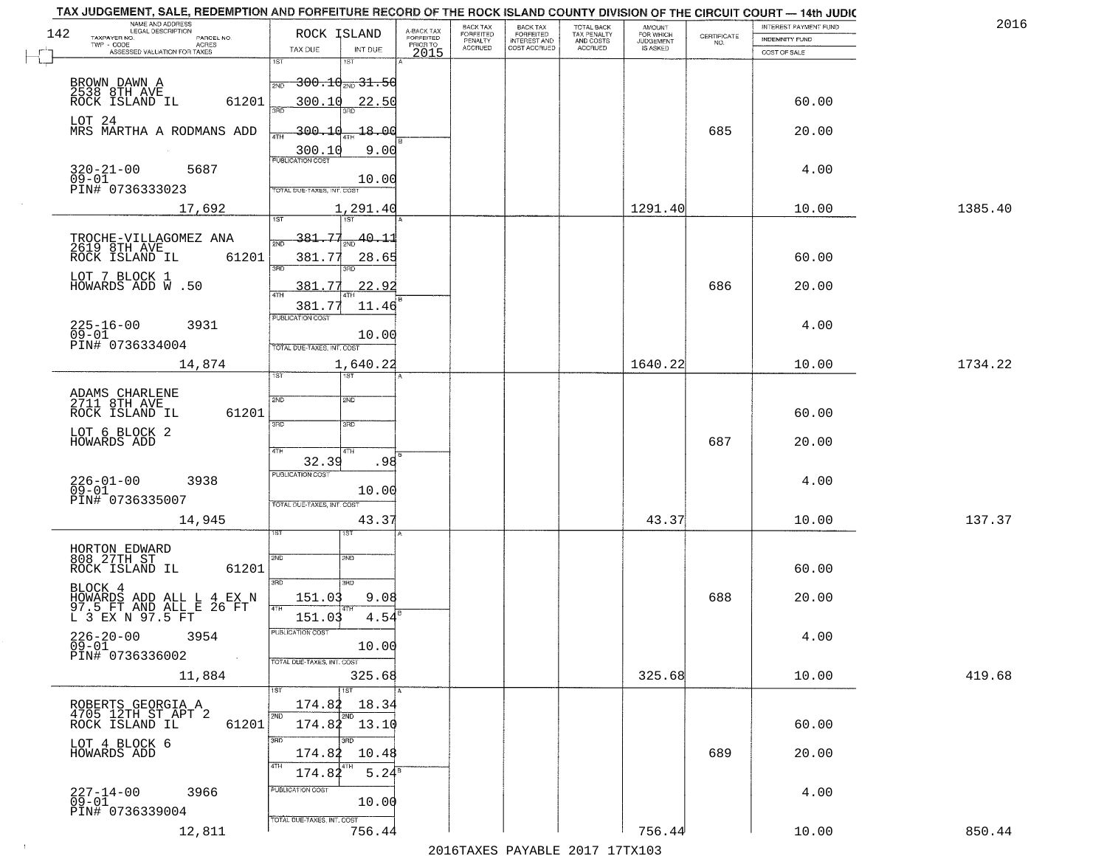|     | TAX JUDGEMENT, SALE, REDEMPTION AND FORFEITURE RECORD OF THE ROCK ISLAND COUNTY DIVISION OF THE CIRCUIT COURT - 14th JUDIC<br>NAME AND ADDRESS<br>LEGAL DESCRIPTION |                                            |                                     | BACK TAX                    |                                              |                                        |                                         |                                                                 | INTEREST PAYMENT FUND | 2016    |
|-----|---------------------------------------------------------------------------------------------------------------------------------------------------------------------|--------------------------------------------|-------------------------------------|-----------------------------|----------------------------------------------|----------------------------------------|-----------------------------------------|-----------------------------------------------------------------|-----------------------|---------|
| 142 | TAXPAYER NO.<br>PARCEL NO.                                                                                                                                          | ROCK ISLAND                                | A-BACK TAX<br>FORFEITED<br>PRIOR TO | <b>FORFEITED</b><br>PENALTY | BACK TAX<br>FORFEITED<br><b>INTEREST AND</b> | TOTAL BACK<br>TAX PENALTY<br>AND COSTS | AMOUNT<br>FOR WHICH<br><b>JUDGEMENT</b> | $\begin{array}{c} \text{CERTIFICATE} \\ \text{NO.} \end{array}$ | INDEMNITY FUND        |         |
|     | ACRES<br>ASSESSED VALUATION FOR TAXES                                                                                                                               | TAX DUE<br>INT DUE                         | 2015                                | <b>ACCRUED</b>              | COST ACCRUED                                 | ACCRUED                                | IS ASKED                                |                                                                 | COST OF SALE          |         |
|     |                                                                                                                                                                     | 1ST<br>1ST                                 |                                     |                             |                                              |                                        |                                         |                                                                 |                       |         |
|     | BROWN DAWN A                                                                                                                                                        | $\frac{1}{2ND} - 300 - 10_{2ND} - 31 - 50$ |                                     |                             |                                              |                                        |                                         |                                                                 |                       |         |
|     | 2538 8TH AVE<br>ROCK ISLAND IL<br>61201                                                                                                                             | 300.10<br>22.50                            |                                     |                             |                                              |                                        |                                         |                                                                 | 60.00                 |         |
|     |                                                                                                                                                                     |                                            |                                     |                             |                                              |                                        |                                         |                                                                 |                       |         |
|     | LOT 24<br>MRS MARTHA A RODMANS ADD                                                                                                                                  | 300.10<br>$-18.00$                         |                                     |                             |                                              |                                        |                                         | 685                                                             | 20.00                 |         |
|     |                                                                                                                                                                     |                                            |                                     |                             |                                              |                                        |                                         |                                                                 |                       |         |
|     |                                                                                                                                                                     | 9.00<br>300.10                             |                                     |                             |                                              |                                        |                                         |                                                                 |                       |         |
|     | 320-21-00<br>09-01<br>5687                                                                                                                                          | 10.00                                      |                                     |                             |                                              |                                        |                                         |                                                                 | 4.00                  |         |
|     | PIN# 0736333023                                                                                                                                                     | TOTAL DUE-TAXES, INT. COST                 |                                     |                             |                                              |                                        |                                         |                                                                 |                       |         |
|     | 17,692                                                                                                                                                              | 1,291.40                                   |                                     |                             |                                              |                                        | 1291.40                                 |                                                                 | 10.00                 | 1385.40 |
|     |                                                                                                                                                                     |                                            |                                     |                             |                                              |                                        |                                         |                                                                 |                       |         |
|     |                                                                                                                                                                     | 381.77<br>$\frac{1}{200}$ 40.11            |                                     |                             |                                              |                                        |                                         |                                                                 |                       |         |
|     | TROCHE-VILLAGOMEZ ANA<br>2619 8TH AVE<br>61201<br>ROCK ISLAND IL                                                                                                    | 381.77                                     |                                     |                             |                                              |                                        |                                         |                                                                 | 60.00                 |         |
|     |                                                                                                                                                                     | 28.65<br>3RD<br>बन्ना                      |                                     |                             |                                              |                                        |                                         |                                                                 |                       |         |
|     | LOT 7 BLOCK 1<br>HOWARDS ADD W.50                                                                                                                                   | 22.92<br>381.77                            |                                     |                             |                                              |                                        |                                         | 686                                                             | 20.00                 |         |
|     |                                                                                                                                                                     |                                            |                                     |                             |                                              |                                        |                                         |                                                                 |                       |         |
|     |                                                                                                                                                                     | 381.77<br>11.46<br>PUBLICATION COST        |                                     |                             |                                              |                                        |                                         |                                                                 |                       |         |
|     | $225 - 16 - 00$<br>3931                                                                                                                                             |                                            |                                     |                             |                                              |                                        |                                         |                                                                 | 4.00                  |         |
|     | $09 - 01$<br>PIN# 0736334004                                                                                                                                        | 10.00<br>TOTAL DUE-TAXES, INT. COST        |                                     |                             |                                              |                                        |                                         |                                                                 |                       |         |
|     | 14,874                                                                                                                                                              | 1,640.22                                   |                                     |                             |                                              |                                        | 1640.22                                 |                                                                 | 10.00                 | 1734.22 |
|     |                                                                                                                                                                     | 1ST<br>is T                                |                                     |                             |                                              |                                        |                                         |                                                                 |                       |         |
|     |                                                                                                                                                                     |                                            |                                     |                             |                                              |                                        |                                         |                                                                 |                       |         |
|     | ADAMS CHARLENE<br>2711 8TH AVE                                                                                                                                      | 2ND<br>2ND                                 |                                     |                             |                                              |                                        |                                         |                                                                 |                       |         |
|     | ROCK ISLAND IL<br>61201                                                                                                                                             | 3BD<br>3RD                                 |                                     |                             |                                              |                                        |                                         |                                                                 | 60.00                 |         |
|     | LOT 6 BLOCK 2<br>HOWARDS ADD                                                                                                                                        |                                            |                                     |                             |                                              |                                        |                                         | 687                                                             |                       |         |
|     |                                                                                                                                                                     | 4TH<br>4TH                                 |                                     |                             |                                              |                                        |                                         |                                                                 | 20.00                 |         |
|     |                                                                                                                                                                     | 32.39<br>.98                               |                                     |                             |                                              |                                        |                                         |                                                                 |                       |         |
|     | $226 - 01 - 00$<br>09-01<br>3938                                                                                                                                    | <b>PUBLICATION COST</b>                    |                                     |                             |                                              |                                        |                                         |                                                                 | 4.00                  |         |
|     | PIN# 0736335007                                                                                                                                                     | 10.00<br>TOTAL OUE-TAXES, INT. COST        |                                     |                             |                                              |                                        |                                         |                                                                 |                       |         |
|     |                                                                                                                                                                     |                                            |                                     |                             |                                              |                                        | 43.37                                   |                                                                 |                       | 137.37  |
|     | 14,945                                                                                                                                                              | 43.37                                      |                                     |                             |                                              |                                        |                                         |                                                                 | 10.00                 |         |
|     |                                                                                                                                                                     |                                            |                                     |                             |                                              |                                        |                                         |                                                                 |                       |         |
|     | HORTON EDWARD<br>808 27TH ST                                                                                                                                        | 2ND<br>2ND                                 |                                     |                             |                                              |                                        |                                         |                                                                 |                       |         |
|     | ROCK ISLAND IL<br>61201                                                                                                                                             |                                            |                                     |                             |                                              |                                        |                                         |                                                                 | 60.00                 |         |
|     | BLOCK 4                                                                                                                                                             | 3RD<br>3HD                                 |                                     |                             |                                              |                                        |                                         |                                                                 |                       |         |
|     | HOWARDS ADD ALL L 4 EX N<br>97.5 FT AND ALL E 26 FT<br>L 3 EX N 97.5 FT                                                                                             | 151.03<br>9.08                             |                                     |                             |                                              |                                        |                                         | 688                                                             | 20.00                 |         |
|     |                                                                                                                                                                     | 151.03<br>4.54                             |                                     |                             |                                              |                                        |                                         |                                                                 |                       |         |
|     | $226 - 20 - 00$<br>09-01<br>3954                                                                                                                                    | PUBLICATION COST                           |                                     |                             |                                              |                                        |                                         |                                                                 | 4.00                  |         |
|     | PIN# 0736336002<br>$\sim 10$                                                                                                                                        | 10.00                                      |                                     |                             |                                              |                                        |                                         |                                                                 |                       |         |
|     |                                                                                                                                                                     | TOTAL DUE-TAXES, INT. COST                 |                                     |                             |                                              |                                        |                                         |                                                                 |                       |         |
|     | 11,884                                                                                                                                                              | 325.68                                     |                                     |                             |                                              |                                        | 325.68                                  |                                                                 | 10.00                 | 419.68  |
|     |                                                                                                                                                                     | 174.82<br>18.34                            |                                     |                             |                                              |                                        |                                         |                                                                 |                       |         |
|     | ROBERTS GEORGIA A<br>4705 12TH ST APT 2<br>ROCK ISLAND IL                                                                                                           | 2ND<br>2ND                                 |                                     |                             |                                              |                                        |                                         |                                                                 |                       |         |
|     | 61201                                                                                                                                                               | 174.82 13.10                               |                                     |                             |                                              |                                        |                                         |                                                                 | 60.00                 |         |
|     | LOT 4 BLOCK 6<br>HOWARDS ADD                                                                                                                                        | 3RD<br>3RD                                 |                                     |                             |                                              |                                        |                                         |                                                                 |                       |         |
|     |                                                                                                                                                                     | 174.82<br>10.48                            |                                     |                             |                                              |                                        |                                         | 689                                                             | 20.00                 |         |
|     |                                                                                                                                                                     | $5.24^8$<br>174.82                         |                                     |                             |                                              |                                        |                                         |                                                                 |                       |         |
|     | 227-14-00<br>09-01<br>3966                                                                                                                                          | PUBLICATION COST                           |                                     |                             |                                              |                                        |                                         |                                                                 | 4.00                  |         |
|     | PIN# 0736339004                                                                                                                                                     | 10.00                                      |                                     |                             |                                              |                                        |                                         |                                                                 |                       |         |
|     |                                                                                                                                                                     | TOTAL DUE-TAXES, INT. COST                 |                                     |                             |                                              |                                        |                                         |                                                                 |                       |         |
|     | 12,811                                                                                                                                                              | 756.44                                     |                                     |                             |                                              |                                        | 756.44                                  |                                                                 | 10.00                 | 850.44  |
|     |                                                                                                                                                                     |                                            |                                     |                             |                                              | 2016 TAVEC DAVARLE 2017 17 TV102       |                                         |                                                                 |                       |         |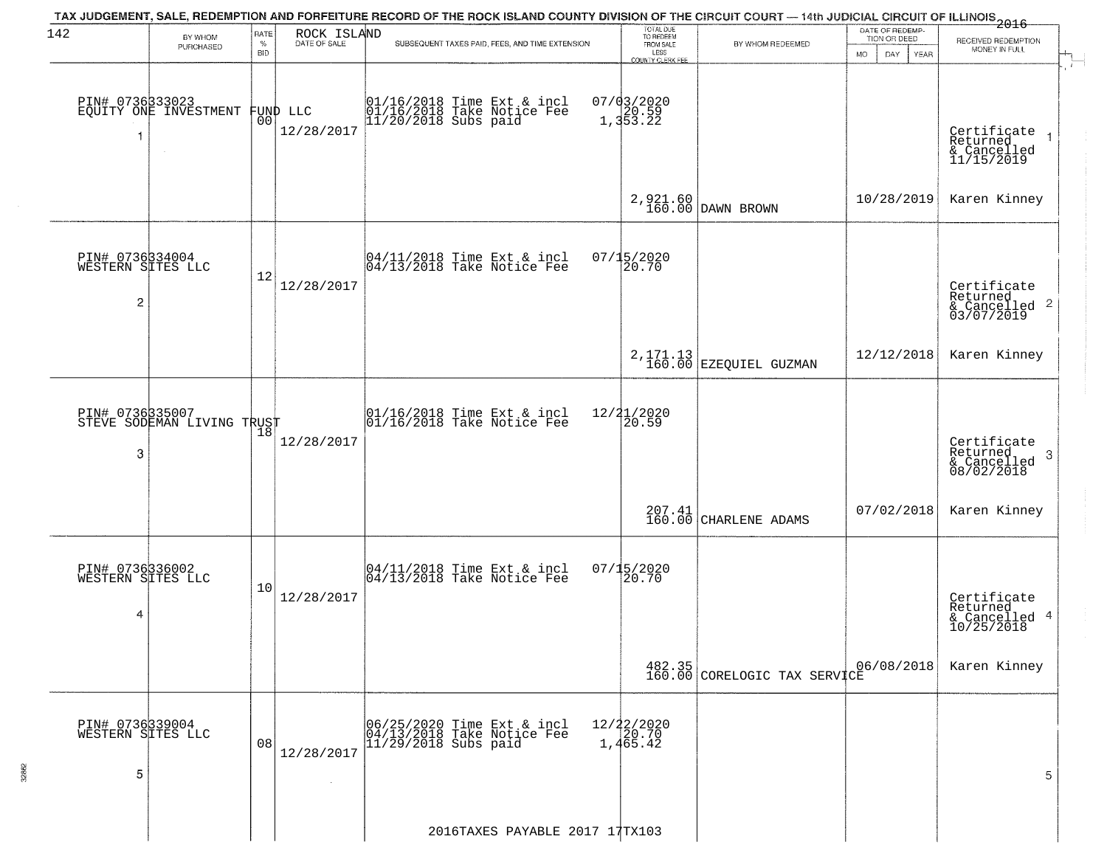| 142                                       | BY WHOM                                  | RATE               | ROCK ISLAND            | TAX JUDGEMENT, SALE, REDEMPTION AND FORFEITURE RECORD OF THE ROCK ISLAND COUNTY DIVISION OF THE CIRCUIT COURT — 14th JUDICIAL CIRCUIT OF ILLINOIS 2016 | TOTAL DUE<br>TO REDEEM<br>FROM SALE                   |                                      | DATE OF REDEMP-<br>TION OR DEED |                                                        |
|-------------------------------------------|------------------------------------------|--------------------|------------------------|--------------------------------------------------------------------------------------------------------------------------------------------------------|-------------------------------------------------------|--------------------------------------|---------------------------------|--------------------------------------------------------|
|                                           | PURCHASED                                | $\%$<br><b>BID</b> | DATE OF SALE           | SUBSEQUENT TAXES PAID, FEES, AND TIME EXTENSION                                                                                                        | LESS                                                  | BY WHOM REDEEMED                     | <b>MO</b><br>DAY<br><b>YEAR</b> | RECEIVED REDEMPTION<br>MONEY IN FULL                   |
| 1                                         | PIN# 0736333023<br>EQUITY ONE INVESTMENT | 00                 | FUND LLC<br>12/28/2017 | 01/16/2018 Time Ext & incl<br>01/16/2018 Take Notice Fee<br>11/20/2018 Subs paid                                                                       | <b>COUNTY CLERK FEE</b><br>$07/03/2020$<br>$1,353.22$ |                                      |                                 | Certificate<br>Returned<br>& Cancelled<br>11/15/2019   |
|                                           |                                          |                    |                        |                                                                                                                                                        |                                                       | 2, 921.60<br>160.00 DAWN BROWN       | 10/28/2019                      | Karen Kinney                                           |
| PIN# 0736334004<br>WESTERN SITES LLC<br>2 |                                          | 12                 | 12/28/2017             | 04/11/2018 Time Ext & incl<br>04/13/2018 Take Notice Fee                                                                                               | $07/15/2020$<br>20.70                                 |                                      |                                 | Certificate<br>Returned<br>& Cancelled 2<br>03/07/2019 |
|                                           |                                          |                    |                        |                                                                                                                                                        |                                                       | $2,171.13$<br>160.00 EZEQUIEL GUZMAN | 12/12/2018                      | Karen Kinney                                           |
| PIN# 0736335007<br>3                      | STEVE SODEMAN LIVING TRUST               | 18                 | 12/28/2017             | $\begin{array}{c} 01/16/2018 \\ 01/16/2018 \\ \end{array}$ Take Notice Fee                                                                             | $\frac{12}{2}$ $\frac{21}{20.59}$                     |                                      |                                 | Certificate<br>Returned<br>3<br>$\frac{6}{08/02/2018}$ |
|                                           |                                          |                    |                        |                                                                                                                                                        | 207.41<br>160.00                                      | CHARLENE ADAMS                       | 07/02/2018                      | Karen Kinney                                           |
| PIN# 0736336002<br>WESTERN SITES LLC<br>4 |                                          | 10                 | 12/28/2017             | 04/11/2018 Time Ext & incl<br>04/13/2018 Take Notice Fee                                                                                               | $07/15/2020$<br>20.70                                 |                                      |                                 | Certificate<br>Returned<br>& Cancelled 4<br>10/25/2018 |
|                                           |                                          |                    |                        |                                                                                                                                                        |                                                       | 482.35 CORELOGIC TAX SERVICE         | 06/08/2018                      | Karen Kinney                                           |
| PIN# 0736339004<br>WESTERN SITES LLC<br>5 |                                          | 08                 | 12/28/2017             | 06/25/2020 Time Ext & incl<br>04/13/2018 Take Notice Fee<br>$11/29/2018$ Subs paid                                                                     | $12/22/2020$<br>$20.70$<br>1,465.42                   |                                      |                                 | 5                                                      |
|                                           |                                          |                    |                        | 2016TAXES PAYABLE 2017 17TX103                                                                                                                         |                                                       |                                      |                                 |                                                        |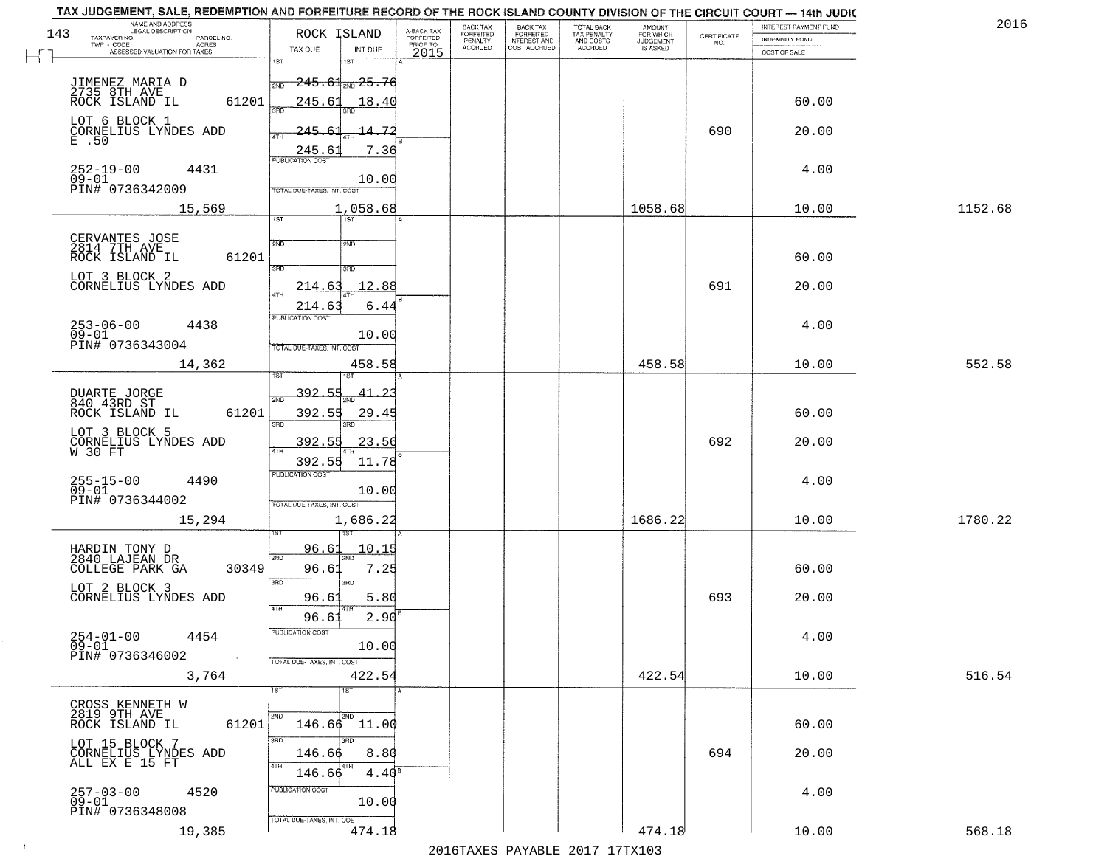| TAX JUDGEMENT, SALE, REDEMPTION AND FORFEITURE RECORD OF THE ROCK ISLAND COUNTY DIVISION OF THE CIRCUIT COURT - 14th JUDIC<br>NAME AND ADDRESS<br>LEGAL DESCRIPTION |                                       |                                     | BACK TAX                    |                                              |                                        |                                         |                                                                 | INTEREST PAYMENT FUND | 2016    |
|---------------------------------------------------------------------------------------------------------------------------------------------------------------------|---------------------------------------|-------------------------------------|-----------------------------|----------------------------------------------|----------------------------------------|-----------------------------------------|-----------------------------------------------------------------|-----------------------|---------|
| 143<br>TAXPAYER NO.<br>PARCEL NO.                                                                                                                                   | ROCK ISLAND                           | A-BACK TAX<br>FORFEITED<br>PRIOR TO | <b>FORFEITED</b><br>PENALTY | BACK TAX<br>FORFEITED<br><b>INTEREST AND</b> | TOTAL BACK<br>TAX PENALTY<br>AND COSTS | AMOUNT<br>FOR WHICH<br><b>JUDGEMENT</b> | $\begin{array}{c} \text{CERTIFICATE} \\ \text{NO.} \end{array}$ | INDEMNITY FUND        |         |
| ACRES<br>ASSESSED VALUATION FOR TAXES                                                                                                                               | TAX DUE<br>INT DUE                    | 2015                                | <b>ACCRUED</b>              | COST ACCRUED                                 | ACCRUED                                | IS ASKED                                |                                                                 | COST OF SALE          |         |
|                                                                                                                                                                     | 1ST<br>1ST                            |                                     |                             |                                              |                                        |                                         |                                                                 |                       |         |
|                                                                                                                                                                     | $\frac{1}{2ND}$ 245.61 $_{2ND}$ 25.76 |                                     |                             |                                              |                                        |                                         |                                                                 |                       |         |
| JIMENEZ MARIA D<br>2735 8TH AVE<br>ROCK ISLAND IL                                                                                                                   |                                       |                                     |                             |                                              |                                        |                                         |                                                                 |                       |         |
|                                                                                                                                                                     | 61201<br>245.61<br>18.40              |                                     |                             |                                              |                                        |                                         |                                                                 | 60.00                 |         |
| LOT 6 BLOCK 1                                                                                                                                                       |                                       |                                     |                             |                                              |                                        |                                         |                                                                 |                       |         |
| CORNELIUS LYNDES ADD<br>E .50                                                                                                                                       | 245.61<br>14.72                       |                                     |                             |                                              |                                        |                                         | 690                                                             | 20.00                 |         |
|                                                                                                                                                                     | 7.36<br>245.61                        |                                     |                             |                                              |                                        |                                         |                                                                 |                       |         |
| $252 - 19 - 00$<br>4431                                                                                                                                             |                                       |                                     |                             |                                              |                                        |                                         |                                                                 | 4.00                  |         |
| $09 - 01$                                                                                                                                                           | 10.00                                 |                                     |                             |                                              |                                        |                                         |                                                                 |                       |         |
| PIN# 0736342009                                                                                                                                                     | TOTAL DUE-TAXES, INT. COST            |                                     |                             |                                              |                                        |                                         |                                                                 |                       |         |
| 15,569                                                                                                                                                              | 1,058.68                              |                                     |                             |                                              |                                        | 1058.68                                 |                                                                 | 10.00                 | 1152.68 |
|                                                                                                                                                                     | IST                                   |                                     |                             |                                              |                                        |                                         |                                                                 |                       |         |
| CERVANTES JOSE<br>2814 7TH AVE                                                                                                                                      | 2ND<br>2ND                            |                                     |                             |                                              |                                        |                                         |                                                                 |                       |         |
| ROCK ISLAND IL                                                                                                                                                      | 61201                                 |                                     |                             |                                              |                                        |                                         |                                                                 | 60.00                 |         |
|                                                                                                                                                                     | 3RD<br>ਬਾ                             |                                     |                             |                                              |                                        |                                         |                                                                 |                       |         |
| LOT 3 BLOCK 2<br>CORNELIUS LYNDES ADD                                                                                                                               | 12.88<br>214.63                       |                                     |                             |                                              |                                        |                                         | 691                                                             | 20.00                 |         |
|                                                                                                                                                                     |                                       |                                     |                             |                                              |                                        |                                         |                                                                 |                       |         |
|                                                                                                                                                                     | 214.63<br>6.44<br>PUBLICATION COST    |                                     |                             |                                              |                                        |                                         |                                                                 |                       |         |
| $253 - 06 - 00$<br>4438                                                                                                                                             |                                       |                                     |                             |                                              |                                        |                                         |                                                                 | 4.00                  |         |
| $09 - 01$<br>PIN# 0736343004                                                                                                                                        | 10.00<br>TOTAL DUE-TAXES, INT. COST   |                                     |                             |                                              |                                        |                                         |                                                                 |                       |         |
|                                                                                                                                                                     |                                       |                                     |                             |                                              |                                        |                                         |                                                                 |                       |         |
| 14,362                                                                                                                                                              | 458.58<br><b>ST</b>                   |                                     |                             |                                              |                                        | 458.58                                  |                                                                 | 10.00                 | 552.58  |
|                                                                                                                                                                     |                                       |                                     |                             |                                              |                                        |                                         |                                                                 |                       |         |
| DUARTE JORGE<br>840 43RD ST                                                                                                                                         | 392.55<br>2ND                         |                                     |                             |                                              |                                        |                                         |                                                                 |                       |         |
| ROCK ISLAND IL                                                                                                                                                      | 61201<br>392.55<br>29.45              |                                     |                             |                                              |                                        |                                         |                                                                 | 60.00                 |         |
| LOT 3 BLOCK 5                                                                                                                                                       | 3BD<br>3RD                            |                                     |                             |                                              |                                        |                                         |                                                                 |                       |         |
| CORNELIUS LYNDES ADD<br>W 30 FT                                                                                                                                     | 392.5<br>23.56                        |                                     |                             |                                              |                                        |                                         | 692                                                             | 20.00                 |         |
|                                                                                                                                                                     | 392.55<br>11.78                       |                                     |                             |                                              |                                        |                                         |                                                                 |                       |         |
|                                                                                                                                                                     | <b>PUBLICATION COST</b>               |                                     |                             |                                              |                                        |                                         |                                                                 |                       |         |
| 255-15-00<br>09-01<br>4490                                                                                                                                          | 10.00                                 |                                     |                             |                                              |                                        |                                         |                                                                 | 4.00                  |         |
| PIN# 0736344002                                                                                                                                                     | TOTAL OUE-TAXES, INT. COST            |                                     |                             |                                              |                                        |                                         |                                                                 |                       |         |
| 15,294                                                                                                                                                              | 1,686.22                              |                                     |                             |                                              |                                        | 1686.22                                 |                                                                 | 10.00                 | 1780.22 |
|                                                                                                                                                                     |                                       |                                     |                             |                                              |                                        |                                         |                                                                 |                       |         |
|                                                                                                                                                                     | 10.15<br>96.61                        |                                     |                             |                                              |                                        |                                         |                                                                 |                       |         |
| HARDIN TONY D<br>2840 LAJEAN DR<br>COLLEGE PARK GA                                                                                                                  | 2ND<br>2ND<br>96.61<br>7.25<br>30349  |                                     |                             |                                              |                                        |                                         |                                                                 | 60.00                 |         |
|                                                                                                                                                                     | 3RD<br>3BD                            |                                     |                             |                                              |                                        |                                         |                                                                 |                       |         |
| LOT 2 BLOCK 3<br>CORNELIUS LYNDES ADD                                                                                                                               | 5.80                                  |                                     |                             |                                              |                                        |                                         | 693                                                             | 20.00                 |         |
|                                                                                                                                                                     | 96.61<br>4TH                          |                                     |                             |                                              |                                        |                                         |                                                                 |                       |         |
|                                                                                                                                                                     | 2.90<br>96.61                         |                                     |                             |                                              |                                        |                                         |                                                                 |                       |         |
| $254 - 01 - 00$<br>4454                                                                                                                                             | <b>PUBLICATION COS-</b>               |                                     |                             |                                              |                                        |                                         |                                                                 | 4.00                  |         |
| $09 - 01$<br>PIN# 0736346002                                                                                                                                        | 10.00                                 |                                     |                             |                                              |                                        |                                         |                                                                 |                       |         |
| $\sim 100$                                                                                                                                                          | TOTAL DUE-TAXES, INT. COST            |                                     |                             |                                              |                                        |                                         |                                                                 |                       |         |
| 3,764                                                                                                                                                               | 422.54                                |                                     |                             |                                              |                                        | 422.54                                  |                                                                 | 10.00                 | 516.54  |
|                                                                                                                                                                     | 1ST<br>1ST                            |                                     |                             |                                              |                                        |                                         |                                                                 |                       |         |
| CROSS KENNETH W<br>2819 9TH AVE                                                                                                                                     |                                       |                                     |                             |                                              |                                        |                                         |                                                                 |                       |         |
| ROCK ISLAND IL                                                                                                                                                      | 2ND<br>$146.66$ 11.00<br>61201        |                                     |                             |                                              |                                        |                                         |                                                                 | 60.00                 |         |
|                                                                                                                                                                     | 3RD<br>3BD                            |                                     |                             |                                              |                                        |                                         |                                                                 |                       |         |
| LOT 15 BLOCK 7<br>CORNELIUS LYNDES ADD                                                                                                                              | 146.66<br>8.80                        |                                     |                             |                                              |                                        |                                         | 694                                                             | 20.00                 |         |
| ALL EX E 15 FT                                                                                                                                                      | $4.40^{\overline{8}}$<br>146.66       |                                     |                             |                                              |                                        |                                         |                                                                 |                       |         |
|                                                                                                                                                                     | PUBLICATION COST                      |                                     |                             |                                              |                                        |                                         |                                                                 |                       |         |
| 257-03-00<br>09-01<br>4520                                                                                                                                          | 10.00                                 |                                     |                             |                                              |                                        |                                         |                                                                 | 4.00                  |         |
| PIN# 0736348008                                                                                                                                                     |                                       |                                     |                             |                                              |                                        |                                         |                                                                 |                       |         |
| 19,385                                                                                                                                                              | TOTAL DUE-TAXES, INT. COST<br>474.18  |                                     |                             |                                              |                                        | 474.18                                  |                                                                 | 10.00                 | 568.18  |
|                                                                                                                                                                     |                                       |                                     |                             |                                              | 2016 TAVEC DAVARLE 2017 17 TV102       |                                         |                                                                 |                       |         |
|                                                                                                                                                                     |                                       |                                     |                             |                                              |                                        |                                         |                                                                 |                       |         |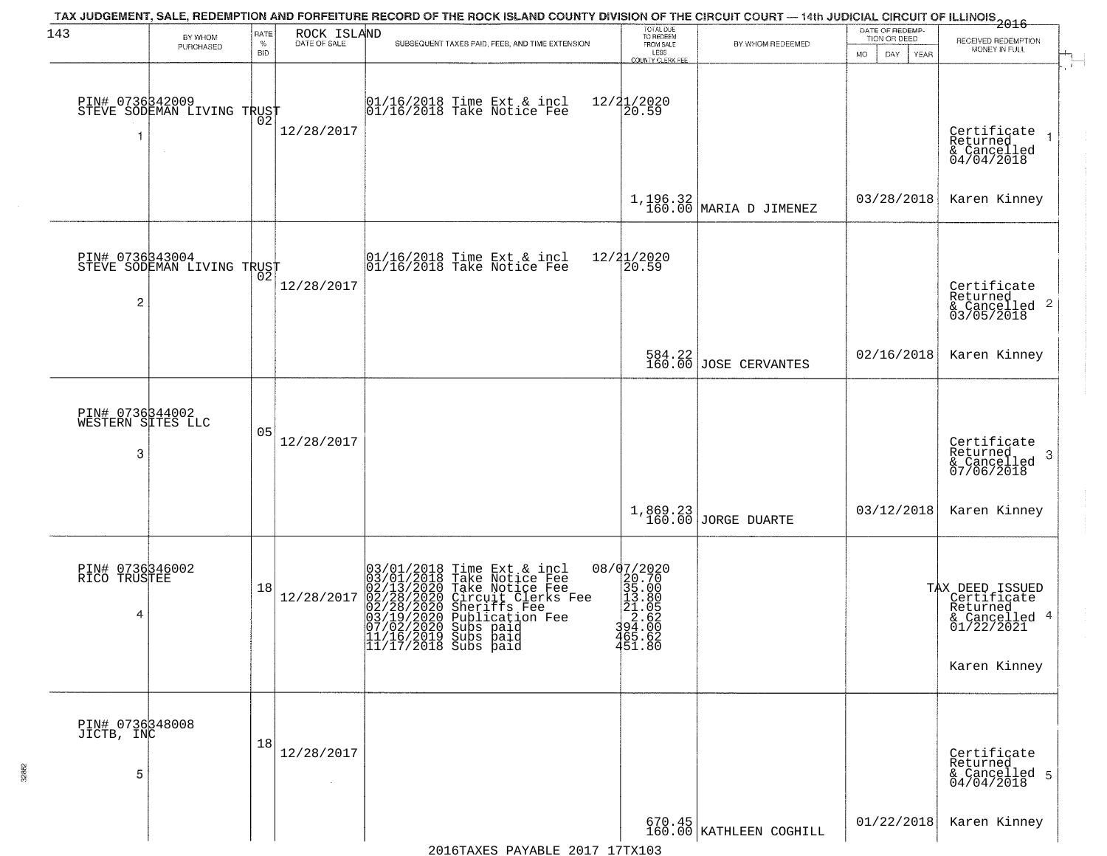| 143                                       | BY WHOM                                           | RATE               | ROCK ISLAND          | TAX JUDGEMENT, SALE, REDEMPTION AND FORFEITURE RECORD OF THE ROCK ISLAND COUNTY DIVISION OF THE CIRCUIT COURT — 14th JUDICIAL CIRCUIT OF ILLINOIS 2016                                                                                                                       | TOTAL DUE<br>TO REDEEM<br>FROM SALE                                                                                                  |                                 | DATE OF REDEMP-<br>TION OR DEED | RECEIVED REDEMPTION                                                                       |  |
|-------------------------------------------|---------------------------------------------------|--------------------|----------------------|------------------------------------------------------------------------------------------------------------------------------------------------------------------------------------------------------------------------------------------------------------------------------|--------------------------------------------------------------------------------------------------------------------------------------|---------------------------------|---------------------------------|-------------------------------------------------------------------------------------------|--|
|                                           | PURCHASED                                         | $\%$<br><b>BID</b> | DATE OF SALE         | SUBSEQUENT TAXES PAID, FEES, AND TIME EXTENSION                                                                                                                                                                                                                              | LESS<br><b>COUNTY CLERK FEE</b>                                                                                                      | BY WHOM REDEEMED                | MO.<br>DAY.<br>YEAR             | MONEY IN FULL                                                                             |  |
|                                           | PIN# 0736342009    <br>STEVE SODEMAN LIVING TRUST | ŌŽ                 | 12/28/2017           | 01/16/2018 Time Ext & incl<br>01/16/2018 Take Notice Fee                                                                                                                                                                                                                     | 12/21/2020<br>20.59                                                                                                                  |                                 |                                 | Certificate<br>Returned<br>& Cancelled<br>04/04/2018                                      |  |
|                                           |                                                   |                    |                      |                                                                                                                                                                                                                                                                              |                                                                                                                                      | $1,196.32$ MARIA D JIMENEZ      | 03/28/2018                      | Karen Kinney                                                                              |  |
| PIN# 0736343004<br>2                      | STEVE SODEMAN LIVING TRUST                        |                    | 12/28/2017           | 01/16/2018 Time Ext & incl<br>01/16/2018 Take Notice Fee                                                                                                                                                                                                                     | 12/21/2020<br>20.59                                                                                                                  |                                 |                                 | Certificate<br>Returned<br>& Cancelled 2<br>03/05/2018                                    |  |
|                                           |                                                   |                    |                      |                                                                                                                                                                                                                                                                              |                                                                                                                                      | 584.22<br>160.00 JOSE CERVANTES | 02/16/2018                      | Karen Kinney                                                                              |  |
| PIN# 0736344002<br>WESTERN SITES LLC<br>3 |                                                   | 05                 | 12/28/2017           |                                                                                                                                                                                                                                                                              |                                                                                                                                      |                                 |                                 | Certificate<br>Returned<br>3<br>& Cancelled<br>07/06/2018                                 |  |
|                                           |                                                   |                    |                      |                                                                                                                                                                                                                                                                              |                                                                                                                                      | 1,869.23<br>160.00 JORGE DUARTE | 03/12/2018                      | Karen Kinney                                                                              |  |
| PIN# 0736346002<br>RICO TRUSTEE<br>4      |                                                   | 18                 | 12/28/2017           | 03/01/2018 Time Ext & incl<br>03/01/2018 Take Notice Fee<br>02/13/2020 Take Notice Fee<br>02/28/2020 Circuit Clerks Fee<br>02/28/2020 Sheriffs Fee<br>03/19/2020 Subs paid<br>07/02/2020 Subs paid<br>07/02/2020 Subs paid<br> 11/16/2019 Subs paid<br> 11/17/2018 Subs paid | 08/07/2020<br>$\begin{array}{r} 20.700 \\ 29.700 \\ 35.000 \\ 21.000 \\ 22.600 \\ 24.000 \\ 365.000 \end{array}$<br>465.62<br>451.80 |                                 |                                 | TAX DEED ISSUED<br>Certificate<br>Returned<br>& Cancelled 4<br>01/22/2021<br>Karen Kinney |  |
| PIN# 0736348008<br>JICTB, INC<br>5        |                                                   | 18                 | 12/28/2017<br>$\sim$ |                                                                                                                                                                                                                                                                              |                                                                                                                                      |                                 |                                 | Certificate<br>Returned<br>& Cancelled 5<br>04/04/2018                                    |  |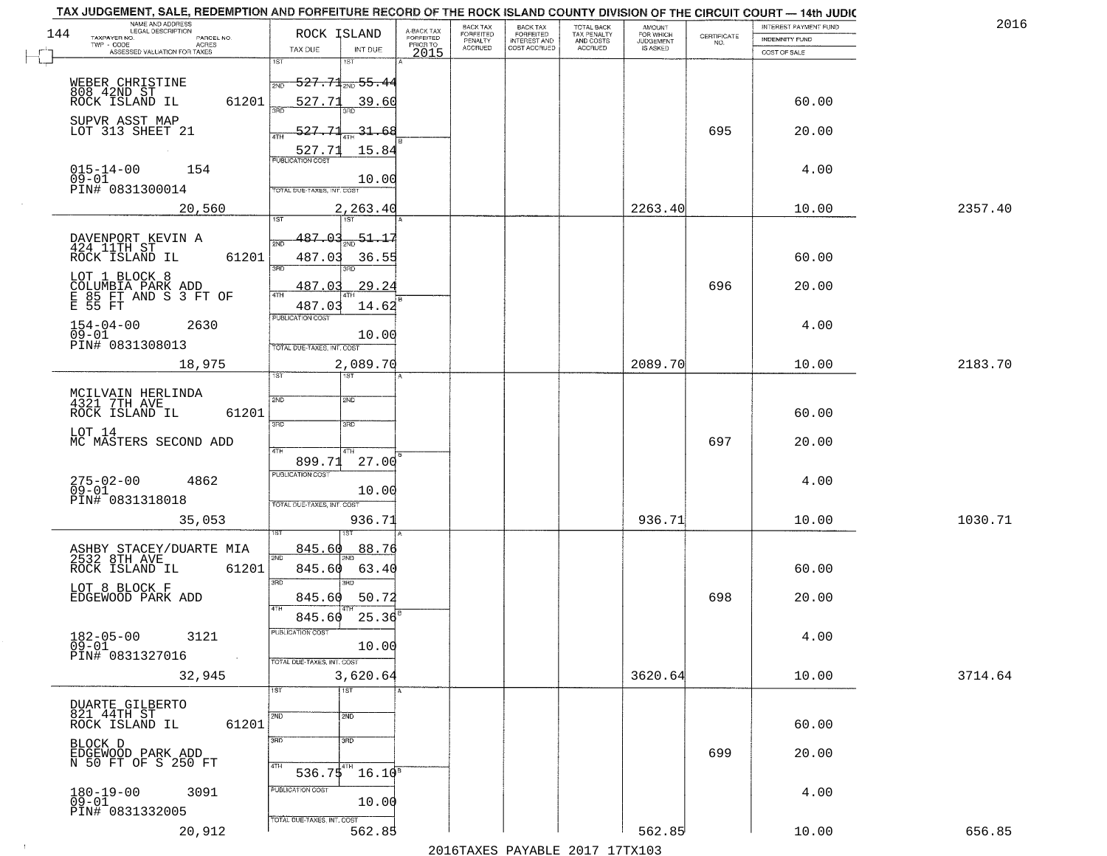|     | TAX JUDGEMENT, SALE, REDEMPTION AND FORFEITURE RECORD OF THE ROCK ISLAND COUNTY DIVISION OF THE CIRCUIT COURT - 14th JUDIC<br>NAME AND ADDRESS<br>LEGAL DESCRIPTION |                                               |                                     | <b>BACK TAX</b>             | BACK TAX<br>FORFEITED |                                        | AMOUNT<br>FOR WHICH |                                                                 | INTEREST PAYMENT FUND | 2016    |
|-----|---------------------------------------------------------------------------------------------------------------------------------------------------------------------|-----------------------------------------------|-------------------------------------|-----------------------------|-----------------------|----------------------------------------|---------------------|-----------------------------------------------------------------|-----------------------|---------|
| 144 | TAXPAYER NO.<br>PARCEL NO.                                                                                                                                          | ROCK ISLAND                                   | A-BACK TAX<br>FORFEITED<br>PRIOR TO | <b>FORFEITED</b><br>PENALTY | <b>INTEREST AND</b>   | TOTAL BACK<br>TAX PENALTY<br>AND COSTS | <b>JUDGEMENT</b>    | $\begin{array}{c} \text{CERTIFICATE} \\ \text{NO.} \end{array}$ | INDEMNITY FUND        |         |
|     | ACRES<br>ASSESSED VALUATION FOR TAXES                                                                                                                               | TAX DUE<br>INT DUE                            | 2015                                | <b>ACCRUED</b>              | COST ACCRUED          | <b>ACCRUED</b>                         | IS ASKED            |                                                                 | COST OF SALE          |         |
|     |                                                                                                                                                                     | 1ST<br>1ST                                    |                                     |                             |                       |                                        |                     |                                                                 |                       |         |
|     | WEBER CHRISTINE                                                                                                                                                     | <del>527.71<sub>2ND</sub> 55.4</del> 4<br>2ND |                                     |                             |                       |                                        |                     |                                                                 |                       |         |
|     | 808 42ND ST<br>ROCK ISLAND IL                                                                                                                                       |                                               |                                     |                             |                       |                                        |                     |                                                                 |                       |         |
|     | 61201                                                                                                                                                               | 527.71<br>39.60                               |                                     |                             |                       |                                        |                     |                                                                 | 60.00                 |         |
|     | SUPVR ASST MAP                                                                                                                                                      |                                               |                                     |                             |                       |                                        |                     |                                                                 |                       |         |
|     | LOT 313 SHEET 21                                                                                                                                                    | 527.71<br>$-31 - 68$                          |                                     |                             |                       |                                        |                     | 695                                                             | 20.00                 |         |
|     |                                                                                                                                                                     | 15.84<br><u>527.71</u>                        |                                     |                             |                       |                                        |                     |                                                                 |                       |         |
|     | 154                                                                                                                                                                 | <b>PUBLICATION COST</b>                       |                                     |                             |                       |                                        |                     |                                                                 | 4.00                  |         |
|     | $015 - 14 - 00$<br>09-01                                                                                                                                            | 10.00                                         |                                     |                             |                       |                                        |                     |                                                                 |                       |         |
|     | PIN# 0831300014                                                                                                                                                     | TOTAL DUE-TAXES, INT. COST                    |                                     |                             |                       |                                        |                     |                                                                 |                       |         |
|     | 20,560                                                                                                                                                              | 2,263.40                                      |                                     |                             |                       |                                        | 2263.40             |                                                                 | 10.00                 | 2357.40 |
|     |                                                                                                                                                                     |                                               |                                     |                             |                       |                                        |                     |                                                                 |                       |         |
|     |                                                                                                                                                                     | $\frac{51.17}{200}$<br><u>487.03</u>          |                                     |                             |                       |                                        |                     |                                                                 |                       |         |
|     | DAVENPORT KEVIN A<br>424 11TH ST                                                                                                                                    |                                               |                                     |                             |                       |                                        |                     |                                                                 |                       |         |
|     | 61201<br>ROCK ISLAND IL                                                                                                                                             | 487.03<br>36.55<br>3RD<br>ਭਸ਼ਨ                |                                     |                             |                       |                                        |                     |                                                                 | 60.00                 |         |
|     | LOT 1 BLOCK 8                                                                                                                                                       |                                               |                                     |                             |                       |                                        |                     |                                                                 |                       |         |
|     | COLUMBIA PARK ADD<br>E 85 FT AND S 3 FT OF<br>E 55 FT                                                                                                               | 29.24<br>487.03                               |                                     |                             |                       |                                        |                     | 696                                                             | 20.00                 |         |
|     |                                                                                                                                                                     | 487.03<br>14.62                               |                                     |                             |                       |                                        |                     |                                                                 |                       |         |
|     | $154 - 04 - 00$<br>2630                                                                                                                                             | PUBLICATION COST                              |                                     |                             |                       |                                        |                     |                                                                 | 4.00                  |         |
|     | $09 - 01$                                                                                                                                                           | 10.00                                         |                                     |                             |                       |                                        |                     |                                                                 |                       |         |
|     | PIN# 0831308013                                                                                                                                                     | TOTAL DUE-TAXES, INT. COST                    |                                     |                             |                       |                                        |                     |                                                                 |                       |         |
|     | 18,975                                                                                                                                                              | 2,089.70                                      |                                     |                             |                       |                                        | 2089.70             |                                                                 | 10.00                 | 2183.70 |
|     |                                                                                                                                                                     | 1ST<br>1ST                                    |                                     |                             |                       |                                        |                     |                                                                 |                       |         |
|     |                                                                                                                                                                     |                                               |                                     |                             |                       |                                        |                     |                                                                 |                       |         |
|     | MCILVAIN HERLINDA<br>4321 7TH AVE                                                                                                                                   | 2ND<br>2ND                                    |                                     |                             |                       |                                        |                     |                                                                 |                       |         |
|     | ROCK ISLAND IL<br>61201                                                                                                                                             | 3BD<br>3RD                                    |                                     |                             |                       |                                        |                     |                                                                 | 60.00                 |         |
|     | LOT 14                                                                                                                                                              |                                               |                                     |                             |                       |                                        |                     |                                                                 |                       |         |
|     | MC MASTERS SECOND ADD                                                                                                                                               | 4TH<br>4TH                                    |                                     |                             |                       |                                        |                     | 697                                                             | 20.00                 |         |
|     |                                                                                                                                                                     | 899.71<br>27.00                               |                                     |                             |                       |                                        |                     |                                                                 |                       |         |
|     | 4862                                                                                                                                                                | <b>PUBLICATION COST</b>                       |                                     |                             |                       |                                        |                     |                                                                 | 4.00                  |         |
|     | 275-02-00<br>09-01                                                                                                                                                  | 10.00                                         |                                     |                             |                       |                                        |                     |                                                                 |                       |         |
|     | PIN# 0831318018                                                                                                                                                     | TOTAL OUE-TAXES, INT. COST                    |                                     |                             |                       |                                        |                     |                                                                 |                       |         |
|     | 35,053                                                                                                                                                              | 936.71                                        |                                     |                             |                       |                                        | 936.71              |                                                                 | 10.00                 | 1030.71 |
|     |                                                                                                                                                                     |                                               |                                     |                             |                       |                                        |                     |                                                                 |                       |         |
|     | ASHBY STACEY/DUARTE MIA<br>2532 8TH AVE                                                                                                                             | 845.60<br>88.76                               |                                     |                             |                       |                                        |                     |                                                                 |                       |         |
|     | ROCK ISLAND IL<br>61201                                                                                                                                             | 2ND<br>845.60<br>63.40                        |                                     |                             |                       |                                        |                     |                                                                 | 60.00                 |         |
|     |                                                                                                                                                                     | 3RD<br>3RD                                    |                                     |                             |                       |                                        |                     |                                                                 |                       |         |
|     | LOT 8 BLOCK F<br>EDGEWOOD PARK ADD                                                                                                                                  | 50.72<br>845.60                               |                                     |                             |                       |                                        |                     | 698                                                             | 20.00                 |         |
|     |                                                                                                                                                                     | 4TH                                           |                                     |                             |                       |                                        |                     |                                                                 |                       |         |
|     |                                                                                                                                                                     | 25.36<br>845.60                               |                                     |                             |                       |                                        |                     |                                                                 |                       |         |
|     | $182 - 05 - 00$<br>3121                                                                                                                                             | <b>PUBLICATION COS-</b>                       |                                     |                             |                       |                                        |                     |                                                                 | 4.00                  |         |
|     | $09 - 01$                                                                                                                                                           | 10.00                                         |                                     |                             |                       |                                        |                     |                                                                 |                       |         |
|     | PIN# 0831327016<br>$\sim 100$                                                                                                                                       | TOTAL DUE-TAXES, INT. COST                    |                                     |                             |                       |                                        |                     |                                                                 |                       |         |
|     | 32,945                                                                                                                                                              | 3,620.64                                      |                                     |                             |                       |                                        | 3620.64             |                                                                 | 10.00                 | 3714.64 |
|     |                                                                                                                                                                     | 1ST<br>$\overline{1}$ 1ST                     |                                     |                             |                       |                                        |                     |                                                                 |                       |         |
|     | <b>DUARTE GILBERTO</b>                                                                                                                                              |                                               |                                     |                             |                       |                                        |                     |                                                                 |                       |         |
|     | 821 44TH ST<br>61201<br>ROCK ISLAND IL                                                                                                                              | 2ND<br>2ND                                    |                                     |                             |                       |                                        |                     |                                                                 | 60.00                 |         |
|     |                                                                                                                                                                     | 3RD<br>3RD                                    |                                     |                             |                       |                                        |                     |                                                                 |                       |         |
|     | BLOCK D<br>EDGEWOOD PARK ADD<br>N 50 FT OF S 250 FT                                                                                                                 |                                               |                                     |                             |                       |                                        |                     | 699                                                             | 20.00                 |         |
|     |                                                                                                                                                                     | 4TH                                           |                                     |                             |                       |                                        |                     |                                                                 |                       |         |
|     |                                                                                                                                                                     | $16.10^{8}$<br>536.75                         |                                     |                             |                       |                                        |                     |                                                                 |                       |         |
|     | $180 - 19 - 00$<br>3091                                                                                                                                             | PUBLICATION COST                              |                                     |                             |                       |                                        |                     |                                                                 | 4.00                  |         |
|     | $09 - 01$<br>PIN# 0831332005                                                                                                                                        | 10.00                                         |                                     |                             |                       |                                        |                     |                                                                 |                       |         |
|     |                                                                                                                                                                     | TOTAL DUE-TAXES, INT. COST                    |                                     |                             |                       |                                        |                     |                                                                 |                       |         |
|     | 20,912                                                                                                                                                              | 562.85                                        |                                     |                             |                       |                                        | 562.85              |                                                                 | 10.00                 | 656.85  |
|     |                                                                                                                                                                     |                                               |                                     |                             |                       | 2016 TAVEC DAVARLE 2017 17 TV102       |                     |                                                                 |                       |         |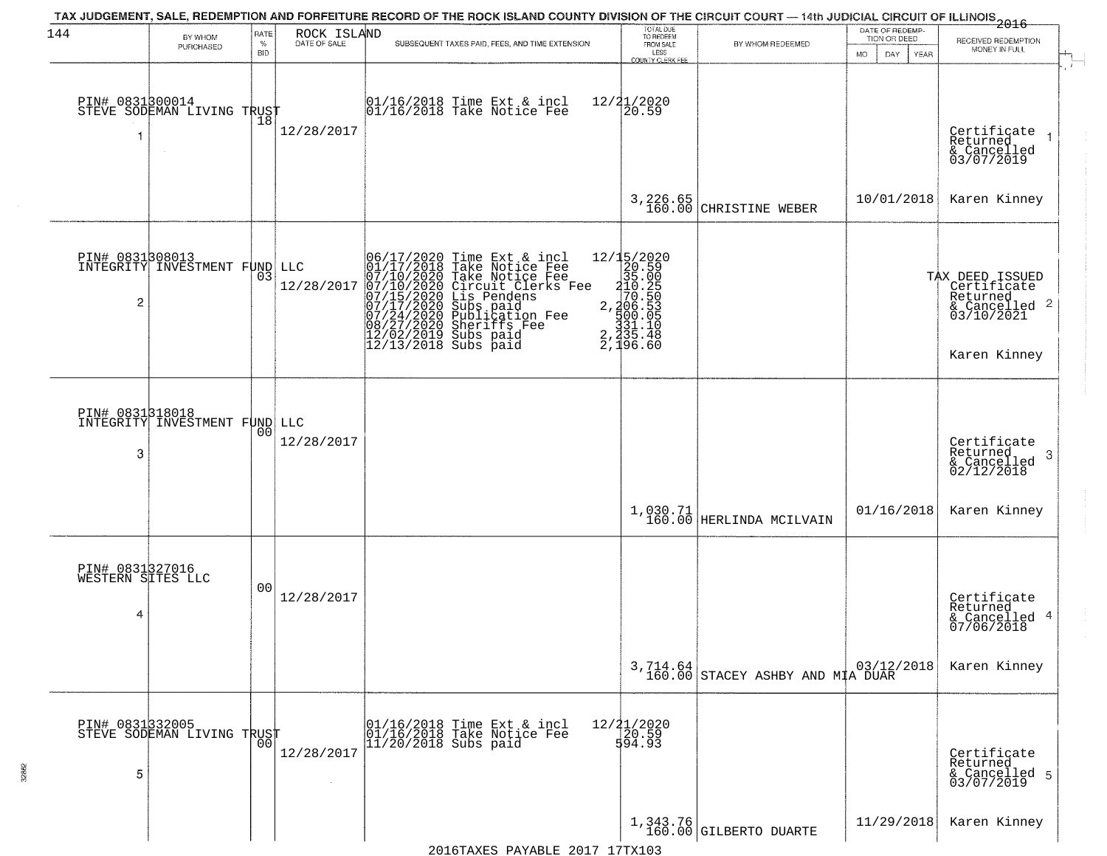| 144                                       | BY WHOM                                          | RATE<br>$\%$ | ROCK ISLAND<br>DATE OF SALE | TAX JUDGEMENT, SALE, REDEMPTION AND FORFEITURE RECORD OF THE ROCK ISLAND COUNTY DIVISION OF THE CIRCUIT COURT — 14th JUDICIAL CIRCUIT OF ILLINOIS 2016<br>SUBSEQUENT TAXES PAID, FEES, AND TIME EXTENSION                                             | TOTAL DUE<br>TO REDEEM<br>FROM SALE | BY WHOM REDEEMED                                                                                                                                | DATE OF REDEMP-<br>TION OR DEED | RECEIVED REDEMPTION                                                                       |
|-------------------------------------------|--------------------------------------------------|--------------|-----------------------------|-------------------------------------------------------------------------------------------------------------------------------------------------------------------------------------------------------------------------------------------------------|-------------------------------------|-------------------------------------------------------------------------------------------------------------------------------------------------|---------------------------------|-------------------------------------------------------------------------------------------|
|                                           | PURCHASED                                        | <b>BID</b>   |                             |                                                                                                                                                                                                                                                       | LESS<br>COUNTY CLERK FEE            |                                                                                                                                                 | DAY<br>MO.<br><b>YEAR</b>       | MONEY IN FULL                                                                             |
|                                           | PIN# 0831800014<br>STEVE SODEMAN LIVING TRUST    |              | 12/28/2017                  | 01/16/2018 Time Ext & incl<br>01/16/2018 Take Notice Fee                                                                                                                                                                                              | $\frac{12}{31/2020}$                |                                                                                                                                                 |                                 | Certificate<br>Returned<br>& Cancelled<br>03/07/2019                                      |
|                                           |                                                  |              |                             |                                                                                                                                                                                                                                                       | 3,226.65<br>160.00                  | CHRISTINE WEBER                                                                                                                                 | 10/01/2018                      | Karen Kinney                                                                              |
| PIN# 0831308013<br>2                      | INTEGRITY INVESTMENT FUND LLC                    | 03           | 12/28/2017                  | 06/17/2020 Time Ext & incl<br>01/17/2018 Take Notice Fee<br>07/10/2020 Take Notice Fee<br>07/10/2020 Circuit Clerks Fee<br>07/15/2020 Circuit Clerks Fee<br>07/17/2020 Subs paid<br>07/24/2020 Publication Fee<br>08/27/2020 Sheriffs Fee<br>12/02/20 | 2, 335.48<br>2, 196.60              |                                                                                                                                                 |                                 | TAX DEED ISSUED<br>Certificate<br>Returned<br>& Cancelled 2<br>03/10/2021<br>Karen Kinney |
| 3                                         | PIN# 0831318018<br>INTEGRITY INVESTMENT FUND LLC | 00           | 12/28/2017                  |                                                                                                                                                                                                                                                       |                                     |                                                                                                                                                 |                                 | Certificate<br>Returned<br>-3<br>$\frac{2}{2}$ Cancelled<br>02/12/2018                    |
|                                           |                                                  |              |                             |                                                                                                                                                                                                                                                       |                                     | $\begin{array}{c} 1,030.71 \\ 160.00 \end{array} \begin{array}{c} \texttt{HERLINDA} \end{array} \begin{array}{c} \texttt{MCILVAIN} \end{array}$ | 01/16/2018                      | Karen Kinney                                                                              |
| PIN# 0831327016<br>WESTERN SITES LLC<br>4 |                                                  | 00           | 12/28/2017                  |                                                                                                                                                                                                                                                       |                                     |                                                                                                                                                 |                                 | Certificate<br>Returned<br>& Cancelled 4<br>07/06/2018                                    |
|                                           |                                                  |              |                             |                                                                                                                                                                                                                                                       |                                     | 3,714.64<br>160.00 STACEY ASHBY AND MIA DUAR                                                                                                    |                                 | Karen Kinney                                                                              |
| 5                                         | PIN# 0831332005<br>STEVE SODEMAN LIVING TRUST    | 00           | 12/28/2017                  | 01/16/2018 Time Ext & incl<br>01/16/2018 Take Notice Fee<br>11/20/2018 Subs paid                                                                                                                                                                      | $12/21/2020$<br>$120.59$<br>594.93  |                                                                                                                                                 |                                 | Certificate<br>Returned<br>& Cancelled 5<br>03/07/2019                                    |
|                                           |                                                  |              |                             |                                                                                                                                                                                                                                                       |                                     | 1,343.76<br>160.00 GILBERTO DUARTE                                                                                                              | 11/29/2018                      | Karen Kinney                                                                              |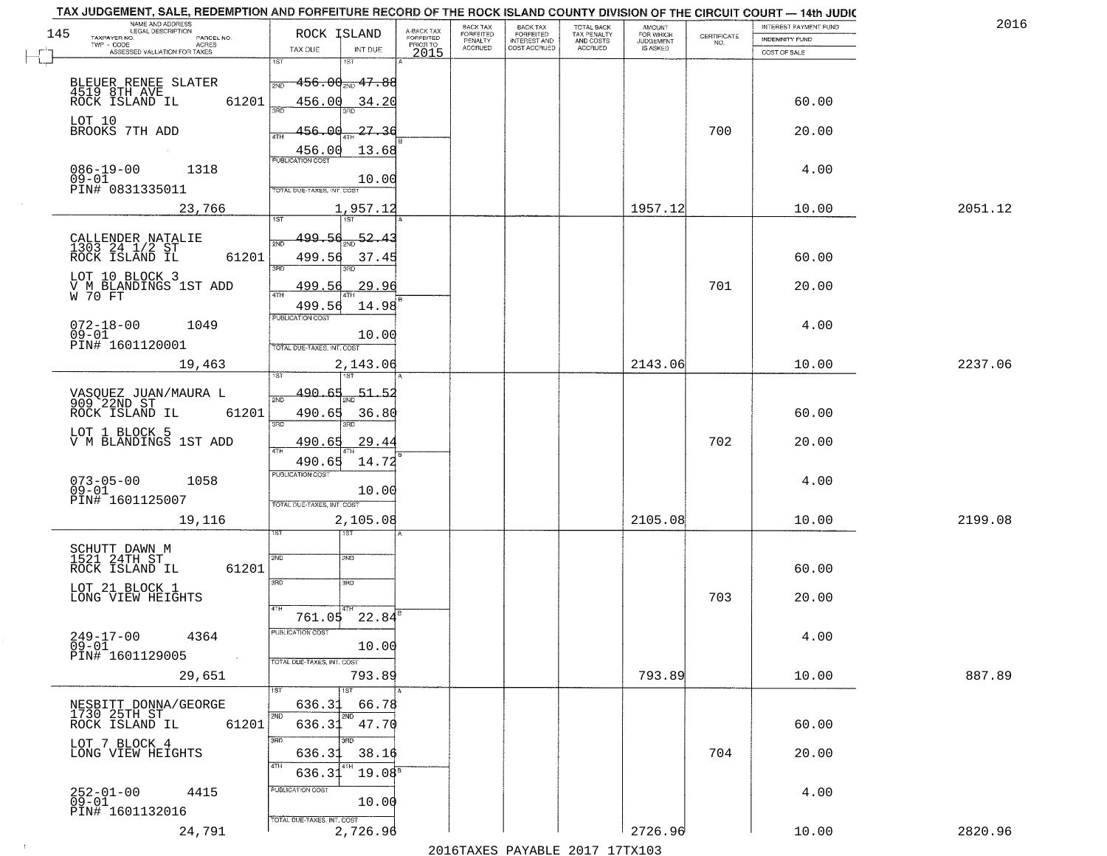| TAX JUDGEMENT, SALE, REDEMPTION AND FORFEITURE RECORD OF THE ROCK ISLAND COUNTY DIVISION OF THE CIRCUIT COURT - 14th JUDIC<br>NAME AND ADDRESS<br>LEGAL DESCRIPTION |                                          |                                     | BACK TAX                    | BACK TAX<br>FORFEITED |                                        | AMOUNT<br>FOR WHICH |                                                                 | INTEREST PAYMENT FUND | 2016    |
|---------------------------------------------------------------------------------------------------------------------------------------------------------------------|------------------------------------------|-------------------------------------|-----------------------------|-----------------------|----------------------------------------|---------------------|-----------------------------------------------------------------|-----------------------|---------|
| 145<br>TAXPAYER NO.<br>PARCEL NO.                                                                                                                                   | ROCK ISLAND                              | A-BACK TAX<br>FORFEITED<br>PRIOR TO | <b>FORFEITED</b><br>PENALTY | <b>INTEREST AND</b>   | TOTAL BACK<br>TAX PENALTY<br>AND COSTS | <b>JUDGEMENT</b>    | $\begin{array}{c} \text{CERTIFICATE} \\ \text{NO.} \end{array}$ | INDEMNITY FUND        |         |
| ACRES<br>ASSESSED VALUATION FOR TAXES                                                                                                                               | TAX DUE<br>INT DUE                       | 2015                                | <b>ACCRUED</b>              | COST ACCRUED          | <b>ACCRUED</b>                         | IS ASKED            |                                                                 | COST OF SALE          |         |
|                                                                                                                                                                     | 1ST<br>1ST                               |                                     |                             |                       |                                        |                     |                                                                 |                       |         |
|                                                                                                                                                                     | $-456.00_{\tiny \rm NID}$ $47.88$<br>2ND |                                     |                             |                       |                                        |                     |                                                                 |                       |         |
| BLEUER RENEE SLATER<br>4519 8TH AVE<br>ROCK ISLAND IL<br>61201                                                                                                      | 456.00                                   |                                     |                             |                       |                                        |                     |                                                                 | 60.00                 |         |
|                                                                                                                                                                     | 34.20                                    |                                     |                             |                       |                                        |                     |                                                                 |                       |         |
| LOT 10<br>BROOKS 7TH ADD                                                                                                                                            | 456.00<br>-27.36                         |                                     |                             |                       |                                        |                     | 700                                                             | 20.00                 |         |
|                                                                                                                                                                     |                                          |                                     |                             |                       |                                        |                     |                                                                 |                       |         |
|                                                                                                                                                                     | 456.00<br>13.68                          |                                     |                             |                       |                                        |                     |                                                                 |                       |         |
| $086 - 19 - 00$<br>1318                                                                                                                                             |                                          |                                     |                             |                       |                                        |                     |                                                                 | 4.00                  |         |
| $09 - 01$<br>PIN# 0831335011                                                                                                                                        | 10.00<br>TOTAL DUE-TAXES, INT. COST      |                                     |                             |                       |                                        |                     |                                                                 |                       |         |
| 23,766                                                                                                                                                              |                                          |                                     |                             |                       |                                        | 1957.12             |                                                                 | 10.00                 | 2051.12 |
|                                                                                                                                                                     | 1,957.12                                 |                                     |                             |                       |                                        |                     |                                                                 |                       |         |
|                                                                                                                                                                     | $-52.43$<br>499.56                       |                                     |                             |                       |                                        |                     |                                                                 |                       |         |
| CALLENDER NATALIE<br>1303 24 1/2 ST<br>ROCK ISLAND IL                                                                                                               |                                          |                                     |                             |                       |                                        |                     |                                                                 |                       |         |
| 61201                                                                                                                                                               | 499.56<br>37.45<br>बन्ना<br>3RD          |                                     |                             |                       |                                        |                     |                                                                 | 60.00                 |         |
| LOT 10 BLOCK 3                                                                                                                                                      |                                          |                                     |                             |                       |                                        |                     |                                                                 |                       |         |
| V M BLANDINGS 1ST ADD<br>W 70 FT                                                                                                                                    | 29.96<br>499.56                          |                                     |                             |                       |                                        |                     | 701                                                             | 20.00                 |         |
|                                                                                                                                                                     | 499.56<br>14.98                          |                                     |                             |                       |                                        |                     |                                                                 |                       |         |
| $072 - 18 - 00$<br>1049                                                                                                                                             | PUBLICATION COST                         |                                     |                             |                       |                                        |                     |                                                                 | 4.00                  |         |
| $09 - 01$<br>PIN# 1601120001                                                                                                                                        | 10.00                                    |                                     |                             |                       |                                        |                     |                                                                 |                       |         |
|                                                                                                                                                                     | TOTAL DUE-TAXES, INT. COST               |                                     |                             |                       |                                        |                     |                                                                 |                       |         |
| 19,463                                                                                                                                                              | 2,143.06<br>1ST                          |                                     |                             |                       |                                        | 2143.06             |                                                                 | 10.00                 | 2237.06 |
|                                                                                                                                                                     |                                          |                                     |                             |                       |                                        |                     |                                                                 |                       |         |
| VASQUEZ JUAN/MAURA L<br>909 22ND ST                                                                                                                                 | 490.65<br><u>51.5</u><br>2ND             |                                     |                             |                       |                                        |                     |                                                                 |                       |         |
| ROCK ISLAND IL<br>61201                                                                                                                                             | 490.65<br>36.80                          |                                     |                             |                       |                                        |                     |                                                                 | 60.00                 |         |
| LOT 1 BLOCK 5                                                                                                                                                       | 3RD<br>3RD                               |                                     |                             |                       |                                        |                     |                                                                 |                       |         |
| V M BLANDINGS 1ST ADD                                                                                                                                               | 490.65<br><u>29.44</u><br>4TH            |                                     |                             |                       |                                        |                     | 702                                                             | 20.00                 |         |
|                                                                                                                                                                     | 490.65<br>14.72                          |                                     |                             |                       |                                        |                     |                                                                 |                       |         |
| 1058                                                                                                                                                                | <b>PUBLICATION COST</b>                  |                                     |                             |                       |                                        |                     |                                                                 | 4.00                  |         |
| $073 - 05 - 00$<br>09-01                                                                                                                                            | 10.00                                    |                                     |                             |                       |                                        |                     |                                                                 |                       |         |
| PIN# 1601125007                                                                                                                                                     | TOTAL OUE-TAXES, INT. COST               |                                     |                             |                       |                                        |                     |                                                                 |                       |         |
| 19,116                                                                                                                                                              | 2,105.08                                 |                                     |                             |                       |                                        | 2105.08             |                                                                 | 10.00                 | 2199.08 |
|                                                                                                                                                                     | ৰজা                                      |                                     |                             |                       |                                        |                     |                                                                 |                       |         |
| SCHUTT DAWN M<br>1521 24TH ST                                                                                                                                       | 2ND<br>2ND                               |                                     |                             |                       |                                        |                     |                                                                 |                       |         |
| ROCK ISLAND IL<br>61201                                                                                                                                             |                                          |                                     |                             |                       |                                        |                     |                                                                 | 60.00                 |         |
| LOT 21 BLOCK 1                                                                                                                                                      | 3RD<br>3HD                               |                                     |                             |                       |                                        |                     |                                                                 |                       |         |
| LONG VIEW HEIGHTS                                                                                                                                                   |                                          |                                     |                             |                       |                                        |                     | 703                                                             | 20.00                 |         |
|                                                                                                                                                                     | 4TH<br>761.05 22.84                      |                                     |                             |                       |                                        |                     |                                                                 |                       |         |
| $249 - 17 - 00$<br>4364                                                                                                                                             | PUBLICATION COST                         |                                     |                             |                       |                                        |                     |                                                                 | 4.00                  |         |
| $09 - 01$                                                                                                                                                           | 10.00                                    |                                     |                             |                       |                                        |                     |                                                                 |                       |         |
| PIN# 1601129005<br>$\sim 10$                                                                                                                                        | TOTAL DUE-TAXES, INT. COST               |                                     |                             |                       |                                        |                     |                                                                 |                       |         |
| 29,651                                                                                                                                                              | 793.89                                   |                                     |                             |                       |                                        | 793.89              |                                                                 | 10.00                 | 887.89  |
|                                                                                                                                                                     |                                          |                                     |                             |                       |                                        |                     |                                                                 |                       |         |
| NESBITT DONNA/GEORGE<br>1730 25TH ST                                                                                                                                | 636.3<br>66.78                           |                                     |                             |                       |                                        |                     |                                                                 |                       |         |
| ROCK ISLAND IL<br>61201                                                                                                                                             | 2ND<br>47.70<br>636.31                   |                                     |                             |                       |                                        |                     |                                                                 | 60.00                 |         |
| LOT 7 BLOCK 4                                                                                                                                                       | 3RD                                      |                                     |                             |                       |                                        |                     |                                                                 |                       |         |
| LONG VIEW HEIGHTS                                                                                                                                                   | 636.31<br>38.16                          |                                     |                             |                       |                                        |                     | 704                                                             | 20.00                 |         |
|                                                                                                                                                                     | 19.08 <sup>B</sup><br>636.3              |                                     |                             |                       |                                        |                     |                                                                 |                       |         |
|                                                                                                                                                                     | PUBLICATION COST                         |                                     |                             |                       |                                        |                     |                                                                 |                       |         |
| 252-01-00<br>09-01<br>4415                                                                                                                                          | 10.00                                    |                                     |                             |                       |                                        |                     |                                                                 | 4.00                  |         |
| PIN# 1601132016                                                                                                                                                     | TOTAL DUE-TAXES, INT. COST               |                                     |                             |                       |                                        |                     |                                                                 |                       |         |
| 24,791                                                                                                                                                              | 2,726.96                                 |                                     |                             |                       |                                        | 2726.96             |                                                                 | 10.00                 | 2820.96 |
|                                                                                                                                                                     |                                          |                                     |                             |                       | 2016 TAVEC DAVARLE 2017 17 TV102       |                     |                                                                 |                       |         |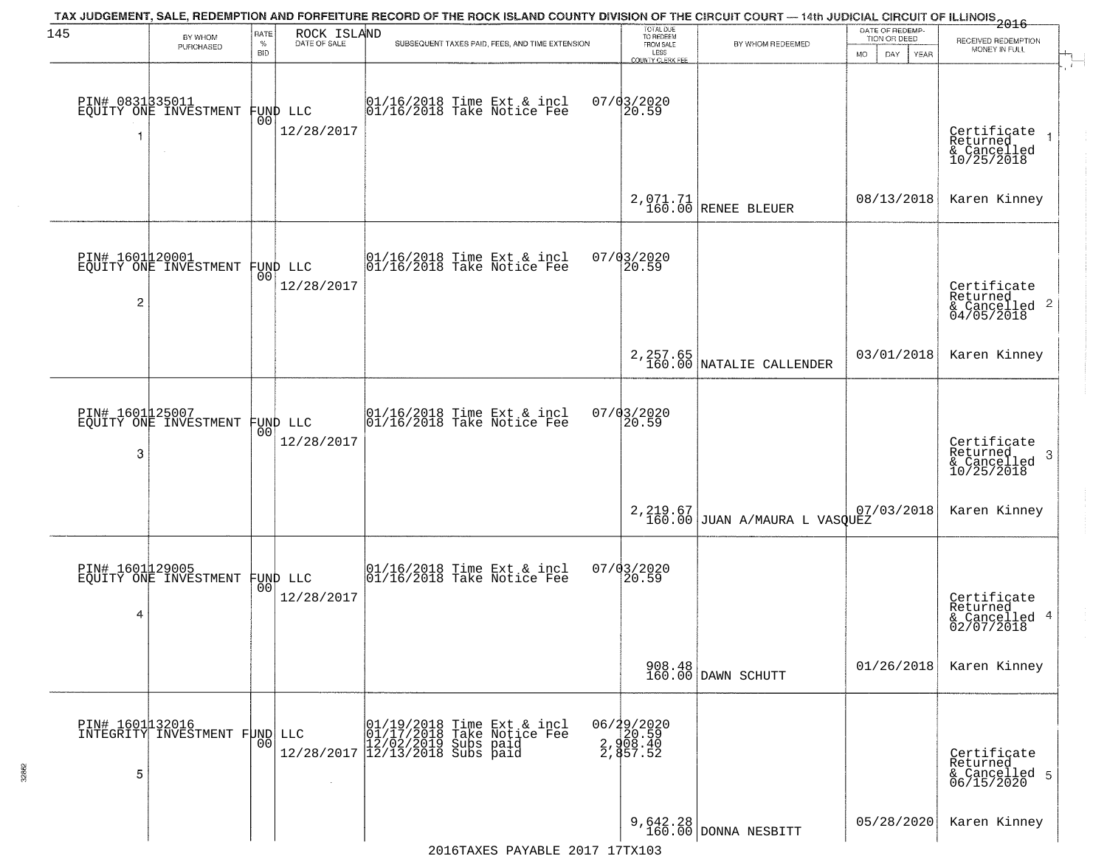| 145                  | BY WHOM                                           | RATE               | ROCK ISLAND            | TAX JUDGEMENT, SALE, REDEMPTION AND FORFEITURE RECORD OF THE ROCK ISLAND COUNTY DIVISION OF THE CIRCUIT COURT — 14th JUDICIAL CIRCUIT OF ILLINOIS 2016 | TOTAL DUE<br>TO REDEEM                       |                                             | DATE OF REDEMP-<br>TION OR DEED |                                                                      |
|----------------------|---------------------------------------------------|--------------------|------------------------|--------------------------------------------------------------------------------------------------------------------------------------------------------|----------------------------------------------|---------------------------------------------|---------------------------------|----------------------------------------------------------------------|
|                      | PURCHASED                                         | $\%$<br><b>BID</b> | DATE OF SALE           | SUBSEQUENT TAXES PAID, FEES, AND TIME EXTENSION                                                                                                        | FROM SALE<br>LESS<br><b>COUNTY CLERK FEE</b> | BY WHOM REDEEMED                            | MO.<br>DAY.<br>YEAR             | RECEIVED REDEMPTION<br>MONEY IN FULL                                 |
| 1                    | PIN# 0831335011<br>EQUITY ONE INVESTMENT          | 0 <sub>0</sub>     | FUND LLC<br>12/28/2017 | 01/16/2018 Time Ext & incl<br>01/16/2018 Take Notice Fee                                                                                               | $07/03/2020$<br>20.59                        |                                             |                                 | Certificate<br>Returned<br>& Cancelled<br>10/25/2018                 |
|                      |                                                   |                    |                        |                                                                                                                                                        |                                              | 2,071.71<br>160.00 RENEE BLEUER             | 08/13/2018                      | Karen Kinney                                                         |
| 2                    | PIN# 1601120001<br>EQUITY ONE INVESTMENT FUND LLC |                    | 12/28/2017             | $ 01/16/2018$ Time Ext & incl<br>$ 01/16/2018$ Take Notice Fee                                                                                         | 07/03/2020<br>20.59                          |                                             |                                 | Certificate<br>Returned<br>$\frac{122}{6}$ Cancelled 2<br>04/05/2018 |
|                      |                                                   |                    |                        |                                                                                                                                                        |                                              | 2, 257.65<br>160.00 NATALIE CALLENDER       | 03/01/2018                      | Karen Kinney                                                         |
| PIN# 1601125007<br>3 | EQUITY ONE INVESTMENT FUND LLC                    | 00                 | 12/28/2017             | $\begin{array}{c}  01/16/2018 \text{ Time} \text{ Ext} & \text{incl} \\  01/16/2018 \text{ Take Notice } \text{Fe} \end{array}$                        | 07/03/2020<br>20.59                          |                                             |                                 | Certificate<br>Returned<br>3<br>& Cancelled<br>10/25/2018            |
|                      |                                                   |                    |                        |                                                                                                                                                        |                                              | $2,219.67$<br>160.00 JUAN A/MAURA L VASQUEZ | 07/03/2018                      | Karen Kinney                                                         |
| 4                    | PIN# 1601129005<br>EQUITY ONE INVESTMENT FUND LLC |                    | 12/28/2017             | $\begin{bmatrix} 01/16/2018 &$ Time Ext & incl<br>$01/16/2018 &$ Take Notice Fee                                                                       | 07/03/2020<br>20.59                          |                                             |                                 | Certificate<br>Returned<br>& Cancelled 4<br>02/07/2018               |
|                      |                                                   |                    |                        |                                                                                                                                                        |                                              | 908.48<br>160.00 DAWN SCHUTT                | 01/26/2018                      | Karen Kinney                                                         |
| 5                    | PIN# 1601132016<br>INTEGRITY INVESTMENT FUND LLC  | 0 <sub>0</sub>     | 12/28/2017             | 01/19/2018 Time Ext & incl<br>01/17/2018 Take Notice Fee<br>12/02/2019 Subs paid<br>12/13/2018 Subs paid                                               | $06/29/2020$<br>20.59<br>2,857.52            |                                             |                                 | Certificate<br>Returned<br>& Cancelled 5<br>06/15/2020               |
|                      |                                                   |                    |                        |                                                                                                                                                        |                                              | 9,642.28<br>160.00 DONNA NESBITT            | 05/28/2020                      | Karen Kinney                                                         |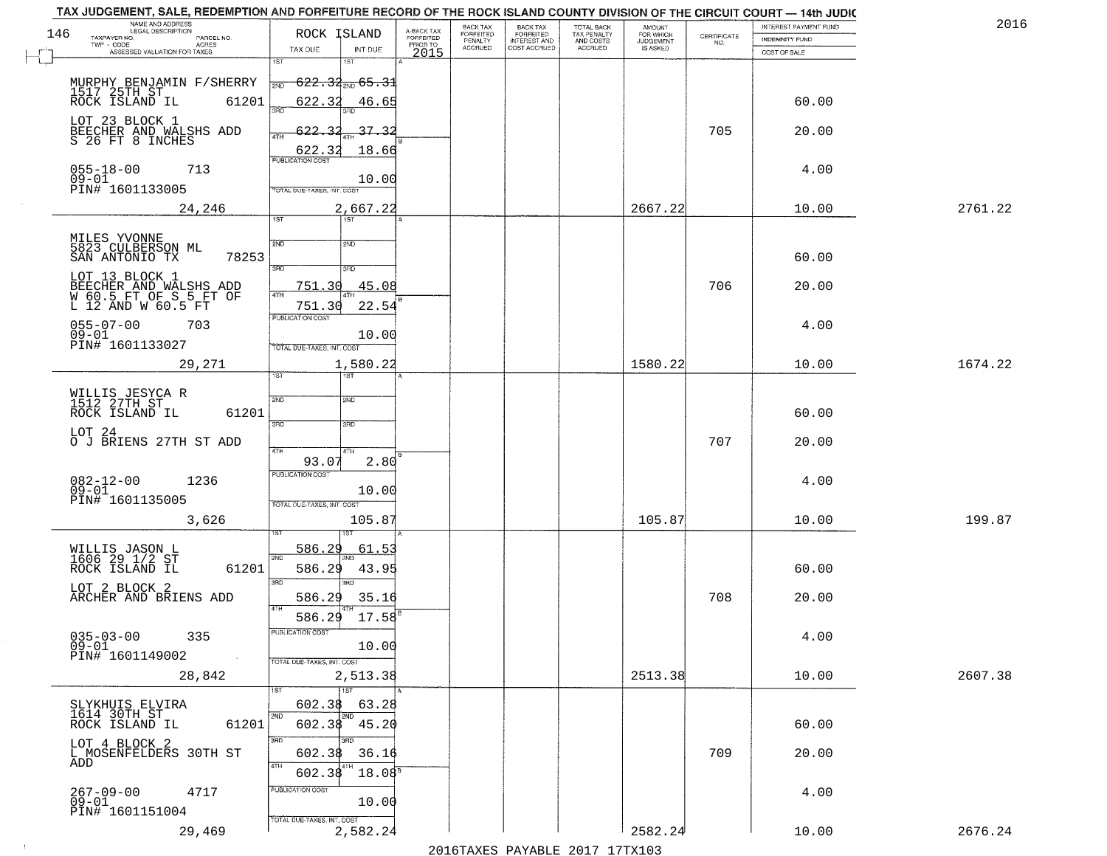| TAX JUDGEMENT, SALE, REDEMPTION AND FORFEITURE RECORD OF THE ROCK ISLAND COUNTY DIVISION OF THE CIRCUIT COURT - 14th JUDIC<br>NAME AND ADDRESS<br>LEGAL DESCRIPTION |                                                                    |                                     | BACK TAX             | <b>BACK TAX</b>           | <b>TOTAL BACK</b>        | AMOUNT<br>FOR WHICH |                                                                 | INTEREST PAYMENT FUND | 2016    |
|---------------------------------------------------------------------------------------------------------------------------------------------------------------------|--------------------------------------------------------------------|-------------------------------------|----------------------|---------------------------|--------------------------|---------------------|-----------------------------------------------------------------|-----------------------|---------|
| 146<br>TAXPAYER NO.<br>PARCEL NO.<br>ACRES                                                                                                                          | ROCK ISLAND                                                        | A-BACK TAX<br>FORFEITED<br>PRIOR TO | FORFEITED<br>PENALTY | FORFEITED<br>INTEREST AND | TAX PENALTY<br>AND COSTS | <b>JUDGEMENT</b>    | $\begin{array}{c} \text{CERTIFICATE} \\ \text{NO.} \end{array}$ | INDEMNITY FUND        |         |
| ASSESSED VALUATION FOR TAXES                                                                                                                                        | TAX DUE<br>INT DUE                                                 | 2015                                | <b>ACCRUED</b>       | COST ACCRUED              | <b>ACCRUED</b>           | IS ASKED            |                                                                 | COST OF SALE          |         |
| MURPHY BENJAMIN F/SHERRY<br>1517 25TH ST<br>ROCK ISLAND IL 6120                                                                                                     | 1ST<br>18T<br>$622.34_{200}$ 65.31<br>2ND                          |                                     |                      |                           |                          |                     |                                                                 |                       |         |
| 61201<br>LOT 23 BLOCK 1                                                                                                                                             | 622.32<br>46.65                                                    |                                     |                      |                           |                          |                     |                                                                 | 60.00                 |         |
| BEECHER AND WALSHS ADD<br>S 26 FT 8 INCHES                                                                                                                          | 37.32<br><u>622.32</u><br>18.66<br>622.32                          |                                     |                      |                           |                          |                     | 705                                                             | 20.00                 |         |
| $055 - 18 - 00$<br>713<br>$09 - 01$<br>PIN# 1601133005                                                                                                              | 10.00<br>TOTAL DUE-TAXES, INT. COST                                |                                     |                      |                           |                          |                     |                                                                 | 4.00                  |         |
| 24,246                                                                                                                                                              | 2,667.22<br>1ST                                                    |                                     |                      |                           |                          | 2667.22             |                                                                 | 10.00                 | 2761.22 |
| MILES YVONNE<br>5823 CULBERSON ML<br>SAN ANTONIO TX<br>78253                                                                                                        | 2ND<br>2ND<br>3RD<br>3RD                                           |                                     |                      |                           |                          |                     |                                                                 | 60.00                 |         |
| LOT 13 BLOCK 1<br>BEECHER AND WALSHS ADD<br>W 60.5 FT OF S 5 FT OF<br>L 12 AND W 60.5 FT                                                                            | 45.08<br>751.30<br>ৰাম<br>751.30<br>22.54<br>PUBLICATION COST      |                                     |                      |                           |                          |                     | 706                                                             | 20.00                 |         |
| $055 - 07 - 00$<br>703<br>$09 - 01$<br>PIN# 1601133027                                                                                                              | 10.00<br>TOTAL DUE-TAXES, INT. COST                                |                                     |                      |                           |                          |                     |                                                                 | 4.00                  |         |
| 29,271                                                                                                                                                              | 1,580.22<br>TST<br>1ST                                             |                                     |                      |                           |                          | 1580.22             |                                                                 | 10.00                 | 1674.22 |
| WILLIS JESYCA R<br>1512 27TH ST<br>ROCK ISLAND IL<br>61201                                                                                                          | 2ND<br>2ND<br>3RD<br>3RD                                           |                                     |                      |                           |                          |                     |                                                                 | 60.00                 |         |
| LOT 24<br>O J BRIENS 27TH ST ADD                                                                                                                                    | 4TH<br>4TH<br>93.07<br>2.80<br><b>PUBLICATION COST</b>             |                                     |                      |                           |                          |                     | 707                                                             | 20.00                 |         |
| $082 - 12 - 00$<br>1236<br>$09 - 01$<br>PIN# 1601135005                                                                                                             | 10.00<br>TOTAL OUE-TAXES, INT. COST                                |                                     |                      |                           |                          |                     |                                                                 | 4.00                  |         |
| 3,626                                                                                                                                                               | 105.87                                                             |                                     |                      |                           |                          | 105.87              |                                                                 | 10.00                 | 199.87  |
| WILLIS JASON L<br>1606 29 1/2 ST<br>ROCK ISLAND IL<br>61201                                                                                                         | 586.29<br>61.5<br>2ND<br>586.29<br>43.95<br>3 <sub>BD</sub><br>חחו |                                     |                      |                           |                          |                     |                                                                 | 60.00                 |         |
| LOT 2 BLOCK 2<br>ARCHER AND BRIENS ADD                                                                                                                              | 586.29<br>35.16<br>4TH<br>$17.58^{\circ}$<br>586.29                |                                     |                      |                           |                          |                     | 708                                                             | 20.00                 |         |
| $035 - 03 - 00$<br>335<br>$09 - 01$<br>PIN# 1601149002<br>$\sim 100$ km $^{-1}$                                                                                     | PUBLICATION COST<br>10.00<br>TOTAL DUE-TAXES, INT. COST            |                                     |                      |                           |                          |                     |                                                                 | 4.00                  |         |
| 28,842                                                                                                                                                              | 2,513.38<br>1ST                                                    |                                     |                      |                           |                          | 2513.38             |                                                                 | 10.00                 | 2607.38 |
| SLYKHUIS ELVIRA<br>1614 30TH ST<br>61201<br>ROCK ISLAND IL                                                                                                          | 602.38<br>63.28<br>2ND<br>2ND<br>602.38 45.20                      |                                     |                      |                           |                          |                     |                                                                 | 60.00                 |         |
| LOT 4 BLOCK 2<br>L MOSENFELDERS 30TH ST<br>ADD                                                                                                                      | 3RD<br>36.16<br>602.38<br>4TH<br>602.38<br>18.08 <sup>s</sup>      |                                     |                      |                           |                          |                     | 709                                                             | 20.00                 |         |
| $267 - 09 - 00$<br>4717<br>$09 - 01$<br>PIN# 1601151004                                                                                                             | PUBLICATION COST<br>10.00<br>TOTAL DUE-TAXES, INT. COST            |                                     |                      |                           |                          |                     |                                                                 | 4.00                  |         |
| 29,469                                                                                                                                                              | 2,582.24                                                           |                                     |                      |                           |                          | 2582.24             |                                                                 | 10.00                 | 2676.24 |

 $\sim 100$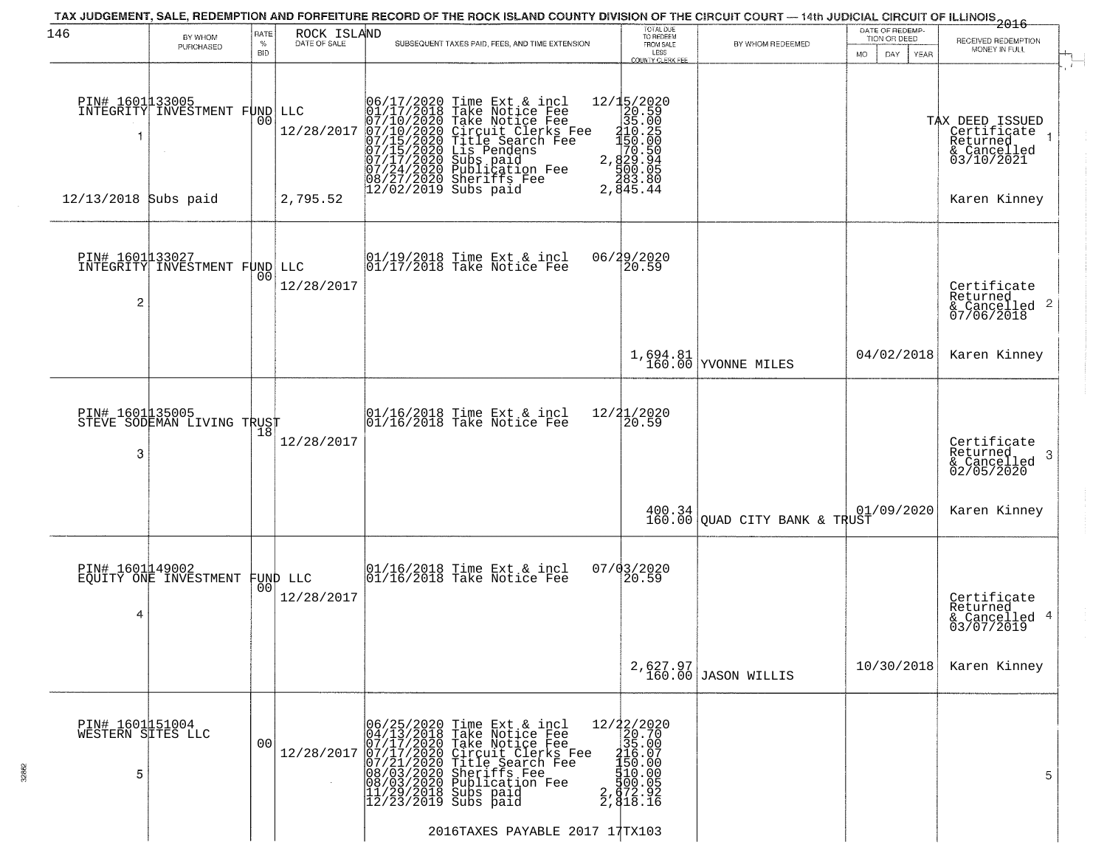| 146                                       | BY WHOM<br>PURCHASED                              | RATE<br>$\%$   | ROCK ISLAND<br>DATE OF SALE | TAX JUDGEMENT, SALE, REDEMPTION AND FORFEITURE RECORD OF THE ROCK ISLAND COUNTY DIVISION OF THE CIRCUIT COURT — 14th JUDICIAL CIRCUIT OF ILLINOIS 2016<br>SUBSEQUENT TAXES PAID, FEES, AND TIME EXTENSION                                             | TOTAL DUE<br>TO REDEEM<br>FROM SALE                                                                                                      | BY WHOM REDEEMED                                                                         | DATE OF REDEMP-<br>TION OR DEED | RECEIVED REDEMPTION<br>MONEY IN FULL                                    |
|-------------------------------------------|---------------------------------------------------|----------------|-----------------------------|-------------------------------------------------------------------------------------------------------------------------------------------------------------------------------------------------------------------------------------------------------|------------------------------------------------------------------------------------------------------------------------------------------|------------------------------------------------------------------------------------------|---------------------------------|-------------------------------------------------------------------------|
|                                           |                                                   | <b>BID</b>     |                             |                                                                                                                                                                                                                                                       | LESS<br>COUNTY CLERK FEE                                                                                                                 |                                                                                          | <b>MO</b><br>DAY<br><b>YEAR</b> |                                                                         |
|                                           | PIN# 1601133005<br>INTEGRITY INVESTMENT FUND LLC  | 0 <sub>0</sub> | 12/28/2017                  | 06/17/2020 Time Ext & incl<br>01/17/2018 Take Notice Fee<br>07/10/2020 Take Notice Fee<br>07/10/2020 Circuit Clerks Fee<br>07/15/2020 Title Search Fee<br>07/15/2020 Subs paid<br>07/17/2020 Subs paid<br>07/24/2020 Sublication Fee<br>08/27/2020 Sh | ${2715/2020\n 20.59\n 35.00\n 35.00\n 150.250\n 150.500\n 70.500\n 2,829.945\n 500.850$<br>2, 483.80<br>2, 845.44                        |                                                                                          |                                 | TAX DEED ISSUED<br>Certificate<br>Returned<br>& Cancelled<br>03/10/2021 |
| 12/13/2018 Subs paid                      |                                                   |                | 2,795.52                    |                                                                                                                                                                                                                                                       |                                                                                                                                          |                                                                                          |                                 | Karen Kinney                                                            |
| 2                                         | PIN# 1601133027<br>INTEGRITY INVESTMENT FUND LLC  | 00             | 12/28/2017                  | 01/19/2018 Time Ext & incl<br>01/17/2018 Take Notice Fee                                                                                                                                                                                              | 06/29/2020<br>20.59                                                                                                                      |                                                                                          |                                 | Certificate<br>Returned<br>$\frac{1}{2}$ Cancelled 2<br>07/06/2018      |
|                                           |                                                   |                |                             |                                                                                                                                                                                                                                                       |                                                                                                                                          | 1,694.81<br>160.00 YVONNE MILES                                                          | 04/02/2018                      | Karen Kinney                                                            |
| 3                                         | PIN# 1601135005<br>STEVE SODEMAN LIVING TRUST     | 18             | 12/28/2017                  | 01/16/2018 Time Ext & incl<br>01/16/2018 Take Notice Fee                                                                                                                                                                                              | 12/21/2020<br>20.59                                                                                                                      |                                                                                          |                                 | Certificate<br>Returned<br>-3<br>& Cancelled<br>02/05/2020              |
|                                           |                                                   |                |                             |                                                                                                                                                                                                                                                       |                                                                                                                                          | $\begin{array}{c c} 400.34 & 01.1 \\ 160.00 & \text{QUAD CITY BANK & TRUST} \end{array}$ | 01/09/2020                      | Karen Kinney                                                            |
| 4                                         | PIN# 1601149002<br>EQUITY ONE INVESTMENT FUND LLC | 00             | 12/28/2017                  | 01/16/2018 Time Ext & incl<br>01/16/2018 Take Notice Fee                                                                                                                                                                                              | $07/03/2020$<br>20.59                                                                                                                    |                                                                                          |                                 | Certificate<br>Returned<br>& Cancelled 4<br>03/07/2019                  |
|                                           |                                                   |                |                             |                                                                                                                                                                                                                                                       |                                                                                                                                          | 2,627.97<br>160.00 JASON WILLIS                                                          | 10/30/2018                      | Karen Kinney                                                            |
| PIN# 1601151004<br>WESTERN SITES LLC<br>5 |                                                   | 00             | 12/28/2017                  | 06/25/2020 Time Ext & incl<br>04/13/2018 Take Notice Fee<br>07/17/2020 Take Notice Fee<br>07/17/2020 Take Notice Fee<br>07/21/2020 Title Search Fee<br>08/03/2020 Subilication Fee<br>11/29/2018 Subs paid<br>12/23/2019 Subs paid                    | $\begin{smallmatrix} 12/22/2020\\ 20.700\\ 35.007\\ -150.000\\ \text{50.000}\\ 150.000\\ 100.05\\ 2,872.92\\ 2,918.16 \end{smallmatrix}$ |                                                                                          |                                 | 5                                                                       |
|                                           |                                                   |                |                             | 2016TAXES PAYABLE 2017 17TX103                                                                                                                                                                                                                        |                                                                                                                                          |                                                                                          |                                 |                                                                         |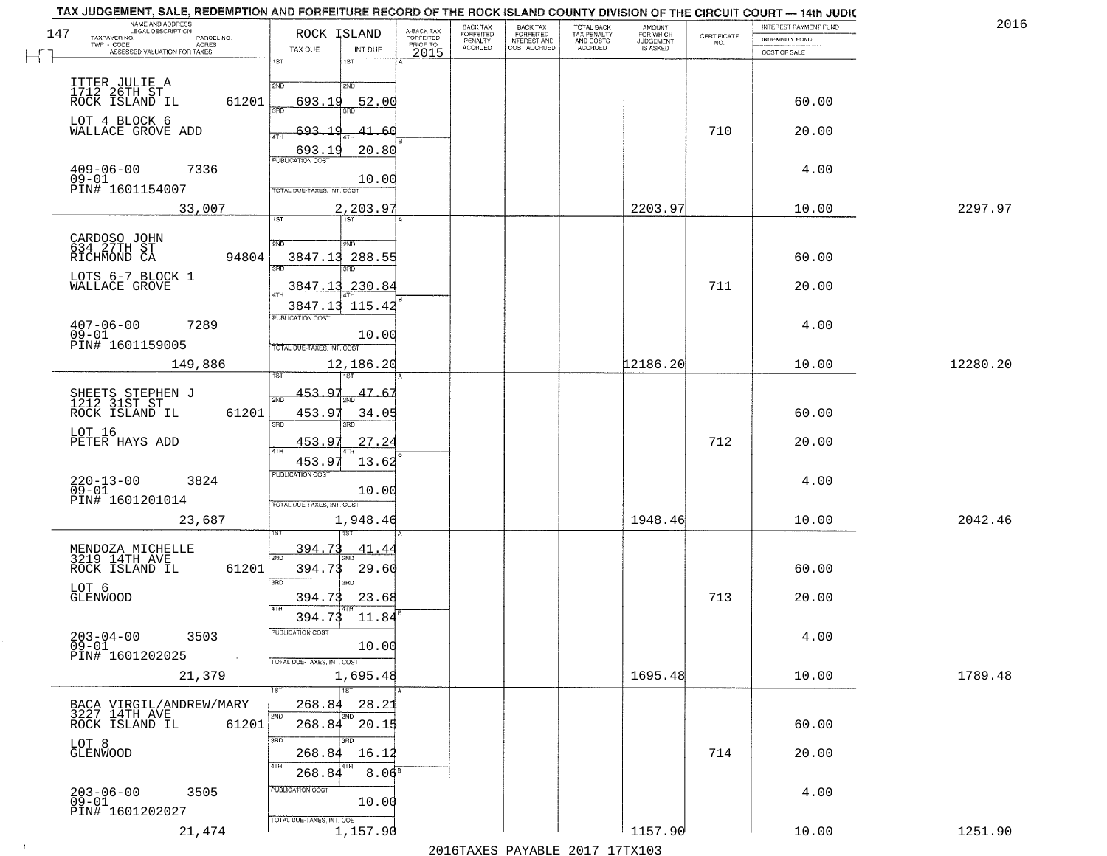|     | TAX JUDGEMENT, SALE, REDEMPTION AND FORFEITURE RECORD OF THE ROCK ISLAND COUNTY DIVISION OF THE CIRCUIT COURT - 14th JUDIC<br>NAME AND ADDRESS<br>LEGAL DESCRIPTION |                                              |                                     | BACK TAX                    |                                              |                                        |                                         |                                                                 | INTEREST PAYMENT FUND | 2016     |
|-----|---------------------------------------------------------------------------------------------------------------------------------------------------------------------|----------------------------------------------|-------------------------------------|-----------------------------|----------------------------------------------|----------------------------------------|-----------------------------------------|-----------------------------------------------------------------|-----------------------|----------|
| 147 | TAXPAYER NO.<br>PARCEL NO.                                                                                                                                          | ROCK ISLAND                                  | A-BACK TAX<br>FORFEITED<br>PRIOR TO | <b>FORFEITED</b><br>PENALTY | BACK TAX<br>FORFEITED<br><b>INTEREST AND</b> | TOTAL BACK<br>TAX PENALTY<br>AND COSTS | AMOUNT<br>FOR WHICH<br><b>JUDGEMENT</b> | $\begin{array}{c} \text{CERTIFICATE} \\ \text{NO.} \end{array}$ | INDEMNITY FUND        |          |
|     | ACRES<br>ASSESSED VALUATION FOR TAXES                                                                                                                               | INT DUE<br>TAX DUE                           | 2015                                | <b>ACCRUED</b>              | COST ACCRUED                                 | <b>ACCRUED</b>                         | IS ASKED                                |                                                                 | COST OF SALE          |          |
|     |                                                                                                                                                                     | 1ST<br>1ST                                   |                                     |                             |                                              |                                        |                                         |                                                                 |                       |          |
|     |                                                                                                                                                                     | 2ND<br>2ND                                   |                                     |                             |                                              |                                        |                                         |                                                                 |                       |          |
|     | ITTER JULIE A<br>1712 26TH ST<br>61201<br>ROCK ISLAND IL                                                                                                            | 693.19<br>52.00                              |                                     |                             |                                              |                                        |                                         |                                                                 | 60.00                 |          |
|     |                                                                                                                                                                     | 350                                          |                                     |                             |                                              |                                        |                                         |                                                                 |                       |          |
|     | LOT 4 BLOCK 6<br>WALLACE GROVE ADD                                                                                                                                  | 693.19<br>41.60                              |                                     |                             |                                              |                                        |                                         | 710                                                             | 20.00                 |          |
|     |                                                                                                                                                                     |                                              |                                     |                             |                                              |                                        |                                         |                                                                 |                       |          |
|     |                                                                                                                                                                     | 20.80<br>$\frac{693.19}{FUBUCATONCGST}$      |                                     |                             |                                              |                                        |                                         |                                                                 |                       |          |
|     | $409 - 06 - 00$<br>09-01<br>7336                                                                                                                                    |                                              |                                     |                             |                                              |                                        |                                         |                                                                 | 4.00                  |          |
|     | PIN# 1601154007                                                                                                                                                     | 10.00<br>TOTAL DUE-TAXES, INT. COST          |                                     |                             |                                              |                                        |                                         |                                                                 |                       |          |
|     |                                                                                                                                                                     |                                              |                                     |                             |                                              |                                        |                                         |                                                                 |                       |          |
|     | 33,007                                                                                                                                                              | 2,203.97<br>1ST<br>IST                       |                                     |                             |                                              |                                        | 2203.97                                 |                                                                 | 10.00                 | 2297.97  |
|     |                                                                                                                                                                     |                                              |                                     |                             |                                              |                                        |                                         |                                                                 |                       |          |
|     | CARDOSO JOHN<br>634 27TH ST                                                                                                                                         | 2ND<br>2ND                                   |                                     |                             |                                              |                                        |                                         |                                                                 |                       |          |
|     | 94804<br>RICHMOND CA                                                                                                                                                | 3847.13<br>288.55<br>3RD                     |                                     |                             |                                              |                                        |                                         |                                                                 | 60.00                 |          |
|     | LOTS 6-7 BLOCK 1                                                                                                                                                    |                                              |                                     |                             |                                              |                                        |                                         |                                                                 |                       |          |
|     | WALLACE GROVE                                                                                                                                                       | 230.84<br><u>3847.13</u><br>$\overline{ATH}$ |                                     |                             |                                              |                                        |                                         | 711                                                             | 20.00                 |          |
|     |                                                                                                                                                                     | 115.42<br>3847.13                            |                                     |                             |                                              |                                        |                                         |                                                                 |                       |          |
|     | $407 - 06 - 00$<br>7289                                                                                                                                             | PUBLICATION COST                             |                                     |                             |                                              |                                        |                                         |                                                                 | 4.00                  |          |
|     | $09 - 01$                                                                                                                                                           | 10.00                                        |                                     |                             |                                              |                                        |                                         |                                                                 |                       |          |
|     | PIN# 1601159005                                                                                                                                                     | TOTAL DUE-TAXES, INT. COST                   |                                     |                             |                                              |                                        |                                         |                                                                 |                       |          |
|     | 149,886                                                                                                                                                             | 12,186.20                                    |                                     |                             |                                              |                                        | 12186.20                                |                                                                 | 10.00                 | 12280.20 |
|     |                                                                                                                                                                     | <b>ST</b>                                    |                                     |                             |                                              |                                        |                                         |                                                                 |                       |          |
|     | SHEETS STEPHEN J<br>1212 31ST ST                                                                                                                                    | 453.97<br>47.6<br>2ND                        |                                     |                             |                                              |                                        |                                         |                                                                 |                       |          |
|     | ROCK ISLAND IL<br>61201                                                                                                                                             | 453.97<br>34.05                              |                                     |                             |                                              |                                        |                                         |                                                                 | 60.00                 |          |
|     |                                                                                                                                                                     | 3BD<br>3RD                                   |                                     |                             |                                              |                                        |                                         |                                                                 |                       |          |
|     | LOT 16<br>PETER HAYS ADD                                                                                                                                            | 453.97<br><u>27.24</u>                       |                                     |                             |                                              |                                        |                                         | 712                                                             | 20.00                 |          |
|     |                                                                                                                                                                     | 453.97<br>13.62                              |                                     |                             |                                              |                                        |                                         |                                                                 |                       |          |
|     |                                                                                                                                                                     | <b>PUBLICATION COST</b>                      |                                     |                             |                                              |                                        |                                         |                                                                 |                       |          |
|     | $220 - 13 - 00$<br>09-01<br>3824                                                                                                                                    | 10.00                                        |                                     |                             |                                              |                                        |                                         |                                                                 | 4.00                  |          |
|     | PIN# 1601201014                                                                                                                                                     | TOTAL OUE-TAXES, INT. COST                   |                                     |                             |                                              |                                        |                                         |                                                                 |                       |          |
|     | 23,687                                                                                                                                                              | 1,948.46                                     |                                     |                             |                                              |                                        | 1948.46                                 |                                                                 | 10.00                 | 2042.46  |
|     |                                                                                                                                                                     |                                              |                                     |                             |                                              |                                        |                                         |                                                                 |                       |          |
|     | MENDOZA MICHELLE<br>3219 14TH AVE                                                                                                                                   | 394.73<br>41.44<br>2ND                       |                                     |                             |                                              |                                        |                                         |                                                                 |                       |          |
|     | ROCK ISLAND IL<br>61201                                                                                                                                             | 394.73<br>29.60                              |                                     |                             |                                              |                                        |                                         |                                                                 | 60.00                 |          |
|     |                                                                                                                                                                     | 3BD<br>3RD                                   |                                     |                             |                                              |                                        |                                         |                                                                 |                       |          |
|     | LOT 6<br>GLENWOOD                                                                                                                                                   | 23.68<br>394.73                              |                                     |                             |                                              |                                        |                                         | 713                                                             | 20.00                 |          |
|     |                                                                                                                                                                     | 4TH<br>394.73<br>11.84                       |                                     |                             |                                              |                                        |                                         |                                                                 |                       |          |
|     |                                                                                                                                                                     | PUBLICATION COS-                             |                                     |                             |                                              |                                        |                                         |                                                                 |                       |          |
|     | $203 - 04 - 00$<br>3503<br>$09 - 01$                                                                                                                                | 10.00                                        |                                     |                             |                                              |                                        |                                         |                                                                 | 4.00                  |          |
|     | PIN# 1601202025<br>$\sim 10$                                                                                                                                        | TOTAL DUE-TAXES, INT. COST                   |                                     |                             |                                              |                                        |                                         |                                                                 |                       |          |
|     | 21,379                                                                                                                                                              | 1,695.48                                     |                                     |                             |                                              |                                        | 1695.48                                 |                                                                 | 10.00                 | 1789.48  |
|     |                                                                                                                                                                     | $\overline{1}$ 1ST                           |                                     |                             |                                              |                                        |                                         |                                                                 |                       |          |
|     | BACA VIRGIL/ANDREW/MARY                                                                                                                                             | 268.84<br>28.21                              |                                     |                             |                                              |                                        |                                         |                                                                 |                       |          |
|     | 3227 14TH AVE<br>61201<br>ROCK ISLAND IL                                                                                                                            | $268.84$ 20.15                               |                                     |                             |                                              |                                        |                                         |                                                                 | 60.00                 |          |
|     |                                                                                                                                                                     |                                              |                                     |                             |                                              |                                        |                                         |                                                                 |                       |          |
|     | LOT 8<br>GLENWOOD                                                                                                                                                   | 3RD<br>3BD<br>268.84<br>16.12                |                                     |                             |                                              |                                        |                                         | 714                                                             | 20.00                 |          |
|     |                                                                                                                                                                     |                                              |                                     |                             |                                              |                                        |                                         |                                                                 |                       |          |
|     |                                                                                                                                                                     | 8.06 <sup>8</sup><br>268.84                  |                                     |                             |                                              |                                        |                                         |                                                                 |                       |          |
|     | 203-06-00<br>09-01<br>3505                                                                                                                                          | PUBLICATION COST                             |                                     |                             |                                              |                                        |                                         |                                                                 | 4.00                  |          |
|     | PIN# 1601202027                                                                                                                                                     | 10.00                                        |                                     |                             |                                              |                                        |                                         |                                                                 |                       |          |
|     |                                                                                                                                                                     | TOTAL DUE-TAXES, INT. COST                   |                                     |                             |                                              |                                        | 1157.90                                 |                                                                 |                       |          |
|     | 21,474                                                                                                                                                              | 1,157.90                                     |                                     |                             |                                              | 2016 TAVEC DAVARLE 2017 17 TV102       |                                         |                                                                 | 10.00                 | 1251.90  |
|     |                                                                                                                                                                     |                                              |                                     |                             |                                              |                                        |                                         |                                                                 |                       |          |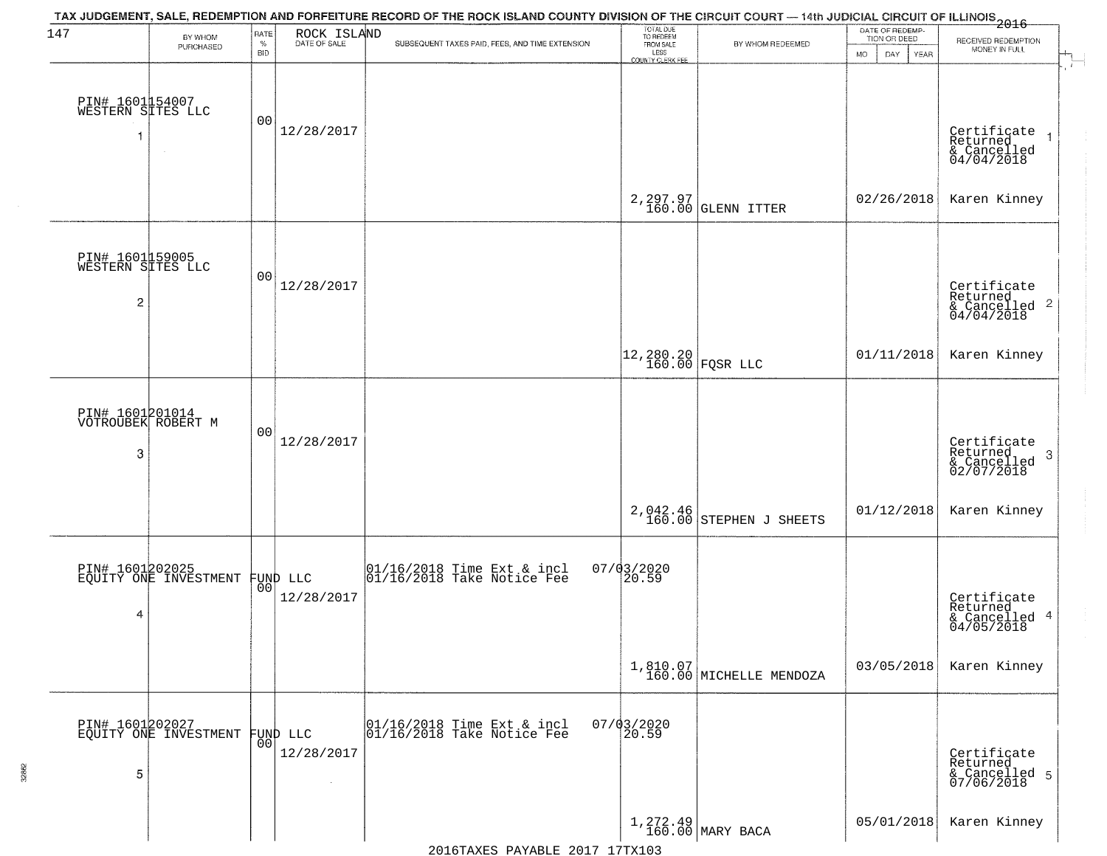| 147                                                    | BY WHOM<br>PURCHASED                     | RATE<br>$\%$<br><b>BID</b> | ROCK ISLAND            | TAX JUDGEMENT, SALE, REDEMPTION AND FORFEITURE RECORD OF THE ROCK ISLAND COUNTY DIVISION OF THE CIRCUIT COURT — 14th JUDICIAL CIRCUIT OF ILLINOIS 2016<br>SUBSEQUENT TAXES PAID, FEES, AND TIME EXTENSION | TOTAL DUE<br>TO REDEEM<br>FROM SALE<br>LESS<br><b>COUNTY CLERK FEE</b> | BY WHOM REDEEMED                    | DATE OF REDEMP-<br>TION OR DEED<br>MO.<br>DAY<br>YEAR | RECEIVED REDEMPTION<br>MONEY IN FULL                      |
|--------------------------------------------------------|------------------------------------------|----------------------------|------------------------|-----------------------------------------------------------------------------------------------------------------------------------------------------------------------------------------------------------|------------------------------------------------------------------------|-------------------------------------|-------------------------------------------------------|-----------------------------------------------------------|
| PIN# 1601154007<br>WESTERN SITES LLC                   |                                          | 00                         | 12/28/2017             |                                                                                                                                                                                                           |                                                                        |                                     |                                                       | Certificate<br>Returned<br>& Cancelled<br>04/04/2018      |
|                                                        |                                          |                            |                        |                                                                                                                                                                                                           |                                                                        | 2, 297.97<br>160.00 GLENN ITTER     | 02/26/2018                                            | Karen Kinney                                              |
| PIN# 1601159005<br>WESTERN SITES LLC<br>$\overline{c}$ |                                          | 00                         | 12/28/2017             |                                                                                                                                                                                                           |                                                                        |                                     |                                                       | Certificate<br>Returned<br>& Cancelled 2<br>04/04/2018    |
|                                                        |                                          |                            |                        |                                                                                                                                                                                                           | $\begin{bmatrix} 12,280.20 \\ 160.00 \end{bmatrix}$ FQSR LLC           |                                     | 01/11/2018                                            | Karen Kinney                                              |
| PIN# 1601201014<br>VOTROUBEK ROBERT M<br>3             |                                          | 00                         | 12/28/2017             |                                                                                                                                                                                                           |                                                                        |                                     |                                                       | Certificate<br>Returned<br>3<br>& Cancelled<br>02/07/2018 |
|                                                        |                                          |                            |                        |                                                                                                                                                                                                           | 2,042.46<br>160.00                                                     | STEPHEN J SHEETS                    | 01/12/2018                                            | Karen Kinney                                              |
| 4                                                      | PIN# 1601202025<br>EQUITY ONE INVESTMENT | 00                         | FUND LLC<br>12/28/2017 | 01/16/2018 Time Ext & incl<br>01/16/2018 Take Notice Fee                                                                                                                                                  | 07/03/2020<br>20.59                                                    |                                     |                                                       | Certificate<br>Returned<br>& Cancelled 4<br>04/05/2018    |
|                                                        |                                          |                            |                        |                                                                                                                                                                                                           |                                                                        | 1,810.07<br>160.00 MICHELLE MENDOZA | 03/05/2018                                            | Karen Kinney                                              |
| 5                                                      | PIN# 1601202027<br>EQUITY ONE INVESTMENT | 00                         | FUND LLC<br>12/28/2017 | 01/16/2018 Time Ext & incl<br>01/16/2018 Take Notice Fee                                                                                                                                                  | $07/03/2020$<br>20.59                                                  |                                     |                                                       | Certificate<br>Returned<br>& Cancelled 5<br>07/06/2018    |
|                                                        |                                          |                            |                        |                                                                                                                                                                                                           |                                                                        | $1,272.49$ MARY BACA                | 05/01/2018                                            | Karen Kinney                                              |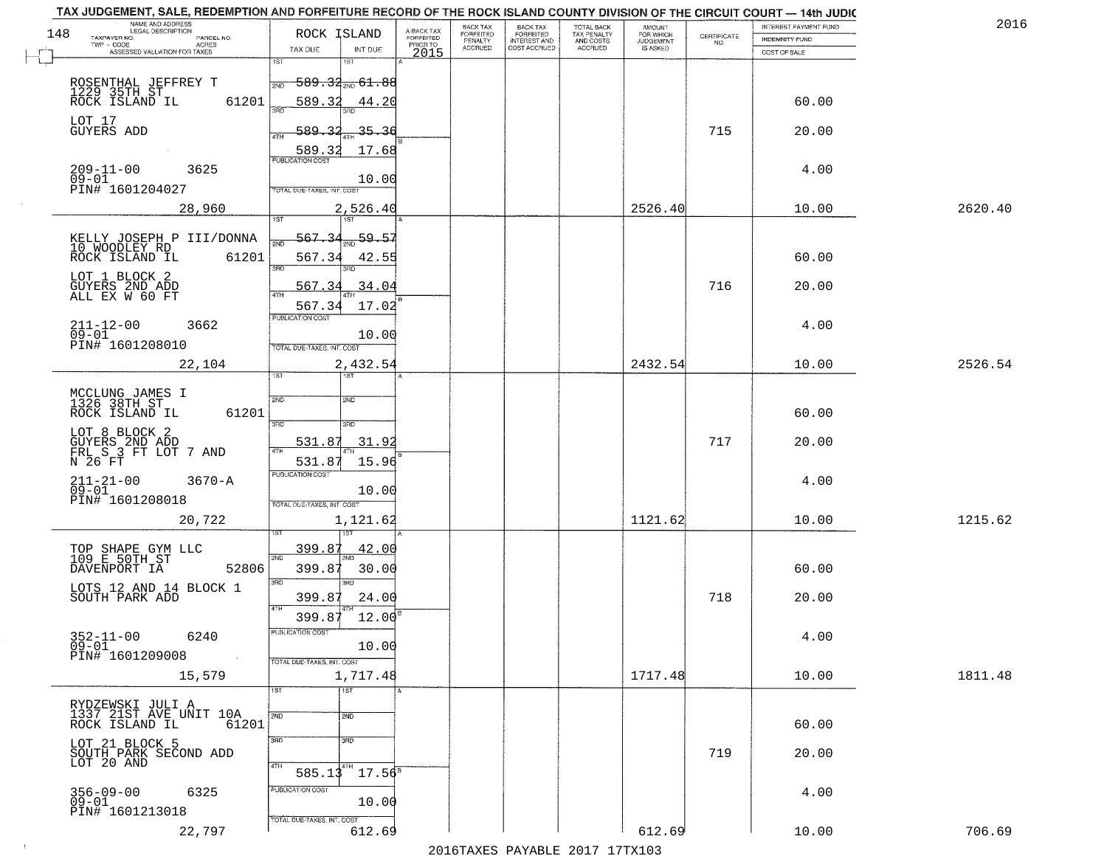|     | TAX JUDGEMENT, SALE, REDEMPTION AND FORFEITURE RECORD OF THE ROCK ISLAND COUNTY DIVISION OF THE CIRCUIT COURT - 14th JUDIC<br>NAME AND ADDRESS<br>LEGAL DESCRIPTION |                                      |                                     | BACK TAX                    | BACK TAX<br>FORFEITED |                                        | AMOUNT<br>FOR WHICH |                                                                 | INTEREST PAYMENT FUND | 2016    |
|-----|---------------------------------------------------------------------------------------------------------------------------------------------------------------------|--------------------------------------|-------------------------------------|-----------------------------|-----------------------|----------------------------------------|---------------------|-----------------------------------------------------------------|-----------------------|---------|
| 148 | TAXPAYER NO.<br>PARCEL NO.                                                                                                                                          | ROCK ISLAND                          | A-BACK TAX<br>FORFEITED<br>PRIOR TO | <b>FORFEITED</b><br>PENALTY | <b>INTEREST AND</b>   | TOTAL BACK<br>TAX PENALTY<br>AND COSTS | <b>JUDGEMENT</b>    | $\begin{array}{c} \text{CERTIFICATE} \\ \text{NO.} \end{array}$ | INDEMNITY FUND        |         |
|     | ACRES<br>ASSESSED VALUATION FOR TAXES                                                                                                                               | TAX DUE<br>INT DUE                   | 2015                                | <b>ACCRUED</b>              | COST ACCRUED          | <b>ACCRUED</b>                         | IS ASKED            |                                                                 | COST OF SALE          |         |
|     |                                                                                                                                                                     | 1ST<br>1ST                           |                                     |                             |                       |                                        |                     |                                                                 |                       |         |
|     |                                                                                                                                                                     | <del>589.32m 61.88</del><br>2ND      |                                     |                             |                       |                                        |                     |                                                                 |                       |         |
|     | ROSENTHAL JEFFREY T<br>1229 35TH ST<br>ROCK ISLAND IL<br>61201                                                                                                      | 589.32<br>44.20                      |                                     |                             |                       |                                        |                     |                                                                 | 60.00                 |         |
|     |                                                                                                                                                                     | 350                                  |                                     |                             |                       |                                        |                     |                                                                 |                       |         |
|     | LOT 17<br>GUYERS ADD                                                                                                                                                | <u>589.32</u><br><u>35.36</u>        |                                     |                             |                       |                                        |                     | 715                                                             | 20.00                 |         |
|     |                                                                                                                                                                     | ATH                                  |                                     |                             |                       |                                        |                     |                                                                 |                       |         |
|     |                                                                                                                                                                     | 17.68<br>589.32                      |                                     |                             |                       |                                        |                     |                                                                 |                       |         |
|     | 209-11-00<br>09-01<br>3625                                                                                                                                          | 10.00                                |                                     |                             |                       |                                        |                     |                                                                 | 4.00                  |         |
|     | PIN# 1601204027                                                                                                                                                     | TOTAL DUE-TAXES, INT. COST           |                                     |                             |                       |                                        |                     |                                                                 |                       |         |
|     | 28,960                                                                                                                                                              | 2,526.40                             |                                     |                             |                       |                                        | 2526.40             |                                                                 | 10.00                 | 2620.40 |
|     |                                                                                                                                                                     |                                      |                                     |                             |                       |                                        |                     |                                                                 |                       |         |
|     | KELLY JOSEPH P III/DONNA                                                                                                                                            | $\frac{59.57}{200}$<br>567.34        |                                     |                             |                       |                                        |                     |                                                                 |                       |         |
|     | 10 WOODLEY RD<br>ROCK ISLAND IL<br>61201                                                                                                                            | 567.34<br>42.55                      |                                     |                             |                       |                                        |                     |                                                                 | 60.00                 |         |
|     |                                                                                                                                                                     | बन्ना<br>3RD                         |                                     |                             |                       |                                        |                     |                                                                 |                       |         |
|     | LOT 1 BLOCK 2                                                                                                                                                       | 567.34<br>.34.04                     |                                     |                             |                       |                                        |                     | 716                                                             | 20.00                 |         |
|     | GUYERS 2ND ADD<br>ALL EX W 60 FT                                                                                                                                    |                                      |                                     |                             |                       |                                        |                     |                                                                 |                       |         |
|     |                                                                                                                                                                     | 567.34<br>17.02<br>PUBLICATION COST  |                                     |                             |                       |                                        |                     |                                                                 |                       |         |
|     | $211 - 12 - 00$<br>3662<br>$09 - 01$                                                                                                                                | 10.00                                |                                     |                             |                       |                                        |                     |                                                                 | 4.00                  |         |
|     | PIN# 1601208010                                                                                                                                                     | TOTAL DUE-TAXES, INT. COST           |                                     |                             |                       |                                        |                     |                                                                 |                       |         |
|     | 22,104                                                                                                                                                              | 2,432.54                             |                                     |                             |                       |                                        | 2432.54             |                                                                 | 10.00                 | 2526.54 |
|     |                                                                                                                                                                     | <b>ST</b><br>1ST                     |                                     |                             |                       |                                        |                     |                                                                 |                       |         |
|     | MCCLUNG JAMES I<br>1326 38TH ST                                                                                                                                     | 2ND<br>2ND                           |                                     |                             |                       |                                        |                     |                                                                 |                       |         |
|     | ROCK ISLAND IL<br>61201                                                                                                                                             |                                      |                                     |                             |                       |                                        |                     |                                                                 | 60.00                 |         |
|     |                                                                                                                                                                     | 3RD<br>3RD                           |                                     |                             |                       |                                        |                     |                                                                 |                       |         |
|     | LOT 8 BLOCK 2                                                                                                                                                       | 531.87<br>31.92                      |                                     |                             |                       |                                        |                     | 717                                                             | 20.00                 |         |
|     | GUYERS 2ND ADD<br>FRL S 3 FT LOT 7 AND<br>N 26 FT                                                                                                                   | 15.96<br>531.87                      |                                     |                             |                       |                                        |                     |                                                                 |                       |         |
|     |                                                                                                                                                                     | <b>PUBLICATION COST</b>              |                                     |                             |                       |                                        |                     |                                                                 |                       |         |
|     | $211 - 21 - 00$<br>09-01<br>$3670 - A$                                                                                                                              | 10.00                                |                                     |                             |                       |                                        |                     |                                                                 | 4.00                  |         |
|     | PIN# 1601208018                                                                                                                                                     | TOTAL OUE-TAXES, INT. COST           |                                     |                             |                       |                                        |                     |                                                                 |                       |         |
|     | 20,722                                                                                                                                                              | 1,121.62                             |                                     |                             |                       |                                        | 1121.62             |                                                                 | 10.00                 | 1215.62 |
|     |                                                                                                                                                                     |                                      |                                     |                             |                       |                                        |                     |                                                                 |                       |         |
|     | TOP SHAPE GYM LLC<br>109 E 50TH ST                                                                                                                                  | <u>399.87</u><br><u>42.00</u><br>2ND |                                     |                             |                       |                                        |                     |                                                                 |                       |         |
|     | DAVENPORT IA<br>52806                                                                                                                                               | 399.87<br>30.00                      |                                     |                             |                       |                                        |                     |                                                                 | 60.00                 |         |
|     | LOTS 12 AND 14 BLOCK 1                                                                                                                                              | 3RD                                  |                                     |                             |                       |                                        |                     |                                                                 |                       |         |
|     | SOUTH PARK ADD                                                                                                                                                      | 399.87<br>24.00                      |                                     |                             |                       |                                        |                     | 718                                                             | 20.00                 |         |
|     |                                                                                                                                                                     | 4TH<br>399.87<br>12.00               |                                     |                             |                       |                                        |                     |                                                                 |                       |         |
|     | $352 - 11 - 00$<br>6240                                                                                                                                             | <b>PUBLICATION COS-</b>              |                                     |                             |                       |                                        |                     |                                                                 | 4.00                  |         |
|     | $09 - 01$                                                                                                                                                           | 10.00                                |                                     |                             |                       |                                        |                     |                                                                 |                       |         |
|     | PIN# 1601209008<br>$\sim 100$                                                                                                                                       | TOTAL DUE-TAXES, INT. COST           |                                     |                             |                       |                                        |                     |                                                                 |                       |         |
|     | 15,579                                                                                                                                                              | 1,717.48                             |                                     |                             |                       |                                        | 1717.48             |                                                                 | 10.00                 | 1811.48 |
|     |                                                                                                                                                                     | 1ST<br>$\overline{1}$ 1ST            |                                     |                             |                       |                                        |                     |                                                                 |                       |         |
|     | RYDZEWSKI JULI A<br>1337 21ST AVE UNIT 10A                                                                                                                          | 2ND<br>2ND                           |                                     |                             |                       |                                        |                     |                                                                 |                       |         |
|     | ROCK ISLAND IL<br>61201                                                                                                                                             |                                      |                                     |                             |                       |                                        |                     |                                                                 | 60.00                 |         |
|     | LOT 21 BLOCK 5<br>SOUTH PARK SECOND ADD                                                                                                                             | 3RD<br>3RD                           |                                     |                             |                       |                                        |                     |                                                                 |                       |         |
|     | LOT 20 AND                                                                                                                                                          |                                      |                                     |                             |                       |                                        |                     | 719                                                             | 20.00                 |         |
|     |                                                                                                                                                                     | 4TH<br>$17.56^8$<br>585.13           |                                     |                             |                       |                                        |                     |                                                                 |                       |         |
|     | $356 - 09 - 00$<br>6325                                                                                                                                             | PUBLICATION COST                     |                                     |                             |                       |                                        |                     |                                                                 | 4.00                  |         |
|     | $09 - 01$<br>PIN# 1601213018                                                                                                                                        | 10.00                                |                                     |                             |                       |                                        |                     |                                                                 |                       |         |
|     |                                                                                                                                                                     | TOTAL DUE-TAXES, INT. COST           |                                     |                             |                       |                                        |                     |                                                                 |                       |         |
|     | 22,797                                                                                                                                                              | 612.69                               |                                     |                             |                       |                                        | 612.69              |                                                                 | 10.00                 | 706.69  |
|     |                                                                                                                                                                     |                                      |                                     |                             |                       | 2016 TAVEC DAVARLE 2017 17 TV102       |                     |                                                                 |                       |         |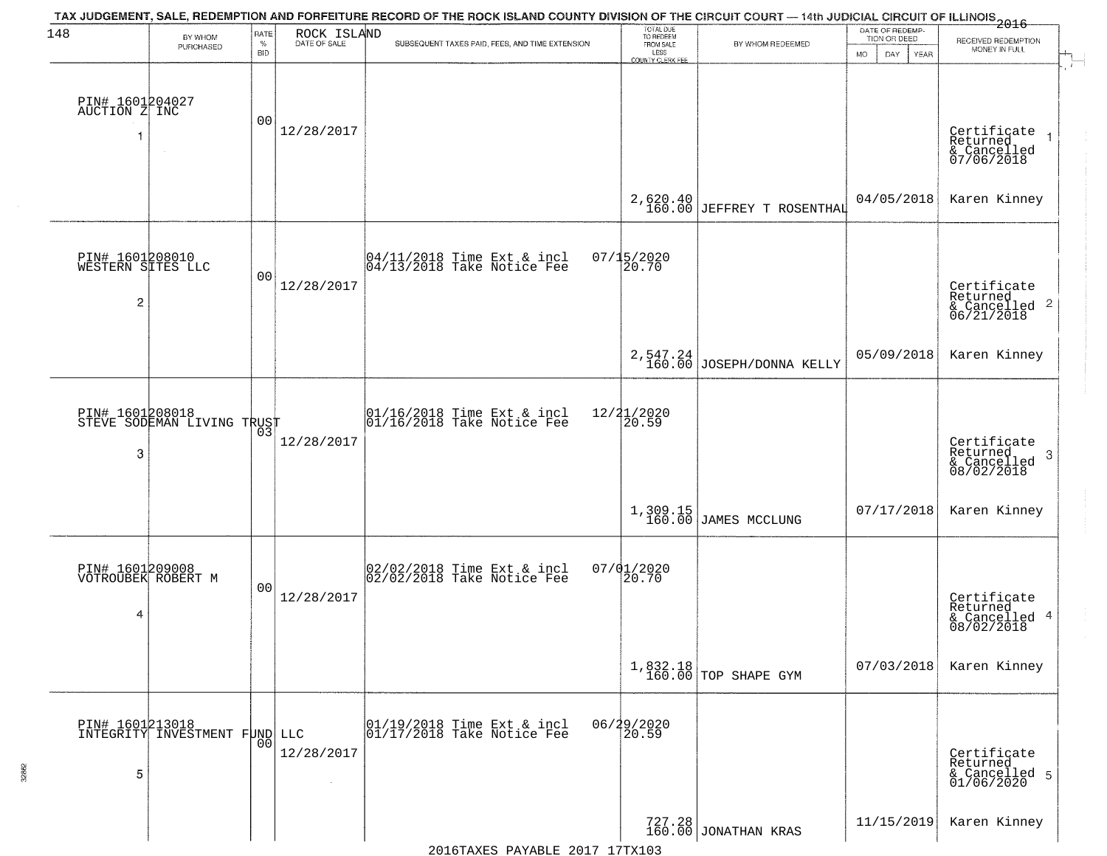| 148                                                    | BY WHOM                                          | RATE               | ROCK ISLAND          | TAX JUDGEMENT, SALE, REDEMPTION AND FORFEITURE RECORD OF THE ROCK ISLAND COUNTY DIVISION OF THE CIRCUIT COURT — 14th JUDICIAL CIRCUIT OF ILLINOIS 2016 | TOTAL DUE<br>TO REDEEM                       |                                  | DATE OF REDEMP-<br>TION OR DEED |                                                                        |
|--------------------------------------------------------|--------------------------------------------------|--------------------|----------------------|--------------------------------------------------------------------------------------------------------------------------------------------------------|----------------------------------------------|----------------------------------|---------------------------------|------------------------------------------------------------------------|
|                                                        | PURCHASED                                        | $\%$<br><b>BID</b> | DATE OF SALE         | SUBSEQUENT TAXES PAID, FEES, AND TIME EXTENSION                                                                                                        | FROM SALE<br>LESS<br><b>COUNTY CLERK FEE</b> | BY WHOM REDEEMED                 | MO.<br>DAY.<br><b>YEAR</b>      | RECEIVED REDEMPTION<br>MONEY IN FULL                                   |
| PIN# 1601204027<br>AUCTION Z INC                       |                                                  | 0 <sub>0</sub>     | 12/28/2017           |                                                                                                                                                        |                                              |                                  |                                 | Certificate<br>Returned<br>& Cancelled<br>07/06/2018                   |
|                                                        |                                                  |                    |                      |                                                                                                                                                        |                                              | 2,620.40 JEFFREY T ROSENTHAL     | 04/05/2018                      | Karen Kinney                                                           |
| PIN# 1601208010<br>WESTERN SITES LLC<br>$\overline{c}$ |                                                  | 0 <sub>0</sub>     | 12/28/2017           | $\begin{bmatrix} 04/11/2018 &$ Time Ext & incl<br>$04/13/2018 &$ Take Notice Fee                                                                       | $07/15/2020$<br>20.70                        |                                  |                                 | Certificate<br>Returned<br>$\overline{2}$<br>& Cancelled<br>06/21/2018 |
|                                                        |                                                  |                    |                      |                                                                                                                                                        |                                              | $2,547.24$ JOSEPH/DONNA KELLY    | 05/09/2018                      | Karen Kinney                                                           |
| 3                                                      | PIN# 1601208018<br>STEVE SODEMAN LIVING TRUST    | 03                 | 12/28/2017           | $\begin{array}{cc} 01/16/2018 &$ Time Ext & incl<br>$01/16/2018 &$ Take Notice Fee                                                                     | 12/21/2020<br>20.59                          |                                  |                                 | Certificate<br>Returned<br>3<br>$\frac{6}{08/02/2018}$                 |
|                                                        |                                                  |                    |                      |                                                                                                                                                        |                                              | 1,309.15<br>160.00 JAMES MCCLUNG | 07/17/2018                      | Karen Kinney                                                           |
| PIN# 1601209008<br>VOTROUBEK ROBERT M<br>4             |                                                  | 0 <sub>0</sub>     | 12/28/2017           | 02/02/2018 Time Ext & incl<br>02/02/2018 Take Notice Fee                                                                                               | 07/01/2020<br>20.70                          |                                  |                                 | Certificate<br>Returned<br>& Cancelled 4<br>08/02/2018                 |
|                                                        |                                                  |                    |                      |                                                                                                                                                        |                                              | 1,832.18<br>160.00 TOP SHAPE GYM | 07/03/2018                      | Karen Kinney                                                           |
| 5                                                      | PIN# 1601213018<br>INTEGRITY INVESTMENT FUND LLC | 0 <sub>0</sub>     | 12/28/2017<br>$\sim$ | 01/19/2018 Time Ext & incl<br>01/17/2018 Take Notice Fee                                                                                               | 06/29/2020<br>20.59                          |                                  |                                 | Certificate<br>Returned<br>& Cancelled 5<br>01/06/2020                 |
|                                                        |                                                  |                    |                      |                                                                                                                                                        |                                              | 727.28<br>160.00 JONATHAN KRAS   | 11/15/2019                      | Karen Kinney                                                           |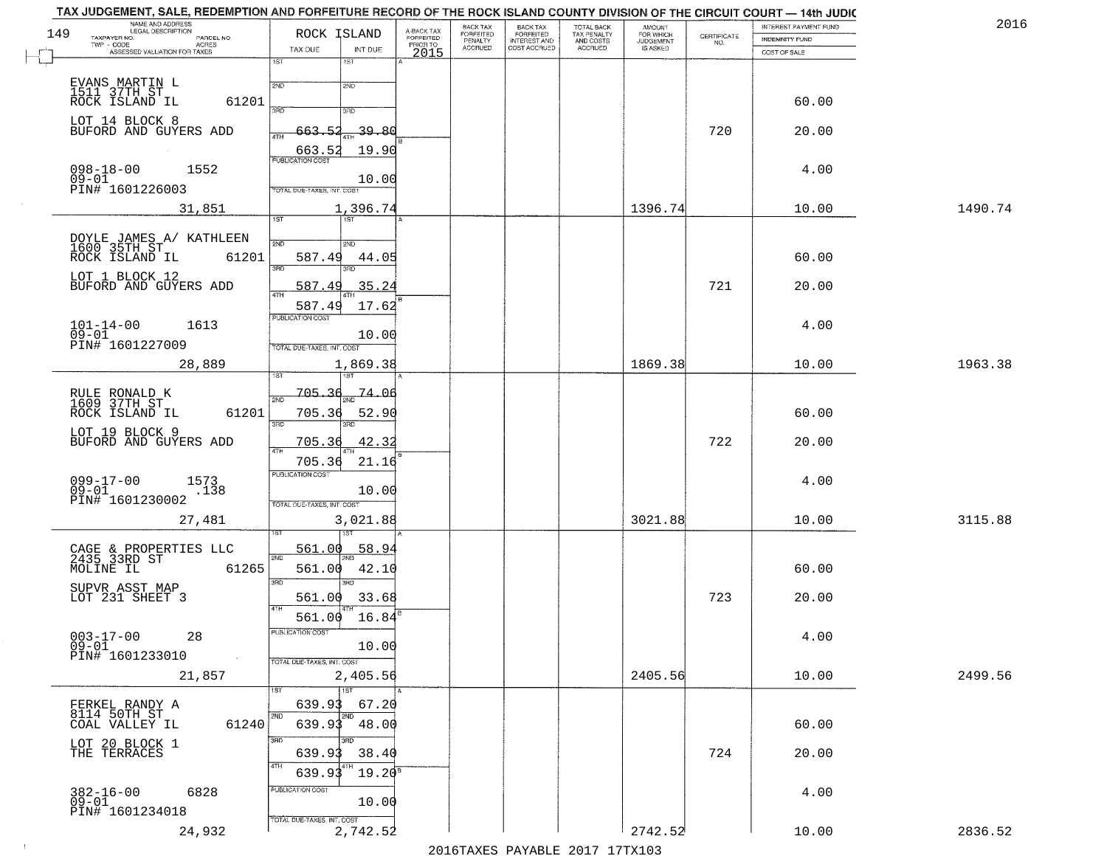|     | TAX JUDGEMENT, SALE, REDEMPTION AND FORFEITURE RECORD OF THE ROCK ISLAND COUNTY DIVISION OF THE CIRCUIT COURT - 14th JUDIC<br>NAME AND ADDRESS<br>LEGAL DESCRIPTION |                                          |                         | BACK TAX                    |                                       |                                        |                                         |                                                                 | INTEREST PAYMENT FUND | 2016    |
|-----|---------------------------------------------------------------------------------------------------------------------------------------------------------------------|------------------------------------------|-------------------------|-----------------------------|---------------------------------------|----------------------------------------|-----------------------------------------|-----------------------------------------------------------------|-----------------------|---------|
| 149 | TAXPAYER NO.<br>PARCEL NO.                                                                                                                                          | ROCK ISLAND                              | A-BACK TAX<br>FORFEITED | <b>FORFEITED</b><br>PENALTY | BACK TAX<br>FORFEITED<br>INTEREST AND | TOTAL BACK<br>TAX PENALTY<br>AND COSTS | AMOUNT<br>FOR WHICH<br><b>JUDGEMENT</b> | $\begin{array}{c} \text{CERTIFICATE} \\ \text{NO.} \end{array}$ | <b>INDEMNITY FUND</b> |         |
|     | TWP - CODE<br><b>ACRES</b><br>ASSESSED VALUATION FOR TAXES                                                                                                          | TAX DUE<br>INT DUE                       | PRIOR TO<br>2015        | <b>ACCRUED</b>              | COST ACCRUED                          | ACCRUED                                | IS ASKED                                |                                                                 | COST OF SALE          |         |
|     |                                                                                                                                                                     | 1ST<br>1ST                               |                         |                             |                                       |                                        |                                         |                                                                 |                       |         |
|     |                                                                                                                                                                     |                                          |                         |                             |                                       |                                        |                                         |                                                                 |                       |         |
|     | EVANS MARTIN L<br>1511 37TH ST<br>ROCK ISLAND IL                                                                                                                    | 2ND<br>2ND                               |                         |                             |                                       |                                        |                                         |                                                                 |                       |         |
|     | 61201                                                                                                                                                               | 350<br>3RD                               |                         |                             |                                       |                                        |                                         |                                                                 | 60.00                 |         |
|     | LOT 14 BLOCK 8                                                                                                                                                      |                                          |                         |                             |                                       |                                        |                                         |                                                                 |                       |         |
|     | BUFORD AND GUYERS ADD                                                                                                                                               | 663.52<br>-39.80                         |                         |                             |                                       |                                        |                                         | 720                                                             | 20.00                 |         |
|     |                                                                                                                                                                     | 19.90<br>$\frac{663.52}{FUBUCATON COST}$ |                         |                             |                                       |                                        |                                         |                                                                 |                       |         |
|     | $098 - 18 - 00$<br>1552                                                                                                                                             |                                          |                         |                             |                                       |                                        |                                         |                                                                 | 4.00                  |         |
|     | $09 - 01$<br>PIN# 1601226003                                                                                                                                        | 10.00                                    |                         |                             |                                       |                                        |                                         |                                                                 |                       |         |
|     |                                                                                                                                                                     | <b>TOTAL DUE-TAXES, INT. COST</b>        |                         |                             |                                       |                                        |                                         |                                                                 |                       |         |
|     | 31,851                                                                                                                                                              | 1,396.74<br>1ST                          |                         |                             |                                       |                                        | 1396.74                                 |                                                                 | 10.00                 | 1490.74 |
|     |                                                                                                                                                                     |                                          |                         |                             |                                       |                                        |                                         |                                                                 |                       |         |
|     | DOYLE JAMES A/ KATHLEEN<br>1600 35TH ST                                                                                                                             | 2ND<br>2ND                               |                         |                             |                                       |                                        |                                         |                                                                 |                       |         |
|     | 61201<br>ROCK ISLAND IL                                                                                                                                             | 587.49<br>44.05                          |                         |                             |                                       |                                        |                                         |                                                                 | 60.00                 |         |
|     | LOT 1 BLOCK 12                                                                                                                                                      | बन्ना                                    |                         |                             |                                       |                                        |                                         |                                                                 |                       |         |
|     | BUFORD AND GUYERS ADD                                                                                                                                               | 587.49<br>35.24                          |                         |                             |                                       |                                        |                                         | 721                                                             | 20.00                 |         |
|     |                                                                                                                                                                     | 587.49<br>17.62                          |                         |                             |                                       |                                        |                                         |                                                                 |                       |         |
|     | 1613                                                                                                                                                                | PUBLICATION COST                         |                         |                             |                                       |                                        |                                         |                                                                 | 4.00                  |         |
|     | $101 - 14 - 00$<br>$09 - 01$                                                                                                                                        | 10.00                                    |                         |                             |                                       |                                        |                                         |                                                                 |                       |         |
|     | PIN# 1601227009                                                                                                                                                     | TOTAL DUE-TAXES, INT. COST               |                         |                             |                                       |                                        |                                         |                                                                 |                       |         |
|     | 28,889                                                                                                                                                              | 1,869.38                                 |                         |                             |                                       |                                        | 1869.38                                 |                                                                 | 10.00                 | 1963.38 |
|     |                                                                                                                                                                     | 1ST<br>'ST                               |                         |                             |                                       |                                        |                                         |                                                                 |                       |         |
|     | RULE RONALD K<br>1609 37TH ST                                                                                                                                       | $705 - 36$<br>74.06<br>2ND               |                         |                             |                                       |                                        |                                         |                                                                 |                       |         |
|     | ROCK ISLAND IL<br>61201                                                                                                                                             | 705.36<br>52.90                          |                         |                             |                                       |                                        |                                         |                                                                 | 60.00                 |         |
|     |                                                                                                                                                                     | 3RD<br>3RD                               |                         |                             |                                       |                                        |                                         |                                                                 |                       |         |
|     | LOT 19 BLOCK 9<br>BUFORD AND GUYERS ADD                                                                                                                             | 42.32<br><u>705.36</u>                   |                         |                             |                                       |                                        |                                         | 722                                                             | 20.00                 |         |
|     |                                                                                                                                                                     | 4TH<br>705.36<br>21.16                   |                         |                             |                                       |                                        |                                         |                                                                 |                       |         |
|     |                                                                                                                                                                     | PUBLICATION COST                         |                         |                             |                                       |                                        |                                         |                                                                 |                       |         |
|     | $099 - 17 - 00$<br>1573<br>.138<br>$09 - 01$                                                                                                                        | 10.00                                    |                         |                             |                                       |                                        |                                         |                                                                 | 4.00                  |         |
|     | PIN# 1601230002                                                                                                                                                     | TOTAL OUE-TAXES, INT. COST               |                         |                             |                                       |                                        |                                         |                                                                 |                       |         |
|     | 27,481                                                                                                                                                              | 3,021.88                                 |                         |                             |                                       |                                        | 3021.88                                 |                                                                 | 10.00                 | 3115.88 |
|     |                                                                                                                                                                     |                                          |                         |                             |                                       |                                        |                                         |                                                                 |                       |         |
|     |                                                                                                                                                                     | 561.00<br>58.94                          |                         |                             |                                       |                                        |                                         |                                                                 |                       |         |
|     | CAGE & PROPERTIES LLC<br>2435 33RD ST<br>MOLINE IL<br>61265                                                                                                         | 2ND<br>561.00<br>42.10                   |                         |                             |                                       |                                        |                                         |                                                                 | 60.00                 |         |
|     |                                                                                                                                                                     | 3RD<br>3RD                               |                         |                             |                                       |                                        |                                         |                                                                 |                       |         |
|     | SUPVR ASST MAP<br>LOT 231 SHEET 3                                                                                                                                   | 33.68<br>561.00                          |                         |                             |                                       |                                        |                                         | 723                                                             | 20.00                 |         |
|     |                                                                                                                                                                     | 4TH                                      |                         |                             |                                       |                                        |                                         |                                                                 |                       |         |
|     |                                                                                                                                                                     | 16.84<br>561.00                          |                         |                             |                                       |                                        |                                         |                                                                 |                       |         |
|     | $003 - 17 - 00$<br>28                                                                                                                                               | ruslica i IUN COS                        |                         |                             |                                       |                                        |                                         |                                                                 | 4.00                  |         |
|     | $09 - 01$<br>PIN# 1601233010                                                                                                                                        | 10.00                                    |                         |                             |                                       |                                        |                                         |                                                                 |                       |         |
|     |                                                                                                                                                                     | TOTAL DUE-TAXES, INT. COST               |                         |                             |                                       |                                        |                                         |                                                                 |                       | 2499.56 |
|     | 21,857                                                                                                                                                              | 2,405.56<br>1ST                          |                         |                             |                                       |                                        | 2405.56                                 |                                                                 | 10.00                 |         |
|     | FERKEL RANDY A                                                                                                                                                      | 639.93<br>67.20                          |                         |                             |                                       |                                        |                                         |                                                                 |                       |         |
|     | 8114 50TH ST                                                                                                                                                        | 2ND                                      |                         |                             |                                       |                                        |                                         |                                                                 |                       |         |
|     | COAL VALLEY IL<br>61240                                                                                                                                             | 639.93<br>48.00                          |                         |                             |                                       |                                        |                                         |                                                                 | 60.00                 |         |
|     | LOT 20 BLOCK 1<br>THE TERRACES                                                                                                                                      | 3RD                                      |                         |                             |                                       |                                        |                                         |                                                                 |                       |         |
|     |                                                                                                                                                                     | 38.40<br>639.93<br>4TH                   |                         |                             |                                       |                                        |                                         | 724                                                             | 20.00                 |         |
|     |                                                                                                                                                                     | $19.20^8$<br>639.93                      |                         |                             |                                       |                                        |                                         |                                                                 |                       |         |
|     | $382 - 16 - 00$<br>6828                                                                                                                                             | PUBLICATION COST                         |                         |                             |                                       |                                        |                                         |                                                                 | 4.00                  |         |
|     | $09-01$                                                                                                                                                             | 10.00                                    |                         |                             |                                       |                                        |                                         |                                                                 |                       |         |
|     | PIN# 1601234018                                                                                                                                                     | TOTAL DUE-TAXES, INT. COST               |                         |                             |                                       |                                        |                                         |                                                                 |                       |         |
|     | 24,932                                                                                                                                                              | 2,742.52                                 |                         |                             |                                       |                                        | 2742.52                                 |                                                                 | 10.00                 | 2836.52 |
|     |                                                                                                                                                                     |                                          |                         |                             | 2016 TAVEC DAVARIE 2017 17 TAV102     |                                        |                                         |                                                                 |                       |         |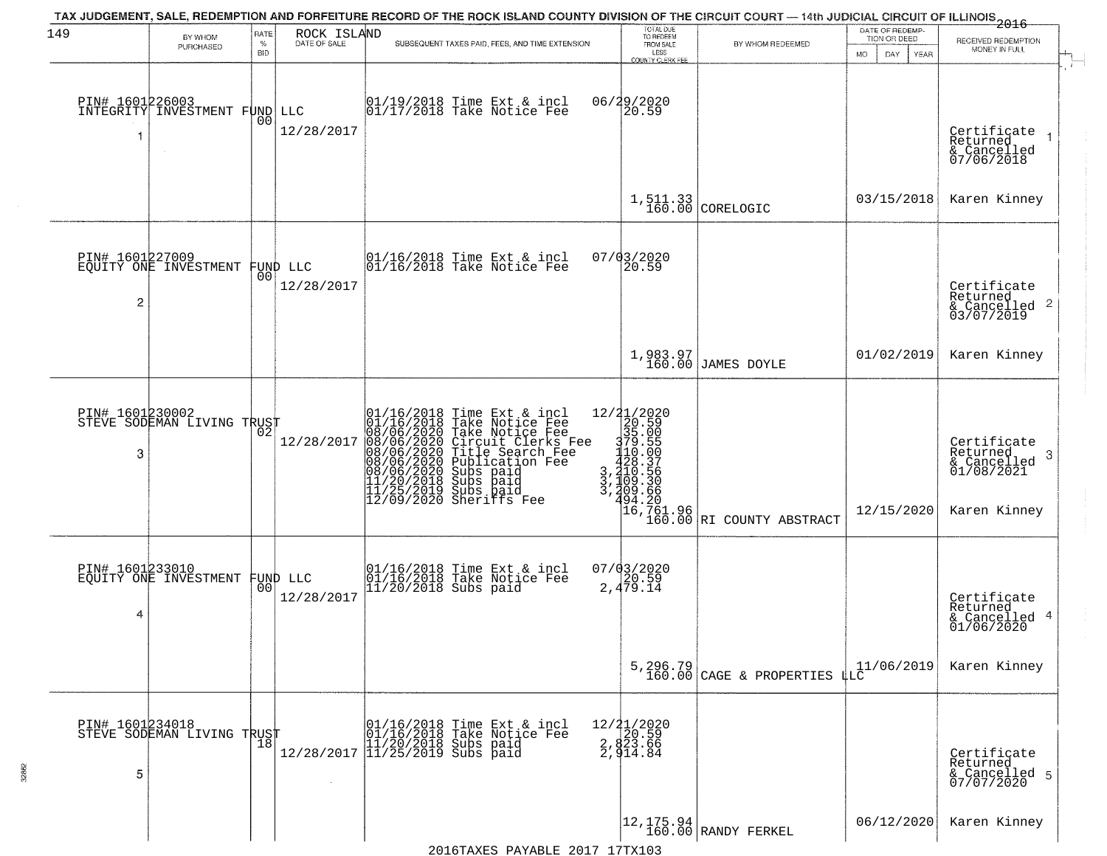| 149                  |                                                   |                |                                |                           |                                                                                                                                                                                                                                                       | TOTAL DUE<br>TO REDEEM                                                                                                                                     | TAX JUDGEMENT, SALE, REDEMPTION AND FORFEITURE RECORD OF THE ROCK ISLAND COUNTY DIVISION OF THE CIRCUIT COURT — 14th JUDICIAL CIRCUIT OF ILLINOIS 2016 | DATE OF REDEMP-              |                                                                        |
|----------------------|---------------------------------------------------|----------------|--------------------------------|---------------------------|-------------------------------------------------------------------------------------------------------------------------------------------------------------------------------------------------------------------------------------------------------|------------------------------------------------------------------------------------------------------------------------------------------------------------|--------------------------------------------------------------------------------------------------------------------------------------------------------|------------------------------|------------------------------------------------------------------------|
|                      | BY WHOM<br>PURCHASED                              | RATE<br>$\%$   | ROCK ISLAND<br>DATE OF SALE    |                           | SUBSEQUENT TAXES PAID, FEES, AND TIME EXTENSION                                                                                                                                                                                                       | FROM SALE<br>LESS                                                                                                                                          | BY WHOM REDEEMED                                                                                                                                       | TION OR DEED                 | RECEIVED REDEMPTION<br>MONEY IN FULL                                   |
|                      | PIN# 1601226003<br>INTEGRITY INVESTMENT FUND LLC  | BID            |                                |                           | 01/19/2018 Time Ext & incl<br>01/17/2018 Take Notice Fee                                                                                                                                                                                              | COUNTY CLERK FEE<br>06/29/2020<br>20.59                                                                                                                    |                                                                                                                                                        | MO.<br>DAY.<br>YEAR          |                                                                        |
| 1                    |                                                   | 0 <sub>0</sub> | 12/28/2017                     |                           |                                                                                                                                                                                                                                                       |                                                                                                                                                            |                                                                                                                                                        |                              | Certificate<br>$\mathbf{1}$<br>Returned<br>& Cancelled<br>07/06/2018   |
|                      |                                                   |                |                                |                           |                                                                                                                                                                                                                                                       |                                                                                                                                                            | $1,511.33$ CORELOGIC                                                                                                                                   | 03/15/2018                   | Karen Kinney                                                           |
| 2                    | PIN# 1601227009<br>EQUITY ONE INVESTMENT FUND LLC |                | 12/28/2017                     |                           | 01/16/2018 Time Ext & incl<br>01/16/2018 Take Notice Fee                                                                                                                                                                                              | 07/03/2020<br>20.59                                                                                                                                        |                                                                                                                                                        |                              | Certificate<br>Returned<br>$\frac{1}{6}$ Cancelled 2<br>03/07/2019     |
|                      |                                                   |                |                                |                           |                                                                                                                                                                                                                                                       |                                                                                                                                                            | 1,983.97<br>160.00 JAMES DOYLE                                                                                                                         | 01/02/2019                   | Karen Kinney                                                           |
| PIN# 1601230002<br>3 | STEVE SODEMAN LIVING TRUST                        | 02             | 12/28/2017                     | $12/09/2020$ Sheriffs Fee | 01/16/2018 Time Ext & incl<br>01/16/2018 Take Notice Fee<br>08/06/2020 Take Notice Fee<br>08/06/2020 Circuit Clerks Fee<br>08/06/2020 Title Search Fee<br>08/06/2020 Bubb paid<br>08/06/2020 Subs paid<br>11/20/2018 Subs paid<br>11/20/2018 Subs pai | $\begin{smallmatrix} 12/31/2020 \\ 20.590 \\ 375.050 \\ 170.591 \\ 110.505 \\ 420.356 \\ 3,4109.356 \\ 3,409.360 \\ 3,409.360 \end{smallmatrix}$<br>494.20 |                                                                                                                                                        | 12/15/2020                   | Certificate<br>Returned<br>3<br>$\frac{6}{01/08/2021}$<br>Karen Kinney |
| PIN# 1601233010<br>4 | EQUITY ONE INVESTMENT                             |                | FUND LLC<br> 00 <br>12/28/2017 |                           | 01/16/2018 Time Ext & incl<br>01/16/2018 Take Notice Fee<br>11/20/2018 Subs paid                                                                                                                                                                      | $07/03/2020$<br>2,479.14                                                                                                                                   | 16,761.96<br>160.00 RI COUNTY ABSTRACT                                                                                                                 |                              | Certificate<br>Returned<br>4<br>& Cancelled<br>01/06/2020              |
|                      |                                                   |                |                                |                           |                                                                                                                                                                                                                                                       |                                                                                                                                                            | 5, 296.79<br>160.00 CAGE & PROPERTIES                                                                                                                  | $\frac{11}{10}$ (11/06/2019) | Karen Kinney                                                           |
| PIN# 1601234018<br>5 | STEVE SODEMAN LIVING TRUST                        |                |                                |                           | 01/16/2018 Time Ext & incl<br>01/16/2018 Take Notice Fee<br>11/20/2018 Subs paid<br>12/28/2017 11/25/2019 Subs paid                                                                                                                                   | 12/21/2020<br>2, 820.59<br>2, 823.66<br>2, 914.84                                                                                                          |                                                                                                                                                        |                              | Certificate<br>Returned<br>& Cancelled 5<br>07/07/2020                 |
|                      |                                                   |                |                                |                           |                                                                                                                                                                                                                                                       |                                                                                                                                                            | $\begin{array}{ c c c c c }\n 12,175.94 & \text{RANDY FERKEL} \\  \hline\n 160.00 & \text{RANDY FERKEL}\n \end{array}$                                 | 06/12/2020                   | Karen Kinney                                                           |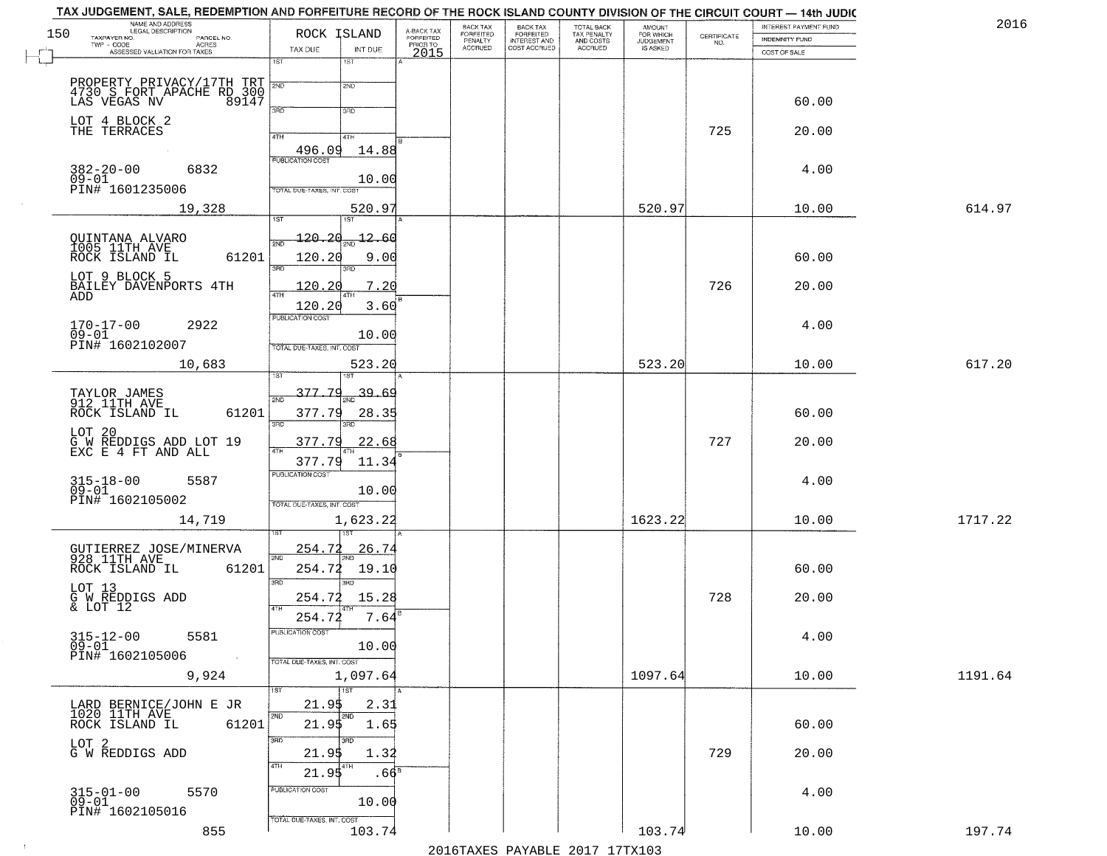| NAME AND ADDRESS<br>LEGAL DESCRIPTION                                            |                                                                            |                                     | BACK TAX             | <b>BACK TAX</b>           |                                        |                                  |                                                                 | INTEREST PAYMENT FUND | 2016    |
|----------------------------------------------------------------------------------|----------------------------------------------------------------------------|-------------------------------------|----------------------|---------------------------|----------------------------------------|----------------------------------|-----------------------------------------------------------------|-----------------------|---------|
| 150<br>TAXPAYER NO.<br>PARCEL NO.<br>ACRES                                       | ROCK ISLAND                                                                | A-BACK TAX<br>FORFEITED<br>PRIOR TO | FORFEITED<br>PENALTY | FORFEITED<br>INTEREST AND | TOTAL BACK<br>TAX PENALTY<br>AND COSTS | AMOUNT<br>FOR WHICH<br>JUDGEMENT | $\begin{array}{c} \text{CERTIFICATE} \\ \text{NO.} \end{array}$ | <b>INDEMNITY FUND</b> |         |
| ASSESSED VALUATION FOR TAXES                                                     | TAX DUE<br>INT DUE                                                         | 2015                                | <b>ACCRUED</b>       | COST ACCRUED              | ACCRUED                                | IS ASKED                         |                                                                 | COST OF SALE          |         |
| PROPERTY PRIVACY/17TH TRT 30 S FORT APACHE RD 300 LAS VEGAS NV 89147             | 1ST<br>1ST<br>2ND                                                          |                                     |                      |                           |                                        |                                  |                                                                 |                       |         |
| LOT 4 BLOCK 2                                                                    | 3RD<br>3RD                                                                 |                                     |                      |                           |                                        |                                  |                                                                 | 60.00                 |         |
| THE TERRACES                                                                     | 4TH<br>4TH<br>14.88                                                        |                                     |                      |                           |                                        |                                  | 725                                                             | 20.00                 |         |
| $382 - 20 - 00$<br>6832<br>$09 - 01$<br>PIN# 1601235006                          | 10.00<br>TOTAL DUE-TAXES, INT. COST                                        |                                     |                      |                           |                                        |                                  |                                                                 | 4.00                  |         |
| 19,328                                                                           | 520.97                                                                     |                                     |                      |                           |                                        | 520.97                           |                                                                 | 10.00                 | 614.97  |
| QUINTANA ALVARO<br>1005 11TH AVE<br>61201<br>ROCK ISLAND IL                      | 120.20<br>$\frac{12.60}{200}$<br>120.20<br>9.00<br>3RD<br>3RD              |                                     |                      |                           |                                        |                                  |                                                                 | 60.00                 |         |
| LOT 9 BLOCK 5<br>BAILEY DAVENPORTS 4TH<br>ADD                                    | 7.20<br>120.20<br>ৰাম<br>120.20<br>3.60                                    |                                     |                      |                           |                                        |                                  | 726                                                             | 20.00                 |         |
| $170 - 17 - 00$<br>2922<br>$09 - 01$<br>PIN# 1602102007                          | PUBLICATION COST<br>10.00<br>TOTAL DUE-TAXES, INT. COST                    |                                     |                      |                           |                                        |                                  |                                                                 | 4.00                  |         |
| 10,683                                                                           | 523.20<br>is T                                                             |                                     |                      |                           |                                        | 523.20                           |                                                                 | 10.00                 | 617.20  |
| TAYLOR JAMES<br>912 11TH AVE<br>ROCK ISLAND IL<br>61201                          | 377.79<br>39.69<br>2ND<br>377.79<br>28.35<br>3RD<br>3RD                    |                                     |                      |                           |                                        |                                  |                                                                 | 60.00                 |         |
| LOT 20<br>G W REDDIGS ADD LOT 19<br>EXC E 4 FT AND ALL                           | 377.79<br>22.68<br>$\overline{AT}$<br>377.79<br>11.34                      |                                     |                      |                           |                                        |                                  | 727                                                             | 20.00                 |         |
| $315 - 18 - 00$<br>09-01<br>5587<br>PIN# 1602105002                              | <b>PUBLICATION COST</b><br>10.00<br>TOTAL OUE-TAXES, INT. COST             |                                     |                      |                           |                                        |                                  |                                                                 | 4.00                  |         |
| 14,719                                                                           | 1,623.22                                                                   |                                     |                      |                           |                                        | 1623.22                          |                                                                 | 10.00                 | 1717.22 |
| GUTIERREZ JOSE/MINERVA<br>928 11TH AVE<br>ROCK ISLAND IL<br>61201                | 254.72<br><u>26.74</u><br>2ND<br>254.72<br>19.10<br>3 <sub>BD</sub><br>3RD |                                     |                      |                           |                                        |                                  |                                                                 | 60.00                 |         |
| LOT 13<br>G W REDDIGS ADD<br>& LOT 12                                            | 254.72<br>15.28<br>4TH<br>254.72<br>7.64                                   |                                     |                      |                           |                                        |                                  | 728                                                             | 20.00                 |         |
| $315 - 12 - 00$<br>5581<br>$09 - 01$<br>PIN# 1602105006<br>$\sim 100$ km $^{-1}$ | -usuca i un cus-<br>10.00<br>TOTAL DUE-TAXES, INT. COST                    |                                     |                      |                           |                                        |                                  |                                                                 | 4.00                  |         |
| 9,924                                                                            | 1,097.64<br>1ST                                                            |                                     |                      |                           |                                        | 1097.64                          |                                                                 | 10.00                 | 1191.64 |
| LARD BERNICE/JOHN E JR<br>1020 11TH AVE<br>ROCK ISLAND IL<br>61201               | 21.95<br>2.31<br>2ND<br>2ND<br>21.95<br>1.65                               |                                     |                      |                           |                                        |                                  |                                                                 | 60.00                 |         |
| LOT 2<br>G W REDDIGS ADD                                                         | 3RD<br>3BD<br>21.95<br>1.32<br>4TH<br>21.95<br>.66 <sup>B</sup>            |                                     |                      |                           |                                        |                                  | 729                                                             | 20.00                 |         |
| 315-01-00<br>09-01<br>5570<br>PIN# 1602105016                                    | PUBLICATION COST<br>10.00<br>TOTAL DUE-TAXES, INT. COST                    |                                     |                      |                           |                                        |                                  |                                                                 | 4.00                  |         |
| 855                                                                              | 103.74                                                                     |                                     |                      |                           |                                        | 103.74                           |                                                                 | 10.00                 | 197.74  |

 $\sim 100$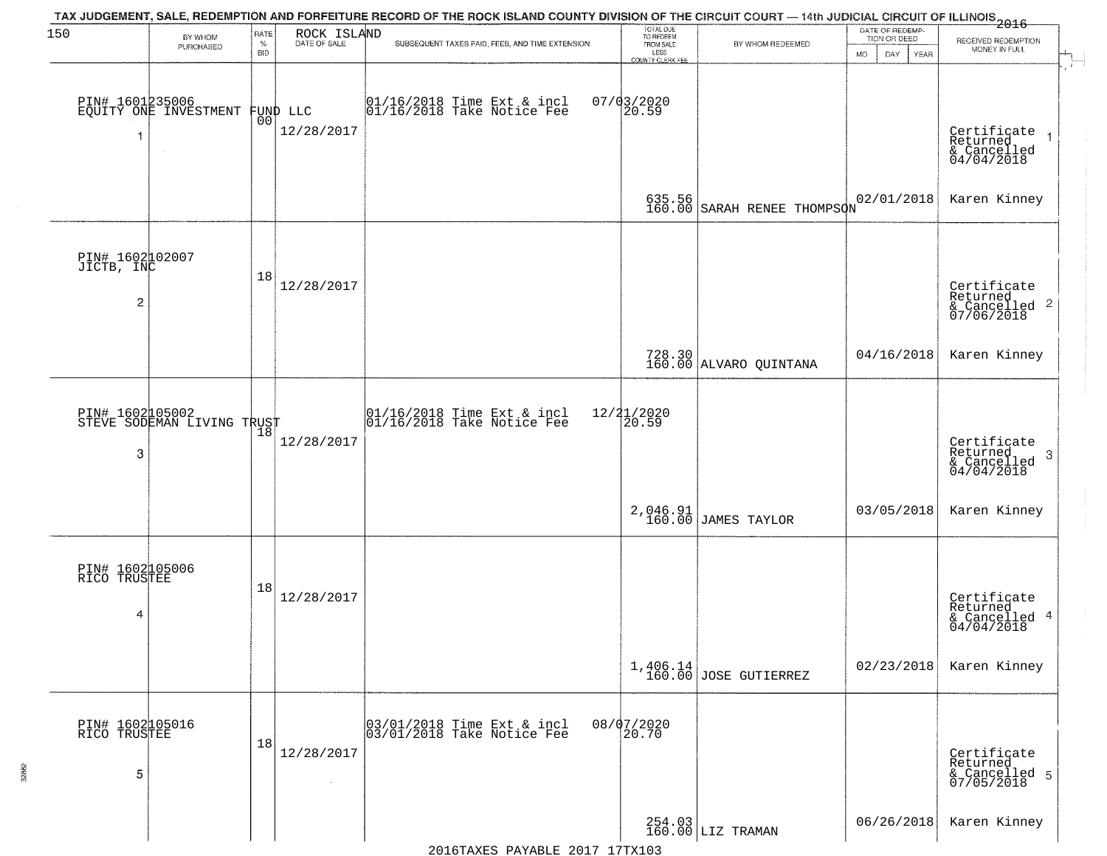| 150                                             | BY WHOM                                              | RATE<br>$\%$ | ROCK ISLAND<br>DATE OF SALE | TAX JUDGEMENT, SALE, REDEMPTION AND FORFEITURE RECORD OF THE ROCK ISLAND COUNTY DIVISION OF THE CIRCUIT COURT — 14th JUDICIAL CIRCUIT OF ILLINOIS 2016<br>SUBSEQUENT TAXES PAID, FEES, AND TIME EXTENSION | TOTAL DUE<br>TO REDEEM<br>FROM SALE | BY WHOM REDEEMED                 | DATE OF REDEMP-<br>TION OR DEED | RECEIVED REDEMPTION                                                |
|-------------------------------------------------|------------------------------------------------------|--------------|-----------------------------|-----------------------------------------------------------------------------------------------------------------------------------------------------------------------------------------------------------|-------------------------------------|----------------------------------|---------------------------------|--------------------------------------------------------------------|
|                                                 | PURCHASED                                            | <b>BID</b>   |                             |                                                                                                                                                                                                           | LESS<br>COUNTY CLERK FEE            |                                  | DAY<br>YEAR<br>MO.              | MONEY IN FULL                                                      |
|                                                 | PIN# 1601235006<br>EQUITY ONE INVESTMENT             | 00           | FUND LLC<br>12/28/2017      | 01/16/2018 Time Ext & incl<br>01/16/2018 Take Notice Fee                                                                                                                                                  | $07/03/2020$<br>20.59               |                                  |                                 | Certificate<br>Returned<br>& Cancelled<br>04/04/2018               |
|                                                 |                                                      |              |                             |                                                                                                                                                                                                           | 635.56<br>160.00                    | SARAH RENEE THOMPSON             | 02/01/2018                      | Karen Kinney                                                       |
| PIN# 1602002007<br>JICTB, INC<br>$\overline{2}$ |                                                      | 18           | 12/28/2017                  |                                                                                                                                                                                                           |                                     |                                  |                                 | Certificate<br>Returned<br>$\frac{1}{2}$ Cancelled 2<br>07/06/2018 |
|                                                 |                                                      |              |                             |                                                                                                                                                                                                           |                                     | 728.30<br>160.00 ALVARO QUINTANA | 04/16/2018                      | Karen Kinney                                                       |
| PIN# 1602005002<br>3                            | <b>PIN# 1002400002</b><br>STEVE SODEMAN LIVING TRUST |              | 12/28/2017                  | 01/16/2018 Time Ext & incl<br>01/16/2018 Take Notice Fee                                                                                                                                                  | 12/21/2020<br>20.59                 |                                  |                                 | Certificate<br>Returned<br>3<br>& Cancelled<br>04/04/2018          |
|                                                 |                                                      |              |                             |                                                                                                                                                                                                           | 2,046.91<br>160.00                  | JAMES TAYLOR                     | 03/05/2018                      | Karen Kinney                                                       |
| PIN# 1602105006<br>RICO TRUSTEE<br>4            |                                                      | 18           | 12/28/2017                  |                                                                                                                                                                                                           |                                     |                                  |                                 | Certificate<br>Returned<br>& Cancelled 4<br>04/04/2018             |
|                                                 |                                                      |              |                             |                                                                                                                                                                                                           |                                     | $1,406.14$ JOSE GUTIERREZ        | 02/23/2018                      | Karen Kinney                                                       |
| PIN# 1602105016<br>RICO TRUSTEE<br>5            |                                                      | 18           | 12/28/2017<br>$\sim$        | 03/01/2018 Time Ext & incl<br>03/01/2018 Take Notice Fee                                                                                                                                                  | 08/07/2020<br>20.70                 |                                  |                                 | Certificate<br>Returned<br>& Cancelled 5<br>07/05/2018             |
|                                                 |                                                      |              |                             |                                                                                                                                                                                                           |                                     | 254.03<br>160.00 LIZ TRAMAN      | 06/26/2018                      | Karen Kinney                                                       |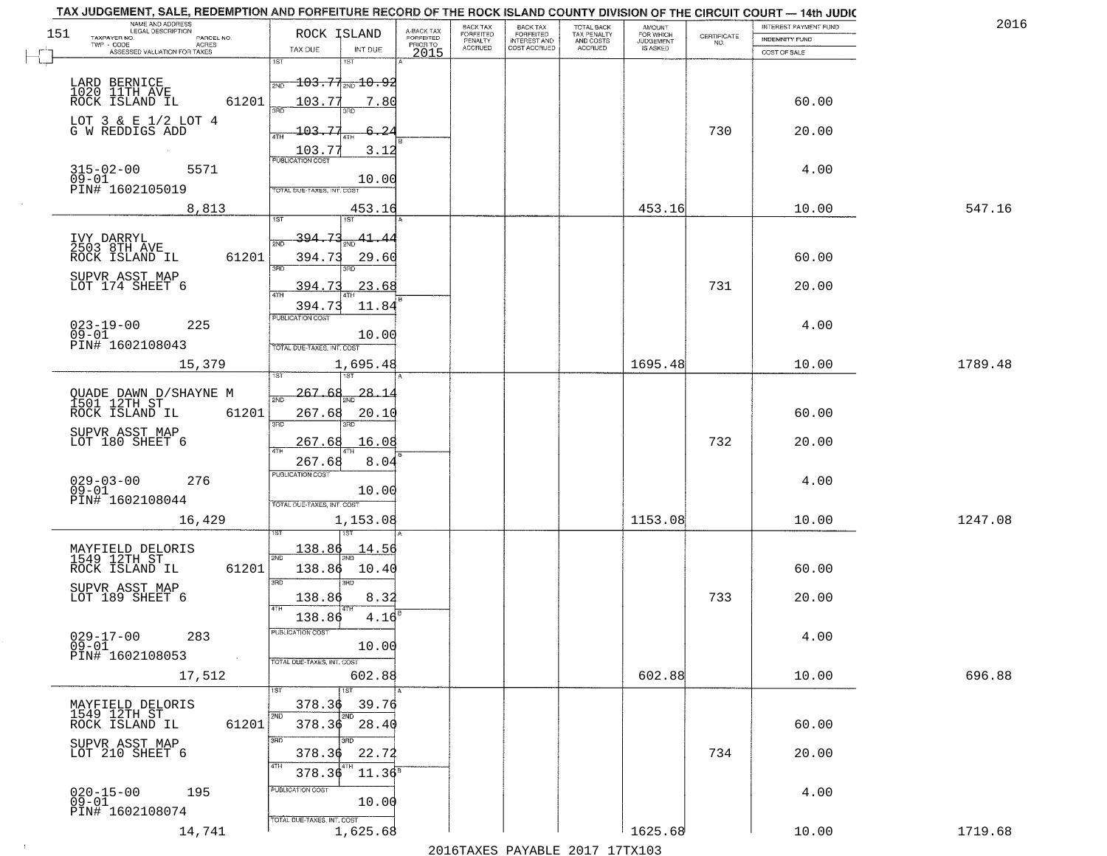|     | TAX JUDGEMENT, SALE, REDEMPTION AND FORFEITURE RECORD OF THE ROCK ISLAND COUNTY DIVISION OF THE CIRCUIT COURT - 14th JUDIC<br>NAME AND ADDRESS<br>LEGAL DESCRIPTION |                                              |                                     | BACK TAX                         |                                              |                                        |                                         |                                                                 | INTEREST PAYMENT FUND | 2016    |
|-----|---------------------------------------------------------------------------------------------------------------------------------------------------------------------|----------------------------------------------|-------------------------------------|----------------------------------|----------------------------------------------|----------------------------------------|-----------------------------------------|-----------------------------------------------------------------|-----------------------|---------|
| 151 | TAXPAYER NO.<br>PARCEL NO.                                                                                                                                          | ROCK ISLAND                                  | A-BACK TAX<br>FORFEITED<br>PRIOR TO | <b>FORFEITED</b><br>PENALTY      | BACK TAX<br>FORFEITED<br><b>INTEREST AND</b> | TOTAL BACK<br>TAX PENALTY<br>AND COSTS | AMOUNT<br>FOR WHICH<br><b>JUDGEMENT</b> | $\begin{array}{c} \text{CERTIFICATE} \\ \text{NO.} \end{array}$ | <b>INDEMNITY FUND</b> |         |
|     | <b>ACRES</b><br>ASSESSED VALUATION FOR TAXES                                                                                                                        | TAX DUE<br>INT DUE                           | 2015                                | <b>ACCRUED</b>                   | COST ACCRUED                                 | ACCRUED                                | IS ASKED                                |                                                                 | COST OF SALE          |         |
|     |                                                                                                                                                                     | 1ST<br>1ST                                   |                                     |                                  |                                              |                                        |                                         |                                                                 |                       |         |
|     | LARD BERNICE                                                                                                                                                        | $\frac{1}{200}$ 103.77 $\frac{1}{200}$ 10.92 |                                     |                                  |                                              |                                        |                                         |                                                                 |                       |         |
|     | 1020 11TH AVE<br>ROCK ISLAND IL                                                                                                                                     |                                              |                                     |                                  |                                              |                                        |                                         |                                                                 |                       |         |
|     | 61201                                                                                                                                                               | 103.77<br>7.80                               |                                     |                                  |                                              |                                        |                                         |                                                                 | 60.00                 |         |
|     | LOT $3 \& E 1/2$ LOT $4$                                                                                                                                            |                                              |                                     |                                  |                                              |                                        |                                         |                                                                 |                       |         |
|     | G W REDDIGS ADD                                                                                                                                                     | 103.77<br>6.24                               |                                     |                                  |                                              |                                        |                                         | 730                                                             | 20.00                 |         |
|     |                                                                                                                                                                     | $\frac{103.77}{FUBUCATON COST}$<br>3.12      |                                     |                                  |                                              |                                        |                                         |                                                                 |                       |         |
|     | 5571                                                                                                                                                                |                                              |                                     |                                  |                                              |                                        |                                         |                                                                 | 4.00                  |         |
|     | 315-02-00<br>09-01                                                                                                                                                  | 10.00                                        |                                     |                                  |                                              |                                        |                                         |                                                                 |                       |         |
|     | PIN# 1602105019                                                                                                                                                     | TOTAL DUE-TAXES, INT. COST                   |                                     |                                  |                                              |                                        |                                         |                                                                 |                       |         |
|     | 8,813                                                                                                                                                               | 453.16                                       |                                     |                                  |                                              |                                        | 453.16                                  |                                                                 | 10.00                 | 547.16  |
|     |                                                                                                                                                                     |                                              |                                     |                                  |                                              |                                        |                                         |                                                                 |                       |         |
|     | IVY DARRYL<br>2503 8TH AVE                                                                                                                                          | 394.73<br>41.44                              |                                     |                                  |                                              |                                        |                                         |                                                                 |                       |         |
|     | 61201<br>ROCK ISLAND IL                                                                                                                                             | 394.73<br>29.60                              |                                     |                                  |                                              |                                        |                                         |                                                                 | 60.00                 |         |
|     |                                                                                                                                                                     | ਬਨ<br>3RD                                    |                                     |                                  |                                              |                                        |                                         |                                                                 |                       |         |
|     | SUPVR ASST MAP<br>LOT 174 SHEET 6                                                                                                                                   | 394.73<br>23.68                              |                                     |                                  |                                              |                                        |                                         | 731                                                             | 20.00                 |         |
|     |                                                                                                                                                                     |                                              |                                     |                                  |                                              |                                        |                                         |                                                                 |                       |         |
|     |                                                                                                                                                                     | 11.84<br>394.73<br>PUBLICATION COST          |                                     |                                  |                                              |                                        |                                         |                                                                 |                       |         |
|     | $023 - 19 - 00$<br>225                                                                                                                                              |                                              |                                     |                                  |                                              |                                        |                                         |                                                                 | 4.00                  |         |
|     | $09 - 01$<br>PIN# 1602108043                                                                                                                                        | 10.00                                        |                                     |                                  |                                              |                                        |                                         |                                                                 |                       |         |
|     |                                                                                                                                                                     | TOTAL DUE-TAXES, INT. COST                   |                                     |                                  |                                              |                                        |                                         |                                                                 |                       |         |
|     | 15,379                                                                                                                                                              | 1,695.48<br>1ST                              |                                     |                                  |                                              |                                        | 1695.48                                 |                                                                 | 10.00                 | 1789.48 |
|     |                                                                                                                                                                     |                                              |                                     |                                  |                                              |                                        |                                         |                                                                 |                       |         |
|     | QUADE DAWN D/SHAYNE M<br>1501 12TH ST                                                                                                                               | 28.1<br>-267.<br>2ND                         |                                     |                                  |                                              |                                        |                                         |                                                                 |                       |         |
|     | ROCK ISLAND IL<br>61201                                                                                                                                             | 267.68<br>20.10                              |                                     |                                  |                                              |                                        |                                         |                                                                 | 60.00                 |         |
|     | SUPVR ASST MAP                                                                                                                                                      | 3RD<br>3RD                                   |                                     |                                  |                                              |                                        |                                         |                                                                 |                       |         |
|     | LOT 180 SHEET 6                                                                                                                                                     | 267.68<br>16.08                              |                                     |                                  |                                              |                                        |                                         | 732                                                             | 20.00                 |         |
|     |                                                                                                                                                                     | 267.68<br>8.04                               |                                     |                                  |                                              |                                        |                                         |                                                                 |                       |         |
|     |                                                                                                                                                                     | <b>PUBLICATION COST</b>                      |                                     |                                  |                                              |                                        |                                         |                                                                 |                       |         |
|     | $029 - 03 - 00$<br>09-01<br>276                                                                                                                                     | 10.00                                        |                                     |                                  |                                              |                                        |                                         |                                                                 | 4.00                  |         |
|     | PIN# 1602108044                                                                                                                                                     | TOTAL OUE-TAXES, INT. COST                   |                                     |                                  |                                              |                                        |                                         |                                                                 |                       |         |
|     | 16,429                                                                                                                                                              | 1,153.08                                     |                                     |                                  |                                              |                                        | 1153.08                                 |                                                                 | 10.00                 | 1247.08 |
|     |                                                                                                                                                                     |                                              |                                     |                                  |                                              |                                        |                                         |                                                                 |                       |         |
|     |                                                                                                                                                                     | 138.86<br>14.56                              |                                     |                                  |                                              |                                        |                                         |                                                                 |                       |         |
|     | MAYFIELD DELORIS<br>1549 12TH ST                                                                                                                                    | 2ND                                          |                                     |                                  |                                              |                                        |                                         |                                                                 |                       |         |
|     | ROCK ISLAND IL<br>61201                                                                                                                                             | 138.86<br>10.40<br>3BD<br>3RD                |                                     |                                  |                                              |                                        |                                         |                                                                 | 60.00                 |         |
|     | SUPVR ASST MAP<br>LOT 189 SHEET 6                                                                                                                                   |                                              |                                     |                                  |                                              |                                        |                                         | 733                                                             | 20.00                 |         |
|     |                                                                                                                                                                     | 138.86<br>8.32<br>4TH                        |                                     |                                  |                                              |                                        |                                         |                                                                 |                       |         |
|     |                                                                                                                                                                     | 138.86<br>4.16                               |                                     |                                  |                                              |                                        |                                         |                                                                 |                       |         |
|     | $029 - 17 - 00$<br>283                                                                                                                                              | PUBLICATION COST                             |                                     |                                  |                                              |                                        |                                         |                                                                 | 4.00                  |         |
|     | $09 - 01$<br>PIN# 1602108053                                                                                                                                        | 10.00                                        |                                     |                                  |                                              |                                        |                                         |                                                                 |                       |         |
|     | $\sim 10^{-1}$                                                                                                                                                      | TOTAL DUE-TAXES, INT. COST                   |                                     |                                  |                                              |                                        |                                         |                                                                 |                       |         |
|     | 17,512                                                                                                                                                              | 602.88                                       |                                     |                                  |                                              |                                        | 602.88                                  |                                                                 | 10.00                 | 696.88  |
|     |                                                                                                                                                                     |                                              |                                     |                                  |                                              |                                        |                                         |                                                                 |                       |         |
|     | MAYFIELD DELORIS<br>1549 12TH ST                                                                                                                                    | 39.76<br>378.36                              |                                     |                                  |                                              |                                        |                                         |                                                                 |                       |         |
|     | ROCK ISLAND IL<br>61201                                                                                                                                             | $378.36$ 28.40                               |                                     |                                  |                                              |                                        |                                         |                                                                 | 60.00                 |         |
|     |                                                                                                                                                                     | 3RD                                          |                                     |                                  |                                              |                                        |                                         |                                                                 |                       |         |
|     | SUPVR ASST MAP<br>LOT 210 SHEET 6                                                                                                                                   | 378.36<br>22.72                              |                                     |                                  |                                              |                                        |                                         | 734                                                             | 20.00                 |         |
|     |                                                                                                                                                                     | 11.36 <sup>s</sup><br>378.36                 |                                     |                                  |                                              |                                        |                                         |                                                                 |                       |         |
|     |                                                                                                                                                                     |                                              |                                     |                                  |                                              |                                        |                                         |                                                                 |                       |         |
|     | 020-15-00<br>09-01<br>195                                                                                                                                           | PUBLICATION COST<br>10.00                    |                                     |                                  |                                              |                                        |                                         |                                                                 | 4.00                  |         |
|     | PIN# 1602108074                                                                                                                                                     |                                              |                                     |                                  |                                              |                                        |                                         |                                                                 |                       |         |
|     | 14,741                                                                                                                                                              | TOTAL DUE-TAXES, INT. COST<br>1,625.68       |                                     |                                  |                                              |                                        | 1625.68                                 |                                                                 | 10.00                 | 1719.68 |
|     |                                                                                                                                                                     |                                              |                                     | $0.01$ $\epsilon$ mayrn $\alpha$ | $\mathbf{D}$                                 | 0017                                   | $1.7$ $m$ $m$ $1.0.2$                   |                                                                 |                       |         |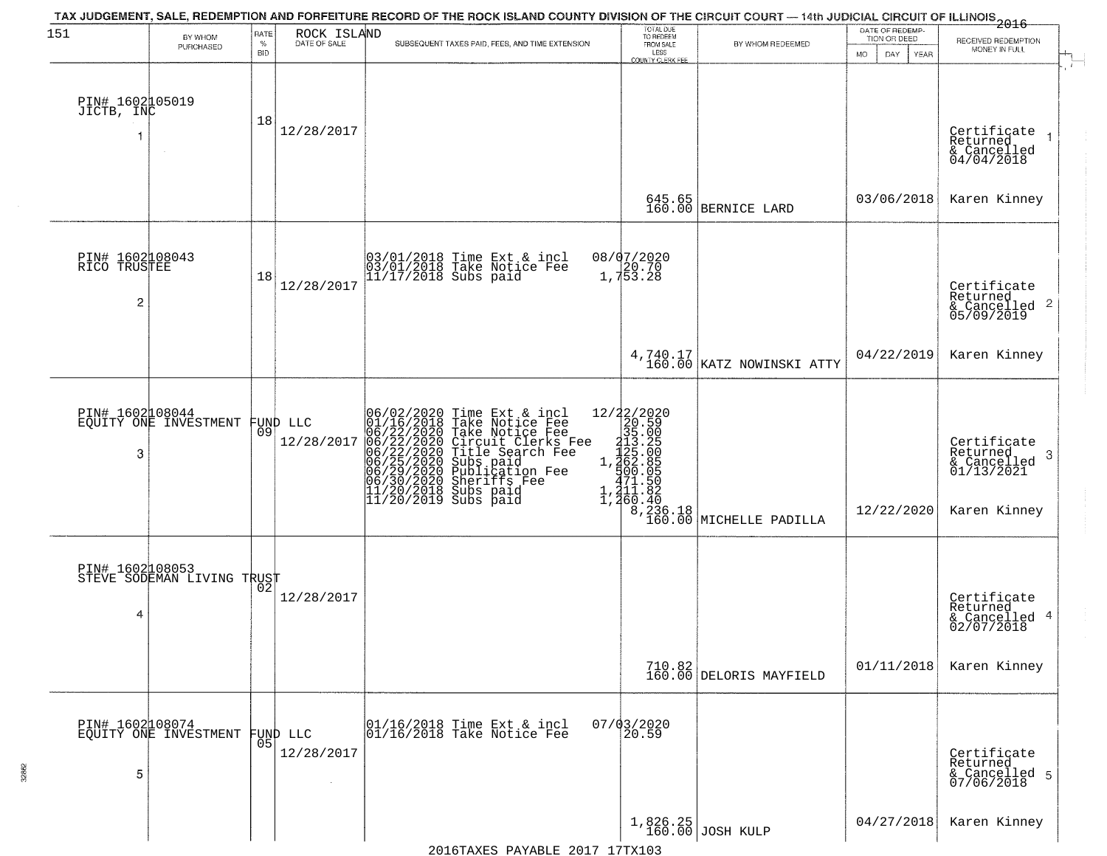| 151                                  | BY WHOM                                       | RATE        | ROCK ISLAND<br>DATE OF SALE    | TAX JUDGEMENT, SALE, REDEMPTION AND FORFEITURE RECORD OF THE ROCK ISLAND COUNTY DIVISION OF THE CIRCUIT COURT — 14th JUDICIAL CIRCUIT OF ILLINOIS 2016                                                                                                | TOTAL DUE<br>TO REDEEM<br>FROM SALE |                                       | DATE OF REDEMP-<br>TION OR DEED |                                                                        |
|--------------------------------------|-----------------------------------------------|-------------|--------------------------------|-------------------------------------------------------------------------------------------------------------------------------------------------------------------------------------------------------------------------------------------------------|-------------------------------------|---------------------------------------|---------------------------------|------------------------------------------------------------------------|
|                                      | PURCHASED                                     | $\%$<br>BID |                                | SUBSEQUENT TAXES PAID, FEES, AND TIME EXTENSION                                                                                                                                                                                                       | LESS<br><b>COUNTY CLERK FEE</b>     | BY WHOM REDEEMED                      | DAY.<br>MO.<br>YEAR             | RECEIVED REDEMPTION<br>MONEY IN FULL                                   |
| PIN# 1602105019<br>JICTB, INC        |                                               | 18          | 12/28/2017                     |                                                                                                                                                                                                                                                       |                                     |                                       |                                 | Certificate<br>$\mathbf{1}$<br>Returned<br>& Cancelled<br>04/04/2018   |
|                                      |                                               |             |                                |                                                                                                                                                                                                                                                       |                                     | 645.65<br>160.00 BERNICE LARD         | 03/06/2018                      | Karen Kinney                                                           |
| PIN# 1602108043<br>RICO TRUSTEE<br>2 |                                               | 18          | 12/28/2017                     | 03/01/2018 Time Ext & incl<br>03/01/2018 Take Notice Fee<br>11/17/2018 Subs paid                                                                                                                                                                      | 08/07/2020<br>1,753.28              |                                       |                                 | Certificate<br>Returned<br>$\overline{2}$<br>& Cancelled<br>05/09/2019 |
|                                      |                                               |             |                                |                                                                                                                                                                                                                                                       |                                     | 4,740.17<br>160.00 KATZ NOWINSKI ATTY | 04/22/2019                      | Karen Kinney                                                           |
| 3                                    | PIN# 1602108044<br>EQUITY ONE INVESTMENT      |             | FUND LLC<br> 09 <br>12/28/2017 | 06/02/2020 Time Ext & incl<br>01/16/2018 Take Notice Fee<br>06/22/2020 Take Notice Fee<br>06/22/2020 Circuit Clerks Fee<br>06/22/2020 Title Search Fee<br>06/25/2020 Subs paid<br>06/25/2020 Publication Fee<br>06/30/2020 Sheriffs Fee<br>11/20/2018 |                                     |                                       | 12/22/2020                      | Certificate<br>Returned<br>3<br>$\frac{6}{01/13/2021}$<br>Karen Kinney |
| 4                                    | PIN# 1602108053<br>STEVE SODEMAN LIVING TRUST |             | 12/28/2017                     |                                                                                                                                                                                                                                                       |                                     |                                       |                                 | Certificate<br>Returned<br>4<br>& Cancelled<br>02/07/2018              |
|                                      |                                               |             |                                |                                                                                                                                                                                                                                                       |                                     | 710.82<br>160.00 DELORIS MAYFIELD     | 01/11/2018                      | Karen Kinney                                                           |
| PIN# 1602108074<br>5                 | EQUITY ONE INVESTMENT                         |             | FUND LLC<br> 05 <br>12/28/2017 | 01/16/2018 Time Ext & incl<br>01/16/2018 Take Notice Fee                                                                                                                                                                                              | $07/03/2020$<br>20.59               |                                       |                                 | Certificate<br>Returned<br>& Cancelled 5<br>07/06/2018                 |
|                                      |                                               |             |                                |                                                                                                                                                                                                                                                       |                                     | 1,826.25<br>160.00 JOSH KULP          | 04/27/2018                      | Karen Kinney                                                           |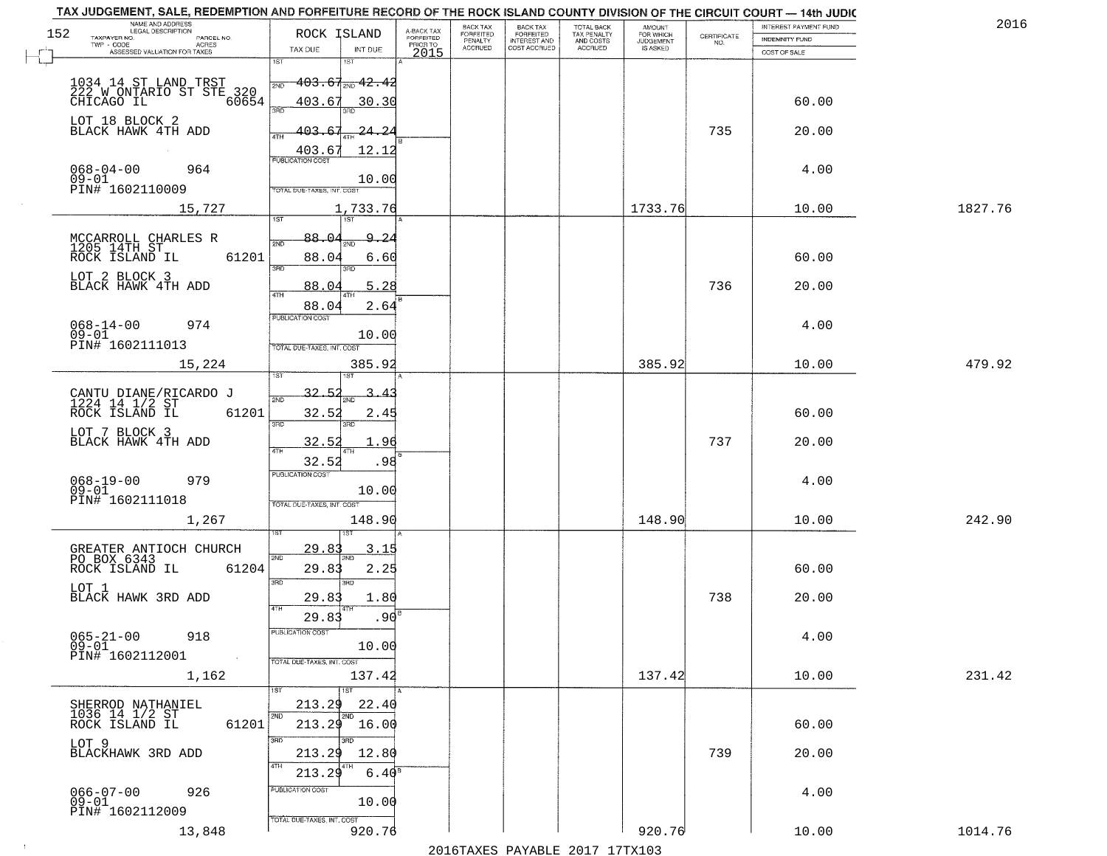| NAME AND ADDRESS<br>LEGAL DESCRIPTION<br>152<br>TAXPAYER NO.<br>PARCEL NO. | ROCK ISLAND                                             | A-BACK TAX<br>FORFEITED | BACK TAX<br>FORFEITED | <b>BACK TAX</b><br><b>FORFEITED</b> | TOTAL BACK<br>TAX PENALTY | <b>AMOUNT</b>                      |                                                                 | INTEREST PAYMENT FUND                 | 2016    |
|----------------------------------------------------------------------------|---------------------------------------------------------|-------------------------|-----------------------|-------------------------------------|---------------------------|------------------------------------|-----------------------------------------------------------------|---------------------------------------|---------|
| TWP - CODE<br>ACRES<br>ASSESSED VALUATION FOR TAXES                        | TAX DUE<br>INT DUE                                      | PRIOR TO<br>2015        | PENALTY<br>ACCRUED    | INTEREST AND<br>COST ACCRUED        | AND COSTS<br>ACCRUED      | FOR WHICH<br>JUDGEMENT<br>IS ASKED | $\begin{array}{c} \text{CERTIFICATE} \\ \text{NO.} \end{array}$ | <b>INDEMNITY FUND</b><br>COST OF SALE |         |
|                                                                            | 1ST                                                     |                         |                       |                                     |                           |                                    |                                                                 |                                       |         |
|                                                                            | $-403.67_{\textcolor{red}{\textrm{NN}}}$ $42.42$<br>2ND |                         |                       |                                     |                           |                                    |                                                                 |                                       |         |
|                                                                            | 403.67<br>30.30<br>3RD                                  |                         |                       |                                     |                           |                                    |                                                                 | 60.00                                 |         |
| LOT 18 BLOCK 2<br>BLACK HAWK 4TH ADD                                       | 403.<br>24.2                                            |                         |                       |                                     |                           |                                    | 735                                                             | 20.00                                 |         |
|                                                                            | 4TH<br>403.67<br>12.12                                  |                         |                       |                                     |                           |                                    |                                                                 |                                       |         |
| $068 - 04 - 00$<br>964                                                     | <b>PUBLICATION COST</b>                                 |                         |                       |                                     |                           |                                    |                                                                 | 4.00                                  |         |
| $09 - 01$<br>PIN# 1602110009                                               | 10.00<br>TOTAL DUE-TAXES, INT. COST                     |                         |                       |                                     |                           |                                    |                                                                 |                                       |         |
| 15,727                                                                     | 1,733.76<br><b>TST</b><br>1ST                           |                         |                       |                                     |                           | 1733.76                            |                                                                 | 10.00                                 | 1827.76 |
|                                                                            | 88.0<br>٩.<br>-2                                        |                         |                       |                                     |                           |                                    |                                                                 |                                       |         |
| MCCARROLL CHARLES R<br>1205 14TH ST<br>ROCK ISLAND IL<br>61201             | 88.04<br>6.60                                           |                         |                       |                                     |                           |                                    |                                                                 | 60.00                                 |         |
| LOT 2 BLOCK 3                                                              | 3BD<br>3RD                                              |                         |                       |                                     |                           |                                    |                                                                 |                                       |         |
| BLACK HAWK 4TH ADD                                                         | 88.04<br>5.28<br>$\sqrt{4}$                             |                         |                       |                                     |                           |                                    | 736                                                             | 20.00                                 |         |
|                                                                            | 2.64<br>88.04<br><b>PUBLICATION COST</b>                |                         |                       |                                     |                           |                                    |                                                                 |                                       |         |
| $068 - 14 - 00$<br>974<br>$09 - 01$                                        | 10.00                                                   |                         |                       |                                     |                           |                                    |                                                                 | 4.00                                  |         |
| PIN# 1602111013<br>15,224                                                  | TOTAL DUE-TAXES, INT. COST<br>385.92                    |                         |                       |                                     |                           | 385.92                             |                                                                 | 10.00                                 | 479.92  |
|                                                                            |                                                         |                         |                       |                                     |                           |                                    |                                                                 |                                       |         |
| CANTU DIANE/RICARDO J<br>1224 14 1/2 ST<br>ROCK ISLAND IL 61               | 32.                                                     |                         |                       |                                     |                           |                                    |                                                                 |                                       |         |
| 61201                                                                      | 32.52<br>2.45<br>3RD<br>3RD                             |                         |                       |                                     |                           |                                    |                                                                 | 60.00                                 |         |
| LOT 7 BLOCK 3<br>BLACK HAWK 4TH ADD                                        | 32.52<br>. 96                                           |                         |                       |                                     |                           |                                    | 737                                                             | 20.00                                 |         |
|                                                                            | 4TH<br>32.52<br>.98                                     |                         |                       |                                     |                           |                                    |                                                                 |                                       |         |
| 068-19-00<br>09-01<br>979                                                  | <b>PUBLICATION COST</b><br>10.00                        |                         |                       |                                     |                           |                                    |                                                                 | 4.00                                  |         |
| PIN# 1602111018                                                            | TOTAL OUE-TAXES, INT. COST                              |                         |                       |                                     |                           |                                    |                                                                 |                                       |         |
| 1,267                                                                      | 148.90                                                  |                         |                       |                                     |                           | 148.90                             |                                                                 | 10.00                                 | 242.90  |
|                                                                            | 29.8<br><u>3.15</u>                                     |                         |                       |                                     |                           |                                    |                                                                 |                                       |         |
| GREATER ANTIOCH CHURCH<br>PO BOX 6343<br>61204<br>ROCK ISLAND IL           | 2ND<br>29.83<br>2.25                                    |                         |                       |                                     |                           |                                    |                                                                 | 60.00                                 |         |
| LOT 1                                                                      | 3RD<br>3BD                                              |                         |                       |                                     |                           |                                    |                                                                 |                                       |         |
| BLACK HAWK 3RD ADD                                                         | 29.83<br>1.80<br>4TH                                    |                         |                       |                                     |                           |                                    | 738                                                             | 20.00                                 |         |
| $065 - 21 - 00$<br>918                                                     | .90<br>29.83<br>PUBLICATION COST                        |                         |                       |                                     |                           |                                    |                                                                 | 4.00                                  |         |
| $09 - 01$<br>PIN# 1602112001<br>$\sim 10$                                  | 10.00                                                   |                         |                       |                                     |                           |                                    |                                                                 |                                       |         |
| 1,162                                                                      | TOTAL DUE-TAXES, INT. COST<br>137.42                    |                         |                       |                                     |                           | 137.42                             |                                                                 | 10.00                                 | 231.42  |
|                                                                            | 1ST<br>1ST                                              |                         |                       |                                     |                           |                                    |                                                                 |                                       |         |
| SHERROD NATHANIEL<br>1036 14 1/2 ST                                        | 213.29<br>22.40<br>2ND<br>2ND                           |                         |                       |                                     |                           |                                    |                                                                 |                                       |         |
| 61201<br>ROCK ISLAND IL                                                    | $213.29$ 16.00<br>3RD<br>अंग                            |                         |                       |                                     |                           |                                    |                                                                 | 60.00                                 |         |
| LOT 9<br>BLACKHAWK 3RD ADD                                                 | 213.29<br>12.80                                         |                         |                       |                                     |                           |                                    | 739                                                             | 20.00                                 |         |
|                                                                            | 4TH<br>$6.40^{5}$<br>213.29                             |                         |                       |                                     |                           |                                    |                                                                 |                                       |         |
| 926<br>$066 - 07 - 00$<br>$09 - 01$                                        | PUBLICATION COST<br>10.00                               |                         |                       |                                     |                           |                                    |                                                                 | 4.00                                  |         |
| PIN# 1602112009                                                            | TOTAL DUE-TAXES, INT. COST                              |                         |                       |                                     |                           |                                    |                                                                 |                                       |         |
| 13,848                                                                     | 920.76                                                  |                         |                       |                                     |                           | 920.76                             |                                                                 | 10.00                                 | 1014.76 |

 $\sim 100$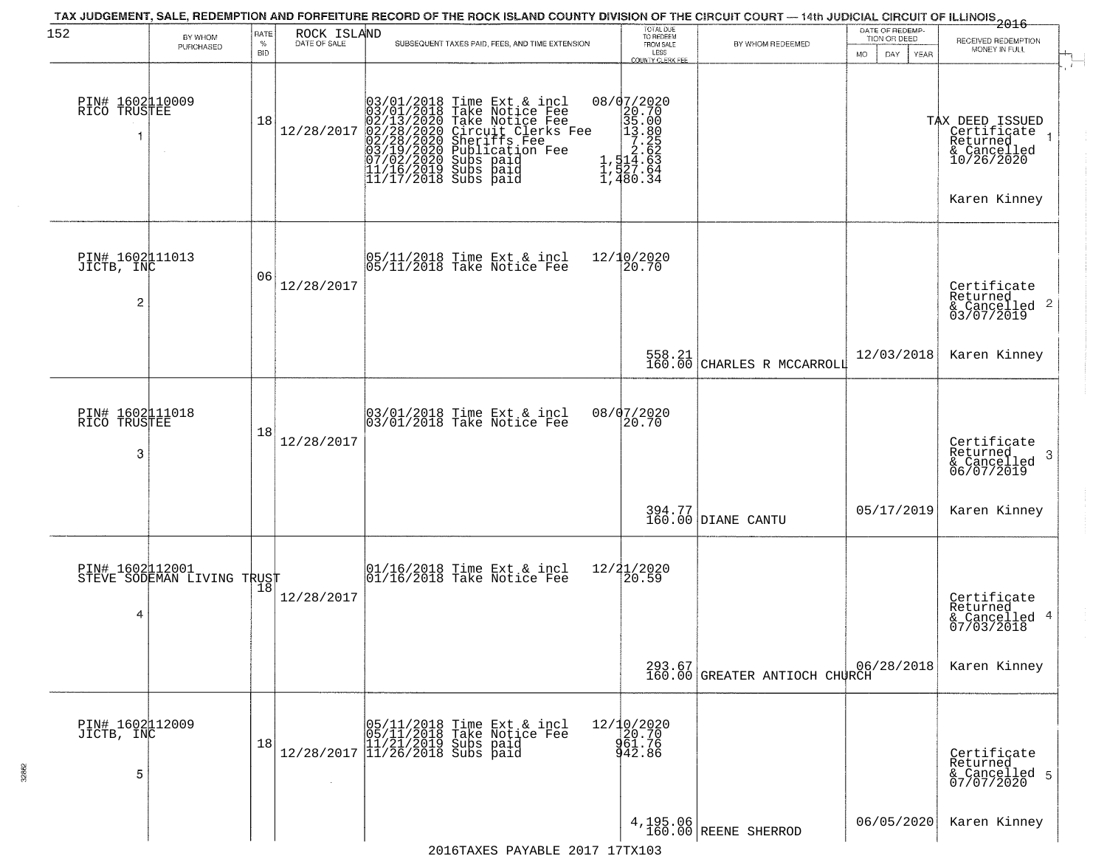| 152                                  | BY WHOM                                       | RATE               | ROCK ISLAND  | TAX JUDGEMENT, SALE, REDEMPTION AND FORFEITURE RECORD OF THE ROCK ISLAND COUNTY DIVISION OF THE CIRCUIT COURT — 14th JUDICIAL CIRCUIT OF ILLINOIS 2016                                                                                         | TOTAL DUE<br>TO REDEEM                                                                                                                 |                                   | DATE OF REDEMP-<br>TION OR DEED |                                                                                         |
|--------------------------------------|-----------------------------------------------|--------------------|--------------|------------------------------------------------------------------------------------------------------------------------------------------------------------------------------------------------------------------------------------------------|----------------------------------------------------------------------------------------------------------------------------------------|-----------------------------------|---------------------------------|-----------------------------------------------------------------------------------------|
|                                      | PURCHASED                                     | $\%$<br><b>BID</b> | DATE OF SALE | SUBSEQUENT TAXES PAID, FEES, AND TIME EXTENSION                                                                                                                                                                                                | FROM SALE<br>LESS<br><b>COUNTY CLERK FEE</b>                                                                                           | BY WHOM REDEEMED                  | MO.<br>DAY.<br>YEAR             | RECEIVED REDEMPTION<br>MONEY IN FULL                                                    |
| PIN# 1602110009<br>RICO TRUSTEE      |                                               | 18                 | 12/28/2017   | $03/01/2018$ Time Ext & incl<br>$03/01/2018$ Take Notice Fee<br>$02/13/2020$ Take Notice Fee<br>$02/28/2020$ Circuit Clerks Fee<br>$02/28/2020$ Sheriffs Fee<br>$03/19/2020$ Subs paid<br>$07/02/2020$ Subs paid<br>$11/16/2019$ Subs paid<br> | $\begin{smallmatrix} 08/07/2020 \\ 20.70 \\ 35.00 \\ 1.35.80 \\ 1.25 \\ 2.65 \\ 1.45 \\ 1.480 \\ 2.64 \\ 1.480 \\ 3 \end{smallmatrix}$ |                                   |                                 | TAX DEED ISSUED<br>Certificate<br>Returned<br>& Cancelled<br>10/26/2020<br>Karen Kinney |
| PIN# 1602011013<br>JICTB, INC<br>2   |                                               | 06                 | 12/28/2017   | 05/11/2018 Time Ext & incl<br>05/11/2018 Take Notice Fee                                                                                                                                                                                       | 12/10/2020<br>20.70                                                                                                                    |                                   |                                 | Certificate<br>Returned<br>$\frac{1}{6}$ Cancelled 2<br>03/07/2019                      |
|                                      |                                               |                    |              |                                                                                                                                                                                                                                                |                                                                                                                                        | 558.21 CHARLES R MCCARROLI        | 12/03/2018                      | Karen Kinney                                                                            |
| PIN# 1602111018<br>RICO TRUSTEE<br>3 |                                               | 18                 | 12/28/2017   | 03/01/2018 Time Ext & incl<br>03/01/2018 Take Notice Fee                                                                                                                                                                                       | 08/07/2020<br>20.70                                                                                                                    |                                   |                                 | Certificate<br>Returned<br>3<br>& Cancelled<br>06/07/2019                               |
|                                      |                                               |                    |              |                                                                                                                                                                                                                                                |                                                                                                                                        | 394.77<br>160.00 DIANE CANTU      | 05/17/2019                      | Karen Kinney                                                                            |
| 4                                    | PIN# 1602112001<br>STEVE SODEMAN LIVING TRUST |                    | 12/28/2017   | 01/16/2018 Time Ext & incl<br>01/16/2018 Take Notice Fee                                                                                                                                                                                       | 12/21/2020<br>20.59                                                                                                                    |                                   |                                 | Certificate<br>Returned<br>& Cancelled 4<br>07/03/2018                                  |
|                                      |                                               |                    |              |                                                                                                                                                                                                                                                |                                                                                                                                        | 160.00 GREATER ANTIOCH CHURCH     | 06/28/2018                      | Karen Kinney                                                                            |
| PIN# 1602112009<br>JICTB, INC<br>5   |                                               | 18                 | $\sim$       | $[05/11/2018 \t\t Time Ext & incl 05/11/2018 \t\t Take Notice Free 11/21/2019 Subs paid 12/28/2017 \t\t 11/26/2018 Subs paid 13/26/2018$                                                                                                       | 12/10/2020<br>20.70<br>961.76<br>942.86                                                                                                |                                   |                                 | Certificate<br>Returned<br>& Cancelled 5<br>07/07/2020                                  |
|                                      |                                               |                    |              |                                                                                                                                                                                                                                                |                                                                                                                                        | 4, 195.06<br>160.00 REENE SHERROD | 06/05/2020                      | Karen Kinney                                                                            |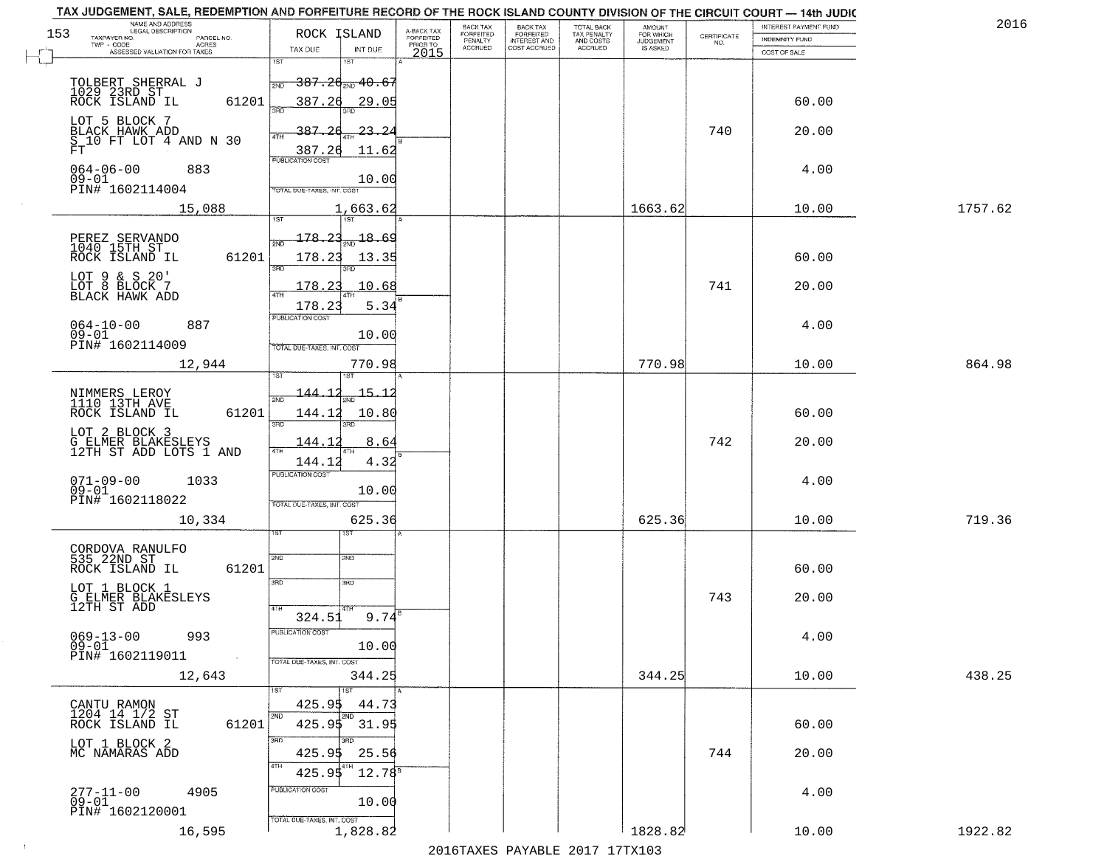|     | TAX JUDGEMENT, SALE, REDEMPTION AND FORFEITURE RECORD OF THE ROCK ISLAND COUNTY DIVISION OF THE CIRCUIT COURT - 14th JUDIC<br>NAME AND ADDRESS<br>LEGAL DESCRIPTION |                                                 |             |                         | BACK TAX                    |                                              |                                        |                                         |                                                                 | INTEREST PAYMENT FUND | 2016    |
|-----|---------------------------------------------------------------------------------------------------------------------------------------------------------------------|-------------------------------------------------|-------------|-------------------------|-----------------------------|----------------------------------------------|----------------------------------------|-----------------------------------------|-----------------------------------------------------------------|-----------------------|---------|
| 153 | TAXPAYER NO.<br>PARCEL NO.                                                                                                                                          | ROCK ISLAND                                     |             | A-BACK TAX<br>FORFEITED | <b>FORFEITED</b><br>PENALTY | BACK TAX<br>FORFEITED<br><b>INTEREST AND</b> | TOTAL BACK<br>TAX PENALTY<br>AND COSTS | AMOUNT<br>FOR WHICH<br><b>JUDGEMENT</b> | $\begin{array}{c} \text{CERTIFICATE} \\ \text{NO.} \end{array}$ | <b>INDEMNITY FUND</b> |         |
|     | ACRES<br>ASSESSED VALUATION FOR TAXES                                                                                                                               | TAX DUE                                         | INT DUE     | PRIOR TO<br>2015        | <b>ACCRUED</b>              | COST ACCRUED                                 | ACCRUED                                | IS ASKED                                |                                                                 | COST OF SALE          |         |
|     |                                                                                                                                                                     | 1ST<br>1ST                                      |             |                         |                             |                                              |                                        |                                         |                                                                 |                       |         |
|     |                                                                                                                                                                     | $-387.2$ d $_{\textrm{\tiny 2ND}}$ 40.67<br>2ND |             |                         |                             |                                              |                                        |                                         |                                                                 |                       |         |
|     | TOLBERT SHERRAL J<br>1029 23RD ST<br>ROCK ISLAND IL                                                                                                                 |                                                 |             |                         |                             |                                              |                                        |                                         |                                                                 |                       |         |
|     | 61201                                                                                                                                                               | 387.26                                          | 29.05       |                         |                             |                                              |                                        |                                         |                                                                 | 60.00                 |         |
|     | LOT 5 BLOCK 7                                                                                                                                                       |                                                 |             |                         |                             |                                              |                                        |                                         |                                                                 |                       |         |
|     | BLACK HAWK ADD<br>S 10 FT LOT 4 AND N 30                                                                                                                            | 387.26                                          | 23.24       |                         |                             |                                              |                                        |                                         | 740                                                             | 20.00                 |         |
|     | FT                                                                                                                                                                  | 387.26                                          | 11.62       |                         |                             |                                              |                                        |                                         |                                                                 |                       |         |
|     | $064 - 06 - 00$<br>883                                                                                                                                              |                                                 |             |                         |                             |                                              |                                        |                                         |                                                                 | 4.00                  |         |
|     | $09 - 01$                                                                                                                                                           |                                                 | 10.00       |                         |                             |                                              |                                        |                                         |                                                                 |                       |         |
|     | PIN# 1602114004                                                                                                                                                     | TOTAL DUE-TAXES, INT. COST                      |             |                         |                             |                                              |                                        |                                         |                                                                 |                       |         |
|     | 15,088                                                                                                                                                              |                                                 | 1,663.62    |                         |                             |                                              |                                        | 1663.62                                 |                                                                 | 10.00                 | 1757.62 |
|     |                                                                                                                                                                     |                                                 |             |                         |                             |                                              |                                        |                                         |                                                                 |                       |         |
|     | PEREZ SERVANDO<br>1040 15TH ST                                                                                                                                      | $178.23_{\rm sm}$ 18.69                         |             |                         |                             |                                              |                                        |                                         |                                                                 |                       |         |
|     | 61201<br>ROCK ISLAND IL                                                                                                                                             | 178.23                                          | 13.35       |                         |                             |                                              |                                        |                                         |                                                                 | 60.00                 |         |
|     |                                                                                                                                                                     | 3RD                                             |             |                         |                             |                                              |                                        |                                         |                                                                 |                       |         |
|     | LOT 9 & S 20'<br>LOT 8 BLOCK 7<br>BLACK HAWK ADD                                                                                                                    | 178.23                                          | 10.68       |                         |                             |                                              |                                        |                                         | 741                                                             | 20.00                 |         |
|     |                                                                                                                                                                     |                                                 |             |                         |                             |                                              |                                        |                                         |                                                                 |                       |         |
|     |                                                                                                                                                                     | 178.23<br>PUBLICATION COST                      | 5.34        |                         |                             |                                              |                                        |                                         |                                                                 |                       |         |
|     | $064 - 10 - 00$<br>887                                                                                                                                              |                                                 |             |                         |                             |                                              |                                        |                                         |                                                                 | 4.00                  |         |
|     | $09 - 01$<br>PIN# 1602114009                                                                                                                                        | TOTAL DUE-TAXES, INT. COST                      | 10.00       |                         |                             |                                              |                                        |                                         |                                                                 |                       |         |
|     |                                                                                                                                                                     |                                                 |             |                         |                             |                                              |                                        |                                         |                                                                 |                       |         |
|     | 12,944                                                                                                                                                              | ST                                              | 770.98      |                         |                             |                                              |                                        | 770.98                                  |                                                                 | 10.00                 | 864.98  |
|     |                                                                                                                                                                     |                                                 |             |                         |                             |                                              |                                        |                                         |                                                                 |                       |         |
|     | NIMMERS LEROY<br>1110 13TH AVE                                                                                                                                      | $-144.$<br>2ND                                  | $-15 - 1$   |                         |                             |                                              |                                        |                                         |                                                                 |                       |         |
|     | ROCK ISLAND IL<br>61201                                                                                                                                             | 144.12                                          | 10.80       |                         |                             |                                              |                                        |                                         |                                                                 | 60.00                 |         |
|     | LOT 2 BLOCK 3                                                                                                                                                       | 3BD<br>3RD                                      |             |                         |                             |                                              |                                        |                                         |                                                                 |                       |         |
|     | G ELMER BLAKESLEYS<br>12TH ST ADD LOTS 1 AND                                                                                                                        | 144.1<br>4TH                                    | 8.64        |                         |                             |                                              |                                        |                                         | 742                                                             | 20.00                 |         |
|     |                                                                                                                                                                     | 144.12                                          | 4.32        |                         |                             |                                              |                                        |                                         |                                                                 |                       |         |
|     |                                                                                                                                                                     | <b>PUBLICATION COST</b>                         |             |                         |                             |                                              |                                        |                                         |                                                                 |                       |         |
|     | $071 - 09 - 00$<br>1033<br>$09 - 01$                                                                                                                                |                                                 | 10.00       |                         |                             |                                              |                                        |                                         |                                                                 | 4.00                  |         |
|     | PIN# 1602118022                                                                                                                                                     | TOTAL OUE-TAXES, INT. COST                      |             |                         |                             |                                              |                                        |                                         |                                                                 |                       |         |
|     | 10,334                                                                                                                                                              |                                                 | 625.36      |                         |                             |                                              |                                        | 625.36                                  |                                                                 | 10.00                 | 719.36  |
|     |                                                                                                                                                                     | ςT                                              |             |                         |                             |                                              |                                        |                                         |                                                                 |                       |         |
|     |                                                                                                                                                                     |                                                 |             |                         |                             |                                              |                                        |                                         |                                                                 |                       |         |
|     | CORDOVA RANULFO<br>535 22ND ST<br>ROCK ISLAND IL<br>61201                                                                                                           | 2ND<br>2ND                                      |             |                         |                             |                                              |                                        |                                         |                                                                 | 60.00                 |         |
|     |                                                                                                                                                                     | 3BD<br>3 <sub>BD</sub>                          |             |                         |                             |                                              |                                        |                                         |                                                                 |                       |         |
|     | LOT 1 BLOCK 1                                                                                                                                                       |                                                 |             |                         |                             |                                              |                                        |                                         | 743                                                             | 20.00                 |         |
|     | G ELMER BLAKESLEYS<br>12TH ST ADD                                                                                                                                   | 4TH                                             |             |                         |                             |                                              |                                        |                                         |                                                                 |                       |         |
|     |                                                                                                                                                                     | 324.51                                          | 9.74        |                         |                             |                                              |                                        |                                         |                                                                 |                       |         |
|     | $069 - 13 - 00$<br>993                                                                                                                                              | PUBLICATION COS-                                |             |                         |                             |                                              |                                        |                                         |                                                                 | 4.00                  |         |
|     | $09 - 01$<br>PIN# 1602119011<br>$\sim$                                                                                                                              |                                                 | 10.00       |                         |                             |                                              |                                        |                                         |                                                                 |                       |         |
|     |                                                                                                                                                                     | TOTAL DUE-TAXES, INT. COST                      |             |                         |                             |                                              |                                        |                                         |                                                                 |                       |         |
|     | 12,643                                                                                                                                                              |                                                 | 344.25      |                         |                             |                                              |                                        | 344.25                                  |                                                                 | 10.00                 | 438.25  |
|     |                                                                                                                                                                     |                                                 |             |                         |                             |                                              |                                        |                                         |                                                                 |                       |         |
|     | CANTU RAMON<br>1204 14 1/2 ST                                                                                                                                       | 425.95<br>2ND                                   | 44.73       |                         |                             |                                              |                                        |                                         |                                                                 |                       |         |
|     | ROCK ISLAND IL<br>61201                                                                                                                                             | 425.95 31.95                                    |             |                         |                             |                                              |                                        |                                         |                                                                 | 60.00                 |         |
|     |                                                                                                                                                                     | 3RD                                             |             |                         |                             |                                              |                                        |                                         |                                                                 |                       |         |
|     | LOT 1 BLOCK 2<br>MC NAMARAS ADD                                                                                                                                     | 425.95                                          | 25.56       |                         |                             |                                              |                                        |                                         | 744                                                             | 20.00                 |         |
|     |                                                                                                                                                                     | 425.95                                          | $12.78^{5}$ |                         |                             |                                              |                                        |                                         |                                                                 |                       |         |
|     |                                                                                                                                                                     | PUBLICATION COST                                |             |                         |                             |                                              |                                        |                                         |                                                                 |                       |         |
|     | 277-11-00<br>4905<br>$09 - 01$                                                                                                                                      |                                                 | 10.00       |                         |                             |                                              |                                        |                                         |                                                                 | 4.00                  |         |
|     | PIN# 1602120001                                                                                                                                                     | TOTAL DUE-TAXES, INT. COST                      |             |                         |                             |                                              |                                        |                                         |                                                                 |                       |         |
|     | 16,595                                                                                                                                                              |                                                 | 1,828.82    |                         |                             |                                              |                                        | 1828.82                                 |                                                                 | 10.00                 | 1922.82 |
|     |                                                                                                                                                                     |                                                 |             |                         |                             |                                              | 2016 TAVEC DAVARLE 2017 17 TV102       |                                         |                                                                 |                       |         |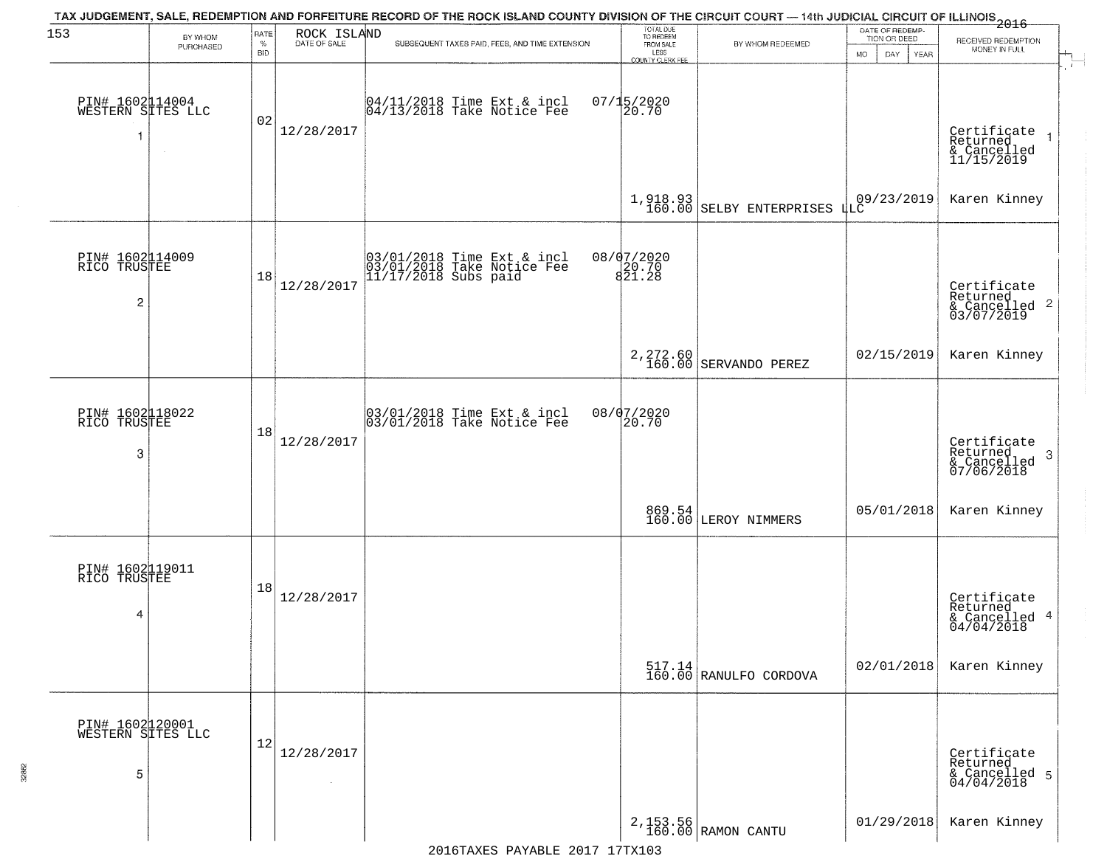| 153                                       | BY WHOM   | RATE               | ROCK ISLAND<br>DATE OF SALE | TAX JUDGEMENT, SALE, REDEMPTION AND FORFEITURE RECORD OF THE ROCK ISLAND COUNTY DIVISION OF THE CIRCUIT COURT — 14th JUDICIAL CIRCUIT OF ILLINOIS 2016 | TOTAL DUE<br>TO REDEEM                       |                                                                  | DATE OF REDEMP-<br>TION OR DEED | RECEIVED REDEMPTION                                       |
|-------------------------------------------|-----------|--------------------|-----------------------------|--------------------------------------------------------------------------------------------------------------------------------------------------------|----------------------------------------------|------------------------------------------------------------------|---------------------------------|-----------------------------------------------------------|
|                                           | PURCHASED | $\%$<br><b>BID</b> |                             | SUBSEQUENT TAXES PAID, FEES, AND TIME EXTENSION                                                                                                        | FROM SALE<br>LESS<br><b>COUNTY CLERK FEE</b> | BY WHOM REDEEMED                                                 | MO.<br>DAY.<br>YEAR             | MONEY IN FULL                                             |
| PIN# 1602114004<br>WESTERN SITES LLC<br>1 | $\sim$    | 02                 | 12/28/2017                  | 04/11/2018 Time Ext & incl<br>04/13/2018 Take Notice Fee                                                                                               | $07/15/2020$<br>20.70                        |                                                                  |                                 | Certificate<br>Returned<br>& Cancelled<br>11/15/2019      |
|                                           |           |                    |                             |                                                                                                                                                        |                                              | 1,918.93<br>160.00 SELBY ENTERPRISES LLC                         |                                 | Karen Kinney                                              |
| PIN# 1602114009<br>RICO TRUSTEE<br>2      |           | 18                 | 12/28/2017                  | 03/01/2018 Time Ext & incl<br>03/01/2018 Take Notice Fee<br>11/17/2018 Subs paid                                                                       | 08/07/2020<br>20.70<br>821.28                |                                                                  |                                 | Certificate<br>Returned<br>& Cancelled 2<br>03/07/2019    |
|                                           |           |                    |                             |                                                                                                                                                        |                                              | 2, 272.60<br>160.00 SERVANDO PEREZ                               | 02/15/2019                      | Karen Kinney                                              |
| PIN# 1602118022<br>RICO TRUSTEE<br>3      |           | 18                 | 12/28/2017                  | $\begin{array}{c} 03/01/2018 \\ 03/01/2018 \\ \end{array}$ Take Notice Fee                                                                             | 08/07/2020<br>20.70                          |                                                                  |                                 | Certificate<br>Returned<br>3<br>& Cancelled<br>07/06/2018 |
|                                           |           |                    |                             |                                                                                                                                                        |                                              | 869.54<br>160.00 LEROY NIMMERS                                   | 05/01/2018                      | Karen Kinney                                              |
| PIN# 1602119011<br>RICO TRUSTEE<br>4      |           | 18                 | 12/28/2017                  |                                                                                                                                                        |                                              |                                                                  |                                 | Certificate<br>Returned<br>& Cancelled 4<br>04/04/2018    |
|                                           |           |                    |                             |                                                                                                                                                        |                                              | $\begin{bmatrix} 517.14 \\ 160.00 \end{bmatrix}$ RANULFO CORDOVA | 02/01/2018                      | Karen Kinney                                              |
| PIN# 1602120001<br>WESTERN SITES LLC<br>5 |           | 12                 | 12/28/2017<br>$\sim$        |                                                                                                                                                        |                                              |                                                                  |                                 | Certificate<br>Returned<br>& Cancelled 5<br>04/04/2018    |
|                                           |           |                    |                             |                                                                                                                                                        |                                              | 2,153.56<br>160.00 RAMON CANTU                                   | 01/29/2018                      | Karen Kinney                                              |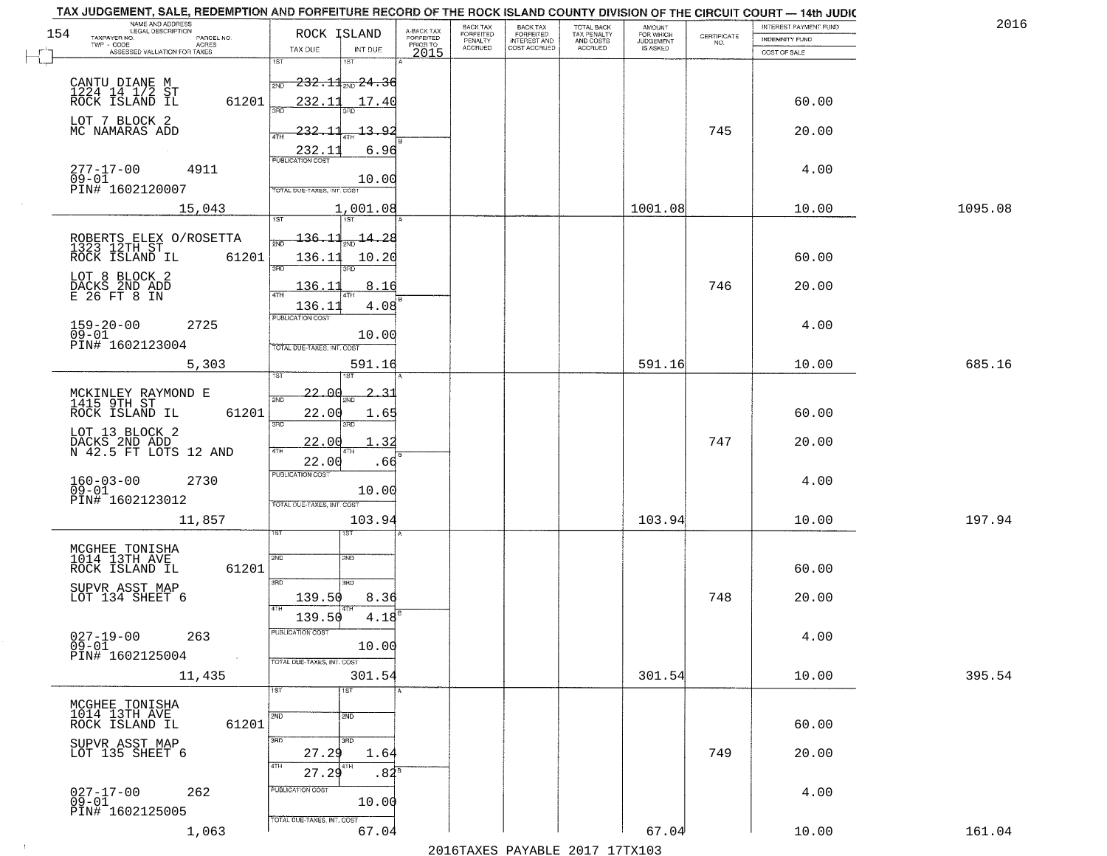| TAX JUDGEMENT, SALE, REDEMPTION AND FORFEITURE RECORD OF THE ROCK ISLAND COUNTY DIVISION OF THE CIRCUIT COURT - 14th JUDIC<br>NAME AND ADDRESS<br>LEGAL DESCRIPTION |                                         |                                     | BACK TAX                    | BACK TAX<br>FORFEITED            |                                        | AMOUNT<br>FOR WHICH |                                                                 | INTEREST PAYMENT FUND | 2016    |
|---------------------------------------------------------------------------------------------------------------------------------------------------------------------|-----------------------------------------|-------------------------------------|-----------------------------|----------------------------------|----------------------------------------|---------------------|-----------------------------------------------------------------|-----------------------|---------|
| 154<br>TAXPAYER NO.<br>PARCEL NO.                                                                                                                                   | ROCK ISLAND                             | A-BACK TAX<br>FORFEITED<br>PRIOR TO | <b>FORFEITED</b><br>PENALTY | <b>INTEREST AND</b>              | TOTAL BACK<br>TAX PENALTY<br>AND COSTS | <b>JUDGEMENT</b>    | $\begin{array}{c} \text{CERTIFICATE} \\ \text{NO.} \end{array}$ | <b>INDEMNITY FUND</b> |         |
| ACRES<br>ASSESSED VALUATION FOR TAXES                                                                                                                               | TAX DUE<br>INT DUE                      | 2015                                | <b>ACCRUED</b>              | COST ACCRUED                     | <b>ACCRUED</b>                         | IS ASKED            |                                                                 | COST OF SALE          |         |
|                                                                                                                                                                     | 1ST<br>1ST                              |                                     |                             |                                  |                                        |                     |                                                                 |                       |         |
|                                                                                                                                                                     | $-232.11$ <sub>2ND</sub> $24.36$<br>2ND |                                     |                             |                                  |                                        |                     |                                                                 |                       |         |
| CANTU DIANE M<br>1224 14 1/2 ST<br>ROCK ISLAND IL<br>61201                                                                                                          | 232.11<br>17.40                         |                                     |                             |                                  |                                        |                     |                                                                 | 60.00                 |         |
|                                                                                                                                                                     |                                         |                                     |                             |                                  |                                        |                     |                                                                 |                       |         |
| LOT 7 BLOCK 2<br>MC NAMARAS ADD                                                                                                                                     | 232.11<br>13.92                         |                                     |                             |                                  |                                        |                     | 745                                                             | 20.00                 |         |
|                                                                                                                                                                     | 6.96                                    |                                     |                             |                                  |                                        |                     |                                                                 |                       |         |
|                                                                                                                                                                     | 232.11                                  |                                     |                             |                                  |                                        |                     |                                                                 |                       |         |
| 277-17-00<br>09-01<br>4911                                                                                                                                          | 10.00                                   |                                     |                             |                                  |                                        |                     |                                                                 | 4.00                  |         |
| PIN# 1602120007                                                                                                                                                     | TOTAL DUE-TAXES, INT. COST              |                                     |                             |                                  |                                        |                     |                                                                 |                       |         |
| 15,043                                                                                                                                                              | 1,001.08                                |                                     |                             |                                  |                                        | 1001.08             |                                                                 | 10.00                 | 1095.08 |
|                                                                                                                                                                     |                                         |                                     |                             |                                  |                                        |                     |                                                                 |                       |         |
| ROBERTS ELEX O/ROSETTA<br>1323 12TH ST                                                                                                                              | $136.11_{20}$ $14.28$                   |                                     |                             |                                  |                                        |                     |                                                                 |                       |         |
| 61201<br>ROCK ISLAND IL                                                                                                                                             | 136.11<br>10.20                         |                                     |                             |                                  |                                        |                     |                                                                 | 60.00                 |         |
|                                                                                                                                                                     | 3RD<br>ਬਨ                               |                                     |                             |                                  |                                        |                     |                                                                 |                       |         |
| LOT 8 BLOCK 2<br>DACKS 2ND ADD<br>E 26 FT 8 IN                                                                                                                      | 136.11<br>8.16                          |                                     |                             |                                  |                                        |                     | 746                                                             | 20.00                 |         |
|                                                                                                                                                                     | 4.08<br>136.11                          |                                     |                             |                                  |                                        |                     |                                                                 |                       |         |
| $159 - 20 - 00$<br>2725                                                                                                                                             | PUBLICATION COST                        |                                     |                             |                                  |                                        |                     |                                                                 | 4.00                  |         |
| $09 - 01$<br>PIN# 1602123004                                                                                                                                        | 10.00                                   |                                     |                             |                                  |                                        |                     |                                                                 |                       |         |
|                                                                                                                                                                     | TOTAL DUE-TAXES, INT. COST              |                                     |                             |                                  |                                        |                     |                                                                 |                       |         |
| 5,303                                                                                                                                                               | 591.16<br>i ST<br>IST                   |                                     |                             |                                  |                                        | 591.16              |                                                                 | 10.00                 | 685.16  |
|                                                                                                                                                                     |                                         |                                     |                             |                                  |                                        |                     |                                                                 |                       |         |
| MCKINLEY RAYMOND E<br>1415 9TH ST                                                                                                                                   | <u> 22. OC</u><br>2ND<br>2NF.           |                                     |                             |                                  |                                        |                     |                                                                 |                       |         |
| ROCK ISLAND IL<br>61201                                                                                                                                             | 22.00<br>1.65<br>3RD<br>3RD             |                                     |                             |                                  |                                        |                     |                                                                 | 60.00                 |         |
| LOT 13 BLOCK 2                                                                                                                                                      | 1.32                                    |                                     |                             |                                  |                                        |                     | 747                                                             |                       |         |
| DACKS 2ND ADD<br>N 42.5 FT LOTS 12 AND                                                                                                                              | <u> 22.00</u>                           |                                     |                             |                                  |                                        |                     |                                                                 | 20.00                 |         |
|                                                                                                                                                                     | 22.00<br>.66<br><b>PUBLICATION COST</b> |                                     |                             |                                  |                                        |                     |                                                                 |                       |         |
| $160 - 03 - 00$<br>09-01<br>2730                                                                                                                                    | 10.00                                   |                                     |                             |                                  |                                        |                     |                                                                 | 4.00                  |         |
| PIN# 1602123012                                                                                                                                                     | TOTAL OUE-TAXES, INT. COST              |                                     |                             |                                  |                                        |                     |                                                                 |                       |         |
| 11,857                                                                                                                                                              | 103.94                                  |                                     |                             |                                  |                                        | 103.94              |                                                                 | 10.00                 | 197.94  |
|                                                                                                                                                                     | ςT                                      |                                     |                             |                                  |                                        |                     |                                                                 |                       |         |
| MCGHEE TONISHA<br>1014 13TH AVE                                                                                                                                     |                                         |                                     |                             |                                  |                                        |                     |                                                                 |                       |         |
| ROCK ISLAND IL<br>61201                                                                                                                                             | 2ND<br>2ND                              |                                     |                             |                                  |                                        |                     |                                                                 | 60.00                 |         |
| SUPVR ASST MAP                                                                                                                                                      | 3RD<br>3HD                              |                                     |                             |                                  |                                        |                     |                                                                 |                       |         |
| LOT 134 SHEET 6                                                                                                                                                     | 139.50<br>8.36                          |                                     |                             |                                  |                                        |                     | 748                                                             | 20.00                 |         |
|                                                                                                                                                                     | 4TH<br>139.50<br>4.18                   |                                     |                             |                                  |                                        |                     |                                                                 |                       |         |
| 263                                                                                                                                                                 | PUBLICATION COST                        |                                     |                             |                                  |                                        |                     |                                                                 | 4.00                  |         |
| $027 - 19 - 00$<br>09-01                                                                                                                                            | 10.00                                   |                                     |                             |                                  |                                        |                     |                                                                 |                       |         |
| PIN# 1602125004<br>$\sim 10^{-1}$                                                                                                                                   | TOTAL DUE-TAXES, INT. COST              |                                     |                             |                                  |                                        |                     |                                                                 |                       |         |
| 11,435                                                                                                                                                              | 301.54                                  |                                     |                             |                                  |                                        | 301.54              |                                                                 | 10.00                 | 395.54  |
|                                                                                                                                                                     | 1ST<br>1ST                              |                                     |                             |                                  |                                        |                     |                                                                 |                       |         |
| MCGHEE TONISHA<br>1014 13TH AVE                                                                                                                                     | 2ND<br>2ND                              |                                     |                             |                                  |                                        |                     |                                                                 |                       |         |
| 61201<br>ROCK ISLAND IL                                                                                                                                             |                                         |                                     |                             |                                  |                                        |                     |                                                                 | 60.00                 |         |
| SUPVR ASST MAP<br>LOT 135 SHEET 6                                                                                                                                   | 3RD<br>3RD                              |                                     |                             |                                  |                                        |                     |                                                                 |                       |         |
|                                                                                                                                                                     | 27.29<br>1.64<br>4TH                    |                                     |                             |                                  |                                        |                     | 749                                                             | 20.00                 |         |
|                                                                                                                                                                     | $.84^{\circ}$<br>27.29                  |                                     |                             |                                  |                                        |                     |                                                                 |                       |         |
| 027-17-00<br>09-01<br>262                                                                                                                                           | PUBLICATION COST                        |                                     |                             |                                  |                                        |                     |                                                                 | 4.00                  |         |
| PIN# 1602125005                                                                                                                                                     | 10.00                                   |                                     |                             |                                  |                                        |                     |                                                                 |                       |         |
| 1,063                                                                                                                                                               | TOTAL DUE-TAXES, INT. COST<br>67.04     |                                     |                             |                                  |                                        | 67.04               |                                                                 | 10.00                 | 161.04  |
|                                                                                                                                                                     |                                         |                                     |                             | 2016 TAVES DAVARIE 2017 17 TV102 |                                        |                     |                                                                 |                       |         |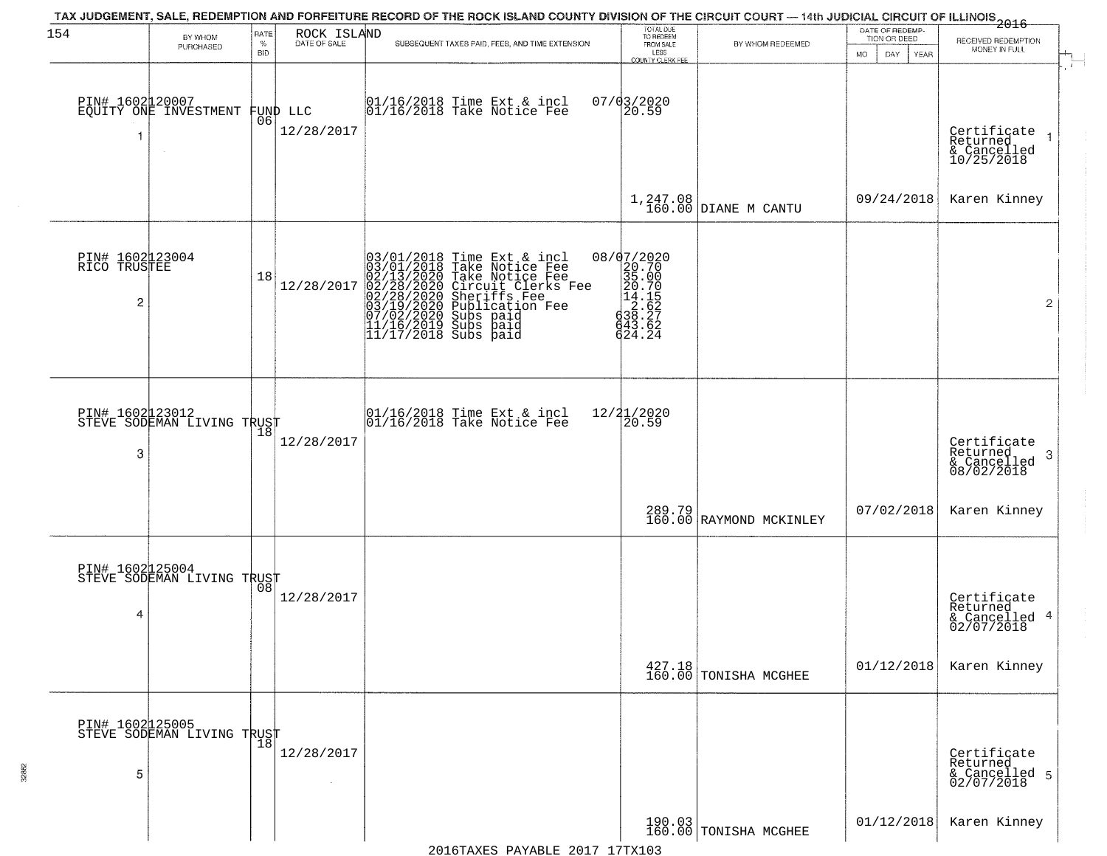| 154                                               | BY WHOM                                       | RATE               | ROCK ISLAND            | TAX JUDGEMENT, SALE, REDEMPTION AND FORFEITURE RECORD OF THE ROCK ISLAND COUNTY DIVISION OF THE CIRCUIT COURT — 14th JUDICIAL CIRCUIT OF ILLINOIS 2016                                                                                         | TOTAL DUE<br>TO REDEEM                                                                                                            |                                   | DATE OF REDEMP-<br>TION OR DEED | RECEIVED REDEMPTION                                                   |
|---------------------------------------------------|-----------------------------------------------|--------------------|------------------------|------------------------------------------------------------------------------------------------------------------------------------------------------------------------------------------------------------------------------------------------|-----------------------------------------------------------------------------------------------------------------------------------|-----------------------------------|---------------------------------|-----------------------------------------------------------------------|
|                                                   | PURCHASED                                     | $\%$<br><b>BID</b> | DATE OF SALE           | SUBSEQUENT TAXES PAID, FEES, AND TIME EXTENSION                                                                                                                                                                                                | FROM SALE<br>LESS<br><b>COUNTY CLERK FEE</b>                                                                                      | BY WHOM REDEEMED                  | MO.<br>DAY.<br><b>YEAR</b>      | MONEY IN FULL                                                         |
|                                                   | PIN# 1602120007<br>EQUITY ONE INVESTMENT      | 06                 | FUND LLC<br>12/28/2017 | 01/16/2018 Time Ext & incl<br>01/16/2018 Take Notice Fee                                                                                                                                                                                       | $07/03/2020$<br>20.59                                                                                                             |                                   |                                 | Certificate<br>Returned<br>& Cancelled<br>10/25/2018                  |
|                                                   |                                               |                    |                        |                                                                                                                                                                                                                                                |                                                                                                                                   | $1,247.08$ DIANE M CANTU          | 09/24/2018                      | Karen Kinney                                                          |
| PIN# 1602123004<br>RICO TRUSTEE<br>$\overline{c}$ |                                               | 18                 | 12/28/2017             | $03/01/2018$ Time Ext & incl<br>$03/01/2018$ Take Notice Fee<br>$02/13/2020$ Take Notice Fee<br>$02/28/2020$ Circuit Clerks Fee<br>$02/28/2020$ Sheriffs Fee<br>$03/19/2020$ Subs paid<br>$07/02/2020$ Subs paid<br>$11/16/2019$ Subs paid<br> | $8/07/2020$ $8/07/2020$ $8/0.70$ $8/0.70$ $8/0.70$ $8/0.75$ $8/0.627$ $8/0.627$ $8/0.627$ $8/0.627$ $8/0.627$ $8/0.627$<br>624.24 |                                   |                                 | $\overline{2}$                                                        |
| 3                                                 | PIN# 1602123012<br>STEVE SODEMAN LIVING TRUST | 18                 | 12/28/2017             | $\begin{array}{cc}  01/16/2018 \text{ Time} & \text{Ext} & \text{incl} \\  01/16/2018 \text{ Take Notice } \text{Fe} \end{array}$                                                                                                              | 12/21/2020<br>20.59                                                                                                               |                                   |                                 | Certificate<br>Returned<br>3<br>$\frac{1}{2}$ Cancelled<br>08/02/2018 |
|                                                   |                                               |                    |                        |                                                                                                                                                                                                                                                |                                                                                                                                   | 289.79<br>160.00 RAYMOND MCKINLEY | 07/02/2018                      | Karen Kinney                                                          |
| 4                                                 | PIN# 1602125004<br>STEVE SODEMAN LIVING TRUST | 08                 | 12/28/2017             |                                                                                                                                                                                                                                                |                                                                                                                                   |                                   |                                 | Certificate<br>Returned<br>& Cancelled 4<br>02/07/2018                |
|                                                   |                                               |                    |                        |                                                                                                                                                                                                                                                |                                                                                                                                   | 427.18<br>160.00 TONISHA MCGHEE   | 01/12/2018                      | Karen Kinney                                                          |
| 5                                                 | PIN# 1602125005<br>STEVE SODEMAN LIVING TRUST |                    | 12/28/2017<br>$\sim$   |                                                                                                                                                                                                                                                |                                                                                                                                   |                                   |                                 | Certificate<br>Returned<br>& Cancelled 5<br>02/07/2018                |
|                                                   |                                               |                    |                        |                                                                                                                                                                                                                                                |                                                                                                                                   | 190.03<br>160.00 TONISHA MCGHEE   | 01/12/2018                      | Karen Kinney                                                          |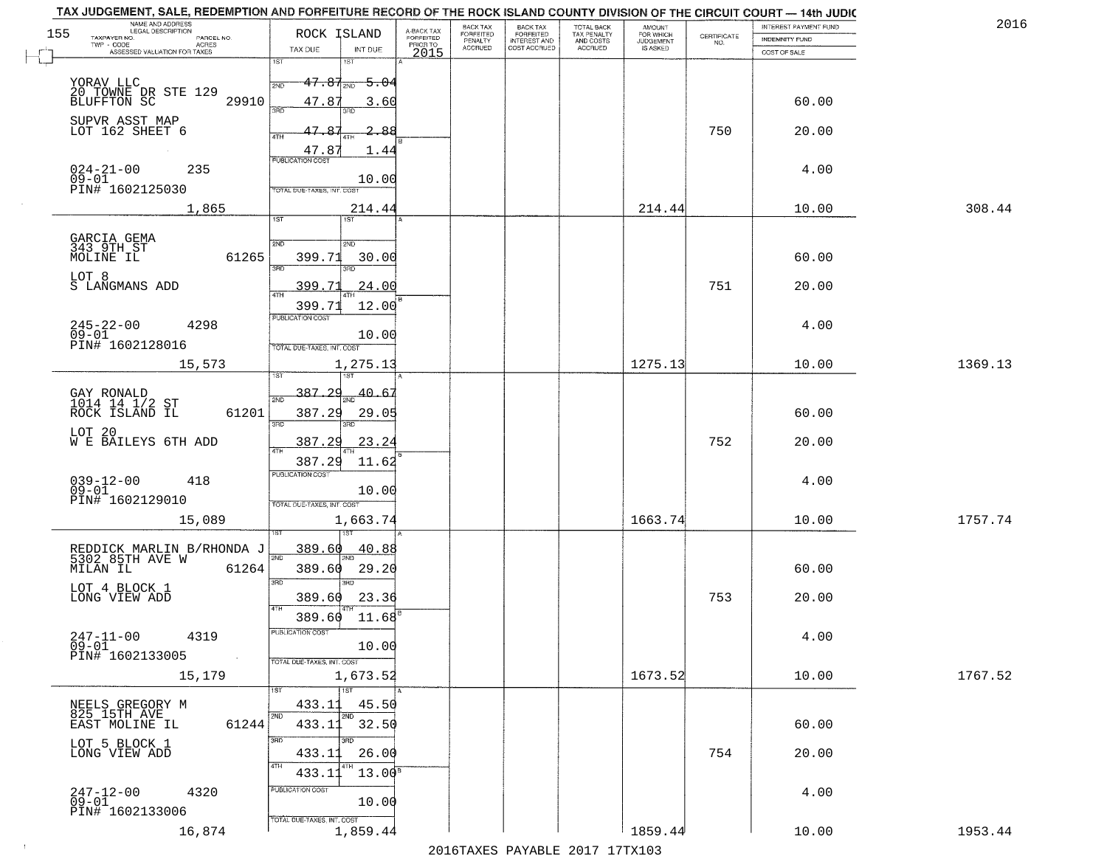|     | TAX JUDGEMENT, SALE, REDEMPTION AND FORFEITURE RECORD OF THE ROCK ISLAND COUNTY DIVISION OF THE CIRCUIT COURT - 14th JUDIC<br>NAME AND ADDRESS<br>LEGAL DESCRIPTION |                                |                                     | <b>BACK TAX</b>             | BACK TAX<br>FORFEITED |                                        | AMOUNT<br>FOR WHICH |                                                                 | INTEREST PAYMENT FUND | 2016    |
|-----|---------------------------------------------------------------------------------------------------------------------------------------------------------------------|--------------------------------|-------------------------------------|-----------------------------|-----------------------|----------------------------------------|---------------------|-----------------------------------------------------------------|-----------------------|---------|
| 155 | TAXPAYER NO.<br>PARCEL NO.                                                                                                                                          | ROCK ISLAND                    | A-BACK TAX<br>FORFEITED<br>PRIOR TO | <b>FORFEITED</b><br>PENALTY | <b>INTEREST AND</b>   | TOTAL BACK<br>TAX PENALTY<br>AND COSTS | <b>JUDGEMENT</b>    | $\begin{array}{c} \text{CERTIFICATE} \\ \text{NO.} \end{array}$ | <b>INDEMNITY FUND</b> |         |
|     | <b>ACRES</b><br>ASSESSED VALUATION FOR TAXES                                                                                                                        | TAX DUE                        | INT DUE<br>2015                     | <b>ACCRUED</b>              | COST ACCRUED          | <b>ACCRUED</b>                         | IS ASKED            |                                                                 | COST OF SALE          |         |
|     |                                                                                                                                                                     | 1ST<br><b>IST</b>              |                                     |                             |                       |                                        |                     |                                                                 |                       |         |
|     |                                                                                                                                                                     | <del>47.87</del><br>2ND<br>2ND | <del>5.04</del>                     |                             |                       |                                        |                     |                                                                 |                       |         |
|     | YORAV LLC<br>20 TOWNE DR STE 129<br>BLUFFTON SC                                                                                                                     |                                |                                     |                             |                       |                                        |                     |                                                                 |                       |         |
|     | 29910                                                                                                                                                               | 47.87<br>3RD                   | 3.60                                |                             |                       |                                        |                     |                                                                 | 60.00                 |         |
|     | SUPVR ASST MAP<br>LOT 162 SHEET 6                                                                                                                                   |                                |                                     |                             |                       |                                        |                     |                                                                 |                       |         |
|     |                                                                                                                                                                     | 47.87<br>4TH                   | 88.                                 |                             |                       |                                        |                     | 750                                                             | 20.00                 |         |
|     |                                                                                                                                                                     | 47.87                          | 1.44                                |                             |                       |                                        |                     |                                                                 |                       |         |
|     | 235                                                                                                                                                                 | <b>PUBLICATION COST</b>        |                                     |                             |                       |                                        |                     |                                                                 | 4.00                  |         |
|     | $024 - 21 - 00$<br>09-01                                                                                                                                            |                                | 10.00                               |                             |                       |                                        |                     |                                                                 |                       |         |
|     | PIN# 1602125030                                                                                                                                                     | TOTAL DUE-TAXES, INT. COST     |                                     |                             |                       |                                        |                     |                                                                 |                       |         |
|     | 1,865                                                                                                                                                               |                                | 214.44                              |                             |                       |                                        | 214.44              |                                                                 | 10.00                 | 308.44  |
|     |                                                                                                                                                                     | IST                            |                                     |                             |                       |                                        |                     |                                                                 |                       |         |
|     | GARCIA GEMA<br>343 9TH ST                                                                                                                                           | 2ND<br>2ND                     |                                     |                             |                       |                                        |                     |                                                                 |                       |         |
|     | 61265<br>MOLINE IL                                                                                                                                                  | 399.71                         | 30.00                               |                             |                       |                                        |                     |                                                                 | 60.00                 |         |
|     |                                                                                                                                                                     | 3RD                            |                                     |                             |                       |                                        |                     |                                                                 |                       |         |
|     | LOT 8<br>S LANGMANS ADD                                                                                                                                             | 399.71                         | 24.00                               |                             |                       |                                        |                     | 751                                                             | 20.00                 |         |
|     |                                                                                                                                                                     |                                |                                     |                             |                       |                                        |                     |                                                                 |                       |         |
|     |                                                                                                                                                                     | 399.71<br>PUBLICATION COST     | 12.00                               |                             |                       |                                        |                     |                                                                 |                       |         |
|     | $245 - 22 - 00$<br>4298                                                                                                                                             |                                |                                     |                             |                       |                                        |                     |                                                                 | 4.00                  |         |
|     | $09 - 01$<br>PIN# 1602128016                                                                                                                                        | TOTAL DUE-TAXES, INT. COST     | 10.00                               |                             |                       |                                        |                     |                                                                 |                       |         |
|     |                                                                                                                                                                     |                                |                                     |                             |                       |                                        |                     |                                                                 |                       |         |
|     | 15,573                                                                                                                                                              | 1ST                            | 1,275.13                            |                             |                       |                                        | 1275.13             |                                                                 | 10.00                 | 1369.13 |
|     |                                                                                                                                                                     |                                |                                     |                             |                       |                                        |                     |                                                                 |                       |         |
|     | GAY RONALD<br>1014 14 1/2 ST                                                                                                                                        | $-387.29$<br>2ND               | 40.6                                |                             |                       |                                        |                     |                                                                 |                       |         |
|     | ROCK ISLAND IL<br>61201                                                                                                                                             | 387.29                         | 29.05                               |                             |                       |                                        |                     |                                                                 | 60.00                 |         |
|     | LOT 20                                                                                                                                                              | 3RD<br>3RD                     |                                     |                             |                       |                                        |                     |                                                                 |                       |         |
|     | W E BAILEYS 6TH ADD                                                                                                                                                 | 387.29<br>4TH                  | 23.24                               |                             |                       |                                        |                     | 752                                                             | 20.00                 |         |
|     |                                                                                                                                                                     | 387.29                         | 11.62                               |                             |                       |                                        |                     |                                                                 |                       |         |
|     |                                                                                                                                                                     | <b>PUBLICATION COST</b>        |                                     |                             |                       |                                        |                     |                                                                 |                       |         |
|     | $039 - 12 - 00$<br>09-01<br>418                                                                                                                                     |                                | 10.00                               |                             |                       |                                        |                     |                                                                 | 4.00                  |         |
|     | PIN# 1602129010                                                                                                                                                     | TOTAL OUE-TAXES, INT. COST     |                                     |                             |                       |                                        |                     |                                                                 |                       |         |
|     | 15,089                                                                                                                                                              |                                | 1,663.74                            |                             |                       |                                        | 1663.74             |                                                                 | 10.00                 | 1757.74 |
|     |                                                                                                                                                                     |                                |                                     |                             |                       |                                        |                     |                                                                 |                       |         |
|     | REDDICK MARLIN B/RHONDA J<br>5302 85TH AVE W                                                                                                                        | 389.60                         | <u>40.88</u>                        |                             |                       |                                        |                     |                                                                 |                       |         |
|     | MILAN IL<br>61264                                                                                                                                                   | 2ND<br>389.60                  | 29.20                               |                             |                       |                                        |                     |                                                                 | 60.00                 |         |
|     |                                                                                                                                                                     | 3BD<br>3RD                     |                                     |                             |                       |                                        |                     |                                                                 |                       |         |
|     | LOT 4 BLOCK 1<br>LONG VIEW ADD                                                                                                                                      | 389.60                         | 23.36                               |                             |                       |                                        |                     | 753                                                             | 20.00                 |         |
|     |                                                                                                                                                                     | 4TH                            |                                     |                             |                       |                                        |                     |                                                                 |                       |         |
|     |                                                                                                                                                                     | 389.60                         | 11.68                               |                             |                       |                                        |                     |                                                                 |                       |         |
|     | $247 - 11 - 00$<br>4319                                                                                                                                             | PUBLICATION COS-               |                                     |                             |                       |                                        |                     |                                                                 | 4.00                  |         |
|     | $09 - 01$<br>PIN# 1602133005<br>$\sim 100$                                                                                                                          |                                | 10.00                               |                             |                       |                                        |                     |                                                                 |                       |         |
|     |                                                                                                                                                                     | TOTAL DUE-TAXES, INT. COST     |                                     |                             |                       |                                        |                     |                                                                 |                       |         |
|     | 15,179                                                                                                                                                              |                                | 1,673.52                            |                             |                       |                                        | 1673.52             |                                                                 | 10.00                 | 1767.52 |
|     |                                                                                                                                                                     | $\overline{1}$ 1ST             |                                     |                             |                       |                                        |                     |                                                                 |                       |         |
|     | NEELS GREGORY M<br>825 15TH AVE                                                                                                                                     | 433.11<br>2ND                  | 45.50                               |                             |                       |                                        |                     |                                                                 |                       |         |
|     | 61244<br>EAST MOLINE IL                                                                                                                                             | 433.11                         | 32.50                               |                             |                       |                                        |                     |                                                                 | 60.00                 |         |
|     | LOT 5 BLOCK 1                                                                                                                                                       | 3RD<br>3RD                     |                                     |                             |                       |                                        |                     |                                                                 |                       |         |
|     | LONG VIEW ADD                                                                                                                                                       | 433.11                         | 26.00                               |                             |                       |                                        |                     | 754                                                             | 20.00                 |         |
|     |                                                                                                                                                                     | 4TH<br>433.1                   | $13.00^8$                           |                             |                       |                                        |                     |                                                                 |                       |         |
|     |                                                                                                                                                                     | PUBLICATION COST               |                                     |                             |                       |                                        |                     |                                                                 |                       |         |
|     | 247-12-00<br>09-01<br>4320                                                                                                                                          |                                | 10.00                               |                             |                       |                                        |                     |                                                                 | 4.00                  |         |
|     | PIN# 1602133006                                                                                                                                                     | TOTAL DUE-TAXES, INT. COST     |                                     |                             |                       |                                        |                     |                                                                 |                       |         |
|     | 16,874                                                                                                                                                              |                                | 1,859.44                            |                             |                       |                                        | 1859.44             |                                                                 | 10.00                 | 1953.44 |
|     |                                                                                                                                                                     |                                |                                     |                             |                       | 2016 THE PLAY THE 2017 17TH            |                     |                                                                 |                       |         |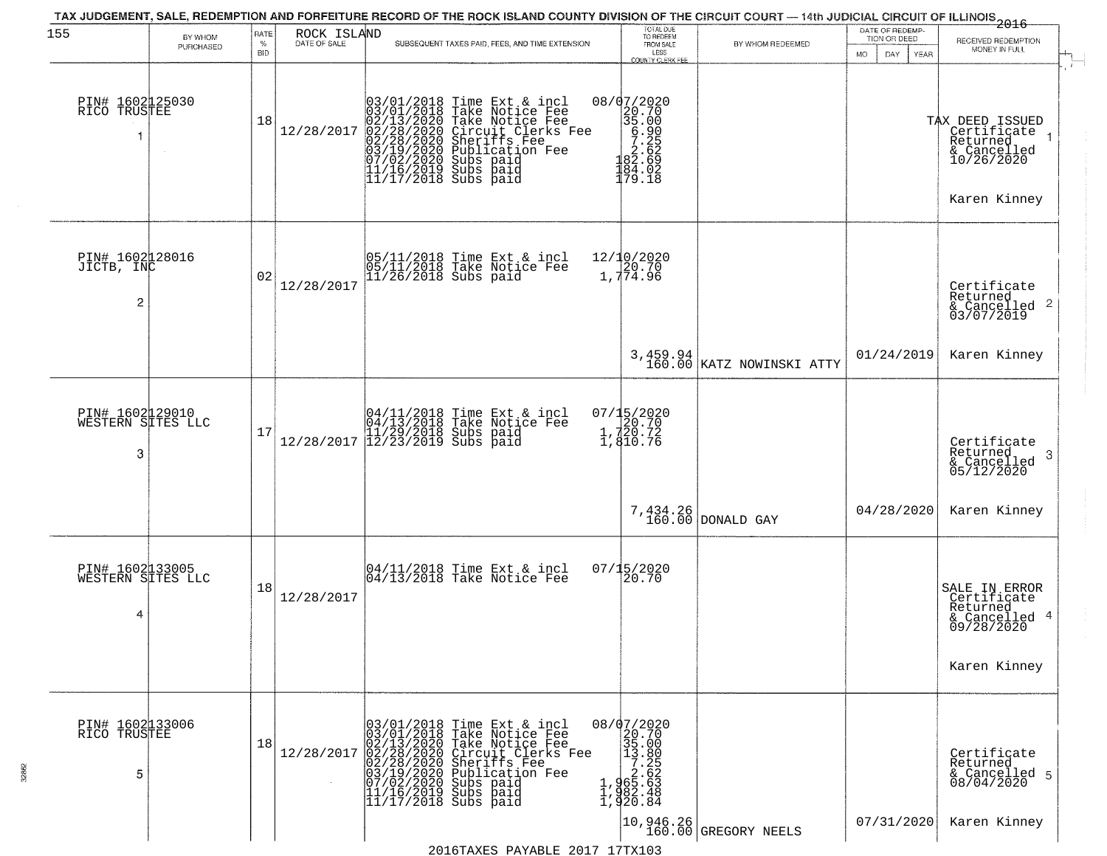| 155                                       | BY WHOM   | RATE<br>$\%$ | ROCK ISLAND<br>DATE OF SALE | TAX JUDGEMENT, SALE, REDEMPTION AND FORFEITURE RECORD OF THE ROCK ISLAND COUNTY DIVISION OF THE CIRCUIT COURT — 14th JUDICIAL CIRCUIT OF ILLINOIS 2016<br>SUBSEQUENT TAXES PAID, FEES, AND TIME EXTENSION                                                                                                                                         | TOTAL DUE<br>TO REDEEM<br>FROM SALE                                                                                | BY WHOM REDEEMED                        | DATE OF REDEMP-<br>TION OR DEED | RECEIVED REDEMPTION                                                                       |
|-------------------------------------------|-----------|--------------|-----------------------------|---------------------------------------------------------------------------------------------------------------------------------------------------------------------------------------------------------------------------------------------------------------------------------------------------------------------------------------------------|--------------------------------------------------------------------------------------------------------------------|-----------------------------------------|---------------------------------|-------------------------------------------------------------------------------------------|
|                                           | PURCHASED | <b>BID</b>   |                             |                                                                                                                                                                                                                                                                                                                                                   | LESS<br>COUNTY CLERK FEE                                                                                           |                                         | MO.<br>DAY<br><b>YEAR</b>       | MONEY IN FULL                                                                             |
| PIN# 1602125030<br>RICO TRUSTEE<br>1      |           | 18           | 12/28/2017                  | $03/01/2018$ Time Ext & incl<br>03/01/2018 Take Notice Fee<br>02/13/2020 Take Notice Fee<br>02/28/2020 Circuit Clerks F<br>02/28/2020 Sheriffs Fee<br>03/19/2020 Subs paid<br>07/02/2020 Subs paid<br>11/16/2019 Subs paid<br>11/17/2018 Subs paid<br>11<br>Take Notice Fee<br>Circuit Clerks Fee<br>Sheriffs Fee<br>Bublication Fee<br>Subs paid | 08/07/2020<br>$\begin{pmatrix} 20.70 \\ 35.00 \\ 6.90 \\ 7.262 \\ 2.69 \\ 82.69 \end{pmatrix}$<br>184.02<br>179.18 |                                         |                                 | TAX DEED ISSUED<br>  Certificate<br>Returned<br>& Cancelled<br>10/26/2020<br>Karen Kinney |
| PIN# 1602128016<br>JICTB, INC<br>2        |           | 02           | 12/28/2017                  | 05/11/2018 Time Ext & incl<br>05/11/2018 Take Notice Fee<br>11/26/2018 Subs paid                                                                                                                                                                                                                                                                  | 12/10/2020<br>20.70<br>1,774.96                                                                                    |                                         |                                 | Certificate<br>Returned<br>& Cancelled 2<br>03/07/2019                                    |
|                                           |           |              |                             |                                                                                                                                                                                                                                                                                                                                                   |                                                                                                                    | $3,459.94$<br>160.00 KATZ NOWINSKI ATTY | 01/24/2019                      | Karen Kinney                                                                              |
| PIN# 1602129010<br>WESTERN SITES LLC<br>3 |           | 17           | 12/28/2017                  | 04/11/2018 Time Ext & incl<br>04/13/2018 Take Notice Fee<br>11/29/2018 Subs paid<br>12/23/2019 Subs paid                                                                                                                                                                                                                                          | 07/15/2020<br>20.70<br>1,720.72<br>1,810.76                                                                        |                                         |                                 | Certifiçate<br>Returned<br>-3<br>& Cancelled<br>05/12/2020                                |
|                                           |           |              |                             |                                                                                                                                                                                                                                                                                                                                                   | 7,434.26<br>160.00                                                                                                 | DONALD GAY                              | 04/28/2020                      | Karen Kinney                                                                              |
| PIN# 1602133005<br>WESTERN SITES LLC<br>4 |           | 18           | 12/28/2017                  | 04/11/2018 Time Ext & incl<br>04/13/2018 Take Notice Fee                                                                                                                                                                                                                                                                                          | $07/15/2020$<br>20.70                                                                                              |                                         |                                 | SALE IN ERROR<br>Certificate<br>Returned<br>& Cancelled 4<br>09/28/2020<br>Karen Kinney   |
| PIN# 1602133006<br>RICO TRUSTEE<br>5      |           | 18           | 12/28/2017                  | 03/01/2018 Time Ext & incl<br>03/01/2018 Take Notice Fee<br>02/13/2020 Take Notice Fee<br>02/28/2020 Circuit Clerks F<br>02/28/2020 Sheriffs Fee<br>03/19/2020 Publication Fee<br>03/19/2020 Subs paid<br>11/16/2019 Subs paid<br>11/17/2018 Subs paid<br>Take Notice Fee<br>Circuit Clerks Fee<br>Sheriffs Fee<br>Publication Fee                | 08/07/2020<br>20.70<br>35.00<br>$33.800\n7.252\n65.623\n982.48\n920.84$                                            |                                         |                                 | Certificate<br>Returned<br>& Cancelled 5<br>08/04/2020                                    |
|                                           |           |              |                             |                                                                                                                                                                                                                                                                                                                                                   |                                                                                                                    | 10,946.26<br>160.00 GREGORY NEELS       | 07/31/2020                      | Karen Kinney                                                                              |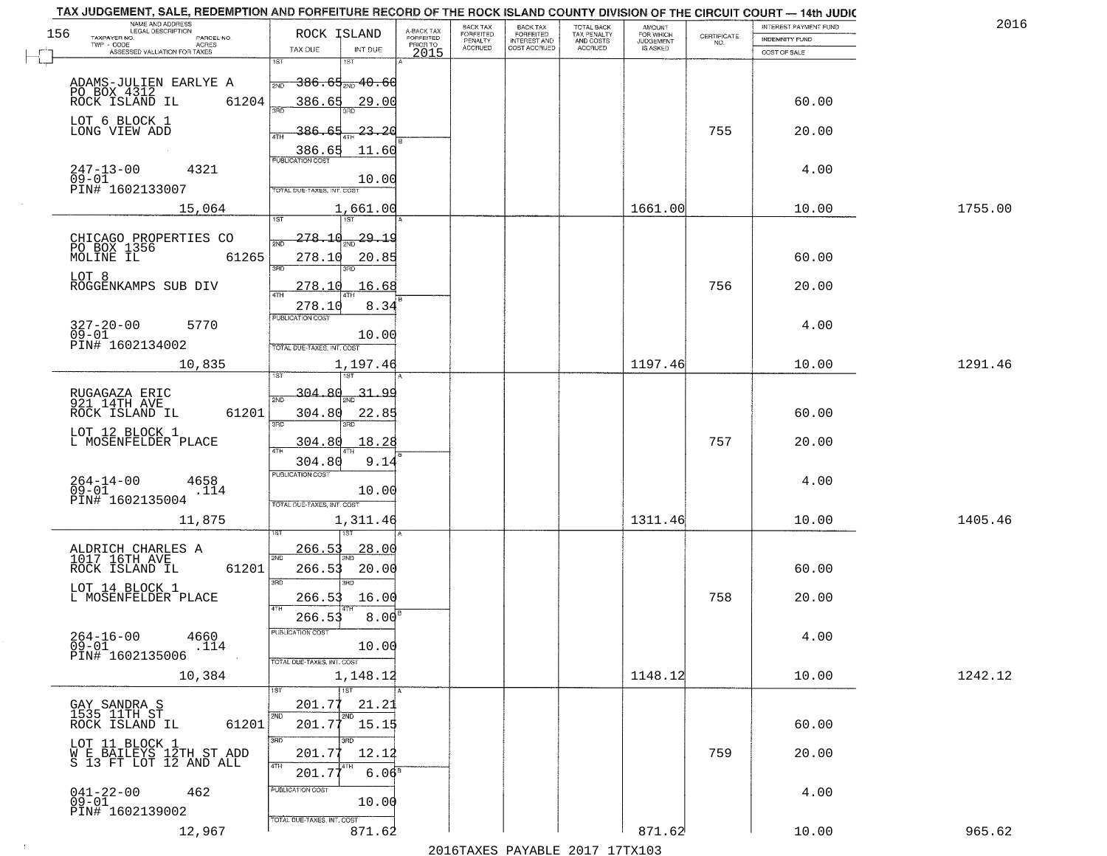| TAX JUDGEMENT, SALE, REDEMPTION AND FORFEITURE RECORD OF THE ROCK ISLAND COUNTY DIVISION OF THE CIRCUIT COURT - 14th JUDIC<br>NAME AND ADDRESS<br>LEGAL DESCRIPTION |                                                                           |                                     | BACK TAX             | BACK TAX<br>FORFEITED |                                        |                                  |                    | INTEREST PAYMENT FUND | 2016    |
|---------------------------------------------------------------------------------------------------------------------------------------------------------------------|---------------------------------------------------------------------------|-------------------------------------|----------------------|-----------------------|----------------------------------------|----------------------------------|--------------------|-----------------------|---------|
| 156<br>TAXPAYER NO.<br>PARCEL NO.<br><b>ACRES</b>                                                                                                                   | ROCK ISLAND                                                               | A-BACK TAX<br>FORFEITED<br>PRIOR TO | FORFEITED<br>PENALTY | <b>INTEREST AND</b>   | TOTAL BACK<br>TAX PENALTY<br>AND COSTS | AMOUNT<br>FOR WHICH<br>JUDGEMENT | CERTIFICATE<br>NO. | <b>INDEMNITY FUND</b> |         |
| ASSESSED VALUATION FOR TAXES                                                                                                                                        | TAX DUE<br>INT DUE<br>1ST<br>1ST                                          | 2015                                | <b>ACCRUED</b>       | COST ACCRUED          | <b>ACCRUED</b>                         | IS ASKED                         |                    | COST OF SALE          |         |
| ADAMS-JULIEN EARLYE A<br>PO BOX 4312<br>ROCK ISLAND IL                                                                                                              | $386.65_{\textcolor{red}{200}}$ $40.66$<br>2ND                            |                                     |                      |                       |                                        |                                  |                    |                       |         |
| 61204<br>LOT 6 BLOCK 1                                                                                                                                              | 386.65<br>29.00                                                           |                                     |                      |                       |                                        |                                  |                    | 60.00                 |         |
| LONG VIEW ADD                                                                                                                                                       | <u>23.20</u><br><u>386.65</u><br>ATH<br>386.65<br>11.60                   |                                     |                      |                       |                                        |                                  | 755                | 20.00                 |         |
| $247 - 13 - 00$<br>4321<br>$09 - 01$<br>PIN# 1602133007                                                                                                             | <b>PUBLICATION COST</b><br>10.00<br>TOTAL DUE-TAXES, INT, COST            |                                     |                      |                       |                                        |                                  |                    | 4.00                  |         |
| 15,064                                                                                                                                                              | 1,661.00                                                                  |                                     |                      |                       |                                        | 1661.00                          |                    | 10.00                 | 1755.00 |
|                                                                                                                                                                     |                                                                           |                                     |                      |                       |                                        |                                  |                    |                       |         |
| CHICAGO PROPERTIES CO<br>PO BOX 1356<br>MOLINE IL<br>61265                                                                                                          | <u> 278.10</u><br><u>29.19</u><br>278.10<br>20.85<br>3RD                  |                                     |                      |                       |                                        |                                  |                    | 60.00                 |         |
| LOT 8<br>ROGGENKAMPS SUB DIV                                                                                                                                        | 278.10<br>16.68                                                           |                                     |                      |                       |                                        |                                  | 756                | 20.00                 |         |
| $327 - 20 - 00$<br>5770<br>$09 - 01$<br>PIN# 1602134002                                                                                                             | 8.34<br>278.10<br>PUBLICATION COST<br>10.00<br>TOTAL DUE-TAXES, INT. COST |                                     |                      |                       |                                        |                                  |                    | 4.00                  |         |
| 10,835                                                                                                                                                              | 1,197.46                                                                  |                                     |                      |                       |                                        | 1197.46                          |                    | 10.00                 | 1291.46 |
|                                                                                                                                                                     | i ST                                                                      |                                     |                      |                       |                                        |                                  |                    |                       |         |
| RUGAGAZA ERIC<br>921 14TH AVE<br>ROCK ISLAND IL<br>61201                                                                                                            | 304.80<br>31.<br><u>مو</u><br>2ND<br>304.80<br>22.85<br>3BD<br>3RD        |                                     |                      |                       |                                        |                                  |                    | 60.00                 |         |
| LOT 12 BLOCK 1<br>L MOSENFELDER PLACE                                                                                                                               | 304.80<br>18.28<br>4TH                                                    |                                     |                      |                       |                                        |                                  | 757                | 20.00                 |         |
|                                                                                                                                                                     | 304.80<br>9.14<br><b>PUBLICATION COST</b>                                 |                                     |                      |                       |                                        |                                  |                    |                       |         |
| $264 - 14 - 00$<br>09-01<br>4658<br>.114<br>PIN# 1602135004                                                                                                         | 10.00<br>TOTAL OUE-TAXES, INT. COST                                       |                                     |                      |                       |                                        |                                  |                    | 4.00                  |         |
| 11,875                                                                                                                                                              | 1,311.46                                                                  |                                     |                      |                       |                                        | 1311.46                          |                    | 10.00                 | 1405.46 |
|                                                                                                                                                                     | 266.53<br><u> 28.00</u>                                                   |                                     |                      |                       |                                        |                                  |                    |                       |         |
| ALDRICH CHARLES A<br>1017 16TH AVE<br>ROCK ISLAND IL<br>61201                                                                                                       | 2ND<br>266.53<br>20.00<br>3 <sub>BD</sub><br>3RD                          |                                     |                      |                       |                                        |                                  |                    | 60.00                 |         |
| LOT 14 BLOCK 1<br>L MOSENFELDER PLACE                                                                                                                               | 16.00<br>266.53<br>4TH                                                    |                                     |                      |                       |                                        |                                  | 758                | 20.00                 |         |
|                                                                                                                                                                     | 8.00<br>266.53                                                            |                                     |                      |                       |                                        |                                  |                    |                       |         |
| 264-16-00<br>4660<br>$09 - 01$<br>.114<br>PIN# 1602135006                                                                                                           | "UBLICA HUN CUS<br>10.00                                                  |                                     |                      |                       |                                        |                                  |                    | 4.00                  |         |
| 10,384                                                                                                                                                              | TOTAL DUE-TAXES, INT. COST<br>1,148.12                                    |                                     |                      |                       |                                        | 1148.12                          |                    | 10.00                 | 1242.12 |
|                                                                                                                                                                     | 1ST                                                                       |                                     |                      |                       |                                        |                                  |                    |                       |         |
| GAY SANDRA S<br>1535 11TH ST<br>61201<br>ROCK ISLAND IL                                                                                                             | 201.77<br>21.21<br>2ND<br>2ND<br>201.77<br>15.15                          |                                     |                      |                       |                                        |                                  |                    | 60.00                 |         |
| LOT 11 BLOCK 1<br>W E BAILEYS 12TH ST ADD<br>S 13 FT LOT 12 AND ALL                                                                                                 | 3RD<br>201.77<br>12.12                                                    |                                     |                      |                       |                                        |                                  | 759                | 20.00                 |         |
|                                                                                                                                                                     | 4TH<br>201.77<br>$6.06^8$                                                 |                                     |                      |                       |                                        |                                  |                    |                       |         |
| $041 - 22 - 00$<br>462<br>09-01<br>PIN# 1602139002                                                                                                                  | PUBLICATION COST<br>10.00                                                 |                                     |                      |                       |                                        |                                  |                    | 4.00                  |         |
| 12,967                                                                                                                                                              | TOTAL DUE-TAXES, INT. COST<br>871.62                                      |                                     |                      |                       |                                        | 871.62                           |                    | 10.00                 | 965.62  |

 $\sim 100$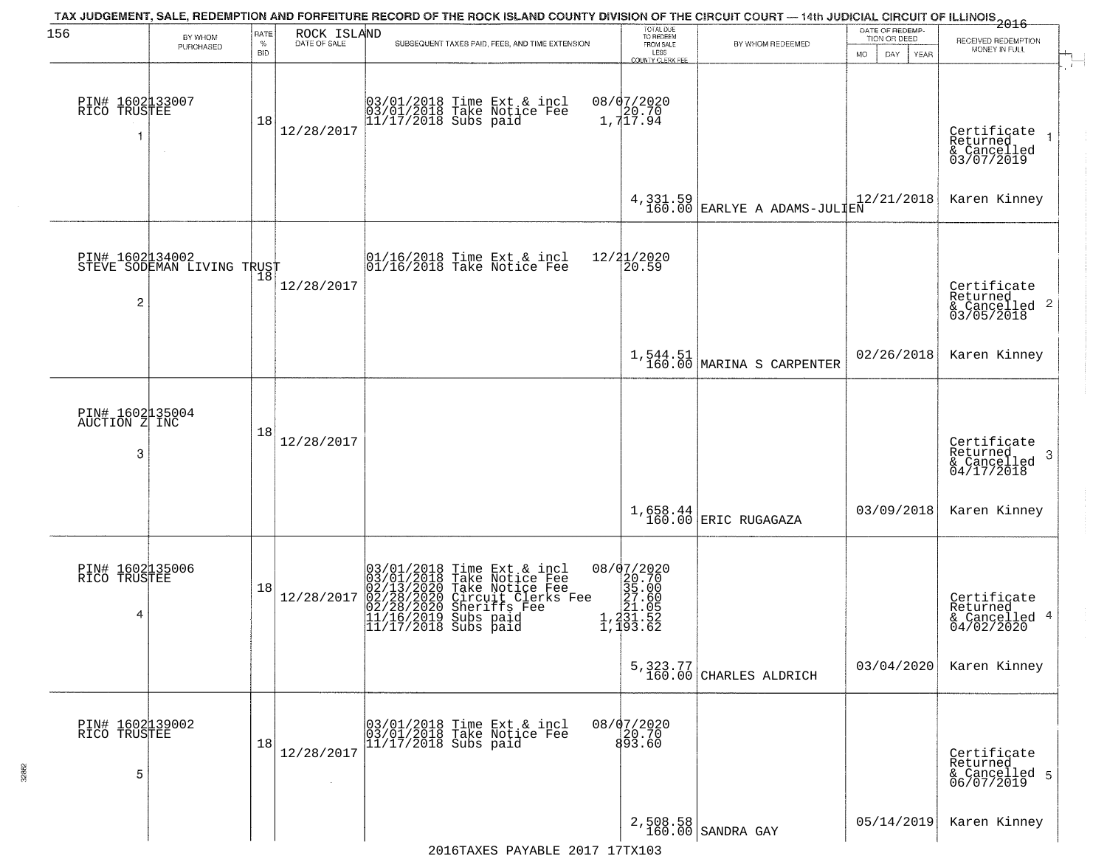| 156                                   | BY WHOM<br>PURCHASED                         | RATE<br>$\%$<br><b>BID</b> | ROCK ISLAND<br>DATE OF SALE | TAX JUDGEMENT, SALE, REDEMPTION AND FORFEITURE RECORD OF THE ROCK ISLAND COUNTY DIVISION OF THE CIRCUIT COURT — 14th JUDICIAL CIRCUIT OF ILLINOIS 2016<br>SUBSEQUENT TAXES PAID, FEES, AND TIME EXTENSION | TOTAL DUE<br>TO REDEEM<br>FROM SALE<br>LESS<br>COUNTY CLERK FEE                                                                                                                   | BY WHOM REDEEMED                        | DATE OF REDEMP-<br>TION OR DEED<br><b>MO</b><br>DAY<br>YEAR | RECEIVED REDEMPTION<br>MONEY IN FULL                               |
|---------------------------------------|----------------------------------------------|----------------------------|-----------------------------|-----------------------------------------------------------------------------------------------------------------------------------------------------------------------------------------------------------|-----------------------------------------------------------------------------------------------------------------------------------------------------------------------------------|-----------------------------------------|-------------------------------------------------------------|--------------------------------------------------------------------|
| PIN# 1602133007<br>RICO TRUSTEE<br>1  |                                              | 18                         | 12/28/2017                  | 03/01/2018 Time Ext & incl<br>03/01/2018 Take Notice Fee<br>11/17/2018 Subs paid                                                                                                                          | 08/07/2020<br>$\begin{bmatrix} 1 \\ 7 \\ 1 \end{bmatrix}$ , 717.94                                                                                                                |                                         |                                                             | Certificate<br>Returned<br>& Cancelled<br>03/07/2019               |
|                                       |                                              |                            |                             |                                                                                                                                                                                                           | 4, 331.59<br>160.00                                                                                                                                                               | EARLYE A ADAMS-JULIEN                   | 12/21/2018                                                  | Karen Kinney                                                       |
| PIN# 16020134002<br>2                 | FIN# 100243700<br>STEVE SODEMAN LIVING TRUST |                            | 12/28/2017                  | 01/16/2018 Time Ext & incl<br>01/16/2018 Take Notice Fee                                                                                                                                                  | 12/21/2020<br>$\overline{20.59}$                                                                                                                                                  |                                         |                                                             | Certificate<br>Returned<br>$\frac{1}{6}$ Cancelled 2<br>03/05/2018 |
|                                       |                                              |                            |                             |                                                                                                                                                                                                           |                                                                                                                                                                                   | $1,544.51$<br>160.00 MARINA S CARPENTER | 02/26/2018                                                  | Karen Kinney                                                       |
| PIN# 1602135004<br>AUCTION Z INC<br>3 |                                              | 18                         | 12/28/2017                  |                                                                                                                                                                                                           |                                                                                                                                                                                   |                                         |                                                             | Certificate<br>Returned<br>-3<br>& Cancelled<br>04/17/2018         |
|                                       |                                              |                            |                             |                                                                                                                                                                                                           | 1,658.44<br>160.00                                                                                                                                                                | <b>ERIC RUGAGAZA</b>                    | 03/09/2018                                                  | Karen Kinney                                                       |
| PIN# 1602135006<br>RICO TRUSTEE<br>4  |                                              | 18                         | 12/28/2017                  | 03/01/2018 Time Ext & incl<br>03/01/2018 Take Notice Fee<br>02/13/2020 Take Notice Fee<br>02/28/2020 Circuit Clerks Fee<br>02/28/2020 Sheriffs Fee<br>11/16/2019 Subs paid<br>11/17/2018 Subs paid        | 08/07/2020<br>$\begin{smallmatrix} 2 & 2 & 7 & 0 \\ 2 & 5 & 7 & 0 \\ 3 & 5 & 0 & 0 \\ 2 & 7 & 6 & 0 \\ 2 & 1 & 0 & 5 \\ 2 & 3 & 1 & 5 & 2 \\ 1 & 9 & 3 & 6 & 2 \end{smallmatrix}$ |                                         |                                                             | Certificate<br>Returned<br>& Cancelled 4<br>04/02/2020             |
|                                       |                                              |                            |                             |                                                                                                                                                                                                           |                                                                                                                                                                                   | 5, 323.77<br>160.00 CHARLES ALDRICH     | 03/04/2020                                                  | Karen Kinney                                                       |
| PIN# 1602139002<br>RICO TRUSTEE<br>5  |                                              | 18                         | 12/28/2017                  | 03/01/2018 Time Ext & incl<br>03/01/2018 Take Notice Fee<br>$11/17/2018$ Subs paid                                                                                                                        | $08/07/2020$<br>20.70<br>893.60                                                                                                                                                   |                                         |                                                             | Certificate<br>Returned<br>& Cancelled 5<br>06/07/2019             |
|                                       |                                              |                            |                             |                                                                                                                                                                                                           |                                                                                                                                                                                   | 2,508.58<br>160.00 SANDRA GAY           | 05/14/2019                                                  | Karen Kinney                                                       |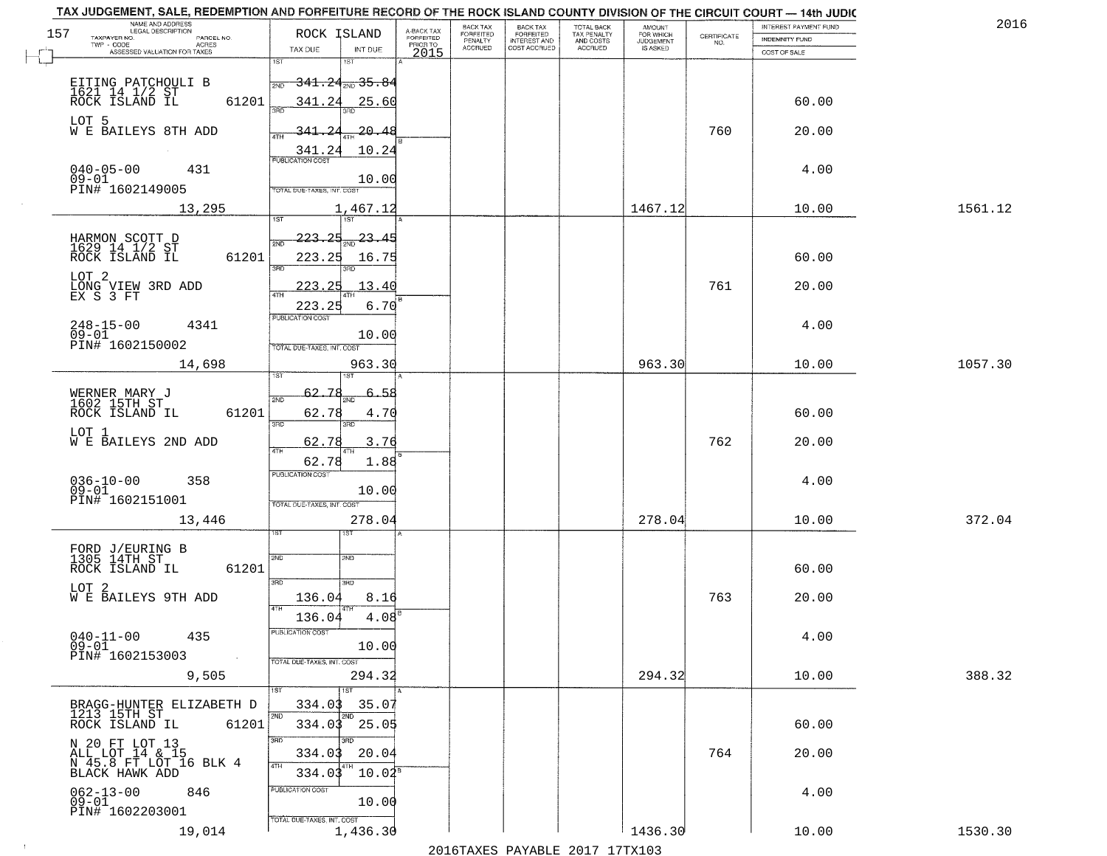|     | TAX JUDGEMENT, SALE, REDEMPTION AND FORFEITURE RECORD OF THE ROCK ISLAND COUNTY DIVISION OF THE CIRCUIT COURT - 14th JUDIC<br>NAME AND ADDRESS<br>LEGAL DESCRIPTION |                                                            |                                     | BACK TAX                    | BACK TAX<br>FORFEITED |                                        | AMOUNT<br>FOR WHICH |                                                                 | INTEREST PAYMENT FUND | 2016    |
|-----|---------------------------------------------------------------------------------------------------------------------------------------------------------------------|------------------------------------------------------------|-------------------------------------|-----------------------------|-----------------------|----------------------------------------|---------------------|-----------------------------------------------------------------|-----------------------|---------|
| 157 | TAXPAYER NO.<br>PARCEL NO.                                                                                                                                          | ROCK ISLAND                                                | A-BACK TAX<br>FORFEITED<br>PRIOR TO | <b>FORFEITED</b><br>PENALTY | <b>INTEREST AND</b>   | TOTAL BACK<br>TAX PENALTY<br>AND COSTS | <b>JUDGEMENT</b>    | $\begin{array}{c} \text{CERTIFICATE} \\ \text{NO.} \end{array}$ | <b>INDEMNITY FUND</b> |         |
|     | ACRES<br>ASSESSED VALUATION FOR TAXES                                                                                                                               | TAX DUE<br>INT DUE                                         | 2015                                | <b>ACCRUED</b>              | COST ACCRUED          | <b>ACCRUED</b>                         | IS ASKED            |                                                                 | COST OF SALE          |         |
|     |                                                                                                                                                                     | 1ST<br>181                                                 |                                     |                             |                       |                                        |                     |                                                                 |                       |         |
|     |                                                                                                                                                                     | $\rightarrow$ 341.24 $_{\textrm{\tiny{PWD}}}$ 35.84<br>2ND |                                     |                             |                       |                                        |                     |                                                                 |                       |         |
|     | EITING PATCHOULI B<br>1621 14 1/2 ST<br>ROCK ISLAND IL<br>61201                                                                                                     | 341.24<br>25.60                                            |                                     |                             |                       |                                        |                     |                                                                 | 60.00                 |         |
|     |                                                                                                                                                                     |                                                            |                                     |                             |                       |                                        |                     |                                                                 |                       |         |
|     | LOT 5<br>W E BAILEYS 8TH ADD                                                                                                                                        | 341.24<br>20.48                                            |                                     |                             |                       |                                        |                     | 760                                                             | 20.00                 |         |
|     |                                                                                                                                                                     | 10.24                                                      |                                     |                             |                       |                                        |                     |                                                                 |                       |         |
|     |                                                                                                                                                                     | 341.24                                                     |                                     |                             |                       |                                        |                     |                                                                 |                       |         |
|     | 040-05-00<br>09-01<br>431                                                                                                                                           | 10.00                                                      |                                     |                             |                       |                                        |                     |                                                                 | 4.00                  |         |
|     | PIN# 1602149005                                                                                                                                                     | TOTAL DUE-TAXES, INT. COST                                 |                                     |                             |                       |                                        |                     |                                                                 |                       |         |
|     | 13,295                                                                                                                                                              | 1,467.12                                                   |                                     |                             |                       |                                        | 1467.12             |                                                                 | 10.00                 | 1561.12 |
|     |                                                                                                                                                                     |                                                            |                                     |                             |                       |                                        |                     |                                                                 |                       |         |
|     |                                                                                                                                                                     | $\frac{23.45}{200}$<br>223.25                              |                                     |                             |                       |                                        |                     |                                                                 |                       |         |
|     | HARMON SCOTT D<br>1629 14 1/2 ST<br>ROCK ISLAND IL<br>61201                                                                                                         | 223.25<br>16.75                                            |                                     |                             |                       |                                        |                     |                                                                 | 60.00                 |         |
|     | LOT <sub>2</sub>                                                                                                                                                    | 3RD                                                        |                                     |                             |                       |                                        |                     |                                                                 |                       |         |
|     | LONG VIEW 3RD ADD<br>EX S 3 FT                                                                                                                                      | 13.40<br>223.25                                            |                                     |                             |                       |                                        |                     | 761                                                             | 20.00                 |         |
|     |                                                                                                                                                                     | 6.70<br>223.25                                             |                                     |                             |                       |                                        |                     |                                                                 |                       |         |
|     |                                                                                                                                                                     | PUBLICATION COST                                           |                                     |                             |                       |                                        |                     |                                                                 |                       |         |
|     | $248 - 15 - 00$<br>4341<br>$09 - 01$                                                                                                                                | 10.00                                                      |                                     |                             |                       |                                        |                     |                                                                 | 4.00                  |         |
|     | PIN# 1602150002                                                                                                                                                     | TOTAL DUE-TAXES, INT. COST                                 |                                     |                             |                       |                                        |                     |                                                                 |                       |         |
|     | 14,698                                                                                                                                                              | 963.30                                                     |                                     |                             |                       |                                        | 963.30              |                                                                 | 10.00                 | 1057.30 |
|     |                                                                                                                                                                     | ιSΤ                                                        |                                     |                             |                       |                                        |                     |                                                                 |                       |         |
|     | WERNER MARY J<br>1602 15TH ST                                                                                                                                       | 62.<br>2ND                                                 |                                     |                             |                       |                                        |                     |                                                                 |                       |         |
|     | ROCK ISLAND IL<br>61201                                                                                                                                             | 62.78<br>4.70                                              |                                     |                             |                       |                                        |                     |                                                                 | 60.00                 |         |
|     | LOT 1                                                                                                                                                               | 3RD<br>3RD                                                 |                                     |                             |                       |                                        |                     |                                                                 |                       |         |
|     | W E BAILEYS 2ND ADD                                                                                                                                                 | 62.78<br>3.76<br><b>ATH</b>                                |                                     |                             |                       |                                        |                     | 762                                                             | 20.00                 |         |
|     |                                                                                                                                                                     | 62.78<br>1.88                                              |                                     |                             |                       |                                        |                     |                                                                 |                       |         |
|     | 358                                                                                                                                                                 | <b>PUBLICATION COST</b>                                    |                                     |                             |                       |                                        |                     |                                                                 | 4.00                  |         |
|     | 036-10-00<br>09-01                                                                                                                                                  | 10.00                                                      |                                     |                             |                       |                                        |                     |                                                                 |                       |         |
|     | PIN# 1602151001                                                                                                                                                     | TOTAL OUE-TAXES, INT. COST                                 |                                     |                             |                       |                                        |                     |                                                                 |                       |         |
|     | 13,446                                                                                                                                                              | 278.04                                                     |                                     |                             |                       |                                        | 278.04              |                                                                 | 10.00                 | 372.04  |
|     |                                                                                                                                                                     |                                                            |                                     |                             |                       |                                        |                     |                                                                 |                       |         |
|     | FORD J/EURING B<br>1305 14TH ST                                                                                                                                     | 2ND<br>2ND                                                 |                                     |                             |                       |                                        |                     |                                                                 |                       |         |
|     | ROCK ISLAND IL<br>61201                                                                                                                                             |                                                            |                                     |                             |                       |                                        |                     |                                                                 | 60.00                 |         |
|     | LOT 2<br>W E BAILEYS 9TH ADD                                                                                                                                        | 3BD<br>3HD                                                 |                                     |                             |                       |                                        |                     |                                                                 |                       |         |
|     |                                                                                                                                                                     | 136.04<br>8.16<br>4TH                                      |                                     |                             |                       |                                        |                     | 763                                                             | 20.00                 |         |
|     |                                                                                                                                                                     | 136.04<br>4.08                                             |                                     |                             |                       |                                        |                     |                                                                 |                       |         |
|     | $040 - 11 - 00$<br>435                                                                                                                                              | PUBLICATION COST                                           |                                     |                             |                       |                                        |                     |                                                                 | 4.00                  |         |
|     | $09 - 01$<br>PIN# 1602153003<br>$\sim 100$                                                                                                                          | 10.00                                                      |                                     |                             |                       |                                        |                     |                                                                 |                       |         |
|     | 9,505                                                                                                                                                               | TOTAL DUE-TAXES, INT. COST<br>294.32                       |                                     |                             |                       |                                        | 294.32              |                                                                 | 10.00                 | 388.32  |
|     |                                                                                                                                                                     |                                                            |                                     |                             |                       |                                        |                     |                                                                 |                       |         |
|     | BRAGG-HUNTER ELIZABETH D                                                                                                                                            | 334.03<br>35.07                                            |                                     |                             |                       |                                        |                     |                                                                 |                       |         |
|     | 1213 15TH ST<br>61201<br>ROCK ISLAND IL                                                                                                                             | 334.03<br>25.05                                            |                                     |                             |                       |                                        |                     |                                                                 | 60.00                 |         |
|     |                                                                                                                                                                     | 3RD                                                        |                                     |                             |                       |                                        |                     |                                                                 |                       |         |
|     | N 20 FT LOT 13<br>ALL LOT 14 & 15<br>N 45.8 FT LOT 16 BLK 4                                                                                                         | 20.04<br>334.03                                            |                                     |                             |                       |                                        |                     | 764                                                             | 20.00                 |         |
|     |                                                                                                                                                                     | 4TH                                                        |                                     |                             |                       |                                        |                     |                                                                 |                       |         |
|     | BLACK HAWK ADD                                                                                                                                                      | $10.02^8$<br>334.03                                        |                                     |                             |                       |                                        |                     |                                                                 |                       |         |
|     | $062 - 13 - 00$<br>846<br>$09-01$                                                                                                                                   | PUBLICATION COST<br>10.00                                  |                                     |                             |                       |                                        |                     |                                                                 | 4.00                  |         |
|     | PIN# 1602203001                                                                                                                                                     |                                                            |                                     |                             |                       |                                        |                     |                                                                 |                       |         |
|     | 19,014                                                                                                                                                              | TOTAL DUE-TAXES, INT. COST<br>1,436.30                     |                                     |                             |                       |                                        | 1436.30             |                                                                 | 10.00                 | 1530.30 |
|     |                                                                                                                                                                     |                                                            |                                     |                             |                       | 2016 THE PLAY THE 2017 17TH            |                     |                                                                 |                       |         |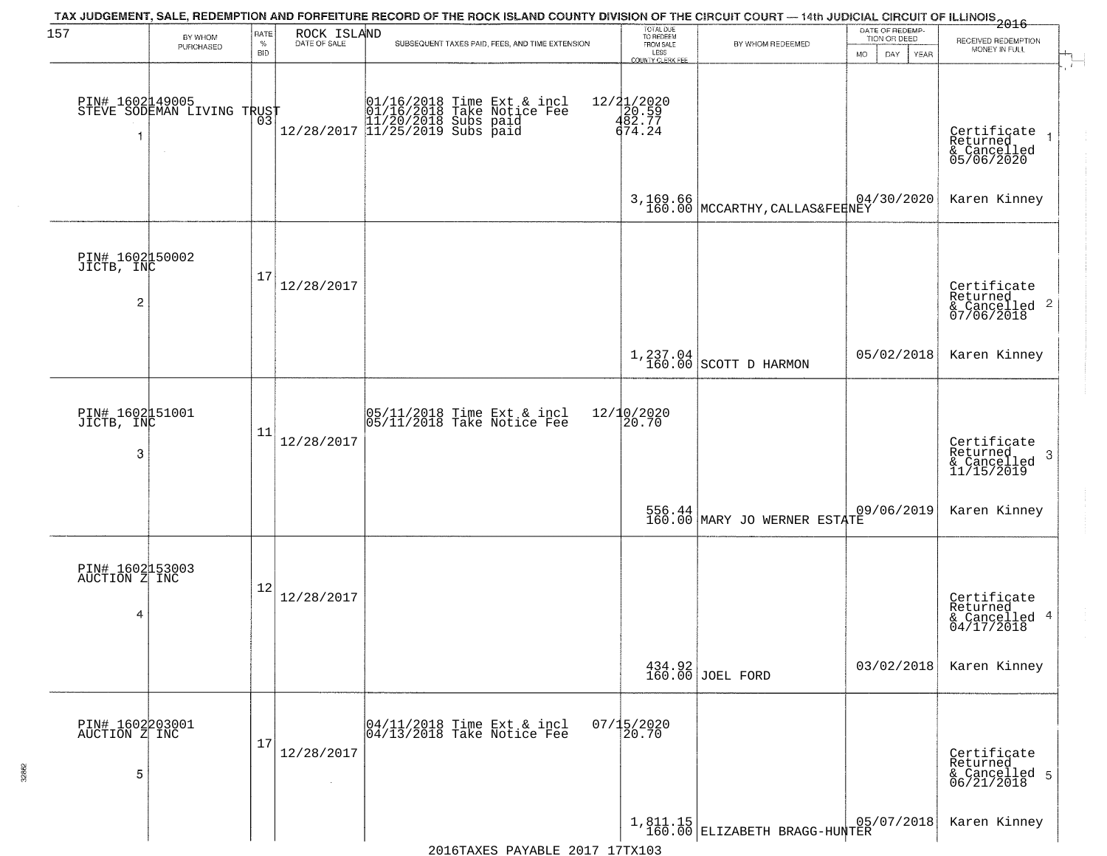| 157                                   | BY WHOM                                       | RATE<br>$\%$ | ROCK ISLAND | SUBSEQUENT TAXES PAID, FEES, AND TIME EXTENSION                                                                     | TOTAL DUE<br>TO REDEEM<br>FROM SALE     | TAX JUDGEMENT, SALE, REDEMPTION AND FORFEITURE RECORD OF THE ROCK ISLAND COUNTY DIVISION OF THE CIRCUIT COURT — 14th JUDICIAL CIRCUIT OF ILLINOIS 2016<br>BY WHOM REDEEMED | DATE OF REDEMP<br>TION OR DEED | RECEIVED REDEMPTION                                       |
|---------------------------------------|-----------------------------------------------|--------------|-------------|---------------------------------------------------------------------------------------------------------------------|-----------------------------------------|----------------------------------------------------------------------------------------------------------------------------------------------------------------------------|--------------------------------|-----------------------------------------------------------|
|                                       | PURCHASED                                     | <b>BID</b>   |             |                                                                                                                     | LESS<br>COUNTY CLERK FEE                |                                                                                                                                                                            | MO.<br>DAY.<br>YEAR            | MONEY IN FULL                                             |
| 1                                     | PIN# 1602149005<br>STEVE SODEMAN LIVING TRUST | Ō3           |             | 01/16/2018 Time Ext & incl<br>01/16/2018 Take Notice Fee<br>11/20/2018 Subs paid<br>12/28/2017 11/25/2019 Subs paid | 12/21/2020<br>20.59<br>482.77<br>674.24 |                                                                                                                                                                            |                                | Certificate<br>Returned<br>& Cancelled<br>05/06/2020      |
|                                       |                                               |              |             |                                                                                                                     |                                         | 3,169.66<br>160.00 MCCARTHY, CALLAS&FERNEY                                                                                                                                 |                                | Karen Kinney                                              |
| PIN# 1602050002<br>JICTB, INC<br>2    |                                               | 17           | 12/28/2017  |                                                                                                                     |                                         |                                                                                                                                                                            |                                | Certificate<br>Returned<br>& Cancelled 2<br>07/06/2018    |
|                                       |                                               |              |             |                                                                                                                     |                                         | $1,237.04$ SCOTT D HARMON                                                                                                                                                  | 05/02/2018                     | Karen Kinney                                              |
| PIN# 1602151001<br>JICTB, INC<br>3    |                                               | 11           | 12/28/2017  | 05/11/2018 Time Ext & incl<br>05/11/2018 Take Notice Fee                                                            | $12/10/2020$<br>$20.70$                 |                                                                                                                                                                            |                                | Certificate<br>Returned<br>3<br>& Cancelled<br>11/15/2019 |
|                                       |                                               |              |             |                                                                                                                     |                                         | 556.44 MARY JO WERNER ESTATE                                                                                                                                               | 09/06/2019                     | Karen Kinney                                              |
| PIN# 1602153003<br>AUCTION Z INC<br>4 |                                               | 12           | 12/28/2017  |                                                                                                                     |                                         |                                                                                                                                                                            |                                | Certificate<br>Returned<br>& Cancelled 4<br>04/17/2018    |
|                                       |                                               |              |             |                                                                                                                     |                                         | 434.92<br>160.00 JOEL FORD                                                                                                                                                 | 03/02/2018                     | Karen Kinney                                              |
| PIN# 1602203001<br>AUCTION Z INC<br>5 |                                               | 17           | 12/28/2017  | 04/11/2018 Time Ext & incl<br>04/13/2018 Take Notice Fee                                                            | $07/15/2020$<br>20.70                   |                                                                                                                                                                            |                                | Certificate<br>Returned<br>& Cancelled 5<br>06/21/2018    |
|                                       |                                               |              |             |                                                                                                                     |                                         | 1,811.15<br>160.00 ELIZABETH BRAGG-HUNTER                                                                                                                                  | 05/07/2018                     | Karen Kinney                                              |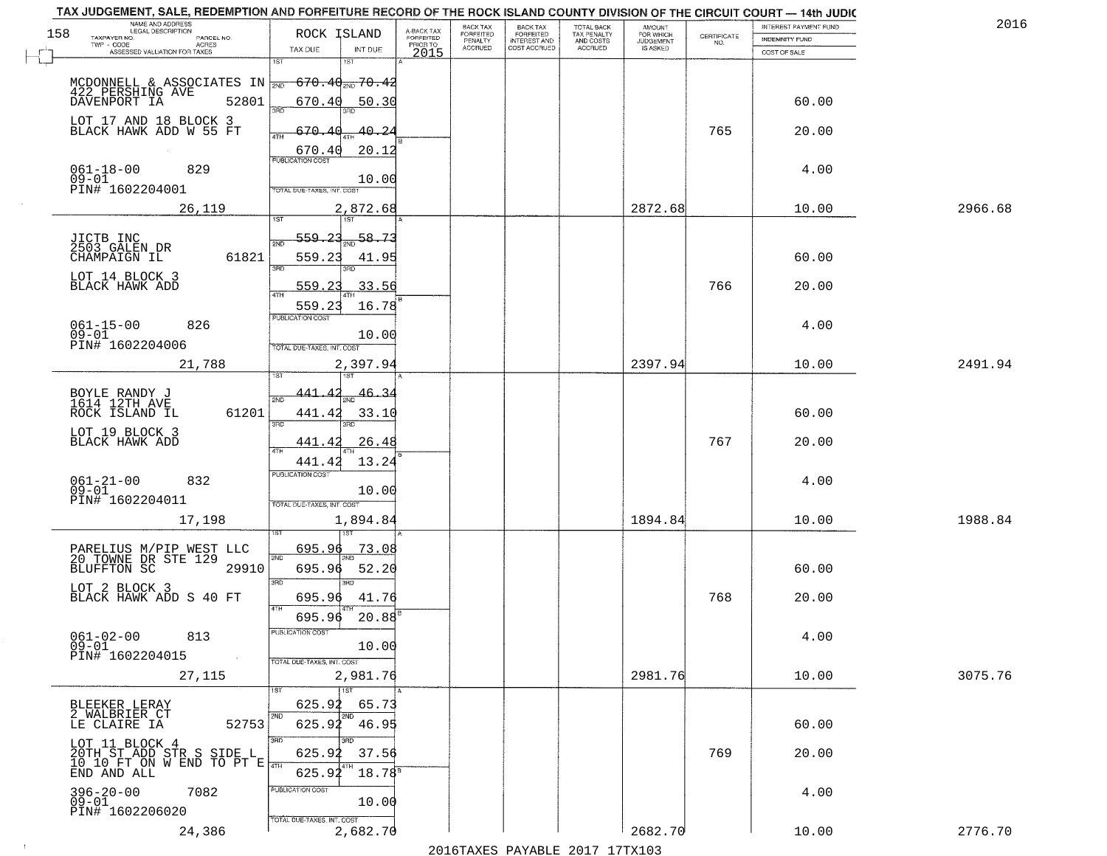| TAX JUDGEMENT, SALE, REDEMPTION AND FORFEITURE RECORD OF THE ROCK ISLAND COUNTY DIVISION OF THE CIRCUIT COURT - 14th JUDIC<br>NAME AND ADDRESS<br>LEGAL DESCRIPTION |                                     |                                     | BACK TAX             |                                       |                                        | AMOUNT<br>FOR WHICH |                                                                 | INTEREST PAYMENT FUND | 2016    |
|---------------------------------------------------------------------------------------------------------------------------------------------------------------------|-------------------------------------|-------------------------------------|----------------------|---------------------------------------|----------------------------------------|---------------------|-----------------------------------------------------------------|-----------------------|---------|
| 158<br>TAXPAYER NO.<br>PARCEL NO.                                                                                                                                   | ROCK ISLAND                         | A-BACK TAX<br>FORFEITED<br>PRIOR TO | FORFEITED<br>PENALTY | BACK TAX<br>FORFEITED<br>INTEREST AND | TOTAL BACK<br>TAX PENALTY<br>AND COSTS | <b>JUDGEMENT</b>    | $\begin{array}{c} \text{CERTIFICATE} \\ \text{NO.} \end{array}$ | INDEMNITY FUND        |         |
| TWP - CODE<br>ACRES<br>ASSESSED VALUATION FOR TAXES                                                                                                                 | TAX DUE<br>INT DUE                  | 2015                                | <b>ACCRUED</b>       | COST ACCRUED                          | ACCRUED                                | IS ASKED            |                                                                 | COST OF SALE          |         |
|                                                                                                                                                                     | 1ST<br>18T                          |                                     |                      |                                       |                                        |                     |                                                                 |                       |         |
| MCDONNELL & ASSOCIATES IN $\frac{1}{2ND}$ 670.40 $\frac{1}{2ND}$ 70.42                                                                                              |                                     |                                     |                      |                                       |                                        |                     |                                                                 |                       |         |
| 422 PERSHING AVE                                                                                                                                                    |                                     |                                     |                      |                                       |                                        |                     |                                                                 |                       |         |
| 52801<br>DAVENPORT IA                                                                                                                                               | 670.40<br>50.30<br>3RF              |                                     |                      |                                       |                                        |                     |                                                                 | 60.00                 |         |
|                                                                                                                                                                     |                                     |                                     |                      |                                       |                                        |                     |                                                                 |                       |         |
| LOT 17 AND 18 BLOCK 3<br>BLACK HAWK ADD W 55 FT                                                                                                                     | 570.40<br>40.24                     |                                     |                      |                                       |                                        |                     | 765                                                             | 20.00                 |         |
|                                                                                                                                                                     | 670.40<br>20.12                     |                                     |                      |                                       |                                        |                     |                                                                 |                       |         |
|                                                                                                                                                                     | <b>PUBLICATION COST</b>             |                                     |                      |                                       |                                        |                     |                                                                 |                       |         |
| $061 - 18 - 00$<br>09-01<br>829                                                                                                                                     | 10.00                               |                                     |                      |                                       |                                        |                     |                                                                 | 4.00                  |         |
| PIN# 1602204001                                                                                                                                                     | TOTAL DUE-TAXES, INT. COST          |                                     |                      |                                       |                                        |                     |                                                                 |                       |         |
| 26,119                                                                                                                                                              | 2,872.68                            |                                     |                      |                                       |                                        | 2872.68             |                                                                 | 10.00                 | 2966.68 |
|                                                                                                                                                                     |                                     |                                     |                      |                                       |                                        |                     |                                                                 |                       |         |
|                                                                                                                                                                     | 58.73                               |                                     |                      |                                       |                                        |                     |                                                                 |                       |         |
| JICTB INC<br>2503 GALEN DR                                                                                                                                          | <u>559.23</u>                       |                                     |                      |                                       |                                        |                     |                                                                 |                       |         |
| 61821<br>CHAMPAIGN IL                                                                                                                                               | 559.23<br>41.95                     |                                     |                      |                                       |                                        |                     |                                                                 | 60.00                 |         |
| LOT 14 BLOCK 3                                                                                                                                                      | 380<br>Ë                            |                                     |                      |                                       |                                        |                     |                                                                 |                       |         |
| BLACK HAWK ADD                                                                                                                                                      | 33.56<br>559.<br>つつ                 |                                     |                      |                                       |                                        |                     | 766                                                             | 20.00                 |         |
|                                                                                                                                                                     | 559.23<br>16.78                     |                                     |                      |                                       |                                        |                     |                                                                 |                       |         |
|                                                                                                                                                                     | PUBLICATION COST                    |                                     |                      |                                       |                                        |                     |                                                                 |                       |         |
| $061 - 15 - 00$<br>826                                                                                                                                              |                                     |                                     |                      |                                       |                                        |                     |                                                                 | 4.00                  |         |
| $09 - 01$<br>PIN# 1602204006                                                                                                                                        | 10.00<br>TOTAL DUE-TAXES, INT. COST |                                     |                      |                                       |                                        |                     |                                                                 |                       |         |
|                                                                                                                                                                     |                                     |                                     |                      |                                       |                                        |                     |                                                                 |                       |         |
| 21,788                                                                                                                                                              | 2,397.94<br>IST.                    |                                     |                      |                                       |                                        | 2397.94             |                                                                 | 10.00                 | 2491.94 |
|                                                                                                                                                                     |                                     |                                     |                      |                                       |                                        |                     |                                                                 |                       |         |
| BOYLE RANDY J<br>1614 12TH AVE                                                                                                                                      | 441<br><u>46.34</u><br>2ND          |                                     |                      |                                       |                                        |                     |                                                                 |                       |         |
| ROCK ISLAND IL<br>61201                                                                                                                                             | 441.42<br>33.10                     |                                     |                      |                                       |                                        |                     |                                                                 | 60.00                 |         |
|                                                                                                                                                                     | 3RD<br>3RD                          |                                     |                      |                                       |                                        |                     |                                                                 |                       |         |
| LOT 19 BLOCK 3<br>BLACK HAWK ADD                                                                                                                                    | 441.4<br>26.48                      |                                     |                      |                                       |                                        |                     | 767                                                             | 20.00                 |         |
|                                                                                                                                                                     |                                     |                                     |                      |                                       |                                        |                     |                                                                 |                       |         |
|                                                                                                                                                                     | 441.42<br>13.24                     |                                     |                      |                                       |                                        |                     |                                                                 |                       |         |
| $061 - 21 - 00$<br>09-01<br>832                                                                                                                                     | <b>PUBLICATION COST</b>             |                                     |                      |                                       |                                        |                     |                                                                 | 4.00                  |         |
| PIN# 1602204011                                                                                                                                                     | 10.00                               |                                     |                      |                                       |                                        |                     |                                                                 |                       |         |
|                                                                                                                                                                     | TOTAL OUE-TAXES, INT. COST          |                                     |                      |                                       |                                        |                     |                                                                 |                       |         |
| 17,198                                                                                                                                                              | 1,894.84                            |                                     |                      |                                       |                                        | 1894.84             |                                                                 | 10.00                 | 1988.84 |
|                                                                                                                                                                     |                                     |                                     |                      |                                       |                                        |                     |                                                                 |                       |         |
| PARELIUS M/PIP WEST LLC<br>20 TOWNE DR STE 129<br>BLUFFTON SC 299                                                                                                   | 695.96<br><u>73.08</u><br>2ND       |                                     |                      |                                       |                                        |                     |                                                                 |                       |         |
| 29910                                                                                                                                                               | 52.20<br>695.96                     |                                     |                      |                                       |                                        |                     |                                                                 | 60.00                 |         |
|                                                                                                                                                                     | 3RD<br>3BD                          |                                     |                      |                                       |                                        |                     |                                                                 |                       |         |
| LOT 2 BLOCK 3<br>BLACK HAWK ADD S 40 FT                                                                                                                             | 695.96<br>41.76                     |                                     |                      |                                       |                                        |                     | 768                                                             | 20.00                 |         |
|                                                                                                                                                                     | 4TH                                 |                                     |                      |                                       |                                        |                     |                                                                 |                       |         |
|                                                                                                                                                                     | 695.96<br>20.88                     |                                     |                      |                                       |                                        |                     |                                                                 |                       |         |
| $061 - 02 - 00$<br>813                                                                                                                                              | PUBLICA HUN COS-                    |                                     |                      |                                       |                                        |                     |                                                                 | 4.00                  |         |
| $09 - 01$                                                                                                                                                           | 10.00                               |                                     |                      |                                       |                                        |                     |                                                                 |                       |         |
| PIN# 1602204015<br>$\sim$                                                                                                                                           | TOTAL DUE-TAXES, INT. COST          |                                     |                      |                                       |                                        |                     |                                                                 |                       |         |
| 27,115                                                                                                                                                              | 2,981.76                            |                                     |                      |                                       |                                        | 2981.76             |                                                                 | 10.00                 | 3075.76 |
|                                                                                                                                                                     | 1ST                                 |                                     |                      |                                       |                                        |                     |                                                                 |                       |         |
| BLEEKER LERAY                                                                                                                                                       | 625.92<br>65.73                     |                                     |                      |                                       |                                        |                     |                                                                 |                       |         |
| 2 WALBRIER CT                                                                                                                                                       | 2ND                                 |                                     |                      |                                       |                                        |                     |                                                                 |                       |         |
| 52753<br>LE CLAIRE IA                                                                                                                                               | 625.92<br>46.95                     |                                     |                      |                                       |                                        |                     |                                                                 | 60.00                 |         |
| LOT 11 BLOCK 4                                                                                                                                                      | 3RD                                 |                                     |                      |                                       |                                        |                     |                                                                 |                       |         |
| 20TH ST ADD STR S SIDE L<br>10 10 FT ON W END TO PT E                                                                                                               | 625.92<br>37.56                     |                                     |                      |                                       |                                        |                     | 769                                                             | 20.00                 |         |
| END AND ALL                                                                                                                                                         | $18.78^{5}$<br>625.92               |                                     |                      |                                       |                                        |                     |                                                                 |                       |         |
| $396 - 20 - 00$<br>7082                                                                                                                                             | PUBLICATION COST                    |                                     |                      |                                       |                                        |                     |                                                                 | 4.00                  |         |
| $09-01$                                                                                                                                                             | 10.00                               |                                     |                      |                                       |                                        |                     |                                                                 |                       |         |
| PIN# 1602206020                                                                                                                                                     | TOTAL DUE-TAXES, INT. COST          |                                     |                      |                                       |                                        |                     |                                                                 |                       |         |
| 24,386                                                                                                                                                              | 2,682.70                            |                                     |                      |                                       |                                        | 2682.70             |                                                                 | 10.00                 | 2776.70 |
|                                                                                                                                                                     |                                     |                                     |                      |                                       | 2016 TAVEC DAVARIE 2017 17 TAV102      |                     |                                                                 |                       |         |
|                                                                                                                                                                     |                                     |                                     |                      |                                       |                                        |                     |                                                                 |                       |         |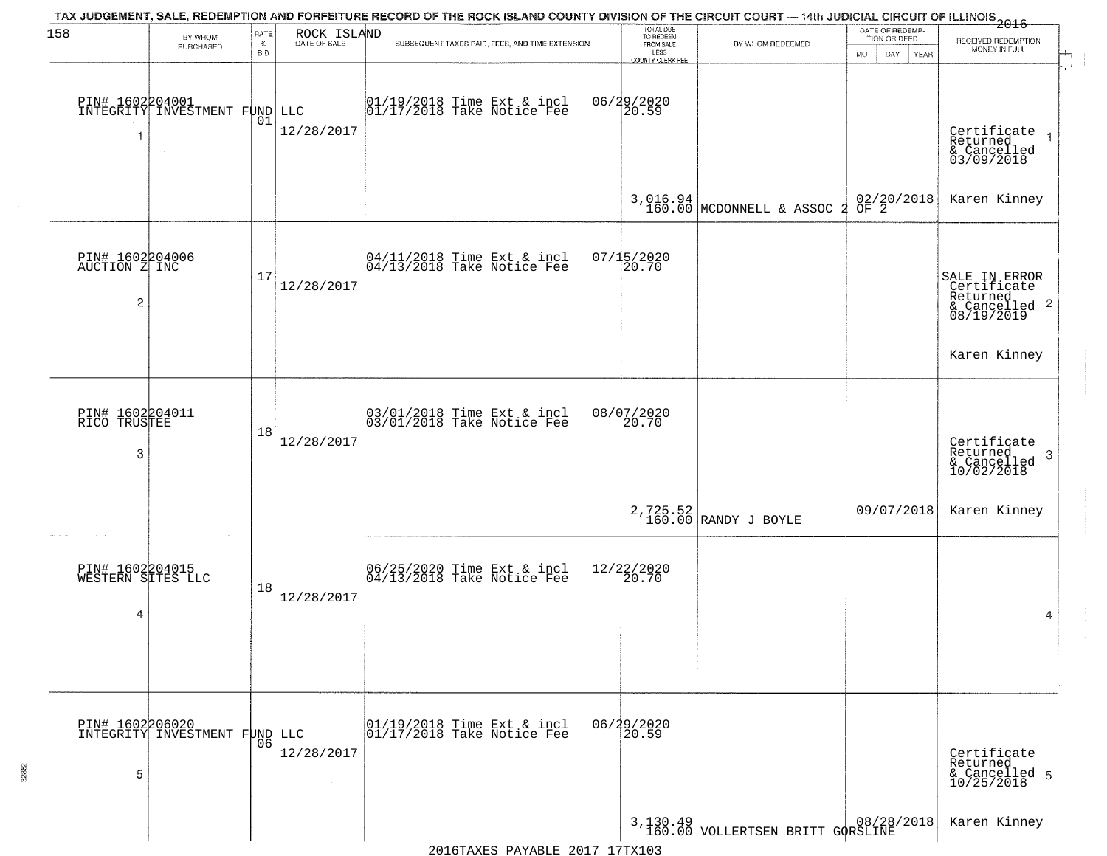| 158                                                | BY WHOM                                                    | RATE               | ROCK ISLAND  | TAX JUDGEMENT, SALE, REDEMPTION AND FORFEITURE RECORD OF THE ROCK ISLAND COUNTY DIVISION OF THE CIRCUIT COURT — 14th JUDICIAL CIRCUIT OF ILLINOIS 2016 | TOTAL DUE<br>TO REDEEM                       |                                      | DATE OF REDEMP-<br>TION OR DEED | RECEIVED REDEMPTION                                                     |
|----------------------------------------------------|------------------------------------------------------------|--------------------|--------------|--------------------------------------------------------------------------------------------------------------------------------------------------------|----------------------------------------------|--------------------------------------|---------------------------------|-------------------------------------------------------------------------|
|                                                    | PURCHASED                                                  | $\%$<br><b>BID</b> | DATE OF SALE | SUBSEQUENT TAXES PAID, FEES, AND TIME EXTENSION                                                                                                        | FROM SALE<br>LESS<br><b>COUNTY CLERK FEE</b> | BY WHOM REDEEMED                     | MO.<br>DAY.<br><b>YEAR</b>      | MONEY IN FULL                                                           |
| 1                                                  | PIN# 1602204001<br>INTEGRITY INVESTMENT FUND LLC<br>$\sim$ | 01                 | 12/28/2017   | $\begin{array}{c} 01/19/2018 \\ 01/17/2018 \\ \end{array}$ Take Notice Fee                                                                             | 06/29/2020<br>20.59                          |                                      |                                 | Certificate<br>Returned<br>& Cancelled<br>03/09/2018                    |
|                                                    |                                                            |                    |              |                                                                                                                                                        |                                              | 3,016.94<br>160.00 MCDONNELL & ASSOC | 02/20/2018<br>OF 2<br>-2        | Karen Kinney                                                            |
| PIN# 1602204006<br>AUCTION Z INC<br>$\overline{c}$ |                                                            | 17                 | 12/28/2017   | $\begin{bmatrix} 04/11/2018 &$ Time Ext & incl<br>$04/13/2018 &$ Take Notice Fee                                                                       | $07/15/2020$<br>20.70                        |                                      |                                 | SALE IN ERROR<br>Certificate<br>Returned<br>& Cancelled 2<br>08/19/2019 |
|                                                    |                                                            |                    |              |                                                                                                                                                        |                                              |                                      |                                 | Karen Kinney                                                            |
| PIN# 1602204011<br>RICO TRUSTEE<br>3               |                                                            | 18                 | 12/28/2017   | $\begin{array}{c} 03/01/2018 \\ 03/01/2018 \\ \end{array}$ Take Notice Fee                                                                             | 08/07/2020<br>20.70                          |                                      |                                 | Certificate<br>Returned<br>3<br>& Cancelled<br>10/02/2018               |
|                                                    |                                                            |                    |              |                                                                                                                                                        |                                              | 2,725.52<br>160.00 RANDY J BOYLE     | 09/07/2018                      | Karen Kinney                                                            |
| PIN# 1602204015<br>WESTERN SITES LLC<br>4          |                                                            | 18                 | 12/28/2017   | 06/25/2020 Time Ext & incl<br>04/13/2018 Take Notice Fee                                                                                               | 12/22/2020<br>20.70                          |                                      |                                 | 4                                                                       |
| PIN# 1602206020<br>5                               | INTEGRITY INVESTMENT FUND LLC                              | 06                 | 12/28/2017   | 01/19/2018 Time Ext & incl<br>01/17/2018 Take Notice Fee                                                                                               | 06/29/2020<br>20.59                          |                                      |                                 | Certificate<br>Returned<br>& Cancelled 5<br>10/25/2018                  |
|                                                    |                                                            |                    |              |                                                                                                                                                        |                                              | 3,130.49 VOLLERTSEN BRITT GORSLINE   |                                 | Karen Kinney                                                            |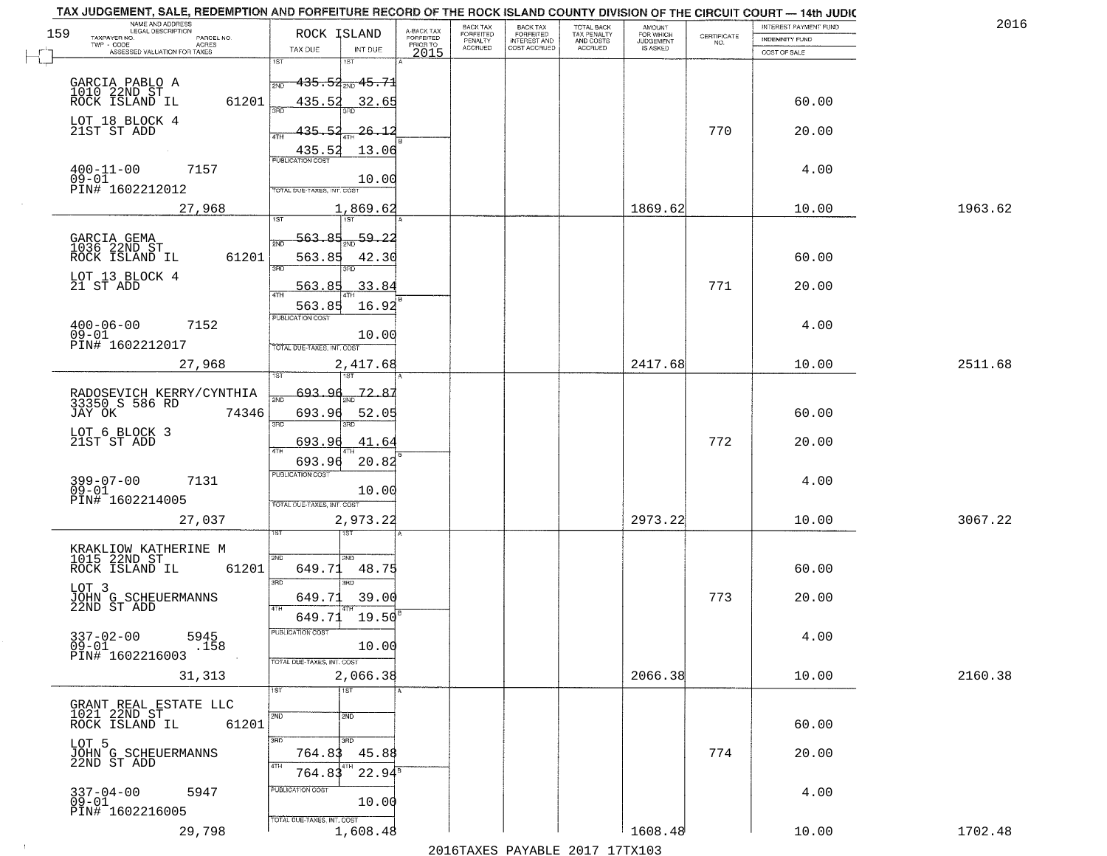|     | TAX JUDGEMENT, SALE, REDEMPTION AND FORFEITURE RECORD OF THE ROCK ISLAND COUNTY DIVISION OF THE CIRCUIT COURT - 14th JUDIC<br>NAME AND ADDRESS<br>LEGAL DESCRIPTION |                                            |                                     | BACK TAX             |                                       |                                        | AMOUNT<br>FOR WHICH |                                                                 | INTEREST PAYMENT FUND | 2016    |
|-----|---------------------------------------------------------------------------------------------------------------------------------------------------------------------|--------------------------------------------|-------------------------------------|----------------------|---------------------------------------|----------------------------------------|---------------------|-----------------------------------------------------------------|-----------------------|---------|
| 159 | TAXPAYER NO.<br>PARCEL NO.                                                                                                                                          | ROCK ISLAND                                | A-BACK TAX<br>FORFEITED<br>PRIOR TO | FORFEITED<br>PENALTY | BACK TAX<br>FORFEITED<br>INTEREST AND | TOTAL BACK<br>TAX PENALTY<br>AND COSTS | <b>JUDGEMENT</b>    | $\begin{array}{c} \text{CERTIFICATE} \\ \text{NO.} \end{array}$ | INDEMNITY FUND        |         |
|     | TWP - CODE<br><b>ACRES</b><br>ASSESSED VALUATION FOR TAXES                                                                                                          | TAX DUE<br>INT DUE                         | 2015                                | <b>ACCRUED</b>       | COST ACCRUED                          | ACCRUED                                | IS ASKED            |                                                                 | COST OF SALE          |         |
|     |                                                                                                                                                                     | 1ST<br>18T                                 |                                     |                      |                                       |                                        |                     |                                                                 |                       |         |
|     |                                                                                                                                                                     | $-435.54_{\text{2ND}}$ $45.71$<br>2ND      |                                     |                      |                                       |                                        |                     |                                                                 |                       |         |
|     | GARCIA PABLO A<br>1010 22ND ST<br>ROCK ISLAND IL                                                                                                                    |                                            |                                     |                      |                                       |                                        |                     |                                                                 |                       |         |
|     | 61201                                                                                                                                                               | 435.52<br>32.65                            |                                     |                      |                                       |                                        |                     |                                                                 | 60.00                 |         |
|     | LOT 18 BLOCK 4                                                                                                                                                      |                                            |                                     |                      |                                       |                                        |                     |                                                                 |                       |         |
|     | 21ST ST ADD                                                                                                                                                         | 435.52<br><u> 26.12</u>                    |                                     |                      |                                       |                                        |                     | 770                                                             | 20.00                 |         |
|     |                                                                                                                                                                     | 13.06<br>435.52<br>PUBLICATION COST        |                                     |                      |                                       |                                        |                     |                                                                 |                       |         |
|     | $400 - 11 - 00$<br>7157                                                                                                                                             |                                            |                                     |                      |                                       |                                        |                     |                                                                 | 4.00                  |         |
|     | $09 - 01$<br>PIN# 1602212012                                                                                                                                        | 10.00<br><b>TOTAL DUE-TAXES, INT. COST</b> |                                     |                      |                                       |                                        |                     |                                                                 |                       |         |
|     |                                                                                                                                                                     |                                            |                                     |                      |                                       |                                        |                     |                                                                 |                       |         |
|     | 27,968                                                                                                                                                              | 1,869.62                                   |                                     |                      |                                       |                                        | 1869.62             |                                                                 | 10.00                 | 1963.62 |
|     |                                                                                                                                                                     |                                            |                                     |                      |                                       |                                        |                     |                                                                 |                       |         |
|     | GARCIA GEMA<br>1036 22ND ST                                                                                                                                         | 59.22<br>563.85                            |                                     |                      |                                       |                                        |                     |                                                                 |                       |         |
|     | ROCK ISLAND IL<br>61201                                                                                                                                             | 563.85<br>42.30                            |                                     |                      |                                       |                                        |                     |                                                                 | 60.00                 |         |
|     | LOT 13 BLOCK 4                                                                                                                                                      | 3BD                                        |                                     |                      |                                       |                                        |                     |                                                                 |                       |         |
|     | 21 ST ADD                                                                                                                                                           | 33.84<br>563.85                            |                                     |                      |                                       |                                        |                     | 771                                                             | 20.00                 |         |
|     |                                                                                                                                                                     | 16.92<br>563.85                            |                                     |                      |                                       |                                        |                     |                                                                 |                       |         |
|     | 7152                                                                                                                                                                | PUBLICATION COST                           |                                     |                      |                                       |                                        |                     |                                                                 | 4.00                  |         |
|     | $400 - 06 - 00$<br>09-01                                                                                                                                            | 10.00                                      |                                     |                      |                                       |                                        |                     |                                                                 |                       |         |
|     | PIN# 1602212017                                                                                                                                                     | TOTAL DUE-TAXES, INT. COST                 |                                     |                      |                                       |                                        |                     |                                                                 |                       |         |
|     | 27,968                                                                                                                                                              | 2,417.68                                   |                                     |                      |                                       |                                        | 2417.68             |                                                                 | 10.00                 | 2511.68 |
|     |                                                                                                                                                                     | 1ST                                        |                                     |                      |                                       |                                        |                     |                                                                 |                       |         |
|     | RADOSEVICH KERRY/CYNTHIA<br>33350 S 586 RD                                                                                                                          | 693.<br>72.87<br>2ND                       |                                     |                      |                                       |                                        |                     |                                                                 |                       |         |
|     | JAY OK<br>74346                                                                                                                                                     | 693.96<br>52.05                            |                                     |                      |                                       |                                        |                     |                                                                 | 60.00                 |         |
|     |                                                                                                                                                                     | 3BD<br>3RD                                 |                                     |                      |                                       |                                        |                     |                                                                 |                       |         |
|     | LOT 6 BLOCK 3<br>21ST ST ADD                                                                                                                                        | 693.96<br>41.64                            |                                     |                      |                                       |                                        |                     | 772                                                             | 20.00                 |         |
|     |                                                                                                                                                                     |                                            |                                     |                      |                                       |                                        |                     |                                                                 |                       |         |
|     |                                                                                                                                                                     | 693.96<br>20.82<br><b>PUBLICATION COST</b> |                                     |                      |                                       |                                        |                     |                                                                 |                       |         |
|     | 399-07-00<br>09-01<br>7131                                                                                                                                          |                                            |                                     |                      |                                       |                                        |                     |                                                                 | 4.00                  |         |
|     | PIN# 1602214005                                                                                                                                                     | 10.00<br>TOTAL OUE-TAXES, INT. COST        |                                     |                      |                                       |                                        |                     |                                                                 |                       |         |
|     |                                                                                                                                                                     |                                            |                                     |                      |                                       |                                        | 2973.22             |                                                                 | 10.00                 | 3067.22 |
|     | 27,037                                                                                                                                                              | 2,973.22<br>1ST                            |                                     |                      |                                       |                                        |                     |                                                                 |                       |         |
|     | KRAKLIOW KATHERINE M                                                                                                                                                |                                            |                                     |                      |                                       |                                        |                     |                                                                 |                       |         |
|     | 1015 22ND ST                                                                                                                                                        | 2ND<br>2ND                                 |                                     |                      |                                       |                                        |                     |                                                                 |                       |         |
|     | ROCK ISLAND IL<br>61201                                                                                                                                             | 649.71<br>48.75                            |                                     |                      |                                       |                                        |                     |                                                                 | 60.00                 |         |
|     | LOT 3                                                                                                                                                               | 3BD<br>3RD                                 |                                     |                      |                                       |                                        |                     |                                                                 |                       |         |
|     | JOHN G SCHEUERMANNS<br>22ND ST ADD                                                                                                                                  | 649.71<br>39.00<br>4TH                     |                                     |                      |                                       |                                        |                     | 773                                                             | 20.00                 |         |
|     |                                                                                                                                                                     | 19.50<br>649.71                            |                                     |                      |                                       |                                        |                     |                                                                 |                       |         |
|     | $337 - 02 - 00$<br>5945                                                                                                                                             | PUBLICATION COST                           |                                     |                      |                                       |                                        |                     |                                                                 | 4.00                  |         |
|     | $09 - 01$<br>.158                                                                                                                                                   | 10.00                                      |                                     |                      |                                       |                                        |                     |                                                                 |                       |         |
|     | PIN# 1602216003                                                                                                                                                     | TOTAL DUE-TAXES, INT. COST                 |                                     |                      |                                       |                                        |                     |                                                                 |                       |         |
|     | 31,313                                                                                                                                                              | 2,066.38                                   |                                     |                      |                                       |                                        | 2066.38             |                                                                 | 10.00                 | 2160.38 |
|     |                                                                                                                                                                     | 1ST<br>1ST                                 |                                     |                      |                                       |                                        |                     |                                                                 |                       |         |
|     | GRANT REAL ESTATE LLC                                                                                                                                               |                                            |                                     |                      |                                       |                                        |                     |                                                                 |                       |         |
|     | 1021 22ND ST<br>61201<br>ROCK ISLAND IL                                                                                                                             | 2ND<br>2ND                                 |                                     |                      |                                       |                                        |                     |                                                                 | 60.00                 |         |
|     |                                                                                                                                                                     | 3RD<br>3RD                                 |                                     |                      |                                       |                                        |                     |                                                                 |                       |         |
|     | LOT 5<br>JOHN G SCHEUERMANNS<br>22ND ST ADD                                                                                                                         | 764.83<br>45.88                            |                                     |                      |                                       |                                        |                     | 774                                                             | 20.00                 |         |
|     |                                                                                                                                                                     | 4TH<br>$22.94^8$<br>764.83                 |                                     |                      |                                       |                                        |                     |                                                                 |                       |         |
|     |                                                                                                                                                                     |                                            |                                     |                      |                                       |                                        |                     |                                                                 |                       |         |
|     |                                                                                                                                                                     | PUBLICATION COST                           |                                     |                      |                                       |                                        |                     |                                                                 | 4.00                  |         |
|     | $337 - 04 - 00$<br>5947                                                                                                                                             |                                            |                                     |                      |                                       |                                        |                     |                                                                 |                       |         |
|     | $09 - 01$<br>PIN# 1602216005                                                                                                                                        | 10.00                                      |                                     |                      |                                       |                                        |                     |                                                                 |                       |         |
|     | 29,798                                                                                                                                                              | TOTAL DUE-TAXES, INT. COST<br>1,608.48     |                                     |                      |                                       |                                        | 1608.48             |                                                                 | 10.00                 | 1702.48 |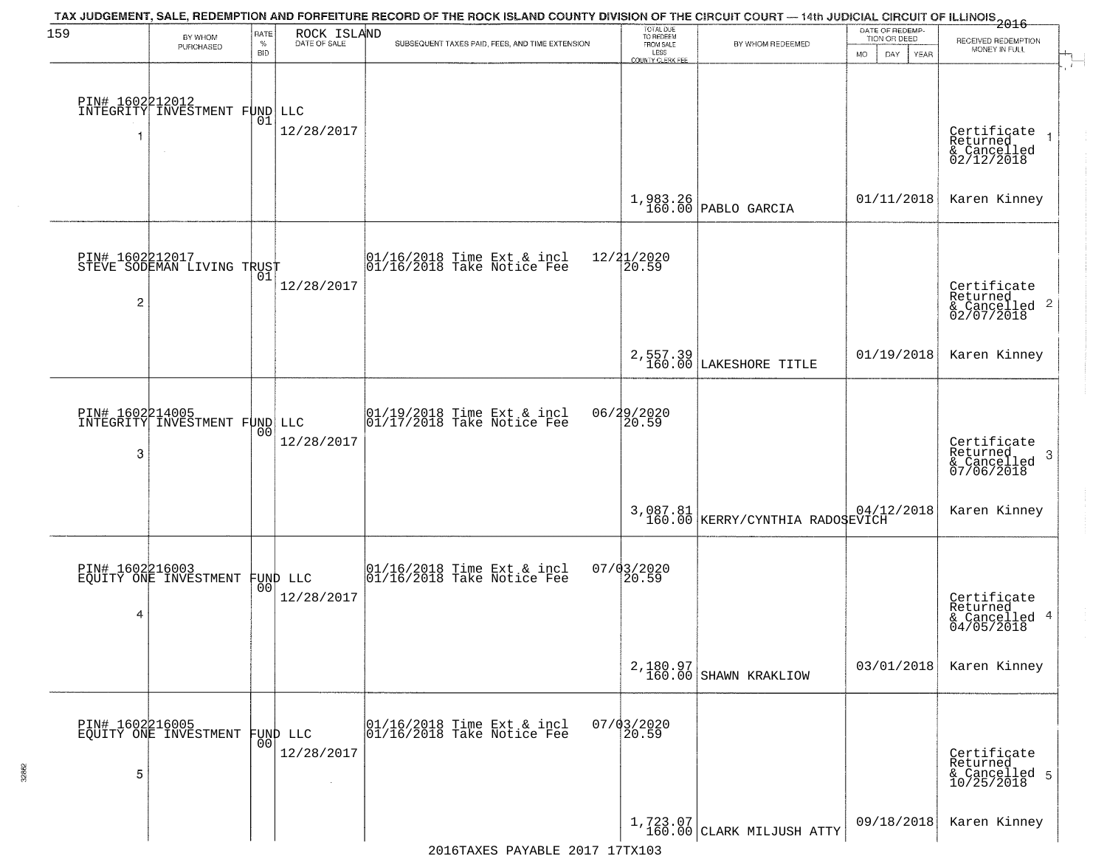| 159                  | BY WHOM<br>PURCHASED                                    | RATE<br>$\%$ | ROCK ISLAND<br>DATE OF SALE | TAX JUDGEMENT, SALE, REDEMPTION AND FORFEITURE RECORD OF THE ROCK ISLAND COUNTY DIVISION OF THE CIRCUIT COURT — 14th JUDICIAL CIRCUIT OF ILLINOIS 2016<br>SUBSEQUENT TAXES PAID, FEES, AND TIME EXTENSION | TOTAL DUE<br>TO REDEEM<br>FROM SALE | BY WHOM REDEEMED                            | DATE OF REDEMP-<br>TION OR DEED | RECEIVED REDEMPTION                                                |
|----------------------|---------------------------------------------------------|--------------|-----------------------------|-----------------------------------------------------------------------------------------------------------------------------------------------------------------------------------------------------------|-------------------------------------|---------------------------------------------|---------------------------------|--------------------------------------------------------------------|
|                      |                                                         | <b>BID</b>   |                             |                                                                                                                                                                                                           | LESS<br><b>COUNTY CLERK FEE</b>     |                                             | MO.<br>DAY<br><b>YEAR</b>       | MONEY IN FULL                                                      |
|                      | <b>PIN# 1602212012</b><br>INTEGRITY INVESTMENT FUND LLC | 01           | 12/28/2017                  |                                                                                                                                                                                                           |                                     |                                             |                                 | Certificate<br>Returned<br>& Cancelled<br>02/12/2018               |
|                      |                                                         |              |                             |                                                                                                                                                                                                           |                                     | $1,983.26$ PABLO GARCIA                     | 01/11/2018                      | Karen Kinney                                                       |
| $\overline{c}$       | PIN# 1602212017<br>STEVE SODEMAN LIVING TRUST           | 01           | 12/28/2017                  | 01/16/2018 Time Ext & incl<br>01/16/2018 Take Notice Fee                                                                                                                                                  | 12/21/2020<br>20.59                 |                                             |                                 | Certificate<br>Returned<br>$\frac{1}{2}$ Cancelled 2<br>02/07/2018 |
|                      |                                                         |              |                             |                                                                                                                                                                                                           |                                     | 2,557.39<br>160.00 LAKESHORE TITLE          | 01/19/2018                      | Karen Kinney                                                       |
| 3                    | PIN# 1602214005<br>INTEGRITY INVESTMENT FUND LLC        | 00           | 12/28/2017                  | $\begin{array}{ccc}  01/19/2018 \text{ Time} & \text{Ext} & \text{incl} \\  01/17/2018 \text{ Take Notice } \text{Fe} \end{array}$                                                                        | 06/29/2020<br>20.59                 |                                             |                                 | Certificate<br>Returned<br>3<br>& Cancelled<br>07/06/2018          |
|                      |                                                         |              |                             |                                                                                                                                                                                                           |                                     | 3,087.81<br>160.00 KERRY/CYNTHIA RADOSEVICH |                                 | Karen Kinney                                                       |
| PIN# 1602216003<br>4 | EQUITY ONE INVESTMENT                                   | 00           | FUND LLC<br>12/28/2017      | 01/16/2018 Time Ext & incl<br>01/16/2018 Take Notice Fee                                                                                                                                                  | 07/03/2020<br>20.59                 |                                             |                                 | Certificate<br>Returned<br>& Cancelled 4<br>04/05/2018             |
|                      |                                                         |              |                             |                                                                                                                                                                                                           |                                     | 2,180.97<br>160.00 SHAWN KRAKLIOW           | 03/01/2018                      | Karen Kinney                                                       |
| PIN# 1602216005<br>5 | EQUITY ONE INVESTMENT                                   | 00           | FUND LLC<br>12/28/2017      | 01/16/2018 Time Ext & incl<br>01/16/2018 Take Notice Fee                                                                                                                                                  | $07/03/2020$<br>20.59               |                                             |                                 | Certificate<br>Returned<br>& Cancelled 5<br>10/25/2018             |
|                      |                                                         |              |                             |                                                                                                                                                                                                           |                                     | $1,723.07$<br>160.00 CLARK MILJUSH ATTY     | 09/18/2018                      | Karen Kinney                                                       |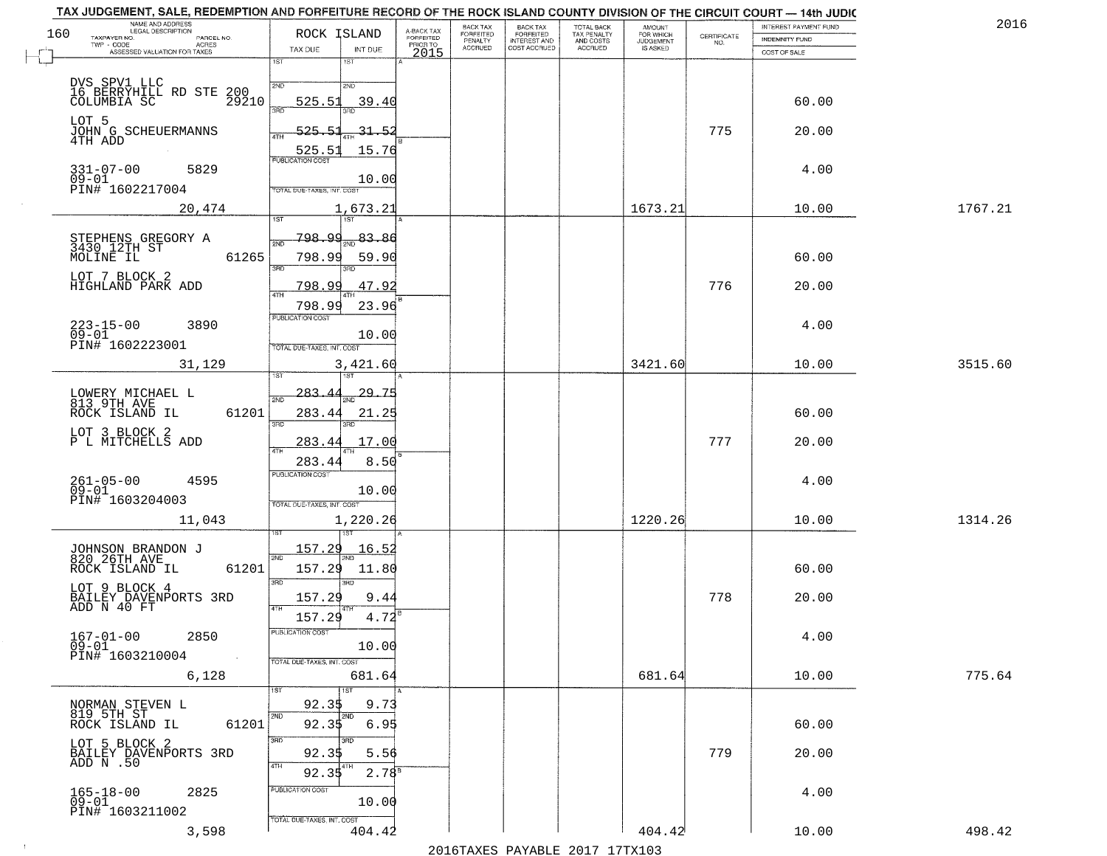| TAX JUDGEMENT, SALE, REDEMPTION AND FORFEITURE RECORD OF THE ROCK ISLAND COUNTY DIVISION OF THE CIRCUIT COURT - 14th JUDIC<br>NAME AND ADDRESS<br>LEGAL DESCRIPTION |                                                                                 |                                     | BACK TAX             | <b>BACK TAX</b>           |                                        |                                  |                                                                 | INTEREST PAYMENT FUND | 2016    |
|---------------------------------------------------------------------------------------------------------------------------------------------------------------------|---------------------------------------------------------------------------------|-------------------------------------|----------------------|---------------------------|----------------------------------------|----------------------------------|-----------------------------------------------------------------|-----------------------|---------|
| 160<br>TAXPAYER NO.<br>PARCEL NO.<br>ACRES                                                                                                                          | ROCK ISLAND                                                                     | A-BACK TAX<br>FORFEITED<br>PRIOR TO | FORFEITED<br>PENALTY | FORFEITED<br>INTEREST AND | TOTAL BACK<br>TAX PENALTY<br>AND COSTS | AMOUNT<br>FOR WHICH<br>JUDGEMENT | $\begin{array}{c} \text{CERTIFICATE} \\ \text{NO.} \end{array}$ | <b>INDEMNITY FUND</b> |         |
| ASSESSED VALUATION FOR TAXES                                                                                                                                        | TAX DUE<br>INT DUE                                                              | 2015                                | <b>ACCRUED</b>       | COST ACCRUED              | <b>ACCRUED</b>                         | IS ASKED                         |                                                                 | COST OF SALE          |         |
| DVS SPV1 LLC<br>16 BERRYHILL RD STE 200<br>29210 REPORTA SC                                                                                                         | 1ST<br>$1S$ T<br>2ND<br>2ND<br>525.51<br>39.40                                  |                                     |                      |                           |                                        |                                  |                                                                 | 60.00                 |         |
| LOT 5<br>JOHN G SCHEUERMANNS<br>4TH ADD                                                                                                                             | 390<br>525.51<br>$-31 - 52$                                                     |                                     |                      |                           |                                        |                                  | 775                                                             | 20.00                 |         |
| $331 - 07 - 00$<br>5829<br>$09 - 01$                                                                                                                                | 15.76<br>525.51                                                                 |                                     |                      |                           |                                        |                                  |                                                                 | 4.00                  |         |
| PIN# 1602217004<br>20,474                                                                                                                                           | 10.00<br>TOTAL DUE-TAXES, INT. COST<br>1,673.21                                 |                                     |                      |                           |                                        | 1673.21                          |                                                                 | 10.00                 | 1767.21 |
|                                                                                                                                                                     |                                                                                 |                                     |                      |                           |                                        |                                  |                                                                 |                       |         |
| STEPHENS GREGORY A<br>3430_12TH ST<br>61265<br>MOLINE IL<br>LOT 7 BLOCK 2                                                                                           | <u>798.99</u><br>83.86<br>সূঁয়া<br>798.99<br>59.90<br>3RD<br>3BD.              |                                     |                      |                           |                                        |                                  |                                                                 | 60.00                 |         |
| HIGHLAND PARK ADD                                                                                                                                                   | 47.92<br><u>798.99</u><br>$\overline{47H}$<br>798.99<br>23.96                   |                                     |                      |                           |                                        |                                  | 776                                                             | 20.00                 |         |
| $223 - 15 - 00$<br>3890<br>$09 - 01$<br>PIN# 1602223001                                                                                                             | PUBLICATION COST<br>10.00<br>TOTAL DUE-TAXES, INT. COST                         |                                     |                      |                           |                                        |                                  |                                                                 | 4.00                  |         |
| 31,129                                                                                                                                                              | 3,421.60                                                                        |                                     |                      |                           |                                        | 3421.60                          |                                                                 | 10.00                 | 3515.60 |
| LOWERY MICHAEL L<br>813 9TH AVE<br>ROCK ISLAND IL<br>61201                                                                                                          | īsT<br>29.75<br>$-283-$<br>2ND<br>283.44<br>21.25<br>3RD<br>3RD                 |                                     |                      |                           |                                        |                                  |                                                                 | 60.00                 |         |
| LOT 3 BLOCK 2<br>P L MITCHELLS ADD                                                                                                                                  | 283.44<br>17.00<br>4TH                                                          |                                     |                      |                           |                                        |                                  | 777                                                             | 20.00                 |         |
| $261 - 05 - 00$<br>09-01<br>4595<br>PIN# 1603204003                                                                                                                 | 283.4<br>8.50<br><b>PUBLICATION COST</b><br>10.00<br>TOTAL OUE-TAXES, INT. COST |                                     |                      |                           |                                        |                                  |                                                                 | 4.00                  |         |
| 11,043                                                                                                                                                              | 1,220.26                                                                        |                                     |                      |                           |                                        | 1220.26                          |                                                                 | 10.00                 | 1314.26 |
| JOHNSON BRANDON J<br>820 26TH AVE<br>ROCK ISLAND IL<br>61201                                                                                                        | 157.29<br>16.52<br>2ND<br>157.29<br>11.80<br>3RD<br>3RD                         |                                     |                      |                           |                                        |                                  |                                                                 | 60.00                 |         |
| LOT 9 BLOCK 4<br>BAILEY DAVENPORTS 3RD<br>ADD N 40 FT                                                                                                               | 157.29<br>9.44<br>4TH<br>$4.72^{8}$<br>157.29                                   |                                     |                      |                           |                                        |                                  | 778                                                             | 20.00                 |         |
| $167 - 01 - 00$<br>2850<br>$09 - 01$<br>PIN# 1603210004<br><b>Contract</b>                                                                                          | PUBLICATION CUS.<br>10.00<br>TOTAL DUE-TAXES, INT. COST                         |                                     |                      |                           |                                        |                                  |                                                                 | 4.00                  |         |
| 6,128                                                                                                                                                               | 681.64<br>1ST                                                                   |                                     |                      |                           |                                        | 681.64                           |                                                                 | 10.00                 | 775.64  |
| NORMAN STEVEN L<br>819 5TH ST<br>ROCK ISLAND IL<br>61201                                                                                                            | 92.35<br>9.73<br>2ND<br>2ND<br>92.35<br>6.95                                    |                                     |                      |                           |                                        |                                  |                                                                 | 60.00                 |         |
| LOT 5 BLOCK 2<br>BAILEY DAVENPORTS 3RD<br>ADD N.50                                                                                                                  | 3RD<br>92.35<br>5.56<br>4TH<br>$2.78^{8}$<br>92.35                              |                                     |                      |                           |                                        |                                  | 779                                                             | 20.00                 |         |
| $165 - 18 - 00$<br>2825<br>09-01<br>PIN# 1603211002                                                                                                                 | PUBLICATION COST<br>10.00<br>TOTAL DUE-TAXES, INT. COST                         |                                     |                      |                           |                                        |                                  |                                                                 | 4.00                  |         |
| 3,598                                                                                                                                                               | 404.42                                                                          |                                     |                      |                           |                                        | 404.42                           |                                                                 | 10.00                 | 498.42  |

 $\sim 100$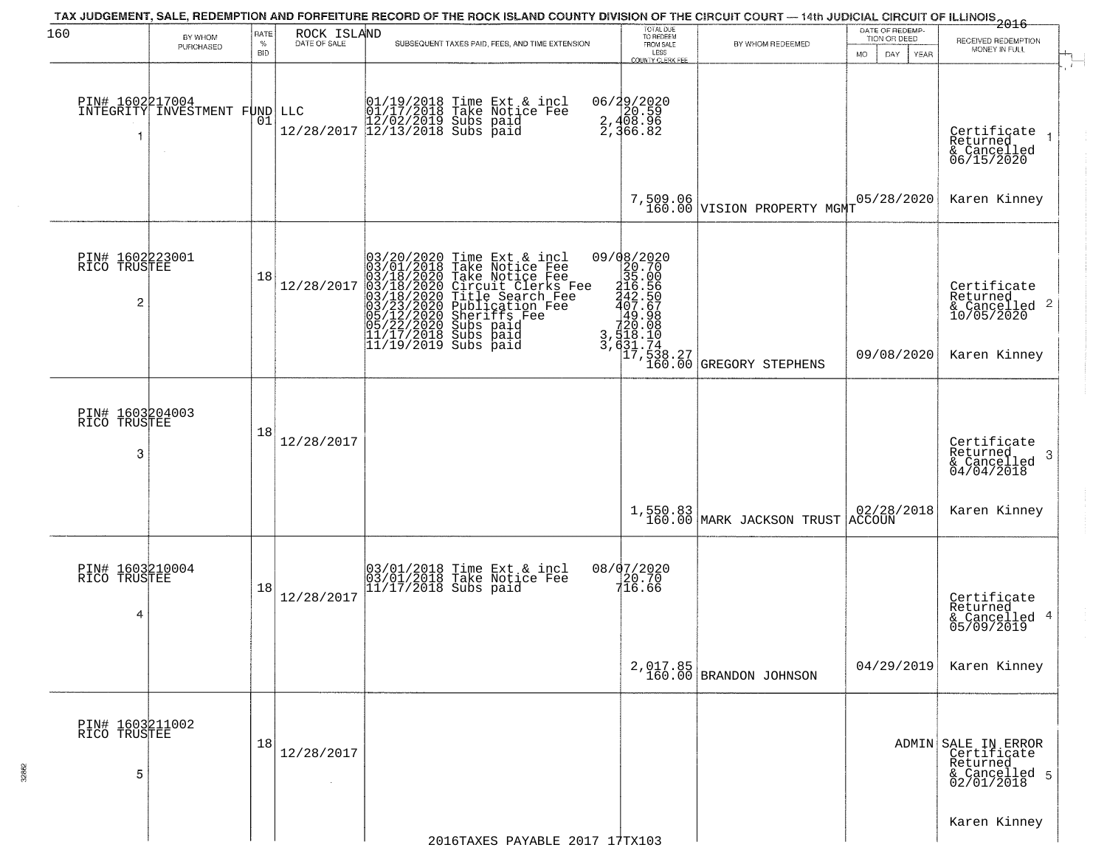|                                                   |                                              |                                   |                             | TAX JUDGEMENT, SALE, REDEMPTION AND FORFEITURE RECORD OF THE ROCK ISLAND COUNTY DIVISION OF THE CIRCUIT COURT — 14th JUDICIAL CIRCUIT OF ILLINOIS 2016                                                                                                                |                                                                 |                                                                                                                                                     | DATE OF REDEMP-                          |                                                                               |
|---------------------------------------------------|----------------------------------------------|-----------------------------------|-----------------------------|-----------------------------------------------------------------------------------------------------------------------------------------------------------------------------------------------------------------------------------------------------------------------|-----------------------------------------------------------------|-----------------------------------------------------------------------------------------------------------------------------------------------------|------------------------------------------|-------------------------------------------------------------------------------|
| 160                                               | BY WHOM<br>PURCHASED                         | <b>RATE</b><br>$\%$<br><b>BID</b> | ROCK ISLAND<br>DATE OF SALE | SUBSEQUENT TAXES PAID, FEES, AND TIME EXTENSION                                                                                                                                                                                                                       | TOTAL DUE<br>TO REDEEM<br>FROM SALE<br>LESS<br>COUNTY CLERK FEE | BY WHOM REDEEMED                                                                                                                                    | TION OR DEED<br>DAY<br><b>MO</b><br>YEAR | RECEIVED REDEMPTION<br>MONEY IN FULL                                          |
| -1                                                | PIN# 1602217004<br>INTEGRITY INVESTMENT FUND | 01                                |                             | $\begin{tabular}{ll} \bf LLC & $\begin{array}{l} 01/19/2018 \tt{Time Ext & $i$-incl} \\ 01/17/2018 \tt{Take Notice Fe} \\ 12/28/2017 \end{array}$ & \bf \end{tabular}$                                                                                                | 06/29/2020<br>2,408.96<br>2,408.96<br>2,366.82                  |                                                                                                                                                     |                                          | Certifiçate<br>$\overline{1}$<br>Returned<br>& Cancelled<br>06/15/2020        |
|                                                   |                                              |                                   |                             |                                                                                                                                                                                                                                                                       |                                                                 | 7,509.06<br>160.00 VISION PROPERTY MGMT                                                                                                             | 05/28/2020                               | Karen Kinney                                                                  |
| PIN# 1602223001<br>RICO TRUSTEE<br>$\overline{c}$ |                                              | 18                                | 12/28/2017                  | 03/20/2020 Time Ext & incl<br>03/01/2018 Take Notice Fee<br>03/18/2020 Take Notice Fee<br>03/18/2020 Circuit Clerks Fee<br>03/18/2020 Circuit Clerks Fee<br>03/23/2020 Dublication Fee<br>05/22/2020 Subs paid<br>11/17/2018 Subs paid<br>11/19/2019<br>$\frac{3}{3}$ | 09/08/2020<br>20.70<br>35.00                                    | $\begin{bmatrix} 116.56\\ 242.56\\ 407.67\\ 49.98\\ 720.08\\ 518.10\\ 631.74\\ 631.74\\ 17,538.27\\ 160.00\\ \text{GREGORY STEPHENS} \end{bmatrix}$ |                                          | Certificate<br>Returned<br>& Cancelled 2<br>10/05/2020                        |
|                                                   |                                              |                                   |                             |                                                                                                                                                                                                                                                                       |                                                                 |                                                                                                                                                     | 09/08/2020                               | Karen Kinney                                                                  |
| PIN# 1603204003<br>RICO TRUSTEE<br>3              |                                              | 18                                | 12/28/2017                  |                                                                                                                                                                                                                                                                       |                                                                 |                                                                                                                                                     |                                          | Certificate<br>Returned<br>3<br>$\frac{6}{04/04/2018}$                        |
|                                                   |                                              |                                   |                             |                                                                                                                                                                                                                                                                       |                                                                 | 1,550.83<br>160.00 MARK JACKSON TRUST ACCOUN                                                                                                        | 02/28/2018                               | Karen Kinney                                                                  |
| PIN# 1603210004<br>RICO TRUSTEE<br>4              |                                              | 18                                | 12/28/2017                  | 03/01/2018 Time Ext & incl<br>03/01/2018 Take Notice Fee<br>11/17/2018 Subs paid                                                                                                                                                                                      | 08/07/2020<br>20.70<br>716.66                                   |                                                                                                                                                     |                                          | Certificate<br>Returned<br>4<br>& Cancelled<br>05/09/2019                     |
|                                                   |                                              |                                   |                             |                                                                                                                                                                                                                                                                       |                                                                 | $2,017.85$<br>160.00 BRANDON JOHNSON                                                                                                                | 04/29/2019                               | Karen Kinney                                                                  |
| PIN# 1603211002<br>RICO TRUSTEE<br>5              |                                              | 18                                | 12/28/2017                  |                                                                                                                                                                                                                                                                       |                                                                 |                                                                                                                                                     |                                          | ADMIN SALE IN ERROR<br>Certificate<br>Returned<br>& Cancelled 5<br>02/01/2018 |
|                                                   |                                              |                                   |                             | 2016TAXES PAYABLE 2017 17TX103                                                                                                                                                                                                                                        |                                                                 |                                                                                                                                                     |                                          | Karen Kinney                                                                  |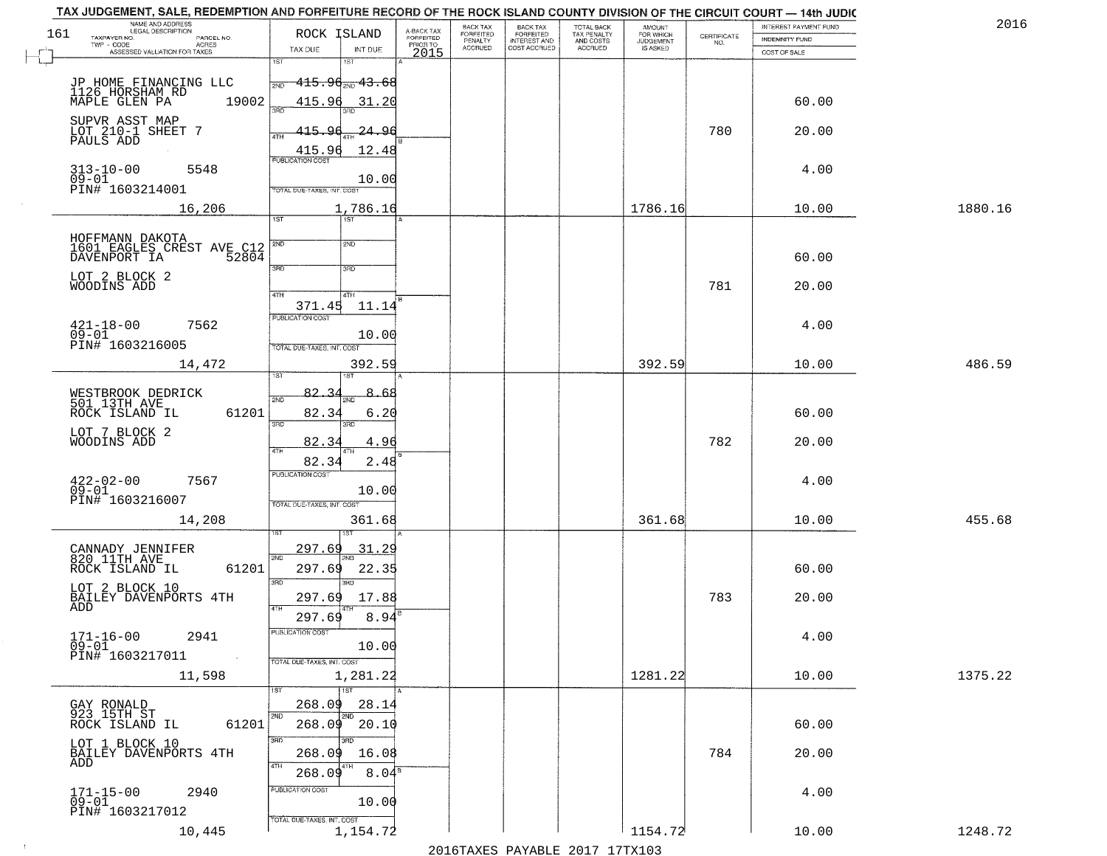|     | TAX JUDGEMENT, SALE, REDEMPTION AND FORFEITURE RECORD OF THE ROCK ISLAND COUNTY DIVISION OF THE CIRCUIT COURT - 14th JUDIC<br>NAME AND ADDRESS<br>LEGAL DESCRIPTION |                                                       |                                |                                     | BACK TAX             | <b>BACK TAX</b>           |                                        | AMOUNT<br>FOR WHICH |                                                                 | INTEREST PAYMENT FUND | 2016    |
|-----|---------------------------------------------------------------------------------------------------------------------------------------------------------------------|-------------------------------------------------------|--------------------------------|-------------------------------------|----------------------|---------------------------|----------------------------------------|---------------------|-----------------------------------------------------------------|-----------------------|---------|
| 161 | TAXPAYER NO.<br>PARCEL NO.                                                                                                                                          | ROCK ISLAND                                           |                                | A-BACK TAX<br>FORFEITED<br>PRIOR TO | FORFEITED<br>PENALTY | FORFEITED<br>INTEREST AND | TOTAL BACK<br>TAX PENALTY<br>AND COSTS | <b>JUDGEMENT</b>    | $\begin{array}{c} \text{CERTIFICATE} \\ \text{NO.} \end{array}$ | <b>INDEMNITY FUND</b> |         |
|     | ACRES<br>ASSESSED VALUATION FOR TAXES                                                                                                                               | TAX DUE                                               | INT DUE                        | 2015                                | <b>ACCRUED</b>       | COST ACCRUED              | ACCRUED                                | IS ASKED            |                                                                 | COST OF SALE          |         |
|     | JP HOME FINANCING LLC<br>1126 HORSHAM RD                                                                                                                            | iST<br>$-415.96_{200}$ $43.68$<br>2ND                 |                                |                                     |                      |                           |                                        |                     |                                                                 |                       |         |
|     | 19002<br>MAPLE GLEN PA<br>SUPVR ASST MAP                                                                                                                            | 415.96<br>415.96                                      | 31.20                          |                                     |                      |                           |                                        |                     | 780                                                             | 60.00                 |         |
|     | LOT 210-1 SHEET 7<br>PAULS ADD                                                                                                                                      | $\frac{415.96}{FUBUCATON COST}$                       | -24.96<br>12.48                |                                     |                      |                           |                                        |                     |                                                                 | 20.00                 |         |
|     | $313 - 10 - 00$<br>5548<br>$09 - 01$<br>PIN# 1603214001                                                                                                             | TOTAL DUE-TAXES, INT. COST                            | 10.00                          |                                     |                      |                           |                                        |                     |                                                                 | 4.00                  |         |
|     | 16,206                                                                                                                                                              | 1ST                                                   | 1,786.16                       |                                     |                      |                           |                                        | 1786.16             |                                                                 | 10.00                 | 1880.16 |
|     | HOFFMANN DAKOTA<br>1601 EAGLES CREST AVE C12<br>DAVENPORT IA 52804                                                                                                  | 2ND<br>3RD                                            | 2ND<br>3RD                     |                                     |                      |                           |                                        |                     |                                                                 | 60.00                 |         |
|     | LOT 2 BLOCK 2<br>WOODINS ADD                                                                                                                                        | 47H<br>371.45                                         | 4TH<br>11.14                   |                                     |                      |                           |                                        |                     | 781                                                             | 20.00                 |         |
|     | $421 - 18 - 00$<br>7562<br>$09 - 01$<br>PIN# 1603216005                                                                                                             | <b>PUBLICATION COST</b><br>TOTAL DUE-TAXES, INT. COST | 10.00                          |                                     |                      |                           |                                        |                     |                                                                 | 4.00                  |         |
|     | 14,472                                                                                                                                                              | 1ST                                                   | 392.59<br>1ST                  |                                     |                      |                           |                                        | 392.59              |                                                                 | 10.00                 | 486.59  |
|     | WESTBROOK DEDRICK<br>501 13TH AVE<br>ROCK ISLAND IL<br>61201                                                                                                        | $82 - 3$<br>2ND<br>82.34<br>3 <sub>BD</sub>           | 8.,<br>-68<br>6.20<br>3RD      |                                     |                      |                           |                                        |                     |                                                                 | 60.00                 |         |
|     | LOT 7 BLOCK 2<br>WOODINS ADD                                                                                                                                        | 82.3<br>4TH<br>82.34                                  | 4.96<br>2.48                   |                                     |                      |                           |                                        |                     | 782                                                             | 20.00                 |         |
|     | $422 - 02 - 00$<br>09-01<br>7567<br>PIN# 1603216007                                                                                                                 | <b>PUBLICATION COST</b><br>TOTAL OUE-TAXES, INT. COST | 10.00                          |                                     |                      |                           |                                        |                     |                                                                 | 4.00                  |         |
|     | 14,208                                                                                                                                                              |                                                       | 361.68                         |                                     |                      |                           |                                        | 361.68              |                                                                 | 10.00                 | 455.68  |
|     | CANNADY JENNIFER<br>820 11TH AVE<br>ROCK ISLAND IL<br>61201                                                                                                         | 297.69<br>2ND<br>297.69<br>3RD                        | <u>31.29</u><br>22.35<br>3RD   |                                     |                      |                           |                                        |                     |                                                                 | 60.00                 |         |
|     | LOT 2 BLOCK 10<br>BAILEY DAVENPORTS 4TH<br>ADD                                                                                                                      | 297.69<br>4TH<br>297.69                               | 17.88<br>8.94                  |                                     |                      |                           |                                        |                     | 783                                                             | 20.00                 |         |
|     | $171 - 16 - 00$<br>2941<br>$09 - 01$<br>PIN# 1603217011<br>$\sim 100$ km $^{-1}$                                                                                    | PUBLICATION COS<br>TOTAL DUE-TAXES, INT. COST         | 10.00                          |                                     |                      |                           |                                        |                     |                                                                 | 4.00                  |         |
|     | 11,598                                                                                                                                                              | 1ST                                                   | 1,281.22                       |                                     |                      |                           |                                        | 1281.22             |                                                                 | 10.00                 | 1375.22 |
|     | <b>GAY RONALD</b><br>923 15TH ST<br>61201<br>ROCK ISLAND IL                                                                                                         | 268.09<br>2ND<br>2ND<br>268.09 20.10                  | 28.14                          |                                     |                      |                           |                                        |                     |                                                                 | 60.00                 |         |
|     | LOT 1 BLOCK 10<br>BAILEY DAVENPORTS 4TH<br>ADD                                                                                                                      | 3RD<br>ann<br>268.09<br>4TH<br>268.09                 | 16.08<br>$8.04^{\overline{8}}$ |                                     |                      |                           |                                        |                     | 784                                                             | 20.00                 |         |
|     | $171 - 15 - 00$<br>2940<br>$09 - 01$<br>PIN# 1603217012                                                                                                             | PUBLICATION COST<br>TOTAL DUE-TAXES, INT. COST        | 10.00                          |                                     |                      |                           |                                        |                     |                                                                 | 4.00                  |         |
|     | 10,445                                                                                                                                                              |                                                       | 1,154.72                       |                                     |                      |                           |                                        | 1154.72             |                                                                 | 10.00                 | 1248.72 |

 $\sim 100$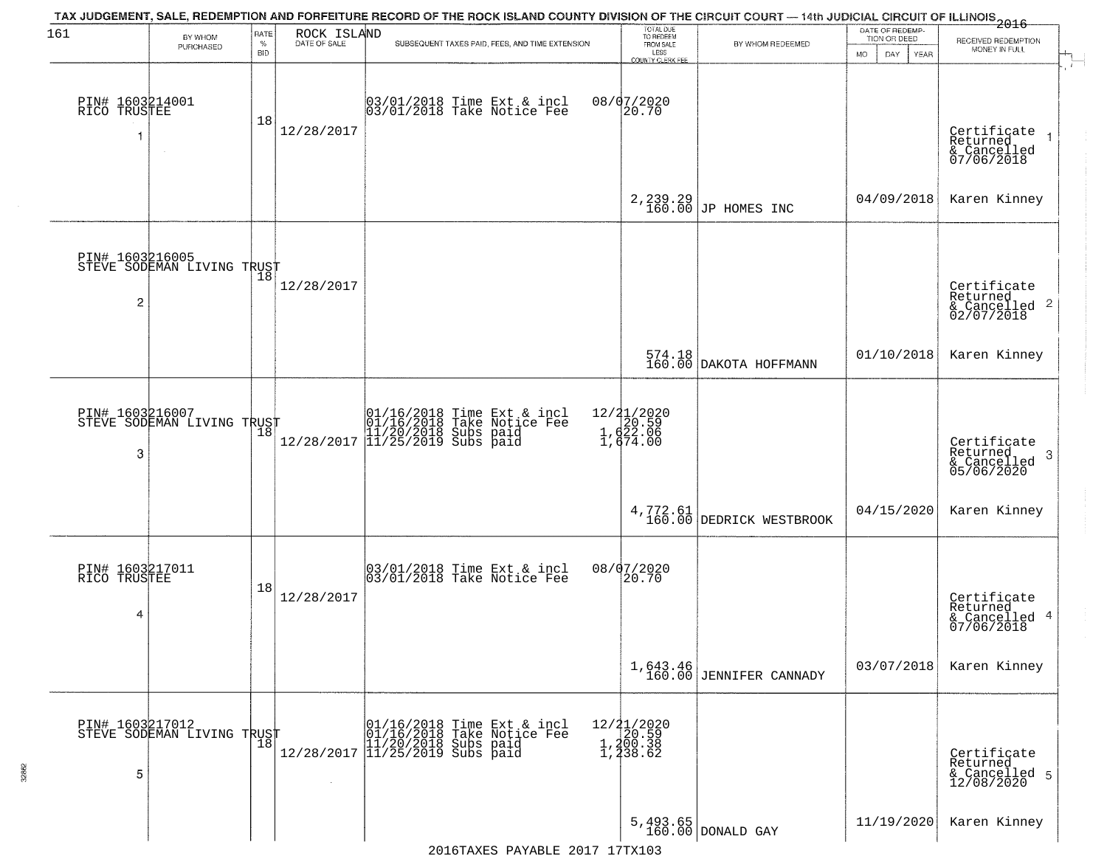| 161                                  | BY WHOM<br>PURCHASED                              | RATE<br>$\%$ | ROCK ISLAND<br>DATE OF SALE | TAX JUDGEMENT, SALE, REDEMPTION AND FORFEITURE RECORD OF THE ROCK ISLAND COUNTY DIVISION OF THE CIRCUIT COURT — 14th JUDICIAL CIRCUIT OF ILLINOIS 2016<br>SUBSEQUENT TAXES PAID, FEES, AND TIME EXTENSION | TOTAL DUE<br>TO REDEEM<br>FROM SALE                                         | BY WHOM REDEEMED                     | DATE OF REDEMP-<br>TION OR DEED | RECEIVED REDEMPTION                                        |
|--------------------------------------|---------------------------------------------------|--------------|-----------------------------|-----------------------------------------------------------------------------------------------------------------------------------------------------------------------------------------------------------|-----------------------------------------------------------------------------|--------------------------------------|---------------------------------|------------------------------------------------------------|
|                                      |                                                   | <b>BID</b>   |                             |                                                                                                                                                                                                           | LESS<br><b>COUNTY CLERK FEE</b>                                             |                                      | MO.<br>DAY.<br>YEAR             | MONEY IN FULL                                              |
| PIN# 1603214001<br>RICO TRUSTEE      | $\sim$                                            | 18           | 12/28/2017                  | 03/01/2018 Time Ext & incl<br>03/01/2018 Take Notice Fee                                                                                                                                                  | 08/07/2020<br>20.70                                                         |                                      |                                 | Certificate<br>Returned<br>& Cancelled<br>07/06/2018       |
|                                      |                                                   |              |                             |                                                                                                                                                                                                           |                                                                             | $2,239.29$ JP HOMES INC              | 04/09/2018                      | Karen Kinney                                               |
| $\overline{c}$                       | PIN# 1603216005<br>STEVE SODEMAN LIVING TRUST     |              | 12/28/2017                  |                                                                                                                                                                                                           |                                                                             |                                      |                                 | Certificate<br>Returned<br>$\frac{12241164}{62/07/2018}$ 2 |
|                                      |                                                   |              |                             |                                                                                                                                                                                                           |                                                                             | 574.18<br>160.00 DAKOTA HOFFMANN     | 01/10/2018                      | Karen Kinney                                               |
| PIN# 1603216007<br>3                 | STEVE SODEMAN LIVING TRUST                        | 18           | 12/28/2017                  | 01/16/2018 Time Ext & incl<br>01/16/2018 Take Notice Fee<br>11/20/2018 Subs paid<br>11/25/2019 Subs paid                                                                                                  | 12/21/2020<br>$\begin{bmatrix} 20.59 \\ 1,622.06 \\ 1,674.00 \end{bmatrix}$ |                                      |                                 | Certificate<br>Returned<br>3<br>& Cancelled<br>05/06/2020  |
|                                      |                                                   |              |                             |                                                                                                                                                                                                           |                                                                             | 4,772.61<br>160.00 DEDRICK WESTBROOK | 04/15/2020                      | Karen Kinney                                               |
| PIN# 1603217011<br>RICO TRUSTEE<br>4 |                                                   | 18           | 12/28/2017                  | 03/01/2018 Time Ext & incl<br>03/01/2018 Take Notice Fee                                                                                                                                                  | 08/07/2020<br>20.70                                                         |                                      |                                 | Certificate<br>Returned<br>& Cancelled 4<br>07/06/2018     |
|                                      |                                                   |              |                             |                                                                                                                                                                                                           |                                                                             | 1,643.46<br>160.00 JENNIFER CANNADY  | 03/07/2018                      | Karen Kinney                                               |
| 5                                    | PIN# 1603217012    <br>STEVE SODEMAN LIVING TRUST | 18           | $\sim$                      | 01/16/2018 Time Ext & incl<br>01/16/2018 Take Notice Fee<br>11/20/2018 Subs paid<br>12/28/2017 11/25/2019 Subs paid                                                                                       | 12/21/2020<br>1,200.59<br>1,200.38<br>1,238.62                              |                                      |                                 | Certificate<br>Returned<br>& Cancelled 5<br>12/08/2020     |
|                                      |                                                   |              |                             |                                                                                                                                                                                                           |                                                                             | $5,493.65$ DONALD GAY                | 11/19/2020                      | Karen Kinney                                               |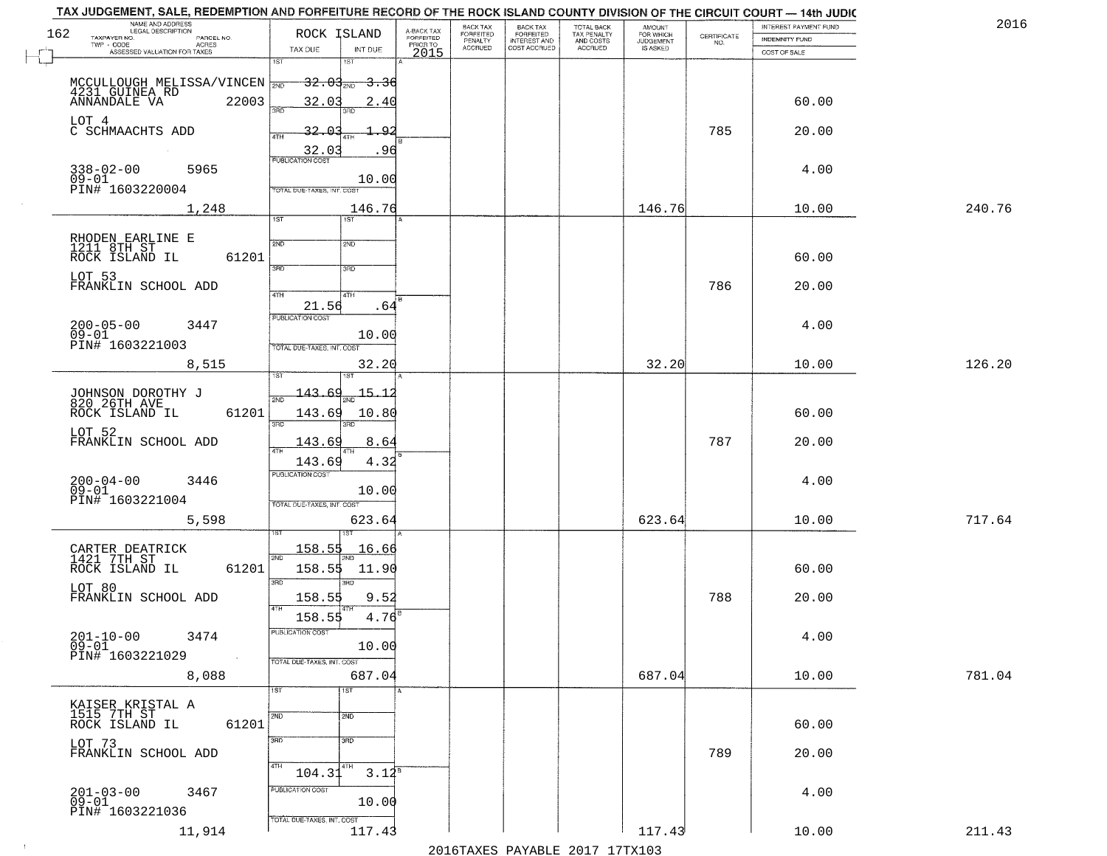|     | TAX JUDGEMENT, SALE, REDEMPTION AND FORFEITURE RECORD OF THE ROCK ISLAND COUNTY DIVISION OF THE CIRCUIT COURT - 14th JUDIC<br>NAME AND ADDRESS<br>LEGAL DESCRIPTION |                                      |                                     | BACK TAX                    | BACK TAX<br>FORFEITED<br>INTEREST AND |                                        |                                  |                                                                 | INTEREST PAYMENT FUND | 2016   |
|-----|---------------------------------------------------------------------------------------------------------------------------------------------------------------------|--------------------------------------|-------------------------------------|-----------------------------|---------------------------------------|----------------------------------------|----------------------------------|-----------------------------------------------------------------|-----------------------|--------|
| 162 | TAXPAYER NO.<br>PARCEL NO.<br>TWP - CODE<br>ACRES                                                                                                                   | ROCK ISLAND                          | A-BACK TAX<br>FORFEITED<br>PRIOR TO | <b>FORFEITED</b><br>PENALTY |                                       | TOTAL BACK<br>TAX PENALTY<br>AND COSTS | AMOUNT<br>FOR WHICH<br>JUDGEMENT | $\begin{array}{c} \text{CERTIFICATE} \\ \text{NO.} \end{array}$ | <b>INDEMNITY FUND</b> |        |
|     | ASSESSED VALUATION FOR TAXES                                                                                                                                        | INT DUE<br>TAX DUE                   | 2015                                | <b>ACCRUED</b>              | COST ACCRUED                          | ACCRUED                                | IS ASKED                         |                                                                 | COST OF SALE          |        |
|     |                                                                                                                                                                     | 1ST<br>1ST                           |                                     |                             |                                       |                                        |                                  |                                                                 |                       |        |
|     |                                                                                                                                                                     | <del>32.03 aug 3.3</del> 6           |                                     |                             |                                       |                                        |                                  |                                                                 |                       |        |
|     | MCCULLOUGH MELISSA/VINCEN 700                                                                                                                                       |                                      |                                     |                             |                                       |                                        |                                  |                                                                 |                       |        |
|     |                                                                                                                                                                     | 32.03<br>2.40                        |                                     |                             |                                       |                                        |                                  |                                                                 | 60.00                 |        |
|     | LOT 4                                                                                                                                                               |                                      |                                     |                             |                                       |                                        |                                  |                                                                 |                       |        |
|     | C SCHMAACHTS ADD                                                                                                                                                    | 32.03<br>۵í                          |                                     |                             |                                       |                                        |                                  | 785                                                             | 20.00                 |        |
|     |                                                                                                                                                                     | $\frac{32.03}{PUBUCATONCCST}$<br>.96 |                                     |                             |                                       |                                        |                                  |                                                                 |                       |        |
|     | $338 - 02 - 00$<br>5965                                                                                                                                             |                                      |                                     |                             |                                       |                                        |                                  |                                                                 | 4.00                  |        |
|     | $09 - 01$                                                                                                                                                           | 10.00                                |                                     |                             |                                       |                                        |                                  |                                                                 |                       |        |
|     | PIN# 1603220004                                                                                                                                                     | TOTAL DUE-TAXES, INT. COST           |                                     |                             |                                       |                                        |                                  |                                                                 |                       |        |
|     | 1,248                                                                                                                                                               | 146.76                               |                                     |                             |                                       |                                        | 146.76                           |                                                                 | 10.00                 | 240.76 |
|     |                                                                                                                                                                     | 1ST<br>IST                           |                                     |                             |                                       |                                        |                                  |                                                                 |                       |        |
|     |                                                                                                                                                                     |                                      |                                     |                             |                                       |                                        |                                  |                                                                 |                       |        |
|     | RHODEN EARLINE E<br>1211 8TH ST                                                                                                                                     | 2ND<br>2ND                           |                                     |                             |                                       |                                        |                                  |                                                                 |                       |        |
|     | ROCK ISLAND IL<br>61201                                                                                                                                             | $\overline{3\text{RD}}$<br>3RD       |                                     |                             |                                       |                                        |                                  |                                                                 | 60.00                 |        |
|     | LOT 53                                                                                                                                                              |                                      |                                     |                             |                                       |                                        |                                  |                                                                 |                       |        |
|     | FRANKLIN SCHOOL ADD                                                                                                                                                 | 47H<br>4TH                           |                                     |                             |                                       |                                        |                                  | 786                                                             | 20.00                 |        |
|     |                                                                                                                                                                     | 21.56<br>.64                         |                                     |                             |                                       |                                        |                                  |                                                                 |                       |        |
|     | $200 - 05 - 00$<br>3447                                                                                                                                             | PUBLICATION COST                     |                                     |                             |                                       |                                        |                                  |                                                                 | 4.00                  |        |
|     | $09 - 01$                                                                                                                                                           | 10.00                                |                                     |                             |                                       |                                        |                                  |                                                                 |                       |        |
|     | PIN# 1603221003                                                                                                                                                     | TOTAL DUE-TAXES, INT. COST           |                                     |                             |                                       |                                        |                                  |                                                                 |                       |        |
|     | 8,515                                                                                                                                                               | 32.20                                |                                     |                             |                                       |                                        | 32.20                            |                                                                 | 10.00                 | 126.20 |
|     |                                                                                                                                                                     | 181                                  |                                     |                             |                                       |                                        |                                  |                                                                 |                       |        |
|     |                                                                                                                                                                     | $15 - 1$<br>-143-                    |                                     |                             |                                       |                                        |                                  |                                                                 |                       |        |
|     | JOHNSON DOROTHY J<br>820 26TH AVE                                                                                                                                   | 2ND                                  |                                     |                             |                                       |                                        |                                  |                                                                 |                       |        |
|     | ROCK ISLAND IL<br>61201                                                                                                                                             | 143.69<br>10.80<br>3RD<br>3RD        |                                     |                             |                                       |                                        |                                  |                                                                 | 60.00                 |        |
|     | LOT 52                                                                                                                                                              |                                      |                                     |                             |                                       |                                        |                                  |                                                                 |                       |        |
|     | FRANKLIN SCHOOL ADD                                                                                                                                                 | 143.69<br>8.64                       |                                     |                             |                                       |                                        |                                  | 787                                                             | 20.00                 |        |
|     |                                                                                                                                                                     | 143.69<br>4.32                       |                                     |                             |                                       |                                        |                                  |                                                                 |                       |        |
|     |                                                                                                                                                                     | PUBLICATION COST                     |                                     |                             |                                       |                                        |                                  |                                                                 | 4.00                  |        |
|     | $200 - 04 - 00$<br>09-01<br>3446                                                                                                                                    | 10.00                                |                                     |                             |                                       |                                        |                                  |                                                                 |                       |        |
|     | PIN# 1603221004                                                                                                                                                     | TOTAL OUE-TAXES, INT. COST           |                                     |                             |                                       |                                        |                                  |                                                                 |                       |        |
|     | 5,598                                                                                                                                                               | 623.64                               |                                     |                             |                                       |                                        | 623.64                           |                                                                 | 10.00                 | 717.64 |
|     |                                                                                                                                                                     |                                      |                                     |                             |                                       |                                        |                                  |                                                                 |                       |        |
|     |                                                                                                                                                                     | 158.55<br>16.66                      |                                     |                             |                                       |                                        |                                  |                                                                 |                       |        |
|     | CARTER DEATRICK<br>1421 7TH ST<br>ROCK ISLAND IL                                                                                                                    | 2ND                                  |                                     |                             |                                       |                                        |                                  |                                                                 |                       |        |
|     | 61201                                                                                                                                                               | 158.55<br>11.90                      |                                     |                             |                                       |                                        |                                  |                                                                 | 60.00                 |        |
|     | LOT 80                                                                                                                                                              | 3BD<br>3RD                           |                                     |                             |                                       |                                        |                                  |                                                                 |                       |        |
|     | FRANKLIN SCHOOL ADD                                                                                                                                                 | 158.55<br>9.52                       |                                     |                             |                                       |                                        |                                  | 788                                                             | 20.00                 |        |
|     |                                                                                                                                                                     | 4TH<br>$4.76^{6}$<br>158.55          |                                     |                             |                                       |                                        |                                  |                                                                 |                       |        |
|     |                                                                                                                                                                     | rusuca nun cus-                      |                                     |                             |                                       |                                        |                                  |                                                                 |                       |        |
|     | $201 - 10 - 00$<br>3474<br>$09 - 01$                                                                                                                                | 10.00                                |                                     |                             |                                       |                                        |                                  |                                                                 | 4.00                  |        |
|     | PIN# 1603221029<br>$\sim 100$                                                                                                                                       | TOTAL DUE-TAXES, INT. COST           |                                     |                             |                                       |                                        |                                  |                                                                 |                       |        |
|     | 8,088                                                                                                                                                               | 687.04                               |                                     |                             |                                       |                                        | 687.04                           |                                                                 | 10.00                 | 781.04 |
|     |                                                                                                                                                                     | 1ST<br>1ST                           |                                     |                             |                                       |                                        |                                  |                                                                 |                       |        |
|     |                                                                                                                                                                     |                                      |                                     |                             |                                       |                                        |                                  |                                                                 |                       |        |
|     | KAISER KRISTAL A<br>1515 7TH ST<br>ROCK ISLAND IL                                                                                                                   | 2ND<br>2ND                           |                                     |                             |                                       |                                        |                                  |                                                                 |                       |        |
|     | 61201                                                                                                                                                               |                                      |                                     |                             |                                       |                                        |                                  |                                                                 | 60.00                 |        |
|     |                                                                                                                                                                     | 3RD<br>3BD                           |                                     |                             |                                       |                                        |                                  |                                                                 |                       |        |
|     | LOT 73<br>FRANKLIN SCHOOL ADD                                                                                                                                       |                                      |                                     |                             |                                       |                                        |                                  | 789                                                             | 20.00                 |        |
|     |                                                                                                                                                                     | 4TH<br>4TH<br>$3.12^{8}$<br>104.31   |                                     |                             |                                       |                                        |                                  |                                                                 |                       |        |
|     |                                                                                                                                                                     | PUBLICATION COST                     |                                     |                             |                                       |                                        |                                  |                                                                 |                       |        |
|     | $201 - 03 - 00$<br>3467<br>$09 - 01$                                                                                                                                | 10.00                                |                                     |                             |                                       |                                        |                                  |                                                                 | 4.00                  |        |
|     | PIN# 1603221036                                                                                                                                                     |                                      |                                     |                             |                                       |                                        |                                  |                                                                 |                       |        |
|     | 11,914                                                                                                                                                              | TOTAL DUE-TAXES, INT. COST<br>117.43 |                                     |                             |                                       |                                        | 117.43                           |                                                                 | 10.00                 | 211.43 |
|     |                                                                                                                                                                     |                                      |                                     |                             |                                       |                                        |                                  |                                                                 |                       |        |
|     |                                                                                                                                                                     |                                      |                                     |                             | 2016 TAVEC DAVADLE 2017 17TV102       |                                        |                                  |                                                                 |                       |        |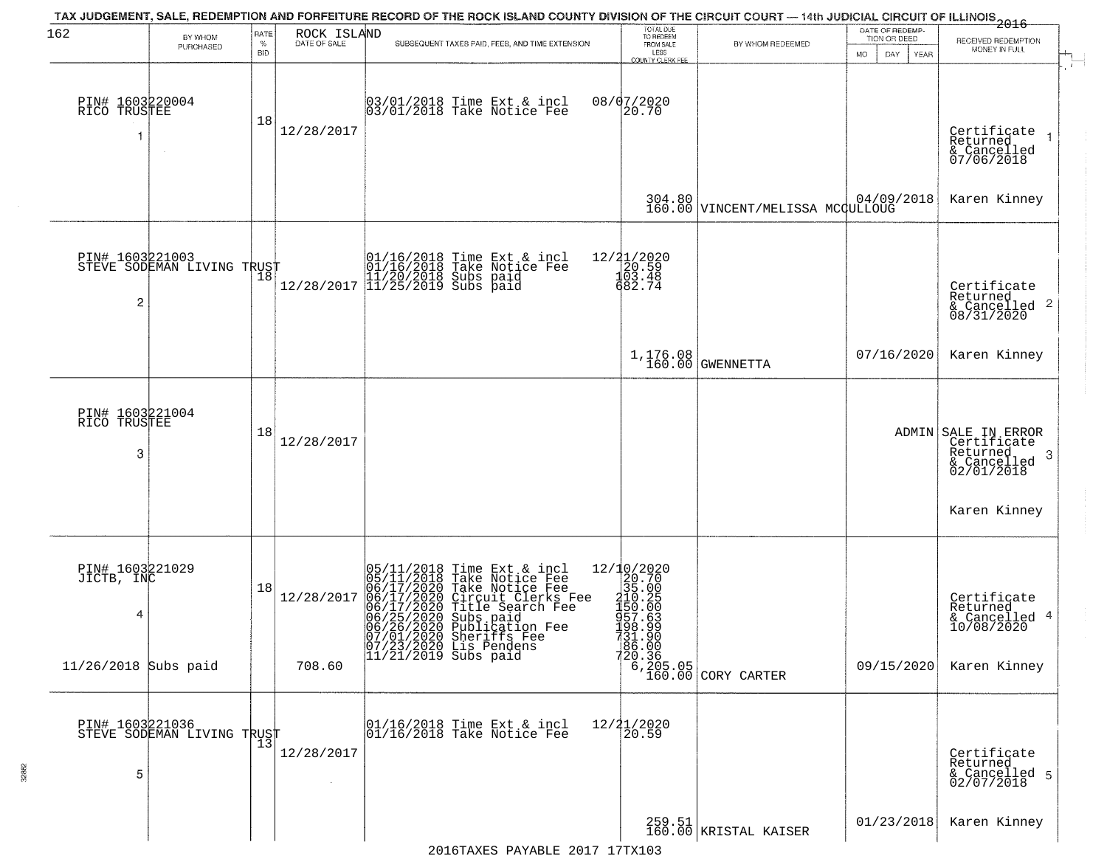| 162                                  | BY WHOM<br>PURCHASED       | RATE<br>%<br><b>BID</b> | ROCK ISLAND<br>DATE OF SALE | TAX JUDGEMENT, SALE, REDEMPTION AND FORFEITURE RECORD OF THE ROCK ISLAND COUNTY DIVISION OF THE CIRCUIT COURT — 14th JUDICIAL CIRCUIT OF ILLINOIS 2016<br>SUBSEQUENT TAXES PAID, FEES, AND TIME EXTENSION                                  | TOTAL DUE<br>TO REDEEM<br>FROM SALE<br>LESS<br>COUNTY CLERK FEE | BY WHOM REDEEMED                                                        | DATE OF REDEMP-<br>TION OR DEED<br><b>MO</b><br>DAY<br>YEAR | RECEIVED REDEMPTION<br>MONEY IN FULL                                              |
|--------------------------------------|----------------------------|-------------------------|-----------------------------|--------------------------------------------------------------------------------------------------------------------------------------------------------------------------------------------------------------------------------------------|-----------------------------------------------------------------|-------------------------------------------------------------------------|-------------------------------------------------------------|-----------------------------------------------------------------------------------|
| PIN# 1603220004<br>RICO TRUSTEE      | $\sim$                     | 18                      | 12/28/2017                  | 03/01/2018 Time Ext & incl<br>03/01/2018 Take Notice Fee                                                                                                                                                                                   | 08/07/2020<br>20.70                                             |                                                                         |                                                             | Certificate<br>Returned<br>& Cancelled<br>07/06/2018                              |
|                                      |                            |                         |                             |                                                                                                                                                                                                                                            |                                                                 | 304.80 \tincENT/MELISSA MCGULLOUG                                       | 04/09/2018                                                  | Karen Kinney                                                                      |
| PIN# 1603221003<br>2                 | STEVE SODEMAN LIVING TRUST |                         |                             | 01/16/2018 Time Ext & incl<br>01/16/2018 Take Notice Fee<br>11/20/2018 Subs paid<br>12/28/2017 11/25/2019 Subs paid                                                                                                                        | 12/21/2020<br>20.59<br>103.48<br>682.74                         |                                                                         |                                                             | Certificate<br>Returned<br>& Cancelled 2<br>08/31/2020                            |
|                                      |                            |                         |                             |                                                                                                                                                                                                                                            | 1,176.08<br>160.00                                              | GWENNETTA                                                               | 07/16/2020                                                  | Karen Kinney                                                                      |
| PIN# 1603221004<br>RICO TRUSTEE<br>3 |                            | 18                      | 12/28/2017                  |                                                                                                                                                                                                                                            |                                                                 |                                                                         |                                                             | ADMIN SALE IN ERROR<br>Certificate<br>Returned<br>-3<br>& Cancelled<br>02/01/2018 |
|                                      |                            |                         |                             |                                                                                                                                                                                                                                            |                                                                 |                                                                         |                                                             | Karen Kinney                                                                      |
| PIN# 1603221029<br>JICTB, INC<br>4   |                            | 18                      | 12/28/2017                  | 05/11/2018 Time Ext & incl<br>05/11/2018 Take Notice Fee<br>06/17/2020 Take Notice Fee<br>06/17/2020 Circuit Clerks Fee<br>06/17/2020 Title Search Fee<br>06/25/2020 Subs paid<br>06/25/2020 Publication Fee<br>06/26/2020 Publication Fee |                                                                 |                                                                         |                                                             | Certificate<br>Returned<br>& Cancelled 4<br>10/08/2020                            |
| $11/26/2018$ Subs paid               |                            |                         | 708.60                      | 07/01/2020 Sheriffs Fee<br>07/23/2020 Lis Pendens<br>11/21/2019 Subs paid                                                                                                                                                                  | 731.90<br>186.00                                                | $\begin{bmatrix} 20.36 \\ 6,205.05 \\ 160.00 \end{bmatrix}$ CORY CARTER | 09/15/2020                                                  | Karen Kinney                                                                      |
| PIN# 1603221036<br>5                 | STEVE SODEMAN LIVING TRUST |                         | 12/28/2017                  | 01/16/2018 Time Ext & incl<br>01/16/2018 Take Notice Fee                                                                                                                                                                                   | 12/21/2020<br>20.59                                             |                                                                         |                                                             | Certificate<br>Returned<br>& Cancelled 5<br>02/07/2018                            |
|                                      |                            |                         |                             |                                                                                                                                                                                                                                            |                                                                 | 259.51<br>160.00 KRISTAL KAISER                                         | 01/23/2018                                                  | Karen Kinney                                                                      |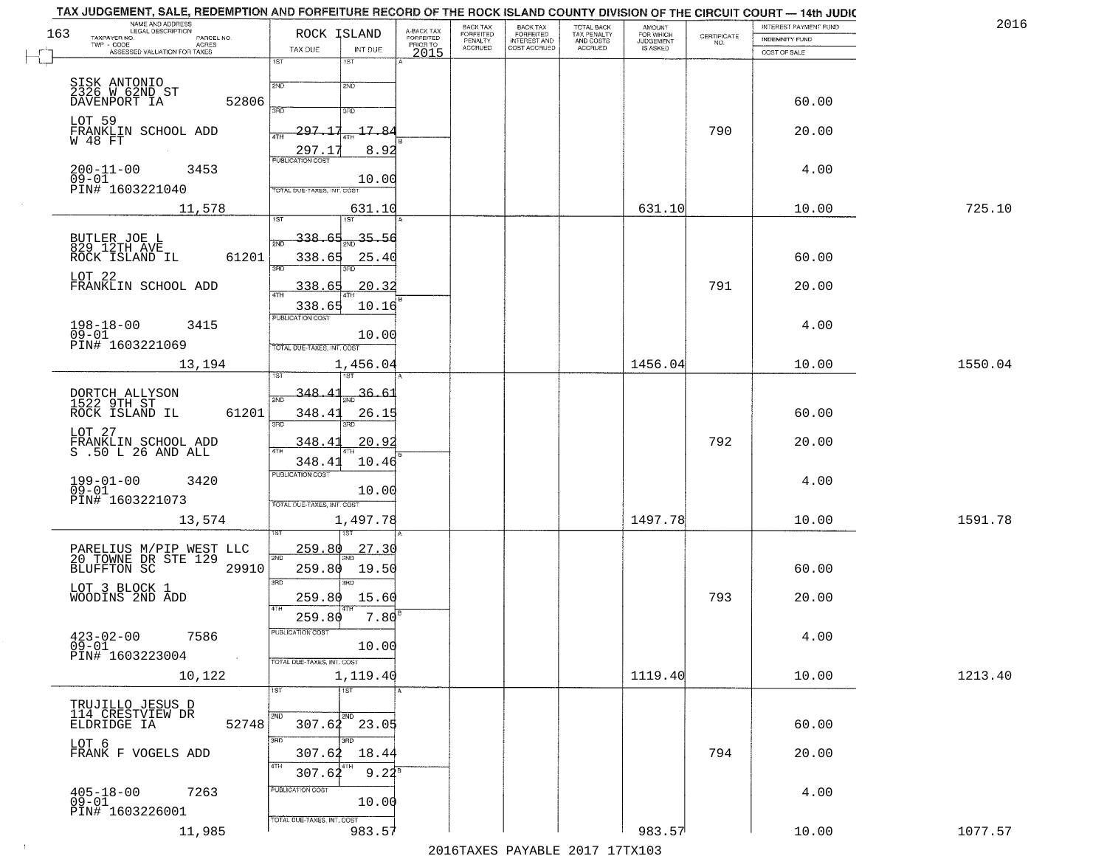| NAME AND ADDRESS<br>LEGAL DESCRIPTION<br>163                                |                                            | BACK TAX                                                    | BACK TAX<br>FORFEITED<br>INTEREST AND | TOTAL BACK<br>TAX PENALTY<br>AND COSTS | AMOUNT<br>FOR WHICH<br>JUDGEMENT |                    | INTEREST PAYMENT FUND | 2016    |
|-----------------------------------------------------------------------------|--------------------------------------------|-------------------------------------------------------------|---------------------------------------|----------------------------------------|----------------------------------|--------------------|-----------------------|---------|
| TAXPAYER NO.<br>PARCEL NO.<br>ACRES                                         | ROCK ISLAND                                | A-BACK TAX<br>FORFEITED<br>PRIOR TO<br>FORFEITED<br>PENALTY |                                       |                                        |                                  | CERTIFICATE<br>NO. | <b>INDEMNITY FUND</b> |         |
| ASSESSED VALUATION FOR TAXES                                                | TAX DUE<br>INT DUE<br>18T<br>1ST           | <b>ACCRUED</b><br>2015                                      | COST ACCRUED                          | <b>ACCRUED</b>                         | IS ASKED                         |                    | COST OF SALE          |         |
|                                                                             |                                            |                                                             |                                       |                                        |                                  |                    |                       |         |
| SISK ANTONIO<br>2326 N 62ND ST                                              | 2ND<br>2ND                                 |                                                             |                                       |                                        |                                  |                    |                       |         |
| 52806<br>DAVENPORT IA                                                       | 370<br>3RD                                 |                                                             |                                       |                                        |                                  |                    | 60.00                 |         |
| LOT 59                                                                      |                                            |                                                             |                                       |                                        |                                  |                    |                       |         |
| FRANKLIN SCHOOL ADD<br>W 48 FT                                              | 297.17<br>17.8<br>4TH                      |                                                             |                                       |                                        |                                  | 790                | 20.00                 |         |
|                                                                             | 8.92<br>297.1<br><b>PUBLICATION COST</b>   |                                                             |                                       |                                        |                                  |                    |                       |         |
| $200 - 11 - 00$<br>3453                                                     |                                            |                                                             |                                       |                                        |                                  |                    | 4.00                  |         |
| $09 - 01$<br>PIN# <sup>-1603221040</sup>                                    | 10.00<br>TOTAL DUE-TAXES, INT. COST        |                                                             |                                       |                                        |                                  |                    |                       |         |
| 11,578                                                                      | 631.10                                     |                                                             |                                       |                                        | 631.10                           |                    | 10.00                 | 725.10  |
|                                                                             | ist                                        |                                                             |                                       |                                        |                                  |                    |                       |         |
|                                                                             | $\frac{35.50}{200}$<br>338.65<br>2ND       |                                                             |                                       |                                        |                                  |                    |                       |         |
| BUTLER JOE L<br>829 12TH AVE<br>61201<br>ROCK ISLAND IL                     | 338.65<br>25.40                            |                                                             |                                       |                                        |                                  |                    | 60.00                 |         |
|                                                                             | 3RD                                        |                                                             |                                       |                                        |                                  |                    |                       |         |
| LOT 22<br>FRANKLIN SCHOOL ADD                                               | 20.32<br>338.65                            |                                                             |                                       |                                        |                                  | 791                | 20.00                 |         |
|                                                                             | 10.16<br>338.65                            |                                                             |                                       |                                        |                                  |                    |                       |         |
|                                                                             | PUBLICATION COST                           |                                                             |                                       |                                        |                                  |                    |                       |         |
| $198 - 18 - 00$<br>3415<br>$09 - 01$                                        | 10.00                                      |                                                             |                                       |                                        |                                  |                    | 4.00                  |         |
| PIN# 1603221069                                                             | TOTAL DUE-TAXES, INT. COST                 |                                                             |                                       |                                        |                                  |                    |                       |         |
| 13,194                                                                      | 1,456.04<br>is T                           |                                                             |                                       |                                        | 1456.04                          |                    | 10.00                 | 1550.04 |
|                                                                             |                                            |                                                             |                                       |                                        |                                  |                    |                       |         |
| DORTCH ALLYSON<br>1522 9TH ST                                               | 348.<br><u>36.6.</u><br>2ND                |                                                             |                                       |                                        |                                  |                    |                       |         |
| ROCK ISLAND IL<br>61201                                                     | 348.41<br>26.15<br>3BD<br>3RD              |                                                             |                                       |                                        |                                  |                    | 60.00                 |         |
| LOT 27                                                                      |                                            |                                                             |                                       |                                        |                                  |                    |                       |         |
| FRANKLIN SCHOOL ADD<br>S .50 L 26 AND ALL                                   | 348.41<br>20.9<br>4TH                      |                                                             |                                       |                                        |                                  | 792                | 20.00                 |         |
|                                                                             | 348.41<br>10.46<br><b>PUBLICATION COST</b> |                                                             |                                       |                                        |                                  |                    |                       |         |
| $199 - 01 - 00$<br>3420<br>$09 - 01$                                        | 10.00                                      |                                                             |                                       |                                        |                                  |                    | 4.00                  |         |
| PIN# 1603221073                                                             | TOTAL OUE-TAXES, INT. COST                 |                                                             |                                       |                                        |                                  |                    |                       |         |
| 13,574                                                                      | 1,497.78                                   |                                                             |                                       |                                        | 1497.78                          |                    | 10.00                 | 1591.78 |
|                                                                             | 151                                        |                                                             |                                       |                                        |                                  |                    |                       |         |
|                                                                             | 259.80<br>27.30<br>2ND                     |                                                             |                                       |                                        |                                  |                    |                       |         |
| PARELIUS M/PIP WEST LLC<br>20 TOWNE DR STE 129<br>BLUFFTON SC 2991<br>29910 | 259.80<br>19.50                            |                                                             |                                       |                                        |                                  |                    | 60.00                 |         |
|                                                                             | 3 <sub>BD</sub><br>3RD                     |                                                             |                                       |                                        |                                  |                    |                       |         |
| LOT 3 BLOCK 1<br>WOODINS 2ND ADD                                            | 259.80<br>15.60                            |                                                             |                                       |                                        |                                  | 793                | 20.00                 |         |
|                                                                             | 4TH<br>7.80<br>259.80                      |                                                             |                                       |                                        |                                  |                    |                       |         |
| $423 - 02 - 00$<br>7586                                                     | -usuca i un cus-                           |                                                             |                                       |                                        |                                  |                    | 4.00                  |         |
| $09 - 01$<br>PIN# 1603223004                                                | 10.00                                      |                                                             |                                       |                                        |                                  |                    |                       |         |
| $\sim 100$                                                                  | TOTAL DUE-TAXES, INT. COST                 |                                                             |                                       |                                        |                                  |                    |                       |         |
| 10,122                                                                      | 1,119.40                                   |                                                             |                                       |                                        | 1119.40                          |                    | 10.00                 | 1213.40 |
|                                                                             | 1ST<br>1ST                                 |                                                             |                                       |                                        |                                  |                    |                       |         |
| TRUJILLO JESUS D<br>114 CRESTVIEW DR                                        | 2ND                                        |                                                             |                                       |                                        |                                  |                    |                       |         |
| 52748<br>ELDRIDGE IA                                                        | $307.62$ $23.05$                           |                                                             |                                       |                                        |                                  |                    | 60.00                 |         |
| LOT 6<br>FRANK F VOGELS ADD                                                 | 3RD<br>307.62<br>18.44                     |                                                             |                                       |                                        |                                  | 794                | 20.00                 |         |
|                                                                             | 4TH<br>307.62<br>$9.22^8$                  |                                                             |                                       |                                        |                                  |                    |                       |         |
|                                                                             | PUBLICATION COST                           |                                                             |                                       |                                        |                                  |                    |                       |         |
| $405 - 18 - 00$<br>7263<br>$09 - 01$                                        | 10.00                                      |                                                             |                                       |                                        |                                  |                    | 4.00                  |         |
| PIN# 1603226001                                                             | TOTAL DUE-TAXES, INT. COST                 |                                                             |                                       |                                        |                                  |                    |                       |         |
| 11,985                                                                      | 983.57                                     |                                                             |                                       |                                        | 983.57                           |                    | 10.00                 | 1077.57 |

 $\sim 10^{-1}$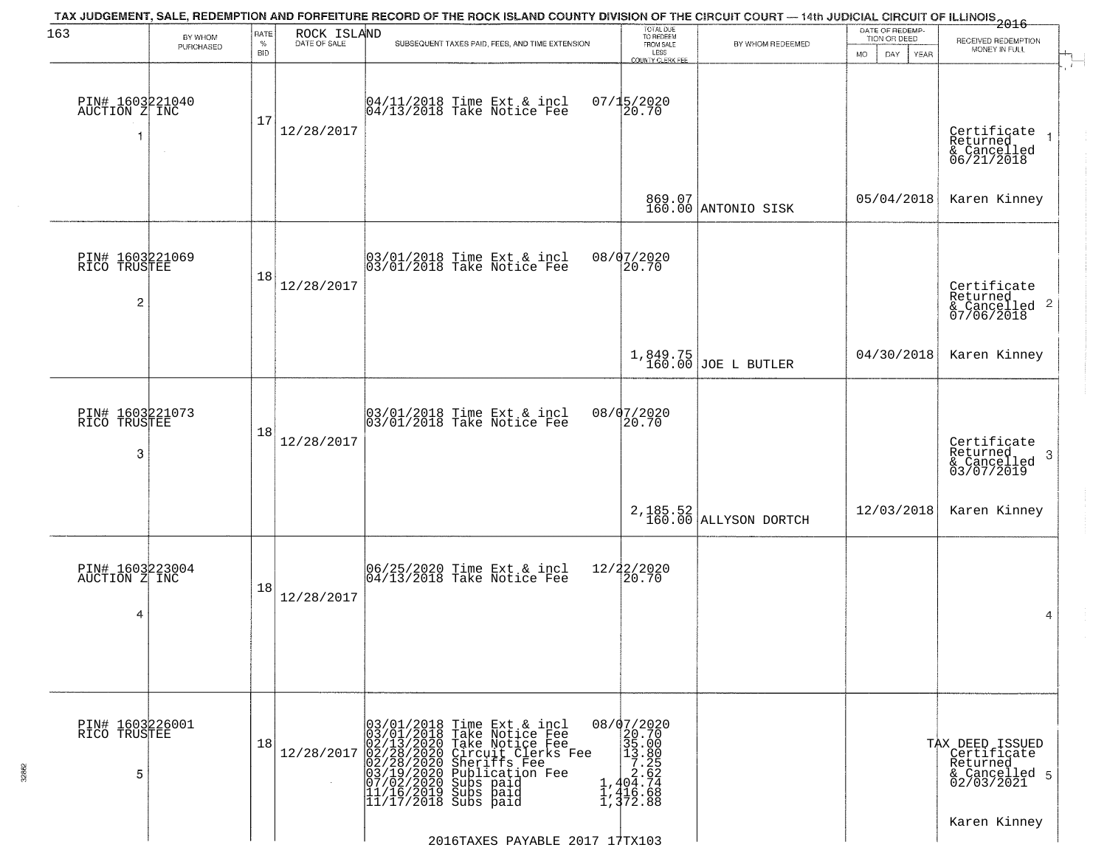| 163                                               | BY WHOM   | RATE               | ROCK ISLAND  | TAX JUDGEMENT, SALE, REDEMPTION AND FORFEITURE RECORD OF THE ROCK ISLAND COUNTY DIVISION OF THE CIRCUIT COURT — 14th JUDICIAL CIRCUIT OF ILLINOIS 2016                                                                                                                                       | TOTAL DUE<br>TO REDEEM                                                                                                             |                                     | DATE OF REDEMP-<br>TION OR DEED | RECEIVED REDEMPTION                                                       |
|---------------------------------------------------|-----------|--------------------|--------------|----------------------------------------------------------------------------------------------------------------------------------------------------------------------------------------------------------------------------------------------------------------------------------------------|------------------------------------------------------------------------------------------------------------------------------------|-------------------------------------|---------------------------------|---------------------------------------------------------------------------|
|                                                   | PURCHASED | $\%$<br><b>BID</b> | DATE OF SALE | SUBSEQUENT TAXES PAID, FEES, AND TIME EXTENSION                                                                                                                                                                                                                                              | FROM SALE<br>LESS<br><b>COUNTY CLERK FEE</b>                                                                                       | BY WHOM REDEEMED                    | MO.<br>DAY.<br><b>YEAR</b>      | MONEY IN FULL                                                             |
| PIN# 1603221040<br>AUCTION Z INC                  | $\sim$    | 17                 | 12/28/2017   | 04/11/2018 Time Ext & incl<br>04/13/2018 Take Notice Fee                                                                                                                                                                                                                                     | $07/15/2020$<br>20.70                                                                                                              |                                     |                                 | Certificate<br>Returned<br>& Cancelled<br>06/21/2018                      |
|                                                   |           |                    |              |                                                                                                                                                                                                                                                                                              |                                                                                                                                    | 869.07<br>160.00 ANTONIO SISK       | 05/04/2018                      | Karen Kinney                                                              |
| PIN# 1603221069<br>RICO TRUSTEE<br>$\overline{c}$ |           | 18                 | 12/28/2017   | 03/01/2018 Time Ext & incl<br>03/01/2018 Take Notice Fee                                                                                                                                                                                                                                     | 08/07/2020<br>20.70                                                                                                                |                                     |                                 | Certificate<br>Returned<br>$\frac{1}{2}$ Cancelled 2<br>07/06/2018        |
|                                                   |           |                    |              |                                                                                                                                                                                                                                                                                              |                                                                                                                                    | 1,849.75<br>160.00 JOE L BUTLER     | 04/30/2018                      | Karen Kinney                                                              |
| PIN# 1603221073<br>RICO TRUSTEE<br>3              |           | 18                 | 12/28/2017   | 03/01/2018 Time Ext & incl<br>03/01/2018 Take Notice Fee                                                                                                                                                                                                                                     | 08/07/2020<br>20.70                                                                                                                |                                     |                                 | Certificate<br>Returned<br>-3<br>& Cancelled<br>03/07/2019                |
|                                                   |           |                    |              |                                                                                                                                                                                                                                                                                              |                                                                                                                                    | $2,185.52$<br>160.00 ALLYSON DORTCH | 12/03/2018                      | Karen Kinney                                                              |
| PIN# 1603223004<br>AUCTION Z INC<br>4             |           | 18                 | 12/28/2017   | 06/25/2020 Time Ext & incl<br>04/13/2018 Take Notice Fee                                                                                                                                                                                                                                     | 12/22/2020<br>20.70                                                                                                                |                                     |                                 | 4                                                                         |
| PIN# 1603226001<br>RICO TRUSTEE<br>5              |           | 18                 | 12/28/2017   | 03/01/2018 Time Ext & incl<br>03/01/2018 Take Notice Fee<br>02/13/2020 Take Notice Fee<br>02/28/2020 Circuit Clerks F<br>02/28/2020 Sheriffs Fee<br>03/19/2020 Publication Fee<br>03/19/2020 Subs paid<br>11/16/2019 Subs paid<br>11/17/2018 Subs paid<br>Circuit Clerks Fee<br>Sheriffs Fee | 08/07/2020<br>20.70<br>$\begin{array}{r} 235.00 \\ 35.80 \\ 13.80 \\ 7.25 \\ 2.62 \\ 1,404.74 \\ 1,416.68 \\ 1,372.88 \end{array}$ |                                     |                                 | TAX DEED ISSUED<br>Certificate<br>Returned<br>& Cancelled 5<br>02/03/2021 |
|                                                   |           |                    |              | 2016TAXES PAYABLE 2017 17TX103                                                                                                                                                                                                                                                               |                                                                                                                                    |                                     |                                 | Karen Kinney                                                              |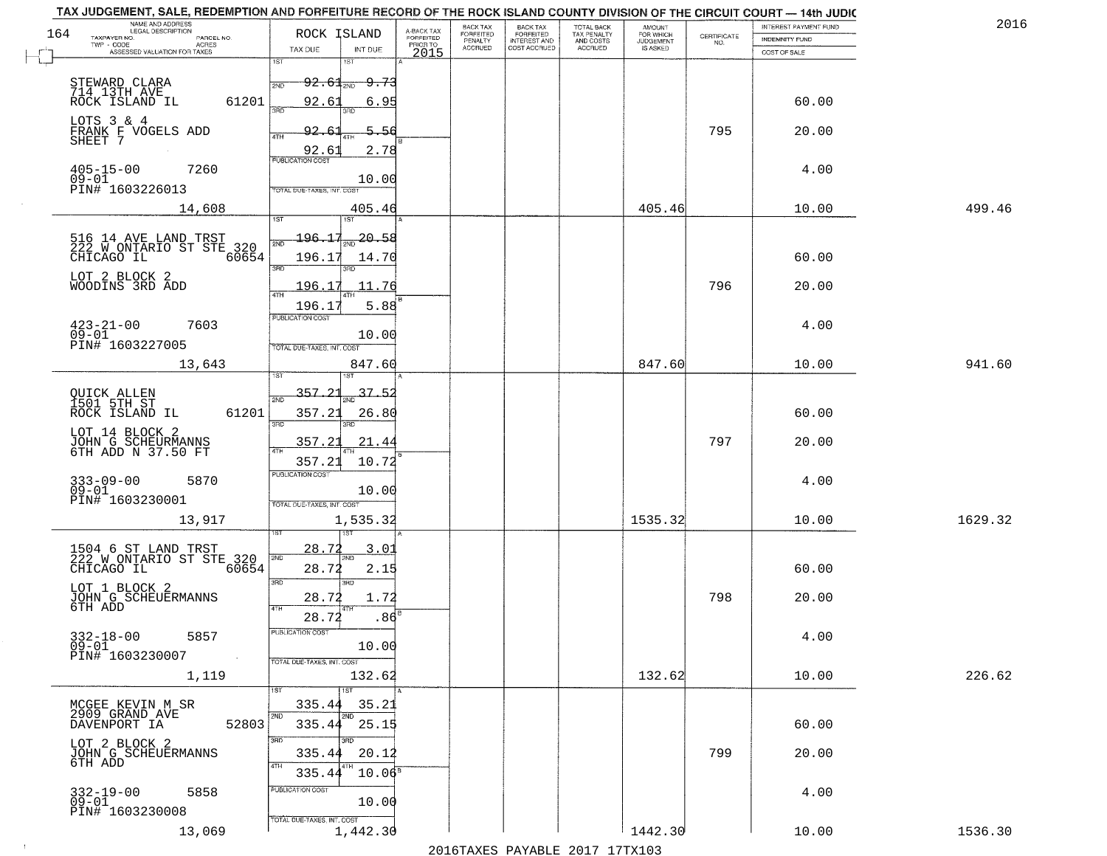| TAX JUDGEMENT, SALE, REDEMPTION AND FORFEITURE RECORD OF THE ROCK ISLAND COUNTY DIVISION OF THE CIRCUIT COURT - 14th JUDIC<br>NAME AND ADDRESS<br>LEGAL DESCRIPTION |                                   |                  |                                     | BACK TAX             |                                       |                                        |                                         |                                                                 | INTEREST PAYMENT FUND | 2016    |
|---------------------------------------------------------------------------------------------------------------------------------------------------------------------|-----------------------------------|------------------|-------------------------------------|----------------------|---------------------------------------|----------------------------------------|-----------------------------------------|-----------------------------------------------------------------|-----------------------|---------|
| 164<br>TAXPAYER NO.<br>PARCEL NO.                                                                                                                                   | ROCK ISLAND                       |                  | A-BACK TAX<br>FORFEITED<br>PRIOR TO | FORFEITED<br>PENALTY | BACK TAX<br>FORFEITED<br>INTEREST AND | TOTAL BACK<br>TAX PENALTY<br>AND COSTS | AMOUNT<br>FOR WHICH<br><b>JUDGEMENT</b> | $\begin{array}{c} \text{CEPTIFICATE} \\ \text{NO.} \end{array}$ | <b>INDEMNITY FUND</b> |         |
| TWP - CODE<br>ACRES<br>ASSESSED VALUATION FOR TAXES                                                                                                                 | TAX DUE                           | INT DUE          | 2015                                | <b>ACCRUED</b>       | COST ACCRUED                          | <b>ACCRUED</b>                         | IS ASKED                                |                                                                 | COST OF SALE          |         |
|                                                                                                                                                                     | 1ST                               | 1ST              |                                     |                      |                                       |                                        |                                         |                                                                 |                       |         |
| STEWARD CLARA                                                                                                                                                       | $92.61_{20}$<br>2ND               | <del>9.73</del>  |                                     |                      |                                       |                                        |                                         |                                                                 |                       |         |
| 714 13TH AVE<br>ROCK ISLAND IL<br>61201                                                                                                                             | 92.61                             | 6.95             |                                     |                      |                                       |                                        |                                         |                                                                 | 60.00                 |         |
| LOTS 3 & 4                                                                                                                                                          | 355                               | $3\overline{BD}$ |                                     |                      |                                       |                                        |                                         |                                                                 |                       |         |
| FRANK F VOGELS ADD<br>SHEET 7                                                                                                                                       | 92.6<br>4TH                       | 5.56             |                                     |                      |                                       |                                        |                                         | 795                                                             | 20.00                 |         |
|                                                                                                                                                                     | 92.61                             | 2.78             |                                     |                      |                                       |                                        |                                         |                                                                 |                       |         |
| $405 - 15 - 00$<br>7260                                                                                                                                             |                                   |                  |                                     |                      |                                       |                                        |                                         |                                                                 | 4.00                  |         |
| $09 - 01$<br>PIN# 1603226013                                                                                                                                        | TOTAL DUE-TAXES, INT. COST        | 10.00            |                                     |                      |                                       |                                        |                                         |                                                                 |                       |         |
|                                                                                                                                                                     |                                   |                  |                                     |                      |                                       |                                        |                                         |                                                                 |                       |         |
| 14,608                                                                                                                                                              | 1ST                               | 405.46<br>1ST    |                                     |                      |                                       |                                        | 405.46                                  |                                                                 | 10.00                 | 499.46  |
|                                                                                                                                                                     | <del>196.17</del>                 | 20.58            |                                     |                      |                                       |                                        |                                         |                                                                 |                       |         |
| 516 14 AVE LAND TRST<br>222 W ONTARIO ST STE 320<br>60654                                                                                                           | 2ND                               |                  |                                     |                      |                                       |                                        |                                         |                                                                 | 60.00                 |         |
| CHICAGO IL                                                                                                                                                          | 196.17<br>$\overline{3BD}$        | 14.70<br>3RD     |                                     |                      |                                       |                                        |                                         |                                                                 |                       |         |
| LOT 2 BLOCK 2<br>WOODINS 3RD ADD                                                                                                                                    | 196.17                            | 11.76            |                                     |                      |                                       |                                        |                                         | 796                                                             | 20.00                 |         |
|                                                                                                                                                                     | $\overline{ATH}$<br>196.17        | 5.88             |                                     |                      |                                       |                                        |                                         |                                                                 |                       |         |
|                                                                                                                                                                     | PUBLICATION COST                  |                  |                                     |                      |                                       |                                        |                                         |                                                                 |                       |         |
| $423 - 21 - 00$<br>7603<br>$09 - 01$                                                                                                                                |                                   | 10.00            |                                     |                      |                                       |                                        |                                         |                                                                 | 4.00                  |         |
| PIN# 1603227005                                                                                                                                                     | TOTAL DUE-TAXES, INT. COST        |                  |                                     |                      |                                       |                                        |                                         |                                                                 |                       |         |
| 13,643                                                                                                                                                              | ist                               | 847.60<br>181    |                                     |                      |                                       |                                        | 847.60                                  |                                                                 | 10.00                 | 941.60  |
|                                                                                                                                                                     | 357.21                            |                  |                                     |                      |                                       |                                        |                                         |                                                                 |                       |         |
| QUICK ALLEN<br>1501 5TH ST                                                                                                                                          | 2ND                               | 37.              |                                     |                      |                                       |                                        |                                         |                                                                 |                       |         |
| ROCK ISLAND IL<br>61201                                                                                                                                             | 357.21<br>3BD                     | 26.80<br>3RD     |                                     |                      |                                       |                                        |                                         |                                                                 | 60.00                 |         |
| LOT 14 BLOCK 2                                                                                                                                                      | 357.21                            | 21.4             |                                     |                      |                                       |                                        |                                         | 797                                                             | 20.00                 |         |
| JOHN G SCHEURMANNS<br>6TH ADD N 37.50 FT                                                                                                                            | 4TH                               |                  |                                     |                      |                                       |                                        |                                         |                                                                 |                       |         |
|                                                                                                                                                                     | 357.21<br><b>PUBLICATION COST</b> | 10.72            |                                     |                      |                                       |                                        |                                         |                                                                 |                       |         |
| $333 - 09 - 00$<br>5870<br>$09 - 01$                                                                                                                                |                                   | 10.00            |                                     |                      |                                       |                                        |                                         |                                                                 | 4.00                  |         |
| PIN# 1603230001                                                                                                                                                     | TOTAL OUE-TAXES, INT. COST        |                  |                                     |                      |                                       |                                        |                                         |                                                                 |                       |         |
| 13,917                                                                                                                                                              |                                   | 1,535.32         |                                     |                      |                                       |                                        | 1535.32                                 |                                                                 | 10.00                 | 1629.32 |
|                                                                                                                                                                     |                                   |                  |                                     |                      |                                       |                                        |                                         |                                                                 |                       |         |
| 1504 6 ST LAND TRST<br>222 W ONTARIO ST STE 320                                                                                                                     | 28.72<br>2ND                      | 3.01<br>'ND      |                                     |                      |                                       |                                        |                                         |                                                                 |                       |         |
| CHICAGO IL<br>60654                                                                                                                                                 | 28.72                             | 2.15             |                                     |                      |                                       |                                        |                                         |                                                                 | 60.00                 |         |
| LOT 1 BLOCK 2                                                                                                                                                       | 3 <sub>BD</sub>                   | 3RD              |                                     |                      |                                       |                                        |                                         |                                                                 |                       |         |
| JOHN G SCHEUERMANNS<br>6TH ADD                                                                                                                                      | 28.72<br>4TH                      | 1.72             |                                     |                      |                                       |                                        |                                         | 798                                                             | 20.00                 |         |
|                                                                                                                                                                     | 28.72                             | .86              |                                     |                      |                                       |                                        |                                         |                                                                 |                       |         |
| $332 - 18 - 00$<br>5857                                                                                                                                             | "UBLICA HUN CUS                   |                  |                                     |                      |                                       |                                        |                                         |                                                                 | 4.00                  |         |
| $09 - 01$<br>PIN# 1603230007<br>$\sim 100$ km $^{-1}$                                                                                                               | TOTAL DUE-TAXES, INT. COST        | 10.00            |                                     |                      |                                       |                                        |                                         |                                                                 |                       |         |
| 1,119                                                                                                                                                               |                                   | 132.62           |                                     |                      |                                       |                                        | 132.62                                  |                                                                 | 10.00                 | 226.62  |
|                                                                                                                                                                     |                                   | 1ST              |                                     |                      |                                       |                                        |                                         |                                                                 |                       |         |
| MCGEE KEVIN M SR                                                                                                                                                    | 335.44                            | 35.21            |                                     |                      |                                       |                                        |                                         |                                                                 |                       |         |
| 2909 GRAND AVE<br>52803<br>DAVENPORT IA                                                                                                                             | 2ND<br>335.44                     | 2ND<br>25.15     |                                     |                      |                                       |                                        |                                         |                                                                 | 60.00                 |         |
| LOT 2 BLOCK 2                                                                                                                                                       | 3RD                               |                  |                                     |                      |                                       |                                        |                                         |                                                                 |                       |         |
| JOHN G SCHEUERMANNS                                                                                                                                                 | 335.44                            | 20.12            |                                     |                      |                                       |                                        |                                         | 799                                                             | 20.00                 |         |
| 6TH ADD                                                                                                                                                             | 4TH<br>335.44                     | 4TH<br>$10.06^8$ |                                     |                      |                                       |                                        |                                         |                                                                 |                       |         |
| 5858                                                                                                                                                                | PUBLICATION COST                  |                  |                                     |                      |                                       |                                        |                                         |                                                                 | 4.00                  |         |
| 332-19-00<br>09-01<br>PIN# 1603230008                                                                                                                               |                                   | 10.00            |                                     |                      |                                       |                                        |                                         |                                                                 |                       |         |
|                                                                                                                                                                     | TOTAL DUE-TAXES, INT. COST        | 1,442.30         |                                     |                      |                                       |                                        | 1442.30                                 |                                                                 |                       | 1536.30 |
| 13,069                                                                                                                                                              |                                   |                  |                                     |                      |                                       |                                        |                                         |                                                                 | 10.00                 |         |

 $\sim 10^{-1}$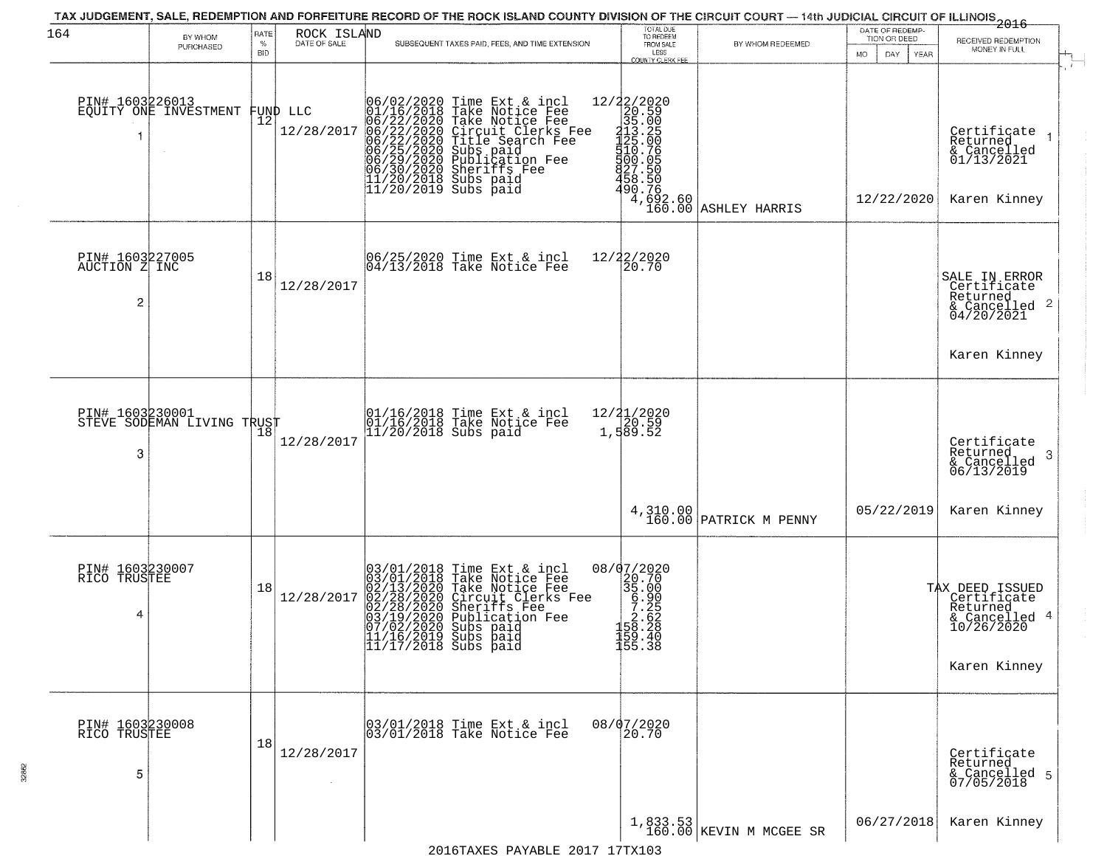| 164                                   | BY WHOM<br>PURCHASED       | RATE<br>%<br><b>BID</b> | ROCK ISLAND<br>DATE OF SALE | TAX JUDGEMENT, SALE, REDEMPTION AND FORFEITURE RECORD OF THE ROCK ISLAND COUNTY DIVISION OF THE CIRCUIT COURT — 14th JUDICIAL CIRCUIT OF ILLINOIS 2016<br>SUBSEQUENT TAXES PAID, FEES, AND TIME EXTENSION                                                  | TOTAL DUE<br>TO REDEEM<br>FROM SALE<br>LESS<br>COUNTY CLERK FEE                                                                       | BY WHOM REDEEMED                      | DATE OF REDEMP-<br>TION OR DEED<br>DAY<br>MO.<br><b>YEAR</b> | RECEIVED REDEMPTION<br>MONEY IN FULL                                                      |
|---------------------------------------|----------------------------|-------------------------|-----------------------------|------------------------------------------------------------------------------------------------------------------------------------------------------------------------------------------------------------------------------------------------------------|---------------------------------------------------------------------------------------------------------------------------------------|---------------------------------------|--------------------------------------------------------------|-------------------------------------------------------------------------------------------|
| PIN# 1603226013                       | EQUITY ONE INVESTMENT      | 12                      | FUND LLC<br>12/28/2017      | 06/02/2020 Time Ext & incl<br>01/16/2018 Take Notice Fee<br>06/22/2020 Take Notice Fee<br>06/22/2020 Circuit Clerks Fee<br>06/22/2020 Title Search Fee<br>06/25/2020 Subs paid<br>06/29/2020 Sheriffs Fee<br>06/30/2020 Sheriffs Fee<br>11/20/2018 Su      | 12/22/2020<br>20.59<br>315.05<br>315.05<br>425.0655<br>458.506<br>458.506<br>490.7692<br>490.7692<br>490.7692<br>$4,692.60$<br>160.00 | ASHLEY HARRIS                         | 12/22/2020                                                   | Certificate<br>Returned<br>& Cancelled<br>01/13/2021<br>Karen Kinney                      |
| PIN# 1603227005<br>AUCTION Z INC<br>2 |                            | 18                      | 12/28/2017                  | 06/25/2020 Time Ext & incl<br>04/13/2018 Take Notice Fee                                                                                                                                                                                                   | 12/22/2020<br>30.70                                                                                                                   |                                       |                                                              | SALE IN ERROR<br>Certificate<br>Returned<br>& Cancelled 2<br>04/20/2021<br>Karen Kinney   |
| PIN# 1603230001<br>3                  | STEVE SODEMAN LIVING TRUST |                         | 12/28/2017                  | 01/16/2018 Time Ext & incl<br>01/16/2018 Take Notice Fee<br>11/20/2018 Subs paid                                                                                                                                                                           | 12/21/2020<br>20.59<br>1, 589.52                                                                                                      |                                       |                                                              | Certificate<br>Returned<br>-3<br>& Cancelled<br>06/13/2019                                |
|                                       |                            |                         |                             |                                                                                                                                                                                                                                                            |                                                                                                                                       | 4,310.00<br>160.00 PATRICK M PENNY    | 05/22/2019                                                   | Karen Kinney                                                                              |
| PIN# 1603230007<br>RICO TRUSTEE<br>4  |                            | 18                      | 12/28/2017                  | $03/01/2018$ Time Ext & incl<br>03/01/2018 Take Notice Fee<br>02/13/2020 Take Notice Fee<br>02/28/2020 Circuit Clerks Fee<br>02/28/2020 Sheriffs Fee<br>03/19/2020 Publication Fee<br>07/02/2020 Subs paid<br>11/16/2019 Subs paid<br>11/17/2018 Subs paid | 08/07/2020<br>$\begin{matrix} 20.700 \\ 35.000 \\ 56.226 \\ 7.28 \\ 1.58 \\ 1.58 \end{matrix}$<br>159.40<br>155.38                    |                                       |                                                              | TAX DEED ISSUED<br>Certificate<br>Returned<br>& Cancelled 4<br>10/26/2020<br>Karen Kinney |
| PIN# 1603230008<br>RICO TRUSTEE<br>5  |                            | 18                      | 12/28/2017                  | 03/01/2018 Time Ext & incl<br>03/01/2018 Take Notice Fee                                                                                                                                                                                                   | 08/07/2020<br>20.70                                                                                                                   |                                       |                                                              | Certificate<br>Returned<br>& Cancelled 5<br>07/05/2018                                    |
|                                       |                            |                         |                             |                                                                                                                                                                                                                                                            |                                                                                                                                       | $1,833.53$<br>160.00 KEVIN M MCGEE SR | 06/27/2018                                                   | Karen Kinney                                                                              |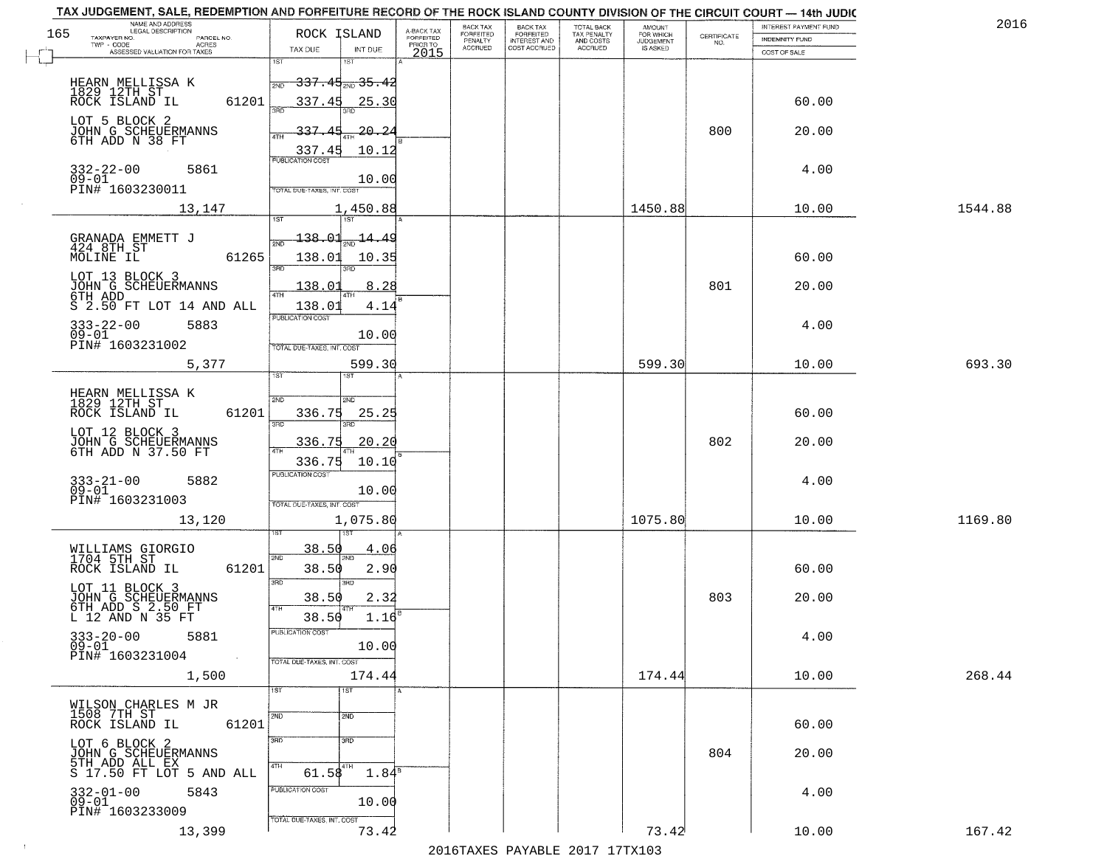| 2016    | INTEREST PAYMENT FUND |                                                                 |                                         |                                        | <b>BACK TAX</b>           | <b>BACK TAX</b>      |                                     |                                              |                                                                 | TAX JUDGEMENT, SALE, REDEMPTION AND FORFEITURE RECORD OF THE ROCK ISLAND COUNTY DIVISION OF THE CIRCUIT COURT - 14th JUDIC<br>NAME AND ADDRESS<br>LEGAL DESCRIPTION |                                                                                                                                     |
|---------|-----------------------|-----------------------------------------------------------------|-----------------------------------------|----------------------------------------|---------------------------|----------------------|-------------------------------------|----------------------------------------------|-----------------------------------------------------------------|---------------------------------------------------------------------------------------------------------------------------------------------------------------------|-------------------------------------------------------------------------------------------------------------------------------------|
|         | <b>INDEMNITY FUND</b> | $\begin{array}{c} \text{CERTIFICATE} \\ \text{NO.} \end{array}$ | AMOUNT<br>FOR WHICH<br><b>JUDGEMENT</b> | TOTAL BACK<br>TAX PENALTY<br>AND COSTS | FORFEITED<br>INTEREST AND | FORFEITED<br>PENALTY | A-BACK TAX<br>FORFEITED<br>PRIOR TO |                                              | ROCK ISLAND                                                     | PARCEL NO.                                                                                                                                                          | 165<br>TAXPAYER NO.                                                                                                                 |
|         | COST OF SALE          |                                                                 | IS ASKED                                | ACCRUED                                | COST ACCRUED              | <b>ACCRUED</b>       | 2015                                | INT DUE                                      | TAX DUE                                                         | ACRES<br>ASSESSED VALUATION FOR TAXES                                                                                                                               |                                                                                                                                     |
|         |                       |                                                                 |                                         |                                        |                           |                      |                                     | <del>337.45,,,35.42</del>                    | 1ST<br>2ND                                                      |                                                                                                                                                                     | HEARN MELLISSA K<br>1829 12TH ST<br>ROCK ISLAND IL                                                                                  |
|         | 60.00<br>20.00        | 800                                                             |                                         |                                        |                           |                      |                                     | 25.30<br><u>20.24</u>                        | 337.45<br>337.45                                                | 61201                                                                                                                                                               | LOT 5 BLOCK 2<br>JOHN G SCHEUERMANNS<br>6TH ADD N 38 FT                                                                             |
|         | 4.00                  |                                                                 |                                         |                                        |                           |                      |                                     | 10.12<br>10.00                               | $\frac{337.45}{FUBLICATION COST}$<br>TOTAL DUE-TAXES, INT. COST | 5861                                                                                                                                                                | 332-22-00<br>09-01<br>PIN# 1603230011                                                                                               |
| 1544.88 | 10.00                 |                                                                 | 1450.88                                 |                                        |                           |                      |                                     | 1,450.88                                     |                                                                 | 13,147                                                                                                                                                              |                                                                                                                                     |
|         | 60.00<br>20.00        | 801                                                             |                                         |                                        |                           |                      |                                     | $\frac{14.49}{200}$<br>10.35<br>3BD.<br>8.28 | 138.01<br>138.01<br>38D<br>138.01                               | 61265                                                                                                                                                               | GRANADA EMMETT J<br>424 8TH ST<br>MOLINE IL<br>LOT 13 BLOCK 3<br>JOHN G SCHEUERMANNS<br>6TH ADD                                     |
|         | 4.00                  |                                                                 |                                         |                                        |                           |                      |                                     | 4.14<br>10.00                                | 138.01<br>PUBLICATION COST<br>TOTAL DUE-TAXES, INT. COST        | S 2.50 FT LOT 14 AND ALL<br>5883                                                                                                                                    | $333 - 22 - 00$<br>$09 - 01$<br>PIN# 1603231002                                                                                     |
| 693.30  | 10.00                 |                                                                 | 599.30                                  |                                        |                           |                      |                                     | 599.30<br>1ST                                | 1ST                                                             | 5,377                                                                                                                                                               |                                                                                                                                     |
|         | 60.00<br>20.00        | 802                                                             |                                         |                                        |                           |                      |                                     | 2ND<br>25.25<br>3RD.<br>20.20<br>10.10       | 2ND<br>336.75<br>3RD<br>336.75<br>$\overline{AT}$<br>336.75     | 61201                                                                                                                                                               | HEARN MELLISSA K<br>1829 12TH ST<br>ROCK ISLAND IL<br>LOT 12 BLOCK 3<br>JOHN G SCHEUERMANNS<br>6TH ADD N 37.50 FT                   |
| 1169.80 | 4.00<br>10.00         |                                                                 | 1075.80                                 |                                        |                           |                      |                                     | 10.00<br>1,075.80                            | <b>PUBLICATION COST</b><br>TOTAL OUE-TAXES, INT. COST           | 5882<br>13,120                                                                                                                                                      | 333-21-00<br>09-01<br>PIN# 1603231003                                                                                               |
|         | 60.00<br>20.00        | 803                                                             |                                         |                                        |                           |                      |                                     | 4.06<br>2.90<br>3RD<br>2.32<br>1.16          | 38.50<br>2ND<br>38.50<br>3RD<br>38.50<br>4TH<br>38.50           | 61201                                                                                                                                                               | WILLIAMS GIORGIO<br>1704 5TH ST<br>ROCK ISLAND IL<br>LOT 11 BLOCK 3<br>JOHN G SCHEUERMANNS<br>6TH ADD S 2.50 FT<br>L 12 AND N 35 FT |
|         | 4.00                  |                                                                 |                                         |                                        |                           |                      |                                     | 10.00                                        | "UBLICA HUN CUS<br>TOTAL DUE-TAXES, INT. COST                   | 5881<br><b>Contract</b>                                                                                                                                             | $333 - 20 - 00$<br>$09 - 01$<br>PIN# 1603231004                                                                                     |
| 268.44  | 10.00                 |                                                                 | 174.44                                  |                                        |                           |                      |                                     | 174.44<br>1ST                                | 1ST                                                             | 1,500                                                                                                                                                               |                                                                                                                                     |
|         | 60.00                 |                                                                 |                                         |                                        |                           |                      |                                     | 2ND                                          | 2ND                                                             | 61201                                                                                                                                                               | WILSON CHARLES M JR<br>1508 7TH ST<br>ROCK ISLAND IL                                                                                |
|         | 20.00                 | 804                                                             |                                         |                                        |                           |                      |                                     | 3RD<br>$1.84^{\overline{8}}$                 | 3RD<br>4TH<br>$61.58^{4TH}$                                     | S 17.50 FT LOT 5 AND ALL                                                                                                                                            | LOT 6 BLOCK 2<br>JOHN G SCHEUERMANNS<br>5TH ADD ALL EX                                                                              |
|         | 4.00                  |                                                                 |                                         |                                        |                           |                      |                                     | 10.00                                        | PUBLICATION COST<br>TOTAL DUE-TAXES, INT. COST                  | 5843                                                                                                                                                                | $332 - 01 - 00$<br>$09-01$<br>PIN# 1603233009                                                                                       |
| 167.42  | 10.00                 |                                                                 | 73.42                                   |                                        |                           |                      |                                     | 73.42                                        |                                                                 | 13,399                                                                                                                                                              |                                                                                                                                     |

 $\sim 100$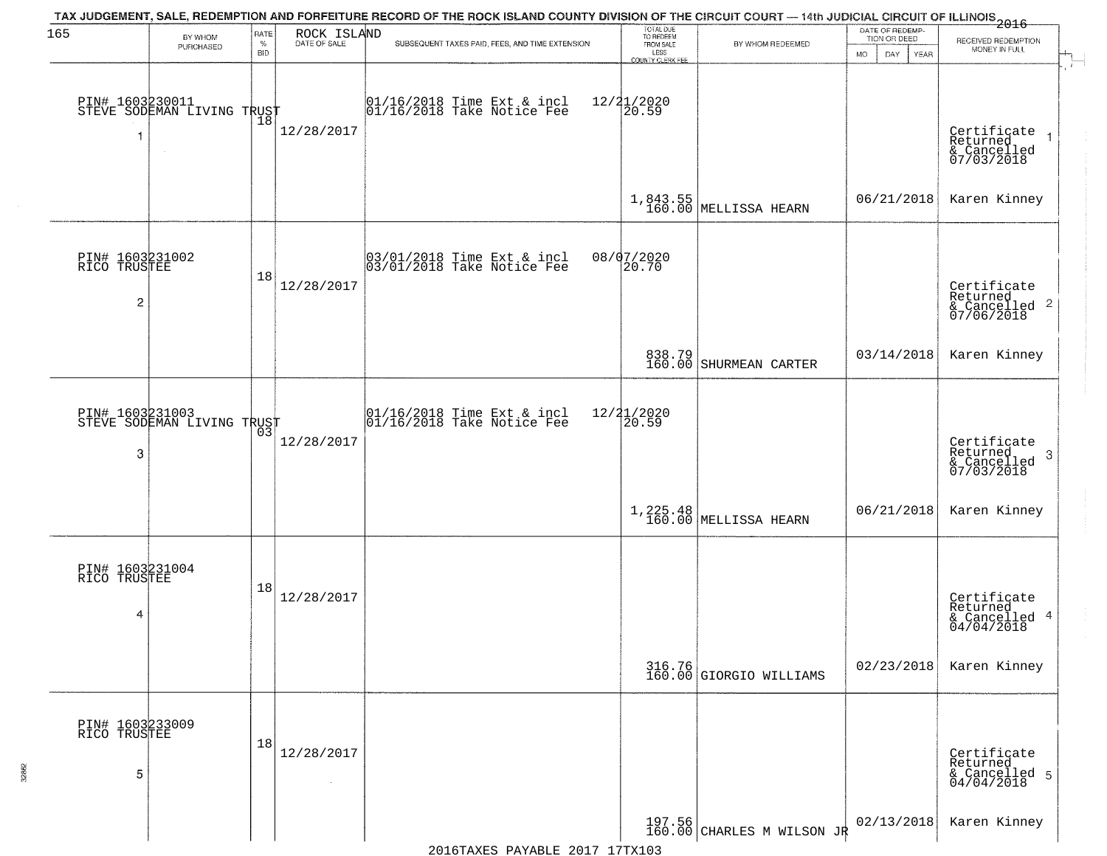| 165                                  | BY WHOM                                       | RATE               | ROCK ISLAND<br>DATE OF SALE | TAX JUDGEMENT, SALE, REDEMPTION AND FORFEITURE RECORD OF THE ROCK ISLAND COUNTY DIVISION OF THE CIRCUIT COURT — 14th JUDICIAL CIRCUIT OF ILLINOIS 2016 | TOTAL DUE<br>TO REDEEM<br>FROM SALE |                                    | DATE OF REDEMP-<br>TION OR DEED |                                                         |
|--------------------------------------|-----------------------------------------------|--------------------|-----------------------------|--------------------------------------------------------------------------------------------------------------------------------------------------------|-------------------------------------|------------------------------------|---------------------------------|---------------------------------------------------------|
|                                      | PURCHASED                                     | $\%$<br><b>BID</b> |                             | SUBSEQUENT TAXES PAID, FEES, AND TIME EXTENSION                                                                                                        | LESS<br>COUNTY CLERK FEE            | BY WHOM REDEEMED                   | <b>MO</b><br>DAY<br><b>YEAR</b> | RECEIVED REDEMPTION<br>MONEY IN FULL                    |
|                                      | PIN# 1603230011<br>STEVE SODEMAN LIVING TRUST |                    | 12/28/2017                  | 01/16/2018 Time Ext & incl<br>01/16/2018 Take Notice Fee                                                                                               | 12/21/2020<br>20.59                 |                                    |                                 | Certificate<br>Returned<br>& Cancelled<br>07/03/2018    |
|                                      |                                               |                    |                             |                                                                                                                                                        |                                     | 1,843.55<br>160.00 MELLISSA HEARN  | 06/21/2018                      | Karen Kinney                                            |
| PIN# 1603231002<br>RICO TRUSTEE<br>2 |                                               | 18                 | 12/28/2017                  | 03/01/2018 Time Ext & incl<br>03/01/2018 Take Notice Fee                                                                                               | 08/07/2020<br>20.70                 |                                    |                                 | Certificate<br>Returned<br>& Cancelled 2<br>07/06/2018  |
|                                      |                                               |                    |                             |                                                                                                                                                        |                                     | 838.79 SHURMEAN CARTER             | 03/14/2018                      | Karen Kinney                                            |
| 3                                    | PIN# 1603231003<br>STEVE SODEMAN LIVING TRUST | 03                 | 12/28/2017                  | 01/16/2018 Time Ext & incl<br>01/16/2018 Take Notice Fee                                                                                               | 12/21/2020<br>20.59                 |                                    |                                 | Certificate<br>Returned<br>-3<br>$\frac{2}{07/03/2018}$ |
|                                      |                                               |                    |                             |                                                                                                                                                        |                                     | 1, 225.48<br>160.00 MELLISSA HEARN | 06/21/2018                      | Karen Kinney                                            |
| PIN# 1603231004<br>RICO TRUSTEE<br>4 |                                               | 18                 | 12/28/2017                  |                                                                                                                                                        |                                     |                                    |                                 | Certificate<br>Returned<br>& Cancelled 4<br>04/04/2018  |
|                                      |                                               |                    |                             |                                                                                                                                                        |                                     | 316.76<br>160.00 GIORGIO WILLIAMS  | 02/23/2018                      | Karen Kinney                                            |
| PIN# 1603233009<br>RICO TRUSTEE<br>5 |                                               | 18                 | 12/28/2017<br>$\sim$        |                                                                                                                                                        |                                     |                                    |                                 | Certificate<br>Returned<br>& Cancelled 5<br>04/04/2018  |
|                                      |                                               |                    |                             |                                                                                                                                                        |                                     | $197.56$ CHARLES M WILSON JR       | 02/13/2018                      | Karen Kinney                                            |

32862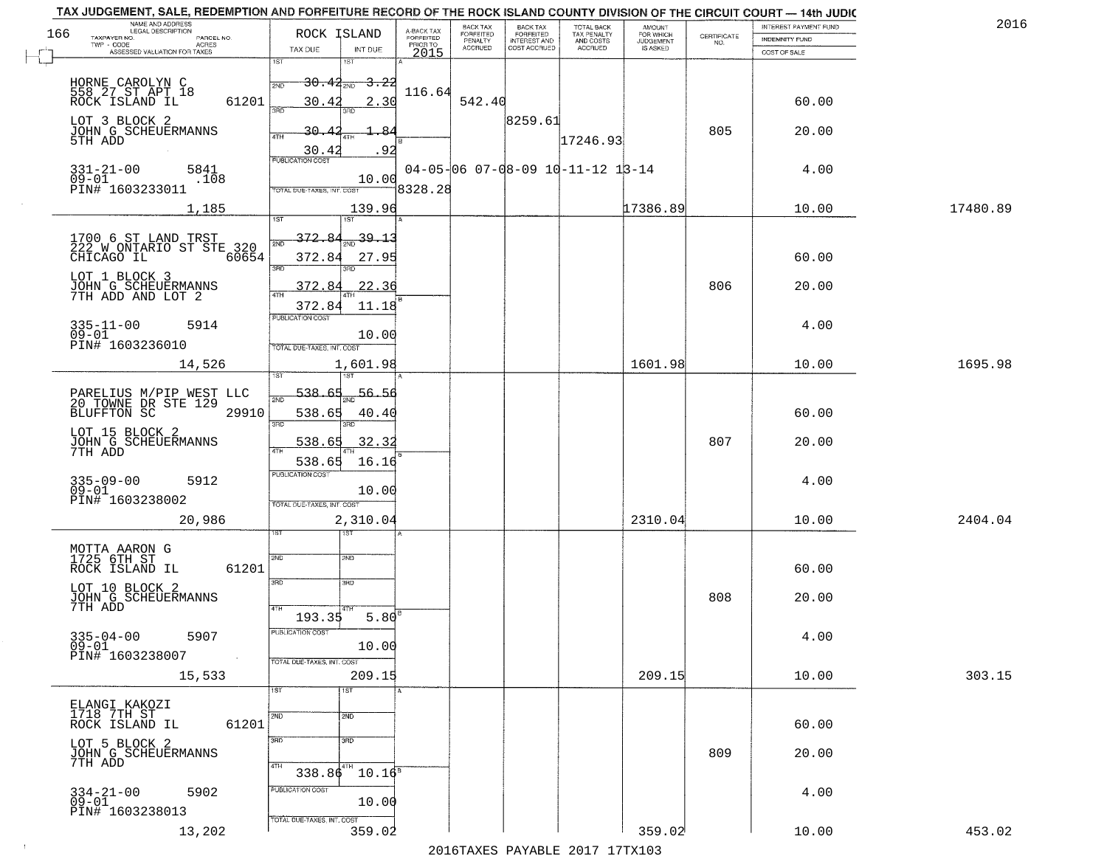|     | TAX JUDGEMENT, SALE, REDEMPTION AND FORFEITURE RECORD OF THE ROCK ISLAND COUNTY DIVISION OF THE CIRCUIT COURT - 14th JUDIC<br>NAME AND ADDRESS<br>LEGAL DESCRIPTION |                                         |                         | BACK TAX                    |                                       |                                          |                                         |                                                                 | INTEREST PAYMENT FUND | 2016     |
|-----|---------------------------------------------------------------------------------------------------------------------------------------------------------------------|-----------------------------------------|-------------------------|-----------------------------|---------------------------------------|------------------------------------------|-----------------------------------------|-----------------------------------------------------------------|-----------------------|----------|
| 166 | TAXPAYER NO.<br>PARCEL NO.                                                                                                                                          | ROCK ISLAND                             | A-BACK TAX<br>FORFEITED | <b>FORFEITED</b><br>PENALTY | BACK TAX<br>FORFEITED<br>INTEREST AND | TOTAL BACK<br>TAX PENALTY<br>AND COSTS   | AMOUNT<br>FOR WHICH<br><b>JUDGEMENT</b> | $\begin{array}{c} \text{CERTIFICATE} \\ \text{NO.} \end{array}$ | INDEMNITY FUND        |          |
|     | ACRES<br>ASSESSED VALUATION FOR TAXES                                                                                                                               | TAX DUE<br>INT DUE                      | PRIOR TO<br>2015        | <b>ACCRUED</b>              | COST ACCRUED                          | <b>ACCRUED</b>                           | IS ASKED                                |                                                                 | COST OF SALE          |          |
|     |                                                                                                                                                                     | 1ST<br>1ST                              |                         |                             |                                       |                                          |                                         |                                                                 |                       |          |
|     |                                                                                                                                                                     | $30.44_{200}$<br><del>3.22</del><br>2ND |                         |                             |                                       |                                          |                                         |                                                                 |                       |          |
|     | HORNE CAROLYN C<br>558 27 ST APT 18                                                                                                                                 |                                         | 116.64                  |                             |                                       |                                          |                                         |                                                                 |                       |          |
|     | 61201<br>ROCK ISLAND IL                                                                                                                                             | 30.42<br>2.30<br>350                    |                         | 542.40                      |                                       |                                          |                                         |                                                                 | 60.00                 |          |
|     | LOT 3 BLOCK 2                                                                                                                                                       |                                         |                         |                             | 8259.61                               |                                          |                                         |                                                                 |                       |          |
|     | JOHN G SCHEUERMANNS<br>5TH ADD                                                                                                                                      | 30.42<br>ىھ                             |                         |                             |                                       | 17246.93                                 |                                         | 805                                                             | 20.00                 |          |
|     |                                                                                                                                                                     | .92<br>$\frac{30.42}{FUBUCATON COST}$   |                         |                             |                                       |                                          |                                         |                                                                 |                       |          |
|     | 5841                                                                                                                                                                |                                         |                         |                             |                                       | $04-05-06$ $07-08-09$ $10-11-12$ $13-14$ |                                         |                                                                 | 4.00                  |          |
|     | $331 - 21 - 00$<br>09-01<br>.108                                                                                                                                    | 10.00                                   |                         |                             |                                       |                                          |                                         |                                                                 |                       |          |
|     | PIN# 1603233011                                                                                                                                                     | TOTAL DUE-TAXES, INT. COST              | 8328.28                 |                             |                                       |                                          |                                         |                                                                 |                       |          |
|     | 1,185                                                                                                                                                               | 139.96                                  |                         |                             |                                       |                                          | 17386.89                                |                                                                 | 10.00                 | 17480.89 |
|     |                                                                                                                                                                     |                                         |                         |                             |                                       |                                          |                                         |                                                                 |                       |          |
|     | 1700 6 ST LAND TRST<br>222 W ONTARIO ST STE 320                                                                                                                     | 372.84<br>$\frac{39.13}{200}$           |                         |                             |                                       |                                          |                                         |                                                                 |                       |          |
|     | 60654<br>CHICAGO IL                                                                                                                                                 | 372.84<br>27.95                         |                         |                             |                                       |                                          |                                         |                                                                 | 60.00                 |          |
|     |                                                                                                                                                                     | ਭਸ਼ਨ<br>3RD                             |                         |                             |                                       |                                          |                                         |                                                                 |                       |          |
|     | LOT 1 BLOCK 3                                                                                                                                                       | 22.36<br>372.84                         |                         |                             |                                       |                                          |                                         | 806                                                             | 20.00                 |          |
|     | JOHN G SCHEUERMANNS<br>7TH ADD AND LOT 2                                                                                                                            |                                         |                         |                             |                                       |                                          |                                         |                                                                 |                       |          |
|     |                                                                                                                                                                     | 11.18<br>372.84<br>PUBLICATION COST     |                         |                             |                                       |                                          |                                         |                                                                 |                       |          |
|     | $335 - 11 - 00$<br>5914                                                                                                                                             |                                         |                         |                             |                                       |                                          |                                         |                                                                 | 4.00                  |          |
|     | $09 - 01$<br>PIN# 1603236010                                                                                                                                        | 10.00<br>TOTAL DUE-TAXES, INT. COST     |                         |                             |                                       |                                          |                                         |                                                                 |                       |          |
|     |                                                                                                                                                                     |                                         |                         |                             |                                       |                                          |                                         |                                                                 |                       |          |
|     | 14,526                                                                                                                                                              | 1,601.98<br>1ST                         |                         |                             |                                       |                                          | 1601.98                                 |                                                                 | 10.00                 | 1695.98  |
|     |                                                                                                                                                                     | 538.<br>56.56                           |                         |                             |                                       |                                          |                                         |                                                                 |                       |          |
|     | PARELIUS M/PIP WEST LLC<br>20 TOWNE DR STE 129                                                                                                                      | 2ND                                     |                         |                             |                                       |                                          |                                         |                                                                 |                       |          |
|     | <b>BLUFFTON SC</b><br>29910                                                                                                                                         | 538.65<br>40.40<br>3RD                  |                         |                             |                                       |                                          |                                         |                                                                 | 60.00                 |          |
|     | LOT 15 BLOCK 2                                                                                                                                                      | 3RD                                     |                         |                             |                                       |                                          |                                         |                                                                 |                       |          |
|     | JOHN G SCHEUERMANNS<br>7TH ADD                                                                                                                                      | 538.65<br>32.32                         |                         |                             |                                       |                                          |                                         | 807                                                             | 20.00                 |          |
|     |                                                                                                                                                                     | 538.65<br>16.16                         |                         |                             |                                       |                                          |                                         |                                                                 |                       |          |
|     | 5912                                                                                                                                                                | <b>PUBLICATION COST</b>                 |                         |                             |                                       |                                          |                                         |                                                                 | 4.00                  |          |
|     | 335-09-00<br>09-01                                                                                                                                                  | 10.00                                   |                         |                             |                                       |                                          |                                         |                                                                 |                       |          |
|     | PIN# 1603238002                                                                                                                                                     | TOTAL OUE-TAXES, INT. COST              |                         |                             |                                       |                                          |                                         |                                                                 |                       |          |
|     | 20,986                                                                                                                                                              | 2,310.04                                |                         |                             |                                       |                                          | 2310.04                                 |                                                                 | 10.00                 | 2404.04  |
|     |                                                                                                                                                                     | ৰজা                                     |                         |                             |                                       |                                          |                                         |                                                                 |                       |          |
|     | MOTTA AARON G<br>1725 6TH ST                                                                                                                                        | 2ND<br>2ND                              |                         |                             |                                       |                                          |                                         |                                                                 |                       |          |
|     | ROCK ISLAND IL<br>61201                                                                                                                                             |                                         |                         |                             |                                       |                                          |                                         |                                                                 | 60.00                 |          |
|     | LOT 10 BLOCK 2                                                                                                                                                      | 3RD<br>3 <sub>BD</sub>                  |                         |                             |                                       |                                          |                                         |                                                                 |                       |          |
|     | JOHN G SCHEUERMANNS                                                                                                                                                 |                                         |                         |                             |                                       |                                          |                                         | 808                                                             | 20.00                 |          |
|     | 7TH ADD                                                                                                                                                             | 4TH<br>193.35<br>5.80                   |                         |                             |                                       |                                          |                                         |                                                                 |                       |          |
|     |                                                                                                                                                                     | PUBLICATION COS-                        |                         |                             |                                       |                                          |                                         |                                                                 |                       |          |
|     | $335 - 04 - 00$<br>5907<br>$09 - 01$                                                                                                                                | 10.00                                   |                         |                             |                                       |                                          |                                         |                                                                 | 4.00                  |          |
|     | PIN# 1603238007<br>$\sim 100$                                                                                                                                       | TOTAL DUE-TAXES, INT. COST              |                         |                             |                                       |                                          |                                         |                                                                 |                       |          |
|     | 15,533                                                                                                                                                              | 209.15                                  |                         |                             |                                       |                                          | 209.15                                  |                                                                 | 10.00                 | 303.15   |
|     |                                                                                                                                                                     | 1ST<br>1ST                              |                         |                             |                                       |                                          |                                         |                                                                 |                       |          |
|     | ELANGI KAKOZI                                                                                                                                                       |                                         |                         |                             |                                       |                                          |                                         |                                                                 |                       |          |
|     | 1718 7TH ST                                                                                                                                                         | 2ND<br>2ND                              |                         |                             |                                       |                                          |                                         |                                                                 |                       |          |
|     | 61201<br>ROCK ISLAND IL                                                                                                                                             |                                         |                         |                             |                                       |                                          |                                         |                                                                 | 60.00                 |          |
|     | LOT 5 BLOCK 2                                                                                                                                                       | 3RD<br>3RD                              |                         |                             |                                       |                                          |                                         | 809                                                             | 20.00                 |          |
|     | JOHN G SCHEUERMANNS<br>7TH ADD                                                                                                                                      | 4TH                                     |                         |                             |                                       |                                          |                                         |                                                                 |                       |          |
|     |                                                                                                                                                                     | $10.16^8$<br>338.86                     |                         |                             |                                       |                                          |                                         |                                                                 |                       |          |
|     | 334-21-00<br>09-01<br>5902                                                                                                                                          | PUBLICATION COST                        |                         |                             |                                       |                                          |                                         |                                                                 | 4.00                  |          |
|     | PIN# 1603238013                                                                                                                                                     | 10.00                                   |                         |                             |                                       |                                          |                                         |                                                                 |                       |          |
|     |                                                                                                                                                                     | TOTAL DUE-TAXES, INT. COST              |                         |                             |                                       |                                          |                                         |                                                                 |                       |          |
|     | 13,202                                                                                                                                                              | 359.02                                  |                         |                             |                                       |                                          | 359.02                                  |                                                                 | 10.00                 | 453.02   |
|     |                                                                                                                                                                     |                                         |                         |                             |                                       | 2016 TAVEC DAVARLE 2017 17 TV102         |                                         |                                                                 |                       |          |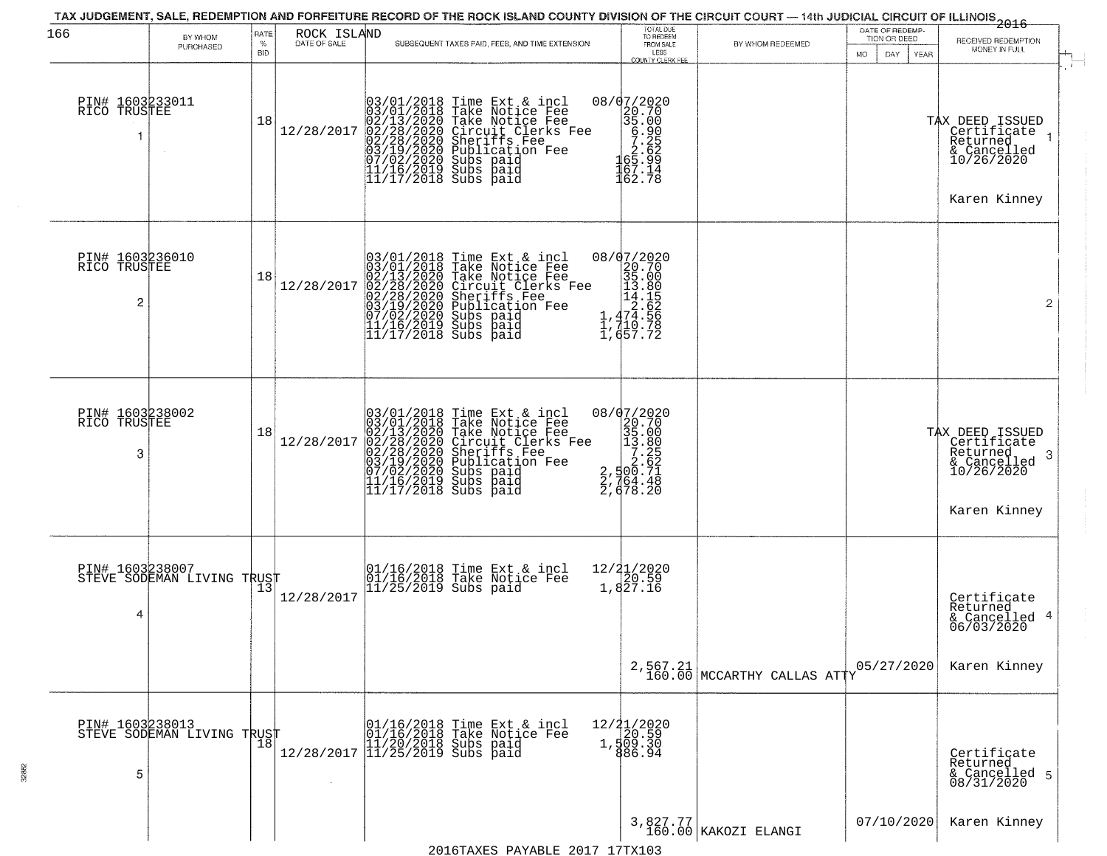| 166                                  | BY WHOM<br>PURCHASED                          | RATE<br>%<br><b>BID</b> | ROCK ISLAND<br>DATE OF SALE | SUBSEQUENT TAXES PAID, FEES, AND TIME EXTENSION                                                                                                                                                                                                | TOTAL DUE<br>TO REDEEM<br>FROM SALE<br>LESS                                                                                                    | BY WHOM REDEEMED                          | DATE OF REDEMP-<br>TION OR DEED<br><b>MO</b><br>DAY<br>YEAR | 2016<br>RECEIVED REDEMPTION<br>MONEY IN FULL                                                             |
|--------------------------------------|-----------------------------------------------|-------------------------|-----------------------------|------------------------------------------------------------------------------------------------------------------------------------------------------------------------------------------------------------------------------------------------|------------------------------------------------------------------------------------------------------------------------------------------------|-------------------------------------------|-------------------------------------------------------------|----------------------------------------------------------------------------------------------------------|
| PIN# 1603233011<br>RICO TRUSTEE      |                                               | 18                      | 12/28/2017                  | $03/01/2018$ Time Ext & incl<br>$03/01/2018$ Take Notice Fee<br>$02/13/2020$ Take Notice Fee<br>$02/28/2020$ Circuit Clerks Fee<br>$02/28/2020$ Sheriffs Fee<br>$03/19/2020$ Subs paid<br>$07/02/2020$ Subs paid<br>$11/16/2019$ Subs paid<br> | <b>COUNTY CLERK FEE</b><br>08/07/2020<br>$\begin{array}{r} 2020 \\ 20.70 \\ 35.00 \\ 67.25 \\ 26.99 \\ 167.14 \\ 167.13 \end{array}$<br>162.78 |                                           |                                                             | $\mathcal{L}$<br>TAX DEED ISSUED<br>Certificate<br>Returned<br>& Cancelled<br>10/26/2020<br>Karen Kinney |
| PIN# 1603236010<br>RICO TRUSTEE<br>2 |                                               | 18                      | 12/28/2017                  | $03/01/2018$ Time Ext & incl<br>$03/01/2018$ Take Notice Fee<br>$02/13/2020$ Take Notice Fee<br>$02/28/2020$ Circuit Clerks Fee<br>$02/28/2020$ Sheriffs Fee<br>$03/19/22020$ Subs paid<br>$11/16/2019$ Subs paid<br>$11/17/2018$ Subs paid    | ${\scriptsize \begin{array}{c} 08/97/2020 \\ 20.70 \\ 35.00 \\ 14.80 \\ 14.155 \\ 1,474.556 \\ 1,710.78 \\ 1,657.72 \end{array}}$              |                                           |                                                             | $\overline{2}$                                                                                           |
| PIN# 1603238002<br>RICO TRUSTEE<br>3 |                                               | 18                      | 12/28/2017                  | $03/01/2018$ Time Ext & incl<br>$03/01/2018$ Take Notice Fee<br>$02/13/2020$ Take Notice Fee<br>$02/28/2020$ Circuit Clerks Fee<br>$02/28/2020$ Sheriffs Fee<br>$03/19/2020$ Subs paid<br>$07/02/2020$ Subs paid<br>$11/16/2019$ Subs paid<br> | 08/07/2020                                                                                                                                     |                                           |                                                             | TAX DEED ISSUED<br>Certificate<br>Returned<br>& Cancelled<br>10/26/2020<br>-3<br>Karen Kinney            |
| PIN# 1603238007<br>4                 | STEVE SODEMAN LIVING TRUST                    | 13                      | 12/28/2017                  | 01/16/2018 Time Ext & incl<br>01/16/2018 Take Notice Fee<br>11/25/2019 Subs paid                                                                                                                                                               | 12/21/2020<br>1,827.16                                                                                                                         |                                           |                                                             | Certificate<br>Returned<br>& Cancelled 4<br>06/03/2020                                                   |
|                                      |                                               |                         |                             |                                                                                                                                                                                                                                                |                                                                                                                                                | $2,567.21$<br>160.00 MCCARTHY CALLAS ATTY | 05/27/2020                                                  | Karen Kinney                                                                                             |
| 5                                    | PIN# 1603238013<br>STEVE SODEMAN LIVING TRUST | 18                      |                             | 01/16/2018 Time Ext & incl<br>01/16/2018 Take Notice Fee<br>11/20/2018 Subs paid<br>12/28/2017 11/25/2019 Subs paid                                                                                                                            | 12/21/2020<br>30.59<br>1,509.30<br>886.94                                                                                                      |                                           |                                                             | Certificate<br>Returned<br>& Cancelled 5<br>08/31/2020                                                   |
|                                      |                                               |                         |                             | $2016$ TAVEC DAVADIE 2017 17TV102                                                                                                                                                                                                              |                                                                                                                                                | 3,827.77<br>160.00 KAKOZI ELANGI          | 07/10/2020                                                  | Karen Kinney                                                                                             |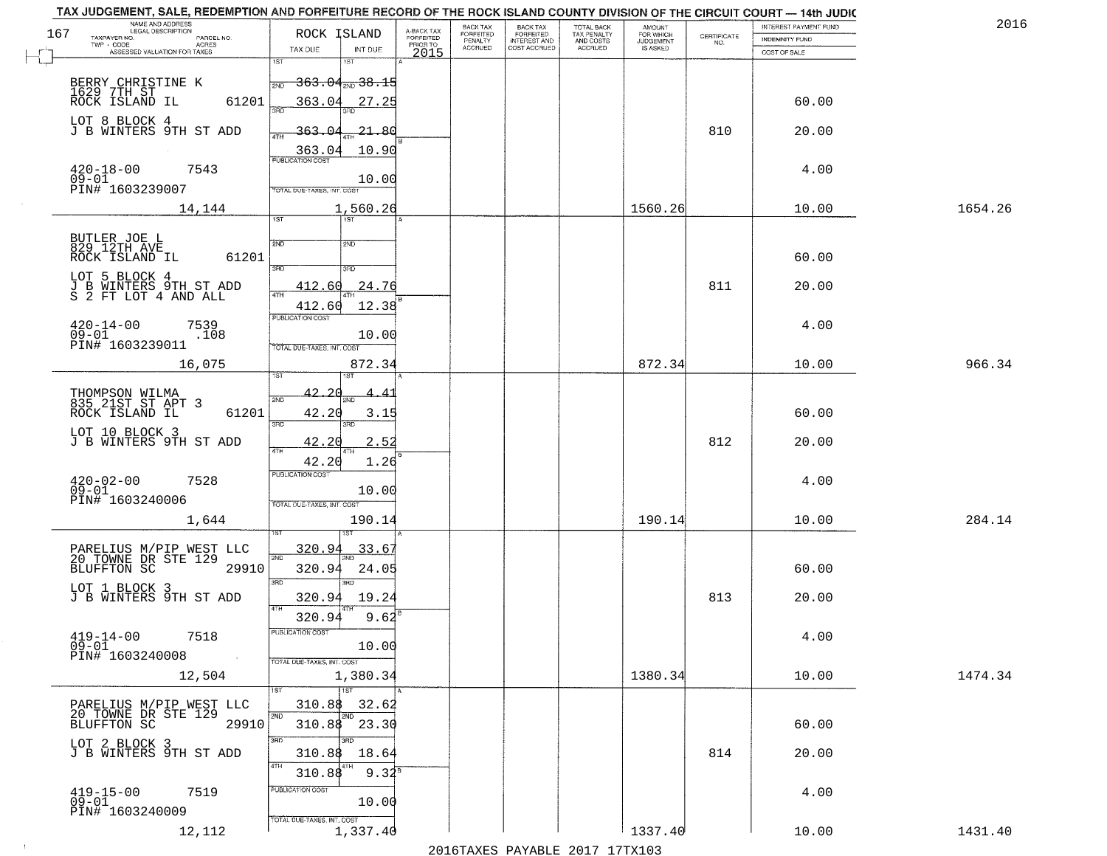|     | TAX JUDGEMENT, SALE, REDEMPTION AND FORFEITURE RECORD OF THE ROCK ISLAND COUNTY DIVISION OF THE CIRCUIT COURT - 14th JUDIC |                                        |                         | BACK TAX                  | <b>BACK TAX</b>                     |                                        |                                         |                                                                 | INTEREST PAYMENT FUND | 201     |
|-----|----------------------------------------------------------------------------------------------------------------------------|----------------------------------------|-------------------------|---------------------------|-------------------------------------|----------------------------------------|-----------------------------------------|-----------------------------------------------------------------|-----------------------|---------|
| 167 | NAME AND ADDRESS<br>LEGAL DESCRIPTION<br>PARCEL NO.                                                                        | ROCK ISLAND                            | A-BACK TAX<br>FORFEITED | FORFEITED                 | <b>FORFEITED</b>                    | TOTAL BACK<br>TAX PENALTY<br>AND COSTS | <b>AMOUNT</b><br>FOR WHICH<br>JUDGEMENT | $\begin{array}{c} \text{CERTIFICATE} \\ \text{NO.} \end{array}$ | <b>INDEMNITY FUND</b> |         |
|     | TAXPAYER NO.<br>ACRES<br>ASSESSED VALUATION FOR TAXES                                                                      | TAX DUE                                | PRIOR TO<br>INT DUE     | PENALTY<br><b>ACCRUED</b> | <b>INTEREST AND</b><br>COST ACCRUED | ACCRUED                                | IS ASKED                                |                                                                 | COST OF SALE          |         |
|     |                                                                                                                            | 1ST<br>181                             | 2015                    |                           |                                     |                                        |                                         |                                                                 |                       |         |
|     |                                                                                                                            | <del>363.04,,,38.15</del><br>2ND       |                         |                           |                                     |                                        |                                         |                                                                 |                       |         |
|     | BERRY CHRISTINE K<br>1629 7TH ST<br>ROCK ISLAND IL<br>61201                                                                | 363.04                                 |                         |                           |                                     |                                        |                                         |                                                                 | 60.00                 |         |
|     |                                                                                                                            |                                        | 27.25                   |                           |                                     |                                        |                                         |                                                                 |                       |         |
|     | LOT 8 BLOCK 4<br>J B WINTERS 9TH ST ADD                                                                                    | <u>363.04</u>                          | -21.80                  |                           |                                     |                                        |                                         | 810                                                             | 20.00                 |         |
|     |                                                                                                                            |                                        |                         |                           |                                     |                                        |                                         |                                                                 |                       |         |
|     |                                                                                                                            | 363.04<br><b>PUBLICATION COST</b>      | 10.90                   |                           |                                     |                                        |                                         |                                                                 |                       |         |
|     | $420 - 18 - 00$<br>09-01<br>7543                                                                                           |                                        | 10.00                   |                           |                                     |                                        |                                         |                                                                 | 4.00                  |         |
|     | PIN# 1603239007                                                                                                            | TOTAL DUE-TAXES, INT. COST             |                         |                           |                                     |                                        |                                         |                                                                 |                       |         |
|     | 14,144                                                                                                                     |                                        | 1,560.26                |                           |                                     |                                        | 1560.26                                 |                                                                 | 10.00                 | 1654.26 |
|     |                                                                                                                            | 1ST                                    |                         |                           |                                     |                                        |                                         |                                                                 |                       |         |
|     | BUTLER JOE L<br>829 12TH AVE                                                                                               | 2ND<br>2ND                             |                         |                           |                                     |                                        |                                         |                                                                 |                       |         |
|     | ROCK ISLAND IL<br>61201                                                                                                    |                                        |                         |                           |                                     |                                        |                                         |                                                                 | 60.00                 |         |
|     | LOT 5 BLOCK 4                                                                                                              | 3RD<br>3RD                             |                         |                           |                                     |                                        |                                         |                                                                 |                       |         |
|     | J B WINTERS 9TH ST ADD<br>S 2 FT LOT 4 AND ALL                                                                             | 412.60<br>ৰিটা                         | 24.76                   |                           |                                     |                                        |                                         | 811                                                             | 20.00                 |         |
|     |                                                                                                                            | 412.60                                 | 12.38                   |                           |                                     |                                        |                                         |                                                                 |                       |         |
|     | $420 - 14 - 00$<br>7539                                                                                                    | PUBLICATION COST                       |                         |                           |                                     |                                        |                                         |                                                                 | 4.00                  |         |
|     | $09 - 01$<br>.108                                                                                                          |                                        | 10.00                   |                           |                                     |                                        |                                         |                                                                 |                       |         |
|     | PIN# 1603239011                                                                                                            | TOTAL DUE-TAXES, INT. COST             |                         |                           |                                     |                                        |                                         |                                                                 |                       |         |
|     | 16,075                                                                                                                     | 1ST<br>1ST                             | 872.34                  |                           |                                     |                                        | 872.34                                  |                                                                 | 10.00                 | 966.34  |
|     |                                                                                                                            |                                        |                         |                           |                                     |                                        |                                         |                                                                 |                       |         |
|     | THOMPSON WILMA<br>835 21ST ST APT 3                                                                                        | <u>42.20</u><br>2ND<br><b>PNF</b>      |                         |                           |                                     |                                        |                                         |                                                                 |                       |         |
|     | ROCK ISLAND IL<br>61201                                                                                                    | 42.20<br>3RD<br>3RD                    | 3.15                    |                           |                                     |                                        |                                         |                                                                 | 60.00                 |         |
|     | LOT 10 BLOCK 3                                                                                                             |                                        |                         |                           |                                     |                                        |                                         |                                                                 |                       |         |
|     | J B WINTERS 9TH ST ADD                                                                                                     | 42.20<br>ATH<br>4TH                    | 2.52                    |                           |                                     |                                        |                                         | 812                                                             | 20.00                 |         |
|     |                                                                                                                            | 42.20                                  | 1.26                    |                           |                                     |                                        |                                         |                                                                 |                       |         |
|     | $420 - 02 - 00$<br>7528                                                                                                    | <b>PUBLICATION COST</b>                |                         |                           |                                     |                                        |                                         |                                                                 | 4.00                  |         |
|     | $09 - 01$<br>PIN# 1603240006                                                                                               | TOTAL OUE-TAXES, INT. COST             | 10.00                   |                           |                                     |                                        |                                         |                                                                 |                       |         |
|     | 1,644                                                                                                                      |                                        | 190.14                  |                           |                                     |                                        | 190.14                                  |                                                                 | 10.00                 | 284.14  |
|     |                                                                                                                            |                                        |                         |                           |                                     |                                        |                                         |                                                                 |                       |         |
|     | PARELIUS M/PIP WEST LLC<br>20 TOWNE DR STE 129                                                                             | 320.94                                 | 33.67                   |                           |                                     |                                        |                                         |                                                                 |                       |         |
|     | <b>BLUFFTON SC</b><br>29910                                                                                                | 2ND<br>320.94                          | 24.05                   |                           |                                     |                                        |                                         |                                                                 | 60.00                 |         |
|     |                                                                                                                            | 3RD<br>3BD                             |                         |                           |                                     |                                        |                                         |                                                                 |                       |         |
|     | LOT 1 BLOCK 3<br>J B WINTERS 9TH ST ADD                                                                                    | 320.94                                 | 19.24                   |                           |                                     |                                        |                                         | 813                                                             | 20.00                 |         |
|     |                                                                                                                            | 4TH<br>320.94                          | 9.62                    |                           |                                     |                                        |                                         |                                                                 |                       |         |
|     | $419 - 14 - 00$<br>7518                                                                                                    | UBLICA HUN COS-                        |                         |                           |                                     |                                        |                                         |                                                                 | 4.00                  |         |
|     | $09 - 01$                                                                                                                  |                                        | 10.00                   |                           |                                     |                                        |                                         |                                                                 |                       |         |
|     | PIN# 1603240008<br>$\sim 100$                                                                                              | TOTAL DUE-TAXES, INT. COST             |                         |                           |                                     |                                        |                                         |                                                                 |                       |         |
|     | 12,504                                                                                                                     | 1,380.34                               |                         |                           |                                     |                                        | 1380.34                                 |                                                                 | 10.00                 | 1474.34 |
|     |                                                                                                                            | $\overline{1ST}$                       |                         |                           |                                     |                                        |                                         |                                                                 |                       |         |
|     | PARELIUS M/PIP WEST LLC<br>20 TOWNE DR STE 129                                                                             | 310.88<br>2ND                          | 32.62                   |                           |                                     |                                        |                                         |                                                                 |                       |         |
|     | BLUFFTON SC<br>29910                                                                                                       | 310.88 23.30                           |                         |                           |                                     |                                        |                                         |                                                                 | 60.00                 |         |
|     | LOT 2 BLOCK 3<br>J B WINTERS 9TH ST ADD                                                                                    | 3RD<br>ाग                              |                         |                           |                                     |                                        |                                         |                                                                 |                       |         |
|     |                                                                                                                            | 310.88<br>4TH                          | 18.64                   |                           |                                     |                                        |                                         | 814                                                             | 20.00                 |         |
|     |                                                                                                                            | 310.88                                 | $9.32^8$                |                           |                                     |                                        |                                         |                                                                 |                       |         |
|     | $419 - 15 - 00$<br>7519                                                                                                    | PUBLICATION COST                       |                         |                           |                                     |                                        |                                         |                                                                 | 4.00                  |         |
|     | $09 - 01$<br>PIN# 1603240009                                                                                               |                                        | 10.00                   |                           |                                     |                                        |                                         |                                                                 |                       |         |
|     | 12,112                                                                                                                     | TOTAL DUE-TAXES, INT. COST<br>1,337.40 |                         |                           |                                     |                                        | 1337.40                                 |                                                                 | 10.00                 | 1431.40 |
|     |                                                                                                                            |                                        |                         |                           |                                     | 2016 TAVEC DAVARLE 2017 17 TV102       |                                         |                                                                 |                       |         |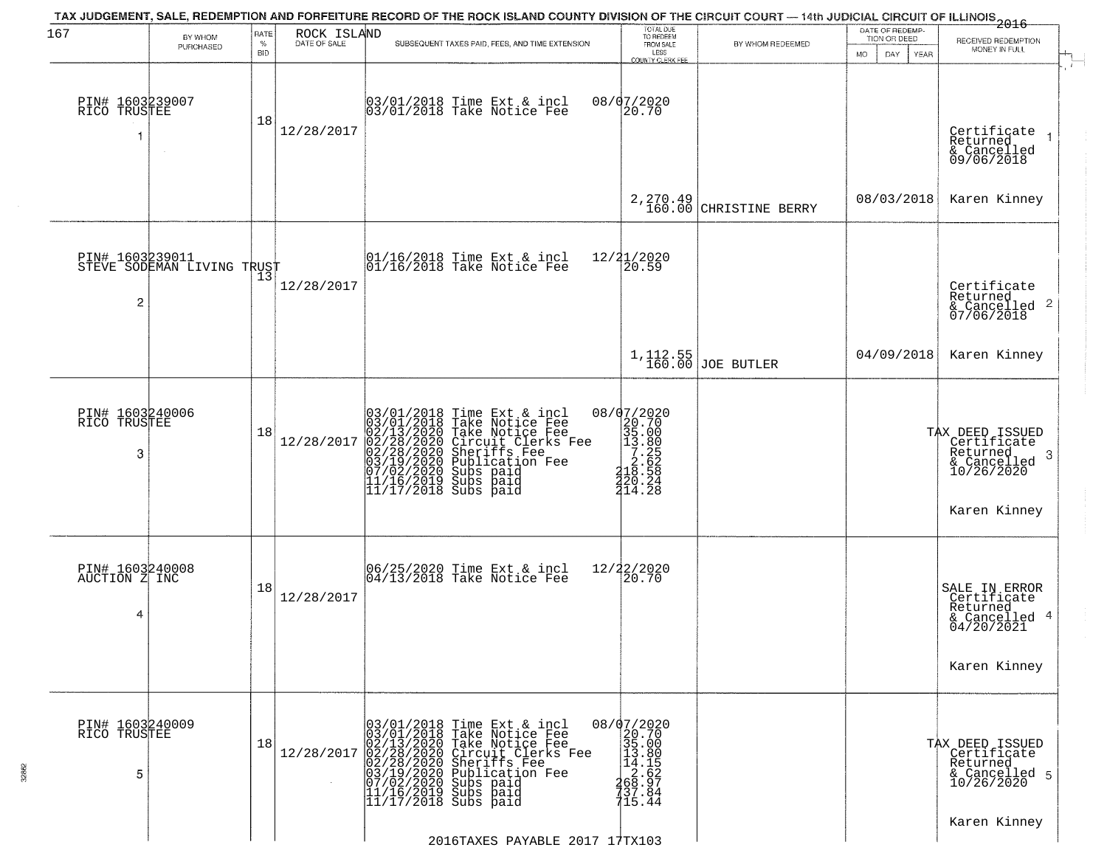| 167                                   | BY WHOM                    | RATE               | ROCK ISLAND  | TAX JUDGEMENT, SALE, REDEMPTION AND FORFEITURE RECORD OF THE ROCK ISLAND COUNTY DIVISION OF THE CIRCUIT COURT — 14th JUDICIAL CIRCUIT OF ILLINOIS 2016                                                                                                                                                 | TOTAL DUE<br>TO REDEEM                                                                                                                                                                                                                                                                                                                         |                               | DATE OF REDEMP-<br>TION OR DEED | RECEIVED REDEMPTION                                                                          |
|---------------------------------------|----------------------------|--------------------|--------------|--------------------------------------------------------------------------------------------------------------------------------------------------------------------------------------------------------------------------------------------------------------------------------------------------------|------------------------------------------------------------------------------------------------------------------------------------------------------------------------------------------------------------------------------------------------------------------------------------------------------------------------------------------------|-------------------------------|---------------------------------|----------------------------------------------------------------------------------------------|
|                                       | PURCHASED                  | $\%$<br><b>BID</b> | DATE OF SALE | SUBSEQUENT TAXES PAID, FEES, AND TIME EXTENSION                                                                                                                                                                                                                                                        | FROM SALE<br>LESS<br><b>COUNTY CLERK FEE</b>                                                                                                                                                                                                                                                                                                   | BY WHOM REDEEMED              | MO.<br>DAY.<br>YEAR             | MONEY IN FULL                                                                                |
| PIN# 1603239007<br>RICO TRUSTEE       |                            | 18                 | 12/28/2017   | 03/01/2018 Time Ext & incl<br>03/01/2018 Take Notice Fee                                                                                                                                                                                                                                               | 08/07/2020                                                                                                                                                                                                                                                                                                                                     |                               |                                 | Certificate<br>Returned<br>& Cancelled<br>09/06/2018                                         |
|                                       |                            |                    |              |                                                                                                                                                                                                                                                                                                        | 2,270.49<br>160.00                                                                                                                                                                                                                                                                                                                             | CHRISTINE BERRY               | 08/03/2018                      | Karen Kinney                                                                                 |
| PIN# 1603239011<br>$\overline{c}$     | STEVE SODEMAN LIVING TRUST |                    | 12/28/2017   | $\begin{array}{c}  01/16/2018 \text{ Time Ext} & \text{incl} \\  01/16/2018 \text{ Take Notice Fe} \end{array}$                                                                                                                                                                                        | 12/21/2020<br>20.59                                                                                                                                                                                                                                                                                                                            |                               |                                 | Certificate<br>Returned<br>& Cancelled 2<br>07/06/2018                                       |
|                                       |                            |                    |              |                                                                                                                                                                                                                                                                                                        |                                                                                                                                                                                                                                                                                                                                                | 1,112.55<br>160.00 JOE BUTLER | 04/09/2018                      | Karen Kinney                                                                                 |
| PIN# 1603240006<br>RICO TRUSTEE<br>3  |                            | 18                 | 12/28/2017   | 03/01/2018 Time Ext & incl<br>03/01/2018 Take Notice Fee<br>02/13/2020 Take Notice Fee<br>02/28/2020 Circuit Clerks Fee<br>02/28/2020 Sheriffs Fee<br>03/19/2020 Sublication Fee<br>03/19/2020 Subs paid<br>11/16/2019 Subs paid<br>11/17/2018 Subs p                                                  | 08/07/2020<br>$\begin{smallmatrix} 2 & 2 & 0 & 0 \\ 2 & 3 & 5 & 0 & 0 \\ 3 & 5 & 0 & 0 & 0 \\ 1 & 3 & 0 & 0 & 0 \\ 2 & 2 & 0 & 0 & 0 \\ 2 & 2 & 0 & 0 & 2 \\ 3 & 2 & 0 & 0 & 2 \\ 4 & 1 & 0 & 0 & 0 \\ 4 & 0 & 0 & 0 & 0 \\ 5 & 0 & 0 & 0 & 0 \\ 6 & 0 & 0 & 0 & 0 \\ 7 & 0 & 0 & 0 & 0 \\ 8 & 0 & 0 & 0 & 0 \\ 9 & 0 & 0 & 0 & 0 \\ 10 & 0 &$ |                               |                                 | TAX DEED ISSUED<br>Certificate<br>Returned<br>3<br>& Cancelled<br>10/26/2020<br>Karen Kinney |
| PIN# 1603240008<br>AUCTION Z INC<br>4 |                            | 18                 | 12/28/2017   | 06/25/2020 Time Ext & incl<br>04/13/2018 Take Notice Fee                                                                                                                                                                                                                                               | 12/22/2020<br> 20.70                                                                                                                                                                                                                                                                                                                           |                               |                                 | SALE IN ERROR<br>Certificate<br>Returned<br>& Cancelled 4<br>04/20/2021<br>Karen Kinney      |
| PIN# 1603240009<br>RICO TRUSTEE<br>5  |                            | 18                 | 12/28/2017   | 03/01/2018 Time Ext & incl<br>03/01/2018 Take Notice Fee<br>02/13/2020 Take Notice Fee<br>02/28/2020 Circuit Clerks F<br>02/28/2020 Circuit Clerks F<br>02/28/2020 Publication Fee<br>03/19/2020 Publication Fee<br>11/16/2019 Subs paid<br>11/17/2018 Subs paid<br>Circuit Clerks Fee<br>Sheriffs Fee | 08/07/2020<br>20.70<br>35.00<br>$\begin{array}{r} 13.80 \\ 14.15 \\ 2.62 \\ 49.97 \\ \end{array}$<br>737.84<br>715.44                                                                                                                                                                                                                          |                               |                                 | TAX DEED ISSUED<br>Certificate<br>Returned<br>& Cancelled 5<br>10/26/2020                    |
|                                       |                            |                    |              | 2016TAXES PAYABLE 2017 17TX103                                                                                                                                                                                                                                                                         |                                                                                                                                                                                                                                                                                                                                                |                               |                                 | Karen Kinney                                                                                 |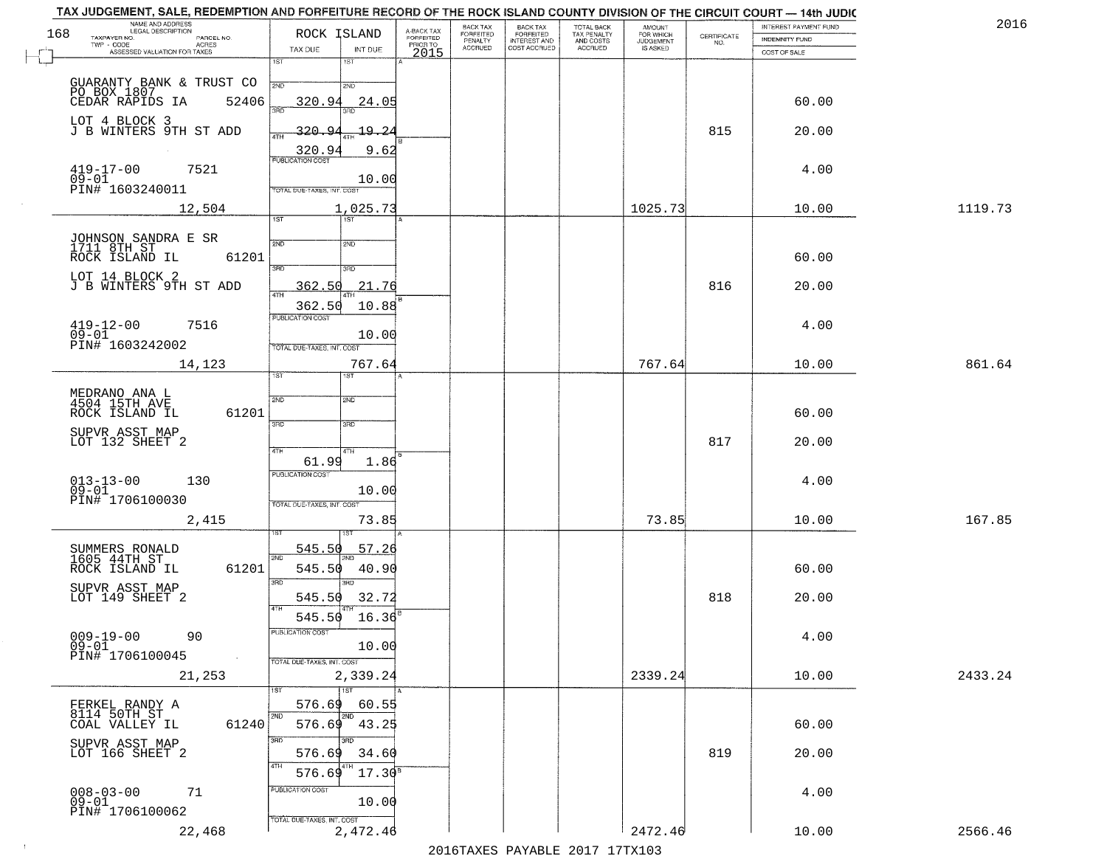| TAX JUDGEMENT, SALE, REDEMPTION AND FORFEITURE RECORD OF THE ROCK ISLAND COUNTY DIVISION OF THE CIRCUIT COURT - 14th JUDIC<br>NAME AND ADDRESS<br>LEGAL DESCRIPTION |                                     |                         | BACK TAX             | <b>BACK TAX</b>           |                                        |                                         |                                                                 | INTEREST PAYMENT FUND | 2016    |
|---------------------------------------------------------------------------------------------------------------------------------------------------------------------|-------------------------------------|-------------------------|----------------------|---------------------------|----------------------------------------|-----------------------------------------|-----------------------------------------------------------------|-----------------------|---------|
| 168<br>TAXPAYER NO.<br>PARCEL NO.                                                                                                                                   | ROCK ISLAND                         | A-BACK TAX<br>FORFEITED | FORFEITED<br>PENALTY | FORFEITED<br>INTEREST AND | TOTAL BACK<br>TAX PENALTY<br>AND COSTS | AMOUNT<br>FOR WHICH<br><b>JUDGEMENT</b> | $\begin{array}{c} \text{CERTIFICATE} \\ \text{NO.} \end{array}$ | INDEMNITY FUND        |         |
| ACRES<br>ASSESSED VALUATION FOR TAXES                                                                                                                               | TAX DUE<br>INT DUE                  | PRIOR TO<br>2015        | <b>ACCRUED</b>       | COST ACCRUED              | ACCRUED                                | IS ASKED                                |                                                                 | COST OF SALE          |         |
|                                                                                                                                                                     | 1ST<br>1ST                          |                         |                      |                           |                                        |                                         |                                                                 |                       |         |
|                                                                                                                                                                     | 2ND<br>2ND                          |                         |                      |                           |                                        |                                         |                                                                 |                       |         |
| GUARANTY BANK & TRUST CO<br>PO BOX 1807<br>CEDAR RAPIDS IA 52406<br>52406                                                                                           | 320.94<br>24.05                     |                         |                      |                           |                                        |                                         |                                                                 | 60.00                 |         |
|                                                                                                                                                                     |                                     |                         |                      |                           |                                        |                                         |                                                                 |                       |         |
| LOT 4 BLOCK 3<br>J B WINTERS 9TH ST ADD                                                                                                                             | 320.94<br><u> 19.24</u><br>4TH      |                         |                      |                           |                                        |                                         | 815                                                             | 20.00                 |         |
|                                                                                                                                                                     | 9.62<br>520.94                      |                         |                      |                           |                                        |                                         |                                                                 |                       |         |
| $419 - 17 - 00$<br>7521                                                                                                                                             |                                     |                         |                      |                           |                                        |                                         |                                                                 | 4.00                  |         |
| $09 - 01$                                                                                                                                                           | 10.00                               |                         |                      |                           |                                        |                                         |                                                                 |                       |         |
| PIN# 1603240011                                                                                                                                                     | TOTAL DUE-TAXES, INT. COST          |                         |                      |                           |                                        |                                         |                                                                 |                       |         |
| 12,504                                                                                                                                                              | 1,025.73<br>1ST                     |                         |                      |                           |                                        | 1025.73                                 |                                                                 | 10.00                 | 1119.73 |
|                                                                                                                                                                     |                                     |                         |                      |                           |                                        |                                         |                                                                 |                       |         |
| JOHNSON SANDRA E SR<br>1711 8TH ST                                                                                                                                  | 2ND<br>2ND                          |                         |                      |                           |                                        |                                         |                                                                 |                       |         |
| ROCK ISLAND IL<br>61201                                                                                                                                             | 3RD<br>3RD                          |                         |                      |                           |                                        |                                         |                                                                 | 60.00                 |         |
| LOT 14 BLOCK 2<br>J B WINTERS 9TH ST ADD                                                                                                                            | 21.76<br>362.50                     |                         |                      |                           |                                        |                                         | 816                                                             | 20.00                 |         |
|                                                                                                                                                                     | $\overline{ATH}$                    |                         |                      |                           |                                        |                                         |                                                                 |                       |         |
|                                                                                                                                                                     | 362.50<br>10.88<br>PUBLICATION COST |                         |                      |                           |                                        |                                         |                                                                 |                       |         |
| $419 - 12 - 00$<br>7516<br>$09 - 01$                                                                                                                                | 10.00                               |                         |                      |                           |                                        |                                         |                                                                 | 4.00                  |         |
| PIN# 1603242002                                                                                                                                                     | TOTAL DUE-TAXES, INT. COST          |                         |                      |                           |                                        |                                         |                                                                 |                       |         |
| 14,123                                                                                                                                                              | 767.64                              |                         |                      |                           |                                        | 767.64                                  |                                                                 | 10.00                 | 861.64  |
|                                                                                                                                                                     | īst<br>1ST                          |                         |                      |                           |                                        |                                         |                                                                 |                       |         |
| MEDRANO ANA L<br>4504 15TH AVE                                                                                                                                      | 2ND<br>2ND                          |                         |                      |                           |                                        |                                         |                                                                 |                       |         |
| ROCK ISLAND IL<br>61201                                                                                                                                             |                                     |                         |                      |                           |                                        |                                         |                                                                 | 60.00                 |         |
| SUPVR ASST MAP                                                                                                                                                      | 3RD<br>3RD                          |                         |                      |                           |                                        |                                         |                                                                 |                       |         |
| LOT 132 SHEET 2                                                                                                                                                     | 4TH<br>4TH                          |                         |                      |                           |                                        |                                         | 817                                                             | 20.00                 |         |
|                                                                                                                                                                     | 61.99<br>1.86                       |                         |                      |                           |                                        |                                         |                                                                 |                       |         |
| $013 - 13 - 00$<br>09-01<br>130                                                                                                                                     | <b>PUBLICATION COST</b>             |                         |                      |                           |                                        |                                         |                                                                 | 4.00                  |         |
| PIN# 1706100030                                                                                                                                                     | 10.00<br>TOTAL OUE-TAXES, INT. COST |                         |                      |                           |                                        |                                         |                                                                 |                       |         |
|                                                                                                                                                                     |                                     |                         |                      |                           |                                        | 73.85                                   |                                                                 | 10.00                 | 167.85  |
| 2,415                                                                                                                                                               | 73.85                               |                         |                      |                           |                                        |                                         |                                                                 |                       |         |
|                                                                                                                                                                     | 545.50<br>57.26                     |                         |                      |                           |                                        |                                         |                                                                 |                       |         |
| SUMMERS RONALD<br>1605 44TH ST<br>ROCK ISLAND IL<br>61201                                                                                                           | 2ND<br>545.50<br>40.90              |                         |                      |                           |                                        |                                         |                                                                 | 60.00                 |         |
|                                                                                                                                                                     | 3BD<br>m                            |                         |                      |                           |                                        |                                         |                                                                 |                       |         |
| SUPVR ASST MAP<br>LOT 149 SHEET 2                                                                                                                                   | 545.50<br>32.72                     |                         |                      |                           |                                        |                                         | 818                                                             | 20.00                 |         |
|                                                                                                                                                                     | 4TH<br>545.50<br>16.36              |                         |                      |                           |                                        |                                         |                                                                 |                       |         |
| $009 - 19 - 00$<br>90                                                                                                                                               | UBLICA HUN COS-                     |                         |                      |                           |                                        |                                         |                                                                 | 4.00                  |         |
| $09 - 01$                                                                                                                                                           | 10.00                               |                         |                      |                           |                                        |                                         |                                                                 |                       |         |
| PIN# 1706100045<br>$\sim 100$ km s                                                                                                                                  | TOTAL DUE-TAXES, INT. COST          |                         |                      |                           |                                        |                                         |                                                                 |                       |         |
| 21,253                                                                                                                                                              | 2,339.24                            |                         |                      |                           |                                        | 2339.24                                 |                                                                 | 10.00                 | 2433.24 |
|                                                                                                                                                                     | 1ST                                 |                         |                      |                           |                                        |                                         |                                                                 |                       |         |
| FERKEL RANDY A<br>8114 50TH ST                                                                                                                                      | 576.69<br>60.55<br>2ND<br>2ND       |                         |                      |                           |                                        |                                         |                                                                 |                       |         |
| 61240<br>COAL VALLEY IL                                                                                                                                             | $576.69$ $43.25$                    |                         |                      |                           |                                        |                                         |                                                                 | 60.00                 |         |
| SUPVR ASST MAP<br>LOT 166 SHEET 2                                                                                                                                   | 3RD<br>3RD<br>576.69<br>34.60       |                         |                      |                           |                                        |                                         | 819                                                             | 20.00                 |         |
|                                                                                                                                                                     | 4TH<br>576.69<br>$17.30^{\circ}$    |                         |                      |                           |                                        |                                         |                                                                 |                       |         |
|                                                                                                                                                                     |                                     |                         |                      |                           |                                        |                                         |                                                                 |                       |         |
| $008 - 03 - 00$<br>71<br>09-01                                                                                                                                      | PUBLICATION COST<br>10.00           |                         |                      |                           |                                        |                                         |                                                                 | 4.00                  |         |
| PIN# 1706100062                                                                                                                                                     | TOTAL DUE-TAXES, INT. COST          |                         |                      |                           |                                        |                                         |                                                                 |                       |         |
| 22,468                                                                                                                                                              | 2,472.46                            |                         |                      |                           |                                        | 2472.46                                 |                                                                 | 10.00                 | 2566.46 |

 $\sim 10^{-1}$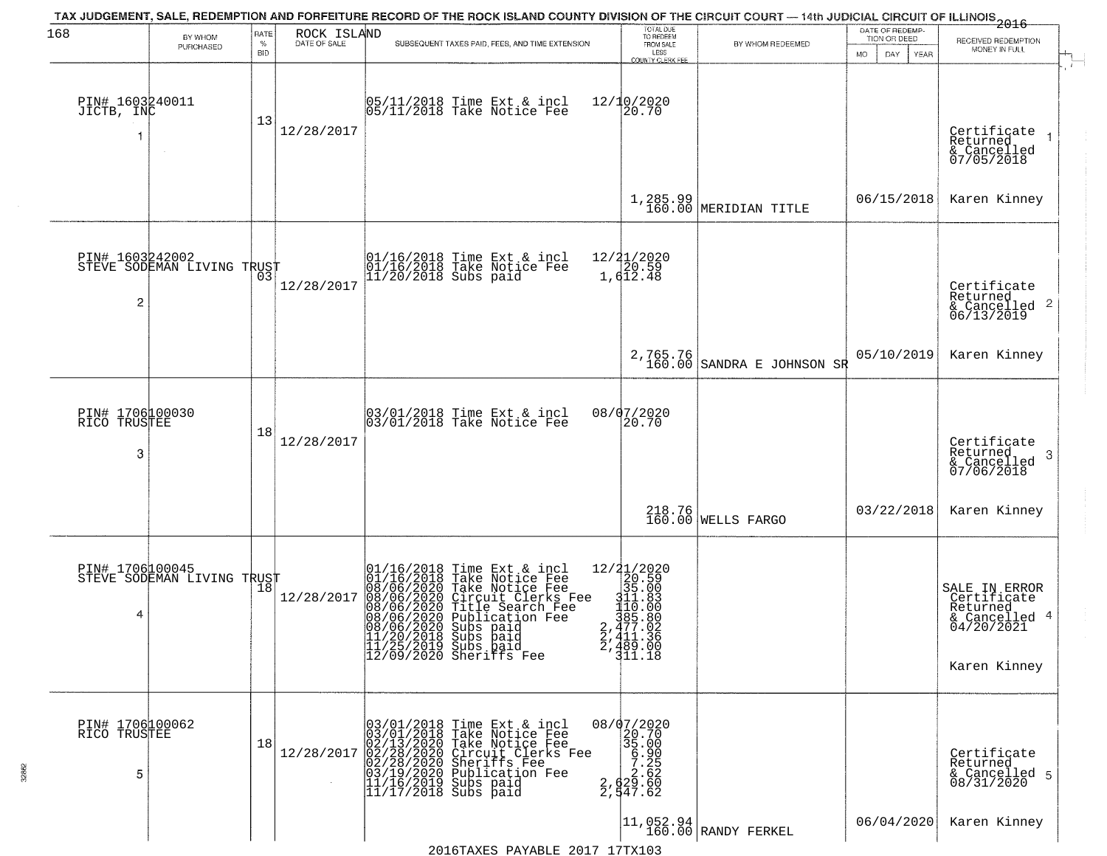| 168                                     | BY WHOM<br>PURCHASED                                            | RATE<br>$\%$<br><b>BID</b> | ROCK ISLAND<br>DATE OF SALE | TAX JUDGEMENT, SALE, REDEMPTION AND FORFEITURE RECORD OF THE ROCK ISLAND COUNTY DIVISION OF THE CIRCUIT COURT — 14th JUDICIAL CIRCUIT OF ILLINOIS 2016<br>SUBSEQUENT TAXES PAID, FEES, AND TIME EXTENSION                                                                                                       | TOTAL DUE<br>TO REDEEM<br>FROM SALE<br>LESS<br>COUNTY CLERK FEE                                                                                                              | BY WHOM REDEEMED                 | DATE OF REDEMP-<br>TION OR DEED<br>MO.<br>DAY<br><b>YEAR</b> | RECEIVED REDEMPTION<br>MONEY IN FULL                                                    |
|-----------------------------------------|-----------------------------------------------------------------|----------------------------|-----------------------------|-----------------------------------------------------------------------------------------------------------------------------------------------------------------------------------------------------------------------------------------------------------------------------------------------------------------|------------------------------------------------------------------------------------------------------------------------------------------------------------------------------|----------------------------------|--------------------------------------------------------------|-----------------------------------------------------------------------------------------|
| PIN# 1603240011<br>JICTB, INC           |                                                                 | 13                         | 12/28/2017                  | 05/11/2018 Time Ext & incl<br>05/11/2018 Take Notice Fee                                                                                                                                                                                                                                                        | 12/10/2020<br>20.70                                                                                                                                                          |                                  |                                                              | Certificate<br>Returned<br>& Cancelled<br>07/05/2018                                    |
|                                         |                                                                 |                            |                             |                                                                                                                                                                                                                                                                                                                 |                                                                                                                                                                              | $1,285.99$ MERIDIAN TITLE        | 06/15/2018                                                   | Karen Kinney                                                                            |
| PIN# 1603242002<br>2                    | <b>STEVE SODEMAN LIVING TRUST</b><br>STEVE SODEMAN LIVING TRUST |                            | 12/28/2017                  | 01/16/2018 Time Ext & incl<br>01/16/2018 Take Notice Fee<br>11/20/2018 Subs paid                                                                                                                                                                                                                                | 12/21/2020<br>20.59<br>1,612.48                                                                                                                                              |                                  |                                                              | Certificate<br>Returned<br>& Cancelled 2<br>06/13/2019                                  |
|                                         |                                                                 |                            |                             |                                                                                                                                                                                                                                                                                                                 | 2,765.76<br>160.00                                                                                                                                                           | SANDRA E JOHNSON SR              | 05/10/2019                                                   | Karen Kinney                                                                            |
| PIN# 1706100030<br>TRUSTEE<br>RICO<br>3 |                                                                 | 18                         | 12/28/2017                  | 03/01/2018 Time Ext & incl<br>03/01/2018 Take Notice Fee                                                                                                                                                                                                                                                        | 08/07/2020<br>20.70                                                                                                                                                          |                                  |                                                              | Certificate<br>Returned<br>-3<br>& Cancelled<br>07/06/2018                              |
|                                         |                                                                 |                            |                             |                                                                                                                                                                                                                                                                                                                 |                                                                                                                                                                              | 218.76<br>160.00 WELLS FARGO     | 03/22/2018                                                   | Karen Kinney                                                                            |
| PIN# 1706100045<br>4                    | STEVE SODEMAN LIVING TRUST                                      |                            | 12/28/2017                  | 01/16/2018 Time Ext & incl<br>01/16/2018 Take Notice Fee<br>08/06/2020 Take Notice Fee<br>08/06/2020 Circuit Clerks Fee<br>08/06/2020 Title Search Fee<br>08/06/2020 Publication Fee<br>08/06/2020 Subs paid<br>11/20/2020 Subs paid<br>11/20/2018 Subs paid<br>11/25/2019 Subs paid<br>12/09/2020 Sheriffs Fee | $\begin{array}{r} 12/21/2020 \\ 20.59 \\ 35.00 \end{array}$<br>$\begin{array}{r} 311.83 \\ 110.00 \\ 385.80 \\ 2,477.02 \end{array}$<br>$2,411.36$<br>$2,489.00$<br>$311.18$ |                                  |                                                              | SALE IN ERROR<br>Certificate<br>Returned<br>& Cancelled 4<br>04/20/2021<br>Karen Kinney |
| PIN# 1706100062<br>RICO TRUSTEE<br>5    |                                                                 | 18                         | 12/28/2017                  | 03/01/2018 Time Ext & incl<br>03/01/2018 Take Notice Fee<br>02/13/2020 Take Notice Fee<br>02/28/2020 Circuit Clerks Fee<br>02/28/2020 Sheriffs Fee<br>03/19/2020 Publication Fee<br>11/16/2019 Subs paid<br>11/17/2018 Subs paid                                                                                | 08/07/2020<br>20.70<br>35.00<br>$\begin{array}{r} 33.300 \\ 6,900 \\ 7.25 \\ 2,62 \\ 2,947.62 \end{array}$                                                                   |                                  |                                                              | Certificate<br>Returned<br>& Cancelled 5<br>08/31/2020                                  |
|                                         |                                                                 |                            |                             |                                                                                                                                                                                                                                                                                                                 |                                                                                                                                                                              | 11,052.94<br>160.00 RANDY FERKEL | 06/04/2020                                                   | Karen Kinney                                                                            |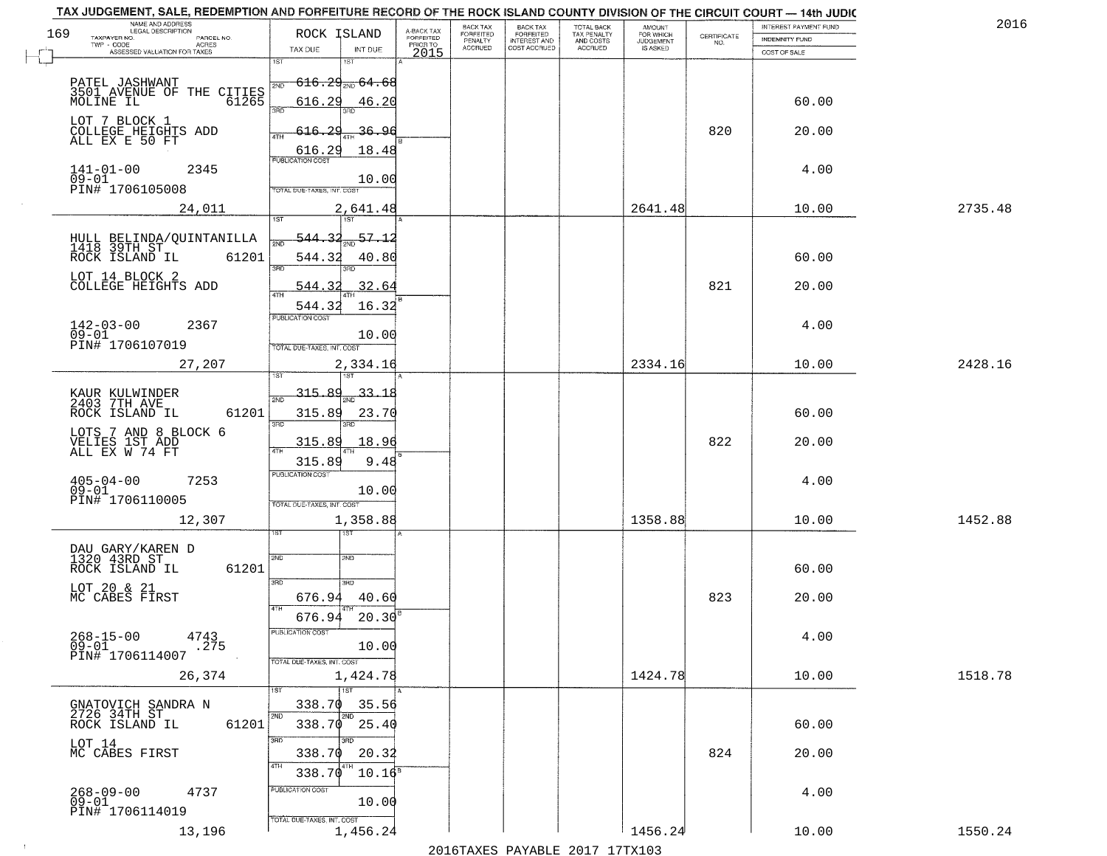| TAX JUDGEMENT, SALE, REDEMPTION AND FORFEITURE RECORD OF THE ROCK ISLAND COUNTY DIVISION OF THE CIRCUIT COURT - 14th JUDIC |                                           |                         | BACK TAX                  | <b>BACK TAX</b>           |                                        |                              |                                                                 | INTEREST PAYMENT FUND | 2016    |
|----------------------------------------------------------------------------------------------------------------------------|-------------------------------------------|-------------------------|---------------------------|---------------------------|----------------------------------------|------------------------------|-----------------------------------------------------------------|-----------------------|---------|
| NAME AND ADDRESS<br>LEGAL DESCRIPTION<br>169<br>PARCEL NO.                                                                 | ROCK ISLAND                               | A-BACK TAX<br>FORFEITED | FORFEITED                 | FORFEITED<br>INTEREST AND | TOTAL BACK<br>TAX PENALTY<br>AND COSTS | AMOUNT<br>FOR WHICH          | $\begin{array}{c} \text{CERTIFICATE} \\ \text{NO.} \end{array}$ | INDEMNITY FUND        |         |
| TAXPAYER NO.<br>ACRES<br>ASSESSED VALUATION FOR TAXES                                                                      | TAX DUE<br>INT DUE                        | PRIOR TO<br>2015        | PENALTY<br><b>ACCRUED</b> | COST ACCRUED              | ACCRUED                                | <b>JUDGEMENT</b><br>IS ASKED |                                                                 | COST OF SALE          |         |
|                                                                                                                            | 1ST<br>18T                                |                         |                           |                           |                                        |                              |                                                                 |                       |         |
| PATEL JASHWANT<br>3501 AVENUE OF THE CITIES<br>61265                                                                       | $616.29_{\text{200}}64.68$<br>2ND         |                         |                           |                           |                                        |                              |                                                                 |                       |         |
|                                                                                                                            | 616.29                                    |                         |                           |                           |                                        |                              |                                                                 | 60.00                 |         |
|                                                                                                                            | 46.20<br>3RD                              |                         |                           |                           |                                        |                              |                                                                 |                       |         |
| LOT 7 BLOCK 1                                                                                                              | 616.29<br><u>36.96</u>                    |                         |                           |                           |                                        |                              | 820                                                             | 20.00                 |         |
| COLLEGE HEIGHTS ADD<br>ALL EX E 50 FT                                                                                      |                                           |                         |                           |                           |                                        |                              |                                                                 |                       |         |
|                                                                                                                            | 18.48<br>$\frac{616.29}{FUBUCATONCGST}$   |                         |                           |                           |                                        |                              |                                                                 |                       |         |
| $141 - 01 - 00$<br>2345<br>$09 - 01$                                                                                       | 10.00                                     |                         |                           |                           |                                        |                              |                                                                 | 4.00                  |         |
| PIN# 1706105008                                                                                                            | TOTAL DUE-TAXES, INT. COST                |                         |                           |                           |                                        |                              |                                                                 |                       |         |
| 24,011                                                                                                                     | 2,641.48                                  |                         |                           |                           |                                        | 2641.48                      |                                                                 | 10.00                 | 2735.48 |
|                                                                                                                            |                                           |                         |                           |                           |                                        |                              |                                                                 |                       |         |
| HULL BELINDA/QUINTANILLA<br>1418 39TH ST                                                                                   | 57.12<br>544.32                           |                         |                           |                           |                                        |                              |                                                                 |                       |         |
| ROCK ISLAND IL<br>61201                                                                                                    | 544.32<br>40.80                           |                         |                           |                           |                                        |                              |                                                                 | 60.00                 |         |
| LOT 14 BLOCK 2                                                                                                             | 3RD<br>3BD.                               |                         |                           |                           |                                        |                              |                                                                 |                       |         |
| COLLEGE HEIGHTS ADD                                                                                                        | 32.64<br>544.32<br>47H                    |                         |                           |                           |                                        |                              | 821                                                             | 20.00                 |         |
|                                                                                                                            | 16.32<br>544.32                           |                         |                           |                           |                                        |                              |                                                                 |                       |         |
| $142 - 03 - 00$<br>2367                                                                                                    | PUBLICATION COST                          |                         |                           |                           |                                        |                              |                                                                 | 4.00                  |         |
| $09 - 01$<br>PIN# 1706107019                                                                                               | 10.00                                     |                         |                           |                           |                                        |                              |                                                                 |                       |         |
|                                                                                                                            | TOTAL DUE-TAXES, INT. COST                |                         |                           |                           |                                        |                              |                                                                 |                       |         |
| 27,207                                                                                                                     | 2,334.16<br>isT<br>187                    |                         |                           |                           |                                        | 2334.16                      |                                                                 | 10.00                 | 2428.16 |
|                                                                                                                            | $-315.89$<br>$-33 - 18$                   |                         |                           |                           |                                        |                              |                                                                 |                       |         |
| KAUR KULWINDER<br>2403 7TH AVE                                                                                             | 2ND                                       |                         |                           |                           |                                        |                              |                                                                 |                       |         |
| ROCK ISLAND IL<br>61201                                                                                                    | 315.89<br>23.70<br>3RD<br>3RD             |                         |                           |                           |                                        |                              |                                                                 | 60.00                 |         |
| LOTS 7 AND 8 BLOCK 6                                                                                                       | 315.89<br>18.96                           |                         |                           |                           |                                        |                              | 822                                                             | 20.00                 |         |
| VELIES IST ADD<br>ALL EX W 74 FT                                                                                           | ATH                                       |                         |                           |                           |                                        |                              |                                                                 |                       |         |
|                                                                                                                            | 315.89<br>9.48<br><b>PUBLICATION COST</b> |                         |                           |                           |                                        |                              |                                                                 |                       |         |
| $405 - 04 - 00$<br>7253<br>$09 - 01$                                                                                       | 10.00                                     |                         |                           |                           |                                        |                              |                                                                 | 4.00                  |         |
| PIN# 1706110005                                                                                                            | TOTAL OUE-TAXES, INT. COST                |                         |                           |                           |                                        |                              |                                                                 |                       |         |
| 12,307                                                                                                                     | 1,358.88                                  |                         |                           |                           |                                        | 1358.88                      |                                                                 | 10.00                 | 1452.88 |
|                                                                                                                            | বে                                        |                         |                           |                           |                                        |                              |                                                                 |                       |         |
| DAU GARY/KAREN D<br>1320 43RD ST                                                                                           | 2ND<br>2ND                                |                         |                           |                           |                                        |                              |                                                                 |                       |         |
| ROCK ISLAND IL<br>61201                                                                                                    |                                           |                         |                           |                           |                                        |                              |                                                                 | 60.00                 |         |
| LOT 20 & 21<br>MC CABES FIRST                                                                                              | 3BD<br>3RD.                               |                         |                           |                           |                                        |                              |                                                                 |                       |         |
|                                                                                                                            | 676.94<br>40.60<br>4TH                    |                         |                           |                           |                                        |                              | 823                                                             | 20.00                 |         |
|                                                                                                                            | 676.94<br>20.30                           |                         |                           |                           |                                        |                              |                                                                 |                       |         |
| $268 - 15 - 00$<br>4743                                                                                                    | PUBLICATION COS.                          |                         |                           |                           |                                        |                              |                                                                 | 4.00                  |         |
| .275<br>$09 - 01$<br>PIN# 1706114007                                                                                       | 10.00                                     |                         |                           |                           |                                        |                              |                                                                 |                       |         |
| 26,374                                                                                                                     | TOTAL DUE-TAXES, INT. COST<br>1,424.78    |                         |                           |                           |                                        | 1424.78                      |                                                                 | 10.00                 | 1518.78 |
|                                                                                                                            | <b>TST</b>                                |                         |                           |                           |                                        |                              |                                                                 |                       |         |
| GNATOVICH SANDRA N<br>2726 34TH ST                                                                                         | 338.70<br>35.56                           |                         |                           |                           |                                        |                              |                                                                 |                       |         |
| 61201<br>ROCK ISLAND IL                                                                                                    | 2ND<br>2ND<br>$338.70$ 25.40              |                         |                           |                           |                                        |                              |                                                                 | 60.00                 |         |
|                                                                                                                            | 3RD<br>3RD                                |                         |                           |                           |                                        |                              |                                                                 |                       |         |
| LOT 14<br>MC CABES FIRST                                                                                                   | 338.70<br>20.32                           |                         |                           |                           |                                        |                              | 824                                                             | 20.00                 |         |
|                                                                                                                            | 4TH<br>338.70<br>$10.16^8$                |                         |                           |                           |                                        |                              |                                                                 |                       |         |
| $268 - 09 - 00$<br>4737                                                                                                    | PUBLICATION COST                          |                         |                           |                           |                                        |                              |                                                                 | 4.00                  |         |
| 09-01<br>PIN# 1706114019                                                                                                   | 10.00                                     |                         |                           |                           |                                        |                              |                                                                 |                       |         |
|                                                                                                                            | TOTAL DUE-TAXES, INT. COST                |                         |                           |                           |                                        |                              |                                                                 |                       |         |
| 13,196                                                                                                                     | 1,456.24                                  |                         |                           |                           |                                        | 1456.24                      |                                                                 | 10.00                 | 1550.24 |

 $\sim 10^{-1}$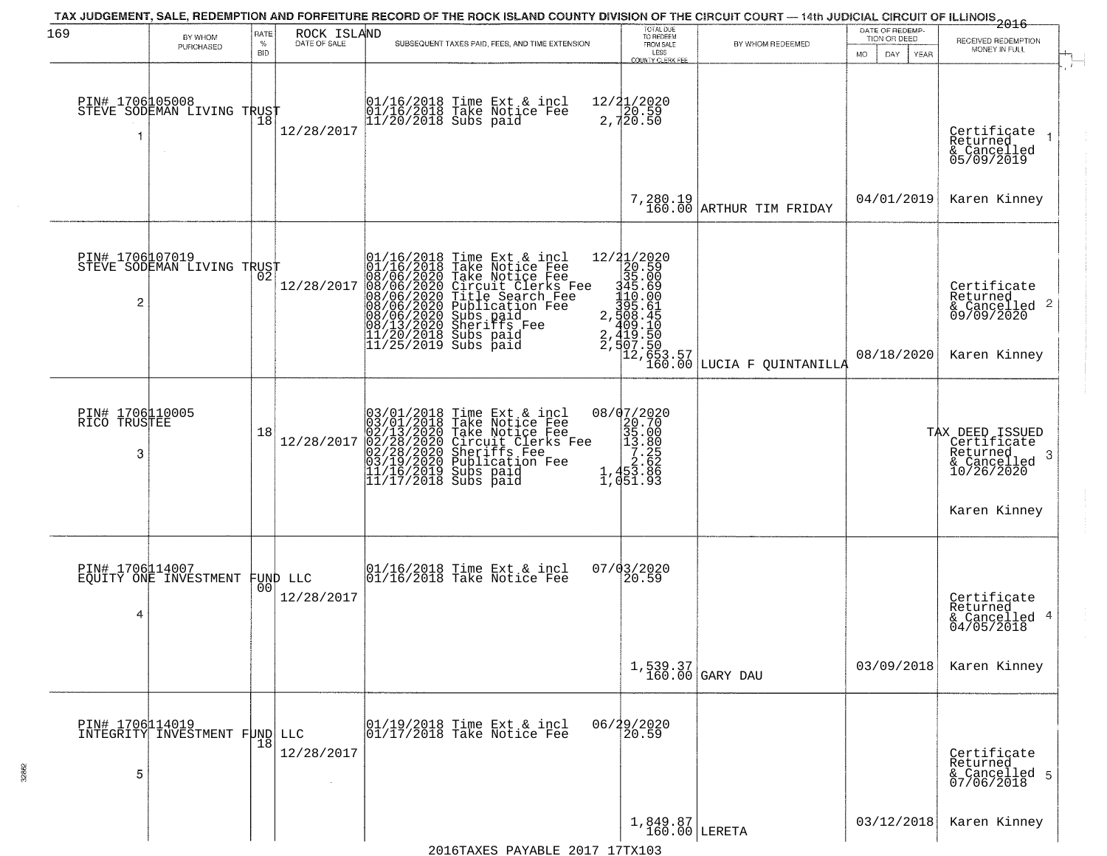| 169                                  | BY WHOM<br>PURCHASED                          | RATE<br>$\%$<br><b>BID</b> | ROCK ISLAND<br>DATE OF SALE    | TAX JUDGEMENT, SALE, REDEMPTION AND FORFEITURE RECORD OF THE ROCK ISLAND COUNTY DIVISION OF THE CIRCUIT COURT — 14th JUDICIAL CIRCUIT OF ILLINOIS 2016<br>SUBSEQUENT TAXES PAID, FEES, AND TIME EXTENSION                                                                                                                                                             | TOTAL DUE<br>TO REDEEM<br>FROM SALE<br>LESS<br>COUNTY CLERK FEE                                                       | BY WHOM REDEEMED                                                                                                                                                                                                                                                                                                                                                                                                                                                                                                              | DATE OF REDEMP<br>TION OR DEED<br>MO.<br>YEAR<br>DAY. | RECEIVED REDEMPTION<br>MONEY IN FULL                                                                             |
|--------------------------------------|-----------------------------------------------|----------------------------|--------------------------------|-----------------------------------------------------------------------------------------------------------------------------------------------------------------------------------------------------------------------------------------------------------------------------------------------------------------------------------------------------------------------|-----------------------------------------------------------------------------------------------------------------------|-------------------------------------------------------------------------------------------------------------------------------------------------------------------------------------------------------------------------------------------------------------------------------------------------------------------------------------------------------------------------------------------------------------------------------------------------------------------------------------------------------------------------------|-------------------------------------------------------|------------------------------------------------------------------------------------------------------------------|
| 1                                    | PIN# 1706105008<br>STEVE SODEMAN LIVING TRUST |                            | 12/28/2017                     | 01/16/2018 Time Ext & incl<br>01/16/2018 Take Notice Fee<br>11/20/2018 Subs paid                                                                                                                                                                                                                                                                                      | 12/21/2020<br>2,720.59<br>2,720.50                                                                                    |                                                                                                                                                                                                                                                                                                                                                                                                                                                                                                                               |                                                       | Certificate<br>Returned<br>& Cancelled<br>05/09/2019                                                             |
|                                      |                                               |                            |                                |                                                                                                                                                                                                                                                                                                                                                                       |                                                                                                                       | 7,280.19<br>160.00 ARTHUR TIM FRIDAY                                                                                                                                                                                                                                                                                                                                                                                                                                                                                          | 04/01/2019                                            | Karen Kinney                                                                                                     |
| 2                                    | PIN# 1706007019<br>STEVE SODEMAN LIVING TRUST |                            | 12/28/2017                     | $\begin{smallmatrix} 01/16/2018\\ 01/16/2018\\ 08/06/20220\\ 08/06/20220\\ 08/06/20220\\ 08/06/20220\\ 08/06/20220\\ 08/13/2020\\ 08/13/2020\\ 11/20/2018\\ 11/25/2019\\ \end{smallmatrix}$<br>Time Ext & incl<br>Take Notice Fee<br>Take Notice Fee<br>Circuit Clerks Fee<br>Title Search Fee<br>Publication Fee<br>Subs paid<br>Subs naid<br>Subs paid<br>Subs paid |                                                                                                                       | $\begin{minipage}{0.9\textwidth} \begin{tabular}{c} {\footnotesize \begin{tabular}{c} {\footnotesize \begin{tabular}{c} {\bf 11/2020} \end{tabular} }} \\ {\footnotesize \begin{tabular}{c} {\bf 20.59} \end{tabular} }} & {\footnotesize \begin{tabular}{c} {\bf 22.59} \end{tabular} }} \\ {\footnotesize \begin{tabular}{c} {\bf 23.5.00} \end{tabular} }} & {\footnotesize \begin{tabular}{c} {\bf 24.59} \end{tabular} }} \\ {\footnotesize \begin{tabular}{c} {\bf 25.50} \end{tabular} }} & {\footnotesize \begin{tab$ | 08/18/2020                                            | Certificate<br>Returned<br>$\frac{12}{6}$ Cancelled 2<br>09/09/2020<br>Karen Kinney                              |
| PIN# 1706110005<br>RICO TRUSTEE<br>3 |                                               | 18                         | 12/28/2017                     | $03/01/2018$ Time Ext & incl<br>$03/01/2018$ Take Notice Fee<br>$02/13/2020$ Take Notice Fee<br>$02/28/2020$ Circuit Clerks Fee<br>$03/19/2020$ Sublication Fee<br>$11/16/2019$ Subs paid<br>$11/17/2018$ Subs paid                                                                                                                                                   | $\begin{smallmatrix} 08/07/2020 \\ 20.70 \\ 35.00 \\ 13.80 \\ 7.25 \\ 2.62 \\ 1,453.86 \\ 1,051.93 \end{smallmatrix}$ |                                                                                                                                                                                                                                                                                                                                                                                                                                                                                                                               |                                                       | TAX DEED ISSUED<br>Certificate<br>Returned<br>$\cdot$ 3<br>$\frac{2}{2}$ Cancelled<br>10/26/2020<br>Karen Kinney |
| PIN# 1706114007<br>4                 | EQUITY ONE INVESTMENT                         |                            | FUND LLC<br> 00 <br>12/28/2017 | 01/16/2018 Time Ext & incl<br>01/16/2018 Take Notice Fee                                                                                                                                                                                                                                                                                                              | $07/03/2020$<br>20.59                                                                                                 |                                                                                                                                                                                                                                                                                                                                                                                                                                                                                                                               |                                                       | Certificate<br>Returned<br>& Cancelled 4<br>04/05/2018                                                           |
|                                      |                                               |                            |                                |                                                                                                                                                                                                                                                                                                                                                                       |                                                                                                                       | $1,539.37$<br>160.00 GARY DAU                                                                                                                                                                                                                                                                                                                                                                                                                                                                                                 | 03/09/2018                                            | Karen Kinney                                                                                                     |
| 5                                    | PIN# 1706114019<br>INTEGRITY INVESTMENT FUND  | 18                         | LLC<br>12/28/2017              | 01/19/2018 Time Ext & incl<br>01/17/2018 Take Notice Fee                                                                                                                                                                                                                                                                                                              | 06/29/2020<br>20.59                                                                                                   |                                                                                                                                                                                                                                                                                                                                                                                                                                                                                                                               |                                                       | Certificate<br>Returned<br>& Cancelled 5<br>07/06/2018                                                           |
|                                      |                                               |                            |                                |                                                                                                                                                                                                                                                                                                                                                                       | $1,849.87$ LERETA                                                                                                     |                                                                                                                                                                                                                                                                                                                                                                                                                                                                                                                               | 03/12/2018                                            | Karen Kinney                                                                                                     |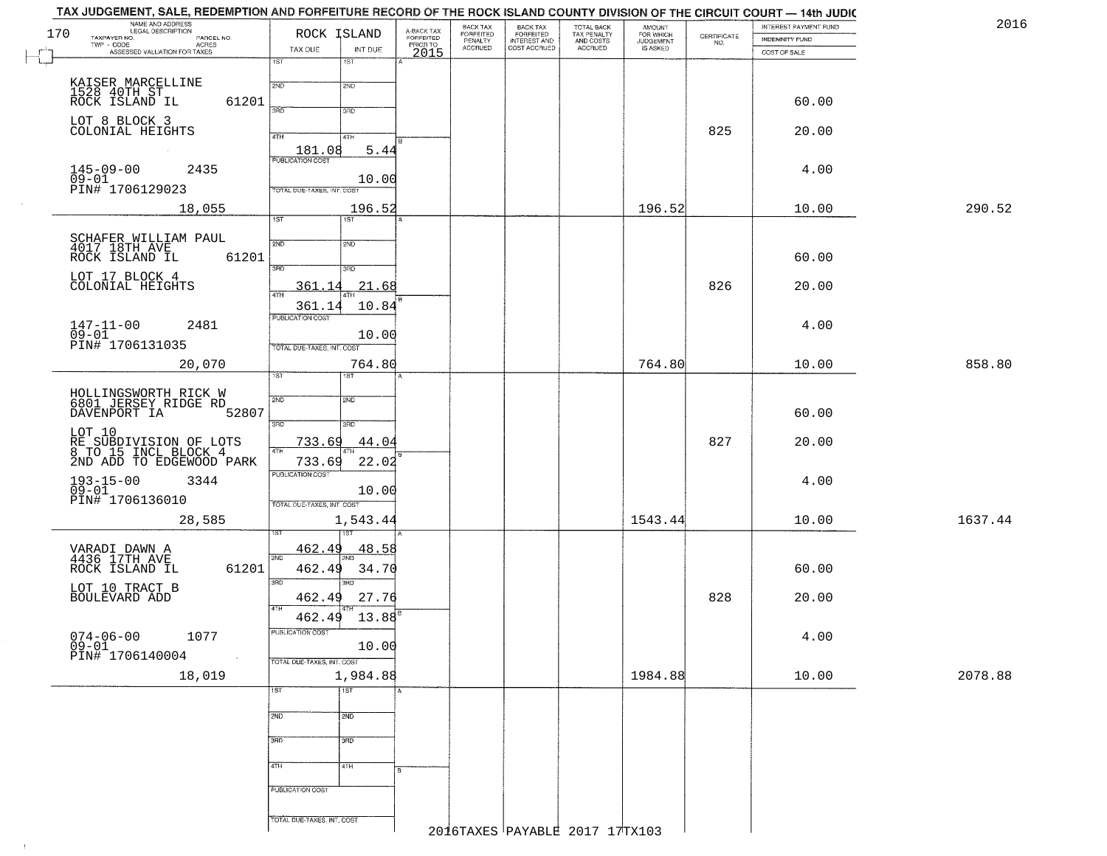|     | TAX JUDGEMENT, SALE, REDEMPTION AND FORFEITURE RECORD OF THE ROCK ISLAND COUNTY DIVISION OF THE CIRCUIT COURT - 14th JUDIC<br>NAME AND ADDRESS |                                   |                  |                                     |                                  |                                                       |                                        |                                  |                                                                 | INTEREST PAYMENT FUND | 2016    |
|-----|------------------------------------------------------------------------------------------------------------------------------------------------|-----------------------------------|------------------|-------------------------------------|----------------------------------|-------------------------------------------------------|----------------------------------------|----------------------------------|-----------------------------------------------------------------|-----------------------|---------|
| 170 | TAXPAYER NO.<br>PARCEL NO.<br>ACRES                                                                                                            |                                   | ROCK ISLAND      | A-BACK TAX<br>FORFEITED<br>PRIOR TO | BACK TAX<br>FORFEITED<br>FENALTY | BACK TAX<br>FORFEITED<br>INTEREST AND<br>COST ACCRUED | TOTAL BACK<br>TAX PENALTY<br>AND COSTS | AMOUNT<br>FOR WHICH<br>JUDGEMENT | $\begin{array}{c} \text{CERTIFICATE} \\ \text{NO.} \end{array}$ | <b>INDEMNITY FUND</b> |         |
|     | ASSESSED VALUATION FOR TAXES                                                                                                                   | TAX DUE<br>$\overline{1ST}$       | INT DUE<br>1ST   | 2015                                | <b>ACCRUED</b>                   |                                                       | ACCRUED                                | IS ASKED                         |                                                                 | COST OF SALE          |         |
|     |                                                                                                                                                |                                   |                  |                                     |                                  |                                                       |                                        |                                  |                                                                 |                       |         |
|     | KAISER MARCELLINE<br>1528 40TH ST<br>ROCK ISLAND IL                                                                                            | 2ND                               | 2ND              |                                     |                                  |                                                       |                                        |                                  |                                                                 |                       |         |
|     | 61201                                                                                                                                          | 3RD                               | 3RD              |                                     |                                  |                                                       |                                        |                                  |                                                                 | 60.00                 |         |
|     | LOT 8 BLOCK 3<br>COLONIAL HEIGHTS                                                                                                              |                                   |                  |                                     |                                  |                                                       |                                        |                                  |                                                                 |                       |         |
|     |                                                                                                                                                | 4TH                               | 4TH              |                                     |                                  |                                                       |                                        |                                  | 825                                                             | 20.00                 |         |
|     |                                                                                                                                                | $\frac{181.08}{FUBUCATONCGST}$    | 5.44             |                                     |                                  |                                                       |                                        |                                  |                                                                 |                       |         |
|     | $145 - 09 - 00$<br>2435<br>$09 - 01$                                                                                                           |                                   | 10.00            |                                     |                                  |                                                       |                                        |                                  |                                                                 | 4.00                  |         |
|     | PIN# 1706129023                                                                                                                                | TOTAL DUE-TAXES, INT. COST        |                  |                                     |                                  |                                                       |                                        |                                  |                                                                 |                       |         |
|     | 18,055                                                                                                                                         |                                   | 196.52           |                                     |                                  |                                                       |                                        | 196.52                           |                                                                 | 10.00                 | 290.52  |
|     |                                                                                                                                                | 1ST                               | IST              |                                     |                                  |                                                       |                                        |                                  |                                                                 |                       |         |
|     | SCHAFER WILLIAM PAUL<br>4017 18TH AVE<br>ROCK ISLAND IL (                                                                                      | 2ND                               | 2ND              |                                     |                                  |                                                       |                                        |                                  |                                                                 |                       |         |
|     | 61201                                                                                                                                          | 3RD                               | 3RD              |                                     |                                  |                                                       |                                        |                                  |                                                                 | 60.00                 |         |
|     | LOT 17 BLOCK 4                                                                                                                                 |                                   |                  |                                     |                                  |                                                       |                                        |                                  |                                                                 |                       |         |
|     | COLONIAL HEIGHTS                                                                                                                               | 361<br>14<br>47H                  | 21.68            |                                     |                                  |                                                       |                                        |                                  | 826                                                             | 20.00                 |         |
|     |                                                                                                                                                | 361.14<br>PUBLICATION COST        | 10.84            |                                     |                                  |                                                       |                                        |                                  |                                                                 |                       |         |
|     | $147 - 11 - 00$<br>09-01<br>2481                                                                                                               |                                   | 10.00            |                                     |                                  |                                                       |                                        |                                  |                                                                 | 4.00                  |         |
|     | PIN# 1706131035                                                                                                                                | TOTAL DUE-TAXES, INT. COST        |                  |                                     |                                  |                                                       |                                        |                                  |                                                                 |                       |         |
|     | 20,070                                                                                                                                         |                                   | 764.80           |                                     |                                  |                                                       |                                        | 764.80                           |                                                                 | 10.00                 | 858.80  |
|     |                                                                                                                                                | 1ST                               | <b>ST</b>        |                                     |                                  |                                                       |                                        |                                  |                                                                 |                       |         |
|     | HOLLINGSWORTH RICK W<br>6801 JERSEY RIDGE RD                                                                                                   | 2ND                               | 2ND              |                                     |                                  |                                                       |                                        |                                  |                                                                 |                       |         |
|     | DAVENPORT IA<br>52807                                                                                                                          | 3BD                               | 3RD              |                                     |                                  |                                                       |                                        |                                  |                                                                 | 60.00                 |         |
|     | LOT 10<br>RE SUBDIVISION OF LOTS<br>8 TO 15 INCL BLOCK 4<br>2ND ADD TO EDGEWOOD PARK                                                           |                                   |                  |                                     |                                  |                                                       |                                        |                                  |                                                                 |                       |         |
|     |                                                                                                                                                | 733.69<br>4TF                     | 44.04<br>4TH     |                                     |                                  |                                                       |                                        |                                  | 827                                                             | 20.00                 |         |
|     |                                                                                                                                                | 733.69<br><b>PUBLICATION COST</b> | 22.02            |                                     |                                  |                                                       |                                        |                                  |                                                                 |                       |         |
|     | 193-15-00<br>09-01<br>3344                                                                                                                     |                                   | 10.00            |                                     |                                  |                                                       |                                        |                                  |                                                                 | 4.00                  |         |
|     | PIN# 1706136010                                                                                                                                | TOTAL OUE-TAXES, INT. COST        |                  |                                     |                                  |                                                       |                                        |                                  |                                                                 |                       |         |
|     | 28,585                                                                                                                                         |                                   | 1,543.44         |                                     |                                  |                                                       |                                        | 1543.44                          |                                                                 | 10.00                 | 1637.44 |
|     |                                                                                                                                                |                                   |                  |                                     |                                  |                                                       |                                        |                                  |                                                                 |                       |         |
|     | VARADI DAWN A<br>4436 17TH AVE<br>ROCK ISLAND IL                                                                                               | 462.49<br>2ND                     | <u>48.58</u>     |                                     |                                  |                                                       |                                        |                                  |                                                                 |                       |         |
|     | 61201                                                                                                                                          | 462.49                            | 34.70            |                                     |                                  |                                                       |                                        |                                  |                                                                 | 60.00                 |         |
|     | LOT 10 TRACT B                                                                                                                                 | 3RD                               | $\overline{3BD}$ |                                     |                                  |                                                       |                                        |                                  | 828                                                             |                       |         |
|     | BOULEVARD ADD                                                                                                                                  | 462.49<br>4TH                     | 27.76            |                                     |                                  |                                                       |                                        |                                  |                                                                 | 20.00                 |         |
|     |                                                                                                                                                | PUBLICATION COST                  | 462.49 13.88     |                                     |                                  |                                                       |                                        |                                  |                                                                 |                       |         |
|     | $074 - 06 - 00$<br>09-01<br>1077                                                                                                               |                                   | 10.00            |                                     |                                  |                                                       |                                        |                                  |                                                                 | 4.00                  |         |
|     | PIN# 1706140004<br>$\sim 100$                                                                                                                  | TOTAL DUE-TAXES, INT. COST        |                  |                                     |                                  |                                                       |                                        |                                  |                                                                 |                       |         |
|     | 18,019                                                                                                                                         |                                   | 1,984.88         |                                     |                                  |                                                       |                                        | 1984.88                          |                                                                 | 10.00                 | 2078.88 |
|     |                                                                                                                                                | 1िडा                              | 1ST              |                                     |                                  |                                                       |                                        |                                  |                                                                 |                       |         |
|     |                                                                                                                                                | 2ND                               | 2ND              |                                     |                                  |                                                       |                                        |                                  |                                                                 |                       |         |
|     |                                                                                                                                                |                                   |                  |                                     |                                  |                                                       |                                        |                                  |                                                                 |                       |         |
|     |                                                                                                                                                | 3RD                               | 3 <sub>BD</sub>  |                                     |                                  |                                                       |                                        |                                  |                                                                 |                       |         |
|     |                                                                                                                                                | 4TH                               | 4TH              |                                     |                                  |                                                       |                                        |                                  |                                                                 |                       |         |
|     |                                                                                                                                                | PUBLICATION COST                  |                  |                                     |                                  |                                                       |                                        |                                  |                                                                 |                       |         |
|     |                                                                                                                                                |                                   |                  |                                     |                                  |                                                       |                                        |                                  |                                                                 |                       |         |
|     |                                                                                                                                                | TOTAL DUE-TAXES, INT. COST        |                  |                                     |                                  |                                                       |                                        |                                  |                                                                 |                       |         |
|     |                                                                                                                                                |                                   |                  |                                     |                                  |                                                       | 2016TAXES PAYABLE 2017 17TX103         |                                  |                                                                 |                       |         |

 $\uparrow$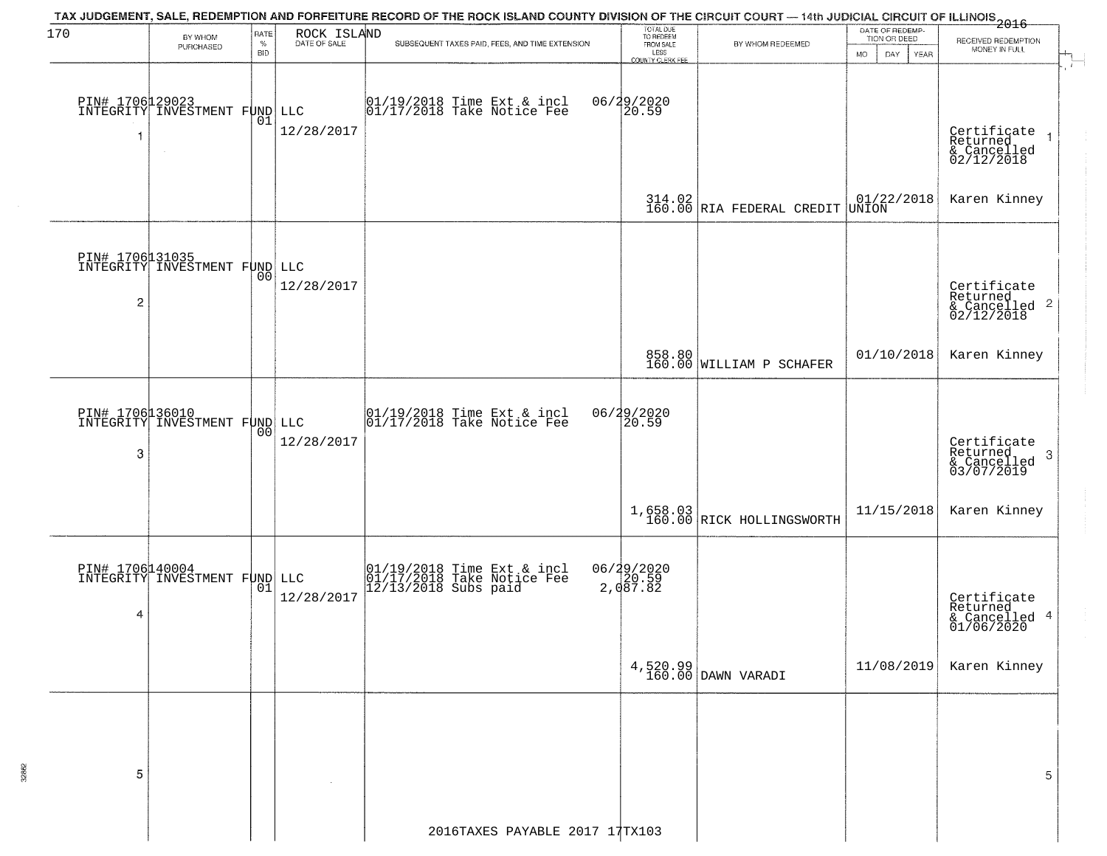| 170 |                                                         | RATE               |                             | TAX JUDGEMENT, SALE, REDEMPTION AND FORFEITURE RECORD OF THE ROCK ISLAND COUNTY DIVISION OF THE CIRCUIT COURT — 14th JUDICIAL CIRCUIT OF ILLINOIS 2016 | TOTAL DUE<br>TO REDEEM   |                                                    | DATE OF REDEMP-                                                               |                                                                   |
|-----|---------------------------------------------------------|--------------------|-----------------------------|--------------------------------------------------------------------------------------------------------------------------------------------------------|--------------------------|----------------------------------------------------|-------------------------------------------------------------------------------|-------------------------------------------------------------------|
|     | BY WHOM<br>PURCHASED                                    | $\%$<br><b>BID</b> | ROCK ISLAND<br>DATE OF SALE | SUBSEQUENT TAXES PAID, FEES, AND TIME EXTENSION                                                                                                        | FROM SALE                | BY WHOM REDEEMED                                   | TION OR DEED<br>DAY.<br>YEAR<br><b>MO</b>                                     | RECEIVED REDEMPTION<br>MONEY IN FULL                              |
|     |                                                         |                    |                             |                                                                                                                                                        | LESS<br>COUNTY CLERK FEE |                                                    |                                                                               |                                                                   |
|     |                                                         |                    |                             |                                                                                                                                                        |                          |                                                    |                                                                               |                                                                   |
|     | PIN# 1706129023<br>INTEGRITY INVESTMENT FUND LLC        |                    |                             | 01/19/2018 Time Ext & incl<br>01/17/2018 Take Notice Fee                                                                                               | 06/29/2020<br>20.59      |                                                    |                                                                               |                                                                   |
|     |                                                         | 01                 | 12/28/2017                  |                                                                                                                                                        |                          |                                                    |                                                                               |                                                                   |
| 1   | $\sim$                                                  |                    |                             |                                                                                                                                                        |                          |                                                    |                                                                               | Certificate<br>Returned<br>& Cancelled<br>02/12/2018              |
|     |                                                         |                    |                             |                                                                                                                                                        |                          |                                                    |                                                                               |                                                                   |
|     |                                                         |                    |                             |                                                                                                                                                        |                          |                                                    |                                                                               |                                                                   |
|     |                                                         |                    |                             |                                                                                                                                                        |                          | $314.02$ RIA FEDERAL CREDIT                        | $\begin{array}{ c c c c c }\n01/22/2018 \\ \hline\n\text{UNION}\n\end{array}$ | Karen Kinney                                                      |
|     |                                                         |                    |                             |                                                                                                                                                        |                          |                                                    |                                                                               |                                                                   |
|     | <b>PIN# 1706131035</b><br>INTEGRITY INVESTMENT FUND LLC |                    |                             |                                                                                                                                                        |                          |                                                    |                                                                               |                                                                   |
|     |                                                         | 00                 |                             |                                                                                                                                                        |                          |                                                    |                                                                               |                                                                   |
| 2   |                                                         |                    | 12/28/2017                  |                                                                                                                                                        |                          |                                                    |                                                                               | Certificate<br>Returned<br>& Cancelled <sup>2</sup><br>02/12/2018 |
|     |                                                         |                    |                             |                                                                                                                                                        |                          |                                                    |                                                                               |                                                                   |
|     |                                                         |                    |                             |                                                                                                                                                        |                          |                                                    |                                                                               |                                                                   |
|     |                                                         |                    |                             |                                                                                                                                                        |                          | 858.80<br>160.00 WILLIAM P SCHAFER                 | 01/10/2018                                                                    | Karen Kinney                                                      |
|     |                                                         |                    |                             |                                                                                                                                                        |                          |                                                    |                                                                               |                                                                   |
|     |                                                         |                    |                             |                                                                                                                                                        |                          |                                                    |                                                                               |                                                                   |
|     | PIN# 1706 16010<br>INTEGRITY INVESTMENT FUND LLC        |                    |                             | $\begin{array}{c}  01/19/2018 \text{ Time Ext} & \text{incl} \\  01/17/2018 \text{ Take Notice Fe} \end{array}$                                        | 06/29/2020<br>20.59      |                                                    |                                                                               |                                                                   |
| 3   |                                                         |                    | 12/28/2017                  |                                                                                                                                                        |                          |                                                    |                                                                               | Certificate<br>Returned<br>3                                      |
|     |                                                         |                    |                             |                                                                                                                                                        |                          |                                                    |                                                                               | & Cancelled<br>03/07/2019                                         |
|     |                                                         |                    |                             |                                                                                                                                                        |                          |                                                    |                                                                               |                                                                   |
|     |                                                         |                    |                             |                                                                                                                                                        |                          | $1,658.03$<br>160.00 RICK HOLLINGSWORTH            | 11/15/2018                                                                    | Karen Kinney                                                      |
|     |                                                         |                    |                             |                                                                                                                                                        |                          |                                                    |                                                                               |                                                                   |
|     |                                                         |                    |                             |                                                                                                                                                        |                          |                                                    |                                                                               |                                                                   |
|     | PIN# 1706140004<br>INTEGRITY INVESTMENT FUND LLC        | 01                 |                             | 01/19/2018 Time Ext & incl<br>01/17/2018 Take Notice Fee<br>12/13/2018 Subs paid                                                                       | 06/29/2020<br>2,087.82   |                                                    |                                                                               |                                                                   |
| 4   |                                                         |                    | 12/28/2017                  |                                                                                                                                                        |                          |                                                    |                                                                               | Certificate<br>Returned                                           |
|     |                                                         |                    |                             |                                                                                                                                                        |                          |                                                    |                                                                               | & Cancelled 4<br>01/06/2020                                       |
|     |                                                         |                    |                             |                                                                                                                                                        |                          |                                                    |                                                                               |                                                                   |
|     |                                                         |                    |                             |                                                                                                                                                        |                          | $\left.\frac{4,520.99}{160.00}\right $ DAWN VARADI | 11/08/2019                                                                    | Karen Kinney                                                      |
|     |                                                         |                    |                             |                                                                                                                                                        |                          |                                                    |                                                                               |                                                                   |
|     |                                                         |                    |                             |                                                                                                                                                        |                          |                                                    |                                                                               |                                                                   |
|     |                                                         |                    |                             |                                                                                                                                                        |                          |                                                    |                                                                               |                                                                   |
|     |                                                         |                    |                             |                                                                                                                                                        |                          |                                                    |                                                                               |                                                                   |
| 5   |                                                         |                    |                             |                                                                                                                                                        |                          |                                                    |                                                                               | 5                                                                 |
|     |                                                         |                    |                             |                                                                                                                                                        |                          |                                                    |                                                                               |                                                                   |
|     |                                                         |                    |                             |                                                                                                                                                        |                          |                                                    |                                                                               |                                                                   |
|     |                                                         |                    |                             | 2016TAXES PAYABLE 2017 17TX103                                                                                                                         |                          |                                                    |                                                                               |                                                                   |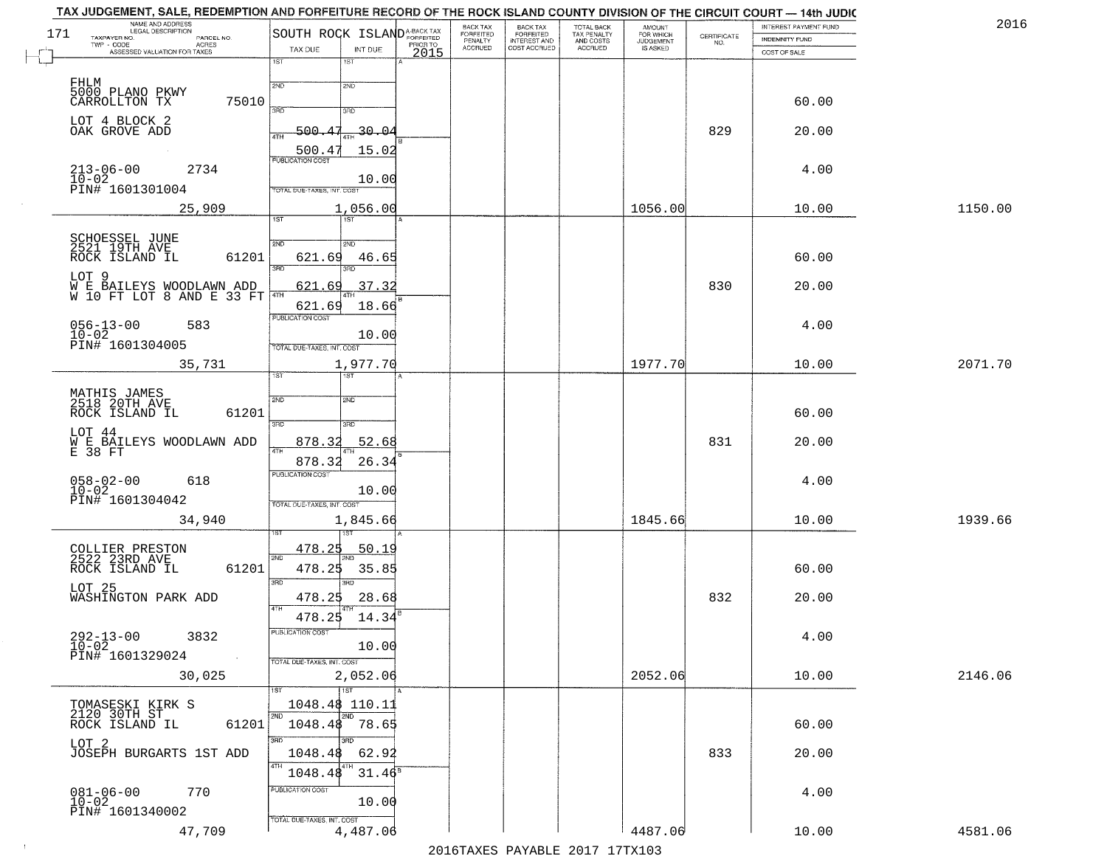| NAME AND ADDRESS<br>LEGAL DESCRIPTION<br>171                              | SOUTH ROCK ISLANDA-BACK TAX                       | BACK TAX<br><b>FORFEITED</b> | <b>BACK TAX</b><br><b>FORFEITED</b> | TOTAL BACK                          | <b>AMOUNT</b><br>FOR WHICH |                                                                 | INTEREST PAYMENT FUND | 2016    |
|---------------------------------------------------------------------------|---------------------------------------------------|------------------------------|-------------------------------------|-------------------------------------|----------------------------|-----------------------------------------------------------------|-----------------------|---------|
| TAXPAYER NO.<br>PARCEL NO.<br>TWP - CODE<br><b>ACRES</b>                  | PRIOR TO                                          | PENALTY<br>ACCRUED           | INTEREST AND<br>COST ACCRUED        | TAX PENALTY<br>AND COSTS<br>ACCRUED | JUDGEMENT                  | $\begin{array}{c} \text{CERTIFICATE} \\ \text{NO.} \end{array}$ | <b>INDEMNITY FUND</b> |         |
| ASSESSED VALUATION FOR TAXES                                              | TAX DUE<br>INT DUE<br>2015<br>1ST<br>1ST          |                              |                                     |                                     |                            |                                                                 | COST OF SALE          |         |
| FHLM                                                                      | 2ND<br>2ND                                        |                              |                                     |                                     |                            |                                                                 |                       |         |
| 5000 PLANO PKWY<br>CARROLLTON TX<br>75010                                 | 370                                               |                              |                                     |                                     |                            |                                                                 | 60.00                 |         |
| LOT 4 BLOCK 2<br>OAK GROVE ADD                                            | 3RD<br>500.<br>$-30 - 04$                         |                              |                                     |                                     |                            | 829                                                             | 20.00                 |         |
|                                                                           | 4TH<br>500.4<br>15.02                             |                              |                                     |                                     |                            |                                                                 |                       |         |
| 2734<br>$213 - 06 - 00$<br>$10-02$                                        | <b>PUBLICATION COST</b><br>10.00                  |                              |                                     |                                     |                            |                                                                 | 4.00                  |         |
| PIN# 1601301004                                                           | <b>FOTAL DUE-TAXES, INT. COST</b>                 |                              |                                     |                                     |                            |                                                                 |                       |         |
| 25,909                                                                    | 1,056.00<br>1ST <sup>-</sup><br>1ST               |                              |                                     |                                     | 1056.00                    |                                                                 | 10.00                 | 1150.00 |
| SCHOESSEL JUNE<br>2521 19TH AVE                                           | 2ND<br>2ND                                        |                              |                                     |                                     |                            |                                                                 |                       |         |
| 61201<br>ROCK ISLAND IL                                                   | 621.69<br>46.65<br>3RD                            |                              |                                     |                                     |                            |                                                                 | 60.00                 |         |
| LOT <sub>9</sub><br>W E BAILEYS WOODLAWN ADD<br>W 10 FT LOT 8 AND E 33 FT | 621<br>37.32<br>6٢<br>4TH                         |                              |                                     |                                     |                            | 830                                                             | 20.00                 |         |
|                                                                           | 621.69<br>18.66<br>PUBLICATION COST               |                              |                                     |                                     |                            |                                                                 |                       |         |
| $056 - 13 - 00$<br>$10 - 02$<br>583                                       | 10.00                                             |                              |                                     |                                     |                            |                                                                 | 4.00                  |         |
| PIN# 1601304005<br>35,731                                                 | TOTAL DUE-TAXES, INT. COST<br>1,977.70            |                              |                                     |                                     | 1977.70                    |                                                                 | 10.00                 | 2071.70 |
|                                                                           | ist.<br>1ST                                       |                              |                                     |                                     |                            |                                                                 |                       |         |
| MATHIS JAMES<br>2518 20TH AVE<br>61201<br>ROCK ISLAND IL                  | 2ND<br>2ND                                        |                              |                                     |                                     |                            |                                                                 | 60.00                 |         |
| LOT 44                                                                    | 3BD<br>3BD                                        |                              |                                     |                                     |                            |                                                                 |                       |         |
| W E BAILEYS WOODLAWN ADD<br>E 38 FT                                       | 52.68<br>878.32<br>878.32<br>26.34                |                              |                                     |                                     |                            | 831                                                             | 20.00                 |         |
| $058 - 02 - 00$<br>10-02<br>618                                           | <b>PUBLICATION COST</b>                           |                              |                                     |                                     |                            |                                                                 | 4.00                  |         |
| PIN# 1601304042                                                           | 10.00<br>TOTAL OUE-TAXES, INT. COST               |                              |                                     |                                     |                            |                                                                 |                       |         |
| 34,940                                                                    | 1,845.66                                          |                              |                                     |                                     | 1845.66                    |                                                                 | 10.00                 | 1939.66 |
| COLLIER PRESTON<br>2522 23RD AVE                                          | <u>478.25</u><br><u>50.19</u><br>2ND              |                              |                                     |                                     |                            |                                                                 |                       |         |
| 61201<br>ROCK ISLAND IL                                                   | 478.25<br>35.85                                   |                              |                                     |                                     |                            |                                                                 | 60.00                 |         |
| LOT 25<br>WASHINGTON PARK ADD                                             | 3RD<br>3RD<br>478.25<br>28.68                     |                              |                                     |                                     |                            | 832                                                             | 20.00                 |         |
|                                                                           | 4TH<br>14.34<br>478.25                            |                              |                                     |                                     |                            |                                                                 |                       |         |
| $292 - 13 - 00$<br>$10 - 02$<br>3832                                      | PUBLICATION COST<br>10.00                         |                              |                                     |                                     |                            |                                                                 | 4.00                  |         |
| PIN# 1601329024<br>30,025                                                 | TOTAL DUE-TAXES, INT. COST<br>2,052.06            |                              |                                     |                                     | 2052.06                    |                                                                 | 10.00                 | 2146.06 |
|                                                                           | $\overline{1ST}$                                  |                              |                                     |                                     |                            |                                                                 |                       |         |
| TOMASESKI KIRK S<br>2120 30TH ST<br>ROCK ISLAND IL<br>61201               | 1048.48 110.11<br>2ND<br>2ND<br>1048.48<br>78.65  |                              |                                     |                                     |                            |                                                                 | 60.00                 |         |
| LOT <sub>2</sub>                                                          | 3RD                                               |                              |                                     |                                     |                            |                                                                 |                       |         |
| JOSEPH BURGARTS 1ST ADD                                                   | 1048.48<br>62.92<br>4TH                           |                              |                                     |                                     |                            | 833                                                             | 20.00                 |         |
| 770                                                                       | 31.46 <sup>s</sup><br>1048.48<br>PUBLICATION COST |                              |                                     |                                     |                            |                                                                 | 4.00                  |         |
| $081 - 06 - 00$<br>10-02<br>PIN# 1601340002                               | 10.00<br>TOTAL DUE-TAXES, INT. COST               |                              |                                     |                                     |                            |                                                                 |                       |         |
|                                                                           |                                                   |                              |                                     |                                     |                            |                                                                 |                       |         |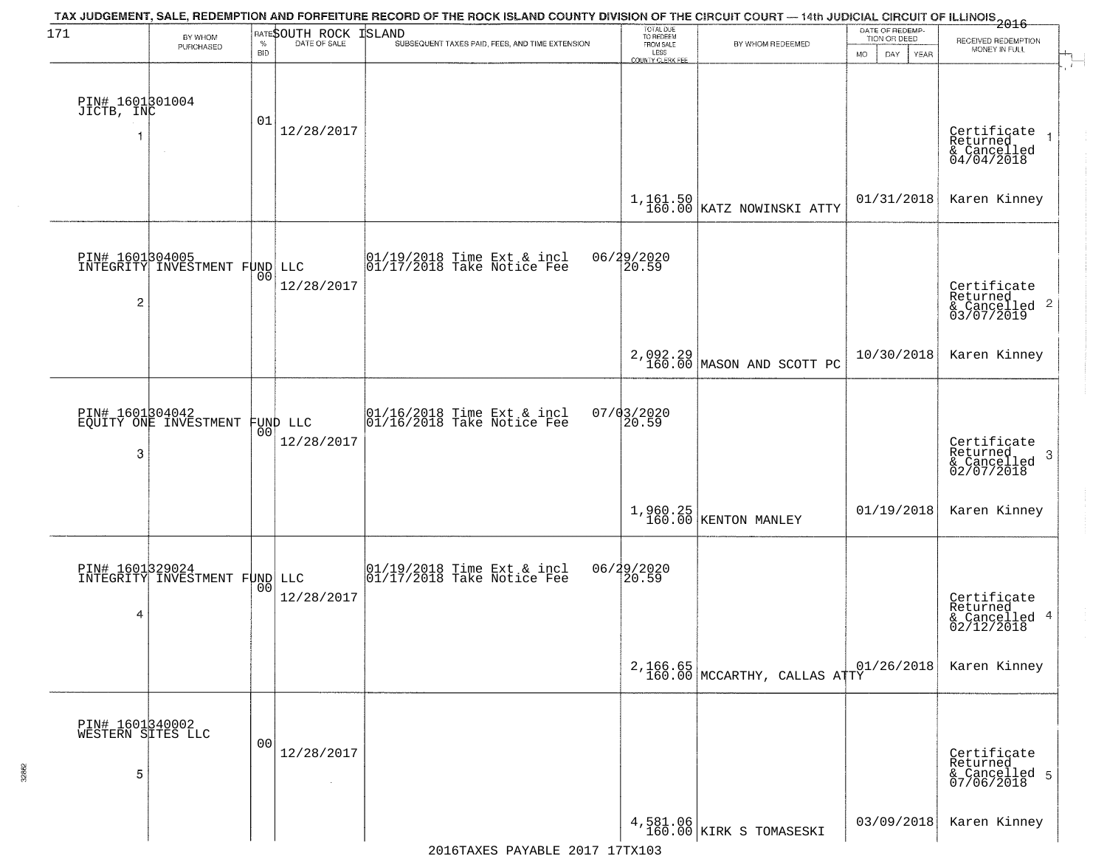| 171                                       | BY WHOM                                          |                | <b>RATESOUTH ROCK</b>  | TAX JUDGEMENT, SALE, REDEMPTION AND FORFEITURE RECORD OF THE ROCK ISLAND COUNTY DIVISION OF THE CIRCUIT COURT — 14th JUDICIAL CIRCUIT OF ILLINOIS<br>2016 - The Contract of December 1999<br><b>ISLAND</b> | TOTAL DUE<br>TO REDEEM                |                                            | DATE OF REDEMP-<br>TION OR DEED |                                                                    |
|-------------------------------------------|--------------------------------------------------|----------------|------------------------|------------------------------------------------------------------------------------------------------------------------------------------------------------------------------------------------------------|---------------------------------------|--------------------------------------------|---------------------------------|--------------------------------------------------------------------|
|                                           | PURCHASED                                        | <b>BID</b>     |                        | SUBSEQUENT TAXES PAID, FEES, AND TIME EXTENSION                                                                                                                                                            | FROM SALE<br>LESS<br>COUNTY CLERK FEE | BY WHOM REDEEMED                           | <b>MO</b><br>DAY<br>YEAR        | RECEIVED REDEMPTION<br>MONEY IN FULL                               |
| PIN# 1601301004<br>JICTB, INC             |                                                  | 01             | 12/28/2017             |                                                                                                                                                                                                            |                                       |                                            |                                 | Certificate<br>Returned                                            |
|                                           | $\sim$                                           |                |                        |                                                                                                                                                                                                            |                                       | $1,161.50$ KATZ NOWINSKI ATTY              | 01/31/2018                      | & Cancelled<br>04/04/2018<br>Karen Kinney                          |
| 2                                         | PIN# 1601304005<br>INTEGRITY INVESTMENT FUND LLC | 00             | 12/28/2017             | $\begin{array}{ccc}  01/19/2018 \text{ Time} & \text{Ext} & \text{incl} \\  01/17/2018 \text{ Take Notice } \text{Fe} \end{array}$                                                                         | 06/29/2020<br>20.59                   |                                            |                                 | Certificate<br>Returned<br>$\frac{1}{2}$ Cancelled 2<br>03/07/2019 |
|                                           |                                                  |                |                        |                                                                                                                                                                                                            |                                       | 2,092.29<br>160.00 MASON AND SCOTT PC      | 10/30/2018                      | Karen Kinney                                                       |
| 3                                         | PIN# 1601304042<br>EQUITY ONE INVESTMENT         | 0 <sub>0</sub> | FUND LLC<br>12/28/2017 | $\begin{array}{c} 01/16/2018 \\ 01/16/2018 \\ \end{array}$ Take Notice Fee                                                                                                                                 | $07/03/2020$<br>20.59                 |                                            |                                 | Certificate<br>Returned<br>3<br>& Cancelled<br>02/07/2018          |
|                                           |                                                  |                |                        |                                                                                                                                                                                                            |                                       | $1,960.25$<br>160.00 KENTON MANLEY         | 01/19/2018                      | Karen Kinney                                                       |
| 4                                         | PIN# 1601329024<br>INTEGRITY INVESTMENT FUND LLC | 00             | 12/28/2017             | 01/19/2018 Time Ext & incl<br>01/17/2018 Take Notice Fee                                                                                                                                                   | 06/29/2020                            |                                            |                                 | Certificate<br>Returned<br>& Cancelled 4<br>02/12/2018             |
|                                           |                                                  |                |                        |                                                                                                                                                                                                            |                                       | $2,166.65$<br>160.00 MCCARTHY, CALLAS ATTY | 01/26/2018                      | Karen Kinney                                                       |
| PIN# 1601340002<br>WESTERN SITES LLC<br>5 |                                                  | 00             | 12/28/2017<br>$\sim$   |                                                                                                                                                                                                            |                                       |                                            |                                 | Certificate<br>Returned<br>& Cancelled 5<br>07/06/2018             |
|                                           |                                                  |                |                        |                                                                                                                                                                                                            |                                       | 4,581.06<br>160.00 KIRK S TOMASESKI        | 03/09/2018                      | Karen Kinney                                                       |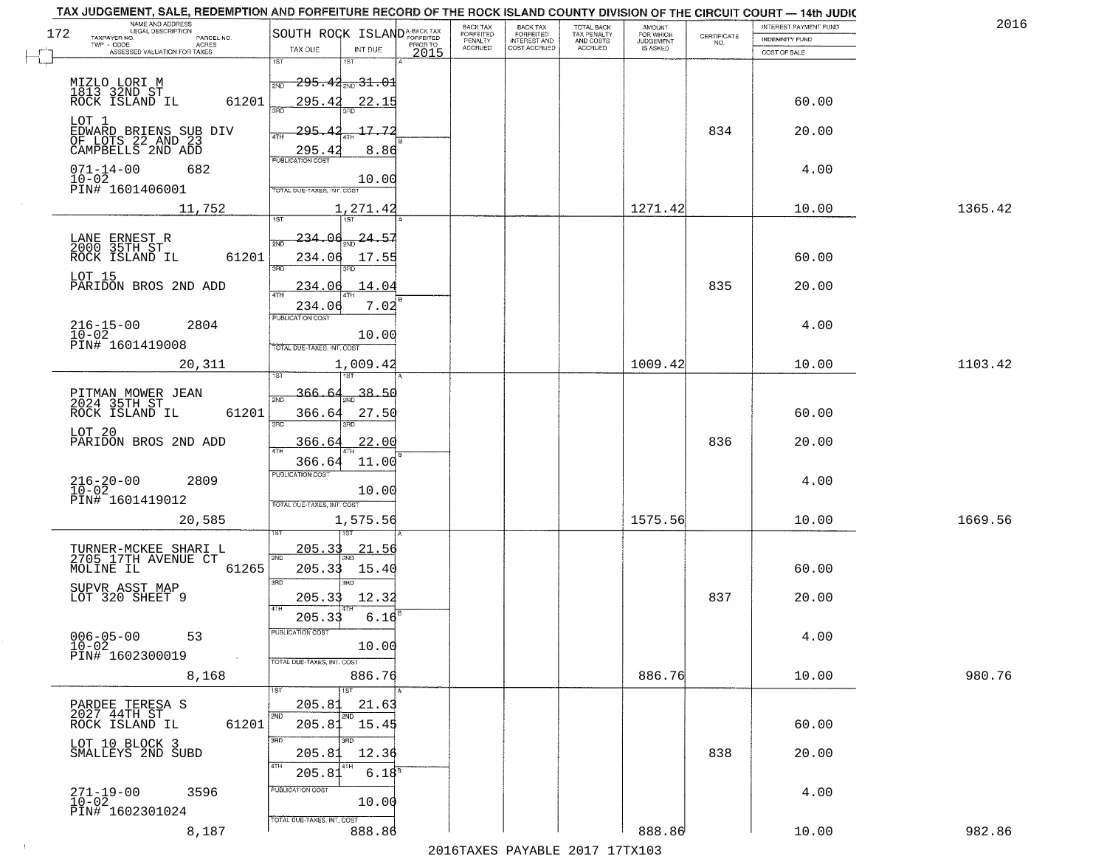|     | TAX JUDGEMENT, SALE, REDEMPTION AND FORFEITURE RECORD OF THE ROCK ISLAND COUNTY DIVISION OF THE CIRCUIT COURT - 14th JUDIC<br>NAME AND ADDRESS<br>LEGAL DESCRIPTION |                                           |                  | <b>BACK TAX</b>             |                                              |                                        |                                         |                                                                 | INTEREST PAYMENT FUND | 2016    |
|-----|---------------------------------------------------------------------------------------------------------------------------------------------------------------------|-------------------------------------------|------------------|-----------------------------|----------------------------------------------|----------------------------------------|-----------------------------------------|-----------------------------------------------------------------|-----------------------|---------|
| 172 | TAXPAYER NO.<br>PARCEL NO.                                                                                                                                          | SOUTH ROCK ISLAND <sup>A-BACK TAX</sup>   |                  | <b>FORFEITED</b><br>PENALTY | BACK TAX<br>FORFEITED<br><b>INTEREST AND</b> | TOTAL BACK<br>TAX PENALTY<br>AND COSTS | AMOUNT<br>FOR WHICH<br><b>JUDGEMENT</b> | $\begin{array}{c} \text{CERTIFICATE} \\ \text{NO.} \end{array}$ | INDEMNITY FUND        |         |
|     | ACRES<br>ASSESSED VALUATION FOR TAXES                                                                                                                               | TAX DUE<br>INT DUE                        | PRIOR TO<br>2015 | <b>ACCRUED</b>              | COST ACCRUED                                 | <b>ACCRUED</b>                         | IS ASKED                                |                                                                 | COST OF SALE          |         |
|     |                                                                                                                                                                     | 1ST<br>1ST                                |                  |                             |                                              |                                        |                                         |                                                                 |                       |         |
|     |                                                                                                                                                                     | $-295.44_{\text{\tiny 2ND}}$ 31.01<br>2ND |                  |                             |                                              |                                        |                                         |                                                                 |                       |         |
|     | MIZLO LORI M<br>1813 32ND ST<br>ROCK ISLAND IL                                                                                                                      |                                           |                  |                             |                                              |                                        |                                         |                                                                 |                       |         |
|     | 61201                                                                                                                                                               | 295.42<br>22.15<br>350                    |                  |                             |                                              |                                        |                                         |                                                                 | 60.00                 |         |
|     | LOT 1                                                                                                                                                               |                                           |                  |                             |                                              |                                        |                                         |                                                                 |                       |         |
|     | EDWARD BRIENS SUB DIV<br>OF LOTS 22 AND 23<br>CAMPBELLS 2ND ADD                                                                                                     | 295.42<br>17.72<br>ATH                    |                  |                             |                                              |                                        |                                         | 834                                                             | 20.00                 |         |
|     |                                                                                                                                                                     | 295.4<br>8.86                             |                  |                             |                                              |                                        |                                         |                                                                 |                       |         |
|     | $071 - 14 - 00$<br>682                                                                                                                                              |                                           |                  |                             |                                              |                                        |                                         |                                                                 | 4.00                  |         |
|     | $10-02$                                                                                                                                                             | 10.00                                     |                  |                             |                                              |                                        |                                         |                                                                 |                       |         |
|     | PIN# 1601406001                                                                                                                                                     | TOTAL DUE-TAXES, INT. COST                |                  |                             |                                              |                                        |                                         |                                                                 |                       |         |
|     | 11,752                                                                                                                                                              | 1,271.42                                  |                  |                             |                                              |                                        | 1271.42                                 |                                                                 | 10.00                 | 1365.42 |
|     |                                                                                                                                                                     |                                           |                  |                             |                                              |                                        |                                         |                                                                 |                       |         |
|     |                                                                                                                                                                     | 234.06 <sub>2ND</sub> 24.57               |                  |                             |                                              |                                        |                                         |                                                                 |                       |         |
|     | LANE ERNEST R<br>2000 35TH ST                                                                                                                                       |                                           |                  |                             |                                              |                                        |                                         |                                                                 |                       |         |
|     | 61201<br>ROCK ISLAND IL                                                                                                                                             | 234.06<br>17.55<br>बन्ना<br>3RD           |                  |                             |                                              |                                        |                                         |                                                                 | 60.00                 |         |
|     | LOT 15                                                                                                                                                              |                                           |                  |                             |                                              |                                        |                                         |                                                                 |                       |         |
|     | PARIDON BROS 2ND ADD                                                                                                                                                | 234.06<br>14.04                           |                  |                             |                                              |                                        |                                         | 835                                                             | 20.00                 |         |
|     |                                                                                                                                                                     | 7.02<br>234.06                            |                  |                             |                                              |                                        |                                         |                                                                 |                       |         |
|     |                                                                                                                                                                     | PUBLICATION COST                          |                  |                             |                                              |                                        |                                         |                                                                 |                       |         |
|     | $216 - 15 - 00$<br>2804<br>$10 - 02$                                                                                                                                | 10.00                                     |                  |                             |                                              |                                        |                                         |                                                                 | 4.00                  |         |
|     | PIN# 1601419008                                                                                                                                                     | TOTAL DUE-TAXES, INT. COST                |                  |                             |                                              |                                        |                                         |                                                                 |                       |         |
|     | 20,311                                                                                                                                                              | 1,009.42                                  |                  |                             |                                              |                                        | 1009.42                                 |                                                                 | 10.00                 | 1103.42 |
|     |                                                                                                                                                                     | 1ST                                       |                  |                             |                                              |                                        |                                         |                                                                 |                       |         |
|     |                                                                                                                                                                     | 38.50<br>366.                             |                  |                             |                                              |                                        |                                         |                                                                 |                       |         |
|     | PITMAN MOWER JEAN<br>2024 35TH ST                                                                                                                                   | 2ND                                       |                  |                             |                                              |                                        |                                         |                                                                 |                       |         |
|     | ROCK ISLAND IL<br>61201                                                                                                                                             | 366.64<br>27.50<br>3BD<br>3RD             |                  |                             |                                              |                                        |                                         |                                                                 | 60.00                 |         |
|     | LOT 20                                                                                                                                                              |                                           |                  |                             |                                              |                                        |                                         |                                                                 |                       |         |
|     | PARIDON BROS 2ND ADD                                                                                                                                                | 366.64<br><u>22.00</u>                    |                  |                             |                                              |                                        |                                         | 836                                                             | 20.00                 |         |
|     |                                                                                                                                                                     | 366.64<br>11.00                           |                  |                             |                                              |                                        |                                         |                                                                 |                       |         |
|     |                                                                                                                                                                     | <b>PUBLICATION COST</b>                   |                  |                             |                                              |                                        |                                         |                                                                 |                       |         |
|     | $216 - 20 - 00$<br>$10 - 02$<br>2809                                                                                                                                | 10.00                                     |                  |                             |                                              |                                        |                                         |                                                                 | 4.00                  |         |
|     | PIN# 1601419012                                                                                                                                                     | TOTAL OUE-TAXES, INT. COST                |                  |                             |                                              |                                        |                                         |                                                                 |                       |         |
|     | 20,585                                                                                                                                                              | 1,575.56                                  |                  |                             |                                              |                                        | 1575.56                                 |                                                                 | 10.00                 | 1669.56 |
|     |                                                                                                                                                                     |                                           |                  |                             |                                              |                                        |                                         |                                                                 |                       |         |
|     |                                                                                                                                                                     | <u>205.33</u><br>21.56                    |                  |                             |                                              |                                        |                                         |                                                                 |                       |         |
|     | TURNER-MCKEE SHARI L<br>2705 17TH AVENUE CT                                                                                                                         | 2ND.                                      |                  |                             |                                              |                                        |                                         |                                                                 |                       |         |
|     | MOLINE IL<br>61265                                                                                                                                                  | 205.33<br>15.40                           |                  |                             |                                              |                                        |                                         |                                                                 | 60.00                 |         |
|     | SUPVR ASST MAP                                                                                                                                                      | 3RD<br>3RD                                |                  |                             |                                              |                                        |                                         |                                                                 |                       |         |
|     | LOT 320 SHEET 9                                                                                                                                                     | 12.32<br>205.33<br>4TH                    |                  |                             |                                              |                                        |                                         | 837                                                             | 20.00                 |         |
|     |                                                                                                                                                                     | 205.33<br>6.16                            |                  |                             |                                              |                                        |                                         |                                                                 |                       |         |
|     | $006 - 05 - 00$<br>53                                                                                                                                               | PUBLICATION COST                          |                  |                             |                                              |                                        |                                         |                                                                 | 4.00                  |         |
|     | $10 - 02$                                                                                                                                                           | 10.00                                     |                  |                             |                                              |                                        |                                         |                                                                 |                       |         |
|     | PIN# 1602300019                                                                                                                                                     | TOTAL DUE-TAXES, INT. COST                |                  |                             |                                              |                                        |                                         |                                                                 |                       |         |
|     | 8,168                                                                                                                                                               | 886.76                                    |                  |                             |                                              |                                        | 886.76                                  |                                                                 | 10.00                 | 980.76  |
|     |                                                                                                                                                                     |                                           |                  |                             |                                              |                                        |                                         |                                                                 |                       |         |
|     | PARDEE TERESA S                                                                                                                                                     | 205.8<br>21.63                            |                  |                             |                                              |                                        |                                         |                                                                 |                       |         |
|     | 2027 44TH ST                                                                                                                                                        |                                           |                  |                             |                                              |                                        |                                         |                                                                 |                       |         |
|     | 61201<br>ROCK ISLAND IL                                                                                                                                             | 205.81<br>15.45                           |                  |                             |                                              |                                        |                                         |                                                                 | 60.00                 |         |
|     | LOT 10 BLOCK 3<br>SMALLEYS 2ND SUBD                                                                                                                                 | 3RD<br>3RD                                |                  |                             |                                              |                                        |                                         |                                                                 |                       |         |
|     |                                                                                                                                                                     | 12.36<br>205.83                           |                  |                             |                                              |                                        |                                         | 838                                                             | 20.00                 |         |
|     |                                                                                                                                                                     | $6.18^{8}$<br>205.8                       |                  |                             |                                              |                                        |                                         |                                                                 |                       |         |
|     |                                                                                                                                                                     | PUBLICATION COST                          |                  |                             |                                              |                                        |                                         |                                                                 |                       |         |
|     | 271-19-00<br>10-02<br>3596                                                                                                                                          | 10.00                                     |                  |                             |                                              |                                        |                                         |                                                                 | 4.00                  |         |
|     | PIN# 1602301024                                                                                                                                                     | TOTAL DUE-TAXES, INT. COST                |                  |                             |                                              |                                        |                                         |                                                                 |                       |         |
|     | 8,187                                                                                                                                                               | 888.86                                    |                  |                             |                                              |                                        | 888.86                                  |                                                                 | 10.00                 | 982.86  |
|     |                                                                                                                                                                     |                                           |                  |                             |                                              | 2016 TAVEC DAVARLE 2017 17 TV102       |                                         |                                                                 |                       |         |
|     |                                                                                                                                                                     |                                           |                  |                             |                                              |                                        |                                         |                                                                 |                       |         |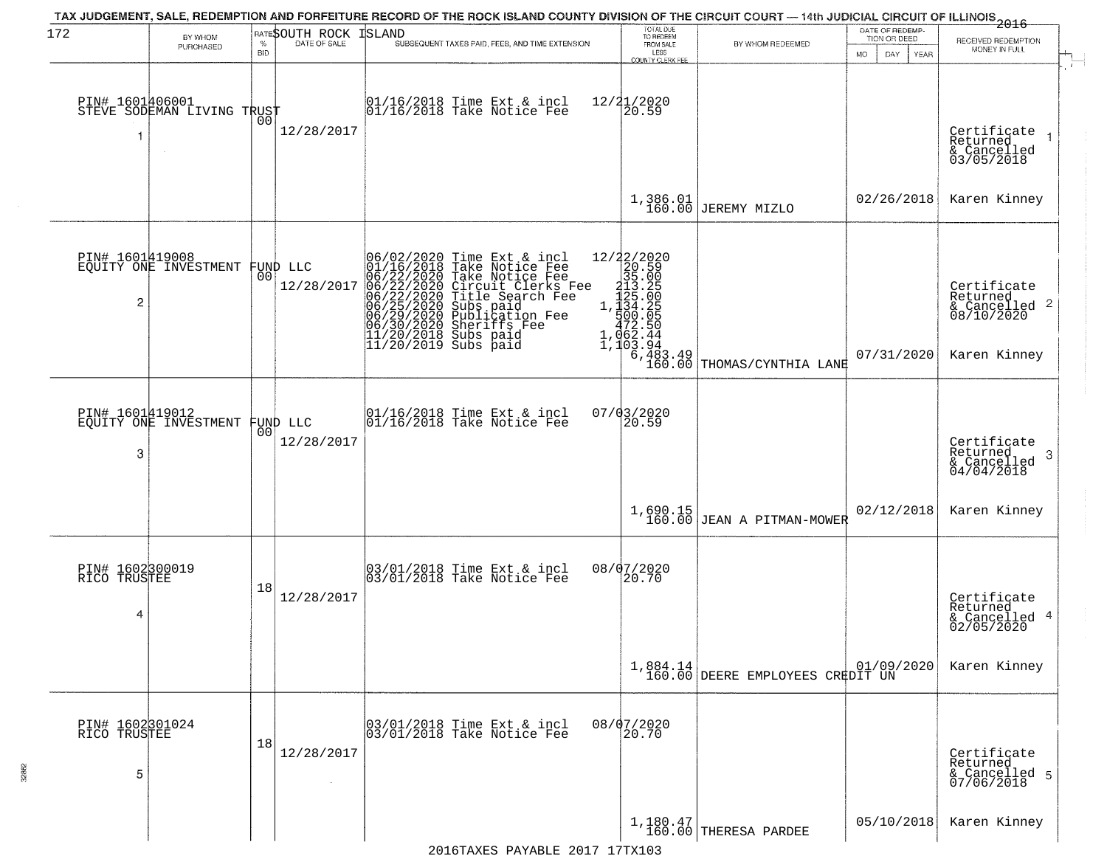| 172                                  | BY WHOM<br>PURCHASED                              | <b>BID</b>     | <b>RATESOUTH ROCK ISLAND</b> | TAX JUDGEMENT, SALE, REDEMPTION AND FORFEITURE RECORD OF THE ROCK ISLAND COUNTY DIVISION OF THE CIRCUIT COURT — 14th JUDICIAL CIRCUIT OF ILLINOIS<br>2016 - 14th Juli 2017<br>SUBSEQUENT TAXES PAID, FEES, AND TIME EXTENSION                                                                                                                                                                                                 | TOTAL DUE<br>TO REDEEM<br>FROM SALE<br>LESS<br>COUNTY CLERK FEE                                                                                                                                                                                                                                                              | BY WHOM REDEEMED                             | DATE OF REDEMP.<br>TION OR DEED<br>MO.<br>DAY.<br>YEAR | RECEIVED REDEMPTION<br>MONEY IN FULL                                   |
|--------------------------------------|---------------------------------------------------|----------------|------------------------------|-------------------------------------------------------------------------------------------------------------------------------------------------------------------------------------------------------------------------------------------------------------------------------------------------------------------------------------------------------------------------------------------------------------------------------|------------------------------------------------------------------------------------------------------------------------------------------------------------------------------------------------------------------------------------------------------------------------------------------------------------------------------|----------------------------------------------|--------------------------------------------------------|------------------------------------------------------------------------|
| PIN# 1601406001                      | STEVE SODEMAN LIVING TRUST                        | 00             | 12/28/2017                   | 01/16/2018 Time Ext & incl<br>01/16/2018 Take Notice Fee                                                                                                                                                                                                                                                                                                                                                                      | 12/21/2020<br>20.59                                                                                                                                                                                                                                                                                                          |                                              |                                                        | Certificate<br>Returned<br>& Cancelled<br>03/05/2018                   |
|                                      |                                                   |                |                              |                                                                                                                                                                                                                                                                                                                                                                                                                               | 1,386.01<br>160.00                                                                                                                                                                                                                                                                                                           | JEREMY MIZLO                                 | 02/26/2018                                             | Karen Kinney                                                           |
| 2                                    | PIN# 1601419008<br>EQUITY ONE INVESTMENT FUND LLC |                | 12/28/2017                   | 06/02/2020 Time Ext &<br>01/16/2018 Take Notic<br>06/22/2020 Circuit Clip<br>06/22/2020 Circuit Clip<br>06/22/2020 Title Sear<br>06/25/2020 Subs paid<br>06/29/2020 Publicatio<br>06/30/2020 Sheriffs F<br>11/20/2018 Subs paid<br>11/20/2019 Subs paid<br>Time Ext & incl<br>Take Notice Fee<br>Take Notice Fee<br>Circuit Clerks Fee<br>Title Search Fee<br>Subs paid<br>Publication Fee<br>Shariffaion Fee<br>Sheriffs Fee | ${\begin{array}{c} 12/22/2020 \\ 20.59 \\ 315.029 \\ 123.20 \\ 1,123.20 \\ 1,134.20 \\ 472.50 \\ 1,062.44 \\ 1,103.29 \\ 2,144 \\ 3,148 \\ 3,148 \\ 4,28 \\ 4,38 \\ 4,48 \\ 4,48 \\ 4,48 \\ 4,48 \\ 4,48 \\ 4,48 \\ 4,48 \\ 4,49 \\ 4,49 \\ 4,49 \\ 4,40 \\ 4,48 \\ 4,49 \\ 4,49 \\ 4,40 \\ 4,40 \\$<br>$6,483.49$<br>160.00 | THOMAS/CYNTHIA LANE                          | 07/31/2020                                             | Certificate<br>Returned<br>& Cancelled 2<br>08/10/2020<br>Karen Kinney |
| PIN# 1601419012<br>3                 | EQUITY ONE INVESTMENT                             | 0 <sup>0</sup> | FUND LLC<br>12/28/2017       | 01/16/2018 Time Ext & incl<br>01/16/2018 Take Notice Fee                                                                                                                                                                                                                                                                                                                                                                      | 07/03/2020<br>20.59                                                                                                                                                                                                                                                                                                          |                                              |                                                        | Certifiçate<br>Returned<br>-3<br>& Cancelled<br>04/04/2018             |
|                                      |                                                   |                |                              |                                                                                                                                                                                                                                                                                                                                                                                                                               |                                                                                                                                                                                                                                                                                                                              | $1,690.15$ JEAN A PITMAN-MOWER               | 02/12/2018                                             | Karen Kinney                                                           |
| PIN# 1602300019<br>RICO TRUSTEE<br>4 |                                                   | 18             | 12/28/2017                   | 03/01/2018 Time Ext & incl<br>03/01/2018 Take Notice Fee                                                                                                                                                                                                                                                                                                                                                                      | 08/07/2020<br>20.70                                                                                                                                                                                                                                                                                                          |                                              |                                                        | Certificate<br>Returned<br>& Cancelled 4<br>02/05/2020                 |
|                                      |                                                   |                |                              |                                                                                                                                                                                                                                                                                                                                                                                                                               |                                                                                                                                                                                                                                                                                                                              | 1,884.14<br>160.00 DEERE EMPLOYEES CREDIT UN |                                                        | Karen Kinney                                                           |
| PIN# 1602301024<br>RICO TRUSTEE<br>5 |                                                   | 18             | 12/28/2017                   | 03/01/2018 Time Ext & incl<br>03/01/2018 Take Notice Fee                                                                                                                                                                                                                                                                                                                                                                      | 08/07/2020<br>20.70                                                                                                                                                                                                                                                                                                          |                                              |                                                        | Certificate<br>Returned<br>& Cancelled 5<br>07/06/2018                 |
|                                      |                                                   |                |                              |                                                                                                                                                                                                                                                                                                                                                                                                                               |                                                                                                                                                                                                                                                                                                                              | $1,180.47$ THERESA PARDEE                    | 05/10/2018                                             | Karen Kinney                                                           |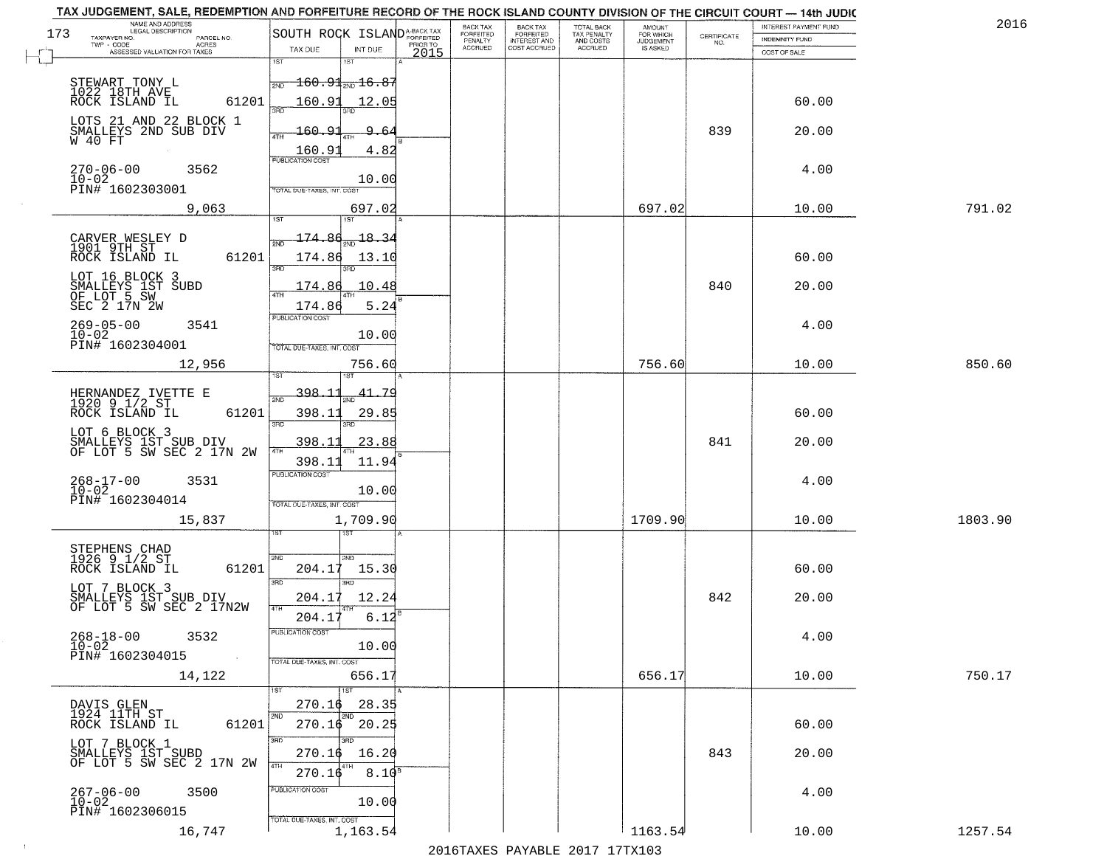| NAME AND ADDRESS<br>LEGAL DESCRIPTION<br>173<br>TAXPAYER NO.   |            | SOUTH ROCK ISLAND <sup>A-BACK TAX</sup> |                                      |          | BACK TAX<br>FORFEITED | <b>BACK TAX</b><br><b>FORFEITED</b> | TOTAL BACK<br>TAX PENALTY | <b>AMOUNT</b>                      |                                                                 | INTEREST PAYMENT FUND | 2016    |
|----------------------------------------------------------------|------------|-----------------------------------------|--------------------------------------|----------|-----------------------|-------------------------------------|---------------------------|------------------------------------|-----------------------------------------------------------------|-----------------------|---------|
| TWP - CODE<br>ACRES<br>ASSESSED VALUATION FOR TAXES            | PARCEL NO. | TAX DUE                                 | INT DUE                              | PRIOR TO | PENALTY<br>ACCRUED    | INTEREST AND<br>COST ACCRUED        | AND COSTS<br>ACCRUED      | FOR WHICH<br>JUDGEMENT<br>IS ASKED | $\begin{array}{c} \text{CERTIFICATE} \\ \text{NO.} \end{array}$ | <b>INDEMNITY FUND</b> |         |
|                                                                |            | 1ST                                     |                                      | 2015     |                       |                                     |                           |                                    |                                                                 | COST OF SALE          |         |
| STEWART TONY L<br>1022 18TH AVE                                |            | 2ND                                     | <del>160.91<sub>2ND</sub>16.83</del> |          |                       |                                     |                           |                                    |                                                                 |                       |         |
| ROCK ISLAND IL                                                 | 61201      | 160.91<br>3AD                           | 12.05                                |          |                       |                                     |                           |                                    |                                                                 | 60.00                 |         |
| LOTS 21 AND 22 BLOCK 1                                         |            |                                         | 3BD                                  |          |                       |                                     |                           |                                    |                                                                 |                       |         |
| SMALLEYS 2ND SUB DIV<br>W 40 FT                                |            | <u> 160.9</u><br>4TH                    | 9.6                                  |          |                       |                                     |                           |                                    | 839                                                             | 20.00                 |         |
| $270 - 06 - 00$                                                |            | 160.9<br>PUBLICATION COST               | 4.82                                 |          |                       |                                     |                           |                                    |                                                                 |                       |         |
| 3562<br>$10 - 02$<br>PIN# 1602303001                           |            | TOTAL DUE-TAXES, INT. COST              | 10.00                                |          |                       |                                     |                           |                                    |                                                                 | 4.00                  |         |
| 9,063                                                          |            |                                         | 697.02                               |          |                       |                                     |                           | 697.02                             |                                                                 | 10.00                 | 791.02  |
|                                                                |            | 1ST                                     | 1ST                                  |          |                       |                                     |                           |                                    |                                                                 |                       |         |
| CARVER WESLEY D<br>1901 9TH ST                                 |            | 174.86                                  | 18.34                                |          |                       |                                     |                           |                                    |                                                                 |                       |         |
| ROCK ISLAND IL                                                 | 61201      | 174.86<br>3RD                           | 13.10                                |          |                       |                                     |                           |                                    |                                                                 | 60.00                 |         |
| LOT 16 BLOCK 3                                                 |            | 174.86                                  | 10.48                                |          |                       |                                     |                           |                                    | 840                                                             | 20.00                 |         |
| SMALLEYS 1ST SUBD<br>OF LOT 5 SW<br>SEC 2 17N 2W               |            | <b>ATH</b><br>174.86                    | 5.24                                 |          |                       |                                     |                           |                                    |                                                                 |                       |         |
| $269 - 05 - 00$<br>3541                                        |            | PUBLICATION COST                        |                                      |          |                       |                                     |                           |                                    |                                                                 | 4.00                  |         |
| $10 - 02$<br>PIN# 1602304001                                   |            | TOTAL DUE-TAXES, INT. COST              | 10.00                                |          |                       |                                     |                           |                                    |                                                                 |                       |         |
| 12,956                                                         |            |                                         | 756.60                               |          |                       |                                     |                           | 756.60                             |                                                                 | 10.00                 | 850.60  |
|                                                                |            | 398,11                                  |                                      |          |                       |                                     |                           |                                    |                                                                 |                       |         |
| HERNANDEZ IVETTE E<br>1920 9 1/2 ST<br>ROCK ISLAND IL          | 61201      | 2ND<br>398.11                           | 41.<br>-79<br>29.85                  |          |                       |                                     |                           |                                    |                                                                 | 60.00                 |         |
| LOT 6 BLOCK 3                                                  |            | 3RD                                     | 3RD                                  |          |                       |                                     |                           |                                    |                                                                 |                       |         |
| SMALLEYS 1ST SUB DIV<br>OF LOT 5 SW SEC 2 17N 2W               |            | 398.11<br>4TH                           | 23.88                                |          |                       |                                     |                           |                                    | 841                                                             | 20.00                 |         |
|                                                                |            | 398.11<br><b>PUBLICATION COST</b>       | 11.94                                |          |                       |                                     |                           |                                    |                                                                 |                       |         |
| 268-17-00<br>10-02<br>3531                                     |            |                                         | 10.00                                |          |                       |                                     |                           |                                    |                                                                 | 4.00                  |         |
| PIN# 1602304014                                                |            | TOTAL OUE-TAXES, INT. COST              |                                      |          |                       |                                     |                           |                                    |                                                                 |                       |         |
| 15,837                                                         |            |                                         | 1,709.90<br>ख                        |          |                       |                                     |                           | 1709.90                            |                                                                 | 10.00                 | 1803.90 |
| STEPHENS CHAD<br>1926 9 1/2 ST                                 |            |                                         |                                      |          |                       |                                     |                           |                                    |                                                                 |                       |         |
| ROCK ISLAND IL                                                 | 61201      | 2ND<br>204.17                           | 2ND<br>15.30                         |          |                       |                                     |                           |                                    |                                                                 | 60.00                 |         |
| LOT 7 BLOCK 3                                                  |            | 3RD                                     | 3RD                                  |          |                       |                                     |                           |                                    | 842                                                             |                       |         |
| SMALLEYS 1ST SUB DIV<br>OF LOT 5 SW SEC 2 17N2W                |            | 204.17<br>4TH<br>204.17                 | 12.24<br>6.12                        |          |                       |                                     |                           |                                    |                                                                 | 20.00                 |         |
| $268 - 18 - 00$<br>3532                                        |            | PUBLICATION COST                        |                                      |          |                       |                                     |                           |                                    |                                                                 | 4.00                  |         |
| $10 - 02$<br>PIN# 1602304015                                   | $\sim 100$ |                                         | 10.00                                |          |                       |                                     |                           |                                    |                                                                 |                       |         |
| 14,122                                                         |            | TOTAL DUE-TAXES, INT. COST              | 656.17                               |          |                       |                                     |                           | 656.17                             |                                                                 | 10.00                 | 750.17  |
|                                                                |            | 1ST                                     | 1ST                                  |          |                       |                                     |                           |                                    |                                                                 |                       |         |
| DAVIS GLEN<br>1924 11TH ST                                     |            | 270.16<br>2ND                           | 28.35<br>2ND                         |          |                       |                                     |                           |                                    |                                                                 |                       |         |
| ROCK ISLAND IL                                                 | 61201      | 270.16<br>3RD                           | 20.25<br>3BD                         |          |                       |                                     |                           |                                    |                                                                 | 60.00                 |         |
| LOT 7 BLOCK 1<br>SMALLEYS 1ST SUBD<br>OF LOT 5 SW SEC 2 17N 2W |            | 270.16                                  | 16.20                                |          |                       |                                     |                           |                                    | 843                                                             | 20.00                 |         |
|                                                                |            | 4TH<br>270.16                           | 4TH<br>$8.10^{8}$                    |          |                       |                                     |                           |                                    |                                                                 |                       |         |
| 267-06-00<br>10-02<br>3500                                     |            | PUBLICATION COST                        | 10.00                                |          |                       |                                     |                           |                                    |                                                                 | 4.00                  |         |
| PIN# 1602306015                                                |            | TOTAL DUE-TAXES, INT. COST              |                                      |          |                       |                                     |                           |                                    |                                                                 |                       |         |
| 16,747                                                         |            |                                         | 1,163.54                             |          |                       |                                     |                           | 1163.54                            |                                                                 | 10.00                 | 1257.54 |

 $\sim 100$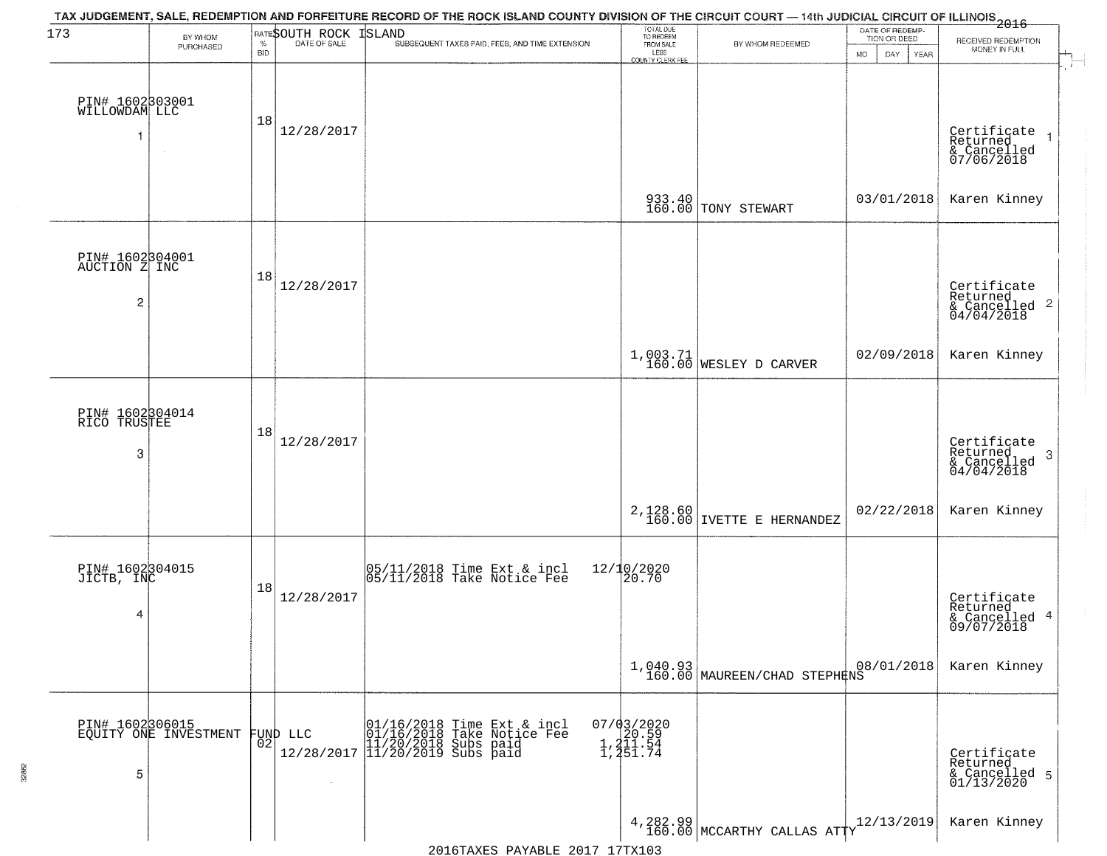| 173                                   | BY WHOM                                  |                    | RATESOUTH ROCK | TAX JUDGEMENT, SALE, REDEMPTION AND FORFEITURE RECORD OF THE ROCK ISLAND COUNTY DIVISION OF THE CIRCUIT COURT — 14th JUDICIAL CIRCUIT OF ILLINOIS 2016<br><b>ISLAND</b> | TOTAL DUE<br>TO REDEEM<br>FROM SALE                |                                            | DATE OF REDEMP-<br>TION OR DEED | RECEIVED REDEMPTION                                                |
|---------------------------------------|------------------------------------------|--------------------|----------------|-------------------------------------------------------------------------------------------------------------------------------------------------------------------------|----------------------------------------------------|--------------------------------------------|---------------------------------|--------------------------------------------------------------------|
|                                       | PURCHASED                                | $\%$<br><b>BID</b> | DATE OF SALE   | SUBSEQUENT TAXES PAID, FEES, AND TIME EXTENSION                                                                                                                         | LESS<br>COUNTY CLERK FEE                           | BY WHOM REDEEMED                           | MO.<br>DAY.<br><b>YEAR</b>      | MONEY IN FULL                                                      |
| PIN# 1602303001<br>WILLOWDAM LLC      |                                          | 18                 |                |                                                                                                                                                                         |                                                    |                                            |                                 |                                                                    |
|                                       | $\sim$                                   |                    | 12/28/2017     |                                                                                                                                                                         |                                                    |                                            |                                 | Certificate<br>Returned<br>& Cancelled<br>07/06/2018               |
|                                       |                                          |                    |                |                                                                                                                                                                         |                                                    | 933.40<br>160.00 TONY STEWART              | 03/01/2018                      | Karen Kinney                                                       |
| PIN# 1602304001<br>AUCTION Z INC<br>2 |                                          | 18                 | 12/28/2017     |                                                                                                                                                                         |                                                    |                                            |                                 | Certificate<br>Returned<br>$\frac{1}{2}$ Cancelled 2<br>04/04/2018 |
|                                       |                                          |                    |                |                                                                                                                                                                         |                                                    | 1,003.71<br>160.00 WESLEY D CARVER         | 02/09/2018                      | Karen Kinney                                                       |
|                                       |                                          |                    |                |                                                                                                                                                                         |                                                    |                                            |                                 |                                                                    |
| PIN# 1602304014<br>RICO TRUSTEE       |                                          |                    |                |                                                                                                                                                                         |                                                    |                                            |                                 |                                                                    |
| 3                                     |                                          | 18                 | 12/28/2017     |                                                                                                                                                                         |                                                    |                                            |                                 | Certificate<br>Returned<br>3<br>& Cancelled<br>04/04/2018          |
|                                       |                                          |                    |                |                                                                                                                                                                         | 2,128.60<br>160.00                                 | IVETTE E HERNANDEZ                         | 02/22/2018                      | Karen Kinney                                                       |
| PIN# 1602304015                       |                                          |                    |                | 05/11/2018 Time Ext & incl<br>05/11/2018 Take Notice Fee                                                                                                                | 12/10/2020<br>20.70                                |                                            |                                 |                                                                    |
| JICTB, INC<br>4                       |                                          | 18                 | 12/28/2017     |                                                                                                                                                                         |                                                    |                                            |                                 | Certificate<br>Returned<br>& Cancelled 4<br>09/07/2018             |
|                                       |                                          |                    |                |                                                                                                                                                                         |                                                    | $1,040.93$<br>160.00 MAUREEN/CHAD STEPHENS | 08/01/2018                      | Karen Kinney                                                       |
|                                       | PIN# 1602306015<br>EQUITY ONE INVESTMENT |                    | FUND LLC       | 01/16/2018 Time Ext & incl<br>01/16/2018 Take Notice Fee<br>12/28/2017 11/20/2019 Subs paid<br>12/28/2017 11/20/2019 Subs paid                                          | $07/03/2020$<br>1, 20.59<br>1, 211.54<br>1, 251.74 |                                            |                                 |                                                                    |
| 5                                     |                                          | 02                 | $\lambda$      |                                                                                                                                                                         |                                                    |                                            |                                 | Certificate<br>Returned<br>& Cancelled 5<br>01/13/2020             |
|                                       |                                          |                    |                |                                                                                                                                                                         |                                                    | 4, 282.99 MCCARTHY CALLAS ATTY             | 12/13/2019                      | Karen Kinney                                                       |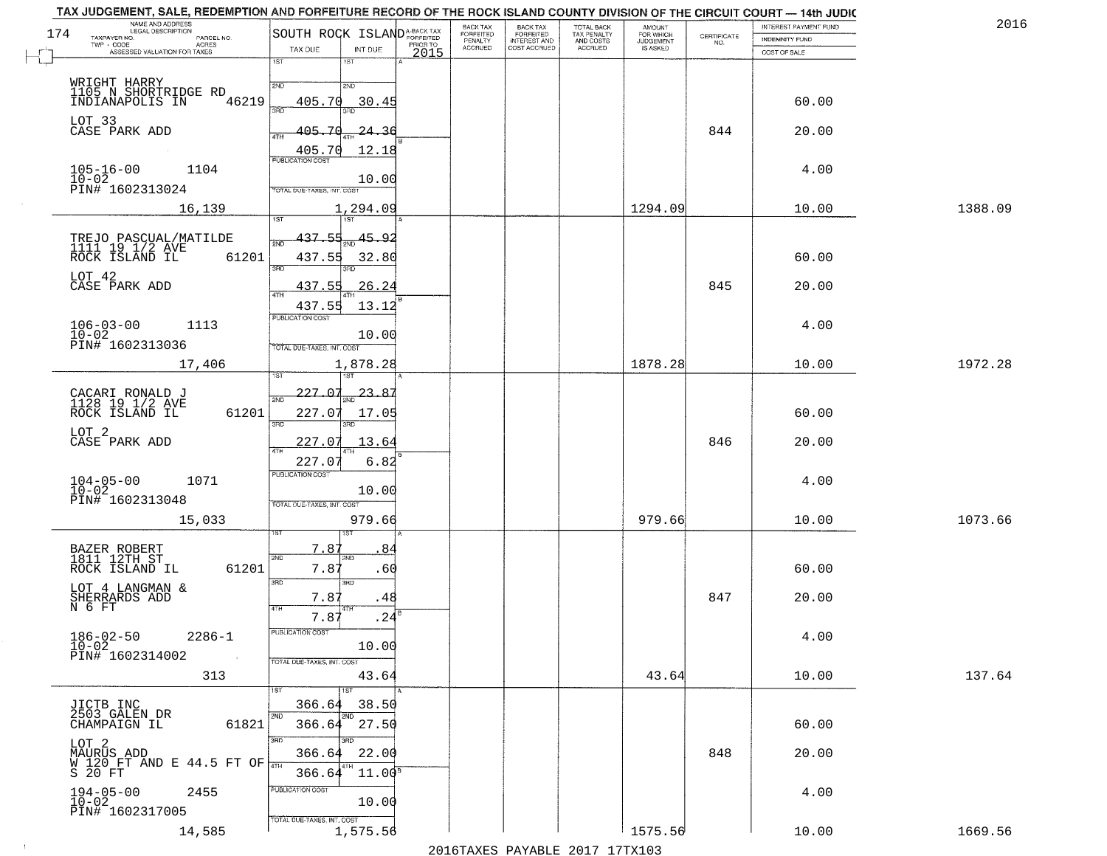| 2016    | INTEREST PAYMENT FUND |                                                                 | <b>AMOUNT</b>                      | TOTAL BACK<br>TAX PENALTY<br>AND COSTS<br>ACCRUED | <b>BACK TAX</b><br><b>FORFEITED</b> | BACK TAX<br><b>FORFEITED</b> | SOUTH ROCK ISLAND <sup>A-BACK TAX</sup>                    | NAME AND ADDRESS<br>LEGAL DESCRIPTION                                             |
|---------|-----------------------|-----------------------------------------------------------------|------------------------------------|---------------------------------------------------|-------------------------------------|------------------------------|------------------------------------------------------------|-----------------------------------------------------------------------------------|
|         | <b>INDEMNITY FUND</b> | $\begin{array}{c} \text{CERTIFICATE} \\ \text{NO.} \end{array}$ | FOR WHICH<br>JUDGEMENT<br>IS ASKED |                                                   | INTEREST AND<br>COST ACCRUED        | PENALTY<br>ACCRUED           | PRIOR TO                                                   | TAXPAYER NO.<br>PARCEL NO.<br>TWP - CODE<br><b>ACRES</b>                          |
|         | COST OF SALE          |                                                                 |                                    |                                                   |                                     |                              | TAX DUE<br>INT DUE<br>2015<br>1ST                          | ASSESSED VALUATION FOR TAXES                                                      |
|         |                       |                                                                 |                                    |                                                   |                                     |                              | 2ND                                                        | WRIGHT HARRY<br>1105 N SHORTRIDGE RD<br>INDIANAPOLIS IN<br>2ND                    |
|         | 60.00                 |                                                                 |                                    |                                                   |                                     |                              | 405.70<br>30.4!                                            | 46219                                                                             |
|         | 20.00                 | 844                                                             |                                    |                                                   |                                     |                              | 405.ZC<br>24.36<br>405.70<br>12.18                         | LOT 33<br>CASE PARK ADD                                                           |
|         | 4.00                  |                                                                 |                                    |                                                   |                                     |                              | <b>PUBLICATION COST</b><br>10.00                           | $105 - 16 - 00$<br>1104<br>$10 - 02$                                              |
| 1388.09 | 10.00                 |                                                                 | 1294.09                            |                                                   |                                     |                              | TOTAL DUE-TAXES, INT. COST<br>1,294.09<br>1ST <sup>1</sup> | PIN# 1602313024<br>16,139                                                         |
|         |                       |                                                                 |                                    |                                                   |                                     |                              |                                                            |                                                                                   |
|         | 60.00                 |                                                                 |                                    |                                                   |                                     |                              | 437.55<br>45.92<br>437.55<br>32.80                         | TREJO PASCUAL/MATILDE<br>1111   19   1/2   AVE<br>ROCK   ISLAND   IL   6<br>61201 |
|         | 20.00                 | 845                                                             |                                    |                                                   |                                     |                              | 437.5<br>26.24                                             | LOT 42<br>CASE PARK ADD                                                           |
|         | 4.00                  |                                                                 |                                    |                                                   |                                     |                              | 437.55<br>13.12<br>PUBLICATION COST                        | $106 - 03 - 00$<br>$10 - 02$<br>1113                                              |
|         |                       |                                                                 |                                    |                                                   |                                     |                              | 10.00<br>TOTAL DUE-TAXES, INT. COST                        | PIN# 1602313036                                                                   |
| 1972.28 | 10.00                 |                                                                 | 1878.28                            |                                                   |                                     |                              | 1,878.28                                                   | 17,406                                                                            |
|         | 60.00                 |                                                                 |                                    |                                                   |                                     |                              | 227.07<br>23.87<br>227.07<br>17.05<br>3RD                  | CACARI RONALD J<br>1128 19 1/2 AVE<br>61201<br>ROCK ISLAND IL<br>3BD              |
|         | 20.00                 | 846                                                             |                                    |                                                   |                                     |                              | 227.07<br>13.64                                            | LOT 2<br>CASE PARK ADD                                                            |
|         | 4.00                  |                                                                 |                                    |                                                   |                                     |                              | 6.82<br>227.07<br><b>PUBLICATION COST</b>                  | $104 - 05 - 00$<br>$10 - 02$<br>1071                                              |
|         |                       |                                                                 |                                    |                                                   |                                     |                              | 10.00<br>TOTAL OUE-TAXES, INT. COST                        | PIN# 1602313048                                                                   |
| 1073.66 | 10.00                 |                                                                 | 979.66                             |                                                   |                                     |                              | 979.66                                                     | 15,033                                                                            |
|         | 60.00                 |                                                                 |                                    |                                                   |                                     |                              | 7.87<br>8,<br>2ND<br>7.8'<br>.60                           | BAZER ROBERT<br>1811 12TH ST<br>SVD<br>61201<br>ROCK ISLAND IL                    |
|         | 20.00                 | 847                                                             |                                    |                                                   |                                     |                              | 3RD<br>7.8'<br>.48                                         | 3RD<br>LOT 4 LANGMAN &                                                            |
|         |                       |                                                                 |                                    |                                                   |                                     |                              | 7.87<br>.24                                                | SHERRARDS ADD<br>N 6 FT                                                           |
|         | 4.00                  |                                                                 |                                    |                                                   |                                     |                              | PUBLICATION COST<br>10.00                                  | $186 - 02 - 50$<br>$10 - 02$<br>$2286 - 1$<br>PIN# 1602314002                     |
| 137.64  | 10.00                 |                                                                 | 43.64                              |                                                   |                                     |                              | TOTAL DUE-TAXES, INT. COST<br>43.64<br>1ST                 | 313                                                                               |
|         |                       |                                                                 |                                    |                                                   |                                     |                              | 366.64<br>38.50<br>2ND<br>27.50<br>366.64                  | JICTB INC<br>2503 GALEN DR<br>2ND                                                 |
|         | 60.00<br>20.00        | 848                                                             |                                    |                                                   |                                     |                              | 3RD<br>366.64<br>22.00                                     | CHAMPAIGN IL<br>61821<br>3RD<br>LOT 2                                             |
|         |                       |                                                                 |                                    |                                                   |                                     |                              | 4TH<br>$11.00^8$<br>366.64                                 | MAURUS ADD<br>W 120 FT AND E 44.5 FT OF<br>S 20 FT                                |
|         |                       |                                                                 |                                    |                                                   |                                     |                              | PUBLICATION COST                                           |                                                                                   |
|         | 4.00                  |                                                                 |                                    |                                                   |                                     |                              | 10.00<br>TOTAL DUE-TAXES, INT. COST                        | $194-05-00$<br>$10-02$<br>2455<br>PIN# 1602317005                                 |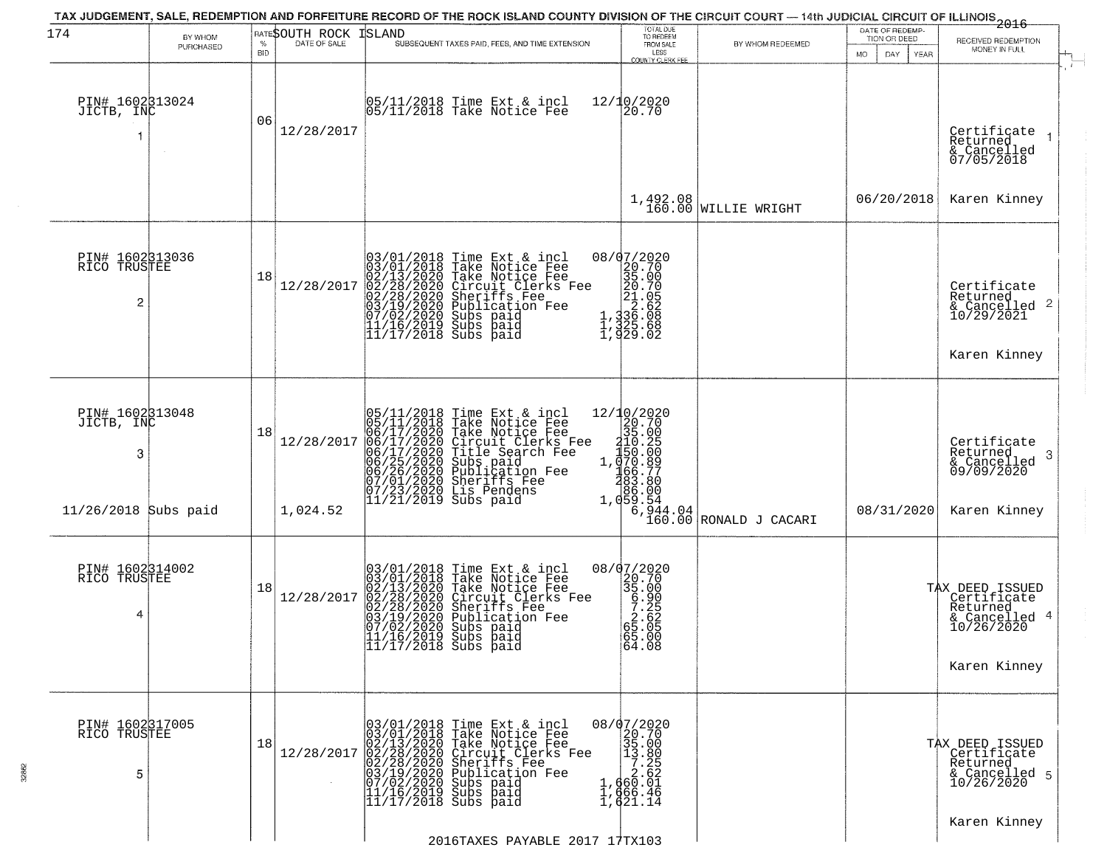| 174                                  | BY WHOM<br>PURCHASED | %                | RATESOUTH ROCK<br>DATE OF SALE | <b>ISLAND</b><br>SUBSEQUENT TAXES PAID, FEES, AND TIME EXTENSION                                                                                                                                                                                         | TOTAL DUE<br>TO REDEEM<br>FROM SALE                                                                                                                                                                                                                                     | BY WHOM REDEEMED                                                                                                                              | DATE OF REDEMP-<br>TION OR DEED | $-2016$<br>RECEIVED REDEMPTION<br>MONEY IN FULL                                               |
|--------------------------------------|----------------------|------------------|--------------------------------|----------------------------------------------------------------------------------------------------------------------------------------------------------------------------------------------------------------------------------------------------------|-------------------------------------------------------------------------------------------------------------------------------------------------------------------------------------------------------------------------------------------------------------------------|-----------------------------------------------------------------------------------------------------------------------------------------------|---------------------------------|-----------------------------------------------------------------------------------------------|
| PIN# 1602313024<br>JICTB, INC        |                      | <b>BID</b><br>06 | 12/28/2017                     | 05/11/2018 Time Ext & incl<br>05/11/2018 Take Notice Fee                                                                                                                                                                                                 | LESS<br><b>COUNTY CLERK FEE</b><br>12/10/2020<br>20.70                                                                                                                                                                                                                  |                                                                                                                                               | MO.<br>DAY.<br>YEAR             | Certificate<br>Returned<br>& Cancelled<br>07/05/2018                                          |
|                                      |                      |                  |                                |                                                                                                                                                                                                                                                          |                                                                                                                                                                                                                                                                         | $1,492.08$ WILLIE WRIGHT                                                                                                                      | 06/20/2018                      | Karen Kinney                                                                                  |
| PIN# 1602313036<br>RICO TRUSTEE<br>2 |                      | 18               | 12/28/2017                     | 03/01/2018 Time Ext & incl<br>03/01/2018 Take Notice Fee<br>02/13/2020 Take Notice Fee<br>02/28/2020 Circuit Clerks Fee<br>02/28/2020 Sheriffs Fee<br>03/19/2020 Subs paid<br>07/02/2020 Subs paid<br>11/16/2019 Subs paid<br>11/17/2018 Subs paid<br>11 | $\begin{smallmatrix} 0 & 8 & / & 0 & 7 & / & 2 & 0 & 2 & 0 \\ 2 & 2 & 0 & 7 & 0 & 0 & 2 & 0 \\ 3 & 3 & 5 & 0 & 0 & 0 & 2 & 1 \\ 2 & 0 & 0 & 2 & 1 & 0 & 5 & 2 \\ 1 & 3 & 3 & 6 & 0 & 0 & 0 \\ 1 & 3 & 2 & 5 & 0 & 6 & 8 \\ 1 & 9 & 2 & 9 & 0 & 0 & 2 \end{smallmatrix}$ |                                                                                                                                               |                                 | Certificate<br>Returned<br>$\frac{1}{2}$ Cancelled 2<br>10/29/2021<br>Karen Kinney            |
| PIN# 1602313048<br>JICTB, INC<br>3   |                      | 18               | 12/28/2017                     | 05/11/2018 Time Ext & incl<br>05/11/2018 Take Notice Fee<br>06/17/2020 Take Notice Fee<br>06/17/2020 Circuit Clerks Fee<br>06/17/2020 Title Search Fee<br>06/25/2020 Sublication Fee<br>07/01/2020 Sheriffs Fee<br>07/01/2020 Sheriffs Fee<br>11/21/2    |                                                                                                                                                                                                                                                                         | $12/\frac{10}{35}.020$<br>$35.00$<br>$10.25$<br>$1.070.89$<br>$166.77$<br>$383.80$<br>$1.059.54$<br>$1.059.54$<br>$160.00$<br>RONALD J CACARI |                                 | Certificate<br>Returned<br>3<br>& Cancelled<br>09/09/2020                                     |
| $11/26/2018$ Subs paid               |                      |                  | 1,024.52                       | 07/23/2020 Lis Pender<br> 11/21/2019 Subs paid                                                                                                                                                                                                           |                                                                                                                                                                                                                                                                         |                                                                                                                                               | 08/31/2020                      | Karen Kinney                                                                                  |
| PIN# 1602314002<br>RICO TRUSTEE<br>4 |                      | 18               | 12/28/2017                     | $03/01/2018$ Time Ext & incl<br>$03/01/2018$ Take Notice Fee<br>$02/13/2020$ Take Notice Fee<br>$02/28/2020$ Circuit Clerks Fee<br>$02/28/2020$ Sheriffs Fee<br>$03/19/2020$ Subication Fee<br>$03/19/2020$ Subs paid<br>$11/16/2019$ Subs               | 08/07/2020<br>35.00<br>35.00<br>5.25<br>58.00<br>58.00<br>$\begin{bmatrix} 65.00 \\ 64.08 \end{bmatrix}$                                                                                                                                                                |                                                                                                                                               |                                 | TAX DEED ISSUED<br>  Certificate<br>  Returned<br>& Cancelled 4<br>10/26/2020<br>Karen Kinney |
| PIN# 1602317005<br>RICO TRUSTEE<br>5 |                      | 18               | 12/28/2017                     | $03/01/2018$ Time Ext & incl<br>03/01/2018 Take Notice Fee<br>02/13/2020 Take Notice Fee<br>02/28/2020 Circuit Clerks Fee<br>02/28/2020 Sheriffs Fee<br>03/19/2020 Sublication Fee<br>07/02/2020 Subs paid<br>11/16/2019 Subs paid<br>11/16/2019 Subs    | 08/07/2020<br>20.70<br>35.00<br>$\begin{smallmatrix} 13.800 \\ 13.800 \\ 7.252 \\ 2.621 \\ 1,666.46 \\ 1,621.14 \end{smallmatrix}$                                                                                                                                      |                                                                                                                                               |                                 | TAX DEED ISSUED<br>Certificate<br>Returned<br>& Cancelled 5<br>10/26/2020                     |
|                                      |                      |                  |                                | 2016TAXES PAYABLE 2017 17TX103                                                                                                                                                                                                                           |                                                                                                                                                                                                                                                                         |                                                                                                                                               |                                 | Karen Kinney                                                                                  |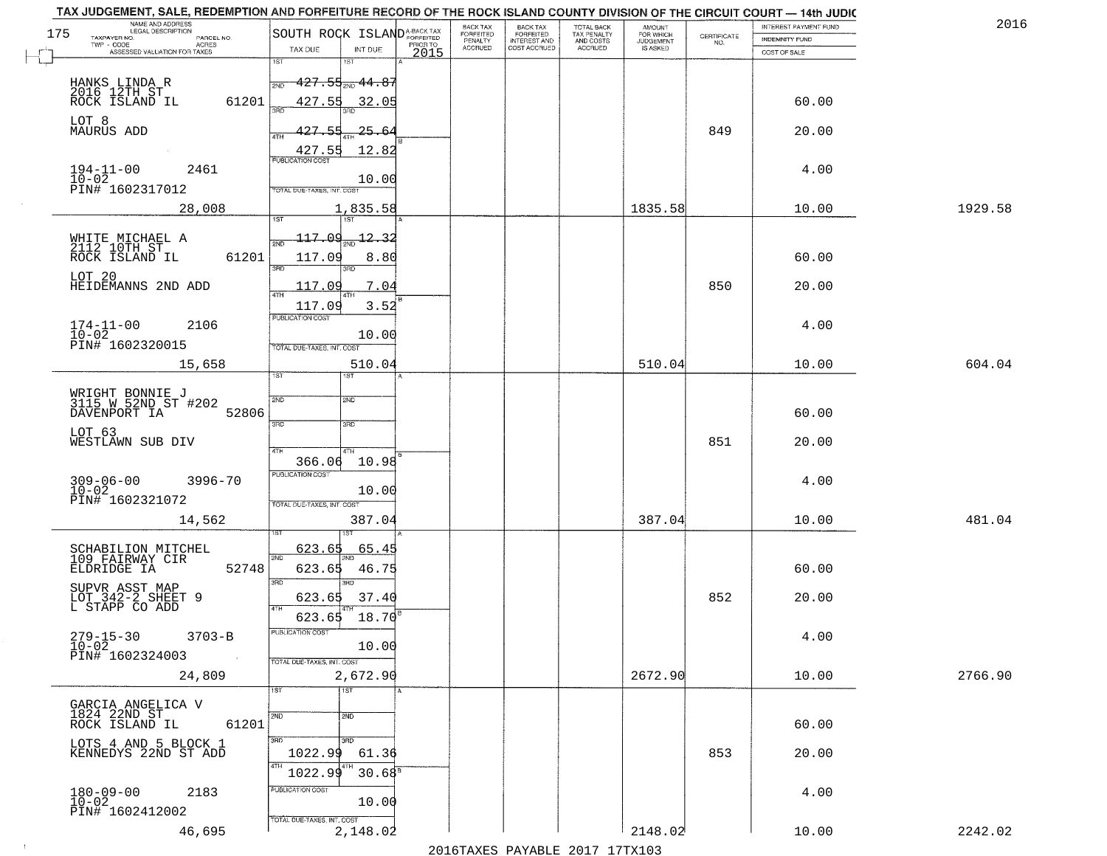| 175<br>TAXPAYER NO.<br>PARCEL NO.<br>ACRES<br>TWP - CODE                          | SOUTH ROCK ISLAND <sup>A-BACK TAX</sup>                                           | <b>BACK TAX</b><br>FORFEITED<br>PENALTY | BACK TAX<br>FORFEITED<br>INTEREST AND | TOTAL BACK<br>TAX PENALTY<br>AND COSTS | AMOUNT<br>FOR WHICH<br><b>JUDGEMENT</b> | $\begin{array}{c} \text{CERTIFICATE} \\ \text{NO.} \end{array}$ | <b>INTEREST PAYMENT FUND</b><br><b>INDEMNITY FUND</b> | 2016    |
|-----------------------------------------------------------------------------------|-----------------------------------------------------------------------------------|-----------------------------------------|---------------------------------------|----------------------------------------|-----------------------------------------|-----------------------------------------------------------------|-------------------------------------------------------|---------|
| ASSESSED VALUATION FOR TAXES                                                      | PRIOR TO<br>TAX DUE<br>INT DUE<br>2015<br>1ST<br>1ST                              | <b>ACCRUED</b>                          | COST ACCRUED                          | ACCRUED                                | IS ASKED                                |                                                                 | COST OF SALE                                          |         |
| HANKS LINDA R<br>2016 12TH ST<br>ROCK ISLAND IL<br>61201                          | $427.55_{200}$ $44.87$<br>427.55<br>32.05                                         |                                         |                                       |                                        |                                         |                                                                 | 60.00                                                 |         |
| LOT 8<br>MAURUS ADD                                                               | 427.55<br>25.64<br>ATH                                                            |                                         |                                       |                                        |                                         | 849                                                             | 20.00                                                 |         |
| $194 - 11 - 00$<br>2461<br>$10 - 02$<br>PIN# 1602317012                           | 12.82<br>427.55<br><b>PUBLICATION COST</b><br>10.00<br>TOTAL DUE-TAXES, INT. COST |                                         |                                       |                                        |                                         |                                                                 | 4.00                                                  |         |
| 28,008                                                                            | 1,835.58<br>1ST                                                                   |                                         |                                       |                                        | 1835.58                                 |                                                                 | 10.00                                                 | 1929.58 |
| WHITE MICHAEL A<br>2112 10TH ST<br>ROCK ISLAND IL<br>61201                        | 117.09<br>12.32<br><b>DNF</b><br>117.09<br>8.80<br><b>उस</b> र                    |                                         |                                       |                                        |                                         |                                                                 | 60.00                                                 |         |
| LOT 20<br>HEIDEMANNS 2ND ADD                                                      | חוז<br>117.09<br>7.04<br>3.52<br>117.09                                           |                                         |                                       |                                        |                                         | 850                                                             | 20.00                                                 |         |
| 174-11-00<br>10-02<br>PIN# 1602320015<br>2106                                     | PUBLICATION COST<br>10.00<br>TOTAL DUE-TAXES, INT. COST                           |                                         |                                       |                                        |                                         |                                                                 | 4.00                                                  |         |
| 15,658                                                                            | 510.04<br>1ST<br>ist.                                                             |                                         |                                       |                                        | 510.04                                  |                                                                 | 10.00                                                 | 604.04  |
| WRIGHT BONNIE J<br>3115 W 52ND ST #202<br>DAVENPORT IA<br>52806                   | SVD<br>SMD<br>3RD<br>3 <sub>BD</sub>                                              |                                         |                                       |                                        |                                         |                                                                 | 60.00                                                 |         |
| LOT 63<br>WESTLAWN SUB DIV                                                        | 4TH<br>366.06<br>10.98                                                            |                                         |                                       |                                        |                                         | 851                                                             | 20.00                                                 |         |
| $309 - 06 - 00$<br>10-02<br>3996-70<br>PIN# 1602321072                            | <b>PUBLICATION COST</b><br>10.00<br>TOTAL OUE-TAXES, INT. COST                    |                                         |                                       |                                        |                                         |                                                                 | 4.00                                                  |         |
| 14,562                                                                            | 387.04                                                                            |                                         |                                       |                                        | 387.04                                  |                                                                 | 10.00                                                 | 481.04  |
| SCHABILION MITCHEL<br>109 FAIRWAY CIR<br>52748<br>ELDRIDGE IA                     | 623.65<br>65.45<br>2ND<br>623.65<br>46.75<br>3RD<br>3BD                           |                                         |                                       |                                        |                                         |                                                                 | 60.00                                                 |         |
| SUPVR ASST MAP<br>LOT 342-2 SHEET 9<br>L STAPP CO ADD                             | 623.65<br>37.40<br>4TH<br>623.65 18.70                                            |                                         |                                       |                                        |                                         | 852                                                             | 20.00                                                 |         |
| $279 - 15 - 30$<br>$10 - 02$<br>$3703 - B$<br>PIN# 1602324003<br>$\sim$ 100 $\mu$ | PUBLICATION COST<br>10.00<br>TOTAL DUE-TAXES, INT. COST                           |                                         |                                       |                                        |                                         |                                                                 | 4.00                                                  |         |
| 24,809                                                                            | 2,672.90<br>1ST<br>1ST                                                            |                                         |                                       |                                        | 2672.90                                 |                                                                 | 10.00                                                 | 2766.90 |
| GARCIA ANGELICA V<br>1824 22ND ST<br>61201<br>ROCK ISLAND IL                      | 2ND<br>2ND                                                                        |                                         |                                       |                                        |                                         |                                                                 | 60.00                                                 |         |
| LOTS 4 AND 5 BLOCK 1<br>KENNEDYS 22ND ST ADD                                      | 3HD<br>3BD<br>1022.99<br>61.36<br>4TH<br>1022.99<br>$30.68^{\circ}$               |                                         |                                       |                                        |                                         | 853                                                             | 20.00                                                 |         |
| $180 - 09 - 00$<br>$10 - 02$<br>2183<br>PIN# 1602412002                           | PUBLICATION COST<br>10.00                                                         |                                         |                                       |                                        |                                         |                                                                 | 4.00                                                  |         |
| 46,695                                                                            | TOTAL DUE-TAXES, INT. COST<br>2,148.02                                            |                                         | 2016 TAVEC DAVARIE 2017 17 TV102      |                                        | 2148.02                                 |                                                                 | 10.00                                                 | 2242.02 |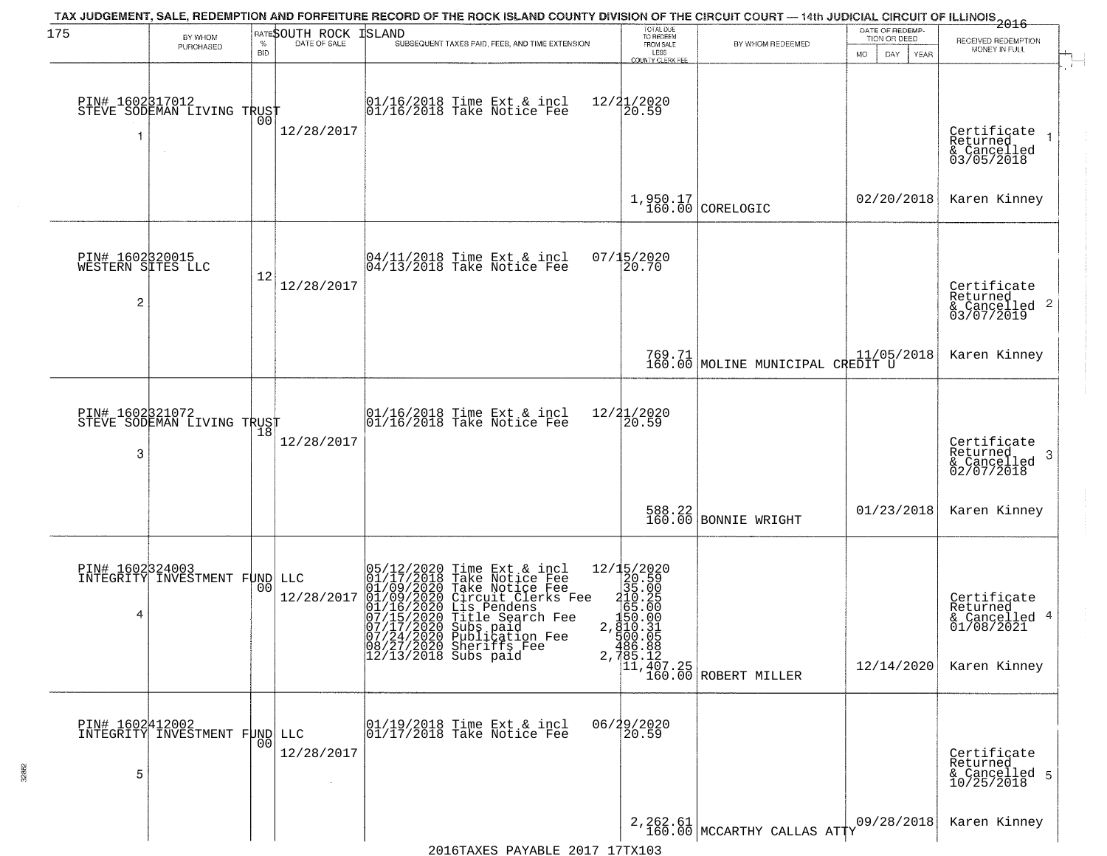| 175                                                    | BY WHOM<br>PURCHASED                                        | $\%$<br><b>BID</b> | RATESOUTH ROCK<br>DATE OF SALE | TAX JUDGEMENT, SALE, REDEMPTION AND FORFEITURE RECORD OF THE ROCK ISLAND COUNTY DIVISION OF THE CIRCUIT COURT — 14th JUDICIAL CIRCUIT OF ILLINOIS 2016<br>ISLAND<br>SUBSEQUENT TAXES PAID, FEES, AND TIME EXTENSION                                   | TOTAL DUE<br>TO REDEEM<br>FROM SALE<br>LESS<br><b>COUNTY CLERK FEE</b>                                                                                                                                                                                                                                                   | BY WHOM REDEEMED                                | DATE OF REDEMP-<br>TION OR DEED<br>MO.<br>DAY.<br>YEAR | RECEIVED REDEMPTION<br>MONEY IN FULL                                   |
|--------------------------------------------------------|-------------------------------------------------------------|--------------------|--------------------------------|-------------------------------------------------------------------------------------------------------------------------------------------------------------------------------------------------------------------------------------------------------|--------------------------------------------------------------------------------------------------------------------------------------------------------------------------------------------------------------------------------------------------------------------------------------------------------------------------|-------------------------------------------------|--------------------------------------------------------|------------------------------------------------------------------------|
|                                                        | PIN# 1602317012    <br>STEVE SODEMAN LIVING TRUST<br>$\sim$ | 00                 | 12/28/2017                     | 01/16/2018 Time Ext & incl<br>01/16/2018 Take Notice Fee                                                                                                                                                                                              | 12/21/2020<br>20.59                                                                                                                                                                                                                                                                                                      |                                                 |                                                        | Certificate<br>Returned<br>& Cancelled<br>03/05/2018                   |
|                                                        |                                                             |                    |                                |                                                                                                                                                                                                                                                       |                                                                                                                                                                                                                                                                                                                          | $1,950.17$ CORELOGIC                            | 02/20/2018                                             | Karen Kinney                                                           |
| PIN# 1602320015<br>WESTERN SITES LLC<br>$\overline{c}$ |                                                             | 12                 | 12/28/2017                     | 04/11/2018 Time Ext & incl<br>04/13/2018 Take Notice Fee                                                                                                                                                                                              | 07/15/2020<br>20.70                                                                                                                                                                                                                                                                                                      |                                                 |                                                        | Certificate<br>Returned<br>$\frac{1}{2}$ Cancelled 2<br>03/07/2019     |
|                                                        |                                                             |                    |                                |                                                                                                                                                                                                                                                       |                                                                                                                                                                                                                                                                                                                          | 769.71 MOLINE MUNICIPAL CREDIT U                |                                                        | Karen Kinney                                                           |
| PIN# 1602321072<br>3                                   | STEVE SODEMAN LIVING TRUST                                  | 18                 | 12/28/2017                     | 01/16/2018 Time Ext & incl<br>01/16/2018 Take Notice Fee                                                                                                                                                                                              | 12/21/2020<br>20.59                                                                                                                                                                                                                                                                                                      |                                                 |                                                        | Certificate<br>Returned<br>3<br>& Cancelled<br>02/07/2018              |
|                                                        |                                                             |                    |                                |                                                                                                                                                                                                                                                       | 588.22<br>160.00                                                                                                                                                                                                                                                                                                         | BONNIE WRIGHT                                   | 01/23/2018                                             | Karen Kinney                                                           |
| 4                                                      | <b>PIN# 1602324003</b><br>INTEGRITY INVESTMENT FUND LLC     | 0 <sub>0</sub>     | 12/28/2017                     | 05/12/2020 Time Ext & incl<br>01/17/2018 Take Notice Fee<br>01/09/2020 Take Notice Fee<br>01/09/2020 Circuit Clerks Fee<br>01/16/2020 Circuit Clerks Fee<br>07/15/2020 Title Search Fee<br>07/17/2020 Sublication Fee<br>08/27/2020 Sheriffs Fee<br>0 | $\begin{array}{r} 12/15/2020 \\ 20.590 \\ 35.005 \\ -165.000 \\ -165.000 \\ 150.031 \\ -180.001 \\ -2.9100 \\ -3.000 \\ -2.000 \\ -2.000 \\ -2.000 \\ -2.000 \\ -2.000 \\ -2.000 \\ -2.000 \\ -2.000 \\ -2.000 \\ -2.000 \\ -2.000 \\ -2.000 \\ -2.000 \\ -2.000 \\ -2.000 \\ -2.000 \\ -2.000 \\ -2.000 \\ -2.000 \\ -$ | 2, 185.12<br>11, 407.25<br>160.00 ROBERT MILLER | 12/14/2020                                             | Certificate<br>Returned<br>& Cancelled 4<br>01/08/2021<br>Karen Kinney |
| PIN# 1602412002<br>5                                   | INTEGRITY INVESTMENT FUND LLC                               | 0 <sub>0</sub>     | 12/28/2017                     | 01/19/2018 Time Ext & incl<br>01/17/2018 Take Notice Fee                                                                                                                                                                                              | 06/29/2020<br>20.59                                                                                                                                                                                                                                                                                                      |                                                 |                                                        | Certificate<br>Returned<br>& Cancelled 5<br>10/25/2018                 |
|                                                        |                                                             |                    |                                |                                                                                                                                                                                                                                                       |                                                                                                                                                                                                                                                                                                                          | $2,262.61$ MCCARTHY CALLAS ATTY                 | 09/28/2018                                             | Karen Kinney                                                           |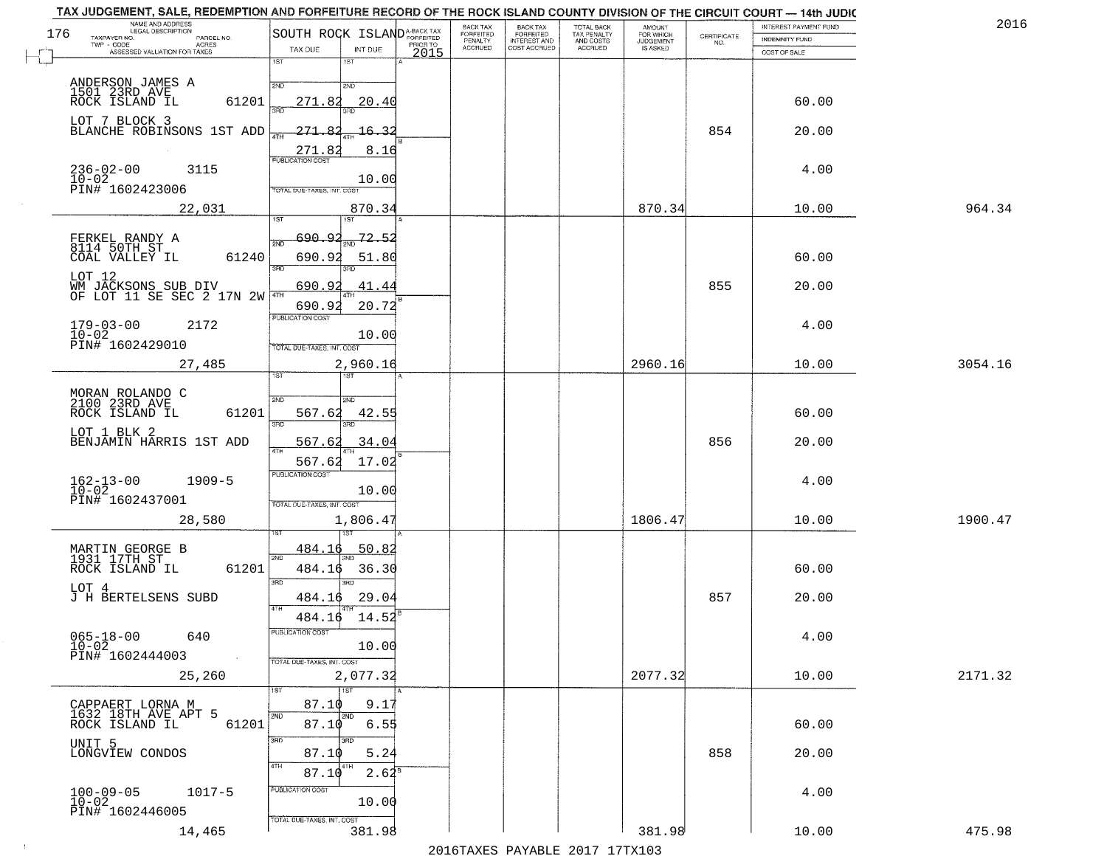|     | TAX JUDGEMENT, SALE, REDEMPTION AND FORFEITURE RECORD OF THE ROCK ISLAND COUNTY DIVISION OF THE CIRCUIT COURT - 14th JUDIC<br>NAME AND ADDRESS<br>LEGAL DESCRIPTION |                                         |                  | <b>BACK TAX</b>             |                                              |                                        |                                         |                                                                 | INTEREST PAYMENT FUND | 2016    |
|-----|---------------------------------------------------------------------------------------------------------------------------------------------------------------------|-----------------------------------------|------------------|-----------------------------|----------------------------------------------|----------------------------------------|-----------------------------------------|-----------------------------------------------------------------|-----------------------|---------|
| 176 | TAXPAYER NO.<br>PARCEL NO.                                                                                                                                          | SOUTH ROCK ISLAND <sup>A-BACK TAX</sup> |                  | <b>FORFEITED</b><br>PENALTY | BACK TAX<br>FORFEITED<br><b>INTEREST AND</b> | TOTAL BACK<br>TAX PENALTY<br>AND COSTS | AMOUNT<br>FOR WHICH<br><b>JUDGEMENT</b> | $\begin{array}{c} \text{CERTIFICATE} \\ \text{NO.} \end{array}$ | INDEMNITY FUND        |         |
|     | ACRES<br>ASSESSED VALUATION FOR TAXES                                                                                                                               | TAX DUE<br>INT DUE                      | PRIOR TO<br>2015 | <b>ACCRUED</b>              | COST ACCRUED                                 | <b>ACCRUED</b>                         | IS ASKED                                |                                                                 | COST OF SALE          |         |
|     |                                                                                                                                                                     | 1ST<br>$1S$ T                           |                  |                             |                                              |                                        |                                         |                                                                 |                       |         |
|     |                                                                                                                                                                     | 2ND<br>2NP                              |                  |                             |                                              |                                        |                                         |                                                                 |                       |         |
|     | ANDERSON JAMES A<br>1501 23RD AVE<br>ROCK ISLAND IL<br>61201                                                                                                        | 271.82<br>20.40                         |                  |                             |                                              |                                        |                                         |                                                                 | 60.00                 |         |
|     |                                                                                                                                                                     |                                         |                  |                             |                                              |                                        |                                         |                                                                 |                       |         |
|     | LOT 7 BLOCK 3<br>BLANCHE ROBINSONS 1ST ADD                                                                                                                          | 271.82<br><u> 16.32</u>                 |                  |                             |                                              |                                        |                                         | 854                                                             | 20.00                 |         |
|     |                                                                                                                                                                     | 4TH                                     |                  |                             |                                              |                                        |                                         |                                                                 |                       |         |
|     |                                                                                                                                                                     | 271.82<br>8.16                          |                  |                             |                                              |                                        |                                         |                                                                 |                       |         |
|     | $236 - 02 - 00$<br>$10 - 02$<br>3115                                                                                                                                | 10.00                                   |                  |                             |                                              |                                        |                                         |                                                                 | 4.00                  |         |
|     | PIN# 1602423006                                                                                                                                                     | TOTAL DUE-TAXES, INT. COST              |                  |                             |                                              |                                        |                                         |                                                                 |                       |         |
|     | 22,031                                                                                                                                                              | 870.34                                  |                  |                             |                                              |                                        | 870.34                                  |                                                                 | 10.00                 | 964.34  |
|     |                                                                                                                                                                     |                                         |                  |                             |                                              |                                        |                                         |                                                                 |                       |         |
|     | FERKEL RANDY A<br>8114 50TH ST                                                                                                                                      | 72.52<br>690.92                         |                  |                             |                                              |                                        |                                         |                                                                 |                       |         |
|     | 61240<br>COAL VALLEY IL                                                                                                                                             | 690.92<br>51.80                         |                  |                             |                                              |                                        |                                         |                                                                 | 60.00                 |         |
|     |                                                                                                                                                                     | त्रहा<br>3RD                            |                  |                             |                                              |                                        |                                         |                                                                 |                       |         |
|     | LOT 12                                                                                                                                                              | 690.92<br>41.44                         |                  |                             |                                              |                                        |                                         | 855                                                             | 20.00                 |         |
|     | WM JACKSONS SUB DIV<br>OF LOT 11 SE SEC 2 17N 2W                                                                                                                    | 690.92<br>20.72                         |                  |                             |                                              |                                        |                                         |                                                                 |                       |         |
|     |                                                                                                                                                                     | PUBLICATION COST                        |                  |                             |                                              |                                        |                                         |                                                                 |                       |         |
|     | $179 - 03 - 00$<br>2172<br>$10 - 02$                                                                                                                                | 10.00                                   |                  |                             |                                              |                                        |                                         |                                                                 | 4.00                  |         |
|     | PIN# 1602429010                                                                                                                                                     | TOTAL DUE-TAXES, INT. COST              |                  |                             |                                              |                                        |                                         |                                                                 |                       |         |
|     | 27,485                                                                                                                                                              | 2,960.16                                |                  |                             |                                              |                                        | 2960.16                                 |                                                                 | 10.00                 | 3054.16 |
|     |                                                                                                                                                                     | <b>ST</b><br>i ST                       |                  |                             |                                              |                                        |                                         |                                                                 |                       |         |
|     | MORAN ROLANDO C<br>2100 23RD AVE                                                                                                                                    | SVD<br>SMD                              |                  |                             |                                              |                                        |                                         |                                                                 |                       |         |
|     | ROCK ISLAND IL<br>61201                                                                                                                                             | 567.62<br>42.55                         |                  |                             |                                              |                                        |                                         |                                                                 | 60.00                 |         |
|     | LOT 1 BLK 2                                                                                                                                                         | 3BD<br>3RD                              |                  |                             |                                              |                                        |                                         |                                                                 |                       |         |
|     | BENJAMIN HARRIS 1ST ADD                                                                                                                                             | 567.62<br>34.04                         |                  |                             |                                              |                                        |                                         | 856                                                             | 20.00                 |         |
|     |                                                                                                                                                                     | 4TH<br>567.62<br>17.02                  |                  |                             |                                              |                                        |                                         |                                                                 |                       |         |
|     | $1909 - 5$                                                                                                                                                          | <b>PUBLICATION COST</b>                 |                  |                             |                                              |                                        |                                         |                                                                 | 4.00                  |         |
|     | $162 - 13 - 00$<br>$10 - 02$                                                                                                                                        | 10.00                                   |                  |                             |                                              |                                        |                                         |                                                                 |                       |         |
|     | PIN# 1602437001                                                                                                                                                     | TOTAL OUE-TAXES, INT. COST              |                  |                             |                                              |                                        |                                         |                                                                 |                       |         |
|     | 28,580                                                                                                                                                              | 1,806.47                                |                  |                             |                                              |                                        | 1806.47                                 |                                                                 | 10.00                 | 1900.47 |
|     |                                                                                                                                                                     |                                         |                  |                             |                                              |                                        |                                         |                                                                 |                       |         |
|     | MARTIN GEORGE B<br>1931 17TH ST                                                                                                                                     | 484.16<br>50.82<br>2ND                  |                  |                             |                                              |                                        |                                         |                                                                 |                       |         |
|     | ROCK ISLAND IL<br>61201                                                                                                                                             | 484.16<br>36.30                         |                  |                             |                                              |                                        |                                         |                                                                 | 60.00                 |         |
|     | LOT 4                                                                                                                                                               | 3BD<br>3BD                              |                  |                             |                                              |                                        |                                         |                                                                 |                       |         |
|     | J H BERTELSENS SUBD                                                                                                                                                 | 29.04<br>484.16<br>4TH                  |                  |                             |                                              |                                        |                                         | 857                                                             | 20.00                 |         |
|     |                                                                                                                                                                     | 14.52<br>484.16                         |                  |                             |                                              |                                        |                                         |                                                                 |                       |         |
|     | $065 - 18 - 00$<br>640                                                                                                                                              | <b>PUBLICATION COS-</b>                 |                  |                             |                                              |                                        |                                         |                                                                 | 4.00                  |         |
|     | $10 - 02$<br>PIN# 1602444003<br>$\sim 100$                                                                                                                          | 10.00                                   |                  |                             |                                              |                                        |                                         |                                                                 |                       |         |
|     |                                                                                                                                                                     | TOTAL DUE-TAXES, INT. COST              |                  |                             |                                              |                                        |                                         |                                                                 |                       |         |
|     | 25,260                                                                                                                                                              | 2,077.32                                |                  |                             |                                              |                                        | 2077.32                                 |                                                                 | 10.00                 | 2171.32 |
|     | CAPPAERT LORNA M                                                                                                                                                    | $\overline{1}$ 1ST<br>87.10<br>9.17     |                  |                             |                                              |                                        |                                         |                                                                 |                       |         |
|     | 1632 18TH AVE APT 5                                                                                                                                                 | 2ND<br>2ND                              |                  |                             |                                              |                                        |                                         |                                                                 |                       |         |
|     | 61201<br>ROCK ISLAND IL                                                                                                                                             | 87.10<br>6.55                           |                  |                             |                                              |                                        |                                         |                                                                 | 60.00                 |         |
|     | UNIT 5<br>LONGVIEW CONDOS                                                                                                                                           | 3RD<br>3RD<br>87.10<br>5.24             |                  |                             |                                              |                                        |                                         | 858                                                             | 20.00                 |         |
|     |                                                                                                                                                                     |                                         |                  |                             |                                              |                                        |                                         |                                                                 |                       |         |
|     |                                                                                                                                                                     | $2.62^8$<br>87.10                       |                  |                             |                                              |                                        |                                         |                                                                 |                       |         |
|     | $100 - 09 - 05$<br>$1017 - 5$<br>$10-02$                                                                                                                            | PUBLICATION COST                        |                  |                             |                                              |                                        |                                         |                                                                 | 4.00                  |         |
|     | PIN# 1602446005                                                                                                                                                     | 10.00                                   |                  |                             |                                              |                                        |                                         |                                                                 |                       |         |
|     | 14,465                                                                                                                                                              | TOTAL DUE-TAXES, INT. COST<br>381.98    |                  |                             |                                              |                                        | 381.98                                  |                                                                 | 10.00                 | 475.98  |
|     |                                                                                                                                                                     |                                         |                  |                             |                                              | 2016 TAVEC DAVARLE 2017 17 TV102       |                                         |                                                                 |                       |         |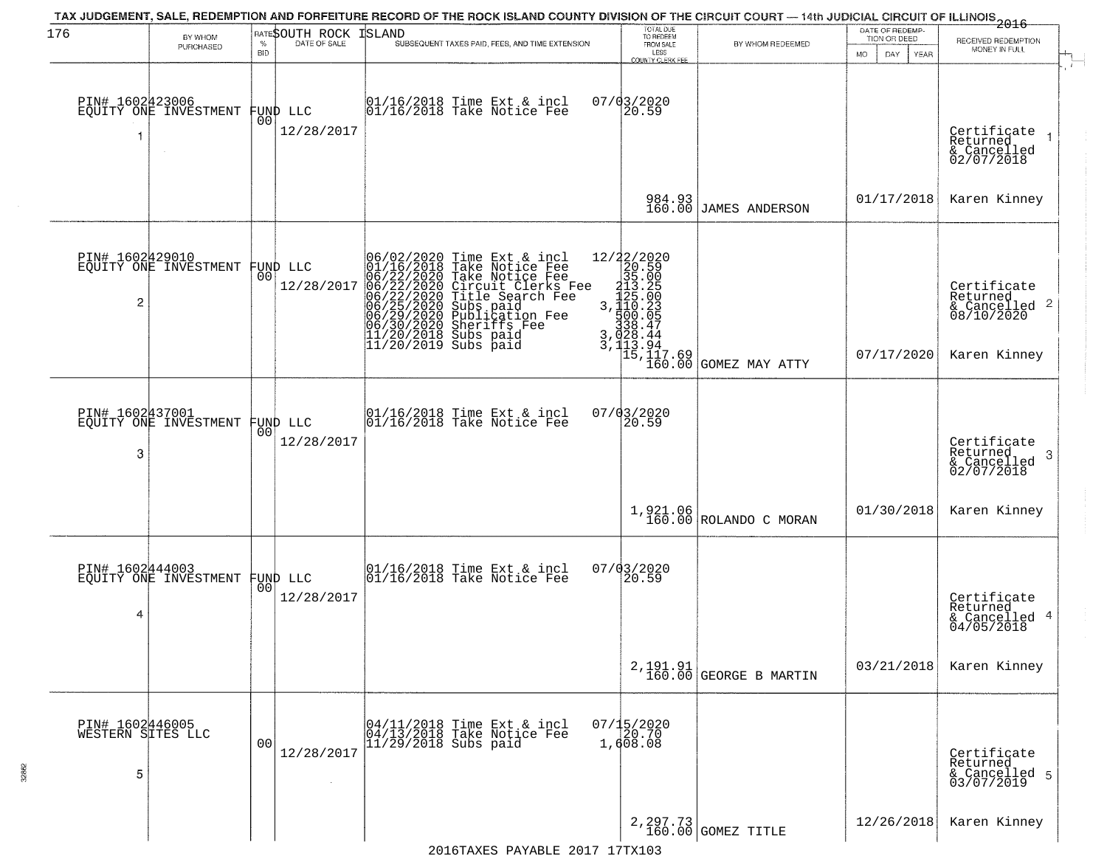| 176                                       | BY WHOM<br>PURCHASED                     | $\%$<br><b>BID</b> | RATESOUTH ROCK<br>DATE OF SALE | ISLAND<br>SUBSEQUENT TAXES PAID, FEES, AND TIME EXTENSION                                                                                                                                                                                             | TOTAL DUE<br>TO REDEEM<br>FROM SALE<br>LESS<br>COUNTY CLERK FEE                                                                                                                                                                                              | BY WHOM REDEEMED                                                                        | DATE OF REDEMP-<br>TION OR DEED<br><b>MO</b><br>DAY<br>YEAR | 2016<br>RECEIVED REDEMPTION<br>MONEY IN FULL                           |
|-------------------------------------------|------------------------------------------|--------------------|--------------------------------|-------------------------------------------------------------------------------------------------------------------------------------------------------------------------------------------------------------------------------------------------------|--------------------------------------------------------------------------------------------------------------------------------------------------------------------------------------------------------------------------------------------------------------|-----------------------------------------------------------------------------------------|-------------------------------------------------------------|------------------------------------------------------------------------|
|                                           | PIN# 1602423006<br>EQUITY ONE INVESTMENT | 00                 | FUND LLC<br>12/28/2017         | $01/16/2018$ Time Ext & incl<br>$01/16/2018$ Take Notice Fee                                                                                                                                                                                          | $07/03/2020$<br>20.59                                                                                                                                                                                                                                        |                                                                                         |                                                             | Certificate<br>Returned<br>& Cancelled<br>02/07/2018                   |
|                                           |                                          |                    |                                |                                                                                                                                                                                                                                                       | 984.93<br>160.00                                                                                                                                                                                                                                             | JAMES ANDERSON                                                                          | 01/17/2018                                                  | Karen Kinney                                                           |
| PIN# 1602429010<br>2                      | EQUITY ONE INVESTMENT                    | 00                 | FUND LLC<br>12/28/2017         | 06/02/2020 Time Ext & incl<br>01/16/2018 Take Notice Fee<br>06/22/2020 Take Notice Fee<br>06/22/2020 Circuit Clerks Fee<br>06/22/2020 Title Search Fee<br>06/25/2020 Subs paid<br>06/29/2020 Publication Fee<br>06/30/2020 Sheriffs Fee<br>11/20/2018 | $\begin{smallmatrix} 12/2 & 2/2 & 2 & 0 & 2 & 0 \\ 2 & 2 & 2 & 5 & 9 & 0 \\ 2 & 3 & 5 & 0 & 0 & 5 \\ 2 & 1 & 3 & 5 & 0 & 0 \\ 1 & 1 & 3 & 0 & 0 & 0 \\ 3 & 1 & 1 & 0 & 0 & 0 \\ 5 & 3 & 3 & 2 & 4 & 4 & 4 \\ 3 & 3 & 2 & 4 & 4 & 4 & 4 \\ \end{smallmatrix}$ | $3, \begin{bmatrix} 28.44 \\ 13.94 \\ 15,117.69 \\ 160.00 \end{bmatrix}$ GOMEZ MAY ATTY | 07/17/2020                                                  | Certificate<br>Returned<br>& Cancelled 2<br>08/10/2020<br>Karen Kinney |
| PIN# 1602437001<br>3                      | EOUITY ONE INVESTMENT                    | 00                 | FUND LLC<br>12/28/2017         | 01/16/2018 Time Ext & incl<br>01/16/2018 Take Notice Fee                                                                                                                                                                                              | $07/03/2020$<br>20.59                                                                                                                                                                                                                                        |                                                                                         |                                                             | Certificate<br>Returned<br>-3<br>& Cancelled<br>02/07/2018             |
|                                           |                                          |                    |                                |                                                                                                                                                                                                                                                       |                                                                                                                                                                                                                                                              | $1,921.06$ ROLANDO C MORAN                                                              | 01/30/2018                                                  | Karen Kinney                                                           |
| 4                                         | PIN# 1602444003<br>EQUITY ONE INVESTMENT | 00                 | FUND LLC<br>12/28/2017         | 01/16/2018 Time Ext & incl<br>01/16/2018 Take Notice Fee                                                                                                                                                                                              | 07/03/2020<br>20.59                                                                                                                                                                                                                                          |                                                                                         |                                                             | Certificate<br>Returned<br>& Cancelled 4<br>04/05/2018                 |
|                                           |                                          |                    |                                |                                                                                                                                                                                                                                                       |                                                                                                                                                                                                                                                              | $2, 191.91$<br>$160.00$ GEORGE B MARTIN                                                 | 03/21/2018                                                  | Karen Kinney                                                           |
| PIN# 1602446005<br>WESTERN SITES LLC<br>5 |                                          | 00                 | 12/28/2017                     | 04/11/2018 Time Ext & incl<br>04/13/2018 Take Notice Fee<br>11/29/2018 Subs paid                                                                                                                                                                      | 07/15/2020<br>20.70<br>1,608.08                                                                                                                                                                                                                              |                                                                                         |                                                             | Certificate<br>Returned<br>& Cancelled 5<br>03/07/2019                 |
|                                           |                                          |                    |                                | $2016$ TAXES DAVARLE $2017$ 17TY103                                                                                                                                                                                                                   |                                                                                                                                                                                                                                                              | 2, 297.73<br>160.00 GOMEZ TITLE                                                         | 12/26/2018                                                  | Karen Kinney                                                           |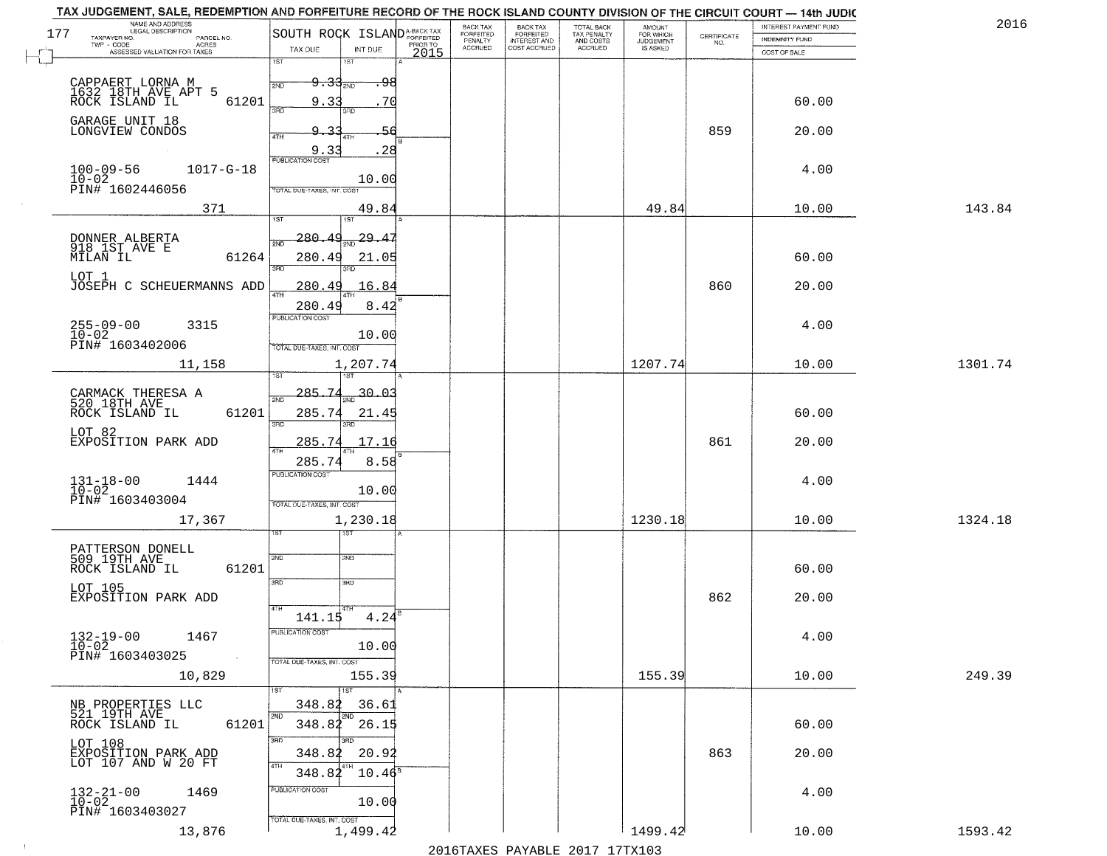| 201     | INTEREST PAYMENT FUND                 | CERTIFICATE | <b>AMOUNT</b>                      | TOTAL BACK<br>TAX PENALTY<br>AND COSTS<br>ACCRUED | <b>BACK TAX</b><br><b>FORFEITED</b> | BACK TAX<br>FORFEITED |          | SOUTH ROCK ISLAND <sup>A-BACK TAX</sup>  | NAME AND ADDRESS<br>LEGAL DESCRIPTION<br>TAXPAYER NO.             |
|---------|---------------------------------------|-------------|------------------------------------|---------------------------------------------------|-------------------------------------|-----------------------|----------|------------------------------------------|-------------------------------------------------------------------|
|         | <b>INDEMNITY FUND</b><br>COST OF SALE | NO.         | FOR WHICH<br>JUDGEMENT<br>IS ASKED |                                                   | <b>INTEREST AND</b><br>COST ACCRUED | PENALTY<br>ACCRUED    | PRIOR TO | TAX DUE<br>INT DUE                       | PARCEL NO.<br>TWP - CODE<br>ACRES<br>ASSESSED VALUATION FOR TAXES |
|         |                                       |             |                                    |                                                   |                                     |                       | 2015     | 1ST<br>1ST                               |                                                                   |
|         |                                       |             |                                    |                                                   |                                     |                       |          | <del>9.342ND</del><br>2ND                | CAPPAERT LORNA M<br>1632 18TH AVE APT 5                           |
|         | 60.00                                 |             |                                    |                                                   |                                     |                       |          | 9.3<br>70<br>3RD<br>3RD                  | ROCK ISLAND IL<br>61201                                           |
|         | 20.00                                 | 859         |                                    |                                                   |                                     |                       |          |                                          | GARAGE UNIT 18<br>LONGVIEW CONDOS                                 |
|         |                                       |             |                                    |                                                   |                                     |                       |          | 4TH<br>4TH<br>9.33<br>28                 |                                                                   |
|         | 4.00                                  |             |                                    |                                                   |                                     |                       |          | PUBLICATION COST                         | $100 - 09 - 56$<br>$1017 - G - 18$                                |
|         |                                       |             |                                    |                                                   |                                     |                       |          | 10.00<br>TOTAL DUE-TAXES, INT. COST      | 10-02<br>PIN# 1602446056                                          |
| 143.84  | 10.00                                 |             | 49.84                              |                                                   |                                     |                       |          | 49.84                                    | 371                                                               |
|         |                                       |             |                                    |                                                   |                                     |                       |          | 1ST<br>1ST                               |                                                                   |
|         |                                       |             |                                    |                                                   |                                     |                       |          | 280<br>29.                               | DONNER ALBERTA<br>918 1ST AVE E                                   |
|         | 60.00                                 |             |                                    |                                                   |                                     |                       |          | 280.49<br>21.05<br>ब्रह्म                | MILAN IL<br>61264                                                 |
|         | 20.00                                 | 860         |                                    |                                                   |                                     |                       |          | 280<br>16.84<br>4<br><b>ATH</b>          | LOT 1<br>JOSEPH C SCHEUERMANNS ADD                                |
|         |                                       |             |                                    |                                                   |                                     |                       |          | 280.49<br>8.42                           |                                                                   |
|         | 4.00                                  |             |                                    |                                                   |                                     |                       |          | <b>PUBLICATION COST</b><br>10.00         | $255 - 09 - 00$<br>10-02<br>3315                                  |
|         |                                       |             |                                    |                                                   |                                     |                       |          | TOTAL DUE-TAXES, INT. COST               | PIN# 1603402006                                                   |
| 1301.74 | 10.00                                 |             | 1207.74                            |                                                   |                                     |                       |          | 1,207.74                                 | 11,158                                                            |
|         |                                       |             |                                    |                                                   |                                     |                       |          | 285.<br>7.<br>30.03                      |                                                                   |
|         | 60.00                                 |             |                                    |                                                   |                                     |                       |          | 285.74<br>21.45                          | CARMACK THERESA A<br>520 18TH AVE<br>61201<br>ROCK ISLAND IL      |
|         |                                       |             |                                    |                                                   |                                     |                       |          | 3RD<br>3RD                               | LOT 82                                                            |
|         | 20.00                                 | 861         |                                    |                                                   |                                     |                       |          | 285.74<br>17.16                          | EXPOSITION PARK ADD                                               |
|         |                                       |             |                                    |                                                   |                                     |                       |          | 285.7<br>8.58<br><b>PUBLICATION COST</b> |                                                                   |
|         | 4.00                                  |             |                                    |                                                   |                                     |                       |          | 10.00                                    | $131 - 18 - 00$<br>$10 - 02$<br>1444<br>PIN# 1603403004           |
| 1324.18 | 10.00                                 |             | 1230.18                            |                                                   |                                     |                       |          | TOTAL OUE-TAXES, INT. COST<br>1,230.18   | 17,367                                                            |
|         |                                       |             |                                    |                                                   |                                     |                       |          | 15T                                      |                                                                   |
|         |                                       |             |                                    |                                                   |                                     |                       |          | <b>2MD</b><br>2ND                        | PATTERSON DONELL<br>509 19TH AVE                                  |
|         | 60.00                                 |             |                                    |                                                   |                                     |                       |          | 3RD<br>3RD                               | 61201<br>ROCK ISLAND IL                                           |
|         | 20.00                                 | 862         |                                    |                                                   |                                     |                       |          |                                          | LOT 105<br>EXPOSITION PARK ADD                                    |
|         |                                       |             |                                    |                                                   |                                     |                       |          | 4TH<br>$4.24^{6}$<br>141.15              |                                                                   |
|         | 4.00                                  |             |                                    |                                                   |                                     |                       |          | PUBLICATION COST                         | $132 - 19 - 00$<br>$10 - 02$<br>1467                              |
|         |                                       |             |                                    |                                                   |                                     |                       |          | 10.00<br>TOTAL DUE-TAXES, INT. COST      | PIN# 1603403025<br>$\sim 10$                                      |
| 249.39  | 10.00                                 |             | 155.39                             |                                                   |                                     |                       |          | 155.39                                   | 10,829                                                            |
|         |                                       |             |                                    |                                                   |                                     |                       |          | 1ST<br>1ST<br>348.82<br>36.61            |                                                                   |
|         | 60.00                                 |             |                                    |                                                   |                                     |                       |          | 2ND<br>26.15<br>348.82                   | NB PROPERTIES LLC<br>521 19TH AVE<br>61201<br>ROCK ISLAND IL      |
|         |                                       |             |                                    |                                                   |                                     |                       |          | 3RD                                      | LOT 108                                                           |
|         | 20.00                                 | 863         |                                    |                                                   |                                     |                       |          | 348.82<br>20.92<br>4TH                   | EXPOSITION PARK ADD<br>LOT 107 AND W 20 FT                        |
|         |                                       |             |                                    |                                                   |                                     |                       |          | 348.82<br>$10.46^{\circ}$                |                                                                   |
|         | 4.00                                  |             |                                    |                                                   |                                     |                       |          | PUBLICATION COST<br>10.00                | $132 - 21 - 00$<br>$10 - 02$<br>1469                              |
|         |                                       |             |                                    |                                                   |                                     |                       |          | TOTAL DUE-TAXES, INT. COST               | PIN# 1603403027                                                   |
| 1593.42 | 10.00                                 |             | 1499.42                            |                                                   |                                     |                       |          | 1,499.42                                 | 13,876                                                            |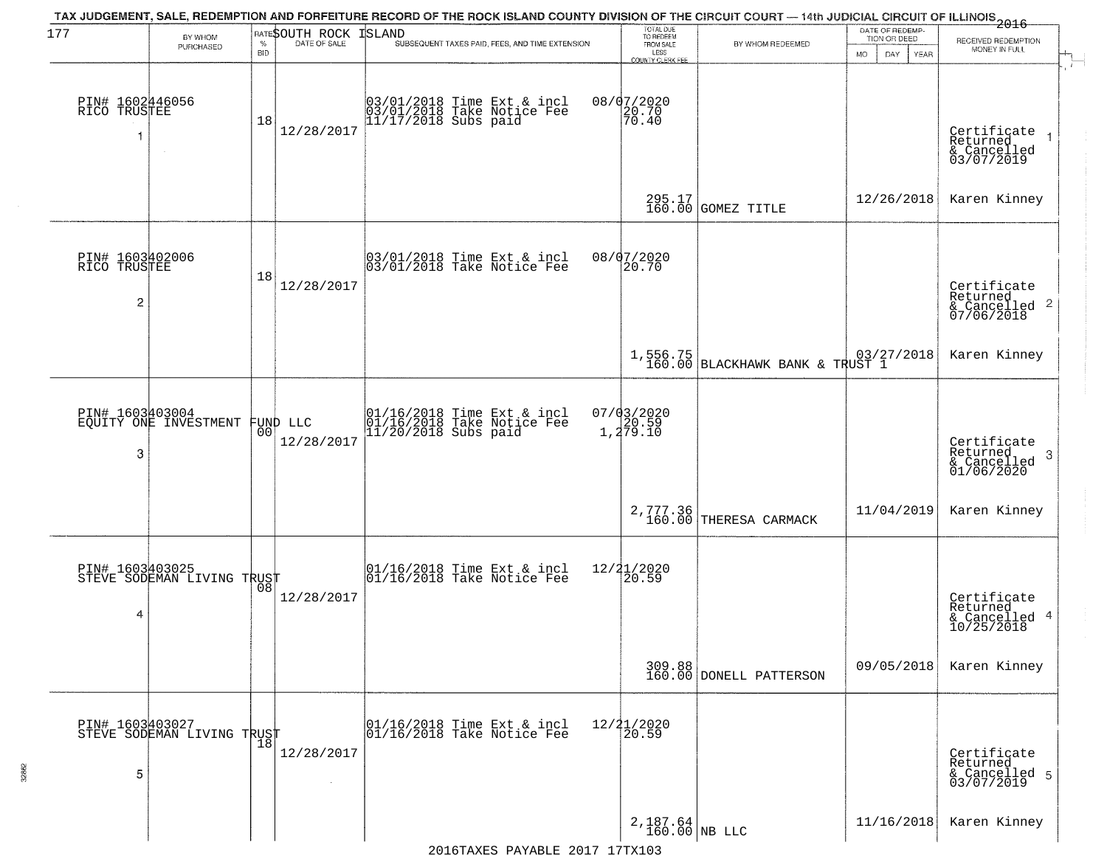| 177                                  | BY WHOM<br>PURCHASED                          | $\%$<br><b>BID</b> | RATESOUTH ROCK         | TAX JUDGEMENT, SALE, REDEMPTION AND FORFEITURE RECORD OF THE ROCK ISLAND COUNTY DIVISION OF THE CIRCUIT COURT — 14th JUDICIAL CIRCUIT OF ILLINOIS 2016<br>ISLAND<br>SUBSEQUENT TAXES PAID, FEES, AND TIME EXTENSION | TOTAL DUE<br>TO REDEEM<br>FROM SALE<br>LESS<br>COUNTY CLERK FEE | BY WHOM REDEEMED                            | DATE OF REDEMP-<br>TION OR DEED<br><b>MO</b><br>DAY<br><b>YEAR</b> | RECEIVED REDEMPTION<br>MONEY IN FULL                               |
|--------------------------------------|-----------------------------------------------|--------------------|------------------------|---------------------------------------------------------------------------------------------------------------------------------------------------------------------------------------------------------------------|-----------------------------------------------------------------|---------------------------------------------|--------------------------------------------------------------------|--------------------------------------------------------------------|
| PIN# 1602446056<br>RICO TRUSTEE<br>1 |                                               | 18                 | 12/28/2017             | 03/01/2018 Time Ext & incl<br>03/01/2018 Take Notice Fee<br>11/17/2018 Subs paid                                                                                                                                    | 08/07/2020<br>$\left  \frac{20.70}{70.40} \right $              |                                             |                                                                    | Certificate<br>Returned<br>& Cancelled<br>03/07/2019               |
|                                      |                                               |                    |                        |                                                                                                                                                                                                                     |                                                                 | 295.17<br>160.00 GOMEZ TITLE                | 12/26/2018                                                         | Karen Kinney                                                       |
| PIN# 1603402006<br>RICO TRUSTEE<br>2 |                                               | 18                 | 12/28/2017             | 03/01/2018 Time Ext & incl<br>03/01/2018 Take Notice Fee                                                                                                                                                            | 08/07/2020<br>20.70                                             |                                             |                                                                    | Certificate<br>Returned<br>$\frac{1}{2}$ Cancelled 2<br>07/06/2018 |
|                                      |                                               |                    |                        |                                                                                                                                                                                                                     |                                                                 | 1,556.75<br>160.00 BLACKHAWK BANK & TRUST 1 |                                                                    | Karen Kinney                                                       |
| PIN# 1603403004<br>3                 | EQUITY ONE INVESTMENT                         | 00                 | FUND LLC<br>12/28/2017 | 01/16/2018 Time Ext & incl<br>01/16/2018 Take Notice Fee<br>11/20/2018 Subs paid                                                                                                                                    | $07/03/2020$<br>$1,279.10$                                      |                                             |                                                                    | Certificate<br>Returned<br>- 3<br>& Cancelled<br>01/06/2020        |
|                                      |                                               |                    |                        |                                                                                                                                                                                                                     | $2,777.36$<br>160.00                                            | THERESA CARMACK                             | 11/04/2019                                                         | Karen Kinney                                                       |
| PIN# 1603403025<br>4                 | STEVE SODEMAN LIVING TRUST                    |                    | 12/28/2017             | 01/16/2018 Time Ext & incl<br>01/16/2018 Take Notice Fee                                                                                                                                                            | 12/21/2020<br>20.59                                             |                                             |                                                                    | Certificate<br>Returned<br>& Cancelled 4<br>10/25/2018             |
|                                      |                                               |                    |                        |                                                                                                                                                                                                                     |                                                                 | 309.88<br>160.00 DONELL PATTERSON           | 09/05/2018                                                         | Karen Kinney                                                       |
| 5                                    | PIN# 1603403027<br>STEVE SODEMAN LIVING TRUST |                    | 12/28/2017             | 01/16/2018 Time Ext & incl<br>01/16/2018 Take Notice Fee                                                                                                                                                            | 12/21/2020<br>20.59                                             |                                             |                                                                    | Certificate<br>Returned<br>& Cancelled 5<br>03/07/2019             |
|                                      |                                               |                    |                        |                                                                                                                                                                                                                     | $2,187.64$ NB LLC                                               |                                             | 11/16/2018                                                         | Karen Kinney                                                       |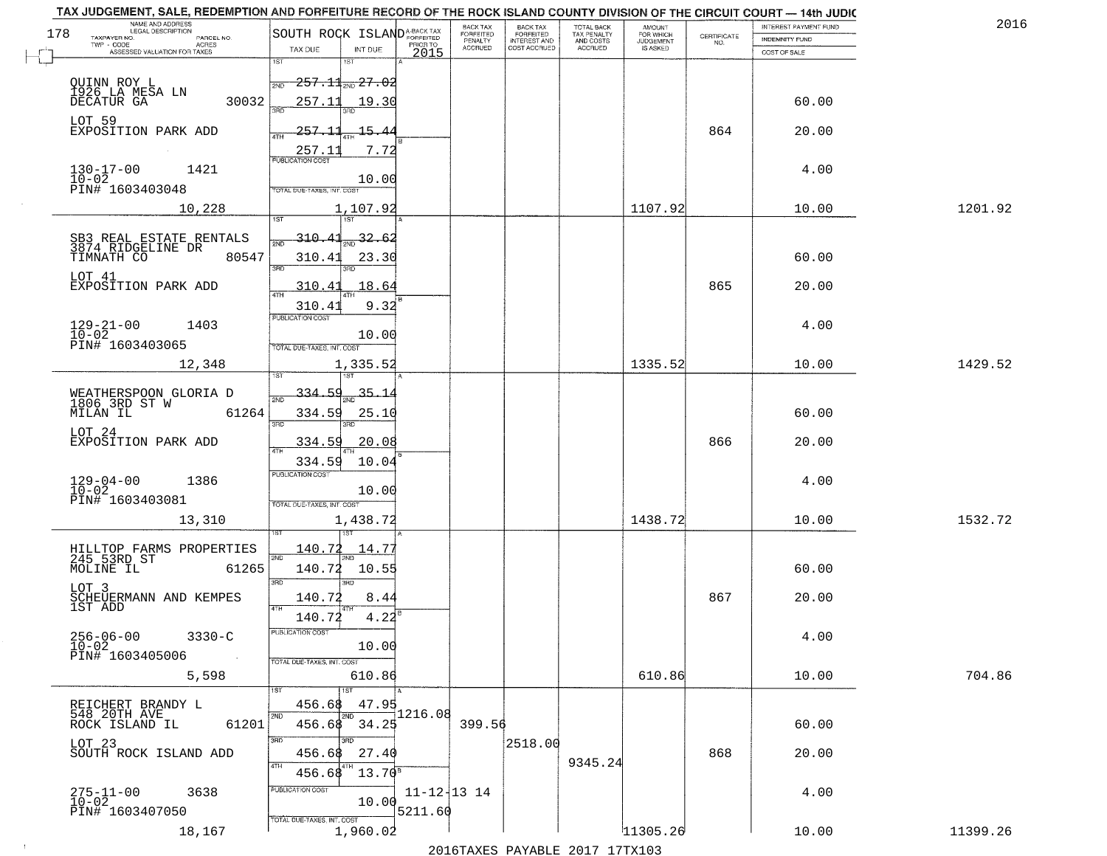|     | TAX JUDGEMENT, SALE, REDEMPTION AND FORFEITURE RECORD OF THE ROCK ISLAND COUNTY DIVISION OF THE CIRCUIT COURT - 14th JUDIC<br>NAME AND ADDRESS<br>LEGAL DESCRIPTION |                                         |                   | <b>BACK TAX</b>             |                                              |                                        |                                         |                                                                 | INTEREST PAYMENT FUND | 2016     |
|-----|---------------------------------------------------------------------------------------------------------------------------------------------------------------------|-----------------------------------------|-------------------|-----------------------------|----------------------------------------------|----------------------------------------|-----------------------------------------|-----------------------------------------------------------------|-----------------------|----------|
| 178 | TAXPAYER NO.<br>PARCEL NO.                                                                                                                                          | SOUTH ROCK ISLAND <sup>A-BACK TAX</sup> |                   | <b>FORFEITED</b><br>PENALTY | BACK TAX<br>FORFEITED<br><b>INTEREST AND</b> | TOTAL BACK<br>TAX PENALTY<br>AND COSTS | AMOUNT<br>FOR WHICH<br><b>JUDGEMENT</b> | $\begin{array}{c} \text{CERTIFICATE} \\ \text{NO.} \end{array}$ | <b>INDEMNITY FUND</b> |          |
|     | ACRES<br>ASSESSED VALUATION FOR TAXES                                                                                                                               | TAX DUE<br>INT DUE                      | PRIOR TO<br>2015  | <b>ACCRUED</b>              | COST ACCRUED                                 | ACCRUED                                | IS ASKED                                |                                                                 | COST OF SALE          |          |
|     |                                                                                                                                                                     | 1ST<br>1ST                              |                   |                             |                                              |                                        |                                         |                                                                 |                       |          |
|     | QUINN ROY L<br>1926 LA MESA LN                                                                                                                                      | $-257.11$ <sub>2ND</sub> 27.02<br>2ND   |                   |                             |                                              |                                        |                                         |                                                                 |                       |          |
|     | 30032<br>DECATUR GA                                                                                                                                                 | 257.11<br>19.30                         |                   |                             |                                              |                                        |                                         |                                                                 | 60.00                 |          |
|     |                                                                                                                                                                     |                                         |                   |                             |                                              |                                        |                                         |                                                                 |                       |          |
|     | LOT 59<br>EXPOSITION PARK ADD                                                                                                                                       | 257.11<br><u> 15.44</u>                 |                   |                             |                                              |                                        |                                         | 864                                                             | 20.00                 |          |
|     |                                                                                                                                                                     |                                         |                   |                             |                                              |                                        |                                         |                                                                 |                       |          |
|     |                                                                                                                                                                     | 257.11<br>7.72                          |                   |                             |                                              |                                        |                                         |                                                                 |                       |          |
|     | $130 - 17 - 00$<br>$10 - 02$<br>1421                                                                                                                                | 10.00                                   |                   |                             |                                              |                                        |                                         |                                                                 | 4.00                  |          |
|     | PIN# 1603403048                                                                                                                                                     | TOTAL DUE-TAXES, INT. COST              |                   |                             |                                              |                                        |                                         |                                                                 |                       |          |
|     | 10,228                                                                                                                                                              | 1,107.92                                |                   |                             |                                              |                                        | 1107.92                                 |                                                                 | 10.00                 | 1201.92  |
|     |                                                                                                                                                                     |                                         |                   |                             |                                              |                                        |                                         |                                                                 |                       |          |
|     | SB3 REAL ESTATE RENTALS<br>3874 RIDGELINE DR                                                                                                                        | $310.41_{\text{2ND}}$ 32.62             |                   |                             |                                              |                                        |                                         |                                                                 |                       |          |
|     | 80547<br>TIMNATH CO                                                                                                                                                 | 310.41<br>23.30                         |                   |                             |                                              |                                        |                                         |                                                                 | 60.00                 |          |
|     |                                                                                                                                                                     | बन्ना<br>3RD                            |                   |                             |                                              |                                        |                                         |                                                                 |                       |          |
|     | LOT 41<br>EXPOSITION PARK ADD                                                                                                                                       | 310.41<br>18.64                         |                   |                             |                                              |                                        |                                         | 865                                                             | 20.00                 |          |
|     |                                                                                                                                                                     | 9.32<br>310.41                          |                   |                             |                                              |                                        |                                         |                                                                 |                       |          |
|     |                                                                                                                                                                     | PUBLICATION COST                        |                   |                             |                                              |                                        |                                         |                                                                 |                       |          |
|     | $129 - 21 - 00$<br>$10 - 02$<br>1403                                                                                                                                | 10.00                                   |                   |                             |                                              |                                        |                                         |                                                                 | 4.00                  |          |
|     | PIN# 1603403065                                                                                                                                                     | TOTAL DUE-TAXES, INT. COST              |                   |                             |                                              |                                        |                                         |                                                                 |                       |          |
|     | 12,348                                                                                                                                                              | 1,335.52                                |                   |                             |                                              |                                        | 1335.52                                 |                                                                 | 10.00                 | 1429.52  |
|     |                                                                                                                                                                     | 1ST                                     |                   |                             |                                              |                                        |                                         |                                                                 |                       |          |
|     | WEATHERSPOON GLORIA D<br>1806 3RD ST W                                                                                                                              | 334.59<br>$-35 - 1$<br>2ND              |                   |                             |                                              |                                        |                                         |                                                                 |                       |          |
|     | MILAN IL<br>61264                                                                                                                                                   | 334.59<br>25.10                         |                   |                             |                                              |                                        |                                         |                                                                 | 60.00                 |          |
|     |                                                                                                                                                                     | 3RD<br>3RD                              |                   |                             |                                              |                                        |                                         |                                                                 |                       |          |
|     | LOT 24<br>EXPOSITION PARK ADD                                                                                                                                       | 334.59<br>20.08                         |                   |                             |                                              |                                        |                                         | 866                                                             | 20.00                 |          |
|     |                                                                                                                                                                     | 10.04<br>334.59                         |                   |                             |                                              |                                        |                                         |                                                                 |                       |          |
|     |                                                                                                                                                                     | <b>PUBLICATION COST</b>                 |                   |                             |                                              |                                        |                                         |                                                                 |                       |          |
|     | $129 - 04 - 00$<br>$10 - 02$<br>1386                                                                                                                                | 10.00                                   |                   |                             |                                              |                                        |                                         |                                                                 | 4.00                  |          |
|     | PIN# 1603403081                                                                                                                                                     | TOTAL OUE-TAXES, INT. COST              |                   |                             |                                              |                                        |                                         |                                                                 |                       |          |
|     | 13,310                                                                                                                                                              | 1,438.72                                |                   |                             |                                              |                                        | 1438.72                                 |                                                                 | 10.00                 | 1532.72  |
|     |                                                                                                                                                                     |                                         |                   |                             |                                              |                                        |                                         |                                                                 |                       |          |
|     | HILLTOP FARMS PROPERTIES<br>245 53RD ST                                                                                                                             | 140.72<br>14.77                         |                   |                             |                                              |                                        |                                         |                                                                 |                       |          |
|     | MOLINE IL<br>61265                                                                                                                                                  | 140.72<br>10.55                         |                   |                             |                                              |                                        |                                         |                                                                 | 60.00                 |          |
|     | LOT 3                                                                                                                                                               | 3BD<br>3RD                              |                   |                             |                                              |                                        |                                         |                                                                 |                       |          |
|     | SCHEUERMANN AND KEMPES<br>1ST ADD                                                                                                                                   | 140.72<br>8.44                          |                   |                             |                                              |                                        |                                         | 867                                                             | 20.00                 |          |
|     |                                                                                                                                                                     | 4TH<br>140.72<br>4.22                   |                   |                             |                                              |                                        |                                         |                                                                 |                       |          |
|     | $256 - 06 - 00$                                                                                                                                                     | PUBLICA HUN CUS                         |                   |                             |                                              |                                        |                                         |                                                                 |                       |          |
|     | $3330 - C$<br>$10 - 02$                                                                                                                                             | 10.00                                   |                   |                             |                                              |                                        |                                         |                                                                 | 4.00                  |          |
|     | PIN# 1603405006<br>$\sim 10$                                                                                                                                        | TOTAL DUE-TAXES, INT. COST              |                   |                             |                                              |                                        |                                         |                                                                 |                       |          |
|     | 5,598                                                                                                                                                               | 610.86                                  |                   |                             |                                              |                                        | 610.86                                  |                                                                 | 10.00                 | 704.86   |
|     |                                                                                                                                                                     |                                         |                   |                             |                                              |                                        |                                         |                                                                 |                       |          |
|     | REICHERT BRANDY L<br>548 20TH AVE                                                                                                                                   | 47.95<br>456.68<br>2ND                  | 1216.08           |                             |                                              |                                        |                                         |                                                                 |                       |          |
|     | 61201<br>ROCK ISLAND IL                                                                                                                                             | 34.25<br>456.68                         |                   | 399.56                      |                                              |                                        |                                         |                                                                 | 60.00                 |          |
|     |                                                                                                                                                                     | 3RD<br>3BD                              |                   |                             | 2518.00                                      |                                        |                                         |                                                                 |                       |          |
|     | LOT 23<br>SOUTH ROCK ISLAND ADD                                                                                                                                     | 27.40<br>456.68                         |                   |                             |                                              | 9345.24                                |                                         | 868                                                             | 20.00                 |          |
|     |                                                                                                                                                                     | 4TH<br>$13.70^8$<br>456.68              |                   |                             |                                              |                                        |                                         |                                                                 |                       |          |
|     | $275 - 11 - 00$<br>3638                                                                                                                                             | PUBLICATION COST                        | $11 - 12 + 13$ 14 |                             |                                              |                                        |                                         |                                                                 | 4.00                  |          |
|     | $10 - 02$                                                                                                                                                           | 10.00                                   |                   |                             |                                              |                                        |                                         |                                                                 |                       |          |
|     | PIN# 1603407050                                                                                                                                                     | TOTAL DUE-TAXES, INT. COST              | 5211.60           |                             |                                              |                                        |                                         |                                                                 |                       |          |
|     | 18,167                                                                                                                                                              | 1,960.02                                |                   |                             |                                              |                                        | 11305.26                                |                                                                 | 10.00                 | 11399.26 |
|     |                                                                                                                                                                     |                                         |                   |                             |                                              | 2016 TAVEC DAVARLE 2017 17 TV102       |                                         |                                                                 |                       |          |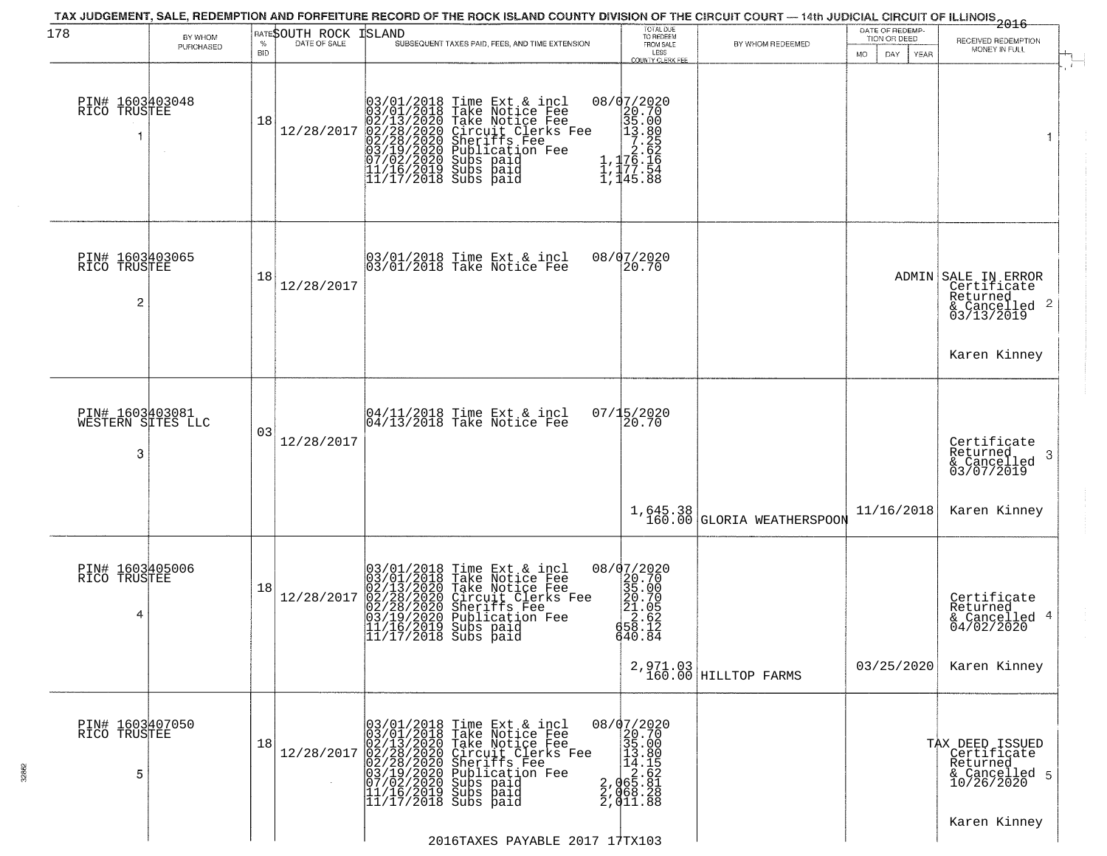| 178                                       | BY WHOM<br>PURCHASED | <b>BID</b> | <b>RATESOUTH ROCK ISLAND</b> |                      | TAX JUDGEMENT, SALE, REDEMPTION AND FORFEITURE RECORD OF THE ROCK ISLAND COUNTY DIVISION OF THE CIRCUIT COURT — 14th JUDICIAL CIRCUIT OF ILLINOIS 2016<br>SUBSEQUENT TAXES PAID, FEES, AND TIME EXTENSION                                                                                                                                          | TOTAL DUE<br>TO REDEEM<br>FROM SALE                                                                                                                              | BY WHOM REDEEMED                       | DATE OF REDEMP-<br>TION OR DEED<br>MO.<br>DAY<br><b>YEAR</b> | RECEIVED REDEMPTION<br>MONEY IN FULL                                                      |
|-------------------------------------------|----------------------|------------|------------------------------|----------------------|----------------------------------------------------------------------------------------------------------------------------------------------------------------------------------------------------------------------------------------------------------------------------------------------------------------------------------------------------|------------------------------------------------------------------------------------------------------------------------------------------------------------------|----------------------------------------|--------------------------------------------------------------|-------------------------------------------------------------------------------------------|
| PIN# 1603403048<br>RICO TRUSTEE           |                      | 18         | 12/28/2017                   |                      | 03/01/2018 Time Ext & incl<br>03/01/2018 Take Notice Fee<br>02/13/2020 Take Notice Fee<br>02/28/2020 Circuit Clerks F<br>02/28/2020 Sheriffs Fee<br>03/19/2020 Sheriffs Fee<br>07/02/2020 Subs paid<br>11/16/2019 Subs paid<br>11/16/2019 Subs paid<br>11<br>Take Notice Fee<br>Circuit Clerks Fee<br>Sheriffs Fee<br>Publication Fee<br>Subs paid | LESS<br>COUNTY CLERK FEE<br>08/07/2020<br>$\begin{smallmatrix} 20.702 \\ 20.700 \\ 35.000 \\ 13.800 \\ 7.252 \\ 76.16 \\ 1,177.54 \\ 1,145.88 \end{smallmatrix}$ |                                        |                                                              | -1                                                                                        |
| PIN# 1603403065<br>RICO TRUSTEE<br>2      |                      | 18         | 12/28/2017                   |                      | 03/01/2018 Time Ext & incl<br>03/01/2018 Take Notice Fee                                                                                                                                                                                                                                                                                           | 08/07/2020<br>20.70                                                                                                                                              |                                        |                                                              | ADMIN SALE IN ERROR<br>Certificate<br>Returned<br>$\frac{1}{6}$ Cancelled 2<br>03/13/2019 |
| PIN# 1603403081<br>WESTERN SITES LLC<br>3 |                      | 03         | 12/28/2017                   |                      | 04/11/2018 Time Ext & incl<br>04/13/2018 Take Notice Fee                                                                                                                                                                                                                                                                                           | 07/15/2020<br>20.70                                                                                                                                              |                                        |                                                              | Karen Kinney<br>Certificate<br>Returned<br>-3<br>& Cancelled<br>03/07/2019                |
|                                           |                      |            |                              |                      |                                                                                                                                                                                                                                                                                                                                                    |                                                                                                                                                                  | 1,645.38<br>160.00 GLORIA WEATHERSPOOM | 11/16/2018                                                   | Karen Kinney                                                                              |
| PIN# 1603405006<br>RICO TRUSTEE<br>4      |                      | 18         | 12/28/2017                   | 11/17/2018 Subs paid | 03/01/2018 Time Ext & incl<br>03/01/2018 Take Notice Fee<br>02/13/2020 Take Notice Fee<br>02/28/2020 Circuit Clerks Fee<br>02/28/2020 Sheriffs Fee<br>03/19/2020 Publication Fee<br>11/17/2019 Subs paid                                                                                                                                           | 08/07/2020<br>$\begin{smallmatrix} 20.20 \\ 35.00 \\ 20.70 \\ 21.05 \\ 22.62 \\ 58.10 \\ 54.10 \end{smallmatrix}$<br>640.84                                      |                                        |                                                              | Certificate<br>Returned<br>& Cancelled 4<br>04/02/2020                                    |
|                                           |                      |            |                              |                      |                                                                                                                                                                                                                                                                                                                                                    |                                                                                                                                                                  | $2,971.03$ HILLTOP FARMS               | 03/25/2020                                                   | Karen Kinney                                                                              |
| PIN# 1603407050<br>RICO TRUSTEE<br>5      |                      | 18         | 12/28/2017                   |                      | 03/01/2018 Time Ext & incl<br>03/01/2018 Take Notice Fee<br>02/13/2020 Take Notice Fee<br>02/28/2020 Circuit Clerks Fee<br>02/28/2020 Sheriffs Fee<br>03/19/2020 Subs paid<br>07/02/2020 Subs paid<br>11/16/2019 Subs paid<br>11/17/2018 Subs paid                                                                                                 | $\begin{smallmatrix} 08/07/2020 \\ 20.70 \\ 35.00 \\ 14.18 \\ 14.155 \\ 2.065.81 \\ 2.065.28 \\ 2.011.8 \\ \end{smallmatrix}$                                    |                                        |                                                              | TAX DEED ISSUED<br>  Certificate<br>Returned<br>& Cancelled 5<br>10/26/2020               |
|                                           |                      |            |                              |                      | 2016TAXES PAYABLE 2017 17TX103                                                                                                                                                                                                                                                                                                                     |                                                                                                                                                                  |                                        |                                                              | Karen Kinney                                                                              |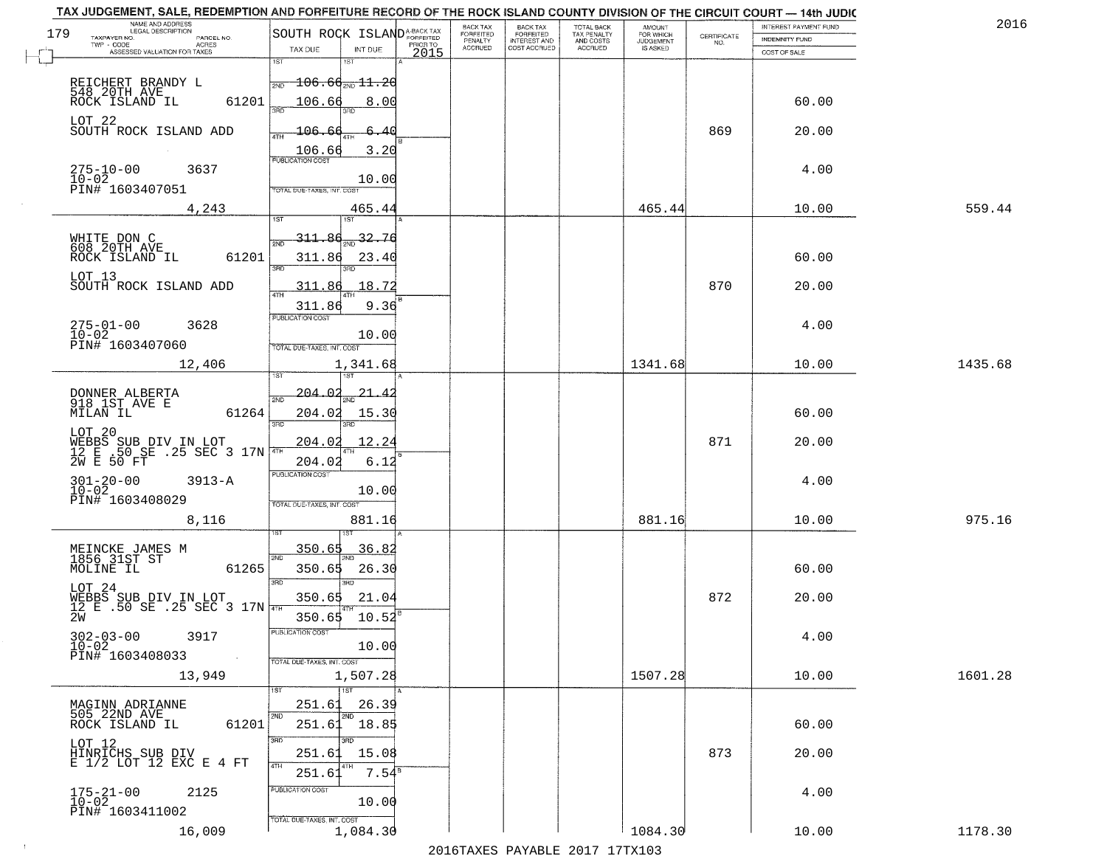|     | TAX JUDGEMENT, SALE, REDEMPTION AND FORFEITURE RECORD OF THE ROCK ISLAND COUNTY DIVISION OF THE CIRCUIT COURT - 14th JUDIC<br>NAME AND ADDRESS<br>LEGAL DESCRIPTION |                                             |                  | <b>BACK TAX</b>             | BACK TAX<br>FORFEITED |                                        | AMOUNT<br>FOR WHICH |                                                                 | INTEREST PAYMENT FUND | 2016    |
|-----|---------------------------------------------------------------------------------------------------------------------------------------------------------------------|---------------------------------------------|------------------|-----------------------------|-----------------------|----------------------------------------|---------------------|-----------------------------------------------------------------|-----------------------|---------|
| 179 | TAXPAYER NO.<br>PARCEL NO.                                                                                                                                          | SOUTH ROCK ISLAND <sup>A-BACK TAX</sup>     |                  | <b>FORFEITED</b><br>PENALTY | <b>INTEREST AND</b>   | TOTAL BACK<br>TAX PENALTY<br>AND COSTS | <b>JUDGEMENT</b>    | $\begin{array}{c} \text{CERTIFICATE} \\ \text{NO.} \end{array}$ | <b>INDEMNITY FUND</b> |         |
|     | ACRES<br>ASSESSED VALUATION FOR TAXES                                                                                                                               | TAX DUE<br>INT DUE                          | PRIOR TO<br>2015 | <b>ACCRUED</b>              | COST ACCRUED          | ACCRUED                                | IS ASKED            |                                                                 | COST OF SALE          |         |
|     |                                                                                                                                                                     | 1ST<br>1ST                                  |                  |                             |                       |                                        |                     |                                                                 |                       |         |
|     | REICHERT BRANDY L                                                                                                                                                   | $\frac{1}{2ND}$ 106.6 $\frac{1}{2ND}$ 11.20 |                  |                             |                       |                                        |                     |                                                                 |                       |         |
|     | 548 20TH AVE<br>61201<br>ROCK ISLAND IL                                                                                                                             | 106.66<br>8.00                              |                  |                             |                       |                                        |                     |                                                                 | 60.00                 |         |
|     |                                                                                                                                                                     |                                             |                  |                             |                       |                                        |                     |                                                                 |                       |         |
|     | LOT 22<br>SOUTH ROCK ISLAND ADD                                                                                                                                     | <u> 106.66</u><br>6.40                      |                  |                             |                       |                                        |                     | 869                                                             | 20.00                 |         |
|     |                                                                                                                                                                     |                                             |                  |                             |                       |                                        |                     |                                                                 |                       |         |
|     |                                                                                                                                                                     | 3.20<br>$\frac{106.66}{FUBUCATON COST}$     |                  |                             |                       |                                        |                     |                                                                 |                       |         |
|     | $275 - 10 - 00$<br>$10 - 02$<br>3637                                                                                                                                | 10.00                                       |                  |                             |                       |                                        |                     |                                                                 | 4.00                  |         |
|     | PIN# 1603407051                                                                                                                                                     | TOTAL DUE-TAXES, INT. COST                  |                  |                             |                       |                                        |                     |                                                                 |                       |         |
|     | 4,243                                                                                                                                                               | 465.44                                      |                  |                             |                       |                                        | 465.44              |                                                                 | 10.00                 | 559.44  |
|     |                                                                                                                                                                     |                                             |                  |                             |                       |                                        |                     |                                                                 |                       |         |
|     | WHITE DON C                                                                                                                                                         | 311.86 <sub>2ND</sub> 32.76                 |                  |                             |                       |                                        |                     |                                                                 |                       |         |
|     | <b>608 20TH AVE</b><br>61201<br>ROCK ISLAND IL                                                                                                                      | 311.86<br>23.40                             |                  |                             |                       |                                        |                     |                                                                 | 60.00                 |         |
|     |                                                                                                                                                                     | 3RD<br>त्रहा                                |                  |                             |                       |                                        |                     |                                                                 |                       |         |
|     | LOT 13<br>SOUTH ROCK ISLAND ADD                                                                                                                                     | 18.72<br>311.86                             |                  |                             |                       |                                        |                     | 870                                                             | 20.00                 |         |
|     |                                                                                                                                                                     | 311.86<br>9.36                              |                  |                             |                       |                                        |                     |                                                                 |                       |         |
|     |                                                                                                                                                                     | PUBLICATION COST                            |                  |                             |                       |                                        |                     |                                                                 |                       |         |
|     | $275 - 01 - 00$<br>3628<br>$10 - 02$                                                                                                                                | 10.00                                       |                  |                             |                       |                                        |                     |                                                                 | 4.00                  |         |
|     | PIN# 1603407060                                                                                                                                                     | TOTAL DUE-TAXES, INT. COST                  |                  |                             |                       |                                        |                     |                                                                 |                       |         |
|     | 12,406                                                                                                                                                              | 1,341.68                                    |                  |                             |                       |                                        | 1341.68             |                                                                 | 10.00                 | 1435.68 |
|     |                                                                                                                                                                     | 1ST                                         |                  |                             |                       |                                        |                     |                                                                 |                       |         |
|     | DONNER ALBERTA<br>918 1ST AVE E                                                                                                                                     | $-204.02$<br>21.<br>2ND                     |                  |                             |                       |                                        |                     |                                                                 |                       |         |
|     | MILAN IL<br>61264                                                                                                                                                   | 204.02<br>15.30                             |                  |                             |                       |                                        |                     |                                                                 | 60.00                 |         |
|     | LOT 20                                                                                                                                                              | 3BD<br>3RD                                  |                  |                             |                       |                                        |                     |                                                                 |                       |         |
|     |                                                                                                                                                                     | 204.02<br>12.24                             |                  |                             |                       |                                        |                     | 871                                                             | 20.00                 |         |
|     | WEBBS SUB DIV IN LOT<br>12 E .50 SE .25 SEC 3 17N                                                                                                                   | 204.02<br>6.12                              |                  |                             |                       |                                        |                     |                                                                 |                       |         |
|     | $3913 - A$                                                                                                                                                          | <b>PUBLICATION COST</b>                     |                  |                             |                       |                                        |                     |                                                                 | 4.00                  |         |
|     | $301 - 20 - 00$<br>$10 - 02$                                                                                                                                        | 10.00                                       |                  |                             |                       |                                        |                     |                                                                 |                       |         |
|     | PIN# 1603408029                                                                                                                                                     | TOTAL OUE-TAXES, INT. COST                  |                  |                             |                       |                                        |                     |                                                                 |                       |         |
|     | 8,116                                                                                                                                                               | 881.16                                      |                  |                             |                       |                                        | 881.16              |                                                                 | 10.00                 | 975.16  |
|     |                                                                                                                                                                     |                                             |                  |                             |                       |                                        |                     |                                                                 |                       |         |
|     | MEINCKE JAMES M<br>1856 31ST ST                                                                                                                                     | 350.65<br>36.82<br>2ND                      |                  |                             |                       |                                        |                     |                                                                 |                       |         |
|     | MOLINE IL<br>61265                                                                                                                                                  | 350.65<br>26.30                             |                  |                             |                       |                                        |                     |                                                                 | 60.00                 |         |
|     | LOT 24                                                                                                                                                              | 3RD                                         |                  |                             |                       |                                        |                     |                                                                 |                       |         |
|     | WEBBS SUB DIV IN LOT $12$ E .50 SE .25 SEC 3 17N $\frac{1}{4\pi\pi}$                                                                                                | 350.65<br>21.04                             |                  |                             |                       |                                        |                     | 872                                                             | 20.00                 |         |
|     | 2W                                                                                                                                                                  | 10.52<br>350.65                             |                  |                             |                       |                                        |                     |                                                                 |                       |         |
|     | $302 - 03 - 00$<br>$10 - 02$<br>3917                                                                                                                                | PUBLICATION COS-                            |                  |                             |                       |                                        |                     |                                                                 | 4.00                  |         |
|     | PIN# 1603408033<br>$\sim 100$                                                                                                                                       | 10.00                                       |                  |                             |                       |                                        |                     |                                                                 |                       |         |
|     |                                                                                                                                                                     | TOTAL DUE-TAXES, INT. COST                  |                  |                             |                       |                                        |                     |                                                                 |                       |         |
|     | 13,949                                                                                                                                                              | 1,507.28<br>$\overline{1}$ 1ST              |                  |                             |                       |                                        | 1507.28             |                                                                 | 10.00                 | 1601.28 |
|     | MAGINN ADRIANNE                                                                                                                                                     | 251.61<br>26.39                             |                  |                             |                       |                                        |                     |                                                                 |                       |         |
|     | 505 22ND AVE                                                                                                                                                        | 2ND                                         |                  |                             |                       |                                        |                     |                                                                 |                       |         |
|     | 61201<br>ROCK ISLAND IL                                                                                                                                             | 251.61<br>18.85                             |                  |                             |                       |                                        |                     |                                                                 | 60.00                 |         |
|     |                                                                                                                                                                     | 3RD<br>3BD<br>15.08                         |                  |                             |                       |                                        |                     | 873                                                             | 20.00                 |         |
|     | LOT 12<br>HINRICHS SUB DIV<br>E 1/2 LOT 12 EXC E 4 FT                                                                                                               | 251.61<br>4TH                               |                  |                             |                       |                                        |                     |                                                                 |                       |         |
|     |                                                                                                                                                                     | 7.54 <sup>s</sup><br>251.6                  |                  |                             |                       |                                        |                     |                                                                 |                       |         |
|     | $175 - 21 - 00$<br>$10 - 02$<br>2125                                                                                                                                | PUBLICATION COST                            |                  |                             |                       |                                        |                     |                                                                 | 4.00                  |         |
|     | PIN# 1603411002                                                                                                                                                     | 10.00                                       |                  |                             |                       |                                        |                     |                                                                 |                       |         |
|     | 16,009                                                                                                                                                              | TOTAL DUE-TAXES, INT. COST<br>1,084.30      |                  |                             |                       |                                        | 1084.30             |                                                                 | 10.00                 | 1178.30 |
|     |                                                                                                                                                                     |                                             |                  |                             |                       | 2016 TAVEC DAVARLE 2017 17 TV102       |                     |                                                                 |                       |         |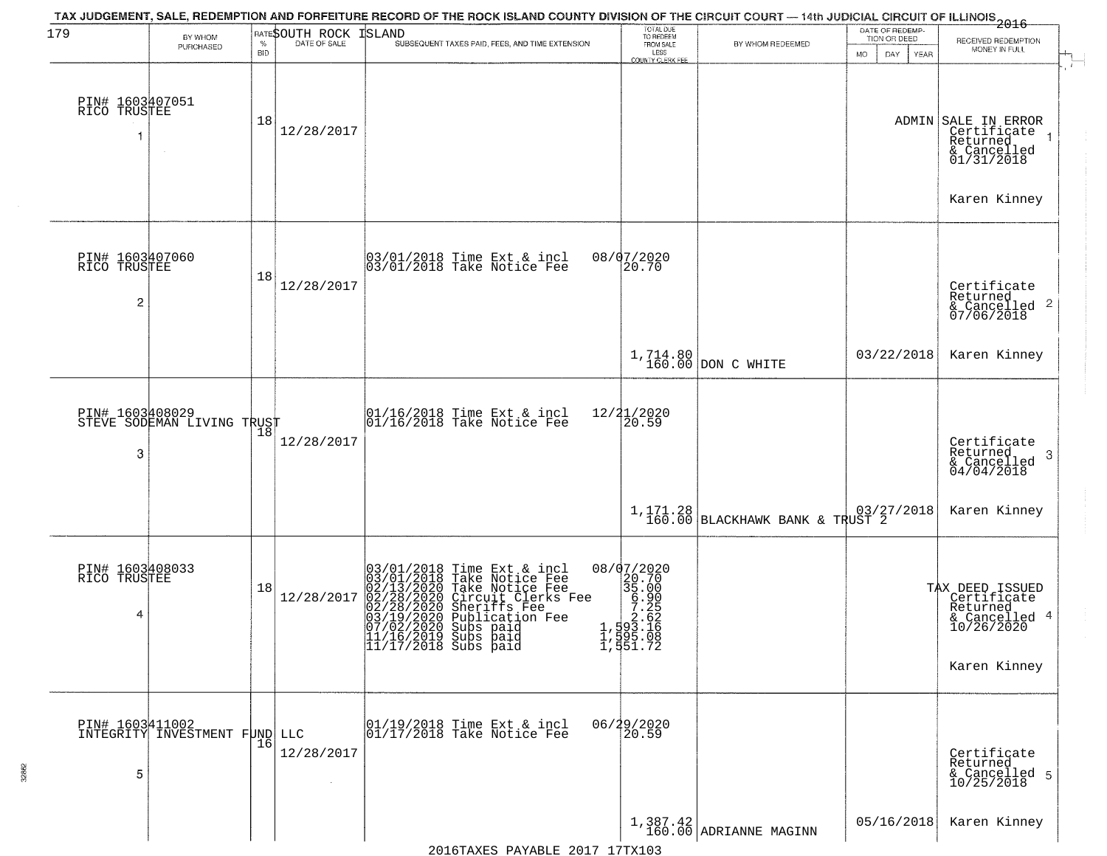| 179                                               | BY WHOM                                          |                    | RATESOUTH ROCK | TAX JUDGEMENT, SALE, REDEMPTION AND FORFEITURE RECORD OF THE ROCK ISLAND COUNTY DIVISION OF THE CIRCUIT COURT — 14th JUDICIAL CIRCUIT OF ILLINOIS 2016<br>ISLAND                                                                                     | TOTAL DUE<br>TO REDEEM                                                                                                                   |                                                                                | DATE OF REDEMP-<br>TION OR DEED | RECEIVED REDEMPTION                                                                         |
|---------------------------------------------------|--------------------------------------------------|--------------------|----------------|------------------------------------------------------------------------------------------------------------------------------------------------------------------------------------------------------------------------------------------------------|------------------------------------------------------------------------------------------------------------------------------------------|--------------------------------------------------------------------------------|---------------------------------|---------------------------------------------------------------------------------------------|
|                                                   | PURCHASED                                        | $\%$<br><b>BID</b> | DATE OF SALE   | SUBSEQUENT TAXES PAID, FEES, AND TIME EXTENSION                                                                                                                                                                                                      | FROM SALE<br>LESS<br>COUNTY CLERK FEE                                                                                                    | BY WHOM REDEEMED                                                               | MO.<br>DAY.<br>YEAR             | MONEY IN FULL                                                                               |
| PIN# 1603407051<br>RICO TRUSTEE                   |                                                  | 18                 | 12/28/2017     |                                                                                                                                                                                                                                                      |                                                                                                                                          |                                                                                |                                 | ADMIN SALE IN ERROR<br>Certificate<br>Returned<br>& Cancelled<br>01/31/2018<br>Karen Kinney |
| PIN# 1603407060<br>RICO TRUSTEE<br>$\overline{c}$ |                                                  | 18                 | 12/28/2017     | 03/01/2018 Time Ext & incl<br>03/01/2018 Take Notice Fee                                                                                                                                                                                             | 08/07/2020<br>20.70                                                                                                                      |                                                                                |                                 | Certificate<br>Returned<br>& Cancelled 2<br>07/06/2018                                      |
|                                                   |                                                  |                    |                |                                                                                                                                                                                                                                                      |                                                                                                                                          | $1,714.80$ DON C WHITE                                                         | 03/22/2018                      | Karen Kinney                                                                                |
| 3                                                 | PIN# 1603408029<br>STEVE SODEMAN LIVING TRUST    | 18                 | 12/28/2017     | 01/16/2018 Time Ext & incl<br>01/16/2018 Take Notice Fee                                                                                                                                                                                             | 12/21/2020<br>20.59                                                                                                                      |                                                                                |                                 | Certificate<br>Returned<br>3<br>$\frac{1}{2}$ Cancelled<br>04/04/2018                       |
|                                                   |                                                  |                    |                |                                                                                                                                                                                                                                                      |                                                                                                                                          | 1,171.28<br>160.00 BLACKHAWK BANK & TRUST 2                                    |                                 | Karen Kinney                                                                                |
| PIN# 1603408033<br>RICO TRUSTEE<br>4              |                                                  | 18                 | 12/28/2017     | 03/01/2018 Time Ext & incl<br>03/01/2018 Take Notice Fee<br>02/13/2020 Take Notice Fee<br>02/28/2020 Circuit Clerks Fee<br>02/28/2020 Sheriffs Fee<br>03/19/2020 Subs paid<br>07/02/2020 Subs paid<br> 11/16/2019 Subs paid<br> 11/17/2018 Subs paid | 08/07/2020<br>$\frac{20.70}{35.00}$<br>$\begin{array}{r} 36.900 \\ -7.25 \\ -7.25 \\ 1,593 \\ 1,595 \\ -0.8 \\ 1,951 \\ -72 \end{array}$ |                                                                                |                                 | TAX DEED ISSUED<br>Certificate<br>Returned<br>& Cancelled 4<br>10/26/2020<br>Karen Kinney   |
| 5                                                 | PIN# 1603411002<br>INTEGRITY INVESTMENT FUND LLC | 16                 | 12/28/2017     | 01/19/2018 Time Ext & incl<br>01/17/2018 Take Notice Fee                                                                                                                                                                                             | 06/29/2020<br>20.59                                                                                                                      |                                                                                |                                 | Certificate<br>Returned<br>& Cancelled 5<br>10/25/2018                                      |
|                                                   |                                                  |                    |                |                                                                                                                                                                                                                                                      |                                                                                                                                          | $\left.\begin{array}{c} 1,387.42 \\ 160.00 \end{array}\right $ ADRIANNE MAGINN | 05/16/2018                      | Karen Kinney                                                                                |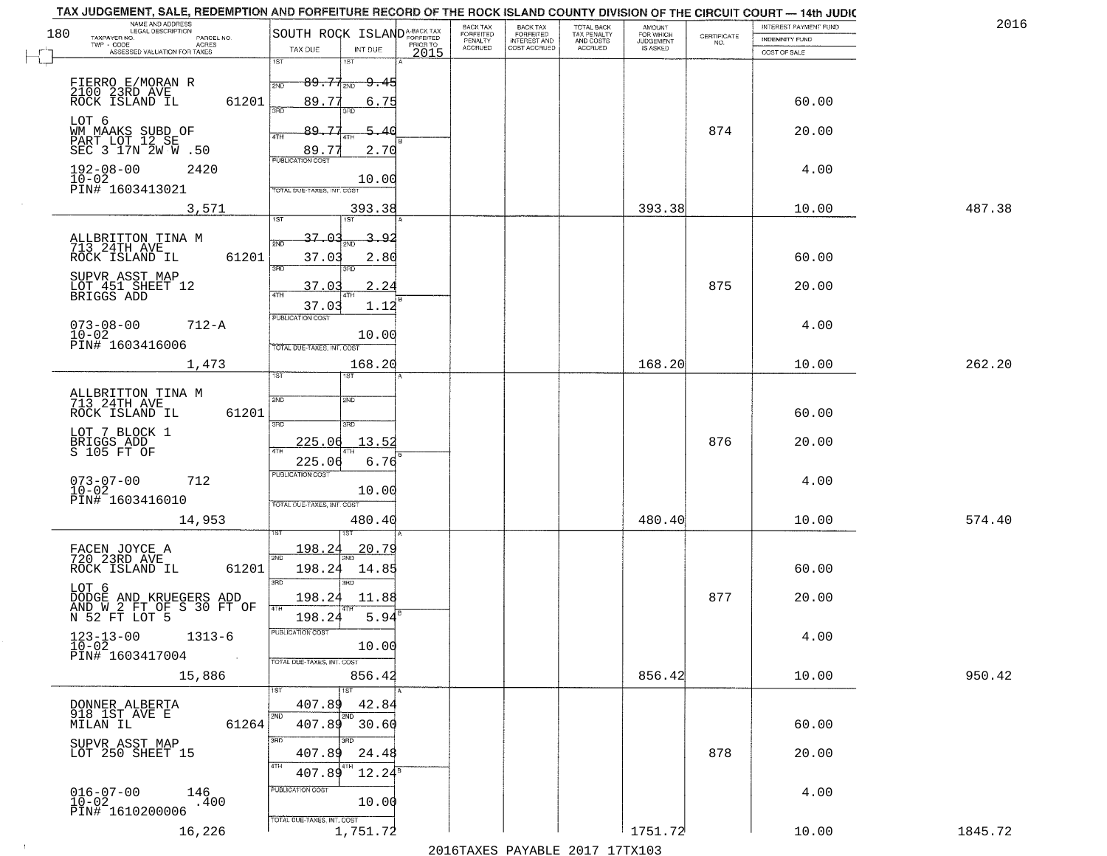|     | TAX JUDGEMENT, SALE, REDEMPTION AND FORFEITURE RECORD OF THE ROCK ISLAND COUNTY DIVISION OF THE CIRCUIT COURT - 14th JUDIC<br>NAME AND ADDRESS<br>LEGAL DESCRIPTION |                                                                                                                  |      | BACK TAX             |                                       |                                        |                                  |                    | INTEREST PAYMENT FUND | 2016    |
|-----|---------------------------------------------------------------------------------------------------------------------------------------------------------------------|------------------------------------------------------------------------------------------------------------------|------|----------------------|---------------------------------------|----------------------------------------|----------------------------------|--------------------|-----------------------|---------|
| 180 | TAXPAYER NO.<br>PARCEL NO.<br>TWP - CODE<br>ACRES                                                                                                                   | SOUTH ROCK ISLANDA-BACK TAX                                                                                      |      | FORFEITED<br>PENALTY | BACK TAX<br>FORFEITED<br>INTEREST AND | TOTAL BACK<br>TAX PENALTY<br>AND COSTS | AMOUNT<br>FOR WHICH<br>JUDGEMENT | CERTIFICATE<br>NO. | <b>INDEMNITY FUND</b> |         |
|     | ASSESSED VALUATION FOR TAXES                                                                                                                                        | TAX DUE<br>INT DUE                                                                                               | 2015 | <b>ACCRUED</b>       | COST ACCRUED                          | <b>ACCRUED</b>                         | IS ASKED                         |                    | COST OF SALE          |         |
|     | FIERRO E/MORAN R<br>2100 23RD AVE<br>ROCK ISLAND IL<br>61201                                                                                                        | 1ST<br>1ST<br>$89.77_{20}$<br><del>9.45</del><br>2ND<br>89.77<br>6.75<br>350                                     |      |                      |                                       |                                        |                                  |                    | 60.00                 |         |
|     | LOT 6<br>WM MAAKS SUBD OF<br>PART LOT 12 SE<br>SEC 3 17N 2W W .50                                                                                                   | חחז<br>89.77<br>5.40<br>4TH<br>2.70<br>89.77                                                                     |      |                      |                                       |                                        |                                  | 874                | 20.00                 |         |
|     | $192 - 08 - 00$<br>2420<br>$10 - 02$<br>PIN# 1603413021                                                                                                             | <b>PUBLICATION COST</b><br>10.00<br>TOTAL DUE-TAXES, INT. COST                                                   |      |                      |                                       |                                        |                                  |                    | 4.00                  |         |
|     | 3,571                                                                                                                                                               | 393.38                                                                                                           |      |                      |                                       |                                        | 393.38                           |                    | 10.00                 | 487.38  |
|     | ALLBRITTON TINA M<br>713 24TH AVE<br>61201<br>ROCK ISLAND IL<br>SUPVR_ASST MAP<br>LOT 451 SHEET 12<br>BRIGGS ADD                                                    | 1ST<br>1ST<br>37.01<br>3.<br><u>_9.2</u><br>2ND<br>37.03<br>2.80<br>3RD<br>3RD<br>2.24<br>37.03<br>1.12<br>37.03 |      |                      |                                       |                                        |                                  | 875                | 60.00<br>20.00        |         |
|     | $073 - 08 - 00$<br>$712 - A$<br>$10 - 02$<br>PIN# 1603416006                                                                                                        | PUBLICATION COST<br>10.00<br>TOTAL DUE-TAXES, INT. COST                                                          |      |                      |                                       |                                        |                                  |                    | 4.00                  |         |
|     | 1,473                                                                                                                                                               | 168.20                                                                                                           |      |                      |                                       |                                        | 168.20                           |                    | 10.00                 | 262.20  |
|     | ALLBRITTON TINA M<br>713 24TH AVE<br>ROCK ISLAND IL<br>61201<br>LOT 7 BLOCK 1                                                                                       | TST"<br>1ST<br>2ND<br>2ND<br>3 <sub>BD</sub><br>3BD                                                              |      |                      |                                       |                                        |                                  |                    | 60.00                 |         |
|     | BRIGGS ADD<br>S 105 FT OF                                                                                                                                           | 225.06<br>13.5<br>4TH<br>6.76<br>225.06<br><b>PUBLICATION COST</b>                                               |      |                      |                                       |                                        |                                  | 876                | 20.00                 |         |
|     | $073 - 07 - 00$<br>712<br>$10 - 02$<br>PIN# 1603416010<br>14,953                                                                                                    | 10.00<br>TOTAL OUE-TAXES, INT. COST<br>480.40                                                                    |      |                      |                                       |                                        | 480.40                           |                    | 4.00<br>10.00         | 574.40  |
|     |                                                                                                                                                                     |                                                                                                                  |      |                      |                                       |                                        |                                  |                    |                       |         |
|     | FACEN JOYCE A<br>720 23RD AVE<br>ROCK ISLAND IL<br>61201<br>LOT 6                                                                                                   | 198.24<br><u> 20.79</u><br>2ND<br>198.24<br>14.85<br>3RD<br>$\overline{3BD}$                                     |      |                      |                                       |                                        |                                  |                    | 60.00                 |         |
|     | DODGE AND KRUEGERS ADD<br>AND W 2 FT OF S 30 FT OF<br>N 52 FT LOT 5                                                                                                 | 198.24<br>11.88<br>4TH<br>198.24<br>5.94                                                                         |      |                      |                                       |                                        |                                  | 877                | 20.00                 |         |
|     | $123 - 13 - 00$<br>$1313 - 6$<br>$10 - 02$<br>PIN# 1603417004<br>$\sim 100$                                                                                         | PUBLICATION COS<br>10.00<br>TOTAL DUE-TAXES, INT. COST                                                           |      |                      |                                       |                                        |                                  |                    | 4.00                  |         |
|     | 15,886                                                                                                                                                              | 856.42                                                                                                           |      |                      |                                       |                                        | 856.42                           |                    | 10.00                 | 950.42  |
|     | DONNER ALBERTA<br>918 1ST AVE E<br>61264<br>MILAN IL                                                                                                                | 1ST<br>42.84<br>407.89<br>2ND<br>2ND<br>407.89<br>30.60                                                          |      |                      |                                       |                                        |                                  |                    | 60.00                 |         |
|     | SUPVR ASST MAP<br>LOT 250 SHEET 15                                                                                                                                  | 3RD<br>407.89<br>24.48<br>4TH<br>$12.24^s$<br>407.89                                                             |      |                      |                                       |                                        |                                  | 878                | 20.00                 |         |
|     | $016 - 07 - 00$<br>146<br>$10 - 02$<br>.400<br>PIN# 1610200006                                                                                                      | PUBLICATION COST<br>10.00<br>TOTAL DUE-TAXES, INT. COST                                                          |      |                      |                                       |                                        |                                  |                    | 4.00                  |         |
|     | 16,226                                                                                                                                                              | 1,751.72                                                                                                         |      |                      |                                       |                                        | 1751.72                          |                    | 10.00                 | 1845.72 |

 $\sim 10^{-1}$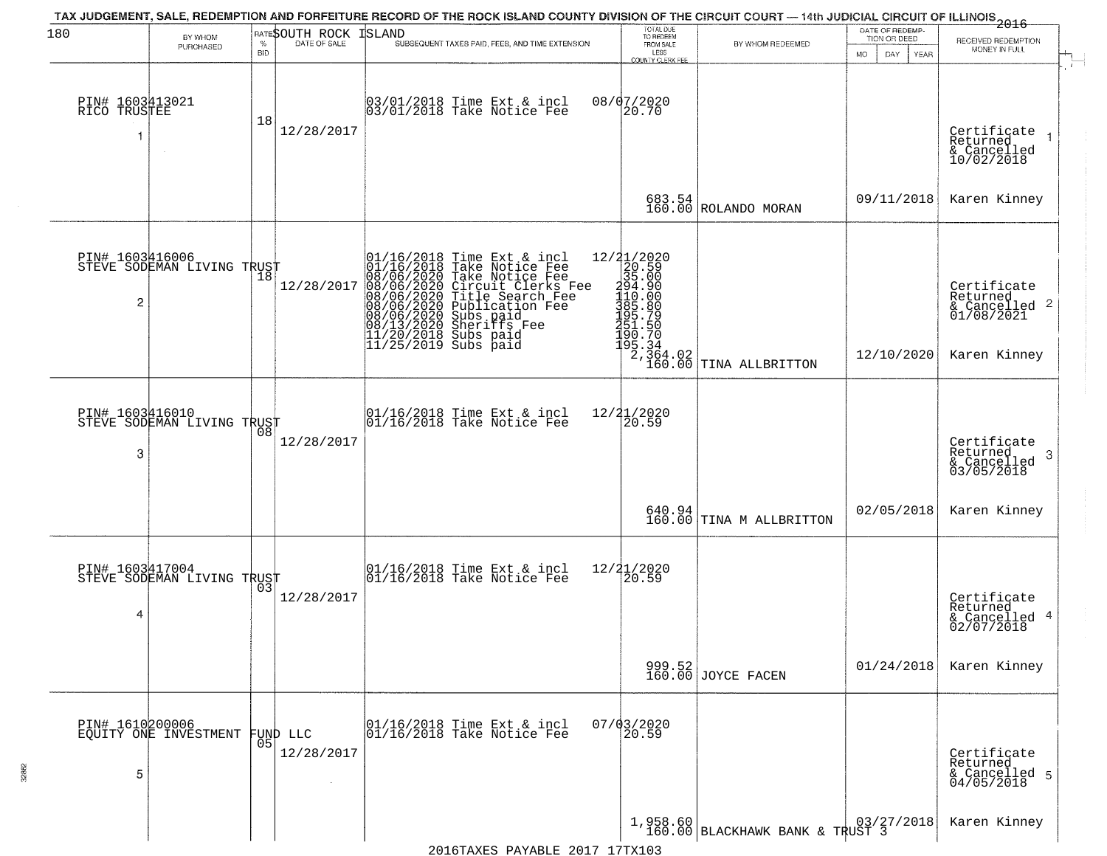| 180                             | BY WHOM<br>PURCHASED                         | <b>BID</b> | RATESOUTH ROCK<br>% DATE OF SALE | TAX JUDGEMENT, SALE, REDEMPTION AND FORFEITURE RECORD OF THE ROCK ISLAND COUNTY DIVISION OF THE CIRCUIT COURT — 14th JUDICIAL CIRCUIT OF ILLINOIS 2016<br>ISLAND<br>SUBSEQUENT TAXES PAID, FEES, AND TIME EXTENSION                                  | TOTAL DUE<br>TO REDEEM<br>FROM SALE<br>LESS<br>COUNTY CLERK FEE                                                                                                                                    | BY WHOM REDEEMED                            | DATE OF REDEMP-<br>TION OR DEED<br>DAY<br>MO.<br><b>YEAR</b> | RECEIVED REDEMPTION<br>MONEY IN FULL                                   |
|---------------------------------|----------------------------------------------|------------|----------------------------------|------------------------------------------------------------------------------------------------------------------------------------------------------------------------------------------------------------------------------------------------------|----------------------------------------------------------------------------------------------------------------------------------------------------------------------------------------------------|---------------------------------------------|--------------------------------------------------------------|------------------------------------------------------------------------|
| PIN# 1603413021<br>RICO TRUSTEE |                                              | 18         | 12/28/2017                       | 03/01/2018 Time Ext & incl<br>03/01/2018 Take Notice Fee                                                                                                                                                                                             | 08/07/2020<br>20.70                                                                                                                                                                                |                                             |                                                              | Certificate<br>Returned<br>& Cancelled<br>10/02/2018                   |
|                                 |                                              |            |                                  |                                                                                                                                                                                                                                                      | 683.54<br>160.00                                                                                                                                                                                   | ROLANDO MORAN                               | 09/11/2018                                                   | Karen Kinney                                                           |
| PIN# 1603416006<br>2            | FIN# 1003H1000<br>STEVE SODEMAN LIVING TRUST |            | 12/28/2017                       | 01/16/2018 Time Ext & incl<br>01/16/2018 Take Notice Fee<br>08/06/2020 Take Notice Fee<br>08/06/2020 Circuit Clerks Fee<br>08/06/2020 Title Search Fee<br>08/06/2020 Subs paid<br>08/06/2020 Subs paid<br>08/13/2020 Sheriffs Fee<br>11/20/2018 Subs | $[ \begin{smallmatrix} 12/21/2020 \\ 20.590 \\ 35.000 \\ 194.000 \\ 110.000 \\ 110.000 \\ 394.000 \\ 110.000 \\ 395.790 \\ 195.734 \\ 199.334 \\ \end{smallmatrix} ]$<br>$\frac{2,364.02}{160.00}$ | TINA ALLBRITTON                             | 12/10/2020                                                   | Certificate<br>Returned<br>& Cancelled 2<br>01/08/2021<br>Karen Kinney |
| PIN# 1603416010<br>3            | STEVE SODEMAN LIVING TRUST                   | 08         | 12/28/2017                       | 01/16/2018 Time Ext & incl<br>01/16/2018 Take Notice Fee                                                                                                                                                                                             | 12/21/2020<br>20.59                                                                                                                                                                                |                                             |                                                              | Certificate<br>Returned<br>-3<br>& Cancelled<br>03/05/2018             |
|                                 |                                              |            |                                  |                                                                                                                                                                                                                                                      | 640.94<br>160.00                                                                                                                                                                                   | TINA M ALLBRITTON                           | 02/05/2018                                                   | Karen Kinney                                                           |
| PIN# 1603417004<br>4            | STEVE SODEMAN LIVING TRUST                   |            | 12/28/2017                       | $\begin{array}{c} 01/16/2018 \\ 01/16/2018 \\ \end{array}$ Take Notice Fee                                                                                                                                                                           | 12/21/2020<br>20.59                                                                                                                                                                                |                                             |                                                              | Certificate<br>Returned<br>& Cancelled 4<br>02/07/2018                 |
|                                 |                                              |            |                                  |                                                                                                                                                                                                                                                      |                                                                                                                                                                                                    | 999.52<br>160.00 JOYCE FACEN                | 01/24/2018                                                   | Karen Kinney                                                           |
| PIN# 1610200006<br>5            | EQUITY ONE INVESTMENT                        |            | FUND LLC<br> 05 <br>12/28/2017   | 01/16/2018 Time Ext & incl<br>01/16/2018 Take Notice Fee                                                                                                                                                                                             | $07/03/2020$<br>$20.59$                                                                                                                                                                            |                                             |                                                              | Certificate<br>Returned<br>& Cancelled 5<br>04/05/2018                 |
|                                 |                                              |            |                                  |                                                                                                                                                                                                                                                      |                                                                                                                                                                                                    | 1,958.60<br>160.00 BLACKHAWK BANK & TRUST 3 |                                                              | Karen Kinney                                                           |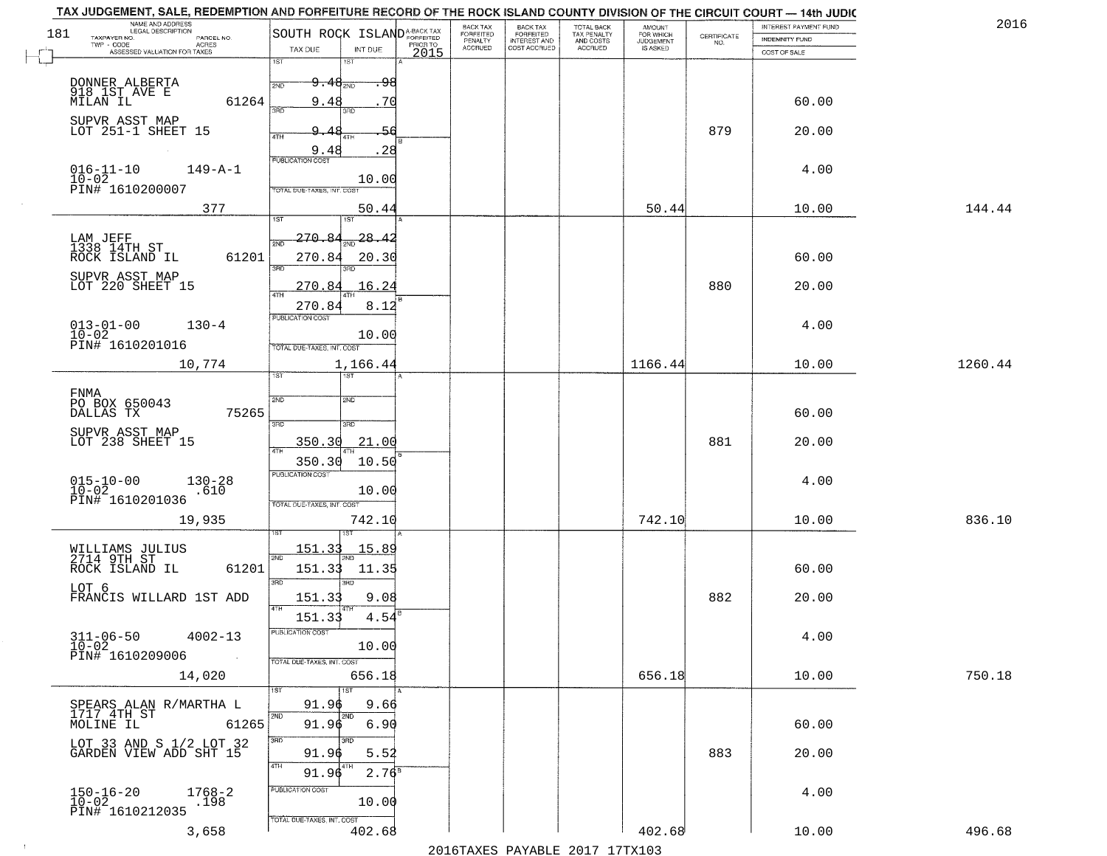| TOTAL BACK<br>TAX PENALTY<br>AND COSTS<br>SOUTH ROCK ISLAND <sup>A-BACK TAX</sup><br>181<br><b>FORFEITED</b><br>$\begin{array}{c} \text{CERTIFICATE} \\ \text{NO.} \end{array}$<br>TAXPAYER NO.<br>PARCEL NO.<br>INDEMNITY FUND<br>PENALTY<br><b>INTEREST AND</b><br><b>JUDGEMENT</b><br>PRIOR TO<br>ACRES<br><b>ACCRUED</b><br>COST ACCRUED<br>ACCRUED<br>IS ASKED<br>TAX DUE<br>INT DUE<br>ASSESSED VALUATION FOR TAXES<br>2015<br>COST OF SALE<br>1ST<br>1ST<br>DONNER ALBERTA<br>918 IST AVE E<br>MILAN IL<br>$9\cdot 48$ <sub>2ND</sub><br>2ND<br>61264<br>70<br>60.00<br>9.48<br>3BD<br>3BD<br>SUPVR ASST MAP<br>LOT 251-1 SHEET 15<br>879<br>20.00<br>. 48<br>4TH<br>4T H<br>9.48<br>. 28<br><b>PUBLICATION COST</b><br>$016 - 11 - 10$<br>$149 - A - 1$<br>4.00<br>$10 - 02$<br>10.00<br>PIN# 1610200007<br>TOTAL DUE-TAXES, INT. COST<br>377<br>144.44<br>50.44<br>50.44<br>10.00<br>1ST<br>270.84<br>$\frac{28.42}{200}$<br>LAM JEFF<br>1338 14TH ST<br>61201<br>270.84<br>ROCK ISLAND IL<br>60.00<br>20.30<br>3RD<br>SUPVR ASST MAP<br>880<br>LOT 220 SHEET 15<br>270.84<br>16.24<br>20.00<br>270.84<br>8.12<br>PUBLICATION COST<br>4.00<br>$130 - 4$<br>10.00<br>TOTAL DUE-TAXES, INT. COST<br>1166.44<br>1260.44<br>10,774<br>1,166.44<br>10.00<br>1ST<br>1ST<br>FNMA<br>SVD<br>2ND<br>PO BOX 650043<br>75265<br>60.00<br>DALLAS TX<br>3BD<br>3RD<br>SUPVR ASST MAP<br>LOT 238 SHEET 15<br>881<br>350.30<br>21.00<br>20.00<br>350.30<br>10.50<br><b>PUBLICATION COST</b><br>$015 - 10 - 00$<br>$10 - 02$<br>4.00<br>$130 - 28$<br>10.00<br>.610<br>PIN# 1610201036<br>TOTAL OUE-TAXES, INT. COST<br>742.10<br>836.10<br>19,935<br>742.10<br>10.00<br>15.89<br>151.33<br>WILLIAMS JULIUS<br>2714 9TH ST<br>ROCK ISLAND IL<br>2ND<br>151.33<br>60.00<br>61201<br>11.35<br>3BD<br>3RD<br>LOT 6<br>882<br>FRANCIS WILLARD 1ST ADD<br>151.33<br>9.08<br>20.00<br>4TH<br>151.33<br>4.54<br>$311 - 06 - 50$<br><b>PUBLICATION COS-</b><br>$4002 - 13$<br>4.00<br>$10 - 02$<br>10.00<br>PIN# 1610209006<br>$\sim 100$<br>TOTAL DUE-TAXES, INT. COST<br>656.18<br>750.18<br>14,020<br>656.18<br>10.00<br>91.96<br>9.66<br>SPEARS ALAN R/MARTHA L<br>1717 4TH ST<br>2ND.<br><b>2ND</b><br>91.96<br>6.90<br>61265<br>60.00<br>MOLINE IL<br>3RD<br>3RD<br>LOT 33 AND S 1/2 LOT 32<br>GARDEN VIEW ADD SHT 15<br>883<br>20.00<br>5.52<br>91.96<br>14TH<br>2.76 <sup>8</sup><br>91.96<br>PUBLICATION COST<br>$150 - 16 - 20$<br>$10 - 02$<br>$1768 - 2$<br>4.00<br>10.00<br>.198<br>PIN# 1610212035<br>TOTAL DUE-TAXES, INT. COST<br>402.68<br>402.68<br>496.68<br>3,658<br>10.00<br>2016 TAVEC DAVARLE 2017 17 TV102 | TAX JUDGEMENT, SALE, REDEMPTION AND FORFEITURE RECORD OF THE ROCK ISLAND COUNTY DIVISION OF THE CIRCUIT COURT - 14th JUDIC<br>NAME AND ADDRESS<br>LEGAL DESCRIPTION |  | <b>BACK TAX</b> |                       |                     | INTEREST PAYMENT FUND | 2016 |
|---------------------------------------------------------------------------------------------------------------------------------------------------------------------------------------------------------------------------------------------------------------------------------------------------------------------------------------------------------------------------------------------------------------------------------------------------------------------------------------------------------------------------------------------------------------------------------------------------------------------------------------------------------------------------------------------------------------------------------------------------------------------------------------------------------------------------------------------------------------------------------------------------------------------------------------------------------------------------------------------------------------------------------------------------------------------------------------------------------------------------------------------------------------------------------------------------------------------------------------------------------------------------------------------------------------------------------------------------------------------------------------------------------------------------------------------------------------------------------------------------------------------------------------------------------------------------------------------------------------------------------------------------------------------------------------------------------------------------------------------------------------------------------------------------------------------------------------------------------------------------------------------------------------------------------------------------------------------------------------------------------------------------------------------------------------------------------------------------------------------------------------------------------------------------------------------------------------------------------------------------------------------------------------------------------------------------------------------------------------------------------------------------------------------------------------------------------------------------------------------------------------------------------------------------------------------------------------------------------------------|---------------------------------------------------------------------------------------------------------------------------------------------------------------------|--|-----------------|-----------------------|---------------------|-----------------------|------|
|                                                                                                                                                                                                                                                                                                                                                                                                                                                                                                                                                                                                                                                                                                                                                                                                                                                                                                                                                                                                                                                                                                                                                                                                                                                                                                                                                                                                                                                                                                                                                                                                                                                                                                                                                                                                                                                                                                                                                                                                                                                                                                                                                                                                                                                                                                                                                                                                                                                                                                                                                                                                                     |                                                                                                                                                                     |  |                 | BACK TAX<br>FORFEITED | AMOUNT<br>FOR WHICH |                       |      |
|                                                                                                                                                                                                                                                                                                                                                                                                                                                                                                                                                                                                                                                                                                                                                                                                                                                                                                                                                                                                                                                                                                                                                                                                                                                                                                                                                                                                                                                                                                                                                                                                                                                                                                                                                                                                                                                                                                                                                                                                                                                                                                                                                                                                                                                                                                                                                                                                                                                                                                                                                                                                                     |                                                                                                                                                                     |  |                 |                       |                     |                       |      |
|                                                                                                                                                                                                                                                                                                                                                                                                                                                                                                                                                                                                                                                                                                                                                                                                                                                                                                                                                                                                                                                                                                                                                                                                                                                                                                                                                                                                                                                                                                                                                                                                                                                                                                                                                                                                                                                                                                                                                                                                                                                                                                                                                                                                                                                                                                                                                                                                                                                                                                                                                                                                                     |                                                                                                                                                                     |  |                 |                       |                     |                       |      |
|                                                                                                                                                                                                                                                                                                                                                                                                                                                                                                                                                                                                                                                                                                                                                                                                                                                                                                                                                                                                                                                                                                                                                                                                                                                                                                                                                                                                                                                                                                                                                                                                                                                                                                                                                                                                                                                                                                                                                                                                                                                                                                                                                                                                                                                                                                                                                                                                                                                                                                                                                                                                                     |                                                                                                                                                                     |  |                 |                       |                     |                       |      |
|                                                                                                                                                                                                                                                                                                                                                                                                                                                                                                                                                                                                                                                                                                                                                                                                                                                                                                                                                                                                                                                                                                                                                                                                                                                                                                                                                                                                                                                                                                                                                                                                                                                                                                                                                                                                                                                                                                                                                                                                                                                                                                                                                                                                                                                                                                                                                                                                                                                                                                                                                                                                                     |                                                                                                                                                                     |  |                 |                       |                     |                       |      |
|                                                                                                                                                                                                                                                                                                                                                                                                                                                                                                                                                                                                                                                                                                                                                                                                                                                                                                                                                                                                                                                                                                                                                                                                                                                                                                                                                                                                                                                                                                                                                                                                                                                                                                                                                                                                                                                                                                                                                                                                                                                                                                                                                                                                                                                                                                                                                                                                                                                                                                                                                                                                                     |                                                                                                                                                                     |  |                 |                       |                     |                       |      |
|                                                                                                                                                                                                                                                                                                                                                                                                                                                                                                                                                                                                                                                                                                                                                                                                                                                                                                                                                                                                                                                                                                                                                                                                                                                                                                                                                                                                                                                                                                                                                                                                                                                                                                                                                                                                                                                                                                                                                                                                                                                                                                                                                                                                                                                                                                                                                                                                                                                                                                                                                                                                                     |                                                                                                                                                                     |  |                 |                       |                     |                       |      |
|                                                                                                                                                                                                                                                                                                                                                                                                                                                                                                                                                                                                                                                                                                                                                                                                                                                                                                                                                                                                                                                                                                                                                                                                                                                                                                                                                                                                                                                                                                                                                                                                                                                                                                                                                                                                                                                                                                                                                                                                                                                                                                                                                                                                                                                                                                                                                                                                                                                                                                                                                                                                                     |                                                                                                                                                                     |  |                 |                       |                     |                       |      |
|                                                                                                                                                                                                                                                                                                                                                                                                                                                                                                                                                                                                                                                                                                                                                                                                                                                                                                                                                                                                                                                                                                                                                                                                                                                                                                                                                                                                                                                                                                                                                                                                                                                                                                                                                                                                                                                                                                                                                                                                                                                                                                                                                                                                                                                                                                                                                                                                                                                                                                                                                                                                                     |                                                                                                                                                                     |  |                 |                       |                     |                       |      |
|                                                                                                                                                                                                                                                                                                                                                                                                                                                                                                                                                                                                                                                                                                                                                                                                                                                                                                                                                                                                                                                                                                                                                                                                                                                                                                                                                                                                                                                                                                                                                                                                                                                                                                                                                                                                                                                                                                                                                                                                                                                                                                                                                                                                                                                                                                                                                                                                                                                                                                                                                                                                                     |                                                                                                                                                                     |  |                 |                       |                     |                       |      |
|                                                                                                                                                                                                                                                                                                                                                                                                                                                                                                                                                                                                                                                                                                                                                                                                                                                                                                                                                                                                                                                                                                                                                                                                                                                                                                                                                                                                                                                                                                                                                                                                                                                                                                                                                                                                                                                                                                                                                                                                                                                                                                                                                                                                                                                                                                                                                                                                                                                                                                                                                                                                                     |                                                                                                                                                                     |  |                 |                       |                     |                       |      |
|                                                                                                                                                                                                                                                                                                                                                                                                                                                                                                                                                                                                                                                                                                                                                                                                                                                                                                                                                                                                                                                                                                                                                                                                                                                                                                                                                                                                                                                                                                                                                                                                                                                                                                                                                                                                                                                                                                                                                                                                                                                                                                                                                                                                                                                                                                                                                                                                                                                                                                                                                                                                                     |                                                                                                                                                                     |  |                 |                       |                     |                       |      |
|                                                                                                                                                                                                                                                                                                                                                                                                                                                                                                                                                                                                                                                                                                                                                                                                                                                                                                                                                                                                                                                                                                                                                                                                                                                                                                                                                                                                                                                                                                                                                                                                                                                                                                                                                                                                                                                                                                                                                                                                                                                                                                                                                                                                                                                                                                                                                                                                                                                                                                                                                                                                                     |                                                                                                                                                                     |  |                 |                       |                     |                       |      |
|                                                                                                                                                                                                                                                                                                                                                                                                                                                                                                                                                                                                                                                                                                                                                                                                                                                                                                                                                                                                                                                                                                                                                                                                                                                                                                                                                                                                                                                                                                                                                                                                                                                                                                                                                                                                                                                                                                                                                                                                                                                                                                                                                                                                                                                                                                                                                                                                                                                                                                                                                                                                                     |                                                                                                                                                                     |  |                 |                       |                     |                       |      |
|                                                                                                                                                                                                                                                                                                                                                                                                                                                                                                                                                                                                                                                                                                                                                                                                                                                                                                                                                                                                                                                                                                                                                                                                                                                                                                                                                                                                                                                                                                                                                                                                                                                                                                                                                                                                                                                                                                                                                                                                                                                                                                                                                                                                                                                                                                                                                                                                                                                                                                                                                                                                                     |                                                                                                                                                                     |  |                 |                       |                     |                       |      |
|                                                                                                                                                                                                                                                                                                                                                                                                                                                                                                                                                                                                                                                                                                                                                                                                                                                                                                                                                                                                                                                                                                                                                                                                                                                                                                                                                                                                                                                                                                                                                                                                                                                                                                                                                                                                                                                                                                                                                                                                                                                                                                                                                                                                                                                                                                                                                                                                                                                                                                                                                                                                                     |                                                                                                                                                                     |  |                 |                       |                     |                       |      |
|                                                                                                                                                                                                                                                                                                                                                                                                                                                                                                                                                                                                                                                                                                                                                                                                                                                                                                                                                                                                                                                                                                                                                                                                                                                                                                                                                                                                                                                                                                                                                                                                                                                                                                                                                                                                                                                                                                                                                                                                                                                                                                                                                                                                                                                                                                                                                                                                                                                                                                                                                                                                                     |                                                                                                                                                                     |  |                 |                       |                     |                       |      |
|                                                                                                                                                                                                                                                                                                                                                                                                                                                                                                                                                                                                                                                                                                                                                                                                                                                                                                                                                                                                                                                                                                                                                                                                                                                                                                                                                                                                                                                                                                                                                                                                                                                                                                                                                                                                                                                                                                                                                                                                                                                                                                                                                                                                                                                                                                                                                                                                                                                                                                                                                                                                                     |                                                                                                                                                                     |  |                 |                       |                     |                       |      |
|                                                                                                                                                                                                                                                                                                                                                                                                                                                                                                                                                                                                                                                                                                                                                                                                                                                                                                                                                                                                                                                                                                                                                                                                                                                                                                                                                                                                                                                                                                                                                                                                                                                                                                                                                                                                                                                                                                                                                                                                                                                                                                                                                                                                                                                                                                                                                                                                                                                                                                                                                                                                                     |                                                                                                                                                                     |  |                 |                       |                     |                       |      |
|                                                                                                                                                                                                                                                                                                                                                                                                                                                                                                                                                                                                                                                                                                                                                                                                                                                                                                                                                                                                                                                                                                                                                                                                                                                                                                                                                                                                                                                                                                                                                                                                                                                                                                                                                                                                                                                                                                                                                                                                                                                                                                                                                                                                                                                                                                                                                                                                                                                                                                                                                                                                                     |                                                                                                                                                                     |  |                 |                       |                     |                       |      |
|                                                                                                                                                                                                                                                                                                                                                                                                                                                                                                                                                                                                                                                                                                                                                                                                                                                                                                                                                                                                                                                                                                                                                                                                                                                                                                                                                                                                                                                                                                                                                                                                                                                                                                                                                                                                                                                                                                                                                                                                                                                                                                                                                                                                                                                                                                                                                                                                                                                                                                                                                                                                                     |                                                                                                                                                                     |  |                 |                       |                     |                       |      |
|                                                                                                                                                                                                                                                                                                                                                                                                                                                                                                                                                                                                                                                                                                                                                                                                                                                                                                                                                                                                                                                                                                                                                                                                                                                                                                                                                                                                                                                                                                                                                                                                                                                                                                                                                                                                                                                                                                                                                                                                                                                                                                                                                                                                                                                                                                                                                                                                                                                                                                                                                                                                                     |                                                                                                                                                                     |  |                 |                       |                     |                       |      |
|                                                                                                                                                                                                                                                                                                                                                                                                                                                                                                                                                                                                                                                                                                                                                                                                                                                                                                                                                                                                                                                                                                                                                                                                                                                                                                                                                                                                                                                                                                                                                                                                                                                                                                                                                                                                                                                                                                                                                                                                                                                                                                                                                                                                                                                                                                                                                                                                                                                                                                                                                                                                                     |                                                                                                                                                                     |  |                 |                       |                     |                       |      |
|                                                                                                                                                                                                                                                                                                                                                                                                                                                                                                                                                                                                                                                                                                                                                                                                                                                                                                                                                                                                                                                                                                                                                                                                                                                                                                                                                                                                                                                                                                                                                                                                                                                                                                                                                                                                                                                                                                                                                                                                                                                                                                                                                                                                                                                                                                                                                                                                                                                                                                                                                                                                                     |                                                                                                                                                                     |  |                 |                       |                     |                       |      |
|                                                                                                                                                                                                                                                                                                                                                                                                                                                                                                                                                                                                                                                                                                                                                                                                                                                                                                                                                                                                                                                                                                                                                                                                                                                                                                                                                                                                                                                                                                                                                                                                                                                                                                                                                                                                                                                                                                                                                                                                                                                                                                                                                                                                                                                                                                                                                                                                                                                                                                                                                                                                                     |                                                                                                                                                                     |  |                 |                       |                     |                       |      |
|                                                                                                                                                                                                                                                                                                                                                                                                                                                                                                                                                                                                                                                                                                                                                                                                                                                                                                                                                                                                                                                                                                                                                                                                                                                                                                                                                                                                                                                                                                                                                                                                                                                                                                                                                                                                                                                                                                                                                                                                                                                                                                                                                                                                                                                                                                                                                                                                                                                                                                                                                                                                                     |                                                                                                                                                                     |  |                 |                       |                     |                       |      |
|                                                                                                                                                                                                                                                                                                                                                                                                                                                                                                                                                                                                                                                                                                                                                                                                                                                                                                                                                                                                                                                                                                                                                                                                                                                                                                                                                                                                                                                                                                                                                                                                                                                                                                                                                                                                                                                                                                                                                                                                                                                                                                                                                                                                                                                                                                                                                                                                                                                                                                                                                                                                                     |                                                                                                                                                                     |  |                 |                       |                     |                       |      |
|                                                                                                                                                                                                                                                                                                                                                                                                                                                                                                                                                                                                                                                                                                                                                                                                                                                                                                                                                                                                                                                                                                                                                                                                                                                                                                                                                                                                                                                                                                                                                                                                                                                                                                                                                                                                                                                                                                                                                                                                                                                                                                                                                                                                                                                                                                                                                                                                                                                                                                                                                                                                                     |                                                                                                                                                                     |  |                 |                       |                     |                       |      |
|                                                                                                                                                                                                                                                                                                                                                                                                                                                                                                                                                                                                                                                                                                                                                                                                                                                                                                                                                                                                                                                                                                                                                                                                                                                                                                                                                                                                                                                                                                                                                                                                                                                                                                                                                                                                                                                                                                                                                                                                                                                                                                                                                                                                                                                                                                                                                                                                                                                                                                                                                                                                                     |                                                                                                                                                                     |  |                 |                       |                     |                       |      |
|                                                                                                                                                                                                                                                                                                                                                                                                                                                                                                                                                                                                                                                                                                                                                                                                                                                                                                                                                                                                                                                                                                                                                                                                                                                                                                                                                                                                                                                                                                                                                                                                                                                                                                                                                                                                                                                                                                                                                                                                                                                                                                                                                                                                                                                                                                                                                                                                                                                                                                                                                                                                                     |                                                                                                                                                                     |  |                 |                       |                     |                       |      |
|                                                                                                                                                                                                                                                                                                                                                                                                                                                                                                                                                                                                                                                                                                                                                                                                                                                                                                                                                                                                                                                                                                                                                                                                                                                                                                                                                                                                                                                                                                                                                                                                                                                                                                                                                                                                                                                                                                                                                                                                                                                                                                                                                                                                                                                                                                                                                                                                                                                                                                                                                                                                                     |                                                                                                                                                                     |  |                 |                       |                     |                       |      |
|                                                                                                                                                                                                                                                                                                                                                                                                                                                                                                                                                                                                                                                                                                                                                                                                                                                                                                                                                                                                                                                                                                                                                                                                                                                                                                                                                                                                                                                                                                                                                                                                                                                                                                                                                                                                                                                                                                                                                                                                                                                                                                                                                                                                                                                                                                                                                                                                                                                                                                                                                                                                                     |                                                                                                                                                                     |  |                 |                       |                     |                       |      |
|                                                                                                                                                                                                                                                                                                                                                                                                                                                                                                                                                                                                                                                                                                                                                                                                                                                                                                                                                                                                                                                                                                                                                                                                                                                                                                                                                                                                                                                                                                                                                                                                                                                                                                                                                                                                                                                                                                                                                                                                                                                                                                                                                                                                                                                                                                                                                                                                                                                                                                                                                                                                                     |                                                                                                                                                                     |  |                 |                       |                     |                       |      |
|                                                                                                                                                                                                                                                                                                                                                                                                                                                                                                                                                                                                                                                                                                                                                                                                                                                                                                                                                                                                                                                                                                                                                                                                                                                                                                                                                                                                                                                                                                                                                                                                                                                                                                                                                                                                                                                                                                                                                                                                                                                                                                                                                                                                                                                                                                                                                                                                                                                                                                                                                                                                                     |                                                                                                                                                                     |  |                 |                       |                     |                       |      |
|                                                                                                                                                                                                                                                                                                                                                                                                                                                                                                                                                                                                                                                                                                                                                                                                                                                                                                                                                                                                                                                                                                                                                                                                                                                                                                                                                                                                                                                                                                                                                                                                                                                                                                                                                                                                                                                                                                                                                                                                                                                                                                                                                                                                                                                                                                                                                                                                                                                                                                                                                                                                                     |                                                                                                                                                                     |  |                 |                       |                     |                       |      |
|                                                                                                                                                                                                                                                                                                                                                                                                                                                                                                                                                                                                                                                                                                                                                                                                                                                                                                                                                                                                                                                                                                                                                                                                                                                                                                                                                                                                                                                                                                                                                                                                                                                                                                                                                                                                                                                                                                                                                                                                                                                                                                                                                                                                                                                                                                                                                                                                                                                                                                                                                                                                                     |                                                                                                                                                                     |  |                 |                       |                     |                       |      |
|                                                                                                                                                                                                                                                                                                                                                                                                                                                                                                                                                                                                                                                                                                                                                                                                                                                                                                                                                                                                                                                                                                                                                                                                                                                                                                                                                                                                                                                                                                                                                                                                                                                                                                                                                                                                                                                                                                                                                                                                                                                                                                                                                                                                                                                                                                                                                                                                                                                                                                                                                                                                                     |                                                                                                                                                                     |  |                 |                       |                     |                       |      |
|                                                                                                                                                                                                                                                                                                                                                                                                                                                                                                                                                                                                                                                                                                                                                                                                                                                                                                                                                                                                                                                                                                                                                                                                                                                                                                                                                                                                                                                                                                                                                                                                                                                                                                                                                                                                                                                                                                                                                                                                                                                                                                                                                                                                                                                                                                                                                                                                                                                                                                                                                                                                                     |                                                                                                                                                                     |  |                 |                       |                     |                       |      |
|                                                                                                                                                                                                                                                                                                                                                                                                                                                                                                                                                                                                                                                                                                                                                                                                                                                                                                                                                                                                                                                                                                                                                                                                                                                                                                                                                                                                                                                                                                                                                                                                                                                                                                                                                                                                                                                                                                                                                                                                                                                                                                                                                                                                                                                                                                                                                                                                                                                                                                                                                                                                                     |                                                                                                                                                                     |  |                 |                       |                     |                       |      |
|                                                                                                                                                                                                                                                                                                                                                                                                                                                                                                                                                                                                                                                                                                                                                                                                                                                                                                                                                                                                                                                                                                                                                                                                                                                                                                                                                                                                                                                                                                                                                                                                                                                                                                                                                                                                                                                                                                                                                                                                                                                                                                                                                                                                                                                                                                                                                                                                                                                                                                                                                                                                                     |                                                                                                                                                                     |  |                 |                       |                     |                       |      |
|                                                                                                                                                                                                                                                                                                                                                                                                                                                                                                                                                                                                                                                                                                                                                                                                                                                                                                                                                                                                                                                                                                                                                                                                                                                                                                                                                                                                                                                                                                                                                                                                                                                                                                                                                                                                                                                                                                                                                                                                                                                                                                                                                                                                                                                                                                                                                                                                                                                                                                                                                                                                                     |                                                                                                                                                                     |  |                 |                       |                     |                       |      |
|                                                                                                                                                                                                                                                                                                                                                                                                                                                                                                                                                                                                                                                                                                                                                                                                                                                                                                                                                                                                                                                                                                                                                                                                                                                                                                                                                                                                                                                                                                                                                                                                                                                                                                                                                                                                                                                                                                                                                                                                                                                                                                                                                                                                                                                                                                                                                                                                                                                                                                                                                                                                                     |                                                                                                                                                                     |  |                 |                       |                     |                       |      |
|                                                                                                                                                                                                                                                                                                                                                                                                                                                                                                                                                                                                                                                                                                                                                                                                                                                                                                                                                                                                                                                                                                                                                                                                                                                                                                                                                                                                                                                                                                                                                                                                                                                                                                                                                                                                                                                                                                                                                                                                                                                                                                                                                                                                                                                                                                                                                                                                                                                                                                                                                                                                                     |                                                                                                                                                                     |  |                 |                       |                     |                       |      |
|                                                                                                                                                                                                                                                                                                                                                                                                                                                                                                                                                                                                                                                                                                                                                                                                                                                                                                                                                                                                                                                                                                                                                                                                                                                                                                                                                                                                                                                                                                                                                                                                                                                                                                                                                                                                                                                                                                                                                                                                                                                                                                                                                                                                                                                                                                                                                                                                                                                                                                                                                                                                                     |                                                                                                                                                                     |  |                 |                       |                     |                       |      |
|                                                                                                                                                                                                                                                                                                                                                                                                                                                                                                                                                                                                                                                                                                                                                                                                                                                                                                                                                                                                                                                                                                                                                                                                                                                                                                                                                                                                                                                                                                                                                                                                                                                                                                                                                                                                                                                                                                                                                                                                                                                                                                                                                                                                                                                                                                                                                                                                                                                                                                                                                                                                                     |                                                                                                                                                                     |  |                 |                       |                     |                       |      |
|                                                                                                                                                                                                                                                                                                                                                                                                                                                                                                                                                                                                                                                                                                                                                                                                                                                                                                                                                                                                                                                                                                                                                                                                                                                                                                                                                                                                                                                                                                                                                                                                                                                                                                                                                                                                                                                                                                                                                                                                                                                                                                                                                                                                                                                                                                                                                                                                                                                                                                                                                                                                                     |                                                                                                                                                                     |  |                 |                       |                     |                       |      |
|                                                                                                                                                                                                                                                                                                                                                                                                                                                                                                                                                                                                                                                                                                                                                                                                                                                                                                                                                                                                                                                                                                                                                                                                                                                                                                                                                                                                                                                                                                                                                                                                                                                                                                                                                                                                                                                                                                                                                                                                                                                                                                                                                                                                                                                                                                                                                                                                                                                                                                                                                                                                                     |                                                                                                                                                                     |  |                 |                       |                     |                       |      |
|                                                                                                                                                                                                                                                                                                                                                                                                                                                                                                                                                                                                                                                                                                                                                                                                                                                                                                                                                                                                                                                                                                                                                                                                                                                                                                                                                                                                                                                                                                                                                                                                                                                                                                                                                                                                                                                                                                                                                                                                                                                                                                                                                                                                                                                                                                                                                                                                                                                                                                                                                                                                                     |                                                                                                                                                                     |  |                 |                       |                     |                       |      |
|                                                                                                                                                                                                                                                                                                                                                                                                                                                                                                                                                                                                                                                                                                                                                                                                                                                                                                                                                                                                                                                                                                                                                                                                                                                                                                                                                                                                                                                                                                                                                                                                                                                                                                                                                                                                                                                                                                                                                                                                                                                                                                                                                                                                                                                                                                                                                                                                                                                                                                                                                                                                                     |                                                                                                                                                                     |  |                 |                       |                     |                       |      |
|                                                                                                                                                                                                                                                                                                                                                                                                                                                                                                                                                                                                                                                                                                                                                                                                                                                                                                                                                                                                                                                                                                                                                                                                                                                                                                                                                                                                                                                                                                                                                                                                                                                                                                                                                                                                                                                                                                                                                                                                                                                                                                                                                                                                                                                                                                                                                                                                                                                                                                                                                                                                                     |                                                                                                                                                                     |  |                 |                       |                     |                       |      |
|                                                                                                                                                                                                                                                                                                                                                                                                                                                                                                                                                                                                                                                                                                                                                                                                                                                                                                                                                                                                                                                                                                                                                                                                                                                                                                                                                                                                                                                                                                                                                                                                                                                                                                                                                                                                                                                                                                                                                                                                                                                                                                                                                                                                                                                                                                                                                                                                                                                                                                                                                                                                                     |                                                                                                                                                                     |  |                 |                       |                     |                       |      |
|                                                                                                                                                                                                                                                                                                                                                                                                                                                                                                                                                                                                                                                                                                                                                                                                                                                                                                                                                                                                                                                                                                                                                                                                                                                                                                                                                                                                                                                                                                                                                                                                                                                                                                                                                                                                                                                                                                                                                                                                                                                                                                                                                                                                                                                                                                                                                                                                                                                                                                                                                                                                                     |                                                                                                                                                                     |  |                 |                       |                     |                       |      |
|                                                                                                                                                                                                                                                                                                                                                                                                                                                                                                                                                                                                                                                                                                                                                                                                                                                                                                                                                                                                                                                                                                                                                                                                                                                                                                                                                                                                                                                                                                                                                                                                                                                                                                                                                                                                                                                                                                                                                                                                                                                                                                                                                                                                                                                                                                                                                                                                                                                                                                                                                                                                                     |                                                                                                                                                                     |  |                 |                       |                     |                       |      |
|                                                                                                                                                                                                                                                                                                                                                                                                                                                                                                                                                                                                                                                                                                                                                                                                                                                                                                                                                                                                                                                                                                                                                                                                                                                                                                                                                                                                                                                                                                                                                                                                                                                                                                                                                                                                                                                                                                                                                                                                                                                                                                                                                                                                                                                                                                                                                                                                                                                                                                                                                                                                                     |                                                                                                                                                                     |  |                 |                       |                     |                       |      |
|                                                                                                                                                                                                                                                                                                                                                                                                                                                                                                                                                                                                                                                                                                                                                                                                                                                                                                                                                                                                                                                                                                                                                                                                                                                                                                                                                                                                                                                                                                                                                                                                                                                                                                                                                                                                                                                                                                                                                                                                                                                                                                                                                                                                                                                                                                                                                                                                                                                                                                                                                                                                                     |                                                                                                                                                                     |  |                 |                       |                     |                       |      |
|                                                                                                                                                                                                                                                                                                                                                                                                                                                                                                                                                                                                                                                                                                                                                                                                                                                                                                                                                                                                                                                                                                                                                                                                                                                                                                                                                                                                                                                                                                                                                                                                                                                                                                                                                                                                                                                                                                                                                                                                                                                                                                                                                                                                                                                                                                                                                                                                                                                                                                                                                                                                                     |                                                                                                                                                                     |  |                 |                       |                     |                       |      |
|                                                                                                                                                                                                                                                                                                                                                                                                                                                                                                                                                                                                                                                                                                                                                                                                                                                                                                                                                                                                                                                                                                                                                                                                                                                                                                                                                                                                                                                                                                                                                                                                                                                                                                                                                                                                                                                                                                                                                                                                                                                                                                                                                                                                                                                                                                                                                                                                                                                                                                                                                                                                                     |                                                                                                                                                                     |  |                 |                       |                     |                       |      |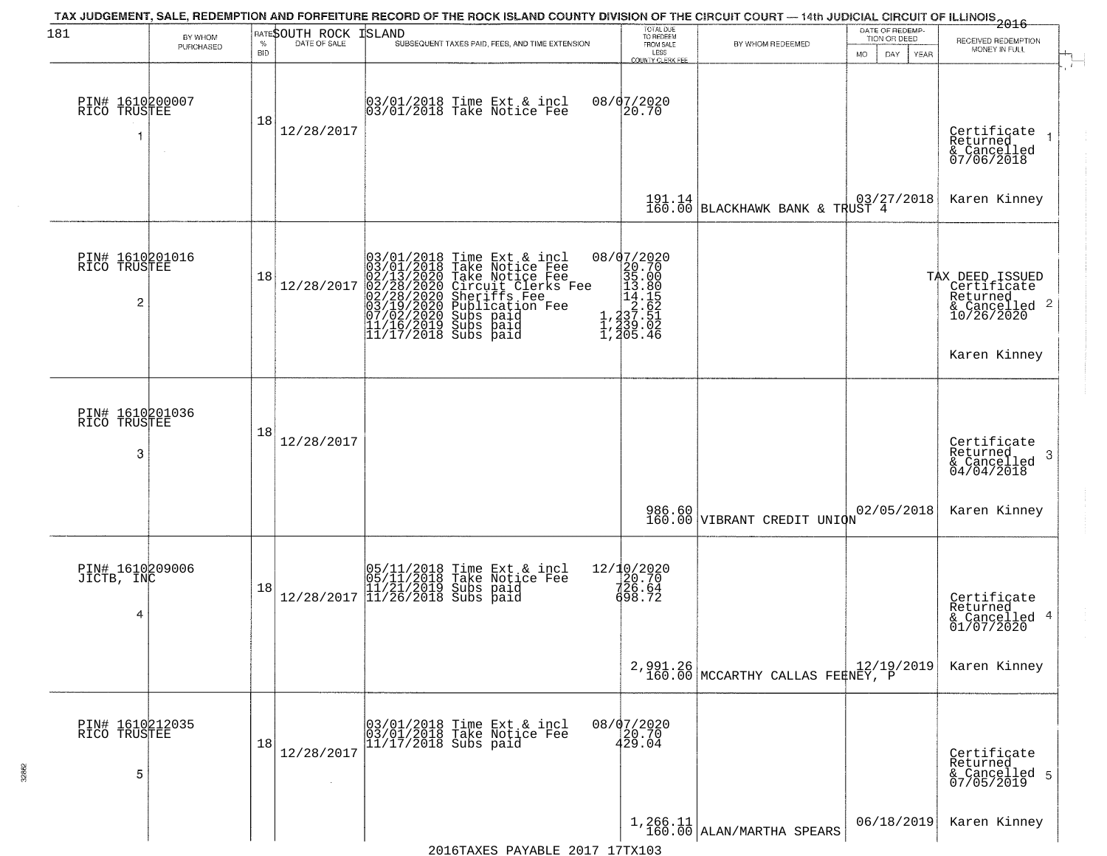| 181                                  | BY WHOM<br>PURCHASED | $\%$<br><b>BID</b> | RATESOUTH ROCK<br>DATE OF SALE | ISLAND<br>SUBSEQUENT TAXES PAID, FEES, AND TIME EXTENSION                                                                                                                                                                                                | TOTAL DUE<br>TO REDEEM<br>FROM SALE<br>LESS<br><b>COUNTY CLERK FEE</b>                                                                         | BY WHOM REDEEMED                                                                                             | DATE OF REDEMP-<br>TION OR DEED<br><b>MO</b><br>DAY<br>YEAR | $-2016$<br>RECEIVED REDEMPTION<br>MONEY IN FULL                           |
|--------------------------------------|----------------------|--------------------|--------------------------------|----------------------------------------------------------------------------------------------------------------------------------------------------------------------------------------------------------------------------------------------------------|------------------------------------------------------------------------------------------------------------------------------------------------|--------------------------------------------------------------------------------------------------------------|-------------------------------------------------------------|---------------------------------------------------------------------------|
| PIN# 1610200007<br>RICO TRUSTEE      |                      | 18                 | 12/28/2017                     | 03/01/2018 Time Ext & incl<br>03/01/2018 Take Notice Fee                                                                                                                                                                                                 | 08/07/2020<br>20.70                                                                                                                            |                                                                                                              |                                                             | Certificate<br>Returned<br>& Cancelled<br>07/06/2018                      |
|                                      |                      |                    |                                |                                                                                                                                                                                                                                                          |                                                                                                                                                | 191.14 BLACKHAWK BANK & TRUST 4                                                                              |                                                             | Karen Kinney                                                              |
| PIN# 1610201016<br>RICO TRUSTEE<br>2 |                      | 18                 | 12/28/2017                     | 03/01/2018 Time Ext & incl<br>03/01/2018 Take Notice Fee<br>02/13/2020 Take Notice Fee<br>02/28/2020 Circuit Clerks Fee<br>02/28/2020 Sheriffs Fee<br>03/19/2020 Subs paid<br>07/02/2020 Subs paid<br>11/16/2019 Subs paid<br>11/17/2018 Subs paid<br>11 | ${\footnotesize \begin{matrix} 08/07/2020 \\ 20.70 \\ 35.00 \\ 14.18 \\ 1.237 \\ 1.237 \\ 1.339 \\ 1.439 \\ 1.239 \\ 1.405 \\ 4 \end{matrix}}$ |                                                                                                              |                                                             | TAX DEED ISSUED<br>Certificate<br>Returned<br>& Cancelled 2<br>10/26/2020 |
|                                      |                      |                    |                                |                                                                                                                                                                                                                                                          |                                                                                                                                                |                                                                                                              |                                                             | Karen Kinney                                                              |
| PIN# 1610201036<br>RICO TRUSTEE<br>3 |                      | 18                 | 12/28/2017                     |                                                                                                                                                                                                                                                          |                                                                                                                                                |                                                                                                              |                                                             | Certificate<br>Returned<br>& Cancelled<br>04/04/2018<br>-3                |
|                                      |                      |                    |                                |                                                                                                                                                                                                                                                          |                                                                                                                                                | 986.60<br>160.00 VIBRANT CREDIT UNION                                                                        | 02/05/2018                                                  | Karen Kinney                                                              |
| PIN# 1610209006<br>JICTB, INC<br>4   |                      | 18                 | 12/28/2017                     | 05/11/2018 Time Ext & incl<br>05/11/2018 Take Notice Fee<br>11/21/2019 Subs paid<br>11/26/2018 Subs paid                                                                                                                                                 | 12/10/2020<br>20.70<br>726.64<br>698.72                                                                                                        |                                                                                                              |                                                             | Certificate<br>Returned<br>& Cancelled 4<br>01/07/2020                    |
|                                      |                      |                    |                                |                                                                                                                                                                                                                                                          |                                                                                                                                                | 2,991.26<br>160.00 MCCARTHY CALLAS FERNEY, P                                                                 |                                                             | Karen Kinney                                                              |
| PIN# 1610212035<br>RICO TRUSTEE<br>5 |                      | 18                 | 12/28/2017                     | 03/01/2018 Time Ext & incl<br>03/01/2018 Take Notice Fee<br>11/17/2018 Subs paid                                                                                                                                                                         | 08/07/2020<br>20.70<br>429.04                                                                                                                  |                                                                                                              |                                                             | Certificate<br>Returned<br>& Cancelled 5<br>07/05/2019                    |
|                                      |                      |                    |                                | $2016$ TAYES DAVARLE $2017$ 17TY103                                                                                                                                                                                                                      |                                                                                                                                                | $\begin{array}{c c} 1,266.11 & \text{ALAN} \text{/mark} \\ 160.00 & \text{ALAN} \text{/mark} \\ \end{array}$ | 06/18/2019                                                  | Karen Kinney                                                              |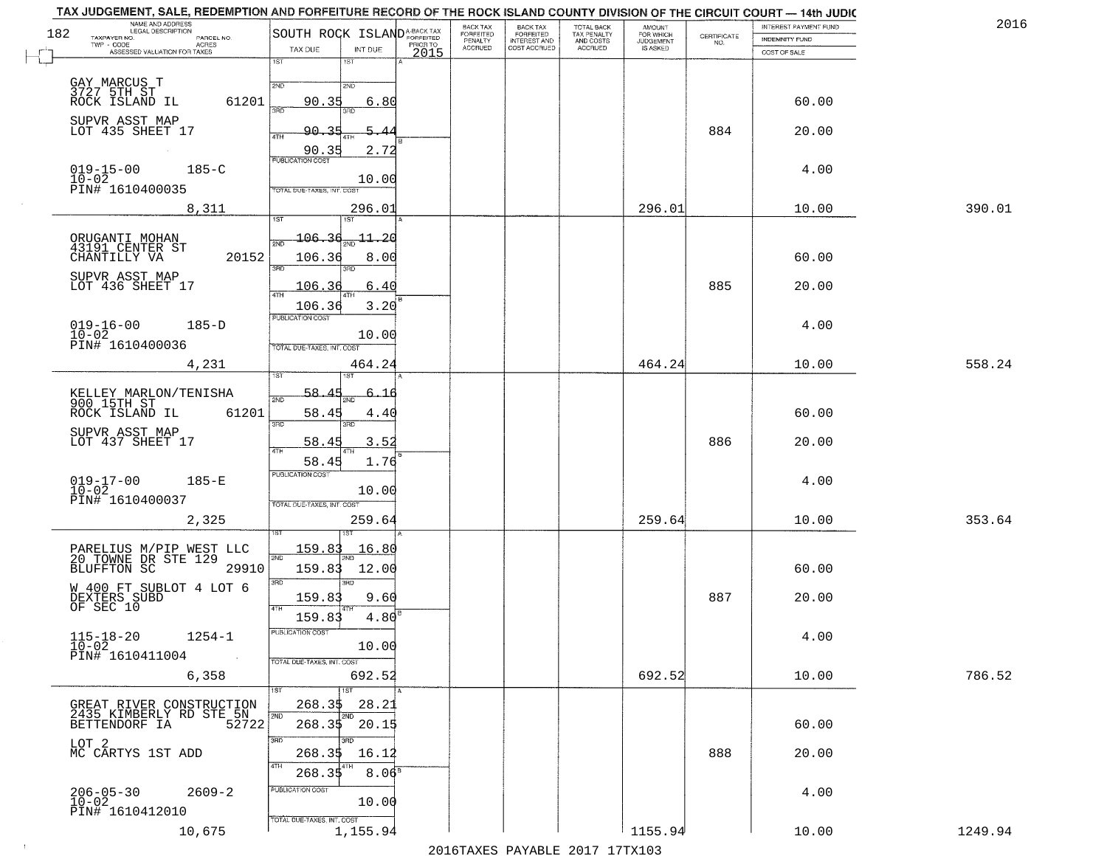| NAME AND ADDRESS<br>LEGAL DESCRIPTION<br>182                               | SOUTH ROCK ISLAND <sup>A-BACK TAX</sup>  | BACK TAX<br>FORFEITED | <b>BACK TAX</b><br><b>FORFEITED</b> | TOTAL BACK<br>TAX PENALTY | <b>AMOUNT</b>                      |                    | INTEREST PAYMENT FUND | 2016    |
|----------------------------------------------------------------------------|------------------------------------------|-----------------------|-------------------------------------|---------------------------|------------------------------------|--------------------|-----------------------|---------|
| TAXPAYER NO.<br>PARCEL NO.<br>TWP - CODE<br>ACRES                          | PRIOR TO<br>TAX DUE<br>INT DUE           | PENALTY<br>ACCRUED    | INTEREST AND<br>COST ACCRUED        | AND COSTS<br>ACCRUED      | FOR WHICH<br>JUDGEMENT<br>IS ASKED | CERTIFICATE<br>NO. | <b>INDEMNITY FUND</b> |         |
| ASSESSED VALUATION FOR TAXES                                               | 2015<br>1ST<br>1ST                       |                       |                                     |                           |                                    |                    | COST OF SALE          |         |
|                                                                            |                                          |                       |                                     |                           |                                    |                    |                       |         |
| GAY MARCUS T<br>3727 5TH ST<br>ROCK ISLAND IL                              | 2ND<br>2ND<br>61201<br>90.35<br>6.80     |                       |                                     |                           |                                    |                    | 60.00                 |         |
|                                                                            | ਾਂ<br>3BD                                |                       |                                     |                           |                                    |                    |                       |         |
| SUPVR ASST MAP<br>LOT 435 SHEET 17                                         | 90.<br>4TH                               |                       |                                     |                           |                                    | 884                | 20.00                 |         |
|                                                                            | 90.35<br>2.72                            |                       |                                     |                           |                                    |                    |                       |         |
| $019 - 15 - 00$<br>$185 - C$                                               | <b>PUBLICATION COST</b>                  |                       |                                     |                           |                                    |                    | 4.00                  |         |
| $10 - 02$<br>PIN# 1610400035                                               | 10.00<br>TOTAL DUE-TAXES, INT. COST      |                       |                                     |                           |                                    |                    |                       |         |
|                                                                            |                                          |                       |                                     |                           | 296.01                             |                    |                       | 390.01  |
| 8,311                                                                      | 296.01<br>1ST<br>1ST                     |                       |                                     |                           |                                    |                    | 10.00                 |         |
|                                                                            | 106.36<br>$11 - 20$<br>2ND               |                       |                                     |                           |                                    |                    |                       |         |
| ORUGANTI MOHAN<br>43191 CENTER ST<br>CHANTILLY VA                          | 20152<br>106.36<br>8.00                  |                       |                                     |                           |                                    |                    | 60.00                 |         |
| SUPVR ASST MAP                                                             | 3RD<br>3RD                               |                       |                                     |                           |                                    |                    |                       |         |
| LOT 436 SHEET 17                                                           | 106.3<br>6.40<br>47H                     |                       |                                     |                           |                                    | 885                | 20.00                 |         |
|                                                                            | 3.20<br>106.36                           |                       |                                     |                           |                                    |                    |                       |         |
| $019 - 16 - 00$<br>$10 - 02$<br>$185-D$                                    | PUBLICATION COST                         |                       |                                     |                           |                                    |                    | 4.00                  |         |
| PIN# 1610400036                                                            | 10.00<br>TOTAL DUE-TAXES, INT. COST      |                       |                                     |                           |                                    |                    |                       |         |
| 4,231                                                                      | 464.24                                   |                       |                                     |                           | 464.24                             |                    | 10.00                 | 558.24  |
|                                                                            |                                          |                       |                                     |                           |                                    |                    |                       |         |
| KELLEY MARLON/TENISHA<br>900 15TH ST                                       | 58.4<br>2ND                              |                       |                                     |                           |                                    |                    |                       |         |
| ROCK ISLAND IL                                                             | 61201<br>58.45<br>4.4(                   |                       |                                     |                           |                                    |                    | 60.00                 |         |
| SUPVR ASST MAP<br>LOT 437 SHEET 17                                         | 3RD<br>3RD                               |                       |                                     |                           |                                    |                    |                       |         |
|                                                                            | 3.52<br>58.45<br>4TH                     |                       |                                     |                           |                                    | 886                | 20.00                 |         |
|                                                                            | 1.76<br>58.45<br><b>PUBLICATION COST</b> |                       |                                     |                           |                                    |                    |                       |         |
| $019 - 17 - 00$<br>$10 - 02$<br>$185-E$                                    | 10.00                                    |                       |                                     |                           |                                    |                    | 4.00                  |         |
| PIN# 1610400037                                                            | TOTAL OUE-TAXES, INT. COST               |                       |                                     |                           |                                    |                    |                       |         |
| 2,325                                                                      | 259.64                                   |                       |                                     |                           | 259.64                             |                    | 10.00                 | 353.64  |
|                                                                            |                                          |                       |                                     |                           |                                    |                    |                       |         |
| PARELIUS M/PIP WEST LLC<br>20 TOWNE DR STE 129                             | <u> 159.83</u><br><u> 16.80</u><br>2ND   |                       |                                     |                           |                                    |                    |                       |         |
| <b>BLUFFTON SC</b>                                                         | 29910<br>159.83<br>12.00                 |                       |                                     |                           |                                    |                    | 60.00                 |         |
| W 400 FT SUBLOT 4 LOT 6                                                    | 3 <sub>BD</sub><br>3RD<br>159.83<br>9.60 |                       |                                     |                           |                                    | 887                | 20.00                 |         |
| DEXTERS SUBD<br>OF SEC 10                                                  | 4.80<br>159.83                           |                       |                                     |                           |                                    |                    |                       |         |
|                                                                            | PUBLICATION COST                         |                       |                                     |                           |                                    |                    |                       |         |
| $115 - 18 - 20$<br>$10 - 02$<br>$1254 - 1$                                 | 10.00                                    |                       |                                     |                           |                                    |                    | 4.00                  |         |
| PIN# 1610411004                                                            | TOTAL DUE-TAXES, INT. COST               |                       |                                     |                           |                                    |                    |                       |         |
| 6,358                                                                      | 692.52                                   |                       |                                     |                           | 692.52                             |                    | 10.00                 | 786.52  |
|                                                                            | 1ST<br>268.3\$<br>28.21                  |                       |                                     |                           |                                    |                    |                       |         |
| GREAT RIVER CONSTRUCTION<br>2435 KIMBERLY RD STE 5N<br>BETTENDORF IA 52722 | 2ND<br>2ND<br>268.35<br>20.15            |                       |                                     |                           |                                    |                    | 60.00                 |         |
|                                                                            | 3RD<br>अक                                |                       |                                     |                           |                                    |                    |                       |         |
| LOT 2<br>MC CARTYS 1ST ADD                                                 | 268.35<br>16.12                          |                       |                                     |                           |                                    | 888                | 20.00                 |         |
|                                                                            | 4TH<br>$8.06^{\circ}$<br>268.35          |                       |                                     |                           |                                    |                    |                       |         |
| $2609 - 2$                                                                 | PUBLICATION COST                         |                       |                                     |                           |                                    |                    | 4.00                  |         |
| $206 - 05 - 30$<br>10-02<br>PIN# 1610412010                                | 10.00                                    |                       |                                     |                           |                                    |                    |                       |         |
| 10,675                                                                     | TOTAL DUE-TAXES, INT. COST<br>1,155.94   |                       |                                     |                           | 1155.94                            |                    | 10.00                 | 1249.94 |
|                                                                            |                                          |                       |                                     |                           |                                    |                    |                       |         |

 $\sim 100$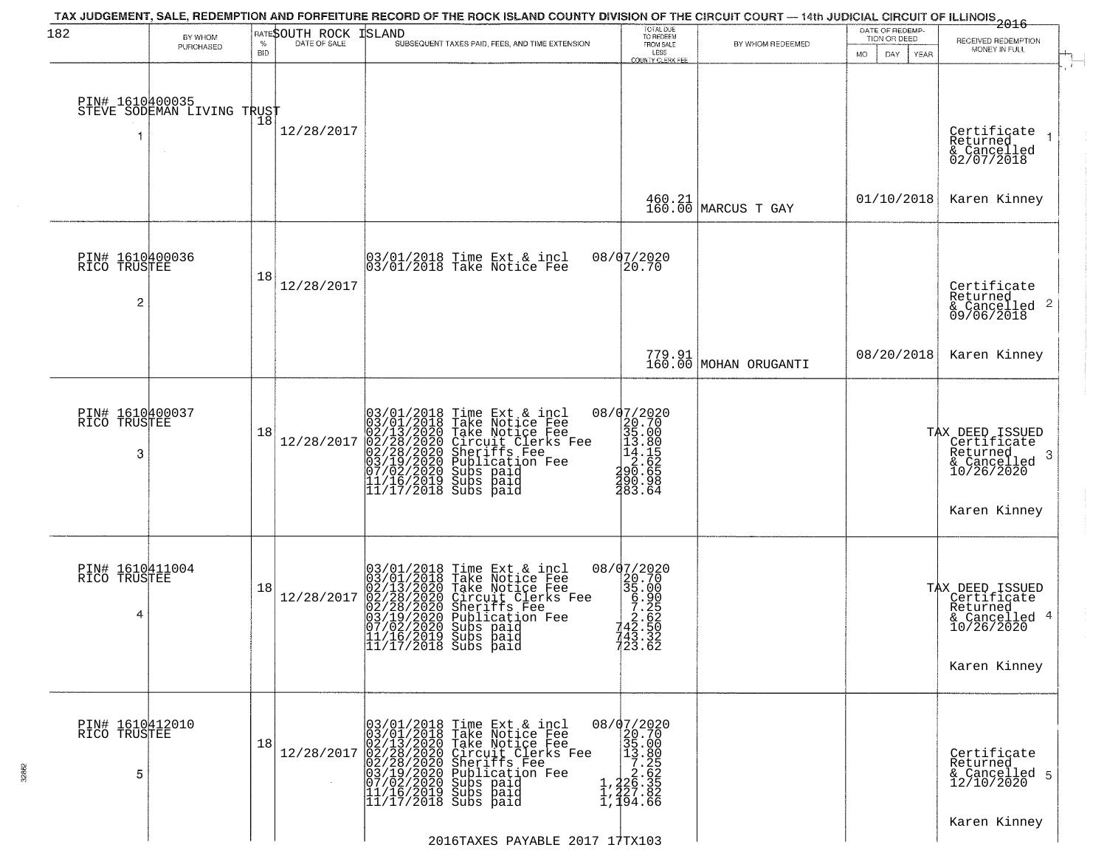| 182                                  | BY WHOM                    | $\%$       | RATESOUTH ROCK<br>DATE OF SALE | TAX JUDGEMENT, SALE, REDEMPTION AND FORFEITURE RECORD OF THE ROCK ISLAND COUNTY DIVISION OF THE CIRCUIT COURT — 14th JUDICIAL CIRCUIT OF ILLINOIS 2016<br>ISLAND<br>SUBSEQUENT TAXES PAID, FEES, AND TIME EXTENSION                                  | TOTAL DUE<br>TO REDEEM<br>FROM SALE                                                                                         | BY WHOM REDEEMED                | DATE OF REDEMP-<br>TION OR DEED | RECEIVED REDEMPTION                                                                        |
|--------------------------------------|----------------------------|------------|--------------------------------|------------------------------------------------------------------------------------------------------------------------------------------------------------------------------------------------------------------------------------------------------|-----------------------------------------------------------------------------------------------------------------------------|---------------------------------|---------------------------------|--------------------------------------------------------------------------------------------|
|                                      | PURCHASED                  | <b>BID</b> |                                |                                                                                                                                                                                                                                                      | LESS<br><b>COUNTY CLERK FEE</b>                                                                                             |                                 | MO.<br>DAY<br><b>YEAR</b>       | MONEY IN FULL                                                                              |
| PIN# 1610400035<br>1                 | STEVE SODEMAN LIVING TRUST |            | 12/28/2017                     |                                                                                                                                                                                                                                                      |                                                                                                                             |                                 |                                 | Certificate<br>Returned<br>& Cancelled<br>02/07/2018                                       |
|                                      |                            |            |                                |                                                                                                                                                                                                                                                      |                                                                                                                             | 460.21<br>160.00 MARCUS T GAY   | 01/10/2018                      | Karen Kinney                                                                               |
| PIN# 1610400036<br>RICO TRUSTEE<br>2 |                            | 18         | 12/28/2017                     | 03/01/2018 Time Ext & incl<br>03/01/2018 Take Notice Fee                                                                                                                                                                                             | 08/07/2020<br>20.70                                                                                                         |                                 |                                 | Certificate<br>Returned<br>& Cancelled 2<br>09/06/2018                                     |
|                                      |                            |            |                                |                                                                                                                                                                                                                                                      |                                                                                                                             | 779.91<br>160.00 MOHAN ORUGANTI | 08/20/2018                      | Karen Kinney                                                                               |
| PIN# 1610400037<br>RICO TRUSTEE<br>3 |                            | 18         | 12/28/2017                     | $03/01/2018$ Time Ext & incl<br>$03/01/2018$ Take Notice Fee<br>$02/13/2020$ Take Notice Fee<br>$02/28/2020$ Circuit Clerks Fee<br>$02/28/2020$ Sheriffs Fee<br>$03/19/2020$ Subication Fee<br>$03/19/22020$ Subs paid<br>$11/16/2019$ Subs          | $\begin{array}{r} 08/07/2020 \\ 20.70 \\ 35.00 \\ 14.15 \\ 14.15 \\ 2.62 \\ 490.65 \end{array}$<br>290.98<br>283.64         |                                 |                                 | TAX DEED ISSUED<br>Certificate<br>Returned<br>-3<br>$\frac{6}{10/26/2020}$<br>Karen Kinney |
| PIN# 1610411004<br>RICO TRUSTEE<br>4 |                            | 18         | 12/28/2017                     | 03/01/2018 Time Ext & incl<br>03/01/2018 Take Notice Fee<br>02/13/2020 Take Notice Fee<br>02/28/2020 Circuit Clerks Fee<br>02/28/2020 Sheriffs Fee<br>03/19/2020 Subs paid<br>07/02/2020 Subs paid<br> 11/16/2019 Subs paid<br> 11/17/2018 Subs paid | 08/07/2020<br>$\begin{array}{r} 20200 \\ 20.70 \\ 35.00 \\ 6.905 \\ 2.62 \\ 142.50 \end{array}$<br>743.32<br>723.62         |                                 |                                 | TAX DEED ISSUED<br>Certificate<br>Returned<br>& Cancelled 4<br>10/26/2020<br>Karen Kinney  |
| PIN# 1610412010<br>RICO TRUSTEE<br>5 |                            | 18         | 12/28/2017                     | $03/01/2018$ Time Ext & incl<br>$03/01/2018$ Take Notice Fee<br>$02/13/2020$ Take Notice Fee<br>$02/28/2020$ Circuit Clerks Fee<br>$02/28/2020$ Sheriffs Fee<br>$03/19/2020$ Sublication Fee<br>$07/02/2020$ Subs paid<br>$11/16/2019$ Subs          | $\begin{smallmatrix} 08/07/2020 \\ 20.70 \\ 35.00 \\ 1.326 \\ 1.26.5 \\ 1.426.3 \\ 2.427.8 \\ 1.494.6 \\ \end{smallmatrix}$ |                                 |                                 | Certificate<br>Returned<br>& Cancelled 5<br>12/10/2020                                     |
|                                      |                            |            |                                | 2016TAXES PAYABLE 2017 17TX103                                                                                                                                                                                                                       |                                                                                                                             |                                 |                                 | Karen Kinney                                                                               |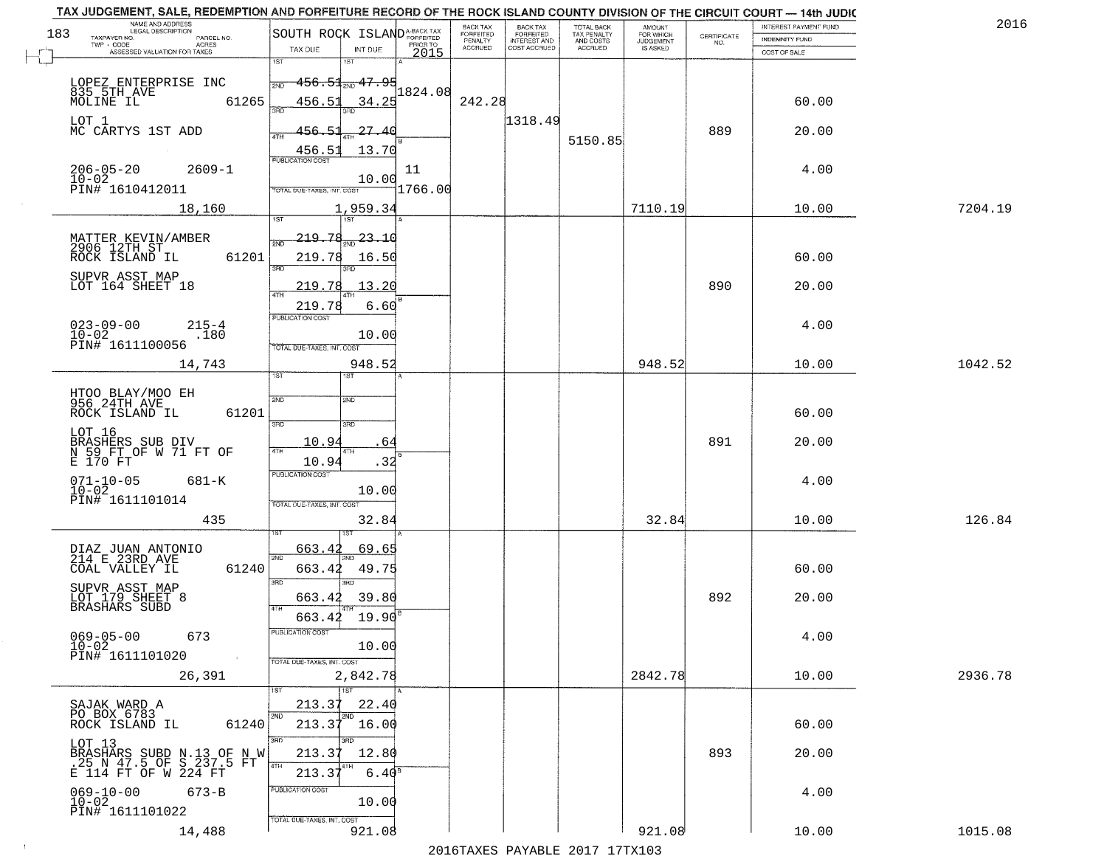|     | TAX JUDGEMENT, SALE, REDEMPTION AND FORFEITURE RECORD OF THE ROCK ISLAND COUNTY DIVISION OF THE CIRCUIT COURT - 14th JUDIC<br>NAME AND ADDRESS<br><b>LEGAL DESCRIPTION</b> |                                            |                  | BACK TAX             |                                       |                                        |                                  |                                                                 | INTEREST PAYMENT FUND | 2016    |
|-----|----------------------------------------------------------------------------------------------------------------------------------------------------------------------------|--------------------------------------------|------------------|----------------------|---------------------------------------|----------------------------------------|----------------------------------|-----------------------------------------------------------------|-----------------------|---------|
| 183 | TAXPAYER NO.<br>PARCEL NO.                                                                                                                                                 | SOUTH ROCK ISLAND <sup>A-BACK TAX</sup>    |                  | FORFEITED<br>PENALTY | BACK TAX<br>FORFEITED<br>INTEREST AND | TOTAL BACK<br>TAX PENALTY<br>AND COSTS | AMOUNT<br>FOR WHICH<br>JUDGEMENT | $\begin{array}{c} \text{CERTIFICATE} \\ \text{NO.} \end{array}$ | <b>INDEMNITY FUND</b> |         |
|     | TWP - CODE<br>ACRES<br>ASSESSED VALUATION FOR TAXES                                                                                                                        | TAX DUE<br>INT DUE                         | PRIOR TO<br>2015 | <b>ACCRUED</b>       | COST ACCRUED                          | ACCRUED                                | IS ASKED                         |                                                                 | COST OF SALE          |         |
|     |                                                                                                                                                                            | 1ST<br>1ST                                 |                  |                      |                                       |                                        |                                  |                                                                 |                       |         |
|     | LOPEZ ENTERPRISE INC                                                                                                                                                       | <del>156.51, 47.95</del><br>2ND            |                  |                      |                                       |                                        |                                  |                                                                 |                       |         |
|     | 835 5TH AVE                                                                                                                                                                |                                            | 1824.08          | 242.28               |                                       |                                        |                                  |                                                                 |                       |         |
|     | 61265<br>MOLINE IL                                                                                                                                                         | 34.25<br>456.51                            |                  |                      |                                       |                                        |                                  |                                                                 | 60.00                 |         |
|     | LOT 1<br>MC CARTYS 1ST ADD                                                                                                                                                 | 456.51<br>27.40                            |                  |                      | 1318.49                               |                                        |                                  | 889                                                             | 20.00                 |         |
|     |                                                                                                                                                                            |                                            |                  |                      |                                       | 5150.85                                |                                  |                                                                 |                       |         |
|     |                                                                                                                                                                            | 13.70<br>456.51<br><b>PUBLICATION COST</b> |                  |                      |                                       |                                        |                                  |                                                                 |                       |         |
|     | $206 - 05 - 20$<br>$2609 - 1$                                                                                                                                              |                                            | 11               |                      |                                       |                                        |                                  |                                                                 | 4.00                  |         |
|     | $10 - 02$<br>PIN# 1610412011                                                                                                                                               | 10.00<br>TOTAL DUE-TAXES, INT. COST        | 1766.00          |                      |                                       |                                        |                                  |                                                                 |                       |         |
|     |                                                                                                                                                                            |                                            |                  |                      |                                       |                                        |                                  |                                                                 |                       |         |
|     | 18,160                                                                                                                                                                     | 1,959.34                                   |                  |                      |                                       |                                        | 7110.19                          |                                                                 | 10.00                 | 7204.19 |
|     |                                                                                                                                                                            |                                            |                  |                      |                                       |                                        |                                  |                                                                 |                       |         |
|     | MATTER KEVIN/AMBER<br>2906 12TH ST                                                                                                                                         | 219.78<br>23.10                            |                  |                      |                                       |                                        |                                  |                                                                 |                       |         |
|     | 61201<br>ROCK ISLAND IL                                                                                                                                                    | 219.78<br>16.50<br>बन्ना                   |                  |                      |                                       |                                        |                                  |                                                                 | 60.00                 |         |
|     | SUPVR ASST MAP                                                                                                                                                             |                                            |                  |                      |                                       |                                        |                                  |                                                                 |                       |         |
|     | LOT 164 SHEET 18                                                                                                                                                           | 219.78<br>$\sqrt{13.20}$                   |                  |                      |                                       |                                        |                                  | 890                                                             | 20.00                 |         |
|     |                                                                                                                                                                            | 219.78<br>6.60                             |                  |                      |                                       |                                        |                                  |                                                                 |                       |         |
|     | $023 - 09 - 00$<br>$215 - 4$                                                                                                                                               | PUBLICATION COST                           |                  |                      |                                       |                                        |                                  |                                                                 | 4.00                  |         |
|     | $10 - 02$<br>.180                                                                                                                                                          | 10.00                                      |                  |                      |                                       |                                        |                                  |                                                                 |                       |         |
|     | PIN# 1611100056                                                                                                                                                            | TOTAL DUE-TAXES, INT. COST                 |                  |                      |                                       |                                        |                                  |                                                                 |                       |         |
|     | 14,743                                                                                                                                                                     | 948.52                                     |                  |                      |                                       |                                        | 948.52                           |                                                                 | 10.00                 | 1042.52 |
|     |                                                                                                                                                                            | ist.<br><b>IST</b>                         |                  |                      |                                       |                                        |                                  |                                                                 |                       |         |
|     | HIQO BIAY/MOO EH<br>956 24TH AVE                                                                                                                                           | 2ND<br><b>SMD</b>                          |                  |                      |                                       |                                        |                                  |                                                                 |                       |         |
|     | ROCK ISLAND IL<br>61201                                                                                                                                                    |                                            |                  |                      |                                       |                                        |                                  |                                                                 | 60.00                 |         |
|     | LOT 16                                                                                                                                                                     | 3RD<br>3RD                                 |                  |                      |                                       |                                        |                                  |                                                                 |                       |         |
|     |                                                                                                                                                                            | 10.94<br>64                                |                  |                      |                                       |                                        |                                  | 891                                                             | 20.00                 |         |
|     | BRASHERS SUB DIV<br>N 59 FT OF W 71 FT OF<br>E 170 FT                                                                                                                      | 4TH<br>4TH<br>10.94<br>.32                 |                  |                      |                                       |                                        |                                  |                                                                 |                       |         |
|     |                                                                                                                                                                            | <b>PUBLICATION COST</b>                    |                  |                      |                                       |                                        |                                  |                                                                 |                       |         |
|     | $071 - 10 - 05$<br>10-02<br>681-K                                                                                                                                          | 10.00                                      |                  |                      |                                       |                                        |                                  |                                                                 | 4.00                  |         |
|     | PIN# 1611101014                                                                                                                                                            | TOTAL OUE-TAXES, INT. COST                 |                  |                      |                                       |                                        |                                  |                                                                 |                       |         |
|     | 435                                                                                                                                                                        | 32.84                                      |                  |                      |                                       |                                        | 32.84                            |                                                                 | 10.00                 | 126.84  |
|     |                                                                                                                                                                            |                                            |                  |                      |                                       |                                        |                                  |                                                                 |                       |         |
|     | DIAZ JUAN ANTONIO<br>214 E 23RD AVE                                                                                                                                        | 663.42<br>69.65                            |                  |                      |                                       |                                        |                                  |                                                                 |                       |         |
|     | COAL VALLEY IL<br>61240                                                                                                                                                    | 2ND<br>663.42<br>49.75                     |                  |                      |                                       |                                        |                                  |                                                                 | 60.00                 |         |
|     |                                                                                                                                                                            | 3RD<br>3RD                                 |                  |                      |                                       |                                        |                                  |                                                                 |                       |         |
|     | SUPVR ASST MAP<br>LOT 179 SHEET 8<br>BRASHARS SUBD                                                                                                                         | 39.80<br>663.42                            |                  |                      |                                       |                                        |                                  | 892                                                             | 20.00                 |         |
|     |                                                                                                                                                                            | 4TH<br>19.90<br>663.42                     |                  |                      |                                       |                                        |                                  |                                                                 |                       |         |
|     |                                                                                                                                                                            | ruslica i IUN COS                          |                  |                      |                                       |                                        |                                  |                                                                 |                       |         |
|     | $069 - 05 - 00$<br>673<br>$10 - 02$                                                                                                                                        | 10.00                                      |                  |                      |                                       |                                        |                                  |                                                                 | 4.00                  |         |
|     | PIN# 1611101020                                                                                                                                                            | TOTAL DUE-TAXES, INT. COST                 |                  |                      |                                       |                                        |                                  |                                                                 |                       |         |
|     | 26,391                                                                                                                                                                     | 2,842.78                                   |                  |                      |                                       |                                        | 2842.78                          |                                                                 | 10.00                 | 2936.78 |
|     |                                                                                                                                                                            | 1ST                                        |                  |                      |                                       |                                        |                                  |                                                                 |                       |         |
|     | SAJAK WARD A                                                                                                                                                               | 213.37<br>22.40                            |                  |                      |                                       |                                        |                                  |                                                                 |                       |         |
|     | PO BOX 6783                                                                                                                                                                | 2ND<br>2ND                                 |                  |                      |                                       |                                        |                                  |                                                                 |                       |         |
|     | 61240<br>ROCK ISLAND IL                                                                                                                                                    | 213.37<br>16.00                            |                  |                      |                                       |                                        |                                  |                                                                 | 60.00                 |         |
|     | LOT 13<br>BRASHARS SUBD N.13 OF N W<br>.25 N 47.5 OF 8.237.5 FT                                                                                                            | 3RD<br>213.37<br>12.80                     |                  |                      |                                       |                                        |                                  | 893                                                             | 20.00                 |         |
|     |                                                                                                                                                                            | 4TH                                        |                  |                      |                                       |                                        |                                  |                                                                 |                       |         |
|     | E 114 FT OF W 224 FT                                                                                                                                                       | 213.3'<br>$6.40^8$                         |                  |                      |                                       |                                        |                                  |                                                                 |                       |         |
|     | $069 - 10 - 00$<br>$673 - B$                                                                                                                                               | PUBLICATION COST                           |                  |                      |                                       |                                        |                                  |                                                                 | 4.00                  |         |
|     | $10 - 02$<br>PIN# 1611101022                                                                                                                                               | 10.00                                      |                  |                      |                                       |                                        |                                  |                                                                 |                       |         |
|     |                                                                                                                                                                            | TOTAL DUE-TAXES, INT. COST<br>921.08       |                  |                      |                                       |                                        | 921.08                           |                                                                 | 10.00                 | 1015.08 |
|     | 14,488                                                                                                                                                                     |                                            |                  |                      |                                       | 2016 TAVEC DAVADLE 2017 17TV102        |                                  |                                                                 |                       |         |
|     |                                                                                                                                                                            |                                            |                  |                      |                                       |                                        |                                  |                                                                 |                       |         |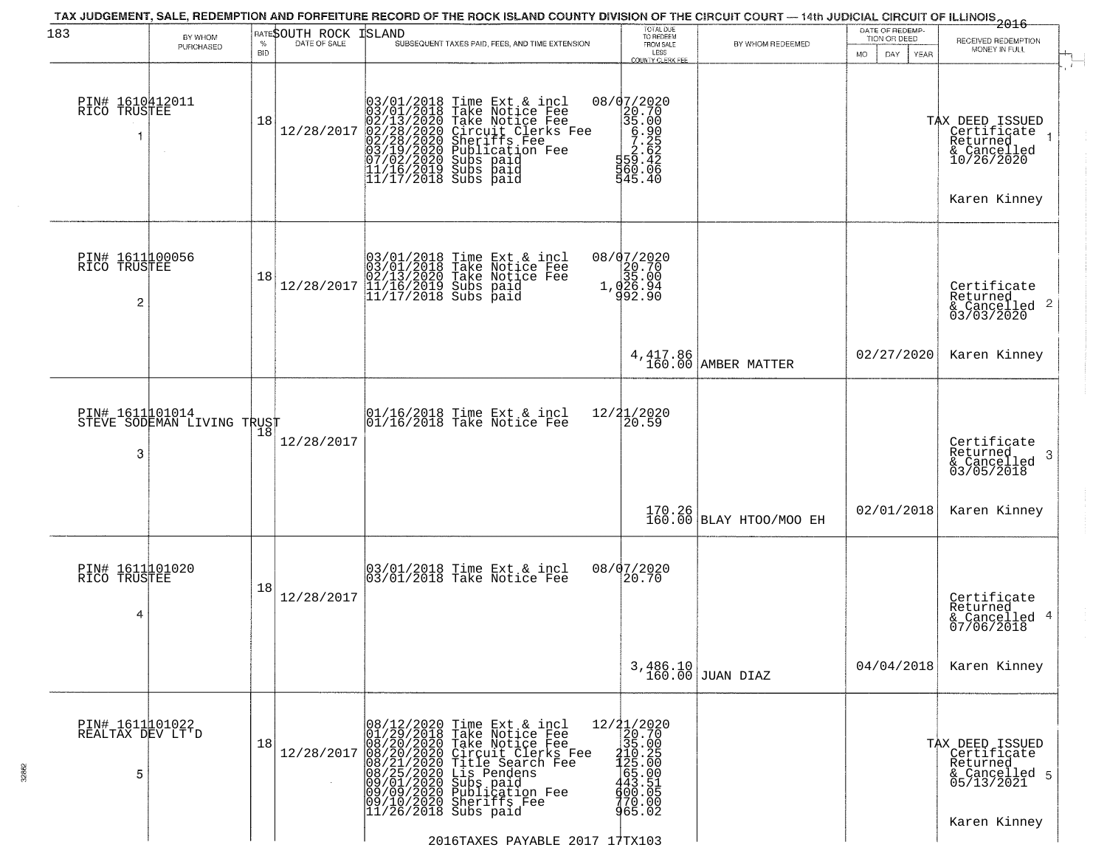| 183                                      | BY WHOM<br>PURCHASED       | <b>BID</b> | <b>RATESOUTH ROCK ISLAND</b> |                        | TAX JUDGEMENT, SALE, REDEMPTION AND FORFEITURE RECORD OF THE ROCK ISLAND COUNTY DIVISION OF THE CIRCUIT COURT — 14th JUDICIAL CIRCUIT OF ILLINOIS 2016<br>SUBSEQUENT TAXES PAID, FEES, AND TIME EXTENSION                                                                                                                                         | TOTAL DUE<br>TO REDEEM<br>FROM SALE<br>LESS<br>COUNTY CLERK FEE                                                                                                                                                                                                                                                                                                                                 | BY WHOM REDEEMED                  | DATE OF REDEMP-<br>TION OR DEED<br>MO.<br>DAY.<br><b>YEAR</b> | RECEIVED REDEMPTION<br>MONEY IN FULL                                                      |
|------------------------------------------|----------------------------|------------|------------------------------|------------------------|---------------------------------------------------------------------------------------------------------------------------------------------------------------------------------------------------------------------------------------------------------------------------------------------------------------------------------------------------|-------------------------------------------------------------------------------------------------------------------------------------------------------------------------------------------------------------------------------------------------------------------------------------------------------------------------------------------------------------------------------------------------|-----------------------------------|---------------------------------------------------------------|-------------------------------------------------------------------------------------------|
| PIN# 1610412011<br>RICO TRUSTEE          |                            | 18         | 12/28/2017                   |                        | 03/01/2018 Time Ext & incl<br>03/01/2018 Take Notice Fee<br>02/13/2020 Take Notice Fee<br>02/28/2020 Circuit Clerks F<br>02/28/2020 Sheriffs Fee<br>03/19/2020 Sheriffs Fee<br>07/02/2020 Subs paid<br>11/16/2019 Subs paid<br>11/17/2018 Subs paid<br>1<br>Take Notice Fee<br>Circuit Clerks Fee<br>Sheriffs Fee<br>Publication Fee<br>Subs paid | 08/07/2020<br>$20.700$<br>$35.000$<br>$5.226$<br>$5.262$<br>$5.626$<br>$5.626$<br>560.06<br>545.40                                                                                                                                                                                                                                                                                              |                                   |                                                               | TAX DEED ISSUED<br>Certificate<br>Returned<br>& Cancelled<br>10/26/2020<br>Karen Kinney   |
| PIN# 161100056<br>RICO TRUSTEE<br>2      |                            | 18         | 12/28/2017                   |                        | 03/01/2018 Time Ext & incl<br>03/01/2018 Take Notice Fee<br>02/13/2020 Take Notice Fee<br>11/16/2019 Subs paid<br>11/17/2018 Subs paid                                                                                                                                                                                                            | 08/07/2020<br>$\begin{smallmatrix} 20.70 \\ 20.70 \\ 35.00 \\ 1,026.94 \\ 992.90 \end{smallmatrix}$                                                                                                                                                                                                                                                                                             |                                   |                                                               | Certificate<br>Returned<br>& Cancelled 2<br>03/03/2020                                    |
|                                          |                            |            |                              |                        |                                                                                                                                                                                                                                                                                                                                                   |                                                                                                                                                                                                                                                                                                                                                                                                 | 4, 417.86<br>160.00 AMBER MATTER  | 02/27/2020                                                    | Karen Kinney                                                                              |
| PIN# 161101014<br>3                      | STEVE SODEMAN LIVING TRUST |            | 12/28/2017                   |                        | $\begin{array}{c}  01/16/2018 \text{ Time} \text{ Ext} & \text{incl} \\  01/16/2018 \text{ Take Notice } \text{Fe} \end{array}$                                                                                                                                                                                                                   | 12/21/2020<br>20.59                                                                                                                                                                                                                                                                                                                                                                             |                                   |                                                               | Certificate<br>Returned<br>- 3<br>& Cancelled<br>03/05/2018                               |
|                                          |                            |            |                              |                        |                                                                                                                                                                                                                                                                                                                                                   |                                                                                                                                                                                                                                                                                                                                                                                                 | 170.26<br>160.00 BLAY HTOO/MOO EH | 02/01/2018                                                    | Karen Kinney                                                                              |
| PIN# 1611101020<br>RICO TRUSTEE<br>4     |                            | 18         | 12/28/2017                   |                        | 03/01/2018 Time Ext & incl<br>03/01/2018 Take Notice Fee                                                                                                                                                                                                                                                                                          | 08/07/2020<br>20.70                                                                                                                                                                                                                                                                                                                                                                             |                                   |                                                               | Certificate<br>Returned<br>& Cancelled 4<br>07/06/2018                                    |
|                                          |                            |            |                              |                        |                                                                                                                                                                                                                                                                                                                                                   |                                                                                                                                                                                                                                                                                                                                                                                                 | $3,486.10$ JUAN DIAZ              | 04/04/2018                                                    | Karen Kinney                                                                              |
| PIN# 1611101022<br>REALTAX DEV LT'D<br>5 |                            | 18         | 12/28/2017                   | $11/26/2018$ Subs paid | 08/12/2020 Time Ext & incl<br>01/29/2018 Take Notice Fee<br>08/20/2020 Take Notice Fee<br>08/20/2020 Circuit Clerks Fee<br>08/21/2020 Title Search Fee<br>08/25/2020 Lis Pendens<br>09/01/2020 Subs paid<br>09/09/2020 Subs paid<br>09/09/2020 Subs p                                                                                             | 12/21/2020<br>20.70<br>35.00<br>$\frac{1}{2}$<br>$\frac{1}{2}$<br>$\frac{2}{5}$<br>$\frac{5}{6}$<br>$\frac{6}{3}$<br>$\frac{3}{5}$<br>$\frac{1}{6}$<br>$\frac{3}{5}$<br>$\frac{1}{6}$<br>$\frac{5}{10}$<br>$\frac{1}{6}$<br>$\frac{1}{6}$<br>$\frac{1}{6}$<br>$\frac{1}{6}$<br>$\frac{1}{6}$<br>$\frac{1}{6}$<br>$\frac{1}{6}$<br>$\frac{1}{6}$<br>$\frac{1}{6}$<br>$\frac{1}{6}$<br><br>965.02 |                                   |                                                               | TAX DEED ISSUED<br>Certificate<br>Returned<br>& Cancelled 5<br>05/13/2021<br>Karen Kinney |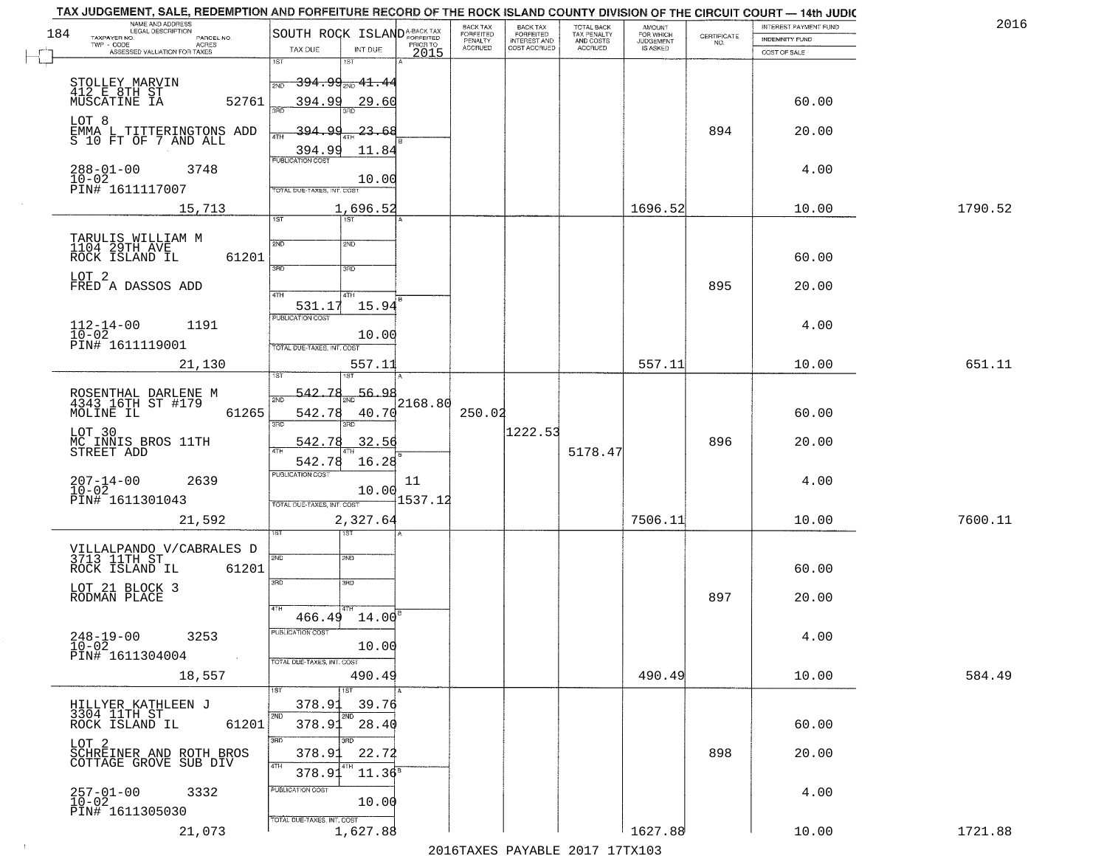| 184 | NAME AND ADDRESS<br>LEGAL DESCRIPTION                                | SOUTH ROCK ISLAND <sup>A-BACK TAX</sup>    |          | BACK TAX<br><b>FORFEITED</b> | <b>BACK TAX</b><br><b>FORFEITED</b> | TOTAL BACK<br>TAX PENALTY<br>AND COSTS<br>ACCRUED | <b>AMOUNT</b><br>FOR WHICH |                                                                 | INTEREST PAYMENT FUND | 2016    |
|-----|----------------------------------------------------------------------|--------------------------------------------|----------|------------------------------|-------------------------------------|---------------------------------------------------|----------------------------|-----------------------------------------------------------------|-----------------------|---------|
|     | TAXPAYER NO.<br>PARCEL NO.<br>TWP - CODE<br><b>ACRES</b>             |                                            | PRIOR TO | PENALTY<br>ACCRUED           | INTEREST AND<br>COST ACCRUED        |                                                   | JUDGEMENT                  | $\begin{array}{c} \text{CERTIFICATE} \\ \text{NO.} \end{array}$ | INDEMNITY FUND        |         |
|     | ASSESSED VALUATION FOR TAXES                                         | TAX DUE<br>INT DUE<br>1ST<br>1ST           | 2015     |                              |                                     |                                                   |                            |                                                                 | COST OF SALE          |         |
|     | STOLLEY MARVIN                                                       | <del>394.99<sub>2ND</sub> 41.4</del> 4     |          |                              |                                     |                                                   |                            |                                                                 |                       |         |
|     | 412 E 8TH ST                                                         | <b>PND</b>                                 |          |                              |                                     |                                                   |                            |                                                                 |                       |         |
|     | 52761                                                                | 394.99<br>29.60                            |          |                              |                                     |                                                   |                            |                                                                 | 60.00                 |         |
|     | LOT 8<br>EMMA L TITTERINGTONS ADD<br>S 10 FT OF 7 AND ALL            | 23.68<br>-394<br>4TH                       |          |                              |                                     |                                                   |                            | 894                                                             | 20.00                 |         |
|     |                                                                      | 394.99<br>11.84                            |          |                              |                                     |                                                   |                            |                                                                 |                       |         |
|     | $288 - 01 - 00$<br>3748                                              | PUBLICATION COST                           |          |                              |                                     |                                                   |                            |                                                                 | 4.00                  |         |
|     | $10-02$<br>PIN# 1611117007                                           | 10.00<br>TOTAL DUE-TAXES, INT. COST        |          |                              |                                     |                                                   |                            |                                                                 |                       |         |
|     |                                                                      |                                            |          |                              |                                     |                                                   | 1696.52                    |                                                                 | 10.00                 | 1790.52 |
|     | 15,713                                                               | 1,696.52<br>$\overline{1ST}$<br>1ST        |          |                              |                                     |                                                   |                            |                                                                 |                       |         |
|     | TARULIS WILLIAM M<br>1104 29TH AVE                                   | 2ND<br>2ND                                 |          |                              |                                     |                                                   |                            |                                                                 |                       |         |
|     | ROCK ISLAND IL<br>61201                                              |                                            |          |                              |                                     |                                                   |                            |                                                                 | 60.00                 |         |
|     | LOT <sub>2</sub>                                                     | 3RD<br>3RD                                 |          |                              |                                     |                                                   |                            |                                                                 |                       |         |
|     | FRED A DASSOS ADD                                                    | 47H<br>4TH                                 |          |                              |                                     |                                                   |                            | 895                                                             | 20.00                 |         |
|     |                                                                      | 531.17<br>15.94                            |          |                              |                                     |                                                   |                            |                                                                 |                       |         |
|     | $112 - 14 - 00$<br>$10 - 02$<br>1191                                 | PUBLICATION COST                           |          |                              |                                     |                                                   |                            |                                                                 | 4.00                  |         |
|     | PIN# 1611119001                                                      | 10.00<br>TOTAL DUE-TAXES, INT. COST        |          |                              |                                     |                                                   |                            |                                                                 |                       |         |
|     | 21,130                                                               | 557.11                                     |          |                              |                                     |                                                   | 557.11                     |                                                                 | 10.00                 | 651.11  |
|     |                                                                      |                                            |          |                              |                                     |                                                   |                            |                                                                 |                       |         |
|     | ROSENTHAL DARLENE M<br>4343 16TH ST #179                             | 542.<br>56.98<br>7۶<br>2ND                 | 2168.80  |                              |                                     |                                                   |                            |                                                                 |                       |         |
|     | MOLINE IL<br>61265                                                   | 542.78<br>40.70                            |          | 250.02                       |                                     |                                                   |                            |                                                                 | 60.00                 |         |
|     | LOT 30                                                               | 3BD<br>3RD                                 |          |                              | 1222.53                             |                                                   |                            |                                                                 |                       |         |
|     | MC INNIS BROS 11TH<br>STREET ADD                                     | 542.78<br>32.56                            |          |                              |                                     | 5178.47                                           |                            | 896                                                             | 20.00                 |         |
|     |                                                                      | 542.78<br>16.28<br><b>PUBLICATION COST</b> |          |                              |                                     |                                                   |                            |                                                                 |                       |         |
|     | $207 - 14 - 00$<br>10-02<br>2639                                     | 10.00                                      | 11       |                              |                                     |                                                   |                            |                                                                 | 4.00                  |         |
|     | PIN# 1611301043                                                      | TOTAL OUE-TAXES, INT. COST                 | 1537.12  |                              |                                     |                                                   |                            |                                                                 |                       |         |
|     | 21,592                                                               | 2,327.64                                   |          |                              |                                     |                                                   | 7506.11                    |                                                                 | 10.00                 | 7600.11 |
|     |                                                                      | ख                                          |          |                              |                                     |                                                   |                            |                                                                 |                       |         |
|     | VILLALPANDO V/CABRALES D<br>3713 11TH ST                             | 2ND<br>SND                                 |          |                              |                                     |                                                   |                            |                                                                 |                       |         |
|     | 61201<br>ROCK ISLAND IL                                              | 3RD<br>3BD                                 |          |                              |                                     |                                                   |                            |                                                                 | 60.00                 |         |
|     | LOT 21 BLOCK 3<br>RODMAN PLACE                                       |                                            |          |                              |                                     |                                                   |                            | 897                                                             | 20.00                 |         |
|     |                                                                      | $466.49$ $14.00$ <sup>B</sup>              |          |                              |                                     |                                                   |                            |                                                                 |                       |         |
|     | 3253                                                                 | PUBLICATION COST                           |          |                              |                                     |                                                   |                            |                                                                 | 4.00                  |         |
|     | $248 - 19 - 00$<br>$10 - 02$                                         | 10.00                                      |          |                              |                                     |                                                   |                            |                                                                 |                       |         |
|     | PIN# 1611304004                                                      | TOTAL DUE-TAXES, INT. COST                 |          |                              |                                     |                                                   |                            |                                                                 |                       |         |
|     | 18,557                                                               | 490.49<br>1ST<br>1ST                       |          |                              |                                     |                                                   | 490.49                     |                                                                 | 10.00                 | 584.49  |
|     |                                                                      | 378.91<br>39.76                            |          |                              |                                     |                                                   |                            |                                                                 |                       |         |
|     | HILLYER KATHLEEN J<br>3304 11TH ST<br>ROCK ISLAND IL<br>61201        | 2ND<br>2ND<br>28.40<br>378.91              |          |                              |                                     |                                                   |                            |                                                                 | 60.00                 |         |
|     |                                                                      | 3RD<br>का                                  |          |                              |                                     |                                                   |                            |                                                                 |                       |         |
|     | LOT <sub>2</sub><br>SCHREINER AND ROTH BROS<br>COTTAGE GROVE SUB DIV | 378.91<br>22.72                            |          |                              |                                     |                                                   |                            | 898                                                             | 20.00                 |         |
|     |                                                                      | 4TH<br>4TH<br>$11.36^8$<br>378.91          |          |                              |                                     |                                                   |                            |                                                                 |                       |         |
|     | 3332                                                                 | PUBLICATION COST                           |          |                              |                                     |                                                   |                            |                                                                 | 4.00                  |         |
|     | 257-01-00<br>10-02<br>PIN# 1611305030                                | 10.00                                      |          |                              |                                     |                                                   |                            |                                                                 |                       |         |
|     | 21,073                                                               | TOTAL DUE-TAXES, INT. COST<br>1,627.88     |          |                              |                                     |                                                   | 1627.88                    |                                                                 | 10.00                 | 1721.88 |
|     |                                                                      |                                            |          |                              |                                     |                                                   |                            |                                                                 |                       |         |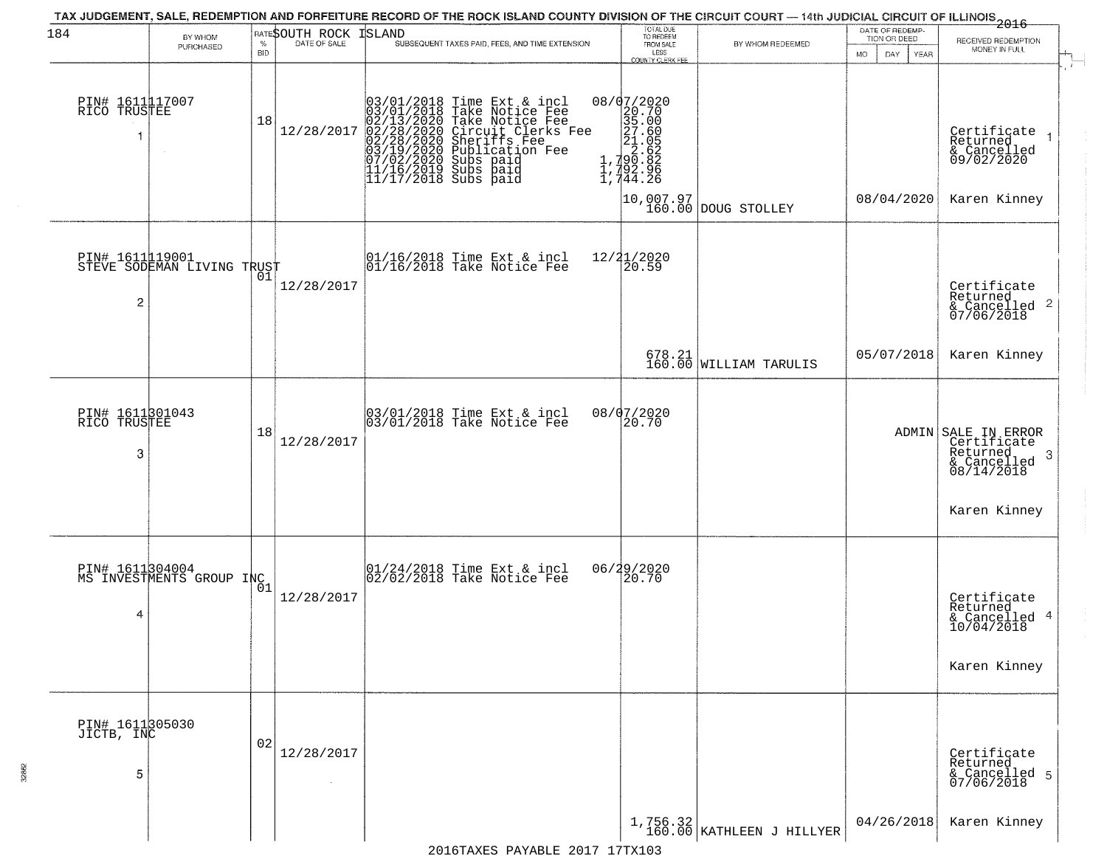| 184                                  | BY WHOM                                       |                    | RATESOUTH ROCK | TAX JUDGEMENT, SALE, REDEMPTION AND FORFEITURE RECORD OF THE ROCK ISLAND COUNTY DIVISION OF THE CIRCUIT COURT — 14th JUDICIAL CIRCUIT OF ILLINOIS 2016<br><b>ISLAND</b>                                                                        | TOTAL DUE<br>TO REDEEM<br>FROM SALE                                                                                             |                                                                  | DATE OF REDEMP-<br>TION OR DEED | RECEIVED REDEMPTION                                                                                |
|--------------------------------------|-----------------------------------------------|--------------------|----------------|------------------------------------------------------------------------------------------------------------------------------------------------------------------------------------------------------------------------------------------------|---------------------------------------------------------------------------------------------------------------------------------|------------------------------------------------------------------|---------------------------------|----------------------------------------------------------------------------------------------------|
|                                      | PURCHASED                                     | $\%$<br><b>BID</b> | DATE OF SALE   | SUBSEQUENT TAXES PAID, FEES, AND TIME EXTENSION                                                                                                                                                                                                | LESS<br><b>COUNTY CLERK FEE</b>                                                                                                 | BY WHOM REDEEMED                                                 | MO.<br>DAY.<br>YEAR             | MONEY IN FULL                                                                                      |
| PIN# 1611117007<br>RICO TRUSTEE      |                                               | 18                 | 12/28/2017     | $03/01/2018$ Time Ext & incl<br>$03/01/2018$ Take Notice Fee<br>$02/13/2020$ Take Notice Fee<br>$02/28/2020$ Circuit Clerks Fee<br>$02/28/2020$ Sheriffs Fee<br>$03/19/2020$ Subs paid<br>$07/02/2020$ Subs paid<br>$11/16/2019$ Subs paid<br> | ${\scriptsize \begin{array}{c} 08/07/2020 \\ 20.70 \\ 35.00 \\ 27.60 \\ 21.05 \\ 1.790.82 \\ 1.792.96 \\ 1.744.26 \end{array}}$ | $\begin{bmatrix} 10,007.97 \\ 160.00 \end{bmatrix}$ DOUG STOLLEY | 08/04/2020                      | Certificate<br>Returned<br>& Cancelled<br>09/02/2020<br>Karen Kinney                               |
| $\overline{c}$                       | PIN# 1611119001<br>STEVE SODEMAN LIVING TRUST | 01                 | 12/28/2017     | $\begin{array}{cc}  01/16/2018 \text{ Time Ext} & \text{incl} \\  01/16/2018 \text{ Take Notice Fe} \end{array}$                                                                                                                               | 12/21/2020<br>20.59                                                                                                             |                                                                  |                                 | Certificate<br>Returned<br>& Cancelled <sup>2</sup><br>07/06/2018                                  |
|                                      |                                               |                    |                |                                                                                                                                                                                                                                                |                                                                                                                                 | $678.21$ WILLIAM TARULIS                                         | 05/07/2018                      | Karen Kinney                                                                                       |
| PIN# 1611301043<br>RICO TRUSTEE<br>3 |                                               | 18                 | 12/28/2017     | 03/01/2018 Time Ext & incl<br>03/01/2018 Take Notice Fee                                                                                                                                                                                       | 08/07/2020<br>20.70                                                                                                             |                                                                  |                                 | ADMIN SALE IN ERROR<br>Certificate<br>Returned,<br>-3<br>& Cancelled<br>08/14/2018<br>Karen Kinney |
| 4                                    | PIN# 1611304004<br>MS INVESTMENTS GROUP INC 1 |                    | 12/28/2017     | 01/24/2018 Time Ext & incl<br>02/02/2018 Take Notice Fee                                                                                                                                                                                       | 06/29/2020<br>20.70                                                                                                             |                                                                  |                                 | Certificate<br>Returned<br>& Cancelled 4<br>10/04/2018<br>Karen Kinney                             |
| PIN# 1611305030<br>JICTB, INC<br>5   |                                               | 02                 | 12/28/2017     |                                                                                                                                                                                                                                                |                                                                                                                                 |                                                                  |                                 | Certificate<br>Returned<br>& Cancelled 5<br>07/06/2018                                             |
|                                      |                                               |                    |                |                                                                                                                                                                                                                                                |                                                                                                                                 | $\left[1, 756.32\right]$ (KATHLEEN J HILLYER                     | 04/26/2018                      | Karen Kinney                                                                                       |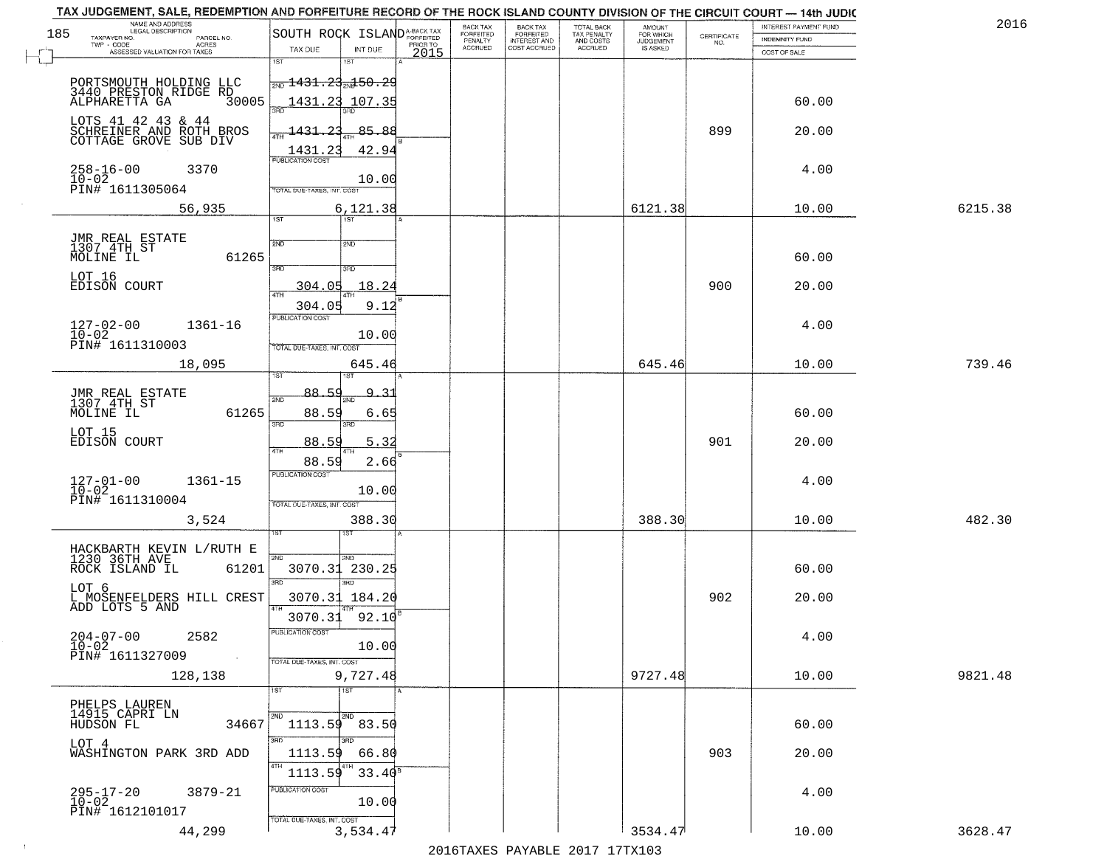| 185 | NAME AND ADDRESS<br>LEGAL DESCRIPTION<br>TAXPAYER NO.<br>PARCEL NO.    | SOUTH ROCK ISLAND <sup>A-BACK TAX</sup>       |                  | BACK TAX<br>FORFEITED | <b>BACK TAX</b><br><b>FORFEITED</b> | TOTAL BACK<br>TAX PENALTY | <b>AMOUNT</b>                      | $\begin{array}{c} \text{CERTIFICATE} \\ \text{NO.} \end{array}$ | INTEREST PAYMENT FUND<br><b>INDEMNITY FUND</b> | 2016    |
|-----|------------------------------------------------------------------------|-----------------------------------------------|------------------|-----------------------|-------------------------------------|---------------------------|------------------------------------|-----------------------------------------------------------------|------------------------------------------------|---------|
|     | TWP - CODE<br>ACRES<br>ASSESSED VALUATION FOR TAXES                    | TAX DUE<br>INT DUE                            | PRIOR TO<br>2015 | PENALTY<br>ACCRUED    | INTEREST AND<br>COST ACCRUED        | AND COSTS<br>ACCRUED      | FOR WHICH<br>JUDGEMENT<br>IS ASKED |                                                                 | COST OF SALE                                   |         |
|     |                                                                        | 1ST<br>181                                    |                  |                       |                                     |                           |                                    |                                                                 |                                                |         |
|     | PORTSMOUTH HOLDING LLC<br>3440 PRESTON RIDGE RD                        | $\frac{1}{200}$ 1431.23 $\frac{1}{204}$ 50.29 |                  |                       |                                     |                           |                                    |                                                                 |                                                |         |
|     | 30005<br>ALPHARETTA GA                                                 | <u> 1431.23</u><br>107.35<br>390              |                  |                       |                                     |                           |                                    |                                                                 | 60.00                                          |         |
|     | LOTS 41 42 43 & 44<br>SCHREINER AND ROTH BROS<br>COTTAGE GROVE SUB DIV | 1431.23                                       | 85.88            |                       |                                     |                           |                                    | 899                                                             | 20.00                                          |         |
|     |                                                                        | <b>ATH</b><br>1431.23                         | 42.94            |                       |                                     |                           |                                    |                                                                 |                                                |         |
|     | $258 - 16 - 00$<br>3370                                                | PUBLICATION COST                              |                  |                       |                                     |                           |                                    |                                                                 | 4.00                                           |         |
|     | $10 - 02$<br>PIN# 1611305064                                           | TOTAL DUE-TAXES, INT. COST                    | 10.00            |                       |                                     |                           |                                    |                                                                 |                                                |         |
|     | 56,935                                                                 | 6,121.38                                      |                  |                       |                                     |                           | 6121.38                            |                                                                 | 10.00                                          | 6215.38 |
|     |                                                                        | 75T<br>1ST                                    |                  |                       |                                     |                           |                                    |                                                                 |                                                |         |
|     | JMR REAL ESTATE<br>1307 4TH ST                                         | 2ND<br>2ND                                    |                  |                       |                                     |                           |                                    |                                                                 |                                                |         |
|     | 61265<br>MOLINE IL                                                     | 3RD<br>3RD                                    |                  |                       |                                     |                           |                                    |                                                                 | 60.00                                          |         |
|     | LOT 16<br>EDISON COURT                                                 | 304.05<br>$\sqrt{4}$                          | 18.24            |                       |                                     |                           |                                    | 900                                                             | 20.00                                          |         |
|     |                                                                        | 304.05                                        | 9.12             |                       |                                     |                           |                                    |                                                                 |                                                |         |
|     | $127 - 02 - 00$<br>1361-16<br>$10-02$                                  | PUBLICATION COST                              |                  |                       |                                     |                           |                                    |                                                                 | 4.00                                           |         |
|     | PIN# 1611310003                                                        | TOTAL DUE-TAXES, INT. COST                    | 10.00            |                       |                                     |                           |                                    |                                                                 |                                                |         |
|     | 18,095                                                                 |                                               | 645.46           |                       |                                     |                           | 645.46                             |                                                                 | 10.00                                          | 739.46  |
|     |                                                                        | 88.59                                         | <u>٩</u><br>-31  |                       |                                     |                           |                                    |                                                                 |                                                |         |
|     | JMR REAL ESTATE<br>1307 4TH ST<br>61265<br>MOLINE IL                   | 2ND<br>88.59                                  | 6.65             |                       |                                     |                           |                                    |                                                                 | 60.00                                          |         |
|     | LOT 15                                                                 | 3RD<br>3RD                                    |                  |                       |                                     |                           |                                    |                                                                 |                                                |         |
|     | EDISON COURT                                                           | <u>88.59</u><br>4TH                           | 5.32             |                       |                                     |                           |                                    | 901                                                             | 20.00                                          |         |
|     |                                                                        | 88.59<br><b>PUBLICATION COST</b>              | 2.66             |                       |                                     |                           |                                    |                                                                 |                                                |         |
|     | $127 - 01 - 00$<br>$10 - 02$<br>1361-15                                |                                               | 10.00            |                       |                                     |                           |                                    |                                                                 | 4.00                                           |         |
|     | PIN# 1611310004                                                        | TOTAL OUE-TAXES, INT. COST                    |                  |                       |                                     |                           |                                    |                                                                 |                                                |         |
|     | 3,524                                                                  | ख़ा                                           | 388.30           |                       |                                     |                           | 388.30                             |                                                                 | 10.00                                          | 482.30  |
|     | HACKBARTH KEVIN L/RUTH E<br>1230 36TH AVE                              | 2ND<br><b>GMS</b>                             |                  |                       |                                     |                           |                                    |                                                                 |                                                |         |
|     | 61201<br>ROCK ISLAND IL                                                | 3070.31                                       | 230.25           |                       |                                     |                           |                                    |                                                                 | 60.00                                          |         |
|     | LOT 6                                                                  | 3RD<br>3RD<br>3070.31 184.20                  |                  |                       |                                     |                           |                                    | 902                                                             | 20.00                                          |         |
|     | L MOSENFELDERS HILL CREST<br>ADD LOTS 5 AND                            | 3070.31 92.10                                 |                  |                       |                                     |                           |                                    |                                                                 |                                                |         |
|     | $204 - 07 - 00$<br>2582                                                | PUBLICATION COST                              |                  |                       |                                     |                           |                                    |                                                                 | 4.00                                           |         |
|     | $10 - 02$<br>PIN# 1611327009<br>$\sim 10^{-10}$                        | TOTAL DUE-TAXES, INT. COST                    | 10.00            |                       |                                     |                           |                                    |                                                                 |                                                |         |
|     | 128,138                                                                | 9,727.48                                      |                  |                       |                                     |                           | 9727.48                            |                                                                 | 10.00                                          | 9821.48 |
|     |                                                                        | 1ST<br>1ST                                    |                  |                       |                                     |                           |                                    |                                                                 |                                                |         |
|     | PHELPS LAUREN<br>14915 CAPRI LN                                        | 2ND<br>2ND                                    |                  |                       |                                     |                           |                                    |                                                                 |                                                |         |
|     | HUDSON FL<br>34667<br>LOT 4                                            | $1113.59$ 83.50<br>3RD<br>अंक                 |                  |                       |                                     |                           |                                    |                                                                 | 60.00                                          |         |
|     | WASHINGTON PARK 3RD ADD                                                | 1113.59                                       | 66.80            |                       |                                     |                           |                                    | 903                                                             | 20.00                                          |         |
|     |                                                                        | 4TH<br>1113.59                                | $33.40^8$        |                       |                                     |                           |                                    |                                                                 |                                                |         |
|     | 295-17-20<br>10-02<br>3879-21                                          | PUBLICATION COST                              | 10.00            |                       |                                     |                           |                                    |                                                                 | 4.00                                           |         |
|     | PIN# 1612101017                                                        | TOTAL DUE-TAXES, INT. COST                    |                  |                       |                                     |                           |                                    |                                                                 |                                                |         |
|     | 44,299                                                                 | 3,534.47                                      |                  |                       |                                     |                           | 3534.47                            |                                                                 | 10.00                                          | 3628.47 |

 $\sim 100$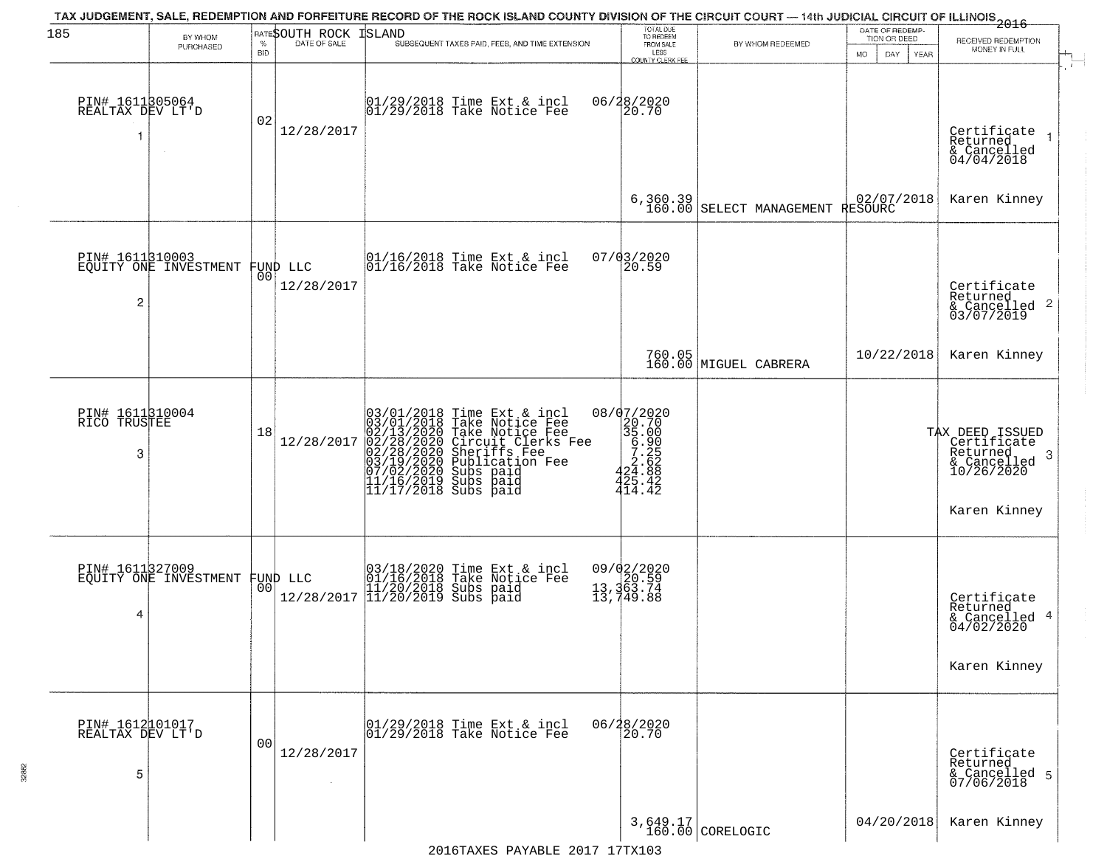| 185                                      | BY WHOM<br>PURCHASED                              | <b>BID</b>     | <b>RATESOUTH ROCK ISLAND</b> | TAX JUDGEMENT, SALE, REDEMPTION AND FORFEITURE RECORD OF THE ROCK ISLAND COUNTY DIVISION OF THE CIRCUIT COURT — 14th JUDICIAL CIRCUIT OF ILLINOIS 2016<br>SUBSEQUENT TAXES PAID, FEES, AND TIME EXTENSION                                  | TOTAL DUE<br>TO REDEEM<br>FROM SALE<br>LESS<br>COUNTY CLERK FEE                                     | BY WHOM REDEEMED                | DATE OF REDEMP-<br>TION OR DEED<br>MO.<br>DAY.<br>YEAR | RECEIVED REDEMPTION<br>MONEY IN FULL                                                          |
|------------------------------------------|---------------------------------------------------|----------------|------------------------------|--------------------------------------------------------------------------------------------------------------------------------------------------------------------------------------------------------------------------------------------|-----------------------------------------------------------------------------------------------------|---------------------------------|--------------------------------------------------------|-----------------------------------------------------------------------------------------------|
| PIN# 1611305064<br>REALTAX DEV LT'D      |                                                   | 02             | 12/28/2017                   | 01/29/2018 Time Ext & incl<br>01/29/2018 Take Notice Fee                                                                                                                                                                                   | 06/28/2020<br>20.70                                                                                 |                                 |                                                        | Certificate<br>Returned<br>& Cancelled<br>04/04/2018                                          |
|                                          |                                                   |                |                              |                                                                                                                                                                                                                                            | 6,360.39<br>160.00                                                                                  | SELECT MANAGEMENT RESOURC       |                                                        | Karen Kinney                                                                                  |
| 2                                        | PIN# 1611310003<br>EQUITY ONE INVESTMENT FUND LLC | 00             | 12/28/2017                   | 01/16/2018 Time Ext & incl<br>01/16/2018 Take Notice Fee                                                                                                                                                                                   | 07/03/2020<br>20.59                                                                                 |                                 |                                                        | Certificate<br>Returned<br>$\frac{1}{6}$ Cancelled 2<br>03/07/2019                            |
|                                          |                                                   |                |                              |                                                                                                                                                                                                                                            |                                                                                                     | 760.05<br>160.00 MIGUEL CABRERA | 10/22/2018                                             | Karen Kinney                                                                                  |
| PIN# 1611310004<br>RICO TRUSTEE<br>3     |                                                   | 18             | 12/28/2017                   | $03/01/2018$ Time Ext & incl<br>$03/01/2018$ Take Notice Fee<br>$02/13/2020$ Take Notice Fee<br>$02/28/2020$ Circuit Clerks Fee<br>$02/28/2020$ Sheriffs Fee<br>$03/19/2020$ Subication Fee<br>$03/19/2020$ Subs paid<br>$11/16/2019$ Subs | 08/07/2020<br>$20.700$<br>$35.000$<br>$5.25$<br>$5.25$<br>$2.62$<br>$24.88$<br>$425.42$<br>$414.42$ |                                 |                                                        | TAX DEED ISSUED<br>Certificate<br>Returned<br>-3<br>& Cancelled<br>10/26/2020<br>Karen Kinney |
| PIN# 1611327009<br>4                     | EQUITY ONE INVESTMENT                             |                | FUND LLC<br> 00              | 03/18/2020 Time Ext & incl<br>01/16/2018 Take Notice Fee<br>11/20/2018 Subs paid<br>12/28/2017 11/20/2019 Subs paid                                                                                                                        | 09/02/2020<br>13,363.74<br>13,363.74<br>13,749.88                                                   |                                 |                                                        | Certificate<br>Returned<br>& Cancelled 4<br>04/02/2020<br>Karen Kinney                        |
| PIN# 1612101017<br>REALTAX DEV LT'D<br>5 |                                                   | 0 <sub>0</sub> | 12/28/2017<br>$\sim$         | $\begin{array}{c}  01/29/2018 \text{ Time Ext} & \text{incl} \\  01/29/2018 \text{ Take Notice Fe} \end{array}$                                                                                                                            | 06/28/2020<br>20.70                                                                                 |                                 |                                                        | Certificate<br>Returned<br>& Cancelled 5<br>07/06/2018                                        |
|                                          |                                                   |                |                              |                                                                                                                                                                                                                                            |                                                                                                     | 3,649.17<br>160.00 CORELOGIC    | 04/20/2018                                             | Karen Kinney                                                                                  |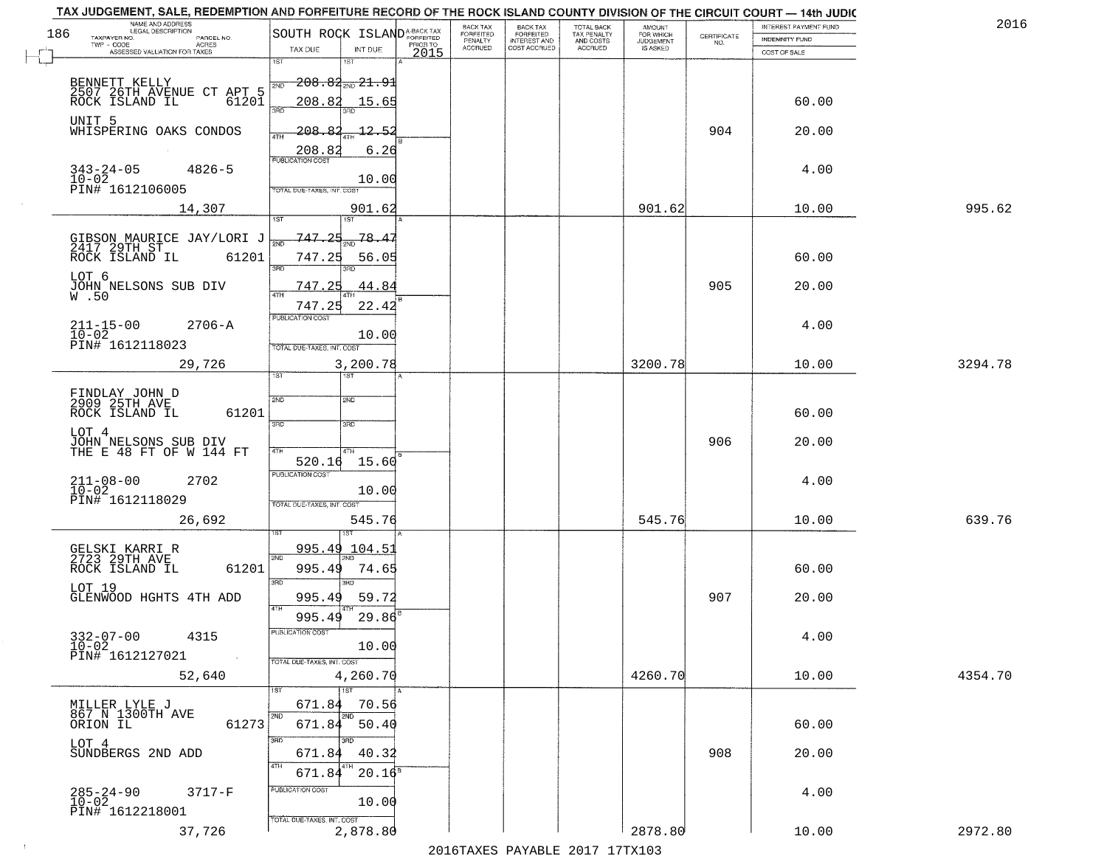|     | TAX JUDGEMENT, SALE, REDEMPTION AND FORFEITURE RECORD OF THE ROCK ISLAND COUNTY DIVISION OF THE CIRCUIT COURT - 14th JUDIC<br>NAME AND ADDRESS<br>LEGAL DESCRIPTION |                                                                |          | BACK TAX             |                                       |                                        |                                  |                                                                 | INTEREST PAYMENT FUND | 2016    |
|-----|---------------------------------------------------------------------------------------------------------------------------------------------------------------------|----------------------------------------------------------------|----------|----------------------|---------------------------------------|----------------------------------------|----------------------------------|-----------------------------------------------------------------|-----------------------|---------|
| 186 | TAXPAYER NO.<br>PARCEL NO.<br>$TWP - CODE$<br>ACRES                                                                                                                 | SOUTH ROCK ISLAND <sup>A-BACK TAX</sup>                        | PRIOR TO | FORFEITED<br>PENALTY | BACK TAX<br>FORFEITED<br>INTEREST AND | TOTAL BACK<br>TAX PENALTY<br>AND COSTS | AMOUNT<br>FOR WHICH<br>JUDGEMENT | $\begin{array}{c} \text{CERTIFICATE} \\ \text{NO.} \end{array}$ | <b>INDEMNITY FUND</b> |         |
|     | ASSESSED VALUATION FOR TAXES                                                                                                                                        | TAX DUE<br>INT DUE                                             | 2015     | <b>ACCRUED</b>       | COST ACCRUED                          | <b>ACCRUED</b>                         | IS ASKED                         |                                                                 | COST OF SALE          |         |
|     | BENNETT KELLY<br>2507 26TH AVENUE CT APT 5<br>ROCK ISLAND IL 61201                                                                                                  | 1ST<br>1ST<br>$-208.84_{\text{2ND}}21.9$<br>2ND<br>208.82      |          |                      |                                       |                                        |                                  |                                                                 |                       |         |
|     | UNIT 5<br>WHISPERING OAKS CONDOS                                                                                                                                    | 15.65<br>3RD<br>208.<br>$-12.$<br>-R<br>-5                     |          |                      |                                       |                                        |                                  | 904                                                             | 60.00<br>20.00        |         |
|     | $343 - 24 - 05$<br>$4826 - 5$<br>10-02<br>PIN# 1612106005                                                                                                           | 4TH<br>208.82<br>6.26<br><b>PUBLICATION COST</b><br>10.00      |          |                      |                                       |                                        |                                  |                                                                 | 4.00                  |         |
|     | 14,307                                                                                                                                                              | TOTAL DUE-TAXES, INT. COST<br>901.62<br>1ST                    |          |                      |                                       |                                        | 901.62                           |                                                                 | 10.00                 | 995.62  |
|     | GIBSON MAURICE JAY/LORI J<br>2417 29TH ST<br>ROCK ISLAND IL 61201<br>LOT 6                                                                                          | 747.25<br>78.4<br>747.25<br>56.05<br>3RD<br>חוז                |          |                      |                                       |                                        |                                  |                                                                 | 60.00                 |         |
|     | JOHN NELSONS SUB DIV<br>$W$ .50                                                                                                                                     | 747.25<br>.44.84<br>47H<br>747.25<br>22.42                     |          |                      |                                       |                                        |                                  | 905                                                             | 20.00                 |         |
|     | $211 - 15 - 00$<br>$2706 - A$<br>$10 - 02$<br>PIN# 1612118023                                                                                                       | PUBLICATION COST<br>10.00<br>TOTAL DUE-TAXES, INT. COST        |          |                      |                                       |                                        |                                  |                                                                 | 4.00                  |         |
|     | 29,726                                                                                                                                                              | 3,200.78<br>1ST.<br><b>IST</b>                                 |          |                      |                                       |                                        | 3200.78                          |                                                                 | 10.00                 | 3294.78 |
|     | FINDLAY JOHN D<br>2909 25TH AVE<br>61201<br>ROCK ISLAND IL                                                                                                          | 2ND<br>SMD<br>3BD<br>3 <sub>3</sub>                            |          |                      |                                       |                                        |                                  |                                                                 | 60.00                 |         |
|     | LOT 4<br>JOHN NELSONS SUB DIV<br>THE E 48 FT OF W 144 FT                                                                                                            | 4TH<br>4TH<br>520.16<br>15.60                                  |          |                      |                                       |                                        |                                  | 906                                                             | 20.00                 |         |
|     | $211 - 08 - 00$<br>10-02<br>2702<br>PIN# 1612118029                                                                                                                 | <b>PUBLICATION COST</b><br>10.00<br>TOTAL OUE-TAXES, INT. COST |          |                      |                                       |                                        |                                  |                                                                 | 4.00                  |         |
|     | 26,692                                                                                                                                                              | 545.76                                                         |          |                      |                                       |                                        | 545.76                           |                                                                 | 10.00                 | 639.76  |
|     | GELSKI KARRI R<br>2723 29TH AVE<br>ROCK ISLAND IL<br>61201                                                                                                          | <u>995.49 104.51</u><br>2ND<br>995.49<br>74.65<br>3RD<br>3RD   |          |                      |                                       |                                        |                                  |                                                                 | 60.00                 |         |
|     | LOT 19<br>GLENWOOD HGHTS 4TH ADD                                                                                                                                    | 995.49<br>59.72<br>4TH<br>995.49<br>29.86                      |          |                      |                                       |                                        |                                  | 907                                                             | 20.00                 |         |
|     | $332 - 07 - 00$<br>4315<br>$10 - 02$<br>PIN# 1612127021                                                                                                             | PUBLICATION COST<br>10.00<br>TOTAL DUE-TAXES, INT. COST        |          |                      |                                       |                                        |                                  |                                                                 | 4.00                  |         |
|     | 52,640                                                                                                                                                              | 4,260.70<br>1ST<br>1ST                                         |          |                      |                                       |                                        | 4260.70                          |                                                                 | 10.00                 | 4354.70 |
|     | MILLER LYLE J<br>867 N 1300TH AVE<br>61273<br>ORION IL                                                                                                              | 671.84<br>70.56<br>2ND<br>2ND<br>671.84<br>50.40               |          |                      |                                       |                                        |                                  |                                                                 | 60.00                 |         |
|     | LOT 4<br>SUNDBERGS 2ND ADD                                                                                                                                          | अंग<br>3RD<br>40.32<br>671.84<br>4TH<br>671.84<br>$20.16^8$    |          |                      |                                       |                                        |                                  | 908                                                             | 20.00                 |         |
|     | $285 - 24 - 90$<br>10-02<br>$3717-F$<br>PIN# 1612218001                                                                                                             | PUBLICATION COST<br>10.00<br>TOTAL DUE-TAXES, INT. COST        |          |                      |                                       |                                        |                                  |                                                                 | 4.00                  |         |
|     | 37,726                                                                                                                                                              | 2,878.80                                                       |          |                      |                                       |                                        | 2878.80                          |                                                                 | 10.00                 | 2972.80 |

 $\sim 10$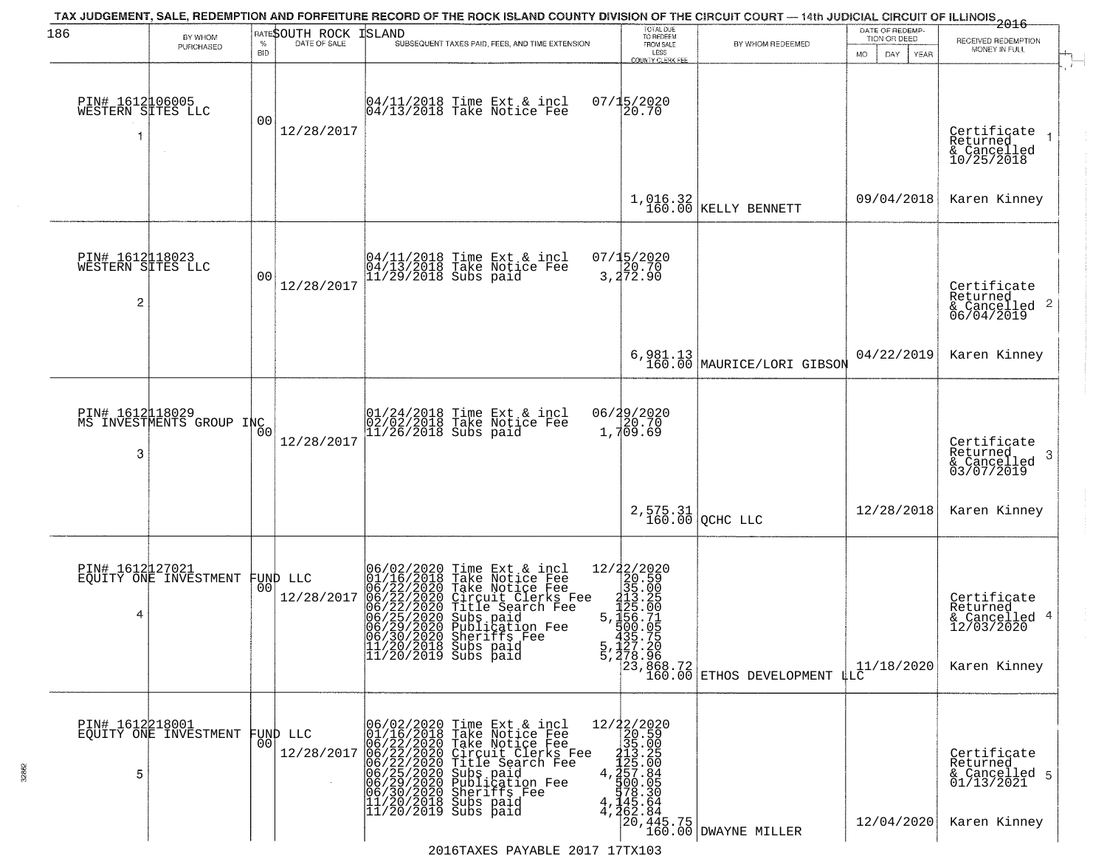| 186                                                    | BY WHOM                                     |                    | RATE\$OUTH ROCK        | ISLAND                                                                                                                                                                                                                                                                                  | TOTAL DUE<br>TO REDEEM                                                                                                                |                                                                                                                                                      | DATE OF REDEMP-<br>TION OR DEED | ---------------<br>2016<br>RECEIVED REDEMPTION                         |
|--------------------------------------------------------|---------------------------------------------|--------------------|------------------------|-----------------------------------------------------------------------------------------------------------------------------------------------------------------------------------------------------------------------------------------------------------------------------------------|---------------------------------------------------------------------------------------------------------------------------------------|------------------------------------------------------------------------------------------------------------------------------------------------------|---------------------------------|------------------------------------------------------------------------|
|                                                        | PURCHASED                                   | $\%$<br><b>BID</b> | DATE OF SALE           | SUBSEQUENT TAXES PAID, FEES, AND TIME EXTENSION                                                                                                                                                                                                                                         | FROM SALE<br>LESS<br><b>COUNTY CLERK FEE</b>                                                                                          | BY WHOM REDEEMED                                                                                                                                     | <b>MO</b><br>DAY<br>YEAR        | MONEY IN FULL                                                          |
| PIN# 1612106005<br>WESTERN SITES LLC                   |                                             | 0 <sup>0</sup>     | 12/28/2017             | 04/11/2018 Time Ext & incl<br>04/13/2018 Take Notice Fee                                                                                                                                                                                                                                | 07/15/2020<br>20.70                                                                                                                   |                                                                                                                                                      |                                 | Certificate<br>Returned<br>& Cancelled<br>10/25/2018                   |
|                                                        |                                             |                    |                        |                                                                                                                                                                                                                                                                                         |                                                                                                                                       | $1,016.32$ KELLY BENNETT                                                                                                                             | 09/04/2018                      | Karen Kinney                                                           |
| PIN# 1612118023<br>WESTERN SITES LLC<br>$\overline{c}$ |                                             | 00                 | 12/28/2017             | 04/11/2018 Time Ext & incl<br>04/13/2018 Take Notice Fee<br>11/29/2018 Subs paid                                                                                                                                                                                                        | 07/15/2020<br>20.70<br>3,272.90                                                                                                       |                                                                                                                                                      |                                 | Certificate<br>Returned<br>$\frac{1}{6}$ Cancelled 2<br>06/04/2019     |
|                                                        |                                             |                    |                        |                                                                                                                                                                                                                                                                                         |                                                                                                                                       | 6,981.13 MAURICE/LORI GIBSON                                                                                                                         | 04/22/2019                      | Karen Kinney                                                           |
| 3                                                      | PIN# 1612018029<br>MS INVESTMENTS GROUP INC | 00                 | 12/28/2017             | 01/24/2018 Time Ext & incl<br>02/02/2018 Take Notice Fee<br>11/26/2018 Subs paid                                                                                                                                                                                                        | 06/29/2020<br>1,709.69                                                                                                                |                                                                                                                                                      |                                 | Certificate<br>Returned<br>3<br>& Cancelled<br>03/07/2019              |
|                                                        |                                             |                    |                        |                                                                                                                                                                                                                                                                                         |                                                                                                                                       | $2,575.31$ QCHC LLC                                                                                                                                  | 12/28/2018                      | Karen Kinney                                                           |
| PIN# 1612127021<br>4                                   | EOUITY ONE INVESTMENT                       | 00                 | FUND LLC<br>12/28/2017 | 06/02/2020 Time Ext & incl<br>01/16/2018 Take Notice Fee<br>06/22/2020 Take Notice Fee<br>06/22/2020 Circuit Clerks Fee<br>06/22/2020 Title Search Fee<br>06/25/2020 Subs paid<br>06/29/2020 Publication Fee<br>06/30/2020 Sheriffs Fee<br>11/20/2018 Subs paid<br>11/20/2019 Subs paid | $=\begin{smallmatrix} 12/22/2020\\ 20.59\\ 35.00\\ 112.20\\ 112.20\\ 5,112.0\\ 112.0\\ 112.0\\ 5,1156.71\\ 7,00.92 \end{smallmatrix}$ | 335.75<br>5,127.20<br>5,278.96<br>23,868.72<br>23,868.72<br>50.00 ETHOS DEVELOPMENT LLC                                                              | 11/18/2020                      | Certificate<br>Returned<br>& Cancelled 4<br>12/03/2020<br>Karen Kinney |
| PIN# 1612218001<br>5                                   | EOUITY ONE INVESTMENT                       | 0O                 | FUND LLC<br>12/28/2017 | 06/02/2020 Time Ext & incl<br>01/16/2018 Take Notice Fee<br>06/22/2020 Take Notice Fee<br>06/22/2020 Circuit Clerks Fee<br>06/22/2020 Circuit Clerks Fee<br>06/25/2020 Subs paid<br>06/29/2020 Sheriffs Fee<br>11/20/2018 Subs paid<br>11/20/2019 Sub                                   |                                                                                                                                       | $\begin{array}{c c} 12/22/2020 \\20.59 \\35.00 \\4.13.25 \\4.427.84 \\1900.05 \\145.64 \\4.462.84 \\700.445.75 \\160.00 \text{ DWAYNE}} \end{array}$ | 12/04/2020                      | Certificate<br>Returned<br>& Cancelled 5<br>01/13/2021<br>Karen Kinney |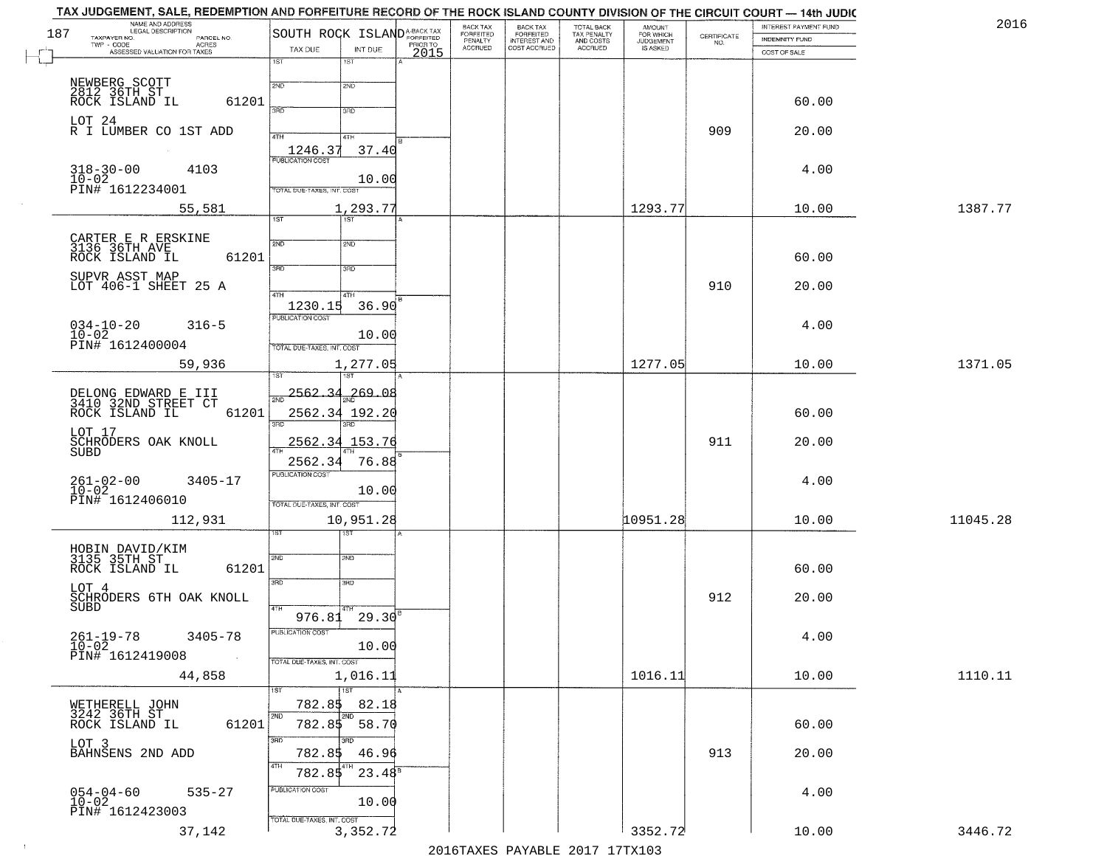| 187 | NAME AND ADDRESS<br>LEGAL DESCRIPTION<br>TAXPAYER NO.                 | SOUTH ROCK ISLAND <sup>A-BACK TAX</sup>           | <b>BACK TAX</b><br>FORFEITED<br>PENALTY | BACK TAX<br>FORFEITED<br>INTEREST AND | TOTAL BACK<br>TAX PENALTY<br>AND COSTS | AMOUNT<br>FOR WHICH          |                                                                 | INTEREST PAYMENT FUND                 | 2016     |
|-----|-----------------------------------------------------------------------|---------------------------------------------------|-----------------------------------------|---------------------------------------|----------------------------------------|------------------------------|-----------------------------------------------------------------|---------------------------------------|----------|
|     | PARCEL NO.<br>ACRES<br>TWP - CODE<br>ASSESSED VALUATION FOR TAXES     | PRIOR TO<br>TAX DUE<br>INT DUE                    | <b>ACCRUED</b>                          | COST ACCRUED                          | ACCRUED                                | <b>JUDGEMENT</b><br>IS ASKED | $\begin{array}{c} \text{CERTIFICATE} \\ \text{NO.} \end{array}$ | <b>INDEMNITY FUND</b><br>COST OF SALE |          |
|     |                                                                       | 2015<br>1ST<br>1ST                                |                                         |                                       |                                        |                              |                                                                 |                                       |          |
|     |                                                                       | 2ND<br>2ND                                        |                                         |                                       |                                        |                              |                                                                 |                                       |          |
|     | NEWBERG SCOTT<br>2812 36TH ST<br>ROCK ISLAND IL<br>61201              | 3RD                                               |                                         |                                       |                                        |                              |                                                                 | 60.00                                 |          |
|     | LOT 24<br>R I LUMBER CO 1ST ADD                                       | 3RD                                               |                                         |                                       |                                        |                              |                                                                 |                                       |          |
|     |                                                                       | 4TH<br>4TH                                        |                                         |                                       |                                        |                              | 909                                                             | 20.00                                 |          |
|     | $318 - 30 - 00$<br>4103                                               | $\frac{1246.37}{FUBUCATON COST}$<br>37.40         |                                         |                                       |                                        |                              |                                                                 | 4.00                                  |          |
|     | $10 - 02$<br>PIN# 1612234001                                          | 10.00<br>TOTAL DUE-TAXES, INT. COST               |                                         |                                       |                                        |                              |                                                                 |                                       |          |
|     | 55,581                                                                | 1,293.77                                          |                                         |                                       |                                        | 1293.77                      |                                                                 | 10.00                                 | 1387.77  |
|     |                                                                       | 1ST<br>1ST                                        |                                         |                                       |                                        |                              |                                                                 |                                       |          |
|     | CARTER E R ERSKINE<br>3136 36TH AVE<br>ROCK ISLAND IL                 | 2ND<br>2ND                                        |                                         |                                       |                                        |                              |                                                                 |                                       |          |
|     | 61201                                                                 | $\overline{3BD}$<br>3RD                           |                                         |                                       |                                        |                              |                                                                 | 60.00                                 |          |
|     | SUPVR ASST MAP<br>LOT 406-1 SHEET 25 A                                | 47H<br>4TH                                        |                                         |                                       |                                        |                              | 910                                                             | 20.00                                 |          |
|     |                                                                       | 1230.15<br>36.90                                  |                                         |                                       |                                        |                              |                                                                 |                                       |          |
|     | $034-10-20$<br>$10-02$<br>$316 - 5$                                   | PUBLICATION COST<br>10.00                         |                                         |                                       |                                        |                              |                                                                 | 4.00                                  |          |
|     | PIN# 1612400004                                                       | TOTAL DUE-TAXES, INT. COST                        |                                         |                                       |                                        |                              |                                                                 |                                       |          |
|     | 59,936                                                                | 1,277.05<br>'ST                                   |                                         |                                       |                                        | 1277.05                      |                                                                 | 10.00                                 | 1371.05  |
|     |                                                                       | <u>2562.34</u><br>,269.08<br>2ND                  |                                         |                                       |                                        |                              |                                                                 |                                       |          |
|     | DELONG EDWARD E III<br>3410 32ND STREET CT<br>ROCK ISLAND IL<br>61201 | 2562.34 192.20                                    |                                         |                                       |                                        |                              |                                                                 | 60.00                                 |          |
|     | LOT 17<br>SCHRODERS OAK KNOLL                                         | 3RD<br>3RD<br>2562.34<br>153.76                   |                                         |                                       |                                        |                              | 911                                                             | 20.00                                 |          |
|     | SUBD                                                                  | 2562.34<br>76.88                                  |                                         |                                       |                                        |                              |                                                                 |                                       |          |
|     | $261 - 02 - 00$<br>10-02<br>3405-17                                   | <b>PUBLICATION COST</b>                           |                                         |                                       |                                        |                              |                                                                 | 4.00                                  |          |
|     | PIN# 1612406010                                                       | 10.00<br>TOTAL OUE-TAXES, INT. COST               |                                         |                                       |                                        |                              |                                                                 |                                       |          |
|     | 112,931                                                               | 10,951.28                                         |                                         |                                       |                                        | 10951.28                     |                                                                 | 10.00                                 | 11045.28 |
|     |                                                                       |                                                   |                                         |                                       |                                        |                              |                                                                 |                                       |          |
|     | HOBIN DAVID/KIM<br>3135 35TH ST<br>ROCK ISLAND IL<br>61201            | 2ND<br>2ND                                        |                                         |                                       |                                        |                              |                                                                 | 60.00                                 |          |
|     | LOT 4                                                                 | 3RD<br>3BD                                        |                                         |                                       |                                        |                              |                                                                 |                                       |          |
|     | SCHRODERS 6TH OAK KNOLL<br><b>SUBD</b>                                | 4TH                                               |                                         |                                       |                                        |                              | 912                                                             | 20.00                                 |          |
|     |                                                                       | $976.81$ $29.30$ <sup>B</sup><br>PUBLICATION COST |                                         |                                       |                                        |                              |                                                                 |                                       |          |
|     | $261 - 19 - 78$<br>$10 - 02$<br>$3405 - 78$                           | 10.00                                             |                                         |                                       |                                        |                              |                                                                 | 4.00                                  |          |
|     | PIN# 1612419008<br>44,858                                             | TOTAL DUE-TAXES, INT. COST<br>1,016.11            |                                         |                                       |                                        | 1016.11                      |                                                                 | 10.00                                 | 1110.11  |
|     |                                                                       | 1ST                                               |                                         |                                       |                                        |                              |                                                                 |                                       |          |
|     | WETHERELL JOHN<br>3242 36TH ST                                        | 782.85<br>82.18<br>2ND<br>2ND                     |                                         |                                       |                                        |                              |                                                                 |                                       |          |
|     | 61201<br>ROCK ISLAND IL                                               | 782.85<br>$-58.70$                                |                                         |                                       |                                        |                              |                                                                 | 60.00                                 |          |
|     | LOT 3<br>BAHNSENS 2ND ADD                                             | 3RD<br>3RD.<br>782.85<br>46.96                    |                                         |                                       |                                        |                              | 913                                                             | 20.00                                 |          |
|     |                                                                       | 4TH<br>$23.48^{8}$<br>782.85                      |                                         |                                       |                                        |                              |                                                                 |                                       |          |
|     | $054 - 04 - 60$<br>$10 - 02$<br>$535 - 27$                            | PUBLICATION COST<br>10.00                         |                                         |                                       |                                        |                              |                                                                 | 4.00                                  |          |
|     | PIN# 1612423003                                                       | TOTAL DUE-TAXES, INT. COST                        |                                         |                                       |                                        |                              |                                                                 |                                       |          |
|     | 37,142                                                                | 3,352.72                                          |                                         |                                       |                                        | 3352.72                      |                                                                 | 10.00                                 | 3446.72  |
|     |                                                                       |                                                   |                                         | $2016$ mayrc Davartr 2017 17my102     |                                        |                              |                                                                 |                                       |          |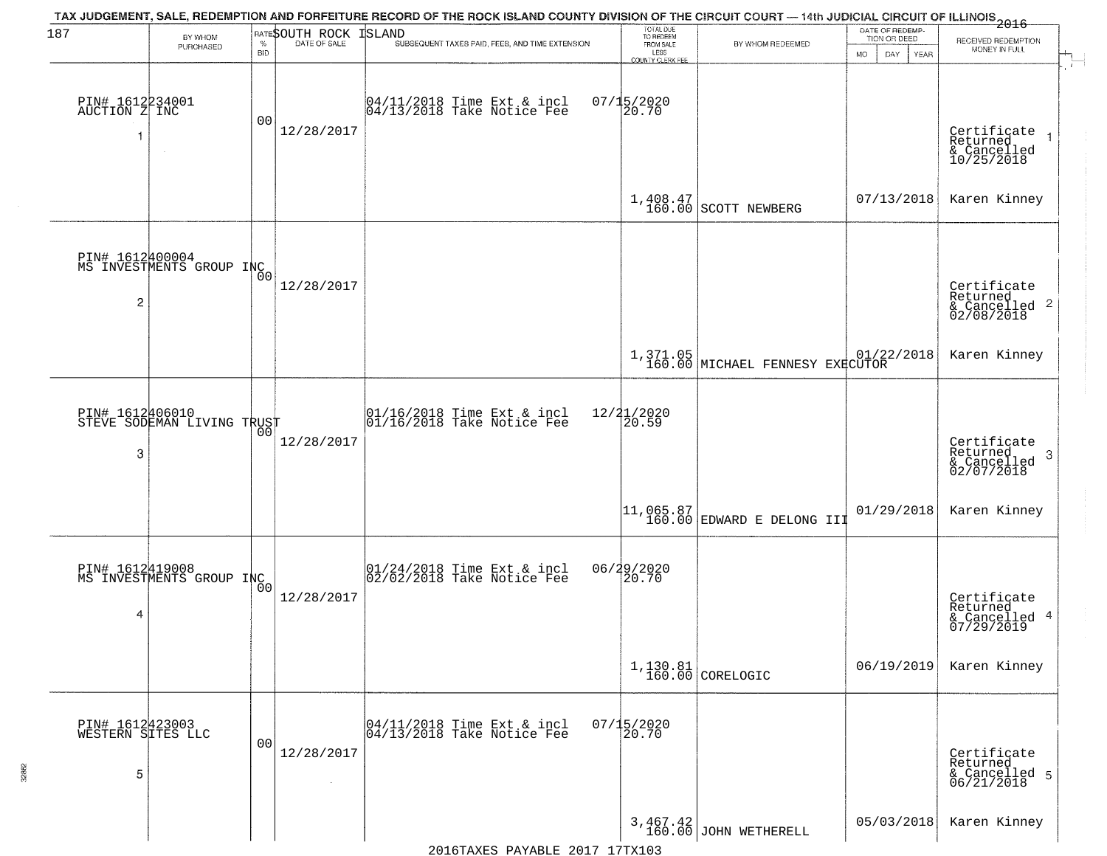| 187                                       | BY WHOM<br>PURCHASED                        | <b>BID</b>     | <b>RATESOUTH ROCK ISLAND</b> | TAX JUDGEMENT, SALE, REDEMPTION AND FORFEITURE RECORD OF THE ROCK ISLAND COUNTY DIVISION OF THE CIRCUIT COURT — 14th JUDICIAL CIRCUIT OF ILLINOIS 2016<br>SUBSEQUENT TAXES PAID, FEES, AND TIME EXTENSION | TOTAL DUE<br>TO REDEEM<br>FROM SALE<br>LESS<br>COUNTY CLERK FEE | BY WHOM REDEEMED                            | DATE OF REDEMP-<br>TION OR DEED<br><b>MO</b><br>DAY<br>YEAR | RECEIVED REDEMPTION<br>MONEY IN FULL                       |
|-------------------------------------------|---------------------------------------------|----------------|------------------------------|-----------------------------------------------------------------------------------------------------------------------------------------------------------------------------------------------------------|-----------------------------------------------------------------|---------------------------------------------|-------------------------------------------------------------|------------------------------------------------------------|
| PIN# 1612234001<br>AUCTION Z INC<br>1     |                                             | 00             | 12/28/2017                   | 04/11/2018 Time Ext & incl<br>04/13/2018 Take Notice Fee                                                                                                                                                  | 07/15/2020<br>20.70                                             |                                             |                                                             | Certificate<br>Returned<br>& Cancelled<br>10/25/2018       |
|                                           |                                             |                |                              |                                                                                                                                                                                                           |                                                                 | 1,408.47<br>160.00 SCOTT NEWBERG            | 07/13/2018                                                  | Karen Kinney                                               |
| 2                                         | PIN# 1612400004<br>MS INVESTMENTS GROUP INC |                | 12/28/2017                   |                                                                                                                                                                                                           |                                                                 |                                             |                                                             | Certificate<br>Returned<br>& Cancelled 2<br>02/08/2018     |
|                                           |                                             |                |                              |                                                                                                                                                                                                           |                                                                 | 1,371.05<br>160.00 MICHAEL FENNESY EXECUTOR | 01/22/2018                                                  | Karen Kinney                                               |
| PIN# 1612406010<br>3                      | STEVE SODEMAN LIVING TRUST                  | 00             | 12/28/2017                   | 01/16/2018 Time Ext & incl<br>01/16/2018 Take Notice Fee                                                                                                                                                  | 12/21/2020<br>20.59                                             |                                             |                                                             | Certificate<br>Returned<br>-3<br>& Cancelled<br>02/07/2018 |
|                                           |                                             |                |                              |                                                                                                                                                                                                           |                                                                 |                                             | 01/29/2018                                                  | Karen Kinney                                               |
| PIN# 1612419008<br>4                      | MS INVESTMENTS GROUP INC                    | 0 <sub>0</sub> | 12/28/2017                   | 01/24/2018 Time Ext & incl<br>02/02/2018 Take Notice Fee                                                                                                                                                  | 06/29/2020<br>20.70                                             |                                             |                                                             | Certificate<br>Returned<br>& Cancelled 4<br>07/29/2019     |
|                                           |                                             |                |                              |                                                                                                                                                                                                           |                                                                 | $1,130.81$ CORELOGIC                        | 06/19/2019                                                  | Karen Kinney                                               |
| PIN# 1612423003<br>WESTERN SITES LLC<br>5 |                                             | 00             | 12/28/2017<br>$\sim$         | 04/11/2018 Time Ext & incl<br>04/13/2018 Take Notice Fee                                                                                                                                                  | $07/15/2020$<br>20.70                                           |                                             |                                                             | Certificate<br>Returned<br>& Cancelled 5<br>06/21/2018     |
|                                           |                                             |                |                              |                                                                                                                                                                                                           |                                                                 | $3,467.42$ JOHN WETHERELL                   | 05/03/2018                                                  | Karen Kinney                                               |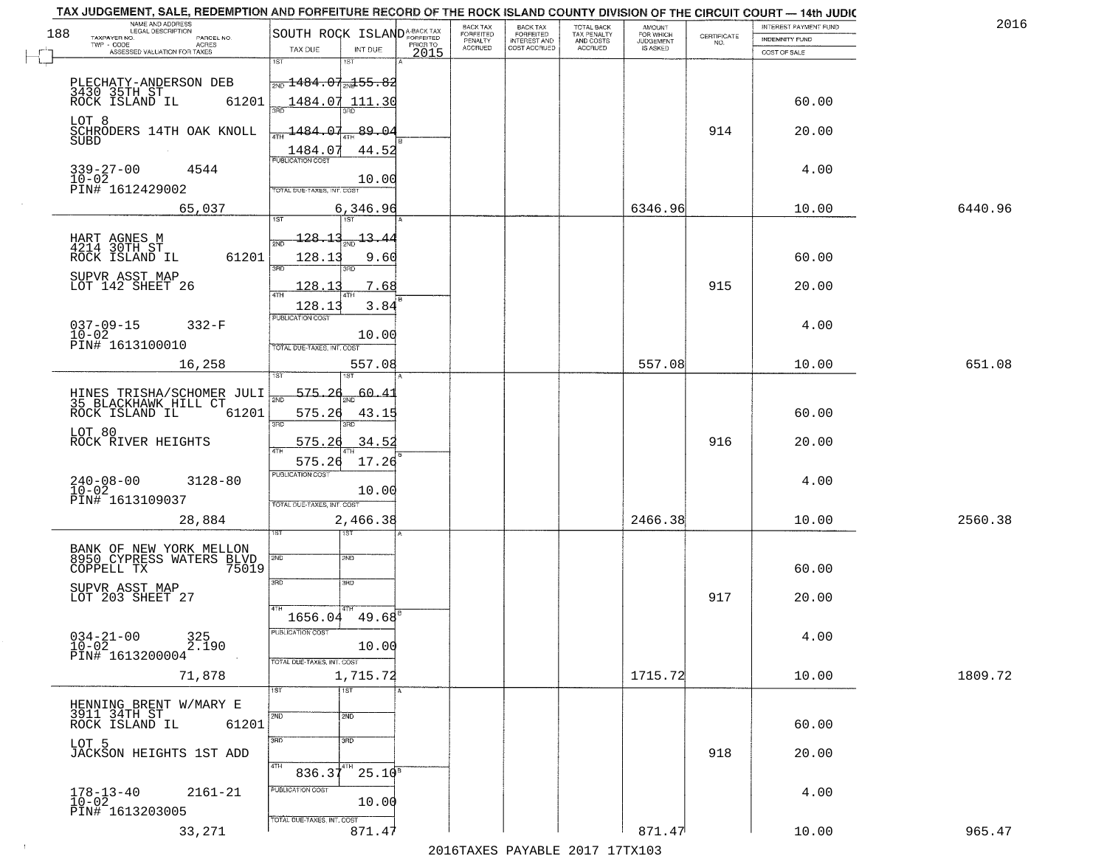|     | TAX JUDGEMENT, SALE, REDEMPTION AND FORFEITURE RECORD OF THE ROCK ISLAND COUNTY DIVISION OF THE CIRCUIT COURT - 14th JUDIC<br>NAME AND ADDRESS<br>LEGAL DESCRIPTION |                                                        |                                |                  | <b>BACK TAX</b>             |                                              |                                        |                                         |                                                                 | INTEREST PAYMENT FUND | 2016    |
|-----|---------------------------------------------------------------------------------------------------------------------------------------------------------------------|--------------------------------------------------------|--------------------------------|------------------|-----------------------------|----------------------------------------------|----------------------------------------|-----------------------------------------|-----------------------------------------------------------------|-----------------------|---------|
| 188 | TAXPAYER NO.<br>PARCEL NO.                                                                                                                                          | SOUTH ROCK ISLAND <sup>A-BACK TAX</sup>                |                                |                  | <b>FORFEITED</b><br>PENALTY | BACK TAX<br>FORFEITED<br><b>INTEREST AND</b> | TOTAL BACK<br>TAX PENALTY<br>AND COSTS | AMOUNT<br>FOR WHICH<br><b>JUDGEMENT</b> | $\begin{array}{c} \text{CERTIFICATE} \\ \text{NO.} \end{array}$ | <b>INDEMNITY FUND</b> |         |
|     | TWP - CODE<br>ACRES<br>ASSESSED VALUATION FOR TAXES                                                                                                                 | TAX DUE                                                | INT DUE                        | PRIOR TO<br>2015 | <b>ACCRUED</b>              | COST ACCRUED                                 | <b>ACCRUED</b>                         | IS ASKED                                |                                                                 | COST OF SALE          |         |
|     | PLECHATY-ANDERSON DEB                                                                                                                                               | 1ST<br>$\frac{1}{200}$ 1484.07 $\frac{1}{204}$ 55.82   | 18T                            |                  |                             |                                              |                                        |                                         |                                                                 |                       |         |
|     | 3430 35TH ST<br>ROCK ISLAND IL<br>61201<br>LOT 8                                                                                                                    | 1484.07 111.30                                         |                                |                  |                             |                                              |                                        |                                         |                                                                 | 60.00                 |         |
|     | SCHRODERS 14TH OAK KNOLL<br>SUBD                                                                                                                                    | 1484.07<br>1484.07                                     | 89.04<br>44.52                 |                  |                             |                                              |                                        |                                         | 914                                                             | 20.00                 |         |
|     | $339 - 27 - 00$<br>$10 - 02$<br>4544<br>PIN# 1612429002                                                                                                             | TOTAL DUE-TAXES, INT. COST                             | 10.00                          |                  |                             |                                              |                                        |                                         |                                                                 | 4.00                  |         |
|     | 65,037                                                                                                                                                              |                                                        | 6,346.96                       |                  |                             |                                              |                                        | 6346.96                                 |                                                                 | 10.00                 | 6440.96 |
|     | HART AGNES M<br>4214 30TH ST<br>61201<br>ROCK ISLAND IL                                                                                                             | $-128 - 13$ <sub>2ND</sub> $-13 - 44$<br>128.13<br>3RD | 9.60                           |                  |                             |                                              |                                        |                                         |                                                                 | 60.00                 |         |
|     | SUPVR ASST MAP<br>LOT 142 SHEET 26                                                                                                                                  | 128.13<br>128.13                                       | 7.68<br>3.84                   |                  |                             |                                              |                                        |                                         | 915                                                             | 20.00                 |         |
|     | $037 - 09 - 15$<br>$332-F$<br>$10 - 02$<br>PIN# 1613100010                                                                                                          | <b>PUBLICATION COST</b><br>TOTAL DUE-TAXES, INT. COST  | 10.00                          |                  |                             |                                              |                                        |                                         |                                                                 | 4.00                  |         |
|     | 16,258                                                                                                                                                              | TST"                                                   | 557.08                         |                  |                             |                                              |                                        | 557.08                                  |                                                                 | 10.00                 | 651.08  |
|     | HINES TRISHA/SCHOMER JULI<br>35 BLACKHAWK HILL CT<br>ROCK ISLAND IL<br>61201                                                                                        | 575.26<br>2ND<br>575.26<br>$\overline{3BD}$            | 60.4<br>43.15<br>3RD           |                  |                             |                                              |                                        |                                         |                                                                 | 60.00                 |         |
|     | LOT 80<br>ROCK RIVER HEIGHTS                                                                                                                                        | 575.26<br>4TH<br>575.26                                | 34.52<br>17.26                 |                  |                             |                                              |                                        |                                         | 916                                                             | 20.00                 |         |
|     | $240 - 08 - 00$<br>$10 - 02$<br>$3128 - 80$<br>PIN# 1613109037                                                                                                      | <b>PUBLICATION COST</b><br>TOTAL OUE-TAXES, INT. COST  | 10.00                          |                  |                             |                                              |                                        |                                         |                                                                 | 4.00                  |         |
|     | 28,884                                                                                                                                                              | 1ST                                                    | 2,466.38<br>1ST                |                  |                             |                                              |                                        | 2466.38                                 |                                                                 | 10.00                 | 2560.38 |
|     | BANK OF NEW YORK MELLON<br>8950 CYPRESS WATERS BLVD<br>COPPELL TX<br>75019                                                                                          | 2ND<br>3 <sub>BD</sub>                                 | 2ND<br>3RD                     |                  |                             |                                              |                                        |                                         |                                                                 | 60.00                 |         |
|     | SUPVR ASST MAP<br>LOT 203 SHEET 27                                                                                                                                  | 4TH<br>1656.04                                         | 49.68                          |                  |                             |                                              |                                        |                                         | 917                                                             | 20.00                 |         |
|     | $034 - 21 - 00$<br>325<br>2.190<br>$10 - 02$<br>PIN# 1613200004                                                                                                     | PUBLICATION COS'<br>TOTAL DUE-TAXES, INT. COST         | 10.00                          |                  |                             |                                              |                                        |                                         |                                                                 | 4.00                  |         |
|     | 71,878                                                                                                                                                              | 1ST                                                    | 1,715.72<br>1ST                |                  |                             |                                              |                                        | 1715.72                                 |                                                                 | 10.00                 | 1809.72 |
|     | HENNING BRENT W/MARY E<br>3911 34TH ST<br>ROCK ISLAND IL<br>61201                                                                                                   | 2ND                                                    | 2ND                            |                  |                             |                                              |                                        |                                         |                                                                 | 60.00                 |         |
|     | LOT 5<br>JACKSON HEIGHTS 1ST ADD                                                                                                                                    | 3BD<br>4TH<br>$836.37^{4}$                             | 3 <sub>BD</sub><br>$25.10^{8}$ |                  |                             |                                              |                                        |                                         | 918                                                             | 20.00                 |         |
|     | $178 - 13 - 40$<br>$2161 - 21$<br>$10 - 02$<br>PIN# 1613203005                                                                                                      | PUBLICATION COST<br>TOTAL DUE-TAXES, INT. COST         | 10.00                          |                  |                             |                                              |                                        |                                         |                                                                 | 4.00                  |         |
|     | 33,271                                                                                                                                                              |                                                        | 871.47                         |                  |                             |                                              |                                        | 871.47                                  |                                                                 | 10.00                 | 965.47  |

 $\sim 10^{-1}$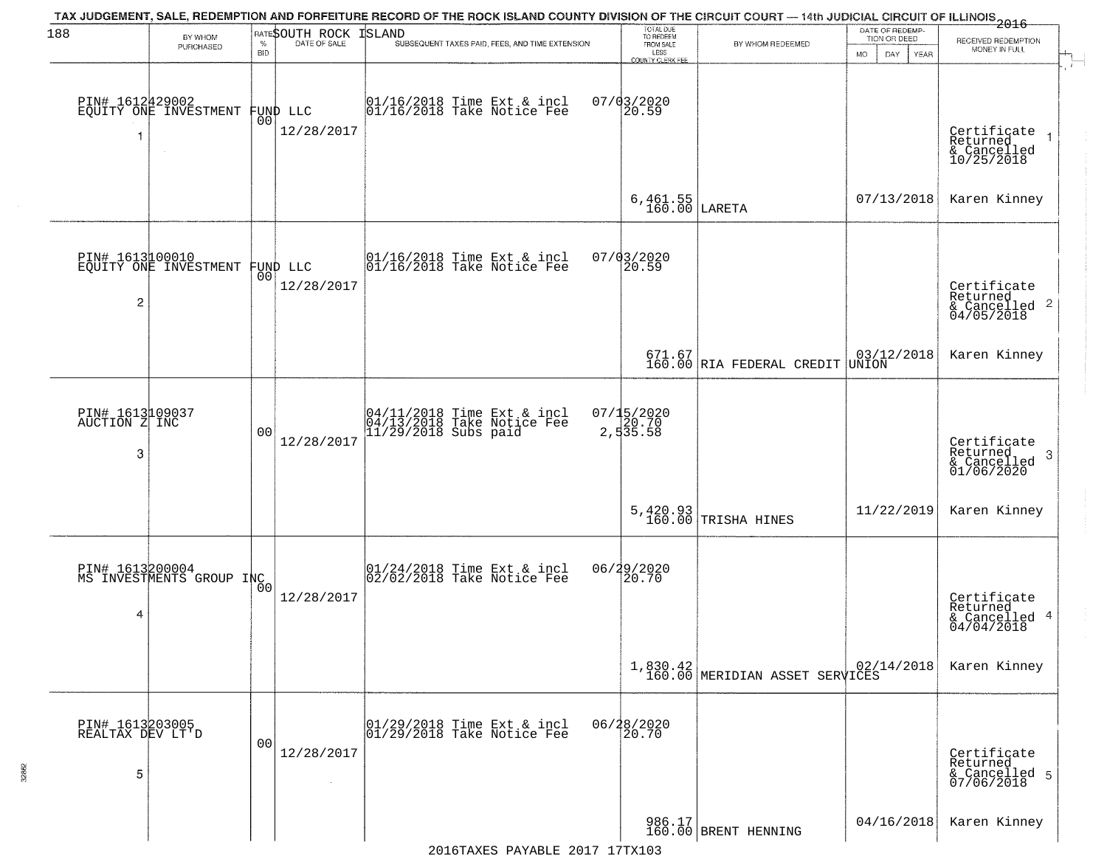| 188                                      | BY WHOM<br>PURCHASED                     | <b>BID</b>     | <b>RATESOUTH ROCK ISLAND</b> | TAX JUDGEMENT, SALE, REDEMPTION AND FORFEITURE RECORD OF THE ROCK ISLAND COUNTY DIVISION OF THE CIRCUIT COURT — 14th JUDICIAL CIRCUIT OF ILLINOIS<br>2016 - 14th Juli 2017<br>SUBSEQUENT TAXES PAID, FEES, AND TIME EXTENSION | TOTAL DUE<br>TO REDEEM<br>FROM SALE<br>LESS<br>COUNTY CLERK FEE                                                                                                                                                                                                                                                           | BY WHOM REDEEMED                                                                         | DATE OF REDEMP.<br>TION OR DEED<br>MO.<br>DAY.<br>YEAR                         | RECEIVED REDEMPTION<br>MONEY IN FULL                               |
|------------------------------------------|------------------------------------------|----------------|------------------------------|-------------------------------------------------------------------------------------------------------------------------------------------------------------------------------------------------------------------------------|---------------------------------------------------------------------------------------------------------------------------------------------------------------------------------------------------------------------------------------------------------------------------------------------------------------------------|------------------------------------------------------------------------------------------|--------------------------------------------------------------------------------|--------------------------------------------------------------------|
|                                          | PIN# 1612429002<br>EQUITY ONE INVESTMENT | 00             | FUND LLC<br>12/28/2017       | 01/16/2018 Time Ext & incl<br>01/16/2018 Take Notice Fee                                                                                                                                                                      | 07/03/2020<br>20.59                                                                                                                                                                                                                                                                                                       |                                                                                          |                                                                                | Certificate<br>Returned<br>& Cancelled<br>10/25/2018               |
|                                          |                                          |                |                              |                                                                                                                                                                                                                               | 6,461.55<br>160.00                                                                                                                                                                                                                                                                                                        | LARETA                                                                                   | 07/13/2018                                                                     | Karen Kinney                                                       |
| PIN# 1613100010<br>2                     | EQUITY ONE INVESTMENT FUND LLC           |                | 12/28/2017                   | $ 01/16/2018$ Time Ext & incl<br>$ 01/16/2018$ Take Notice Fee                                                                                                                                                                | 07/03/2020<br>20.59                                                                                                                                                                                                                                                                                                       |                                                                                          |                                                                                | Certificate<br>Returned<br>$\frac{1}{6}$ Cancelled 2<br>04/05/2018 |
|                                          |                                          |                |                              |                                                                                                                                                                                                                               |                                                                                                                                                                                                                                                                                                                           | $671.67$<br>160.00 RIA FEDERAL CREDIT                                                    | $\begin{array}{ c c c }\hline 03/12/2018 \\ \hline \texttt{UNION} \end{array}$ | Karen Kinney                                                       |
| PIN# 1613109037<br>AUCTION Z INC<br>3    |                                          | 00             | 12/28/2017                   | 04/11/2018 Time Ext & incl<br>04/13/2018 Take Notice Fee<br>11/29/2018 Subs paid                                                                                                                                              | 07/15/2020<br>$\begin{bmatrix} 1 & 3 & 2 & 3 & 5 \\ 2 & 5 & 3 & 5 & 5 \\ 6 & 7 & 6 & 7 & 6 \\ 7 & 8 & 10 & 10 & 10 \\ 10 & 10 & 10 & 10 & 10 \\ 11 & 10 & 10 & 10 & 10 \\ 12 & 10 & 10 & 10 & 10 \\ 13 & 10 & 10 & 10 & 10 \\ 14 & 10 & 10 & 10 & 10 \\ 16 & 10 & 10 & 10 & 10 & 10 \\ 17 & 10 & 10 & 10 & 10 & 10 \\ 18$ |                                                                                          |                                                                                | Certificate<br>Returned<br>-3<br>& Cancelled<br>01/06/2020         |
|                                          |                                          |                |                              |                                                                                                                                                                                                                               |                                                                                                                                                                                                                                                                                                                           | $5,420.93$ TRISHA HINES                                                                  | 11/22/2019                                                                     | Karen Kinney                                                       |
| PIN# 1613200004<br>4                     | MS INVESTMENTS GROUP INC                 |                | 12/28/2017                   | 01/24/2018 Time Ext & incl<br>02/02/2018 Take Notice Fee                                                                                                                                                                      | 06/29/2020<br>20.70                                                                                                                                                                                                                                                                                                       |                                                                                          |                                                                                | Certificate<br>Returned<br>& Cancelled 4<br>04/04/2018             |
|                                          |                                          |                |                              |                                                                                                                                                                                                                               |                                                                                                                                                                                                                                                                                                                           | $\left[ \begin{array}{c} 1,830.42 \\ 160.00 \end{array} \right]$ MERIDIAN ASSET SERVICES |                                                                                | Karen Kinney                                                       |
| PIN# 1613203005<br>REALTAX DEV LT'D<br>5 |                                          | 0 <sub>0</sub> | 12/28/2017                   | 01/29/2018 Time Ext & incl<br>01/29/2018 Take Notice Fee                                                                                                                                                                      | 06/28/2020<br>20.70                                                                                                                                                                                                                                                                                                       |                                                                                          |                                                                                | Certificate<br>Returned<br>& Cancelled 5<br>07/06/2018             |
|                                          |                                          |                |                              |                                                                                                                                                                                                                               |                                                                                                                                                                                                                                                                                                                           | 986.17<br>160.00 BRENT HENNING                                                           | 04/16/2018                                                                     | Karen Kinney                                                       |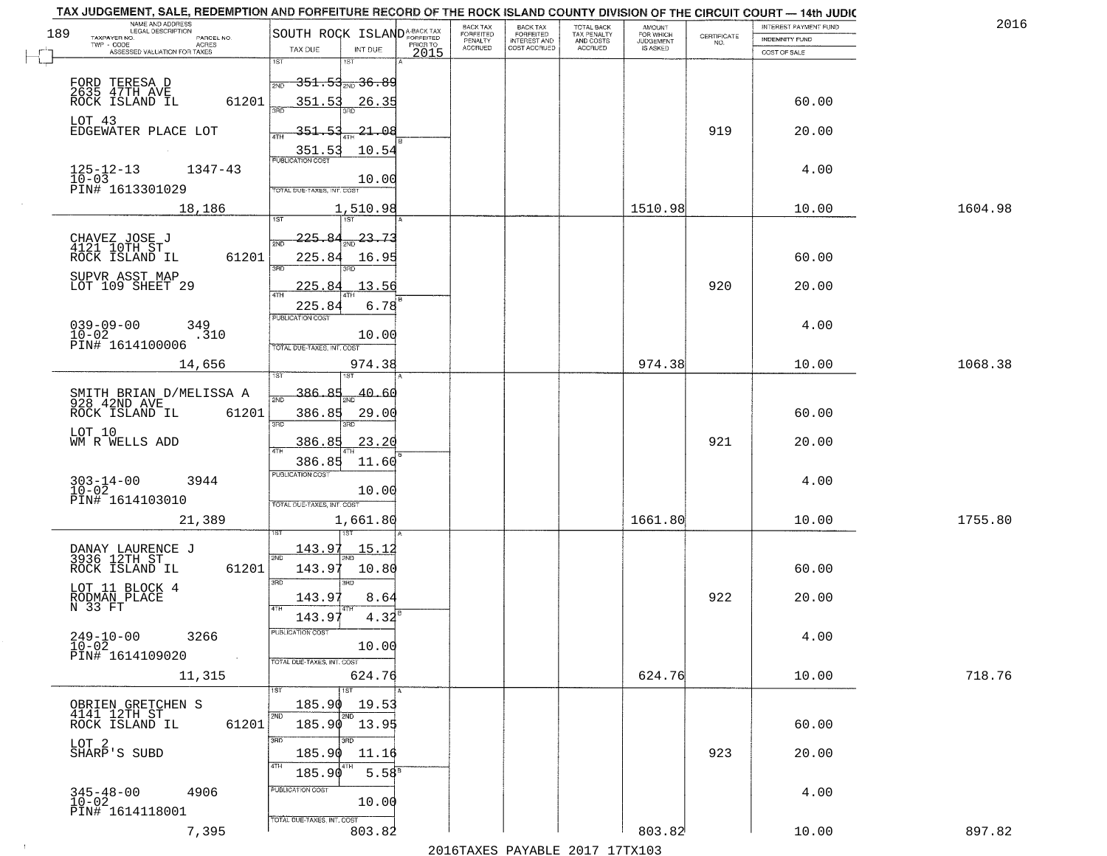| BACK TAX<br>FORFEITED<br>TOTAL BACK<br>TAX PENALTY<br>AND COSTS<br>AMOUNT<br>FOR WHICH<br>SOUTH ROCK ISLAND <sup>A-BACK TAX</sup><br>189<br><b>FORFEITED</b><br>$\begin{array}{c} \text{CERTIFICATE} \\ \text{NO.} \end{array}$<br>TAXPAYER NO.<br>PARCEL NO.<br>INDEMNITY FUND<br>PENALTY<br><b>INTEREST AND</b><br><b>JUDGEMENT</b><br>ACRES<br>PRIOR TO<br><b>ACCRUED</b><br>COST ACCRUED<br><b>ACCRUED</b><br>IS ASKED<br>TAX DUE<br>INT DUE<br>ASSESSED VALUATION FOR TAXES<br>2015<br>COST OF SALE<br>1ST<br>1ST<br><del>351.53<sub>2ND</sub>36.89</del><br>FORD TERESA D<br>2635 47TH AVE<br>2ND<br>ROCK ISLAND IL<br>351.53<br>60.00<br>61201<br>26.35<br>LOT 43<br>919<br>EDGEWATER PLACE LOT<br>351.53<br>-21.08<br>20.00<br>10.54<br>351.53<br>$125 - 12 - 13$<br>$10 - 03$<br>1347-43<br>4.00<br>10.00<br>PIN# 1613301029<br>TOTAL DUE-TAXES, INT. COST<br>18,186<br>1,510.98<br>1510.98<br>10.00<br>1604.98<br>225.84<br>$\frac{23.73}{200}$<br>CHAVEZ JOSE J<br>4121 10TH ST<br>61201<br>225.84<br>60.00<br>ROCK ISLAND IL<br>16.95<br>3RD<br>SUPVR ASST MAP<br>920<br>LOT 109 SHEET 29<br>225.84<br>13.56<br>20.00<br>6.78<br>225.84<br>PUBLICATION COST<br>$039 - 09 - 00$<br>$10 - 02$<br>4.00<br>349<br>.310<br>10.00<br>PIN# 1614100006<br>TOTAL DUE-TAXES, INT. COST<br>974.38<br>14,656<br>974.38<br>10.00<br><b>ST</b><br>386.85<br>40.60<br>SMITH BRIAN D/MELISSA A<br>928 42ND AVE<br>2ND<br>60.00<br>ROCK ISLAND IL<br>61201<br>386.85<br>29.00<br>3RD<br>3RD<br>LOT 10<br>921<br>WM R WELLS ADD<br>386.85<br>23.20<br>20.00<br><b>ATH</b><br>386.85<br>11.60<br><b>PUBLICATION COST</b><br>$303 - 14 - 00$<br>$10 - 02$<br>3944<br>4.00<br>10.00<br>PIN# 1614103010<br>TOTAL OUE-TAXES, INT. COST<br>1661.80<br>21,389<br>1,661.80<br>10.00<br>143.97<br><u> 15.12</u><br>DANAY LAURENCE J<br>3936 12TH ST<br>2ND<br>2ND<br>ROCK ISLAND IL<br>143.97<br>61201<br>10.80<br>60.00<br>3BD<br>3RD<br>LOT 11 BLOCK 4<br>RODMAN PLACE<br>N 33 FT<br>922<br>143.97<br>8.64<br>20.00<br>4TH<br>143.97<br>4.32<br>$249 - 10 - 00$<br>PUBLICATION COST<br>3266<br>4.00<br>$\overline{10} - 0\overline{2}$<br>10.00<br>PIN# 1614109020<br>$\sim 10$<br>TOTAL DUE-TAXES, INT. COST<br>624.76<br>624.76<br>718.76<br>11,315<br>10.00<br>19.53<br>OBRIEN GRETCHEN S<br>185.90<br>4141 12TH ST<br>185.90 13.95<br>61201<br>60.00<br>ROCK ISLAND IL<br>3RD<br>LOT 2<br>SHARP'S SUBD<br>923<br>20.00<br>185.90<br>11.16<br>$5.58^{B}$<br>185.90<br>PUBLICATION COST<br>$345 - 48 - 00$<br>$10 - 02$<br>4906<br>4.00<br>10.00<br>PIN# 1614118001<br>TOTAL DUE-TAXES, INT. COST<br>803.82<br>803.82<br>897.82<br>7,395<br>10.00 | TAX JUDGEMENT, SALE, REDEMPTION AND FORFEITURE RECORD OF THE ROCK ISLAND COUNTY DIVISION OF THE CIRCUIT COURT - 14th JUDIC<br>NAME AND ADDRESS<br>LEGAL DESCRIPTION |  | BACK TAX |  |  | INTEREST PAYMENT FUND | 2016    |
|----------------------------------------------------------------------------------------------------------------------------------------------------------------------------------------------------------------------------------------------------------------------------------------------------------------------------------------------------------------------------------------------------------------------------------------------------------------------------------------------------------------------------------------------------------------------------------------------------------------------------------------------------------------------------------------------------------------------------------------------------------------------------------------------------------------------------------------------------------------------------------------------------------------------------------------------------------------------------------------------------------------------------------------------------------------------------------------------------------------------------------------------------------------------------------------------------------------------------------------------------------------------------------------------------------------------------------------------------------------------------------------------------------------------------------------------------------------------------------------------------------------------------------------------------------------------------------------------------------------------------------------------------------------------------------------------------------------------------------------------------------------------------------------------------------------------------------------------------------------------------------------------------------------------------------------------------------------------------------------------------------------------------------------------------------------------------------------------------------------------------------------------------------------------------------------------------------------------------------------------------------------------------------------------------------------------------------------------------------------------------------------------------------------------------------------------------------------------------------------------------------------------------------------------------------------------------------------------------------------------------------------|---------------------------------------------------------------------------------------------------------------------------------------------------------------------|--|----------|--|--|-----------------------|---------|
|                                                                                                                                                                                                                                                                                                                                                                                                                                                                                                                                                                                                                                                                                                                                                                                                                                                                                                                                                                                                                                                                                                                                                                                                                                                                                                                                                                                                                                                                                                                                                                                                                                                                                                                                                                                                                                                                                                                                                                                                                                                                                                                                                                                                                                                                                                                                                                                                                                                                                                                                                                                                                                        |                                                                                                                                                                     |  |          |  |  |                       |         |
|                                                                                                                                                                                                                                                                                                                                                                                                                                                                                                                                                                                                                                                                                                                                                                                                                                                                                                                                                                                                                                                                                                                                                                                                                                                                                                                                                                                                                                                                                                                                                                                                                                                                                                                                                                                                                                                                                                                                                                                                                                                                                                                                                                                                                                                                                                                                                                                                                                                                                                                                                                                                                                        |                                                                                                                                                                     |  |          |  |  |                       |         |
|                                                                                                                                                                                                                                                                                                                                                                                                                                                                                                                                                                                                                                                                                                                                                                                                                                                                                                                                                                                                                                                                                                                                                                                                                                                                                                                                                                                                                                                                                                                                                                                                                                                                                                                                                                                                                                                                                                                                                                                                                                                                                                                                                                                                                                                                                                                                                                                                                                                                                                                                                                                                                                        |                                                                                                                                                                     |  |          |  |  |                       |         |
|                                                                                                                                                                                                                                                                                                                                                                                                                                                                                                                                                                                                                                                                                                                                                                                                                                                                                                                                                                                                                                                                                                                                                                                                                                                                                                                                                                                                                                                                                                                                                                                                                                                                                                                                                                                                                                                                                                                                                                                                                                                                                                                                                                                                                                                                                                                                                                                                                                                                                                                                                                                                                                        |                                                                                                                                                                     |  |          |  |  |                       |         |
|                                                                                                                                                                                                                                                                                                                                                                                                                                                                                                                                                                                                                                                                                                                                                                                                                                                                                                                                                                                                                                                                                                                                                                                                                                                                                                                                                                                                                                                                                                                                                                                                                                                                                                                                                                                                                                                                                                                                                                                                                                                                                                                                                                                                                                                                                                                                                                                                                                                                                                                                                                                                                                        |                                                                                                                                                                     |  |          |  |  |                       |         |
|                                                                                                                                                                                                                                                                                                                                                                                                                                                                                                                                                                                                                                                                                                                                                                                                                                                                                                                                                                                                                                                                                                                                                                                                                                                                                                                                                                                                                                                                                                                                                                                                                                                                                                                                                                                                                                                                                                                                                                                                                                                                                                                                                                                                                                                                                                                                                                                                                                                                                                                                                                                                                                        |                                                                                                                                                                     |  |          |  |  |                       |         |
|                                                                                                                                                                                                                                                                                                                                                                                                                                                                                                                                                                                                                                                                                                                                                                                                                                                                                                                                                                                                                                                                                                                                                                                                                                                                                                                                                                                                                                                                                                                                                                                                                                                                                                                                                                                                                                                                                                                                                                                                                                                                                                                                                                                                                                                                                                                                                                                                                                                                                                                                                                                                                                        |                                                                                                                                                                     |  |          |  |  |                       |         |
|                                                                                                                                                                                                                                                                                                                                                                                                                                                                                                                                                                                                                                                                                                                                                                                                                                                                                                                                                                                                                                                                                                                                                                                                                                                                                                                                                                                                                                                                                                                                                                                                                                                                                                                                                                                                                                                                                                                                                                                                                                                                                                                                                                                                                                                                                                                                                                                                                                                                                                                                                                                                                                        |                                                                                                                                                                     |  |          |  |  |                       |         |
|                                                                                                                                                                                                                                                                                                                                                                                                                                                                                                                                                                                                                                                                                                                                                                                                                                                                                                                                                                                                                                                                                                                                                                                                                                                                                                                                                                                                                                                                                                                                                                                                                                                                                                                                                                                                                                                                                                                                                                                                                                                                                                                                                                                                                                                                                                                                                                                                                                                                                                                                                                                                                                        |                                                                                                                                                                     |  |          |  |  |                       |         |
|                                                                                                                                                                                                                                                                                                                                                                                                                                                                                                                                                                                                                                                                                                                                                                                                                                                                                                                                                                                                                                                                                                                                                                                                                                                                                                                                                                                                                                                                                                                                                                                                                                                                                                                                                                                                                                                                                                                                                                                                                                                                                                                                                                                                                                                                                                                                                                                                                                                                                                                                                                                                                                        |                                                                                                                                                                     |  |          |  |  |                       |         |
|                                                                                                                                                                                                                                                                                                                                                                                                                                                                                                                                                                                                                                                                                                                                                                                                                                                                                                                                                                                                                                                                                                                                                                                                                                                                                                                                                                                                                                                                                                                                                                                                                                                                                                                                                                                                                                                                                                                                                                                                                                                                                                                                                                                                                                                                                                                                                                                                                                                                                                                                                                                                                                        |                                                                                                                                                                     |  |          |  |  |                       |         |
|                                                                                                                                                                                                                                                                                                                                                                                                                                                                                                                                                                                                                                                                                                                                                                                                                                                                                                                                                                                                                                                                                                                                                                                                                                                                                                                                                                                                                                                                                                                                                                                                                                                                                                                                                                                                                                                                                                                                                                                                                                                                                                                                                                                                                                                                                                                                                                                                                                                                                                                                                                                                                                        |                                                                                                                                                                     |  |          |  |  |                       |         |
|                                                                                                                                                                                                                                                                                                                                                                                                                                                                                                                                                                                                                                                                                                                                                                                                                                                                                                                                                                                                                                                                                                                                                                                                                                                                                                                                                                                                                                                                                                                                                                                                                                                                                                                                                                                                                                                                                                                                                                                                                                                                                                                                                                                                                                                                                                                                                                                                                                                                                                                                                                                                                                        |                                                                                                                                                                     |  |          |  |  |                       |         |
|                                                                                                                                                                                                                                                                                                                                                                                                                                                                                                                                                                                                                                                                                                                                                                                                                                                                                                                                                                                                                                                                                                                                                                                                                                                                                                                                                                                                                                                                                                                                                                                                                                                                                                                                                                                                                                                                                                                                                                                                                                                                                                                                                                                                                                                                                                                                                                                                                                                                                                                                                                                                                                        |                                                                                                                                                                     |  |          |  |  |                       |         |
|                                                                                                                                                                                                                                                                                                                                                                                                                                                                                                                                                                                                                                                                                                                                                                                                                                                                                                                                                                                                                                                                                                                                                                                                                                                                                                                                                                                                                                                                                                                                                                                                                                                                                                                                                                                                                                                                                                                                                                                                                                                                                                                                                                                                                                                                                                                                                                                                                                                                                                                                                                                                                                        |                                                                                                                                                                     |  |          |  |  |                       |         |
|                                                                                                                                                                                                                                                                                                                                                                                                                                                                                                                                                                                                                                                                                                                                                                                                                                                                                                                                                                                                                                                                                                                                                                                                                                                                                                                                                                                                                                                                                                                                                                                                                                                                                                                                                                                                                                                                                                                                                                                                                                                                                                                                                                                                                                                                                                                                                                                                                                                                                                                                                                                                                                        |                                                                                                                                                                     |  |          |  |  |                       |         |
|                                                                                                                                                                                                                                                                                                                                                                                                                                                                                                                                                                                                                                                                                                                                                                                                                                                                                                                                                                                                                                                                                                                                                                                                                                                                                                                                                                                                                                                                                                                                                                                                                                                                                                                                                                                                                                                                                                                                                                                                                                                                                                                                                                                                                                                                                                                                                                                                                                                                                                                                                                                                                                        |                                                                                                                                                                     |  |          |  |  |                       |         |
|                                                                                                                                                                                                                                                                                                                                                                                                                                                                                                                                                                                                                                                                                                                                                                                                                                                                                                                                                                                                                                                                                                                                                                                                                                                                                                                                                                                                                                                                                                                                                                                                                                                                                                                                                                                                                                                                                                                                                                                                                                                                                                                                                                                                                                                                                                                                                                                                                                                                                                                                                                                                                                        |                                                                                                                                                                     |  |          |  |  |                       |         |
|                                                                                                                                                                                                                                                                                                                                                                                                                                                                                                                                                                                                                                                                                                                                                                                                                                                                                                                                                                                                                                                                                                                                                                                                                                                                                                                                                                                                                                                                                                                                                                                                                                                                                                                                                                                                                                                                                                                                                                                                                                                                                                                                                                                                                                                                                                                                                                                                                                                                                                                                                                                                                                        |                                                                                                                                                                     |  |          |  |  |                       |         |
|                                                                                                                                                                                                                                                                                                                                                                                                                                                                                                                                                                                                                                                                                                                                                                                                                                                                                                                                                                                                                                                                                                                                                                                                                                                                                                                                                                                                                                                                                                                                                                                                                                                                                                                                                                                                                                                                                                                                                                                                                                                                                                                                                                                                                                                                                                                                                                                                                                                                                                                                                                                                                                        |                                                                                                                                                                     |  |          |  |  |                       |         |
|                                                                                                                                                                                                                                                                                                                                                                                                                                                                                                                                                                                                                                                                                                                                                                                                                                                                                                                                                                                                                                                                                                                                                                                                                                                                                                                                                                                                                                                                                                                                                                                                                                                                                                                                                                                                                                                                                                                                                                                                                                                                                                                                                                                                                                                                                                                                                                                                                                                                                                                                                                                                                                        |                                                                                                                                                                     |  |          |  |  |                       |         |
|                                                                                                                                                                                                                                                                                                                                                                                                                                                                                                                                                                                                                                                                                                                                                                                                                                                                                                                                                                                                                                                                                                                                                                                                                                                                                                                                                                                                                                                                                                                                                                                                                                                                                                                                                                                                                                                                                                                                                                                                                                                                                                                                                                                                                                                                                                                                                                                                                                                                                                                                                                                                                                        |                                                                                                                                                                     |  |          |  |  |                       | 1068.38 |
|                                                                                                                                                                                                                                                                                                                                                                                                                                                                                                                                                                                                                                                                                                                                                                                                                                                                                                                                                                                                                                                                                                                                                                                                                                                                                                                                                                                                                                                                                                                                                                                                                                                                                                                                                                                                                                                                                                                                                                                                                                                                                                                                                                                                                                                                                                                                                                                                                                                                                                                                                                                                                                        |                                                                                                                                                                     |  |          |  |  |                       |         |
|                                                                                                                                                                                                                                                                                                                                                                                                                                                                                                                                                                                                                                                                                                                                                                                                                                                                                                                                                                                                                                                                                                                                                                                                                                                                                                                                                                                                                                                                                                                                                                                                                                                                                                                                                                                                                                                                                                                                                                                                                                                                                                                                                                                                                                                                                                                                                                                                                                                                                                                                                                                                                                        |                                                                                                                                                                     |  |          |  |  |                       |         |
|                                                                                                                                                                                                                                                                                                                                                                                                                                                                                                                                                                                                                                                                                                                                                                                                                                                                                                                                                                                                                                                                                                                                                                                                                                                                                                                                                                                                                                                                                                                                                                                                                                                                                                                                                                                                                                                                                                                                                                                                                                                                                                                                                                                                                                                                                                                                                                                                                                                                                                                                                                                                                                        |                                                                                                                                                                     |  |          |  |  |                       |         |
|                                                                                                                                                                                                                                                                                                                                                                                                                                                                                                                                                                                                                                                                                                                                                                                                                                                                                                                                                                                                                                                                                                                                                                                                                                                                                                                                                                                                                                                                                                                                                                                                                                                                                                                                                                                                                                                                                                                                                                                                                                                                                                                                                                                                                                                                                                                                                                                                                                                                                                                                                                                                                                        |                                                                                                                                                                     |  |          |  |  |                       |         |
|                                                                                                                                                                                                                                                                                                                                                                                                                                                                                                                                                                                                                                                                                                                                                                                                                                                                                                                                                                                                                                                                                                                                                                                                                                                                                                                                                                                                                                                                                                                                                                                                                                                                                                                                                                                                                                                                                                                                                                                                                                                                                                                                                                                                                                                                                                                                                                                                                                                                                                                                                                                                                                        |                                                                                                                                                                     |  |          |  |  |                       |         |
|                                                                                                                                                                                                                                                                                                                                                                                                                                                                                                                                                                                                                                                                                                                                                                                                                                                                                                                                                                                                                                                                                                                                                                                                                                                                                                                                                                                                                                                                                                                                                                                                                                                                                                                                                                                                                                                                                                                                                                                                                                                                                                                                                                                                                                                                                                                                                                                                                                                                                                                                                                                                                                        |                                                                                                                                                                     |  |          |  |  |                       |         |
|                                                                                                                                                                                                                                                                                                                                                                                                                                                                                                                                                                                                                                                                                                                                                                                                                                                                                                                                                                                                                                                                                                                                                                                                                                                                                                                                                                                                                                                                                                                                                                                                                                                                                                                                                                                                                                                                                                                                                                                                                                                                                                                                                                                                                                                                                                                                                                                                                                                                                                                                                                                                                                        |                                                                                                                                                                     |  |          |  |  |                       |         |
|                                                                                                                                                                                                                                                                                                                                                                                                                                                                                                                                                                                                                                                                                                                                                                                                                                                                                                                                                                                                                                                                                                                                                                                                                                                                                                                                                                                                                                                                                                                                                                                                                                                                                                                                                                                                                                                                                                                                                                                                                                                                                                                                                                                                                                                                                                                                                                                                                                                                                                                                                                                                                                        |                                                                                                                                                                     |  |          |  |  |                       |         |
|                                                                                                                                                                                                                                                                                                                                                                                                                                                                                                                                                                                                                                                                                                                                                                                                                                                                                                                                                                                                                                                                                                                                                                                                                                                                                                                                                                                                                                                                                                                                                                                                                                                                                                                                                                                                                                                                                                                                                                                                                                                                                                                                                                                                                                                                                                                                                                                                                                                                                                                                                                                                                                        |                                                                                                                                                                     |  |          |  |  |                       |         |
|                                                                                                                                                                                                                                                                                                                                                                                                                                                                                                                                                                                                                                                                                                                                                                                                                                                                                                                                                                                                                                                                                                                                                                                                                                                                                                                                                                                                                                                                                                                                                                                                                                                                                                                                                                                                                                                                                                                                                                                                                                                                                                                                                                                                                                                                                                                                                                                                                                                                                                                                                                                                                                        |                                                                                                                                                                     |  |          |  |  |                       | 1755.80 |
|                                                                                                                                                                                                                                                                                                                                                                                                                                                                                                                                                                                                                                                                                                                                                                                                                                                                                                                                                                                                                                                                                                                                                                                                                                                                                                                                                                                                                                                                                                                                                                                                                                                                                                                                                                                                                                                                                                                                                                                                                                                                                                                                                                                                                                                                                                                                                                                                                                                                                                                                                                                                                                        |                                                                                                                                                                     |  |          |  |  |                       |         |
|                                                                                                                                                                                                                                                                                                                                                                                                                                                                                                                                                                                                                                                                                                                                                                                                                                                                                                                                                                                                                                                                                                                                                                                                                                                                                                                                                                                                                                                                                                                                                                                                                                                                                                                                                                                                                                                                                                                                                                                                                                                                                                                                                                                                                                                                                                                                                                                                                                                                                                                                                                                                                                        |                                                                                                                                                                     |  |          |  |  |                       |         |
|                                                                                                                                                                                                                                                                                                                                                                                                                                                                                                                                                                                                                                                                                                                                                                                                                                                                                                                                                                                                                                                                                                                                                                                                                                                                                                                                                                                                                                                                                                                                                                                                                                                                                                                                                                                                                                                                                                                                                                                                                                                                                                                                                                                                                                                                                                                                                                                                                                                                                                                                                                                                                                        |                                                                                                                                                                     |  |          |  |  |                       |         |
|                                                                                                                                                                                                                                                                                                                                                                                                                                                                                                                                                                                                                                                                                                                                                                                                                                                                                                                                                                                                                                                                                                                                                                                                                                                                                                                                                                                                                                                                                                                                                                                                                                                                                                                                                                                                                                                                                                                                                                                                                                                                                                                                                                                                                                                                                                                                                                                                                                                                                                                                                                                                                                        |                                                                                                                                                                     |  |          |  |  |                       |         |
|                                                                                                                                                                                                                                                                                                                                                                                                                                                                                                                                                                                                                                                                                                                                                                                                                                                                                                                                                                                                                                                                                                                                                                                                                                                                                                                                                                                                                                                                                                                                                                                                                                                                                                                                                                                                                                                                                                                                                                                                                                                                                                                                                                                                                                                                                                                                                                                                                                                                                                                                                                                                                                        |                                                                                                                                                                     |  |          |  |  |                       |         |
|                                                                                                                                                                                                                                                                                                                                                                                                                                                                                                                                                                                                                                                                                                                                                                                                                                                                                                                                                                                                                                                                                                                                                                                                                                                                                                                                                                                                                                                                                                                                                                                                                                                                                                                                                                                                                                                                                                                                                                                                                                                                                                                                                                                                                                                                                                                                                                                                                                                                                                                                                                                                                                        |                                                                                                                                                                     |  |          |  |  |                       |         |
|                                                                                                                                                                                                                                                                                                                                                                                                                                                                                                                                                                                                                                                                                                                                                                                                                                                                                                                                                                                                                                                                                                                                                                                                                                                                                                                                                                                                                                                                                                                                                                                                                                                                                                                                                                                                                                                                                                                                                                                                                                                                                                                                                                                                                                                                                                                                                                                                                                                                                                                                                                                                                                        |                                                                                                                                                                     |  |          |  |  |                       |         |
|                                                                                                                                                                                                                                                                                                                                                                                                                                                                                                                                                                                                                                                                                                                                                                                                                                                                                                                                                                                                                                                                                                                                                                                                                                                                                                                                                                                                                                                                                                                                                                                                                                                                                                                                                                                                                                                                                                                                                                                                                                                                                                                                                                                                                                                                                                                                                                                                                                                                                                                                                                                                                                        |                                                                                                                                                                     |  |          |  |  |                       |         |
|                                                                                                                                                                                                                                                                                                                                                                                                                                                                                                                                                                                                                                                                                                                                                                                                                                                                                                                                                                                                                                                                                                                                                                                                                                                                                                                                                                                                                                                                                                                                                                                                                                                                                                                                                                                                                                                                                                                                                                                                                                                                                                                                                                                                                                                                                                                                                                                                                                                                                                                                                                                                                                        |                                                                                                                                                                     |  |          |  |  |                       |         |
|                                                                                                                                                                                                                                                                                                                                                                                                                                                                                                                                                                                                                                                                                                                                                                                                                                                                                                                                                                                                                                                                                                                                                                                                                                                                                                                                                                                                                                                                                                                                                                                                                                                                                                                                                                                                                                                                                                                                                                                                                                                                                                                                                                                                                                                                                                                                                                                                                                                                                                                                                                                                                                        |                                                                                                                                                                     |  |          |  |  |                       |         |
|                                                                                                                                                                                                                                                                                                                                                                                                                                                                                                                                                                                                                                                                                                                                                                                                                                                                                                                                                                                                                                                                                                                                                                                                                                                                                                                                                                                                                                                                                                                                                                                                                                                                                                                                                                                                                                                                                                                                                                                                                                                                                                                                                                                                                                                                                                                                                                                                                                                                                                                                                                                                                                        |                                                                                                                                                                     |  |          |  |  |                       |         |
|                                                                                                                                                                                                                                                                                                                                                                                                                                                                                                                                                                                                                                                                                                                                                                                                                                                                                                                                                                                                                                                                                                                                                                                                                                                                                                                                                                                                                                                                                                                                                                                                                                                                                                                                                                                                                                                                                                                                                                                                                                                                                                                                                                                                                                                                                                                                                                                                                                                                                                                                                                                                                                        |                                                                                                                                                                     |  |          |  |  |                       |         |
|                                                                                                                                                                                                                                                                                                                                                                                                                                                                                                                                                                                                                                                                                                                                                                                                                                                                                                                                                                                                                                                                                                                                                                                                                                                                                                                                                                                                                                                                                                                                                                                                                                                                                                                                                                                                                                                                                                                                                                                                                                                                                                                                                                                                                                                                                                                                                                                                                                                                                                                                                                                                                                        |                                                                                                                                                                     |  |          |  |  |                       |         |
|                                                                                                                                                                                                                                                                                                                                                                                                                                                                                                                                                                                                                                                                                                                                                                                                                                                                                                                                                                                                                                                                                                                                                                                                                                                                                                                                                                                                                                                                                                                                                                                                                                                                                                                                                                                                                                                                                                                                                                                                                                                                                                                                                                                                                                                                                                                                                                                                                                                                                                                                                                                                                                        |                                                                                                                                                                     |  |          |  |  |                       |         |
|                                                                                                                                                                                                                                                                                                                                                                                                                                                                                                                                                                                                                                                                                                                                                                                                                                                                                                                                                                                                                                                                                                                                                                                                                                                                                                                                                                                                                                                                                                                                                                                                                                                                                                                                                                                                                                                                                                                                                                                                                                                                                                                                                                                                                                                                                                                                                                                                                                                                                                                                                                                                                                        |                                                                                                                                                                     |  |          |  |  |                       |         |
|                                                                                                                                                                                                                                                                                                                                                                                                                                                                                                                                                                                                                                                                                                                                                                                                                                                                                                                                                                                                                                                                                                                                                                                                                                                                                                                                                                                                                                                                                                                                                                                                                                                                                                                                                                                                                                                                                                                                                                                                                                                                                                                                                                                                                                                                                                                                                                                                                                                                                                                                                                                                                                        |                                                                                                                                                                     |  |          |  |  |                       |         |
|                                                                                                                                                                                                                                                                                                                                                                                                                                                                                                                                                                                                                                                                                                                                                                                                                                                                                                                                                                                                                                                                                                                                                                                                                                                                                                                                                                                                                                                                                                                                                                                                                                                                                                                                                                                                                                                                                                                                                                                                                                                                                                                                                                                                                                                                                                                                                                                                                                                                                                                                                                                                                                        |                                                                                                                                                                     |  |          |  |  |                       |         |
|                                                                                                                                                                                                                                                                                                                                                                                                                                                                                                                                                                                                                                                                                                                                                                                                                                                                                                                                                                                                                                                                                                                                                                                                                                                                                                                                                                                                                                                                                                                                                                                                                                                                                                                                                                                                                                                                                                                                                                                                                                                                                                                                                                                                                                                                                                                                                                                                                                                                                                                                                                                                                                        |                                                                                                                                                                     |  |          |  |  |                       |         |
|                                                                                                                                                                                                                                                                                                                                                                                                                                                                                                                                                                                                                                                                                                                                                                                                                                                                                                                                                                                                                                                                                                                                                                                                                                                                                                                                                                                                                                                                                                                                                                                                                                                                                                                                                                                                                                                                                                                                                                                                                                                                                                                                                                                                                                                                                                                                                                                                                                                                                                                                                                                                                                        |                                                                                                                                                                     |  |          |  |  |                       |         |
| $0.01$ $\epsilon$ mayrn $\alpha$<br>0017<br>$1.7$ $m$ <sub>37</sub> $1.0.2$<br>$\mathbf{D}$                                                                                                                                                                                                                                                                                                                                                                                                                                                                                                                                                                                                                                                                                                                                                                                                                                                                                                                                                                                                                                                                                                                                                                                                                                                                                                                                                                                                                                                                                                                                                                                                                                                                                                                                                                                                                                                                                                                                                                                                                                                                                                                                                                                                                                                                                                                                                                                                                                                                                                                                            |                                                                                                                                                                     |  |          |  |  |                       |         |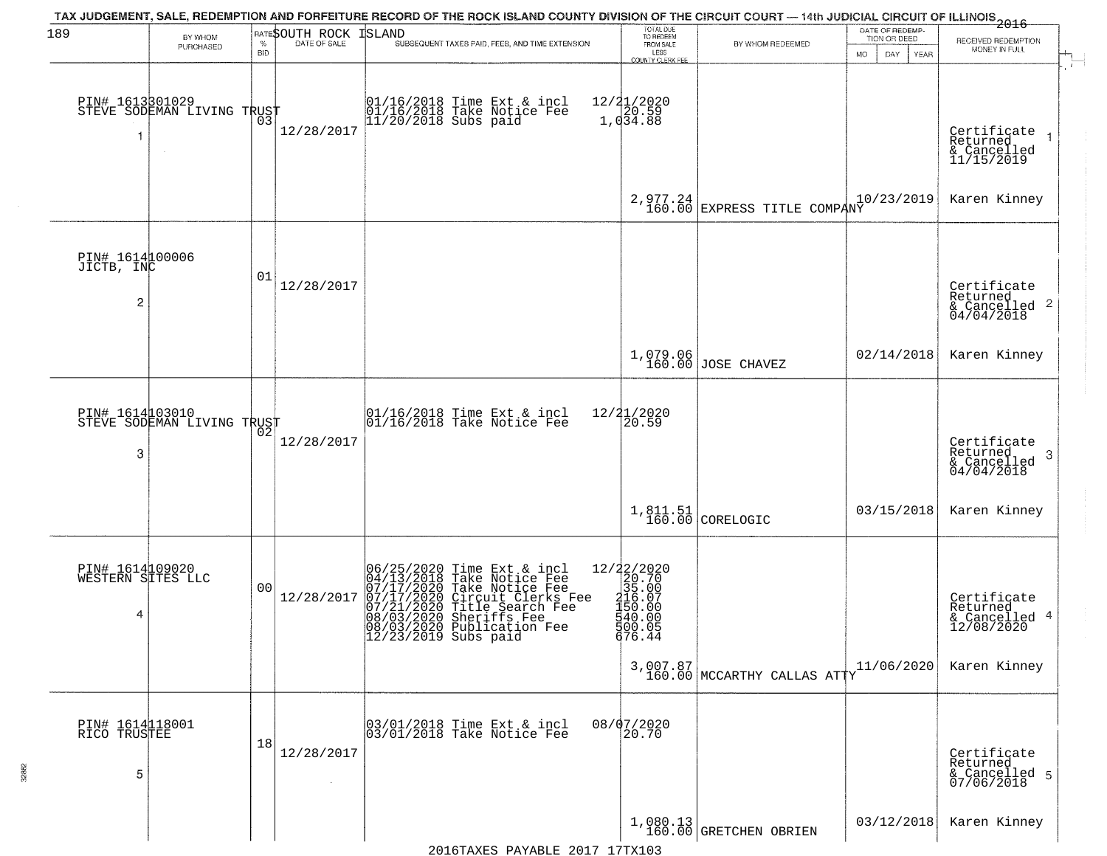| 189                                       | BY WHOM<br>PURCHASED       | <b>BID</b> | <b>RATESOUTH ROCK ISLAND</b> | TAX JUDGEMENT, SALE, REDEMPTION AND FORFEITURE RECORD OF THE ROCK ISLAND COUNTY DIVISION OF THE CIRCUIT COURT — 14th JUDICIAL CIRCUIT OF ILLINOIS 2016<br>SUBSEQUENT TAXES PAID, FEES, AND TIME EXTENSION                                                             | TOTAL DUE<br>TO REDEEM<br>FROM SALE<br>LESS<br>COUNTY CLERK FEE                                                                                                   | BY WHOM REDEEMED                                                               | DATE OF REDEMP-<br>TION OR DEED<br>MO.<br>DAY<br>YEAR | RECEIVED REDEMPTION<br>MONEY IN FULL                               |
|-------------------------------------------|----------------------------|------------|------------------------------|-----------------------------------------------------------------------------------------------------------------------------------------------------------------------------------------------------------------------------------------------------------------------|-------------------------------------------------------------------------------------------------------------------------------------------------------------------|--------------------------------------------------------------------------------|-------------------------------------------------------|--------------------------------------------------------------------|
| PIN# 1613301029                           | STEVE SODEMAN LIVING TRUST | 03         | 12/28/2017                   | 01/16/2018 Time Ext & incl<br>01/16/2018 Take Notice Fee<br>11/20/2018 Subs paid                                                                                                                                                                                      | 12/21/2020<br>1,034.88                                                                                                                                            |                                                                                |                                                       | Certificate<br>Returned<br>& Cancelled<br>11/15/2019               |
|                                           |                            |            |                              |                                                                                                                                                                                                                                                                       | 2,977.24<br>160.00                                                                                                                                                | EXPRESS TITLE COMPANY                                                          | 10/23/2019                                            | Karen Kinney                                                       |
| PIN# 1614100006<br>JICTB, INC<br>2        |                            | 01         | 12/28/2017                   |                                                                                                                                                                                                                                                                       |                                                                                                                                                                   |                                                                                |                                                       | Certificate<br>Returned<br>$\frac{1}{6}$ Cancelled 2<br>04/04/2018 |
|                                           |                            |            |                              |                                                                                                                                                                                                                                                                       |                                                                                                                                                                   | 1,079.06<br>160.00 JOSE CHAVEZ                                                 | 02/14/2018                                            | Karen Kinney                                                       |
| PIN# 1614103010<br>3                      | STEVE SODEMAN LIVING TRUST | 02         | 12/28/2017                   | 01/16/2018 Time Ext & incl<br>01/16/2018 Take Notice Fee                                                                                                                                                                                                              | 12/21/2020<br>20.59                                                                                                                                               |                                                                                |                                                       | Certificate<br>Returned<br>-3<br>& Cancelled<br>04/04/2018         |
|                                           |                            |            |                              |                                                                                                                                                                                                                                                                       | $1,811.51$<br>$160.00$                                                                                                                                            | CORELOGIC                                                                      | 03/15/2018                                            | Karen Kinney                                                       |
| PIN# 1614109020<br>WESTERN SITES LLC<br>4 |                            | 00         | 12/28/2017                   | 06/25/2020 Time Ext & incl<br>04/13/2018 Take Notice Fee<br>07/17/2020 Take Notice Fee<br>07/17/2020 Circuit Clerks Fee<br>07/21/2020 Title Search Fee<br>08/03/2020 Sheriffs Fee<br>08/03/2020 Publication Fee<br>09/03/2020 Publication Fee<br>12/23/2019 Subs paid | $=\begin{smallmatrix} 12/22/2020\\ 20.70\\ 35.00\\ 156.07\\ 150.00\\ 140.00\\ 140.00\\ 140.00\\ 140.00\\ 140.00\\ 140.00\\ \end{smallmatrix}$<br>500.05<br>676.44 |                                                                                |                                                       | Certificate<br>Returned<br>& Cancelled 4<br>12/08/2020             |
|                                           |                            |            |                              |                                                                                                                                                                                                                                                                       |                                                                                                                                                                   | $3,007.87$ 160.00 MCCARTHY CALLAS ATTY                                         | 11/06/2020                                            | Karen Kinney                                                       |
| PIN# 1614118001<br>RICO TRUSTEE<br>5      |                            | 18         | 12/28/2017                   | 03/01/2018 Time Ext & incl<br>03/01/2018 Take Notice Fee                                                                                                                                                                                                              | 08/07/2020<br>20.70                                                                                                                                               |                                                                                |                                                       | Certificate<br>Returned<br>& Cancelled 5<br>07/06/2018             |
|                                           |                            |            |                              |                                                                                                                                                                                                                                                                       |                                                                                                                                                                   | $\left.\begin{array}{c} 1,080.13 \\ 160.00 \end{array}\right $ GRETCHEN OBRIEN | 03/12/2018                                            | Karen Kinney                                                       |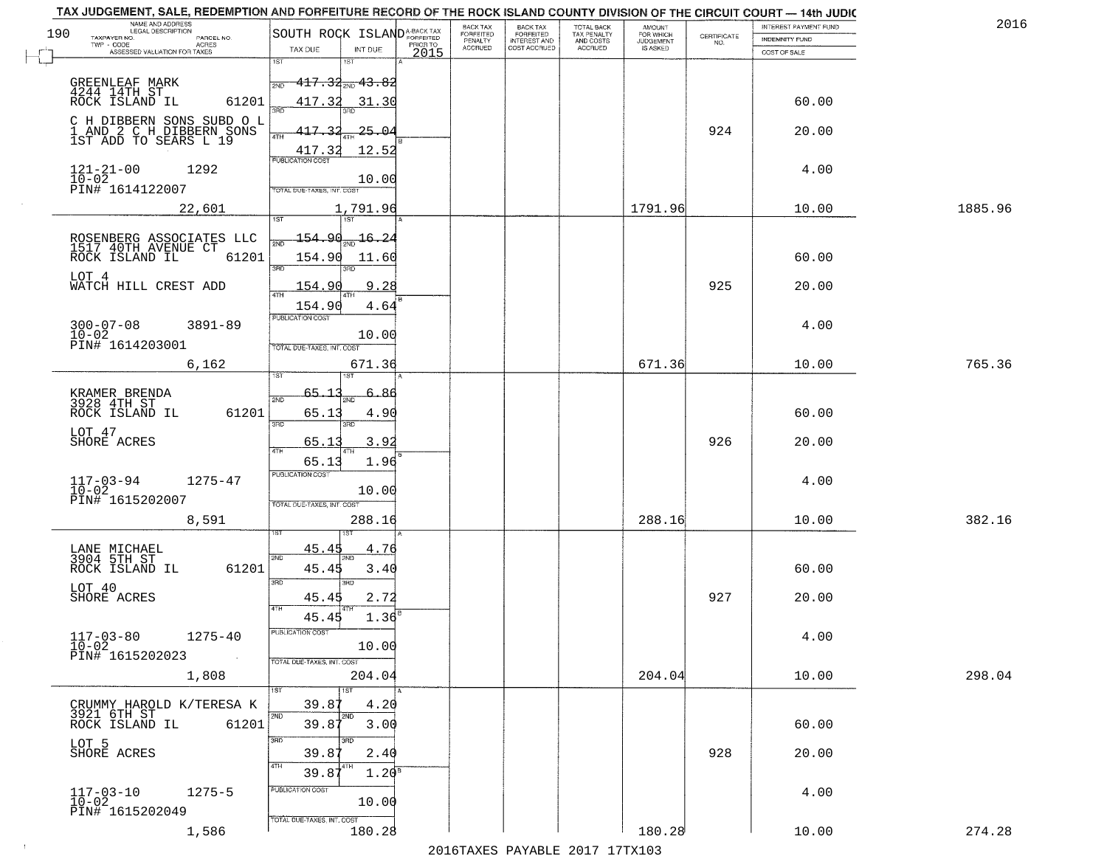| NAME AND ADDRESS<br>LEGAL DESCRIPTION<br>190                                    | SOUTH ROCK ISLAND <sup>A-BACK TAX</sup>            | BACK TAX<br>FORFEITED | BACK TAX<br>FORFEITED        | TOTAL BACK<br>TAX PENALTY | <b>AMOUNT</b>                      |                    | INTEREST PAYMENT FUND | 2016    |
|---------------------------------------------------------------------------------|----------------------------------------------------|-----------------------|------------------------------|---------------------------|------------------------------------|--------------------|-----------------------|---------|
| TAXPAYER NO.<br>PARCEL NO.<br>TWP - CODE<br>ACRES                               | PRIOR TO                                           | PENALTY<br>ACCRUED    | INTEREST AND<br>COST ACCRUED | AND COSTS<br>ACCRUED      | FOR WHICH<br>JUDGEMENT<br>IS ASKED | CERTIFICATE<br>NO. | <b>INDEMNITY FUND</b> |         |
| ASSESSED VALUATION FOR TAXES                                                    | TAX DUE<br>INT DUE<br>2015<br>1ST<br>1ST           |                       |                              |                           |                                    |                    | COST OF SALE          |         |
|                                                                                 | <del>117.32<sub>2ND</sub> 13.82</del><br>2ND       |                       |                              |                           |                                    |                    |                       |         |
| GREENLEAF MARK<br>4244 14TH ST<br>ROCK ISLAND IL<br>61201                       | 417.32<br>31.30                                    |                       |                              |                           |                                    |                    | 60.00                 |         |
|                                                                                 | ۱Яř                                                |                       |                              |                           |                                    |                    |                       |         |
| C H DIBBERN SONS SUBD O L<br>1 AND 2 C H DIBBERN SONS<br>1ST ADD TO SEARS L 19  | 417.<br>_3<br>25.04<br>4TH                         |                       |                              |                           |                                    | 924                | 20.00                 |         |
|                                                                                 | 417.32<br>12.52<br>PUBLICATION COST                |                       |                              |                           |                                    |                    |                       |         |
| $121 - 21 - 00$<br>1292<br>$\overline{10}$ – $\overline{02}$<br>PIN# 1614122007 | 10.00<br>TOTAL DUE-TAXES, INT. COST                |                       |                              |                           |                                    |                    | 4.00                  |         |
| 22,601                                                                          | 1,791.96                                           |                       |                              |                           | 1791.96                            |                    | 10.00                 | 1885.96 |
|                                                                                 | 1ST<br>1ST <sup>1</sup>                            |                       |                              |                           |                                    |                    |                       |         |
| ROSENBERG ASSOCIATES LLC<br>1517 40TH AVENUE CT                                 | <u> 154.90</u><br>16.24                            |                       |                              |                           |                                    |                    |                       |         |
| ROCK ISLAND IL<br>61201                                                         | 154.90<br>11.60<br>3RD                             |                       |                              |                           |                                    |                    | 60.00                 |         |
| LOT 4<br>WATCH HILL CREST ADD                                                   | 154.9<br>9<br>. 28<br>$\overline{ATH}$             |                       |                              |                           |                                    | 925                | 20.00                 |         |
|                                                                                 | 154.90<br>4.64<br>PUBLICATION COST                 |                       |                              |                           |                                    |                    |                       |         |
| $300 - 07 - 08$<br>$3891 - 89$<br>$10 - 02$                                     | 10.00                                              |                       |                              |                           |                                    |                    | 4.00                  |         |
| PIN# <sup>-1614203001</sup>                                                     | TOTAL DUE-TAXES, INT. COST                         |                       |                              |                           |                                    |                    |                       |         |
| 6,162                                                                           | 671.36                                             |                       |                              |                           | 671.36                             |                    | 10.00                 | 765.36  |
| KRAMER BRENDA<br>3928 4TH ST                                                    | -65.1<br>-86<br>2ND                                |                       |                              |                           |                                    |                    |                       |         |
| 61201<br>ROCK ISLAND IL                                                         | 65.13<br>4.90<br>3RD<br>3RD                        |                       |                              |                           |                                    |                    | 60.00                 |         |
| LOT 47<br>SHORE ACRES                                                           | 3.92<br>65.13                                      |                       |                              |                           |                                    | 926                | 20.00                 |         |
|                                                                                 | 4TH<br>65.13<br>1.96                               |                       |                              |                           |                                    |                    |                       |         |
| $117 - 03 - 94$<br>$10 - 02$<br>1275-47                                         | <b>PUBLICATION COST</b><br>10.00                   |                       |                              |                           |                                    |                    | 4.00                  |         |
| PIN# 1615202007                                                                 | TOTAL OUE-TAXES, INT. COST                         |                       |                              |                           |                                    |                    |                       |         |
| 8,591                                                                           | 288.16                                             |                       |                              |                           | 288.16                             |                    | 10.00                 | 382.16  |
| LANE MICHAEL<br>3904 5TH ST                                                     | 45.45<br>4.76                                      |                       |                              |                           |                                    |                    |                       |         |
| 61201<br>ROCK ISLAND IL                                                         | 2ND<br>45.45<br>3.40                               |                       |                              |                           |                                    |                    | 60.00                 |         |
| LOT 40<br>SHORE ACRES                                                           | 3 <sub>BD</sub><br>3BD<br>45.45<br>2.72            |                       |                              |                           |                                    | 927                | 20.00                 |         |
|                                                                                 | 45.45<br>1.36                                      |                       |                              |                           |                                    |                    |                       |         |
| $117 - 03 - 80$<br>$10 - 02$<br>$1275 - 40$                                     | PUBLICATION COST                                   |                       |                              |                           |                                    |                    | 4.00                  |         |
| PIN# 1615202023                                                                 | 10.00<br>TOTAL DUE-TAXES, INT. COST                |                       |                              |                           |                                    |                    |                       |         |
| 1,808                                                                           | 204.04                                             |                       |                              |                           | 204.04                             |                    | 10.00                 | 298.04  |
| CRUMMY HAROLD K/TERESA K                                                        | 1ST<br>4.20<br>39.87                               |                       |                              |                           |                                    |                    |                       |         |
| 3921 6TH ST<br>ROCK ISLAND IL<br>61201                                          | 2ND<br>2ND<br>39.87<br>3.00                        |                       |                              |                           |                                    |                    | 60.00                 |         |
| LOT 5                                                                           | 3BD<br>3RD                                         |                       |                              |                           |                                    |                    |                       |         |
| SHORE ACRES                                                                     | 39.87<br>2.40<br>4TH<br>39.87<br>1.20 <sup>8</sup> |                       |                              |                           |                                    | 928                | 20.00                 |         |
| $1275 - 5$                                                                      | PUBLICATION COST                                   |                       |                              |                           |                                    |                    | 4.00                  |         |
| 117-03-10<br>10-02<br>PIN# 1615202049                                           | 10.00                                              |                       |                              |                           |                                    |                    |                       |         |
| 1,586                                                                           | TOTAL DUE-TAXES, INT. COST<br>180.28               |                       |                              |                           | 180.28                             |                    | 10.00                 | 274.28  |

 $\sim 100$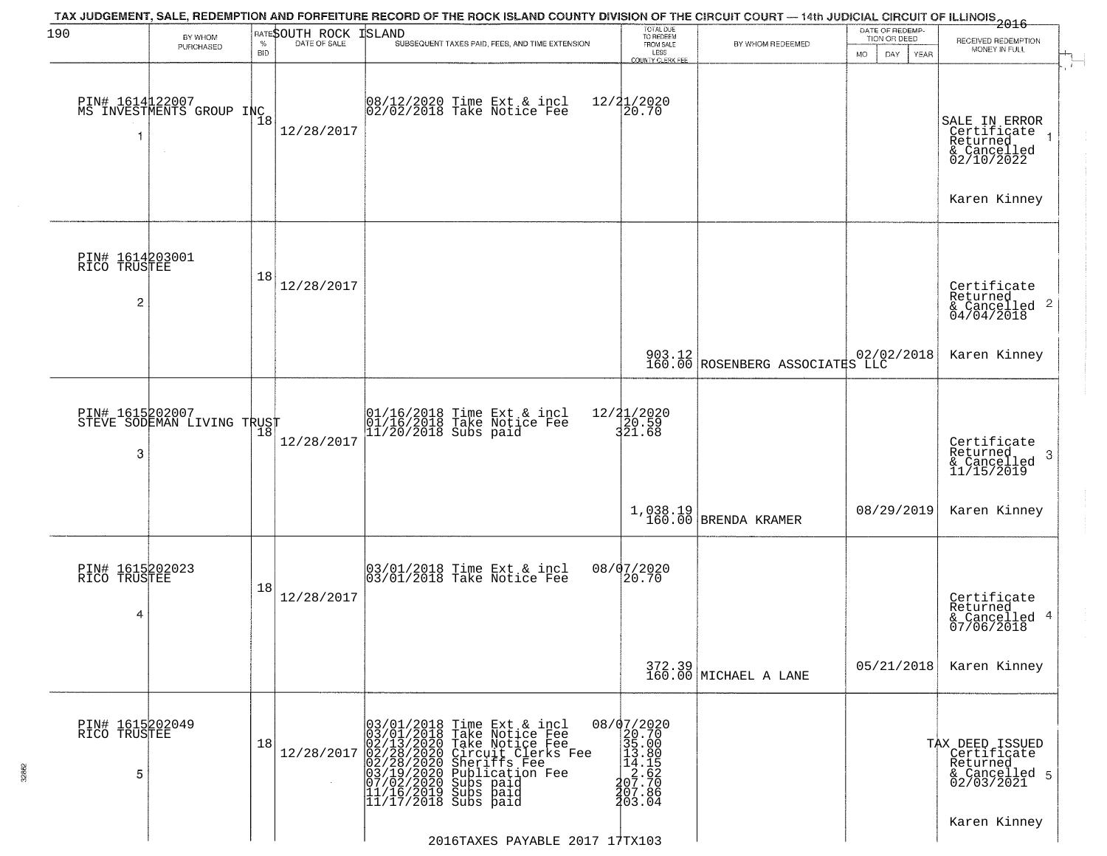|                                      | BY WHOM                                       |                    | RATESOUTH ROCK | TAX JUDGEMENT, SALE, REDEMPTION AND FORFEITURE RECORD OF THE ROCK ISLAND COUNTY DIVISION OF THE CIRCUIT COURT — 14th JUDICIAL CIRCUIT OF ILLINOIS 2016<br>ISLAND                                                                                                                                        | TOTAL DUE<br>TO REDEEM                                                                                                         |                                 | DATE OF REDEMP-<br>TION OR DEED |                                                                                                    |
|--------------------------------------|-----------------------------------------------|--------------------|----------------|---------------------------------------------------------------------------------------------------------------------------------------------------------------------------------------------------------------------------------------------------------------------------------------------------------|--------------------------------------------------------------------------------------------------------------------------------|---------------------------------|---------------------------------|----------------------------------------------------------------------------------------------------|
|                                      | PURCHASED                                     | $\%$<br><b>BID</b> | DATE OF SALE   | SUBSEQUENT TAXES PAID, FEES, AND TIME EXTENSION                                                                                                                                                                                                                                                         | FROM SALE<br>LESS<br><b>COUNTY CLERK FEE</b>                                                                                   | BY WHOM REDEEMED                | MO.<br>DAY.<br><b>YEAR</b>      | RECEIVED REDEMPTION<br>MONEY IN FULL                                                               |
|                                      | PIN# 1614122007<br>MS INVESTMENTS GROUP INC   | $\overline{1}8$    | 12/28/2017     | 08/12/2020 Time Ext & incl<br>02/02/2018 Take Notice Fee                                                                                                                                                                                                                                                | 12/21/2020<br>20.70                                                                                                            |                                 |                                 | SALE IN ERROR<br>Certificate<br>Returned<br>& Cancelled<br>02/10/2022<br>Karen Kinney              |
| PIN# 1614203001<br>RICO TRUSTEE<br>2 |                                               | 18                 | 12/28/2017     |                                                                                                                                                                                                                                                                                                         |                                                                                                                                |                                 |                                 | Certificate<br>Returned<br>$\frac{1}{6}$ Cancelled 2<br>04/04/2018                                 |
|                                      |                                               |                    |                |                                                                                                                                                                                                                                                                                                         |                                                                                                                                | 903.12 ROSENBERG ASSOCIATES LLC | 02/02/2018                      | Karen Kinney                                                                                       |
| 3                                    | PIN# 1615202007<br>STEVE SODEMAN LIVING TRUST | 18                 | 12/28/2017     | 01/16/2018 Time Ext & incl<br>01/16/2018 Take Notice Fee<br>11/20/2018 Subs paid                                                                                                                                                                                                                        | 12/21/2020<br>$\frac{1}{3}$ $\frac{2}{0}$ $\frac{5}{6}$ $\frac{8}{9}$                                                          |                                 |                                 | Certificate<br>Returned<br>3<br>$\begin{array}{c}\n 6 \\  \hline\n 6 \\  11/15/2019\n \end{array}$ |
|                                      |                                               |                    |                |                                                                                                                                                                                                                                                                                                         | 1,038.19<br>160.00                                                                                                             | BRENDA KRAMER                   | 08/29/2019                      | Karen Kinney                                                                                       |
| 4                                    | PIN# 1615202023<br>RICO TRUSTEE               | 18                 | 12/28/2017     | 03/01/2018 Time Ext & incl<br>03/01/2018 Take Notice Fee                                                                                                                                                                                                                                                | 08/07/2020<br>20.70                                                                                                            |                                 |                                 | Certificate<br>Returned<br>& Cancelled 4<br>07/06/2018                                             |
|                                      |                                               |                    |                |                                                                                                                                                                                                                                                                                                         |                                                                                                                                | 372.39<br>160.00 MICHAEL A LANE | 05/21/2018                      | Karen Kinney                                                                                       |
| 5                                    | PIN# 1615202049<br>RICO TRUSTEE               | 18                 | 12/28/2017     | 03/01/2018 Time Ext & incl<br>03/01/2018 Take Notice Fee<br>$[03/01/2018$ Take Notice Fee<br>$[02/28/2020$ Circuit Clerks Fee<br>$[02/28/2020$ Circuit Clerks Fee<br>$[02/28/2020$ Sheriffs Fee<br>$[03/19/2020$ Subs paid<br>$[17/6/2019$ Subs paid<br>$[11/16/2019$ Subs paid<br>$[11/17/2018$ Subs p | $\begin{array}{r} 08/07/2020 \\ 20.70 \\ 35.00 \\ 13.80 \\ 14.85 \\ 2.62 \\ 207.70 \\ 407.86 \\ \end{array}$<br><b>1</b> ŏ3.ŏ4 |                                 |                                 | TAX DEED ISSUED<br>Certificate<br>Returned<br>& Cancelled 5<br>02/03/2021                          |
|                                      |                                               |                    |                | 2016TAXES PAYABLE 2017 17TX103                                                                                                                                                                                                                                                                          |                                                                                                                                |                                 |                                 |                                                                                                    |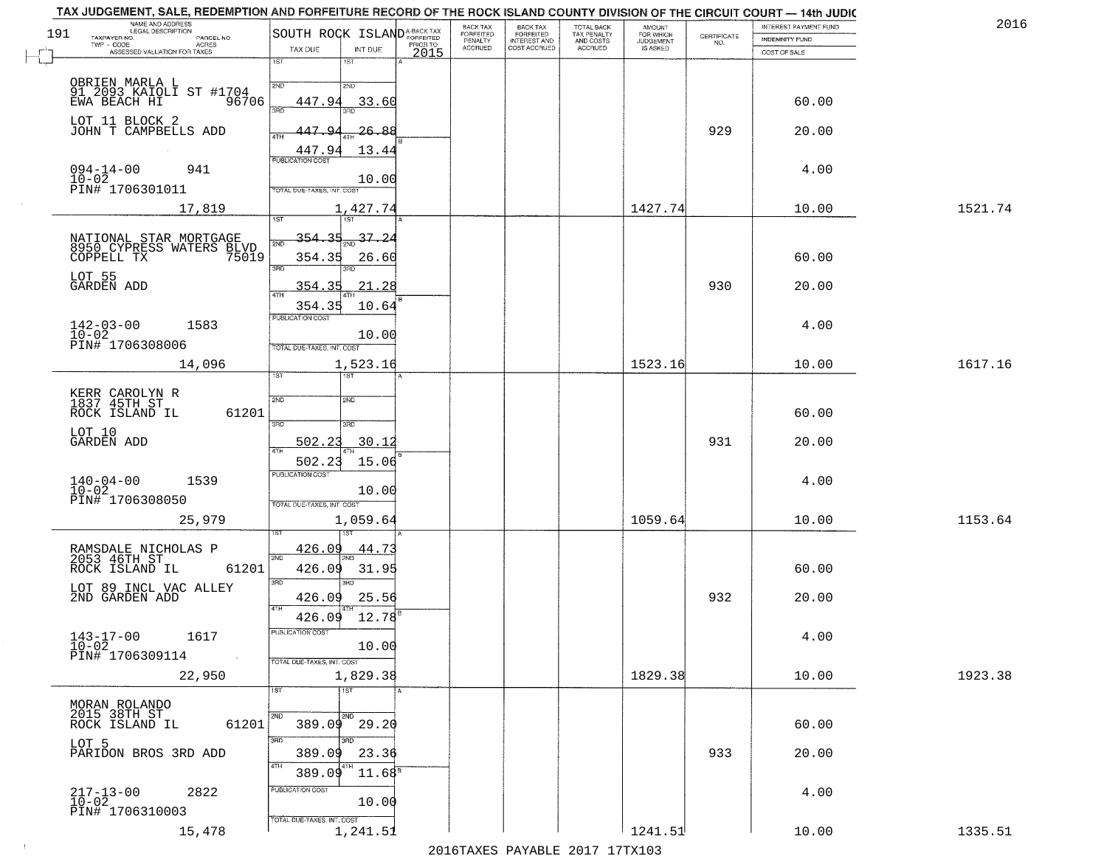| 191 | NAME AND ADDRESS<br>LEGAL DESCRIPTION                                     | SOUTH ROCK ISLAND <sup>A-BACK TAX</sup>         | BACK TAX<br>FORFEITED | <b>BACK TAX</b><br><b>FORFEITED</b> | TOTAL BACK<br>TAX PENALTY<br>AND COSTS<br>ACCRUED | <b>AMOUNT</b>                      |                                                                 | INTEREST PAYMENT FUND | 2016    |
|-----|---------------------------------------------------------------------------|-------------------------------------------------|-----------------------|-------------------------------------|---------------------------------------------------|------------------------------------|-----------------------------------------------------------------|-----------------------|---------|
|     | TAXPAYER NO.<br>PARCEL NO.<br>TWP - CODE<br>ACRES                         | PRIOR TO<br>TAX DUE<br>INT DUE                  | PENALTY<br>ACCRUED    | INTEREST AND<br>COST ACCRUED        |                                                   | FOR WHICH<br>JUDGEMENT<br>IS ASKED | $\begin{array}{c} \text{CERTIFICATE} \\ \text{NO.} \end{array}$ | <b>INDEMNITY FUND</b> |         |
|     | ASSESSED VALUATION FOR TAXES                                              | 2015<br>1ST<br>$1S$ T                           |                       |                                     |                                                   |                                    |                                                                 | COST OF SALE          |         |
|     | OBRIEN MARLA L<br>91 2093 KAIOLI ST #1704                                 | 2ND<br>2ND                                      |                       |                                     |                                                   |                                    |                                                                 |                       |         |
|     | EWA BEACH HI<br>96706                                                     | 447.94<br>33.60<br>390                          |                       |                                     |                                                   |                                    |                                                                 | 60.00                 |         |
|     | LOT 11 BLOCK 2<br>JOHN T CAMPBELLS ADD                                    | 447.<br><u> 26.88</u>                           |                       |                                     |                                                   |                                    | 929                                                             | 20.00                 |         |
|     |                                                                           | ATH<br>447.94<br>13.44                          |                       |                                     |                                                   |                                    |                                                                 |                       |         |
|     | $094 - 14 - 00$<br>941                                                    | <b>PUBLICATION COST</b>                         |                       |                                     |                                                   |                                    |                                                                 | 4.00                  |         |
|     | $10 - 02$<br>PIN# 1706301011                                              | 10.00<br>TOTAL DUE-TAXES, INT. COST             |                       |                                     |                                                   |                                    |                                                                 |                       |         |
|     | 17,819                                                                    | 1,427.74<br>1ST<br>1ST                          |                       |                                     |                                                   | 1427.74                            |                                                                 | 10.00                 | 1521.74 |
|     |                                                                           | 354.35<br>37.24                                 |                       |                                     |                                                   |                                    |                                                                 |                       |         |
|     | NATIONAL STAR MORTGAGE<br>8950 CYPRESS WATERS BLVD<br>COPPELL TX<br>75019 | 354.35<br>26.60                                 |                       |                                     |                                                   |                                    |                                                                 | 60.00                 |         |
|     | LOT 55<br>GARDEN ADD                                                      | 3RD<br>354.35                                   |                       |                                     |                                                   |                                    | 930                                                             |                       |         |
|     |                                                                           | 21.28<br>ৰিয়াম<br>354.35<br>10.64              |                       |                                     |                                                   |                                    |                                                                 | 20.00                 |         |
|     | $142 - 03 - 00$<br>1583                                                   | PUBLICATION COST                                |                       |                                     |                                                   |                                    |                                                                 | 4.00                  |         |
|     | $10-02$<br>PIN# 1706308006                                                | 10.00<br>TOTAL DUE-TAXES, INT. COST             |                       |                                     |                                                   |                                    |                                                                 |                       |         |
|     | 14,096                                                                    | 1,523.16                                        |                       |                                     |                                                   | 1523.16                            |                                                                 | 10.00                 | 1617.16 |
|     |                                                                           | 1ST                                             |                       |                                     |                                                   |                                    |                                                                 |                       |         |
|     | KERR CAROLYN R<br>1837 45TH ST<br>61201<br>ROCK ISLAND IL                 | 2ND<br>2ND                                      |                       |                                     |                                                   |                                    |                                                                 | 60.00                 |         |
|     | LOT 10<br>GARDEN ADD                                                      | 3RD<br>3RD                                      |                       |                                     |                                                   |                                    |                                                                 |                       |         |
|     |                                                                           | 502.23<br>30.12<br>4TH<br>502.23<br>15.06       |                       |                                     |                                                   |                                    | 931                                                             | 20.00                 |         |
|     | 1539                                                                      | <b>PUBLICATION COST</b>                         |                       |                                     |                                                   |                                    |                                                                 | 4.00                  |         |
|     | $140 - 04 - 00$<br>$10 - 02$<br>PIN# 1706308050                           | 10.00<br>TOTAL OUE-TAXES, INT. COST             |                       |                                     |                                                   |                                    |                                                                 |                       |         |
|     | 25,979                                                                    | 1,059.64                                        |                       |                                     |                                                   | 1059.64                            |                                                                 | 10.00                 | 1153.64 |
|     |                                                                           | <u>426.09</u><br>44.73                          |                       |                                     |                                                   |                                    |                                                                 |                       |         |
|     | RAMSDALE NICHOLAS P<br>2053 46TH ST<br>61201<br>ROCK ISLAND IL            | 2ND<br>426.09<br>31.95                          |                       |                                     |                                                   |                                    |                                                                 | 60.00                 |         |
|     | LOT 89 INCL VAC ALLEY                                                     | 3RD<br>3RD                                      |                       |                                     |                                                   |                                    |                                                                 |                       |         |
|     | 2ND GARDEN ADD                                                            | 426.09<br>25.56<br>4TH<br>$12.78^{B}$<br>426.09 |                       |                                     |                                                   |                                    | 932                                                             | 20.00                 |         |
|     | 1617                                                                      | PUBLICATION COST                                |                       |                                     |                                                   |                                    |                                                                 | 4.00                  |         |
|     | $143 - 17 - 00$<br>$10 - 02$<br>PIN# 1706309114<br>$\sim 100$ km          | 10.00<br>TOTAL DUE-TAXES, INT. COST             |                       |                                     |                                                   |                                    |                                                                 |                       |         |
|     | 22,950                                                                    | 1,829.38                                        |                       |                                     |                                                   | 1829.38                            |                                                                 | 10.00                 | 1923.38 |
|     | MORAN ROLANDO                                                             | 1ST<br>1ST                                      |                       |                                     |                                                   |                                    |                                                                 |                       |         |
|     | 2015 38TH ST<br>61201<br>ROCK ISLAND IL                                   | 2ND<br>2ND<br>$389.09$ 29.20                    |                       |                                     |                                                   |                                    |                                                                 | 60.00                 |         |
|     | LOT 5                                                                     | 3RD<br>अंक                                      |                       |                                     |                                                   |                                    |                                                                 |                       |         |
|     | PARIDON BROS 3RD ADD                                                      | 389.09<br>23.36<br>4TH                          |                       |                                     |                                                   |                                    | 933                                                             | 20.00                 |         |
|     | 2822                                                                      | $11.68^8$<br>389.09<br>PUBLICATION COST         |                       |                                     |                                                   |                                    |                                                                 | 4.00                  |         |
|     | $217 - 13 - 00$<br>10-02<br>PIN# 1706310003                               | 10.00                                           |                       |                                     |                                                   |                                    |                                                                 |                       |         |
|     | 15,478                                                                    | TOTAL DUE-TAXES, INT. COST<br>1,241.51          |                       |                                     |                                                   | 1241.51                            |                                                                 | 10.00                 | 1335.51 |
|     |                                                                           |                                                 |                       |                                     |                                                   |                                    |                                                                 |                       |         |

 $\sim 10^{-1}$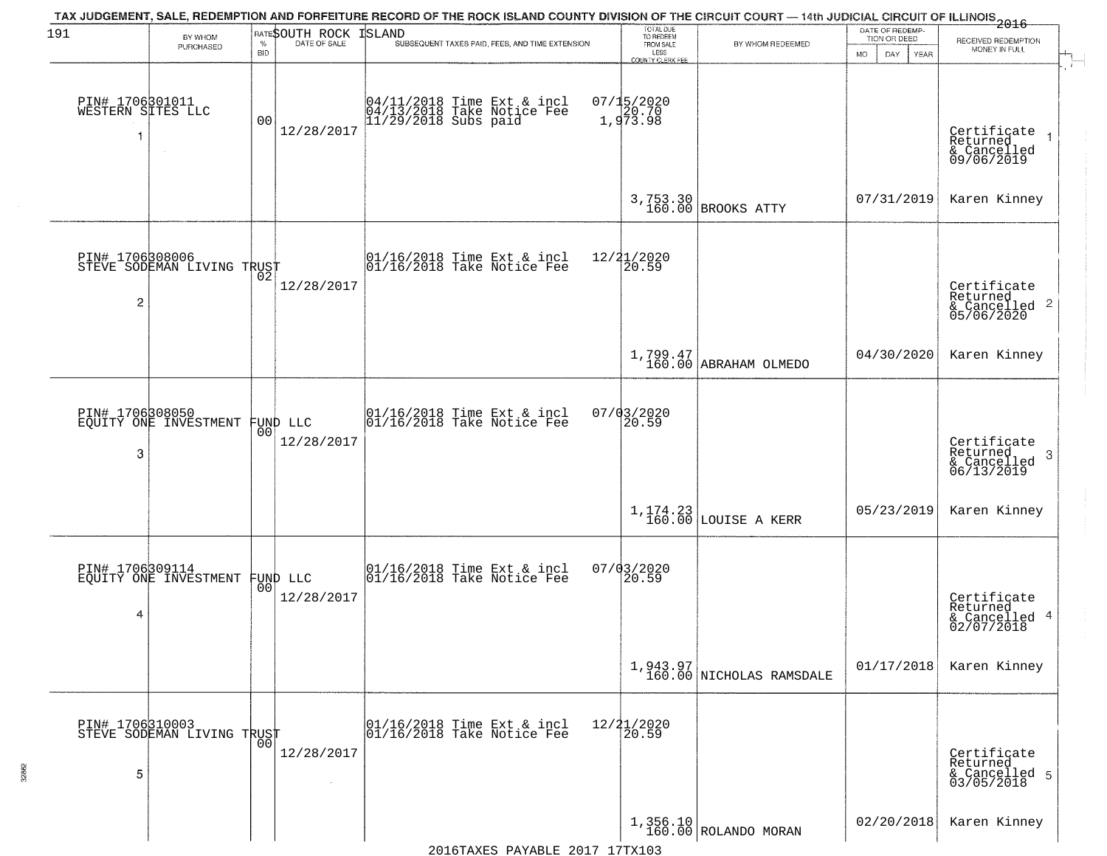| 191                                       | BY WHOM<br>PURCHASED                          | <b>BID</b> | RATESOUTH ROCK ISLAND  | TAX JUDGEMENT, SALE, REDEMPTION AND FORFEITURE RECORD OF THE ROCK ISLAND COUNTY DIVISION OF THE CIRCUIT COURT — 14th JUDICIAL CIRCUIT OF ILLINOIS 2016<br>SUBSEQUENT TAXES PAID, FEES, AND TIME EXTENSION | TOTAL DUE<br>TO REDEEM<br>FROM SALE<br>LESS<br>COUNTY CLERK FEE | BY WHOM REDEEMED                     | DATE OF REDEMP-<br>TION OR DEED<br><b>MO</b><br>DAY<br>YEAR | RECEIVED REDEMPTION<br>MONEY IN FULL                                   |
|-------------------------------------------|-----------------------------------------------|------------|------------------------|-----------------------------------------------------------------------------------------------------------------------------------------------------------------------------------------------------------|-----------------------------------------------------------------|--------------------------------------|-------------------------------------------------------------|------------------------------------------------------------------------|
| PIN# 1706301011<br>WESTERN SITES LLC<br>1 |                                               | 00         | 12/28/2017             | 04/11/2018 Time Ext & incl<br>04/13/2018 Take Notice Fee<br>11/29/2018 Subs paid                                                                                                                          | 07/15/2020<br>1,973.98                                          |                                      |                                                             | Certificate<br>Returned<br>& Cancelled<br>09/06/2019                   |
|                                           |                                               |            |                        |                                                                                                                                                                                                           |                                                                 | 3,753.30 BROOKS ATTY                 | 07/31/2019                                                  | Karen Kinney                                                           |
| PIN# 1706308006<br>2                      |                                               |            | 12/28/2017             | $\begin{array}{cccc} 01/16/2018 &$ Time Ext & incl<br>01/16/2018 Take Notice Fee                                                                                                                          | 12/21/2020<br>$\overline{20.59}$                                |                                      |                                                             | Certificate<br>Returned<br>& Cancelled 2<br>05/06/2020                 |
|                                           |                                               |            |                        |                                                                                                                                                                                                           |                                                                 | 1,799.47<br>160.00 ABRAHAM OLMEDO    | 04/30/2020                                                  | Karen Kinney                                                           |
| PIN# 1706308050<br>3                      | EQUITY ONE INVESTMENT                         | 00         | FUND LLC<br>12/28/2017 | 01/16/2018 Time Ext & incl<br>01/16/2018 Take Notice Fee                                                                                                                                                  | 07/03/2020<br>20.59                                             |                                      |                                                             | Certificate<br>Returned<br>3 <sup>°</sup><br>& Cancelled<br>06/13/2019 |
|                                           |                                               |            |                        |                                                                                                                                                                                                           |                                                                 | $1,174.23$ LOUISE A KERR             | 05/23/2019                                                  | Karen Kinney                                                           |
| PIN# 1706309114<br>4                      | EOUITY ONE INVESTMENT                         | 00         | FUND LLC<br>12/28/2017 | 01/16/2018 Time Ext & incl<br>01/16/2018 Take Notice Fee                                                                                                                                                  | $07/03/2020$<br>20.59                                           |                                      |                                                             | Certificate<br>Returned<br>& Cancelled 4<br>02/07/2018                 |
|                                           |                                               |            |                        |                                                                                                                                                                                                           |                                                                 | 1,943.97<br>160.00 NICHOLAS RAMSDALE | 01/17/2018                                                  | Karen Kinney                                                           |
| 5                                         | PIN# 1706310003<br>STEVE SODEMAN LIVING TRUST | 00         | 12/28/2017             | 01/16/2018 Time Ext & incl<br>01/16/2018 Take Notice Fee                                                                                                                                                  | 12/21/2020<br>20.59                                             |                                      |                                                             | Certificate<br>Returned<br>& Cancelled 5<br>03/05/2018                 |
|                                           |                                               |            |                        |                                                                                                                                                                                                           |                                                                 | $1,356.10$ ROLANDO MORAN             | 02/20/2018                                                  | Karen Kinney                                                           |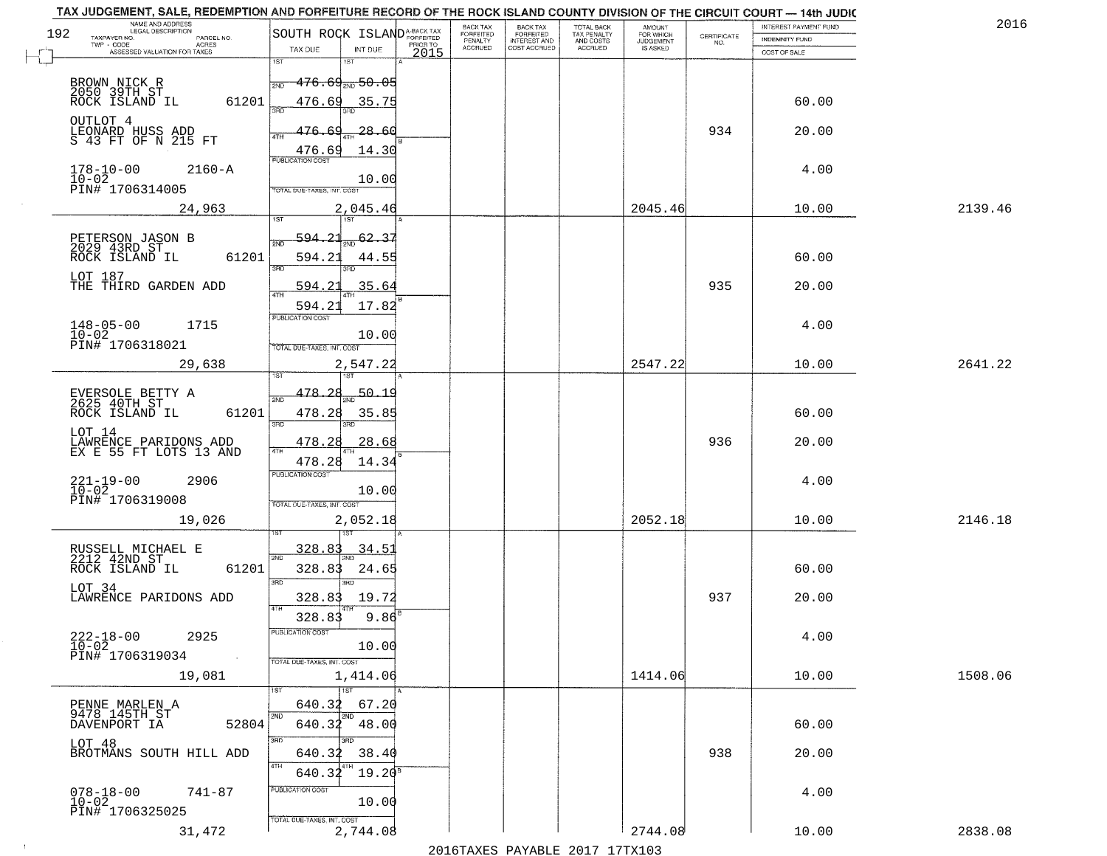| TAX JUDGEMENT, SALE, REDEMPTION AND FORFEITURE RECORD OF THE ROCK ISLAND COUNTY DIVISION OF THE CIRCUIT COURT - 14th JUDIC<br>NAME AND ADDRESS<br>LEGAL DESCRIPTION |                                                                                                                          | BACK TAX<br><b>BACK TAX</b>                       |                                        | AMOUNT<br>FOR WHICH |                                                                 | INTEREST PAYMENT FUND | 2016    |
|---------------------------------------------------------------------------------------------------------------------------------------------------------------------|--------------------------------------------------------------------------------------------------------------------------|---------------------------------------------------|----------------------------------------|---------------------|-----------------------------------------------------------------|-----------------------|---------|
| 192<br>TAXPAYER NO.<br>PARCEL NO.<br>ACRES                                                                                                                          | SOUTH ROCK ISLAND <sup>A-BACK TAX</sup><br>PRIOR TO                                                                      | FORFEITED<br>FORFEITED<br>INTEREST AND<br>PENALTY | TOTAL BACK<br>TAX PENALTY<br>AND COSTS | <b>JUDGEMENT</b>    | $\begin{array}{c} \text{CERTIFICATE} \\ \text{NO.} \end{array}$ | <b>INDEMNITY FUND</b> |         |
| ASSESSED VALUATION FOR TAXES                                                                                                                                        | TAX DUE<br>INT DUE<br>2015                                                                                               | <b>ACCRUED</b><br>COST ACCRUED                    | <b>ACCRUED</b>                         | IS ASKED            |                                                                 | COST OF SALE          |         |
| BROWN NICK R<br>2050 39TH ST<br>ROCK ISLAND IL<br>61201                                                                                                             | 1ST<br>18T<br><del>176.69<sub>2ND</sub>50.05</del><br>2ND<br>476.69<br><u>35.75</u>                                      |                                                   |                                        |                     |                                                                 | 60.00                 |         |
| OUTLOT 4<br>LEONARD HUSS ADD<br>S 43 FT OF N 215 FT                                                                                                                 | -28.60<br>476.69<br>14.30<br>$\frac{476.69}{FUBUCATON COST}$                                                             |                                                   |                                        |                     | 934                                                             | 20.00                 |         |
| $178 - 10 - 00$<br>$10 - 02$<br>$2160 - A$<br>PIN# 1706314005                                                                                                       | 10.00<br>TOTAL DUE-TAXES, INT. COST                                                                                      |                                                   |                                        |                     |                                                                 | 4.00                  |         |
| 24,963                                                                                                                                                              | 2,045.46                                                                                                                 |                                                   |                                        | 2045.46             |                                                                 | 10.00                 | 2139.46 |
| PETERSON JASON B<br>2029 43RD ST<br>61201<br>ROCK ISLAND IL<br>LOT 187<br>THE THIRD GARDEN ADD                                                                      | 594.21<br>62.37<br>2ND<br>594.23<br>44.55<br>3RD<br>3RD<br>35.64<br><u>594.21</u><br>$\overline{47H}$<br>594.21<br>17.82 |                                                   |                                        |                     | 935                                                             | 60.00<br>20.00        |         |
| $148 - 05 - 00$<br>1715<br>$10 - 02$<br>PIN# 1706318021                                                                                                             | PUBLICATION COST<br>10.00<br>TOTAL DUE-TAXES, INT. COST                                                                  |                                                   |                                        |                     |                                                                 | 4.00                  |         |
| 29,638                                                                                                                                                              | 2,547.22                                                                                                                 |                                                   |                                        | 2547.22             |                                                                 | 10.00                 | 2641.22 |
| EVERSOLE BETTY A<br>2625 40TH ST<br>ROCK ISLAND IL<br>61201<br>LOT 14                                                                                               | isT<br>187<br>50.1<br>478.28<br>2ND<br>478.28<br>35.85<br>3RD<br>3RD<br>478.28<br>28.68                                  |                                                   |                                        |                     | 936                                                             | 60.00<br>20.00        |         |
| LAWRENCE PARIDONS ADD<br>EX E 55 FT LOTS 13 AND<br>$221 - 19 - 00$<br>$10 - 02$<br>2906<br>PIN# 1706319008<br>19,026                                                | 4TH<br>478.28<br>14.34<br><b>PUBLICATION COST</b><br>10.00<br>TOTAL OUE-TAXES, INT. COST<br>2,052.18                     |                                                   |                                        | 2052.18             |                                                                 | 4.00<br>10.00         | 2146.18 |
| RUSSELL MICHAEL E<br>2212 42ND ST<br>ROCK ISLAND IL<br>61201<br>LOT 34<br>LAWRENCE PARIDONS ADD                                                                     | 328.83<br>34.5<br>2ND<br>328.83<br>24.65<br>3 <sub>BD</sub><br><b>IRD</b><br>328.83<br>19.72<br>4TH<br>$9.86^{8}$        |                                                   |                                        |                     | 937                                                             | 60.00<br>20.00        |         |
| $222 - 18 - 00$<br>2925<br>$10 - 02$<br>PIN# 1706319034<br>$\sim 100$ km $^{-1}$                                                                                    | 328.83<br>"UBLICA HUN CUS<br>10.00<br>TOTAL DUE-TAXES, INT. COST                                                         |                                                   |                                        |                     |                                                                 | 4.00                  |         |
| 19,081                                                                                                                                                              | 1,414.06                                                                                                                 |                                                   |                                        | 1414.06             |                                                                 | 10.00                 | 1508.06 |
| PENNE MARLEN A<br>9478 145TH ST<br>52804<br>DAVENPORT IA                                                                                                            | $\overline{1}$ ST<br>640.32<br>67.20<br>2ND<br>2ND<br>640.32 48.00<br>3RD                                                |                                                   |                                        |                     |                                                                 | 60.00                 |         |
| LOT 48<br>BROTMANS SOUTH HILL ADD                                                                                                                                   | 38.40<br>640.32<br>4TH<br>640.32<br>$19.20^8$                                                                            |                                                   |                                        |                     | 938                                                             | 20.00                 |         |
| $078 - 18 - 00$<br>741-87<br>$10 - 02$<br>PIN# 1706325025                                                                                                           | PUBLICATION COST<br>10.00<br>TOTAL DUE-TAXES, INT. COST                                                                  |                                                   |                                        |                     |                                                                 | 4.00                  |         |
| 31,472                                                                                                                                                              | 2,744.08                                                                                                                 |                                                   |                                        | 2744.08             |                                                                 | 10.00                 | 2838.08 |

 $\sim 10^{-1}$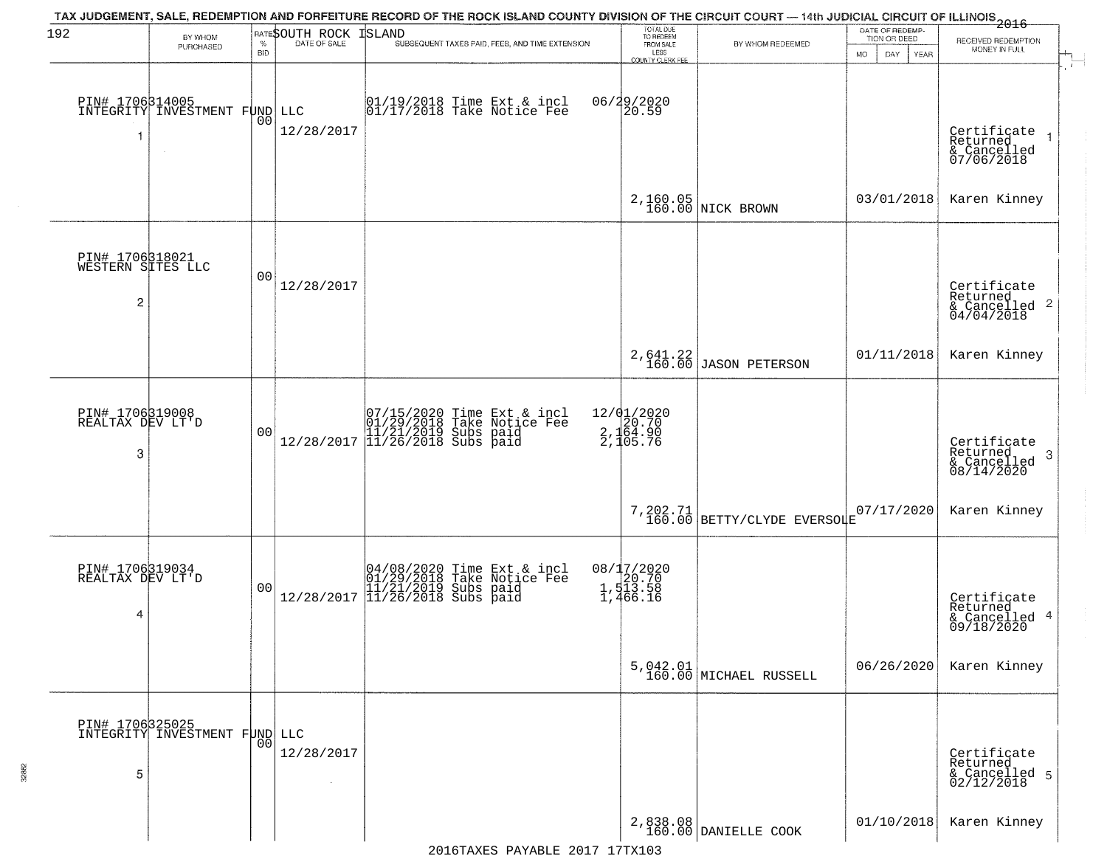| 192                                       | BY WHOM                                                    |                    | RATESOUTH ROCK | <b>ISLAND</b>                                                                                                   | TOTAL DUE<br>TO REDEEM                            |                                         | DATE OF REDEMP-<br>TION OR DEED |                                                                                  |
|-------------------------------------------|------------------------------------------------------------|--------------------|----------------|-----------------------------------------------------------------------------------------------------------------|---------------------------------------------------|-----------------------------------------|---------------------------------|----------------------------------------------------------------------------------|
|                                           | PURCHASED                                                  | $\%$<br><b>BID</b> | DATE OF SALE   | SUBSEQUENT TAXES PAID, FEES, AND TIME EXTENSION                                                                 | FROM SALE<br>LESS                                 | BY WHOM REDEEMED                        | <b>MO</b><br>DAY.<br>YEAR       | RECEIVED REDEMPTION<br>MONEY IN FULL                                             |
| 1                                         | PIN# 1706314005<br>INTEGRITY INVESTMENT FUND LLC<br>$\sim$ | 0 <sub>0</sub>     | 12/28/2017     | $\begin{array}{c}  01/19/2018 \text{ Time Ext} & \text{incl} \\  01/17/2018 \text{ Take Notice Fe} \end{array}$ | COUNTY CLERK FEE<br>06/29/2020<br>20.59           |                                         |                                 | Certificate<br>Returned<br>$\overline{\phantom{a}}$<br>& Cancelled<br>07/06/2018 |
|                                           |                                                            |                    |                |                                                                                                                 |                                                   | 2,160.05<br>160.00 NICK BROWN           | 03/01/2018                      | Karen Kinney                                                                     |
| PIN# 1706318021<br>WESTERN SITES LLC<br>2 |                                                            | 0 <sub>0</sub>     | 12/28/2017     |                                                                                                                 |                                                   |                                         |                                 | Certificate<br>Returned<br>$\overline{2}$<br>& Cancelled<br>04/04/2018           |
|                                           |                                                            |                    |                |                                                                                                                 |                                                   | $2,641.22$ JASON PETERSON               | 01/11/2018                      | Karen Kinney                                                                     |
| PIN# 1706319008<br>REALTAX DEV LT'D<br>3  |                                                            | 0 <sub>0</sub>     | 12/28/2017     | 07/15/2020 Time Ext & incl<br>01/29/2018 Take Notice Fee<br>11/21/2019 Subs paid<br>11/26/2018 Subs paid        | 12/01/2020<br>2, 164.90<br>2, 164.90<br>2, 105.76 |                                         |                                 | Certificate<br>Returned<br>3<br>$\frac{1}{08/14/2020}$                           |
|                                           |                                                            |                    |                |                                                                                                                 |                                                   | 7,202.71<br>160.00 BETTY/CLYDE EVERSOLE | 07/17/2020                      | Karen Kinney                                                                     |
| PIN# 1706319034<br>REALTAX DEV LT'D<br>4  |                                                            | 0 <sub>0</sub>     | 12/28/2017     | 04/08/2020 Time Ext & incl<br>01/29/2018 Take Notice Fee<br>11/21/2019 Subs paid<br>11/26/2018 Subs paid        | 08/17/2020<br>1,513.58<br>1,513.58<br>1,466.16    |                                         |                                 | Certificate<br>Returned<br>4<br>& Cancelled<br>09/18/2020                        |
|                                           |                                                            |                    |                |                                                                                                                 |                                                   | $5,042.01$ MICHAEL RUSSELL              | 06/26/2020                      | Karen Kinney                                                                     |
| 5                                         | PIN# 1706325025<br>INTEGRITY INVESTMENT FUND LLC           | 0 <sub>0</sub>     | 12/28/2017     |                                                                                                                 |                                                   |                                         |                                 | Certificate<br>Returned<br>& Cancelled 5<br>02/12/2018                           |
|                                           |                                                            |                    |                |                                                                                                                 |                                                   | 2,838.08<br>160.00 DANIELLE COOK        | 01/10/2018                      | Karen Kinney                                                                     |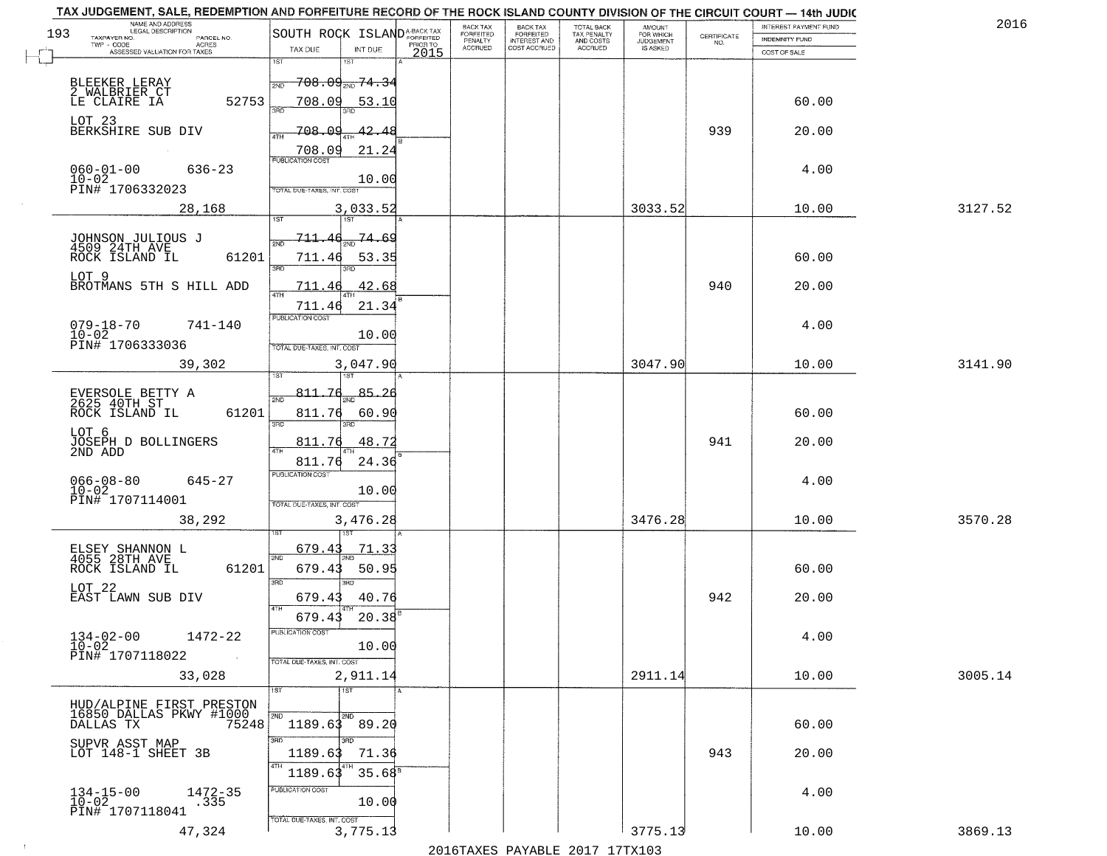| 2016    | INTEREST PAYMENT FUND |                                                                 | AMOUNT<br>FOR WHICH |                                        | <b>BACK TAX</b>           | BACK TAX             |          |                                                |                                                                                      |                     | TAX JUDGEMENT, SALE, REDEMPTION AND FORFEITURE RECORD OF THE ROCK ISLAND COUNTY DIVISION OF THE CIRCUIT COURT - 14th JUDIC<br>NAME AND ADDRESS<br>LEGAL DESCRIPTION |
|---------|-----------------------|-----------------------------------------------------------------|---------------------|----------------------------------------|---------------------------|----------------------|----------|------------------------------------------------|--------------------------------------------------------------------------------------|---------------------|---------------------------------------------------------------------------------------------------------------------------------------------------------------------|
|         | INDEMNITY FUND        | $\begin{array}{c} \text{CERTIFICATE} \\ \text{NO.} \end{array}$ | <b>JUDGEMENT</b>    | TOTAL BACK<br>TAX PENALTY<br>AND COSTS | FORFEITED<br>INTEREST AND | FORFEITED<br>PENALTY | PRIOR TO |                                                | SOUTH ROCK ISLAND <sup>A-BACK TAX</sup>                                              |                     | 193<br>TAXPAYER NO.<br>PARCEL NO.<br>ACRES                                                                                                                          |
|         | COST OF SALE          |                                                                 | IS ASKED            | <b>ACCRUED</b>                         | COST ACCRUED              | <b>ACCRUED</b>       | 2015     | INT DUE                                        | TAX DUE                                                                              |                     | ASSESSED VALUATION FOR TAXES                                                                                                                                        |
|         | 60.00                 |                                                                 |                     |                                        |                           |                      |          | 18T<br>53.10                                   | 1ST<br>$-708.09_{\text{2ND}}$ $74.34$<br>2ND<br>708.09                               | 52753               | BLEEKER LERAY<br>2_WALBRIER_CT<br>LE CLAIRE IA                                                                                                                      |
|         | 20.00                 | 939                                                             |                     |                                        |                           |                      |          | <u>42.48</u><br>21.24                          | 708.09<br>$\frac{708.09}{FUBUCATON COST}$                                            |                     | LOT 23<br>BERKSHIRE SUB DIV                                                                                                                                         |
|         | 4.00                  |                                                                 |                     |                                        |                           |                      |          | 10.00                                          | TOTAL DUE-TAXES, INT. COST                                                           |                     | $060 - 01 - 00$<br>$636 - 23$<br>$10 - 02$<br>PIN# 1706332023                                                                                                       |
| 3127.52 | 10.00                 |                                                                 | 3033.52             |                                        |                           |                      |          | 3,033.52                                       |                                                                                      |                     | 28,168                                                                                                                                                              |
|         | 60.00<br>20.00        | 940                                                             |                     |                                        |                           |                      |          | $\frac{74.69}{200}$<br>53.35<br>42.68<br>21.34 | <u>711.46</u><br>ইমট<br>711.46<br>3RD<br>711.46<br>711.46                            | 61201               | JOHNSON JULIOUS J<br>4509 24TH AVE<br>ROCK ISLAND IL<br>LOT 9<br>BROTMANS 5TH S HILL ADD                                                                            |
|         | 4.00                  |                                                                 |                     |                                        |                           |                      |          | 10.00                                          | PUBLICATION COST<br>TOTAL DUE-TAXES, INT. COST                                       |                     | $079 - 18 - 70$<br>741-140<br>$10 - 02$<br>PIN# 1706333036                                                                                                          |
| 3141.90 | 10.00                 |                                                                 | 3047.90             |                                        |                           |                      |          | 3,047.90                                       | isT                                                                                  |                     | 39,302                                                                                                                                                              |
|         | 60.00<br>20.00        | 941                                                             |                     |                                        |                           |                      |          | 85.26<br>60.90<br>3RD<br>48.72<br>24.36        | 811.76<br>2ND<br>811.76<br>3RD<br>811.76<br>4TH<br>811.76<br><b>PUBLICATION COST</b> | 61201               | EVERSOLE BETTY A<br>2625 40TH ST<br>ROCK ISLAND IL<br>LOT 6<br>JOSEPH D BOLLINGERS<br>2ND ADD                                                                       |
| 3570.28 | 4.00<br>10.00         |                                                                 | 3476.28             |                                        |                           |                      |          | 10.00<br>3,476.28                              | TOTAL OUE-TAXES, INT. COST                                                           |                     | $066 - 08 - 80$<br>$645 - 27$<br>$10 - 02$<br>PIN# 1707114001<br>38,292                                                                                             |
|         | 60.00<br>20.00        | 942                                                             |                     |                                        |                           |                      |          | 71.33<br>50.95<br>3RD<br>40.76<br>$20.38^{6}$  | 679.43<br>2ND<br>679.43<br>3 <sub>BD</sub><br>679.43<br>4TH                          | 61201               | ELSEY SHANNON L<br>4055 28TH AVE<br>ROCK ISLAND IL<br>LOT 22<br>EAST LAWN SUB DIV                                                                                   |
|         | 4.00                  |                                                                 |                     |                                        |                           |                      |          | 10.00                                          | 679.43<br>PUBLICATION CUS.<br>TOTAL DUE-TAXES, INT. COST                             | <b>Contract</b>     | $134 - 02 - 00$<br>1472-22<br>$10 - 02$<br>PIN# 1707118022                                                                                                          |
| 3005.14 | 10.00                 |                                                                 | 2911.14             |                                        |                           |                      |          | 2,911.14                                       |                                                                                      |                     | 33,028                                                                                                                                                              |
|         | 60.00                 |                                                                 |                     |                                        |                           |                      |          | $\overline{11ST}$<br>2ND<br>3BD                | 1ST<br>2ND<br>$1189.63$ 89.20<br>3RD                                                 | 75248               | HUD/ALPINE FIRST PRESTON<br>16850 DALLAS PKWY #1000<br>DALLAS TX                                                                                                    |
|         | 20.00                 | 943                                                             |                     |                                        |                           |                      |          | 71.36<br>35.68 <sup>B</sup>                    | 1189.63<br>4TH<br>1189.63<br>PUBLICATION COST                                        |                     | SUPVR ASST MAP<br>LOT 148-1 SHEET 3B                                                                                                                                |
| 3869.13 | 4.00<br>10.00         |                                                                 | 3775.13             |                                        |                           |                      |          | 10.00<br>3,775.13                              | TOTAL DUE-TAXES, INT. COST                                                           | $1472 - 35$<br>.335 | $134-15-00$<br>$10-02$<br>PIN# 1707118041<br>47,324                                                                                                                 |
|         |                       |                                                                 |                     |                                        |                           |                      |          |                                                |                                                                                      |                     |                                                                                                                                                                     |

 $\sim 10^{-1}$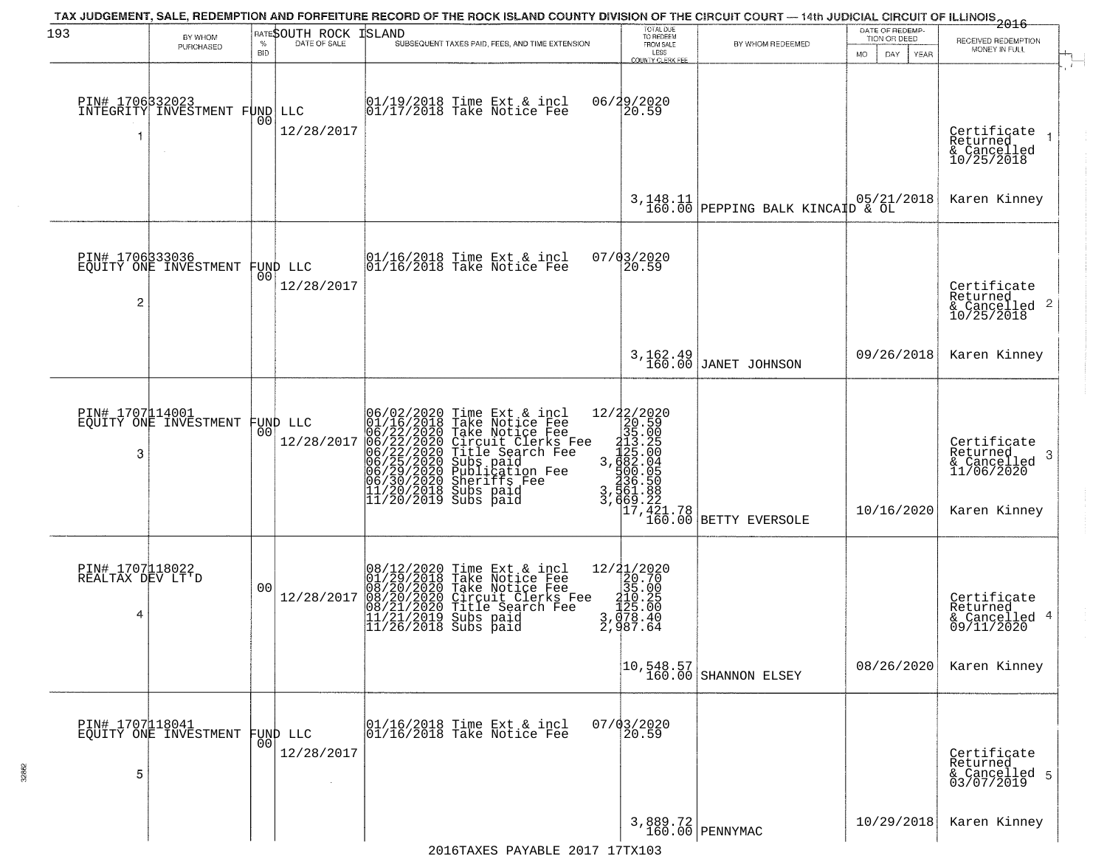| 193                                      | BY WHOM<br>PURCHASED                             | <b>BID</b>     | RATESOUTH ROCK ISLAND          | TAX JUDGEMENT, SALE, REDEMPTION AND FORFEITURE RECORD OF THE ROCK ISLAND COUNTY DIVISION OF THE CIRCUIT COURT — 14th JUDICIAL CIRCUIT OF ILLINOIS<br>2016 - 14th Juli 2017<br>SUBSEQUENT TAXES PAID, FEES, AND TIME EXTENSION                                                                                                             | TOTAL DUE<br>TO REDEEM<br>FROM SALE<br>LESS<br>COUNTY CLERK FEE                                                                                                 | BY WHOM REDEEMED                                                                    | DATE OF REDEMP-<br>TION OR DEED<br>MO.<br>DAY.<br>YEAR | RECEIVED REDEMPTION<br>MONEY IN FULL                                       |
|------------------------------------------|--------------------------------------------------|----------------|--------------------------------|-------------------------------------------------------------------------------------------------------------------------------------------------------------------------------------------------------------------------------------------------------------------------------------------------------------------------------------------|-----------------------------------------------------------------------------------------------------------------------------------------------------------------|-------------------------------------------------------------------------------------|--------------------------------------------------------|----------------------------------------------------------------------------|
|                                          | PIN# 1706332023<br>INTEGRITY INVESTMENT FUND LLC | 00             | 12/28/2017                     | 01/19/2018 Time Ext & incl<br>01/17/2018 Take Notice Fee                                                                                                                                                                                                                                                                                  | 06/29/2020<br>20.59                                                                                                                                             |                                                                                     |                                                        | Certificate<br>Returned<br>& Cancelled<br>10/25/2018                       |
|                                          |                                                  |                |                                |                                                                                                                                                                                                                                                                                                                                           | $3,148.11$<br>$160.00$                                                                                                                                          | $\vert$ PEPPING BALK KINCAID & OL                                                   |                                                        | Karen Kinney                                                               |
| 2                                        | PIN# 170633036<br>EQUITY ONE INVESTMENT FUND LLC |                | 12/28/2017                     | 01/16/2018 Time Ext & incl<br>01/16/2018 Take Notice Fee                                                                                                                                                                                                                                                                                  | 07/03/2020<br>20.59                                                                                                                                             |                                                                                     |                                                        | Certificate<br>Returned                                                    |
|                                          |                                                  |                |                                |                                                                                                                                                                                                                                                                                                                                           |                                                                                                                                                                 | 3, 162.49<br>160.00 JANET JOHNSON                                                   | 09/26/2018                                             | Karen Kinney                                                               |
| PIN# 1707014001<br>3                     | EQUITY ONE INVESTMENT                            | 00             | FUND LLC<br>12/28/2017         | 06/02/2020<br>01/16/2018<br>06/22/2020<br>06/22/2020<br>06/22/2020<br>06/29/2020<br>06/30/2020<br>06/30/2020<br>06/30/2020<br>Time Ext & incl<br>Take Notice Fee<br>Take Notice Fee<br>Circuit Clerks Fee<br>Title Search Fee<br>Subs paid<br>Publication Fee<br>Sherifs Fee<br>Subs paid<br>11/20/2018 Subs paid<br>11/20/2019 Subs paid | $\begin{array}{r} 12/22/2020 \\ 20.59 \\ 35.00 \\ 113.20 \\ 123.25 \\ 3423.25 \\ 3562.04 \\ 3662.06 \\ 3764.88 \\ 461.88 \\ 57.421.78 \\ 160.00 \\ \end{array}$ | BETTY EVERSOLE                                                                      | 10/16/2020                                             | Certificate<br>Returned<br>-3<br>& Cancelled<br>11/06/2020<br>Karen Kinney |
| PIN# 1707118022<br>REALTAX DEV LT'D<br>4 |                                                  | 0 <sub>0</sub> | 12/28/2017                     | 08/12/2020 Time Ext & incl<br>01/29/2018 Take Notice Fee<br>08/20/2020 Take Notice Fee<br>08/20/2020 Circuit Clerks Fee<br>08/21/2020 Title Search Fee<br>11/21/2019 Subs paid<br>11/26/2018 Subs paid                                                                                                                                    | 12/21/2020<br>20.70<br>35.00<br>210:25<br>125.00<br>178.40<br>3,078.40                                                                                          |                                                                                     |                                                        | Certificate<br>Returned<br>& Cancelled 4<br>09/11/2020                     |
|                                          |                                                  |                |                                |                                                                                                                                                                                                                                                                                                                                           |                                                                                                                                                                 | $\begin{array}{ l l l } 10,548.57 \hline 160.00 & \text{SHANNON ELSEY} \end{array}$ | 08/26/2020                                             | Karen Kinney                                                               |
| PIN# 1707118041<br>5                     | EQUITY ONE INVESTMENT                            |                | FUND LLC<br> 00 <br>12/28/2017 | $\begin{array}{c}  01/16/2018 \text{ Time Ext} & \text{incl} \\  01/16/2018 \text{ Take Notice Fe} \end{array}$                                                                                                                                                                                                                           | $07/03/2020$<br>$20.59$                                                                                                                                         |                                                                                     |                                                        | Certificate<br>Returned<br>& Cancelled 5<br>03/07/2019                     |
|                                          |                                                  |                |                                |                                                                                                                                                                                                                                                                                                                                           |                                                                                                                                                                 | 3,889.72<br>160.00 PENNYMAC                                                         | 10/29/2018                                             | Karen Kinney                                                               |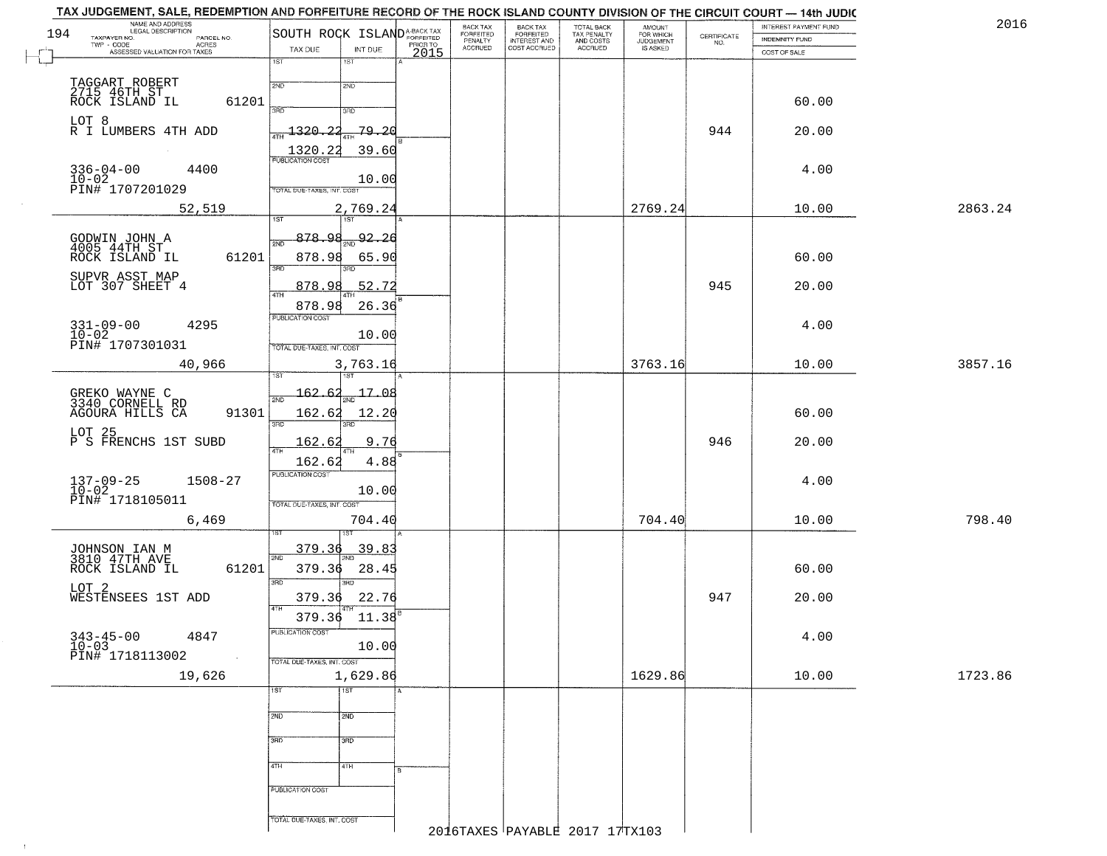| 194 | NAME AND ADDRESS<br>LEGAL DESCRIPTION<br>PARCEL NO.       | SOUTH ROCK ISLAND <sup>A-BACK TAX</sup>    |                  | BACK TAX<br>FORFEITED<br>FENALTY | BACK TAX<br>FORFEITED<br>INTEREST AND | TOTAL BACK<br>TAX PENALTY<br>AND COSTS | AMOUNT<br>FOR WHICH<br>JUDGEMENT |                                                                 | INTEREST PAYMENT FUND                 | 2016    |
|-----|-----------------------------------------------------------|--------------------------------------------|------------------|----------------------------------|---------------------------------------|----------------------------------------|----------------------------------|-----------------------------------------------------------------|---------------------------------------|---------|
|     | TAXPAYER NO.<br>ACRES<br>ASSESSED VALUATION FOR TAXES     | TAX DUE<br>INT DUE                         | PRIOR TO<br>2015 | <b>ACCRUED</b>                   | COST ACCRUED                          | ACCRUED                                | IS ASKED                         | $\begin{array}{c} \text{CERTIFICATE} \\ \text{NO.} \end{array}$ | <b>INDEMNITY FUND</b><br>COST OF SALE |         |
|     |                                                           | 1ST<br>1ST                                 |                  |                                  |                                       |                                        |                                  |                                                                 |                                       |         |
|     |                                                           | 2ND<br>2ND                                 |                  |                                  |                                       |                                        |                                  |                                                                 |                                       |         |
|     | TAGGART ROBERT<br>2715 46TH ST<br>ROCK ISLAND IL<br>61201 |                                            |                  |                                  |                                       |                                        |                                  |                                                                 | 60.00                                 |         |
|     | LOT 8<br>R I LUMBERS 4TH ADD                              | 350<br>3BD                                 |                  |                                  |                                       |                                        |                                  |                                                                 |                                       |         |
|     |                                                           | $\frac{1320.22}{\frac{47}{1}}$<br>$-79.20$ |                  |                                  |                                       |                                        |                                  | 944                                                             | 20.00                                 |         |
|     |                                                           | 1320.22<br>39.60                           |                  |                                  |                                       |                                        |                                  |                                                                 |                                       |         |
|     | $336 - 04 - 00$<br>4400                                   | 10.00                                      |                  |                                  |                                       |                                        |                                  |                                                                 | 4.00                                  |         |
|     | 10-02<br>PIN# 1707201029                                  | TOTAL DUE-TAXES, INT. COST                 |                  |                                  |                                       |                                        |                                  |                                                                 |                                       |         |
|     | 52,519                                                    | 2,769.24<br>1ST<br>1ST                     |                  |                                  |                                       |                                        | 2769.24                          |                                                                 | 10.00                                 | 2863.24 |
|     |                                                           | 878.98<br>92.26                            |                  |                                  |                                       |                                        |                                  |                                                                 |                                       |         |
|     | GODWIN JOHN A<br>4005 44TH ST<br>ROCK ISLAND IL<br>61201  | 2ND<br>878.98<br>65.90                     |                  |                                  |                                       |                                        |                                  |                                                                 | 60.00                                 |         |
|     |                                                           | 3RD                                        |                  |                                  |                                       |                                        |                                  |                                                                 |                                       |         |
|     | SUPVR ASST MAP<br>LOT 307 SHEET 4                         | 52.72<br>878.98<br>ৰাম                     |                  |                                  |                                       |                                        |                                  | 945                                                             | 20.00                                 |         |
|     |                                                           | 878.98<br>26.36                            |                  |                                  |                                       |                                        |                                  |                                                                 |                                       |         |
|     | $331 - 09 - 00$<br>4295                                   | PUBLICATION COST                           |                  |                                  |                                       |                                        |                                  |                                                                 | 4.00                                  |         |
|     | 10-02<br>PIN# 1707301031                                  | 10.00<br>TOTAL DUE-TAXES, INT. COST        |                  |                                  |                                       |                                        |                                  |                                                                 |                                       |         |
|     | 40,966                                                    | 3,763.16                                   |                  |                                  |                                       |                                        | 3763.16                          |                                                                 | 10.00                                 | 3857.16 |
|     |                                                           | 1ST                                        |                  |                                  |                                       |                                        |                                  |                                                                 |                                       |         |
|     | GREKO WAYNE C<br>3340 CORNELL RD                          | 17.08<br>162.62<br>2ND                     |                  |                                  |                                       |                                        |                                  |                                                                 |                                       |         |
|     | AGOURA HILLS CA<br>91301                                  | 162.62<br>12.20<br>3RD<br>3RD              |                  |                                  |                                       |                                        |                                  |                                                                 | 60.00                                 |         |
|     | LOT 25<br>P S FRENCHS 1ST SUBD                            | 162.62<br>9.76                             |                  |                                  |                                       |                                        |                                  | 946                                                             | 20.00                                 |         |
|     |                                                           | 162.62<br>4.88                             |                  |                                  |                                       |                                        |                                  |                                                                 |                                       |         |
|     | $1508 - 27$                                               | <b>PUBLICATION COST</b>                    |                  |                                  |                                       |                                        |                                  |                                                                 | 4.00                                  |         |
|     | $137 - 09 - 25$<br>10-02<br>PIN# 1718105011               | 10.00                                      |                  |                                  |                                       |                                        |                                  |                                                                 |                                       |         |
|     | 6,469                                                     | TOTAL OUE-TAXES, INT. COST<br>704.40       |                  |                                  |                                       |                                        | 704.40                           |                                                                 | 10.00                                 | 798.40  |
|     |                                                           |                                            |                  |                                  |                                       |                                        |                                  |                                                                 |                                       |         |
|     | JOHNSON IAN M<br>3810 47TH AVE                            | 379.36<br>39.83<br>2ND                     |                  |                                  |                                       |                                        |                                  |                                                                 |                                       |         |
|     | ROCK ISLAND IL<br>61201                                   | 379.36<br>28.45                            |                  |                                  |                                       |                                        |                                  |                                                                 | 60.00                                 |         |
|     | LOT <sub>2</sub><br>WESTENSEES 1ST ADD                    | 3RD<br>$\overline{3BD}$<br>22.76<br>379.36 |                  |                                  |                                       |                                        |                                  | 947                                                             | 20.00                                 |         |
|     |                                                           | 4TH                                        |                  |                                  |                                       |                                        |                                  |                                                                 |                                       |         |
|     |                                                           | 379.36 11.38<br><b>PUBLICATION COST</b>    |                  |                                  |                                       |                                        |                                  |                                                                 |                                       |         |
|     | $343 - 45 - 00$<br>$10 - 03$<br>4847                      | 10.00                                      |                  |                                  |                                       |                                        |                                  |                                                                 | 4.00                                  |         |
|     | PIN# 1718113002<br>$\sim 100$ km                          | TOTAL DUE-TAXES, INT. COST                 |                  |                                  |                                       |                                        |                                  |                                                                 |                                       |         |
|     | 19,626                                                    | 1,629.86<br> 1ST<br>1ST                    |                  |                                  |                                       |                                        | 1629.86                          |                                                                 | 10.00                                 | 1723.86 |
|     |                                                           |                                            |                  |                                  |                                       |                                        |                                  |                                                                 |                                       |         |
|     |                                                           | 2ND<br>2ND                                 |                  |                                  |                                       |                                        |                                  |                                                                 |                                       |         |
|     |                                                           | 3RD<br>3 <sub>BD</sub>                     |                  |                                  |                                       |                                        |                                  |                                                                 |                                       |         |
|     |                                                           | 4TH<br>4TH                                 |                  |                                  |                                       |                                        |                                  |                                                                 |                                       |         |
|     |                                                           |                                            |                  |                                  |                                       |                                        |                                  |                                                                 |                                       |         |
|     |                                                           | PUBLICATION COST                           |                  |                                  |                                       |                                        |                                  |                                                                 |                                       |         |
|     |                                                           | TOTAL DUE-TAXES, INT. COST                 |                  |                                  |                                       |                                        |                                  |                                                                 |                                       |         |
|     |                                                           |                                            |                  |                                  | 2016TAXES PAYABLE 2017 17TX103        |                                        |                                  |                                                                 |                                       |         |

 $\mathsf{I}$ 

 $\uparrow$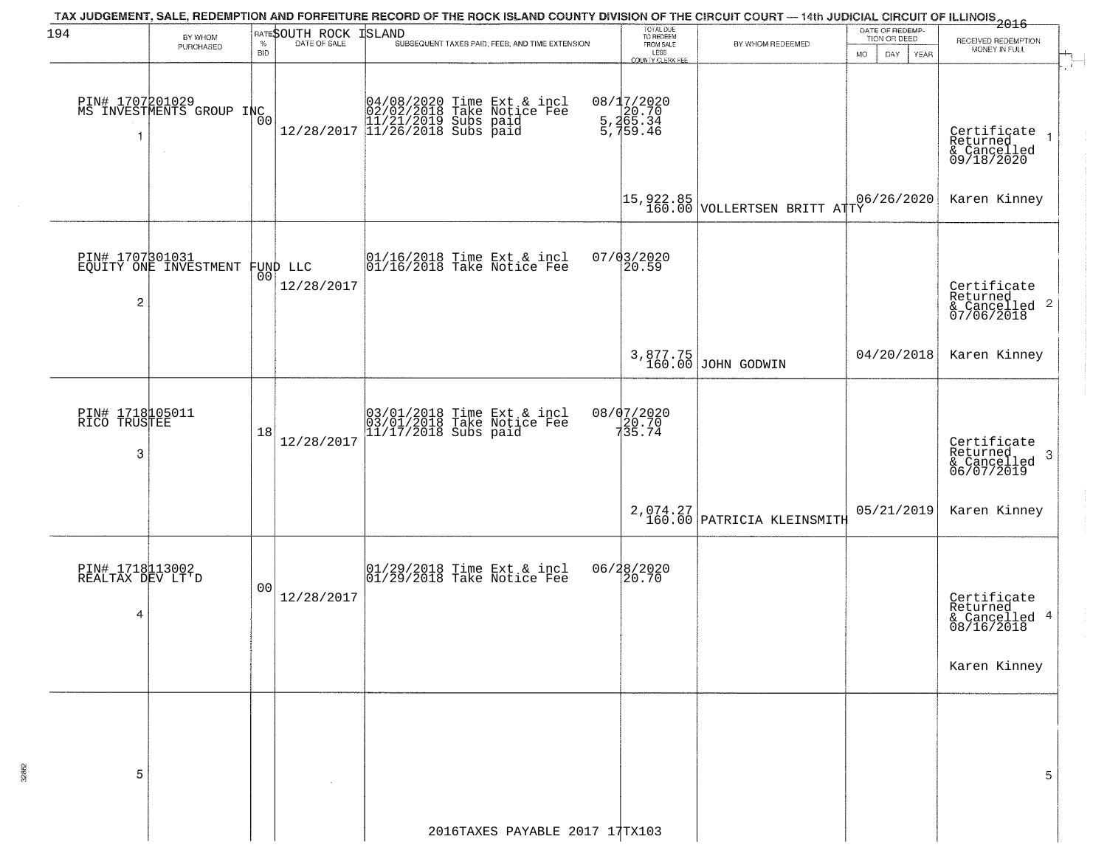| 194                                      | BY WHOM                                           |                    | RATESOUTH ROCK | TAX JUDGEMENT, SALE, REDEMPTION AND FORFEITURE RECORD OF THE ROCK ISLAND COUNTY DIVISION OF THE CIRCUIT COURT — 14th JUDICIAL CIRCUIT OF ILLINOIS<br>1 December 1996<br><b>ISLAND</b> | TOTAL DUE<br>TO REDEEM<br>FROM SALE                                |                                        | DATE OF REDEMP-<br>TION OR DEED |                                                                        |
|------------------------------------------|---------------------------------------------------|--------------------|----------------|---------------------------------------------------------------------------------------------------------------------------------------------------------------------------------------|--------------------------------------------------------------------|----------------------------------------|---------------------------------|------------------------------------------------------------------------|
|                                          | PURCHASED                                         | $\%$<br><b>BID</b> | DATE OF SALE   | SUBSEQUENT TAXES PAID, FEES, AND TIME EXTENSION                                                                                                                                       | LESS                                                               | BY WHOM REDEEMED                       | <b>MO</b><br>DAY<br>YEAR        | RECEIVED REDEMPTION<br>MONEY IN FULL                                   |
|                                          | PIN# 1707201029<br>MS INVESTMENTS GROUP INC       | 00                 |                | $[04/08/2020 \t\t Time \t\t Ext & incl \\ 02/02/2018 \t\t Take Notice \t\ေ \\ 11/21/2019 \t\ Subs paid \\ 12/28/2017 \t\t 11/26/2018 \t\ Subs paid$                                   | COUNTY CLERK FEE<br>08/17/2020<br>5,265.34<br>5,265.34<br>5,159.46 |                                        |                                 | Certificate<br>Returned<br>& Cancelled<br>09/18/2020                   |
|                                          |                                                   |                    |                |                                                                                                                                                                                       | 15,922.85<br>160.00                                                | VOLLERTSEN BRITT ATTY                  | 06/26/2020                      | Karen Kinney                                                           |
| $\overline{c}$                           | PIN# 1707301031<br>EQUITY ONE INVESTMENT FUND LLC |                    | 12/28/2017     | 01/16/2018 Time Ext & incl<br>01/16/2018 Take Notice Fee                                                                                                                              | 07/03/2020<br>20.59                                                |                                        |                                 | Certificate<br>Returned<br>& Cancelled 2<br>07/06/2018                 |
|                                          |                                                   |                    |                |                                                                                                                                                                                       | 3,877.75<br>160.00                                                 | JOHN GODWIN                            | 04/20/2018                      | Karen Kinney                                                           |
| PIN# 1718105011<br>RICO TRUSTEE<br>3     |                                                   | 18                 | 12/28/2017     | 03/01/2018 Time Ext & incl<br>03/01/2018 Take Notice Fee<br>11/17/2018 Subs paid                                                                                                      | 08/07/2020<br>20.70<br>735.74                                      |                                        |                                 | Certificate<br>Returned<br>3<br>& Cancelled<br>06/07/2019              |
|                                          |                                                   |                    |                |                                                                                                                                                                                       |                                                                    | 2,074.27<br>160.00 PATRICIA KLEINSMITH | 05/21/2019                      | Karen Kinney                                                           |
| PIN# 1718113002<br>REALTAX DEV LT'D<br>4 |                                                   | 0 <sup>0</sup>     | 12/28/2017     |                                                                                                                                                                                       | 06/28/2020<br>20.70                                                |                                        |                                 | Certificate<br>Returned<br>& Cancelled 4<br>08/16/2018<br>Karen Kinney |
| 5                                        |                                                   |                    |                | 2016TAXES PAYABLE 2017 17TX103                                                                                                                                                        |                                                                    |                                        |                                 | 5                                                                      |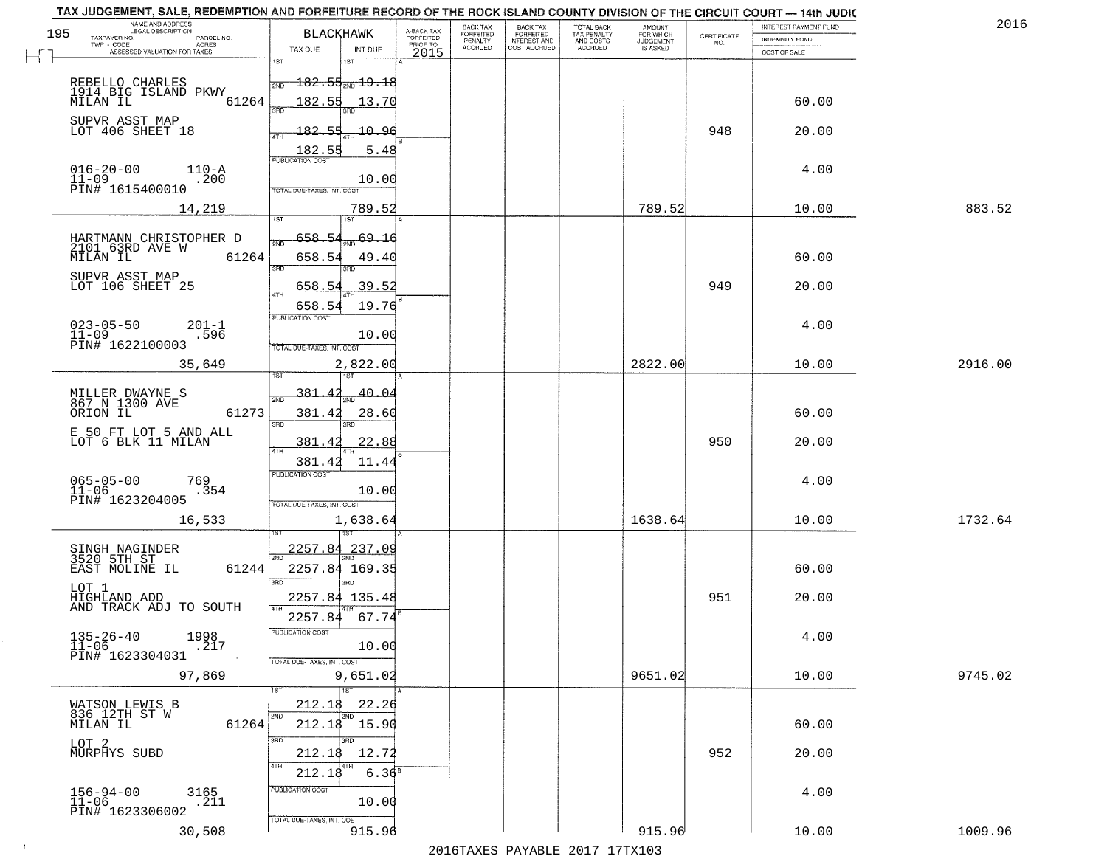|     | NAME AND ADDRESS<br>LEGAL DESCRIPTION                                |                                                                                        |                                     | BACK TAX             | <b>BACK TAX</b>           |                                        | AMOUNT<br>FOR WHICH |                                                                 | INTEREST PAYMENT FUND | 2016    |
|-----|----------------------------------------------------------------------|----------------------------------------------------------------------------------------|-------------------------------------|----------------------|---------------------------|----------------------------------------|---------------------|-----------------------------------------------------------------|-----------------------|---------|
| 195 | TAXPAYER NO.<br>PARCEL NO.<br>ACRES                                  | <b>BLACKHAWK</b>                                                                       | A-BACK TAX<br>FORFEITED<br>PRIOR TO | FORFEITED<br>PENALTY | FORFEITED<br>INTEREST AND | TOTAL BACK<br>TAX PENALTY<br>AND COSTS | <b>JUDGEMENT</b>    | $\begin{array}{c} \text{CERTIFICATE} \\ \text{NO.} \end{array}$ | INDEMNITY FUND        |         |
|     | ASSESSED VALUATION FOR TAXES                                         | TAX DUE<br>INT DUE<br>1ST                                                              | 2015                                | <b>ACCRUED</b>       | COST ACCRUED              | <b>ACCRUED</b>                         | IS ASKED            |                                                                 | COST OF SALE          |         |
|     | REBELLO CHARLES<br>1914 BIG ISLAND PKWY                              | 18T<br>$\overline{182.55}$ $\overline{19.19.18}$<br>2ND                                |                                     |                      |                           |                                        |                     |                                                                 |                       |         |
|     | 61264<br>MILAN IL                                                    | 182.55<br>13.70                                                                        |                                     |                      |                           |                                        |                     |                                                                 | 60.00                 |         |
|     | SUPVR ASST MAP<br>LOT 406 SHEET 18                                   | <u> 182.55</u><br>10.96<br>$\frac{182.55}{PUBUCATON COST}$<br>5.48                     |                                     |                      |                           |                                        |                     | 948                                                             | 20.00                 |         |
|     | $016 - 20 - 00$<br>$110 - A$<br>$11 - 09$<br>.200<br>PIN# 1615400010 | 10.00<br>TOTAL DUE-TAXES, INT. COST                                                    |                                     |                      |                           |                                        |                     |                                                                 | 4.00                  |         |
|     | 14,219                                                               | 789.52                                                                                 |                                     |                      |                           |                                        | 789.52              |                                                                 | 10.00                 | 883.52  |
|     | HARTMANN CHRISTOPHER D<br>2101 63RD AVE W<br>61264<br>MILAN IL       | 658.54<br>69.16<br>658.54<br>49.40<br>3RD<br>3BD.                                      |                                     |                      |                           |                                        |                     |                                                                 | 60.00                 |         |
|     | SUPVR ASST MAP<br>LOT 106 SHEET 25                                   | 39.52<br>658.54<br>ৰাম                                                                 |                                     |                      |                           |                                        |                     | 949                                                             | 20.00                 |         |
|     | $023 - 05 - 50$<br>11-09<br>$201 - 1$<br>.596<br>PIN# 1622100003     | 19.76<br>658.54<br>PUBLICATION COST<br>10.00<br>TOTAL DUE-TAXES, INT. COST             |                                     |                      |                           |                                        |                     |                                                                 | 4.00                  |         |
|     | 35,649                                                               | 2,822.00<br>isT                                                                        |                                     |                      |                           |                                        | 2822.00             |                                                                 | 10.00                 | 2916.00 |
|     | MILLER DWAYNE S<br>867 N 1300 AVE<br>ORION IL<br>61273               | 40.04<br>-381 -<br>2ND<br>381.42<br>28.60<br>3RD<br>3RD                                |                                     |                      |                           |                                        |                     |                                                                 | 60.00                 |         |
|     | E 50 FT LOT 5 AND ALL<br>LOT 6 BLK 11 MILAN                          | 381.4<br>22.88<br>4TH                                                                  |                                     |                      |                           |                                        |                     | 950                                                             | 20.00                 |         |
|     | $065 - 05 - 00$<br>11-06<br>769<br>.354<br>PIN# 1623204005           | 11.44<br>381.4<br><b>PUBLICATION COST</b><br>10.00<br>TOTAL OUE-TAXES, INT. COST       |                                     |                      |                           |                                        |                     |                                                                 | 4.00                  |         |
|     | 16,533                                                               | 1,638.64                                                                               |                                     |                      |                           |                                        | 1638.64             |                                                                 | 10.00                 | 1732.64 |
|     | SINGH NAGINDER<br>3520 5TH ST<br>EAST MOLINE IL<br>61244             | 2257.84 237.09<br>2257.84 169.35<br>3RD<br>3BD.                                        |                                     |                      |                           |                                        |                     |                                                                 | 60.00                 |         |
|     | LOT 1<br>HIGHLAND ADD<br>AND TRACK ADJ TO SOUTH                      | 2257.84 135.48<br>2257.84<br>67.74                                                     |                                     |                      |                           |                                        |                     | 951                                                             | 20.00                 |         |
|     | $135 - 26 - 40$<br>11-06<br>1998<br>.217<br>PIN# 1623304031          | "UBLICA HUN CUS<br>10.00<br>TOTAL DUE-TAXES, INT. COST                                 |                                     |                      |                           |                                        |                     |                                                                 | 4.00                  |         |
|     | 97,869                                                               | 9,651.02<br>1ST                                                                        |                                     |                      |                           |                                        | 9651.02             |                                                                 | 10.00                 | 9745.02 |
|     | WATSON LEWIS B<br>836 12TH ST W<br>61264<br>MILAN IL                 | 22.26<br>212.18<br>2ND<br>2ND<br>$212.18$ 15.90                                        |                                     |                      |                           |                                        |                     |                                                                 | 60.00                 |         |
|     | LOT 2<br>MURPHYS SUBD                                                | 3RD<br>חחי<br>212.18<br>12.72<br>4TH                                                   |                                     |                      |                           |                                        |                     | 952                                                             | 20.00                 |         |
|     | $156 - 94 - 00$<br>3165<br>$11 - 06$<br>.211<br>PIN# 1623306002      | 212.18<br>6.36 <sup>8</sup><br>PUBLICATION COST<br>10.00<br>TOTAL DUE-TAXES, INT. COST |                                     |                      |                           |                                        |                     |                                                                 | 4.00                  |         |
|     | 30,508                                                               | 915.96                                                                                 |                                     |                      |                           |                                        | 915.96              |                                                                 | 10.00                 | 1009.96 |

 $\sim 10^{-1}$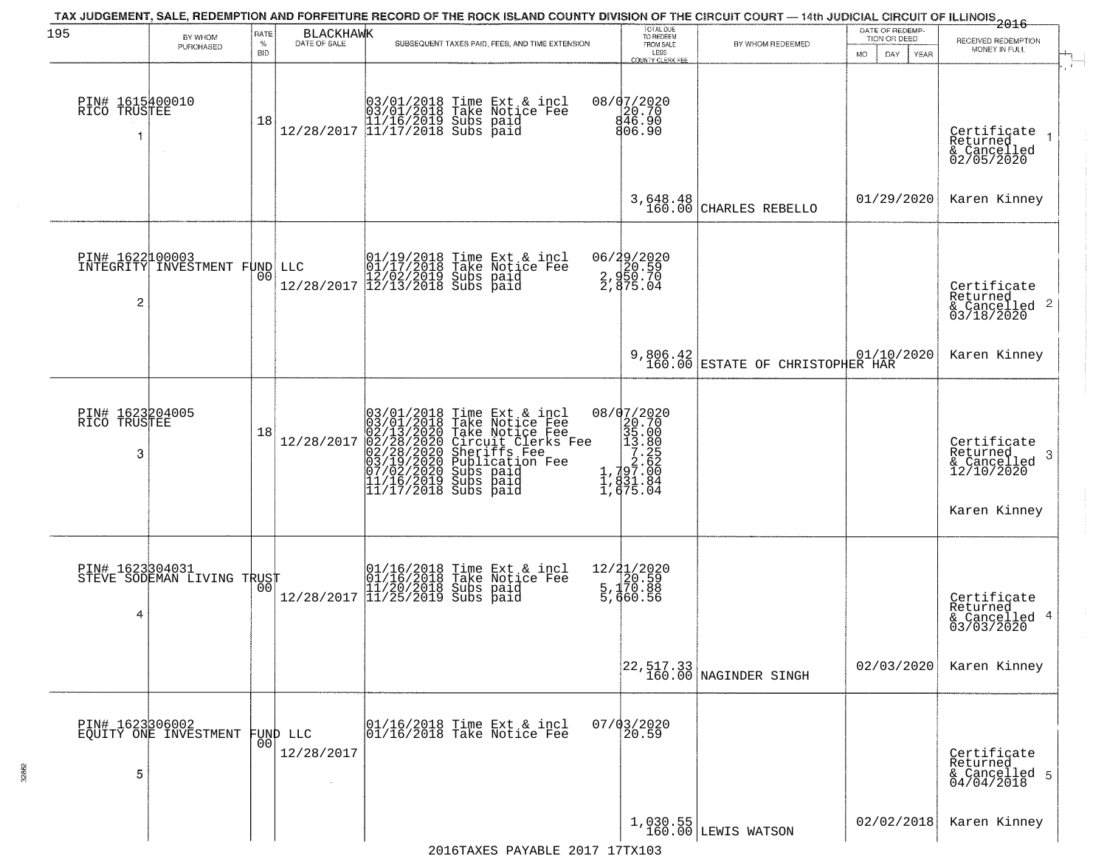| 195                                     |                                                  | RATE               |                        | TAX JUDGEMENT, SALE, REDEMPTION AND FORFEITURE RECORD OF THE ROCK ISLAND COUNTY DIVISION OF THE CIRCUIT COURT — 14th JUDICIAL CIRCUIT OF ILLINOIS 2016                                                                                         | TOTAL DUE<br>TO REDEEM                                                                                                                             |                                                                     | DATE OF REDEMP-                     |                                                                                         |
|-----------------------------------------|--------------------------------------------------|--------------------|------------------------|------------------------------------------------------------------------------------------------------------------------------------------------------------------------------------------------------------------------------------------------|----------------------------------------------------------------------------------------------------------------------------------------------------|---------------------------------------------------------------------|-------------------------------------|-----------------------------------------------------------------------------------------|
|                                         | BY WHOM<br>PURCHASED                             | $\%$<br><b>BID</b> | BLACKHAWK              | SUBSEQUENT TAXES PAID, FEES, AND TIME EXTENSION                                                                                                                                                                                                | FROM SALE                                                                                                                                          | BY WHOM REDEEMED                                                    | TION OR DEED<br>DAY.<br>MO.<br>YEAR | RECEIVED REDEMPTION<br>MONEY IN FULL                                                    |
| PIN# 1615400010<br>RICO TRUSTEE         |                                                  | 18                 |                        | $[03/01/2018 \t\t Time Ext & incl \\ 03/01/2018 \t\t Take Notice Free \\ 11/16/2019 \tSubs paid \\ 12/28/2017 \t\t 11/17/2018 \tSubs paid$                                                                                                     | LESS<br>COUNTY CLERK FEE<br>08/07/2020<br>846.90<br>806.90                                                                                         |                                                                     |                                     | Certificate<br>Returned<br>& Cancelled<br>02/05/2020                                    |
|                                         |                                                  |                    |                        |                                                                                                                                                                                                                                                | 3,648.48<br>160.00                                                                                                                                 | CHARLES REBELLO                                                     | 01/29/2020                          | Karen Kinney                                                                            |
| 2                                       | PIN# 1622100003<br>INTEGRITY INVESTMENT FUND LLC | 00                 |                        | LLC $01/19/2018$ Time Ext & incl<br>01/17/2018 Take Notice Fee<br>12/28/2017 12/13/2018 Subs paid<br>12/28/2017 12/13/2018 Subs paid                                                                                                           | 06/29/2020<br>2, 920.59<br>2, 950.70<br>2, 975.04                                                                                                  |                                                                     |                                     | Certificate<br>Returned<br>$\frac{1}{6}$ Cancelled 2<br>03/18/2020                      |
|                                         |                                                  |                    |                        |                                                                                                                                                                                                                                                |                                                                                                                                                    | 9,806.42<br>160.00 ESTATE OF CHRISTOPHER HAR                        | 01/10/2020                          | Karen Kinney                                                                            |
| PIN# 1623204005<br>TRUSTEE<br>RICO<br>3 |                                                  | 18                 | 12/28/2017             | $03/01/2018$ Time Ext & incl<br>$03/01/2018$ Take Notice Fee<br>$02/13/2020$ Take Notice Fee<br>$02/28/2020$ Circuit Clerks Fee<br>$02/28/2020$ Sheriffs Fee<br>$03/19/2020$ Subs paid<br>$07/02/2020$ Subs paid<br>$11/16/2019$ Subs paid<br> | 08/07/2020<br>$\begin{smallmatrix} 20.702 \\ 20.700 \\ 35.000 \\ 13.800 \\ 7.25 \\ 7.25 \\ 1, 79.7.00 \\ 1, 831.84 \\ 1, 675.04 \end{smallmatrix}$ |                                                                     |                                     | Certificate<br>Returned<br>- 3<br>$\frac{1}{2}$ Cancelled<br>12/10/2020<br>Karen Kinney |
| PIN# 1623304031<br>4                    | STEVE SODEMAN LIVING TRUST                       |                    |                        | $[01/16/2018 \t\t Time Ext & incl01/16/2018 Take Notice Free11/20/2018 Subs paid12/28/2017 ]11/25/2019 Subs paid$                                                                                                                              | 12/21/2020<br>20.59<br>5,170.88<br>5,170.88<br>5,660.56                                                                                            |                                                                     |                                     | Certificate<br>Returned<br>& Cancelled 4<br>03/03/2020                                  |
|                                         |                                                  |                    |                        |                                                                                                                                                                                                                                                |                                                                                                                                                    | $\begin{bmatrix} 22, 517.33 \\ 160.00 \end{bmatrix}$ NAGINDER SINGH | 02/03/2020                          | Karen Kinney                                                                            |
| 5                                       | PIN# 1623306002<br>EQUITY ONE INVESTMENT         | 00                 | FUND LLC<br>12/28/2017 | 01/16/2018 Time Ext & incl<br>01/16/2018 Take Notice Fee                                                                                                                                                                                       | $07/03/2020$<br>20.59                                                                                                                              |                                                                     |                                     | Certificate<br>Returned<br>& Cancelled 5<br>04/04/2018                                  |
|                                         |                                                  |                    |                        |                                                                                                                                                                                                                                                |                                                                                                                                                    | $1,030.55$ LEWIS WATSON                                             | 02/02/2018                          | Karen Kinney                                                                            |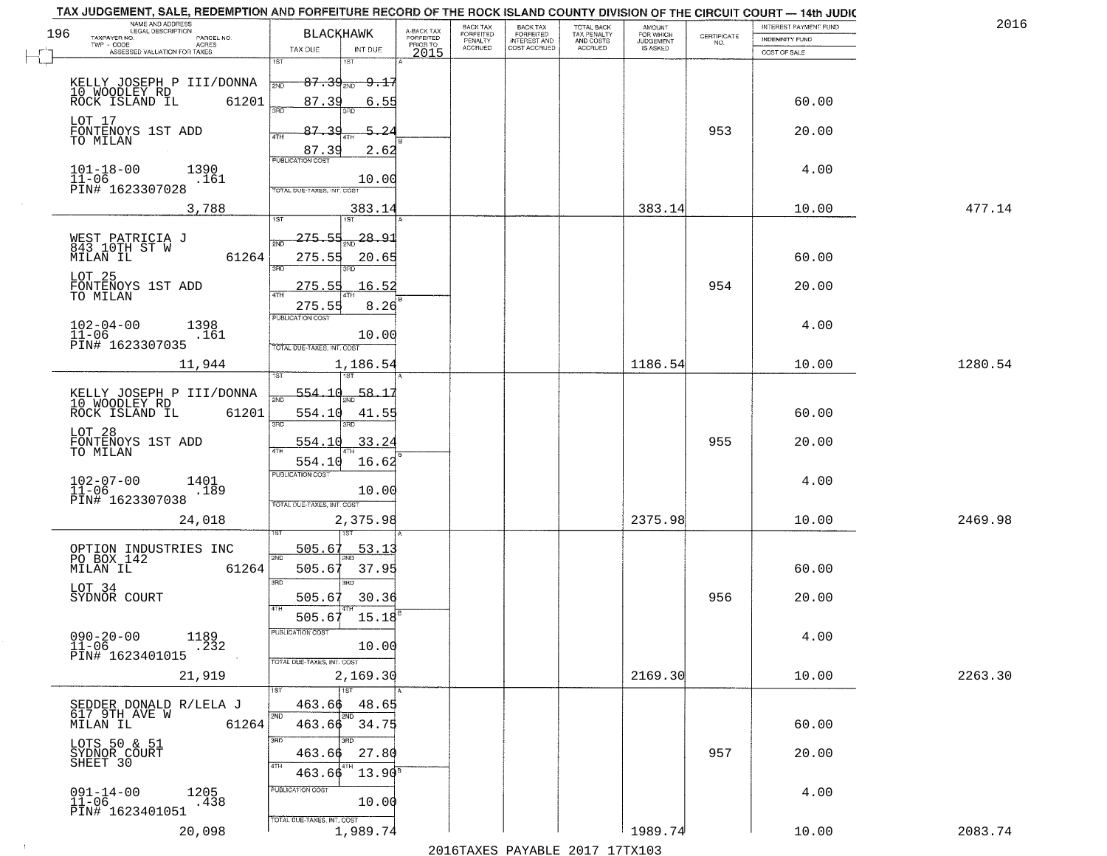|     | TAX JUDGEMENT, SALE, REDEMPTION AND FORFEITURE RECORD OF THE ROCK ISLAND COUNTY DIVISION OF THE CIRCUIT COURT - 14th JUDIC<br>NAME AND ADDRESS<br>LEGAL DESCRIPTION |                                                                             |                                     | BACK TAX             | <b>BACK TAX</b>           |                                        |                                  |                                                                 | INTEREST PAYMENT FUND | 2016    |
|-----|---------------------------------------------------------------------------------------------------------------------------------------------------------------------|-----------------------------------------------------------------------------|-------------------------------------|----------------------|---------------------------|----------------------------------------|----------------------------------|-----------------------------------------------------------------|-----------------------|---------|
| 196 | TAXPAYER NO.<br>PARCEL NO.<br>ACRES                                                                                                                                 | <b>BLACKHAWK</b>                                                            | A-BACK TAX<br>FORFEITED<br>PRIOR TO | FORFEITED<br>PENALTY | FORFEITED<br>INTEREST AND | TOTAL BACK<br>TAX PENALTY<br>AND COSTS | AMOUNT<br>FOR WHICH<br>JUDGEMENT | $\begin{array}{c} \text{CERTIFICATE} \\ \text{NO.} \end{array}$ | INDEMNITY FUND        |         |
|     | ASSESSED VALUATION FOR TAXES                                                                                                                                        | TAX DUE<br>INT DUE                                                          | 2015                                | <b>ACCRUED</b>       | COST ACCRUED              | <b>ACCRUED</b>                         | IS ASKED                         |                                                                 | COST OF SALE          |         |
|     | KELLY JOSEPH P III/DONNA<br>10 WOODLEY RD<br>ROCK ISLAND IL<br>61201                                                                                                | 1ST<br>18T<br>$87.39_{20}$ 9.17<br>2ND<br>87.39                             |                                     |                      |                           |                                        |                                  |                                                                 | 60.00                 |         |
|     | LOT 17                                                                                                                                                              | 6.55<br>87.39<br>5.2                                                        |                                     |                      |                           |                                        |                                  | 953                                                             |                       |         |
|     | FONTENOYS 1ST ADD<br>TO MILAN                                                                                                                                       | 87.39<br>2.62<br><b>PUBLICATION COST</b>                                    |                                     |                      |                           |                                        |                                  |                                                                 | 20.00                 |         |
|     | $101 - 18 - 00$<br>$11 - 06$<br>1390<br>.161<br>PIN# 1623307028                                                                                                     | 10.00<br>TOTAL DUE-TAXES, INT. COST                                         |                                     |                      |                           |                                        |                                  |                                                                 | 4.00                  |         |
|     | 3,788                                                                                                                                                               | 383.14                                                                      |                                     |                      |                           |                                        | 383.14                           |                                                                 | 10.00                 | 477.14  |
|     | WEST PATRICIA J<br>843 10TH ST W<br>MILAN IL<br>61264                                                                                                               | $275 - 55$<br>$\frac{28.91}{200}$<br>সাঁচ<br>275.55<br>20.65<br>3BD<br>3BD. |                                     |                      |                           |                                        |                                  |                                                                 | 60.00                 |         |
|     | LOT 25<br>FONTENOYS 1ST ADD<br>TO MILAN                                                                                                                             | 16.52<br>275.55<br>275.55<br>8.26                                           |                                     |                      |                           |                                        |                                  | 954                                                             | 20.00                 |         |
|     | $102 - 04 - 00$<br>1398<br>$11 - 06$<br>.161<br>PIN# 1623307035                                                                                                     | PUBLICATION COST<br>10.00<br>TOTAL DUE-TAXES, INT. COST                     |                                     |                      |                           |                                        |                                  |                                                                 | 4.00                  |         |
|     | 11,944                                                                                                                                                              | 1,186.54<br>isT                                                             |                                     |                      |                           |                                        | 1186.54                          |                                                                 | 10.00                 | 1280.54 |
|     | KELLY JOSEPH P III/DONNA<br>10 WOODLEY RD<br>ROCK ISLAND IL<br>61201                                                                                                | 554.10<br>58.1<br>2ND<br>554.10<br>41.55<br>3RD<br>3RD                      |                                     |                      |                           |                                        |                                  |                                                                 | 60.00                 |         |
|     | LOT 28<br>FONTENOYS 1ST ADD<br>TO MILAN                                                                                                                             | 554.10<br>33.24<br>$\overline{AT}$<br>16.62<br>554.10                       |                                     |                      |                           |                                        |                                  | 955                                                             | 20.00                 |         |
|     | $102 - 07 - 00$<br>1401<br>$11 - 06$<br>.189<br>PIN# 1623307038                                                                                                     | <b>PUBLICATION COST</b><br>10.00<br>TOTAL OUE-TAXES, INT. COST              |                                     |                      |                           |                                        |                                  |                                                                 | 4.00                  |         |
|     | 24,018                                                                                                                                                              | 2,375.98                                                                    |                                     |                      |                           |                                        | 2375.98                          |                                                                 | 10.00                 | 2469.98 |
|     | OPTION INDUSTRIES INC<br>PO BOX 142<br>MILAN IL<br>61264                                                                                                            | 505.67<br>53.1<br>2ND<br>37.95<br>505.67<br>3 <sub>BD</sub><br><b>IRD</b>   |                                     |                      |                           |                                        |                                  |                                                                 | 60.00                 |         |
|     | LOT 34<br>SYDNOR COURT                                                                                                                                              | 505.67<br>30.36<br>4TH<br>505.67<br>15.18                                   |                                     |                      |                           |                                        |                                  | 956                                                             | 20.00                 |         |
|     | $090 - 20 - 00$<br>1189<br>$11 - 06$<br>.232<br>PIN# 1623401015                                                                                                     | PUBLICATION COS<br>10.00<br>TOTAL DUE-TAXES, INT. COST                      |                                     |                      |                           |                                        |                                  |                                                                 | 4.00                  |         |
|     | 21,919                                                                                                                                                              | 2,169.30<br>1ST                                                             |                                     |                      |                           |                                        | 2169.30                          |                                                                 | 10.00                 | 2263.30 |
|     | SEDDER DONALD R/LELA J<br>617 9TH AVE W<br>MILAN IL<br>61264                                                                                                        | 463.66<br>48.65<br>2ND<br>2ND<br>$463.66$ 34.75                             |                                     |                      |                           |                                        |                                  |                                                                 | 60.00                 |         |
|     | LOTS 50 & 51<br>SYDNOR COURT<br>SHEET 30                                                                                                                            | 3RD<br>3BD<br>27.80<br>463.66<br>4TH<br>$13.90^8$<br>463.66                 |                                     |                      |                           |                                        |                                  | 957                                                             | 20.00                 |         |
|     | $091 - 14 - 00$<br>1205<br>$11-06$<br>$-438$<br>PIN# 1623401051                                                                                                     | PUBLICATION COST<br>10.00<br>TOTAL DUE-TAXES, INT. COST                     |                                     |                      |                           |                                        |                                  |                                                                 | 4.00                  |         |
|     | 20,098                                                                                                                                                              | 1,989.74                                                                    |                                     |                      |                           |                                        | 1989.74                          |                                                                 | 10.00                 | 2083.74 |

 $\sim 10^{-1}$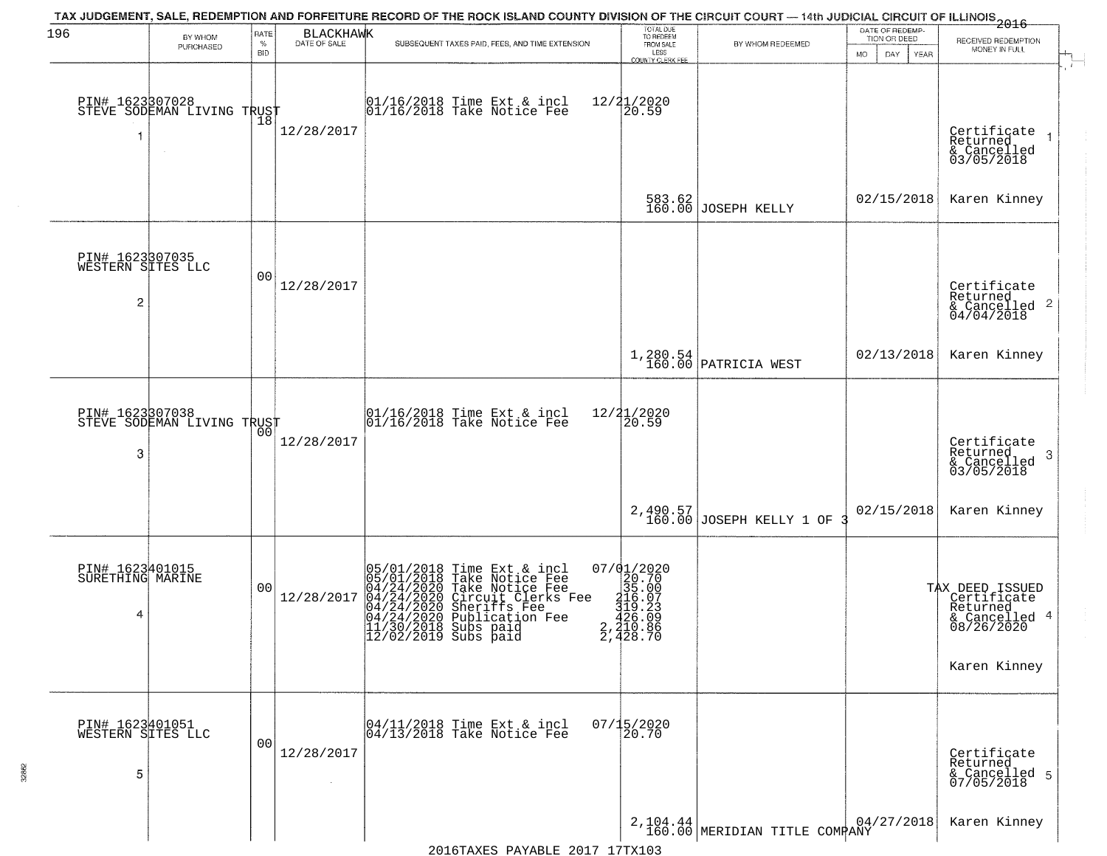| 196                                       | BY WHOM                                           | RATE               | <b>BLACKHAWK</b> | TAX JUDGEMENT, SALE, REDEMPTION AND FORFEITURE RECORD OF THE ROCK ISLAND COUNTY DIVISION OF THE CIRCUIT COURT — 14th JUDICIAL CIRCUIT OF ILLINOIS 2016                                                                                | TOTAL DUE<br>TO REDEEM                                                                                           |                                        | DATE OF REDEMP<br>TION OR DEED |                                                                                           |
|-------------------------------------------|---------------------------------------------------|--------------------|------------------|---------------------------------------------------------------------------------------------------------------------------------------------------------------------------------------------------------------------------------------|------------------------------------------------------------------------------------------------------------------|----------------------------------------|--------------------------------|-------------------------------------------------------------------------------------------|
|                                           | PURCHASED                                         | $\%$<br><b>BID</b> | DATE OF SALE     | SUBSEQUENT TAXES PAID, FEES, AND TIME EXTENSION                                                                                                                                                                                       | FROM SALE<br>LESS<br><b>COUNTY CLERK FEE</b>                                                                     | BY WHOM REDEEMED                       | MO.<br>DAY.<br><b>YEAR</b>     | RECEIVED REDEMPTION<br>MONEY IN FULL                                                      |
| 1                                         | PIN# 1623307028    <br>STEVE SODEMAN LIVING TRUST | 18                 | 12/28/2017       | 01/16/2018 Time Ext & incl<br>01/16/2018 Take Notice Fee                                                                                                                                                                              | 12/21/2020<br>20.59                                                                                              |                                        |                                | Certificate<br>Returned<br>$\frac{1}{6}$ Cancelled<br>03/05/2018                          |
|                                           |                                                   |                    |                  |                                                                                                                                                                                                                                       |                                                                                                                  | 583.62<br>160.00 JOSEPH KELLY          | 02/15/2018                     | Karen Kinney                                                                              |
| PIN# 1623307035<br>WESTERN SITES LLC<br>2 |                                                   | 0 <sub>0</sub>     | 12/28/2017       |                                                                                                                                                                                                                                       |                                                                                                                  |                                        |                                | Certificate<br>Returned<br>$\frac{122}{6}$ Cancelled 2<br>04/04/2018                      |
|                                           |                                                   |                    |                  |                                                                                                                                                                                                                                       |                                                                                                                  | 1,280.54<br>160.00 PATRICIA WEST       | 02/13/2018                     | Karen Kinney                                                                              |
| 3                                         | PIN# 1623307038    <br>STEVE SODEMAN LIVING TRUST | 00                 | 12/28/2017       | $\begin{array}{c} 01/16/2018 \\ 01/16/2018 \\ \end{array}$ Take Notice Fee                                                                                                                                                            | 12/21/2020<br>20.59                                                                                              |                                        |                                | Certificate<br>Returned<br>3<br>& Cancelled<br>03/05/2018                                 |
|                                           |                                                   |                    |                  |                                                                                                                                                                                                                                       |                                                                                                                  | $2,490.57$<br>160.00 JOSEPH KELLY 1 OF | 02/15/2018                     | Karen Kinney                                                                              |
| PIN# 1623401015<br>SURETHING MARINE<br>4  |                                                   | 0 <sub>0</sub>     | 12/28/2017       | $05/01/2018$ Time Ext & incl<br>05/01/2018 Take Notice Fee<br>04/24/2020 Take Notice Fee<br>04/24/2020 Circuit Clerks Fee<br>04/24/2020 Sublication Fee<br>04/24/2020 Publication Fee<br>11/30/2018 Subs paid<br>12/02/2019 Subs paid | $\begin{smallmatrix} 07/01/2020 \\ 20.70 \\ 35.00 \\ 116.07 \\ 126.03 \\ 2,210.86 \\ 2,428.70 \end{smallmatrix}$ |                                        |                                | TAX DEED ISSUED<br>Certificate<br>Returned<br>& Cancelled 4<br>08/26/2020<br>Karen Kinney |
| PIN# 1623401051<br>WESTERN SITES LLC<br>5 |                                                   | 0 <sub>0</sub>     | 12/28/2017       | 04/11/2018 Time Ext & incl<br>04/13/2018 Take Notice Fee                                                                                                                                                                              | $07/15/2020$<br>20.70                                                                                            |                                        |                                | Certificate<br>Returned<br>& Cancelled 5<br>07/05/2018                                    |
|                                           |                                                   |                    |                  |                                                                                                                                                                                                                                       |                                                                                                                  | $2,104.44$ MERIDIAN TITLE COMPANY      | 04/27/2018                     | Karen Kinney                                                                              |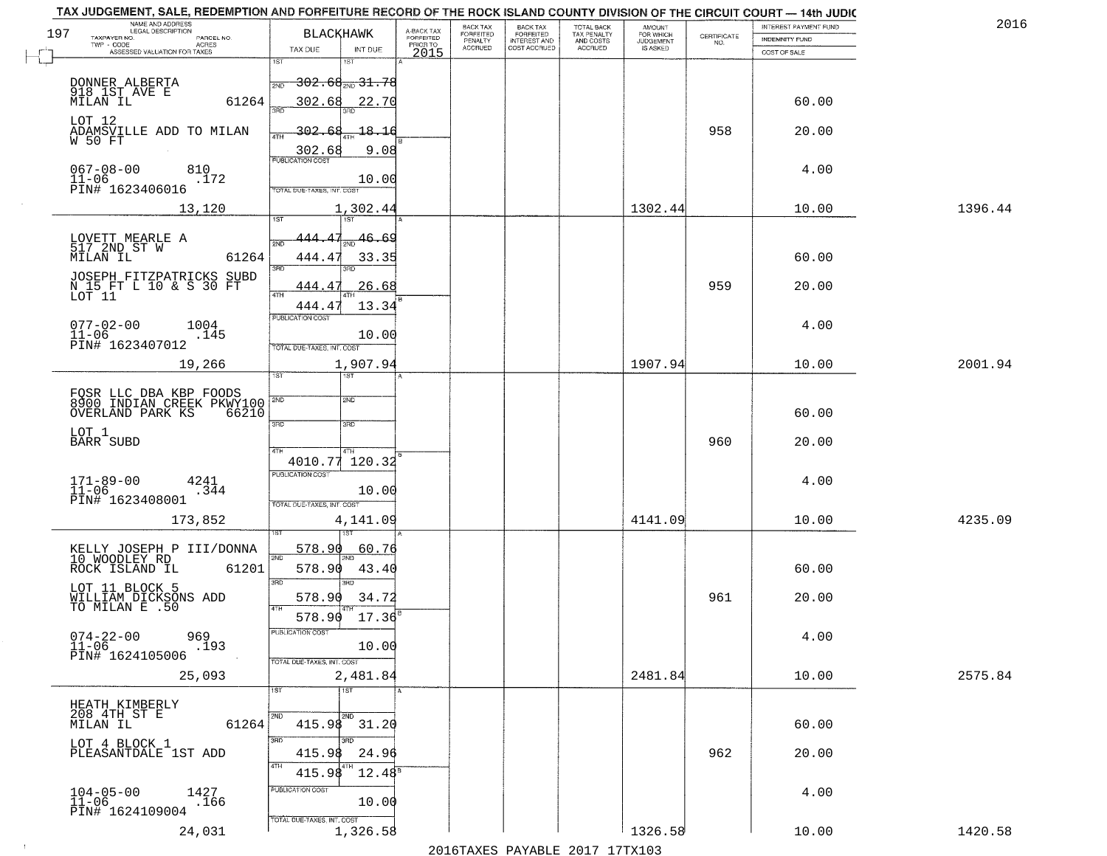| TAX JUDGEMENT, SALE, REDEMPTION AND FORFEITURE RECORD OF THE ROCK ISLAND COUNTY DIVISION OF THE CIRCUIT COURT - 14th JUDIC<br>NAME AND ADDRESS<br>LEGAL DESCRIPTION |                                            |                         | BACK TAX             | <b>BACK TAX</b>           |                                        |                                         |                                                                 | INTEREST PAYMENT FUND | 2016    |
|---------------------------------------------------------------------------------------------------------------------------------------------------------------------|--------------------------------------------|-------------------------|----------------------|---------------------------|----------------------------------------|-----------------------------------------|-----------------------------------------------------------------|-----------------------|---------|
| 197<br>TAXPAYER NO.<br>PARCEL NO.<br>ACRES                                                                                                                          | <b>BLACKHAWK</b>                           | A-BACK TAX<br>FORFEITED | FORFEITED<br>PENALTY | FORFEITED<br>INTEREST AND | TOTAL BACK<br>TAX PENALTY<br>AND COSTS | AMOUNT<br>FOR WHICH<br><b>JUDGEMENT</b> | $\begin{array}{c} \text{CERTIFICATE} \\ \text{NO.} \end{array}$ | INDEMNITY FUND        |         |
| ASSESSED VALUATION FOR TAXES                                                                                                                                        | TAX DUE<br>INT DUE                         | PRIOR TO<br>2015        | <b>ACCRUED</b>       | COST ACCRUED              | ACCRUED                                | IS ASKED                                |                                                                 | COST OF SALE          |         |
|                                                                                                                                                                     | 1ST<br>18T                                 |                         |                      |                           |                                        |                                         |                                                                 |                       |         |
|                                                                                                                                                                     | $-302.68_{\text{200}}31.78$<br>2ND         |                         |                      |                           |                                        |                                         |                                                                 |                       |         |
| DONNER ALBERTA<br>918 1ST AVE E<br>MILAN IL<br>61264                                                                                                                | 302.68<br>22.70                            |                         |                      |                           |                                        |                                         |                                                                 | 60.00                 |         |
| LOT 12                                                                                                                                                              |                                            |                         |                      |                           |                                        |                                         |                                                                 |                       |         |
| ADAMSVILLE ADD TO MILAN<br>W 50 FT                                                                                                                                  | 302.68<br>18.16                            |                         |                      |                           |                                        |                                         | 958                                                             | 20.00                 |         |
|                                                                                                                                                                     | 9.08<br>$\frac{302.68}{PUBUCATONCGST}$     |                         |                      |                           |                                        |                                         |                                                                 |                       |         |
| $067 - 08 - 00$<br>810                                                                                                                                              |                                            |                         |                      |                           |                                        |                                         |                                                                 | 4.00                  |         |
| $11 - 06$<br>.172<br>PIN# 1623406016                                                                                                                                | 10.00<br><b>TOTAL DUE-TAXES, INT. COST</b> |                         |                      |                           |                                        |                                         |                                                                 |                       |         |
| 13,120                                                                                                                                                              | 1,302.44                                   |                         |                      |                           |                                        | 1302.44                                 |                                                                 | 10.00                 | 1396.44 |
|                                                                                                                                                                     |                                            |                         |                      |                           |                                        |                                         |                                                                 |                       |         |
| LOVETT MEARLE A                                                                                                                                                     | 46.69<br>444<br><b>PND</b>                 |                         |                      |                           |                                        |                                         |                                                                 |                       |         |
| 517 2ND ST W<br>61264<br>MILAN IL                                                                                                                                   | 444.4<br>33.35                             |                         |                      |                           |                                        |                                         |                                                                 | 60.00                 |         |
|                                                                                                                                                                     | 3RD<br>3PD                                 |                         |                      |                           |                                        |                                         |                                                                 |                       |         |
| JOSEPH FITZPATRICKS SUBD<br>N 15 FT L 10 & S 30 FT<br>LOT 11                                                                                                        | 26.68<br>444.47<br>$\sqrt{4}$ TH           |                         |                      |                           |                                        |                                         | 959                                                             | 20.00                 |         |
|                                                                                                                                                                     | 13.34<br>444.4                             |                         |                      |                           |                                        |                                         |                                                                 |                       |         |
| $077 - 02 - 00$<br>1004                                                                                                                                             | PUBLICATION COST                           |                         |                      |                           |                                        |                                         |                                                                 | 4.00                  |         |
| $11 - 06$<br>.145<br>PIN# 1623407012                                                                                                                                | 10.00                                      |                         |                      |                           |                                        |                                         |                                                                 |                       |         |
|                                                                                                                                                                     | TOTAL DUE-TAXES, INT. COST<br>1,907.94     |                         |                      |                           |                                        | 1907.94                                 |                                                                 | 10.00                 | 2001.94 |
| 19,266                                                                                                                                                              | TST<br>1ST                                 |                         |                      |                           |                                        |                                         |                                                                 |                       |         |
| FOSR LLC DBA KBP FOODS<br>8900 INDIAN CREEK PKWY100                                                                                                                 | 2ND                                        |                         |                      |                           |                                        |                                         |                                                                 |                       |         |
| OVERLAND PARK KS<br>66210                                                                                                                                           |                                            |                         |                      |                           |                                        |                                         |                                                                 | 60.00                 |         |
| LOT 1                                                                                                                                                               | 3RD<br>3RD                                 |                         |                      |                           |                                        |                                         |                                                                 |                       |         |
| <b>BARR SUBD</b>                                                                                                                                                    | 4TH<br>4TH                                 |                         |                      |                           |                                        |                                         | 960                                                             | 20.00                 |         |
|                                                                                                                                                                     | 4010.77<br>120.32                          |                         |                      |                           |                                        |                                         |                                                                 |                       |         |
| $171 - 89 - 00$<br>$11 - 06$<br>4241                                                                                                                                | <b>PUBLICATION COST</b>                    |                         |                      |                           |                                        |                                         |                                                                 | 4.00                  |         |
| .344<br>PIN# 1623408001                                                                                                                                             | 10.00<br>TOTAL OUE-TAXES, INT. COST        |                         |                      |                           |                                        |                                         |                                                                 |                       |         |
| 173,852                                                                                                                                                             | 4,141.09                                   |                         |                      |                           |                                        | 4141.09                                 |                                                                 | 10.00                 | 4235.09 |
|                                                                                                                                                                     |                                            |                         |                      |                           |                                        |                                         |                                                                 |                       |         |
| KELLY JOSEPH P III/DONNA<br>10 WOODLEY RD                                                                                                                           | 578.90<br>60.76                            |                         |                      |                           |                                        |                                         |                                                                 |                       |         |
| ROCK ISLAND IL<br>61201                                                                                                                                             | 2ND<br>578.90<br>43.40                     |                         |                      |                           |                                        |                                         |                                                                 | 60.00                 |         |
| LOT 11 BLOCK 5                                                                                                                                                      | 3RD<br><b>IRD</b>                          |                         |                      |                           |                                        |                                         |                                                                 |                       |         |
| WILLIAM DICKSONS ADD<br>TO MILAN E .50                                                                                                                              | 578.90<br>34.72                            |                         |                      |                           |                                        |                                         | 961                                                             | 20.00                 |         |
|                                                                                                                                                                     | 4TH<br>578.90<br>17.36                     |                         |                      |                           |                                        |                                         |                                                                 |                       |         |
| $074 - 22 - 00$<br>11-06<br>969                                                                                                                                     | PUBLICATION COS                            |                         |                      |                           |                                        |                                         |                                                                 | 4.00                  |         |
| .193<br>PIN# 1624105006                                                                                                                                             | 10.00                                      |                         |                      |                           |                                        |                                         |                                                                 |                       |         |
| 25,093                                                                                                                                                              | TOTAL DUE-TAXES, INT. COST<br>2,481.84     |                         |                      |                           |                                        | 2481.84                                 |                                                                 | 10.00                 | 2575.84 |
|                                                                                                                                                                     | $\overline{11ST}$<br>1ST                   |                         |                      |                           |                                        |                                         |                                                                 |                       |         |
| HEATH KIMBERLY                                                                                                                                                      |                                            |                         |                      |                           |                                        |                                         |                                                                 |                       |         |
| 208 4TH ST E<br>61264<br>MILAN IL                                                                                                                                   | 2ND<br>2ND<br>$415.98$ $31.20$             |                         |                      |                           |                                        |                                         |                                                                 | 60.00                 |         |
| LOT 4 BLOCK 1                                                                                                                                                       | 3RD<br>3BD                                 |                         |                      |                           |                                        |                                         |                                                                 |                       |         |
| PLEASANTDALE 1ST ADD                                                                                                                                                | 415.98<br>24.96                            |                         |                      |                           |                                        |                                         | 962                                                             | 20.00                 |         |
|                                                                                                                                                                     | 4TH<br>415.98<br>$12.48^{\circ}$           |                         |                      |                           |                                        |                                         |                                                                 |                       |         |
| $104 - 05 - 00$<br>1427                                                                                                                                             | PUBLICATION COST                           |                         |                      |                           |                                        |                                         |                                                                 | 4.00                  |         |
| .166<br>$11 - 06$<br>PIN# 1624109004                                                                                                                                | 10.00                                      |                         |                      |                           |                                        |                                         |                                                                 |                       |         |
| 24,031                                                                                                                                                              | TOTAL DUE-TAXES, INT. COST<br>1,326.58     |                         |                      |                           |                                        | 1326.58                                 |                                                                 | 10.00                 | 1420.58 |

 $\sim 10^{-1}$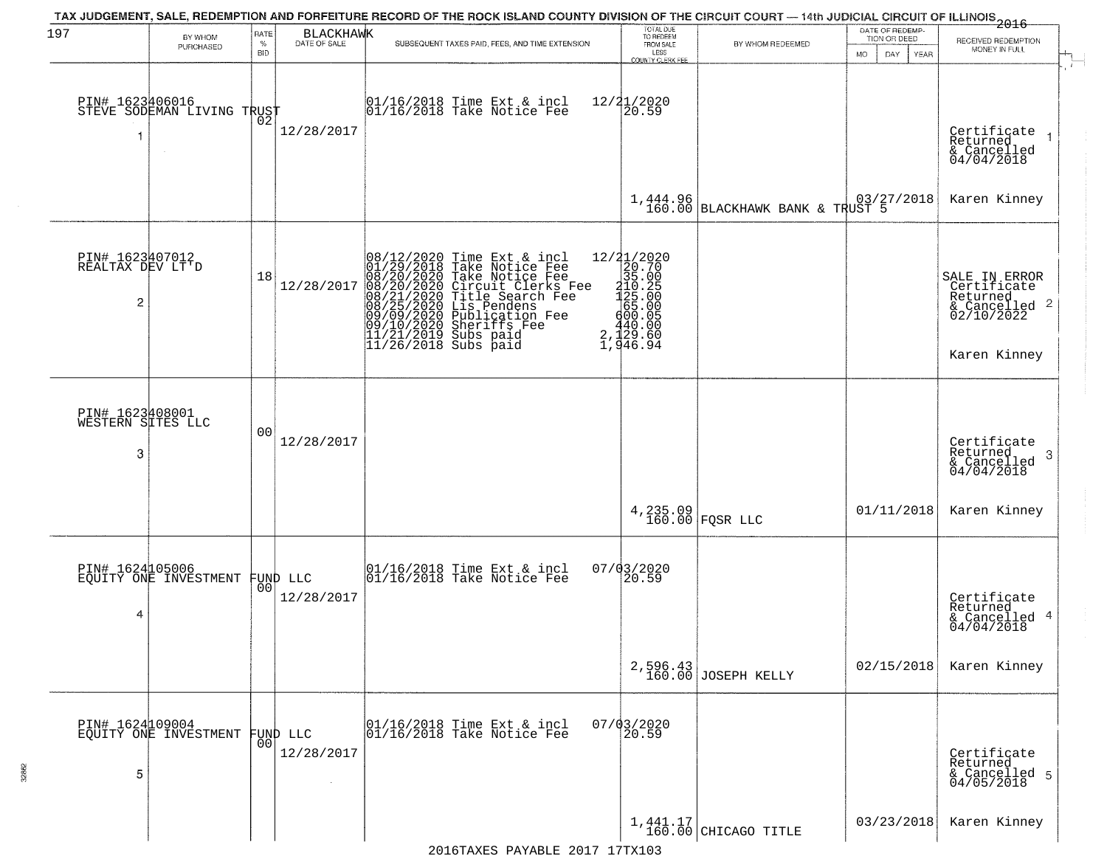| 197                                                   | BY WHOM<br>PURCHASED                          | RATE<br>$\%$   | <b>BLACKHAWK</b><br>DATE OF SALE | SUBSEQUENT TAXES PAID, FEES, AND TIME EXTENSION                                                                                                                                                                                                       | TOTAL DUE<br>TO REDEEM<br>FROM SALE                                                                                                             | BY WHOM REDEEMED                  | DATE OF REDEMP-<br>TION OR DEED | 2016<br>RECEIVED REDEMPTION                                                                                                   |
|-------------------------------------------------------|-----------------------------------------------|----------------|----------------------------------|-------------------------------------------------------------------------------------------------------------------------------------------------------------------------------------------------------------------------------------------------------|-------------------------------------------------------------------------------------------------------------------------------------------------|-----------------------------------|---------------------------------|-------------------------------------------------------------------------------------------------------------------------------|
|                                                       |                                               | <b>BID</b>     |                                  |                                                                                                                                                                                                                                                       | LESS<br><b>COUNTY CLERK FEE</b>                                                                                                                 |                                   | <b>MO</b><br>DAY<br>YEAR        | MONEY IN FULL                                                                                                                 |
|                                                       | PIN# 1623406016<br>STEVE SODEMAN LIVING TRUST |                | 12/28/2017                       | $\begin{array}{c} 01/16/2018 \\ 01/16/2018 \\ \end{array}$ Take Notice Fee                                                                                                                                                                            | 12/21/2020<br>$\overline{20.59}$                                                                                                                |                                   |                                 | Certificate<br>Returned<br>& Cancelled<br>04/04/2018                                                                          |
|                                                       |                                               |                |                                  |                                                                                                                                                                                                                                                       |                                                                                                                                                 | 1,444.96 BLACKHAWK BANK & TRUST 5 |                                 | Karen Kinney                                                                                                                  |
| PIN# 1623407012<br>REALTAX DEV LT'D<br>$\overline{c}$ |                                               | 18             | 12/28/2017                       | 08/12/2020 Time Ext & incl<br>01/29/2018 Take Notice Fee<br>08/20/2020 Take Notice Fee<br>08/20/2020 Circuit Clerks Fee<br>08/21/2020 Title Search Fee<br>08/25/2020 Diblication Fee<br>09/09/2020 Publication Fee<br>09/00/2020 Sheriffs Fee<br>11/2 | $=\begin{smallmatrix} 12/31/2020\\ 20.70\\ 35.00\\ 112.2\\ 125.00\\ 425.00\\ 65.000\\ 400.08 \end{smallmatrix}$<br>$2, \frac{440.00}{1,946.94}$ |                                   |                                 | SALE IN ERROR<br>Certificate<br>Returned<br>& Cancelled 2<br>02/10/2022<br>Karen Kinney                                       |
| PIN# 1623408001<br>WESTERN SITES LLC<br>3             |                                               | 0 <sub>0</sub> | 12/28/2017                       |                                                                                                                                                                                                                                                       |                                                                                                                                                 |                                   |                                 | Certificate<br>Returned<br>-3<br>$\begin{array}{c}\n\text{recenter} \\ \text{\&} \text{Cancelled} \\ 04/04/2018\n\end{array}$ |
|                                                       |                                               |                |                                  |                                                                                                                                                                                                                                                       |                                                                                                                                                 | $4,235.09$ FQSR LLC               | 01/11/2018                      | Karen Kinney                                                                                                                  |
| 4                                                     | PIN# 1624105006<br>EQUITY ONE INVESTMENT      | 00             | FUND LLC<br>12/28/2017           | 01/16/2018 Time Ext & incl<br>01/16/2018 Take Notice Fee                                                                                                                                                                                              | 07/03/2020<br>20.59                                                                                                                             |                                   |                                 | Certificate<br>Returned<br>& Cancelled 4<br>04/04/2018                                                                        |
|                                                       |                                               |                |                                  |                                                                                                                                                                                                                                                       |                                                                                                                                                 | $2,596.43$ JOSEPH KELLY           | 02/15/2018                      | Karen Kinney                                                                                                                  |
| 5                                                     | PIN# 1624109004<br>EQUITY ONE INVESTMENT      | 0 <sub>0</sub> | FUND LLC<br>12/28/2017           | 01/16/2018 Time Ext & incl<br>01/16/2018 Take Notice Fee                                                                                                                                                                                              | $07/03/2020$<br>20.59                                                                                                                           |                                   |                                 | Certificate<br>Returned<br>& Cancelled 5<br>04/05/2018                                                                        |
|                                                       |                                               |                |                                  | $2016$ TAXES DAVARLE $2017$ 17TY103                                                                                                                                                                                                                   |                                                                                                                                                 | $1,441.17$ CHICAGO TITLE          | 03/23/2018                      | Karen Kinney                                                                                                                  |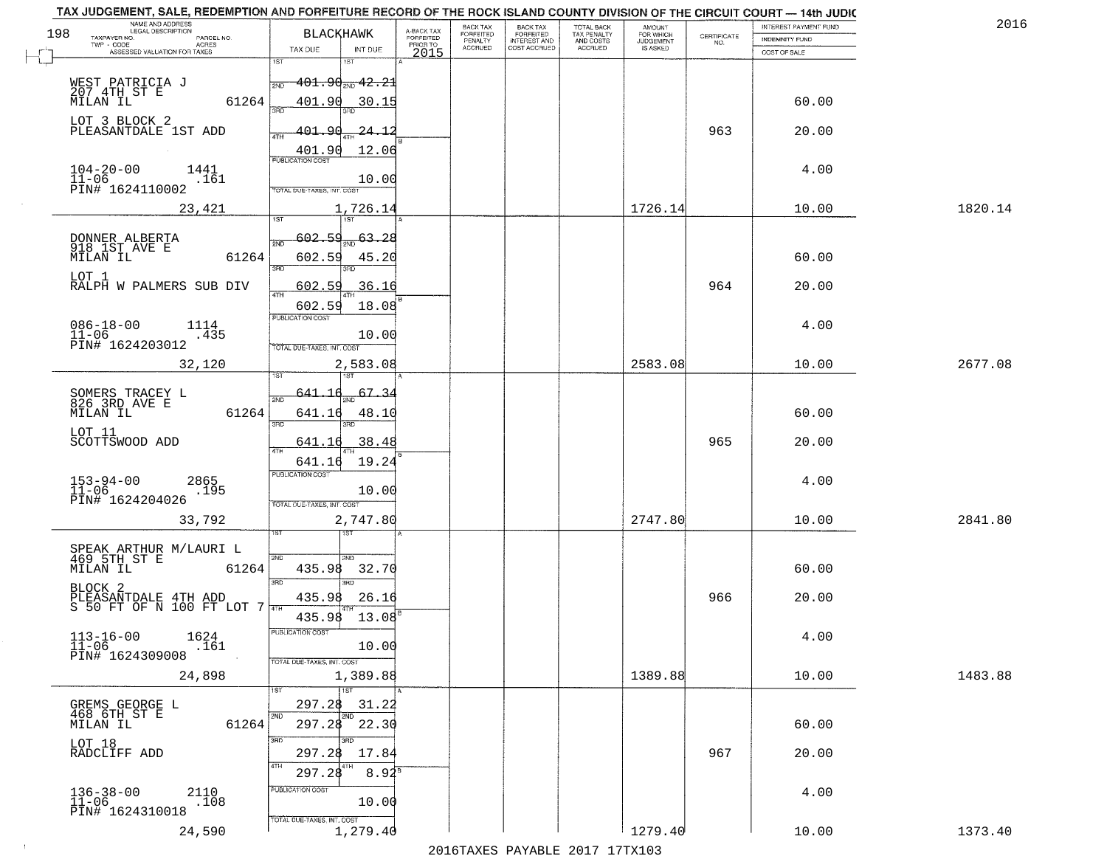| TOTAL BACK<br>TAX PENALTY<br>AND COSTS<br>A-BACK TAX<br>FORFEITED<br>198<br><b>BLACKHAWK</b><br>FORFEITED<br>INTEREST AND<br>FORFEITED<br>FOR WHICH<br>CERTIFICATE<br>NO.<br>TAXPAYER NO.<br>PARCEL NO.<br><b>INDEMNITY FUND</b><br>PENALTY<br>PRIOR TO<br>ACRES<br><b>ACCRUED</b><br>COST ACCRUED<br>ACCRUED<br>IS ASKED<br>TAX DUE<br>INT DUE<br>ASSESSED VALUATION FOR TAXES<br>2015<br>COST OF SALE<br>1ST<br>IST<br>$-401$ . $90_{\scriptscriptstyle 200}$ $42$ . $21$<br>WEST PATRICIA J<br>207 4TH ST E<br>MILAN IL<br>2ND<br>61264<br>401.90<br>30.15<br>60.00<br>LOT 3 BLOCK 2<br>963<br>PLEASANTDALE 1ST ADD<br>401.90<br>20.00<br><u> 24.12</u><br>12.06<br>401.90<br>4.00<br>$104 - 20 - 00$<br>$11 - 06$<br>1441<br>10.00<br>.161<br>PIN# 1624110002<br>TOTAL DUE-TAXES, INT. COST<br>1726.14<br>10.00<br>1820.14<br>23,421<br>1,726.14<br>$\frac{1}{2ND}$ 63.28<br>602.59<br>DONNER ALBERTA<br>918 1ST AVE E<br>MILAN IL<br>61264<br>602.59<br>60.00<br>45.20<br>बन्ना<br>הוא<br>LOT 1<br>964<br>RALPH W PALMERS SUB DIV<br>36.16<br>20.00<br>602.59<br>ৰাম<br>602.59<br>18.08<br>PUBLICATION COST<br>4.00<br>$086 - 18 - 00$<br>11-06<br>1114<br>.435<br>10.00<br>PIN# 1624203012<br>TOTAL DUE-TAXES, INT. COST<br>2583.08<br>2677.08<br>32,120<br>2,583.08<br>10.00<br>187<br>67.<br>SOMERS TRACEY L<br>826 3RD AVE E<br>641<br>2ND<br>60.00<br>MILAN IL<br>61264<br>641.16<br>48.10<br>3BD<br>3RD<br>LOT 11<br>SCOTTSWOOD ADD<br>38.48<br>965<br>20.00<br>641.16<br>ATH<br>641.16<br>19.24<br><b>PUBLICATION COST</b><br>$153 - 94 - 00$<br>$11 - 06$<br>4.00<br>2865<br>.195<br>10.00<br>PIN# 1624204026<br>TOTAL OUE-TAXES, INT. COST<br>33,792<br>2,747.80<br>2747.80<br>10.00<br>2841.80<br>SPEAK ARTHUR M/LAURI L<br>469 5TH ST E<br>2ND<br>2ND.<br>MILAN IL<br>60.00<br>61264<br>435.98<br>32.70<br>3RD<br>3BD<br>BLOCK 2<br>PLEASANTDALE 4TH ADD<br>S 50 FT OF N 100 FT LOT 7<br>435.98<br>26.16<br>966<br>20.00<br>435.98<br>$13.08^\circ$<br>PUBLICATION COS-<br>$113 - 16 - 00$<br>$11 - 06$<br>1624<br>4.00<br>10.00<br>.161<br>PIN# 1624309008<br>TOTAL DUE-TAXES, INT. COST<br>1389.88<br>1483.88<br>24,898<br>1,389.88<br>10.00<br>1ST<br>297.28<br>31.22<br>GREMS GEORGE L<br>468 6TH ST E<br>2ND<br>61264<br>297.28 22.30<br>60.00<br>MILAN IL<br>3RD<br>an n<br>LOT 18<br>RADCLIFF ADD<br>967<br>20.00<br>297.28<br>17.84<br>4TH<br>297.28<br>$8.92^8$<br>PUBLICATION COST<br>$136 - 38 - 00$<br>11-06<br>2110<br>4.00<br>.108<br>10.00<br>PIN# 1624310018<br>TOTAL DUE-TAXES, INT. COST<br>1,279.40<br>1279.40<br>1373.40<br>24,590<br>10.00 | TAX JUDGEMENT, SALE, REDEMPTION AND FORFEITURE RECORD OF THE ROCK ISLAND COUNTY DIVISION OF THE CIRCUIT COURT - 14th JUDIC<br>NAME AND ADDRESS<br>LEGAL DESCRIPTION |  | BACK TAX | <b>BACK TAX</b> | <b>AMOUNT</b> | <b>INTEREST PAYMENT FUND</b> | 201 |
|---------------------------------------------------------------------------------------------------------------------------------------------------------------------------------------------------------------------------------------------------------------------------------------------------------------------------------------------------------------------------------------------------------------------------------------------------------------------------------------------------------------------------------------------------------------------------------------------------------------------------------------------------------------------------------------------------------------------------------------------------------------------------------------------------------------------------------------------------------------------------------------------------------------------------------------------------------------------------------------------------------------------------------------------------------------------------------------------------------------------------------------------------------------------------------------------------------------------------------------------------------------------------------------------------------------------------------------------------------------------------------------------------------------------------------------------------------------------------------------------------------------------------------------------------------------------------------------------------------------------------------------------------------------------------------------------------------------------------------------------------------------------------------------------------------------------------------------------------------------------------------------------------------------------------------------------------------------------------------------------------------------------------------------------------------------------------------------------------------------------------------------------------------------------------------------------------------------------------------------------------------------------------------------------------------------------------------------------------------------------------------------------------------------------------------------------------------------------------------------------------------------------------------------------------------------------------------|---------------------------------------------------------------------------------------------------------------------------------------------------------------------|--|----------|-----------------|---------------|------------------------------|-----|
|                                                                                                                                                                                                                                                                                                                                                                                                                                                                                                                                                                                                                                                                                                                                                                                                                                                                                                                                                                                                                                                                                                                                                                                                                                                                                                                                                                                                                                                                                                                                                                                                                                                                                                                                                                                                                                                                                                                                                                                                                                                                                                                                                                                                                                                                                                                                                                                                                                                                                                                                                                                 |                                                                                                                                                                     |  |          |                 |               |                              |     |
|                                                                                                                                                                                                                                                                                                                                                                                                                                                                                                                                                                                                                                                                                                                                                                                                                                                                                                                                                                                                                                                                                                                                                                                                                                                                                                                                                                                                                                                                                                                                                                                                                                                                                                                                                                                                                                                                                                                                                                                                                                                                                                                                                                                                                                                                                                                                                                                                                                                                                                                                                                                 |                                                                                                                                                                     |  |          |                 |               |                              |     |
|                                                                                                                                                                                                                                                                                                                                                                                                                                                                                                                                                                                                                                                                                                                                                                                                                                                                                                                                                                                                                                                                                                                                                                                                                                                                                                                                                                                                                                                                                                                                                                                                                                                                                                                                                                                                                                                                                                                                                                                                                                                                                                                                                                                                                                                                                                                                                                                                                                                                                                                                                                                 |                                                                                                                                                                     |  |          |                 |               |                              |     |
|                                                                                                                                                                                                                                                                                                                                                                                                                                                                                                                                                                                                                                                                                                                                                                                                                                                                                                                                                                                                                                                                                                                                                                                                                                                                                                                                                                                                                                                                                                                                                                                                                                                                                                                                                                                                                                                                                                                                                                                                                                                                                                                                                                                                                                                                                                                                                                                                                                                                                                                                                                                 |                                                                                                                                                                     |  |          |                 |               |                              |     |
|                                                                                                                                                                                                                                                                                                                                                                                                                                                                                                                                                                                                                                                                                                                                                                                                                                                                                                                                                                                                                                                                                                                                                                                                                                                                                                                                                                                                                                                                                                                                                                                                                                                                                                                                                                                                                                                                                                                                                                                                                                                                                                                                                                                                                                                                                                                                                                                                                                                                                                                                                                                 |                                                                                                                                                                     |  |          |                 |               |                              |     |
|                                                                                                                                                                                                                                                                                                                                                                                                                                                                                                                                                                                                                                                                                                                                                                                                                                                                                                                                                                                                                                                                                                                                                                                                                                                                                                                                                                                                                                                                                                                                                                                                                                                                                                                                                                                                                                                                                                                                                                                                                                                                                                                                                                                                                                                                                                                                                                                                                                                                                                                                                                                 |                                                                                                                                                                     |  |          |                 |               |                              |     |
|                                                                                                                                                                                                                                                                                                                                                                                                                                                                                                                                                                                                                                                                                                                                                                                                                                                                                                                                                                                                                                                                                                                                                                                                                                                                                                                                                                                                                                                                                                                                                                                                                                                                                                                                                                                                                                                                                                                                                                                                                                                                                                                                                                                                                                                                                                                                                                                                                                                                                                                                                                                 |                                                                                                                                                                     |  |          |                 |               |                              |     |
|                                                                                                                                                                                                                                                                                                                                                                                                                                                                                                                                                                                                                                                                                                                                                                                                                                                                                                                                                                                                                                                                                                                                                                                                                                                                                                                                                                                                                                                                                                                                                                                                                                                                                                                                                                                                                                                                                                                                                                                                                                                                                                                                                                                                                                                                                                                                                                                                                                                                                                                                                                                 |                                                                                                                                                                     |  |          |                 |               |                              |     |
|                                                                                                                                                                                                                                                                                                                                                                                                                                                                                                                                                                                                                                                                                                                                                                                                                                                                                                                                                                                                                                                                                                                                                                                                                                                                                                                                                                                                                                                                                                                                                                                                                                                                                                                                                                                                                                                                                                                                                                                                                                                                                                                                                                                                                                                                                                                                                                                                                                                                                                                                                                                 |                                                                                                                                                                     |  |          |                 |               |                              |     |
|                                                                                                                                                                                                                                                                                                                                                                                                                                                                                                                                                                                                                                                                                                                                                                                                                                                                                                                                                                                                                                                                                                                                                                                                                                                                                                                                                                                                                                                                                                                                                                                                                                                                                                                                                                                                                                                                                                                                                                                                                                                                                                                                                                                                                                                                                                                                                                                                                                                                                                                                                                                 |                                                                                                                                                                     |  |          |                 |               |                              |     |
|                                                                                                                                                                                                                                                                                                                                                                                                                                                                                                                                                                                                                                                                                                                                                                                                                                                                                                                                                                                                                                                                                                                                                                                                                                                                                                                                                                                                                                                                                                                                                                                                                                                                                                                                                                                                                                                                                                                                                                                                                                                                                                                                                                                                                                                                                                                                                                                                                                                                                                                                                                                 |                                                                                                                                                                     |  |          |                 |               |                              |     |
|                                                                                                                                                                                                                                                                                                                                                                                                                                                                                                                                                                                                                                                                                                                                                                                                                                                                                                                                                                                                                                                                                                                                                                                                                                                                                                                                                                                                                                                                                                                                                                                                                                                                                                                                                                                                                                                                                                                                                                                                                                                                                                                                                                                                                                                                                                                                                                                                                                                                                                                                                                                 |                                                                                                                                                                     |  |          |                 |               |                              |     |
|                                                                                                                                                                                                                                                                                                                                                                                                                                                                                                                                                                                                                                                                                                                                                                                                                                                                                                                                                                                                                                                                                                                                                                                                                                                                                                                                                                                                                                                                                                                                                                                                                                                                                                                                                                                                                                                                                                                                                                                                                                                                                                                                                                                                                                                                                                                                                                                                                                                                                                                                                                                 |                                                                                                                                                                     |  |          |                 |               |                              |     |
|                                                                                                                                                                                                                                                                                                                                                                                                                                                                                                                                                                                                                                                                                                                                                                                                                                                                                                                                                                                                                                                                                                                                                                                                                                                                                                                                                                                                                                                                                                                                                                                                                                                                                                                                                                                                                                                                                                                                                                                                                                                                                                                                                                                                                                                                                                                                                                                                                                                                                                                                                                                 |                                                                                                                                                                     |  |          |                 |               |                              |     |
|                                                                                                                                                                                                                                                                                                                                                                                                                                                                                                                                                                                                                                                                                                                                                                                                                                                                                                                                                                                                                                                                                                                                                                                                                                                                                                                                                                                                                                                                                                                                                                                                                                                                                                                                                                                                                                                                                                                                                                                                                                                                                                                                                                                                                                                                                                                                                                                                                                                                                                                                                                                 |                                                                                                                                                                     |  |          |                 |               |                              |     |
|                                                                                                                                                                                                                                                                                                                                                                                                                                                                                                                                                                                                                                                                                                                                                                                                                                                                                                                                                                                                                                                                                                                                                                                                                                                                                                                                                                                                                                                                                                                                                                                                                                                                                                                                                                                                                                                                                                                                                                                                                                                                                                                                                                                                                                                                                                                                                                                                                                                                                                                                                                                 |                                                                                                                                                                     |  |          |                 |               |                              |     |
|                                                                                                                                                                                                                                                                                                                                                                                                                                                                                                                                                                                                                                                                                                                                                                                                                                                                                                                                                                                                                                                                                                                                                                                                                                                                                                                                                                                                                                                                                                                                                                                                                                                                                                                                                                                                                                                                                                                                                                                                                                                                                                                                                                                                                                                                                                                                                                                                                                                                                                                                                                                 |                                                                                                                                                                     |  |          |                 |               |                              |     |
|                                                                                                                                                                                                                                                                                                                                                                                                                                                                                                                                                                                                                                                                                                                                                                                                                                                                                                                                                                                                                                                                                                                                                                                                                                                                                                                                                                                                                                                                                                                                                                                                                                                                                                                                                                                                                                                                                                                                                                                                                                                                                                                                                                                                                                                                                                                                                                                                                                                                                                                                                                                 |                                                                                                                                                                     |  |          |                 |               |                              |     |
|                                                                                                                                                                                                                                                                                                                                                                                                                                                                                                                                                                                                                                                                                                                                                                                                                                                                                                                                                                                                                                                                                                                                                                                                                                                                                                                                                                                                                                                                                                                                                                                                                                                                                                                                                                                                                                                                                                                                                                                                                                                                                                                                                                                                                                                                                                                                                                                                                                                                                                                                                                                 |                                                                                                                                                                     |  |          |                 |               |                              |     |
|                                                                                                                                                                                                                                                                                                                                                                                                                                                                                                                                                                                                                                                                                                                                                                                                                                                                                                                                                                                                                                                                                                                                                                                                                                                                                                                                                                                                                                                                                                                                                                                                                                                                                                                                                                                                                                                                                                                                                                                                                                                                                                                                                                                                                                                                                                                                                                                                                                                                                                                                                                                 |                                                                                                                                                                     |  |          |                 |               |                              |     |
|                                                                                                                                                                                                                                                                                                                                                                                                                                                                                                                                                                                                                                                                                                                                                                                                                                                                                                                                                                                                                                                                                                                                                                                                                                                                                                                                                                                                                                                                                                                                                                                                                                                                                                                                                                                                                                                                                                                                                                                                                                                                                                                                                                                                                                                                                                                                                                                                                                                                                                                                                                                 |                                                                                                                                                                     |  |          |                 |               |                              |     |
|                                                                                                                                                                                                                                                                                                                                                                                                                                                                                                                                                                                                                                                                                                                                                                                                                                                                                                                                                                                                                                                                                                                                                                                                                                                                                                                                                                                                                                                                                                                                                                                                                                                                                                                                                                                                                                                                                                                                                                                                                                                                                                                                                                                                                                                                                                                                                                                                                                                                                                                                                                                 |                                                                                                                                                                     |  |          |                 |               |                              |     |
|                                                                                                                                                                                                                                                                                                                                                                                                                                                                                                                                                                                                                                                                                                                                                                                                                                                                                                                                                                                                                                                                                                                                                                                                                                                                                                                                                                                                                                                                                                                                                                                                                                                                                                                                                                                                                                                                                                                                                                                                                                                                                                                                                                                                                                                                                                                                                                                                                                                                                                                                                                                 |                                                                                                                                                                     |  |          |                 |               |                              |     |
|                                                                                                                                                                                                                                                                                                                                                                                                                                                                                                                                                                                                                                                                                                                                                                                                                                                                                                                                                                                                                                                                                                                                                                                                                                                                                                                                                                                                                                                                                                                                                                                                                                                                                                                                                                                                                                                                                                                                                                                                                                                                                                                                                                                                                                                                                                                                                                                                                                                                                                                                                                                 |                                                                                                                                                                     |  |          |                 |               |                              |     |
|                                                                                                                                                                                                                                                                                                                                                                                                                                                                                                                                                                                                                                                                                                                                                                                                                                                                                                                                                                                                                                                                                                                                                                                                                                                                                                                                                                                                                                                                                                                                                                                                                                                                                                                                                                                                                                                                                                                                                                                                                                                                                                                                                                                                                                                                                                                                                                                                                                                                                                                                                                                 |                                                                                                                                                                     |  |          |                 |               |                              |     |
|                                                                                                                                                                                                                                                                                                                                                                                                                                                                                                                                                                                                                                                                                                                                                                                                                                                                                                                                                                                                                                                                                                                                                                                                                                                                                                                                                                                                                                                                                                                                                                                                                                                                                                                                                                                                                                                                                                                                                                                                                                                                                                                                                                                                                                                                                                                                                                                                                                                                                                                                                                                 |                                                                                                                                                                     |  |          |                 |               |                              |     |
|                                                                                                                                                                                                                                                                                                                                                                                                                                                                                                                                                                                                                                                                                                                                                                                                                                                                                                                                                                                                                                                                                                                                                                                                                                                                                                                                                                                                                                                                                                                                                                                                                                                                                                                                                                                                                                                                                                                                                                                                                                                                                                                                                                                                                                                                                                                                                                                                                                                                                                                                                                                 |                                                                                                                                                                     |  |          |                 |               |                              |     |
|                                                                                                                                                                                                                                                                                                                                                                                                                                                                                                                                                                                                                                                                                                                                                                                                                                                                                                                                                                                                                                                                                                                                                                                                                                                                                                                                                                                                                                                                                                                                                                                                                                                                                                                                                                                                                                                                                                                                                                                                                                                                                                                                                                                                                                                                                                                                                                                                                                                                                                                                                                                 |                                                                                                                                                                     |  |          |                 |               |                              |     |
|                                                                                                                                                                                                                                                                                                                                                                                                                                                                                                                                                                                                                                                                                                                                                                                                                                                                                                                                                                                                                                                                                                                                                                                                                                                                                                                                                                                                                                                                                                                                                                                                                                                                                                                                                                                                                                                                                                                                                                                                                                                                                                                                                                                                                                                                                                                                                                                                                                                                                                                                                                                 |                                                                                                                                                                     |  |          |                 |               |                              |     |
|                                                                                                                                                                                                                                                                                                                                                                                                                                                                                                                                                                                                                                                                                                                                                                                                                                                                                                                                                                                                                                                                                                                                                                                                                                                                                                                                                                                                                                                                                                                                                                                                                                                                                                                                                                                                                                                                                                                                                                                                                                                                                                                                                                                                                                                                                                                                                                                                                                                                                                                                                                                 |                                                                                                                                                                     |  |          |                 |               |                              |     |
|                                                                                                                                                                                                                                                                                                                                                                                                                                                                                                                                                                                                                                                                                                                                                                                                                                                                                                                                                                                                                                                                                                                                                                                                                                                                                                                                                                                                                                                                                                                                                                                                                                                                                                                                                                                                                                                                                                                                                                                                                                                                                                                                                                                                                                                                                                                                                                                                                                                                                                                                                                                 |                                                                                                                                                                     |  |          |                 |               |                              |     |
|                                                                                                                                                                                                                                                                                                                                                                                                                                                                                                                                                                                                                                                                                                                                                                                                                                                                                                                                                                                                                                                                                                                                                                                                                                                                                                                                                                                                                                                                                                                                                                                                                                                                                                                                                                                                                                                                                                                                                                                                                                                                                                                                                                                                                                                                                                                                                                                                                                                                                                                                                                                 |                                                                                                                                                                     |  |          |                 |               |                              |     |
|                                                                                                                                                                                                                                                                                                                                                                                                                                                                                                                                                                                                                                                                                                                                                                                                                                                                                                                                                                                                                                                                                                                                                                                                                                                                                                                                                                                                                                                                                                                                                                                                                                                                                                                                                                                                                                                                                                                                                                                                                                                                                                                                                                                                                                                                                                                                                                                                                                                                                                                                                                                 |                                                                                                                                                                     |  |          |                 |               |                              |     |
|                                                                                                                                                                                                                                                                                                                                                                                                                                                                                                                                                                                                                                                                                                                                                                                                                                                                                                                                                                                                                                                                                                                                                                                                                                                                                                                                                                                                                                                                                                                                                                                                                                                                                                                                                                                                                                                                                                                                                                                                                                                                                                                                                                                                                                                                                                                                                                                                                                                                                                                                                                                 |                                                                                                                                                                     |  |          |                 |               |                              |     |
|                                                                                                                                                                                                                                                                                                                                                                                                                                                                                                                                                                                                                                                                                                                                                                                                                                                                                                                                                                                                                                                                                                                                                                                                                                                                                                                                                                                                                                                                                                                                                                                                                                                                                                                                                                                                                                                                                                                                                                                                                                                                                                                                                                                                                                                                                                                                                                                                                                                                                                                                                                                 |                                                                                                                                                                     |  |          |                 |               |                              |     |
|                                                                                                                                                                                                                                                                                                                                                                                                                                                                                                                                                                                                                                                                                                                                                                                                                                                                                                                                                                                                                                                                                                                                                                                                                                                                                                                                                                                                                                                                                                                                                                                                                                                                                                                                                                                                                                                                                                                                                                                                                                                                                                                                                                                                                                                                                                                                                                                                                                                                                                                                                                                 |                                                                                                                                                                     |  |          |                 |               |                              |     |
|                                                                                                                                                                                                                                                                                                                                                                                                                                                                                                                                                                                                                                                                                                                                                                                                                                                                                                                                                                                                                                                                                                                                                                                                                                                                                                                                                                                                                                                                                                                                                                                                                                                                                                                                                                                                                                                                                                                                                                                                                                                                                                                                                                                                                                                                                                                                                                                                                                                                                                                                                                                 |                                                                                                                                                                     |  |          |                 |               |                              |     |
|                                                                                                                                                                                                                                                                                                                                                                                                                                                                                                                                                                                                                                                                                                                                                                                                                                                                                                                                                                                                                                                                                                                                                                                                                                                                                                                                                                                                                                                                                                                                                                                                                                                                                                                                                                                                                                                                                                                                                                                                                                                                                                                                                                                                                                                                                                                                                                                                                                                                                                                                                                                 |                                                                                                                                                                     |  |          |                 |               |                              |     |
|                                                                                                                                                                                                                                                                                                                                                                                                                                                                                                                                                                                                                                                                                                                                                                                                                                                                                                                                                                                                                                                                                                                                                                                                                                                                                                                                                                                                                                                                                                                                                                                                                                                                                                                                                                                                                                                                                                                                                                                                                                                                                                                                                                                                                                                                                                                                                                                                                                                                                                                                                                                 |                                                                                                                                                                     |  |          |                 |               |                              |     |
|                                                                                                                                                                                                                                                                                                                                                                                                                                                                                                                                                                                                                                                                                                                                                                                                                                                                                                                                                                                                                                                                                                                                                                                                                                                                                                                                                                                                                                                                                                                                                                                                                                                                                                                                                                                                                                                                                                                                                                                                                                                                                                                                                                                                                                                                                                                                                                                                                                                                                                                                                                                 |                                                                                                                                                                     |  |          |                 |               |                              |     |
|                                                                                                                                                                                                                                                                                                                                                                                                                                                                                                                                                                                                                                                                                                                                                                                                                                                                                                                                                                                                                                                                                                                                                                                                                                                                                                                                                                                                                                                                                                                                                                                                                                                                                                                                                                                                                                                                                                                                                                                                                                                                                                                                                                                                                                                                                                                                                                                                                                                                                                                                                                                 |                                                                                                                                                                     |  |          |                 |               |                              |     |
|                                                                                                                                                                                                                                                                                                                                                                                                                                                                                                                                                                                                                                                                                                                                                                                                                                                                                                                                                                                                                                                                                                                                                                                                                                                                                                                                                                                                                                                                                                                                                                                                                                                                                                                                                                                                                                                                                                                                                                                                                                                                                                                                                                                                                                                                                                                                                                                                                                                                                                                                                                                 |                                                                                                                                                                     |  |          |                 |               |                              |     |
|                                                                                                                                                                                                                                                                                                                                                                                                                                                                                                                                                                                                                                                                                                                                                                                                                                                                                                                                                                                                                                                                                                                                                                                                                                                                                                                                                                                                                                                                                                                                                                                                                                                                                                                                                                                                                                                                                                                                                                                                                                                                                                                                                                                                                                                                                                                                                                                                                                                                                                                                                                                 |                                                                                                                                                                     |  |          |                 |               |                              |     |
|                                                                                                                                                                                                                                                                                                                                                                                                                                                                                                                                                                                                                                                                                                                                                                                                                                                                                                                                                                                                                                                                                                                                                                                                                                                                                                                                                                                                                                                                                                                                                                                                                                                                                                                                                                                                                                                                                                                                                                                                                                                                                                                                                                                                                                                                                                                                                                                                                                                                                                                                                                                 |                                                                                                                                                                     |  |          |                 |               |                              |     |
|                                                                                                                                                                                                                                                                                                                                                                                                                                                                                                                                                                                                                                                                                                                                                                                                                                                                                                                                                                                                                                                                                                                                                                                                                                                                                                                                                                                                                                                                                                                                                                                                                                                                                                                                                                                                                                                                                                                                                                                                                                                                                                                                                                                                                                                                                                                                                                                                                                                                                                                                                                                 |                                                                                                                                                                     |  |          |                 |               |                              |     |
|                                                                                                                                                                                                                                                                                                                                                                                                                                                                                                                                                                                                                                                                                                                                                                                                                                                                                                                                                                                                                                                                                                                                                                                                                                                                                                                                                                                                                                                                                                                                                                                                                                                                                                                                                                                                                                                                                                                                                                                                                                                                                                                                                                                                                                                                                                                                                                                                                                                                                                                                                                                 |                                                                                                                                                                     |  |          |                 |               |                              |     |
|                                                                                                                                                                                                                                                                                                                                                                                                                                                                                                                                                                                                                                                                                                                                                                                                                                                                                                                                                                                                                                                                                                                                                                                                                                                                                                                                                                                                                                                                                                                                                                                                                                                                                                                                                                                                                                                                                                                                                                                                                                                                                                                                                                                                                                                                                                                                                                                                                                                                                                                                                                                 |                                                                                                                                                                     |  |          |                 |               |                              |     |
|                                                                                                                                                                                                                                                                                                                                                                                                                                                                                                                                                                                                                                                                                                                                                                                                                                                                                                                                                                                                                                                                                                                                                                                                                                                                                                                                                                                                                                                                                                                                                                                                                                                                                                                                                                                                                                                                                                                                                                                                                                                                                                                                                                                                                                                                                                                                                                                                                                                                                                                                                                                 |                                                                                                                                                                     |  |          |                 |               |                              |     |
|                                                                                                                                                                                                                                                                                                                                                                                                                                                                                                                                                                                                                                                                                                                                                                                                                                                                                                                                                                                                                                                                                                                                                                                                                                                                                                                                                                                                                                                                                                                                                                                                                                                                                                                                                                                                                                                                                                                                                                                                                                                                                                                                                                                                                                                                                                                                                                                                                                                                                                                                                                                 |                                                                                                                                                                     |  |          |                 |               |                              |     |
|                                                                                                                                                                                                                                                                                                                                                                                                                                                                                                                                                                                                                                                                                                                                                                                                                                                                                                                                                                                                                                                                                                                                                                                                                                                                                                                                                                                                                                                                                                                                                                                                                                                                                                                                                                                                                                                                                                                                                                                                                                                                                                                                                                                                                                                                                                                                                                                                                                                                                                                                                                                 |                                                                                                                                                                     |  |          |                 |               |                              |     |
|                                                                                                                                                                                                                                                                                                                                                                                                                                                                                                                                                                                                                                                                                                                                                                                                                                                                                                                                                                                                                                                                                                                                                                                                                                                                                                                                                                                                                                                                                                                                                                                                                                                                                                                                                                                                                                                                                                                                                                                                                                                                                                                                                                                                                                                                                                                                                                                                                                                                                                                                                                                 |                                                                                                                                                                     |  |          |                 |               |                              |     |
|                                                                                                                                                                                                                                                                                                                                                                                                                                                                                                                                                                                                                                                                                                                                                                                                                                                                                                                                                                                                                                                                                                                                                                                                                                                                                                                                                                                                                                                                                                                                                                                                                                                                                                                                                                                                                                                                                                                                                                                                                                                                                                                                                                                                                                                                                                                                                                                                                                                                                                                                                                                 |                                                                                                                                                                     |  |          |                 |               |                              |     |
|                                                                                                                                                                                                                                                                                                                                                                                                                                                                                                                                                                                                                                                                                                                                                                                                                                                                                                                                                                                                                                                                                                                                                                                                                                                                                                                                                                                                                                                                                                                                                                                                                                                                                                                                                                                                                                                                                                                                                                                                                                                                                                                                                                                                                                                                                                                                                                                                                                                                                                                                                                                 |                                                                                                                                                                     |  |          |                 |               |                              |     |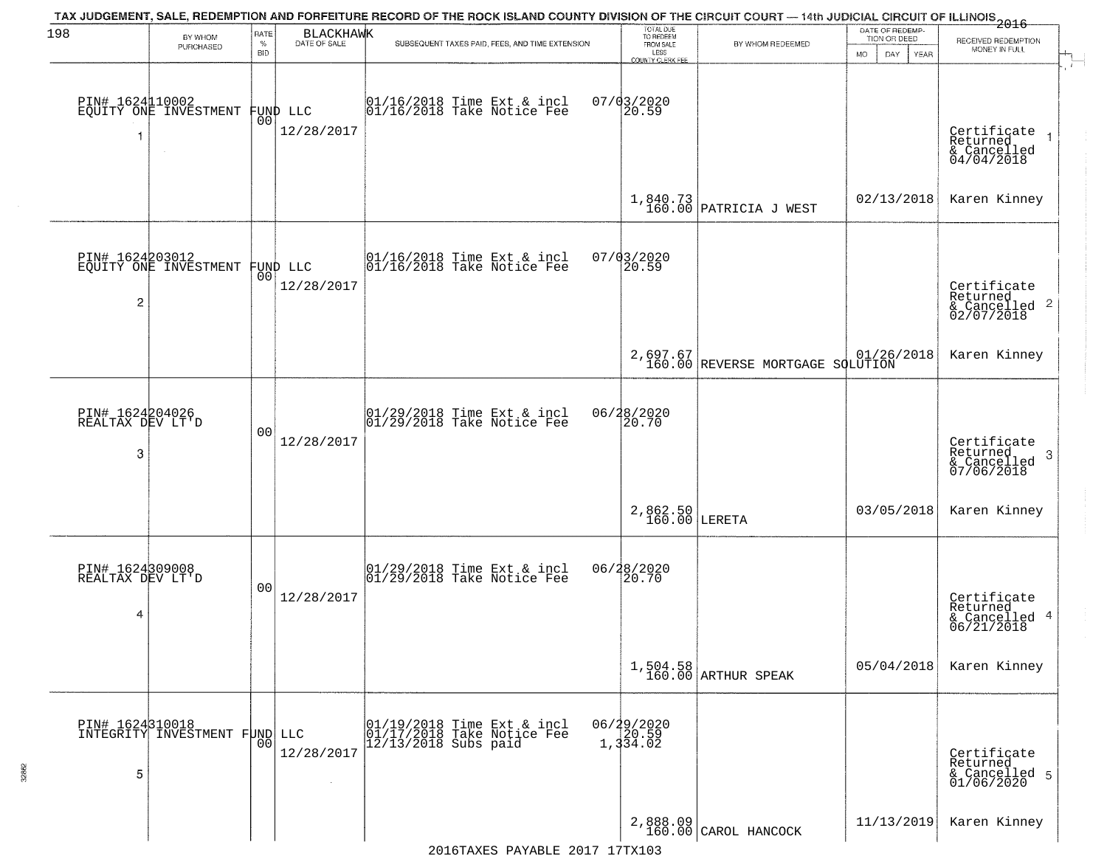| 198                                      | BY WHOM                                           | RATE               | <b>BLACKHAWK</b>               | TAX JUDGEMENT, SALE, REDEMPTION AND FORFEITURE RECORD OF THE ROCK ISLAND COUNTY DIVISION OF THE CIRCUIT COURT — 14th JUDICIAL CIRCUIT OF ILLINOIS 2016 | TOTAL DUE<br>TO REDEEM                       |                                              | DATE OF REDEMP-<br>TION OR DEED | RECEIVED REDEMPTION                                                |
|------------------------------------------|---------------------------------------------------|--------------------|--------------------------------|--------------------------------------------------------------------------------------------------------------------------------------------------------|----------------------------------------------|----------------------------------------------|---------------------------------|--------------------------------------------------------------------|
|                                          | PURCHASED                                         | $\%$<br><b>BID</b> | DATE OF SALE                   | SUBSEQUENT TAXES PAID, FEES, AND TIME EXTENSION                                                                                                        | FROM SALE<br>LESS<br><b>COUNTY CLERK FEE</b> | BY WHOM REDEEMED                             | MO.<br>DAY.<br><b>YEAR</b>      | MONEY IN FULL                                                      |
| PIN# 1624110002<br>1                     | EQUITY ONE INVESTMENT                             |                    | FUND LLC<br> 00 <br>12/28/2017 | $ 01/16/2018$ Time Ext & incl<br>$ 01/16/2018$ Take Notice Fee                                                                                         | $07/03/2020$<br>20.59                        |                                              |                                 | Certificate<br>Returned<br>$& \text{Cancelled} \ 04/04/2018$       |
|                                          |                                                   |                    |                                |                                                                                                                                                        |                                              | $1,840.73$ PATRICIA J WEST                   | 02/13/2018                      | Karen Kinney                                                       |
| $\overline{c}$                           | PIN# 1624203012<br>EQUITY ONE INVESTMENT FUND LLC |                    | 12/28/2017                     | 01/16/2018 Time Ext & incl<br>01/16/2018 Take Notice Fee                                                                                               | $07/03/2020$<br>20.59                        |                                              |                                 | Certificate<br>Returned<br>$\frac{1}{6}$ Cancelled 2<br>02/07/2018 |
|                                          |                                                   |                    |                                |                                                                                                                                                        |                                              | 2,697.67<br>160.00 REVERSE MORTGAGE SQLUTION | 01/26/2018                      | Karen Kinney                                                       |
| PIN# 1624204026<br>REALTAX DEV LT'D<br>3 |                                                   | 00                 | 12/28/2017                     | 01/29/2018 Time Ext & incl<br>01/29/2018 Take Notice Fee                                                                                               | 06/28/2020<br>20.70                          |                                              |                                 | Certificate<br>Returned<br>3<br>& Cancelled<br>07/06/2018          |
|                                          |                                                   |                    |                                |                                                                                                                                                        | $2,862.50$ LERETA                            |                                              | 03/05/2018                      | Karen Kinney                                                       |
| PIN# 1624309008<br>REALTAX DEV LT'D<br>4 |                                                   | 00                 | 12/28/2017                     | 01/29/2018 Time Ext & incl<br>01/29/2018 Take Notice Fee                                                                                               | 06/28/2020<br>120.70                         |                                              |                                 | Certificate<br>Returned<br>& Cancelled 4<br>06/21/2018             |
|                                          |                                                   |                    |                                |                                                                                                                                                        |                                              | $1,504.58$<br>160.00 ARTHUR SPEAK            | 05/04/2018                      | Karen Kinney                                                       |
| PIN# 1624310018<br>5                     | INTEGRITY INVESTMENT FUND LLC                     | 00                 | 12/28/2017                     | 01/19/2018 Time Ext & incl<br>01/17/2018 Take Notice Fee<br>$12/13/2018$ Subs paid                                                                     | 06/29/2020<br>20.59<br>1,334.02              |                                              |                                 | Certificate<br>Returned<br>& Cancelled 5<br>01/06/2020             |
|                                          |                                                   |                    |                                |                                                                                                                                                        |                                              | 2,888.09<br>160.00 CAROL HANCOCK             | 11/13/2019                      | Karen Kinney                                                       |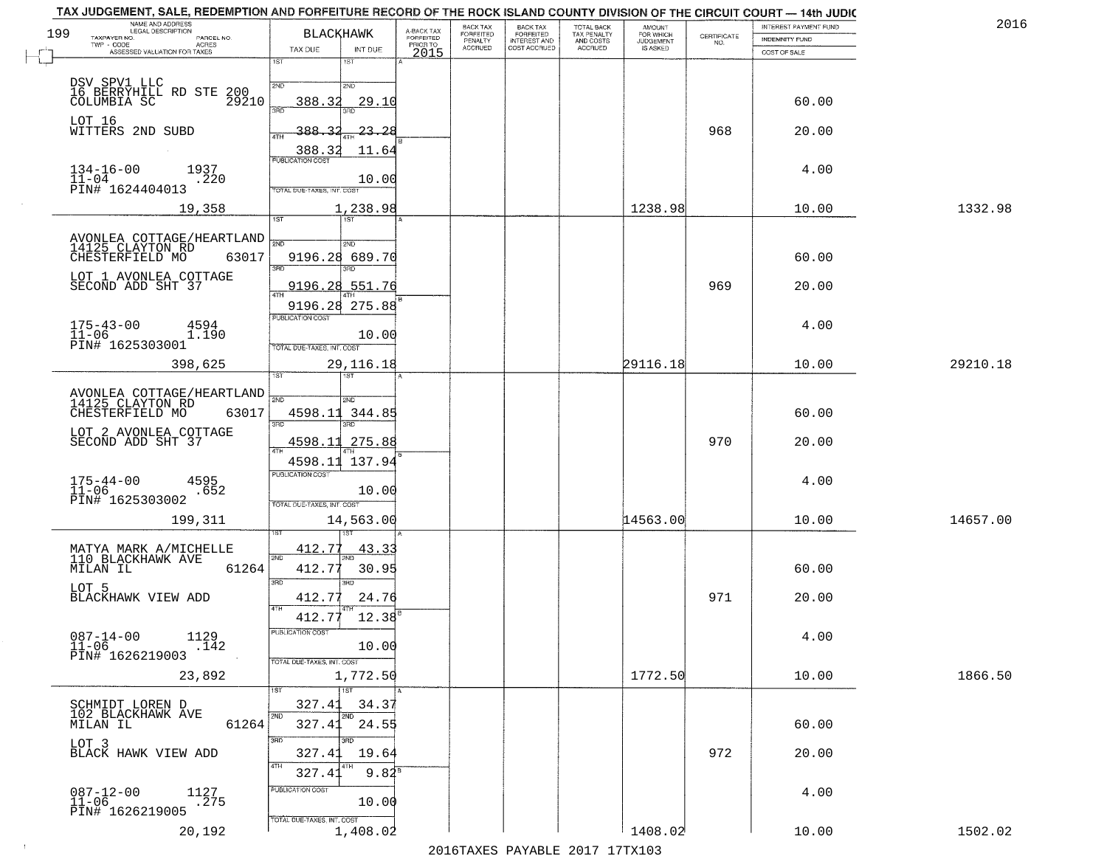|     | TAX JUDGEMENT, SALE, REDEMPTION AND FORFEITURE RECORD OF THE ROCK ISLAND COUNTY DIVISION OF THE CIRCUIT COURT - 14th JUDIC<br>NAME AND ADDRESS<br>LEGAL DESCRIPTION |                                                                           |                                         |                                     | BACK TAX             | <b>BACK TAX</b>           |                                        | AMOUNT<br>FOR WHICH |                                                                 | <b>INTEREST PAYMENT FUND</b> | 2016     |
|-----|---------------------------------------------------------------------------------------------------------------------------------------------------------------------|---------------------------------------------------------------------------|-----------------------------------------|-------------------------------------|----------------------|---------------------------|----------------------------------------|---------------------|-----------------------------------------------------------------|------------------------------|----------|
| 199 | TAXPAYER NO.<br>PARCEL NO.<br>ACRES                                                                                                                                 | <b>BLACKHAWK</b>                                                          |                                         | A-BACK TAX<br>FORFEITED<br>PRIOR TO | FORFEITED<br>PENALTY | FORFEITED<br>INTEREST AND | TOTAL BACK<br>TAX PENALTY<br>AND COSTS | <b>JUDGEMENT</b>    | $\begin{array}{c} \text{CERTIFICATE} \\ \text{NO.} \end{array}$ | <b>INDEMNITY FUND</b>        |          |
|     | ASSESSED VALUATION FOR TAXES                                                                                                                                        | TAX DUE<br>1ST                                                            | INT DUE<br>18T                          | 2015                                | <b>ACCRUED</b>       | COST ACCRUED              | ACCRUED                                | IS ASKED            |                                                                 | COST OF SALE                 |          |
|     | DSV SPV1 LLC<br>16 BERRYHILL RD STE<br>200<br>29210<br>COLUMBIA SC                                                                                                  | 2ND<br>388.32<br>350                                                      | 2ND<br>29.10                            |                                     |                      |                           |                                        |                     |                                                                 | 60.00                        |          |
|     | LOT 16<br>WITTERS 2ND SUBD                                                                                                                                          | 388.32<br>4TH<br>388.32                                                   | 23.2E<br>11.64                          |                                     |                      |                           |                                        |                     | 968                                                             | 20.00                        |          |
|     | $134 - 16 - 00$<br>1937<br>$11 - 04$<br>.220<br>PIN# 1624404013                                                                                                     | <b>PUBLICATION COST</b><br>TOTAL DUE-TAXES, INT. COST                     | 10.00                                   |                                     |                      |                           |                                        |                     |                                                                 | 4.00                         |          |
|     | 19,358                                                                                                                                                              |                                                                           | 1,238.98                                |                                     |                      |                           |                                        | 1238.98             |                                                                 | 10.00                        | 1332.98  |
|     | AVONLEA COTTAGE/HEARTLAND<br>14125 CLAYTON RD<br>63017<br>CHESTERFIELD MO<br>LOT 1 AVONLEA COTTAGE<br>SECOND ADD SHT 37                                             | 1ST<br>$\overline{\text{2NN}}$<br>9196.28<br>9196.28 275.88               | 2ND<br>689.70<br>38D<br>9196.28 551.76  |                                     |                      |                           |                                        |                     | 969                                                             | 60.00<br>20.00               |          |
|     | $175 - 43 - 00$<br>4594<br>$11 - 06$<br>1.190<br>PIN# 1625303001                                                                                                    | PUBLICATION COST<br>TOTAL DUE-TAXES, INT. COST                            | 10.00                                   |                                     |                      |                           |                                        |                     |                                                                 | 4.00                         |          |
|     | 398,625                                                                                                                                                             | 1ST                                                                       | 29, 116. 18                             |                                     |                      |                           |                                        | 29116.18            |                                                                 | 10.00                        | 29210.18 |
|     | AVONLEA COTTAGE/HEARTLAND<br>14125 CLAYTON RD<br>CHESTERFIELD MO<br>63017<br>LOT 2 AVONLEA COTTAGE SECOND ADD SHT 37                                                | 2ND<br>4598.11<br>3RD<br>4598.11<br>ATH<br>4598.11 137.94                 | 2ND<br>344.85<br>3RD<br>275.88          |                                     |                      |                           |                                        |                     | 970                                                             | 60.00<br>20.00               |          |
|     | $175 - 44 - 00$<br>$11 - 06$<br>4595<br>.652<br>PIN# 1625303002<br>199,311                                                                                          | <b>PUBLICATION COST</b><br>TOTAL OUE-TAXES, INT. COST                     | 10.00<br>14,563.00                      |                                     |                      |                           |                                        | 14563.00            |                                                                 | 4.00<br>10.00                | 14657.00 |
|     | MATYA MARK A/MICHELLE<br>110 BLACKHAWK AVE<br>61264<br>MILAN IL<br>LOT 5<br>BLACKHAWK VIEW ADD                                                                      | 412.77<br>2ND<br>412.77<br>3RD<br>412.77<br>4TH<br>412.77                 | 43.33<br>30.95<br>3BD<br>24.76<br>12.38 |                                     |                      |                           |                                        |                     | 971                                                             | 60.00<br>20.00               |          |
|     | $087 - 14 - 00$<br>1129<br>.142<br>$11 - 06$<br>PIN# 1626219003<br>23,892                                                                                           | PUBLICATION COS<br>TOTAL DUE-TAXES, INT. COST                             | 10.00<br>1,772.50                       |                                     |                      |                           |                                        | 1772.50             |                                                                 | 4.00<br>10.00                | 1866.50  |
|     | SCHMIDT LOREN D<br>102 BLACKHAWK AVE<br>61264<br>MILAN IL<br>LOT 3                                                                                                  | 327.41<br>2ND<br>327.41<br>3BD                                            | 1ST<br>34.37<br>2ND<br>24.55<br>3RD     |                                     |                      |                           |                                        |                     |                                                                 | 60.00                        |          |
|     | BLACK HAWK VIEW ADD<br>$087 - 12 - 00$<br>1127<br>$11 - 06$<br>$\sqrt{275}$<br>PIN# 1626219005                                                                      | 327.41<br>4TH<br>327.41<br>PUBLICATION COST<br>TOTAL DUE-TAXES, INT. COST | 19.64<br>$9.82^{8}$<br>10.00            |                                     |                      |                           |                                        |                     | 972                                                             | 20.00<br>4.00                |          |
|     | 20,192                                                                                                                                                              |                                                                           | 1,408.02                                |                                     |                      |                           |                                        | 1408.02             |                                                                 | 10.00                        | 1502.02  |

 $\sim 100$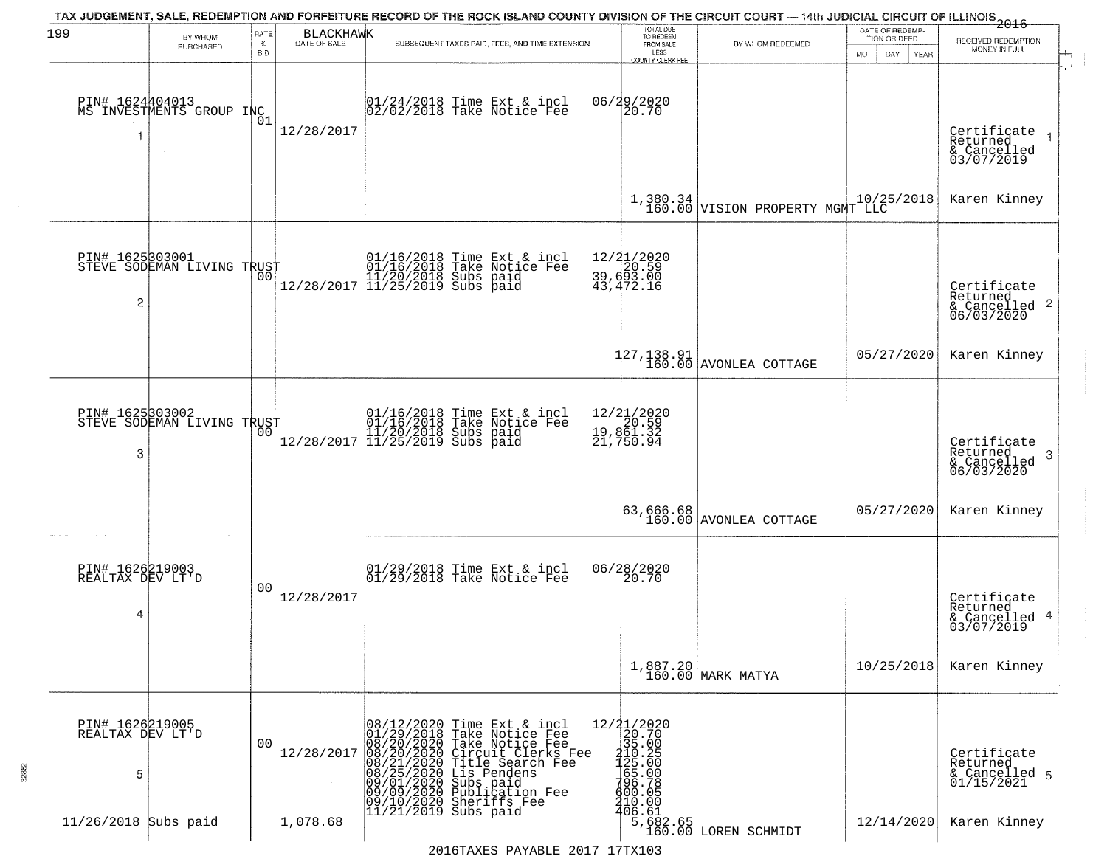|                                          |                                               |              |                                  | TAX JUDGEMENT, SALE, REDEMPTION AND FORFEITURE RECORD OF THE ROCK ISLAND COUNTY DIVISION OF THE CIRCUIT COURT — 14th JUDICIAL CIRCUIT OF ILLINOIS 2016                                                                                                                                                            |                                                                                                                                                                                                                                                                                                                                      |                                             | DATE OF REDEMP-     |                                                                    |
|------------------------------------------|-----------------------------------------------|--------------|----------------------------------|-------------------------------------------------------------------------------------------------------------------------------------------------------------------------------------------------------------------------------------------------------------------------------------------------------------------|--------------------------------------------------------------------------------------------------------------------------------------------------------------------------------------------------------------------------------------------------------------------------------------------------------------------------------------|---------------------------------------------|---------------------|--------------------------------------------------------------------|
| 199                                      | BY WHOM<br>PURCHASED                          | RATE<br>$\%$ | <b>BLACKHAWK</b><br>DATE OF SALE | SUBSEQUENT TAXES PAID, FEES, AND TIME EXTENSION                                                                                                                                                                                                                                                                   | TOTAL DUE<br>TO REDEEM<br>FROM SALE                                                                                                                                                                                                                                                                                                  | BY WHOM REDEEMED                            | TION OR DEED        | RECEIVED REDEMPTION<br>MONEY IN FULL                               |
|                                          |                                               | <b>BID</b>   |                                  |                                                                                                                                                                                                                                                                                                                   | LESS<br><b>COUNTY CLERK FEE</b>                                                                                                                                                                                                                                                                                                      |                                             | DAY.<br>MO.<br>YEAR |                                                                    |
|                                          | PIN# 1624404013<br>MS INVESTMENTS GROUP INC   | 01           | 12/28/2017                       | $01/24/2018$ Time Ext & incl<br>$02/02/2018$ Take Notice Fee                                                                                                                                                                                                                                                      | 06/29/2020<br>20.70                                                                                                                                                                                                                                                                                                                  |                                             |                     | Certificate<br>Returned<br>& Cancelled<br>03/07/2019               |
|                                          |                                               |              |                                  |                                                                                                                                                                                                                                                                                                                   |                                                                                                                                                                                                                                                                                                                                      | 1,380.34<br>160.00 VISION PROPERTY MGMT LLC | 10/25/2018          | Karen Kinney                                                       |
| $\overline{c}$                           | PIN# 1625303001<br>STEVE SODEMAN LIVING TRUST |              |                                  | 01/16/2018 Time Ext & incl<br>01/16/2018 Take Notice Fee<br>11/20/2018 Subs paid<br>12/28/2017 11/25/2019 Subs paid                                                                                                                                                                                               | 12/21/2020<br>$\begin{array}{c} 12/4 \\ 39,693.00 \\ 43,472.16 \end{array}$                                                                                                                                                                                                                                                          |                                             |                     | Certificate<br>Returned<br>$\frac{1}{6}$ Cancelled 2<br>06/03/2020 |
|                                          |                                               |              |                                  |                                                                                                                                                                                                                                                                                                                   |                                                                                                                                                                                                                                                                                                                                      | $127, 138.91$<br>$160.00$ AVONLEA COTTAGE   | 05/27/2020          | Karen Kinney                                                       |
| PIN# 1625303002<br>3                     | STEVE SODEMAN LIVING TRUST                    | 00           | 12/28/2017                       | 01/16/2018 Time Ext & incl<br>01/16/2018 Take Notice Fee<br>11/20/2018 Subs paid<br>11/25/2019 Subs paid                                                                                                                                                                                                          | 12/21/2020<br>19,861.32<br>21,750.94                                                                                                                                                                                                                                                                                                 |                                             |                     | Certificate<br>Returned<br>3<br>& Cancelled<br>06/03/2020          |
|                                          |                                               |              |                                  |                                                                                                                                                                                                                                                                                                                   |                                                                                                                                                                                                                                                                                                                                      | 63,666.68<br>  160.00 AVONLEA COTTAGE       | 05/27/2020          | Karen Kinney                                                       |
| PIN# 1626219003<br>REALTAX DEV LT'D<br>4 |                                               | 00           | 12/28/2017                       | 01/29/2018 Time Ext & incl<br>01/29/2018 Take Notice Fee                                                                                                                                                                                                                                                          | 06/28/2020<br>20.70                                                                                                                                                                                                                                                                                                                  |                                             |                     | Certificate<br>Returned<br>& Cancelled 4<br>03/07/2019             |
|                                          |                                               |              |                                  |                                                                                                                                                                                                                                                                                                                   |                                                                                                                                                                                                                                                                                                                                      | 1,887.20<br>160.00 MARK MATYA               | 10/25/2018          | Karen Kinney                                                       |
| PIN# 1626219005<br>REALTAX DEV LT'D<br>5 |                                               | 00           | 12/28/2017                       | 08/12/2020 Time Ext & incl<br>01/29/2018 Take Notice Fee<br>08/20/2020 Take Notice Fee<br>08/20/2020 Circuit Clerks F<br>08/21/2020 Title Search Fee<br>08/21/2020 Lis Pendens<br>09/01/2020 Subspaid<br>09/09/2020 Publication Fee<br>01/10/2020 She<br>Tune Woorderks<br>Circuit Clerks Fee<br>Title Search Fee | $\begin{array}{r} 12/21/2020 \\ 20.70 \\ 35.00 \\ -10.25 \\ 425.00 \\ -65.00 \\ -70.08 \\ 410.00 \\ -40.6 \\ 6.61 \\ -6.81 \\ -6.81 \\ -6.81 \\ -6.81 \\ -6.81 \\ -6.81 \\ -6.81 \\ -6.81 \\ -6.81 \\ -6.81 \\ -6.81 \\ -6.81 \\ -6.81 \\ -6.81 \\ -6.81 \\ -6.81 \\ -6.81 \\ -6.81 \\ -6.81 \\ -6.81 \\ -6.81 \\ -6.81 \\ -6.81 \\$ |                                             |                     | Certificate<br>Returned<br>& Cancelled 5<br>01/15/2021             |
| 11/26/2018 Subs paid                     |                                               |              | 1,078.68                         | 11/21/2019 Subs paid                                                                                                                                                                                                                                                                                              |                                                                                                                                                                                                                                                                                                                                      | 5,682.65<br>160.00 LOREN SCHMIDT            | 12/14/2020          | Karen Kinney                                                       |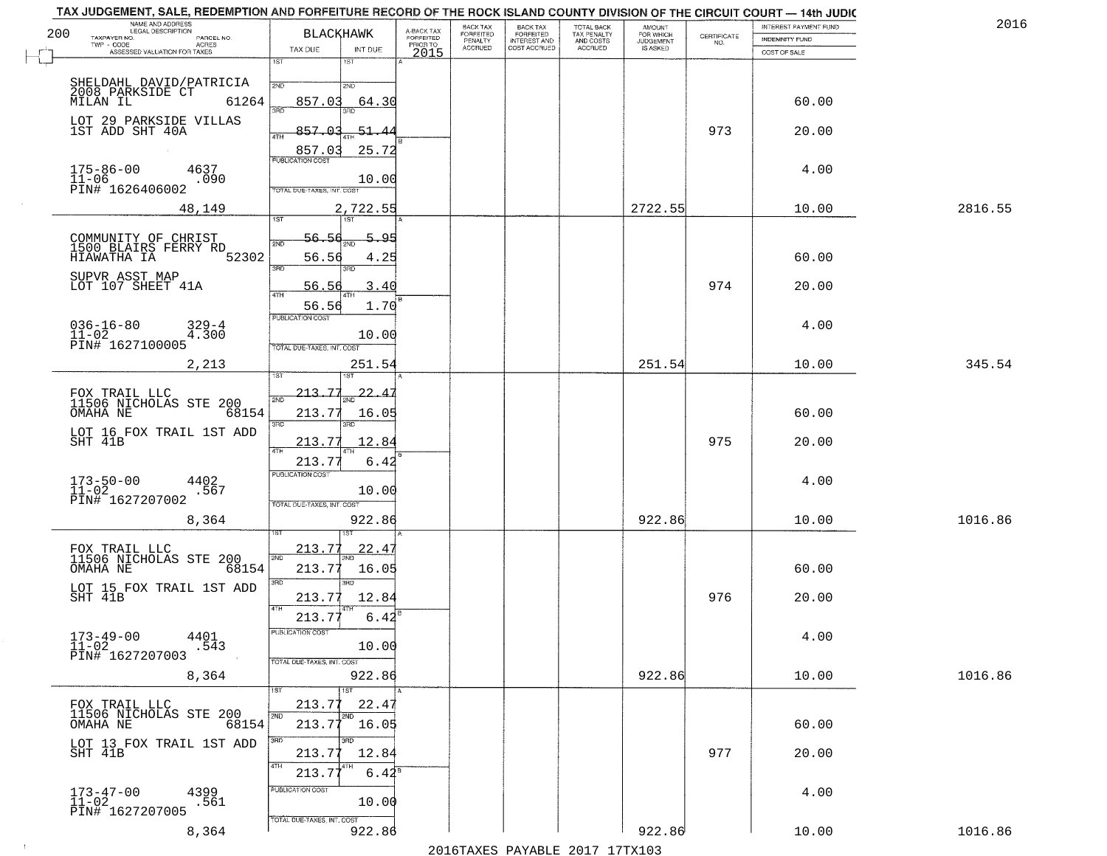| 200 | NAME AND ADDRESS<br>LEGAL DESCRIPTION<br>TAXPAYER NO.        | <b>BLACKHAWK</b>                 |                       | A-BACK TAX<br>FORFEITED | BACK TAX<br>FORFEITED | <b>BACK TAX</b><br><b>FORFEITED</b> | TOTAL BACK<br>TAX PENALTY | <b>AMOUNT</b>                      |                                                                 | INTEREST PAYMENT FUND | 2016    |
|-----|--------------------------------------------------------------|----------------------------------|-----------------------|-------------------------|-----------------------|-------------------------------------|---------------------------|------------------------------------|-----------------------------------------------------------------|-----------------------|---------|
|     | PARCEL NO.<br>TWP - CODE<br><b>ACRES</b>                     | TAX DUE                          | INT DUE               | PRIOR TO                | PENALTY<br>ACCRUED    | INTEREST AND                        | AND COSTS<br>ACCRUED      | FOR WHICH<br>JUDGEMENT<br>IS ASKED | $\begin{array}{c} \text{CERTIFICATE} \\ \text{NO.} \end{array}$ | <b>INDEMNITY FUND</b> |         |
|     | ASSESSED VALUATION FOR TAXES                                 | 1ST<br>1ST                       |                       | 2015                    |                       |                                     |                           |                                    |                                                                 | COST OF SALE          |         |
|     | SHELDAHL DAVID/PATRICIA                                      | 2ND<br>2ND                       |                       |                         |                       |                                     |                           |                                    |                                                                 |                       |         |
|     | 2008 PARKSIDE CT<br>MILAN IL<br>61264                        | 857.03<br>390<br>aan             | 64.30                 |                         |                       |                                     |                           |                                    |                                                                 | 60.00                 |         |
|     | LOT 29 PARKSIDE VILLAS<br>1ST ADD SHT 40A                    | $-857.03$                        | $-51.4$               |                         |                       |                                     |                           |                                    | 973                                                             | 20.00                 |         |
|     |                                                              | 4TH<br>857.03                    | 25.72                 |                         |                       |                                     |                           |                                    |                                                                 |                       |         |
|     | $175 - 86 - 00$<br>4637                                      | <b>PUBLICATION COST</b>          |                       |                         |                       |                                     |                           |                                    |                                                                 | 4.00                  |         |
|     | $11-06$<br>PIN# 1626406002<br>.090                           | TOTAL DUE-TAXES, INT. COST       | 10.00                 |                         |                       |                                     |                           |                                    |                                                                 |                       |         |
|     | 48,149                                                       |                                  | 2,722.55              |                         |                       |                                     |                           | 2722.55                            |                                                                 | 10.00                 | 2816.55 |
|     |                                                              | 1ST<br>1ST                       |                       |                         |                       |                                     |                           |                                    |                                                                 |                       |         |
|     | COMMUNITY OF CHRIST<br>1500 BLAIRS FERRY RD<br>HIAWATHA IA   | 56.56                            | 5.95                  |                         |                       |                                     |                           |                                    |                                                                 |                       |         |
|     | 52302<br>SUPVR ASST MAP                                      | 56.56<br>3RD<br>3RD              | 4.25                  |                         |                       |                                     |                           |                                    |                                                                 | 60.00                 |         |
|     | LOT 107 SHEET 41A                                            | 56.56<br>$\sqrt{4}$              | 3.40                  |                         |                       |                                     |                           |                                    | 974                                                             | 20.00                 |         |
|     |                                                              | 56.56<br><b>PUBLICATION COST</b> | 1.70                  |                         |                       |                                     |                           |                                    |                                                                 |                       |         |
|     | $036 - 16 - 80$<br>11-02<br>$329 - 4$<br>4.300               |                                  | 10.00                 |                         |                       |                                     |                           |                                    |                                                                 | 4.00                  |         |
|     | PIN# 1627100005                                              | TOTAL DUE-TAXES, INT. COST       |                       |                         |                       |                                     |                           |                                    |                                                                 |                       |         |
|     | 2,213                                                        |                                  | 251.54                |                         |                       |                                     |                           | 251.54                             |                                                                 | 10.00                 | 345.54  |
|     | FOX TRAIL LLC<br>11506 NICHOLAS STE 200                      | 213.77<br>2ND                    | 22<br>$\overline{4}$  |                         |                       |                                     |                           |                                    |                                                                 |                       |         |
|     | OMAHA NE<br>68154                                            | 213.77                           | 16.05                 |                         |                       |                                     |                           |                                    |                                                                 | 60.00                 |         |
|     | LOT 16 FOX TRAIL 1ST ADD<br>SHT 41B                          | 3RD<br>3RD<br>213.77             | 12.84                 |                         |                       |                                     |                           |                                    | 975                                                             | 20.00                 |         |
|     |                                                              | 4TH<br>213.77                    | 6.42                  |                         |                       |                                     |                           |                                    |                                                                 |                       |         |
|     | $173 - 50 - 00$<br>$11 - 02$                                 | <b>PUBLICATION COST</b>          |                       |                         |                       |                                     |                           |                                    |                                                                 | 4.00                  |         |
|     | 4402.567<br>PIN# 1627207002                                  | TOTAL OUE-TAXES, INT. COST       | 10.00                 |                         |                       |                                     |                           |                                    |                                                                 |                       |         |
|     | 8,364                                                        |                                  | 922.86                |                         |                       |                                     |                           | 922.86                             |                                                                 | 10.00                 | 1016.86 |
|     |                                                              | 213.77                           |                       |                         |                       |                                     |                           |                                    |                                                                 |                       |         |
|     | FOX TRAIL LLC<br>11506 NICHOLAS STE 200<br>OMAHA NE<br>68154 | 2ND<br>213.7                     | <u>22.41</u><br>16.05 |                         |                       |                                     |                           |                                    |                                                                 | 60.00                 |         |
|     | LOT 15 FOX TRAIL 1ST ADD                                     | 3RD<br>3RD                       |                       |                         |                       |                                     |                           |                                    |                                                                 |                       |         |
|     | SHT 41B                                                      | 213.77<br>4TH                    | 12.84                 |                         |                       |                                     |                           |                                    | 976                                                             | 20.00                 |         |
|     |                                                              | 213.77<br>PUBLICATION COST       | 6.42                  |                         |                       |                                     |                           |                                    |                                                                 |                       |         |
|     | $173 - 49 - 00$<br>$11 - 02$<br>4401<br>.543                 |                                  | 10.00                 |                         |                       |                                     |                           |                                    |                                                                 | 4.00                  |         |
|     | PIN# 1627207003                                              | TOTAL DUE-TAXES, INT. COST       |                       |                         |                       |                                     |                           |                                    |                                                                 |                       |         |
|     | 8,364                                                        | 1ST<br>1ST                       | 922.86                |                         |                       |                                     |                           | 922.86                             |                                                                 | 10.00                 | 1016.86 |
|     | FOX TRAIL LLC<br>11506 NICHOLAS STE 200                      | 213.77<br>2ND<br>2ND             | 22.47                 |                         |                       |                                     |                           |                                    |                                                                 |                       |         |
|     | OMAHA NE<br>68154                                            | 213.77                           | 16.05                 |                         |                       |                                     |                           |                                    |                                                                 | 60.00                 |         |
|     | LOT 13 FOX TRAIL 1ST ADD<br>SHT 41B                          | 3BD<br>213.77                    | 12.84                 |                         |                       |                                     |                           |                                    | 977                                                             | 20.00                 |         |
|     |                                                              | 4TH<br>213.77                    | $6.44^{8}$            |                         |                       |                                     |                           |                                    |                                                                 |                       |         |
|     | 4399<br>$173 - 47 - 00$<br>$11 - 02$                         | PUBLICATION COST                 |                       |                         |                       |                                     |                           |                                    |                                                                 | 4.00                  |         |
|     | .561<br>PIN# 1627207005                                      | TOTAL DUE-TAXES, INT. COST       | 10.00                 |                         |                       |                                     |                           |                                    |                                                                 |                       |         |
|     | 8,364                                                        |                                  | 922.86                |                         |                       |                                     |                           | 922.86                             |                                                                 | 10.00                 | 1016.86 |

 $\sim 100$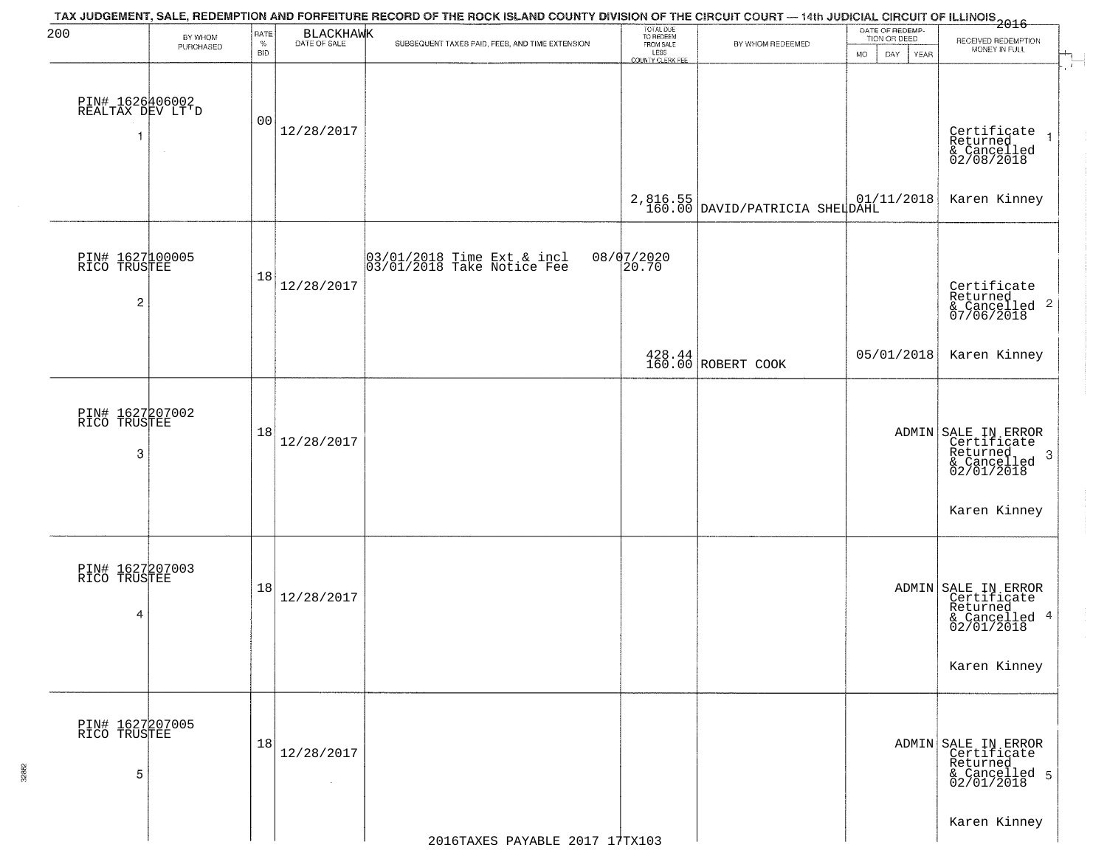| 200                                               | BY WHOM<br>PURCHASED | RATE<br>$\%$<br><b>BID</b> | BLACKHAWK                    | SUBSEQUENT TAXES PAID, FEES, AND TIME EXTENSION          | TOTAL DUE<br>TO REDEEM<br>FROM SALE<br>LESS<br>COUNTY CLERK FEE | BY WHOM REDEEMED                                  | DATE OF REDEMP-<br>TION OR DEED<br><b>MO</b><br>DAY.<br>YEAR | RECEIVED REDEMPTION<br>MONEY IN FULL                                                              |
|---------------------------------------------------|----------------------|----------------------------|------------------------------|----------------------------------------------------------|-----------------------------------------------------------------|---------------------------------------------------|--------------------------------------------------------------|---------------------------------------------------------------------------------------------------|
| PIN# 1626406002<br>REALTAX DEV LT'D<br>1          |                      | 00                         | 12/28/2017                   |                                                          |                                                                 |                                                   |                                                              | Certificate<br>Returned<br>$\overline{1}$<br>& Cancelled<br>02/08/2018                            |
|                                                   |                      |                            |                              |                                                          |                                                                 | $2,816.55$ 01/:<br>160.00 DAVID/PATRICIA SHELDAHL | 01/11/2018                                                   | Karen Kinney                                                                                      |
| PIN# 1627100005<br>RICO TRUSTEE<br>$\overline{c}$ |                      | 18                         | 12/28/2017                   | 03/01/2018 Time Ext & incl<br>03/01/2018 Take Notice Fee | 08/07/2020<br>20.70                                             |                                                   |                                                              | Certificate<br>Returned<br>$\boldsymbol{2}$<br>& Cancelled<br>& Cancelled<br>07/06/2018           |
|                                                   |                      |                            |                              |                                                          |                                                                 | 428.44<br>160.00 ROBERT COOK                      | 05/01/2018                                                   | Karen Kinney                                                                                      |
| PIN# 1627207002<br>RICO TRUSTEE<br>3              |                      | 18                         | 12/28/2017                   |                                                          |                                                                 |                                                   |                                                              | ADMIN SALE IN ERROR<br>Certificate<br>Returned<br>3<br>& Cancelled<br>02/01/2018<br>Karen Kinney  |
| PIN# 1627207003<br>RICO TRUSTEE<br>4              |                      | 18                         | 12/28/2017                   |                                                          |                                                                 |                                                   |                                                              | ADMIN SALE IN ERROR<br>Certificate<br>Returned,<br>4<br>& Cancelled<br>02/01/2018<br>Karen Kinney |
| PIN# 1627207005<br>RICO TRUSTEE<br>5              |                      | 18                         | 12/28/2017<br>$\sim 10^{-1}$ |                                                          |                                                                 |                                                   |                                                              | ADMIN SALE IN ERROR<br>Certificate<br>Returned<br>& Cancelled 5<br>02/01/2018                     |
|                                                   |                      |                            |                              | 2016TAXES PAYABLE 2017 17TX103                           |                                                                 |                                                   |                                                              | Karen Kinney                                                                                      |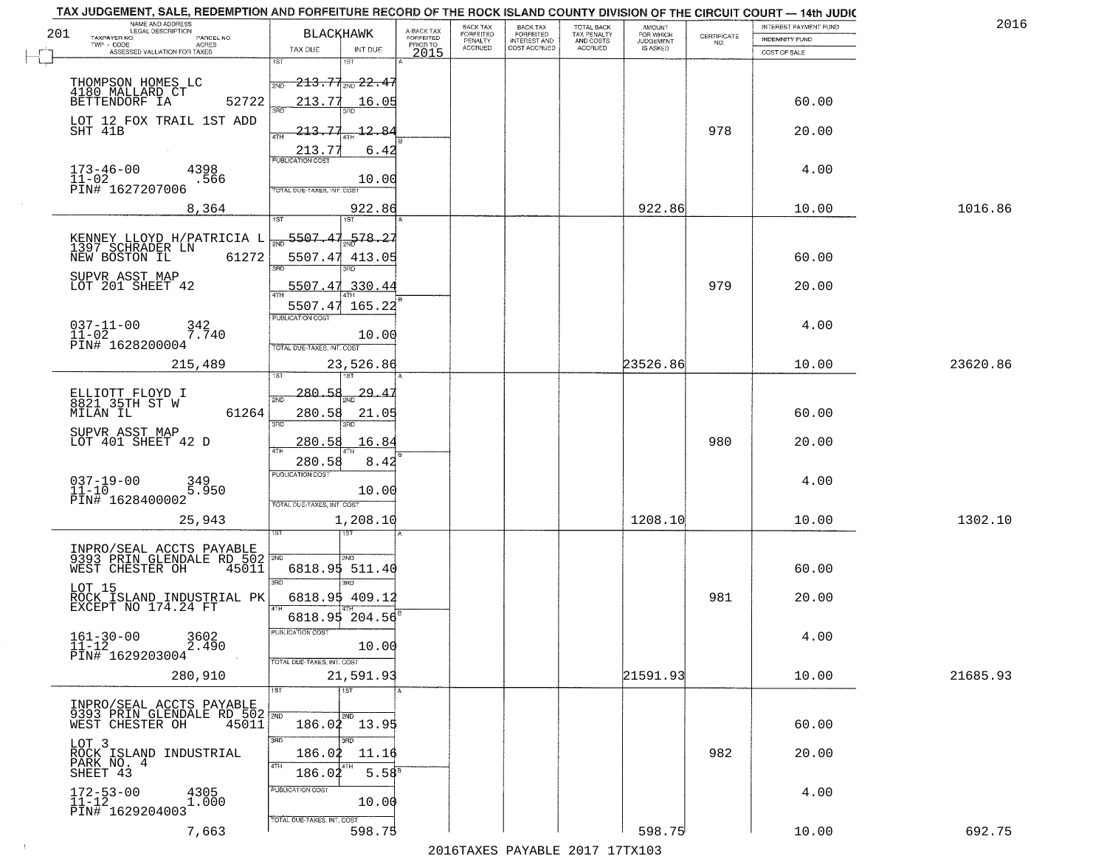|     | TAX JUDGEMENT, SALE, REDEMPTION AND FORFEITURE RECORD OF THE ROCK ISLAND COUNTY DIVISION OF THE CIRCUIT COURT - 14th JUDIC<br>NAME AND ADDRESS<br>LEGAL DESCRIPTION |                                                                                     |                                     | BACK TAX             | <b>BACK TAX</b>           |                                        | AMOUNT<br>FOR WHICH |                                                                 | INTEREST PAYMENT FUND | 2016     |
|-----|---------------------------------------------------------------------------------------------------------------------------------------------------------------------|-------------------------------------------------------------------------------------|-------------------------------------|----------------------|---------------------------|----------------------------------------|---------------------|-----------------------------------------------------------------|-----------------------|----------|
| 201 | TAXPAYER NO.<br>PARCEL NO.<br>ACRES                                                                                                                                 | <b>BLACKHAWK</b>                                                                    | A-BACK TAX<br>FORFEITED<br>PRIOR TO | FORFEITED<br>PENALTY | FORFEITED<br>INTEREST AND | TOTAL BACK<br>TAX PENALTY<br>AND COSTS | <b>JUDGEMENT</b>    | $\begin{array}{c} \text{CERTIFICATE} \\ \text{NO.} \end{array}$ | INDEMNITY FUND        |          |
|     | ASSESSED VALUATION FOR TAXES                                                                                                                                        | TAX DUE<br>INT DUE                                                                  | 2015                                | <b>ACCRUED</b>       | COST ACCRUED              | ACCRUED                                | IS ASKED            |                                                                 | COST OF SALE          |          |
|     | THOMPSON HOMES LC<br>4180 MALLARD CT<br>52722<br>BETTENDORF IA                                                                                                      | 1ST<br>18T<br>$-213.71_{\rm 2ND}$ $22.47$<br>2ND<br>213.77<br>16.05                 |                                     |                      |                           |                                        |                     |                                                                 | 60.00                 |          |
|     | LOT 12 FOX TRAIL 1ST ADD<br>SHT 41B                                                                                                                                 | 12.84<br>213.<br>4TH                                                                |                                     |                      |                           |                                        |                     | 978                                                             | 20.00                 |          |
|     | $173 - 46 - 00$<br>4398<br>$11 - 02$<br>.566<br>PIN# 1627207006                                                                                                     | 213.77<br>6.42<br>10.00<br><b>TOTAL DUE-TAXES, INT, COST</b>                        |                                     |                      |                           |                                        |                     |                                                                 | 4.00                  |          |
|     | 8,364                                                                                                                                                               | 922.86                                                                              |                                     |                      |                           |                                        | 922.86              |                                                                 | 10.00                 | 1016.86  |
|     | KENNEY LLOYD H/PATRICIA L 397 SCHRADER LN<br>61272<br>NEW BOSTON IL<br>SUPVR ASST MAP<br>LOT 201 SHEET 42                                                           | 578.27<br>5507.47<br>413.05<br>3RD<br>5507.47.330.44                                |                                     |                      |                           |                                        |                     | 979                                                             | 60.00<br>20.00        |          |
|     | $037 - 11 - 00$<br>342<br>$11-02$<br>PIN# 1628200004<br>$7.\bar{7}40$                                                                                               | 165.22<br>5507.47<br><b>FUBLICATION COST</b><br>10.00<br>TOTAL DUE-TAXES, INT. COST |                                     |                      |                           |                                        |                     |                                                                 | 4.00                  |          |
|     | 215,489                                                                                                                                                             | 23,526.86<br>īsT                                                                    |                                     |                      |                           |                                        | 23526.86            |                                                                 | 10.00                 | 23620.86 |
|     | ELLIOTT FLOYD I<br>8821 35TH ST W<br>MILAN IL<br>61264<br>SUPVR ASST MAP                                                                                            | $-280.58$<br>29.4<br>2ND<br>280.58<br>21.05<br>3RD<br>3RD                           |                                     |                      |                           |                                        |                     |                                                                 | 60.00                 |          |
|     | LOT 401 SHEET 42 D                                                                                                                                                  | 280.58<br>16.84<br>4TH                                                              |                                     |                      |                           |                                        |                     | 980                                                             | 20.00                 |          |
|     | $037 - 19 - 00$<br>11-10<br>349<br>5.950<br>PIN# 1628400002                                                                                                         | 280.58<br>8.42<br><b>PUBLICATION COST</b><br>10.00<br>TOTAL OUE-TAXES, INT. COST    |                                     |                      |                           |                                        |                     |                                                                 | 4.00                  |          |
|     | 25,943                                                                                                                                                              | 1,208.10                                                                            |                                     |                      |                           |                                        | 1208.10             |                                                                 | 10.00                 | 1302.10  |
|     | INPRO/SEAL ACCTS PAYABLE<br>9393 PRIN GLENDALE RD 502 2ND<br>WEST CHESTER OH<br>45011<br>LOT 15                                                                     | 2ND.<br>6818.95 511.40<br>3RD<br>aen.                                               |                                     |                      |                           |                                        |                     |                                                                 | 60.00                 |          |
|     | ROCK ISLAND INDUSTRIAL PK<br>EXCEPT NO 174.24 FT                                                                                                                    | 6818.95 409.12                                                                      |                                     |                      |                           |                                        |                     | 981                                                             | 20.00                 |          |
|     | $161 - 30 - 00$<br>3602<br>2.490<br>11-12<br>PIN# 1629203004                                                                                                        | 6818.95 204.56<br>PUBLICATION COS<br>10.00<br>TOTAL DUE-TAXES, INT. COST            |                                     |                      |                           |                                        |                     |                                                                 | 4.00                  |          |
|     | 280,910                                                                                                                                                             | 21,591.93                                                                           |                                     |                      |                           |                                        | 21591.93            |                                                                 | 10.00                 | 21685.93 |
|     | INPRO/SEAL ACCTS PAYABLE<br>9393 PRIN GLENDALE RD 502 2ND<br>45011<br>WEST CHESTER OH                                                                               | <b>TIST</b><br>1ST<br>2ND<br>186.02 13.95                                           |                                     |                      |                           |                                        |                     |                                                                 | 60.00                 |          |
|     | LOT 3<br>ROCK ISLAND INDUSTRIAL<br>PARK NO. 4<br>SHEET 43                                                                                                           | 3RD<br>חחי<br>186.02<br>11.16<br>4TH<br>$5.58^{8}$<br>186.02                        |                                     |                      |                           |                                        |                     | 982                                                             | 20.00                 |          |
|     | $172 - 53 - 00$<br>11-12<br>4305<br>1.000<br>PIN# 1629204003                                                                                                        | PUBLICATION COST<br>10.00<br>TOTAL DUE-TAXES, INT. COST                             |                                     |                      |                           |                                        |                     |                                                                 | 4.00                  |          |
|     | 7,663                                                                                                                                                               | 598.75                                                                              |                                     |                      |                           |                                        | 598.75              |                                                                 | 10.00                 | 692.75   |

 $\sim 100$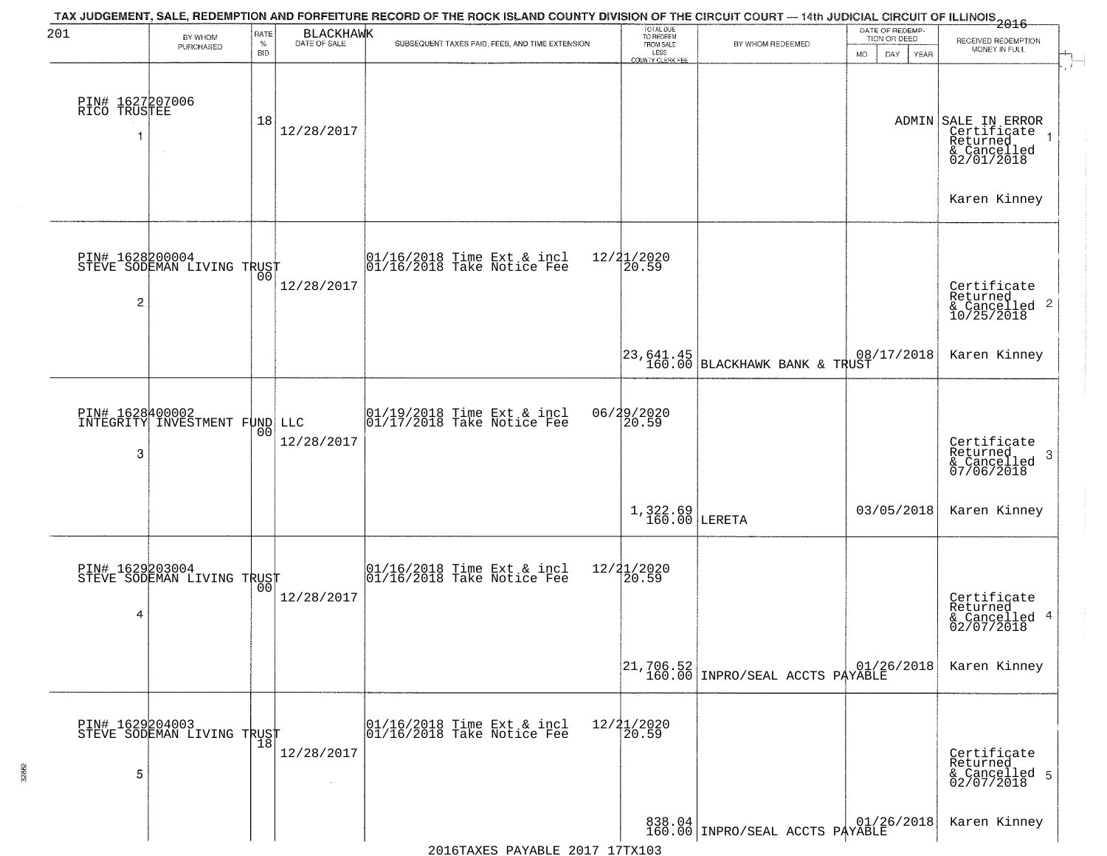| 201                             | BY WHOM<br>PURCHASED                             | RATE<br>$\%$<br><b>BID</b> | <b>BLACKHAWK</b><br>DATE OF SALE | TAX JUDGEMENT, SALE, REDEMPTION AND FORFEITURE RECORD OF THE ROCK ISLAND COUNTY DIVISION OF THE CIRCUIT COURT — 14th JUDICIAL CIRCUIT OF ILLINOIS 2016<br>SUBSEQUENT TAXES PAID, FEES, AND TIME EXTENSION | TOTAL DUE<br>TO REDEEM<br>FROM SALE<br>LESS<br><b>COUNTY CLERK FEE</b> | BY WHOM REDEEMED                                                                                                                                  | DATE OF REDEMP-<br>TION OR DEED<br>MO.<br>DAY<br><b>YEAR</b> | RECEIVED REDEMPTION<br>MONEY IN FULL                                        |
|---------------------------------|--------------------------------------------------|----------------------------|----------------------------------|-----------------------------------------------------------------------------------------------------------------------------------------------------------------------------------------------------------|------------------------------------------------------------------------|---------------------------------------------------------------------------------------------------------------------------------------------------|--------------------------------------------------------------|-----------------------------------------------------------------------------|
| PIN# 1627207006<br>RICO TRUSTEE |                                                  | 18                         | 12/28/2017                       |                                                                                                                                                                                                           |                                                                        |                                                                                                                                                   |                                                              | ADMIN SALE IN ERROR<br>Certificate<br>Returned<br>& Cancelled<br>02/01/2018 |
| $\overline{c}$                  | PIN# 1628200004<br>STEVE SODEMAN LIVING TRUST    |                            | 12/28/2017                       | 01/16/2018 Time Ext & incl<br>01/16/2018 Take Notice Fee                                                                                                                                                  | 12/21/2020<br>20.59                                                    |                                                                                                                                                   |                                                              | Karen Kinney<br>Certificate<br>Returned                                     |
|                                 |                                                  |                            |                                  |                                                                                                                                                                                                           |                                                                        | 123,641.45<br>160.00 BLACKHAWK BANK & TRUST                                                                                                       | 08/17/2018                                                   | Karen Kinney                                                                |
| 3                               | PIN# 1628400002<br>INTEGRITY INVESTMENT FUND LLC | 00                         | 12/28/2017                       | $\begin{array}{ccc}  01/19/2018 \text{ Time} & \text{Ext} & \text{incl} \\  01/17/2018 \text{ Take Notice } \text{Fe} \end{array}$                                                                        | 06/29/2020<br>20.59                                                    |                                                                                                                                                   |                                                              | Certificate<br>Returned<br>3<br>& Cancelled<br>07/06/2018                   |
|                                 |                                                  |                            |                                  |                                                                                                                                                                                                           | $1,322.69$<br>$160.00$ LERETA                                          |                                                                                                                                                   | 03/05/2018                                                   | Karen Kinney                                                                |
| 4                               | PIN# 1629203004<br>STEVE SODEMAN LIVING TRUST    |                            | 12/28/2017                       | $\begin{array}{c}  01/16/2018 \text{ Time Ext} & \text{incl} \\  01/16/2018 \text{ Take Notice Fe} \end{array}$                                                                                           | 12/21/2020<br>$\overline{20.59}$                                       |                                                                                                                                                   |                                                              | Certificate<br>Returned<br>& Cancelled 4<br>02/07/2018                      |
|                                 |                                                  |                            |                                  |                                                                                                                                                                                                           |                                                                        | $\begin{array}{ c c c c c c } \hline 21{,}706{,}52 & & & 01/2 \\ \hline 160{,}00 & \hline \text{INPRO/SEAL ACCTS} & \texttt{PAYABLE} \end{array}$ | 01/26/2018                                                   | Karen Kinney                                                                |
| 5                               | PIN# 1629204003<br>STEVE SODEMAN LIVING TRUST    |                            | 12/28/2017                       | 01/16/2018 Time Ext & incl<br>01/16/2018 Take Notice Fee                                                                                                                                                  | 12/21/2020<br>20.59                                                    |                                                                                                                                                   |                                                              | Certificate<br>Returned<br>& Cancelled 5<br>02/07/2018                      |
|                                 |                                                  |                            |                                  |                                                                                                                                                                                                           |                                                                        | 838.04 INPRO/SEAL ACCTS PAYABLE                                                                                                                   |                                                              | Karen Kinney                                                                |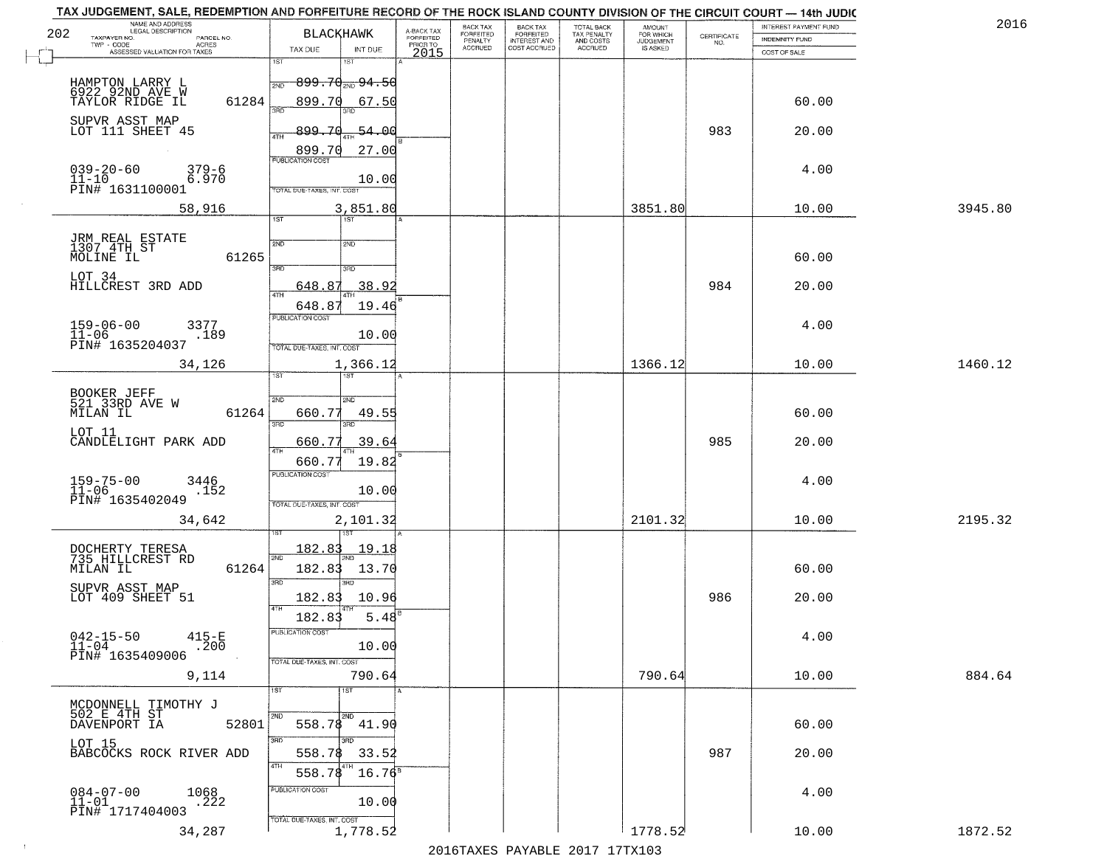| TAX JUDGEMENT, SALE, REDEMPTION AND FORFEITURE RECORD OF THE ROCK ISLAND COUNTY DIVISION OF THE CIRCUIT COURT - 14th JUDIC<br>NAME AND ADDRESS<br>LEGAL DESCRIPTION |                                            |                                     | BACK TAX             |                                       |                                        | AMOUNT<br>FOR WHICH |                                                                 | INTEREST PAYMENT FUND | 2016    |
|---------------------------------------------------------------------------------------------------------------------------------------------------------------------|--------------------------------------------|-------------------------------------|----------------------|---------------------------------------|----------------------------------------|---------------------|-----------------------------------------------------------------|-----------------------|---------|
| 202<br>TAXPAYER NO.<br>PARCEL NO.                                                                                                                                   | <b>BLACKHAWK</b>                           | A-BACK TAX<br>FORFEITED<br>PRIOR TO | FORFEITED<br>PENALTY | BACK TAX<br>FORFEITED<br>INTEREST AND | TOTAL BACK<br>TAX PENALTY<br>AND COSTS | <b>JUDGEMENT</b>    | $\begin{array}{c} \text{CERTIFICATE} \\ \text{NO.} \end{array}$ | INDEMNITY FUND        |         |
| TWP - CODE<br>ACRES<br>ASSESSED VALUATION FOR TAXES                                                                                                                 | TAX DUE<br>INT DUE                         | 2015                                | <b>ACCRUED</b>       | COST ACCRUED                          | <b>ACCRUED</b>                         | IS ASKED            |                                                                 | COST OF SALE          |         |
|                                                                                                                                                                     | 1ST<br>IST                                 |                                     |                      |                                       |                                        |                     |                                                                 |                       |         |
| HAMPTON LARRY L                                                                                                                                                     | $899.70_{200}$ $94.50$<br>2ND              |                                     |                      |                                       |                                        |                     |                                                                 |                       |         |
| 6922 92ND AVE W<br>61284<br>TAYLOR RIDGE IL                                                                                                                         | 899.70<br>67.50                            |                                     |                      |                                       |                                        |                     |                                                                 | 60.00                 |         |
|                                                                                                                                                                     |                                            |                                     |                      |                                       |                                        |                     |                                                                 |                       |         |
| SUPVR ASST MAP<br>LOT 111 SHEET 45                                                                                                                                  | <u>899.70</u><br>-54.00                    |                                     |                      |                                       |                                        |                     | 983                                                             | 20.00                 |         |
|                                                                                                                                                                     | ATH                                        |                                     |                      |                                       |                                        |                     |                                                                 |                       |         |
|                                                                                                                                                                     | 27.00<br>899.70<br><b>PUBLICATION COST</b> |                                     |                      |                                       |                                        |                     |                                                                 |                       |         |
| $039 - 20 - 60$<br>11-10<br>$379 - 6$<br>6.970                                                                                                                      |                                            |                                     |                      |                                       |                                        |                     |                                                                 | 4.00                  |         |
| PIN# 1631100001                                                                                                                                                     | 10.00<br>TOTAL DUE-TAXES, INT. COST        |                                     |                      |                                       |                                        |                     |                                                                 |                       |         |
| 58,916                                                                                                                                                              | 3,851.80                                   |                                     |                      |                                       |                                        | 3851.80             |                                                                 | 10.00                 | 3945.80 |
|                                                                                                                                                                     | 1ST                                        |                                     |                      |                                       |                                        |                     |                                                                 |                       |         |
|                                                                                                                                                                     |                                            |                                     |                      |                                       |                                        |                     |                                                                 |                       |         |
| JRM REAL ESTATE<br>1307 4TH ST<br>61265                                                                                                                             | 2ND<br>2ND                                 |                                     |                      |                                       |                                        |                     |                                                                 | 60.00                 |         |
| MOLINE IL                                                                                                                                                           | 3RD<br>3RD                                 |                                     |                      |                                       |                                        |                     |                                                                 |                       |         |
| LOT 34<br>HILLCREST 3RD ADD                                                                                                                                         | 38.92<br>648.87                            |                                     |                      |                                       |                                        |                     | 984                                                             | 20.00                 |         |
|                                                                                                                                                                     |                                            |                                     |                      |                                       |                                        |                     |                                                                 |                       |         |
|                                                                                                                                                                     | 19.46<br>648.87<br>PUBLICATION COST        |                                     |                      |                                       |                                        |                     |                                                                 |                       |         |
| $159 - 06 - 00$<br>3377                                                                                                                                             |                                            |                                     |                      |                                       |                                        |                     |                                                                 | 4.00                  |         |
| $11 - 06$<br>.189<br>PIN# 1635204037                                                                                                                                | 10.00<br>TOTAL DUE-TAXES, INT. COST        |                                     |                      |                                       |                                        |                     |                                                                 |                       |         |
|                                                                                                                                                                     |                                            |                                     |                      |                                       |                                        | 1366.12             |                                                                 | 10.00                 | 1460.12 |
| 34,126                                                                                                                                                              | 1,366.12<br><b>ST</b><br>۱S٦               |                                     |                      |                                       |                                        |                     |                                                                 |                       |         |
|                                                                                                                                                                     |                                            |                                     |                      |                                       |                                        |                     |                                                                 |                       |         |
| BOOKER JEFF<br>521 33RD AVE W                                                                                                                                       | 2ND<br>2ND                                 |                                     |                      |                                       |                                        |                     |                                                                 |                       |         |
| MILAN IL<br>61264                                                                                                                                                   | 660.77<br>49.55<br>3BD<br>3RD              |                                     |                      |                                       |                                        |                     |                                                                 | 60.00                 |         |
| LOT 11                                                                                                                                                              |                                            |                                     |                      |                                       |                                        |                     |                                                                 |                       |         |
| CANDLELIGHT PARK ADD                                                                                                                                                | 39.64<br>660.77<br>ATH                     |                                     |                      |                                       |                                        |                     | 985                                                             | 20.00                 |         |
|                                                                                                                                                                     | 660.77<br>19.82                            |                                     |                      |                                       |                                        |                     |                                                                 |                       |         |
| $159 - 75 - 00$<br>$11 - 06$<br>3446                                                                                                                                | <b>PUBLICATION COST</b>                    |                                     |                      |                                       |                                        |                     |                                                                 | 4.00                  |         |
| .152<br>PIN# 1635402049                                                                                                                                             | 10.00<br>TOTAL OUE-TAXES, INT. COST        |                                     |                      |                                       |                                        |                     |                                                                 |                       |         |
|                                                                                                                                                                     |                                            |                                     |                      |                                       |                                        |                     |                                                                 |                       |         |
| 34,642                                                                                                                                                              | 2,101.32                                   |                                     |                      |                                       |                                        | 2101.32             |                                                                 | 10.00                 | 2195.32 |
|                                                                                                                                                                     | 182.83<br><u> 19.18</u>                    |                                     |                      |                                       |                                        |                     |                                                                 |                       |         |
| DOCHERTY TERESA<br>735 HILLCREST RD                                                                                                                                 | 2ND                                        |                                     |                      |                                       |                                        |                     |                                                                 |                       |         |
| 61264<br>MILAN IL                                                                                                                                                   | 182.83<br>13.70                            |                                     |                      |                                       |                                        |                     |                                                                 | 60.00                 |         |
| SUPVR ASST MAP                                                                                                                                                      | 3RD<br>3BD                                 |                                     |                      |                                       |                                        |                     |                                                                 |                       |         |
| LOT 409 SHEET 51                                                                                                                                                    | 182.83<br>10.96<br>4TH                     |                                     |                      |                                       |                                        |                     | 986                                                             | 20.00                 |         |
|                                                                                                                                                                     | 182.83<br>5.48                             |                                     |                      |                                       |                                        |                     |                                                                 |                       |         |
| $042 - 15 - 50$<br>$415 - E$                                                                                                                                        | PUBLICATION COST                           |                                     |                      |                                       |                                        |                     |                                                                 | 4.00                  |         |
| $11 - 04$<br>.200<br>PIN# 1635409006                                                                                                                                | 10.00                                      |                                     |                      |                                       |                                        |                     |                                                                 |                       |         |
|                                                                                                                                                                     | TOTAL DUE-TAXES, INT. COST                 |                                     |                      |                                       |                                        |                     |                                                                 |                       |         |
| 9,114                                                                                                                                                               | 790.64<br>1ST                              |                                     |                      |                                       |                                        | 790.64              |                                                                 | 10.00                 | 884.64  |
|                                                                                                                                                                     | $\overline{\text{1ST}}$                    |                                     |                      |                                       |                                        |                     |                                                                 |                       |         |
| MCDONNELL TIMOTHY J<br>502 E 4TH ST<br>DAVENPORT IA                                                                                                                 |                                            |                                     |                      |                                       |                                        |                     |                                                                 |                       |         |
| 52801                                                                                                                                                               | 558.78 41.90                               |                                     |                      |                                       |                                        |                     |                                                                 | 60.00                 |         |
| LOT 15<br>BABCOCKS ROCK RIVER ADD                                                                                                                                   | 3RD                                        |                                     |                      |                                       |                                        |                     |                                                                 |                       |         |
|                                                                                                                                                                     | 558.78<br>33.52<br>4TH                     |                                     |                      |                                       |                                        |                     | 987                                                             | 20.00                 |         |
|                                                                                                                                                                     | $16.76^8$<br>558.78                        |                                     |                      |                                       |                                        |                     |                                                                 |                       |         |
| $084 - 07 - 00$<br>1068                                                                                                                                             | PUBLICATION COST                           |                                     |                      |                                       |                                        |                     |                                                                 | 4.00                  |         |
| .222<br>$11 - 01$<br>PIN# 1717404003                                                                                                                                | 10.00                                      |                                     |                      |                                       |                                        |                     |                                                                 |                       |         |
|                                                                                                                                                                     | TOTAL DUE-TAXES, INT. COST                 |                                     |                      |                                       |                                        |                     |                                                                 |                       |         |
|                                                                                                                                                                     |                                            |                                     |                      |                                       |                                        |                     |                                                                 |                       | 1872.52 |
| 34,287                                                                                                                                                              | 1,778.52                                   |                                     |                      | 2016 TAVEC DAVARIE 2017 17 TAV102     |                                        | 1778.52             |                                                                 | 10.00                 |         |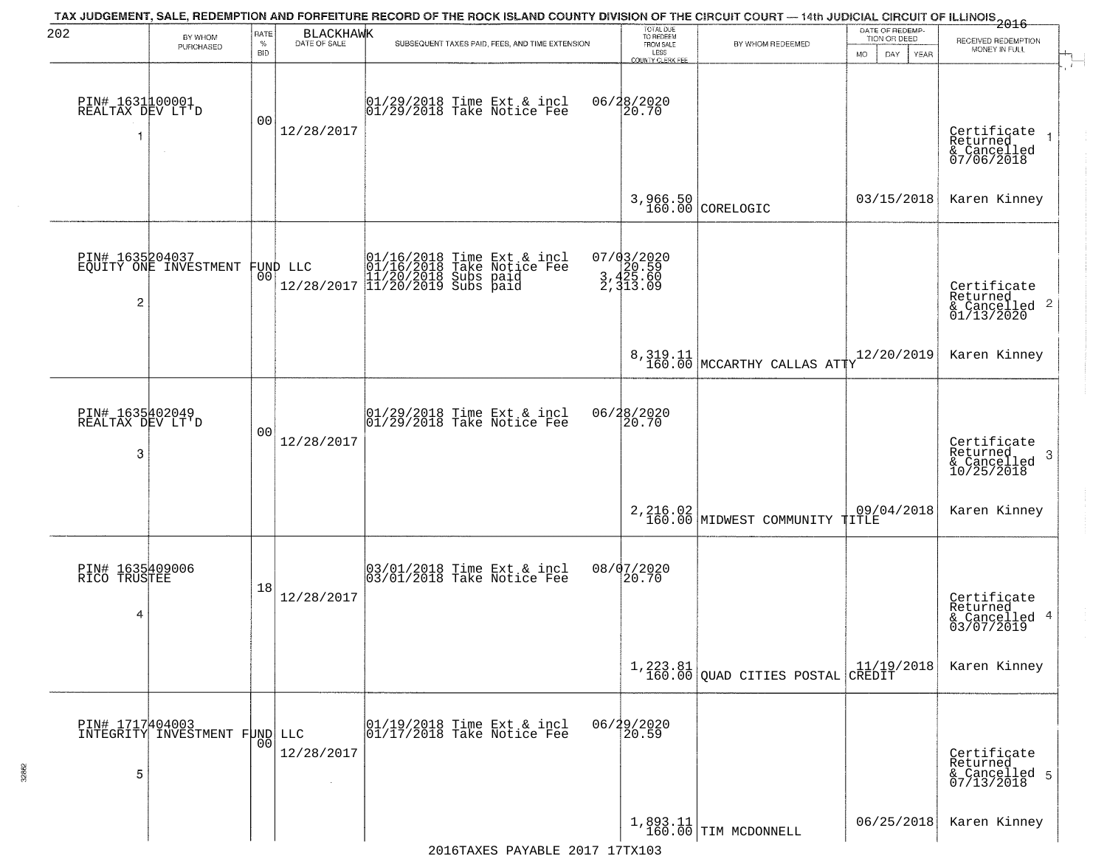| 202                                      | BY WHOM<br>PURCHASED                             | RATE<br>$\%$<br><b>BID</b> | BLACKHAWK<br>DATE OF SALE | TAX JUDGEMENT, SALE, REDEMPTION AND FORFEITURE RECORD OF THE ROCK ISLAND COUNTY DIVISION OF THE CIRCUIT COURT — 14th JUDICIAL CIRCUIT OF ILLINOIS<br>2016 - 14th Juli 2017<br>SUBSEQUENT TAXES PAID, FEES, AND TIME EXTENSION | TOTAL DUE<br>TO REDEEM<br>FROM SALE<br>LESS<br>COUNTY CLERK FEE | BY WHOM REDEEMED                                                | DATE OF REDEMP.<br>TION OR DEED<br>MO.<br>YEAR<br>DAY. | RECEIVED REDEMPTION<br>MONEY IN FULL                               |
|------------------------------------------|--------------------------------------------------|----------------------------|---------------------------|-------------------------------------------------------------------------------------------------------------------------------------------------------------------------------------------------------------------------------|-----------------------------------------------------------------|-----------------------------------------------------------------|--------------------------------------------------------|--------------------------------------------------------------------|
| PIN# 1631100001<br>REALTAX DEV LT'D<br>1 | $\sim$                                           | 0 <sub>0</sub>             | 12/28/2017                | 01/29/2018 Time Ext & incl<br>01/29/2018 Take Notice Fee                                                                                                                                                                      | 06/28/2020<br>20.70                                             |                                                                 |                                                        | Certificate<br>Returned<br>& Cancelled<br>07/06/2018               |
|                                          |                                                  |                            |                           |                                                                                                                                                                                                                               | 3,966.50<br>160.00                                              | CORELOGIC                                                       | 03/15/2018                                             | Karen Kinney                                                       |
| PIN# 1635204037<br>2                     | EQUITY ONE INVESTMENT                            |                            | FUND LLC<br> 00           | 01/16/2018 Time Ext & incl<br>01/16/2018 Take Notice Fee<br>11/20/2018 Subs paid<br>12/28/2017 11/20/2019 Subs paid                                                                                                           | 07/03/2020<br>3,420.59<br>3,425.60<br>2,313.09                  |                                                                 |                                                        | Certificate<br>Returned<br>$\frac{1}{2}$ Cancelled 2<br>01/13/2020 |
|                                          |                                                  |                            |                           |                                                                                                                                                                                                                               |                                                                 | $8,319.11$ MCCARTHY CALLAS ATTY                                 | 12/20/2019                                             | Karen Kinney                                                       |
| PIN# 1635402049<br>REALTAX DEV LT'D<br>3 |                                                  | 0 <sub>0</sub>             | 12/28/2017                | 01/29/2018 Time Ext & incl<br>01/29/2018 Take Notice Fee                                                                                                                                                                      | 06/28/2020<br>$\overline{20.70}$                                |                                                                 |                                                        | Certificate<br>Returned<br>-3<br>& Cancelled<br>10/25/2018         |
|                                          |                                                  |                            |                           |                                                                                                                                                                                                                               |                                                                 | 2,216.02 MIDWEST COMMUNITY TITLE                                | 09/04/2018                                             | Karen Kinney                                                       |
| PIN# 1635409006<br>RICO TRUSTEE<br>4     |                                                  | 18                         | 12/28/2017                | 03/01/2018 Time Ext & incl<br>03/01/2018 Take Notice Fee                                                                                                                                                                      | 08/07/2020<br>20.70                                             |                                                                 |                                                        | Certificate<br>Returned<br>& Cancelled 4<br>03/07/2019             |
|                                          |                                                  |                            |                           |                                                                                                                                                                                                                               |                                                                 | $\left[1, 223.81 \atop 160.00\right]$ QUAD CITIES POSTAL CREDIT |                                                        | Karen Kinney                                                       |
| 5                                        | PIN# 1717404003<br>INTEGRITY INVESTMENT FUND LLC | 00                         | 12/28/2017                | 01/19/2018 Time Ext & incl<br>01/17/2018 Take Notice Fee                                                                                                                                                                      | 06/29/2020<br>20.59                                             |                                                                 |                                                        | Certificate<br>Returned<br>& Cancelled 5<br>07/13/2018             |
|                                          |                                                  |                            |                           |                                                                                                                                                                                                                               |                                                                 | $1,893.11$ TIM MCDONNELL                                        | 06/25/2018                                             | Karen Kinney                                                       |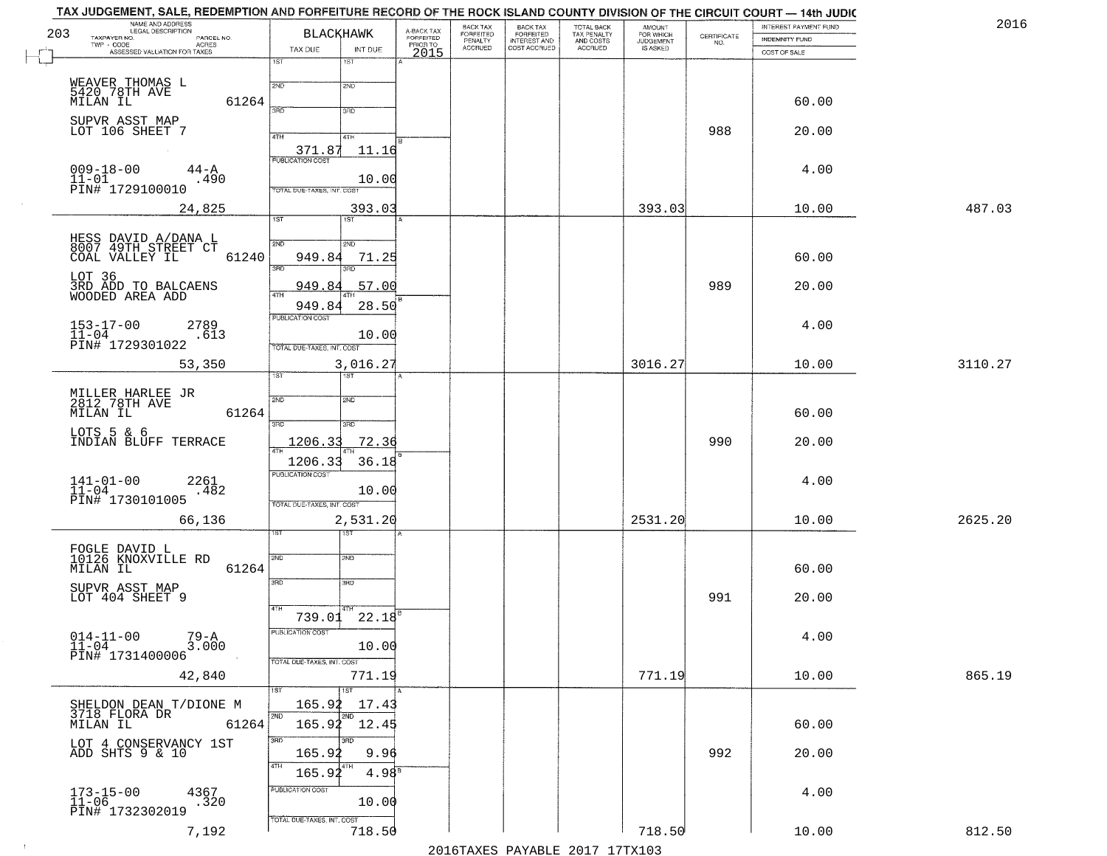| 2016    | INTEREST PAYMENT FUND |                                                                 | <b>AMOUNT</b><br>FOR WHICH |                                                   | <b>BACK TAX</b><br><b>FORFEITED</b> | BACK TAX<br><b>FORFEITED</b> | A-BACK TAX            | <b>BLACKHAWK</b>              |                                    |                            | NAME AND ADDRESS<br>LEGAL DESCRIPTION               |
|---------|-----------------------|-----------------------------------------------------------------|----------------------------|---------------------------------------------------|-------------------------------------|------------------------------|-----------------------|-------------------------------|------------------------------------|----------------------------|-----------------------------------------------------|
|         | INDEMNITY FUND        | $\begin{array}{c} \text{CERTIFICATE} \\ \text{NO.} \end{array}$ | JUDGEMENT                  | TOTAL BACK<br>TAX PENALTY<br>AND COSTS<br>ACCRUED | INTEREST AND<br>COST ACCRUED        | PENALTY<br>ACCRUED           | FORFEITED<br>PRIOR TO |                               |                                    | PARCEL NO.<br><b>ACRES</b> | TAXPAYER NO.<br>TWP - CODE                          |
|         | COST OF SALE          |                                                                 |                            |                                                   |                                     |                              | 2015                  | INT DUE<br>1ST                | TAX DUE<br>1ST                     |                            | ASSESSED VALUATION FOR TAXES                        |
|         |                       |                                                                 |                            |                                                   |                                     |                              |                       |                               |                                    |                            |                                                     |
|         | 60.00                 |                                                                 |                            |                                                   |                                     |                              |                       | 2ND                           | 2ND                                | 61264                      | WEAVER THOMAS L<br>5420 78TH AVE<br>MILAN IL        |
|         |                       |                                                                 |                            |                                                   |                                     |                              |                       | 3RD                           | 3BD                                |                            | SUPVR ASST MAP                                      |
|         | 20.00                 | 988                                                             |                            |                                                   |                                     |                              |                       | 41H                           | 4TH                                |                            | LOT 106 SHEET 7                                     |
|         |                       |                                                                 |                            |                                                   |                                     |                              |                       | 11.16                         | 371.87                             |                            |                                                     |
|         | 4.00                  |                                                                 |                            |                                                   |                                     |                              |                       |                               | <b>PUBLICATION COST</b>            | 44-A                       | $009 - 18 - 00$                                     |
|         |                       |                                                                 |                            |                                                   |                                     |                              |                       | 10.00                         | TOTAL DUE-TAXES, INT. COST         | .490                       | 11-01<br>PIN# 1729100010                            |
| 487.03  | 10.00                 |                                                                 | 393.03                     |                                                   |                                     |                              |                       | 393.03                        |                                    |                            | 24,825                                              |
|         |                       |                                                                 |                            |                                                   |                                     |                              |                       | 1ST                           | 1ST                                |                            |                                                     |
|         |                       |                                                                 |                            |                                                   |                                     |                              |                       | 2ND                           | 2ND                                |                            | HESS DAVID A/DANA L<br>8007 49TH STREET CT          |
|         | 60.00                 |                                                                 |                            |                                                   |                                     |                              |                       | 71.25                         | 949.84<br>3RD                      | 61240                      | COAL VALLEY IL                                      |
|         | 20.00                 | 989                                                             |                            |                                                   |                                     |                              |                       | .57.00                        | 949.8                              |                            | LOT 36<br>3RD ADD TO BALCAENS<br>WOODED AREA ADD    |
|         |                       |                                                                 |                            |                                                   |                                     |                              |                       | 28.50                         | 949.84                             |                            |                                                     |
|         | 4.00                  |                                                                 |                            |                                                   |                                     |                              |                       |                               | PUBLICATION COST                   |                            |                                                     |
|         |                       |                                                                 |                            |                                                   |                                     |                              |                       | 10.00                         | TOTAL DUE-TAXES, INT. COST         | 2789<br>.613               | $153 - 17 - 00$<br>$11 - 04$<br>PIN# 1729301022     |
| 3110.27 | 10.00                 |                                                                 | 3016.27                    |                                                   |                                     |                              |                       | 3,016.27                      |                                    |                            | 53,350                                              |
|         |                       |                                                                 |                            |                                                   |                                     |                              |                       | 1ST                           | ist.                               |                            |                                                     |
|         |                       |                                                                 |                            |                                                   |                                     |                              |                       | 2ND                           | 2ND                                |                            | MILLER HARLEE JR<br>2812 78TH AVE                   |
|         | 60.00                 |                                                                 |                            |                                                   |                                     |                              |                       |                               | 3RD                                | 61264                      | MILAN IL                                            |
|         | 20.00                 | 990                                                             |                            |                                                   |                                     |                              |                       | 3BD<br>72.36                  | 1206.33                            |                            | LOTS 5 & 6                                          |
|         |                       |                                                                 |                            |                                                   |                                     |                              |                       |                               |                                    |                            | INDIAN BLUFF TERRACE                                |
|         |                       |                                                                 |                            |                                                   |                                     |                              |                       | 36.18                         | 1206.33<br><b>PUBLICATION COST</b> |                            |                                                     |
|         | 4.00                  |                                                                 |                            |                                                   |                                     |                              |                       | 10.00                         |                                    | 2261<br>.482               | $141 - 01 - 00$<br>$11 - 04$                        |
|         |                       |                                                                 |                            |                                                   |                                     |                              |                       |                               | TOTAL OUE-TAXES, INT. COST         |                            | PIN# 1730101005                                     |
| 2625.20 | 10.00                 |                                                                 | 2531.20                    |                                                   |                                     |                              |                       | 2,531.20<br>उड़ा              |                                    |                            | 66,136                                              |
|         |                       |                                                                 |                            |                                                   |                                     |                              |                       |                               |                                    |                            | FOGLE DAVID L<br>10126 KNOXVILLE RD                 |
|         | 60.00                 |                                                                 |                            |                                                   |                                     |                              |                       | SND                           | SVD                                | 61264                      | MILAN IL                                            |
|         |                       |                                                                 |                            |                                                   |                                     |                              |                       | 3RD                           | 3RD                                |                            | SUPVR ASST MAP                                      |
|         | 20.00                 | 991                                                             |                            |                                                   |                                     |                              |                       |                               | 4TH                                |                            | LOT 404 SHEET 9                                     |
|         |                       |                                                                 |                            |                                                   |                                     |                              |                       | $739.01$ $22.18$ <sup>B</sup> | PUBLICATION COST                   |                            |                                                     |
|         | 4.00                  |                                                                 |                            |                                                   |                                     |                              |                       | 10.00                         |                                    | 79-A<br>3.000              | $014 - 11 - 00$<br>11-04                            |
|         |                       |                                                                 |                            |                                                   |                                     |                              |                       |                               | TOTAL DUE-TAXES, INT. COST         |                            | PIN# 1731400006                                     |
| 865.19  | 10.00                 |                                                                 | 771.19                     |                                                   |                                     |                              |                       | 771.19<br>1ST                 | 1ST                                |                            | 42,840                                              |
|         |                       |                                                                 |                            |                                                   |                                     |                              |                       | 17.43                         | 165.92                             |                            |                                                     |
|         | 60.00                 |                                                                 |                            |                                                   |                                     |                              |                       | 2ND<br>165.92 12.45           | 2ND                                | 61264                      | SHELDON DEAN T/DIONE M<br>3718 FLORA DR<br>MILAN IL |
|         |                       |                                                                 |                            |                                                   |                                     |                              |                       | 3RD                           | 3RD                                |                            | LOT 4 CONSERVANCY 1ST                               |
|         | 20.00                 | 992                                                             |                            |                                                   |                                     |                              |                       | 9.96                          | 165.92<br>4TH                      |                            | ADD SHTS 9 & 10                                     |
|         |                       |                                                                 |                            |                                                   |                                     |                              |                       | 4.98 <sup>B</sup>             | 165.92                             |                            |                                                     |
|         | 4.00                  |                                                                 |                            |                                                   |                                     |                              |                       | 10.00                         | PUBLICATION COST                   | 4367<br>.320               | $173 - 15 - 00$<br>11-06                            |
|         |                       |                                                                 |                            |                                                   |                                     |                              |                       |                               | TOTAL DUE-TAXES, INT. COST         |                            | PIN# 1732302019                                     |
| 812.50  | 10.00                 |                                                                 | 718.50                     |                                                   |                                     |                              |                       | 718.50                        |                                    | 7,192                      |                                                     |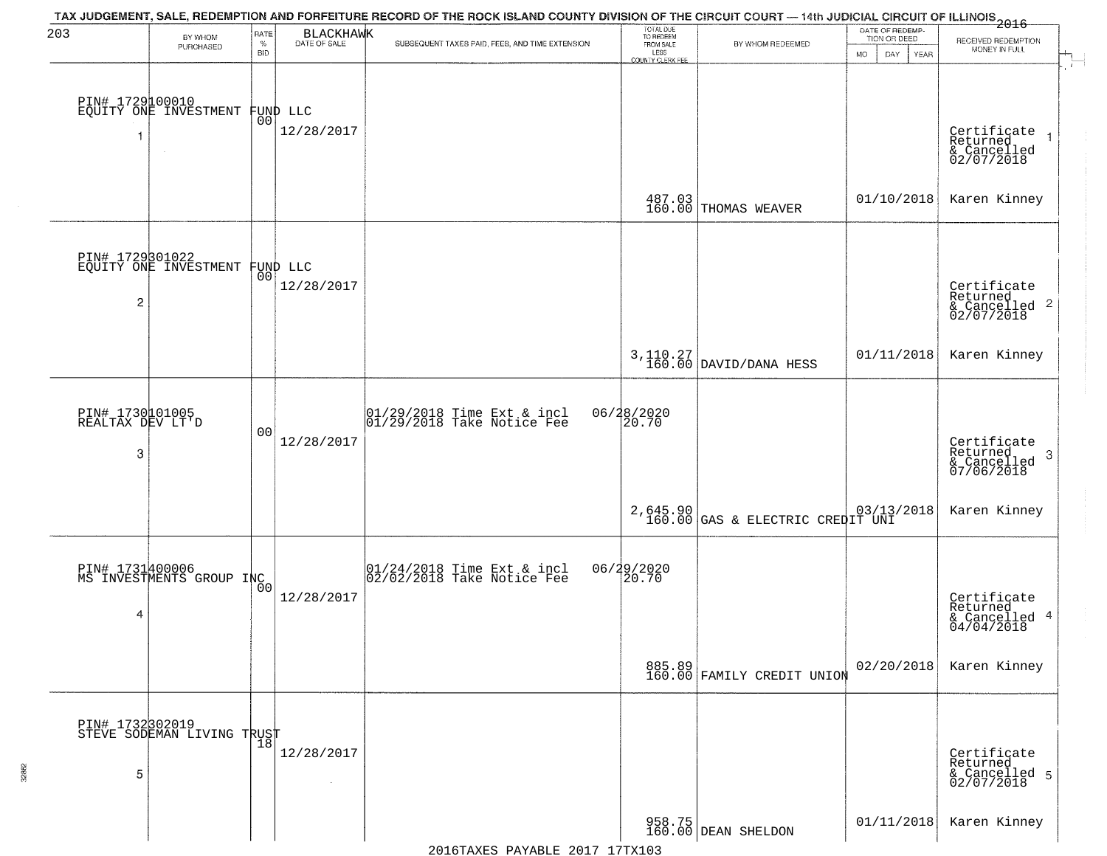| 203                                      | BY WHOM<br>PURCHASED                              | RATE<br>$\%$<br><b>BID</b> | <b>BLACKHAWK</b><br>DATE OF SALE | TAX JUDGEMENT, SALE, REDEMPTION AND FORFEITURE RECORD OF THE ROCK ISLAND COUNTY DIVISION OF THE CIRCUIT COURT — 14th JUDICIAL CIRCUIT OF ILLINOIS 2016<br>SUBSEQUENT TAXES PAID, FEES, AND TIME EXTENSION | TOTAL DUE<br>TO REDEEM<br>FROM SALE<br>LESS<br>COUNTY CLERK FEE | BY WHOM REDEEMED                             | DATE OF REDEMP-<br>TION OR DEED<br><b>MO</b><br>DAY<br>YEAR | RECEIVED REDEMPTION<br>MONEY IN FULL                              |
|------------------------------------------|---------------------------------------------------|----------------------------|----------------------------------|-----------------------------------------------------------------------------------------------------------------------------------------------------------------------------------------------------------|-----------------------------------------------------------------|----------------------------------------------|-------------------------------------------------------------|-------------------------------------------------------------------|
| 1                                        | PIN# 1729100010<br>EQUITY ONE INVESTMENT          |                            | FUND LLC<br> 00 <br>12/28/2017   |                                                                                                                                                                                                           |                                                                 |                                              |                                                             | Certificate<br>Returned<br>& Cancelled<br>02/07/2018              |
|                                          |                                                   |                            |                                  |                                                                                                                                                                                                           |                                                                 | 487.03<br>160.00 THOMAS WEAVER               | 01/10/2018                                                  | Karen Kinney                                                      |
| $\overline{c}$                           | PIN# 1729301022<br>EQUITY ONE INVESTMENT FUND LLC |                            | 12/28/2017                       |                                                                                                                                                                                                           |                                                                 |                                              |                                                             | Certificate<br>Returned<br>& Cancelled <sup>2</sup><br>02/07/2018 |
|                                          |                                                   |                            |                                  |                                                                                                                                                                                                           |                                                                 | $3,110.27$ DAVID/DANA HESS                   | 01/11/2018                                                  | Karen Kinney                                                      |
| PIN# 1730101005<br>REALTAX DEV LT'D<br>3 |                                                   | 0 <sub>0</sub>             | 12/28/2017                       | $\begin{array}{c} 01/29/2018 \\ 01/29/2018 \\ 01 \end{array}$ Take Notice Fee                                                                                                                             | 06/28/2020<br>20.70                                             |                                              |                                                             | Certificate<br>Returned<br>3<br>& Cancelled<br>07/06/2018         |
|                                          |                                                   |                            |                                  |                                                                                                                                                                                                           |                                                                 | 2,645.90<br>160.00 GAS & ELECTRIC CREDIT UNI |                                                             | Karen Kinney                                                      |
| 4                                        | PIN# 1731400006<br>MS INVESTMENTS GROUP INC       | 0 <sub>0</sub>             | 12/28/2017                       | 01/24/2018 Time Ext & incl<br>02/02/2018 Take Notice Fee                                                                                                                                                  | 06/29/2020                                                      |                                              |                                                             | Certificate<br>Returned<br>& Cancelled 4<br>04/04/2018            |
|                                          |                                                   |                            |                                  |                                                                                                                                                                                                           |                                                                 | 885.89<br>160.00 FAMILY CREDIT UNION         | 02/20/2018                                                  | Karen Kinney                                                      |
| 5                                        | PIN# 1732302019<br>STEVE SODEMAN LIVING TRUST     |                            | 12/28/2017<br>$\sim$             |                                                                                                                                                                                                           |                                                                 |                                              |                                                             | Certificate<br>Returned<br>& Cancelled 5<br>02/07/2018            |
|                                          |                                                   |                            |                                  |                                                                                                                                                                                                           |                                                                 | 958.75<br>160.00 DEAN SHELDON                | 01/11/2018                                                  | Karen Kinney                                                      |

32862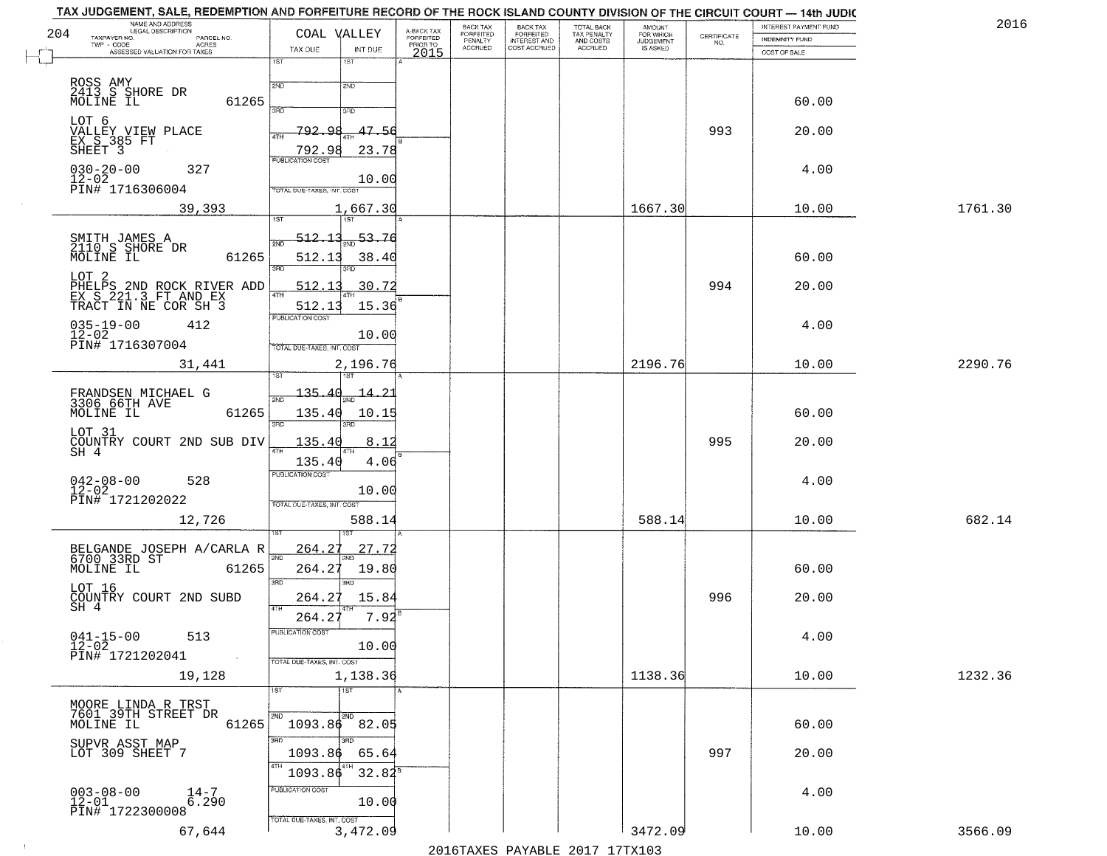|     | TAX JUDGEMENT, SALE, REDEMPTION AND FORFEITURE RECORD OF THE ROCK ISLAND COUNTY DIVISION OF THE CIRCUIT COURT — 14th JUDIC |                                   |                                        |                         |                       |                                                       |                                                   |                                                     |                    | INTEREST PAYMENT FUND | 2016    |
|-----|----------------------------------------------------------------------------------------------------------------------------|-----------------------------------|----------------------------------------|-------------------------|-----------------------|-------------------------------------------------------|---------------------------------------------------|-----------------------------------------------------|--------------------|-----------------------|---------|
| 204 | NAME AND ADDRESS<br>LEGAL DESCRIPTION<br>TAXPAYER NO.<br>PARCEL NO.                                                        |                                   | COAL VALLEY                            | A-BACK TAX<br>FORFEITED | BACK TAX<br>FORFEITED | BACK TAX<br>FORFEITED<br>INTEREST AND<br>COST ACCRUED | TOTAL BACK<br>TAX PENALTY<br>AND COSTS<br>ACCRUED | <b>AMOUNT</b><br>FOR WHICH<br>JUDGEMENT<br>IS ASKED | CERTIFICATE<br>NO. | INDEMNITY FUND        |         |
|     | $TWP - CODE$<br><b>ACRES</b><br>ASSESSED VALUATION FOR TAXES                                                               | TAX DUE                           | INT DUE                                | PRIOR TO<br>2015        | PENALTY<br>ACCRUED    |                                                       |                                                   |                                                     |                    | COST OF SALE          |         |
|     |                                                                                                                            | 1ST                               | 1ST                                    |                         |                       |                                                       |                                                   |                                                     |                    |                       |         |
|     | ROSS AMY<br>2413 S SHORE DR                                                                                                | 2ND                               | 2ND                                    |                         |                       |                                                       |                                                   |                                                     |                    |                       |         |
|     | MOLINE IL<br>61265                                                                                                         | san                               | 3RD                                    |                         |                       |                                                       |                                                   |                                                     |                    | 60.00                 |         |
|     | LOT 6                                                                                                                      |                                   |                                        |                         |                       |                                                       |                                                   |                                                     |                    |                       |         |
|     | VALLEY VIEW PLACE<br>EX S 385 FT                                                                                           | 792<br>۰Q<br>4TH                  | $47 - 56$                              |                         |                       |                                                       |                                                   |                                                     | 993                | 20.00                 |         |
|     | SHEET <sub>3</sub>                                                                                                         | 792.98<br><b>PUBLICATION COST</b> | 23.78                                  |                         |                       |                                                       |                                                   |                                                     |                    |                       |         |
|     | $030 - 20 - 00$<br>327<br>$12 - 02$                                                                                        |                                   | 10.00                                  |                         |                       |                                                       |                                                   |                                                     |                    | 4.00                  |         |
|     | PIN# 1716306004                                                                                                            | TOTAL DUE-TAXES, INT. COST        |                                        |                         |                       |                                                       |                                                   |                                                     |                    |                       |         |
|     | 39,393                                                                                                                     | <b>IST</b>                        | 1,667.30<br>1ST                        |                         |                       |                                                       |                                                   | 1667.30                                             |                    | 10.00                 | 1761.30 |
|     |                                                                                                                            |                                   |                                        |                         |                       |                                                       |                                                   |                                                     |                    |                       |         |
|     | SMITH JAMES A<br>2110 S SHORE DR<br>MOLINE IL                                                                              | <u>512.13</u><br>2NF              | 53.76                                  |                         |                       |                                                       |                                                   |                                                     |                    |                       |         |
|     | 61265                                                                                                                      | 512.13<br>ब्रह्म                  | 38.40                                  |                         |                       |                                                       |                                                   |                                                     |                    | 60.00                 |         |
|     | LOT 2<br>PHELPS 2ND ROCK RIVER ADD<br>EX S 221.3 FT AND EX                                                                 | 512.1                             | 30.72                                  |                         |                       |                                                       |                                                   |                                                     | 994                | 20.00                 |         |
|     | TRACT IN NE COR SH 3                                                                                                       | 47H<br>512.13                     | 15.36                                  |                         |                       |                                                       |                                                   |                                                     |                    |                       |         |
|     | $035 - 19 - 00$<br>412                                                                                                     | <b>PUBLICATION COST</b>           |                                        |                         |                       |                                                       |                                                   |                                                     |                    | 4.00                  |         |
|     | $12 - 02$<br>PIN# 1716307004                                                                                               | TOTAL DUE-TAXES, INT. COST        | 10.00                                  |                         |                       |                                                       |                                                   |                                                     |                    |                       |         |
|     | 31,441                                                                                                                     |                                   | 2,196.76                               |                         |                       |                                                       |                                                   | 2196.76                                             |                    | 10.00                 | 2290.76 |
|     |                                                                                                                            |                                   |                                        |                         |                       |                                                       |                                                   |                                                     |                    |                       |         |
|     | FRANDSEN MICHAEL G<br>3306 66TH AVE                                                                                        |                                   | <del>135.40<sub>2ND</sub> 14.2</del> 1 |                         |                       |                                                       |                                                   |                                                     |                    |                       |         |
|     | 61265<br>MOLINE IL                                                                                                         | 135.40                            | 10.15                                  |                         |                       |                                                       |                                                   |                                                     |                    | 60.00                 |         |
|     | LOT 31                                                                                                                     | 3RD                               | 3RD                                    |                         |                       |                                                       |                                                   |                                                     |                    |                       |         |
|     | COUNTRY COURT 2ND SUB DIV<br>SH 4                                                                                          | 135.40                            | 8.12                                   |                         |                       |                                                       |                                                   |                                                     | 995                | 20.00                 |         |
|     |                                                                                                                            | 135.40<br><b>PUBLICATION COST</b> | 4.06                                   |                         |                       |                                                       |                                                   |                                                     |                    |                       |         |
|     | $042 - 08 - 00$<br>12-02<br>528                                                                                            |                                   | 10.00                                  |                         |                       |                                                       |                                                   |                                                     |                    | 4.00                  |         |
|     | PIN# 1721202022                                                                                                            | TOTAL OUE-TAXES, INT. COST        |                                        |                         |                       |                                                       |                                                   |                                                     |                    |                       |         |
|     | 12,726                                                                                                                     |                                   | 588.14                                 |                         |                       |                                                       |                                                   | 588.14                                              |                    | 10.00                 | 682.14  |
|     |                                                                                                                            | 264.2                             | 27.72                                  |                         |                       |                                                       |                                                   |                                                     |                    |                       |         |
|     | BELGANDE JOSEPH A/CARLA R<br>6700 33RD ST<br>61265<br>MOLINE IL                                                            | 2ND<br>264.27                     | 19.80                                  |                         |                       |                                                       |                                                   |                                                     |                    | 60.00                 |         |
|     | LOT 16                                                                                                                     | 3RD                               | 3BD                                    |                         |                       |                                                       |                                                   |                                                     |                    |                       |         |
|     | COUNTRY COURT 2ND SUBD<br>SH 4                                                                                             | 264.27<br>4TH                     | 15.84                                  |                         |                       |                                                       |                                                   |                                                     | 996                | 20.00                 |         |
|     |                                                                                                                            | 264.27                            | 7.92                                   |                         |                       |                                                       |                                                   |                                                     |                    |                       |         |
|     | $041 - 15 - 00$<br>513                                                                                                     | PUBLICATION COST                  |                                        |                         |                       |                                                       |                                                   |                                                     |                    | 4.00                  |         |
|     | 12-02<br>PIN# 1721202041                                                                                                   | TOTAL DUE-TAXES, INT. COST        | 10.00                                  |                         |                       |                                                       |                                                   |                                                     |                    |                       |         |
|     | 19,128                                                                                                                     |                                   | 1,138.36                               |                         |                       |                                                       |                                                   | 1138.36                                             |                    | 10.00                 | 1232.36 |
|     |                                                                                                                            | 1ST                               | 1ST                                    |                         |                       |                                                       |                                                   |                                                     |                    |                       |         |
|     | MOORE LINDA R TRST<br>7601 39TH STREET DR                                                                                  | 2ND                               | 2ND                                    |                         |                       |                                                       |                                                   |                                                     |                    |                       |         |
|     | 61265<br>MOLINE IL                                                                                                         | 1093.86                           | 82.05                                  |                         |                       |                                                       |                                                   |                                                     |                    | 60.00                 |         |
|     | SUPVR ASST MAP<br>LOT 309 SHEET 7                                                                                          | 3RD<br>1093.86                    | зñп<br>65.64                           |                         |                       |                                                       |                                                   |                                                     | 997                | 20.00                 |         |
|     |                                                                                                                            | 4TH<br>1093.86                    | $32.82^8$                              |                         |                       |                                                       |                                                   |                                                     |                    |                       |         |
|     | $003 - 08 - 00$                                                                                                            | PUBLICATION COST                  |                                        |                         |                       |                                                       |                                                   |                                                     |                    |                       |         |
|     | $\frac{14-7}{6.290}$<br>$12 - 01$                                                                                          |                                   | 10.00                                  |                         |                       |                                                       |                                                   |                                                     |                    | 4.00                  |         |
|     | PIN# 1722300008                                                                                                            | TOTAL DUE-TAXES, INT. COST        |                                        |                         |                       |                                                       |                                                   |                                                     |                    |                       |         |
|     | 67,644                                                                                                                     |                                   | 3,472.09                               |                         |                       |                                                       |                                                   | 3472.09                                             |                    | 10.00                 | 3566.09 |

 $\sim 10^6$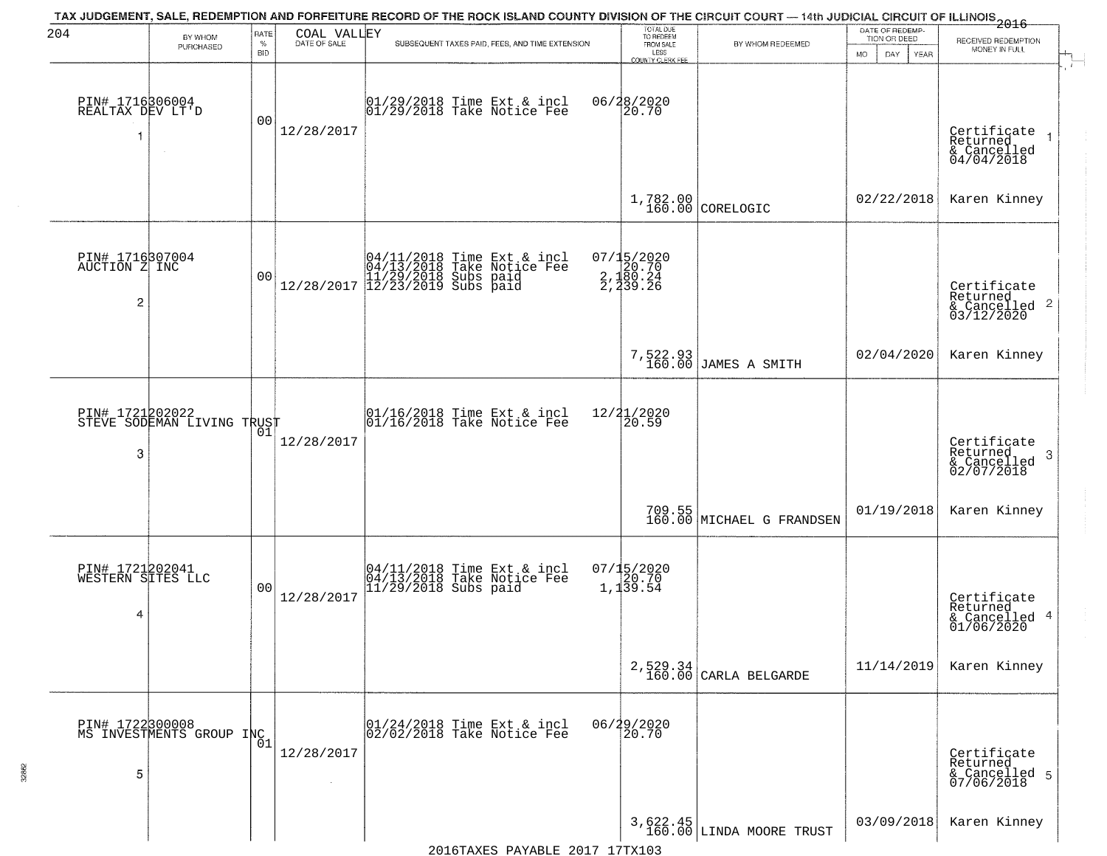| 204                                       | BY WHOM                                             | RATE               | COAL VALLEY  | TAX JUDGEMENT, SALE, REDEMPTION AND FORFEITURE RECORD OF THE ROCK ISLAND COUNTY DIVISION OF THE CIRCUIT COURT — 14th JUDICIAL CIRCUIT OF ILLINOIS 2016 | TOTAL DUE<br>TO REDEEM                            |                                        | DATE OF REDEMP-<br>TION OR DEED |                                                                    |
|-------------------------------------------|-----------------------------------------------------|--------------------|--------------|--------------------------------------------------------------------------------------------------------------------------------------------------------|---------------------------------------------------|----------------------------------------|---------------------------------|--------------------------------------------------------------------|
|                                           | PURCHASED                                           | $\%$<br><b>BID</b> | DATE OF SALE | SUBSEQUENT TAXES PAID, FEES, AND TIME EXTENSION                                                                                                        | FROM SALE<br>LESS<br><b>COUNTY CLERK FEE</b>      | BY WHOM REDEEMED                       | MO.<br>DAY.<br><b>YEAR</b>      | RECEIVED REDEMPTION<br>MONEY IN FULL                               |
| PIN# 1716306004<br>REALTAX DEV LT'D<br>1  | $\sim$                                              | 0 <sub>0</sub>     | 12/28/2017   | 01/29/2018 Time Ext & incl<br>01/29/2018 Take Notice Fee                                                                                               | 06/28/2020<br>20.70                               |                                        |                                 | Certificate<br>Returned<br>$& \text{Cancelled} \ 04/04/2018$       |
|                                           |                                                     |                    |              |                                                                                                                                                        |                                                   | $1,782.00$ CORELOGIC                   | 02/22/2018                      | Karen Kinney                                                       |
| PIN# 1716307004<br>AUCTION Z INC<br>2     |                                                     | 0 <sub>0</sub>     |              | $[04/11/2018 \t\t Time Ext & incl 04/13/2018 \t\t Take Notice Free 11/29/2018 Subs paid 12/28/2017 12/23/2019 Subs paid 13/2019.$                      | 07/15/2020<br>2, 120.70<br>2, 180.24<br>2, 239.26 |                                        |                                 | Certificate<br>Returned<br>$\frac{1}{6}$ Cancelled 2<br>03/12/2020 |
|                                           |                                                     |                    |              |                                                                                                                                                        |                                                   | 7,522.93<br>160.00 JAMES A SMITH       | 02/04/2020                      | Karen Kinney                                                       |
| 3                                         | PIN# 1721202022      <br>STEVE SODEMAN LIVING TRUST | 01                 | 12/28/2017   | $\begin{array}{c}  01/16/2018 \text{ Time} \text{ Ext} & \text{incl} \\  01/16/2018 \text{ Take Notice } \text{Fe} \end{array}$                        | 12/21/2020<br>20.59                               |                                        |                                 | Certificate<br>Returned<br>3<br>& Cancelled<br>02/07/2018          |
|                                           |                                                     |                    |              |                                                                                                                                                        |                                                   | 709.55<br>160.00 MICHAEL G FRANDSEN    | 01/19/2018                      | Karen Kinney                                                       |
| PIN# 1721202041<br>WESTERN SITES LLC<br>4 |                                                     | 0 <sub>0</sub>     | 12/28/2017   | 04/11/2018 Time Ext & incl<br>04/13/2018 Take Notice Fee<br>11/29/2018 Subs paid                                                                       | $07/15/2020$<br>$1,139.54$                        |                                        |                                 | Certificate<br>Returned<br>& Cancelled 4<br>01/06/2020             |
|                                           |                                                     |                    |              |                                                                                                                                                        |                                                   | $2,529.34$<br>160.00 CARLA BELGARDE    | 11/14/2019                      | Karen Kinney                                                       |
| 5                                         | PIN# 1722300008<br>MS INVESTMENTS GROUP INC         | 01                 | 12/28/2017   | 01/24/2018 Time Ext & incl<br>02/02/2018 Take Notice Fee                                                                                               | 06/29/2020<br>20.70                               |                                        |                                 | Certificate<br>Returned<br>& Cancelled 5<br>07/06/2018             |
|                                           |                                                     |                    |              |                                                                                                                                                        |                                                   | $3,622.45$<br>160.00 LINDA MOORE TRUST | 03/09/2018                      | Karen Kinney                                                       |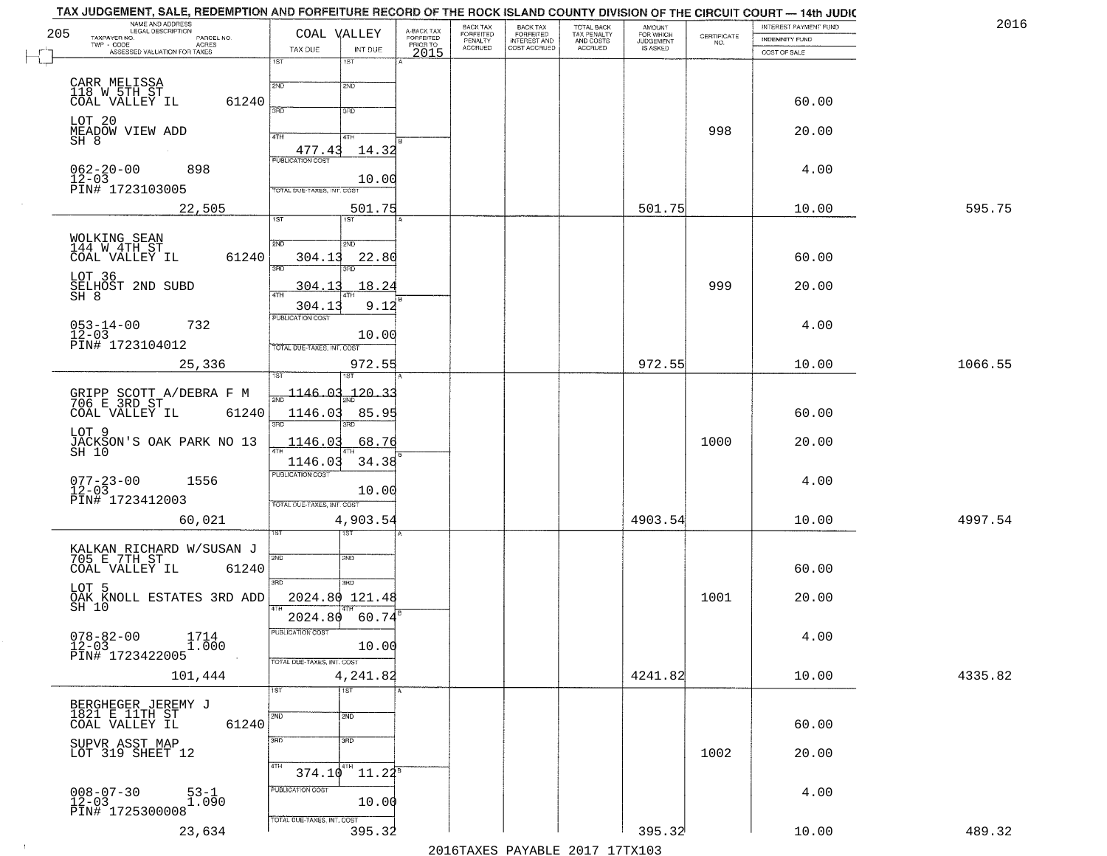| 2016    | INTEREST PAYMENT FUND |                    | <b>AMOUNT</b><br>FOR WHICH | TOTAL BACK                          | <b>BACK TAX</b><br><b>FORFEITED</b> | BACK TAX<br><b>FORFEITED</b> | A-BACK TAX            | COAL VALLEY                     |                             |                            | NAME AND ADDRESS<br>LEGAL DESCRIPTION          |
|---------|-----------------------|--------------------|----------------------------|-------------------------------------|-------------------------------------|------------------------------|-----------------------|---------------------------------|-----------------------------|----------------------------|------------------------------------------------|
|         | INDEMNITY FUND        | CERTIFICATE<br>NO. | JUDGEMENT                  | TAX PENALTY<br>AND COSTS<br>ACCRUED | INTEREST AND<br>COST ACCRUED        | PENALTY<br>ACCRUED           | FORFEITED<br>PRIOR TO |                                 |                             | PARCEL NO.<br><b>ACRES</b> | TAXPAYER NO.<br>TWP - CODE                     |
|         | COST OF SALE          |                    |                            |                                     |                                     |                              | 2015                  | INT DUE<br>18T                  | TAX DUE<br>1ST              |                            | ASSESSED VALUATION FOR TAXES                   |
|         |                       |                    |                            |                                     |                                     |                              |                       |                                 |                             |                            |                                                |
|         | 60.00                 |                    |                            |                                     |                                     |                              |                       | 2ND                             | 2ND                         | 61240                      | CARR MELISSA<br>118 W.5TH_ST<br>COAL VALLEY IL |
|         |                       |                    |                            |                                     |                                     |                              |                       | 3RD                             | 390                         |                            |                                                |
|         | 20.00                 | 998                |                            |                                     |                                     |                              |                       | 41H                             | 4TH                         |                            | LOT 20<br>MEADOW VIEW ADD                      |
|         |                       |                    |                            |                                     |                                     |                              |                       | 14.32                           | 477.43                      |                            | SH 8                                           |
|         | 4.00                  |                    |                            |                                     |                                     |                              |                       |                                 | <b>PUBLICATION COST</b>     |                            | 898<br>$062 - 20 - 00$                         |
|         |                       |                    |                            |                                     |                                     |                              |                       | 10.00                           | TOTAL DUE-TAXES, INT. COST  |                            | $12 - 03$<br>PIN# 1723103005                   |
| 595.75  | 10.00                 |                    | 501.75                     |                                     |                                     |                              |                       |                                 |                             |                            |                                                |
|         |                       |                    |                            |                                     |                                     |                              |                       | 501.75<br>1ST                   | 1ST                         |                            | 22,505                                         |
|         |                       |                    |                            |                                     |                                     |                              |                       |                                 | 2ND                         |                            | WOLKING SEAN<br>144 W 4TH ST                   |
|         | 60.00                 |                    |                            |                                     |                                     |                              |                       | 2ND<br>22.80                    | 304.13                      | 61240                      | COAL VALLEY IL                                 |
|         |                       |                    |                            |                                     |                                     |                              |                       |                                 | उन्नठ                       |                            | LOT 36                                         |
|         | 20.00                 | 999                |                            |                                     |                                     |                              |                       | 18.24                           | 304.1                       |                            | SELHOST 2ND SUBD                               |
|         |                       |                    |                            |                                     |                                     |                              |                       | 9.12                            | 304.13                      |                            | SH 8                                           |
|         | 4.00                  |                    |                            |                                     |                                     |                              |                       |                                 | PUBLICATION COST            |                            | $053 - 14 - 00$<br>12-03<br>732                |
|         |                       |                    |                            |                                     |                                     |                              |                       | 10.00                           | TOTAL DUE-TAXES, INT. COST  |                            | PIN# 1723104012                                |
| 1066.55 | 10.00                 |                    | 972.55                     |                                     |                                     |                              |                       | 972.55                          |                             |                            | 25,336                                         |
|         |                       |                    |                            |                                     |                                     |                              |                       |                                 |                             |                            |                                                |
|         |                       |                    |                            |                                     |                                     |                              |                       | <u> 120.33</u>                  | $\frac{1146.03}{200}$       |                            | GRIPP SCOTT A/DEBRA F M<br>706 E 3RD ST        |
|         | 60.00                 |                    |                            |                                     |                                     |                              |                       | 85.9!                           | 1146.03                     | 61240                      | COAL VALLEY IL                                 |
|         |                       |                    |                            |                                     |                                     |                              |                       | 3RD                             | 3BD                         |                            | LOT 9                                          |
|         | 20.00                 | 1000               |                            |                                     |                                     |                              |                       | 68.76                           | <u>1146.03</u>              |                            | JACKSON'S OAK PARK NO 13<br>SH 10              |
|         |                       |                    |                            |                                     |                                     |                              |                       | 34.38                           | 1146.03                     |                            |                                                |
|         | 4.00                  |                    |                            |                                     |                                     |                              |                       | 10.00                           | <b>PUBLICATION COST</b>     |                            | 1556<br>$077 - 23 - 00$<br>12-03               |
|         |                       |                    |                            |                                     |                                     |                              |                       |                                 | TOTAL OUE-TAXES, INT. COST  |                            | PIN# 1723412003                                |
| 4997.54 | 10.00                 |                    | 4903.54                    |                                     |                                     |                              |                       | 4,903.54                        |                             |                            | 60,021                                         |
|         |                       |                    |                            |                                     |                                     |                              |                       | ख़ा                             |                             |                            |                                                |
|         |                       |                    |                            |                                     |                                     |                              |                       | SND                             | 2ND                         |                            | KALKAN RICHARD W/SUSAN J<br>705 E 7TH ST_      |
|         | 60.00                 |                    |                            |                                     |                                     |                              |                       |                                 |                             | 61240                      | COAL VALLEY IL                                 |
|         |                       |                    |                            |                                     |                                     |                              |                       | 3RD                             | 3RD                         |                            | LOT 5                                          |
|         | 20.00                 | 1001               |                            |                                     |                                     |                              |                       | 2024.80 121.48                  |                             |                            | OAK KNOLL ESTATES 3RD ADD<br>SH 10             |
|         |                       |                    |                            |                                     |                                     |                              |                       | 60.74                           | 2024.80<br>PUBLICATION COST |                            |                                                |
|         | 4.00                  |                    |                            |                                     |                                     |                              |                       | 10.00                           |                             | $1714$<br>$1.000$          | $078 - 82 - 00$<br>12-03                       |
|         |                       |                    |                            |                                     |                                     |                              |                       |                                 | TOTAL DUE-TAXES, INT. COST  |                            | PIN# 1723422005                                |
| 4335.82 | 10.00                 |                    | 4241.82                    |                                     |                                     |                              |                       | 4,241.82                        |                             |                            | 101,444                                        |
|         |                       |                    |                            |                                     |                                     |                              |                       | $\overline{1ST}$                | 1ST                         |                            |                                                |
|         |                       |                    |                            |                                     |                                     |                              |                       | 2ND                             | 2ND                         |                            | BERGHEGER JEREMY J<br>1821 E 11TH ST           |
|         | 60.00                 |                    |                            |                                     |                                     |                              |                       |                                 |                             | 61240                      | COAL VALLEY IL                                 |
|         | 20.00                 | 1002               |                            |                                     |                                     |                              |                       | 3 <sub>BD</sub>                 | 3RD                         |                            | SUPVR ASST MAP<br>LOT 319 SHEET 12             |
|         |                       |                    |                            |                                     |                                     |                              |                       | $374.10^{4}$ 11.22 <sup>8</sup> | 4TH                         |                            |                                                |
|         |                       |                    |                            |                                     |                                     |                              |                       |                                 | PUBLICATION COST            |                            |                                                |
|         | 4.00                  |                    |                            |                                     |                                     |                              |                       | 10.00                           |                             | 53-1<br>1.090              | $008 - 07 - 30$<br>12-03                       |
|         |                       |                    |                            |                                     |                                     |                              |                       |                                 | TOTAL DUE-TAXES, INT. COST  |                            | PIN# 1725300008                                |
| 489.32  | 10.00                 |                    | 395.32                     |                                     |                                     |                              |                       | 395.32                          |                             |                            | 23,634                                         |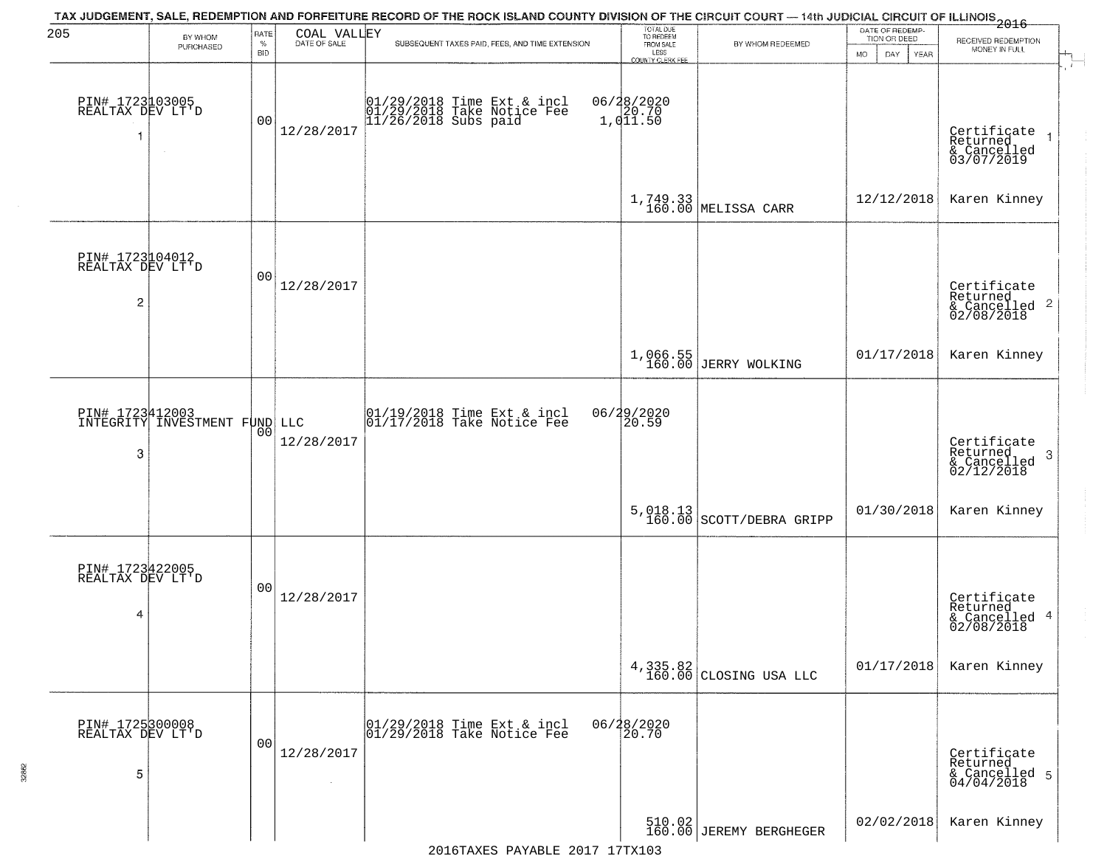| 205                                                   | BY WHOM                                          | RATE<br>$\%$   | COAL VALLEY<br>DATE OF SALE | TAX JUDGEMENT, SALE, REDEMPTION AND FORFEITURE RECORD OF THE ROCK ISLAND COUNTY DIVISION OF THE CIRCUIT COURT — 14th JUDICIAL CIRCUIT OF ILLINOIS 2016<br>SUBSEQUENT TAXES PAID, FEES, AND TIME EXTENSION | TOTAL DUE<br>TO REDEEM<br>FROM SALE | BY WHOM REDEEMED                   | DATE OF REDEMP-<br>TION OR DEED | RECEIVED REDEMPTION                                                |
|-------------------------------------------------------|--------------------------------------------------|----------------|-----------------------------|-----------------------------------------------------------------------------------------------------------------------------------------------------------------------------------------------------------|-------------------------------------|------------------------------------|---------------------------------|--------------------------------------------------------------------|
|                                                       | PURCHASED                                        | <b>BID</b>     |                             |                                                                                                                                                                                                           | LESS<br>COUNTY CLERK FEE            |                                    | <b>MO</b><br>DAY<br>YEAR        | MONEY IN FULL                                                      |
| PIN# 1723103005<br>REALTAX DEV LT'D                   |                                                  | 00             | 12/28/2017                  | 01/29/2018 Time Ext & incl<br>01/29/2018 Take Notice Fee<br>11/26/2018 Subs paid                                                                                                                          | 06/28/2020<br>20.70<br>1,011.50     |                                    |                                 | Certificate<br>Returned<br>& Cancelled<br>03/07/2019               |
|                                                       |                                                  |                |                             |                                                                                                                                                                                                           |                                     | 1,749.33<br>160.00 MELISSA CARR    | 12/12/2018                      | Karen Kinney                                                       |
| PIN# 1723104012<br>REALTAX DEV LT'D<br>$\overline{c}$ |                                                  | 00             | 12/28/2017                  |                                                                                                                                                                                                           |                                     |                                    |                                 | Certificate<br>Returned<br>$\frac{1}{6}$ Cancelled 2<br>02/08/2018 |
|                                                       |                                                  |                |                             |                                                                                                                                                                                                           | 1,066.55<br>160.00                  | JERRY WOLKING                      | 01/17/2018                      | Karen Kinney                                                       |
| 3                                                     | PIN# 1723412003<br>INTEGRITY INVESTMENT FUND LLC | 00             | 12/28/2017                  | 01/19/2018 Time Ext & incl<br>01/17/2018 Take Notice Fee                                                                                                                                                  | 06/29/2020                          |                                    |                                 | Certificate<br>Returned<br>3<br>& Cancelled<br>02/12/2018          |
|                                                       |                                                  |                |                             |                                                                                                                                                                                                           | 5,018.13<br>160.00                  | SCOTT/DEBRA GRIPP                  | 01/30/2018                      | Karen Kinney                                                       |
| PIN# 1723422005<br>REALTAX DEV LT'D<br>4              |                                                  | 00             | 12/28/2017                  |                                                                                                                                                                                                           |                                     |                                    |                                 | Certificate<br>Returned<br>& Cancelled 4<br>02/08/2018             |
|                                                       |                                                  |                |                             |                                                                                                                                                                                                           |                                     | 4,335.82<br>160.00 CLOSING USA LLC | 01/17/2018                      | Karen Kinney                                                       |
| PIN# 1725300008<br>REALTAX DEV LT'D<br>5              |                                                  | 0 <sub>0</sub> | 12/28/2017<br>$\sim$        | 01/29/2018 Time Ext & incl<br>01/29/2018 Take Notice Fee                                                                                                                                                  | 06/28/2020<br>20.70                 |                                    |                                 | Certificate<br>Returned<br>& Cancelled 5<br>04/04/2018             |
|                                                       |                                                  |                |                             |                                                                                                                                                                                                           |                                     | 510.02<br>160.00 JEREMY BERGHEGER  | 02/02/2018                      | Karen Kinney                                                       |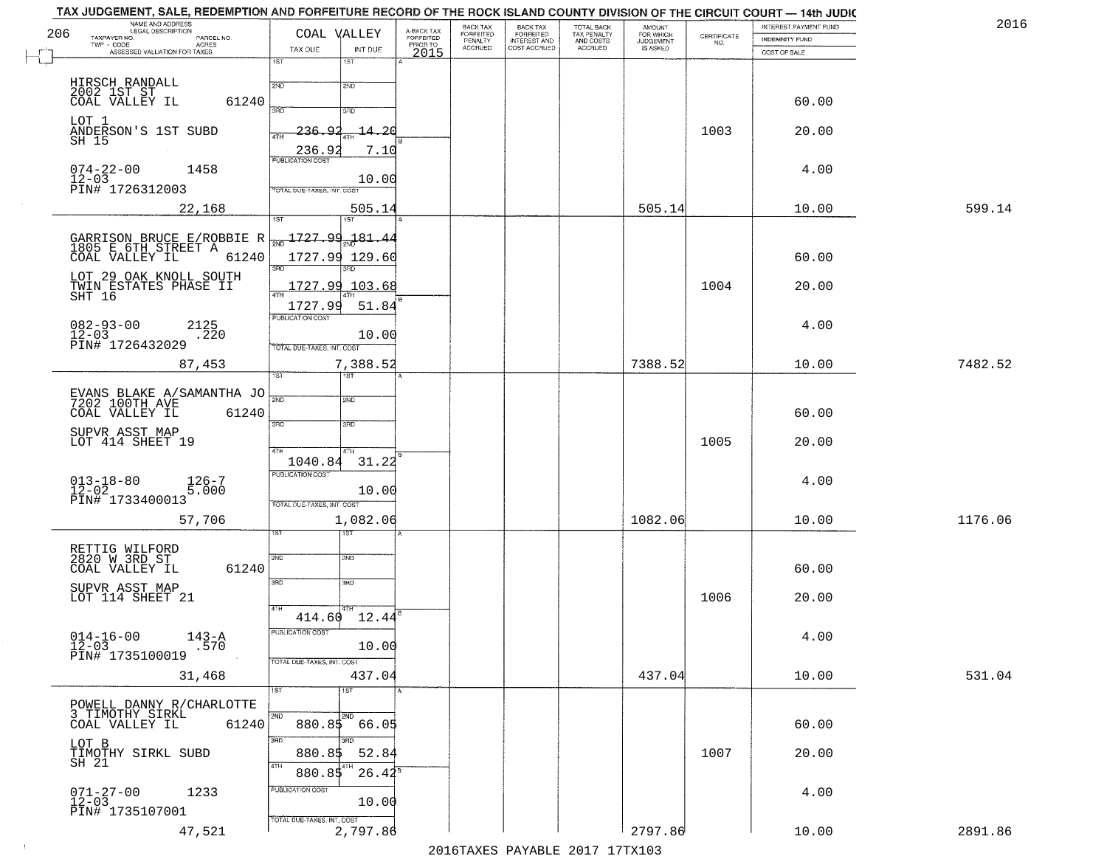| TAX JUDGEMENT, SALE, REDEMPTION AND FORFEITURE RECORD OF THE ROCK ISLAND COUNTY DIVISION OF THE CIRCUIT COURT — 14th JUDIC<br>NAME AND ADDRESS<br>LEGAL DESCRIPTION<br>206<br>TAXPAYER NO.<br>TWP - CODE AGRES<br>ASSESSED VALUATION FOR TAXES | PARCEL NO.      | TAX DUE                                                          | COAL VALLEY<br>INT DUE    | A-BACK TAX<br>FORFEITED<br>PRIOR TO<br>2015 | BACK TAX<br>FORFEITED<br>PENALTY<br>ACCRUED | BACK TAX<br>FORFEITED<br>INTEREST AND<br>COST ACCRUED | TOTAL BACK<br>TAX PENALTY<br>AND COSTS<br>ACCRUED | <b>AMOUNT</b><br>FOR WHICH<br>JUDGEMENT<br>IS ASKED | CERTIFICATE<br>NO. | INTEREST PAYMENT FUND<br>INDEMNITY FUND<br>COST OF SALE | 2016    |
|------------------------------------------------------------------------------------------------------------------------------------------------------------------------------------------------------------------------------------------------|-----------------|------------------------------------------------------------------|---------------------------|---------------------------------------------|---------------------------------------------|-------------------------------------------------------|---------------------------------------------------|-----------------------------------------------------|--------------------|---------------------------------------------------------|---------|
|                                                                                                                                                                                                                                                |                 | 1ST<br>2ND                                                       | 1ST<br>2ND                |                                             |                                             |                                                       |                                                   |                                                     |                    |                                                         |         |
| HIRSCH RANDALL<br>2002 1ST ST<br>COAL VALLEY IL                                                                                                                                                                                                | 61240           | <b>SAD</b>                                                       | 3RD                       |                                             |                                             |                                                       |                                                   |                                                     |                    | 60.00                                                   |         |
| LOT 1<br>ANDERSON'S 1ST SUBD<br>SH 15                                                                                                                                                                                                          |                 | 236<br>Q<br>4TH<br>236.9                                         | $-14 - 20$<br>7.10        |                                             |                                             |                                                       |                                                   |                                                     | 1003               | 20.00                                                   |         |
| $074 - 22 - 00$<br>1458<br>$12 - 03$                                                                                                                                                                                                           |                 | <b>PUBLICATION COST</b>                                          | 10.00                     |                                             |                                             |                                                       |                                                   |                                                     |                    | 4.00                                                    |         |
| PIN# 1726312003<br>22,168                                                                                                                                                                                                                      |                 | TOTAL DUE-TAXES, INT. COST<br>1ST                                | 505.14<br>1ST <sup></sup> |                                             |                                             |                                                       |                                                   | 505.14                                              |                    | 10.00                                                   | 599.14  |
| GARRISON BRUCE E/ROBBIE R<br>1805 E 6TH STREET A<br>COAL VALLEY IL                                                                                                                                                                             | 61240           | $\frac{1727.99}{200}$ 1727.99.181.44                             | 1727.99 129.60            |                                             |                                             |                                                       |                                                   |                                                     |                    | 60.00                                                   |         |
| LOT 29 OAK KNOLL SOUTH<br>TWIN ESTATES PHASE II                                                                                                                                                                                                |                 | 3RD<br>47H                                                       | 1727.99 103.68            |                                             |                                             |                                                       |                                                   |                                                     | 1004               | 20.00                                                   |         |
| SHT 16<br>$082 - 93 - 00$<br>$12 - 03$<br>2125                                                                                                                                                                                                 | $\frac{1}{220}$ | 1727.99<br>PUBLICATION COST                                      | 51.84<br>10.00            |                                             |                                             |                                                       |                                                   |                                                     |                    | 4.00                                                    |         |
| PIN# 1726432029<br>87,453                                                                                                                                                                                                                      |                 | TOTAL DUE-TAXES, INT. COST<br>1ST                                | 7,388.52                  |                                             |                                             |                                                       |                                                   | 7388.52                                             |                    | 10.00                                                   | 7482.52 |
| EVANS BLAKE A/SAMANTHA JO 7202 100TH AVE<br>COAL VALLEY IL                                                                                                                                                                                     | 61240           | 3BD                                                              | <b>SMD</b><br>3RD         |                                             |                                             |                                                       |                                                   |                                                     |                    | 60.00                                                   |         |
| SUPVR ASST MAP<br>LOT 414 SHEET 19                                                                                                                                                                                                             |                 | 4TH                                                              | 4TH                       |                                             |                                             |                                                       |                                                   |                                                     | 1005               | 20.00                                                   |         |
| $013 - 18 - 80$<br>12-02<br>PIN# 1733400013                                                                                                                                                                                                    | 126-7<br>5.000  | 1040.84<br><b>PUBLICATION COST</b><br>TOTAL OUE-TAXES, INT. COST | 31.22<br>10.00            |                                             |                                             |                                                       |                                                   |                                                     |                    | 4.00                                                    |         |
| 57,706                                                                                                                                                                                                                                         |                 |                                                                  | 1,082.06<br>বরত           |                                             |                                             |                                                       |                                                   | 1082.06                                             |                    | 10.00                                                   | 1176.06 |
| RETTIG WILFORD<br>2820 W 3RD ST<br>COAL VALLEY IL                                                                                                                                                                                              | 61240           | 2ND<br>3BD                                                       | 2ND<br>3RD                |                                             |                                             |                                                       |                                                   |                                                     |                    | 60.00                                                   |         |
| SUPVR ASST MAP<br>LOT 114 SHEET 21                                                                                                                                                                                                             |                 | 4TH                                                              | 414.60 12.44              |                                             |                                             |                                                       |                                                   |                                                     | 1006               | 20.00                                                   |         |
| $914 - 16 - 00$ $143 - A$<br>12-03<br>PIN# 1735100019                                                                                                                                                                                          | .570            | PUBLICATION COST                                                 | 10.00                     |                                             |                                             |                                                       |                                                   |                                                     |                    | 4.00                                                    |         |
| 31,468                                                                                                                                                                                                                                         |                 | TOTAL DUE-TAXES, INT. COST<br>1ST                                | 437.04<br>1ST             |                                             |                                             |                                                       |                                                   | 437.04                                              |                    | 10.00                                                   | 531.04  |
| POWELL DANNY R/CHARLOTTE<br>3 TIMOTHY SIRKL<br>COAL VALLEY IL                                                                                                                                                                                  | 61240           | 2ND                                                              | 2ND<br>880.85 66.05       |                                             |                                             |                                                       |                                                   |                                                     |                    | 60.00                                                   |         |
| LOT B<br>TIMOTHY SIRKL SUBD<br>SH 21                                                                                                                                                                                                           |                 | 3BD<br>880.85<br>4TH                                             | 3RD<br>52.84              |                                             |                                             |                                                       |                                                   |                                                     | 1007               | 20.00                                                   |         |
| $071 - 27 - 00$<br>12-03<br>1233<br>PIN# 1735107001                                                                                                                                                                                            |                 | 880.85<br>PUBLICATION COST                                       | $26.42^s$<br>10.00        |                                             |                                             |                                                       |                                                   |                                                     |                    | 4.00                                                    |         |
| 47,521                                                                                                                                                                                                                                         |                 | TOTAL DUE-TAXES, INT. COST                                       | 2,797.86                  |                                             |                                             |                                                       |                                                   | 2797.86                                             |                    | 10.00                                                   | 2891.86 |

 $\sim 100$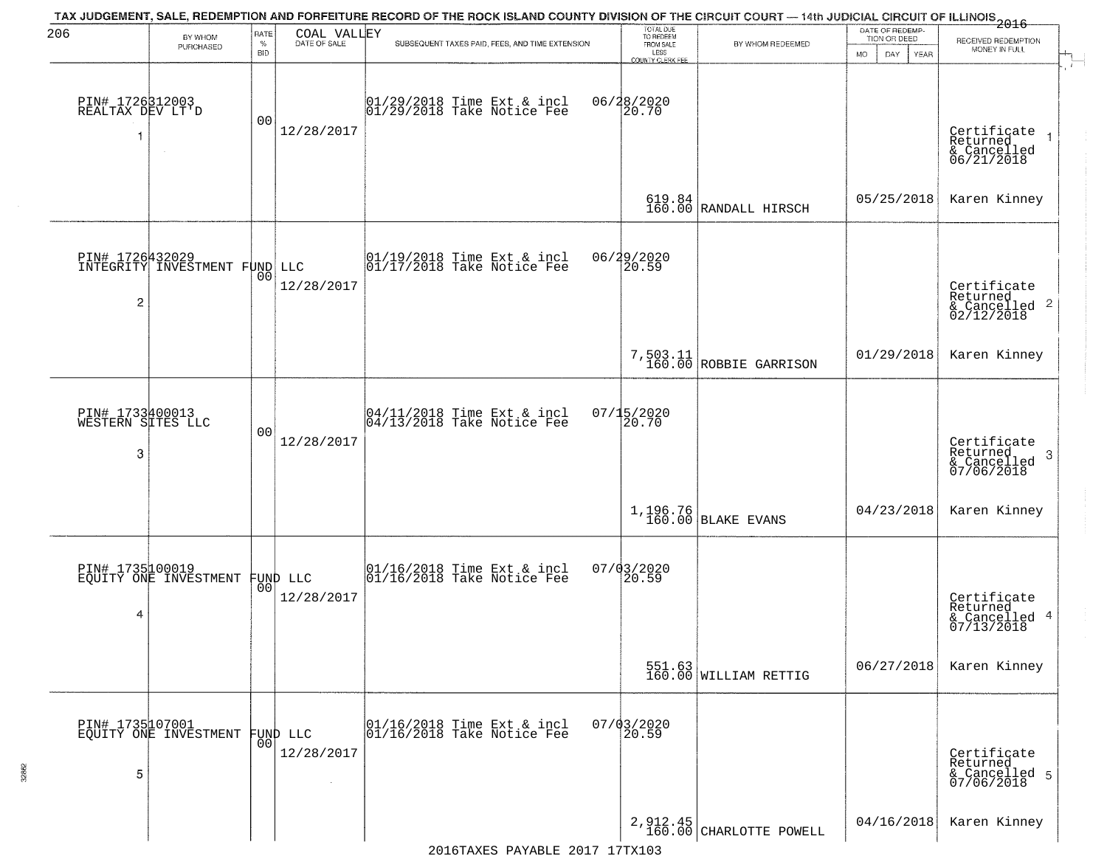| 206                                       | BY WHOM                                          | RATE               | COAL VALLEY            | TAX JUDGEMENT, SALE, REDEMPTION AND FORFEITURE RECORD OF THE ROCK ISLAND COUNTY DIVISION OF THE CIRCUIT COURT — 14th JUDICIAL CIRCUIT OF ILLINOIS 2016 | TOTAL DUE<br>TO REDEEM                       |                                                                | DATE OF REDEMP-<br>TION OR DEED | RECEIVED REDEMPTION                                                |
|-------------------------------------------|--------------------------------------------------|--------------------|------------------------|--------------------------------------------------------------------------------------------------------------------------------------------------------|----------------------------------------------|----------------------------------------------------------------|---------------------------------|--------------------------------------------------------------------|
|                                           | PURCHASED                                        | $\%$<br><b>BID</b> | DATE OF SALE           | SUBSEQUENT TAXES PAID, FEES, AND TIME EXTENSION                                                                                                        | FROM SALE<br>LESS<br><b>COUNTY CLERK FEE</b> | BY WHOM REDEEMED                                               | MO.<br>DAY.<br><b>YEAR</b>      | MONEY IN FULL                                                      |
| PIN# 1726312003<br>REALTAX DEV LT'D<br>1  | $\sim$                                           | 0 <sub>0</sub>     | 12/28/2017             | 01/29/2018 Time Ext & incl<br>01/29/2018 Take Notice Fee                                                                                               | 06/28/2020<br>20.70                          |                                                                |                                 | Certificate<br>Returned<br>& Cancelled<br>06/21/2018               |
|                                           |                                                  |                    |                        |                                                                                                                                                        |                                              | $\begin{array}{c} 619.84 \\ 160.00 \end{array}$ RANDALL HIRSCH | 05/25/2018                      | Karen Kinney                                                       |
| 2                                         | DIN# 1726432029<br>INTEGRITY INVESTMENT FUND LLC | 00                 | 12/28/2017             | $\begin{array}{c}  01/19/2018 \text{ Time} \text{ Ext} & \text{incl} \\  01/17/2018 \text{ Take Notice } \text{Fe} \end{array}$                        | 06/29/2020<br>20.59                          |                                                                |                                 | Certificate<br>Returned<br>$\frac{1}{2}$ Cancelled 2<br>02/12/2018 |
|                                           |                                                  |                    |                        |                                                                                                                                                        |                                              | 7,503.11<br>160.00 ROBBIE GARRISON                             | 01/29/2018                      | Karen Kinney                                                       |
| PIN# 1733400013<br>WESTERN SITES LLC<br>3 |                                                  | 0 <sub>0</sub>     | 12/28/2017             | $\begin{bmatrix} 04/11/2018 &$ Time Ext & incl<br>$04/13/2018 &$ Take Notice Fee                                                                       | $07/15/2020$<br>20.70                        |                                                                |                                 | Certificate<br>Returned<br>3<br>& Cancelled<br>07/06/2018          |
|                                           |                                                  |                    |                        |                                                                                                                                                        |                                              | $1,196.76$ BLAKE EVANS                                         | 04/23/2018                      | Karen Kinney                                                       |
| PIN# 1735100019<br>4                      | EQUITY ONE INVESTMENT FUND LLC                   |                    | 12/28/2017             | $\begin{bmatrix} 01/16/2018 &$ Time Ext & incl<br>$01/16/2018 &$ Take Notice Fee                                                                       | 07/03/2020<br>20.59                          |                                                                |                                 | Certificate<br>Returned<br>& Cancelled 4<br>07/13/2018             |
|                                           |                                                  |                    |                        |                                                                                                                                                        |                                              | 551.63<br>160.00 WILLIAM RETTIG                                | 06/27/2018                      | Karen Kinney                                                       |
| 5                                         | PIN# 1735107001<br>EQUITY ONE INVESTMENT         | 0 <sub>0</sub>     | FUND LLC<br>12/28/2017 | 01/16/2018 Time Ext & incl<br>01/16/2018 Take Notice Fee                                                                                               | $07/03/2020$<br>20.59                        |                                                                |                                 | Certificate<br>Returned<br>& Cancelled 5<br>07/06/2018             |
|                                           |                                                  |                    |                        |                                                                                                                                                        |                                              | $2,912.45$<br>160.00 CHARLOTTE POWELL                          | 04/16/2018                      | Karen Kinney                                                       |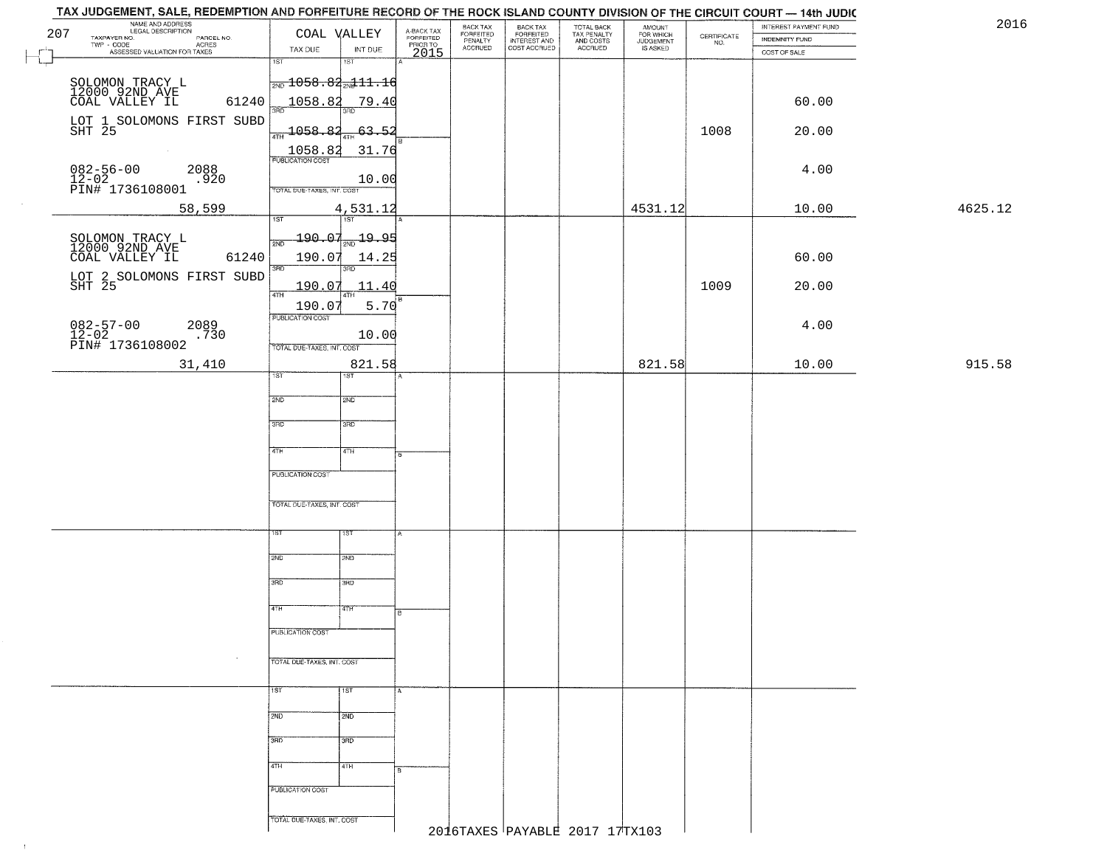|     | TAX JUDGEMENT, SALE, REDEMPTION AND FORFEITURE RECORD OF THE ROCK ISLAND COUNTY DIVISION OF THE CIRCUIT COURT - 14th JUDIC |                                               |                        |                                     |                      |                                       |                                        |                                  |                                                                 |                       |         |      |
|-----|----------------------------------------------------------------------------------------------------------------------------|-----------------------------------------------|------------------------|-------------------------------------|----------------------|---------------------------------------|----------------------------------------|----------------------------------|-----------------------------------------------------------------|-----------------------|---------|------|
|     | NAME AND ADDRESS<br>LEGAL DESCRIPTION                                                                                      |                                               | COAL VALLEY            |                                     | <b>BACK TAX</b>      | BACK TAX<br>FORFEITED<br>INTEREST AND | TOTAL BACK<br>TAX PENALTY<br>AND COSTS | AMOUNT<br>FOR WHICH<br>JUDGEMENT |                                                                 | INTEREST PAYMENT FUND |         | 2016 |
| 207 | TAXPAYER NO.<br>PARCEL NO.<br>ACRES                                                                                        |                                               |                        | A-BACK TAX<br>FORFEITED<br>PRIOR TO | FORFEITED<br>PENALTY |                                       |                                        |                                  | $\begin{array}{c} \text{CERTIFICATE} \\ \text{NO.} \end{array}$ | <b>INDEMNITY FUND</b> |         |      |
|     | ASSESSED VALUATION FOR TAXES                                                                                               | TAX DUE                                       | INT DUE                | 2015                                | <b>ACCRUED</b>       | COST ACCRUED                          | ACCRUED                                | IS ASKED                         |                                                                 | COST OF SALE          |         |      |
|     |                                                                                                                            | 1ST                                           | $1S$ T                 |                                     |                      |                                       |                                        |                                  |                                                                 |                       |         |      |
|     |                                                                                                                            | $\frac{1}{2ND}$ 1058.82 $\frac{1}{2ND}$ 11.16 |                        |                                     |                      |                                       |                                        |                                  |                                                                 |                       |         |      |
|     | SOLOMON TRACY L<br>12000 92ND AVE<br>COAL VALLEY IL                                                                        |                                               |                        |                                     |                      |                                       |                                        |                                  |                                                                 |                       |         |      |
|     | 61240                                                                                                                      | 1058.82                                       | 79.40                  |                                     |                      |                                       |                                        |                                  |                                                                 | 60.00                 |         |      |
|     |                                                                                                                            |                                               |                        |                                     |                      |                                       |                                        |                                  |                                                                 |                       |         |      |
|     | LOT 1 SOLOMONS FIRST SUBD<br>SHT 25                                                                                        | $\frac{1058.82}{1}$                           | $-63.52$               |                                     |                      |                                       |                                        |                                  | 1008                                                            | 20.00                 |         |      |
|     |                                                                                                                            |                                               | 31.76                  |                                     |                      |                                       |                                        |                                  |                                                                 |                       |         |      |
|     |                                                                                                                            | $\frac{1058.82}{FUBUCATONCCST}$               |                        |                                     |                      |                                       |                                        |                                  |                                                                 |                       |         |      |
|     | $082 - 56 - 00$<br>12-02<br>2088                                                                                           |                                               |                        |                                     |                      |                                       |                                        |                                  |                                                                 | 4.00                  |         |      |
|     | .920<br>PIN# 1736108001                                                                                                    | TOTAL DUE-TAXES, INT. COST                    | 10.00                  |                                     |                      |                                       |                                        |                                  |                                                                 |                       |         |      |
|     |                                                                                                                            |                                               |                        |                                     |                      |                                       |                                        |                                  |                                                                 |                       |         |      |
|     | 58,599                                                                                                                     | 1ST                                           | 4,531.12               |                                     |                      |                                       |                                        | 4531.12                          |                                                                 | 10.00                 | 4625.12 |      |
|     |                                                                                                                            |                                               |                        |                                     |                      |                                       |                                        |                                  |                                                                 |                       |         |      |
|     | SOLOMON TRACY L<br>12000 92ND AVE                                                                                          | $-190.07$<br>2ND                              | 1 <sub>2ND</sub> 19.95 |                                     |                      |                                       |                                        |                                  |                                                                 |                       |         |      |
|     | 61240<br>COAL VALLEY IL                                                                                                    | 190.07                                        | 14.25                  |                                     |                      |                                       |                                        |                                  |                                                                 | 60.00                 |         |      |
|     |                                                                                                                            | 3RD                                           | 3RD                    |                                     |                      |                                       |                                        |                                  |                                                                 |                       |         |      |
|     | LOT 2 SOLOMONS FIRST SUBD<br>SHT 25                                                                                        | 190.07                                        | 11.40                  |                                     |                      |                                       |                                        |                                  | 1009                                                            | 20.00                 |         |      |
|     |                                                                                                                            | $\sqrt{4}$                                    |                        |                                     |                      |                                       |                                        |                                  |                                                                 |                       |         |      |
|     |                                                                                                                            | 190.07<br>PUBLICATION COST                    | 5.70                   |                                     |                      |                                       |                                        |                                  |                                                                 |                       |         |      |
|     | $082 - 57 - 00$<br>2089                                                                                                    |                                               |                        |                                     |                      |                                       |                                        |                                  |                                                                 | 4.00                  |         |      |
|     | 12-02<br>PIN# 1736108002<br>.730                                                                                           |                                               | 10.00                  |                                     |                      |                                       |                                        |                                  |                                                                 |                       |         |      |
|     |                                                                                                                            | TOTAL DUE-TAXES, INT. COST                    |                        |                                     |                      |                                       |                                        |                                  |                                                                 |                       |         |      |
|     | 31,410                                                                                                                     |                                               | 821.58                 |                                     |                      |                                       |                                        | 821.58                           |                                                                 | 10.00                 | 915.58  |      |
|     |                                                                                                                            | 1ST                                           | ST                     |                                     |                      |                                       |                                        |                                  |                                                                 |                       |         |      |
|     |                                                                                                                            | 2ND                                           | SMD                    |                                     |                      |                                       |                                        |                                  |                                                                 |                       |         |      |
|     |                                                                                                                            |                                               |                        |                                     |                      |                                       |                                        |                                  |                                                                 |                       |         |      |
|     |                                                                                                                            | 3RD                                           | 3 <sub>BD</sub>        |                                     |                      |                                       |                                        |                                  |                                                                 |                       |         |      |
|     |                                                                                                                            |                                               |                        |                                     |                      |                                       |                                        |                                  |                                                                 |                       |         |      |
|     |                                                                                                                            | 4TH                                           | 4TH                    |                                     |                      |                                       |                                        |                                  |                                                                 |                       |         |      |
|     |                                                                                                                            |                                               |                        |                                     |                      |                                       |                                        |                                  |                                                                 |                       |         |      |
|     |                                                                                                                            | <b>PUBLICATION COST</b>                       |                        |                                     |                      |                                       |                                        |                                  |                                                                 |                       |         |      |
|     |                                                                                                                            |                                               |                        |                                     |                      |                                       |                                        |                                  |                                                                 |                       |         |      |
|     |                                                                                                                            | TOTAL OUE-TAXES, INT. COST                    |                        |                                     |                      |                                       |                                        |                                  |                                                                 |                       |         |      |
|     |                                                                                                                            |                                               |                        |                                     |                      |                                       |                                        |                                  |                                                                 |                       |         |      |
|     |                                                                                                                            | 15T                                           |                        |                                     |                      |                                       |                                        |                                  |                                                                 |                       |         |      |
|     |                                                                                                                            |                                               |                        |                                     |                      |                                       |                                        |                                  |                                                                 |                       |         |      |
|     |                                                                                                                            | 2ND                                           | SND                    |                                     |                      |                                       |                                        |                                  |                                                                 |                       |         |      |
|     |                                                                                                                            |                                               |                        |                                     |                      |                                       |                                        |                                  |                                                                 |                       |         |      |
|     |                                                                                                                            | 3RD                                           | $\overline{3BD}$       |                                     |                      |                                       |                                        |                                  |                                                                 |                       |         |      |
|     |                                                                                                                            | 4TH                                           | 47H                    |                                     |                      |                                       |                                        |                                  |                                                                 |                       |         |      |
|     |                                                                                                                            |                                               |                        |                                     |                      |                                       |                                        |                                  |                                                                 |                       |         |      |
|     |                                                                                                                            | <b>PUBLICATION COST</b>                       |                        |                                     |                      |                                       |                                        |                                  |                                                                 |                       |         |      |
|     |                                                                                                                            |                                               |                        |                                     |                      |                                       |                                        |                                  |                                                                 |                       |         |      |
|     | $\sim$                                                                                                                     | TOTAL DUE-TAXES, INT. COST                    |                        |                                     |                      |                                       |                                        |                                  |                                                                 |                       |         |      |
|     |                                                                                                                            |                                               |                        |                                     |                      |                                       |                                        |                                  |                                                                 |                       |         |      |
|     |                                                                                                                            | 15T                                           | 1ST                    |                                     |                      |                                       |                                        |                                  |                                                                 |                       |         |      |
|     |                                                                                                                            |                                               |                        |                                     |                      |                                       |                                        |                                  |                                                                 |                       |         |      |
|     |                                                                                                                            | 2ND                                           | 2ND                    |                                     |                      |                                       |                                        |                                  |                                                                 |                       |         |      |
|     |                                                                                                                            |                                               |                        |                                     |                      |                                       |                                        |                                  |                                                                 |                       |         |      |
|     |                                                                                                                            | 3BD                                           | 3 <sub>BD</sub>        |                                     |                      |                                       |                                        |                                  |                                                                 |                       |         |      |
|     |                                                                                                                            |                                               |                        |                                     |                      |                                       |                                        |                                  |                                                                 |                       |         |      |
|     |                                                                                                                            | 4TH                                           | 4TH                    |                                     |                      |                                       |                                        |                                  |                                                                 |                       |         |      |
|     |                                                                                                                            | PUBLICATION COST                              |                        |                                     |                      |                                       |                                        |                                  |                                                                 |                       |         |      |
|     |                                                                                                                            |                                               |                        |                                     |                      |                                       |                                        |                                  |                                                                 |                       |         |      |
|     |                                                                                                                            | TOTAL DUE-TAXES, INT. COST                    |                        |                                     |                      |                                       |                                        |                                  |                                                                 |                       |         |      |
|     |                                                                                                                            |                                               |                        |                                     |                      |                                       | 2016TAXES PAYABLE 2017 17TX103         |                                  |                                                                 |                       |         |      |
|     |                                                                                                                            |                                               |                        |                                     |                      |                                       |                                        |                                  |                                                                 |                       |         |      |

 $\uparrow$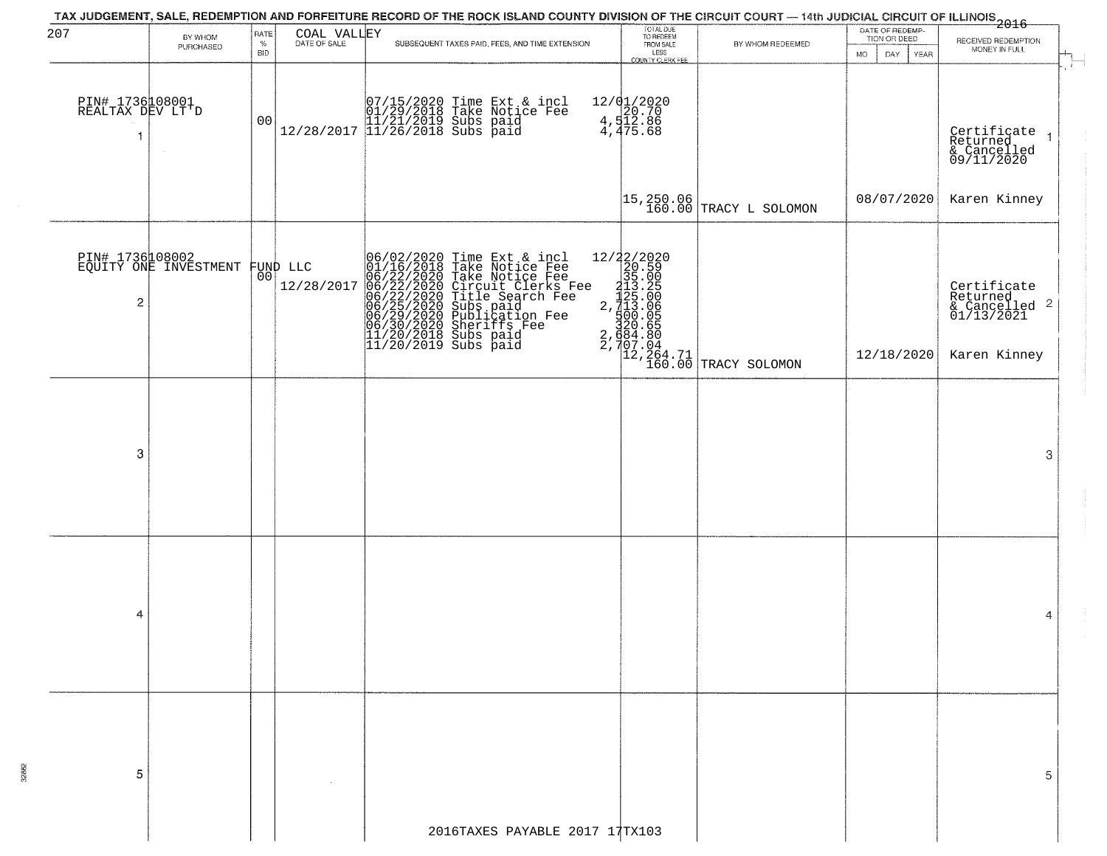|                                           |                                          |                |                        | TAX JUDGEMENT, SALE, REDEMPTION AND FORFEITURE RECORD OF THE ROCK ISLAND COUNTY DIVISION OF THE CIRCUIT COURT — 14th JUDICIAL CIRCUIT OF ILLINOIS 2016                                                                                                                                                             | TOTAL DUE<br>TO REDEEM                      |                                                                                                                                                                                                                                                                                            | DATE OF REDEMP- |                                                                        |
|-------------------------------------------|------------------------------------------|----------------|------------------------|--------------------------------------------------------------------------------------------------------------------------------------------------------------------------------------------------------------------------------------------------------------------------------------------------------------------|---------------------------------------------|--------------------------------------------------------------------------------------------------------------------------------------------------------------------------------------------------------------------------------------------------------------------------------------------|-----------------|------------------------------------------------------------------------|
| 207                                       | BY WHOM<br>PURCHASED                     | RATE<br>$\%$   | COAL VALLEY            | SUBSEQUENT TAXES PAID, FEES, AND TIME EXTENSION                                                                                                                                                                                                                                                                    | FROM SALE                                   | BY WHOM REDEEMED                                                                                                                                                                                                                                                                           | TION OR DEED    | RECEIVED REDEMPTION<br>MONEY IN FULL                                   |
|                                           |                                          | <b>BID</b>     |                        |                                                                                                                                                                                                                                                                                                                    | LESS<br>COUNTY CLERK FEE                    |                                                                                                                                                                                                                                                                                            | DAY YEAR<br>MO. |                                                                        |
| PIN# 1736108001<br>REALTAX DEV LT'D<br>-1 |                                          | 0 <sub>0</sub> |                        | $\begin{array}{ c c c c c c } \hline & 07/15/2020 & \text{Time Ext & incl} \\ \hline & 01/29/2018 & \text{Take Notice Fee} \\ & 11/21/2019 & \text{Subs paid} \\ & 12/28/2017 & 11/26/2018 & \text{Subs paid} \\ \hline \end{array}$                                                                               | 12/01/2020<br>20.70<br>4,512.86<br>4,475.68 |                                                                                                                                                                                                                                                                                            |                 | Certificate<br>Returned<br>& Cancelled<br>09/11/2020<br>$\overline{1}$ |
|                                           |                                          |                |                        |                                                                                                                                                                                                                                                                                                                    |                                             | $\begin{vmatrix} 15,250.06 \\ 160.00 \end{vmatrix}$ TRACY L SOLOMON                                                                                                                                                                                                                        | 08/07/2020      | Karen Kinney                                                           |
| $\overline{c}$                            | PIN# 1736108002<br>EQUITY ONE INVESTMENT | 001            | FUND LLC<br>12/28/2017 | 06/02/2020 Time Ext & incl<br>01/16/2018 Take Notice Fee<br>06/22/2020 Circuit Clerks F<br>06/22/2020 Circuit Clerks F<br>06/22/2020 Circuit Clerks F<br>06/25/2020 Full Search Fee<br>06/29/2020 Publication Fee<br>06/30/2020 Publication Fee<br>11<br>Take Notice Fee<br>Circuit Clerks Fee<br>Title Search Fee |                                             | -icl 12/22/2020<br>-ve Fee<br>-rks Fee<br>-rks Fee<br>-rks Fee<br>-rks Fee<br>-rks Fee<br>-rks Fee<br>-ree<br>-ree<br>-ree<br>-ree<br>-ree<br>-ree<br>-ree<br>-ree<br>-ree<br>-ree<br>-ree<br>-ree<br>-ree<br>-ree<br>-ree<br>-ree<br>-ree<br>-ree<br>-ree<br>-ree<br>-ree<br>-ree<br>-ree |                 | Certificate<br>Returned<br>& Cancelled 2<br>01/13/2021                 |
|                                           |                                          |                |                        |                                                                                                                                                                                                                                                                                                                    |                                             |                                                                                                                                                                                                                                                                                            | 12/18/2020      | Karen Kinney                                                           |
| 3                                         |                                          |                |                        |                                                                                                                                                                                                                                                                                                                    |                                             |                                                                                                                                                                                                                                                                                            |                 | 3                                                                      |
|                                           |                                          |                |                        |                                                                                                                                                                                                                                                                                                                    |                                             |                                                                                                                                                                                                                                                                                            |                 |                                                                        |
| 4                                         |                                          |                |                        |                                                                                                                                                                                                                                                                                                                    |                                             |                                                                                                                                                                                                                                                                                            |                 | 4                                                                      |
|                                           |                                          |                |                        |                                                                                                                                                                                                                                                                                                                    |                                             |                                                                                                                                                                                                                                                                                            |                 |                                                                        |
|                                           |                                          |                |                        |                                                                                                                                                                                                                                                                                                                    |                                             |                                                                                                                                                                                                                                                                                            |                 |                                                                        |
| 5                                         |                                          |                |                        |                                                                                                                                                                                                                                                                                                                    |                                             |                                                                                                                                                                                                                                                                                            |                 | 5                                                                      |
|                                           |                                          |                |                        | 2016TAXES PAYABLE 2017 17TX103                                                                                                                                                                                                                                                                                     |                                             |                                                                                                                                                                                                                                                                                            |                 |                                                                        |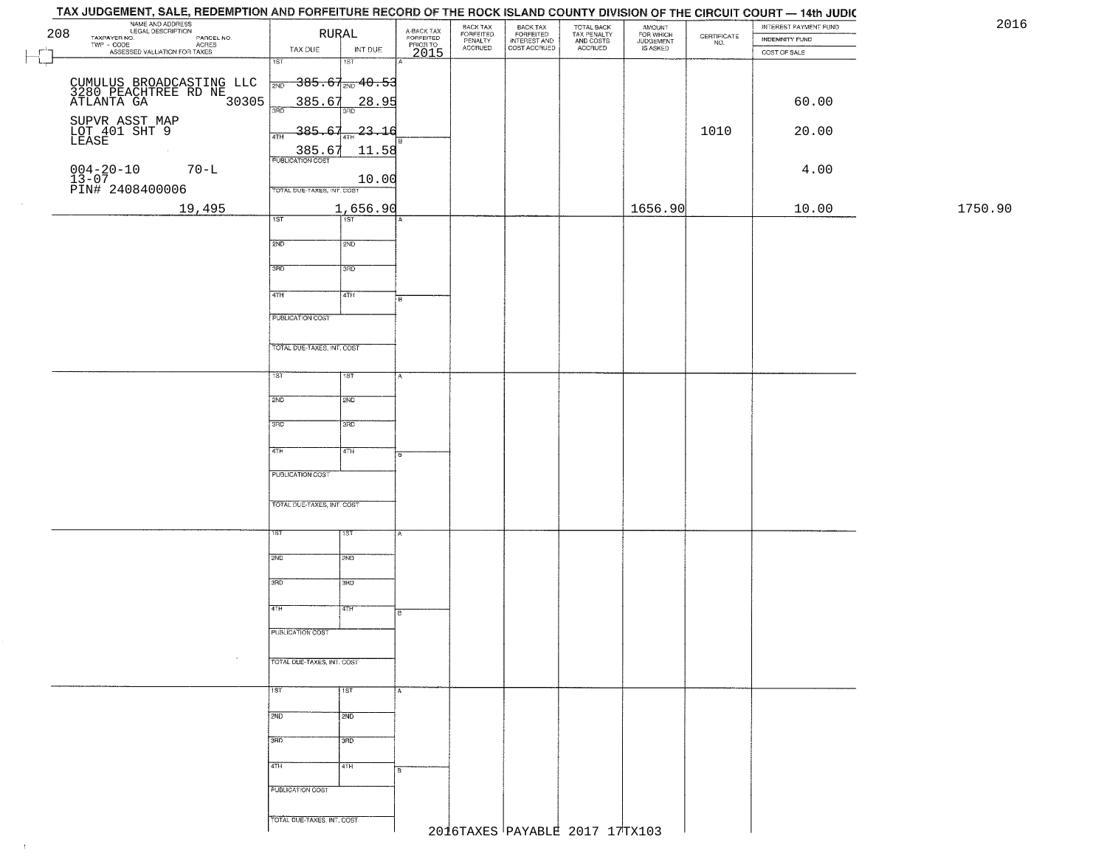## THE MANE AND ADDRESS<br>
208 TAXPAYER NG. LEGAL DESCRIPTION<br>
TWP - CODE PARCEL NO. AGREE NO. TWP - CODE PARCEL NO. TWP - ASSESSED VALUATION FOR TAXES TAX DUE IN BACK TAX<br>FORFEITED<br>INTEREST AND TOTAL BACK<br>TAX PENALTY<br>AND COSTS AMOUNT<br>FOR WHICH<br>JUDGEMENT<br>IS ASKED BACK TAX INTEREST PAYMENT FUND FORFEITED<br>PENALTY<br>ACCRUED  $\begin{array}{c} \text{CEPTIFICATE} \\ \text{NO.} \end{array}$ INDEMNITY FUND ACRES TAX DUE INT DUE COST ACCRUED ACCRUED COST OF SALE 2015 ल SΤ  $385.67_{200}$  40.53 CUMULUS BROADCASTING LLC <sub>3ND</sub> 385.67 <sub>3ND</sub> 40.53<br>3280 PEACHTREE RD NE<br>ATLANTA GA 30305 385.67 28.95 60.00 60.00 SUPVR ASST MAP<br>LOT 401 SHT 9 385.67 1 23.16 23.16 23.16 20.00<br>LEASE **385.67 11.58**<br>PUBLICATION COST 004−20−10 70−L<br>13−07 10.00 L | | | | | | | | | | | 1  $10.00$ PIN# 2408400006 TOTAL DUE-TAXES INT COST 19,495 1,656.90 1656.90 10.00 1750.90 गिडी  $2ND$ 12ND 3RD 3RD 4TH ৰিয়া **FUBLICATION COST** TOTAL DUE-TAXES, INT. COST TST ST  $2ND$ **SMD**  $3BD$ 3RD  $4TH$  $4TH$ **PUBLICATION COST** TOTAL OUE-TAXES, INT. COST 2ND **T2ND** 3RD tarao 4TH īΤH PUBLICATION COST TOTAL DUE-TAXES, INT. COST 1ST 1ST  $2ND$  $\frac{1}{2ND}$ 3RD **3RD** 4TH 4TH **PUBLICATION COST**

TAX JUDGEMENT, SALE, REDEMPTION AND FORFEITURE RECORD OF THE ROCK ISLAND COUNTY DIVISION OF THE CIRCUIT COURT - 14th JUDIC

TOTAL DUE-TAXES, INT. COST

 $\pm 1$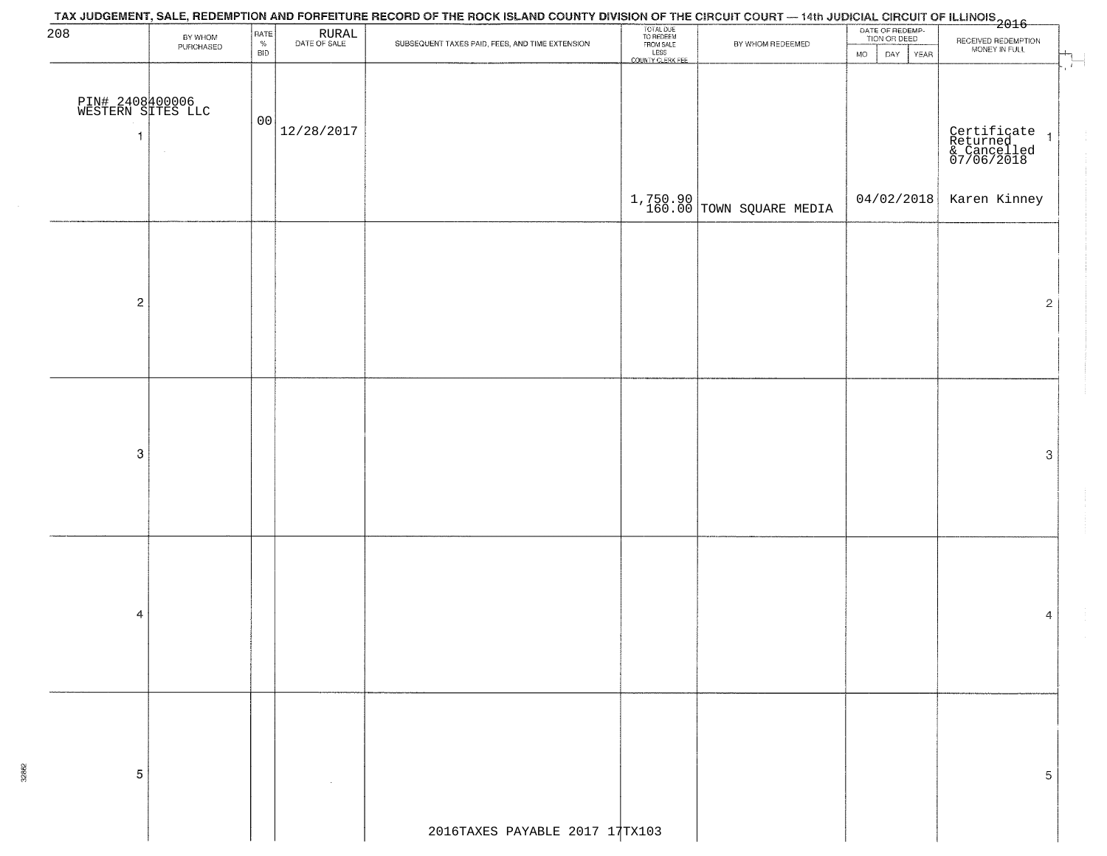| 208                                        | BY WHOM<br>PURCHASED | RATE<br>$\%$<br>BID | $\begin{array}{c} \text{RURAL} \\ \text{DATE of sale} \end{array}$ | SUBSEQUENT TAXES PAID, FEES, AND TIME EXTENSION | TOTAL DUE<br>TO REDEEM<br>FROM SALE<br>LESS<br>COUNTY CLERK FEE | BY WHOM REDEEMED             | DATE OF REDEMP-<br>TION OR DEED<br>YEAR<br><b>MO</b><br>DAY | RECEIVED REDEMPTION<br>MONEY IN FULL<br>$\overline{\mathbb{F}}_{\mathbb{F}}$ |
|--------------------------------------------|----------------------|---------------------|--------------------------------------------------------------------|-------------------------------------------------|-----------------------------------------------------------------|------------------------------|-------------------------------------------------------------|------------------------------------------------------------------------------|
| PIN# 2408400006<br>WESTERN SITES LLC<br>-1 | $\sim$               | 00                  | 12/28/2017                                                         |                                                 |                                                                 |                              |                                                             | Certificate<br>Returned 1<br>& Cancelled<br>07/06/2018                       |
|                                            |                      |                     |                                                                    |                                                 |                                                                 | $1,750.90$ TOWN SQUARE MEDIA | 04/02/2018                                                  | Karen Kinney                                                                 |
|                                            |                      |                     |                                                                    |                                                 |                                                                 |                              |                                                             |                                                                              |
| $\overline{c}$                             |                      |                     |                                                                    |                                                 |                                                                 |                              |                                                             | $\overline{2}$                                                               |
|                                            |                      |                     |                                                                    |                                                 |                                                                 |                              |                                                             |                                                                              |
|                                            |                      |                     |                                                                    |                                                 |                                                                 |                              |                                                             |                                                                              |
| 3                                          |                      |                     |                                                                    |                                                 |                                                                 |                              |                                                             | 3                                                                            |
|                                            |                      |                     |                                                                    |                                                 |                                                                 |                              |                                                             |                                                                              |
|                                            |                      |                     |                                                                    |                                                 |                                                                 |                              |                                                             |                                                                              |
| 4                                          |                      |                     |                                                                    |                                                 |                                                                 |                              |                                                             | 4                                                                            |
|                                            |                      |                     |                                                                    |                                                 |                                                                 |                              |                                                             |                                                                              |
|                                            |                      |                     |                                                                    |                                                 |                                                                 |                              |                                                             |                                                                              |
|                                            |                      |                     |                                                                    |                                                 |                                                                 |                              |                                                             |                                                                              |
| 5                                          |                      |                     |                                                                    |                                                 |                                                                 |                              |                                                             | 5                                                                            |
|                                            |                      |                     |                                                                    | 2016TAXES PAYABLE 2017 17TX103                  |                                                                 |                              |                                                             |                                                                              |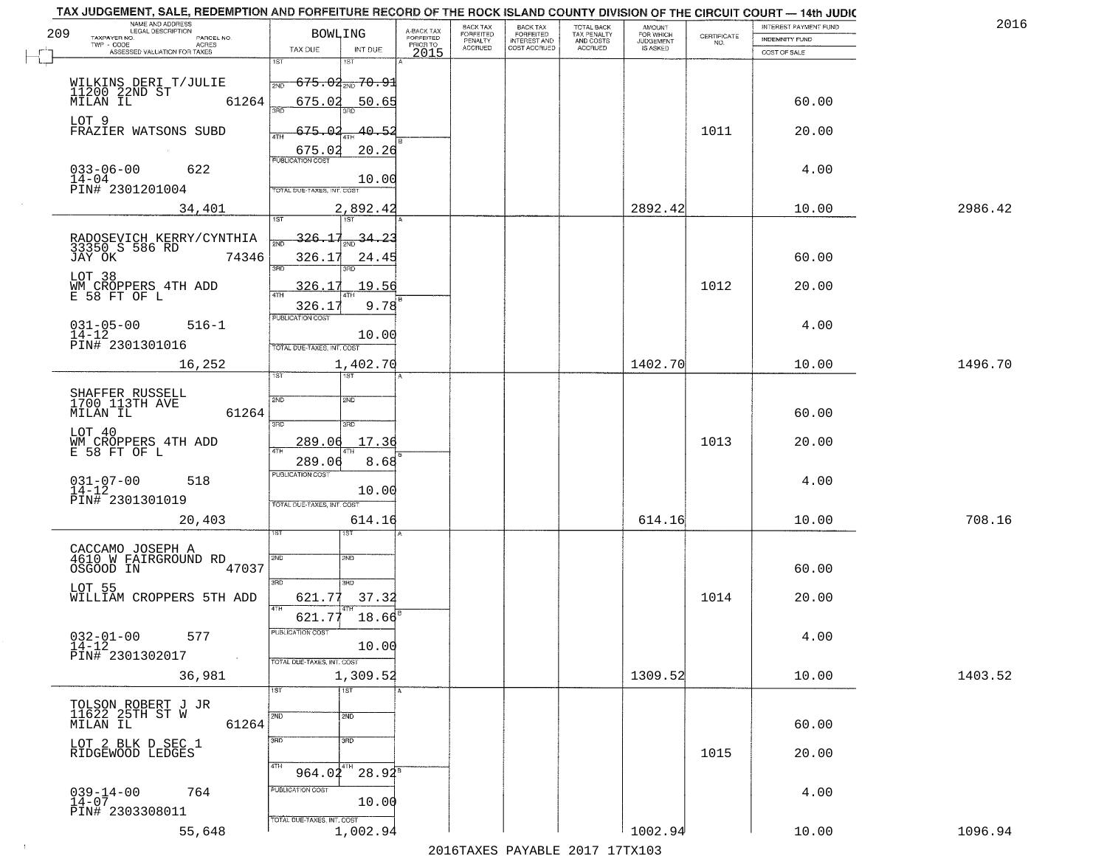| 2016    | INTEREST PAYMENT FUND<br><b>INDEMNITY FUND</b> | $\begin{array}{c} \text{CERTIFICATE} \\ \text{NO.} \end{array}$ | AMOUNT<br>FOR WHICH<br><b>JUDGEMENT</b><br>IS ASKED | TOTAL BACK<br>TAX PENALTY<br>AND COSTS<br>ACCRUED | BACK TAX<br>FORFEITED<br>INTEREST AND<br>COST ACCRUED | BACK TAX<br>FORFEITED<br>PENALTY<br><b>ACCRUED</b> | A-BACK TAX<br>FORFEITED<br>PRIOR TO | <b>BOWLING</b>                                     |                                                                 | NAME AND ADDRESS<br>LEGAL DESCRIPTION<br>TAXPAYER NO.<br>PARCEL NO.<br>TWP - CODE<br><b>ACRES</b> | 209       |
|---------|------------------------------------------------|-----------------------------------------------------------------|-----------------------------------------------------|---------------------------------------------------|-------------------------------------------------------|----------------------------------------------------|-------------------------------------|----------------------------------------------------|-----------------------------------------------------------------|---------------------------------------------------------------------------------------------------|-----------|
|         | COST OF SALE                                   |                                                                 |                                                     |                                                   |                                                       |                                                    | 2015                                | INT DUE<br>1ST                                     | TAX DUE<br>1ST                                                  | ASSESSED VALUATION FOR TAXES                                                                      |           |
|         | 60.00                                          |                                                                 |                                                     |                                                   |                                                       |                                                    |                                     | <del>675.02<sub>2ND</sub>70.91</del><br>50.65      | 675.02<br>350                                                   | WILKINS DERI T/JULIE<br>11200 22ND ST<br>MILAN IL<br>61264                                        |           |
|         | 20.00                                          | 1011                                                            |                                                     |                                                   |                                                       |                                                    |                                     | 40.52                                              | 675.02<br>ATH                                                   | FRAZIER WATSONS SUBD                                                                              | LOT 9     |
|         | 4.00                                           |                                                                 |                                                     |                                                   |                                                       |                                                    |                                     | 20.26<br>10.00                                     | 675.02<br><b>PUBLICATION COST</b><br>TOTAL DUE-TAXES, INT. COST | $033 - 06 - 00$<br>622<br>PIN# 2301201004                                                         | $14 - 04$ |
| 2986.42 | 10.00                                          |                                                                 | 2892.42                                             |                                                   |                                                       |                                                    |                                     | 2,892.42<br>1ST                                    | 1ST                                                             | 34,401                                                                                            |           |
|         | 60.00                                          |                                                                 |                                                     |                                                   |                                                       |                                                    |                                     | <u>34.23</u><br>24.45                              | 326.17<br>326.17<br><b>3RD</b>                                  | RADOSEVICH KERRY/CYNTHIA<br>33350 S 586 RD<br>JAY OK<br>74346                                     |           |
|         | 20.00                                          | 1012                                                            |                                                     |                                                   |                                                       |                                                    |                                     | 19.56<br>9.78                                      | 326.17<br>326.17                                                | WM CROPPERS 4TH ADD<br>E 58 FT OF L                                                               | LOT 38    |
|         | 4.00                                           |                                                                 |                                                     |                                                   |                                                       |                                                    |                                     | 10.00                                              | PUBLICATION COST<br>TOTAL DUE-TAXES, INT. COST                  | $031 - 05 - 00$<br>$516 - 1$<br>PIN# 2301301016                                                   | $14 - 12$ |
| 1496.70 | 10.00                                          |                                                                 | 1402.70                                             |                                                   |                                                       |                                                    |                                     | 1,402.70<br>1ST                                    | ist.                                                            | 16,252                                                                                            |           |
|         | 60.00                                          |                                                                 |                                                     |                                                   |                                                       |                                                    |                                     | SMD<br>3BD                                         | <b>2VD</b><br>3BD                                               | SHAFFER RUSSELL<br>1700 113TH AVE<br>MILAN IL<br>61264                                            |           |
|         | 20.00                                          | 1013                                                            |                                                     |                                                   |                                                       |                                                    |                                     | 17.36<br>8.68                                      | 289.06<br>289.06                                                | WM CROPPERS 4TH ADD<br>E 58 FT OF L                                                               | LOT 40    |
|         | 4.00                                           |                                                                 |                                                     |                                                   |                                                       |                                                    |                                     | 10.00                                              | <b>PUBLICATION COST</b><br>TOTAL OUE-TAXES, INT. COST           | $031 - 07 - 00$<br>14-12<br>518<br>PIN# 2301301019                                                |           |
| 708.16  | 10.00                                          |                                                                 | 614.16                                              |                                                   |                                                       |                                                    |                                     | 614.16<br>डा                                       |                                                                 | 20,403                                                                                            |           |
|         | 60.00                                          |                                                                 |                                                     |                                                   |                                                       |                                                    |                                     | SND                                                | 2ND                                                             | CACCAMO JOSEPH A<br>4610 W FAIRGROUND RD<br>OSGOOD IN<br>47037                                    |           |
|         | 20.00                                          | 1014                                                            |                                                     |                                                   |                                                       |                                                    |                                     | 3HD<br>37.32<br>18.66                              | 3RD<br>621.77<br>4TH<br>621.77                                  | LOT 55<br>WILLIAM CROPPERS 5TH ADD                                                                |           |
|         | 4.00                                           |                                                                 |                                                     |                                                   |                                                       |                                                    |                                     | 10.00                                              | PUBLICATION COST<br>TOTAL DUE-TAXES, INT. COST                  | $032 - 01 - 00$<br>14-12<br>577<br>PIN# 2301302017                                                |           |
| 1403.52 | 10.00                                          |                                                                 | 1309.52                                             |                                                   |                                                       |                                                    |                                     | 1,309.52                                           |                                                                 | 36,981                                                                                            |           |
|         | 60.00                                          |                                                                 |                                                     |                                                   |                                                       |                                                    |                                     | 1ST<br>2ND                                         | 1ST<br>2ND                                                      | TOLSON ROBERT J JR<br>11622 25TH ST W<br>61264<br>MILAN IL                                        |           |
|         | 20.00                                          | 1015                                                            |                                                     |                                                   |                                                       |                                                    |                                     | 3 <sub>RD</sub><br>$964.02^{4}$ 28.92 <sup>8</sup> | 3RD<br>4TH                                                      | LOT 2 BLK D SEC 1<br>RIDGEWOOD LEDGES                                                             |           |
|         | 4.00                                           |                                                                 |                                                     |                                                   |                                                       |                                                    |                                     | 10.00                                              | PUBLICATION COST                                                | $039 - 14 - 00$<br>$14 - 07$<br>764<br>PIN# 2303308011                                            |           |
| 1096.94 | 10.00                                          |                                                                 | 1002.94                                             |                                                   |                                                       |                                                    |                                     | 1,002.94                                           | TOTAL DUE-TAXES, INT. COST                                      | 55,648                                                                                            |           |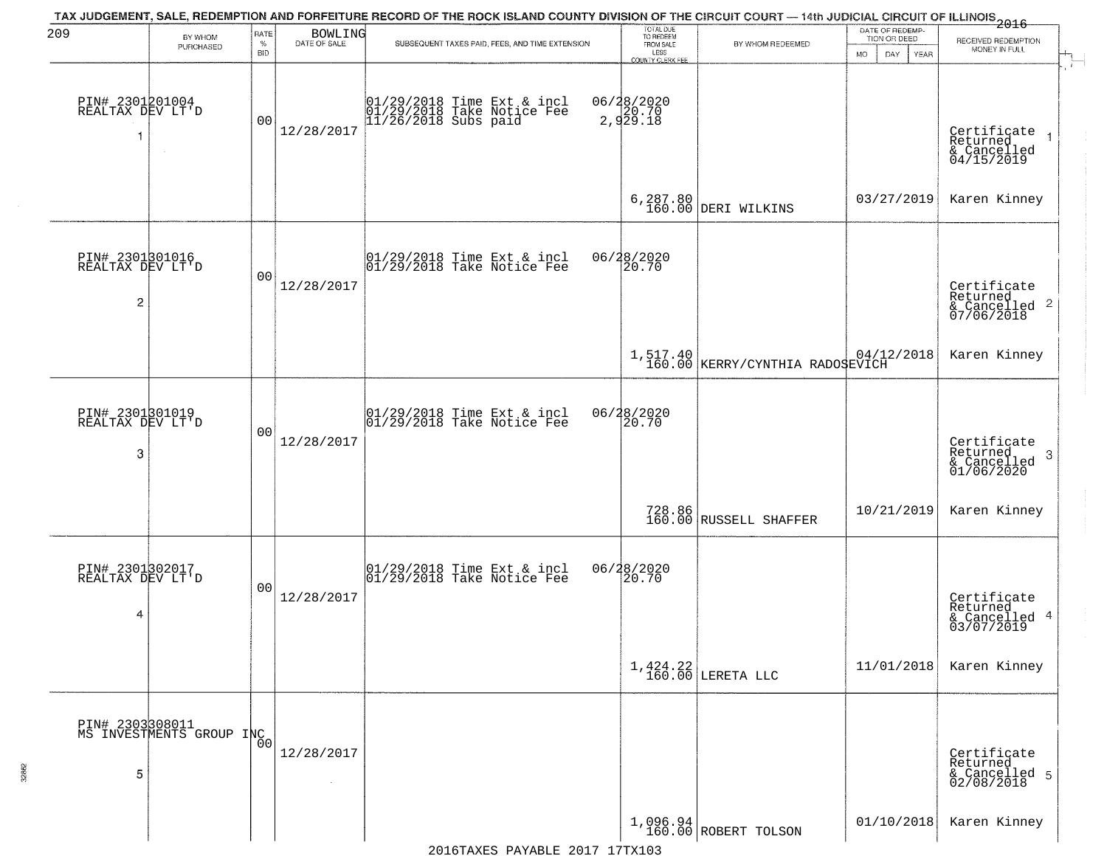| 209                                      | BY WHOM                                     | RATE               | <b>BOWLING</b>                            | TAX JUDGEMENT, SALE, REDEMPTION AND FORFEITURE RECORD OF THE ROCK ISLAND COUNTY DIVISION OF THE CIRCUIT COURT — 14th JUDICIAL CIRCUIT OF ILLINOIS 2016 | TOTAL DUE<br>TO REDEEM                       |                                             | DATE OF REDEMP-<br>TION OR DEED | RECEIVED REDEMPTION                                       |
|------------------------------------------|---------------------------------------------|--------------------|-------------------------------------------|--------------------------------------------------------------------------------------------------------------------------------------------------------|----------------------------------------------|---------------------------------------------|---------------------------------|-----------------------------------------------------------|
|                                          | PURCHASED                                   | $\%$<br><b>BID</b> | DATE OF SALE                              | SUBSEQUENT TAXES PAID, FEES, AND TIME EXTENSION                                                                                                        | FROM SALE<br>LESS<br><b>COUNTY CLERK FEE</b> | BY WHOM REDEEMED                            | MO.<br>DAY.<br><b>YEAR</b>      | MONEY IN FULL                                             |
| PIN# 2301201004<br>REALTAX DEV LT'D<br>1 | $\sim$                                      | 0 <sup>0</sup>     | 12/28/2017                                | 01/29/2018 Time Ext & incl<br>01/29/2018 Take Notice Fee<br>11/26/2018 Subs paid                                                                       | 06/28/2020<br>2,929.18                       |                                             |                                 | Certificate<br>Returned<br>& Cancelled<br>04/15/2019      |
|                                          |                                             |                    |                                           |                                                                                                                                                        |                                              | 6, 287.80<br>160.00 DERI WILKINS            | 03/27/2019                      | Karen Kinney                                              |
| PIN# 2301801016<br>REALTAX DEV LT'D<br>2 |                                             | 0 <sub>0</sub>     | 12/28/2017                                | $ 01/29/2018$ Time Ext & incl<br>$ 01/29/2018$ Take Notice Fee                                                                                         | 06/28/2020<br>20.70                          |                                             |                                 | Certificate<br>Returned<br>& Cancelled 2<br>07/06/2018    |
|                                          |                                             |                    |                                           |                                                                                                                                                        |                                              | 1,517.40<br>160.00 KERRY/CYNTHIA RADOSEVICH |                                 | Karen Kinney                                              |
| PIN# 2301801019<br>REALTAX DEV LT'D<br>3 |                                             | 0 <sub>0</sub>     | 12/28/2017                                | $\begin{array}{cc}  01/29/2018 \text{ Time Ext} & \text{incl} \\  01/29/2018 \text{ Take Notice Fe} \end{array}$                                       | 06/28/2020<br>20.70                          |                                             |                                 | Certificate<br>Returned<br>3<br>& Cancelled<br>01/06/2020 |
|                                          |                                             |                    |                                           |                                                                                                                                                        |                                              | 728.86<br>160.00 RUSSELL SHAFFER            | 10/21/2019                      | Karen Kinney                                              |
| PIN# 2301302017<br>REALTAX DEV LT'D<br>4 |                                             | 0 <sub>0</sub>     | 12/28/2017                                | $\begin{array}{ccc}  01/29/2018 \text{ Time} & \text{Ext} & \text{incl} \\  01/29/2018 \text{ Take Notice } \text{Fe} \end{array}$                     | 06/28/2020<br>120.70                         |                                             |                                 | Certificate<br>Returned<br>& Cancelled 4<br>03/07/2019    |
|                                          |                                             |                    |                                           |                                                                                                                                                        |                                              | $1,424.22$ LERETA LLC                       | 11/01/2018                      | Karen Kinney                                              |
| 5                                        | PIN# 2303308011<br>MS INVESTMENTS GROUP INC | 0 <sub>0</sub>     | 12/28/2017<br>$\mathcal{L}_{\mathcal{A}}$ |                                                                                                                                                        |                                              |                                             |                                 | Certificate<br>Returned<br>& Cancelled 5<br>02/08/2018    |
|                                          |                                             |                    |                                           |                                                                                                                                                        |                                              | $1,096.94$ ROBERT TOLSON                    | 01/10/2018                      | Karen Kinney                                              |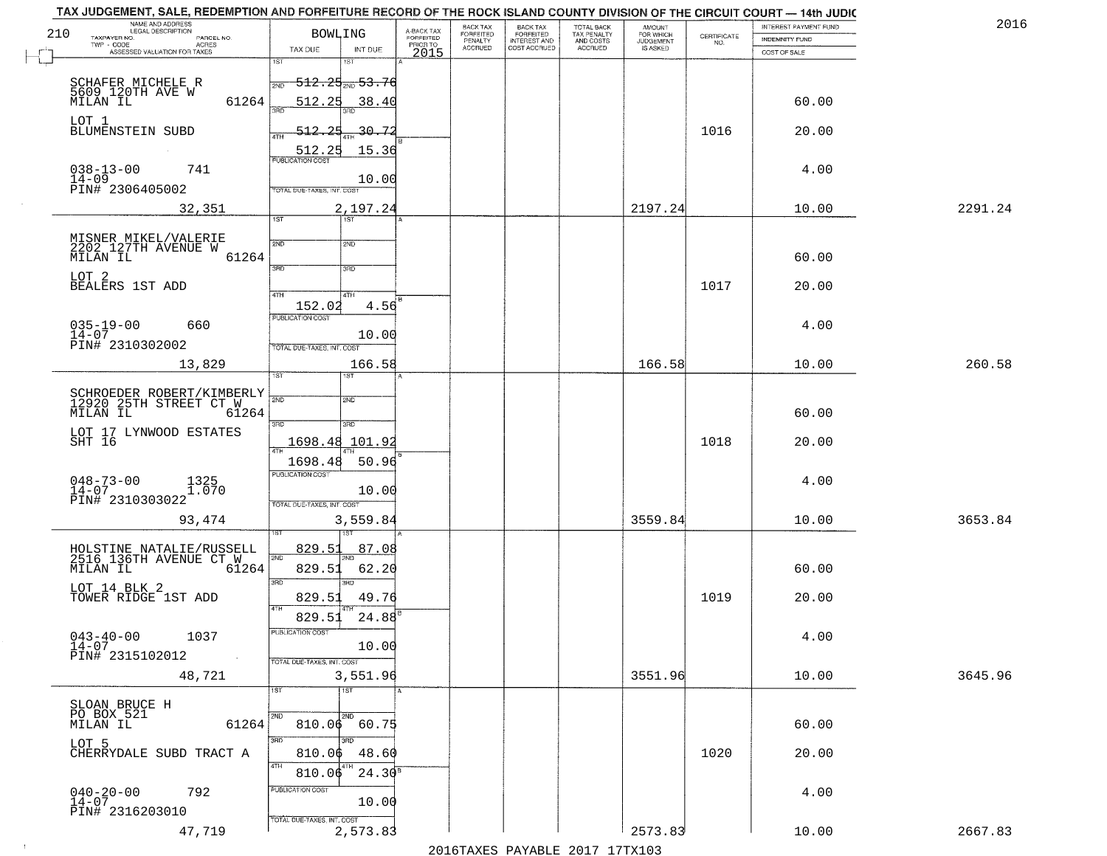| 210 | NAME AND ADDRESS<br>LEGAL DESCRIPTION<br>TAXPAYER NO.<br>PARCEL NO. | <b>BOWLING</b>             |                                   | A-BACK TAX<br>FORFEITED | BACK TAX<br>FORFEITED | <b>BACK TAX</b><br><b>FORFEITED</b> | TOTAL BACK<br>TAX PENALTY | <b>AMOUNT</b>                      | $\begin{array}{c} \text{CERTIFICATE} \\ \text{NO.} \end{array}$ | INTEREST PAYMENT FUND<br><b>INDEMNITY FUND</b> | 2016    |
|-----|---------------------------------------------------------------------|----------------------------|-----------------------------------|-------------------------|-----------------------|-------------------------------------|---------------------------|------------------------------------|-----------------------------------------------------------------|------------------------------------------------|---------|
|     | TWP - CODE<br>ACRES<br>ASSESSED VALUATION FOR TAXES                 | TAX DUE                    | INT DUE                           | PRIOR TO<br>2015        | PENALTY<br>ACCRUED    | INTEREST AND                        | AND COSTS<br>ACCRUED      | FOR WHICH<br>JUDGEMENT<br>IS ASKED |                                                                 | COST OF SALE                                   |         |
|     |                                                                     | 1ST                        |                                   |                         |                       |                                     |                           |                                    |                                                                 |                                                |         |
|     | SCHAFER MICHELE R<br>5609_120TH AVE W                               | 2ND                        | $-512.25$ <sub>2ND</sub> $-53.76$ |                         |                       |                                     |                           |                                    |                                                                 |                                                |         |
|     | MILAN IL<br>61264                                                   | 512.25<br>រគក              | 38.40                             |                         |                       |                                     |                           |                                    |                                                                 | 60.00                                          |         |
|     | LOT 1<br>BLUMENSTEIN SUBD                                           | 512.25                     | -30 <del>.</del> 72               |                         |                       |                                     |                           |                                    | 1016                                                            | 20.00                                          |         |
|     |                                                                     | 512.25                     | 15.36                             |                         |                       |                                     |                           |                                    |                                                                 |                                                |         |
|     | $038 - 13 - 00$<br>741                                              | <b>PUBLICATION COST</b>    |                                   |                         |                       |                                     |                           |                                    |                                                                 | 4.00                                           |         |
|     | $14 - 09$<br>PIN# 2306405002                                        | TOTAL DUE-TAXES, INT. COST | 10.00                             |                         |                       |                                     |                           |                                    |                                                                 |                                                |         |
|     | 32,351                                                              |                            | 2,197.24                          |                         |                       |                                     |                           | 2197.24                            |                                                                 | 10.00                                          | 2291.24 |
|     |                                                                     | 1ST                        | Tst                               |                         |                       |                                     |                           |                                    |                                                                 |                                                |         |
|     | MISNER MIKEL/VALERIE<br>2202 127TH AVENUE W                         | 2ND                        | 2ND                               |                         |                       |                                     |                           |                                    |                                                                 |                                                |         |
|     | 61264<br>MILAN IL                                                   | 3BD                        | 3RD                               |                         |                       |                                     |                           |                                    |                                                                 | 60.00                                          |         |
|     | LOT <sub>2</sub><br>BEALERS 1ST ADD                                 |                            |                                   |                         |                       |                                     |                           |                                    | 1017                                                            | 20.00                                          |         |
|     |                                                                     | $\sqrt{47H}$<br>152.02     | 4TH<br>4.56                       |                         |                       |                                     |                           |                                    |                                                                 |                                                |         |
|     | $035 - 19 - 00$<br>660                                              | <b>PUBLICATION COST</b>    |                                   |                         |                       |                                     |                           |                                    |                                                                 | 4.00                                           |         |
|     | $14 - 07$<br>PIN# 2310302002                                        | TOTAL DUE-TAXES, INT. COST | 10.00                             |                         |                       |                                     |                           |                                    |                                                                 |                                                |         |
|     | 13,829                                                              |                            | 166.58                            |                         |                       |                                     |                           | 166.58                             |                                                                 | 10.00                                          | 260.58  |
|     |                                                                     | 1ST                        | <b>ST</b>                         |                         |                       |                                     |                           |                                    |                                                                 |                                                |         |
|     | SCHROEDER ROBERT/KIMBERLY<br>12920 25TH STREET CT W                 | 2ND                        | 2ND                               |                         |                       |                                     |                           |                                    |                                                                 |                                                |         |
|     | MILAN IL<br>61264                                                   | 3RD                        | 3RD                               |                         |                       |                                     |                           |                                    |                                                                 | 60.00                                          |         |
|     | LOT 17 LYNWOOD ESTATES<br>SHT 16                                    | 1698.48 101.92             |                                   |                         |                       |                                     |                           |                                    | 1018                                                            | 20.00                                          |         |
|     |                                                                     | 1698.48                    | 50.96                             |                         |                       |                                     |                           |                                    |                                                                 |                                                |         |
|     | $048 - 73 - 00$<br>$14 - 07$<br>1325<br>1.070                       | <b>PUBLICATION COST</b>    |                                   |                         |                       |                                     |                           |                                    |                                                                 | 4.00                                           |         |
|     | PIN# 2310303022                                                     | TOTAL OUE-TAXES, INT. COST | 10.00                             |                         |                       |                                     |                           |                                    |                                                                 |                                                |         |
|     | 93,474                                                              |                            | 3,559.84                          |                         |                       |                                     |                           | 3559.84                            |                                                                 | 10.00                                          | 3653.84 |
|     |                                                                     |                            |                                   |                         |                       |                                     |                           |                                    |                                                                 |                                                |         |
|     | HOLSTINE NATALIE/RUSSELL<br>2516 136TH AVENUE CT W                  | <u>829.51</u><br>2ND       | 87.08                             |                         |                       |                                     |                           |                                    |                                                                 |                                                |         |
|     | MILAN IL<br>61264                                                   | 829.51<br>3RD              | 62.20<br>3RD                      |                         |                       |                                     |                           |                                    |                                                                 | 60.00                                          |         |
|     | LOT 14 BLK 2<br>TOWER RIDGE 1ST ADD                                 | 829.51<br>4TH              | 49.76                             |                         |                       |                                     |                           |                                    | 1019                                                            | 20.00                                          |         |
|     |                                                                     | 829.51                     | $24.88^{B}$                       |                         |                       |                                     |                           |                                    |                                                                 |                                                |         |
|     | $043 - 40 - 00$<br>1037<br>14-07                                    | PUBLICATION COST           | 10.00                             |                         |                       |                                     |                           |                                    |                                                                 | 4.00                                           |         |
|     | PIN# 2315102012<br>$\sim 100$                                       | TOTAL DUE-TAXES, INT. COST |                                   |                         |                       |                                     |                           |                                    |                                                                 |                                                |         |
|     | 48,721                                                              |                            | 3,551.96                          |                         |                       |                                     |                           | 3551.96                            |                                                                 | 10.00                                          | 3645.96 |
|     | SLOAN BRUCE H                                                       | 1ST                        | 1ST                               |                         |                       |                                     |                           |                                    |                                                                 |                                                |         |
|     | PO BOX 521<br>MILAN IL<br>61264                                     | 2ND                        | 2ND<br>810.06 60.75               |                         |                       |                                     |                           |                                    |                                                                 | 60.00                                          |         |
|     | LOT 5                                                               | 3RD                        | 3BD                               |                         |                       |                                     |                           |                                    |                                                                 |                                                |         |
|     | CHERRYDALE SUBD TRACT A                                             | 810.06<br>4TH              | 48.60<br>4TH                      |                         |                       |                                     |                           |                                    | 1020                                                            | 20.00                                          |         |
|     |                                                                     | 810.06                     | $24.30^{8}$                       |                         |                       |                                     |                           |                                    |                                                                 |                                                |         |
|     | $040 - 20 - 00$<br>$14 - 07$<br>792                                 | PUBLICATION COST           | 10.00                             |                         |                       |                                     |                           |                                    |                                                                 | 4.00                                           |         |
|     | PIN# 2316203010                                                     | TOTAL DUE-TAXES, INT. COST |                                   |                         |                       |                                     |                           |                                    |                                                                 |                                                |         |
|     | 47,719                                                              |                            | 2,573.83                          |                         |                       |                                     |                           | 2573.83                            |                                                                 | 10.00                                          | 2667.83 |

 $\sim 100$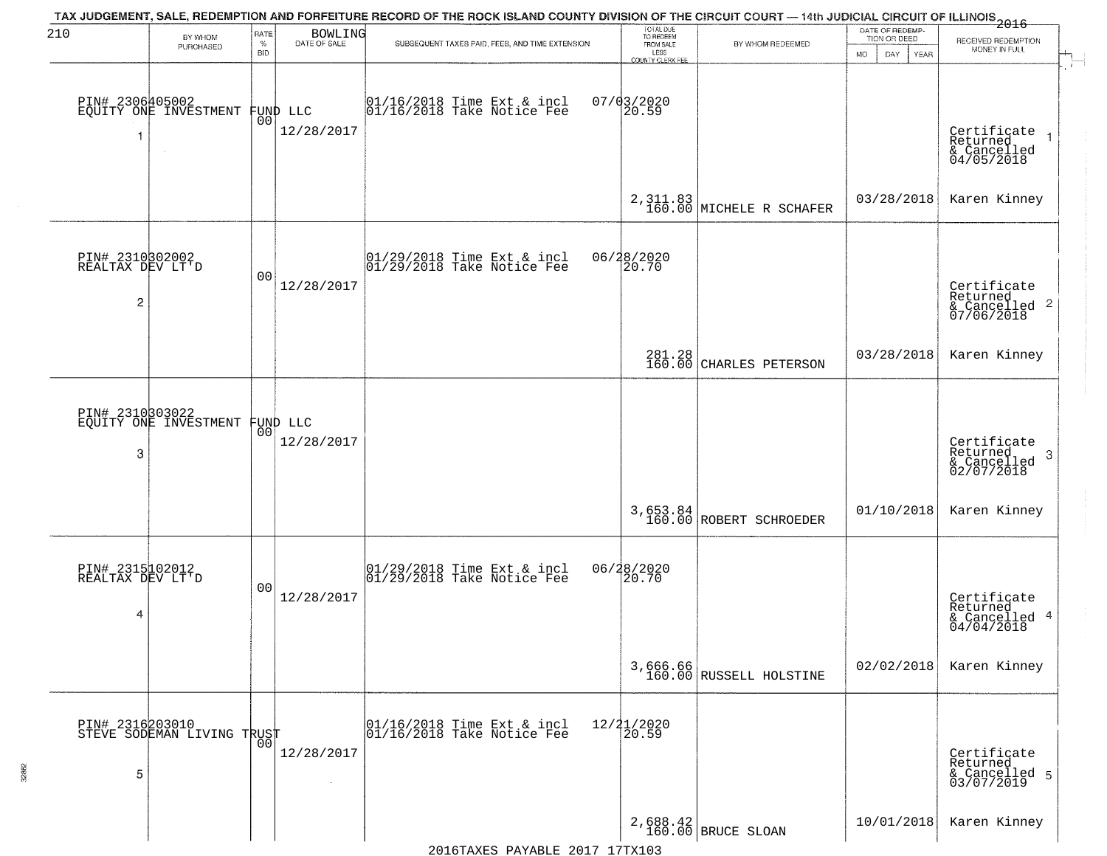| 210                                                   | BY WHOM<br>PURCHASED                               | RATE<br>$\%$<br><b>BID</b> | <b>BOWLING</b><br>DATE OF SALE | TAX JUDGEMENT, SALE, REDEMPTION AND FORFEITURE RECORD OF THE ROCK ISLAND COUNTY DIVISION OF THE CIRCUIT COURT — 14th JUDICIAL CIRCUIT OF ILLINOIS 2016<br>SUBSEQUENT TAXES PAID, FEES, AND TIME EXTENSION | TOTAL DUE<br>TO REDEEM<br>FROM SALE<br>LESS      | BY WHOM REDEEMED                            | DATE OF REDEMP-<br>TION OR DEED<br>MO.<br>DAY.<br>YEAR | RECEIVED REDEMPTION<br>MONEY IN FULL                               |
|-------------------------------------------------------|----------------------------------------------------|----------------------------|--------------------------------|-----------------------------------------------------------------------------------------------------------------------------------------------------------------------------------------------------------|--------------------------------------------------|---------------------------------------------|--------------------------------------------------------|--------------------------------------------------------------------|
| 1                                                     | PIN# 2306405002<br>EQUITY ONE INVESTMENT<br>$\sim$ | 00                         | FUND LLC<br>12/28/2017         | 01/16/2018 Time Ext & incl<br>01/16/2018 Take Notice Fee                                                                                                                                                  | <b>COUNTY CLERK FEE</b><br>$07/03/2020$<br>20.59 |                                             |                                                        | Certificate<br>Returned<br>& Cancelled<br>04/05/2018               |
|                                                       |                                                    |                            |                                |                                                                                                                                                                                                           |                                                  | $2,311.83$<br>$160.00$<br>MICHELE R SCHAFER | 03/28/2018                                             | Karen Kinney                                                       |
| PIN# 2310302002<br>REALTAX DEV LT'D<br>$\overline{c}$ |                                                    | 0 <sub>0</sub>             | 12/28/2017                     | $\begin{array}{cc}  01/29/2018 \text{ Time} & \text{Ext} & \text{incl} \\  01/29/2018 \text{ Take Notice } \text{Fe} \end{array}$                                                                         | 06/28/2020<br>20.70                              |                                             |                                                        | Certificate<br>Returned<br>$\frac{1}{2}$ Cancelled 2<br>07/06/2018 |
|                                                       |                                                    |                            |                                |                                                                                                                                                                                                           |                                                  | 281.28<br>160.00 CHARLES PETERSON           | 03/28/2018                                             | Karen Kinney                                                       |
| PIN# 2310303022<br>3                                  | EQUITY ONE INVESTMENT                              | 0 <sub>0</sub>             | FUND LLC<br>12/28/2017         |                                                                                                                                                                                                           |                                                  |                                             |                                                        | Certificate<br>Returned<br>3<br>& Cancelled<br>02/07/2018          |
|                                                       |                                                    |                            |                                |                                                                                                                                                                                                           | 3,653.84<br>160.00                               | ROBERT SCHROEDER                            | 01/10/2018                                             | Karen Kinney                                                       |
| PIN# 2315102012<br>REALTAX DEV LT'D<br>4              |                                                    | 0 <sub>0</sub>             | 12/28/2017                     | $\begin{array}{c} 01/29/2018 \\ 01/29/2018 \\ \end{array}$ Take Notice Fee                                                                                                                                | 06/28/2020<br>120.70                             |                                             |                                                        | Certificate<br>Returned<br>& Cancelled 4<br>04/04/2018             |
|                                                       |                                                    |                            |                                |                                                                                                                                                                                                           |                                                  | 3,666.66<br>160.00 RUSSELL HOLSTINE         | 02/02/2018                                             | Karen Kinney                                                       |
| 5                                                     | PIN# 2316203010    <br>STEVE SODEMAN LIVING TRUST  | 0 <sub>0</sub>             | 12/28/2017<br>$\sim$           | 01/16/2018 Time Ext & incl<br>01/16/2018 Take Notice Fee                                                                                                                                                  | 12/21/2020<br>20.59                              |                                             |                                                        | Certificate<br>Returned<br>& Cancelled 5<br>03/07/2019             |
|                                                       |                                                    |                            |                                |                                                                                                                                                                                                           |                                                  | 2,688.42<br>160.00 BRUCE SLOAN              | 10/01/2018                                             | Karen Kinney                                                       |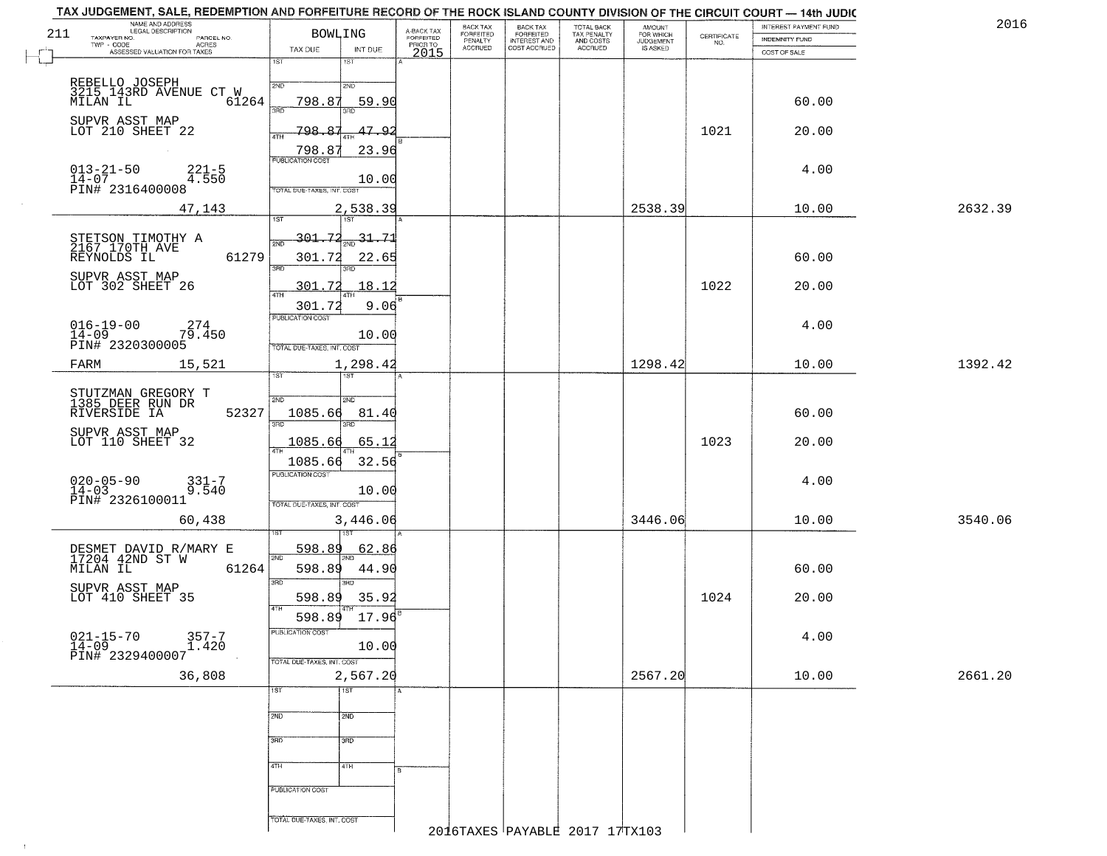|     | TAX JUDGEMENT, SALE, REDEMPTION AND FORFEITURE RECORD OF THE ROCK ISLAND COUNTY DIVISION OF THE CIRCUIT COURT — 14th JUDIC<br>NAME AND ADDRESS<br>LEGAL DESCRIPTION |                                    |                   |                         | BACK TAX                        |                                                       |                                        |                                  |                    | INTEREST PAYMENT FUND | 2016    |
|-----|---------------------------------------------------------------------------------------------------------------------------------------------------------------------|------------------------------------|-------------------|-------------------------|---------------------------------|-------------------------------------------------------|----------------------------------------|----------------------------------|--------------------|-----------------------|---------|
| 211 | TAXPAYER NO.<br>PARCEL NO.                                                                                                                                          | <b>BOWLING</b>                     |                   | A-BACK TAX<br>FORFEITED | FORFEITED<br>PENALTY<br>ACCRUED | BACK TAX<br>FORFEITED<br>INTEREST AND<br>COST ACCRUED | TOTAL BACK<br>TAX PENALTY<br>AND COSTS | AMOUNT<br>FOR WHICH<br>JUDGEMENT | CERTIFICATE<br>NO. | <b>INDEMNITY FUND</b> |         |
|     | TWP - CODE ASSESSED VALUATION FOR TAXES                                                                                                                             | TAX DUE                            | INT DUE           | PRIOR TO<br>2015        |                                 |                                                       | ACCRUED                                | IS ASKED                         |                    | COST OF SALE          |         |
|     |                                                                                                                                                                     | 1ST                                | 1ST               |                         |                                 |                                                       |                                        |                                  |                    |                       |         |
|     | REBELLO JOSEPH<br>3215 143RD AVENUE CT W                                                                                                                            | 2ND                                | 2ND               |                         |                                 |                                                       |                                        |                                  |                    |                       |         |
|     | MĪLĂN IL<br>61264                                                                                                                                                   | 798.87                             | 59.90             |                         |                                 |                                                       |                                        |                                  |                    | 60.00                 |         |
|     | SUPVR ASST MAP                                                                                                                                                      | 3RD                                | 3RD               |                         |                                 |                                                       |                                        |                                  |                    |                       |         |
|     | LOT 210 SHEET 22                                                                                                                                                    | 798.<br>4TH                        | 47.9              |                         |                                 |                                                       |                                        |                                  | 1021               | 20.00                 |         |
|     |                                                                                                                                                                     | 798.8                              | 23.96             |                         |                                 |                                                       |                                        |                                  |                    |                       |         |
|     | $221 - 5$                                                                                                                                                           | <b>PUBLICATION COST</b>            |                   |                         |                                 |                                                       |                                        |                                  |                    | 4.00                  |         |
|     | $013 - 21 - 50$<br>$14 - 07$<br>4.550<br>PIN# 2316400008                                                                                                            | TOTAL DUE-TAXES, INT. COST         | 10.00             |                         |                                 |                                                       |                                        |                                  |                    |                       |         |
|     |                                                                                                                                                                     |                                    |                   |                         |                                 |                                                       |                                        |                                  |                    |                       |         |
|     | 47,143                                                                                                                                                              | 1ST                                | 2,538.39<br>1ST   |                         |                                 |                                                       |                                        | 2538.39                          |                    | 10.00                 | 2632.39 |
|     |                                                                                                                                                                     | 301.72                             | 31.71             |                         |                                 |                                                       |                                        |                                  |                    |                       |         |
|     | STETSON TIMOTHY A<br>2167 170TH AVE<br>61279                                                                                                                        | 2ND<br>301.72                      | 2ND<br>22.65      |                         |                                 |                                                       |                                        |                                  |                    | 60.00                 |         |
|     | REYNOLDS IL                                                                                                                                                         | 3RD                                | 3RD               |                         |                                 |                                                       |                                        |                                  |                    |                       |         |
|     | SUPVR ASST MAP<br>LOT 302 SHEET 26                                                                                                                                  | 301.72                             | 18.12             |                         |                                 |                                                       |                                        |                                  | 1022               | 20.00                 |         |
|     |                                                                                                                                                                     | 47H<br>301.72                      | 4TH<br>9.06       |                         |                                 |                                                       |                                        |                                  |                    |                       |         |
|     |                                                                                                                                                                     | PUBLICATION COST                   |                   |                         |                                 |                                                       |                                        |                                  |                    |                       |         |
|     | $016 - 19 - 00$<br>274<br>$14 - 09$<br>79.450                                                                                                                       |                                    | 10.00             |                         |                                 |                                                       |                                        |                                  |                    | 4.00                  |         |
|     | PIN# 2320300005                                                                                                                                                     | TOTAL DUE-TAXES, INT. COST         |                   |                         |                                 |                                                       |                                        |                                  |                    |                       |         |
|     | FARM<br>15,521                                                                                                                                                      | īst                                | 1,298.42          |                         |                                 |                                                       |                                        | 1298.42                          |                    | 10.00                 | 1392.42 |
|     |                                                                                                                                                                     |                                    |                   |                         |                                 |                                                       |                                        |                                  |                    |                       |         |
|     | STUTZMAN GREGORY T<br>1385 DEER RUN DR                                                                                                                              | 2ND                                | SND               |                         |                                 |                                                       |                                        |                                  |                    |                       |         |
|     | RIVERSIDE IA<br>52327                                                                                                                                               | 1085.66<br>3BD                     | 81.40<br>3RD      |                         |                                 |                                                       |                                        |                                  |                    | 60.00                 |         |
|     | SUPVR ASST MAP<br>LOT 110 SHEET 32                                                                                                                                  | 1085.66                            | 65.12             |                         |                                 |                                                       |                                        |                                  | 1023               | 20.00                 |         |
|     |                                                                                                                                                                     |                                    |                   |                         |                                 |                                                       |                                        |                                  |                    |                       |         |
|     |                                                                                                                                                                     | 1085.66<br><b>PUBLICATION COST</b> | 32.56             |                         |                                 |                                                       |                                        |                                  |                    |                       |         |
|     | $020 - 05 - 90$<br>331-7<br>9.540<br>$14 - 03$                                                                                                                      |                                    | 10.00             |                         |                                 |                                                       |                                        |                                  |                    | 4.00                  |         |
|     | PIN# 2326100011                                                                                                                                                     | TOTAL OUE-TAXES, INT. COST         |                   |                         |                                 |                                                       |                                        |                                  |                    |                       |         |
|     | 60,438                                                                                                                                                              |                                    | 3,446.06          |                         |                                 |                                                       |                                        | 3446.06                          |                    | 10.00                 | 3540.06 |
|     |                                                                                                                                                                     |                                    |                   |                         |                                 |                                                       |                                        |                                  |                    |                       |         |
|     | DESMET DAVID R/MARY E<br>17204 42ND ST W                                                                                                                            | 598.89<br>2ND                      | <u>62.86</u>      |                         |                                 |                                                       |                                        |                                  |                    |                       |         |
|     | MILAN IL<br>61264                                                                                                                                                   | 598.89                             | 44.90             |                         |                                 |                                                       |                                        |                                  |                    | 60.00                 |         |
|     | SUPVR ASST MAP                                                                                                                                                      | 3RD                                | $\overline{3BD}$  |                         |                                 |                                                       |                                        |                                  |                    |                       |         |
|     | LOT 410 SHEET 35                                                                                                                                                    | 598.89<br>4TH                      | 35.92             |                         |                                 |                                                       |                                        |                                  | 1024               | 20.00                 |         |
|     |                                                                                                                                                                     | 598.89                             | 17.96             |                         |                                 |                                                       |                                        |                                  |                    |                       |         |
|     | $357 - 7$<br>$1.420$<br>$\begin{array}{ll} 021 - 15 - 70 & \text{?} \\ 14 - 09 & \text{PINH} & 2329400007 \end{array}$                                              | PUBLICATION COST                   | 10.00             |                         |                                 |                                                       |                                        |                                  |                    | 4.00                  |         |
|     |                                                                                                                                                                     | TOTAL DUE-TAXES, INT. COST         |                   |                         |                                 |                                                       |                                        |                                  |                    |                       |         |
|     | 36,808                                                                                                                                                              |                                    | 2,567.20          |                         |                                 |                                                       |                                        | 2567.20                          |                    | 10.00                 | 2661.20 |
|     |                                                                                                                                                                     | 1ST                                | $\overline{1}$ ST |                         |                                 |                                                       |                                        |                                  |                    |                       |         |
|     |                                                                                                                                                                     |                                    |                   |                         |                                 |                                                       |                                        |                                  |                    |                       |         |
|     |                                                                                                                                                                     | 2ND                                | 2ND               |                         |                                 |                                                       |                                        |                                  |                    |                       |         |
|     |                                                                                                                                                                     | 3RD                                | 3 <sub>BD</sub>   |                         |                                 |                                                       |                                        |                                  |                    |                       |         |
|     |                                                                                                                                                                     |                                    |                   |                         |                                 |                                                       |                                        |                                  |                    |                       |         |
|     |                                                                                                                                                                     | 4TH                                | 4TH               |                         |                                 |                                                       |                                        |                                  |                    |                       |         |
|     |                                                                                                                                                                     | PUBLICATION COST                   |                   |                         |                                 |                                                       |                                        |                                  |                    |                       |         |
|     |                                                                                                                                                                     |                                    |                   |                         |                                 |                                                       |                                        |                                  |                    |                       |         |
|     |                                                                                                                                                                     | TOTAL DUE-TAXES, INT. COST         |                   |                         |                                 |                                                       | $2016$ TAYES DAVARLE 2017 17TY103      |                                  |                    |                       |         |

 $\sim 10^{-1}$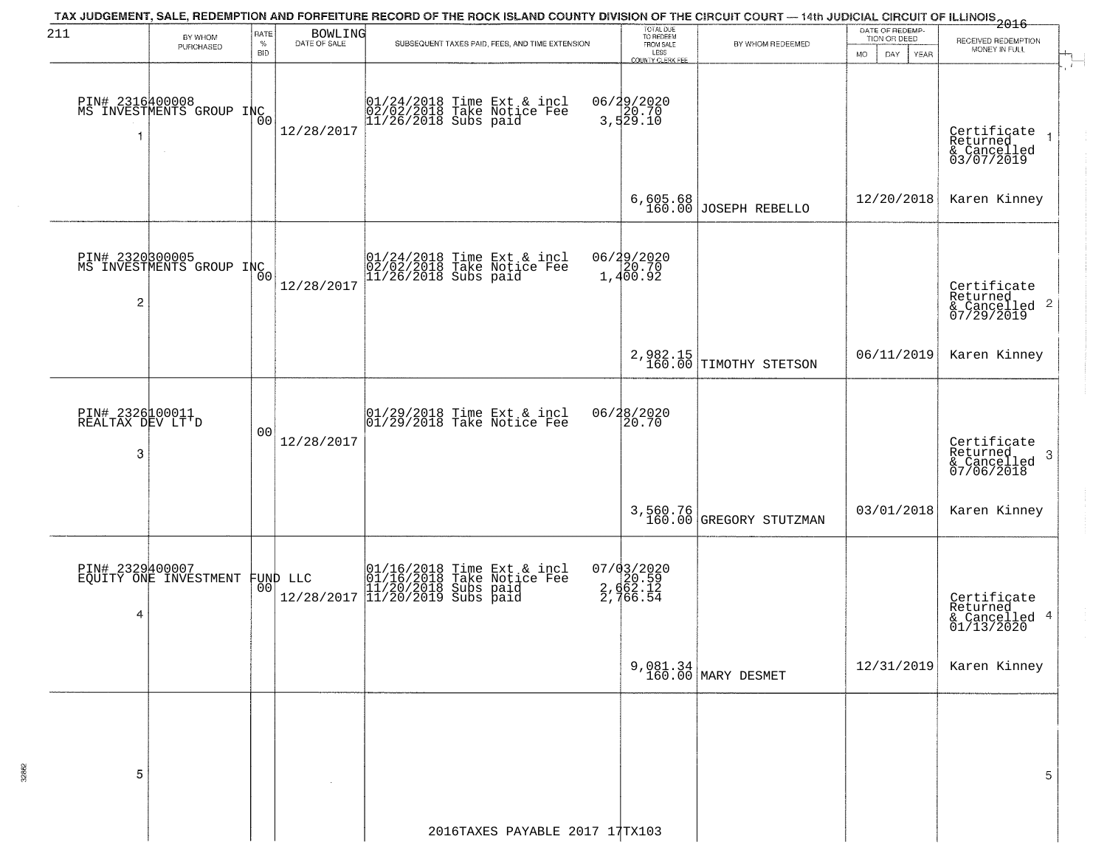| TAX JUDGEMENT, SALE, REDEMPTION AND FORFEITURE RECORD OF THE ROCK ISLAND COUNTY DIVISION OF THE CIRCUIT COURT — 14th JUDICIAL CIRCUIT OF ILLINOIS 2016<br>TOTAL DUE<br>TO REDEEM<br>FROM SALE<br>211<br>RATE<br><b>BOWLING</b><br>BY WHOM<br>DATE OF SALE<br>$\%$<br>SUBSEQUENT TAXES PAID, FEES, AND TIME EXTENSION<br>BY WHOM REDEEMED<br>PURCHASED<br>LESS<br><b>BID</b><br>MO.<br><b>COUNTY CLERK FEE</b><br>06/29/2020<br>3,529.10<br>PIN# 2316400008<br>MS INVESTMENTS GROUP INC<br>01/24/2018 Time Ext & incl<br>02/02/2018 Take Notice Fee<br>11/26/2018 Subs paid<br>12/28/2017<br>1<br>$6,605.68$ JOSEPH REBELLO<br>PIN# 2320800005<br>MS INVESTMENTS GROUP INCO<br>06/29/2020<br>1,400.92<br>$01/24/2018$ Time Ext & incl<br>$02/02/2018$ Take Notice Fee<br>$11/26/2018$ Subs paid<br>12/28/2017<br>2<br>2,982.15<br>160.00 TIMOTHY STETSON<br>PIN# 2326100011<br>REALTAX DEV LT'D<br>06/28/2020<br>01/29/2018 Time Ext & incl<br>01/29/2018 Take Notice Fee<br>20.70<br>0 <sub>0</sub><br>12/28/2017<br>3<br>3,560.76<br>160.00 GREGORY STUTZMAN<br>07/03/2020<br>2,662.59<br>2,662.12<br>2,766.54<br>PIN# 2329400007<br>EQUITY ONE INVESTMENT<br>01/16/2018 Time Ext & incl<br>01/16/2018 Take Notice Fee<br>11/20/2018 Subs paid<br>11/20/2019 Subs paid<br>FUND LLC<br> 00 <br>12/28/2017<br>4<br>9,081.34<br>160.00 MARY DESMET<br>5 |                                                 |                                                            |
|-------------------------------------------------------------------------------------------------------------------------------------------------------------------------------------------------------------------------------------------------------------------------------------------------------------------------------------------------------------------------------------------------------------------------------------------------------------------------------------------------------------------------------------------------------------------------------------------------------------------------------------------------------------------------------------------------------------------------------------------------------------------------------------------------------------------------------------------------------------------------------------------------------------------------------------------------------------------------------------------------------------------------------------------------------------------------------------------------------------------------------------------------------------------------------------------------------------------------------------------------------------------------------------------------------------------------------------------------------|-------------------------------------------------|------------------------------------------------------------|
|                                                                                                                                                                                                                                                                                                                                                                                                                                                                                                                                                                                                                                                                                                                                                                                                                                                                                                                                                                                                                                                                                                                                                                                                                                                                                                                                                       | DATE OF REDEMP-<br>TION OR DEED<br>DAY.<br>YEAR | RECEIVED REDEMPTION<br>MONEY IN FULL                       |
|                                                                                                                                                                                                                                                                                                                                                                                                                                                                                                                                                                                                                                                                                                                                                                                                                                                                                                                                                                                                                                                                                                                                                                                                                                                                                                                                                       |                                                 | Certificate<br>Returned<br>& Cancelled<br>03/07/2019       |
|                                                                                                                                                                                                                                                                                                                                                                                                                                                                                                                                                                                                                                                                                                                                                                                                                                                                                                                                                                                                                                                                                                                                                                                                                                                                                                                                                       | 12/20/2018                                      | Karen Kinney                                               |
|                                                                                                                                                                                                                                                                                                                                                                                                                                                                                                                                                                                                                                                                                                                                                                                                                                                                                                                                                                                                                                                                                                                                                                                                                                                                                                                                                       |                                                 | Certificate<br>Returned<br>$\frac{12241164}{67/29/2019}$ 2 |
|                                                                                                                                                                                                                                                                                                                                                                                                                                                                                                                                                                                                                                                                                                                                                                                                                                                                                                                                                                                                                                                                                                                                                                                                                                                                                                                                                       | 06/11/2019                                      | Karen Kinney                                               |
|                                                                                                                                                                                                                                                                                                                                                                                                                                                                                                                                                                                                                                                                                                                                                                                                                                                                                                                                                                                                                                                                                                                                                                                                                                                                                                                                                       |                                                 | Certificate<br>Returned<br>& Cancelled<br>07/06/2018       |
|                                                                                                                                                                                                                                                                                                                                                                                                                                                                                                                                                                                                                                                                                                                                                                                                                                                                                                                                                                                                                                                                                                                                                                                                                                                                                                                                                       | 03/01/2018                                      | Karen Kinney                                               |
|                                                                                                                                                                                                                                                                                                                                                                                                                                                                                                                                                                                                                                                                                                                                                                                                                                                                                                                                                                                                                                                                                                                                                                                                                                                                                                                                                       |                                                 | Certificate<br>Returned<br>& Cancelled 4<br>01/13/2020     |
|                                                                                                                                                                                                                                                                                                                                                                                                                                                                                                                                                                                                                                                                                                                                                                                                                                                                                                                                                                                                                                                                                                                                                                                                                                                                                                                                                       | 12/31/2019                                      | Karen Kinney                                               |
| 2016TAXES PAYABLE 2017 17TX103                                                                                                                                                                                                                                                                                                                                                                                                                                                                                                                                                                                                                                                                                                                                                                                                                                                                                                                                                                                                                                                                                                                                                                                                                                                                                                                        |                                                 |                                                            |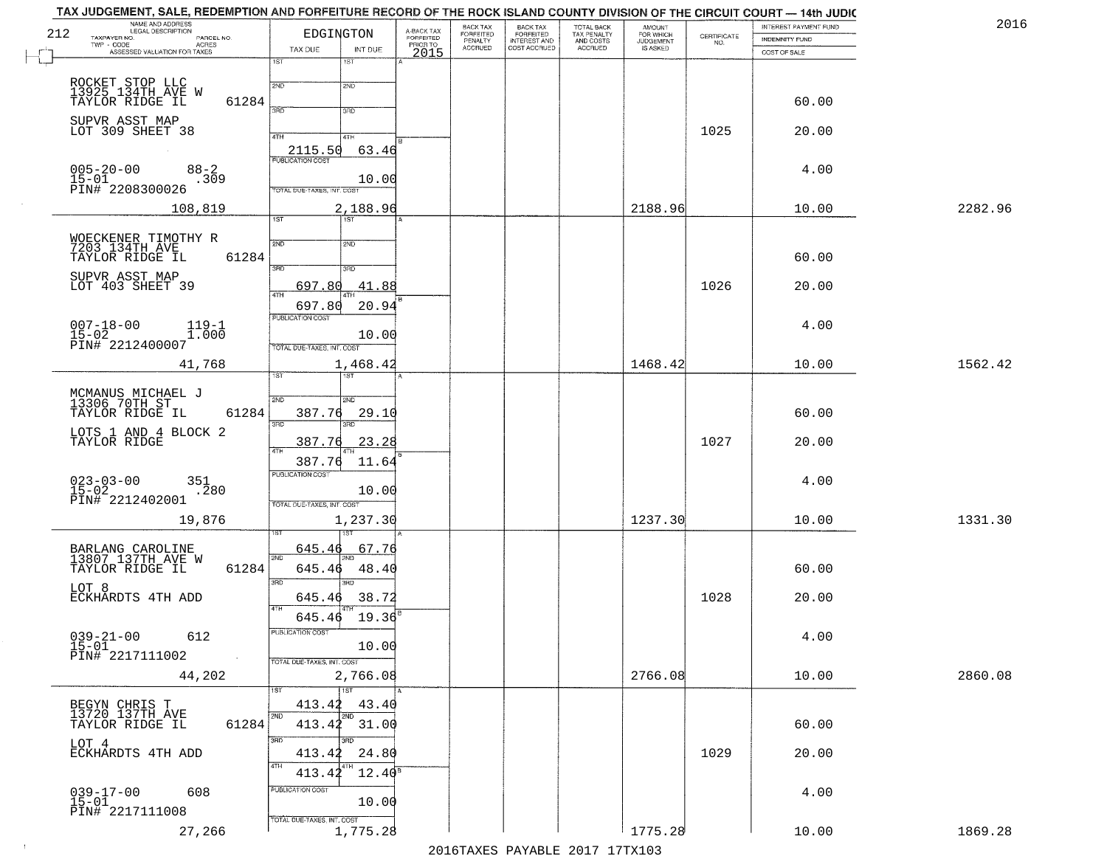| INTEREST PAYMENT FUND<br><b>AMOUNT</b><br>FOR WHICH                                            | 2016    |
|------------------------------------------------------------------------------------------------|---------|
| $\begin{array}{c} \text{CERTIFICATE} \\ \text{NO.} \end{array}$<br>INDEMNITY FUND<br>JUDGEMENT |         |
| COST OF SALE                                                                                   |         |
|                                                                                                |         |
| 60.00                                                                                          |         |
| 1025<br>20.00                                                                                  |         |
| 4.00                                                                                           |         |
| 2188.96<br>10.00                                                                               | 2282.96 |
|                                                                                                |         |
| 60.00                                                                                          |         |
| 1026<br>20.00                                                                                  |         |
| 4.00                                                                                           |         |
|                                                                                                |         |
| 1468.42<br>10.00                                                                               | 1562.42 |
| 60.00                                                                                          |         |
| 1027<br>20.00                                                                                  |         |
|                                                                                                |         |
| 4.00                                                                                           |         |
| 1237.30<br>10.00                                                                               | 1331.30 |
|                                                                                                |         |
| 60.00                                                                                          |         |
| 1028<br>20.00                                                                                  |         |
| 4.00                                                                                           |         |
| 2766.08<br>10.00                                                                               | 2860.08 |
|                                                                                                |         |
| 60.00                                                                                          |         |
| 1029<br>20.00                                                                                  |         |
| 4.00                                                                                           |         |
|                                                                                                |         |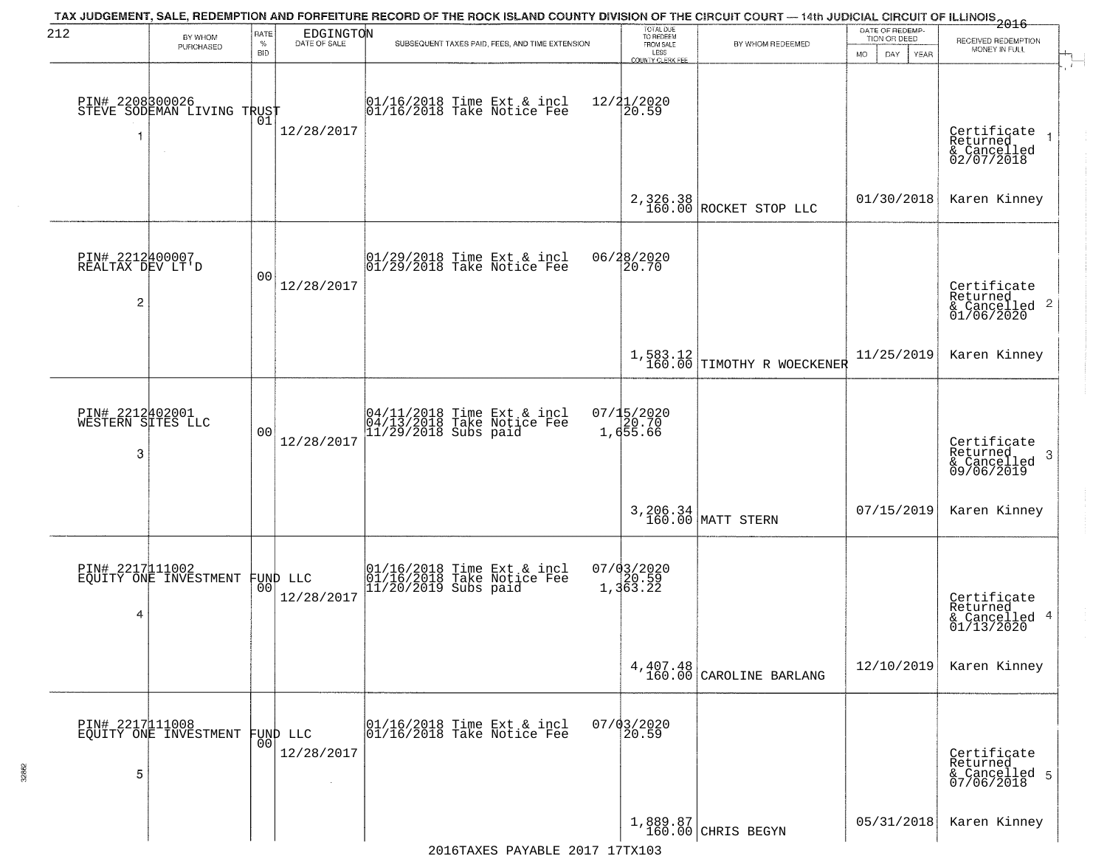| 212                                       | BY WHOM                                           | RATE               | EDGINGTON<br>DATE OF SALE | TAX JUDGEMENT, SALE, REDEMPTION AND FORFEITURE RECORD OF THE ROCK ISLAND COUNTY DIVISION OF THE CIRCUIT COURT — 14th JUDICIAL CIRCUIT OF ILLINOIS 2016 |                                 | TOTAL DUE<br>TO REDEEM                       |                                                            | DATE OF REDEMP-<br>TION OR DEED | RECEIVED REDEMPTION                                                |
|-------------------------------------------|---------------------------------------------------|--------------------|---------------------------|--------------------------------------------------------------------------------------------------------------------------------------------------------|---------------------------------|----------------------------------------------|------------------------------------------------------------|---------------------------------|--------------------------------------------------------------------|
|                                           | PURCHASED                                         | $\%$<br><b>BID</b> |                           | SUBSEQUENT TAXES PAID, FEES, AND TIME EXTENSION                                                                                                        |                                 | FROM SALE<br>LESS<br><b>COUNTY CLERK FEE</b> | BY WHOM REDEEMED                                           | MO.<br>DAY.<br><b>YEAR</b>      | MONEY IN FULL                                                      |
| 1                                         | PIN# 2208300026    <br>STEVE SODEMAN LIVING TRUST | 01                 | 12/28/2017                | 01/16/2018 Time Ext & incl<br>01/16/2018 Take Notice Fee                                                                                               | 12/21/2020<br>20.59             |                                              |                                                            |                                 | Certificate<br>Returned<br>& Cancelled<br>02/07/2018               |
|                                           |                                                   |                    |                           |                                                                                                                                                        |                                 |                                              | 2,326.38<br>160.00 ROCKET STOP LLC                         | 01/30/2018                      | Karen Kinney                                                       |
| PIN# 2212400007<br>REALTAX DEV LT'D<br>2  |                                                   | 0 <sub>0</sub>     | 12/28/2017                | $ 01/29/2018$ Time Ext & incl<br>$ 01/29/2018$ Take Notice Fee                                                                                         | 06/28/2020                      | 20.70                                        |                                                            |                                 | Certificate<br>Returned<br>$\frac{1}{6}$ Cancelled 2<br>01/06/2020 |
|                                           |                                                   |                    |                           |                                                                                                                                                        |                                 |                                              | $\left[1, 583.12 \atop 160.00 \right]$ TIMOTHY R WOECKENER | 11/25/2019                      | Karen Kinney                                                       |
| PIN# 2212402001<br>WESTERN SITES LLC<br>3 |                                                   | 0 <sub>0</sub>     | 12/28/2017                | 04/11/2018 Time Ext & incl<br>04/13/2018 Take Notice Fee<br>11/29/2018 Subs paid                                                                       | 07/15/2020<br>20.70<br>1,655.66 |                                              |                                                            |                                 | Certificate<br>Returned<br>3<br>& Cancelled<br>09/06/2019          |
|                                           |                                                   |                    |                           |                                                                                                                                                        |                                 |                                              | 3, 206.34<br>160.00 MATT STERN                             | 07/15/2019                      | Karen Kinney                                                       |
| 4                                         | PIN# 2217 11002<br>EQUITY ONE INVESTMENT FUND LLC |                    | 12/28/2017                | $01/16/2018$ Time Ext & incl<br>$01/16/2018$ Take Notice Fee<br>$11/20/2019$ Subs paid                                                                 | $07/03/2020$<br>1,363.22        |                                              |                                                            |                                 | Certificate<br>Returned<br>& Cancelled 4<br>01/13/2020             |
|                                           |                                                   |                    |                           |                                                                                                                                                        |                                 |                                              | $4,407.48$<br>160.00 CAROLINE BARLANG                      | 12/10/2019                      | Karen Kinney                                                       |
| 5                                         | PIN# 2217111008<br>EQUITY ONE INVESTMENT          | 0 <sub>0</sub>     | FUND LLC<br>12/28/2017    | 01/16/2018 Time Ext & incl<br>01/16/2018 Take Notice Fee                                                                                               | $07/03/2020$<br>20.59           |                                              |                                                            |                                 | Certificate<br>Returned<br>& Cancelled 5<br>07/06/2018             |
|                                           |                                                   |                    |                           |                                                                                                                                                        |                                 |                                              | 1,889.87<br>160.00 CHRIS BEGYN                             | 05/31/2018                      | Karen Kinney                                                       |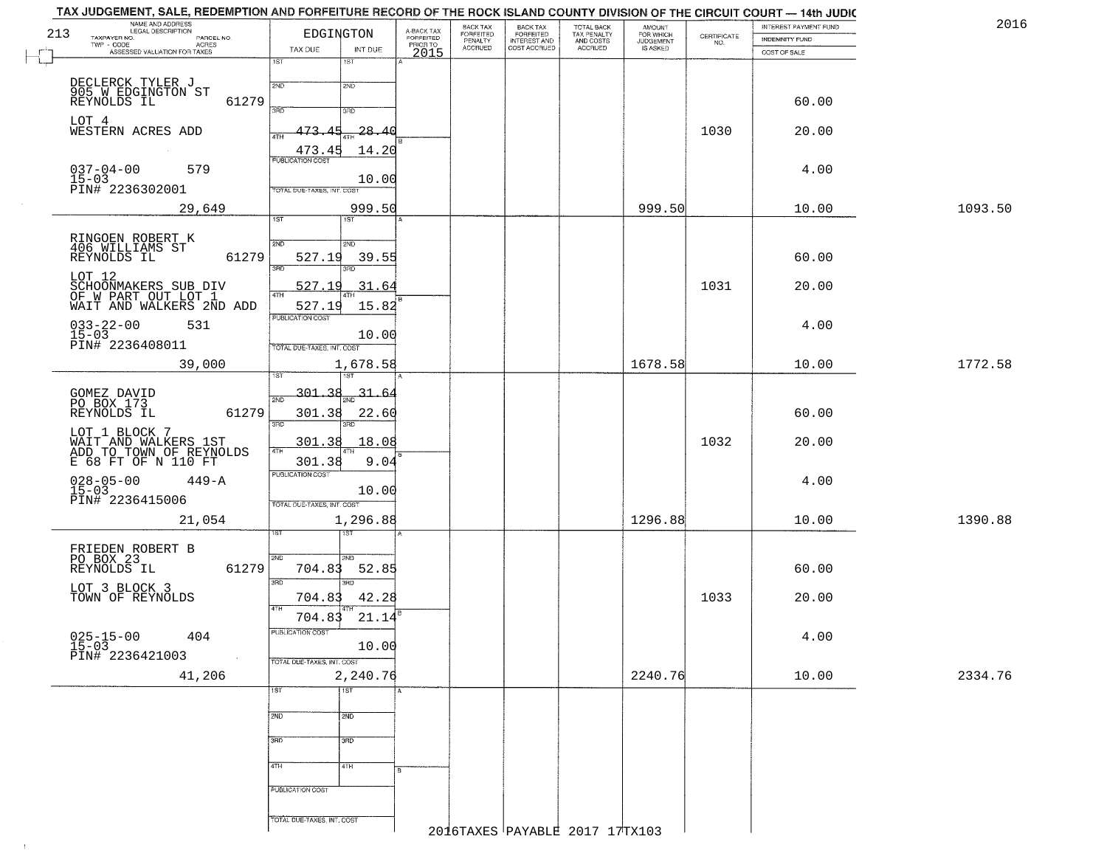|     | TAX JUDGEMENT, SALE, REDEMPTION AND FORFEITURE RECORD OF THE ROCK ISLAND COUNTY DIVISION OF THE CIRCUIT COURT - 14th JUDIC<br>NAME AND ADDRESS<br>LEGAL DESCRIPTION |                                                         | A-BACK TAX            | BACK TAX                        | BACK TAX<br>FORFEITED        |                                                   | <b>AMOUNT</b>                      |                    | INTEREST PAYMENT FUND | 2016    |
|-----|---------------------------------------------------------------------------------------------------------------------------------------------------------------------|---------------------------------------------------------|-----------------------|---------------------------------|------------------------------|---------------------------------------------------|------------------------------------|--------------------|-----------------------|---------|
| 213 | TAXPAYER NO.<br>PARCEL NO.<br>TWP - CODE<br>ACRES                                                                                                                   | EDGINGTON                                               | FORFEITED<br>PRIOR TO | FORFEITED<br>PENALTY<br>ACCRUED | INTEREST AND<br>COST ACCRUED | TOTAL BACK<br>TAX PENALTY<br>AND COSTS<br>ACCRUED | FOR WHICH<br>JUDGEMENT<br>IS ASKED | CERTIFICATE<br>NO. | <b>INDEMNITY FUND</b> |         |
| C   | ASSESSED VALUATION FOR TAXES                                                                                                                                        | TAX DUE<br>INT DUE                                      | 2015                  |                                 |                              |                                                   |                                    |                    | COST OF SALE          |         |
|     | DECLERCK TYLER J<br>905 W EDGINGTON ST<br>REYNOLDS IL                                                                                                               | 1ST<br>1ST<br>2ND<br>2ND                                |                       |                                 |                              |                                                   |                                    |                    |                       |         |
|     | 61279<br>LOT 4                                                                                                                                                      | 3RD<br>3RD                                              |                       |                                 |                              |                                                   |                                    |                    | 60.00                 |         |
|     | WESTERN ACRES ADD                                                                                                                                                   | $-28.40$<br>473.45<br>4TH<br>473.45<br>14.20            |                       |                                 |                              |                                                   |                                    | 1030               | 20.00                 |         |
|     | $037 - 04 - 00$<br>579<br>15-03<br>PIN# 2236302001                                                                                                                  | PUBLICATION COST<br>10.00<br>TOTAL DUE-TAXES, INT. COST |                       |                                 |                              |                                                   |                                    |                    | 4.00                  |         |
|     | 29,649                                                                                                                                                              | 999.50<br>1ST<br>1ST <sup>-</sup>                       |                       |                                 |                              |                                                   | 999.50                             |                    | 10.00                 | 1093.50 |
|     |                                                                                                                                                                     |                                                         |                       |                                 |                              |                                                   |                                    |                    |                       |         |
|     | RINGOEN ROBERT K<br>406 WILLIAMS ST<br>REYNOLDS IL<br>61279                                                                                                         | 2ND<br>2ND<br>527.19<br>39.55<br>3RD<br>3RD             |                       |                                 |                              |                                                   |                                    |                    | 60.00                 |         |
|     | LOT 12<br>SCHOONMAKERS SUB DIV<br>OF W PART OUT LOT 1<br>WAIT AND WALKERS 2ND ADD                                                                                   | 31.64<br>527<br>4TH<br>15.82<br>527.19                  |                       |                                 |                              |                                                   |                                    | 1031               | 20.00                 |         |
|     | $033 - 22 - 00$<br>531<br>$15 - 03$<br>PIN# 2236408011                                                                                                              | PUBLICATION COST<br>10.00<br>TOTAL DUE-TAXES, INT. COST |                       |                                 |                              |                                                   |                                    |                    | 4.00                  |         |
|     | 39,000                                                                                                                                                              | 1,678.58                                                |                       |                                 |                              |                                                   | 1678.58                            |                    | 10.00                 | 1772.58 |
|     |                                                                                                                                                                     |                                                         |                       |                                 |                              |                                                   |                                    |                    |                       |         |
|     | GOMEZ DAVID<br>PO BOX 173<br>61279<br>REYNOLDS IL                                                                                                                   | 301.38<br>31.64<br>2ND<br>301.38<br>22.60<br>3BD<br>3RD |                       |                                 |                              |                                                   |                                    |                    | 60.00                 |         |
|     | LOT 1 BLOCK 7<br>WAIT AND WALKERS 1ST<br>ADD TO TOWN OF REYNOLDS<br>E 68 FT OF N 110 FT                                                                             | 301.38<br>18.08<br>4TH<br>301.38                        | 9.04                  |                                 |                              |                                                   |                                    | 1032               | 20.00                 |         |
|     | $028 - 05 - 00$<br>15-03<br>$449 - A$                                                                                                                               | <b>PUBLICATION COST</b><br>10.00                        |                       |                                 |                              |                                                   |                                    |                    | 4.00                  |         |
|     | PIN# 2236415006<br>21,054                                                                                                                                           | TOTAL OUE-TAXES, INT. COST<br>1,296.88                  |                       |                                 |                              |                                                   | 1296.88                            |                    | 10.00                 | 1390.88 |
|     |                                                                                                                                                                     |                                                         |                       |                                 |                              |                                                   |                                    |                    |                       |         |
|     | FRIEDEN ROBERT B<br>PO BOX 23<br>61279<br>REYNOLDS IL                                                                                                               | 2ND<br>2ND<br>704.83<br>52.85<br>3RD<br>3BD             |                       |                                 |                              |                                                   |                                    |                    | 60.00                 |         |
|     | LOT 3 BLOCK 3<br>TOWN OF REYNOLDS                                                                                                                                   | 42.28<br>704.83<br>4TH<br>704.83<br>21.14               |                       |                                 |                              |                                                   |                                    | 1033               | 20.00                 |         |
|     | $025 - 15 - 00$<br>15-03<br>404                                                                                                                                     | PUBLICATION COST<br>10.00                               |                       |                                 |                              |                                                   |                                    |                    | 4.00                  |         |
|     | PIN# 2236421003<br>41,206                                                                                                                                           | TOTAL DUE-TAXES, INT. COST<br>2,240.76                  |                       |                                 |                              |                                                   | 2240.76                            |                    | 10.00                 | 2334.76 |
|     |                                                                                                                                                                     | 1ST<br>$\overline{1}$ ST                                |                       |                                 |                              |                                                   |                                    |                    |                       |         |
|     |                                                                                                                                                                     | 2ND<br>2ND                                              |                       |                                 |                              |                                                   |                                    |                    |                       |         |
|     |                                                                                                                                                                     | 300<br>3BD                                              |                       |                                 |                              |                                                   |                                    |                    |                       |         |
|     |                                                                                                                                                                     | 4TH<br>4TH                                              |                       |                                 |                              |                                                   |                                    |                    |                       |         |
|     |                                                                                                                                                                     | PUBLICATION COST                                        |                       |                                 |                              |                                                   |                                    |                    |                       |         |
|     |                                                                                                                                                                     | TOTAL DUE-TAXES, INT. COST                              |                       |                                 |                              | 2016 TAYRE DAVARE 1017 17 TYLO                    |                                    |                    |                       |         |

 $\vdash$ 

 $\Lambda^+$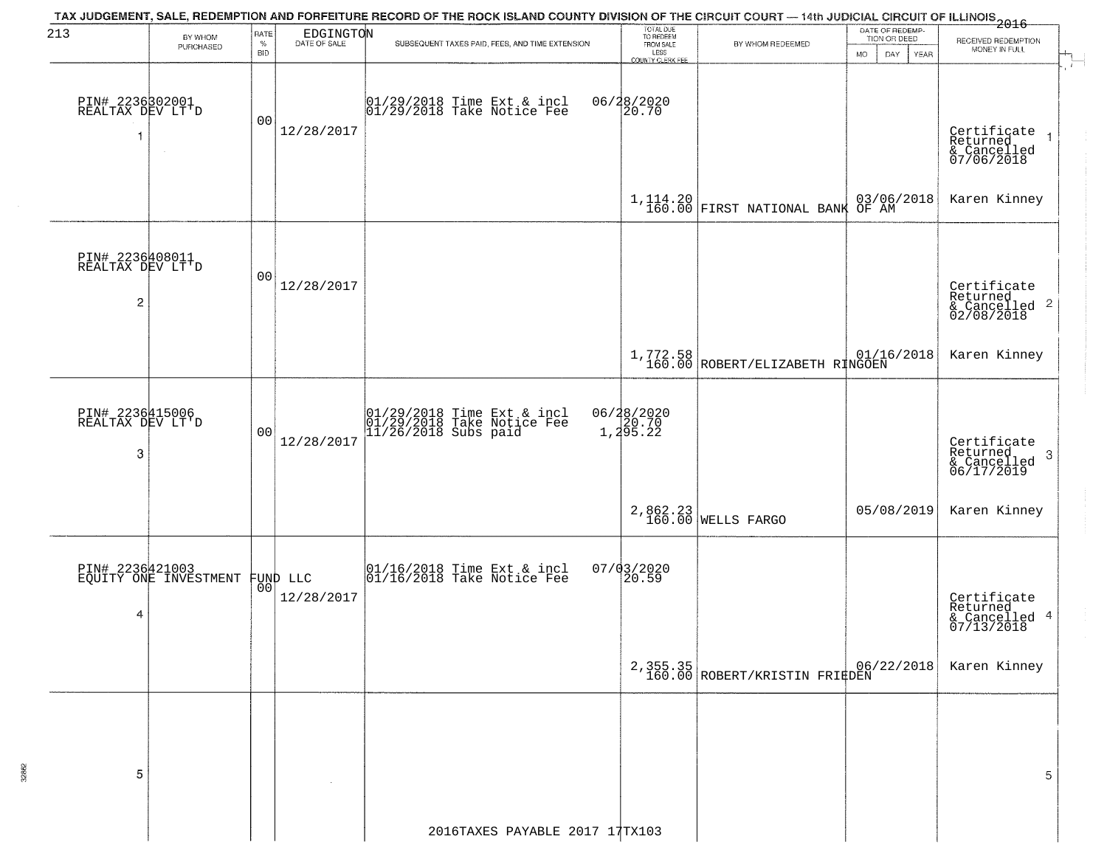| 213                                                   |                                                   |                            |                           | TAX JUDGEMENT, SALE, REDEMPTION AND FORFEITURE RECORD OF THE ROCK ISLAND COUNTY DIVISION OF THE CIRCUIT COURT — 14th JUDICIAL CIRCUIT OF ILLINOIS 2016 |                                             |                                                                                                          |                                 |                                                                    |
|-------------------------------------------------------|---------------------------------------------------|----------------------------|---------------------------|--------------------------------------------------------------------------------------------------------------------------------------------------------|---------------------------------------------|----------------------------------------------------------------------------------------------------------|---------------------------------|--------------------------------------------------------------------|
|                                                       | BY WHOM<br>PURCHASED                              | RATE<br>$\%$<br><b>BID</b> | EDGINGTON<br>DATE OF SALE | SUBSEQUENT TAXES PAID, FEES, AND TIME EXTENSION                                                                                                        | TOTAL DUE<br>TO REDEEM<br>FROM SALE<br>LESS | BY WHOM REDEEMED                                                                                         | DATE OF REDEMP-<br>TION OR DEED | RECEIVED REDEMPTION<br>MONEY IN FULL                               |
|                                                       |                                                   |                            |                           |                                                                                                                                                        | <b>COUNTY CLERK FEE</b>                     |                                                                                                          | MO.<br>DAY.<br>YEAR             |                                                                    |
| PIN# 2236302001<br>REALTAX DEV LT'D<br>1              | $\sim$                                            | 0 <sub>0</sub>             | 12/28/2017                | 01/29/2018 Time Ext & incl<br>01/29/2018 Take Notice Fee                                                                                               | 06/28/2020<br>20.70                         |                                                                                                          |                                 | Certificate<br>Returned<br>& Cancelled<br>07/06/2018               |
|                                                       |                                                   |                            |                           |                                                                                                                                                        |                                             | $1,114.20$ FIRST NATIONAL BANK                                                                           | 03/06/2018<br>OF AM             | Karen Kinney                                                       |
| PIN# 2236408011<br>REALTAX DEV LT'D<br>$\overline{c}$ |                                                   | 0 <sub>0</sub>             | 12/28/2017                |                                                                                                                                                        |                                             |                                                                                                          |                                 | Certificate<br>Returned<br>$\frac{C}{2}$ Cancelled 2<br>02/08/2018 |
|                                                       |                                                   |                            |                           |                                                                                                                                                        |                                             | $\begin{array}{c c c c c} 1,772.58 & 01/16/2018 \\ 160.00 & \text{ROBERT/ELIZABETH RINGOEN} \end{array}$ |                                 | Karen Kinney                                                       |
| PIN# 2236415006<br>REALTAX DEV LT'D<br>3              |                                                   | 0 <sub>0</sub>             | 12/28/2017                | 01/29/2018 Time Ext & incl<br>01/29/2018 Take Notice Fee<br>11/26/2018 Subs paid                                                                       | 06/28/2020<br>1,20.70<br>1,295.22           |                                                                                                          |                                 | Certificate<br>Returned<br>3<br>& Cancelled<br>06/17/2019          |
|                                                       |                                                   |                            |                           |                                                                                                                                                        |                                             | 2,862.23<br>160.00 WELLS FARGO                                                                           | 05/08/2019                      | Karen Kinney                                                       |
| 4                                                     | PIN# 2236421003<br>EQUITY ONE INVESTMENT FUND LLC |                            | 12/28/2017                | $\begin{array}{c} 01/16/2018 \\ 01/16/2018 \\ \end{array}$ Take Notice Fee                                                                             | $07/03/2020$<br>20.59                       |                                                                                                          |                                 | Certificate<br>Returned<br>& Cancelled 4<br>07/13/2018             |
|                                                       |                                                   |                            |                           |                                                                                                                                                        |                                             | 2,355.35<br>160.00 ROBERT/KRISTIN FRIEDEN                                                                |                                 | Karen Kinney                                                       |
|                                                       |                                                   |                            |                           |                                                                                                                                                        |                                             |                                                                                                          |                                 |                                                                    |
| 5                                                     |                                                   |                            |                           |                                                                                                                                                        |                                             |                                                                                                          |                                 | 5                                                                  |
|                                                       |                                                   |                            |                           | 2016TAXES PAYABLE 2017 17TX103                                                                                                                         |                                             |                                                                                                          |                                 |                                                                    |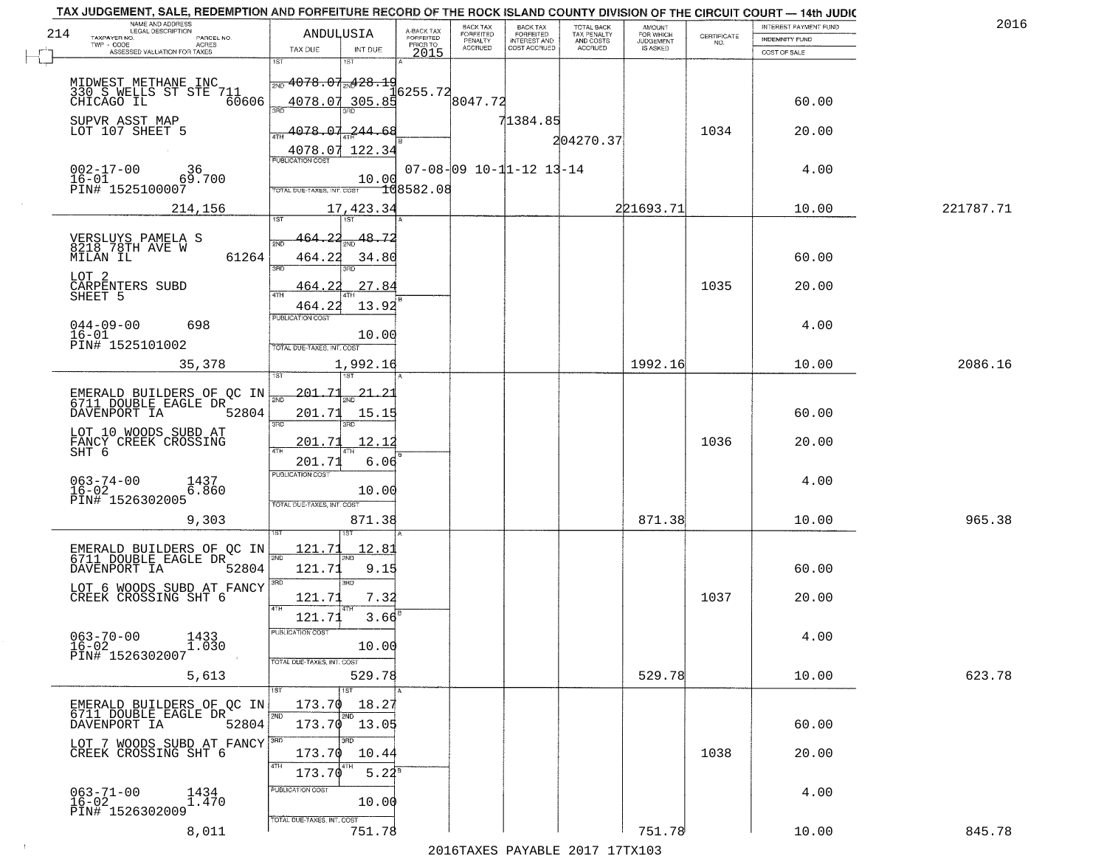|     | TAX JUDGEMENT, SALE, REDEMPTION AND FORFEITURE RECORD OF THE ROCK ISLAND COUNTY DIVISION OF THE CIRCUIT COURT - 14th JUDIC<br>NAME AND ADDRESS<br>LEGAL DESCRIPTION |                                              |               |                         | BACK TAX                    |                                              |                                        |                                         |                                                                 | INTEREST PAYMENT FUND | 2016      |
|-----|---------------------------------------------------------------------------------------------------------------------------------------------------------------------|----------------------------------------------|---------------|-------------------------|-----------------------------|----------------------------------------------|----------------------------------------|-----------------------------------------|-----------------------------------------------------------------|-----------------------|-----------|
| 214 | TAXPAYER NO.<br>PARCEL NO.                                                                                                                                          | ANDULUSIA                                    |               | A-BACK TAX<br>FORFEITED | <b>FORFEITED</b><br>PENALTY | BACK TAX<br>FORFEITED<br><b>INTEREST AND</b> | TOTAL BACK<br>TAX PENALTY<br>AND COSTS | AMOUNT<br>FOR WHICH<br><b>JUDGEMENT</b> | $\begin{array}{c} \text{CERTIFICATE} \\ \text{NO.} \end{array}$ | INDEMNITY FUND        |           |
|     | ACRES<br>ASSESSED VALUATION FOR TAXES                                                                                                                               | TAX DUE                                      | INT DUE       | PRIOR TO<br>2015        | <b>ACCRUED</b>              | COST ACCRUED                                 | <b>ACCRUED</b>                         | IS ASKED                                |                                                                 | COST OF SALE          |           |
|     |                                                                                                                                                                     | 1ST                                          | IST.          |                         |                             |                                              |                                        |                                         |                                                                 |                       |           |
|     | MIDWEST METHANE INC                                                                                                                                                 | $\frac{1}{2ND}$ 4078.07 <sub>2N</sub> 428.19 |               |                         |                             |                                              |                                        |                                         |                                                                 |                       |           |
|     | 330 S WELLS ST STE 711<br>CHICAGO IL 60606                                                                                                                          |                                              |               | 6255.72                 |                             |                                              |                                        |                                         |                                                                 |                       |           |
|     |                                                                                                                                                                     | 4078.07 305.85<br>350                        |               |                         | 8047.72                     |                                              |                                        |                                         |                                                                 | 60.00                 |           |
|     | SUPVR ASST MAP                                                                                                                                                      |                                              |               |                         |                             | 71384.85                                     |                                        |                                         |                                                                 |                       |           |
|     | LOT 107 SHEET 5                                                                                                                                                     | 4078.07.244.68                               |               |                         |                             |                                              | 204270.37                              |                                         | 1034                                                            | 20.00                 |           |
|     |                                                                                                                                                                     | 4078.07 122.34                               |               |                         |                             |                                              |                                        |                                         |                                                                 |                       |           |
|     | $002 - 17 - 00$<br>36                                                                                                                                               | <b>PUBLICATION COST</b>                      |               |                         |                             | $07 - 08 - 09$ $10 - 11 - 12$ $13 - 14$      |                                        |                                         |                                                                 | 4.00                  |           |
|     | $16 - 01$<br>69.700                                                                                                                                                 |                                              | 10.00         |                         |                             |                                              |                                        |                                         |                                                                 |                       |           |
|     | PIN# 1525100007                                                                                                                                                     | TOTAL DUE-TAXES, INT. COST                   |               | -108582.08              |                             |                                              |                                        |                                         |                                                                 |                       |           |
|     | 214,156                                                                                                                                                             |                                              | 17,423.34     |                         |                             |                                              |                                        | 221693.71                               |                                                                 | 10.00                 | 221787.71 |
|     |                                                                                                                                                                     |                                              |               |                         |                             |                                              |                                        |                                         |                                                                 |                       |           |
|     |                                                                                                                                                                     |                                              | 48.72         |                         |                             |                                              |                                        |                                         |                                                                 |                       |           |
|     | VERSLUYS PAMELA S<br>8218 78TH AVE W                                                                                                                                |                                              |               |                         |                             |                                              |                                        |                                         |                                                                 |                       |           |
|     | MILAN IL<br>61264                                                                                                                                                   | 464.22                                       | 34.80<br>3RD  |                         |                             |                                              |                                        |                                         |                                                                 | 60.00                 |           |
|     | LOT 2                                                                                                                                                               |                                              |               |                         |                             |                                              |                                        |                                         |                                                                 |                       |           |
|     | CÁRPENTERS SUBD<br>SHEET 5                                                                                                                                          | -22<br>464.                                  | 27.84         |                         |                             |                                              |                                        |                                         | 1035                                                            | 20.00                 |           |
|     |                                                                                                                                                                     | 464.22                                       | 13.92         |                         |                             |                                              |                                        |                                         |                                                                 |                       |           |
|     | $044 - 09 - 00$<br>698                                                                                                                                              | PUBLICATION COST                             |               |                         |                             |                                              |                                        |                                         |                                                                 | 4.00                  |           |
|     | $16 - 01$                                                                                                                                                           |                                              | 10.00         |                         |                             |                                              |                                        |                                         |                                                                 |                       |           |
|     | PIN# 1525101002                                                                                                                                                     | TOTAL DUE-TAXES, INT. COST                   |               |                         |                             |                                              |                                        |                                         |                                                                 |                       |           |
|     | 35,378                                                                                                                                                              |                                              | 1,992.16      |                         |                             |                                              |                                        | 1992.16                                 |                                                                 | 10.00                 | 2086.16   |
|     |                                                                                                                                                                     |                                              | 1ST           |                         |                             |                                              |                                        |                                         |                                                                 |                       |           |
|     | EMERALD BUILDERS OF QC IN<br>6711 DOUBLE EAGLE DR                                                                                                                   | <u> 201.71</u><br>2ND                        | <u> 21.23</u> |                         |                             |                                              |                                        |                                         |                                                                 |                       |           |
|     | DAVENPORT IA<br>52804                                                                                                                                               | 201.71                                       | 15.15         |                         |                             |                                              |                                        |                                         |                                                                 | 60.00                 |           |
|     |                                                                                                                                                                     | 3RD                                          | 3RD           |                         |                             |                                              |                                        |                                         |                                                                 |                       |           |
|     | LOT 10 WOODS SUBD AT                                                                                                                                                | 201.71                                       | <u> 12.12</u> |                         |                             |                                              |                                        |                                         | 1036                                                            | 20.00                 |           |
|     | FANCY CREEK CROSSING<br>SHT 6                                                                                                                                       |                                              |               |                         |                             |                                              |                                        |                                         |                                                                 |                       |           |
|     |                                                                                                                                                                     | 201.71                                       | 6.06          |                         |                             |                                              |                                        |                                         |                                                                 |                       |           |
|     | $063 - 74 - 00$<br>1437<br>6.860                                                                                                                                    | <b>PUBLICATION COST</b>                      |               |                         |                             |                                              |                                        |                                         |                                                                 | 4.00                  |           |
|     | $16 - 02$<br>PIN# 1526302005                                                                                                                                        |                                              | 10.00         |                         |                             |                                              |                                        |                                         |                                                                 |                       |           |
|     |                                                                                                                                                                     | TOTAL OUE-TAXES, INT. COST                   |               |                         |                             |                                              |                                        |                                         |                                                                 |                       |           |
|     | 9,303                                                                                                                                                               |                                              | 871.38        |                         |                             |                                              |                                        | 871.38                                  |                                                                 | 10.00                 | 965.38    |
|     |                                                                                                                                                                     |                                              |               |                         |                             |                                              |                                        |                                         |                                                                 |                       |           |
|     | EMERALD BUILDERS OF QC IN<br>6711 DOUBLE EAGLE DR                                                                                                                   | 121.71<br>2ND.                               | 12.81<br>2ND. |                         |                             |                                              |                                        |                                         |                                                                 |                       |           |
|     | DAVENPORT IA<br>52804                                                                                                                                               | 121.71                                       | 9.15          |                         |                             |                                              |                                        |                                         |                                                                 | 60.00                 |           |
|     |                                                                                                                                                                     |                                              | 3BD           |                         |                             |                                              |                                        |                                         |                                                                 |                       |           |
|     | LOT 6 WOODS SUBD AT FANCY<br>CREEK CROSSING SHT 6                                                                                                                   | 121.71                                       | 7.32          |                         |                             |                                              |                                        |                                         | 1037                                                            | 20.00                 |           |
|     |                                                                                                                                                                     | 121.71                                       | 3.66          |                         |                             |                                              |                                        |                                         |                                                                 |                       |           |
|     |                                                                                                                                                                     |                                              |               |                         |                             |                                              |                                        |                                         |                                                                 |                       |           |
|     | $063 - 70 - 00$<br>1433<br>$\overline{1}.\overline{0}\overline{3}0$                                                                                                 | <b>PUBLICATION COS</b>                       |               |                         |                             |                                              |                                        |                                         |                                                                 | 4.00                  |           |
|     | $16 - 02$<br>PIN# 1526302007                                                                                                                                        |                                              | 10.00         |                         |                             |                                              |                                        |                                         |                                                                 |                       |           |
|     |                                                                                                                                                                     | TOTAL DUE-TAXES, INT. COST                   |               |                         |                             |                                              |                                        | 529.78                                  |                                                                 |                       |           |
|     | 5,613                                                                                                                                                               |                                              | 529.78        |                         |                             |                                              |                                        |                                         |                                                                 | 10.00                 | 623.78    |
|     |                                                                                                                                                                     |                                              |               |                         |                             |                                              |                                        |                                         |                                                                 |                       |           |
|     | EMERALD BUILDERS OF OC IN<br>6711 DOUBLE EAGLE DR                                                                                                                   | 173.70                                       | 18.27<br>2ND  |                         |                             |                                              |                                        |                                         |                                                                 |                       |           |
|     | 52804<br>DAVENPORT IA                                                                                                                                               |                                              | 173.70 13.05  |                         |                             |                                              |                                        |                                         |                                                                 | 60.00                 |           |
|     | LOT_7 WOODS SUBD AT FANCY <sup>380</sup>                                                                                                                            |                                              |               |                         |                             |                                              |                                        |                                         |                                                                 |                       |           |
|     | CREEK CROSSING SHT 6                                                                                                                                                | 173.70                                       | 10.44         |                         |                             |                                              |                                        |                                         | 1038                                                            | 20.00                 |           |
|     |                                                                                                                                                                     | 4TH<br>173.70                                | $5.22^{8}$    |                         |                             |                                              |                                        |                                         |                                                                 |                       |           |
|     |                                                                                                                                                                     |                                              |               |                         |                             |                                              |                                        |                                         |                                                                 |                       |           |
|     | $063 - 71 - 00$<br>1434<br>1.470<br>$16 - 02$                                                                                                                       | PUBLICATION COST                             | 10.00         |                         |                             |                                              |                                        |                                         |                                                                 | 4.00                  |           |
|     | PIN# 1526302009                                                                                                                                                     |                                              |               |                         |                             |                                              |                                        |                                         |                                                                 |                       |           |
|     | 8,011                                                                                                                                                               | TOTAL DUE-TAXES, INT. COST                   | 751.78        |                         |                             |                                              |                                        | 751.78                                  |                                                                 | 10.00                 | 845.78    |
|     |                                                                                                                                                                     |                                              |               |                         |                             |                                              | 2016 TAVEC DAVARLE 2017 17 TV102       |                                         |                                                                 |                       |           |
|     |                                                                                                                                                                     |                                              |               |                         |                             |                                              |                                        |                                         |                                                                 |                       |           |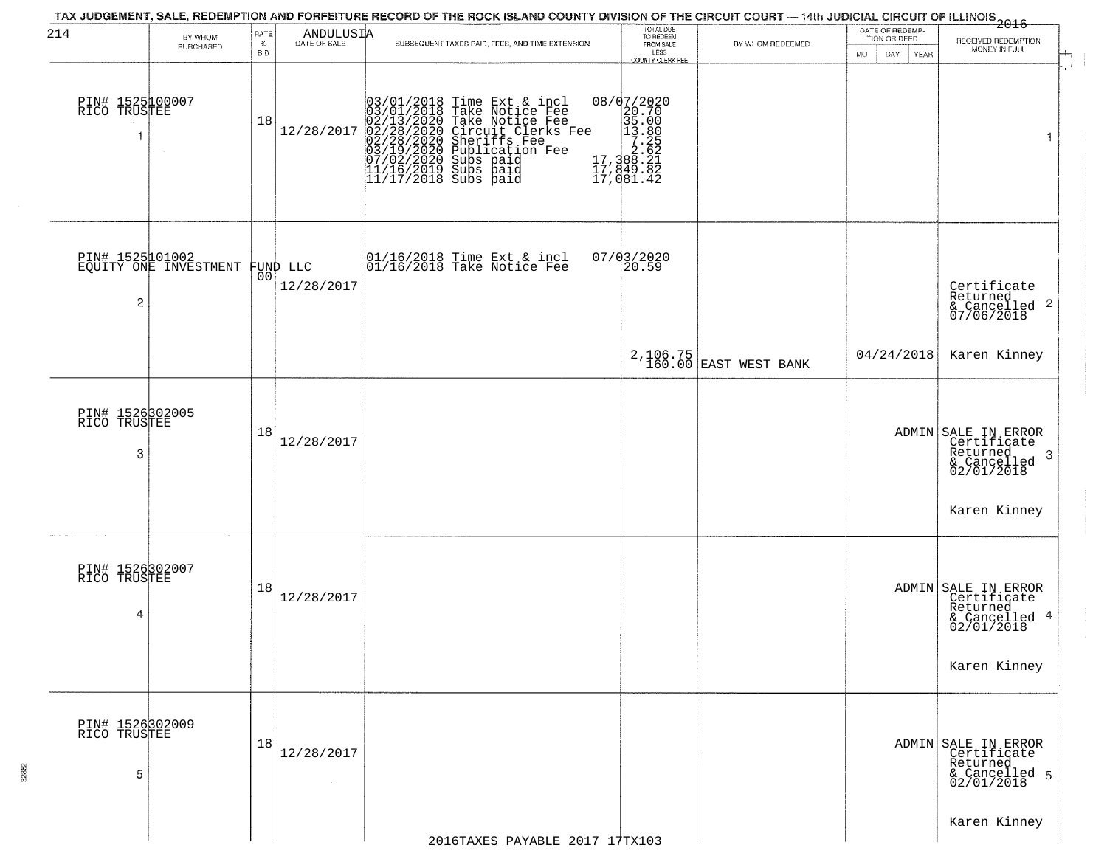| 214                                  | BY WHOM                                  | RATE               | ANDULUSIA                      | TAX JUDGEMENT, SALE, REDEMPTION AND FORFEITURE RECORD OF THE ROCK ISLAND COUNTY DIVISION OF THE CIRCUIT COURT — 14th JUDICIAL CIRCUIT OF ILLINOIS<br>2016 - The Contract of December 1999                                                              | TOTAL DUE<br>TO REDEEM                                                                                                                                                                                                               |                                   |           | DATE OF REDEMP-<br>TION OR DEED |                                                                                                               |
|--------------------------------------|------------------------------------------|--------------------|--------------------------------|--------------------------------------------------------------------------------------------------------------------------------------------------------------------------------------------------------------------------------------------------------|--------------------------------------------------------------------------------------------------------------------------------------------------------------------------------------------------------------------------------------|-----------------------------------|-----------|---------------------------------|---------------------------------------------------------------------------------------------------------------|
|                                      | PURCHASED                                | $\%$<br><b>BID</b> |                                | SUBSEQUENT TAXES PAID, FEES, AND TIME EXTENSION                                                                                                                                                                                                        | FROM SALE<br>LESS<br>COUNTY CLERK FEE                                                                                                                                                                                                | BY WHOM REDEEMED                  | <b>MO</b> | DAY<br><b>YEAR</b>              | RECEIVED REDEMPTION<br>MONEY IN FULL                                                                          |
| PIN# 1525100007<br>RICO TRUSTEE<br>1 |                                          | 18                 |                                | 03/01/2018 Time Ext & incl<br>03/01/2018 Take Notice Fee<br>02/13/2020 Take Notice Fee<br>12/28/2017 02/28/2020 Circuit Clerks Fee<br>02/28/2020 Subication Fee<br>03/19/2020 Subication Fee<br>07/02/2020 Subs paid<br>11/16/2019 Subs paid<br>11/17/ | $\begin{smallmatrix} 0 & 8/9 & 7/2 & 0 & 2 & 0 \\ 2 & 0 & 7 & 0 & 0 \\ 3 & 5 & 0 & 0 & 0 \\ 1 & 3 & 0 & 0 & 0 \\ 2 & 2 & 0 & 0 & 0 \\ 1 & 7 & 3 & 8 & 0 & 2 \\ 1 & 7 & 3 & 8 & 0 & 2 \\ 1 & 7 & 0 & 8 & 1 & 4 & 2 \end{smallmatrix}$ |                                   |           |                                 | $\overline{\mathbf{1}}$                                                                                       |
| 2                                    | PIN# 1525101002<br>EQUITY ONE INVESTMENT |                    | FUND LLC<br> 00 <br>12/28/2017 | 01/16/2018 Time Ext & incl<br>01/16/2018 Take Notice Fee                                                                                                                                                                                               | 07/03/2020<br>20.59                                                                                                                                                                                                                  |                                   |           |                                 | Certificate<br>Returned<br>$\frac{1}{2}$ Cancelled 2<br>07/06/2018                                            |
|                                      |                                          |                    |                                |                                                                                                                                                                                                                                                        |                                                                                                                                                                                                                                      | 2,106.75<br>160.00 EAST WEST BANK |           | 04/24/2018                      | Karen Kinney                                                                                                  |
| PIN# 1526302005<br>RICO TRUSTEE<br>3 |                                          | 18                 | 12/28/2017                     |                                                                                                                                                                                                                                                        |                                                                                                                                                                                                                                      |                                   |           |                                 | ADMIN SALE IN ERROR<br>Certificate<br>Returned,<br>-3<br>& Cancelled<br>02/01/2018                            |
| PIN# 1526302007<br>RICO TRUSTEE<br>4 |                                          | 18                 | 12/28/2017                     |                                                                                                                                                                                                                                                        |                                                                                                                                                                                                                                      |                                   |           |                                 | Karen Kinney<br>ADMIN SALE IN ERROR<br>Certificate<br>Returned<br>& Cancelled 4<br>02/01/2018<br>Karen Kinney |
| PIN# 1526302009<br>RICO TRUSTEE<br>5 |                                          | 18                 | 12/28/2017<br>$\sim$           |                                                                                                                                                                                                                                                        |                                                                                                                                                                                                                                      |                                   |           |                                 | ADMIN SALE IN ERROR<br>Certificate<br>Returned<br>& Cancelled 5<br>02/01/2018                                 |
|                                      |                                          |                    |                                | 2016TAXES PAYABLE 2017 17TX103                                                                                                                                                                                                                         |                                                                                                                                                                                                                                      |                                   |           |                                 | Karen Kinney                                                                                                  |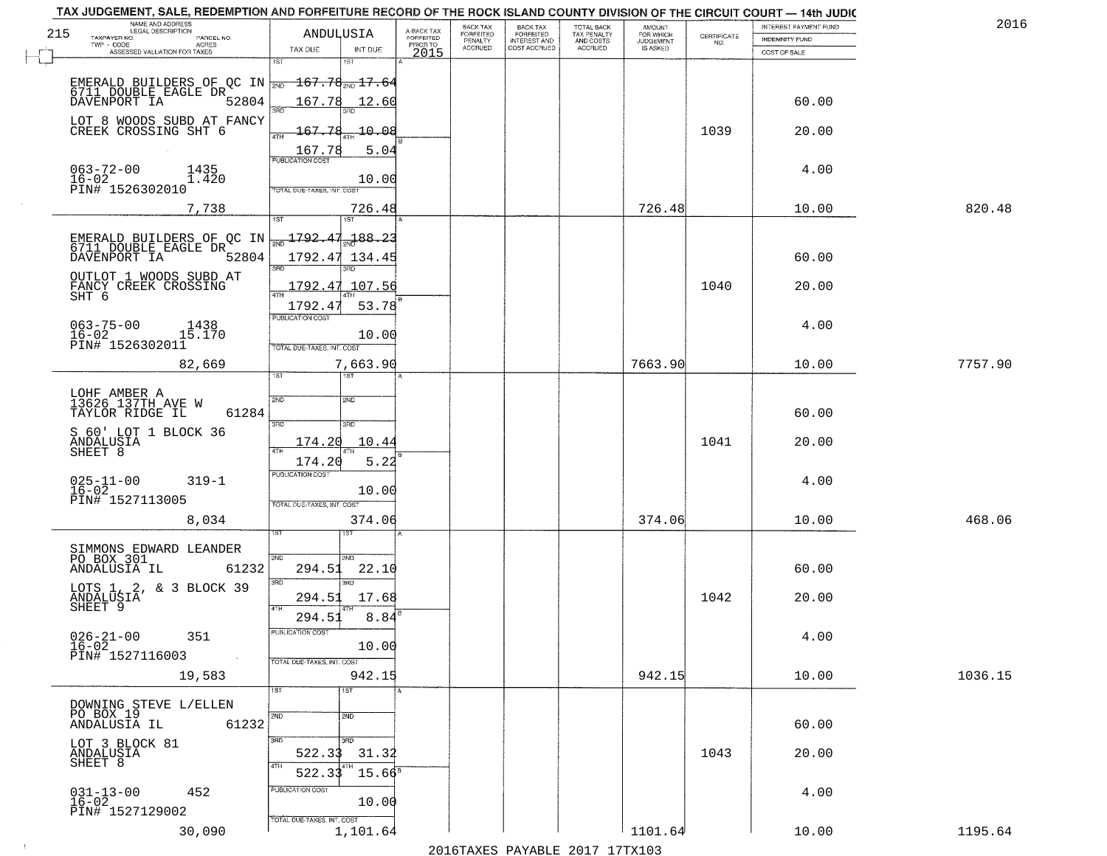|                            | A-BACK TAX                                                                                                                                                                                                                                                                                                                                                                                                       | BACK TAX                                                                                                                                                                                            | <b>BACK TAX</b>                        | TOTAL BACK                                       | <b>AMOUNT</b>          |                                                                             | INTEREST PAYMENT FUND               | 2016                                                                                                                                                                                                                       |
|----------------------------|------------------------------------------------------------------------------------------------------------------------------------------------------------------------------------------------------------------------------------------------------------------------------------------------------------------------------------------------------------------------------------------------------------------|-----------------------------------------------------------------------------------------------------------------------------------------------------------------------------------------------------|----------------------------------------|--------------------------------------------------|------------------------|-----------------------------------------------------------------------------|-------------------------------------|----------------------------------------------------------------------------------------------------------------------------------------------------------------------------------------------------------------------------|
|                            | PRIOR TO                                                                                                                                                                                                                                                                                                                                                                                                         |                                                                                                                                                                                                     |                                        | AND COSTS                                        |                        | NO.                                                                         | <b>INDEMNITY FUND</b>               |                                                                                                                                                                                                                            |
| 1ST                        |                                                                                                                                                                                                                                                                                                                                                                                                                  |                                                                                                                                                                                                     |                                        |                                                  |                        |                                                                             | COST OF SALE                        |                                                                                                                                                                                                                            |
|                            |                                                                                                                                                                                                                                                                                                                                                                                                                  |                                                                                                                                                                                                     |                                        |                                                  |                        |                                                                             |                                     |                                                                                                                                                                                                                            |
|                            |                                                                                                                                                                                                                                                                                                                                                                                                                  |                                                                                                                                                                                                     |                                        |                                                  |                        |                                                                             |                                     |                                                                                                                                                                                                                            |
| 52804<br>38ñ               |                                                                                                                                                                                                                                                                                                                                                                                                                  |                                                                                                                                                                                                     |                                        |                                                  |                        |                                                                             |                                     |                                                                                                                                                                                                                            |
| LOT 8 WOODS SUBD AT FANCY  |                                                                                                                                                                                                                                                                                                                                                                                                                  |                                                                                                                                                                                                     |                                        |                                                  |                        |                                                                             |                                     |                                                                                                                                                                                                                            |
| 4TH                        |                                                                                                                                                                                                                                                                                                                                                                                                                  |                                                                                                                                                                                                     |                                        |                                                  |                        |                                                                             |                                     |                                                                                                                                                                                                                            |
| PUBLICATION COST           |                                                                                                                                                                                                                                                                                                                                                                                                                  |                                                                                                                                                                                                     |                                        |                                                  |                        |                                                                             |                                     |                                                                                                                                                                                                                            |
|                            |                                                                                                                                                                                                                                                                                                                                                                                                                  |                                                                                                                                                                                                     |                                        |                                                  |                        |                                                                             | 4.00                                |                                                                                                                                                                                                                            |
| TOTAL DUE-TAXES, INT. COS  |                                                                                                                                                                                                                                                                                                                                                                                                                  |                                                                                                                                                                                                     |                                        |                                                  |                        |                                                                             |                                     |                                                                                                                                                                                                                            |
|                            |                                                                                                                                                                                                                                                                                                                                                                                                                  |                                                                                                                                                                                                     |                                        |                                                  |                        |                                                                             | 10.00                               | 820.48                                                                                                                                                                                                                     |
| 1ST<br>1ST                 |                                                                                                                                                                                                                                                                                                                                                                                                                  |                                                                                                                                                                                                     |                                        |                                                  |                        |                                                                             |                                     |                                                                                                                                                                                                                            |
| 188.23                     |                                                                                                                                                                                                                                                                                                                                                                                                                  |                                                                                                                                                                                                     |                                        |                                                  |                        |                                                                             |                                     |                                                                                                                                                                                                                            |
| 52804                      |                                                                                                                                                                                                                                                                                                                                                                                                                  |                                                                                                                                                                                                     |                                        |                                                  |                        |                                                                             | 60.00                               |                                                                                                                                                                                                                            |
| 3RD                        |                                                                                                                                                                                                                                                                                                                                                                                                                  |                                                                                                                                                                                                     |                                        |                                                  |                        |                                                                             |                                     |                                                                                                                                                                                                                            |
| 1792.47                    |                                                                                                                                                                                                                                                                                                                                                                                                                  |                                                                                                                                                                                                     |                                        |                                                  |                        | 1040                                                                        | 20.00                               |                                                                                                                                                                                                                            |
| 1792.47                    |                                                                                                                                                                                                                                                                                                                                                                                                                  |                                                                                                                                                                                                     |                                        |                                                  |                        |                                                                             |                                     |                                                                                                                                                                                                                            |
| PUBLICATION COST           |                                                                                                                                                                                                                                                                                                                                                                                                                  |                                                                                                                                                                                                     |                                        |                                                  |                        |                                                                             |                                     |                                                                                                                                                                                                                            |
|                            |                                                                                                                                                                                                                                                                                                                                                                                                                  |                                                                                                                                                                                                     |                                        |                                                  |                        |                                                                             |                                     |                                                                                                                                                                                                                            |
|                            |                                                                                                                                                                                                                                                                                                                                                                                                                  |                                                                                                                                                                                                     |                                        |                                                  |                        |                                                                             |                                     |                                                                                                                                                                                                                            |
| 1ST                        |                                                                                                                                                                                                                                                                                                                                                                                                                  |                                                                                                                                                                                                     |                                        |                                                  |                        |                                                                             |                                     | 7757.90                                                                                                                                                                                                                    |
|                            |                                                                                                                                                                                                                                                                                                                                                                                                                  |                                                                                                                                                                                                     |                                        |                                                  |                        |                                                                             |                                     |                                                                                                                                                                                                                            |
| 2ND<br>SMD                 |                                                                                                                                                                                                                                                                                                                                                                                                                  |                                                                                                                                                                                                     |                                        |                                                  |                        |                                                                             |                                     |                                                                                                                                                                                                                            |
| 3RD<br>3RD                 |                                                                                                                                                                                                                                                                                                                                                                                                                  |                                                                                                                                                                                                     |                                        |                                                  |                        |                                                                             |                                     |                                                                                                                                                                                                                            |
|                            |                                                                                                                                                                                                                                                                                                                                                                                                                  |                                                                                                                                                                                                     |                                        |                                                  |                        |                                                                             |                                     |                                                                                                                                                                                                                            |
| 4TH                        |                                                                                                                                                                                                                                                                                                                                                                                                                  |                                                                                                                                                                                                     |                                        |                                                  |                        |                                                                             |                                     |                                                                                                                                                                                                                            |
|                            |                                                                                                                                                                                                                                                                                                                                                                                                                  |                                                                                                                                                                                                     |                                        |                                                  |                        |                                                                             |                                     |                                                                                                                                                                                                                            |
|                            |                                                                                                                                                                                                                                                                                                                                                                                                                  |                                                                                                                                                                                                     |                                        |                                                  |                        |                                                                             |                                     |                                                                                                                                                                                                                            |
| TOTAL OUE-TAXES, INT. COST |                                                                                                                                                                                                                                                                                                                                                                                                                  |                                                                                                                                                                                                     |                                        |                                                  |                        |                                                                             |                                     |                                                                                                                                                                                                                            |
|                            |                                                                                                                                                                                                                                                                                                                                                                                                                  |                                                                                                                                                                                                     |                                        |                                                  |                        |                                                                             | 10.00                               | 468.06                                                                                                                                                                                                                     |
|                            |                                                                                                                                                                                                                                                                                                                                                                                                                  |                                                                                                                                                                                                     |                                        |                                                  |                        |                                                                             |                                     |                                                                                                                                                                                                                            |
|                            |                                                                                                                                                                                                                                                                                                                                                                                                                  |                                                                                                                                                                                                     |                                        |                                                  |                        |                                                                             |                                     |                                                                                                                                                                                                                            |
| 61232<br>294.51<br>22.10   |                                                                                                                                                                                                                                                                                                                                                                                                                  |                                                                                                                                                                                                     |                                        |                                                  |                        |                                                                             | 60.00                               |                                                                                                                                                                                                                            |
| 3BD<br>3RD                 |                                                                                                                                                                                                                                                                                                                                                                                                                  |                                                                                                                                                                                                     |                                        |                                                  |                        |                                                                             |                                     |                                                                                                                                                                                                                            |
| 294.51                     |                                                                                                                                                                                                                                                                                                                                                                                                                  |                                                                                                                                                                                                     |                                        |                                                  |                        | 1042                                                                        | 20.00                               |                                                                                                                                                                                                                            |
| 294.51                     |                                                                                                                                                                                                                                                                                                                                                                                                                  |                                                                                                                                                                                                     |                                        |                                                  |                        |                                                                             |                                     |                                                                                                                                                                                                                            |
| PUBLICATION COST           |                                                                                                                                                                                                                                                                                                                                                                                                                  |                                                                                                                                                                                                     |                                        |                                                  |                        |                                                                             |                                     |                                                                                                                                                                                                                            |
|                            |                                                                                                                                                                                                                                                                                                                                                                                                                  |                                                                                                                                                                                                     |                                        |                                                  |                        |                                                                             |                                     |                                                                                                                                                                                                                            |
| TOTAL DUE-TAXES, INT. COST |                                                                                                                                                                                                                                                                                                                                                                                                                  |                                                                                                                                                                                                     |                                        |                                                  |                        |                                                                             |                                     |                                                                                                                                                                                                                            |
|                            |                                                                                                                                                                                                                                                                                                                                                                                                                  |                                                                                                                                                                                                     |                                        |                                                  |                        |                                                                             |                                     | 1036.15                                                                                                                                                                                                                    |
|                            |                                                                                                                                                                                                                                                                                                                                                                                                                  |                                                                                                                                                                                                     |                                        |                                                  |                        |                                                                             |                                     |                                                                                                                                                                                                                            |
| 2ND<br>2ND                 |                                                                                                                                                                                                                                                                                                                                                                                                                  |                                                                                                                                                                                                     |                                        |                                                  |                        |                                                                             |                                     |                                                                                                                                                                                                                            |
|                            |                                                                                                                                                                                                                                                                                                                                                                                                                  |                                                                                                                                                                                                     |                                        |                                                  |                        |                                                                             |                                     |                                                                                                                                                                                                                            |
|                            |                                                                                                                                                                                                                                                                                                                                                                                                                  |                                                                                                                                                                                                     |                                        |                                                  |                        |                                                                             |                                     |                                                                                                                                                                                                                            |
| 4TH                        |                                                                                                                                                                                                                                                                                                                                                                                                                  |                                                                                                                                                                                                     |                                        |                                                  |                        |                                                                             |                                     |                                                                                                                                                                                                                            |
|                            |                                                                                                                                                                                                                                                                                                                                                                                                                  |                                                                                                                                                                                                     |                                        |                                                  |                        |                                                                             |                                     |                                                                                                                                                                                                                            |
|                            |                                                                                                                                                                                                                                                                                                                                                                                                                  |                                                                                                                                                                                                     |                                        |                                                  |                        |                                                                             | 4.00                                |                                                                                                                                                                                                                            |
|                            |                                                                                                                                                                                                                                                                                                                                                                                                                  |                                                                                                                                                                                                     |                                        |                                                  |                        |                                                                             |                                     |                                                                                                                                                                                                                            |
| 1,101.64                   |                                                                                                                                                                                                                                                                                                                                                                                                                  |                                                                                                                                                                                                     |                                        |                                                  | 1101.64                |                                                                             | 10.00                               | 1195.64                                                                                                                                                                                                                    |
|                            | ANDULUSIA<br>TAX DUE<br>INT DUE<br>1ST<br>167.78<br>$-167.78$<br>167.78<br>EMERALD BUILDERS OF QC IN $\frac{1792.47}{20}$<br><b>ATH</b><br>TOTAL DUE-TAXES, INT. COST<br>7,663.90<br>61284<br>174.20<br>10.44<br>5.22<br>174.20<br><b>PUBLICATION COST</b><br>10.00<br>2ND<br>2ND.<br>4TH<br>1ST <sup></sup><br>1ST<br>61232<br>3BD<br>अंग<br>522.33<br>522.33<br>PUBLICATION COST<br>TOTAL DUE-TAXES, INT. COST | <b>FORFEITED</b><br>2015<br>12.60<br>$-10.08$<br>5.04<br>10.00<br>726.48<br>1792.47 134.45<br>107.56<br>53.78<br>10.00<br>374.06<br>17.68<br>8.84<br>10.00<br>942.15<br>31.32<br>$15.66^8$<br>10.00 | <b>FORFEITED</b><br>PENALTY<br>ACCRUED | <b>FORFEITED</b><br>INTEREST AND<br>COST ACCRUED | TAX PENALTY<br>ACCRUED | FOR WHICH<br>JUDGEMENT<br>IS ASKED<br>726.48<br>7663.90<br>374.06<br>942.15 | CERTIFICATE<br>1039<br>1041<br>1043 | TAX JUDGEMENT, SALE, REDEMPTION AND FORFEITURE RECORD OF THE ROCK ISLAND COUNTY DIVISION OF THE CIRCUIT COURT - 14th JUDIC<br>60.00<br>20.00<br>4.00<br>10.00<br>60.00<br>20.00<br>4.00<br>4.00<br>10.00<br>60.00<br>20.00 |

 $\sim 100$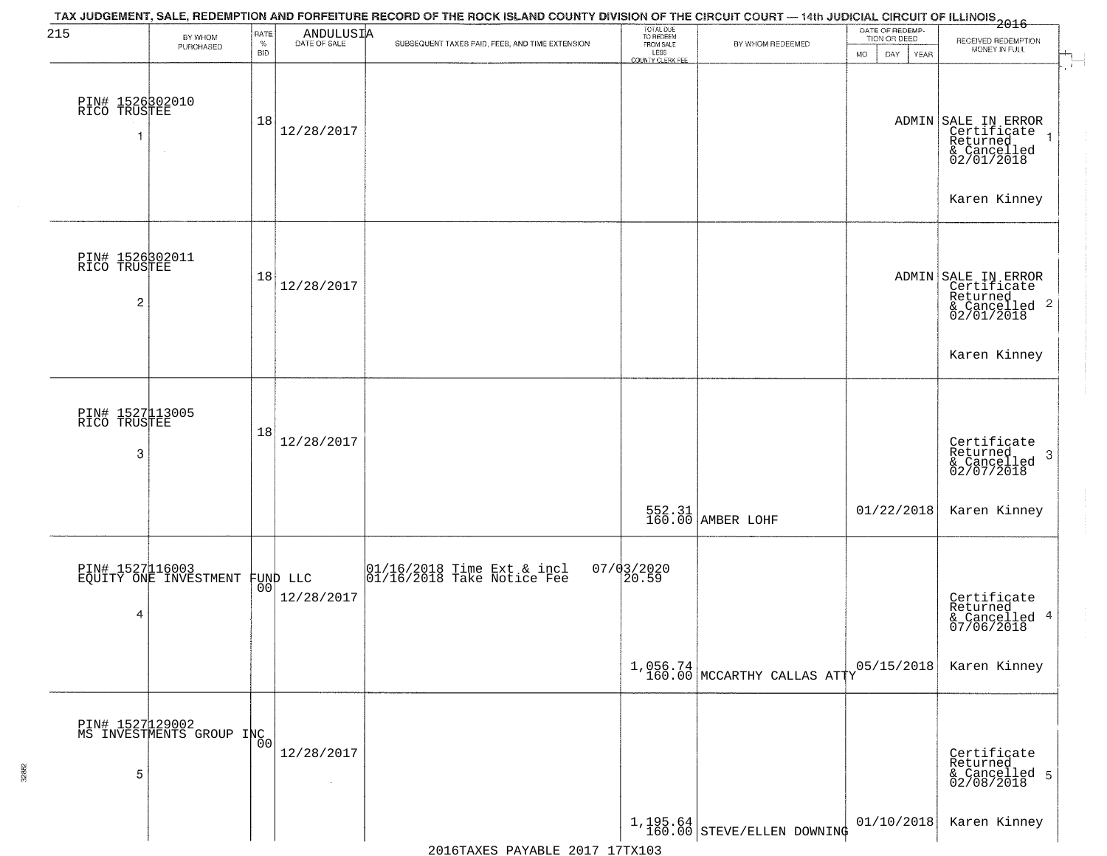| 215                                  | BY WHOM<br>PURCHASED                              | RATE<br>$\%$<br><b>BID</b> | $\begin{array}{c} \text{ANDULUS I} \text{A} \\ \text{DATE of }\text{SALE} \end{array}$ | TAX JUDGEMENT, SALE, REDEMPTION AND FORFEITURE RECORD OF THE ROCK ISLAND COUNTY DIVISION OF THE CIRCUIT COURT — 14th JUDICIAL CIRCUIT OF ILLINOIS<br>2016 - 2017 - 1992 - 1993<br>SUBSEQUENT TAXES PAID, FEES, AND TIME EXTENSION | TOTAL DUE<br>TO REDEEM<br>FROM SALE | BY WHOM REDEEMED                          | DATE OF REDEMP-<br>TION OR DEED<br><b>MO</b><br>DAY<br>YEAR | RECEIVED REDEMPTION<br>MONEY IN FULL                                                          |
|--------------------------------------|---------------------------------------------------|----------------------------|----------------------------------------------------------------------------------------|-----------------------------------------------------------------------------------------------------------------------------------------------------------------------------------------------------------------------------------|-------------------------------------|-------------------------------------------|-------------------------------------------------------------|-----------------------------------------------------------------------------------------------|
| PIN# 1526302010<br>RICO TRUSTEE<br>1 |                                                   | 18                         | 12/28/2017                                                                             |                                                                                                                                                                                                                                   | LESS<br>COUNTY CLERK FEE            |                                           |                                                             | ADMIN SALE IN ERROR<br>Certificate<br>Returned<br>& Cancelled<br>02/01/2018<br>Karen Kinney   |
| PIN# 1526302011<br>RICO TRUSTEE<br>2 |                                                   | 18                         | 12/28/2017                                                                             |                                                                                                                                                                                                                                   |                                     |                                           |                                                             | ADMIN SALE IN ERROR<br>Certificate<br>Returned<br>& Cancelled 2<br>02/01/2018<br>Karen Kinney |
| PIN# 1527113005<br>RICO TRUSTEE<br>3 |                                                   | 18                         | 12/28/2017                                                                             |                                                                                                                                                                                                                                   |                                     | 552.31<br>160.00 AMBER LOHF               | 01/22/2018                                                  | Certificate<br>Returned<br>3<br>& Cancelled<br>02/07/2018<br>Karen Kinney                     |
| 4                                    | PIN# 1527116003<br>EQUITY ONE INVESTMENT FUND LLC |                            | 12/28/2017                                                                             | 01/16/2018 Time Ext & incl<br>01/16/2018 Take Notice Fee                                                                                                                                                                          | $07/03/2020$<br>20.59               | $1,056.74$<br>160.00 MCCARTHY CALLAS ATTY | 05/15/2018                                                  | Certificate<br>Returned<br>& Cancelled 4<br>07/06/2018<br>Karen Kinney                        |
| 5                                    | PIN# 1527129002<br>MS INVESTMENTS GROUP INC       |                            | 12/28/2017<br>$\sim$                                                                   |                                                                                                                                                                                                                                   |                                     | $1,195.64$ STEVE/ELLEN DOWNING            | 01/10/2018                                                  | Certificate<br>Returned<br>& Cancelled 5<br>02/08/2018<br>Karen Kinney                        |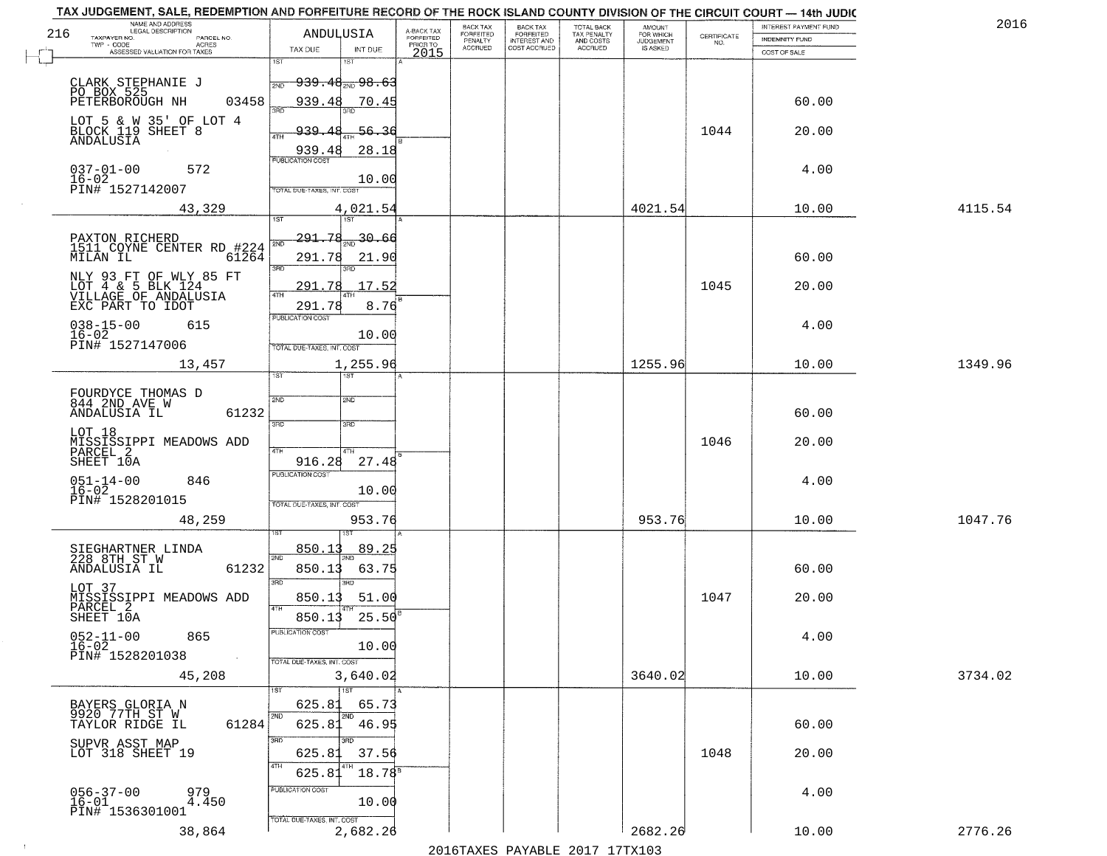| TAX JUDGEMENT, SALE, REDEMPTION AND FORFEITURE RECORD OF THE ROCK ISLAND COUNTY DIVISION OF THE CIRCUIT COURT - 14th JUDIC<br>NAME AND ADDRESS<br>LEGAL DESCRIPTION                                   |                                                 |                                                                                                                         |                                                                 |                         | BACK TAX             | <b>BACK TAX</b>           | TOTAL BACK               |                                         |                                                                 | INTEREST PAYMENT FUND           | 2016    |
|-------------------------------------------------------------------------------------------------------------------------------------------------------------------------------------------------------|-------------------------------------------------|-------------------------------------------------------------------------------------------------------------------------|-----------------------------------------------------------------|-------------------------|----------------------|---------------------------|--------------------------|-----------------------------------------|-----------------------------------------------------------------|---------------------------------|---------|
| 216<br>TAXPAYER NO.                                                                                                                                                                                   | PARCEL NO.                                      | ANDULUSIA                                                                                                               |                                                                 | A-BACK TAX<br>FORFEITED | FORFEITED<br>PENALTY | FORFEITED<br>INTEREST AND | TAX PENALTY<br>AND COSTS | AMOUNT<br>FOR WHICH<br><b>JUDGEMENT</b> | $\begin{array}{c} \text{CERTIFICATE} \\ \text{NO.} \end{array}$ | INDEMNITY FUND                  |         |
| ASSESSED VALUATION FOR TAXES                                                                                                                                                                          | ACRES                                           | TAX DUE                                                                                                                 | INT DUE                                                         | PRIOR TO<br>2015        | <b>ACCRUED</b>       | COST ACCRUED              | <b>ACCRUED</b>           | IS ASKED                                |                                                                 | COST OF SALE                    |         |
| CLARK STEPHANIE J<br>PO BOX 525<br>PETERBOROUGH NH                                                                                                                                                    | 03458                                           | 1ST<br>18T<br>939.48 <sub>2ND</sub> 98.63<br>2ND<br>939.48                                                              | 70.45                                                           |                         |                      |                           |                          |                                         |                                                                 | 60.00                           |         |
| LOT 5 & W 35' OF LOT 4<br>BLOCK 119 SHEET 8<br>ANDALUSIA                                                                                                                                              |                                                 | 939.<br>-48<br><b>ATH</b>                                                                                               | 56.36<br>28.18                                                  |                         |                      |                           |                          |                                         | 1044                                                            | 20.00                           |         |
| $037 - 01 - 00$<br>$16 - 02$<br>PIN# 1527142007                                                                                                                                                       | 572                                             | 939.48<br>TOTAL DUE-TAXES, INT. COST                                                                                    | 10.00                                                           |                         |                      |                           |                          |                                         |                                                                 | 4.00                            |         |
|                                                                                                                                                                                                       | 43,329                                          |                                                                                                                         | 4,021.54                                                        |                         |                      |                           |                          | 4021.54                                 |                                                                 | 10.00                           | 4115.54 |
| PAXTON RICHERD<br>1511 COYNE CENTER RD #224<br>MILAN IL<br>NLY 93 FT OF WLY 85 FT<br>LOT 4 & 5 BLK 124<br>VILLAGE OF ANDALUSIA<br>EXC PART TO IDOT<br>$038 - 15 - 00$<br>$16 - 02$<br>PIN# 1527147006 | 61264<br>615                                    | 291.78<br>2ND<br>291.78<br>3RD<br>3RD<br>291.78<br>ৰাম<br>291.78<br>PUBLICATION COST                                    | 30.66<br>21.90<br>17.52<br>8.76<br>10.00                        |                         |                      |                           |                          |                                         | 1045                                                            | 60.00<br>20.00<br>4.00          |         |
|                                                                                                                                                                                                       | 13,457                                          | TOTAL DUE-TAXES, INT. COST                                                                                              | 1,255.96                                                        |                         |                      |                           |                          | 1255.96                                 |                                                                 | 10.00                           | 1349.96 |
| FOURDYCE THOMAS D<br>844 2ND AVE W<br>ANDALUSIA IL<br>LOT 18<br>MISSISSIPPI MEADOWS ADD<br>PARCEL 2<br>SHEET 10A<br>$051 - 14 - 00$<br>16-02<br>PIN# 1528201015                                       | 61232<br>846<br>48,259                          | TST<br>1ST<br>2ND<br>2ND<br>3RD<br>3RD<br>4TH<br>4TH<br>916.28<br><b>PUBLICATION COST</b><br>TOTAL OUE-TAXES, INT. COST | 27.48<br>10.00<br>953.76                                        |                         |                      |                           |                          | 953.76                                  | 1046                                                            | 60.00<br>20.00<br>4.00<br>10.00 | 1047.76 |
| SIEGHARTNER LINDA<br>228 8TH ST W<br>ANDALUSIA IL<br>LOT 37<br>MISSISSIPPI MEADOWS ADD<br>PARCEL 2<br>SHEET 10A<br>$052 - 11 - 00$<br>$16 - 02$<br>PIN# 1528201038                                    | 61232<br>865<br>$\sim 100$ km $^{-1}$<br>45,208 | 850.13<br>2ND<br>850.13<br>3RD<br>3RD<br>850.13<br>4TH<br>850.13<br>PUBLICATION CUS.<br>TOTAL DUE-TAXES, INT. COST      | 89.25<br>63.75<br>51.00<br>$25.50^{\circ}$<br>10.00<br>3,640.02 |                         |                      |                           |                          | 3640.02                                 | 1047                                                            | 60.00<br>20.00<br>4.00<br>10.00 | 3734.02 |
| BAYERS GLORIA N<br>9920 77TH ST W<br>TAYLOR RIDGE IL<br>SUPVR ASST MAP<br>LOT 318 SHEET 19                                                                                                            | 61284                                           | 1ST<br>625.81<br>2ND<br>2ND<br>625.81<br>3RD<br>חחו<br>625.81<br>4TH<br>625.81<br>PUBLICATION COST                      | 65.73<br>46.95<br>37.56<br>$18.78^{8}$                          |                         |                      |                           |                          |                                         | 1048                                                            | 60.00<br>20.00                  |         |
| $056 - 37 - 00$<br>16-01<br>PIN# 1536301001                                                                                                                                                           | 979<br>4.450<br>38,864                          | TOTAL DUE-TAXES, INT. COST                                                                                              | 10.00<br>2,682.26                                               |                         |                      |                           |                          | 2682.26                                 |                                                                 | 4.00<br>10.00                   | 2776.26 |

 $\sim 10^{-1}$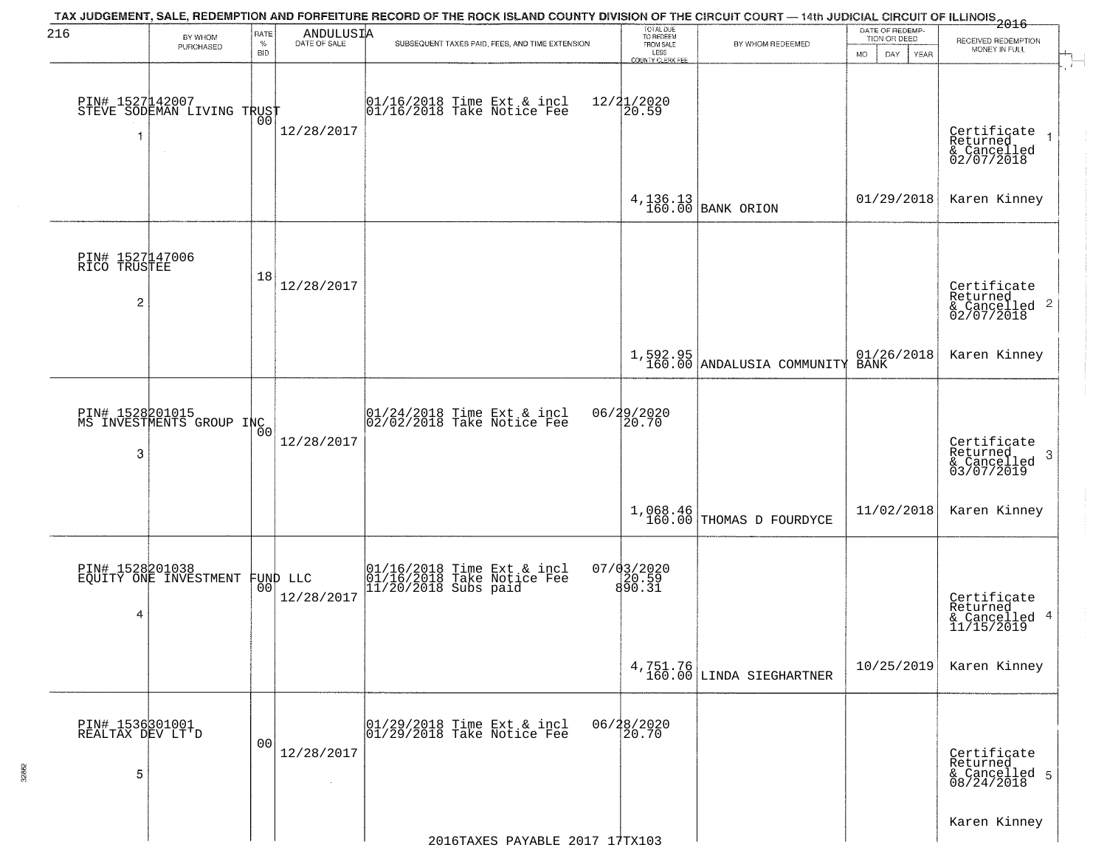| 216                                 |                                                   |                |                           | TAX JUDGEMENT, SALE, REDEMPTION AND FORFEITURE RECORD OF THE ROCK ISLAND COUNTY DIVISION OF THE CIRCUIT COURT — 14th JUDICIAL CIRCUIT OF ILLINOIS 2016 |                                     |                                          | DATE OF REDEMP-     |                                      |
|-------------------------------------|---------------------------------------------------|----------------|---------------------------|--------------------------------------------------------------------------------------------------------------------------------------------------------|-------------------------------------|------------------------------------------|---------------------|--------------------------------------|
|                                     | BY WHOM<br>PURCHASED                              | RATE<br>$\%$   | ANDULUSIA<br>DATE OF SALE | SUBSEQUENT TAXES PAID, FEES, AND TIME EXTENSION                                                                                                        | TOTAL DUE<br>TO REDEEM<br>FROM SALE | BY WHOM REDEEMED                         | TION OR DEED        | RECEIVED REDEMPTION<br>MONEY IN FULL |
|                                     |                                                   | <b>BID</b>     |                           |                                                                                                                                                        | LESS<br><b>COUNTY CLERK FEE</b>     |                                          | MO.<br>DAY.<br>YEAR |                                      |
|                                     |                                                   |                |                           |                                                                                                                                                        |                                     |                                          |                     |                                      |
|                                     | PIN# 1527142007<br>STEVE SODEMAN LIVING TRUST     | 00             |                           | 01/16/2018 Time Ext & incl<br>01/16/2018 Take Notice Fee                                                                                               | 12/21/2020<br>20.59                 |                                          |                     |                                      |
|                                     |                                                   |                | 12/28/2017                |                                                                                                                                                        |                                     |                                          |                     | Certificate<br>Returned              |
|                                     |                                                   |                |                           |                                                                                                                                                        |                                     |                                          |                     | & Cancelled<br>02/07/2018            |
|                                     |                                                   |                |                           |                                                                                                                                                        |                                     |                                          |                     |                                      |
|                                     |                                                   |                |                           |                                                                                                                                                        |                                     | $4,136.13$ BANK ORION                    | 01/29/2018          | Karen Kinney                         |
|                                     |                                                   |                |                           |                                                                                                                                                        |                                     |                                          |                     |                                      |
|                                     |                                                   |                |                           |                                                                                                                                                        |                                     |                                          |                     |                                      |
| PIN# 1527147006<br>RICO TRUSTEE     |                                                   |                |                           |                                                                                                                                                        |                                     |                                          |                     |                                      |
|                                     |                                                   | 18             | 12/28/2017                |                                                                                                                                                        |                                     |                                          |                     | Certificate<br>Returned              |
| $\overline{c}$                      |                                                   |                |                           |                                                                                                                                                        |                                     |                                          |                     | $\frac{12241164}{62/07/2018}$ 2      |
|                                     |                                                   |                |                           |                                                                                                                                                        |                                     |                                          |                     |                                      |
|                                     |                                                   |                |                           |                                                                                                                                                        |                                     | $1,592.95$<br>160.00 ANDALUSIA COMMUNITY | $01/26/2018$ BANK   | Karen Kinney                         |
|                                     |                                                   |                |                           |                                                                                                                                                        |                                     |                                          |                     |                                      |
|                                     |                                                   |                |                           |                                                                                                                                                        |                                     |                                          |                     |                                      |
|                                     | PIN# 1528201015<br>MS INVESTMENTS GROUP INC       |                |                           | 01/24/2018 Time Ext & incl<br>02/02/2018 Take Notice Fee                                                                                               | 06/29/2020<br>20.70                 |                                          |                     |                                      |
|                                     |                                                   |                | 12/28/2017                |                                                                                                                                                        |                                     |                                          |                     | Certificate<br>Returned              |
| 3                                   |                                                   |                |                           |                                                                                                                                                        |                                     |                                          |                     | 3<br>& Cancelled<br>03/07/2019       |
|                                     |                                                   |                |                           |                                                                                                                                                        |                                     |                                          |                     |                                      |
|                                     |                                                   |                |                           |                                                                                                                                                        |                                     | 1,068.46<br>160.00 THOMAS D FOURDYCE     | 11/02/2018          | Karen Kinney                         |
|                                     |                                                   |                |                           |                                                                                                                                                        |                                     |                                          |                     |                                      |
|                                     |                                                   |                |                           |                                                                                                                                                        |                                     |                                          |                     |                                      |
|                                     | PIN# 1528201038<br>EQUITY ONE INVESTMENT FUND LLC |                |                           | 01/16/2018 Time Ext & incl<br>01/16/2018 Take Notice Fee<br>11/20/2018 Subs paid                                                                       | $07/03/2020$<br>$890.59$<br>890.31  |                                          |                     |                                      |
|                                     |                                                   | 00             | 12/28/2017                |                                                                                                                                                        |                                     |                                          |                     | Certificate<br>Returned              |
| 4                                   |                                                   |                |                           |                                                                                                                                                        |                                     |                                          |                     | & Cancelled 4<br>11/15/2019          |
|                                     |                                                   |                |                           |                                                                                                                                                        |                                     |                                          |                     |                                      |
|                                     |                                                   |                |                           |                                                                                                                                                        |                                     | $4,751.76$<br>160.00 LINDA SIEGHARTNER   | 10/25/2019          | Karen Kinney                         |
|                                     |                                                   |                |                           |                                                                                                                                                        |                                     |                                          |                     |                                      |
|                                     |                                                   |                |                           |                                                                                                                                                        |                                     |                                          |                     |                                      |
| PIN# 1536301001<br>REALTAX DEV LT'D |                                                   | 0 <sub>0</sub> |                           | 01/29/2018 Time Ext & incl<br>01/29/2018 Take Notice Fee                                                                                               | 06/28/2020<br>20.70                 |                                          |                     |                                      |
|                                     |                                                   |                | 12/28/2017                |                                                                                                                                                        |                                     |                                          |                     | Certificate<br>Returned              |
| 5                                   |                                                   |                | $\sim$                    |                                                                                                                                                        |                                     |                                          |                     | & Cancelled 5<br>08/24/2018          |
|                                     |                                                   |                |                           |                                                                                                                                                        |                                     |                                          |                     |                                      |
|                                     |                                                   |                |                           |                                                                                                                                                        |                                     |                                          |                     | Karen Kinney                         |
|                                     |                                                   |                |                           | 2016TAXES PAYABLE 2017 17TX103                                                                                                                         |                                     |                                          |                     |                                      |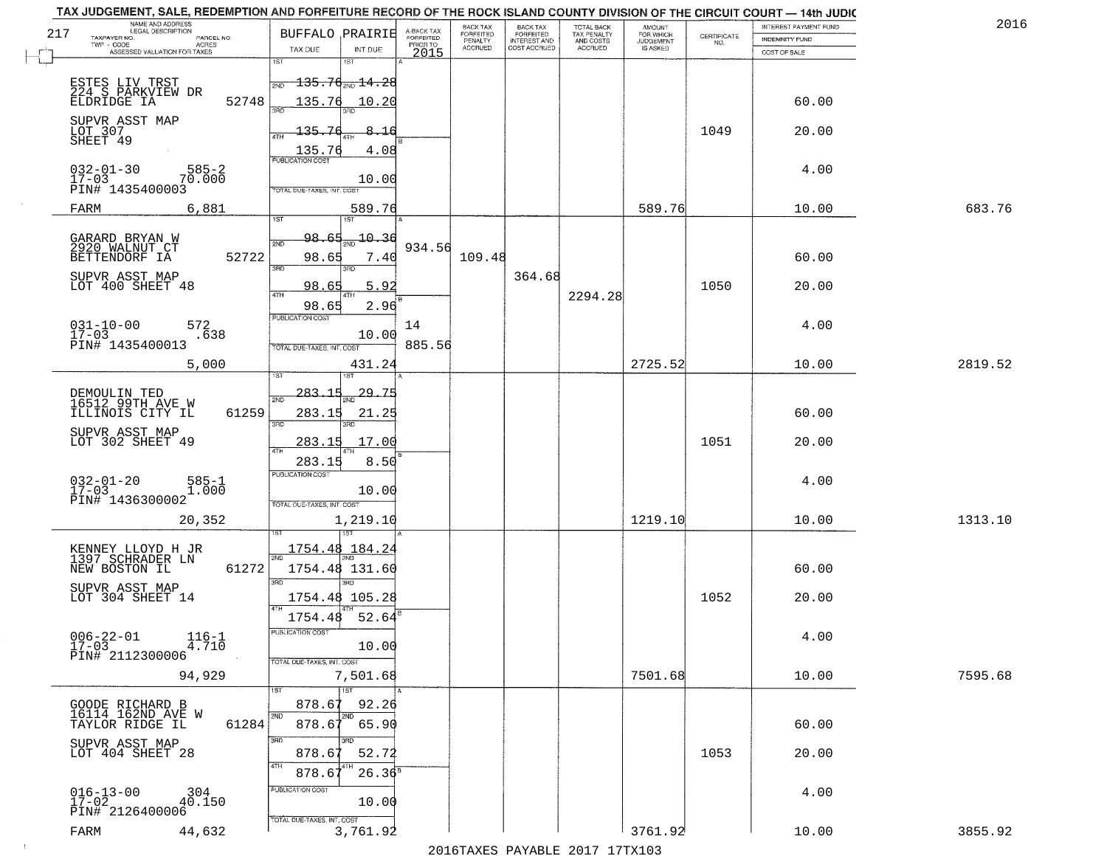| 2016    | INTEREST PAYMENT FUND  |                                                                 | AMOUNT<br>FOR WHICH |                                        | <b>BACK TAX</b>           | BACK TAX             |                                     |                                                                                                        |                                                                                         |       | TAX JUDGEMENT, SALE, REDEMPTION AND FORFEITURE RECORD OF THE ROCK ISLAND COUNTY DIVISION OF THE CIRCUIT COURT - 14th JUDIC<br>NAME AND ADDRESS<br>LEGAL DESCRIPTION |
|---------|------------------------|-----------------------------------------------------------------|---------------------|----------------------------------------|---------------------------|----------------------|-------------------------------------|--------------------------------------------------------------------------------------------------------|-----------------------------------------------------------------------------------------|-------|---------------------------------------------------------------------------------------------------------------------------------------------------------------------|
|         | <b>INDEMNITY FUND</b>  | $\begin{array}{c} \text{CERTIFICATE} \\ \text{NO.} \end{array}$ | <b>JUDGEMENT</b>    | TOTAL BACK<br>TAX PENALTY<br>AND COSTS | FORFEITED<br>INTEREST AND | FORFEITED<br>PENALTY | A-BACK TAX<br>FORFEITED<br>PRIOR TO |                                                                                                        | <b>BUFFALO PRAIRIE</b>                                                                  |       | 217<br>TAXPAYER NO.<br>PARCEL NO.<br>ACRES                                                                                                                          |
|         | COST OF SALE           |                                                                 | IS ASKED            | ACCRUED                                | COST ACCRUED              | <b>ACCRUED</b>       | 2015                                | INT DUE                                                                                                | TAX DUE                                                                                 |       | ASSESSED VALUATION FOR TAXES                                                                                                                                        |
|         | 60.00                  |                                                                 |                     |                                        |                           |                      |                                     | $\textcolor{red}{\textbf{135.76}} \textcolor{white}{\bullet} \textcolor{red}{\textbf{14.28}}$<br>10.20 | 1ST<br>2ND<br>135.76                                                                    | 52748 | ESTES LIV TRST<br>224 S PARKVIEW DR<br>ELDRIDGE IA                                                                                                                  |
|         | 20.00                  | 1049                                                            |                     |                                        |                           |                      |                                     | 8.16<br>4.08                                                                                           | 135.76<br>ATH<br>$\frac{135.76}{FUBUCATON CGST}$                                        |       | SUPVR ASST MAP<br>LOT 307<br>SHEET 49                                                                                                                               |
|         | 4.00                   |                                                                 |                     |                                        |                           |                      |                                     | 10.00                                                                                                  | TOTAL DUE-TAXES, INT. COST                                                              |       | $032 - 01 - 30$<br>$585 - 2$<br>70.000<br>$17 - 03$<br>PIN# 1435400003                                                                                              |
| 683.76  | 10.00                  |                                                                 | 589.76              |                                        |                           |                      |                                     | 589.76                                                                                                 | 1ST                                                                                     |       | 6,881<br>FARM                                                                                                                                                       |
|         | 60.00<br>20.00         | 1050                                                            |                     | 2294.28                                | 364.68                    | 109.48               | 934.56                              | $-10.36$<br>7.40<br>3RD<br>5.92<br>2.96                                                                | 98<br>-65<br>2ND<br>98.65<br>3RD<br>98.65<br>ৰিয়াম<br>98.65                            | 52722 | GARARD BRYAN W<br>2920 WALNUT CT<br>BETTENDORF IA<br>SUPVR ASST MAP<br>LOT 400 SHEET 48                                                                             |
|         | 4.00                   |                                                                 |                     |                                        |                           |                      | 14<br>885.56                        | 10.00                                                                                                  | <b>PUBLICATION COST</b><br>TOTAL DUE-TAXES, INT. COST                                   |       | $031 - 10 - 00$<br>572<br>$17 - 03$<br>.638<br>PIN# 1435400013                                                                                                      |
| 2819.52 | 10.00                  |                                                                 | 2725.52             |                                        |                           |                      |                                     | 431.24<br>1ST                                                                                          | isτ                                                                                     |       | 5,000                                                                                                                                                               |
|         | 60.00<br>20.00         | 1051                                                            |                     |                                        |                           |                      |                                     | -29.75<br>21.25<br>3RD.<br>17.00                                                                       | $-283 - 15$<br>2ND<br>283.15<br>3 <sub>BD</sub><br>283.15<br>4TH                        | 61259 | DEMOULIN TED<br>16512 99TH AVE W<br>ILLINOIS CITY IL<br>SUPVR ASST MAP<br>LOT 302 SHEET 49                                                                          |
| 1313.10 | 4.00<br>10.00          |                                                                 | 1219.10             |                                        |                           |                      |                                     | 8.50<br>10.00<br>1,219.10                                                                              | 283.15<br><b>PUBLICATION COST</b><br>TOTAL OUE-TAXES, INT. COST                         |       | $032 - 01 - 20$<br>17-03<br>585-1<br>1.000<br>PIN# 1436300002<br>20,352                                                                                             |
|         | 60.00<br>20.00<br>4.00 | 1052                                                            |                     |                                        |                           |                      |                                     | 3RD.<br>52.64<br>10.00                                                                                 | 1754.48 184.24<br>1754.48 131.60<br>3RD<br>1754.48 105.28<br>1754.48<br>PUBLICA HUN COS | 61272 | KENNEY LLOYD H JR<br>1397 SCHRADER LN<br>NEW BOSTON IL<br>SUPVR ASST MAP<br>LOT 304 SHEET 14<br>$006 - 22 - 01$<br>$116 - 1$<br>$17 - 03$<br>4.710                  |
| 7595.68 | 10.00                  |                                                                 | 7501.68             |                                        |                           |                      |                                     | 7,501.68                                                                                               | TOTAL DUE-TAXES, INT. COST                                                              |       | PIN# 2112300006<br>94,929                                                                                                                                           |
|         | 60.00                  |                                                                 |                     |                                        |                           |                      |                                     | 1ST<br>92.26<br>2ND<br>65.90                                                                           | 878.67<br>2ND<br>878.67<br>3RD                                                          | 61284 | GOODE RICHARD B<br>16114 162ND AVE W<br>TAYLOR RIDGE IL                                                                                                             |
|         | 20.00                  | 1053                                                            |                     |                                        |                           |                      |                                     | 52.72<br>$26.36^{8}$                                                                                   | 878.67<br>4TH<br>878.6<br>PUBLICATION COST                                              |       | SUPVR ASST MAP<br>LOT 404 SHEET 28                                                                                                                                  |
|         | 4.00                   |                                                                 |                     |                                        |                           |                      |                                     | 10.00                                                                                                  | TOTAL DUE-TAXES, INT. COST                                                              |       | $016 - 13 - 00$<br>$304$<br>40.150<br>$17 - 02$<br>PIN# 2126400006                                                                                                  |
| 3855.92 | 10.00                  |                                                                 | 3761.92             |                                        |                           |                      |                                     | 3,761.92                                                                                               |                                                                                         |       | 44,632<br>FARM                                                                                                                                                      |

2016TAXES PAYABLE 2017 17TX103

 $\sim 100$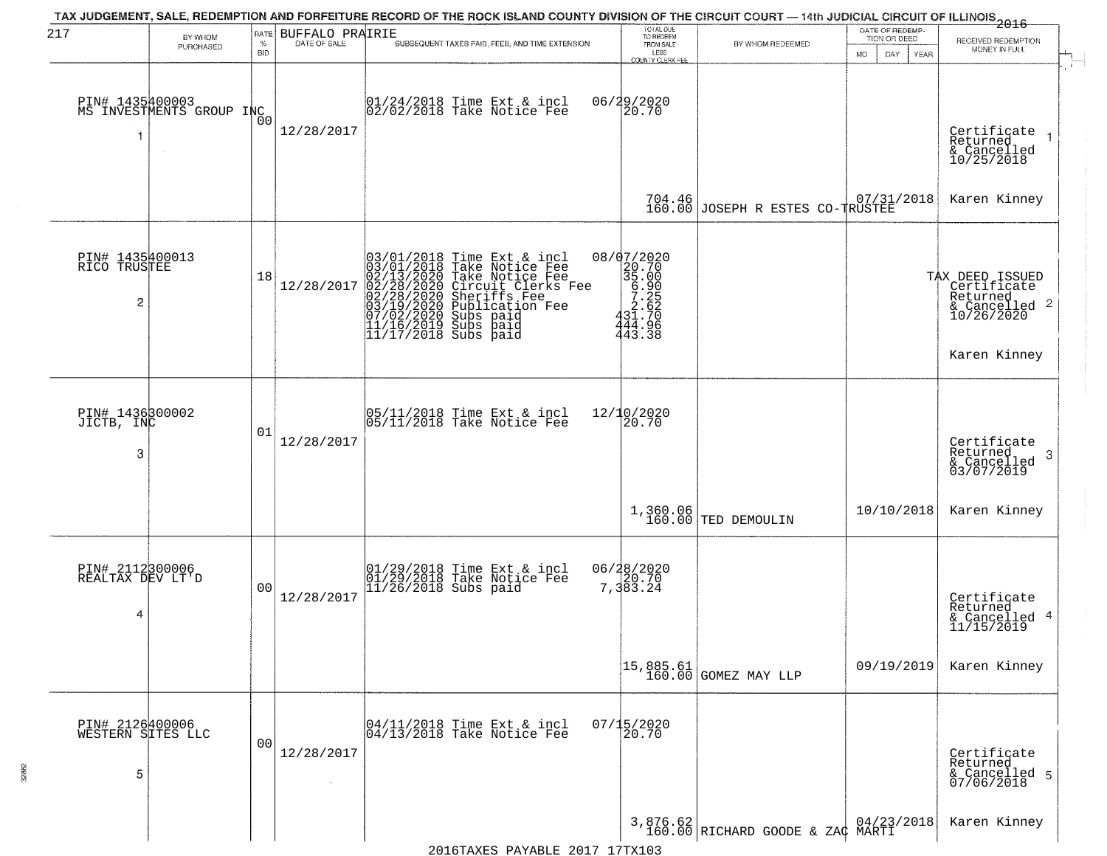| 217                                               | BY WHOM                                     | RATE               | <b>BUFFALO PRAIRIE</b> |                                                                                                                                                                                                                                                      | TOTAL DUE<br>TO REDEEM                                      |                                                       | DATE OF REDEMP-<br>TION OR DEED | 2016<br>RECEIVED REDEMPTION                                                   |  |
|---------------------------------------------------|---------------------------------------------|--------------------|------------------------|------------------------------------------------------------------------------------------------------------------------------------------------------------------------------------------------------------------------------------------------------|-------------------------------------------------------------|-------------------------------------------------------|---------------------------------|-------------------------------------------------------------------------------|--|
|                                                   | PURCHASED                                   | $\%$<br><b>BID</b> | DATE OF SALE           | SUBSEQUENT TAXES PAID, FEES, AND TIME EXTENSION                                                                                                                                                                                                      | FROM SALE<br>LESS<br><b>COUNTY CLERK FEE</b>                | BY WHOM REDEEMED                                      | <b>MO</b><br>DAY<br>YEAR        | MONEY IN FULL                                                                 |  |
|                                                   | PIN# 1435400003<br>MS INVESTMENTS GROUP INC | 00                 | 12/28/2017             | 01/24/2018 Time Ext & incl<br>02/02/2018 Take Notice Fee                                                                                                                                                                                             | 06/29/2020<br>20.70                                         |                                                       |                                 | Certificate<br>Returned<br>& Cancelled<br>10/25/2018                          |  |
|                                                   |                                             |                    |                        |                                                                                                                                                                                                                                                      |                                                             | 704.46 JOSEPH R ESTES CO-TRUSTEE                      |                                 | Karen Kinney                                                                  |  |
| PIN# 1435400013<br>RICO TRUSTEE<br>$\overline{c}$ |                                             | 18                 | 12/28/2017             | $03/01/2018$ Time Ext & incl<br>03/01/2018 Take Notice Fee<br>02/13/2020 Take Notice Fee<br>02/28/2020 Circuit Clerks Fee<br>02/28/2020 Sheriffs Fee<br>03/19/2020 Subs paid<br>07/02/2020 Subs paid<br>11/16/2019 Subs paid<br>11/17/2018 Subs paid | $20.702020\n35.00\n6.905\n7.252\n431.706\n444.96$<br>443.38 |                                                       |                                 | TAX DEED ISSUED<br>  Certificate<br>  Returned<br>& Cancelled 2<br>10/26/2020 |  |
|                                                   |                                             |                    |                        |                                                                                                                                                                                                                                                      |                                                             |                                                       |                                 | Karen Kinney                                                                  |  |
| PIN# 1436300002<br>JICTB, INC<br>3                |                                             | 01                 | 12/28/2017             | 05/11/2018 Time Ext & incl<br>05/11/2018 Take Notice Fee                                                                                                                                                                                             | 12/10/2020<br>20.70                                         |                                                       |                                 | Certificate<br>Returned<br>-3<br>& Cancelled<br>03/07/2019                    |  |
|                                                   |                                             |                    |                        |                                                                                                                                                                                                                                                      |                                                             | 1,360.06<br>160.00 TED DEMOULIN                       | 10/10/2018                      | Karen Kinney                                                                  |  |
| PIN# 2112300006<br>REALTAX DEV LT'D<br>4          |                                             | 00                 | 12/28/2017             | 01/29/2018 Time Ext & incl<br>01/29/2018 Take Notice Fee<br>11/26/2018 Subs paid                                                                                                                                                                     | 06/28/2020<br>7,383.24                                      |                                                       |                                 | Certificate<br>Returned<br>& Cancelled 4<br>11/15/2019                        |  |
|                                                   |                                             |                    |                        |                                                                                                                                                                                                                                                      |                                                             | 15,885.61<br>160.00 GOMEZ MAY LLP                     | 09/19/2019                      | Karen Kinney                                                                  |  |
| PIN# 2126400006<br>WESTERN SITES LLC<br>5         |                                             | 0 <sup>0</sup>     | 12/28/2017             | 04/11/2018 Time Ext & incl<br>04/13/2018 Take Notice Fee                                                                                                                                                                                             | $07/15/2020$<br>20.70                                       |                                                       |                                 | Certificate<br>Returned<br>& Cancelled 5<br>07/06/2018                        |  |
|                                                   |                                             |                    |                        | 2016TAXES PAYABLE 2017 17TX103                                                                                                                                                                                                                       |                                                             | 3,876.62   04/23,<br>160.00 RICHARD GOODE & ZAC MARTI | 04/23/2018                      | Karen Kinney                                                                  |  |

32862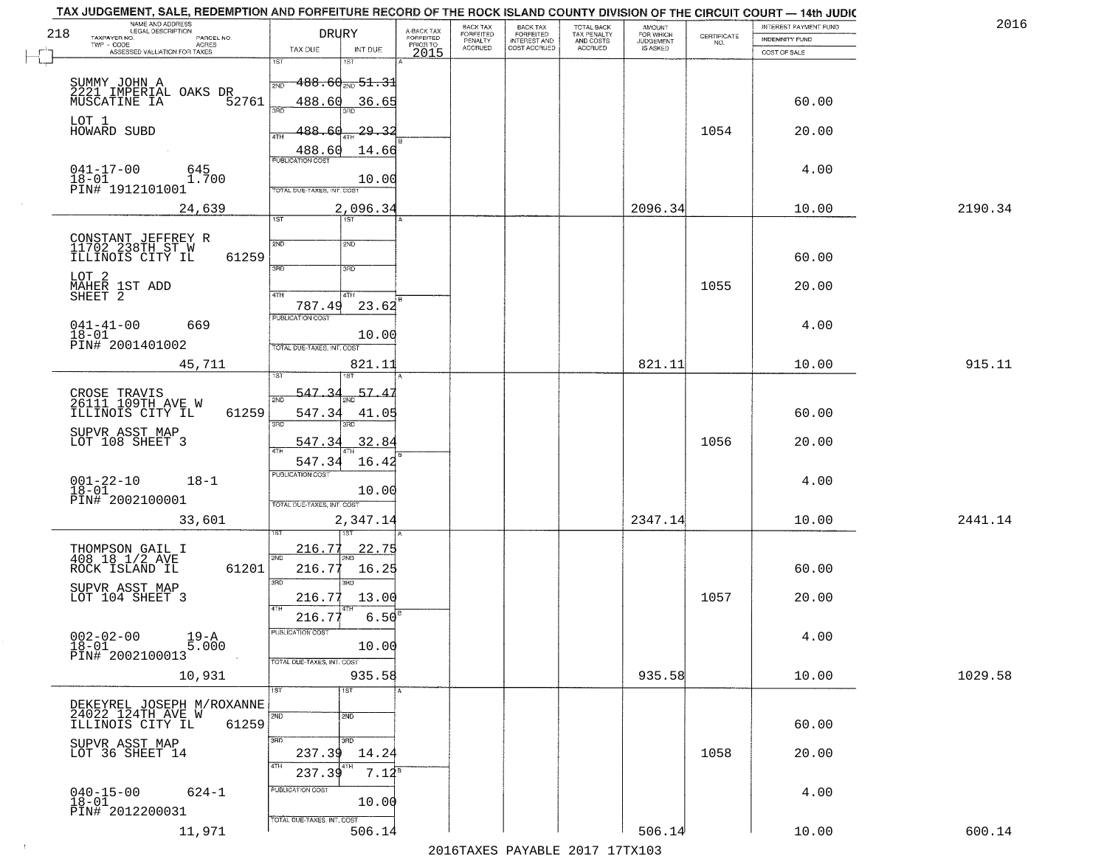|     | TAX JUDGEMENT, SALE, REDEMPTION AND FORFEITURE RECORD OF THE ROCK ISLAND COUNTY DIVISION OF THE CIRCUIT COURT - 14th JUDIC<br>NAME AND ADDRESS<br>LEGAL DESCRIPTION |                                     |                                     | BACK TAX                    |                                              |                                        |                                         |                                                                 | INTEREST PAYMENT FUND | 2016    |
|-----|---------------------------------------------------------------------------------------------------------------------------------------------------------------------|-------------------------------------|-------------------------------------|-----------------------------|----------------------------------------------|----------------------------------------|-----------------------------------------|-----------------------------------------------------------------|-----------------------|---------|
| 218 | TAXPAYER NO.<br>PARCEL NO.                                                                                                                                          | <b>DRURY</b>                        | A-BACK TAX<br>FORFEITED<br>PRIOR TO | <b>FORFEITED</b><br>PENALTY | BACK TAX<br>FORFEITED<br><b>INTEREST AND</b> | TOTAL BACK<br>TAX PENALTY<br>AND COSTS | AMOUNT<br>FOR WHICH<br><b>JUDGEMENT</b> | $\begin{array}{c} \text{CERTIFICATE} \\ \text{NO.} \end{array}$ | INDEMNITY FUND        |         |
|     | ACRES<br>ASSESSED VALUATION FOR TAXES                                                                                                                               | INT DUE<br>TAX DUE                  | 2015                                | <b>ACCRUED</b>              | COST ACCRUED                                 | <b>ACCRUED</b>                         | IS ASKED                                |                                                                 | COST OF SALE          |         |
|     |                                                                                                                                                                     | 1ST<br>۱ST                          |                                     |                             |                                              |                                        |                                         |                                                                 |                       |         |
|     |                                                                                                                                                                     | $-488.60_{\text{2ND}}$ 51.31<br>2ND |                                     |                             |                                              |                                        |                                         |                                                                 |                       |         |
|     | SUMMY JOHN A<br>2221 IMPERIAL OAKS DR<br>MUSCATINE IA 52761                                                                                                         | 488.60<br>36.65                     |                                     |                             |                                              |                                        |                                         |                                                                 | 60.00                 |         |
|     |                                                                                                                                                                     | 370                                 |                                     |                             |                                              |                                        |                                         |                                                                 |                       |         |
|     | LOT 1<br>HOWARD SUBD                                                                                                                                                | 488.60<br><u>29.32</u><br>ATH       |                                     |                             |                                              |                                        |                                         | 1054                                                            | 20.00                 |         |
|     |                                                                                                                                                                     | 14.66                               |                                     |                             |                                              |                                        |                                         |                                                                 |                       |         |
|     |                                                                                                                                                                     | 488.60                              |                                     |                             |                                              |                                        |                                         |                                                                 |                       |         |
|     | $041 - 17 - 00$<br>645<br>1.700<br>$18 - 01$                                                                                                                        | 10.00                               |                                     |                             |                                              |                                        |                                         |                                                                 | 4.00                  |         |
|     | PIN# 1912101001                                                                                                                                                     | TOTAL DUE-TAXES, INT. COST          |                                     |                             |                                              |                                        |                                         |                                                                 |                       |         |
|     | 24,639                                                                                                                                                              | 2,096.34                            |                                     |                             |                                              |                                        | 2096.34                                 |                                                                 | 10.00                 | 2190.34 |
|     |                                                                                                                                                                     | 1ST<br>1ST                          |                                     |                             |                                              |                                        |                                         |                                                                 |                       |         |
|     | CONSTANT JEFFREY R<br>11702 238TH ST W                                                                                                                              | 2ND<br>2ND                          |                                     |                             |                                              |                                        |                                         |                                                                 |                       |         |
|     | 61259<br>ILLINOIS CITY IL                                                                                                                                           |                                     |                                     |                             |                                              |                                        |                                         |                                                                 | 60.00                 |         |
|     | LOT <sub>2</sub>                                                                                                                                                    | 3RD<br>$\overline{\text{3BD}}$      |                                     |                             |                                              |                                        |                                         |                                                                 |                       |         |
|     | MAHER 1ST ADD<br>SHEET 2                                                                                                                                            |                                     |                                     |                             |                                              |                                        |                                         | 1055                                                            | 20.00                 |         |
|     |                                                                                                                                                                     | 47H<br>4TH<br>787.49<br>23.62       |                                     |                             |                                              |                                        |                                         |                                                                 |                       |         |
|     |                                                                                                                                                                     | PUBLICATION COST                    |                                     |                             |                                              |                                        |                                         |                                                                 |                       |         |
|     | $041 - 41 - 00$<br>669<br>$18 - 01$                                                                                                                                 | 10.00                               |                                     |                             |                                              |                                        |                                         |                                                                 | 4.00                  |         |
|     | PIN# 2001401002                                                                                                                                                     | TOTAL DUE-TAXES, INT. COST          |                                     |                             |                                              |                                        |                                         |                                                                 |                       |         |
|     | 45,711                                                                                                                                                              | 821.11                              |                                     |                             |                                              |                                        | 821.11                                  |                                                                 | 10.00                 | 915.11  |
|     |                                                                                                                                                                     | ST.                                 |                                     |                             |                                              |                                        |                                         |                                                                 |                       |         |
|     | CROSE TRAVIS<br>26111 109TH AVE W                                                                                                                                   | -547<br>57.4<br>2ND                 |                                     |                             |                                              |                                        |                                         |                                                                 |                       |         |
|     | ILLINOIS CITY IL<br>61259                                                                                                                                           | 547.34<br>41.05                     |                                     |                             |                                              |                                        |                                         |                                                                 | 60.00                 |         |
|     | SUPVR ASST MAP                                                                                                                                                      | 3RD<br>3RD                          |                                     |                             |                                              |                                        |                                         |                                                                 |                       |         |
|     | LOT 108 SHEET 3                                                                                                                                                     | 547.34<br>32.84                     |                                     |                             |                                              |                                        |                                         | 1056                                                            | 20.00                 |         |
|     |                                                                                                                                                                     | 547.34<br>16.42                     |                                     |                             |                                              |                                        |                                         |                                                                 |                       |         |
|     | $001 - 22 - 10$<br>18-01<br>$18 - 1$                                                                                                                                | <b>PUBLICATION COST</b>             |                                     |                             |                                              |                                        |                                         |                                                                 | 4.00                  |         |
|     | PIN# 2002100001                                                                                                                                                     | 10.00                               |                                     |                             |                                              |                                        |                                         |                                                                 |                       |         |
|     |                                                                                                                                                                     | TOTAL OUE-TAXES, INT. COST          |                                     |                             |                                              |                                        |                                         |                                                                 |                       |         |
|     | 33,601                                                                                                                                                              | 2,347.14                            |                                     |                             |                                              |                                        | 2347.14                                 |                                                                 | 10.00                 | 2441.14 |
|     |                                                                                                                                                                     | <u>216.77</u><br><u> 22.75</u>      |                                     |                             |                                              |                                        |                                         |                                                                 |                       |         |
|     | THOMPSON GAIL I<br>408 18 1/2 AVE                                                                                                                                   | 2ND                                 |                                     |                             |                                              |                                        |                                         |                                                                 |                       |         |
|     | ROCK ISLAND IL<br>61201                                                                                                                                             | 216.77<br>16.25<br>3RD<br>3RD       |                                     |                             |                                              |                                        |                                         |                                                                 | 60.00                 |         |
|     | SUPVR ASST MAP<br>LOT 104 SHEET 3                                                                                                                                   | 13.00<br>216.77                     |                                     |                             |                                              |                                        |                                         | 1057                                                            | 20.00                 |         |
|     |                                                                                                                                                                     | 4TH                                 |                                     |                             |                                              |                                        |                                         |                                                                 |                       |         |
|     |                                                                                                                                                                     | 216.77<br>6.50                      |                                     |                             |                                              |                                        |                                         |                                                                 |                       |         |
|     | $002 - 02 - 00$<br>19-A<br>5.000<br>$18 - 01$                                                                                                                       | PUBLICA HUN COS<br>10.00            |                                     |                             |                                              |                                        |                                         |                                                                 | 4.00                  |         |
|     | PIN# 2002100013                                                                                                                                                     | TOTAL DUE-TAXES, INT. COST          |                                     |                             |                                              |                                        |                                         |                                                                 |                       |         |
|     | 10,931                                                                                                                                                              | 935.58                              |                                     |                             |                                              |                                        | 935.58                                  |                                                                 | 10.00                 | 1029.58 |
|     |                                                                                                                                                                     | 1ST<br>1ST                          |                                     |                             |                                              |                                        |                                         |                                                                 |                       |         |
|     | DEKEYREL JOSEPH M/ROXANNE                                                                                                                                           |                                     |                                     |                             |                                              |                                        |                                         |                                                                 |                       |         |
|     | 24022 124TH AVE W<br>ILLINOIS CITY IL<br>61259                                                                                                                      | 2ND<br>2ND                          |                                     |                             |                                              |                                        |                                         |                                                                 | 60.00                 |         |
|     |                                                                                                                                                                     | 3RD<br>3RD                          |                                     |                             |                                              |                                        |                                         |                                                                 |                       |         |
|     | SUPVR ASST MAP<br>LOT 36 SHEET 14                                                                                                                                   | 237.39<br>14.24                     |                                     |                             |                                              |                                        |                                         | 1058                                                            | 20.00                 |         |
|     |                                                                                                                                                                     | 4TH<br>$7.12^{8}$<br>237.39         |                                     |                             |                                              |                                        |                                         |                                                                 |                       |         |
|     | $040 - 15 - 00$<br>$624 - 1$                                                                                                                                        | PUBLICATION COST                    |                                     |                             |                                              |                                        |                                         |                                                                 | 4.00                  |         |
|     | $18 - 01$                                                                                                                                                           | 10.00                               |                                     |                             |                                              |                                        |                                         |                                                                 |                       |         |
|     | PIN# 2012200031                                                                                                                                                     | TOTAL DUE-TAXES, INT. COST          |                                     |                             |                                              |                                        |                                         |                                                                 |                       |         |
|     | 11,971                                                                                                                                                              | 506.14                              |                                     |                             |                                              |                                        | 506.14                                  |                                                                 | 10.00                 | 600.14  |
|     |                                                                                                                                                                     |                                     |                                     |                             |                                              | 2016 TAVEC DAVARLE 2017 17 TV102       |                                         |                                                                 |                       |         |

2016TAXES PAYABLE 2017 17TX103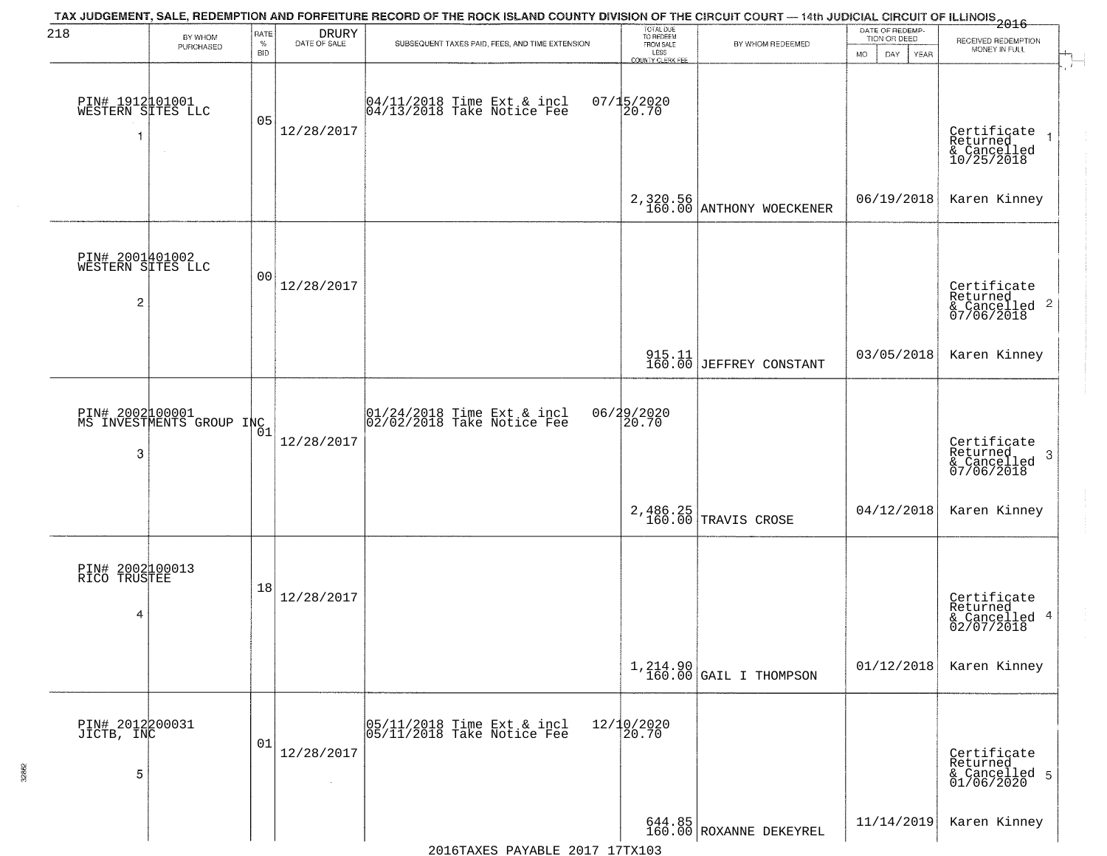| 218                                       | BY WHOM<br>PURCHASED                        | RATE<br>$\%$<br><b>BID</b> | $\begin{array}{c} \text{DRURY} \\ \text{DATE of sale} \end{array}$ | TAX JUDGEMENT, SALE, REDEMPTION AND FORFEITURE RECORD OF THE ROCK ISLAND COUNTY DIVISION OF THE CIRCUIT COURT — 14th JUDICIAL CIRCUIT OF ILLINOIS 2016<br>SUBSEQUENT TAXES PAID, FEES, AND TIME EXTENSION | TOTAL DUE<br>TO REDEEM<br>FROM SALE<br>LESS<br>COUNTY CLERK FEE | BY WHOM REDEEMED                  | DATE OF REDEMP-<br>TION OR DEED<br><b>MO</b><br>DAY<br><b>YEAR</b> | RECEIVED REDEMPTION<br>MONEY IN FULL                       |
|-------------------------------------------|---------------------------------------------|----------------------------|--------------------------------------------------------------------|-----------------------------------------------------------------------------------------------------------------------------------------------------------------------------------------------------------|-----------------------------------------------------------------|-----------------------------------|--------------------------------------------------------------------|------------------------------------------------------------|
| PIN# 1912101001<br>WESTERN SITES LLC      | $\sim$                                      | 05                         | 12/28/2017                                                         | 04/11/2018 Time Ext & incl<br>04/13/2018 Take Notice Fee                                                                                                                                                  | $07/15/2020$<br>20.70                                           |                                   |                                                                    | Certificate<br>Returned<br>& Cancelled<br>10/25/2018       |
|                                           |                                             |                            |                                                                    |                                                                                                                                                                                                           | 2,320.56<br>160.00                                              | ANTHONY WOECKENER                 | 06/19/2018                                                         | Karen Kinney                                               |
| PIN# 2001401002<br>WESTERN SITES LLC<br>2 |                                             | 00                         | 12/28/2017                                                         |                                                                                                                                                                                                           |                                                                 |                                   |                                                                    | Certificate<br>Returned<br>& Cancelled 2<br>07/06/2018     |
|                                           |                                             |                            |                                                                    |                                                                                                                                                                                                           | $\frac{915.11}{160.00}$                                         | JEFFREY CONSTANT                  | 03/05/2018                                                         | Karen Kinney                                               |
| 3                                         | PIN# 2002 00001<br>MS INVESTMENTS GROUP INC |                            | 12/28/2017                                                         | 01/24/2018 Time Ext & incl<br>02/02/2018 Take Notice Fee                                                                                                                                                  | 06/29/2020<br>20.70                                             |                                   |                                                                    | Certificate<br>Returned<br>-3<br>& Cancelled<br>07/06/2018 |
|                                           |                                             |                            |                                                                    |                                                                                                                                                                                                           | 2,486.25<br>160.00                                              | TRAVIS CROSE                      | 04/12/2018                                                         | Karen Kinney                                               |
| PIN# 2002100013<br>RICO TRUSTEE<br>4      |                                             | 18                         | 12/28/2017                                                         |                                                                                                                                                                                                           |                                                                 |                                   |                                                                    | Certificate<br>Returned<br>& Cancelled 4<br>02/07/2018     |
|                                           |                                             |                            |                                                                    |                                                                                                                                                                                                           |                                                                 | $1,214.90$ GAIL I THOMPSON        | 01/12/2018                                                         | Karen Kinney                                               |
| PIN# 2012200031<br>JICTB, INC<br>5        |                                             | 01                         | 12/28/2017                                                         | 05/11/2018 Time Ext & incl<br>05/11/2018 Take Notice Fee                                                                                                                                                  | 12/10/2020<br>20.70                                             |                                   |                                                                    | Certificate<br>Returned<br>& Cancelled 5<br>01/06/2020     |
|                                           |                                             |                            |                                                                    |                                                                                                                                                                                                           |                                                                 | 644.85<br>160.00 ROXANNE DEKEYREL | 11/14/2019                                                         | Karen Kinney                                               |

2016TAXES PAYABLE 2017 17TX103

32862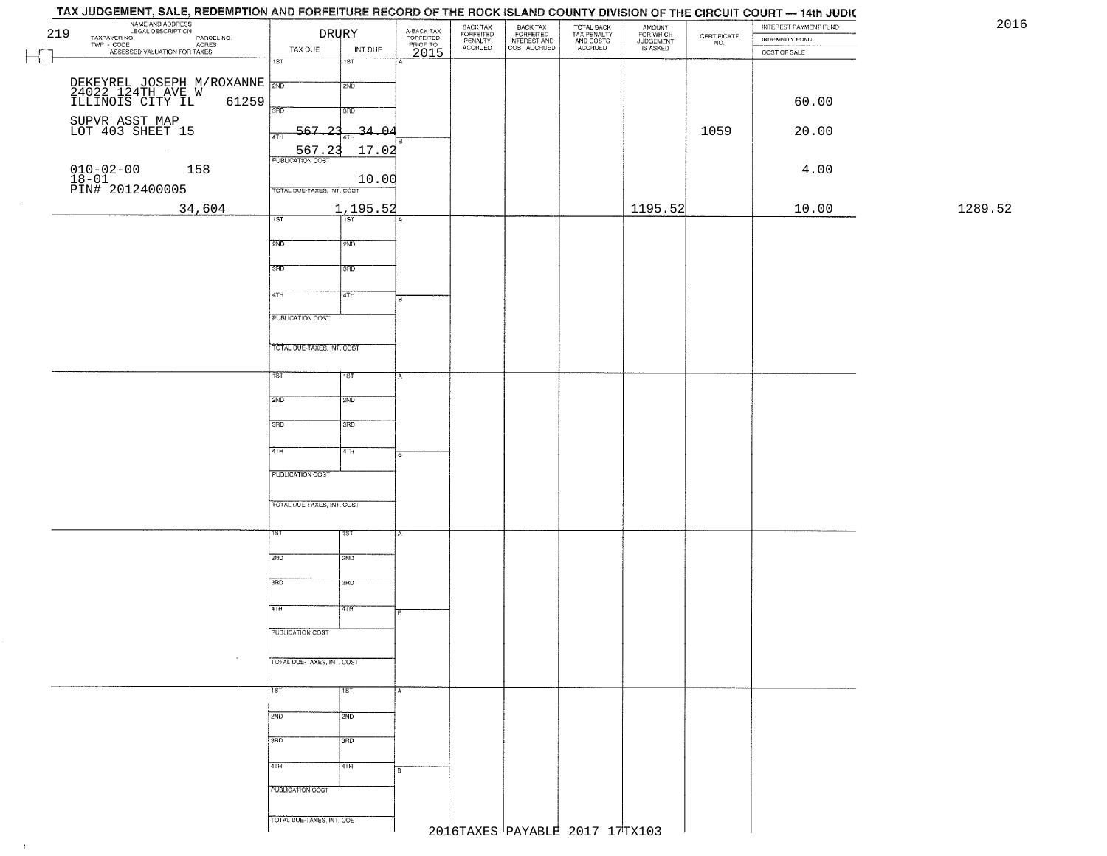| TAX JUDGEMENT, SALE, REDEMPTION AND FORFEITURE RECORD OF THE ROCK ISLAND COUNTY DIVISION OF THE CIRCUIT COURT — 14th JUDIC                                       |                                   |                             |                                             |                                             |                                                       |                                                   |                                              |                                                                 | INTEREST PAYMENT FUND | 2016    |
|------------------------------------------------------------------------------------------------------------------------------------------------------------------|-----------------------------------|-----------------------------|---------------------------------------------|---------------------------------------------|-------------------------------------------------------|---------------------------------------------------|----------------------------------------------|-----------------------------------------------------------------|-----------------------|---------|
| NAME AND ADDRESS<br>LEGAL DESCRIPTION<br>TAXPAYER NO.<br>219<br>AVER NO. CONCIDENCIAL PARCEL NO.<br>- CODE ACRES<br>- ASSESSED VALUATION FOR TAXES<br>TWP - CODE | <b>DRURY</b>                      |                             | A-BACK TAX<br>FORFEITED<br>PRIOR TO<br>2015 | BACK TAX<br>FORFEITED<br>PENALTY<br>ACCRUED | BACK TAX<br>FORFEITED<br>INTEREST AND<br>COST ACCRUED | TOTAL BACK<br>TAX PENALTY<br>AND COSTS<br>ACCRUED | AMOUNT<br>FOR WHICH<br>JUDGEMENT<br>IS ASKED | $\begin{array}{c} \text{CERTIFICATE} \\ \text{NO.} \end{array}$ | INDEMNITY FUND        |         |
|                                                                                                                                                                  | TAX DUE<br>$\overline{1ST}$       | INT DUE<br>$\overline{181}$ |                                             |                                             |                                                       |                                                   |                                              |                                                                 | COST OF SALE          |         |
|                                                                                                                                                                  |                                   |                             |                                             |                                             |                                                       |                                                   |                                              |                                                                 |                       |         |
| DEKEYREL JOSEPH M/ROXANNE NOT<br>24022 124TH AVE W<br>ILLINOIS CITY IL 61259                                                                                     |                                   | 2ND                         |                                             |                                             |                                                       |                                                   |                                              |                                                                 | 60.00                 |         |
|                                                                                                                                                                  | 3BD                               | 3RD                         |                                             |                                             |                                                       |                                                   |                                              |                                                                 |                       |         |
| SUPVR ASST MAP<br>LOT 403 SHEET 15                                                                                                                               | $-567.23$<br>4TH                  | $-34 - 04$                  |                                             |                                             |                                                       |                                                   |                                              | 1059                                                            | 20.00                 |         |
| $\sim$                                                                                                                                                           | 567.23<br><b>PUBLICATION COST</b> | 17.02                       |                                             |                                             |                                                       |                                                   |                                              |                                                                 |                       |         |
| $010 - 02 - 00$<br>158                                                                                                                                           |                                   | 10.00                       |                                             |                                             |                                                       |                                                   |                                              |                                                                 | 4.00                  |         |
| $\frac{18-01}{PINH}$ 2012400005                                                                                                                                  | TOTAL DUE-TAXES, INT. COST        |                             |                                             |                                             |                                                       |                                                   |                                              |                                                                 |                       |         |
| 34,604                                                                                                                                                           |                                   | 1,195.52                    |                                             |                                             |                                                       |                                                   | 1195.52                                      |                                                                 | 10.00                 | 1289.52 |
|                                                                                                                                                                  | 1ST                               | Tist                        |                                             |                                             |                                                       |                                                   |                                              |                                                                 |                       |         |
|                                                                                                                                                                  | 2ND                               | 2ND                         |                                             |                                             |                                                       |                                                   |                                              |                                                                 |                       |         |
|                                                                                                                                                                  | 3RD                               | 3BD                         |                                             |                                             |                                                       |                                                   |                                              |                                                                 |                       |         |
|                                                                                                                                                                  | $\sqrt{47H}$                      | 4TH                         |                                             |                                             |                                                       |                                                   |                                              |                                                                 |                       |         |
|                                                                                                                                                                  |                                   |                             | łв                                          |                                             |                                                       |                                                   |                                              |                                                                 |                       |         |
|                                                                                                                                                                  | <b>PUBLICATION COST</b>           |                             |                                             |                                             |                                                       |                                                   |                                              |                                                                 |                       |         |
|                                                                                                                                                                  | TOTAL DUE-TAXES, INT. COST        |                             |                                             |                                             |                                                       |                                                   |                                              |                                                                 |                       |         |
|                                                                                                                                                                  |                                   |                             |                                             |                                             |                                                       |                                                   |                                              |                                                                 |                       |         |
|                                                                                                                                                                  | 1ST                               | 1ST                         | A                                           |                                             |                                                       |                                                   |                                              |                                                                 |                       |         |
|                                                                                                                                                                  | 2ND                               | 2ND                         |                                             |                                             |                                                       |                                                   |                                              |                                                                 |                       |         |
|                                                                                                                                                                  | 3BD                               | 3RD                         |                                             |                                             |                                                       |                                                   |                                              |                                                                 |                       |         |
|                                                                                                                                                                  |                                   |                             |                                             |                                             |                                                       |                                                   |                                              |                                                                 |                       |         |
|                                                                                                                                                                  | 4TH                               | 4TH                         |                                             |                                             |                                                       |                                                   |                                              |                                                                 |                       |         |
|                                                                                                                                                                  | <b>PUBLICATION COST</b>           |                             |                                             |                                             |                                                       |                                                   |                                              |                                                                 |                       |         |
|                                                                                                                                                                  | TOTAL OUE-TAXES, INT. COST        |                             |                                             |                                             |                                                       |                                                   |                                              |                                                                 |                       |         |
|                                                                                                                                                                  |                                   |                             |                                             |                                             |                                                       |                                                   |                                              |                                                                 |                       |         |
|                                                                                                                                                                  | 1ST                               | १९४                         |                                             |                                             |                                                       |                                                   |                                              |                                                                 |                       |         |
|                                                                                                                                                                  | 2ND                               | SMD                         |                                             |                                             |                                                       |                                                   |                                              |                                                                 |                       |         |
|                                                                                                                                                                  |                                   |                             |                                             |                                             |                                                       |                                                   |                                              |                                                                 |                       |         |
|                                                                                                                                                                  | 3RD                               | 3BD                         |                                             |                                             |                                                       |                                                   |                                              |                                                                 |                       |         |
|                                                                                                                                                                  | 4TH                               | 4TH                         | в                                           |                                             |                                                       |                                                   |                                              |                                                                 |                       |         |
|                                                                                                                                                                  | PUBLICATION COST                  |                             |                                             |                                             |                                                       |                                                   |                                              |                                                                 |                       |         |
|                                                                                                                                                                  |                                   |                             |                                             |                                             |                                                       |                                                   |                                              |                                                                 |                       |         |
|                                                                                                                                                                  | TOTAL DUE-TAXES, INT. COST        |                             |                                             |                                             |                                                       |                                                   |                                              |                                                                 |                       |         |
|                                                                                                                                                                  | 757                               | 1ST                         | A                                           |                                             |                                                       |                                                   |                                              |                                                                 |                       |         |
|                                                                                                                                                                  |                                   |                             |                                             |                                             |                                                       |                                                   |                                              |                                                                 |                       |         |
|                                                                                                                                                                  | 2ND                               | 2ND                         |                                             |                                             |                                                       |                                                   |                                              |                                                                 |                       |         |
|                                                                                                                                                                  | 3BD                               | 3RD                         |                                             |                                             |                                                       |                                                   |                                              |                                                                 |                       |         |
|                                                                                                                                                                  | 4TH                               | 4TH                         |                                             |                                             |                                                       |                                                   |                                              |                                                                 |                       |         |
|                                                                                                                                                                  | PUBLICATION COST                  |                             |                                             |                                             |                                                       |                                                   |                                              |                                                                 |                       |         |
|                                                                                                                                                                  |                                   |                             |                                             |                                             |                                                       |                                                   |                                              |                                                                 |                       |         |
|                                                                                                                                                                  | TOTAL DUE-TAXES, INT. COST        |                             |                                             |                                             |                                                       |                                                   |                                              |                                                                 |                       |         |
|                                                                                                                                                                  |                                   |                             |                                             |                                             |                                                       | 2016TAXES PAYABLE 2017 17TX103                    |                                              |                                                                 |                       |         |
|                                                                                                                                                                  |                                   |                             |                                             |                                             |                                                       |                                                   |                                              |                                                                 |                       |         |